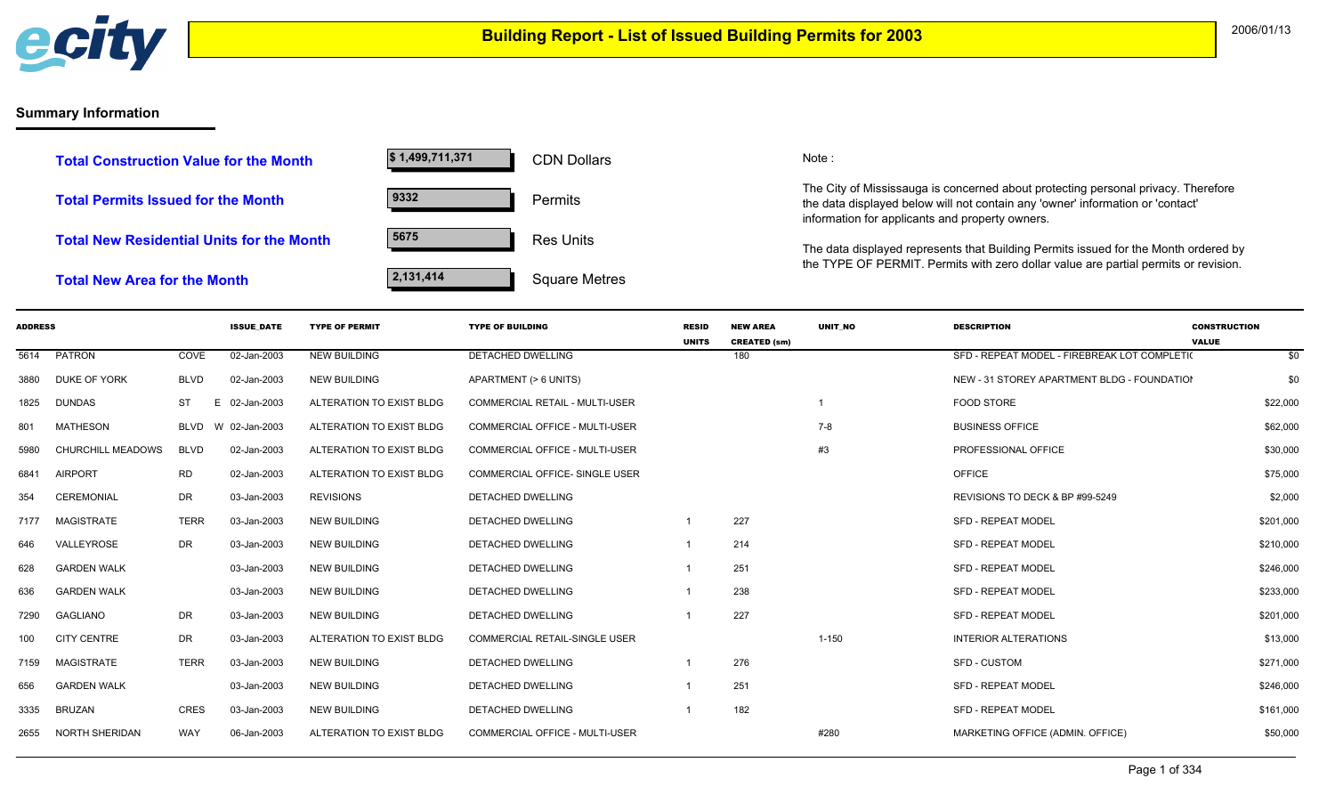

## **Summary Information**

| <b>Total Construction Value for the Month</b>    | \$1,499,711,371 | <b>CDN Dollars</b>   |
|--------------------------------------------------|-----------------|----------------------|
| <b>Total Permits Issued for the Month</b>        | 9332            | <b>Permits</b>       |
| <b>Total New Residential Units for the Month</b> | 5675            | <b>Res Units</b>     |
| <b>Total New Area for the Month</b>              | 2,131,414       | <b>Square Metres</b> |

CDN Dollars Note:

The City of Mississauga is concerned about protecting personal privacy. Therefore the data displayed below will not contain any 'owner' information or 'contact' information for applicants and property owners.

The data displayed represents that Building Permits issued for the Month ordered by the TYPE OF PERMIT. Permits with zero dollar value are partial permits or revision.

| <b>ADDRESS</b> |                          |             | <b>ISSUE DATE</b> | <b>TYPE OF PERMIT</b>    | <b>TYPE OF BUILDING</b>               | <b>RESID</b> | <b>NEW AREA</b>     | <b>UNIT NO</b> | <b>DESCRIPTION</b>                           | <b>CONSTRUCTION</b> |
|----------------|--------------------------|-------------|-------------------|--------------------------|---------------------------------------|--------------|---------------------|----------------|----------------------------------------------|---------------------|
|                |                          |             |                   |                          |                                       | <b>UNITS</b> | <b>CREATED (sm)</b> |                |                                              | <b>VALUE</b>        |
| 5614           | PATRON                   | COVE        | 02-Jan-2003       | <b>NEW BUILDING</b>      | <b>DETACHED DWELLING</b>              |              | 180                 |                | SFD - REPEAT MODEL - FIREBREAK LOT COMPLETIO | \$0                 |
| 3880           | DUKE OF YORK             | <b>BLVD</b> | 02-Jan-2003       | NEW BUILDING             | APARTMENT (> 6 UNITS)                 |              |                     |                | NEW - 31 STOREY APARTMENT BLDG - FOUNDATION  | \$0                 |
| 1825           | DUNDAS                   | ST          | E.<br>02-Jan-2003 | ALTERATION TO EXIST BLDG | <b>COMMERCIAL RETAIL - MULTI-USER</b> |              |                     |                | <b>FOOD STORE</b>                            | \$22,000            |
| 801            | <b>MATHESON</b>          | <b>BLVD</b> | W 02-Jan-2003     | ALTERATION TO EXIST BLDG | <b>COMMERCIAL OFFICE - MULTI-USER</b> |              |                     | 7-8            | <b>BUSINESS OFFICE</b>                       | \$62,000            |
| 5980           | <b>CHURCHILL MEADOWS</b> | <b>BLVD</b> | 02-Jan-2003       | ALTERATION TO EXIST BLDG | <b>COMMERCIAL OFFICE - MULTI-USER</b> |              |                     | #3             | PROFESSIONAL OFFICE                          | \$30,000            |
| 6841           | <b>AIRPORT</b>           | <b>RD</b>   | 02-Jan-2003       | ALTERATION TO EXIST BLDG | <b>COMMERCIAL OFFICE- SINGLE USER</b> |              |                     |                | <b>OFFICE</b>                                | \$75,000            |
| 354            | CEREMONIAL               | <b>DR</b>   | 03-Jan-2003       | <b>REVISIONS</b>         | DETACHED DWELLING                     |              |                     |                | REVISIONS TO DECK & BP #99-5249              | \$2,000             |
| 7177           | <b>MAGISTRATE</b>        | <b>TERR</b> | 03-Jan-2003       | <b>NEW BUILDING</b>      | <b>DETACHED DWELLING</b>              |              | 227                 |                | <b>SFD - REPEAT MODEL</b>                    | \$201,000           |
| 646            | VALLEYROSE               | <b>DR</b>   | 03-Jan-2003       | <b>NEW BUILDING</b>      | <b>DETACHED DWELLING</b>              |              | 214                 |                | <b>SFD - REPEAT MODEL</b>                    | \$210,000           |
| 628            | <b>GARDEN WALK</b>       |             | 03-Jan-2003       | <b>NEW BUILDING</b>      | DETACHED DWELLING                     |              | 251                 |                | <b>SFD - REPEAT MODEL</b>                    | \$246,000           |
| 636            | <b>GARDEN WALK</b>       |             | 03-Jan-2003       | <b>NEW BUILDING</b>      | DETACHED DWELLING                     |              | 238                 |                | <b>SFD - REPEAT MODEL</b>                    | \$233,000           |
| 7290           | <b>GAGLIANO</b>          | DR          | 03-Jan-2003       | <b>NEW BUILDING</b>      | <b>DETACHED DWELLING</b>              |              | 227                 |                | <b>SFD - REPEAT MODEL</b>                    | \$201,000           |
| 100            | <b>CITY CENTRE</b>       | DR          | 03-Jan-2003       | ALTERATION TO EXIST BLDG | <b>COMMERCIAL RETAIL-SINGLE USER</b>  |              |                     | $1 - 150$      | <b>INTERIOR ALTERATIONS</b>                  | \$13,000            |
| 7159           | <b>MAGISTRATE</b>        | <b>TERR</b> | 03-Jan-2003       | <b>NEW BUILDING</b>      | <b>DETACHED DWELLING</b>              |              | 276                 |                | <b>SFD - CUSTOM</b>                          | \$271,000           |
| 656            | <b>GARDEN WALK</b>       |             | 03-Jan-2003       | <b>NEW BUILDING</b>      | DETACHED DWELLING                     |              | 251                 |                | <b>SFD - REPEAT MODEL</b>                    | \$246,000           |
| 3335           | <b>BRUZAN</b>            | <b>CRES</b> | 03-Jan-2003       | <b>NEW BUILDING</b>      | <b>DETACHED DWELLING</b>              |              | 182                 |                | <b>SFD - REPEAT MODEL</b>                    | \$161,000           |
| 2655           | <b>NORTH SHERIDAN</b>    | WAY         | 06-Jan-2003       | ALTERATION TO EXIST BLDG | COMMERCIAL OFFICE - MULTI-USER        |              |                     | #280           | MARKETING OFFICE (ADMIN. OFFICE)             | \$50,000            |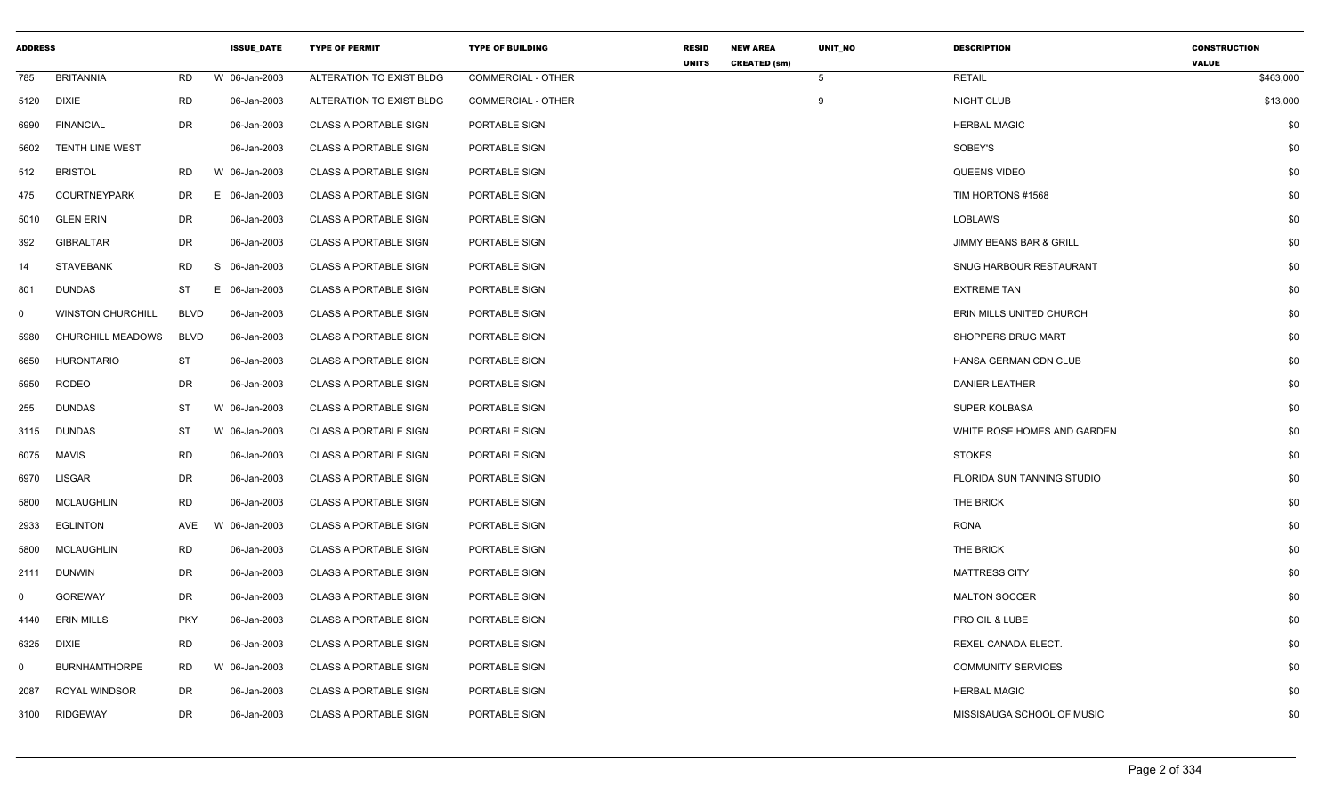| <b>ADDRESS</b> |                          |             | <b>ISSUE_DATE</b> | <b>TYPE OF PERMIT</b>        | <b>TYPE OF BUILDING</b>   | <b>RESID</b><br><b>UNITS</b> | <b>NEW AREA</b><br><b>CREATED (sm)</b> | UNIT_NO | <b>DESCRIPTION</b>                 | <b>CONSTRUCTION</b><br><b>VALUE</b> |
|----------------|--------------------------|-------------|-------------------|------------------------------|---------------------------|------------------------------|----------------------------------------|---------|------------------------------------|-------------------------------------|
| 785            | <b>BRITANNIA</b>         | RD          | W 06-Jan-2003     | ALTERATION TO EXIST BLDG     | <b>COMMERCIAL - OTHER</b> |                              |                                        | 5       | <b>RETAIL</b>                      | \$463,000                           |
| 5120           | <b>DIXIE</b>             | <b>RD</b>   | 06-Jan-2003       | ALTERATION TO EXIST BLDG     | COMMERCIAL - OTHER        |                              |                                        | 9       | NIGHT CLUB                         | \$13,000                            |
| 6990           | <b>FINANCIAL</b>         | DR          | 06-Jan-2003       | <b>CLASS A PORTABLE SIGN</b> | PORTABLE SIGN             |                              |                                        |         | <b>HERBAL MAGIC</b>                | \$0                                 |
| 5602           | <b>TENTH LINE WEST</b>   |             | 06-Jan-2003       | <b>CLASS A PORTABLE SIGN</b> | PORTABLE SIGN             |                              |                                        |         | SOBEY'S                            | \$0                                 |
| 512            | <b>BRISTOL</b>           | RD          | W 06-Jan-2003     | <b>CLASS A PORTABLE SIGN</b> | PORTABLE SIGN             |                              |                                        |         | QUEENS VIDEO                       | \$0                                 |
| 475            | <b>COURTNEYPARK</b>      | DR          | E 06-Jan-2003     | <b>CLASS A PORTABLE SIGN</b> | PORTABLE SIGN             |                              |                                        |         | TIM HORTONS #1568                  | \$0                                 |
| 5010           | <b>GLEN ERIN</b>         | DR          | 06-Jan-2003       | <b>CLASS A PORTABLE SIGN</b> | PORTABLE SIGN             |                              |                                        |         | <b>LOBLAWS</b>                     | \$0                                 |
| 392            | <b>GIBRALTAR</b>         | DR          | 06-Jan-2003       | <b>CLASS A PORTABLE SIGN</b> | PORTABLE SIGN             |                              |                                        |         | <b>JIMMY BEANS BAR &amp; GRILL</b> | \$0                                 |
| 14             | <b>STAVEBANK</b>         | RD          | S 06-Jan-2003     | <b>CLASS A PORTABLE SIGN</b> | PORTABLE SIGN             |                              |                                        |         | SNUG HARBOUR RESTAURANT            | \$0                                 |
| 801            | <b>DUNDAS</b>            | ST          | E 06-Jan-2003     | <b>CLASS A PORTABLE SIGN</b> | PORTABLE SIGN             |                              |                                        |         | <b>EXTREME TAN</b>                 | \$0                                 |
| $\mathbf 0$    | <b>WINSTON CHURCHILL</b> | <b>BLVD</b> | 06-Jan-2003       | <b>CLASS A PORTABLE SIGN</b> | PORTABLE SIGN             |                              |                                        |         | ERIN MILLS UNITED CHURCH           | \$0                                 |
| 5980           | CHURCHILL MEADOWS        | <b>BLVD</b> | 06-Jan-2003       | <b>CLASS A PORTABLE SIGN</b> | PORTABLE SIGN             |                              |                                        |         | SHOPPERS DRUG MART                 | \$0                                 |
| 6650           | <b>HURONTARIO</b>        | ST          | 06-Jan-2003       | <b>CLASS A PORTABLE SIGN</b> | PORTABLE SIGN             |                              |                                        |         | HANSA GERMAN CDN CLUB              | \$0                                 |
| 5950           | <b>RODEO</b>             | DR          | 06-Jan-2003       | <b>CLASS A PORTABLE SIGN</b> | PORTABLE SIGN             |                              |                                        |         | <b>DANIER LEATHER</b>              | \$0                                 |
| 255            | <b>DUNDAS</b>            | ST          | W 06-Jan-2003     | <b>CLASS A PORTABLE SIGN</b> | PORTABLE SIGN             |                              |                                        |         | SUPER KOLBASA                      | \$0                                 |
| 3115           | <b>DUNDAS</b>            | ST          | W 06-Jan-2003     | <b>CLASS A PORTABLE SIGN</b> | PORTABLE SIGN             |                              |                                        |         | WHITE ROSE HOMES AND GARDEN        | \$0                                 |
| 6075           | MAVIS                    | <b>RD</b>   | 06-Jan-2003       | <b>CLASS A PORTABLE SIGN</b> | PORTABLE SIGN             |                              |                                        |         | <b>STOKES</b>                      | \$0                                 |
| 6970           | LISGAR                   | DR          | 06-Jan-2003       | <b>CLASS A PORTABLE SIGN</b> | PORTABLE SIGN             |                              |                                        |         | <b>FLORIDA SUN TANNING STUDIO</b>  | \$0                                 |
| 5800           | MCLAUGHLIN               | RD          | 06-Jan-2003       | <b>CLASS A PORTABLE SIGN</b> | PORTABLE SIGN             |                              |                                        |         | THE BRICK                          | \$0                                 |
| 2933           | <b>EGLINTON</b>          | AVE         | W 06-Jan-2003     | <b>CLASS A PORTABLE SIGN</b> | PORTABLE SIGN             |                              |                                        |         | <b>RONA</b>                        | \$0                                 |
| 5800           | MCLAUGHLIN               | <b>RD</b>   | 06-Jan-2003       | <b>CLASS A PORTABLE SIGN</b> | PORTABLE SIGN             |                              |                                        |         | THE BRICK                          | \$0                                 |
| 2111           | DUNWIN                   | DR          | 06-Jan-2003       | <b>CLASS A PORTABLE SIGN</b> | PORTABLE SIGN             |                              |                                        |         | <b>MATTRESS CITY</b>               | \$0                                 |
| $\Omega$       | <b>GOREWAY</b>           | DR          | 06-Jan-2003       | <b>CLASS A PORTABLE SIGN</b> | PORTABLE SIGN             |                              |                                        |         | <b>MALTON SOCCER</b>               | \$0                                 |
| 4140           | <b>ERIN MILLS</b>        | <b>PKY</b>  | 06-Jan-2003       | <b>CLASS A PORTABLE SIGN</b> | PORTABLE SIGN             |                              |                                        |         | PRO OIL & LUBE                     | \$0                                 |
| 6325           | DIXIE                    | <b>RD</b>   | 06-Jan-2003       | <b>CLASS A PORTABLE SIGN</b> | PORTABLE SIGN             |                              |                                        |         | REXEL CANADA ELECT.                | \$0                                 |
| $\Omega$       | <b>BURNHAMTHORPE</b>     | RD          | W 06-Jan-2003     | <b>CLASS A PORTABLE SIGN</b> | PORTABLE SIGN             |                              |                                        |         | <b>COMMUNITY SERVICES</b>          | \$0                                 |
| 2087           | ROYAL WINDSOR            | DR          | 06-Jan-2003       | <b>CLASS A PORTABLE SIGN</b> | PORTABLE SIGN             |                              |                                        |         | <b>HERBAL MAGIC</b>                | \$0                                 |
| 3100           | <b>RIDGEWAY</b>          | DR          | 06-Jan-2003       | <b>CLASS A PORTABLE SIGN</b> | PORTABLE SIGN             |                              |                                        |         | MISSISAUGA SCHOOL OF MUSIC         | \$0                                 |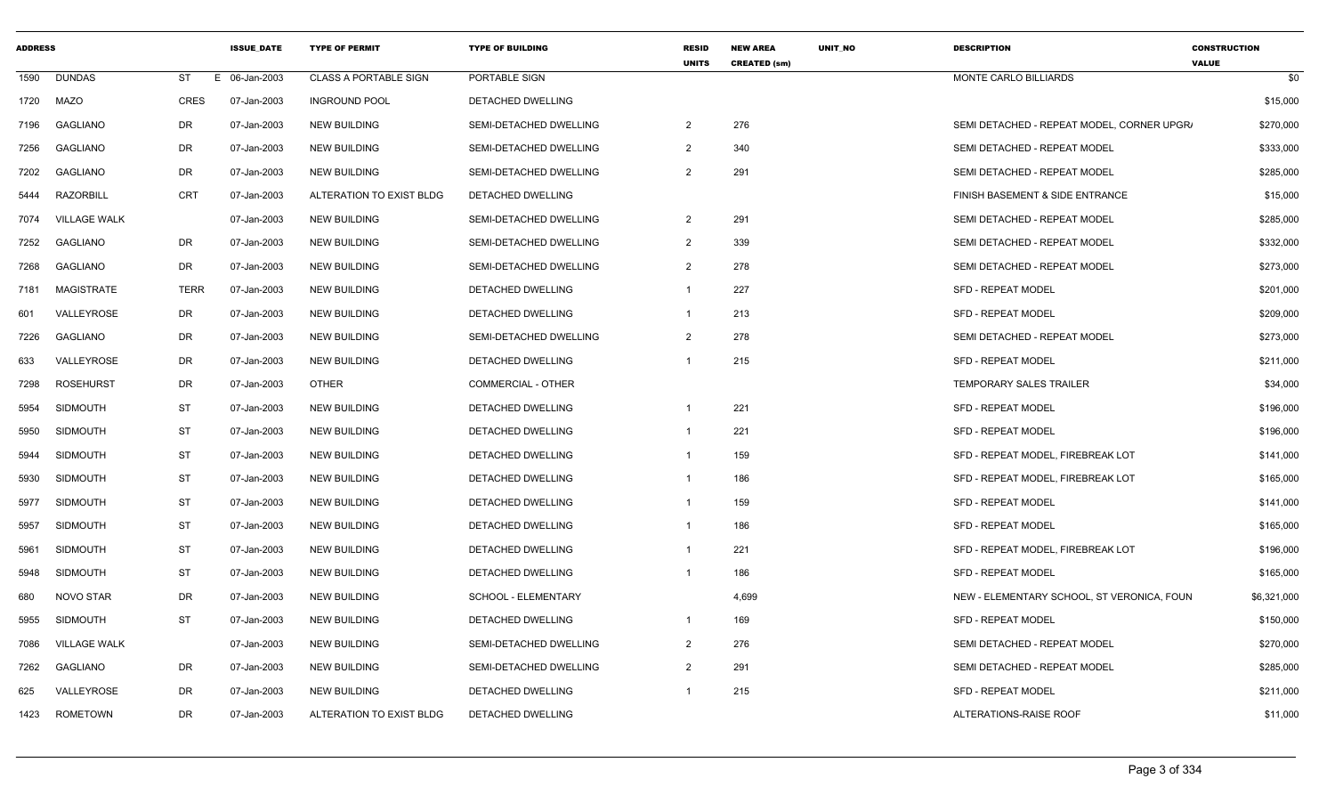| <b>ADDRESS</b> |                     |             | <b>ISSUE DATE</b> | <b>TYPE OF PERMIT</b>        | <b>TYPE OF BUILDING</b>   | <b>RESID</b><br><b>UNITS</b> | <b>NEW AREA</b><br><b>CREATED (sm)</b> | UNIT_NO | <b>DESCRIPTION</b>                         | <b>CONSTRUCTION</b><br><b>VALUE</b> |
|----------------|---------------------|-------------|-------------------|------------------------------|---------------------------|------------------------------|----------------------------------------|---------|--------------------------------------------|-------------------------------------|
| 1590           | <b>DUNDAS</b>       | ST<br>E.    | 06-Jan-2003       | <b>CLASS A PORTABLE SIGN</b> | PORTABLE SIGN             |                              |                                        |         | MONTE CARLO BILLIARDS                      | \$0                                 |
| 1720           | MAZO                | CRES        | 07-Jan-2003       | <b>INGROUND POOL</b>         | DETACHED DWELLING         |                              |                                        |         |                                            | \$15,000                            |
| 7196           | <b>GAGLIANO</b>     | DR          | 07-Jan-2003       | <b>NEW BUILDING</b>          | SEMI-DETACHED DWELLING    | 2                            | 276                                    |         | SEMI DETACHED - REPEAT MODEL, CORNER UPGR. | \$270,000                           |
| 7256           | GAGLIANO            | <b>DR</b>   | 07-Jan-2003       | <b>NEW BUILDING</b>          | SEMI-DETACHED DWELLING    | $\overline{2}$               | 340                                    |         | SEMI DETACHED - REPEAT MODEL               | \$333,000                           |
| 7202           | <b>GAGLIANO</b>     | DR          | 07-Jan-2003       | <b>NEW BUILDING</b>          | SEMI-DETACHED DWELLING    | 2                            | 291                                    |         | SEMI DETACHED - REPEAT MODEL               | \$285,000                           |
| 5444           | <b>RAZORBILL</b>    | CRT         | 07-Jan-2003       | ALTERATION TO EXIST BLDG     | DETACHED DWELLING         |                              |                                        |         | FINISH BASEMENT & SIDE ENTRANCE            | \$15,000                            |
| 7074           | <b>VILLAGE WALK</b> |             | 07-Jan-2003       | <b>NEW BUILDING</b>          | SEMI-DETACHED DWELLING    | 2                            | 291                                    |         | SEMI DETACHED - REPEAT MODEL               | \$285,000                           |
| 7252           | <b>GAGLIANO</b>     | <b>DR</b>   | 07-Jan-2003       | <b>NEW BUILDING</b>          | SEMI-DETACHED DWELLING    | 2                            | 339                                    |         | SEMI DETACHED - REPEAT MODEL               | \$332,000                           |
| 7268           | <b>GAGLIANO</b>     | DR          | 07-Jan-2003       | <b>NEW BUILDING</b>          | SEMI-DETACHED DWELLING    | 2                            | 278                                    |         | SEMI DETACHED - REPEAT MODEL               | \$273,000                           |
| 7181           | MAGISTRATE          | <b>TERR</b> | 07-Jan-2003       | <b>NEW BUILDING</b>          | DETACHED DWELLING         | $\overline{1}$               | 227                                    |         | <b>SFD - REPEAT MODEL</b>                  | \$201,000                           |
| 601            | VALLEYROSE          | DR          | 07-Jan-2003       | <b>NEW BUILDING</b>          | DETACHED DWELLING         | $\overline{1}$               | 213                                    |         | SFD - REPEAT MODEL                         | \$209,000                           |
| 7226           | <b>GAGLIANO</b>     | DR          | 07-Jan-2003       | <b>NEW BUILDING</b>          | SEMI-DETACHED DWELLING    | 2                            | 278                                    |         | SEMI DETACHED - REPEAT MODEL               | \$273,000                           |
| 633            | VALLEYROSE          | DR          | 07-Jan-2003       | <b>NEW BUILDING</b>          | DETACHED DWELLING         |                              | 215                                    |         | <b>SFD - REPEAT MODEL</b>                  | \$211,000                           |
| 7298           | <b>ROSEHURST</b>    | DR          | 07-Jan-2003       | <b>OTHER</b>                 | <b>COMMERCIAL - OTHER</b> |                              |                                        |         | <b>TEMPORARY SALES TRAILER</b>             | \$34,000                            |
| 5954           | <b>SIDMOUTH</b>     | <b>ST</b>   | 07-Jan-2003       | <b>NEW BUILDING</b>          | DETACHED DWELLING         | -1                           | 221                                    |         | <b>SFD - REPEAT MODEL</b>                  | \$196,000                           |
| 5950           | <b>SIDMOUTH</b>     | <b>ST</b>   | 07-Jan-2003       | <b>NEW BUILDING</b>          | <b>DETACHED DWELLING</b>  | $\overline{1}$               | 221                                    |         | <b>SFD - REPEAT MODEL</b>                  | \$196,000                           |
| 5944           | SIDMOUTH            | <b>ST</b>   | 07-Jan-2003       | <b>NEW BUILDING</b>          | DETACHED DWELLING         | $\overline{1}$               | 159                                    |         | SFD - REPEAT MODEL, FIREBREAK LOT          | \$141,000                           |
| 5930           | <b>SIDMOUTH</b>     | <b>ST</b>   | 07-Jan-2003       | <b>NEW BUILDING</b>          | <b>DETACHED DWELLING</b>  | $\overline{1}$               | 186                                    |         | SFD - REPEAT MODEL, FIREBREAK LOT          | \$165,000                           |
| 5977           | <b>SIDMOUTH</b>     | <b>ST</b>   | 07-Jan-2003       | <b>NEW BUILDING</b>          | DETACHED DWELLING         | $\overline{1}$               | 159                                    |         | <b>SFD - REPEAT MODEL</b>                  | \$141,000                           |
| 5957           | SIDMOUTH            | <b>ST</b>   | 07-Jan-2003       | <b>NEW BUILDING</b>          | <b>DETACHED DWELLING</b>  | -1                           | 186                                    |         | <b>SFD - REPEAT MODEL</b>                  | \$165,000                           |
| 5961           | <b>SIDMOUTH</b>     | <b>ST</b>   | 07-Jan-2003       | <b>NEW BUILDING</b>          | DETACHED DWELLING         | -1                           | 221                                    |         | SFD - REPEAT MODEL, FIREBREAK LOT          | \$196,000                           |
| 5948           | SIDMOUTH            | <b>ST</b>   | 07-Jan-2003       | <b>NEW BUILDING</b>          | DETACHED DWELLING         | -1                           | 186                                    |         | <b>SFD - REPEAT MODEL</b>                  | \$165,000                           |
| 680            | NOVO STAR           | DR          | 07-Jan-2003       | <b>NEW BUILDING</b>          | SCHOOL - ELEMENTARY       |                              | 4,699                                  |         | NEW - ELEMENTARY SCHOOL, ST VERONICA, FOUN | \$6,321,000                         |
| 5955           | SIDMOUTH            | ST          | 07-Jan-2003       | <b>NEW BUILDING</b>          | DETACHED DWELLING         | - 1                          | 169                                    |         | SFD - REPEAT MODEL                         | \$150,000                           |
| 7086           | <b>VILLAGE WALK</b> |             | 07-Jan-2003       | <b>NEW BUILDING</b>          | SEMI-DETACHED DWELLING    | 2                            | 276                                    |         | SEMI DETACHED - REPEAT MODEL               | \$270,000                           |
| 7262           | GAGLIANO            | DR          | 07-Jan-2003       | <b>NEW BUILDING</b>          | SEMI-DETACHED DWELLING    | 2                            | 291                                    |         | SEMI DETACHED - REPEAT MODEL               | \$285,000                           |
| 625            | VALLEYROSE          | DR          | 07-Jan-2003       | <b>NEW BUILDING</b>          | DETACHED DWELLING         | $\overline{1}$               | 215                                    |         | SFD - REPEAT MODEL                         | \$211,000                           |
| 1423           | <b>ROMETOWN</b>     | DR          | 07-Jan-2003       | ALTERATION TO EXIST BLDG     | DETACHED DWELLING         |                              |                                        |         | ALTERATIONS-RAISE ROOF                     | \$11,000                            |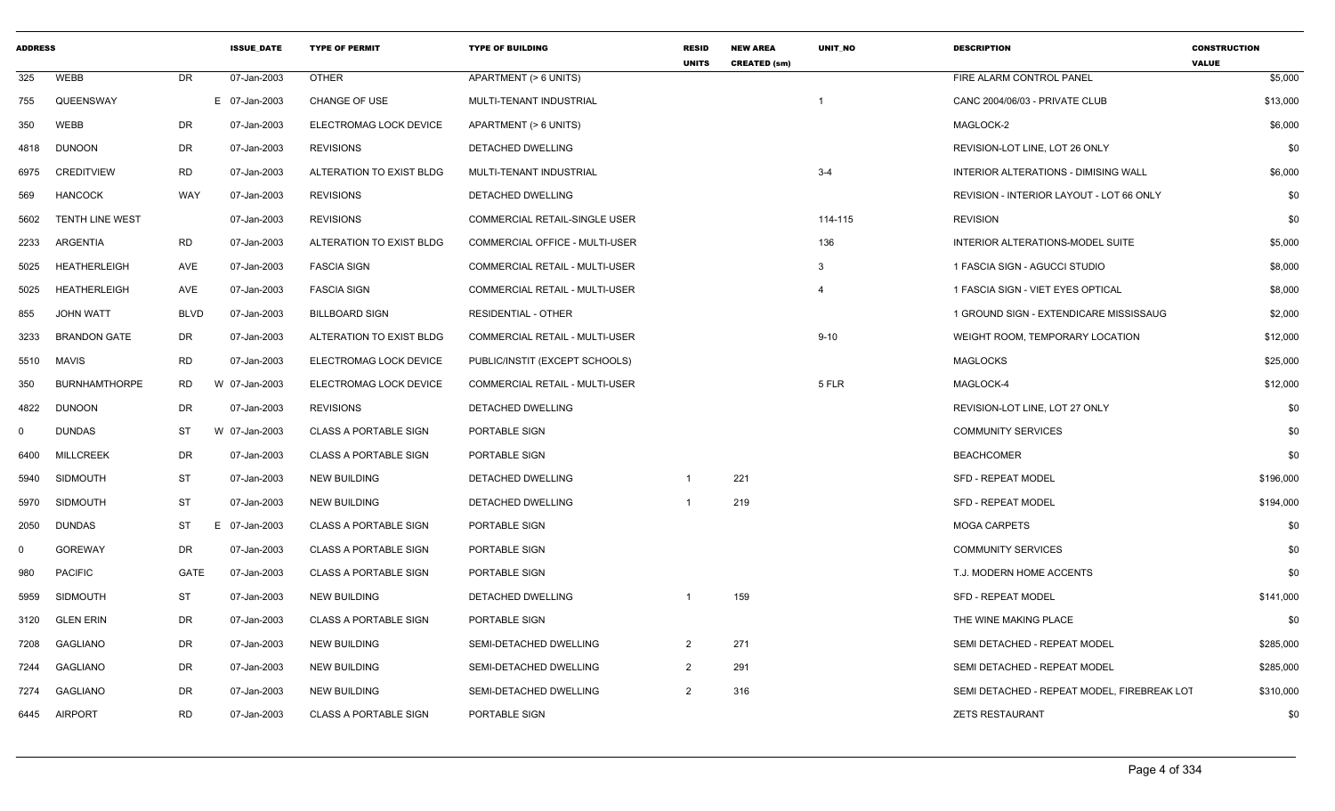| <b>ADDRESS</b> |                        |             | <b>ISSUE DATE</b> | <b>TYPE OF PERMIT</b>        | <b>TYPE OF BUILDING</b>               | <b>RESID</b><br><b>UNITS</b> | <b>NEW AREA</b><br><b>CREATED (sm)</b> | <b>UNIT NO</b> | <b>DESCRIPTION</b>                          | <b>CONSTRUCTION</b><br><b>VALUE</b> |
|----------------|------------------------|-------------|-------------------|------------------------------|---------------------------------------|------------------------------|----------------------------------------|----------------|---------------------------------------------|-------------------------------------|
| 325            | <b>WEBB</b>            | DR          | 07-Jan-2003       | <b>OTHER</b>                 | APARTMENT (> 6 UNITS)                 |                              |                                        |                | FIRE ALARM CONTROL PANEL                    | \$5,000                             |
| 755            | QUEENSWAY              |             | E 07-Jan-2003     | <b>CHANGE OF USE</b>         | MULTI-TENANT INDUSTRIAL               |                              |                                        | -1             | CANC 2004/06/03 - PRIVATE CLUB              | \$13,000                            |
| 350            | WEBB                   | DR          | 07-Jan-2003       | ELECTROMAG LOCK DEVICE       | APARTMENT (> 6 UNITS)                 |                              |                                        |                | MAGLOCK-2                                   | \$6,000                             |
| 4818           | <b>DUNOON</b>          | <b>DR</b>   | 07-Jan-2003       | <b>REVISIONS</b>             | DETACHED DWELLING                     |                              |                                        |                | REVISION-LOT LINE, LOT 26 ONLY              | \$0                                 |
| 6975           | <b>CREDITVIEW</b>      | <b>RD</b>   | 07-Jan-2003       | ALTERATION TO EXIST BLDG     | MULTI-TENANT INDUSTRIAL               |                              |                                        | $3 - 4$        | INTERIOR ALTERATIONS - DIMISING WALL        | \$6,000                             |
| 569            | <b>HANCOCK</b>         | WAY         | 07-Jan-2003       | <b>REVISIONS</b>             | DETACHED DWELLING                     |                              |                                        |                | REVISION - INTERIOR LAYOUT - LOT 66 ONLY    | \$0                                 |
| 5602           | <b>TENTH LINE WEST</b> |             | 07-Jan-2003       | <b>REVISIONS</b>             | COMMERCIAL RETAIL-SINGLE USER         |                              |                                        | 114-115        | <b>REVISION</b>                             | \$0                                 |
| 2233           | ARGENTIA               | <b>RD</b>   | 07-Jan-2003       | ALTERATION TO EXIST BLDG     | <b>COMMERCIAL OFFICE - MULTI-USER</b> |                              |                                        | 136            | INTERIOR ALTERATIONS-MODEL SUITE            | \$5,000                             |
| 5025           | <b>HEATHERLEIGH</b>    | AVE         | 07-Jan-2003       | <b>FASCIA SIGN</b>           | COMMERCIAL RETAIL - MULTI-USER        |                              |                                        | 3              | 1 FASCIA SIGN - AGUCCI STUDIO               | \$8,000                             |
| 5025           | <b>HEATHERLEIGH</b>    | AVE         | 07-Jan-2003       | <b>FASCIA SIGN</b>           | COMMERCIAL RETAIL - MULTI-USER        |                              |                                        | $\overline{4}$ | 1 FASCIA SIGN - VIET EYES OPTICAL           | \$8,000                             |
| 855            | <b>JOHN WATT</b>       | <b>BLVD</b> | 07-Jan-2003       | <b>BILLBOARD SIGN</b>        | <b>RESIDENTIAL - OTHER</b>            |                              |                                        |                | 1 GROUND SIGN - EXTENDICARE MISSISSAUG      | \$2,000                             |
| 3233           | <b>BRANDON GATE</b>    | DR          | 07-Jan-2003       | ALTERATION TO EXIST BLDG     | COMMERCIAL RETAIL - MULTI-USER        |                              |                                        | $9 - 10$       | WEIGHT ROOM, TEMPORARY LOCATION             | \$12,000                            |
| 5510           | <b>MAVIS</b>           | <b>RD</b>   | 07-Jan-2003       | ELECTROMAG LOCK DEVICE       | PUBLIC/INSTIT (EXCEPT SCHOOLS)        |                              |                                        |                | <b>MAGLOCKS</b>                             | \$25,000                            |
| 350            | <b>BURNHAMTHORPE</b>   | RD          | W 07-Jan-2003     | ELECTROMAG LOCK DEVICE       | COMMERCIAL RETAIL - MULTI-USER        |                              |                                        | 5 FLR          | MAGLOCK-4                                   | \$12,000                            |
| 4822           | <b>DUNOON</b>          | DR          | 07-Jan-2003       | <b>REVISIONS</b>             | DETACHED DWELLING                     |                              |                                        |                | REVISION-LOT LINE, LOT 27 ONLY              | \$0                                 |
| $\mathbf 0$    | <b>DUNDAS</b>          | <b>ST</b>   | W 07-Jan-2003     | <b>CLASS A PORTABLE SIGN</b> | PORTABLE SIGN                         |                              |                                        |                | <b>COMMUNITY SERVICES</b>                   | \$0                                 |
| 6400           | <b>MILLCREEK</b>       | <b>DR</b>   | 07-Jan-2003       | <b>CLASS A PORTABLE SIGN</b> | PORTABLE SIGN                         |                              |                                        |                | <b>BEACHCOMER</b>                           | \$0                                 |
| 5940           | <b>SIDMOUTH</b>        | ST          | 07-Jan-2003       | <b>NEW BUILDING</b>          | DETACHED DWELLING                     | -1                           | 221                                    |                | <b>SFD - REPEAT MODEL</b>                   | \$196,000                           |
| 5970           | <b>SIDMOUTH</b>        | ST          | 07-Jan-2003       | <b>NEW BUILDING</b>          | <b>DETACHED DWELLING</b>              | $\overline{1}$               | 219                                    |                | <b>SFD - REPEAT MODEL</b>                   | \$194,000                           |
| 2050           | <b>DUNDAS</b>          | <b>ST</b>   | E 07-Jan-2003     | <b>CLASS A PORTABLE SIGN</b> | PORTABLE SIGN                         |                              |                                        |                | <b>MOGA CARPETS</b>                         | \$0                                 |
| $\mathbf{0}$   | <b>GOREWAY</b>         | DR          | 07-Jan-2003       | <b>CLASS A PORTABLE SIGN</b> | PORTABLE SIGN                         |                              |                                        |                | <b>COMMUNITY SERVICES</b>                   | \$0                                 |
| 980            | <b>PACIFIC</b>         | <b>GATE</b> | 07-Jan-2003       | <b>CLASS A PORTABLE SIGN</b> | PORTABLE SIGN                         |                              |                                        |                | T.J. MODERN HOME ACCENTS                    | \$0                                 |
| 5959           | <b>SIDMOUTH</b>        | <b>ST</b>   | 07-Jan-2003       | <b>NEW BUILDING</b>          | <b>DETACHED DWELLING</b>              | -1                           | 159                                    |                | <b>SFD - REPEAT MODEL</b>                   | \$141,000                           |
| 3120           | <b>GLEN ERIN</b>       | <b>DR</b>   | 07-Jan-2003       | <b>CLASS A PORTABLE SIGN</b> | PORTABLE SIGN                         |                              |                                        |                | THE WINE MAKING PLACE                       | \$0                                 |
| 7208           | GAGLIANO               | DR          | 07-Jan-2003       | <b>NEW BUILDING</b>          | SEMI-DETACHED DWELLING                | 2                            | 271                                    |                | SEMI DETACHED - REPEAT MODEL                | \$285,000                           |
| 7244           | <b>GAGLIANO</b>        | <b>DR</b>   | 07-Jan-2003       | <b>NEW BUILDING</b>          | SEMI-DETACHED DWELLING                | $\overline{2}$               | 291                                    |                | SEMI DETACHED - REPEAT MODEL                | \$285,000                           |
| 7274           | <b>GAGLIANO</b>        | <b>DR</b>   | 07-Jan-2003       | <b>NEW BUILDING</b>          | SEMI-DETACHED DWELLING                | $\overline{2}$               | 316                                    |                | SEMI DETACHED - REPEAT MODEL, FIREBREAK LOT | \$310,000                           |
| 6445           | <b>AIRPORT</b>         | <b>RD</b>   | 07-Jan-2003       | <b>CLASS A PORTABLE SIGN</b> | PORTABLE SIGN                         |                              |                                        |                | <b>ZETS RESTAURANT</b>                      | \$0                                 |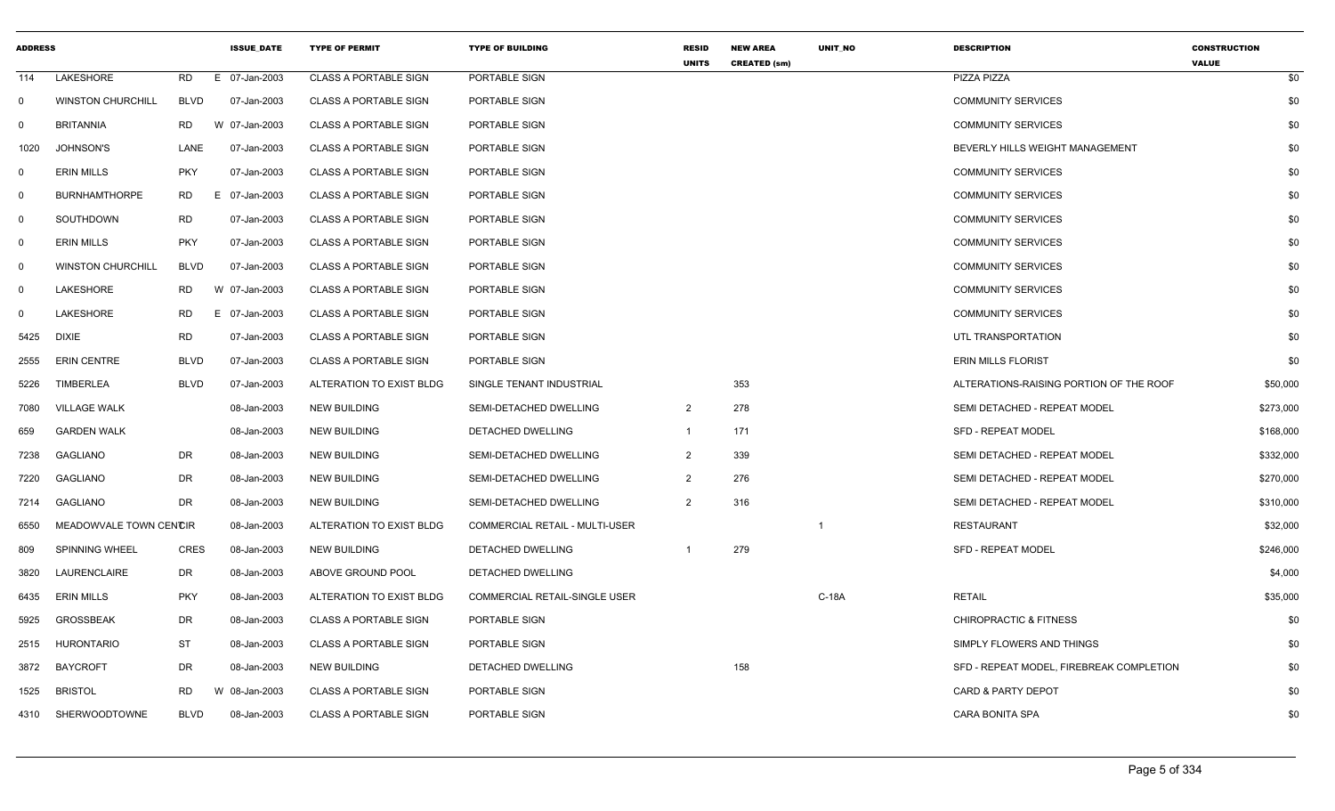| <b>ADDRESS</b> |                          |             | <b>ISSUE DATE</b> | <b>TYPE OF PERMIT</b>        | <b>TYPE OF BUILDING</b>               | <b>RESID</b><br><b>UNITS</b> | <b>NEW AREA</b>     | UNIT_NO | <b>DESCRIPTION</b>                       | <b>CONSTRUCTION</b> |
|----------------|--------------------------|-------------|-------------------|------------------------------|---------------------------------------|------------------------------|---------------------|---------|------------------------------------------|---------------------|
| 114            | LAKESHORE                | <b>RD</b>   | E 07-Jan-2003     | <b>CLASS A PORTABLE SIGN</b> | PORTABLE SIGN                         |                              | <b>CREATED (sm)</b> |         | PIZZA PIZZA                              | <b>VALUE</b><br>\$0 |
| $\overline{0}$ | <b>WINSTON CHURCHILL</b> | <b>BLVD</b> | 07-Jan-2003       | <b>CLASS A PORTABLE SIGN</b> | PORTABLE SIGN                         |                              |                     |         | <b>COMMUNITY SERVICES</b>                | \$0                 |
| $\mathbf 0$    | <b>BRITANNIA</b>         | RD.         | W 07-Jan-2003     | <b>CLASS A PORTABLE SIGN</b> | PORTABLE SIGN                         |                              |                     |         | <b>COMMUNITY SERVICES</b>                | \$0                 |
| 1020           | <b>JOHNSON'S</b>         | LANE        | 07-Jan-2003       | <b>CLASS A PORTABLE SIGN</b> | PORTABLE SIGN                         |                              |                     |         | BEVERLY HILLS WEIGHT MANAGEMENT          | \$0                 |
| $\mathbf 0$    | <b>ERIN MILLS</b>        | <b>PKY</b>  | 07-Jan-2003       | <b>CLASS A PORTABLE SIGN</b> | PORTABLE SIGN                         |                              |                     |         | <b>COMMUNITY SERVICES</b>                | \$0                 |
| 0              | <b>BURNHAMTHORPE</b>     | RD.         | E 07-Jan-2003     | <b>CLASS A PORTABLE SIGN</b> | PORTABLE SIGN                         |                              |                     |         | <b>COMMUNITY SERVICES</b>                | \$0                 |
| $\mathbf 0$    | <b>SOUTHDOWN</b>         | <b>RD</b>   | 07-Jan-2003       | <b>CLASS A PORTABLE SIGN</b> | PORTABLE SIGN                         |                              |                     |         | <b>COMMUNITY SERVICES</b>                | \$0                 |
| $\mathbf 0$    | <b>ERIN MILLS</b>        | <b>PKY</b>  | 07-Jan-2003       | <b>CLASS A PORTABLE SIGN</b> | PORTABLE SIGN                         |                              |                     |         | <b>COMMUNITY SERVICES</b>                | \$0                 |
| $\overline{0}$ | <b>WINSTON CHURCHILL</b> | <b>BLVD</b> | 07-Jan-2003       | <b>CLASS A PORTABLE SIGN</b> | PORTABLE SIGN                         |                              |                     |         | <b>COMMUNITY SERVICES</b>                | \$0                 |
| 0              | LAKESHORE                | <b>RD</b>   | W 07-Jan-2003     | <b>CLASS A PORTABLE SIGN</b> | PORTABLE SIGN                         |                              |                     |         | <b>COMMUNITY SERVICES</b>                | \$0                 |
| - 0            | LAKESHORE                | <b>RD</b>   | E 07-Jan-2003     | <b>CLASS A PORTABLE SIGN</b> | PORTABLE SIGN                         |                              |                     |         | <b>COMMUNITY SERVICES</b>                | \$0                 |
| 5425           | <b>DIXIE</b>             | <b>RD</b>   | 07-Jan-2003       | <b>CLASS A PORTABLE SIGN</b> | PORTABLE SIGN                         |                              |                     |         | UTL TRANSPORTATION                       | \$0                 |
| 2555           | <b>ERIN CENTRE</b>       | <b>BLVD</b> | 07-Jan-2003       | <b>CLASS A PORTABLE SIGN</b> | PORTABLE SIGN                         |                              |                     |         | <b>ERIN MILLS FLORIST</b>                | \$0                 |
| 5226           | <b>TIMBERLEA</b>         | <b>BLVD</b> | 07-Jan-2003       | ALTERATION TO EXIST BLDG     | SINGLE TENANT INDUSTRIAL              |                              | 353                 |         | ALTERATIONS-RAISING PORTION OF THE ROOF  | \$50,000            |
| 7080           | <b>VILLAGE WALK</b>      |             | 08-Jan-2003       | <b>NEW BUILDING</b>          | SEMI-DETACHED DWELLING                | $\overline{2}$               | 278                 |         | SEMI DETACHED - REPEAT MODEL             | \$273,000           |
| 659            | <b>GARDEN WALK</b>       |             | 08-Jan-2003       | <b>NEW BUILDING</b>          | DETACHED DWELLING                     | $\mathbf{1}$                 | 171                 |         | <b>SFD - REPEAT MODEL</b>                | \$168,000           |
| 7238           | <b>GAGLIANO</b>          | DR          | 08-Jan-2003       | NEW BUILDING                 | SEMI-DETACHED DWELLING                | $\overline{2}$               | 339                 |         | SEMI DETACHED - REPEAT MODEL             | \$332,000           |
| 7220           | <b>GAGLIANO</b>          | <b>DR</b>   | 08-Jan-2003       | <b>NEW BUILDING</b>          | SEMI-DETACHED DWELLING                | 2                            | 276                 |         | SEMI DETACHED - REPEAT MODEL             | \$270,000           |
| 7214           | <b>GAGLIANO</b>          | <b>DR</b>   | 08-Jan-2003       | NEW BUILDING                 | SEMI-DETACHED DWELLING                | $\overline{2}$               | 316                 |         | SEMI DETACHED - REPEAT MODEL             | \$310,000           |
| 6550           | MEADOWVALE TOWN CENCIR   |             | 08-Jan-2003       | ALTERATION TO EXIST BLDG     | <b>COMMERCIAL RETAIL - MULTI-USER</b> |                              |                     | -1      | <b>RESTAURANT</b>                        | \$32,000            |
| 809            | SPINNING WHEEL           | <b>CRES</b> | 08-Jan-2003       | <b>NEW BUILDING</b>          | DETACHED DWELLING                     | -1                           | 279                 |         | SFD - REPEAT MODEL                       | \$246,000           |
| 3820           | LAURENCLAIRE             | DR          | 08-Jan-2003       | ABOVE GROUND POOL            | DETACHED DWELLING                     |                              |                     |         |                                          | \$4,000             |
| 6435           | <b>ERIN MILLS</b>        | <b>PKY</b>  | 08-Jan-2003       | ALTERATION TO EXIST BLDG     | COMMERCIAL RETAIL-SINGLE USER         |                              |                     | C-18A   | <b>RETAIL</b>                            | \$35,000            |
| 5925           | <b>GROSSBEAK</b>         | DR          | 08-Jan-2003       | <b>CLASS A PORTABLE SIGN</b> | PORTABLE SIGN                         |                              |                     |         | <b>CHIROPRACTIC &amp; FITNESS</b>        | \$0                 |
| 2515           | <b>HURONTARIO</b>        | <b>ST</b>   | 08-Jan-2003       | <b>CLASS A PORTABLE SIGN</b> | PORTABLE SIGN                         |                              |                     |         | SIMPLY FLOWERS AND THINGS                | \$0                 |
| 3872           | BAYCROFT                 | DR          | 08-Jan-2003       | <b>NEW BUILDING</b>          | DETACHED DWELLING                     |                              | 158                 |         | SFD - REPEAT MODEL, FIREBREAK COMPLETION | \$0                 |
| 1525           | <b>BRISTOL</b>           | <b>RD</b>   | W 08-Jan-2003     | <b>CLASS A PORTABLE SIGN</b> | PORTABLE SIGN                         |                              |                     |         | CARD & PARTY DEPOT                       | \$0                 |
| 4310           | SHERWOODTOWNE            | <b>BLVD</b> | 08-Jan-2003       | <b>CLASS A PORTABLE SIGN</b> | PORTABLE SIGN                         |                              |                     |         | <b>CARA BONITA SPA</b>                   | \$0                 |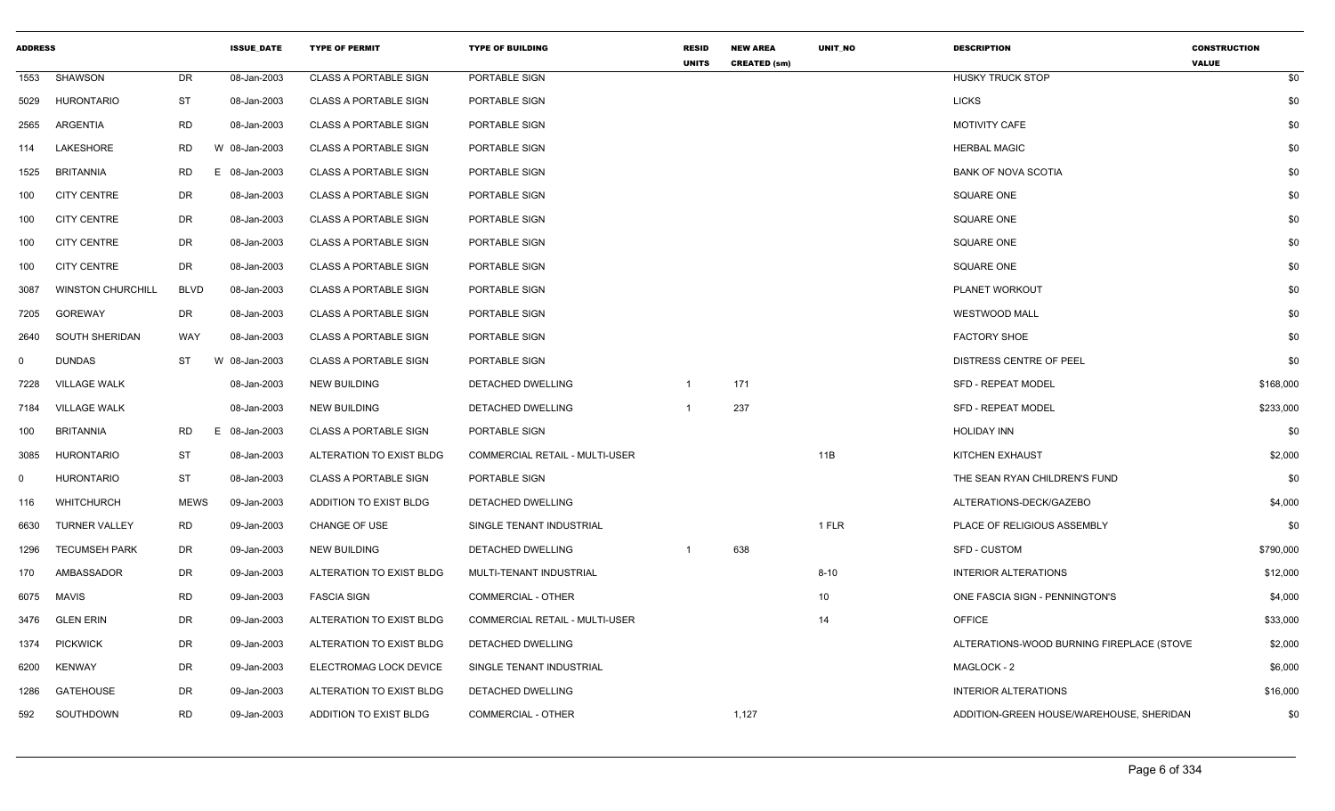| <b>ADDRESS</b> |                          |             | <b>ISSUE DATE</b> | <b>TYPE OF PERMIT</b>        | <b>TYPE OF BUILDING</b>        | <b>RESID</b><br><b>UNITS</b> | <b>NEW AREA</b><br><b>CREATED (sm)</b> | UNIT_NO  | <b>DESCRIPTION</b>                        | <b>CONSTRUCTION</b><br><b>VALUE</b> |
|----------------|--------------------------|-------------|-------------------|------------------------------|--------------------------------|------------------------------|----------------------------------------|----------|-------------------------------------------|-------------------------------------|
| 1553           | SHAWSON                  | DR          | 08-Jan-2003       | <b>CLASS A PORTABLE SIGN</b> | PORTABLE SIGN                  |                              |                                        |          | <b>HUSKY TRUCK STOP</b>                   | \$0                                 |
| 5029           | <b>HURONTARIO</b>        | ST          | 08-Jan-2003       | CLASS A PORTABLE SIGN        | PORTABLE SIGN                  |                              |                                        |          | <b>LICKS</b>                              | \$0                                 |
| 2565           | ARGENTIA                 | <b>RD</b>   | 08-Jan-2003       | <b>CLASS A PORTABLE SIGN</b> | PORTABLE SIGN                  |                              |                                        |          | <b>MOTIVITY CAFE</b>                      | \$0                                 |
| 114            | LAKESHORE                | RD          | W 08-Jan-2003     | <b>CLASS A PORTABLE SIGN</b> | PORTABLE SIGN                  |                              |                                        |          | <b>HERBAL MAGIC</b>                       | \$0                                 |
| 1525           | <b>BRITANNIA</b>         | <b>RD</b>   | E 08-Jan-2003     | CLASS A PORTABLE SIGN        | PORTABLE SIGN                  |                              |                                        |          | <b>BANK OF NOVA SCOTIA</b>                | \$0                                 |
| 100            | <b>CITY CENTRE</b>       | DR          | 08-Jan-2003       | <b>CLASS A PORTABLE SIGN</b> | PORTABLE SIGN                  |                              |                                        |          | <b>SQUARE ONE</b>                         | \$0                                 |
| 100            | <b>CITY CENTRE</b>       | DR          | 08-Jan-2003       | <b>CLASS A PORTABLE SIGN</b> | PORTABLE SIGN                  |                              |                                        |          | <b>SQUARE ONE</b>                         | \$0                                 |
| 100            | <b>CITY CENTRE</b>       | DR          | 08-Jan-2003       | <b>CLASS A PORTABLE SIGN</b> | PORTABLE SIGN                  |                              |                                        |          | <b>SQUARE ONE</b>                         | \$0                                 |
| 100            | <b>CITY CENTRE</b>       | DR          | 08-Jan-2003       | <b>CLASS A PORTABLE SIGN</b> | PORTABLE SIGN                  |                              |                                        |          | <b>SQUARE ONE</b>                         | \$0                                 |
| 3087           | <b>WINSTON CHURCHILL</b> | <b>BLVD</b> | 08-Jan-2003       | <b>CLASS A PORTABLE SIGN</b> | PORTABLE SIGN                  |                              |                                        |          | PLANET WORKOUT                            | \$0                                 |
| 7205           | GOREWAY                  | DR          | 08-Jan-2003       | <b>CLASS A PORTABLE SIGN</b> | PORTABLE SIGN                  |                              |                                        |          | <b>WESTWOOD MALL</b>                      | \$0                                 |
| 2640           | SOUTH SHERIDAN           | WAY         | 08-Jan-2003       | <b>CLASS A PORTABLE SIGN</b> | PORTABLE SIGN                  |                              |                                        |          | <b>FACTORY SHOE</b>                       | \$0                                 |
| $\Omega$       | <b>DUNDAS</b>            | <b>ST</b>   | W 08-Jan-2003     | <b>CLASS A PORTABLE SIGN</b> | PORTABLE SIGN                  |                              |                                        |          | DISTRESS CENTRE OF PEEL                   | \$0                                 |
| 7228           | <b>VILLAGE WALK</b>      |             | 08-Jan-2003       | NEW BUILDING                 | DETACHED DWELLING              | -1                           | 171                                    |          | <b>SFD - REPEAT MODEL</b>                 | \$168,000                           |
| 7184           | <b>VILLAGE WALK</b>      |             | 08-Jan-2003       | NEW BUILDING                 | DETACHED DWELLING              | $\overline{1}$               | 237                                    |          | SFD - REPEAT MODEL                        | \$233,000                           |
| 100            | <b>BRITANNIA</b>         | RD          | E 08-Jan-2003     | <b>CLASS A PORTABLE SIGN</b> | PORTABLE SIGN                  |                              |                                        |          | <b>HOLIDAY INN</b>                        | \$0                                 |
| 3085           | <b>HURONTARIO</b>        | ST          | 08-Jan-2003       | ALTERATION TO EXIST BLDG     | COMMERCIAL RETAIL - MULTI-USER |                              |                                        | 11B      | KITCHEN EXHAUST                           | \$2,000                             |
| $\Omega$       | <b>HURONTARIO</b>        | ST          | 08-Jan-2003       | <b>CLASS A PORTABLE SIGN</b> | PORTABLE SIGN                  |                              |                                        |          | THE SEAN RYAN CHILDREN'S FUND             | \$0                                 |
| 116            | WHITCHURCH               | <b>MEWS</b> | 09-Jan-2003       | ADDITION TO EXIST BLDG       | DETACHED DWELLING              |                              |                                        |          | ALTERATIONS-DECK/GAZEBO                   | \$4,000                             |
| 6630           | <b>TURNER VALLEY</b>     | RD          | 09-Jan-2003       | <b>CHANGE OF USE</b>         | SINGLE TENANT INDUSTRIAL       |                              |                                        | 1 FLR    | PLACE OF RELIGIOUS ASSEMBLY               | \$0                                 |
| 1296           | <b>TECUMSEH PARK</b>     | DR          | 09-Jan-2003       | NEW BUILDING                 | DETACHED DWELLING              | $\overline{1}$               | 638                                    |          | SFD - CUSTOM                              | \$790,000                           |
| 170            | AMBASSADOR               | DR          | 09-Jan-2003       | ALTERATION TO EXIST BLDG     | MULTI-TENANT INDUSTRIAL        |                              |                                        | $8 - 10$ | <b>INTERIOR ALTERATIONS</b>               | \$12,000                            |
|                | 6075 MAVIS               | <b>RD</b>   | 09-Jan-2003       | <b>FASCIA SIGN</b>           | <b>COMMERCIAL - OTHER</b>      |                              |                                        | 10       | ONE FASCIA SIGN - PENNINGTON'S            | \$4,000                             |
|                | 3476 GLEN ERIN           | DR          | 09-Jan-2003       | ALTERATION TO EXIST BLDG     | COMMERCIAL RETAIL - MULTI-USER |                              |                                        | 14       | <b>OFFICE</b>                             | \$33,000                            |
| 1374           | <b>PICKWICK</b>          | DR          | 09-Jan-2003       | ALTERATION TO EXIST BLDG     | DETACHED DWELLING              |                              |                                        |          | ALTERATIONS-WOOD BURNING FIREPLACE (STOVE | \$2,000                             |
| 6200           | KENWAY                   | DR          | 09-Jan-2003       | ELECTROMAG LOCK DEVICE       | SINGLE TENANT INDUSTRIAL       |                              |                                        |          | MAGLOCK - 2                               | \$6,000                             |
| 1286           | <b>GATEHOUSE</b>         | DR          | 09-Jan-2003       | ALTERATION TO EXIST BLDG     | DETACHED DWELLING              |                              |                                        |          | <b>INTERIOR ALTERATIONS</b>               | \$16,000                            |
| 592            | SOUTHDOWN                | <b>RD</b>   | 09-Jan-2003       | ADDITION TO EXIST BLDG       | COMMERCIAL - OTHER             |                              | 1,127                                  |          | ADDITION-GREEN HOUSE/WAREHOUSE, SHERIDAN  | \$0                                 |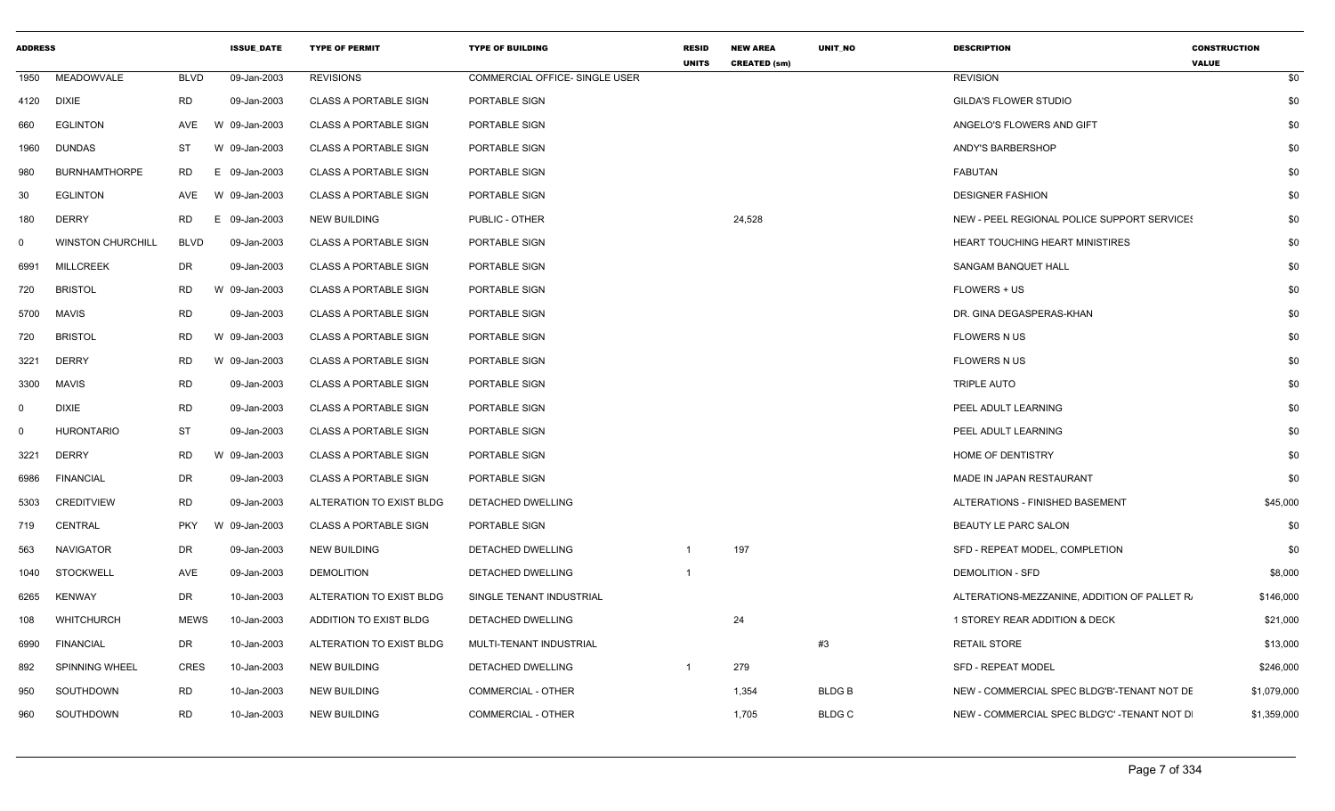| <b>ADDRESS</b> |                          |             | <b>ISSUE DATE</b> | <b>TYPE OF PERMIT</b>        | <b>TYPE OF BUILDING</b>        | <b>RESID</b><br><b>UNITS</b> | <b>NEW AREA</b><br><b>CREATED (sm)</b> | UNIT_NO       | <b>DESCRIPTION</b>                           | <b>CONSTRUCTION</b><br><b>VALUE</b> |
|----------------|--------------------------|-------------|-------------------|------------------------------|--------------------------------|------------------------------|----------------------------------------|---------------|----------------------------------------------|-------------------------------------|
| 1950           | MEADOWVALE               | BLVD        | 09-Jan-2003       | <b>REVISIONS</b>             | COMMERCIAL OFFICE- SINGLE USER |                              |                                        |               | <b>REVISION</b>                              | \$0                                 |
|                | 4120 DIXIE               | <b>RD</b>   | 09-Jan-2003       | <b>CLASS A PORTABLE SIGN</b> | PORTABLE SIGN                  |                              |                                        |               | <b>GILDA'S FLOWER STUDIO</b>                 | \$0                                 |
| 660            | <b>EGLINTON</b>          | AVE         | W 09-Jan-2003     | <b>CLASS A PORTABLE SIGN</b> | PORTABLE SIGN                  |                              |                                        |               | ANGELO'S FLOWERS AND GIFT                    | \$0                                 |
| 1960           | <b>DUNDAS</b>            | ST          | W 09-Jan-2003     | <b>CLASS A PORTABLE SIGN</b> | PORTABLE SIGN                  |                              |                                        |               | ANDY'S BARBERSHOP                            | \$0                                 |
| 980            | <b>BURNHAMTHORPE</b>     | <b>RD</b>   | E 09-Jan-2003     | <b>CLASS A PORTABLE SIGN</b> | PORTABLE SIGN                  |                              |                                        |               | FABUTAN                                      | \$0                                 |
| 30             | <b>EGLINTON</b>          | AVE         | W 09-Jan-2003     | <b>CLASS A PORTABLE SIGN</b> | PORTABLE SIGN                  |                              |                                        |               | <b>DESIGNER FASHION</b>                      | \$0                                 |
| 180            | <b>DERRY</b>             | RD          | E 09-Jan-2003     | <b>NEW BUILDING</b>          | PUBLIC - OTHER                 |                              | 24,528                                 |               | NEW - PEEL REGIONAL POLICE SUPPORT SERVICE!  | \$0                                 |
| $\mathbf 0$    | <b>WINSTON CHURCHILL</b> | BLVD        | 09-Jan-2003       | <b>CLASS A PORTABLE SIGN</b> | PORTABLE SIGN                  |                              |                                        |               | HEART TOUCHING HEART MINISTIRES              | \$0                                 |
| 6991           | <b>MILLCREEK</b>         | DR          | 09-Jan-2003       | <b>CLASS A PORTABLE SIGN</b> | <b>PORTABLE SIGN</b>           |                              |                                        |               | <b>SANGAM BANQUET HALL</b>                   | \$0                                 |
| 720            | <b>BRISTOL</b>           | RD          | W 09-Jan-2003     | <b>CLASS A PORTABLE SIGN</b> | PORTABLE SIGN                  |                              |                                        |               | <b>FLOWERS + US</b>                          | \$0                                 |
| 5700           | MAVIS                    | RD          | 09-Jan-2003       | <b>CLASS A PORTABLE SIGN</b> | PORTABLE SIGN                  |                              |                                        |               | DR. GINA DEGASPERAS-KHAN                     | \$0                                 |
| 720            | <b>BRISTOL</b>           | RD          | W 09-Jan-2003     | <b>CLASS A PORTABLE SIGN</b> | PORTABLE SIGN                  |                              |                                        |               | <b>FLOWERS N US</b>                          | \$0                                 |
| 3221           | <b>DERRY</b>             | <b>RD</b>   | W 09-Jan-2003     | <b>CLASS A PORTABLE SIGN</b> | PORTABLE SIGN                  |                              |                                        |               | FLOWERS N US                                 | \$0                                 |
| 3300           | MAVIS                    | <b>RD</b>   | 09-Jan-2003       | <b>CLASS A PORTABLE SIGN</b> | PORTABLE SIGN                  |                              |                                        |               | <b>TRIPLE AUTO</b>                           | \$0                                 |
| $\mathbf 0$    | <b>DIXIE</b>             | <b>RD</b>   | 09-Jan-2003       | <b>CLASS A PORTABLE SIGN</b> | PORTABLE SIGN                  |                              |                                        |               | PEEL ADULT LEARNING                          | \$0                                 |
| $\mathbf 0$    | <b>HURONTARIO</b>        | ST          | 09-Jan-2003       | <b>CLASS A PORTABLE SIGN</b> | PORTABLE SIGN                  |                              |                                        |               | PEEL ADULT LEARNING                          | \$0                                 |
| 3221           | DERRY                    | <b>RD</b>   | W 09-Jan-2003     | <b>CLASS A PORTABLE SIGN</b> | PORTABLE SIGN                  |                              |                                        |               | HOME OF DENTISTRY                            | \$0                                 |
| 6986           | <b>FINANCIAL</b>         | DR          | 09-Jan-2003       | <b>CLASS A PORTABLE SIGN</b> | PORTABLE SIGN                  |                              |                                        |               | MADE IN JAPAN RESTAURANT                     | \$0                                 |
| 5303           | <b>CREDITVIEW</b>        | <b>RD</b>   | 09-Jan-2003       | ALTERATION TO EXIST BLDG     | DETACHED DWELLING              |                              |                                        |               | ALTERATIONS - FINISHED BASEMENT              | \$45,000                            |
| 719            | CENTRAL                  | <b>PKY</b>  | W 09-Jan-2003     | <b>CLASS A PORTABLE SIGN</b> | PORTABLE SIGN                  |                              |                                        |               | BEAUTY LE PARC SALON                         | \$0                                 |
| 563            | NAVIGATOR                | DR          | 09-Jan-2003       | <b>NEW BUILDING</b>          | DETACHED DWELLING              | -1                           | 197                                    |               | SFD - REPEAT MODEL, COMPLETION               | \$0                                 |
| 1040           | STOCKWELL                | AVE         | 09-Jan-2003       | <b>DEMOLITION</b>            | DETACHED DWELLING              | $\overline{1}$               |                                        |               | <b>DEMOLITION - SFD</b>                      | \$8,000                             |
| 6265           | KENWAY                   | DR          | 10-Jan-2003       | ALTERATION TO EXIST BLDG     | SINGLE TENANT INDUSTRIAL       |                              |                                        |               | ALTERATIONS-MEZZANINE, ADDITION OF PALLET R. | \$146,000                           |
| 108            | <b>WHITCHURCH</b>        | <b>MEWS</b> | 10-Jan-2003       | ADDITION TO EXIST BLDG       | DETACHED DWELLING              |                              | 24                                     |               | 1 STOREY REAR ADDITION & DECK                | \$21,000                            |
| 6990           | <b>FINANCIAL</b>         | DR          | 10-Jan-2003       | ALTERATION TO EXIST BLDG     | MULTI-TENANT INDUSTRIAL        |                              |                                        | #3            | <b>RETAIL STORE</b>                          | \$13,000                            |
| 892            | <b>SPINNING WHEEL</b>    | <b>CRES</b> | 10-Jan-2003       | <b>NEW BUILDING</b>          | DETACHED DWELLING              |                              | 279                                    |               | <b>SFD - REPEAT MODEL</b>                    | \$246,000                           |
| 950            | SOUTHDOWN                | RD          | 10-Jan-2003       | <b>NEW BUILDING</b>          | <b>COMMERCIAL - OTHER</b>      |                              | 1,354                                  | BLDG B        | NEW - COMMERCIAL SPEC BLDG'B'-TENANT NOT DE  | \$1,079,000                         |
| 960            | SOUTHDOWN                | RD          | 10-Jan-2003       | <b>NEW BUILDING</b>          | <b>COMMERCIAL - OTHER</b>      |                              | 1,705                                  | <b>BLDG C</b> | NEW - COMMERCIAL SPEC BLDG'C' -TENANT NOT D  | \$1,359,000                         |
|                |                          |             |                   |                              |                                |                              |                                        |               |                                              |                                     |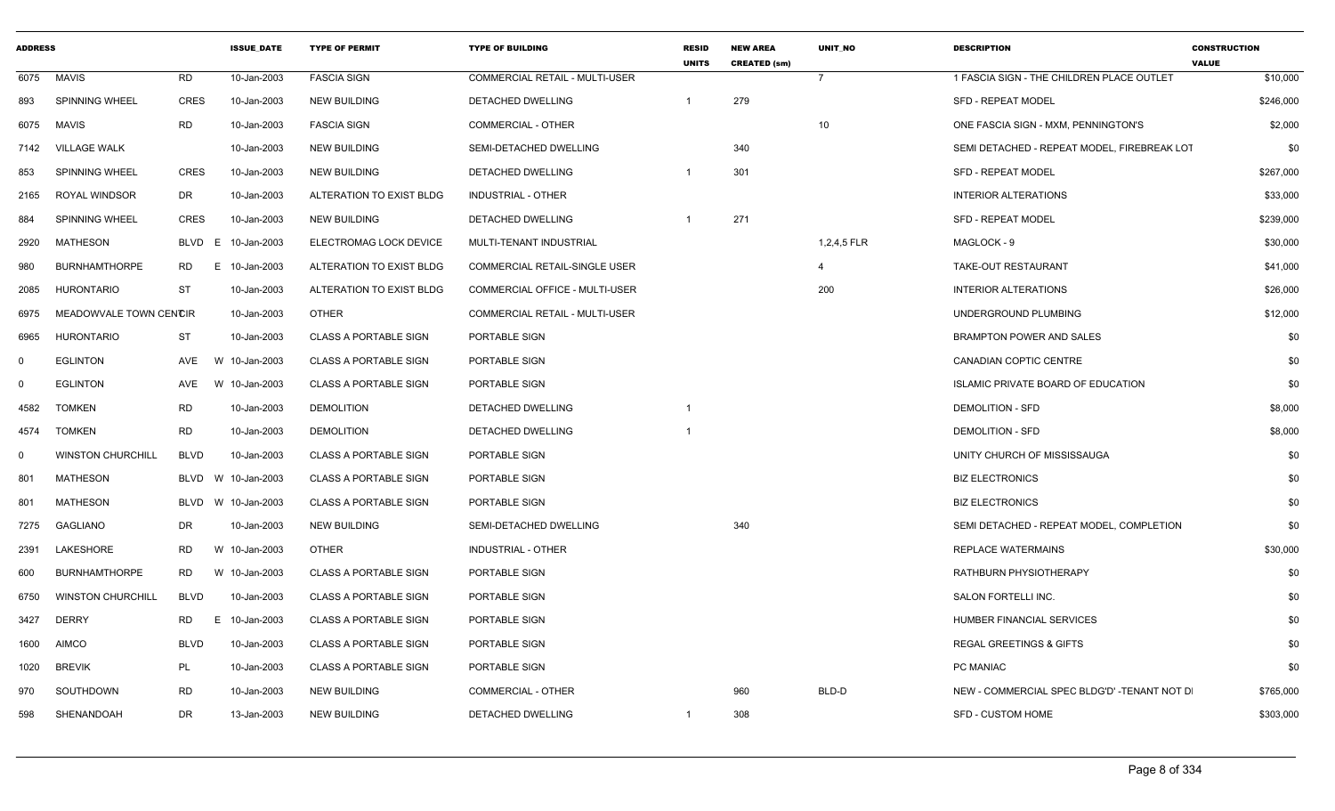| <b>ADDRESS</b> |                          |                  | <b>ISSUE DATE</b>  | <b>TYPE OF PERMIT</b>        | <b>TYPE OF BUILDING</b>        | <b>RESID</b><br><b>UNITS</b> | <b>NEW AREA</b><br><b>CREATED (sm)</b> | <b>UNIT NO</b> | <b>DESCRIPTION</b>                          | <b>CONSTRUCTION</b><br><b>VALUE</b> |
|----------------|--------------------------|------------------|--------------------|------------------------------|--------------------------------|------------------------------|----------------------------------------|----------------|---------------------------------------------|-------------------------------------|
| 6075           | <b>MAVIS</b>             | <b>RD</b>        | 10-Jan-2003        | <b>FASCIA SIGN</b>           | COMMERCIAL RETAIL - MULTI-USER |                              |                                        | $\overline{7}$ | 1 FASCIA SIGN - THE CHILDREN PLACE OUTLET   | \$10,000                            |
| 893            | SPINNING WHEEL           | <b>CRES</b>      | 10-Jan-2003        | <b>NEW BUILDING</b>          | DETACHED DWELLING              |                              | 279                                    |                | <b>SFD - REPEAT MODEL</b>                   | \$246,000                           |
| 6075           | <b>MAVIS</b>             | RD               | 10-Jan-2003        | <b>FASCIA SIGN</b>           | COMMERCIAL - OTHER             |                              |                                        | 10             | ONE FASCIA SIGN - MXM, PENNINGTON'S         | \$2,000                             |
| 7142           | <b>VILLAGE WALK</b>      |                  | 10-Jan-2003        | <b>NEW BUILDING</b>          | SEMI-DETACHED DWELLING         |                              | 340                                    |                | SEMI DETACHED - REPEAT MODEL, FIREBREAK LOT | \$0                                 |
| 853            | <b>SPINNING WHEEL</b>    | <b>CRES</b>      | 10-Jan-2003        | <b>NEW BUILDING</b>          | DETACHED DWELLING              | - 1                          | 301                                    |                | <b>SFD - REPEAT MODEL</b>                   | \$267,000                           |
| 2165           | <b>ROYAL WINDSOR</b>     | DR               | 10-Jan-2003        | ALTERATION TO EXIST BLDG     | <b>INDUSTRIAL - OTHER</b>      |                              |                                        |                | <b>INTERIOR ALTERATIONS</b>                 | \$33,000                            |
| 884            | SPINNING WHEEL           | <b>CRES</b>      | 10-Jan-2003        | <b>NEW BUILDING</b>          | DETACHED DWELLING              | $\overline{1}$               | 271                                    |                | <b>SFD - REPEAT MODEL</b>                   | \$239,000                           |
| 2920           | <b>MATHESON</b>          | <b>BLVD</b><br>E | 10-Jan-2003        | ELECTROMAG LOCK DEVICE       | MULTI-TENANT INDUSTRIAL        |                              |                                        | 1,2,4,5 FLR    | MAGLOCK - 9                                 | \$30,000                            |
| 980            | <b>BURNHAMTHORPE</b>     | RD<br>E          | 10-Jan-2003        | ALTERATION TO EXIST BLDG     | COMMERCIAL RETAIL-SINGLE USER  |                              |                                        | 4              | TAKE-OUT RESTAURANT                         | \$41,000                            |
| 2085           | HURONTARIO               | ST               | 10-Jan-2003        | ALTERATION TO EXIST BLDG     | COMMERCIAL OFFICE - MULTI-USER |                              |                                        | 200            | <b>INTERIOR ALTERATIONS</b>                 | \$26,000                            |
| 6975           | MEADOWVALE TOWN CENCIR   |                  | 10-Jan-2003        | <b>OTHER</b>                 | COMMERCIAL RETAIL - MULTI-USER |                              |                                        |                | UNDERGROUND PLUMBING                        | \$12,000                            |
| 6965           | HURONTARIO               | ST               | 10-Jan-2003        | <b>CLASS A PORTABLE SIGN</b> | PORTABLE SIGN                  |                              |                                        |                | <b>BRAMPTON POWER AND SALES</b>             | \$0                                 |
| $\mathbf 0$    | <b>EGLINTON</b>          | AVE              | W 10-Jan-2003      | <b>CLASS A PORTABLE SIGN</b> | PORTABLE SIGN                  |                              |                                        |                | CANADIAN COPTIC CENTRE                      | \$0                                 |
| $\mathbf 0$    | <b>EGLINTON</b>          | AVE              | W 10-Jan-2003      | <b>CLASS A PORTABLE SIGN</b> | PORTABLE SIGN                  |                              |                                        |                | ISLAMIC PRIVATE BOARD OF EDUCATION          | \$0                                 |
| 4582           | <b>TOMKEN</b>            | <b>RD</b>        | 10-Jan-2003        | <b>DEMOLITION</b>            | DETACHED DWELLING              | $\overline{1}$               |                                        |                | <b>DEMOLITION - SFD</b>                     | \$8,000                             |
| 4574           | <b>TOMKEN</b>            | RD               | 10-Jan-2003        | <b>DEMOLITION</b>            | DETACHED DWELLING              | $\overline{1}$               |                                        |                | DEMOLITION - SFD                            | \$8,000                             |
| $\mathbf 0$    | <b>WINSTON CHURCHILL</b> | <b>BLVD</b>      | 10-Jan-2003        | <b>CLASS A PORTABLE SIGN</b> | PORTABLE SIGN                  |                              |                                        |                | UNITY CHURCH OF MISSISSAUGA                 | \$0                                 |
| 801            | <b>MATHESON</b>          |                  | BLVD W 10-Jan-2003 | <b>CLASS A PORTABLE SIGN</b> | PORTABLE SIGN                  |                              |                                        |                | <b>BIZ ELECTRONICS</b>                      | \$0                                 |
| 801            | <b>MATHESON</b>          | BLVD             | W 10-Jan-2003      | <b>CLASS A PORTABLE SIGN</b> | PORTABLE SIGN                  |                              |                                        |                | <b>BIZ ELECTRONICS</b>                      | \$0                                 |
| 7275           | GAGLIANO                 | DR               | 10-Jan-2003        | <b>NEW BUILDING</b>          | SEMI-DETACHED DWELLING         |                              | 340                                    |                | SEMI DETACHED - REPEAT MODEL, COMPLETION    | \$0                                 |
| 2391           | LAKESHORE                | RD               | W 10-Jan-2003      | <b>OTHER</b>                 | <b>INDUSTRIAL - OTHER</b>      |                              |                                        |                | <b>REPLACE WATERMAINS</b>                   | \$30,000                            |
| 600            | <b>BURNHAMTHORPE</b>     | RD               | W 10-Jan-2003      | <b>CLASS A PORTABLE SIGN</b> | PORTABLE SIGN                  |                              |                                        |                | RATHBURN PHYSIOTHERAPY                      | \$0                                 |
| 6750           | <b>WINSTON CHURCHILL</b> | <b>BLVD</b>      | 10-Jan-2003        | <b>CLASS A PORTABLE SIGN</b> | PORTABLE SIGN                  |                              |                                        |                | SALON FORTELLI INC.                         | \$0                                 |
| 3427           | <b>DERRY</b>             | <b>RD</b><br>E   | 10-Jan-2003        | <b>CLASS A PORTABLE SIGN</b> | PORTABLE SIGN                  |                              |                                        |                | HUMBER FINANCIAL SERVICES                   | \$0                                 |
| 1600           | <b>AIMCO</b>             | <b>BLVD</b>      | 10-Jan-2003        | <b>CLASS A PORTABLE SIGN</b> | PORTABLE SIGN                  |                              |                                        |                | <b>REGAL GREETINGS &amp; GIFTS</b>          | \$0                                 |
| 1020           | <b>BREVIK</b>            | PL               | 10-Jan-2003        | <b>CLASS A PORTABLE SIGN</b> | PORTABLE SIGN                  |                              |                                        |                | PC MANIAC                                   | \$0                                 |
| 970            | SOUTHDOWN                | RD               | 10-Jan-2003        | <b>NEW BUILDING</b>          | <b>COMMERCIAL - OTHER</b>      |                              | 960                                    | BLD-D          | NEW - COMMERCIAL SPEC BLDG'D' -TENANT NOT D | \$765,000                           |
| 598            | SHENANDOAH               | DR.              | 13-Jan-2003        | <b>NEW BUILDING</b>          | <b>DETACHED DWELLING</b>       | $\overline{1}$               | 308                                    |                | SFD - CUSTOM HOME                           | \$303,000                           |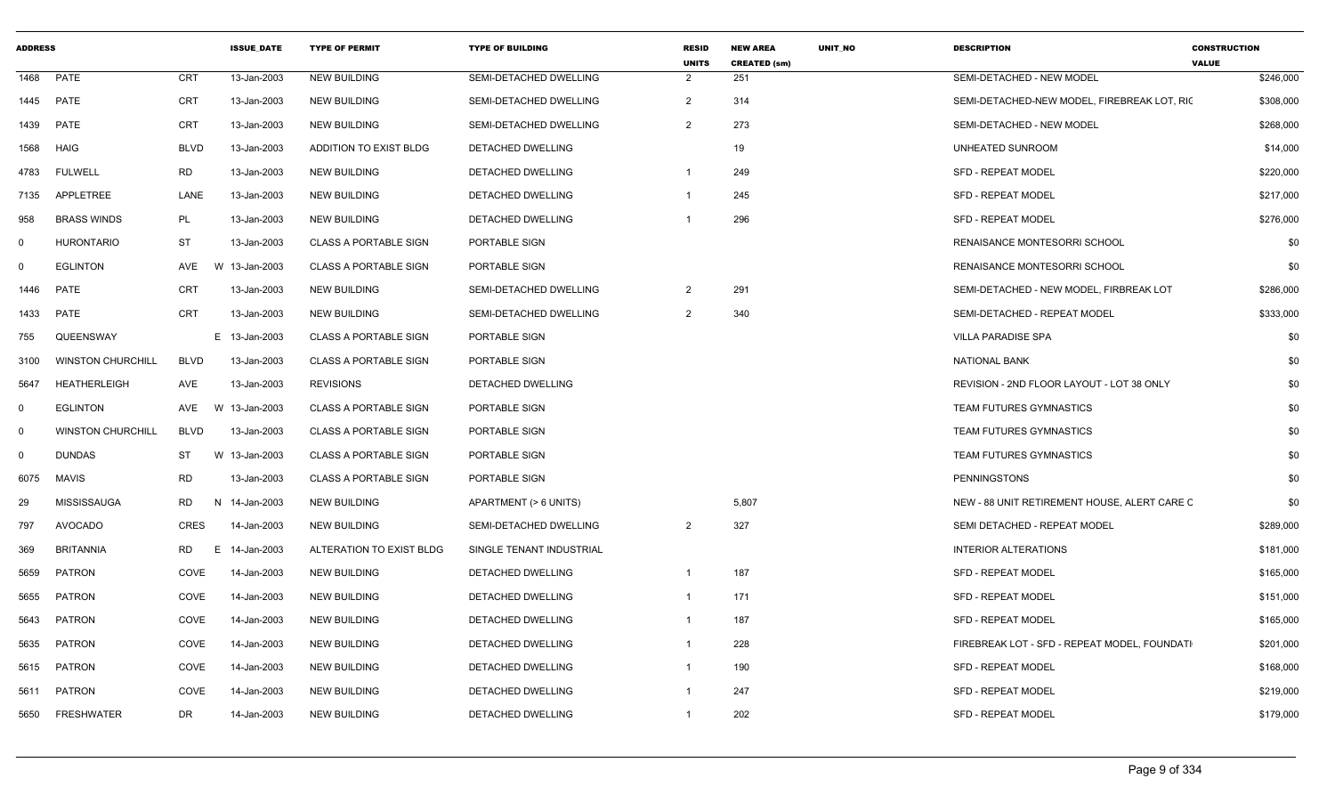| <b>ADDRESS</b> |                          |             | <b>ISSUE_DATE</b> | <b>TYPE OF PERMIT</b>        | <b>TYPE OF BUILDING</b>  | <b>RESID</b><br><b>UNITS</b> | <b>NEW AREA</b><br><b>CREATED (sm)</b> | UNIT_NO | <b>DESCRIPTION</b>                           | <b>CONSTRUCTION</b><br><b>VALUE</b> |
|----------------|--------------------------|-------------|-------------------|------------------------------|--------------------------|------------------------------|----------------------------------------|---------|----------------------------------------------|-------------------------------------|
| 1468           | PATE                     | <b>CRT</b>  | 13-Jan-2003       | <b>NEW BUILDING</b>          | SEMI-DETACHED DWELLING   | $\overline{2}$               | 251                                    |         | SEMI-DETACHED - NEW MODEL                    | \$246,000                           |
| 1445           | <b>PATE</b>              | <b>CRT</b>  | 13-Jan-2003       | NEW BUILDING                 | SEMI-DETACHED DWELLING   | $\overline{2}$               | 314                                    |         | SEMI-DETACHED-NEW MODEL. FIREBREAK LOT. RIC  | \$308,000                           |
| 1439           | PATE                     | CRT         | 13-Jan-2003       | NEW BUILDING                 | SEMI-DETACHED DWELLING   | $\overline{2}$               | 273                                    |         | SEMI-DETACHED - NEW MODEL                    | \$268,000                           |
| 1568           | <b>HAIG</b>              | BLVD        | 13-Jan-2003       | ADDITION TO EXIST BLDG       | DETACHED DWELLING        |                              | 19                                     |         | UNHEATED SUNROOM                             | \$14,000                            |
| 4783           | <b>FULWELL</b>           | <b>RD</b>   | 13-Jan-2003       | <b>NEW BUILDING</b>          | DETACHED DWELLING        | -1                           | 249                                    |         | <b>SFD - REPEAT MODEL</b>                    | \$220,000                           |
| 7135           | APPLETREE                | LANE        | 13-Jan-2003       | <b>NEW BUILDING</b>          | DETACHED DWELLING        | - 1                          | 245                                    |         | <b>SFD - REPEAT MODEL</b>                    | \$217,000                           |
| 958            | <b>BRASS WINDS</b>       | PL          | 13-Jan-2003       | NEW BUILDING                 | <b>DETACHED DWELLING</b> |                              | 296                                    |         | <b>SFD - REPEAT MODEL</b>                    | \$276,000                           |
| 0              | <b>HURONTARIO</b>        | <b>ST</b>   | 13-Jan-2003       | <b>CLASS A PORTABLE SIGN</b> | PORTABLE SIGN            |                              |                                        |         | RENAISANCE MONTESORRI SCHOOL                 | \$0                                 |
| $\Omega$       | <b>EGLINTON</b>          | AVE         | W 13-Jan-2003     | <b>CLASS A PORTABLE SIGN</b> | PORTABLE SIGN            |                              |                                        |         | RENAISANCE MONTESORRI SCHOOL                 | \$0                                 |
| 1446           | PATE                     | CRT         | 13-Jan-2003       | NEW BUILDING                 | SEMI-DETACHED DWELLING   | $\overline{2}$               | 291                                    |         | SEMI-DETACHED - NEW MODEL. FIRBREAK LOT      | \$286,000                           |
| 1433           | <b>PATE</b>              | CRT         | 13-Jan-2003       | <b>NEW BUILDING</b>          | SEMI-DETACHED DWELLING   | $\overline{2}$               | 340                                    |         | SEMI-DETACHED - REPEAT MODEL                 | \$333,000                           |
| 755            | QUEENSWAY                |             | E 13-Jan-2003     | <b>CLASS A PORTABLE SIGN</b> | PORTABLE SIGN            |                              |                                        |         | <b>VILLA PARADISE SPA</b>                    | \$0                                 |
| 3100           | <b>WINSTON CHURCHILL</b> | BLVD        | 13-Jan-2003       | <b>CLASS A PORTABLE SIGN</b> | PORTABLE SIGN            |                              |                                        |         | <b>NATIONAL BANK</b>                         | \$0                                 |
| 5647           | <b>HEATHERLEIGH</b>      | AVE         | 13-Jan-2003       | <b>REVISIONS</b>             | <b>DETACHED DWELLING</b> |                              |                                        |         | REVISION - 2ND FLOOR LAYOUT - LOT 38 ONLY    | \$0                                 |
| $^{\circ}$     | <b>EGLINTON</b>          | AVE         | W 13-Jan-2003     | <b>CLASS A PORTABLE SIGN</b> | PORTABLE SIGN            |                              |                                        |         | TEAM FUTURES GYMNASTICS                      | \$0                                 |
| $\mathbf 0$    | <b>WINSTON CHURCHILL</b> | <b>BLVD</b> | 13-Jan-2003       | <b>CLASS A PORTABLE SIGN</b> | PORTABLE SIGN            |                              |                                        |         | <b>TEAM FUTURES GYMNASTICS</b>               | \$0                                 |
| $\mathbf 0$    | <b>DUNDAS</b>            | ST          | W 13-Jan-2003     | <b>CLASS A PORTABLE SIGN</b> | PORTABLE SIGN            |                              |                                        |         | <b>TEAM FUTURES GYMNASTICS</b>               | \$0                                 |
| 6075           | MAVIS                    | RD          | 13-Jan-2003       | <b>CLASS A PORTABLE SIGN</b> | PORTABLE SIGN            |                              |                                        |         | <b>PENNINGSTONS</b>                          | \$0                                 |
| 29             | <b>MISSISSAUGA</b>       | RD<br>-N    | 14-Jan-2003       | NEW BUILDING                 | APARTMENT (> 6 UNITS)    |                              | 5,807                                  |         | NEW - 88 UNIT RETIREMENT HOUSE, ALERT CARE C | \$0                                 |
| 797            | <b>AVOCADO</b>           | CRES        | 14-Jan-2003       | NEW BUILDING                 | SEMI-DETACHED DWELLING   | $\overline{2}$               | 327                                    |         | SEMI DETACHED - REPEAT MODEL                 | \$289,000                           |
| 369            | <b>BRITANNIA</b>         | RD<br>E     | 14-Jan-2003       | ALTERATION TO EXIST BLDG     | SINGLE TENANT INDUSTRIAL |                              |                                        |         | <b>INTERIOR ALTERATIONS</b>                  | \$181,000                           |
| 5659           | <b>PATRON</b>            | COVE        | 14-Jan-2003       | NEW BUILDING                 | DETACHED DWELLING        | -1                           | 187                                    |         | <b>SFD - REPEAT MODEL</b>                    | \$165,000                           |
| 5655           | PATRON                   | COVE        | 14-Jan-2003       | NEW BUILDING                 | DETACHED DWELLING        |                              | 171                                    |         | <b>SFD - REPEAT MODEL</b>                    | \$151,000                           |
| 5643           | PATRON                   | COVE        | 14-Jan-2003       | NEW BUILDING                 | DETACHED DWELLING        |                              | 187                                    |         | <b>SFD - REPEAT MODEL</b>                    | \$165,000                           |
| 5635           | PATRON                   | COVE        | 14-Jan-2003       | NEW BUILDING                 | DETACHED DWELLING        |                              | 228                                    |         | FIREBREAK LOT - SFD - REPEAT MODEL, FOUNDATI | \$201,000                           |
| 5615           | PATRON                   | COVE        | 14-Jan-2003       | NEW BUILDING                 | DETACHED DWELLING        |                              | 190                                    |         | <b>SFD - REPEAT MODEL</b>                    | \$168,000                           |
| 5611           | PATRON                   | COVE        | 14-Jan-2003       | NEW BUILDING                 | DETACHED DWELLING        |                              | 247                                    |         | SFD - REPEAT MODEL                           | \$219,000                           |
| 5650           | FRESHWATER               | DR          | 14-Jan-2003       | NEW BUILDING                 | DETACHED DWELLING        | $\overline{1}$               | 202                                    |         | SFD - REPEAT MODEL                           | \$179,000                           |
|                |                          |             |                   |                              |                          |                              |                                        |         |                                              |                                     |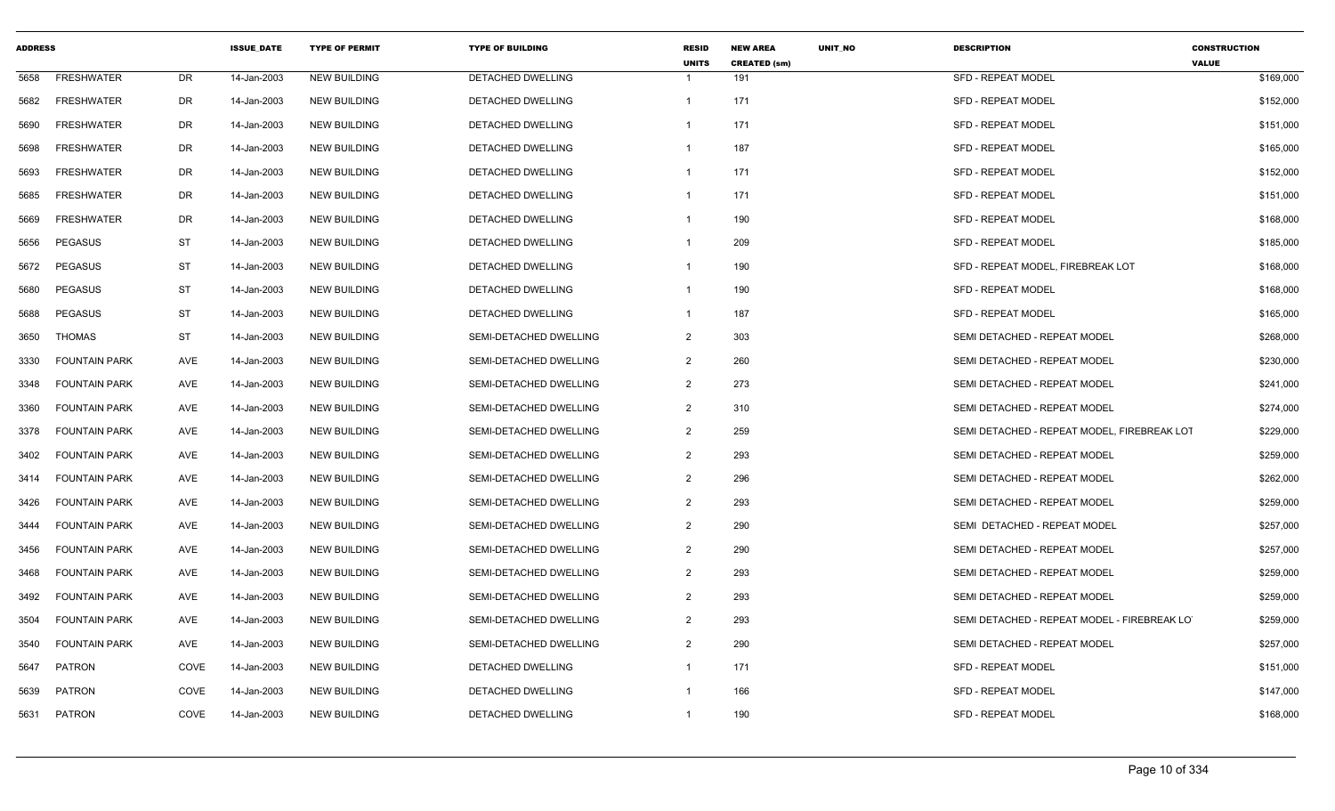| <b>ADDRESS</b> |                      |            | <b>ISSUE DATE</b> | <b>TYPE OF PERMIT</b> | <b>TYPE OF BUILDING</b>  | <b>RESID</b><br><b>UNITS</b> | <b>NEW AREA</b><br><b>CREATED (sm)</b> | <b>UNIT NO</b> | <b>DESCRIPTION</b>                           | <b>CONSTRUCTION</b><br><b>VALUE</b> |
|----------------|----------------------|------------|-------------------|-----------------------|--------------------------|------------------------------|----------------------------------------|----------------|----------------------------------------------|-------------------------------------|
| 5658           | <b>FRESHWATER</b>    | DR         | 14-Jan-2003       | <b>NEW BUILDING</b>   | <b>DETACHED DWELLING</b> | $\mathbf{1}$                 | 191                                    |                | <b>SFD - REPEAT MODEL</b>                    | \$169,000                           |
| 5682           | <b>FRESHWATER</b>    | <b>DR</b>  | 14-Jan-2003       | <b>NEW BUILDING</b>   | DETACHED DWELLING        | $\mathbf{1}$                 | 171                                    |                | <b>SFD - REPEAT MODEL</b>                    | \$152,000                           |
| 5690           | <b>FRESHWATER</b>    | <b>DR</b>  | 14-Jan-2003       | <b>NEW BUILDING</b>   | <b>DETACHED DWELLING</b> | -1                           | 171                                    |                | <b>SFD - REPEAT MODEL</b>                    | \$151,000                           |
| 5698           | <b>FRESHWATER</b>    | DR         | 14-Jan-2003       | <b>NEW BUILDING</b>   | <b>DETACHED DWELLING</b> | $\mathbf{1}$                 | 187                                    |                | <b>SFD - REPEAT MODEL</b>                    | \$165,000                           |
| 5693           | <b>FRESHWATER</b>    | DR         | 14-Jan-2003       | <b>NEW BUILDING</b>   | <b>DETACHED DWELLING</b> | -1                           | 171                                    |                | <b>SFD - REPEAT MODEL</b>                    | \$152,000                           |
| 5685           | <b>FRESHWATER</b>    | <b>DR</b>  | 14-Jan-2003       | <b>NEW BUILDING</b>   | <b>DETACHED DWELLING</b> | $\mathbf{1}$                 | 171                                    |                | <b>SFD - REPEAT MODEL</b>                    | \$151,000                           |
| 5669           | <b>FRESHWATER</b>    | <b>DR</b>  | 14-Jan-2003       | <b>NEW BUILDING</b>   | DETACHED DWELLING        | $\mathbf{1}$                 | 190                                    |                | <b>SFD - REPEAT MODEL</b>                    | \$168,000                           |
| 5656           | <b>PEGASUS</b>       | <b>ST</b>  | 14-Jan-2003       | <b>NEW BUILDING</b>   | DETACHED DWELLING        | -1                           | 209                                    |                | <b>SFD - REPEAT MODEL</b>                    | \$185,000                           |
| 5672           | <b>PEGASUS</b>       | <b>ST</b>  | 14-Jan-2003       | <b>NEW BUILDING</b>   | <b>DETACHED DWELLING</b> | $\mathbf{1}$                 | 190                                    |                | SFD - REPEAT MODEL. FIREBREAK LOT            | \$168,000                           |
| 5680           | <b>PEGASUS</b>       | ST         | 14-Jan-2003       | <b>NEW BUILDING</b>   | DETACHED DWELLING        | $\mathbf{1}$                 | 190                                    |                | <b>SFD - REPEAT MODEL</b>                    | \$168,000                           |
| 5688           | <b>PEGASUS</b>       | <b>ST</b>  | 14-Jan-2003       | <b>NEW BUILDING</b>   | DETACHED DWELLING        | -1                           | 187                                    |                | <b>SFD - REPEAT MODEL</b>                    | \$165,000                           |
| 3650           | <b>THOMAS</b>        | <b>ST</b>  | 14-Jan-2003       | <b>NEW BUILDING</b>   | SEMI-DETACHED DWELLING   | $\overline{2}$               | 303                                    |                | SEMI DETACHED - REPEAT MODEL                 | \$268,000                           |
| 3330           | <b>FOUNTAIN PARK</b> | <b>AVE</b> | 14-Jan-2003       | <b>NEW BUILDING</b>   | SEMI-DETACHED DWELLING   | 2                            | 260                                    |                | SEMI DETACHED - REPEAT MODEL                 | \$230,000                           |
| 3348           | <b>FOUNTAIN PARK</b> | AVE        | 14-Jan-2003       | <b>NEW BUILDING</b>   | SEMI-DETACHED DWELLING   | $\overline{2}$               | 273                                    |                | SEMI DETACHED - REPEAT MODEL                 | \$241,000                           |
| 3360           | <b>FOUNTAIN PARK</b> | AVE        | 14-Jan-2003       | <b>NEW BUILDING</b>   | SEMI-DETACHED DWELLING   | $\overline{2}$               | 310                                    |                | SEMI DETACHED - REPEAT MODEL                 | \$274,000                           |
| 3378           | <b>FOUNTAIN PARK</b> | AVE        | 14-Jan-2003       | <b>NEW BUILDING</b>   | SEMI-DETACHED DWELLING   | $\overline{2}$               | 259                                    |                | SEMI DETACHED - REPEAT MODEL, FIREBREAK LOT  | \$229,000                           |
| 3402           | <b>FOUNTAIN PARK</b> | AVE        | 14-Jan-2003       | <b>NEW BUILDING</b>   | SEMI-DETACHED DWELLING   | $\overline{2}$               | 293                                    |                | SEMI DETACHED - REPEAT MODEL                 | \$259,000                           |
| 3414           | <b>FOUNTAIN PARK</b> | <b>AVE</b> | 14-Jan-2003       | <b>NEW BUILDING</b>   | SEMI-DETACHED DWELLING   | $\overline{2}$               | 296                                    |                | SEMI DETACHED - REPEAT MODEL                 | \$262,000                           |
| 3426           | <b>FOUNTAIN PARK</b> | AVE        | 14-Jan-2003       | <b>NEW BUILDING</b>   | SEMI-DETACHED DWELLING   | $\overline{2}$               | 293                                    |                | SEMI DETACHED - REPEAT MODEL                 | \$259,000                           |
| 3444           | <b>FOUNTAIN PARK</b> | AVE        | 14-Jan-2003       | <b>NEW BUILDING</b>   | SEMI-DETACHED DWELLING   | $\overline{2}$               | 290                                    |                | SEMI DETACHED - REPEAT MODEL                 | \$257,000                           |
| 3456           | <b>FOUNTAIN PARK</b> | AVE        | 14-Jan-2003       | <b>NEW BUILDING</b>   | SEMI-DETACHED DWELLING   | $\overline{2}$               | 290                                    |                | SEMI DETACHED - REPEAT MODEL                 | \$257,000                           |
| 3468           | <b>FOUNTAIN PARK</b> | AVE        | 14-Jan-2003       | <b>NEW BUILDING</b>   | SEMI-DETACHED DWELLING   | $\overline{2}$               | 293                                    |                | SEMI DETACHED - REPEAT MODEL                 | \$259,000                           |
| 3492           | <b>FOUNTAIN PARK</b> | AVE        | 14-Jan-2003       | <b>NEW BUILDING</b>   | SEMI-DETACHED DWELLING   | $\overline{2}$               | 293                                    |                | SEMI DETACHED - REPEAT MODEL                 | \$259,000                           |
| 3504           | <b>FOUNTAIN PARK</b> | AVE        | 14-Jan-2003       | <b>NEW BUILDING</b>   | SEMI-DETACHED DWELLING   | 2                            | 293                                    |                | SEMI DETACHED - REPEAT MODEL - FIREBREAK LOT | \$259,000                           |
| 3540           | <b>FOUNTAIN PARK</b> | AVE        | 14-Jan-2003       | <b>NEW BUILDING</b>   | SEMI-DETACHED DWELLING   | $\overline{2}$               | 290                                    |                | SEMI DETACHED - REPEAT MODEL                 | \$257,000                           |
| 5647           | PATRON               | COVE       | 14-Jan-2003       | <b>NEW BUILDING</b>   | DETACHED DWELLING        | $\mathbf{1}$                 | 171                                    |                | <b>SFD - REPEAT MODEL</b>                    | \$151,000                           |
| 5639           | PATRON               | COVE       | 14-Jan-2003       | <b>NEW BUILDING</b>   | DETACHED DWELLING        | -1                           | 166                                    |                | SFD - REPEAT MODEL                           | \$147,000                           |
| 5631           | PATRON               | COVE       | 14-Jan-2003       | <b>NEW BUILDING</b>   | <b>DETACHED DWELLING</b> | $\mathbf{1}$                 | 190                                    |                | <b>SFD - REPEAT MODEL</b>                    | \$168,000                           |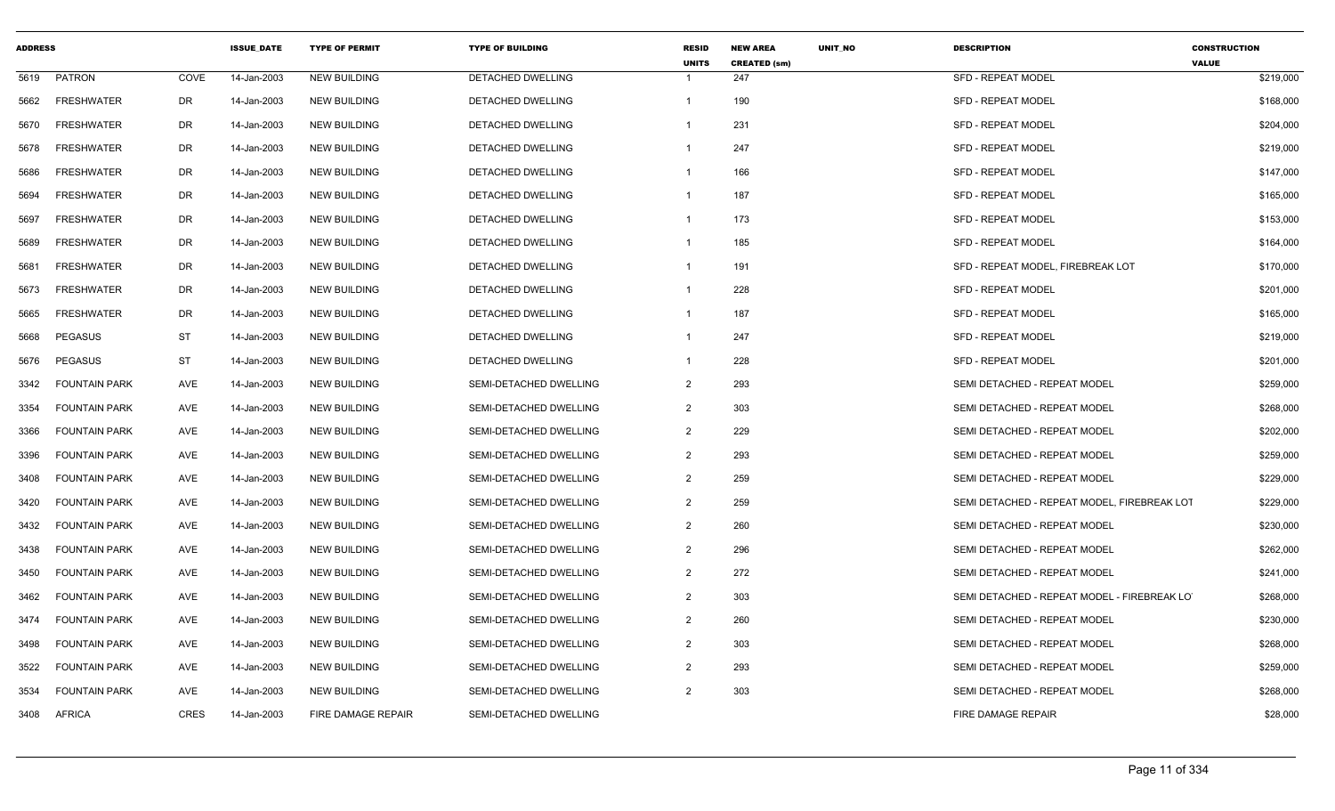| <b>ADDRESS</b> |                      |             | <b>ISSUE DATE</b> | <b>TYPE OF PERMIT</b> | <b>TYPE OF BUILDING</b>  | <b>RESID</b><br><b>UNITS</b> | <b>NEW AREA</b><br><b>CREATED (sm)</b> | <b>UNIT NO</b> | <b>DESCRIPTION</b>                          | <b>CONSTRUCTION</b><br><b>VALUE</b> |
|----------------|----------------------|-------------|-------------------|-----------------------|--------------------------|------------------------------|----------------------------------------|----------------|---------------------------------------------|-------------------------------------|
| 5619           | <b>PATRON</b>        | COVE        | 14-Jan-2003       | <b>NEW BUILDING</b>   | DETACHED DWELLING        | -1                           | 247                                    |                | <b>SFD - REPEAT MODEL</b>                   | \$219,000                           |
| 5662           | <b>FRESHWATER</b>    | DR          | 14-Jan-2003       | <b>NEW BUILDING</b>   | DETACHED DWELLING        | $\overline{1}$               | 190                                    |                | SFD - REPEAT MODEL                          | \$168,000                           |
| 5670           | <b>FRESHWATER</b>    | <b>DR</b>   | 14-Jan-2003       | <b>NEW BUILDING</b>   | <b>DETACHED DWELLING</b> | -1                           | 231                                    |                | <b>SFD - REPEAT MODEL</b>                   | \$204,000                           |
| 5678           | <b>FRESHWATER</b>    | <b>DR</b>   | 14-Jan-2003       | <b>NEW BUILDING</b>   | DETACHED DWELLING        | $\mathbf{1}$                 | 247                                    |                | <b>SFD - REPEAT MODEL</b>                   | \$219,000                           |
| 5686           | <b>FRESHWATER</b>    | DR          | 14-Jan-2003       | <b>NEW BUILDING</b>   | DETACHED DWELLING        | -1                           | 166                                    |                | <b>SFD - REPEAT MODEL</b>                   | \$147,000                           |
| 5694           | <b>FRESHWATER</b>    | <b>DR</b>   | 14-Jan-2003       | <b>NEW BUILDING</b>   | DETACHED DWELLING        | $\mathbf{1}$                 | 187                                    |                | <b>SFD - REPEAT MODEL</b>                   | \$165,000                           |
| 5697           | <b>FRESHWATER</b>    | <b>DR</b>   | 14-Jan-2003       | <b>NEW BUILDING</b>   | DETACHED DWELLING        | $\mathbf{1}$                 | 173                                    |                | <b>SFD - REPEAT MODEL</b>                   | \$153,000                           |
| 5689           | <b>FRESHWATER</b>    | DR          | 14-Jan-2003       | <b>NEW BUILDING</b>   | <b>DETACHED DWELLING</b> | -1                           | 185                                    |                | <b>SFD - REPEAT MODEL</b>                   | \$164,000                           |
| 5681           | <b>FRESHWATER</b>    | DR          | 14-Jan-2003       | <b>NEW BUILDING</b>   | DETACHED DWELLING        | $\mathbf{1}$                 | 191                                    |                | SFD - REPEAT MODEL, FIREBREAK LOT           | \$170,000                           |
| 5673           | <b>FRESHWATER</b>    | DR          | 14-Jan-2003       | <b>NEW BUILDING</b>   | DETACHED DWELLING        | -1                           | 228                                    |                | <b>SFD - REPEAT MODEL</b>                   | \$201,000                           |
| 5665           | <b>FRESHWATER</b>    | <b>DR</b>   | 14-Jan-2003       | <b>NEW BUILDING</b>   | DETACHED DWELLING        | $\overline{1}$               | 187                                    |                | <b>SFD - REPEAT MODEL</b>                   | \$165,000                           |
| 5668           | <b>PEGASUS</b>       | <b>ST</b>   | 14-Jan-2003       | <b>NEW BUILDING</b>   | DETACHED DWELLING        | -1                           | 247                                    |                | <b>SFD - REPEAT MODEL</b>                   | \$219,000                           |
| 5676           | <b>PEGASUS</b>       | ST          | 14-Jan-2003       | <b>NEW BUILDING</b>   | <b>DETACHED DWELLING</b> |                              | 228                                    |                | <b>SFD - REPEAT MODEL</b>                   | \$201,000                           |
| 3342           | <b>FOUNTAIN PARK</b> | AVE         | 14-Jan-2003       | <b>NEW BUILDING</b>   | SEMI-DETACHED DWELLING   | $\overline{2}$               | 293                                    |                | SEMI DETACHED - REPEAT MODEL                | \$259,000                           |
| 3354           | <b>FOUNTAIN PARK</b> | AVE         | 14-Jan-2003       | <b>NEW BUILDING</b>   | SEMI-DETACHED DWELLING   | $\overline{2}$               | 303                                    |                | SEMI DETACHED - REPEAT MODEL                | \$268,000                           |
| 3366           | <b>FOUNTAIN PARK</b> | AVE         | 14-Jan-2003       | <b>NEW BUILDING</b>   | SEMI-DETACHED DWELLING   | 2                            | 229                                    |                | SEMI DETACHED - REPEAT MODEL                | \$202,000                           |
| 3396           | <b>FOUNTAIN PARK</b> | AVE         | 14-Jan-2003       | <b>NEW BUILDING</b>   | SEMI-DETACHED DWELLING   | $\overline{2}$               | 293                                    |                | SEMI DETACHED - REPEAT MODEL                | \$259,000                           |
| 3408           | <b>FOUNTAIN PARK</b> | AVE         | 14-Jan-2003       | <b>NEW BUILDING</b>   | SEMI-DETACHED DWELLING   | $\overline{2}$               | 259                                    |                | SEMI DETACHED - REPEAT MODEL                | \$229,000                           |
| 3420           | <b>FOUNTAIN PARK</b> | AVE         | 14-Jan-2003       | <b>NEW BUILDING</b>   | SEMI-DETACHED DWELLING   | $\overline{2}$               | 259                                    |                | SEMI DETACHED - REPEAT MODEL, FIREBREAK LOT | \$229,000                           |
| 3432           | <b>FOUNTAIN PARK</b> | AVE         | 14-Jan-2003       | <b>NEW BUILDING</b>   | SEMI-DETACHED DWELLING   | $\overline{2}$               | 260                                    |                | SEMI DETACHED - REPEAT MODEL                | \$230,000                           |
| 3438           | <b>FOUNTAIN PARK</b> | AVE         | 14-Jan-2003       | <b>NEW BUILDING</b>   | SEMI-DETACHED DWELLING   | 2                            | 296                                    |                | SEMI DETACHED - REPEAT MODEL                | \$262,000                           |
| 3450           | <b>FOUNTAIN PARK</b> | AVE         | 14-Jan-2003       | <b>NEW BUILDING</b>   | SEMI-DETACHED DWELLING   | $\overline{2}$               | 272                                    |                | SEMI DETACHED - REPEAT MODEL                | \$241,000                           |
| 3462           | <b>FOUNTAIN PARK</b> | AVE         | 14-Jan-2003       | <b>NEW BUILDING</b>   | SEMI-DETACHED DWELLING   | $\overline{2}$               | 303                                    |                | SEMI DETACHED - REPEAT MODEL - FIREBREAK LO | \$268,000                           |
| 3474           | <b>FOUNTAIN PARK</b> | AVE         | 14-Jan-2003       | <b>NEW BUILDING</b>   | SEMI-DETACHED DWELLING   | $\overline{2}$               | 260                                    |                | SEMI DETACHED - REPEAT MODEL                | \$230,000                           |
| 3498           | <b>FOUNTAIN PARK</b> | AVE         | 14-Jan-2003       | <b>NEW BUILDING</b>   | SEMI-DETACHED DWELLING   | $\overline{2}$               | 303                                    |                | SEMI DETACHED - REPEAT MODEL                | \$268,000                           |
| 3522           | <b>FOUNTAIN PARK</b> | AVE         | 14-Jan-2003       | <b>NEW BUILDING</b>   | SEMI-DETACHED DWELLING   | 2                            | 293                                    |                | SEMI DETACHED - REPEAT MODEL                | \$259,000                           |
| 3534           | <b>FOUNTAIN PARK</b> | AVE         | 14-Jan-2003       | <b>NEW BUILDING</b>   | SEMI-DETACHED DWELLING   | 2                            | 303                                    |                | SEMI DETACHED - REPEAT MODEL                | \$268,000                           |
| 3408           | <b>AFRICA</b>        | <b>CRES</b> | 14-Jan-2003       | FIRE DAMAGE REPAIR    | SEMI-DETACHED DWELLING   |                              |                                        |                | FIRE DAMAGE REPAIR                          | \$28,000                            |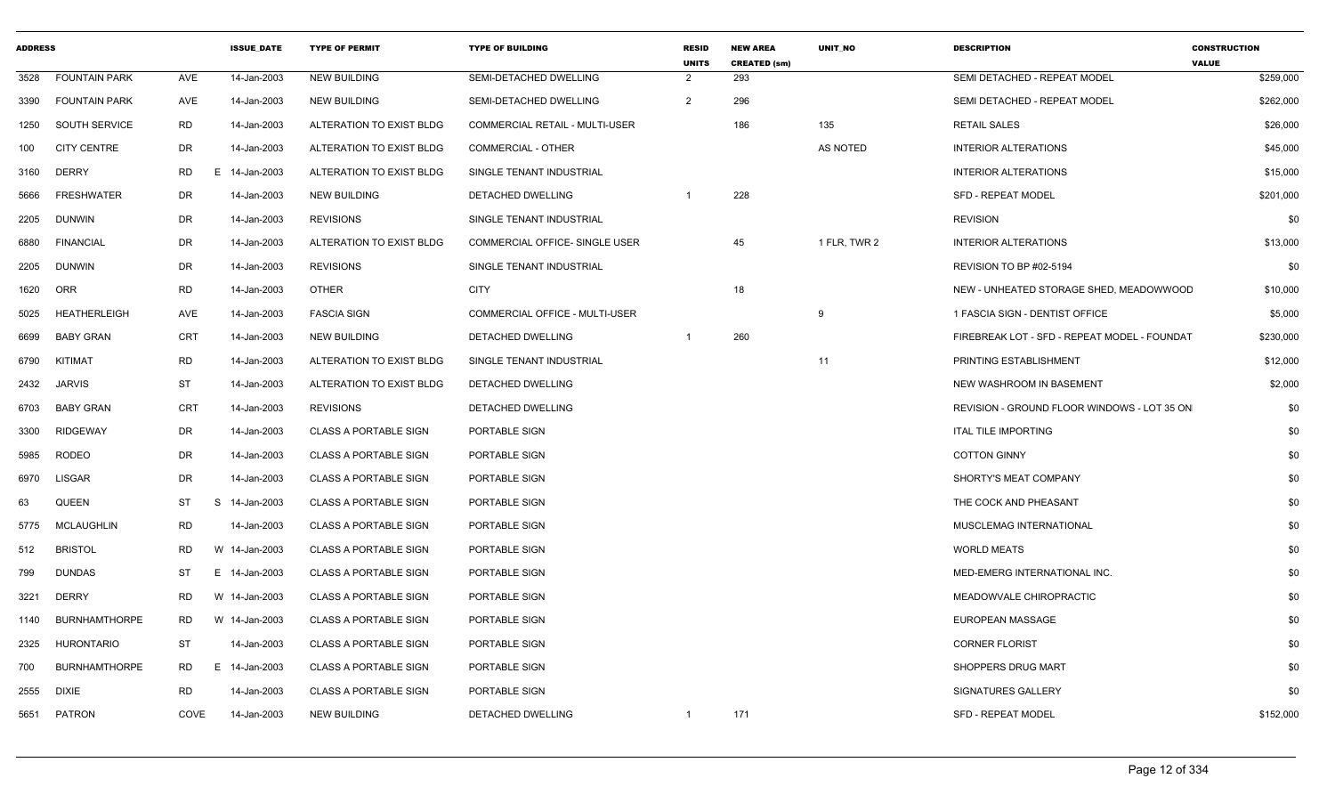| 3528<br>3390<br>1250<br>100<br><b>DERRY</b><br>3160<br>5666<br>DUNWIN<br>2205<br><b>FINANCIAL</b><br>6880<br><b>DUNWIN</b><br>2205<br>ORR<br>1620<br>5025<br><b>BABY GRAN</b><br>6699<br>KITIMAT<br>6790<br><b>JARVIS</b><br>2432 | <b>FOUNTAIN PARK</b><br><b>FOUNTAIN PARK</b> | AVE        | 14-Jan-2003   |                              |                                       | <b>UNITS</b>   | <b>CREATED (sm)</b> |              |                                              | <b>VALUE</b> |
|-----------------------------------------------------------------------------------------------------------------------------------------------------------------------------------------------------------------------------------|----------------------------------------------|------------|---------------|------------------------------|---------------------------------------|----------------|---------------------|--------------|----------------------------------------------|--------------|
|                                                                                                                                                                                                                                   |                                              |            |               | <b>NEW BUILDING</b>          | SEMI-DETACHED DWELLING                | $\overline{2}$ | 293                 |              | SEMI DETACHED - REPEAT MODEL                 | \$259,000    |
|                                                                                                                                                                                                                                   |                                              | AVE        | 14-Jan-2003   | <b>NEW BUILDING</b>          | SEMI-DETACHED DWELLING                | $\overline{2}$ | 296                 |              | SEMI DETACHED - REPEAT MODEL                 | \$262,000    |
|                                                                                                                                                                                                                                   | SOUTH SERVICE                                | <b>RD</b>  | 14-Jan-2003   | ALTERATION TO EXIST BLDG     | COMMERCIAL RETAIL - MULTI-USER        |                | 186                 | 135          | <b>RETAIL SALES</b>                          | \$26,000     |
|                                                                                                                                                                                                                                   | <b>CITY CENTRE</b>                           | DR         | 14-Jan-2003   | ALTERATION TO EXIST BLDG     | COMMERCIAL - OTHER                    |                |                     | AS NOTED     | <b>INTERIOR ALTERATIONS</b>                  | \$45,000     |
|                                                                                                                                                                                                                                   |                                              | RD<br>E    | 14-Jan-2003   | ALTERATION TO EXIST BLDG     | SINGLE TENANT INDUSTRIAL              |                |                     |              | <b>INTERIOR ALTERATIONS</b>                  | \$15,000     |
|                                                                                                                                                                                                                                   | <b>FRESHWATER</b>                            | DR         | 14-Jan-2003   | NEW BUILDING                 | DETACHED DWELLING                     |                | 228                 |              | <b>SFD - REPEAT MODEL</b>                    | \$201,000    |
|                                                                                                                                                                                                                                   |                                              | DR         | 14-Jan-2003   | <b>REVISIONS</b>             | SINGLE TENANT INDUSTRIAL              |                |                     |              | <b>REVISION</b>                              | \$0          |
|                                                                                                                                                                                                                                   |                                              | DR         | 14-Jan-2003   | ALTERATION TO EXIST BLDG     | <b>COMMERCIAL OFFICE- SINGLE USER</b> |                | 45                  | 1 FLR. TWR 2 | <b>INTERIOR ALTERATIONS</b>                  | \$13,000     |
|                                                                                                                                                                                                                                   |                                              | DR         | 14-Jan-2003   | <b>REVISIONS</b>             | SINGLE TENANT INDUSTRIAL              |                |                     |              | REVISION TO BP #02-5194                      | \$0          |
|                                                                                                                                                                                                                                   |                                              | RD         | 14-Jan-2003   | <b>OTHER</b>                 | <b>CITY</b>                           |                | 18                  |              | NEW - UNHEATED STORAGE SHED, MEADOWWOOD      | \$10,000     |
|                                                                                                                                                                                                                                   | <b>HEATHERLEIGH</b>                          | AVE        | 14-Jan-2003   | <b>FASCIA SIGN</b>           | COMMERCIAL OFFICE - MULTI-USER        |                |                     | 9            | 1 FASCIA SIGN - DENTIST OFFICE               | \$5,000      |
|                                                                                                                                                                                                                                   |                                              | <b>CRT</b> | 14-Jan-2003   | <b>NEW BUILDING</b>          | DETACHED DWELLING                     |                | 260                 |              | FIREBREAK LOT - SFD - REPEAT MODEL - FOUNDAT | \$230,000    |
|                                                                                                                                                                                                                                   |                                              | RD         | 14-Jan-2003   | ALTERATION TO EXIST BLDG     | SINGLE TENANT INDUSTRIAL              |                |                     | 11           | PRINTING ESTABLISHMENT                       | \$12,000     |
|                                                                                                                                                                                                                                   |                                              | <b>ST</b>  | 14-Jan-2003   | ALTERATION TO EXIST BLDG     | DETACHED DWELLING                     |                |                     |              | NEW WASHROOM IN BASEMENT                     | \$2,000      |
| <b>BABY GRAN</b><br>6703                                                                                                                                                                                                          |                                              | CRT        | 14-Jan-2003   | <b>REVISIONS</b>             | DETACHED DWELLING                     |                |                     |              | REVISION - GROUND FLOOR WINDOWS - LOT 35 ON  | \$0          |
| <b>RIDGEWAY</b><br>3300                                                                                                                                                                                                           |                                              | DR         | 14-Jan-2003   | <b>CLASS A PORTABLE SIGN</b> | PORTABLE SIGN                         |                |                     |              | <b>ITAL TILE IMPORTING</b>                   | \$0          |
| <b>RODEO</b><br>5985                                                                                                                                                                                                              |                                              | DR         | 14-Jan-2003   | <b>CLASS A PORTABLE SIGN</b> | PORTABLE SIGN                         |                |                     |              | <b>COTTON GINNY</b>                          | \$0          |
| <b>LISGAR</b><br>6970                                                                                                                                                                                                             |                                              | DR         | 14-Jan-2003   | <b>CLASS A PORTABLE SIGN</b> | PORTABLE SIGN                         |                |                     |              | SHORTY'S MEAT COMPANY                        | \$0          |
| <b>QUEEN</b><br>63                                                                                                                                                                                                                |                                              | ST<br>S    | 14-Jan-2003   | <b>CLASS A PORTABLE SIGN</b> | PORTABLE SIGN                         |                |                     |              | THE COCK AND PHEASANT                        | \$0          |
| 5775                                                                                                                                                                                                                              | MCLAUGHLIN                                   | RD         | 14-Jan-2003   | CLASS A PORTABLE SIGN        | PORTABLE SIGN                         |                |                     |              | MUSCLEMAG INTERNATIONAL                      | \$0          |
| <b>BRISTOL</b><br>512                                                                                                                                                                                                             |                                              | <b>RD</b>  | W 14-Jan-2003 | <b>CLASS A PORTABLE SIGN</b> | PORTABLE SIGN                         |                |                     |              | <b>WORLD MEATS</b>                           | \$0          |
| <b>DUNDAS</b><br>799                                                                                                                                                                                                              |                                              | ST         | E 14-Jan-2003 | <b>CLASS A PORTABLE SIGN</b> | PORTABLE SIGN                         |                |                     |              | MED-EMERG INTERNATIONAL INC.                 | \$0          |
| <b>DERRY</b><br>3221                                                                                                                                                                                                              |                                              | RD         | W 14-Jan-2003 | <b>CLASS A PORTABLE SIGN</b> | PORTABLE SIGN                         |                |                     |              | MEADOWVALE CHIROPRACTIC                      | \$0          |
| 1140                                                                                                                                                                                                                              | <b>BURNHAMTHORPE</b>                         | RD         | W 14-Jan-2003 | <b>CLASS A PORTABLE SIGN</b> | PORTABLE SIGN                         |                |                     |              | EUROPEAN MASSAGE                             | \$0          |
| 2325                                                                                                                                                                                                                              | HURONTARIO                                   | <b>ST</b>  | 14-Jan-2003   | <b>CLASS A PORTABLE SIGN</b> | PORTABLE SIGN                         |                |                     |              | <b>CORNER FLORIST</b>                        | \$0          |
| 700                                                                                                                                                                                                                               | <b>BURNHAMTHORPE</b>                         | RD         | E 14-Jan-2003 | <b>CLASS A PORTABLE SIGN</b> | PORTABLE SIGN                         |                |                     |              | SHOPPERS DRUG MART                           | \$0          |
| 2555<br><b>DIXIE</b>                                                                                                                                                                                                              |                                              | <b>RD</b>  | 14-Jan-2003   | <b>CLASS A PORTABLE SIGN</b> | PORTABLE SIGN                         |                |                     |              | SIGNATURES GALLERY                           | \$0          |
| <b>PATRON</b><br>5651                                                                                                                                                                                                             |                                              |            |               |                              |                                       |                |                     |              |                                              |              |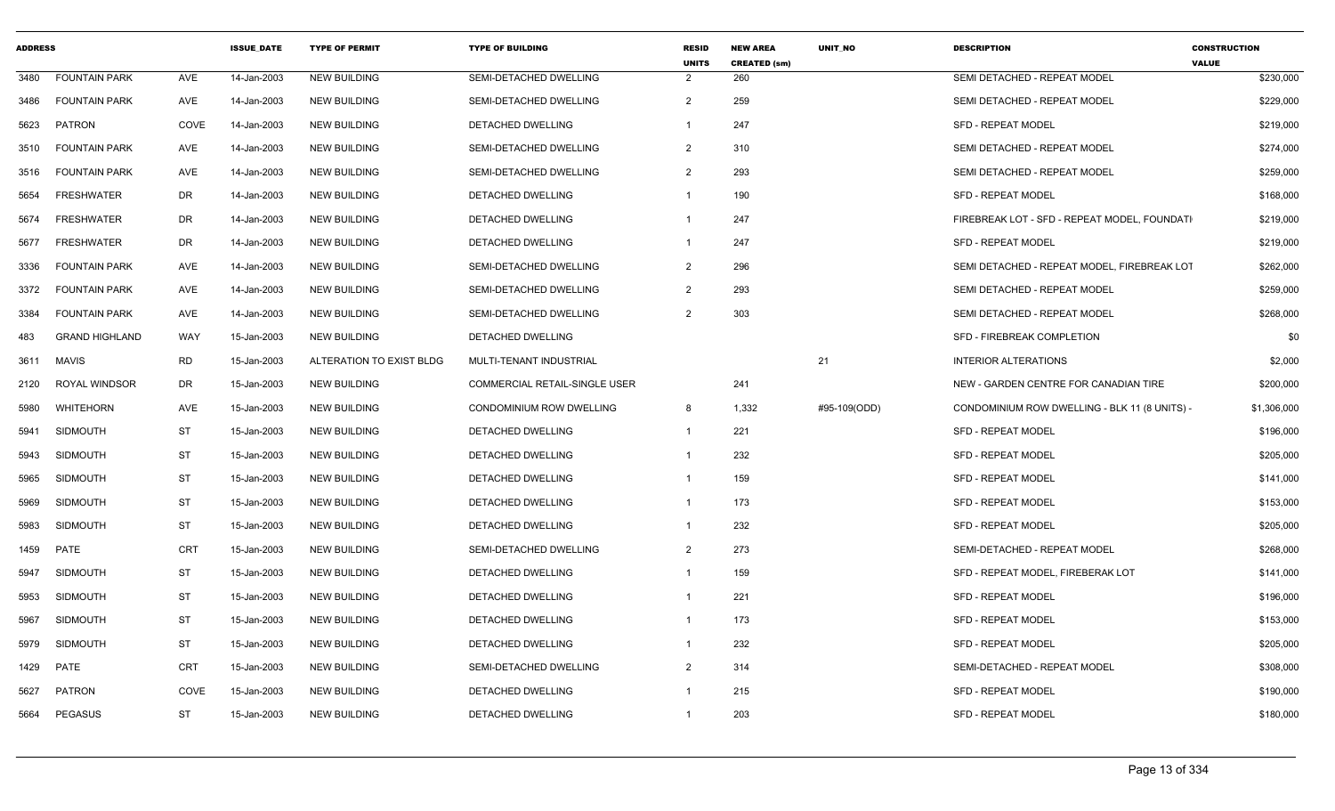| <b>ADDRESS</b> |                       |            | <b>ISSUE DATE</b> | <b>TYPE OF PERMIT</b>    | <b>TYPE OF BUILDING</b>              | <b>RESID</b><br><b>UNITS</b> | <b>NEW AREA</b><br><b>CREATED (sm)</b> | <b>UNIT NO</b> | <b>DESCRIPTION</b>                            | <b>CONSTRUCTION</b><br><b>VALUE</b> |
|----------------|-----------------------|------------|-------------------|--------------------------|--------------------------------------|------------------------------|----------------------------------------|----------------|-----------------------------------------------|-------------------------------------|
| 3480           | <b>FOUNTAIN PARK</b>  | AVE        | 14-Jan-2003       | <b>NEW BUILDING</b>      | SEMI-DETACHED DWELLING               | $\overline{2}$               | 260                                    |                | SEMI DETACHED - REPEAT MODEL                  | \$230,000                           |
| 3486           | <b>FOUNTAIN PARK</b>  | AVE        | 14-Jan-2003       | <b>NEW BUILDING</b>      | SEMI-DETACHED DWELLING               | $\overline{2}$               | 259                                    |                | SEMI DETACHED - REPEAT MODEL                  | \$229,000                           |
| 5623           | <b>PATRON</b>         | COVE       | 14-Jan-2003       | <b>NEW BUILDING</b>      | <b>DETACHED DWELLING</b>             | $\overline{1}$               | 247                                    |                | <b>SFD - REPEAT MODEL</b>                     | \$219,000                           |
| 3510           | <b>FOUNTAIN PARK</b>  | AVE        | 14-Jan-2003       | <b>NEW BUILDING</b>      | SEMI-DETACHED DWELLING               | $\overline{2}$               | 310                                    |                | SEMI DETACHED - REPEAT MODEL                  | \$274,000                           |
| 3516           | <b>FOUNTAIN PARK</b>  | AVE        | 14-Jan-2003       | <b>NEW BUILDING</b>      | SEMI-DETACHED DWELLING               | $\overline{2}$               | 293                                    |                | SEMI DETACHED - REPEAT MODEL                  | \$259,000                           |
| 5654           | <b>FRESHWATER</b>     | DR         | 14-Jan-2003       | <b>NEW BUILDING</b>      | DETACHED DWELLING                    | $\overline{1}$               | 190                                    |                | <b>SFD - REPEAT MODEL</b>                     | \$168,000                           |
| 5674           | <b>FRESHWATER</b>     | DR.        | 14-Jan-2003       | <b>NEW BUILDING</b>      | <b>DETACHED DWELLING</b>             | $\overline{1}$               | 247                                    |                | FIREBREAK LOT - SFD - REPEAT MODEL. FOUNDATI  | \$219,000                           |
| 5677           | <b>FRESHWATER</b>     | DR.        | 14-Jan-2003       | <b>NEW BUILDING</b>      | DETACHED DWELLING                    | $\overline{1}$               | 247                                    |                | <b>SFD - REPEAT MODEL</b>                     | \$219,000                           |
| 3336           | <b>FOUNTAIN PARK</b>  | AVE        | 14-Jan-2003       | <b>NEW BUILDING</b>      | SEMI-DETACHED DWELLING               | $\overline{2}$               | 296                                    |                | SEMI DETACHED - REPEAT MODEL, FIREBREAK LOT   | \$262,000                           |
| 3372           | <b>FOUNTAIN PARK</b>  | AVE        | 14-Jan-2003       | <b>NEW BUILDING</b>      | SEMI-DETACHED DWELLING               | 2                            | 293                                    |                | SEMI DETACHED - REPEAT MODEL                  | \$259,000                           |
| 3384           | <b>FOUNTAIN PARK</b>  | AVE        | 14-Jan-2003       | <b>NEW BUILDING</b>      | SEMI-DETACHED DWELLING               | 2                            | 303                                    |                | SEMI DETACHED - REPEAT MODEL                  | \$268,000                           |
| 483            | <b>GRAND HIGHLAND</b> | <b>WAY</b> | 15-Jan-2003       | <b>NEW BUILDING</b>      | DETACHED DWELLING                    |                              |                                        |                | SFD - FIREBREAK COMPLETION                    | \$0                                 |
| 3611           | <b>MAVIS</b>          | <b>RD</b>  | 15-Jan-2003       | ALTERATION TO EXIST BLDG | MULTI-TENANT INDUSTRIAL              |                              |                                        | 21             | <b>INTERIOR ALTERATIONS</b>                   | \$2,000                             |
| 2120           | <b>ROYAL WINDSOR</b>  | DR         | 15-Jan-2003       | <b>NEW BUILDING</b>      | <b>COMMERCIAL RETAIL-SINGLE USER</b> |                              | 241                                    |                | NEW - GARDEN CENTRE FOR CANADIAN TIRE         | \$200,000                           |
| 5980           | WHITEHORN             | AVE        | 15-Jan-2003       | <b>NEW BUILDING</b>      | CONDOMINIUM ROW DWELLING             | 8                            | 1,332                                  | #95-109(ODD)   | CONDOMINIUM ROW DWELLING - BLK 11 (8 UNITS) - | \$1,306,000                         |
| 5941           | <b>SIDMOUTH</b>       | <b>ST</b>  | 15-Jan-2003       | <b>NEW BUILDING</b>      | DETACHED DWELLING                    | $\overline{1}$               | 221                                    |                | <b>SFD - REPEAT MODEL</b>                     | \$196,000                           |
| 5943           | SIDMOUTH              | ST         | 15-Jan-2003       | <b>NEW BUILDING</b>      | DETACHED DWELLING                    | $\overline{1}$               | 232                                    |                | <b>SFD - REPEAT MODEL</b>                     | \$205,000                           |
| 5965           | <b>SIDMOUTH</b>       | ST         | 15-Jan-2003       | <b>NEW BUILDING</b>      | DETACHED DWELLING                    | $\overline{1}$               | 159                                    |                | <b>SFD - REPEAT MODEL</b>                     | \$141,000                           |
| 5969           | <b>SIDMOUTH</b>       | ST         | 15-Jan-2003       | <b>NEW BUILDING</b>      | <b>DETACHED DWELLING</b>             | $\overline{1}$               | 173                                    |                | <b>SFD - REPEAT MODEL</b>                     | \$153,000                           |
| 5983           | <b>SIDMOUTH</b>       | ST         | 15-Jan-2003       | <b>NEW BUILDING</b>      | DETACHED DWELLING                    | $\overline{1}$               | 232                                    |                | <b>SFD - REPEAT MODEL</b>                     | \$205,000                           |
| 1459           | PATE                  | <b>CRT</b> | 15-Jan-2003       | <b>NEW BUILDING</b>      | SEMI-DETACHED DWELLING               | $\overline{2}$               | 273                                    |                | SEMI-DETACHED - REPEAT MODEL                  | \$268,000                           |
| 5947           | SIDMOUTH              | ST         | 15-Jan-2003       | <b>NEW BUILDING</b>      | DETACHED DWELLING                    | $\overline{1}$               | 159                                    |                | SFD - REPEAT MODEL, FIREBERAK LOT             | \$141,000                           |
| 5953           | SIDMOUTH              | <b>ST</b>  | 15-Jan-2003       | <b>NEW BUILDING</b>      | DETACHED DWELLING                    | $\overline{1}$               | 221                                    |                | <b>SFD - REPEAT MODEL</b>                     | \$196,000                           |
| 5967           | <b>SIDMOUTH</b>       | <b>ST</b>  | 15-Jan-2003       | <b>NEW BUILDING</b>      | DETACHED DWELLING                    | $\overline{1}$               | 173                                    |                | <b>SFD - REPEAT MODEL</b>                     | \$153,000                           |
| 5979           | SIDMOUTH              | <b>ST</b>  | 15-Jan-2003       | <b>NEW BUILDING</b>      | DETACHED DWELLING                    | $\overline{1}$               | 232                                    |                | <b>SFD - REPEAT MODEL</b>                     | \$205,000                           |
| 1429           | PATE                  | <b>CRT</b> | 15-Jan-2003       | <b>NEW BUILDING</b>      | SEMI-DETACHED DWELLING               | $\overline{2}$               | 314                                    |                | SEMI-DETACHED - REPEAT MODEL                  | \$308,000                           |
| 5627           | <b>PATRON</b>         | COVE       | 15-Jan-2003       | <b>NEW BUILDING</b>      | DETACHED DWELLING                    | $\overline{1}$               | 215                                    |                | <b>SFD - REPEAT MODEL</b>                     | \$190,000                           |
| 5664           | <b>PEGASUS</b>        | ST         | 15-Jan-2003       | <b>NEW BUILDING</b>      | DETACHED DWELLING                    | $\overline{1}$               | 203                                    |                | <b>SFD - REPEAT MODEL</b>                     | \$180,000                           |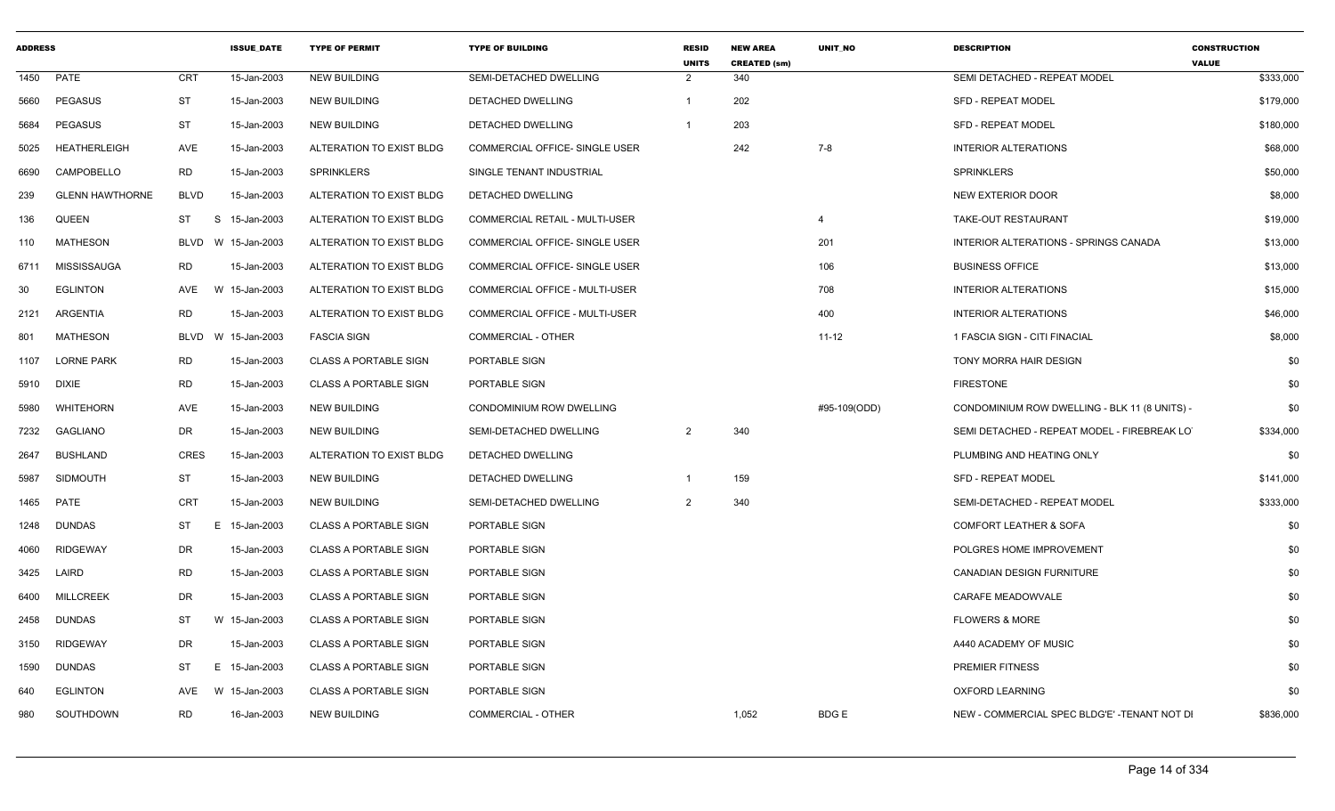| <b>ADDRESS</b> |                        |             | <b>ISSUE_DATE</b> | <b>TYPE OF PERMIT</b>        | <b>TYPE OF BUILDING</b>               | <b>RESID</b><br><b>UNITS</b> | <b>NEW AREA</b><br><b>CREATED (sm)</b> | <b>UNIT NO</b> | <b>DESCRIPTION</b>                            | <b>CONSTRUCTION</b><br><b>VALUE</b> |
|----------------|------------------------|-------------|-------------------|------------------------------|---------------------------------------|------------------------------|----------------------------------------|----------------|-----------------------------------------------|-------------------------------------|
| 1450           | PATE                   | CRT         | 15-Jan-2003       | <b>NEW BUILDING</b>          | SEMI-DETACHED DWELLING                | $\overline{2}$               | 340                                    |                | SEMI DETACHED - REPEAT MODEL                  | \$333,000                           |
| 5660           | <b>PEGASUS</b>         | <b>ST</b>   | 15-Jan-2003       | <b>NEW BUILDING</b>          | DETACHED DWELLING                     |                              | 202                                    |                | <b>SFD - REPEAT MODEL</b>                     | \$179,000                           |
| 5684           | <b>PEGASUS</b>         | ST          | 15-Jan-2003       | <b>NEW BUILDING</b>          | DETACHED DWELLING                     |                              | 203                                    |                | <b>SFD - REPEAT MODEL</b>                     | \$180,000                           |
| 5025           | <b>HEATHERLEIGH</b>    | <b>AVE</b>  | 15-Jan-2003       | ALTERATION TO EXIST BLDG     | COMMERCIAL OFFICE- SINGLE USER        |                              | 242                                    | 7-8            | <b>INTERIOR ALTERATIONS</b>                   | \$68,000                            |
| 6690           | CAMPOBELLO             | <b>RD</b>   | 15-Jan-2003       | <b>SPRINKLERS</b>            | SINGLE TENANT INDUSTRIAL              |                              |                                        |                | <b>SPRINKLERS</b>                             | \$50,000                            |
| 239            | <b>GLENN HAWTHORNE</b> | <b>BLVD</b> | 15-Jan-2003       | ALTERATION TO EXIST BLDG     | DETACHED DWELLING                     |                              |                                        |                | <b>NEW EXTERIOR DOOR</b>                      | \$8,000                             |
| 136            | QUEEN                  | ST          | S<br>15-Jan-2003  | ALTERATION TO EXIST BLDG     | <b>COMMERCIAL RETAIL - MULTI-USER</b> |                              |                                        | 4              | TAKE-OUT RESTAURANT                           | \$19,000                            |
| 110            | MATHESON               | BLVD        | W 15-Jan-2003     | ALTERATION TO EXIST BLDG     | COMMERCIAL OFFICE- SINGLE USER        |                              |                                        | 201            | INTERIOR ALTERATIONS - SPRINGS CANADA         | \$13,000                            |
| 6711           | MISSISSAUGA            | <b>RD</b>   | 15-Jan-2003       | ALTERATION TO EXIST BLDG     | COMMERCIAL OFFICE- SINGLE USER        |                              |                                        | 106            | <b>BUSINESS OFFICE</b>                        | \$13,000                            |
| 30             | <b>EGLINTON</b>        | AVE         | W 15-Jan-2003     | ALTERATION TO EXIST BLDG     | COMMERCIAL OFFICE - MULTI-USER        |                              |                                        | 708            | <b>INTERIOR ALTERATIONS</b>                   | \$15,000                            |
| 2121           | ARGENTIA               | RD          | 15-Jan-2003       | ALTERATION TO EXIST BLDG     | COMMERCIAL OFFICE - MULTI-USER        |                              |                                        | 400            | <b>INTERIOR ALTERATIONS</b>                   | \$46,000                            |
| 801            | <b>MATHESON</b>        | BLVD        | 15-Jan-2003<br>W  | <b>FASCIA SIGN</b>           | COMMERCIAL - OTHER                    |                              |                                        | $11 - 12$      | 1 FASCIA SIGN - CITI FINACIAL                 | \$8,000                             |
| 1107           | <b>LORNE PARK</b>      | <b>RD</b>   | 15-Jan-2003       | <b>CLASS A PORTABLE SIGN</b> | PORTABLE SIGN                         |                              |                                        |                | TONY MORRA HAIR DESIGN                        | \$0                                 |
| 5910           | <b>DIXIE</b>           | <b>RD</b>   | 15-Jan-2003       | <b>CLASS A PORTABLE SIGN</b> | PORTABLE SIGN                         |                              |                                        |                | <b>FIRESTONE</b>                              | \$0                                 |
| 5980           | WHITEHORN              | AVE         | 15-Jan-2003       | <b>NEW BUILDING</b>          | CONDOMINIUM ROW DWELLING              |                              |                                        | #95-109(ODD)   | CONDOMINIUM ROW DWELLING - BLK 11 (8 UNITS) - | \$0                                 |
| 7232           | <b>GAGLIANO</b>        | DR          | 15-Jan-2003       | <b>NEW BUILDING</b>          | SEMI-DETACHED DWELLING                | $\overline{2}$               | 340                                    |                | SEMI DETACHED - REPEAT MODEL - FIREBREAK LO   | \$334,000                           |
| 2647           | <b>BUSHLAND</b>        | <b>CRES</b> | 15-Jan-2003       | ALTERATION TO EXIST BLDG     | DETACHED DWELLING                     |                              |                                        |                | PLUMBING AND HEATING ONLY                     | \$0                                 |
| 5987           | <b>SIDMOUTH</b>        | ST          | 15-Jan-2003       | <b>NEW BUILDING</b>          | DETACHED DWELLING                     |                              | 159                                    |                | <b>SFD - REPEAT MODEL</b>                     | \$141,000                           |
| 1465           | PATE                   | <b>CRT</b>  | 15-Jan-2003       | <b>NEW BUILDING</b>          | SEMI-DETACHED DWELLING                | $\overline{2}$               | 340                                    |                | SEMI-DETACHED - REPEAT MODEL                  | \$333,000                           |
| 1248           | <b>DUNDAS</b>          | ST          | E.<br>15-Jan-2003 | <b>CLASS A PORTABLE SIGN</b> | PORTABLE SIGN                         |                              |                                        |                | <b>COMFORT LEATHER &amp; SOFA</b>             | \$0                                 |
| 4060           | <b>RIDGEWAY</b>        | DR          | 15-Jan-2003       | <b>CLASS A PORTABLE SIGN</b> | PORTABLE SIGN                         |                              |                                        |                | POLGRES HOME IMPROVEMENT                      | \$0                                 |
| 3425           | LAIRD                  | RD          | 15-Jan-2003       | <b>CLASS A PORTABLE SIGN</b> | PORTABLE SIGN                         |                              |                                        |                | <b>CANADIAN DESIGN FURNITURE</b>              | \$0                                 |
| 6400           | <b>MILLCREEK</b>       | <b>DR</b>   | 15-Jan-2003       | <b>CLASS A PORTABLE SIGN</b> | PORTABLE SIGN                         |                              |                                        |                | CARAFE MEADOWVALE                             | \$0                                 |
| 2458           | <b>DUNDAS</b>          | ST          | W 15-Jan-2003     | <b>CLASS A PORTABLE SIGN</b> | <b>PORTABLE SIGN</b>                  |                              |                                        |                | <b>FLOWERS &amp; MORE</b>                     | \$0                                 |
| 3150           | <b>RIDGEWAY</b>        | DR          | 15-Jan-2003       | <b>CLASS A PORTABLE SIGN</b> | PORTABLE SIGN                         |                              |                                        |                | A440 ACADEMY OF MUSIC                         | \$0                                 |
| 1590           | <b>DUNDAS</b>          | ST          | E 15-Jan-2003     | <b>CLASS A PORTABLE SIGN</b> | PORTABLE SIGN                         |                              |                                        |                | <b>PREMIER FITNESS</b>                        | \$0                                 |
| 640            | <b>EGLINTON</b>        | AVE         | W 15-Jan-2003     | <b>CLASS A PORTABLE SIGN</b> | PORTABLE SIGN                         |                              |                                        |                | <b>OXFORD LEARNING</b>                        | \$0                                 |
| 980            | SOUTHDOWN              | <b>RD</b>   | 16-Jan-2003       | <b>NEW BUILDING</b>          | COMMERCIAL - OTHER                    |                              | 1,052                                  | <b>BDGE</b>    | NEW - COMMERCIAL SPEC BLDG'E' -TENANT NOT DI  | \$836,000                           |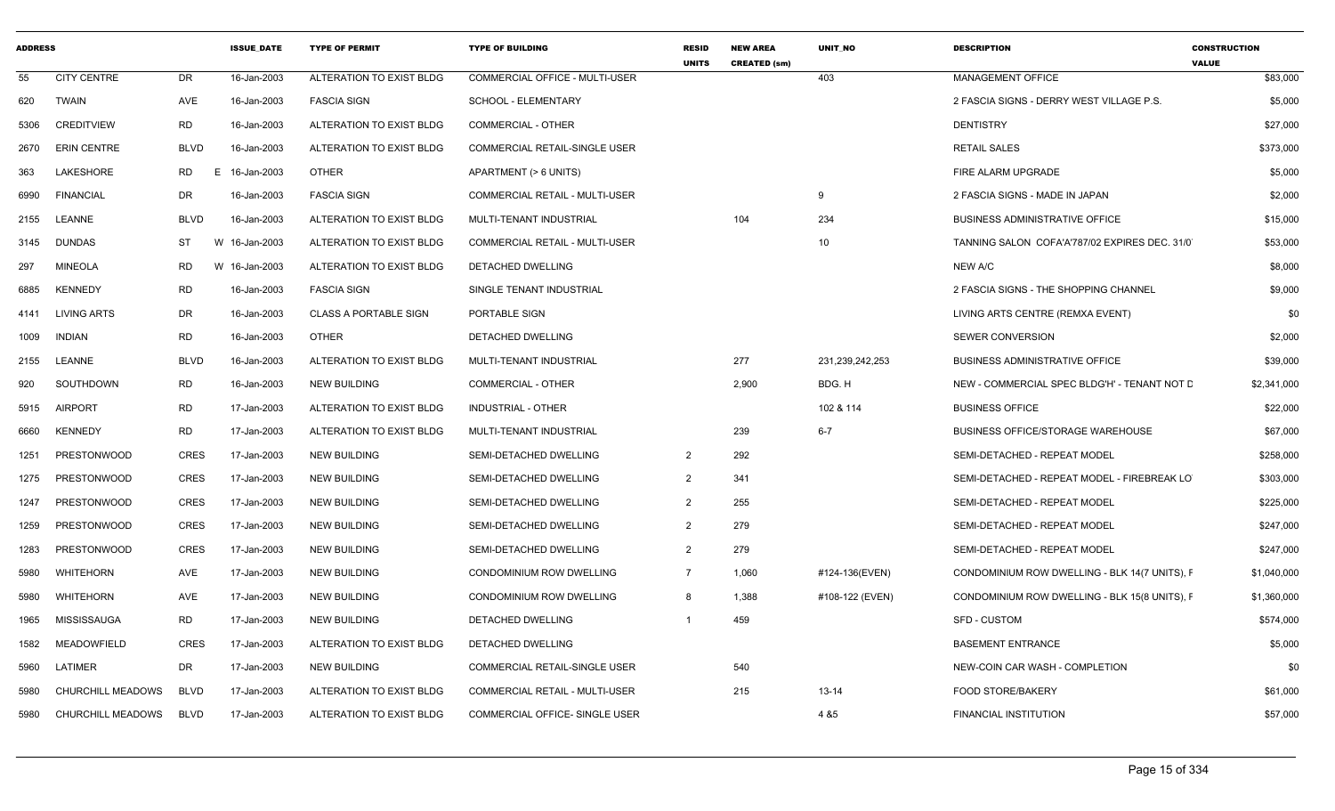| <b>ADDRESS</b> |                          |                 | <b>ISSUE_DATE</b> | <b>TYPE OF PERMIT</b>        | <b>TYPE OF BUILDING</b>               | <b>RESID</b><br><b>UNITS</b> | <b>NEW AREA</b><br><b>CREATED (sm)</b> | <b>UNIT NO</b>  | <b>DESCRIPTION</b>                            | <b>CONSTRUCTION</b><br><b>VALUE</b> |
|----------------|--------------------------|-----------------|-------------------|------------------------------|---------------------------------------|------------------------------|----------------------------------------|-----------------|-----------------------------------------------|-------------------------------------|
| 55             | <b>CITY CENTRE</b>       | DR              | 16-Jan-2003       | ALTERATION TO EXIST BLDG     | COMMERCIAL OFFICE - MULTI-USER        |                              |                                        | 403             | MANAGEMENT OFFICE                             | \$83,000                            |
| 620            | <b>TWAIN</b>             | AVE             | 16-Jan-2003       | <b>FASCIA SIGN</b>           | <b>SCHOOL - ELEMENTARY</b>            |                              |                                        |                 | 2 FASCIA SIGNS - DERRY WEST VILLAGE P.S.      | \$5,000                             |
| 5306           | <b>CREDITVIEW</b>        | <b>RD</b>       | 16-Jan-2003       | ALTERATION TO EXIST BLDG     | <b>COMMERCIAL - OTHER</b>             |                              |                                        |                 | <b>DENTISTRY</b>                              | \$27,000                            |
| 2670           | <b>ERIN CENTRE</b>       | <b>BLVD</b>     | 16-Jan-2003       | ALTERATION TO EXIST BLDG     | <b>COMMERCIAL RETAIL-SINGLE USER</b>  |                              |                                        |                 | <b>RETAIL SALES</b>                           | \$373,000                           |
| 363            | LAKESHORE                | <b>RD</b><br>E. | 16-Jan-2003       | <b>OTHER</b>                 | APARTMENT (> 6 UNITS)                 |                              |                                        |                 | FIRE ALARM UPGRADE                            | \$5,000                             |
| 6990           | <b>FINANCIAL</b>         | DR              | 16-Jan-2003       | <b>FASCIA SIGN</b>           | COMMERCIAL RETAIL - MULTI-USER        |                              |                                        | 9               | 2 FASCIA SIGNS - MADE IN JAPAN                | \$2,000                             |
| 2155           | LEANNE                   | <b>BLVD</b>     | 16-Jan-2003       | ALTERATION TO EXIST BLDG     | MULTI-TENANT INDUSTRIAL               |                              | 104                                    | 234             | <b>BUSINESS ADMINISTRATIVE OFFICE</b>         | \$15,000                            |
| 3145           | <b>DUNDAS</b>            | ST              | W 16-Jan-2003     | ALTERATION TO EXIST BLDG     | <b>COMMERCIAL RETAIL - MULTI-USER</b> |                              |                                        | 10              | TANNING SALON COFA'A'787/02 EXPIRES DEC. 31/0 | \$53,000                            |
| 297            | <b>MINEOLA</b>           | RD              | W 16-Jan-2003     | ALTERATION TO EXIST BLDG     | DETACHED DWELLING                     |                              |                                        |                 | NEW A/C                                       | \$8,000                             |
| 6885           | <b>KENNEDY</b>           | <b>RD</b>       | 16-Jan-2003       | <b>FASCIA SIGN</b>           | SINGLE TENANT INDUSTRIAL              |                              |                                        |                 | 2 FASCIA SIGNS - THE SHOPPING CHANNEL         | \$9,000                             |
| 4141           | LIVING ARTS              | DR              | 16-Jan-2003       | <b>CLASS A PORTABLE SIGN</b> | PORTABLE SIGN                         |                              |                                        |                 | LIVING ARTS CENTRE (REMXA EVENT)              | \$0                                 |
| 1009           | <b>INDIAN</b>            | <b>RD</b>       | 16-Jan-2003       | <b>OTHER</b>                 | DETACHED DWELLING                     |                              |                                        |                 | <b>SEWER CONVERSION</b>                       | \$2,000                             |
| 2155           | LEANNE                   | <b>BLVD</b>     | 16-Jan-2003       | ALTERATION TO EXIST BLDG     | MULTI-TENANT INDUSTRIAL               |                              | 277                                    | 231,239,242,253 | <b>BUSINESS ADMINISTRATIVE OFFICE</b>         | \$39,000                            |
| 920            | SOUTHDOWN                | RD              | 16-Jan-2003       | <b>NEW BUILDING</b>          | <b>COMMERCIAL - OTHER</b>             |                              | 2,900                                  | BDG. H          | NEW - COMMERCIAL SPEC BLDG'H' - TENANT NOT D  | \$2,341,000                         |
| 5915           | <b>AIRPORT</b>           | <b>RD</b>       | 17-Jan-2003       | ALTERATION TO EXIST BLDG     | <b>INDUSTRIAL - OTHER</b>             |                              |                                        | 102 & 114       | <b>BUSINESS OFFICE</b>                        | \$22,000                            |
| 6660           | <b>KENNEDY</b>           | <b>RD</b>       | 17-Jan-2003       | ALTERATION TO EXIST BLDG     | MULTI-TENANT INDUSTRIAL               |                              | 239                                    | $6 - 7$         | BUSINESS OFFICE/STORAGE WAREHOUSE             | \$67,000                            |
| 1251           | <b>PRESTONWOOD</b>       | <b>CRES</b>     | 17-Jan-2003       | <b>NEW BUILDING</b>          | SEMI-DETACHED DWELLING                | $\overline{2}$               | 292                                    |                 | SEMI-DETACHED - REPEAT MODEL                  | \$258,000                           |
| 1275           | <b>PRESTONWOOD</b>       | <b>CRES</b>     | 17-Jan-2003       | <b>NEW BUILDING</b>          | SEMI-DETACHED DWELLING                | $\overline{2}$               | 341                                    |                 | SEMI-DETACHED - REPEAT MODEL - FIREBREAK LO   | \$303,000                           |
| 1247           | <b>PRESTONWOOD</b>       | <b>CRES</b>     | 17-Jan-2003       | <b>NEW BUILDING</b>          | SEMI-DETACHED DWELLING                | $\overline{2}$               | 255                                    |                 | SEMI-DETACHED - REPEAT MODEL                  | \$225,000                           |
| 1259           | <b>PRESTONWOOD</b>       | <b>CRES</b>     | 17-Jan-2003       | <b>NEW BUILDING</b>          | SEMI-DETACHED DWELLING                | 2                            | 279                                    |                 | SEMI-DETACHED - REPEAT MODEL                  | \$247,000                           |
| 1283           | PRESTONWOOD              | <b>CRES</b>     | 17-Jan-2003       | <b>NEW BUILDING</b>          | SEMI-DETACHED DWELLING                | $\overline{2}$               | 279                                    |                 | SEMI-DETACHED - REPEAT MODEL                  | \$247,000                           |
| 5980           | WHITEHORN                | AVE             | 17-Jan-2003       | <b>NEW BUILDING</b>          | CONDOMINIUM ROW DWELLING              | $\overline{7}$               | 1,060                                  | #124-136(EVEN)  | CONDOMINIUM ROW DWELLING - BLK 14(7 UNITS), F | \$1,040,000                         |
| 5980           | <b>WHITEHORN</b>         | <b>AVE</b>      | 17-Jan-2003       | <b>NEW BUILDING</b>          | <b>CONDOMINIUM ROW DWELLING</b>       | 8                            | 1,388                                  | #108-122 (EVEN) | CONDOMINIUM ROW DWELLING - BLK 15(8 UNITS), F | \$1,360,000                         |
| 1965           | <b>MISSISSAUGA</b>       | RD              | 17-Jan-2003       | <b>NEW BUILDING</b>          | DETACHED DWELLING                     |                              | 459                                    |                 | <b>SFD - CUSTOM</b>                           | \$574,000                           |
| 1582           | <b>MEADOWFIELD</b>       | <b>CRES</b>     | 17-Jan-2003       | ALTERATION TO EXIST BLDG     | DETACHED DWELLING                     |                              |                                        |                 | <b>BASEMENT ENTRANCE</b>                      | \$5,000                             |
| 5960           | LATIMER                  | DR              | 17-Jan-2003       | <b>NEW BUILDING</b>          | <b>COMMERCIAL RETAIL-SINGLE USER</b>  |                              | 540                                    |                 | NEW-COIN CAR WASH - COMPLETION                | \$0                                 |
| 5980           | CHURCHILL MEADOWS        | <b>BLVD</b>     | 17-Jan-2003       | ALTERATION TO EXIST BLDG     | COMMERCIAL RETAIL - MULTI-USER        |                              | 215                                    | $13 - 14$       | <b>FOOD STORE/BAKERY</b>                      | \$61,000                            |
| 5980           | <b>CHURCHILL MEADOWS</b> | <b>BLVD</b>     | 17-Jan-2003       | ALTERATION TO EXIST BLDG     | COMMERCIAL OFFICE- SINGLE USER        |                              |                                        | 4 & 5           | <b>FINANCIAL INSTITUTION</b>                  | \$57,000                            |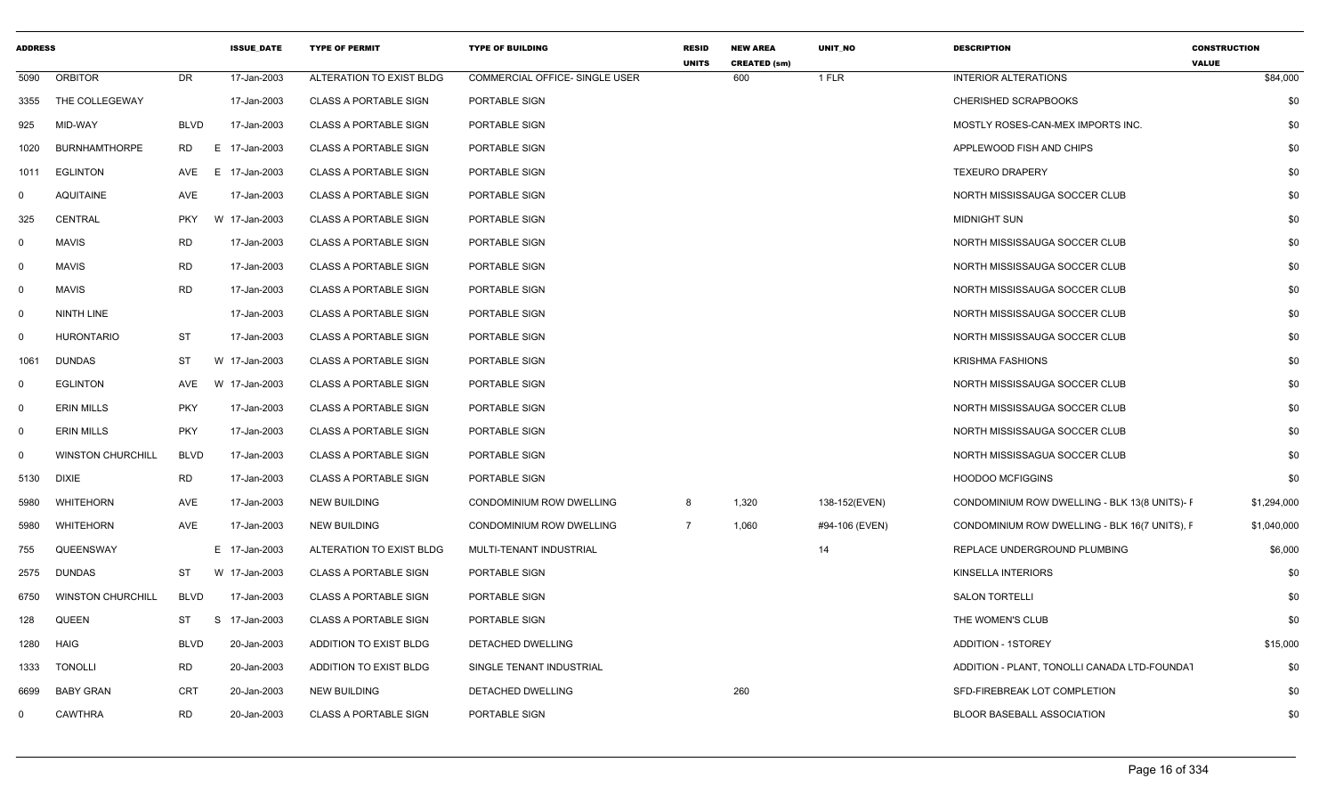| <b>ADDRESS</b> |                          |             | <b>ISSUE DATE</b> | <b>TYPE OF PERMIT</b>        | <b>TYPE OF BUILDING</b>        | <b>RESID</b><br><b>UNITS</b> | <b>NEW AREA</b><br><b>CREATED (sm)</b> | <b>UNIT NO</b> | <b>DESCRIPTION</b>                            | <b>CONSTRUCTION</b><br><b>VALUE</b> |
|----------------|--------------------------|-------------|-------------------|------------------------------|--------------------------------|------------------------------|----------------------------------------|----------------|-----------------------------------------------|-------------------------------------|
| 5090           | <b>ORBITOR</b>           | <b>DR</b>   | 17-Jan-2003       | ALTERATION TO EXIST BLDG     | COMMERCIAL OFFICE- SINGLE USER |                              | 600                                    | 1 FLR          | <b>INTERIOR ALTERATIONS</b>                   | \$84,000                            |
| 3355           | THE COLLEGEWAY           |             | 17-Jan-2003       | <b>CLASS A PORTABLE SIGN</b> | PORTABLE SIGN                  |                              |                                        |                | <b>CHERISHED SCRAPBOOKS</b>                   | \$0                                 |
| 925            | MID-WAY                  | <b>BLVD</b> | 17-Jan-2003       | <b>CLASS A PORTABLE SIGN</b> | PORTABLE SIGN                  |                              |                                        |                | MOSTLY ROSES-CAN-MEX IMPORTS INC.             | \$0                                 |
| 1020           | <b>BURNHAMTHORPE</b>     | RD          | E 17-Jan-2003     | <b>CLASS A PORTABLE SIGN</b> | PORTABLE SIGN                  |                              |                                        |                | APPLEWOOD FISH AND CHIPS                      | \$0                                 |
| 1011           | EGLINTON                 | AVE         | E 17-Jan-2003     | <b>CLASS A PORTABLE SIGN</b> | PORTABLE SIGN                  |                              |                                        |                | <b>TEXEURO DRAPERY</b>                        | \$0                                 |
| 0              | <b>AQUITAINE</b>         | AVE         | 17-Jan-2003       | <b>CLASS A PORTABLE SIGN</b> | PORTABLE SIGN                  |                              |                                        |                | NORTH MISSISSAUGA SOCCER CLUB                 | \$0                                 |
| 325            | CENTRAL                  | <b>PKY</b>  | W 17-Jan-2003     | <b>CLASS A PORTABLE SIGN</b> | PORTABLE SIGN                  |                              |                                        |                | <b>MIDNIGHT SUN</b>                           | \$0                                 |
| $\mathbf 0$    | MAVIS                    | RD          | 17-Jan-2003       | <b>CLASS A PORTABLE SIGN</b> | PORTABLE SIGN                  |                              |                                        |                | NORTH MISSISSAUGA SOCCER CLUB                 | \$0                                 |
| $\mathbf 0$    | <b>MAVIS</b>             | <b>RD</b>   | 17-Jan-2003       | <b>CLASS A PORTABLE SIGN</b> | PORTABLE SIGN                  |                              |                                        |                | NORTH MISSISSAUGA SOCCER CLUB                 | \$0                                 |
| $\mathbf 0$    | MAVIS                    | <b>RD</b>   | 17-Jan-2003       | <b>CLASS A PORTABLE SIGN</b> | PORTABLE SIGN                  |                              |                                        |                | NORTH MISSISSAUGA SOCCER CLUB                 | \$0                                 |
| $\Omega$       | NINTH LINE               |             | 17-Jan-2003       | <b>CLASS A PORTABLE SIGN</b> | PORTABLE SIGN                  |                              |                                        |                | NORTH MISSISSAUGA SOCCER CLUB                 | \$0                                 |
| $\Omega$       | <b>HURONTARIO</b>        | <b>ST</b>   | 17-Jan-2003       | <b>CLASS A PORTABLE SIGN</b> | PORTABLE SIGN                  |                              |                                        |                | NORTH MISSISSAUGA SOCCER CLUB                 | \$0                                 |
| 1061           | <b>DUNDAS</b>            | ST          | W 17-Jan-2003     | <b>CLASS A PORTABLE SIGN</b> | PORTABLE SIGN                  |                              |                                        |                | <b>KRISHMA FASHIONS</b>                       | \$0                                 |
| 0              | <b>EGLINTON</b>          | AVE         | W 17-Jan-2003     | <b>CLASS A PORTABLE SIGN</b> | PORTABLE SIGN                  |                              |                                        |                | NORTH MISSISSAUGA SOCCER CLUB                 | \$0                                 |
| $\Omega$       | <b>ERIN MILLS</b>        | <b>PKY</b>  | 17-Jan-2003       | <b>CLASS A PORTABLE SIGN</b> | PORTABLE SIGN                  |                              |                                        |                | NORTH MISSISSAUGA SOCCER CLUB                 | \$0                                 |
| $\Omega$       | <b>ERIN MILLS</b>        | <b>PKY</b>  | 17-Jan-2003       | <b>CLASS A PORTABLE SIGN</b> | PORTABLE SIGN                  |                              |                                        |                | NORTH MISSISSAUGA SOCCER CLUB                 | \$0                                 |
| 0              | <b>WINSTON CHURCHILL</b> | <b>BLVD</b> | 17-Jan-2003       | <b>CLASS A PORTABLE SIGN</b> | PORTABLE SIGN                  |                              |                                        |                | NORTH MISSISSAGUA SOCCER CLUB                 | \$0                                 |
| 5130           | <b>DIXIE</b>             | RD          | 17-Jan-2003       | <b>CLASS A PORTABLE SIGN</b> | PORTABLE SIGN                  |                              |                                        |                | <b>HOODOO MCFIGGINS</b>                       | \$0                                 |
| 5980           | WHITEHORN                | AVE         | 17-Jan-2003       | <b>NEW BUILDING</b>          | CONDOMINIUM ROW DWELLING       | 8                            | 1,320                                  | 138-152(EVEN)  | CONDOMINIUM ROW DWELLING - BLK 13(8 UNITS)- F | \$1,294,000                         |
| 5980           | WHITEHORN                | AVE         | 17-Jan-2003       | <b>NEW BUILDING</b>          | CONDOMINIUM ROW DWELLING       | $\overline{7}$               | 1,060                                  | #94-106 (EVEN) | CONDOMINIUM ROW DWELLING - BLK 16(7 UNITS), F | \$1,040,000                         |
| 755            | QUEENSWAY                |             | E 17-Jan-2003     | ALTERATION TO EXIST BLDG     | MULTI-TENANT INDUSTRIAL        |                              |                                        | 14             | REPLACE UNDERGROUND PLUMBING                  | \$6,000                             |
| 2575           | <b>DUNDAS</b>            | ST          | W 17-Jan-2003     | <b>CLASS A PORTABLE SIGN</b> | PORTABLE SIGN                  |                              |                                        |                | KINSELLA INTERIORS                            | \$0                                 |
| 6750           | <b>WINSTON CHURCHILL</b> | <b>BLVD</b> | 17-Jan-2003       | <b>CLASS A PORTABLE SIGN</b> | PORTABLE SIGN                  |                              |                                        |                | <b>SALON TORTELLI</b>                         | \$0                                 |
| 128            | QUEEN                    | ST          | S 17-Jan-2003     | <b>CLASS A PORTABLE SIGN</b> | PORTABLE SIGN                  |                              |                                        |                | THE WOMEN'S CLUB                              | \$0                                 |
| 1280           | <b>HAIG</b>              | <b>BLVD</b> | 20-Jan-2003       | ADDITION TO EXIST BLDG       | DETACHED DWELLING              |                              |                                        |                | <b>ADDITION - 1STOREY</b>                     | \$15,000                            |
| 1333           | <b>TONOLLI</b>           | <b>RD</b>   | 20-Jan-2003       | ADDITION TO EXIST BLDG       | SINGLE TENANT INDUSTRIAL       |                              |                                        |                | ADDITION - PLANT, TONOLLI CANADA LTD-FOUNDAT  | \$0                                 |
| 6699           | BABY GRAN                | CRT         | 20-Jan-2003       | <b>NEW BUILDING</b>          | DETACHED DWELLING              |                              | 260                                    |                | SFD-FIREBREAK LOT COMPLETION                  | \$0                                 |
| $\Omega$       | CAWTHRA                  | <b>RD</b>   | 20-Jan-2003       | <b>CLASS A PORTABLE SIGN</b> | PORTABLE SIGN                  |                              |                                        |                | <b>BLOOR BASEBALL ASSOCIATION</b>             | \$0                                 |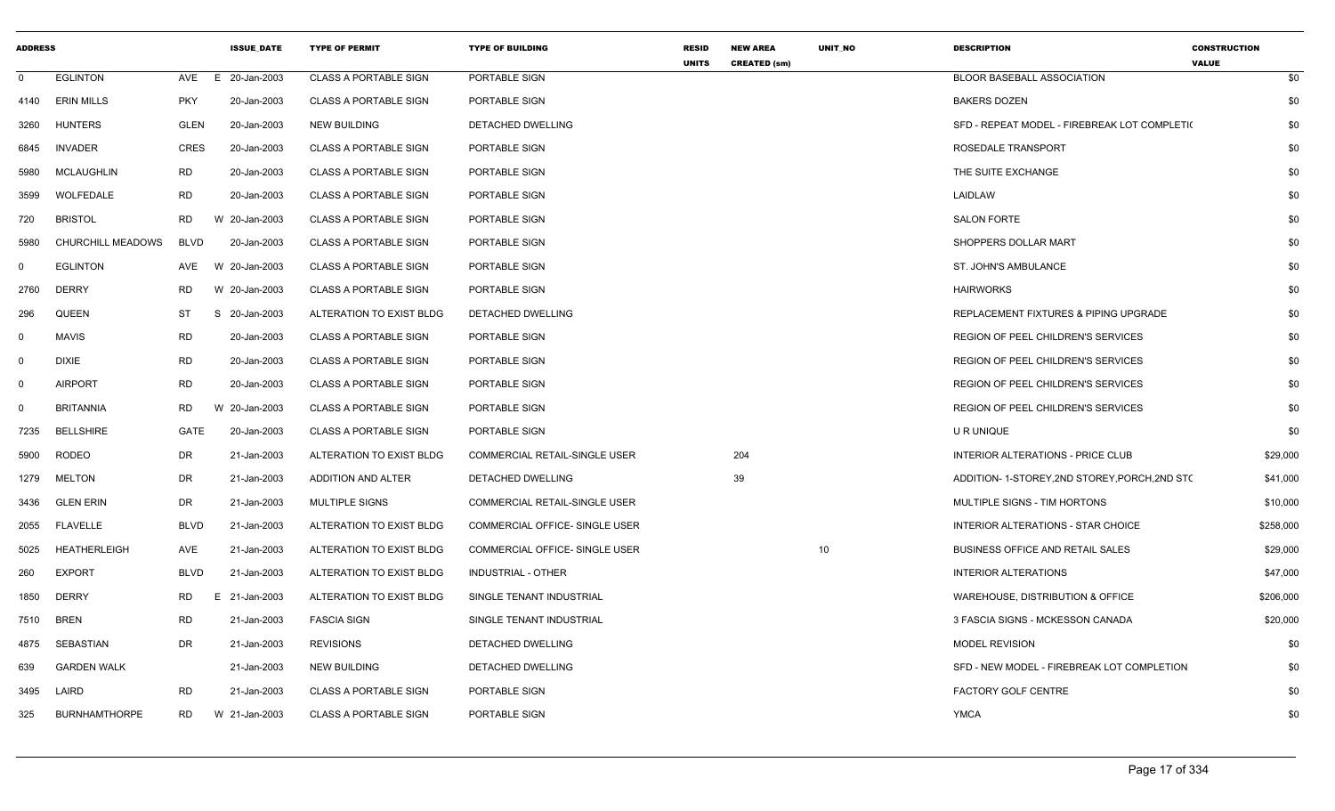| <b>ADDRESS</b> |                      |             | <b>ISSUE DATE</b> | <b>TYPE OF PERMIT</b>        | <b>TYPE OF BUILDING</b>               | <b>RESID</b><br><b>UNITS</b> | <b>NEW AREA</b><br><b>CREATED (sm)</b> | UNIT_NO | <b>DESCRIPTION</b>                             | <b>CONSTRUCTION</b><br><b>VALUE</b> |
|----------------|----------------------|-------------|-------------------|------------------------------|---------------------------------------|------------------------------|----------------------------------------|---------|------------------------------------------------|-------------------------------------|
| $\mathbf 0$    | <b>EGLINTON</b>      | AVE         | E 20-Jan-2003     | <b>CLASS A PORTABLE SIGN</b> | PORTABLE SIGN                         |                              |                                        |         | <b>BLOOR BASEBALL ASSOCIATION</b>              | \$0                                 |
| 4140           | <b>ERIN MILLS</b>    | <b>PKY</b>  | 20-Jan-2003       | <b>CLASS A PORTABLE SIGN</b> | PORTABLE SIGN                         |                              |                                        |         | <b>BAKERS DOZEN</b>                            | \$0                                 |
| 3260           | <b>HUNTERS</b>       | <b>GLEN</b> | 20-Jan-2003       | <b>NEW BUILDING</b>          | DETACHED DWELLING                     |                              |                                        |         | SFD - REPEAT MODEL - FIREBREAK LOT COMPLETI(   | \$0                                 |
| 6845           | <b>INVADER</b>       | <b>CRES</b> | 20-Jan-2003       | <b>CLASS A PORTABLE SIGN</b> | PORTABLE SIGN                         |                              |                                        |         | ROSEDALE TRANSPORT                             | \$0                                 |
| 5980           | <b>MCLAUGHLIN</b>    | RD.         | 20-Jan-2003       | <b>CLASS A PORTABLE SIGN</b> | PORTABLE SIGN                         |                              |                                        |         | THE SUITE EXCHANGE                             | \$0                                 |
| 3599           | WOLFEDALE            | <b>RD</b>   | 20-Jan-2003       | <b>CLASS A PORTABLE SIGN</b> | PORTABLE SIGN                         |                              |                                        |         | LAIDLAW                                        | \$0                                 |
| 720            | <b>BRISTOL</b>       | <b>RD</b>   | W 20-Jan-2003     | <b>CLASS A PORTABLE SIGN</b> | PORTABLE SIGN                         |                              |                                        |         | <b>SALON FORTE</b>                             | \$0                                 |
| 5980           | CHURCHILL MEADOWS    | <b>BLVD</b> | 20-Jan-2003       | <b>CLASS A PORTABLE SIGN</b> | PORTABLE SIGN                         |                              |                                        |         | SHOPPERS DOLLAR MART                           | \$0                                 |
| $\mathbf 0$    | <b>EGLINTON</b>      | AVE         | W 20-Jan-2003     | <b>CLASS A PORTABLE SIGN</b> | PORTABLE SIGN                         |                              |                                        |         | ST. JOHN'S AMBULANCE                           | \$0                                 |
| 2760           | <b>DERRY</b>         | <b>RD</b>   | W 20-Jan-2003     | <b>CLASS A PORTABLE SIGN</b> | PORTABLE SIGN                         |                              |                                        |         | <b>HAIRWORKS</b>                               | \$0                                 |
| 296            | <b>QUEEN</b>         | <b>ST</b>   | S 20-Jan-2003     | ALTERATION TO EXIST BLDG     | DETACHED DWELLING                     |                              |                                        |         | REPLACEMENT FIXTURES & PIPING UPGRADE          | \$0                                 |
| $\mathbf 0$    | <b>MAVIS</b>         | <b>RD</b>   | 20-Jan-2003       | <b>CLASS A PORTABLE SIGN</b> | PORTABLE SIGN                         |                              |                                        |         | REGION OF PEEL CHILDREN'S SERVICES             | \$0                                 |
| $\mathbf 0$    | <b>DIXIE</b>         | <b>RD</b>   | 20-Jan-2003       | <b>CLASS A PORTABLE SIGN</b> | PORTABLE SIGN                         |                              |                                        |         | REGION OF PEEL CHILDREN'S SERVICES             | \$0                                 |
| $\mathbf 0$    | <b>AIRPORT</b>       | <b>RD</b>   | 20-Jan-2003       | <b>CLASS A PORTABLE SIGN</b> | PORTABLE SIGN                         |                              |                                        |         | REGION OF PEEL CHILDREN'S SERVICES             | \$0                                 |
| $\mathbf 0$    | <b>BRITANNIA</b>     | <b>RD</b>   | W 20-Jan-2003     | <b>CLASS A PORTABLE SIGN</b> | PORTABLE SIGN                         |                              |                                        |         | REGION OF PEEL CHILDREN'S SERVICES             | \$0                                 |
| 7235           | <b>BELLSHIRE</b>     | <b>GATE</b> | 20-Jan-2003       | <b>CLASS A PORTABLE SIGN</b> | PORTABLE SIGN                         |                              |                                        |         | U R UNIQUE                                     | \$0                                 |
| 5900           | <b>RODEO</b>         | DR          | 21-Jan-2003       | ALTERATION TO EXIST BLDG     | <b>COMMERCIAL RETAIL-SINGLE USER</b>  |                              | 204                                    |         | <b>INTERIOR ALTERATIONS - PRICE CLUB</b>       | \$29,000                            |
| 1279           | MELTON               | DR          | 21-Jan-2003       | ADDITION AND ALTER           | DETACHED DWELLING                     |                              | 39                                     |         | ADDITION- 1-STOREY, 2ND STOREY, PORCH, 2ND STO | \$41,000                            |
| 3436           | <b>GLEN ERIN</b>     | DR          | 21-Jan-2003       | <b>MULTIPLE SIGNS</b>        | COMMERCIAL RETAIL-SINGLE USER         |                              |                                        |         | MULTIPLE SIGNS - TIM HORTONS                   | \$10,000                            |
| 2055           | <b>FLAVELLE</b>      | <b>BLVD</b> | 21-Jan-2003       | ALTERATION TO EXIST BLDG     | COMMERCIAL OFFICE- SINGLE USER        |                              |                                        |         | INTERIOR ALTERATIONS - STAR CHOICE             | \$258,000                           |
| 5025           | <b>HEATHERLEIGH</b>  | AVE         | 21-Jan-2003       | ALTERATION TO EXIST BLDG     | <b>COMMERCIAL OFFICE- SINGLE USER</b> |                              |                                        | 10      | BUSINESS OFFICE AND RETAIL SALES               | \$29,000                            |
| 260            | <b>EXPORT</b>        | <b>BLVD</b> | 21-Jan-2003       | ALTERATION TO EXIST BLDG     | <b>INDUSTRIAL - OTHER</b>             |                              |                                        |         | <b>INTERIOR ALTERATIONS</b>                    | \$47,000                            |
| 1850           | <b>DERRY</b>         | <b>RD</b>   | E 21-Jan-2003     | ALTERATION TO EXIST BLDG     | SINGLE TENANT INDUSTRIAL              |                              |                                        |         | WAREHOUSE, DISTRIBUTION & OFFICE               | \$206,000                           |
| 7510           | <b>BREN</b>          | RD          | 21-Jan-2003       | <b>FASCIA SIGN</b>           | SINGLE TENANT INDUSTRIAL              |                              |                                        |         | 3 FASCIA SIGNS - MCKESSON CANADA               | \$20,000                            |
| 4875           | SEBASTIAN            | <b>DR</b>   | 21-Jan-2003       | <b>REVISIONS</b>             | DETACHED DWELLING                     |                              |                                        |         | <b>MODEL REVISION</b>                          | \$0                                 |
| 639            | <b>GARDEN WALK</b>   |             | 21-Jan-2003       | <b>NEW BUILDING</b>          | DETACHED DWELLING                     |                              |                                        |         | SFD - NEW MODEL - FIREBREAK LOT COMPLETION     | \$0                                 |
| 3495           | LAIRD                | <b>RD</b>   | 21-Jan-2003       | <b>CLASS A PORTABLE SIGN</b> | PORTABLE SIGN                         |                              |                                        |         | FACTORY GOLF CENTRE                            | \$0                                 |
| 325            | <b>BURNHAMTHORPE</b> | RD.         | W 21-Jan-2003     | <b>CLASS A PORTABLE SIGN</b> | PORTABLE SIGN                         |                              |                                        |         | <b>YMCA</b>                                    | \$0                                 |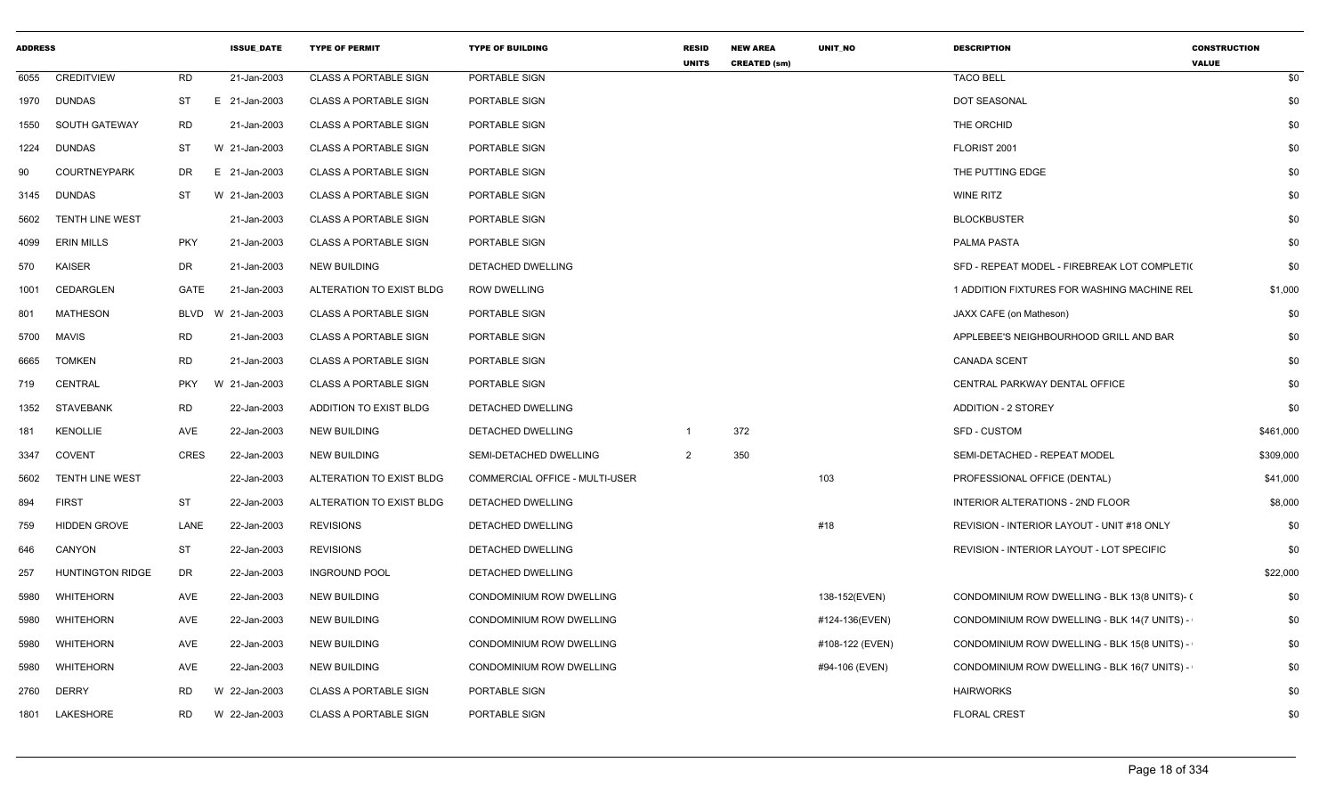| <b>ADDRESS</b> |                         |             | <b>ISSUE DATE</b> | <b>TYPE OF PERMIT</b>        | <b>TYPE OF BUILDING</b>        | <b>RESID</b><br><b>UNITS</b> | <b>NEW AREA</b><br><b>CREATED (sm)</b> | <b>UNIT NO</b>  | <b>DESCRIPTION</b>                            | <b>CONSTRUCTION</b><br><b>VALUE</b> |
|----------------|-------------------------|-------------|-------------------|------------------------------|--------------------------------|------------------------------|----------------------------------------|-----------------|-----------------------------------------------|-------------------------------------|
| 6055           | <b>CREDITVIEW</b>       | <b>RD</b>   | 21-Jan-2003       | <b>CLASS A PORTABLE SIGN</b> | PORTABLE SIGN                  |                              |                                        |                 | <b>TACO BELL</b>                              | \$0                                 |
| 1970           | <b>DUNDAS</b>           | ST          | E 21-Jan-2003     | <b>CLASS A PORTABLE SIGN</b> | PORTABLE SIGN                  |                              |                                        |                 | DOT SEASONAL                                  | \$0                                 |
| 1550           | SOUTH GATEWAY           | <b>RD</b>   | 21-Jan-2003       | <b>CLASS A PORTABLE SIGN</b> | PORTABLE SIGN                  |                              |                                        |                 | THE ORCHID                                    | \$0                                 |
| 1224           | <b>DUNDAS</b>           | ST          | W 21-Jan-2003     | <b>CLASS A PORTABLE SIGN</b> | PORTABLE SIGN                  |                              |                                        |                 | FLORIST 2001                                  | \$0                                 |
| 90             | <b>COURTNEYPARK</b>     | <b>DR</b>   | E 21-Jan-2003     | <b>CLASS A PORTABLE SIGN</b> | PORTABLE SIGN                  |                              |                                        |                 | THE PUTTING EDGE                              | \$0                                 |
| 3145           | <b>DUNDAS</b>           | <b>ST</b>   | W 21-Jan-2003     | <b>CLASS A PORTABLE SIGN</b> | PORTABLE SIGN                  |                              |                                        |                 | <b>WINE RITZ</b>                              | \$0                                 |
| 5602           | <b>TENTH LINE WEST</b>  |             | 21-Jan-2003       | <b>CLASS A PORTABLE SIGN</b> | PORTABLE SIGN                  |                              |                                        |                 | <b>BLOCKBUSTER</b>                            | \$0                                 |
| 4099           | <b>ERIN MILLS</b>       | <b>PKY</b>  | 21-Jan-2003       | <b>CLASS A PORTABLE SIGN</b> | PORTABLE SIGN                  |                              |                                        |                 | PALMA PASTA                                   | \$0                                 |
| 570            | <b>KAISER</b>           | DR          | 21-Jan-2003       | <b>NEW BUILDING</b>          | DETACHED DWELLING              |                              |                                        |                 | SFD - REPEAT MODEL - FIREBREAK LOT COMPLETI(  | \$0                                 |
| 1001           | <b>CEDARGLEN</b>        | GATE        | 21-Jan-2003       | ALTERATION TO EXIST BLDG     | <b>ROW DWELLING</b>            |                              |                                        |                 | 1 ADDITION FIXTURES FOR WASHING MACHINE REL   | \$1,000                             |
| 801            | <b>MATHESON</b>         | <b>BLVD</b> | 21-Jan-2003<br>w  | <b>CLASS A PORTABLE SIGN</b> | PORTABLE SIGN                  |                              |                                        |                 | JAXX CAFE (on Matheson)                       | \$0                                 |
| 5700           | <b>MAVIS</b>            | <b>RD</b>   | 21-Jan-2003       | <b>CLASS A PORTABLE SIGN</b> | PORTABLE SIGN                  |                              |                                        |                 | APPLEBEE'S NEIGHBOURHOOD GRILL AND BAR        | \$0                                 |
| 6665           | <b>TOMKEN</b>           | <b>RD</b>   | 21-Jan-2003       | <b>CLASS A PORTABLE SIGN</b> | PORTABLE SIGN                  |                              |                                        |                 | <b>CANADA SCENT</b>                           | \$0                                 |
| 719            | <b>CENTRAL</b>          | <b>PKY</b>  | W 21-Jan-2003     | <b>CLASS A PORTABLE SIGN</b> | PORTABLE SIGN                  |                              |                                        |                 | CENTRAL PARKWAY DENTAL OFFICE                 | \$0                                 |
| 1352           | <b>STAVEBANK</b>        | <b>RD</b>   | 22-Jan-2003       | ADDITION TO EXIST BLDG       | <b>DETACHED DWELLING</b>       |                              |                                        |                 | <b>ADDITION - 2 STOREY</b>                    | \$0                                 |
| 181            | <b>KENOLLIE</b>         | AVE         | 22-Jan-2003       | <b>NEW BUILDING</b>          | DETACHED DWELLING              | $\overline{\mathbf{1}}$      | 372                                    |                 | <b>SFD - CUSTOM</b>                           | \$461,000                           |
| 3347           | <b>COVENT</b>           | <b>CRES</b> | 22-Jan-2003       | <b>NEW BUILDING</b>          | SEMI-DETACHED DWELLING         | 2                            | 350                                    |                 | SEMI-DETACHED - REPEAT MODEL                  | \$309,000                           |
| 5602           | <b>TENTH LINE WEST</b>  |             | 22-Jan-2003       | ALTERATION TO EXIST BLDG     | COMMERCIAL OFFICE - MULTI-USER |                              |                                        | 103             | PROFESSIONAL OFFICE (DENTAL)                  | \$41,000                            |
| 894            | <b>FIRST</b>            | <b>ST</b>   | 22-Jan-2003       | ALTERATION TO EXIST BLDG     | DETACHED DWELLING              |                              |                                        |                 | INTERIOR ALTERATIONS - 2ND FLOOR              | \$8,000                             |
| 759            | <b>HIDDEN GROVE</b>     | LANE        | 22-Jan-2003       | <b>REVISIONS</b>             | <b>DETACHED DWELLING</b>       |                              |                                        | #18             | REVISION - INTERIOR LAYOUT - UNIT #18 ONLY    | \$0                                 |
| 646            | CANYON                  | ST          | 22-Jan-2003       | <b>REVISIONS</b>             | DETACHED DWELLING              |                              |                                        |                 | REVISION - INTERIOR LAYOUT - LOT SPECIFIC     | \$0                                 |
| 257            | <b>HUNTINGTON RIDGE</b> | DR          | 22-Jan-2003       | <b>INGROUND POOL</b>         | <b>DETACHED DWELLING</b>       |                              |                                        |                 |                                               | \$22,000                            |
| 5980           | WHITEHORN               | AVE         | 22-Jan-2003       | <b>NEW BUILDING</b>          | CONDOMINIUM ROW DWELLING       |                              |                                        | 138-152(EVEN)   | CONDOMINIUM ROW DWELLING - BLK 13(8 UNITS)- ( | \$0                                 |
| 5980           | WHITEHORN               | AVE         | 22-Jan-2003       | <b>NEW BUILDING</b>          | CONDOMINIUM ROW DWELLING       |                              |                                        | #124-136(EVEN)  | CONDOMINIUM ROW DWELLING - BLK 14(7 UNITS) -  | \$0                                 |
| 5980           | WHITEHORN               | AVE         | 22-Jan-2003       | <b>NEW BUILDING</b>          | CONDOMINIUM ROW DWELLING       |                              |                                        | #108-122 (EVEN) | CONDOMINIUM ROW DWELLING - BLK 15(8 UNITS) -  | \$0                                 |
| 5980           | WHITEHORN               | AVE         | 22-Jan-2003       | <b>NEW BUILDING</b>          | CONDOMINIUM ROW DWELLING       |                              |                                        | #94-106 (EVEN)  | CONDOMINIUM ROW DWELLING - BLK 16(7 UNITS) -  | \$0                                 |
| 2760           | <b>DERRY</b>            | RD.         | W 22-Jan-2003     | <b>CLASS A PORTABLE SIGN</b> | PORTABLE SIGN                  |                              |                                        |                 | <b>HAIRWORKS</b>                              | \$0                                 |
| 1801           | LAKESHORE               | RD.         | W 22-Jan-2003     | <b>CLASS A PORTABLE SIGN</b> | PORTABLE SIGN                  |                              |                                        |                 | <b>FLORAL CREST</b>                           | \$0                                 |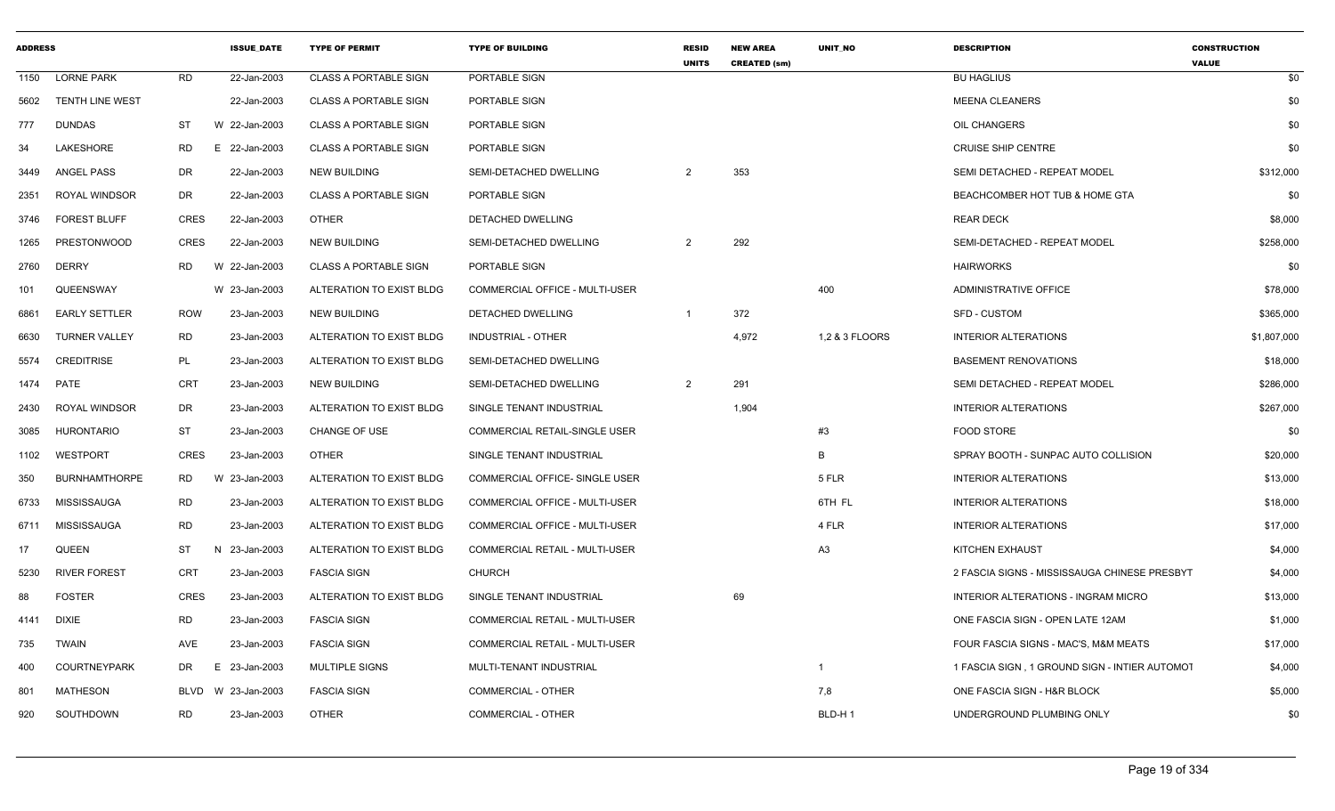| <b>ADDRESS</b> |                        |             | <b>ISSUE DATE</b> | <b>TYPE OF PERMIT</b>        | <b>TYPE OF BUILDING</b>        | <b>RESID</b><br><b>UNITS</b> | <b>NEW AREA</b><br><b>CREATED (sm)</b> | <b>UNIT NO</b> | <b>DESCRIPTION</b>                            | <b>CONSTRUCTION</b><br><b>VALUE</b> |
|----------------|------------------------|-------------|-------------------|------------------------------|--------------------------------|------------------------------|----------------------------------------|----------------|-----------------------------------------------|-------------------------------------|
| 1150           | <b>LORNE PARK</b>      | <b>RD</b>   | 22-Jan-2003       | <b>CLASS A PORTABLE SIGN</b> | PORTABLE SIGN                  |                              |                                        |                | <b>BU HAGLIUS</b>                             | \$0                                 |
| 5602           | <b>TENTH LINE WEST</b> |             | 22-Jan-2003       | <b>CLASS A PORTABLE SIGN</b> | PORTABLE SIGN                  |                              |                                        |                | <b>MEENA CLEANERS</b>                         | \$0                                 |
| 777            | <b>DUNDAS</b>          | ST          | W 22-Jan-2003     | <b>CLASS A PORTABLE SIGN</b> | PORTABLE SIGN                  |                              |                                        |                | OIL CHANGERS                                  | \$0                                 |
| 34             | <b>LAKESHORE</b>       | RD          | E 22-Jan-2003     | <b>CLASS A PORTABLE SIGN</b> | PORTABLE SIGN                  |                              |                                        |                | <b>CRUISE SHIP CENTRE</b>                     | \$0                                 |
| 3449           | <b>ANGEL PASS</b>      | <b>DR</b>   | 22-Jan-2003       | <b>NEW BUILDING</b>          | SEMI-DETACHED DWELLING         | $\overline{2}$               | 353                                    |                | SEMI DETACHED - REPEAT MODEL                  | \$312,000                           |
| 2351           | <b>ROYAL WINDSOR</b>   | DR          | 22-Jan-2003       | <b>CLASS A PORTABLE SIGN</b> | PORTABLE SIGN                  |                              |                                        |                | BEACHCOMBER HOT TUB & HOME GTA                | \$0                                 |
| 3746           | <b>FOREST BLUFF</b>    | CRES        | 22-Jan-2003       | <b>OTHER</b>                 | DETACHED DWELLING              |                              |                                        |                | <b>REAR DECK</b>                              | \$8,000                             |
| 1265           | <b>PRESTONWOOD</b>     | <b>CRES</b> | 22-Jan-2003       | <b>NEW BUILDING</b>          | SEMI-DETACHED DWELLING         | $\overline{2}$               | 292                                    |                | SEMI-DETACHED - REPEAT MODEL                  | \$258,000                           |
| 2760           | <b>DERRY</b>           | <b>RD</b>   | W 22-Jan-2003     | <b>CLASS A PORTABLE SIGN</b> | PORTABLE SIGN                  |                              |                                        |                | <b>HAIRWORKS</b>                              | \$0                                 |
| 101            | QUEENSWAY              |             | W 23-Jan-2003     | ALTERATION TO EXIST BLDG     | COMMERCIAL OFFICE - MULTI-USER |                              |                                        | 400            | ADMINISTRATIVE OFFICE                         | \$78,000                            |
| 6861           | <b>EARLY SETTLER</b>   | <b>ROW</b>  | 23-Jan-2003       | <b>NEW BUILDING</b>          | DETACHED DWELLING              | $\overline{1}$               | 372                                    |                | <b>SFD - CUSTOM</b>                           | \$365,000                           |
| 6630           | <b>TURNER VALLEY</b>   | <b>RD</b>   | 23-Jan-2003       | ALTERATION TO EXIST BLDG     | INDUSTRIAL - OTHER             |                              | 4,972                                  | 1,2 & 3 FLOORS | <b>INTERIOR ALTERATIONS</b>                   | \$1,807,000                         |
| 5574           | <b>CREDITRISE</b>      | PL          | 23-Jan-2003       | ALTERATION TO EXIST BLDG     | SEMI-DETACHED DWELLING         |                              |                                        |                | <b>BASEMENT RENOVATIONS</b>                   | \$18,000                            |
| 1474           | <b>PATE</b>            | <b>CRT</b>  | 23-Jan-2003       | <b>NEW BUILDING</b>          | SEMI-DETACHED DWELLING         | $\overline{2}$               | 291                                    |                | SEMI DETACHED - REPEAT MODEL                  | \$286,000                           |
| 2430           | <b>ROYAL WINDSOR</b>   | DR          | 23-Jan-2003       | ALTERATION TO EXIST BLDG     | SINGLE TENANT INDUSTRIAL       |                              | 1,904                                  |                | <b>INTERIOR ALTERATIONS</b>                   | \$267,000                           |
| 3085           | <b>HURONTARIO</b>      | ST          | 23-Jan-2003       | <b>CHANGE OF USE</b>         | COMMERCIAL RETAIL-SINGLE USER  |                              |                                        | #3             | <b>FOOD STORE</b>                             | \$0                                 |
| 1102           | <b>WESTPORT</b>        | <b>CRES</b> | 23-Jan-2003       | <b>OTHER</b>                 | SINGLE TENANT INDUSTRIAL       |                              |                                        | B              | SPRAY BOOTH - SUNPAC AUTO COLLISION           | \$20,000                            |
| 350            | <b>BURNHAMTHORPE</b>   | RD          | 23-Jan-2003<br>W  | ALTERATION TO EXIST BLDG     | COMMERCIAL OFFICE- SINGLE USER |                              |                                        | 5 FLR          | <b>INTERIOR ALTERATIONS</b>                   | \$13,000                            |
| 6733           | MISSISSAUGA            | <b>RD</b>   | 23-Jan-2003       | ALTERATION TO EXIST BLDG     | COMMERCIAL OFFICE - MULTI-USER |                              |                                        | 6TH FL         | <b>INTERIOR ALTERATIONS</b>                   | \$18,000                            |
| 6711           | MISSISSAUGA            | <b>RD</b>   | 23-Jan-2003       | ALTERATION TO EXIST BLDG     | COMMERCIAL OFFICE - MULTI-USER |                              |                                        | 4 FLR          | <b>INTERIOR ALTERATIONS</b>                   | \$17,000                            |
| 17             | QUEEN                  | ST          | N 23-Jan-2003     | ALTERATION TO EXIST BLDG     | COMMERCIAL RETAIL - MULTI-USER |                              |                                        | A <sub>3</sub> | KITCHEN EXHAUST                               | \$4,000                             |
| 5230           | <b>RIVER FOREST</b>    | CRT         | 23-Jan-2003       | <b>FASCIA SIGN</b>           | <b>CHURCH</b>                  |                              |                                        |                | 2 FASCIA SIGNS - MISSISSAUGA CHINESE PRESBYT  | \$4,000                             |
| 88             | <b>FOSTER</b>          | <b>CRES</b> | 23-Jan-2003       | ALTERATION TO EXIST BLDG     | SINGLE TENANT INDUSTRIAL       |                              | 69                                     |                | <b>INTERIOR ALTERATIONS - INGRAM MICRO</b>    | \$13,000                            |
| 4141           | <b>DIXIE</b>           | <b>RD</b>   | 23-Jan-2003       | <b>FASCIA SIGN</b>           | COMMERCIAL RETAIL - MULTI-USER |                              |                                        |                | ONE FASCIA SIGN - OPEN LATE 12AM              | \$1,000                             |
| 735            | <b>TWAIN</b>           | AVE         | 23-Jan-2003       | <b>FASCIA SIGN</b>           | COMMERCIAL RETAIL - MULTI-USER |                              |                                        |                | FOUR FASCIA SIGNS - MAC'S, M&M MEATS          | \$17,000                            |
| 400            | <b>COURTNEYPARK</b>    | DR          | 23-Jan-2003<br>E. | <b>MULTIPLE SIGNS</b>        | MULTI-TENANT INDUSTRIAL        |                              |                                        | $\mathbf{1}$   | 1 FASCIA SIGN, 1 GROUND SIGN - INTIER AUTOMOT | \$4,000                             |
| 801            | <b>MATHESON</b>        | BLVD        | W 23-Jan-2003     | <b>FASCIA SIGN</b>           | <b>COMMERCIAL - OTHER</b>      |                              |                                        | 7,8            | ONE FASCIA SIGN - H&R BLOCK                   | \$5,000                             |
| 920            | SOUTHDOWN              | <b>RD</b>   | 23-Jan-2003       | <b>OTHER</b>                 | <b>COMMERCIAL - OTHER</b>      |                              |                                        | BLD-H1         | UNDERGROUND PLUMBING ONLY                     | \$0                                 |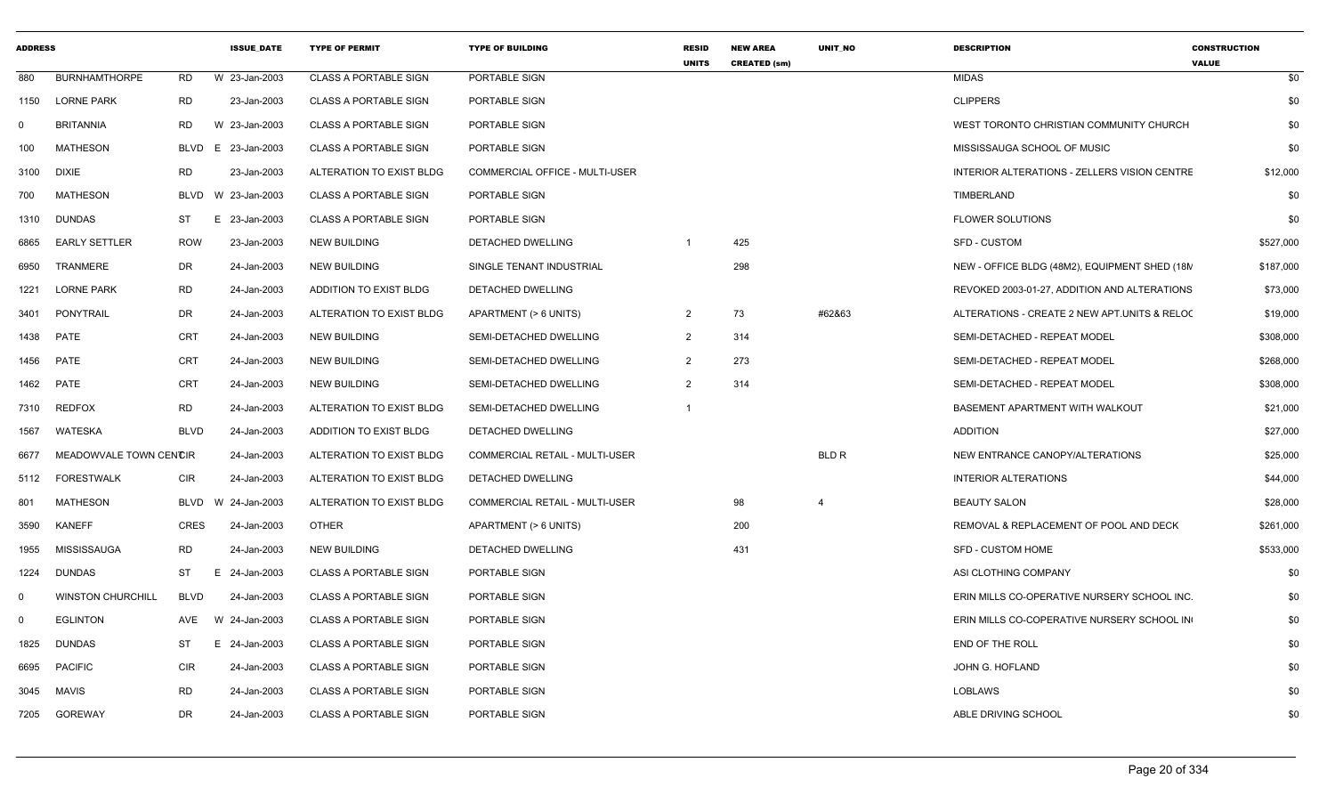| <b>ADDRESS</b> |                          |             | <b>ISSUE DATE</b> | <b>TYPE OF PERMIT</b>        | <b>TYPE OF BUILDING</b>               | <b>RESID</b><br><b>UNITS</b> | <b>NEW AREA</b><br><b>CREATED (sm)</b> | <b>UNIT NO</b> | <b>DESCRIPTION</b>                            | <b>CONSTRUCTION</b><br><b>VALUE</b> |
|----------------|--------------------------|-------------|-------------------|------------------------------|---------------------------------------|------------------------------|----------------------------------------|----------------|-----------------------------------------------|-------------------------------------|
| 880            | <b>BURNHAMTHORPE</b>     | <b>RD</b>   | W 23-Jan-2003     | <b>CLASS A PORTABLE SIGN</b> | PORTABLE SIGN                         |                              |                                        |                | <b>MIDAS</b>                                  | \$0                                 |
| 1150           | <b>LORNE PARK</b>        | RD          | 23-Jan-2003       | <b>CLASS A PORTABLE SIGN</b> | PORTABLE SIGN                         |                              |                                        |                | <b>CLIPPERS</b>                               | \$0                                 |
| $\mathbf{0}$   | <b>BRITANNIA</b>         | RD          | W 23-Jan-2003     | <b>CLASS A PORTABLE SIGN</b> | PORTABLE SIGN                         |                              |                                        |                | WEST TORONTO CHRISTIAN COMMUNITY CHURCH       | \$0                                 |
| 100            | <b>MATHESON</b>          | <b>BLVD</b> | E 23-Jan-2003     | <b>CLASS A PORTABLE SIGN</b> | PORTABLE SIGN                         |                              |                                        |                | MISSISSAUGA SCHOOL OF MUSIC                   | \$0                                 |
| 3100           | <b>DIXIE</b>             | <b>RD</b>   | 23-Jan-2003       | ALTERATION TO EXIST BLDG     | COMMERCIAL OFFICE - MULTI-USER        |                              |                                        |                | INTERIOR ALTERATIONS - ZELLERS VISION CENTRE  | \$12,000                            |
| 700            | <b>MATHESON</b>          | BLVD        | W 23-Jan-2003     | <b>CLASS A PORTABLE SIGN</b> | PORTABLE SIGN                         |                              |                                        |                | TIMBERLAND                                    | \$0                                 |
| 1310           | <b>DUNDAS</b>            | ST          | E 23-Jan-2003     | <b>CLASS A PORTABLE SIGN</b> | PORTABLE SIGN                         |                              |                                        |                | <b>FLOWER SOLUTIONS</b>                       | \$0                                 |
| 6865           | <b>EARLY SETTLER</b>     | <b>ROW</b>  | 23-Jan-2003       | <b>NEW BUILDING</b>          | DETACHED DWELLING                     | $\overline{1}$               | 425                                    |                | <b>SFD - CUSTOM</b>                           | \$527,000                           |
| 6950           | TRANMERE                 | DR          | 24-Jan-2003       | <b>NEW BUILDING</b>          | SINGLE TENANT INDUSTRIAL              |                              | 298                                    |                | NEW - OFFICE BLDG (48M2), EQUIPMENT SHED (18N | \$187,000                           |
| 1221           | <b>LORNE PARK</b>        | <b>RD</b>   | 24-Jan-2003       | ADDITION TO EXIST BLDG       | DETACHED DWELLING                     |                              |                                        |                | REVOKED 2003-01-27, ADDITION AND ALTERATIONS  | \$73,000                            |
| 3401           | PONYTRAIL                | DR          | 24-Jan-2003       | ALTERATION TO EXIST BLDG     | APARTMENT (> 6 UNITS)                 | 2                            | 73                                     | #62&63         | ALTERATIONS - CREATE 2 NEW APT.UNITS & RELOC  | \$19,000                            |
| 1438           | <b>PATE</b>              | <b>CRT</b>  | 24-Jan-2003       | <b>NEW BUILDING</b>          | SEMI-DETACHED DWELLING                | 2                            | 314                                    |                | SEMI-DETACHED - REPEAT MODEL                  | \$308,000                           |
| 1456           | PATE                     | <b>CRT</b>  | 24-Jan-2003       | <b>NEW BUILDING</b>          | SEMI-DETACHED DWELLING                | 2                            | 273                                    |                | SEMI-DETACHED - REPEAT MODEL                  | \$268,000                           |
| 1462           | PATE                     | <b>CRT</b>  | 24-Jan-2003       | NEW BUILDING                 | SEMI-DETACHED DWELLING                | $\mathcal{P}$                | 314                                    |                | SEMI-DETACHED - REPEAT MODEL                  | \$308,000                           |
| 7310           | <b>REDFOX</b>            | <b>RD</b>   | 24-Jan-2003       | ALTERATION TO EXIST BLDG     | SEMI-DETACHED DWELLING                | $\overline{1}$               |                                        |                | BASEMENT APARTMENT WITH WALKOUT               | \$21,000                            |
| 1567           | WATESKA                  | <b>BLVD</b> | 24-Jan-2003       | ADDITION TO EXIST BLDG       | DETACHED DWELLING                     |                              |                                        |                | <b>ADDITION</b>                               | \$27,000                            |
| 6677           | MEADOWVALE TOWN CENCIR   |             | 24-Jan-2003       | ALTERATION TO EXIST BLDG     | COMMERCIAL RETAIL - MULTI-USER        |                              |                                        | <b>BLD R</b>   | NEW ENTRANCE CANOPY/ALTERATIONS               | \$25,000                            |
| 5112           | <b>FORESTWALK</b>        | <b>CIR</b>  | 24-Jan-2003       | ALTERATION TO EXIST BLDG     | DETACHED DWELLING                     |                              |                                        |                | <b>INTERIOR ALTERATIONS</b>                   | \$44,000                            |
| 801            | <b>MATHESON</b>          | BLVD        | W 24-Jan-2003     | ALTERATION TO EXIST BLDG     | <b>COMMERCIAL RETAIL - MULTI-USER</b> |                              | 98                                     | $\overline{4}$ | <b>BEAUTY SALON</b>                           | \$28,000                            |
| 3590           | <b>KANEFF</b>            | <b>CRES</b> | 24-Jan-2003       | <b>OTHER</b>                 | APARTMENT (> 6 UNITS)                 |                              | 200                                    |                | REMOVAL & REPLACEMENT OF POOL AND DECK        | \$261,000                           |
| 1955           | MISSISSAUGA              | <b>RD</b>   | 24-Jan-2003       | <b>NEW BUILDING</b>          | DETACHED DWELLING                     |                              | 431                                    |                | <b>SFD - CUSTOM HOME</b>                      | \$533,000                           |
| 1224           | <b>DUNDAS</b>            | ST          | E 24-Jan-2003     | <b>CLASS A PORTABLE SIGN</b> | PORTABLE SIGN                         |                              |                                        |                | ASI CLOTHING COMPANY                          | \$0                                 |
| 0              | <b>WINSTON CHURCHILL</b> | BLVD        | 24-Jan-2003       | <b>CLASS A PORTABLE SIGN</b> | PORTABLE SIGN                         |                              |                                        |                | ERIN MILLS CO-OPERATIVE NURSERY SCHOOL INC.   | \$0                                 |
| $\mathbf 0$    | <b>EGLINTON</b>          | AVE         | W 24-Jan-2003     | <b>CLASS A PORTABLE SIGN</b> | PORTABLE SIGN                         |                              |                                        |                | ERIN MILLS CO-COPERATIVE NURSERY SCHOOL IN    | \$0                                 |
| 1825           | <b>DUNDAS</b>            | ST          | E 24-Jan-2003     | <b>CLASS A PORTABLE SIGN</b> | PORTABLE SIGN                         |                              |                                        |                | END OF THE ROLL                               | \$0                                 |
| 6695           | <b>PACIFIC</b>           | <b>CIR</b>  | 24-Jan-2003       | <b>CLASS A PORTABLE SIGN</b> | PORTABLE SIGN                         |                              |                                        |                | JOHN G. HOFLAND                               | \$0                                 |
| 3045           | MAVIS                    | <b>RD</b>   | 24-Jan-2003       | <b>CLASS A PORTABLE SIGN</b> | PORTABLE SIGN                         |                              |                                        |                | <b>LOBLAWS</b>                                | \$0                                 |
| 7205           | GOREWAY                  | DR          | 24-Jan-2003       | CLASS A PORTABLE SIGN        | PORTABLE SIGN                         |                              |                                        |                | ABLE DRIVING SCHOOL                           | \$0                                 |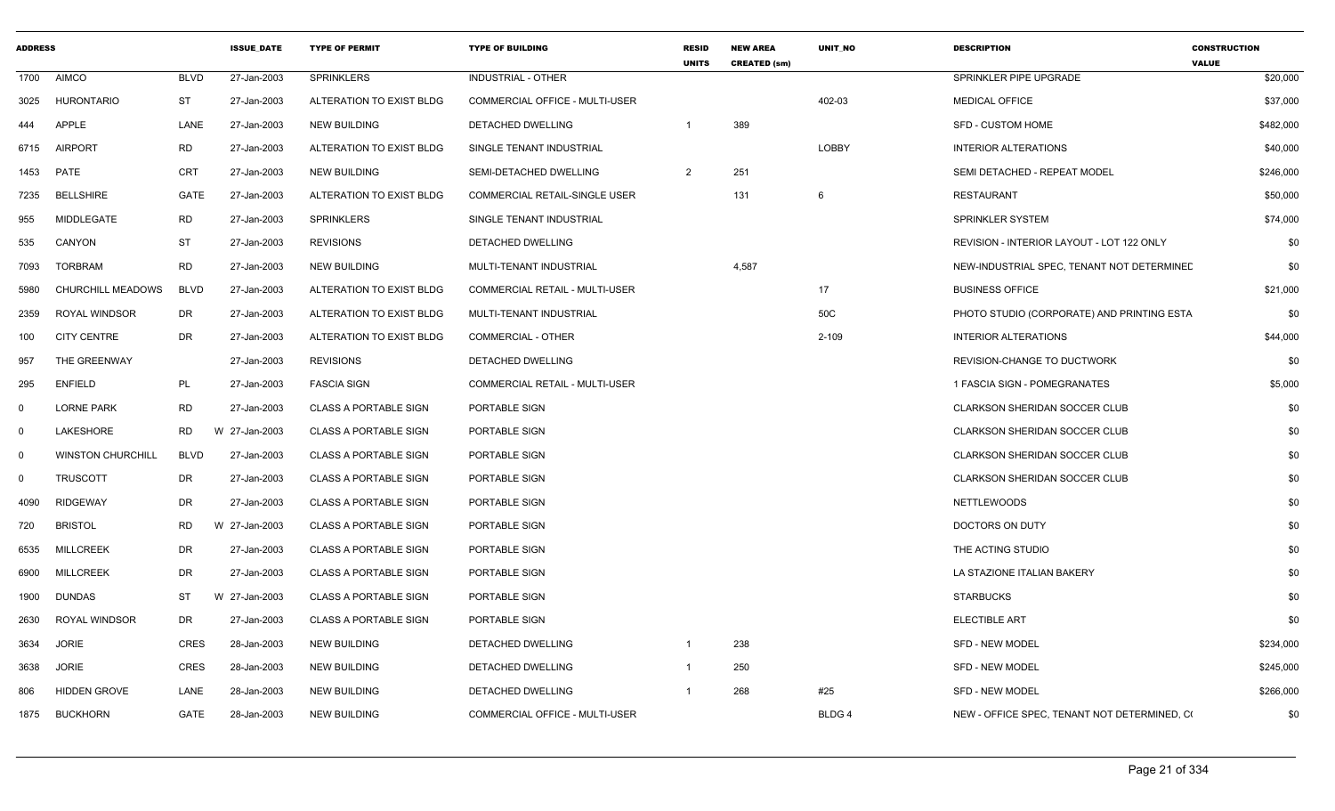| <b>ADDRESS</b> |                          |             | <b>ISSUE DATE</b> | <b>TYPE OF PERMIT</b>        | <b>TYPE OF BUILDING</b>               | <b>RESID</b><br><b>UNITS</b> | <b>NEW AREA</b><br><b>CREATED (sm)</b> | <b>UNIT NO</b> | <b>DESCRIPTION</b>                           | <b>CONSTRUCTION</b><br><b>VALUE</b> |
|----------------|--------------------------|-------------|-------------------|------------------------------|---------------------------------------|------------------------------|----------------------------------------|----------------|----------------------------------------------|-------------------------------------|
| 1700           | <b>AIMCO</b>             | <b>BLVD</b> | 27-Jan-2003       | <b>SPRINKLERS</b>            | INDUSTRIAL - OTHER                    |                              |                                        |                | SPRINKLER PIPE UPGRADE                       | \$20,000                            |
| 3025           | <b>HURONTARIO</b>        | ST          | 27-Jan-2003       | ALTERATION TO EXIST BLDG     | <b>COMMERCIAL OFFICE - MULTI-USER</b> |                              |                                        | 402-03         | <b>MEDICAL OFFICE</b>                        | \$37,000                            |
| 444            | <b>APPLE</b>             | LANE        | 27-Jan-2003       | <b>NEW BUILDING</b>          | DETACHED DWELLING                     | -1                           | 389                                    |                | <b>SFD - CUSTOM HOME</b>                     | \$482,000                           |
| 6715           | <b>AIRPORT</b>           | <b>RD</b>   | 27-Jan-2003       | ALTERATION TO EXIST BLDG     | SINGLE TENANT INDUSTRIAL              |                              |                                        | LOBBY          | <b>INTERIOR ALTERATIONS</b>                  | \$40,000                            |
| 1453           | PATE                     | CRT         | 27-Jan-2003       | <b>NEW BUILDING</b>          | SEMI-DETACHED DWELLING                | $\overline{2}$               | 251                                    |                | SEMI DETACHED - REPEAT MODEL                 | \$246,000                           |
| 7235           | <b>BELLSHIRE</b>         | <b>GATE</b> | 27-Jan-2003       | ALTERATION TO EXIST BLDG     | <b>COMMERCIAL RETAIL-SINGLE USER</b>  |                              | 131                                    | 6              | <b>RESTAURANT</b>                            | \$50,000                            |
| 955            | MIDDLEGATE               | RD          | 27-Jan-2003       | <b>SPRINKLERS</b>            | SINGLE TENANT INDUSTRIAL              |                              |                                        |                | <b>SPRINKLER SYSTEM</b>                      | \$74,000                            |
| 535            | CANYON                   | ST          | 27-Jan-2003       | <b>REVISIONS</b>             | DETACHED DWELLING                     |                              |                                        |                | REVISION - INTERIOR LAYOUT - LOT 122 ONLY    | \$0                                 |
| 7093           | <b>TORBRAM</b>           | <b>RD</b>   | 27-Jan-2003       | <b>NEW BUILDING</b>          | MULTI-TENANT INDUSTRIAL               |                              | 4,587                                  |                | NEW-INDUSTRIAL SPEC, TENANT NOT DETERMINED   | \$0                                 |
| 5980           | CHURCHILL MEADOWS        | <b>BLVD</b> | 27-Jan-2003       | ALTERATION TO EXIST BLDG     | <b>COMMERCIAL RETAIL - MULTI-USER</b> |                              |                                        | 17             | <b>BUSINESS OFFICE</b>                       | \$21,000                            |
| 2359           | <b>ROYAL WINDSOR</b>     | DR          | 27-Jan-2003       | ALTERATION TO EXIST BLDG     | MULTI-TENANT INDUSTRIAL               |                              |                                        | 50C            | PHOTO STUDIO (CORPORATE) AND PRINTING ESTA   | \$0                                 |
| 100            | <b>CITY CENTRE</b>       | DR          | 27-Jan-2003       | ALTERATION TO EXIST BLDG     | <b>COMMERCIAL - OTHER</b>             |                              |                                        | $2 - 109$      | <b>INTERIOR ALTERATIONS</b>                  | \$44,000                            |
| 957            | THE GREENWAY             |             | 27-Jan-2003       | <b>REVISIONS</b>             | DETACHED DWELLING                     |                              |                                        |                | REVISION-CHANGE TO DUCTWORK                  | \$0                                 |
| 295            | <b>ENFIELD</b>           | PL          | 27-Jan-2003       | <b>FASCIA SIGN</b>           | COMMERCIAL RETAIL - MULTI-USER        |                              |                                        |                | 1 FASCIA SIGN - POMEGRANATES                 | \$5,000                             |
| $\Omega$       | <b>LORNE PARK</b>        | <b>RD</b>   | 27-Jan-2003       | <b>CLASS A PORTABLE SIGN</b> | PORTABLE SIGN                         |                              |                                        |                | CLARKSON SHERIDAN SOCCER CLUB                | \$0                                 |
| $\Omega$       | LAKESHORE                | <b>RD</b>   | W 27-Jan-2003     | <b>CLASS A PORTABLE SIGN</b> | PORTABLE SIGN                         |                              |                                        |                | <b>CLARKSON SHERIDAN SOCCER CLUB</b>         | \$0                                 |
| $\mathbf 0$    | <b>WINSTON CHURCHILL</b> | <b>BLVD</b> | 27-Jan-2003       | <b>CLASS A PORTABLE SIGN</b> | PORTABLE SIGN                         |                              |                                        |                | <b>CLARKSON SHERIDAN SOCCER CLUB</b>         | \$0                                 |
| $\Omega$       | <b>TRUSCOTT</b>          | DR          | 27-Jan-2003       | <b>CLASS A PORTABLE SIGN</b> | PORTABLE SIGN                         |                              |                                        |                | CLARKSON SHERIDAN SOCCER CLUB                | \$0                                 |
| 4090           | <b>RIDGEWAY</b>          | DR          | 27-Jan-2003       | <b>CLASS A PORTABLE SIGN</b> | PORTABLE SIGN                         |                              |                                        |                | <b>NETTLEWOODS</b>                           | \$0                                 |
| 720            | <b>BRISTOL</b>           | RD          | W 27-Jan-2003     | <b>CLASS A PORTABLE SIGN</b> | PORTABLE SIGN                         |                              |                                        |                | DOCTORS ON DUTY                              | \$0                                 |
| 6535           | <b>MILLCREEK</b>         | DR          | 27-Jan-2003       | <b>CLASS A PORTABLE SIGN</b> | PORTABLE SIGN                         |                              |                                        |                | THE ACTING STUDIO                            | \$0                                 |
| 6900           | <b>MILLCREEK</b>         | DR          | 27-Jan-2003       | <b>CLASS A PORTABLE SIGN</b> | PORTABLE SIGN                         |                              |                                        |                | LA STAZIONE ITALIAN BAKERY                   | \$0                                 |
| 1900           | <b>DUNDAS</b>            | ST          | W 27-Jan-2003     | <b>CLASS A PORTABLE SIGN</b> | PORTABLE SIGN                         |                              |                                        |                | <b>STARBUCKS</b>                             | \$0                                 |
| 2630           | <b>ROYAL WINDSOR</b>     | DR          | 27-Jan-2003       | <b>CLASS A PORTABLE SIGN</b> | PORTABLE SIGN                         |                              |                                        |                | <b>ELECTIBLE ART</b>                         | \$0                                 |
| 3634           | <b>JORIE</b>             | <b>CRES</b> | 28-Jan-2003       | <b>NEW BUILDING</b>          | DETACHED DWELLING                     | -1                           | 238                                    |                | <b>SFD - NEW MODEL</b>                       | \$234,000                           |
| 3638           | <b>JORIE</b>             | <b>CRES</b> | 28-Jan-2003       | <b>NEW BUILDING</b>          | DETACHED DWELLING                     | $\overline{1}$               | 250                                    |                | <b>SFD - NEW MODEL</b>                       | \$245,000                           |
| 806            | <b>HIDDEN GROVE</b>      | LANE        | 28-Jan-2003       | <b>NEW BUILDING</b>          | DETACHED DWELLING                     | -1                           | 268                                    | #25            | <b>SFD - NEW MODEL</b>                       | \$266,000                           |
| 1875           | <b>BUCKHORN</b>          | GATE        | 28-Jan-2003       | <b>NEW BUILDING</b>          | COMMERCIAL OFFICE - MULTI-USER        |                              |                                        | BLDG 4         | NEW - OFFICE SPEC, TENANT NOT DETERMINED, CO | \$0                                 |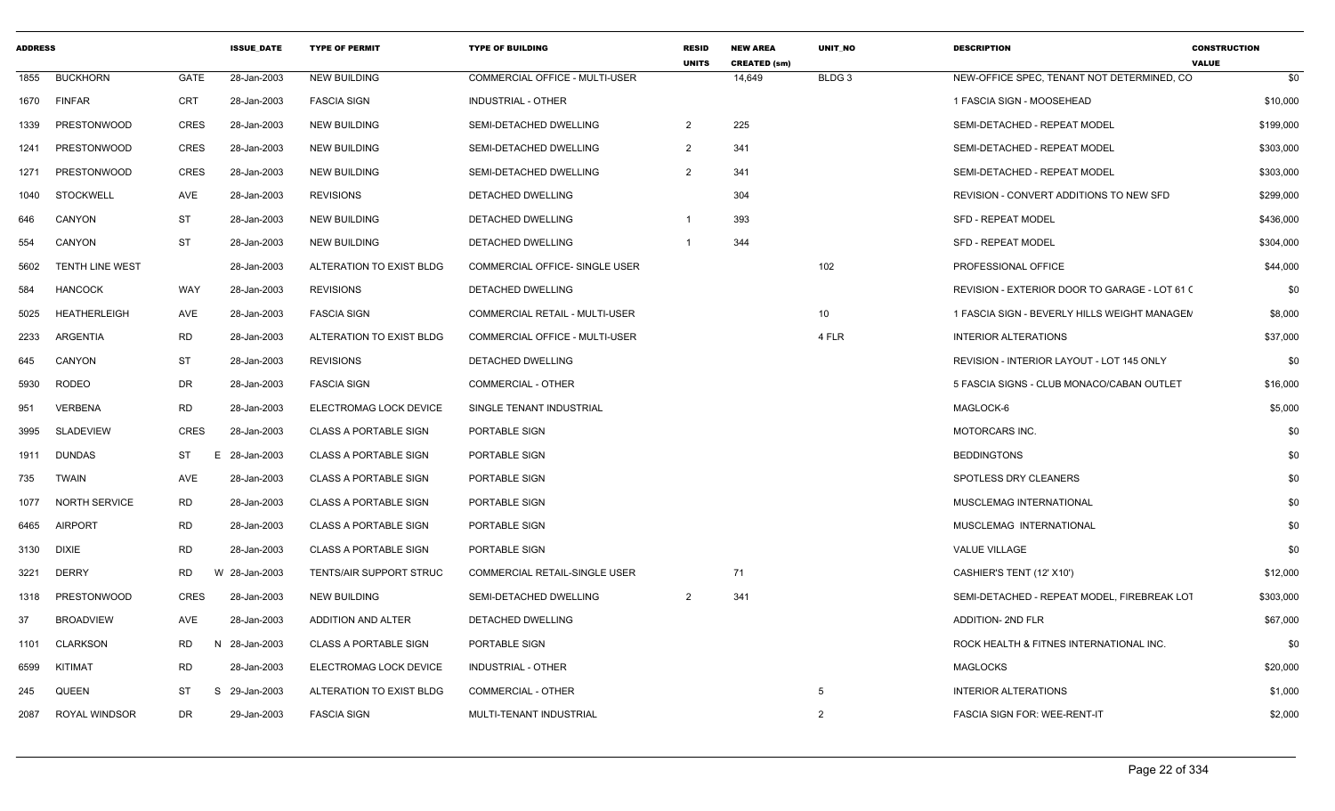| <b>ADDRESS</b> |                        |                 | <b>ISSUE DATE</b> | <b>TYPE OF PERMIT</b>          | <b>TYPE OF BUILDING</b>               | <b>RESID</b><br><b>UNITS</b> | <b>NEW AREA</b><br><b>CREATED (sm)</b> | <b>UNIT NO</b>    | <b>DESCRIPTION</b>                            | <b>CONSTRUCTION</b><br><b>VALUE</b> |
|----------------|------------------------|-----------------|-------------------|--------------------------------|---------------------------------------|------------------------------|----------------------------------------|-------------------|-----------------------------------------------|-------------------------------------|
| 1855           | <b>BUCKHORN</b>        | <b>GATE</b>     | 28-Jan-2003       | <b>NEW BUILDING</b>            | COMMERCIAL OFFICE - MULTI-USER        |                              | 14,649                                 | BLDG <sub>3</sub> | NEW-OFFICE SPEC, TENANT NOT DETERMINED, CO    | \$0                                 |
| 1670           | <b>FINFAR</b>          | CRT             | 28-Jan-2003       | <b>FASCIA SIGN</b>             | <b>INDUSTRIAL - OTHER</b>             |                              |                                        |                   | 1 FASCIA SIGN - MOOSEHEAD                     | \$10,000                            |
| 1339           | PRESTONWOOD            | <b>CRES</b>     | 28-Jan-2003       | <b>NEW BUILDING</b>            | SEMI-DETACHED DWELLING                | 2                            | 225                                    |                   | SEMI-DETACHED - REPEAT MODEL                  | \$199,000                           |
| 1241           | <b>PRESTONWOOD</b>     | <b>CRES</b>     | 28-Jan-2003       | <b>NEW BUILDING</b>            | SEMI-DETACHED DWELLING                | $\overline{2}$               | 341                                    |                   | SEMI-DETACHED - REPEAT MODEL                  | \$303,000                           |
| 1271           | <b>PRESTONWOOD</b>     | <b>CRES</b>     | 28-Jan-2003       | <b>NEW BUILDING</b>            | SEMI-DETACHED DWELLING                | $\overline{2}$               | 341                                    |                   | SEMI-DETACHED - REPEAT MODEL                  | \$303,000                           |
| 1040           | <b>STOCKWELL</b>       | AVE             | 28-Jan-2003       | <b>REVISIONS</b>               | DETACHED DWELLING                     |                              | 304                                    |                   | REVISION - CONVERT ADDITIONS TO NEW SFD       | \$299,000                           |
| 646            | CANYON                 | ST              | 28-Jan-2003       | <b>NEW BUILDING</b>            | <b>DETACHED DWELLING</b>              |                              | 393                                    |                   | <b>SFD - REPEAT MODEL</b>                     | \$436,000                           |
| 554            | CANYON                 | <b>ST</b>       | 28-Jan-2003       | <b>NEW BUILDING</b>            | DETACHED DWELLING                     |                              | 344                                    |                   | <b>SFD - REPEAT MODEL</b>                     | \$304,000                           |
| 5602           | <b>TENTH LINE WEST</b> |                 | 28-Jan-2003       | ALTERATION TO EXIST BLDG       | COMMERCIAL OFFICE- SINGLE USER        |                              |                                        | 102               | PROFESSIONAL OFFICE                           | \$44,000                            |
| 584            | <b>HANCOCK</b>         | WAY             | 28-Jan-2003       | <b>REVISIONS</b>               | <b>DETACHED DWELLING</b>              |                              |                                        |                   | REVISION - EXTERIOR DOOR TO GARAGE - LOT 61 ( | \$0                                 |
| 5025           | <b>HEATHERLEIGH</b>    | AVE             | 28-Jan-2003       | <b>FASCIA SIGN</b>             | COMMERCIAL RETAIL - MULTI-USER        |                              |                                        | 10 <sup>1</sup>   | 1 FASCIA SIGN - BEVERLY HILLS WEIGHT MANAGEM  | \$8,000                             |
| 2233           | ARGENTIA               | RD              | 28-Jan-2003       | ALTERATION TO EXIST BLDG       | <b>COMMERCIAL OFFICE - MULTI-USER</b> |                              |                                        | 4 FLR             | <b>INTERIOR ALTERATIONS</b>                   | \$37,000                            |
| 645            | CANYON                 | <b>ST</b>       | 28-Jan-2003       | <b>REVISIONS</b>               | DETACHED DWELLING                     |                              |                                        |                   | REVISION - INTERIOR LAYOUT - LOT 145 ONLY     | \$0                                 |
| 5930           | <b>RODEO</b>           | DR              | 28-Jan-2003       | <b>FASCIA SIGN</b>             | <b>COMMERCIAL - OTHER</b>             |                              |                                        |                   | 5 FASCIA SIGNS - CLUB MONACO/CABAN OUTLET     | \$16,000                            |
| 951            | VERBENA                | RD              | 28-Jan-2003       | ELECTROMAG LOCK DEVICE         | SINGLE TENANT INDUSTRIAL              |                              |                                        |                   | MAGLOCK-6                                     | \$5,000                             |
| 3995           | SLADEVIEW              | <b>CRES</b>     | 28-Jan-2003       | <b>CLASS A PORTABLE SIGN</b>   | PORTABLE SIGN                         |                              |                                        |                   | MOTORCARS INC.                                | \$0                                 |
| 1911           | <b>DUNDAS</b>          | ST<br>E         | 28-Jan-2003       | <b>CLASS A PORTABLE SIGN</b>   | PORTABLE SIGN                         |                              |                                        |                   | <b>BEDDINGTONS</b>                            | \$0                                 |
| 735            | <b>TWAIN</b>           | AVE             | 28-Jan-2003       | <b>CLASS A PORTABLE SIGN</b>   | PORTABLE SIGN                         |                              |                                        |                   | SPOTLESS DRY CLEANERS                         | \$0                                 |
| 1077           | <b>NORTH SERVICE</b>   | RD              | 28-Jan-2003       | <b>CLASS A PORTABLE SIGN</b>   | PORTABLE SIGN                         |                              |                                        |                   | <b>MUSCLEMAG INTERNATIONAL</b>                | \$0                                 |
| 6465           | <b>AIRPORT</b>         | RD              | 28-Jan-2003       | <b>CLASS A PORTABLE SIGN</b>   | PORTABLE SIGN                         |                              |                                        |                   | MUSCLEMAG INTERNATIONAL                       | \$0                                 |
| 3130           | <b>DIXIE</b>           | <b>RD</b>       | 28-Jan-2003       | <b>CLASS A PORTABLE SIGN</b>   | PORTABLE SIGN                         |                              |                                        |                   | VALUE VILLAGE                                 | \$0                                 |
| 3221           | <b>DERRY</b>           | RD              | W 28-Jan-2003     | <b>TENTS/AIR SUPPORT STRUC</b> | <b>COMMERCIAL RETAIL-SINGLE USER</b>  |                              | 71                                     |                   | CASHIER'S TENT (12' X10')                     | \$12,000                            |
| 1318           | <b>PRESTONWOOD</b>     | <b>CRES</b>     | 28-Jan-2003       | <b>NEW BUILDING</b>            | <b>SEMI-DETACHED DWELLING</b>         | 2                            | 341                                    |                   | SEMI-DETACHED - REPEAT MODEL. FIREBREAK LOT   | \$303,000                           |
| 37             | <b>BROADVIEW</b>       | AVE             | 28-Jan-2003       | ADDITION AND ALTER             | DETACHED DWELLING                     |                              |                                        |                   | <b>ADDITION- 2ND FLR</b>                      | \$67,000                            |
| 1101           | CLARKSON               | RD<br>N         | 28-Jan-2003       | <b>CLASS A PORTABLE SIGN</b>   | PORTABLE SIGN                         |                              |                                        |                   | ROCK HEALTH & FITNES INTERNATIONAL INC.       | \$0                                 |
| 6599           | KITIMAT                | <b>RD</b>       | 28-Jan-2003       | ELECTROMAG LOCK DEVICE         | <b>INDUSTRIAL - OTHER</b>             |                              |                                        |                   | <b>MAGLOCKS</b>                               | \$20,000                            |
| 245            | QUEEN                  | <b>ST</b><br>S. | 29-Jan-2003       | ALTERATION TO EXIST BLDG       | COMMERCIAL - OTHER                    |                              |                                        | 5                 | <b>INTERIOR ALTERATIONS</b>                   | \$1,000                             |
| 2087           | <b>ROYAL WINDSOR</b>   | DR              | 29-Jan-2003       | <b>FASCIA SIGN</b>             | MULTI-TENANT INDUSTRIAL               |                              |                                        | 2                 | <b>FASCIA SIGN FOR: WEE-RENT-IT</b>           | \$2,000                             |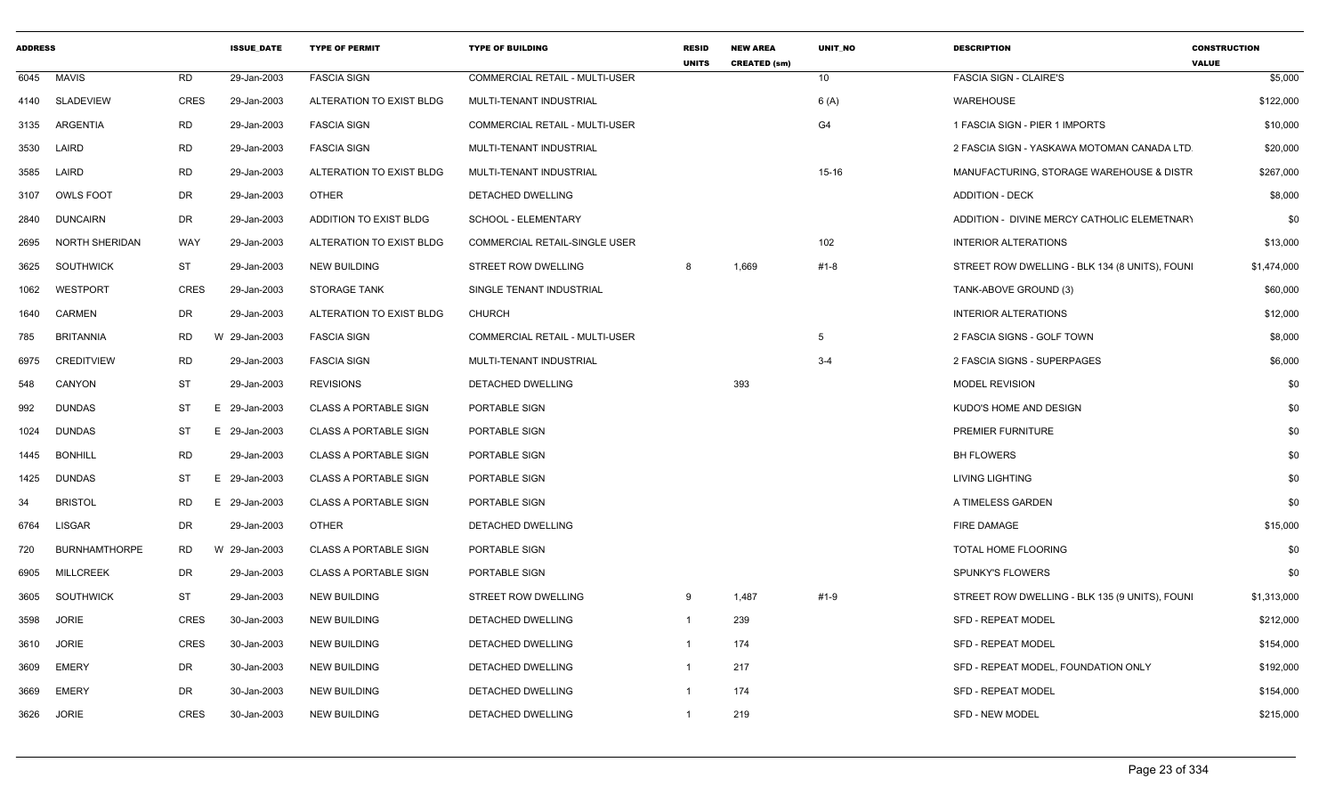| <b>ADDRESS</b> |                       |             | <b>ISSUE_DATE</b> | <b>TYPE OF PERMIT</b>        | <b>TYPE OF BUILDING</b>               | <b>RESID</b><br><b>UNITS</b> | <b>NEW AREA</b><br><b>CREATED (sm)</b> | UNIT_NO         | <b>DESCRIPTION</b>                             | <b>CONSTRUCTION</b><br><b>VALUE</b> |
|----------------|-----------------------|-------------|-------------------|------------------------------|---------------------------------------|------------------------------|----------------------------------------|-----------------|------------------------------------------------|-------------------------------------|
|                | 6045 MAVIS            | RD.         | 29-Jan-2003       | <b>FASCIA SIGN</b>           | COMMERCIAL RETAIL - MULTI-USER        |                              |                                        | 10 <sup>1</sup> | <b>FASCIA SIGN - CLAIRE'S</b>                  | \$5,000                             |
| 4140           | SLADEVIEW             | <b>CRES</b> | 29-Jan-2003       | ALTERATION TO EXIST BLDG     | MULTI-TENANT INDUSTRIAL               |                              |                                        | 6 (A)           | <b>WAREHOUSE</b>                               | \$122,000                           |
| 3135           | ARGENTIA              | RD          | 29-Jan-2003       | <b>FASCIA SIGN</b>           | <b>COMMERCIAL RETAIL - MULTI-USER</b> |                              |                                        | G4              | 1 FASCIA SIGN - PIER 1 IMPORTS                 | \$10,000                            |
| 3530           | LAIRD                 | RD          | 29-Jan-2003       | <b>FASCIA SIGN</b>           | MULTI-TENANT INDUSTRIAL               |                              |                                        |                 | 2 FASCIA SIGN - YASKAWA MOTOMAN CANADA LTD     | \$20,000                            |
| 3585           | LAIRD                 | RD          | 29-Jan-2003       | ALTERATION TO EXIST BLDG     | MULTI-TENANT INDUSTRIAL               |                              |                                        | $15 - 16$       | MANUFACTURING, STORAGE WAREHOUSE & DISTR       | \$267,000                           |
| 3107           | <b>OWLS FOOT</b>      | DR          | 29-Jan-2003       | <b>OTHER</b>                 | DETACHED DWELLING                     |                              |                                        |                 | <b>ADDITION - DECK</b>                         | \$8,000                             |
| 2840           | <b>DUNCAIRN</b>       | DR          | 29-Jan-2003       | ADDITION TO EXIST BLDG       | SCHOOL - ELEMENTARY                   |                              |                                        |                 | ADDITION - DIVINE MERCY CATHOLIC ELEMETNARY    | \$0                                 |
| 2695           | <b>NORTH SHERIDAN</b> | <b>WAY</b>  | 29-Jan-2003       | ALTERATION TO EXIST BLDG     | COMMERCIAL RETAIL-SINGLE USER         |                              |                                        | 102             | <b>INTERIOR ALTERATIONS</b>                    | \$13,000                            |
| 3625           | SOUTHWICK             | ST          | 29-Jan-2003       | <b>NEW BUILDING</b>          | STREET ROW DWELLING                   | 8                            | 1,669                                  | #1-8            | STREET ROW DWELLING - BLK 134 (8 UNITS), FOUNI | \$1,474,000                         |
| 1062           | WESTPORT              | <b>CRES</b> | 29-Jan-2003       | <b>STORAGE TANK</b>          | SINGLE TENANT INDUSTRIAL              |                              |                                        |                 | TANK-ABOVE GROUND (3)                          | \$60,000                            |
| 1640           | <b>CARMEN</b>         | DR          | 29-Jan-2003       | ALTERATION TO EXIST BLDG     | <b>CHURCH</b>                         |                              |                                        |                 | <b>INTERIOR ALTERATIONS</b>                    | \$12,000                            |
| 785            | <b>BRITANNIA</b>      | RD.         | W 29-Jan-2003     | <b>FASCIA SIGN</b>           | <b>COMMERCIAL RETAIL - MULTI-USER</b> |                              |                                        | 5               | 2 FASCIA SIGNS - GOLF TOWN                     | \$8,000                             |
| 6975           | <b>CREDITVIEW</b>     | RD          | 29-Jan-2003       | <b>FASCIA SIGN</b>           | MULTI-TENANT INDUSTRIAL               |                              |                                        | $3 - 4$         | 2 FASCIA SIGNS - SUPERPAGES                    | \$6,000                             |
| 548            | CANYON                | ST          | 29-Jan-2003       | <b>REVISIONS</b>             | <b>DETACHED DWELLING</b>              |                              | 393                                    |                 | MODEL REVISION                                 | \$0                                 |
| 992            | <b>DUNDAS</b>         | ST          | E 29-Jan-2003     | <b>CLASS A PORTABLE SIGN</b> | PORTABLE SIGN                         |                              |                                        |                 | KUDO'S HOME AND DESIGN                         | \$0                                 |
| 1024           | <b>DUNDAS</b>         | ST          | E 29-Jan-2003     | <b>CLASS A PORTABLE SIGN</b> | PORTABLE SIGN                         |                              |                                        |                 | <b>PREMIER FURNITURE</b>                       | \$0                                 |
| 1445           | <b>BONHILL</b>        | RD          | 29-Jan-2003       | <b>CLASS A PORTABLE SIGN</b> | PORTABLE SIGN                         |                              |                                        |                 | <b>BH FLOWERS</b>                              | \$0                                 |
| 1425           | <b>DUNDAS</b>         | ST          | Е.<br>29-Jan-2003 | <b>CLASS A PORTABLE SIGN</b> | PORTABLE SIGN                         |                              |                                        |                 | LIVING LIGHTING                                | \$0                                 |
| 34             | <b>BRISTOL</b>        | RD.         | E 29-Jan-2003     | <b>CLASS A PORTABLE SIGN</b> | PORTABLE SIGN                         |                              |                                        |                 | A TIMELESS GARDEN                              | \$0                                 |
| 6764           | <b>LISGAR</b>         | DR          | 29-Jan-2003       | <b>OTHER</b>                 | DETACHED DWELLING                     |                              |                                        |                 | FIRE DAMAGE                                    | \$15,000                            |
| 720            | <b>BURNHAMTHORPE</b>  | RD.         | W 29-Jan-2003     | <b>CLASS A PORTABLE SIGN</b> | PORTABLE SIGN                         |                              |                                        |                 | <b>TOTAL HOME FLOORING</b>                     | \$0                                 |
| 6905           | <b>MILLCREEK</b>      | DR          | 29-Jan-2003       | <b>CLASS A PORTABLE SIGN</b> | PORTABLE SIGN                         |                              |                                        |                 | <b>SPUNKY'S FLOWERS</b>                        | \$0                                 |
| 3605           | SOUTHWICK             | ST          | 29-Jan-2003       | <b>NEW BUILDING</b>          | <b>STREET ROW DWELLING</b>            | 9                            | 1,487                                  | #1-9            | STREET ROW DWELLING - BLK 135 (9 UNITS), FOUNI | \$1,313,000                         |
| 3598           | <b>JORIE</b>          | CRES        | 30-Jan-2003       | NEW BUILDING                 | DETACHED DWELLING                     | $\mathbf{1}$                 | 239                                    |                 | <b>SFD - REPEAT MODEL</b>                      | \$212,000                           |
| 3610           | JORIE                 | <b>CRES</b> | 30-Jan-2003       | <b>NEW BUILDING</b>          | DETACHED DWELLING                     | $\mathbf{1}$                 | 174                                    |                 | <b>SFD - REPEAT MODEL</b>                      | \$154,000                           |
| 3609           | EMERY                 | DR          | 30-Jan-2003       | NEW BUILDING                 | DETACHED DWELLING                     | $\mathbf{1}$                 | 217                                    |                 | SFD - REPEAT MODEL, FOUNDATION ONLY            | \$192,000                           |
| 3669           | EMERY                 | DR          | 30-Jan-2003       | NEW BUILDING                 | DETACHED DWELLING                     | $\mathbf{1}$                 | 174                                    |                 | <b>SFD - REPEAT MODEL</b>                      | \$154,000                           |
| 3626           | JORIE                 | <b>CRES</b> | 30-Jan-2003       | <b>NEW BUILDING</b>          | DETACHED DWELLING                     | $\mathbf{1}$                 | 219                                    |                 | SFD - NEW MODEL                                | \$215,000                           |
|                |                       |             |                   |                              |                                       |                              |                                        |                 |                                                |                                     |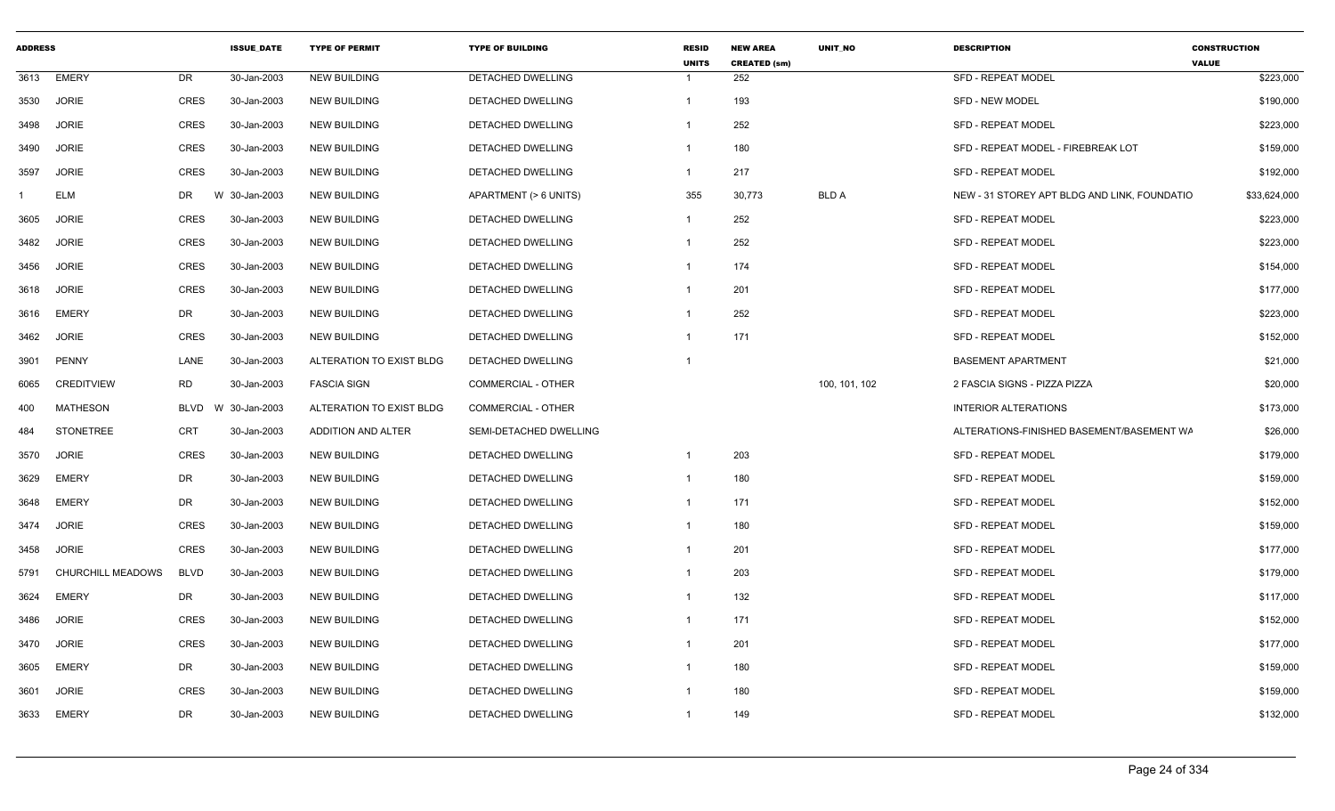| <b>ADDRESS</b> |                   |             | <b>ISSUE DATE</b> | <b>TYPE OF PERMIT</b>    | <b>TYPE OF BUILDING</b>   | <b>RESID</b><br><b>UNITS</b> | <b>NEW AREA</b><br><b>CREATED (sm)</b> | <b>UNIT NO</b> | <b>DESCRIPTION</b>                           | <b>CONSTRUCTION</b><br><b>VALUE</b> |
|----------------|-------------------|-------------|-------------------|--------------------------|---------------------------|------------------------------|----------------------------------------|----------------|----------------------------------------------|-------------------------------------|
| 3613           | <b>EMERY</b>      | DR          | 30-Jan-2003       | <b>NEW BUILDING</b>      | <b>DETACHED DWELLING</b>  | $\mathbf{1}$                 | 252                                    |                | <b>SFD - REPEAT MODEL</b>                    | \$223,000                           |
| 3530           | <b>JORIE</b>      | <b>CRES</b> | 30-Jan-2003       | <b>NEW BUILDING</b>      | DETACHED DWELLING         | $\mathbf{1}$                 | 193                                    |                | <b>SFD - NEW MODEL</b>                       | \$190,000                           |
| 3498           | <b>JORIE</b>      | CRES        | 30-Jan-2003       | <b>NEW BUILDING</b>      | DETACHED DWELLING         | -1                           | 252                                    |                | <b>SFD - REPEAT MODEL</b>                    | \$223,000                           |
| 3490           | <b>JORIE</b>      | <b>CRES</b> | 30-Jan-2003       | <b>NEW BUILDING</b>      | DETACHED DWELLING         | $\overline{1}$               | 180                                    |                | SFD - REPEAT MODEL - FIREBREAK LOT           | \$159,000                           |
| 3597           | <b>JORIE</b>      | <b>CRES</b> | 30-Jan-2003       | <b>NEW BUILDING</b>      | DETACHED DWELLING         | $\mathbf{1}$                 | 217                                    |                | <b>SFD - REPEAT MODEL</b>                    | \$192,000                           |
|                | <b>ELM</b>        | DR          | W 30-Jan-2003     | <b>NEW BUILDING</b>      | APARTMENT (> 6 UNITS)     | 355                          | 30,773                                 | <b>BLD A</b>   | NEW - 31 STOREY APT BLDG AND LINK, FOUNDATIO | \$33,624,000                        |
| 3605           | <b>JORIE</b>      | <b>CRES</b> | 30-Jan-2003       | <b>NEW BUILDING</b>      | DETACHED DWELLING         | $\mathbf{1}$                 | 252                                    |                | <b>SFD - REPEAT MODEL</b>                    | \$223,000                           |
| 3482           | <b>JORIE</b>      | <b>CRES</b> | 30-Jan-2003       | <b>NEW BUILDING</b>      | DETACHED DWELLING         | -1                           | 252                                    |                | <b>SFD - REPEAT MODEL</b>                    | \$223,000                           |
| 3456           | <b>JORIE</b>      | <b>CRES</b> | 30-Jan-2003       | <b>NEW BUILDING</b>      | DETACHED DWELLING         | $\mathbf{1}$                 | 174                                    |                | <b>SFD - REPEAT MODEL</b>                    | \$154,000                           |
| 3618           | <b>JORIE</b>      | <b>CRES</b> | 30-Jan-2003       | <b>NEW BUILDING</b>      | DETACHED DWELLING         | $\mathbf{1}$                 | 201                                    |                | <b>SFD - REPEAT MODEL</b>                    | \$177,000                           |
| 3616           | <b>EMERY</b>      | DR          | 30-Jan-2003       | <b>NEW BUILDING</b>      | DETACHED DWELLING         | -1                           | 252                                    |                | <b>SFD - REPEAT MODEL</b>                    | \$223,000                           |
| 3462           | <b>JORIE</b>      | <b>CRES</b> | 30-Jan-2003       | <b>NEW BUILDING</b>      | <b>DETACHED DWELLING</b>  | -1                           | 171                                    |                | <b>SFD - REPEAT MODEL</b>                    | \$152,000                           |
| 3901           | PENNY             | LANE        | 30-Jan-2003       | ALTERATION TO EXIST BLDG | <b>DETACHED DWELLING</b>  | $\mathbf{1}$                 |                                        |                | <b>BASEMENT APARTMENT</b>                    | \$21,000                            |
| 6065           | <b>CREDITVIEW</b> | RD          | 30-Jan-2003       | <b>FASCIA SIGN</b>       | <b>COMMERCIAL - OTHER</b> |                              |                                        | 100, 101, 102  | 2 FASCIA SIGNS - PIZZA PIZZA                 | \$20,000                            |
| 400            | <b>MATHESON</b>   | BLVD        | W 30-Jan-2003     | ALTERATION TO EXIST BLDG | COMMERCIAL - OTHER        |                              |                                        |                | <b>INTERIOR ALTERATIONS</b>                  | \$173,000                           |
| 484            | STONETREE         | <b>CRT</b>  | 30-Jan-2003       | ADDITION AND ALTER       | SEMI-DETACHED DWELLING    |                              |                                        |                | ALTERATIONS-FINISHED BASEMENT/BASEMENT WA    | \$26,000                            |
| 3570           | <b>JORIE</b>      | <b>CRES</b> | 30-Jan-2003       | <b>NEW BUILDING</b>      | DETACHED DWELLING         | $\overline{1}$               | 203                                    |                | <b>SFD - REPEAT MODEL</b>                    | \$179,000                           |
| 3629           | <b>EMERY</b>      | DR          | 30-Jan-2003       | <b>NEW BUILDING</b>      | DETACHED DWELLING         | $\mathbf{1}$                 | 180                                    |                | <b>SFD - REPEAT MODEL</b>                    | \$159,000                           |
| 3648           | <b>EMERY</b>      | DR          | 30-Jan-2003       | <b>NEW BUILDING</b>      | DETACHED DWELLING         | -1                           | 171                                    |                | <b>SFD - REPEAT MODEL</b>                    | \$152,000                           |
| 3474           | <b>JORIE</b>      | <b>CRES</b> | 30-Jan-2003       | <b>NEW BUILDING</b>      | DETACHED DWELLING         | $\mathbf{1}$                 | 180                                    |                | <b>SFD - REPEAT MODEL</b>                    | \$159,000                           |
| 3458           | <b>JORIE</b>      | <b>CRES</b> | 30-Jan-2003       | <b>NEW BUILDING</b>      | DETACHED DWELLING         | $\mathbf{1}$                 | 201                                    |                | <b>SFD - REPEAT MODEL</b>                    | \$177,000                           |
| 5791           | CHURCHILL MEADOWS | <b>BLVD</b> | 30-Jan-2003       | <b>NEW BUILDING</b>      | DETACHED DWELLING         | -1                           | 203                                    |                | <b>SFD - REPEAT MODEL</b>                    | \$179,000                           |
| 3624           | <b>EMERY</b>      | DR          | 30-Jan-2003       | <b>NEW BUILDING</b>      | DETACHED DWELLING         | -1                           | 132                                    |                | <b>SFD - REPEAT MODEL</b>                    | \$117,000                           |
| 3486           | <b>JORIE</b>      | <b>CRES</b> | 30-Jan-2003       | <b>NEW BUILDING</b>      | DETACHED DWELLING         | $\mathbf{1}$                 | 171                                    |                | <b>SFD - REPEAT MODEL</b>                    | \$152,000                           |
| 3470           | <b>JORIE</b>      | <b>CRES</b> | 30-Jan-2003       | <b>NEW BUILDING</b>      | DETACHED DWELLING         | $\mathbf{1}$                 | 201                                    |                | <b>SFD - REPEAT MODEL</b>                    | \$177,000                           |
| 3605           | <b>EMERY</b>      | DR          | 30-Jan-2003       | <b>NEW BUILDING</b>      | DETACHED DWELLING         | -1                           | 180                                    |                | <b>SFD - REPEAT MODEL</b>                    | \$159,000                           |
| 3601           | <b>JORIE</b>      | <b>CRES</b> | 30-Jan-2003       | <b>NEW BUILDING</b>      | DETACHED DWELLING         | -1                           | 180                                    |                | SFD - REPEAT MODEL                           | \$159,000                           |
| 3633           | EMERY             | <b>DR</b>   | 30-Jan-2003       | <b>NEW BUILDING</b>      | DETACHED DWELLING         | -1                           | 149                                    |                | <b>SFD - REPEAT MODEL</b>                    | \$132,000                           |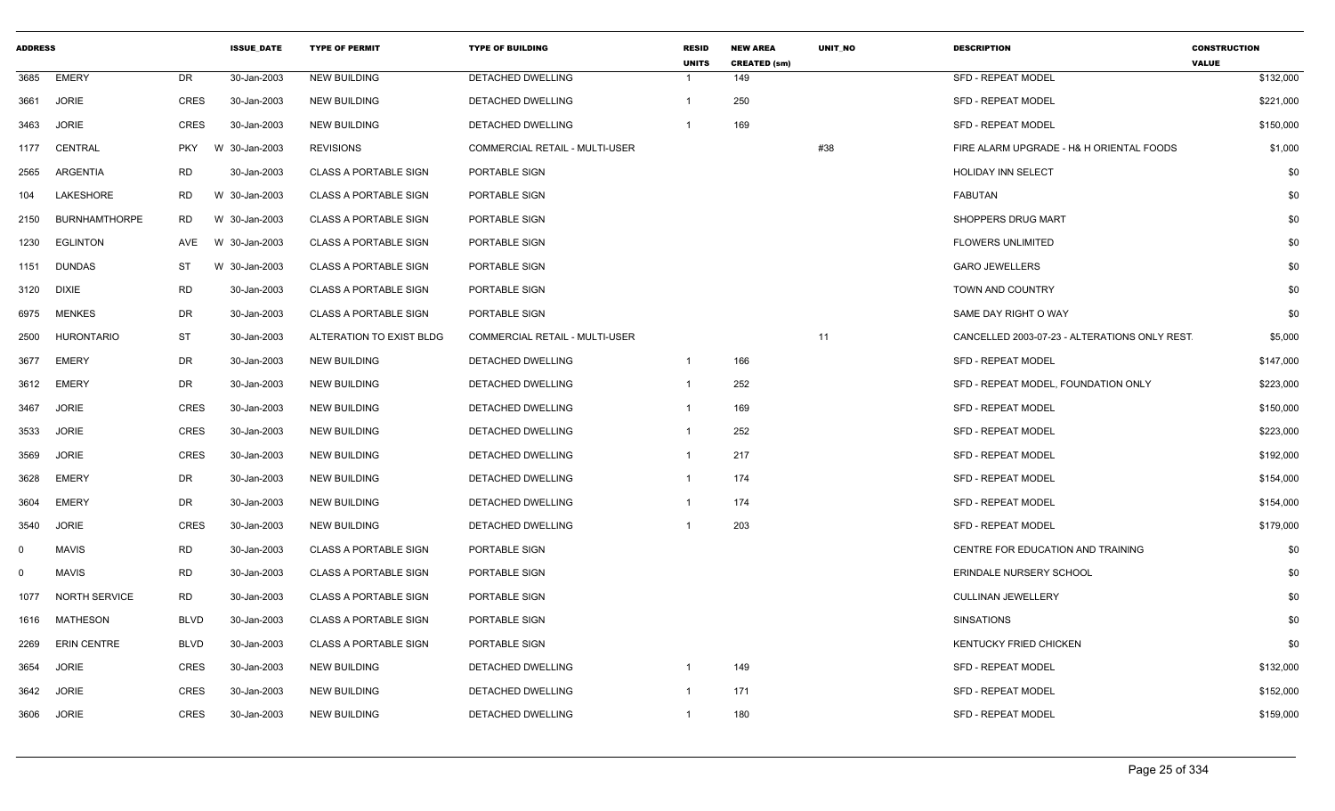| <b>ADDRESS</b> |                      |             | <b>ISSUE DATE</b> | <b>TYPE OF PERMIT</b>        | <b>TYPE OF BUILDING</b>        | <b>RESID</b><br><b>UNITS</b> | <b>NEW AREA</b><br><b>CREATED (sm)</b> | <b>UNIT NO</b> | <b>DESCRIPTION</b>                           | <b>CONSTRUCTION</b><br><b>VALUE</b> |
|----------------|----------------------|-------------|-------------------|------------------------------|--------------------------------|------------------------------|----------------------------------------|----------------|----------------------------------------------|-------------------------------------|
| 3685           | <b>EMERY</b>         | DR          | 30-Jan-2003       | <b>NEW BUILDING</b>          | DETACHED DWELLING              | -1                           | 149                                    |                | <b>SFD - REPEAT MODEL</b>                    | \$132,000                           |
| 3661           | <b>JORIE</b>         | <b>CRES</b> | 30-Jan-2003       | <b>NEW BUILDING</b>          | DETACHED DWELLING              | $\mathbf{1}$                 | 250                                    |                | <b>SFD - REPEAT MODEL</b>                    | \$221,000                           |
| 3463           | <b>JORIE</b>         | <b>CRES</b> | 30-Jan-2003       | <b>NEW BUILDING</b>          | DETACHED DWELLING              | -1                           | 169                                    |                | <b>SFD - REPEAT MODEL</b>                    | \$150,000                           |
| 1177           | CENTRAL              | <b>PKY</b>  | W 30-Jan-2003     | <b>REVISIONS</b>             | COMMERCIAL RETAIL - MULTI-USER |                              |                                        | #38            | FIRE ALARM UPGRADE - H& H ORIENTAL FOODS     | \$1,000                             |
| 2565           | ARGENTIA             | <b>RD</b>   | 30-Jan-2003       | <b>CLASS A PORTABLE SIGN</b> | PORTABLE SIGN                  |                              |                                        |                | HOLIDAY INN SELECT                           | \$0                                 |
| 104            | LAKESHORE            | <b>RD</b>   | W 30-Jan-2003     | <b>CLASS A PORTABLE SIGN</b> | PORTABLE SIGN                  |                              |                                        |                | <b>FABUTAN</b>                               | \$0                                 |
| 2150           | <b>BURNHAMTHORPE</b> | <b>RD</b>   | W 30-Jan-2003     | <b>CLASS A PORTABLE SIGN</b> | PORTABLE SIGN                  |                              |                                        |                | SHOPPERS DRUG MART                           | \$0                                 |
| 1230           | <b>EGLINTON</b>      | AVE         | W 30-Jan-2003     | <b>CLASS A PORTABLE SIGN</b> | PORTABLE SIGN                  |                              |                                        |                | <b>FLOWERS UNLIMITED</b>                     | \$0                                 |
| 1151           | <b>DUNDAS</b>        | ST          | W 30-Jan-2003     | <b>CLASS A PORTABLE SIGN</b> | PORTABLE SIGN                  |                              |                                        |                | <b>GARO JEWELLERS</b>                        | \$0                                 |
| 3120           | <b>DIXIE</b>         | <b>RD</b>   | 30-Jan-2003       | <b>CLASS A PORTABLE SIGN</b> | PORTABLE SIGN                  |                              |                                        |                | TOWN AND COUNTRY                             | \$0                                 |
| 6975           | <b>MENKES</b>        | <b>DR</b>   | 30-Jan-2003       | <b>CLASS A PORTABLE SIGN</b> | PORTABLE SIGN                  |                              |                                        |                | SAME DAY RIGHT O WAY                         | \$0                                 |
| 2500           | <b>HURONTARIO</b>    | ST          | 30-Jan-2003       | ALTERATION TO EXIST BLDG     | COMMERCIAL RETAIL - MULTI-USER |                              |                                        | 11             | CANCELLED 2003-07-23 - ALTERATIONS ONLY REST | \$5,000                             |
| 3677           | <b>EMERY</b>         | <b>DR</b>   | 30-Jan-2003       | <b>NEW BUILDING</b>          | DETACHED DWELLING              | $\overline{1}$               | 166                                    |                | <b>SFD - REPEAT MODEL</b>                    | \$147,000                           |
| 3612           | <b>EMERY</b>         | DR          | 30-Jan-2003       | <b>NEW BUILDING</b>          | DETACHED DWELLING              | $\overline{1}$               | 252                                    |                | SFD - REPEAT MODEL, FOUNDATION ONLY          | \$223,000                           |
| 3467           | <b>JORIE</b>         | <b>CRES</b> | 30-Jan-2003       | <b>NEW BUILDING</b>          | DETACHED DWELLING              | -1                           | 169                                    |                | SFD - REPEAT MODEL                           | \$150,000                           |
| 3533           | <b>JORIE</b>         | <b>CRES</b> | 30-Jan-2003       | <b>NEW BUILDING</b>          | DETACHED DWELLING              | -1                           | 252                                    |                | SFD - REPEAT MODEL                           | \$223,000                           |
| 3569           | <b>JORIE</b>         | <b>CRES</b> | 30-Jan-2003       | <b>NEW BUILDING</b>          | DETACHED DWELLING              | $\mathbf{1}$                 | 217                                    |                | <b>SFD - REPEAT MODEL</b>                    | \$192,000                           |
| 3628           | <b>EMERY</b>         | DR          | 30-Jan-2003       | <b>NEW BUILDING</b>          | DETACHED DWELLING              | $\mathbf{1}$                 | 174                                    |                | <b>SFD - REPEAT MODEL</b>                    | \$154,000                           |
| 3604           | <b>EMERY</b>         | DR          | 30-Jan-2003       | <b>NEW BUILDING</b>          | DETACHED DWELLING              | -1                           | 174                                    |                | <b>SFD - REPEAT MODEL</b>                    | \$154,000                           |
| 3540           | <b>JORIE</b>         | <b>CRES</b> | 30-Jan-2003       | <b>NEW BUILDING</b>          | DETACHED DWELLING              | $\overline{1}$               | 203                                    |                | <b>SFD - REPEAT MODEL</b>                    | \$179,000                           |
| $\mathbf 0$    | <b>MAVIS</b>         | <b>RD</b>   | 30-Jan-2003       | <b>CLASS A PORTABLE SIGN</b> | PORTABLE SIGN                  |                              |                                        |                | CENTRE FOR EDUCATION AND TRAINING            | \$0                                 |
| $\mathbf 0$    | <b>MAVIS</b>         | <b>RD</b>   | 30-Jan-2003       | <b>CLASS A PORTABLE SIGN</b> | PORTABLE SIGN                  |                              |                                        |                | ERINDALE NURSERY SCHOOL                      | \$0                                 |
| 1077           | <b>NORTH SERVICE</b> | <b>RD</b>   | 30-Jan-2003       | <b>CLASS A PORTABLE SIGN</b> | PORTABLE SIGN                  |                              |                                        |                | <b>CULLINAN JEWELLERY</b>                    | \$0                                 |
| 1616           | MATHESON             | <b>BLVD</b> | 30-Jan-2003       | <b>CLASS A PORTABLE SIGN</b> | PORTABLE SIGN                  |                              |                                        |                | <b>SINSATIONS</b>                            | \$0                                 |
| 2269           | <b>ERIN CENTRE</b>   | <b>BLVD</b> | 30-Jan-2003       | <b>CLASS A PORTABLE SIGN</b> | PORTABLE SIGN                  |                              |                                        |                | KENTUCKY FRIED CHICKEN                       | \$0                                 |
| 3654           | <b>JORIE</b>         | <b>CRES</b> | 30-Jan-2003       | <b>NEW BUILDING</b>          | DETACHED DWELLING              | -1                           | 149                                    |                | <b>SFD - REPEAT MODEL</b>                    | \$132,000                           |
| 3642           | <b>JORIE</b>         | <b>CRES</b> | 30-Jan-2003       | <b>NEW BUILDING</b>          | DETACHED DWELLING              | -1                           | 171                                    |                | SFD - REPEAT MODEL                           | \$152,000                           |
| 3606           | <b>JORIE</b>         | <b>CRES</b> | 30-Jan-2003       | <b>NEW BUILDING</b>          | DETACHED DWELLING              | $\mathbf{1}$                 | 180                                    |                | <b>SFD - REPEAT MODEL</b>                    | \$159,000                           |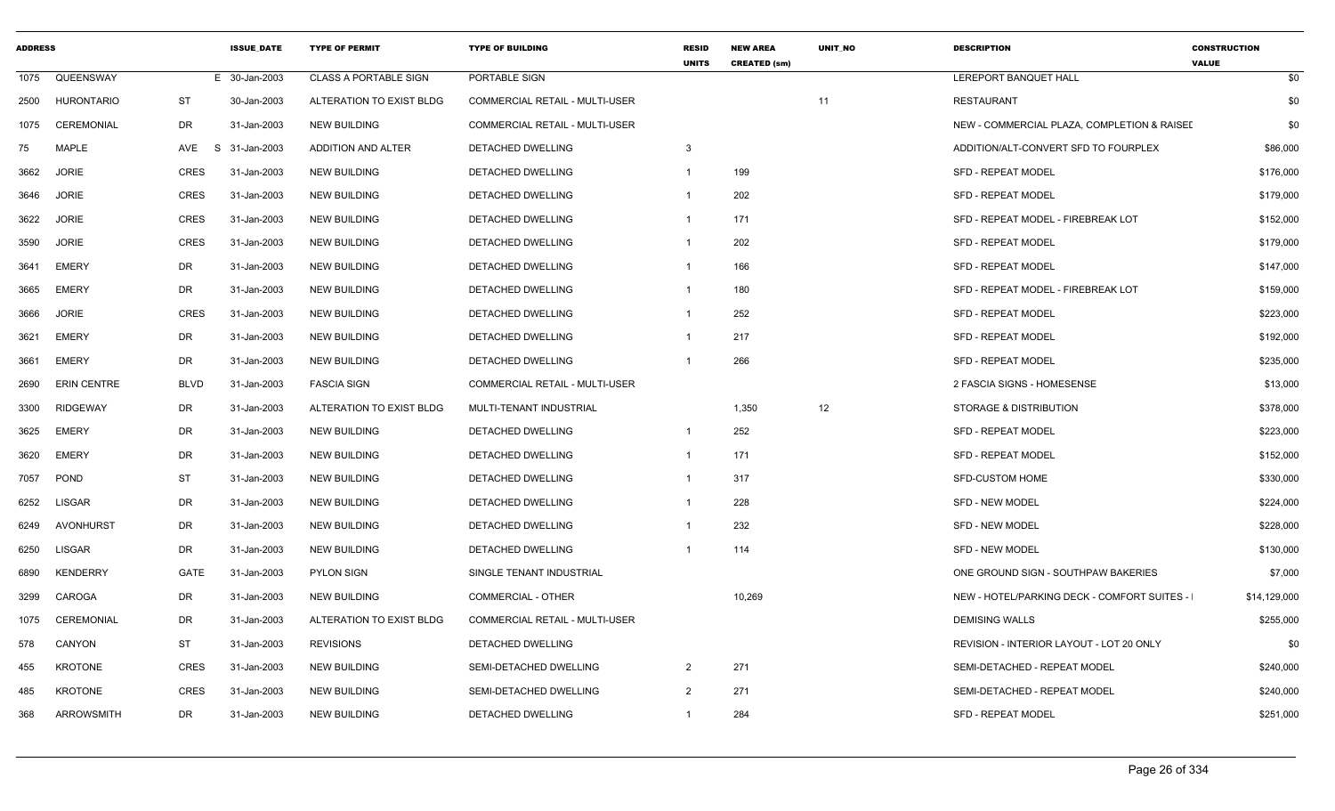| <b>ADDRESS</b> |                    |             | <b>ISSUE DATE</b> | <b>TYPE OF PERMIT</b>        | <b>TYPE OF BUILDING</b>               | <b>RESID</b><br><b>UNITS</b> | <b>NEW AREA</b><br><b>CREATED (sm)</b> | <b>UNIT NO</b> | <b>DESCRIPTION</b>                          | <b>CONSTRUCTION</b><br><b>VALUE</b> |
|----------------|--------------------|-------------|-------------------|------------------------------|---------------------------------------|------------------------------|----------------------------------------|----------------|---------------------------------------------|-------------------------------------|
| 1075           | QUEENSWAY          |             | E 30-Jan-2003     | <b>CLASS A PORTABLE SIGN</b> | PORTABLE SIGN                         |                              |                                        |                | <b>LEREPORT BANQUET HALL</b>                | \$0                                 |
| 2500           | <b>HURONTARIO</b>  | <b>ST</b>   | 30-Jan-2003       | ALTERATION TO EXIST BLDG     | <b>COMMERCIAL RETAIL - MULTI-USER</b> |                              |                                        | 11             | <b>RESTAURANT</b>                           | \$0                                 |
| 1075           | <b>CEREMONIAL</b>  | DR          | 31-Jan-2003       | <b>NEW BUILDING</b>          | <b>COMMERCIAL RETAIL - MULTI-USER</b> |                              |                                        |                | NEW - COMMERCIAL PLAZA, COMPLETION & RAISEL | \$0                                 |
| 75             | <b>MAPLE</b>       | AVE<br>S.   | 31-Jan-2003       | ADDITION AND ALTER           | <b>DETACHED DWELLING</b>              | 3                            |                                        |                | ADDITION/ALT-CONVERT SFD TO FOURPLEX        | \$86,000                            |
| 3662           | <b>JORIE</b>       | <b>CRES</b> | 31-Jan-2003       | <b>NEW BUILDING</b>          | DETACHED DWELLING                     | $\overline{1}$               | 199                                    |                | SFD - REPEAT MODEL                          | \$176,000                           |
| 3646           | <b>JORIE</b>       | <b>CRES</b> | 31-Jan-2003       | <b>NEW BUILDING</b>          | DETACHED DWELLING                     | $\overline{1}$               | 202                                    |                | SFD - REPEAT MODEL                          | \$179,000                           |
| 3622           | <b>JORIE</b>       | <b>CRES</b> | 31-Jan-2003       | <b>NEW BUILDING</b>          | DETACHED DWELLING                     | -1                           | 171                                    |                | SFD - REPEAT MODEL - FIREBREAK LOT          | \$152,000                           |
| 3590           | <b>JORIE</b>       | <b>CRES</b> | 31-Jan-2003       | <b>NEW BUILDING</b>          | <b>DETACHED DWELLING</b>              | $\overline{1}$               | 202                                    |                | <b>SFD - REPEAT MODEL</b>                   | \$179,000                           |
| 3641           | <b>EMERY</b>       | DR          | 31-Jan-2003       | <b>NEW BUILDING</b>          | DETACHED DWELLING                     | -1                           | 166                                    |                | SFD - REPEAT MODEL                          | \$147,000                           |
| 3665           | <b>EMERY</b>       | DR          | 31-Jan-2003       | <b>NEW BUILDING</b>          | DETACHED DWELLING                     | $\overline{1}$               | 180                                    |                | SFD - REPEAT MODEL - FIREBREAK LOT          | \$159,000                           |
| 3666           | <b>JORIE</b>       | <b>CRES</b> | 31-Jan-2003       | <b>NEW BUILDING</b>          | DETACHED DWELLING                     | $\overline{1}$               | 252                                    |                | <b>SFD - REPEAT MODEL</b>                   | \$223,000                           |
| 3621           | <b>EMERY</b>       | <b>DR</b>   | 31-Jan-2003       | <b>NEW BUILDING</b>          | DETACHED DWELLING                     | $\overline{1}$               | 217                                    |                | <b>SFD - REPEAT MODEL</b>                   | \$192,000                           |
| 3661           | <b>EMERY</b>       | <b>DR</b>   | 31-Jan-2003       | <b>NEW BUILDING</b>          | DETACHED DWELLING                     | $\overline{1}$               | 266                                    |                | <b>SFD - REPEAT MODEL</b>                   | \$235,000                           |
| 2690           | <b>ERIN CENTRE</b> | <b>BLVD</b> | 31-Jan-2003       | <b>FASCIA SIGN</b>           | <b>COMMERCIAL RETAIL - MULTI-USER</b> |                              |                                        |                | 2 FASCIA SIGNS - HOMESENSE                  | \$13,000                            |
| 3300           | <b>RIDGEWAY</b>    | DR          | 31-Jan-2003       | ALTERATION TO EXIST BLDG     | MULTI-TENANT INDUSTRIAL               |                              | 1,350                                  | 12             | <b>STORAGE &amp; DISTRIBUTION</b>           | \$378,000                           |
| 3625           | <b>EMERY</b>       | <b>DR</b>   | 31-Jan-2003       | <b>NEW BUILDING</b>          | DETACHED DWELLING                     | $\mathbf{1}$                 | 252                                    |                | SFD - REPEAT MODEL                          | \$223,000                           |
| 3620           | <b>EMERY</b>       | DR          | 31-Jan-2003       | <b>NEW BUILDING</b>          | DETACHED DWELLING                     | $\overline{1}$               | 171                                    |                | SFD - REPEAT MODEL                          | \$152,000                           |
| 7057           | <b>POND</b>        | <b>ST</b>   | 31-Jan-2003       | <b>NEW BUILDING</b>          | <b>DETACHED DWELLING</b>              | $\mathbf{1}$                 | 317                                    |                | <b>SFD-CUSTOM HOME</b>                      | \$330,000                           |
| 6252           | <b>LISGAR</b>      | DR          | 31-Jan-2003       | <b>NEW BUILDING</b>          | DETACHED DWELLING                     | $\mathbf{1}$                 | 228                                    |                | <b>SFD - NEW MODEL</b>                      | \$224,000                           |
| 6249           | AVONHURST          | DR          | 31-Jan-2003       | <b>NEW BUILDING</b>          | DETACHED DWELLING                     | $\overline{1}$               | 232                                    |                | <b>SFD - NEW MODEL</b>                      | \$228,000                           |
| 6250           | <b>LISGAR</b>      | DR          | 31-Jan-2003       | <b>NEW BUILDING</b>          | DETACHED DWELLING                     | $\overline{1}$               | 114                                    |                | <b>SFD - NEW MODEL</b>                      | \$130,000                           |
| 6890           | <b>KENDERRY</b>    | GATE        | 31-Jan-2003       | <b>PYLON SIGN</b>            | SINGLE TENANT INDUSTRIAL              |                              |                                        |                | ONE GROUND SIGN - SOUTHPAW BAKERIES         | \$7,000                             |
| 3299           | CAROGA             | <b>DR</b>   | 31-Jan-2003       | <b>NEW BUILDING</b>          | <b>COMMERCIAL - OTHER</b>             |                              | 10,269                                 |                | NEW - HOTEL/PARKING DECK - COMFORT SUITES - | \$14,129,000                        |
| 1075           | <b>CEREMONIAL</b>  | <b>DR</b>   | 31-Jan-2003       | ALTERATION TO EXIST BLDG     | <b>COMMERCIAL RETAIL - MULTI-USER</b> |                              |                                        |                | <b>DEMISING WALLS</b>                       | \$255,000                           |
| 578            | CANYON             | ST          | 31-Jan-2003       | <b>REVISIONS</b>             | DETACHED DWELLING                     |                              |                                        |                | REVISION - INTERIOR LAYOUT - LOT 20 ONLY    | \$0                                 |
| 455            | <b>KROTONE</b>     | CRES        | 31-Jan-2003       | <b>NEW BUILDING</b>          | SEMI-DETACHED DWELLING                | 2                            | 271                                    |                | SEMI-DETACHED - REPEAT MODEL                | \$240,000                           |
| 485            | <b>KROTONE</b>     | <b>CRES</b> | 31-Jan-2003       | <b>NEW BUILDING</b>          | SEMI-DETACHED DWELLING                | $\mathcal{P}$                | 271                                    |                | SEMI-DETACHED - REPEAT MODEL                | \$240,000                           |
| 368            | ARROWSMITH         | DR          | 31-Jan-2003       | <b>NEW BUILDING</b>          | DETACHED DWELLING                     | -1                           | 284                                    |                | <b>SFD - REPEAT MODEL</b>                   | \$251,000                           |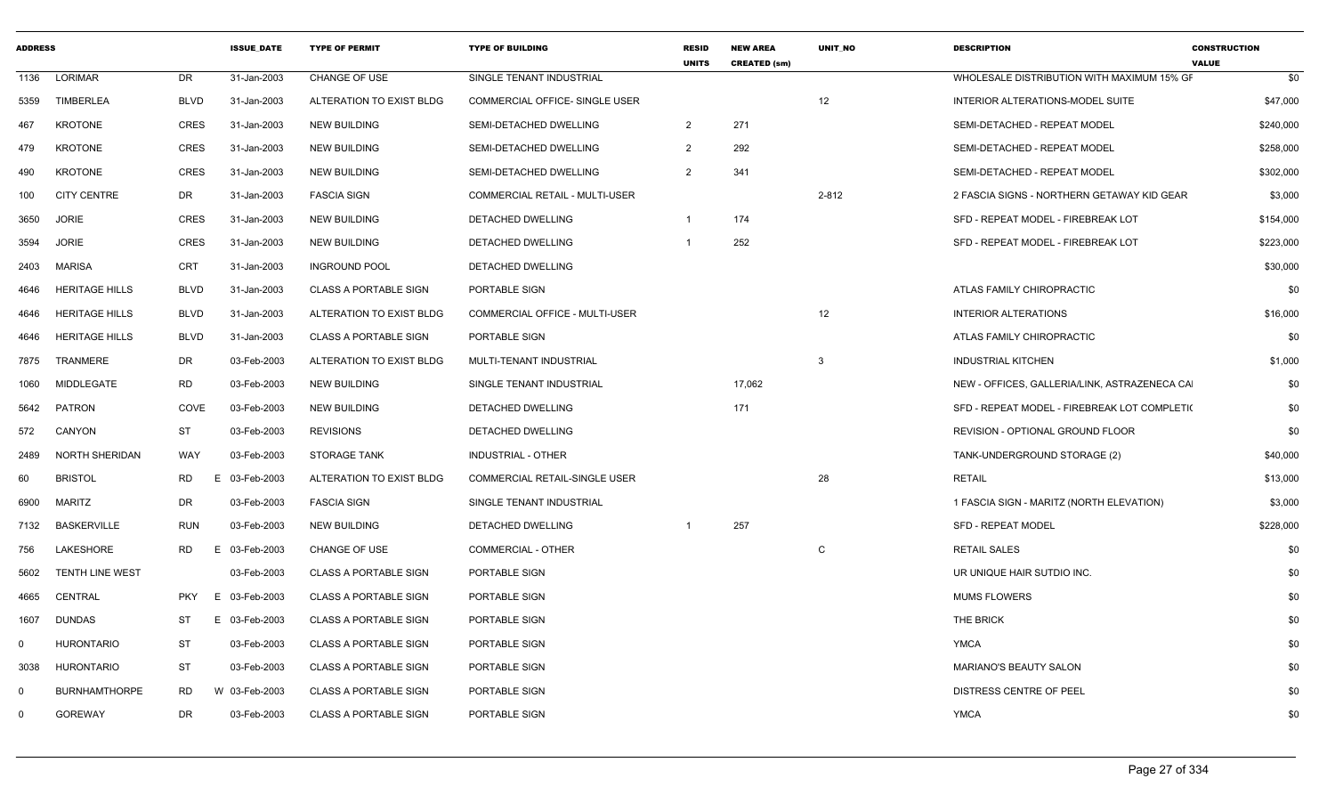| <b>ADDRESS</b> |                       |                | <b>ISSUE_DATE</b> | <b>TYPE OF PERMIT</b>        | <b>TYPE OF BUILDING</b>        | <b>RESID</b><br><b>UNITS</b> | <b>NEW AREA</b><br><b>CREATED (sm)</b> | UNIT_NO | <b>DESCRIPTION</b>                           | <b>CONSTRUCTION</b><br><b>VALUE</b> |
|----------------|-----------------------|----------------|-------------------|------------------------------|--------------------------------|------------------------------|----------------------------------------|---------|----------------------------------------------|-------------------------------------|
| 1136           | LORIMAR               | DR             | 31-Jan-2003       | <b>CHANGE OF USE</b>         | SINGLE TENANT INDUSTRIAL       |                              |                                        |         | WHOLESALE DISTRIBUTION WITH MAXIMUM 15% GF   | \$0                                 |
| 5359           | <b>TIMBERLEA</b>      | <b>BLVD</b>    | 31-Jan-2003       | ALTERATION TO EXIST BLDG     | COMMERCIAL OFFICE- SINGLE USER |                              |                                        | 12      | INTERIOR ALTERATIONS-MODEL SUITE             | \$47,000                            |
| 467            | <b>KROTONE</b>        | <b>CRES</b>    | 31-Jan-2003       | <b>NEW BUILDING</b>          | SEMI-DETACHED DWELLING         | $\overline{2}$               | 271                                    |         | SEMI-DETACHED - REPEAT MODEL                 | \$240,000                           |
| 479            | <b>KROTONE</b>        | <b>CRES</b>    | 31-Jan-2003       | <b>NEW BUILDING</b>          | SEMI-DETACHED DWELLING         | 2                            | 292                                    |         | SEMI-DETACHED - REPEAT MODEL                 | \$258,000                           |
| 490            | <b>KROTONE</b>        | <b>CRES</b>    | 31-Jan-2003       | NEW BUILDING                 | SEMI-DETACHED DWELLING         | 2                            | 341                                    |         | SEMI-DETACHED - REPEAT MODEL                 | \$302,000                           |
| 100            | <b>CITY CENTRE</b>    | DR             | 31-Jan-2003       | <b>FASCIA SIGN</b>           | COMMERCIAL RETAIL - MULTI-USER |                              |                                        | 2-812   | 2 FASCIA SIGNS - NORTHERN GETAWAY KID GEAR   | \$3,000                             |
| 3650           | <b>JORIE</b>          | <b>CRES</b>    | 31-Jan-2003       | <b>NEW BUILDING</b>          | DETACHED DWELLING              | -1                           | 174                                    |         | SFD - REPEAT MODEL - FIREBREAK LOT           | \$154,000                           |
| 3594           | <b>JORIE</b>          | <b>CRES</b>    | 31-Jan-2003       | NEW BUILDING                 | DETACHED DWELLING              |                              | 252                                    |         | SFD - REPEAT MODEL - FIREBREAK LOT           | \$223,000                           |
| 2403           | MARISA                | CRT            | 31-Jan-2003       | <b>INGROUND POOL</b>         | DETACHED DWELLING              |                              |                                        |         |                                              | \$30,000                            |
| 4646           | <b>HERITAGE HILLS</b> | <b>BLVD</b>    | 31-Jan-2003       | <b>CLASS A PORTABLE SIGN</b> | PORTABLE SIGN                  |                              |                                        |         | ATLAS FAMILY CHIROPRACTIC                    | \$0                                 |
| 4646           | <b>HERITAGE HILLS</b> | <b>BLVD</b>    | 31-Jan-2003       | ALTERATION TO EXIST BLDG     | COMMERCIAL OFFICE - MULTI-USER |                              |                                        | 12      | <b>INTERIOR ALTERATIONS</b>                  | \$16,000                            |
| 4646           | <b>HERITAGE HILLS</b> | BLVD           | 31-Jan-2003       | <b>CLASS A PORTABLE SIGN</b> | PORTABLE SIGN                  |                              |                                        |         | ATLAS FAMILY CHIROPRACTIC                    | \$0                                 |
| 7875           | TRANMERE              | DR             | 03-Feb-2003       | ALTERATION TO EXIST BLDG     | MULTI-TENANT INDUSTRIAL        |                              |                                        | 3       | <b>INDUSTRIAL KITCHEN</b>                    | \$1,000                             |
| 1060           | MIDDLEGATE            | RD             | 03-Feb-2003       | <b>NEW BUILDING</b>          | SINGLE TENANT INDUSTRIAL       |                              | 17,062                                 |         | NEW - OFFICES, GALLERIA/LINK, ASTRAZENECA CA | \$0                                 |
| 5642           | PATRON                | COVE           | 03-Feb-2003       | <b>NEW BUILDING</b>          | DETACHED DWELLING              |                              | 171                                    |         | SFD - REPEAT MODEL - FIREBREAK LOT COMPLETI( | \$0                                 |
| 572            | CANYON                | <b>ST</b>      | 03-Feb-2003       | <b>REVISIONS</b>             | DETACHED DWELLING              |                              |                                        |         | REVISION - OPTIONAL GROUND FLOOR             | \$0                                 |
| 2489           | NORTH SHERIDAN        | WAY            | 03-Feb-2003       | <b>STORAGE TANK</b>          | <b>INDUSTRIAL - OTHER</b>      |                              |                                        |         | TANK-UNDERGROUND STORAGE (2)                 | \$40,000                            |
| 60             | <b>BRISTOL</b>        | <b>RD</b><br>E | 03-Feb-2003       | ALTERATION TO EXIST BLDG     | COMMERCIAL RETAIL-SINGLE USER  |                              |                                        | 28      | <b>RETAIL</b>                                | \$13,000                            |
| 6900           | <b>MARITZ</b>         | <b>DR</b>      | 03-Feb-2003       | <b>FASCIA SIGN</b>           | SINGLE TENANT INDUSTRIAL       |                              |                                        |         | 1 FASCIA SIGN - MARITZ (NORTH ELEVATION)     | \$3,000                             |
|                | 7132 BASKERVILLE      | <b>RUN</b>     | 03-Feb-2003       | NEW BUILDING                 | DETACHED DWELLING              |                              | 257                                    |         | <b>SFD - REPEAT MODEL</b>                    | \$228,000                           |
| 756            | LAKESHORE             | RD<br>E        | 03-Feb-2003       | CHANGE OF USE                | <b>COMMERCIAL - OTHER</b>      |                              |                                        | C       | <b>RETAIL SALES</b>                          | \$0                                 |
| 5602           | TENTH LINE WEST       |                | 03-Feb-2003       | <b>CLASS A PORTABLE SIGN</b> | PORTABLE SIGN                  |                              |                                        |         | UR UNIQUE HAIR SUTDIO INC.                   | \$0                                 |
| 4665           | CENTRAL               | PKY            | E 03-Feb-2003     | <b>CLASS A PORTABLE SIGN</b> | PORTABLE SIGN                  |                              |                                        |         | <b>MUMS FLOWERS</b>                          | \$0                                 |
| 1607           | <b>DUNDAS</b>         | ST<br>E        | 03-Feb-2003       | <b>CLASS A PORTABLE SIGN</b> | PORTABLE SIGN                  |                              |                                        |         | <b>THE BRICK</b>                             | \$0                                 |
| $\Omega$       | <b>HURONTARIO</b>     | ST             | 03-Feb-2003       | <b>CLASS A PORTABLE SIGN</b> | PORTABLE SIGN                  |                              |                                        |         | <b>YMCA</b>                                  | \$0                                 |
| 3038           | <b>HURONTARIO</b>     | ST             | 03-Feb-2003       | <b>CLASS A PORTABLE SIGN</b> | PORTABLE SIGN                  |                              |                                        |         | MARIANO'S BEAUTY SALON                       | \$0                                 |
| $\Omega$       | <b>BURNHAMTHORPE</b>  | <b>RD</b>      | W 03-Feb-2003     | <b>CLASS A PORTABLE SIGN</b> | PORTABLE SIGN                  |                              |                                        |         | DISTRESS CENTRE OF PEEL                      | \$0                                 |
| $\Omega$       | <b>GOREWAY</b>        | <b>DR</b>      | 03-Feb-2003       | <b>CLASS A PORTABLE SIGN</b> | PORTABLE SIGN                  |                              |                                        |         | <b>YMCA</b>                                  | \$0                                 |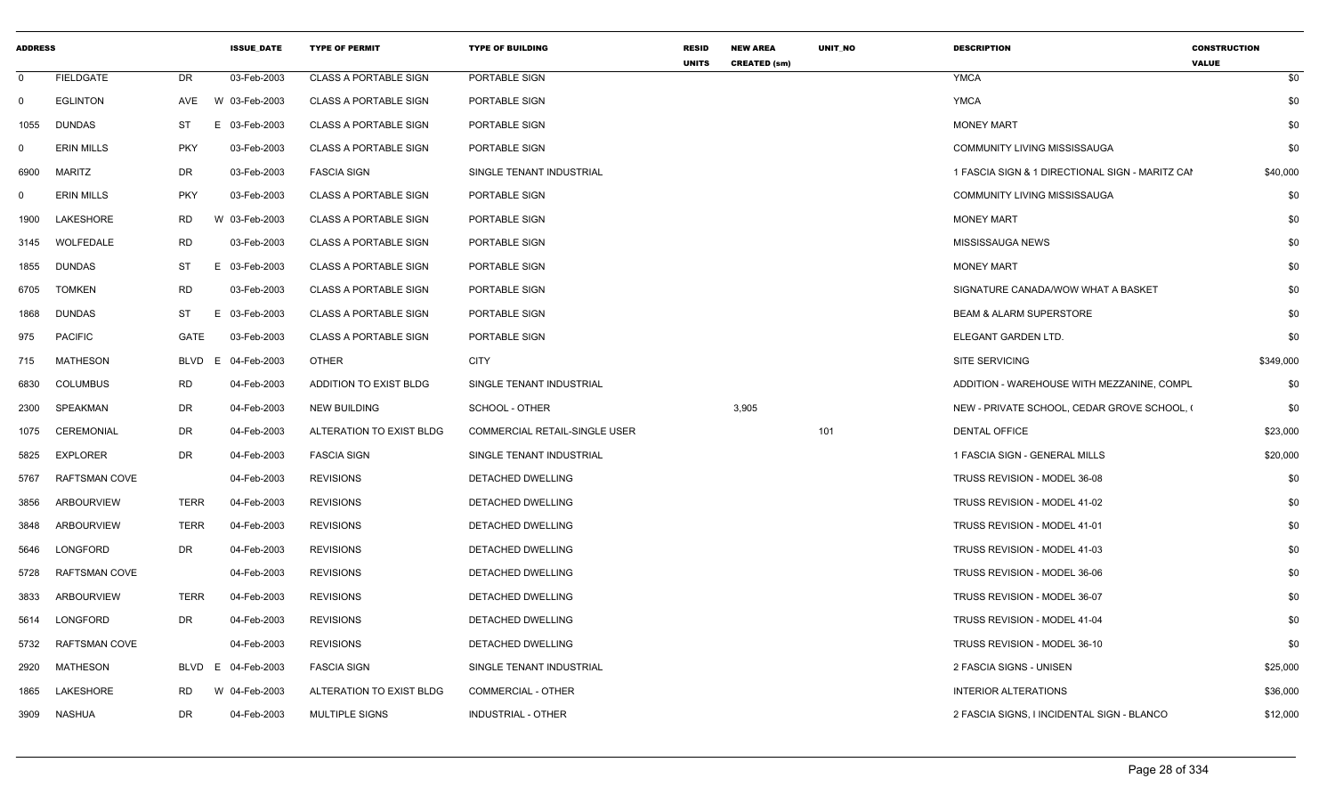| <b>ADDRESS</b> |                      |             | <b>ISSUE_DATE</b> | <b>TYPE OF PERMIT</b>        | <b>TYPE OF BUILDING</b>              | <b>RESID</b><br><b>UNITS</b> | <b>NEW AREA</b><br><b>CREATED (sm)</b> | UNIT_NO | <b>DESCRIPTION</b>                              | <b>CONSTRUCTION</b><br><b>VALUE</b> |
|----------------|----------------------|-------------|-------------------|------------------------------|--------------------------------------|------------------------------|----------------------------------------|---------|-------------------------------------------------|-------------------------------------|
| $\mathbf 0$    | <b>FIELDGATE</b>     | DR          | 03-Feb-2003       | <b>CLASS A PORTABLE SIGN</b> | PORTABLE SIGN                        |                              |                                        |         | <b>YMCA</b>                                     | \$0                                 |
| $\mathbf 0$    | <b>EGLINTON</b>      | AVE         | W 03-Feb-2003     | <b>CLASS A PORTABLE SIGN</b> | PORTABLE SIGN                        |                              |                                        |         | <b>YMCA</b>                                     | \$0                                 |
| 1055           | DUNDAS               | ST          | 03-Feb-2003<br>E  | <b>CLASS A PORTABLE SIGN</b> | PORTABLE SIGN                        |                              |                                        |         | <b>MONEY MART</b>                               | \$0                                 |
| $\Omega$       | <b>ERIN MILLS</b>    | <b>PKY</b>  | 03-Feb-2003       | <b>CLASS A PORTABLE SIGN</b> | PORTABLE SIGN                        |                              |                                        |         | <b>COMMUNITY LIVING MISSISSAUGA</b>             | \$0                                 |
| 6900           | MARITZ               | DR          | 03-Feb-2003       | <b>FASCIA SIGN</b>           | SINGLE TENANT INDUSTRIAL             |                              |                                        |         | 1 FASCIA SIGN & 1 DIRECTIONAL SIGN - MARITZ CAI | \$40,000                            |
| $\mathbf{0}$   | <b>ERIN MILLS</b>    | <b>PKY</b>  | 03-Feb-2003       | <b>CLASS A PORTABLE SIGN</b> | PORTABLE SIGN                        |                              |                                        |         | <b>COMMUNITY LIVING MISSISSAUGA</b>             | \$0                                 |
| 1900           | LAKESHORE            | <b>RD</b>   | W 03-Feb-2003     | <b>CLASS A PORTABLE SIGN</b> | PORTABLE SIGN                        |                              |                                        |         | <b>MONEY MART</b>                               | \$0                                 |
| 3145           | WOLFEDALE            | RD          | 03-Feb-2003       | <b>CLASS A PORTABLE SIGN</b> | PORTABLE SIGN                        |                              |                                        |         | MISSISSAUGA NEWS                                | \$0                                 |
| 1855           | DUNDAS               | ST          | E 03-Feb-2003     | <b>CLASS A PORTABLE SIGN</b> | PORTABLE SIGN                        |                              |                                        |         | <b>MONEY MART</b>                               | \$0                                 |
| 6705           | <b>TOMKEN</b>        | <b>RD</b>   | 03-Feb-2003       | <b>CLASS A PORTABLE SIGN</b> | PORTABLE SIGN                        |                              |                                        |         | SIGNATURE CANADA/WOW WHAT A BASKET              | \$0                                 |
| 1868           | DUNDAS               | ST          | 03-Feb-2003<br>E  | <b>CLASS A PORTABLE SIGN</b> | PORTABLE SIGN                        |                              |                                        |         | <b>BEAM &amp; ALARM SUPERSTORE</b>              | \$0                                 |
| 975            | <b>PACIFIC</b>       | GATE        | 03-Feb-2003       | <b>CLASS A PORTABLE SIGN</b> | PORTABLE SIGN                        |                              |                                        |         | ELEGANT GARDEN LTD.                             | \$0                                 |
| 715            | MATHESON             | <b>BLVD</b> | E 04-Feb-2003     | <b>OTHER</b>                 | <b>CITY</b>                          |                              |                                        |         | SITE SERVICING                                  | \$349,000                           |
| 6830           | <b>COLUMBUS</b>      | RD          | 04-Feb-2003       | ADDITION TO EXIST BLDG       | SINGLE TENANT INDUSTRIAL             |                              |                                        |         | ADDITION - WAREHOUSE WITH MEZZANINE, COMPL      | \$0                                 |
| 2300           | SPEAKMAN             | DR          | 04-Feb-2003       | <b>NEW BUILDING</b>          | SCHOOL - OTHER                       |                              | 3,905                                  |         | NEW - PRIVATE SCHOOL, CEDAR GROVE SCHOOL, (     | \$0                                 |
| 1075           | CEREMONIAL           | DR          | 04-Feb-2003       | ALTERATION TO EXIST BLDG     | <b>COMMERCIAL RETAIL-SINGLE USER</b> |                              |                                        | 101     | <b>DENTAL OFFICE</b>                            | \$23,000                            |
| 5825           | <b>EXPLORER</b>      | DR          | 04-Feb-2003       | <b>FASCIA SIGN</b>           | SINGLE TENANT INDUSTRIAL             |                              |                                        |         | 1 FASCIA SIGN - GENERAL MILLS                   | \$20,000                            |
| 5767           | <b>RAFTSMAN COVE</b> |             | 04-Feb-2003       | <b>REVISIONS</b>             | DETACHED DWELLING                    |                              |                                        |         | TRUSS REVISION - MODEL 36-08                    | \$0                                 |
| 3856           | <b>ARBOURVIEW</b>    | TERR        | 04-Feb-2003       | <b>REVISIONS</b>             | <b>DETACHED DWELLING</b>             |                              |                                        |         | TRUSS REVISION - MODEL 41-02                    | \$0                                 |
| 3848           | ARBOURVIEW           | <b>TERR</b> | 04-Feb-2003       | <b>REVISIONS</b>             | DETACHED DWELLING                    |                              |                                        |         | TRUSS REVISION - MODEL 41-01                    | \$0                                 |
| 5646           | LONGFORD             | DR          | 04-Feb-2003       | <b>REVISIONS</b>             | DETACHED DWELLING                    |                              |                                        |         | TRUSS REVISION - MODEL 41-03                    | \$0                                 |
| 5728           | <b>RAFTSMAN COVE</b> |             | 04-Feb-2003       | <b>REVISIONS</b>             | <b>DETACHED DWELLING</b>             |                              |                                        |         | TRUSS REVISION - MODEL 36-06                    | \$0                                 |
| 3833           | <b>ARBOURVIEW</b>    | <b>TERR</b> | 04-Feb-2003       | <b>REVISIONS</b>             | DETACHED DWELLING                    |                              |                                        |         | TRUSS REVISION - MODEL 36-07                    | \$0                                 |
| 5614           | LONGFORD             | DR          | 04-Feb-2003       | <b>REVISIONS</b>             | <b>DETACHED DWELLING</b>             |                              |                                        |         | TRUSS REVISION - MODEL 41-04                    | \$0                                 |
| 5732           | RAFTSMAN COVE        |             | 04-Feb-2003       | <b>REVISIONS</b>             | DETACHED DWELLING                    |                              |                                        |         | TRUSS REVISION - MODEL 36-10                    | \$0                                 |
| 2920           | MATHESON             | <b>BLVD</b> | E 04-Feb-2003     | <b>FASCIA SIGN</b>           | SINGLE TENANT INDUSTRIAL             |                              |                                        |         | 2 FASCIA SIGNS - UNISEN                         | \$25,000                            |
| 1865           | LAKESHORE            | RD          | W 04-Feb-2003     | ALTERATION TO EXIST BLDG     | COMMERCIAL - OTHER                   |                              |                                        |         | <b>INTERIOR ALTERATIONS</b>                     | \$36,000                            |
| 3909           | NASHUA               | DR          | 04-Feb-2003       | <b>MULTIPLE SIGNS</b>        | INDUSTRIAL - OTHER                   |                              |                                        |         | 2 FASCIA SIGNS, I INCIDENTAL SIGN - BLANCO      | \$12,000                            |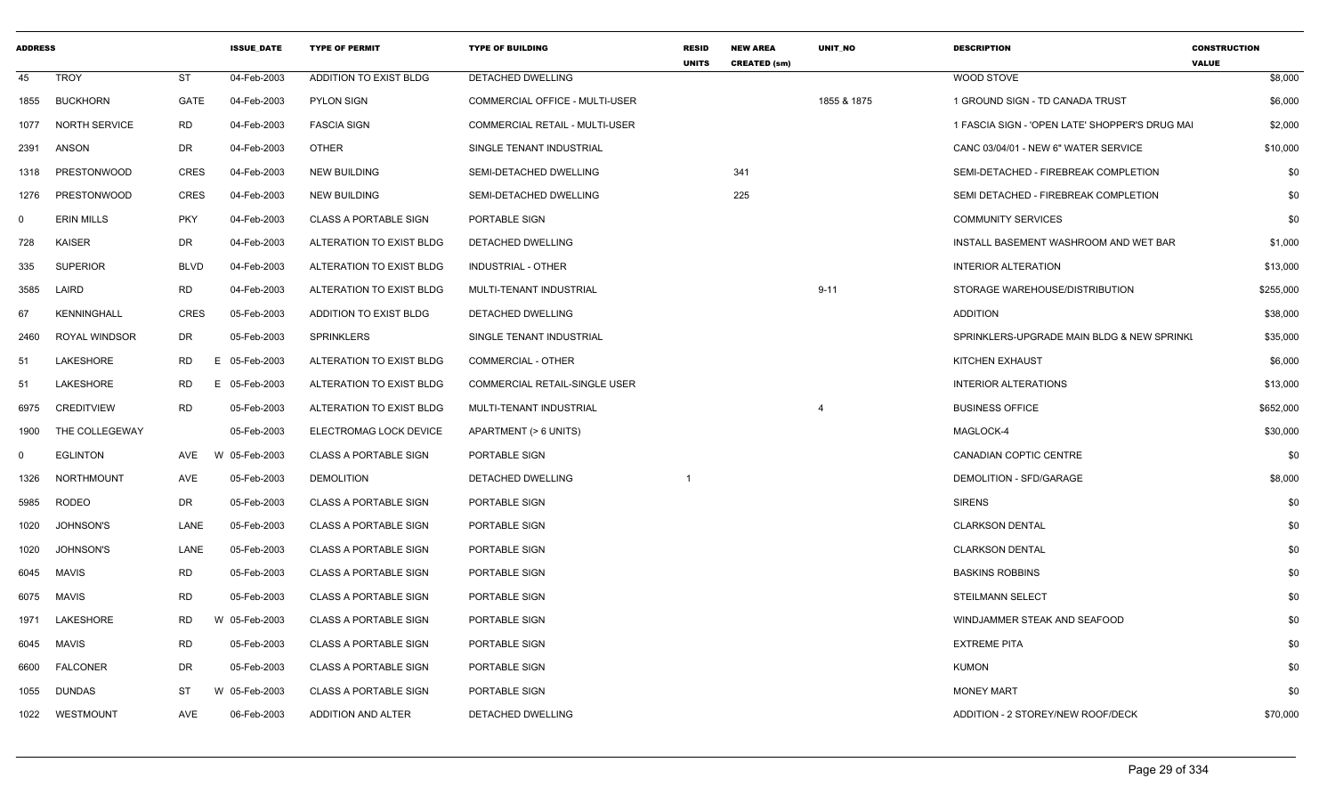| <b>ADDRESS</b> |                      |             | <b>ISSUE DATE</b> | <b>TYPE OF PERMIT</b>        | <b>TYPE OF BUILDING</b>        | <b>RESID</b><br><b>UNITS</b> | <b>NEW AREA</b><br><b>CREATED (sm)</b> | <b>UNIT NO</b> | <b>DESCRIPTION</b>                             | <b>CONSTRUCTION</b><br><b>VALUE</b> |          |
|----------------|----------------------|-------------|-------------------|------------------------------|--------------------------------|------------------------------|----------------------------------------|----------------|------------------------------------------------|-------------------------------------|----------|
| 45             | <b>TROY</b>          | <b>ST</b>   | 04-Feb-2003       | ADDITION TO EXIST BLDG       | <b>DETACHED DWELLING</b>       |                              |                                        |                | WOOD STOVE                                     |                                     | \$8,000  |
| 1855           | <b>BUCKHORN</b>      | GATE        | 04-Feb-2003       | <b>PYLON SIGN</b>            | COMMERCIAL OFFICE - MULTI-USER |                              |                                        | 1855 & 1875    | 1 GROUND SIGN - TD CANADA TRUST                |                                     | \$6,000  |
| 1077           | NORTH SERVICE        | <b>RD</b>   | 04-Feb-2003       | <b>FASCIA SIGN</b>           | COMMERCIAL RETAIL - MULTI-USER |                              |                                        |                | 1 FASCIA SIGN - 'OPEN LATE' SHOPPER'S DRUG MAI |                                     | \$2,000  |
| 2391           | ANSON                | DR          | 04-Feb-2003       | <b>OTHER</b>                 | SINGLE TENANT INDUSTRIAL       |                              |                                        |                | CANC 03/04/01 - NEW 6" WATER SERVICE           |                                     | \$10,000 |
| 1318           | <b>PRESTONWOOD</b>   | CRES        | 04-Feb-2003       | <b>NEW BUILDING</b>          | SEMI-DETACHED DWELLING         |                              | 341                                    |                | SEMI-DETACHED - FIREBREAK COMPLETION           |                                     | \$0      |
| 1276           | <b>PRESTONWOOD</b>   | <b>CRES</b> | 04-Feb-2003       | <b>NEW BUILDING</b>          | SEMI-DETACHED DWELLING         |                              | 225                                    |                | SEMI DETACHED - FIREBREAK COMPLETION           |                                     | \$0      |
| $\Omega$       | <b>ERIN MILLS</b>    | <b>PKY</b>  | 04-Feb-2003       | <b>CLASS A PORTABLE SIGN</b> | PORTABLE SIGN                  |                              |                                        |                | <b>COMMUNITY SERVICES</b>                      |                                     | \$0      |
| 728            | <b>KAISER</b>        | DR          | 04-Feb-2003       | ALTERATION TO EXIST BLDG     | <b>DETACHED DWELLING</b>       |                              |                                        |                | INSTALL BASEMENT WASHROOM AND WET BAR          |                                     | \$1,000  |
| 335            | <b>SUPERIOR</b>      | <b>BLVD</b> | 04-Feb-2003       | ALTERATION TO EXIST BLDG     | INDUSTRIAL - OTHER             |                              |                                        |                | <b>INTERIOR ALTERATION</b>                     |                                     | \$13,000 |
| 3585           | LAIRD                | <b>RD</b>   | 04-Feb-2003       | ALTERATION TO EXIST BLDG     | MULTI-TENANT INDUSTRIAL        |                              |                                        | $9 - 11$       | STORAGE WAREHOUSE/DISTRIBUTION                 | \$255,000                           |          |
| 67             | <b>KENNINGHALL</b>   | <b>CRES</b> | 05-Feb-2003       | ADDITION TO EXIST BLDG       | DETACHED DWELLING              |                              |                                        |                | <b>ADDITION</b>                                |                                     | \$38,000 |
| 2460           | <b>ROYAL WINDSOR</b> | DR          | 05-Feb-2003       | <b>SPRINKLERS</b>            | SINGLE TENANT INDUSTRIAL       |                              |                                        |                | SPRINKLERS-UPGRADE MAIN BLDG & NEW SPRINKI     |                                     | \$35,000 |
| 51             | LAKESHORE            | RD.         | E 05-Feb-2003     | ALTERATION TO EXIST BLDG     | COMMERCIAL - OTHER             |                              |                                        |                | KITCHEN EXHAUST                                |                                     | \$6,000  |
| 51             | LAKESHORE            | RD<br>E.    | 05-Feb-2003       | ALTERATION TO EXIST BLDG     | COMMERCIAL RETAIL-SINGLE USER  |                              |                                        |                | <b>INTERIOR ALTERATIONS</b>                    |                                     | \$13,000 |
| 6975           | <b>CREDITVIEW</b>    | <b>RD</b>   | 05-Feb-2003       | ALTERATION TO EXIST BLDG     | MULTI-TENANT INDUSTRIAL        |                              |                                        |                | <b>BUSINESS OFFICE</b>                         | \$652,000                           |          |
| 1900           | THE COLLEGEWAY       |             | 05-Feb-2003       | ELECTROMAG LOCK DEVICE       | APARTMENT (> 6 UNITS)          |                              |                                        |                | MAGLOCK-4                                      |                                     | \$30,000 |
| $\Omega$       | <b>EGLINTON</b>      | AVE         | W 05-Feb-2003     | CLASS A PORTABLE SIGN        | PORTABLE SIGN                  |                              |                                        |                | <b>CANADIAN COPTIC CENTRE</b>                  |                                     | \$0      |
| 1326           | <b>NORTHMOUNT</b>    | AVE         | 05-Feb-2003       | <b>DEMOLITION</b>            | <b>DETACHED DWELLING</b>       |                              |                                        |                | DEMOLITION - SFD/GARAGE                        |                                     | \$8,000  |
| 5985           | <b>RODEO</b>         | DR          | 05-Feb-2003       | <b>CLASS A PORTABLE SIGN</b> | PORTABLE SIGN                  |                              |                                        |                | <b>SIRENS</b>                                  |                                     | \$0      |
| 1020           | <b>JOHNSON'S</b>     | LANE        | 05-Feb-2003       | <b>CLASS A PORTABLE SIGN</b> | PORTABLE SIGN                  |                              |                                        |                | <b>CLARKSON DENTAL</b>                         |                                     | \$0      |
| 1020           | <b>JOHNSON'S</b>     | LANE        | 05-Feb-2003       | <b>CLASS A PORTABLE SIGN</b> | PORTABLE SIGN                  |                              |                                        |                | <b>CLARKSON DENTAL</b>                         |                                     | \$0      |
| 6045           | <b>MAVIS</b>         | <b>RD</b>   | 05-Feb-2003       | <b>CLASS A PORTABLE SIGN</b> | PORTABLE SIGN                  |                              |                                        |                | <b>BASKINS ROBBINS</b>                         |                                     | \$0      |
| 6075           | <b>MAVIS</b>         | <b>RD</b>   | 05-Feb-2003       | <b>CLASS A PORTABLE SIGN</b> | PORTABLE SIGN                  |                              |                                        |                | <b>STEILMANN SELECT</b>                        |                                     | \$0      |
| 1971           | LAKESHORE            | RD          | W 05-Feb-2003     | <b>CLASS A PORTABLE SIGN</b> | PORTABLE SIGN                  |                              |                                        |                | WINDJAMMER STEAK AND SEAFOOD                   |                                     | \$0      |
| 6045           | <b>MAVIS</b>         | RD          | 05-Feb-2003       | <b>CLASS A PORTABLE SIGN</b> | PORTABLE SIGN                  |                              |                                        |                | <b>EXTREME PITA</b>                            |                                     | \$0      |
| 6600           | <b>FALCONER</b>      | DR          | 05-Feb-2003       | <b>CLASS A PORTABLE SIGN</b> | PORTABLE SIGN                  |                              |                                        |                | <b>KUMON</b>                                   |                                     | \$0      |
| 1055           | <b>DUNDAS</b>        | ST          | W 05-Feb-2003     | <b>CLASS A PORTABLE SIGN</b> | PORTABLE SIGN                  |                              |                                        |                | <b>MONEY MART</b>                              |                                     | \$0      |
| 1022           | WESTMOUNT            | AVE         | 06-Feb-2003       | ADDITION AND ALTER           | <b>DETACHED DWELLING</b>       |                              |                                        |                | ADDITION - 2 STOREY/NEW ROOF/DECK              |                                     | \$70,000 |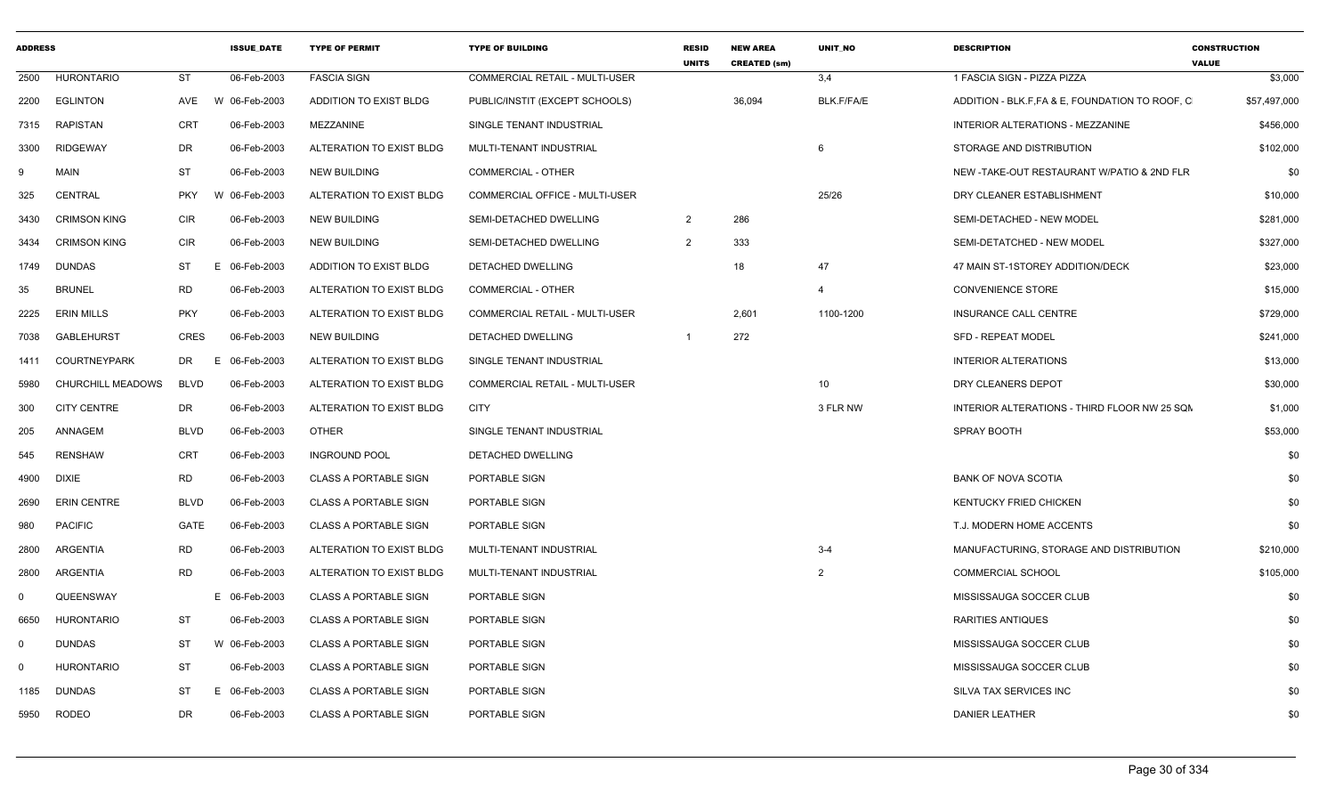| <b>ADDRESS</b> |                     |             | <b>ISSUE DATE</b> | <b>TYPE OF PERMIT</b>        | <b>TYPE OF BUILDING</b>               | <b>RESID</b><br><b>UNITS</b> | <b>NEW AREA</b><br><b>CREATED (sm)</b> | <b>UNIT NO</b> | <b>DESCRIPTION</b>                              | <b>CONSTRUCTION</b><br><b>VALUE</b> |
|----------------|---------------------|-------------|-------------------|------------------------------|---------------------------------------|------------------------------|----------------------------------------|----------------|-------------------------------------------------|-------------------------------------|
| 2500           | <b>HURONTARIO</b>   | <b>ST</b>   | 06-Feb-2003       | <b>FASCIA SIGN</b>           | <b>COMMERCIAL RETAIL - MULTI-USER</b> |                              |                                        | 3,4            | 1 FASCIA SIGN - PIZZA PIZZA                     | \$3,000                             |
| 2200           | EGLINTON            | AVE         | W 06-Feb-2003     | ADDITION TO EXIST BLDG       | PUBLIC/INSTIT (EXCEPT SCHOOLS)        |                              | 36,094                                 | BLK.F/FA/E     | ADDITION - BLK.F, FA & E, FOUNDATION TO ROOF, C | \$57,497,000                        |
| 7315           | <b>RAPISTAN</b>     | <b>CRT</b>  | 06-Feb-2003       | MEZZANINE                    | SINGLE TENANT INDUSTRIAL              |                              |                                        |                | INTERIOR ALTERATIONS - MEZZANINE                | \$456,000                           |
| 3300           | RIDGEWAY            | DR          | 06-Feb-2003       | ALTERATION TO EXIST BLDG     | MULTI-TENANT INDUSTRIAL               |                              |                                        | 6              | STORAGE AND DISTRIBUTION                        | \$102,000                           |
| -9             | <b>MAIN</b>         | <b>ST</b>   | 06-Feb-2003       | NEW BUILDING                 | <b>COMMERCIAL - OTHER</b>             |                              |                                        |                | NEW -TAKE-OUT RESTAURANT W/PATIO & 2ND FLR      | \$0                                 |
| 325            | CENTRAL             | <b>PKY</b>  | W 06-Feb-2003     | ALTERATION TO EXIST BLDG     | COMMERCIAL OFFICE - MULTI-USER        |                              |                                        | 25/26          | DRY CLEANER ESTABLISHMENT                       | \$10,000                            |
| 3430           | <b>CRIMSON KING</b> | <b>CIR</b>  | 06-Feb-2003       | <b>NEW BUILDING</b>          | SEMI-DETACHED DWELLING                | $\overline{2}$               | 286                                    |                | SEMI-DETACHED - NEW MODEL                       | \$281,000                           |
| 3434           | <b>CRIMSON KING</b> | <b>CIR</b>  | 06-Feb-2003       | <b>NEW BUILDING</b>          | SEMI-DETACHED DWELLING                | $\overline{2}$               | 333                                    |                | SEMI-DETATCHED - NEW MODEL                      | \$327,000                           |
| 1749           | DUNDAS              | ST          | E 06-Feb-2003     | ADDITION TO EXIST BLDG       | DETACHED DWELLING                     |                              | 18                                     | 47             | 47 MAIN ST-1STOREY ADDITION/DECK                | \$23,000                            |
| 35             | <b>BRUNEL</b>       | <b>RD</b>   | 06-Feb-2003       | ALTERATION TO EXIST BLDG     | <b>COMMERCIAL - OTHER</b>             |                              |                                        | $\overline{4}$ | <b>CONVENIENCE STORE</b>                        | \$15,000                            |
| 2225           | <b>ERIN MILLS</b>   | <b>PKY</b>  | 06-Feb-2003       | ALTERATION TO EXIST BLDG     | <b>COMMERCIAL RETAIL - MULTI-USER</b> |                              | 2,601                                  | 1100-1200      | <b>INSURANCE CALL CENTRE</b>                    | \$729,000                           |
| 7038           | <b>GABLEHURST</b>   | CRES        | 06-Feb-2003       | NEW BUILDING                 | DETACHED DWELLING                     | $\overline{1}$               | 272                                    |                | <b>SFD - REPEAT MODEL</b>                       | \$241,000                           |
| 1411           | COURTNEYPARK        | DR          | E 06-Feb-2003     | ALTERATION TO EXIST BLDG     | SINGLE TENANT INDUSTRIAL              |                              |                                        |                | <b>INTERIOR ALTERATIONS</b>                     | \$13,000                            |
| 5980           | CHURCHILL MEADOWS   | <b>BLVD</b> | 06-Feb-2003       | ALTERATION TO EXIST BLDG     | <b>COMMERCIAL RETAIL - MULTI-USER</b> |                              |                                        | 10             | DRY CLEANERS DEPOT                              | \$30,000                            |
| 300            | <b>CITY CENTRE</b>  | DR          | 06-Feb-2003       | ALTERATION TO EXIST BLDG     | <b>CITY</b>                           |                              |                                        | 3 FLR NW       | INTERIOR ALTERATIONS - THIRD FLOOR NW 25 SQN    | \$1,000                             |
| 205            | ANNAGEM             | <b>BLVD</b> | 06-Feb-2003       | OTHER                        | SINGLE TENANT INDUSTRIAL              |                              |                                        |                | SPRAY BOOTH                                     | \$53,000                            |
| 545            | <b>RENSHAW</b>      | <b>CRT</b>  | 06-Feb-2003       | <b>INGROUND POOL</b>         | DETACHED DWELLING                     |                              |                                        |                |                                                 | \$0                                 |
| 4900           | <b>DIXIE</b>        | <b>RD</b>   | 06-Feb-2003       | <b>CLASS A PORTABLE SIGN</b> | PORTABLE SIGN                         |                              |                                        |                | <b>BANK OF NOVA SCOTIA</b>                      | \$0                                 |
| 2690           | <b>ERIN CENTRE</b>  | BLVD        | 06-Feb-2003       | <b>CLASS A PORTABLE SIGN</b> | PORTABLE SIGN                         |                              |                                        |                | KENTUCKY FRIED CHICKEN                          | \$0                                 |
| 980            | <b>PACIFIC</b>      | GATE        | 06-Feb-2003       | <b>CLASS A PORTABLE SIGN</b> | PORTABLE SIGN                         |                              |                                        |                | T.J. MODERN HOME ACCENTS                        | \$0                                 |
| 2800           | ARGENTIA            | RD          | 06-Feb-2003       | ALTERATION TO EXIST BLDG     | MULTI-TENANT INDUSTRIAL               |                              |                                        | $3 - 4$        | MANUFACTURING, STORAGE AND DISTRIBUTION         | \$210,000                           |
| 2800           | ARGENTIA            | <b>RD</b>   | 06-Feb-2003       | ALTERATION TO EXIST BLDG     | MULTI-TENANT INDUSTRIAL               |                              |                                        | $\overline{2}$ | <b>COMMERCIAL SCHOOL</b>                        | \$105,000                           |
| $\Omega$       | QUEENSWAY           |             | E 06-Feb-2003     | <b>CLASS A PORTABLE SIGN</b> | PORTABLE SIGN                         |                              |                                        |                | MISSISSAUGA SOCCER CLUB                         | \$0                                 |
| 6650           | <b>HURONTARIO</b>   | ST          | 06-Feb-2003       | <b>CLASS A PORTABLE SIGN</b> | PORTABLE SIGN                         |                              |                                        |                | RARITIES ANTIQUES                               | \$0                                 |
| $\Omega$       | DUNDAS              | ST          | W 06-Feb-2003     | <b>CLASS A PORTABLE SIGN</b> | PORTABLE SIGN                         |                              |                                        |                | MISSISSAUGA SOCCER CLUB                         | \$0                                 |
| $\Omega$       | <b>HURONTARIO</b>   | ST          | 06-Feb-2003       | <b>CLASS A PORTABLE SIGN</b> | PORTABLE SIGN                         |                              |                                        |                | MISSISSAUGA SOCCER CLUB                         | \$0                                 |
| 1185           | <b>DUNDAS</b>       | <b>ST</b>   | E 06-Feb-2003     | <b>CLASS A PORTABLE SIGN</b> | PORTABLE SIGN                         |                              |                                        |                | SILVA TAX SERVICES INC                          | \$0                                 |
| 5950           | <b>RODEO</b>        | DR          | 06-Feb-2003       | <b>CLASS A PORTABLE SIGN</b> | PORTABLE SIGN                         |                              |                                        |                | <b>DANIER LEATHER</b>                           | \$0                                 |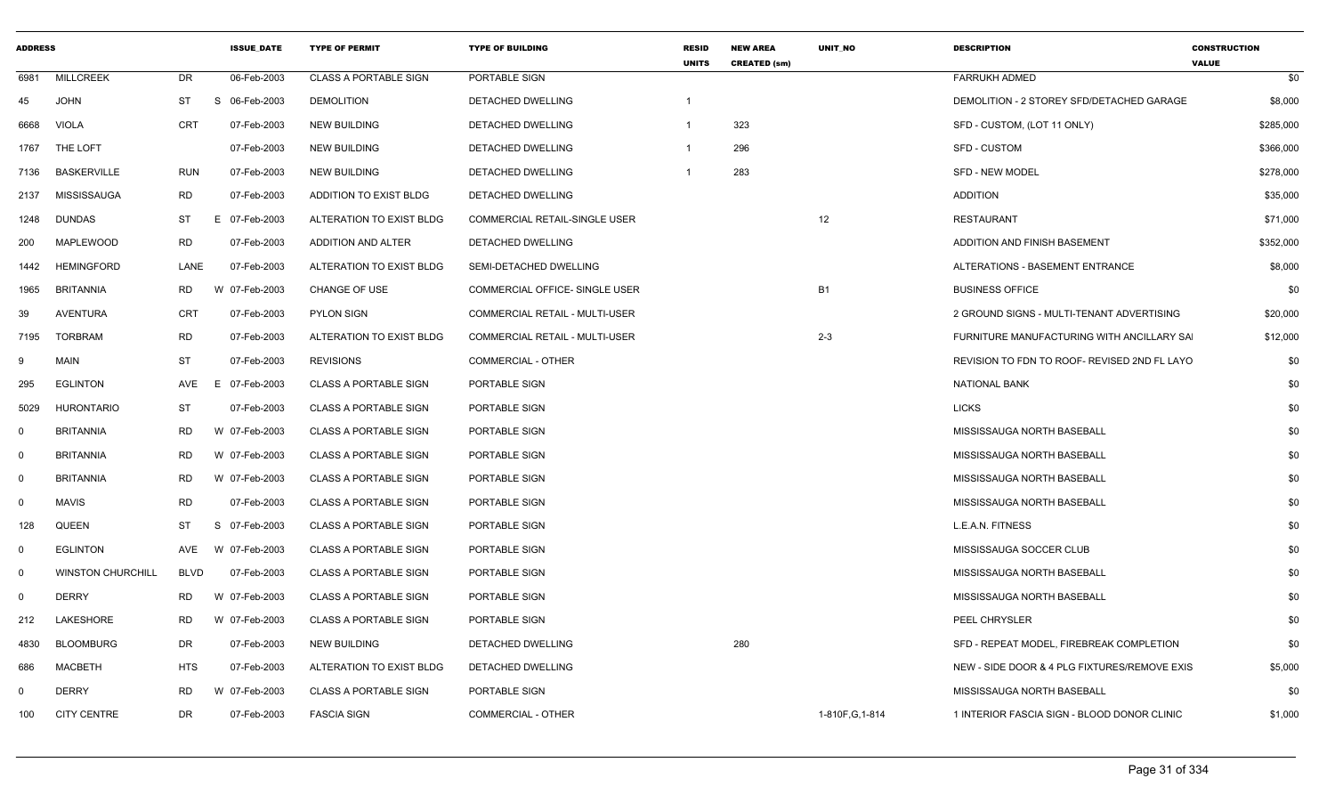| <b>ADDRESS</b> |                          |             | <b>ISSUE DATE</b> | <b>TYPE OF PERMIT</b>        | <b>TYPE OF BUILDING</b>               | <b>RESID</b><br><b>UNITS</b> | <b>NEW AREA</b><br><b>CREATED (sm)</b> | <b>UNIT NO</b>   | <b>DESCRIPTION</b>                           | <b>CONSTRUCTION</b><br><b>VALUE</b> |
|----------------|--------------------------|-------------|-------------------|------------------------------|---------------------------------------|------------------------------|----------------------------------------|------------------|----------------------------------------------|-------------------------------------|
| 6981           | <b>MILLCREEK</b>         | DR          | 06-Feb-2003       | <b>CLASS A PORTABLE SIGN</b> | PORTABLE SIGN                         |                              |                                        |                  | <b>FARRUKH ADMED</b>                         | \$0                                 |
| 45             | <b>JOHN</b>              | ST          | S 06-Feb-2003     | <b>DEMOLITION</b>            | <b>DETACHED DWELLING</b>              | $\mathbf{1}$                 |                                        |                  | DEMOLITION - 2 STOREY SFD/DETACHED GARAGE    | \$8,000                             |
| 6668           | <b>VIOLA</b>             | <b>CRT</b>  | 07-Feb-2003       | <b>NEW BUILDING</b>          | <b>DETACHED DWELLING</b>              | -1                           | 323                                    |                  | SFD - CUSTOM, (LOT 11 ONLY)                  | \$285,000                           |
| 1767           | THE LOFT                 |             | 07-Feb-2003       | <b>NEW BUILDING</b>          | <b>DETACHED DWELLING</b>              | -1                           | 296                                    |                  | <b>SFD - CUSTOM</b>                          | \$366,000                           |
| 7136           | <b>BASKERVILLE</b>       | <b>RUN</b>  | 07-Feb-2003       | <b>NEW BUILDING</b>          | DETACHED DWELLING                     | -1                           | 283                                    |                  | <b>SFD - NEW MODEL</b>                       | \$278,000                           |
| 2137           | <b>MISSISSAUGA</b>       | <b>RD</b>   | 07-Feb-2003       | ADDITION TO EXIST BLDG       | <b>DETACHED DWELLING</b>              |                              |                                        |                  | <b>ADDITION</b>                              | \$35,000                            |
| 1248           | <b>DUNDAS</b>            | ST          | E 07-Feb-2003     | ALTERATION TO EXIST BLDG     | COMMERCIAL RETAIL-SINGLE USER         |                              |                                        | 12               | <b>RESTAURANT</b>                            | \$71,000                            |
| 200            | MAPLEWOOD                | RD          | 07-Feb-2003       | ADDITION AND ALTER           | DETACHED DWELLING                     |                              |                                        |                  | ADDITION AND FINISH BASEMENT                 | \$352,000                           |
| 1442           | <b>HEMINGFORD</b>        | LANE        | 07-Feb-2003       | ALTERATION TO EXIST BLDG     | SEMI-DETACHED DWELLING                |                              |                                        |                  | ALTERATIONS - BASEMENT ENTRANCE              | \$8,000                             |
| 1965           | <b>BRITANNIA</b>         | <b>RD</b>   | W 07-Feb-2003     | <b>CHANGE OF USE</b>         | COMMERCIAL OFFICE- SINGLE USER        |                              |                                        | <b>B1</b>        | <b>BUSINESS OFFICE</b>                       | \$0                                 |
| 39             | <b>AVENTURA</b>          | <b>CRT</b>  | 07-Feb-2003       | <b>PYLON SIGN</b>            | COMMERCIAL RETAIL - MULTI-USER        |                              |                                        |                  | 2 GROUND SIGNS - MULTI-TENANT ADVERTISING    | \$20,000                            |
| 7195           | TORBRAM                  | <b>RD</b>   | 07-Feb-2003       | ALTERATION TO EXIST BLDG     | <b>COMMERCIAL RETAIL - MULTI-USER</b> |                              |                                        | $2 - 3$          | FURNITURE MANUFACTURING WITH ANCILLARY SA    | \$12,000                            |
| 9              | <b>MAIN</b>              | ST          | 07-Feb-2003       | <b>REVISIONS</b>             | <b>COMMERCIAL - OTHER</b>             |                              |                                        |                  | REVISION TO FDN TO ROOF- REVISED 2ND FL LAYO | \$0                                 |
| 295            | <b>EGLINTON</b>          | AVE         | E<br>07-Feb-2003  | <b>CLASS A PORTABLE SIGN</b> | PORTABLE SIGN                         |                              |                                        |                  | <b>NATIONAL BANK</b>                         | \$0                                 |
| 5029           | <b>HURONTARIO</b>        | ST          | 07-Feb-2003       | <b>CLASS A PORTABLE SIGN</b> | PORTABLE SIGN                         |                              |                                        |                  | <b>LICKS</b>                                 | \$0                                 |
| $\mathbf 0$    | <b>BRITANNIA</b>         | <b>RD</b>   | W 07-Feb-2003     | <b>CLASS A PORTABLE SIGN</b> | PORTABLE SIGN                         |                              |                                        |                  | MISSISSAUGA NORTH BASEBALL                   | \$0                                 |
| $\mathbf 0$    | <b>BRITANNIA</b>         | <b>RD</b>   | W 07-Feb-2003     | <b>CLASS A PORTABLE SIGN</b> | PORTABLE SIGN                         |                              |                                        |                  | MISSISSAUGA NORTH BASEBALL                   | \$0                                 |
| $\mathbf 0$    | <b>BRITANNIA</b>         | <b>RD</b>   | W 07-Feb-2003     | <b>CLASS A PORTABLE SIGN</b> | PORTABLE SIGN                         |                              |                                        |                  | MISSISSAUGA NORTH BASEBALL                   | \$0                                 |
| $\mathbf 0$    | <b>MAVIS</b>             | <b>RD</b>   | 07-Feb-2003       | <b>CLASS A PORTABLE SIGN</b> | PORTABLE SIGN                         |                              |                                        |                  | MISSISSAUGA NORTH BASEBALL                   | \$0                                 |
| 128            | QUEEN                    | <b>ST</b>   | S 07-Feb-2003     | CLASS A PORTABLE SIGN        | PORTABLE SIGN                         |                              |                                        |                  | L.E.A.N. FITNESS                             | \$0                                 |
| $\mathbf 0$    | <b>EGLINTON</b>          | <b>AVE</b>  | W 07-Feb-2003     | <b>CLASS A PORTABLE SIGN</b> | PORTABLE SIGN                         |                              |                                        |                  | MISSISSAUGA SOCCER CLUB                      | \$0                                 |
| $\mathbf 0$    | <b>WINSTON CHURCHILL</b> | <b>BLVD</b> | 07-Feb-2003       | <b>CLASS A PORTABLE SIGN</b> | PORTABLE SIGN                         |                              |                                        |                  | MISSISSAUGA NORTH BASEBALL                   | \$0                                 |
| $\mathbf 0$    | <b>DERRY</b>             | <b>RD</b>   | W 07-Feb-2003     | <b>CLASS A PORTABLE SIGN</b> | PORTABLE SIGN                         |                              |                                        |                  | MISSISSAUGA NORTH BASEBALL                   | \$0                                 |
| 212            | LAKESHORE                | <b>RD</b>   | W 07-Feb-2003     | <b>CLASS A PORTABLE SIGN</b> | PORTABLE SIGN                         |                              |                                        |                  | PEEL CHRYSLER                                | \$0                                 |
| 4830           | <b>BLOOMBURG</b>         | DR          | 07-Feb-2003       | <b>NEW BUILDING</b>          | DETACHED DWELLING                     |                              | 280                                    |                  | SFD - REPEAT MODEL, FIREBREAK COMPLETION     | \$0                                 |
| 686            | <b>MACBETH</b>           | <b>HTS</b>  | 07-Feb-2003       | ALTERATION TO EXIST BLDG     | DETACHED DWELLING                     |                              |                                        |                  | NEW - SIDE DOOR & 4 PLG FIXTURES/REMOVE EXIS | \$5,000                             |
| $\mathbf 0$    | <b>DERRY</b>             | <b>RD</b>   | W 07-Feb-2003     | <b>CLASS A PORTABLE SIGN</b> | PORTABLE SIGN                         |                              |                                        |                  | MISSISSAUGA NORTH BASEBALL                   | \$0                                 |
| 100            | CITY CENTRE              | <b>DR</b>   | 07-Feb-2003       | <b>FASCIA SIGN</b>           | <b>COMMERCIAL - OTHER</b>             |                              |                                        | 1-810F, G, 1-814 | 1 INTERIOR FASCIA SIGN - BLOOD DONOR CLINIC  | \$1,000                             |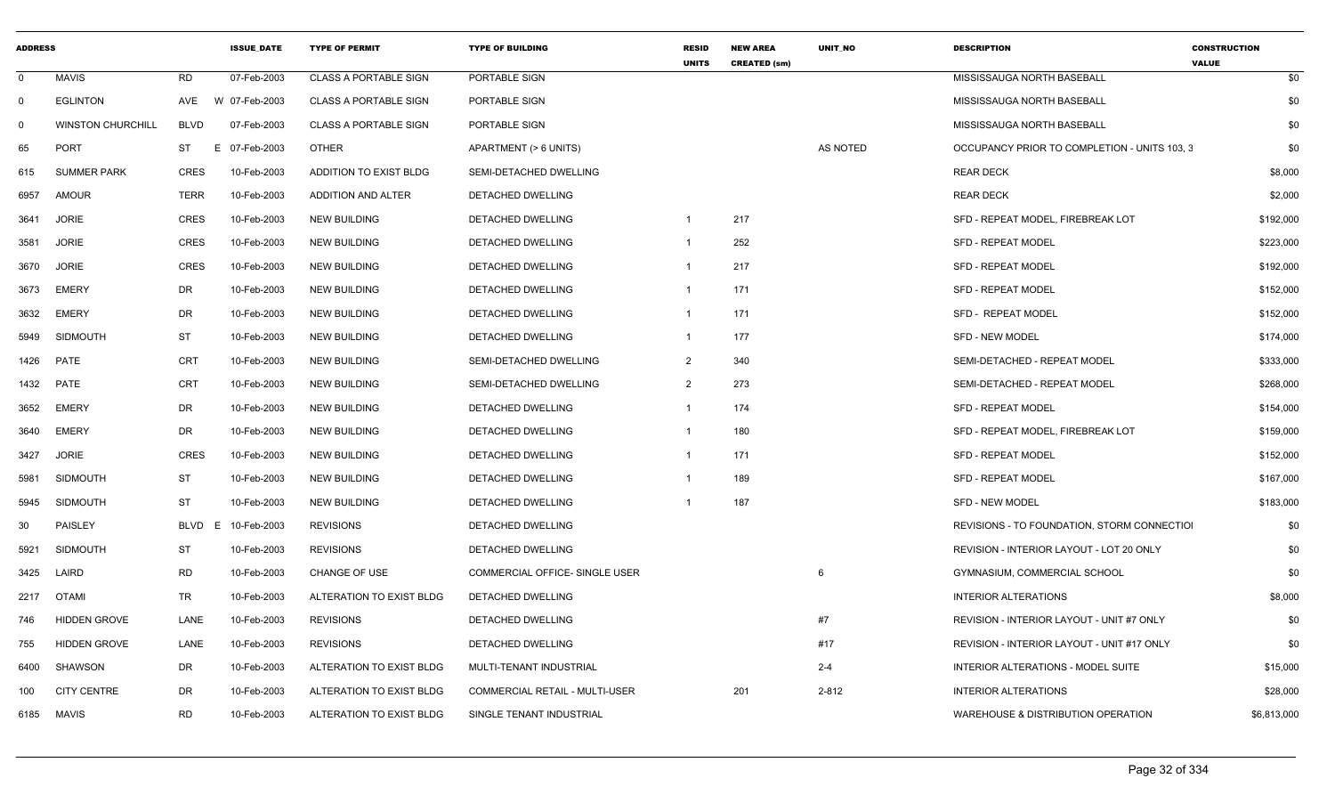| <b>ADDRESS</b> |                          |                  | <b>ISSUE DATE</b> | <b>TYPE OF PERMIT</b>        | <b>TYPE OF BUILDING</b>               | <b>RESID</b><br><b>UNITS</b> | <b>NEW AREA</b><br><b>CREATED (sm)</b> | UNIT_NO  | <b>DESCRIPTION</b>                           | <b>CONSTRUCTION</b><br><b>VALUE</b> |             |
|----------------|--------------------------|------------------|-------------------|------------------------------|---------------------------------------|------------------------------|----------------------------------------|----------|----------------------------------------------|-------------------------------------|-------------|
| $\mathbf 0$    | MAVIS                    | <b>RD</b>        | 07-Feb-2003       | <b>CLASS A PORTABLE SIGN</b> | PORTABLE SIGN                         |                              |                                        |          | MISSISSAUGA NORTH BASEBALL                   |                                     | \$0         |
| $\Omega$       | <b>EGLINTON</b>          | AVE              | W 07-Feb-2003     | <b>CLASS A PORTABLE SIGN</b> | PORTABLE SIGN                         |                              |                                        |          | MISSISSAUGA NORTH BASEBALL                   |                                     | \$0         |
|                | <b>WINSTON CHURCHILL</b> | <b>BLVD</b>      | 07-Feb-2003       | <b>CLASS A PORTABLE SIGN</b> | PORTABLE SIGN                         |                              |                                        |          | MISSISSAUGA NORTH BASEBALL                   |                                     | \$0         |
| 65             | POR <sup>-</sup>         | <b>ST</b><br>- F | 07-Feb-2003       | <b>OTHER</b>                 | APARTMENT (> 6 UNITS)                 |                              |                                        | AS NOTED | OCCUPANCY PRIOR TO COMPLETION - UNITS 103, 3 |                                     | \$0         |
| 615            | <b>SUMMER PARK</b>       | <b>CRES</b>      | 10-Feb-2003       | ADDITION TO EXIST BLDG       | SEMI-DETACHED DWELLING                |                              |                                        |          | <b>REAR DECK</b>                             |                                     | \$8,000     |
| 6957           | AMOUF                    | TERR             | 10-Feb-2003       | ADDITION AND ALTER           | DETACHED DWELLING                     |                              |                                        |          | <b>REAR DECK</b>                             |                                     | \$2,000     |
| 3641           | <b>JORIE</b>             | <b>CRES</b>      | 10-Feb-2003       | <b>NEW BUILDING</b>          | DETACHED DWELLING                     | $\overline{\mathbf{1}}$      | 217                                    |          | SFD - REPEAT MODEL, FIREBREAK LOT            |                                     | \$192,000   |
| 3581           | <b>JORIE</b>             | <b>CRES</b>      | 10-Feb-2003       | <b>NEW BUILDING</b>          | DETACHED DWELLING                     | $\overline{1}$               | 252                                    |          | <b>SFD - REPEAT MODEL</b>                    |                                     | \$223,000   |
|                | 3670 JORIE               | <b>CRES</b>      | 10-Feb-2003       | <b>NEW BUILDING</b>          | DETACHED DWELLING                     | $\mathbf{1}$                 | 217                                    |          | <b>SFD - REPEAT MODEL</b>                    |                                     | \$192,000   |
| 3673           | EMERY                    | DR               | 10-Feb-2003       | <b>NEW BUILDING</b>          | DETACHED DWELLING                     | $\overline{\mathbf{1}}$      | 171                                    |          | <b>SFD - REPEAT MODEL</b>                    |                                     | \$152,000   |
| 3632           | EMERY                    | DR               | 10-Feb-2003       | <b>NEW BUILDING</b>          | DETACHED DWELLING                     | $\overline{1}$               | 171                                    |          | SFD - REPEAT MODEL                           |                                     | \$152,000   |
| 5949           | <b>SIDMOUTH</b>          | <b>ST</b>        | 10-Feb-2003       | <b>NEW BUILDING</b>          | <b>DETACHED DWELLING</b>              | $\overline{\mathbf{1}}$      | 177                                    |          | <b>SFD - NEW MODEL</b>                       |                                     | \$174,000   |
|                | 1426 PATE                | <b>CRT</b>       | 10-Feb-2003       | <b>NEW BUILDING</b>          | SEMI-DETACHED DWELLING                | 2                            | 340                                    |          | SEMI-DETACHED - REPEAT MODEL                 |                                     | \$333,000   |
| 1432           | PATE                     | <b>CRT</b>       | 10-Feb-2003       | <b>NEW BUILDING</b>          | SEMI-DETACHED DWELLING                | $\overline{2}$               | 273                                    |          | SEMI-DETACHED - REPEAT MODEL                 |                                     | \$268,000   |
| 3652           | EMERY                    | DR               | 10-Feb-2003       | <b>NEW BUILDING</b>          | DETACHED DWELLING                     | $\overline{1}$               | 174                                    |          | <b>SFD - REPEAT MODEL</b>                    |                                     | \$154,000   |
| 3640           | EMERY                    | <b>DR</b>        | 10-Feb-2003       | <b>NEW BUILDING</b>          | DETACHED DWELLING                     | $\mathbf{1}$                 | 180                                    |          | SFD - REPEAT MODEL, FIREBREAK LOT            |                                     | \$159,000   |
| 3427           | <b>JORIE</b>             | <b>CRES</b>      | 10-Feb-2003       | <b>NEW BUILDING</b>          | DETACHED DWELLING                     | $\overline{1}$               | 171                                    |          | <b>SFD - REPEAT MODEL</b>                    |                                     | \$152,000   |
| 5981           | SIDMOUTH                 | <b>ST</b>        | 10-Feb-2003       | <b>NEW BUILDING</b>          | DETACHED DWELLING                     |                              | 189                                    |          | <b>SFD - REPEAT MODEL</b>                    |                                     | \$167,000   |
| 5945           | SIDMOUTH                 | <b>ST</b>        | 10-Feb-2003       | <b>NEW BUILDING</b>          | DETACHED DWELLING                     |                              | 187                                    |          | SFD - NEW MODEL                              |                                     | \$183,000   |
| 30             | PAISLEY                  | BLVD<br>E        | 10-Feb-2003       | <b>REVISIONS</b>             | DETACHED DWELLING                     |                              |                                        |          | REVISIONS - TO FOUNDATION, STORM CONNECTIOI  |                                     | \$0         |
| 5921           | SIDMOUTH                 | <b>ST</b>        | 10-Feb-2003       | <b>REVISIONS</b>             | DETACHED DWELLING                     |                              |                                        |          | REVISION - INTERIOR LAYOUT - LOT 20 ONLY     |                                     | \$0         |
|                | 3425 LAIRD               | <b>RD</b>        | 10-Feb-2003       | <b>CHANGE OF USE</b>         | COMMERCIAL OFFICE- SINGLE USER        |                              |                                        | 6        | GYMNASIUM, COMMERCIAL SCHOOL                 |                                     | \$0         |
|                | 2217 OTAMI               | TR               | 10-Feb-2003       | ALTERATION TO EXIST BLDG     | DETACHED DWELLING                     |                              |                                        |          | INTERIOR ALTERATIONS                         |                                     | \$8,000     |
| 746            | <b>HIDDEN GROVE</b>      | LANE             | 10-Feb-2003       | <b>REVISIONS</b>             | DETACHED DWELLING                     |                              |                                        | #7       | REVISION - INTERIOR LAYOUT - UNIT #7 ONLY    |                                     | \$0         |
| 755            | <b>HIDDEN GROVE</b>      | LANE             | 10-Feb-2003       | <b>REVISIONS</b>             | DETACHED DWELLING                     |                              |                                        | #17      | REVISION - INTERIOR LAYOUT - UNIT #17 ONLY   |                                     | \$0         |
| 6400           | <b>SHAWSON</b>           | DR               | 10-Feb-2003       | ALTERATION TO EXIST BLDG     | MULTI-TENANT INDUSTRIAL               |                              |                                        | $2 - 4$  | INTERIOR ALTERATIONS - MODEL SUITE           |                                     | \$15,000    |
| 100            | <b>CITY CENTRE</b>       | DR               | 10-Feb-2003       | ALTERATION TO EXIST BLDG     | <b>COMMERCIAL RETAIL - MULTI-USER</b> |                              | 201                                    | 2-812    | <b>INTERIOR ALTERATIONS</b>                  |                                     | \$28,000    |
|                | 6185 MAVIS               | <b>RD</b>        | 10-Feb-2003       | ALTERATION TO EXIST BLDG     | SINGLE TENANT INDUSTRIAL              |                              |                                        |          | WAREHOUSE & DISTRIBUTION OPERATION           |                                     | \$6,813,000 |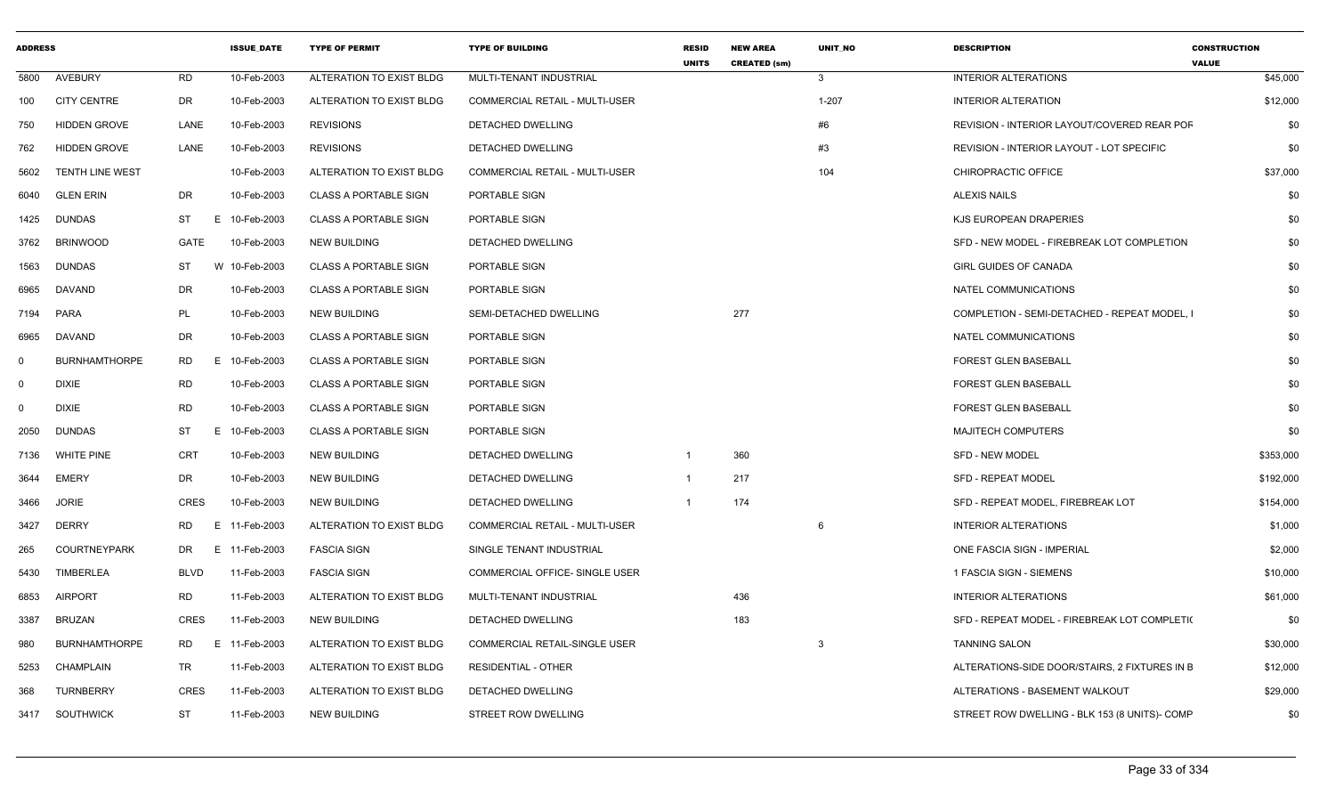| <b>ADDRESS</b> |                        |                 | <b>ISSUE_DATE</b> | <b>TYPE OF PERMIT</b>        | <b>TYPE OF BUILDING</b>               | <b>RESID</b><br><b>UNITS</b> | <b>NEW AREA</b><br><b>CREATED (sm)</b> | UNIT_NO      | <b>DESCRIPTION</b>                            | <b>CONSTRUCTION</b><br><b>VALUE</b> |
|----------------|------------------------|-----------------|-------------------|------------------------------|---------------------------------------|------------------------------|----------------------------------------|--------------|-----------------------------------------------|-------------------------------------|
| 5800           | AVEBURY                | <b>RD</b>       | 10-Feb-2003       | ALTERATION TO EXIST BLDG     | MULTI-TENANT INDUSTRIAL               |                              |                                        | $\mathbf{3}$ | <b>INTERIOR ALTERATIONS</b>                   | \$45,000                            |
| 100            | <b>CITY CENTRE</b>     | DR              | 10-Feb-2003       | ALTERATION TO EXIST BLDG     | <b>COMMERCIAL RETAIL - MULTI-USER</b> |                              |                                        | $1 - 207$    | <b>INTERIOR ALTERATION</b>                    | \$12,000                            |
| 750            | <b>HIDDEN GROVE</b>    | LANE            | 10-Feb-2003       | <b>REVISIONS</b>             | <b>DETACHED DWELLING</b>              |                              |                                        | #6           | REVISION - INTERIOR LAYOUT/COVERED REAR POF   | \$0                                 |
| 762            | <b>HIDDEN GROVE</b>    | LANE            | 10-Feb-2003       | <b>REVISIONS</b>             | DETACHED DWELLING                     |                              |                                        | #3           | REVISION - INTERIOR LAYOUT - LOT SPECIFIC     | \$0                                 |
| 5602           | <b>TENTH LINE WEST</b> |                 | 10-Feb-2003       | ALTERATION TO EXIST BLDG     | COMMERCIAL RETAIL - MULTI-USER        |                              |                                        | 104          | CHIROPRACTIC OFFICE                           | \$37,000                            |
| 6040           | <b>GLEN ERIN</b>       | DR              | 10-Feb-2003       | <b>CLASS A PORTABLE SIGN</b> | PORTABLE SIGN                         |                              |                                        |              | <b>ALEXIS NAILS</b>                           | \$0                                 |
| 1425           | <b>DUNDAS</b>          | <b>ST</b><br>E. | 10-Feb-2003       | <b>CLASS A PORTABLE SIGN</b> | PORTABLE SIGN                         |                              |                                        |              | KJS EUROPEAN DRAPERIES                        | \$0                                 |
| 3762           | <b>BRINWOOD</b>        | GATE            | 10-Feb-2003       | <b>NEW BUILDING</b>          | DETACHED DWELLING                     |                              |                                        |              | SFD - NEW MODEL - FIREBREAK LOT COMPLETION    | \$0                                 |
| 1563           | <b>DUNDAS</b>          | ST              | W 10-Feb-2003     | <b>CLASS A PORTABLE SIGN</b> | PORTABLE SIGN                         |                              |                                        |              | <b>GIRL GUIDES OF CANADA</b>                  | \$0                                 |
| 6965           | DAVAND                 | <b>DR</b>       | 10-Feb-2003       | <b>CLASS A PORTABLE SIGN</b> | PORTABLE SIGN                         |                              |                                        |              | NATEL COMMUNICATIONS                          | \$0                                 |
| 7194           | PARA                   | PL              | 10-Feb-2003       | <b>NEW BUILDING</b>          | SEMI-DETACHED DWELLING                |                              | 277                                    |              | COMPLETION - SEMI-DETACHED - REPEAT MODEL, I  | \$0                                 |
| 6965           | <b>DAVAND</b>          | <b>DR</b>       | 10-Feb-2003       | <b>CLASS A PORTABLE SIGN</b> | PORTABLE SIGN                         |                              |                                        |              | NATEL COMMUNICATIONS                          | \$0                                 |
| $\mathbf 0$    | <b>BURNHAMTHORPE</b>   | RD              | E 10-Feb-2003     | <b>CLASS A PORTABLE SIGN</b> | PORTABLE SIGN                         |                              |                                        |              | <b>FOREST GLEN BASEBALL</b>                   | \$0                                 |
| $\mathbf 0$    | <b>DIXIE</b>           | <b>RD</b>       | 10-Feb-2003       | <b>CLASS A PORTABLE SIGN</b> | PORTABLE SIGN                         |                              |                                        |              | <b>FOREST GLEN BASEBALL</b>                   | \$0                                 |
| $\mathbf 0$    | <b>DIXIE</b>           | <b>RD</b>       | 10-Feb-2003       | <b>CLASS A PORTABLE SIGN</b> | PORTABLE SIGN                         |                              |                                        |              | <b>FOREST GLEN BASEBALL</b>                   | \$0                                 |
| 2050           | <b>DUNDAS</b>          | <b>ST</b><br>E. | 10-Feb-2003       | <b>CLASS A PORTABLE SIGN</b> | PORTABLE SIGN                         |                              |                                        |              | <b>MAJITECH COMPUTERS</b>                     | \$0                                 |
| 7136           | <b>WHITE PINE</b>      | <b>CRT</b>      | 10-Feb-2003       | <b>NEW BUILDING</b>          | DETACHED DWELLING                     | $\overline{1}$               | 360                                    |              | <b>SFD - NEW MODEL</b>                        | \$353,000                           |
| 3644           | <b>EMERY</b>           | DR              | 10-Feb-2003       | <b>NEW BUILDING</b>          | DETACHED DWELLING                     | $\overline{1}$               | 217                                    |              | <b>SFD - REPEAT MODEL</b>                     | \$192,000                           |
| 3466           | <b>JORIE</b>           | <b>CRES</b>     | 10-Feb-2003       | <b>NEW BUILDING</b>          | <b>DETACHED DWELLING</b>              |                              | 174                                    |              | SFD - REPEAT MODEL, FIREBREAK LOT             | \$154,000                           |
| 3427           | <b>DERRY</b>           | RD              | E 11-Feb-2003     | ALTERATION TO EXIST BLDG     | <b>COMMERCIAL RETAIL - MULTI-USER</b> |                              |                                        | 6            | <b>INTERIOR ALTERATIONS</b>                   | \$1,000                             |
| 265            | <b>COURTNEYPARK</b>    | DR.             | E 11-Feb-2003     | <b>FASCIA SIGN</b>           | SINGLE TENANT INDUSTRIAL              |                              |                                        |              | ONE FASCIA SIGN - IMPERIAL                    | \$2,000                             |
| 5430           | TIMBERLEA              | <b>BLVD</b>     | 11-Feb-2003       | <b>FASCIA SIGN</b>           | COMMERCIAL OFFICE- SINGLE USER        |                              |                                        |              | 1 FASCIA SIGN - SIEMENS                       | \$10,000                            |
| 6853           | <b>AIRPORT</b>         | <b>RD</b>       | 11-Feb-2003       | ALTERATION TO EXIST BLDG     | MULTI-TENANT INDUSTRIAL               |                              | 436                                    |              | INTERIOR ALTERATIONS                          | \$61,000                            |
| 3387           | <b>BRUZAN</b>          | <b>CRES</b>     | 11-Feb-2003       | <b>NEW BUILDING</b>          | <b>DETACHED DWELLING</b>              |                              | 183                                    |              | SFD - REPEAT MODEL - FIREBREAK LOT COMPLETI(  | \$0                                 |
| 980            | <b>BURNHAMTHORPE</b>   | RD<br>Е.        | 11-Feb-2003       | ALTERATION TO EXIST BLDG     | COMMERCIAL RETAIL-SINGLE USER         |                              |                                        | 3            | <b>TANNING SALON</b>                          | \$30,000                            |
| 5253           | CHAMPLAIN              | TR              | 11-Feb-2003       | ALTERATION TO EXIST BLDG     | <b>RESIDENTIAL - OTHER</b>            |                              |                                        |              | ALTERATIONS-SIDE DOOR/STAIRS, 2 FIXTURES IN B | \$12,000                            |
| 368            | <b>TURNBERRY</b>       | <b>CRES</b>     | 11-Feb-2003       | ALTERATION TO EXIST BLDG     | DETACHED DWELLING                     |                              |                                        |              | ALTERATIONS - BASEMENT WALKOUT                | \$29,000                            |
| 3417           | <b>SOUTHWICK</b>       | <b>ST</b>       | 11-Feb-2003       | <b>NEW BUILDING</b>          | STREET ROW DWELLING                   |                              |                                        |              | STREET ROW DWELLING - BLK 153 (8 UNITS)- COMP | \$0                                 |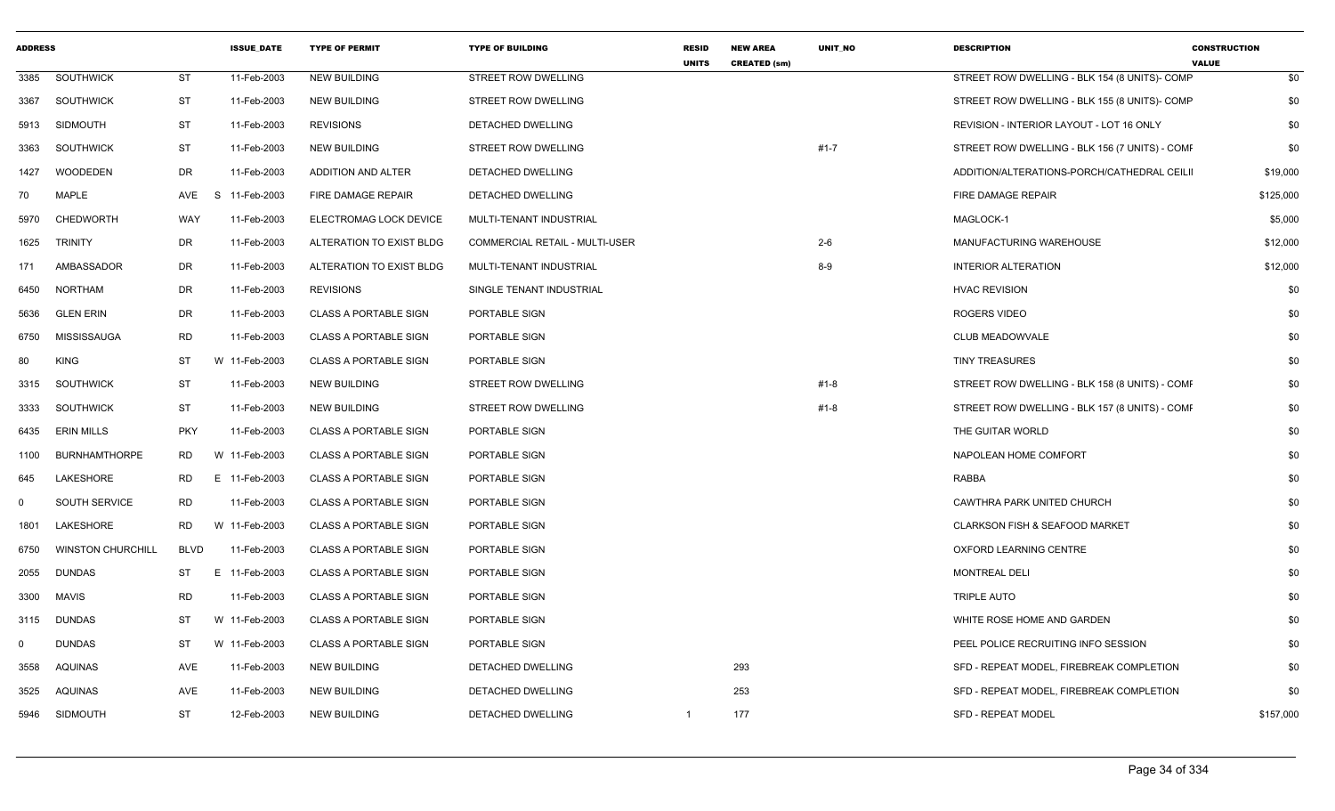| <b>ADDRESS</b> |                          |             | <b>ISSUE DATE</b> | <b>TYPE OF PERMIT</b>        | <b>TYPE OF BUILDING</b>        | <b>RESID</b><br><b>UNITS</b> | <b>NEW AREA</b><br><b>CREATED (sm)</b> | <b>UNIT NO</b> | <b>DESCRIPTION</b>                             | <b>CONSTRUCTION</b><br><b>VALUE</b> |
|----------------|--------------------------|-------------|-------------------|------------------------------|--------------------------------|------------------------------|----------------------------------------|----------------|------------------------------------------------|-------------------------------------|
| 3385           | SOUTHWICK                | <b>ST</b>   | 11-Feb-2003       | <b>NEW BUILDING</b>          | STREET ROW DWELLING            |                              |                                        |                | STREET ROW DWELLING - BLK 154 (8 UNITS)- COMP  | \$0                                 |
| 3367           | SOUTHWICK                | ST          | 11-Feb-2003       | <b>NEW BUILDING</b>          | STREET ROW DWELLING            |                              |                                        |                | STREET ROW DWELLING - BLK 155 (8 UNITS)- COMP  | \$0                                 |
| 5913           | <b>SIDMOUTH</b>          | ST          | 11-Feb-2003       | <b>REVISIONS</b>             | DETACHED DWELLING              |                              |                                        |                | REVISION - INTERIOR LAYOUT - LOT 16 ONLY       | \$0                                 |
| 3363           | <b>SOUTHWICK</b>         | <b>ST</b>   | 11-Feb-2003       | <b>NEW BUILDING</b>          | STREET ROW DWELLING            |                              |                                        | $#1 - 7$       | STREET ROW DWELLING - BLK 156 (7 UNITS) - COMF | \$0                                 |
| 1427           | WOODEDEN                 | DR          | 11-Feb-2003       | ADDITION AND ALTER           | DETACHED DWELLING              |                              |                                        |                | ADDITION/ALTERATIONS-PORCH/CATHEDRAL CEILII    | \$19,000                            |
| 70             | <b>MAPLE</b>             | AVE         | S 11-Feb-2003     | FIRE DAMAGE REPAIR           | DETACHED DWELLING              |                              |                                        |                | FIRE DAMAGE REPAIR                             | \$125,000                           |
| 5970           | <b>CHEDWORTH</b>         | WAY         | 11-Feb-2003       | ELECTROMAG LOCK DEVICE       | MULTI-TENANT INDUSTRIAL        |                              |                                        |                | MAGLOCK-1                                      | \$5,000                             |
| 1625           | <b>TRINITY</b>           | DR          | 11-Feb-2003       | ALTERATION TO EXIST BLDG     | COMMERCIAL RETAIL - MULTI-USER |                              |                                        | $2-6$          | MANUFACTURING WAREHOUSE                        | \$12,000                            |
| 171            | AMBASSADOR               | DR          | 11-Feb-2003       | ALTERATION TO EXIST BLDG     | MULTI-TENANT INDUSTRIAL        |                              |                                        | $8 - 9$        | <b>INTERIOR ALTERATION</b>                     | \$12,000                            |
| 6450           | <b>NORTHAM</b>           | DR          | 11-Feb-2003       | <b>REVISIONS</b>             | SINGLE TENANT INDUSTRIAL       |                              |                                        |                | <b>HVAC REVISION</b>                           | \$0                                 |
| 5636           | <b>GLEN ERIN</b>         | <b>DR</b>   | 11-Feb-2003       | <b>CLASS A PORTABLE SIGN</b> | PORTABLE SIGN                  |                              |                                        |                | <b>ROGERS VIDEO</b>                            | \$0                                 |
| 6750           | MISSISSAUGA              | <b>RD</b>   | 11-Feb-2003       | <b>CLASS A PORTABLE SIGN</b> | PORTABLE SIGN                  |                              |                                        |                | CLUB MEADOWVALE                                | \$0                                 |
| 80             | <b>KING</b>              | <b>ST</b>   | W 11-Feb-2003     | <b>CLASS A PORTABLE SIGN</b> | PORTABLE SIGN                  |                              |                                        |                | <b>TINY TREASURES</b>                          | \$0                                 |
| 3315           | <b>SOUTHWICK</b>         | <b>ST</b>   | 11-Feb-2003       | <b>NEW BUILDING</b>          | STREET ROW DWELLING            |                              |                                        | #1-8           | STREET ROW DWELLING - BLK 158 (8 UNITS) - COMF | \$0                                 |
| 3333           | <b>SOUTHWICK</b>         | <b>ST</b>   | 11-Feb-2003       | <b>NEW BUILDING</b>          | STREET ROW DWELLING            |                              |                                        | #1-8           | STREET ROW DWELLING - BLK 157 (8 UNITS) - COMF | \$0                                 |
| 6435           | <b>ERIN MILLS</b>        | <b>PKY</b>  | 11-Feb-2003       | <b>CLASS A PORTABLE SIGN</b> | PORTABLE SIGN                  |                              |                                        |                | THE GUITAR WORLD                               | \$0                                 |
| 1100           | <b>BURNHAMTHORPE</b>     | RD          | W 11-Feb-2003     | <b>CLASS A PORTABLE SIGN</b> | PORTABLE SIGN                  |                              |                                        |                | NAPOLEAN HOME COMFORT                          | \$0                                 |
| 645            | LAKESHORE                | <b>RD</b>   | E 11-Feb-2003     | <b>CLASS A PORTABLE SIGN</b> | PORTABLE SIGN                  |                              |                                        |                | <b>RABBA</b>                                   | \$0                                 |
| $\mathbf{0}$   | <b>SOUTH SERVICE</b>     | <b>RD</b>   | 11-Feb-2003       | <b>CLASS A PORTABLE SIGN</b> | PORTABLE SIGN                  |                              |                                        |                | CAWTHRA PARK UNITED CHURCH                     | \$0                                 |
| 1801           | LAKESHORE                | RD.         | W 11-Feb-2003     | <b>CLASS A PORTABLE SIGN</b> | PORTABLE SIGN                  |                              |                                        |                | <b>CLARKSON FISH &amp; SEAFOOD MARKET</b>      | \$0                                 |
| 6750           | <b>WINSTON CHURCHILL</b> | <b>BLVD</b> | 11-Feb-2003       | <b>CLASS A PORTABLE SIGN</b> | PORTABLE SIGN                  |                              |                                        |                | OXFORD LEARNING CENTRE                         | \$0                                 |
| 2055           | <b>DUNDAS</b>            | ST          | E 11-Feb-2003     | <b>CLASS A PORTABLE SIGN</b> | PORTABLE SIGN                  |                              |                                        |                | <b>MONTREAL DELI</b>                           | \$0                                 |
| 3300           | <b>MAVIS</b>             | <b>RD</b>   | 11-Feb-2003       | <b>CLASS A PORTABLE SIGN</b> | PORTABLE SIGN                  |                              |                                        |                | <b>TRIPLE AUTO</b>                             | \$0                                 |
| 3115           | <b>DUNDAS</b>            | ST          | W 11-Feb-2003     | <b>CLASS A PORTABLE SIGN</b> | PORTABLE SIGN                  |                              |                                        |                | WHITE ROSE HOME AND GARDEN                     | \$0                                 |
| 0              | <b>DUNDAS</b>            | ST          | W 11-Feb-2003     | <b>CLASS A PORTABLE SIGN</b> | PORTABLE SIGN                  |                              |                                        |                | PEEL POLICE RECRUITING INFO SESSION            | \$0                                 |
| 3558           | <b>AQUINAS</b>           | AVE         | 11-Feb-2003       | <b>NEW BUILDING</b>          | <b>DETACHED DWELLING</b>       |                              | 293                                    |                | SFD - REPEAT MODEL, FIREBREAK COMPLETION       | \$0                                 |
| 3525           | AQUINAS                  | <b>AVE</b>  | 11-Feb-2003       | <b>NEW BUILDING</b>          | DETACHED DWELLING              |                              | 253                                    |                | SFD - REPEAT MODEL, FIREBREAK COMPLETION       | \$0                                 |
| 5946           | <b>SIDMOUTH</b>          | <b>ST</b>   | 12-Feb-2003       | <b>NEW BUILDING</b>          | <b>DETACHED DWELLING</b>       | -1                           | 177                                    |                | <b>SFD - REPEAT MODEL</b>                      | \$157,000                           |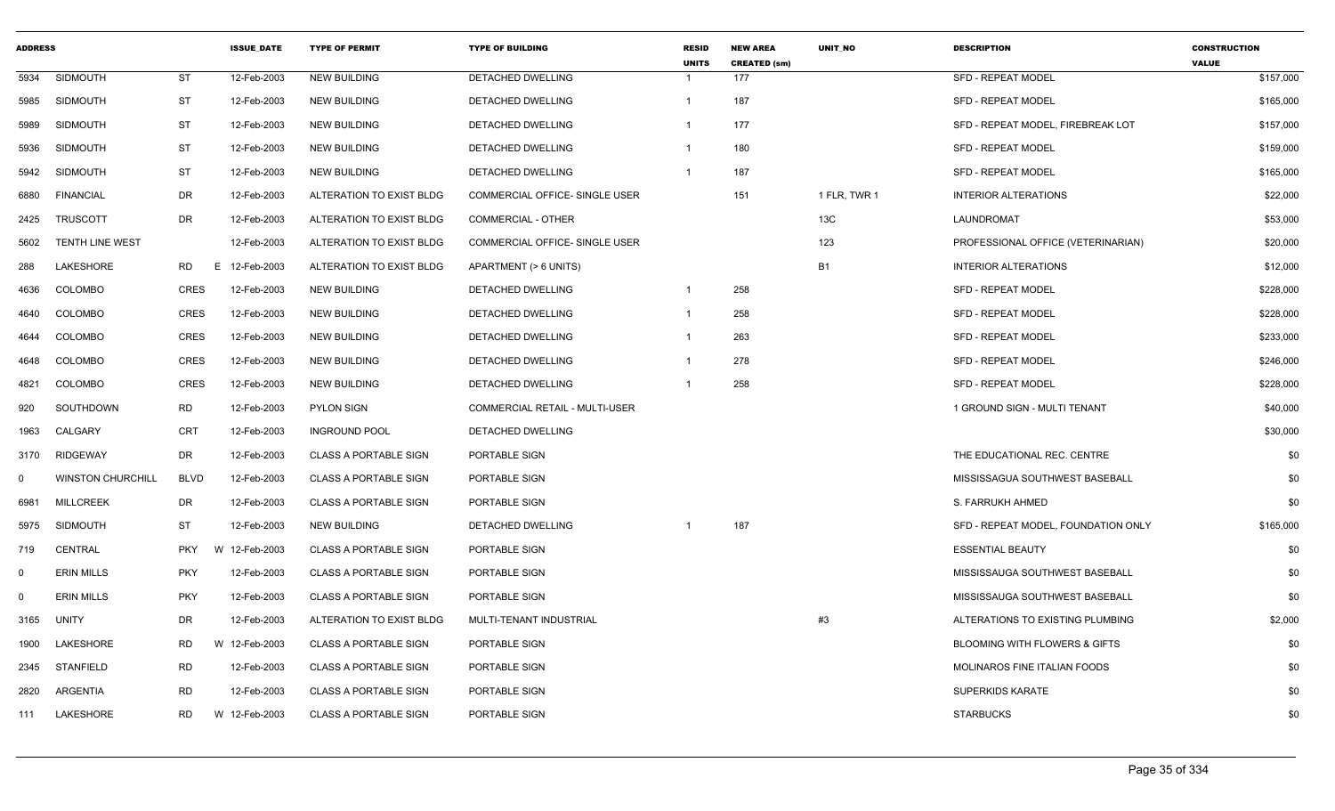| <b>ADDRESS</b> |                          |             | <b>ISSUE DATE</b> | <b>TYPE OF PERMIT</b>        | <b>TYPE OF BUILDING</b>               | <b>RESID</b><br><b>UNITS</b> | <b>NEW AREA</b><br><b>CREATED (sm)</b> | <b>UNIT NO</b> | <b>DESCRIPTION</b>                  | <b>CONSTRUCTION</b><br><b>VALUE</b> |
|----------------|--------------------------|-------------|-------------------|------------------------------|---------------------------------------|------------------------------|----------------------------------------|----------------|-------------------------------------|-------------------------------------|
| 5934           | <b>SIDMOUTH</b>          | <b>ST</b>   | 12-Feb-2003       | <b>NEW BUILDING</b>          | <b>DETACHED DWELLING</b>              |                              | 177                                    |                | <b>SFD - REPEAT MODEL</b>           | \$157,000                           |
| 5985           | SIDMOUTH                 | ST          | 12-Feb-2003       | <b>NEW BUILDING</b>          | <b>DETACHED DWELLING</b>              | 1                            | 187                                    |                | <b>SFD - REPEAT MODEL</b>           | \$165,000                           |
| 5989           | <b>SIDMOUTH</b>          | ST          | 12-Feb-2003       | <b>NEW BUILDING</b>          | DETACHED DWELLING                     | 1                            | 177                                    |                | SFD - REPEAT MODEL, FIREBREAK LOT   | \$157,000                           |
| 5936           | <b>SIDMOUTH</b>          | <b>ST</b>   | 12-Feb-2003       | <b>NEW BUILDING</b>          | DETACHED DWELLING                     | -1                           | 180                                    |                | <b>SFD - REPEAT MODEL</b>           | \$159,000                           |
| 5942           | <b>SIDMOUTH</b>          | <b>ST</b>   | 12-Feb-2003       | <b>NEW BUILDING</b>          | DETACHED DWELLING                     | 1                            | 187                                    |                | <b>SFD - REPEAT MODEL</b>           | \$165,000                           |
| 6880           | <b>FINANCIAL</b>         | DR          | 12-Feb-2003       | ALTERATION TO EXIST BLDG     | <b>COMMERCIAL OFFICE- SINGLE USER</b> |                              | 151                                    | 1 FLR, TWR 1   | <b>INTERIOR ALTERATIONS</b>         | \$22,000                            |
| 2425           | <b>TRUSCOTT</b>          | DR          | 12-Feb-2003       | ALTERATION TO EXIST BLDG     | COMMERCIAL - OTHER                    |                              |                                        | 13C            | LAUNDROMAT                          | \$53,000                            |
| 5602           | <b>TENTH LINE WEST</b>   |             | 12-Feb-2003       | ALTERATION TO EXIST BLDG     | COMMERCIAL OFFICE- SINGLE USER        |                              |                                        | 123            | PROFESSIONAL OFFICE (VETERINARIAN)  | \$20,000                            |
| 288            | LAKESHORE                | RD.         | E<br>12-Feb-2003  | ALTERATION TO EXIST BLDG     | APARTMENT (> 6 UNITS)                 |                              |                                        | <b>B1</b>      | <b>INTERIOR ALTERATIONS</b>         | \$12,000                            |
| 4636           | <b>COLOMBO</b>           | <b>CRES</b> | 12-Feb-2003       | <b>NEW BUILDING</b>          | DETACHED DWELLING                     | 1                            | 258                                    |                | <b>SFD - REPEAT MODEL</b>           | \$228,000                           |
| 4640           | COLOMBO                  | CRES        | 12-Feb-2003       | <b>NEW BUILDING</b>          | DETACHED DWELLING                     | 1                            | 258                                    |                | <b>SFD - REPEAT MODEL</b>           | \$228,000                           |
| 4644           | <b>COLOMBO</b>           | CRES        | 12-Feb-2003       | <b>NEW BUILDING</b>          | DETACHED DWELLING                     |                              | 263                                    |                | <b>SFD - REPEAT MODEL</b>           | \$233,000                           |
| 4648           | <b>COLOMBO</b>           | <b>CRES</b> | 12-Feb-2003       | <b>NEW BUILDING</b>          | DETACHED DWELLING                     |                              | 278                                    |                | <b>SFD - REPEAT MODEL</b>           | \$246,000                           |
| 4821           | COLOMBO                  | CRES        | 12-Feb-2003       | <b>NEW BUILDING</b>          | DETACHED DWELLING                     | -1                           | 258                                    |                | <b>SFD - REPEAT MODEL</b>           | \$228,000                           |
| 920            | SOUTHDOWN                | <b>RD</b>   | 12-Feb-2003       | <b>PYLON SIGN</b>            | COMMERCIAL RETAIL - MULTI-USER        |                              |                                        |                | 1 GROUND SIGN - MULTI TENANT        | \$40,000                            |
| 1963           | CALGARY                  | <b>CRT</b>  | 12-Feb-2003       | <b>INGROUND POOL</b>         | <b>DETACHED DWELLING</b>              |                              |                                        |                |                                     | \$30,000                            |
| 3170           | <b>RIDGEWAY</b>          | DR          | 12-Feb-2003       | <b>CLASS A PORTABLE SIGN</b> | PORTABLE SIGN                         |                              |                                        |                | THE EDUCATIONAL REC. CENTRE         | \$0                                 |
| $\mathbf 0$    | <b>WINSTON CHURCHILL</b> | <b>BLVD</b> | 12-Feb-2003       | <b>CLASS A PORTABLE SIGN</b> | PORTABLE SIGN                         |                              |                                        |                | MISSISSAGUA SOUTHWEST BASEBALL      | \$0                                 |
| 6981           | <b>MILLCREEK</b>         | DR          | 12-Feb-2003       | <b>CLASS A PORTABLE SIGN</b> | PORTABLE SIGN                         |                              |                                        |                | S. FARRUKH AHMED                    | \$0                                 |
| 5975           | <b>SIDMOUTH</b>          | ST          | 12-Feb-2003       | <b>NEW BUILDING</b>          | DETACHED DWELLING                     |                              | 187                                    |                | SFD - REPEAT MODEL, FOUNDATION ONLY | \$165,000                           |
| 719            | CENTRAL                  | <b>PKY</b>  | W 12-Feb-2003     | <b>CLASS A PORTABLE SIGN</b> | PORTABLE SIGN                         |                              |                                        |                | <b>ESSENTIAL BEAUTY</b>             | \$0                                 |
| $\mathbf 0$    | <b>ERIN MILLS</b>        | <b>PKY</b>  | 12-Feb-2003       | <b>CLASS A PORTABLE SIGN</b> | <b>PORTABLE SIGN</b>                  |                              |                                        |                | MISSISSAUGA SOUTHWEST BASEBALL      | \$0                                 |
| $\mathbf 0$    | <b>ERIN MILLS</b>        | <b>PKY</b>  | 12-Feb-2003       | <b>CLASS A PORTABLE SIGN</b> | PORTABLE SIGN                         |                              |                                        |                | MISSISSAUGA SOUTHWEST BASEBALL      | \$0                                 |
| 3165           | <b>UNITY</b>             | DR          | 12-Feb-2003       | ALTERATION TO EXIST BLDG     | MULTI-TENANT INDUSTRIAL               |                              |                                        | #3             | ALTERATIONS TO EXISTING PLUMBING    | \$2,000                             |
| 1900           | LAKESHORE                | <b>RD</b>   | W 12-Feb-2003     | <b>CLASS A PORTABLE SIGN</b> | PORTABLE SIGN                         |                              |                                        |                | BLOOMING WITH FLOWERS & GIFTS       | \$0                                 |
| 2345           | STANFIELD                | <b>RD</b>   | 12-Feb-2003       | <b>CLASS A PORTABLE SIGN</b> | PORTABLE SIGN                         |                              |                                        |                | MOLINAROS FINE ITALIAN FOODS        | \$0                                 |
| 2820           | ARGENTIA                 | <b>RD</b>   | 12-Feb-2003       | <b>CLASS A PORTABLE SIGN</b> | PORTABLE SIGN                         |                              |                                        |                | SUPERKIDS KARATE                    | \$0                                 |
| 111            | LAKESHORE                | RD          | W 12-Feb-2003     | <b>CLASS A PORTABLE SIGN</b> | <b>PORTABLE SIGN</b>                  |                              |                                        |                | <b>STARBUCKS</b>                    | \$0                                 |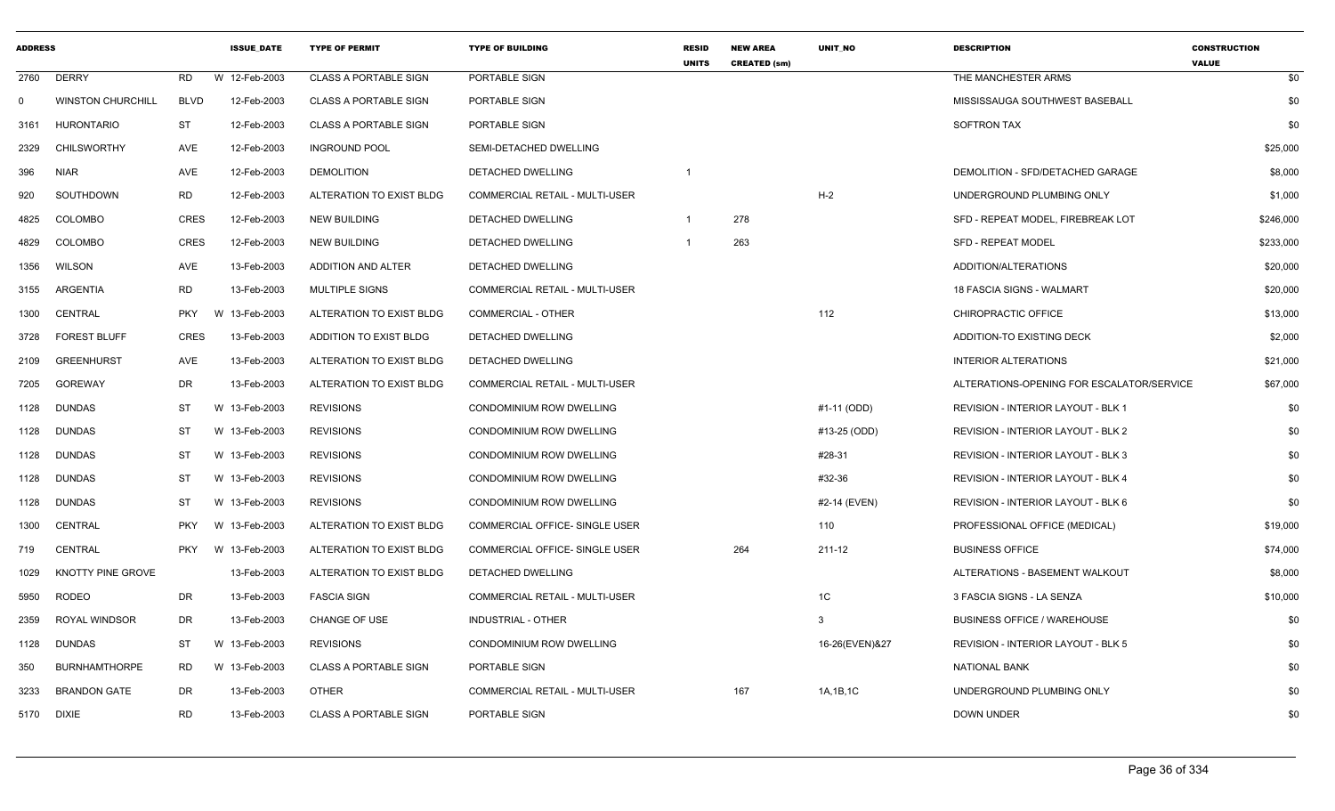| <b>ADDRESS</b> |                          |             | <b>ISSUE DATE</b> | <b>TYPE OF PERMIT</b>        | <b>TYPE OF BUILDING</b>        | <b>RESID</b><br><b>UNITS</b> | <b>NEW AREA</b><br><b>CREATED (sm)</b> | <b>UNIT NO</b> | <b>DESCRIPTION</b>                        | <b>CONSTRUCTION</b><br><b>VALUE</b> |
|----------------|--------------------------|-------------|-------------------|------------------------------|--------------------------------|------------------------------|----------------------------------------|----------------|-------------------------------------------|-------------------------------------|
| 2760           | <b>DERRY</b>             | <b>RD</b>   | W 12-Feb-2003     | <b>CLASS A PORTABLE SIGN</b> | PORTABLE SIGN                  |                              |                                        |                | THE MANCHESTER ARMS                       | \$0                                 |
| 0              | <b>WINSTON CHURCHILL</b> | <b>BLVD</b> | 12-Feb-2003       | <b>CLASS A PORTABLE SIGN</b> | PORTABLE SIGN                  |                              |                                        |                | MISSISSAUGA SOUTHWEST BASEBALL            | \$0                                 |
| 3161           | HURONTARIO               | <b>ST</b>   | 12-Feb-2003       | <b>CLASS A PORTABLE SIGN</b> | PORTABLE SIGN                  |                              |                                        |                | SOFTRON TAX                               | \$0                                 |
| 2329           | <b>CHILSWORTHY</b>       | AVE         | 12-Feb-2003       | <b>INGROUND POOL</b>         | SEMI-DETACHED DWELLING         |                              |                                        |                |                                           | \$25,000                            |
| 396            | <b>NIAR</b>              | AVE         | 12-Feb-2003       | <b>DEMOLITION</b>            | DETACHED DWELLING              | -1                           |                                        |                | DEMOLITION - SFD/DETACHED GARAGE          | \$8,000                             |
| 920            | SOUTHDOWN                | <b>RD</b>   | 12-Feb-2003       | ALTERATION TO EXIST BLDG     | COMMERCIAL RETAIL - MULTI-USER |                              |                                        | $H-2$          | UNDERGROUND PLUMBING ONLY                 | \$1,000                             |
| 4825           | COLOMBO                  | <b>CRES</b> | 12-Feb-2003       | NEW BUILDING                 | DETACHED DWELLING              | $\overline{1}$               | 278                                    |                | SFD - REPEAT MODEL, FIREBREAK LOT         | \$246,000                           |
| 4829           | <b>COLOMBO</b>           | <b>CRES</b> | 12-Feb-2003       | <b>NEW BUILDING</b>          | <b>DETACHED DWELLING</b>       |                              | 263                                    |                | <b>SFD - REPEAT MODEL</b>                 | \$233,000                           |
| 1356           | <b>WILSON</b>            | AVE         | 13-Feb-2003       | ADDITION AND ALTER           | DETACHED DWELLING              |                              |                                        |                | ADDITION/ALTERATIONS                      | \$20,000                            |
| 3155           | <b>ARGENTIA</b>          | <b>RD</b>   | 13-Feb-2003       | MULTIPLE SIGNS               | COMMERCIAL RETAIL - MULTI-USER |                              |                                        |                | 18 FASCIA SIGNS - WALMART                 | \$20,000                            |
| 1300           | CENTRAL                  | <b>PKY</b>  | W 13-Feb-2003     | ALTERATION TO EXIST BLDG     | COMMERCIAL - OTHER             |                              |                                        | 112            | CHIROPRACTIC OFFICE                       | \$13,000                            |
| 3728           | <b>FOREST BLUFF</b>      | <b>CRES</b> | 13-Feb-2003       | ADDITION TO EXIST BLDG       | DETACHED DWELLING              |                              |                                        |                | ADDITION-TO EXISTING DECK                 | \$2,000                             |
| 2109           | <b>GREENHURST</b>        | AVE         | 13-Feb-2003       | ALTERATION TO EXIST BLDG     | DETACHED DWELLING              |                              |                                        |                | <b>INTERIOR ALTERATIONS</b>               | \$21,000                            |
| 7205           | <b>GOREWAY</b>           | DR          | 13-Feb-2003       | ALTERATION TO EXIST BLDG     | COMMERCIAL RETAIL - MULTI-USER |                              |                                        |                | ALTERATIONS-OPENING FOR ESCALATOR/SERVICE | \$67,000                            |
| 1128           | <b>DUNDAS</b>            | <b>ST</b>   | W 13-Feb-2003     | <b>REVISIONS</b>             | CONDOMINIUM ROW DWELLING       |                              |                                        | #1-11 (ODD)    | REVISION - INTERIOR LAYOUT - BLK 1        | \$0                                 |
| 1128           | <b>DUNDAS</b>            | ST          | W 13-Feb-2003     | <b>REVISIONS</b>             | CONDOMINIUM ROW DWELLING       |                              |                                        | #13-25 (ODD)   | REVISION - INTERIOR LAYOUT - BLK 2        | \$0                                 |
| 1128           | <b>DUNDAS</b>            | ST          | W 13-Feb-2003     | <b>REVISIONS</b>             | CONDOMINIUM ROW DWELLING       |                              |                                        | #28-31         | <b>REVISION - INTERIOR LAYOUT - BLK 3</b> | \$0                                 |
| 1128           | <b>DUNDAS</b>            | ST          | W 13-Feb-2003     | <b>REVISIONS</b>             | CONDOMINIUM ROW DWELLING       |                              |                                        | #32-36         | REVISION - INTERIOR LAYOUT - BLK 4        | \$0                                 |
| 1128           | <b>DUNDAS</b>            | <b>ST</b>   | W 13-Feb-2003     | <b>REVISIONS</b>             | CONDOMINIUM ROW DWELLING       |                              |                                        | #2-14 (EVEN)   | REVISION - INTERIOR LAYOUT - BLK 6        | \$0                                 |
| 1300           | <b>CENTRAL</b>           | <b>PKY</b>  | W 13-Feb-2003     | ALTERATION TO EXIST BLDG     | COMMERCIAL OFFICE- SINGLE USER |                              |                                        | 110            | PROFESSIONAL OFFICE (MEDICAL)             | \$19,000                            |
| 719            | CENTRAL                  | <b>PKY</b>  | W 13-Feb-2003     | ALTERATION TO EXIST BLDG     | COMMERCIAL OFFICE- SINGLE USER |                              | 264                                    | 211-12         | <b>BUSINESS OFFICE</b>                    | \$74,000                            |
| 1029           | KNOTTY PINE GROVE        |             | 13-Feb-2003       | ALTERATION TO EXIST BLDG     | <b>DETACHED DWELLING</b>       |                              |                                        |                | ALTERATIONS - BASEMENT WALKOUT            | \$8,000                             |
| 5950           | <b>RODEO</b>             | DR          | 13-Feb-2003       | <b>FASCIA SIGN</b>           | COMMERCIAL RETAIL - MULTI-USER |                              |                                        | 1C             | 3 FASCIA SIGNS - LA SENZA                 | \$10,000                            |
| 2359           | <b>ROYAL WINDSOR</b>     | <b>DR</b>   | 13-Feb-2003       | <b>CHANGE OF USE</b>         | <b>INDUSTRIAL - OTHER</b>      |                              |                                        | 3              | <b>BUSINESS OFFICE / WAREHOUSE</b>        | \$0                                 |
| 1128           | DUNDAS                   | ST          | W 13-Feb-2003     | <b>REVISIONS</b>             | CONDOMINIUM ROW DWELLING       |                              |                                        | 16-26(EVEN)&27 | <b>REVISION - INTERIOR LAYOUT - BLK 5</b> | \$0                                 |
| 350            | <b>BURNHAMTHORPE</b>     | RD          | W 13-Feb-2003     | <b>CLASS A PORTABLE SIGN</b> | PORTABLE SIGN                  |                              |                                        |                | <b>NATIONAL BANK</b>                      | \$0                                 |
| 3233           | <b>BRANDON GATE</b>      | DR          | 13-Feb-2003       | <b>OTHER</b>                 | COMMERCIAL RETAIL - MULTI-USER |                              | 167                                    | 1A, 1B, 1C     | UNDERGROUND PLUMBING ONLY                 | \$0                                 |
| 5170           | <b>DIXIE</b>             | <b>RD</b>   | 13-Feb-2003       | <b>CLASS A PORTABLE SIGN</b> | PORTABLE SIGN                  |                              |                                        |                | <b>DOWN UNDER</b>                         | \$0                                 |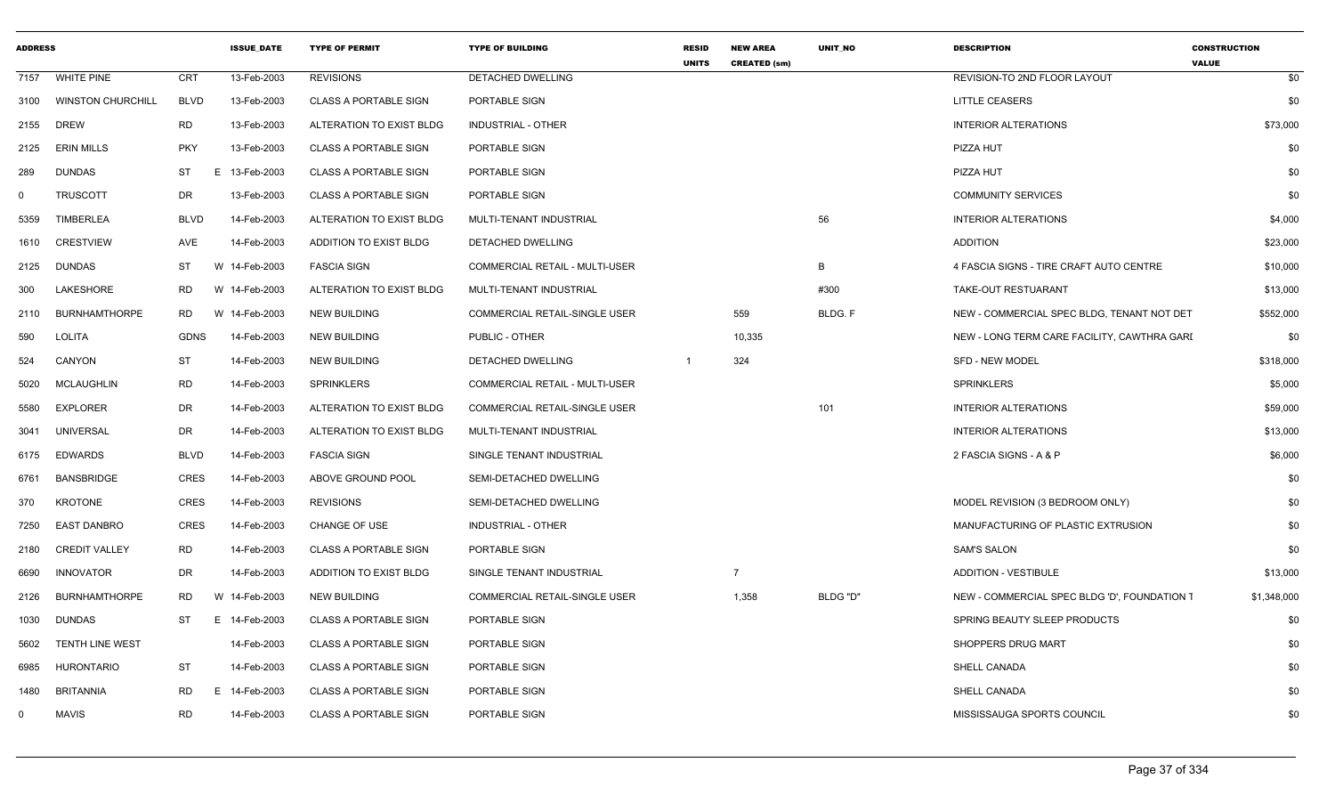| <b>ADDRESS</b> |                          |                | <b>ISSUE DATE</b> | <b>TYPE OF PERMIT</b>        | <b>TYPE OF BUILDING</b>               | <b>RESID</b><br><b>UNITS</b> | <b>NEW AREA</b><br><b>CREATED (sm)</b> | <b>UNIT NO</b> | <b>DESCRIPTION</b>                           | <b>CONSTRUCTION</b><br><b>VALUE</b> |
|----------------|--------------------------|----------------|-------------------|------------------------------|---------------------------------------|------------------------------|----------------------------------------|----------------|----------------------------------------------|-------------------------------------|
| 7157           | <b>WHITE PINE</b>        | CRT            | 13-Feb-2003       | <b>REVISIONS</b>             | DETACHED DWELLING                     |                              |                                        |                | REVISION-TO 2ND FLOOR LAYOUT                 | \$0                                 |
| 3100           | <b>WINSTON CHURCHILL</b> | <b>BLVD</b>    | 13-Feb-2003       | <b>CLASS A PORTABLE SIGN</b> | PORTABLE SIGN                         |                              |                                        |                | <b>LITTLE CEASERS</b>                        | \$0                                 |
| 2155           | DREW                     | RD             | 13-Feb-2003       | ALTERATION TO EXIST BLDG     | <b>INDUSTRIAL - OTHER</b>             |                              |                                        |                | <b>INTERIOR ALTERATIONS</b>                  | \$73,000                            |
| 2125           | <b>ERIN MILLS</b>        | <b>PKY</b>     | 13-Feb-2003       | <b>CLASS A PORTABLE SIGN</b> | PORTABLE SIGN                         |                              |                                        |                | PIZZA HUT                                    | \$0                                 |
| 289            | <b>DUNDAS</b>            | <b>ST</b><br>E | 13-Feb-2003       | <b>CLASS A PORTABLE SIGN</b> | PORTABLE SIGN                         |                              |                                        |                | PIZZA HUT                                    | \$0                                 |
| $\mathbf 0$    | <b>TRUSCOTT</b>          | DR             | 13-Feb-2003       | <b>CLASS A PORTABLE SIGN</b> | PORTABLE SIGN                         |                              |                                        |                | <b>COMMUNITY SERVICES</b>                    | \$0                                 |
| 5359           | <b>TIMBERLEA</b>         | <b>BLVD</b>    | 14-Feb-2003       | ALTERATION TO EXIST BLDG     | MULTI-TENANT INDUSTRIAL               |                              |                                        | 56             | <b>INTERIOR ALTERATIONS</b>                  | \$4,000                             |
| 1610           | <b>CRESTVIEW</b>         | AVE            | 14-Feb-2003       | ADDITION TO EXIST BLDG       | DETACHED DWELLING                     |                              |                                        |                | <b>ADDITION</b>                              | \$23,000                            |
| 2125           | DUNDAS                   | ST             | W 14-Feb-2003     | <b>FASCIA SIGN</b>           | COMMERCIAL RETAIL - MULTI-USER        |                              |                                        | B              | 4 FASCIA SIGNS - TIRE CRAFT AUTO CENTRE      | \$10,000                            |
| 300            | LAKESHORE                | RD<br>W        | 14-Feb-2003       | ALTERATION TO EXIST BLDG     | MULTI-TENANT INDUSTRIAL               |                              |                                        | #300           | TAKE-OUT RESTUARANT                          | \$13,000                            |
| 2110           | <b>BURNHAMTHORPE</b>     | <b>RD</b>      | W 14-Feb-2003     | <b>NEW BUILDING</b>          | COMMERCIAL RETAIL-SINGLE USER         |                              | 559                                    | BLDG. F        | NEW - COMMERCIAL SPEC BLDG, TENANT NOT DET   | \$552,000                           |
| 590            | <b>LOLITA</b>            | GDNS           | 14-Feb-2003       | NEW BUILDING                 | PUBLIC - OTHER                        |                              | 10,335                                 |                | NEW - LONG TERM CARE FACILITY, CAWTHRA GARI  | \$0                                 |
| 524            | <b>CANYON</b>            | <b>ST</b>      | 14-Feb-2003       | <b>NEW BUILDING</b>          | DETACHED DWELLING                     |                              | 324                                    |                | SFD - NEW MODEL                              | \$318,000                           |
| 5020           | <b>MCLAUGHLIN</b>        | RD             | 14-Feb-2003       | SPRINKLERS                   | <b>COMMERCIAL RETAIL - MULTI-USER</b> |                              |                                        |                | <b>SPRINKLERS</b>                            | \$5,000                             |
| 5580           | <b>EXPLORER</b>          | DR             | 14-Feb-2003       | ALTERATION TO EXIST BLDG     | COMMERCIAL RETAIL-SINGLE USER         |                              |                                        | 101            | <b>INTERIOR ALTERATIONS</b>                  | \$59,000                            |
| 3041           | <b>UNIVERSAL</b>         | DR             | 14-Feb-2003       | ALTERATION TO EXIST BLDG     | MULTI-TENANT INDUSTRIAL               |                              |                                        |                | <b>INTERIOR ALTERATIONS</b>                  | \$13,000                            |
| 6175           | <b>EDWARDS</b>           | <b>BLVD</b>    | 14-Feb-2003       | <b>FASCIA SIGN</b>           | SINGLE TENANT INDUSTRIAL              |                              |                                        |                | 2 FASCIA SIGNS - A & P                       | \$6,000                             |
| 6761           | <b>BANSBRIDGE</b>        | <b>CRES</b>    | 14-Feb-2003       | ABOVE GROUND POOL            | SEMI-DETACHED DWELLING                |                              |                                        |                |                                              | \$0                                 |
| 370            | <b>KROTONE</b>           | CRES           | 14-Feb-2003       | <b>REVISIONS</b>             | SEMI-DETACHED DWELLING                |                              |                                        |                | MODEL REVISION (3 BEDROOM ONLY)              | \$0                                 |
| 7250           | <b>EAST DANBRO</b>       | <b>CRES</b>    | 14-Feb-2003       | CHANGE OF USE                | <b>INDUSTRIAL - OTHER</b>             |                              |                                        |                | MANUFACTURING OF PLASTIC EXTRUSION           | \$0                                 |
| 2180           | <b>CREDIT VALLEY</b>     | RD             | 14-Feb-2003       | <b>CLASS A PORTABLE SIGN</b> | PORTABLE SIGN                         |                              |                                        |                | <b>SAM'S SALON</b>                           | \$0                                 |
| 6690           | INNOVATOR                | DR             | 14-Feb-2003       | ADDITION TO EXIST BLDG       | SINGLE TENANT INDUSTRIAL              |                              |                                        |                | ADDITION - VESTIBULE                         | \$13,000                            |
| 2126           | <b>BURNHAMTHORPE</b>     | RD             | W 14-Feb-2003     | <b>NEW BUILDING</b>          | COMMERCIAL RETAIL-SINGLE USER         |                              | 1,358                                  | BLDG "D"       | NEW - COMMERCIAL SPEC BLDG 'D', FOUNDATION 1 | \$1,348,000                         |
| 1030           | <b>DUNDAS</b>            | ST<br>E.       | 14-Feb-2003       | <b>CLASS A PORTABLE SIGN</b> | PORTABLE SIGN                         |                              |                                        |                | SPRING BEAUTY SLEEP PRODUCTS                 | \$0                                 |
| 5602           | TENTH LINE WEST          |                | 14-Feb-2003       | <b>CLASS A PORTABLE SIGN</b> | PORTABLE SIGN                         |                              |                                        |                | SHOPPERS DRUG MART                           | \$0                                 |
| 6985           | <b>HURONTARIO</b>        | <b>ST</b>      | 14-Feb-2003       | <b>CLASS A PORTABLE SIGN</b> | PORTABLE SIGN                         |                              |                                        |                | SHELL CANADA                                 | \$0                                 |
| 1480           | BRITANNIA                | RD.<br>E.      | 14-Feb-2003       | <b>CLASS A PORTABLE SIGN</b> | PORTABLE SIGN                         |                              |                                        |                | <b>SHELL CANADA</b>                          | \$0                                 |
| $\mathbf{0}$   | <b>MAVIS</b>             | <b>RD</b>      | 14-Feb-2003       | <b>CLASS A PORTABLE SIGN</b> | PORTABLE SIGN                         |                              |                                        |                | MISSISSAUGA SPORTS COUNCIL                   | \$0                                 |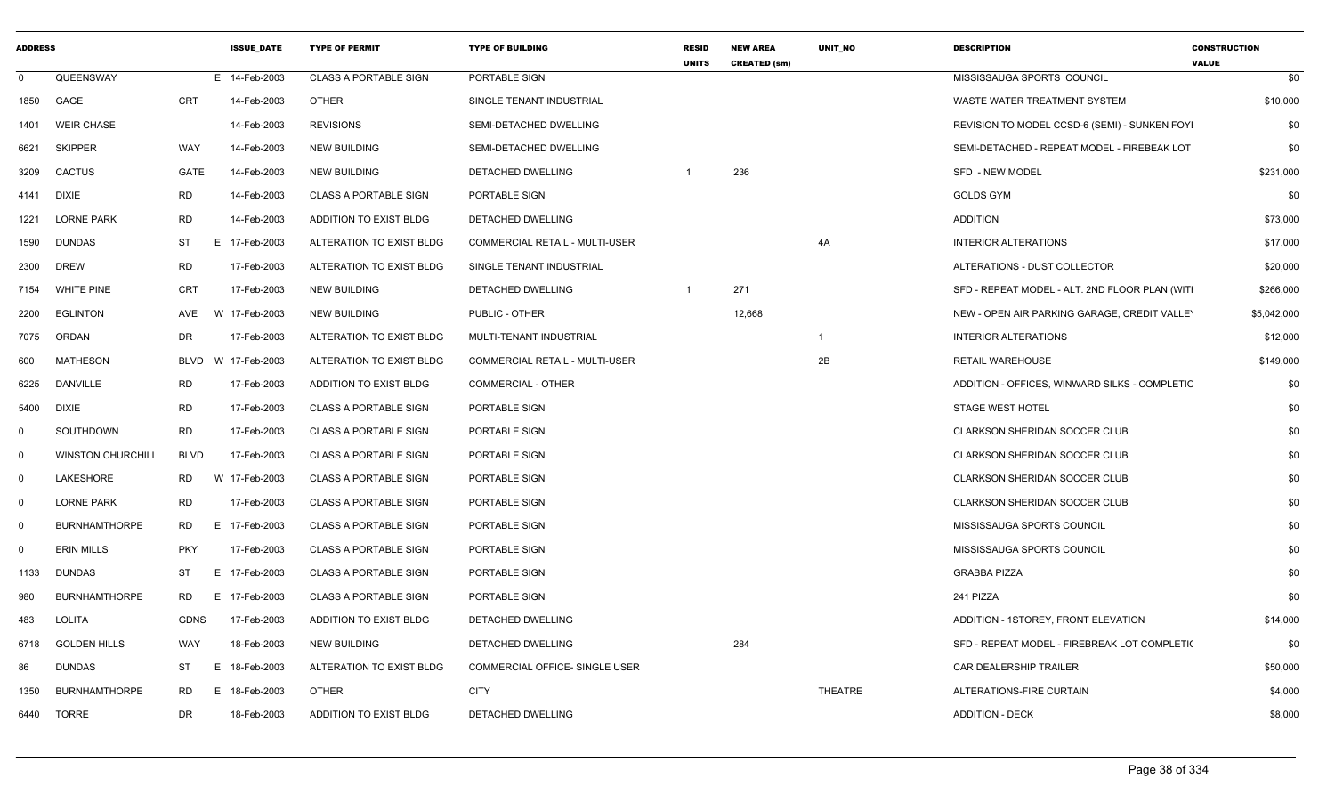| <b>ADDRESS</b> |                          |             | <b>ISSUE DATE</b> | <b>TYPE OF PERMIT</b>        | <b>TYPE OF BUILDING</b>               | <b>RESID</b><br><b>UNITS</b> | <b>NEW AREA</b><br><b>CREATED (sm)</b> | UNIT_NO      | <b>DESCRIPTION</b>                              | <b>CONSTRUCTION</b><br><b>VALUE</b> |
|----------------|--------------------------|-------------|-------------------|------------------------------|---------------------------------------|------------------------------|----------------------------------------|--------------|-------------------------------------------------|-------------------------------------|
| $\mathbf 0$    | QUEENSWAY                |             | E 14-Feb-2003     | <b>CLASS A PORTABLE SIGN</b> | PORTABLE SIGN                         |                              |                                        |              | MISSISSAUGA SPORTS COUNCIL                      | \$0                                 |
| 1850           | GAGE                     | <b>CRT</b>  | 14-Feb-2003       | <b>OTHER</b>                 | SINGLE TENANT INDUSTRIAL              |                              |                                        |              | WASTE WATER TREATMENT SYSTEM                    | \$10,000                            |
| 1401           | <b>WEIR CHASE</b>        |             | 14-Feb-2003       | <b>REVISIONS</b>             | SEMI-DETACHED DWELLING                |                              |                                        |              | REVISION TO MODEL CCSD-6 (SEMI) - SUNKEN FOYI   | \$0                                 |
| 6621           | <b>SKIPPER</b>           | WAY         | 14-Feb-2003       | <b>NEW BUILDING</b>          | SEMI-DETACHED DWELLING                |                              |                                        |              | SEMI-DETACHED - REPEAT MODEL - FIREBEAK LOT     | \$0                                 |
| 3209           | <b>CACTUS</b>            | GATE        | 14-Feb-2003       | <b>NEW BUILDING</b>          | DETACHED DWELLING                     | $\overline{1}$               | 236                                    |              | <b>SFD - NEW MODEL</b>                          | \$231,000                           |
| 4141           | <b>DIXIE</b>             | <b>RD</b>   | 14-Feb-2003       | <b>CLASS A PORTABLE SIGN</b> | PORTABLE SIGN                         |                              |                                        |              | <b>GOLDS GYM</b>                                | \$0                                 |
| 1221           | <b>LORNE PARK</b>        | <b>RD</b>   | 14-Feb-2003       | ADDITION TO EXIST BLDG       | DETACHED DWELLING                     |                              |                                        |              | <b>ADDITION</b>                                 | \$73,000                            |
| 1590           | <b>DUNDAS</b>            | ST          | E 17-Feb-2003     | ALTERATION TO EXIST BLDG     | <b>COMMERCIAL RETAIL - MULTI-USER</b> |                              |                                        | 4A           | <b>INTERIOR ALTERATIONS</b>                     | \$17,000                            |
| 2300           | <b>DREW</b>              | <b>RD</b>   | 17-Feb-2003       | ALTERATION TO EXIST BLDG     | SINGLE TENANT INDUSTRIAL              |                              |                                        |              | ALTERATIONS - DUST COLLECTOR                    | \$20,000                            |
| 7154           | <b>WHITE PINE</b>        | CRT         | 17-Feb-2003       | <b>NEW BUILDING</b>          | DETACHED DWELLING                     | $\overline{1}$               | 271                                    |              | SFD - REPEAT MODEL - ALT. 2ND FLOOR PLAN (WITI) | \$266,000                           |
| 2200           | <b>EGLINTON</b>          | AVE         | W 17-Feb-2003     | NEW BUILDING                 | PUBLIC - OTHER                        |                              | 12,668                                 |              | NEW - OPEN AIR PARKING GARAGE, CREDIT VALLEY    | \$5,042,000                         |
| 7075           | ORDAN                    | <b>DR</b>   | 17-Feb-2003       | ALTERATION TO EXIST BLDG     | MULTI-TENANT INDUSTRIAL               |                              |                                        | $\mathbf{1}$ | <b>INTERIOR ALTERATIONS</b>                     | \$12,000                            |
| 600            | <b>MATHESON</b>          | <b>BLVD</b> | W 17-Feb-2003     | ALTERATION TO EXIST BLDG     | <b>COMMERCIAL RETAIL - MULTI-USER</b> |                              |                                        | 2B           | <b>RETAIL WAREHOUSE</b>                         | \$149,000                           |
| 6225           | <b>DANVILLE</b>          | <b>RD</b>   | 17-Feb-2003       | ADDITION TO EXIST BLDG       | COMMERCIAL - OTHER                    |                              |                                        |              | ADDITION - OFFICES, WINWARD SILKS - COMPLETIC   | \$0                                 |
| 5400           | <b>DIXIE</b>             | <b>RD</b>   | 17-Feb-2003       | <b>CLASS A PORTABLE SIGN</b> | PORTABLE SIGN                         |                              |                                        |              | <b>STAGE WEST HOTEL</b>                         | \$0                                 |
| 0              | SOUTHDOWN                | <b>RD</b>   | 17-Feb-2003       | <b>CLASS A PORTABLE SIGN</b> | PORTABLE SIGN                         |                              |                                        |              | <b>CLARKSON SHERIDAN SOCCER CLUB</b>            | \$0                                 |
| $\mathbf 0$    | <b>WINSTON CHURCHILL</b> | <b>BLVD</b> | 17-Feb-2003       | <b>CLASS A PORTABLE SIGN</b> | PORTABLE SIGN                         |                              |                                        |              | <b>CLARKSON SHERIDAN SOCCER CLUB</b>            | \$0                                 |
| $\mathbf{0}$   | LAKESHORE                | RD          | W 17-Feb-2003     | <b>CLASS A PORTABLE SIGN</b> | PORTABLE SIGN                         |                              |                                        |              | <b>CLARKSON SHERIDAN SOCCER CLUB</b>            | \$0                                 |
| $\mathbf 0$    | <b>LORNE PARK</b>        | <b>RD</b>   | 17-Feb-2003       | <b>CLASS A PORTABLE SIGN</b> | PORTABLE SIGN                         |                              |                                        |              | CLARKSON SHERIDAN SOCCER CLUB                   | \$0                                 |
| $\mathbf 0$    | <b>BURNHAMTHORPE</b>     | <b>RD</b>   | E 17-Feb-2003     | <b>CLASS A PORTABLE SIGN</b> | PORTABLE SIGN                         |                              |                                        |              | MISSISSAUGA SPORTS COUNCIL                      | \$0                                 |
| $\Omega$       | <b>ERIN MILLS</b>        | <b>PKY</b>  | 17-Feb-2003       | <b>CLASS A PORTABLE SIGN</b> | PORTABLE SIGN                         |                              |                                        |              | MISSISSAUGA SPORTS COUNCIL                      | \$0                                 |
| 1133           | <b>DUNDAS</b>            | ST          | E 17-Feb-2003     | <b>CLASS A PORTABLE SIGN</b> | PORTABLE SIGN                         |                              |                                        |              | <b>GRABBA PIZZA</b>                             | \$0                                 |
| 980            | <b>BURNHAMTHORPE</b>     | <b>RD</b>   | E 17-Feb-2003     | <b>CLASS A PORTABLE SIGN</b> | PORTABLE SIGN                         |                              |                                        |              | 241 PIZZA                                       | \$0                                 |
| 483            | LOLITA                   | <b>GDNS</b> | 17-Feb-2003       | ADDITION TO EXIST BLDG       | DETACHED DWELLING                     |                              |                                        |              | ADDITION - 1STOREY, FRONT ELEVATION             | \$14,000                            |
| 6718           | <b>GOLDEN HILLS</b>      | <b>WAY</b>  | 18-Feb-2003       | <b>NEW BUILDING</b>          | DETACHED DWELLING                     |                              | 284                                    |              | SFD - REPEAT MODEL - FIREBREAK LOT COMPLETI(    | \$0                                 |
| 86             | <b>DUNDAS</b>            | ST          | E.<br>18-Feb-2003 | ALTERATION TO EXIST BLDG     | <b>COMMERCIAL OFFICE- SINGLE USER</b> |                              |                                        |              | <b>CAR DEALERSHIP TRAILER</b>                   | \$50,000                            |
| 1350           | <b>BURNHAMTHORPE</b>     | <b>RD</b>   | E 18-Feb-2003     | <b>OTHER</b>                 | <b>CITY</b>                           |                              |                                        | THEATRE      | ALTERATIONS-FIRE CURTAIN                        | \$4,000                             |
| 6440           | TORRE                    | DR          | 18-Feb-2003       | ADDITION TO EXIST BLDG       | DETACHED DWELLING                     |                              |                                        |              | <b>ADDITION - DECK</b>                          | \$8,000                             |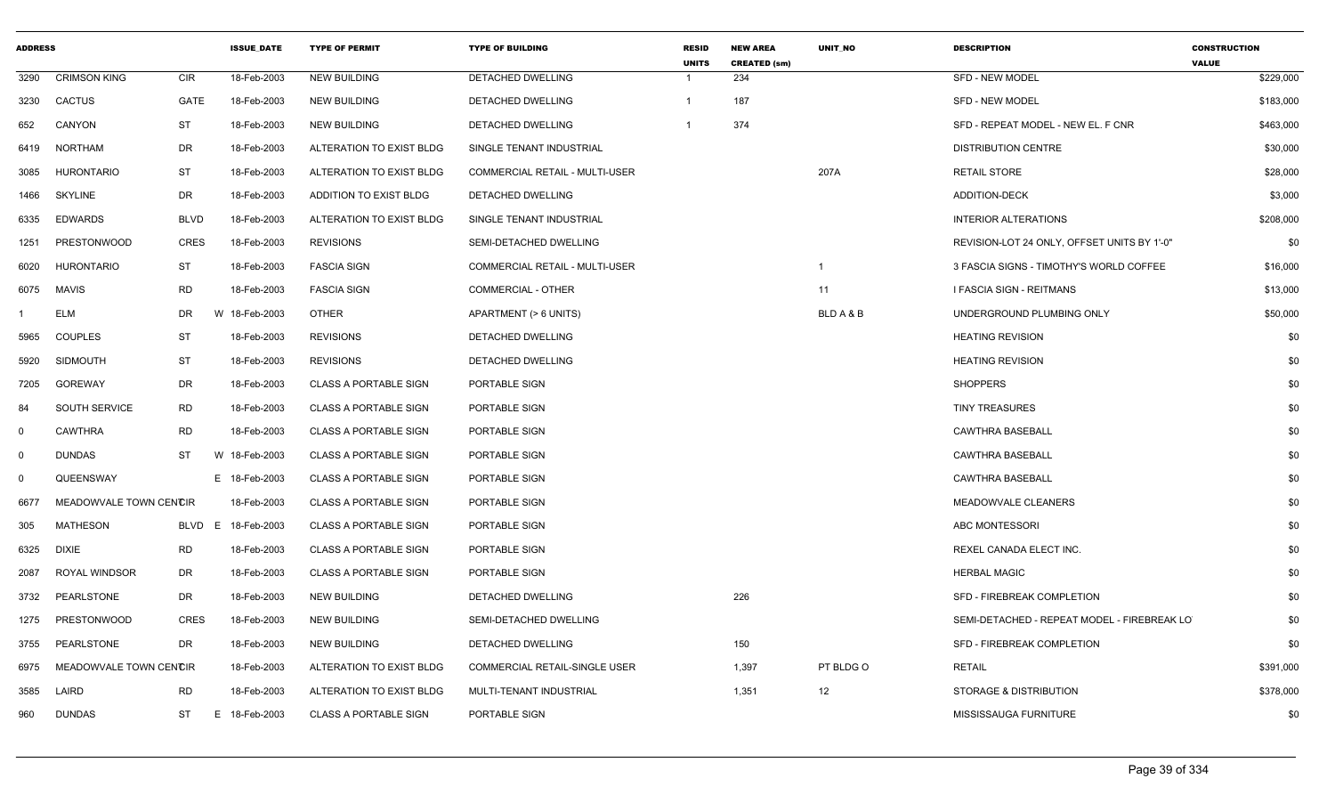| <b>ADDRESS</b> |                        |             | <b>ISSUE DATE</b>  | <b>TYPE OF PERMIT</b>        | <b>TYPE OF BUILDING</b>              | <b>RESID</b><br><b>UNITS</b> | <b>NEW AREA</b><br><b>CREATED (sm)</b> | <b>UNIT NO</b>          | <b>DESCRIPTION</b>                          | <b>CONSTRUCTION</b><br><b>VALUE</b> |
|----------------|------------------------|-------------|--------------------|------------------------------|--------------------------------------|------------------------------|----------------------------------------|-------------------------|---------------------------------------------|-------------------------------------|
| 3290           | <b>CRIMSON KING</b>    | <b>CIR</b>  | 18-Feb-2003        | <b>NEW BUILDING</b>          | <b>DETACHED DWELLING</b>             | -1                           | 234                                    |                         | <b>SFD - NEW MODEL</b>                      | \$229,000                           |
| 3230           | <b>CACTUS</b>          | <b>GATE</b> | 18-Feb-2003        | <b>NEW BUILDING</b>          | <b>DETACHED DWELLING</b>             | $\mathbf{1}$                 | 187                                    |                         | <b>SFD - NEW MODEL</b>                      | \$183,000                           |
| 652            | CANYON                 | <b>ST</b>   | 18-Feb-2003        | <b>NEW BUILDING</b>          | DETACHED DWELLING                    | -1                           | 374                                    |                         | SFD - REPEAT MODEL - NEW EL. F CNR          | \$463,000                           |
| 6419           | <b>NORTHAM</b>         | DR          | 18-Feb-2003        | ALTERATION TO EXIST BLDG     | SINGLE TENANT INDUSTRIAL             |                              |                                        |                         | <b>DISTRIBUTION CENTRE</b>                  | \$30,000                            |
| 3085           | <b>HURONTARIO</b>      | <b>ST</b>   | 18-Feb-2003        | ALTERATION TO EXIST BLDG     | COMMERCIAL RETAIL - MULTI-USER       |                              |                                        | 207A                    | <b>RETAIL STORE</b>                         | \$28,000                            |
| 1466           | <b>SKYLINE</b>         | DR          | 18-Feb-2003        | ADDITION TO EXIST BLDG       | DETACHED DWELLING                    |                              |                                        |                         | ADDITION-DECK                               | \$3,000                             |
| 6335           | <b>EDWARDS</b>         | <b>BLVD</b> | 18-Feb-2003        | ALTERATION TO EXIST BLDG     | SINGLE TENANT INDUSTRIAL             |                              |                                        |                         | <b>INTERIOR ALTERATIONS</b>                 | \$208,000                           |
| 1251           | <b>PRESTONWOOD</b>     | <b>CRES</b> | 18-Feb-2003        | <b>REVISIONS</b>             | SEMI-DETACHED DWELLING               |                              |                                        |                         | REVISION-LOT 24 ONLY, OFFSET UNITS BY 1'-0" | \$0                                 |
| 6020           | <b>HURONTARIO</b>      | ST          | 18-Feb-2003        | <b>FASCIA SIGN</b>           | COMMERCIAL RETAIL - MULTI-USER       |                              |                                        | $\overline{\mathbf{1}}$ | 3 FASCIA SIGNS - TIMOTHY'S WORLD COFFEE     | \$16,000                            |
| 6075           | <b>MAVIS</b>           | <b>RD</b>   | 18-Feb-2003        | <b>FASCIA SIGN</b>           | COMMERCIAL - OTHER                   |                              |                                        | 11                      | I FASCIA SIGN - REITMANS                    | \$13,000                            |
|                | ELM                    | DR.         | W 18-Feb-2003      | <b>OTHER</b>                 | APARTMENT (> 6 UNITS)                |                              |                                        | BLD A & B               | UNDERGROUND PLUMBING ONLY                   | \$50,000                            |
| 5965           | <b>COUPLES</b>         | <b>ST</b>   | 18-Feb-2003        | <b>REVISIONS</b>             | DETACHED DWELLING                    |                              |                                        |                         | <b>HEATING REVISION</b>                     | \$0                                 |
| 5920           | <b>SIDMOUTH</b>        | ST          | 18-Feb-2003        | <b>REVISIONS</b>             | <b>DETACHED DWELLING</b>             |                              |                                        |                         | <b>HEATING REVISION</b>                     | \$0                                 |
| 7205           | <b>GOREWAY</b>         | DR          | 18-Feb-2003        | <b>CLASS A PORTABLE SIGN</b> | PORTABLE SIGN                        |                              |                                        |                         | <b>SHOPPERS</b>                             | \$0                                 |
| 84             | SOUTH SERVICE          | RD          | 18-Feb-2003        | <b>CLASS A PORTABLE SIGN</b> | PORTABLE SIGN                        |                              |                                        |                         | <b>TINY TREASURES</b>                       | \$0                                 |
| $\Omega$       | <b>CAWTHRA</b>         | <b>RD</b>   | 18-Feb-2003        | <b>CLASS A PORTABLE SIGN</b> | PORTABLE SIGN                        |                              |                                        |                         | <b>CAWTHRA BASEBALL</b>                     | \$0                                 |
| 0              | <b>DUNDAS</b>          | ST          | W 18-Feb-2003      | <b>CLASS A PORTABLE SIGN</b> | PORTABLE SIGN                        |                              |                                        |                         | <b>CAWTHRA BASEBALL</b>                     | \$0                                 |
| 0              | QUEENSWAY              |             | E 18-Feb-2003      | <b>CLASS A PORTABLE SIGN</b> | PORTABLE SIGN                        |                              |                                        |                         | <b>CAWTHRA BASEBALL</b>                     | \$0                                 |
| 6677           | MEADOWVALE TOWN CENCIR |             | 18-Feb-2003        | <b>CLASS A PORTABLE SIGN</b> | PORTABLE SIGN                        |                              |                                        |                         | MEADOWVALE CLEANERS                         | \$0                                 |
| 305            | <b>MATHESON</b>        |             | BLVD E 18-Feb-2003 | <b>CLASS A PORTABLE SIGN</b> | PORTABLE SIGN                        |                              |                                        |                         | ABC MONTESSORI                              | \$0                                 |
| 6325           | <b>DIXIE</b>           | RD          | 18-Feb-2003        | <b>CLASS A PORTABLE SIGN</b> | PORTABLE SIGN                        |                              |                                        |                         | REXEL CANADA ELECT INC.                     | \$0                                 |
| 2087           | <b>ROYAL WINDSOR</b>   | DR          | 18-Feb-2003        | <b>CLASS A PORTABLE SIGN</b> | PORTABLE SIGN                        |                              |                                        |                         | <b>HERBAL MAGIC</b>                         | \$0                                 |
| 3732           | PEARLSTONE             | DR          | 18-Feb-2003        | <b>NEW BUILDING</b>          | DETACHED DWELLING                    |                              | 226                                    |                         | SFD - FIREBREAK COMPLETION                  | \$0                                 |
| 1275           | <b>PRESTONWOOD</b>     | <b>CRES</b> | 18-Feb-2003        | <b>NEW BUILDING</b>          | SEMI-DETACHED DWELLING               |                              |                                        |                         | SEMI-DETACHED - REPEAT MODEL - FIREBREAK LO | \$0                                 |
| 3755           | PEARLSTONE             | DR          | 18-Feb-2003        | <b>NEW BUILDING</b>          | DETACHED DWELLING                    |                              | 150                                    |                         | SFD - FIREBREAK COMPLETION                  | \$0                                 |
| 6975           | MEADOWVALE TOWN CENCIR |             | 18-Feb-2003        | ALTERATION TO EXIST BLDG     | <b>COMMERCIAL RETAIL-SINGLE USER</b> |                              | 1,397                                  | PT BLDG O               | <b>RETAIL</b>                               | \$391,000                           |
| 3585           | LAIRD                  | <b>RD</b>   | 18-Feb-2003        | ALTERATION TO EXIST BLDG     | MULTI-TENANT INDUSTRIAL              |                              | 1,351                                  | 12                      | STORAGE & DISTRIBUTION                      | \$378,000                           |
| 960            | <b>DUNDAS</b>          | ST          | E 18-Feb-2003      | <b>CLASS A PORTABLE SIGN</b> | PORTABLE SIGN                        |                              |                                        |                         | MISSISSAUGA FURNITURE                       | \$0                                 |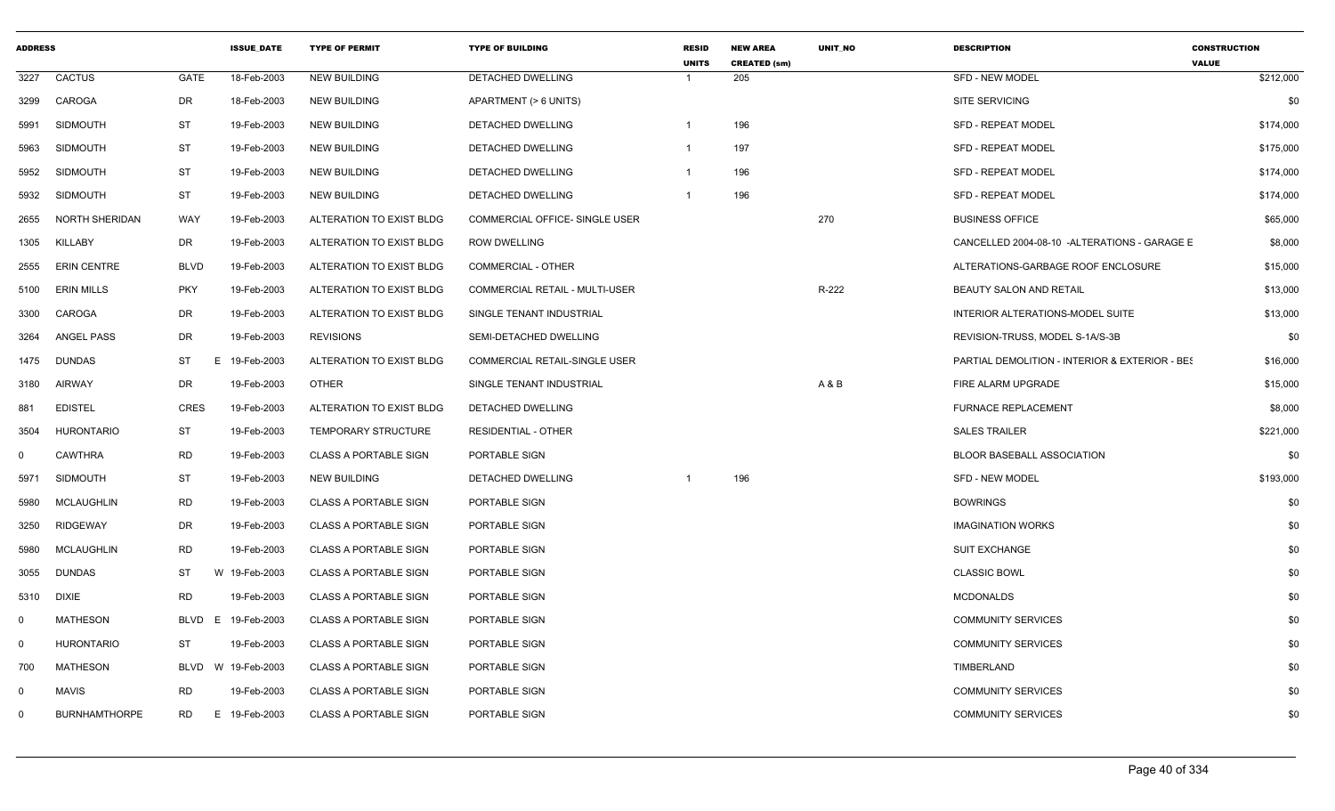| <b>ADDRESS</b> |                      |             | <b>ISSUE DATE</b> | <b>TYPE OF PERMIT</b>        | <b>TYPE OF BUILDING</b>               | <b>RESID</b><br><b>UNITS</b> | <b>NEW AREA</b><br><b>CREATED (sm)</b> | <b>UNIT NO</b> | <b>DESCRIPTION</b>                             | <b>CONSTRUCTION</b><br><b>VALUE</b> |
|----------------|----------------------|-------------|-------------------|------------------------------|---------------------------------------|------------------------------|----------------------------------------|----------------|------------------------------------------------|-------------------------------------|
| 3227           | <b>CACTUS</b>        | GATE        | 18-Feb-2003       | <b>NEW BUILDING</b>          | DETACHED DWELLING                     |                              | 205                                    |                | <b>SFD - NEW MODEL</b>                         | \$212,000                           |
| 3299           | CAROGA               | DR          | 18-Feb-2003       | <b>NEW BUILDING</b>          | APARTMENT (> 6 UNITS)                 |                              |                                        |                | <b>SITE SERVICING</b>                          | \$0                                 |
| 5991           | <b>SIDMOUTH</b>      | ST          | 19-Feb-2003       | <b>NEW BUILDING</b>          | DETACHED DWELLING                     | 1                            | 196                                    |                | <b>SFD - REPEAT MODEL</b>                      | \$174,000                           |
| 5963           | <b>SIDMOUTH</b>      | ST          | 19-Feb-2003       | <b>NEW BUILDING</b>          | DETACHED DWELLING                     | 1                            | 197                                    |                | <b>SFD - REPEAT MODEL</b>                      | \$175,000                           |
| 5952           | SIDMOUTH             | <b>ST</b>   | 19-Feb-2003       | <b>NEW BUILDING</b>          | DETACHED DWELLING                     |                              | 196                                    |                | SFD - REPEAT MODEL                             | \$174,000                           |
| 5932           | SIDMOUTH             | ST          | 19-Feb-2003       | <b>NEW BUILDING</b>          | <b>DETACHED DWELLING</b>              | $\mathbf 1$                  | 196                                    |                | <b>SFD - REPEAT MODEL</b>                      | \$174,000                           |
| 2655           | NORTH SHERIDAN       | WAY         | 19-Feb-2003       | ALTERATION TO EXIST BLDG     | COMMERCIAL OFFICE- SINGLE USER        |                              |                                        | 270            | <b>BUSINESS OFFICE</b>                         | \$65,000                            |
| 1305           | <b>KILLABY</b>       | DR          | 19-Feb-2003       | ALTERATION TO EXIST BLDG     | <b>ROW DWELLING</b>                   |                              |                                        |                | CANCELLED 2004-08-10 -ALTERATIONS - GARAGE E   | \$8,000                             |
| 2555           | <b>ERIN CENTRE</b>   | <b>BLVD</b> | 19-Feb-2003       | ALTERATION TO EXIST BLDG     | COMMERCIAL - OTHER                    |                              |                                        |                | ALTERATIONS-GARBAGE ROOF ENCLOSURE             | \$15,000                            |
| 5100           | ERIN MILLS           | <b>PKY</b>  | 19-Feb-2003       | ALTERATION TO EXIST BLDG     | <b>COMMERCIAL RETAIL - MULTI-USER</b> |                              |                                        | R-222          | <b>BEAUTY SALON AND RETAIL</b>                 | \$13,000                            |
| 3300           | CAROGA               | DR          | 19-Feb-2003       | ALTERATION TO EXIST BLDG     | SINGLE TENANT INDUSTRIAL              |                              |                                        |                | INTERIOR ALTERATIONS-MODEL SUITE               | \$13,000                            |
| 3264           | <b>ANGEL PASS</b>    | DR          | 19-Feb-2003       | <b>REVISIONS</b>             | SEMI-DETACHED DWELLING                |                              |                                        |                | REVISION-TRUSS, MODEL S-1A/S-3B                | \$0                                 |
| 1475           | <b>DUNDAS</b>        | ST          | E 19-Feb-2003     | ALTERATION TO EXIST BLDG     | COMMERCIAL RETAIL-SINGLE USER         |                              |                                        |                | PARTIAL DEMOLITION - INTERIOR & EXTERIOR - BES | \$16,000                            |
| 3180           | <b>AIRWAY</b>        | DR          | 19-Feb-2003       | <b>OTHER</b>                 | SINGLE TENANT INDUSTRIAL              |                              |                                        | A & B          | FIRE ALARM UPGRADE                             | \$15,000                            |
| 881            | <b>EDISTEL</b>       | <b>CRES</b> | 19-Feb-2003       | ALTERATION TO EXIST BLDG     | <b>DETACHED DWELLING</b>              |                              |                                        |                | <b>FURNACE REPLACEMENT</b>                     | \$8,000                             |
| 3504           | HURONTARIO           | ST          | 19-Feb-2003       | <b>TEMPORARY STRUCTURE</b>   | <b>RESIDENTIAL - OTHER</b>            |                              |                                        |                | <b>SALES TRAILER</b>                           | \$221,000                           |
| $\mathbf 0$    | <b>CAWTHRA</b>       | <b>RD</b>   | 19-Feb-2003       | <b>CLASS A PORTABLE SIGN</b> | PORTABLE SIGN                         |                              |                                        |                | <b>BLOOR BASEBALL ASSOCIATION</b>              | \$0                                 |
| 5971           | <b>SIDMOUTH</b>      | ST          | 19-Feb-2003       | <b>NEW BUILDING</b>          | DETACHED DWELLING                     |                              | 196                                    |                | <b>SFD - NEW MODEL</b>                         | \$193,000                           |
| 5980           | MCLAUGHLIN           | RD          | 19-Feb-2003       | <b>CLASS A PORTABLE SIGN</b> | PORTABLE SIGN                         |                              |                                        |                | <b>BOWRINGS</b>                                | \$0                                 |
| 3250           | <b>RIDGEWAY</b>      | DR          | 19-Feb-2003       | <b>CLASS A PORTABLE SIGN</b> | PORTABLE SIGN                         |                              |                                        |                | <b>IMAGINATION WORKS</b>                       | \$0                                 |
| 5980           | <b>MCLAUGHLIN</b>    | <b>RD</b>   | 19-Feb-2003       | <b>CLASS A PORTABLE SIGN</b> | PORTABLE SIGN                         |                              |                                        |                | <b>SUIT EXCHANGE</b>                           | \$0                                 |
| 3055           | <b>DUNDAS</b>        | ST          | W 19-Feb-2003     | <b>CLASS A PORTABLE SIGN</b> | PORTABLE SIGN                         |                              |                                        |                | <b>CLASSIC BOWL</b>                            | \$0                                 |
| 5310           | <b>DIXIE</b>         | <b>RD</b>   | 19-Feb-2003       | <b>CLASS A PORTABLE SIGN</b> | PORTABLE SIGN                         |                              |                                        |                | <b>MCDONALDS</b>                               | \$0                                 |
| $\mathbf 0$    | MATHESON             | BLVD<br>E.  | 19-Feb-2003       | <b>CLASS A PORTABLE SIGN</b> | PORTABLE SIGN                         |                              |                                        |                | <b>COMMUNITY SERVICES</b>                      | \$0                                 |
| $\mathbf 0$    | <b>HURONTARIO</b>    | ST          | 19-Feb-2003       | <b>CLASS A PORTABLE SIGN</b> | PORTABLE SIGN                         |                              |                                        |                | <b>COMMUNITY SERVICES</b>                      | \$0                                 |
| 700            | MATHESON             | BLVD        | W 19-Feb-2003     | <b>CLASS A PORTABLE SIGN</b> | PORTABLE SIGN                         |                              |                                        |                | TIMBERLAND                                     | \$0                                 |
| $\Omega$       | <b>MAVIS</b>         | RD          | 19-Feb-2003       | <b>CLASS A PORTABLE SIGN</b> | PORTABLE SIGN                         |                              |                                        |                | <b>COMMUNITY SERVICES</b>                      | \$0                                 |
| $\mathbf 0$    | <b>BURNHAMTHORPE</b> | RD.         | E 19-Feb-2003     | <b>CLASS A PORTABLE SIGN</b> | PORTABLE SIGN                         |                              |                                        |                | <b>COMMUNITY SERVICES</b>                      | \$0                                 |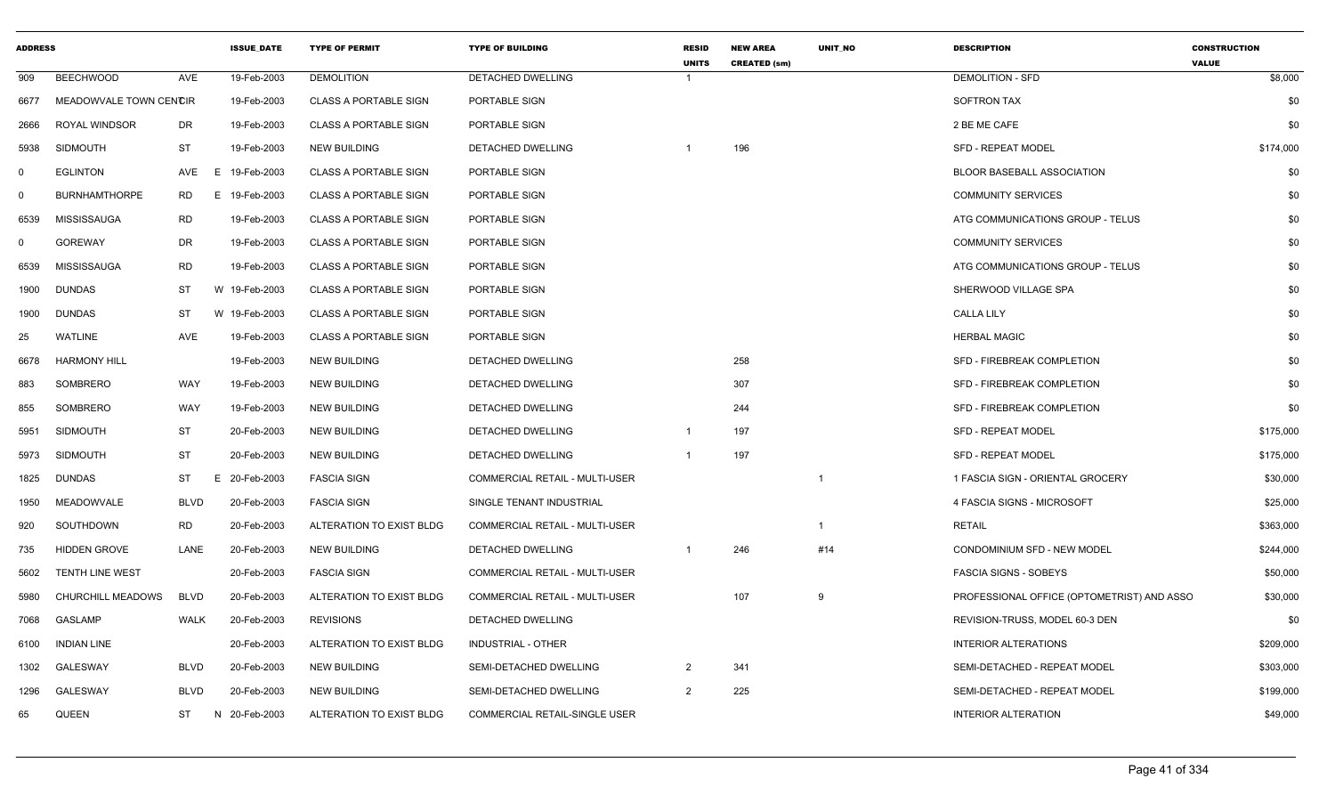| <b>ADDRESS</b> |                        |             | <b>ISSUE DATE</b> | <b>TYPE OF PERMIT</b>        | <b>TYPE OF BUILDING</b>               | <b>RESID</b><br><b>UNITS</b> | <b>NEW AREA</b><br><b>CREATED (sm)</b> | UNIT_NO                 | <b>DESCRIPTION</b>                         | <b>CONSTRUCTION</b><br><b>VALUE</b> |
|----------------|------------------------|-------------|-------------------|------------------------------|---------------------------------------|------------------------------|----------------------------------------|-------------------------|--------------------------------------------|-------------------------------------|
| 909            | <b>BEECHWOOD</b>       | AVE         | 19-Feb-2003       | <b>DEMOLITION</b>            | DETACHED DWELLING                     | $\overline{1}$               |                                        |                         | <b>DEMOLITION - SFD</b>                    | \$8,000                             |
| 6677           | MEADOWVALE TOWN CENCIR |             | 19-Feb-2003       | <b>CLASS A PORTABLE SIGN</b> | PORTABLE SIGN                         |                              |                                        |                         | SOFTRON TAX                                | \$0                                 |
| 2666           | ROYAL WINDSOR          | <b>DR</b>   | 19-Feb-2003       | <b>CLASS A PORTABLE SIGN</b> | PORTABLE SIGN                         |                              |                                        |                         | 2 BE ME CAFE                               | \$0                                 |
| 5938           | <b>SIDMOUTH</b>        | ST          | 19-Feb-2003       | <b>NEW BUILDING</b>          | DETACHED DWELLING                     |                              | 196                                    |                         | SFD - REPEAT MODEL                         | \$174,000                           |
| $\mathbf 0$    | <b>EGLINTON</b>        | AVE         | E<br>19-Feb-2003  | <b>CLASS A PORTABLE SIGN</b> | PORTABLE SIGN                         |                              |                                        |                         | <b>BLOOR BASEBALL ASSOCIATION</b>          | \$0                                 |
| $\mathbf 0$    | <b>BURNHAMTHORPE</b>   | <b>RD</b>   | E.<br>19-Feb-2003 | <b>CLASS A PORTABLE SIGN</b> | PORTABLE SIGN                         |                              |                                        |                         | <b>COMMUNITY SERVICES</b>                  | \$0                                 |
| 6539           | <b>MISSISSAUGA</b>     | <b>RD</b>   | 19-Feb-2003       | <b>CLASS A PORTABLE SIGN</b> | PORTABLE SIGN                         |                              |                                        |                         | ATG COMMUNICATIONS GROUP - TELUS           | \$0                                 |
| $\mathbf 0$    | <b>GOREWAY</b>         | DR          | 19-Feb-2003       | <b>CLASS A PORTABLE SIGN</b> | PORTABLE SIGN                         |                              |                                        |                         | <b>COMMUNITY SERVICES</b>                  | \$0                                 |
| 6539           | <b>MISSISSAUGA</b>     | <b>RD</b>   | 19-Feb-2003       | <b>CLASS A PORTABLE SIGN</b> | PORTABLE SIGN                         |                              |                                        |                         | ATG COMMUNICATIONS GROUP - TELUS           | \$0                                 |
| 1900           | <b>DUNDAS</b>          | ST          | W 19-Feb-2003     | <b>CLASS A PORTABLE SIGN</b> | PORTABLE SIGN                         |                              |                                        |                         | SHERWOOD VILLAGE SPA                       | \$0                                 |
| 1900           | <b>DUNDAS</b>          | ST          | W 19-Feb-2003     | <b>CLASS A PORTABLE SIGN</b> | PORTABLE SIGN                         |                              |                                        |                         | <b>CALLA LILY</b>                          | \$0                                 |
| 25             | <b>WATLINE</b>         | <b>AVE</b>  | 19-Feb-2003       | <b>CLASS A PORTABLE SIGN</b> | PORTABLE SIGN                         |                              |                                        |                         | <b>HERBAL MAGIC</b>                        | \$0                                 |
| 6678           | <b>HARMONY HILL</b>    |             | 19-Feb-2003       | <b>NEW BUILDING</b>          | DETACHED DWELLING                     |                              | 258                                    |                         | SFD - FIREBREAK COMPLETION                 | \$0                                 |
| 883            | SOMBRERO               | WAY         | 19-Feb-2003       | <b>NEW BUILDING</b>          | DETACHED DWELLING                     |                              | 307                                    |                         | SFD - FIREBREAK COMPLETION                 | \$0                                 |
| 855            | SOMBRERO               | WAY         | 19-Feb-2003       | <b>NEW BUILDING</b>          | DETACHED DWELLING                     |                              | 244                                    |                         | SFD - FIREBREAK COMPLETION                 | \$0                                 |
| 5951           | <b>SIDMOUTH</b>        | <b>ST</b>   | 20-Feb-2003       | <b>NEW BUILDING</b>          | DETACHED DWELLING                     | -1                           | 197                                    |                         | SFD - REPEAT MODEL                         | \$175,000                           |
| 5973           | <b>SIDMOUTH</b>        | <b>ST</b>   | 20-Feb-2003       | <b>NEW BUILDING</b>          | DETACHED DWELLING                     | $\overline{1}$               | 197                                    |                         | <b>SFD - REPEAT MODEL</b>                  | \$175,000                           |
| 1825           | <b>DUNDAS</b>          | ST          | 20-Feb-2003<br>Ε  | <b>FASCIA SIGN</b>           | COMMERCIAL RETAIL - MULTI-USER        |                              |                                        | $\overline{\mathbf{1}}$ | 1 FASCIA SIGN - ORIENTAL GROCERY           | \$30,000                            |
| 1950           | <b>MEADOWVALE</b>      | <b>BLVD</b> | 20-Feb-2003       | <b>FASCIA SIGN</b>           | SINGLE TENANT INDUSTRIAL              |                              |                                        |                         | 4 FASCIA SIGNS - MICROSOFT                 | \$25,000                            |
| 920            | SOUTHDOWN              | <b>RD</b>   | 20-Feb-2003       | ALTERATION TO EXIST BLDG     | <b>COMMERCIAL RETAIL - MULTI-USER</b> |                              |                                        | $\overline{1}$          | <b>RETAIL</b>                              | \$363,000                           |
| 735            | <b>HIDDEN GROVE</b>    | LANE        | 20-Feb-2003       | <b>NEW BUILDING</b>          | DETACHED DWELLING                     |                              | 246                                    | #14                     | CONDOMINIUM SFD - NEW MODEL                | \$244,000                           |
| 5602           | TENTH LINE WEST        |             | 20-Feb-2003       | <b>FASCIA SIGN</b>           | COMMERCIAL RETAIL - MULTI-USER        |                              |                                        |                         | <b>FASCIA SIGNS - SOBEYS</b>               | \$50,000                            |
| 5980           | CHURCHILL MEADOWS      | BLVD        | 20-Feb-2003       | ALTERATION TO EXIST BLDG     | <b>COMMERCIAL RETAIL - MULTI-USER</b> |                              | 107                                    | 9                       | PROFESSIONAL OFFICE (OPTOMETRIST) AND ASSC | \$30,000                            |
| 7068           | <b>GASLAMP</b>         | <b>WALK</b> | 20-Feb-2003       | <b>REVISIONS</b>             | DETACHED DWELLING                     |                              |                                        |                         | REVISION-TRUSS, MODEL 60-3 DEN             | \$0                                 |
| 6100           | <b>INDIAN LINE</b>     |             | 20-Feb-2003       | ALTERATION TO EXIST BLDG     | INDUSTRIAL - OTHER                    |                              |                                        |                         | <b>INTERIOR ALTERATIONS</b>                | \$209,000                           |
| 1302           | <b>GALESWAY</b>        | <b>BLVD</b> | 20-Feb-2003       | <b>NEW BUILDING</b>          | <b>SEMI-DETACHED DWELLING</b>         | 2                            | 341                                    |                         | SEMI-DETACHED - REPEAT MODEL               | \$303,000                           |
| 1296           | GALESWAY               | <b>BLVD</b> | 20-Feb-2003       | <b>NEW BUILDING</b>          | SEMI-DETACHED DWELLING                | 2                            | 225                                    |                         | SEMI-DETACHED - REPEAT MODEL               | \$199,000                           |
| 65             | QUEEN                  | ST          | N 20-Feb-2003     | ALTERATION TO EXIST BLDG     | COMMERCIAL RETAIL-SINGLE USER         |                              |                                        |                         | <b>INTERIOR ALTERATION</b>                 | \$49,000                            |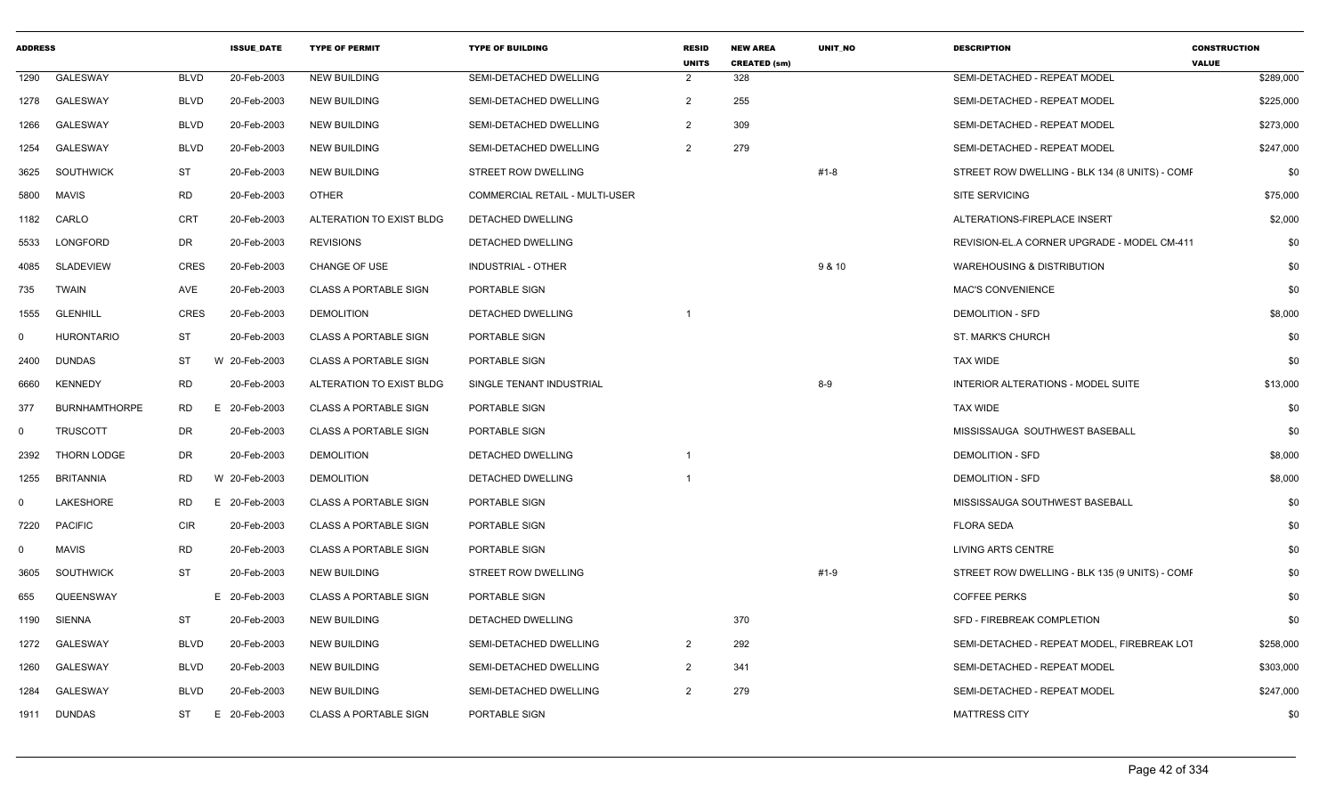| <b>ADDRESS</b> |                      |             | <b>ISSUE_DATE</b> | <b>TYPE OF PERMIT</b>        | <b>TYPE OF BUILDING</b>               | <b>RESID</b><br><b>UNITS</b> | <b>NEW AREA</b><br><b>CREATED (sm)</b> | UNIT_NO  | <b>DESCRIPTION</b>                             | <b>CONSTRUCTION</b><br><b>VALUE</b> |
|----------------|----------------------|-------------|-------------------|------------------------------|---------------------------------------|------------------------------|----------------------------------------|----------|------------------------------------------------|-------------------------------------|
| 1290           | <b>GALESWAY</b>      | <b>BLVD</b> | 20-Feb-2003       | <b>NEW BUILDING</b>          | SEMI-DETACHED DWELLING                | $\overline{2}$               | 328                                    |          | SEMI-DETACHED - REPEAT MODEL                   | \$289,000                           |
| 1278           | <b>GALESWAY</b>      | <b>BLVD</b> | 20-Feb-2003       | <b>NEW BUILDING</b>          | SEMI-DETACHED DWELLING                | $\overline{2}$               | 255                                    |          | SEMI-DETACHED - REPEAT MODEL                   | \$225,000                           |
| 1266           | <b>GALESWAY</b>      | <b>BLVD</b> | 20-Feb-2003       | <b>NEW BUILDING</b>          | SEMI-DETACHED DWELLING                | 2                            | 309                                    |          | SEMI-DETACHED - REPEAT MODEL                   | \$273,000                           |
| 1254           | <b>GALESWAY</b>      | <b>BLVD</b> | 20-Feb-2003       | <b>NEW BUILDING</b>          | SEMI-DETACHED DWELLING                | $\overline{2}$               | 279                                    |          | SEMI-DETACHED - REPEAT MODEL                   | \$247,000                           |
| 3625           | SOUTHWICK            | <b>ST</b>   | 20-Feb-2003       | <b>NEW BUILDING</b>          | STREET ROW DWELLING                   |                              |                                        | $#1 - 8$ | STREET ROW DWELLING - BLK 134 (8 UNITS) - COME | \$0                                 |
| 5800           | <b>MAVIS</b>         | <b>RD</b>   | 20-Feb-2003       | <b>OTHER</b>                 | <b>COMMERCIAL RETAIL - MULTI-USER</b> |                              |                                        |          | <b>SITE SERVICING</b>                          | \$75,000                            |
| 1182           | CARLO                | <b>CRT</b>  | 20-Feb-2003       | ALTERATION TO EXIST BLDG     | DETACHED DWELLING                     |                              |                                        |          | ALTERATIONS-FIREPLACE INSERT                   | \$2,000                             |
| 5533           | LONGFORD             | DR          | 20-Feb-2003       | <b>REVISIONS</b>             | DETACHED DWELLING                     |                              |                                        |          | REVISION-EL.A CORNER UPGRADE - MODEL CM-411    | \$0                                 |
| 4085           | SLADEVIEW            | <b>CRES</b> | 20-Feb-2003       | CHANGE OF USE                | <b>INDUSTRIAL - OTHER</b>             |                              |                                        | 9 & 10   | <b>WAREHOUSING &amp; DISTRIBUTION</b>          | \$0                                 |
| 735            | <b>TWAIN</b>         | AVE         | 20-Feb-2003       | <b>CLASS A PORTABLE SIGN</b> | PORTABLE SIGN                         |                              |                                        |          | <b>MAC'S CONVENIENCE</b>                       | \$0                                 |
| 1555           | <b>GLENHILL</b>      | <b>CRES</b> | 20-Feb-2003       | <b>DEMOLITION</b>            | DETACHED DWELLING                     |                              |                                        |          | <b>DEMOLITION - SFD</b>                        | \$8,000                             |
| $\mathbf 0$    | <b>HURONTARIO</b>    | ST          | 20-Feb-2003       | <b>CLASS A PORTABLE SIGN</b> | <b>PORTABLE SIGN</b>                  |                              |                                        |          | ST. MARK'S CHURCH                              | \$0                                 |
| 2400           | DUNDAS               | ST          | W 20-Feb-2003     | <b>CLASS A PORTABLE SIGN</b> | PORTABLE SIGN                         |                              |                                        |          | <b>TAX WIDE</b>                                | \$0                                 |
| 6660           | <b>KENNEDY</b>       | RD          | 20-Feb-2003       | ALTERATION TO EXIST BLDG     | SINGLE TENANT INDUSTRIAL              |                              |                                        | $8-9$    | INTERIOR ALTERATIONS - MODEL SUITE             | \$13,000                            |
| 377            | <b>BURNHAMTHORPE</b> | <b>RD</b>   | E 20-Feb-2003     | <b>CLASS A PORTABLE SIGN</b> | PORTABLE SIGN                         |                              |                                        |          | <b>TAX WIDE</b>                                | \$0                                 |
| $\mathbf 0$    | <b>TRUSCOTT</b>      | <b>DR</b>   | 20-Feb-2003       | <b>CLASS A PORTABLE SIGN</b> | <b>PORTABLE SIGN</b>                  |                              |                                        |          | MISSISSAUGA SOUTHWEST BASEBALL                 | \$0                                 |
| 2392           | <b>THORN LODGE</b>   | DR          | 20-Feb-2003       | <b>DEMOLITION</b>            | DETACHED DWELLING                     |                              |                                        |          | <b>DEMOLITION - SFD</b>                        | \$8,000                             |
| 1255           | <b>BRITANNIA</b>     | <b>RD</b>   | W 20-Feb-2003     | <b>DEMOLITION</b>            | DETACHED DWELLING                     | 1                            |                                        |          | <b>DEMOLITION - SFD</b>                        | \$8,000                             |
| $\mathbf 0$    | <b>LAKESHORE</b>     | <b>RD</b>   | E 20-Feb-2003     | <b>CLASS A PORTABLE SIGN</b> | PORTABLE SIGN                         |                              |                                        |          | MISSISSAUGA SOUTHWEST BASEBALL                 | \$0                                 |
| 7220           | <b>PACIFIC</b>       | <b>CIR</b>  | 20-Feb-2003       | <b>CLASS A PORTABLE SIGN</b> | PORTABLE SIGN                         |                              |                                        |          | <b>FLORA SEDA</b>                              | \$0                                 |
| $\mathbf 0$    | <b>MAVIS</b>         | <b>RD</b>   | 20-Feb-2003       | <b>CLASS A PORTABLE SIGN</b> | PORTABLE SIGN                         |                              |                                        |          | <b>LIVING ARTS CENTRE</b>                      | \$0                                 |
| 3605           | SOUTHWICK            | <b>ST</b>   | 20-Feb-2003       | <b>NEW BUILDING</b>          | <b>STREET ROW DWELLING</b>            |                              |                                        | $#1-9$   | STREET ROW DWELLING - BLK 135 (9 UNITS) - COMF | \$0                                 |
| 655            | QUEENSWAY            |             | E 20-Feb-2003     | <b>CLASS A PORTABLE SIGN</b> | PORTABLE SIGN                         |                              |                                        |          | <b>COFFEE PERKS</b>                            | \$0                                 |
| 1190           | SIENNA               | ST          | 20-Feb-2003       | <b>NEW BUILDING</b>          | DETACHED DWELLING                     |                              | 370                                    |          | SFD - FIREBREAK COMPLETION                     | \$0                                 |
| 1272           | <b>GALESWAY</b>      | <b>BLVD</b> | 20-Feb-2003       | <b>NEW BUILDING</b>          | SEMI-DETACHED DWELLING                | $\overline{2}$               | 292                                    |          | SEMI-DETACHED - REPEAT MODEL, FIREBREAK LOT    | \$258,000                           |
| 1260           | <b>GALESWAY</b>      | <b>BLVD</b> | 20-Feb-2003       | <b>NEW BUILDING</b>          | SEMI-DETACHED DWELLING                | $\overline{2}$               | 341                                    |          | SEMI-DETACHED - REPEAT MODEL                   | \$303,000                           |
| 1284           | GALESWAY             | <b>BLVD</b> | 20-Feb-2003       | <b>NEW BUILDING</b>          | SEMI-DETACHED DWELLING                | $\overline{2}$               | 279                                    |          | SEMI-DETACHED - REPEAT MODEL                   | \$247,000                           |
| 1911           | DUNDAS               | ST          | 20-Feb-2003<br>E  | <b>CLASS A PORTABLE SIGN</b> | PORTABLE SIGN                         |                              |                                        |          | <b>MATTRESS CITY</b>                           | \$0                                 |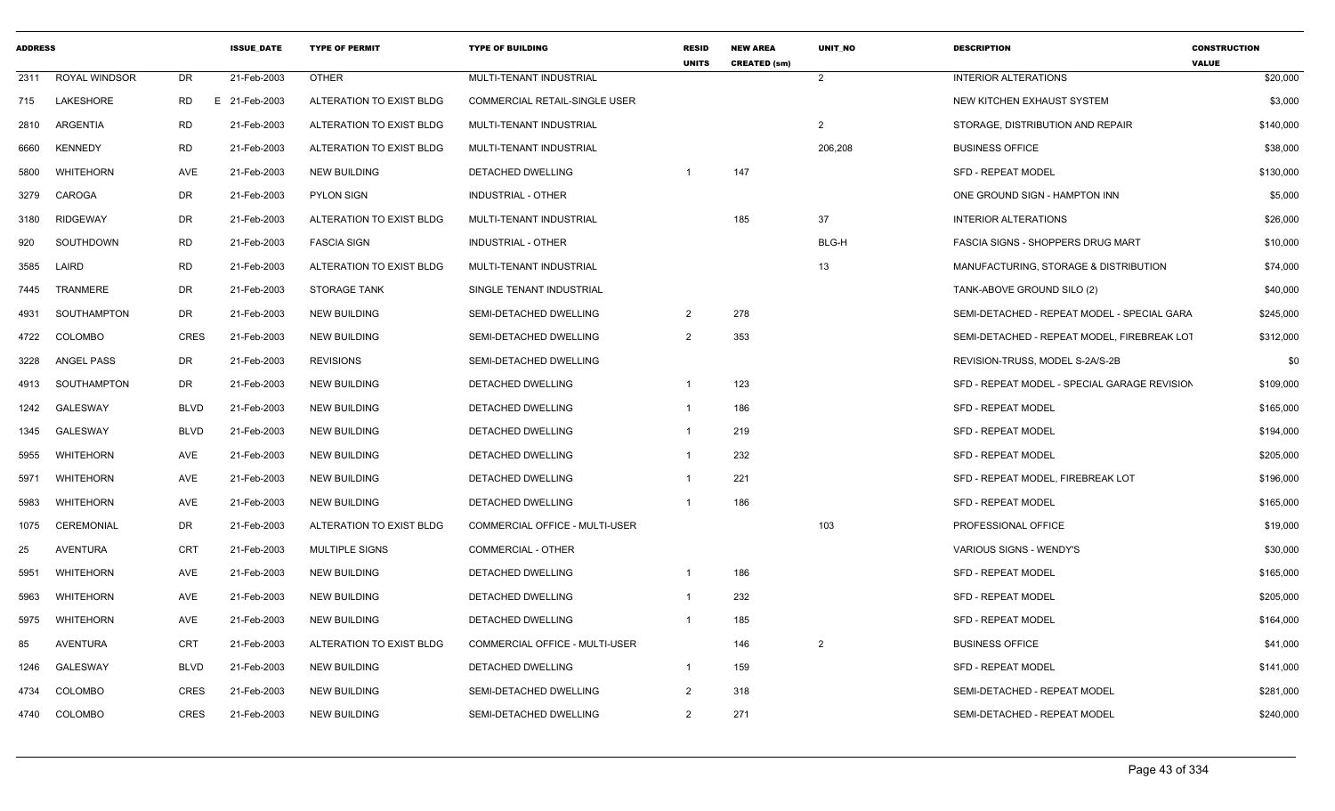| <b>ADDRESS</b> |                  |             | <b>ISSUE DATE</b> | <b>TYPE OF PERMIT</b>    | <b>TYPE OF BUILDING</b>               | <b>RESID</b><br><b>UNITS</b> | <b>NEW AREA</b><br><b>CREATED (sm)</b> | <b>UNIT NO</b> | <b>DESCRIPTION</b>                           | <b>CONSTRUCTION</b><br><b>VALUE</b> |
|----------------|------------------|-------------|-------------------|--------------------------|---------------------------------------|------------------------------|----------------------------------------|----------------|----------------------------------------------|-------------------------------------|
| 2311           | ROYAL WINDSOR    | DR.         | 21-Feb-2003       | <b>OTHER</b>             | MULTI-TENANT INDUSTRIAL               |                              |                                        | $\overline{2}$ | <b>INTERIOR ALTERATIONS</b>                  | \$20,000                            |
| 715            | LAKESHORE        | RD          | E 21-Feb-2003     | ALTERATION TO EXIST BLDG | COMMERCIAL RETAIL-SINGLE USER         |                              |                                        |                | NEW KITCHEN EXHAUST SYSTEM                   | \$3,000                             |
| 2810           | ARGENTIA         | <b>RD</b>   | 21-Feb-2003       | ALTERATION TO EXIST BLDG | MULTI-TENANT INDUSTRIAL               |                              |                                        | 2              | STORAGE, DISTRIBUTION AND REPAIR             | \$140,000                           |
| 6660           | <b>KENNEDY</b>   | <b>RD</b>   | 21-Feb-2003       | ALTERATION TO EXIST BLDG | MULTI-TENANT INDUSTRIAL               |                              |                                        | 206,208        | <b>BUSINESS OFFICE</b>                       | \$38,000                            |
| 5800           | <b>WHITEHORN</b> | AVE         | 21-Feb-2003       | <b>NEW BUILDING</b>      | DETACHED DWELLING                     | - 1                          | 147                                    |                | <b>SFD - REPEAT MODEL</b>                    | \$130,000                           |
| 3279           | CAROGA           | DR          | 21-Feb-2003       | <b>PYLON SIGN</b>        | INDUSTRIAL - OTHER                    |                              |                                        |                | ONE GROUND SIGN - HAMPTON INN                | \$5,000                             |
| 3180           | RIDGEWAY         | <b>DR</b>   | 21-Feb-2003       | ALTERATION TO EXIST BLDG | MULTI-TENANT INDUSTRIAL               |                              | 185                                    | 37             | <b>INTERIOR ALTERATIONS</b>                  | \$26,000                            |
| 920            | SOUTHDOWN        | <b>RD</b>   | 21-Feb-2003       | <b>FASCIA SIGN</b>       | <b>INDUSTRIAL - OTHER</b>             |                              |                                        | BLG-H          | <b>FASCIA SIGNS - SHOPPERS DRUG MART</b>     | \$10,000                            |
| 3585           | LAIRD            | <b>RD</b>   | 21-Feb-2003       | ALTERATION TO EXIST BLDG | MULTI-TENANT INDUSTRIAL               |                              |                                        | 13             | MANUFACTURING, STORAGE & DISTRIBUTION        | \$74,000                            |
| 7445           | TRANMERE         | DR          | 21-Feb-2003       | <b>STORAGE TANK</b>      | SINGLE TENANT INDUSTRIAL              |                              |                                        |                | TANK-ABOVE GROUND SILO (2)                   | \$40,000                            |
| 4931           | SOUTHAMPTON      | <b>DR</b>   | 21-Feb-2003       | <b>NEW BUILDING</b>      | SEMI-DETACHED DWELLING                | $\overline{2}$               | 278                                    |                | SEMI-DETACHED - REPEAT MODEL - SPECIAL GARA  | \$245,000                           |
| 4722           | <b>COLOMBO</b>   | <b>CRES</b> | 21-Feb-2003       | <b>NEW BUILDING</b>      | SEMI-DETACHED DWELLING                | $\overline{2}$               | 353                                    |                | SEMI-DETACHED - REPEAT MODEL, FIREBREAK LOT  | \$312,000                           |
| 3228           | ANGEL PASS       | <b>DR</b>   | 21-Feb-2003       | <b>REVISIONS</b>         | SEMI-DETACHED DWELLING                |                              |                                        |                | REVISION-TRUSS, MODEL S-2A/S-2B              | \$0                                 |
| 4913           | SOUTHAMPTON      | DR.         | 21-Feb-2003       | <b>NEW BUILDING</b>      | <b>DETACHED DWELLING</b>              |                              | 123                                    |                | SFD - REPEAT MODEL - SPECIAL GARAGE REVISION | \$109,000                           |
| 1242           | <b>GALESWAY</b>  | <b>BLVD</b> | 21-Feb-2003       | <b>NEW BUILDING</b>      | DETACHED DWELLING                     | $\overline{1}$               | 186                                    |                | <b>SFD - REPEAT MODEL</b>                    | \$165,000                           |
| 1345           | <b>GALESWAY</b>  | <b>BLVD</b> | 21-Feb-2003       | <b>NEW BUILDING</b>      | DETACHED DWELLING                     | - 1                          | 219                                    |                | <b>SFD - REPEAT MODEL</b>                    | \$194,000                           |
| 5955           | <b>WHITEHORN</b> | AVE         | 21-Feb-2003       | <b>NEW BUILDING</b>      | <b>DETACHED DWELLING</b>              | - 1                          | 232                                    |                | <b>SFD - REPEAT MODEL</b>                    | \$205,000                           |
| 5971           | WHITEHORN        | <b>AVE</b>  | 21-Feb-2003       | <b>NEW BUILDING</b>      | DETACHED DWELLING                     | $\overline{1}$               | 221                                    |                | SFD - REPEAT MODEL. FIREBREAK LOT            | \$196,000                           |
| 5983           | WHITEHORN        | AVE         | 21-Feb-2003       | <b>NEW BUILDING</b>      | DETACHED DWELLING                     | $\overline{1}$               | 186                                    |                | <b>SFD - REPEAT MODEL</b>                    | \$165,000                           |
| 1075           | CEREMONIAL       | DR          | 21-Feb-2003       | ALTERATION TO EXIST BLDG | <b>COMMERCIAL OFFICE - MULTI-USER</b> |                              |                                        | 103            | PROFESSIONAL OFFICE                          | \$19,000                            |
| 25             | <b>AVENTURA</b>  | <b>CRT</b>  | 21-Feb-2003       | <b>MULTIPLE SIGNS</b>    | <b>COMMERCIAL - OTHER</b>             |                              |                                        |                | VARIOUS SIGNS - WENDY'S                      | \$30,000                            |
| 5951           | WHITEHORN        | AVE         | 21-Feb-2003       | <b>NEW BUILDING</b>      | DETACHED DWELLING                     | $\overline{1}$               | 186                                    |                | <b>SFD - REPEAT MODEL</b>                    | \$165,000                           |
| 5963           | <b>WHITEHORN</b> | AVE         | 21-Feb-2003       | <b>NEW BUILDING</b>      | DETACHED DWELLING                     | - 1                          | 232                                    |                | <b>SFD - REPEAT MODEL</b>                    | \$205,000                           |
| 5975           | WHITEHORN        | <b>AVE</b>  | 21-Feb-2003       | <b>NEW BUILDING</b>      | <b>DETACHED DWELLING</b>              | $\overline{1}$               | 185                                    |                | <b>SFD - REPEAT MODEL</b>                    | \$164,000                           |
| 85             | AVENTURA         | <b>CRT</b>  | 21-Feb-2003       | ALTERATION TO EXIST BLDG | COMMERCIAL OFFICE - MULTI-USER        |                              | 146                                    | $\overline{2}$ | <b>BUSINESS OFFICE</b>                       | \$41,000                            |
| 1246           | <b>GALESWAY</b>  | <b>BLVD</b> | 21-Feb-2003       | NEW BUILDING             | DETACHED DWELLING                     | $\overline{\mathbf{1}}$      | 159                                    |                | <b>SFD - REPEAT MODEL</b>                    | \$141,000                           |
| 4734           | <b>COLOMBO</b>   | <b>CRES</b> | 21-Feb-2003       | <b>NEW BUILDING</b>      | SEMI-DETACHED DWELLING                | $\overline{2}$               | 318                                    |                | SEMI-DETACHED - REPEAT MODEL                 | \$281,000                           |
| 4740           | COLOMBO          | <b>CRES</b> | 21-Feb-2003       | <b>NEW BUILDING</b>      | SEMI-DETACHED DWELLING                | $\overline{2}$               | 271                                    |                | SEMI-DETACHED - REPEAT MODEL                 | \$240,000                           |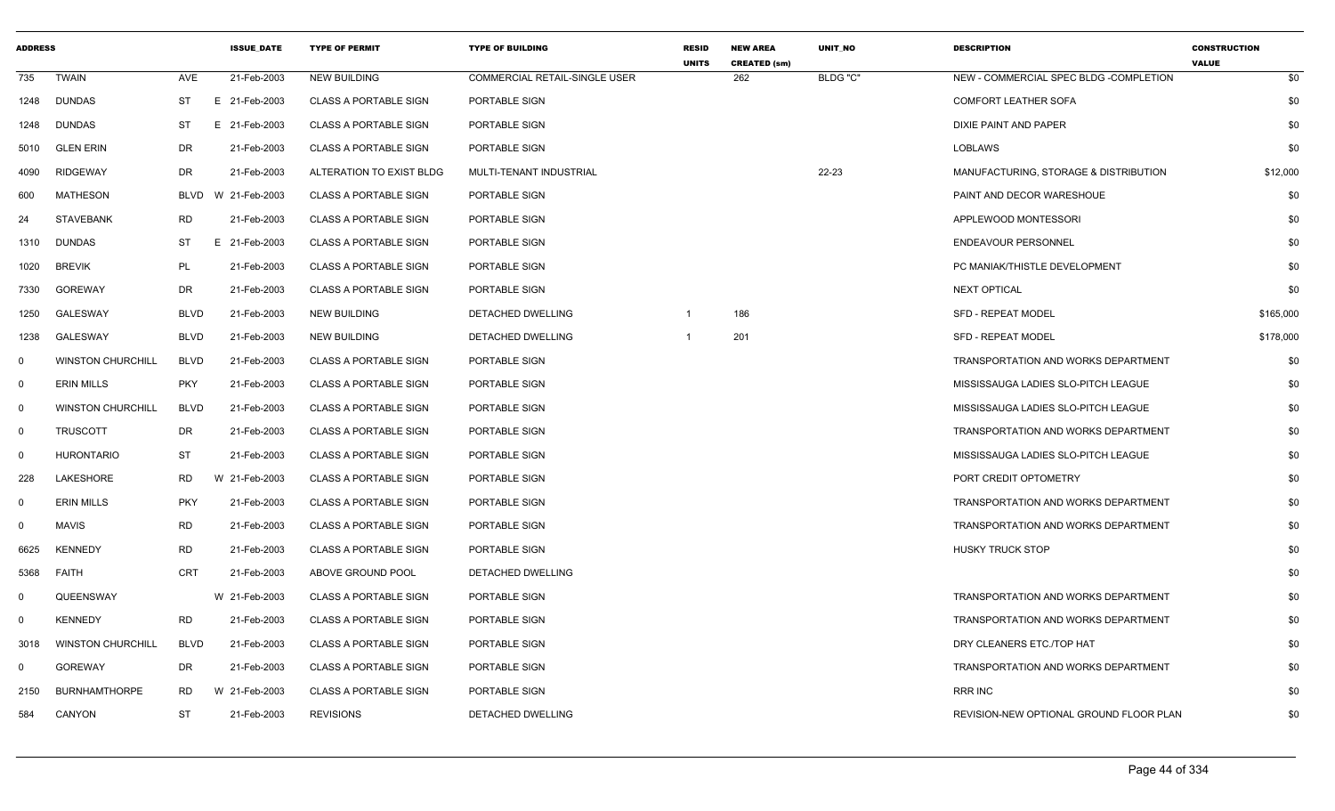| <b>ADDRESS</b> |                          |             | <b>ISSUE DATE</b> | <b>TYPE OF PERMIT</b>        | <b>TYPE OF BUILDING</b>       | <b>RESID</b><br><b>UNITS</b> | <b>NEW AREA</b><br><b>CREATED (sm)</b> | UNIT_NO  | <b>DESCRIPTION</b>                         | <b>CONSTRUCTION</b><br><b>VALUE</b> |
|----------------|--------------------------|-------------|-------------------|------------------------------|-------------------------------|------------------------------|----------------------------------------|----------|--------------------------------------------|-------------------------------------|
| 735            | <b>TWAIN</b>             | AVE         | 21-Feb-2003       | <b>NEW BUILDING</b>          | COMMERCIAL RETAIL-SINGLE USER |                              | 262                                    | BLDG "C" | NEW - COMMERCIAL SPEC BLDG -COMPLETION     | \$0                                 |
| 1248           | DUNDAS                   | ST          | E 21-Feb-2003     | <b>CLASS A PORTABLE SIGN</b> | PORTABLE SIGN                 |                              |                                        |          | <b>COMFORT LEATHER SOFA</b>                | \$0                                 |
| 1248           | <b>DUNDAS</b>            | ST          | E 21-Feb-2003     | <b>CLASS A PORTABLE SIGN</b> | PORTABLE SIGN                 |                              |                                        |          | DIXIE PAINT AND PAPER                      | \$0                                 |
| 5010           | <b>GLEN ERIN</b>         | DR          | 21-Feb-2003       | <b>CLASS A PORTABLE SIGN</b> | PORTABLE SIGN                 |                              |                                        |          | LOBLAWS                                    | \$0                                 |
| 4090           | <b>RIDGEWAY</b>          | DR          | 21-Feb-2003       | ALTERATION TO EXIST BLDG     | MULTI-TENANT INDUSTRIAL       |                              |                                        | 22-23    | MANUFACTURING, STORAGE & DISTRIBUTION      | \$12,000                            |
| 600            | MATHESON                 | <b>BLVD</b> | W 21-Feb-2003     | <b>CLASS A PORTABLE SIGN</b> | PORTABLE SIGN                 |                              |                                        |          | PAINT AND DECOR WARESHOUE                  | \$0                                 |
| 24             | <b>STAVEBANK</b>         | <b>RD</b>   | 21-Feb-2003       | <b>CLASS A PORTABLE SIGN</b> | PORTABLE SIGN                 |                              |                                        |          | APPLEWOOD MONTESSORI                       | \$0                                 |
| 1310           | <b>DUNDAS</b>            | ST          | E 21-Feb-2003     | <b>CLASS A PORTABLE SIGN</b> | PORTABLE SIGN                 |                              |                                        |          | <b>ENDEAVOUR PERSONNEL</b>                 | \$0                                 |
| 1020           | <b>BREVIK</b>            | PL          | 21-Feb-2003       | <b>CLASS A PORTABLE SIGN</b> | PORTABLE SIGN                 |                              |                                        |          | PC MANIAK/THISTLE DEVELOPMENT              | \$0                                 |
| 7330           | <b>GOREWAY</b>           | DR          | 21-Feb-2003       | <b>CLASS A PORTABLE SIGN</b> | PORTABLE SIGN                 |                              |                                        |          | <b>NEXT OPTICAL</b>                        | \$0                                 |
| 1250           | GALESWAY                 | <b>BLVD</b> | 21-Feb-2003       | <b>NEW BUILDING</b>          | DETACHED DWELLING             | -1                           | 186                                    |          | <b>SFD - REPEAT MODEL</b>                  | \$165,000                           |
| 1238           | GALESWAY                 | <b>BLVD</b> | 21-Feb-2003       | <b>NEW BUILDING</b>          | DETACHED DWELLING             | -1                           | 201                                    |          | SFD - REPEAT MODEL                         | \$178,000                           |
| $\mathbf 0$    | <b>WINSTON CHURCHILL</b> | <b>BLVD</b> | 21-Feb-2003       | <b>CLASS A PORTABLE SIGN</b> | PORTABLE SIGN                 |                              |                                        |          | TRANSPORTATION AND WORKS DEPARTMENT        | \$0                                 |
| $\mathbf 0$    | <b>ERIN MILLS</b>        | <b>PKY</b>  | 21-Feb-2003       | <b>CLASS A PORTABLE SIGN</b> | PORTABLE SIGN                 |                              |                                        |          | MISSISSAUGA LADIES SLO-PITCH LEAGUE        | \$0                                 |
| $\mathbf 0$    | <b>WINSTON CHURCHILL</b> | <b>BLVD</b> | 21-Feb-2003       | <b>CLASS A PORTABLE SIGN</b> | PORTABLE SIGN                 |                              |                                        |          | MISSISSAUGA LADIES SLO-PITCH LEAGUE        | \$0                                 |
| $\mathbf 0$    | <b>TRUSCOTT</b>          | DR          | 21-Feb-2003       | <b>CLASS A PORTABLE SIGN</b> | PORTABLE SIGN                 |                              |                                        |          | TRANSPORTATION AND WORKS DEPARTMENT        | \$0                                 |
| $\mathbf 0$    | <b>HURONTARIO</b>        | ST          | 21-Feb-2003       | <b>CLASS A PORTABLE SIGN</b> | PORTABLE SIGN                 |                              |                                        |          | MISSISSAUGA LADIES SLO-PITCH LEAGUE        | \$0                                 |
| 228            | LAKESHORE                | <b>RD</b>   | W 21-Feb-2003     | <b>CLASS A PORTABLE SIGN</b> | PORTABLE SIGN                 |                              |                                        |          | PORT CREDIT OPTOMETRY                      | \$0                                 |
| $\mathbf 0$    | <b>ERIN MILLS</b>        | <b>PKY</b>  | 21-Feb-2003       | <b>CLASS A PORTABLE SIGN</b> | PORTABLE SIGN                 |                              |                                        |          | <b>TRANSPORTATION AND WORKS DEPARTMENT</b> | \$0                                 |
| $\mathbf 0$    | <b>MAVIS</b>             | <b>RD</b>   | 21-Feb-2003       | <b>CLASS A PORTABLE SIGN</b> | PORTABLE SIGN                 |                              |                                        |          | TRANSPORTATION AND WORKS DEPARTMENT        | \$0                                 |
| 6625           | <b>KENNEDY</b>           | <b>RD</b>   | 21-Feb-2003       | <b>CLASS A PORTABLE SIGN</b> | PORTABLE SIGN                 |                              |                                        |          | <b>HUSKY TRUCK STOP</b>                    | \$0                                 |
| 5368           | FAITH                    | <b>CRT</b>  | 21-Feb-2003       | ABOVE GROUND POOL            | DETACHED DWELLING             |                              |                                        |          |                                            | \$0                                 |
| $\mathbf 0$    | QUEENSWAY                |             | W 21-Feb-2003     | <b>CLASS A PORTABLE SIGN</b> | PORTABLE SIGN                 |                              |                                        |          | TRANSPORTATION AND WORKS DEPARTMENT        | \$0                                 |
| $\mathbf 0$    | <b>KENNEDY</b>           | <b>RD</b>   | 21-Feb-2003       | <b>CLASS A PORTABLE SIGN</b> | PORTABLE SIGN                 |                              |                                        |          | <b>TRANSPORTATION AND WORKS DEPARTMENT</b> | \$0                                 |
| 3018           | <b>WINSTON CHURCHILL</b> | BLVD        | 21-Feb-2003       | <b>CLASS A PORTABLE SIGN</b> | PORTABLE SIGN                 |                              |                                        |          | DRY CLEANERS ETC./TOP HAT                  | \$0                                 |
| $\mathbf 0$    | <b>GOREWAY</b>           | DR          | 21-Feb-2003       | <b>CLASS A PORTABLE SIGN</b> | PORTABLE SIGN                 |                              |                                        |          | TRANSPORTATION AND WORKS DEPARTMENT        | \$0                                 |
| 2150           | <b>BURNHAMTHORPE</b>     | <b>RD</b>   | W 21-Feb-2003     | <b>CLASS A PORTABLE SIGN</b> | PORTABLE SIGN                 |                              |                                        |          | RRR INC                                    | \$0                                 |
| 584            | CANYON                   | <b>ST</b>   | 21-Feb-2003       | <b>REVISIONS</b>             | DETACHED DWELLING             |                              |                                        |          | REVISION-NEW OPTIONAL GROUND FLOOR PLAN    | \$0                                 |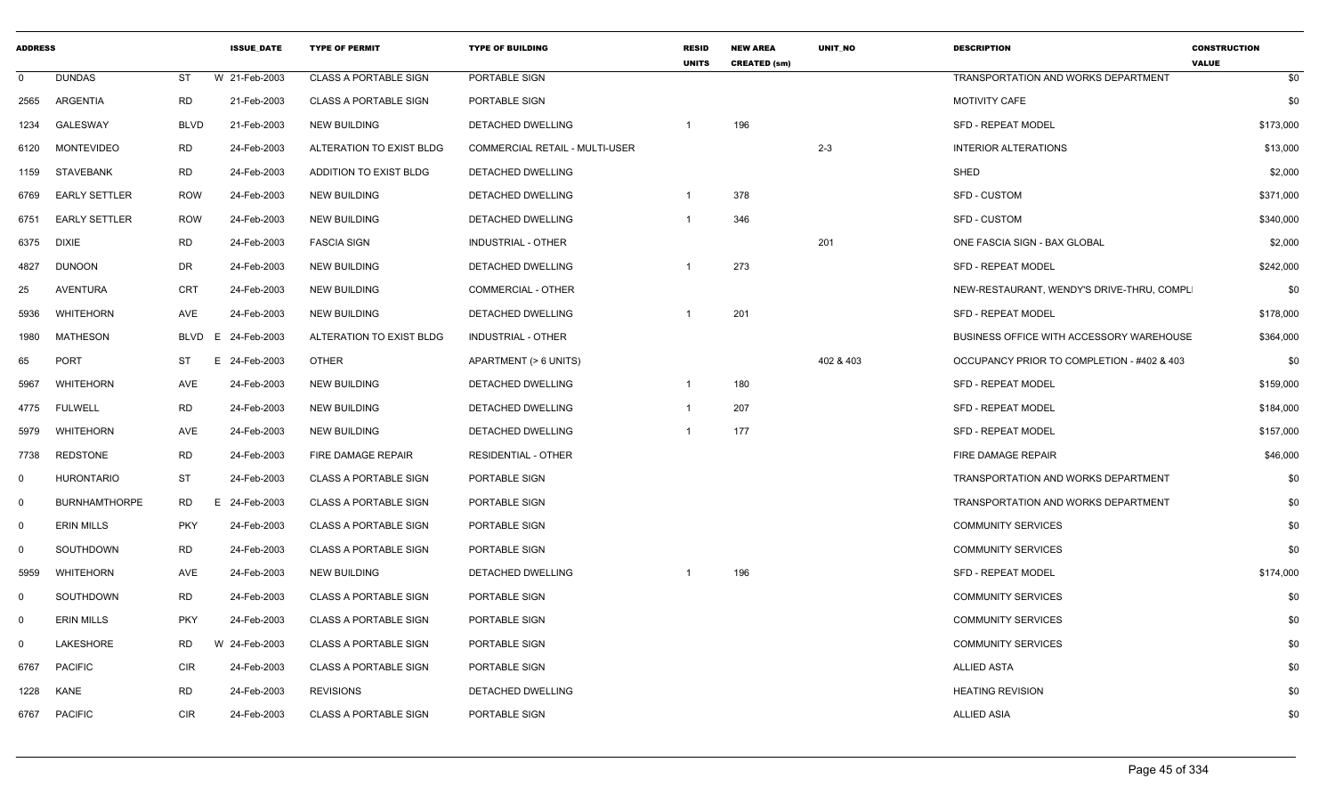| <b>ADDRESS</b> |                      |             | <b>ISSUE DATE</b> | <b>TYPE OF PERMIT</b>        | <b>TYPE OF BUILDING</b>               | <b>RESID</b><br><b>UNITS</b> | <b>NEW AREA</b><br><b>CREATED (sm)</b> | <b>UNIT NO</b> | <b>DESCRIPTION</b>                         | <b>CONSTRUCTION</b><br><b>VALUE</b> |
|----------------|----------------------|-------------|-------------------|------------------------------|---------------------------------------|------------------------------|----------------------------------------|----------------|--------------------------------------------|-------------------------------------|
| $\mathbf 0$    | <b>DUNDAS</b>        | <b>ST</b>   | W 21-Feb-2003     | <b>CLASS A PORTABLE SIGN</b> | PORTABLE SIGN                         |                              |                                        |                | <b>TRANSPORTATION AND WORKS DEPARTMENT</b> | \$0                                 |
| 2565           | ARGENTIA             | <b>RD</b>   | 21-Feb-2003       | <b>CLASS A PORTABLE SIGN</b> | PORTABLE SIGN                         |                              |                                        |                | MOTIVITY CAFE                              | \$0                                 |
| 1234           | GALESWAY             | <b>BLVD</b> | 21-Feb-2003       | <b>NEW BUILDING</b>          | DETACHED DWELLING                     |                              | 196                                    |                | <b>SFD - REPEAT MODEL</b>                  | \$173,000                           |
| 6120           | <b>MONTEVIDEO</b>    | <b>RD</b>   | 24-Feb-2003       | ALTERATION TO EXIST BLDG     | <b>COMMERCIAL RETAIL - MULTI-USER</b> |                              |                                        | $2 - 3$        | <b>INTERIOR ALTERATIONS</b>                | \$13,000                            |
| 1159           | STAVEBANK            | <b>RD</b>   | 24-Feb-2003       | ADDITION TO EXIST BLDG       | DETACHED DWELLING                     |                              |                                        |                | SHED                                       | \$2,000                             |
| 6769           | <b>EARLY SETTLER</b> | <b>ROW</b>  | 24-Feb-2003       | <b>NEW BUILDING</b>          | <b>DETACHED DWELLING</b>              | $\overline{1}$               | 378                                    |                | <b>SFD - CUSTOM</b>                        | \$371,000                           |
| 6751           | <b>EARLY SETTLER</b> | <b>ROW</b>  | 24-Feb-2003       | <b>NEW BUILDING</b>          | DETACHED DWELLING                     | -1                           | 346                                    |                | <b>SFD - CUSTOM</b>                        | \$340,000                           |
| 6375           | DIXIE                | <b>RD</b>   | 24-Feb-2003       | <b>FASCIA SIGN</b>           | <b>INDUSTRIAL - OTHER</b>             |                              |                                        | 201            | ONE FASCIA SIGN - BAX GLOBAL               | \$2,000                             |
| 4827           | DUNOON               | <b>DR</b>   | 24-Feb-2003       | <b>NEW BUILDING</b>          | DETACHED DWELLING                     | -1                           | 273                                    |                | SFD - REPEAT MODEL                         | \$242,000                           |
| 25             | AVENTURA             | <b>CRT</b>  | 24-Feb-2003       | <b>NEW BUILDING</b>          | COMMERCIAL - OTHER                    |                              |                                        |                | NEW-RESTAURANT, WENDY'S DRIVE-THRU, COMPL  | \$0                                 |
| 5936           | <b>WHITEHORN</b>     | <b>AVE</b>  | 24-Feb-2003       | <b>NEW BUILDING</b>          | DETACHED DWELLING                     | -1                           | 201                                    |                | <b>SFD - REPEAT MODEL</b>                  | \$178,000                           |
| 1980           | <b>MATHESON</b>      | <b>BLVD</b> | E<br>24-Feb-2003  | ALTERATION TO EXIST BLDG     | <b>INDUSTRIAL - OTHER</b>             |                              |                                        |                | BUSINESS OFFICE WITH ACCESSORY WAREHOUSE   | \$364,000                           |
| 65             | <b>PORT</b>          | <b>ST</b>   | E<br>24-Feb-2003  | <b>OTHER</b>                 | APARTMENT (> 6 UNITS)                 |                              |                                        | 402 & 403      | OCCUPANCY PRIOR TO COMPLETION - #402 & 403 | \$0                                 |
| 5967           | <b>WHITEHORN</b>     | AVE         | 24-Feb-2003       | <b>NEW BUILDING</b>          | DETACHED DWELLING                     | $\overline{1}$               | 180                                    |                | <b>SFD - REPEAT MODEL</b>                  | \$159,000                           |
| 4775           | <b>FULWELL</b>       | <b>RD</b>   | 24-Feb-2003       | NEW BUILDING                 | DETACHED DWELLING                     | $\overline{1}$               | 207                                    |                | <b>SFD - REPEAT MODEL</b>                  | \$184,000                           |
| 5979           | WHITEHORN            | AVE         | 24-Feb-2003       | <b>NEW BUILDING</b>          | DETACHED DWELLING                     |                              | 177                                    |                | SFD - REPEAT MODEL                         | \$157,000                           |
| 7738           | <b>REDSTONE</b>      | RD          | 24-Feb-2003       | FIRE DAMAGE REPAIR           | <b>RESIDENTIAL - OTHER</b>            |                              |                                        |                | FIRE DAMAGE REPAIR                         | \$46,000                            |
| $\mathbf 0$    | <b>HURONTARIO</b>    | <b>ST</b>   | 24-Feb-2003       | <b>CLASS A PORTABLE SIGN</b> | PORTABLE SIGN                         |                              |                                        |                | TRANSPORTATION AND WORKS DEPARTMENT        | \$0                                 |
| $\overline{0}$ | <b>BURNHAMTHORPE</b> | <b>RD</b>   | E 24-Feb-2003     | <b>CLASS A PORTABLE SIGN</b> | PORTABLE SIGN                         |                              |                                        |                | TRANSPORTATION AND WORKS DEPARTMENT        | \$0                                 |
| $\mathbf 0$    | <b>ERIN MILLS</b>    | <b>PKY</b>  | 24-Feb-2003       | <b>CLASS A PORTABLE SIGN</b> | PORTABLE SIGN                         |                              |                                        |                | <b>COMMUNITY SERVICES</b>                  | \$0                                 |
| $\mathbf 0$    | SOUTHDOWN            | <b>RD</b>   | 24-Feb-2003       | <b>CLASS A PORTABLE SIGN</b> | PORTABLE SIGN                         |                              |                                        |                | <b>COMMUNITY SERVICES</b>                  | \$0                                 |
| 5959           | <b>WHITEHORN</b>     | AVE         | 24-Feb-2003       | <b>NEW BUILDING</b>          | DETACHED DWELLING                     | - 1                          | 196                                    |                | SFD - REPEAT MODEL                         | \$174,000                           |
| $\mathbf 0$    | SOUTHDOWN            | <b>RD</b>   | 24-Feb-2003       | <b>CLASS A PORTABLE SIGN</b> | PORTABLE SIGN                         |                              |                                        |                | <b>COMMUNITY SERVICES</b>                  | \$0                                 |
| $\mathbf 0$    | <b>ERIN MILLS</b>    | <b>PKY</b>  | 24-Feb-2003       | <b>CLASS A PORTABLE SIGN</b> | PORTABLE SIGN                         |                              |                                        |                | <b>COMMUNITY SERVICES</b>                  | \$0                                 |
| $\mathbf 0$    | LAKESHORE            | <b>RD</b>   | W 24-Feb-2003     | <b>CLASS A PORTABLE SIGN</b> | PORTABLE SIGN                         |                              |                                        |                | <b>COMMUNITY SERVICES</b>                  | \$0                                 |
| 6767           | <b>PACIFIC</b>       | CIR         | 24-Feb-2003       | <b>CLASS A PORTABLE SIGN</b> | PORTABLE SIGN                         |                              |                                        |                | <b>ALLIED ASTA</b>                         | \$0                                 |
| 1228           | KANE                 | <b>RD</b>   | 24-Feb-2003       | <b>REVISIONS</b>             | DETACHED DWELLING                     |                              |                                        |                | <b>HEATING REVISION</b>                    | \$0                                 |
| 6767           | <b>PACIFIC</b>       | <b>CIR</b>  | 24-Feb-2003       | <b>CLASS A PORTABLE SIGN</b> | PORTABLE SIGN                         |                              |                                        |                | <b>ALLIED ASIA</b>                         | \$0                                 |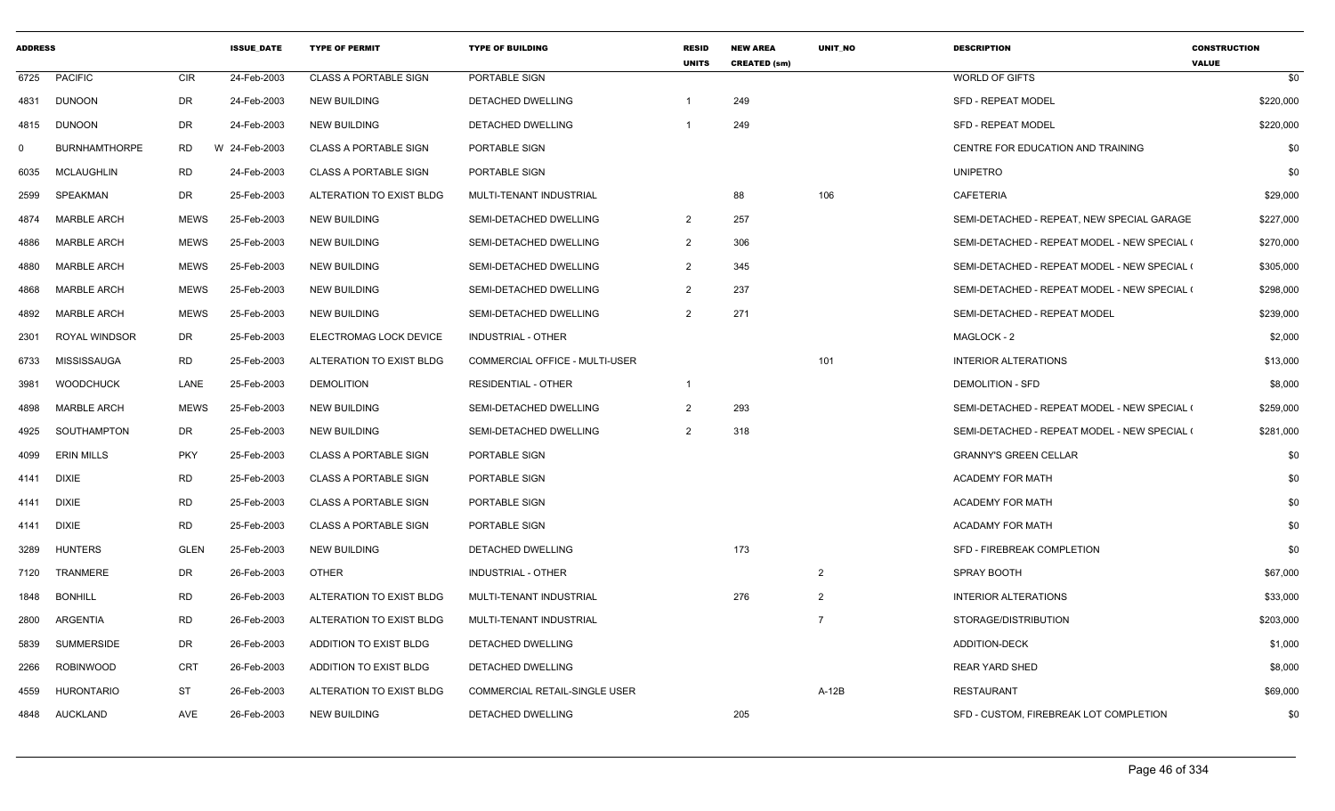| <b>ADDRESS</b> |                      |             | <b>ISSUE DATE</b> | <b>TYPE OF PERMIT</b>        | <b>TYPE OF BUILDING</b>              | <b>RESID</b><br><b>UNITS</b> | <b>NEW AREA</b><br><b>CREATED (sm)</b> | <b>UNIT NO</b> | <b>DESCRIPTION</b>                           | <b>CONSTRUCTION</b><br><b>VALUE</b> |
|----------------|----------------------|-------------|-------------------|------------------------------|--------------------------------------|------------------------------|----------------------------------------|----------------|----------------------------------------------|-------------------------------------|
| 6725           | <b>PACIFIC</b>       | <b>CIR</b>  | 24-Feb-2003       | <b>CLASS A PORTABLE SIGN</b> | PORTABLE SIGN                        |                              |                                        |                | WORLD OF GIFTS                               | \$0                                 |
| 4831           | <b>DUNOON</b>        | DR          | 24-Feb-2003       | <b>NEW BUILDING</b>          | DETACHED DWELLING                    |                              | 249                                    |                | <b>SFD - REPEAT MODEL</b>                    | \$220,000                           |
| 4815           | <b>DUNOON</b>        | <b>DR</b>   | 24-Feb-2003       | <b>NEW BUILDING</b>          | DETACHED DWELLING                    |                              | 249                                    |                | <b>SFD - REPEAT MODEL</b>                    | \$220,000                           |
| $\mathbf{0}$   | <b>BURNHAMTHORPE</b> | <b>RD</b>   | W 24-Feb-2003     | <b>CLASS A PORTABLE SIGN</b> | PORTABLE SIGN                        |                              |                                        |                | CENTRE FOR EDUCATION AND TRAINING            | \$0                                 |
| 6035           | <b>MCLAUGHLIN</b>    | <b>RD</b>   | 24-Feb-2003       | <b>CLASS A PORTABLE SIGN</b> | PORTABLE SIGN                        |                              |                                        |                | <b>UNIPETRO</b>                              | \$0                                 |
| 2599           | SPEAKMAN             | DR          | 25-Feb-2003       | ALTERATION TO EXIST BLDG     | MULTI-TENANT INDUSTRIAL              |                              | 88                                     | 106            | <b>CAFETERIA</b>                             | \$29,000                            |
| 4874           | <b>MARBLE ARCH</b>   | <b>MEWS</b> | 25-Feb-2003       | <b>NEW BUILDING</b>          | SEMI-DETACHED DWELLING               | $\overline{2}$               | 257                                    |                | SEMI-DETACHED - REPEAT, NEW SPECIAL GARAGE   | \$227,000                           |
| 4886           | <b>MARBLE ARCH</b>   | <b>MEWS</b> | 25-Feb-2003       | <b>NEW BUILDING</b>          | SEMI-DETACHED DWELLING               | $\overline{2}$               | 306                                    |                | SEMI-DETACHED - REPEAT MODEL - NEW SPECIAL ( | \$270,000                           |
| 4880           | <b>MARBLE ARCH</b>   | <b>MEWS</b> | 25-Feb-2003       | <b>NEW BUILDING</b>          | SEMI-DETACHED DWELLING               | $\overline{2}$               | 345                                    |                | SEMI-DETACHED - REPEAT MODEL - NEW SPECIAL ( | \$305,000                           |
| 4868           | <b>MARBLE ARCH</b>   | <b>MEWS</b> | 25-Feb-2003       | <b>NEW BUILDING</b>          | SEMI-DETACHED DWELLING               | $\overline{2}$               | 237                                    |                | SEMI-DETACHED - REPEAT MODEL - NEW SPECIAL ( | \$298,000                           |
| 4892           | <b>MARBLE ARCH</b>   | <b>MEWS</b> | 25-Feb-2003       | <b>NEW BUILDING</b>          | SEMI-DETACHED DWELLING               | $\overline{2}$               | 271                                    |                | SEMI-DETACHED - REPEAT MODEL                 | \$239,000                           |
| 2301           | <b>ROYAL WINDSOR</b> | DR.         | 25-Feb-2003       | ELECTROMAG LOCK DEVICE       | <b>INDUSTRIAL - OTHER</b>            |                              |                                        |                | MAGLOCK - 2                                  | \$2,000                             |
| 6733           | MISSISSAUGA          | <b>RD</b>   | 25-Feb-2003       | ALTERATION TO EXIST BLDG     | COMMERCIAL OFFICE - MULTI-USER       |                              |                                        | 101            | <b>INTERIOR ALTERATIONS</b>                  | \$13,000                            |
| 3981           | <b>WOODCHUCK</b>     | LANE        | 25-Feb-2003       | <b>DEMOLITION</b>            | <b>RESIDENTIAL - OTHER</b>           | $\overline{1}$               |                                        |                | <b>DEMOLITION - SFD</b>                      | \$8,000                             |
| 4898           | <b>MARBLE ARCH</b>   | <b>MEWS</b> | 25-Feb-2003       | <b>NEW BUILDING</b>          | SEMI-DETACHED DWELLING               | $\overline{2}$               | 293                                    |                | SEMI-DETACHED - REPEAT MODEL - NEW SPECIAL ( | \$259,000                           |
| 4925           | SOUTHAMPTON          | DR          | 25-Feb-2003       | <b>NEW BUILDING</b>          | SEMI-DETACHED DWELLING               | $\overline{2}$               | 318                                    |                | SEMI-DETACHED - REPEAT MODEL - NEW SPECIAL ( | \$281,000                           |
| 4099           | <b>ERIN MILLS</b>    | <b>PKY</b>  | 25-Feb-2003       | <b>CLASS A PORTABLE SIGN</b> | PORTABLE SIGN                        |                              |                                        |                | <b>GRANNY'S GREEN CELLAR</b>                 | \$0                                 |
| 4141           | <b>DIXIE</b>         | <b>RD</b>   | 25-Feb-2003       | <b>CLASS A PORTABLE SIGN</b> | PORTABLE SIGN                        |                              |                                        |                | <b>ACADEMY FOR MATH</b>                      | \$0                                 |
| 4141           | <b>DIXIE</b>         | <b>RD</b>   | 25-Feb-2003       | <b>CLASS A PORTABLE SIGN</b> | PORTABLE SIGN                        |                              |                                        |                | <b>ACADEMY FOR MATH</b>                      | \$0                                 |
| 4141           | <b>DIXIE</b>         | <b>RD</b>   | 25-Feb-2003       | <b>CLASS A PORTABLE SIGN</b> | PORTABLE SIGN                        |                              |                                        |                | <b>ACADAMY FOR MATH</b>                      | \$0                                 |
| 3289           | <b>HUNTERS</b>       | <b>GLEN</b> | 25-Feb-2003       | <b>NEW BUILDING</b>          | DETACHED DWELLING                    |                              | 173                                    |                | SFD - FIREBREAK COMPLETION                   | \$0                                 |
| 7120           | <b>TRANMERE</b>      | DR          | 26-Feb-2003       | <b>OTHER</b>                 | <b>INDUSTRIAL - OTHER</b>            |                              |                                        | $\overline{2}$ | <b>SPRAY BOOTH</b>                           | \$67,000                            |
| 1848           | <b>BONHILL</b>       | <b>RD</b>   | 26-Feb-2003       | ALTERATION TO EXIST BLDG     | MULTI-TENANT INDUSTRIAL              |                              | 276                                    | $\overline{2}$ | <b>INTERIOR ALTERATIONS</b>                  | \$33,000                            |
| 2800           | ARGENTIA             | <b>RD</b>   | 26-Feb-2003       | ALTERATION TO EXIST BLDG     | MULTI-TENANT INDUSTRIAL              |                              |                                        | $\overline{7}$ | STORAGE/DISTRIBUTION                         | \$203,000                           |
| 5839           | <b>SUMMERSIDE</b>    | DR          | 26-Feb-2003       | ADDITION TO EXIST BLDG       | DETACHED DWELLING                    |                              |                                        |                | <b>ADDITION-DECK</b>                         | \$1,000                             |
| 2266           | <b>ROBINWOOD</b>     | CRT         | 26-Feb-2003       | ADDITION TO EXIST BLDG       | DETACHED DWELLING                    |                              |                                        |                | <b>REAR YARD SHED</b>                        | \$8,000                             |
| 4559           | <b>HURONTARIO</b>    | <b>ST</b>   | 26-Feb-2003       | ALTERATION TO EXIST BLDG     | <b>COMMERCIAL RETAIL-SINGLE USER</b> |                              |                                        | $A-12B$        | RESTAURANT                                   | \$69,000                            |
| 4848           | <b>AUCKLAND</b>      | AVE         | 26-Feb-2003       | <b>NEW BUILDING</b>          | <b>DETACHED DWELLING</b>             |                              | 205                                    |                | SFD - CUSTOM, FIREBREAK LOT COMPLETION       | \$0                                 |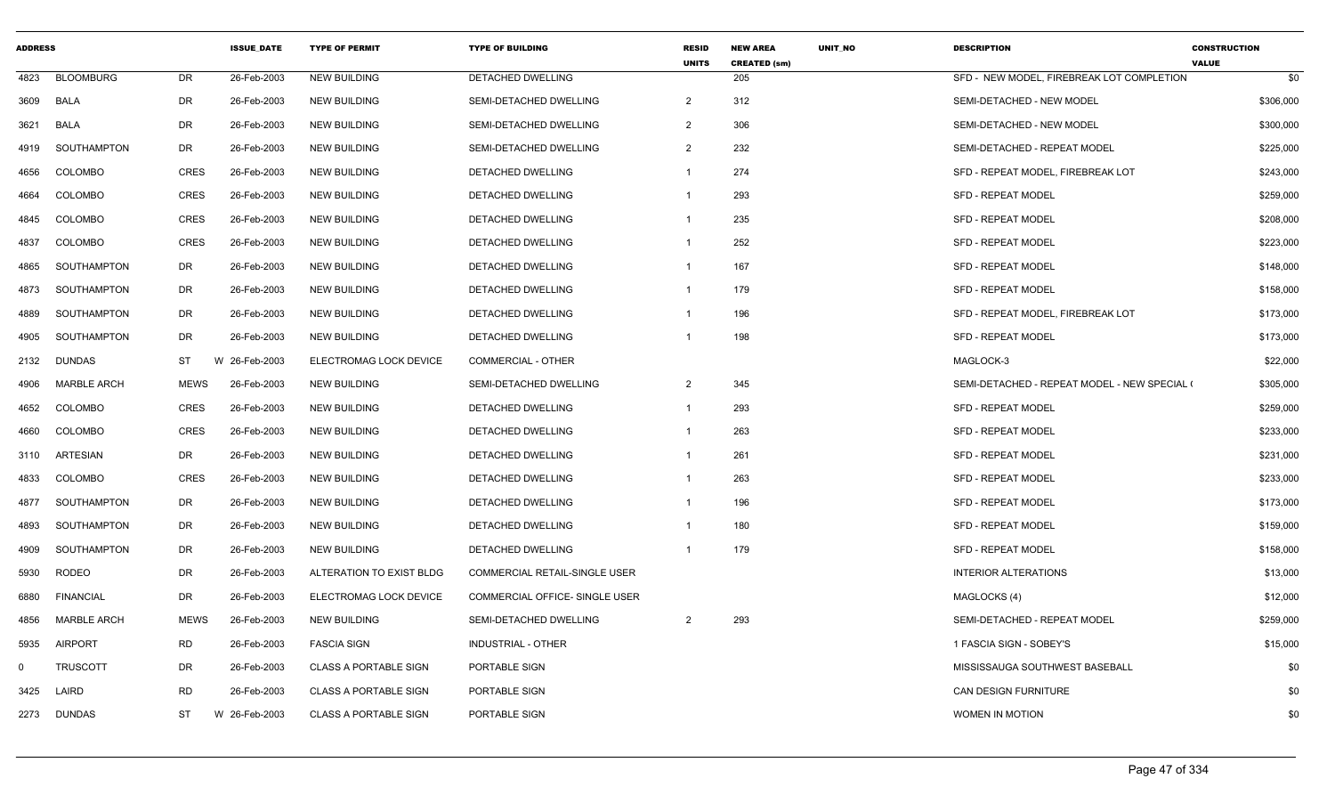| <b>ADDRESS</b> |                    |             | <b>ISSUE DATE</b> | <b>TYPE OF PERMIT</b>        | <b>TYPE OF BUILDING</b>        | <b>RESID</b><br><b>UNITS</b> | <b>NEW AREA</b><br><b>CREATED (sm)</b> | <b>UNIT NO</b> | <b>DESCRIPTION</b>                           | <b>CONSTRUCTION</b><br><b>VALUE</b> |
|----------------|--------------------|-------------|-------------------|------------------------------|--------------------------------|------------------------------|----------------------------------------|----------------|----------------------------------------------|-------------------------------------|
| 4823           | <b>BLOOMBURG</b>   | <b>DR</b>   | 26-Feb-2003       | <b>NEW BUILDING</b>          | <b>DETACHED DWELLING</b>       |                              | 205                                    |                | SFD - NEW MODEL. FIREBREAK LOT COMPLETION    | \$0                                 |
| 3609           | BALA               | DR          | 26-Feb-2003       | <b>NEW BUILDING</b>          | SEMI-DETACHED DWELLING         | $\overline{2}$               | 312                                    |                | SEMI-DETACHED - NEW MODEL                    | \$306,000                           |
| 3621           | BALA               | <b>DR</b>   | 26-Feb-2003       | <b>NEW BUILDING</b>          | SEMI-DETACHED DWELLING         | $\overline{2}$               | 306                                    |                | SEMI-DETACHED - NEW MODEL                    | \$300,000                           |
| 4919           | SOUTHAMPTON        | DR          | 26-Feb-2003       | <b>NEW BUILDING</b>          | SEMI-DETACHED DWELLING         | $\overline{2}$               | 232                                    |                | SEMI-DETACHED - REPEAT MODEL                 | \$225,000                           |
| 4656           | <b>COLOMBO</b>     | <b>CRES</b> | 26-Feb-2003       | <b>NEW BUILDING</b>          | DETACHED DWELLING              | $\mathbf{1}$                 | 274                                    |                | SFD - REPEAT MODEL, FIREBREAK LOT            | \$243,000                           |
| 4664           | <b>COLOMBO</b>     | <b>CRES</b> | 26-Feb-2003       | <b>NEW BUILDING</b>          | <b>DETACHED DWELLING</b>       | $\mathbf 1$                  | 293                                    |                | <b>SFD - REPEAT MODEL</b>                    | \$259,000                           |
| 4845           | <b>COLOMBO</b>     | <b>CRES</b> | 26-Feb-2003       | <b>NEW BUILDING</b>          | DETACHED DWELLING              | -1                           | 235                                    |                | <b>SFD - REPEAT MODEL</b>                    | \$208,000                           |
| 4837           | COLOMBO            | <b>CRES</b> | 26-Feb-2003       | <b>NEW BUILDING</b>          | <b>DETACHED DWELLING</b>       | $\mathbf 1$                  | 252                                    |                | <b>SFD - REPEAT MODEL</b>                    | \$223,000                           |
| 4865           | SOUTHAMPTON        | DR          | 26-Feb-2003       | <b>NEW BUILDING</b>          | DETACHED DWELLING              | -1                           | 167                                    |                | <b>SFD - REPEAT MODEL</b>                    | \$148,000                           |
| 4873           | SOUTHAMPTON        | <b>DR</b>   | 26-Feb-2003       | <b>NEW BUILDING</b>          | DETACHED DWELLING              | -1                           | 179                                    |                | <b>SFD - REPEAT MODEL</b>                    | \$158,000                           |
| 4889           | SOUTHAMPTON        | <b>DR</b>   | 26-Feb-2003       | <b>NEW BUILDING</b>          | <b>DETACHED DWELLING</b>       | -1                           | 196                                    |                | SFD - REPEAT MODEL, FIREBREAK LOT            | \$173,000                           |
| 4905           | SOUTHAMPTON        | <b>DR</b>   | 26-Feb-2003       | <b>NEW BUILDING</b>          | DETACHED DWELLING              | -1                           | 198                                    |                | <b>SFD - REPEAT MODEL</b>                    | \$173,000                           |
| 2132           | DUNDAS             | <b>ST</b>   | W 26-Feb-2003     | ELECTROMAG LOCK DEVICE       | COMMERCIAL - OTHER             |                              |                                        |                | MAGLOCK-3                                    | \$22,000                            |
| 4906           | <b>MARBLE ARCH</b> | <b>MEWS</b> | 26-Feb-2003       | <b>NEW BUILDING</b>          | SEMI-DETACHED DWELLING         | $\overline{2}$               | 345                                    |                | SEMI-DETACHED - REPEAT MODEL - NEW SPECIAL ( | \$305,000                           |
| 4652           | <b>COLOMBO</b>     | <b>CRES</b> | 26-Feb-2003       | <b>NEW BUILDING</b>          | <b>DETACHED DWELLING</b>       | $\mathbf{1}$                 | 293                                    |                | <b>SFD - REPEAT MODEL</b>                    | \$259,000                           |
| 4660           | <b>COLOMBO</b>     | <b>CRES</b> | 26-Feb-2003       | <b>NEW BUILDING</b>          | DETACHED DWELLING              | -1                           | 263                                    |                | <b>SFD - REPEAT MODEL</b>                    | \$233,000                           |
| 3110           | ARTESIAN           | DR          | 26-Feb-2003       | <b>NEW BUILDING</b>          | DETACHED DWELLING              | -1                           | 261                                    |                | <b>SFD - REPEAT MODEL</b>                    | \$231,000                           |
| 4833           | <b>COLOMBO</b>     | <b>CRES</b> | 26-Feb-2003       | <b>NEW BUILDING</b>          | <b>DETACHED DWELLING</b>       | $\mathbf{1}$                 | 263                                    |                | SFD - REPEAT MODEL                           | \$233,000                           |
| 4877           | SOUTHAMPTON        | DR          | 26-Feb-2003       | <b>NEW BUILDING</b>          | DETACHED DWELLING              | -1                           | 196                                    |                | <b>SFD - REPEAT MODEL</b>                    | \$173,000                           |
| 4893           | SOUTHAMPTON        | <b>DR</b>   | 26-Feb-2003       | <b>NEW BUILDING</b>          | <b>DETACHED DWELLING</b>       |                              | 180                                    |                | <b>SFD - REPEAT MODEL</b>                    | \$159,000                           |
| 4909           | SOUTHAMPTON        | DR          | 26-Feb-2003       | <b>NEW BUILDING</b>          | <b>DETACHED DWELLING</b>       | -1                           | 179                                    |                | <b>SFD - REPEAT MODEL</b>                    | \$158,000                           |
| 5930           | RODEO              | DR          | 26-Feb-2003       | ALTERATION TO EXIST BLDG     | COMMERCIAL RETAIL-SINGLE USER  |                              |                                        |                | <b>INTERIOR ALTERATIONS</b>                  | \$13,000                            |
| 6880           | <b>FINANCIAL</b>   | DR          | 26-Feb-2003       | ELECTROMAG LOCK DEVICE       | COMMERCIAL OFFICE- SINGLE USER |                              |                                        |                | MAGLOCKS (4)                                 | \$12,000                            |
| 4856           | <b>MARBLE ARCH</b> | <b>MEWS</b> | 26-Feb-2003       | <b>NEW BUILDING</b>          | SEMI-DETACHED DWELLING         | 2                            | 293                                    |                | SEMI-DETACHED - REPEAT MODEL                 | \$259,000                           |
| 5935           | <b>AIRPORT</b>     | <b>RD</b>   | 26-Feb-2003       | <b>FASCIA SIGN</b>           | <b>INDUSTRIAL - OTHER</b>      |                              |                                        |                | 1 FASCIA SIGN - SOBEY'S                      | \$15,000                            |
| $\mathbf 0$    | <b>TRUSCOTT</b>    | DR          | 26-Feb-2003       | <b>CLASS A PORTABLE SIGN</b> | PORTABLE SIGN                  |                              |                                        |                | MISSISSAUGA SOUTHWEST BASEBALL               | \$0                                 |
| 3425           | LAIRD              | <b>RD</b>   | 26-Feb-2003       | <b>CLASS A PORTABLE SIGN</b> | PORTABLE SIGN                  |                              |                                        |                | CAN DESIGN FURNITURE                         | \$0                                 |
| 2273           | <b>DUNDAS</b>      | ST          | W 26-Feb-2003     | <b>CLASS A PORTABLE SIGN</b> | PORTABLE SIGN                  |                              |                                        |                | <b>WOMEN IN MOTION</b>                       | \$0                                 |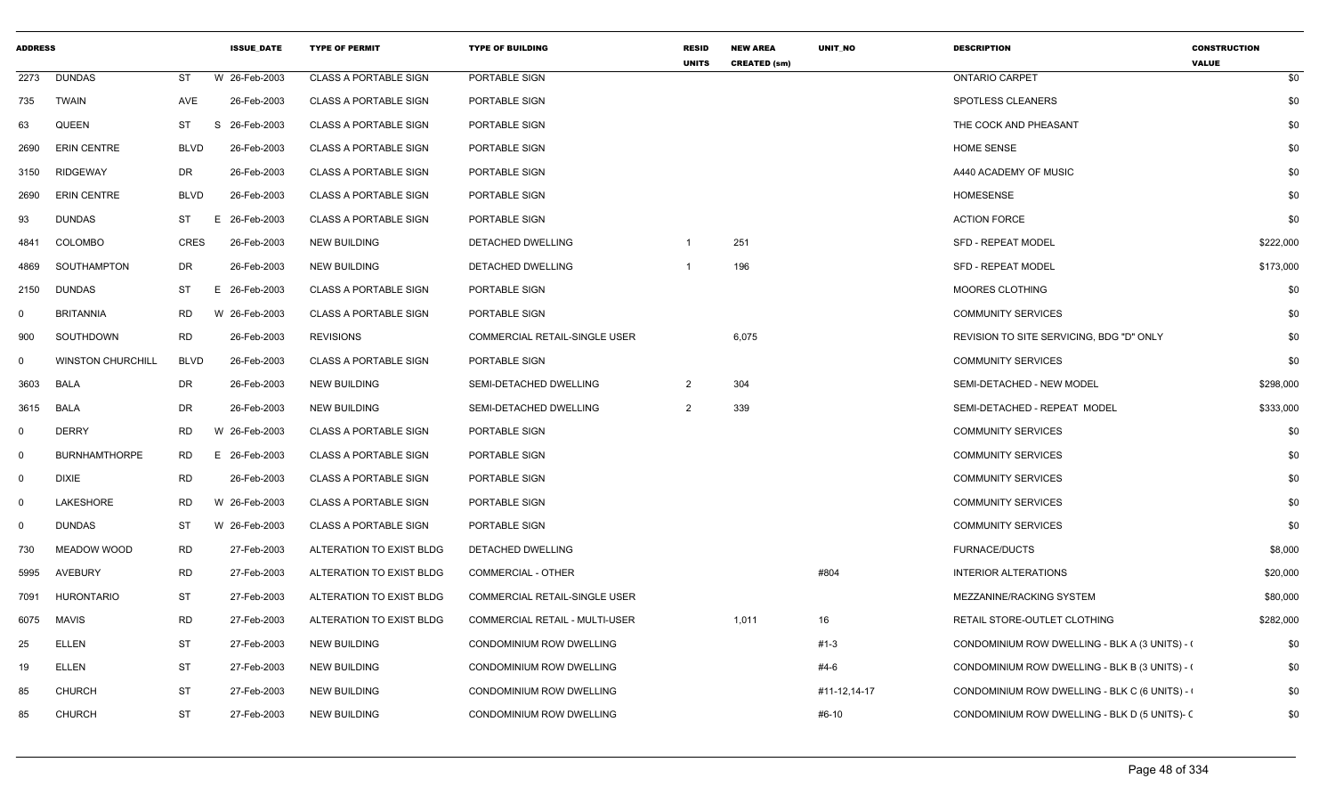| <b>ADDRESS</b> |                          |             | <b>ISSUE DATE</b> | <b>TYPE OF PERMIT</b>        | <b>TYPE OF BUILDING</b>               | <b>RESID</b><br><b>UNITS</b> | <b>NEW AREA</b><br><b>CREATED (sm)</b> | <b>UNIT NO</b> | <b>DESCRIPTION</b>                             | <b>CONSTRUCTION</b><br><b>VALUE</b> |
|----------------|--------------------------|-------------|-------------------|------------------------------|---------------------------------------|------------------------------|----------------------------------------|----------------|------------------------------------------------|-------------------------------------|
| 2273           | <b>DUNDAS</b>            | <b>ST</b>   | W 26-Feb-2003     | <b>CLASS A PORTABLE SIGN</b> | PORTABLE SIGN                         |                              |                                        |                | <b>ONTARIO CARPET</b>                          | \$0                                 |
| 735            | TWAIN                    | AVE         | 26-Feb-2003       | <b>CLASS A PORTABLE SIGN</b> | PORTABLE SIGN                         |                              |                                        |                | SPOTLESS CLEANERS                              | \$0                                 |
| 63             | <b>QUEEN</b>             | ST          | 26-Feb-2003<br>S  | <b>CLASS A PORTABLE SIGN</b> | PORTABLE SIGN                         |                              |                                        |                | THE COCK AND PHEASANT                          | \$0                                 |
| 2690           | <b>ERIN CENTRE</b>       | <b>BLVD</b> | 26-Feb-2003       | <b>CLASS A PORTABLE SIGN</b> | PORTABLE SIGN                         |                              |                                        |                | <b>HOME SENSE</b>                              | \$0                                 |
| 3150           | <b>RIDGEWAY</b>          | DR          | 26-Feb-2003       | <b>CLASS A PORTABLE SIGN</b> | PORTABLE SIGN                         |                              |                                        |                | A440 ACADEMY OF MUSIC                          | \$0                                 |
| 2690           | <b>ERIN CENTRE</b>       | <b>BLVD</b> | 26-Feb-2003       | <b>CLASS A PORTABLE SIGN</b> | PORTABLE SIGN                         |                              |                                        |                | <b>HOMESENSE</b>                               | \$0                                 |
| 93             | <b>DUNDAS</b>            | ST          | E.<br>26-Feb-2003 | <b>CLASS A PORTABLE SIGN</b> | PORTABLE SIGN                         |                              |                                        |                | <b>ACTION FORCE</b>                            | \$0                                 |
| 4841           | COLOMBO                  | <b>CRES</b> | 26-Feb-2003       | <b>NEW BUILDING</b>          | <b>DETACHED DWELLING</b>              |                              | 251                                    |                | <b>SFD - REPEAT MODEL</b>                      | \$222,000                           |
| 4869           | SOUTHAMPTON              | DR          | 26-Feb-2003       | <b>NEW BUILDING</b>          | DETACHED DWELLING                     |                              | 196                                    |                | <b>SFD - REPEAT MODEL</b>                      | \$173,000                           |
| 2150           | DUNDAS                   | ST          | E 26-Feb-2003     | <b>CLASS A PORTABLE SIGN</b> | PORTABLE SIGN                         |                              |                                        |                | <b>MOORES CLOTHING</b>                         | \$0                                 |
| $\mathbf 0$    | <b>BRITANNIA</b>         | <b>RD</b>   | W 26-Feb-2003     | <b>CLASS A PORTABLE SIGN</b> | PORTABLE SIGN                         |                              |                                        |                | <b>COMMUNITY SERVICES</b>                      | \$0                                 |
| 900            | SOUTHDOWN                | <b>RD</b>   | 26-Feb-2003       | <b>REVISIONS</b>             | <b>COMMERCIAL RETAIL-SINGLE USER</b>  |                              | 6,075                                  |                | REVISION TO SITE SERVICING, BDG "D" ONLY       | \$0                                 |
| $\mathbf 0$    | <b>WINSTON CHURCHILL</b> | <b>BLVD</b> | 26-Feb-2003       | <b>CLASS A PORTABLE SIGN</b> | PORTABLE SIGN                         |                              |                                        |                | <b>COMMUNITY SERVICES</b>                      | \$0                                 |
| 3603           | <b>BALA</b>              | DR          | 26-Feb-2003       | NEW BUILDING                 | SEMI-DETACHED DWELLING                | $\overline{2}$               | 304                                    |                | SEMI-DETACHED - NEW MODEL                      | \$298,000                           |
| 3615           | <b>BALA</b>              | DR          | 26-Feb-2003       | <b>NEW BUILDING</b>          | SEMI-DETACHED DWELLING                | $\overline{2}$               | 339                                    |                | SEMI-DETACHED - REPEAT MODEL                   | \$333,000                           |
| $\mathbf 0$    | <b>DERRY</b>             | <b>RD</b>   | W 26-Feb-2003     | <b>CLASS A PORTABLE SIGN</b> | PORTABLE SIGN                         |                              |                                        |                | <b>COMMUNITY SERVICES</b>                      | \$0                                 |
| $\Omega$       | <b>BURNHAMTHORPE</b>     | <b>RD</b>   | E 26-Feb-2003     | <b>CLASS A PORTABLE SIGN</b> | PORTABLE SIGN                         |                              |                                        |                | <b>COMMUNITY SERVICES</b>                      | \$0                                 |
| $\mathbf 0$    | <b>DIXIE</b>             | <b>RD</b>   | 26-Feb-2003       | <b>CLASS A PORTABLE SIGN</b> | PORTABLE SIGN                         |                              |                                        |                | <b>COMMUNITY SERVICES</b>                      | \$0                                 |
| $\mathbf 0$    | LAKESHORE                | RD          | W 26-Feb-2003     | <b>CLASS A PORTABLE SIGN</b> | PORTABLE SIGN                         |                              |                                        |                | <b>COMMUNITY SERVICES</b>                      | \$0                                 |
| $\mathbf 0$    | DUNDAS                   | ST          | W 26-Feb-2003     | <b>CLASS A PORTABLE SIGN</b> | PORTABLE SIGN                         |                              |                                        |                | <b>COMMUNITY SERVICES</b>                      | \$0                                 |
| 730            | MEADOW WOOD              | <b>RD</b>   | 27-Feb-2003       | ALTERATION TO EXIST BLDG     | DETACHED DWELLING                     |                              |                                        |                | <b>FURNACE/DUCTS</b>                           | \$8,000                             |
| 5995           | <b>AVEBURY</b>           | <b>RD</b>   | 27-Feb-2003       | ALTERATION TO EXIST BLDG     | <b>COMMERCIAL - OTHER</b>             |                              |                                        | #804           | <b>INTERIOR ALTERATIONS</b>                    | \$20,000                            |
| 7091           | HURONTARIO               | <b>ST</b>   | 27-Feb-2003       | ALTERATION TO EXIST BLDG     | COMMERCIAL RETAIL-SINGLE USER         |                              |                                        |                | MEZZANINE/RACKING SYSTEM                       | \$80,000                            |
| 6075           | <b>MAVIS</b>             | <b>RD</b>   | 27-Feb-2003       | ALTERATION TO EXIST BLDG     | <b>COMMERCIAL RETAIL - MULTI-USER</b> |                              | 1,011                                  | 16             | RETAIL STORE-OUTLET CLOTHING                   | \$282,000                           |
| 25             | <b>ELLEN</b>             | <b>ST</b>   | 27-Feb-2003       | NEW BUILDING                 | CONDOMINIUM ROW DWELLING              |                              |                                        | #1-3           | CONDOMINIUM ROW DWELLING - BLK A (3 UNITS) - ( | \$0                                 |
| 19             | <b>ELLEN</b>             | <b>ST</b>   | 27-Feb-2003       | <b>NEW BUILDING</b>          | CONDOMINIUM ROW DWELLING              |                              |                                        | #4-6           | CONDOMINIUM ROW DWELLING - BLK B (3 UNITS) - ( | \$0                                 |
| 85             | <b>CHURCH</b>            | ST          | 27-Feb-2003       | <b>NEW BUILDING</b>          | CONDOMINIUM ROW DWELLING              |                              |                                        | #11-12,14-17   | CONDOMINIUM ROW DWELLING - BLK C (6 UNITS) -   | \$0                                 |
| 85             | <b>CHURCH</b>            | <b>ST</b>   | 27-Feb-2003       | <b>NEW BUILDING</b>          | <b>CONDOMINIUM ROW DWELLING</b>       |                              |                                        | #6-10          | CONDOMINIUM ROW DWELLING - BLK D (5 UNITS)- (  | \$0                                 |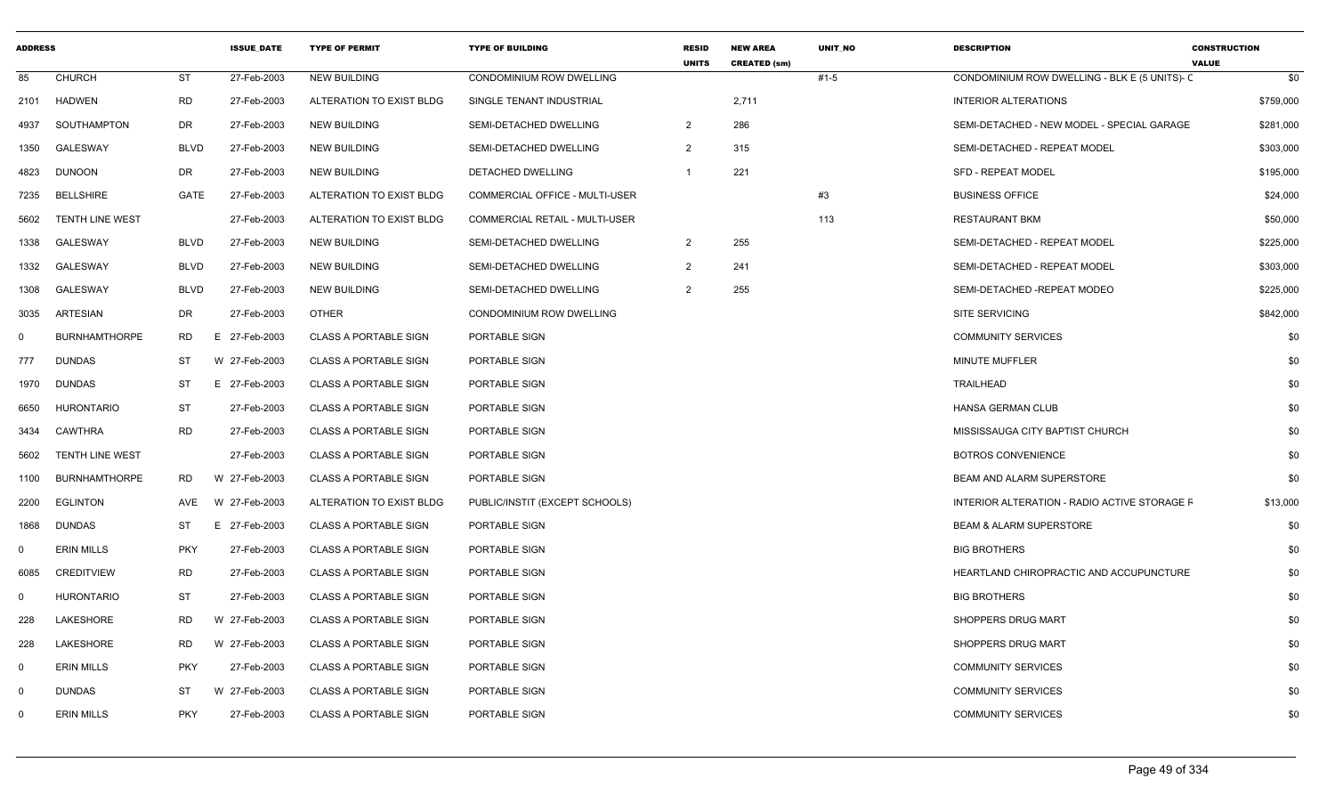| <b>ADDRESS</b> |                      |             | <b>ISSUE DATE</b> | <b>TYPE OF PERMIT</b>        | <b>TYPE OF BUILDING</b>               | <b>RESID</b><br><b>UNITS</b> | <b>NEW AREA</b><br><b>CREATED (sm)</b> | <b>UNIT NO</b> | <b>DESCRIPTION</b>                            | <b>CONSTRUCTION</b><br><b>VALUE</b> |
|----------------|----------------------|-------------|-------------------|------------------------------|---------------------------------------|------------------------------|----------------------------------------|----------------|-----------------------------------------------|-------------------------------------|
| 85             | <b>CHURCH</b>        | <b>ST</b>   | 27-Feb-2003       | <b>NEW BUILDING</b>          | CONDOMINIUM ROW DWELLING              |                              |                                        | $#1 - 5$       | CONDOMINIUM ROW DWELLING - BLK E (5 UNITS)- C | \$0                                 |
| 2101           | HADWEN               | <b>RD</b>   | 27-Feb-2003       | ALTERATION TO EXIST BLDG     | SINGLE TENANT INDUSTRIAL              |                              | 2,711                                  |                | <b>INTERIOR ALTERATIONS</b>                   | \$759,000                           |
| 4937           | SOUTHAMPTON          | DR          | 27-Feb-2003       | <b>NEW BUILDING</b>          | SEMI-DETACHED DWELLING                | $\overline{2}$               | 286                                    |                | SEMI-DETACHED - NEW MODEL - SPECIAL GARAGE    | \$281,000                           |
| 1350           | <b>GALESWAY</b>      | <b>BLVD</b> | 27-Feb-2003       | <b>NEW BUILDING</b>          | SEMI-DETACHED DWELLING                | 2                            | 315                                    |                | SEMI-DETACHED - REPEAT MODEL                  | \$303,000                           |
| 4823           | DUNOON               | DR          | 27-Feb-2003       | NEW BUILDING                 | DETACHED DWELLING                     | $\overline{1}$               | 221                                    |                | <b>SFD - REPEAT MODEL</b>                     | \$195,000                           |
| 7235           | <b>BELLSHIRE</b>     | GATE        | 27-Feb-2003       | ALTERATION TO EXIST BLDG     | COMMERCIAL OFFICE - MULTI-USER        |                              |                                        | #3             | <b>BUSINESS OFFICE</b>                        | \$24,000                            |
| 5602           | TENTH LINE WEST      |             | 27-Feb-2003       | ALTERATION TO EXIST BLDG     | <b>COMMERCIAL RETAIL - MULTI-USER</b> |                              |                                        | 113            | <b>RESTAURANT BKM</b>                         | \$50,000                            |
| 1338           | <b>GALESWAY</b>      | <b>BLVD</b> | 27-Feb-2003       | NEW BUILDING                 | SEMI-DETACHED DWELLING                | $\overline{2}$               | 255                                    |                | SEMI-DETACHED - REPEAT MODEL                  | \$225,000                           |
| 1332           | GALESWAY             | <b>BLVD</b> | 27-Feb-2003       | <b>NEW BUILDING</b>          | SEMI-DETACHED DWELLING                | $\overline{2}$               | 241                                    |                | SEMI-DETACHED - REPEAT MODEL                  | \$303,000                           |
| 1308           | <b>GALESWAY</b>      | <b>BLVD</b> | 27-Feb-2003       | <b>NEW BUILDING</b>          | SEMI-DETACHED DWELLING                | $\overline{2}$               | 255                                    |                | SEMI-DETACHED -REPEAT MODEO                   | \$225,000                           |
| 3035           | ARTESIAN             | DR          | 27-Feb-2003       | <b>OTHER</b>                 | CONDOMINIUM ROW DWELLING              |                              |                                        |                | SITE SERVICING                                | \$842,000                           |
| $\Omega$       | <b>BURNHAMTHORPE</b> | RD          | E 27-Feb-2003     | <b>CLASS A PORTABLE SIGN</b> | PORTABLE SIGN                         |                              |                                        |                | <b>COMMUNITY SERVICES</b>                     | \$0                                 |
| 777            | <b>DUNDAS</b>        | ST          | W 27-Feb-2003     | <b>CLASS A PORTABLE SIGN</b> | PORTABLE SIGN                         |                              |                                        |                | MINUTE MUFFLER                                | \$0                                 |
| 1970           | DUNDAS               | ST          | E 27-Feb-2003     | <b>CLASS A PORTABLE SIGN</b> | PORTABLE SIGN                         |                              |                                        |                | <b>TRAILHEAD</b>                              | \$0                                 |
| 6650           | <b>HURONTARIO</b>    | ST          | 27-Feb-2003       | <b>CLASS A PORTABLE SIGN</b> | PORTABLE SIGN                         |                              |                                        |                | <b>HANSA GERMAN CLUB</b>                      | \$0                                 |
| 3434           | CAWTHRA              | <b>RD</b>   | 27-Feb-2003       | <b>CLASS A PORTABLE SIGN</b> | PORTABLE SIGN                         |                              |                                        |                | MISSISSAUGA CITY BAPTIST CHURCH               | \$0                                 |
| 5602           | TENTH LINE WEST      |             | 27-Feb-2003       | <b>CLASS A PORTABLE SIGN</b> | PORTABLE SIGN                         |                              |                                        |                | <b>BOTROS CONVENIENCE</b>                     | \$0                                 |
| 1100           | BURNHAMTHORPE        | RD          | W 27-Feb-2003     | <b>CLASS A PORTABLE SIGN</b> | PORTABLE SIGN                         |                              |                                        |                | <b>BEAM AND ALARM SUPERSTORE</b>              | \$0                                 |
| 2200           | <b>EGLINTON</b>      | AVE         | W 27-Feb-2003     | ALTERATION TO EXIST BLDG     | PUBLIC/INSTIT (EXCEPT SCHOOLS)        |                              |                                        |                | INTERIOR ALTERATION - RADIO ACTIVE STORAGE F  | \$13,000                            |
| 1868           | DUNDAS               | ST          | E 27-Feb-2003     | <b>CLASS A PORTABLE SIGN</b> | PORTABLE SIGN                         |                              |                                        |                | <b>BEAM &amp; ALARM SUPERSTORE</b>            | \$0                                 |
| $\Omega$       | <b>ERIN MILLS</b>    | <b>PKY</b>  | 27-Feb-2003       | <b>CLASS A PORTABLE SIGN</b> | PORTABLE SIGN                         |                              |                                        |                | <b>BIG BROTHERS</b>                           | \$0                                 |
| 6085           | <b>CREDITVIEW</b>    | <b>RD</b>   | 27-Feb-2003       | <b>CLASS A PORTABLE SIGN</b> | <b>PORTABLE SIGN</b>                  |                              |                                        |                | HEARTLAND CHIROPRACTIC AND ACCUPUNCTURE       | \$0                                 |
| $\Omega$       | <b>HURONTARIO</b>    | ST          | 27-Feb-2003       | <b>CLASS A PORTABLE SIGN</b> | PORTABLE SIGN                         |                              |                                        |                | <b>BIG BROTHERS</b>                           | \$0                                 |
| 228            | LAKESHORE            | RD          | W 27-Feb-2003     | <b>CLASS A PORTABLE SIGN</b> | PORTABLE SIGN                         |                              |                                        |                | SHOPPERS DRUG MART                            | \$0                                 |
| 228            | <b>LAKESHORE</b>     | RD          | W 27-Feb-2003     | <b>CLASS A PORTABLE SIGN</b> | PORTABLE SIGN                         |                              |                                        |                | SHOPPERS DRUG MART                            | \$0                                 |
| $\mathbf 0$    | <b>ERIN MILLS</b>    | <b>PKY</b>  | 27-Feb-2003       | <b>CLASS A PORTABLE SIGN</b> | PORTABLE SIGN                         |                              |                                        |                | <b>COMMUNITY SERVICES</b>                     | \$0                                 |
| $\Omega$       | <b>DUNDAS</b>        | <b>ST</b>   | W 27-Feb-2003     | <b>CLASS A PORTABLE SIGN</b> | <b>PORTABLE SIGN</b>                  |                              |                                        |                | <b>COMMUNITY SERVICES</b>                     | \$0                                 |
| $\Omega$       | <b>ERIN MILLS</b>    | <b>PKY</b>  | 27-Feb-2003       | <b>CLASS A PORTABLE SIGN</b> | PORTABLE SIGN                         |                              |                                        |                | <b>COMMUNITY SERVICES</b>                     | \$0                                 |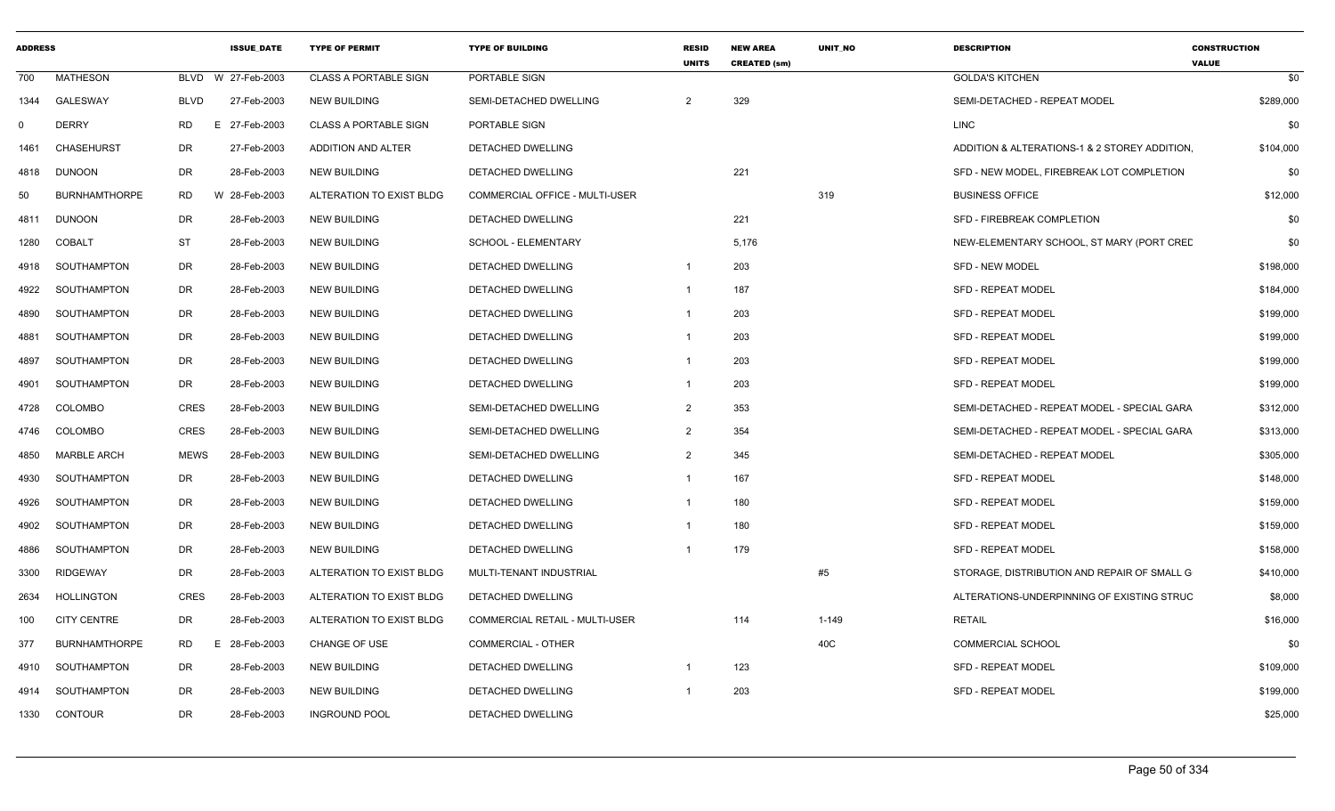| <b>ADDRESS</b> |                      |             | <b>ISSUE DATE</b> | <b>TYPE OF PERMIT</b>        | <b>TYPE OF BUILDING</b>               | <b>RESID</b><br><b>UNITS</b> | <b>NEW AREA</b><br><b>CREATED (sm)</b> | <b>UNIT NO</b> | <b>DESCRIPTION</b>                            | <b>CONSTRUCTION</b><br><b>VALUE</b> |
|----------------|----------------------|-------------|-------------------|------------------------------|---------------------------------------|------------------------------|----------------------------------------|----------------|-----------------------------------------------|-------------------------------------|
| 700            | <b>MATHESON</b>      | <b>BLVD</b> | W 27-Feb-2003     | <b>CLASS A PORTABLE SIGN</b> | PORTABLE SIGN                         |                              |                                        |                | <b>GOLDA'S KITCHEN</b>                        | \$0                                 |
| 1344           | <b>GALESWAY</b>      | <b>BLVD</b> | 27-Feb-2003       | <b>NEW BUILDING</b>          | SEMI-DETACHED DWELLING                | $\overline{2}$               | 329                                    |                | SEMI-DETACHED - REPEAT MODEL                  | \$289,000                           |
| $\Omega$       | <b>DERRY</b>         | <b>RD</b>   | 27-Feb-2003<br>E. | <b>CLASS A PORTABLE SIGN</b> | PORTABLE SIGN                         |                              |                                        |                | LINC                                          | \$0                                 |
| 1461           | <b>CHASEHURST</b>    | DR          | 27-Feb-2003       | ADDITION AND ALTER           | DETACHED DWELLING                     |                              |                                        |                | ADDITION & ALTERATIONS-1 & 2 STOREY ADDITION. | \$104,000                           |
| 4818           | <b>DUNOON</b>        | DR          | 28-Feb-2003       | <b>NEW BUILDING</b>          | DETACHED DWELLING                     |                              | 221                                    |                | SFD - NEW MODEL, FIREBREAK LOT COMPLETION     | \$0                                 |
| 50             | <b>BURNHAMTHORPE</b> | <b>RD</b>   | W 28-Feb-2003     | ALTERATION TO EXIST BLDG     | <b>COMMERCIAL OFFICE - MULTI-USER</b> |                              |                                        | 319            | <b>BUSINESS OFFICE</b>                        | \$12,000                            |
| 4811           | <b>DUNOON</b>        | <b>DR</b>   | 28-Feb-2003       | <b>NEW BUILDING</b>          | DETACHED DWELLING                     |                              | 221                                    |                | SFD - FIREBREAK COMPLETION                    | \$0                                 |
| 1280           | <b>COBALT</b>        | <b>ST</b>   | 28-Feb-2003       | <b>NEW BUILDING</b>          | SCHOOL - ELEMENTARY                   |                              | 5,176                                  |                | NEW-ELEMENTARY SCHOOL, ST MARY (PORT CREE     | \$0                                 |
| 4918           | SOUTHAMPTON          | DR          | 28-Feb-2003       | <b>NEW BUILDING</b>          | DETACHED DWELLING                     | -1                           | 203                                    |                | <b>SFD - NEW MODEL</b>                        | \$198,000                           |
| 4922           | SOUTHAMPTON          | DR          | 28-Feb-2003       | <b>NEW BUILDING</b>          | DETACHED DWELLING                     |                              | 187                                    |                | <b>SFD - REPEAT MODEL</b>                     | \$184,000                           |
| 4890           | SOUTHAMPTON          | DR          | 28-Feb-2003       | <b>NEW BUILDING</b>          | <b>DETACHED DWELLING</b>              |                              | 203                                    |                | <b>SFD - REPEAT MODEL</b>                     | \$199,000                           |
| 4881           | SOUTHAMPTON          | DR          | 28-Feb-2003       | <b>NEW BUILDING</b>          | <b>DETACHED DWELLING</b>              |                              | 203                                    |                | <b>SFD - REPEAT MODEL</b>                     | \$199,000                           |
| 4897           | SOUTHAMPTON          | DR          | 28-Feb-2003       | <b>NEW BUILDING</b>          | DETACHED DWELLING                     |                              | 203                                    |                | <b>SFD - REPEAT MODEL</b>                     | \$199,000                           |
| 4901           | SOUTHAMPTON          | DR          | 28-Feb-2003       | <b>NEW BUILDING</b>          | DETACHED DWELLING                     |                              | 203                                    |                | <b>SFD - REPEAT MODEL</b>                     | \$199,000                           |
| 4728           | COLOMBO              | <b>CRES</b> | 28-Feb-2003       | <b>NEW BUILDING</b>          | SEMI-DETACHED DWELLING                | $\overline{2}$               | 353                                    |                | SEMI-DETACHED - REPEAT MODEL - SPECIAL GARA   | \$312,000                           |
| 4746           | COLOMBO              | <b>CRES</b> | 28-Feb-2003       | <b>NEW BUILDING</b>          | SEMI-DETACHED DWELLING                | $\overline{2}$               | 354                                    |                | SEMI-DETACHED - REPEAT MODEL - SPECIAL GARA   | \$313,000                           |
| 4850           | <b>MARBLE ARCH</b>   | <b>MEWS</b> | 28-Feb-2003       | <b>NEW BUILDING</b>          | SEMI-DETACHED DWELLING                | $\mathcal{P}$                | 345                                    |                | SEMI-DETACHED - REPEAT MODEL                  | \$305,000                           |
| 4930           | SOUTHAMPTON          | DR          | 28-Feb-2003       | <b>NEW BUILDING</b>          | DETACHED DWELLING                     |                              | 167                                    |                | <b>SFD - REPEAT MODEL</b>                     | \$148,000                           |
| 4926           | SOUTHAMPTON          | DR          | 28-Feb-2003       | <b>NEW BUILDING</b>          | DETACHED DWELLING                     |                              | 180                                    |                | <b>SFD - REPEAT MODEL</b>                     | \$159,000                           |
| 4902           | SOUTHAMPTON          | DR.         | 28-Feb-2003       | <b>NEW BUILDING</b>          | DETACHED DWELLING                     |                              | 180                                    |                | <b>SFD - REPEAT MODEL</b>                     | \$159,000                           |
| 4886           | SOUTHAMPTON          | DR.         | 28-Feb-2003       | <b>NEW BUILDING</b>          | DETACHED DWELLING                     |                              | 179                                    |                | <b>SFD - REPEAT MODEL</b>                     | \$158,000                           |
| 3300           | <b>RIDGEWAY</b>      | <b>DR</b>   | 28-Feb-2003       | ALTERATION TO EXIST BLDG     | MULTI-TENANT INDUSTRIAL               |                              |                                        | #5             | STORAGE, DISTRIBUTION AND REPAIR OF SMALL G   | \$410,000                           |
| 2634           | HOLLINGTON           | <b>CRES</b> | 28-Feb-2003       | ALTERATION TO EXIST BLDG     | DETACHED DWELLING                     |                              |                                        |                | ALTERATIONS-UNDERPINNING OF EXISTING STRUC    | \$8,000                             |
| 100            | <b>CITY CENTRE</b>   | DR          | 28-Feb-2003       | ALTERATION TO EXIST BLDG     | COMMERCIAL RETAIL - MULTI-USER        |                              | 114                                    | $1 - 149$      | <b>RETAIL</b>                                 | \$16,000                            |
| 377            | <b>BURNHAMTHORPE</b> | RD.         | 28-Feb-2003<br>E. | CHANGE OF USE                | <b>COMMERCIAL - OTHER</b>             |                              |                                        | 40C            | <b>COMMERCIAL SCHOOL</b>                      | \$0                                 |
| 4910           | SOUTHAMPTON          | DR          | 28-Feb-2003       | <b>NEW BUILDING</b>          | <b>DETACHED DWELLING</b>              |                              | 123                                    |                | <b>SFD - REPEAT MODEL</b>                     | \$109,000                           |
| 4914           | SOUTHAMPTON          | DR          | 28-Feb-2003       | <b>NEW BUILDING</b>          | DETACHED DWELLING                     |                              | 203                                    |                | <b>SFD - REPEAT MODEL</b>                     | \$199,000                           |
| 1330           | <b>CONTOUR</b>       | DR          | 28-Feb-2003       | <b>INGROUND POOL</b>         | DETACHED DWELLING                     |                              |                                        |                |                                               | \$25,000                            |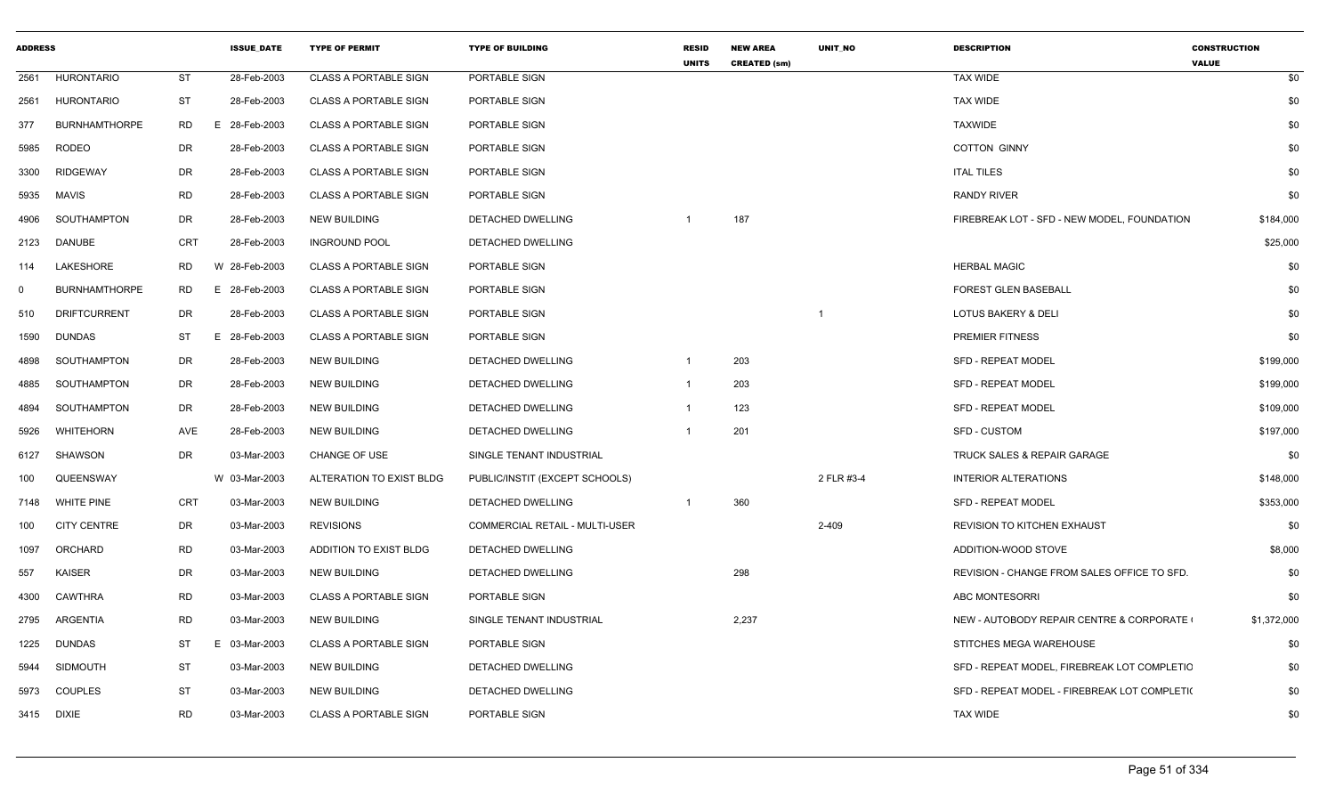| <b>ADDRESS</b> |                      |            | <b>ISSUE DATE</b> | <b>TYPE OF PERMIT</b>        | <b>TYPE OF BUILDING</b>        | <b>RESID</b><br><b>UNITS</b> | <b>NEW AREA</b><br><b>CREATED (sm)</b> | <b>UNIT NO</b> | <b>DESCRIPTION</b>                           | <b>CONSTRUCTION</b><br><b>VALUE</b> |
|----------------|----------------------|------------|-------------------|------------------------------|--------------------------------|------------------------------|----------------------------------------|----------------|----------------------------------------------|-------------------------------------|
| 2561           | <b>HURONTARIO</b>    | <b>ST</b>  | 28-Feb-2003       | <b>CLASS A PORTABLE SIGN</b> | PORTABLE SIGN                  |                              |                                        |                | <b>TAX WIDE</b>                              | \$0                                 |
| 2561           | <b>HURONTARIO</b>    | <b>ST</b>  | 28-Feb-2003       | <b>CLASS A PORTABLE SIGN</b> | PORTABLE SIGN                  |                              |                                        |                | <b>TAX WIDE</b>                              | \$0                                 |
| 377            | <b>BURNHAMTHORPE</b> | RD         | E 28-Feb-2003     | <b>CLASS A PORTABLE SIGN</b> | PORTABLE SIGN                  |                              |                                        |                | <b>TAXWIDE</b>                               | \$0                                 |
| 5985           | <b>RODEO</b>         | DR         | 28-Feb-2003       | <b>CLASS A PORTABLE SIGN</b> | PORTABLE SIGN                  |                              |                                        |                | <b>COTTON GINNY</b>                          | \$0                                 |
| 3300           | <b>RIDGEWAY</b>      | DR         | 28-Feb-2003       | <b>CLASS A PORTABLE SIGN</b> | PORTABLE SIGN                  |                              |                                        |                | <b>ITAL TILES</b>                            | \$0                                 |
| 5935           | MAVIS                | RD         | 28-Feb-2003       | <b>CLASS A PORTABLE SIGN</b> | PORTABLE SIGN                  |                              |                                        |                | <b>RANDY RIVER</b>                           | \$0                                 |
| 4906           | SOUTHAMPTON          | DR         | 28-Feb-2003       | <b>NEW BUILDING</b>          | DETACHED DWELLING              |                              | 187                                    |                | FIREBREAK LOT - SFD - NEW MODEL, FOUNDATION  | \$184,000                           |
| 2123           | <b>DANUBE</b>        | <b>CRT</b> | 28-Feb-2003       | <b>INGROUND POOL</b>         | DETACHED DWELLING              |                              |                                        |                |                                              | \$25,000                            |
| 114            | LAKESHORE            | RD         | W 28-Feb-2003     | <b>CLASS A PORTABLE SIGN</b> | PORTABLE SIGN                  |                              |                                        |                | <b>HERBAL MAGIC</b>                          | \$0                                 |
| $\Omega$       | <b>BURNHAMTHORPE</b> | <b>RD</b>  | E 28-Feb-2003     | <b>CLASS A PORTABLE SIGN</b> | PORTABLE SIGN                  |                              |                                        |                | FOREST GLEN BASEBALL                         | \$0                                 |
| 510            | <b>DRIFTCURRENT</b>  | DR         | 28-Feb-2003       | <b>CLASS A PORTABLE SIGN</b> | PORTABLE SIGN                  |                              |                                        |                | <b>LOTUS BAKERY &amp; DELI</b>               | \$0                                 |
| 1590           | <b>DUNDAS</b>        | ST         | E 28-Feb-2003     | <b>CLASS A PORTABLE SIGN</b> | PORTABLE SIGN                  |                              |                                        |                | <b>PREMIER FITNESS</b>                       | \$0                                 |
| 4898           | SOUTHAMPTON          | DR         | 28-Feb-2003       | <b>NEW BUILDING</b>          | DETACHED DWELLING              |                              | 203                                    |                | SFD - REPEAT MODEL                           | \$199,000                           |
| 4885           | SOUTHAMPTON          | DR         | 28-Feb-2003       | <b>NEW BUILDING</b>          | DETACHED DWELLING              | $\mathbf{1}$                 | 203                                    |                | <b>SFD - REPEAT MODEL</b>                    | \$199,000                           |
| 4894           | SOUTHAMPTON          | DR         | 28-Feb-2003       | <b>NEW BUILDING</b>          | DETACHED DWELLING              | -1                           | 123                                    |                | <b>SFD - REPEAT MODEL</b>                    | \$109,000                           |
| 5926           | <b>WHITEHORN</b>     | AVE        | 28-Feb-2003       | <b>NEW BUILDING</b>          | DETACHED DWELLING              | -1                           | 201                                    |                | <b>SFD - CUSTOM</b>                          | \$197,000                           |
| 6127           | <b>SHAWSON</b>       | DR         | 03-Mar-2003       | <b>CHANGE OF USE</b>         | SINGLE TENANT INDUSTRIAL       |                              |                                        |                | <b>TRUCK SALES &amp; REPAIR GARAGE</b>       | \$0                                 |
| 100            | QUEENSWAY            |            | W 03-Mar-2003     | ALTERATION TO EXIST BLDG     | PUBLIC/INSTIT (EXCEPT SCHOOLS) |                              |                                        | 2 FLR #3-4     | <b>INTERIOR ALTERATIONS</b>                  | \$148,000                           |
| 7148           | <b>WHITE PINE</b>    | <b>CRT</b> | 03-Mar-2003       | <b>NEW BUILDING</b>          | DETACHED DWELLING              | -1                           | 360                                    |                | SFD - REPEAT MODEL                           | \$353,000                           |
| 100            | <b>CITY CENTRE</b>   | DR         | 03-Mar-2003       | <b>REVISIONS</b>             | COMMERCIAL RETAIL - MULTI-USER |                              |                                        | 2-409          | <b>REVISION TO KITCHEN EXHAUST</b>           | \$0                                 |
| 1097           | ORCHARD              | <b>RD</b>  | 03-Mar-2003       | ADDITION TO EXIST BLDG       | DETACHED DWELLING              |                              |                                        |                | ADDITION-WOOD STOVE                          | \$8,000                             |
| 557            | <b>KAISER</b>        | DR         | 03-Mar-2003       | <b>NEW BUILDING</b>          | DETACHED DWELLING              |                              | 298                                    |                | REVISION - CHANGE FROM SALES OFFICE TO SFD.  | \$0                                 |
| 4300           | <b>CAWTHRA</b>       | <b>RD</b>  | 03-Mar-2003       | <b>CLASS A PORTABLE SIGN</b> | PORTABLE SIGN                  |                              |                                        |                | <b>ABC MONTESORRI</b>                        | \$0                                 |
| 2795           | ARGENTIA             | <b>RD</b>  | 03-Mar-2003       | <b>NEW BUILDING</b>          | SINGLE TENANT INDUSTRIAL       |                              | 2,237                                  |                | NEW - AUTOBODY REPAIR CENTRE & CORPORATE     | \$1,372,000                         |
| 1225           | <b>DUNDAS</b>        | ST         | 03-Mar-2003<br>F. | <b>CLASS A PORTABLE SIGN</b> | PORTABLE SIGN                  |                              |                                        |                | STITCHES MEGA WAREHOUSE                      | \$0                                 |
| 5944           | <b>SIDMOUTH</b>      | ST         | 03-Mar-2003       | <b>NEW BUILDING</b>          | DETACHED DWELLING              |                              |                                        |                | SFD - REPEAT MODEL, FIREBREAK LOT COMPLETIC  | \$0                                 |
| 5973           | <b>COUPLES</b>       | ST         | 03-Mar-2003       | <b>NEW BUILDING</b>          | DETACHED DWELLING              |                              |                                        |                | SFD - REPEAT MODEL - FIREBREAK LOT COMPLETI( | \$0                                 |
|                | 3415 DIXIE           | <b>RD</b>  | 03-Mar-2003       | <b>CLASS A PORTABLE SIGN</b> | PORTABLE SIGN                  |                              |                                        |                | <b>TAX WIDE</b>                              | \$0                                 |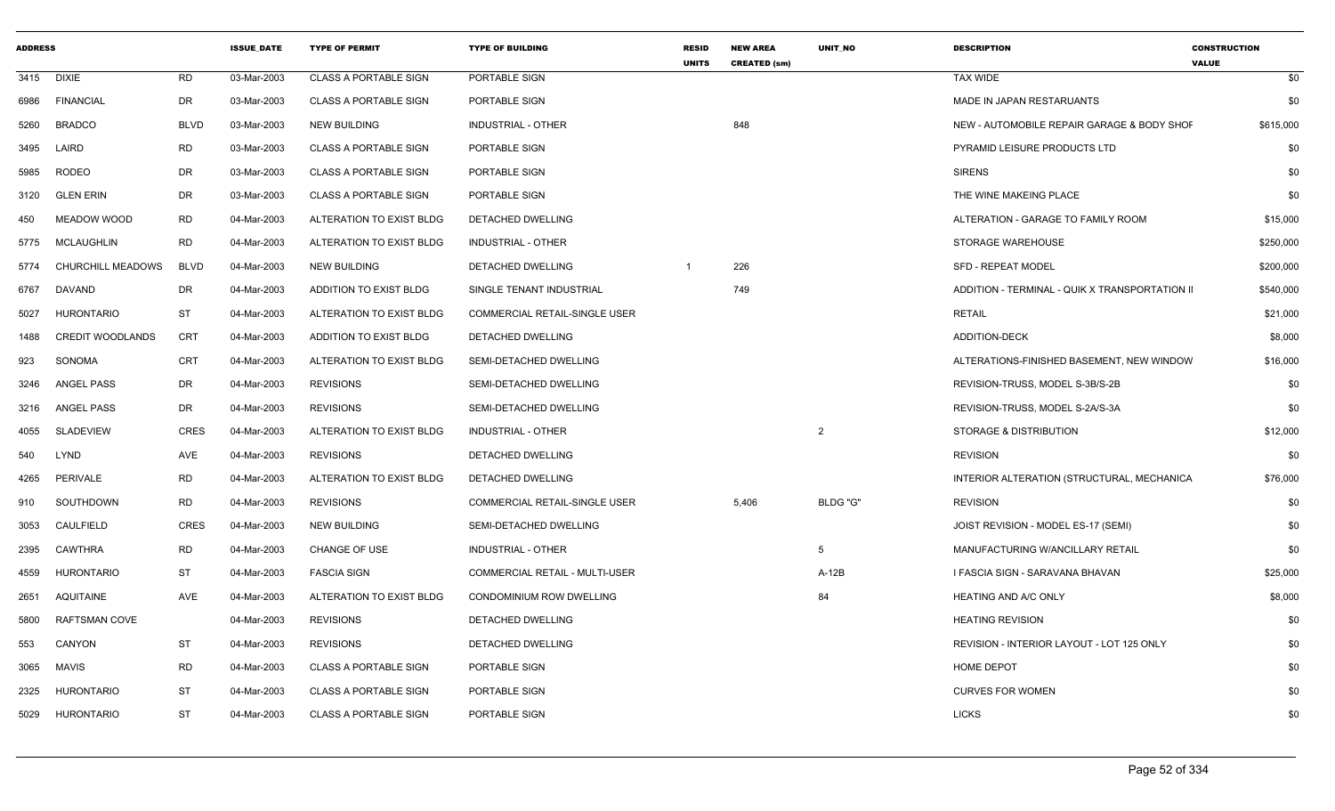| <b>ADDRESS</b> |                          |             | <b>ISSUE DATE</b> | <b>TYPE OF PERMIT</b>        | <b>TYPE OF BUILDING</b>              | <b>RESID</b><br><b>UNITS</b> | <b>NEW AREA</b><br><b>CREATED (sm)</b> | <b>UNIT NO</b> | <b>DESCRIPTION</b>                             | <b>CONSTRUCTION</b><br><b>VALUE</b> |
|----------------|--------------------------|-------------|-------------------|------------------------------|--------------------------------------|------------------------------|----------------------------------------|----------------|------------------------------------------------|-------------------------------------|
| 3415           | <b>DIXIE</b>             | <b>RD</b>   | 03-Mar-2003       | <b>CLASS A PORTABLE SIGN</b> | PORTABLE SIGN                        |                              |                                        |                | <b>TAX WIDE</b>                                | \$0                                 |
| 6986           | <b>FINANCIAL</b>         | <b>DR</b>   | 03-Mar-2003       | <b>CLASS A PORTABLE SIGN</b> | PORTABLE SIGN                        |                              |                                        |                | MADE IN JAPAN RESTARUANTS                      | \$0                                 |
| 5260           | <b>BRADCO</b>            | <b>BLVD</b> | 03-Mar-2003       | <b>NEW BUILDING</b>          | <b>INDUSTRIAL - OTHER</b>            |                              | 848                                    |                | NEW - AUTOMOBILE REPAIR GARAGE & BODY SHOF     | \$615,000                           |
| 3495           | LAIRD                    | <b>RD</b>   | 03-Mar-2003       | <b>CLASS A PORTABLE SIGN</b> | PORTABLE SIGN                        |                              |                                        |                | PYRAMID LEISURE PRODUCTS LTD                   | \$0                                 |
| 5985           | <b>RODEO</b>             | DR          | 03-Mar-2003       | <b>CLASS A PORTABLE SIGN</b> | PORTABLE SIGN                        |                              |                                        |                | <b>SIRENS</b>                                  | \$0                                 |
| 3120           | <b>GLEN ERIN</b>         | <b>DR</b>   | 03-Mar-2003       | <b>CLASS A PORTABLE SIGN</b> | PORTABLE SIGN                        |                              |                                        |                | THE WINE MAKEING PLACE                         | \$0                                 |
| 450            | MEADOW WOOD              | <b>RD</b>   | 04-Mar-2003       | ALTERATION TO EXIST BLDG     | DETACHED DWELLING                    |                              |                                        |                | ALTERATION - GARAGE TO FAMILY ROOM             | \$15,000                            |
| 5775           | <b>MCLAUGHLIN</b>        | <b>RD</b>   | 04-Mar-2003       | ALTERATION TO EXIST BLDG     | <b>INDUSTRIAL - OTHER</b>            |                              |                                        |                | <b>STORAGE WAREHOUSE</b>                       | \$250,000                           |
| 5774           | <b>CHURCHILL MEADOWS</b> | <b>BLVD</b> | 04-Mar-2003       | <b>NEW BUILDING</b>          | DETACHED DWELLING                    | $\overline{1}$               | 226                                    |                | <b>SFD - REPEAT MODEL</b>                      | \$200,000                           |
| 6767           | DAVAND                   | <b>DR</b>   | 04-Mar-2003       | ADDITION TO EXIST BLDG       | SINGLE TENANT INDUSTRIAL             |                              | 749                                    |                | ADDITION - TERMINAL - QUIK X TRANSPORTATION II | \$540,000                           |
| 5027           | <b>HURONTARIO</b>        | <b>ST</b>   | 04-Mar-2003       | ALTERATION TO EXIST BLDG     | <b>COMMERCIAL RETAIL-SINGLE USER</b> |                              |                                        |                | <b>RETAIL</b>                                  | \$21,000                            |
| 1488           | CREDIT WOODLANDS         | CRT         | 04-Mar-2003       | ADDITION TO EXIST BLDG       | DETACHED DWELLING                    |                              |                                        |                | <b>ADDITION-DECK</b>                           | \$8,000                             |
| 923            | SONOMA                   | CRT         | 04-Mar-2003       | ALTERATION TO EXIST BLDG     | SEMI-DETACHED DWELLING               |                              |                                        |                | ALTERATIONS-FINISHED BASEMENT, NEW WINDOW      | \$16,000                            |
| 3246           | ANGEL PASS               | <b>DR</b>   | 04-Mar-2003       | <b>REVISIONS</b>             | SEMI-DETACHED DWELLING               |                              |                                        |                | REVISION-TRUSS, MODEL S-3B/S-2B                | \$0                                 |
| 3216           | <b>ANGEL PASS</b>        | DR.         | 04-Mar-2003       | <b>REVISIONS</b>             | SEMI-DETACHED DWELLING               |                              |                                        |                | REVISION-TRUSS, MODEL S-2A/S-3A                | \$0                                 |
| 4055           | SLADEVIEW                | <b>CRES</b> | 04-Mar-2003       | ALTERATION TO EXIST BLDG     | <b>INDUSTRIAL - OTHER</b>            |                              |                                        | 2              | STORAGE & DISTRIBUTION                         | \$12,000                            |
| 540            | LYND                     | AVE         | 04-Mar-2003       | <b>REVISIONS</b>             | DETACHED DWELLING                    |                              |                                        |                | <b>REVISION</b>                                | \$0                                 |
| 4265           | PERIVALE                 | <b>RD</b>   | 04-Mar-2003       | ALTERATION TO EXIST BLDG     | DETACHED DWELLING                    |                              |                                        |                | INTERIOR ALTERATION (STRUCTURAL, MECHANICA     | \$76,000                            |
| 910            | SOUTHDOWN                | <b>RD</b>   | 04-Mar-2003       | <b>REVISIONS</b>             | COMMERCIAL RETAIL-SINGLE USER        |                              | 5,406                                  | BLDG "G"       | <b>REVISION</b>                                | \$0                                 |
| 3053           | CAULFIELD                | <b>CRES</b> | 04-Mar-2003       | <b>NEW BUILDING</b>          | SEMI-DETACHED DWELLING               |                              |                                        |                | JOIST REVISION - MODEL ES-17 (SEMI)            | \$0                                 |
| 2395           | CAWTHRA                  | <b>RD</b>   | 04-Mar-2003       | <b>CHANGE OF USE</b>         | <b>INDUSTRIAL - OTHER</b>            |                              |                                        | 5              | MANUFACTURING W/ANCILLARY RETAIL               | \$0                                 |
| 4559           | <b>HURONTARIO</b>        | <b>ST</b>   | 04-Mar-2003       | <b>FASCIA SIGN</b>           | COMMERCIAL RETAIL - MULTI-USER       |                              |                                        | $A-12B$        | I FASCIA SIGN - SARAVANA BHAVAN                | \$25,000                            |
| 2651           | <b>AQUITAINE</b>         | AVE         | 04-Mar-2003       | ALTERATION TO EXIST BLDG     | CONDOMINIUM ROW DWELLING             |                              |                                        | 84             | <b>HEATING AND A/C ONLY</b>                    | \$8,000                             |
| 5800           | <b>RAFTSMAN COVE</b>     |             | 04-Mar-2003       | <b>REVISIONS</b>             | DETACHED DWELLING                    |                              |                                        |                | <b>HEATING REVISION</b>                        | \$0                                 |
| 553            | CANYON                   | <b>ST</b>   | 04-Mar-2003       | <b>REVISIONS</b>             | DETACHED DWELLING                    |                              |                                        |                | REVISION - INTERIOR LAYOUT - LOT 125 ONLY      | \$0                                 |
| 3065           | <b>MAVIS</b>             | <b>RD</b>   | 04-Mar-2003       | <b>CLASS A PORTABLE SIGN</b> | PORTABLE SIGN                        |                              |                                        |                | HOME DEPOT                                     | \$0                                 |
| 2325           | <b>HURONTARIO</b>        | <b>ST</b>   | 04-Mar-2003       | <b>CLASS A PORTABLE SIGN</b> | PORTABLE SIGN                        |                              |                                        |                | <b>CURVES FOR WOMEN</b>                        | \$0                                 |
| 5029           | <b>HURONTARIO</b>        | <b>ST</b>   | 04-Mar-2003       | <b>CLASS A PORTABLE SIGN</b> | PORTABLE SIGN                        |                              |                                        |                | <b>LICKS</b>                                   | \$0                                 |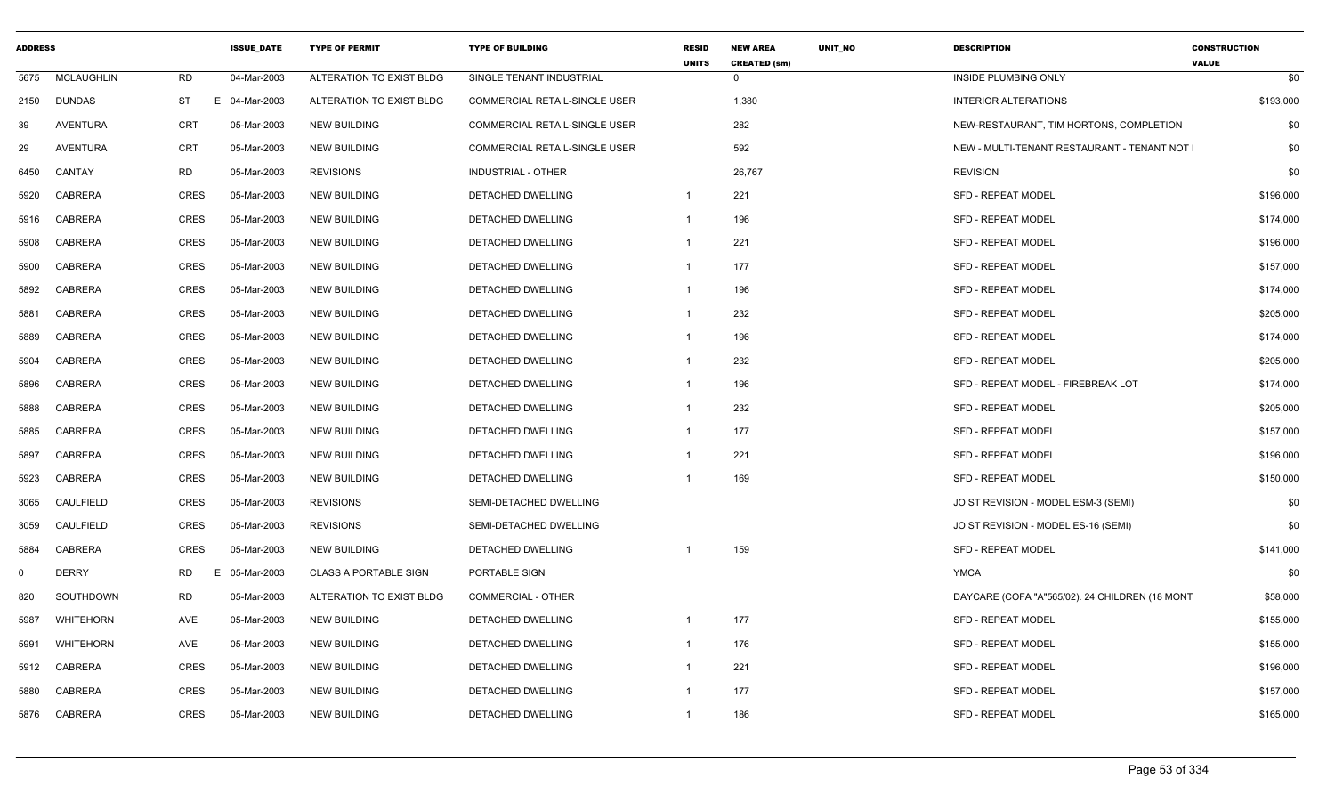| <b>ADDRESS</b> |                   |             | <b>ISSUE DATE</b> | <b>TYPE OF PERMIT</b>        | <b>TYPE OF BUILDING</b>              | <b>RESID</b><br><b>UNITS</b> | <b>NEW AREA</b><br><b>UNIT NO</b><br><b>CREATED (sm)</b> | <b>DESCRIPTION</b>                             | <b>CONSTRUCTION</b><br><b>VALUE</b> |
|----------------|-------------------|-------------|-------------------|------------------------------|--------------------------------------|------------------------------|----------------------------------------------------------|------------------------------------------------|-------------------------------------|
| 5675           | <b>MCLAUGHLIN</b> | RD          | 04-Mar-2003       | ALTERATION TO EXIST BLDG     | SINGLE TENANT INDUSTRIAL             |                              | $\Omega$                                                 | INSIDE PLUMBING ONLY                           | \$0                                 |
|                | 2150 DUNDAS       | ST          | E 04-Mar-2003     | ALTERATION TO EXIST BLDG     | <b>COMMERCIAL RETAIL-SINGLE USER</b> |                              | 1,380                                                    | <b>INTERIOR ALTERATIONS</b>                    | \$193,000                           |
| 39             | AVENTURA          | CRT         | 05-Mar-2003       | NEW BUILDING                 | <b>COMMERCIAL RETAIL-SINGLE USER</b> |                              | 282                                                      | NEW-RESTAURANT, TIM HORTONS, COMPLETION        | \$0                                 |
| 29             | AVENTURA          | CRT         | 05-Mar-2003       | NEW BUILDING                 | COMMERCIAL RETAIL-SINGLE USER        |                              | 592                                                      | NEW - MULTI-TENANT RESTAURANT - TENANT NOT     | \$0                                 |
| 6450           | CANTAY            | RD          | 05-Mar-2003       | <b>REVISIONS</b>             | INDUSTRIAL - OTHER                   |                              | 26,767                                                   | <b>REVISION</b>                                | \$0                                 |
| 5920           | CABRERA           | CRES        | 05-Mar-2003       | <b>NEW BUILDING</b>          | DETACHED DWELLING                    | $\overline{1}$               | 221                                                      | SFD - REPEAT MODEL                             | \$196,000                           |
| 5916           | CABRERA           | CRES        | 05-Mar-2003       | NEW BUILDING                 | DETACHED DWELLING                    | $\overline{\mathbf{1}}$      | 196                                                      | <b>SFD - REPEAT MODEL</b>                      | \$174,000                           |
| 5908           | <b>CABRERA</b>    | CRES        | 05-Mar-2003       | NEW BUILDING                 | DETACHED DWELLING                    | - 1                          | 221                                                      | <b>SFD - REPEAT MODEL</b>                      | \$196,000                           |
| 5900           | CABRERA           | CRES        | 05-Mar-2003       | <b>NEW BUILDING</b>          | DETACHED DWELLING                    | - 1                          | 177                                                      | <b>SFD - REPEAT MODEL</b>                      | \$157,000                           |
| 5892           | CABRERA           | CRES        | 05-Mar-2003       | NEW BUILDING                 | DETACHED DWELLING                    | $\overline{1}$               | 196                                                      | SFD - REPEAT MODEL                             | \$174,000                           |
| 5881           | CABRERA           | CRES        | 05-Mar-2003       | NEW BUILDING                 | DETACHED DWELLING                    | $\overline{1}$               | 232                                                      | <b>SFD - REPEAT MODEL</b>                      | \$205,000                           |
| 5889           | CABRERA           | CRES        | 05-Mar-2003       | NEW BUILDING                 | DETACHED DWELLING                    | - 1                          | 196                                                      | <b>SFD - REPEAT MODEL</b>                      | \$174,000                           |
| 5904           | CABRERA           | CRES        | 05-Mar-2003       | <b>NEW BUILDING</b>          | DETACHED DWELLING                    | -1                           | 232                                                      | <b>SFD - REPEAT MODEL</b>                      | \$205,000                           |
| 5896           | <b>CABRERA</b>    | CRES        | 05-Mar-2003       | <b>NEW BUILDING</b>          | <b>DETACHED DWELLING</b>             | -1                           | 196                                                      | SFD - REPEAT MODEL - FIREBREAK LOT             | \$174,000                           |
| 5888           | CABRERA           | CRES        | 05-Mar-2003       | NEW BUILDING                 | DETACHED DWELLING                    |                              | 232                                                      | <b>SFD - REPEAT MODEL</b>                      | \$205,000                           |
| 5885           | CABRERA           | CRES        | 05-Mar-2003       | NEW BUILDING                 | DETACHED DWELLING                    | - 1                          | 177                                                      | <b>SFD - REPEAT MODEL</b>                      | \$157,000                           |
| 5897           | CABRERA           | CRES        | 05-Mar-2003       | <b>NEW BUILDING</b>          | DETACHED DWELLING                    | - 1                          | 221                                                      | <b>SFD - REPEAT MODEL</b>                      | \$196,000                           |
| 5923           | CABRERA           | CRES        | 05-Mar-2003       | NEW BUILDING                 | DETACHED DWELLING                    | -1                           | 169                                                      | <b>SFD - REPEAT MODEL</b>                      | \$150,000                           |
| 3065           | CAULFIELD         | CRES        | 05-Mar-2003       | <b>REVISIONS</b>             | SEMI-DETACHED DWELLING               |                              |                                                          | JOIST REVISION - MODEL ESM-3 (SEMI)            | \$0                                 |
| 3059           | CAULFIELD         | CRES        | 05-Mar-2003       | <b>REVISIONS</b>             | SEMI-DETACHED DWELLING               |                              |                                                          | JOIST REVISION - MODEL ES-16 (SEMI)            | \$0                                 |
| 5884           | CABRERA           | CRES        | 05-Mar-2003       | NEW BUILDING                 | DETACHED DWELLING                    | -1                           | 159                                                      | SFD - REPEAT MODEL                             | \$141,000                           |
| $\Omega$       | <b>DERRY</b>      | <b>RD</b>   | 05-Mar-2003<br>E  | <b>CLASS A PORTABLE SIGN</b> | PORTABLE SIGN                        |                              |                                                          | <b>YMCA</b>                                    | \$0                                 |
| 820            | SOUTHDOWN         | RD          | 05-Mar-2003       | ALTERATION TO EXIST BLDG     | <b>COMMERCIAL - OTHER</b>            |                              |                                                          | DAYCARE (COFA "A"565/02). 24 CHILDREN (18 MONT | \$58,000                            |
| 5987           | WHITEHORN         | AVE         | 05-Mar-2003       | NEW BUILDING                 | DETACHED DWELLING                    | $\overline{1}$               | 177                                                      | <b>SFD - REPEAT MODEL</b>                      | \$155,000                           |
| 5991           | <b>WHITEHORN</b>  | AVE         | 05-Mar-2003       | <b>NEW BUILDING</b>          | DETACHED DWELLING                    | - 1                          | 176                                                      | <b>SFD - REPEAT MODEL</b>                      | \$155,000                           |
| 5912           | CABRERA           | CRES        | 05-Mar-2003       | NEW BUILDING                 | DETACHED DWELLING                    | - 1                          | 221                                                      | <b>SFD - REPEAT MODEL</b>                      | \$196,000                           |
| 5880           | CABRERA           | CRES        | 05-Mar-2003       | NEW BUILDING                 | DETACHED DWELLING                    | - 1                          | 177                                                      | <b>SFD - REPEAT MODEL</b>                      | \$157,000                           |
|                | 5876 CABRERA      | <b>CRES</b> | 05-Mar-2003       | NEW BUILDING                 | DETACHED DWELLING                    | -1                           | 186                                                      | <b>SFD - REPEAT MODEL</b>                      | \$165,000                           |
|                |                   |             |                   |                              |                                      |                              |                                                          |                                                |                                     |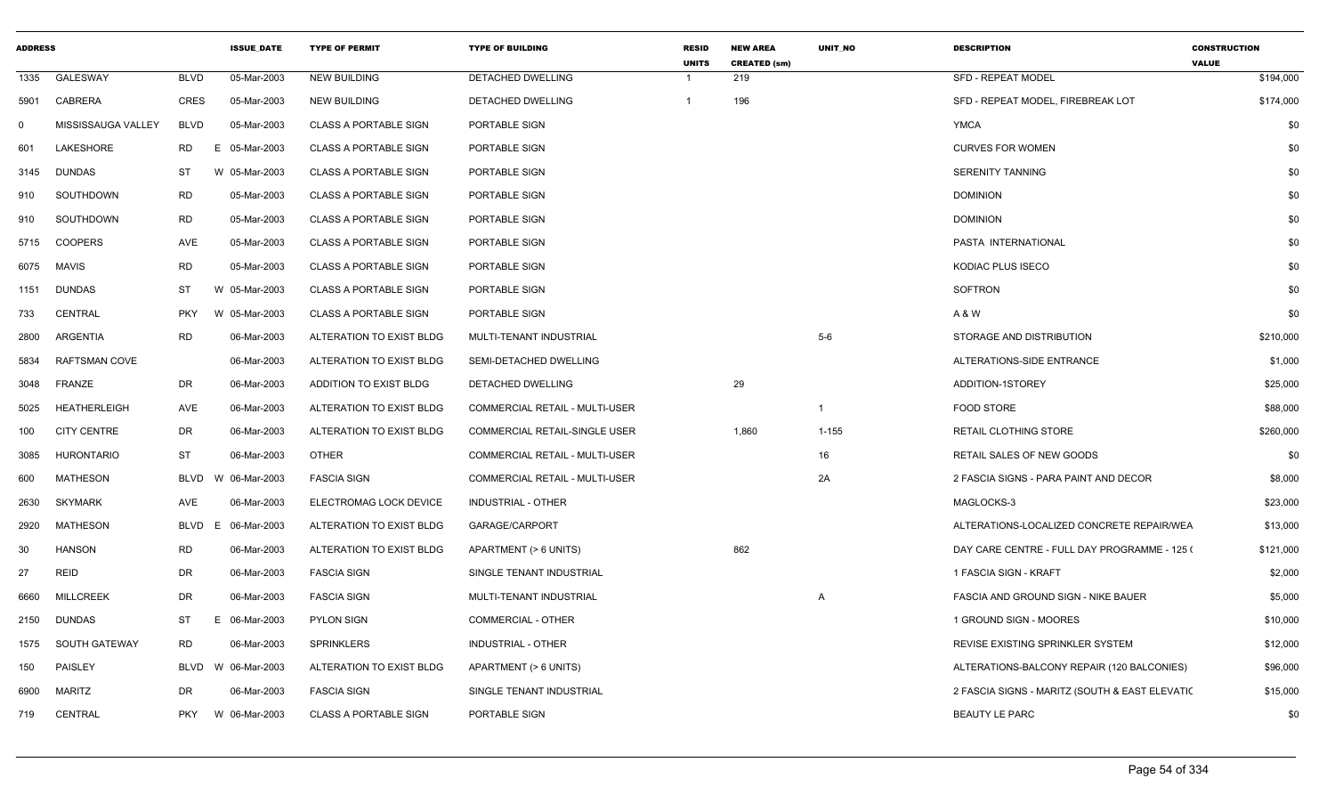| <b>ADDRESS</b> |                      |             | <b>ISSUE DATE</b> | <b>TYPE OF PERMIT</b>        | <b>TYPE OF BUILDING</b>               | <b>RESID</b><br><b>UNITS</b> | <b>NEW AREA</b><br><b>CREATED (sm)</b> | <b>UNIT NO</b> | <b>DESCRIPTION</b>                             | <b>CONSTRUCTION</b><br><b>VALUE</b> |           |
|----------------|----------------------|-------------|-------------------|------------------------------|---------------------------------------|------------------------------|----------------------------------------|----------------|------------------------------------------------|-------------------------------------|-----------|
| 1335           | GALESWAY             | <b>BLVD</b> | 05-Mar-2003       | <b>NEW BUILDING</b>          | DETACHED DWELLING                     | $\overline{1}$               | 219                                    |                | <b>SFD - REPEAT MODEL</b>                      |                                     | \$194,000 |
| 5901           | CABRERA              | CRES        | 05-Mar-2003       | NEW BUILDING                 | DETACHED DWELLING                     | $\overline{1}$               | 196                                    |                | SFD - REPEAT MODEL, FIREBREAK LOT              |                                     | \$174,000 |
| - 0            | MISSISSAUGA VALLEY   | <b>BLVD</b> | 05-Mar-2003       | <b>CLASS A PORTABLE SIGN</b> | PORTABLE SIGN                         |                              |                                        |                | YMCA                                           |                                     | \$0       |
| 601            | LAKESHORE            | <b>RD</b>   | E<br>05-Mar-2003  | <b>CLASS A PORTABLE SIGN</b> | <b>PORTABLE SIGN</b>                  |                              |                                        |                | <b>CURVES FOR WOMEN</b>                        |                                     | \$0       |
| 3145           | <b>DUNDAS</b>        | ST          | W 05-Mar-2003     | <b>CLASS A PORTABLE SIGN</b> | PORTABLE SIGN                         |                              |                                        |                | <b>SERENITY TANNING</b>                        |                                     | \$0       |
| 910            | SOUTHDOWN            | RD          | 05-Mar-2003       | <b>CLASS A PORTABLE SIGN</b> | PORTABLE SIGN                         |                              |                                        |                | <b>DOMINION</b>                                |                                     | \$0       |
| 910            | SOUTHDOWN            | RD          | 05-Mar-2003       | <b>CLASS A PORTABLE SIGN</b> | PORTABLE SIGN                         |                              |                                        |                | <b>DOMINION</b>                                |                                     | \$0       |
| 5715           | <b>COOPERS</b>       | AVE         | 05-Mar-2003       | <b>CLASS A PORTABLE SIGN</b> | PORTABLE SIGN                         |                              |                                        |                | PASTA INTERNATIONAL                            |                                     | \$0       |
|                | 6075 MAVIS           | <b>RD</b>   | 05-Mar-2003       | <b>CLASS A PORTABLE SIGN</b> | PORTABLE SIGN                         |                              |                                        |                | KODIAC PLUS ISECO                              |                                     | \$0       |
| 1151           | <b>DUNDAS</b>        | ST          | W<br>05-Mar-2003  | <b>CLASS A PORTABLE SIGN</b> | PORTABLE SIGN                         |                              |                                        |                | SOFTRON                                        |                                     | \$0       |
| 733            | <b>CENTRAL</b>       | <b>PKY</b>  | W 05-Mar-2003     | <b>CLASS A PORTABLE SIGN</b> | PORTABLE SIGN                         |                              |                                        |                | A & W                                          |                                     | \$0       |
| 2800           | ARGENTIA             | <b>RD</b>   | 06-Mar-2003       | ALTERATION TO EXIST BLDG     | MULTI-TENANT INDUSTRIAL               |                              |                                        | $5-6$          | STORAGE AND DISTRIBUTION                       |                                     | \$210,000 |
| 5834           | <b>RAFTSMAN COVE</b> |             | 06-Mar-2003       | ALTERATION TO EXIST BLDG     | SEMI-DETACHED DWELLING                |                              |                                        |                | ALTERATIONS-SIDE ENTRANCE                      |                                     | \$1,000   |
| 3048           | <b>FRANZE</b>        | DR          | 06-Mar-2003       | ADDITION TO EXIST BLDG       | DETACHED DWELLING                     |                              | 29                                     |                | ADDITION-1STOREY                               |                                     | \$25,000  |
| 5025           | <b>HEATHERLEIGH</b>  | AVE         | 06-Mar-2003       | ALTERATION TO EXIST BLDG     | COMMERCIAL RETAIL - MULTI-USER        |                              |                                        | $\overline{1}$ | <b>FOOD STORE</b>                              |                                     | \$88,000  |
| 100            | <b>CITY CENTRE</b>   | DR          | 06-Mar-2003       | ALTERATION TO EXIST BLDG     | COMMERCIAL RETAIL-SINGLE USER         |                              | 1,860                                  | $1 - 155$      | RETAIL CLOTHING STORE                          |                                     | \$260,000 |
| 3085           | <b>HURONTARIO</b>    | <b>ST</b>   | 06-Mar-2003       | <b>OTHER</b>                 | <b>COMMERCIAL RETAIL - MULTI-USER</b> |                              |                                        | 16             | RETAIL SALES OF NEW GOODS                      |                                     | \$0       |
| 600            | <b>MATHESON</b>      | BLVD        | W 06-Mar-2003     | <b>FASCIA SIGN</b>           | COMMERCIAL RETAIL - MULTI-USER        |                              |                                        | 2A             | 2 FASCIA SIGNS - PARA PAINT AND DECOR          |                                     | \$8,000   |
| 2630           | <b>SKYMARK</b>       | AVE         | 06-Mar-2003       | ELECTROMAG LOCK DEVICE       | INDUSTRIAL - OTHER                    |                              |                                        |                | MAGLOCKS-3                                     |                                     | \$23,000  |
| 2920           | <b>MATHESON</b>      | BLVD        | 06-Mar-2003<br>E  | ALTERATION TO EXIST BLDG     | GARAGE/CARPORT                        |                              |                                        |                | ALTERATIONS-LOCALIZED CONCRETE REPAIR/WEA      |                                     | \$13,000  |
| 30             | <b>HANSON</b>        | RD          | 06-Mar-2003       | ALTERATION TO EXIST BLDG     | APARTMENT (> 6 UNITS)                 |                              | 862                                    |                | DAY CARE CENTRE - FULL DAY PROGRAMME - 125 (   |                                     | \$121,000 |
| 27             | REID                 | DR          | 06-Mar-2003       | <b>FASCIA SIGN</b>           | SINGLE TENANT INDUSTRIAL              |                              |                                        |                | 1 FASCIA SIGN - KRAFT                          |                                     | \$2,000   |
| 6660           | <b>MILLCREEK</b>     | DR          | 06-Mar-2003       | <b>FASCIA SIGN</b>           | MULTI-TENANT INDUSTRIAL               |                              |                                        | $\overline{A}$ | <b>FASCIA AND GROUND SIGN - NIKE BAUER</b>     |                                     | \$5,000   |
|                | 2150 DUNDAS          | ST          | 06-Mar-2003<br>E  | <b>PYLON SIGN</b>            | <b>COMMERCIAL - OTHER</b>             |                              |                                        |                | 1 GROUND SIGN - MOORES                         |                                     | \$10,000  |
| 1575           | SOUTH GATEWAY        | RD          | 06-Mar-2003       | SPRINKLERS                   | INDUSTRIAL - OTHER                    |                              |                                        |                | REVISE EXISTING SPRINKLER SYSTEM               |                                     | \$12,000  |
| 150            | PAISLEY              | BLVD        | W 06-Mar-2003     | ALTERATION TO EXIST BLDG     | APARTMENT (> 6 UNITS)                 |                              |                                        |                | ALTERATIONS-BALCONY REPAIR (120 BALCONIES)     |                                     | \$96,000  |
| 6900           | <b>MARITZ</b>        | DR          | 06-Mar-2003       | <b>FASCIA SIGN</b>           | SINGLE TENANT INDUSTRIAL              |                              |                                        |                | 2 FASCIA SIGNS - MARITZ (SOUTH & EAST ELEVATIC |                                     | \$15,000  |
| 719            | CENTRAL              | <b>PKY</b>  | W 06-Mar-2003     | <b>CLASS A PORTABLE SIGN</b> | PORTABLE SIGN                         |                              |                                        |                | <b>BEAUTY LE PARC</b>                          |                                     | \$0       |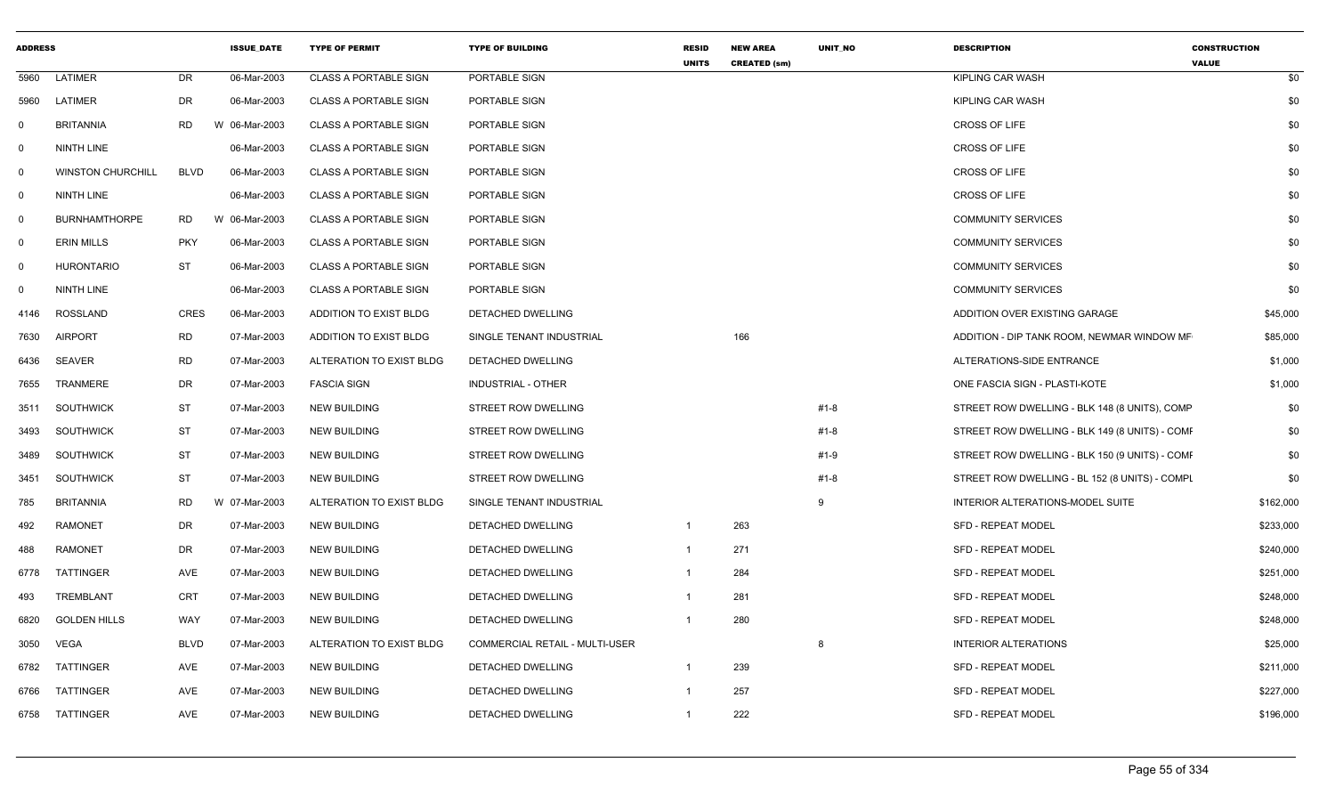| <b>ADDRESS</b> |                          |             | <b>ISSUE_DATE</b> | <b>TYPE OF PERMIT</b>        | <b>TYPE OF BUILDING</b>               | <b>RESID</b><br><b>UNITS</b> | <b>NEW AREA</b><br><b>CREATED (sm)</b> | UNIT_NO  | <b>DESCRIPTION</b>                             | <b>CONSTRUCTION</b><br><b>VALUE</b> |
|----------------|--------------------------|-------------|-------------------|------------------------------|---------------------------------------|------------------------------|----------------------------------------|----------|------------------------------------------------|-------------------------------------|
| 5960           | LATIMER                  | <b>DR</b>   | 06-Mar-2003       | <b>CLASS A PORTABLE SIGN</b> | PORTABLE SIGN                         |                              |                                        |          | KIPLING CAR WASH                               | \$0                                 |
| 5960           | LATIMER                  | <b>DR</b>   | 06-Mar-2003       | <b>CLASS A PORTABLE SIGN</b> | PORTABLE SIGN                         |                              |                                        |          | KIPLING CAR WASH                               | \$0                                 |
| 0              | <b>BRITANNIA</b>         | <b>RD</b>   | W 06-Mar-2003     | <b>CLASS A PORTABLE SIGN</b> | PORTABLE SIGN                         |                              |                                        |          | CROSS OF LIFE                                  | \$0                                 |
| $\mathbf 0$    | NINTH LINE               |             | 06-Mar-2003       | <b>CLASS A PORTABLE SIGN</b> | PORTABLE SIGN                         |                              |                                        |          | <b>CROSS OF LIFE</b>                           | \$0                                 |
| $\overline{0}$ | <b>WINSTON CHURCHILL</b> | <b>BLVD</b> | 06-Mar-2003       | <b>CLASS A PORTABLE SIGN</b> | PORTABLE SIGN                         |                              |                                        |          | <b>CROSS OF LIFE</b>                           | \$0                                 |
| $\mathbf 0$    | NINTH LINE               |             | 06-Mar-2003       | <b>CLASS A PORTABLE SIGN</b> | PORTABLE SIGN                         |                              |                                        |          | CROSS OF LIFE                                  | \$0                                 |
| $\overline{0}$ | <b>BURNHAMTHORPE</b>     | <b>RD</b>   | W 06-Mar-2003     | <b>CLASS A PORTABLE SIGN</b> | PORTABLE SIGN                         |                              |                                        |          | <b>COMMUNITY SERVICES</b>                      | \$0                                 |
| 0              | <b>ERIN MILLS</b>        | <b>PKY</b>  | 06-Mar-2003       | <b>CLASS A PORTABLE SIGN</b> | PORTABLE SIGN                         |                              |                                        |          | <b>COMMUNITY SERVICES</b>                      | \$0                                 |
| $\mathbf 0$    | <b>HURONTARIO</b>        | ST          | 06-Mar-2003       | <b>CLASS A PORTABLE SIGN</b> | PORTABLE SIGN                         |                              |                                        |          | <b>COMMUNITY SERVICES</b>                      | \$0                                 |
| $\mathbf 0$    | NINTH LINE               |             | 06-Mar-2003       | <b>CLASS A PORTABLE SIGN</b> | PORTABLE SIGN                         |                              |                                        |          | <b>COMMUNITY SERVICES</b>                      | \$0                                 |
| 4146           | ROSSLAND                 | <b>CRES</b> | 06-Mar-2003       | ADDITION TO EXIST BLDG       | DETACHED DWELLING                     |                              |                                        |          | ADDITION OVER EXISTING GARAGE                  | \$45,000                            |
| 7630           | <b>AIRPORT</b>           | <b>RD</b>   | 07-Mar-2003       | ADDITION TO EXIST BLDG       | SINGLE TENANT INDUSTRIAL              |                              | 166                                    |          | ADDITION - DIP TANK ROOM, NEWMAR WINDOW MF     | \$85,000                            |
| 6436           | SEAVER                   | <b>RD</b>   | 07-Mar-2003       | ALTERATION TO EXIST BLDG     | DETACHED DWELLING                     |                              |                                        |          | ALTERATIONS-SIDE ENTRANCE                      | \$1,000                             |
| 7655           | <b>TRANMERE</b>          | DR          | 07-Mar-2003       | <b>FASCIA SIGN</b>           | INDUSTRIAL - OTHER                    |                              |                                        |          | ONE FASCIA SIGN - PLASTI-KOTE                  | \$1,000                             |
| 3511           | SOUTHWICK                | <b>ST</b>   | 07-Mar-2003       | <b>NEW BUILDING</b>          | STREET ROW DWELLING                   |                              |                                        | #1-8     | STREET ROW DWELLING - BLK 148 (8 UNITS), COMP  | \$0                                 |
| 3493           | <b>SOUTHWICK</b>         | <b>ST</b>   | 07-Mar-2003       | <b>NEW BUILDING</b>          | STREET ROW DWELLING                   |                              |                                        | #1-8     | STREET ROW DWELLING - BLK 149 (8 UNITS) - COMF | \$0                                 |
| 3489           | <b>SOUTHWICK</b>         | <b>ST</b>   | 07-Mar-2003       | <b>NEW BUILDING</b>          | STREET ROW DWELLING                   |                              |                                        | #1-9     | STREET ROW DWELLING - BLK 150 (9 UNITS) - COMF | \$0                                 |
| 3451           | <b>SOUTHWICK</b>         | <b>ST</b>   | 07-Mar-2003       | <b>NEW BUILDING</b>          | STREET ROW DWELLING                   |                              |                                        | $#1 - 8$ | STREET ROW DWELLING - BL 152 (8 UNITS) - COMPL | \$0                                 |
| 785            | <b>BRITANNIA</b>         | <b>RD</b>   | W 07-Mar-2003     | ALTERATION TO EXIST BLDG     | SINGLE TENANT INDUSTRIAL              |                              |                                        | 9        | INTERIOR ALTERATIONS-MODEL SUITE               | \$162,000                           |
| 492            | <b>RAMONET</b>           | DR          | 07-Mar-2003       | <b>NEW BUILDING</b>          | DETACHED DWELLING                     | $\overline{1}$               | 263                                    |          | SFD - REPEAT MODEL                             | \$233,000                           |
| 488            | <b>RAMONET</b>           | DR          | 07-Mar-2003       | <b>NEW BUILDING</b>          | DETACHED DWELLING                     | $\mathbf{1}$                 | 271                                    |          | SFD - REPEAT MODEL                             | \$240,000                           |
| 6778           | TATTINGER                | AVE         | 07-Mar-2003       | <b>NEW BUILDING</b>          | DETACHED DWELLING                     | $\mathbf{1}$                 | 284                                    |          | <b>SFD - REPEAT MODEL</b>                      | \$251,000                           |
| 493            | TREMBLANT                | CRT         | 07-Mar-2003       | NEW BUILDING                 | DETACHED DWELLING                     | $\mathbf{1}$                 | 281                                    |          | SFD - REPEAT MODEL                             | \$248,000                           |
| 6820           | <b>GOLDEN HILLS</b>      | WAY         | 07-Mar-2003       | <b>NEW BUILDING</b>          | DETACHED DWELLING                     | $\overline{\mathbf{1}}$      | 280                                    |          | SFD - REPEAT MODEL                             | \$248,000                           |
| 3050           | <b>VEGA</b>              | <b>BLVD</b> | 07-Mar-2003       | ALTERATION TO EXIST BLDG     | <b>COMMERCIAL RETAIL - MULTI-USER</b> |                              |                                        | 8        | <b>INTERIOR ALTERATIONS</b>                    | \$25,000                            |
| 6782           | TATTINGER                | AVE         | 07-Mar-2003       | <b>NEW BUILDING</b>          | DETACHED DWELLING                     | $\overline{1}$               | 239                                    |          | SFD - REPEAT MODEL                             | \$211,000                           |
| 6766           | <b>TATTINGER</b>         | AVE         | 07-Mar-2003       | <b>NEW BUILDING</b>          | DETACHED DWELLING                     | -1                           | 257                                    |          | <b>SFD - REPEAT MODEL</b>                      | \$227,000                           |
| 6758           | TATTINGER                | AVE         | 07-Mar-2003       | <b>NEW BUILDING</b>          | DETACHED DWELLING                     | $\overline{1}$               | 222                                    |          | SFD - REPEAT MODEL                             | \$196,000                           |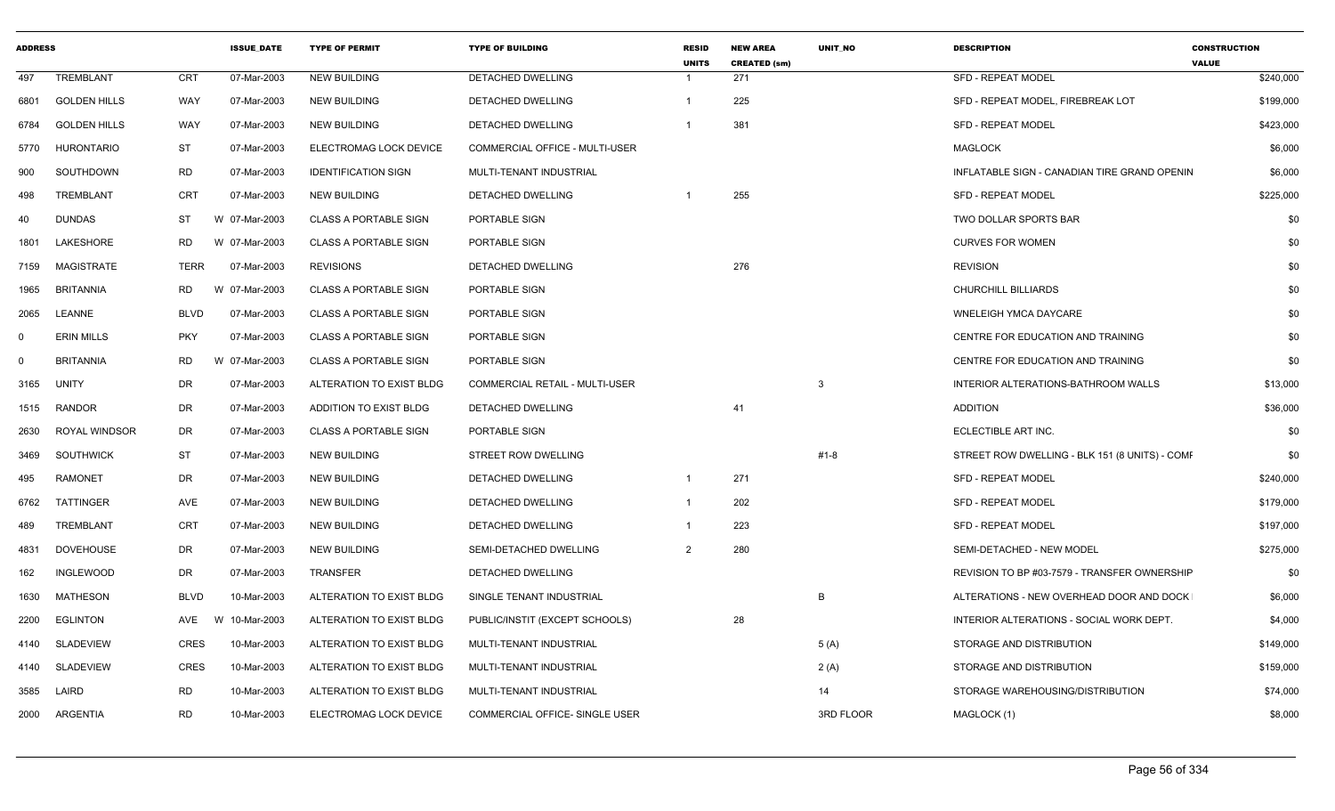| <b>ADDRESS</b> |                     |             | <b>ISSUE DATE</b> | <b>TYPE OF PERMIT</b>        | <b>TYPE OF BUILDING</b>               | <b>RESID</b><br><b>UNITS</b> | <b>NEW AREA</b><br><b>CREATED (sm)</b> | <b>UNIT NO</b> | <b>DESCRIPTION</b>                             | <b>CONSTRUCTION</b><br><b>VALUE</b> |
|----------------|---------------------|-------------|-------------------|------------------------------|---------------------------------------|------------------------------|----------------------------------------|----------------|------------------------------------------------|-------------------------------------|
| 497            | <b>TREMBLANT</b>    | <b>CRT</b>  | 07-Mar-2003       | <b>NEW BUILDING</b>          | <b>DETACHED DWELLING</b>              | -1                           | 271                                    |                | <b>SFD - REPEAT MODEL</b>                      | \$240,000                           |
| 6801           | <b>GOLDEN HILLS</b> | WAY         | 07-Mar-2003       | <b>NEW BUILDING</b>          | <b>DETACHED DWELLING</b>              | $\mathbf 1$                  | 225                                    |                | SFD - REPEAT MODEL, FIREBREAK LOT              | \$199,000                           |
| 6784           | <b>GOLDEN HILLS</b> | <b>WAY</b>  | 07-Mar-2003       | <b>NEW BUILDING</b>          | <b>DETACHED DWELLING</b>              | -1                           | 381                                    |                | <b>SFD - REPEAT MODEL</b>                      | \$423,000                           |
| 5770           | <b>HURONTARIO</b>   | <b>ST</b>   | 07-Mar-2003       | ELECTROMAG LOCK DEVICE       | <b>COMMERCIAL OFFICE - MULTI-USER</b> |                              |                                        |                | <b>MAGLOCK</b>                                 | \$6,000                             |
| 900            | SOUTHDOWN           | <b>RD</b>   | 07-Mar-2003       | <b>IDENTIFICATION SIGN</b>   | MULTI-TENANT INDUSTRIAL               |                              |                                        |                | INFLATABLE SIGN - CANADIAN TIRE GRAND OPENIN   | \$6,000                             |
| 498            | TREMBLANT           | <b>CRT</b>  | 07-Mar-2003       | <b>NEW BUILDING</b>          | DETACHED DWELLING                     |                              | 255                                    |                | <b>SFD - REPEAT MODEL</b>                      | \$225,000                           |
| 40             | <b>DUNDAS</b>       | ST          | W 07-Mar-2003     | <b>CLASS A PORTABLE SIGN</b> | PORTABLE SIGN                         |                              |                                        |                | TWO DOLLAR SPORTS BAR                          | \$0                                 |
| 1801           | LAKESHORE           | <b>RD</b>   | W 07-Mar-2003     | <b>CLASS A PORTABLE SIGN</b> | PORTABLE SIGN                         |                              |                                        |                | <b>CURVES FOR WOMEN</b>                        | \$0                                 |
| 7159           | MAGISTRATE          | <b>TERR</b> | 07-Mar-2003       | <b>REVISIONS</b>             | DETACHED DWELLING                     |                              | 276                                    |                | <b>REVISION</b>                                | \$0                                 |
| 1965           | <b>BRITANNIA</b>    | RD.         | W 07-Mar-2003     | <b>CLASS A PORTABLE SIGN</b> | PORTABLE SIGN                         |                              |                                        |                | <b>CHURCHILL BILLIARDS</b>                     | \$0                                 |
| 2065           | LEANNE              | <b>BLVD</b> | 07-Mar-2003       | <b>CLASS A PORTABLE SIGN</b> | PORTABLE SIGN                         |                              |                                        |                | <b>WNELEIGH YMCA DAYCARE</b>                   | \$0                                 |
| $\mathbf 0$    | <b>ERIN MILLS</b>   | <b>PKY</b>  | 07-Mar-2003       | <b>CLASS A PORTABLE SIGN</b> | <b>PORTABLE SIGN</b>                  |                              |                                        |                | CENTRE FOR EDUCATION AND TRAINING              | \$0                                 |
| $\mathbf 0$    | <b>BRITANNIA</b>    | RD.         | W 07-Mar-2003     | <b>CLASS A PORTABLE SIGN</b> | PORTABLE SIGN                         |                              |                                        |                | CENTRE FOR EDUCATION AND TRAINING              | \$0                                 |
| 3165           | UNITY               | <b>DR</b>   | 07-Mar-2003       | ALTERATION TO EXIST BLDG     | COMMERCIAL RETAIL - MULTI-USER        |                              |                                        | 3              | INTERIOR ALTERATIONS-BATHROOM WALLS            | \$13,000                            |
| 1515           | <b>RANDOR</b>       | <b>DR</b>   | 07-Mar-2003       | ADDITION TO EXIST BLDG       | DETACHED DWELLING                     |                              | 41                                     |                | <b>ADDITION</b>                                | \$36,000                            |
| 2630           | ROYAL WINDSOR       | <b>DR</b>   | 07-Mar-2003       | <b>CLASS A PORTABLE SIGN</b> | PORTABLE SIGN                         |                              |                                        |                | ECLECTIBLE ART INC.                            | \$0                                 |
| 3469           | <b>SOUTHWICK</b>    | ST          | 07-Mar-2003       | <b>NEW BUILDING</b>          | STREET ROW DWELLING                   |                              |                                        | #1-8           | STREET ROW DWELLING - BLK 151 (8 UNITS) - COMF | \$0                                 |
| 495            | <b>RAMONET</b>      | DR          | 07-Mar-2003       | <b>NEW BUILDING</b>          | <b>DETACHED DWELLING</b>              | $\mathbf{1}$                 | 271                                    |                | <b>SFD - REPEAT MODEL</b>                      | \$240,000                           |
| 6762           | TATTINGER           | AVE         | 07-Mar-2003       | <b>NEW BUILDING</b>          | DETACHED DWELLING                     | -1                           | 202                                    |                | <b>SFD - REPEAT MODEL</b>                      | \$179,000                           |
| 489            | TREMBLANT           | <b>CRT</b>  | 07-Mar-2003       | <b>NEW BUILDING</b>          | DETACHED DWELLING                     |                              | 223                                    |                | <b>SFD - REPEAT MODEL</b>                      | \$197,000                           |
| 4831           | <b>DOVEHOUSE</b>    | <b>DR</b>   | 07-Mar-2003       | <b>NEW BUILDING</b>          | <b>SEMI-DETACHED DWELLING</b>         | 2                            | 280                                    |                | SEMI-DETACHED - NEW MODEL                      | \$275,000                           |
| 162            | INGLEWOOD           | DR          | 07-Mar-2003       | <b>TRANSFER</b>              | DETACHED DWELLING                     |                              |                                        |                | REVISION TO BP #03-7579 - TRANSFER OWNERSHIP   | \$0                                 |
| 1630           | MATHESON            | <b>BLVD</b> | 10-Mar-2003       | ALTERATION TO EXIST BLDG     | SINGLE TENANT INDUSTRIAL              |                              |                                        | B              | ALTERATIONS - NEW OVERHEAD DOOR AND DOCK       | \$6,000                             |
| 2200           | <b>EGLINTON</b>     | AVE         | W 10-Mar-2003     | ALTERATION TO EXIST BLDG     | PUBLIC/INSTIT (EXCEPT SCHOOLS)        |                              | 28                                     |                | INTERIOR ALTERATIONS - SOCIAL WORK DEPT.       | \$4,000                             |
| 4140           | <b>SLADEVIEW</b>    | <b>CRES</b> | 10-Mar-2003       | ALTERATION TO EXIST BLDG     | MULTI-TENANT INDUSTRIAL               |                              |                                        | 5(A)           | STORAGE AND DISTRIBUTION                       | \$149,000                           |
| 4140           | <b>SLADEVIEW</b>    | <b>CRES</b> | 10-Mar-2003       | ALTERATION TO EXIST BLDG     | MULTI-TENANT INDUSTRIAL               |                              |                                        | 2(A)           | STORAGE AND DISTRIBUTION                       | \$159,000                           |
| 3585           | LAIRD               | <b>RD</b>   | 10-Mar-2003       | ALTERATION TO EXIST BLDG     | MULTI-TENANT INDUSTRIAL               |                              |                                        | 14             | STORAGE WAREHOUSING/DISTRIBUTION               | \$74,000                            |
| 2000           | ARGENTIA            | <b>RD</b>   | 10-Mar-2003       | ELECTROMAG LOCK DEVICE       | COMMERCIAL OFFICE- SINGLE USER        |                              |                                        | 3RD FLOOR      | MAGLOCK (1)                                    | \$8,000                             |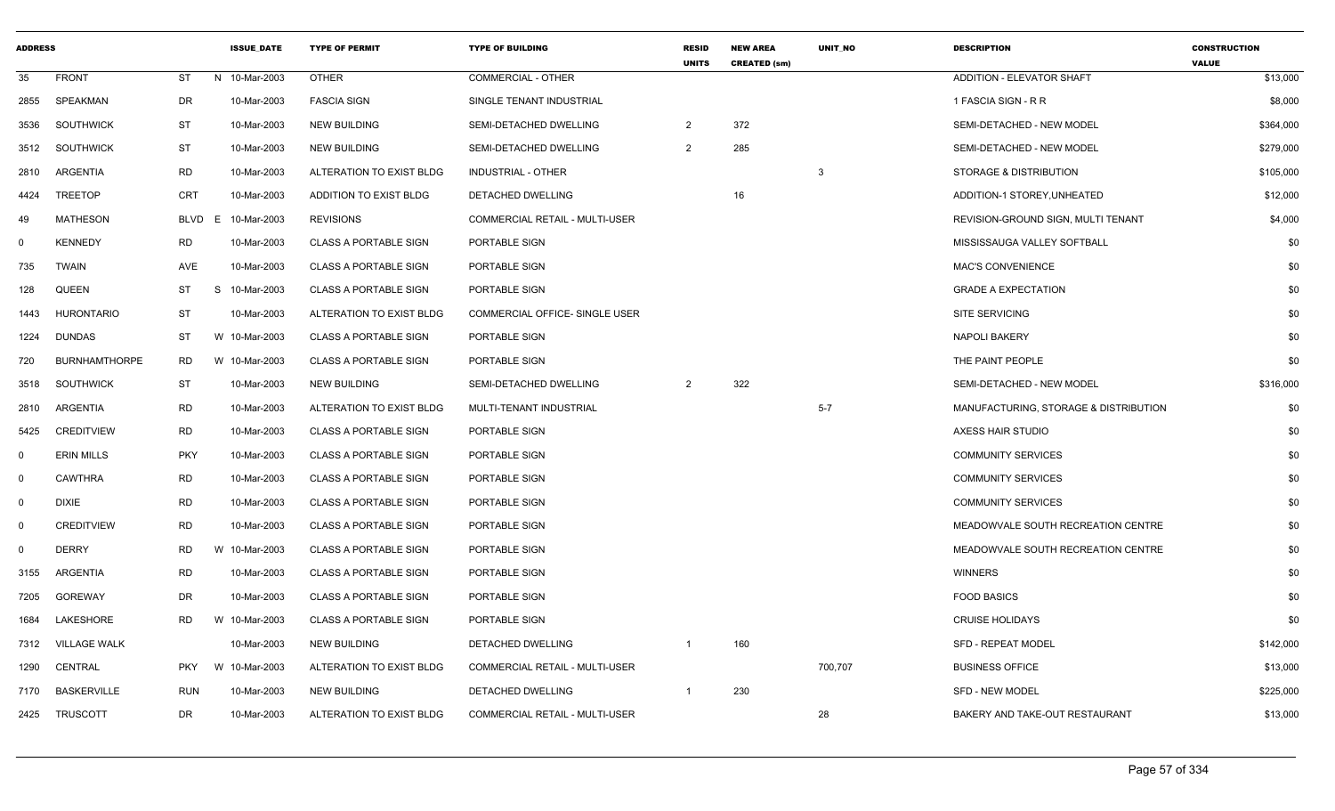| <b>ADDRESS</b> |                      |            | <b>ISSUE DATE</b> | <b>TYPE OF PERMIT</b>        | <b>TYPE OF BUILDING</b>        | <b>RESID</b><br><b>UNITS</b> | <b>NEW AREA</b><br><b>CREATED (sm)</b> | <b>UNIT NO</b> | <b>DESCRIPTION</b>                    | <b>CONSTRUCTION</b><br><b>VALUE</b> |
|----------------|----------------------|------------|-------------------|------------------------------|--------------------------------|------------------------------|----------------------------------------|----------------|---------------------------------------|-------------------------------------|
| 35             | <b>FRONT</b>         | ST         | N 10-Mar-2003     | <b>OTHER</b>                 | <b>COMMERCIAL - OTHER</b>      |                              |                                        |                | <b>ADDITION - ELEVATOR SHAFT</b>      | \$13,000                            |
| 2855           | SPEAKMAN             | DR         | 10-Mar-2003       | <b>FASCIA SIGN</b>           | SINGLE TENANT INDUSTRIAL       |                              |                                        |                | 1 FASCIA SIGN - R R                   | \$8,000                             |
| 3536           | <b>SOUTHWICK</b>     | <b>ST</b>  | 10-Mar-2003       | <b>NEW BUILDING</b>          | SEMI-DETACHED DWELLING         | 2                            | 372                                    |                | SEMI-DETACHED - NEW MODEL             | \$364,000                           |
| 3512           | <b>SOUTHWICK</b>     | <b>ST</b>  | 10-Mar-2003       | <b>NEW BUILDING</b>          | SEMI-DETACHED DWELLING         | $\overline{2}$               | 285                                    |                | SEMI-DETACHED - NEW MODEL             | \$279,000                           |
| 2810           | ARGENTIA             | RD         | 10-Mar-2003       | ALTERATION TO EXIST BLDG     | INDUSTRIAL - OTHER             |                              |                                        | 3              | STORAGE & DISTRIBUTION                | \$105,000                           |
| 4424           | TREETOP              | <b>CRT</b> | 10-Mar-2003       | ADDITION TO EXIST BLDG       | DETACHED DWELLING              |                              | 16                                     |                | ADDITION-1 STOREY, UNHEATED           | \$12,000                            |
| 49             | <b>MATHESON</b>      | BLVD       | 10-Mar-2003<br>E  | <b>REVISIONS</b>             | COMMERCIAL RETAIL - MULTI-USER |                              |                                        |                | REVISION-GROUND SIGN, MULTI TENANT    | \$4,000                             |
| $\Omega$       | <b>KENNEDY</b>       | <b>RD</b>  | 10-Mar-2003       | <b>CLASS A PORTABLE SIGN</b> | PORTABLE SIGN                  |                              |                                        |                | MISSISSAUGA VALLEY SOFTBALL           | \$0                                 |
| 735            | <b>TWAIN</b>         | AVE        | 10-Mar-2003       | <b>CLASS A PORTABLE SIGN</b> | PORTABLE SIGN                  |                              |                                        |                | <b>MAC'S CONVENIENCE</b>              | \$0                                 |
| 128            | <b>QUEEN</b>         | ST         | S.<br>10-Mar-2003 | <b>CLASS A PORTABLE SIGN</b> | PORTABLE SIGN                  |                              |                                        |                | <b>GRADE A EXPECTATION</b>            | \$0                                 |
| 1443           | HURONTARIO           | ST         | 10-Mar-2003       | ALTERATION TO EXIST BLDG     | COMMERCIAL OFFICE- SINGLE USER |                              |                                        |                | <b>SITE SERVICING</b>                 | \$0                                 |
| 1224           | <b>DUNDAS</b>        | ST         | W 10-Mar-2003     | <b>CLASS A PORTABLE SIGN</b> | PORTABLE SIGN                  |                              |                                        |                | <b>NAPOLI BAKERY</b>                  | \$0                                 |
| 720            | <b>BURNHAMTHORPE</b> | RD         | W 10-Mar-2003     | <b>CLASS A PORTABLE SIGN</b> | PORTABLE SIGN                  |                              |                                        |                | THE PAINT PEOPLE                      | \$0                                 |
| 3518           | <b>SOUTHWICK</b>     | ST         | 10-Mar-2003       | NEW BUILDING                 | SEMI-DETACHED DWELLING         | $\overline{2}$               | 322                                    |                | SEMI-DETACHED - NEW MODEL             | \$316,000                           |
| 2810           | ARGENTIA             | <b>RD</b>  | 10-Mar-2003       | ALTERATION TO EXIST BLDG     | MULTI-TENANT INDUSTRIAL        |                              |                                        | $5 - 7$        | MANUFACTURING, STORAGE & DISTRIBUTION | \$0                                 |
| 5425           | <b>CREDITVIEW</b>    | RD         | 10-Mar-2003       | <b>CLASS A PORTABLE SIGN</b> | PORTABLE SIGN                  |                              |                                        |                | AXESS HAIR STUDIO                     | \$0                                 |
| $\mathbf 0$    | <b>ERIN MILLS</b>    | <b>PKY</b> | 10-Mar-2003       | <b>CLASS A PORTABLE SIGN</b> | PORTABLE SIGN                  |                              |                                        |                | <b>COMMUNITY SERVICES</b>             | \$0                                 |
| $\Omega$       | <b>CAWTHRA</b>       | <b>RD</b>  | 10-Mar-2003       | <b>CLASS A PORTABLE SIGN</b> | PORTABLE SIGN                  |                              |                                        |                | <b>COMMUNITY SERVICES</b>             | \$0                                 |
| $\Omega$       | <b>DIXIE</b>         | RD         | 10-Mar-2003       | <b>CLASS A PORTABLE SIGN</b> | PORTABLE SIGN                  |                              |                                        |                | <b>COMMUNITY SERVICES</b>             | \$0                                 |
| $\mathbf 0$    | <b>CREDITVIEW</b>    | <b>RD</b>  | 10-Mar-2003       | <b>CLASS A PORTABLE SIGN</b> | PORTABLE SIGN                  |                              |                                        |                | MEADOWVALE SOUTH RECREATION CENTRE    | \$0                                 |
| $\Omega$       | <b>DERRY</b>         | <b>RD</b>  | W 10-Mar-2003     | <b>CLASS A PORTABLE SIGN</b> | PORTABLE SIGN                  |                              |                                        |                | MEADOWVALE SOUTH RECREATION CENTRE    | \$0                                 |
| 3155           | ARGENTIA             | RD         | 10-Mar-2003       | <b>CLASS A PORTABLE SIGN</b> | PORTABLE SIGN                  |                              |                                        |                | <b>WINNERS</b>                        | \$0                                 |
| 7205           | GOREWAY              | DR         | 10-Mar-2003       | <b>CLASS A PORTABLE SIGN</b> | PORTABLE SIGN                  |                              |                                        |                | <b>FOOD BASICS</b>                    | \$0                                 |
| 1684           | LAKESHORE            | <b>RD</b>  | W 10-Mar-2003     | <b>CLASS A PORTABLE SIGN</b> | PORTABLE SIGN                  |                              |                                        |                | <b>CRUISE HOLIDAYS</b>                | \$0                                 |
| 7312           | <b>VILLAGE WALK</b>  |            | 10-Mar-2003       | NEW BUILDING                 | DETACHED DWELLING              |                              | 160                                    |                | <b>SFD - REPEAT MODEL</b>             | \$142,000                           |
| 1290           | CENTRAL              | <b>PKY</b> | W 10-Mar-2003     | ALTERATION TO EXIST BLDG     | COMMERCIAL RETAIL - MULTI-USER |                              |                                        | 700,707        | <b>BUSINESS OFFICE</b>                | \$13,000                            |
| 7170           | <b>BASKERVILLE</b>   | <b>RUN</b> | 10-Mar-2003       | <b>NEW BUILDING</b>          | DETACHED DWELLING              | -1                           | 230                                    |                | SFD - NEW MODEL                       | \$225,000                           |
| 2425           | TRUSCOTT             | DR         | 10-Mar-2003       | ALTERATION TO EXIST BLDG     | COMMERCIAL RETAIL - MULTI-USER |                              |                                        | 28             | BAKERY AND TAKE-OUT RESTAURANT        | \$13,000                            |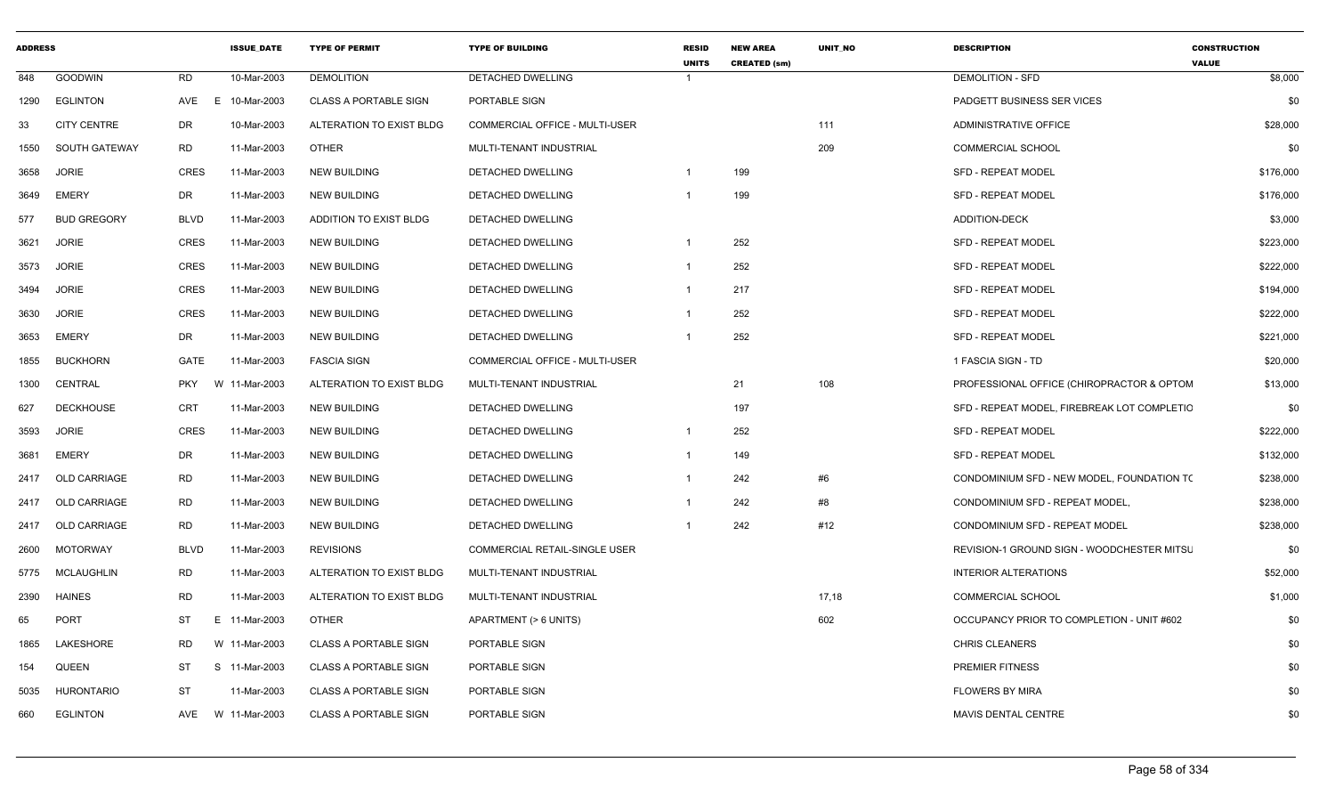| <b>ADDRESS</b> |                     |             | <b>ISSUE DATE</b> | <b>TYPE OF PERMIT</b>        | <b>TYPE OF BUILDING</b>               | <b>RESID</b><br><b>UNITS</b> | <b>NEW AREA</b><br><b>CREATED (sm)</b> | <b>UNIT NO</b> | <b>DESCRIPTION</b>                          | <b>CONSTRUCTION</b><br><b>VALUE</b> |
|----------------|---------------------|-------------|-------------------|------------------------------|---------------------------------------|------------------------------|----------------------------------------|----------------|---------------------------------------------|-------------------------------------|
| 848            | <b>GOODWIN</b>      | RD          | 10-Mar-2003       | <b>DEMOLITION</b>            | <b>DETACHED DWELLING</b>              | $\overline{1}$               |                                        |                | <b>DEMOLITION - SFD</b>                     | \$8,000                             |
| 1290           | <b>EGLINTON</b>     | AVE         | E<br>10-Mar-2003  | <b>CLASS A PORTABLE SIGN</b> | PORTABLE SIGN                         |                              |                                        |                | PADGETT BUSINESS SER VICES                  | \$0                                 |
| 33             | <b>CITY CENTRE</b>  | DR          | 10-Mar-2003       | ALTERATION TO EXIST BLDG     | <b>COMMERCIAL OFFICE - MULTI-USER</b> |                              |                                        | 111            | <b>ADMINISTRATIVE OFFICE</b>                | \$28,000                            |
| 1550           | SOUTH GATEWAY       | RD          | 11-Mar-2003       | <b>OTHER</b>                 | MULTI-TENANT INDUSTRIAL               |                              |                                        | 209            | <b>COMMERCIAL SCHOOL</b>                    | \$0                                 |
| 3658           | <b>JORIE</b>        | CRES        | 11-Mar-2003       | <b>NEW BUILDING</b>          | DETACHED DWELLING                     |                              | 199                                    |                | <b>SFD - REPEAT MODEL</b>                   | \$176,000                           |
| 3649           | <b>EMERY</b>        | DR          | 11-Mar-2003       | <b>NEW BUILDING</b>          | DETACHED DWELLING                     |                              | 199                                    |                | <b>SFD - REPEAT MODEL</b>                   | \$176,000                           |
| 577            | <b>BUD GREGORY</b>  | <b>BLVD</b> | 11-Mar-2003       | ADDITION TO EXIST BLDG       | DETACHED DWELLING                     |                              |                                        |                | <b>ADDITION-DECK</b>                        | \$3,000                             |
| 3621           | <b>JORIE</b>        | <b>CRES</b> | 11-Mar-2003       | <b>NEW BUILDING</b>          | <b>DETACHED DWELLING</b>              | $\mathbf{1}$                 | 252                                    |                | <b>SFD - REPEAT MODEL</b>                   | \$223,000                           |
| 3573           | <b>JORIE</b>        | CRES        | 11-Mar-2003       | NEW BUILDING                 | DETACHED DWELLING                     | 1                            | 252                                    |                | <b>SFD - REPEAT MODEL</b>                   | \$222,000                           |
| 3494           | <b>JORIE</b>        | <b>CRES</b> | 11-Mar-2003       | <b>NEW BUILDING</b>          | DETACHED DWELLING                     | 1                            | 217                                    |                | <b>SFD - REPEAT MODEL</b>                   | \$194,000                           |
| 3630           | JORIE               | <b>CRES</b> | 11-Mar-2003       | <b>NEW BUILDING</b>          | DETACHED DWELLING                     | $\mathbf 1$                  | 252                                    |                | <b>SFD - REPEAT MODEL</b>                   | \$222,000                           |
| 3653           | <b>EMERY</b>        | DR          | 11-Mar-2003       | NEW BUILDING                 | DETACHED DWELLING                     |                              | 252                                    |                | <b>SFD - REPEAT MODEL</b>                   | \$221,000                           |
| 1855           | <b>BUCKHORN</b>     | GATE        | 11-Mar-2003       | <b>FASCIA SIGN</b>           | <b>COMMERCIAL OFFICE - MULTI-USER</b> |                              |                                        |                | 1 FASCIA SIGN - TD                          | \$20,000                            |
| 1300           | CENTRAL             | <b>PKY</b>  | W 11-Mar-2003     | ALTERATION TO EXIST BLDG     | MULTI-TENANT INDUSTRIAL               |                              | 21                                     | 108            | PROFESSIONAL OFFICE (CHIROPRACTOR & OPTOM   | \$13,000                            |
| 627            | <b>DECKHOUSE</b>    | CRT         | 11-Mar-2003       | <b>NEW BUILDING</b>          | DETACHED DWELLING                     |                              | 197                                    |                | SFD - REPEAT MODEL, FIREBREAK LOT COMPLETIC | \$0                                 |
| 3593           | <b>JORIE</b>        | <b>CRES</b> | 11-Mar-2003       | <b>NEW BUILDING</b>          | DETACHED DWELLING                     | -1                           | 252                                    |                | <b>SFD - REPEAT MODEL</b>                   | \$222,000                           |
| 3681           | EMERY               | DR          | 11-Mar-2003       | <b>NEW BUILDING</b>          | DETACHED DWELLING                     | 1                            | 149                                    |                | <b>SFD - REPEAT MODEL</b>                   | \$132,000                           |
| 2417           | <b>OLD CARRIAGE</b> | <b>RD</b>   | 11-Mar-2003       | <b>NEW BUILDING</b>          | <b>DETACHED DWELLING</b>              |                              | 242                                    | #6             | CONDOMINIUM SFD - NEW MODEL. FOUNDATION TO  | \$238,000                           |
| 2417           | OLD CARRIAGE        | RD          | 11-Mar-2003       | <b>NEW BUILDING</b>          | DETACHED DWELLING                     | $\mathbf{1}$                 | 242                                    | #8             | CONDOMINIUM SFD - REPEAT MODEL,             | \$238,000                           |
| 2417           | <b>OLD CARRIAGE</b> | <b>RD</b>   | 11-Mar-2003       | <b>NEW BUILDING</b>          | DETACHED DWELLING                     |                              | 242                                    | #12            | CONDOMINIUM SFD - REPEAT MODEL              | \$238,000                           |
| 2600           | <b>MOTORWAY</b>     | <b>BLVD</b> | 11-Mar-2003       | <b>REVISIONS</b>             | <b>COMMERCIAL RETAIL-SINGLE USER</b>  |                              |                                        |                | REVISION-1 GROUND SIGN - WOODCHESTER MITSL  | \$0                                 |
| 5775           | <b>MCLAUGHLIN</b>   | RD          | 11-Mar-2003       | ALTERATION TO EXIST BLDG     | MULTI-TENANT INDUSTRIAL               |                              |                                        |                | INTERIOR ALTERATIONS                        | \$52,000                            |
| 2390           | <b>HAINES</b>       | <b>RD</b>   | 11-Mar-2003       | ALTERATION TO EXIST BLDG     | MULTI-TENANT INDUSTRIAL               |                              |                                        | 17,18          | <b>COMMERCIAL SCHOOL</b>                    | \$1,000                             |
| 65             | <b>PORT</b>         | ST          | E 11-Mar-2003     | OTHER                        | APARTMENT (> 6 UNITS)                 |                              |                                        | 602            | OCCUPANCY PRIOR TO COMPLETION - UNIT #602   | \$0                                 |
| 1865           | LAKESHORE           | RD          | W 11-Mar-2003     | <b>CLASS A PORTABLE SIGN</b> | PORTABLE SIGN                         |                              |                                        |                | <b>CHRIS CLEANERS</b>                       | \$0                                 |
| 154            | QUEEN               | ST          | S 11-Mar-2003     | <b>CLASS A PORTABLE SIGN</b> | PORTABLE SIGN                         |                              |                                        |                | <b>PREMIER FITNESS</b>                      | \$0                                 |
| 5035           | <b>HURONTARIO</b>   | <b>ST</b>   | 11-Mar-2003       | <b>CLASS A PORTABLE SIGN</b> | PORTABLE SIGN                         |                              |                                        |                | <b>FLOWERS BY MIRA</b>                      | \$0                                 |
| 660            | <b>EGLINTON</b>     | AVE         | W 11-Mar-2003     | <b>CLASS A PORTABLE SIGN</b> | PORTABLE SIGN                         |                              |                                        |                | <b>MAVIS DENTAL CENTRE</b>                  | \$0                                 |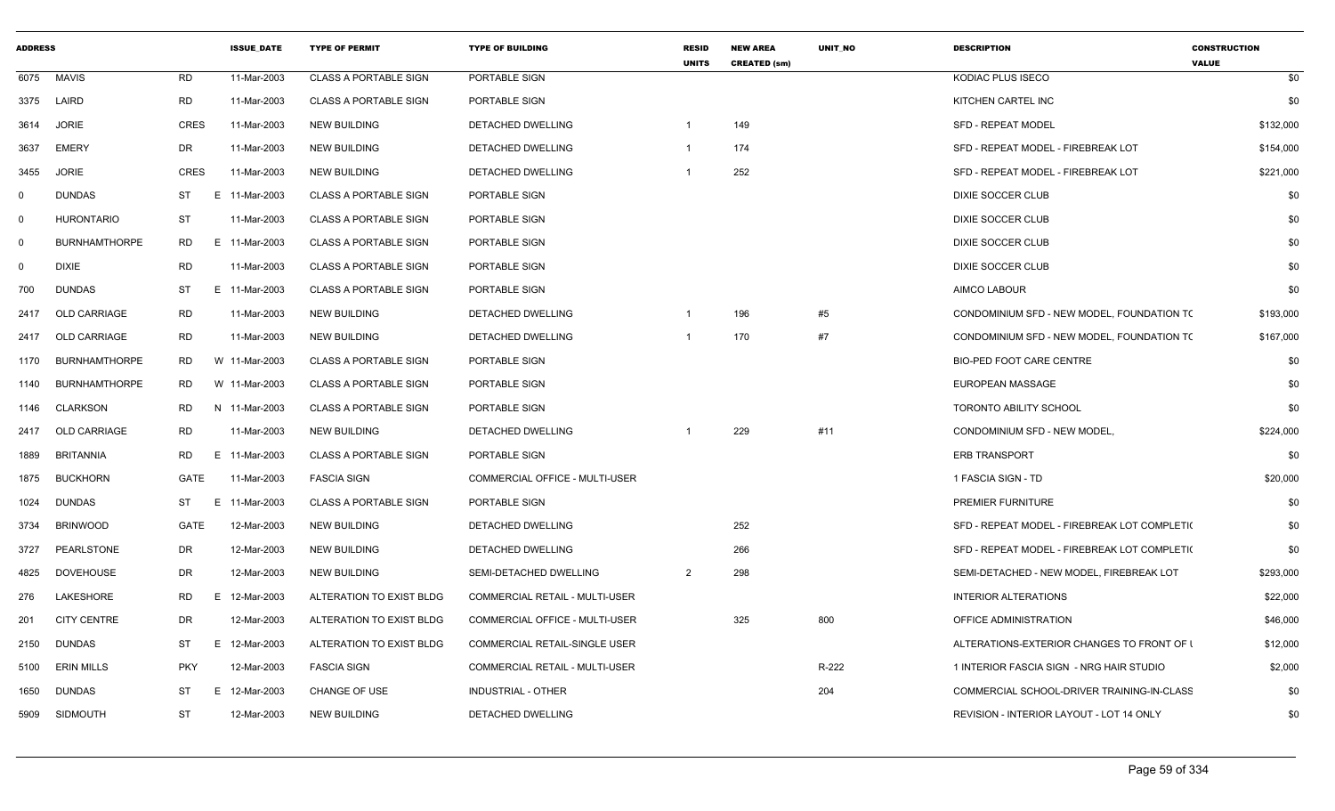| <b>ADDRESS</b> |                      |             | <b>ISSUE DATE</b> | <b>TYPE OF PERMIT</b>        | <b>TYPE OF BUILDING</b>               | <b>RESID</b><br><b>UNITS</b> | <b>NEW AREA</b><br><b>CREATED (sm)</b> | <b>UNIT NO</b> | <b>DESCRIPTION</b>                           | <b>CONSTRUCTION</b><br><b>VALUE</b> |
|----------------|----------------------|-------------|-------------------|------------------------------|---------------------------------------|------------------------------|----------------------------------------|----------------|----------------------------------------------|-------------------------------------|
| 6075           | <b>MAVIS</b>         | <b>RD</b>   | 11-Mar-2003       | <b>CLASS A PORTABLE SIGN</b> | PORTABLE SIGN                         |                              |                                        |                | KODIAC PLUS ISECO                            | \$0                                 |
| 3375           | LAIRD                | <b>RD</b>   | 11-Mar-2003       | <b>CLASS A PORTABLE SIGN</b> | PORTABLE SIGN                         |                              |                                        |                | KITCHEN CARTEL INC                           | \$0                                 |
| 3614           | <b>JORIE</b>         | <b>CRES</b> | 11-Mar-2003       | <b>NEW BUILDING</b>          | <b>DETACHED DWELLING</b>              |                              | 149                                    |                | <b>SFD - REPEAT MODEL</b>                    | \$132,000                           |
| 3637           | EMERY                | DR          | 11-Mar-2003       | <b>NEW BUILDING</b>          | DETACHED DWELLING                     |                              | 174                                    |                | SFD - REPEAT MODEL - FIREBREAK LOT           | \$154,000                           |
| 3455           | JORIE                | CRES        | 11-Mar-2003       | <b>NEW BUILDING</b>          | DETACHED DWELLING                     |                              | 252                                    |                | SFD - REPEAT MODEL - FIREBREAK LOT           | \$221,000                           |
| $\mathbf 0$    | <b>DUNDAS</b>        | ST          | E 11-Mar-2003     | <b>CLASS A PORTABLE SIGN</b> | PORTABLE SIGN                         |                              |                                        |                | DIXIE SOCCER CLUB                            | \$0                                 |
| $\Omega$       | <b>HURONTARIO</b>    | <b>ST</b>   | 11-Mar-2003       | <b>CLASS A PORTABLE SIGN</b> | PORTABLE SIGN                         |                              |                                        |                | <b>DIXIE SOCCER CLUB</b>                     | \$0                                 |
| $\Omega$       | <b>BURNHAMTHORPE</b> | RD          | E 11-Mar-2003     | <b>CLASS A PORTABLE SIGN</b> | PORTABLE SIGN                         |                              |                                        |                | DIXIE SOCCER CLUB                            | \$0                                 |
| 0              | <b>DIXIE</b>         | <b>RD</b>   | 11-Mar-2003       | <b>CLASS A PORTABLE SIGN</b> | PORTABLE SIGN                         |                              |                                        |                | DIXIE SOCCER CLUB                            | \$0                                 |
| 700            | <b>DUNDAS</b>        | ST          | E 11-Mar-2003     | <b>CLASS A PORTABLE SIGN</b> | PORTABLE SIGN                         |                              |                                        |                | AIMCO LABOUR                                 | \$0                                 |
| 2417           | OLD CARRIAGE         | <b>RD</b>   | 11-Mar-2003       | <b>NEW BUILDING</b>          | DETACHED DWELLING                     |                              | 196                                    | #5             | CONDOMINIUM SFD - NEW MODEL, FOUNDATION TO   | \$193,000                           |
| 2417           | <b>OLD CARRIAGE</b>  | <b>RD</b>   | 11-Mar-2003       | <b>NEW BUILDING</b>          | DETACHED DWELLING                     |                              | 170                                    | #7             | CONDOMINIUM SFD - NEW MODEL, FOUNDATION TO   | \$167,000                           |
| 1170           | <b>BURNHAMTHORPE</b> | RD          | W 11-Mar-2003     | <b>CLASS A PORTABLE SIGN</b> | PORTABLE SIGN                         |                              |                                        |                | <b>BIO-PED FOOT CARE CENTRE</b>              | \$0                                 |
| 1140           | <b>BURNHAMTHORPE</b> | RD.         | W 11-Mar-2003     | <b>CLASS A PORTABLE SIGN</b> | PORTABLE SIGN                         |                              |                                        |                | <b>EUROPEAN MASSAGE</b>                      | \$0                                 |
| 1146           | CLARKSON             | RD          | N 11-Mar-2003     | <b>CLASS A PORTABLE SIGN</b> | PORTABLE SIGN                         |                              |                                        |                | <b>TORONTO ABILITY SCHOOL</b>                | \$0                                 |
| 2417           | <b>OLD CARRIAGE</b>  | RD          | 11-Mar-2003       | <b>NEW BUILDING</b>          | DETACHED DWELLING                     |                              | 229                                    | #11            | CONDOMINIUM SFD - NEW MODEL                  | \$224,000                           |
| 1889           | <b>BRITANNIA</b>     | <b>RD</b>   | E 11-Mar-2003     | <b>CLASS A PORTABLE SIGN</b> | PORTABLE SIGN                         |                              |                                        |                | <b>ERB TRANSPORT</b>                         | \$0                                 |
| 1875           | <b>BUCKHORN</b>      | GATE        | 11-Mar-2003       | <b>FASCIA SIGN</b>           | COMMERCIAL OFFICE - MULTI-USER        |                              |                                        |                | 1 FASCIA SIGN - TD                           | \$20,000                            |
| 1024           | <b>DUNDAS</b>        | ST          | E.<br>11-Mar-2003 | <b>CLASS A PORTABLE SIGN</b> | PORTABLE SIGN                         |                              |                                        |                | PREMIER FURNITURE                            | \$0                                 |
| 3734           | <b>BRINWOOD</b>      | GATE        | 12-Mar-2003       | NEW BUILDING                 | DETACHED DWELLING                     |                              | 252                                    |                | SFD - REPEAT MODEL - FIREBREAK LOT COMPLETI( | \$0                                 |
| 3727           | PEARLSTONE           | DR          | 12-Mar-2003       | <b>NEW BUILDING</b>          | <b>DETACHED DWELLING</b>              |                              | 266                                    |                | SFD - REPEAT MODEL - FIREBREAK LOT COMPLETI( | \$0                                 |
| 4825           | <b>DOVEHOUSE</b>     | DR          | 12-Mar-2003       | <b>NEW BUILDING</b>          | SEMI-DETACHED DWELLING                | $\overline{2}$               | 298                                    |                | SEMI-DETACHED - NEW MODEL, FIREBREAK LOT     | \$293,000                           |
| 276            | LAKESHORE            | RD          | E 12-Mar-2003     | ALTERATION TO EXIST BLDG     | COMMERCIAL RETAIL - MULTI-USER        |                              |                                        |                | <b>INTERIOR ALTERATIONS</b>                  | \$22,000                            |
| 201            | <b>CITY CENTRE</b>   | DR          | 12-Mar-2003       | ALTERATION TO EXIST BLDG     | COMMERCIAL OFFICE - MULTI-USER        |                              | 325                                    | 800            | OFFICE ADMINISTRATION                        | \$46,000                            |
| 2150           | <b>DUNDAS</b>        | ST          | E.<br>12-Mar-2003 | ALTERATION TO EXIST BLDG     | <b>COMMERCIAL RETAIL-SINGLE USER</b>  |                              |                                        |                | ALTERATIONS-EXTERIOR CHANGES TO FRONT OF I   | \$12,000                            |
| 5100           | <b>ERIN MILLS</b>    | <b>PKY</b>  | 12-Mar-2003       | <b>FASCIA SIGN</b>           | <b>COMMERCIAL RETAIL - MULTI-USER</b> |                              |                                        | R-222          | 1 INTERIOR FASCIA SIGN - NRG HAIR STUDIO     | \$2,000                             |
| 1650           | <b>DUNDAS</b>        | ST          | E 12-Mar-2003     | <b>CHANGE OF USE</b>         | <b>INDUSTRIAL - OTHER</b>             |                              |                                        | 204            | COMMERCIAL SCHOOL-DRIVER TRAINING-IN-CLASS   | \$0                                 |
| 5909           | SIDMOUTH             | ST          | 12-Mar-2003       | <b>NEW BUILDING</b>          | DETACHED DWELLING                     |                              |                                        |                | REVISION - INTERIOR LAYOUT - LOT 14 ONLY     | \$0                                 |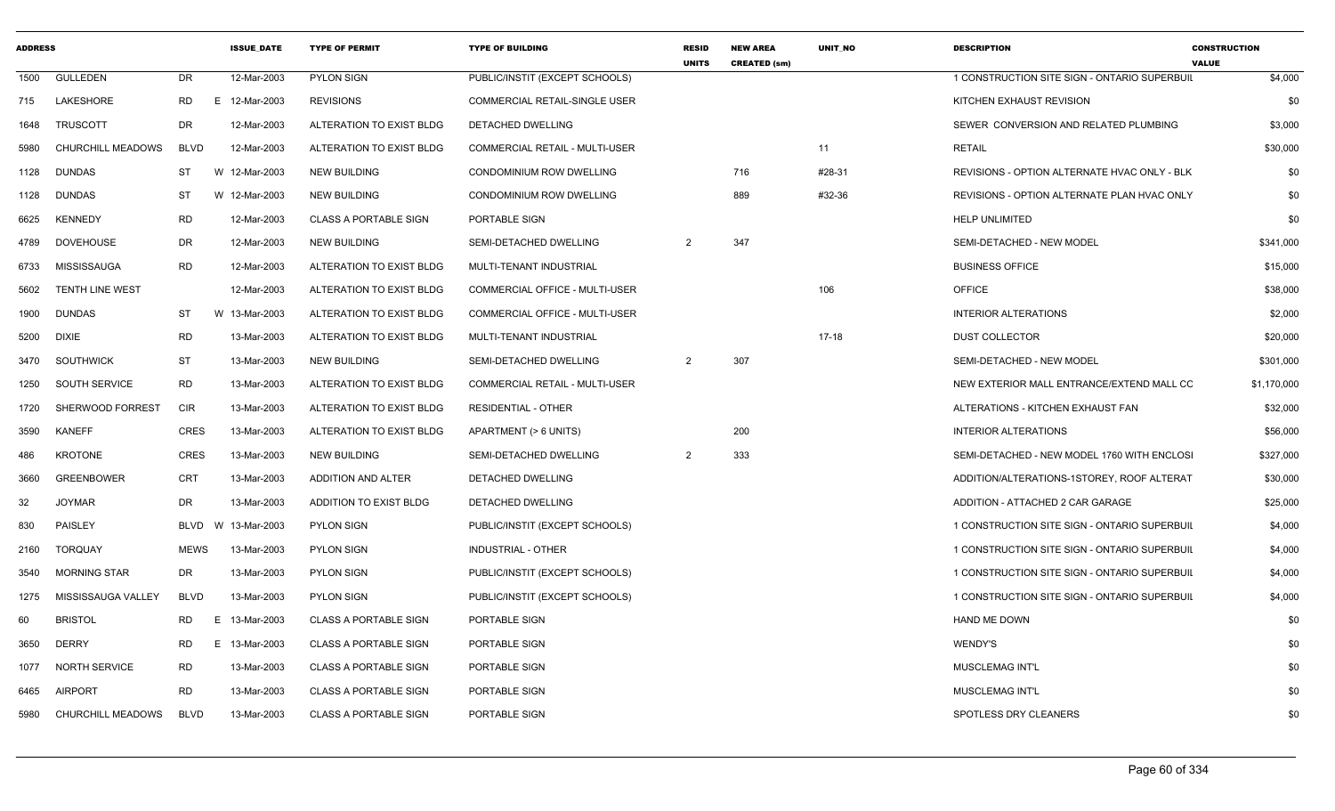| <b>ADDRESS</b> |                          |             | <b>ISSUE DATE</b> | <b>TYPE OF PERMIT</b>        | <b>TYPE OF BUILDING</b>               | <b>RESID</b><br><b>UNITS</b> | <b>NEW AREA</b><br><b>CREATED (sm)</b> | <b>UNIT NO</b> | <b>DESCRIPTION</b>                           | <b>CONSTRUCTION</b><br><b>VALUE</b> |
|----------------|--------------------------|-------------|-------------------|------------------------------|---------------------------------------|------------------------------|----------------------------------------|----------------|----------------------------------------------|-------------------------------------|
| 1500           | <b>GULLEDEN</b>          | <b>DR</b>   | 12-Mar-2003       | <b>PYLON SIGN</b>            | PUBLIC/INSTIT (EXCEPT SCHOOLS)        |                              |                                        |                | 1 CONSTRUCTION SITE SIGN - ONTARIO SUPERBUIL | \$4,000                             |
| 715            | LAKESHORE                | RD.         | 12-Mar-2003<br>E  | <b>REVISIONS</b>             | <b>COMMERCIAL RETAIL-SINGLE USER</b>  |                              |                                        |                | KITCHEN EXHAUST REVISION                     | \$0                                 |
| 1648           | <b>TRUSCOTT</b>          | <b>DR</b>   | 12-Mar-2003       | ALTERATION TO EXIST BLDG     | DETACHED DWELLING                     |                              |                                        |                | SEWER CONVERSION AND RELATED PLUMBING        | \$3,000                             |
| 5980           | CHURCHILL MEADOWS        | <b>BLVD</b> | 12-Mar-2003       | ALTERATION TO EXIST BLDG     | <b>COMMERCIAL RETAIL - MULTI-USER</b> |                              |                                        | 11             | <b>RETAIL</b>                                | \$30,000                            |
| 1128           | <b>DUNDAS</b>            | ST          | W 12-Mar-2003     | <b>NEW BUILDING</b>          | <b>CONDOMINIUM ROW DWELLING</b>       |                              | 716                                    | #28-31         | REVISIONS - OPTION ALTERNATE HVAC ONLY - BLK | \$0                                 |
| 1128           | <b>DUNDAS</b>            | ST          | W 12-Mar-2003     | <b>NEW BUILDING</b>          | <b>CONDOMINIUM ROW DWELLING</b>       |                              | 889                                    | #32-36         | REVISIONS - OPTION ALTERNATE PLAN HVAC ONLY  | \$0                                 |
| 6625           | <b>KENNEDY</b>           | RD          | 12-Mar-2003       | <b>CLASS A PORTABLE SIGN</b> | PORTABLE SIGN                         |                              |                                        |                | <b>HELP UNLIMITED</b>                        | \$0                                 |
| 4789           | DOVEHOUSE                | DR          | 12-Mar-2003       | <b>NEW BUILDING</b>          | SEMI-DETACHED DWELLING                | 2                            | 347                                    |                | SEMI-DETACHED - NEW MODEL                    | \$341,000                           |
| 6733           | MISSISSAUGA              | <b>RD</b>   | 12-Mar-2003       | ALTERATION TO EXIST BLDG     | MULTI-TENANT INDUSTRIAL               |                              |                                        |                | <b>BUSINESS OFFICE</b>                       | \$15,000                            |
| 5602           | <b>TENTH LINE WEST</b>   |             | 12-Mar-2003       | ALTERATION TO EXIST BLDG     | COMMERCIAL OFFICE - MULTI-USER        |                              |                                        | 106            | <b>OFFICE</b>                                | \$38,000                            |
| 1900           | <b>DUNDAS</b>            | <b>ST</b>   | W 13-Mar-2003     | ALTERATION TO EXIST BLDG     | COMMERCIAL OFFICE - MULTI-USER        |                              |                                        |                | <b>INTERIOR ALTERATIONS</b>                  | \$2,000                             |
| 5200           | DIXIE                    | <b>RD</b>   | 13-Mar-2003       | ALTERATION TO EXIST BLDG     | MULTI-TENANT INDUSTRIAL               |                              |                                        | $17-18$        | <b>DUST COLLECTOR</b>                        | \$20,000                            |
|                | 3470 SOUTHWICK           | <b>ST</b>   | 13-Mar-2003       | <b>NEW BUILDING</b>          | SEMI-DETACHED DWELLING                | $\overline{2}$               | 307                                    |                | SEMI-DETACHED - NEW MODEL                    | \$301,000                           |
| 1250           | SOUTH SERVICE            | <b>RD</b>   | 13-Mar-2003       | ALTERATION TO EXIST BLDG     | <b>COMMERCIAL RETAIL - MULTI-USER</b> |                              |                                        |                | NEW EXTERIOR MALL ENTRANCE/EXTEND MALL CC    | \$1,170,000                         |
| 1720           | SHERWOOD FORREST         | <b>CIR</b>  | 13-Mar-2003       | ALTERATION TO EXIST BLDG     | <b>RESIDENTIAL - OTHER</b>            |                              |                                        |                | ALTERATIONS - KITCHEN EXHAUST FAN            | \$32,000                            |
| 3590           | <b>KANEFF</b>            | <b>CRES</b> | 13-Mar-2003       | ALTERATION TO EXIST BLDG     | APARTMENT (> 6 UNITS)                 |                              | 200                                    |                | <b>INTERIOR ALTERATIONS</b>                  | \$56,000                            |
| 486            | <b>KROTONE</b>           | <b>CRES</b> | 13-Mar-2003       | <b>NEW BUILDING</b>          | SEMI-DETACHED DWELLING                | $\overline{2}$               | 333                                    |                | SEMI-DETACHED - NEW MODEL 1760 WITH ENCLOSI  | \$327,000                           |
| 3660           | <b>GREENBOWER</b>        | <b>CRT</b>  | 13-Mar-2003       | ADDITION AND ALTER           | DETACHED DWELLING                     |                              |                                        |                | ADDITION/ALTERATIONS-1STOREY, ROOF ALTERAT   | \$30,000                            |
| 32             | <b>JOYMAR</b>            | <b>DR</b>   | 13-Mar-2003       | ADDITION TO EXIST BLDG       | <b>DETACHED DWELLING</b>              |                              |                                        |                | ADDITION - ATTACHED 2 CAR GARAGE             | \$25,000                            |
| 830            | PAISLEY                  | BLVD        | 13-Mar-2003<br>W  | <b>PYLON SIGN</b>            | PUBLIC/INSTIT (EXCEPT SCHOOLS)        |                              |                                        |                | 1 CONSTRUCTION SITE SIGN - ONTARIO SUPERBUIL | \$4,000                             |
| 2160           | <b>TORQUAY</b>           | MEWS        | 13-Mar-2003       | <b>PYLON SIGN</b>            | INDUSTRIAL - OTHER                    |                              |                                        |                | 1 CONSTRUCTION SITE SIGN - ONTARIO SUPERBUIL | \$4,000                             |
| 3540           | <b>MORNING STAR</b>      | <b>DR</b>   | 13-Mar-2003       | <b>PYLON SIGN</b>            | PUBLIC/INSTIT (EXCEPT SCHOOLS)        |                              |                                        |                | 1 CONSTRUCTION SITE SIGN - ONTARIO SUPERBUIL | \$4,000                             |
| 1275           | MISSISSAUGA VALLEY       | <b>BLVD</b> | 13-Mar-2003       | <b>PYLON SIGN</b>            | PUBLIC/INSTIT (EXCEPT SCHOOLS)        |                              |                                        |                | 1 CONSTRUCTION SITE SIGN - ONTARIO SUPERBUIL | \$4,000                             |
| 60             | <b>BRISTOL</b>           | RD.         | 13-Mar-2003<br>E  | <b>CLASS A PORTABLE SIGN</b> | PORTABLE SIGN                         |                              |                                        |                | <b>HAND ME DOWN</b>                          | \$0                                 |
| 3650           | <b>DERRY</b>             | RD          | E.<br>13-Mar-2003 | <b>CLASS A PORTABLE SIGN</b> | PORTABLE SIGN                         |                              |                                        |                | WENDY'S                                      | \$0                                 |
| 1077           | <b>NORTH SERVICE</b>     | <b>RD</b>   | 13-Mar-2003       | <b>CLASS A PORTABLE SIGN</b> | <b>PORTABLE SIGN</b>                  |                              |                                        |                | <b>MUSCLEMAG INT'L</b>                       | \$0                                 |
| 6465           | <b>AIRPORT</b>           | <b>RD</b>   | 13-Mar-2003       | <b>CLASS A PORTABLE SIGN</b> | PORTABLE SIGN                         |                              |                                        |                | MUSCLEMAG INT'L                              | \$0                                 |
| 5980           | <b>CHURCHILL MEADOWS</b> | <b>BLVD</b> | 13-Mar-2003       | <b>CLASS A PORTABLE SIGN</b> | PORTABLE SIGN                         |                              |                                        |                | SPOTLESS DRY CLEANERS                        | \$0                                 |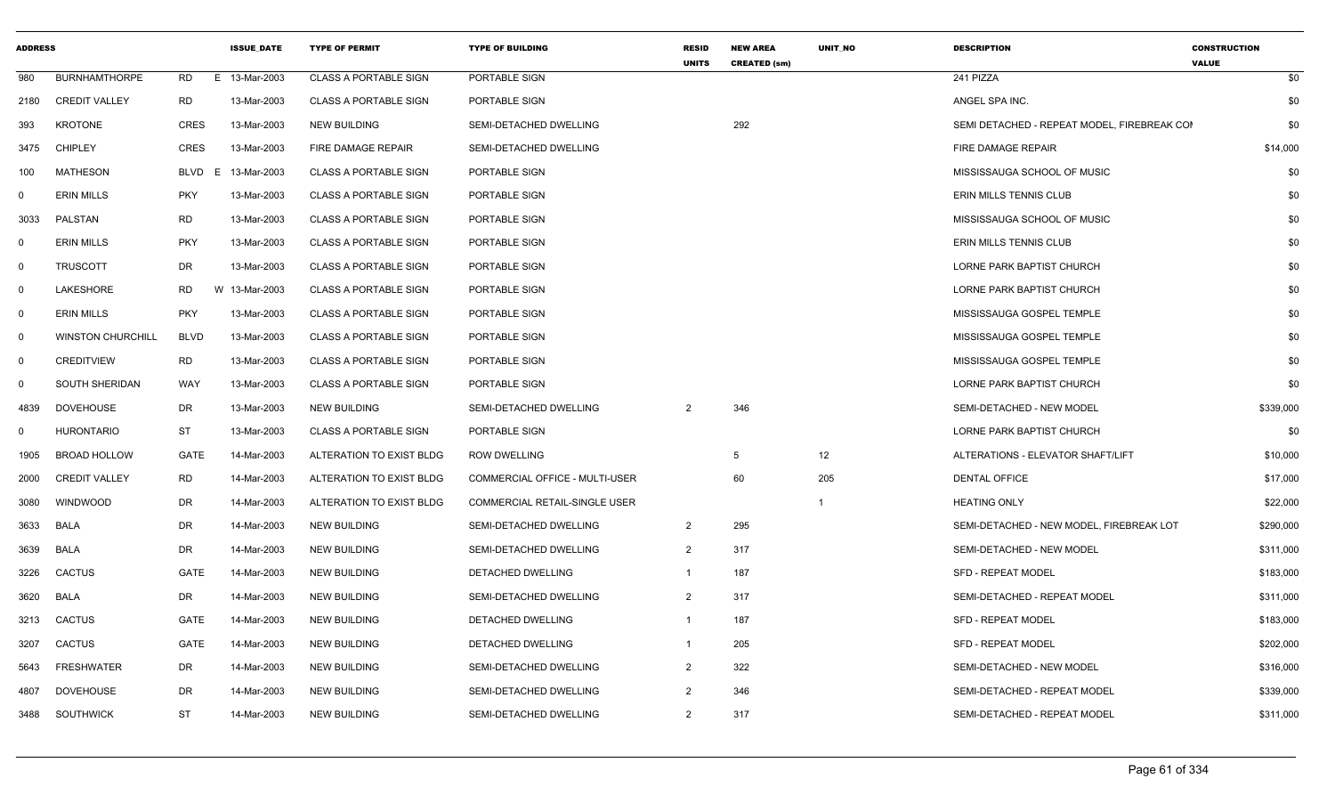| <b>ADDRESS</b> |                          |             | <b>ISSUE DATE</b> | <b>TYPE OF PERMIT</b>        | <b>TYPE OF BUILDING</b>              | <b>RESID</b><br><b>UNITS</b> | <b>NEW AREA</b><br><b>CREATED (sm)</b> | UNIT_NO        | <b>DESCRIPTION</b>                          | <b>CONSTRUCTION</b><br><b>VALUE</b> |
|----------------|--------------------------|-------------|-------------------|------------------------------|--------------------------------------|------------------------------|----------------------------------------|----------------|---------------------------------------------|-------------------------------------|
| 980            | <b>BURNHAMTHORPE</b>     | <b>RD</b>   | E 13-Mar-2003     | <b>CLASS A PORTABLE SIGN</b> | PORTABLE SIGN                        |                              |                                        |                | 241 PIZZA                                   | \$0                                 |
| 2180           | <b>CREDIT VALLEY</b>     | <b>RD</b>   | 13-Mar-2003       | <b>CLASS A PORTABLE SIGN</b> | PORTABLE SIGN                        |                              |                                        |                | ANGEL SPA INC.                              | \$0                                 |
| 393            | <b>KROTONE</b>           | <b>CRES</b> | 13-Mar-2003       | <b>NEW BUILDING</b>          | SEMI-DETACHED DWELLING               |                              | 292                                    |                | SEMI DETACHED - REPEAT MODEL. FIREBREAK COI | \$0                                 |
| 3475           | <b>CHIPLEY</b>           | <b>CRES</b> | 13-Mar-2003       | FIRE DAMAGE REPAIR           | SEMI-DETACHED DWELLING               |                              |                                        |                | FIRE DAMAGE REPAIR                          | \$14,000                            |
| 100            | <b>MATHESON</b>          | BLVD        | E<br>13-Mar-2003  | <b>CLASS A PORTABLE SIGN</b> | PORTABLE SIGN                        |                              |                                        |                | MISSISSAUGA SCHOOL OF MUSIC                 | \$0                                 |
| $\mathbf 0$    | <b>ERIN MILLS</b>        | <b>PKY</b>  | 13-Mar-2003       | <b>CLASS A PORTABLE SIGN</b> | PORTABLE SIGN                        |                              |                                        |                | ERIN MILLS TENNIS CLUB                      | \$0                                 |
| 3033           | PALSTAN                  | <b>RD</b>   | 13-Mar-2003       | <b>CLASS A PORTABLE SIGN</b> | PORTABLE SIGN                        |                              |                                        |                | MISSISSAUGA SCHOOL OF MUSIC                 | \$0                                 |
| $\mathbf{0}$   | <b>ERIN MILLS</b>        | <b>PKY</b>  | 13-Mar-2003       | <b>CLASS A PORTABLE SIGN</b> | PORTABLE SIGN                        |                              |                                        |                | ERIN MILLS TENNIS CLUB                      | \$0                                 |
| $\mathbf 0$    | <b>TRUSCOTT</b>          | <b>DR</b>   | 13-Mar-2003       | <b>CLASS A PORTABLE SIGN</b> | PORTABLE SIGN                        |                              |                                        |                | LORNE PARK BAPTIST CHURCH                   | \$0                                 |
| $\mathbf 0$    | LAKESHORE                | RD          | W 13-Mar-2003     | <b>CLASS A PORTABLE SIGN</b> | PORTABLE SIGN                        |                              |                                        |                | LORNE PARK BAPTIST CHURCH                   | \$0                                 |
| $\mathbf 0$    | <b>ERIN MILLS</b>        | <b>PKY</b>  | 13-Mar-2003       | <b>CLASS A PORTABLE SIGN</b> | PORTABLE SIGN                        |                              |                                        |                | MISSISSAUGA GOSPEL TEMPLE                   | \$0                                 |
| $\mathbf 0$    | <b>WINSTON CHURCHILL</b> | <b>BLVD</b> | 13-Mar-2003       | <b>CLASS A PORTABLE SIGN</b> | PORTABLE SIGN                        |                              |                                        |                | MISSISSAUGA GOSPEL TEMPLE                   | \$0                                 |
| $\mathbf 0$    | <b>CREDITVIEW</b>        | <b>RD</b>   | 13-Mar-2003       | <b>CLASS A PORTABLE SIGN</b> | PORTABLE SIGN                        |                              |                                        |                | MISSISSAUGA GOSPEL TEMPLE                   | \$0                                 |
| 0              | SOUTH SHERIDAN           | WAY         | 13-Mar-2003       | <b>CLASS A PORTABLE SIGN</b> | PORTABLE SIGN                        |                              |                                        |                | LORNE PARK BAPTIST CHURCH                   | \$0                                 |
| 4839           | <b>DOVEHOUSE</b>         | DR          | 13-Mar-2003       | <b>NEW BUILDING</b>          | SEMI-DETACHED DWELLING               | 2                            | 346                                    |                | SEMI-DETACHED - NEW MODEL                   | \$339,000                           |
| $\mathbf 0$    | <b>HURONTARIO</b>        | ST          | 13-Mar-2003       | <b>CLASS A PORTABLE SIGN</b> | PORTABLE SIGN                        |                              |                                        |                | LORNE PARK BAPTIST CHURCH                   | \$0                                 |
| 1905           | <b>BROAD HOLLOW</b>      | <b>GATE</b> | 14-Mar-2003       | ALTERATION TO EXIST BLDG     | <b>ROW DWELLING</b>                  |                              | -5                                     | 12             | ALTERATIONS - ELEVATOR SHAFT/LIFT           | \$10,000                            |
| 2000           | <b>CREDIT VALLEY</b>     | <b>RD</b>   | 14-Mar-2003       | ALTERATION TO EXIST BLDG     | COMMERCIAL OFFICE - MULTI-USER       |                              | 60                                     | 205            | <b>DENTAL OFFICE</b>                        | \$17,000                            |
| 3080           | <b>WINDWOOD</b>          | DR          | 14-Mar-2003       | ALTERATION TO EXIST BLDG     | <b>COMMERCIAL RETAIL-SINGLE USER</b> |                              |                                        | $\overline{1}$ | <b>HEATING ONLY</b>                         | \$22,000                            |
| 3633           | <b>BALA</b>              | <b>DR</b>   | 14-Mar-2003       | <b>NEW BUILDING</b>          | SEMI-DETACHED DWELLING               | $\overline{2}$               | 295                                    |                | SEMI-DETACHED - NEW MODEL. FIREBREAK LOT    | \$290,000                           |
| 3639           | <b>BALA</b>              | DR          | 14-Mar-2003       | <b>NEW BUILDING</b>          | SEMI-DETACHED DWELLING               | $\overline{2}$               | 317                                    |                | SEMI-DETACHED - NEW MODEL                   | \$311,000                           |
| 3226           | <b>CACTUS</b>            | GATE        | 14-Mar-2003       | <b>NEW BUILDING</b>          | DETACHED DWELLING                    | $\mathbf{1}$                 | 187                                    |                | <b>SFD - REPEAT MODEL</b>                   | \$183,000                           |
| 3620           | <b>BALA</b>              | DR          | 14-Mar-2003       | <b>NEW BUILDING</b>          | SEMI-DETACHED DWELLING               | $\overline{2}$               | 317                                    |                | SEMI-DETACHED - REPEAT MODEL                | \$311,000                           |
| 3213           | <b>CACTUS</b>            | GATE        | 14-Mar-2003       | <b>NEW BUILDING</b>          | DETACHED DWELLING                    | $\overline{1}$               | 187                                    |                | SFD - REPEAT MODEL                          | \$183,000                           |
| 3207           | <b>CACTUS</b>            | GATE        | 14-Mar-2003       | <b>NEW BUILDING</b>          | DETACHED DWELLING                    | -1                           | 205                                    |                | SFD - REPEAT MODEL                          | \$202,000                           |
| 5643           | <b>FRESHWATER</b>        | DR          | 14-Mar-2003       | <b>NEW BUILDING</b>          | SEMI-DETACHED DWELLING               | $\overline{2}$               | 322                                    |                | SEMI-DETACHED - NEW MODEL                   | \$316,000                           |
| 4807           | <b>DOVEHOUSE</b>         | DR          | 14-Mar-2003       | <b>NEW BUILDING</b>          | SEMI-DETACHED DWELLING               | 2                            | 346                                    |                | SEMI-DETACHED - REPEAT MODEL                | \$339,000                           |
| 3488           | <b>SOUTHWICK</b>         | <b>ST</b>   | 14-Mar-2003       | <b>NEW BUILDING</b>          | SEMI-DETACHED DWELLING               | $\overline{2}$               | 317                                    |                | SEMI-DETACHED - REPEAT MODEL                | \$311,000                           |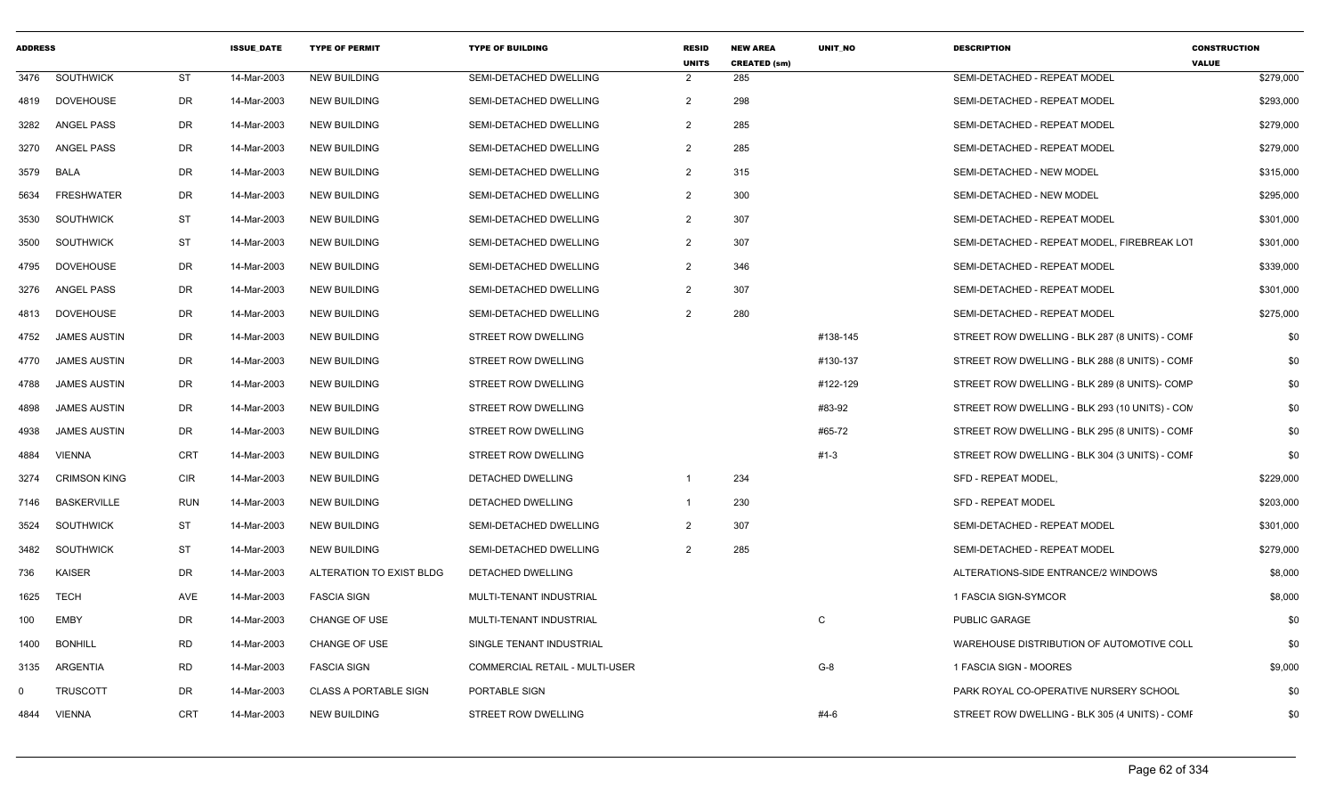| <b>ADDRESS</b> |                     |            | <b>ISSUE DATE</b> | <b>TYPE OF PERMIT</b>        | <b>TYPE OF BUILDING</b>        | <b>RESID</b><br><b>UNITS</b> | <b>NEW AREA</b><br><b>CREATED (sm)</b> | <b>UNIT NO</b> | <b>DESCRIPTION</b>                             | <b>CONSTRUCTION</b><br><b>VALUE</b> |
|----------------|---------------------|------------|-------------------|------------------------------|--------------------------------|------------------------------|----------------------------------------|----------------|------------------------------------------------|-------------------------------------|
| 3476           | <b>SOUTHWICK</b>    | <b>ST</b>  | 14-Mar-2003       | <b>NEW BUILDING</b>          | SEMI-DETACHED DWELLING         | 2                            | 285                                    |                | SEMI-DETACHED - REPEAT MODEL                   | \$279,000                           |
| 4819           | <b>DOVEHOUSE</b>    | DR         | 14-Mar-2003       | <b>NEW BUILDING</b>          | SEMI-DETACHED DWELLING         | $\overline{2}$               | 298                                    |                | SEMI-DETACHED - REPEAT MODEL                   | \$293,000                           |
| 3282           | ANGEL PASS          | DR         | 14-Mar-2003       | <b>NEW BUILDING</b>          | SEMI-DETACHED DWELLING         | 2                            | 285                                    |                | SEMI-DETACHED - REPEAT MODEL                   | \$279,000                           |
| 3270           | <b>ANGEL PASS</b>   | DR         | 14-Mar-2003       | <b>NEW BUILDING</b>          | SEMI-DETACHED DWELLING         | $\overline{2}$               | 285                                    |                | SEMI-DETACHED - REPEAT MODEL                   | \$279,000                           |
| 3579           | <b>BALA</b>         | <b>DR</b>  | 14-Mar-2003       | <b>NEW BUILDING</b>          | SEMI-DETACHED DWELLING         | $\overline{2}$               | 315                                    |                | SEMI-DETACHED - NEW MODEL                      | \$315,000                           |
| 5634           | <b>FRESHWATER</b>   | DR         | 14-Mar-2003       | <b>NEW BUILDING</b>          | SEMI-DETACHED DWELLING         | $\overline{2}$               | 300                                    |                | SEMI-DETACHED - NEW MODEL                      | \$295,000                           |
| 3530           | <b>SOUTHWICK</b>    | <b>ST</b>  | 14-Mar-2003       | <b>NEW BUILDING</b>          | SEMI-DETACHED DWELLING         | $\overline{2}$               | 307                                    |                | SEMI-DETACHED - REPEAT MODEL                   | \$301,000                           |
| 3500           | SOUTHWICK           | <b>ST</b>  | 14-Mar-2003       | <b>NEW BUILDING</b>          | SEMI-DETACHED DWELLING         | $\overline{2}$               | 307                                    |                | SEMI-DETACHED - REPEAT MODEL. FIREBREAK LOT    | \$301,000                           |
| 4795           | <b>DOVEHOUSE</b>    | DR         | 14-Mar-2003       | <b>NEW BUILDING</b>          | SEMI-DETACHED DWELLING         | $\overline{2}$               | 346                                    |                | SEMI-DETACHED - REPEAT MODEL                   | \$339,000                           |
| 3276           | ANGEL PASS          | DR         | 14-Mar-2003       | <b>NEW BUILDING</b>          | SEMI-DETACHED DWELLING         | 2                            | 307                                    |                | SEMI-DETACHED - REPEAT MODEL                   | \$301,000                           |
| 4813           | <b>DOVEHOUSE</b>    | <b>DR</b>  | 14-Mar-2003       | <b>NEW BUILDING</b>          | SEMI-DETACHED DWELLING         | $\overline{2}$               | 280                                    |                | SEMI-DETACHED - REPEAT MODEL                   | \$275,000                           |
| 4752           | <b>JAMES AUSTIN</b> | DR         | 14-Mar-2003       | <b>NEW BUILDING</b>          | <b>STREET ROW DWELLING</b>     |                              |                                        | #138-145       | STREET ROW DWELLING - BLK 287 (8 UNITS) - COMF | \$0                                 |
| 4770           | <b>JAMES AUSTIN</b> | DR         | 14-Mar-2003       | <b>NEW BUILDING</b>          | STREET ROW DWELLING            |                              |                                        | #130-137       | STREET ROW DWELLING - BLK 288 (8 UNITS) - COMF | \$0                                 |
| 4788           | <b>JAMES AUSTIN</b> | DR         | 14-Mar-2003       | <b>NEW BUILDING</b>          | <b>STREET ROW DWELLING</b>     |                              |                                        | #122-129       | STREET ROW DWELLING - BLK 289 (8 UNITS)- COMP  | \$0                                 |
| 4898           | <b>JAMES AUSTIN</b> | DR         | 14-Mar-2003       | <b>NEW BUILDING</b>          | STREET ROW DWELLING            |                              |                                        | #83-92         | STREET ROW DWELLING - BLK 293 (10 UNITS) - COM | \$0                                 |
| 4938           | <b>JAMES AUSTIN</b> | DR         | 14-Mar-2003       | <b>NEW BUILDING</b>          | <b>STREET ROW DWELLING</b>     |                              |                                        | #65-72         | STREET ROW DWELLING - BLK 295 (8 UNITS) - COMF | \$0                                 |
| 4884           | <b>VIENNA</b>       | <b>CRT</b> | 14-Mar-2003       | <b>NEW BUILDING</b>          | <b>STREET ROW DWELLING</b>     |                              |                                        | #1-3           | STREET ROW DWELLING - BLK 304 (3 UNITS) - COMF | \$0                                 |
| 3274           | <b>CRIMSON KING</b> | <b>CIR</b> | 14-Mar-2003       | <b>NEW BUILDING</b>          | DETACHED DWELLING              | $\mathbf{1}$                 | 234                                    |                | SFD - REPEAT MODEL,                            | \$229,000                           |
| 7146           | <b>BASKERVILLE</b>  | <b>RUN</b> | 14-Mar-2003       | <b>NEW BUILDING</b>          | <b>DETACHED DWELLING</b>       | $\mathbf{1}$                 | 230                                    |                | SFD - REPEAT MODEL                             | \$203,000                           |
| 3524           | SOUTHWICK           | <b>ST</b>  | 14-Mar-2003       | <b>NEW BUILDING</b>          | SEMI-DETACHED DWELLING         | $\overline{2}$               | 307                                    |                | SEMI-DETACHED - REPEAT MODEL                   | \$301,000                           |
| 3482           | SOUTHWICK           | <b>ST</b>  | 14-Mar-2003       | <b>NEW BUILDING</b>          | SEMI-DETACHED DWELLING         | 2                            | 285                                    |                | SEMI-DETACHED - REPEAT MODEL                   | \$279,000                           |
| 736            | <b>KAISER</b>       | DR         | 14-Mar-2003       | ALTERATION TO EXIST BLDG     | DETACHED DWELLING              |                              |                                        |                | ALTERATIONS-SIDE ENTRANCE/2 WINDOWS            | \$8,000                             |
| 1625           | TECH                | AVE        | 14-Mar-2003       | <b>FASCIA SIGN</b>           | MULTI-TENANT INDUSTRIAL        |                              |                                        |                | 1 FASCIA SIGN-SYMCOR                           | \$8,000                             |
| 100            | <b>EMBY</b>         | DR         | 14-Mar-2003       | <b>CHANGE OF USE</b>         | MULTI-TENANT INDUSTRIAL        |                              |                                        | C              | <b>PUBLIC GARAGE</b>                           | \$0                                 |
| 1400           | <b>BONHILL</b>      | <b>RD</b>  | 14-Mar-2003       | CHANGE OF USE                | SINGLE TENANT INDUSTRIAL       |                              |                                        |                | WAREHOUSE DISTRIBUTION OF AUTOMOTIVE COLL      | \$0                                 |
| 3135           | ARGENTIA            | <b>RD</b>  | 14-Mar-2003       | <b>FASCIA SIGN</b>           | COMMERCIAL RETAIL - MULTI-USER |                              |                                        | $G-8$          | 1 FASCIA SIGN - MOORES                         | \$9,000                             |
| $\mathbf{0}$   | <b>TRUSCOTT</b>     | DR         | 14-Mar-2003       | <b>CLASS A PORTABLE SIGN</b> | PORTABLE SIGN                  |                              |                                        |                | PARK ROYAL CO-OPERATIVE NURSERY SCHOOL         | \$0                                 |
| 4844           | <b>VIENNA</b>       | <b>CRT</b> | 14-Mar-2003       | <b>NEW BUILDING</b>          | <b>STREET ROW DWELLING</b>     |                              |                                        | #4-6           | STREET ROW DWELLING - BLK 305 (4 UNITS) - COMF | \$0                                 |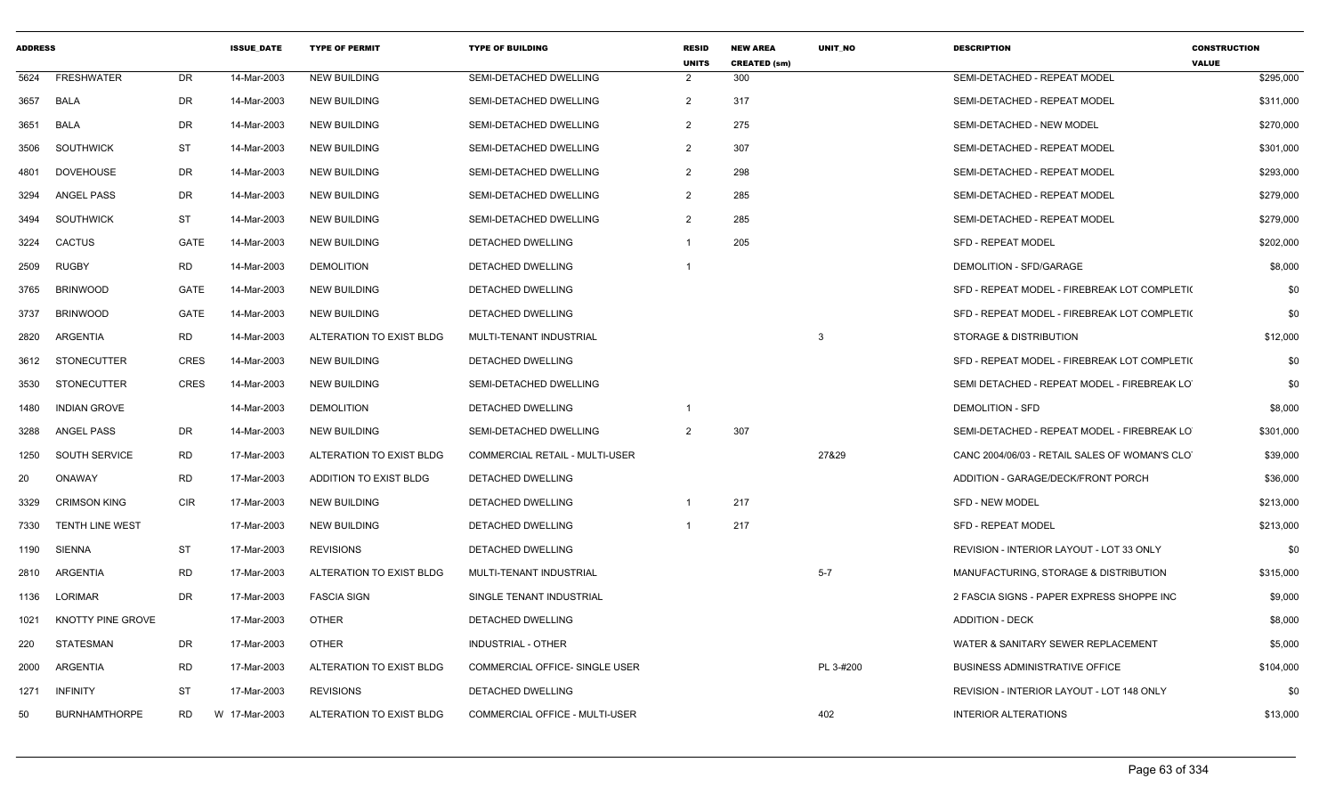| <b>ADDRESS</b> |                        |             | <b>ISSUE DATE</b> | <b>TYPE OF PERMIT</b>    | <b>TYPE OF BUILDING</b>               | <b>RESID</b><br><b>UNITS</b> | <b>NEW AREA</b><br><b>CREATED (sm)</b> | <b>UNIT NO</b> | <b>DESCRIPTION</b>                            | <b>CONSTRUCTION</b><br><b>VALUE</b> |
|----------------|------------------------|-------------|-------------------|--------------------------|---------------------------------------|------------------------------|----------------------------------------|----------------|-----------------------------------------------|-------------------------------------|
| 5624           | <b>FRESHWATER</b>      | DR          | 14-Mar-2003       | <b>NEW BUILDING</b>      | SEMI-DETACHED DWELLING                | $\overline{2}$               | 300                                    |                | SEMI-DETACHED - REPEAT MODEL                  | \$295,000                           |
| 3657           | <b>BALA</b>            | DR          | 14-Mar-2003       | <b>NEW BUILDING</b>      | SEMI-DETACHED DWELLING                | $\overline{2}$               | 317                                    |                | SEMI-DETACHED - REPEAT MODEL                  | \$311,000                           |
| 3651           | BALA                   | DR          | 14-Mar-2003       | <b>NEW BUILDING</b>      | SEMI-DETACHED DWELLING                | $\overline{2}$               | 275                                    |                | SEMI-DETACHED - NEW MODEL                     | \$270,000                           |
| 3506           | <b>SOUTHWICK</b>       | <b>ST</b>   | 14-Mar-2003       | <b>NEW BUILDING</b>      | SEMI-DETACHED DWELLING                | $\overline{2}$               | 307                                    |                | SEMI-DETACHED - REPEAT MODEL                  | \$301,000                           |
| 4801           | <b>DOVEHOUSE</b>       | DR          | 14-Mar-2003       | <b>NEW BUILDING</b>      | SEMI-DETACHED DWELLING                | $\overline{2}$               | 298                                    |                | SEMI-DETACHED - REPEAT MODEL                  | \$293,000                           |
| 3294           | ANGEL PASS             | DR          | 14-Mar-2003       | NEW BUILDING             | SEMI-DETACHED DWELLING                | $\overline{2}$               | 285                                    |                | SEMI-DETACHED - REPEAT MODEL                  | \$279,000                           |
| 3494           | <b>SOUTHWICK</b>       | ST          | 14-Mar-2003       | <b>NEW BUILDING</b>      | SEMI-DETACHED DWELLING                | $\overline{2}$               | 285                                    |                | SEMI-DETACHED - REPEAT MODEL                  | \$279,000                           |
| 3224           | <b>CACTUS</b>          | <b>GATE</b> | 14-Mar-2003       | <b>NEW BUILDING</b>      | DETACHED DWELLING                     | $\overline{1}$               | 205                                    |                | <b>SFD - REPEAT MODEL</b>                     | \$202,000                           |
| 2509           | <b>RUGBY</b>           | <b>RD</b>   | 14-Mar-2003       | <b>DEMOLITION</b>        | DETACHED DWELLING                     | - 1                          |                                        |                | DEMOLITION - SFD/GARAGE                       | \$8,000                             |
| 3765           | <b>BRINWOOD</b>        | GATE        | 14-Mar-2003       | <b>NEW BUILDING</b>      | <b>DETACHED DWELLING</b>              |                              |                                        |                | SFD - REPEAT MODEL - FIREBREAK LOT COMPLETI(  | \$0                                 |
| 3737           | <b>BRINWOOD</b>        | <b>GATE</b> | 14-Mar-2003       | <b>NEW BUILDING</b>      | DETACHED DWELLING                     |                              |                                        |                | SFD - REPEAT MODEL - FIREBREAK LOT COMPLETI(  | \$0                                 |
| 2820           | ARGENTIA               | <b>RD</b>   | 14-Mar-2003       | ALTERATION TO EXIST BLDG | MULTI-TENANT INDUSTRIAL               |                              |                                        | 3              | STORAGE & DISTRIBUTION                        | \$12,000                            |
| 3612           | STONECUTTER            | <b>CRES</b> | 14-Mar-2003       | <b>NEW BUILDING</b>      | <b>DETACHED DWELLING</b>              |                              |                                        |                | SFD - REPEAT MODEL - FIREBREAK LOT COMPLETI(  | \$0                                 |
| 3530           | <b>STONECUTTER</b>     | <b>CRES</b> | 14-Mar-2003       | <b>NEW BUILDING</b>      | SEMI-DETACHED DWELLING                |                              |                                        |                | SEMI DETACHED - REPEAT MODEL - FIREBREAK LO   | \$0                                 |
| 1480           | <b>INDIAN GROVE</b>    |             | 14-Mar-2003       | <b>DEMOLITION</b>        | DETACHED DWELLING                     | -1                           |                                        |                | <b>DEMOLITION - SFD</b>                       | \$8,000                             |
| 3288           | <b>ANGEL PASS</b>      | DR          | 14-Mar-2003       | <b>NEW BUILDING</b>      | SEMI-DETACHED DWELLING                | $\overline{2}$               | 307                                    |                | SEMI-DETACHED - REPEAT MODEL - FIREBREAK LO   | \$301,000                           |
| 1250           | <b>SOUTH SERVICE</b>   | <b>RD</b>   | 17-Mar-2003       | ALTERATION TO EXIST BLDG | <b>COMMERCIAL RETAIL - MULTI-USER</b> |                              |                                        | 27&29          | CANC 2004/06/03 - RETAIL SALES OF WOMAN'S CLO | \$39,000                            |
| 20             | ONAWAY                 | <b>RD</b>   | 17-Mar-2003       | ADDITION TO EXIST BLDG   | DETACHED DWELLING                     |                              |                                        |                | ADDITION - GARAGE/DECK/FRONT PORCH            | \$36,000                            |
| 3329           | <b>CRIMSON KING</b>    | <b>CIR</b>  | 17-Mar-2003       | <b>NEW BUILDING</b>      | <b>DETACHED DWELLING</b>              | $\overline{1}$               | 217                                    |                | <b>SFD - NEW MODEL</b>                        | \$213,000                           |
| 7330           | <b>TENTH LINE WEST</b> |             | 17-Mar-2003       | <b>NEW BUILDING</b>      | DETACHED DWELLING                     |                              | 217                                    |                | <b>SFD - REPEAT MODEL</b>                     | \$213,000                           |
| 1190           | SIENNA                 | ST          | 17-Mar-2003       | <b>REVISIONS</b>         | DETACHED DWELLING                     |                              |                                        |                | REVISION - INTERIOR LAYOUT - LOT 33 ONLY      | \$0                                 |
| 2810           | <b>ARGENTIA</b>        | <b>RD</b>   | 17-Mar-2003       | ALTERATION TO EXIST BLDG | MULTI-TENANT INDUSTRIAL               |                              |                                        | $5 - 7$        | MANUFACTURING, STORAGE & DISTRIBUTION         | \$315,000                           |
| 1136           | LORIMAR                | DR.         | 17-Mar-2003       | <b>FASCIA SIGN</b>       | SINGLE TENANT INDUSTRIAL              |                              |                                        |                | 2 FASCIA SIGNS - PAPER EXPRESS SHOPPE INC     | \$9,000                             |
| 1021           | KNOTTY PINE GROVE      |             | 17-Mar-2003       | <b>OTHER</b>             | DETACHED DWELLING                     |                              |                                        |                | <b>ADDITION - DECK</b>                        | \$8,000                             |
| 220            | STATESMAN              | DR          | 17-Mar-2003       | OTHER                    | INDUSTRIAL - OTHER                    |                              |                                        |                | WATER & SANITARY SEWER REPLACEMENT            | \$5,000                             |
| 2000           | ARGENTIA               | <b>RD</b>   | 17-Mar-2003       | ALTERATION TO EXIST BLDG | COMMERCIAL OFFICE- SINGLE USER        |                              |                                        | PL 3-#200      | <b>BUSINESS ADMINISTRATIVE OFFICE</b>         | \$104,000                           |
| 1271           | <b>INFINITY</b>        | ST          | 17-Mar-2003       | <b>REVISIONS</b>         | DETACHED DWELLING                     |                              |                                        |                | REVISION - INTERIOR LAYOUT - LOT 148 ONLY     | \$0                                 |
| 50             | <b>BURNHAMTHORPE</b>   | <b>RD</b>   | W 17-Mar-2003     | ALTERATION TO EXIST BLDG | <b>COMMERCIAL OFFICE - MULTI-USER</b> |                              |                                        | 402            | <b>INTERIOR ALTERATIONS</b>                   | \$13,000                            |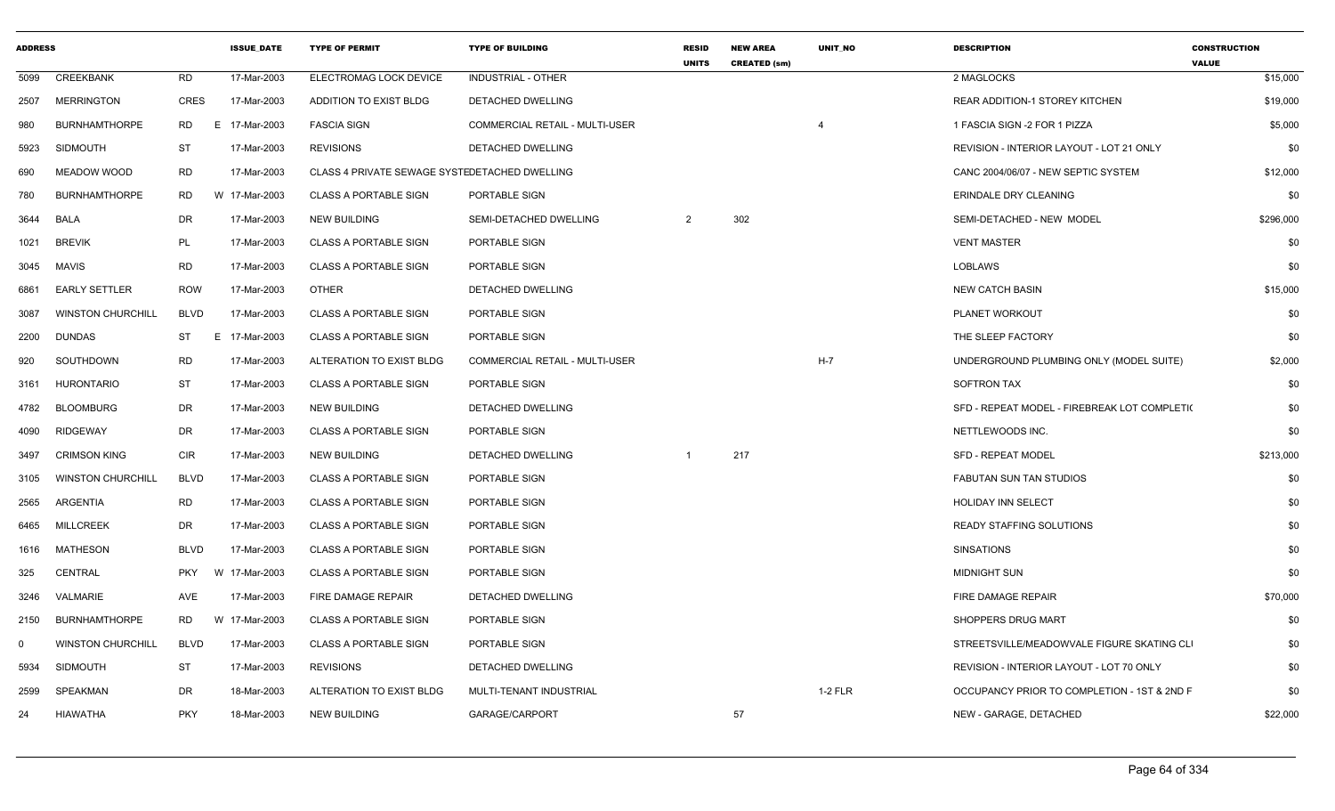| <b>ADDRESS</b> |                          |             | <b>ISSUE DATE</b> | <b>TYPE OF PERMIT</b>                         | <b>TYPE OF BUILDING</b>        | <b>RESID</b><br><b>UNITS</b> | <b>NEW AREA</b><br><b>CREATED (sm)</b> | UNIT NO   | <b>DESCRIPTION</b>                           | <b>CONSTRUCTION</b><br><b>VALUE</b> |
|----------------|--------------------------|-------------|-------------------|-----------------------------------------------|--------------------------------|------------------------------|----------------------------------------|-----------|----------------------------------------------|-------------------------------------|
| 5099           | CREEKBANK                | <b>RD</b>   | 17-Mar-2003       | ELECTROMAG LOCK DEVICE                        | <b>INDUSTRIAL - OTHER</b>      |                              |                                        |           | 2 MAGLOCKS                                   | \$15,000                            |
| 2507           | <b>MERRINGTON</b>        | CRES        | 17-Mar-2003       | ADDITION TO EXIST BLDG                        | DETACHED DWELLING              |                              |                                        |           | <b>REAR ADDITION-1 STOREY KITCHEN</b>        | \$19,000                            |
| 980            | <b>BURNHAMTHORPE</b>     | <b>RD</b>   | 17-Mar-2003<br>E. | <b>FASCIA SIGN</b>                            | COMMERCIAL RETAIL - MULTI-USER |                              |                                        |           | 1 FASCIA SIGN -2 FOR 1 PIZZA                 | \$5,000                             |
| 5923           | SIDMOUTH                 | ST          | 17-Mar-2003       | <b>REVISIONS</b>                              | <b>DETACHED DWELLING</b>       |                              |                                        |           | REVISION - INTERIOR LAYOUT - LOT 21 ONLY     | \$0                                 |
| 690            | MEADOW WOOD              | <b>RD</b>   | 17-Mar-2003       | CLASS 4 PRIVATE SEWAGE SYSTEDETACHED DWELLING |                                |                              |                                        |           | CANC 2004/06/07 - NEW SEPTIC SYSTEM          | \$12,000                            |
| 780            | <b>BURNHAMTHORPE</b>     | <b>RD</b>   | W 17-Mar-2003     | <b>CLASS A PORTABLE SIGN</b>                  | PORTABLE SIGN                  |                              |                                        |           | ERINDALE DRY CLEANING                        | \$0                                 |
| 3644           | BALA                     | DR          | 17-Mar-2003       | <b>NEW BUILDING</b>                           | SEMI-DETACHED DWELLING         | $\overline{2}$               | 302                                    |           | SEMI-DETACHED - NEW MODEL                    | \$296,000                           |
| 1021           | <b>BREVIK</b>            | PL          | 17-Mar-2003       | <b>CLASS A PORTABLE SIGN</b>                  | PORTABLE SIGN                  |                              |                                        |           | <b>VENT MASTER</b>                           | \$0                                 |
|                | 3045 MAVIS               | RD          | 17-Mar-2003       | <b>CLASS A PORTABLE SIGN</b>                  | PORTABLE SIGN                  |                              |                                        |           | LOBLAWS                                      | \$0                                 |
| 6861           | <b>EARLY SETTLER</b>     | <b>ROW</b>  | 17-Mar-2003       | <b>OTHER</b>                                  | DETACHED DWELLING              |                              |                                        |           | <b>NEW CATCH BASIN</b>                       | \$15,000                            |
| 3087           | <b>WINSTON CHURCHILL</b> | <b>BLVD</b> | 17-Mar-2003       | <b>CLASS A PORTABLE SIGN</b>                  | PORTABLE SIGN                  |                              |                                        |           | PLANET WORKOUT                               | \$0                                 |
| 2200           | DUNDAS                   | ST          | 17-Mar-2003<br>E. | <b>CLASS A PORTABLE SIGN</b>                  | PORTABLE SIGN                  |                              |                                        |           | THE SLEEP FACTORY                            | \$0                                 |
| 920            | SOUTHDOWN                | RD          | 17-Mar-2003       | ALTERATION TO EXIST BLDG                      | COMMERCIAL RETAIL - MULTI-USER |                              |                                        | $H-7$     | UNDERGROUND PLUMBING ONLY (MODEL SUITE)      | \$2,000                             |
| 3161           | <b>HURONTARIO</b>        | <b>ST</b>   | 17-Mar-2003       | <b>CLASS A PORTABLE SIGN</b>                  | PORTABLE SIGN                  |                              |                                        |           | <b>SOFTRON TAX</b>                           | \$0                                 |
| 4782           | <b>BLOOMBURG</b>         | DR          | 17-Mar-2003       | <b>NEW BUILDING</b>                           | DETACHED DWELLING              |                              |                                        |           | SFD - REPEAT MODEL - FIREBREAK LOT COMPLETI( | \$0                                 |
| 4090           | RIDGEWAY                 | DR          | 17-Mar-2003       | <b>CLASS A PORTABLE SIGN</b>                  | PORTABLE SIGN                  |                              |                                        |           | NETTLEWOODS INC.                             | \$0                                 |
| 3497           | <b>CRIMSON KING</b>      | CIR         | 17-Mar-2003       | <b>NEW BUILDING</b>                           | DETACHED DWELLING              |                              | 217                                    |           | SFD - REPEAT MODEL                           | \$213,000                           |
| 3105           | <b>WINSTON CHURCHILL</b> | <b>BLVD</b> | 17-Mar-2003       | <b>CLASS A PORTABLE SIGN</b>                  | PORTABLE SIGN                  |                              |                                        |           | <b>FABUTAN SUN TAN STUDIOS</b>               | \$0                                 |
| 2565           | ARGENTIA                 | RD          | 17-Mar-2003       | <b>CLASS A PORTABLE SIGN</b>                  | PORTABLE SIGN                  |                              |                                        |           | <b>HOLIDAY INN SELECT</b>                    | \$0                                 |
| 6465           | <b>MILLCREEK</b>         | DR          | 17-Mar-2003       | <b>CLASS A PORTABLE SIGN</b>                  | PORTABLE SIGN                  |                              |                                        |           | <b>READY STAFFING SOLUTIONS</b>              | \$0                                 |
| 1616           | <b>MATHESON</b>          | <b>BLVD</b> | 17-Mar-2003       | <b>CLASS A PORTABLE SIGN</b>                  | PORTABLE SIGN                  |                              |                                        |           | <b>SINSATIONS</b>                            | \$0                                 |
| 325            | CENTRAL                  | <b>PKY</b>  | W 17-Mar-2003     | <b>CLASS A PORTABLE SIGN</b>                  | PORTABLE SIGN                  |                              |                                        |           | <b>MIDNIGHT SUN</b>                          | \$0                                 |
| 3246           | VALMARIE                 | AVE         | 17-Mar-2003       | FIRE DAMAGE REPAIR                            | DETACHED DWELLING              |                              |                                        |           | FIRE DAMAGE REPAIR                           | \$70,000                            |
| 2150           | <b>BURNHAMTHORPE</b>     | <b>RD</b>   | W 17-Mar-2003     | <b>CLASS A PORTABLE SIGN</b>                  | PORTABLE SIGN                  |                              |                                        |           | SHOPPERS DRUG MART                           | \$0                                 |
| $\Omega$       | <b>WINSTON CHURCHILL</b> | <b>BLVD</b> | 17-Mar-2003       | <b>CLASS A PORTABLE SIGN</b>                  | PORTABLE SIGN                  |                              |                                        |           | STREETSVILLE/MEADOWVALE FIGURE SKATING CLI   | \$0                                 |
| 5934           | <b>SIDMOUTH</b>          | <b>ST</b>   | 17-Mar-2003       | <b>REVISIONS</b>                              | <b>DETACHED DWELLING</b>       |                              |                                        |           | REVISION - INTERIOR LAYOUT - LOT 70 ONLY     | \$0                                 |
| 2599           | SPEAKMAN                 | DR          | 18-Mar-2003       | ALTERATION TO EXIST BLDG                      | MULTI-TENANT INDUSTRIAL        |                              |                                        | $1-2$ FLR | OCCUPANCY PRIOR TO COMPLETION - 1ST & 2ND F  | \$0                                 |
| 24             | HIAWATHA                 | <b>PKY</b>  | 18-Mar-2003       | <b>NEW BUILDING</b>                           | GARAGE/CARPORT                 |                              | 57                                     |           | NEW - GARAGE, DETACHED                       | \$22,000                            |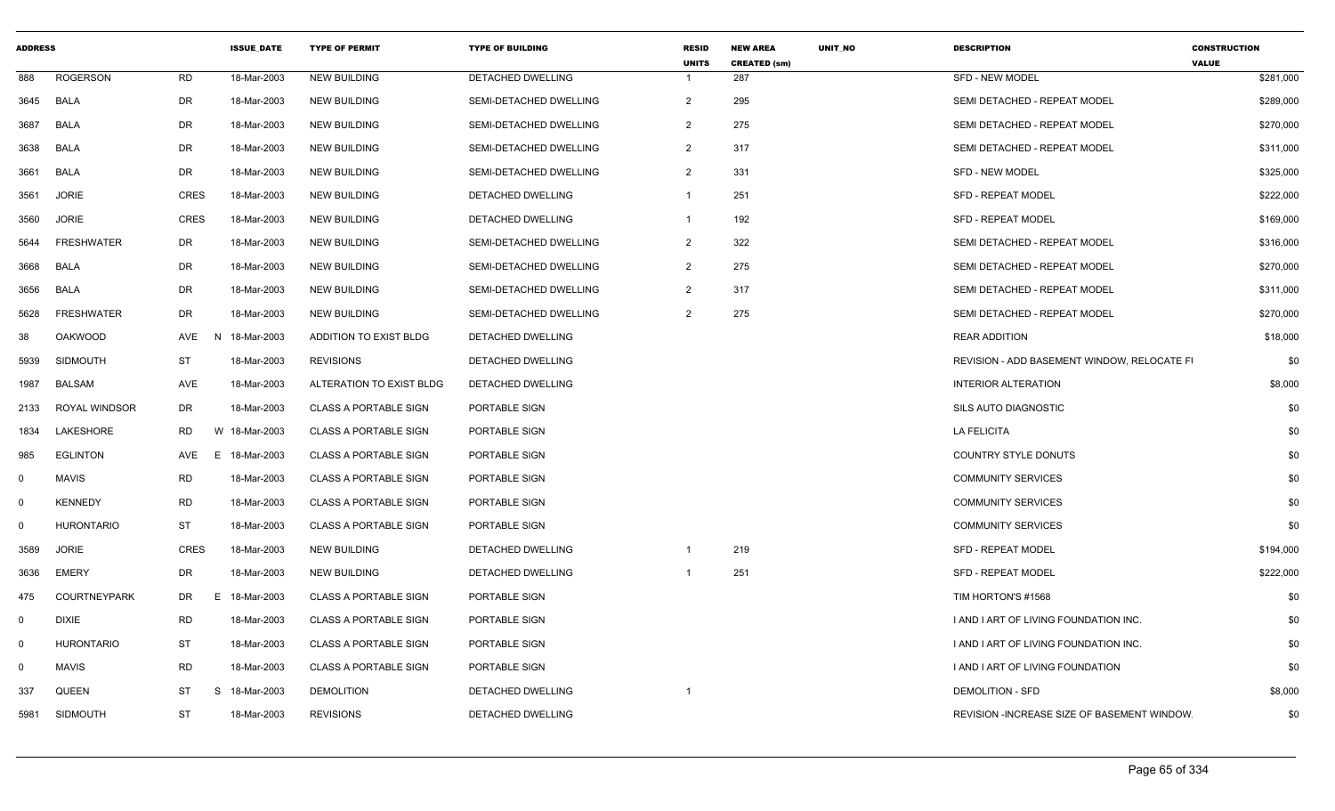| <b>ADDRESS</b> |                      |                | <b>ISSUE DATE</b> | <b>TYPE OF PERMIT</b>        | <b>TYPE OF BUILDING</b>  | <b>RESID</b><br><b>UNITS</b> | <b>NEW AREA</b><br><b>CREATED (sm)</b> | <b>UNIT NO</b> | <b>DESCRIPTION</b>                          | <b>CONSTRUCTION</b><br><b>VALUE</b> |
|----------------|----------------------|----------------|-------------------|------------------------------|--------------------------|------------------------------|----------------------------------------|----------------|---------------------------------------------|-------------------------------------|
| 888            | <b>ROGERSON</b>      | <b>RD</b>      | 18-Mar-2003       | <b>NEW BUILDING</b>          | DETACHED DWELLING        |                              | 287                                    |                | <b>SFD - NEW MODEL</b>                      | \$281,000                           |
| 3645           | BALA                 | DR             | 18-Mar-2003       | <b>NEW BUILDING</b>          | SEMI-DETACHED DWELLING   | 2                            | 295                                    |                | SEMI DETACHED - REPEAT MODEL                | \$289,000                           |
| 3687           | <b>BALA</b>          | DR             | 18-Mar-2003       | <b>NEW BUILDING</b>          | SEMI-DETACHED DWELLING   | 2                            | 275                                    |                | SEMI DETACHED - REPEAT MODEL                | \$270,000                           |
| 3638           | <b>BALA</b>          | DR             | 18-Mar-2003       | <b>NEW BUILDING</b>          | SEMI-DETACHED DWELLING   | 2                            | 317                                    |                | SEMI DETACHED - REPEAT MODEL                | \$311,000                           |
| 3661           | <b>BALA</b>          | DR             | 18-Mar-2003       | <b>NEW BUILDING</b>          | SEMI-DETACHED DWELLING   | 2                            | 331                                    |                | <b>SFD - NEW MODEL</b>                      | \$325,000                           |
| 3561           | <b>JORIE</b>         | <b>CRES</b>    | 18-Mar-2003       | <b>NEW BUILDING</b>          | DETACHED DWELLING        | -1                           | 251                                    |                | <b>SFD - REPEAT MODEL</b>                   | \$222,000                           |
| 3560           | <b>JORIE</b>         | <b>CRES</b>    | 18-Mar-2003       | <b>NEW BUILDING</b>          | DETACHED DWELLING        | -1                           | 192                                    |                | <b>SFD - REPEAT MODEL</b>                   | \$169,000                           |
| 5644           | <b>FRESHWATER</b>    | DR             | 18-Mar-2003       | <b>NEW BUILDING</b>          | SEMI-DETACHED DWELLING   | $\overline{2}$               | 322                                    |                | SEMI DETACHED - REPEAT MODEL                | \$316,000                           |
| 3668           | BALA                 | DR             | 18-Mar-2003       | NEW BUILDING                 | SEMI-DETACHED DWELLING   | 2                            | 275                                    |                | SEMI DETACHED - REPEAT MODEL                | \$270,000                           |
| 3656           | <b>BALA</b>          | DR             | 18-Mar-2003       | <b>NEW BUILDING</b>          | SEMI-DETACHED DWELLING   | 2                            | 317                                    |                | SEMI DETACHED - REPEAT MODEL                | \$311,000                           |
| 5628           | <b>FRESHWATER</b>    | DR             | 18-Mar-2003       | <b>NEW BUILDING</b>          | SEMI-DETACHED DWELLING   | 2                            | 275                                    |                | SEMI DETACHED - REPEAT MODEL                | \$270,000                           |
| 38             | <b>OAKWOOD</b>       | AVE<br>-N      | 18-Mar-2003       | ADDITION TO EXIST BLDG       | DETACHED DWELLING        |                              |                                        |                | <b>REAR ADDITION</b>                        | \$18,000                            |
| 5939           | SIDMOUTH             | ST             | 18-Mar-2003       | <b>REVISIONS</b>             | <b>DETACHED DWELLING</b> |                              |                                        |                | REVISION - ADD BASEMENT WINDOW. RELOCATE FI | \$0                                 |
| 1987           | <b>BALSAM</b>        | AVE            | 18-Mar-2003       | ALTERATION TO EXIST BLDG     | DETACHED DWELLING        |                              |                                        |                | <b>INTERIOR ALTERATION</b>                  | \$8,000                             |
| 2133           | <b>ROYAL WINDSOR</b> | DR             | 18-Mar-2003       | <b>CLASS A PORTABLE SIGN</b> | PORTABLE SIGN            |                              |                                        |                | SILS AUTO DIAGNOSTIC                        | \$0                                 |
| 1834           | LAKESHORE            | <b>RD</b><br>W | 18-Mar-2003       | <b>CLASS A PORTABLE SIGN</b> | PORTABLE SIGN            |                              |                                        |                | <b>LA FELICITA</b>                          | \$0                                 |
| 985            | <b>EGLINTON</b>      | AVE<br>E       | 18-Mar-2003       | <b>CLASS A PORTABLE SIGN</b> | PORTABLE SIGN            |                              |                                        |                | <b>COUNTRY STYLE DONUTS</b>                 | \$0                                 |
| $\Omega$       | <b>MAVIS</b>         | RD             | 18-Mar-2003       | <b>CLASS A PORTABLE SIGN</b> | PORTABLE SIGN            |                              |                                        |                | <b>COMMUNITY SERVICES</b>                   | \$0                                 |
| $\Omega$       | <b>KENNEDY</b>       | <b>RD</b>      | 18-Mar-2003       | <b>CLASS A PORTABLE SIGN</b> | PORTABLE SIGN            |                              |                                        |                | <b>COMMUNITY SERVICES</b>                   | \$0                                 |
| $\Omega$       | <b>HURONTARIO</b>    | <b>ST</b>      | 18-Mar-2003       | <b>CLASS A PORTABLE SIGN</b> | PORTABLE SIGN            |                              |                                        |                | <b>COMMUNITY SERVICES</b>                   | \$0                                 |
| 3589           | <b>JORIE</b>         | CRES           | 18-Mar-2003       | <b>NEW BUILDING</b>          | DETACHED DWELLING        |                              | 219                                    |                | <b>SFD - REPEAT MODEL</b>                   | \$194,000                           |
| 3636           | <b>EMERY</b>         | DR             | 18-Mar-2003       | <b>NEW BUILDING</b>          | DETACHED DWELLING        |                              | 251                                    |                | <b>SFD - REPEAT MODEL</b>                   | \$222,000                           |
| 475            | <b>COURTNEYPARK</b>  | DR<br>E        | 18-Mar-2003       | <b>CLASS A PORTABLE SIGN</b> | PORTABLE SIGN            |                              |                                        |                | TIM HORTON'S #1568                          | \$0                                 |
| $\Omega$       | <b>DIXIE</b>         | <b>RD</b>      | 18-Mar-2003       | <b>CLASS A PORTABLE SIGN</b> | PORTABLE SIGN            |                              |                                        |                | I AND I ART OF LIVING FOUNDATION INC.       | \$0                                 |
| $\Omega$       | <b>HURONTARIO</b>    | ST             | 18-Mar-2003       | <b>CLASS A PORTABLE SIGN</b> | PORTABLE SIGN            |                              |                                        |                | I AND I ART OF LIVING FOUNDATION INC.       | \$0                                 |
| $\Omega$       | <b>MAVIS</b>         | RD             | 18-Mar-2003       | <b>CLASS A PORTABLE SIGN</b> | PORTABLE SIGN            |                              |                                        |                | I AND I ART OF LIVING FOUNDATION            | \$0                                 |
| 337            | <b>QUEEN</b>         | ST<br>-S       | 18-Mar-2003       | <b>DEMOLITION</b>            | DETACHED DWELLING        |                              |                                        |                | DEMOLITION - SFD                            | \$8,000                             |
| 5981           | SIDMOUTH             | <b>ST</b>      | 18-Mar-2003       | <b>REVISIONS</b>             | <b>DETACHED DWELLING</b> |                              |                                        |                | REVISION - INCREASE SIZE OF BASEMENT WINDOW | \$0                                 |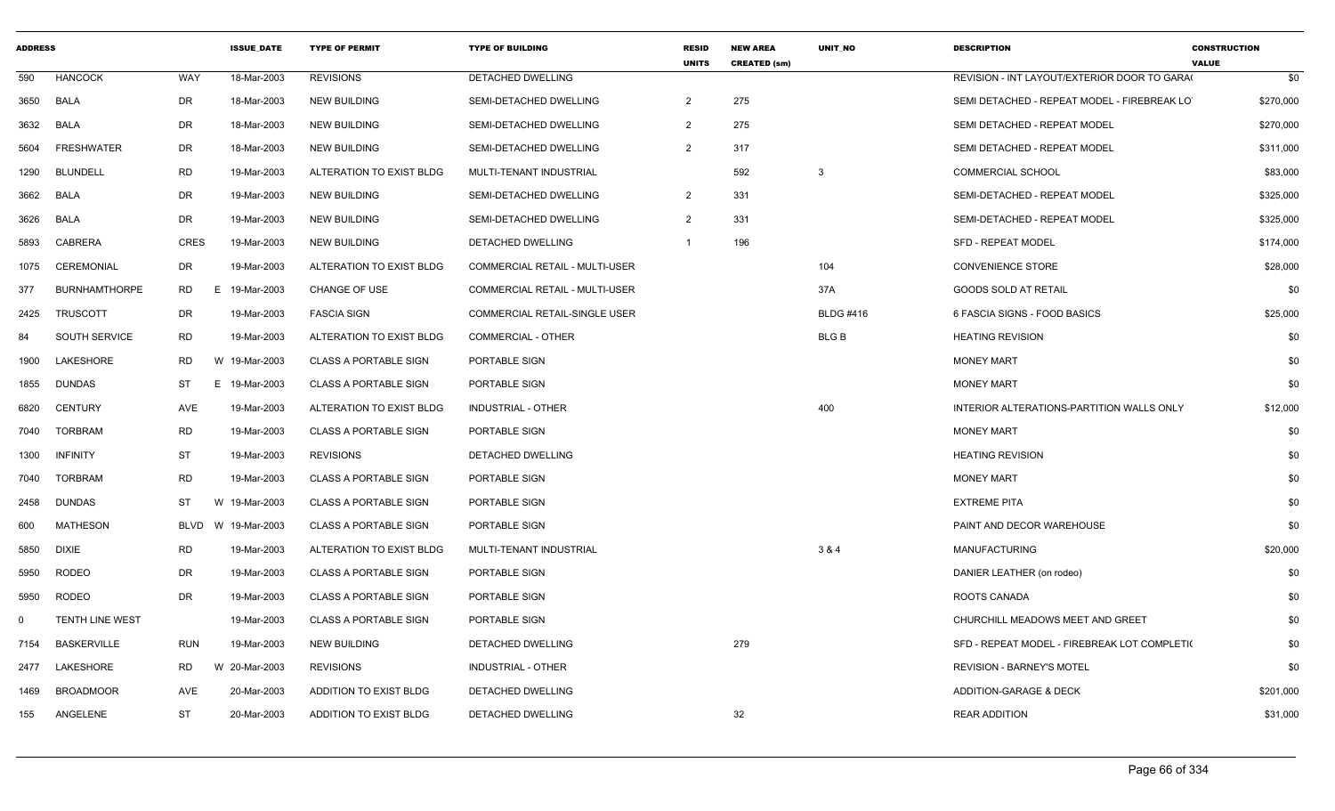| <b>ADDRESS</b> |                        |                 | <b>ISSUE_DATE</b> | <b>TYPE OF PERMIT</b>        | <b>TYPE OF BUILDING</b>               | <b>RESID</b><br><b>UNITS</b> | <b>NEW AREA</b><br><b>CREATED (sm)</b> | UNIT_NO          | <b>DESCRIPTION</b>                           | <b>CONSTRUCTION</b><br><b>VALUE</b> |
|----------------|------------------------|-----------------|-------------------|------------------------------|---------------------------------------|------------------------------|----------------------------------------|------------------|----------------------------------------------|-------------------------------------|
| 590            | <b>HANCOCK</b>         | <b>WAY</b>      | 18-Mar-2003       | <b>REVISIONS</b>             | DETACHED DWELLING                     |                              |                                        |                  | REVISION - INT LAYOUT/EXTERIOR DOOR TO GARA  | \$0                                 |
| 3650           | <b>BALA</b>            | DR              | 18-Mar-2003       | <b>NEW BUILDING</b>          | SEMI-DETACHED DWELLING                | $\overline{2}$               | 275                                    |                  | SEMI DETACHED - REPEAT MODEL - FIREBREAK LO  | \$270,000                           |
| 3632           | <b>BALA</b>            | DR              | 18-Mar-2003       | <b>NEW BUILDING</b>          | SEMI-DETACHED DWELLING                | $\overline{2}$               | 275                                    |                  | SEMI DETACHED - REPEAT MODEL                 | \$270,000                           |
| 5604           | <b>FRESHWATER</b>      | DR              | 18-Mar-2003       | <b>NEW BUILDING</b>          | SEMI-DETACHED DWELLING                | $\overline{2}$               | 317                                    |                  | SEMI DETACHED - REPEAT MODEL                 | \$311,000                           |
| 1290           | <b>BLUNDELL</b>        | <b>RD</b>       | 19-Mar-2003       | ALTERATION TO EXIST BLDG     | MULTI-TENANT INDUSTRIAL               |                              | 592                                    | $\mathbf{3}$     | <b>COMMERCIAL SCHOOL</b>                     | \$83,000                            |
| 3662           | <b>BALA</b>            | DR              | 19-Mar-2003       | <b>NEW BUILDING</b>          | SEMI-DETACHED DWELLING                | $\overline{2}$               | 331                                    |                  | SEMI-DETACHED - REPEAT MODEL                 | \$325,000                           |
| 3626           | <b>BALA</b>            | <b>DR</b>       | 19-Mar-2003       | <b>NEW BUILDING</b>          | SEMI-DETACHED DWELLING                | $\overline{2}$               | 331                                    |                  | SEMI-DETACHED - REPEAT MODEL                 | \$325,000                           |
| 5893           | CABRERA                | CRES            | 19-Mar-2003       | <b>NEW BUILDING</b>          | DETACHED DWELLING                     | $\mathbf{1}$                 | 196                                    |                  | <b>SFD - REPEAT MODEL</b>                    | \$174,000                           |
| 1075           | <b>CEREMONIAL</b>      | DR              | 19-Mar-2003       | ALTERATION TO EXIST BLDG     | COMMERCIAL RETAIL - MULTI-USER        |                              |                                        | 104              | <b>CONVENIENCE STORE</b>                     | \$28,000                            |
| 377            | <b>BURNHAMTHORPE</b>   | <b>RD</b><br>E. | 19-Mar-2003       | <b>CHANGE OF USE</b>         | <b>COMMERCIAL RETAIL - MULTI-USER</b> |                              |                                        | 37A              | <b>GOODS SOLD AT RETAIL</b>                  | \$0                                 |
| 2425           | <b>TRUSCOTT</b>        | <b>DR</b>       | 19-Mar-2003       | <b>FASCIA SIGN</b>           | COMMERCIAL RETAIL-SINGLE USER         |                              |                                        | <b>BLDG #416</b> | 6 FASCIA SIGNS - FOOD BASICS                 | \$25,000                            |
| 84             | SOUTH SERVICE          | <b>RD</b>       | 19-Mar-2003       | ALTERATION TO EXIST BLDG     | <b>COMMERCIAL - OTHER</b>             |                              |                                        | <b>BLGB</b>      | <b>HEATING REVISION</b>                      | \$0                                 |
| 1900           | LAKESHORE              | <b>RD</b>       | W 19-Mar-2003     | <b>CLASS A PORTABLE SIGN</b> | PORTABLE SIGN                         |                              |                                        |                  | <b>MONEY MART</b>                            | \$0                                 |
| 1855           | <b>DUNDAS</b>          | ST<br>E.        | 19-Mar-2003       | <b>CLASS A PORTABLE SIGN</b> | PORTABLE SIGN                         |                              |                                        |                  | <b>MONEY MART</b>                            | \$0                                 |
| 6820           | <b>CENTURY</b>         | AVE             | 19-Mar-2003       | ALTERATION TO EXIST BLDG     | <b>INDUSTRIAL - OTHER</b>             |                              |                                        | 400              | INTERIOR ALTERATIONS-PARTITION WALLS ONLY    | \$12,000                            |
| 7040           | <b>TORBRAM</b>         | <b>RD</b>       | 19-Mar-2003       | <b>CLASS A PORTABLE SIGN</b> | PORTABLE SIGN                         |                              |                                        |                  | <b>MONEY MART</b>                            | \$0                                 |
| 1300           | <b>INFINITY</b>        | ST              | 19-Mar-2003       | <b>REVISIONS</b>             | <b>DETACHED DWELLING</b>              |                              |                                        |                  | <b>HEATING REVISION</b>                      | \$0                                 |
| 7040           | TORBRAM                | <b>RD</b>       | 19-Mar-2003       | <b>CLASS A PORTABLE SIGN</b> | PORTABLE SIGN                         |                              |                                        |                  | <b>MONEY MART</b>                            | \$0                                 |
| 2458           | <b>DUNDAS</b>          | ST<br>W         | 19-Mar-2003       | <b>CLASS A PORTABLE SIGN</b> | PORTABLE SIGN                         |                              |                                        |                  | <b>EXTREME PITA</b>                          | \$0                                 |
| 600            | <b>MATHESON</b>        | <b>BLVD</b>     | W 19-Mar-2003     | <b>CLASS A PORTABLE SIGN</b> | PORTABLE SIGN                         |                              |                                        |                  | PAINT AND DECOR WAREHOUSE                    | \$0                                 |
| 5850           | <b>DIXIE</b>           | <b>RD</b>       | 19-Mar-2003       | ALTERATION TO EXIST BLDG     | MULTI-TENANT INDUSTRIAL               |                              |                                        | 3 & 4            | <b>MANUFACTURING</b>                         | \$20,000                            |
| 5950           | <b>RODEO</b>           | <b>DR</b>       | 19-Mar-2003       | <b>CLASS A PORTABLE SIGN</b> | PORTABLE SIGN                         |                              |                                        |                  | DANIER LEATHER (on rodeo)                    | \$0                                 |
| 5950           | <b>RODEO</b>           | DR              | 19-Mar-2003       | <b>CLASS A PORTABLE SIGN</b> | PORTABLE SIGN                         |                              |                                        |                  | ROOTS CANADA                                 | \$0                                 |
| $\Omega$       | <b>TENTH LINE WEST</b> |                 | 19-Mar-2003       | <b>CLASS A PORTABLE SIGN</b> | PORTABLE SIGN                         |                              |                                        |                  | CHURCHILL MEADOWS MEET AND GREET             | \$0                                 |
| 7154           | <b>BASKERVILLE</b>     | <b>RUN</b>      | 19-Mar-2003       | <b>NEW BUILDING</b>          | DETACHED DWELLING                     |                              | 279                                    |                  | SFD - REPEAT MODEL - FIREBREAK LOT COMPLETI( | \$0                                 |
| 2477           | LAKESHORE              | RD.<br>W        | 20-Mar-2003       | <b>REVISIONS</b>             | INDUSTRIAL - OTHER                    |                              |                                        |                  | <b>REVISION - BARNEY'S MOTEL</b>             | \$0                                 |
| 1469           | <b>BROADMOOR</b>       | AVE             | 20-Mar-2003       | ADDITION TO EXIST BLDG       | DETACHED DWELLING                     |                              |                                        |                  | ADDITION-GARAGE & DECK                       | \$201,000                           |
| 155            | ANGELENE               | ST              | 20-Mar-2003       | ADDITION TO EXIST BLDG       | <b>DETACHED DWELLING</b>              |                              | 32                                     |                  | <b>REAR ADDITION</b>                         | \$31,000                            |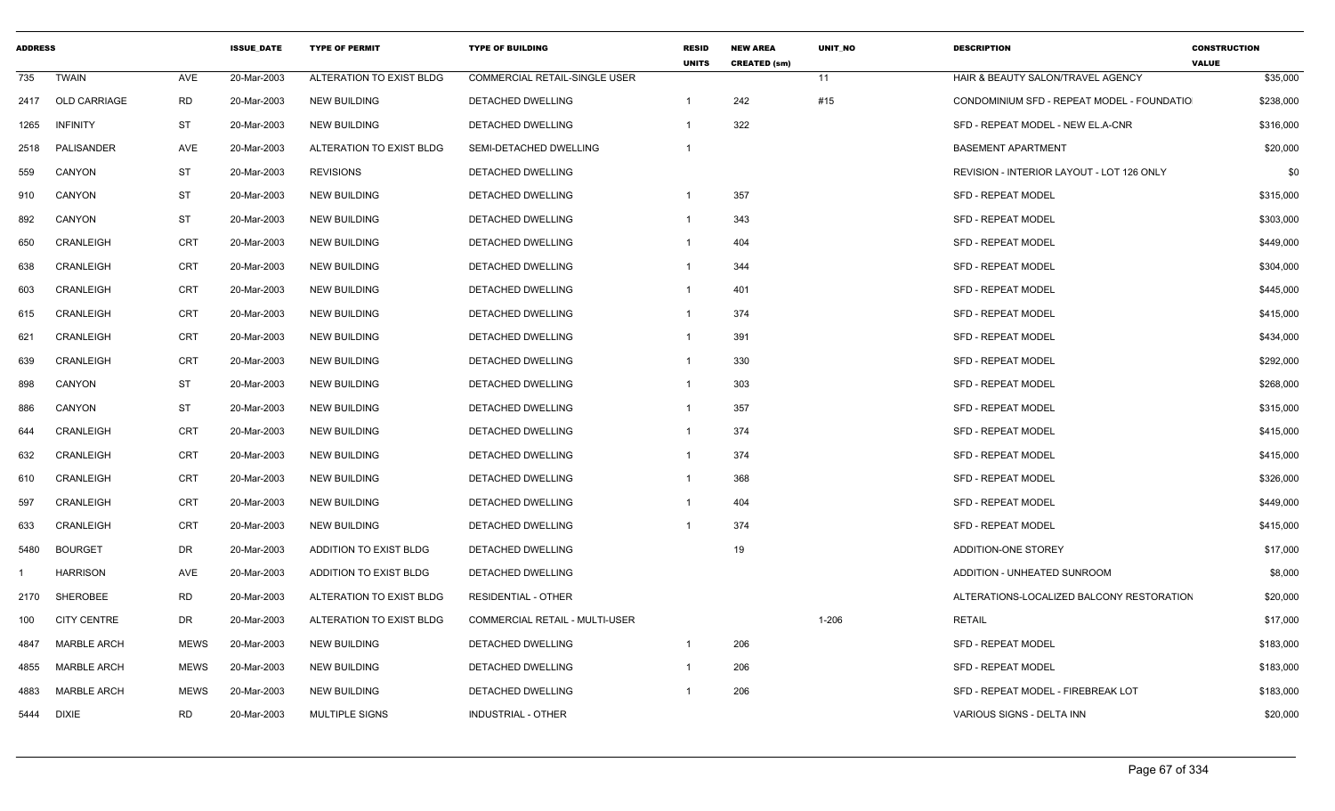| <b>ADDRESS</b> |                    |             | <b>ISSUE DATE</b> | <b>TYPE OF PERMIT</b>    | <b>TYPE OF BUILDING</b>               | <b>RESID</b><br><b>UNITS</b> | <b>NEW AREA</b><br><b>CREATED (sm)</b> | <b>UNIT NO</b> | <b>DESCRIPTION</b>                         | <b>CONSTRUCTION</b><br><b>VALUE</b> |
|----------------|--------------------|-------------|-------------------|--------------------------|---------------------------------------|------------------------------|----------------------------------------|----------------|--------------------------------------------|-------------------------------------|
| 735            | <b>TWAIN</b>       | <b>AVE</b>  | 20-Mar-2003       | ALTERATION TO EXIST BLDG | <b>COMMERCIAL RETAIL-SINGLE USER</b>  |                              |                                        | 11             | HAIR & BEAUTY SALON/TRAVEL AGENCY          | \$35,000                            |
| 2417           | OLD CARRIAGE       | <b>RD</b>   | 20-Mar-2003       | <b>NEW BUILDING</b>      | DETACHED DWELLING                     | $\overline{1}$               | 242                                    | #15            | CONDOMINIUM SFD - REPEAT MODEL - FOUNDATIO | \$238,000                           |
| 1265           | <b>INFINITY</b>    | <b>ST</b>   | 20-Mar-2003       | <b>NEW BUILDING</b>      | DETACHED DWELLING                     | -1                           | 322                                    |                | SFD - REPEAT MODEL - NEW EL.A-CNR          | \$316,000                           |
| 2518           | PALISANDER         | AVE         | 20-Mar-2003       | ALTERATION TO EXIST BLDG | SEMI-DETACHED DWELLING                | $\mathbf{1}$                 |                                        |                | <b>BASEMENT APARTMENT</b>                  | \$20,000                            |
| 559            | CANYON             | <b>ST</b>   | 20-Mar-2003       | <b>REVISIONS</b>         | DETACHED DWELLING                     |                              |                                        |                | REVISION - INTERIOR LAYOUT - LOT 126 ONLY  | \$0                                 |
| 910            | <b>CANYON</b>      | ST          | 20-Mar-2003       | <b>NEW BUILDING</b>      | <b>DETACHED DWELLING</b>              | -1                           | 357                                    |                | <b>SFD - REPEAT MODEL</b>                  | \$315,000                           |
| 892            | CANYON             | <b>ST</b>   | 20-Mar-2003       | <b>NEW BUILDING</b>      | DETACHED DWELLING                     | -1                           | 343                                    |                | <b>SFD - REPEAT MODEL</b>                  | \$303,000                           |
| 650            | CRANLEIGH          | CRT         | 20-Mar-2003       | <b>NEW BUILDING</b>      | <b>DETACHED DWELLING</b>              | $\mathbf 1$                  | 404                                    |                | <b>SFD - REPEAT MODEL</b>                  | \$449,000                           |
| 638            | CRANLEIGH          | <b>CRT</b>  | 20-Mar-2003       | <b>NEW BUILDING</b>      | DETACHED DWELLING                     | -1                           | 344                                    |                | <b>SFD - REPEAT MODEL</b>                  | \$304,000                           |
| 603            | CRANLEIGH          | <b>CRT</b>  | 20-Mar-2003       | <b>NEW BUILDING</b>      | DETACHED DWELLING                     | -1                           | 401                                    |                | <b>SFD - REPEAT MODEL</b>                  | \$445,000                           |
| 615            | <b>CRANLEIGH</b>   | <b>CRT</b>  | 20-Mar-2003       | <b>NEW BUILDING</b>      | DETACHED DWELLING                     | $\mathbf 1$                  | 374                                    |                | <b>SFD - REPEAT MODEL</b>                  | \$415,000                           |
| 621            | CRANLEIGH          | CRT         | 20-Mar-2003       | <b>NEW BUILDING</b>      | DETACHED DWELLING                     | -1                           | 391                                    |                | <b>SFD - REPEAT MODEL</b>                  | \$434,000                           |
| 639            | <b>CRANLEIGH</b>   | <b>CRT</b>  | 20-Mar-2003       | <b>NEW BUILDING</b>      | DETACHED DWELLING                     | $\mathbf 1$                  | 330                                    |                | <b>SFD - REPEAT MODEL</b>                  | \$292,000                           |
| 898            | CANYON             | <b>ST</b>   | 20-Mar-2003       | <b>NEW BUILDING</b>      | DETACHED DWELLING                     | -1                           | 303                                    |                | <b>SFD - REPEAT MODEL</b>                  | \$268,000                           |
| 886            | <b>CANYON</b>      | <b>ST</b>   | 20-Mar-2003       | <b>NEW BUILDING</b>      | <b>DETACHED DWELLING</b>              | $\mathbf 1$                  | 357                                    |                | <b>SFD - REPEAT MODEL</b>                  | \$315,000                           |
| 644            | <b>CRANLEIGH</b>   | <b>CRT</b>  | 20-Mar-2003       | <b>NEW BUILDING</b>      | DETACHED DWELLING                     | -1                           | 374                                    |                | <b>SFD - REPEAT MODEL</b>                  | \$415,000                           |
| 632            | CRANLEIGH          | <b>CRT</b>  | 20-Mar-2003       | <b>NEW BUILDING</b>      | DETACHED DWELLING                     | -1                           | 374                                    |                | <b>SFD - REPEAT MODEL</b>                  | \$415,000                           |
| 610            | CRANLEIGH          | <b>CRT</b>  | 20-Mar-2003       | <b>NEW BUILDING</b>      | DETACHED DWELLING                     | -1                           | 368                                    |                | SFD - REPEAT MODEL                         | \$326,000                           |
| 597            | CRANLEIGH          | CRT         | 20-Mar-2003       | <b>NEW BUILDING</b>      | DETACHED DWELLING                     | -1                           | 404                                    |                | <b>SFD - REPEAT MODEL</b>                  | \$449,000                           |
| 633            | <b>CRANLEIGH</b>   | <b>CRT</b>  | 20-Mar-2003       | <b>NEW BUILDING</b>      | <b>DETACHED DWELLING</b>              |                              | 374                                    |                | <b>SFD - REPEAT MODEL</b>                  | \$415,000                           |
| 5480           | <b>BOURGET</b>     | DR          | 20-Mar-2003       | ADDITION TO EXIST BLDG   | DETACHED DWELLING                     |                              | 19                                     |                | ADDITION-ONE STOREY                        | \$17,000                            |
|                | <b>HARRISON</b>    | AVE         | 20-Mar-2003       | ADDITION TO EXIST BLDG   | DETACHED DWELLING                     |                              |                                        |                | ADDITION - UNHEATED SUNROOM                | \$8,000                             |
| 2170           | SHEROBEE           | <b>RD</b>   | 20-Mar-2003       | ALTERATION TO EXIST BLDG | <b>RESIDENTIAL - OTHER</b>            |                              |                                        |                | ALTERATIONS-LOCALIZED BALCONY RESTORATION  | \$20,000                            |
| 100            | <b>CITY CENTRE</b> | DR          | 20-Mar-2003       | ALTERATION TO EXIST BLDG | <b>COMMERCIAL RETAIL - MULTI-USER</b> |                              |                                        | $1 - 206$      | <b>RETAIL</b>                              | \$17,000                            |
| 4847           | <b>MARBLE ARCH</b> | <b>MEWS</b> | 20-Mar-2003       | <b>NEW BUILDING</b>      | DETACHED DWELLING                     | $\mathbf 1$                  | 206                                    |                | <b>SFD - REPEAT MODEL</b>                  | \$183,000                           |
| 4855           | <b>MARBLE ARCH</b> | <b>MEWS</b> | 20-Mar-2003       | <b>NEW BUILDING</b>      | DETACHED DWELLING                     | -1                           | 206                                    |                | <b>SFD - REPEAT MODEL</b>                  | \$183,000                           |
| 4883           | <b>MARBLE ARCH</b> | <b>MEWS</b> | 20-Mar-2003       | <b>NEW BUILDING</b>      | DETACHED DWELLING                     | -1                           | 206                                    |                | SFD - REPEAT MODEL - FIREBREAK LOT         | \$183,000                           |
| 5444           | <b>DIXIE</b>       | <b>RD</b>   | 20-Mar-2003       | <b>MULTIPLE SIGNS</b>    | <b>INDUSTRIAL - OTHER</b>             |                              |                                        |                | VARIOUS SIGNS - DELTA INN                  | \$20,000                            |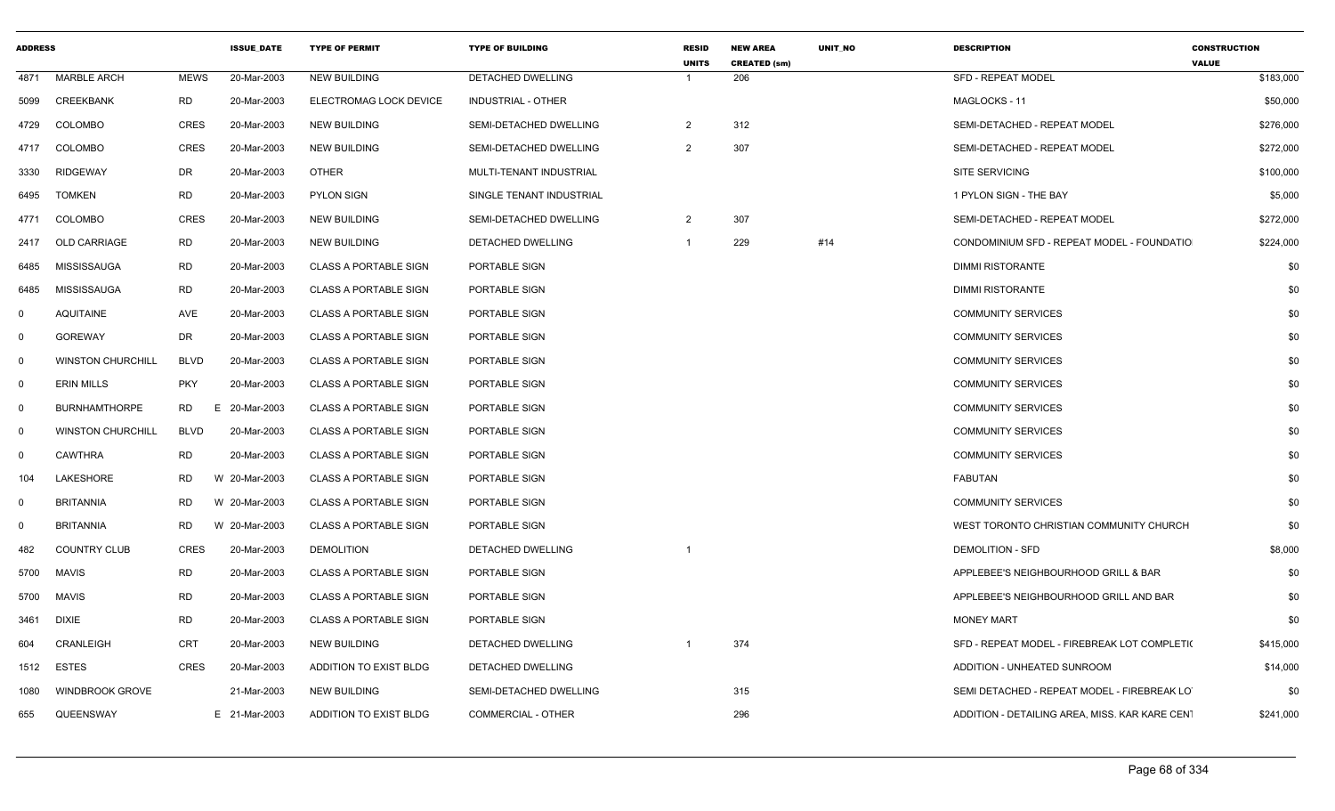| <b>ADDRESS</b> |                          |                 | <b>ISSUE DATE</b> | <b>TYPE OF PERMIT</b>        | <b>TYPE OF BUILDING</b>   | <b>RESID</b><br><b>UNITS</b> | <b>NEW AREA</b><br><b>CREATED (sm)</b> | <b>UNIT NO</b> | <b>DESCRIPTION</b>                             | <b>CONSTRUCTION</b><br><b>VALUE</b> |
|----------------|--------------------------|-----------------|-------------------|------------------------------|---------------------------|------------------------------|----------------------------------------|----------------|------------------------------------------------|-------------------------------------|
| 4871           | <b>MARBLE ARCH</b>       | <b>MEWS</b>     | 20-Mar-2003       | <b>NEW BUILDING</b>          | DETACHED DWELLING         |                              | 206                                    |                | <b>SFD - REPEAT MODEL</b>                      | \$183,000                           |
| 5099           | CREEKBANK                | <b>RD</b>       | 20-Mar-2003       | ELECTROMAG LOCK DEVICE       | <b>INDUSTRIAL - OTHER</b> |                              |                                        |                | MAGLOCKS - 11                                  | \$50,000                            |
| 4729           | <b>COLOMBO</b>           | <b>CRES</b>     | 20-Mar-2003       | <b>NEW BUILDING</b>          | SEMI-DETACHED DWELLING    | $\overline{2}$               | 312                                    |                | SEMI-DETACHED - REPEAT MODEL                   | \$276,000                           |
| 4717           | <b>COLOMBO</b>           | <b>CRES</b>     | 20-Mar-2003       | <b>NEW BUILDING</b>          | SEMI-DETACHED DWELLING    | $\overline{2}$               | 307                                    |                | SEMI-DETACHED - REPEAT MODEL                   | \$272,000                           |
| 3330           | <b>RIDGEWAY</b>          | DR              | 20-Mar-2003       | <b>OTHER</b>                 | MULTI-TENANT INDUSTRIAL   |                              |                                        |                | <b>SITE SERVICING</b>                          | \$100,000                           |
| 6495           | <b>TOMKEN</b>            | <b>RD</b>       | 20-Mar-2003       | PYLON SIGN                   | SINGLE TENANT INDUSTRIAL  |                              |                                        |                | 1 PYLON SIGN - THE BAY                         | \$5,000                             |
| 4771           | <b>COLOMBO</b>           | <b>CRES</b>     | 20-Mar-2003       | <b>NEW BUILDING</b>          | SEMI-DETACHED DWELLING    | $\overline{2}$               | 307                                    |                | SEMI-DETACHED - REPEAT MODEL                   | \$272,000                           |
| 2417           | <b>OLD CARRIAGE</b>      | <b>RD</b>       | 20-Mar-2003       | <b>NEW BUILDING</b>          | <b>DETACHED DWELLING</b>  | $\overline{1}$               | 229                                    | #14            | CONDOMINIUM SFD - REPEAT MODEL - FOUNDATIO     | \$224,000                           |
| 6485           | MISSISSAUGA              | <b>RD</b>       | 20-Mar-2003       | <b>CLASS A PORTABLE SIGN</b> | PORTABLE SIGN             |                              |                                        |                | DIMMI RISTORANTE                               | \$0                                 |
| 6485           | MISSISSAUGA              | RD              | 20-Mar-2003       | <b>CLASS A PORTABLE SIGN</b> | PORTABLE SIGN             |                              |                                        |                | <b>DIMMI RISTORANTE</b>                        | \$0                                 |
| $\mathbf 0$    | <b>AQUITAINE</b>         | AVE             | 20-Mar-2003       | <b>CLASS A PORTABLE SIGN</b> | PORTABLE SIGN             |                              |                                        |                | <b>COMMUNITY SERVICES</b>                      | \$0                                 |
| $\mathbf 0$    | <b>GOREWAY</b>           | DR              | 20-Mar-2003       | <b>CLASS A PORTABLE SIGN</b> | PORTABLE SIGN             |                              |                                        |                | <b>COMMUNITY SERVICES</b>                      | \$0                                 |
| $\mathbf 0$    | <b>WINSTON CHURCHILL</b> | <b>BLVD</b>     | 20-Mar-2003       | <b>CLASS A PORTABLE SIGN</b> | PORTABLE SIGN             |                              |                                        |                | <b>COMMUNITY SERVICES</b>                      | \$0                                 |
| $\mathbf 0$    | <b>ERIN MILLS</b>        | <b>PKY</b>      | 20-Mar-2003       | <b>CLASS A PORTABLE SIGN</b> | PORTABLE SIGN             |                              |                                        |                | <b>COMMUNITY SERVICES</b>                      | \$0                                 |
| $\mathbf 0$    | <b>BURNHAMTHORPE</b>     | <b>RD</b><br>F. | 20-Mar-2003       | <b>CLASS A PORTABLE SIGN</b> | PORTABLE SIGN             |                              |                                        |                | <b>COMMUNITY SERVICES</b>                      | \$0                                 |
| $\mathbf 0$    | <b>WINSTON CHURCHILL</b> | <b>BLVD</b>     | 20-Mar-2003       | <b>CLASS A PORTABLE SIGN</b> | PORTABLE SIGN             |                              |                                        |                | <b>COMMUNITY SERVICES</b>                      | \$0                                 |
| $\mathbf 0$    | <b>CAWTHRA</b>           | <b>RD</b>       | 20-Mar-2003       | <b>CLASS A PORTABLE SIGN</b> | PORTABLE SIGN             |                              |                                        |                | <b>COMMUNITY SERVICES</b>                      | \$0                                 |
| 104            | LAKESHORE                | <b>RD</b>       | W 20-Mar-2003     | <b>CLASS A PORTABLE SIGN</b> | PORTABLE SIGN             |                              |                                        |                | FABUTAN                                        | \$0                                 |
| $\mathbf 0$    | <b>BRITANNIA</b>         | RD              | W 20-Mar-2003     | <b>CLASS A PORTABLE SIGN</b> | PORTABLE SIGN             |                              |                                        |                | <b>COMMUNITY SERVICES</b>                      | \$0                                 |
| $\mathbf 0$    | <b>BRITANNIA</b>         | <b>RD</b>       | W 20-Mar-2003     | <b>CLASS A PORTABLE SIGN</b> | PORTABLE SIGN             |                              |                                        |                | WEST TORONTO CHRISTIAN COMMUNITY CHURCH        | \$0                                 |
| 482            | <b>COUNTRY CLUB</b>      | <b>CRES</b>     | 20-Mar-2003       | <b>DEMOLITION</b>            | DETACHED DWELLING         | $\overline{1}$               |                                        |                | <b>DEMOLITION - SFD</b>                        | \$8,000                             |
| 5700           | <b>MAVIS</b>             | <b>RD</b>       | 20-Mar-2003       | <b>CLASS A PORTABLE SIGN</b> | PORTABLE SIGN             |                              |                                        |                | APPLEBEE'S NEIGHBOURHOOD GRILL & BAR           | \$0                                 |
| 5700           | <b>MAVIS</b>             | RD              | 20-Mar-2003       | <b>CLASS A PORTABLE SIGN</b> | PORTABLE SIGN             |                              |                                        |                | APPLEBEE'S NEIGHBOURHOOD GRILL AND BAR         | \$0                                 |
| 3461           | DIXIE                    | <b>RD</b>       | 20-Mar-2003       | <b>CLASS A PORTABLE SIGN</b> | PORTABLE SIGN             |                              |                                        |                | <b>MONEY MART</b>                              | \$0                                 |
| 604            | CRANLEIGH                | <b>CRT</b>      | 20-Mar-2003       | <b>NEW BUILDING</b>          | DETACHED DWELLING         |                              | 374                                    |                | SFD - REPEAT MODEL - FIREBREAK LOT COMPLETI(   | \$415,000                           |
| 1512           | ESTES                    | <b>CRES</b>     | 20-Mar-2003       | ADDITION TO EXIST BLDG       | DETACHED DWELLING         |                              |                                        |                | ADDITION - UNHEATED SUNROOM                    | \$14,000                            |
| 1080           | <b>WINDBROOK GROVE</b>   |                 | 21-Mar-2003       | <b>NEW BUILDING</b>          | SEMI-DETACHED DWELLING    |                              | 315                                    |                | SEMI DETACHED - REPEAT MODEL - FIREBREAK LO    | \$0                                 |
| 655            | QUEENSWAY                |                 | E 21-Mar-2003     | ADDITION TO EXIST BLDG       | COMMERCIAL - OTHER        |                              | 296                                    |                | ADDITION - DETAILING AREA, MISS. KAR KARE CENT | \$241,000                           |
|                |                          |                 |                   |                              |                           |                              |                                        |                |                                                |                                     |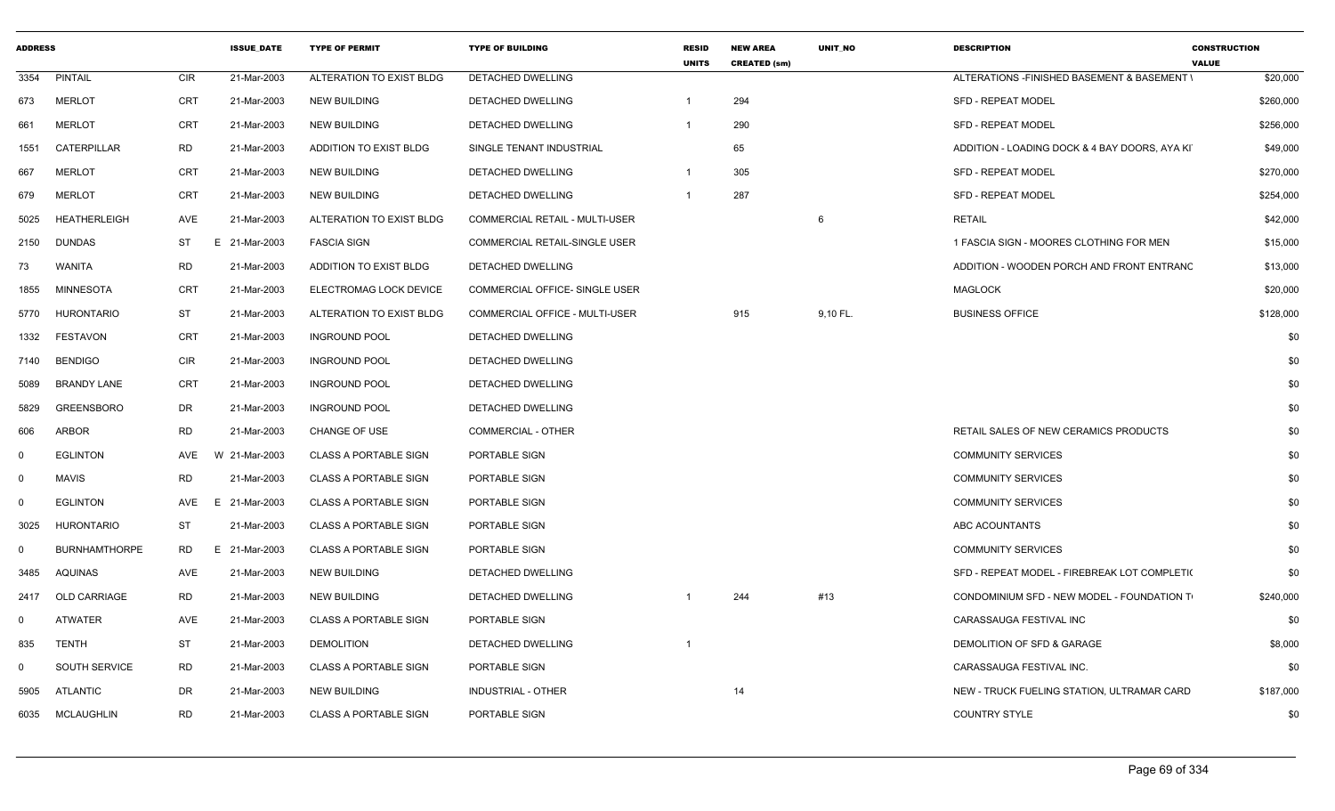| <b>ADDRESS</b> |                      |            | <b>ISSUE_DATE</b> | <b>TYPE OF PERMIT</b>        | <b>TYPE OF BUILDING</b>        | <b>RESID</b><br><b>UNITS</b> | <b>NEW AREA</b><br><b>CREATED (sm)</b> | UNIT_NO  | <b>DESCRIPTION</b>                            | <b>CONSTRUCTION</b><br><b>VALUE</b> |
|----------------|----------------------|------------|-------------------|------------------------------|--------------------------------|------------------------------|----------------------------------------|----------|-----------------------------------------------|-------------------------------------|
| 3354           | <b>PINTAIL</b>       | <b>CIR</b> | 21-Mar-2003       | ALTERATION TO EXIST BLDG     | DETACHED DWELLING              |                              |                                        |          | ALTERATIONS - FINISHED BASEMENT & BASEMENT \  | \$20,000                            |
| 673            | <b>MERLOT</b>        | CRT        | 21-Mar-2003       | <b>NEW BUILDING</b>          | DETACHED DWELLING              |                              | 294                                    |          | <b>SFD - REPEAT MODEL</b>                     | \$260,000                           |
| 661            | <b>MERLOT</b>        | <b>CRT</b> | 21-Mar-2003       | <b>NEW BUILDING</b>          | DETACHED DWELLING              |                              | 290                                    |          | <b>SFD - REPEAT MODEL</b>                     | \$256,000                           |
| 1551           | CATERPILLAR          | RD         | 21-Mar-2003       | ADDITION TO EXIST BLDG       | SINGLE TENANT INDUSTRIAL       |                              | 65                                     |          | ADDITION - LOADING DOCK & 4 BAY DOORS, AYA KI | \$49,000                            |
| 667            | <b>MERLOT</b>        | <b>CRT</b> | 21-Mar-2003       | NEW BUILDING                 | DETACHED DWELLING              |                              | 305                                    |          | SFD - REPEAT MODEL                            | \$270,000                           |
| 679            | <b>MERLOT</b>        | <b>CRT</b> | 21-Mar-2003       | <b>NEW BUILDING</b>          | <b>DETACHED DWELLING</b>       |                              | 287                                    |          | <b>SFD - REPEAT MODEL</b>                     | \$254,000                           |
| 5025           | <b>HEATHERLEIGH</b>  | AVE        | 21-Mar-2003       | ALTERATION TO EXIST BLDG     | COMMERCIAL RETAIL - MULTI-USER |                              |                                        | 6        | <b>RETAIL</b>                                 | \$42,000                            |
| 2150           | <b>DUNDAS</b>        | ST         | E 21-Mar-2003     | <b>FASCIA SIGN</b>           | COMMERCIAL RETAIL-SINGLE USER  |                              |                                        |          | 1 FASCIA SIGN - MOORES CLOTHING FOR MEN       | \$15,000                            |
| 73             | <b>WANITA</b>        | RD         | 21-Mar-2003       | ADDITION TO EXIST BLDG       | DETACHED DWELLING              |                              |                                        |          | ADDITION - WOODEN PORCH AND FRONT ENTRANC     | \$13,000                            |
| 1855           | <b>MINNESOTA</b>     | <b>CRT</b> | 21-Mar-2003       | ELECTROMAG LOCK DEVICE       | COMMERCIAL OFFICE- SINGLE USER |                              |                                        |          | <b>MAGLOCK</b>                                | \$20,000                            |
| 5770           | <b>HURONTARIO</b>    | <b>ST</b>  | 21-Mar-2003       | ALTERATION TO EXIST BLDG     | COMMERCIAL OFFICE - MULTI-USER |                              | 915                                    | 9,10 FL. | <b>BUSINESS OFFICE</b>                        | \$128,000                           |
| 1332           | <b>FESTAVON</b>      | CRT        | 21-Mar-2003       | <b>INGROUND POOL</b>         | DETACHED DWELLING              |                              |                                        |          |                                               | \$0                                 |
| 7140           | <b>BENDIGO</b>       | <b>CIR</b> | 21-Mar-2003       | <b>INGROUND POOL</b>         | DETACHED DWELLING              |                              |                                        |          |                                               | \$0                                 |
| 5089           | <b>BRANDY LANE</b>   | CRT        | 21-Mar-2003       | <b>INGROUND POOL</b>         | DETACHED DWELLING              |                              |                                        |          |                                               | \$0                                 |
| 5829           | <b>GREENSBORO</b>    | DR         | 21-Mar-2003       | <b>INGROUND POOL</b>         | DETACHED DWELLING              |                              |                                        |          |                                               | \$0                                 |
| 606            | <b>ARBOR</b>         | <b>RD</b>  | 21-Mar-2003       | <b>CHANGE OF USE</b>         | <b>COMMERCIAL - OTHER</b>      |                              |                                        |          | RETAIL SALES OF NEW CERAMICS PRODUCTS         | \$0                                 |
| 0              | <b>EGLINTON</b>      | AVE        | W 21-Mar-2003     | <b>CLASS A PORTABLE SIGN</b> | PORTABLE SIGN                  |                              |                                        |          | <b>COMMUNITY SERVICES</b>                     | \$0                                 |
| $\mathbf 0$    | <b>MAVIS</b>         | <b>RD</b>  | 21-Mar-2003       | <b>CLASS A PORTABLE SIGN</b> | PORTABLE SIGN                  |                              |                                        |          | <b>COMMUNITY SERVICES</b>                     | \$0                                 |
| $\Omega$       | <b>EGLINTON</b>      | AVE        | 21-Mar-2003<br>E  | <b>CLASS A PORTABLE SIGN</b> | PORTABLE SIGN                  |                              |                                        |          | <b>COMMUNITY SERVICES</b>                     | \$0                                 |
| 3025           | HURONTARIO           | <b>ST</b>  | 21-Mar-2003       | <b>CLASS A PORTABLE SIGN</b> | PORTABLE SIGN                  |                              |                                        |          | ABC ACOUNTANTS                                | \$0                                 |
| $\mathbf 0$    | <b>BURNHAMTHORPE</b> | RD         | E.<br>21-Mar-2003 | <b>CLASS A PORTABLE SIGN</b> | PORTABLE SIGN                  |                              |                                        |          | <b>COMMUNITY SERVICES</b>                     | \$0                                 |
| 3485           | AQUINAS              | AVE        | 21-Mar-2003       | <b>NEW BUILDING</b>          | <b>DETACHED DWELLING</b>       |                              |                                        |          | SFD - REPEAT MODEL - FIREBREAK LOT COMPLETI(  | \$0                                 |
| 2417           | <b>OLD CARRIAGE</b>  | RD         | 21-Mar-2003       | <b>NEW BUILDING</b>          | DETACHED DWELLING              |                              | 244                                    | #13      | CONDOMINIUM SFD - NEW MODEL - FOUNDATION T    | \$240,000                           |
| $\Omega$       | <b>ATWATER</b>       | AVE        | 21-Mar-2003       | <b>CLASS A PORTABLE SIGN</b> | PORTABLE SIGN                  |                              |                                        |          | CARASSAUGA FESTIVAL INC                       | \$0                                 |
| 835            | <b>TENTH</b>         | <b>ST</b>  | 21-Mar-2003       | <b>DEMOLITION</b>            | DETACHED DWELLING              |                              |                                        |          | DEMOLITION OF SFD & GARAGE                    | \$8,000                             |
| $\Omega$       | <b>SOUTH SERVICE</b> | <b>RD</b>  | 21-Mar-2003       | <b>CLASS A PORTABLE SIGN</b> | PORTABLE SIGN                  |                              |                                        |          | CARASSAUGA FESTIVAL INC.                      | \$0                                 |
| 5905           | ATLANTIC             | DR         | 21-Mar-2003       | <b>NEW BUILDING</b>          | INDUSTRIAL - OTHER             |                              | 14                                     |          | NEW - TRUCK FUELING STATION, ULTRAMAR CARD    | \$187,000                           |
| 6035           | <b>MCLAUGHLIN</b>    | <b>RD</b>  | 21-Mar-2003       | <b>CLASS A PORTABLE SIGN</b> | PORTABLE SIGN                  |                              |                                        |          | <b>COUNTRY STYLE</b>                          | \$0                                 |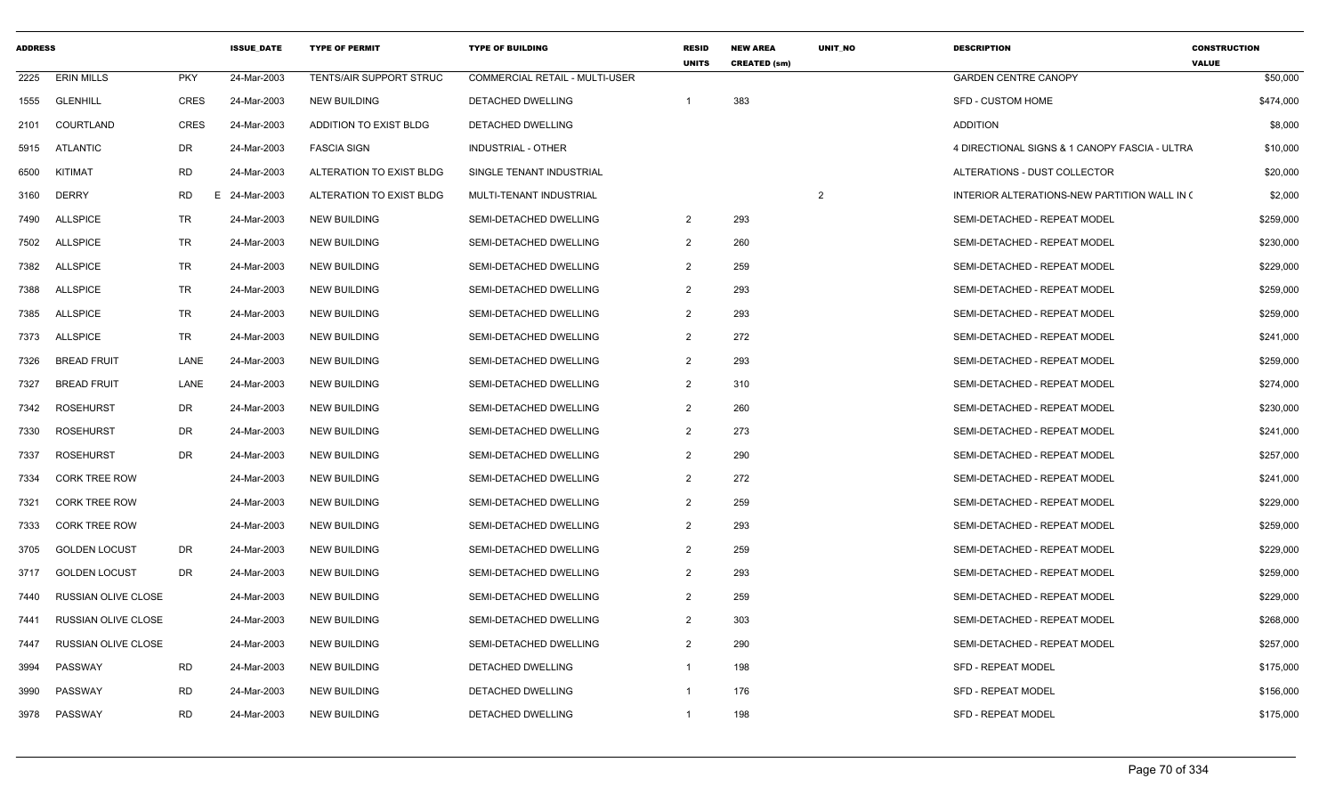| <b>ADDRESS</b> |                            |            | <b>ISSUE DATE</b> | <b>TYPE OF PERMIT</b>    | <b>TYPE OF BUILDING</b>               | <b>RESID</b><br><b>UNITS</b> | <b>NEW AREA</b><br><b>CREATED (sm)</b> | <b>UNIT NO</b> | <b>DESCRIPTION</b>                            | <b>CONSTRUCTION</b><br><b>VALUE</b> |
|----------------|----------------------------|------------|-------------------|--------------------------|---------------------------------------|------------------------------|----------------------------------------|----------------|-----------------------------------------------|-------------------------------------|
| 2225           | <b>ERIN MILLS</b>          | <b>PKY</b> | 24-Mar-2003       | TENTS/AIR SUPPORT STRUC  | <b>COMMERCIAL RETAIL - MULTI-USER</b> |                              |                                        |                | <b>GARDEN CENTRE CANOPY</b>                   | \$50,000                            |
| 1555           | <b>GLENHILL</b>            | CRES       | 24-Mar-2003       | NEW BUILDING             | DETACHED DWELLING                     | $\overline{1}$               | 383                                    |                | <b>SFD - CUSTOM HOME</b>                      | \$474,000                           |
| 2101           | COURTLAND                  | CRES       | 24-Mar-2003       | ADDITION TO EXIST BLDG   | DETACHED DWELLING                     |                              |                                        |                | <b>ADDITION</b>                               | \$8,000                             |
| 5915           | ATLANTIC                   | DR         | 24-Mar-2003       | <b>FASCIA SIGN</b>       | <b>INDUSTRIAL - OTHER</b>             |                              |                                        |                | 4 DIRECTIONAL SIGNS & 1 CANOPY FASCIA - ULTRA | \$10,000                            |
| 6500           | KITIMAT                    | <b>RD</b>  | 24-Mar-2003       | ALTERATION TO EXIST BLDG | SINGLE TENANT INDUSTRIAL              |                              |                                        |                | ALTERATIONS - DUST COLLECTOR                  | \$20,000                            |
| 3160           | <b>DERRY</b>               | <b>RD</b>  | E 24-Mar-2003     | ALTERATION TO EXIST BLDG | MULTI-TENANT INDUSTRIAL               |                              |                                        | $\overline{2}$ | INTERIOR ALTERATIONS-NEW PARTITION WALL IN (  | \$2,000                             |
| 7490           | <b>ALLSPICE</b>            | TR         | 24-Mar-2003       | NEW BUILDING             | SEMI-DETACHED DWELLING                | $\overline{2}$               | 293                                    |                | SEMI-DETACHED - REPEAT MODEL                  | \$259,000                           |
| 7502           | <b>ALLSPICE</b>            | TR         | 24-Mar-2003       | NEW BUILDING             | SEMI-DETACHED DWELLING                | $\overline{2}$               | 260                                    |                | SEMI-DETACHED - REPEAT MODEL                  | \$230,000                           |
| 7382           | <b>ALLSPICE</b>            | <b>TR</b>  | 24-Mar-2003       | <b>NEW BUILDING</b>      | SEMI-DETACHED DWELLING                | $\overline{2}$               | 259                                    |                | SEMI-DETACHED - REPEAT MODEL                  | \$229,000                           |
| 7388           | <b>ALLSPICE</b>            | TR         | 24-Mar-2003       | NEW BUILDING             | SEMI-DETACHED DWELLING                | $\overline{2}$               | 293                                    |                | SEMI-DETACHED - REPEAT MODEL                  | \$259,000                           |
| 7385           | <b>ALLSPICE</b>            | TR         | 24-Mar-2003       | <b>NEW BUILDING</b>      | SEMI-DETACHED DWELLING                | $\overline{2}$               | 293                                    |                | SEMI-DETACHED - REPEAT MODEL                  | \$259,000                           |
| 7373           | <b>ALLSPICE</b>            | <b>TR</b>  | 24-Mar-2003       | <b>NEW BUILDING</b>      | SEMI-DETACHED DWELLING                | $\overline{2}$               | 272                                    |                | SEMI-DETACHED - REPEAT MODEL                  | \$241,000                           |
| 7326           | <b>BREAD FRUIT</b>         | LANE       | 24-Mar-2003       | <b>NEW BUILDING</b>      | SEMI-DETACHED DWELLING                | $\overline{2}$               | 293                                    |                | SEMI-DETACHED - REPEAT MODEL                  | \$259,000                           |
| 7327           | <b>BREAD FRUIT</b>         | LANE       | 24-Mar-2003       | <b>NEW BUILDING</b>      | SEMI-DETACHED DWELLING                | $\overline{2}$               | 310                                    |                | SEMI-DETACHED - REPEAT MODEL                  | \$274,000                           |
| 7342           | <b>ROSEHURST</b>           | DR         | 24-Mar-2003       | <b>NEW BUILDING</b>      | SEMI-DETACHED DWELLING                | $\overline{2}$               | 260                                    |                | SEMI-DETACHED - REPEAT MODEL                  | \$230,000                           |
| 7330           | <b>ROSEHURST</b>           | DR         | 24-Mar-2003       | NEW BUILDING             | SEMI-DETACHED DWELLING                | $\overline{2}$               | 273                                    |                | SEMI-DETACHED - REPEAT MODEL                  | \$241,000                           |
| 7337           | <b>ROSEHURST</b>           | <b>DR</b>  | 24-Mar-2003       | <b>NEW BUILDING</b>      | SEMI-DETACHED DWELLING                | $\overline{2}$               | 290                                    |                | SEMI-DETACHED - REPEAT MODEL                  | \$257,000                           |
| 7334           | <b>CORK TREE ROW</b>       |            | 24-Mar-2003       | NEW BUILDING             | SEMI-DETACHED DWELLING                | $\overline{2}$               | 272                                    |                | SEMI-DETACHED - REPEAT MODEL                  | \$241,000                           |
| 7321           | <b>CORK TREE ROW</b>       |            | 24-Mar-2003       | <b>NEW BUILDING</b>      | SEMI-DETACHED DWELLING                | $\overline{2}$               | 259                                    |                | SEMI-DETACHED - REPEAT MODEL                  | \$229,000                           |
| 7333           | <b>CORK TREE ROW</b>       |            | 24-Mar-2003       | <b>NEW BUILDING</b>      | SEMI-DETACHED DWELLING                | $\overline{2}$               | 293                                    |                | SEMI-DETACHED - REPEAT MODEL                  | \$259,000                           |
| 3705           | <b>GOLDEN LOCUST</b>       | DR         | 24-Mar-2003       | NEW BUILDING             | SEMI-DETACHED DWELLING                | $\overline{2}$               | 259                                    |                | SEMI-DETACHED - REPEAT MODEL                  | \$229,000                           |
| 3717           | <b>GOLDEN LOCUST</b>       | <b>DR</b>  | 24-Mar-2003       | <b>NEW BUILDING</b>      | SEMI-DETACHED DWELLING                | $\overline{2}$               | 293                                    |                | SEMI-DETACHED - REPEAT MODEL                  | \$259,000                           |
| 7440           | RUSSIAN OLIVE CLOSE        |            | 24-Mar-2003       | <b>NEW BUILDING</b>      | SEMI-DETACHED DWELLING                | 2                            | 259                                    |                | SEMI-DETACHED - REPEAT MODEL                  | \$229,000                           |
| 7441           | <b>RUSSIAN OLIVE CLOSE</b> |            | 24-Mar-2003       | <b>NEW BUILDING</b>      | SEMI-DETACHED DWELLING                | 2                            | 303                                    |                | SEMI-DETACHED - REPEAT MODEL                  | \$268,000                           |
| 7447           | RUSSIAN OLIVE CLOSE        |            | 24-Mar-2003       | <b>NEW BUILDING</b>      | SEMI-DETACHED DWELLING                | $\overline{2}$               | 290                                    |                | SEMI-DETACHED - REPEAT MODEL                  | \$257,000                           |
| 3994           | PASSWAY                    | <b>RD</b>  | 24-Mar-2003       | <b>NEW BUILDING</b>      | DETACHED DWELLING                     | -1                           | 198                                    |                | <b>SFD - REPEAT MODEL</b>                     | \$175,000                           |
| 3990           | PASSWAY                    | <b>RD</b>  | 24-Mar-2003       | NEW BUILDING             | DETACHED DWELLING                     | -1                           | 176                                    |                | <b>SFD - REPEAT MODEL</b>                     | \$156,000                           |
| 3978           | PASSWAY                    | <b>RD</b>  | 24-Mar-2003       | <b>NEW BUILDING</b>      | DETACHED DWELLING                     | $\overline{1}$               | 198                                    |                | <b>SFD - REPEAT MODEL</b>                     | \$175,000                           |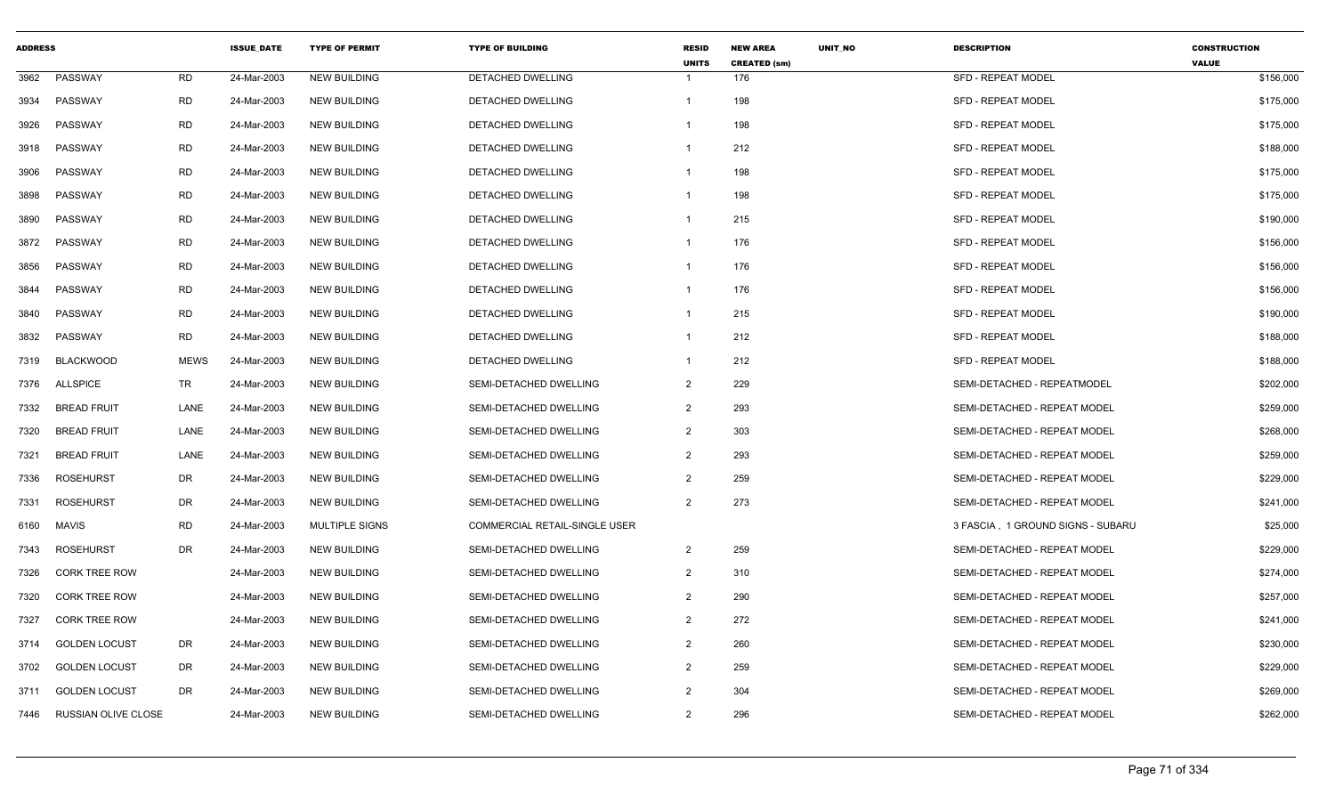| <b>ADDRESS</b> |                      |             | <b>ISSUE DATE</b> | <b>TYPE OF PERMIT</b> | <b>TYPE OF BUILDING</b>       | <b>RESID</b><br><b>UNITS</b> | <b>NEW AREA</b><br><b>CREATED (sm)</b> | UNIT_NO | <b>DESCRIPTION</b>                | <b>CONSTRUCTION</b><br><b>VALUE</b> |
|----------------|----------------------|-------------|-------------------|-----------------------|-------------------------------|------------------------------|----------------------------------------|---------|-----------------------------------|-------------------------------------|
| 3962           | PASSWAY              | <b>RD</b>   | 24-Mar-2003       | <b>NEW BUILDING</b>   | DETACHED DWELLING             | 1                            | 176                                    |         | <b>SFD - REPEAT MODEL</b>         | \$156,000                           |
| 3934           | PASSWAY              | <b>RD</b>   | 24-Mar-2003       | <b>NEW BUILDING</b>   | DETACHED DWELLING             | 1                            | 198                                    |         | SFD - REPEAT MODEL                | \$175,000                           |
| 3926           | PASSWAY              | <b>RD</b>   | 24-Mar-2003       | <b>NEW BUILDING</b>   | <b>DETACHED DWELLING</b>      |                              | 198                                    |         | <b>SFD - REPEAT MODEL</b>         | \$175,000                           |
| 3918           | PASSWAY              | <b>RD</b>   | 24-Mar-2003       | <b>NEW BUILDING</b>   | DETACHED DWELLING             | 1                            | 212                                    |         | <b>SFD - REPEAT MODEL</b>         | \$188,000                           |
| 3906           | PASSWAY              | <b>RD</b>   | 24-Mar-2003       | <b>NEW BUILDING</b>   | DETACHED DWELLING             | 1                            | 198                                    |         | <b>SFD - REPEAT MODEL</b>         | \$175,000                           |
| 3898           | PASSWAY              | <b>RD</b>   | 24-Mar-2003       | <b>NEW BUILDING</b>   | DETACHED DWELLING             |                              | 198                                    |         | <b>SFD - REPEAT MODEL</b>         | \$175,000                           |
| 3890           | PASSWAY              | <b>RD</b>   | 24-Mar-2003       | <b>NEW BUILDING</b>   | DETACHED DWELLING             | 1                            | 215                                    |         | <b>SFD - REPEAT MODEL</b>         | \$190,000                           |
| 3872           | PASSWAY              | <b>RD</b>   | 24-Mar-2003       | <b>NEW BUILDING</b>   | <b>DETACHED DWELLING</b>      | 1                            | 176                                    |         | <b>SFD - REPEAT MODEL</b>         | \$156,000                           |
| 3856           | PASSWAY              | <b>RD</b>   | 24-Mar-2003       | <b>NEW BUILDING</b>   | DETACHED DWELLING             | 1                            | 176                                    |         | <b>SFD - REPEAT MODEL</b>         | \$156,000                           |
| 3844           | PASSWAY              | <b>RD</b>   | 24-Mar-2003       | <b>NEW BUILDING</b>   | DETACHED DWELLING             | 1                            | 176                                    |         | <b>SFD - REPEAT MODEL</b>         | \$156,000                           |
| 3840           | PASSWAY              | <b>RD</b>   | 24-Mar-2003       | <b>NEW BUILDING</b>   | DETACHED DWELLING             | $\mathbf{1}$                 | 215                                    |         | <b>SFD - REPEAT MODEL</b>         | \$190,000                           |
| 3832           | PASSWAY              | <b>RD</b>   | 24-Mar-2003       | <b>NEW BUILDING</b>   | DETACHED DWELLING             | 1                            | 212                                    |         | <b>SFD - REPEAT MODEL</b>         | \$188,000                           |
| 7319           | <b>BLACKWOOD</b>     | <b>MEWS</b> | 24-Mar-2003       | <b>NEW BUILDING</b>   | <b>DETACHED DWELLING</b>      | 1                            | 212                                    |         | <b>SFD - REPEAT MODEL</b>         | \$188,000                           |
| 7376           | ALLSPICE             | TR          | 24-Mar-2003       | <b>NEW BUILDING</b>   | SEMI-DETACHED DWELLING        | 2                            | 229                                    |         | SEMI-DETACHED - REPEATMODEL       | \$202,000                           |
| 7332           | <b>BREAD FRUIT</b>   | LANE        | 24-Mar-2003       | <b>NEW BUILDING</b>   | SEMI-DETACHED DWELLING        | $\overline{2}$               | 293                                    |         | SEMI-DETACHED - REPEAT MODEL      | \$259,000                           |
| 7320           | <b>BREAD FRUIT</b>   | LANE        | 24-Mar-2003       | <b>NEW BUILDING</b>   | SEMI-DETACHED DWELLING        | $\overline{2}$               | 303                                    |         | SEMI-DETACHED - REPEAT MODEL      | \$268,000                           |
| 7321           | <b>BREAD FRUIT</b>   | LANE        | 24-Mar-2003       | <b>NEW BUILDING</b>   | SEMI-DETACHED DWELLING        | $\overline{2}$               | 293                                    |         | SEMI-DETACHED - REPEAT MODEL      | \$259,000                           |
| 7336           | <b>ROSEHURST</b>     | DR          | 24-Mar-2003       | <b>NEW BUILDING</b>   | SEMI-DETACHED DWELLING        | 2                            | 259                                    |         | SEMI-DETACHED - REPEAT MODEL      | \$229,000                           |
| 7331           | <b>ROSEHURST</b>     | DR          | 24-Mar-2003       | <b>NEW BUILDING</b>   | SEMI-DETACHED DWELLING        | $\overline{2}$               | 273                                    |         | SEMI-DETACHED - REPEAT MODEL      | \$241,000                           |
| 6160           | <b>MAVIS</b>         | <b>RD</b>   | 24-Mar-2003       | MULTIPLE SIGNS        | COMMERCIAL RETAIL-SINGLE USER |                              |                                        |         | 3 FASCIA, 1 GROUND SIGNS - SUBARU | \$25,000                            |
| 7343           | ROSEHURST            | DR          | 24-Mar-2003       | <b>NEW BUILDING</b>   | SEMI-DETACHED DWELLING        | $\overline{2}$               | 259                                    |         | SEMI-DETACHED - REPEAT MODEL      | \$229,000                           |
| 7326           | <b>CORK TREE ROW</b> |             | 24-Mar-2003       | <b>NEW BUILDING</b>   | SEMI-DETACHED DWELLING        | $\overline{2}$               | 310                                    |         | SEMI-DETACHED - REPEAT MODEL      | \$274,000                           |
| 7320           | <b>CORK TREE ROW</b> |             | 24-Mar-2003       | <b>NEW BUILDING</b>   | SEMI-DETACHED DWELLING        | $\overline{2}$               | 290                                    |         | SEMI-DETACHED - REPEAT MODEL      | \$257,000                           |
| 7327           | <b>CORK TREE ROW</b> |             | 24-Mar-2003       | <b>NEW BUILDING</b>   | SEMI-DETACHED DWELLING        | $\overline{2}$               | 272                                    |         | SEMI-DETACHED - REPEAT MODEL      | \$241,000                           |
| 3714           | <b>GOLDEN LOCUST</b> | DR          | 24-Mar-2003       | <b>NEW BUILDING</b>   | SEMI-DETACHED DWELLING        | $\overline{2}$               | 260                                    |         | SEMI-DETACHED - REPEAT MODEL      | \$230,000                           |
| 3702           | <b>GOLDEN LOCUST</b> | DR          | 24-Mar-2003       | <b>NEW BUILDING</b>   | SEMI-DETACHED DWELLING        | $\overline{2}$               | 259                                    |         | SEMI-DETACHED - REPEAT MODEL      | \$229,000                           |
| 3711           | <b>GOLDEN LOCUST</b> | DR          | 24-Mar-2003       | <b>NEW BUILDING</b>   | SEMI-DETACHED DWELLING        | 2                            | 304                                    |         | SEMI-DETACHED - REPEAT MODEL      | \$269,000                           |
| 7446           | RUSSIAN OLIVE CLOSE  |             | 24-Mar-2003       | <b>NEW BUILDING</b>   | SEMI-DETACHED DWELLING        | $\overline{2}$               | 296                                    |         | SEMI-DETACHED - REPEAT MODEL      | \$262,000                           |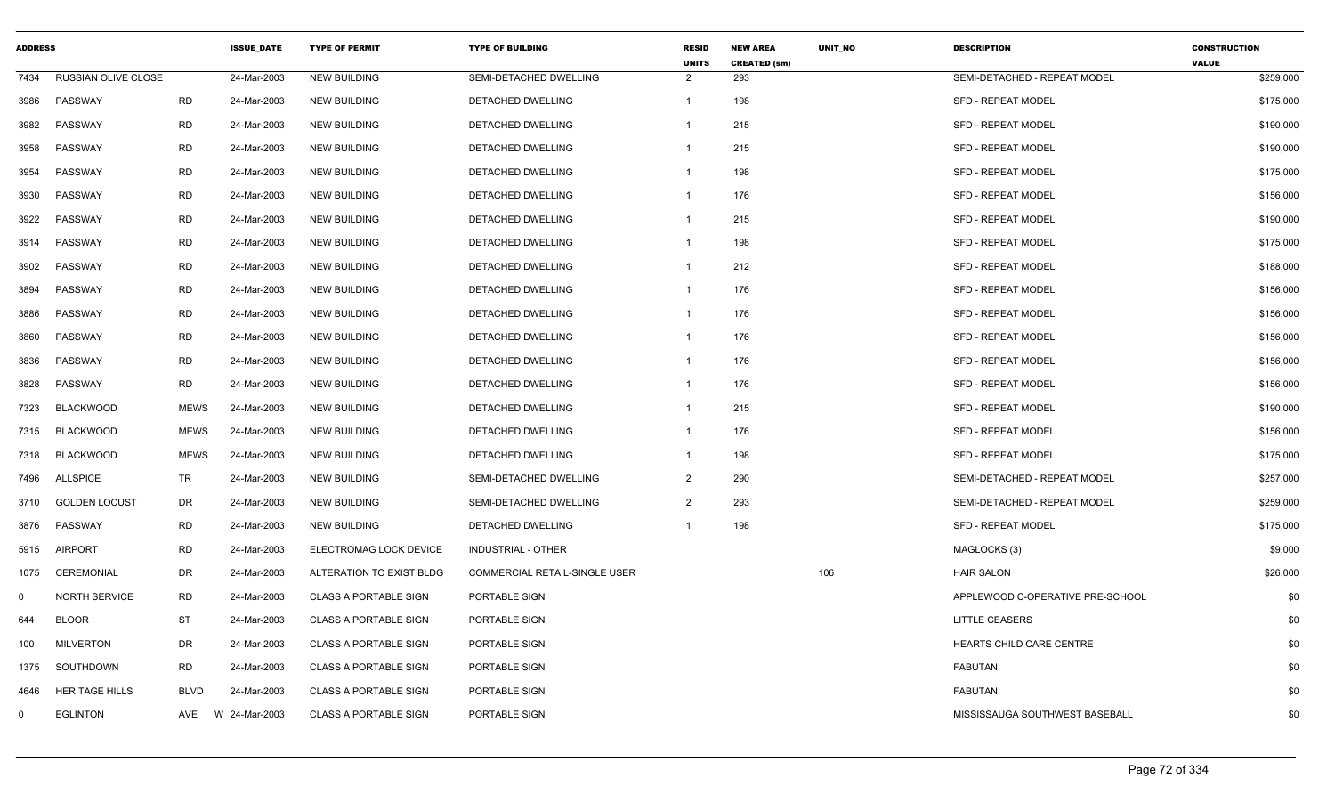| <b>ADDRESS</b> |                       |             | <b>ISSUE DATE</b> | <b>TYPE OF PERMIT</b>        | <b>TYPE OF BUILDING</b>       | <b>RESID</b><br><b>UNITS</b> | <b>NEW AREA</b><br><b>CREATED (sm)</b> | <b>UNIT NO</b> | <b>DESCRIPTION</b>               | <b>CONSTRUCTION</b><br><b>VALUE</b> |
|----------------|-----------------------|-------------|-------------------|------------------------------|-------------------------------|------------------------------|----------------------------------------|----------------|----------------------------------|-------------------------------------|
| 7434           | RUSSIAN OLIVE CLOSE   |             | 24-Mar-2003       | <b>NEW BUILDING</b>          | SEMI-DETACHED DWELLING        | $\overline{2}$               | 293                                    |                | SEMI-DETACHED - REPEAT MODEL     | \$259,000                           |
| 3986           | PASSWAY               | <b>RD</b>   | 24-Mar-2003       | <b>NEW BUILDING</b>          | DETACHED DWELLING             | 1                            | 198                                    |                | <b>SFD - REPEAT MODEL</b>        | \$175,000                           |
| 3982           | PASSWAY               | <b>RD</b>   | 24-Mar-2003       | <b>NEW BUILDING</b>          | DETACHED DWELLING             | 1                            | 215                                    |                | <b>SFD - REPEAT MODEL</b>        | \$190,000                           |
| 3958           | PASSWAY               | <b>RD</b>   | 24-Mar-2003       | <b>NEW BUILDING</b>          | DETACHED DWELLING             | 1                            | 215                                    |                | <b>SFD - REPEAT MODEL</b>        | \$190,000                           |
| 3954           | PASSWAY               | <b>RD</b>   | 24-Mar-2003       | <b>NEW BUILDING</b>          | <b>DETACHED DWELLING</b>      | 1                            | 198                                    |                | <b>SFD - REPEAT MODEL</b>        | \$175,000                           |
| 3930           | PASSWAY               | <b>RD</b>   | 24-Mar-2003       | <b>NEW BUILDING</b>          | <b>DETACHED DWELLING</b>      | 1                            | 176                                    |                | <b>SFD - REPEAT MODEL</b>        | \$156,000                           |
| 3922           | PASSWAY               | <b>RD</b>   | 24-Mar-2003       | <b>NEW BUILDING</b>          | DETACHED DWELLING             | 1                            | 215                                    |                | <b>SFD - REPEAT MODEL</b>        | \$190,000                           |
| 3914           | PASSWAY               | <b>RD</b>   | 24-Mar-2003       | <b>NEW BUILDING</b>          | DETACHED DWELLING             | 1                            | 198                                    |                | <b>SFD - REPEAT MODEL</b>        | \$175,000                           |
| 3902           | PASSWAY               | <b>RD</b>   | 24-Mar-2003       | <b>NEW BUILDING</b>          | DETACHED DWELLING             | 1                            | 212                                    |                | <b>SFD - REPEAT MODEL</b>        | \$188,000                           |
| 3894           | PASSWAY               | <b>RD</b>   | 24-Mar-2003       | <b>NEW BUILDING</b>          | DETACHED DWELLING             | 1                            | 176                                    |                | <b>SFD - REPEAT MODEL</b>        | \$156,000                           |
| 3886           | PASSWAY               | <b>RD</b>   | 24-Mar-2003       | <b>NEW BUILDING</b>          | DETACHED DWELLING             | 1                            | 176                                    |                | <b>SFD - REPEAT MODEL</b>        | \$156,000                           |
| 3860           | PASSWAY               | <b>RD</b>   | 24-Mar-2003       | <b>NEW BUILDING</b>          | DETACHED DWELLING             | 1                            | 176                                    |                | <b>SFD - REPEAT MODEL</b>        | \$156,000                           |
| 3836           | PASSWAY               | <b>RD</b>   | 24-Mar-2003       | <b>NEW BUILDING</b>          | DETACHED DWELLING             | 1                            | 176                                    |                | <b>SFD - REPEAT MODEL</b>        | \$156,000                           |
| 3828           | PASSWAY               | <b>RD</b>   | 24-Mar-2003       | <b>NEW BUILDING</b>          | DETACHED DWELLING             | 1                            | 176                                    |                | <b>SFD - REPEAT MODEL</b>        | \$156,000                           |
| 7323           | <b>BLACKWOOD</b>      | <b>MEWS</b> | 24-Mar-2003       | <b>NEW BUILDING</b>          | DETACHED DWELLING             | 1                            | 215                                    |                | <b>SFD - REPEAT MODEL</b>        | \$190,000                           |
| 7315           | <b>BLACKWOOD</b>      | <b>MEWS</b> | 24-Mar-2003       | <b>NEW BUILDING</b>          | DETACHED DWELLING             | 1                            | 176                                    |                | SFD - REPEAT MODEL               | \$156,000                           |
| 7318           | <b>BLACKWOOD</b>      | <b>MEWS</b> | 24-Mar-2003       | <b>NEW BUILDING</b>          | <b>DETACHED DWELLING</b>      | $\mathbf{1}$                 | 198                                    |                | <b>SFD - REPEAT MODEL</b>        | \$175,000                           |
| 7496           | ALLSPICE              | TR          | 24-Mar-2003       | <b>NEW BUILDING</b>          | SEMI-DETACHED DWELLING        | $\overline{2}$               | 290                                    |                | SEMI-DETACHED - REPEAT MODEL     | \$257,000                           |
| 3710           | <b>GOLDEN LOCUST</b>  | DR          | 24-Mar-2003       | <b>NEW BUILDING</b>          | SEMI-DETACHED DWELLING        | $\overline{2}$               | 293                                    |                | SEMI-DETACHED - REPEAT MODEL     | \$259,000                           |
| 3876           | PASSWAY               | <b>RD</b>   | 24-Mar-2003       | <b>NEW BUILDING</b>          | <b>DETACHED DWELLING</b>      | $\mathbf 1$                  | 198                                    |                | <b>SFD - REPEAT MODEL</b>        | \$175,000                           |
| 5915           | AIRPORT               | <b>RD</b>   | 24-Mar-2003       | ELECTROMAG LOCK DEVICE       | INDUSTRIAL - OTHER            |                              |                                        |                | MAGLOCKS (3)                     | \$9,000                             |
| 1075           | CEREMONIAL            | DR          | 24-Mar-2003       | ALTERATION TO EXIST BLDG     | COMMERCIAL RETAIL-SINGLE USER |                              |                                        | 106            | <b>HAIR SALON</b>                | \$26,000                            |
| $\mathbf 0$    | <b>NORTH SERVICE</b>  | <b>RD</b>   | 24-Mar-2003       | <b>CLASS A PORTABLE SIGN</b> | PORTABLE SIGN                 |                              |                                        |                | APPLEWOOD C-OPERATIVE PRE-SCHOOL | \$0                                 |
| 644            | <b>BLOOR</b>          | <b>ST</b>   | 24-Mar-2003       | <b>CLASS A PORTABLE SIGN</b> | PORTABLE SIGN                 |                              |                                        |                | <b>LITTLE CEASERS</b>            | \$0                                 |
| 100            | <b>MILVERTON</b>      | DR          | 24-Mar-2003       | <b>CLASS A PORTABLE SIGN</b> | PORTABLE SIGN                 |                              |                                        |                | HEARTS CHILD CARE CENTRE         | \$0                                 |
| 1375           | SOUTHDOWN             | <b>RD</b>   | 24-Mar-2003       | <b>CLASS A PORTABLE SIGN</b> | <b>PORTABLE SIGN</b>          |                              |                                        |                | <b>FABUTAN</b>                   | \$0                                 |
| 4646           | <b>HERITAGE HILLS</b> | <b>BLVD</b> | 24-Mar-2003       | <b>CLASS A PORTABLE SIGN</b> | PORTABLE SIGN                 |                              |                                        |                | <b>FABUTAN</b>                   | \$0                                 |
| $\mathbf 0$    | <b>EGLINTON</b>       | AVE         | W 24-Mar-2003     | <b>CLASS A PORTABLE SIGN</b> | PORTABLE SIGN                 |                              |                                        |                | MISSISSAUGA SOUTHWEST BASEBALL   | \$0                                 |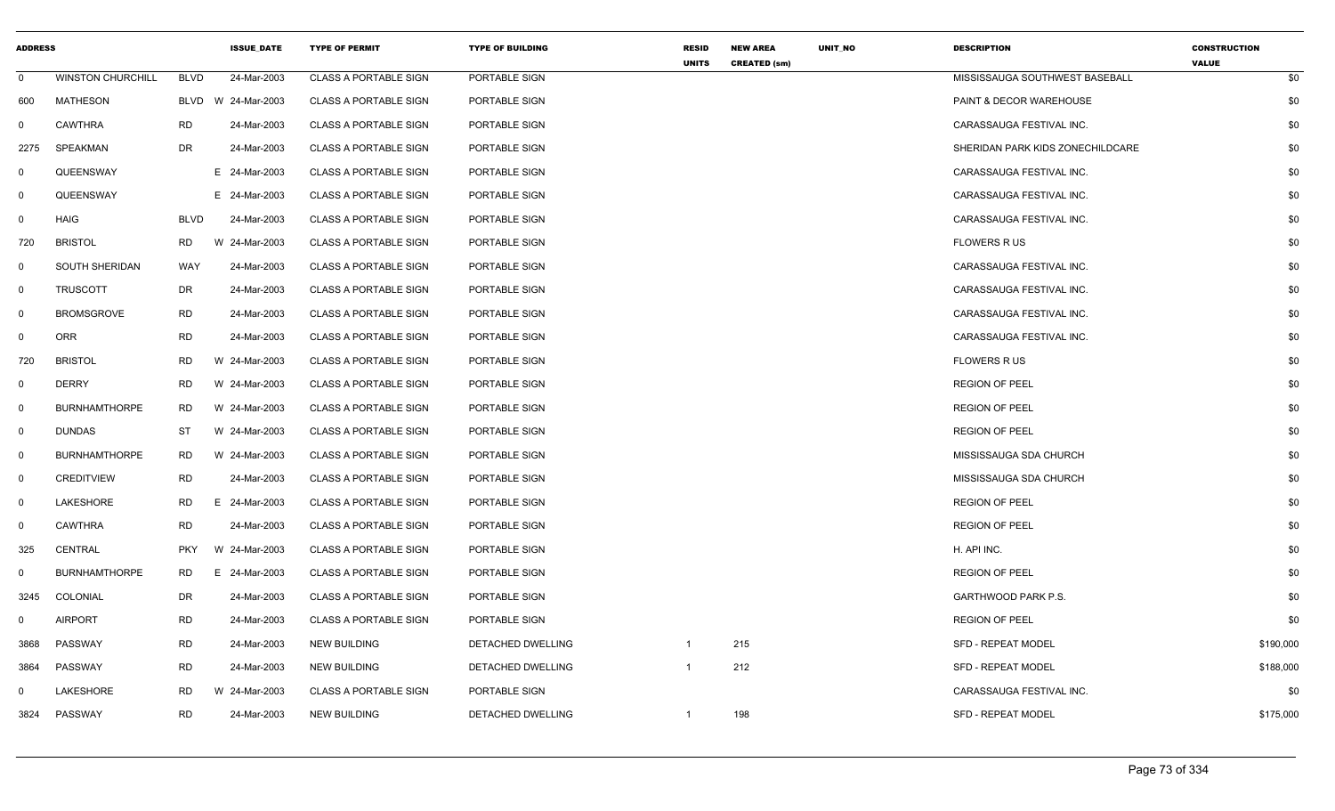| <b>ADDRESS</b> |                          |             | <b>ISSUE DATE</b> | <b>TYPE OF PERMIT</b>        | <b>TYPE OF BUILDING</b>  | <b>RESID</b><br><b>UNITS</b> | <b>NEW AREA</b><br><b>CREATED (sm)</b> | UNIT_NO | <b>DESCRIPTION</b>               | <b>CONSTRUCTION</b><br><b>VALUE</b> |
|----------------|--------------------------|-------------|-------------------|------------------------------|--------------------------|------------------------------|----------------------------------------|---------|----------------------------------|-------------------------------------|
| $\mathbf 0$    | <b>WINSTON CHURCHILL</b> | <b>BLVD</b> | 24-Mar-2003       | <b>CLASS A PORTABLE SIGN</b> | PORTABLE SIGN            |                              |                                        |         | MISSISSAUGA SOUTHWEST BASEBALL   | \$0                                 |
| 600            | <b>MATHESON</b>          | BLVD        | W 24-Mar-2003     | <b>CLASS A PORTABLE SIGN</b> | PORTABLE SIGN            |                              |                                        |         | PAINT & DECOR WAREHOUSE          | \$0                                 |
| $\Omega$       | <b>CAWTHRA</b>           | RD          | 24-Mar-2003       | <b>CLASS A PORTABLE SIGN</b> | PORTABLE SIGN            |                              |                                        |         | CARASSAUGA FESTIVAL INC.         | \$0                                 |
| 2275           | SPEAKMAN                 | <b>DR</b>   | 24-Mar-2003       | <b>CLASS A PORTABLE SIGN</b> | PORTABLE SIGN            |                              |                                        |         | SHERIDAN PARK KIDS ZONECHILDCARE | \$0                                 |
| $\mathbf 0$    | QUEENSWAY                |             | E 24-Mar-2003     | CLASS A PORTABLE SIGN        | PORTABLE SIGN            |                              |                                        |         | CARASSAUGA FESTIVAL INC.         | \$0                                 |
| $\mathbf{0}$   | QUEENSWAY                |             | E 24-Mar-2003     | <b>CLASS A PORTABLE SIGN</b> | PORTABLE SIGN            |                              |                                        |         | CARASSAUGA FESTIVAL INC.         | \$0                                 |
| 0              | HAIG                     | <b>BLVD</b> | 24-Mar-2003       | <b>CLASS A PORTABLE SIGN</b> | PORTABLE SIGN            |                              |                                        |         | CARASSAUGA FESTIVAL INC.         | \$0                                 |
| 720            | <b>BRISTOL</b>           | <b>RD</b>   | W 24-Mar-2003     | <b>CLASS A PORTABLE SIGN</b> | PORTABLE SIGN            |                              |                                        |         | <b>FLOWERS RUS</b>               | \$0                                 |
| $\mathbf{0}$   | SOUTH SHERIDAN           | WAY         | 24-Mar-2003       | <b>CLASS A PORTABLE SIGN</b> | PORTABLE SIGN            |                              |                                        |         | CARASSAUGA FESTIVAL INC.         | \$0                                 |
| $\mathbf 0$    | <b>TRUSCOTT</b>          | DR          | 24-Mar-2003       | <b>CLASS A PORTABLE SIGN</b> | PORTABLE SIGN            |                              |                                        |         | CARASSAUGA FESTIVAL INC.         | \$0                                 |
| $\mathbf{0}$   | <b>BROMSGROVE</b>        | <b>RD</b>   | 24-Mar-2003       | <b>CLASS A PORTABLE SIGN</b> | PORTABLE SIGN            |                              |                                        |         | CARASSAUGA FESTIVAL INC.         | \$0                                 |
| $\Omega$       | <b>ORR</b>               | <b>RD</b>   | 24-Mar-2003       | <b>CLASS A PORTABLE SIGN</b> | PORTABLE SIGN            |                              |                                        |         | CARASSAUGA FESTIVAL INC.         | \$0                                 |
| 720            | <b>BRISTOL</b>           | <b>RD</b>   | W 24-Mar-2003     | <b>CLASS A PORTABLE SIGN</b> | PORTABLE SIGN            |                              |                                        |         | <b>FLOWERS RUS</b>               | \$0                                 |
| 0              | <b>DERRY</b>             | <b>RD</b>   | W 24-Mar-2003     | <b>CLASS A PORTABLE SIGN</b> | PORTABLE SIGN            |                              |                                        |         | <b>REGION OF PEEL</b>            | \$0                                 |
| $\mathbf 0$    | <b>BURNHAMTHORPE</b>     | <b>RD</b>   | W 24-Mar-2003     | <b>CLASS A PORTABLE SIGN</b> | PORTABLE SIGN            |                              |                                        |         | <b>REGION OF PEEL</b>            | \$0                                 |
| $\mathbf 0$    | <b>DUNDAS</b>            | ST          | W 24-Mar-2003     | <b>CLASS A PORTABLE SIGN</b> | PORTABLE SIGN            |                              |                                        |         | <b>REGION OF PEEL</b>            | \$0                                 |
| 0              | <b>BURNHAMTHORPE</b>     | <b>RD</b>   | W 24-Mar-2003     | <b>CLASS A PORTABLE SIGN</b> | PORTABLE SIGN            |                              |                                        |         | MISSISSAUGA SDA CHURCH           | \$0                                 |
| $\mathbf{0}$   | <b>CREDITVIEW</b>        | <b>RD</b>   | 24-Mar-2003       | <b>CLASS A PORTABLE SIGN</b> | PORTABLE SIGN            |                              |                                        |         | MISSISSAUGA SDA CHURCH           | \$0                                 |
| $\mathbf{0}$   | LAKESHORE                | <b>RD</b>   | 24-Mar-2003<br>Е. | <b>CLASS A PORTABLE SIGN</b> | PORTABLE SIGN            |                              |                                        |         | <b>REGION OF PEEL</b>            | \$0                                 |
| $\mathbf{0}$   | <b>CAWTHRA</b>           | <b>RD</b>   | 24-Mar-2003       | <b>CLASS A PORTABLE SIGN</b> | PORTABLE SIGN            |                              |                                        |         | <b>REGION OF PEEL</b>            | \$0                                 |
| 325            | <b>CENTRAL</b>           | <b>PKY</b>  | W 24-Mar-2003     | <b>CLASS A PORTABLE SIGN</b> | PORTABLE SIGN            |                              |                                        |         | H. API INC.                      | \$0                                 |
| 0              | <b>BURNHAMTHORPE</b>     | <b>RD</b>   | Е.<br>24-Mar-2003 | <b>CLASS A PORTABLE SIGN</b> | PORTABLE SIGN            |                              |                                        |         | <b>REGION OF PEEL</b>            | \$0                                 |
| 3245           | COLONIAL                 | DR          | 24-Mar-2003       | <b>CLASS A PORTABLE SIGN</b> | PORTABLE SIGN            |                              |                                        |         | GARTHWOOD PARK P.S.              | \$0                                 |
| 0              | <b>AIRPORT</b>           | <b>RD</b>   | 24-Mar-2003       | CLASS A PORTABLE SIGN        | PORTABLE SIGN            |                              |                                        |         | <b>REGION OF PEEL</b>            | \$0                                 |
| 3868           | PASSWAY                  | <b>RD</b>   | 24-Mar-2003       | <b>NEW BUILDING</b>          | DETACHED DWELLING        | $\mathbf{1}$                 | 215                                    |         | SFD - REPEAT MODEL               | \$190,000                           |
| 3864           | PASSWAY                  | <b>RD</b>   | 24-Mar-2003       | <b>NEW BUILDING</b>          | DETACHED DWELLING        | $\mathbf{1}$                 | 212                                    |         | <b>SFD - REPEAT MODEL</b>        | \$188,000                           |
| 0              | LAKESHORE                | <b>RD</b>   | W 24-Mar-2003     | <b>CLASS A PORTABLE SIGN</b> | PORTABLE SIGN            |                              |                                        |         | CARASSAUGA FESTIVAL INC.         | \$0                                 |
| 3824           | PASSWAY                  | <b>RD</b>   | 24-Mar-2003       | <b>NEW BUILDING</b>          | <b>DETACHED DWELLING</b> | $\mathbf{1}$                 | 198                                    |         | <b>SFD - REPEAT MODEL</b>        | \$175,000                           |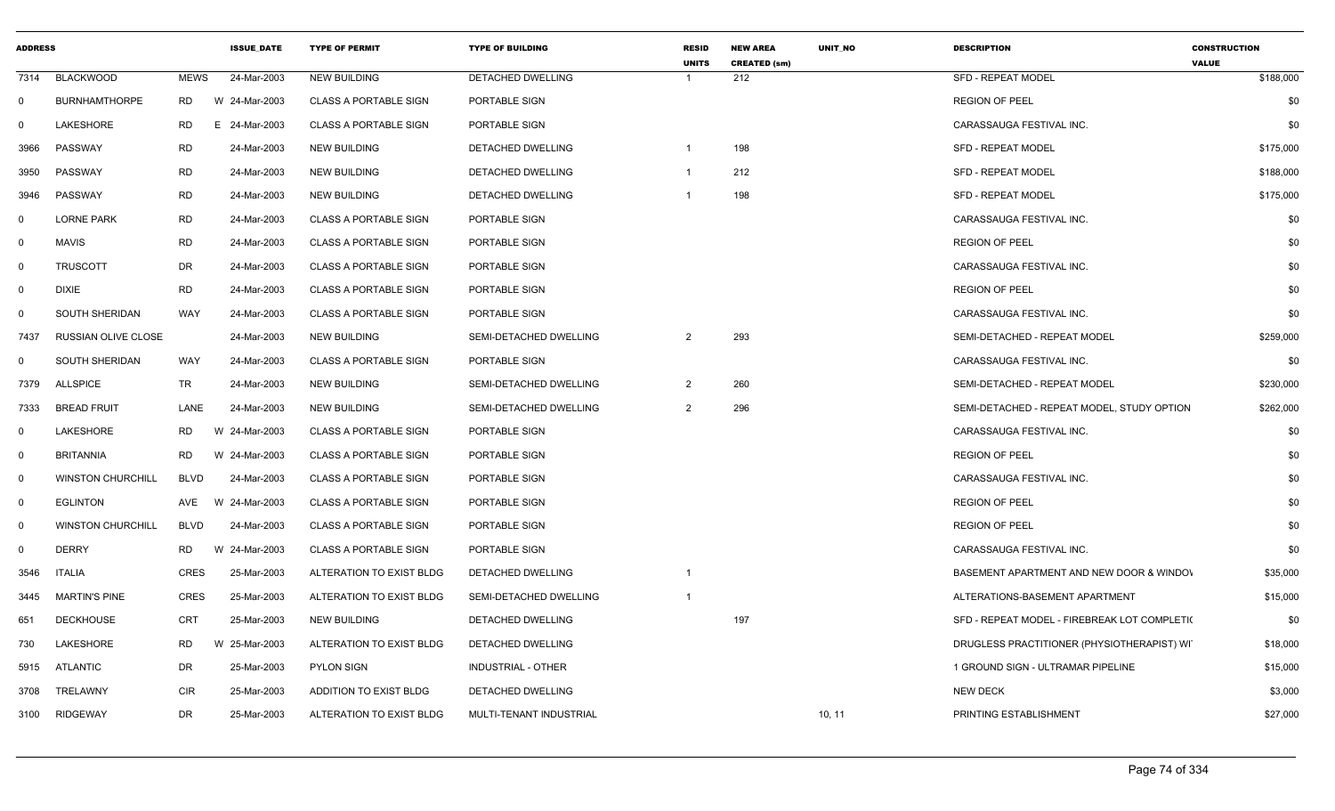| <b>ADDRESS</b> |                          |             | <b>ISSUE_DATE</b> | <b>TYPE OF PERMIT</b>        | <b>TYPE OF BUILDING</b>   | <b>RESID</b><br><b>UNITS</b> | <b>NEW AREA</b><br><b>CREATED (sm)</b> | UNIT_NO | <b>DESCRIPTION</b>                           | <b>CONSTRUCTION</b><br><b>VALUE</b> |
|----------------|--------------------------|-------------|-------------------|------------------------------|---------------------------|------------------------------|----------------------------------------|---------|----------------------------------------------|-------------------------------------|
| 7314           | <b>BLACKWOOD</b>         | <b>MEWS</b> | 24-Mar-2003       | <b>NEW BUILDING</b>          | DETACHED DWELLING         |                              | 212                                    |         | <b>SFD - REPEAT MODEL</b>                    | \$188,000                           |
| $\mathbf 0$    | <b>BURNHAMTHORPE</b>     | RD          | W 24-Mar-2003     | <b>CLASS A PORTABLE SIGN</b> | PORTABLE SIGN             |                              |                                        |         | <b>REGION OF PEEL</b>                        | \$0                                 |
| $\Omega$       | LAKESHORE                | RD<br>Е.    | 24-Mar-2003       | <b>CLASS A PORTABLE SIGN</b> | PORTABLE SIGN             |                              |                                        |         | CARASSAUGA FESTIVAL INC.                     | \$0                                 |
| 3966           | PASSWAY                  | <b>RD</b>   | 24-Mar-2003       | <b>NEW BUILDING</b>          | DETACHED DWELLING         |                              | 198                                    |         | <b>SFD - REPEAT MODEL</b>                    | \$175,000                           |
| 3950           | PASSWAY                  | <b>RD</b>   | 24-Mar-2003       | <b>NEW BUILDING</b>          | DETACHED DWELLING         |                              | 212                                    |         | <b>SFD - REPEAT MODEL</b>                    | \$188,000                           |
| 3946           | PASSWAY                  | <b>RD</b>   | 24-Mar-2003       | <b>NEW BUILDING</b>          | DETACHED DWELLING         |                              | 198                                    |         | <b>SFD - REPEAT MODEL</b>                    | \$175,000                           |
| 0              | <b>LORNE PARK</b>        | <b>RD</b>   | 24-Mar-2003       | <b>CLASS A PORTABLE SIGN</b> | PORTABLE SIGN             |                              |                                        |         | CARASSAUGA FESTIVAL INC.                     | \$0                                 |
| $\mathbf 0$    | MAVIS                    | <b>RD</b>   | 24-Mar-2003       | <b>CLASS A PORTABLE SIGN</b> | <b>PORTABLE SIGN</b>      |                              |                                        |         | <b>REGION OF PEEL</b>                        | \$0                                 |
| $\mathbf 0$    | <b>TRUSCOTT</b>          | DR          | 24-Mar-2003       | <b>CLASS A PORTABLE SIGN</b> | PORTABLE SIGN             |                              |                                        |         | CARASSAUGA FESTIVAL INC.                     | \$0                                 |
| $\mathbf 0$    | <b>DIXIE</b>             | <b>RD</b>   | 24-Mar-2003       | <b>CLASS A PORTABLE SIGN</b> | PORTABLE SIGN             |                              |                                        |         | <b>REGION OF PEEL</b>                        | \$0                                 |
| $\mathbf 0$    | SOUTH SHERIDAN           | WAY         | 24-Mar-2003       | <b>CLASS A PORTABLE SIGN</b> | PORTABLE SIGN             |                              |                                        |         | CARASSAUGA FESTIVAL INC.                     | \$0                                 |
| 7437           | RUSSIAN OLIVE CLOSE      |             | 24-Mar-2003       | <b>NEW BUILDING</b>          | SEMI-DETACHED DWELLING    | $\overline{2}$               | 293                                    |         | SEMI-DETACHED - REPEAT MODEL                 | \$259,000                           |
| $\mathbf 0$    | SOUTH SHERIDAN           | WAY         | 24-Mar-2003       | <b>CLASS A PORTABLE SIGN</b> | PORTABLE SIGN             |                              |                                        |         | CARASSAUGA FESTIVAL INC.                     | \$0                                 |
| 7379           | <b>ALLSPICE</b>          | TR          | 24-Mar-2003       | <b>NEW BUILDING</b>          | SEMI-DETACHED DWELLING    | $\overline{2}$               | 260                                    |         | SEMI-DETACHED - REPEAT MODEL                 | \$230,000                           |
| 7333           | <b>BREAD FRUIT</b>       | LANE        | 24-Mar-2003       | <b>NEW BUILDING</b>          | SEMI-DETACHED DWELLING    | $\overline{2}$               | 296                                    |         | SEMI-DETACHED - REPEAT MODEL, STUDY OPTION   | \$262,000                           |
| $\mathbf{0}$   | LAKESHORE                | RD          | W 24-Mar-2003     | <b>CLASS A PORTABLE SIGN</b> | PORTABLE SIGN             |                              |                                        |         | CARASSAUGA FESTIVAL INC.                     | \$0                                 |
| $\mathbf 0$    | <b>BRITANNIA</b>         | RD          | W 24-Mar-2003     | <b>CLASS A PORTABLE SIGN</b> | PORTABLE SIGN             |                              |                                        |         | <b>REGION OF PEEL</b>                        | \$0                                 |
| $\mathbf 0$    | <b>WINSTON CHURCHILL</b> | BLVD        | 24-Mar-2003       | <b>CLASS A PORTABLE SIGN</b> | PORTABLE SIGN             |                              |                                        |         | CARASSAUGA FESTIVAL INC.                     | \$0                                 |
| $\mathbf{0}$   | <b>EGLINTON</b>          | AVE         | W 24-Mar-2003     | <b>CLASS A PORTABLE SIGN</b> | PORTABLE SIGN             |                              |                                        |         | <b>REGION OF PEEL</b>                        | \$0                                 |
| $\mathbf{0}$   | <b>WINSTON CHURCHILL</b> | <b>BLVD</b> | 24-Mar-2003       | <b>CLASS A PORTABLE SIGN</b> | PORTABLE SIGN             |                              |                                        |         | <b>REGION OF PEEL</b>                        | \$0                                 |
| $\mathbf 0$    | <b>DERRY</b>             | RD          | W 24-Mar-2003     | <b>CLASS A PORTABLE SIGN</b> | PORTABLE SIGN             |                              |                                        |         | CARASSAUGA FESTIVAL INC.                     | \$0                                 |
| 3546           | <b>ITALIA</b>            | <b>CRES</b> | 25-Mar-2003       | ALTERATION TO EXIST BLDG     | DETACHED DWELLING         |                              |                                        |         | BASEMENT APARTMENT AND NEW DOOR & WINDOV     | \$35,000                            |
| 3445           | <b>MARTIN'S PINE</b>     | CRES        | 25-Mar-2003       | ALTERATION TO EXIST BLDG     | SEMI-DETACHED DWELLING    |                              |                                        |         | ALTERATIONS-BASEMENT APARTMENT               | \$15,000                            |
| 651            | <b>DECKHOUSE</b>         | CRT         | 25-Mar-2003       | NEW BUILDING                 | DETACHED DWELLING         |                              | 197                                    |         | SFD - REPEAT MODEL - FIREBREAK LOT COMPLETI( | \$0                                 |
| 730            | LAKESHORE                | <b>RD</b>   | W 25-Mar-2003     | ALTERATION TO EXIST BLDG     | DETACHED DWELLING         |                              |                                        |         | DRUGLESS PRACTITIONER (PHYSIOTHERAPIST) WIT  | \$18,000                            |
| 5915           | ATLANTIC                 | DR          | 25-Mar-2003       | <b>PYLON SIGN</b>            | <b>INDUSTRIAL - OTHER</b> |                              |                                        |         | 1 GROUND SIGN - ULTRAMAR PIPELINE            | \$15,000                            |
| 3708           | TRELAWNY                 | <b>CIR</b>  | 25-Mar-2003       | ADDITION TO EXIST BLDG       | DETACHED DWELLING         |                              |                                        |         | <b>NEW DECK</b>                              | \$3,000                             |
| 3100           | <b>RIDGEWAY</b>          | DR          | 25-Mar-2003       | ALTERATION TO EXIST BLDG     | MULTI-TENANT INDUSTRIAL   |                              |                                        | 10, 11  | PRINTING ESTABLISHMENT                       | \$27,000                            |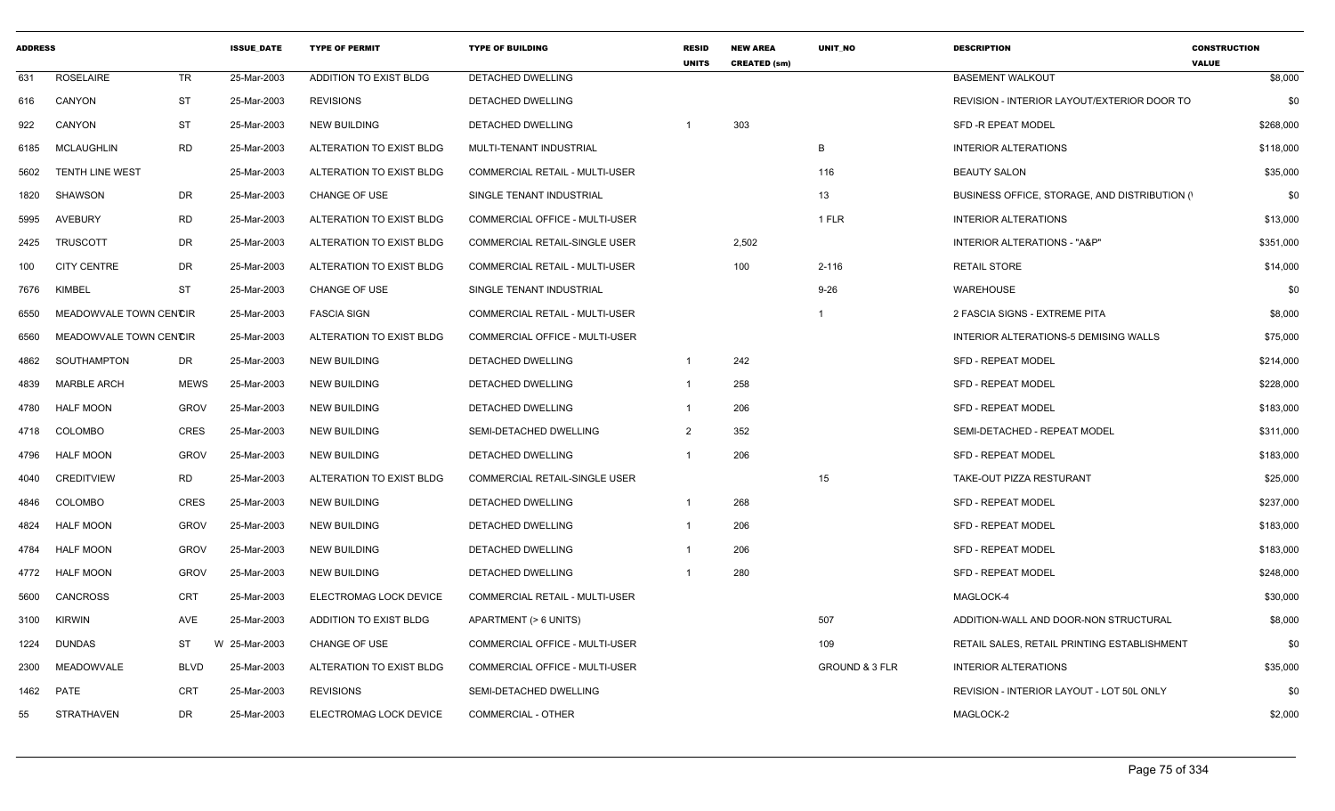| <b>ADDRESS</b> |                        |             | <b>ISSUE DATE</b> | <b>TYPE OF PERMIT</b>    | <b>TYPE OF BUILDING</b>               | <b>RESID</b><br><b>UNITS</b> | <b>NEW AREA</b><br><b>CREATED (sm)</b> | <b>UNIT NO</b>            | <b>DESCRIPTION</b>                             | <b>CONSTRUCTION</b><br><b>VALUE</b> |
|----------------|------------------------|-------------|-------------------|--------------------------|---------------------------------------|------------------------------|----------------------------------------|---------------------------|------------------------------------------------|-------------------------------------|
| 631            | ROSELAIRE              | TR          | 25-Mar-2003       | ADDITION TO EXIST BLDG   | DETACHED DWELLING                     |                              |                                        |                           | <b>BASEMENT WALKOUT</b>                        | \$8,000                             |
| 616            | CANYON                 | <b>ST</b>   | 25-Mar-2003       | <b>REVISIONS</b>         | DETACHED DWELLING                     |                              |                                        |                           | REVISION - INTERIOR LAYOUT/EXTERIOR DOOR TO    | \$0                                 |
| 922            | CANYON                 | <b>ST</b>   | 25-Mar-2003       | <b>NEW BUILDING</b>      | <b>DETACHED DWELLING</b>              |                              | 303                                    |                           | <b>SFD -R EPEAT MODEL</b>                      | \$268,000                           |
| 6185           | <b>MCLAUGHLIN</b>      | <b>RD</b>   | 25-Mar-2003       | ALTERATION TO EXIST BLDG | MULTI-TENANT INDUSTRIAL               |                              |                                        | B                         | <b>INTERIOR ALTERATIONS</b>                    | \$118,000                           |
| 5602           | <b>TENTH LINE WEST</b> |             | 25-Mar-2003       | ALTERATION TO EXIST BLDG | COMMERCIAL RETAIL - MULTI-USER        |                              |                                        | 116                       | <b>BEAUTY SALON</b>                            | \$35,000                            |
| 1820           | SHAWSON                | DR          | 25-Mar-2003       | CHANGE OF USE            | SINGLE TENANT INDUSTRIAL              |                              |                                        | 13                        | BUSINESS OFFICE, STORAGE, AND DISTRIBUTION (1) | \$0                                 |
| 5995           | AVEBURY                | <b>RD</b>   | 25-Mar-2003       | ALTERATION TO EXIST BLDG | <b>COMMERCIAL OFFICE - MULTI-USER</b> |                              |                                        | 1 FLR                     | <b>INTERIOR ALTERATIONS</b>                    | \$13,000                            |
| 2425           | <b>TRUSCOTT</b>        | DR          | 25-Mar-2003       | ALTERATION TO EXIST BLDG | COMMERCIAL RETAIL-SINGLE USER         |                              | 2,502                                  |                           | INTERIOR ALTERATIONS - "A&P"                   | \$351,000                           |
| 100            | <b>CITY CENTRE</b>     | DR          | 25-Mar-2003       | ALTERATION TO EXIST BLDG | <b>COMMERCIAL RETAIL - MULTI-USER</b> |                              | 100                                    | $2 - 116$                 | <b>RETAIL STORE</b>                            | \$14,000                            |
| 7676           | KIMBEL                 | <b>ST</b>   | 25-Mar-2003       | CHANGE OF USE            | SINGLE TENANT INDUSTRIAL              |                              |                                        | $9 - 26$                  | WAREHOUSE                                      | \$0                                 |
| 6550           | MEADOWVALE TOWN CENCIR |             | 25-Mar-2003       | <b>FASCIA SIGN</b>       | COMMERCIAL RETAIL - MULTI-USER        |                              |                                        |                           | 2 FASCIA SIGNS - EXTREME PITA                  | \$8,000                             |
| 6560           | MEADOWVALE TOWN CENCIR |             | 25-Mar-2003       | ALTERATION TO EXIST BLDG | COMMERCIAL OFFICE - MULTI-USER        |                              |                                        |                           | INTERIOR ALTERATIONS-5 DEMISING WALLS          | \$75,000                            |
| 4862           | SOUTHAMPTON            | DR          | 25-Mar-2003       | NEW BUILDING             | DETACHED DWELLING                     | -1                           | 242                                    |                           | <b>SFD - REPEAT MODEL</b>                      | \$214,000                           |
| 4839           | <b>MARBLE ARCH</b>     | <b>MEWS</b> | 25-Mar-2003       | <b>NEW BUILDING</b>      | DETACHED DWELLING                     | 1                            | 258                                    |                           | <b>SFD - REPEAT MODEL</b>                      | \$228,000                           |
| 4780           | <b>HALF MOON</b>       | <b>GROV</b> | 25-Mar-2003       | <b>NEW BUILDING</b>      | DETACHED DWELLING                     |                              | 206                                    |                           | <b>SFD - REPEAT MODEL</b>                      | \$183,000                           |
| 4718           | <b>COLOMBO</b>         | <b>CRES</b> | 25-Mar-2003       | <b>NEW BUILDING</b>      | SEMI-DETACHED DWELLING                | 2                            | 352                                    |                           | SEMI-DETACHED - REPEAT MODEL                   | \$311,000                           |
| 4796           | <b>HALF MOON</b>       | <b>GROV</b> | 25-Mar-2003       | <b>NEW BUILDING</b>      | DETACHED DWELLING                     |                              | 206                                    |                           | <b>SFD - REPEAT MODEL</b>                      | \$183,000                           |
| 4040           | <b>CREDITVIEW</b>      | <b>RD</b>   | 25-Mar-2003       | ALTERATION TO EXIST BLDG | COMMERCIAL RETAIL-SINGLE USER         |                              |                                        | 15                        | TAKE-OUT PIZZA RESTURANT                       | \$25,000                            |
| 4846           | COLOMBO                | <b>CRES</b> | 25-Mar-2003       | NEW BUILDING             | DETACHED DWELLING                     |                              | 268                                    |                           | <b>SFD - REPEAT MODEL</b>                      | \$237,000                           |
| 4824           | <b>HALF MOON</b>       | <b>GROV</b> | 25-Mar-2003       | <b>NEW BUILDING</b>      | DETACHED DWELLING                     |                              | 206                                    |                           | <b>SFD - REPEAT MODEL</b>                      | \$183,000                           |
| 4784           | <b>HALF MOON</b>       | <b>GROV</b> | 25-Mar-2003       | <b>NEW BUILDING</b>      | DETACHED DWELLING                     |                              | 206                                    |                           | <b>SFD - REPEAT MODEL</b>                      | \$183,000                           |
| 4772           | <b>HALF MOON</b>       | <b>GROV</b> | 25-Mar-2003       | <b>NEW BUILDING</b>      | DETACHED DWELLING                     |                              | 280                                    |                           | SFD - REPEAT MODEL                             | \$248,000                           |
| 5600           | CANCROSS               | <b>CRT</b>  | 25-Mar-2003       | ELECTROMAG LOCK DEVICE   | COMMERCIAL RETAIL - MULTI-USER        |                              |                                        |                           | MAGLOCK-4                                      | \$30,000                            |
| 3100           | <b>KIRWIN</b>          | AVE         | 25-Mar-2003       | ADDITION TO EXIST BLDG   | APARTMENT (> 6 UNITS)                 |                              |                                        | 507                       | ADDITION-WALL AND DOOR-NON STRUCTURAL          | \$8,000                             |
| 1224           | <b>DUNDAS</b>          | <b>ST</b>   | W<br>25-Mar-2003  | <b>CHANGE OF USE</b>     | COMMERCIAL OFFICE - MULTI-USER        |                              |                                        | 109                       | RETAIL SALES. RETAIL PRINTING ESTABLISHMENT    | \$0                                 |
| 2300           | MEADOWVALE             | <b>BLVD</b> | 25-Mar-2003       | ALTERATION TO EXIST BLDG | COMMERCIAL OFFICE - MULTI-USER        |                              |                                        | <b>GROUND &amp; 3 FLR</b> | <b>INTERIOR ALTERATIONS</b>                    | \$35,000                            |
| 1462           | PATE                   | <b>CRT</b>  | 25-Mar-2003       | <b>REVISIONS</b>         | SEMI-DETACHED DWELLING                |                              |                                        |                           | REVISION - INTERIOR LAYOUT - LOT 50L ONLY      | \$0                                 |
| 55             | STRATHAVEN             | DR          | 25-Mar-2003       | ELECTROMAG LOCK DEVICE   | COMMERCIAL - OTHER                    |                              |                                        |                           | MAGLOCK-2                                      | \$2,000                             |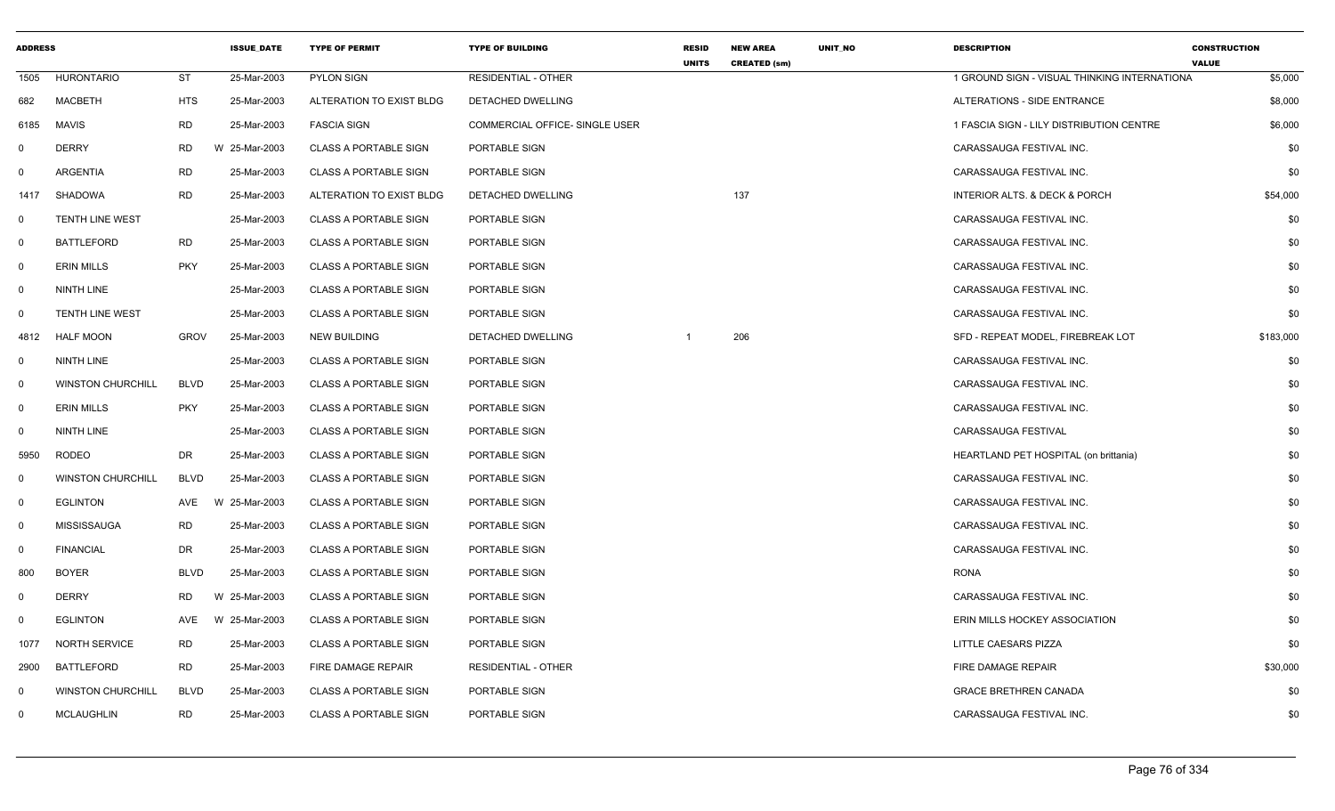| <b>ADDRESS</b> |                          |             | <b>ISSUE DATE</b> | <b>TYPE OF PERMIT</b>        | <b>TYPE OF BUILDING</b>               | RESID<br><b>UNITS</b> | <b>NEW AREA</b><br><b>CREATED (sm)</b> | UNIT_NO | <b>DESCRIPTION</b>                           | <b>CONSTRUCTION</b><br><b>VALUE</b> |
|----------------|--------------------------|-------------|-------------------|------------------------------|---------------------------------------|-----------------------|----------------------------------------|---------|----------------------------------------------|-------------------------------------|
| 1505           | <b>HURONTARIO</b>        | <b>ST</b>   | 25-Mar-2003       | <b>PYLON SIGN</b>            | <b>RESIDENTIAL - OTHER</b>            |                       |                                        |         | 1 GROUND SIGN - VISUAL THINKING INTERNATIONA | \$5,000                             |
| 682            | <b>MACBETH</b>           | <b>HTS</b>  | 25-Mar-2003       | ALTERATION TO EXIST BLDG     | DETACHED DWELLING                     |                       |                                        |         | ALTERATIONS - SIDE ENTRANCE                  | \$8,000                             |
| 6185           | <b>MAVIS</b>             | <b>RD</b>   | 25-Mar-2003       | <b>FASCIA SIGN</b>           | <b>COMMERCIAL OFFICE- SINGLE USER</b> |                       |                                        |         | 1 FASCIA SIGN - LILY DISTRIBUTION CENTRE     | \$6,000                             |
| $\mathbf 0$    | <b>DERRY</b>             | <b>RD</b>   | W 25-Mar-2003     | <b>CLASS A PORTABLE SIGN</b> | PORTABLE SIGN                         |                       |                                        |         | CARASSAUGA FESTIVAL INC.                     | \$0                                 |
| $\mathbf{0}$   | ARGENTIA                 | <b>RD</b>   | 25-Mar-2003       | <b>CLASS A PORTABLE SIGN</b> | PORTABLE SIGN                         |                       |                                        |         | CARASSAUGA FESTIVAL INC.                     | \$0                                 |
| 1417           | <b>SHADOWA</b>           | <b>RD</b>   | 25-Mar-2003       | ALTERATION TO EXIST BLDG     | DETACHED DWELLING                     |                       | 137                                    |         | <b>INTERIOR ALTS. &amp; DECK &amp; PORCH</b> | \$54,000                            |
| $\mathbf{0}$   | <b>TENTH LINE WEST</b>   |             | 25-Mar-2003       | <b>CLASS A PORTABLE SIGN</b> | PORTABLE SIGN                         |                       |                                        |         | CARASSAUGA FESTIVAL INC.                     | \$0                                 |
| $\mathbf{0}$   | <b>BATTLEFORD</b>        | <b>RD</b>   | 25-Mar-2003       | <b>CLASS A PORTABLE SIGN</b> | PORTABLE SIGN                         |                       |                                        |         | CARASSAUGA FESTIVAL INC.                     | \$0                                 |
| $\mathbf{0}$   | <b>ERIN MILLS</b>        | <b>PKY</b>  | 25-Mar-2003       | <b>CLASS A PORTABLE SIGN</b> | PORTABLE SIGN                         |                       |                                        |         | CARASSAUGA FESTIVAL INC.                     | \$0                                 |
| $\mathbf 0$    | NINTH LINE               |             | 25-Mar-2003       | <b>CLASS A PORTABLE SIGN</b> | PORTABLE SIGN                         |                       |                                        |         | CARASSAUGA FESTIVAL INC.                     | \$0                                 |
| $\mathbf 0$    | <b>TENTH LINE WEST</b>   |             | 25-Mar-2003       | <b>CLASS A PORTABLE SIGN</b> | PORTABLE SIGN                         |                       |                                        |         | CARASSAUGA FESTIVAL INC.                     | \$0                                 |
| 4812           | <b>HALF MOON</b>         | <b>GROV</b> | 25-Mar-2003       | <b>NEW BUILDING</b>          | DETACHED DWELLING                     |                       | 206                                    |         | SFD - REPEAT MODEL, FIREBREAK LOT            | \$183,000                           |
| $\mathbf{0}$   | NINTH LINE               |             | 25-Mar-2003       | <b>CLASS A PORTABLE SIGN</b> | PORTABLE SIGN                         |                       |                                        |         | CARASSAUGA FESTIVAL INC.                     | \$0                                 |
| $\mathbf 0$    | <b>WINSTON CHURCHILL</b> | <b>BLVD</b> | 25-Mar-2003       | <b>CLASS A PORTABLE SIGN</b> | PORTABLE SIGN                         |                       |                                        |         | CARASSAUGA FESTIVAL INC.                     | \$0                                 |
| $\mathbf 0$    | <b>ERIN MILLS</b>        | <b>PKY</b>  | 25-Mar-2003       | <b>CLASS A PORTABLE SIGN</b> | PORTABLE SIGN                         |                       |                                        |         | CARASSAUGA FESTIVAL INC.                     | \$0                                 |
| $\mathbf{0}$   | <b>NINTH LINE</b>        |             | 25-Mar-2003       | <b>CLASS A PORTABLE SIGN</b> | PORTABLE SIGN                         |                       |                                        |         | CARASSAUGA FESTIVAL                          | \$0                                 |
| 5950           | <b>RODEO</b>             | DR          | 25-Mar-2003       | <b>CLASS A PORTABLE SIGN</b> | PORTABLE SIGN                         |                       |                                        |         | HEARTLAND PET HOSPITAL (on brittania)        | \$0                                 |
| $\mathbf 0$    | <b>WINSTON CHURCHILL</b> | <b>BLVD</b> | 25-Mar-2003       | <b>CLASS A PORTABLE SIGN</b> | PORTABLE SIGN                         |                       |                                        |         | CARASSAUGA FESTIVAL INC.                     | \$0                                 |
| $\mathbf 0$    | <b>EGLINTON</b>          | AVE         | W 25-Mar-2003     | <b>CLASS A PORTABLE SIGN</b> | PORTABLE SIGN                         |                       |                                        |         | CARASSAUGA FESTIVAL INC.                     | \$0                                 |
| $\mathbf 0$    | <b>MISSISSAUGA</b>       | <b>RD</b>   | 25-Mar-2003       | <b>CLASS A PORTABLE SIGN</b> | PORTABLE SIGN                         |                       |                                        |         | CARASSAUGA FESTIVAL INC.                     | \$0                                 |
| $\Omega$       | <b>FINANCIAL</b>         | <b>DR</b>   | 25-Mar-2003       | <b>CLASS A PORTABLE SIGN</b> | PORTABLE SIGN                         |                       |                                        |         | CARASSAUGA FESTIVAL INC.                     | \$0                                 |
| 800            | <b>BOYER</b>             | <b>BLVD</b> | 25-Mar-2003       | <b>CLASS A PORTABLE SIGN</b> | PORTABLE SIGN                         |                       |                                        |         | <b>RONA</b>                                  | \$0                                 |
| $\mathbf{0}$   | <b>DERRY</b>             | <b>RD</b>   | W 25-Mar-2003     | <b>CLASS A PORTABLE SIGN</b> | PORTABLE SIGN                         |                       |                                        |         | CARASSAUGA FESTIVAL INC.                     | \$0                                 |
| $\mathbf 0$    | <b>EGLINTON</b>          | AVE         | W 25-Mar-2003     | <b>CLASS A PORTABLE SIGN</b> | PORTABLE SIGN                         |                       |                                        |         | ERIN MILLS HOCKEY ASSOCIATION                | \$0                                 |
| 1077           | <b>NORTH SERVICE</b>     | <b>RD</b>   | 25-Mar-2003       | <b>CLASS A PORTABLE SIGN</b> | PORTABLE SIGN                         |                       |                                        |         | LITTLE CAESARS PIZZA                         | \$0                                 |
| 2900           | <b>BATTLEFORD</b>        | <b>RD</b>   | 25-Mar-2003       | <b>FIRE DAMAGE REPAIR</b>    | <b>RESIDENTIAL - OTHER</b>            |                       |                                        |         | <b>FIRE DAMAGE REPAIR</b>                    | \$30,000                            |
| $\mathbf 0$    | <b>WINSTON CHURCHILL</b> | <b>BLVD</b> | 25-Mar-2003       | <b>CLASS A PORTABLE SIGN</b> | PORTABLE SIGN                         |                       |                                        |         | <b>GRACE BRETHREN CANADA</b>                 | \$0                                 |
| $\mathbf 0$    | <b>MCLAUGHLIN</b>        | <b>RD</b>   | 25-Mar-2003       | <b>CLASS A PORTABLE SIGN</b> | PORTABLE SIGN                         |                       |                                        |         | CARASSAUGA FESTIVAL INC.                     | \$0                                 |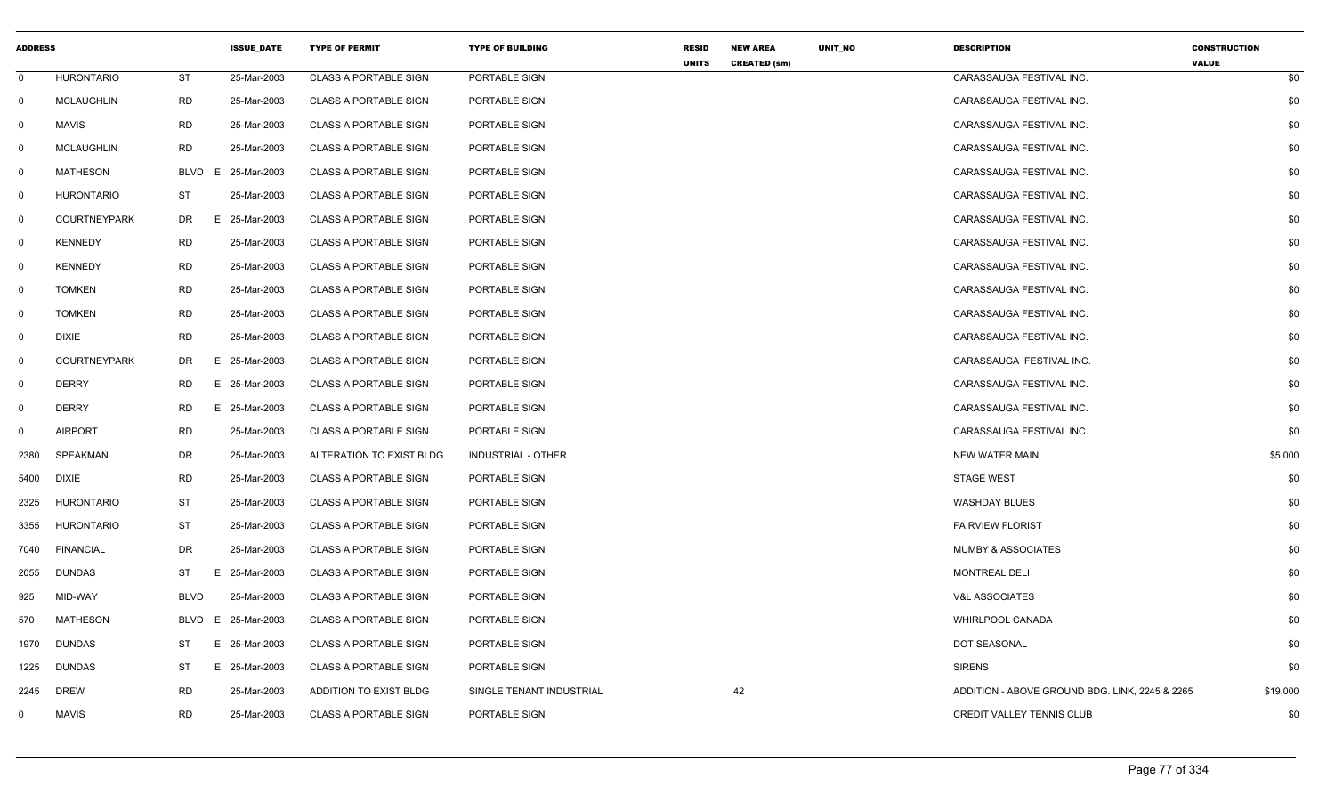| <b>ADDRESS</b> |                     |             | <b>ISSUE_DATE</b> | <b>TYPE OF PERMIT</b>        | <b>TYPE OF BUILDING</b>   | <b>RESID</b><br><b>UNITS</b> | <b>NEW AREA</b><br><b>CREATED (sm)</b> | UNIT_NO | <b>DESCRIPTION</b>                             | <b>CONSTRUCTION</b><br><b>VALUE</b> |
|----------------|---------------------|-------------|-------------------|------------------------------|---------------------------|------------------------------|----------------------------------------|---------|------------------------------------------------|-------------------------------------|
| $\mathbf 0$    | <b>HURONTARIO</b>   | <b>ST</b>   | 25-Mar-2003       | <b>CLASS A PORTABLE SIGN</b> | PORTABLE SIGN             |                              |                                        |         | CARASSAUGA FESTIVAL INC.                       | \$0                                 |
| $\mathbf{0}$   | <b>MCLAUGHLIN</b>   | <b>RD</b>   | 25-Mar-2003       | <b>CLASS A PORTABLE SIGN</b> | PORTABLE SIGN             |                              |                                        |         | CARASSAUGA FESTIVAL INC.                       | \$0                                 |
| $\mathbf 0$    | <b>MAVIS</b>        | RD          | 25-Mar-2003       | <b>CLASS A PORTABLE SIGN</b> | PORTABLE SIGN             |                              |                                        |         | CARASSAUGA FESTIVAL INC.                       | \$0                                 |
| 0              | <b>MCLAUGHLIN</b>   | <b>RD</b>   | 25-Mar-2003       | <b>CLASS A PORTABLE SIGN</b> | PORTABLE SIGN             |                              |                                        |         | CARASSAUGA FESTIVAL INC.                       | \$0                                 |
| $\mathbf 0$    | <b>MATHESON</b>     | <b>BLVD</b> | E 25-Mar-2003     | <b>CLASS A PORTABLE SIGN</b> | PORTABLE SIGN             |                              |                                        |         | CARASSAUGA FESTIVAL INC.                       | \$0                                 |
| 0              | <b>HURONTARIO</b>   | <b>ST</b>   | 25-Mar-2003       | <b>CLASS A PORTABLE SIGN</b> | PORTABLE SIGN             |                              |                                        |         | CARASSAUGA FESTIVAL INC.                       | \$0                                 |
| 0              | <b>COURTNEYPARK</b> | DR.         | E.<br>25-Mar-2003 | <b>CLASS A PORTABLE SIGN</b> | PORTABLE SIGN             |                              |                                        |         | CARASSAUGA FESTIVAL INC.                       | \$0                                 |
| $\mathbf{0}$   | <b>KENNEDY</b>      | <b>RD</b>   | 25-Mar-2003       | <b>CLASS A PORTABLE SIGN</b> | PORTABLE SIGN             |                              |                                        |         | CARASSAUGA FESTIVAL INC.                       | \$0                                 |
| $\mathbf 0$    | <b>KENNEDY</b>      | <b>RD</b>   | 25-Mar-2003       | <b>CLASS A PORTABLE SIGN</b> | PORTABLE SIGN             |                              |                                        |         | CARASSAUGA FESTIVAL INC.                       | \$0                                 |
| 0              | <b>TOMKEN</b>       | <b>RD</b>   | 25-Mar-2003       | <b>CLASS A PORTABLE SIGN</b> | PORTABLE SIGN             |                              |                                        |         | CARASSAUGA FESTIVAL INC.                       | \$0                                 |
| 0              | <b>TOMKEN</b>       | <b>RD</b>   | 25-Mar-2003       | <b>CLASS A PORTABLE SIGN</b> | PORTABLE SIGN             |                              |                                        |         | CARASSAUGA FESTIVAL INC.                       | \$0                                 |
| $\mathbf 0$    | <b>DIXIE</b>        | <b>RD</b>   | 25-Mar-2003       | CLASS A PORTABLE SIGN        | PORTABLE SIGN             |                              |                                        |         | CARASSAUGA FESTIVAL INC.                       | \$0                                 |
| $\mathbf 0$    | <b>COURTNEYPARK</b> | DR.         | E 25-Mar-2003     | <b>CLASS A PORTABLE SIGN</b> | PORTABLE SIGN             |                              |                                        |         | CARASSAUGA FESTIVAL INC.                       | \$0                                 |
| $\mathbf 0$    | <b>DERRY</b>        | <b>RD</b>   | Е.<br>25-Mar-2003 | <b>CLASS A PORTABLE SIGN</b> | PORTABLE SIGN             |                              |                                        |         | CARASSAUGA FESTIVAL INC.                       | \$0                                 |
| 0              | <b>DERRY</b>        | <b>RD</b>   | E 25-Mar-2003     | <b>CLASS A PORTABLE SIGN</b> | PORTABLE SIGN             |                              |                                        |         | CARASSAUGA FESTIVAL INC.                       | \$0                                 |
| $\mathbf{0}$   | <b>AIRPORT</b>      | RD          | 25-Mar-2003       | CLASS A PORTABLE SIGN        | PORTABLE SIGN             |                              |                                        |         | CARASSAUGA FESTIVAL INC.                       | \$0                                 |
| 2380           | SPEAKMAN            | <b>DR</b>   | 25-Mar-2003       | ALTERATION TO EXIST BLDG     | <b>INDUSTRIAL - OTHER</b> |                              |                                        |         | <b>NEW WATER MAIN</b>                          | \$5,000                             |
| 5400           | <b>DIXIE</b>        | <b>RD</b>   | 25-Mar-2003       | <b>CLASS A PORTABLE SIGN</b> | PORTABLE SIGN             |                              |                                        |         | <b>STAGE WEST</b>                              | \$0                                 |
| 2325           | <b>HURONTARIO</b>   | <b>ST</b>   | 25-Mar-2003       | <b>CLASS A PORTABLE SIGN</b> | PORTABLE SIGN             |                              |                                        |         | <b>WASHDAY BLUES</b>                           | \$0                                 |
| 3355           | <b>HURONTARIO</b>   | ST          | 25-Mar-2003       | <b>CLASS A PORTABLE SIGN</b> | PORTABLE SIGN             |                              |                                        |         | <b>FAIRVIEW FLORIST</b>                        | \$0                                 |
| 7040           | <b>FINANCIAL</b>    | DR          | 25-Mar-2003       | <b>CLASS A PORTABLE SIGN</b> | PORTABLE SIGN             |                              |                                        |         | <b>MUMBY &amp; ASSOCIATES</b>                  | \$0                                 |
| 2055           | <b>DUNDAS</b>       | ST          | Е.<br>25-Mar-2003 | <b>CLASS A PORTABLE SIGN</b> | PORTABLE SIGN             |                              |                                        |         | <b>MONTREAL DELI</b>                           | \$0                                 |
| 925            | MID-WAY             | <b>BLVD</b> | 25-Mar-2003       | <b>CLASS A PORTABLE SIGN</b> | PORTABLE SIGN             |                              |                                        |         | <b>V&amp;L ASSOCIATES</b>                      | \$0                                 |
| 570            | MATHESON            | BLVD        | E<br>25-Mar-2003  | <b>CLASS A PORTABLE SIGN</b> | PORTABLE SIGN             |                              |                                        |         | <b>WHIRLPOOL CANADA</b>                        | \$0                                 |
| 1970           | <b>DUNDAS</b>       | ST          | E<br>25-Mar-2003  | <b>CLASS A PORTABLE SIGN</b> | PORTABLE SIGN             |                              |                                        |         | DOT SEASONAL                                   | \$0                                 |
| 1225           | <b>DUNDAS</b>       | ST          | E 25-Mar-2003     | <b>CLASS A PORTABLE SIGN</b> | PORTABLE SIGN             |                              |                                        |         | <b>SIRENS</b>                                  | \$0                                 |
| 2245           | <b>DREW</b>         | <b>RD</b>   | 25-Mar-2003       | ADDITION TO EXIST BLDG       | SINGLE TENANT INDUSTRIAL  |                              | 42                                     |         | ADDITION - ABOVE GROUND BDG. LINK, 2245 & 2265 | \$19,000                            |
| $\mathbf 0$    | <b>MAVIS</b>        | <b>RD</b>   | 25-Mar-2003       | <b>CLASS A PORTABLE SIGN</b> | PORTABLE SIGN             |                              |                                        |         | <b>CREDIT VALLEY TENNIS CLUB</b>               | \$0                                 |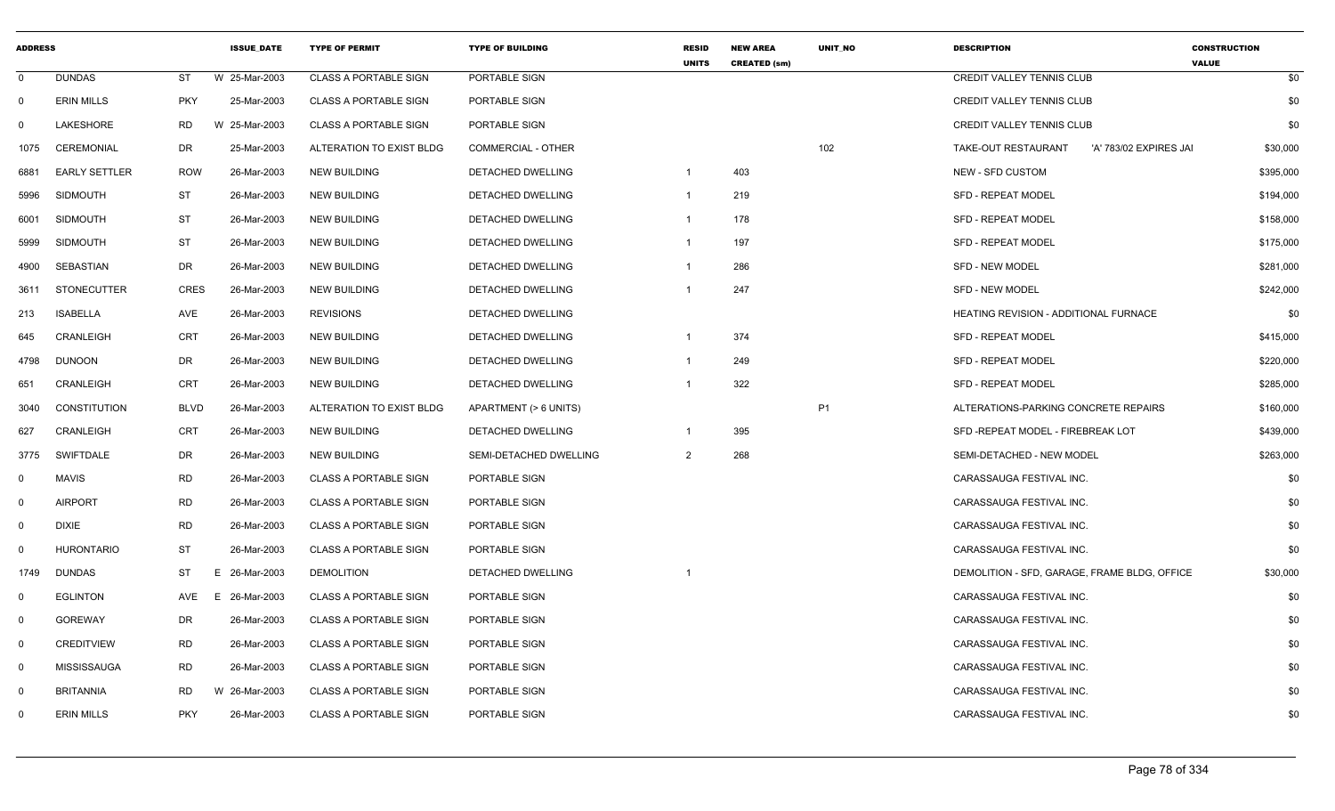| <b>ADDRESS</b> |                      |             | <b>ISSUE DATE</b> | <b>TYPE OF PERMIT</b>        | <b>TYPE OF BUILDING</b>   | <b>RESID</b><br><b>UNITS</b> | <b>NEW AREA</b><br><b>CREATED (sm)</b> | UNIT_NO   | <b>DESCRIPTION</b>                            | <b>CONSTRUCTION</b><br><b>VALUE</b> |
|----------------|----------------------|-------------|-------------------|------------------------------|---------------------------|------------------------------|----------------------------------------|-----------|-----------------------------------------------|-------------------------------------|
| $\mathbf 0$    | <b>DUNDAS</b>        | ST          | W 25-Mar-2003     | <b>CLASS A PORTABLE SIGN</b> | PORTABLE SIGN             |                              |                                        |           | <b>CREDIT VALLEY TENNIS CLUB</b>              | \$0                                 |
| $\mathbf 0$    | <b>ERIN MILLS</b>    | <b>PKY</b>  | 25-Mar-2003       | <b>CLASS A PORTABLE SIGN</b> | PORTABLE SIGN             |                              |                                        |           | <b>CREDIT VALLEY TENNIS CLUB</b>              | \$0                                 |
| 0              | <b>LAKESHORE</b>     | <b>RD</b>   | W 25-Mar-2003     | <b>CLASS A PORTABLE SIGN</b> | PORTABLE SIGN             |                              |                                        |           | CREDIT VALLEY TENNIS CLUB                     | \$0                                 |
| 1075           | CEREMONIAL           | DR          | 25-Mar-2003       | ALTERATION TO EXIST BLDG     | <b>COMMERCIAL - OTHER</b> |                              |                                        | 102       | TAKE-OUT RESTAURANT<br>'A' 783/02 EXPIRES JAI | \$30,000                            |
| 6881           | <b>EARLY SETTLER</b> | <b>ROW</b>  | 26-Mar-2003       | <b>NEW BUILDING</b>          | DETACHED DWELLING         | - 1                          | 403                                    |           | NEW - SFD CUSTOM                              | \$395,000                           |
| 5996           | <b>SIDMOUTH</b>      | <b>ST</b>   | 26-Mar-2003       | <b>NEW BUILDING</b>          | DETACHED DWELLING         | -1                           | 219                                    |           | <b>SFD - REPEAT MODEL</b>                     | \$194,000                           |
| 6001           | <b>SIDMOUTH</b>      | <b>ST</b>   | 26-Mar-2003       | NEW BUILDING                 | DETACHED DWELLING         | $\overline{\mathbf{1}}$      | 178                                    |           | <b>SFD - REPEAT MODEL</b>                     | \$158,000                           |
| 5999           | <b>SIDMOUTH</b>      | ST          | 26-Mar-2003       | <b>NEW BUILDING</b>          | <b>DETACHED DWELLING</b>  | - 1                          | 197                                    |           | <b>SFD - REPEAT MODEL</b>                     | \$175,000                           |
| 4900           | SEBASTIAN            | DR          | 26-Mar-2003       | <b>NEW BUILDING</b>          | DETACHED DWELLING         | - 1                          | 286                                    |           | SFD - NEW MODEL                               | \$281,000                           |
| 3611           | <b>STONECUTTER</b>   | <b>CRES</b> | 26-Mar-2003       | <b>NEW BUILDING</b>          | DETACHED DWELLING         |                              | 247                                    |           | SFD - NEW MODEL                               | \$242,000                           |
| 213            | <b>ISABELLA</b>      | AVE         | 26-Mar-2003       | <b>REVISIONS</b>             | DETACHED DWELLING         |                              |                                        |           | HEATING REVISION - ADDITIONAL FURNACE         | \$0                                 |
| 645            | CRANLEIGH            | CRT         | 26-Mar-2003       | <b>NEW BUILDING</b>          | DETACHED DWELLING         |                              | 374                                    |           | <b>SFD - REPEAT MODEL</b>                     | \$415,000                           |
| 4798           | <b>DUNOON</b>        | DR          | 26-Mar-2003       | <b>NEW BUILDING</b>          | DETACHED DWELLING         |                              | 249                                    |           | <b>SFD - REPEAT MODEL</b>                     | \$220,000                           |
| 651            | CRANLEIGH            | CRT         | 26-Mar-2003       | <b>NEW BUILDING</b>          | DETACHED DWELLING         | - 1                          | 322                                    |           | SFD - REPEAT MODEL                            | \$285,000                           |
| 3040           | <b>CONSTITUTION</b>  | <b>BLVD</b> | 26-Mar-2003       | ALTERATION TO EXIST BLDG     | APARTMENT (> 6 UNITS)     |                              |                                        | <b>P1</b> | ALTERATIONS-PARKING CONCRETE REPAIRS          | \$160,000                           |
| 627            | CRANLEIGH            | <b>CRT</b>  | 26-Mar-2003       | <b>NEW BUILDING</b>          | DETACHED DWELLING         | - 1                          | 395                                    |           | SFD - REPEAT MODEL - FIREBREAK LOT            | \$439,000                           |
| 3775           | <b>SWIFTDALE</b>     | DR          | 26-Mar-2003       | <b>NEW BUILDING</b>          | SEMI-DETACHED DWELLING    | 2                            | 268                                    |           | SEMI-DETACHED - NEW MODEL                     | \$263,000                           |
| $\mathbf 0$    | MAVIS                | <b>RD</b>   | 26-Mar-2003       | <b>CLASS A PORTABLE SIGN</b> | PORTABLE SIGN             |                              |                                        |           | CARASSAUGA FESTIVAL INC.                      | \$0                                 |
| $\Omega$       | <b>AIRPORT</b>       | <b>RD</b>   | 26-Mar-2003       | <b>CLASS A PORTABLE SIGN</b> | PORTABLE SIGN             |                              |                                        |           | CARASSAUGA FESTIVAL INC.                      | \$0                                 |
| $\mathbf 0$    | DIXIE                | <b>RD</b>   | 26-Mar-2003       | <b>CLASS A PORTABLE SIGN</b> | PORTABLE SIGN             |                              |                                        |           | CARASSAUGA FESTIVAL INC.                      | \$0                                 |
| 0              | <b>HURONTARIO</b>    | ST          | 26-Mar-2003       | <b>CLASS A PORTABLE SIGN</b> | PORTABLE SIGN             |                              |                                        |           | CARASSAUGA FESTIVAL INC.                      | \$0                                 |
| 1749           | <b>DUNDAS</b>        | <b>ST</b>   | E 26-Mar-2003     | <b>DEMOLITION</b>            | DETACHED DWELLING         | -1                           |                                        |           | DEMOLITION - SFD, GARAGE, FRAME BLDG, OFFICE  | \$30,000                            |
| 0              | <b>EGLINTON</b>      | AVE         | E 26-Mar-2003     | <b>CLASS A PORTABLE SIGN</b> | PORTABLE SIGN             |                              |                                        |           | CARASSAUGA FESTIVAL INC.                      | \$0                                 |
| $\mathbf 0$    | <b>GOREWAY</b>       | DR          | 26-Mar-2003       | <b>CLASS A PORTABLE SIGN</b> | PORTABLE SIGN             |                              |                                        |           | CARASSAUGA FESTIVAL INC.                      | \$0                                 |
| $\mathbf{0}$   | <b>CREDITVIEW</b>    | <b>RD</b>   | 26-Mar-2003       | <b>CLASS A PORTABLE SIGN</b> | PORTABLE SIGN             |                              |                                        |           | CARASSAUGA FESTIVAL INC.                      | \$0                                 |
| $\mathbf 0$    | <b>MISSISSAUGA</b>   | <b>RD</b>   | 26-Mar-2003       | <b>CLASS A PORTABLE SIGN</b> | PORTABLE SIGN             |                              |                                        |           | CARASSAUGA FESTIVAL INC.                      | \$0                                 |
| $\mathbf 0$    | <b>BRITANNIA</b>     | <b>RD</b>   | W 26-Mar-2003     | <b>CLASS A PORTABLE SIGN</b> | PORTABLE SIGN             |                              |                                        |           | CARASSAUGA FESTIVAL INC.                      | \$0                                 |
| 0              | <b>ERIN MILLS</b>    | <b>PKY</b>  | 26-Mar-2003       | <b>CLASS A PORTABLE SIGN</b> | PORTABLE SIGN             |                              |                                        |           | CARASSAUGA FESTIVAL INC.                      | \$0                                 |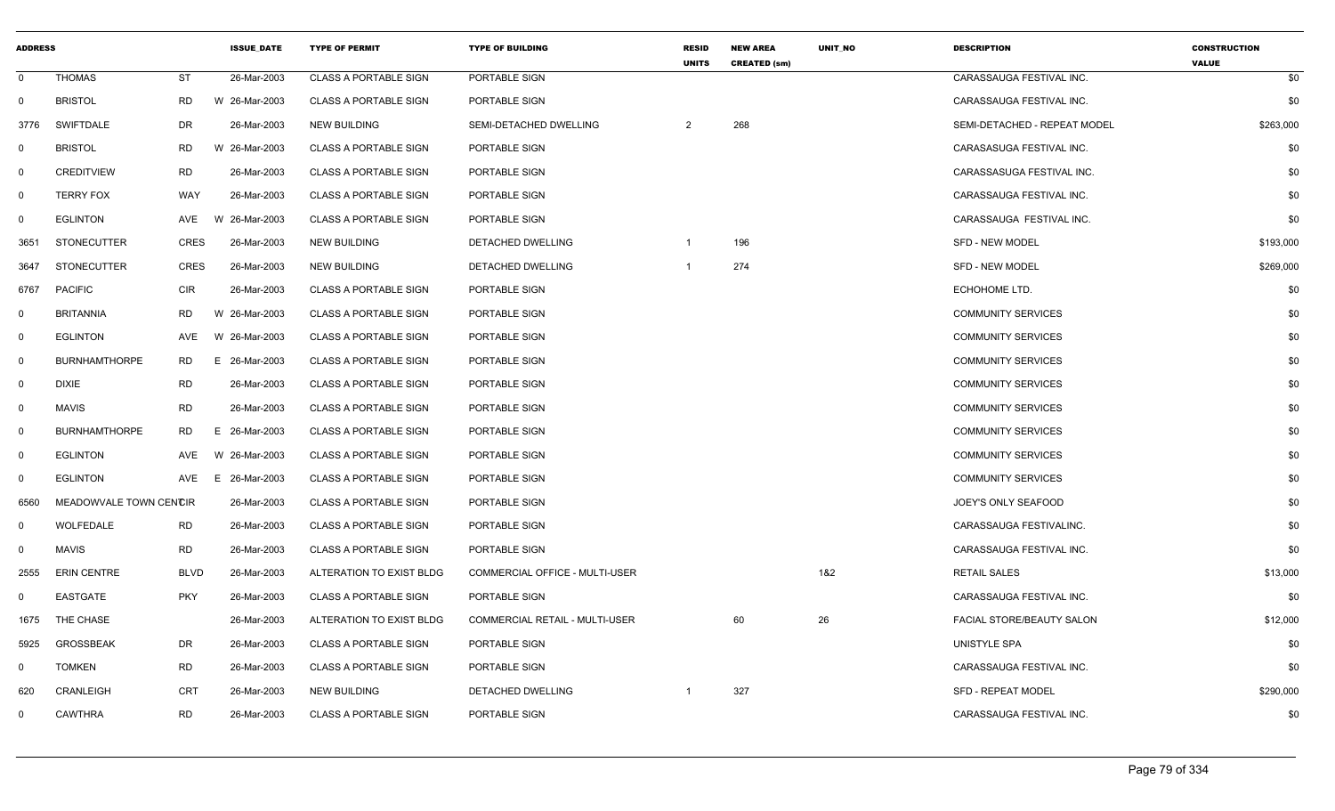| <b>ADDRESS</b> |                        |             | <b>ISSUE DATE</b> | <b>TYPE OF PERMIT</b>        | <b>TYPE OF BUILDING</b>               | <b>RESID</b><br><b>UNITS</b> | <b>NEW AREA</b><br><b>CREATED (sm)</b> | <b>UNIT NO</b> | <b>DESCRIPTION</b>           | <b>CONSTRUCTION</b><br><b>VALUE</b> |
|----------------|------------------------|-------------|-------------------|------------------------------|---------------------------------------|------------------------------|----------------------------------------|----------------|------------------------------|-------------------------------------|
| $\mathbf{0}$   | <b>THOMAS</b>          | <b>ST</b>   | 26-Mar-2003       | <b>CLASS A PORTABLE SIGN</b> | PORTABLE SIGN                         |                              |                                        |                | CARASSAUGA FESTIVAL INC.     | \$0                                 |
| $\mathbf 0$    | <b>BRISTOL</b>         | <b>RD</b>   | W 26-Mar-2003     | <b>CLASS A PORTABLE SIGN</b> | PORTABLE SIGN                         |                              |                                        |                | CARASSAUGA FESTIVAL INC.     | \$0                                 |
| 3776           | <b>SWIFTDALE</b>       | DR          | 26-Mar-2003       | <b>NEW BUILDING</b>          | SEMI-DETACHED DWELLING                | 2                            | 268                                    |                | SEMI-DETACHED - REPEAT MODEL | \$263,000                           |
| $\mathbf 0$    | <b>BRISTOL</b>         | <b>RD</b>   | W 26-Mar-2003     | <b>CLASS A PORTABLE SIGN</b> | PORTABLE SIGN                         |                              |                                        |                | CARASASUGA FESTIVAL INC.     | \$0                                 |
| $\mathbf 0$    | <b>CREDITVIEW</b>      | <b>RD</b>   | 26-Mar-2003       | <b>CLASS A PORTABLE SIGN</b> | PORTABLE SIGN                         |                              |                                        |                | CARASSASUGA FESTIVAL INC.    | \$0                                 |
| $\mathbf{0}$   | <b>TERRY FOX</b>       | WAY         | 26-Mar-2003       | <b>CLASS A PORTABLE SIGN</b> | PORTABLE SIGN                         |                              |                                        |                | CARASSAUGA FESTIVAL INC.     | \$0                                 |
| $\mathbf 0$    | <b>EGLINTON</b>        | AVE         | W 26-Mar-2003     | <b>CLASS A PORTABLE SIGN</b> | PORTABLE SIGN                         |                              |                                        |                | CARASSAUGA FESTIVAL INC.     | \$0                                 |
| 3651           | <b>STONECUTTER</b>     | <b>CRES</b> | 26-Mar-2003       | <b>NEW BUILDING</b>          | DETACHED DWELLING                     | $\mathbf{1}$                 | 196                                    |                | <b>SFD - NEW MODEL</b>       | \$193,000                           |
| 3647           | <b>STONECUTTER</b>     | <b>CRES</b> | 26-Mar-2003       | NEW BUILDING                 | DETACHED DWELLING                     | $\mathbf{1}$                 | 274                                    |                | SFD - NEW MODEL              | \$269,000                           |
| 6767           | <b>PACIFIC</b>         | <b>CIR</b>  | 26-Mar-2003       | <b>CLASS A PORTABLE SIGN</b> | PORTABLE SIGN                         |                              |                                        |                | ECHOHOME LTD.                | \$0                                 |
| $\mathbf 0$    | <b>BRITANNIA</b>       | RD          | W 26-Mar-2003     | <b>CLASS A PORTABLE SIGN</b> | PORTABLE SIGN                         |                              |                                        |                | <b>COMMUNITY SERVICES</b>    | \$0                                 |
| $\mathbf 0$    | <b>EGLINTON</b>        | AVE         | W 26-Mar-2003     | <b>CLASS A PORTABLE SIGN</b> | PORTABLE SIGN                         |                              |                                        |                | <b>COMMUNITY SERVICES</b>    | \$0                                 |
| $\mathbf 0$    | <b>BURNHAMTHORPE</b>   | <b>RD</b>   | E 26-Mar-2003     | <b>CLASS A PORTABLE SIGN</b> | PORTABLE SIGN                         |                              |                                        |                | <b>COMMUNITY SERVICES</b>    | \$0                                 |
| $\mathbf{0}$   | <b>DIXIE</b>           | <b>RD</b>   | 26-Mar-2003       | <b>CLASS A PORTABLE SIGN</b> | PORTABLE SIGN                         |                              |                                        |                | <b>COMMUNITY SERVICES</b>    | \$0                                 |
| $\mathbf 0$    | <b>MAVIS</b>           | <b>RD</b>   | 26-Mar-2003       | <b>CLASS A PORTABLE SIGN</b> | PORTABLE SIGN                         |                              |                                        |                | <b>COMMUNITY SERVICES</b>    | \$0                                 |
| $\mathbf 0$    | <b>BURNHAMTHORPE</b>   | <b>RD</b>   | E 26-Mar-2003     | <b>CLASS A PORTABLE SIGN</b> | PORTABLE SIGN                         |                              |                                        |                | <b>COMMUNITY SERVICES</b>    | \$0                                 |
| $\mathbf 0$    | <b>EGLINTON</b>        | AVE         | W 26-Mar-2003     | <b>CLASS A PORTABLE SIGN</b> | PORTABLE SIGN                         |                              |                                        |                | <b>COMMUNITY SERVICES</b>    | \$0                                 |
| $\mathbf 0$    | <b>EGLINTON</b>        | AVE         | 26-Mar-2003<br>Е. | <b>CLASS A PORTABLE SIGN</b> | PORTABLE SIGN                         |                              |                                        |                | <b>COMMUNITY SERVICES</b>    | \$0                                 |
| 6560           | MEADOWVALE TOWN CENCIR |             | 26-Mar-2003       | CLASS A PORTABLE SIGN        | PORTABLE SIGN                         |                              |                                        |                | JOEY'S ONLY SEAFOOD          | \$0                                 |
| $\mathbf 0$    | WOLFEDALE              | <b>RD</b>   | 26-Mar-2003       | <b>CLASS A PORTABLE SIGN</b> | PORTABLE SIGN                         |                              |                                        |                | CARASSAUGA FESTIVALINC.      | \$0                                 |
| $\Omega$       | <b>MAVIS</b>           | <b>RD</b>   | 26-Mar-2003       | <b>CLASS A PORTABLE SIGN</b> | PORTABLE SIGN                         |                              |                                        |                | CARASSAUGA FESTIVAL INC.     | \$0                                 |
| 2555           | <b>ERIN CENTRE</b>     | <b>BLVD</b> | 26-Mar-2003       | ALTERATION TO EXIST BLDG     | <b>COMMERCIAL OFFICE - MULTI-USER</b> |                              |                                        | 1&2            | <b>RETAIL SALES</b>          | \$13,000                            |
| $\Omega$       | EASTGATE               | <b>PKY</b>  | 26-Mar-2003       | <b>CLASS A PORTABLE SIGN</b> | PORTABLE SIGN                         |                              |                                        |                | CARASSAUGA FESTIVAL INC.     | \$0                                 |
| 1675           | THE CHASE              |             | 26-Mar-2003       | ALTERATION TO EXIST BLDG     | <b>COMMERCIAL RETAIL - MULTI-USER</b> |                              | 60                                     | 26             | FACIAL STORE/BEAUTY SALON    | \$12,000                            |
| 5925           | <b>GROSSBEAK</b>       | <b>DR</b>   | 26-Mar-2003       | <b>CLASS A PORTABLE SIGN</b> | PORTABLE SIGN                         |                              |                                        |                | UNISTYLE SPA                 | \$0                                 |
| $\mathbf 0$    | <b>TOMKEN</b>          | <b>RD</b>   | 26-Mar-2003       | <b>CLASS A PORTABLE SIGN</b> | PORTABLE SIGN                         |                              |                                        |                | CARASSAUGA FESTIVAL INC.     | \$0                                 |
| 620            | CRANLEIGH              | <b>CRT</b>  | 26-Mar-2003       | <b>NEW BUILDING</b>          | DETACHED DWELLING                     | $\mathbf{1}$                 | 327                                    |                | <b>SFD - REPEAT MODEL</b>    | \$290,000                           |
| $\mathbf 0$    | <b>CAWTHRA</b>         | <b>RD</b>   | 26-Mar-2003       | <b>CLASS A PORTABLE SIGN</b> | PORTABLE SIGN                         |                              |                                        |                | CARASSAUGA FESTIVAL INC.     | \$0                                 |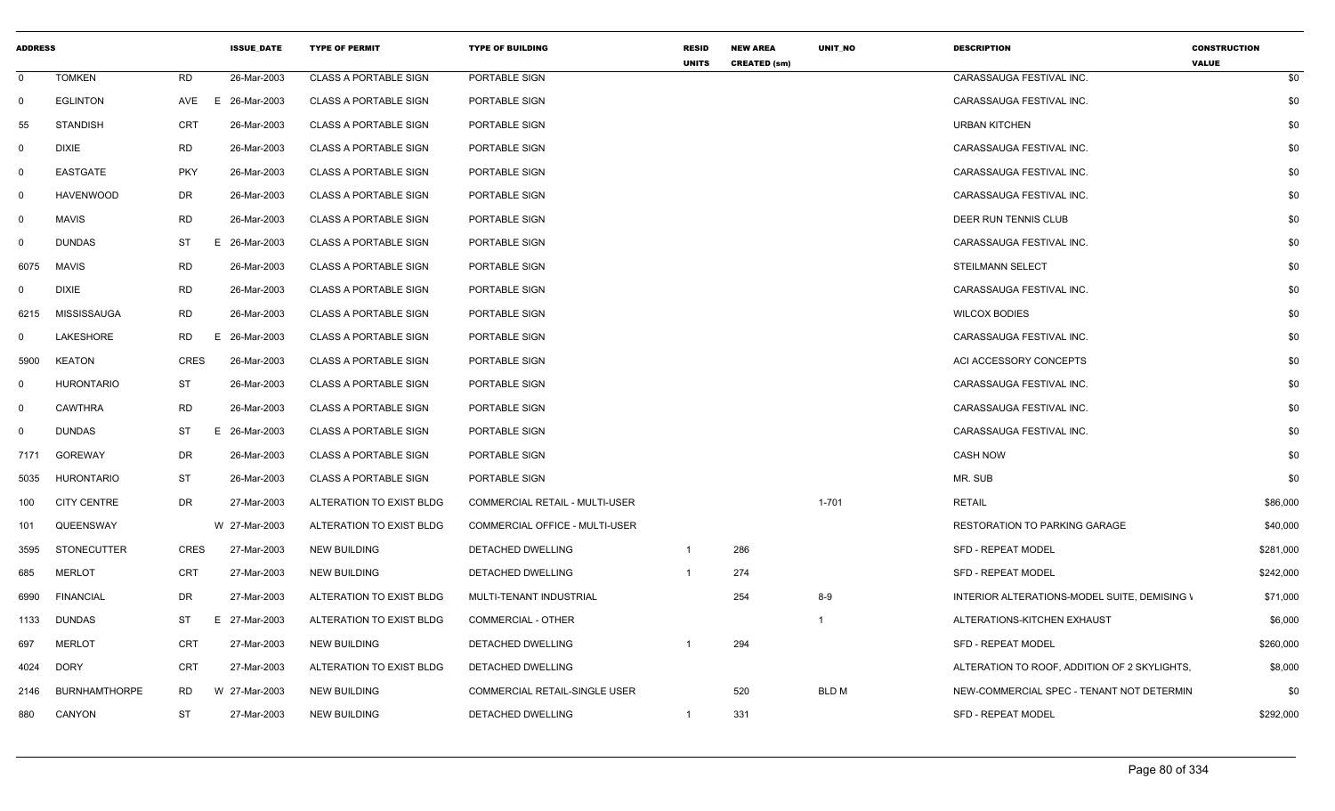| <b>ADDRESS</b> |                      |             | <b>ISSUE DATE</b> | <b>TYPE OF PERMIT</b>        | <b>TYPE OF BUILDING</b>        | <b>RESID</b><br><b>UNITS</b> | <b>NEW AREA</b><br><b>CREATED (sm)</b> | <b>UNIT NO</b> | <b>DESCRIPTION</b>                           | <b>CONSTRUCTION</b><br><b>VALUE</b> |           |
|----------------|----------------------|-------------|-------------------|------------------------------|--------------------------------|------------------------------|----------------------------------------|----------------|----------------------------------------------|-------------------------------------|-----------|
| $\Omega$       | <b>TOMKEN</b>        | RD          | 26-Mar-2003       | <b>CLASS A PORTABLE SIGN</b> | PORTABLE SIGN                  |                              |                                        |                | CARASSAUGA FESTIVAL INC.                     |                                     | \$0       |
| $\Omega$       | <b>EGLINTON</b>      |             | AVE E 26-Mar-2003 | <b>CLASS A PORTABLE SIGN</b> | PORTABLE SIGN                  |                              |                                        |                | CARASSAUGA FESTIVAL INC.                     |                                     | \$0       |
| 55             | <b>STANDISH</b>      | <b>CRT</b>  | 26-Mar-2003       | <b>CLASS A PORTABLE SIGN</b> | PORTABLE SIGN                  |                              |                                        |                | <b>URBAN KITCHEN</b>                         |                                     | \$0       |
| . വ            | DIXIE                | <b>RD</b>   | 26-Mar-2003       | <b>CLASS A PORTABLE SIGN</b> | PORTABLE SIGN                  |                              |                                        |                | CARASSAUGA FESTIVAL INC.                     |                                     | \$0       |
|                | EASTGATE             | <b>PKY</b>  | 26-Mar-2003       | <b>CLASS A PORTABLE SIGN</b> | PORTABLE SIGN                  |                              |                                        |                | CARASSAUGA FESTIVAL INC.                     |                                     | \$0       |
| $\Omega$       | <b>HAVENWOOD</b>     | DR          | 26-Mar-2003       | <b>CLASS A PORTABLE SIGN</b> | PORTABLE SIGN                  |                              |                                        |                | CARASSAUGA FESTIVAL INC.                     |                                     | \$0       |
|                | <b>MAVIS</b>         | RD          | 26-Mar-2003       | <b>CLASS A PORTABLE SIGN</b> | PORTABLE SIGN                  |                              |                                        |                | DEER RUN TENNIS CLUB                         |                                     | \$0       |
|                | <b>DUNDAS</b>        | <b>ST</b>   | E 26-Mar-2003     | <b>CLASS A PORTABLE SIGN</b> | PORTABLE SIGN                  |                              |                                        |                | CARASSAUGA FESTIVAL INC.                     |                                     | \$0       |
| 6075           | MAVIS                | RD          | 26-Mar-2003       | <b>CLASS A PORTABLE SIGN</b> | PORTABLE SIGN                  |                              |                                        |                | <b>STEILMANN SELECT</b>                      |                                     | \$0       |
|                | <b>DIXIE</b>         | RD          | 26-Mar-2003       | <b>CLASS A PORTABLE SIGN</b> | PORTABLE SIGN                  |                              |                                        |                | CARASSAUGA FESTIVAL INC.                     |                                     | \$0       |
| 6215           | MISSISSAUGA          | <b>RD</b>   | 26-Mar-2003       | <b>CLASS A PORTABLE SIGN</b> | PORTABLE SIGN                  |                              |                                        |                | <b>WILCOX BODIES</b>                         |                                     | \$0       |
|                | LAKESHORE            | <b>RD</b>   | E 26-Mar-2003     | <b>CLASS A PORTABLE SIGN</b> | PORTABLE SIGN                  |                              |                                        |                | CARASSAUGA FESTIVAL INC.                     |                                     | \$0       |
| 5900           | KEATON               | <b>CRES</b> | 26-Mar-2003       | <b>CLASS A PORTABLE SIGN</b> | PORTABLE SIGN                  |                              |                                        |                | ACI ACCESSORY CONCEPTS                       |                                     | \$0       |
|                | <b>HURONTARIO</b>    | ST          | 26-Mar-2003       | <b>CLASS A PORTABLE SIGN</b> | PORTABLE SIGN                  |                              |                                        |                | CARASSAUGA FESTIVAL INC.                     |                                     | \$0       |
|                | <b>CAWTHRA</b>       | <b>RD</b>   | 26-Mar-2003       | <b>CLASS A PORTABLE SIGN</b> | PORTABLE SIGN                  |                              |                                        |                | CARASSAUGA FESTIVAL INC.                     |                                     | \$0       |
| $\Omega$       | DUNDAS               | ST          | E 26-Mar-2003     | <b>CLASS A PORTABLE SIGN</b> | PORTABLE SIGN                  |                              |                                        |                | CARASSAUGA FESTIVAL INC.                     |                                     | \$0       |
|                | 7171 GOREWAY         | DR          | 26-Mar-2003       | <b>CLASS A PORTABLE SIGN</b> | PORTABLE SIGN                  |                              |                                        |                | <b>CASH NOW</b>                              |                                     | \$0       |
| 5035           | HURONTARIO           | ST          | 26-Mar-2003       | <b>CLASS A PORTABLE SIGN</b> | PORTABLE SIGN                  |                              |                                        |                | MR. SUB                                      |                                     | \$0       |
| 100            | <b>CITY CENTRE</b>   | DR          | 27-Mar-2003       | ALTERATION TO EXIST BLDG     | COMMERCIAL RETAIL - MULTI-USER |                              |                                        | $1 - 701$      | <b>RETAIL</b>                                |                                     | \$86,000  |
| 101            | QUEENSWAY            |             | W 27-Mar-2003     | ALTERATION TO EXIST BLDG     | COMMERCIAL OFFICE - MULTI-USER |                              |                                        |                | <b>RESTORATION TO PARKING GARAGE</b>         |                                     | \$40,000  |
| 3595           | STONECUTTER          | CRES        | 27-Mar-2003       | <b>NEW BUILDING</b>          | DETACHED DWELLING              |                              | 286                                    |                | <b>SFD - REPEAT MODEL</b>                    |                                     | \$281,000 |
| 685            | <b>MERLOT</b>        | <b>CRT</b>  | 27-Mar-2003       | <b>NEW BUILDING</b>          | DETACHED DWELLING              | $\overline{1}$               | 274                                    |                | <b>SFD - REPEAT MODEL</b>                    |                                     | \$242,000 |
| 6990           | <b>FINANCIAL</b>     | DR          | 27-Mar-2003       | ALTERATION TO EXIST BLDG     | MULTI-TENANT INDUSTRIAL        |                              | 254                                    | $8 - 9$        | INTERIOR ALTERATIONS-MODEL SUITE, DEMISING \ |                                     | \$71,000  |
|                | 1133 DUNDAS          | ST          | E 27-Mar-2003     | ALTERATION TO EXIST BLDG     | <b>COMMERCIAL - OTHER</b>      |                              |                                        |                | ALTERATIONS-KITCHEN EXHAUST                  |                                     | \$6,000   |
| 697            | MERLOT               | CRT         | 27-Mar-2003       | <b>NEW BUILDING</b>          | DETACHED DWELLING              |                              | 294                                    |                | <b>SFD - REPEAT MODEL</b>                    |                                     | \$260,000 |
| 4024 DORY      |                      | <b>CRT</b>  | 27-Mar-2003       | ALTERATION TO EXIST BLDG     | DETACHED DWELLING              |                              |                                        |                | ALTERATION TO ROOF, ADDITION OF 2 SKYLIGHTS, |                                     | \$8,000   |
| 2146           | <b>BURNHAMTHORPE</b> | <b>RD</b>   | W 27-Mar-2003     | <b>NEW BUILDING</b>          | COMMERCIAL RETAIL-SINGLE USER  |                              | 520                                    | BLD M          | NEW-COMMERCIAL SPEC - TENANT NOT DETERMIN    |                                     | \$0       |
| 880            | CANYON               | ST          | 27-Mar-2003       | <b>NEW BUILDING</b>          | DETACHED DWELLING              |                              | 331                                    |                | <b>SFD - REPEAT MODEL</b>                    |                                     | \$292,000 |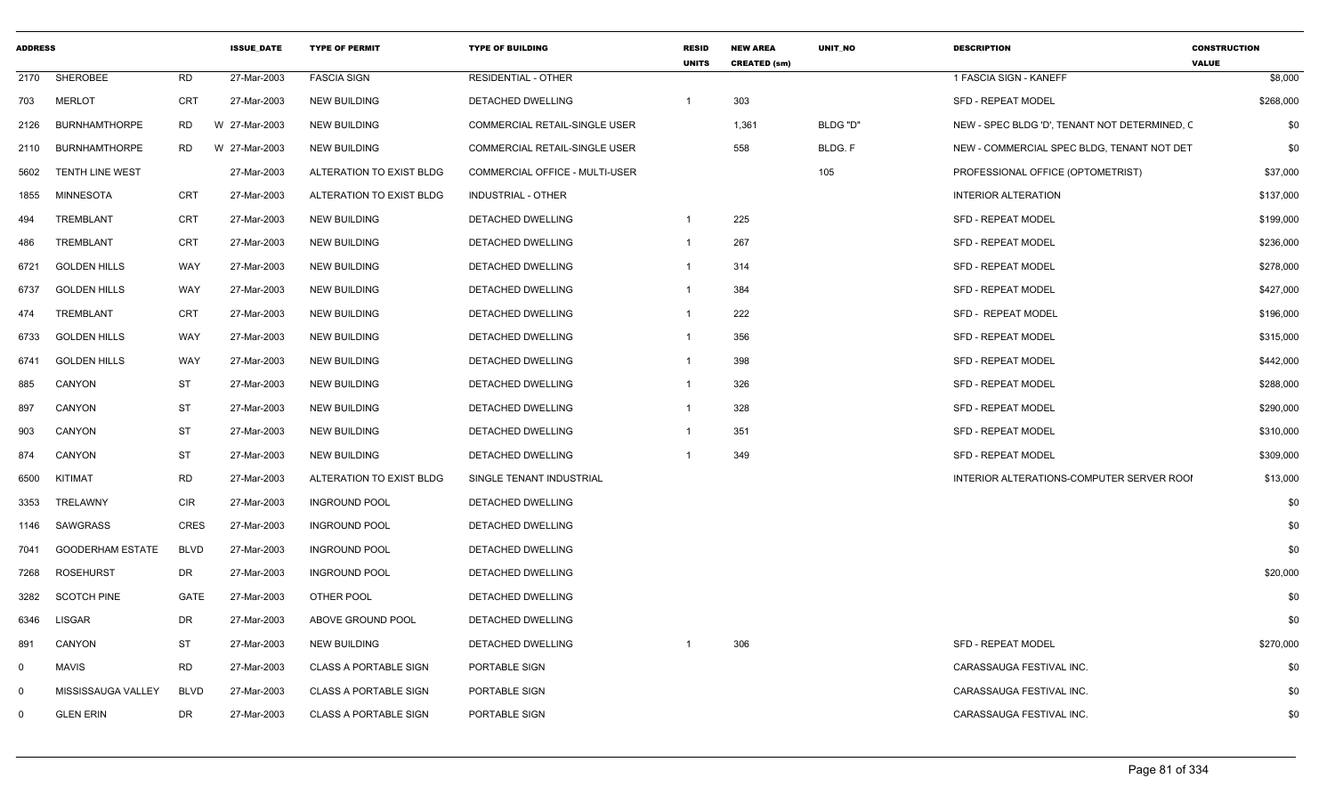| <b>ADDRESS</b> |                         |             | <b>ISSUE DATE</b> | <b>TYPE OF PERMIT</b>        | <b>TYPE OF BUILDING</b>              | <b>RESID</b><br><b>UNITS</b> | <b>NEW AREA</b><br><b>CREATED (sm)</b> | <b>UNIT NO</b> | <b>DESCRIPTION</b>                            | <b>CONSTRUCTION</b><br><b>VALUE</b> |
|----------------|-------------------------|-------------|-------------------|------------------------------|--------------------------------------|------------------------------|----------------------------------------|----------------|-----------------------------------------------|-------------------------------------|
| 2170           | SHEROBEE                | <b>RD</b>   | 27-Mar-2003       | <b>FASCIA SIGN</b>           | <b>RESIDENTIAL - OTHER</b>           |                              |                                        |                | 1 FASCIA SIGN - KANEFF                        | \$8,000                             |
| 703            | <b>MERLOT</b>           | <b>CRT</b>  | 27-Mar-2003       | <b>NEW BUILDING</b>          | <b>DETACHED DWELLING</b>             | $\mathbf 1$                  | 303                                    |                | <b>SFD - REPEAT MODEL</b>                     | \$268,000                           |
| 2126           | <b>BURNHAMTHORPE</b>    | <b>RD</b>   | W 27-Mar-2003     | <b>NEW BUILDING</b>          | <b>COMMERCIAL RETAIL-SINGLE USER</b> |                              | 1,361                                  | BLDG "D"       | NEW - SPEC BLDG 'D', TENANT NOT DETERMINED, C | \$0                                 |
| 2110           | <b>BURNHAMTHORPE</b>    | RD          | W 27-Mar-2003     | <b>NEW BUILDING</b>          | <b>COMMERCIAL RETAIL-SINGLE USER</b> |                              | 558                                    | BLDG. F        | NEW - COMMERCIAL SPEC BLDG, TENANT NOT DET    | \$0                                 |
| 5602           | <b>TENTH LINE WEST</b>  |             | 27-Mar-2003       | ALTERATION TO EXIST BLDG     | COMMERCIAL OFFICE - MULTI-USER       |                              |                                        | 105            | PROFESSIONAL OFFICE (OPTOMETRIST)             | \$37,000                            |
| 1855           | <b>MINNESOTA</b>        | CRT         | 27-Mar-2003       | ALTERATION TO EXIST BLDG     | <b>INDUSTRIAL - OTHER</b>            |                              |                                        |                | <b>INTERIOR ALTERATION</b>                    | \$137,000                           |
| 494            | TREMBLANT               | CRT         | 27-Mar-2003       | <b>NEW BUILDING</b>          | DETACHED DWELLING                    | $\mathbf{1}$                 | 225                                    |                | <b>SFD - REPEAT MODEL</b>                     | \$199,000                           |
| 486            | TREMBLANT               | <b>CRT</b>  | 27-Mar-2003       | <b>NEW BUILDING</b>          | DETACHED DWELLING                    | $\overline{1}$               | 267                                    |                | <b>SFD - REPEAT MODEL</b>                     | \$236,000                           |
| 6721           | <b>GOLDEN HILLS</b>     | WAY         | 27-Mar-2003       | <b>NEW BUILDING</b>          | DETACHED DWELLING                    | $\mathbf{1}$                 | 314                                    |                | <b>SFD - REPEAT MODEL</b>                     | \$278,000                           |
| 6737           | <b>GOLDEN HILLS</b>     | WAY         | 27-Mar-2003       | <b>NEW BUILDING</b>          | DETACHED DWELLING                    |                              | 384                                    |                | <b>SFD - REPEAT MODEL</b>                     | \$427,000                           |
| 474            | TREMBLANT               | <b>CRT</b>  | 27-Mar-2003       | <b>NEW BUILDING</b>          | DETACHED DWELLING                    | -1                           | 222                                    |                | SFD - REPEAT MODEL                            | \$196,000                           |
| 6733           | <b>GOLDEN HILLS</b>     | WAY         | 27-Mar-2003       | <b>NEW BUILDING</b>          | <b>DETACHED DWELLING</b>             |                              | 356                                    |                | <b>SFD - REPEAT MODEL</b>                     | \$315,000                           |
| 6741           | <b>GOLDEN HILLS</b>     | WAY         | 27-Mar-2003       | <b>NEW BUILDING</b>          | DETACHED DWELLING                    |                              | 398                                    |                | <b>SFD - REPEAT MODEL</b>                     | \$442,000                           |
| 885            | CANYON                  | ST          | 27-Mar-2003       | <b>NEW BUILDING</b>          | DETACHED DWELLING                    | -1                           | 326                                    |                | <b>SFD - REPEAT MODEL</b>                     | \$288,000                           |
| 897            | CANYON                  | <b>ST</b>   | 27-Mar-2003       | <b>NEW BUILDING</b>          | DETACHED DWELLING                    | $\overline{1}$               | 328                                    |                | SFD - REPEAT MODEL                            | \$290,000                           |
| 903            | <b>CANYON</b>           | <b>ST</b>   | 27-Mar-2003       | <b>NEW BUILDING</b>          | DETACHED DWELLING                    |                              | 351                                    |                | <b>SFD - REPEAT MODEL</b>                     | \$310,000                           |
| 874            | CANYON                  | <b>ST</b>   | 27-Mar-2003       | <b>NEW BUILDING</b>          | DETACHED DWELLING                    |                              | 349                                    |                | <b>SFD - REPEAT MODEL</b>                     | \$309,000                           |
| 6500           | KITIMAT                 | <b>RD</b>   | 27-Mar-2003       | ALTERATION TO EXIST BLDG     | SINGLE TENANT INDUSTRIAL             |                              |                                        |                | INTERIOR ALTERATIONS-COMPUTER SERVER ROOI     | \$13,000                            |
| 3353           | TRELAWNY                | <b>CIR</b>  | 27-Mar-2003       | <b>INGROUND POOL</b>         | DETACHED DWELLING                    |                              |                                        |                |                                               | \$0                                 |
| 1146           | SAWGRASS                | <b>CRES</b> | 27-Mar-2003       | <b>INGROUND POOL</b>         | DETACHED DWELLING                    |                              |                                        |                |                                               | \$0                                 |
| 7041           | <b>GOODERHAM ESTATE</b> | <b>BLVD</b> | 27-Mar-2003       | <b>INGROUND POOL</b>         | DETACHED DWELLING                    |                              |                                        |                |                                               | \$0                                 |
| 7268           | <b>ROSEHURST</b>        | DR          | 27-Mar-2003       | <b>INGROUND POOL</b>         | DETACHED DWELLING                    |                              |                                        |                |                                               | \$20,000                            |
| 3282           | <b>SCOTCH PINE</b>      | <b>GATE</b> | 27-Mar-2003       | OTHER POOL                   | DETACHED DWELLING                    |                              |                                        |                |                                               | \$0                                 |
| 6346           | <b>LISGAR</b>           | DR          | 27-Mar-2003       | ABOVE GROUND POOL            | DETACHED DWELLING                    |                              |                                        |                |                                               | \$0                                 |
| 891            | CANYON                  | ST          | 27-Mar-2003       | <b>NEW BUILDING</b>          | DETACHED DWELLING                    |                              | 306                                    |                | SFD - REPEAT MODEL                            | \$270,000                           |
| $\mathbf 0$    | <b>MAVIS</b>            | <b>RD</b>   | 27-Mar-2003       | <b>CLASS A PORTABLE SIGN</b> | PORTABLE SIGN                        |                              |                                        |                | CARASSAUGA FESTIVAL INC.                      | \$0                                 |
| $\mathbf 0$    | MISSISSAUGA VALLEY      | <b>BLVD</b> | 27-Mar-2003       | <b>CLASS A PORTABLE SIGN</b> | PORTABLE SIGN                        |                              |                                        |                | CARASSAUGA FESTIVAL INC.                      | \$0                                 |
| $\mathbf 0$    | <b>GLEN ERIN</b>        | DR          | 27-Mar-2003       | <b>CLASS A PORTABLE SIGN</b> | PORTABLE SIGN                        |                              |                                        |                | CARASSAUGA FESTIVAL INC.                      | \$0                                 |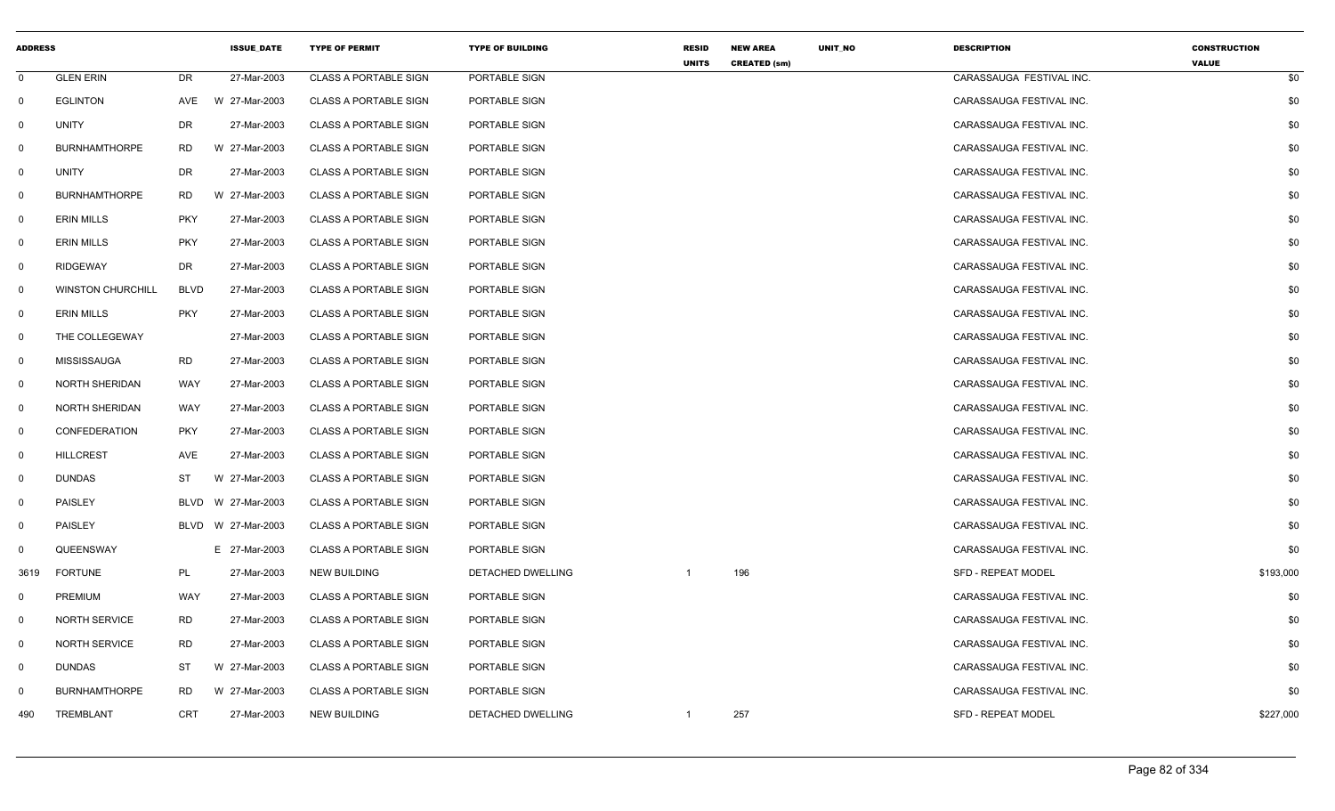| <b>ADDRESS</b> |                          |             | <b>ISSUE DATE</b>  | <b>TYPE OF PERMIT</b>        | <b>TYPE OF BUILDING</b> | <b>RESID</b><br><b>UNITS</b> | <b>NEW AREA</b><br><b>CREATED (sm)</b> | UNIT_NO | <b>DESCRIPTION</b>        | <b>CONSTRUCTION</b><br><b>VALUE</b> |
|----------------|--------------------------|-------------|--------------------|------------------------------|-------------------------|------------------------------|----------------------------------------|---------|---------------------------|-------------------------------------|
| $\mathbf 0$    | <b>GLEN ERIN</b>         | DR          | 27-Mar-2003        | <b>CLASS A PORTABLE SIGN</b> | PORTABLE SIGN           |                              |                                        |         | CARASSAUGA FESTIVAL INC.  | \$0                                 |
| $\mathbf 0$    | <b>EGLINTON</b>          | AVE         | W 27-Mar-2003      | <b>CLASS A PORTABLE SIGN</b> | PORTABLE SIGN           |                              |                                        |         | CARASSAUGA FESTIVAL INC.  | \$0                                 |
| $\mathbf 0$    | <b>UNITY</b>             | <b>DR</b>   | 27-Mar-2003        | <b>CLASS A PORTABLE SIGN</b> | PORTABLE SIGN           |                              |                                        |         | CARASSAUGA FESTIVAL INC.  | \$0                                 |
| $\mathbf 0$    | <b>BURNHAMTHORPE</b>     | RD.         | W 27-Mar-2003      | <b>CLASS A PORTABLE SIGN</b> | PORTABLE SIGN           |                              |                                        |         | CARASSAUGA FESTIVAL INC.  | \$0                                 |
| $\mathbf 0$    | UNITY                    | DR          | 27-Mar-2003        | <b>CLASS A PORTABLE SIGN</b> | PORTABLE SIGN           |                              |                                        |         | CARASSAUGA FESTIVAL INC.  | \$0                                 |
| $\mathbf 0$    | <b>BURNHAMTHORPE</b>     | RD          | W 27-Mar-2003      | <b>CLASS A PORTABLE SIGN</b> | PORTABLE SIGN           |                              |                                        |         | CARASSAUGA FESTIVAL INC.  | \$0                                 |
| $\mathbf 0$    | <b>ERIN MILLS</b>        | <b>PKY</b>  | 27-Mar-2003        | <b>CLASS A PORTABLE SIGN</b> | PORTABLE SIGN           |                              |                                        |         | CARASSAUGA FESTIVAL INC.  | \$0                                 |
| $\mathbf 0$    | <b>ERIN MILLS</b>        | <b>PKY</b>  | 27-Mar-2003        | <b>CLASS A PORTABLE SIGN</b> | PORTABLE SIGN           |                              |                                        |         | CARASSAUGA FESTIVAL INC.  | \$0                                 |
| $\mathbf{0}$   | <b>RIDGEWAY</b>          | DR          | 27-Mar-2003        | <b>CLASS A PORTABLE SIGN</b> | PORTABLE SIGN           |                              |                                        |         | CARASSAUGA FESTIVAL INC.  | \$0                                 |
| $\mathbf 0$    | <b>WINSTON CHURCHILL</b> | <b>BLVD</b> | 27-Mar-2003        | <b>CLASS A PORTABLE SIGN</b> | PORTABLE SIGN           |                              |                                        |         | CARASSAUGA FESTIVAL INC.  | \$0                                 |
| $\mathbf 0$    | <b>ERIN MILLS</b>        | <b>PKY</b>  | 27-Mar-2003        | <b>CLASS A PORTABLE SIGN</b> | PORTABLE SIGN           |                              |                                        |         | CARASSAUGA FESTIVAL INC.  | \$0                                 |
| $\mathbf 0$    | THE COLLEGEWAY           |             | 27-Mar-2003        | <b>CLASS A PORTABLE SIGN</b> | PORTABLE SIGN           |                              |                                        |         | CARASSAUGA FESTIVAL INC.  | \$0                                 |
| $\mathbf 0$    | MISSISSAUGA              | <b>RD</b>   | 27-Mar-2003        | <b>CLASS A PORTABLE SIGN</b> | PORTABLE SIGN           |                              |                                        |         | CARASSAUGA FESTIVAL INC.  | \$0                                 |
| $\mathbf 0$    | <b>NORTH SHERIDAN</b>    | WAY         | 27-Mar-2003        | <b>CLASS A PORTABLE SIGN</b> | PORTABLE SIGN           |                              |                                        |         | CARASSAUGA FESTIVAL INC.  | \$0                                 |
| $\mathbf{0}$   | <b>NORTH SHERIDAN</b>    | WAY         | 27-Mar-2003        | <b>CLASS A PORTABLE SIGN</b> | PORTABLE SIGN           |                              |                                        |         | CARASSAUGA FESTIVAL INC.  | \$0                                 |
| $\mathbf 0$    | CONFEDERATION            | <b>PKY</b>  | 27-Mar-2003        | <b>CLASS A PORTABLE SIGN</b> | PORTABLE SIGN           |                              |                                        |         | CARASSAUGA FESTIVAL INC.  | \$0                                 |
| $\mathbf 0$    | <b>HILLCREST</b>         | AVE         | 27-Mar-2003        | <b>CLASS A PORTABLE SIGN</b> | PORTABLE SIGN           |                              |                                        |         | CARASSAUGA FESTIVAL INC.  | \$0                                 |
| $\mathbf{0}$   | <b>DUNDAS</b>            | ST          | W 27-Mar-2003      | <b>CLASS A PORTABLE SIGN</b> | PORTABLE SIGN           |                              |                                        |         | CARASSAUGA FESTIVAL INC.  | \$0                                 |
| $\mathbf{0}$   | <b>PAISLEY</b>           | BLVD        | W 27-Mar-2003      | <b>CLASS A PORTABLE SIGN</b> | PORTABLE SIGN           |                              |                                        |         | CARASSAUGA FESTIVAL INC.  | \$0                                 |
| $\mathbf{0}$   | PAISLEY                  |             | BLVD W 27-Mar-2003 | CLASS A PORTABLE SIGN        | PORTABLE SIGN           |                              |                                        |         | CARASSAUGA FESTIVAL INC.  | \$0                                 |
| $\mathbf{0}$   | QUEENSWAY                |             | E 27-Mar-2003      | <b>CLASS A PORTABLE SIGN</b> | PORTABLE SIGN           |                              |                                        |         | CARASSAUGA FESTIVAL INC.  | \$0                                 |
| 3619           | <b>FORTUNE</b>           | PL          | 27-Mar-2003        | <b>NEW BUILDING</b>          | DETACHED DWELLING       | -1                           | 196                                    |         | <b>SFD - REPEAT MODEL</b> | \$193,000                           |
| $\mathbf 0$    | PREMIUM                  | WAY         | 27-Mar-2003        | <b>CLASS A PORTABLE SIGN</b> | PORTABLE SIGN           |                              |                                        |         | CARASSAUGA FESTIVAL INC.  | \$0                                 |
| $\mathbf{0}$   | NORTH SERVICE            | <b>RD</b>   | 27-Mar-2003        | <b>CLASS A PORTABLE SIGN</b> | PORTABLE SIGN           |                              |                                        |         | CARASSAUGA FESTIVAL INC.  | \$0                                 |
| $\mathbf 0$    | <b>NORTH SERVICE</b>     | <b>RD</b>   | 27-Mar-2003        | <b>CLASS A PORTABLE SIGN</b> | PORTABLE SIGN           |                              |                                        |         | CARASSAUGA FESTIVAL INC.  | \$0                                 |
| $\mathbf{0}$   | DUNDAS                   | ST          | W 27-Mar-2003      | <b>CLASS A PORTABLE SIGN</b> | PORTABLE SIGN           |                              |                                        |         | CARASSAUGA FESTIVAL INC.  | \$0                                 |
| $\mathbf 0$    | <b>BURNHAMTHORPE</b>     | <b>RD</b>   | W 27-Mar-2003      | <b>CLASS A PORTABLE SIGN</b> | PORTABLE SIGN           |                              |                                        |         | CARASSAUGA FESTIVAL INC.  | \$0                                 |
| 490            | TREMBLANT                | CRT         | 27-Mar-2003        | <b>NEW BUILDING</b>          | DETACHED DWELLING       | $\mathbf{1}$                 | 257                                    |         | <b>SFD - REPEAT MODEL</b> | \$227,000                           |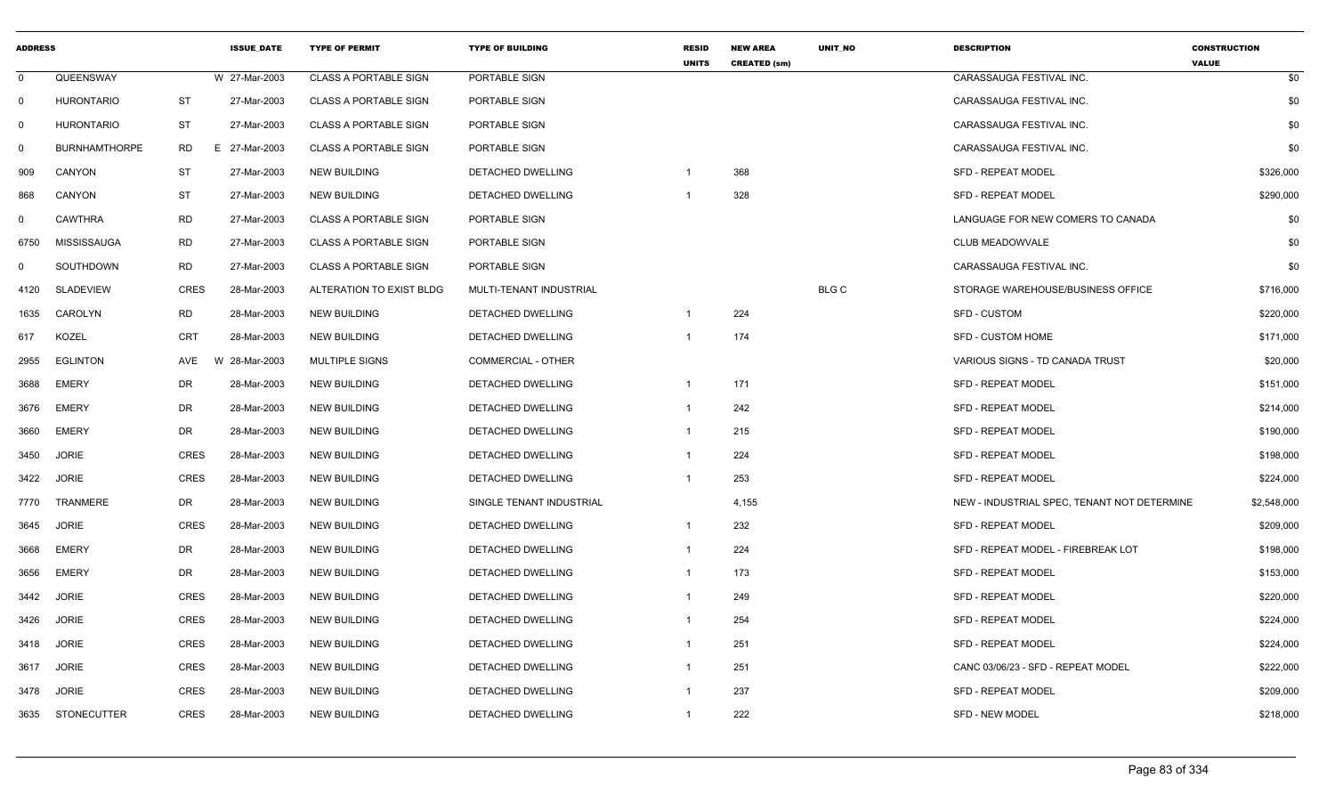| <b>ADDRESS</b> |                      |             | <b>ISSUE DATE</b> | <b>TYPE OF PERMIT</b>        | <b>TYPE OF BUILDING</b>   | <b>RESID</b><br><b>UNITS</b> | <b>NEW AREA</b><br><b>CREATED (sm)</b> | <b>UNIT NO</b> | <b>DESCRIPTION</b>                          | <b>CONSTRUCTION</b><br><b>VALUE</b> |
|----------------|----------------------|-------------|-------------------|------------------------------|---------------------------|------------------------------|----------------------------------------|----------------|---------------------------------------------|-------------------------------------|
| $\mathbf 0$    | QUEENSWAY            |             | W 27-Mar-2003     | <b>CLASS A PORTABLE SIGN</b> | PORTABLE SIGN             |                              |                                        |                | CARASSAUGA FESTIVAL INC.                    | \$0                                 |
| 0              | <b>HURONTARIO</b>    | <b>ST</b>   | 27-Mar-2003       | <b>CLASS A PORTABLE SIGN</b> | PORTABLE SIGN             |                              |                                        |                | CARASSAUGA FESTIVAL INC.                    | \$0                                 |
| $\mathbf 0$    | <b>HURONTARIO</b>    | ST          | 27-Mar-2003       | <b>CLASS A PORTABLE SIGN</b> | PORTABLE SIGN             |                              |                                        |                | CARASSAUGA FESTIVAL INC.                    | \$0                                 |
| $\mathbf 0$    | <b>BURNHAMTHORPE</b> | RD          | E 27-Mar-2003     | <b>CLASS A PORTABLE SIGN</b> | PORTABLE SIGN             |                              |                                        |                | CARASSAUGA FESTIVAL INC.                    | \$0                                 |
| 909            | CANYON               | <b>ST</b>   | 27-Mar-2003       | <b>NEW BUILDING</b>          | DETACHED DWELLING         | $\mathbf{1}$                 | 368                                    |                | <b>SFD - REPEAT MODEL</b>                   | \$326,000                           |
| 868            | CANYON               | <b>ST</b>   | 27-Mar-2003       | <b>NEW BUILDING</b>          | DETACHED DWELLING         |                              | 328                                    |                | <b>SFD - REPEAT MODEL</b>                   | \$290,000                           |
| $\mathbf{0}$   | <b>CAWTHRA</b>       | <b>RD</b>   | 27-Mar-2003       | <b>CLASS A PORTABLE SIGN</b> | PORTABLE SIGN             |                              |                                        |                | LANGUAGE FOR NEW COMERS TO CANADA           | \$0                                 |
| 6750           | <b>MISSISSAUGA</b>   | RD          | 27-Mar-2003       | <b>CLASS A PORTABLE SIGN</b> | PORTABLE SIGN             |                              |                                        |                | CLUB MEADOWVALE                             | \$0                                 |
| $\mathbf 0$    | SOUTHDOWN            | RD          | 27-Mar-2003       | <b>CLASS A PORTABLE SIGN</b> | PORTABLE SIGN             |                              |                                        |                | CARASSAUGA FESTIVAL INC.                    | \$0                                 |
| 4120           | <b>SLADEVIEW</b>     | <b>CRES</b> | 28-Mar-2003       | ALTERATION TO EXIST BLDG     | MULTI-TENANT INDUSTRIAL   |                              |                                        | <b>BLG C</b>   | STORAGE WAREHOUSE/BUSINESS OFFICE           | \$716,000                           |
| 1635           | CAROLYN              | <b>RD</b>   | 28-Mar-2003       | <b>NEW BUILDING</b>          | DETACHED DWELLING         | $\mathbf{1}$                 | 224                                    |                | <b>SFD - CUSTOM</b>                         | \$220,000                           |
| 617            | <b>KOZEL</b>         | <b>CRT</b>  | 28-Mar-2003       | <b>NEW BUILDING</b>          | DETACHED DWELLING         |                              | 174                                    |                | <b>SFD - CUSTOM HOME</b>                    | \$171,000                           |
| 2955           | <b>EGLINTON</b>      | AVE         | W 28-Mar-2003     | <b>MULTIPLE SIGNS</b>        | <b>COMMERCIAL - OTHER</b> |                              |                                        |                | VARIOUS SIGNS - TD CANADA TRUST             | \$20,000                            |
| 3688           | <b>EMERY</b>         | <b>DR</b>   | 28-Mar-2003       | <b>NEW BUILDING</b>          | DETACHED DWELLING         | $\mathbf{1}$                 | 171                                    |                | <b>SFD - REPEAT MODEL</b>                   | \$151,000                           |
| 3676           | <b>EMERY</b>         | DR          | 28-Mar-2003       | <b>NEW BUILDING</b>          | DETACHED DWELLING         | $\mathbf{1}$                 | 242                                    |                | <b>SFD - REPEAT MODEL</b>                   | \$214,000                           |
| 3660           | <b>EMERY</b>         | DR          | 28-Mar-2003       | <b>NEW BUILDING</b>          | DETACHED DWELLING         | $\mathbf{1}$                 | 215                                    |                | <b>SFD - REPEAT MODEL</b>                   | \$190,000                           |
| 3450           | <b>JORIE</b>         | <b>CRES</b> | 28-Mar-2003       | <b>NEW BUILDING</b>          | <b>DETACHED DWELLING</b>  | $\mathbf{1}$                 | 224                                    |                | <b>SFD - REPEAT MODEL</b>                   | \$198,000                           |
| 3422           | <b>JORIE</b>         | <b>CRES</b> | 28-Mar-2003       | <b>NEW BUILDING</b>          | DETACHED DWELLING         | $\mathbf{1}$                 | 253                                    |                | <b>SFD - REPEAT MODEL</b>                   | \$224,000                           |
| 7770           | <b>TRANMERE</b>      | DR          | 28-Mar-2003       | <b>NEW BUILDING</b>          | SINGLE TENANT INDUSTRIAL  |                              | 4,155                                  |                | NEW - INDUSTRIAL SPEC, TENANT NOT DETERMINE | \$2,548,000                         |
| 3645           | <b>JORIE</b>         | <b>CRES</b> | 28-Mar-2003       | <b>NEW BUILDING</b>          | DETACHED DWELLING         | $\mathbf{1}$                 | 232                                    |                | <b>SFD - REPEAT MODEL</b>                   | \$209,000                           |
| 3668           | <b>EMERY</b>         | DR          | 28-Mar-2003       | <b>NEW BUILDING</b>          | DETACHED DWELLING         | $\mathbf{1}$                 | 224                                    |                | SFD - REPEAT MODEL - FIREBREAK LOT          | \$198,000                           |
| 3656           | <b>EMERY</b>         | DR          | 28-Mar-2003       | <b>NEW BUILDING</b>          | DETACHED DWELLING         | $\mathbf{1}$                 | 173                                    |                | <b>SFD - REPEAT MODEL</b>                   | \$153,000                           |
| 3442           | <b>JORIE</b>         | <b>CRES</b> | 28-Mar-2003       | <b>NEW BUILDING</b>          | DETACHED DWELLING         | $\mathbf{1}$                 | 249                                    |                | <b>SFD - REPEAT MODEL</b>                   | \$220,000                           |
| 3426           | <b>JORIE</b>         | <b>CRES</b> | 28-Mar-2003       | <b>NEW BUILDING</b>          | DETACHED DWELLING         | -1                           | 254                                    |                | <b>SFD - REPEAT MODEL</b>                   | \$224,000                           |
| 3418           | <b>JORIE</b>         | <b>CRES</b> | 28-Mar-2003       | <b>NEW BUILDING</b>          | DETACHED DWELLING         | $\mathbf{1}$                 | 251                                    |                | <b>SFD - REPEAT MODEL</b>                   | \$224,000                           |
| 3617           | <b>JORIE</b>         | <b>CRES</b> | 28-Mar-2003       | <b>NEW BUILDING</b>          | DETACHED DWELLING         | $\mathbf{1}$                 | 251                                    |                | CANC 03/06/23 - SFD - REPEAT MODEL          | \$222,000                           |
| 3478           | <b>JORIE</b>         | <b>CRES</b> | 28-Mar-2003       | <b>NEW BUILDING</b>          | DETACHED DWELLING         |                              | 237                                    |                | <b>SFD - REPEAT MODEL</b>                   | \$209,000                           |
| 3635           | <b>STONECUTTER</b>   | <b>CRES</b> | 28-Mar-2003       | <b>NEW BUILDING</b>          | <b>DETACHED DWELLING</b>  | $\mathbf{1}$                 | 222                                    |                | <b>SFD - NEW MODEL</b>                      | \$218,000                           |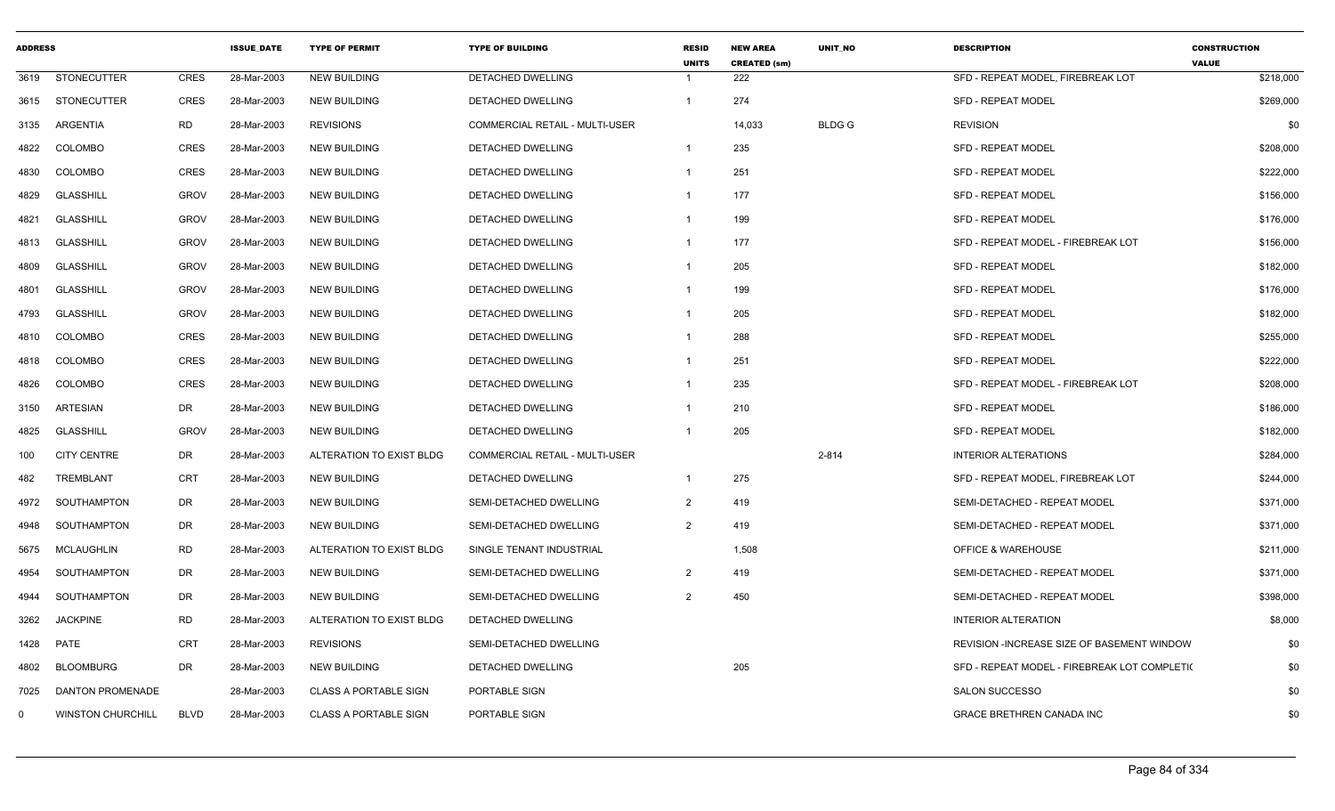| <b>ADDRESS</b> |                          |             | <b>ISSUE DATE</b> | <b>TYPE OF PERMIT</b>        | <b>TYPE OF BUILDING</b>               | <b>RESID</b><br><b>UNITS</b> | <b>NEW AREA</b><br><b>CREATED (sm)</b> | <b>UNIT NO</b> | <b>DESCRIPTION</b>                           | <b>CONSTRUCTION</b><br><b>VALUE</b> |
|----------------|--------------------------|-------------|-------------------|------------------------------|---------------------------------------|------------------------------|----------------------------------------|----------------|----------------------------------------------|-------------------------------------|
| 3619           | STONECUTTER              | <b>CRES</b> | 28-Mar-2003       | NEW BUILDING                 | DETACHED DWELLING                     |                              | 222                                    |                | SFD - REPEAT MODEL, FIREBREAK LOT            | \$218,000                           |
|                | 3615 STONECUTTER         | <b>CRES</b> | 28-Mar-2003       | <b>NEW BUILDING</b>          | <b>DETACHED DWELLING</b>              | $\overline{1}$               | 274                                    |                | <b>SFD - REPEAT MODEL</b>                    | \$269,000                           |
| 3135           | <b>ARGENTIA</b>          | RD          | 28-Mar-2003       | <b>REVISIONS</b>             | <b>COMMERCIAL RETAIL - MULTI-USER</b> |                              | 14,033                                 | <b>BLDG G</b>  | <b>REVISION</b>                              | \$0                                 |
| 4822           | <b>COLOMBO</b>           | <b>CRES</b> | 28-Mar-2003       | <b>NEW BUILDING</b>          | <b>DETACHED DWELLING</b>              | $\overline{1}$               | 235                                    |                | <b>SFD - REPEAT MODEL</b>                    | \$208,000                           |
| 4830           | COLOMBO                  | <b>CRES</b> | 28-Mar-2003       | <b>NEW BUILDING</b>          | <b>DETACHED DWELLING</b>              | $\overline{1}$               | 251                                    |                | <b>SFD - REPEAT MODEL</b>                    | \$222,000                           |
| 4829           | <b>GLASSHILL</b>         | <b>GROV</b> | 28-Mar-2003       | NEW BUILDING                 | DETACHED DWELLING                     | $\overline{1}$               | 177                                    |                | SFD - REPEAT MODEL                           | \$156,000                           |
| 4821           | GLASSHILL                | <b>GROV</b> | 28-Mar-2003       | NEW BUILDING                 | DETACHED DWELLING                     | -1                           | 199                                    |                | <b>SFD - REPEAT MODEL</b>                    | \$176,000                           |
| 4813           | GLASSHILL                | <b>GROV</b> | 28-Mar-2003       | NEW BUILDING                 | DETACHED DWELLING                     | $\overline{1}$               | 177                                    |                | SFD - REPEAT MODEL - FIREBREAK LOT           | \$156,000                           |
| 4809           | GLASSHILL                | <b>GROV</b> | 28-Mar-2003       | NEW BUILDING                 | DETACHED DWELLING                     | $\overline{1}$               | 205                                    |                | <b>SFD - REPEAT MODEL</b>                    | \$182,000                           |
| 4801           | <b>GLASSHILL</b>         | <b>GROV</b> | 28-Mar-2003       | NEW BUILDING                 | DETACHED DWELLING                     | -1                           | 199                                    |                | <b>SFD - REPEAT MODEL</b>                    | \$176,000                           |
| 4793           | GLASSHILL                | <b>GROV</b> | 28-Mar-2003       | <b>NEW BUILDING</b>          | <b>DETACHED DWELLING</b>              | $\overline{1}$               | 205                                    |                | <b>SFD - REPEAT MODEL</b>                    | \$182,000                           |
| 4810           | COLOMBO                  | <b>CRES</b> | 28-Mar-2003       | <b>NEW BUILDING</b>          | DETACHED DWELLING                     |                              | 288                                    |                | <b>SFD - REPEAT MODEL</b>                    | \$255,000                           |
| 4818           | COLOMBO                  | <b>CRES</b> | 28-Mar-2003       | <b>NEW BUILDING</b>          | DETACHED DWELLING                     | $\mathbf{1}$                 | 251                                    |                | <b>SFD - REPEAT MODEL</b>                    | \$222,000                           |
| 4826           | <b>COLOMBO</b>           | <b>CRES</b> | 28-Mar-2003       | <b>NEW BUILDING</b>          | DETACHED DWELLING                     | -1                           | 235                                    |                | SFD - REPEAT MODEL - FIREBREAK LOT           | \$208,000                           |
| 3150           | ARTESIAN                 | <b>DR</b>   | 28-Mar-2003       | <b>NEW BUILDING</b>          | DETACHED DWELLING                     | -1                           | 210                                    |                | <b>SFD - REPEAT MODEL</b>                    | \$186,000                           |
| 4825           | <b>GLASSHILL</b>         | <b>GROV</b> | 28-Mar-2003       | NEW BUILDING                 | DETACHED DWELLING                     | -1                           | 205                                    |                | SFD - REPEAT MODEL                           | \$182,000                           |
| 100            | <b>CITY CENTRE</b>       | DR          | 28-Mar-2003       | ALTERATION TO EXIST BLDG     | <b>COMMERCIAL RETAIL - MULTI-USER</b> |                              |                                        | $2 - 814$      | <b>INTERIOR ALTERATIONS</b>                  | \$284,000                           |
| 482            | TREMBLANT                | <b>CRT</b>  | 28-Mar-2003       | <b>NEW BUILDING</b>          | DETACHED DWELLING                     | $\overline{1}$               | 275                                    |                | SFD - REPEAT MODEL, FIREBREAK LOT            | \$244,000                           |
| 4972           | SOUTHAMPTON              | DR          | 28-Mar-2003       | <b>NEW BUILDING</b>          | SEMI-DETACHED DWELLING                | 2                            | 419                                    |                | SEMI-DETACHED - REPEAT MODEL                 | \$371,000                           |
| 4948           | SOUTHAMPTON              | DR          | 28-Mar-2003       | <b>NEW BUILDING</b>          | SEMI-DETACHED DWELLING                | 2                            | 419                                    |                | SEMI-DETACHED - REPEAT MODEL                 | \$371,000                           |
| 5675           | MCLAUGHLIN               | RD          | 28-Mar-2003       | ALTERATION TO EXIST BLDG     | SINGLE TENANT INDUSTRIAL              |                              | 1,508                                  |                | <b>OFFICE &amp; WAREHOUSE</b>                | \$211,000                           |
| 4954           | SOUTHAMPTON              | DR          | 28-Mar-2003       | <b>NEW BUILDING</b>          | SEMI-DETACHED DWELLING                | 2                            | 419                                    |                | SEMI-DETACHED - REPEAT MODEL                 | \$371,000                           |
| 4944           | SOUTHAMPTON              | DR          | 28-Mar-2003       | <b>NEW BUILDING</b>          | SEMI-DETACHED DWELLING                | 2                            | 450                                    |                | SEMI-DETACHED - REPEAT MODEL                 | \$398,000                           |
| 3262           | <b>JACKPINE</b>          | RD          | 28-Mar-2003       | ALTERATION TO EXIST BLDG     | DETACHED DWELLING                     |                              |                                        |                | <b>INTERIOR ALTERATION</b>                   | \$8,000                             |
| 1428           | <b>PATE</b>              | <b>CRT</b>  | 28-Mar-2003       | <b>REVISIONS</b>             | SEMI-DETACHED DWELLING                |                              |                                        |                | REVISION - INCREASE SIZE OF BASEMENT WINDOW  | \$0                                 |
| 4802           | <b>BLOOMBURG</b>         | <b>DR</b>   | 28-Mar-2003       | <b>NEW BUILDING</b>          | <b>DETACHED DWELLING</b>              |                              | 205                                    |                | SFD - REPEAT MODEL - FIREBREAK LOT COMPLETIO | \$0                                 |
| 7025           | <b>DANTON PROMENADE</b>  |             | 28-Mar-2003       | <b>CLASS A PORTABLE SIGN</b> | PORTABLE SIGN                         |                              |                                        |                | <b>SALON SUCCESSO</b>                        | \$0                                 |
| $\Omega$       | <b>WINSTON CHURCHILL</b> | <b>BLVD</b> | 28-Mar-2003       | <b>CLASS A PORTABLE SIGN</b> | PORTABLE SIGN                         |                              |                                        |                | <b>GRACE BRETHREN CANADA INC</b>             | \$0                                 |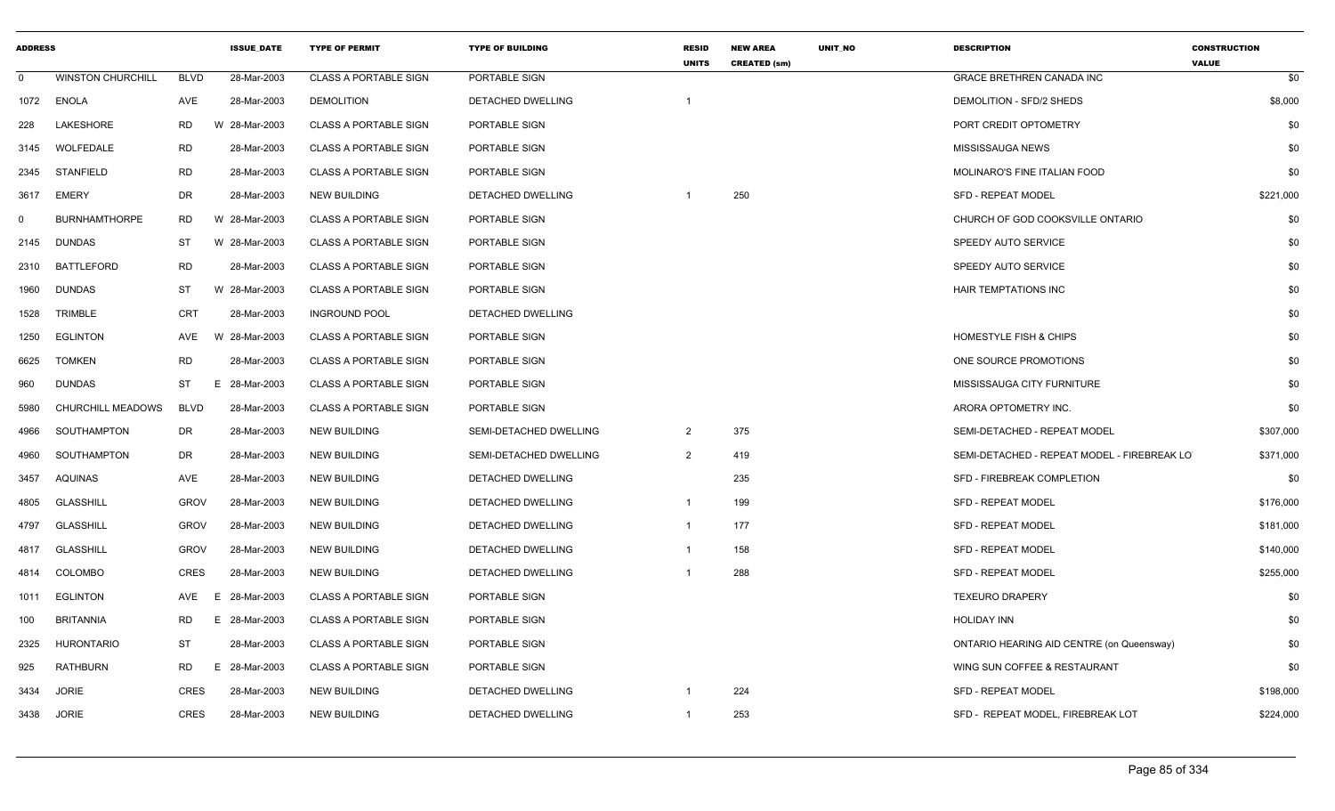| <b>ADDRESS</b> |                          |             | <b>ISSUE DATE</b> | <b>TYPE OF PERMIT</b>        | <b>TYPE OF BUILDING</b>  | <b>RESID</b><br><b>UNITS</b> | <b>NEW AREA</b><br><b>CREATED (sm)</b> | <b>UNIT NO</b> | <b>DESCRIPTION</b>                          | <b>CONSTRUCTION</b><br><b>VALUE</b> |
|----------------|--------------------------|-------------|-------------------|------------------------------|--------------------------|------------------------------|----------------------------------------|----------------|---------------------------------------------|-------------------------------------|
| $\mathbf 0$    | <b>WINSTON CHURCHILL</b> | <b>BLVD</b> | 28-Mar-2003       | <b>CLASS A PORTABLE SIGN</b> | PORTABLE SIGN            |                              |                                        |                | <b>GRACE BRETHREN CANADA INC</b>            | \$0                                 |
| 1072           | <b>ENOLA</b>             | AVE         | 28-Mar-2003       | <b>DEMOLITION</b>            | DETACHED DWELLING        | -1                           |                                        |                | DEMOLITION - SFD/2 SHEDS                    | \$8,000                             |
| 228            | <b>LAKESHORE</b>         | <b>RD</b>   | W 28-Mar-2003     | <b>CLASS A PORTABLE SIGN</b> | PORTABLE SIGN            |                              |                                        |                | PORT CREDIT OPTOMETRY                       | \$0                                 |
| 3145           | WOLFEDALE                | <b>RD</b>   | 28-Mar-2003       | <b>CLASS A PORTABLE SIGN</b> | PORTABLE SIGN            |                              |                                        |                | MISSISSAUGA NEWS                            | \$0                                 |
| 2345           | STANFIELD                | <b>RD</b>   | 28-Mar-2003       | <b>CLASS A PORTABLE SIGN</b> | PORTABLE SIGN            |                              |                                        |                | MOLINARO'S FINE ITALIAN FOOD                | \$0                                 |
| 3617           | <b>EMERY</b>             | <b>DR</b>   | 28-Mar-2003       | <b>NEW BUILDING</b>          | DETACHED DWELLING        | -1                           | 250                                    |                | <b>SFD - REPEAT MODEL</b>                   | \$221,000                           |
| $\Omega$       | <b>BURNHAMTHORPE</b>     | <b>RD</b>   | W 28-Mar-2003     | <b>CLASS A PORTABLE SIGN</b> | PORTABLE SIGN            |                              |                                        |                | CHURCH OF GOD COOKSVILLE ONTARIO            | \$0                                 |
| 2145           | <b>DUNDAS</b>            | ST          | W 28-Mar-2003     | <b>CLASS A PORTABLE SIGN</b> | PORTABLE SIGN            |                              |                                        |                | SPEEDY AUTO SERVICE                         | \$0                                 |
| 2310           | BATTLEFORD               | <b>RD</b>   | 28-Mar-2003       | <b>CLASS A PORTABLE SIGN</b> | PORTABLE SIGN            |                              |                                        |                | <b>SPEEDY AUTO SERVICE</b>                  | \$0                                 |
| 1960           | <b>DUNDAS</b>            | <b>ST</b>   | W 28-Mar-2003     | <b>CLASS A PORTABLE SIGN</b> | PORTABLE SIGN            |                              |                                        |                | HAIR TEMPTATIONS INC                        | \$0                                 |
| 1528           | <b>TRIMBLE</b>           | <b>CRT</b>  | 28-Mar-2003       | <b>INGROUND POOL</b>         | DETACHED DWELLING        |                              |                                        |                |                                             | \$0                                 |
| 1250           | <b>EGLINTON</b>          | AVE         | W 28-Mar-2003     | <b>CLASS A PORTABLE SIGN</b> | PORTABLE SIGN            |                              |                                        |                | <b>HOMESTYLE FISH &amp; CHIPS</b>           | \$0                                 |
| 6625           | <b>TOMKEN</b>            | <b>RD</b>   | 28-Mar-2003       | <b>CLASS A PORTABLE SIGN</b> | PORTABLE SIGN            |                              |                                        |                | ONE SOURCE PROMOTIONS                       | \$0                                 |
| 960            | <b>DUNDAS</b>            | <b>ST</b>   | E.<br>28-Mar-2003 | <b>CLASS A PORTABLE SIGN</b> | PORTABLE SIGN            |                              |                                        |                | MISSISSAUGA CITY FURNITURE                  | \$0                                 |
| 5980           | CHURCHILL MEADOWS        | <b>BLVD</b> | 28-Mar-2003       | <b>CLASS A PORTABLE SIGN</b> | PORTABLE SIGN            |                              |                                        |                | ARORA OPTOMETRY INC.                        | \$0                                 |
| 4966           | SOUTHAMPTON              | DR          | 28-Mar-2003       | <b>NEW BUILDING</b>          | SEMI-DETACHED DWELLING   | $\overline{2}$               | 375                                    |                | SEMI-DETACHED - REPEAT MODEL                | \$307,000                           |
| 4960           | SOUTHAMPTON              | DR          | 28-Mar-2003       | <b>NEW BUILDING</b>          | SEMI-DETACHED DWELLING   | $\overline{2}$               | 419                                    |                | SEMI-DETACHED - REPEAT MODEL - FIREBREAK LO | \$371,000                           |
| 3457           | AQUINAS                  | AVE         | 28-Mar-2003       | <b>NEW BUILDING</b>          | DETACHED DWELLING        |                              | 235                                    |                | SFD - FIREBREAK COMPLETION                  | \$0                                 |
| 4805           | <b>GLASSHILL</b>         | <b>GROV</b> | 28-Mar-2003       | <b>NEW BUILDING</b>          | <b>DETACHED DWELLING</b> | $\overline{1}$               | 199                                    |                | <b>SFD - REPEAT MODEL</b>                   | \$176,000                           |
| 4797           | <b>GLASSHILL</b>         | <b>GROV</b> | 28-Mar-2003       | <b>NEW BUILDING</b>          | DETACHED DWELLING        | $\mathbf{1}$                 | 177                                    |                | <b>SFD - REPEAT MODEL</b>                   | \$181,000                           |
| 4817           | <b>GLASSHILL</b>         | <b>GROV</b> | 28-Mar-2003       | <b>NEW BUILDING</b>          | DETACHED DWELLING        | -1                           | 158                                    |                | <b>SFD - REPEAT MODEL</b>                   | \$140,000                           |
| 4814           | COLOMBO                  | <b>CRES</b> | 28-Mar-2003       | <b>NEW BUILDING</b>          | DETACHED DWELLING        | -1                           | 288                                    |                | <b>SFD - REPEAT MODEL</b>                   | \$255,000                           |
| 1011           | <b>EGLINTON</b>          | <b>AVE</b>  | 28-Mar-2003<br>E  | <b>CLASS A PORTABLE SIGN</b> | PORTABLE SIGN            |                              |                                        |                | <b>TEXEURO DRAPERY</b>                      | \$0                                 |
| 100            | <b>BRITANNIA</b>         | <b>RD</b>   | 28-Mar-2003<br>E. | <b>CLASS A PORTABLE SIGN</b> | PORTABLE SIGN            |                              |                                        |                | <b>HOLIDAY INN</b>                          | \$0                                 |
| 2325           | <b>HURONTARIO</b>        | <b>ST</b>   | 28-Mar-2003       | <b>CLASS A PORTABLE SIGN</b> | PORTABLE SIGN            |                              |                                        |                | ONTARIO HEARING AID CENTRE (on Queensway)   | \$0                                 |
| 925            | RATHBURN                 | RD          | E.<br>28-Mar-2003 | <b>CLASS A PORTABLE SIGN</b> | PORTABLE SIGN            |                              |                                        |                | WING SUN COFFEE & RESTAURANT                | \$0                                 |
| 3434           | <b>JORIE</b>             | <b>CRES</b> | 28-Mar-2003       | <b>NEW BUILDING</b>          | DETACHED DWELLING        | -1                           | 224                                    |                | SFD - REPEAT MODEL                          | \$198,000                           |
| 3438           | <b>JORIE</b>             | <b>CRES</b> | 28-Mar-2003       | <b>NEW BUILDING</b>          | DETACHED DWELLING        | -1                           | 253                                    |                | SFD - REPEAT MODEL, FIREBREAK LOT           | \$224,000                           |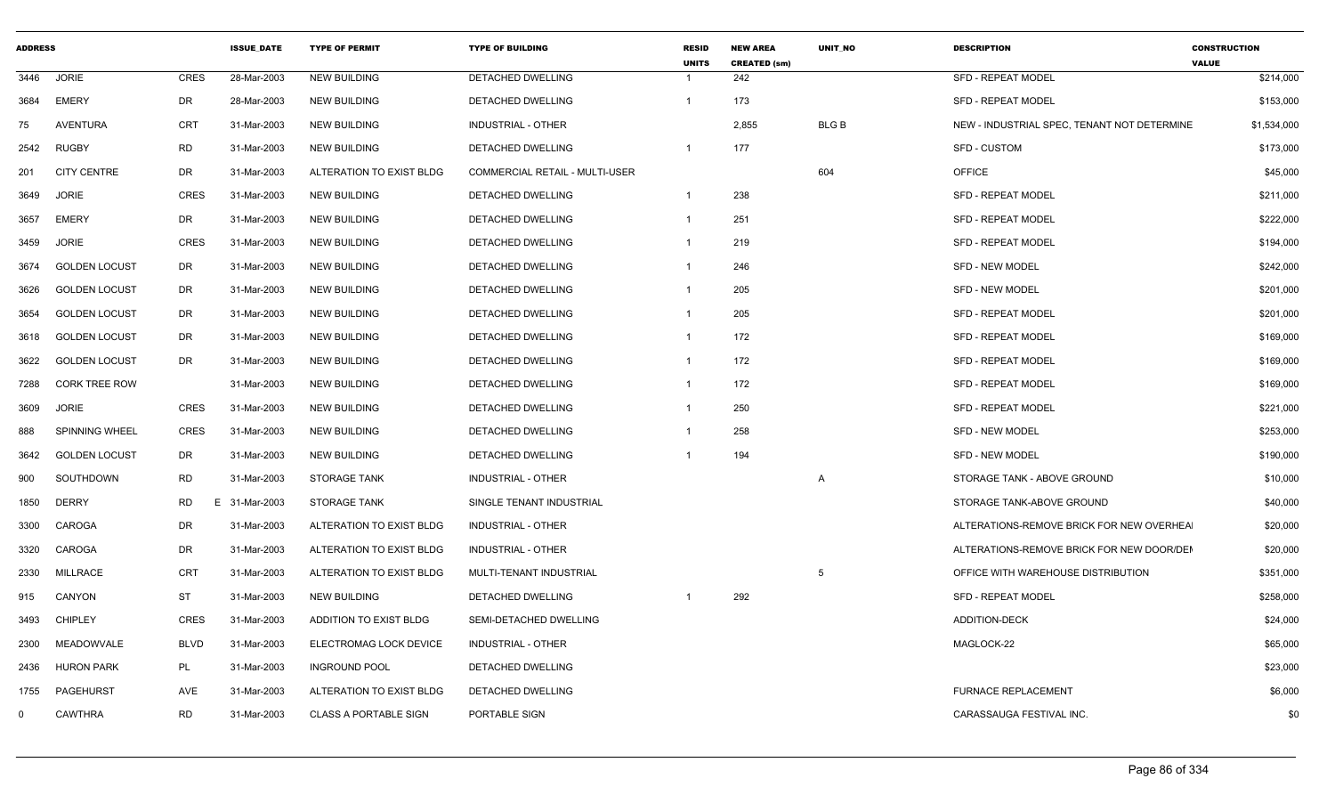| <b>ADDRESS</b> |                      |                | <b>ISSUE DATE</b> | <b>TYPE OF PERMIT</b>        | <b>TYPE OF BUILDING</b>        | <b>RESID</b><br><b>UNITS</b> | <b>NEW AREA</b><br><b>CREATED (sm)</b> | <b>UNIT NO</b> | <b>DESCRIPTION</b>                          | <b>CONSTRUCTION</b><br><b>VALUE</b> |
|----------------|----------------------|----------------|-------------------|------------------------------|--------------------------------|------------------------------|----------------------------------------|----------------|---------------------------------------------|-------------------------------------|
| 3446           | <b>JORIE</b>         | <b>CRES</b>    | 28-Mar-2003       | <b>NEW BUILDING</b>          | DETACHED DWELLING              |                              | 242                                    |                | <b>SFD - REPEAT MODEL</b>                   | \$214,000                           |
| 3684           | <b>EMERY</b>         | DR             | 28-Mar-2003       | <b>NEW BUILDING</b>          | DETACHED DWELLING              |                              | 173                                    |                | <b>SFD - REPEAT MODEL</b>                   | \$153,000                           |
| 75             | <b>AVENTURA</b>      | CRT            | 31-Mar-2003       | <b>NEW BUILDING</b>          | <b>INDUSTRIAL - OTHER</b>      |                              | 2,855                                  | <b>BLG B</b>   | NEW - INDUSTRIAL SPEC, TENANT NOT DETERMINE | \$1,534,000                         |
| 2542           | <b>RUGBY</b>         | <b>RD</b>      | 31-Mar-2003       | <b>NEW BUILDING</b>          | DETACHED DWELLING              |                              | 177                                    |                | <b>SFD - CUSTOM</b>                         | \$173,000                           |
| 201            | <b>CITY CENTRE</b>   | <b>DR</b>      | 31-Mar-2003       | ALTERATION TO EXIST BLDG     | COMMERCIAL RETAIL - MULTI-USER |                              |                                        | 604            | OFFICE                                      | \$45,000                            |
| 3649           | <b>JORIE</b>         | <b>CRES</b>    | 31-Mar-2003       | <b>NEW BUILDING</b>          | DETACHED DWELLING              |                              | 238                                    |                | <b>SFD - REPEAT MODEL</b>                   | \$211,000                           |
| 3657           | <b>EMERY</b>         | <b>DR</b>      | 31-Mar-2003       | <b>NEW BUILDING</b>          | DETACHED DWELLING              |                              | 251                                    |                | <b>SFD - REPEAT MODEL</b>                   | \$222,000                           |
| 3459           | JORIE                | <b>CRES</b>    | 31-Mar-2003       | <b>NEW BUILDING</b>          | DETACHED DWELLING              |                              | 219                                    |                | <b>SFD - REPEAT MODEL</b>                   | \$194,000                           |
| 3674           | <b>GOLDEN LOCUST</b> | DR             | 31-Mar-2003       | <b>NEW BUILDING</b>          | DETACHED DWELLING              |                              | 246                                    |                | <b>SFD - NEW MODEL</b>                      | \$242,000                           |
| 3626           | <b>GOLDEN LOCUST</b> | DR             | 31-Mar-2003       | <b>NEW BUILDING</b>          | DETACHED DWELLING              |                              | 205                                    |                | <b>SFD - NEW MODEL</b>                      | \$201,000                           |
| 3654           | <b>GOLDEN LOCUST</b> | DR             | 31-Mar-2003       | <b>NEW BUILDING</b>          | DETACHED DWELLING              |                              | 205                                    |                | <b>SFD - REPEAT MODEL</b>                   | \$201,000                           |
| 3618           | <b>GOLDEN LOCUST</b> | <b>DR</b>      | 31-Mar-2003       | <b>NEW BUILDING</b>          | DETACHED DWELLING              |                              | 172                                    |                | <b>SFD - REPEAT MODEL</b>                   | \$169,000                           |
| 3622           | <b>GOLDEN LOCUST</b> | DR             | 31-Mar-2003       | <b>NEW BUILDING</b>          | DETACHED DWELLING              |                              | 172                                    |                | <b>SFD - REPEAT MODEL</b>                   | \$169,000                           |
| 7288           | <b>CORK TREE ROW</b> |                | 31-Mar-2003       | <b>NEW BUILDING</b>          | <b>DETACHED DWELLING</b>       |                              | 172                                    |                | <b>SFD - REPEAT MODEL</b>                   | \$169,000                           |
| 3609           | <b>JORIE</b>         | <b>CRES</b>    | 31-Mar-2003       | <b>NEW BUILDING</b>          | DETACHED DWELLING              |                              | 250                                    |                | <b>SFD - REPEAT MODEL</b>                   | \$221,000                           |
| 888            | SPINNING WHEEL       | <b>CRES</b>    | 31-Mar-2003       | <b>NEW BUILDING</b>          | DETACHED DWELLING              |                              | 258                                    |                | <b>SFD - NEW MODEL</b>                      | \$253,000                           |
| 3642           | <b>GOLDEN LOCUST</b> | DR             | 31-Mar-2003       | <b>NEW BUILDING</b>          | DETACHED DWELLING              |                              | 194                                    |                | <b>SFD - NEW MODEL</b>                      | \$190,000                           |
| 900            | SOUTHDOWN            | <b>RD</b>      | 31-Mar-2003       | <b>STORAGE TANK</b>          | <b>INDUSTRIAL - OTHER</b>      |                              |                                        | $\overline{A}$ | STORAGE TANK - ABOVE GROUND                 | \$10,000                            |
| 1850           | <b>DERRY</b>         | <b>RD</b><br>E | 31-Mar-2003       | <b>STORAGE TANK</b>          | SINGLE TENANT INDUSTRIAL       |                              |                                        |                | STORAGE TANK-ABOVE GROUND                   | \$40,000                            |
| 3300           | CAROGA               | <b>DR</b>      | 31-Mar-2003       | ALTERATION TO EXIST BLDG     | <b>INDUSTRIAL - OTHER</b>      |                              |                                        |                | ALTERATIONS-REMOVE BRICK FOR NEW OVERHEA    | \$20,000                            |
| 3320           | CAROGA               | <b>DR</b>      | 31-Mar-2003       | ALTERATION TO EXIST BLDG     | <b>INDUSTRIAL - OTHER</b>      |                              |                                        |                | ALTERATIONS-REMOVE BRICK FOR NEW DOOR/DEI   | \$20,000                            |
| 2330           | <b>MILLRACE</b>      | <b>CRT</b>     | 31-Mar-2003       | ALTERATION TO EXIST BLDG     | MULTI-TENANT INDUSTRIAL        |                              |                                        | 5              | OFFICE WITH WAREHOUSE DISTRIBUTION          | \$351,000                           |
| 915            | CANYON               | <b>ST</b>      | 31-Mar-2003       | <b>NEW BUILDING</b>          | DETACHED DWELLING              |                              | 292                                    |                | <b>SFD - REPEAT MODEL</b>                   | \$258,000                           |
| 3493           | <b>CHIPLEY</b>       | <b>CRES</b>    | 31-Mar-2003       | ADDITION TO EXIST BLDG       | SEMI-DETACHED DWELLING         |                              |                                        |                | ADDITION-DECK                               | \$24,000                            |
| 2300           | MEADOWVALE           | <b>BLVD</b>    | 31-Mar-2003       | ELECTROMAG LOCK DEVICE       | <b>INDUSTRIAL - OTHER</b>      |                              |                                        |                | MAGLOCK-22                                  | \$65,000                            |
| 2436           | <b>HURON PARK</b>    | PL             | 31-Mar-2003       | <b>INGROUND POOL</b>         | DETACHED DWELLING              |                              |                                        |                |                                             | \$23,000                            |
| 1755           | PAGEHURST            | AVE            | 31-Mar-2003       | ALTERATION TO EXIST BLDG     | DETACHED DWELLING              |                              |                                        |                | <b>FURNACE REPLACEMENT</b>                  | \$6,000                             |
| 0              | <b>CAWTHRA</b>       | <b>RD</b>      | 31-Mar-2003       | <b>CLASS A PORTABLE SIGN</b> | PORTABLE SIGN                  |                              |                                        |                | CARASSAUGA FESTIVAL INC.                    | \$0                                 |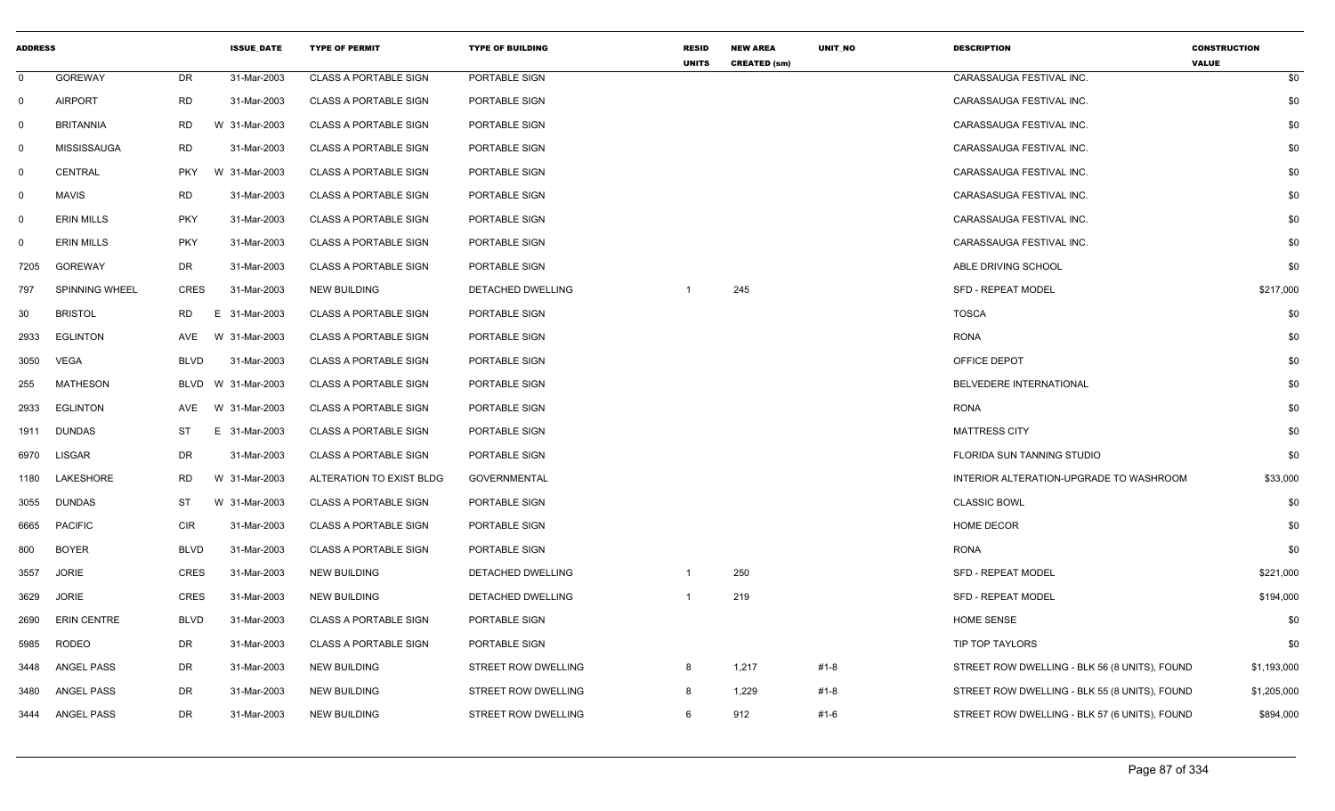| <b>ADDRESS</b> |                       |             | <b>ISSUE DATE</b> | <b>TYPE OF PERMIT</b>        | <b>TYPE OF BUILDING</b>    | <b>RESID</b><br><b>UNITS</b> | <b>NEW AREA</b><br><b>CREATED (sm)</b> | UNIT_NO | <b>DESCRIPTION</b>                            | <b>CONSTRUCTION</b><br><b>VALUE</b> |
|----------------|-----------------------|-------------|-------------------|------------------------------|----------------------------|------------------------------|----------------------------------------|---------|-----------------------------------------------|-------------------------------------|
| $\overline{0}$ | <b>GOREWAY</b>        | DR.         | 31-Mar-2003       | <b>CLASS A PORTABLE SIGN</b> | PORTABLE SIGN              |                              |                                        |         | CARASSAUGA FESTIVAL INC.                      | \$0                                 |
| $\mathbf 0$    | <b>AIRPORT</b>        | RD          | 31-Mar-2003       | <b>CLASS A PORTABLE SIGN</b> | PORTABLE SIGN              |                              |                                        |         | CARASSAUGA FESTIVAL INC.                      | \$0                                 |
| $\mathbf 0$    | <b>BRITANNIA</b>      | RD          | W 31-Mar-2003     | <b>CLASS A PORTABLE SIGN</b> | PORTABLE SIGN              |                              |                                        |         | CARASSAUGA FESTIVAL INC.                      | \$0                                 |
| $\mathbf 0$    | <b>MISSISSAUGA</b>    | RD          | 31-Mar-2003       | <b>CLASS A PORTABLE SIGN</b> | PORTABLE SIGN              |                              |                                        |         | CARASSAUGA FESTIVAL INC.                      | \$0                                 |
| $\mathbf 0$    | CENTRAL               | <b>PKY</b>  | W 31-Mar-2003     | <b>CLASS A PORTABLE SIGN</b> | PORTABLE SIGN              |                              |                                        |         | CARASSAUGA FESTIVAL INC.                      | \$0                                 |
| $\mathbf 0$    | <b>MAVIS</b>          | RD          | 31-Mar-2003       | <b>CLASS A PORTABLE SIGN</b> | PORTABLE SIGN              |                              |                                        |         | CARASASUGA FESTIVAL INC.                      | \$0                                 |
| $\mathbf 0$    | <b>ERIN MILLS</b>     | <b>PKY</b>  | 31-Mar-2003       | <b>CLASS A PORTABLE SIGN</b> | PORTABLE SIGN              |                              |                                        |         | CARASSAUGA FESTIVAL INC.                      | \$0                                 |
| 0              | <b>ERIN MILLS</b>     | <b>PKY</b>  | 31-Mar-2003       | <b>CLASS A PORTABLE SIGN</b> | PORTABLE SIGN              |                              |                                        |         | CARASSAUGA FESTIVAL INC.                      | \$0                                 |
| 7205           | <b>GOREWAY</b>        | DR          | 31-Mar-2003       | <b>CLASS A PORTABLE SIGN</b> | PORTABLE SIGN              |                              |                                        |         | ABLE DRIVING SCHOOL                           | \$0                                 |
| 797            | <b>SPINNING WHEEL</b> | <b>CRES</b> | 31-Mar-2003       | <b>NEW BUILDING</b>          | DETACHED DWELLING          | -1                           | 245                                    |         | SFD - REPEAT MODEL                            | \$217,000                           |
| 30             | <b>BRISTOL</b>        | RD.         | E 31-Mar-2003     | <b>CLASS A PORTABLE SIGN</b> | PORTABLE SIGN              |                              |                                        |         | <b>TOSCA</b>                                  | \$0                                 |
| 2933           | <b>EGLINTON</b>       | AVE         | W 31-Mar-2003     | <b>CLASS A PORTABLE SIGN</b> | PORTABLE SIGN              |                              |                                        |         | <b>RONA</b>                                   | \$0                                 |
| 3050           | <b>VEGA</b>           | <b>BLVD</b> | 31-Mar-2003       | <b>CLASS A PORTABLE SIGN</b> | PORTABLE SIGN              |                              |                                        |         | OFFICE DEPOT                                  | \$0                                 |
| 255            | <b>MATHESON</b>       | BLVD        | W 31-Mar-2003     | <b>CLASS A PORTABLE SIGN</b> | PORTABLE SIGN              |                              |                                        |         | BELVEDERE INTERNATIONAL                       | \$0                                 |
| 2933           | EGLINTON              | AVE         | W 31-Mar-2003     | <b>CLASS A PORTABLE SIGN</b> | PORTABLE SIGN              |                              |                                        |         | <b>RONA</b>                                   | \$0                                 |
| 1911           | <b>DUNDAS</b>         | ST          | E 31-Mar-2003     | <b>CLASS A PORTABLE SIGN</b> | PORTABLE SIGN              |                              |                                        |         | <b>MATTRESS CITY</b>                          | \$0                                 |
| 6970           | <b>LISGAR</b>         | DR          | 31-Mar-2003       | <b>CLASS A PORTABLE SIGN</b> | PORTABLE SIGN              |                              |                                        |         | FLORIDA SUN TANNING STUDIO                    | \$0                                 |
| 1180           | LAKESHORE             | RD          | W 31-Mar-2003     | ALTERATION TO EXIST BLDG     | GOVERNMENTAL               |                              |                                        |         | INTERIOR ALTERATION-UPGRADE TO WASHROOM       | \$33,000                            |
| 3055           | DUNDAS                | ST          | W 31-Mar-2003     | <b>CLASS A PORTABLE SIGN</b> | PORTABLE SIGN              |                              |                                        |         | <b>CLASSIC BOWL</b>                           | \$0                                 |
| 6665           | <b>PACIFIC</b>        | <b>CIR</b>  | 31-Mar-2003       | <b>CLASS A PORTABLE SIGN</b> | PORTABLE SIGN              |                              |                                        |         | <b>HOME DECOR</b>                             | \$0                                 |
| 800            | <b>BOYER</b>          | <b>BLVD</b> | 31-Mar-2003       | <b>CLASS A PORTABLE SIGN</b> | PORTABLE SIGN              |                              |                                        |         | <b>RONA</b>                                   | \$0                                 |
| 3557           | <b>JORIE</b>          | <b>CRES</b> | 31-Mar-2003       | NEW BUILDING                 | DETACHED DWELLING          | -1                           | 250                                    |         | SFD - REPEAT MODEL                            | \$221,000                           |
| 3629           | <b>JORIE</b>          | <b>CRES</b> | 31-Mar-2003       | <b>NEW BUILDING</b>          | DETACHED DWELLING          | -1                           | 219                                    |         | SFD - REPEAT MODEL                            | \$194,000                           |
| 2690           | <b>ERIN CENTRE</b>    | <b>BLVD</b> | 31-Mar-2003       | <b>CLASS A PORTABLE SIGN</b> | PORTABLE SIGN              |                              |                                        |         | <b>HOME SENSE</b>                             | \$0                                 |
| 5985           | RODEO                 | DR          | 31-Mar-2003       | <b>CLASS A PORTABLE SIGN</b> | PORTABLE SIGN              |                              |                                        |         | TIP TOP TAYLORS                               | \$0                                 |
| 3448           | ANGEL PASS            | DR          | 31-Mar-2003       | <b>NEW BUILDING</b>          | STREET ROW DWELLING        | 8                            | 1,217                                  | #1-8    | STREET ROW DWELLING - BLK 56 (8 UNITS), FOUND | \$1,193,000                         |
| 3480           | ANGEL PASS            | DR          | 31-Mar-2003       | <b>NEW BUILDING</b>          | <b>STREET ROW DWELLING</b> | 8                            | 1,229                                  | #1-8    | STREET ROW DWELLING - BLK 55 (8 UNITS), FOUND | \$1,205,000                         |
| 3444           | ANGEL PASS            | DR          | 31-Mar-2003       | <b>NEW BUILDING</b>          | <b>STREET ROW DWELLING</b> | 6                            | 912                                    | #1-6    | STREET ROW DWELLING - BLK 57 (6 UNITS), FOUND | \$894,000                           |
|                |                       |             |                   |                              |                            |                              |                                        |         |                                               |                                     |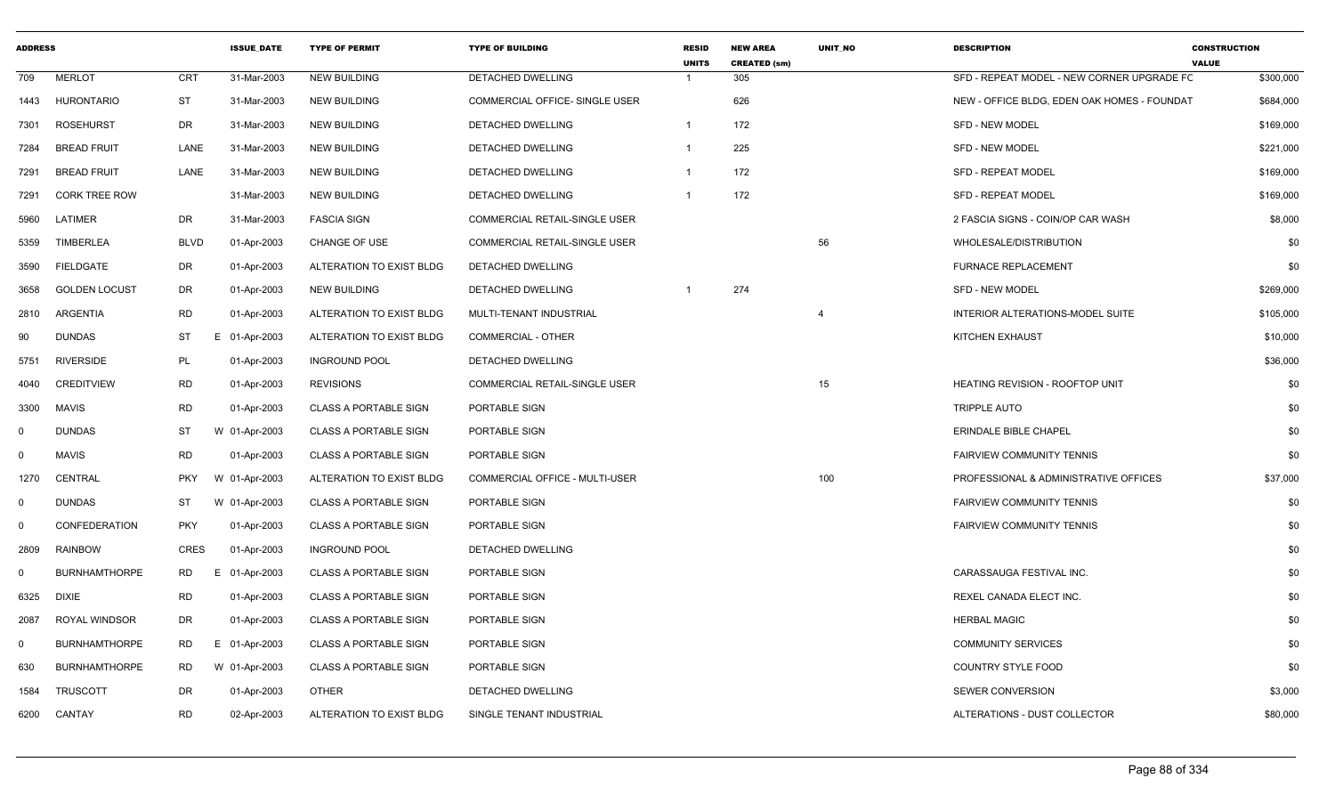| <b>ADDRESS</b> |                      |             | <b>ISSUE DATE</b> | <b>TYPE OF PERMIT</b>        | <b>TYPE OF BUILDING</b>               | <b>RESID</b><br><b>UNITS</b> | <b>NEW AREA</b><br><b>CREATED (sm)</b> | <b>UNIT NO</b> | <b>DESCRIPTION</b>                          | <b>CONSTRUCTION</b><br><b>VALUE</b> |
|----------------|----------------------|-------------|-------------------|------------------------------|---------------------------------------|------------------------------|----------------------------------------|----------------|---------------------------------------------|-------------------------------------|
| 709            | <b>MERLOT</b>        | <b>CRT</b>  | 31-Mar-2003       | <b>NEW BUILDING</b>          | DETACHED DWELLING                     |                              | 305                                    |                | SFD - REPEAT MODEL - NEW CORNER UPGRADE FC  | \$300,000                           |
| 1443           | <b>HURONTARIO</b>    | ST          | 31-Mar-2003       | <b>NEW BUILDING</b>          | <b>COMMERCIAL OFFICE- SINGLE USER</b> |                              | 626                                    |                | NEW - OFFICE BLDG, EDEN OAK HOMES - FOUNDAT | \$684,000                           |
| 7301           | <b>ROSEHURST</b>     | DR          | 31-Mar-2003       | <b>NEW BUILDING</b>          | DETACHED DWELLING                     | $\mathbf{1}$                 | 172                                    |                | <b>SFD - NEW MODEL</b>                      | \$169,000                           |
| 7284           | <b>BREAD FRUIT</b>   | LANE        | 31-Mar-2003       | <b>NEW BUILDING</b>          | DETACHED DWELLING                     | $\overline{1}$               | 225                                    |                | SFD - NEW MODEL                             | \$221,000                           |
| 7291           | <b>BREAD FRUIT</b>   | LANE        | 31-Mar-2003       | <b>NEW BUILDING</b>          | DETACHED DWELLING                     | $\mathbf{1}$                 | 172                                    |                | <b>SFD - REPEAT MODEL</b>                   | \$169,000                           |
| 7291           | <b>CORK TREE ROW</b> |             | 31-Mar-2003       | <b>NEW BUILDING</b>          | DETACHED DWELLING                     | $\mathbf{1}$                 | 172                                    |                | <b>SFD - REPEAT MODEL</b>                   | \$169,000                           |
| 5960           | LATIMER              | DR          | 31-Mar-2003       | <b>FASCIA SIGN</b>           | COMMERCIAL RETAIL-SINGLE USER         |                              |                                        |                | 2 FASCIA SIGNS - COIN/OP CAR WASH           | \$8,000                             |
| 5359           | <b>TIMBERLEA</b>     | <b>BLVD</b> | 01-Apr-2003       | <b>CHANGE OF USE</b>         | <b>COMMERCIAL RETAIL-SINGLE USER</b>  |                              |                                        | 56             | WHOLESALE/DISTRIBUTION                      | \$0                                 |
| 3590           | <b>FIELDGATE</b>     | DR          | 01-Apr-2003       | ALTERATION TO EXIST BLDG     | DETACHED DWELLING                     |                              |                                        |                | <b>FURNACE REPLACEMENT</b>                  | \$0                                 |
| 3658           | <b>GOLDEN LOCUST</b> | DR.         | 01-Apr-2003       | <b>NEW BUILDING</b>          | DETACHED DWELLING                     |                              | 274                                    |                | <b>SFD - NEW MODEL</b>                      | \$269,000                           |
| 2810           | ARGENTIA             | <b>RD</b>   | 01-Apr-2003       | ALTERATION TO EXIST BLDG     | MULTI-TENANT INDUSTRIAL               |                              |                                        |                | INTERIOR ALTERATIONS-MODEL SUITE            | \$105,000                           |
| 90             | <b>DUNDAS</b>        | ST          | E 01-Apr-2003     | ALTERATION TO EXIST BLDG     | <b>COMMERCIAL - OTHER</b>             |                              |                                        |                | KITCHEN EXHAUST                             | \$10,000                            |
| 5751           | <b>RIVERSIDE</b>     | PL          | 01-Apr-2003       | <b>INGROUND POOL</b>         | DETACHED DWELLING                     |                              |                                        |                |                                             | \$36,000                            |
| 4040           | <b>CREDITVIEW</b>    | RD          | 01-Apr-2003       | <b>REVISIONS</b>             | <b>COMMERCIAL RETAIL-SINGLE USER</b>  |                              |                                        | 15             | <b>HEATING REVISION - ROOFTOP UNIT</b>      | \$0                                 |
| 3300           | <b>MAVIS</b>         | <b>RD</b>   | 01-Apr-2003       | <b>CLASS A PORTABLE SIGN</b> | PORTABLE SIGN                         |                              |                                        |                | <b>TRIPPLE AUTO</b>                         | \$0                                 |
| $^{\circ}$     | <b>DUNDAS</b>        | ST          | W 01-Apr-2003     | <b>CLASS A PORTABLE SIGN</b> | PORTABLE SIGN                         |                              |                                        |                | <b>ERINDALE BIBLE CHAPEL</b>                | \$0                                 |
| $^{\circ}$     | <b>MAVIS</b>         | <b>RD</b>   | 01-Apr-2003       | <b>CLASS A PORTABLE SIGN</b> | PORTABLE SIGN                         |                              |                                        |                | FAIRVIEW COMMUNITY TENNIS                   | \$0                                 |
| 1270           | CENTRAL              | <b>PKY</b>  | W 01-Apr-2003     | ALTERATION TO EXIST BLDG     | COMMERCIAL OFFICE - MULTI-USER        |                              |                                        | 100            | PROFESSIONAL & ADMINISTRATIVE OFFICES       | \$37,000                            |
| $\Omega$       | <b>DUNDAS</b>        | ST          | W 01-Apr-2003     | <b>CLASS A PORTABLE SIGN</b> | PORTABLE SIGN                         |                              |                                        |                | <b>FAIRVIEW COMMUNITY TENNIS</b>            | \$0                                 |
| $\Omega$       | <b>CONFEDERATION</b> | <b>PKY</b>  | 01-Apr-2003       | <b>CLASS A PORTABLE SIGN</b> | PORTABLE SIGN                         |                              |                                        |                | <b>FAIRVIEW COMMUNITY TENNIS</b>            | \$0                                 |
| 2809           | <b>RAINBOW</b>       | CRES        | 01-Apr-2003       | <b>INGROUND POOL</b>         | DETACHED DWELLING                     |                              |                                        |                |                                             | \$0                                 |
| $\Omega$       | <b>BURNHAMTHORPE</b> | RD          | E 01-Apr-2003     | <b>CLASS A PORTABLE SIGN</b> | PORTABLE SIGN                         |                              |                                        |                | CARASSAUGA FESTIVAL INC.                    | \$0                                 |
| 6325           | <b>DIXIE</b>         | <b>RD</b>   | 01-Apr-2003       | <b>CLASS A PORTABLE SIGN</b> | PORTABLE SIGN                         |                              |                                        |                | REXEL CANADA ELECT INC.                     | \$0                                 |
| 2087           | <b>ROYAL WINDSOR</b> | DR          | 01-Apr-2003       | <b>CLASS A PORTABLE SIGN</b> | PORTABLE SIGN                         |                              |                                        |                | <b>HERBAL MAGIC</b>                         | \$0                                 |
| $\Omega$       | <b>BURNHAMTHORPE</b> | RD          | E 01-Apr-2003     | <b>CLASS A PORTABLE SIGN</b> | PORTABLE SIGN                         |                              |                                        |                | <b>COMMUNITY SERVICES</b>                   | \$0                                 |
| 630            | <b>BURNHAMTHORPE</b> | RD          | W 01-Apr-2003     | <b>CLASS A PORTABLE SIGN</b> | PORTABLE SIGN                         |                              |                                        |                | COUNTRY STYLE FOOD                          | \$0                                 |
| 1584           | <b>TRUSCOTT</b>      | DR          | 01-Apr-2003       | OTHER                        | DETACHED DWELLING                     |                              |                                        |                | SEWER CONVERSION                            | \$3,000                             |
| 6200           | CANTAY               | <b>RD</b>   | 02-Apr-2003       | ALTERATION TO EXIST BLDG     | SINGLE TENANT INDUSTRIAL              |                              |                                        |                | ALTERATIONS - DUST COLLECTOR                | \$80,000                            |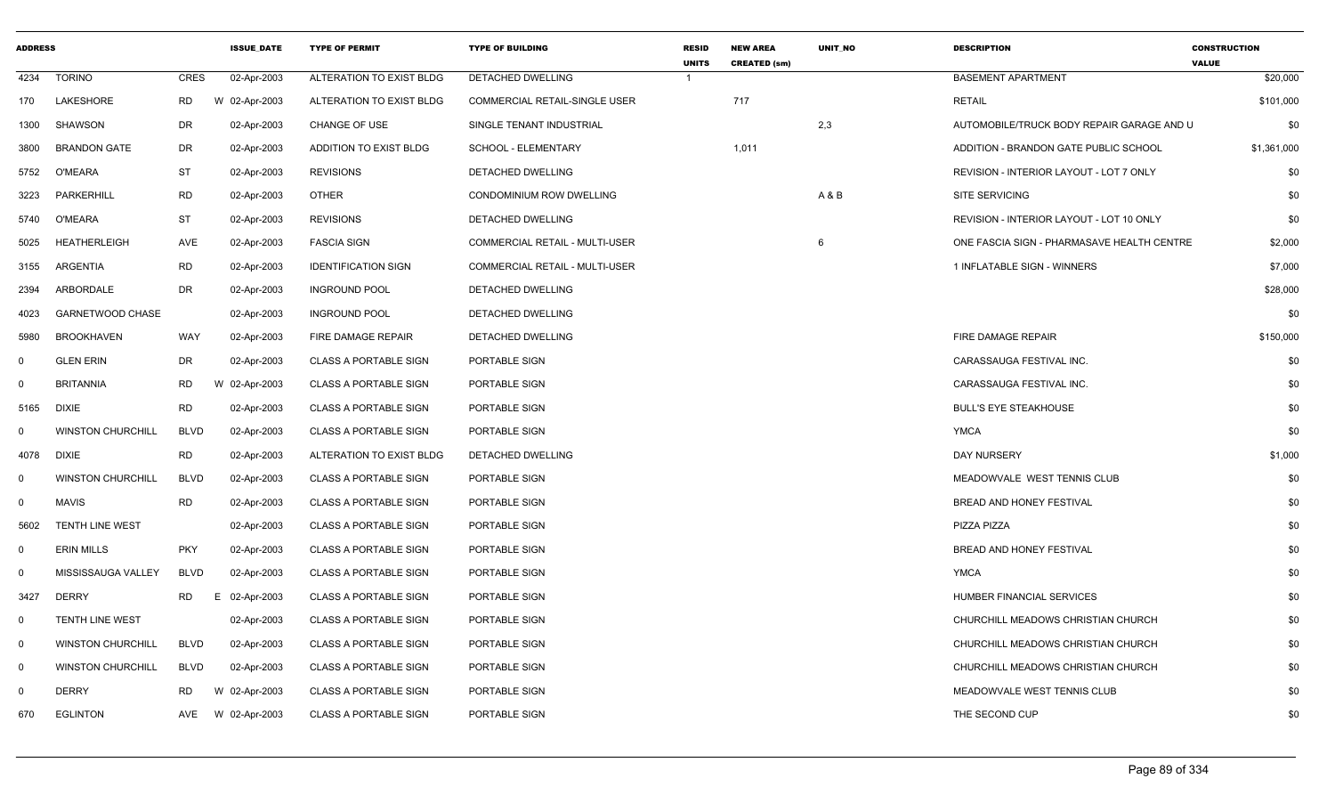| <b>ADDRESS</b> |                          |             | <b>ISSUE_DATE</b> | <b>TYPE OF PERMIT</b>        | <b>TYPE OF BUILDING</b>               | <b>RESID</b><br><b>UNITS</b> | <b>NEW AREA</b><br><b>CREATED (sm)</b> | UNIT_NO | <b>DESCRIPTION</b>                         | <b>CONSTRUCTION</b><br><b>VALUE</b> |
|----------------|--------------------------|-------------|-------------------|------------------------------|---------------------------------------|------------------------------|----------------------------------------|---------|--------------------------------------------|-------------------------------------|
| 4234           | <b>TORINO</b>            | CRES        | 02-Apr-2003       | ALTERATION TO EXIST BLDG     | DETACHED DWELLING                     | $\overline{1}$               |                                        |         | <b>BASEMENT APARTMENT</b>                  | \$20,000                            |
| 170            | LAKESHORE                | RD.         | W 02-Apr-2003     | ALTERATION TO EXIST BLDG     | <b>COMMERCIAL RETAIL-SINGLE USER</b>  |                              | 717                                    |         | <b>RETAIL</b>                              | \$101,000                           |
| 1300           | <b>SHAWSON</b>           | <b>DR</b>   | 02-Apr-2003       | <b>CHANGE OF USE</b>         | SINGLE TENANT INDUSTRIAL              |                              |                                        | 2,3     | AUTOMOBILE/TRUCK BODY REPAIR GARAGE AND U  | \$0                                 |
| 3800           | <b>BRANDON GATE</b>      | <b>DR</b>   | 02-Apr-2003       | ADDITION TO EXIST BLDG       | SCHOOL - ELEMENTARY                   |                              | 1,011                                  |         | ADDITION - BRANDON GATE PUBLIC SCHOOL      | \$1,361,000                         |
| 5752           | O'MEARA                  | <b>ST</b>   | 02-Apr-2003       | <b>REVISIONS</b>             | <b>DETACHED DWELLING</b>              |                              |                                        |         | REVISION - INTERIOR LAYOUT - LOT 7 ONLY    | \$0                                 |
| 3223           | <b>PARKERHILL</b>        | RD          | 02-Apr-2003       | <b>OTHER</b>                 | CONDOMINIUM ROW DWELLING              |                              |                                        | A & B   | SITE SERVICING                             | \$0                                 |
| 5740           | O'MEARA                  | <b>ST</b>   | 02-Apr-2003       | <b>REVISIONS</b>             | DETACHED DWELLING                     |                              |                                        |         | REVISION - INTERIOR LAYOUT - LOT 10 ONLY   | \$0                                 |
| 5025           | <b>HEATHERLEIGH</b>      | <b>AVE</b>  | 02-Apr-2003       | <b>FASCIA SIGN</b>           | COMMERCIAL RETAIL - MULTI-USER        |                              |                                        | 6       | ONE FASCIA SIGN - PHARMASAVE HEALTH CENTRE | \$2,000                             |
| 3155           | ARGENTIA                 | <b>RD</b>   | 02-Apr-2003       | <b>IDENTIFICATION SIGN</b>   | <b>COMMERCIAL RETAIL - MULTI-USER</b> |                              |                                        |         | 1 INFLATABLE SIGN - WINNERS                | \$7,000                             |
| 2394           | ARBORDALE                | <b>DR</b>   | 02-Apr-2003       | <b>INGROUND POOL</b>         | DETACHED DWELLING                     |                              |                                        |         |                                            | \$28,000                            |
| 4023           | GARNETWOOD CHASE         |             | 02-Apr-2003       | <b>INGROUND POOL</b>         | DETACHED DWELLING                     |                              |                                        |         |                                            | \$0                                 |
| 5980           | <b>BROOKHAVEN</b>        | <b>WAY</b>  | 02-Apr-2003       | FIRE DAMAGE REPAIR           | DETACHED DWELLING                     |                              |                                        |         | FIRE DAMAGE REPAIR                         | \$150,000                           |
| $\mathbf 0$    | <b>GLEN ERIN</b>         | <b>DR</b>   | 02-Apr-2003       | <b>CLASS A PORTABLE SIGN</b> | PORTABLE SIGN                         |                              |                                        |         | CARASSAUGA FESTIVAL INC.                   | \$0                                 |
| 0              | <b>BRITANNIA</b>         | <b>RD</b>   | W 02-Apr-2003     | <b>CLASS A PORTABLE SIGN</b> | PORTABLE SIGN                         |                              |                                        |         | CARASSAUGA FESTIVAL INC.                   | \$0                                 |
| 5165           | <b>DIXIE</b>             | <b>RD</b>   | 02-Apr-2003       | <b>CLASS A PORTABLE SIGN</b> | PORTABLE SIGN                         |                              |                                        |         | <b>BULL'S EYE STEAKHOUSE</b>               | \$0                                 |
| 0              | <b>WINSTON CHURCHILL</b> | <b>BLVD</b> | 02-Apr-2003       | <b>CLASS A PORTABLE SIGN</b> | PORTABLE SIGN                         |                              |                                        |         | <b>YMCA</b>                                | \$0                                 |
| 4078           | DIXIE                    | RD          | 02-Apr-2003       | ALTERATION TO EXIST BLDG     | DETACHED DWELLING                     |                              |                                        |         | DAY NURSERY                                | \$1,000                             |
| $\Omega$       | <b>WINSTON CHURCHILL</b> | <b>BLVD</b> | 02-Apr-2003       | <b>CLASS A PORTABLE SIGN</b> | PORTABLE SIGN                         |                              |                                        |         | MEADOWVALE WEST TENNIS CLUB                | \$0                                 |
| $\mathbf 0$    | <b>MAVIS</b>             | <b>RD</b>   | 02-Apr-2003       | <b>CLASS A PORTABLE SIGN</b> | PORTABLE SIGN                         |                              |                                        |         | <b>BREAD AND HONEY FESTIVAL</b>            | \$0                                 |
| 5602           | <b>TENTH LINE WEST</b>   |             | 02-Apr-2003       | <b>CLASS A PORTABLE SIGN</b> | PORTABLE SIGN                         |                              |                                        |         | PIZZA PIZZA                                | \$0                                 |
| 0              | <b>ERIN MILLS</b>        | <b>PKY</b>  | 02-Apr-2003       | <b>CLASS A PORTABLE SIGN</b> | PORTABLE SIGN                         |                              |                                        |         | <b>BREAD AND HONEY FESTIVAL</b>            | \$0                                 |
| 0              | MISSISSAUGA VALLEY       | <b>BLVD</b> | 02-Apr-2003       | <b>CLASS A PORTABLE SIGN</b> | PORTABLE SIGN                         |                              |                                        |         | <b>YMCA</b>                                | \$0                                 |
| 3427           | <b>DERRY</b>             | <b>RD</b>   | E.<br>02-Apr-2003 | <b>CLASS A PORTABLE SIGN</b> | PORTABLE SIGN                         |                              |                                        |         | HUMBER FINANCIAL SERVICES                  | \$0                                 |
| 0              | <b>TENTH LINE WEST</b>   |             | 02-Apr-2003       | <b>CLASS A PORTABLE SIGN</b> | PORTABLE SIGN                         |                              |                                        |         | CHURCHILL MEADOWS CHRISTIAN CHURCH         | \$0                                 |
| $\overline{0}$ | <b>WINSTON CHURCHILL</b> | <b>BLVD</b> | 02-Apr-2003       | <b>CLASS A PORTABLE SIGN</b> | PORTABLE SIGN                         |                              |                                        |         | CHURCHILL MEADOWS CHRISTIAN CHURCH         | \$0                                 |
| $\overline{0}$ | <b>WINSTON CHURCHILL</b> | <b>BLVD</b> | 02-Apr-2003       | <b>CLASS A PORTABLE SIGN</b> | PORTABLE SIGN                         |                              |                                        |         | CHURCHILL MEADOWS CHRISTIAN CHURCH         | \$0                                 |
| $\Omega$       | <b>DERRY</b>             | <b>RD</b>   | W 02-Apr-2003     | <b>CLASS A PORTABLE SIGN</b> | PORTABLE SIGN                         |                              |                                        |         | MEADOWVALE WEST TENNIS CLUB                | \$0                                 |
| 670            | <b>EGLINTON</b>          | AVE         | W 02-Apr-2003     | <b>CLASS A PORTABLE SIGN</b> | PORTABLE SIGN                         |                              |                                        |         | THE SECOND CUP                             | \$0                                 |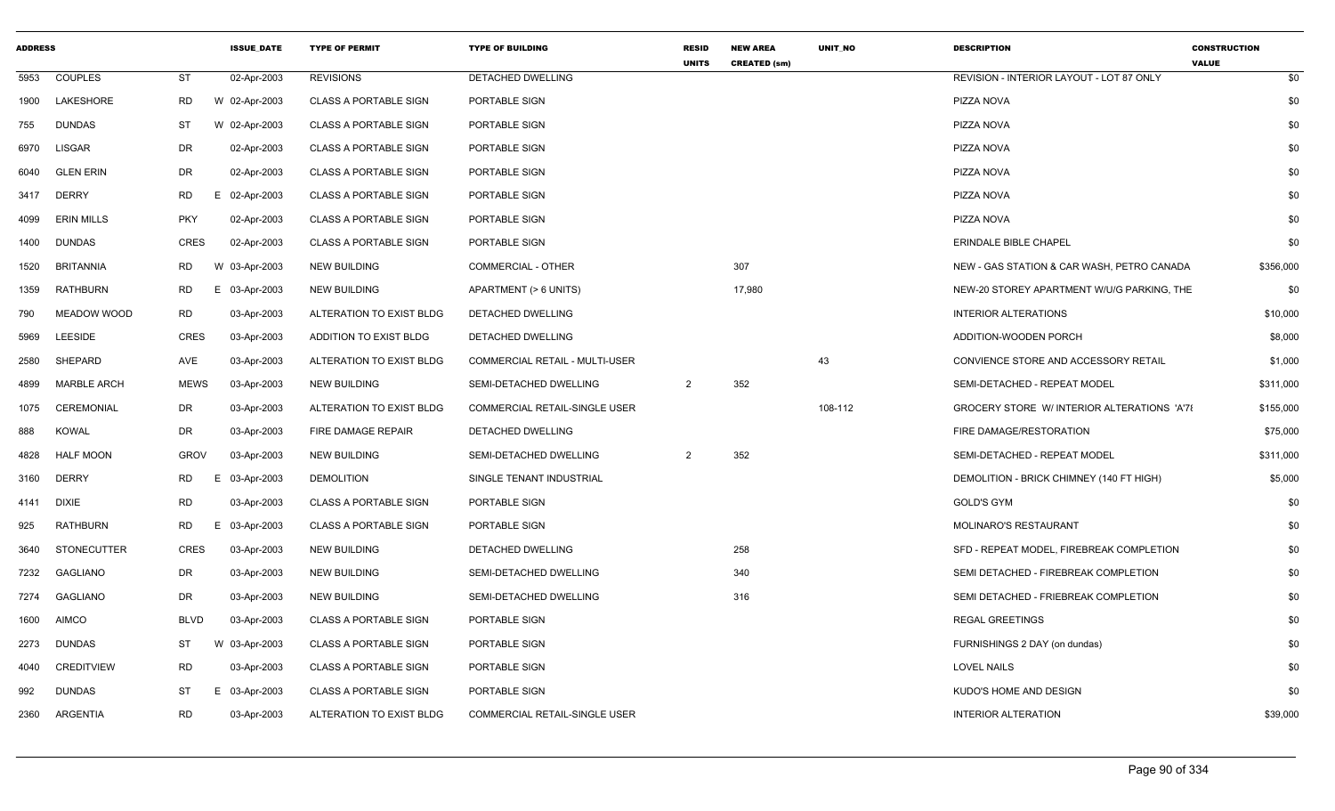| <b>ADDRESS</b> |                    |             | <b>ISSUE DATE</b> | <b>TYPE OF PERMIT</b>        | <b>TYPE OF BUILDING</b>        | <b>RESID</b><br><b>UNITS</b> | <b>NEW AREA</b><br><b>CREATED (sm)</b> | <b>UNIT NO</b> | <b>DESCRIPTION</b>                         | <b>CONSTRUCTION</b><br><b>VALUE</b> |
|----------------|--------------------|-------------|-------------------|------------------------------|--------------------------------|------------------------------|----------------------------------------|----------------|--------------------------------------------|-------------------------------------|
| 5953           | <b>COUPLES</b>     | <b>ST</b>   | 02-Apr-2003       | <b>REVISIONS</b>             | <b>DETACHED DWELLING</b>       |                              |                                        |                | REVISION - INTERIOR LAYOUT - LOT 87 ONLY   | \$0                                 |
| 1900           | LAKESHORE          | RD          | W 02-Apr-2003     | <b>CLASS A PORTABLE SIGN</b> | PORTABLE SIGN                  |                              |                                        |                | PIZZA NOVA                                 | \$0                                 |
| 755            | <b>DUNDAS</b>      | ST          | W 02-Apr-2003     | <b>CLASS A PORTABLE SIGN</b> | PORTABLE SIGN                  |                              |                                        |                | PIZZA NOVA                                 | \$0                                 |
| 6970           | LISGAR             | DR          | 02-Apr-2003       | <b>CLASS A PORTABLE SIGN</b> | PORTABLE SIGN                  |                              |                                        |                | PIZZA NOVA                                 | \$0                                 |
| 6040           | <b>GLEN ERIN</b>   | DR          | 02-Apr-2003       | <b>CLASS A PORTABLE SIGN</b> | PORTABLE SIGN                  |                              |                                        |                | PIZZA NOVA                                 | \$0                                 |
| 3417           | <b>DERRY</b>       | RD          | E 02-Apr-2003     | <b>CLASS A PORTABLE SIGN</b> | PORTABLE SIGN                  |                              |                                        |                | PIZZA NOVA                                 | \$0                                 |
| 4099           | <b>ERIN MILLS</b>  | <b>PKY</b>  | 02-Apr-2003       | <b>CLASS A PORTABLE SIGN</b> | PORTABLE SIGN                  |                              |                                        |                | PIZZA NOVA                                 | \$0                                 |
| 1400           | DUNDAS             | CRES        | 02-Apr-2003       | <b>CLASS A PORTABLE SIGN</b> | PORTABLE SIGN                  |                              |                                        |                | ERINDALE BIBLE CHAPEL                      | \$0                                 |
| 1520           | <b>BRITANNIA</b>   | RD          | W 03-Apr-2003     | <b>NEW BUILDING</b>          | COMMERCIAL - OTHER             |                              | 307                                    |                | NEW - GAS STATION & CAR WASH, PETRO CANADA | \$356,000                           |
| 1359           | <b>RATHBURN</b>    | RD          | 03-Apr-2003<br>Е. | <b>NEW BUILDING</b>          | APARTMENT (> 6 UNITS)          |                              | 17,980                                 |                | NEW-20 STOREY APARTMENT W/U/G PARKING, THE | \$0                                 |
| 790            | MEADOW WOOD        | <b>RD</b>   | 03-Apr-2003       | ALTERATION TO EXIST BLDG     | <b>DETACHED DWELLING</b>       |                              |                                        |                | <b>INTERIOR ALTERATIONS</b>                | \$10,000                            |
| 5969           | <b>LEESIDE</b>     | <b>CRES</b> | 03-Apr-2003       | ADDITION TO EXIST BLDG       | DETACHED DWELLING              |                              |                                        |                | ADDITION-WOODEN PORCH                      | \$8,000                             |
| 2580           | SHEPARD            | AVE         | 03-Apr-2003       | ALTERATION TO EXIST BLDG     | COMMERCIAL RETAIL - MULTI-USER |                              |                                        | 43             | CONVIENCE STORE AND ACCESSORY RETAIL       | \$1,000                             |
| 4899           | <b>MARBLE ARCH</b> | <b>MEWS</b> | 03-Apr-2003       | <b>NEW BUILDING</b>          | SEMI-DETACHED DWELLING         | $\overline{2}$               | 352                                    |                | SEMI-DETACHED - REPEAT MODEL               | \$311,000                           |
| 1075           | <b>CEREMONIAL</b>  | DR          | 03-Apr-2003       | ALTERATION TO EXIST BLDG     | COMMERCIAL RETAIL-SINGLE USER  |                              |                                        | 108-112        | GROCERY STORE W/INTERIOR ALTERATIONS 'A'78 | \$155,000                           |
| 888            | KOWAL              | DR          | 03-Apr-2003       | FIRE DAMAGE REPAIR           | DETACHED DWELLING              |                              |                                        |                | FIRE DAMAGE/RESTORATION                    | \$75,000                            |
| 4828           | <b>HALF MOON</b>   | <b>GROV</b> | 03-Apr-2003       | <b>NEW BUILDING</b>          | SEMI-DETACHED DWELLING         | $\overline{2}$               | 352                                    |                | SEMI-DETACHED - REPEAT MODEL               | \$311,000                           |
| 3160           | <b>DERRY</b>       | <b>RD</b>   | 03-Apr-2003<br>Е. | <b>DEMOLITION</b>            | SINGLE TENANT INDUSTRIAL       |                              |                                        |                | DEMOLITION - BRICK CHIMNEY (140 FT HIGH)   | \$5,000                             |
| 4141           | <b>DIXIE</b>       | <b>RD</b>   | 03-Apr-2003       | <b>CLASS A PORTABLE SIGN</b> | PORTABLE SIGN                  |                              |                                        |                | <b>GOLD'S GYM</b>                          | \$0                                 |
| 925            | <b>RATHBURN</b>    | <b>RD</b>   | 03-Apr-2003<br>E. | <b>CLASS A PORTABLE SIGN</b> | PORTABLE SIGN                  |                              |                                        |                | <b>MOLINARO'S RESTAURANT</b>               | \$0                                 |
| 3640           | <b>STONECUTTER</b> | CRES        | 03-Apr-2003       | <b>NEW BUILDING</b>          | DETACHED DWELLING              |                              | 258                                    |                | SFD - REPEAT MODEL, FIREBREAK COMPLETION   | \$0                                 |
| 7232           | GAGLIANO           | DR          | 03-Apr-2003       | <b>NEW BUILDING</b>          | SEMI-DETACHED DWELLING         |                              | 340                                    |                | SEMI DETACHED - FIREBREAK COMPLETION       | \$0                                 |
| 7274           | GAGLIANO           | DR          | 03-Apr-2003       | NEW BUILDING                 | SEMI-DETACHED DWELLING         |                              | 316                                    |                | SEMI DETACHED - FRIEBREAK COMPLETION       | \$0                                 |
| 1600           | <b>AIMCO</b>       | <b>BLVD</b> | 03-Apr-2003       | <b>CLASS A PORTABLE SIGN</b> | PORTABLE SIGN                  |                              |                                        |                | <b>REGAL GREETINGS</b>                     | \$0                                 |
| 2273           | <b>DUNDAS</b>      | ST          | W 03-Apr-2003     | <b>CLASS A PORTABLE SIGN</b> | PORTABLE SIGN                  |                              |                                        |                | FURNISHINGS 2 DAY (on dundas)              | \$0                                 |
| 4040           | CREDITVIEW         | <b>RD</b>   | 03-Apr-2003       | <b>CLASS A PORTABLE SIGN</b> | PORTABLE SIGN                  |                              |                                        |                | <b>LOVEL NAILS</b>                         | \$0                                 |
| 992            | <b>DUNDAS</b>      | ST          | 03-Apr-2003<br>E. | <b>CLASS A PORTABLE SIGN</b> | PORTABLE SIGN                  |                              |                                        |                | KUDO'S HOME AND DESIGN                     | \$0                                 |
| 2360           | ARGENTIA           | <b>RD</b>   | 03-Apr-2003       | ALTERATION TO EXIST BLDG     | COMMERCIAL RETAIL-SINGLE USER  |                              |                                        |                | <b>INTERIOR ALTERATION</b>                 | \$39,000                            |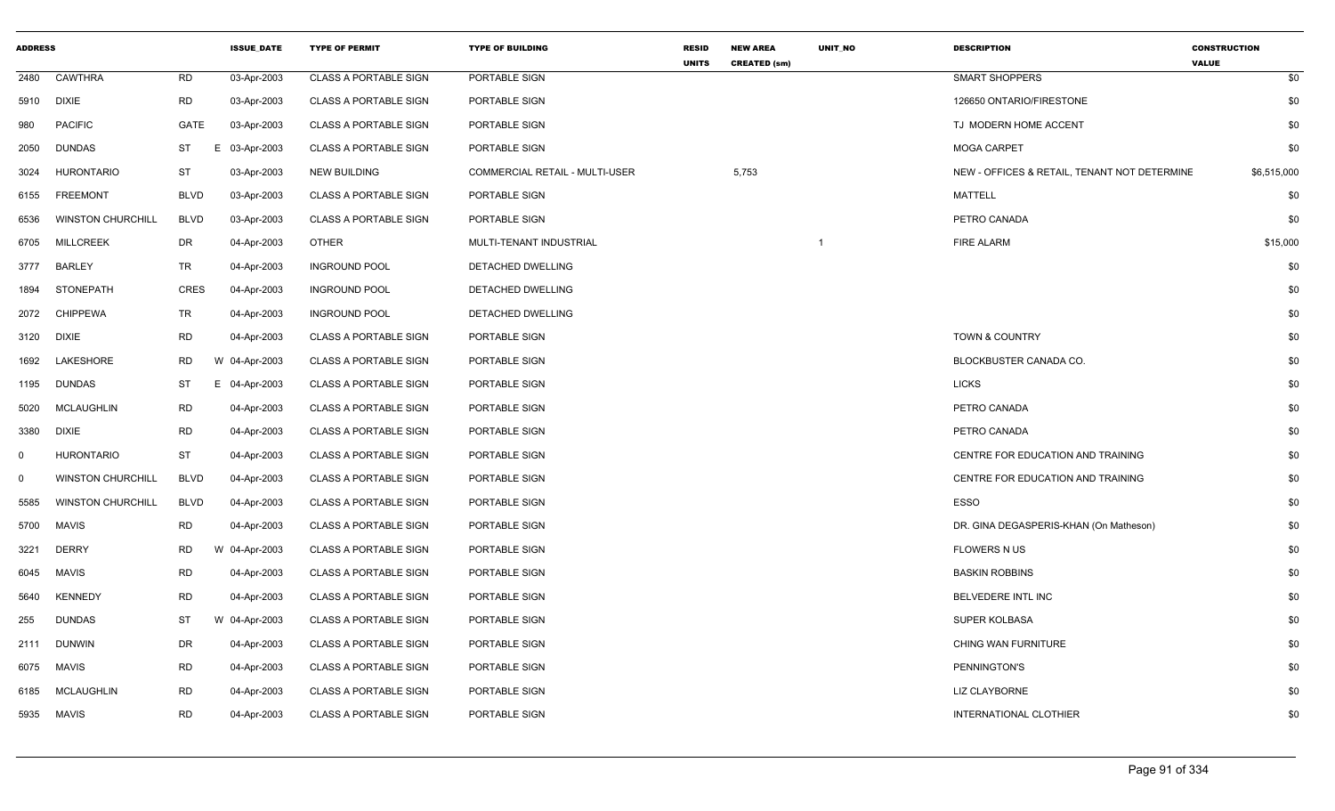| <b>ADDRESS</b> |                          |             | <b>ISSUE DATE</b> | <b>TYPE OF PERMIT</b>        | <b>TYPE OF BUILDING</b>        | <b>RESID</b><br><b>UNITS</b> | <b>NEW AREA</b><br><b>CREATED (sm)</b> | <b>UNIT NO</b> | <b>DESCRIPTION</b>                           | <b>CONSTRUCTION</b><br><b>VALUE</b> |
|----------------|--------------------------|-------------|-------------------|------------------------------|--------------------------------|------------------------------|----------------------------------------|----------------|----------------------------------------------|-------------------------------------|
| 2480           | <b>CAWTHRA</b>           | <b>RD</b>   | 03-Apr-2003       | <b>CLASS A PORTABLE SIGN</b> | PORTABLE SIGN                  |                              |                                        |                | <b>SMART SHOPPERS</b>                        | \$0                                 |
| 5910           | <b>DIXIE</b>             | <b>RD</b>   | 03-Apr-2003       | <b>CLASS A PORTABLE SIGN</b> | PORTABLE SIGN                  |                              |                                        |                | 126650 ONTARIO/FIRESTONE                     | \$0                                 |
| 980            | <b>PACIFIC</b>           | GATE        | 03-Apr-2003       | <b>CLASS A PORTABLE SIGN</b> | PORTABLE SIGN                  |                              |                                        |                | TJ MODERN HOME ACCENT                        | \$0                                 |
| 2050           | <b>DUNDAS</b>            | ST          | E 03-Apr-2003     | <b>CLASS A PORTABLE SIGN</b> | PORTABLE SIGN                  |                              |                                        |                | <b>MOGA CARPET</b>                           | \$0                                 |
| 3024           | <b>HURONTARIO</b>        | <b>ST</b>   | 03-Apr-2003       | <b>NEW BUILDING</b>          | COMMERCIAL RETAIL - MULTI-USER |                              | 5,753                                  |                | NEW - OFFICES & RETAIL, TENANT NOT DETERMINE | \$6,515,000                         |
| 6155           | <b>FREEMONT</b>          | <b>BLVD</b> | 03-Apr-2003       | <b>CLASS A PORTABLE SIGN</b> | PORTABLE SIGN                  |                              |                                        |                | <b>MATTELL</b>                               | \$0                                 |
| 6536           | <b>WINSTON CHURCHILL</b> | <b>BLVD</b> | 03-Apr-2003       | <b>CLASS A PORTABLE SIGN</b> | PORTABLE SIGN                  |                              |                                        |                | PETRO CANADA                                 | \$0                                 |
| 6705           | <b>MILLCREEK</b>         | DR          | 04-Apr-2003       | <b>OTHER</b>                 | MULTI-TENANT INDUSTRIAL        |                              |                                        | -1             | <b>FIRE ALARM</b>                            | \$15,000                            |
| 3777           | <b>BARLEY</b>            | TR          | 04-Apr-2003       | <b>INGROUND POOL</b>         | DETACHED DWELLING              |                              |                                        |                |                                              | \$0                                 |
| 1894           | STONEPATH                | CRES        | 04-Apr-2003       | <b>INGROUND POOL</b>         | DETACHED DWELLING              |                              |                                        |                |                                              | \$0                                 |
| 2072           | <b>CHIPPEWA</b>          | TR          | 04-Apr-2003       | <b>INGROUND POOL</b>         | DETACHED DWELLING              |                              |                                        |                |                                              | \$0                                 |
| 3120           | <b>DIXIE</b>             | <b>RD</b>   | 04-Apr-2003       | <b>CLASS A PORTABLE SIGN</b> | PORTABLE SIGN                  |                              |                                        |                | TOWN & COUNTRY                               | \$0                                 |
| 1692           | LAKESHORE                | RD          | W 04-Apr-2003     | <b>CLASS A PORTABLE SIGN</b> | PORTABLE SIGN                  |                              |                                        |                | BLOCKBUSTER CANADA CO.                       | \$0                                 |
| 1195           | <b>DUNDAS</b>            | ST          | E 04-Apr-2003     | <b>CLASS A PORTABLE SIGN</b> | PORTABLE SIGN                  |                              |                                        |                | <b>LICKS</b>                                 | \$0                                 |
| 5020           | <b>MCLAUGHLIN</b>        | <b>RD</b>   | 04-Apr-2003       | <b>CLASS A PORTABLE SIGN</b> | PORTABLE SIGN                  |                              |                                        |                | PETRO CANADA                                 | \$0                                 |
| 3380           | <b>DIXIE</b>             | <b>RD</b>   | 04-Apr-2003       | <b>CLASS A PORTABLE SIGN</b> | PORTABLE SIGN                  |                              |                                        |                | PETRO CANADA                                 | \$0                                 |
| $\Omega$       | <b>HURONTARIO</b>        | ST          | 04-Apr-2003       | <b>CLASS A PORTABLE SIGN</b> | PORTABLE SIGN                  |                              |                                        |                | CENTRE FOR EDUCATION AND TRAINING            | \$0                                 |
| $\Omega$       | <b>WINSTON CHURCHILL</b> | <b>BLVD</b> | 04-Apr-2003       | <b>CLASS A PORTABLE SIGN</b> | PORTABLE SIGN                  |                              |                                        |                | CENTRE FOR EDUCATION AND TRAINING            | \$0                                 |
| 5585           | <b>WINSTON CHURCHILL</b> | <b>BLVD</b> | 04-Apr-2003       | <b>CLASS A PORTABLE SIGN</b> | PORTABLE SIGN                  |                              |                                        |                | ESSO                                         | \$0                                 |
| 5700           | MAVIS                    | <b>RD</b>   | 04-Apr-2003       | <b>CLASS A PORTABLE SIGN</b> | PORTABLE SIGN                  |                              |                                        |                | DR. GINA DEGASPERIS-KHAN (On Matheson)       | \$0                                 |
| 3221           | <b>DERRY</b>             | <b>RD</b>   | W 04-Apr-2003     | <b>CLASS A PORTABLE SIGN</b> | PORTABLE SIGN                  |                              |                                        |                | <b>FLOWERS N US</b>                          | \$0                                 |
| 6045           | <b>MAVIS</b>             | <b>RD</b>   | 04-Apr-2003       | <b>CLASS A PORTABLE SIGN</b> | PORTABLE SIGN                  |                              |                                        |                | <b>BASKIN ROBBINS</b>                        | \$0                                 |
| 5640           | <b>KENNEDY</b>           | RD          | 04-Apr-2003       | <b>CLASS A PORTABLE SIGN</b> | PORTABLE SIGN                  |                              |                                        |                | BELVEDERE INTL INC                           | \$0                                 |
| 255            | <b>DUNDAS</b>            | ST          | W 04-Apr-2003     | <b>CLASS A PORTABLE SIGN</b> | PORTABLE SIGN                  |                              |                                        |                | SUPER KOLBASA                                | \$0                                 |
| 2111           | <b>DUNWIN</b>            | DR          | 04-Apr-2003       | <b>CLASS A PORTABLE SIGN</b> | PORTABLE SIGN                  |                              |                                        |                | CHING WAN FURNITURE                          | \$0                                 |
| 6075           | <b>MAVIS</b>             | <b>RD</b>   | 04-Apr-2003       | <b>CLASS A PORTABLE SIGN</b> | PORTABLE SIGN                  |                              |                                        |                | PENNINGTON'S                                 | \$0                                 |
| 6185           | <b>MCLAUGHLIN</b>        | <b>RD</b>   | 04-Apr-2003       | <b>CLASS A PORTABLE SIGN</b> | PORTABLE SIGN                  |                              |                                        |                | <b>LIZ CLAYBORNE</b>                         | \$0                                 |
| 5935           | MAVIS                    | <b>RD</b>   | 04-Apr-2003       | <b>CLASS A PORTABLE SIGN</b> | PORTABLE SIGN                  |                              |                                        |                | INTERNATIONAL CLOTHIER                       | \$0                                 |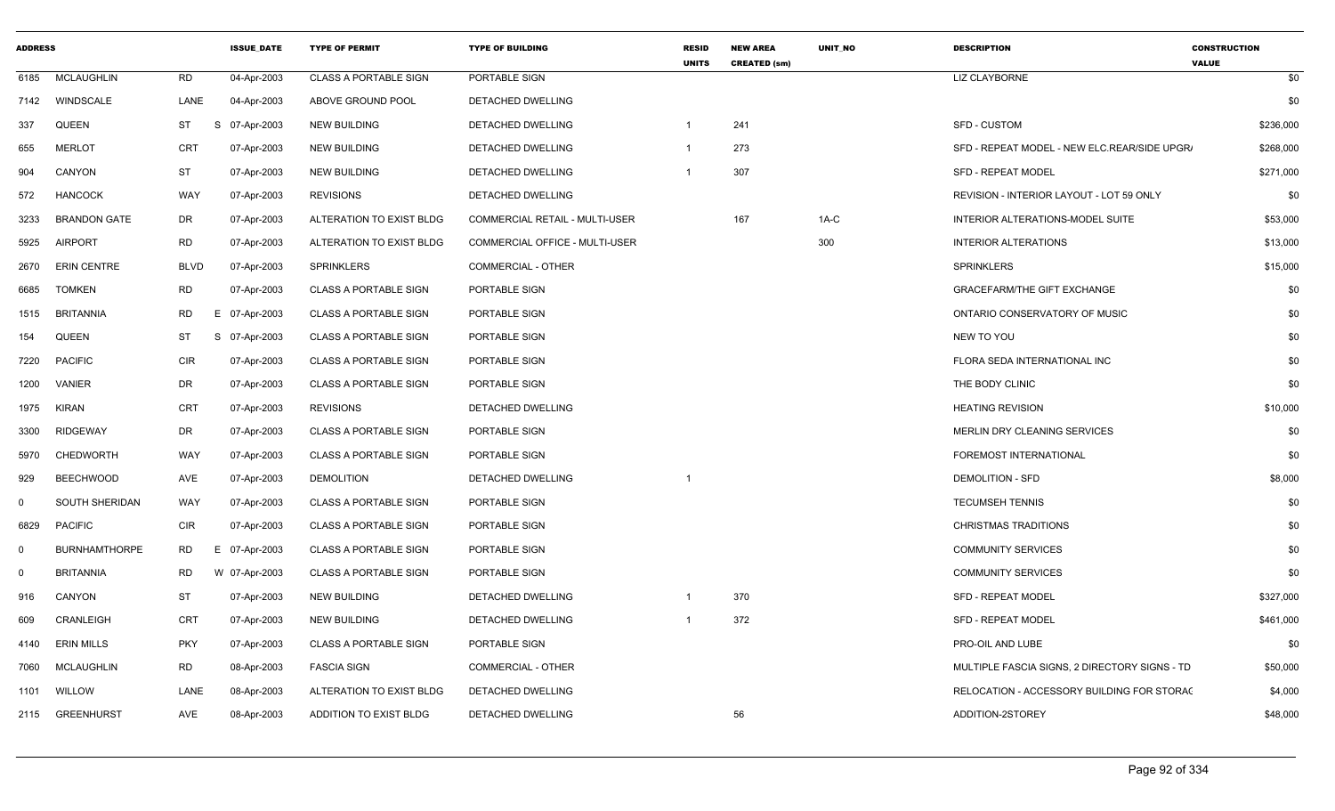| <b>ADDRESS</b> |                      |             | <b>ISSUE DATE</b> | <b>TYPE OF PERMIT</b>        | <b>TYPE OF BUILDING</b>        | <b>RESID</b><br><b>UNITS</b> | <b>NEW AREA</b><br><b>CREATED (sm)</b> | <b>UNIT NO</b> | <b>DESCRIPTION</b>                            | <b>CONSTRUCTION</b><br><b>VALUE</b> |
|----------------|----------------------|-------------|-------------------|------------------------------|--------------------------------|------------------------------|----------------------------------------|----------------|-----------------------------------------------|-------------------------------------|
| 6185           | <b>MCLAUGHLIN</b>    | <b>RD</b>   | 04-Apr-2003       | <b>CLASS A PORTABLE SIGN</b> | PORTABLE SIGN                  |                              |                                        |                | <b>LIZ CLAYBORNE</b>                          | \$0                                 |
| 7142           | WINDSCALE            | LANE        | 04-Apr-2003       | ABOVE GROUND POOL            | DETACHED DWELLING              |                              |                                        |                |                                               | \$0                                 |
| 337            | QUEEN                | <b>ST</b>   | S<br>07-Apr-2003  | <b>NEW BUILDING</b>          | DETACHED DWELLING              |                              | 241                                    |                | SFD - CUSTOM                                  | \$236,000                           |
| 655            | <b>MERLOT</b>        | <b>CRT</b>  | 07-Apr-2003       | <b>NEW BUILDING</b>          | DETACHED DWELLING              |                              | 273                                    |                | SFD - REPEAT MODEL - NEW ELC.REAR/SIDE UPGR/  | \$268,000                           |
| 904            | CANYON               | <b>ST</b>   | 07-Apr-2003       | <b>NEW BUILDING</b>          | DETACHED DWELLING              |                              | 307                                    |                | <b>SFD - REPEAT MODEL</b>                     | \$271,000                           |
| 572            | <b>HANCOCK</b>       | WAY         | 07-Apr-2003       | <b>REVISIONS</b>             | DETACHED DWELLING              |                              |                                        |                | REVISION - INTERIOR LAYOUT - LOT 59 ONLY      | \$0                                 |
| 3233           | <b>BRANDON GATE</b>  | DR          | 07-Apr-2003       | ALTERATION TO EXIST BLDG     | COMMERCIAL RETAIL - MULTI-USER |                              | 167                                    | $1A-C$         | INTERIOR ALTERATIONS-MODEL SUITE              | \$53,000                            |
| 5925           | <b>AIRPORT</b>       | RD          | 07-Apr-2003       | ALTERATION TO EXIST BLDG     | COMMERCIAL OFFICE - MULTI-USER |                              |                                        | 300            | <b>INTERIOR ALTERATIONS</b>                   | \$13,000                            |
| 2670           | <b>ERIN CENTRE</b>   | <b>BLVD</b> | 07-Apr-2003       | <b>SPRINKLERS</b>            | COMMERCIAL - OTHER             |                              |                                        |                | <b>SPRINKLERS</b>                             | \$15,000                            |
| 6685           | <b>TOMKEN</b>        | RD          | 07-Apr-2003       | <b>CLASS A PORTABLE SIGN</b> | PORTABLE SIGN                  |                              |                                        |                | <b>GRACEFARM/THE GIFT EXCHANGE</b>            | \$0                                 |
| 1515           | <b>BRITANNIA</b>     | <b>RD</b>   | E 07-Apr-2003     | <b>CLASS A PORTABLE SIGN</b> | PORTABLE SIGN                  |                              |                                        |                | ONTARIO CONSERVATORY OF MUSIC                 | \$0                                 |
| 154            | QUEEN                | ST          | S 07-Apr-2003     | <b>CLASS A PORTABLE SIGN</b> | PORTABLE SIGN                  |                              |                                        |                | NEW TO YOU                                    | \$0                                 |
| 7220           | <b>PACIFIC</b>       | CIR         | 07-Apr-2003       | <b>CLASS A PORTABLE SIGN</b> | PORTABLE SIGN                  |                              |                                        |                | FLORA SEDA INTERNATIONAL INC                  | \$0                                 |
| 1200           | <b>VANIER</b>        | DR          | 07-Apr-2003       | <b>CLASS A PORTABLE SIGN</b> | PORTABLE SIGN                  |                              |                                        |                | THE BODY CLINIC                               | \$0                                 |
| 1975           | <b>KIRAN</b>         | <b>CRT</b>  | 07-Apr-2003       | <b>REVISIONS</b>             | DETACHED DWELLING              |                              |                                        |                | <b>HEATING REVISION</b>                       | \$10,000                            |
| 3300           | <b>RIDGEWAY</b>      | DR          | 07-Apr-2003       | <b>CLASS A PORTABLE SIGN</b> | PORTABLE SIGN                  |                              |                                        |                | <b>MERLIN DRY CLEANING SERVICES</b>           | \$0                                 |
| 5970           | CHEDWORTH            | WAY         | 07-Apr-2003       | <b>CLASS A PORTABLE SIGN</b> | PORTABLE SIGN                  |                              |                                        |                | FOREMOST INTERNATIONAL                        | \$0                                 |
| 929            | <b>BEECHWOOD</b>     | AVE         | 07-Apr-2003       | <b>DEMOLITION</b>            | DETACHED DWELLING              | $\mathbf 1$                  |                                        |                | DEMOLITION - SFD                              | \$8,000                             |
| $\mathbf 0$    | SOUTH SHERIDAN       | WAY         | 07-Apr-2003       | <b>CLASS A PORTABLE SIGN</b> | PORTABLE SIGN                  |                              |                                        |                | <b>TECUMSEH TENNIS</b>                        | \$0                                 |
| 6829           | <b>PACIFIC</b>       | <b>CIR</b>  | 07-Apr-2003       | <b>CLASS A PORTABLE SIGN</b> | PORTABLE SIGN                  |                              |                                        |                | <b>CHRISTMAS TRADITIONS</b>                   | \$0                                 |
| $\mathbf 0$    | <b>BURNHAMTHORPE</b> | RD          | E 07-Apr-2003     | <b>CLASS A PORTABLE SIGN</b> | PORTABLE SIGN                  |                              |                                        |                | <b>COMMUNITY SERVICES</b>                     | \$0                                 |
| $\mathbf 0$    | <b>BRITANNIA</b>     | RD          | W 07-Apr-2003     | <b>CLASS A PORTABLE SIGN</b> | PORTABLE SIGN                  |                              |                                        |                | <b>COMMUNITY SERVICES</b>                     | \$0                                 |
| 916            | CANYON               | ST          | 07-Apr-2003       | <b>NEW BUILDING</b>          | DETACHED DWELLING              |                              | 370                                    |                | <b>SFD - REPEAT MODEL</b>                     | \$327,000                           |
| 609            | CRANLEIGH            | <b>CRT</b>  | 07-Apr-2003       | <b>NEW BUILDING</b>          | DETACHED DWELLING              |                              | 372                                    |                | <b>SFD - REPEAT MODEL</b>                     | \$461,000                           |
| 4140           | <b>ERIN MILLS</b>    | PKY         | 07-Apr-2003       | <b>CLASS A PORTABLE SIGN</b> | PORTABLE SIGN                  |                              |                                        |                | PRO-OIL AND LUBE                              | \$0                                 |
| 7060           | <b>MCLAUGHLIN</b>    | RD          | 08-Apr-2003       | <b>FASCIA SIGN</b>           | <b>COMMERCIAL - OTHER</b>      |                              |                                        |                | MULTIPLE FASCIA SIGNS, 2 DIRECTORY SIGNS - TD | \$50,000                            |
| 1101           | WILLOW               | LANE        | 08-Apr-2003       | ALTERATION TO EXIST BLDG     | DETACHED DWELLING              |                              |                                        |                | RELOCATION - ACCESSORY BUILDING FOR STORAC    | \$4,000                             |
| 2115           | <b>GREENHURST</b>    | AVE         | 08-Apr-2003       | ADDITION TO EXIST BLDG       | DETACHED DWELLING              |                              | 56                                     |                | ADDITION-2STOREY                              | \$48,000                            |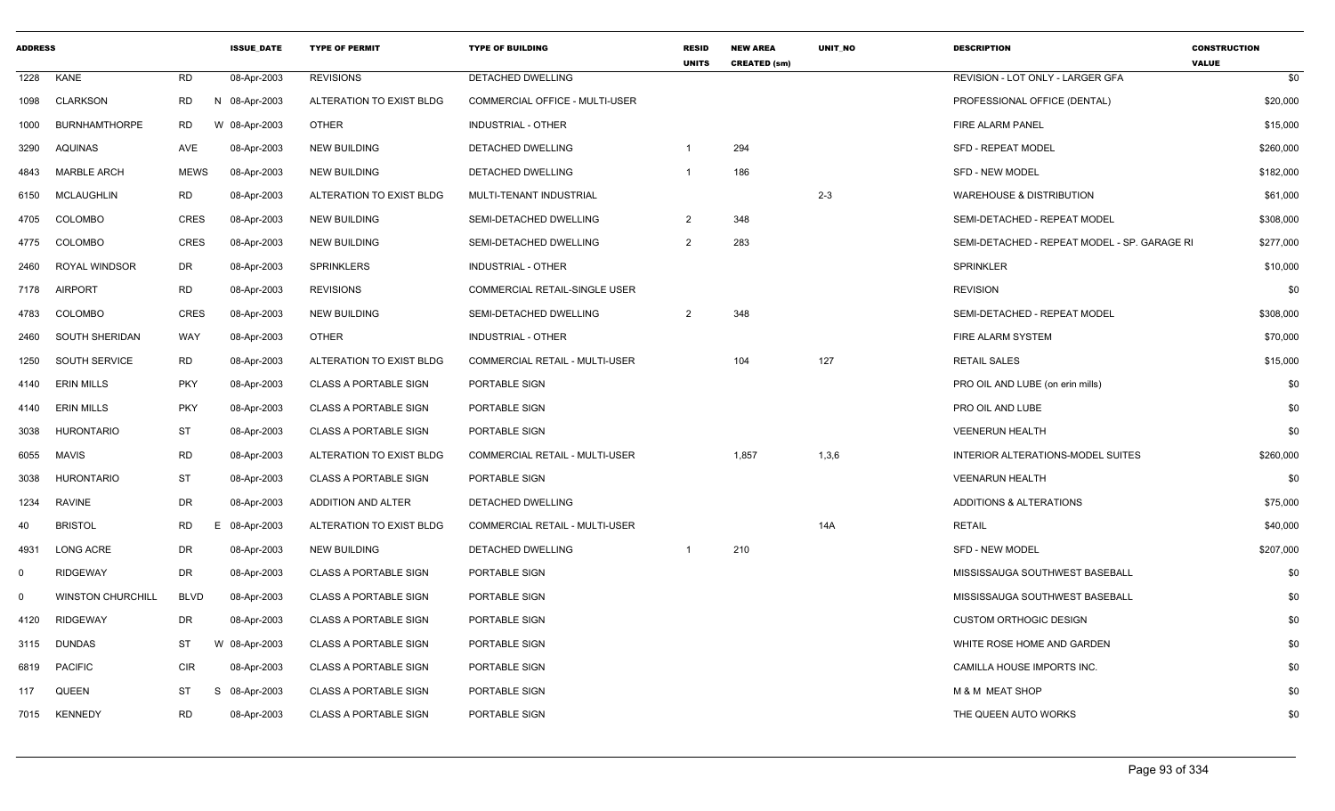| <b>ADDRESS</b> |                          |             | <b>ISSUE DATE</b> | <b>TYPE OF PERMIT</b>        | <b>TYPE OF BUILDING</b>               | <b>RESID</b><br><b>UNITS</b> | <b>NEW AREA</b><br><b>CREATED (sm)</b> | <b>UNIT NO</b> | <b>DESCRIPTION</b>                           | <b>CONSTRUCTION</b><br><b>VALUE</b> |
|----------------|--------------------------|-------------|-------------------|------------------------------|---------------------------------------|------------------------------|----------------------------------------|----------------|----------------------------------------------|-------------------------------------|
| 1228           | KANE                     | <b>RD</b>   | 08-Apr-2003       | <b>REVISIONS</b>             | <b>DETACHED DWELLING</b>              |                              |                                        |                | REVISION - LOT ONLY - LARGER GFA             | \$0                                 |
| 1098           | CLARKSON                 | RD          | N 08-Apr-2003     | ALTERATION TO EXIST BLDG     | <b>COMMERCIAL OFFICE - MULTI-USER</b> |                              |                                        |                | PROFESSIONAL OFFICE (DENTAL)                 | \$20,000                            |
| 1000           | <b>BURNHAMTHORPE</b>     | RD          | W 08-Apr-2003     | <b>OTHER</b>                 | <b>INDUSTRIAL - OTHER</b>             |                              |                                        |                | FIRE ALARM PANEL                             | \$15,000                            |
| 3290           | AQUINAS                  | AVE         | 08-Apr-2003       | <b>NEW BUILDING</b>          | <b>DETACHED DWELLING</b>              | -1                           | 294                                    |                | <b>SFD - REPEAT MODEL</b>                    | \$260,000                           |
| 4843           | <b>MARBLE ARCH</b>       | <b>MEWS</b> | 08-Apr-2003       | <b>NEW BUILDING</b>          | DETACHED DWELLING                     | -1                           | 186                                    |                | <b>SFD - NEW MODEL</b>                       | \$182,000                           |
| 6150           | <b>MCLAUGHLIN</b>        | <b>RD</b>   | 08-Apr-2003       | ALTERATION TO EXIST BLDG     | MULTI-TENANT INDUSTRIAL               |                              |                                        | $2 - 3$        | <b>WAREHOUSE &amp; DISTRIBUTION</b>          | \$61,000                            |
| 4705           | <b>COLOMBO</b>           | <b>CRES</b> | 08-Apr-2003       | <b>NEW BUILDING</b>          | SEMI-DETACHED DWELLING                | $\overline{2}$               | 348                                    |                | SEMI-DETACHED - REPEAT MODEL                 | \$308,000                           |
| 4775           | <b>COLOMBO</b>           | <b>CRES</b> | 08-Apr-2003       | <b>NEW BUILDING</b>          | SEMI-DETACHED DWELLING                | $\overline{2}$               | 283                                    |                | SEMI-DETACHED - REPEAT MODEL - SP. GARAGE RI | \$277,000                           |
| 2460           | <b>ROYAL WINDSOR</b>     | DR          | 08-Apr-2003       | SPRINKLERS                   | INDUSTRIAL - OTHER                    |                              |                                        |                | <b>SPRINKLER</b>                             | \$10,000                            |
| 7178           | <b>AIRPORT</b>           | <b>RD</b>   | 08-Apr-2003       | <b>REVISIONS</b>             | COMMERCIAL RETAIL-SINGLE USER         |                              |                                        |                | <b>REVISION</b>                              | \$0                                 |
| 4783           | <b>COLOMBO</b>           | <b>CRES</b> | 08-Apr-2003       | <b>NEW BUILDING</b>          | SEMI-DETACHED DWELLING                | 2                            | 348                                    |                | SEMI-DETACHED - REPEAT MODEL                 | \$308,000                           |
| 2460           | <b>SOUTH SHERIDAN</b>    | WAY         | 08-Apr-2003       | <b>OTHER</b>                 | <b>INDUSTRIAL - OTHER</b>             |                              |                                        |                | FIRE ALARM SYSTEM                            | \$70,000                            |
| 1250           | SOUTH SERVICE            | RD          | 08-Apr-2003       | ALTERATION TO EXIST BLDG     | COMMERCIAL RETAIL - MULTI-USER        |                              | 104                                    | 127            | <b>RETAIL SALES</b>                          | \$15,000                            |
| 4140           | <b>ERIN MILLS</b>        | <b>PKY</b>  | 08-Apr-2003       | <b>CLASS A PORTABLE SIGN</b> | PORTABLE SIGN                         |                              |                                        |                | PRO OIL AND LUBE (on erin mills)             | \$0                                 |
| 4140           | <b>ERIN MILLS</b>        | <b>PKY</b>  | 08-Apr-2003       | <b>CLASS A PORTABLE SIGN</b> | PORTABLE SIGN                         |                              |                                        |                | PRO OIL AND LUBE                             | \$0                                 |
| 3038           | <b>HURONTARIO</b>        | <b>ST</b>   | 08-Apr-2003       | <b>CLASS A PORTABLE SIGN</b> | PORTABLE SIGN                         |                              |                                        |                | <b>VEENERUN HEALTH</b>                       | \$0                                 |
| 6055           | <b>MAVIS</b>             | <b>RD</b>   | 08-Apr-2003       | ALTERATION TO EXIST BLDG     | COMMERCIAL RETAIL - MULTI-USER        |                              | 1,857                                  | 1,3,6          | INTERIOR ALTERATIONS-MODEL SUITES            | \$260,000                           |
| 3038           | <b>HURONTARIO</b>        | <b>ST</b>   | 08-Apr-2003       | <b>CLASS A PORTABLE SIGN</b> | PORTABLE SIGN                         |                              |                                        |                | <b>VEENARUN HEALTH</b>                       | \$0                                 |
| 1234           | RAVINE                   | DR          | 08-Apr-2003       | ADDITION AND ALTER           | DETACHED DWELLING                     |                              |                                        |                | ADDITIONS & ALTERATIONS                      | \$75,000                            |
| 40             | <b>BRISTOL</b>           | <b>RD</b>   | E 08-Apr-2003     | ALTERATION TO EXIST BLDG     | COMMERCIAL RETAIL - MULTI-USER        |                              |                                        | 14A            | <b>RETAIL</b>                                | \$40,000                            |
| 4931           | <b>LONG ACRE</b>         | <b>DR</b>   | 08-Apr-2003       | <b>NEW BUILDING</b>          | DETACHED DWELLING                     |                              | 210                                    |                | <b>SFD - NEW MODEL</b>                       | \$207,000                           |
| $\mathbf 0$    | <b>RIDGEWAY</b>          | <b>DR</b>   | 08-Apr-2003       | <b>CLASS A PORTABLE SIGN</b> | PORTABLE SIGN                         |                              |                                        |                | MISSISSAUGA SOUTHWEST BASEBALL               | \$0                                 |
| $\mathbf 0$    | <b>WINSTON CHURCHILL</b> | <b>BLVD</b> | 08-Apr-2003       | <b>CLASS A PORTABLE SIGN</b> | PORTABLE SIGN                         |                              |                                        |                | MISSISSAUGA SOUTHWEST BASEBALL               | \$0                                 |
| 4120           | <b>RIDGEWAY</b>          | DR          | 08-Apr-2003       | <b>CLASS A PORTABLE SIGN</b> | PORTABLE SIGN                         |                              |                                        |                | <b>CUSTOM ORTHOGIC DESIGN</b>                | \$0                                 |
| 3115           | <b>DUNDAS</b>            | ST          | W 08-Apr-2003     | <b>CLASS A PORTABLE SIGN</b> | PORTABLE SIGN                         |                              |                                        |                | WHITE ROSE HOME AND GARDEN                   | \$0                                 |
| 6819           | <b>PACIFIC</b>           | <b>CIR</b>  | 08-Apr-2003       | <b>CLASS A PORTABLE SIGN</b> | PORTABLE SIGN                         |                              |                                        |                | CAMILLA HOUSE IMPORTS INC.                   | \$0                                 |
| 117            | <b>QUEEN</b>             | ST          | -S<br>08-Apr-2003 | <b>CLASS A PORTABLE SIGN</b> | PORTABLE SIGN                         |                              |                                        |                | <b>M &amp; M MEAT SHOP</b>                   | \$0                                 |
| 7015           | KENNEDY                  | <b>RD</b>   | 08-Apr-2003       | <b>CLASS A PORTABLE SIGN</b> | PORTABLE SIGN                         |                              |                                        |                | THE QUEEN AUTO WORKS                         | \$0                                 |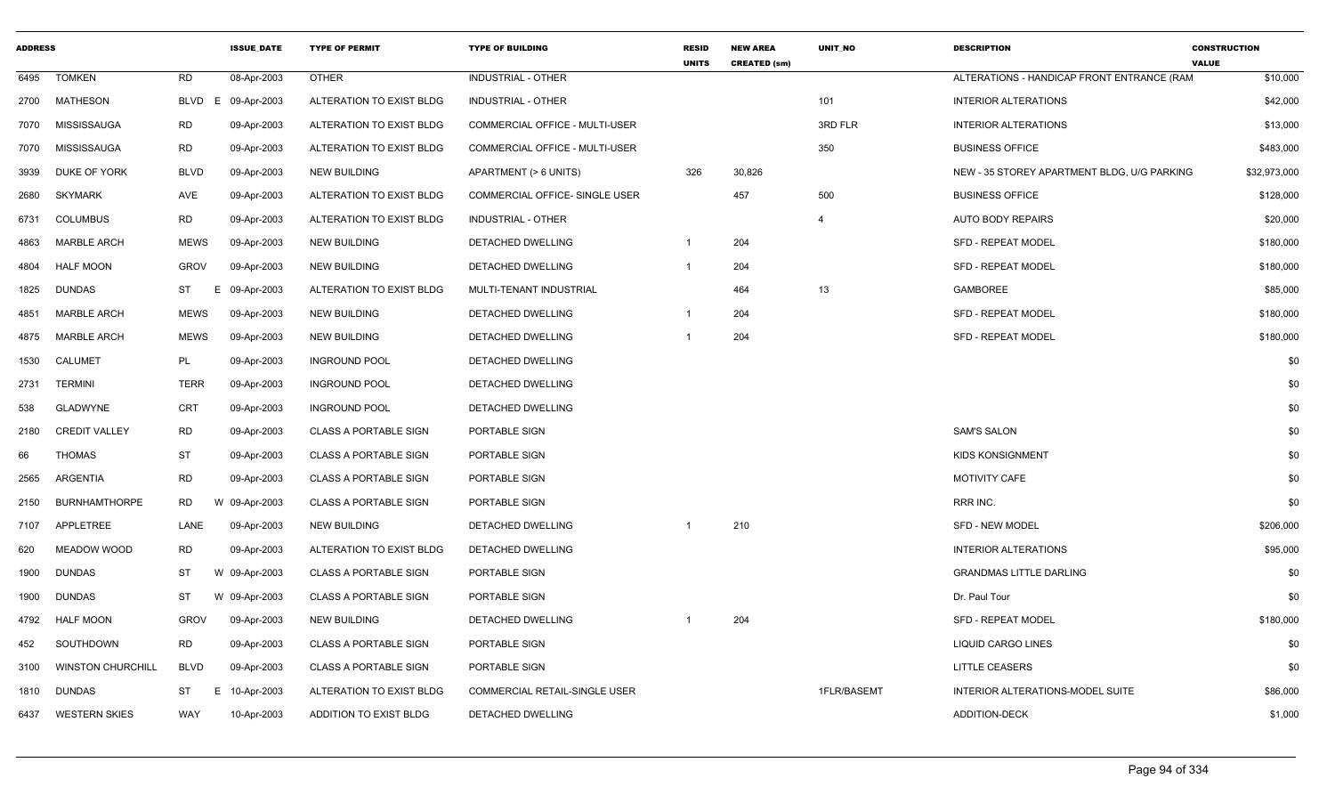| <b>ADDRESS</b> |                          |                | <b>ISSUE DATE</b> | <b>TYPE OF PERMIT</b>        | <b>TYPE OF BUILDING</b>               | <b>RESID</b><br><b>UNITS</b> | <b>NEW AREA</b><br><b>CREATED (sm)</b> | <b>UNIT NO</b> | <b>DESCRIPTION</b>                          | <b>CONSTRUCTION</b><br><b>VALUE</b> |
|----------------|--------------------------|----------------|-------------------|------------------------------|---------------------------------------|------------------------------|----------------------------------------|----------------|---------------------------------------------|-------------------------------------|
| 6495           | <b>TOMKEN</b>            | <b>RD</b>      | 08-Apr-2003       | <b>OTHER</b>                 | <b>INDUSTRIAL - OTHER</b>             |                              |                                        |                | ALTERATIONS - HANDICAP FRONT ENTRANCE (RAM  | \$10,000                            |
| 2700           | MATHESON                 | BLVD           | E 09-Apr-2003     | ALTERATION TO EXIST BLDG     | <b>INDUSTRIAL - OTHER</b>             |                              |                                        | 101            | <b>INTERIOR ALTERATIONS</b>                 | \$42,000                            |
| 7070           | MISSISSAUGA              | RD             | 09-Apr-2003       | ALTERATION TO EXIST BLDG     | COMMERCIAL OFFICE - MULTI-USER        |                              |                                        | 3RD FLR        | <b>INTERIOR ALTERATIONS</b>                 | \$13,000                            |
| 7070           | MISSISSAUGA              | <b>RD</b>      | 09-Apr-2003       | ALTERATION TO EXIST BLDG     | COMMERCIAL OFFICE - MULTI-USER        |                              |                                        | 350            | <b>BUSINESS OFFICE</b>                      | \$483,000                           |
| 3939           | DUKE OF YORK             | <b>BLVD</b>    | 09-Apr-2003       | <b>NEW BUILDING</b>          | APARTMENT (> 6 UNITS)                 | 326                          | 30,826                                 |                | NEW - 35 STOREY APARTMENT BLDG, U/G PARKING | \$32,973,000                        |
| 2680           | <b>SKYMARK</b>           | <b>AVE</b>     | 09-Apr-2003       | ALTERATION TO EXIST BLDG     | <b>COMMERCIAL OFFICE- SINGLE USER</b> |                              | 457                                    | 500            | <b>BUSINESS OFFICE</b>                      | \$128,000                           |
| 6731           | <b>COLUMBUS</b>          | <b>RD</b>      | 09-Apr-2003       | ALTERATION TO EXIST BLDG     | INDUSTRIAL - OTHER                    |                              |                                        | $\overline{4}$ | AUTO BODY REPAIRS                           | \$20,000                            |
| 4863           | <b>MARBLE ARCH</b>       | <b>MEWS</b>    | 09-Apr-2003       | <b>NEW BUILDING</b>          | DETACHED DWELLING                     | $\overline{1}$               | 204                                    |                | <b>SFD - REPEAT MODEL</b>                   | \$180,000                           |
| 4804           | <b>HALF MOON</b>         | <b>GROV</b>    | 09-Apr-2003       | <b>NEW BUILDING</b>          | DETACHED DWELLING                     | $\overline{1}$               | 204                                    |                | SFD - REPEAT MODEL                          | \$180,000                           |
| 1825           | <b>DUNDAS</b>            | ST<br>Ε        | 09-Apr-2003       | ALTERATION TO EXIST BLDG     | MULTI-TENANT INDUSTRIAL               |                              | 464                                    | 13             | <b>GAMBOREE</b>                             | \$85,000                            |
| 4851           | MARBLE ARCH              | <b>MEWS</b>    | 09-Apr-2003       | <b>NEW BUILDING</b>          | DETACHED DWELLING                     |                              | 204                                    |                | <b>SFD - REPEAT MODEL</b>                   | \$180,000                           |
| 4875           | <b>MARBLE ARCH</b>       | <b>MEWS</b>    | 09-Apr-2003       | <b>NEW BUILDING</b>          | DETACHED DWELLING                     | -1                           | 204                                    |                | <b>SFD - REPEAT MODEL</b>                   | \$180,000                           |
| 1530           | CALUMET                  | PL             | 09-Apr-2003       | <b>INGROUND POOL</b>         | DETACHED DWELLING                     |                              |                                        |                |                                             | \$0                                 |
| 2731           | <b>TERMINI</b>           | <b>TERR</b>    | 09-Apr-2003       | <b>INGROUND POOL</b>         | DETACHED DWELLING                     |                              |                                        |                |                                             | \$0                                 |
| 538            | <b>GLADWYNE</b>          | <b>CRT</b>     | 09-Apr-2003       | <b>INGROUND POOL</b>         | DETACHED DWELLING                     |                              |                                        |                |                                             | \$0                                 |
| 2180           | <b>CREDIT VALLEY</b>     | <b>RD</b>      | 09-Apr-2003       | <b>CLASS A PORTABLE SIGN</b> | PORTABLE SIGN                         |                              |                                        |                | <b>SAM'S SALON</b>                          | \$0                                 |
| 66             | THOMAS                   | ST             | 09-Apr-2003       | <b>CLASS A PORTABLE SIGN</b> | PORTABLE SIGN                         |                              |                                        |                | <b>KIDS KONSIGNMENT</b>                     | \$0                                 |
| 2565           | ARGENTIA                 | <b>RD</b>      | 09-Apr-2003       | <b>CLASS A PORTABLE SIGN</b> | PORTABLE SIGN                         |                              |                                        |                | <b>MOTIVITY CAFE</b>                        | \$0                                 |
| 2150           | <b>BURNHAMTHORPE</b>     | <b>RD</b>      | W 09-Apr-2003     | <b>CLASS A PORTABLE SIGN</b> | PORTABLE SIGN                         |                              |                                        |                | RRR INC.                                    | \$0                                 |
| 7107           | APPLETREE                | LANE           | 09-Apr-2003       | <b>NEW BUILDING</b>          | <b>DETACHED DWELLING</b>              | -1                           | 210                                    |                | <b>SFD - NEW MODEL</b>                      | \$206,000                           |
| 620            | MEADOW WOOD              | RD             | 09-Apr-2003       | ALTERATION TO EXIST BLDG     | DETACHED DWELLING                     |                              |                                        |                | <b>INTERIOR ALTERATIONS</b>                 | \$95,000                            |
| 1900           | <b>DUNDAS</b>            | ST             | W 09-Apr-2003     | <b>CLASS A PORTABLE SIGN</b> | PORTABLE SIGN                         |                              |                                        |                | <b>GRANDMAS LITTLE DARLING</b>              | \$0                                 |
| 1900           | <b>DUNDAS</b>            | ST             | W 09-Apr-2003     | <b>CLASS A PORTABLE SIGN</b> | PORTABLE SIGN                         |                              |                                        |                | Dr. Paul Tour                               | \$0                                 |
| 4792           | <b>HALF MOON</b>         | <b>GROV</b>    | 09-Apr-2003       | <b>NEW BUILDING</b>          | DETACHED DWELLING                     |                              | 204                                    |                | <b>SFD - REPEAT MODEL</b>                   | \$180,000                           |
| 452            | SOUTHDOWN                | <b>RD</b>      | 09-Apr-2003       | <b>CLASS A PORTABLE SIGN</b> | PORTABLE SIGN                         |                              |                                        |                | <b>LIQUID CARGO LINES</b>                   | \$0                                 |
| 3100           | <b>WINSTON CHURCHILL</b> | <b>BLVD</b>    | 09-Apr-2003       | <b>CLASS A PORTABLE SIGN</b> | PORTABLE SIGN                         |                              |                                        |                | <b>LITTLE CEASERS</b>                       | \$0                                 |
| 1810           | DUNDAS                   | <b>ST</b><br>E | 10-Apr-2003       | ALTERATION TO EXIST BLDG     | COMMERCIAL RETAIL-SINGLE USER         |                              |                                        | 1FLR/BASEMT    | INTERIOR ALTERATIONS-MODEL SUITE            | \$86,000                            |
| 6437           | <b>WESTERN SKIES</b>     | WAY            | 10-Apr-2003       | ADDITION TO EXIST BLDG       | DETACHED DWELLING                     |                              |                                        |                | <b>ADDITION-DECK</b>                        | \$1,000                             |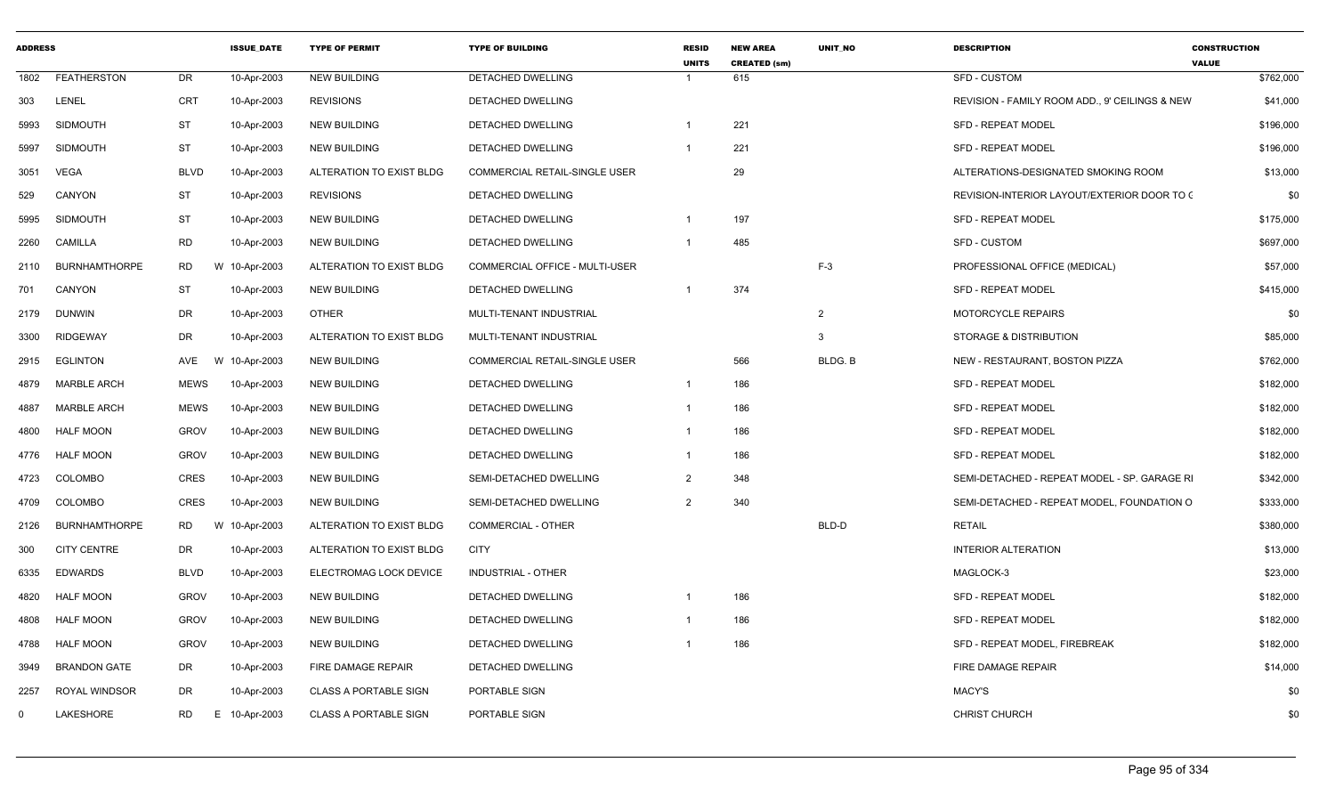| <b>ADDRESS</b> |                      |             | <b>ISSUE DATE</b> | <b>TYPE OF PERMIT</b>        | <b>TYPE OF BUILDING</b>        | <b>RESID</b><br><b>UNITS</b> | <b>NEW AREA</b><br><b>CREATED (sm)</b> | <b>UNIT NO</b> | <b>DESCRIPTION</b>                             | <b>CONSTRUCTION</b><br><b>VALUE</b> |
|----------------|----------------------|-------------|-------------------|------------------------------|--------------------------------|------------------------------|----------------------------------------|----------------|------------------------------------------------|-------------------------------------|
| 1802           | <b>FEATHERSTON</b>   | <b>DR</b>   | 10-Apr-2003       | <b>NEW BUILDING</b>          | <b>DETACHED DWELLING</b>       |                              | 615                                    |                | <b>SFD - CUSTOM</b>                            | \$762,000                           |
| 303            | LENEL                | <b>CRT</b>  | 10-Apr-2003       | <b>REVISIONS</b>             | DETACHED DWELLING              |                              |                                        |                | REVISION - FAMILY ROOM ADD., 9' CEILINGS & NEW | \$41,000                            |
| 5993           | <b>SIDMOUTH</b>      | <b>ST</b>   | 10-Apr-2003       | <b>NEW BUILDING</b>          | DETACHED DWELLING              |                              | 221                                    |                | <b>SFD - REPEAT MODEL</b>                      | \$196,000                           |
| 5997           | <b>SIDMOUTH</b>      | <b>ST</b>   | 10-Apr-2003       | <b>NEW BUILDING</b>          | DETACHED DWELLING              |                              | 221                                    |                | <b>SFD - REPEAT MODEL</b>                      | \$196,000                           |
| 3051           | <b>VEGA</b>          | <b>BLVD</b> | 10-Apr-2003       | ALTERATION TO EXIST BLDG     | COMMERCIAL RETAIL-SINGLE USER  |                              | 29                                     |                | ALTERATIONS-DESIGNATED SMOKING ROOM            | \$13,000                            |
| 529            | CANYON               | <b>ST</b>   | 10-Apr-2003       | <b>REVISIONS</b>             | <b>DETACHED DWELLING</b>       |                              |                                        |                | REVISION-INTERIOR LAYOUT/EXTERIOR DOOR TO C    | \$0                                 |
| 5995           | <b>SIDMOUTH</b>      | <b>ST</b>   | 10-Apr-2003       | <b>NEW BUILDING</b>          | DETACHED DWELLING              |                              | 197                                    |                | <b>SFD - REPEAT MODEL</b>                      | \$175,000                           |
| 2260           | CAMILLA              | RD          | 10-Apr-2003       | <b>NEW BUILDING</b>          | DETACHED DWELLING              | -1                           | 485                                    |                | <b>SFD - CUSTOM</b>                            | \$697,000                           |
| 2110           | <b>BURNHAMTHORPE</b> | RD          | W 10-Apr-2003     | ALTERATION TO EXIST BLDG     | COMMERCIAL OFFICE - MULTI-USER |                              |                                        | $F-3$          | PROFESSIONAL OFFICE (MEDICAL)                  | \$57,000                            |
| 701            | CANYON               | <b>ST</b>   | 10-Apr-2003       | <b>NEW BUILDING</b>          | <b>DETACHED DWELLING</b>       |                              | 374                                    |                | <b>SFD - REPEAT MODEL</b>                      | \$415,000                           |
| 2179           | <b>DUNWIN</b>        | DR          | 10-Apr-2003       | <b>OTHER</b>                 | MULTI-TENANT INDUSTRIAL        |                              |                                        | 2              | <b>MOTORCYCLE REPAIRS</b>                      | \$0                                 |
| 3300           | <b>RIDGEWAY</b>      | DR          | 10-Apr-2003       | ALTERATION TO EXIST BLDG     | MULTI-TENANT INDUSTRIAL        |                              |                                        | 3              | STORAGE & DISTRIBUTION                         | \$85,000                            |
| 2915           | <b>EGLINTON</b>      | AVE         | W<br>10-Apr-2003  | <b>NEW BUILDING</b>          | COMMERCIAL RETAIL-SINGLE USER  |                              | 566                                    | BLDG. B        | NEW - RESTAURANT, BOSTON PIZZA                 | \$762,000                           |
| 4879           | <b>MARBLE ARCH</b>   | <b>MEWS</b> | 10-Apr-2003       | <b>NEW BUILDING</b>          | DETACHED DWELLING              | -1                           | 186                                    |                | SFD - REPEAT MODEL                             | \$182,000                           |
| 4887           | <b>MARBLE ARCH</b>   | <b>MEWS</b> | 10-Apr-2003       | <b>NEW BUILDING</b>          | <b>DETACHED DWELLING</b>       | $\overline{1}$               | 186                                    |                | <b>SFD - REPEAT MODEL</b>                      | \$182,000                           |
| 4800           | <b>HALF MOON</b>     | <b>GROV</b> | 10-Apr-2003       | <b>NEW BUILDING</b>          | DETACHED DWELLING              | $\mathbf{1}$                 | 186                                    |                | <b>SFD - REPEAT MODEL</b>                      | \$182,000                           |
| 4776           | <b>HALF MOON</b>     | <b>GROV</b> | 10-Apr-2003       | <b>NEW BUILDING</b>          | DETACHED DWELLING              |                              | 186                                    |                | SFD - REPEAT MODEL                             | \$182,000                           |
| 4723           | <b>COLOMBO</b>       | <b>CRES</b> | 10-Apr-2003       | <b>NEW BUILDING</b>          | SEMI-DETACHED DWELLING         | $\overline{2}$               | 348                                    |                | SEMI-DETACHED - REPEAT MODEL - SP. GARAGE RI   | \$342,000                           |
| 4709           | <b>COLOMBO</b>       | <b>CRES</b> | 10-Apr-2003       | <b>NEW BUILDING</b>          | SEMI-DETACHED DWELLING         | $\mathcal{P}$                | 340                                    |                | SEMI-DETACHED - REPEAT MODEL, FOUNDATION O     | \$333,000                           |
| 2126           | <b>BURNHAMTHORPE</b> | RD          | W 10-Apr-2003     | ALTERATION TO EXIST BLDG     | <b>COMMERCIAL - OTHER</b>      |                              |                                        | BLD-D          | <b>RETAIL</b>                                  | \$380,000                           |
| 300            | <b>CITY CENTRE</b>   | DR          | 10-Apr-2003       | ALTERATION TO EXIST BLDG     | <b>CITY</b>                    |                              |                                        |                | <b>INTERIOR ALTERATION</b>                     | \$13,000                            |
| 6335           | <b>EDWARDS</b>       | <b>BLVD</b> | 10-Apr-2003       | ELECTROMAG LOCK DEVICE       | <b>INDUSTRIAL - OTHER</b>      |                              |                                        |                | MAGLOCK-3                                      | \$23,000                            |
| 4820           | <b>HALF MOON</b>     | <b>GROV</b> | 10-Apr-2003       | <b>NEW BUILDING</b>          | DETACHED DWELLING              | -1                           | 186                                    |                | <b>SFD - REPEAT MODEL</b>                      | \$182,000                           |
| 4808           | <b>HALF MOON</b>     | <b>GROV</b> | 10-Apr-2003       | <b>NEW BUILDING</b>          | DETACHED DWELLING              |                              | 186                                    |                | <b>SFD - REPEAT MODEL</b>                      | \$182,000                           |
| 4788           | <b>HALF MOON</b>     | <b>GROV</b> | 10-Apr-2003       | <b>NEW BUILDING</b>          | DETACHED DWELLING              |                              | 186                                    |                | SFD - REPEAT MODEL, FIREBREAK                  | \$182,000                           |
| 3949           | <b>BRANDON GATE</b>  | DR          | 10-Apr-2003       | FIRE DAMAGE REPAIR           | DETACHED DWELLING              |                              |                                        |                | FIRE DAMAGE REPAIR                             | \$14,000                            |
| 2257           | <b>ROYAL WINDSOR</b> | DR          | 10-Apr-2003       | <b>CLASS A PORTABLE SIGN</b> | PORTABLE SIGN                  |                              |                                        |                | MACY'S                                         | \$0                                 |
| $\Omega$       | LAKESHORE            | <b>RD</b>   | 10-Apr-2003<br>E. | <b>CLASS A PORTABLE SIGN</b> | PORTABLE SIGN                  |                              |                                        |                | <b>CHRIST CHURCH</b>                           | \$0                                 |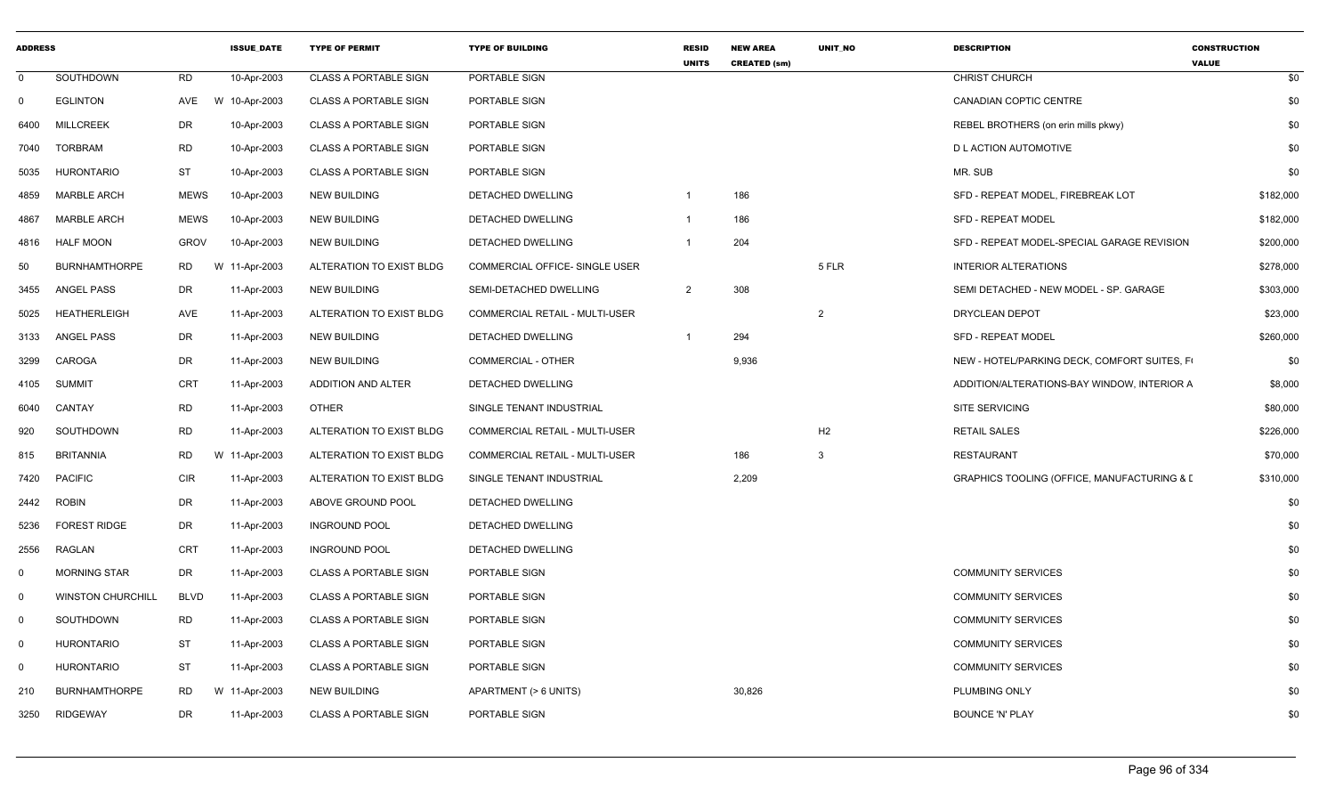| <b>ADDRESS</b> |                          |             | <b>ISSUE DATE</b> | <b>TYPE OF PERMIT</b>        | <b>TYPE OF BUILDING</b>               | <b>RESID</b><br><b>UNITS</b> | <b>NEW AREA</b><br><b>CREATED (sm)</b> | UNIT NO        | <b>DESCRIPTION</b>                          | <b>CONSTRUCTION</b><br><b>VALUE</b> |
|----------------|--------------------------|-------------|-------------------|------------------------------|---------------------------------------|------------------------------|----------------------------------------|----------------|---------------------------------------------|-------------------------------------|
| $\Omega$       | SOUTHDOWN                | <b>RD</b>   | 10-Apr-2003       | <b>CLASS A PORTABLE SIGN</b> | PORTABLE SIGN                         |                              |                                        |                | <b>CHRIST CHURCH</b>                        | \$0                                 |
| $\Omega$       | <b>EGLINTON</b>          | AVE         | W 10-Apr-2003     | <b>CLASS A PORTABLE SIGN</b> | PORTABLE SIGN                         |                              |                                        |                | <b>CANADIAN COPTIC CENTRE</b>               | \$0                                 |
| 6400           | <b>MILLCREEK</b>         | DR          | 10-Apr-2003       | <b>CLASS A PORTABLE SIGN</b> | PORTABLE SIGN                         |                              |                                        |                | REBEL BROTHERS (on erin mills pkwy)         | \$0                                 |
| 7040           | <b>TORBRAM</b>           | <b>RD</b>   | 10-Apr-2003       | <b>CLASS A PORTABLE SIGN</b> | PORTABLE SIGN                         |                              |                                        |                | <b>D L ACTION AUTOMOTIVE</b>                | \$0                                 |
| 5035           | <b>HURONTARIO</b>        | <b>ST</b>   | 10-Apr-2003       | <b>CLASS A PORTABLE SIGN</b> | PORTABLE SIGN                         |                              |                                        |                | MR. SUB                                     | \$0                                 |
| 4859           | <b>MARBLE ARCH</b>       | <b>MEWS</b> | 10-Apr-2003       | <b>NEW BUILDING</b>          | <b>DETACHED DWELLING</b>              |                              | 186                                    |                | SFD - REPEAT MODEL. FIREBREAK LOT           | \$182,000                           |
| 4867           | <b>MARBLE ARCH</b>       | <b>MEWS</b> | 10-Apr-2003       | <b>NEW BUILDING</b>          | DETACHED DWELLING                     |                              | 186                                    |                | <b>SFD - REPEAT MODEL</b>                   | \$182,000                           |
| 4816           | <b>HALF MOON</b>         | <b>GROV</b> | 10-Apr-2003       | <b>NEW BUILDING</b>          | DETACHED DWELLING                     |                              | 204                                    |                | SFD - REPEAT MODEL-SPECIAL GARAGE REVISION  | \$200,000                           |
| 50             | <b>BURNHAMTHORPE</b>     | RD          | W 11-Apr-2003     | ALTERATION TO EXIST BLDG     | COMMERCIAL OFFICE- SINGLE USER        |                              |                                        | 5 FLR          | <b>INTERIOR ALTERATIONS</b>                 | \$278,000                           |
| 3455           | ANGEL PASS               | DR          | 11-Apr-2003       | <b>NEW BUILDING</b>          | SEMI-DETACHED DWELLING                | $\overline{2}$               | 308                                    |                | SEMI DETACHED - NEW MODEL - SP. GARAGE      | \$303,000                           |
| 5025           | HEATHERLEIGH             | AVE         | 11-Apr-2003       | ALTERATION TO EXIST BLDG     | <b>COMMERCIAL RETAIL - MULTI-USER</b> |                              |                                        | $\overline{2}$ | DRYCLEAN DEPOT                              | \$23,000                            |
| 3133           | ANGEL PASS               | DR          | 11-Apr-2003       | <b>NEW BUILDING</b>          | DETACHED DWELLING                     |                              | 294                                    |                | SFD - REPEAT MODEL                          | \$260,000                           |
| 3299           | CAROGA                   | <b>DR</b>   | 11-Apr-2003       | <b>NEW BUILDING</b>          | COMMERCIAL - OTHER                    |                              | 9,936                                  |                | NEW - HOTEL/PARKING DECK, COMFORT SUITES, F | \$0                                 |
| 4105           | SUMMIT                   | CRT         | 11-Apr-2003       | ADDITION AND ALTER           | DETACHED DWELLING                     |                              |                                        |                | ADDITION/ALTERATIONS-BAY WINDOW, INTERIOR A | \$8,000                             |
| 6040           | CANTAY                   | <b>RD</b>   | 11-Apr-2003       | <b>OTHER</b>                 | SINGLE TENANT INDUSTRIAL              |                              |                                        |                | <b>SITE SERVICING</b>                       | \$80,000                            |
| 920            | SOUTHDOWN                | <b>RD</b>   | 11-Apr-2003       | ALTERATION TO EXIST BLDG     | COMMERCIAL RETAIL - MULTI-USER        |                              |                                        | H <sub>2</sub> | <b>RETAIL SALES</b>                         | \$226,000                           |
| 815            | <b>BRITANNIA</b>         | <b>RD</b>   | W 11-Apr-2003     | ALTERATION TO EXIST BLDG     | COMMERCIAL RETAIL - MULTI-USER        |                              | 186                                    | $\mathbf{3}$   | <b>RESTAURANT</b>                           | \$70,000                            |
| 7420           | <b>PACIFIC</b>           | <b>CIR</b>  | 11-Apr-2003       | ALTERATION TO EXIST BLDG     | SINGLE TENANT INDUSTRIAL              |                              | 2,209                                  |                | GRAPHICS TOOLING (OFFICE, MANUFACTURING & I | \$310,000                           |
| 2442           | <b>ROBIN</b>             | DR          | 11-Apr-2003       | ABOVE GROUND POOL            | DETACHED DWELLING                     |                              |                                        |                |                                             | \$0                                 |
| 5236           | <b>FOREST RIDGE</b>      | DR          | 11-Apr-2003       | <b>INGROUND POOL</b>         | DETACHED DWELLING                     |                              |                                        |                |                                             | \$0                                 |
| 2556           | RAGLAN                   | CRT         | 11-Apr-2003       | <b>INGROUND POOL</b>         | DETACHED DWELLING                     |                              |                                        |                |                                             | \$0                                 |
| $\Omega$       | <b>MORNING STAR</b>      | DR          | 11-Apr-2003       | <b>CLASS A PORTABLE SIGN</b> | PORTABLE SIGN                         |                              |                                        |                | <b>COMMUNITY SERVICES</b>                   | \$0                                 |
| $\mathbf 0$    | <b>WINSTON CHURCHILL</b> | <b>BLVD</b> | 11-Apr-2003       | <b>CLASS A PORTABLE SIGN</b> | PORTABLE SIGN                         |                              |                                        |                | <b>COMMUNITY SERVICES</b>                   | \$0                                 |
| $\Omega$       | SOUTHDOWN                | <b>RD</b>   | 11-Apr-2003       | <b>CLASS A PORTABLE SIGN</b> | PORTABLE SIGN                         |                              |                                        |                | <b>COMMUNITY SERVICES</b>                   | \$0                                 |
| $\mathbf 0$    | <b>HURONTARIO</b>        | <b>ST</b>   | 11-Apr-2003       | <b>CLASS A PORTABLE SIGN</b> | PORTABLE SIGN                         |                              |                                        |                | <b>COMMUNITY SERVICES</b>                   | \$0                                 |
| $\mathbf 0$    | <b>HURONTARIO</b>        | <b>ST</b>   | 11-Apr-2003       | <b>CLASS A PORTABLE SIGN</b> | PORTABLE SIGN                         |                              |                                        |                | <b>COMMUNITY SERVICES</b>                   | \$0                                 |
| 210            | <b>BURNHAMTHORPE</b>     | <b>RD</b>   | W 11-Apr-2003     | <b>NEW BUILDING</b>          | APARTMENT (> 6 UNITS)                 |                              | 30,826                                 |                | PLUMBING ONLY                               | \$0                                 |
| 3250           | RIDGEWAY                 | <b>DR</b>   | 11-Apr-2003       | <b>CLASS A PORTABLE SIGN</b> | PORTABLE SIGN                         |                              |                                        |                | <b>BOUNCE 'N' PLAY</b>                      | \$0                                 |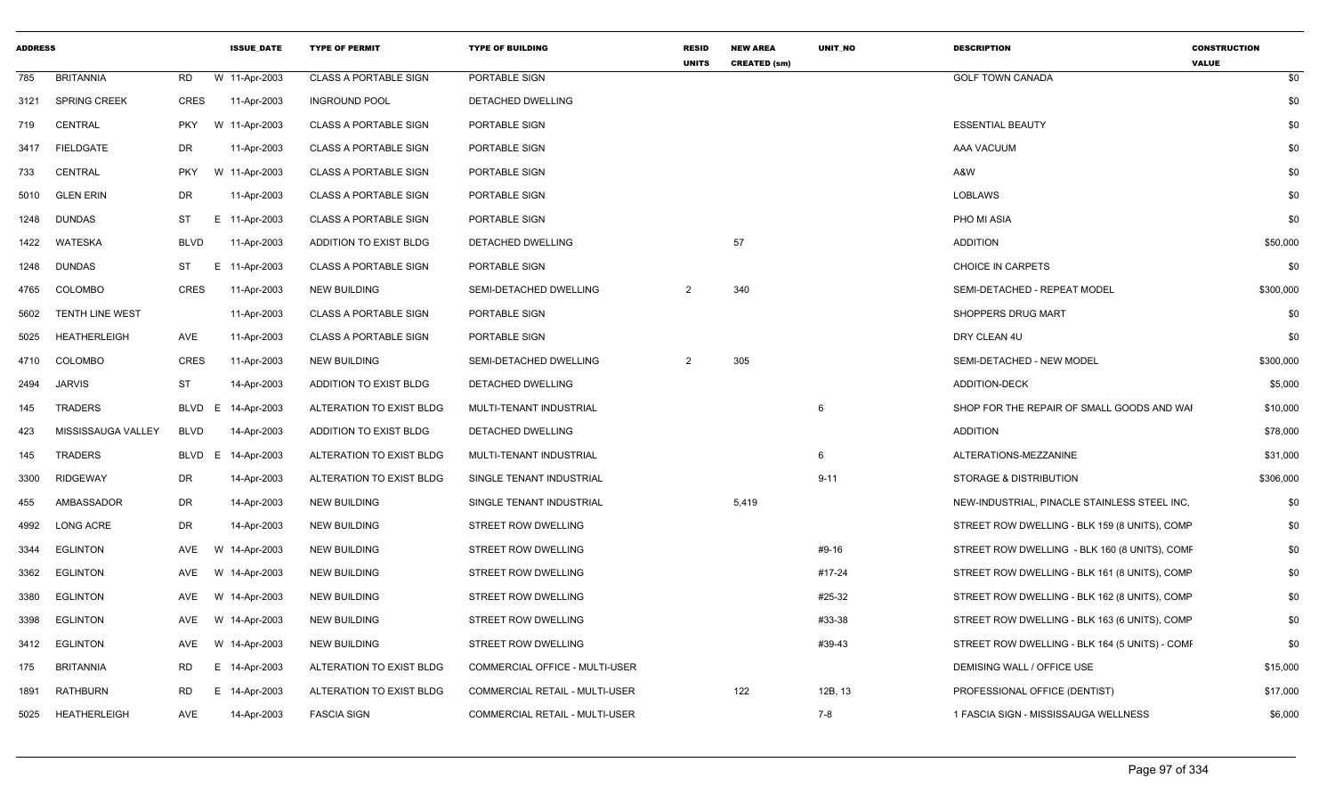| <b>BRITANNIA</b><br><b>RD</b><br>W 11-Apr-2003<br><b>CLASS A PORTABLE SIGN</b><br>PORTABLE SIGN<br><b>GOLF TOWN CANADA</b><br>785<br>SPRING CREEK<br>CRES<br>11-Apr-2003<br><b>INGROUND POOL</b><br>DETACHED DWELLING<br>3121<br>CENTRAL<br>W 11-Apr-2003<br><b>CLASS A PORTABLE SIGN</b><br>PORTABLE SIGN<br><b>ESSENTIAL BEAUTY</b><br><b>PKY</b><br>719<br>DR<br>3417 FIELDGATE<br>11-Apr-2003<br><b>CLASS A PORTABLE SIGN</b><br>PORTABLE SIGN<br>AAA VACUUM<br><b>CENTRAL</b><br><b>PKY</b><br>W 11-Apr-2003<br><b>CLASS A PORTABLE SIGN</b><br>PORTABLE SIGN<br>A&W<br>733<br><b>GLEN ERIN</b><br>DR<br>11-Apr-2003<br>LOBLAWS<br>5010<br><b>CLASS A PORTABLE SIGN</b><br>PORTABLE SIGN<br>E 11-Apr-2003<br>PHO MI ASIA<br><b>DUNDAS</b><br>ST<br><b>CLASS A PORTABLE SIGN</b><br>PORTABLE SIGN<br>1248<br>57<br>WATESKA<br><b>BLVD</b><br>11-Apr-2003<br>DETACHED DWELLING<br><b>ADDITION</b><br>ADDITION TO EXIST BLDG<br>1422<br><b>DUNDAS</b><br>ST<br>CHOICE IN CARPETS<br>E 11-Apr-2003<br><b>CLASS A PORTABLE SIGN</b><br>PORTABLE SIGN<br>1248<br>340<br><b>COLOMBO</b><br>CRES<br>11-Apr-2003<br>NEW BUILDING<br>SEMI-DETACHED DWELLING<br>2<br>SEMI-DETACHED - REPEAT MODEL<br>4765<br><b>TENTH LINE WEST</b><br>11-Apr-2003<br>SHOPPERS DRUG MART<br><b>CLASS A PORTABLE SIGN</b><br>PORTABLE SIGN<br>5602<br><b>HEATHERLEIGH</b><br>AVE<br>11-Apr-2003<br><b>CLASS A PORTABLE SIGN</b><br>PORTABLE SIGN<br>DRY CLEAN 4U<br>5025<br>4710 COLOMBO<br>CRES<br>2<br>305<br>SEMI-DETACHED - NEW MODEL<br>11-Apr-2003<br>NEW BUILDING<br>SEMI-DETACHED DWELLING<br>ST<br><b>JARVIS</b><br>14-Apr-2003<br>ADDITION TO EXIST BLDG<br>DETACHED DWELLING<br><b>ADDITION-DECK</b><br>2494<br>TRADERS<br>SHOP FOR THE REPAIR OF SMALL GOODS AND WAI<br>BLVD E<br>14-Apr-2003<br>ALTERATION TO EXIST BLDG<br>MULTI-TENANT INDUSTRIAL<br>-6<br>145<br>423<br>MISSISSAUGA VALLEY<br>BLVD<br>14-Apr-2003<br>ADDITION TO EXIST BLDG<br>DETACHED DWELLING<br><b>ADDITION</b><br><b>TRADERS</b><br>BLVD E<br>14-Apr-2003<br>ALTERATION TO EXIST BLDG<br>MULTI-TENANT INDUSTRIAL<br>6<br>ALTERATIONS-MEZZANINE<br>145<br>DR<br>$9 - 11$<br><b>RIDGEWAY</b><br>14-Apr-2003<br>ALTERATION TO EXIST BLDG<br>SINGLE TENANT INDUSTRIAL<br>STORAGE & DISTRIBUTION<br>3300<br>5,419<br>AMBASSADOR<br>DR<br>14-Apr-2003<br><b>NEW BUILDING</b><br>SINGLE TENANT INDUSTRIAL<br>NEW-INDUSTRIAL, PINACLE STAINLESS STEEL INC.<br>455<br>LONG ACRE<br>DR<br>14-Apr-2003<br><b>STREET ROW DWELLING</b><br>STREET ROW DWELLING - BLK 159 (8 UNITS), COMP<br>4992<br>NEW BUILDING<br><b>EGLINTON</b><br>STREET ROW DWELLING<br>#9-16<br>STREET ROW DWELLING - BLK 160 (8 UNITS), COMF<br>AVE<br>W<br>14-Apr-2003<br>NEW BUILDING<br>3344<br>#17-24<br>3362<br><b>EGLINTON</b><br>AVE<br>W<br>14-Apr-2003<br><b>NEW BUILDING</b><br><b>STREET ROW DWELLING</b><br>STREET ROW DWELLING - BLK 161 (8 UNITS), COMP<br>#25-32<br><b>EGLINTON</b><br>W<br>14-Apr-2003<br><b>NEW BUILDING</b><br>STREET ROW DWELLING<br>STREET ROW DWELLING - BLK 162 (8 UNITS), COMP<br>3380<br>AVE<br><b>EGLINTON</b><br>W 14-Apr-2003<br>#33-38<br>AVE<br><b>NEW BUILDING</b><br>STREET ROW DWELLING<br>STREET ROW DWELLING - BLK 163 (6 UNITS), COMP<br>3398 | <b>CONSTRUCTION</b> |
|--------------------------------------------------------------------------------------------------------------------------------------------------------------------------------------------------------------------------------------------------------------------------------------------------------------------------------------------------------------------------------------------------------------------------------------------------------------------------------------------------------------------------------------------------------------------------------------------------------------------------------------------------------------------------------------------------------------------------------------------------------------------------------------------------------------------------------------------------------------------------------------------------------------------------------------------------------------------------------------------------------------------------------------------------------------------------------------------------------------------------------------------------------------------------------------------------------------------------------------------------------------------------------------------------------------------------------------------------------------------------------------------------------------------------------------------------------------------------------------------------------------------------------------------------------------------------------------------------------------------------------------------------------------------------------------------------------------------------------------------------------------------------------------------------------------------------------------------------------------------------------------------------------------------------------------------------------------------------------------------------------------------------------------------------------------------------------------------------------------------------------------------------------------------------------------------------------------------------------------------------------------------------------------------------------------------------------------------------------------------------------------------------------------------------------------------------------------------------------------------------------------------------------------------------------------------------------------------------------------------------------------------------------------------------------------------------------------------------------------------------------------------------------------------------------------------------------------------------------------------------------------------------------------------------------------------------------------------------------------------------------------------------------------------------------------------------------------------------------------------------------------------------------------------------------------------------------------------------|---------------------|
|                                                                                                                                                                                                                                                                                                                                                                                                                                                                                                                                                                                                                                                                                                                                                                                                                                                                                                                                                                                                                                                                                                                                                                                                                                                                                                                                                                                                                                                                                                                                                                                                                                                                                                                                                                                                                                                                                                                                                                                                                                                                                                                                                                                                                                                                                                                                                                                                                                                                                                                                                                                                                                                                                                                                                                                                                                                                                                                                                                                                                                                                                                                                                                                                                          | \$0                 |
|                                                                                                                                                                                                                                                                                                                                                                                                                                                                                                                                                                                                                                                                                                                                                                                                                                                                                                                                                                                                                                                                                                                                                                                                                                                                                                                                                                                                                                                                                                                                                                                                                                                                                                                                                                                                                                                                                                                                                                                                                                                                                                                                                                                                                                                                                                                                                                                                                                                                                                                                                                                                                                                                                                                                                                                                                                                                                                                                                                                                                                                                                                                                                                                                                          | \$0                 |
|                                                                                                                                                                                                                                                                                                                                                                                                                                                                                                                                                                                                                                                                                                                                                                                                                                                                                                                                                                                                                                                                                                                                                                                                                                                                                                                                                                                                                                                                                                                                                                                                                                                                                                                                                                                                                                                                                                                                                                                                                                                                                                                                                                                                                                                                                                                                                                                                                                                                                                                                                                                                                                                                                                                                                                                                                                                                                                                                                                                                                                                                                                                                                                                                                          | \$0                 |
|                                                                                                                                                                                                                                                                                                                                                                                                                                                                                                                                                                                                                                                                                                                                                                                                                                                                                                                                                                                                                                                                                                                                                                                                                                                                                                                                                                                                                                                                                                                                                                                                                                                                                                                                                                                                                                                                                                                                                                                                                                                                                                                                                                                                                                                                                                                                                                                                                                                                                                                                                                                                                                                                                                                                                                                                                                                                                                                                                                                                                                                                                                                                                                                                                          | \$0                 |
|                                                                                                                                                                                                                                                                                                                                                                                                                                                                                                                                                                                                                                                                                                                                                                                                                                                                                                                                                                                                                                                                                                                                                                                                                                                                                                                                                                                                                                                                                                                                                                                                                                                                                                                                                                                                                                                                                                                                                                                                                                                                                                                                                                                                                                                                                                                                                                                                                                                                                                                                                                                                                                                                                                                                                                                                                                                                                                                                                                                                                                                                                                                                                                                                                          | \$0                 |
|                                                                                                                                                                                                                                                                                                                                                                                                                                                                                                                                                                                                                                                                                                                                                                                                                                                                                                                                                                                                                                                                                                                                                                                                                                                                                                                                                                                                                                                                                                                                                                                                                                                                                                                                                                                                                                                                                                                                                                                                                                                                                                                                                                                                                                                                                                                                                                                                                                                                                                                                                                                                                                                                                                                                                                                                                                                                                                                                                                                                                                                                                                                                                                                                                          | \$0                 |
|                                                                                                                                                                                                                                                                                                                                                                                                                                                                                                                                                                                                                                                                                                                                                                                                                                                                                                                                                                                                                                                                                                                                                                                                                                                                                                                                                                                                                                                                                                                                                                                                                                                                                                                                                                                                                                                                                                                                                                                                                                                                                                                                                                                                                                                                                                                                                                                                                                                                                                                                                                                                                                                                                                                                                                                                                                                                                                                                                                                                                                                                                                                                                                                                                          | \$0                 |
|                                                                                                                                                                                                                                                                                                                                                                                                                                                                                                                                                                                                                                                                                                                                                                                                                                                                                                                                                                                                                                                                                                                                                                                                                                                                                                                                                                                                                                                                                                                                                                                                                                                                                                                                                                                                                                                                                                                                                                                                                                                                                                                                                                                                                                                                                                                                                                                                                                                                                                                                                                                                                                                                                                                                                                                                                                                                                                                                                                                                                                                                                                                                                                                                                          | \$50,000            |
|                                                                                                                                                                                                                                                                                                                                                                                                                                                                                                                                                                                                                                                                                                                                                                                                                                                                                                                                                                                                                                                                                                                                                                                                                                                                                                                                                                                                                                                                                                                                                                                                                                                                                                                                                                                                                                                                                                                                                                                                                                                                                                                                                                                                                                                                                                                                                                                                                                                                                                                                                                                                                                                                                                                                                                                                                                                                                                                                                                                                                                                                                                                                                                                                                          | \$0                 |
|                                                                                                                                                                                                                                                                                                                                                                                                                                                                                                                                                                                                                                                                                                                                                                                                                                                                                                                                                                                                                                                                                                                                                                                                                                                                                                                                                                                                                                                                                                                                                                                                                                                                                                                                                                                                                                                                                                                                                                                                                                                                                                                                                                                                                                                                                                                                                                                                                                                                                                                                                                                                                                                                                                                                                                                                                                                                                                                                                                                                                                                                                                                                                                                                                          | \$300,000           |
|                                                                                                                                                                                                                                                                                                                                                                                                                                                                                                                                                                                                                                                                                                                                                                                                                                                                                                                                                                                                                                                                                                                                                                                                                                                                                                                                                                                                                                                                                                                                                                                                                                                                                                                                                                                                                                                                                                                                                                                                                                                                                                                                                                                                                                                                                                                                                                                                                                                                                                                                                                                                                                                                                                                                                                                                                                                                                                                                                                                                                                                                                                                                                                                                                          | \$0                 |
|                                                                                                                                                                                                                                                                                                                                                                                                                                                                                                                                                                                                                                                                                                                                                                                                                                                                                                                                                                                                                                                                                                                                                                                                                                                                                                                                                                                                                                                                                                                                                                                                                                                                                                                                                                                                                                                                                                                                                                                                                                                                                                                                                                                                                                                                                                                                                                                                                                                                                                                                                                                                                                                                                                                                                                                                                                                                                                                                                                                                                                                                                                                                                                                                                          | \$0                 |
|                                                                                                                                                                                                                                                                                                                                                                                                                                                                                                                                                                                                                                                                                                                                                                                                                                                                                                                                                                                                                                                                                                                                                                                                                                                                                                                                                                                                                                                                                                                                                                                                                                                                                                                                                                                                                                                                                                                                                                                                                                                                                                                                                                                                                                                                                                                                                                                                                                                                                                                                                                                                                                                                                                                                                                                                                                                                                                                                                                                                                                                                                                                                                                                                                          | \$300,000           |
|                                                                                                                                                                                                                                                                                                                                                                                                                                                                                                                                                                                                                                                                                                                                                                                                                                                                                                                                                                                                                                                                                                                                                                                                                                                                                                                                                                                                                                                                                                                                                                                                                                                                                                                                                                                                                                                                                                                                                                                                                                                                                                                                                                                                                                                                                                                                                                                                                                                                                                                                                                                                                                                                                                                                                                                                                                                                                                                                                                                                                                                                                                                                                                                                                          | \$5,000             |
|                                                                                                                                                                                                                                                                                                                                                                                                                                                                                                                                                                                                                                                                                                                                                                                                                                                                                                                                                                                                                                                                                                                                                                                                                                                                                                                                                                                                                                                                                                                                                                                                                                                                                                                                                                                                                                                                                                                                                                                                                                                                                                                                                                                                                                                                                                                                                                                                                                                                                                                                                                                                                                                                                                                                                                                                                                                                                                                                                                                                                                                                                                                                                                                                                          | \$10,000            |
|                                                                                                                                                                                                                                                                                                                                                                                                                                                                                                                                                                                                                                                                                                                                                                                                                                                                                                                                                                                                                                                                                                                                                                                                                                                                                                                                                                                                                                                                                                                                                                                                                                                                                                                                                                                                                                                                                                                                                                                                                                                                                                                                                                                                                                                                                                                                                                                                                                                                                                                                                                                                                                                                                                                                                                                                                                                                                                                                                                                                                                                                                                                                                                                                                          | \$78,000            |
|                                                                                                                                                                                                                                                                                                                                                                                                                                                                                                                                                                                                                                                                                                                                                                                                                                                                                                                                                                                                                                                                                                                                                                                                                                                                                                                                                                                                                                                                                                                                                                                                                                                                                                                                                                                                                                                                                                                                                                                                                                                                                                                                                                                                                                                                                                                                                                                                                                                                                                                                                                                                                                                                                                                                                                                                                                                                                                                                                                                                                                                                                                                                                                                                                          | \$31,000            |
|                                                                                                                                                                                                                                                                                                                                                                                                                                                                                                                                                                                                                                                                                                                                                                                                                                                                                                                                                                                                                                                                                                                                                                                                                                                                                                                                                                                                                                                                                                                                                                                                                                                                                                                                                                                                                                                                                                                                                                                                                                                                                                                                                                                                                                                                                                                                                                                                                                                                                                                                                                                                                                                                                                                                                                                                                                                                                                                                                                                                                                                                                                                                                                                                                          | \$306,000           |
|                                                                                                                                                                                                                                                                                                                                                                                                                                                                                                                                                                                                                                                                                                                                                                                                                                                                                                                                                                                                                                                                                                                                                                                                                                                                                                                                                                                                                                                                                                                                                                                                                                                                                                                                                                                                                                                                                                                                                                                                                                                                                                                                                                                                                                                                                                                                                                                                                                                                                                                                                                                                                                                                                                                                                                                                                                                                                                                                                                                                                                                                                                                                                                                                                          | \$0                 |
|                                                                                                                                                                                                                                                                                                                                                                                                                                                                                                                                                                                                                                                                                                                                                                                                                                                                                                                                                                                                                                                                                                                                                                                                                                                                                                                                                                                                                                                                                                                                                                                                                                                                                                                                                                                                                                                                                                                                                                                                                                                                                                                                                                                                                                                                                                                                                                                                                                                                                                                                                                                                                                                                                                                                                                                                                                                                                                                                                                                                                                                                                                                                                                                                                          | \$0                 |
|                                                                                                                                                                                                                                                                                                                                                                                                                                                                                                                                                                                                                                                                                                                                                                                                                                                                                                                                                                                                                                                                                                                                                                                                                                                                                                                                                                                                                                                                                                                                                                                                                                                                                                                                                                                                                                                                                                                                                                                                                                                                                                                                                                                                                                                                                                                                                                                                                                                                                                                                                                                                                                                                                                                                                                                                                                                                                                                                                                                                                                                                                                                                                                                                                          | \$0                 |
|                                                                                                                                                                                                                                                                                                                                                                                                                                                                                                                                                                                                                                                                                                                                                                                                                                                                                                                                                                                                                                                                                                                                                                                                                                                                                                                                                                                                                                                                                                                                                                                                                                                                                                                                                                                                                                                                                                                                                                                                                                                                                                                                                                                                                                                                                                                                                                                                                                                                                                                                                                                                                                                                                                                                                                                                                                                                                                                                                                                                                                                                                                                                                                                                                          | \$0                 |
|                                                                                                                                                                                                                                                                                                                                                                                                                                                                                                                                                                                                                                                                                                                                                                                                                                                                                                                                                                                                                                                                                                                                                                                                                                                                                                                                                                                                                                                                                                                                                                                                                                                                                                                                                                                                                                                                                                                                                                                                                                                                                                                                                                                                                                                                                                                                                                                                                                                                                                                                                                                                                                                                                                                                                                                                                                                                                                                                                                                                                                                                                                                                                                                                                          | \$0                 |
|                                                                                                                                                                                                                                                                                                                                                                                                                                                                                                                                                                                                                                                                                                                                                                                                                                                                                                                                                                                                                                                                                                                                                                                                                                                                                                                                                                                                                                                                                                                                                                                                                                                                                                                                                                                                                                                                                                                                                                                                                                                                                                                                                                                                                                                                                                                                                                                                                                                                                                                                                                                                                                                                                                                                                                                                                                                                                                                                                                                                                                                                                                                                                                                                                          | \$0                 |
| <b>EGLINTON</b><br>W<br>14-Apr-2003<br>STREET ROW DWELLING<br>#39-43<br>STREET ROW DWELLING - BLK 164 (5 UNITS) - COMF<br>3412<br>AVE<br>NEW BUILDING                                                                                                                                                                                                                                                                                                                                                                                                                                                                                                                                                                                                                                                                                                                                                                                                                                                                                                                                                                                                                                                                                                                                                                                                                                                                                                                                                                                                                                                                                                                                                                                                                                                                                                                                                                                                                                                                                                                                                                                                                                                                                                                                                                                                                                                                                                                                                                                                                                                                                                                                                                                                                                                                                                                                                                                                                                                                                                                                                                                                                                                                    | \$0                 |
| E 14-Apr-2003<br>ALTERATION TO EXIST BLDG<br>COMMERCIAL OFFICE - MULTI-USER<br>DEMISING WALL / OFFICE USE<br>175<br><b>BRITANNIA</b><br><b>RD</b>                                                                                                                                                                                                                                                                                                                                                                                                                                                                                                                                                                                                                                                                                                                                                                                                                                                                                                                                                                                                                                                                                                                                                                                                                                                                                                                                                                                                                                                                                                                                                                                                                                                                                                                                                                                                                                                                                                                                                                                                                                                                                                                                                                                                                                                                                                                                                                                                                                                                                                                                                                                                                                                                                                                                                                                                                                                                                                                                                                                                                                                                        | \$15,000            |
| 14-Apr-2003<br>122<br>12B, 13<br><b>RATHBURN</b><br>RD<br>ALTERATION TO EXIST BLDG<br>COMMERCIAL RETAIL - MULTI-USER<br>PROFESSIONAL OFFICE (DENTIST)<br>1891<br>E.                                                                                                                                                                                                                                                                                                                                                                                                                                                                                                                                                                                                                                                                                                                                                                                                                                                                                                                                                                                                                                                                                                                                                                                                                                                                                                                                                                                                                                                                                                                                                                                                                                                                                                                                                                                                                                                                                                                                                                                                                                                                                                                                                                                                                                                                                                                                                                                                                                                                                                                                                                                                                                                                                                                                                                                                                                                                                                                                                                                                                                                      | \$17,000            |
| 7-8<br>5025 HEATHERLEIGH<br>AVE<br>14-Apr-2003<br><b>FASCIA SIGN</b><br>COMMERCIAL RETAIL - MULTI-USER<br>1 FASCIA SIGN - MISSISSAUGA WELLNESS                                                                                                                                                                                                                                                                                                                                                                                                                                                                                                                                                                                                                                                                                                                                                                                                                                                                                                                                                                                                                                                                                                                                                                                                                                                                                                                                                                                                                                                                                                                                                                                                                                                                                                                                                                                                                                                                                                                                                                                                                                                                                                                                                                                                                                                                                                                                                                                                                                                                                                                                                                                                                                                                                                                                                                                                                                                                                                                                                                                                                                                                           | \$6,000             |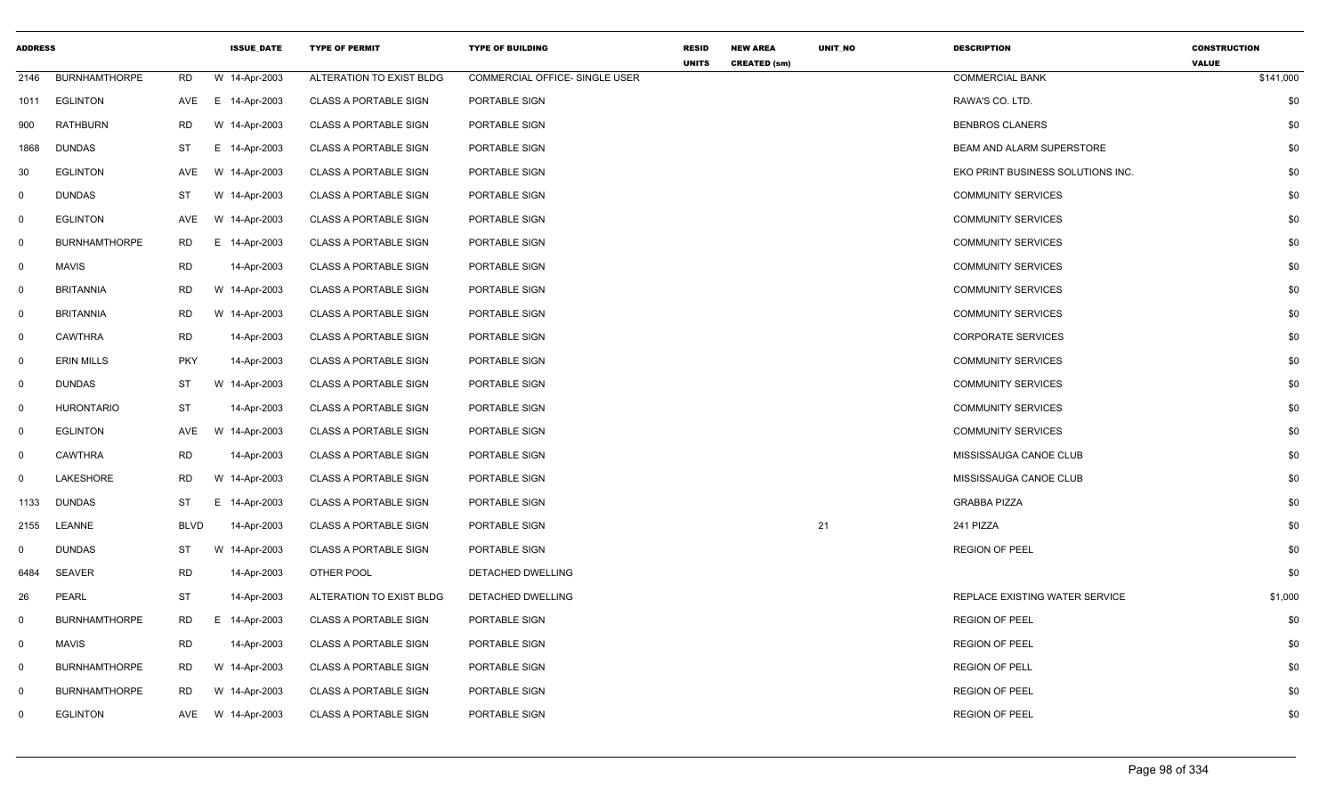| <b>ADDRESS</b>          |                      |             | <b>ISSUE_DATE</b> | <b>TYPE OF PERMIT</b>        | <b>TYPE OF BUILDING</b>               | <b>RESID</b><br><b>UNITS</b> | <b>NEW AREA</b><br><b>CREATED (sm)</b> | UNIT_NO | <b>DESCRIPTION</b>                | <b>CONSTRUCTION</b><br><b>VALUE</b> |
|-------------------------|----------------------|-------------|-------------------|------------------------------|---------------------------------------|------------------------------|----------------------------------------|---------|-----------------------------------|-------------------------------------|
| 2146                    | <b>BURNHAMTHORPE</b> | <b>RD</b>   | W 14-Apr-2003     | ALTERATION TO EXIST BLDG     | <b>COMMERCIAL OFFICE- SINGLE USER</b> |                              |                                        |         | <b>COMMERCIAL BANK</b>            | \$141,000                           |
|                         | 1011 EGLINTON        | AVE         | E 14-Apr-2003     | <b>CLASS A PORTABLE SIGN</b> | PORTABLE SIGN                         |                              |                                        |         | RAWA'S CO. LTD.                   | \$0                                 |
| 900                     | <b>RATHBURN</b>      | <b>RD</b>   | W 14-Apr-2003     | <b>CLASS A PORTABLE SIGN</b> | PORTABLE SIGN                         |                              |                                        |         | <b>BENBROS CLANERS</b>            | \$0                                 |
| 1868                    | <b>DUNDAS</b>        | ST          | E 14-Apr-2003     | <b>CLASS A PORTABLE SIGN</b> | PORTABLE SIGN                         |                              |                                        |         | BEAM AND ALARM SUPERSTORE         | \$0                                 |
| 30                      | <b>EGLINTON</b>      | AVE         | W 14-Apr-2003     | <b>CLASS A PORTABLE SIGN</b> | PORTABLE SIGN                         |                              |                                        |         | EKO PRINT BUSINESS SOLUTIONS INC. | \$0                                 |
| 0                       | <b>DUNDAS</b>        | ST          | W 14-Apr-2003     | <b>CLASS A PORTABLE SIGN</b> | PORTABLE SIGN                         |                              |                                        |         | <b>COMMUNITY SERVICES</b>         | \$0                                 |
| $\mathbf 0$             | EGLINTON             | AVE         | W 14-Apr-2003     | <b>CLASS A PORTABLE SIGN</b> | PORTABLE SIGN                         |                              |                                        |         | <b>COMMUNITY SERVICES</b>         | \$0                                 |
| $\mathbf 0$             | <b>BURNHAMTHORPE</b> | RD          | E 14-Apr-2003     | <b>CLASS A PORTABLE SIGN</b> | PORTABLE SIGN                         |                              |                                        |         | <b>COMMUNITY SERVICES</b>         | \$0                                 |
| $\overline{0}$          | <b>MAVIS</b>         | <b>RD</b>   | 14-Apr-2003       | <b>CLASS A PORTABLE SIGN</b> | PORTABLE SIGN                         |                              |                                        |         | <b>COMMUNITY SERVICES</b>         | \$0                                 |
| 0                       | <b>BRITANNIA</b>     | <b>RD</b>   | W 14-Apr-2003     | <b>CLASS A PORTABLE SIGN</b> | PORTABLE SIGN                         |                              |                                        |         | <b>COMMUNITY SERVICES</b>         | \$0                                 |
| $\mathbf 0$             | <b>BRITANNIA</b>     | <b>RD</b>   | W 14-Apr-2003     | <b>CLASS A PORTABLE SIGN</b> | PORTABLE SIGN                         |                              |                                        |         | <b>COMMUNITY SERVICES</b>         | \$0                                 |
| $\overline{0}$          | CAWTHRA              | <b>RD</b>   | 14-Apr-2003       | <b>CLASS A PORTABLE SIGN</b> | PORTABLE SIGN                         |                              |                                        |         | <b>CORPORATE SERVICES</b>         | \$0                                 |
| $\mathbf 0$             | <b>ERIN MILLS</b>    | <b>PKY</b>  | 14-Apr-2003       | <b>CLASS A PORTABLE SIGN</b> | PORTABLE SIGN                         |                              |                                        |         | <b>COMMUNITY SERVICES</b>         | \$0                                 |
| $\overline{0}$          | <b>DUNDAS</b>        | ST          | W 14-Apr-2003     | <b>CLASS A PORTABLE SIGN</b> | PORTABLE SIGN                         |                              |                                        |         | <b>COMMUNITY SERVICES</b>         | \$0                                 |
| 0                       | <b>HURONTARIO</b>    | <b>ST</b>   | 14-Apr-2003       | <b>CLASS A PORTABLE SIGN</b> | PORTABLE SIGN                         |                              |                                        |         | <b>COMMUNITY SERVICES</b>         | \$0                                 |
| $\mathbf 0$             | <b>EGLINTON</b>      | AVE         | W 14-Apr-2003     | <b>CLASS A PORTABLE SIGN</b> | PORTABLE SIGN                         |                              |                                        |         | <b>COMMUNITY SERVICES</b>         | \$0                                 |
| $\mathbf 0$             | CAWTHRA              | <b>RD</b>   | 14-Apr-2003       | <b>CLASS A PORTABLE SIGN</b> | PORTABLE SIGN                         |                              |                                        |         | MISSISSAUGA CANOE CLUB            | \$0                                 |
| $\mathbf 0$             | LAKESHORE            | <b>RD</b>   | W 14-Apr-2003     | <b>CLASS A PORTABLE SIGN</b> | PORTABLE SIGN                         |                              |                                        |         | MISSISSAUGA CANOE CLUB            | \$0                                 |
| 1133                    | <b>DUNDAS</b>        | ST          | E.<br>14-Apr-2003 | <b>CLASS A PORTABLE SIGN</b> | PORTABLE SIGN                         |                              |                                        |         | <b>GRABBA PIZZA</b>               | \$0                                 |
| 2155                    | LEANNE               | <b>BLVD</b> | 14-Apr-2003       | <b>CLASS A PORTABLE SIGN</b> | PORTABLE SIGN                         |                              |                                        | 21      | 241 PIZZA                         | \$0                                 |
| 0                       | <b>DUNDAS</b>        | <b>ST</b>   | W 14-Apr-2003     | <b>CLASS A PORTABLE SIGN</b> | PORTABLE SIGN                         |                              |                                        |         | <b>REGION OF PEEL</b>             | \$0                                 |
| 6484                    | <b>SEAVER</b>        | <b>RD</b>   | 14-Apr-2003       | OTHER POOL                   | DETACHED DWELLING                     |                              |                                        |         |                                   | \$0                                 |
| 26                      | PEARL                | ST          | 14-Apr-2003       | ALTERATION TO EXIST BLDG     | DETACHED DWELLING                     |                              |                                        |         | REPLACE EXISTING WATER SERVICE    | \$1,000                             |
| $\mathbf 0$             | <b>BURNHAMTHORPE</b> | <b>RD</b>   | E.<br>14-Apr-2003 | <b>CLASS A PORTABLE SIGN</b> | PORTABLE SIGN                         |                              |                                        |         | <b>REGION OF PEEL</b>             | \$0                                 |
| $\mathsf{O}$            | <b>MAVIS</b>         | RD          | 14-Apr-2003       | <b>CLASS A PORTABLE SIGN</b> | PORTABLE SIGN                         |                              |                                        |         | <b>REGION OF PEEL</b>             | \$0                                 |
| $\overline{\mathbf{0}}$ | <b>BURNHAMTHORPE</b> | <b>RD</b>   | W 14-Apr-2003     | <b>CLASS A PORTABLE SIGN</b> | PORTABLE SIGN                         |                              |                                        |         | <b>REGION OF PELL</b>             | \$0                                 |
| 0                       | <b>BURNHAMTHORPE</b> | <b>RD</b>   | W 14-Apr-2003     | <b>CLASS A PORTABLE SIGN</b> | PORTABLE SIGN                         |                              |                                        |         | <b>REGION OF PEEL</b>             | \$0                                 |
| 0                       | <b>EGLINTON</b>      | AVE         | W 14-Apr-2003     | <b>CLASS A PORTABLE SIGN</b> | PORTABLE SIGN                         |                              |                                        |         | <b>REGION OF PEEL</b>             | \$0                                 |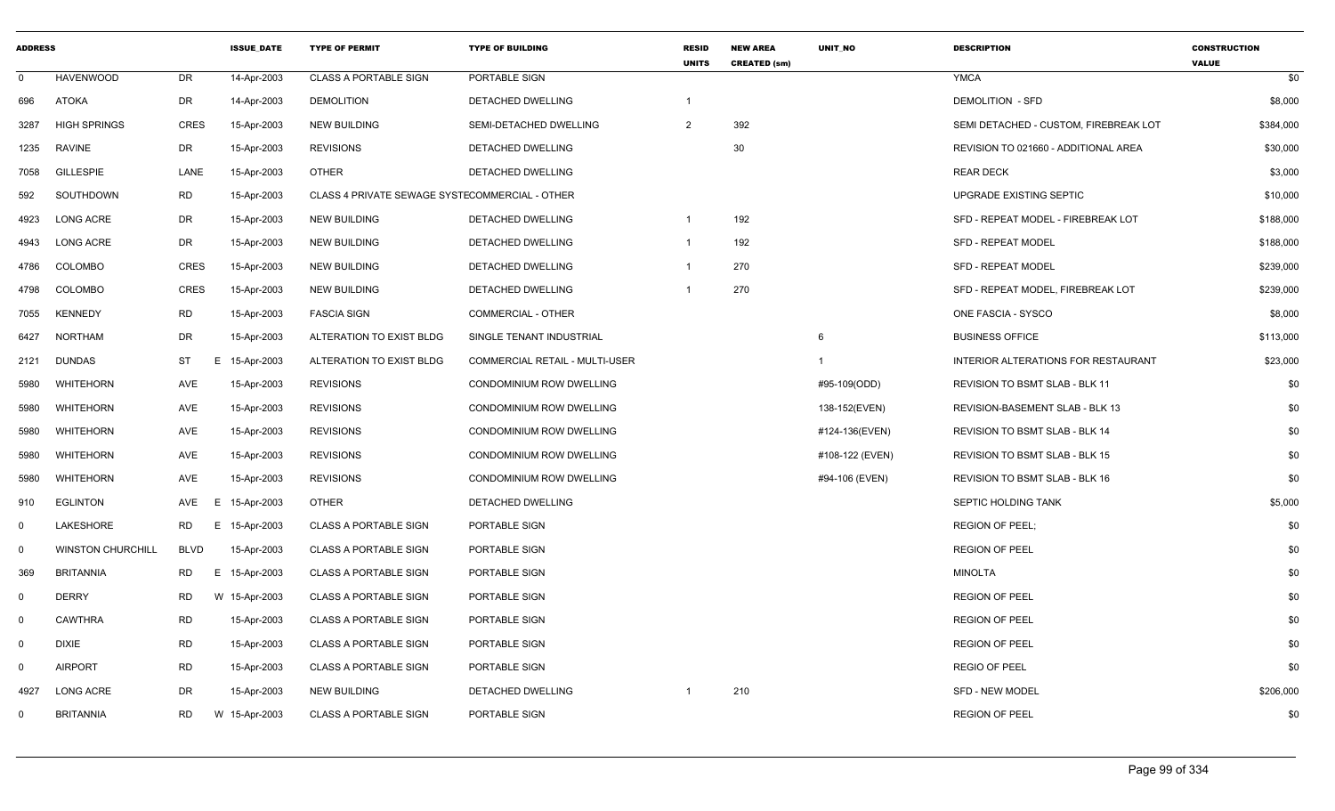| <b>ADDRESS</b>          |                          |             | <b>ISSUE DATE</b> | <b>TYPE OF PERMIT</b>                          | <b>TYPE OF BUILDING</b>               | <b>RESID</b><br><b>UNITS</b> | <b>NEW AREA</b><br><b>CREATED (sm)</b> | <b>UNIT NO</b>  | <b>DESCRIPTION</b>                         | <b>CONSTRUCTION</b><br><b>VALUE</b> |
|-------------------------|--------------------------|-------------|-------------------|------------------------------------------------|---------------------------------------|------------------------------|----------------------------------------|-----------------|--------------------------------------------|-------------------------------------|
| $\mathbf 0$             | <b>HAVENWOOD</b>         | <b>DR</b>   | 14-Apr-2003       | <b>CLASS A PORTABLE SIGN</b>                   | PORTABLE SIGN                         |                              |                                        |                 | <b>YMCA</b>                                | \$0                                 |
| 696                     | <b>ATOKA</b>             | DR          | 14-Apr-2003       | <b>DEMOLITION</b>                              | DETACHED DWELLING                     | -1                           |                                        |                 | <b>DEMOLITION - SFD</b>                    | \$8,000                             |
| 3287                    | <b>HIGH SPRINGS</b>      | <b>CRES</b> | 15-Apr-2003       | <b>NEW BUILDING</b>                            | SEMI-DETACHED DWELLING                | 2                            | 392                                    |                 | SEMI DETACHED - CUSTOM, FIREBREAK LOT      | \$384,000                           |
| 1235                    | RAVINE                   | DR          | 15-Apr-2003       | <b>REVISIONS</b>                               | DETACHED DWELLING                     |                              | 30                                     |                 | REVISION TO 021660 - ADDITIONAL AREA       | \$30,000                            |
| 7058                    | <b>GILLESPIE</b>         | LANE        | 15-Apr-2003       | <b>OTHER</b>                                   | <b>DETACHED DWELLING</b>              |                              |                                        |                 | <b>REAR DECK</b>                           | \$3,000                             |
| 592                     | SOUTHDOWN                | RD          | 15-Apr-2003       | CLASS 4 PRIVATE SEWAGE SYSTECOMMERCIAL - OTHER |                                       |                              |                                        |                 | UPGRADE EXISTING SEPTIC                    | \$10,000                            |
| 4923                    | LONG ACRE                | DR          | 15-Apr-2003       | <b>NEW BUILDING</b>                            | DETACHED DWELLING                     | $\overline{1}$               | 192                                    |                 | SFD - REPEAT MODEL - FIREBREAK LOT         | \$188,000                           |
| 4943                    | <b>LONG ACRE</b>         | DR          | 15-Apr-2003       | <b>NEW BUILDING</b>                            | DETACHED DWELLING                     | $\overline{1}$               | 192                                    |                 | SFD - REPEAT MODEL                         | \$188,000                           |
| 4786                    | COLOMBO                  | <b>CRES</b> | 15-Apr-2003       | <b>NEW BUILDING</b>                            | DETACHED DWELLING                     | $\overline{1}$               | 270                                    |                 | <b>SFD - REPEAT MODEL</b>                  | \$239,000                           |
| 4798                    | <b>COLOMBO</b>           | <b>CRES</b> | 15-Apr-2003       | <b>NEW BUILDING</b>                            | DETACHED DWELLING                     |                              | 270                                    |                 | SFD - REPEAT MODEL, FIREBREAK LOT          | \$239,000                           |
| 7055                    | <b>KENNEDY</b>           | <b>RD</b>   | 15-Apr-2003       | <b>FASCIA SIGN</b>                             | COMMERCIAL - OTHER                    |                              |                                        |                 | ONE FASCIA - SYSCO                         | \$8,000                             |
| 6427                    | <b>NORTHAM</b>           | <b>DR</b>   | 15-Apr-2003       | ALTERATION TO EXIST BLDG                       | SINGLE TENANT INDUSTRIAL              |                              |                                        | 6               | <b>BUSINESS OFFICE</b>                     | \$113,000                           |
| 2121                    | <b>DUNDAS</b>            | <b>ST</b>   | E<br>15-Apr-2003  | ALTERATION TO EXIST BLDG                       | <b>COMMERCIAL RETAIL - MULTI-USER</b> |                              |                                        | $\mathbf{1}$    | <b>INTERIOR ALTERATIONS FOR RESTAURANT</b> | \$23,000                            |
| 5980                    | WHITEHORN                | <b>AVE</b>  | 15-Apr-2003       | <b>REVISIONS</b>                               | CONDOMINIUM ROW DWELLING              |                              |                                        | #95-109(ODD)    | <b>REVISION TO BSMT SLAB - BLK 11</b>      | \$0                                 |
| 5980                    | <b>WHITEHORN</b>         | AVE         | 15-Apr-2003       | <b>REVISIONS</b>                               | CONDOMINIUM ROW DWELLING              |                              |                                        | 138-152(EVEN)   | REVISION-BASEMENT SLAB - BLK 13            | \$0                                 |
| 5980                    | <b>WHITEHORN</b>         | <b>AVE</b>  | 15-Apr-2003       | <b>REVISIONS</b>                               | CONDOMINIUM ROW DWELLING              |                              |                                        | #124-136(EVEN)  | REVISION TO BSMT SLAB - BLK 14             | \$0                                 |
| 5980                    | <b>WHITEHORN</b>         | AVE         | 15-Apr-2003       | <b>REVISIONS</b>                               | CONDOMINIUM ROW DWELLING              |                              |                                        | #108-122 (EVEN) | REVISION TO BSMT SLAB - BLK 15             | \$0                                 |
| 5980                    | <b>WHITEHORN</b>         | AVE         | 15-Apr-2003       | <b>REVISIONS</b>                               | <b>CONDOMINIUM ROW DWELLING</b>       |                              |                                        | #94-106 (EVEN)  | REVISION TO BSMT SLAB - BLK 16             | \$0                                 |
| 910                     | <b>EGLINTON</b>          | AVE         | E<br>15-Apr-2003  | <b>OTHER</b>                                   | <b>DETACHED DWELLING</b>              |                              |                                        |                 | SEPTIC HOLDING TANK                        | \$5,000                             |
| $\mathbf 0$             | LAKESHORE                | RD.         | E.<br>15-Apr-2003 | <b>CLASS A PORTABLE SIGN</b>                   | PORTABLE SIGN                         |                              |                                        |                 | <b>REGION OF PEEL:</b>                     | \$0                                 |
| $\overline{\mathbf{0}}$ | <b>WINSTON CHURCHILL</b> | <b>BLVD</b> | 15-Apr-2003       | <b>CLASS A PORTABLE SIGN</b>                   | PORTABLE SIGN                         |                              |                                        |                 | <b>REGION OF PEEL</b>                      | \$0                                 |
| 369                     | <b>BRITANNIA</b>         | <b>RD</b>   | E.<br>15-Apr-2003 | <b>CLASS A PORTABLE SIGN</b>                   | PORTABLE SIGN                         |                              |                                        |                 | <b>MINOLTA</b>                             | \$0                                 |
| $\mathbf 0$             | <b>DERRY</b>             | <b>RD</b>   | W 15-Apr-2003     | <b>CLASS A PORTABLE SIGN</b>                   | PORTABLE SIGN                         |                              |                                        |                 | <b>REGION OF PEEL</b>                      | \$0                                 |
| 0                       | <b>CAWTHRA</b>           | <b>RD</b>   | 15-Apr-2003       | <b>CLASS A PORTABLE SIGN</b>                   | PORTABLE SIGN                         |                              |                                        |                 | <b>REGION OF PEEL</b>                      | \$0                                 |
| $\mathsf{O}$            | <b>DIXIE</b>             | <b>RD</b>   | 15-Apr-2003       | <b>CLASS A PORTABLE SIGN</b>                   | PORTABLE SIGN                         |                              |                                        |                 | <b>REGION OF PEEL</b>                      | \$0                                 |
| $\mathbf 0$             | <b>AIRPORT</b>           | <b>RD</b>   | 15-Apr-2003       | <b>CLASS A PORTABLE SIGN</b>                   | PORTABLE SIGN                         |                              |                                        |                 | REGIO OF PEEL                              | \$0                                 |
| 4927                    | <b>LONG ACRE</b>         | <b>DR</b>   | 15-Apr-2003       | <b>NEW BUILDING</b>                            | DETACHED DWELLING                     |                              | 210                                    |                 | SFD - NEW MODEL                            | \$206,000                           |
| $\mathbf{0}$            | <b>BRITANNIA</b>         | RD.         | W 15-Apr-2003     | <b>CLASS A PORTABLE SIGN</b>                   | PORTABLE SIGN                         |                              |                                        |                 | <b>REGION OF PEEL</b>                      | \$0                                 |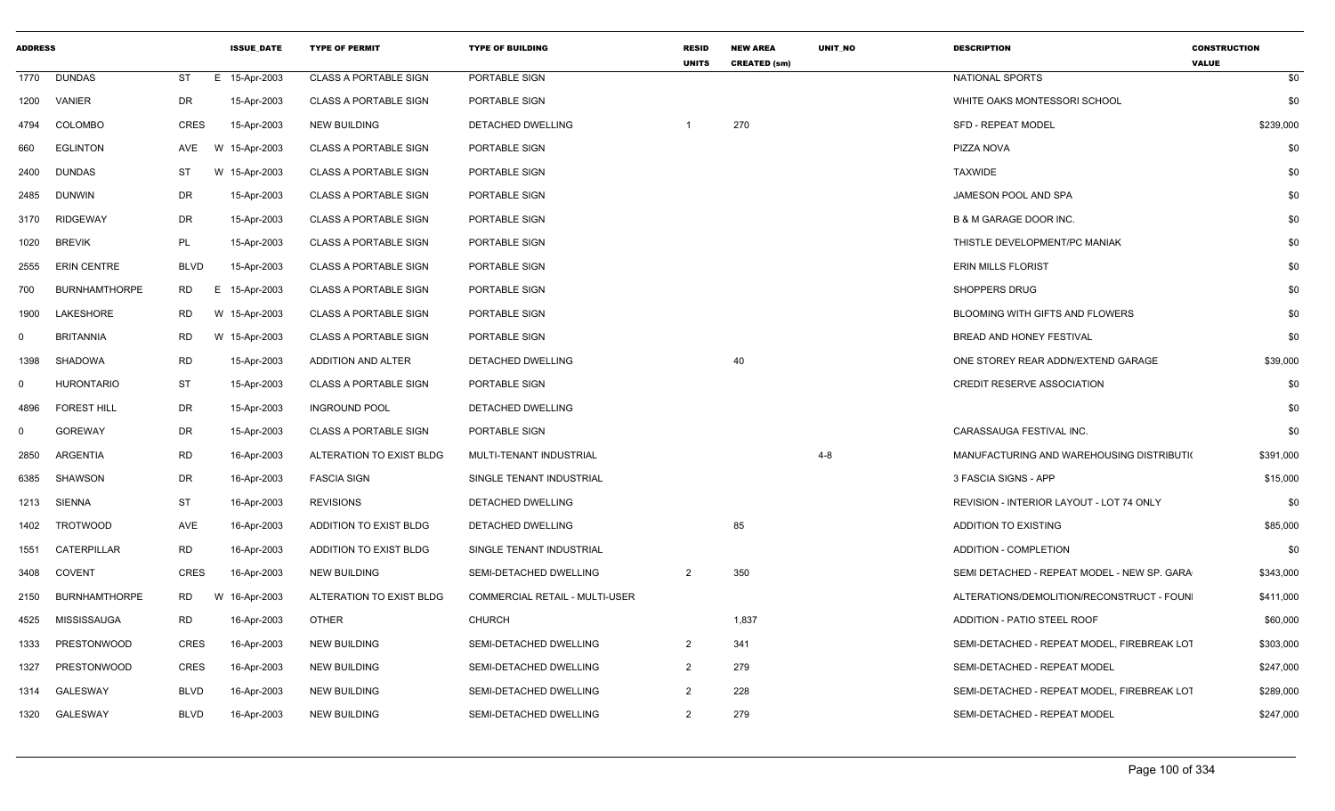| <b>ADDRESS</b> |                      |                 | <b>ISSUE_DATE</b> | <b>TYPE OF PERMIT</b>        | <b>TYPE OF BUILDING</b>        | <b>RESID</b><br><b>UNITS</b> | <b>NEW AREA</b><br><b>CREATED (sm)</b> | UNIT_NO | <b>DESCRIPTION</b>                          | <b>CONSTRUCTION</b><br><b>VALUE</b> |
|----------------|----------------------|-----------------|-------------------|------------------------------|--------------------------------|------------------------------|----------------------------------------|---------|---------------------------------------------|-------------------------------------|
|                | 1770 DUNDAS          | ST              | E 15-Apr-2003     | <b>CLASS A PORTABLE SIGN</b> | PORTABLE SIGN                  |                              |                                        |         | NATIONAL SPORTS                             | \$0                                 |
| 1200           | VANIER               | DR              | 15-Apr-2003       | <b>CLASS A PORTABLE SIGN</b> | PORTABLE SIGN                  |                              |                                        |         | WHITE OAKS MONTESSORI SCHOOL                | \$0                                 |
| 4794           | <b>COLOMBO</b>       | <b>CRES</b>     | 15-Apr-2003       | <b>NEW BUILDING</b>          | DETACHED DWELLING              |                              | 270                                    |         | <b>SFD - REPEAT MODEL</b>                   | \$239,000                           |
| 660            | <b>EGLINTON</b>      | AVE             | W 15-Apr-2003     | <b>CLASS A PORTABLE SIGN</b> | PORTABLE SIGN                  |                              |                                        |         | PIZZA NOVA                                  | \$0                                 |
| 2400           | <b>DUNDAS</b>        | ST              | W 15-Apr-2003     | <b>CLASS A PORTABLE SIGN</b> | PORTABLE SIGN                  |                              |                                        |         | <b>TAXWIDE</b>                              | \$0                                 |
| 2485           | DUNWIN               | DR              | 15-Apr-2003       | <b>CLASS A PORTABLE SIGN</b> | PORTABLE SIGN                  |                              |                                        |         | JAMESON POOL AND SPA                        | \$0                                 |
| 3170           | <b>RIDGEWAY</b>      | DR              | 15-Apr-2003       | <b>CLASS A PORTABLE SIGN</b> | PORTABLE SIGN                  |                              |                                        |         | <b>B &amp; M GARAGE DOOR INC.</b>           | \$0                                 |
| 1020           | <b>BREVIK</b>        | PL              | 15-Apr-2003       | <b>CLASS A PORTABLE SIGN</b> | PORTABLE SIGN                  |                              |                                        |         | THISTLE DEVELOPMENT/PC MANIAK               | \$0                                 |
| 2555           | <b>ERIN CENTRE</b>   | <b>BLVD</b>     | 15-Apr-2003       | <b>CLASS A PORTABLE SIGN</b> | PORTABLE SIGN                  |                              |                                        |         | <b>ERIN MILLS FLORIST</b>                   | \$0                                 |
| 700            | <b>BURNHAMTHORPE</b> | <b>RD</b><br>E. | 15-Apr-2003       | <b>CLASS A PORTABLE SIGN</b> | PORTABLE SIGN                  |                              |                                        |         | <b>SHOPPERS DRUG</b>                        | \$0                                 |
| 1900           | LAKESHORE            | RD              | W 15-Apr-2003     | <b>CLASS A PORTABLE SIGN</b> | PORTABLE SIGN                  |                              |                                        |         | BLOOMING WITH GIFTS AND FLOWERS             | \$0                                 |
| $\Omega$       | <b>BRITANNIA</b>     | <b>RD</b>       | W 15-Apr-2003     | <b>CLASS A PORTABLE SIGN</b> | PORTABLE SIGN                  |                              |                                        |         | BREAD AND HONEY FESTIVAL                    | \$0                                 |
| 1398           | SHADOWA              | <b>RD</b>       | 15-Apr-2003       | ADDITION AND ALTER           | DETACHED DWELLING              |                              | 40                                     |         | ONE STOREY REAR ADDN/EXTEND GARAGE          | \$39,000                            |
| $\Omega$       | HURONTARIO           | <b>ST</b>       | 15-Apr-2003       | <b>CLASS A PORTABLE SIGN</b> | PORTABLE SIGN                  |                              |                                        |         | <b>CREDIT RESERVE ASSOCIATION</b>           | \$0                                 |
| 4896           | <b>FOREST HILL</b>   | <b>DR</b>       | 15-Apr-2003       | <b>INGROUND POOL</b>         | DETACHED DWELLING              |                              |                                        |         |                                             | \$0                                 |
| 0              | <b>GOREWAY</b>       | DR              | 15-Apr-2003       | <b>CLASS A PORTABLE SIGN</b> | PORTABLE SIGN                  |                              |                                        |         | CARASSAUGA FESTIVAL INC.                    | \$0                                 |
| 2850           | ARGENTIA             | <b>RD</b>       | 16-Apr-2003       | ALTERATION TO EXIST BLDG     | MULTI-TENANT INDUSTRIAL        |                              |                                        | $4 - 8$ | MANUFACTURING AND WAREHOUSING DISTRIBUTION  | \$391,000                           |
| 6385           | <b>SHAWSON</b>       | DR              | 16-Apr-2003       | <b>FASCIA SIGN</b>           | SINGLE TENANT INDUSTRIAL       |                              |                                        |         | 3 FASCIA SIGNS - APP                        | \$15,000                            |
| 1213           | SIENNA               | <b>ST</b>       | 16-Apr-2003       | <b>REVISIONS</b>             | DETACHED DWELLING              |                              |                                        |         | REVISION - INTERIOR LAYOUT - LOT 74 ONLY    | \$0                                 |
| 1402           | <b>TROTWOOD</b>      | AVE             | 16-Apr-2003       | ADDITION TO EXIST BLDG       | DETACHED DWELLING              |                              | 85                                     |         | <b>ADDITION TO EXISTING</b>                 | \$85,000                            |
| 1551           | CATERPILLAR          | <b>RD</b>       | 16-Apr-2003       | ADDITION TO EXIST BLDG       | SINGLE TENANT INDUSTRIAL       |                              |                                        |         | <b>ADDITION - COMPLETION</b>                | \$0                                 |
| 3408           | COVENT               | CRES            | 16-Apr-2003       | <b>NEW BUILDING</b>          | SEMI-DETACHED DWELLING         | $\overline{2}$               | 350                                    |         | SEMI DETACHED - REPEAT MODEL - NEW SP. GARA | \$343,000                           |
| 2150           | <b>BURNHAMTHORPE</b> | RD              | W 16-Apr-2003     | ALTERATION TO EXIST BLDG     | COMMERCIAL RETAIL - MULTI-USER |                              |                                        |         | ALTERATIONS/DEMOLITION/RECONSTRUCT - FOUN   | \$411,000                           |
| 4525           | MISSISSAUGA          | <b>RD</b>       | 16-Apr-2003       | OTHER                        | <b>CHURCH</b>                  |                              | 1,837                                  |         | ADDITION - PATIO STEEL ROOF                 | \$60,000                            |
| 1333           | PRESTONWOOD          | CRES            | 16-Apr-2003       | <b>NEW BUILDING</b>          | SEMI-DETACHED DWELLING         | $\overline{2}$               | 341                                    |         | SEMI-DETACHED - REPEAT MODEL, FIREBREAK LOT | \$303,000                           |
| 1327           | PRESTONWOOD          | CRES            | 16-Apr-2003       | <b>NEW BUILDING</b>          | SEMI-DETACHED DWELLING         | $\overline{2}$               | 279                                    |         | SEMI-DETACHED - REPEAT MODEL                | \$247,000                           |
| 1314           | GALESWAY             | <b>BLVD</b>     | 16-Apr-2003       | <b>NEW BUILDING</b>          | SEMI-DETACHED DWELLING         | $\overline{2}$               | 228                                    |         | SEMI-DETACHED - REPEAT MODEL. FIREBREAK LOT | \$289,000                           |
|                | 1320 GALESWAY        | BLVD            | 16-Apr-2003       | <b>NEW BUILDING</b>          | SEMI-DETACHED DWELLING         | $\overline{2}$               | 279                                    |         | SEMI-DETACHED - REPEAT MODEL                | \$247,000                           |
|                |                      |                 |                   |                              |                                |                              |                                        |         |                                             |                                     |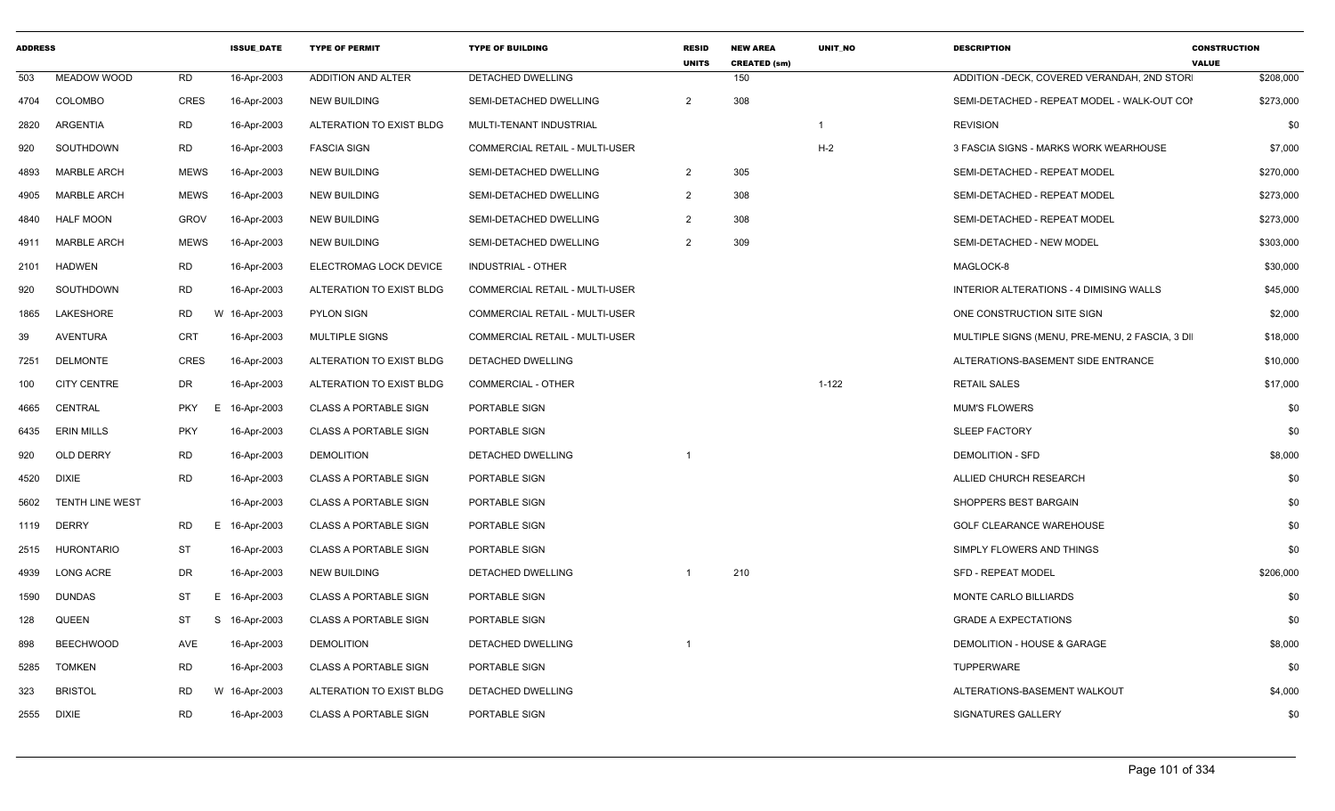| <b>ADDRESS</b> |                    |                  | <b>ISSUE DATE</b> | <b>TYPE OF PERMIT</b>        | <b>TYPE OF BUILDING</b>               | <b>RESID</b><br><b>UNITS</b> | <b>NEW AREA</b><br><b>CREATED (sm)</b> | <b>UNIT NO</b> | <b>DESCRIPTION</b>                             | <b>CONSTRUCTION</b><br><b>VALUE</b> |
|----------------|--------------------|------------------|-------------------|------------------------------|---------------------------------------|------------------------------|----------------------------------------|----------------|------------------------------------------------|-------------------------------------|
| 503            | MEADOW WOOD        | <b>RD</b>        | 16-Apr-2003       | ADDITION AND ALTER           | DETACHED DWELLING                     |                              | 150                                    |                | ADDITION -DECK, COVERED VERANDAH, 2ND STOR     | \$208,000                           |
| 4704           | COLOMBO            | CRES             | 16-Apr-2003       | <b>NEW BUILDING</b>          | SEMI-DETACHED DWELLING                | 2                            | 308                                    |                | SEMI-DETACHED - REPEAT MODEL - WALK-OUT COI    | \$273,000                           |
| 2820           | ARGENTIA           | RD               | 16-Apr-2003       | ALTERATION TO EXIST BLDG     | MULTI-TENANT INDUSTRIAL               |                              |                                        |                | <b>REVISION</b>                                | \$0                                 |
| 920            | SOUTHDOWN          | <b>RD</b>        | 16-Apr-2003       | <b>FASCIA SIGN</b>           | COMMERCIAL RETAIL - MULTI-USER        |                              |                                        | $H-2$          | 3 FASCIA SIGNS - MARKS WORK WEARHOUSE          | \$7,000                             |
| 4893           | <b>MARBLE ARCH</b> | <b>MEWS</b>      | 16-Apr-2003       | <b>NEW BUILDING</b>          | SEMI-DETACHED DWELLING                | $\overline{2}$               | 305                                    |                | SEMI-DETACHED - REPEAT MODEL                   | \$270,000                           |
| 4905           | <b>MARBLE ARCH</b> | <b>MEWS</b>      | 16-Apr-2003       | <b>NEW BUILDING</b>          | SEMI-DETACHED DWELLING                | $\overline{2}$               | 308                                    |                | SEMI-DETACHED - REPEAT MODEL                   | \$273,000                           |
| 4840           | <b>HALF MOON</b>   | <b>GROV</b>      | 16-Apr-2003       | <b>NEW BUILDING</b>          | SEMI-DETACHED DWELLING                | 2                            | 308                                    |                | SEMI-DETACHED - REPEAT MODEL                   | \$273,000                           |
| 4911           | <b>MARBLE ARCH</b> | <b>MEWS</b>      | 16-Apr-2003       | <b>NEW BUILDING</b>          | SEMI-DETACHED DWELLING                | 2                            | 309                                    |                | SEMI-DETACHED - NEW MODEL                      | \$303,000                           |
| 2101           | HADWEN             | <b>RD</b>        | 16-Apr-2003       | ELECTROMAG LOCK DEVICE       | INDUSTRIAL - OTHER                    |                              |                                        |                | MAGLOCK-8                                      | \$30,000                            |
| 920            | SOUTHDOWN          | <b>RD</b>        | 16-Apr-2003       | ALTERATION TO EXIST BLDG     | <b>COMMERCIAL RETAIL - MULTI-USER</b> |                              |                                        |                | INTERIOR ALTERATIONS - 4 DIMISING WALLS        | \$45,000                            |
| 1865           | LAKESHORE          | RD               | W 16-Apr-2003     | <b>PYLON SIGN</b>            | COMMERCIAL RETAIL - MULTI-USER        |                              |                                        |                | ONE CONSTRUCTION SITE SIGN                     | \$2,000                             |
| 39             | AVENTURA           | <b>CRT</b>       | 16-Apr-2003       | <b>MULTIPLE SIGNS</b>        | <b>COMMERCIAL RETAIL - MULTI-USER</b> |                              |                                        |                | MULTIPLE SIGNS (MENU, PRE-MENU, 2 FASCIA, 3 DI | \$18,000                            |
| 7251           | <b>DELMONTE</b>    | <b>CRES</b>      | 16-Apr-2003       | ALTERATION TO EXIST BLDG     | DETACHED DWELLING                     |                              |                                        |                | ALTERATIONS-BASEMENT SIDE ENTRANCE             | \$10,000                            |
| 100            | <b>CITY CENTRE</b> | DR               | 16-Apr-2003       | ALTERATION TO EXIST BLDG     | <b>COMMERCIAL - OTHER</b>             |                              |                                        | $1 - 122$      | <b>RETAIL SALES</b>                            | \$17,000                            |
| 4665           | CENTRAL            | <b>PKY</b><br>E. | 16-Apr-2003       | <b>CLASS A PORTABLE SIGN</b> | <b>PORTABLE SIGN</b>                  |                              |                                        |                | <b>MUM'S FLOWERS</b>                           | \$0                                 |
| 6435           | <b>ERIN MILLS</b>  | <b>PKY</b>       | 16-Apr-2003       | <b>CLASS A PORTABLE SIGN</b> | <b>PORTABLE SIGN</b>                  |                              |                                        |                | <b>SLEEP FACTORY</b>                           | \$0                                 |
| 920            | <b>OLD DERRY</b>   | <b>RD</b>        | 16-Apr-2003       | <b>DEMOLITION</b>            | <b>DETACHED DWELLING</b>              | -1                           |                                        |                | <b>DEMOLITION - SFD</b>                        | \$8,000                             |
| 4520           | DIXIE              | <b>RD</b>        | 16-Apr-2003       | <b>CLASS A PORTABLE SIGN</b> | PORTABLE SIGN                         |                              |                                        |                | ALLIED CHURCH RESEARCH                         | \$0                                 |
| 5602           | TENTH LINE WEST    |                  | 16-Apr-2003       | <b>CLASS A PORTABLE SIGN</b> | PORTABLE SIGN                         |                              |                                        |                | SHOPPERS BEST BARGAIN                          | \$0                                 |
|                | 1119 DERRY         | <b>RD</b>        | E 16-Apr-2003     | <b>CLASS A PORTABLE SIGN</b> | PORTABLE SIGN                         |                              |                                        |                | <b>GOLF CLEARANCE WAREHOUSE</b>                | \$0                                 |
| 2515           | <b>HURONTARIO</b>  | <b>ST</b>        | 16-Apr-2003       | <b>CLASS A PORTABLE SIGN</b> | PORTABLE SIGN                         |                              |                                        |                | SIMPLY FLOWERS AND THINGS                      | \$0                                 |
| 4939           | LONG ACRE          | DR               | 16-Apr-2003       | <b>NEW BUILDING</b>          | DETACHED DWELLING                     | -1                           | 210                                    |                | <b>SFD - REPEAT MODEL</b>                      | \$206,000                           |
| 1590           | <b>DUNDAS</b>      | ST               | E 16-Apr-2003     | <b>CLASS A PORTABLE SIGN</b> | PORTABLE SIGN                         |                              |                                        |                | MONTE CARLO BILLIARDS                          | \$0                                 |
| 128            | <b>QUEEN</b>       | ST<br>S.         | 16-Apr-2003       | <b>CLASS A PORTABLE SIGN</b> | PORTABLE SIGN                         |                              |                                        |                | <b>GRADE A EXPECTATIONS</b>                    | \$0                                 |
| 898            | <b>BEECHWOOD</b>   | AVE              | 16-Apr-2003       | <b>DEMOLITION</b>            | DETACHED DWELLING                     |                              |                                        |                | DEMOLITION - HOUSE & GARAGE                    | \$8,000                             |
| 5285           | <b>TOMKEN</b>      | <b>RD</b>        | 16-Apr-2003       | <b>CLASS A PORTABLE SIGN</b> | <b>PORTABLE SIGN</b>                  |                              |                                        |                | TUPPERWARE                                     | \$0                                 |
| 323            | <b>BRISTOL</b>     | <b>RD</b>        | W 16-Apr-2003     | ALTERATION TO EXIST BLDG     | DETACHED DWELLING                     |                              |                                        |                | ALTERATIONS-BASEMENT WALKOUT                   | \$4,000                             |
| 2555           | <b>DIXIE</b>       | <b>RD</b>        | 16-Apr-2003       | <b>CLASS A PORTABLE SIGN</b> | PORTABLE SIGN                         |                              |                                        |                | SIGNATURES GALLERY                             | \$0                                 |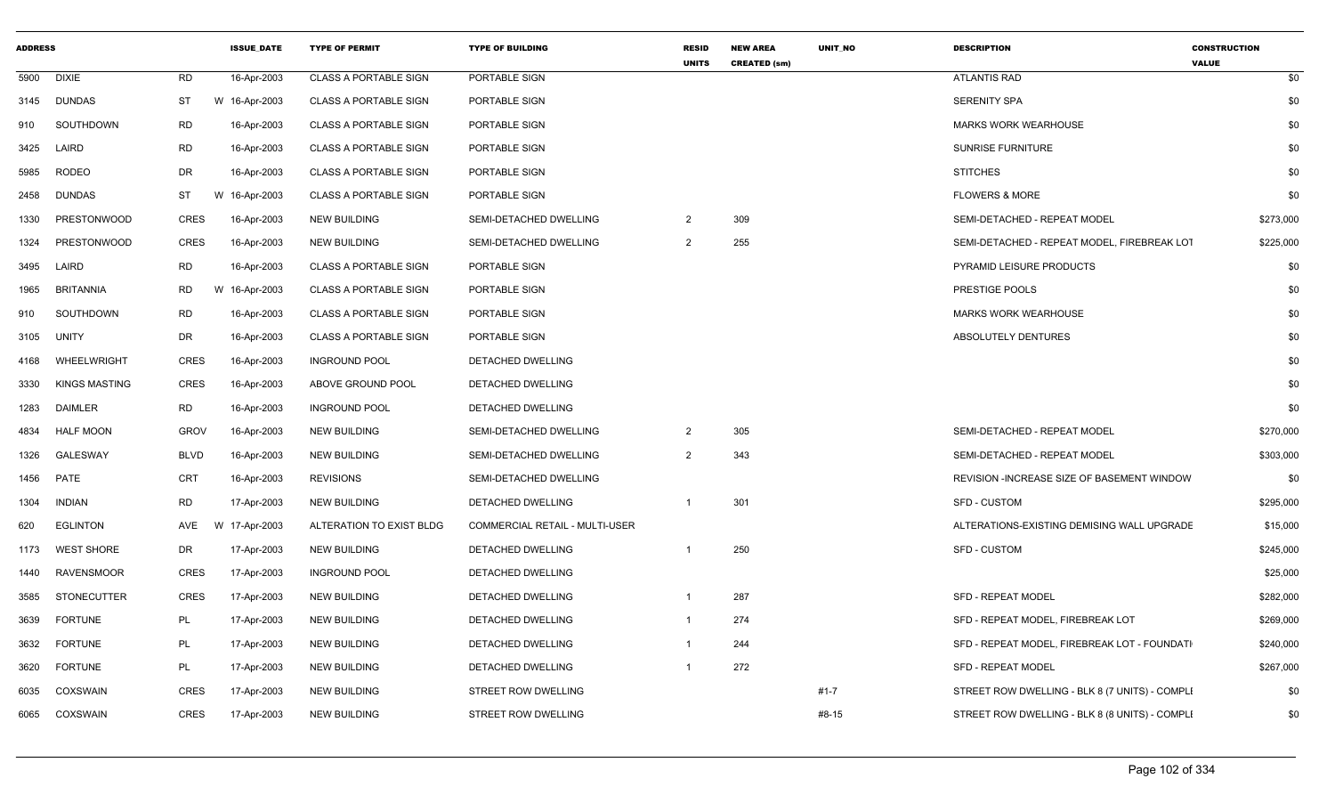| <b>ADDRESS</b> |                      |             | <b>ISSUE DATE</b> | <b>TYPE OF PERMIT</b>        | <b>TYPE OF BUILDING</b>               | <b>RESID</b><br><b>UNITS</b> | <b>NEW AREA</b><br><b>CREATED (sm)</b> | UNIT_NO  | <b>DESCRIPTION</b>                             | <b>CONSTRUCTION</b><br><b>VALUE</b> |
|----------------|----------------------|-------------|-------------------|------------------------------|---------------------------------------|------------------------------|----------------------------------------|----------|------------------------------------------------|-------------------------------------|
|                | 5900 DIXIE           | <b>RD</b>   | 16-Apr-2003       | <b>CLASS A PORTABLE SIGN</b> | PORTABLE SIGN                         |                              |                                        |          | <b>ATLANTIS RAD</b>                            | \$0                                 |
|                | 3145 DUNDAS          | <b>ST</b>   | W 16-Apr-2003     | <b>CLASS A PORTABLE SIGN</b> | PORTABLE SIGN                         |                              |                                        |          | <b>SERENITY SPA</b>                            | \$0                                 |
| 910            | SOUTHDOWN            | <b>RD</b>   | 16-Apr-2003       | <b>CLASS A PORTABLE SIGN</b> | PORTABLE SIGN                         |                              |                                        |          | <b>MARKS WORK WEARHOUSE</b>                    | \$0                                 |
|                | 3425 LAIRD           | <b>RD</b>   | 16-Apr-2003       | <b>CLASS A PORTABLE SIGN</b> | PORTABLE SIGN                         |                              |                                        |          | SUNRISE FURNITURE                              | \$0                                 |
|                | 5985 RODEO           | DR          | 16-Apr-2003       | <b>CLASS A PORTABLE SIGN</b> | PORTABLE SIGN                         |                              |                                        |          | <b>STITCHES</b>                                | \$0                                 |
| 2458           | DUNDAS               | <b>ST</b>   | W 16-Apr-2003     | <b>CLASS A PORTABLE SIGN</b> | PORTABLE SIGN                         |                              |                                        |          | <b>FLOWERS &amp; MORE</b>                      | \$0                                 |
| 1330           | <b>PRESTONWOOD</b>   | CRES        | 16-Apr-2003       | <b>NEW BUILDING</b>          | SEMI-DETACHED DWELLING                | $\overline{2}$               | 309                                    |          | SEMI-DETACHED - REPEAT MODEL                   | \$273,000                           |
| 1324           | PRESTONWOOD          | CRES        | 16-Apr-2003       | <b>NEW BUILDING</b>          | SEMI-DETACHED DWELLING                | 2                            | 255                                    |          | SEMI-DETACHED - REPEAT MODEL, FIREBREAK LOT    | \$225,000                           |
| 3495           | LAIRD                | RD          | 16-Apr-2003       | <b>CLASS A PORTABLE SIGN</b> | PORTABLE SIGN                         |                              |                                        |          | PYRAMID LEISURE PRODUCTS                       | \$0                                 |
| 1965           | <b>BRITANNIA</b>     | <b>RD</b>   | 16-Apr-2003<br>W  | <b>CLASS A PORTABLE SIGN</b> | PORTABLE SIGN                         |                              |                                        |          | PRESTIGE POOLS                                 | \$0                                 |
| 910            | SOUTHDOWN            | <b>RD</b>   | 16-Apr-2003       | <b>CLASS A PORTABLE SIGN</b> | PORTABLE SIGN                         |                              |                                        |          | MARKS WORK WEARHOUSE                           | \$0                                 |
|                | 3105 UNITY           | DR          | 16-Apr-2003       | <b>CLASS A PORTABLE SIGN</b> | PORTABLE SIGN                         |                              |                                        |          | ABSOLUTELY DENTURES                            | \$0                                 |
|                | 4168 WHEELWRIGHT     | CRES        | 16-Apr-2003       | <b>INGROUND POOL</b>         | DETACHED DWELLING                     |                              |                                        |          |                                                | \$0                                 |
| 3330           | <b>KINGS MASTING</b> | <b>CRES</b> | 16-Apr-2003       | ABOVE GROUND POOL            | DETACHED DWELLING                     |                              |                                        |          |                                                | \$0                                 |
| 1283           | DAIMLER              | RD          | 16-Apr-2003       | <b>INGROUND POOL</b>         | DETACHED DWELLING                     |                              |                                        |          |                                                | \$0                                 |
| 4834           | <b>HALF MOON</b>     | GROV        | 16-Apr-2003       | <b>NEW BUILDING</b>          | SEMI-DETACHED DWELLING                | $\overline{2}$               | 305                                    |          | SEMI-DETACHED - REPEAT MODEL                   | \$270,000                           |
| 1326           | GALESWAY             | <b>BLVD</b> | 16-Apr-2003       | <b>NEW BUILDING</b>          | SEMI-DETACHED DWELLING                | 2                            | 343                                    |          | SEMI-DETACHED - REPEAT MODEL                   | \$303,000                           |
| 1456           | PATE                 | CRT         | 16-Apr-2003       | <b>REVISIONS</b>             | SEMI-DETACHED DWELLING                |                              |                                        |          | REVISION -INCREASE SIZE OF BASEMENT WINDOW     | \$0                                 |
| 1304           | <b>INDIAN</b>        | RD          | 17-Apr-2003       | <b>NEW BUILDING</b>          | DETACHED DWELLING                     | $\overline{1}$               | 301                                    |          | <b>SFD - CUSTOM</b>                            | \$295,000                           |
| 620            | <b>EGLINTON</b>      |             |                   | ALTERATION TO EXIST BLDG     | <b>COMMERCIAL RETAIL - MULTI-USER</b> |                              |                                        |          | ALTERATIONS-EXISTING DEMISING WALL UPGRADE     | \$15,000                            |
| 1173           | <b>WEST SHORE</b>    | DR          | 17-Apr-2003       | <b>NEW BUILDING</b>          | DETACHED DWELLING                     |                              | 250                                    |          | <b>SFD - CUSTOM</b>                            | \$245,000                           |
|                | 1440 RAVENSMOOR      | CRES        | 17-Apr-2003       | <b>INGROUND POOL</b>         | DETACHED DWELLING                     |                              |                                        |          |                                                | \$25,000                            |
| 3585           | STONECUTTER          | CRES        | 17-Apr-2003       | <b>NEW BUILDING</b>          | DETACHED DWELLING                     |                              | 287                                    |          | <b>SFD - REPEAT MODEL</b>                      | \$282,000                           |
| 3639           | <b>FORTUNE</b>       | PL          | 17-Apr-2003       | <b>NEW BUILDING</b>          | DETACHED DWELLING                     |                              | 274                                    |          | SFD - REPEAT MODEL, FIREBREAK LOT              | \$269,000                           |
| 3632           | <b>FORTUNE</b>       | PL          | 17-Apr-2003       | <b>NEW BUILDING</b>          | DETACHED DWELLING                     |                              | 244                                    |          | SFD - REPEAT MODEL, FIREBREAK LOT - FOUNDATI   | \$240,000                           |
| 3620           | <b>FORTUNE</b>       | PL          | 17-Apr-2003       | <b>NEW BUILDING</b>          | DETACHED DWELLING                     |                              | 272                                    |          | <b>SFD - REPEAT MODEL</b>                      | \$267,000                           |
| 6035           | COXSWAIN             | CRES        | 17-Apr-2003       | <b>NEW BUILDING</b>          | STREET ROW DWELLING                   |                              |                                        | $#1 - 7$ | STREET ROW DWELLING - BLK 8 (7 UNITS) - COMPLI | \$0                                 |
|                | 6065 COXSWAIN        | CRES        | 17-Apr-2003       | <b>NEW BUILDING</b>          | STREET ROW DWELLING                   |                              |                                        | #8-15    | STREET ROW DWELLING - BLK 8 (8 UNITS) - COMPLI | \$0                                 |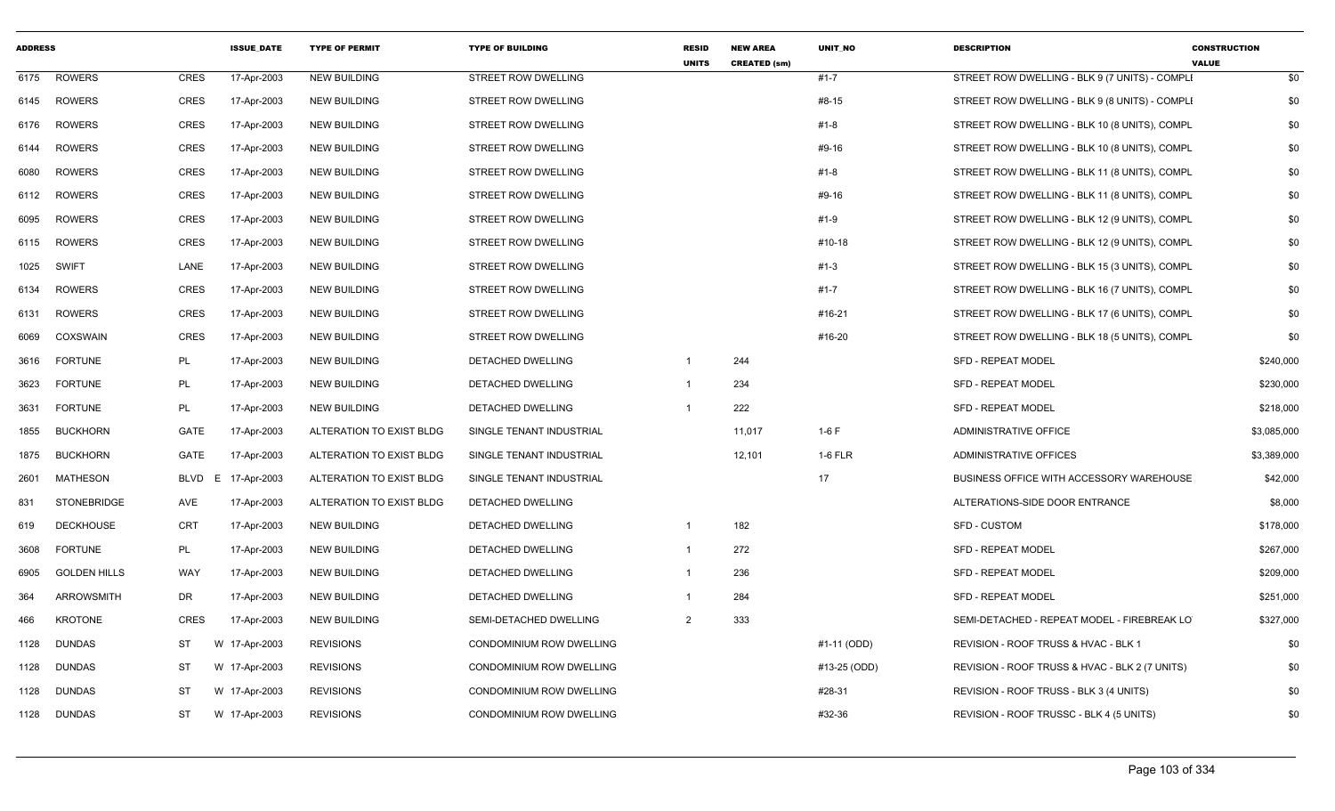| <b>ADDRESS</b> |                     |             | <b>ISSUE DATE</b> | <b>TYPE OF PERMIT</b>    | <b>TYPE OF BUILDING</b>         | <b>RESID</b><br><b>UNITS</b> | <b>NEW AREA</b><br><b>CREATED (sm)</b> | <b>UNIT NO</b> | <b>DESCRIPTION</b>                             | <b>CONSTRUCTION</b><br><b>VALUE</b> |
|----------------|---------------------|-------------|-------------------|--------------------------|---------------------------------|------------------------------|----------------------------------------|----------------|------------------------------------------------|-------------------------------------|
| 6175           | <b>ROWERS</b>       | CRES        | 17-Apr-2003       | <b>NEW BUILDING</b>      | <b>STREET ROW DWELLING</b>      |                              |                                        | $#1 - 7$       | STREET ROW DWELLING - BLK 9 (7 UNITS) - COMPLI | \$0                                 |
| 6145           | <b>ROWERS</b>       | CRES        | 17-Apr-2003       | <b>NEW BUILDING</b>      | <b>STREET ROW DWELLING</b>      |                              |                                        | #8-15          | STREET ROW DWELLING - BLK 9 (8 UNITS) - COMPLI | \$0                                 |
| 6176           | <b>ROWERS</b>       | <b>CRES</b> | 17-Apr-2003       | <b>NEW BUILDING</b>      | STREET ROW DWELLING             |                              |                                        | #1-8           | STREET ROW DWELLING - BLK 10 (8 UNITS), COMPL  | \$0                                 |
| 6144           | ROWERS              | <b>CRES</b> | 17-Apr-2003       | <b>NEW BUILDING</b>      | STREET ROW DWELLING             |                              |                                        | #9-16          | STREET ROW DWELLING - BLK 10 (8 UNITS), COMPL  | \$0                                 |
| 6080           | ROWERS              | <b>CRES</b> | 17-Apr-2003       | <b>NEW BUILDING</b>      | STREET ROW DWELLING             |                              |                                        | #1-8           | STREET ROW DWELLING - BLK 11 (8 UNITS), COMPL  | \$0                                 |
| 6112           | <b>ROWERS</b>       | <b>CRES</b> | 17-Apr-2003       | <b>NEW BUILDING</b>      | STREET ROW DWELLING             |                              |                                        | #9-16          | STREET ROW DWELLING - BLK 11 (8 UNITS), COMPL  | \$0                                 |
| 6095           | <b>ROWERS</b>       | <b>CRES</b> | 17-Apr-2003       | <b>NEW BUILDING</b>      | STREET ROW DWELLING             |                              |                                        | #1-9           | STREET ROW DWELLING - BLK 12 (9 UNITS), COMPL  | \$0                                 |
| 6115           | ROWERS              | CRES        | 17-Apr-2003       | <b>NEW BUILDING</b>      | STREET ROW DWELLING             |                              |                                        | #10-18         | STREET ROW DWELLING - BLK 12 (9 UNITS), COMPL  | \$0                                 |
| 1025           | SWIFT               | LANE        | 17-Apr-2003       | <b>NEW BUILDING</b>      | STREET ROW DWELLING             |                              |                                        | $#1-3$         | STREET ROW DWELLING - BLK 15 (3 UNITS), COMPL  | \$0                                 |
| 6134           | <b>ROWERS</b>       | <b>CRES</b> | 17-Apr-2003       | <b>NEW BUILDING</b>      | STREET ROW DWELLING             |                              |                                        | #1-7           | STREET ROW DWELLING - BLK 16 (7 UNITS), COMPL  | \$0                                 |
| 6131           | ROWERS              | CRES        | 17-Apr-2003       | NEW BUILDING             | STREET ROW DWELLING             |                              |                                        | #16-21         | STREET ROW DWELLING - BLK 17 (6 UNITS), COMPL  | \$0                                 |
| 6069           | COXSWAIN            | CRES        | 17-Apr-2003       | <b>NEW BUILDING</b>      | <b>STREET ROW DWELLING</b>      |                              |                                        | #16-20         | STREET ROW DWELLING - BLK 18 (5 UNITS), COMPL  | \$0                                 |
| 3616           | <b>FORTUNE</b>      | PL          | 17-Apr-2003       | <b>NEW BUILDING</b>      | DETACHED DWELLING               | $\overline{\mathbf{1}}$      | 244                                    |                | <b>SFD - REPEAT MODEL</b>                      | \$240,000                           |
| 3623           | <b>FORTUNE</b>      | PL          | 17-Apr-2003       | <b>NEW BUILDING</b>      | DETACHED DWELLING               | $\overline{1}$               | 234                                    |                | <b>SFD - REPEAT MODEL</b>                      | \$230,000                           |
| 3631           | <b>FORTUNE</b>      | PL          | 17-Apr-2003       | <b>NEW BUILDING</b>      | DETACHED DWELLING               | -1                           | 222                                    |                | <b>SFD - REPEAT MODEL</b>                      | \$218,000                           |
| 1855           | <b>BUCKHORN</b>     | GATE        | 17-Apr-2003       | ALTERATION TO EXIST BLDG | SINGLE TENANT INDUSTRIAL        |                              | 11,017                                 | $1-6F$         | ADMINISTRATIVE OFFICE                          | \$3,085,000                         |
| 1875           | <b>BUCKHORN</b>     | GATE        | 17-Apr-2003       | ALTERATION TO EXIST BLDG | SINGLE TENANT INDUSTRIAL        |                              | 12,101                                 | 1-6 FLR        | <b>ADMINISTRATIVE OFFICES</b>                  | \$3,389,000                         |
| 2601           | <b>MATHESON</b>     | BLVD        | E.<br>17-Apr-2003 | ALTERATION TO EXIST BLDG | SINGLE TENANT INDUSTRIAL        |                              |                                        | 17             | BUSINESS OFFICE WITH ACCESSORY WAREHOUSE       | \$42,000                            |
| 831            | <b>STONEBRIDGE</b>  | AVE         | 17-Apr-2003       | ALTERATION TO EXIST BLDG | DETACHED DWELLING               |                              |                                        |                | ALTERATIONS-SIDE DOOR ENTRANCE                 | \$8,000                             |
| 619            | <b>DECKHOUSE</b>    | <b>CRT</b>  | 17-Apr-2003       | <b>NEW BUILDING</b>      | DETACHED DWELLING               | $\overline{1}$               | 182                                    |                | SFD - CUSTOM                                   | \$178,000                           |
| 3608           | <b>FORTUNE</b>      | PL          | 17-Apr-2003       | <b>NEW BUILDING</b>      | DETACHED DWELLING               | $\overline{1}$               | 272                                    |                | SFD - REPEAT MODEL                             | \$267,000                           |
| 6905           | <b>GOLDEN HILLS</b> | WAY         | 17-Apr-2003       | <b>NEW BUILDING</b>      | DETACHED DWELLING               | $\overline{1}$               | 236                                    |                | SFD - REPEAT MODEL                             | \$209,000                           |
| 364            | <b>ARROWSMITH</b>   | DR          | 17-Apr-2003       | <b>NEW BUILDING</b>      | DETACHED DWELLING               |                              | 284                                    |                | SFD - REPEAT MODEL                             | \$251,000                           |
| 466            | <b>KROTONE</b>      | <b>CRES</b> | 17-Apr-2003       | <b>NEW BUILDING</b>      | SEMI-DETACHED DWELLING          | $\overline{2}$               | 333                                    |                | SEMI-DETACHED - REPEAT MODEL - FIREBREAK LO    | \$327,000                           |
| 1128           | <b>DUNDAS</b>       | ST          | 17-Apr-2003<br>W  | <b>REVISIONS</b>         | CONDOMINIUM ROW DWELLING        |                              |                                        | #1-11 (ODD)    | REVISION - ROOF TRUSS & HVAC - BLK 1           | \$0                                 |
| 1128           | <b>DUNDAS</b>       | <b>ST</b>   | W 17-Apr-2003     | <b>REVISIONS</b>         | CONDOMINIUM ROW DWELLING        |                              |                                        | #13-25 (ODD)   | REVISION - ROOF TRUSS & HVAC - BLK 2 (7 UNITS) | \$0                                 |
| 1128           | <b>DUNDAS</b>       | <b>ST</b>   | W 17-Apr-2003     | <b>REVISIONS</b>         | CONDOMINIUM ROW DWELLING        |                              |                                        | #28-31         | REVISION - ROOF TRUSS - BLK 3 (4 UNITS)        | \$0                                 |
| 1128           | <b>DUNDAS</b>       | <b>ST</b>   | W 17-Apr-2003     | <b>REVISIONS</b>         | <b>CONDOMINIUM ROW DWELLING</b> |                              |                                        | #32-36         | REVISION - ROOF TRUSSC - BLK 4 (5 UNITS)       | \$0                                 |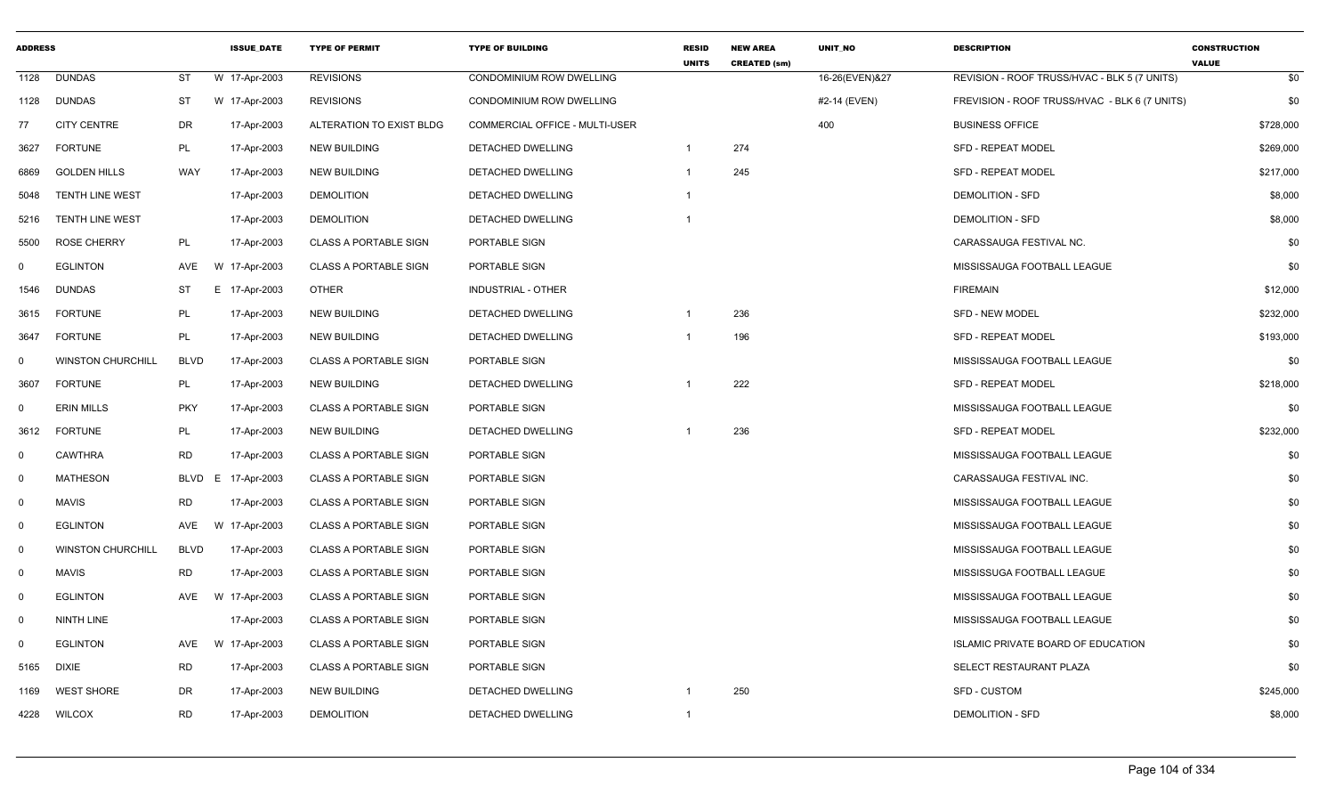| <b>ADDRESS</b> |                          |             | <b>ISSUE DATE</b> | <b>TYPE OF PERMIT</b>        | <b>TYPE OF BUILDING</b>        | <b>RESID</b><br><b>UNITS</b> | <b>NEW AREA</b><br><b>CREATED (sm)</b> | <b>UNIT NO</b> | <b>DESCRIPTION</b>                            | <b>CONSTRUCTION</b><br><b>VALUE</b> |
|----------------|--------------------------|-------------|-------------------|------------------------------|--------------------------------|------------------------------|----------------------------------------|----------------|-----------------------------------------------|-------------------------------------|
| 1128           | <b>DUNDAS</b>            | ST          | W 17-Apr-2003     | <b>REVISIONS</b>             | CONDOMINIUM ROW DWELLING       |                              |                                        | 16-26(EVEN)&27 | REVISION - ROOF TRUSS/HVAC - BLK 5 (7 UNITS)  | \$0                                 |
| 1128           | DUNDAS                   | ST          | W 17-Apr-2003     | <b>REVISIONS</b>             | CONDOMINIUM ROW DWELLING       |                              |                                        | #2-14 (EVEN)   | FREVISION - ROOF TRUSS/HVAC - BLK 6 (7 UNITS) | \$0                                 |
| 77             | <b>CITY CENTRE</b>       | DR          | 17-Apr-2003       | ALTERATION TO EXIST BLDG     | COMMERCIAL OFFICE - MULTI-USER |                              |                                        | 400            | <b>BUSINESS OFFICE</b>                        | \$728,000                           |
| 3627           | <b>FORTUNE</b>           | PL          | 17-Apr-2003       | <b>NEW BUILDING</b>          | DETACHED DWELLING              | $\mathbf 1$                  | 274                                    |                | <b>SFD - REPEAT MODEL</b>                     | \$269,000                           |
| 6869           | <b>GOLDEN HILLS</b>      | WAY         | 17-Apr-2003       | <b>NEW BUILDING</b>          | DETACHED DWELLING              | 1                            | 245                                    |                | <b>SFD - REPEAT MODEL</b>                     | \$217,000                           |
| 5048           | <b>TENTH LINE WEST</b>   |             | 17-Apr-2003       | <b>DEMOLITION</b>            | <b>DETACHED DWELLING</b>       |                              |                                        |                | <b>DEMOLITION - SFD</b>                       | \$8,000                             |
| 5216           | <b>TENTH LINE WEST</b>   |             | 17-Apr-2003       | <b>DEMOLITION</b>            | DETACHED DWELLING              | 1                            |                                        |                | <b>DEMOLITION - SFD</b>                       | \$8,000                             |
| 5500           | <b>ROSE CHERRY</b>       | PL          | 17-Apr-2003       | <b>CLASS A PORTABLE SIGN</b> | PORTABLE SIGN                  |                              |                                        |                | CARASSAUGA FESTIVAL NC.                       | \$0                                 |
| $\mathbf 0$    | <b>EGLINTON</b>          | AVE         | W 17-Apr-2003     | <b>CLASS A PORTABLE SIGN</b> | PORTABLE SIGN                  |                              |                                        |                | MISSISSAUGA FOOTBALL LEAGUE                   | \$0                                 |
| 1546           | <b>DUNDAS</b>            | ST          | E 17-Apr-2003     | <b>OTHER</b>                 | <b>INDUSTRIAL - OTHER</b>      |                              |                                        |                | <b>FIREMAIN</b>                               | \$12,000                            |
| 3615           | <b>FORTUNE</b>           | PL          | 17-Apr-2003       | <b>NEW BUILDING</b>          | DETACHED DWELLING              |                              | 236                                    |                | <b>SFD - NEW MODEL</b>                        | \$232,000                           |
| 3647           | <b>FORTUNE</b>           | PL          | 17-Apr-2003       | <b>NEW BUILDING</b>          | DETACHED DWELLING              |                              | 196                                    |                | <b>SFD - REPEAT MODEL</b>                     | \$193,000                           |
| $\mathbf 0$    | <b>WINSTON CHURCHILL</b> | <b>BLVD</b> | 17-Apr-2003       | <b>CLASS A PORTABLE SIGN</b> | PORTABLE SIGN                  |                              |                                        |                | MISSISSAUGA FOOTBALL LEAGUE                   | \$0                                 |
| 3607           | <b>FORTUNE</b>           | PL          | 17-Apr-2003       | NEW BUILDING                 | DETACHED DWELLING              |                              | 222                                    |                | <b>SFD - REPEAT MODEL</b>                     | \$218,000                           |
| $\mathbf 0$    | <b>ERIN MILLS</b>        | <b>PKY</b>  | 17-Apr-2003       | <b>CLASS A PORTABLE SIGN</b> | PORTABLE SIGN                  |                              |                                        |                | MISSISSAUGA FOOTBALL LEAGUE                   | \$0                                 |
| 3612           | <b>FORTUNE</b>           | PL          | 17-Apr-2003       | <b>NEW BUILDING</b>          | <b>DETACHED DWELLING</b>       |                              | 236                                    |                | <b>SFD - REPEAT MODEL</b>                     | \$232,000                           |
| $\mathbf 0$    | <b>CAWTHRA</b>           | <b>RD</b>   | 17-Apr-2003       | <b>CLASS A PORTABLE SIGN</b> | PORTABLE SIGN                  |                              |                                        |                | MISSISSAUGA FOOTBALL LEAGUE                   | \$0                                 |
| $\mathbf 0$    | MATHESON                 | <b>BLVD</b> | E 17-Apr-2003     | <b>CLASS A PORTABLE SIGN</b> | PORTABLE SIGN                  |                              |                                        |                | CARASSAUGA FESTIVAL INC.                      | \$0                                 |
| $\mathbf 0$    | <b>MAVIS</b>             | <b>RD</b>   | 17-Apr-2003       | <b>CLASS A PORTABLE SIGN</b> | PORTABLE SIGN                  |                              |                                        |                | MISSISSAUGA FOOTBALL LEAGUE                   | \$0                                 |
| $\mathbf 0$    | <b>EGLINTON</b>          | AVE         | W 17-Apr-2003     | <b>CLASS A PORTABLE SIGN</b> | PORTABLE SIGN                  |                              |                                        |                | MISSISSAUGA FOOTBALL LEAGUE                   | \$0                                 |
| $\Omega$       | <b>WINSTON CHURCHILL</b> | <b>BLVD</b> | 17-Apr-2003       | <b>CLASS A PORTABLE SIGN</b> | PORTABLE SIGN                  |                              |                                        |                | MISSISSAUGA FOOTBALL LEAGUE                   | \$0                                 |
| $\mathbf 0$    | <b>MAVIS</b>             | <b>RD</b>   | 17-Apr-2003       | <b>CLASS A PORTABLE SIGN</b> | PORTABLE SIGN                  |                              |                                        |                | MISSISSUGA FOOTBALL LEAGUE                    | \$0                                 |
| $\mathbf 0$    | <b>EGLINTON</b>          | <b>AVE</b>  | W 17-Apr-2003     | <b>CLASS A PORTABLE SIGN</b> | PORTABLE SIGN                  |                              |                                        |                | MISSISSAUGA FOOTBALL LEAGUE                   | \$0                                 |
| $\mathbf 0$    | NINTH LINE               |             | 17-Apr-2003       | <b>CLASS A PORTABLE SIGN</b> | PORTABLE SIGN                  |                              |                                        |                | MISSISSAUGA FOOTBALL LEAGUE                   | \$0                                 |
| $\mathbf 0$    | <b>EGLINTON</b>          | <b>AVE</b>  | W 17-Apr-2003     | <b>CLASS A PORTABLE SIGN</b> | PORTABLE SIGN                  |                              |                                        |                | ISLAMIC PRIVATE BOARD OF EDUCATION            | \$0                                 |
| 5165           | <b>DIXIE</b>             | <b>RD</b>   | 17-Apr-2003       | <b>CLASS A PORTABLE SIGN</b> | PORTABLE SIGN                  |                              |                                        |                | SELECT RESTAURANT PLAZA                       | \$0                                 |
| 1169           | <b>WEST SHORE</b>        | DR          | 17-Apr-2003       | <b>NEW BUILDING</b>          | DETACHED DWELLING              |                              | 250                                    |                | SFD - CUSTOM                                  | \$245,000                           |
| 4228           | <b>WILCOX</b>            | <b>RD</b>   | 17-Apr-2003       | <b>DEMOLITION</b>            | <b>DETACHED DWELLING</b>       | $\mathbf{1}$                 |                                        |                | <b>DEMOLITION - SFD</b>                       | \$8,000                             |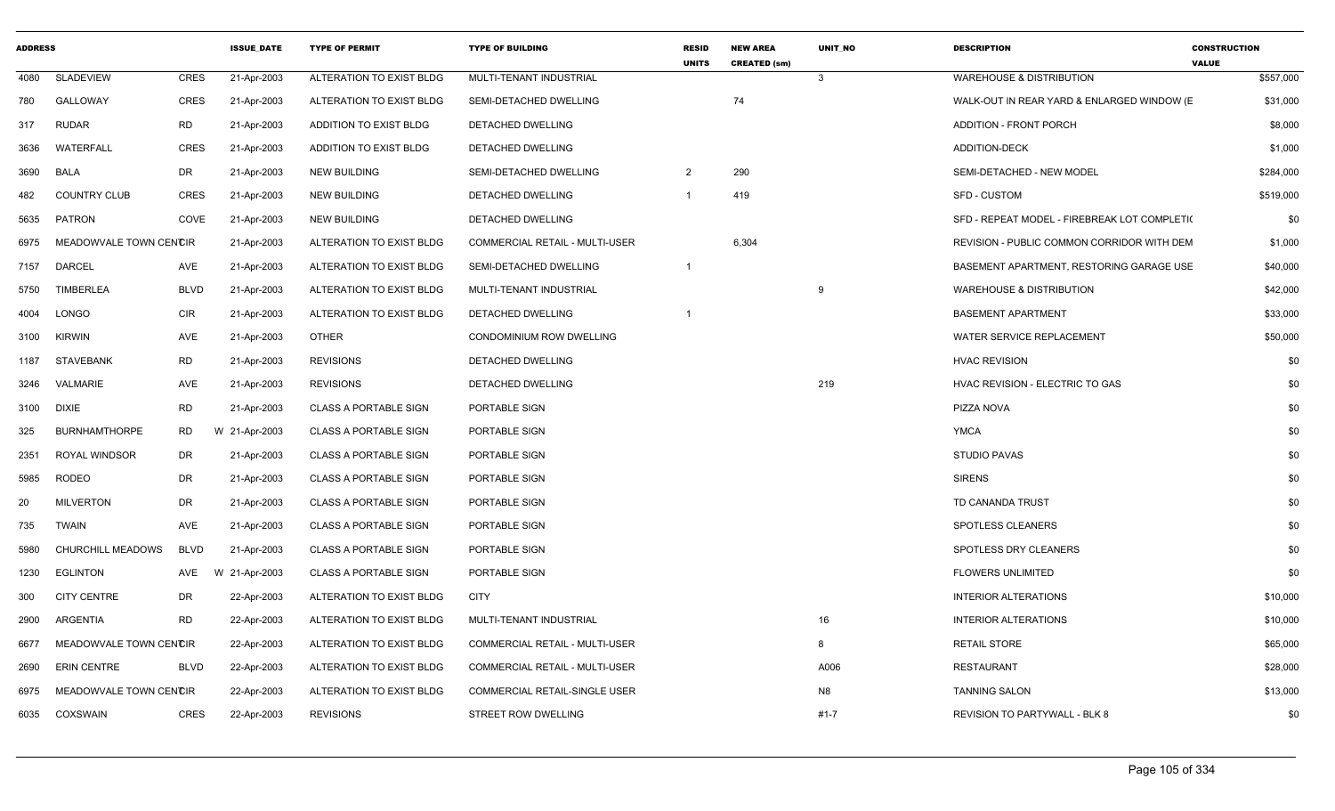| <b>ADDRESS</b> |                        |             | <b>ISSUE DATE</b> | <b>TYPE OF PERMIT</b>        | <b>TYPE OF BUILDING</b>               | <b>RESID</b><br><b>UNITS</b> | <b>NEW AREA</b><br><b>CREATED (sm)</b> | <b>UNIT NO</b> | <b>DESCRIPTION</b>                           | <b>CONSTRUCTION</b><br><b>VALUE</b> |
|----------------|------------------------|-------------|-------------------|------------------------------|---------------------------------------|------------------------------|----------------------------------------|----------------|----------------------------------------------|-------------------------------------|
| 4080           | <b>SLADEVIEW</b>       | CRES        | 21-Apr-2003       | ALTERATION TO EXIST BLDG     | MULTI-TENANT INDUSTRIAL               |                              |                                        | $\mathbf{3}$   | <b>WAREHOUSE &amp; DISTRIBUTION</b>          | \$557,000                           |
| 780            | <b>GALLOWAY</b>        | CRES        | 21-Apr-2003       | ALTERATION TO EXIST BLDG     | SEMI-DETACHED DWELLING                |                              | 74                                     |                | WALK-OUT IN REAR YARD & ENLARGED WINDOW (E)  | \$31,000                            |
| 317            | <b>RUDAR</b>           | RD          | 21-Apr-2003       | ADDITION TO EXIST BLDG       | DETACHED DWELLING                     |                              |                                        |                | <b>ADDITION - FRONT PORCH</b>                | \$8,000                             |
| 3636           | WATERFALL              | <b>CRES</b> | 21-Apr-2003       | ADDITION TO EXIST BLDG       | DETACHED DWELLING                     |                              |                                        |                | ADDITION-DECK                                | \$1,000                             |
| 3690           | <b>BALA</b>            | DR          | 21-Apr-2003       | <b>NEW BUILDING</b>          | SEMI-DETACHED DWELLING                | 2                            | 290                                    |                | SEMI-DETACHED - NEW MODEL                    | \$284,000                           |
| 482            | <b>COUNTRY CLUB</b>    | <b>CRES</b> | 21-Apr-2003       | <b>NEW BUILDING</b>          | DETACHED DWELLING                     | -1                           | 419                                    |                | <b>SFD - CUSTOM</b>                          | \$519,000                           |
| 5635           | <b>PATRON</b>          | COVE        | 21-Apr-2003       | <b>NEW BUILDING</b>          | DETACHED DWELLING                     |                              |                                        |                | SFD - REPEAT MODEL - FIREBREAK LOT COMPLETI( | \$0                                 |
| 6975           | MEADOWVALE TOWN CENCIR |             | 21-Apr-2003       | ALTERATION TO EXIST BLDG     | <b>COMMERCIAL RETAIL - MULTI-USER</b> |                              | 6,304                                  |                | REVISION - PUBLIC COMMON CORRIDOR WITH DEM   | \$1,000                             |
| 7157           | DARCEL                 | AVE         | 21-Apr-2003       | ALTERATION TO EXIST BLDG     | SEMI-DETACHED DWELLING                | $\overline{1}$               |                                        |                | BASEMENT APARTMENT, RESTORING GARAGE USE     | \$40,000                            |
| 5750           | <b>TIMBERLEA</b>       | <b>BLVD</b> | 21-Apr-2003       | ALTERATION TO EXIST BLDG     | MULTI-TENANT INDUSTRIAL               |                              |                                        | 9              | <b>WAREHOUSE &amp; DISTRIBUTION</b>          | \$42,000                            |
| 4004           | LONGO                  | <b>CIR</b>  | 21-Apr-2003       | ALTERATION TO EXIST BLDG     | DETACHED DWELLING                     |                              |                                        |                | <b>BASEMENT APARTMENT</b>                    | \$33,000                            |
| 3100           | <b>KIRWIN</b>          | AVE         | 21-Apr-2003       | OTHER                        | CONDOMINIUM ROW DWELLING              |                              |                                        |                | <b>WATER SERVICE REPLACEMENT</b>             | \$50,000                            |
| 1187           | STAVEBANK              | <b>RD</b>   | 21-Apr-2003       | <b>REVISIONS</b>             | DETACHED DWELLING                     |                              |                                        |                | <b>HVAC REVISION</b>                         | \$0                                 |
| 3246           | VALMARIE               | AVE         | 21-Apr-2003       | <b>REVISIONS</b>             | DETACHED DWELLING                     |                              |                                        | 219            | HVAC REVISION - ELECTRIC TO GAS              | \$0                                 |
| 3100           | <b>DIXIE</b>           | RD          | 21-Apr-2003       | <b>CLASS A PORTABLE SIGN</b> | PORTABLE SIGN                         |                              |                                        |                | PIZZA NOVA                                   | \$0                                 |
| 325            | <b>BURNHAMTHORPE</b>   | <b>RD</b>   | W 21-Apr-2003     | <b>CLASS A PORTABLE SIGN</b> | PORTABLE SIGN                         |                              |                                        |                | <b>YMCA</b>                                  | \$0                                 |
| 2351           | ROYAL WINDSOR          | DR          | 21-Apr-2003       | <b>CLASS A PORTABLE SIGN</b> | PORTABLE SIGN                         |                              |                                        |                | <b>STUDIO PAVAS</b>                          | \$0                                 |
| 5985           | <b>RODEO</b>           | DR          | 21-Apr-2003       | <b>CLASS A PORTABLE SIGN</b> | PORTABLE SIGN                         |                              |                                        |                | <b>SIRENS</b>                                | \$0                                 |
| 20             | <b>MILVERTON</b>       | DR          | 21-Apr-2003       | <b>CLASS A PORTABLE SIGN</b> | PORTABLE SIGN                         |                              |                                        |                | TD CANANDA TRUST                             | \$0                                 |
| 735            | <b>TWAIN</b>           | <b>AVE</b>  | 21-Apr-2003       | <b>CLASS A PORTABLE SIGN</b> | PORTABLE SIGN                         |                              |                                        |                | SPOTLESS CLEANERS                            | \$0                                 |
| 5980           | CHURCHILL MEADOWS      | <b>BLVD</b> | 21-Apr-2003       | <b>CLASS A PORTABLE SIGN</b> | PORTABLE SIGN                         |                              |                                        |                | SPOTLESS DRY CLEANERS                        | \$0                                 |
| 1230           | <b>EGLINTON</b>        | AVE         | W 21-Apr-2003     | <b>CLASS A PORTABLE SIGN</b> | PORTABLE SIGN                         |                              |                                        |                | <b>FLOWERS UNLIMITED</b>                     | \$0                                 |
| 300            | <b>CITY CENTRE</b>     | DR          | 22-Apr-2003       | ALTERATION TO EXIST BLDG     | <b>CITY</b>                           |                              |                                        |                | <b>INTERIOR ALTERATIONS</b>                  | \$10,000                            |
| 2900           | ARGENTIA               | <b>RD</b>   | 22-Apr-2003       | ALTERATION TO EXIST BLDG     | MULTI-TENANT INDUSTRIAL               |                              |                                        | 16             | <b>INTERIOR ALTERATIONS</b>                  | \$10,000                            |
| 6677           | MEADOWVALE TOWN CENCIR |             | 22-Apr-2003       | ALTERATION TO EXIST BLDG     | COMMERCIAL RETAIL - MULTI-USER        |                              |                                        | 8              | <b>RETAIL STORE</b>                          | \$65,000                            |
| 2690           | <b>ERIN CENTRE</b>     | <b>BLVD</b> | 22-Apr-2003       | ALTERATION TO EXIST BLDG     | COMMERCIAL RETAIL - MULTI-USER        |                              |                                        | A006           | <b>RESTAURANT</b>                            | \$28,000                            |
| 6975           | MEADOWVALE TOWN CENCIR |             | 22-Apr-2003       | ALTERATION TO EXIST BLDG     | <b>COMMERCIAL RETAIL-SINGLE USER</b>  |                              |                                        | N <sub>8</sub> | <b>TANNING SALON</b>                         | \$13,000                            |
| 6035           | COXSWAIN               | <b>CRES</b> | 22-Apr-2003       | <b>REVISIONS</b>             | STREET ROW DWELLING                   |                              |                                        | $#1 - 7$       | <b>REVISION TO PARTYWALL - BLK 8</b>         | \$0                                 |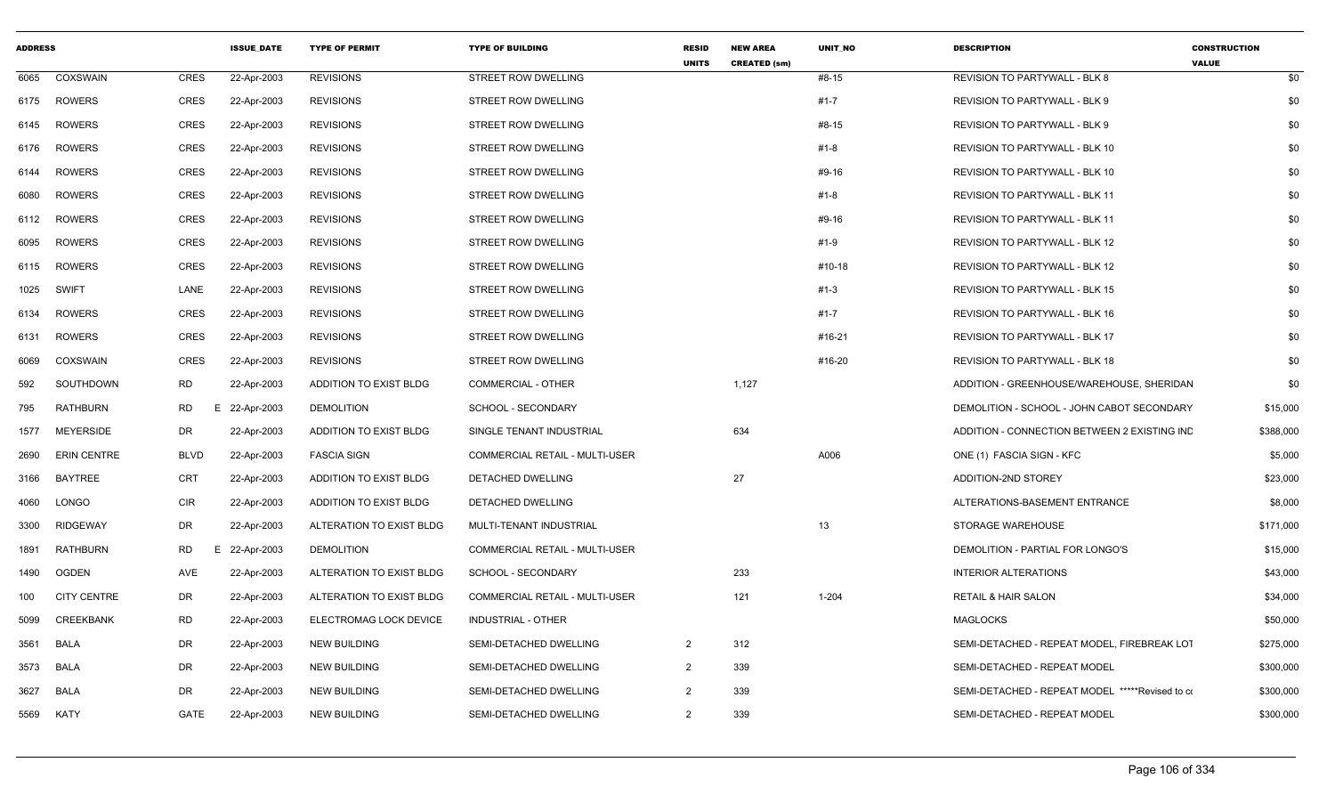| <b>ADDRESS</b> |                    |             | <b>ISSUE DATE</b> | <b>TYPE OF PERMIT</b>    | <b>TYPE OF BUILDING</b>               | <b>RESID</b><br><b>UNITS</b> | <b>NEW AREA</b><br><b>CREATED (sm)</b> | <b>UNIT NO</b> | <b>DESCRIPTION</b>                                | <b>CONSTRUCTION</b><br><b>VALUE</b> |
|----------------|--------------------|-------------|-------------------|--------------------------|---------------------------------------|------------------------------|----------------------------------------|----------------|---------------------------------------------------|-------------------------------------|
| 6065           | COXSWAIN           | <b>CRES</b> | 22-Apr-2003       | <b>REVISIONS</b>         | STREET ROW DWELLING                   |                              |                                        | #8-15          | REVISION TO PARTYWALL - BLK 8                     | \$0                                 |
| 6175           | <b>ROWERS</b>      | CRES        | 22-Apr-2003       | <b>REVISIONS</b>         | <b>STREET ROW DWELLING</b>            |                              |                                        | $#1 - 7$       | REVISION TO PARTYWALL - BLK 9                     | \$0                                 |
| 6145           | ROWERS             | CRES        | 22-Apr-2003       | <b>REVISIONS</b>         | STREET ROW DWELLING                   |                              |                                        | #8-15          | REVISION TO PARTYWALL - BLK 9                     | \$0                                 |
| 6176           | ROWERS             | CRES        | 22-Apr-2003       | <b>REVISIONS</b>         | STREET ROW DWELLING                   |                              |                                        | #1-8           | REVISION TO PARTYWALL - BLK 10                    | \$0                                 |
| 6144           | ROWERS             | CRES        | 22-Apr-2003       | <b>REVISIONS</b>         | STREET ROW DWELLING                   |                              |                                        | #9-16          | REVISION TO PARTYWALL - BLK 10                    | \$0                                 |
| 6080           | <b>ROWERS</b>      | CRES        | 22-Apr-2003       | <b>REVISIONS</b>         | STREET ROW DWELLING                   |                              |                                        | #1-8           | REVISION TO PARTYWALL - BLK 11                    | \$0                                 |
| 6112           | <b>ROWERS</b>      | CRES        | 22-Apr-2003       | <b>REVISIONS</b>         | STREET ROW DWELLING                   |                              |                                        | #9-16          | <b>REVISION TO PARTYWALL - BLK 11</b>             | \$0                                 |
| 6095           | ROWERS             | <b>CRES</b> | 22-Apr-2003       | <b>REVISIONS</b>         | STREET ROW DWELLING                   |                              |                                        | #1-9           | <b>REVISION TO PARTYWALL - BLK 12</b>             | \$0                                 |
| 6115           | <b>ROWERS</b>      | CRES        | 22-Apr-2003       | <b>REVISIONS</b>         | STREET ROW DWELLING                   |                              |                                        | #10-18         | <b>REVISION TO PARTYWALL - BLK 12</b>             | \$0                                 |
| 1025           | SWIFT              | LANE        | 22-Apr-2003       | <b>REVISIONS</b>         | STREET ROW DWELLING                   |                              |                                        | #1-3           | <b>REVISION TO PARTYWALL - BLK 15</b>             | \$0                                 |
| 6134           | ROWERS             | CRES        | 22-Apr-2003       | <b>REVISIONS</b>         | STREET ROW DWELLING                   |                              |                                        | $#1 - 7$       | REVISION TO PARTYWALL - BLK 16                    | \$0                                 |
| 6131           | <b>ROWERS</b>      | CRES        | 22-Apr-2003       | <b>REVISIONS</b>         | STREET ROW DWELLING                   |                              |                                        | #16-21         | REVISION TO PARTYWALL - BLK 17                    | \$0                                 |
| 6069           | <b>COXSWAIN</b>    | <b>CRES</b> | 22-Apr-2003       | <b>REVISIONS</b>         | STREET ROW DWELLING                   |                              |                                        | #16-20         | <b>REVISION TO PARTYWALL - BLK 18</b>             | \$0                                 |
| 592            | SOUTHDOWN          | <b>RD</b>   | 22-Apr-2003       | ADDITION TO EXIST BLDG   | COMMERCIAL - OTHER                    |                              | 1,127                                  |                | ADDITION - GREENHOUSE/WAREHOUSE, SHERIDAN         | \$0                                 |
| 795            | <b>RATHBURN</b>    | RD.         | E 22-Apr-2003     | <b>DEMOLITION</b>        | SCHOOL - SECONDARY                    |                              |                                        |                | DEMOLITION - SCHOOL - JOHN CABOT SECONDARY        | \$15,000                            |
| 1577           | <b>MEYERSIDE</b>   | DR          | 22-Apr-2003       | ADDITION TO EXIST BLDG   | SINGLE TENANT INDUSTRIAL              |                              | 634                                    |                | ADDITION - CONNECTION BETWEEN 2 EXISTING INC      | \$388,000                           |
| 2690           | <b>ERIN CENTRE</b> | <b>BLVD</b> | 22-Apr-2003       | <b>FASCIA SIGN</b>       | COMMERCIAL RETAIL - MULTI-USER        |                              |                                        | A006           | ONE (1) FASCIA SIGN - KFC                         | \$5,000                             |
| 3166           | <b>BAYTREE</b>     | <b>CRT</b>  | 22-Apr-2003       | ADDITION TO EXIST BLDG   | <b>DETACHED DWELLING</b>              |                              | 27                                     |                | ADDITION-2ND STOREY                               | \$23,000                            |
| 4060           | LONGO              | <b>CIR</b>  | 22-Apr-2003       | ADDITION TO EXIST BLDG   | DETACHED DWELLING                     |                              |                                        |                | ALTERATIONS-BASEMENT ENTRANCE                     | \$8,000                             |
| 3300           | RIDGEWAY           | DR          | 22-Apr-2003       | ALTERATION TO EXIST BLDG | MULTI-TENANT INDUSTRIAL               |                              |                                        | 13             | STORAGE WAREHOUSE                                 | \$171,000                           |
| 1891           | RATHBURN           | RD<br>F     | 22-Apr-2003       | <b>DEMOLITION</b>        | <b>COMMERCIAL RETAIL - MULTI-USER</b> |                              |                                        |                | DEMOLITION - PARTIAL FOR LONGO'S                  | \$15,000                            |
| 1490           | OGDEN              | AVE         | 22-Apr-2003       | ALTERATION TO EXIST BLDG | SCHOOL - SECONDARY                    |                              | 233                                    |                | <b>INTERIOR ALTERATIONS</b>                       | \$43,000                            |
| 100            | <b>CITY CENTRE</b> | DR          | 22-Apr-2003       | ALTERATION TO EXIST BLDG | COMMERCIAL RETAIL - MULTI-USER        |                              | 121                                    | 1-204          | <b>RETAIL &amp; HAIR SALON</b>                    | \$34,000                            |
| 5099           | <b>CREEKBANK</b>   | <b>RD</b>   | 22-Apr-2003       | ELECTROMAG LOCK DEVICE   | <b>INDUSTRIAL - OTHER</b>             |                              |                                        |                | <b>MAGLOCKS</b>                                   | \$50,000                            |
| 3561           | BALA               | DR          | 22-Apr-2003       | <b>NEW BUILDING</b>      | SEMI-DETACHED DWELLING                | $\overline{2}$               | 312                                    |                | SEMI-DETACHED - REPEAT MODEL, FIREBREAK LOT       | \$275,000                           |
| 3573           | BALA               | <b>DR</b>   | 22-Apr-2003       | <b>NEW BUILDING</b>      | SEMI-DETACHED DWELLING                | $\overline{2}$               | 339                                    |                | SEMI-DETACHED - REPEAT MODEL                      | \$300,000                           |
| 3627           | BALA               | DR          | 22-Apr-2003       | <b>NEW BUILDING</b>      | SEMI-DETACHED DWELLING                | 2                            | 339                                    |                | SEMI-DETACHED - REPEAT MODEL *****Revised to com- | \$300,000                           |
| 5569           | KATY               | GATE        | 22-Apr-2003       | <b>NEW BUILDING</b>      | SEMI-DETACHED DWELLING                | 2                            | 339                                    |                | SEMI-DETACHED - REPEAT MODEL                      | \$300,000                           |
|                |                    |             |                   |                          |                                       |                              |                                        |                |                                                   |                                     |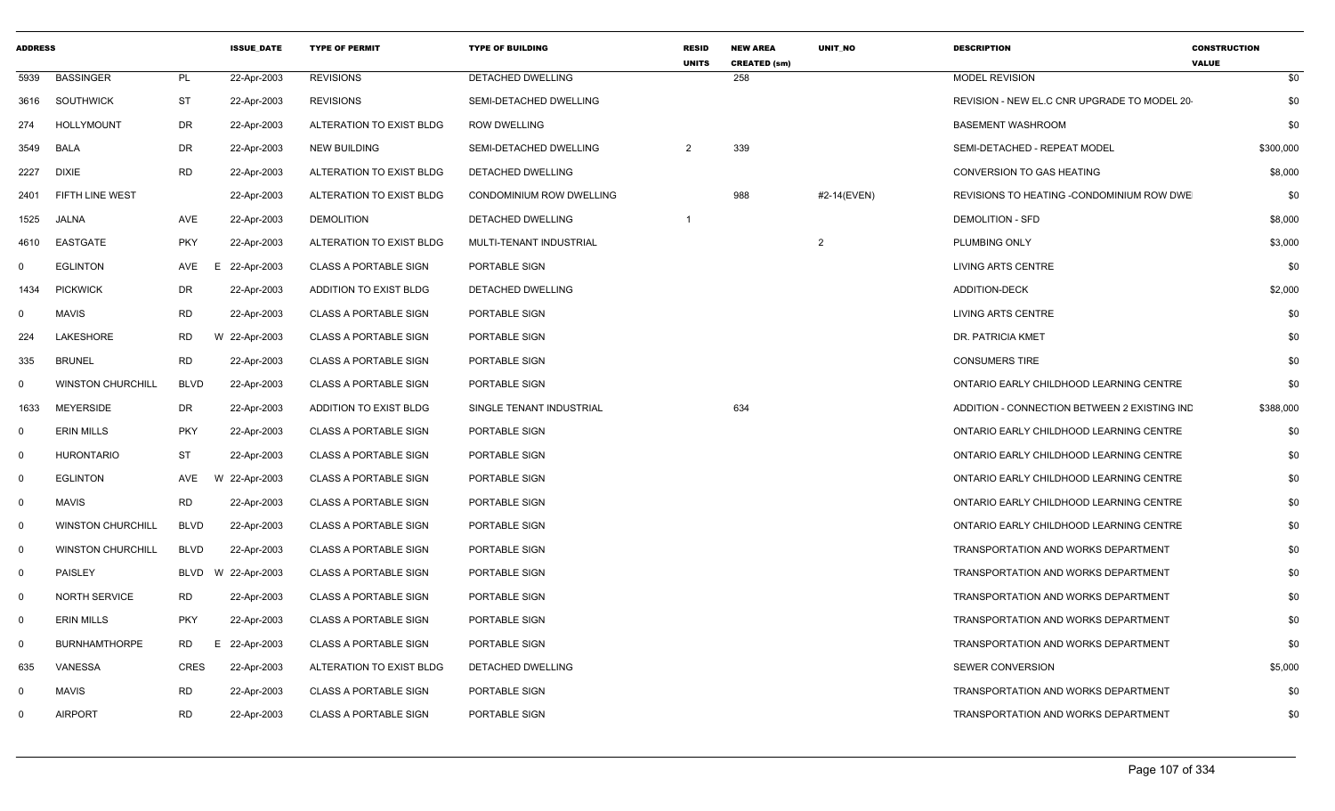| <b>ADDRESS</b> |                          |                 | <b>ISSUE DATE</b> | <b>TYPE OF PERMIT</b>        | <b>TYPE OF BUILDING</b>  | <b>RESID</b><br><b>UNITS</b> | <b>NEW AREA</b><br><b>CREATED (sm)</b> | <b>UNIT NO</b> | <b>DESCRIPTION</b>                           | <b>CONSTRUCTION</b><br><b>VALUE</b> |
|----------------|--------------------------|-----------------|-------------------|------------------------------|--------------------------|------------------------------|----------------------------------------|----------------|----------------------------------------------|-------------------------------------|
| 5939           | <b>BASSINGER</b>         | PL              | 22-Apr-2003       | <b>REVISIONS</b>             | <b>DETACHED DWELLING</b> |                              | 258                                    |                | <b>MODEL REVISION</b>                        | \$0                                 |
| 3616           | SOUTHWICK                | ST              | 22-Apr-2003       | <b>REVISIONS</b>             | SEMI-DETACHED DWELLING   |                              |                                        |                | REVISION - NEW EL.C CNR UPGRADE TO MODEL 20  | \$0                                 |
| 274            | <b>HOLLYMOUNT</b>        | <b>DR</b>       | 22-Apr-2003       | ALTERATION TO EXIST BLDG     | ROW DWELLING             |                              |                                        |                | <b>BASEMENT WASHROOM</b>                     | \$0                                 |
| 3549           | <b>BALA</b>              | <b>DR</b>       | 22-Apr-2003       | <b>NEW BUILDING</b>          | SEMI-DETACHED DWELLING   | $\overline{2}$               | 339                                    |                | SEMI-DETACHED - REPEAT MODEL                 | \$300,000                           |
| 2227           | <b>DIXIE</b>             | <b>RD</b>       | 22-Apr-2003       | ALTERATION TO EXIST BLDG     | DETACHED DWELLING        |                              |                                        |                | <b>CONVERSION TO GAS HEATING</b>             | \$8,000                             |
| 2401           | FIFTH LINE WEST          |                 | 22-Apr-2003       | ALTERATION TO EXIST BLDG     | CONDOMINIUM ROW DWELLING |                              | 988                                    | #2-14(EVEN)    | REVISIONS TO HEATING -CONDOMINIUM ROW DWE    | \$0                                 |
| 1525           | <b>JALNA</b>             | AVE             | 22-Apr-2003       | <b>DEMOLITION</b>            | DETACHED DWELLING        | -1                           |                                        |                | <b>DEMOLITION - SFD</b>                      | \$8,000                             |
| 4610           | EASTGATE                 | <b>PKY</b>      | 22-Apr-2003       | ALTERATION TO EXIST BLDG     | MULTI-TENANT INDUSTRIAL  |                              |                                        | $\mathcal{P}$  | PLUMBING ONLY                                | \$3,000                             |
| $\mathbf 0$    | <b>EGLINTON</b>          | AVE<br>E        | 22-Apr-2003       | <b>CLASS A PORTABLE SIGN</b> | PORTABLE SIGN            |                              |                                        |                | <b>LIVING ARTS CENTRE</b>                    | \$0                                 |
| 1434           | <b>PICKWICK</b>          | DR              | 22-Apr-2003       | ADDITION TO EXIST BLDG       | DETACHED DWELLING        |                              |                                        |                | <b>ADDITION-DECK</b>                         | \$2,000                             |
| $\mathbf 0$    | <b>MAVIS</b>             | <b>RD</b>       | 22-Apr-2003       | <b>CLASS A PORTABLE SIGN</b> | PORTABLE SIGN            |                              |                                        |                | LIVING ARTS CENTRE                           | \$0                                 |
| 224            | <b>LAKESHORE</b>         | <b>RD</b>       | W 22-Apr-2003     | <b>CLASS A PORTABLE SIGN</b> | PORTABLE SIGN            |                              |                                        |                | <b>DR. PATRICIA KMET</b>                     | \$0                                 |
| 335            | <b>BRUNEL</b>            | <b>RD</b>       | 22-Apr-2003       | <b>CLASS A PORTABLE SIGN</b> | PORTABLE SIGN            |                              |                                        |                | <b>CONSUMERS TIRE</b>                        | \$0                                 |
| $\mathbf 0$    | <b>WINSTON CHURCHILL</b> | <b>BLVD</b>     | 22-Apr-2003       | <b>CLASS A PORTABLE SIGN</b> | PORTABLE SIGN            |                              |                                        |                | ONTARIO EARLY CHILDHOOD LEARNING CENTRE      | \$0                                 |
| 1633           | MEYERSIDE                | <b>DR</b>       | 22-Apr-2003       | ADDITION TO EXIST BLDG       | SINGLE TENANT INDUSTRIAL |                              | 634                                    |                | ADDITION - CONNECTION BETWEEN 2 EXISTING IND | \$388,000                           |
| $\mathbf 0$    | <b>ERIN MILLS</b>        | PKY             | 22-Apr-2003       | <b>CLASS A PORTABLE SIGN</b> | PORTABLE SIGN            |                              |                                        |                | ONTARIO EARLY CHILDHOOD LEARNING CENTRE      | \$0                                 |
| $\mathbf 0$    | <b>HURONTARIO</b>        | ST              | 22-Apr-2003       | <b>CLASS A PORTABLE SIGN</b> | PORTABLE SIGN            |                              |                                        |                | ONTARIO EARLY CHILDHOOD LEARNING CENTRE      | \$0                                 |
| $\mathbf 0$    | <b>EGLINTON</b>          | AVE             | W 22-Apr-2003     | <b>CLASS A PORTABLE SIGN</b> | PORTABLE SIGN            |                              |                                        |                | ONTARIO EARLY CHILDHOOD LEARNING CENTRE      | \$0                                 |
| $\mathbf 0$    | <b>MAVIS</b>             | <b>RD</b>       | 22-Apr-2003       | <b>CLASS A PORTABLE SIGN</b> | PORTABLE SIGN            |                              |                                        |                | ONTARIO EARLY CHILDHOOD LEARNING CENTRE      | \$0                                 |
| $\mathbf 0$    | <b>WINSTON CHURCHILL</b> | <b>BLVD</b>     | 22-Apr-2003       | <b>CLASS A PORTABLE SIGN</b> | PORTABLE SIGN            |                              |                                        |                | ONTARIO EARLY CHILDHOOD LEARNING CENTRE      | \$0                                 |
| $\mathbf 0$    | <b>WINSTON CHURCHILL</b> | <b>BLVD</b>     | 22-Apr-2003       | <b>CLASS A PORTABLE SIGN</b> | PORTABLE SIGN            |                              |                                        |                | TRANSPORTATION AND WORKS DEPARTMENT          | \$0                                 |
| $\mathbf 0$    | <b>PAISLEY</b>           | BLVD            | W 22-Apr-2003     | <b>CLASS A PORTABLE SIGN</b> | PORTABLE SIGN            |                              |                                        |                | TRANSPORTATION AND WORKS DEPARTMENT          | \$0                                 |
| $\mathbf 0$    | <b>NORTH SERVICE</b>     | <b>RD</b>       | 22-Apr-2003       | <b>CLASS A PORTABLE SIGN</b> | PORTABLE SIGN            |                              |                                        |                | TRANSPORTATION AND WORKS DEPARTMENT          | \$0                                 |
| $\mathbf 0$    | <b>ERIN MILLS</b>        | <b>PKY</b>      | 22-Apr-2003       | <b>CLASS A PORTABLE SIGN</b> | PORTABLE SIGN            |                              |                                        |                | TRANSPORTATION AND WORKS DEPARTMENT          | \$0                                 |
| $\mathbf 0$    | <b>BURNHAMTHORPE</b>     | <b>RD</b><br>Е. | 22-Apr-2003       | <b>CLASS A PORTABLE SIGN</b> | PORTABLE SIGN            |                              |                                        |                | TRANSPORTATION AND WORKS DEPARTMENT          | \$0                                 |
| 635            | VANESSA                  | CRES            | 22-Apr-2003       | ALTERATION TO EXIST BLDG     | DETACHED DWELLING        |                              |                                        |                | <b>SEWER CONVERSION</b>                      | \$5,000                             |
| $\mathbf 0$    | MAVIS                    | <b>RD</b>       | 22-Apr-2003       | <b>CLASS A PORTABLE SIGN</b> | PORTABLE SIGN            |                              |                                        |                | TRANSPORTATION AND WORKS DEPARTMENT          | \$0                                 |
| $\Omega$       | <b>AIRPORT</b>           | <b>RD</b>       | 22-Apr-2003       | <b>CLASS A PORTABLE SIGN</b> | PORTABLE SIGN            |                              |                                        |                | TRANSPORTATION AND WORKS DEPARTMENT          | \$0                                 |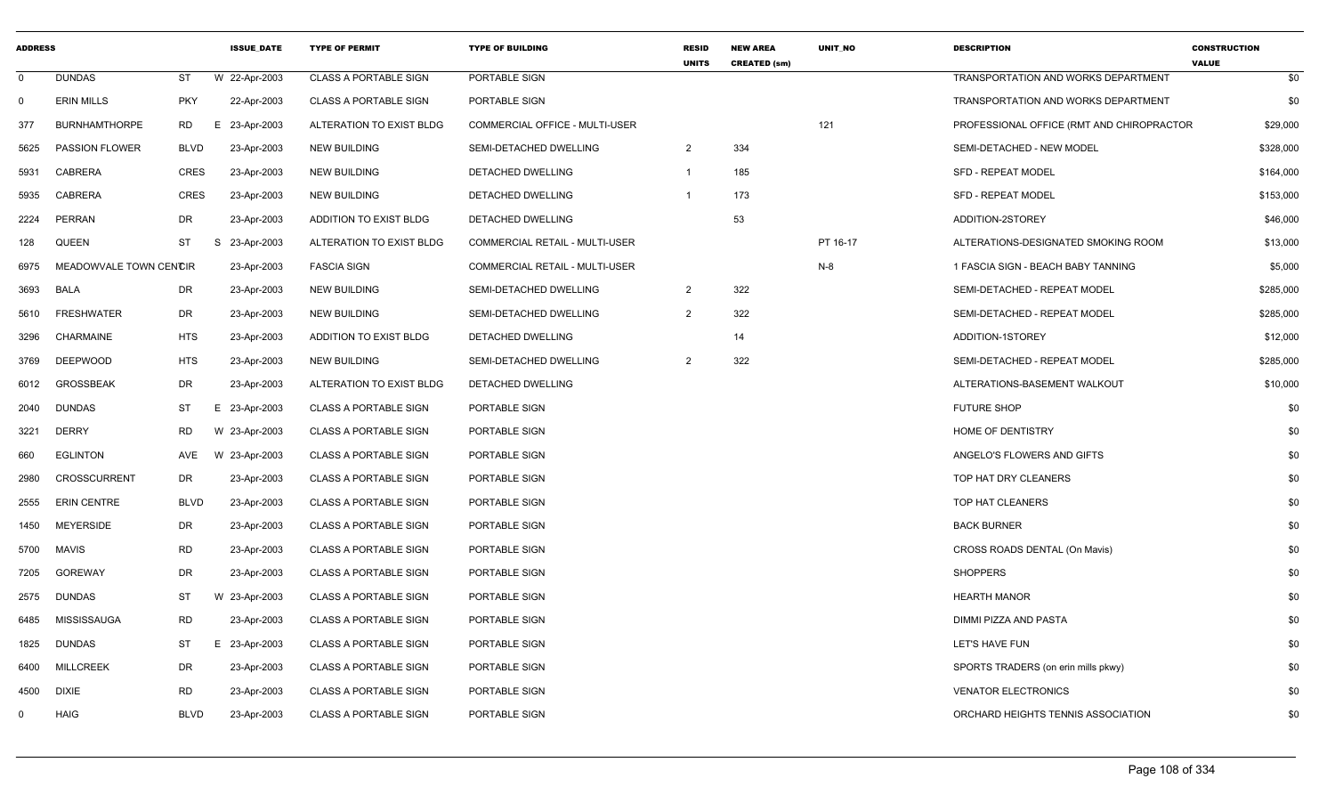| <b>ADDRESS</b> |                        |             | <b>ISSUE DATE</b> | <b>TYPE OF PERMIT</b>        | <b>TYPE OF BUILDING</b>               | <b>RESID</b><br><b>UNITS</b> | <b>NEW AREA</b><br><b>CREATED (sm)</b> | <b>UNIT NO</b> | <b>DESCRIPTION</b>                         | <b>CONSTRUCTION</b><br><b>VALUE</b> |
|----------------|------------------------|-------------|-------------------|------------------------------|---------------------------------------|------------------------------|----------------------------------------|----------------|--------------------------------------------|-------------------------------------|
| $\mathbf 0$    | <b>DUNDAS</b>          | <b>ST</b>   | W 22-Apr-2003     | <b>CLASS A PORTABLE SIGN</b> | PORTABLE SIGN                         |                              |                                        |                | <b>TRANSPORTATION AND WORKS DEPARTMENT</b> | \$0                                 |
| 0              | <b>ERIN MILLS</b>      | <b>PKY</b>  | 22-Apr-2003       | <b>CLASS A PORTABLE SIGN</b> | PORTABLE SIGN                         |                              |                                        |                | TRANSPORTATION AND WORKS DEPARTMENT        | \$0                                 |
| 377            | <b>BURNHAMTHORPE</b>   | <b>RD</b>   | Е.<br>23-Apr-2003 | ALTERATION TO EXIST BLDG     | COMMERCIAL OFFICE - MULTI-USER        |                              |                                        | 121            | PROFESSIONAL OFFICE (RMT AND CHIROPRACTOR  | \$29,000                            |
| 5625           | <b>PASSION FLOWER</b>  | <b>BLVD</b> | 23-Apr-2003       | <b>NEW BUILDING</b>          | SEMI-DETACHED DWELLING                | $\overline{2}$               | 334                                    |                | SEMI-DETACHED - NEW MODEL                  | \$328,000                           |
| 5931           | <b>CABRERA</b>         | <b>CRES</b> | 23-Apr-2003       | <b>NEW BUILDING</b>          | DETACHED DWELLING                     | $\overline{1}$               | 185                                    |                | SFD - REPEAT MODEL                         | \$164,000                           |
| 5935           | <b>CABRERA</b>         | <b>CRES</b> | 23-Apr-2003       | <b>NEW BUILDING</b>          | DETACHED DWELLING                     | -1                           | 173                                    |                | <b>SFD - REPEAT MODEL</b>                  | \$153,000                           |
| 2224           | PERRAN                 | DR          | 23-Apr-2003       | ADDITION TO EXIST BLDG       | DETACHED DWELLING                     |                              | 53                                     |                | ADDITION-2STOREY                           | \$46,000                            |
| 128            | QUEEN                  | <b>ST</b>   | S<br>23-Apr-2003  | ALTERATION TO EXIST BLDG     | <b>COMMERCIAL RETAIL - MULTI-USER</b> |                              |                                        | PT 16-17       | ALTERATIONS-DESIGNATED SMOKING ROOM        | \$13,000                            |
| 6975           | MEADOWVALE TOWN CENCIR |             | 23-Apr-2003       | <b>FASCIA SIGN</b>           | COMMERCIAL RETAIL - MULTI-USER        |                              |                                        | N-8            | 1 FASCIA SIGN - BEACH BABY TANNING         | \$5,000                             |
| 3693           | <b>BALA</b>            | DR          | 23-Apr-2003       | <b>NEW BUILDING</b>          | SEMI-DETACHED DWELLING                | $\overline{2}$               | 322                                    |                | SEMI-DETACHED - REPEAT MODEL               | \$285,000                           |
| 5610           | <b>FRESHWATER</b>      | <b>DR</b>   | 23-Apr-2003       | <b>NEW BUILDING</b>          | SEMI-DETACHED DWELLING                | $\overline{2}$               | 322                                    |                | SEMI-DETACHED - REPEAT MODEL               | \$285,000                           |
| 3296           | CHARMAINE              | <b>HTS</b>  | 23-Apr-2003       | ADDITION TO EXIST BLDG       | DETACHED DWELLING                     |                              | 14                                     |                | ADDITION-1STOREY                           | \$12,000                            |
| 3769           | <b>DEEPWOOD</b>        | <b>HTS</b>  | 23-Apr-2003       | <b>NEW BUILDING</b>          | SEMI-DETACHED DWELLING                | 2                            | 322                                    |                | SEMI-DETACHED - REPEAT MODEL               | \$285,000                           |
| 6012           | <b>GROSSBEAK</b>       | DR          | 23-Apr-2003       | ALTERATION TO EXIST BLDG     | DETACHED DWELLING                     |                              |                                        |                | ALTERATIONS-BASEMENT WALKOUT               | \$10,000                            |
| 2040           | <b>DUNDAS</b>          | <b>ST</b>   | E 23-Apr-2003     | <b>CLASS A PORTABLE SIGN</b> | PORTABLE SIGN                         |                              |                                        |                | <b>FUTURE SHOP</b>                         | \$0                                 |
| 3221           | <b>DERRY</b>           | <b>RD</b>   | W 23-Apr-2003     | <b>CLASS A PORTABLE SIGN</b> | PORTABLE SIGN                         |                              |                                        |                | HOME OF DENTISTRY                          | \$0                                 |
| 660            | <b>EGLINTON</b>        | AVE         | W 23-Apr-2003     | <b>CLASS A PORTABLE SIGN</b> | PORTABLE SIGN                         |                              |                                        |                | ANGELO'S FLOWERS AND GIFTS                 | \$0                                 |
| 2980           | <b>CROSSCURRENT</b>    | DR          | 23-Apr-2003       | <b>CLASS A PORTABLE SIGN</b> | PORTABLE SIGN                         |                              |                                        |                | TOP HAT DRY CLEANERS                       | \$0                                 |
| 2555           | <b>ERIN CENTRE</b>     | <b>BLVD</b> | 23-Apr-2003       | <b>CLASS A PORTABLE SIGN</b> | PORTABLE SIGN                         |                              |                                        |                | TOP HAT CLEANERS                           | \$0                                 |
| 1450           | <b>MEYERSIDE</b>       | DR          | 23-Apr-2003       | <b>CLASS A PORTABLE SIGN</b> | PORTABLE SIGN                         |                              |                                        |                | <b>BACK BURNER</b>                         | \$0                                 |
| 5700           | <b>MAVIS</b>           | RD          | 23-Apr-2003       | <b>CLASS A PORTABLE SIGN</b> | PORTABLE SIGN                         |                              |                                        |                | CROSS ROADS DENTAL (On Mavis)              | \$0                                 |
| 7205           | <b>GOREWAY</b>         | DR          | 23-Apr-2003       | <b>CLASS A PORTABLE SIGN</b> | PORTABLE SIGN                         |                              |                                        |                | <b>SHOPPERS</b>                            | \$0                                 |
| 2575           | <b>DUNDAS</b>          | ST          | W 23-Apr-2003     | <b>CLASS A PORTABLE SIGN</b> | PORTABLE SIGN                         |                              |                                        |                | <b>HEARTH MANOR</b>                        | \$0                                 |
| 6485           | <b>MISSISSAUGA</b>     | <b>RD</b>   | 23-Apr-2003       | <b>CLASS A PORTABLE SIGN</b> | PORTABLE SIGN                         |                              |                                        |                | DIMMI PIZZA AND PASTA                      | \$0                                 |
| 1825           | <b>DUNDAS</b>          | ST          | Е.<br>23-Apr-2003 | <b>CLASS A PORTABLE SIGN</b> | PORTABLE SIGN                         |                              |                                        |                | LET'S HAVE FUN                             | \$0                                 |
| 6400           | <b>MILLCREEK</b>       | DR          | 23-Apr-2003       | <b>CLASS A PORTABLE SIGN</b> | PORTABLE SIGN                         |                              |                                        |                | SPORTS TRADERS (on erin mills pkwy)        | \$0                                 |
| 4500           | <b>DIXIE</b>           | <b>RD</b>   | 23-Apr-2003       | <b>CLASS A PORTABLE SIGN</b> | PORTABLE SIGN                         |                              |                                        |                | <b>VENATOR ELECTRONICS</b>                 | \$0                                 |
| 0              | <b>HAIG</b>            | <b>BLVD</b> | 23-Apr-2003       | <b>CLASS A PORTABLE SIGN</b> | PORTABLE SIGN                         |                              |                                        |                | ORCHARD HEIGHTS TENNIS ASSOCIATION         | \$0                                 |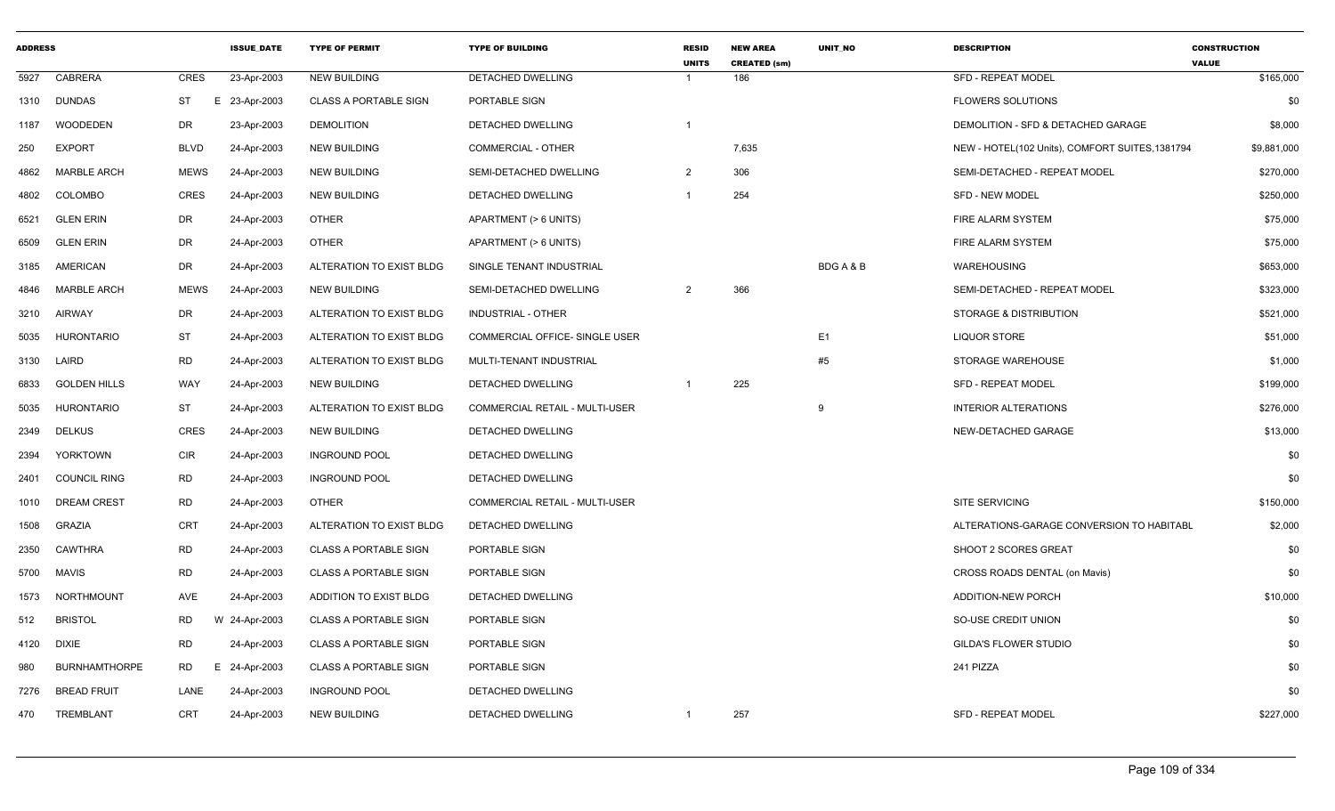| <b>ADDRESS</b> |                      |             | <b>ISSUE DATE</b> | <b>TYPE OF PERMIT</b>        | <b>TYPE OF BUILDING</b>               | <b>RESID</b><br><b>UNITS</b> | <b>NEW AREA</b><br><b>CREATED (sm)</b> | <b>UNIT NO</b> | <b>DESCRIPTION</b>                              | <b>CONSTRUCTION</b><br><b>VALUE</b> |
|----------------|----------------------|-------------|-------------------|------------------------------|---------------------------------------|------------------------------|----------------------------------------|----------------|-------------------------------------------------|-------------------------------------|
| 5927           | <b>CABRERA</b>       | CRES        | 23-Apr-2003       | <b>NEW BUILDING</b>          | DETACHED DWELLING                     | $\overline{1}$               | 186                                    |                | <b>SFD - REPEAT MODEL</b>                       | \$165,000                           |
|                | 1310 DUNDAS          | <b>ST</b>   | E 23-Apr-2003     | <b>CLASS A PORTABLE SIGN</b> | PORTABLE SIGN                         |                              |                                        |                | <b>FLOWERS SOLUTIONS</b>                        | \$0                                 |
| 1187           | <b>WOODEDEN</b>      | DR          | 23-Apr-2003       | <b>DEMOLITION</b>            | <b>DETACHED DWELLING</b>              | $\overline{1}$               |                                        |                | DEMOLITION - SFD & DETACHED GARAGE              | \$8,000                             |
| 250            | <b>EXPORT</b>        | <b>BLVD</b> | 24-Apr-2003       | <b>NEW BUILDING</b>          | COMMERCIAL - OTHER                    |                              | 7,635                                  |                | NEW - HOTEL(102 Units), COMFORT SUITES, 1381794 | \$9,881,000                         |
| 4862           | <b>MARBLE ARCH</b>   | <b>MEWS</b> | 24-Apr-2003       | NEW BUILDING                 | SEMI-DETACHED DWELLING                | $\overline{2}$               | 306                                    |                | SEMI-DETACHED - REPEAT MODEL                    | \$270,000                           |
| 4802           | COLOMBO              | CRES        | 24-Apr-2003       | <b>NEW BUILDING</b>          | DETACHED DWELLING                     | $\overline{1}$               | 254                                    |                | <b>SFD - NEW MODEL</b>                          | \$250,000                           |
| 6521           | <b>GLEN ERIN</b>     | DR          | 24-Apr-2003       | <b>OTHER</b>                 | APARTMENT (> 6 UNITS)                 |                              |                                        |                | FIRE ALARM SYSTEM                               | \$75,000                            |
| 6509           | <b>GLEN ERIN</b>     | DR          | 24-Apr-2003       | <b>OTHER</b>                 | APARTMENT (> 6 UNITS)                 |                              |                                        |                | FIRE ALARM SYSTEM                               | \$75,000                            |
| 3185           | AMERICAN             | DR          | 24-Apr-2003       | ALTERATION TO EXIST BLDG     | SINGLE TENANT INDUSTRIAL              |                              |                                        | BDGA&B         | WAREHOUSING                                     | \$653,000                           |
| 4846           | <b>MARBLE ARCH</b>   | <b>MEWS</b> | 24-Apr-2003       | NEW BUILDING                 | SEMI-DETACHED DWELLING                | 2                            | 366                                    |                | SEMI-DETACHED - REPEAT MODEL                    | \$323,000                           |
| 3210           | AIRWAY               | DR          | 24-Apr-2003       | ALTERATION TO EXIST BLDG     | INDUSTRIAL - OTHER                    |                              |                                        |                | STORAGE & DISTRIBUTION                          | \$521,000                           |
| 5035           | <b>HURONTARIO</b>    | <b>ST</b>   | 24-Apr-2003       | ALTERATION TO EXIST BLDG     | COMMERCIAL OFFICE- SINGLE USER        |                              |                                        | E <sub>1</sub> | <b>LIQUOR STORE</b>                             | \$51,000                            |
| 3130           | LAIRD                | <b>RD</b>   | 24-Apr-2003       | ALTERATION TO EXIST BLDG     | MULTI-TENANT INDUSTRIAL               |                              |                                        | #5             | STORAGE WAREHOUSE                               | \$1,000                             |
| 6833           | <b>GOLDEN HILLS</b>  | <b>WAY</b>  | 24-Apr-2003       | NEW BUILDING                 | DETACHED DWELLING                     | $\overline{1}$               | 225                                    |                | <b>SFD - REPEAT MODEL</b>                       | \$199,000                           |
| 5035           | <b>HURONTARIO</b>    | ST          | 24-Apr-2003       | ALTERATION TO EXIST BLDG     | <b>COMMERCIAL RETAIL - MULTI-USER</b> |                              |                                        | 9              | <b>INTERIOR ALTERATIONS</b>                     | \$276,000                           |
| 2349           | <b>DELKUS</b>        | CRES        | 24-Apr-2003       | NEW BUILDING                 | DETACHED DWELLING                     |                              |                                        |                | NEW-DETACHED GARAGE                             | \$13,000                            |
| 2394           | YORKTOWN             | <b>CIR</b>  | 24-Apr-2003       | <b>INGROUND POOL</b>         | DETACHED DWELLING                     |                              |                                        |                |                                                 | \$0                                 |
| 2401           | <b>COUNCIL RING</b>  | <b>RD</b>   | 24-Apr-2003       | <b>INGROUND POOL</b>         | DETACHED DWELLING                     |                              |                                        |                |                                                 | \$0                                 |
| 1010           | DREAM CREST          | <b>RD</b>   | 24-Apr-2003       | <b>OTHER</b>                 | COMMERCIAL RETAIL - MULTI-USER        |                              |                                        |                | <b>SITE SERVICING</b>                           | \$150,000                           |
| 1508           | <b>GRAZIA</b>        | CRT         | 24-Apr-2003       | ALTERATION TO EXIST BLDG     | DETACHED DWELLING                     |                              |                                        |                | ALTERATIONS-GARAGE CONVERSION TO HABITABL       | \$2,000                             |
| 2350           | <b>CAWTHRA</b>       | <b>RD</b>   | 24-Apr-2003       | <b>CLASS A PORTABLE SIGN</b> | PORTABLE SIGN                         |                              |                                        |                | SHOOT 2 SCORES GREAT                            | \$0                                 |
| 5700           | MAVIS                | <b>RD</b>   | 24-Apr-2003       | <b>CLASS A PORTABLE SIGN</b> | PORTABLE SIGN                         |                              |                                        |                | CROSS ROADS DENTAL (on Mavis)                   | \$0                                 |
| 1573           | NORTHMOUNT           | AVE         | 24-Apr-2003       | ADDITION TO EXIST BLDG       | DETACHED DWELLING                     |                              |                                        |                | ADDITION-NEW PORCH                              | \$10,000                            |
| 512            | <b>BRISTOL</b>       | <b>RD</b>   | W 24-Apr-2003     | CLASS A PORTABLE SIGN        | PORTABLE SIGN                         |                              |                                        |                | SO-USE CREDIT UNION                             | \$0                                 |
| 4120           | <b>DIXIE</b>         | <b>RD</b>   | 24-Apr-2003       | <b>CLASS A PORTABLE SIGN</b> | PORTABLE SIGN                         |                              |                                        |                | <b>GILDA'S FLOWER STUDIO</b>                    | \$0                                 |
| 980            | <b>BURNHAMTHORPE</b> | <b>RD</b>   | E 24-Apr-2003     | <b>CLASS A PORTABLE SIGN</b> | PORTABLE SIGN                         |                              |                                        |                | 241 PIZZA                                       | \$0                                 |
| 7276           | <b>BREAD FRUIT</b>   | LANE        | 24-Apr-2003       | <b>INGROUND POOL</b>         | DETACHED DWELLING                     |                              |                                        |                |                                                 | \$0                                 |
| 470            | TREMBLANT            | <b>CRT</b>  | 24-Apr-2003       | <b>NEW BUILDING</b>          | DETACHED DWELLING                     | $\overline{1}$               | 257                                    |                | <b>SFD - REPEAT MODEL</b>                       | \$227,000                           |
|                |                      |             |                   |                              |                                       |                              |                                        |                |                                                 |                                     |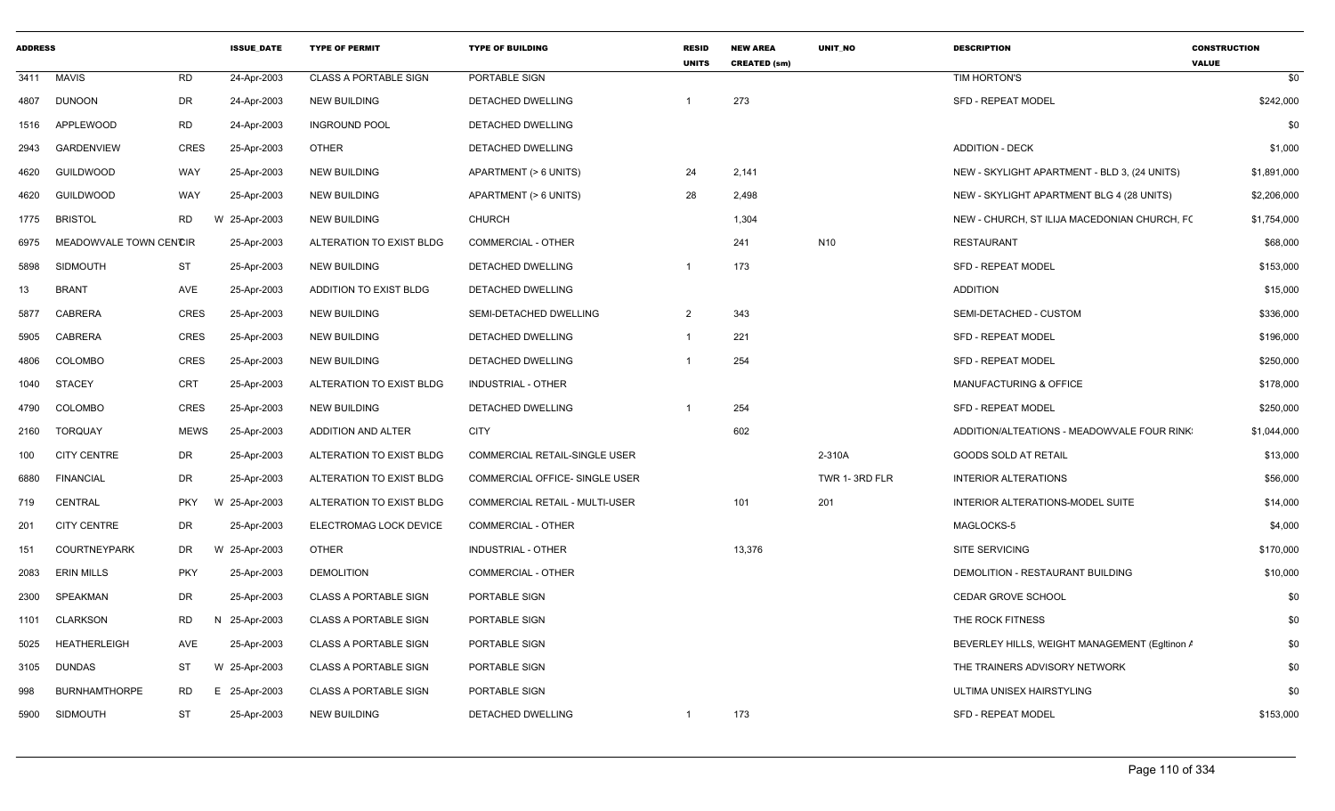| <b>ADDRESS</b> |                        |             | <b>ISSUE DATE</b> | <b>TYPE OF PERMIT</b>        | <b>TYPE OF BUILDING</b>               | <b>RESID</b><br><b>UNITS</b> | <b>NEW AREA</b><br><b>CREATED (sm)</b> | <b>UNIT NO</b>  | <b>DESCRIPTION</b>                            | <b>CONSTRUCTION</b><br><b>VALUE</b> |
|----------------|------------------------|-------------|-------------------|------------------------------|---------------------------------------|------------------------------|----------------------------------------|-----------------|-----------------------------------------------|-------------------------------------|
| 3411           | <b>MAVIS</b>           | <b>RD</b>   | 24-Apr-2003       | <b>CLASS A PORTABLE SIGN</b> | PORTABLE SIGN                         |                              |                                        |                 | TIM HORTON'S                                  | \$0                                 |
| 4807           | <b>DUNOON</b>          | <b>DR</b>   | 24-Apr-2003       | <b>NEW BUILDING</b>          | DETACHED DWELLING                     |                              | 273                                    |                 | <b>SFD - REPEAT MODEL</b>                     | \$242,000                           |
| 1516           | <b>APPLEWOOD</b>       | <b>RD</b>   | 24-Apr-2003       | <b>INGROUND POOL</b>         | DETACHED DWELLING                     |                              |                                        |                 |                                               | \$0                                 |
| 2943           | <b>GARDENVIEW</b>      | <b>CRES</b> | 25-Apr-2003       | <b>OTHER</b>                 | DETACHED DWELLING                     |                              |                                        |                 | <b>ADDITION - DECK</b>                        | \$1,000                             |
| 4620           | <b>GUILDWOOD</b>       | WAY         | 25-Apr-2003       | <b>NEW BUILDING</b>          | APARTMENT (> 6 UNITS)                 | 24                           | 2,141                                  |                 | NEW - SKYLIGHT APARTMENT - BLD 3, (24 UNITS)  | \$1,891,000                         |
| 4620           | <b>GUILDWOOD</b>       | WAY         | 25-Apr-2003       | <b>NEW BUILDING</b>          | APARTMENT (> 6 UNITS)                 | 28                           | 2,498                                  |                 | NEW - SKYLIGHT APARTMENT BLG 4 (28 UNITS)     | \$2,206,000                         |
| 1775           | <b>BRISTOL</b>         | RD          | W 25-Apr-2003     | <b>NEW BUILDING</b>          | <b>CHURCH</b>                         |                              | 1,304                                  |                 | NEW - CHURCH, ST ILIJA MACEDONIAN CHURCH, FC  | \$1,754,000                         |
| 6975           | MEADOWVALE TOWN CENCIR |             | 25-Apr-2003       | ALTERATION TO EXIST BLDG     | <b>COMMERCIAL - OTHER</b>             |                              | 241                                    | N <sub>10</sub> | <b>RESTAURANT</b>                             | \$68,000                            |
| 5898           | <b>SIDMOUTH</b>        | ST          | 25-Apr-2003       | <b>NEW BUILDING</b>          | DETACHED DWELLING                     | -1                           | 173                                    |                 | <b>SFD - REPEAT MODEL</b>                     | \$153,000                           |
| 13             | <b>BRANT</b>           | AVE         | 25-Apr-2003       | ADDITION TO EXIST BLDG       | DETACHED DWELLING                     |                              |                                        |                 | <b>ADDITION</b>                               | \$15,000                            |
| 5877           | <b>CABRERA</b>         | <b>CRES</b> | 25-Apr-2003       | <b>NEW BUILDING</b>          | SEMI-DETACHED DWELLING                | 2                            | 343                                    |                 | SEMI-DETACHED - CUSTOM                        | \$336,000                           |
| 5905           | <b>CABRERA</b>         | <b>CRES</b> | 25-Apr-2003       | <b>NEW BUILDING</b>          | DETACHED DWELLING                     | -1                           | 221                                    |                 | <b>SFD - REPEAT MODEL</b>                     | \$196,000                           |
| 4806           | <b>COLOMBO</b>         | <b>CRES</b> | 25-Apr-2003       | <b>NEW BUILDING</b>          | <b>DETACHED DWELLING</b>              | -1                           | 254                                    |                 | <b>SFD - REPEAT MODEL</b>                     | \$250,000                           |
| 1040           | <b>STACEY</b>          | <b>CRT</b>  | 25-Apr-2003       | ALTERATION TO EXIST BLDG     | INDUSTRIAL - OTHER                    |                              |                                        |                 | <b>MANUFACTURING &amp; OFFICE</b>             | \$178,000                           |
| 4790           | <b>COLOMBO</b>         | <b>CRES</b> | 25-Apr-2003       | <b>NEW BUILDING</b>          | DETACHED DWELLING                     | -1                           | 254                                    |                 | <b>SFD - REPEAT MODEL</b>                     | \$250,000                           |
| 2160           | <b>TORQUAY</b>         | <b>MEWS</b> | 25-Apr-2003       | ADDITION AND ALTER           | <b>CITY</b>                           |                              | 602                                    |                 | ADDITION/ALTEATIONS - MEADOWVALE FOUR RINK    | \$1,044,000                         |
| 100            | <b>CITY CENTRE</b>     | DR          | 25-Apr-2003       | ALTERATION TO EXIST BLDG     | COMMERCIAL RETAIL-SINGLE USER         |                              |                                        | 2-310A          | <b>GOODS SOLD AT RETAIL</b>                   | \$13,000                            |
| 6880           | <b>FINANCIAL</b>       | DR          | 25-Apr-2003       | ALTERATION TO EXIST BLDG     | COMMERCIAL OFFICE- SINGLE USER        |                              |                                        | TWR 1-3RD FLR   | <b>INTERIOR ALTERATIONS</b>                   | \$56,000                            |
| 719            | <b>CENTRAL</b>         | <b>PKY</b>  | W 25-Apr-2003     | ALTERATION TO EXIST BLDG     | <b>COMMERCIAL RETAIL - MULTI-USER</b> |                              | 101                                    | 201             | INTERIOR ALTERATIONS-MODEL SUITE              | \$14,000                            |
| 201            | <b>CITY CENTRE</b>     | <b>DR</b>   | 25-Apr-2003       | ELECTROMAG LOCK DEVICE       | <b>COMMERCIAL - OTHER</b>             |                              |                                        |                 | MAGLOCKS-5                                    | \$4,000                             |
| 151            | <b>COURTNEYPARK</b>    | DR          | W 25-Apr-2003     | <b>OTHER</b>                 | INDUSTRIAL - OTHER                    |                              | 13,376                                 |                 | <b>SITE SERVICING</b>                         | \$170,000                           |
| 2083           | <b>ERIN MILLS</b>      | <b>PKY</b>  | 25-Apr-2003       | <b>DEMOLITION</b>            | <b>COMMERCIAL - OTHER</b>             |                              |                                        |                 | DEMOLITION - RESTAURANT BUILDING              | \$10,000                            |
| 2300           | <b>SPEAKMAN</b>        | <b>DR</b>   | 25-Apr-2003       | <b>CLASS A PORTABLE SIGN</b> | PORTABLE SIGN                         |                              |                                        |                 | <b>CEDAR GROVE SCHOOL</b>                     | \$0                                 |
| 1101           | <b>CLARKSON</b>        | RD          | N 25-Apr-2003     | <b>CLASS A PORTABLE SIGN</b> | PORTABLE SIGN                         |                              |                                        |                 | THE ROCK FITNESS                              | \$0                                 |
| 5025           | <b>HEATHERLEIGH</b>    | AVE         | 25-Apr-2003       | <b>CLASS A PORTABLE SIGN</b> | PORTABLE SIGN                         |                              |                                        |                 | BEVERLEY HILLS, WEIGHT MANAGEMENT (Egitinon / | \$0                                 |
| 3105           | <b>DUNDAS</b>          | ST          | W 25-Apr-2003     | <b>CLASS A PORTABLE SIGN</b> | PORTABLE SIGN                         |                              |                                        |                 | THE TRAINERS ADVISORY NETWORK                 | \$0                                 |
| 998            | <b>BURNHAMTHORPE</b>   | <b>RD</b>   | E 25-Apr-2003     | <b>CLASS A PORTABLE SIGN</b> | PORTABLE SIGN                         |                              |                                        |                 | ULTIMA UNISEX HAIRSTYLING                     | \$0                                 |
| 5900           | <b>SIDMOUTH</b>        | <b>ST</b>   | 25-Apr-2003       | <b>NEW BUILDING</b>          | <b>DETACHED DWELLING</b>              | -1                           | 173                                    |                 | <b>SFD - REPEAT MODEL</b>                     | \$153,000                           |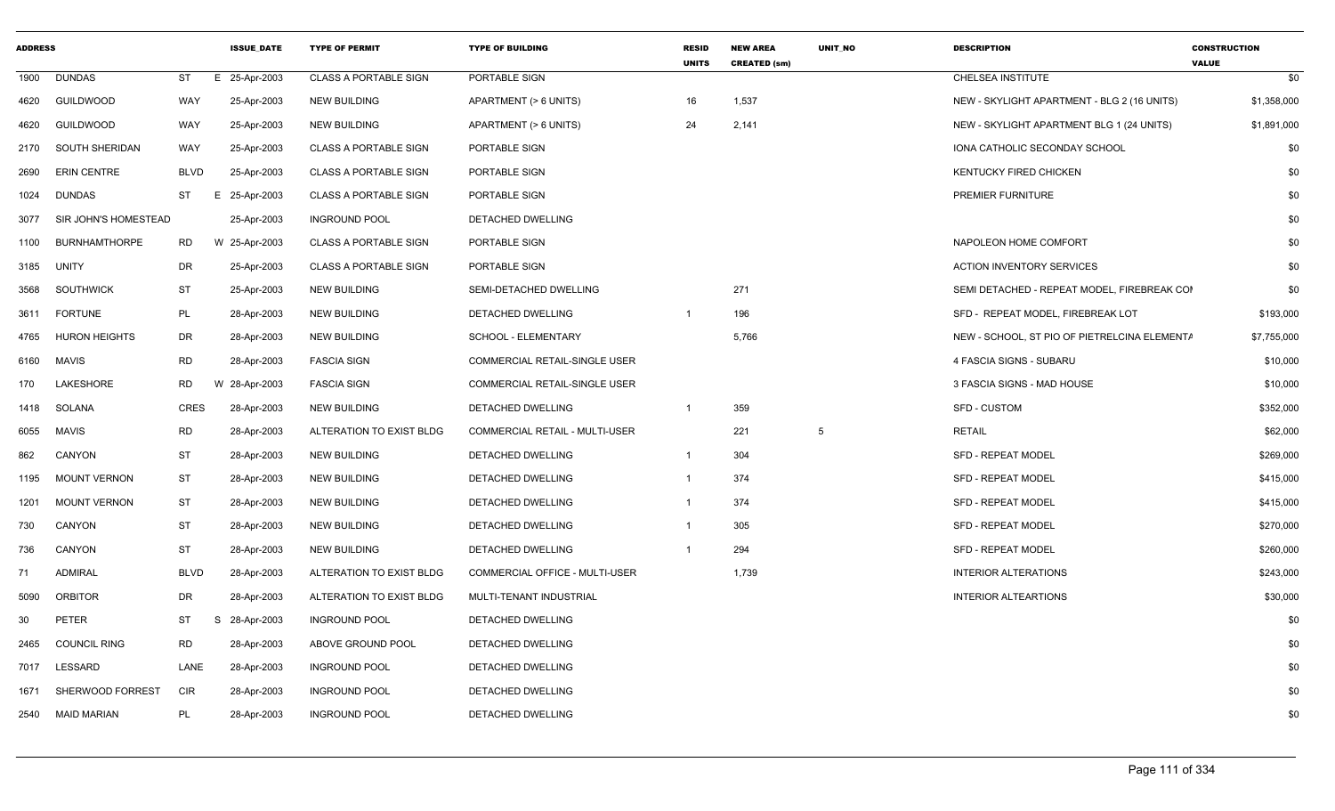| <b>ADDRESS</b> |                      |             | <b>ISSUE DATE</b> | <b>TYPE OF PERMIT</b>        | <b>TYPE OF BUILDING</b>              | <b>RESID</b><br><b>UNITS</b> | <b>NEW AREA</b><br><b>CREATED (sm)</b> | <b>UNIT NO</b> | <b>DESCRIPTION</b>                           | <b>CONSTRUCTION</b><br><b>VALUE</b> |
|----------------|----------------------|-------------|-------------------|------------------------------|--------------------------------------|------------------------------|----------------------------------------|----------------|----------------------------------------------|-------------------------------------|
| 1900           | <b>DUNDAS</b>        | ST          | E 25-Apr-2003     | <b>CLASS A PORTABLE SIGN</b> | PORTABLE SIGN                        |                              |                                        |                | CHELSEA INSTITUTE                            | \$0                                 |
| 4620           | <b>GUILDWOOD</b>     | WAY         | 25-Apr-2003       | <b>NEW BUILDING</b>          | APARTMENT (> 6 UNITS)                | 16                           | 1,537                                  |                | NEW - SKYLIGHT APARTMENT - BLG 2 (16 UNITS)  | \$1,358,000                         |
| 4620           | <b>GUILDWOOD</b>     | WAY         | 25-Apr-2003       | NEW BUILDING                 | APARTMENT (> 6 UNITS)                | 24                           | 2,141                                  |                | NEW - SKYLIGHT APARTMENT BLG 1 (24 UNITS)    | \$1,891,000                         |
| 2170           | SOUTH SHERIDAN       | WAY         | 25-Apr-2003       | <b>CLASS A PORTABLE SIGN</b> | PORTABLE SIGN                        |                              |                                        |                | IONA CATHOLIC SECONDAY SCHOOL                | \$0                                 |
| 2690           | <b>ERIN CENTRE</b>   | <b>BLVD</b> | 25-Apr-2003       | <b>CLASS A PORTABLE SIGN</b> | PORTABLE SIGN                        |                              |                                        |                | <b>KENTUCKY FIRED CHICKEN</b>                | \$0                                 |
| 1024           | <b>DUNDAS</b>        | ST          | E 25-Apr-2003     | <b>CLASS A PORTABLE SIGN</b> | PORTABLE SIGN                        |                              |                                        |                | PREMIER FURNITURE                            | \$0                                 |
| 3077           | SIR JOHN'S HOMESTEAD |             | 25-Apr-2003       | <b>INGROUND POOL</b>         | DETACHED DWELLING                    |                              |                                        |                |                                              | \$0                                 |
| 1100           | <b>BURNHAMTHORPE</b> | RD.         | W 25-Apr-2003     | <b>CLASS A PORTABLE SIGN</b> | PORTABLE SIGN                        |                              |                                        |                | NAPOLEON HOME COMFORT                        | \$0                                 |
| 3185           | UNITY                | DR          | 25-Apr-2003       | <b>CLASS A PORTABLE SIGN</b> | PORTABLE SIGN                        |                              |                                        |                | <b>ACTION INVENTORY SERVICES</b>             | \$0                                 |
| 3568           | <b>SOUTHWICK</b>     | ST          | 25-Apr-2003       | <b>NEW BUILDING</b>          | SEMI-DETACHED DWELLING               |                              | 271                                    |                | SEMI DETACHED - REPEAT MODEL. FIREBREAK COI  | \$0                                 |
| 3611           | <b>FORTUNE</b>       | PL          | 28-Apr-2003       | <b>NEW BUILDING</b>          | DETACHED DWELLING                    |                              | 196                                    |                | SFD - REPEAT MODEL, FIREBREAK LOT            | \$193,000                           |
| 4765           | <b>HURON HEIGHTS</b> | DR          | 28-Apr-2003       | <b>NEW BUILDING</b>          | SCHOOL - ELEMENTARY                  |                              | 5,766                                  |                | NEW - SCHOOL, ST PIO OF PIETRELCINA ELEMENTA | \$7,755,000                         |
| 6160           | <b>MAVIS</b>         | <b>RD</b>   | 28-Apr-2003       | <b>FASCIA SIGN</b>           | <b>COMMERCIAL RETAIL-SINGLE USER</b> |                              |                                        |                | 4 FASCIA SIGNS - SUBARU                      | \$10,000                            |
| 170            | LAKESHORE            | <b>RD</b>   | 28-Apr-2003       | <b>FASCIA SIGN</b>           | COMMERCIAL RETAIL-SINGLE USER        |                              |                                        |                | 3 FASCIA SIGNS - MAD HOUSE                   | \$10,000                            |
| 1418           | SOLANA               | <b>CRES</b> | 28-Apr-2003       | NEW BUILDING                 | DETACHED DWELLING                    | $\overline{1}$               | 359                                    |                | <b>SFD - CUSTOM</b>                          | \$352,000                           |
| 6055           | <b>MAVIS</b>         | <b>RD</b>   | 28-Apr-2003       | ALTERATION TO EXIST BLDG     | COMMERCIAL RETAIL - MULTI-USER       |                              | 221                                    | 5              | <b>RETAIL</b>                                | \$62,000                            |
| 862            | CANYON               | ST          | 28-Apr-2003       | NEW BUILDING                 | DETACHED DWELLING                    |                              | 304                                    |                | <b>SFD - REPEAT MODEL</b>                    | \$269,000                           |
| 1195           | <b>MOUNT VERNON</b>  | ST          | 28-Apr-2003       | NEW BUILDING                 | DETACHED DWELLING                    |                              | 374                                    |                | <b>SFD - REPEAT MODEL</b>                    | \$415,000                           |
| 1201           | <b>MOUNT VERNON</b>  | ST          | 28-Apr-2003       | <b>NEW BUILDING</b>          | DETACHED DWELLING                    |                              | 374                                    |                | <b>SFD - REPEAT MODEL</b>                    | \$415,000                           |
| 730            | CANYON               | ST          | 28-Apr-2003       | NEW BUILDING                 | DETACHED DWELLING                    |                              | 305                                    |                | <b>SFD - REPEAT MODEL</b>                    | \$270,000                           |
| 736            | CANYON               | ST          | 28-Apr-2003       | <b>NEW BUILDING</b>          | DETACHED DWELLING                    |                              | 294                                    |                | <b>SFD - REPEAT MODEL</b>                    | \$260,000                           |
| 71             | <b>ADMIRAL</b>       | <b>BLVD</b> | 28-Apr-2003       | ALTERATION TO EXIST BLDG     | COMMERCIAL OFFICE - MULTI-USER       |                              | 1,739                                  |                | <b>INTERIOR ALTERATIONS</b>                  | \$243,000                           |
| 5090           | <b>ORBITOR</b>       | DR          | 28-Apr-2003       | ALTERATION TO EXIST BLDG     | MULTI-TENANT INDUSTRIAL              |                              |                                        |                | <b>INTERIOR ALTEARTIONS</b>                  | \$30,000                            |
| 30             | <b>PETER</b>         | ST          | S 28-Apr-2003     | <b>INGROUND POOL</b>         | DETACHED DWELLING                    |                              |                                        |                |                                              | \$0                                 |
| 2465           | <b>COUNCIL RING</b>  | RD.         | 28-Apr-2003       | ABOVE GROUND POOL            | DETACHED DWELLING                    |                              |                                        |                |                                              | \$0                                 |
| 7017           | LESSARD              | LANE        | 28-Apr-2003       | <b>INGROUND POOL</b>         | DETACHED DWELLING                    |                              |                                        |                |                                              | \$0                                 |
| 1671           | SHERWOOD FORREST     | CIR         | 28-Apr-2003       | <b>INGROUND POOL</b>         | DETACHED DWELLING                    |                              |                                        |                |                                              | \$0                                 |
| 2540           | MAID MARIAN          | PL          | 28-Apr-2003       | <b>INGROUND POOL</b>         | DETACHED DWELLING                    |                              |                                        |                |                                              | \$0                                 |
|                |                      |             |                   |                              |                                      |                              |                                        |                |                                              |                                     |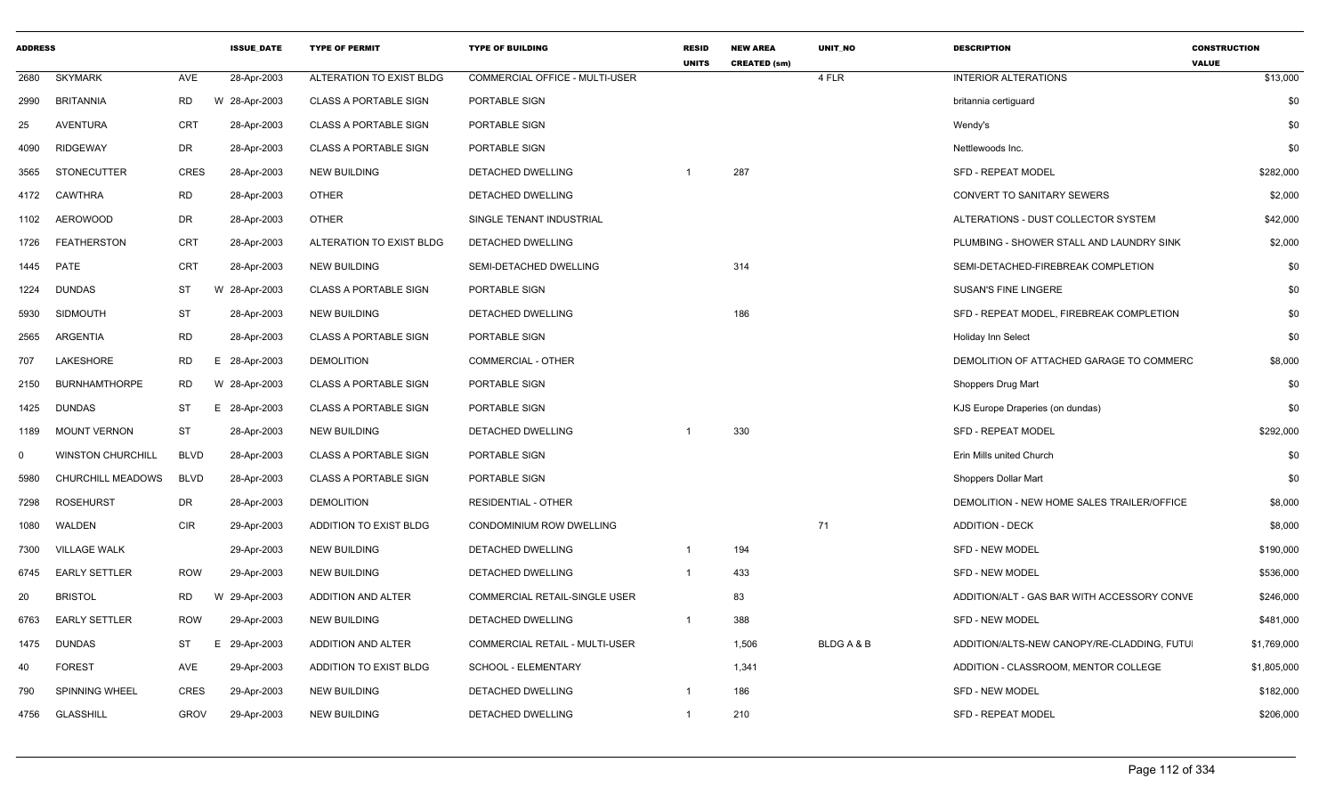| <b>ADDRESS</b> |                          |                | <b>ISSUE DATE</b> | <b>TYPE OF PERMIT</b>        | <b>TYPE OF BUILDING</b>        | <b>RESID</b><br><b>UNITS</b> | <b>NEW AREA</b><br><b>CREATED (sm)</b> | <b>UNIT NO</b> | <b>DESCRIPTION</b>                          | <b>CONSTRUCTION</b><br><b>VALUE</b> |
|----------------|--------------------------|----------------|-------------------|------------------------------|--------------------------------|------------------------------|----------------------------------------|----------------|---------------------------------------------|-------------------------------------|
| 2680           | <b>SKYMARK</b>           | AVE            | 28-Apr-2003       | ALTERATION TO EXIST BLDG     | COMMERCIAL OFFICE - MULTI-USER |                              |                                        | 4 FLR          | <b>INTERIOR ALTERATIONS</b>                 | \$13,000                            |
| 2990           | <b>BRITANNIA</b>         | <b>RD</b>      | W 28-Apr-2003     | <b>CLASS A PORTABLE SIGN</b> | PORTABLE SIGN                  |                              |                                        |                | britannia certiguard                        | \$0                                 |
| 25             | AVENTURA                 | <b>CRT</b>     | 28-Apr-2003       | <b>CLASS A PORTABLE SIGN</b> | PORTABLE SIGN                  |                              |                                        |                | Wendy's                                     | \$0                                 |
| 4090           | <b>RIDGEWAY</b>          | <b>DR</b>      | 28-Apr-2003       | <b>CLASS A PORTABLE SIGN</b> | PORTABLE SIGN                  |                              |                                        |                | Nettlewoods Inc.                            | \$0                                 |
| 3565           | <b>STONECUTTER</b>       | <b>CRES</b>    | 28-Apr-2003       | <b>NEW BUILDING</b>          | DETACHED DWELLING              |                              | 287                                    |                | <b>SFD - REPEAT MODEL</b>                   | \$282,000                           |
| 4172           | CAWTHRA                  | <b>RD</b>      | 28-Apr-2003       | <b>OTHER</b>                 | DETACHED DWELLING              |                              |                                        |                | CONVERT TO SANITARY SEWERS                  | \$2,000                             |
| 1102           | <b>AEROWOOD</b>          | <b>DR</b>      | 28-Apr-2003       | <b>OTHER</b>                 | SINGLE TENANT INDUSTRIAL       |                              |                                        |                | ALTERATIONS - DUST COLLECTOR SYSTEM         | \$42,000                            |
| 1726           | FEATHERSTON              | <b>CRT</b>     | 28-Apr-2003       | ALTERATION TO EXIST BLDG     | DETACHED DWELLING              |                              |                                        |                | PLUMBING - SHOWER STALL AND LAUNDRY SINK    | \$2,000                             |
|                | 1445 PATE                | CRT            | 28-Apr-2003       | <b>NEW BUILDING</b>          | SEMI-DETACHED DWELLING         |                              | 314                                    |                | SEMI-DETACHED-FIREBREAK COMPLETION          | \$0                                 |
| 1224           | <b>DUNDAS</b>            | ST             | 28-Apr-2003<br>W  | <b>CLASS A PORTABLE SIGN</b> | PORTABLE SIGN                  |                              |                                        |                | <b>SUSAN'S FINE LINGERE</b>                 | \$0                                 |
| 5930           | <b>SIDMOUTH</b>          | <b>ST</b>      | 28-Apr-2003       | <b>NEW BUILDING</b>          | DETACHED DWELLING              |                              | 186                                    |                | SFD - REPEAT MODEL, FIREBREAK COMPLETION    | \$0                                 |
| 2565           | ARGENTIA                 | <b>RD</b>      | 28-Apr-2003       | <b>CLASS A PORTABLE SIGN</b> | PORTABLE SIGN                  |                              |                                        |                | <b>Holiday Inn Select</b>                   | \$0                                 |
| 707            | LAKESHORE                | <b>RD</b><br>E | 28-Apr-2003       | <b>DEMOLITION</b>            | COMMERCIAL - OTHER             |                              |                                        |                | DEMOLITION OF ATTACHED GARAGE TO COMMERC    | \$8,000                             |
| 2150           | <b>BURNHAMTHORPE</b>     | <b>RD</b>      | 28-Apr-2003<br>W  | <b>CLASS A PORTABLE SIGN</b> | PORTABLE SIGN                  |                              |                                        |                | Shoppers Drug Mart                          | \$0                                 |
| 1425           | <b>DUNDAS</b>            | ST<br>E        | 28-Apr-2003       | <b>CLASS A PORTABLE SIGN</b> | PORTABLE SIGN                  |                              |                                        |                | KJS Europe Draperies (on dundas)            | \$0                                 |
| 1189           | <b>MOUNT VERNON</b>      | ST             | 28-Apr-2003       | <b>NEW BUILDING</b>          | DETACHED DWELLING              |                              | 330                                    |                | <b>SFD - REPEAT MODEL</b>                   | \$292,000                           |
| - 0            | <b>WINSTON CHURCHILL</b> | <b>BLVD</b>    | 28-Apr-2003       | <b>CLASS A PORTABLE SIGN</b> | PORTABLE SIGN                  |                              |                                        |                | Erin Mills united Church                    | \$0                                 |
| 5980           | <b>CHURCHILL MEADOWS</b> | <b>BLVD</b>    | 28-Apr-2003       | <b>CLASS A PORTABLE SIGN</b> | PORTABLE SIGN                  |                              |                                        |                | Shoppers Dollar Mart                        | \$0                                 |
| 7298           | <b>ROSEHURST</b>         | DR             | 28-Apr-2003       | <b>DEMOLITION</b>            | <b>RESIDENTIAL - OTHER</b>     |                              |                                        |                | DEMOLITION - NEW HOME SALES TRAILER/OFFICE  | \$8,000                             |
| 1080           | WALDEN                   | <b>CIR</b>     | 29-Apr-2003       | ADDITION TO EXIST BLDG       | CONDOMINIUM ROW DWELLING       |                              |                                        | 71             | <b>ADDITION - DECK</b>                      | \$8,000                             |
| 7300           | <b>VILLAGE WALK</b>      |                | 29-Apr-2003       | <b>NEW BUILDING</b>          | DETACHED DWELLING              | -1                           | 194                                    |                | <b>SFD - NEW MODEL</b>                      | \$190,000                           |
| 6745           | <b>EARLY SETTLER</b>     | <b>ROW</b>     | 29-Apr-2003       | <b>NEW BUILDING</b>          | DETACHED DWELLING              | $\overline{1}$               | 433                                    |                | <b>SFD - NEW MODEL</b>                      | \$536,000                           |
| 20             | <b>BRISTOL</b>           | <b>RD</b>      | 29-Apr-2003<br>W  | ADDITION AND ALTER           | COMMERCIAL RETAIL-SINGLE USER  |                              | 83                                     |                | ADDITION/ALT - GAS BAR WITH ACCESSORY CONVE | \$246,000                           |
| 6763           | <b>EARLY SETTLER</b>     | <b>ROW</b>     | 29-Apr-2003       | <b>NEW BUILDING</b>          | DETACHED DWELLING              | $\overline{1}$               | 388                                    |                | SFD - NEW MODEL                             | \$481,000                           |
| 1475           | <b>DUNDAS</b>            | <b>ST</b><br>E | 29-Apr-2003       | ADDITION AND ALTER           | COMMERCIAL RETAIL - MULTI-USER |                              | 1,506                                  | BLDG A & B     | ADDITION/ALTS-NEW CANOPY/RE-CLADDING, FUTU  | \$1,769,000                         |
| 40             | <b>FOREST</b>            | <b>AVE</b>     | 29-Apr-2003       | ADDITION TO EXIST BLDG       | SCHOOL - ELEMENTARY            |                              | 1,341                                  |                | ADDITION - CLASSROOM, MENTOR COLLEGE        | \$1,805,000                         |
| 790            | <b>SPINNING WHEEL</b>    | <b>CRES</b>    | 29-Apr-2003       | <b>NEW BUILDING</b>          | DETACHED DWELLING              | -1                           | 186                                    |                | <b>SFD - NEW MODEL</b>                      | \$182,000                           |
| 4756           | GLASSHILL                | <b>GROV</b>    | 29-Apr-2003       | <b>NEW BUILDING</b>          | DETACHED DWELLING              | -1                           | 210                                    |                | <b>SFD - REPEAT MODEL</b>                   | \$206,000                           |
|                |                          |                |                   |                              |                                |                              |                                        |                |                                             |                                     |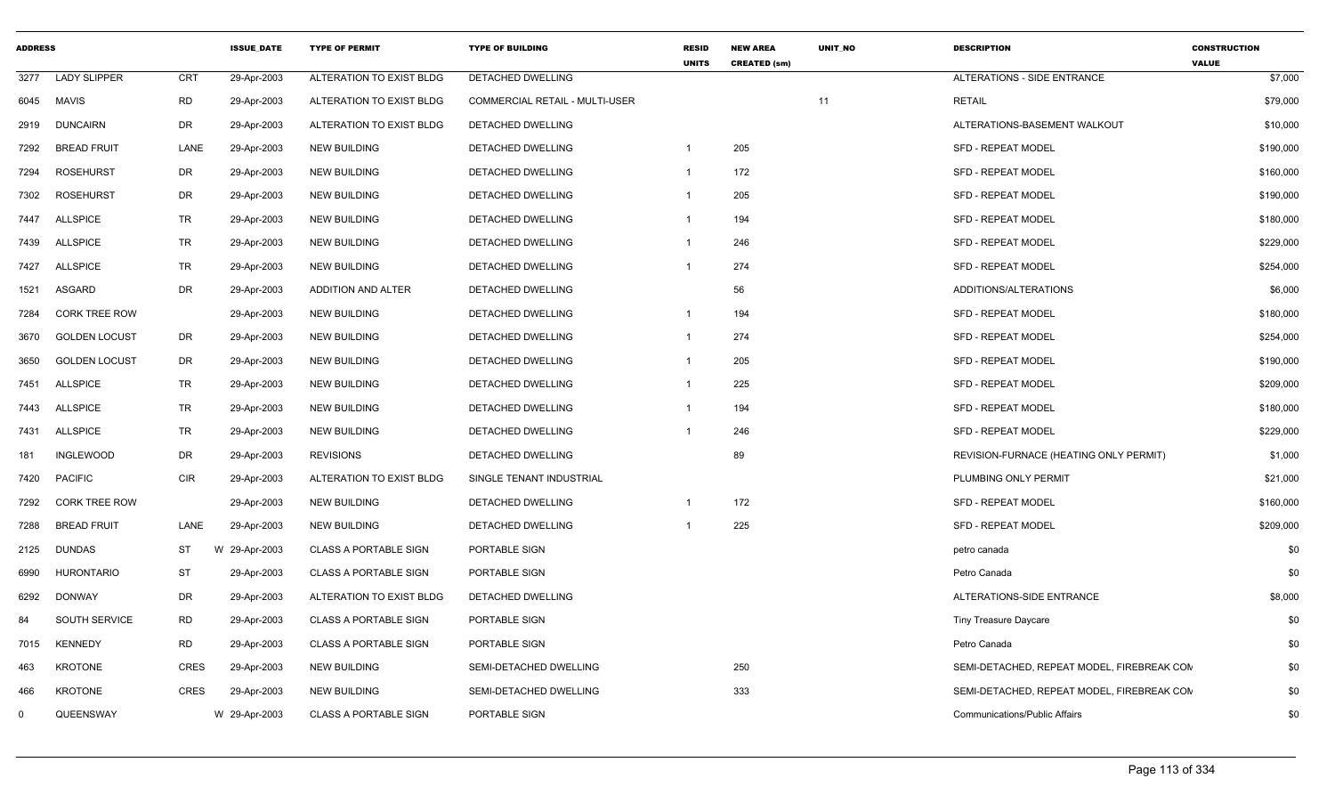| <b>ADDRESS</b> |                      |             | <b>ISSUE DATE</b> | <b>TYPE OF PERMIT</b>        | <b>TYPE OF BUILDING</b>        | <b>RESID</b><br><b>UNITS</b> | <b>NEW AREA</b><br><b>CREATED (sm)</b> | <b>UNIT NO</b> | <b>DESCRIPTION</b>                         | <b>CONSTRUCTION</b><br><b>VALUE</b> |
|----------------|----------------------|-------------|-------------------|------------------------------|--------------------------------|------------------------------|----------------------------------------|----------------|--------------------------------------------|-------------------------------------|
| 3277           | <b>LADY SLIPPER</b>  | <b>CRT</b>  | 29-Apr-2003       | ALTERATION TO EXIST BLDG     | <b>DETACHED DWELLING</b>       |                              |                                        |                | <b>ALTERATIONS - SIDE ENTRANCE</b>         | \$7,000                             |
| 6045           | <b>MAVIS</b>         | <b>RD</b>   | 29-Apr-2003       | ALTERATION TO EXIST BLDG     | COMMERCIAL RETAIL - MULTI-USER |                              |                                        | 11             | <b>RETAIL</b>                              | \$79,000                            |
| 2919           | <b>DUNCAIRN</b>      | DR          | 29-Apr-2003       | ALTERATION TO EXIST BLDG     | DETACHED DWELLING              |                              |                                        |                | ALTERATIONS-BASEMENT WALKOUT               | \$10,000                            |
| 7292           | <b>BREAD FRUIT</b>   | LANE        | 29-Apr-2003       | <b>NEW BUILDING</b>          | <b>DETACHED DWELLING</b>       | $\mathbf{1}$                 | 205                                    |                | <b>SFD - REPEAT MODEL</b>                  | \$190,000                           |
| 7294           | <b>ROSEHURST</b>     | DR          | 29-Apr-2003       | <b>NEW BUILDING</b>          | <b>DETACHED DWELLING</b>       | 1                            | 172                                    |                | <b>SFD - REPEAT MODEL</b>                  | \$160,000                           |
| 7302           | <b>ROSEHURST</b>     | DR          | 29-Apr-2003       | <b>NEW BUILDING</b>          | <b>DETACHED DWELLING</b>       | -1                           | 205                                    |                | <b>SFD - REPEAT MODEL</b>                  | \$190,000                           |
| 7447           | <b>ALLSPICE</b>      | <b>TR</b>   | 29-Apr-2003       | <b>NEW BUILDING</b>          | DETACHED DWELLING              | -1                           | 194                                    |                | SFD - REPEAT MODEL                         | \$180,000                           |
| 7439           | <b>ALLSPICE</b>      | <b>TR</b>   | 29-Apr-2003       | <b>NEW BUILDING</b>          | DETACHED DWELLING              | $\mathbf 1$                  | 246                                    |                | <b>SFD - REPEAT MODEL</b>                  | \$229,000                           |
| 7427           | <b>ALLSPICE</b>      | <b>TR</b>   | 29-Apr-2003       | <b>NEW BUILDING</b>          | DETACHED DWELLING              | -1                           | 274                                    |                | SFD - REPEAT MODEL                         | \$254,000                           |
| 1521           | ASGARD               | <b>DR</b>   | 29-Apr-2003       | ADDITION AND ALTER           | <b>DETACHED DWELLING</b>       |                              | 56                                     |                | ADDITIONS/ALTERATIONS                      | \$6,000                             |
| 7284           | <b>CORK TREE ROW</b> |             | 29-Apr-2003       | <b>NEW BUILDING</b>          | DETACHED DWELLING              | -1                           | 194                                    |                | <b>SFD - REPEAT MODEL</b>                  | \$180,000                           |
| 3670           | <b>GOLDEN LOCUST</b> | DR          | 29-Apr-2003       | <b>NEW BUILDING</b>          | DETACHED DWELLING              | $\mathbf{1}$                 | 274                                    |                | <b>SFD - REPEAT MODEL</b>                  | \$254,000                           |
| 3650           | <b>GOLDEN LOCUST</b> | DR          | 29-Apr-2003       | <b>NEW BUILDING</b>          | DETACHED DWELLING              | -1                           | 205                                    |                | <b>SFD - REPEAT MODEL</b>                  | \$190,000                           |
| 7451           | <b>ALLSPICE</b>      | <b>TR</b>   | 29-Apr-2003       | <b>NEW BUILDING</b>          | DETACHED DWELLING              | $\mathbf 1$                  | 225                                    |                | <b>SFD - REPEAT MODEL</b>                  | \$209,000                           |
| 7443           | <b>ALLSPICE</b>      | TR          | 29-Apr-2003       | <b>NEW BUILDING</b>          | DETACHED DWELLING              | $\overline{1}$               | 194                                    |                | <b>SFD - REPEAT MODEL</b>                  | \$180,000                           |
| 7431           | <b>ALLSPICE</b>      | <b>TR</b>   | 29-Apr-2003       | <b>NEW BUILDING</b>          | DETACHED DWELLING              | -1                           | 246                                    |                | <b>SFD - REPEAT MODEL</b>                  | \$229,000                           |
| 181            | INGLEWOOD            | DR          | 29-Apr-2003       | <b>REVISIONS</b>             | DETACHED DWELLING              |                              | 89                                     |                | REVISION-FURNACE (HEATING ONLY PERMIT)     | \$1,000                             |
| 7420           | <b>PACIFIC</b>       | <b>CIR</b>  | 29-Apr-2003       | ALTERATION TO EXIST BLDG     | SINGLE TENANT INDUSTRIAL       |                              |                                        |                | PLUMBING ONLY PERMIT                       | \$21,000                            |
| 7292           | CORK TREE ROW        |             | 29-Apr-2003       | <b>NEW BUILDING</b>          | DETACHED DWELLING              | $\mathbf 1$                  | 172                                    |                | <b>SFD - REPEAT MODEL</b>                  | \$160,000                           |
| 7288           | <b>BREAD FRUIT</b>   | LANE        | 29-Apr-2003       | <b>NEW BUILDING</b>          | DETACHED DWELLING              |                              | 225                                    |                | <b>SFD - REPEAT MODEL</b>                  | \$209,000                           |
| 2125           | DUNDAS               | <b>ST</b>   | W 29-Apr-2003     | <b>CLASS A PORTABLE SIGN</b> | PORTABLE SIGN                  |                              |                                        |                | petro canada                               | \$0                                 |
| 6990           | <b>HURONTARIO</b>    | <b>ST</b>   | 29-Apr-2003       | <b>CLASS A PORTABLE SIGN</b> | PORTABLE SIGN                  |                              |                                        |                | Petro Canada                               | \$0                                 |
| 6292           | <b>DONWAY</b>        | <b>DR</b>   | 29-Apr-2003       | ALTERATION TO EXIST BLDG     | DETACHED DWELLING              |                              |                                        |                | ALTERATIONS-SIDE ENTRANCE                  | \$8,000                             |
| 84             | SOUTH SERVICE        | <b>RD</b>   | 29-Apr-2003       | <b>CLASS A PORTABLE SIGN</b> | PORTABLE SIGN                  |                              |                                        |                | <b>Tiny Treasure Daycare</b>               | \$0                                 |
| 7015           | KENNEDY              | <b>RD</b>   | 29-Apr-2003       | <b>CLASS A PORTABLE SIGN</b> | PORTABLE SIGN                  |                              |                                        |                | Petro Canada                               | \$0                                 |
| 463            | <b>KROTONE</b>       | <b>CRES</b> | 29-Apr-2003       | <b>NEW BUILDING</b>          | SEMI-DETACHED DWELLING         |                              | 250                                    |                | SEMI-DETACHED, REPEAT MODEL, FIREBREAK CON | \$0                                 |
| 466            | <b>KROTONE</b>       | <b>CRES</b> | 29-Apr-2003       | <b>NEW BUILDING</b>          | SEMI-DETACHED DWELLING         |                              | 333                                    |                | SEMI-DETACHED, REPEAT MODEL, FIREBREAK CON | \$0                                 |
| $\mathbf{0}$   | QUEENSWAY            |             | W 29-Apr-2003     | <b>CLASS A PORTABLE SIGN</b> | PORTABLE SIGN                  |                              |                                        |                | <b>Communications/Public Affairs</b>       | \$0                                 |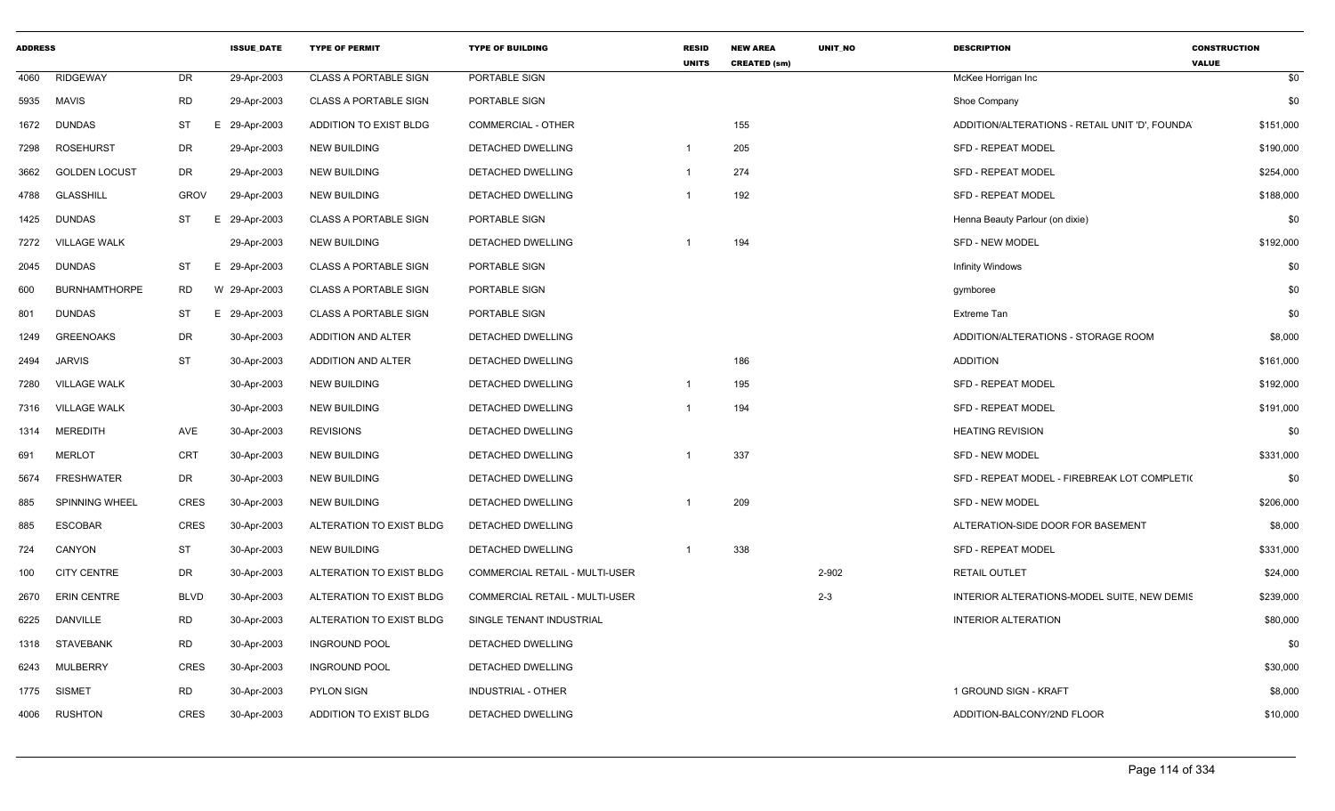| <b>ADDRESS</b> |                      |             | <b>ISSUE_DATE</b> | <b>TYPE OF PERMIT</b>        | <b>TYPE OF BUILDING</b>               | <b>RESID</b><br><b>UNITS</b> | <b>NEW AREA</b><br><b>CREATED (sm)</b> | UNIT_NO | <b>DESCRIPTION</b>                             | <b>CONSTRUCTION</b><br><b>VALUE</b> |
|----------------|----------------------|-------------|-------------------|------------------------------|---------------------------------------|------------------------------|----------------------------------------|---------|------------------------------------------------|-------------------------------------|
| 4060           | <b>RIDGEWAY</b>      | DR          | 29-Apr-2003       | <b>CLASS A PORTABLE SIGN</b> | PORTABLE SIGN                         |                              |                                        |         | McKee Horrigan Inc                             | \$0                                 |
| 5935           | <b>MAVIS</b>         | <b>RD</b>   | 29-Apr-2003       | <b>CLASS A PORTABLE SIGN</b> | PORTABLE SIGN                         |                              |                                        |         | Shoe Company                                   | \$0                                 |
| 1672           | <b>DUNDAS</b>        | <b>ST</b>   | E<br>29-Apr-2003  | ADDITION TO EXIST BLDG       | <b>COMMERCIAL - OTHER</b>             |                              | 155                                    |         | ADDITION/ALTERATIONS - RETAIL UNIT 'D', FOUNDA | \$151,000                           |
| 7298           | <b>ROSEHURST</b>     | DR          | 29-Apr-2003       | <b>NEW BUILDING</b>          | DETACHED DWELLING                     | $\overline{1}$               | 205                                    |         | SFD - REPEAT MODEL                             | \$190,000                           |
| 3662           | <b>GOLDEN LOCUST</b> | DR          | 29-Apr-2003       | NEW BUILDING                 | DETACHED DWELLING                     |                              | 274                                    |         | <b>SFD - REPEAT MODEL</b>                      | \$254,000                           |
| 4788           | GLASSHILL            | <b>GROV</b> | 29-Apr-2003       | <b>NEW BUILDING</b>          | DETACHED DWELLING                     |                              | 192                                    |         | <b>SFD - REPEAT MODEL</b>                      | \$188,000                           |
| 1425           | <b>DUNDAS</b>        | ST          | 29-Apr-2003<br>E  | <b>CLASS A PORTABLE SIGN</b> | PORTABLE SIGN                         |                              |                                        |         | Henna Beauty Parlour (on dixie)                | \$0                                 |
| 7272           | <b>VILLAGE WALK</b>  |             | 29-Apr-2003       | <b>NEW BUILDING</b>          | DETACHED DWELLING                     |                              | 194                                    |         | <b>SFD - NEW MODEL</b>                         | \$192,000                           |
| 2045           | <b>DUNDAS</b>        | <b>ST</b>   | E 29-Apr-2003     | <b>CLASS A PORTABLE SIGN</b> | PORTABLE SIGN                         |                              |                                        |         | Infinity Windows                               | \$0                                 |
| 600            | <b>BURNHAMTHORPE</b> | RD          | W 29-Apr-2003     | <b>CLASS A PORTABLE SIGN</b> | PORTABLE SIGN                         |                              |                                        |         | gymboree                                       | \$0                                 |
| 801            | <b>DUNDAS</b>        | ST          | E 29-Apr-2003     | <b>CLASS A PORTABLE SIGN</b> | PORTABLE SIGN                         |                              |                                        |         | <b>Extreme Tan</b>                             | \$0                                 |
| 1249           | <b>GREENOAKS</b>     | DR          | 30-Apr-2003       | ADDITION AND ALTER           | DETACHED DWELLING                     |                              |                                        |         | ADDITION/ALTERATIONS - STORAGE ROOM            | \$8,000                             |
| 2494           | <b>JARVIS</b>        | <b>ST</b>   | 30-Apr-2003       | ADDITION AND ALTER           | DETACHED DWELLING                     |                              | 186                                    |         | <b>ADDITION</b>                                | \$161,000                           |
| 7280           | <b>VILLAGE WALK</b>  |             | 30-Apr-2003       | NEW BUILDING                 | DETACHED DWELLING                     | -1                           | 195                                    |         | <b>SFD - REPEAT MODEL</b>                      | \$192,000                           |
| 7316           | <b>VILLAGE WALK</b>  |             | 30-Apr-2003       | <b>NEW BUILDING</b>          | DETACHED DWELLING                     |                              | 194                                    |         | <b>SFD - REPEAT MODEL</b>                      | \$191,000                           |
| 1314           | <b>MEREDITH</b>      | AVE         | 30-Apr-2003       | <b>REVISIONS</b>             | DETACHED DWELLING                     |                              |                                        |         | <b>HEATING REVISION</b>                        | \$0                                 |
| 691            | <b>MERLOT</b>        | CRT         | 30-Apr-2003       | <b>NEW BUILDING</b>          | DETACHED DWELLING                     |                              | 337                                    |         | <b>SFD - NEW MODEL</b>                         | \$331,000                           |
| 5674           | <b>FRESHWATER</b>    | DR          | 30-Apr-2003       | <b>NEW BUILDING</b>          | DETACHED DWELLING                     |                              |                                        |         | SFD - REPEAT MODEL - FIREBREAK LOT COMPLETI(   | \$0                                 |
| 885            | SPINNING WHEEL       | <b>CRES</b> | 30-Apr-2003       | <b>NEW BUILDING</b>          | DETACHED DWELLING                     |                              | 209                                    |         | <b>SFD - NEW MODEL</b>                         | \$206,000                           |
| 885            | <b>ESCOBAR</b>       | <b>CRES</b> | 30-Apr-2003       | ALTERATION TO EXIST BLDG     | DETACHED DWELLING                     |                              |                                        |         | ALTERATION-SIDE DOOR FOR BASEMENT              | \$8,000                             |
| 724            | CANYON               | <b>ST</b>   | 30-Apr-2003       | NEW BUILDING                 | DETACHED DWELLING                     |                              | 338                                    |         | <b>SFD - REPEAT MODEL</b>                      | \$331,000                           |
| 100            | <b>CITY CENTRE</b>   | DR          | 30-Apr-2003       | ALTERATION TO EXIST BLDG     | <b>COMMERCIAL RETAIL - MULTI-USER</b> |                              |                                        | 2-902   | <b>RETAIL OUTLET</b>                           | \$24,000                            |
| 2670           | <b>ERIN CENTRE</b>   | <b>BLVD</b> | 30-Apr-2003       | ALTERATION TO EXIST BLDG     | COMMERCIAL RETAIL - MULTI-USER        |                              |                                        | $2 - 3$ | INTERIOR ALTERATIONS-MODEL SUITE, NEW DEMIS    | \$239,000                           |
| 6225           | <b>DANVILLE</b>      | <b>RD</b>   | 30-Apr-2003       | ALTERATION TO EXIST BLDG     | SINGLE TENANT INDUSTRIAL              |                              |                                        |         | <b>INTERIOR ALTERATION</b>                     | \$80,000                            |
| 1318           | <b>STAVEBANK</b>     | <b>RD</b>   | 30-Apr-2003       | <b>INGROUND POOL</b>         | DETACHED DWELLING                     |                              |                                        |         |                                                | \$0                                 |
| 6243           | MULBERRY             | <b>CRES</b> | 30-Apr-2003       | <b>INGROUND POOL</b>         | <b>DETACHED DWELLING</b>              |                              |                                        |         |                                                | \$30,000                            |
| 1775           | <b>SISMET</b>        | RD          | 30-Apr-2003       | <b>PYLON SIGN</b>            | <b>INDUSTRIAL - OTHER</b>             |                              |                                        |         | 1 GROUND SIGN - KRAFT                          | \$8,000                             |
| 4006           | <b>RUSHTON</b>       | <b>CRES</b> | 30-Apr-2003       | ADDITION TO EXIST BLDG       | DETACHED DWELLING                     |                              |                                        |         | ADDITION-BALCONY/2ND FLOOR                     | \$10,000                            |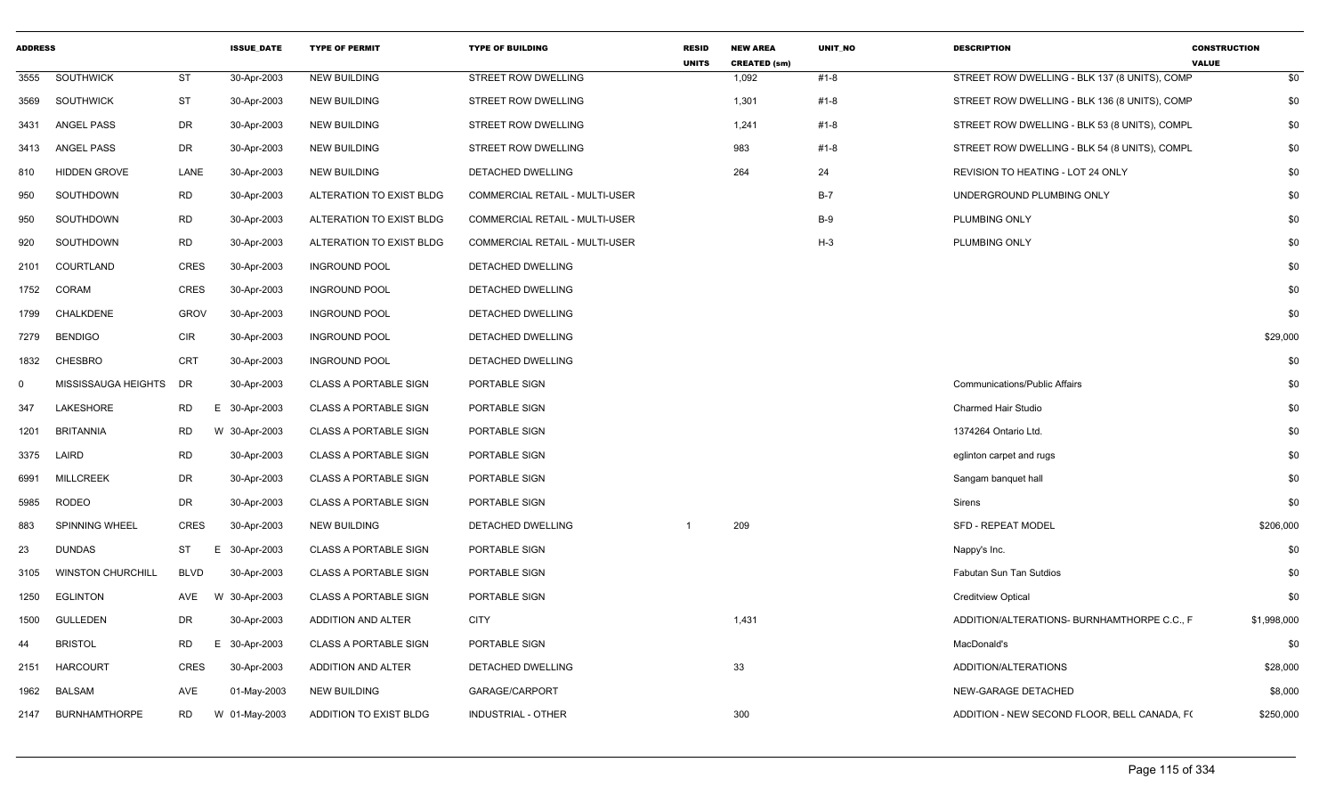| <b>ADDRESS</b> |                          |                 | <b>ISSUE DATE</b> | <b>TYPE OF PERMIT</b>        | <b>TYPE OF BUILDING</b>               | <b>RESID</b><br><b>UNITS</b> | <b>NEW AREA</b><br><b>CREATED (sm)</b> | <b>UNIT NO</b> | <b>DESCRIPTION</b>                            | <b>CONSTRUCTION</b><br><b>VALUE</b> |
|----------------|--------------------------|-----------------|-------------------|------------------------------|---------------------------------------|------------------------------|----------------------------------------|----------------|-----------------------------------------------|-------------------------------------|
| 3555           | <b>SOUTHWICK</b>         | <b>ST</b>       | 30-Apr-2003       | <b>NEW BUILDING</b>          | STREET ROW DWELLING                   |                              | 1,092                                  | #1-8           | STREET ROW DWELLING - BLK 137 (8 UNITS), COMP | \$0                                 |
| 3569           | SOUTHWICK                | <b>ST</b>       | 30-Apr-2003       | <b>NEW BUILDING</b>          | STREET ROW DWELLING                   |                              | 1,301                                  | #1-8           | STREET ROW DWELLING - BLK 136 (8 UNITS), COMP | \$0                                 |
| 3431           | ANGEL PASS               | DR              | 30-Apr-2003       | <b>NEW BUILDING</b>          | STREET ROW DWELLING                   |                              | 1,241                                  | #1-8           | STREET ROW DWELLING - BLK 53 (8 UNITS), COMPL | \$0                                 |
| 3413           | ANGEL PASS               | DR              | 30-Apr-2003       | <b>NEW BUILDING</b>          | STREET ROW DWELLING                   |                              | 983                                    | #1-8           | STREET ROW DWELLING - BLK 54 (8 UNITS), COMPL | \$0                                 |
| 810            | <b>HIDDEN GROVE</b>      | LANE            | 30-Apr-2003       | <b>NEW BUILDING</b>          | DETACHED DWELLING                     |                              | 264                                    | 24             | REVISION TO HEATING - LOT 24 ONLY             | \$0                                 |
| 950            | SOUTHDOWN                | RD              | 30-Apr-2003       | ALTERATION TO EXIST BLDG     | COMMERCIAL RETAIL - MULTI-USER        |                              |                                        | $B-7$          | UNDERGROUND PLUMBING ONLY                     | \$0                                 |
| 950            | SOUTHDOWN                | <b>RD</b>       | 30-Apr-2003       | ALTERATION TO EXIST BLDG     | COMMERCIAL RETAIL - MULTI-USER        |                              |                                        | $B-9$          | PLUMBING ONLY                                 | \$0                                 |
| 920            | SOUTHDOWN                | <b>RD</b>       | 30-Apr-2003       | ALTERATION TO EXIST BLDG     | <b>COMMERCIAL RETAIL - MULTI-USER</b> |                              |                                        | $H-3$          | PLUMBING ONLY                                 | \$0                                 |
| 2101           | COURTLAND                | CRES            | 30-Apr-2003       | <b>INGROUND POOL</b>         | DETACHED DWELLING                     |                              |                                        |                |                                               | \$0                                 |
| 1752           | CORAM                    | CRES            | 30-Apr-2003       | <b>INGROUND POOL</b>         | DETACHED DWELLING                     |                              |                                        |                |                                               | \$0                                 |
| 1799           | <b>CHALKDENE</b>         | <b>GROV</b>     | 30-Apr-2003       | <b>INGROUND POOL</b>         | DETACHED DWELLING                     |                              |                                        |                |                                               | \$0                                 |
| 7279           | <b>BENDIGO</b>           | <b>CIR</b>      | 30-Apr-2003       | <b>INGROUND POOL</b>         | DETACHED DWELLING                     |                              |                                        |                |                                               | \$29,000                            |
| 1832           | CHESBRO                  | <b>CRT</b>      | 30-Apr-2003       | <b>INGROUND POOL</b>         | DETACHED DWELLING                     |                              |                                        |                |                                               | \$0                                 |
| $\Omega$       | MISSISSAUGA HEIGHTS      | DR              | 30-Apr-2003       | <b>CLASS A PORTABLE SIGN</b> | PORTABLE SIGN                         |                              |                                        |                | <b>Communications/Public Affairs</b>          | \$0                                 |
| 347            | <b>LAKESHORE</b>         | RD              | E 30-Apr-2003     | <b>CLASS A PORTABLE SIGN</b> | PORTABLE SIGN                         |                              |                                        |                | <b>Charmed Hair Studio</b>                    | \$0                                 |
| 1201           | <b>BRITANNIA</b>         | <b>RD</b>       | W 30-Apr-2003     | <b>CLASS A PORTABLE SIGN</b> | PORTABLE SIGN                         |                              |                                        |                | 1374264 Ontario Ltd.                          | \$0                                 |
| 3375           | LAIRD                    | <b>RD</b>       | 30-Apr-2003       | <b>CLASS A PORTABLE SIGN</b> | PORTABLE SIGN                         |                              |                                        |                | eglinton carpet and rugs                      | \$0                                 |
| 6991           | <b>MILLCREEK</b>         | <b>DR</b>       | 30-Apr-2003       | <b>CLASS A PORTABLE SIGN</b> | PORTABLE SIGN                         |                              |                                        |                | Sangam banquet hall                           | \$0                                 |
| 5985           | <b>RODEO</b>             | DR.             | 30-Apr-2003       | <b>CLASS A PORTABLE SIGN</b> | PORTABLE SIGN                         |                              |                                        |                | Sirens                                        | \$0                                 |
| 883            | SPINNING WHEEL           | CRES            | 30-Apr-2003       | <b>NEW BUILDING</b>          | DETACHED DWELLING                     |                              | 209                                    |                | <b>SFD - REPEAT MODEL</b>                     | \$206,000                           |
| 23             | DUNDAS                   | ST<br>Е.        | 30-Apr-2003       | <b>CLASS A PORTABLE SIGN</b> | PORTABLE SIGN                         |                              |                                        |                | Nappy's Inc.                                  | \$0                                 |
| 3105           | <b>WINSTON CHURCHILL</b> | <b>BLVD</b>     | 30-Apr-2003       | <b>CLASS A PORTABLE SIGN</b> | PORTABLE SIGN                         |                              |                                        |                | Fabutan Sun Tan Sutdios                       | \$0                                 |
| 1250           | <b>EGLINTON</b>          | AVE             | W 30-Apr-2003     | <b>CLASS A PORTABLE SIGN</b> | PORTABLE SIGN                         |                              |                                        |                | <b>Creditview Optical</b>                     | \$0                                 |
| 1500           | <b>GULLEDEN</b>          | DR              | 30-Apr-2003       | ADDITION AND ALTER           | <b>CITY</b>                           |                              | 1,431                                  |                | ADDITION/ALTERATIONS- BURNHAMTHORPE C.C., F   | \$1,998,000                         |
| 44             | <b>BRISTOL</b>           | <b>RD</b><br>Е. | 30-Apr-2003       | <b>CLASS A PORTABLE SIGN</b> | PORTABLE SIGN                         |                              |                                        |                | MacDonald's                                   | \$0                                 |
| 2151           | <b>HARCOURT</b>          | CRES            | 30-Apr-2003       | ADDITION AND ALTER           | DETACHED DWELLING                     |                              | 33                                     |                | ADDITION/ALTERATIONS                          | \$28,000                            |
| 1962           | <b>BALSAM</b>            | <b>AVE</b>      | 01-May-2003       | <b>NEW BUILDING</b>          | GARAGE/CARPORT                        |                              |                                        |                | NEW-GARAGE DETACHED                           | \$8,000                             |
| 2147           | <b>BURNHAMTHORPE</b>     | <b>RD</b>       | W 01-May-2003     | ADDITION TO EXIST BLDG       | INDUSTRIAL - OTHER                    |                              | 300                                    |                | ADDITION - NEW SECOND FLOOR, BELL CANADA, F(  | \$250,000                           |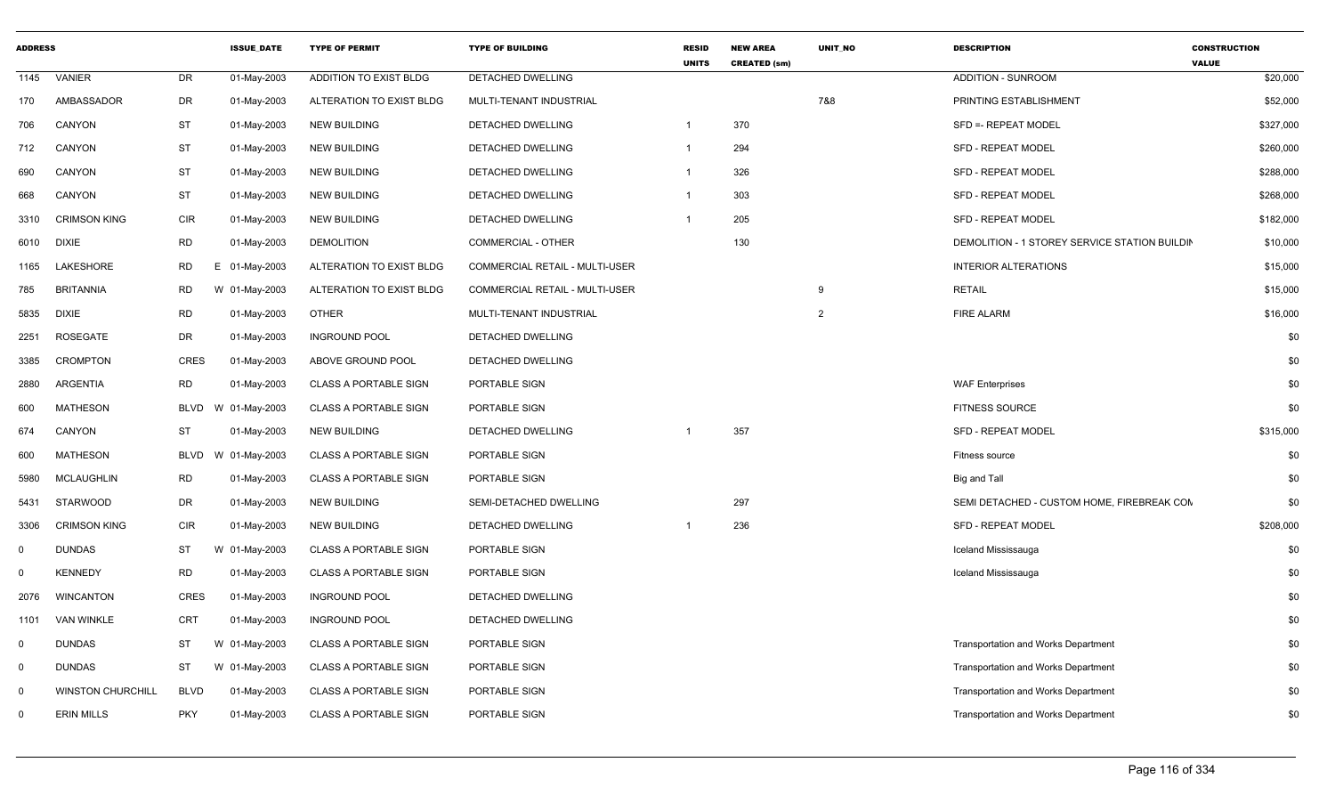| <b>ADDRESS</b> |                          |             | <b>ISSUE DATE</b> | <b>TYPE OF PERMIT</b>         | <b>TYPE OF BUILDING</b>        | <b>RESID</b><br><b>UNITS</b> | <b>NEW AREA</b><br><b>CREATED (sm)</b> | <b>UNIT NO</b> | <b>DESCRIPTION</b>                            | <b>CONSTRUCTION</b><br><b>VALUE</b> |
|----------------|--------------------------|-------------|-------------------|-------------------------------|--------------------------------|------------------------------|----------------------------------------|----------------|-----------------------------------------------|-------------------------------------|
| 1145           | VANIER                   | <b>DR</b>   | 01-May-2003       | <b>ADDITION TO EXIST BLDG</b> | DETACHED DWELLING              |                              |                                        |                | <b>ADDITION - SUNROOM</b>                     | \$20,000                            |
| 170            | AMBASSADOR               | DR          | 01-May-2003       | ALTERATION TO EXIST BLDG      | MULTI-TENANT INDUSTRIAL        |                              |                                        | 7&8            | PRINTING ESTABLISHMENT                        | \$52,000                            |
| 706            | CANYON                   | <b>ST</b>   | 01-May-2003       | <b>NEW BUILDING</b>           | DETACHED DWELLING              | $\mathbf 1$                  | 370                                    |                | SFD = - REPEAT MODEL                          | \$327,000                           |
| 712            | CANYON                   | <b>ST</b>   | 01-May-2003       | <b>NEW BUILDING</b>           | DETACHED DWELLING              | $\mathbf{1}$                 | 294                                    |                | <b>SFD - REPEAT MODEL</b>                     | \$260,000                           |
| 690            | <b>CANYON</b>            | <b>ST</b>   | 01-May-2003       | <b>NEW BUILDING</b>           | <b>DETACHED DWELLING</b>       | $\mathbf{1}$                 | 326                                    |                | <b>SFD - REPEAT MODEL</b>                     | \$288,000                           |
| 668            | CANYON                   | <b>ST</b>   | 01-May-2003       | <b>NEW BUILDING</b>           | DETACHED DWELLING              | -1                           | 303                                    |                | <b>SFD - REPEAT MODEL</b>                     | \$268,000                           |
| 3310           | <b>CRIMSON KING</b>      | <b>CIR</b>  | 01-May-2003       | <b>NEW BUILDING</b>           | DETACHED DWELLING              | $\mathbf 1$                  | 205                                    |                | SFD - REPEAT MODEL                            | \$182,000                           |
| 6010           | <b>DIXIE</b>             | <b>RD</b>   | 01-May-2003       | <b>DEMOLITION</b>             | <b>COMMERCIAL - OTHER</b>      |                              | 130                                    |                | DEMOLITION - 1 STOREY SERVICE STATION BUILDIN | \$10,000                            |
| 1165           | LAKESHORE                | <b>RD</b>   | E 01-May-2003     | ALTERATION TO EXIST BLDG      | COMMERCIAL RETAIL - MULTI-USER |                              |                                        |                | <b>INTERIOR ALTERATIONS</b>                   | \$15,000                            |
| 785            | <b>BRITANNIA</b>         | <b>RD</b>   | W 01-May-2003     | ALTERATION TO EXIST BLDG      | COMMERCIAL RETAIL - MULTI-USER |                              |                                        | 9              | <b>RETAIL</b>                                 | \$15,000                            |
| 5835           | <b>DIXIE</b>             | <b>RD</b>   | 01-May-2003       | <b>OTHER</b>                  | MULTI-TENANT INDUSTRIAL        |                              |                                        | $\overline{2}$ | <b>FIRE ALARM</b>                             | \$16,000                            |
| 2251           | ROSEGATE                 | <b>DR</b>   | 01-May-2003       | <b>INGROUND POOL</b>          | DETACHED DWELLING              |                              |                                        |                |                                               | \$0                                 |
| 3385           | <b>CROMPTON</b>          | <b>CRES</b> | 01-May-2003       | ABOVE GROUND POOL             | DETACHED DWELLING              |                              |                                        |                |                                               | \$0                                 |
| 2880           | ARGENTIA                 | <b>RD</b>   | 01-May-2003       | <b>CLASS A PORTABLE SIGN</b>  | PORTABLE SIGN                  |                              |                                        |                | <b>WAF Enterprises</b>                        | \$0                                 |
| 600            | MATHESON                 | BLVD        | W 01-May-2003     | <b>CLASS A PORTABLE SIGN</b>  | PORTABLE SIGN                  |                              |                                        |                | <b>FITNESS SOURCE</b>                         | \$0                                 |
| 674            | CANYON                   | <b>ST</b>   | 01-May-2003       | <b>NEW BUILDING</b>           | DETACHED DWELLING              | -1                           | 357                                    |                | <b>SFD - REPEAT MODEL</b>                     | \$315,000                           |
| 600            | <b>MATHESON</b>          | <b>BLVD</b> | W 01-May-2003     | <b>CLASS A PORTABLE SIGN</b>  | PORTABLE SIGN                  |                              |                                        |                | Fitness source                                | \$0                                 |
| 5980           | <b>MCLAUGHLIN</b>        | <b>RD</b>   | 01-May-2003       | <b>CLASS A PORTABLE SIGN</b>  | PORTABLE SIGN                  |                              |                                        |                | Big and Tall                                  | \$0                                 |
| 5431           | <b>STARWOOD</b>          | <b>DR</b>   | 01-May-2003       | <b>NEW BUILDING</b>           | SEMI-DETACHED DWELLING         |                              | 297                                    |                | SEMI DETACHED - CUSTOM HOME. FIREBREAK CON    | \$0                                 |
| 3306           | <b>CRIMSON KING</b>      | <b>CIR</b>  | 01-May-2003       | <b>NEW BUILDING</b>           | DETACHED DWELLING              | -1                           | 236                                    |                | <b>SFD - REPEAT MODEL</b>                     | \$208,000                           |
| $\mathbf 0$    | <b>DUNDAS</b>            | ST          | W 01-May-2003     | <b>CLASS A PORTABLE SIGN</b>  | PORTABLE SIGN                  |                              |                                        |                | Iceland Mississauga                           | \$0                                 |
| 0              | <b>KENNEDY</b>           | <b>RD</b>   | 01-May-2003       | <b>CLASS A PORTABLE SIGN</b>  | PORTABLE SIGN                  |                              |                                        |                | Iceland Mississauga                           | \$0                                 |
| 2076           | <b>WINCANTON</b>         | <b>CRES</b> | 01-May-2003       | <b>INGROUND POOL</b>          | DETACHED DWELLING              |                              |                                        |                |                                               | \$0                                 |
| 1101           | <b>VAN WINKLE</b>        | CRT         | 01-May-2003       | <b>INGROUND POOL</b>          | DETACHED DWELLING              |                              |                                        |                |                                               | \$0                                 |
| $\mathbf 0$    | <b>DUNDAS</b>            | ST          | W 01-May-2003     | <b>CLASS A PORTABLE SIGN</b>  | PORTABLE SIGN                  |                              |                                        |                | <b>Transportation and Works Department</b>    | \$0                                 |
| $\mathbf 0$    | <b>DUNDAS</b>            | <b>ST</b>   | W 01-May-2003     | <b>CLASS A PORTABLE SIGN</b>  | PORTABLE SIGN                  |                              |                                        |                | <b>Transportation and Works Department</b>    | \$0                                 |
| $\mathbf 0$    | <b>WINSTON CHURCHILL</b> | <b>BLVD</b> | 01-May-2003       | <b>CLASS A PORTABLE SIGN</b>  | PORTABLE SIGN                  |                              |                                        |                | Transportation and Works Department           | \$0                                 |
| $\Omega$       | <b>ERIN MILLS</b>        | <b>PKY</b>  | 01-May-2003       | <b>CLASS A PORTABLE SIGN</b>  | PORTABLE SIGN                  |                              |                                        |                | <b>Transportation and Works Department</b>    | \$0                                 |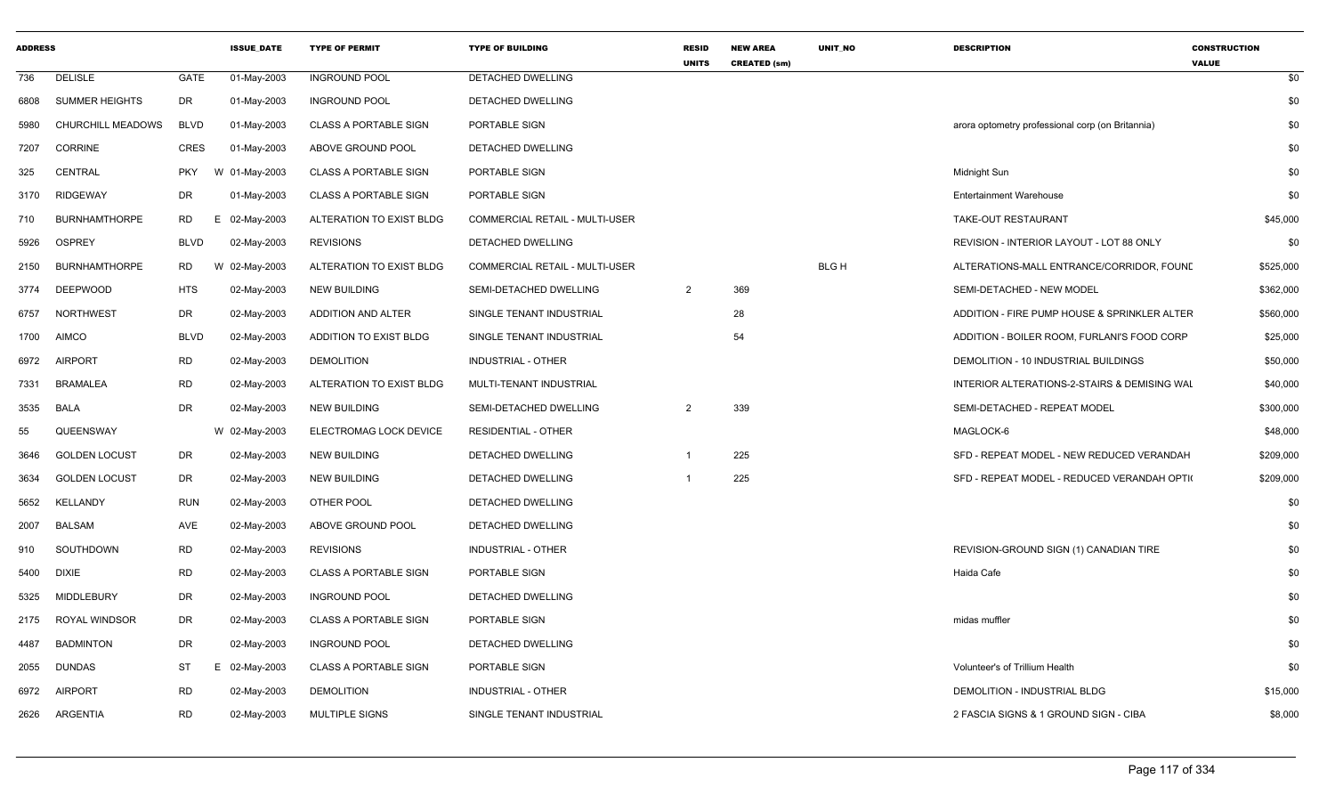| <b>ADDRESS</b> |                       |             | <b>ISSUE_DATE</b> | <b>TYPE OF PERMIT</b>        | <b>TYPE OF BUILDING</b>        | <b>RESID</b><br><b>UNITS</b> | <b>NEW AREA</b><br><b>CREATED (sm)</b> | UNIT_NO     | <b>DESCRIPTION</b>                               | <b>CONSTRUCTION</b><br><b>VALUE</b> |
|----------------|-----------------------|-------------|-------------------|------------------------------|--------------------------------|------------------------------|----------------------------------------|-------------|--------------------------------------------------|-------------------------------------|
| 736            | <b>DELISLE</b>        | GATE        | 01-May-2003       | <b>INGROUND POOL</b>         | DETACHED DWELLING              |                              |                                        |             |                                                  | \$0                                 |
| 6808           | <b>SUMMER HEIGHTS</b> | DR          | 01-May-2003       | <b>INGROUND POOL</b>         | DETACHED DWELLING              |                              |                                        |             |                                                  | \$0                                 |
| 5980           | CHURCHILL MEADOWS     | <b>BLVD</b> | 01-May-2003       | <b>CLASS A PORTABLE SIGN</b> | PORTABLE SIGN                  |                              |                                        |             | arora optometry professional corp (on Britannia) | \$0                                 |
| 7207           | <b>CORRINE</b>        | CRES        | 01-May-2003       | ABOVE GROUND POOL            | DETACHED DWELLING              |                              |                                        |             |                                                  | \$0                                 |
| 325            | <b>CENTRAL</b>        | <b>PKY</b>  | W 01-May-2003     | <b>CLASS A PORTABLE SIGN</b> | PORTABLE SIGN                  |                              |                                        |             | Midnight Sun                                     | \$0                                 |
| 3170           | <b>RIDGEWAY</b>       | DR          | 01-May-2003       | <b>CLASS A PORTABLE SIGN</b> | PORTABLE SIGN                  |                              |                                        |             | <b>Entertainment Warehouse</b>                   | \$0                                 |
| 710            | <b>BURNHAMTHORPE</b>  | RD          | E<br>02-May-2003  | ALTERATION TO EXIST BLDG     | COMMERCIAL RETAIL - MULTI-USER |                              |                                        |             | TAKE-OUT RESTAURANT                              | \$45,000                            |
| 5926           | OSPREY                | BLVD        | 02-May-2003       | <b>REVISIONS</b>             | DETACHED DWELLING              |                              |                                        |             | REVISION - INTERIOR LAYOUT - LOT 88 ONLY         | \$0                                 |
| 2150           | <b>BURNHAMTHORPE</b>  | RD          | W 02-May-2003     | ALTERATION TO EXIST BLDG     | COMMERCIAL RETAIL - MULTI-USER |                              |                                        | <b>BLGH</b> | ALTERATIONS-MALL ENTRANCE/CORRIDOR, FOUND        | \$525,000                           |
| 3774           | <b>DEEPWOOD</b>       | <b>HTS</b>  | 02-May-2003       | <b>NEW BUILDING</b>          | SEMI-DETACHED DWELLING         | $\overline{2}$               | 369                                    |             | SEMI-DETACHED - NEW MODEL                        | \$362,000                           |
| 6757           | <b>NORTHWEST</b>      | DR          | 02-May-2003       | <b>ADDITION AND ALTER</b>    | SINGLE TENANT INDUSTRIAL       |                              | 28                                     |             | ADDITION - FIRE PUMP HOUSE & SPRINKLER ALTER     | \$560,000                           |
| 1700           | AIMCO                 | <b>BLVD</b> | 02-May-2003       | ADDITION TO EXIST BLDG       | SINGLE TENANT INDUSTRIAL       |                              | 54                                     |             | ADDITION - BOILER ROOM, FURLANI'S FOOD CORP      | \$25,000                            |
| 6972           | AIRPORT               | <b>RD</b>   | 02-May-2003       | <b>DEMOLITION</b>            | INDUSTRIAL - OTHER             |                              |                                        |             | DEMOLITION - 10 INDUSTRIAL BUILDINGS             | \$50,000                            |
| 7331           | BRAMALEA              | RD          | 02-May-2003       | ALTERATION TO EXIST BLDG     | MULTI-TENANT INDUSTRIAL        |                              |                                        |             | INTERIOR ALTERATIONS-2-STAIRS & DEMISING WAL     | \$40,000                            |
| 3535           | <b>BALA</b>           | DR          | 02-May-2003       | <b>NEW BUILDING</b>          | SEMI-DETACHED DWELLING         | 2                            | 339                                    |             | SEMI-DETACHED - REPEAT MODEL                     | \$300,000                           |
| 55             | QUEENSWAY             |             | W 02-May-2003     | ELECTROMAG LOCK DEVICE       | <b>RESIDENTIAL - OTHER</b>     |                              |                                        |             | MAGLOCK-6                                        | \$48,000                            |
| 3646           | <b>GOLDEN LOCUST</b>  | DR          | 02-May-2003       | <b>NEW BUILDING</b>          | DETACHED DWELLING              |                              | 225                                    |             | SFD - REPEAT MODEL - NEW REDUCED VERANDAH        | \$209,000                           |
| 3634           | <b>GOLDEN LOCUST</b>  | DR          | 02-May-2003       | <b>NEW BUILDING</b>          | DETACHED DWELLING              |                              | 225                                    |             | SFD - REPEAT MODEL - REDUCED VERANDAH OPTI       | \$209,000                           |
| 5652           | <b>KELLANDY</b>       | <b>RUN</b>  | 02-May-2003       | OTHER POOL                   | <b>DETACHED DWELLING</b>       |                              |                                        |             |                                                  | \$0                                 |
| 2007           | <b>BALSAM</b>         | AVE         | 02-May-2003       | ABOVE GROUND POOL            | DETACHED DWELLING              |                              |                                        |             |                                                  | \$0                                 |
| 910            | SOUTHDOWN             | RD          | 02-May-2003       | <b>REVISIONS</b>             | INDUSTRIAL - OTHER             |                              |                                        |             | REVISION-GROUND SIGN (1) CANADIAN TIRE           | \$0                                 |
| 5400           | <b>DIXIE</b>          | RD          | 02-May-2003       | <b>CLASS A PORTABLE SIGN</b> | PORTABLE SIGN                  |                              |                                        |             | Haida Cafe                                       | \$0                                 |
| 5325           | <b>MIDDLEBURY</b>     | DR          | 02-May-2003       | <b>INGROUND POOL</b>         | <b>DETACHED DWELLING</b>       |                              |                                        |             |                                                  | \$0                                 |
| 2175           | ROYAL WINDSOR         | DR          | 02-May-2003       | <b>CLASS A PORTABLE SIGN</b> | PORTABLE SIGN                  |                              |                                        |             | midas muffler                                    | \$0                                 |
| 4487           | <b>BADMINTON</b>      | DR          | 02-May-2003       | <b>INGROUND POOL</b>         | DETACHED DWELLING              |                              |                                        |             |                                                  | \$0                                 |
| 2055           | <b>DUNDAS</b>         | ST          | E 02-May-2003     | <b>CLASS A PORTABLE SIGN</b> | PORTABLE SIGN                  |                              |                                        |             | Volunteer's of Trillium Health                   | \$0                                 |
| 6972           | <b>AIRPORT</b>        | <b>RD</b>   | 02-May-2003       | <b>DEMOLITION</b>            | INDUSTRIAL - OTHER             |                              |                                        |             | DEMOLITION - INDUSTRIAL BLDG                     | \$15,000                            |
|                | 2626 ARGENTIA         | <b>RD</b>   | 02-May-2003       | <b>MULTIPLE SIGNS</b>        | SINGLE TENANT INDUSTRIAL       |                              |                                        |             | 2 FASCIA SIGNS & 1 GROUND SIGN - CIBA            | \$8,000                             |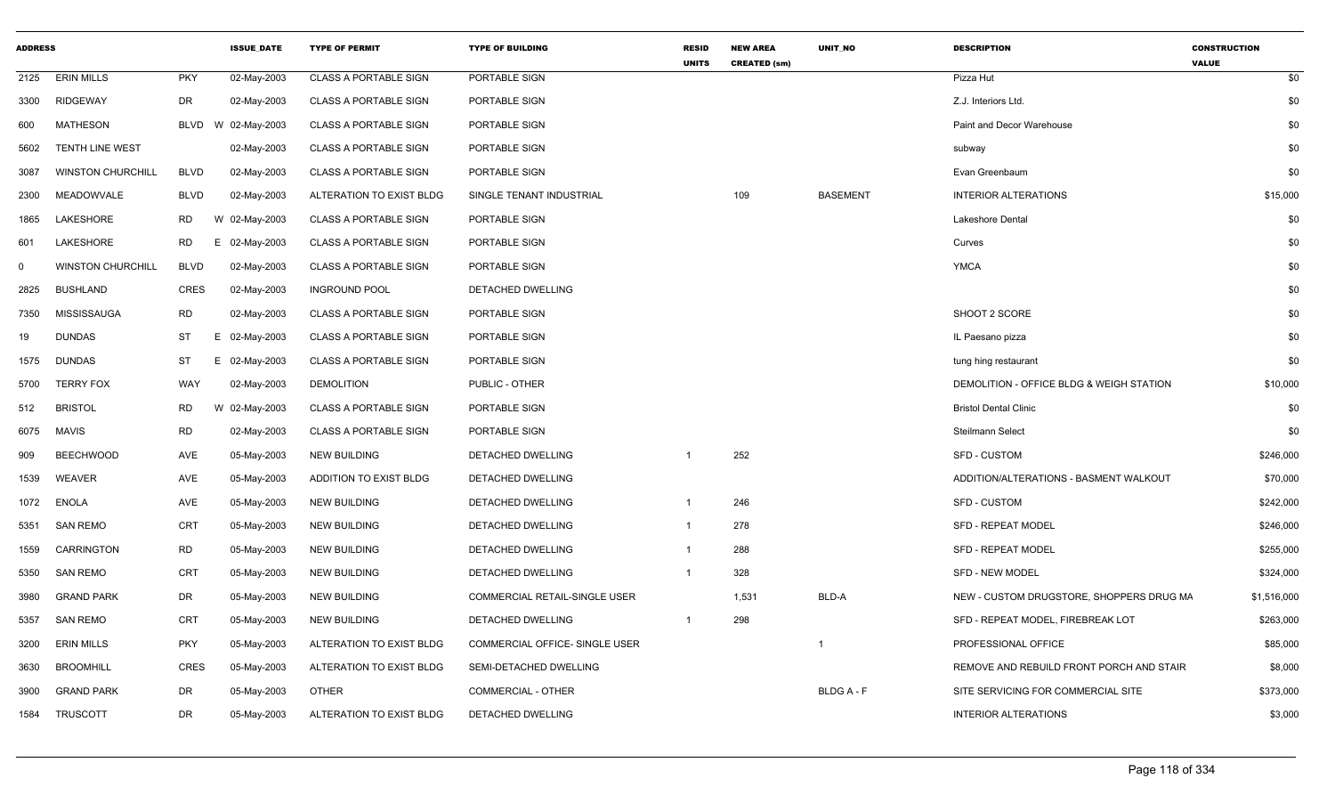| <b>ADDRESS</b> |                          |             | <b>ISSUE_DATE</b> | <b>TYPE OF PERMIT</b>        | <b>TYPE OF BUILDING</b>        | <b>RESID</b><br><b>UNITS</b> | <b>NEW AREA</b><br><b>CREATED (sm)</b> | UNIT_NO         | <b>DESCRIPTION</b>                       | <b>CONSTRUCTION</b><br><b>VALUE</b> |
|----------------|--------------------------|-------------|-------------------|------------------------------|--------------------------------|------------------------------|----------------------------------------|-----------------|------------------------------------------|-------------------------------------|
| 2125           | <b>ERIN MILLS</b>        | <b>PKY</b>  | 02-May-2003       | <b>CLASS A PORTABLE SIGN</b> | PORTABLE SIGN                  |                              |                                        |                 | Pizza Hut                                | \$0                                 |
| 3300           | <b>RIDGEWAY</b>          | DR          | 02-May-2003       | <b>CLASS A PORTABLE SIGN</b> | PORTABLE SIGN                  |                              |                                        |                 | Z.J. Interiors Ltd.                      | \$0                                 |
| 600            | <b>MATHESON</b>          | BLVD        | W 02-May-2003     | <b>CLASS A PORTABLE SIGN</b> | PORTABLE SIGN                  |                              |                                        |                 | Paint and Decor Warehouse                | \$0                                 |
| 5602           | <b>TENTH LINE WEST</b>   |             | 02-May-2003       | <b>CLASS A PORTABLE SIGN</b> | PORTABLE SIGN                  |                              |                                        |                 | subway                                   | \$0                                 |
| 3087           | <b>WINSTON CHURCHILL</b> | <b>BLVD</b> | 02-May-2003       | <b>CLASS A PORTABLE SIGN</b> | PORTABLE SIGN                  |                              |                                        |                 | Evan Greenbaum                           | \$0                                 |
| 2300           | MEADOWVALE               | <b>BLVD</b> | 02-May-2003       | ALTERATION TO EXIST BLDG     | SINGLE TENANT INDUSTRIAL       |                              | 109                                    | <b>BASEMENT</b> | <b>INTERIOR ALTERATIONS</b>              | \$15,000                            |
| 1865           | LAKESHORE                | <b>RD</b>   | W 02-May-2003     | <b>CLASS A PORTABLE SIGN</b> | PORTABLE SIGN                  |                              |                                        |                 | Lakeshore Dental                         | \$0                                 |
| 601            | <b>LAKESHORE</b>         | RD<br>E.    | 02-May-2003       | <b>CLASS A PORTABLE SIGN</b> | PORTABLE SIGN                  |                              |                                        |                 | Curves                                   | \$0                                 |
| $\mathbf 0$    | <b>WINSTON CHURCHILL</b> | <b>BLVD</b> | 02-May-2003       | <b>CLASS A PORTABLE SIGN</b> | PORTABLE SIGN                  |                              |                                        |                 | <b>YMCA</b>                              | \$0                                 |
| 2825           | <b>BUSHLAND</b>          | <b>CRES</b> | 02-May-2003       | <b>INGROUND POOL</b>         | <b>DETACHED DWELLING</b>       |                              |                                        |                 |                                          | \$0                                 |
| 7350           | MISSISSAUGA              | <b>RD</b>   | 02-May-2003       | CLASS A PORTABLE SIGN        | PORTABLE SIGN                  |                              |                                        |                 | SHOOT 2 SCORE                            | \$0                                 |
| 19             | <b>DUNDAS</b>            | ST<br>E.    | 02-May-2003       | <b>CLASS A PORTABLE SIGN</b> | PORTABLE SIGN                  |                              |                                        |                 | IL Paesano pizza                         | \$0                                 |
| 1575           | <b>DUNDAS</b>            | ST          | E 02-May-2003     | <b>CLASS A PORTABLE SIGN</b> | PORTABLE SIGN                  |                              |                                        |                 | tung hing restaurant                     | \$0                                 |
| 5700           | <b>TERRY FOX</b>         | WAY         | 02-May-2003       | <b>DEMOLITION</b>            | PUBLIC - OTHER                 |                              |                                        |                 | DEMOLITION - OFFICE BLDG & WEIGH STATION | \$10,000                            |
| 512            | <b>BRISTOL</b>           | RD          | W 02-May-2003     | <b>CLASS A PORTABLE SIGN</b> | PORTABLE SIGN                  |                              |                                        |                 | <b>Bristol Dental Clinic</b>             | \$0                                 |
| 6075           | MAVIS                    | <b>RD</b>   | 02-May-2003       | <b>CLASS A PORTABLE SIGN</b> | PORTABLE SIGN                  |                              |                                        |                 | Steilmann Select                         | \$0                                 |
| 909            | <b>BEECHWOOD</b>         | AVE         | 05-May-2003       | <b>NEW BUILDING</b>          | DETACHED DWELLING              | $\overline{1}$               | 252                                    |                 | <b>SFD - CUSTOM</b>                      | \$246,000                           |
| 1539           | <b>WEAVER</b>            | AVE         | 05-May-2003       | ADDITION TO EXIST BLDG       | DETACHED DWELLING              |                              |                                        |                 | ADDITION/ALTERATIONS - BASMENT WALKOUT   | \$70,000                            |
| 1072           | <b>ENOLA</b>             | AVE         | 05-May-2003       | <b>NEW BUILDING</b>          | DETACHED DWELLING              | $\overline{1}$               | 246                                    |                 | SFD - CUSTOM                             | \$242,000                           |
| 5351           | <b>SAN REMO</b>          | CRT         | 05-May-2003       | <b>NEW BUILDING</b>          | DETACHED DWELLING              | $\overline{1}$               | 278                                    |                 | <b>SFD - REPEAT MODEL</b>                | \$246,000                           |
| 1559           | <b>CARRINGTON</b>        | <b>RD</b>   | 05-May-2003       | <b>NEW BUILDING</b>          | DETACHED DWELLING              | $\overline{1}$               | 288                                    |                 | <b>SFD - REPEAT MODEL</b>                | \$255,000                           |
| 5350           | <b>SAN REMO</b>          | <b>CRT</b>  | 05-May-2003       | <b>NEW BUILDING</b>          | DETACHED DWELLING              |                              | 328                                    |                 | <b>SFD - NEW MODEL</b>                   | \$324,000                           |
| 3980           | <b>GRAND PARK</b>        | DR          | 05-May-2003       | <b>NEW BUILDING</b>          | COMMERCIAL RETAIL-SINGLE USER  |                              | 1,531                                  | BLD-A           | NEW - CUSTOM DRUGSTORE, SHOPPERS DRUG MA | \$1,516,000                         |
| 5357           | <b>SAN REMO</b>          | CRT         | 05-May-2003       | <b>NEW BUILDING</b>          | DETACHED DWELLING              | $\overline{1}$               | 298                                    |                 | SFD - REPEAT MODEL, FIREBREAK LOT        | \$263,000                           |
| 3200           | <b>ERIN MILLS</b>        | <b>PKY</b>  | 05-May-2003       | ALTERATION TO EXIST BLDG     | COMMERCIAL OFFICE- SINGLE USER |                              |                                        | - 1             | PROFESSIONAL OFFICE                      | \$85,000                            |
| 3630           | <b>BROOMHILL</b>         | <b>CRES</b> | 05-May-2003       | ALTERATION TO EXIST BLDG     | SEMI-DETACHED DWELLING         |                              |                                        |                 | REMOVE AND REBUILD FRONT PORCH AND STAIR | \$8,000                             |
| 3900           | <b>GRAND PARK</b>        | DR          | 05-May-2003       | <b>OTHER</b>                 | <b>COMMERCIAL - OTHER</b>      |                              |                                        | <b>BLDGA-F</b>  | SITE SERVICING FOR COMMERCIAL SITE       | \$373,000                           |
| 1584           | <b>TRUSCOTT</b>          | DR          | 05-May-2003       | ALTERATION TO EXIST BLDG     | <b>DETACHED DWELLING</b>       |                              |                                        |                 | <b>INTERIOR ALTERATIONS</b>              | \$3,000                             |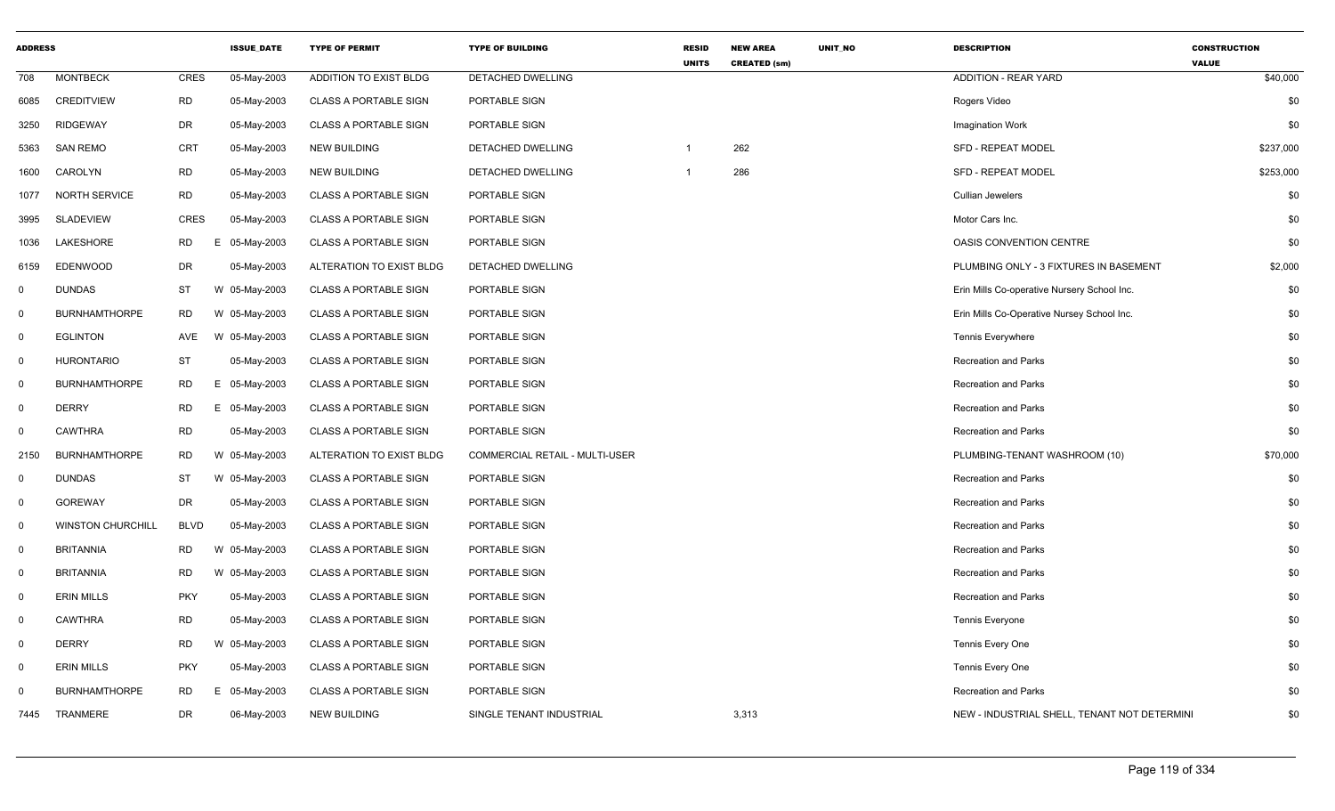| <b>ADDRESS</b> |                          |             | <b>ISSUE_DATE</b> | <b>TYPE OF PERMIT</b>        | <b>TYPE OF BUILDING</b>        | <b>RESID</b><br><b>UNITS</b> | <b>NEW AREA</b><br><b>CREATED (sm)</b> | UNIT_NO | <b>DESCRIPTION</b>                           | <b>CONSTRUCTION</b><br><b>VALUE</b> |
|----------------|--------------------------|-------------|-------------------|------------------------------|--------------------------------|------------------------------|----------------------------------------|---------|----------------------------------------------|-------------------------------------|
| 708            | <b>MONTBECK</b>          | <b>CRES</b> | 05-May-2003       | ADDITION TO EXIST BLDG       | DETACHED DWELLING              |                              |                                        |         | <b>ADDITION - REAR YARD</b>                  | \$40,000                            |
| 6085           | <b>CREDITVIEW</b>        | <b>RD</b>   | 05-May-2003       | <b>CLASS A PORTABLE SIGN</b> | PORTABLE SIGN                  |                              |                                        |         | Rogers Video                                 | \$0                                 |
| 3250           | <b>RIDGEWAY</b>          | <b>DR</b>   | 05-May-2003       | <b>CLASS A PORTABLE SIGN</b> | PORTABLE SIGN                  |                              |                                        |         | <b>Imagination Work</b>                      | \$0                                 |
| 5363           | <b>SAN REMO</b>          | CRT         | 05-May-2003       | NEW BUILDING                 | <b>DETACHED DWELLING</b>       |                              | 262                                    |         | <b>SFD - REPEAT MODEL</b>                    | \$237,000                           |
| 1600           | CAROLYN                  | <b>RD</b>   | 05-May-2003       | NEW BUILDING                 | DETACHED DWELLING              | -1                           | 286                                    |         | <b>SFD - REPEAT MODEL</b>                    | \$253,000                           |
| 1077           | NORTH SERVICE            | RD.         | 05-May-2003       | <b>CLASS A PORTABLE SIGN</b> | PORTABLE SIGN                  |                              |                                        |         | <b>Cullian Jewelers</b>                      | \$0                                 |
| 3995           | SLADEVIEW                | <b>CRES</b> | 05-May-2003       | <b>CLASS A PORTABLE SIGN</b> | PORTABLE SIGN                  |                              |                                        |         | Motor Cars Inc.                              | \$0                                 |
| 1036           | <b>LAKESHORE</b>         | <b>RD</b>   | E.<br>05-May-2003 | <b>CLASS A PORTABLE SIGN</b> | PORTABLE SIGN                  |                              |                                        |         | <b>OASIS CONVENTION CENTRE</b>               | \$0                                 |
| 6159           | EDENWOOD                 | DR          | 05-May-2003       | ALTERATION TO EXIST BLDG     | DETACHED DWELLING              |                              |                                        |         | PLUMBING ONLY - 3 FIXTURES IN BASEMENT       | \$2,000                             |
| $\mathbf{0}$   | <b>DUNDAS</b>            | ST          | W 05-May-2003     | <b>CLASS A PORTABLE SIGN</b> | PORTABLE SIGN                  |                              |                                        |         | Erin Mills Co-operative Nursery School Inc.  | \$0                                 |
| $\mathbf 0$    | <b>BURNHAMTHORPE</b>     | <b>RD</b>   | W 05-May-2003     | <b>CLASS A PORTABLE SIGN</b> | PORTABLE SIGN                  |                              |                                        |         | Erin Mills Co-Operative Nursey School Inc.   | \$0                                 |
| $\mathbf 0$    | <b>EGLINTON</b>          | AVE         | W 05-May-2003     | <b>CLASS A PORTABLE SIGN</b> | PORTABLE SIGN                  |                              |                                        |         | <b>Tennis Everywhere</b>                     | \$0                                 |
| $\mathbf 0$    | <b>HURONTARIO</b>        | <b>ST</b>   | 05-May-2003       | <b>CLASS A PORTABLE SIGN</b> | PORTABLE SIGN                  |                              |                                        |         | <b>Recreation and Parks</b>                  | \$0                                 |
| $\mathbf 0$    | <b>BURNHAMTHORPE</b>     | RD.         | 05-May-2003<br>Е. | <b>CLASS A PORTABLE SIGN</b> | PORTABLE SIGN                  |                              |                                        |         | <b>Recreation and Parks</b>                  | \$0                                 |
| $\overline{0}$ | <b>DERRY</b>             | <b>RD</b>   | E 05-May-2003     | <b>CLASS A PORTABLE SIGN</b> | PORTABLE SIGN                  |                              |                                        |         | <b>Recreation and Parks</b>                  | \$0                                 |
| $\mathbf 0$    | <b>CAWTHRA</b>           | <b>RD</b>   | 05-May-2003       | <b>CLASS A PORTABLE SIGN</b> | PORTABLE SIGN                  |                              |                                        |         | <b>Recreation and Parks</b>                  | \$0                                 |
| 2150           | <b>BURNHAMTHORPE</b>     | RD          | W 05-May-2003     | ALTERATION TO EXIST BLDG     | COMMERCIAL RETAIL - MULTI-USER |                              |                                        |         | PLUMBING-TENANT WASHROOM (10)                | \$70,000                            |
| $\overline{0}$ | <b>DUNDAS</b>            | <b>ST</b>   | W 05-May-2003     | <b>CLASS A PORTABLE SIGN</b> | PORTABLE SIGN                  |                              |                                        |         | <b>Recreation and Parks</b>                  | \$0                                 |
| $\mathbf 0$    | <b>GOREWAY</b>           | DR          | 05-May-2003       | <b>CLASS A PORTABLE SIGN</b> | PORTABLE SIGN                  |                              |                                        |         | <b>Recreation and Parks</b>                  | \$0                                 |
| $\mathbf 0$    | <b>WINSTON CHURCHILL</b> | <b>BLVD</b> | 05-May-2003       | <b>CLASS A PORTABLE SIGN</b> | PORTABLE SIGN                  |                              |                                        |         | <b>Recreation and Parks</b>                  | \$0                                 |
| $\mathbf 0$    | <b>BRITANNIA</b>         | <b>RD</b>   | 05-May-2003<br>W  | <b>CLASS A PORTABLE SIGN</b> | PORTABLE SIGN                  |                              |                                        |         | <b>Recreation and Parks</b>                  | \$0                                 |
| 0              | <b>BRITANNIA</b>         | <b>RD</b>   | W 05-May-2003     | <b>CLASS A PORTABLE SIGN</b> | PORTABLE SIGN                  |                              |                                        |         | <b>Recreation and Parks</b>                  | \$0                                 |
| $\mathbf{0}$   | <b>ERIN MILLS</b>        | <b>PKY</b>  | 05-May-2003       | <b>CLASS A PORTABLE SIGN</b> | PORTABLE SIGN                  |                              |                                        |         | <b>Recreation and Parks</b>                  | \$0                                 |
| $\mathbf 0$    | <b>CAWTHRA</b>           | <b>RD</b>   | 05-May-2003       | <b>CLASS A PORTABLE SIGN</b> | PORTABLE SIGN                  |                              |                                        |         | Tennis Everyone                              | \$0                                 |
| $\mathbf 0$    | <b>DERRY</b>             | <b>RD</b>   | W 05-May-2003     | <b>CLASS A PORTABLE SIGN</b> | PORTABLE SIGN                  |                              |                                        |         | Tennis Every One                             | \$0                                 |
| $\Omega$       | <b>ERIN MILLS</b>        | <b>PKY</b>  | 05-May-2003       | <b>CLASS A PORTABLE SIGN</b> | PORTABLE SIGN                  |                              |                                        |         | Tennis Every One                             | \$0                                 |
| $\mathbf 0$    | <b>BURNHAMTHORPE</b>     | RD.         | E.<br>05-May-2003 | <b>CLASS A PORTABLE SIGN</b> | PORTABLE SIGN                  |                              |                                        |         | <b>Recreation and Parks</b>                  | \$0                                 |
| 7445           | TRANMERE                 | DR          | 06-May-2003       | NEW BUILDING                 | SINGLE TENANT INDUSTRIAL       |                              | 3,313                                  |         | NEW - INDUSTRIAL SHELL, TENANT NOT DETERMINI | \$0                                 |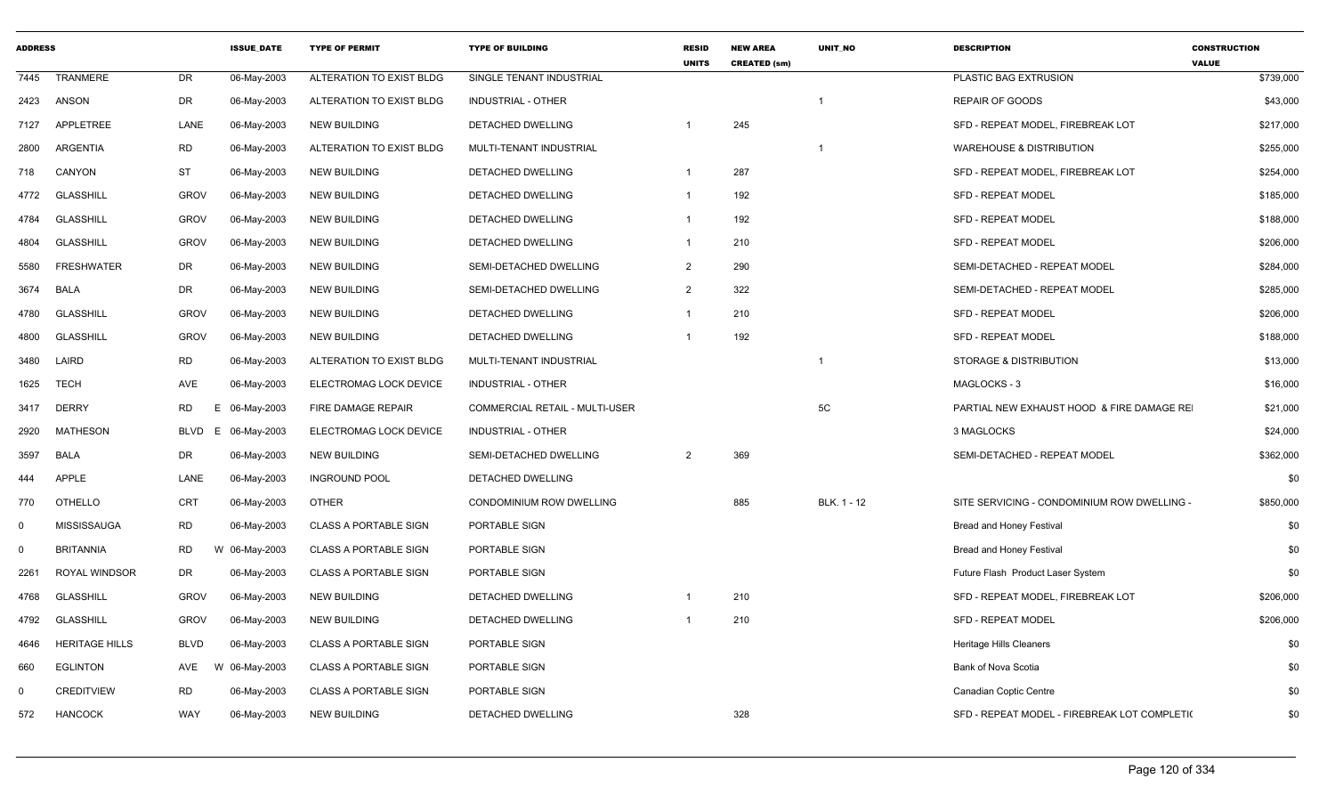| <b>ADDRESS</b> |                       |             | <b>ISSUE DATE</b> | <b>TYPE OF PERMIT</b>        | <b>TYPE OF BUILDING</b>               | <b>RESID</b><br><b>UNITS</b> | <b>NEW AREA</b><br><b>CREATED (sm)</b> | <b>UNIT NO</b>          | <b>DESCRIPTION</b>                           | <b>CONSTRUCTION</b><br><b>VALUE</b> |
|----------------|-----------------------|-------------|-------------------|------------------------------|---------------------------------------|------------------------------|----------------------------------------|-------------------------|----------------------------------------------|-------------------------------------|
| 7445           | <b>TRANMERE</b>       | DR          | 06-May-2003       | ALTERATION TO EXIST BLDG     | SINGLE TENANT INDUSTRIAL              |                              |                                        |                         | PLASTIC BAG EXTRUSION                        | \$739,000                           |
| 2423           | ANSON                 | <b>DR</b>   | 06-May-2003       | ALTERATION TO EXIST BLDG     | <b>INDUSTRIAL - OTHER</b>             |                              |                                        | $\overline{\mathbf{1}}$ | REPAIR OF GOODS                              | \$43,000                            |
| 7127           | <b>APPLETREE</b>      | LANE        | 06-May-2003       | <b>NEW BUILDING</b>          | DETACHED DWELLING                     |                              | 245                                    |                         | SFD - REPEAT MODEL, FIREBREAK LOT            | \$217,000                           |
| 2800           | ARGENTIA              | <b>RD</b>   | 06-May-2003       | ALTERATION TO EXIST BLDG     | MULTI-TENANT INDUSTRIAL               |                              |                                        | $\overline{1}$          | <b>WAREHOUSE &amp; DISTRIBUTION</b>          | \$255,000                           |
| 718            | CANYON                | ST          | 06-May-2003       | <b>NEW BUILDING</b>          | DETACHED DWELLING                     | $\mathbf 1$                  | 287                                    |                         | SFD - REPEAT MODEL, FIREBREAK LOT            | \$254,000                           |
| 4772           | <b>GLASSHILL</b>      | <b>GROV</b> | 06-May-2003       | <b>NEW BUILDING</b>          | DETACHED DWELLING                     | $\overline{1}$               | 192                                    |                         | <b>SFD - REPEAT MODEL</b>                    | \$185,000                           |
| 4784           | <b>GLASSHILL</b>      | <b>GROV</b> | 06-May-2003       | <b>NEW BUILDING</b>          | DETACHED DWELLING                     | $\mathbf{1}$                 | 192                                    |                         | <b>SFD - REPEAT MODEL</b>                    | \$188,000                           |
| 4804           | <b>GLASSHILL</b>      | <b>GROV</b> | 06-May-2003       | <b>NEW BUILDING</b>          | DETACHED DWELLING                     | $\mathbf{1}$                 | 210                                    |                         | <b>SFD - REPEAT MODEL</b>                    | \$206,000                           |
| 5580           | <b>FRESHWATER</b>     | DR          | 06-May-2003       | <b>NEW BUILDING</b>          | SEMI-DETACHED DWELLING                | 2                            | 290                                    |                         | SEMI-DETACHED - REPEAT MODEL                 | \$284,000                           |
| 3674           | BALA                  | <b>DR</b>   | 06-May-2003       | <b>NEW BUILDING</b>          | SEMI-DETACHED DWELLING                | $\overline{2}$               | 322                                    |                         | SEMI-DETACHED - REPEAT MODEL                 | \$285,000                           |
| 4780           | <b>GLASSHILL</b>      | <b>GROV</b> | 06-May-2003       | <b>NEW BUILDING</b>          | DETACHED DWELLING                     | $\mathbf{1}$                 | 210                                    |                         | <b>SFD - REPEAT MODEL</b>                    | \$206,000                           |
| 4800           | <b>GLASSHILL</b>      | <b>GROV</b> | 06-May-2003       | <b>NEW BUILDING</b>          | DETACHED DWELLING                     | -1                           | 192                                    |                         | SFD - REPEAT MODEL                           | \$188,000                           |
| 3480           | LAIRD                 | <b>RD</b>   | 06-May-2003       | ALTERATION TO EXIST BLDG     | MULTI-TENANT INDUSTRIAL               |                              |                                        | $\overline{1}$          | STORAGE & DISTRIBUTION                       | \$13,000                            |
| 1625           | <b>TECH</b>           | AVE         | 06-May-2003       | ELECTROMAG LOCK DEVICE       | <b>INDUSTRIAL - OTHER</b>             |                              |                                        |                         | MAGLOCKS - 3                                 | \$16,000                            |
| 3417           | <b>DERRY</b>          | <b>RD</b>   | Е<br>06-May-2003  | <b>FIRE DAMAGE REPAIR</b>    | <b>COMMERCIAL RETAIL - MULTI-USER</b> |                              |                                        | 5C                      | PARTIAL NEW EXHAUST HOOD & FIRE DAMAGE RE    | \$21,000                            |
| 2920           | <b>MATHESON</b>       | <b>BLVD</b> | E 06-May-2003     | ELECTROMAG LOCK DEVICE       | <b>INDUSTRIAL - OTHER</b>             |                              |                                        |                         | 3 MAGLOCKS                                   | \$24,000                            |
| 3597           | BALA                  | <b>DR</b>   | 06-May-2003       | <b>NEW BUILDING</b>          | SEMI-DETACHED DWELLING                | 2                            | 369                                    |                         | SEMI-DETACHED - REPEAT MODEL                 | \$362,000                           |
| 444            | <b>APPLE</b>          | LANE        | 06-May-2003       | <b>INGROUND POOL</b>         | DETACHED DWELLING                     |                              |                                        |                         |                                              | \$0                                 |
| 770            | <b>OTHELLO</b>        | <b>CRT</b>  | 06-May-2003       | <b>OTHER</b>                 | <b>CONDOMINIUM ROW DWELLING</b>       |                              | 885                                    | BLK. 1 - 12             | SITE SERVICING - CONDOMINIUM ROW DWELLING -  | \$850,000                           |
| $\mathbf 0$    | <b>MISSISSAUGA</b>    | <b>RD</b>   | 06-May-2003       | <b>CLASS A PORTABLE SIGN</b> | PORTABLE SIGN                         |                              |                                        |                         | Bread and Honey Festival                     | \$0                                 |
| $\mathbf 0$    | <b>BRITANNIA</b>      | <b>RD</b>   | W 06-May-2003     | <b>CLASS A PORTABLE SIGN</b> | PORTABLE SIGN                         |                              |                                        |                         | <b>Bread and Honey Festival</b>              | \$0                                 |
| 2261           | <b>ROYAL WINDSOR</b>  | DR          | 06-May-2003       | <b>CLASS A PORTABLE SIGN</b> | PORTABLE SIGN                         |                              |                                        |                         | Future Flash Product Laser System            | \$0                                 |
| 4768           | <b>GLASSHILL</b>      | <b>GROV</b> | 06-May-2003       | <b>NEW BUILDING</b>          | DETACHED DWELLING                     | -1                           | 210                                    |                         | SFD - REPEAT MODEL, FIREBREAK LOT            | \$206,000                           |
| 4792           | <b>GLASSHILL</b>      | <b>GROV</b> | 06-May-2003       | <b>NEW BUILDING</b>          | DETACHED DWELLING                     | $\overline{1}$               | 210                                    |                         | SFD - REPEAT MODEL                           | \$206,000                           |
| 4646           | <b>HERITAGE HILLS</b> | <b>BLVD</b> | 06-May-2003       | <b>CLASS A PORTABLE SIGN</b> | PORTABLE SIGN                         |                              |                                        |                         | <b>Heritage Hills Cleaners</b>               | \$0                                 |
| 660            | <b>EGLINTON</b>       | AVE         | W 06-May-2003     | <b>CLASS A PORTABLE SIGN</b> | PORTABLE SIGN                         |                              |                                        |                         | Bank of Nova Scotia                          | \$0                                 |
| $\mathbf 0$    | <b>CREDITVIEW</b>     | <b>RD</b>   | 06-May-2003       | <b>CLASS A PORTABLE SIGN</b> | PORTABLE SIGN                         |                              |                                        |                         | Canadian Coptic Centre                       | \$0                                 |
| 572            | <b>HANCOCK</b>        | <b>WAY</b>  | 06-May-2003       | <b>NEW BUILDING</b>          | DETACHED DWELLING                     |                              | 328                                    |                         | SFD - REPEAT MODEL - FIREBREAK LOT COMPLETI( | \$0                                 |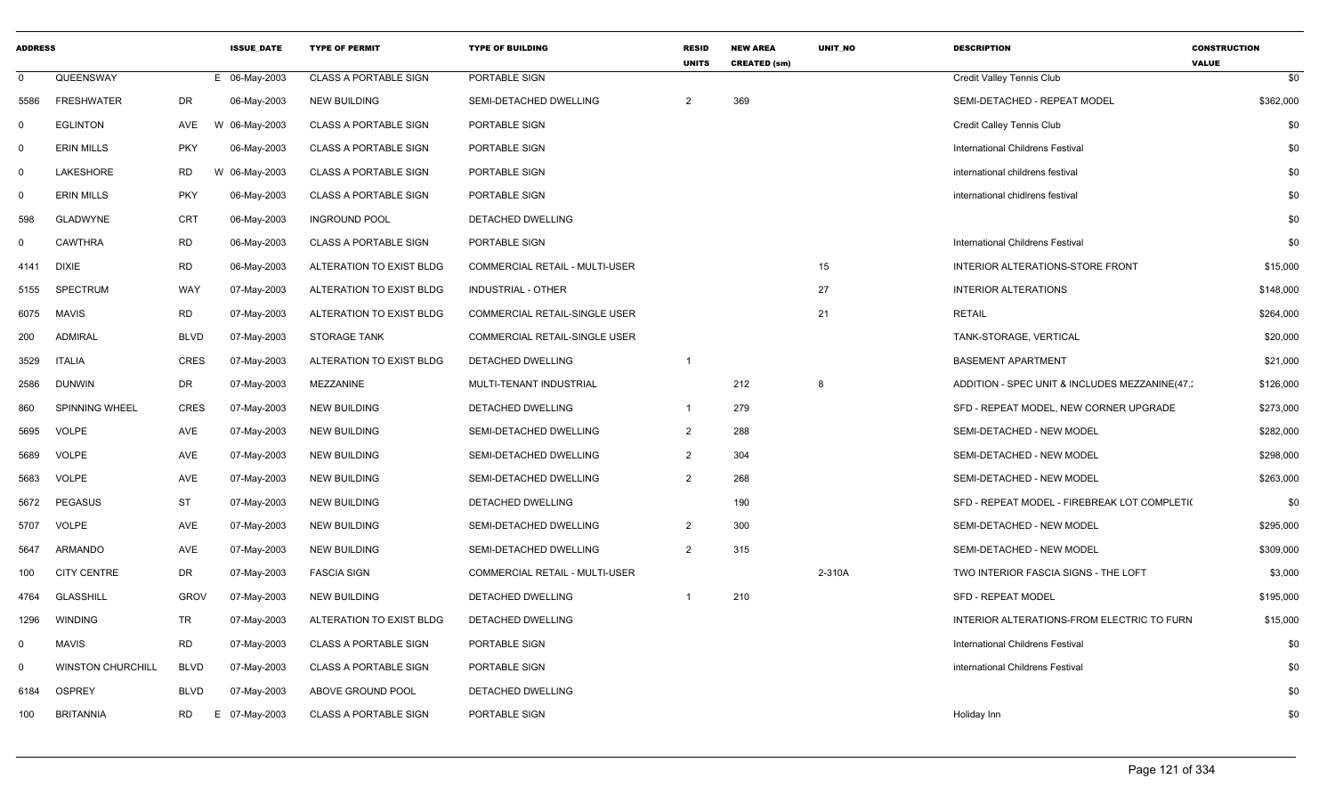| <b>ADDRESS</b> |                          |             | <b>ISSUE DATE</b> | <b>TYPE OF PERMIT</b>        | <b>TYPE OF BUILDING</b>               | <b>RESID</b><br><b>UNITS</b> | <b>NEW AREA</b><br><b>CREATED (sm)</b> | <b>UNIT NO</b> | <b>DESCRIPTION</b>                            | <b>CONSTRUCTION</b><br><b>VALUE</b> |
|----------------|--------------------------|-------------|-------------------|------------------------------|---------------------------------------|------------------------------|----------------------------------------|----------------|-----------------------------------------------|-------------------------------------|
| $\mathbf{0}$   | QUEENSWAY                |             | E 06-May-2003     | <b>CLASS A PORTABLE SIGN</b> | PORTABLE SIGN                         |                              |                                        |                | Credit Valley Tennis Club                     | \$0                                 |
| 5586           | <b>FRESHWATER</b>        | DR          | 06-May-2003       | <b>NEW BUILDING</b>          | SEMI-DETACHED DWELLING                | 2                            | 369                                    |                | SEMI-DETACHED - REPEAT MODEL                  | \$362,000                           |
| $\mathbf 0$    | <b>EGLINTON</b>          | AVE         | 06-May-2003<br>W  | <b>CLASS A PORTABLE SIGN</b> | PORTABLE SIGN                         |                              |                                        |                | Credit Calley Tennis Club                     | \$0                                 |
| $\mathbf 0$    | <b>ERIN MILLS</b>        | <b>PKY</b>  | 06-May-2003       | <b>CLASS A PORTABLE SIGN</b> | PORTABLE SIGN                         |                              |                                        |                | International Childrens Festival              | \$0                                 |
| 0              | <b>LAKESHORE</b>         | RD          | W 06-May-2003     | <b>CLASS A PORTABLE SIGN</b> | PORTABLE SIGN                         |                              |                                        |                | international childrens festival              | \$0                                 |
| 0              | <b>ERIN MILLS</b>        | <b>PKY</b>  | 06-May-2003       | <b>CLASS A PORTABLE SIGN</b> | PORTABLE SIGN                         |                              |                                        |                | international chidirens festival              | \$0                                 |
| 598            | <b>GLADWYNE</b>          | CRT         | 06-May-2003       | <b>INGROUND POOL</b>         | DETACHED DWELLING                     |                              |                                        |                |                                               | \$0                                 |
| $\mathbf 0$    | CAWTHRA                  | <b>RD</b>   | 06-May-2003       | <b>CLASS A PORTABLE SIGN</b> | PORTABLE SIGN                         |                              |                                        |                | International Childrens Festival              | \$0                                 |
| 4141           | <b>DIXIE</b>             | <b>RD</b>   | 06-May-2003       | ALTERATION TO EXIST BLDG     | <b>COMMERCIAL RETAIL - MULTI-USER</b> |                              |                                        | 15             | INTERIOR ALTERATIONS-STORE FRONT              | \$15,000                            |
| 5155           | <b>SPECTRUM</b>          | WAY         | 07-May-2003       | ALTERATION TO EXIST BLDG     | INDUSTRIAL - OTHER                    |                              |                                        | 27             | <b>INTERIOR ALTERATIONS</b>                   | \$148,000                           |
| 6075           | MAVIS                    | RD          | 07-May-2003       | ALTERATION TO EXIST BLDG     | COMMERCIAL RETAIL-SINGLE USER         |                              |                                        | 21             | <b>RETAIL</b>                                 | \$264,000                           |
| 200            | <b>ADMIRAL</b>           | <b>BLVD</b> | 07-May-2003       | <b>STORAGE TANK</b>          | COMMERCIAL RETAIL-SINGLE USER         |                              |                                        |                | TANK-STORAGE, VERTICAL                        | \$20,000                            |
| 3529           | <b>ITALIA</b>            | <b>CRES</b> | 07-May-2003       | ALTERATION TO EXIST BLDG     | <b>DETACHED DWELLING</b>              | $\overline{1}$               |                                        |                | <b>BASEMENT APARTMENT</b>                     | \$21,000                            |
| 2586           | <b>DUNWIN</b>            | DR          | 07-May-2003       | MEZZANINE                    | MULTI-TENANT INDUSTRIAL               |                              | 212                                    | 8              | ADDITION - SPEC UNIT & INCLUDES MEZZANINE(47. | \$126,000                           |
| 860            | SPINNING WHEEL           | CRES        | 07-May-2003       | NEW BUILDING                 | DETACHED DWELLING                     | $\overline{1}$               | 279                                    |                | SFD - REPEAT MODEL, NEW CORNER UPGRADE        | \$273,000                           |
| 5695           | <b>VOLPE</b>             | AVE         | 07-May-2003       | <b>NEW BUILDING</b>          | SEMI-DETACHED DWELLING                | $\overline{2}$               | 288                                    |                | SEMI-DETACHED - NEW MODEL                     | \$282,000                           |
| 5689           | <b>VOLPE</b>             | AVE         | 07-May-2003       | <b>NEW BUILDING</b>          | SEMI-DETACHED DWELLING                | $\overline{2}$               | 304                                    |                | SEMI-DETACHED - NEW MODEL                     | \$298,000                           |
| 5683           | <b>VOLPE</b>             | AVE         | 07-May-2003       | NEW BUILDING                 | SEMI-DETACHED DWELLING                | $\overline{2}$               | 268                                    |                | SEMI-DETACHED - NEW MODEL                     | \$263,000                           |
| 5672           | <b>PEGASUS</b>           | <b>ST</b>   | 07-May-2003       | NEW BUILDING                 | DETACHED DWELLING                     |                              | 190                                    |                | SFD - REPEAT MODEL - FIREBREAK LOT COMPLETI(  | \$0                                 |
| 5707           | <b>VOLPE</b>             | AVE         | 07-May-2003       | <b>NEW BUILDING</b>          | SEMI-DETACHED DWELLING                | $\overline{2}$               | 300                                    |                | SEMI-DETACHED - NEW MODEL                     | \$295,000                           |
| 5647           | ARMANDO                  | AVE         | 07-May-2003       | <b>NEW BUILDING</b>          | SEMI-DETACHED DWELLING                | $\overline{2}$               | 315                                    |                | SEMI-DETACHED - NEW MODEL                     | \$309,000                           |
| 100            | <b>CITY CENTRE</b>       | DR          | 07-May-2003       | <b>FASCIA SIGN</b>           | COMMERCIAL RETAIL - MULTI-USER        |                              |                                        | 2-310A         | TWO INTERIOR FASCIA SIGNS - THE LOFT          | \$3,000                             |
| 4764           | <b>GLASSHILL</b>         | <b>GROV</b> | 07-May-2003       | <b>NEW BUILDING</b>          | DETACHED DWELLING                     | $\overline{1}$               | 210                                    |                | <b>SFD - REPEAT MODEL</b>                     | \$195,000                           |
| 1296           | <b>WINDING</b>           | TR          | 07-May-2003       | ALTERATION TO EXIST BLDG     | DETACHED DWELLING                     |                              |                                        |                | INTERIOR ALTERATIONS-FROM ELECTRIC TO FURN    | \$15,000                            |
| $\Omega$       | <b>MAVIS</b>             | <b>RD</b>   | 07-May-2003       | <b>CLASS A PORTABLE SIGN</b> | PORTABLE SIGN                         |                              |                                        |                | International Childrens Festival              | \$0                                 |
| $\Omega$       | <b>WINSTON CHURCHILL</b> | <b>BLVD</b> | 07-May-2003       | <b>CLASS A PORTABLE SIGN</b> | PORTABLE SIGN                         |                              |                                        |                | international Childrens Festival              | \$0                                 |
| 6184           | <b>OSPREY</b>            | <b>BLVD</b> | 07-May-2003       | ABOVE GROUND POOL            | DETACHED DWELLING                     |                              |                                        |                |                                               | \$0                                 |
| 100            | <b>BRITANNIA</b>         | RD          | Е.<br>07-May-2003 | <b>CLASS A PORTABLE SIGN</b> | PORTABLE SIGN                         |                              |                                        |                | Holiday Inn                                   | \$0                                 |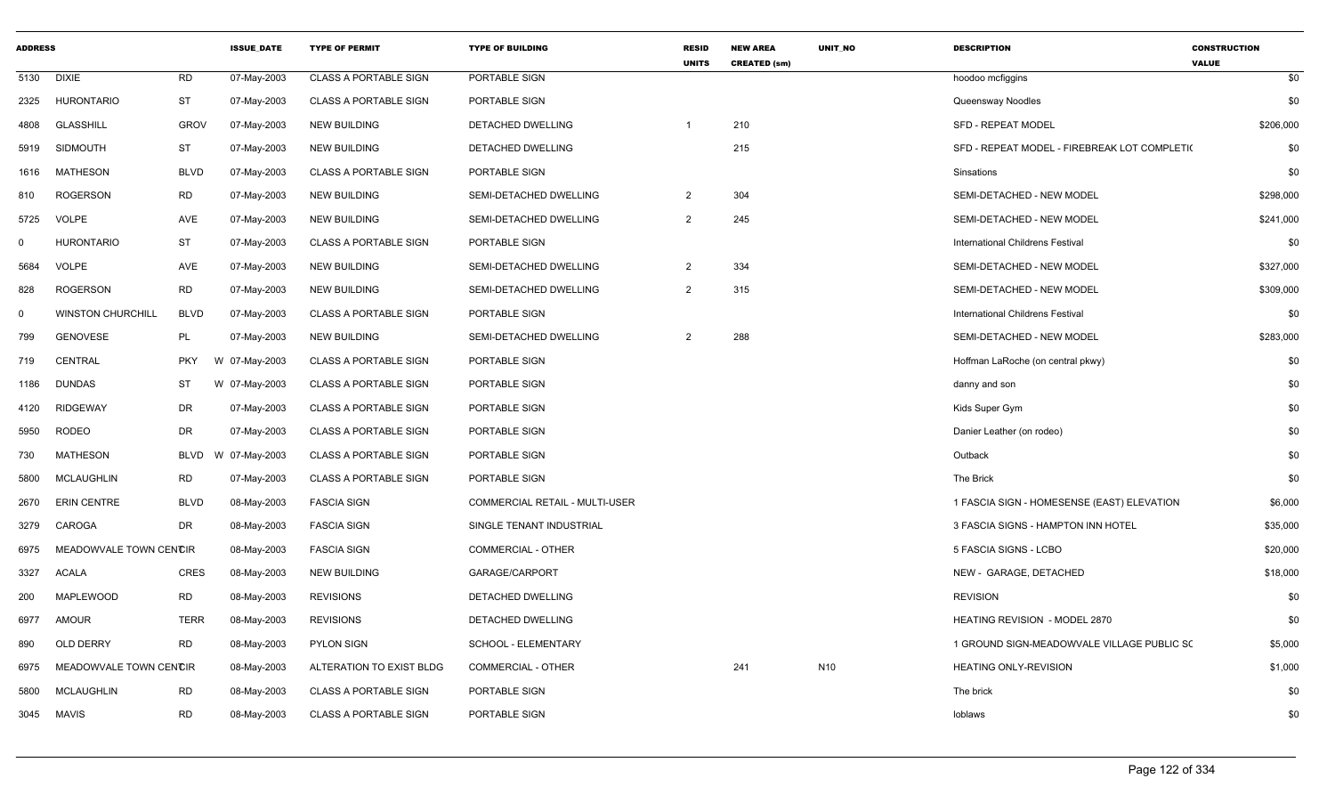| <b>ADDRESS</b> |                          |             | <b>ISSUE DATE</b> | <b>TYPE OF PERMIT</b>        | <b>TYPE OF BUILDING</b>        | <b>RESID</b><br><b>UNITS</b> | <b>NEW AREA</b><br><b>CREATED (sm)</b> | <b>UNIT NO</b>  | <b>DESCRIPTION</b>                           | <b>CONSTRUCTION</b><br><b>VALUE</b> |
|----------------|--------------------------|-------------|-------------------|------------------------------|--------------------------------|------------------------------|----------------------------------------|-----------------|----------------------------------------------|-------------------------------------|
| 5130           | <b>DIXIE</b>             | <b>RD</b>   | 07-May-2003       | <b>CLASS A PORTABLE SIGN</b> | PORTABLE SIGN                  |                              |                                        |                 | hoodoo mcfiggins                             | \$0                                 |
| 2325           | <b>HURONTARIO</b>        | <b>ST</b>   | 07-May-2003       | <b>CLASS A PORTABLE SIGN</b> | PORTABLE SIGN                  |                              |                                        |                 | Queensway Noodles                            | \$0                                 |
| 4808           | <b>GLASSHILL</b>         | <b>GROV</b> | 07-May-2003       | <b>NEW BUILDING</b>          | <b>DETACHED DWELLING</b>       | $\overline{1}$               | 210                                    |                 | <b>SFD - REPEAT MODEL</b>                    | \$206,000                           |
| 5919           | <b>SIDMOUTH</b>          | <b>ST</b>   | 07-May-2003       | <b>NEW BUILDING</b>          | DETACHED DWELLING              |                              | 215                                    |                 | SFD - REPEAT MODEL - FIREBREAK LOT COMPLETI( | \$0                                 |
| 1616           | <b>MATHESON</b>          | <b>BLVD</b> | 07-May-2003       | <b>CLASS A PORTABLE SIGN</b> | PORTABLE SIGN                  |                              |                                        |                 | Sinsations                                   | \$0                                 |
| 810            | <b>ROGERSON</b>          | <b>RD</b>   | 07-May-2003       | <b>NEW BUILDING</b>          | SEMI-DETACHED DWELLING         | $\overline{2}$               | 304                                    |                 | SEMI-DETACHED - NEW MODEL                    | \$298,000                           |
| 5725           | <b>VOLPE</b>             | AVE         | 07-May-2003       | <b>NEW BUILDING</b>          | SEMI-DETACHED DWELLING         | $\overline{2}$               | 245                                    |                 | SEMI-DETACHED - NEW MODEL                    | \$241,000                           |
| $\Omega$       | <b>HURONTARIO</b>        | <b>ST</b>   | 07-May-2003       | <b>CLASS A PORTABLE SIGN</b> | PORTABLE SIGN                  |                              |                                        |                 | International Childrens Festival             | \$0                                 |
| 5684           | <b>VOLPE</b>             | <b>AVE</b>  | 07-May-2003       | <b>NEW BUILDING</b>          | SEMI-DETACHED DWELLING         | $\overline{2}$               | 334                                    |                 | SEMI-DETACHED - NEW MODEL                    | \$327,000                           |
| 828            | <b>ROGERSON</b>          | <b>RD</b>   | 07-May-2003       | <b>NEW BUILDING</b>          | SEMI-DETACHED DWELLING         | $\overline{2}$               | 315                                    |                 | SEMI-DETACHED - NEW MODEL                    | \$309,000                           |
| $\mathbf 0$    | <b>WINSTON CHURCHILL</b> | <b>BLVD</b> | 07-May-2003       | <b>CLASS A PORTABLE SIGN</b> | PORTABLE SIGN                  |                              |                                        |                 | International Childrens Festival             | \$0                                 |
| 799            | <b>GENOVESE</b>          | PL          | 07-May-2003       | <b>NEW BUILDING</b>          | SEMI-DETACHED DWELLING         | 2                            | 288                                    |                 | SEMI-DETACHED - NEW MODEL                    | \$283,000                           |
| 719            | CENTRAL                  | <b>PKY</b>  | W 07-May-2003     | <b>CLASS A PORTABLE SIGN</b> | PORTABLE SIGN                  |                              |                                        |                 | Hoffman LaRoche (on central pkwy)            | \$0                                 |
| 1186           | <b>DUNDAS</b>            | ST          | W 07-May-2003     | <b>CLASS A PORTABLE SIGN</b> | PORTABLE SIGN                  |                              |                                        |                 | danny and son                                | \$0                                 |
| 4120           | <b>RIDGEWAY</b>          | DR          | 07-May-2003       | <b>CLASS A PORTABLE SIGN</b> | PORTABLE SIGN                  |                              |                                        |                 | Kids Super Gym                               | \$0                                 |
| 5950           | <b>RODEO</b>             | <b>DR</b>   | 07-May-2003       | <b>CLASS A PORTABLE SIGN</b> | PORTABLE SIGN                  |                              |                                        |                 | Danier Leather (on rodeo)                    | \$0                                 |
| 730            | <b>MATHESON</b>          | <b>BLVD</b> | W 07-May-2003     | <b>CLASS A PORTABLE SIGN</b> | PORTABLE SIGN                  |                              |                                        |                 | Outback                                      | \$0                                 |
| 5800           | <b>MCLAUGHLIN</b>        | <b>RD</b>   | 07-May-2003       | <b>CLASS A PORTABLE SIGN</b> | PORTABLE SIGN                  |                              |                                        |                 | The Brick                                    | \$0                                 |
| 2670           | <b>ERIN CENTRE</b>       | <b>BLVD</b> | 08-May-2003       | <b>FASCIA SIGN</b>           | COMMERCIAL RETAIL - MULTI-USER |                              |                                        |                 | 1 FASCIA SIGN - HOMESENSE (EAST) ELEVATION   | \$6,000                             |
| 3279           | CAROGA                   | <b>DR</b>   | 08-May-2003       | <b>FASCIA SIGN</b>           | SINGLE TENANT INDUSTRIAL       |                              |                                        |                 | 3 FASCIA SIGNS - HAMPTON INN HOTEL           | \$35,000                            |
| 6975           | MEADOWVALE TOWN CENCIR   |             | 08-May-2003       | <b>FASCIA SIGN</b>           | <b>COMMERCIAL - OTHER</b>      |                              |                                        |                 | 5 FASCIA SIGNS - LCBO                        | \$20,000                            |
| 3327           | <b>ACALA</b>             | <b>CRES</b> | 08-May-2003       | <b>NEW BUILDING</b>          | GARAGE/CARPORT                 |                              |                                        |                 | NEW - GARAGE, DETACHED                       | \$18,000                            |
| 200            | MAPLEWOOD                | <b>RD</b>   | 08-May-2003       | <b>REVISIONS</b>             | <b>DETACHED DWELLING</b>       |                              |                                        |                 | <b>REVISION</b>                              | \$0                                 |
| 6977           | AMOUR                    | <b>TERR</b> | 08-May-2003       | <b>REVISIONS</b>             | DETACHED DWELLING              |                              |                                        |                 | HEATING REVISION - MODEL 2870                | \$0                                 |
| 890            | OLD DERRY                | <b>RD</b>   | 08-May-2003       | <b>PYLON SIGN</b>            | SCHOOL - ELEMENTARY            |                              |                                        |                 | 1 GROUND SIGN-MEADOWVALE VILLAGE PUBLIC SO   | \$5,000                             |
| 6975           | MEADOWVALE TOWN CENCIR   |             | 08-May-2003       | ALTERATION TO EXIST BLDG     | <b>COMMERCIAL - OTHER</b>      |                              | 241                                    | N <sub>10</sub> | <b>HEATING ONLY-REVISION</b>                 | \$1,000                             |
| 5800           | MCLAUGHLIN               | <b>RD</b>   | 08-May-2003       | <b>CLASS A PORTABLE SIGN</b> | PORTABLE SIGN                  |                              |                                        |                 | The brick                                    | \$0                                 |
| 3045           | MAVIS                    | <b>RD</b>   | 08-May-2003       | <b>CLASS A PORTABLE SIGN</b> | PORTABLE SIGN                  |                              |                                        |                 | loblaws                                      | \$0                                 |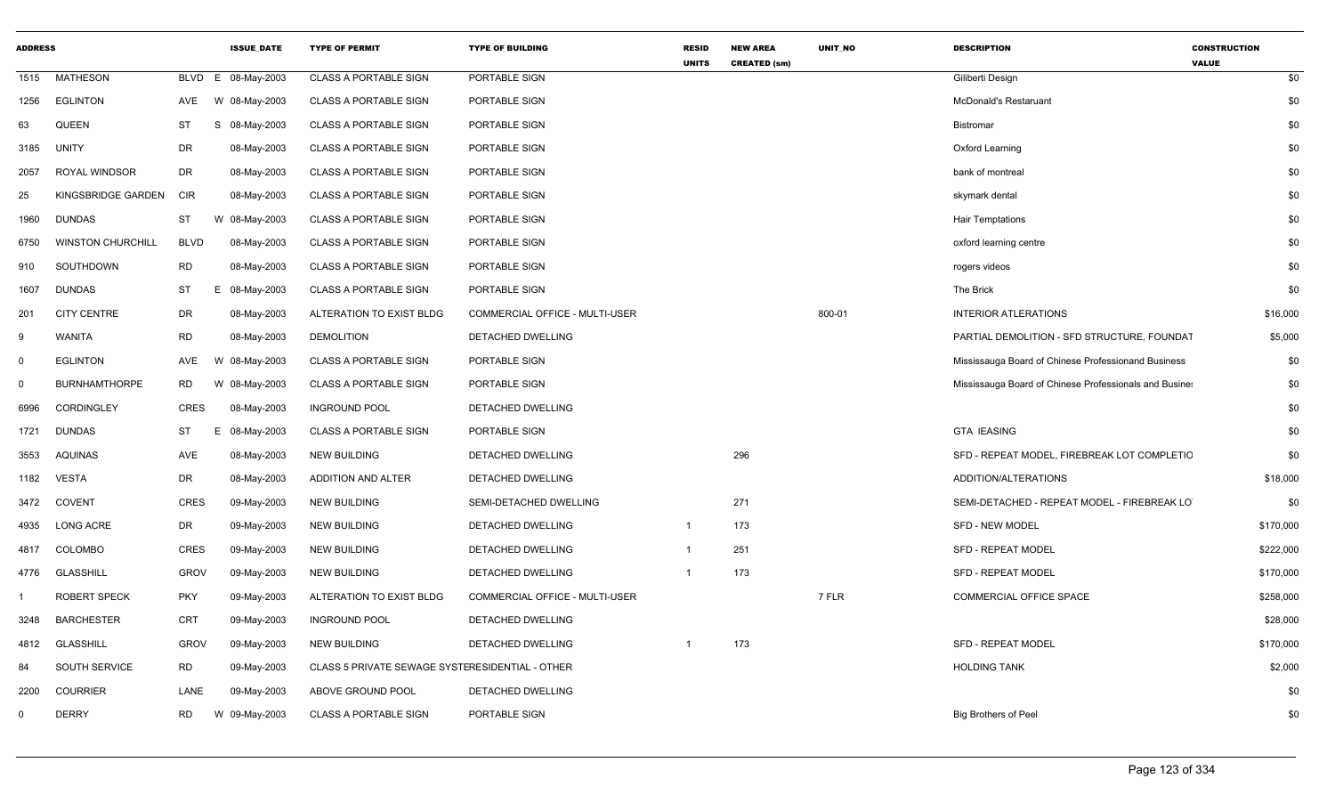| <b>ADDRESS</b> |                          |             | <b>ISSUE_DATE</b> | <b>TYPE OF PERMIT</b>                           | <b>TYPE OF BUILDING</b>        | <b>RESID</b><br><b>UNITS</b> | <b>NEW AREA</b><br><b>CREATED (sm)</b> | UNIT_NO | <b>DESCRIPTION</b>                                     | <b>CONSTRUCTION</b><br><b>VALUE</b> |
|----------------|--------------------------|-------------|-------------------|-------------------------------------------------|--------------------------------|------------------------------|----------------------------------------|---------|--------------------------------------------------------|-------------------------------------|
| 1515           | <b>MATHESON</b>          | BLVD        | 08-May-2003<br>E  | <b>CLASS A PORTABLE SIGN</b>                    | PORTABLE SIGN                  |                              |                                        |         | Giliberti Design                                       | \$0                                 |
| 1256           | <b>EGLINTON</b>          | AVE         | W 08-May-2003     | <b>CLASS A PORTABLE SIGN</b>                    | PORTABLE SIGN                  |                              |                                        |         | <b>McDonald's Restaruant</b>                           | \$0                                 |
| 63             | <b>QUEEN</b>             | <b>ST</b>   | S<br>08-May-2003  | <b>CLASS A PORTABLE SIGN</b>                    | PORTABLE SIGN                  |                              |                                        |         | <b>Bistromar</b>                                       | \$0                                 |
| 3185           | UNITY                    | <b>DR</b>   | 08-May-2003       | <b>CLASS A PORTABLE SIGN</b>                    | PORTABLE SIGN                  |                              |                                        |         | Oxford Learning                                        | \$0                                 |
| 2057           | ROYAL WINDSOR            | <b>DR</b>   | 08-May-2003       | <b>CLASS A PORTABLE SIGN</b>                    | PORTABLE SIGN                  |                              |                                        |         | bank of montreal                                       | \$0                                 |
| 25             | KINGSBRIDGE GARDEN       | <b>CIR</b>  | 08-May-2003       | <b>CLASS A PORTABLE SIGN</b>                    | PORTABLE SIGN                  |                              |                                        |         | skymark dental                                         | \$0                                 |
| 1960           | <b>DUNDAS</b>            | ST          | W 08-May-2003     | <b>CLASS A PORTABLE SIGN</b>                    | PORTABLE SIGN                  |                              |                                        |         | <b>Hair Temptations</b>                                | \$0                                 |
| 6750           | <b>WINSTON CHURCHILL</b> | <b>BLVD</b> | 08-May-2003       | <b>CLASS A PORTABLE SIGN</b>                    | PORTABLE SIGN                  |                              |                                        |         | oxford learning centre                                 | \$0                                 |
| 910            | SOUTHDOWN                | RD.         | 08-May-2003       | <b>CLASS A PORTABLE SIGN</b>                    | PORTABLE SIGN                  |                              |                                        |         | rogers videos                                          | \$0                                 |
| 1607           | <b>DUNDAS</b>            | ST          | 08-May-2003<br>Е  | <b>CLASS A PORTABLE SIGN</b>                    | PORTABLE SIGN                  |                              |                                        |         | The Brick                                              | \$0                                 |
| 201            | <b>CITY CENTRE</b>       | <b>DR</b>   | 08-May-2003       | ALTERATION TO EXIST BLDG                        | COMMERCIAL OFFICE - MULTI-USER |                              |                                        | 800-01  | <b>INTERIOR ATLERATIONS</b>                            | \$16,000                            |
| 9              | <b>WANITA</b>            | <b>RD</b>   | 08-May-2003       | <b>DEMOLITION</b>                               | DETACHED DWELLING              |                              |                                        |         | PARTIAL DEMOLITION - SFD STRUCTURE, FOUNDAT            | \$5,000                             |
| $\mathbf 0$    | <b>EGLINTON</b>          | AVE         | W<br>08-May-2003  | <b>CLASS A PORTABLE SIGN</b>                    | PORTABLE SIGN                  |                              |                                        |         | Mississauga Board of Chinese Professionand Business    | \$0                                 |
| $\mathbf 0$    | <b>BURNHAMTHORPE</b>     | RD.         | W<br>08-May-2003  | <b>CLASS A PORTABLE SIGN</b>                    | PORTABLE SIGN                  |                              |                                        |         | Mississauga Board of Chinese Professionals and Busine: | \$0                                 |
| 6996           | CORDINGLEY               | <b>CRES</b> | 08-May-2003       | <b>INGROUND POOL</b>                            | DETACHED DWELLING              |                              |                                        |         |                                                        | \$0                                 |
| 1721           | <b>DUNDAS</b>            | <b>ST</b>   | E.<br>08-May-2003 | <b>CLASS A PORTABLE SIGN</b>                    | PORTABLE SIGN                  |                              |                                        |         | <b>GTA IEASING</b>                                     | \$0                                 |
| 3553           | <b>AQUINAS</b>           | AVE         | 08-May-2003       | <b>NEW BUILDING</b>                             | DETACHED DWELLING              |                              | 296                                    |         | SFD - REPEAT MODEL, FIREBREAK LOT COMPLETIC            | \$0                                 |
| 1182           | VESTA                    | DR          | 08-May-2003       | ADDITION AND ALTER                              | <b>DETACHED DWELLING</b>       |                              |                                        |         | ADDITION/ALTERATIONS                                   | \$18,000                            |
| 3472           | <b>COVENT</b>            | <b>CRES</b> | 09-May-2003       | <b>NEW BUILDING</b>                             | SEMI-DETACHED DWELLING         |                              | 271                                    |         | SEMI-DETACHED - REPEAT MODEL - FIREBREAK LO            | \$0                                 |
| 4935           | <b>LONG ACRE</b>         | DR          | 09-May-2003       | <b>NEW BUILDING</b>                             | DETACHED DWELLING              | $\overline{\mathbf{1}}$      | 173                                    |         | SFD - NEW MODEL                                        | \$170,000                           |
| 4817           | <b>COLOMBO</b>           | <b>CRES</b> | 09-May-2003       | <b>NEW BUILDING</b>                             | DETACHED DWELLING              | $\overline{1}$               | 251                                    |         | <b>SFD - REPEAT MODEL</b>                              | \$222,000                           |
| 4776           | <b>GLASSHILL</b>         | <b>GROV</b> | 09-May-2003       | <b>NEW BUILDING</b>                             | DETACHED DWELLING              | $\overline{\mathbf{1}}$      | 173                                    |         | SFD - REPEAT MODEL                                     | \$170,000                           |
|                | <b>ROBERT SPECK</b>      | <b>PKY</b>  | 09-May-2003       | ALTERATION TO EXIST BLDG                        | COMMERCIAL OFFICE - MULTI-USER |                              |                                        | 7 FLR   | <b>COMMERCIAL OFFICE SPACE</b>                         | \$258,000                           |
| 3248           | <b>BARCHESTER</b>        | <b>CRT</b>  | 09-May-2003       | <b>INGROUND POOL</b>                            | DETACHED DWELLING              |                              |                                        |         |                                                        | \$28,000                            |
| 4812           | <b>GLASSHILL</b>         | <b>GROV</b> | 09-May-2003       | <b>NEW BUILDING</b>                             | DETACHED DWELLING              | -1                           | 173                                    |         | <b>SFD - REPEAT MODEL</b>                              | \$170,000                           |
| 84             | SOUTH SERVICE            | <b>RD</b>   | 09-May-2003       | CLASS 5 PRIVATE SEWAGE SYSTERESIDENTIAL - OTHER |                                |                              |                                        |         | <b>HOLDING TANK</b>                                    | \$2,000                             |
| 2200           | <b>COURRIER</b>          | LANE        | 09-May-2003       | ABOVE GROUND POOL                               | DETACHED DWELLING              |                              |                                        |         |                                                        | \$0                                 |
| $\mathbf{0}$   | <b>DERRY</b>             | RD          | W 09-May-2003     | <b>CLASS A PORTABLE SIGN</b>                    | PORTABLE SIGN                  |                              |                                        |         | <b>Big Brothers of Peel</b>                            | \$0                                 |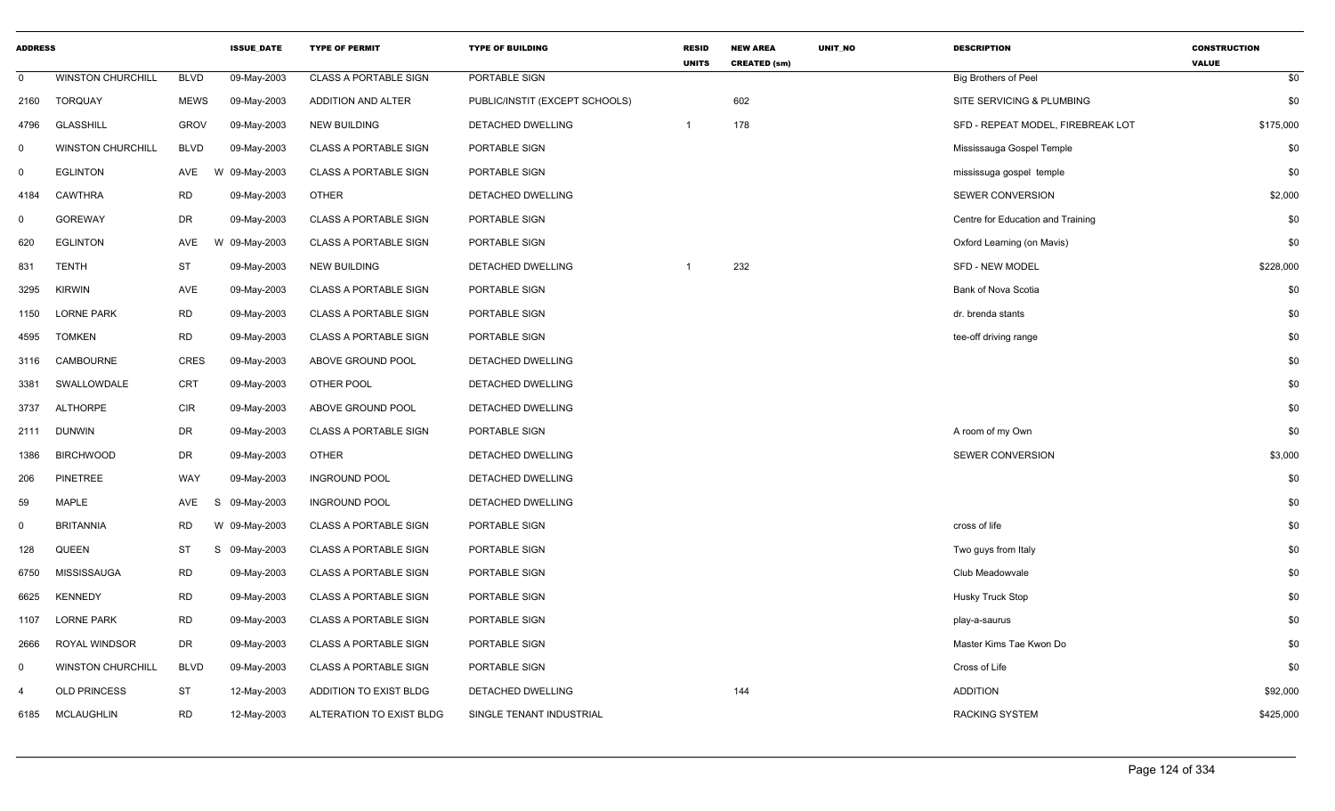| <b>ADDRESS</b> |                          |             | <b>ISSUE_DATE</b> | <b>TYPE OF PERMIT</b>        | <b>TYPE OF BUILDING</b>        | <b>RESID</b><br><b>UNITS</b> | <b>NEW AREA</b><br><b>CREATED (sm)</b> | UNIT_NO | <b>DESCRIPTION</b>                | <b>CONSTRUCTION</b><br><b>VALUE</b> |
|----------------|--------------------------|-------------|-------------------|------------------------------|--------------------------------|------------------------------|----------------------------------------|---------|-----------------------------------|-------------------------------------|
| $\mathbf 0$    | <b>WINSTON CHURCHILL</b> | <b>BLVD</b> | 09-May-2003       | <b>CLASS A PORTABLE SIGN</b> | PORTABLE SIGN                  |                              |                                        |         | <b>Big Brothers of Peel</b>       | \$0                                 |
| 2160           | TORQUAY                  | <b>MEWS</b> | 09-May-2003       | ADDITION AND ALTER           | PUBLIC/INSTIT (EXCEPT SCHOOLS) |                              | 602                                    |         | SITE SERVICING & PLUMBING         | \$0                                 |
| 4796           | <b>GLASSHILL</b>         | <b>GROV</b> | 09-May-2003       | <b>NEW BUILDING</b>          | DETACHED DWELLING              | $\mathbf{1}$                 | 178                                    |         | SFD - REPEAT MODEL, FIREBREAK LOT | \$175,000                           |
| 0              | <b>WINSTON CHURCHILL</b> | <b>BLVD</b> | 09-May-2003       | <b>CLASS A PORTABLE SIGN</b> | PORTABLE SIGN                  |                              |                                        |         | Mississauga Gospel Temple         | \$0                                 |
| 0              | <b>EGLINTON</b>          | AVE         | W 09-May-2003     | <b>CLASS A PORTABLE SIGN</b> | PORTABLE SIGN                  |                              |                                        |         | mississuga gospel temple          | \$0                                 |
| 4184           | <b>CAWTHRA</b>           | <b>RD</b>   | 09-May-2003       | <b>OTHER</b>                 | <b>DETACHED DWELLING</b>       |                              |                                        |         | <b>SEWER CONVERSION</b>           | \$2,000                             |
| $\mathbf 0$    | <b>GOREWAY</b>           | <b>DR</b>   | 09-May-2003       | <b>CLASS A PORTABLE SIGN</b> | PORTABLE SIGN                  |                              |                                        |         | Centre for Education and Training | \$0                                 |
| 620            | <b>EGLINTON</b>          | AVE         | W 09-May-2003     | <b>CLASS A PORTABLE SIGN</b> | PORTABLE SIGN                  |                              |                                        |         | Oxford Learning (on Mavis)        | \$0                                 |
| 831            | <b>TENTH</b>             | <b>ST</b>   | 09-May-2003       | <b>NEW BUILDING</b>          | DETACHED DWELLING              | $\mathbf{1}$                 | 232                                    |         | <b>SFD - NEW MODEL</b>            | \$228,000                           |
| 3295           | <b>KIRWIN</b>            | <b>AVE</b>  | 09-May-2003       | <b>CLASS A PORTABLE SIGN</b> | PORTABLE SIGN                  |                              |                                        |         | Bank of Nova Scotia               | \$0                                 |
| 1150           | <b>LORNE PARK</b>        | <b>RD</b>   | 09-May-2003       | <b>CLASS A PORTABLE SIGN</b> | PORTABLE SIGN                  |                              |                                        |         | dr. brenda stants                 | \$0                                 |
| 4595           | <b>TOMKEN</b>            | <b>RD</b>   | 09-May-2003       | <b>CLASS A PORTABLE SIGN</b> | PORTABLE SIGN                  |                              |                                        |         | tee-off driving range             | \$0                                 |
| 3116           | CAMBOURNE                | <b>CRES</b> | 09-May-2003       | ABOVE GROUND POOL            | DETACHED DWELLING              |                              |                                        |         |                                   | \$0                                 |
| 3381           | SWALLOWDALE              | CRT         | 09-May-2003       | OTHER POOL                   | DETACHED DWELLING              |                              |                                        |         |                                   | \$0                                 |
| 3737           | <b>ALTHORPE</b>          | <b>CIR</b>  | 09-May-2003       | ABOVE GROUND POOL            | <b>DETACHED DWELLING</b>       |                              |                                        |         |                                   | \$0                                 |
| 2111           | DUNWIN                   | <b>DR</b>   | 09-May-2003       | <b>CLASS A PORTABLE SIGN</b> | PORTABLE SIGN                  |                              |                                        |         | A room of my Own                  | \$0                                 |
| 1386           | <b>BIRCHWOOD</b>         | DR          | 09-May-2003       | <b>OTHER</b>                 | DETACHED DWELLING              |                              |                                        |         | SEWER CONVERSION                  | \$3,000                             |
| 206            | <b>PINETREE</b>          | WAY         | 09-May-2003       | <b>INGROUND POOL</b>         | DETACHED DWELLING              |                              |                                        |         |                                   | \$0                                 |
| 59             | <b>MAPLE</b>             | AVE         | 09-May-2003<br>S  | <b>INGROUND POOL</b>         | DETACHED DWELLING              |                              |                                        |         |                                   | \$0                                 |
| 0              | <b>BRITANNIA</b>         | <b>RD</b>   | W 09-May-2003     | <b>CLASS A PORTABLE SIGN</b> | PORTABLE SIGN                  |                              |                                        |         | cross of life                     | \$0                                 |
| 128            | QUEEN                    | ST          | S<br>09-May-2003  | <b>CLASS A PORTABLE SIGN</b> | PORTABLE SIGN                  |                              |                                        |         | Two guys from Italy               | \$0                                 |
| 6750           | <b>MISSISSAUGA</b>       | <b>RD</b>   | 09-May-2003       | <b>CLASS A PORTABLE SIGN</b> | PORTABLE SIGN                  |                              |                                        |         | Club Meadowvale                   | \$0                                 |
| 6625           | <b>KENNEDY</b>           | <b>RD</b>   | 09-May-2003       | <b>CLASS A PORTABLE SIGN</b> | PORTABLE SIGN                  |                              |                                        |         | Husky Truck Stop                  | \$0                                 |
| 1107           | <b>LORNE PARK</b>        | <b>RD</b>   | 09-May-2003       | <b>CLASS A PORTABLE SIGN</b> | PORTABLE SIGN                  |                              |                                        |         | play-a-saurus                     | \$0                                 |
| 2666           | ROYAL WINDSOR            | <b>DR</b>   | 09-May-2003       | <b>CLASS A PORTABLE SIGN</b> | PORTABLE SIGN                  |                              |                                        |         | Master Kims Tae Kwon Do           | \$0                                 |
| $\mathbf 0$    | <b>WINSTON CHURCHILL</b> | <b>BLVD</b> | 09-May-2003       | <b>CLASS A PORTABLE SIGN</b> | PORTABLE SIGN                  |                              |                                        |         | Cross of Life                     | \$0                                 |
| 4              | <b>OLD PRINCESS</b>      | <b>ST</b>   | 12-May-2003       | ADDITION TO EXIST BLDG       | DETACHED DWELLING              |                              | 144                                    |         | <b>ADDITION</b>                   | \$92,000                            |
| 6185           | <b>MCLAUGHLIN</b>        | <b>RD</b>   | 12-May-2003       | ALTERATION TO EXIST BLDG     | SINGLE TENANT INDUSTRIAL       |                              |                                        |         | RACKING SYSTEM                    | \$425,000                           |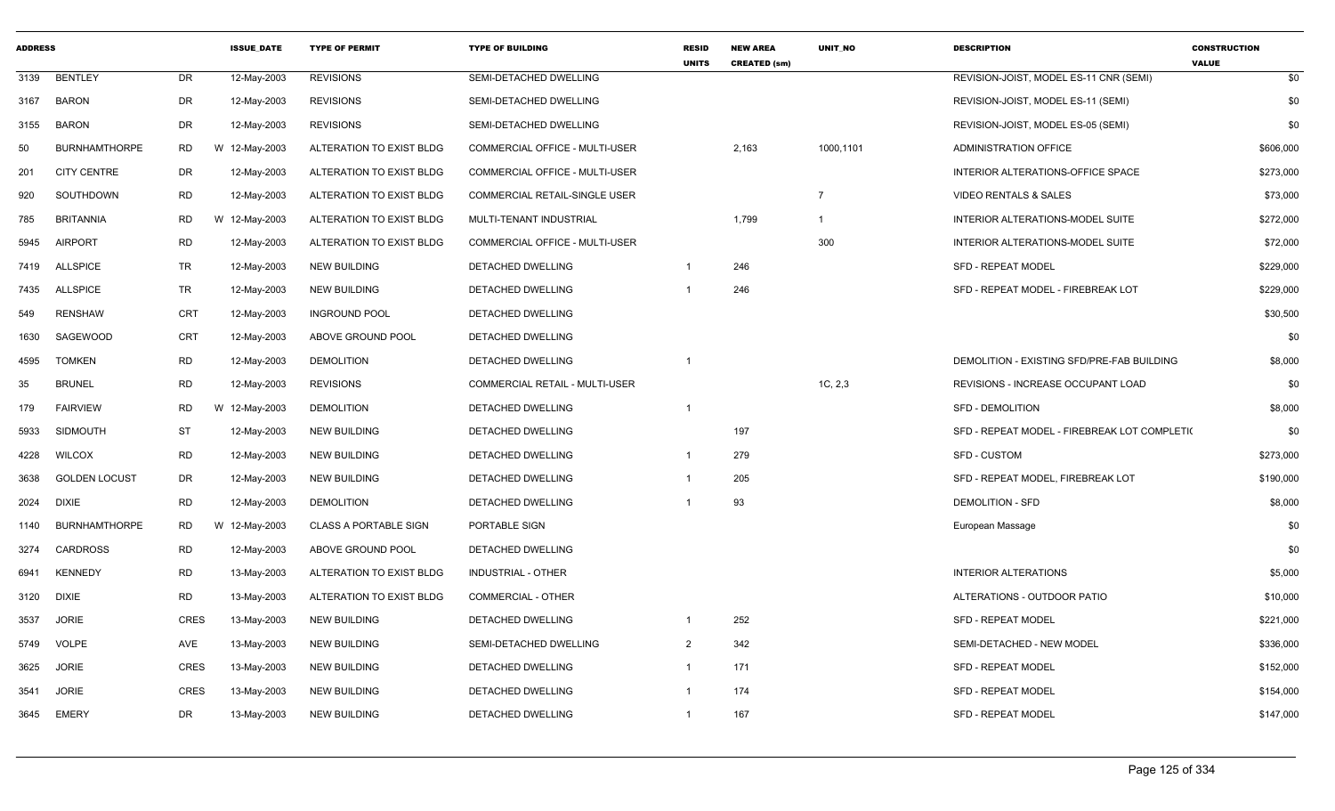| <b>ADDRESS</b> |                      |             | <b>ISSUE DATE</b> | <b>TYPE OF PERMIT</b>        | <b>TYPE OF BUILDING</b>               | <b>RESID</b><br><b>UNITS</b> | <b>NEW AREA</b><br><b>CREATED (sm)</b> | <b>UNIT NO</b> | <b>DESCRIPTION</b>                           | <b>CONSTRUCTION</b><br><b>VALUE</b> |
|----------------|----------------------|-------------|-------------------|------------------------------|---------------------------------------|------------------------------|----------------------------------------|----------------|----------------------------------------------|-------------------------------------|
| 3139           | <b>BENTLEY</b>       | <b>DR</b>   | 12-May-2003       | <b>REVISIONS</b>             | SEMI-DETACHED DWELLING                |                              |                                        |                | REVISION-JOIST, MODEL ES-11 CNR (SEMI)       | \$0                                 |
| 3167           | <b>BARON</b>         | DR          | 12-May-2003       | <b>REVISIONS</b>             | SEMI-DETACHED DWELLING                |                              |                                        |                | REVISION-JOIST, MODEL ES-11 (SEMI)           | \$0                                 |
| 3155           | <b>BARON</b>         | DR          | 12-May-2003       | <b>REVISIONS</b>             | SEMI-DETACHED DWELLING                |                              |                                        |                | REVISION-JOIST, MODEL ES-05 (SEMI)           | \$0                                 |
| 50             | <b>BURNHAMTHORPE</b> | <b>RD</b>   | W 12-May-2003     | ALTERATION TO EXIST BLDG     | <b>COMMERCIAL OFFICE - MULTI-USER</b> |                              | 2,163                                  | 1000,1101      | ADMINISTRATION OFFICE                        | \$606,000                           |
| 201            | <b>CITY CENTRE</b>   | DR          | 12-May-2003       | ALTERATION TO EXIST BLDG     | COMMERCIAL OFFICE - MULTI-USER        |                              |                                        |                | INTERIOR ALTERATIONS-OFFICE SPACE            | \$273,000                           |
| 920            | SOUTHDOWN            | <b>RD</b>   | 12-May-2003       | ALTERATION TO EXIST BLDG     | COMMERCIAL RETAIL-SINGLE USER         |                              |                                        | $\overline{7}$ | <b>VIDEO RENTALS &amp; SALES</b>             | \$73,000                            |
| 785            | <b>BRITANNIA</b>     | <b>RD</b>   | W 12-May-2003     | ALTERATION TO EXIST BLDG     | MULTI-TENANT INDUSTRIAL               |                              | 1,799                                  | $\mathbf{1}$   | INTERIOR ALTERATIONS-MODEL SUITE             | \$272,000                           |
| 5945           | <b>AIRPORT</b>       | <b>RD</b>   | 12-May-2003       | ALTERATION TO EXIST BLDG     | <b>COMMERCIAL OFFICE - MULTI-USER</b> |                              |                                        | 300            | INTERIOR ALTERATIONS-MODEL SUITE             | \$72,000                            |
| 7419           | ALLSPICE             | TR          | 12-May-2003       | <b>NEW BUILDING</b>          | DETACHED DWELLING                     | 1                            | 246                                    |                | <b>SFD - REPEAT MODEL</b>                    | \$229,000                           |
| 7435           | <b>ALLSPICE</b>      | TR          | 12-May-2003       | <b>NEW BUILDING</b>          | DETACHED DWELLING                     |                              | 246                                    |                | SFD - REPEAT MODEL - FIREBREAK LOT           | \$229,000                           |
| 549            | <b>RENSHAW</b>       | <b>CRT</b>  | 12-May-2003       | <b>INGROUND POOL</b>         | DETACHED DWELLING                     |                              |                                        |                |                                              | \$30,500                            |
| 1630           | SAGEWOOD             | <b>CRT</b>  | 12-May-2003       | ABOVE GROUND POOL            | <b>DETACHED DWELLING</b>              |                              |                                        |                |                                              | \$0                                 |
| 4595           | <b>TOMKEN</b>        | <b>RD</b>   | 12-May-2003       | <b>DEMOLITION</b>            | DETACHED DWELLING                     |                              |                                        |                | DEMOLITION - EXISTING SFD/PRE-FAB BUILDING   | \$8,000                             |
| 35             | <b>BRUNEL</b>        | <b>RD</b>   | 12-May-2003       | <b>REVISIONS</b>             | <b>COMMERCIAL RETAIL - MULTI-USER</b> |                              |                                        | 1C, 2,3        | REVISIONS - INCREASE OCCUPANT LOAD           | \$0                                 |
| 179            | <b>FAIRVIEW</b>      | <b>RD</b>   | W 12-May-2003     | <b>DEMOLITION</b>            | DETACHED DWELLING                     | $\mathbf{1}$                 |                                        |                | <b>SFD - DEMOLITION</b>                      | \$8,000                             |
| 5933           | <b>SIDMOUTH</b>      | ST          | 12-May-2003       | <b>NEW BUILDING</b>          | DETACHED DWELLING                     |                              | 197                                    |                | SFD - REPEAT MODEL - FIREBREAK LOT COMPLETI( | \$0                                 |
| 4228           | <b>WILCOX</b>        | <b>RD</b>   | 12-May-2003       | <b>NEW BUILDING</b>          | DETACHED DWELLING                     | 1                            | 279                                    |                | <b>SFD - CUSTOM</b>                          | \$273,000                           |
| 3638           | <b>GOLDEN LOCUST</b> | <b>DR</b>   | 12-May-2003       | <b>NEW BUILDING</b>          | <b>DETACHED DWELLING</b>              | $\mathbf{1}$                 | 205                                    |                | SFD - REPEAT MODEL, FIREBREAK LOT            | \$190,000                           |
| 2024           | <b>DIXIE</b>         | <b>RD</b>   | 12-May-2003       | <b>DEMOLITION</b>            | DETACHED DWELLING                     |                              | 93                                     |                | <b>DEMOLITION - SFD</b>                      | \$8,000                             |
| 1140           | <b>BURNHAMTHORPE</b> | RD          | W 12-May-2003     | <b>CLASS A PORTABLE SIGN</b> | PORTABLE SIGN                         |                              |                                        |                | European Massage                             | \$0                                 |
| 3274           | <b>CARDROSS</b>      | <b>RD</b>   | 12-May-2003       | ABOVE GROUND POOL            | DETACHED DWELLING                     |                              |                                        |                |                                              | \$0                                 |
| 6941           | <b>KENNEDY</b>       | <b>RD</b>   | 13-May-2003       | ALTERATION TO EXIST BLDG     | <b>INDUSTRIAL - OTHER</b>             |                              |                                        |                | <b>INTERIOR ALTERATIONS</b>                  | \$5,000                             |
| 3120           | DIXIE                | <b>RD</b>   | 13-May-2003       | ALTERATION TO EXIST BLDG     | COMMERCIAL - OTHER                    |                              |                                        |                | ALTERATIONS - OUTDOOR PATIO                  | \$10,000                            |
| 3537           | <b>JORIE</b>         | <b>CRES</b> | 13-May-2003       | <b>NEW BUILDING</b>          | <b>DETACHED DWELLING</b>              |                              | 252                                    |                | <b>SFD - REPEAT MODEL</b>                    | \$221,000                           |
| 5749           | <b>VOLPE</b>         | AVE         | 13-May-2003       | <b>NEW BUILDING</b>          | SEMI-DETACHED DWELLING                | $\overline{2}$               | 342                                    |                | SEMI-DETACHED - NEW MODEL                    | \$336,000                           |
| 3625           | <b>JORIE</b>         | <b>CRES</b> | 13-May-2003       | <b>NEW BUILDING</b>          | DETACHED DWELLING                     | 1                            | 171                                    |                | <b>SFD - REPEAT MODEL</b>                    | \$152,000                           |
| 3541           | <b>JORIE</b>         | <b>CRES</b> | 13-May-2003       | <b>NEW BUILDING</b>          | DETACHED DWELLING                     | 1                            | 174                                    |                | <b>SFD - REPEAT MODEL</b>                    | \$154,000                           |
| 3645           | <b>EMERY</b>         | DR          | 13-May-2003       | <b>NEW BUILDING</b>          | <b>DETACHED DWELLING</b>              | 1                            | 167                                    |                | <b>SFD - REPEAT MODEL</b>                    | \$147,000                           |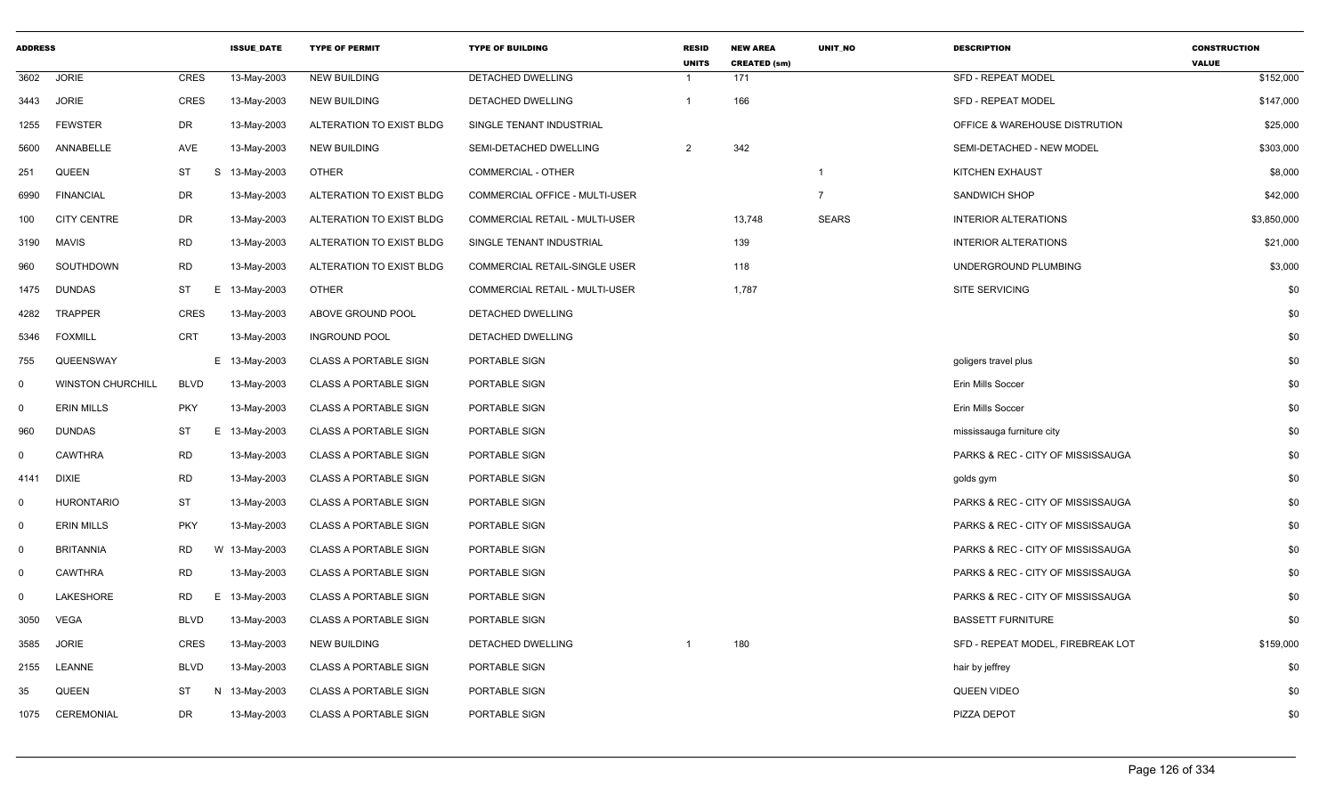| <b>ADDRESS</b> |                          |             | <b>ISSUE DATE</b> | <b>TYPE OF PERMIT</b>        | <b>TYPE OF BUILDING</b>        | <b>RESID</b><br><b>UNITS</b> | <b>NEW AREA</b><br><b>CREATED (sm)</b> | <b>UNIT NO</b> | <b>DESCRIPTION</b>                | <b>CONSTRUCTION</b><br><b>VALUE</b> |
|----------------|--------------------------|-------------|-------------------|------------------------------|--------------------------------|------------------------------|----------------------------------------|----------------|-----------------------------------|-------------------------------------|
| 3602           | <b>JORIE</b>             | CRES        | 13-May-2003       | <b>NEW BUILDING</b>          | DETACHED DWELLING              | -1                           | 171                                    |                | <b>SFD - REPEAT MODEL</b>         | \$152,000                           |
| 3443           | <b>JORIE</b>             | <b>CRES</b> | 13-May-2003       | <b>NEW BUILDING</b>          | DETACHED DWELLING              | $\mathbf{1}$                 | 166                                    |                | <b>SFD - REPEAT MODEL</b>         | \$147,000                           |
| 1255           | <b>FEWSTER</b>           | <b>DR</b>   | 13-May-2003       | ALTERATION TO EXIST BLDG     | SINGLE TENANT INDUSTRIAL       |                              |                                        |                | OFFICE & WAREHOUSE DISTRUTION     | \$25,000                            |
| 5600           | ANNABELLE                | AVE         | 13-May-2003       | <b>NEW BUILDING</b>          | SEMI-DETACHED DWELLING         | 2                            | 342                                    |                | SEMI-DETACHED - NEW MODEL         | \$303,000                           |
| 251            | QUEEN                    | <b>ST</b>   | S 13-May-2003     | <b>OTHER</b>                 | COMMERCIAL - OTHER             |                              |                                        | $\overline{1}$ | <b>KITCHEN EXHAUST</b>            | \$8,000                             |
| 6990           | <b>FINANCIAL</b>         | <b>DR</b>   | 13-May-2003       | ALTERATION TO EXIST BLDG     | COMMERCIAL OFFICE - MULTI-USER |                              |                                        | $\overline{7}$ | <b>SANDWICH SHOP</b>              | \$42,000                            |
| 100            | <b>CITY CENTRE</b>       | DR          | 13-May-2003       | ALTERATION TO EXIST BLDG     | COMMERCIAL RETAIL - MULTI-USER |                              | 13,748                                 | <b>SEARS</b>   | <b>INTERIOR ALTERATIONS</b>       | \$3,850,000                         |
| 3190           | MAVIS                    | <b>RD</b>   | 13-May-2003       | ALTERATION TO EXIST BLDG     | SINGLE TENANT INDUSTRIAL       |                              | 139                                    |                | <b>INTERIOR ALTERATIONS</b>       | \$21,000                            |
| 960            | SOUTHDOWN                | RD          | 13-May-2003       | ALTERATION TO EXIST BLDG     | COMMERCIAL RETAIL-SINGLE USER  |                              | 118                                    |                | UNDERGROUND PLUMBING              | \$3,000                             |
| 1475           | <b>DUNDAS</b>            | <b>ST</b>   | E 13-May-2003     | <b>OTHER</b>                 | COMMERCIAL RETAIL - MULTI-USER |                              | 1,787                                  |                | SITE SERVICING                    | \$0                                 |
| 4282           | TRAPPER                  | <b>CRES</b> | 13-May-2003       | ABOVE GROUND POOL            | DETACHED DWELLING              |                              |                                        |                |                                   | \$0                                 |
| 5346           | FOXMILL                  | CRT         | 13-May-2003       | <b>INGROUND POOL</b>         | DETACHED DWELLING              |                              |                                        |                |                                   | \$0                                 |
| 755            | QUEENSWAY                |             | E 13-May-2003     | <b>CLASS A PORTABLE SIGN</b> | PORTABLE SIGN                  |                              |                                        |                | goligers travel plus              | \$0                                 |
| $\mathbf 0$    | <b>WINSTON CHURCHILL</b> | <b>BLVD</b> | 13-May-2003       | <b>CLASS A PORTABLE SIGN</b> | PORTABLE SIGN                  |                              |                                        |                | Erin Mills Soccer                 | \$0                                 |
| $\mathbf 0$    | <b>ERIN MILLS</b>        | <b>PKY</b>  | 13-May-2003       | <b>CLASS A PORTABLE SIGN</b> | PORTABLE SIGN                  |                              |                                        |                | Erin Mills Soccer                 | \$0                                 |
| 960            | <b>DUNDAS</b>            | <b>ST</b>   | E 13-May-2003     | <b>CLASS A PORTABLE SIGN</b> | PORTABLE SIGN                  |                              |                                        |                | mississauga furniture city        | \$0                                 |
| $\Omega$       | <b>CAWTHRA</b>           | <b>RD</b>   | 13-May-2003       | <b>CLASS A PORTABLE SIGN</b> | PORTABLE SIGN                  |                              |                                        |                | PARKS & REC - CITY OF MISSISSAUGA | \$0                                 |
| 4141           | <b>DIXIE</b>             | RD          | 13-May-2003       | <b>CLASS A PORTABLE SIGN</b> | PORTABLE SIGN                  |                              |                                        |                | golds gym                         | \$0                                 |
| $\mathbf 0$    | <b>HURONTARIO</b>        | ST          | 13-May-2003       | <b>CLASS A PORTABLE SIGN</b> | PORTABLE SIGN                  |                              |                                        |                | PARKS & REC - CITY OF MISSISSAUGA | \$0                                 |
| $\mathbf 0$    | <b>ERIN MILLS</b>        | <b>PKY</b>  | 13-May-2003       | <b>CLASS A PORTABLE SIGN</b> | PORTABLE SIGN                  |                              |                                        |                | PARKS & REC - CITY OF MISSISSAUGA | \$0                                 |
| $\mathbf 0$    | <b>BRITANNIA</b>         | RD          | W 13-May-2003     | <b>CLASS A PORTABLE SIGN</b> | PORTABLE SIGN                  |                              |                                        |                | PARKS & REC - CITY OF MISSISSAUGA | \$0                                 |
| $\mathbf 0$    | <b>CAWTHRA</b>           | <b>RD</b>   | 13-May-2003       | <b>CLASS A PORTABLE SIGN</b> | PORTABLE SIGN                  |                              |                                        |                | PARKS & REC - CITY OF MISSISSAUGA | \$0                                 |
| $\mathbf 0$    | LAKESHORE                | <b>RD</b>   | E 13-May-2003     | <b>CLASS A PORTABLE SIGN</b> | PORTABLE SIGN                  |                              |                                        |                | PARKS & REC - CITY OF MISSISSAUGA | \$0                                 |
| 3050           | VEGA                     | <b>BLVD</b> | 13-May-2003       | <b>CLASS A PORTABLE SIGN</b> | PORTABLE SIGN                  |                              |                                        |                | <b>BASSETT FURNITURE</b>          | \$0                                 |
| 3585           | <b>JORIE</b>             | <b>CRES</b> | 13-May-2003       | <b>NEW BUILDING</b>          | DETACHED DWELLING              | -1                           | 180                                    |                | SFD - REPEAT MODEL, FIREBREAK LOT | \$159,000                           |
| 2155           | <b>LEANNE</b>            | <b>BLVD</b> | 13-May-2003       | <b>CLASS A PORTABLE SIGN</b> | PORTABLE SIGN                  |                              |                                        |                | hair by jeffrey                   | \$0                                 |
| 35             | <b>QUEEN</b>             | ST          | N<br>13-May-2003  | <b>CLASS A PORTABLE SIGN</b> | PORTABLE SIGN                  |                              |                                        |                | <b>QUEEN VIDEO</b>                | \$0                                 |
| 1075           | CEREMONIAL               | <b>DR</b>   | 13-May-2003       | <b>CLASS A PORTABLE SIGN</b> | PORTABLE SIGN                  |                              |                                        |                | <b>PIZZA DEPOT</b>                | \$0                                 |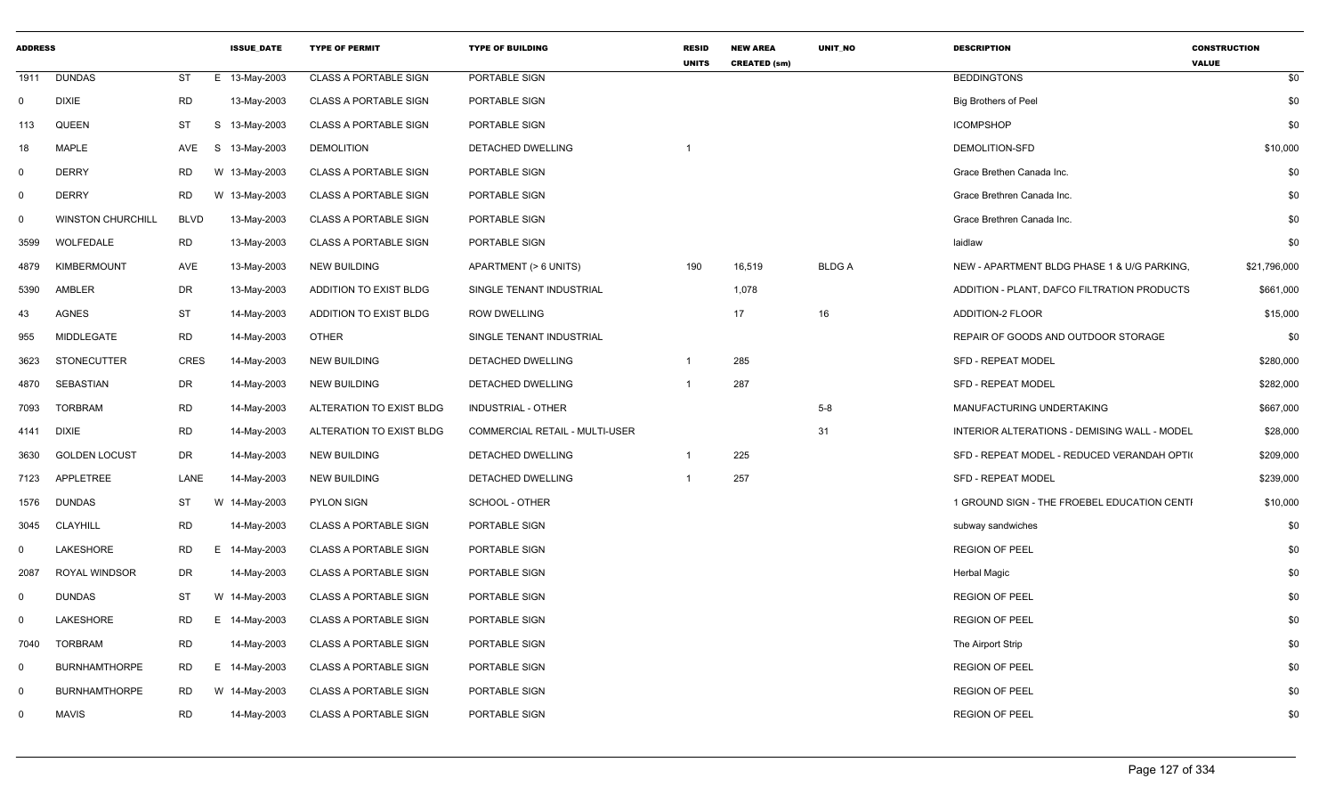| <b>ADDRESS</b> |                          |             | <b>ISSUE DATE</b> | <b>TYPE OF PERMIT</b>        | <b>TYPE OF BUILDING</b>        | <b>RESID</b><br><b>UNITS</b> | <b>NEW AREA</b><br><b>CREATED (sm)</b> | <b>UNIT NO</b> | <b>DESCRIPTION</b>                           | <b>CONSTRUCTION</b><br><b>VALUE</b> |
|----------------|--------------------------|-------------|-------------------|------------------------------|--------------------------------|------------------------------|----------------------------------------|----------------|----------------------------------------------|-------------------------------------|
| 1911           | <b>DUNDAS</b>            | <b>ST</b>   | 13-May-2003<br>E  | <b>CLASS A PORTABLE SIGN</b> | PORTABLE SIGN                  |                              |                                        |                | <b>BEDDINGTONS</b>                           | \$0                                 |
| 0              | <b>DIXIE</b>             | <b>RD</b>   | 13-May-2003       | <b>CLASS A PORTABLE SIGN</b> | PORTABLE SIGN                  |                              |                                        |                | <b>Big Brothers of Peel</b>                  | \$0                                 |
| 113            | QUEEN                    | <b>ST</b>   | S<br>13-May-2003  | <b>CLASS A PORTABLE SIGN</b> | PORTABLE SIGN                  |                              |                                        |                | <b>ICOMPSHOP</b>                             | \$0                                 |
| 18             | <b>MAPLE</b>             | AVE         | S.<br>13-May-2003 | <b>DEMOLITION</b>            | DETACHED DWELLING              |                              |                                        |                | DEMOLITION-SFD                               | \$10,000                            |
| $\mathbf 0$    | <b>DERRY</b>             | <b>RD</b>   | W 13-May-2003     | <b>CLASS A PORTABLE SIGN</b> | PORTABLE SIGN                  |                              |                                        |                | Grace Brethen Canada Inc.                    | \$0                                 |
| $\mathbf 0$    | <b>DERRY</b>             | <b>RD</b>   | W 13-May-2003     | <b>CLASS A PORTABLE SIGN</b> | PORTABLE SIGN                  |                              |                                        |                | Grace Brethren Canada Inc.                   | \$0                                 |
| $\mathbf{0}$   | <b>WINSTON CHURCHILL</b> | <b>BLVD</b> | 13-May-2003       | <b>CLASS A PORTABLE SIGN</b> | PORTABLE SIGN                  |                              |                                        |                | Grace Brethren Canada Inc.                   | \$0                                 |
| 3599           | WOLFEDALE                | <b>RD</b>   | 13-May-2003       | <b>CLASS A PORTABLE SIGN</b> | PORTABLE SIGN                  |                              |                                        |                | laidlaw                                      | \$0                                 |
| 4879           | <b>KIMBERMOUNT</b>       | AVE         | 13-May-2003       | <b>NEW BUILDING</b>          | APARTMENT (> 6 UNITS)          | 190                          | 16,519                                 | <b>BLDGA</b>   | NEW - APARTMENT BLDG PHASE 1 & U/G PARKING,  | \$21,796,000                        |
| 5390           | AMBLER                   | <b>DR</b>   | 13-May-2003       | ADDITION TO EXIST BLDG       | SINGLE TENANT INDUSTRIAL       |                              | 1,078                                  |                | ADDITION - PLANT, DAFCO FILTRATION PRODUCTS  | \$661,000                           |
| 43             | <b>AGNES</b>             | <b>ST</b>   | 14-May-2003       | ADDITION TO EXIST BLDG       | <b>ROW DWELLING</b>            |                              | 17                                     | 16             | <b>ADDITION-2 FLOOR</b>                      | \$15,000                            |
| 955            | <b>MIDDLEGATE</b>        | <b>RD</b>   | 14-May-2003       | <b>OTHER</b>                 | SINGLE TENANT INDUSTRIAL       |                              |                                        |                | REPAIR OF GOODS AND OUTDOOR STORAGE          | \$0                                 |
| 3623           | <b>STONECUTTER</b>       | <b>CRES</b> | 14-May-2003       | <b>NEW BUILDING</b>          | DETACHED DWELLING              |                              | 285                                    |                | SFD - REPEAT MODEL                           | \$280,000                           |
| 4870           | SEBASTIAN                | <b>DR</b>   | 14-May-2003       | <b>NEW BUILDING</b>          | DETACHED DWELLING              |                              | 287                                    |                | <b>SFD - REPEAT MODEL</b>                    | \$282,000                           |
| 7093           | <b>TORBRAM</b>           | <b>RD</b>   | 14-May-2003       | ALTERATION TO EXIST BLDG     | <b>INDUSTRIAL - OTHER</b>      |                              |                                        | $5-8$          | MANUFACTURING UNDERTAKING                    | \$667,000                           |
| 4141           | <b>DIXIE</b>             | <b>RD</b>   | 14-May-2003       | ALTERATION TO EXIST BLDG     | COMMERCIAL RETAIL - MULTI-USER |                              |                                        | 31             | INTERIOR ALTERATIONS - DEMISING WALL - MODEL | \$28,000                            |
| 3630           | <b>GOLDEN LOCUST</b>     | DR          | 14-May-2003       | <b>NEW BUILDING</b>          | DETACHED DWELLING              | $\overline{1}$               | 225                                    |                | SFD - REPEAT MODEL - REDUCED VERANDAH OPTI   | \$209,000                           |
| 7123           | APPLETREE                | LANE        | 14-May-2003       | <b>NEW BUILDING</b>          | DETACHED DWELLING              |                              | 257                                    |                | <b>SFD - REPEAT MODEL</b>                    | \$239,000                           |
| 1576           | <b>DUNDAS</b>            | <b>ST</b>   | W<br>14-May-2003  | <b>PYLON SIGN</b>            | SCHOOL - OTHER                 |                              |                                        |                | 1 GROUND SIGN - THE FROEBEL EDUCATION CENTI  | \$10,000                            |
| 3045           | <b>CLAYHILL</b>          | <b>RD</b>   | 14-May-2003       | <b>CLASS A PORTABLE SIGN</b> | PORTABLE SIGN                  |                              |                                        |                | subway sandwiches                            | \$0                                 |
| 0              | LAKESHORE                | RD          | 14-May-2003<br>Е. | <b>CLASS A PORTABLE SIGN</b> | PORTABLE SIGN                  |                              |                                        |                | <b>REGION OF PEEL</b>                        | \$0                                 |
| 2087           | ROYAL WINDSOR            | DR          | 14-May-2003       | <b>CLASS A PORTABLE SIGN</b> | PORTABLE SIGN                  |                              |                                        |                | <b>Herbal Magic</b>                          | \$0                                 |
| 0              | <b>DUNDAS</b>            | <b>ST</b>   | W 14-May-2003     | <b>CLASS A PORTABLE SIGN</b> | PORTABLE SIGN                  |                              |                                        |                | <b>REGION OF PEEL</b>                        | \$0                                 |
| $\Omega$       | LAKESHORE                | <b>RD</b>   | E 14-May-2003     | <b>CLASS A PORTABLE SIGN</b> | PORTABLE SIGN                  |                              |                                        |                | <b>REGION OF PEEL</b>                        | \$0                                 |
| 7040           | <b>TORBRAM</b>           | <b>RD</b>   | 14-May-2003       | <b>CLASS A PORTABLE SIGN</b> | PORTABLE SIGN                  |                              |                                        |                | The Airport Strip                            | \$0                                 |
| $\mathbf 0$    | <b>BURNHAMTHORPE</b>     | <b>RD</b>   | E 14-May-2003     | <b>CLASS A PORTABLE SIGN</b> | PORTABLE SIGN                  |                              |                                        |                | <b>REGION OF PEEL</b>                        | \$0                                 |
| $\Omega$       | <b>BURNHAMTHORPE</b>     | <b>RD</b>   | W 14-May-2003     | <b>CLASS A PORTABLE SIGN</b> | PORTABLE SIGN                  |                              |                                        |                | <b>REGION OF PEEL</b>                        | \$0                                 |
| $\mathbf 0$    | <b>MAVIS</b>             | <b>RD</b>   | 14-May-2003       | <b>CLASS A PORTABLE SIGN</b> | PORTABLE SIGN                  |                              |                                        |                | <b>REGION OF PEEL</b>                        | \$0                                 |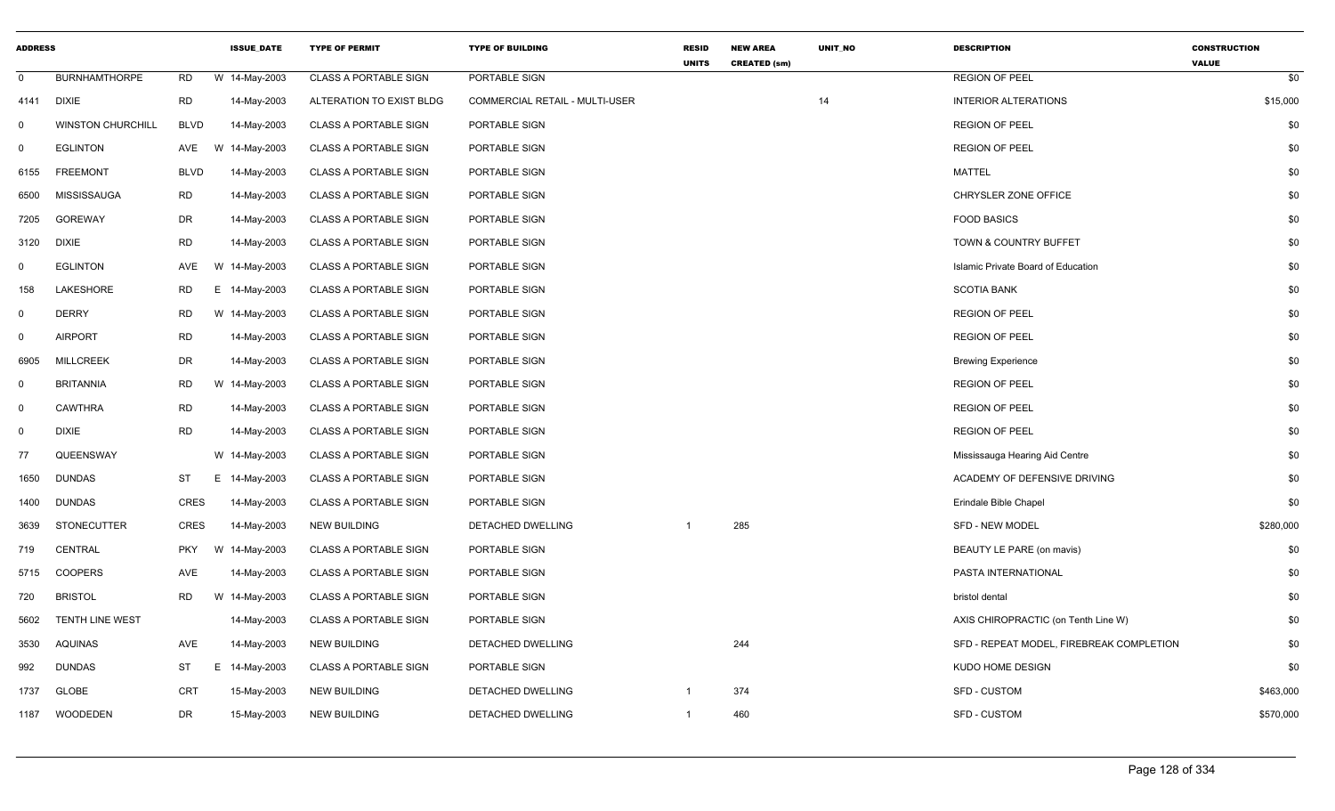| <b>ADDRESS</b> |                          |             | <b>ISSUE DATE</b> | <b>TYPE OF PERMIT</b>        | <b>TYPE OF BUILDING</b>        | <b>RESID</b><br><b>UNITS</b> | <b>NEW AREA</b><br><b>CREATED (sm)</b> | <b>UNIT NO</b> | <b>DESCRIPTION</b>                       | <b>CONSTRUCTION</b><br><b>VALUE</b> |
|----------------|--------------------------|-------------|-------------------|------------------------------|--------------------------------|------------------------------|----------------------------------------|----------------|------------------------------------------|-------------------------------------|
| $\mathbf 0$    | <b>BURNHAMTHORPE</b>     | <b>RD</b>   | W 14-May-2003     | <b>CLASS A PORTABLE SIGN</b> | PORTABLE SIGN                  |                              |                                        |                | <b>REGION OF PEEL</b>                    | \$0                                 |
| 4141           | <b>DIXIE</b>             | <b>RD</b>   | 14-May-2003       | ALTERATION TO EXIST BLDG     | COMMERCIAL RETAIL - MULTI-USER |                              |                                        | 14             | <b>INTERIOR ALTERATIONS</b>              | \$15,000                            |
| $\mathbf 0$    | <b>WINSTON CHURCHILL</b> | <b>BLVD</b> | 14-May-2003       | <b>CLASS A PORTABLE SIGN</b> | PORTABLE SIGN                  |                              |                                        |                | <b>REGION OF PEEL</b>                    | \$0                                 |
| $\mathbf 0$    | <b>EGLINTON</b>          | AVE         | 14-May-2003<br>W  | <b>CLASS A PORTABLE SIGN</b> | PORTABLE SIGN                  |                              |                                        |                | <b>REGION OF PEEL</b>                    | \$0                                 |
| 6155           | <b>FREEMONT</b>          | <b>BLVD</b> | 14-May-2003       | <b>CLASS A PORTABLE SIGN</b> | PORTABLE SIGN                  |                              |                                        |                | <b>MATTEL</b>                            | \$0                                 |
| 6500           | <b>MISSISSAUGA</b>       | <b>RD</b>   | 14-May-2003       | <b>CLASS A PORTABLE SIGN</b> | PORTABLE SIGN                  |                              |                                        |                | CHRYSLER ZONE OFFICE                     | \$0                                 |
| 7205           | <b>GOREWAY</b>           | DR          | 14-May-2003       | <b>CLASS A PORTABLE SIGN</b> | PORTABLE SIGN                  |                              |                                        |                | <b>FOOD BASICS</b>                       | \$0                                 |
| 3120           | <b>DIXIE</b>             | <b>RD</b>   | 14-May-2003       | <b>CLASS A PORTABLE SIGN</b> | PORTABLE SIGN                  |                              |                                        |                | <b>TOWN &amp; COUNTRY BUFFET</b>         | \$0                                 |
| $\Omega$       | <b>EGLINTON</b>          | AVE         | W 14-May-2003     | <b>CLASS A PORTABLE SIGN</b> | PORTABLE SIGN                  |                              |                                        |                | Islamic Private Board of Education       | \$0                                 |
| 158            | LAKESHORE                | RD          | E.<br>14-May-2003 | <b>CLASS A PORTABLE SIGN</b> | PORTABLE SIGN                  |                              |                                        |                | <b>SCOTIA BANK</b>                       | \$0                                 |
| $\mathbf 0$    | <b>DERRY</b>             | <b>RD</b>   | W 14-May-2003     | <b>CLASS A PORTABLE SIGN</b> | PORTABLE SIGN                  |                              |                                        |                | <b>REGION OF PEEL</b>                    | \$0                                 |
| $\mathbf 0$    | <b>AIRPORT</b>           | <b>RD</b>   | 14-May-2003       | <b>CLASS A PORTABLE SIGN</b> | PORTABLE SIGN                  |                              |                                        |                | <b>REGION OF PEEL</b>                    | \$0                                 |
| 6905           | <b>MILLCREEK</b>         | <b>DR</b>   | 14-May-2003       | <b>CLASS A PORTABLE SIGN</b> | PORTABLE SIGN                  |                              |                                        |                | <b>Brewing Experience</b>                | \$0                                 |
| $\mathsf{O}$   | <b>BRITANNIA</b>         | <b>RD</b>   | W 14-May-2003     | <b>CLASS A PORTABLE SIGN</b> | PORTABLE SIGN                  |                              |                                        |                | <b>REGION OF PEEL</b>                    | \$0                                 |
| $\mathbf 0$    | <b>CAWTHRA</b>           | <b>RD</b>   | 14-May-2003       | <b>CLASS A PORTABLE SIGN</b> | PORTABLE SIGN                  |                              |                                        |                | <b>REGION OF PEEL</b>                    | \$0                                 |
| $\overline{0}$ | <b>DIXIE</b>             | <b>RD</b>   | 14-May-2003       | <b>CLASS A PORTABLE SIGN</b> | PORTABLE SIGN                  |                              |                                        |                | <b>REGION OF PEEL</b>                    | \$0                                 |
| 77             | QUEENSWAY                |             | W 14-May-2003     | <b>CLASS A PORTABLE SIGN</b> | PORTABLE SIGN                  |                              |                                        |                | Mississauga Hearing Aid Centre           | \$0                                 |
| 1650           | <b>DUNDAS</b>            | <b>ST</b>   | E.<br>14-May-2003 | <b>CLASS A PORTABLE SIGN</b> | PORTABLE SIGN                  |                              |                                        |                | ACADEMY OF DEFENSIVE DRIVING             | \$0                                 |
| 1400           | <b>DUNDAS</b>            | <b>CRES</b> | 14-May-2003       | <b>CLASS A PORTABLE SIGN</b> | PORTABLE SIGN                  |                              |                                        |                | Erindale Bible Chapel                    | \$0                                 |
| 3639           | <b>STONECUTTER</b>       | <b>CRES</b> | 14-May-2003       | <b>NEW BUILDING</b>          | DETACHED DWELLING              |                              | 285                                    |                | <b>SFD - NEW MODEL</b>                   | \$280,000                           |
| 719            | CENTRAL                  | <b>PKY</b>  | W 14-May-2003     | <b>CLASS A PORTABLE SIGN</b> | PORTABLE SIGN                  |                              |                                        |                | BEAUTY LE PARE (on mavis)                | \$0                                 |
| 5715           | <b>COOPERS</b>           | AVE         | 14-May-2003       | <b>CLASS A PORTABLE SIGN</b> | PORTABLE SIGN                  |                              |                                        |                | PASTA INTERNATIONAL                      | \$0                                 |
| 720            | <b>BRISTOL</b>           | <b>RD</b>   | W 14-May-2003     | <b>CLASS A PORTABLE SIGN</b> | PORTABLE SIGN                  |                              |                                        |                | bristol dental                           | \$0                                 |
| 5602           | TENTH LINE WEST          |             | 14-May-2003       | <b>CLASS A PORTABLE SIGN</b> | PORTABLE SIGN                  |                              |                                        |                | AXIS CHIROPRACTIC (on Tenth Line W)      | \$0                                 |
| 3530           | AQUINAS                  | AVE         | 14-May-2003       | NEW BUILDING                 | DETACHED DWELLING              |                              | 244                                    |                | SFD - REPEAT MODEL, FIREBREAK COMPLETION | \$0                                 |
| 992            | <b>DUNDAS</b>            | ST          | E.<br>14-May-2003 | <b>CLASS A PORTABLE SIGN</b> | PORTABLE SIGN                  |                              |                                        |                | KUDO HOME DESIGN                         | \$0                                 |
| 1737           | <b>GLOBE</b>             | <b>CRT</b>  | 15-May-2003       | <b>NEW BUILDING</b>          | DETACHED DWELLING              | $\overline{1}$               | 374                                    |                | <b>SFD - CUSTOM</b>                      | \$463,000                           |
| 1187           | WOODEDEN                 | DR          | 15-May-2003       | <b>NEW BUILDING</b>          | DETACHED DWELLING              | $\overline{1}$               | 460                                    |                | SFD - CUSTOM                             | \$570,000                           |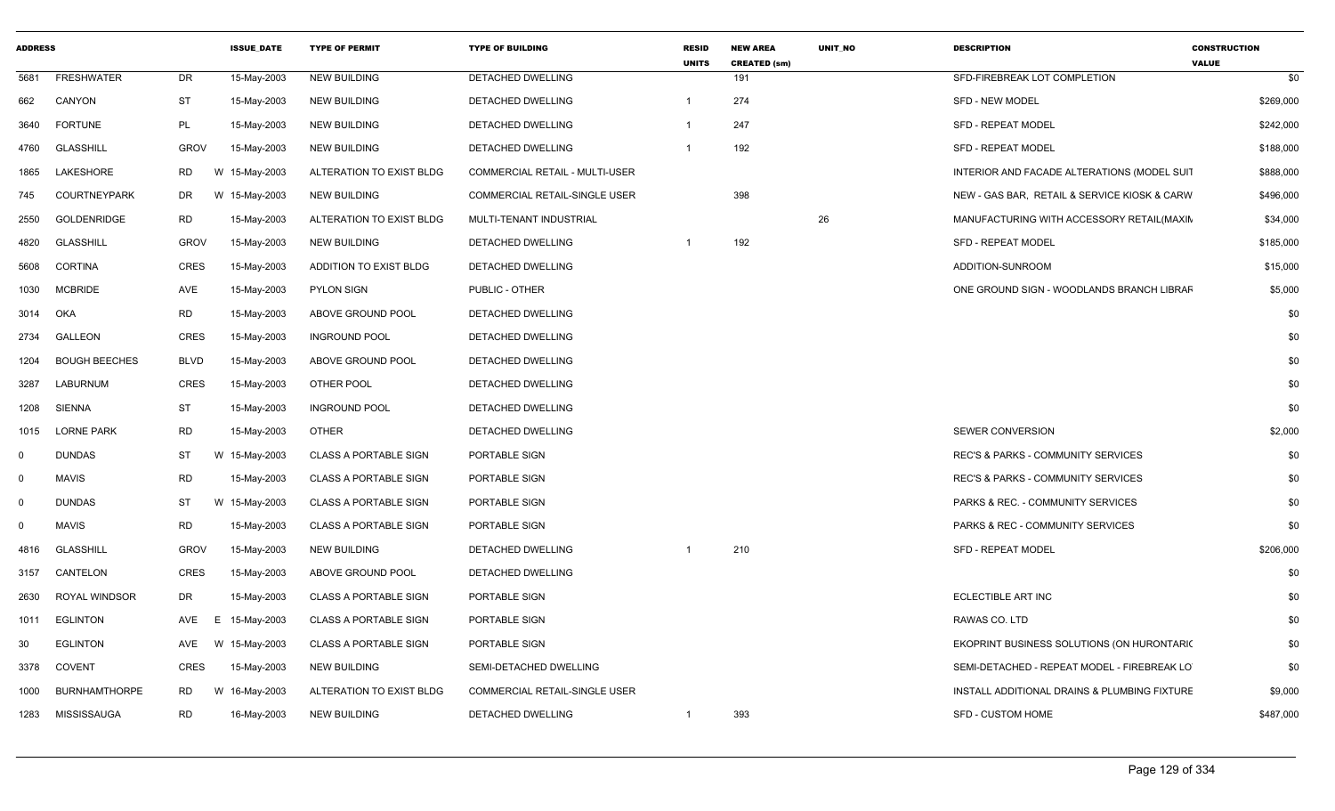| <b>ADDRESS</b> |                      |             | <b>ISSUE_DATE</b> | <b>TYPE OF PERMIT</b>        | <b>TYPE OF BUILDING</b>              | <b>RESID</b><br><b>UNITS</b> | <b>NEW AREA</b><br><b>CREATED (sm)</b> | <b>UNIT NO</b> | <b>DESCRIPTION</b>                            | <b>CONSTRUCTION</b><br><b>VALUE</b> |
|----------------|----------------------|-------------|-------------------|------------------------------|--------------------------------------|------------------------------|----------------------------------------|----------------|-----------------------------------------------|-------------------------------------|
| 5681           | <b>FRESHWATER</b>    | DR          | 15-May-2003       | <b>NEW BUILDING</b>          | DETACHED DWELLING                    |                              | 191                                    |                | SFD-FIREBREAK LOT COMPLETION                  | \$0                                 |
| 662            | CANYON               | ST          | 15-May-2003       | <b>NEW BUILDING</b>          | DETACHED DWELLING                    | $\overline{1}$               | 274                                    |                | <b>SFD - NEW MODEL</b>                        | \$269,000                           |
| 3640           | <b>FORTUNE</b>       | PL          | 15-May-2003       | <b>NEW BUILDING</b>          | DETACHED DWELLING                    | -1                           | 247                                    |                | <b>SFD - REPEAT MODEL</b>                     | \$242,000                           |
| 4760           | <b>GLASSHILL</b>     | <b>GROV</b> | 15-May-2003       | <b>NEW BUILDING</b>          | <b>DETACHED DWELLING</b>             | $\overline{1}$               | 192                                    |                | <b>SFD - REPEAT MODEL</b>                     | \$188,000                           |
| 1865           | LAKESHORE            | <b>RD</b>   | W 15-May-2003     | ALTERATION TO EXIST BLDG     | COMMERCIAL RETAIL - MULTI-USER       |                              |                                        |                | INTERIOR AND FACADE ALTERATIONS (MODEL SUIT   | \$888,000                           |
| 745            | <b>COURTNEYPARK</b>  | DR          | W 15-May-2003     | <b>NEW BUILDING</b>          | COMMERCIAL RETAIL-SINGLE USER        |                              | 398                                    |                | NEW - GAS BAR, RETAIL & SERVICE KIOSK & CARW  | \$496,000                           |
| 2550           | GOLDENRIDGE          | <b>RD</b>   | 15-May-2003       | ALTERATION TO EXIST BLDG     | MULTI-TENANT INDUSTRIAL              |                              |                                        | 26             | MANUFACTURING WITH ACCESSORY RETAIL(MAXIN     | \$34,000                            |
| 4820           | <b>GLASSHILL</b>     | <b>GROV</b> | 15-May-2003       | <b>NEW BUILDING</b>          | DETACHED DWELLING                    |                              | 192                                    |                | SFD - REPEAT MODEL                            | \$185,000                           |
| 5608           | <b>CORTINA</b>       | <b>CRES</b> | 15-May-2003       | ADDITION TO EXIST BLDG       | DETACHED DWELLING                    |                              |                                        |                | ADDITION-SUNROOM                              | \$15,000                            |
| 1030           | <b>MCBRIDE</b>       | <b>AVE</b>  | 15-May-2003       | <b>PYLON SIGN</b>            | PUBLIC - OTHER                       |                              |                                        |                | ONE GROUND SIGN - WOODLANDS BRANCH LIBRAF     | \$5,000                             |
| 3014           | OKA                  | <b>RD</b>   | 15-May-2003       | ABOVE GROUND POOL            | DETACHED DWELLING                    |                              |                                        |                |                                               | \$0                                 |
| 2734           | <b>GALLEON</b>       | <b>CRES</b> | 15-May-2003       | <b>INGROUND POOL</b>         | DETACHED DWELLING                    |                              |                                        |                |                                               | \$0                                 |
| 1204           | <b>BOUGH BEECHES</b> | <b>BLVD</b> | 15-May-2003       | ABOVE GROUND POOL            | DETACHED DWELLING                    |                              |                                        |                |                                               | \$0                                 |
| 3287           | LABURNUM             | <b>CRES</b> | 15-May-2003       | OTHER POOL                   | DETACHED DWELLING                    |                              |                                        |                |                                               | \$0                                 |
| 1208           | <b>SIENNA</b>        | ST          | 15-May-2003       | <b>INGROUND POOL</b>         | DETACHED DWELLING                    |                              |                                        |                |                                               | \$0                                 |
| 1015           | <b>LORNE PARK</b>    | <b>RD</b>   | 15-May-2003       | <b>OTHER</b>                 | <b>DETACHED DWELLING</b>             |                              |                                        |                | <b>SEWER CONVERSION</b>                       | \$2,000                             |
| $\mathbf 0$    | <b>DUNDAS</b>        | ST          | W 15-May-2003     | <b>CLASS A PORTABLE SIGN</b> | PORTABLE SIGN                        |                              |                                        |                | <b>REC'S &amp; PARKS - COMMUNITY SERVICES</b> | \$0                                 |
| $\mathbf 0$    | <b>MAVIS</b>         | <b>RD</b>   | 15-May-2003       | <b>CLASS A PORTABLE SIGN</b> | PORTABLE SIGN                        |                              |                                        |                | REC'S & PARKS - COMMUNITY SERVICES            | \$0                                 |
| $\mathbf 0$    | <b>DUNDAS</b>        | ST          | W 15-May-2003     | CLASS A PORTABLE SIGN        | PORTABLE SIGN                        |                              |                                        |                | PARKS & REC. - COMMUNITY SERVICES             | \$0                                 |
| $\Omega$       | <b>MAVIS</b>         | <b>RD</b>   | 15-May-2003       | <b>CLASS A PORTABLE SIGN</b> | PORTABLE SIGN                        |                              |                                        |                | <b>PARKS &amp; REC - COMMUNITY SERVICES</b>   | \$0                                 |
| 4816           | <b>GLASSHILL</b>     | <b>GROV</b> | 15-May-2003       | <b>NEW BUILDING</b>          | DETACHED DWELLING                    |                              | 210                                    |                | <b>SFD - REPEAT MODEL</b>                     | \$206,000                           |
| 3157           | CANTELON             | <b>CRES</b> | 15-May-2003       | ABOVE GROUND POOL            | DETACHED DWELLING                    |                              |                                        |                |                                               | \$0                                 |
| 2630           | ROYAL WINDSOR        | <b>DR</b>   | 15-May-2003       | <b>CLASS A PORTABLE SIGN</b> | PORTABLE SIGN                        |                              |                                        |                | ECLECTIBLE ART INC                            | \$0                                 |
| 1011           | <b>EGLINTON</b>      | AVE<br>F    | 15-May-2003       | <b>CLASS A PORTABLE SIGN</b> | PORTABLE SIGN                        |                              |                                        |                | RAWAS CO. LTD                                 | \$0                                 |
| 30             | <b>EGLINTON</b>      | AVE         | W 15-May-2003     | <b>CLASS A PORTABLE SIGN</b> | PORTABLE SIGN                        |                              |                                        |                | EKOPRINT BUSINESS SOLUTIONS (ON HURONTARIC    | \$0                                 |
| 3378           | <b>COVENT</b>        | <b>CRES</b> | 15-May-2003       | <b>NEW BUILDING</b>          | SEMI-DETACHED DWELLING               |                              |                                        |                | SEMI-DETACHED - REPEAT MODEL - FIREBREAK LO   | \$0                                 |
| 1000           | <b>BURNHAMTHORPE</b> | RD          | W 16-May-2003     | ALTERATION TO EXIST BLDG     | <b>COMMERCIAL RETAIL-SINGLE USER</b> |                              |                                        |                | INSTALL ADDITIONAL DRAINS & PLUMBING FIXTURE  | \$9,000                             |
| 1283           | MISSISSAUGA          | RD          | 16-May-2003       | <b>NEW BUILDING</b>          | DETACHED DWELLING                    | $\overline{1}$               | 393                                    |                | SFD - CUSTOM HOME                             | \$487.000                           |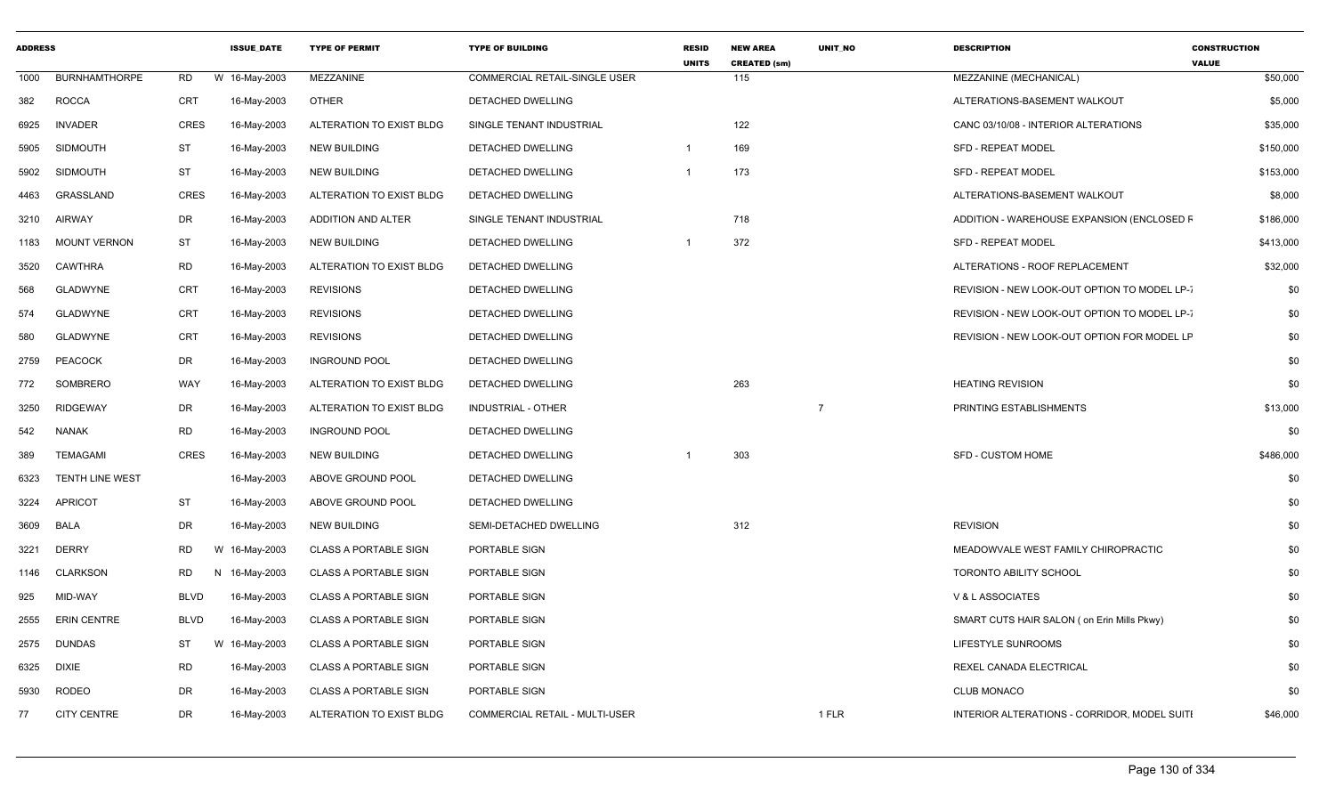| <b>ADDRESS</b> |                        |                 | <b>ISSUE DATE</b> | <b>TYPE OF PERMIT</b>        | <b>TYPE OF BUILDING</b>        | <b>RESID</b><br><b>UNITS</b> | <b>NEW AREA</b><br><b>CREATED (sm)</b> | <b>UNIT NO</b> | <b>DESCRIPTION</b>                           | <b>CONSTRUCTION</b><br><b>VALUE</b> |
|----------------|------------------------|-----------------|-------------------|------------------------------|--------------------------------|------------------------------|----------------------------------------|----------------|----------------------------------------------|-------------------------------------|
| 1000           | <b>BURNHAMTHORPE</b>   | RD              | W 16-May-2003     | MEZZANINE                    | COMMERCIAL RETAIL-SINGLE USER  |                              | 115                                    |                | MEZZANINE (MECHANICAL)                       | \$50,000                            |
| 382            | <b>ROCCA</b>           | <b>CRT</b>      | 16-May-2003       | <b>OTHER</b>                 | <b>DETACHED DWELLING</b>       |                              |                                        |                | ALTERATIONS-BASEMENT WALKOUT                 | \$5,000                             |
| 6925           | <b>INVADER</b>         | CRES            | 16-May-2003       | ALTERATION TO EXIST BLDG     | SINGLE TENANT INDUSTRIAL       |                              | 122                                    |                | CANC 03/10/08 - INTERIOR ALTERATIONS         | \$35,000                            |
| 5905           | <b>SIDMOUTH</b>        | ST              | 16-May-2003       | <b>NEW BUILDING</b>          | DETACHED DWELLING              |                              | 169                                    |                | <b>SFD - REPEAT MODEL</b>                    | \$150,000                           |
| 5902           | <b>SIDMOUTH</b>        | <b>ST</b>       | 16-May-2003       | <b>NEW BUILDING</b>          | <b>DETACHED DWELLING</b>       |                              | 173                                    |                | <b>SFD - REPEAT MODEL</b>                    | \$153,000                           |
| 4463           | GRASSLAND              | <b>CRES</b>     | 16-May-2003       | ALTERATION TO EXIST BLDG     | DETACHED DWELLING              |                              |                                        |                | ALTERATIONS-BASEMENT WALKOUT                 | \$8,000                             |
| 3210           | AIRWAY                 | DR              | 16-May-2003       | ADDITION AND ALTER           | SINGLE TENANT INDUSTRIAL       |                              | 718                                    |                | ADDITION - WAREHOUSE EXPANSION (ENCLOSED F   | \$186,000                           |
| 1183           | <b>MOUNT VERNON</b>    | ST              | 16-May-2003       | <b>NEW BUILDING</b>          | DETACHED DWELLING              |                              | 372                                    |                | <b>SFD - REPEAT MODEL</b>                    | \$413,000                           |
| 3520           | CAWTHRA                | <b>RD</b>       | 16-May-2003       | ALTERATION TO EXIST BLDG     | DETACHED DWELLING              |                              |                                        |                | ALTERATIONS - ROOF REPLACEMENT               | \$32,000                            |
| 568            | <b>GLADWYNE</b>        | CRT             | 16-May-2003       | <b>REVISIONS</b>             | DETACHED DWELLING              |                              |                                        |                | REVISION - NEW LOOK-OUT OPTION TO MODEL LP-7 | \$0                                 |
| 574            | <b>GLADWYNE</b>        | <b>CRT</b>      | 16-May-2003       | <b>REVISIONS</b>             | <b>DETACHED DWELLING</b>       |                              |                                        |                | REVISION - NEW LOOK-OUT OPTION TO MODEL LP-  | \$0                                 |
| 580            | <b>GLADWYNE</b>        | CRT             | 16-May-2003       | <b>REVISIONS</b>             | <b>DETACHED DWELLING</b>       |                              |                                        |                | REVISION - NEW LOOK-OUT OPTION FOR MODEL LF  | \$0                                 |
| 2759           | PEACOCK                | DR              | 16-May-2003       | <b>INGROUND POOL</b>         | DETACHED DWELLING              |                              |                                        |                |                                              | \$0                                 |
| 772            | SOMBRERO               | WAY             | 16-May-2003       | ALTERATION TO EXIST BLDG     | DETACHED DWELLING              |                              | 263                                    |                | <b>HEATING REVISION</b>                      | \$0                                 |
| 3250           | <b>RIDGEWAY</b>        | DR              | 16-May-2003       | ALTERATION TO EXIST BLDG     | <b>INDUSTRIAL - OTHER</b>      |                              |                                        | $\overline{7}$ | PRINTING ESTABLISHMENTS                      | \$13,000                            |
| 542            | NANAK                  | <b>RD</b>       | 16-May-2003       | <b>INGROUND POOL</b>         | DETACHED DWELLING              |                              |                                        |                |                                              | \$0                                 |
| 389            | <b>TEMAGAMI</b>        | CRES            | 16-May-2003       | <b>NEW BUILDING</b>          | <b>DETACHED DWELLING</b>       |                              | 303                                    |                | SFD - CUSTOM HOME                            | \$486,000                           |
| 6323           | <b>TENTH LINE WEST</b> |                 | 16-May-2003       | ABOVE GROUND POOL            | <b>DETACHED DWELLING</b>       |                              |                                        |                |                                              | \$0                                 |
| 3224           | APRICOT                | <b>ST</b>       | 16-May-2003       | ABOVE GROUND POOL            | <b>DETACHED DWELLING</b>       |                              |                                        |                |                                              | \$0                                 |
| 3609           | <b>BALA</b>            | DR              | 16-May-2003       | <b>NEW BUILDING</b>          | SEMI-DETACHED DWELLING         |                              | 312                                    |                | <b>REVISION</b>                              | \$0                                 |
| 3221           | <b>DERRY</b>           | <b>RD</b><br>W  | 16-May-2003       | <b>CLASS A PORTABLE SIGN</b> | PORTABLE SIGN                  |                              |                                        |                | MEADOWVALE WEST FAMILY CHIROPRACTIC          | \$0                                 |
| 1146           | <b>CLARKSON</b>        | <b>RD</b><br>N, | 16-May-2003       | <b>CLASS A PORTABLE SIGN</b> | PORTABLE SIGN                  |                              |                                        |                | TORONTO ABILITY SCHOOL                       | \$0                                 |
| 925            | MID-WAY                | BLVD            | 16-May-2003       | <b>CLASS A PORTABLE SIGN</b> | PORTABLE SIGN                  |                              |                                        |                | V & L ASSOCIATES                             | \$0                                 |
| 2555           | <b>ERIN CENTRE</b>     | BLVD            | 16-May-2003       | <b>CLASS A PORTABLE SIGN</b> | PORTABLE SIGN                  |                              |                                        |                | SMART CUTS HAIR SALON ( on Erin Mills Pkwy)  | \$0                                 |
| 2575           | <b>DUNDAS</b>          | ST<br>W         | 16-May-2003       | <b>CLASS A PORTABLE SIGN</b> | PORTABLE SIGN                  |                              |                                        |                | LIFESTYLE SUNROOMS                           | \$0                                 |
| 6325           | DIXIE                  | <b>RD</b>       | 16-May-2003       | <b>CLASS A PORTABLE SIGN</b> | PORTABLE SIGN                  |                              |                                        |                | REXEL CANADA ELECTRICAL                      | \$0                                 |
| 5930           | RODEO                  | <b>DR</b>       | 16-May-2003       | <b>CLASS A PORTABLE SIGN</b> | PORTABLE SIGN                  |                              |                                        |                | <b>CLUB MONACO</b>                           | \$0                                 |
| 77             | <b>CITY CENTRE</b>     | DR              | 16-May-2003       | ALTERATION TO EXIST BLDG     | COMMERCIAL RETAIL - MULTI-USER |                              |                                        | 1 FLR          | INTERIOR ALTERATIONS - CORRIDOR, MODEL SUITI | \$46,000                            |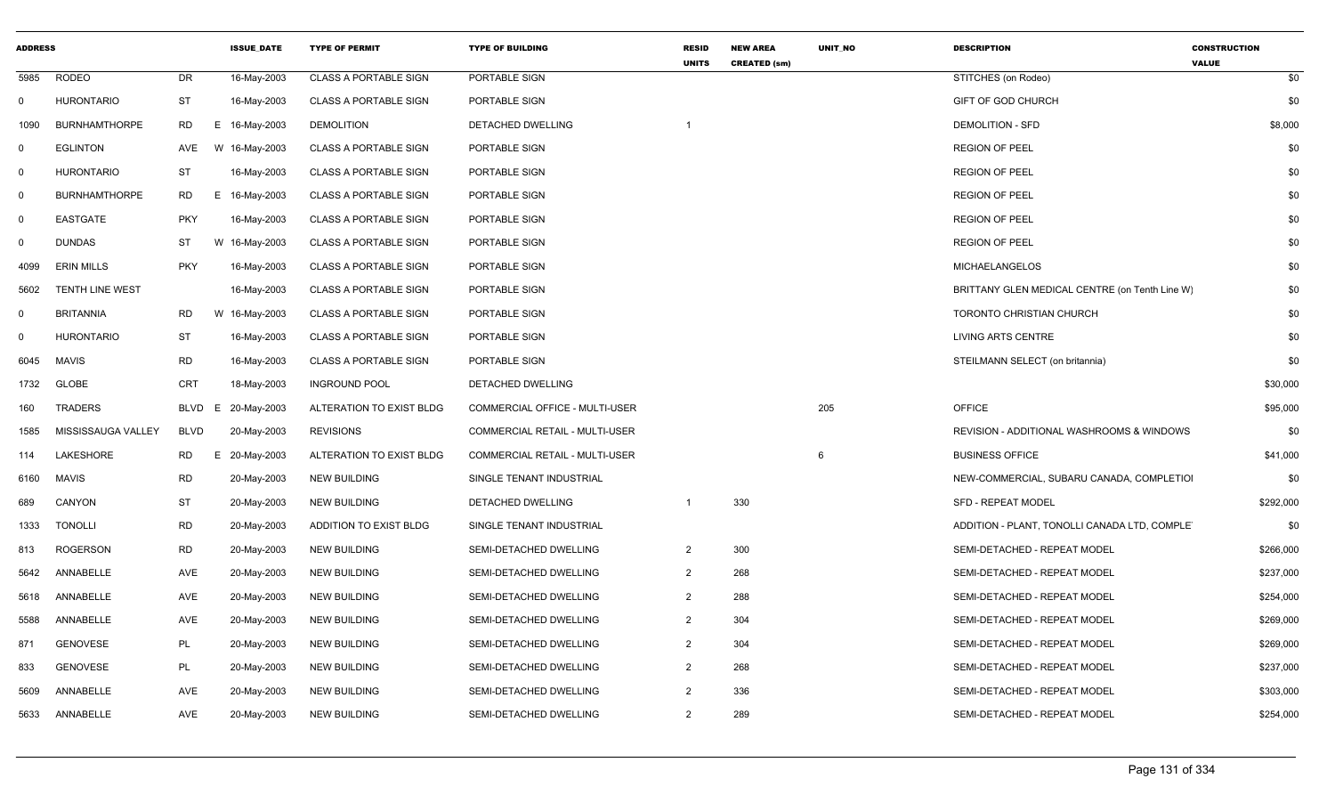| <b>ADDRESS</b> |                        |             | <b>ISSUE DATE</b> | <b>TYPE OF PERMIT</b>        | <b>TYPE OF BUILDING</b>               | <b>RESID</b><br><b>UNITS</b> | <b>NEW AREA</b><br><b>CREATED (sm)</b> | <b>UNIT NO</b> | <b>DESCRIPTION</b>                             | <b>CONSTRUCTION</b><br><b>VALUE</b> |
|----------------|------------------------|-------------|-------------------|------------------------------|---------------------------------------|------------------------------|----------------------------------------|----------------|------------------------------------------------|-------------------------------------|
| 5985           | <b>RODEO</b>           | DR          | 16-May-2003       | <b>CLASS A PORTABLE SIGN</b> | PORTABLE SIGN                         |                              |                                        |                | STITCHES (on Rodeo)                            | \$0                                 |
| $\mathbf 0$    | <b>HURONTARIO</b>      | <b>ST</b>   | 16-May-2003       | <b>CLASS A PORTABLE SIGN</b> | PORTABLE SIGN                         |                              |                                        |                | GIFT OF GOD CHURCH                             | \$0                                 |
| 1090           | <b>BURNHAMTHORPE</b>   | <b>RD</b>   | E 16-May-2003     | <b>DEMOLITION</b>            | DETACHED DWELLING                     |                              |                                        |                | <b>DEMOLITION - SFD</b>                        | \$8,000                             |
| 0              | <b>EGLINTON</b>        | AVE         | W 16-May-2003     | <b>CLASS A PORTABLE SIGN</b> | PORTABLE SIGN                         |                              |                                        |                | <b>REGION OF PEEL</b>                          | \$0                                 |
| 0              | <b>HURONTARIO</b>      | ST          | 16-May-2003       | <b>CLASS A PORTABLE SIGN</b> | PORTABLE SIGN                         |                              |                                        |                | <b>REGION OF PEEL</b>                          | \$0                                 |
| $\mathbf 0$    | <b>BURNHAMTHORPE</b>   | <b>RD</b>   | E 16-May-2003     | <b>CLASS A PORTABLE SIGN</b> | PORTABLE SIGN                         |                              |                                        |                | <b>REGION OF PEEL</b>                          | \$0                                 |
| $\mathbf 0$    | <b>EASTGATE</b>        | <b>PKY</b>  | 16-May-2003       | <b>CLASS A PORTABLE SIGN</b> | PORTABLE SIGN                         |                              |                                        |                | <b>REGION OF PEEL</b>                          | \$0                                 |
| $\mathbf 0$    | <b>DUNDAS</b>          | ST          | W 16-May-2003     | <b>CLASS A PORTABLE SIGN</b> | PORTABLE SIGN                         |                              |                                        |                | <b>REGION OF PEEL</b>                          | \$0                                 |
| 4099           | <b>ERIN MILLS</b>      | <b>PKY</b>  | 16-May-2003       | <b>CLASS A PORTABLE SIGN</b> | PORTABLE SIGN                         |                              |                                        |                | <b>MICHAELANGELOS</b>                          | \$0                                 |
| 5602           | <b>TENTH LINE WEST</b> |             | 16-May-2003       | <b>CLASS A PORTABLE SIGN</b> | PORTABLE SIGN                         |                              |                                        |                | BRITTANY GLEN MEDICAL CENTRE (on Tenth Line W) | \$0                                 |
| $\mathbf{0}$   | <b>BRITANNIA</b>       | <b>RD</b>   | W 16-May-2003     | <b>CLASS A PORTABLE SIGN</b> | PORTABLE SIGN                         |                              |                                        |                | TORONTO CHRISTIAN CHURCH                       | \$0                                 |
| $\mathbf 0$    | <b>HURONTARIO</b>      | ST          | 16-May-2003       | <b>CLASS A PORTABLE SIGN</b> | PORTABLE SIGN                         |                              |                                        |                | LIVING ARTS CENTRE                             | \$0                                 |
| 6045           | <b>MAVIS</b>           | <b>RD</b>   | 16-May-2003       | <b>CLASS A PORTABLE SIGN</b> | PORTABLE SIGN                         |                              |                                        |                | STEILMANN SELECT (on britannia)                | \$0                                 |
| 1732           | <b>GLOBE</b>           | <b>CRT</b>  | 18-May-2003       | <b>INGROUND POOL</b>         | DETACHED DWELLING                     |                              |                                        |                |                                                | \$30,000                            |
| 160            | <b>TRADERS</b>         | <b>BLVD</b> | 20-May-2003<br>E. | ALTERATION TO EXIST BLDG     | <b>COMMERCIAL OFFICE - MULTI-USER</b> |                              |                                        | 205            | <b>OFFICE</b>                                  | \$95,000                            |
| 1585           | MISSISSAUGA VALLEY     | <b>BLVD</b> | 20-May-2003       | <b>REVISIONS</b>             | COMMERCIAL RETAIL - MULTI-USER        |                              |                                        |                | REVISION - ADDITIONAL WASHROOMS & WINDOWS      | \$0                                 |
| 114            | LAKESHORE              | RD          | Е.<br>20-May-2003 | ALTERATION TO EXIST BLDG     | <b>COMMERCIAL RETAIL - MULTI-USER</b> |                              |                                        | 6              | <b>BUSINESS OFFICE</b>                         | \$41,000                            |
| 6160           | <b>MAVIS</b>           | <b>RD</b>   | 20-May-2003       | <b>NEW BUILDING</b>          | SINGLE TENANT INDUSTRIAL              |                              |                                        |                | NEW-COMMERCIAL, SUBARU CANADA, COMPLETIOI      | \$0                                 |
| 689            | CANYON                 | <b>ST</b>   | 20-May-2003       | <b>NEW BUILDING</b>          | DETACHED DWELLING                     | -1                           | 330                                    |                | <b>SFD - REPEAT MODEL</b>                      | \$292,000                           |
| 1333           | <b>TONOLLI</b>         | <b>RD</b>   | 20-May-2003       | ADDITION TO EXIST BLDG       | SINGLE TENANT INDUSTRIAL              |                              |                                        |                | ADDITION - PLANT, TONOLLI CANADA LTD, COMPLET  | \$0                                 |
| 813            | <b>ROGERSON</b>        | <b>RD</b>   | 20-May-2003       | <b>NEW BUILDING</b>          | SEMI-DETACHED DWELLING                | $\overline{2}$               | 300                                    |                | SEMI-DETACHED - REPEAT MODEL                   | \$266,000                           |
| 5642           | ANNABELLE              | AVE         | 20-May-2003       | <b>NEW BUILDING</b>          | SEMI-DETACHED DWELLING                | $\overline{2}$               | 268                                    |                | SEMI-DETACHED - REPEAT MODEL                   | \$237,000                           |
| 5618           | ANNABELLE              | AVE         | 20-May-2003       | <b>NEW BUILDING</b>          | SEMI-DETACHED DWELLING                | $\overline{2}$               | 288                                    |                | SEMI-DETACHED - REPEAT MODEL                   | \$254,000                           |
| 5588           | ANNABELLE              | AVE         | 20-May-2003       | <b>NEW BUILDING</b>          | SEMI-DETACHED DWELLING                | 2                            | 304                                    |                | SEMI-DETACHED - REPEAT MODEL                   | \$269,000                           |
| 871            | <b>GENOVESE</b>        | <b>PL</b>   | 20-May-2003       | <b>NEW BUILDING</b>          | SEMI-DETACHED DWELLING                | 2                            | 304                                    |                | SEMI-DETACHED - REPEAT MODEL                   | \$269,000                           |
| 833            | <b>GENOVESE</b>        | PL          | 20-May-2003       | <b>NEW BUILDING</b>          | SEMI-DETACHED DWELLING                | 2                            | 268                                    |                | SEMI-DETACHED - REPEAT MODEL                   | \$237,000                           |
| 5609           | ANNABELLE              | <b>AVE</b>  | 20-May-2003       | <b>NEW BUILDING</b>          | SEMI-DETACHED DWELLING                | 2                            | 336                                    |                | SEMI-DETACHED - REPEAT MODEL                   | \$303,000                           |
| 5633           | ANNABELLE              | <b>AVE</b>  | 20-May-2003       | <b>NEW BUILDING</b>          | SEMI-DETACHED DWELLING                | 2                            | 289                                    |                | SEMI-DETACHED - REPEAT MODEL                   | \$254,000                           |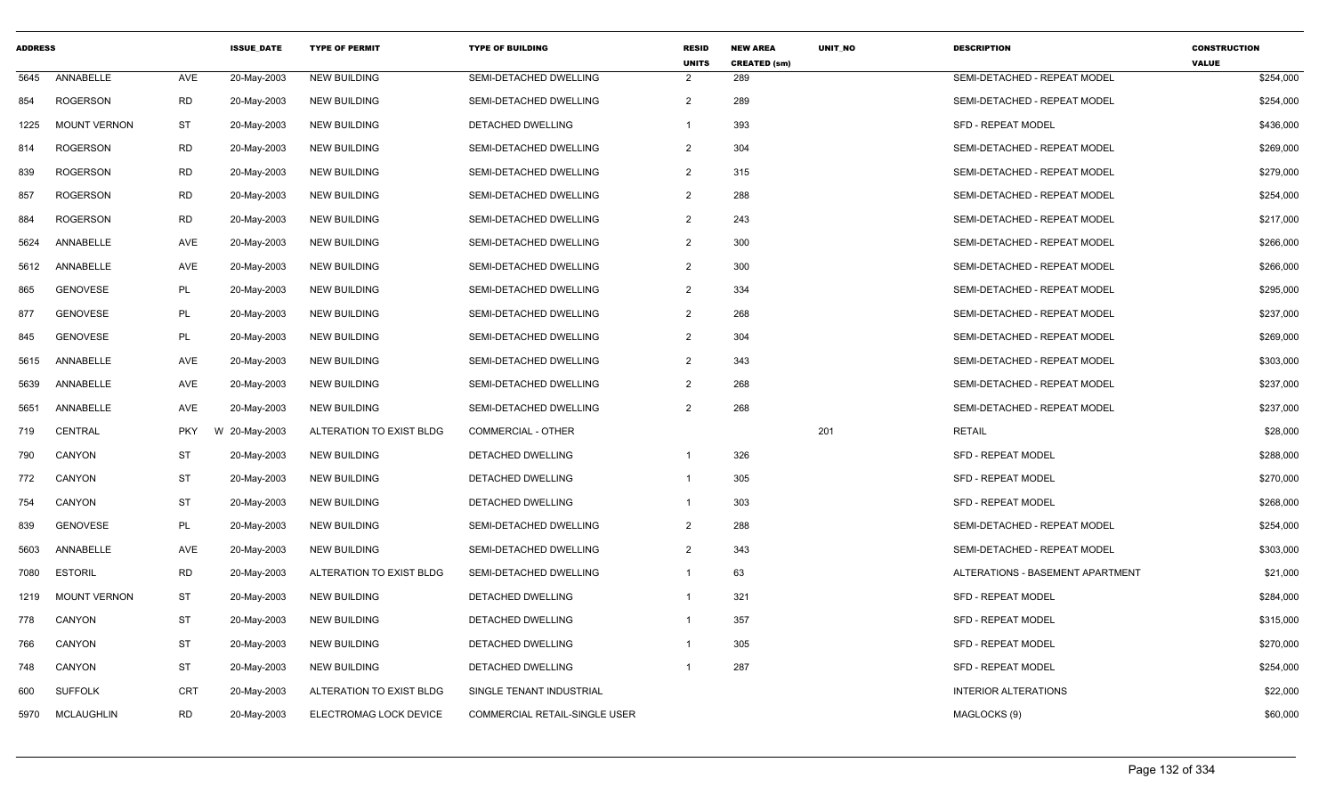| <b>ADDRESS</b> |                     |            | <b>ISSUE DATE</b> | <b>TYPE OF PERMIT</b>    | <b>TYPE OF BUILDING</b>              | <b>RESID</b><br><b>UNITS</b> | <b>NEW AREA</b><br><b>CREATED (sm)</b> | UNIT_NO | <b>DESCRIPTION</b>               | <b>CONSTRUCTION</b><br><b>VALUE</b> |
|----------------|---------------------|------------|-------------------|--------------------------|--------------------------------------|------------------------------|----------------------------------------|---------|----------------------------------|-------------------------------------|
| 5645           | ANNABELLE           | AVE        | 20-May-2003       | <b>NEW BUILDING</b>      | SEMI-DETACHED DWELLING               | 2                            | 289                                    |         | SEMI-DETACHED - REPEAT MODEL     | \$254,000                           |
| 854            | <b>ROGERSON</b>     | RD         | 20-May-2003       | <b>NEW BUILDING</b>      | SEMI-DETACHED DWELLING               | 2                            | 289                                    |         | SEMI-DETACHED - REPEAT MODEL     | \$254,000                           |
| 1225           | <b>MOUNT VERNON</b> | <b>ST</b>  | 20-May-2003       | <b>NEW BUILDING</b>      | <b>DETACHED DWELLING</b>             |                              | 393                                    |         | <b>SFD - REPEAT MODEL</b>        | \$436,000                           |
| 814            | <b>ROGERSON</b>     | <b>RD</b>  | 20-May-2003       | <b>NEW BUILDING</b>      | SEMI-DETACHED DWELLING               | $\overline{2}$               | 304                                    |         | SEMI-DETACHED - REPEAT MODEL     | \$269,000                           |
| 839            | <b>ROGERSON</b>     | <b>RD</b>  | 20-May-2003       | <b>NEW BUILDING</b>      | SEMI-DETACHED DWELLING               | 2                            | 315                                    |         | SEMI-DETACHED - REPEAT MODEL     | \$279,000                           |
| 857            | <b>ROGERSON</b>     | <b>RD</b>  | 20-May-2003       | <b>NEW BUILDING</b>      | SEMI-DETACHED DWELLING               | 2                            | 288                                    |         | SEMI-DETACHED - REPEAT MODEL     | \$254,000                           |
| 884            | <b>ROGERSON</b>     | <b>RD</b>  | 20-May-2003       | <b>NEW BUILDING</b>      | SEMI-DETACHED DWELLING               | 2                            | 243                                    |         | SEMI-DETACHED - REPEAT MODEL     | \$217,000                           |
| 5624           | ANNABELLE           | AVE        | 20-May-2003       | <b>NEW BUILDING</b>      | SEMI-DETACHED DWELLING               | 2                            | 300                                    |         | SEMI-DETACHED - REPEAT MODEL     | \$266,000                           |
| 5612           | ANNABELLE           | AVE        | 20-May-2003       | <b>NEW BUILDING</b>      | SEMI-DETACHED DWELLING               | $\overline{2}$               | 300                                    |         | SEMI-DETACHED - REPEAT MODEL     | \$266,000                           |
| 865            | <b>GENOVESE</b>     | <b>PL</b>  | 20-May-2003       | <b>NEW BUILDING</b>      | SEMI-DETACHED DWELLING               | 2                            | 334                                    |         | SEMI-DETACHED - REPEAT MODEL     | \$295,000                           |
| 877            | <b>GENOVESE</b>     | PL         | 20-May-2003       | <b>NEW BUILDING</b>      | SEMI-DETACHED DWELLING               | 2                            | 268                                    |         | SEMI-DETACHED - REPEAT MODEL     | \$237,000                           |
| 845            | <b>GENOVESE</b>     | <b>PL</b>  | 20-May-2003       | <b>NEW BUILDING</b>      | SEMI-DETACHED DWELLING               | $\overline{2}$               | 304                                    |         | SEMI-DETACHED - REPEAT MODEL     | \$269,000                           |
| 5615           | ANNABELLE           | <b>AVE</b> | 20-May-2003       | <b>NEW BUILDING</b>      | SEMI-DETACHED DWELLING               | $\overline{2}$               | 343                                    |         | SEMI-DETACHED - REPEAT MODEL     | \$303,000                           |
| 5639           | ANNABELLE           | AVE        | 20-May-2003       | <b>NEW BUILDING</b>      | SEMI-DETACHED DWELLING               | $\overline{2}$               | 268                                    |         | SEMI-DETACHED - REPEAT MODEL     | \$237,000                           |
| 5651           | ANNABELLE           | AVE        | 20-May-2003       | <b>NEW BUILDING</b>      | SEMI-DETACHED DWELLING               | 2                            | 268                                    |         | SEMI-DETACHED - REPEAT MODEL     | \$237,000                           |
| 719            | <b>CENTRAL</b>      | <b>PKY</b> | W 20-May-2003     | ALTERATION TO EXIST BLDG | COMMERCIAL - OTHER                   |                              |                                        | 201     | <b>RETAIL</b>                    | \$28,000                            |
| 790            | <b>CANYON</b>       | ST         | 20-May-2003       | <b>NEW BUILDING</b>      | DETACHED DWELLING                    |                              | 326                                    |         | <b>SFD - REPEAT MODEL</b>        | \$288,000                           |
| 772            | CANYON              | <b>ST</b>  | 20-May-2003       | <b>NEW BUILDING</b>      | DETACHED DWELLING                    | $\overline{1}$               | 305                                    |         | SFD - REPEAT MODEL               | \$270,000                           |
| 754            | CANYON              | <b>ST</b>  | 20-May-2003       | <b>NEW BUILDING</b>      | DETACHED DWELLING                    | $\mathbf{1}$                 | 303                                    |         | <b>SFD - REPEAT MODEL</b>        | \$268,000                           |
| 839            | <b>GENOVESE</b>     | PL         | 20-May-2003       | <b>NEW BUILDING</b>      | <b>SEMI-DETACHED DWELLING</b>        | 2                            | 288                                    |         | SEMI-DETACHED - REPEAT MODEL     | \$254,000                           |
| 5603           | ANNABELLE           | AVE        | 20-May-2003       | <b>NEW BUILDING</b>      | SEMI-DETACHED DWELLING               | $\overline{2}$               | 343                                    |         | SEMI-DETACHED - REPEAT MODEL     | \$303,000                           |
| 7080           | <b>ESTORIL</b>      | <b>RD</b>  | 20-May-2003       | ALTERATION TO EXIST BLDG | SEMI-DETACHED DWELLING               | $\overline{1}$               | 63                                     |         | ALTERATIONS - BASEMENT APARTMENT | \$21,000                            |
| 1219           | <b>MOUNT VERNON</b> | <b>ST</b>  | 20-May-2003       | <b>NEW BUILDING</b>      | DETACHED DWELLING                    | $\overline{1}$               | 321                                    |         | SFD - REPEAT MODEL               | \$284,000                           |
| 778            | CANYON              | ST         | 20-May-2003       | <b>NEW BUILDING</b>      | DETACHED DWELLING                    | $\overline{1}$               | 357                                    |         | <b>SFD - REPEAT MODEL</b>        | \$315,000                           |
| 766            | <b>CANYON</b>       | <b>ST</b>  | 20-May-2003       | <b>NEW BUILDING</b>      | DETACHED DWELLING                    | $\overline{\mathbf{1}}$      | 305                                    |         | <b>SFD - REPEAT MODEL</b>        | \$270,000                           |
| 748            | CANYON              | <b>ST</b>  | 20-May-2003       | <b>NEW BUILDING</b>      | DETACHED DWELLING                    |                              | 287                                    |         | SFD - REPEAT MODEL               | \$254,000                           |
| 600            | <b>SUFFOLK</b>      | <b>CRT</b> | 20-May-2003       | ALTERATION TO EXIST BLDG | SINGLE TENANT INDUSTRIAL             |                              |                                        |         | <b>INTERIOR ALTERATIONS</b>      | \$22,000                            |
| 5970           | <b>MCLAUGHLIN</b>   | <b>RD</b>  | 20-May-2003       | ELECTROMAG LOCK DEVICE   | <b>COMMERCIAL RETAIL-SINGLE USER</b> |                              |                                        |         | MAGLOCKS (9)                     | \$60,000                            |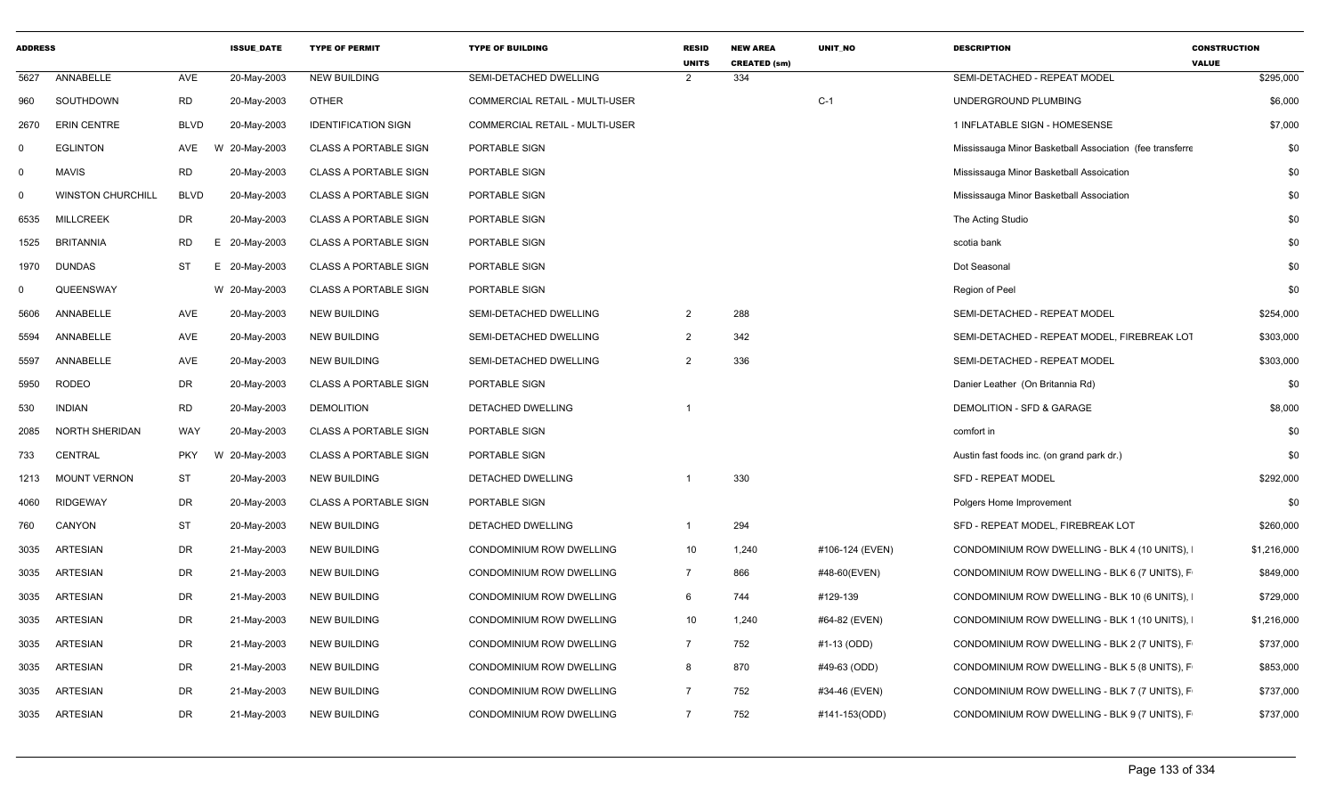| <b>ADDRESS</b> |                          |             | <b>ISSUE DATE</b> | <b>TYPE OF PERMIT</b>        | <b>TYPE OF BUILDING</b>         | <b>RESID</b><br><b>UNITS</b> | <b>NEW AREA</b><br><b>CREATED (sm)</b> | UNIT_NO         | <b>DESCRIPTION</b>                                        | <b>CONSTRUCTION</b><br><b>VALUE</b> |
|----------------|--------------------------|-------------|-------------------|------------------------------|---------------------------------|------------------------------|----------------------------------------|-----------------|-----------------------------------------------------------|-------------------------------------|
| 5627           | ANNABELLE                | AVE         | 20-May-2003       | <b>NEW BUILDING</b>          | SEMI-DETACHED DWELLING          | $\mathcal{P}$                | 334                                    |                 | SEMI-DETACHED - REPEAT MODEL                              | \$295,000                           |
| 960            | SOUTHDOWN                | <b>RD</b>   | 20-May-2003       | <b>OTHER</b>                 | COMMERCIAL RETAIL - MULTI-USER  |                              |                                        | $C-1$           | UNDERGROUND PLUMBING                                      | \$6,000                             |
| 2670           | <b>ERIN CENTRE</b>       | <b>BLVD</b> | 20-May-2003       | <b>IDENTIFICATION SIGN</b>   | COMMERCIAL RETAIL - MULTI-USER  |                              |                                        |                 | 1 INFLATABLE SIGN - HOMESENSE                             | \$7,000                             |
| $\Omega$       | <b>EGLINTON</b>          | AVE         | 20-May-2003<br>W  | <b>CLASS A PORTABLE SIGN</b> | PORTABLE SIGN                   |                              |                                        |                 | Mississauga Minor Basketball Association (fee transferre) | \$0                                 |
| 0              | <b>MAVIS</b>             | <b>RD</b>   | 20-May-2003       | <b>CLASS A PORTABLE SIGN</b> | PORTABLE SIGN                   |                              |                                        |                 | Mississauga Minor Basketball Assoication                  | \$0                                 |
| 0              | <b>WINSTON CHURCHILL</b> | <b>BLVD</b> | 20-May-2003       | <b>CLASS A PORTABLE SIGN</b> | PORTABLE SIGN                   |                              |                                        |                 | Mississauga Minor Basketball Association                  | \$0                                 |
| 6535           | <b>MILLCREEK</b>         | DR          | 20-May-2003       | <b>CLASS A PORTABLE SIGN</b> | PORTABLE SIGN                   |                              |                                        |                 | The Acting Studio                                         | \$0                                 |
| 1525           | <b>BRITANNIA</b>         | <b>RD</b>   | E 20-May-2003     | <b>CLASS A PORTABLE SIGN</b> | PORTABLE SIGN                   |                              |                                        |                 | scotia bank                                               | \$0                                 |
| 1970           | <b>DUNDAS</b>            | <b>ST</b>   | E 20-May-2003     | <b>CLASS A PORTABLE SIGN</b> | PORTABLE SIGN                   |                              |                                        |                 | Dot Seasonal                                              | \$0                                 |
| 0              | QUEENSWAY                |             | W 20-May-2003     | <b>CLASS A PORTABLE SIGN</b> | PORTABLE SIGN                   |                              |                                        |                 | Region of Peel                                            | \$0                                 |
| 5606           | ANNABELLE                | AVE         | 20-May-2003       | <b>NEW BUILDING</b>          | SEMI-DETACHED DWELLING          | $\overline{2}$               | 288                                    |                 | SEMI-DETACHED - REPEAT MODEL                              | \$254,000                           |
| 5594           | ANNABELLE                | AVE         | 20-May-2003       | <b>NEW BUILDING</b>          | SEMI-DETACHED DWELLING          | $\overline{2}$               | 342                                    |                 | SEMI-DETACHED - REPEAT MODEL, FIREBREAK LOT               | \$303,000                           |
| 5597           | ANNABELLE                | AVE         | 20-May-2003       | <b>NEW BUILDING</b>          | SEMI-DETACHED DWELLING          | $\overline{2}$               | 336                                    |                 | SEMI-DETACHED - REPEAT MODEL                              | \$303,000                           |
| 5950           | <b>RODEO</b>             | <b>DR</b>   | 20-May-2003       | <b>CLASS A PORTABLE SIGN</b> | PORTABLE SIGN                   |                              |                                        |                 | Danier Leather (On Britannia Rd)                          | \$0                                 |
| 530            | <b>INDIAN</b>            | <b>RD</b>   | 20-May-2003       | <b>DEMOLITION</b>            | DETACHED DWELLING               |                              |                                        |                 | DEMOLITION - SFD & GARAGE                                 | \$8,000                             |
| 2085           | <b>NORTH SHERIDAN</b>    | <b>WAY</b>  | 20-May-2003       | <b>CLASS A PORTABLE SIGN</b> | PORTABLE SIGN                   |                              |                                        |                 | comfort in                                                | \$0                                 |
| 733            | CENTRAL                  | <b>PKY</b>  | W<br>20-May-2003  | <b>CLASS A PORTABLE SIGN</b> | PORTABLE SIGN                   |                              |                                        |                 | Austin fast foods inc. (on grand park dr.)                | \$0                                 |
| 1213           | <b>MOUNT VERNON</b>      | ST          | 20-May-2003       | <b>NEW BUILDING</b>          | DETACHED DWELLING               |                              | 330                                    |                 | <b>SFD - REPEAT MODEL</b>                                 | \$292,000                           |
| 4060           | <b>RIDGEWAY</b>          | <b>DR</b>   | 20-May-2003       | <b>CLASS A PORTABLE SIGN</b> | PORTABLE SIGN                   |                              |                                        |                 | Polgers Home Improvement                                  | \$0                                 |
| 760            | CANYON                   | <b>ST</b>   | 20-May-2003       | <b>NEW BUILDING</b>          | DETACHED DWELLING               | $\overline{1}$               | 294                                    |                 | SFD - REPEAT MODEL, FIREBREAK LOT                         | \$260,000                           |
| 3035           | <b>ARTESIAN</b>          | DR          | 21-May-2003       | <b>NEW BUILDING</b>          | <b>CONDOMINIUM ROW DWELLING</b> | 10                           | 1,240                                  | #106-124 (EVEN) | CONDOMINIUM ROW DWELLING - BLK 4 (10 UNITS),              | \$1,216,000                         |
| 3035           | <b>ARTESIAN</b>          | <b>DR</b>   | 21-May-2003       | <b>NEW BUILDING</b>          | <b>CONDOMINIUM ROW DWELLING</b> | $\overline{7}$               | 866                                    | #48-60(EVEN)    | CONDOMINIUM ROW DWELLING - BLK 6 (7 UNITS), F             | \$849,000                           |
| 3035           | <b>ARTESIAN</b>          | DR          | 21-May-2003       | <b>NEW BUILDING</b>          | <b>CONDOMINIUM ROW DWELLING</b> | 6                            | 744                                    | #129-139        | CONDOMINIUM ROW DWELLING - BLK 10 (6 UNITS),              | \$729,000                           |
| 3035           | <b>ARTESIAN</b>          | DR          | 21-May-2003       | <b>NEW BUILDING</b>          | CONDOMINIUM ROW DWELLING        | 10                           | 1,240                                  | #64-82 (EVEN)   | CONDOMINIUM ROW DWELLING - BLK 1 (10 UNITS),              | \$1,216,000                         |
| 3035           | <b>ARTESIAN</b>          | DR          | 21-May-2003       | <b>NEW BUILDING</b>          | CONDOMINIUM ROW DWELLING        | $\overline{7}$               | 752                                    | #1-13 (ODD)     | CONDOMINIUM ROW DWELLING - BLK 2 (7 UNITS), F             | \$737,000                           |
| 3035           | <b>ARTESIAN</b>          | <b>DR</b>   | 21-May-2003       | <b>NEW BUILDING</b>          | CONDOMINIUM ROW DWELLING        | 8                            | 870                                    | #49-63 (ODD)    | CONDOMINIUM ROW DWELLING - BLK 5 (8 UNITS), F             | \$853,000                           |
| 3035           | <b>ARTESIAN</b>          | <b>DR</b>   | 21-May-2003       | <b>NEW BUILDING</b>          | <b>CONDOMINIUM ROW DWELLING</b> | $\overline{7}$               | 752                                    | #34-46 (EVEN)   | CONDOMINIUM ROW DWELLING - BLK 7 (7 UNITS), F             | \$737,000                           |
| 3035           | <b>ARTESIAN</b>          | <b>DR</b>   | 21-May-2003       | <b>NEW BUILDING</b>          | <b>CONDOMINIUM ROW DWELLING</b> | $\overline{7}$               | 752                                    | #141-153(ODD)   | CONDOMINIUM ROW DWELLING - BLK 9 (7 UNITS), F             | \$737,000                           |
|                |                          |             |                   |                              |                                 |                              |                                        |                 |                                                           |                                     |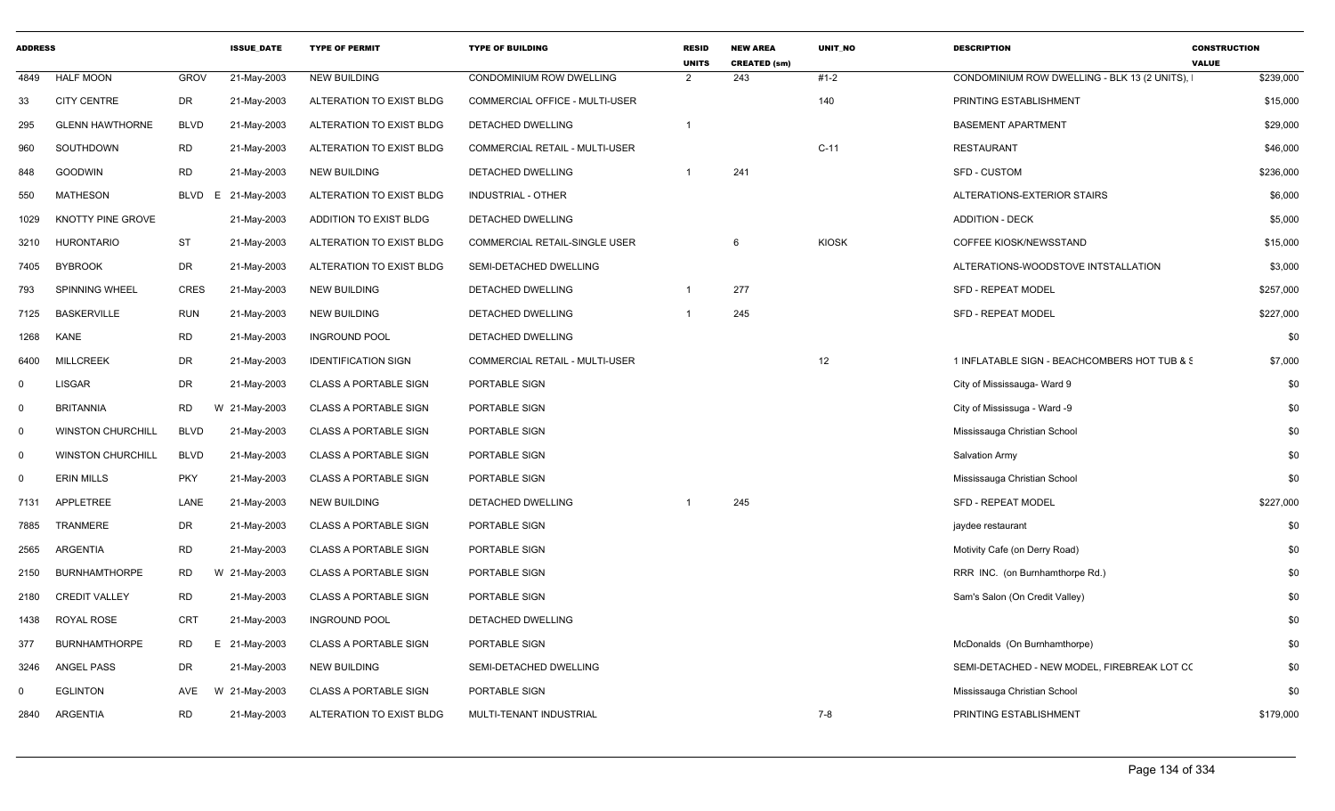| <b>ADDRESS</b> |                          |                  | <b>ISSUE DATE</b> | <b>TYPE OF PERMIT</b>        | <b>TYPE OF BUILDING</b>        | <b>RESID</b><br><b>UNITS</b> | <b>NEW AREA</b><br><b>CREATED (sm)</b> | <b>UNIT NO</b> | <b>DESCRIPTION</b>                            | <b>CONSTRUCTION</b><br><b>VALUE</b> |
|----------------|--------------------------|------------------|-------------------|------------------------------|--------------------------------|------------------------------|----------------------------------------|----------------|-----------------------------------------------|-------------------------------------|
| 4849           | <b>HALF MOON</b>         | <b>GROV</b>      | 21-May-2003       | <b>NEW BUILDING</b>          | CONDOMINIUM ROW DWELLING       | $\overline{2}$               | 243                                    | $#1-2$         | CONDOMINIUM ROW DWELLING - BLK 13 (2 UNITS),  | \$239,000                           |
| 33             | <b>CITY CENTRE</b>       | DR               | 21-May-2003       | ALTERATION TO EXIST BLDG     | COMMERCIAL OFFICE - MULTI-USER |                              |                                        | 140            | PRINTING ESTABLISHMENT                        | \$15,000                            |
| 295            | <b>GLENN HAWTHORNE</b>   | <b>BLVD</b>      | 21-May-2003       | ALTERATION TO EXIST BLDG     | DETACHED DWELLING              |                              |                                        |                | <b>BASEMENT APARTMENT</b>                     | \$29,000                            |
| 960            | SOUTHDOWN                | <b>RD</b>        | 21-May-2003       | ALTERATION TO EXIST BLDG     | COMMERCIAL RETAIL - MULTI-USER |                              |                                        | $C-11$         | <b>RESTAURANT</b>                             | \$46,000                            |
| 848            | <b>GOODWIN</b>           | <b>RD</b>        | 21-May-2003       | <b>NEW BUILDING</b>          | DETACHED DWELLING              | $\mathbf{1}$                 | 241                                    |                | <b>SFD - CUSTOM</b>                           | \$236,000                           |
| 550            | <b>MATHESON</b>          | <b>BLVD</b><br>E | 21-May-2003       | ALTERATION TO EXIST BLDG     | INDUSTRIAL - OTHER             |                              |                                        |                | ALTERATIONS-EXTERIOR STAIRS                   | \$6,000                             |
| 1029           | KNOTTY PINE GROVE        |                  | 21-May-2003       | ADDITION TO EXIST BLDG       | DETACHED DWELLING              |                              |                                        |                | <b>ADDITION - DECK</b>                        | \$5,000                             |
| 3210           | <b>HURONTARIO</b>        | <b>ST</b>        | 21-May-2003       | ALTERATION TO EXIST BLDG     | COMMERCIAL RETAIL-SINGLE USER  |                              | 6                                      | <b>KIOSK</b>   | COFFEE KIOSK/NEWSSTAND                        | \$15,000                            |
| 7405           | <b>BYBROOK</b>           | <b>DR</b>        | 21-May-2003       | ALTERATION TO EXIST BLDG     | SEMI-DETACHED DWELLING         |                              |                                        |                | ALTERATIONS-WOODSTOVE INTSTALLATION           | \$3,000                             |
| 793            | SPINNING WHEEL           | <b>CRES</b>      | 21-May-2003       | <b>NEW BUILDING</b>          | DETACHED DWELLING              |                              | 277                                    |                | <b>SFD - REPEAT MODEL</b>                     | \$257,000                           |
| 7125           | <b>BASKERVILLE</b>       | <b>RUN</b>       | 21-May-2003       | <b>NEW BUILDING</b>          | DETACHED DWELLING              |                              | 245                                    |                | SFD - REPEAT MODEL                            | \$227,000                           |
| 1268           | <b>KANE</b>              | <b>RD</b>        | 21-May-2003       | <b>INGROUND POOL</b>         | DETACHED DWELLING              |                              |                                        |                |                                               | \$0                                 |
| 6400           | <b>MILLCREEK</b>         | <b>DR</b>        | 21-May-2003       | <b>IDENTIFICATION SIGN</b>   | COMMERCIAL RETAIL - MULTI-USER |                              |                                        | 12             | 1 INFLATABLE SIGN - BEACHCOMBERS HOT TUB & \$ | \$7,000                             |
| $\mathbf 0$    | <b>LISGAR</b>            | DR               | 21-May-2003       | <b>CLASS A PORTABLE SIGN</b> | PORTABLE SIGN                  |                              |                                        |                | City of Mississauga- Ward 9                   | \$0                                 |
| $\mathbf 0$    | <b>BRITANNIA</b>         | RD               | W 21-May-2003     | <b>CLASS A PORTABLE SIGN</b> | PORTABLE SIGN                  |                              |                                        |                | City of Mississuga - Ward -9                  | \$0                                 |
| $\mathbf 0$    | <b>WINSTON CHURCHILL</b> | <b>BLVD</b>      | 21-May-2003       | CLASS A PORTABLE SIGN        | PORTABLE SIGN                  |                              |                                        |                | Mississauga Christian School                  | \$0                                 |
| $\mathbf 0$    | <b>WINSTON CHURCHILL</b> | <b>BLVD</b>      | 21-May-2003       | <b>CLASS A PORTABLE SIGN</b> | PORTABLE SIGN                  |                              |                                        |                | Salvation Army                                | \$0                                 |
| $\mathbf 0$    | <b>ERIN MILLS</b>        | <b>PKY</b>       | 21-May-2003       | <b>CLASS A PORTABLE SIGN</b> | PORTABLE SIGN                  |                              |                                        |                | Mississauga Christian School                  | \$0                                 |
| 7131           | APPLETREE                | LANE             | 21-May-2003       | <b>NEW BUILDING</b>          | <b>DETACHED DWELLING</b>       |                              | 245                                    |                | <b>SFD - REPEAT MODEL</b>                     | \$227,000                           |
| 7885           | TRANMERE                 | <b>DR</b>        | 21-May-2003       | <b>CLASS A PORTABLE SIGN</b> | PORTABLE SIGN                  |                              |                                        |                | jaydee restaurant                             | \$0                                 |
| 2565           | ARGENTIA                 | <b>RD</b>        | 21-May-2003       | <b>CLASS A PORTABLE SIGN</b> | PORTABLE SIGN                  |                              |                                        |                | Motivity Cafe (on Derry Road)                 | \$0                                 |
| 2150           | <b>BURNHAMTHORPE</b>     | <b>RD</b>        | W 21-May-2003     | <b>CLASS A PORTABLE SIGN</b> | PORTABLE SIGN                  |                              |                                        |                | RRR INC. (on Burnhamthorpe Rd.)               | \$0                                 |
| 2180           | <b>CREDIT VALLEY</b>     | <b>RD</b>        | 21-May-2003       | <b>CLASS A PORTABLE SIGN</b> | PORTABLE SIGN                  |                              |                                        |                | Sam's Salon (On Credit Valley)                | \$0                                 |
| 1438           | ROYAL ROSE               | CRT              | 21-May-2003       | <b>INGROUND POOL</b>         | DETACHED DWELLING              |                              |                                        |                |                                               | \$0                                 |
| 377            | <b>BURNHAMTHORPE</b>     | RD               | E 21-May-2003     | <b>CLASS A PORTABLE SIGN</b> | PORTABLE SIGN                  |                              |                                        |                | McDonalds (On Burnhamthorpe)                  | \$0                                 |
| 3246           | <b>ANGEL PASS</b>        | DR               | 21-May-2003       | <b>NEW BUILDING</b>          | SEMI-DETACHED DWELLING         |                              |                                        |                | SEMI-DETACHED - NEW MODEL, FIREBREAK LOT CO   | \$0                                 |
| $\Omega$       | <b>EGLINTON</b>          | AVE              | W 21-May-2003     | <b>CLASS A PORTABLE SIGN</b> | PORTABLE SIGN                  |                              |                                        |                | Mississauga Christian School                  | \$0                                 |
| 2840           | <b>ARGENTIA</b>          | <b>RD</b>        | 21-May-2003       | ALTERATION TO EXIST BLDG     | MULTI-TENANT INDUSTRIAL        |                              |                                        | $7 - 8$        | PRINTING ESTABLISHMENT                        | \$179,000                           |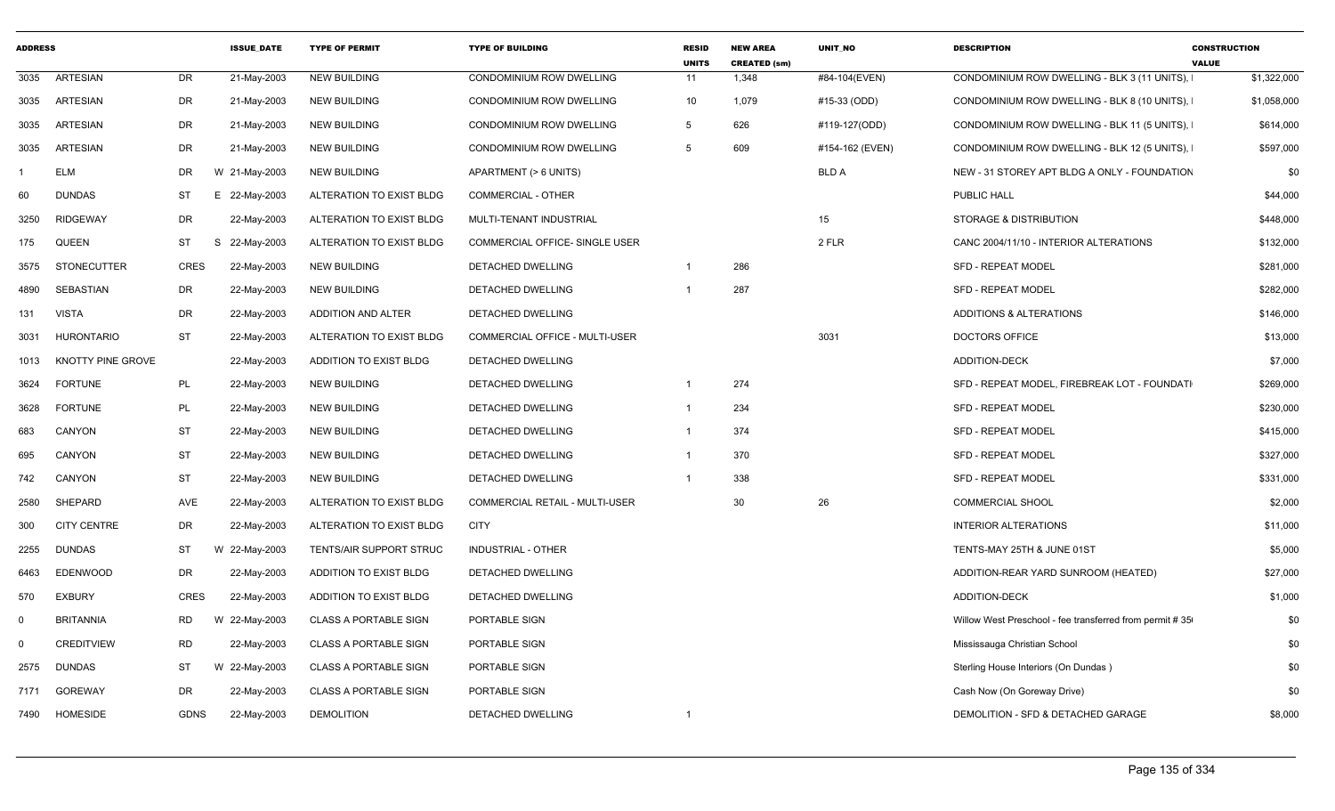| <b>ADDRESS</b> |                    |             | <b>ISSUE_DATE</b> | <b>TYPE OF PERMIT</b>          | <b>TYPE OF BUILDING</b>        | <b>RESID</b><br><b>UNITS</b> | <b>NEW AREA</b><br><b>CREATED (sm)</b> | UNIT_NO         | <b>DESCRIPTION</b>                                      | <b>CONSTRUCTION</b><br><b>VALUE</b> |
|----------------|--------------------|-------------|-------------------|--------------------------------|--------------------------------|------------------------------|----------------------------------------|-----------------|---------------------------------------------------------|-------------------------------------|
| 3035           | <b>ARTESIAN</b>    | <b>DR</b>   | 21-May-2003       | <b>NEW BUILDING</b>            | CONDOMINIUM ROW DWELLING       | 11                           | 1,348                                  | #84-104(EVEN)   | CONDOMINIUM ROW DWELLING - BLK 3 (11 UNITS),            | \$1,322,000                         |
| 3035           | <b>ARTESIAN</b>    | <b>DR</b>   | 21-May-2003       | <b>NEW BUILDING</b>            | CONDOMINIUM ROW DWELLING       | 10                           | 1,079                                  | #15-33 (ODD)    | CONDOMINIUM ROW DWELLING - BLK 8 (10 UNITS).            | \$1,058,000                         |
| 3035           | ARTESIAN           | <b>DR</b>   | 21-May-2003       | <b>NEW BUILDING</b>            | CONDOMINIUM ROW DWELLING       | 5                            | 626                                    | #119-127(ODD)   | CONDOMINIUM ROW DWELLING - BLK 11 (5 UNITS).            | \$614,000                           |
| 3035           | <b>ARTESIAN</b>    | DR          | 21-May-2003       | <b>NEW BUILDING</b>            | CONDOMINIUM ROW DWELLING       | 5                            | 609                                    | #154-162 (EVEN) | CONDOMINIUM ROW DWELLING - BLK 12 (5 UNITS),            | \$597,000                           |
|                | <b>ELM</b>         | <b>DR</b>   | W 21-May-2003     | <b>NEW BUILDING</b>            | APARTMENT (> 6 UNITS)          |                              |                                        | <b>BLD A</b>    | NEW - 31 STOREY APT BLDG A ONLY - FOUNDATION            | \$0                                 |
| 60             | <b>DUNDAS</b>      | ST          | E 22-May-2003     | ALTERATION TO EXIST BLDG       | <b>COMMERCIAL - OTHER</b>      |                              |                                        |                 | PUBLIC HALL                                             | \$44,000                            |
| 3250           | <b>RIDGEWAY</b>    | <b>DR</b>   | 22-May-2003       | ALTERATION TO EXIST BLDG       | MULTI-TENANT INDUSTRIAL        |                              |                                        | 15              | STORAGE & DISTRIBUTION                                  | \$448,000                           |
| 175            | <b>QUEEN</b>       | <b>ST</b>   | S 22-May-2003     | ALTERATION TO EXIST BLDG       | COMMERCIAL OFFICE- SINGLE USER |                              |                                        | 2 FLR           | CANC 2004/11/10 - INTERIOR ALTERATIONS                  | \$132,000                           |
| 3575           | <b>STONECUTTER</b> | <b>CRES</b> | 22-May-2003       | <b>NEW BUILDING</b>            | DETACHED DWELLING              | $\overline{1}$               | 286                                    |                 | SFD - REPEAT MODEL                                      | \$281,000                           |
| 4890           | SEBASTIAN          | <b>DR</b>   | 22-May-2003       | <b>NEW BUILDING</b>            | DETACHED DWELLING              |                              | 287                                    |                 | <b>SFD - REPEAT MODEL</b>                               | \$282,000                           |
| 131            | <b>VISTA</b>       | <b>DR</b>   | 22-May-2003       | ADDITION AND ALTER             | DETACHED DWELLING              |                              |                                        |                 | ADDITIONS & ALTERATIONS                                 | \$146,000                           |
| 3031           | <b>HURONTARIO</b>  | <b>ST</b>   | 22-May-2003       | ALTERATION TO EXIST BLDG       | COMMERCIAL OFFICE - MULTI-USER |                              |                                        | 3031            | <b>DOCTORS OFFICE</b>                                   | \$13,000                            |
| 1013           | KNOTTY PINE GROVE  |             | 22-May-2003       | ADDITION TO EXIST BLDG         | DETACHED DWELLING              |                              |                                        |                 | <b>ADDITION-DECK</b>                                    | \$7,000                             |
| 3624           | <b>FORTUNE</b>     | PL          | 22-May-2003       | <b>NEW BUILDING</b>            | DETACHED DWELLING              | $\overline{1}$               | 274                                    |                 | SFD - REPEAT MODEL, FIREBREAK LOT - FOUNDATI            | \$269,000                           |
| 3628           | <b>FORTUNE</b>     | PL          | 22-May-2003       | <b>NEW BUILDING</b>            | DETACHED DWELLING              | $\overline{1}$               | 234                                    |                 | <b>SFD - REPEAT MODEL</b>                               | \$230,000                           |
| 683            | CANYON             | <b>ST</b>   | 22-May-2003       | <b>NEW BUILDING</b>            | DETACHED DWELLING              | $\overline{1}$               | 374                                    |                 | SFD - REPEAT MODEL                                      | \$415,000                           |
| 695            | CANYON             | <b>ST</b>   | 22-May-2003       | <b>NEW BUILDING</b>            | DETACHED DWELLING              | $\overline{1}$               | 370                                    |                 | SFD - REPEAT MODEL                                      | \$327,000                           |
| 742            | CANYON             | <b>ST</b>   | 22-May-2003       | <b>NEW BUILDING</b>            | DETACHED DWELLING              | $\overline{1}$               | 338                                    |                 | <b>SFD - REPEAT MODEL</b>                               | \$331,000                           |
| 2580           | <b>SHEPARD</b>     | <b>AVE</b>  | 22-May-2003       | ALTERATION TO EXIST BLDG       | COMMERCIAL RETAIL - MULTI-USER |                              | 30                                     | 26              | <b>COMMERCIAL SHOOL</b>                                 | \$2,000                             |
| 300            | <b>CITY CENTRE</b> | <b>DR</b>   | 22-May-2003       | ALTERATION TO EXIST BLDG       | <b>CITY</b>                    |                              |                                        |                 | <b>INTERIOR ALTERATIONS</b>                             | \$11,000                            |
| 2255           | <b>DUNDAS</b>      | ST          | W 22-May-2003     | <b>TENTS/AIR SUPPORT STRUC</b> | INDUSTRIAL - OTHER             |                              |                                        |                 | TENTS-MAY 25TH & JUNE 01ST                              | \$5,000                             |
| 6463           | <b>EDENWOOD</b>    | <b>DR</b>   | 22-May-2003       | ADDITION TO EXIST BLDG         | DETACHED DWELLING              |                              |                                        |                 | ADDITION-REAR YARD SUNROOM (HEATED)                     | \$27,000                            |
| 570            | <b>EXBURY</b>      | CRES        | 22-May-2003       | ADDITION TO EXIST BLDG         | DETACHED DWELLING              |                              |                                        |                 | <b>ADDITION-DECK</b>                                    | \$1,000                             |
| $\Omega$       | <b>BRITANNIA</b>   | <b>RD</b>   | W 22-May-2003     | <b>CLASS A PORTABLE SIGN</b>   | PORTABLE SIGN                  |                              |                                        |                 | Willow West Preschool - fee transferred from permit #35 | \$0                                 |
| $\Omega$       | <b>CREDITVIEW</b>  | <b>RD</b>   | 22-May-2003       | <b>CLASS A PORTABLE SIGN</b>   | PORTABLE SIGN                  |                              |                                        |                 | Mississauga Christian School                            | \$0                                 |
| 2575           | <b>DUNDAS</b>      | ST          | W 22-May-2003     | <b>CLASS A PORTABLE SIGN</b>   | PORTABLE SIGN                  |                              |                                        |                 | Sterling House Interiors (On Dundas)                    | \$0                                 |
| 7171           | <b>GOREWAY</b>     | <b>DR</b>   | 22-May-2003       | <b>CLASS A PORTABLE SIGN</b>   | PORTABLE SIGN                  |                              |                                        |                 | Cash Now (On Goreway Drive)                             | \$0                                 |
| 7490           | <b>HOMESIDE</b>    | <b>GDNS</b> | 22-May-2003       | <b>DEMOLITION</b>              | DETACHED DWELLING              | $\overline{1}$               |                                        |                 | DEMOLITION - SFD & DETACHED GARAGE                      | \$8,000                             |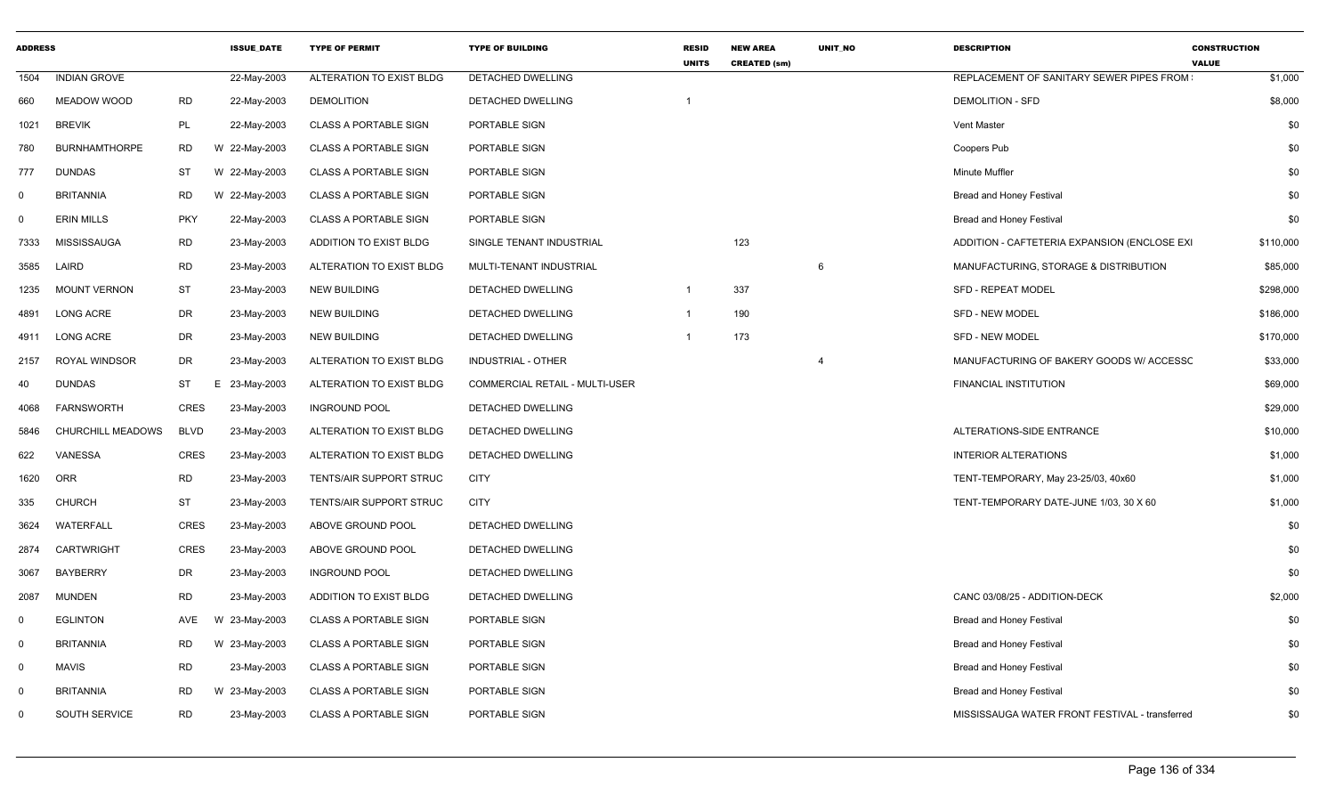| <b>ADDRESS</b> |                      |             | <b>ISSUE DATE</b> | <b>TYPE OF PERMIT</b>        | <b>TYPE OF BUILDING</b>        | <b>RESID</b><br><b>UNITS</b> | <b>NEW AREA</b><br><b>CREATED (sm)</b> | <b>UNIT NO</b> | <b>DESCRIPTION</b>                             | <b>CONSTRUCTION</b><br><b>VALUE</b> |
|----------------|----------------------|-------------|-------------------|------------------------------|--------------------------------|------------------------------|----------------------------------------|----------------|------------------------------------------------|-------------------------------------|
| 1504           | <b>INDIAN GROVE</b>  |             | 22-May-2003       | ALTERATION TO EXIST BLDG     | DETACHED DWELLING              |                              |                                        |                | REPLACEMENT OF SANITARY SEWER PIPES FROM       | \$1,000                             |
| 660            | <b>MEADOW WOOD</b>   | <b>RD</b>   | 22-May-2003       | <b>DEMOLITION</b>            | DETACHED DWELLING              |                              |                                        |                | <b>DEMOLITION - SFD</b>                        | \$8,000                             |
| 1021           | <b>BREVIK</b>        | PL          | 22-May-2003       | <b>CLASS A PORTABLE SIGN</b> | PORTABLE SIGN                  |                              |                                        |                | Vent Master                                    | \$0                                 |
| 780            | <b>BURNHAMTHORPE</b> | <b>RD</b>   | W 22-May-2003     | <b>CLASS A PORTABLE SIGN</b> | PORTABLE SIGN                  |                              |                                        |                | Coopers Pub                                    | \$0                                 |
| 777            | <b>DUNDAS</b>        | ST          | W 22-May-2003     | <b>CLASS A PORTABLE SIGN</b> | PORTABLE SIGN                  |                              |                                        |                | Minute Muffler                                 | \$0                                 |
| $\Omega$       | <b>BRITANNIA</b>     | <b>RD</b>   | W 22-May-2003     | <b>CLASS A PORTABLE SIGN</b> | PORTABLE SIGN                  |                              |                                        |                | <b>Bread and Honey Festival</b>                | \$0                                 |
| 0              | <b>ERIN MILLS</b>    | <b>PKY</b>  | 22-May-2003       | <b>CLASS A PORTABLE SIGN</b> | PORTABLE SIGN                  |                              |                                        |                | Bread and Honey Festival                       | \$0                                 |
| 7333           | <b>MISSISSAUGA</b>   | <b>RD</b>   | 23-May-2003       | ADDITION TO EXIST BLDG       | SINGLE TENANT INDUSTRIAL       |                              | 123                                    |                | ADDITION - CAFTETERIA EXPANSION (ENCLOSE EXI   | \$110,000                           |
| 3585           | LAIRD                | <b>RD</b>   | 23-May-2003       | ALTERATION TO EXIST BLDG     | MULTI-TENANT INDUSTRIAL        |                              |                                        | - 6            | MANUFACTURING, STORAGE & DISTRIBUTION          | \$85,000                            |
| 1235           | <b>MOUNT VERNON</b>  | <b>ST</b>   | 23-May-2003       | <b>NEW BUILDING</b>          | DETACHED DWELLING              | $\mathbf 1$                  | 337                                    |                | <b>SFD - REPEAT MODEL</b>                      | \$298,000                           |
| 4891           | <b>LONG ACRE</b>     | <b>DR</b>   | 23-May-2003       | <b>NEW BUILDING</b>          | DETACHED DWELLING              | $\mathbf 1$                  | 190                                    |                | <b>SFD - NEW MODEL</b>                         | \$186,000                           |
| 4911           | LONG ACRE            | <b>DR</b>   | 23-May-2003       | <b>NEW BUILDING</b>          | DETACHED DWELLING              |                              | 173                                    |                | <b>SFD - NEW MODEL</b>                         | \$170,000                           |
| 2157           | ROYAL WINDSOR        | <b>DR</b>   | 23-May-2003       | ALTERATION TO EXIST BLDG     | <b>INDUSTRIAL - OTHER</b>      |                              |                                        |                | MANUFACTURING OF BAKERY GOODS W/ ACCESSC       | \$33,000                            |
| 40             | <b>DUNDAS</b>        | ST          | Е<br>23-May-2003  | ALTERATION TO EXIST BLDG     | COMMERCIAL RETAIL - MULTI-USER |                              |                                        |                | FINANCIAL INSTITUTION                          | \$69,000                            |
| 4068           | <b>FARNSWORTH</b>    | <b>CRES</b> | 23-May-2003       | <b>INGROUND POOL</b>         | DETACHED DWELLING              |                              |                                        |                |                                                | \$29,000                            |
| 5846           | CHURCHILL MEADOWS    | <b>BLVD</b> | 23-May-2003       | ALTERATION TO EXIST BLDG     | DETACHED DWELLING              |                              |                                        |                | ALTERATIONS-SIDE ENTRANCE                      | \$10,000                            |
| 622            | VANESSA              | CRES        | 23-May-2003       | ALTERATION TO EXIST BLDG     | DETACHED DWELLING              |                              |                                        |                | <b>INTERIOR ALTERATIONS</b>                    | \$1,000                             |
| 1620           | <b>ORR</b>           | <b>RD</b>   | 23-May-2003       | TENTS/AIR SUPPORT STRUC      | <b>CITY</b>                    |                              |                                        |                | TENT-TEMPORARY, May 23-25/03, 40x60            | \$1,000                             |
| 335            | <b>CHURCH</b>        | <b>ST</b>   | 23-May-2003       | TENTS/AIR SUPPORT STRUC      | <b>CITY</b>                    |                              |                                        |                | TENT-TEMPORARY DATE-JUNE 1/03, 30 X 60         | \$1,000                             |
| 3624           | WATERFALL            | <b>CRES</b> | 23-May-2003       | ABOVE GROUND POOL            | DETACHED DWELLING              |                              |                                        |                |                                                | \$0                                 |
| 2874           | <b>CARTWRIGHT</b>    | CRES        | 23-May-2003       | ABOVE GROUND POOL            | DETACHED DWELLING              |                              |                                        |                |                                                | \$0                                 |
| 3067           | <b>BAYBERRY</b>      | DR          | 23-May-2003       | <b>INGROUND POOL</b>         | DETACHED DWELLING              |                              |                                        |                |                                                | \$0                                 |
| 2087           | <b>MUNDEN</b>        | <b>RD</b>   | 23-May-2003       | ADDITION TO EXIST BLDG       | <b>DETACHED DWELLING</b>       |                              |                                        |                | CANC 03/08/25 - ADDITION-DECK                  | \$2,000                             |
| 0              | <b>EGLINTON</b>      | AVE         | 23-May-2003<br>W  | <b>CLASS A PORTABLE SIGN</b> | PORTABLE SIGN                  |                              |                                        |                | <b>Bread and Honey Festival</b>                | \$0                                 |
| $\mathbf 0$    | <b>BRITANNIA</b>     | <b>RD</b>   | W 23-May-2003     | <b>CLASS A PORTABLE SIGN</b> | PORTABLE SIGN                  |                              |                                        |                | <b>Bread and Honey Festival</b>                | \$0                                 |
| $\mathbf 0$    | <b>MAVIS</b>         | <b>RD</b>   | 23-May-2003       | <b>CLASS A PORTABLE SIGN</b> | PORTABLE SIGN                  |                              |                                        |                | <b>Bread and Honey Festival</b>                | \$0                                 |
| $\Omega$       | <b>BRITANNIA</b>     | <b>RD</b>   | W 23-May-2003     | <b>CLASS A PORTABLE SIGN</b> | PORTABLE SIGN                  |                              |                                        |                | <b>Bread and Honey Festival</b>                | \$0                                 |
| 0              | SOUTH SERVICE        | <b>RD</b>   | 23-May-2003       | <b>CLASS A PORTABLE SIGN</b> | PORTABLE SIGN                  |                              |                                        |                | MISSISSAUGA WATER FRONT FESTIVAL - transferred | \$0                                 |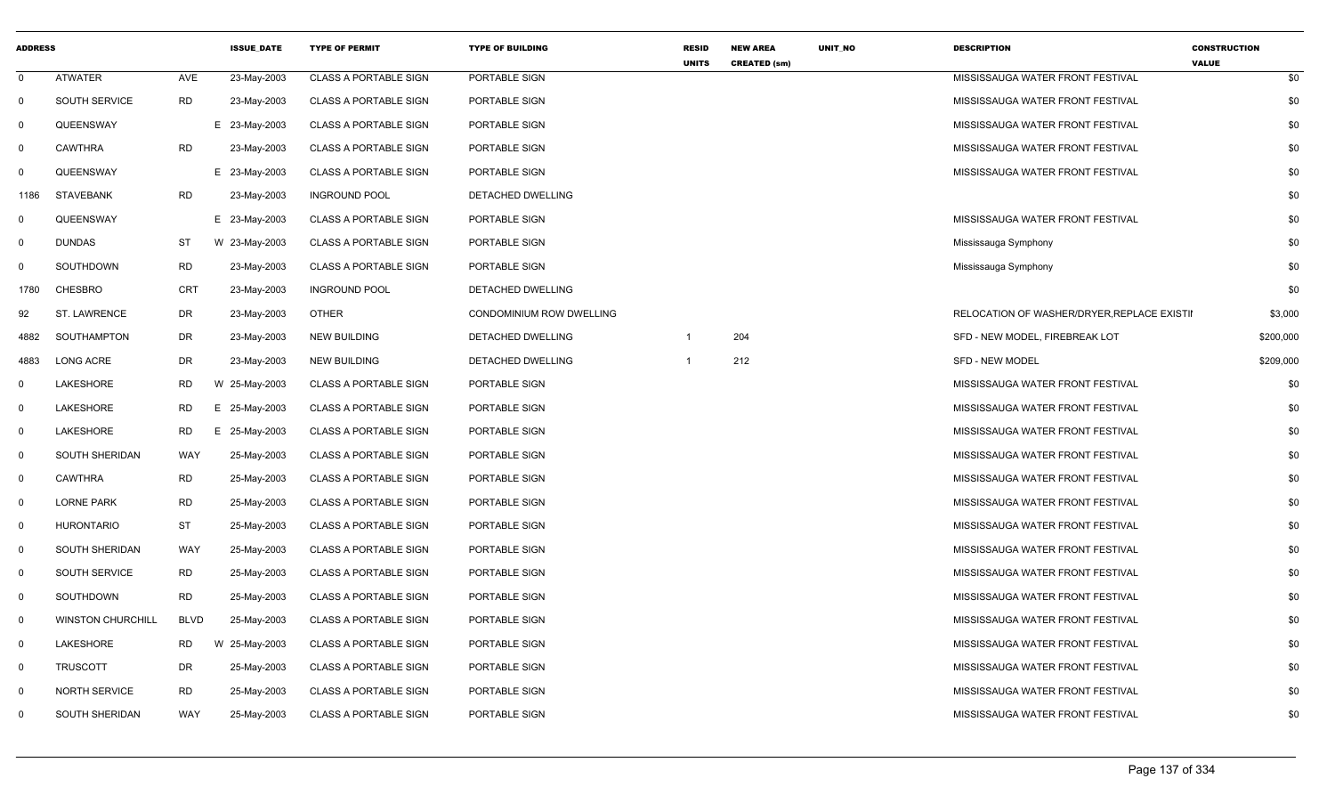| <b>ADDRESS</b> |                          |             | <b>ISSUE DATE</b> | <b>TYPE OF PERMIT</b>        | <b>TYPE OF BUILDING</b>  | <b>RESID</b><br><b>UNITS</b> | <b>NEW AREA</b><br><b>CREATED (sm)</b> | UNIT_NO | <b>DESCRIPTION</b>                          | <b>CONSTRUCTION</b><br><b>VALUE</b> |
|----------------|--------------------------|-------------|-------------------|------------------------------|--------------------------|------------------------------|----------------------------------------|---------|---------------------------------------------|-------------------------------------|
| $\Omega$       | <b>ATWATER</b>           | AVE         | 23-May-2003       | <b>CLASS A PORTABLE SIGN</b> | PORTABLE SIGN            |                              |                                        |         | MISSISSAUGA WATER FRONT FESTIVAL            | \$0                                 |
| $\mathbf 0$    | <b>SOUTH SERVICE</b>     | <b>RD</b>   | 23-May-2003       | <b>CLASS A PORTABLE SIGN</b> | PORTABLE SIGN            |                              |                                        |         | MISSISSAUGA WATER FRONT FESTIVAL            | \$0                                 |
| $\mathbf 0$    | QUEENSWAY                |             | E 23-May-2003     | <b>CLASS A PORTABLE SIGN</b> | PORTABLE SIGN            |                              |                                        |         | MISSISSAUGA WATER FRONT FESTIVAL            | \$0                                 |
| 0              | <b>CAWTHRA</b>           | <b>RD</b>   | 23-May-2003       | <b>CLASS A PORTABLE SIGN</b> | PORTABLE SIGN            |                              |                                        |         | MISSISSAUGA WATER FRONT FESTIVAL            | \$0                                 |
| 0              | QUEENSWAY                |             | E 23-May-2003     | <b>CLASS A PORTABLE SIGN</b> | PORTABLE SIGN            |                              |                                        |         | MISSISSAUGA WATER FRONT FESTIVAL            | \$0                                 |
| 1186           | <b>STAVEBANK</b>         | <b>RD</b>   | 23-May-2003       | <b>INGROUND POOL</b>         | DETACHED DWELLING        |                              |                                        |         |                                             | \$0                                 |
| 0              | QUEENSWAY                |             | E 23-May-2003     | CLASS A PORTABLE SIGN        | PORTABLE SIGN            |                              |                                        |         | MISSISSAUGA WATER FRONT FESTIVAL            | \$0                                 |
| $\mathbf 0$    | <b>DUNDAS</b>            | ST          | W 23-May-2003     | <b>CLASS A PORTABLE SIGN</b> | PORTABLE SIGN            |                              |                                        |         | Mississauga Symphony                        | \$0                                 |
| 0              | SOUTHDOWN                | <b>RD</b>   | 23-May-2003       | <b>CLASS A PORTABLE SIGN</b> | PORTABLE SIGN            |                              |                                        |         | Mississauga Symphony                        | \$0                                 |
| 1780           | CHESBRO                  | <b>CRT</b>  | 23-May-2003       | <b>INGROUND POOL</b>         | DETACHED DWELLING        |                              |                                        |         |                                             | \$0                                 |
| 92             | <b>ST. LAWRENCE</b>      | DR          | 23-May-2003       | OTHER                        | CONDOMINIUM ROW DWELLING |                              |                                        |         | RELOCATION OF WASHER/DRYER, REPLACE EXISTII | \$3,000                             |
| 4882           | SOUTHAMPTON              | DR          | 23-May-2003       | <b>NEW BUILDING</b>          | DETACHED DWELLING        |                              | 204                                    |         | SFD - NEW MODEL, FIREBREAK LOT              | \$200,000                           |
| 4883           | <b>LONG ACRE</b>         | DR          | 23-May-2003       | <b>NEW BUILDING</b>          | <b>DETACHED DWELLING</b> |                              | 212                                    |         | <b>SFD - NEW MODEL</b>                      | \$209,000                           |
| 0              | LAKESHORE                | <b>RD</b>   | W 25-May-2003     | <b>CLASS A PORTABLE SIGN</b> | PORTABLE SIGN            |                              |                                        |         | MISSISSAUGA WATER FRONT FESTIVAL            | \$0                                 |
| 0              | LAKESHORE                | <b>RD</b>   | E 25-May-2003     | <b>CLASS A PORTABLE SIGN</b> | PORTABLE SIGN            |                              |                                        |         | MISSISSAUGA WATER FRONT FESTIVAL            | \$0                                 |
| 0              | LAKESHORE                | <b>RD</b>   | 25-May-2003<br>E. | <b>CLASS A PORTABLE SIGN</b> | PORTABLE SIGN            |                              |                                        |         | MISSISSAUGA WATER FRONT FESTIVAL            | \$0                                 |
| 0              | <b>SOUTH SHERIDAN</b>    | WAY         | 25-May-2003       | <b>CLASS A PORTABLE SIGN</b> | PORTABLE SIGN            |                              |                                        |         | MISSISSAUGA WATER FRONT FESTIVAL            | \$0                                 |
| $\mathbf 0$    | <b>CAWTHRA</b>           | <b>RD</b>   | 25-May-2003       | <b>CLASS A PORTABLE SIGN</b> | PORTABLE SIGN            |                              |                                        |         | MISSISSAUGA WATER FRONT FESTIVAL            | \$0                                 |
| $\mathbf 0$    | <b>LORNE PARK</b>        | <b>RD</b>   | 25-May-2003       | <b>CLASS A PORTABLE SIGN</b> | PORTABLE SIGN            |                              |                                        |         | MISSISSAUGA WATER FRONT FESTIVAL            | \$0                                 |
| 0              | <b>HURONTARIO</b>        | <b>ST</b>   | 25-May-2003       | <b>CLASS A PORTABLE SIGN</b> | PORTABLE SIGN            |                              |                                        |         | MISSISSAUGA WATER FRONT FESTIVAL            | \$0                                 |
| $\Omega$       | SOUTH SHERIDAN           | WAY         | 25-May-2003       | <b>CLASS A PORTABLE SIGN</b> | PORTABLE SIGN            |                              |                                        |         | MISSISSAUGA WATER FRONT FESTIVAL            | \$0                                 |
| $\mathbf 0$    | <b>SOUTH SERVICE</b>     | RD          | 25-May-2003       | <b>CLASS A PORTABLE SIGN</b> | PORTABLE SIGN            |                              |                                        |         | MISSISSAUGA WATER FRONT FESTIVAL            | \$0                                 |
| $\mathbf 0$    | SOUTHDOWN                | <b>RD</b>   | 25-May-2003       | <b>CLASS A PORTABLE SIGN</b> | PORTABLE SIGN            |                              |                                        |         | MISSISSAUGA WATER FRONT FESTIVAL            | \$0                                 |
| $\mathbf 0$    | <b>WINSTON CHURCHILL</b> | <b>BLVD</b> | 25-May-2003       | <b>CLASS A PORTABLE SIGN</b> | PORTABLE SIGN            |                              |                                        |         | MISSISSAUGA WATER FRONT FESTIVAL            | \$0                                 |
| 0              | LAKESHORE                | RD          | W 25-May-2003     | <b>CLASS A PORTABLE SIGN</b> | PORTABLE SIGN            |                              |                                        |         | MISSISSAUGA WATER FRONT FESTIVAL            | \$0                                 |
| 0              | <b>TRUSCOTT</b>          | DR          | 25-May-2003       | <b>CLASS A PORTABLE SIGN</b> | PORTABLE SIGN            |                              |                                        |         | MISSISSAUGA WATER FRONT FESTIVAL            | \$0                                 |
| $\mathbf 0$    | <b>NORTH SERVICE</b>     | <b>RD</b>   | 25-May-2003       | <b>CLASS A PORTABLE SIGN</b> | PORTABLE SIGN            |                              |                                        |         | MISSISSAUGA WATER FRONT FESTIVAL            | \$0                                 |
| $\Omega$       | SOUTH SHERIDAN           | WAY         | 25-May-2003       | <b>CLASS A PORTABLE SIGN</b> | PORTABLE SIGN            |                              |                                        |         | MISSISSAUGA WATER FRONT FESTIVAL            | \$0                                 |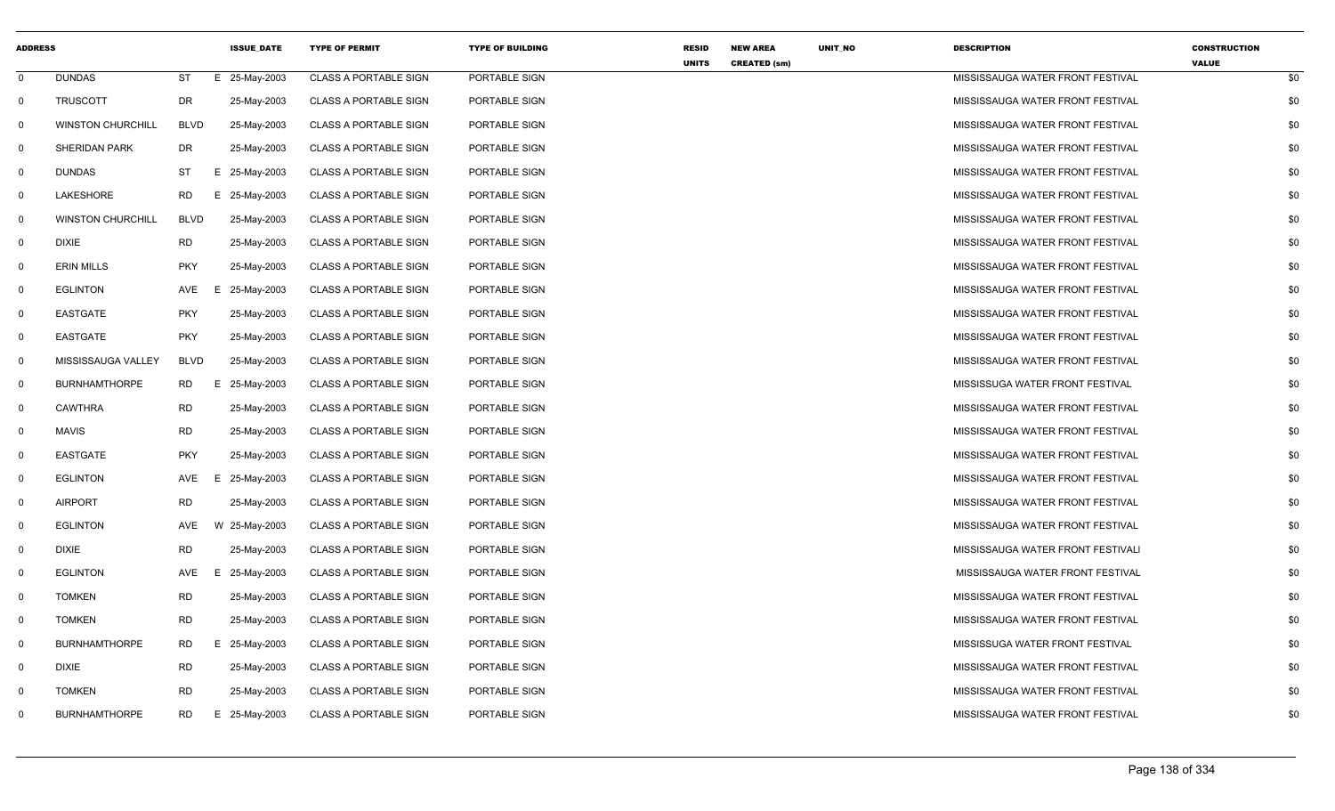| <b>ADDRESS</b> |                          |             | <b>ISSUE_DATE</b> | <b>TYPE OF PERMIT</b>        | <b>TYPE OF BUILDING</b> | <b>RESID</b><br><b>UNITS</b> | <b>NEW AREA</b><br><b>CREATED (sm)</b> | UNIT_NO | <b>DESCRIPTION</b>                | <b>CONSTRUCTION</b><br><b>VALUE</b> |     |
|----------------|--------------------------|-------------|-------------------|------------------------------|-------------------------|------------------------------|----------------------------------------|---------|-----------------------------------|-------------------------------------|-----|
| $\mathbf 0$    | <b>DUNDAS</b>            | ST          | E 25-May-2003     | <b>CLASS A PORTABLE SIGN</b> | PORTABLE SIGN           |                              |                                        |         | MISSISSAUGA WATER FRONT FESTIVAL  |                                     | \$0 |
| $\mathsf{O}$   | <b>TRUSCOTT</b>          | DR          | 25-May-2003       | <b>CLASS A PORTABLE SIGN</b> | PORTABLE SIGN           |                              |                                        |         | MISSISSAUGA WATER FRONT FESTIVAL  |                                     | \$0 |
| 0              | <b>WINSTON CHURCHILL</b> | <b>BLVD</b> | 25-May-2003       | <b>CLASS A PORTABLE SIGN</b> | PORTABLE SIGN           |                              |                                        |         | MISSISSAUGA WATER FRONT FESTIVAL  |                                     | \$0 |
| 0              | <b>SHERIDAN PARK</b>     | DR          | 25-May-2003       | <b>CLASS A PORTABLE SIGN</b> | PORTABLE SIGN           |                              |                                        |         | MISSISSAUGA WATER FRONT FESTIVAL  |                                     | \$0 |
| $\mathbf 0$    | <b>DUNDAS</b>            | ST          | E 25-May-2003     | <b>CLASS A PORTABLE SIGN</b> | PORTABLE SIGN           |                              |                                        |         | MISSISSAUGA WATER FRONT FESTIVAL  |                                     | \$0 |
| $\mathbf 0$    | LAKESHORE                | RD          | E 25-May-2003     | CLASS A PORTABLE SIGN        | PORTABLE SIGN           |                              |                                        |         | MISSISSAUGA WATER FRONT FESTIVAL  |                                     | \$0 |
| 0              | <b>WINSTON CHURCHILL</b> | <b>BLVD</b> | 25-May-2003       | <b>CLASS A PORTABLE SIGN</b> | PORTABLE SIGN           |                              |                                        |         | MISSISSAUGA WATER FRONT FESTIVAL  |                                     | \$0 |
| 0              | <b>DIXIE</b>             | RD          | 25-May-2003       | <b>CLASS A PORTABLE SIGN</b> | PORTABLE SIGN           |                              |                                        |         | MISSISSAUGA WATER FRONT FESTIVAL  |                                     | \$0 |
| - 0            | <b>ERIN MILLS</b>        | <b>PKY</b>  | 25-May-2003       | <b>CLASS A PORTABLE SIGN</b> | PORTABLE SIGN           |                              |                                        |         | MISSISSAUGA WATER FRONT FESTIVAL  |                                     | \$0 |
| 0              | <b>EGLINTON</b>          | AVE         | 25-May-2003<br>Е  | <b>CLASS A PORTABLE SIGN</b> | PORTABLE SIGN           |                              |                                        |         | MISSISSAUGA WATER FRONT FESTIVAL  |                                     | \$0 |
| 0              | <b>EASTGATE</b>          | <b>PKY</b>  | 25-May-2003       | <b>CLASS A PORTABLE SIGN</b> | PORTABLE SIGN           |                              |                                        |         | MISSISSAUGA WATER FRONT FESTIVAL  |                                     | \$0 |
| 0              | <b>EASTGATE</b>          | <b>PKY</b>  | 25-May-2003       | <b>CLASS A PORTABLE SIGN</b> | PORTABLE SIGN           |                              |                                        |         | MISSISSAUGA WATER FRONT FESTIVAL  |                                     | \$0 |
| 0              | MISSISSAUGA VALLEY       | <b>BLVD</b> | 25-May-2003       | <b>CLASS A PORTABLE SIGN</b> | PORTABLE SIGN           |                              |                                        |         | MISSISSAUGA WATER FRONT FESTIVAL  |                                     | \$0 |
| 0              | <b>BURNHAMTHORPE</b>     | RD          | E 25-May-2003     | <b>CLASS A PORTABLE SIGN</b> | PORTABLE SIGN           |                              |                                        |         | MISSISSUGA WATER FRONT FESTIVAL   |                                     | \$0 |
| $\mathbf 0$    | <b>CAWTHRA</b>           | RD          | 25-May-2003       | <b>CLASS A PORTABLE SIGN</b> | PORTABLE SIGN           |                              |                                        |         | MISSISSAUGA WATER FRONT FESTIVAL  |                                     | \$0 |
| - 0            | <b>MAVIS</b>             | <b>RD</b>   | 25-May-2003       | <b>CLASS A PORTABLE SIGN</b> | PORTABLE SIGN           |                              |                                        |         | MISSISSAUGA WATER FRONT FESTIVAL  |                                     | \$0 |
| 0              | <b>EASTGATE</b>          | <b>PKY</b>  | 25-May-2003       | <b>CLASS A PORTABLE SIGN</b> | PORTABLE SIGN           |                              |                                        |         | MISSISSAUGA WATER FRONT FESTIVAL  |                                     | \$0 |
| 0              | EGLINTON                 | AVE         | 25-May-2003<br>Е. | <b>CLASS A PORTABLE SIGN</b> | PORTABLE SIGN           |                              |                                        |         | MISSISSAUGA WATER FRONT FESTIVAL  |                                     | \$0 |
| 0              | <b>AIRPORT</b>           | <b>RD</b>   | 25-May-2003       | <b>CLASS A PORTABLE SIGN</b> | PORTABLE SIGN           |                              |                                        |         | MISSISSAUGA WATER FRONT FESTIVAL  |                                     | \$0 |
| 0              | <b>EGLINTON</b>          | AVE         | W 25-May-2003     | <b>CLASS A PORTABLE SIGN</b> | PORTABLE SIGN           |                              |                                        |         | MISSISSAUGA WATER FRONT FESTIVAL  |                                     | \$0 |
| $\mathbf 0$    | <b>DIXIE</b>             | <b>RD</b>   | 25-May-2003       | <b>CLASS A PORTABLE SIGN</b> | PORTABLE SIGN           |                              |                                        |         | MISSISSAUGA WATER FRONT FESTIVALI |                                     | \$0 |
| $\mathbf 0$    | <b>EGLINTON</b>          | AVE         | E 25-May-2003     | <b>CLASS A PORTABLE SIGN</b> | PORTABLE SIGN           |                              |                                        |         | MISSISSAUGA WATER FRONT FESTIVAL  |                                     | \$0 |
| 0              | <b>TOMKEN</b>            | <b>RD</b>   | 25-May-2003       | <b>CLASS A PORTABLE SIGN</b> | PORTABLE SIGN           |                              |                                        |         | MISSISSAUGA WATER FRONT FESTIVAL  |                                     | \$0 |
| $\mathbf 0$    | <b>TOMKEN</b>            | <b>RD</b>   | 25-May-2003       | <b>CLASS A PORTABLE SIGN</b> | PORTABLE SIGN           |                              |                                        |         | MISSISSAUGA WATER FRONT FESTIVAL  |                                     | \$0 |
| - 0            | <b>BURNHAMTHORPE</b>     | RD          | E 25-May-2003     | <b>CLASS A PORTABLE SIGN</b> | PORTABLE SIGN           |                              |                                        |         | MISSISSUGA WATER FRONT FESTIVAL   |                                     | \$0 |
| 0              | <b>DIXIE</b>             | <b>RD</b>   | 25-May-2003       | <b>CLASS A PORTABLE SIGN</b> | PORTABLE SIGN           |                              |                                        |         | MISSISSAUGA WATER FRONT FESTIVAL  |                                     | \$0 |
| - 0            | <b>TOMKEN</b>            | <b>RD</b>   | 25-May-2003       | <b>CLASS A PORTABLE SIGN</b> | PORTABLE SIGN           |                              |                                        |         | MISSISSAUGA WATER FRONT FESTIVAL  |                                     | \$0 |
| $\Omega$       | <b>BURNHAMTHORPE</b>     | <b>RD</b>   | E 25-May-2003     | <b>CLASS A PORTABLE SIGN</b> | PORTABLE SIGN           |                              |                                        |         | MISSISSAUGA WATER FRONT FESTIVAL  |                                     | \$0 |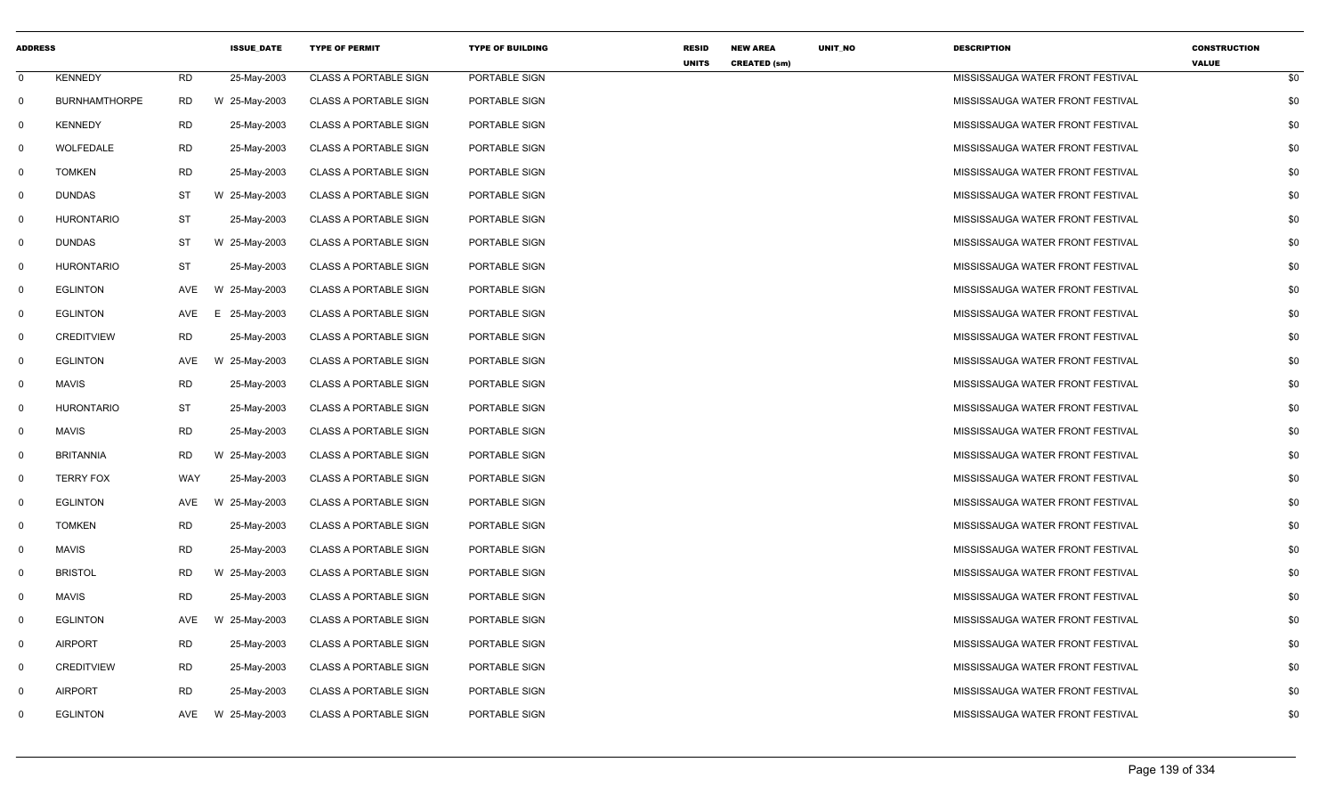| <b>ADDRESS</b> |                      |           | <b>ISSUE_DATE</b> | <b>TYPE OF PERMIT</b>        | <b>TYPE OF BUILDING</b> | <b>RESID</b><br><b>UNITS</b> | <b>NEW AREA</b><br><b>CREATED (sm)</b> | UNIT_NO | <b>DESCRIPTION</b>               | <b>CONSTRUCTION</b><br><b>VALUE</b> |     |
|----------------|----------------------|-----------|-------------------|------------------------------|-------------------------|------------------------------|----------------------------------------|---------|----------------------------------|-------------------------------------|-----|
| $\mathbf 0$    | <b>KENNEDY</b>       | <b>RD</b> | 25-May-2003       | <b>CLASS A PORTABLE SIGN</b> | PORTABLE SIGN           |                              |                                        |         | MISSISSAUGA WATER FRONT FESTIVAL |                                     | \$0 |
| $\mathbf 0$    | <b>BURNHAMTHORPE</b> | RD        | W 25-May-2003     | <b>CLASS A PORTABLE SIGN</b> | PORTABLE SIGN           |                              |                                        |         | MISSISSAUGA WATER FRONT FESTIVAL |                                     | \$0 |
| 0              | KENNEDY              | <b>RD</b> | 25-May-2003       | <b>CLASS A PORTABLE SIGN</b> | PORTABLE SIGN           |                              |                                        |         | MISSISSAUGA WATER FRONT FESTIVAL |                                     | \$0 |
| $\Omega$       | WOLFEDALE            | <b>RD</b> | 25-May-2003       | <b>CLASS A PORTABLE SIGN</b> | PORTABLE SIGN           |                              |                                        |         | MISSISSAUGA WATER FRONT FESTIVAL |                                     | \$0 |
| $\mathbf 0$    | <b>TOMKEN</b>        | <b>RD</b> | 25-May-2003       | <b>CLASS A PORTABLE SIGN</b> | PORTABLE SIGN           |                              |                                        |         | MISSISSAUGA WATER FRONT FESTIVAL |                                     | \$0 |
| $\mathbf 0$    | <b>DUNDAS</b>        | ST        | W 25-May-2003     | <b>CLASS A PORTABLE SIGN</b> | PORTABLE SIGN           |                              |                                        |         | MISSISSAUGA WATER FRONT FESTIVAL |                                     | \$0 |
| $\mathbf 0$    | <b>HURONTARIO</b>    | <b>ST</b> | 25-May-2003       | <b>CLASS A PORTABLE SIGN</b> | PORTABLE SIGN           |                              |                                        |         | MISSISSAUGA WATER FRONT FESTIVAL |                                     | \$0 |
| 0              | DUNDAS               | ST        | W 25-May-2003     | <b>CLASS A PORTABLE SIGN</b> | PORTABLE SIGN           |                              |                                        |         | MISSISSAUGA WATER FRONT FESTIVAL |                                     | \$0 |
| $\mathbf 0$    | <b>HURONTARIO</b>    | <b>ST</b> | 25-May-2003       | <b>CLASS A PORTABLE SIGN</b> | PORTABLE SIGN           |                              |                                        |         | MISSISSAUGA WATER FRONT FESTIVAL |                                     | \$0 |
| 0              | <b>EGLINTON</b>      | AVE       | W 25-May-2003     | <b>CLASS A PORTABLE SIGN</b> | PORTABLE SIGN           |                              |                                        |         | MISSISSAUGA WATER FRONT FESTIVAL |                                     | \$0 |
| $\mathbf 0$    | <b>EGLINTON</b>      | AVE       | 25-May-2003<br>E. | <b>CLASS A PORTABLE SIGN</b> | PORTABLE SIGN           |                              |                                        |         | MISSISSAUGA WATER FRONT FESTIVAL |                                     | \$0 |
| $\Omega$       | <b>CREDITVIEW</b>    | <b>RD</b> | 25-May-2003       | <b>CLASS A PORTABLE SIGN</b> | PORTABLE SIGN           |                              |                                        |         | MISSISSAUGA WATER FRONT FESTIVAL |                                     | \$0 |
| 0              | <b>EGLINTON</b>      | AVE       | W 25-May-2003     | <b>CLASS A PORTABLE SIGN</b> | PORTABLE SIGN           |                              |                                        |         | MISSISSAUGA WATER FRONT FESTIVAL |                                     | \$0 |
| $\mathbf 0$    | <b>MAVIS</b>         | <b>RD</b> | 25-May-2003       | <b>CLASS A PORTABLE SIGN</b> | PORTABLE SIGN           |                              |                                        |         | MISSISSAUGA WATER FRONT FESTIVAL |                                     | \$0 |
| $\mathbf 0$    | <b>HURONTARIO</b>    | <b>ST</b> | 25-May-2003       | <b>CLASS A PORTABLE SIGN</b> | PORTABLE SIGN           |                              |                                        |         | MISSISSAUGA WATER FRONT FESTIVAL |                                     | \$0 |
| $\mathbf 0$    | <b>MAVIS</b>         | <b>RD</b> | 25-May-2003       | <b>CLASS A PORTABLE SIGN</b> | PORTABLE SIGN           |                              |                                        |         | MISSISSAUGA WATER FRONT FESTIVAL |                                     | \$0 |
| 0              | <b>BRITANNIA</b>     | RD.       | W 25-May-2003     | <b>CLASS A PORTABLE SIGN</b> | PORTABLE SIGN           |                              |                                        |         | MISSISSAUGA WATER FRONT FESTIVAL |                                     | \$0 |
| $\mathbf 0$    | <b>TERRY FOX</b>     | WAY       | 25-May-2003       | <b>CLASS A PORTABLE SIGN</b> | PORTABLE SIGN           |                              |                                        |         | MISSISSAUGA WATER FRONT FESTIVAL |                                     | \$0 |
| $\mathbf 0$    | <b>EGLINTON</b>      | AVE       | W 25-May-2003     | <b>CLASS A PORTABLE SIGN</b> | PORTABLE SIGN           |                              |                                        |         | MISSISSAUGA WATER FRONT FESTIVAL |                                     | \$0 |
| $\mathbf 0$    | <b>TOMKEN</b>        | RD        | 25-May-2003       | <b>CLASS A PORTABLE SIGN</b> | PORTABLE SIGN           |                              |                                        |         | MISSISSAUGA WATER FRONT FESTIVAL |                                     | \$0 |
| $\mathbf 0$    | <b>MAVIS</b>         | <b>RD</b> | 25-May-2003       | <b>CLASS A PORTABLE SIGN</b> | PORTABLE SIGN           |                              |                                        |         | MISSISSAUGA WATER FRONT FESTIVAL |                                     | \$0 |
| 0              | <b>BRISTOL</b>       | <b>RD</b> | W 25-May-2003     | <b>CLASS A PORTABLE SIGN</b> | PORTABLE SIGN           |                              |                                        |         | MISSISSAUGA WATER FRONT FESTIVAL |                                     | \$0 |
| $\mathbf 0$    | <b>MAVIS</b>         | <b>RD</b> | 25-May-2003       | <b>CLASS A PORTABLE SIGN</b> | PORTABLE SIGN           |                              |                                        |         | MISSISSAUGA WATER FRONT FESTIVAL |                                     | \$0 |
| 0              | <b>EGLINTON</b>      | AVE       | W 25-May-2003     | <b>CLASS A PORTABLE SIGN</b> | PORTABLE SIGN           |                              |                                        |         | MISSISSAUGA WATER FRONT FESTIVAL |                                     | \$0 |
| 0              | <b>AIRPORT</b>       | RD        | 25-May-2003       | <b>CLASS A PORTABLE SIGN</b> | PORTABLE SIGN           |                              |                                        |         | MISSISSAUGA WATER FRONT FESTIVAL |                                     | \$0 |
| $\Omega$       | <b>CREDITVIEW</b>    | <b>RD</b> | 25-May-2003       | <b>CLASS A PORTABLE SIGN</b> | PORTABLE SIGN           |                              |                                        |         | MISSISSAUGA WATER FRONT FESTIVAL |                                     | \$0 |
| 0              | <b>AIRPORT</b>       | <b>RD</b> | 25-May-2003       | <b>CLASS A PORTABLE SIGN</b> | PORTABLE SIGN           |                              |                                        |         | MISSISSAUGA WATER FRONT FESTIVAL |                                     | \$0 |
| $\Omega$       | <b>EGLINTON</b>      | AVE       | W 25-May-2003     | <b>CLASS A PORTABLE SIGN</b> | PORTABLE SIGN           |                              |                                        |         | MISSISSAUGA WATER FRONT FESTIVAL |                                     | \$0 |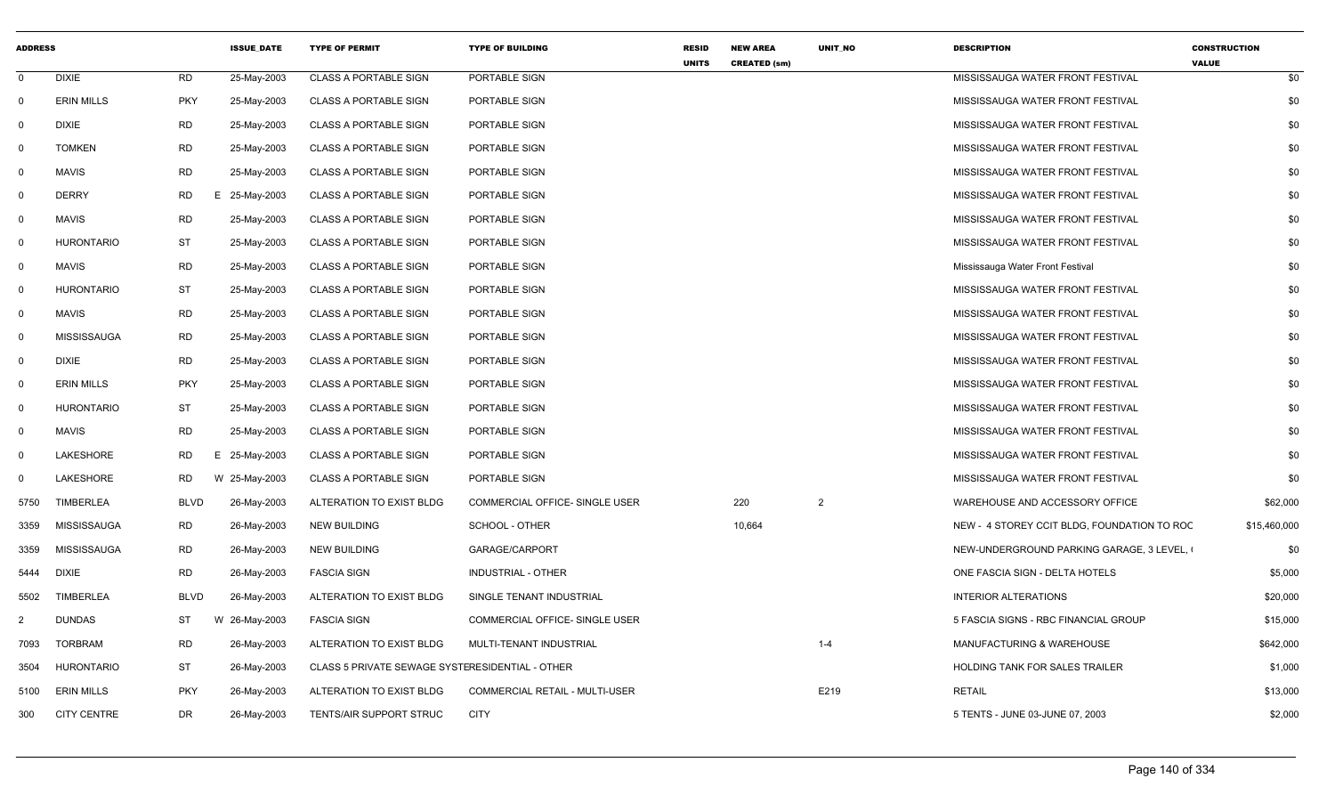| <b>ADDRESS</b> |                    |             | <b>ISSUE_DATE</b> | <b>TYPE OF PERMIT</b>                           | <b>TYPE OF BUILDING</b>        | <b>RESID</b><br><b>UNITS</b> | <b>NEW AREA</b><br><b>CREATED (sm)</b> | UNIT_NO        | <b>DESCRIPTION</b>                          | <b>CONSTRUCTION</b><br><b>VALUE</b> |
|----------------|--------------------|-------------|-------------------|-------------------------------------------------|--------------------------------|------------------------------|----------------------------------------|----------------|---------------------------------------------|-------------------------------------|
| $\mathbf 0$    | <b>DIXIE</b>       | <b>RD</b>   | 25-May-2003       | <b>CLASS A PORTABLE SIGN</b>                    | PORTABLE SIGN                  |                              |                                        |                | MISSISSAUGA WATER FRONT FESTIVAL            | \$0                                 |
| $\mathbf 0$    | <b>ERIN MILLS</b>  | <b>PKY</b>  | 25-May-2003       | <b>CLASS A PORTABLE SIGN</b>                    | PORTABLE SIGN                  |                              |                                        |                | MISSISSAUGA WATER FRONT FESTIVAL            | \$0                                 |
| $\Omega$       | <b>DIXIE</b>       | <b>RD</b>   | 25-May-2003       | <b>CLASS A PORTABLE SIGN</b>                    | PORTABLE SIGN                  |                              |                                        |                | MISSISSAUGA WATER FRONT FESTIVAL            | \$0                                 |
| 0              | <b>TOMKEN</b>      | <b>RD</b>   | 25-May-2003       | <b>CLASS A PORTABLE SIGN</b>                    | PORTABLE SIGN                  |                              |                                        |                | MISSISSAUGA WATER FRONT FESTIVAL            | \$0                                 |
| $\Omega$       | <b>MAVIS</b>       | <b>RD</b>   | 25-May-2003       | <b>CLASS A PORTABLE SIGN</b>                    | PORTABLE SIGN                  |                              |                                        |                | MISSISSAUGA WATER FRONT FESTIVAL            | \$0                                 |
| $\mathbf 0$    | <b>DERRY</b>       | RD          | 25-May-2003<br>Е. | <b>CLASS A PORTABLE SIGN</b>                    | PORTABLE SIGN                  |                              |                                        |                | MISSISSAUGA WATER FRONT FESTIVAL            | \$0                                 |
| $\Omega$       | <b>MAVIS</b>       | <b>RD</b>   | 25-May-2003       | <b>CLASS A PORTABLE SIGN</b>                    | PORTABLE SIGN                  |                              |                                        |                | MISSISSAUGA WATER FRONT FESTIVAL            | \$0                                 |
| $\Omega$       | <b>HURONTARIO</b>  | ST          | 25-May-2003       | <b>CLASS A PORTABLE SIGN</b>                    | PORTABLE SIGN                  |                              |                                        |                | MISSISSAUGA WATER FRONT FESTIVAL            | \$0                                 |
| $\mathbf 0$    | <b>MAVIS</b>       | <b>RD</b>   | 25-May-2003       | <b>CLASS A PORTABLE SIGN</b>                    | PORTABLE SIGN                  |                              |                                        |                | Mississauga Water Front Festival            | \$0                                 |
| $\Omega$       | <b>HURONTARIO</b>  | ST          | 25-May-2003       | <b>CLASS A PORTABLE SIGN</b>                    | PORTABLE SIGN                  |                              |                                        |                | MISSISSAUGA WATER FRONT FESTIVAL            | \$0                                 |
| $\mathbf 0$    | <b>MAVIS</b>       | <b>RD</b>   | 25-May-2003       | <b>CLASS A PORTABLE SIGN</b>                    | PORTABLE SIGN                  |                              |                                        |                | MISSISSAUGA WATER FRONT FESTIVAL            | \$0                                 |
| $\Omega$       | <b>MISSISSAUGA</b> | <b>RD</b>   | 25-May-2003       | <b>CLASS A PORTABLE SIGN</b>                    | PORTABLE SIGN                  |                              |                                        |                | MISSISSAUGA WATER FRONT FESTIVAL            | \$0                                 |
| $\Omega$       | <b>DIXIE</b>       | <b>RD</b>   | 25-May-2003       | <b>CLASS A PORTABLE SIGN</b>                    | PORTABLE SIGN                  |                              |                                        |                | MISSISSAUGA WATER FRONT FESTIVAL            | \$0                                 |
| $\Omega$       | <b>ERIN MILLS</b>  | <b>PKY</b>  | 25-May-2003       | <b>CLASS A PORTABLE SIGN</b>                    | PORTABLE SIGN                  |                              |                                        |                | MISSISSAUGA WATER FRONT FESTIVAL            | \$0                                 |
| $\mathbf 0$    | <b>HURONTARIO</b>  | ST          | 25-May-2003       | CLASS A PORTABLE SIGN                           | PORTABLE SIGN                  |                              |                                        |                | MISSISSAUGA WATER FRONT FESTIVAL            | \$0                                 |
| 0              | <b>MAVIS</b>       | RD          | 25-May-2003       | <b>CLASS A PORTABLE SIGN</b>                    | PORTABLE SIGN                  |                              |                                        |                | MISSISSAUGA WATER FRONT FESTIVAL            | \$0                                 |
| $\Omega$       | LAKESHORE          | RD<br>E     | 25-May-2003       | <b>CLASS A PORTABLE SIGN</b>                    | PORTABLE SIGN                  |                              |                                        |                | MISSISSAUGA WATER FRONT FESTIVAL            | \$0                                 |
| $\mathbf 0$    | LAKESHORE          | RD          | W 25-May-2003     | <b>CLASS A PORTABLE SIGN</b>                    | PORTABLE SIGN                  |                              |                                        |                | MISSISSAUGA WATER FRONT FESTIVAL            | \$0                                 |
| 5750           | <b>TIMBERLEA</b>   | <b>BLVD</b> | 26-May-2003       | ALTERATION TO EXIST BLDG                        | COMMERCIAL OFFICE- SINGLE USER |                              | 220                                    | $\overline{2}$ | WAREHOUSE AND ACCESSORY OFFICE              | \$62,000                            |
| 3359           | MISSISSAUGA        | <b>RD</b>   | 26-May-2003       | <b>NEW BUILDING</b>                             | SCHOOL - OTHER                 |                              | 10,664                                 |                | NEW - 4 STOREY CCIT BLDG, FOUNDATION TO ROC | \$15,460,000                        |
| 3359           | MISSISSAUGA        | <b>RD</b>   | 26-May-2003       | <b>NEW BUILDING</b>                             | GARAGE/CARPORT                 |                              |                                        |                | NEW-UNDERGROUND PARKING GARAGE, 3 LEVEL,    | \$0                                 |
| 5444           | <b>DIXIE</b>       | <b>RD</b>   | 26-May-2003       | <b>FASCIA SIGN</b>                              | INDUSTRIAL - OTHER             |                              |                                        |                | ONE FASCIA SIGN - DELTA HOTELS              | \$5,000                             |
| 5502           | TIMBERLEA          | <b>BLVD</b> | 26-May-2003       | ALTERATION TO EXIST BLDG                        | SINGLE TENANT INDUSTRIAL       |                              |                                        |                | <b>INTERIOR ALTERATIONS</b>                 | \$20,000                            |
| 2              | <b>DUNDAS</b>      | ST          | W 26-May-2003     | <b>FASCIA SIGN</b>                              | COMMERCIAL OFFICE- SINGLE USER |                              |                                        |                | 5 FASCIA SIGNS - RBC FINANCIAL GROUP        | \$15,000                            |
| 7093           | <b>TORBRAM</b>     | RD          | 26-May-2003       | ALTERATION TO EXIST BLDG                        | MULTI-TENANT INDUSTRIAL        |                              |                                        | $1 - 4$        | <b>MANUFACTURING &amp; WAREHOUSE</b>        | \$642,000                           |
| 3504           | <b>HURONTARIO</b>  | <b>ST</b>   | 26-May-2003       | CLASS 5 PRIVATE SEWAGE SYSTERESIDENTIAL - OTHER |                                |                              |                                        |                | HOLDING TANK FOR SALES TRAILER              | \$1,000                             |
| 5100           | <b>ERIN MILLS</b>  | <b>PKY</b>  | 26-May-2003       | ALTERATION TO EXIST BLDG                        | COMMERCIAL RETAIL - MULTI-USER |                              |                                        | E219           | <b>RETAIL</b>                               | \$13,000                            |
| 300            | <b>CITY CENTRE</b> | DR          | 26-May-2003       | TENTS/AIR SUPPORT STRUC                         | <b>CITY</b>                    |                              |                                        |                | 5 TENTS - JUNE 03-JUNE 07, 2003             | \$2,000                             |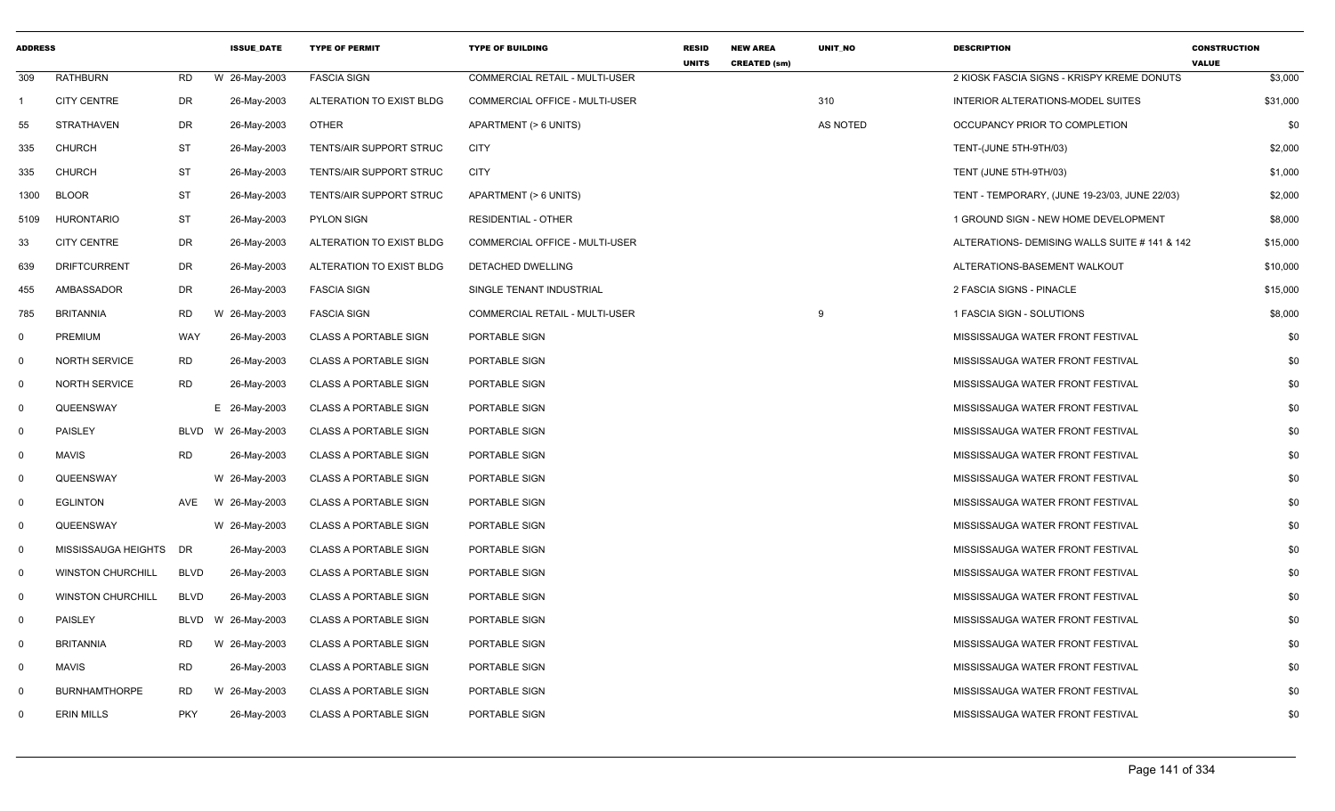| <b>ADDRESS</b> |                          |             | <b>ISSUE DATE</b> | <b>TYPE OF PERMIT</b>          | <b>TYPE OF BUILDING</b>               | <b>RESID</b><br><b>UNITS</b> | <b>NEW AREA</b><br><b>CREATED (sm)</b> | <b>UNIT NO</b> | <b>DESCRIPTION</b>                            | <b>CONSTRUCTION</b><br><b>VALUE</b> |
|----------------|--------------------------|-------------|-------------------|--------------------------------|---------------------------------------|------------------------------|----------------------------------------|----------------|-----------------------------------------------|-------------------------------------|
| 309            | <b>RATHBURN</b>          | <b>RD</b>   | W 26-May-2003     | <b>FASCIA SIGN</b>             | COMMERCIAL RETAIL - MULTI-USER        |                              |                                        |                | 2 KIOSK FASCIA SIGNS - KRISPY KREME DONUTS    | \$3,000                             |
| -1             | <b>CITY CENTRE</b>       | <b>DR</b>   | 26-May-2003       | ALTERATION TO EXIST BLDG       | <b>COMMERCIAL OFFICE - MULTI-USER</b> |                              |                                        | 310            | <b>INTERIOR ALTERATIONS-MODEL SUITES</b>      | \$31,000                            |
| 55             | <b>STRATHAVEN</b>        | DR          | 26-May-2003       | <b>OTHER</b>                   | APARTMENT (> 6 UNITS)                 |                              |                                        | AS NOTED       | OCCUPANCY PRIOR TO COMPLETION                 | \$0                                 |
| 335            | <b>CHURCH</b>            | ST          | 26-May-2003       | TENTS/AIR SUPPORT STRUC        | <b>CITY</b>                           |                              |                                        |                | TENT-(JUNE 5TH-9TH/03)                        | \$2,000                             |
| 335            | <b>CHURCH</b>            | <b>ST</b>   | 26-May-2003       | <b>TENTS/AIR SUPPORT STRUC</b> | <b>CITY</b>                           |                              |                                        |                | TENT (JUNE 5TH-9TH/03)                        | \$1,000                             |
| 1300           | <b>BLOOR</b>             | <b>ST</b>   | 26-May-2003       | <b>TENTS/AIR SUPPORT STRUC</b> | APARTMENT (> 6 UNITS)                 |                              |                                        |                | TENT - TEMPORARY, (JUNE 19-23/03, JUNE 22/03) | \$2,000                             |
| 5109           | <b>HURONTARIO</b>        | <b>ST</b>   | 26-May-2003       | <b>PYLON SIGN</b>              | <b>RESIDENTIAL - OTHER</b>            |                              |                                        |                | 1 GROUND SIGN - NEW HOME DEVELOPMENT          | \$8,000                             |
| 33             | <b>CITY CENTRE</b>       | DR          | 26-May-2003       | ALTERATION TO EXIST BLDG       | <b>COMMERCIAL OFFICE - MULTI-USER</b> |                              |                                        |                | ALTERATIONS- DEMISING WALLS SUITE # 141 & 142 | \$15,000                            |
| 639            | <b>DRIFTCURRENT</b>      | DR          | 26-May-2003       | ALTERATION TO EXIST BLDG       | DETACHED DWELLING                     |                              |                                        |                | ALTERATIONS-BASEMENT WALKOUT                  | \$10,000                            |
| 455            | AMBASSADOR               | DR          | 26-May-2003       | <b>FASCIA SIGN</b>             | SINGLE TENANT INDUSTRIAL              |                              |                                        |                | 2 FASCIA SIGNS - PINACLE                      | \$15,000                            |
| 785            | <b>BRITANNIA</b>         | <b>RD</b>   | W 26-May-2003     | <b>FASCIA SIGN</b>             | COMMERCIAL RETAIL - MULTI-USER        |                              |                                        |                | 1 FASCIA SIGN - SOLUTIONS                     | \$8,000                             |
| 0              | PREMIUM                  | <b>WAY</b>  | 26-May-2003       | <b>CLASS A PORTABLE SIGN</b>   | PORTABLE SIGN                         |                              |                                        |                | MISSISSAUGA WATER FRONT FESTIVAL              | \$0                                 |
| $\mathbf 0$    | <b>NORTH SERVICE</b>     | <b>RD</b>   | 26-May-2003       | <b>CLASS A PORTABLE SIGN</b>   | PORTABLE SIGN                         |                              |                                        |                | MISSISSAUGA WATER FRONT FESTIVAL              | \$0                                 |
| $\mathbf 0$    | <b>NORTH SERVICE</b>     | <b>RD</b>   | 26-May-2003       | <b>CLASS A PORTABLE SIGN</b>   | PORTABLE SIGN                         |                              |                                        |                | MISSISSAUGA WATER FRONT FESTIVAL              | \$0                                 |
| $\mathbf 0$    | QUEENSWAY                |             | E 26-May-2003     | <b>CLASS A PORTABLE SIGN</b>   | PORTABLE SIGN                         |                              |                                        |                | MISSISSAUGA WATER FRONT FESTIVAL              | \$0                                 |
| $\mathsf{O}$   | PAISLEY                  | <b>BLVD</b> | W 26-May-2003     | <b>CLASS A PORTABLE SIGN</b>   | PORTABLE SIGN                         |                              |                                        |                | MISSISSAUGA WATER FRONT FESTIVAL              | \$0                                 |
| 0              | <b>MAVIS</b>             | <b>RD</b>   | 26-May-2003       | <b>CLASS A PORTABLE SIGN</b>   | PORTABLE SIGN                         |                              |                                        |                | MISSISSAUGA WATER FRONT FESTIVAL              | \$0                                 |
| 0              | QUEENSWAY                |             | W 26-May-2003     | <b>CLASS A PORTABLE SIGN</b>   | PORTABLE SIGN                         |                              |                                        |                | MISSISSAUGA WATER FRONT FESTIVAL              | \$0                                 |
| $\mathbf 0$    | <b>EGLINTON</b>          | AVE         | W 26-May-2003     | <b>CLASS A PORTABLE SIGN</b>   | PORTABLE SIGN                         |                              |                                        |                | MISSISSAUGA WATER FRONT FESTIVAL              | \$0                                 |
| $\mathbf 0$    | QUEENSWAY                |             | W 26-May-2003     | <b>CLASS A PORTABLE SIGN</b>   | PORTABLE SIGN                         |                              |                                        |                | MISSISSAUGA WATER FRONT FESTIVAL              | \$0                                 |
| 0              | MISSISSAUGA HEIGHTS      | DR          | 26-May-2003       | <b>CLASS A PORTABLE SIGN</b>   | PORTABLE SIGN                         |                              |                                        |                | MISSISSAUGA WATER FRONT FESTIVAL              | \$0                                 |
| $\mathbf 0$    | <b>WINSTON CHURCHILL</b> | <b>BLVD</b> | 26-May-2003       | <b>CLASS A PORTABLE SIGN</b>   | PORTABLE SIGN                         |                              |                                        |                | MISSISSAUGA WATER FRONT FESTIVAL              | \$0                                 |
| $\mathbf 0$    | <b>WINSTON CHURCHILL</b> | <b>BLVD</b> | 26-May-2003       | <b>CLASS A PORTABLE SIGN</b>   | PORTABLE SIGN                         |                              |                                        |                | MISSISSAUGA WATER FRONT FESTIVAL              | \$0                                 |
| 0              | PAISLEY                  | <b>BLVD</b> | W 26-May-2003     | <b>CLASS A PORTABLE SIGN</b>   | PORTABLE SIGN                         |                              |                                        |                | MISSISSAUGA WATER FRONT FESTIVAL              | \$0                                 |
| $\mathsf{O}$   | <b>BRITANNIA</b>         | <b>RD</b>   | W 26-May-2003     | <b>CLASS A PORTABLE SIGN</b>   | PORTABLE SIGN                         |                              |                                        |                | MISSISSAUGA WATER FRONT FESTIVAL              | \$0                                 |
| 0              | <b>MAVIS</b>             | <b>RD</b>   | 26-May-2003       | <b>CLASS A PORTABLE SIGN</b>   | PORTABLE SIGN                         |                              |                                        |                | MISSISSAUGA WATER FRONT FESTIVAL              | \$0                                 |
| 0              | <b>BURNHAMTHORPE</b>     | <b>RD</b>   | W 26-May-2003     | <b>CLASS A PORTABLE SIGN</b>   | PORTABLE SIGN                         |                              |                                        |                | MISSISSAUGA WATER FRONT FESTIVAL              | \$0                                 |
| $\mathbf{0}$   | <b>ERIN MILLS</b>        | <b>PKY</b>  | 26-May-2003       | <b>CLASS A PORTABLE SIGN</b>   | PORTABLE SIGN                         |                              |                                        |                | MISSISSAUGA WATER FRONT FESTIVAL              | \$0                                 |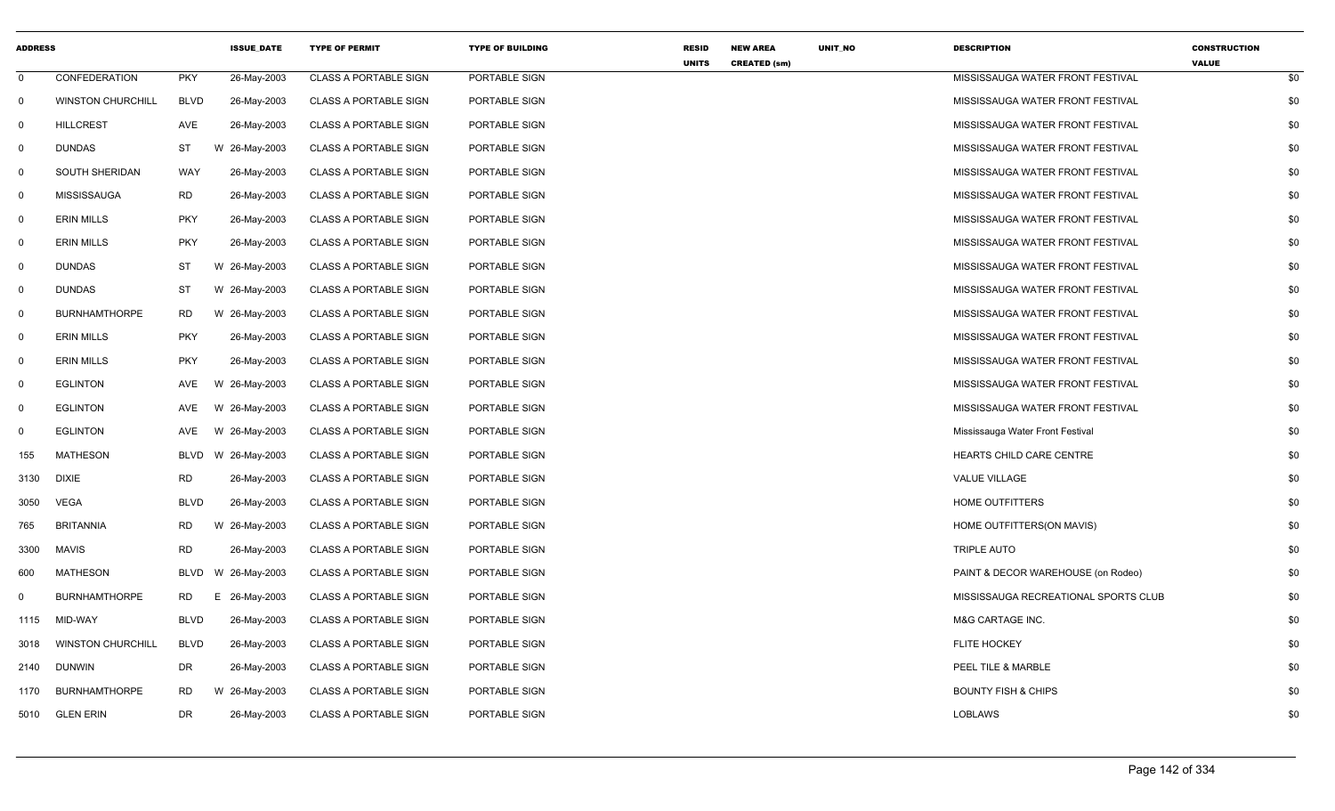| <b>ADDRESS</b> |                          |             | <b>ISSUE_DATE</b> | <b>TYPE OF PERMIT</b>        | <b>TYPE OF BUILDING</b> | <b>RESID</b><br><b>UNITS</b> | <b>NEW AREA</b><br><b>CREATED (sm)</b> | UNIT_NO | <b>DESCRIPTION</b>                   | <b>CONSTRUCTION</b><br><b>VALUE</b> |     |
|----------------|--------------------------|-------------|-------------------|------------------------------|-------------------------|------------------------------|----------------------------------------|---------|--------------------------------------|-------------------------------------|-----|
| 0              | <b>CONFEDERATION</b>     | <b>PKY</b>  | 26-May-2003       | <b>CLASS A PORTABLE SIGN</b> | PORTABLE SIGN           |                              |                                        |         | MISSISSAUGA WATER FRONT FESTIVAL     |                                     | \$0 |
| $\mathbf 0$    | <b>WINSTON CHURCHILL</b> | <b>BLVD</b> | 26-May-2003       | <b>CLASS A PORTABLE SIGN</b> | PORTABLE SIGN           |                              |                                        |         | MISSISSAUGA WATER FRONT FESTIVAL     |                                     | \$0 |
| $\mathbf 0$    | <b>HILLCREST</b>         | AVE         | 26-May-2003       | <b>CLASS A PORTABLE SIGN</b> | PORTABLE SIGN           |                              |                                        |         | MISSISSAUGA WATER FRONT FESTIVAL     |                                     | \$0 |
| $\mathbf 0$    | DUNDAS                   | <b>ST</b>   | W 26-May-2003     | <b>CLASS A PORTABLE SIGN</b> | PORTABLE SIGN           |                              |                                        |         | MISSISSAUGA WATER FRONT FESTIVAL     |                                     | \$0 |
| $\mathbf 0$    | SOUTH SHERIDAN           | WAY         | 26-May-2003       | <b>CLASS A PORTABLE SIGN</b> | PORTABLE SIGN           |                              |                                        |         | MISSISSAUGA WATER FRONT FESTIVAL     |                                     | \$0 |
| $\Omega$       | <b>MISSISSAUGA</b>       | <b>RD</b>   | 26-May-2003       | <b>CLASS A PORTABLE SIGN</b> | PORTABLE SIGN           |                              |                                        |         | MISSISSAUGA WATER FRONT FESTIVAL     |                                     | \$0 |
| $\mathbf 0$    | <b>ERIN MILLS</b>        | <b>PKY</b>  | 26-May-2003       | <b>CLASS A PORTABLE SIGN</b> | PORTABLE SIGN           |                              |                                        |         | MISSISSAUGA WATER FRONT FESTIVAL     |                                     | \$0 |
| $\mathbf 0$    | <b>ERIN MILLS</b>        | <b>PKY</b>  | 26-May-2003       | <b>CLASS A PORTABLE SIGN</b> | PORTABLE SIGN           |                              |                                        |         | MISSISSAUGA WATER FRONT FESTIVAL     |                                     | \$0 |
| $\mathbf 0$    | DUNDAS                   | ST          | W 26-May-2003     | <b>CLASS A PORTABLE SIGN</b> | PORTABLE SIGN           |                              |                                        |         | MISSISSAUGA WATER FRONT FESTIVAL     |                                     | \$0 |
| $\mathbf 0$    | DUNDAS                   | <b>ST</b>   | W 26-May-2003     | <b>CLASS A PORTABLE SIGN</b> | PORTABLE SIGN           |                              |                                        |         | MISSISSAUGA WATER FRONT FESTIVAL     |                                     | \$0 |
| 0              | <b>BURNHAMTHORPE</b>     | RD.         | W 26-May-2003     | <b>CLASS A PORTABLE SIGN</b> | PORTABLE SIGN           |                              |                                        |         | MISSISSAUGA WATER FRONT FESTIVAL     |                                     | \$0 |
| $\mathbf 0$    | <b>ERIN MILLS</b>        | <b>PKY</b>  | 26-May-2003       | <b>CLASS A PORTABLE SIGN</b> | PORTABLE SIGN           |                              |                                        |         | MISSISSAUGA WATER FRONT FESTIVAL     |                                     | \$0 |
| $\mathbf 0$    | <b>ERIN MILLS</b>        | <b>PKY</b>  | 26-May-2003       | <b>CLASS A PORTABLE SIGN</b> | PORTABLE SIGN           |                              |                                        |         | MISSISSAUGA WATER FRONT FESTIVAL     |                                     | \$0 |
| $\mathbf 0$    | <b>EGLINTON</b>          | AVE         | W 26-May-2003     | <b>CLASS A PORTABLE SIGN</b> | PORTABLE SIGN           |                              |                                        |         | MISSISSAUGA WATER FRONT FESTIVAL     |                                     | \$0 |
| 0              | <b>EGLINTON</b>          | AVE         | W 26-May-2003     | <b>CLASS A PORTABLE SIGN</b> | PORTABLE SIGN           |                              |                                        |         | MISSISSAUGA WATER FRONT FESTIVAL     |                                     | \$0 |
| 0              | <b>EGLINTON</b>          | <b>AVE</b>  | W 26-May-2003     | <b>CLASS A PORTABLE SIGN</b> | PORTABLE SIGN           |                              |                                        |         | Mississauga Water Front Festival     |                                     | \$0 |
| 155            | <b>MATHESON</b>          | BLVD        | W 26-May-2003     | <b>CLASS A PORTABLE SIGN</b> | PORTABLE SIGN           |                              |                                        |         | HEARTS CHILD CARE CENTRE             |                                     | \$0 |
| 3130           | <b>DIXIE</b>             | <b>RD</b>   | 26-May-2003       | <b>CLASS A PORTABLE SIGN</b> | PORTABLE SIGN           |                              |                                        |         | VALUE VILLAGE                        |                                     | \$0 |
| 3050           | <b>VEGA</b>              | <b>BLVD</b> | 26-May-2003       | <b>CLASS A PORTABLE SIGN</b> | PORTABLE SIGN           |                              |                                        |         | <b>HOME OUTFITTERS</b>               |                                     | \$0 |
| 765            | <b>BRITANNIA</b>         | RD.         | W 26-May-2003     | <b>CLASS A PORTABLE SIGN</b> | PORTABLE SIGN           |                              |                                        |         | HOME OUTFITTERS(ON MAVIS)            |                                     | \$0 |
| 3300           | <b>MAVIS</b>             | <b>RD</b>   | 26-May-2003       | <b>CLASS A PORTABLE SIGN</b> | PORTABLE SIGN           |                              |                                        |         | <b>TRIPLE AUTO</b>                   |                                     | \$0 |
| 600            | <b>MATHESON</b>          | <b>BLVD</b> | W 26-May-2003     | <b>CLASS A PORTABLE SIGN</b> | PORTABLE SIGN           |                              |                                        |         | PAINT & DECOR WAREHOUSE (on Rodeo)   |                                     | \$0 |
| $\Omega$       | <b>BURNHAMTHORPE</b>     | RD.         | Е.<br>26-May-2003 | <b>CLASS A PORTABLE SIGN</b> | PORTABLE SIGN           |                              |                                        |         | MISSISSAUGA RECREATIONAL SPORTS CLUB |                                     | \$0 |
| 1115           | MID-WAY                  | <b>BLVD</b> | 26-May-2003       | <b>CLASS A PORTABLE SIGN</b> | PORTABLE SIGN           |                              |                                        |         | M&G CARTAGE INC.                     |                                     | \$0 |
| 3018           | <b>WINSTON CHURCHILL</b> | <b>BLVD</b> | 26-May-2003       | <b>CLASS A PORTABLE SIGN</b> | PORTABLE SIGN           |                              |                                        |         | <b>FLITE HOCKEY</b>                  |                                     | \$0 |
| 2140           | <b>DUNWIN</b>            | DR          | 26-May-2003       | <b>CLASS A PORTABLE SIGN</b> | PORTABLE SIGN           |                              |                                        |         | PEEL TILE & MARBLE                   |                                     | \$0 |
| 1170           | <b>BURNHAMTHORPE</b>     | <b>RD</b>   | W 26-May-2003     | <b>CLASS A PORTABLE SIGN</b> | PORTABLE SIGN           |                              |                                        |         | <b>BOUNTY FISH &amp; CHIPS</b>       |                                     | \$0 |
| 5010           | <b>GLEN ERIN</b>         | DR          | 26-May-2003       | <b>CLASS A PORTABLE SIGN</b> | PORTABLE SIGN           |                              |                                        |         | <b>LOBLAWS</b>                       |                                     | \$0 |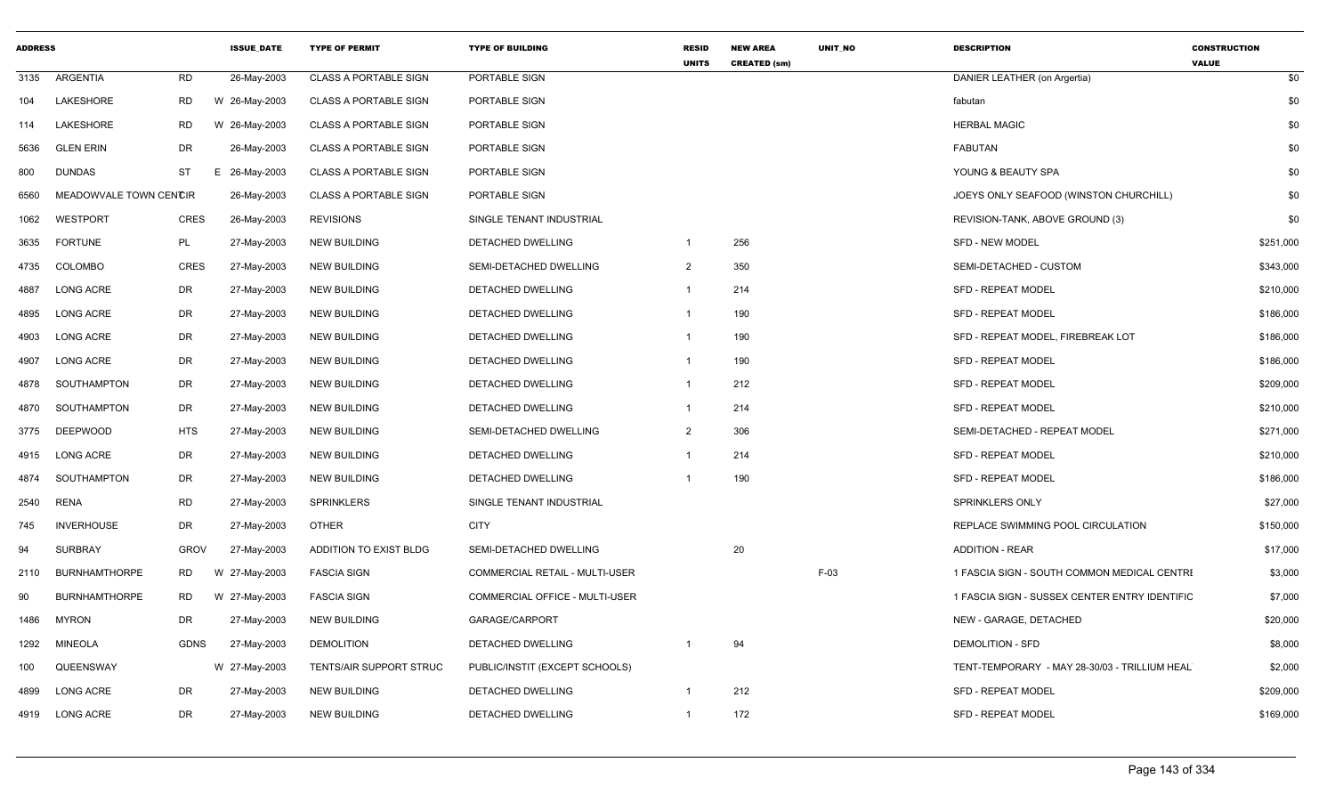| <b>ADDRESS</b> |                        |             | <b>ISSUE DATE</b> | <b>TYPE OF PERMIT</b>        | <b>TYPE OF BUILDING</b>        | <b>RESID</b><br><b>UNITS</b> | <b>NEW AREA</b><br><b>CREATED (sm)</b> | <b>UNIT NO</b> | <b>DESCRIPTION</b>                            | <b>CONSTRUCTION</b><br><b>VALUE</b> |
|----------------|------------------------|-------------|-------------------|------------------------------|--------------------------------|------------------------------|----------------------------------------|----------------|-----------------------------------------------|-------------------------------------|
| 3135           | <b>ARGENTIA</b>        | <b>RD</b>   | 26-May-2003       | <b>CLASS A PORTABLE SIGN</b> | PORTABLE SIGN                  |                              |                                        |                | DANIER LEATHER (on Argertia)                  | \$0                                 |
| 104            | LAKESHORE              | <b>RD</b>   | W 26-May-2003     | <b>CLASS A PORTABLE SIGN</b> | PORTABLE SIGN                  |                              |                                        |                | fabutan                                       | \$0                                 |
| 114            | LAKESHORE              | <b>RD</b>   | W 26-May-2003     | <b>CLASS A PORTABLE SIGN</b> | PORTABLE SIGN                  |                              |                                        |                | <b>HERBAL MAGIC</b>                           | \$0                                 |
| 5636           | <b>GLEN ERIN</b>       | DR          | 26-May-2003       | <b>CLASS A PORTABLE SIGN</b> | PORTABLE SIGN                  |                              |                                        |                | <b>FABUTAN</b>                                | \$0                                 |
| 800            | <b>DUNDAS</b>          | <b>ST</b>   | E 26-May-2003     | <b>CLASS A PORTABLE SIGN</b> | PORTABLE SIGN                  |                              |                                        |                | YOUNG & BEAUTY SPA                            | \$0                                 |
| 6560           | MEADOWVALE TOWN CENCIR |             | 26-May-2003       | <b>CLASS A PORTABLE SIGN</b> | PORTABLE SIGN                  |                              |                                        |                | JOEYS ONLY SEAFOOD (WINSTON CHURCHILL)        | \$0                                 |
| 1062           | WESTPORT               | <b>CRES</b> | 26-May-2003       | <b>REVISIONS</b>             | SINGLE TENANT INDUSTRIAL       |                              |                                        |                | REVISION-TANK, ABOVE GROUND (3)               | \$0                                 |
| 3635           | <b>FORTUNE</b>         | PL          | 27-May-2003       | <b>NEW BUILDING</b>          | DETACHED DWELLING              | -1                           | 256                                    |                | <b>SFD - NEW MODEL</b>                        | \$251,000                           |
| 4735           | COLOMBO                | <b>CRES</b> | 27-May-2003       | <b>NEW BUILDING</b>          | SEMI-DETACHED DWELLING         | $\overline{2}$               | 350                                    |                | SEMI-DETACHED - CUSTOM                        | \$343,000                           |
| 4887           | <b>LONG ACRE</b>       | DR          | 27-May-2003       | <b>NEW BUILDING</b>          | DETACHED DWELLING              | $\mathbf 1$                  | 214                                    |                | <b>SFD - REPEAT MODEL</b>                     | \$210,000                           |
| 4895           | <b>LONG ACRE</b>       | <b>DR</b>   | 27-May-2003       | <b>NEW BUILDING</b>          | DETACHED DWELLING              | $\mathbf{1}$                 | 190                                    |                | <b>SFD - REPEAT MODEL</b>                     | \$186,000                           |
| 4903           | <b>LONG ACRE</b>       | DR          | 27-May-2003       | <b>NEW BUILDING</b>          | <b>DETACHED DWELLING</b>       | -1                           | 190                                    |                | SFD - REPEAT MODEL, FIREBREAK LOT             | \$186,000                           |
| 4907           | <b>LONG ACRE</b>       | <b>DR</b>   | 27-May-2003       | <b>NEW BUILDING</b>          | <b>DETACHED DWELLING</b>       | $\mathbf 1$                  | 190                                    |                | <b>SFD - REPEAT MODEL</b>                     | \$186,000                           |
| 4878           | SOUTHAMPTON            | DR          | 27-May-2003       | <b>NEW BUILDING</b>          | <b>DETACHED DWELLING</b>       | $\mathbf{1}$                 | 212                                    |                | <b>SFD - REPEAT MODEL</b>                     | \$209,000                           |
| 4870           | SOUTHAMPTON            | DR          | 27-May-2003       | <b>NEW BUILDING</b>          | DETACHED DWELLING              | -1                           | 214                                    |                | <b>SFD - REPEAT MODEL</b>                     | \$210,000                           |
| 3775           | <b>DEEPWOOD</b>        | <b>HTS</b>  | 27-May-2003       | <b>NEW BUILDING</b>          | SEMI-DETACHED DWELLING         | $\overline{2}$               | 306                                    |                | SEMI-DETACHED - REPEAT MODEL                  | \$271,000                           |
| 4915           | <b>LONG ACRE</b>       | DR          | 27-May-2003       | <b>NEW BUILDING</b>          | <b>DETACHED DWELLING</b>       | $\mathbf 1$                  | 214                                    |                | <b>SFD - REPEAT MODEL</b>                     | \$210,000                           |
| 4874           | SOUTHAMPTON            | <b>DR</b>   | 27-May-2003       | <b>NEW BUILDING</b>          | DETACHED DWELLING              |                              | 190                                    |                | <b>SFD - REPEAT MODEL</b>                     | \$186,000                           |
| 2540           | RENA                   | <b>RD</b>   | 27-May-2003       | <b>SPRINKLERS</b>            | SINGLE TENANT INDUSTRIAL       |                              |                                        |                | <b>SPRINKLERS ONLY</b>                        | \$27,000                            |
| 745            | <b>INVERHOUSE</b>      | <b>DR</b>   | 27-May-2003       | <b>OTHER</b>                 | <b>CITY</b>                    |                              |                                        |                | REPLACE SWIMMING POOL CIRCULATION             | \$150,000                           |
| 94             | <b>SURBRAY</b>         | <b>GROV</b> | 27-May-2003       | ADDITION TO EXIST BLDG       | SEMI-DETACHED DWELLING         |                              | 20                                     |                | <b>ADDITION - REAR</b>                        | \$17,000                            |
| 2110           | <b>BURNHAMTHORPE</b>   | RD          | W 27-May-2003     | <b>FASCIA SIGN</b>           | COMMERCIAL RETAIL - MULTI-USER |                              |                                        | $F-03$         | 1 FASCIA SIGN - SOUTH COMMON MEDICAL CENTRI   | \$3,000                             |
| 90             | <b>BURNHAMTHORPE</b>   | <b>RD</b>   | W 27-May-2003     | <b>FASCIA SIGN</b>           | COMMERCIAL OFFICE - MULTI-USER |                              |                                        |                | 1 FASCIA SIGN - SUSSEX CENTER ENTRY IDENTIFIC | \$7,000                             |
| 1486           | <b>MYRON</b>           | <b>DR</b>   | 27-May-2003       | <b>NEW BUILDING</b>          | GARAGE/CARPORT                 |                              |                                        |                | NEW - GARAGE, DETACHED                        | \$20,000                            |
| 1292           | <b>MINEOLA</b>         | <b>GDNS</b> | 27-May-2003       | DEMOLITION                   | DETACHED DWELLING              | -1                           | 94                                     |                | <b>DEMOLITION - SFD</b>                       | \$8,000                             |
| 100            | QUEENSWAY              |             | W 27-May-2003     | TENTS/AIR SUPPORT STRUC      | PUBLIC/INSTIT (EXCEPT SCHOOLS) |                              |                                        |                | TENT-TEMPORARY - MAY 28-30/03 - TRILLIUM HEAL | \$2,000                             |
| 4899           | <b>LONG ACRE</b>       | DR          | 27-May-2003       | <b>NEW BUILDING</b>          | DETACHED DWELLING              | $\overline{1}$               | 212                                    |                | SFD - REPEAT MODEL                            | \$209,000                           |
|                | 4919 LONG ACRE         | <b>DR</b>   | 27-May-2003       | <b>NEW BUILDING</b>          | <b>DETACHED DWELLING</b>       | $\mathbf{1}$                 | 172                                    |                | <b>SFD - REPEAT MODEL</b>                     | \$169,000                           |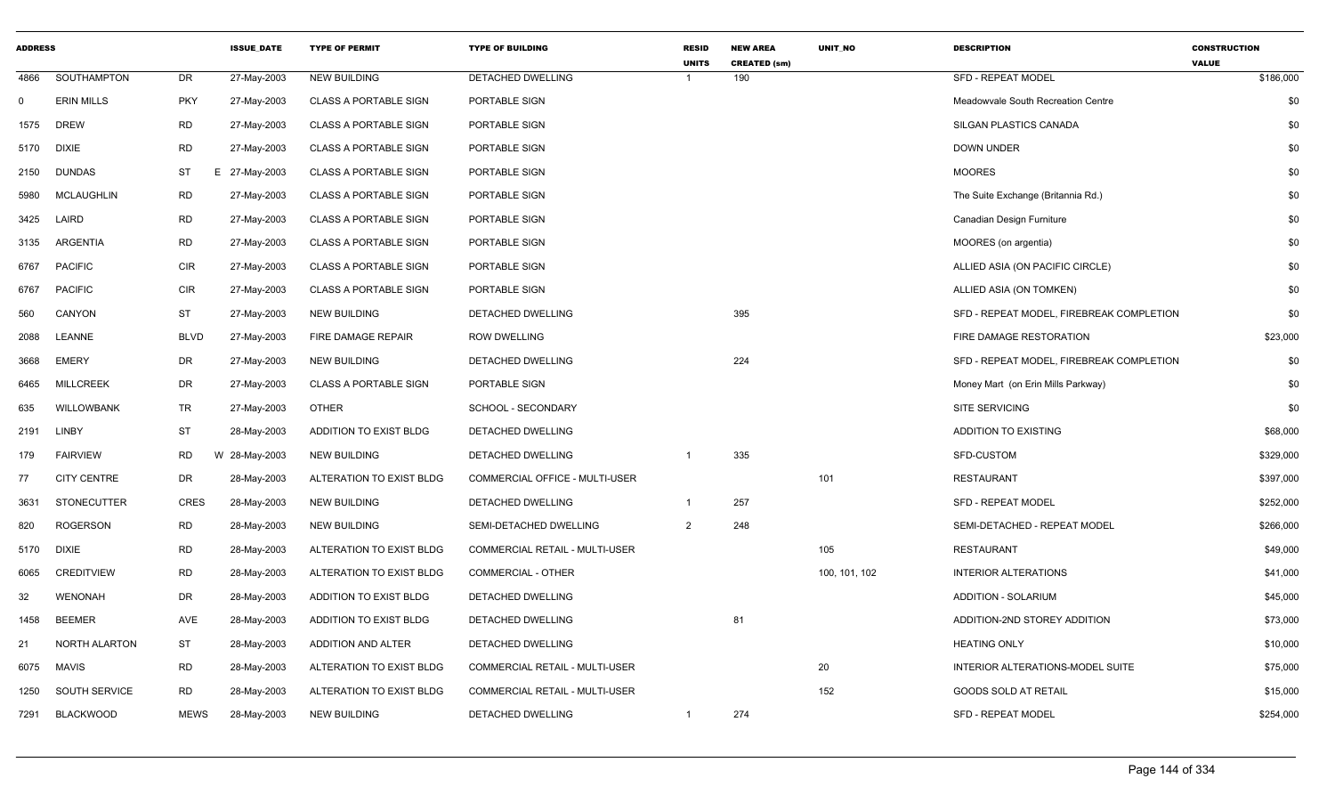| <b>ADDRESS</b> |                    |             | <b>ISSUE_DATE</b> | <b>TYPE OF PERMIT</b>        | <b>TYPE OF BUILDING</b>        | <b>RESID</b><br><b>UNITS</b> | <b>NEW AREA</b><br><b>CREATED (sm)</b> | UNIT_NO       | <b>DESCRIPTION</b>                       | <b>CONSTRUCTION</b><br><b>VALUE</b> |
|----------------|--------------------|-------------|-------------------|------------------------------|--------------------------------|------------------------------|----------------------------------------|---------------|------------------------------------------|-------------------------------------|
| 4866           | SOUTHAMPTON        | DR          | 27-May-2003       | <b>NEW BUILDING</b>          | DETACHED DWELLING              |                              | 190                                    |               | <b>SFD - REPEAT MODEL</b>                | \$186,000                           |
| $\mathbf 0$    | <b>ERIN MILLS</b>  | <b>PKY</b>  | 27-May-2003       | <b>CLASS A PORTABLE SIGN</b> | PORTABLE SIGN                  |                              |                                        |               | Meadowvale South Recreation Centre       | \$0                                 |
| 1575           | <b>DREW</b>        | RD          | 27-May-2003       | <b>CLASS A PORTABLE SIGN</b> | PORTABLE SIGN                  |                              |                                        |               | SILGAN PLASTICS CANADA                   | \$0                                 |
| 5170           | <b>DIXIE</b>       | <b>RD</b>   | 27-May-2003       | <b>CLASS A PORTABLE SIGN</b> | PORTABLE SIGN                  |                              |                                        |               | <b>DOWN UNDER</b>                        | \$0                                 |
| 2150           | <b>DUNDAS</b>      | ST          | E 27-May-2003     | <b>CLASS A PORTABLE SIGN</b> | PORTABLE SIGN                  |                              |                                        |               | <b>MOORES</b>                            | \$0                                 |
| 5980           | MCLAUGHLIN         | RD          | 27-May-2003       | <b>CLASS A PORTABLE SIGN</b> | PORTABLE SIGN                  |                              |                                        |               | The Suite Exchange (Britannia Rd.)       | \$0                                 |
| 3425           | LAIRD              | <b>RD</b>   | 27-May-2003       | <b>CLASS A PORTABLE SIGN</b> | PORTABLE SIGN                  |                              |                                        |               | Canadian Design Furniture                | \$0                                 |
| 3135           | ARGENTIA           | <b>RD</b>   | 27-May-2003       | <b>CLASS A PORTABLE SIGN</b> | PORTABLE SIGN                  |                              |                                        |               | MOORES (on argentia)                     | \$0                                 |
| 6767           | <b>PACIFIC</b>     | <b>CIR</b>  | 27-May-2003       | <b>CLASS A PORTABLE SIGN</b> | PORTABLE SIGN                  |                              |                                        |               | ALLIED ASIA (ON PACIFIC CIRCLE)          | \$0                                 |
| 6767           | <b>PACIFIC</b>     | <b>CIR</b>  | 27-May-2003       | <b>CLASS A PORTABLE SIGN</b> | PORTABLE SIGN                  |                              |                                        |               | ALLIED ASIA (ON TOMKEN)                  | \$0                                 |
| 560            | CANYON             | <b>ST</b>   | 27-May-2003       | <b>NEW BUILDING</b>          | DETACHED DWELLING              |                              | 395                                    |               | SFD - REPEAT MODEL, FIREBREAK COMPLETION | \$0                                 |
| 2088           | LEANNE             | <b>BLVD</b> | 27-May-2003       | FIRE DAMAGE REPAIR           | <b>ROW DWELLING</b>            |                              |                                        |               | FIRE DAMAGE RESTORATION                  | \$23,000                            |
| 3668           | EMERY              | DR          | 27-May-2003       | <b>NEW BUILDING</b>          | DETACHED DWELLING              |                              | 224                                    |               | SFD - REPEAT MODEL, FIREBREAK COMPLETION | \$0                                 |
| 6465           | <b>MILLCREEK</b>   | DR          | 27-May-2003       | <b>CLASS A PORTABLE SIGN</b> | PORTABLE SIGN                  |                              |                                        |               | Money Mart (on Erin Mills Parkway)       | \$0                                 |
| 635            | <b>WILLOWBANK</b>  | TR          | 27-May-2003       | <b>OTHER</b>                 | SCHOOL - SECONDARY             |                              |                                        |               | <b>SITE SERVICING</b>                    | \$0                                 |
| 2191           | LINBY              | <b>ST</b>   | 28-May-2003       | ADDITION TO EXIST BLDG       | DETACHED DWELLING              |                              |                                        |               | <b>ADDITION TO EXISTING</b>              | \$68,000                            |
| 179            | <b>FAIRVIEW</b>    | RD          | W 28-May-2003     | <b>NEW BUILDING</b>          | DETACHED DWELLING              | -1                           | 335                                    |               | SFD-CUSTOM                               | \$329,000                           |
| 77             | <b>CITY CENTRE</b> | DR          | 28-May-2003       | ALTERATION TO EXIST BLDG     | COMMERCIAL OFFICE - MULTI-USER |                              |                                        | 101           | <b>RESTAURANT</b>                        | \$397,000                           |
| 3631           | <b>STONECUTTER</b> | <b>CRES</b> | 28-May-2003       | <b>NEW BUILDING</b>          | DETACHED DWELLING              |                              | 257                                    |               | <b>SFD - REPEAT MODEL</b>                | \$252,000                           |
| 820            | ROGERSON           | <b>RD</b>   | 28-May-2003       | <b>NEW BUILDING</b>          | SEMI-DETACHED DWELLING         | 2                            | 248                                    |               | SEMI-DETACHED - REPEAT MODEL             | \$266,000                           |
| 5170           | <b>DIXIE</b>       | <b>RD</b>   | 28-May-2003       | ALTERATION TO EXIST BLDG     | COMMERCIAL RETAIL - MULTI-USER |                              |                                        | 105           | <b>RESTAURANT</b>                        | \$49,000                            |
| 6065           | <b>CREDITVIEW</b>  | RD          | 28-May-2003       | ALTERATION TO EXIST BLDG     | COMMERCIAL - OTHER             |                              |                                        | 100, 101, 102 | <b>INTERIOR ALTERATIONS</b>              | \$41,000                            |
| 32             | <b>WENONAH</b>     | DR          | 28-May-2003       | ADDITION TO EXIST BLDG       | DETACHED DWELLING              |                              |                                        |               | <b>ADDITION - SOLARIUM</b>               | \$45,000                            |
| 1458           | <b>BEEMER</b>      | AVE         | 28-May-2003       | ADDITION TO EXIST BLDG       | DETACHED DWELLING              |                              | 81                                     |               | ADDITION-2ND STOREY ADDITION             | \$73,000                            |
| 21             | NORTH ALARTON      | <b>ST</b>   | 28-May-2003       | ADDITION AND ALTER           | DETACHED DWELLING              |                              |                                        |               | <b>HEATING ONLY</b>                      | \$10,000                            |
| 6075           | <b>MAVIS</b>       | RD          | 28-May-2003       | ALTERATION TO EXIST BLDG     | COMMERCIAL RETAIL - MULTI-USER |                              |                                        | 20            | INTERIOR ALTERATIONS-MODEL SUITE         | \$75,000                            |
| 1250           | SOUTH SERVICE      | RD          | 28-May-2003       | ALTERATION TO EXIST BLDG     | COMMERCIAL RETAIL - MULTI-USER |                              |                                        | 152           | <b>GOODS SOLD AT RETAIL</b>              | \$15,000                            |
| 7291           | <b>BLACKWOOD</b>   | <b>MEWS</b> | 28-May-2003       | <b>NEW BUILDING</b>          | <b>DETACHED DWELLING</b>       | $\overline{1}$               | 274                                    |               | <b>SFD - REPEAT MODEL</b>                | \$254,000                           |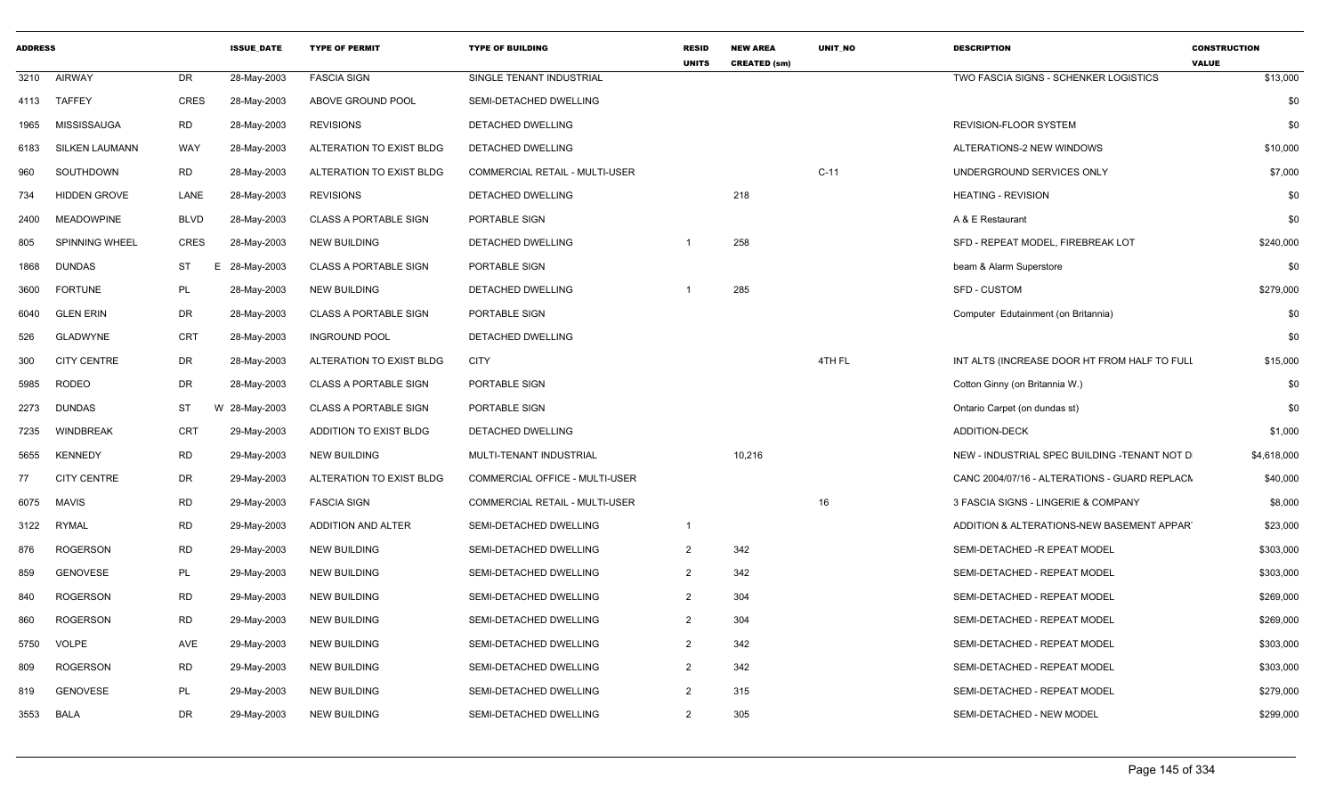| <b>ADDRESS</b> |                       |             | <b>ISSUE DATE</b> | <b>TYPE OF PERMIT</b>        | <b>TYPE OF BUILDING</b>        | <b>RESID</b><br><b>UNITS</b> | <b>NEW AREA</b><br><b>CREATED (sm)</b> | <b>UNIT NO</b> | <b>DESCRIPTION</b>                            | <b>CONSTRUCTION</b><br><b>VALUE</b> |
|----------------|-----------------------|-------------|-------------------|------------------------------|--------------------------------|------------------------------|----------------------------------------|----------------|-----------------------------------------------|-------------------------------------|
| 3210           | <b>AIRWAY</b>         | <b>DR</b>   | 28-May-2003       | <b>FASCIA SIGN</b>           | SINGLE TENANT INDUSTRIAL       |                              |                                        |                | TWO FASCIA SIGNS - SCHENKER LOGISTICS         | \$13,000                            |
| 4113           | <b>TAFFEY</b>         | CRES        | 28-May-2003       | ABOVE GROUND POOL            | SEMI-DETACHED DWELLING         |                              |                                        |                |                                               | \$0                                 |
| 1965           | MISSISSAUGA           | <b>RD</b>   | 28-May-2003       | <b>REVISIONS</b>             | DETACHED DWELLING              |                              |                                        |                | REVISION-FLOOR SYSTEM                         | \$0                                 |
| 6183           | <b>SILKEN LAUMANN</b> | <b>WAY</b>  | 28-May-2003       | ALTERATION TO EXIST BLDG     | DETACHED DWELLING              |                              |                                        |                | ALTERATIONS-2 NEW WINDOWS                     | \$10,000                            |
| 960            | SOUTHDOWN             | <b>RD</b>   | 28-May-2003       | ALTERATION TO EXIST BLDG     | COMMERCIAL RETAIL - MULTI-USER |                              |                                        | $C-11$         | UNDERGROUND SERVICES ONLY                     | \$7,000                             |
| 734            | <b>HIDDEN GROVE</b>   | LANE        | 28-May-2003       | <b>REVISIONS</b>             | DETACHED DWELLING              |                              | 218                                    |                | <b>HEATING - REVISION</b>                     | \$0                                 |
| 2400           | <b>MEADOWPINE</b>     | <b>BLVD</b> | 28-May-2003       | <b>CLASS A PORTABLE SIGN</b> | PORTABLE SIGN                  |                              |                                        |                | A & E Restaurant                              | \$0                                 |
| 805            | <b>SPINNING WHEEL</b> | <b>CRES</b> | 28-May-2003       | <b>NEW BUILDING</b>          | DETACHED DWELLING              | $\overline{\mathbf{1}}$      | 258                                    |                | SFD - REPEAT MODEL, FIREBREAK LOT             | \$240,000                           |
| 1868           | DUNDAS                | ST          | E 28-May-2003     | <b>CLASS A PORTABLE SIGN</b> | PORTABLE SIGN                  |                              |                                        |                | beam & Alarm Superstore                       | \$0                                 |
| 3600           | <b>FORTUNE</b>        | <b>PL</b>   | 28-May-2003       | <b>NEW BUILDING</b>          | DETACHED DWELLING              |                              | 285                                    |                | SFD - CUSTOM                                  | \$279,000                           |
| 6040           | <b>GLEN ERIN</b>      | <b>DR</b>   | 28-May-2003       | <b>CLASS A PORTABLE SIGN</b> | PORTABLE SIGN                  |                              |                                        |                | Computer Edutainment (on Britannia)           | \$0                                 |
| 526            | <b>GLADWYNE</b>       | <b>CRT</b>  | 28-May-2003       | <b>INGROUND POOL</b>         | DETACHED DWELLING              |                              |                                        |                |                                               | \$0                                 |
| 300            | <b>CITY CENTRE</b>    | DR          | 28-May-2003       | ALTERATION TO EXIST BLDG     | <b>CITY</b>                    |                              |                                        | 4TH FL         | INT ALTS (INCREASE DOOR HT FROM HALF TO FULL  | \$15,000                            |
| 5985           | <b>RODEO</b>          | DR          | 28-May-2003       | <b>CLASS A PORTABLE SIGN</b> | PORTABLE SIGN                  |                              |                                        |                | Cotton Ginny (on Britannia W.)                | \$0                                 |
| 2273           | <b>DUNDAS</b>         | ST          | W 28-May-2003     | <b>CLASS A PORTABLE SIGN</b> | PORTABLE SIGN                  |                              |                                        |                | Ontario Carpet (on dundas st)                 | \$0                                 |
| 7235           | <b>WINDBREAK</b>      | <b>CRT</b>  | 29-May-2003       | ADDITION TO EXIST BLDG       | DETACHED DWELLING              |                              |                                        |                | <b>ADDITION-DECK</b>                          | \$1,000                             |
| 5655           | <b>KENNEDY</b>        | <b>RD</b>   | 29-May-2003       | <b>NEW BUILDING</b>          | MULTI-TENANT INDUSTRIAL        |                              | 10,216                                 |                | NEW - INDUSTRIAL SPEC BUILDING -TENANT NOT D  | \$4,618,000                         |
| 77             | <b>CITY CENTRE</b>    | <b>DR</b>   | 29-May-2003       | ALTERATION TO EXIST BLDG     | COMMERCIAL OFFICE - MULTI-USER |                              |                                        |                | CANC 2004/07/16 - ALTERATIONS - GUARD REPLACN | \$40,000                            |
| 6075           | <b>MAVIS</b>          | <b>RD</b>   | 29-May-2003       | <b>FASCIA SIGN</b>           | COMMERCIAL RETAIL - MULTI-USER |                              |                                        | 16             | 3 FASCIA SIGNS - LINGERIE & COMPANY           | \$8,000                             |
| 3122           | RYMAL                 | RD          | 29-May-2003       | <b>ADDITION AND ALTER</b>    | SEMI-DETACHED DWELLING         | $\overline{1}$               |                                        |                | ADDITION & ALTERATIONS-NEW BASEMENT APPART    | \$23,000                            |
| 876            | <b>ROGERSON</b>       | <b>RD</b>   | 29-May-2003       | <b>NEW BUILDING</b>          | SEMI-DETACHED DWELLING         | 2                            | 342                                    |                | SEMI-DETACHED -R EPEAT MODEL                  | \$303,000                           |
| 859            | <b>GENOVESE</b>       | PL          | 29-May-2003       | <b>NEW BUILDING</b>          | SEMI-DETACHED DWELLING         | 2                            | 342                                    |                | SEMI-DETACHED - REPEAT MODEL                  | \$303,000                           |
| 840            | <b>ROGERSON</b>       | <b>RD</b>   | 29-May-2003       | <b>NEW BUILDING</b>          | SEMI-DETACHED DWELLING         | 2                            | 304                                    |                | SEMI-DETACHED - REPEAT MODEL                  | \$269,000                           |
| 860            | ROGERSON              | <b>RD</b>   | 29-May-2003       | <b>NEW BUILDING</b>          | SEMI-DETACHED DWELLING         | 2                            | 304                                    |                | SEMI-DETACHED - REPEAT MODEL                  | \$269,000                           |
| 5750           | <b>VOLPE</b>          | AVE         | 29-May-2003       | NEW BUILDING                 | SEMI-DETACHED DWELLING         | 2                            | 342                                    |                | SEMI-DETACHED - REPEAT MODEL                  | \$303,000                           |
| 809            | <b>ROGERSON</b>       | <b>RD</b>   | 29-May-2003       | <b>NEW BUILDING</b>          | SEMI-DETACHED DWELLING         | 2                            | 342                                    |                | SEMI-DETACHED - REPEAT MODEL                  | \$303,000                           |
| 819            | <b>GENOVESE</b>       | <b>PL</b>   | 29-May-2003       | <b>NEW BUILDING</b>          | SEMI-DETACHED DWELLING         | $\mathcal{P}$                | 315                                    |                | SEMI-DETACHED - REPEAT MODEL                  | \$279,000                           |
| 3553           | BALA                  | DR          | 29-May-2003       | <b>NEW BUILDING</b>          | SEMI-DETACHED DWELLING         | 2                            | 305                                    |                | SEMI-DETACHED - NEW MODEL                     | \$299,000                           |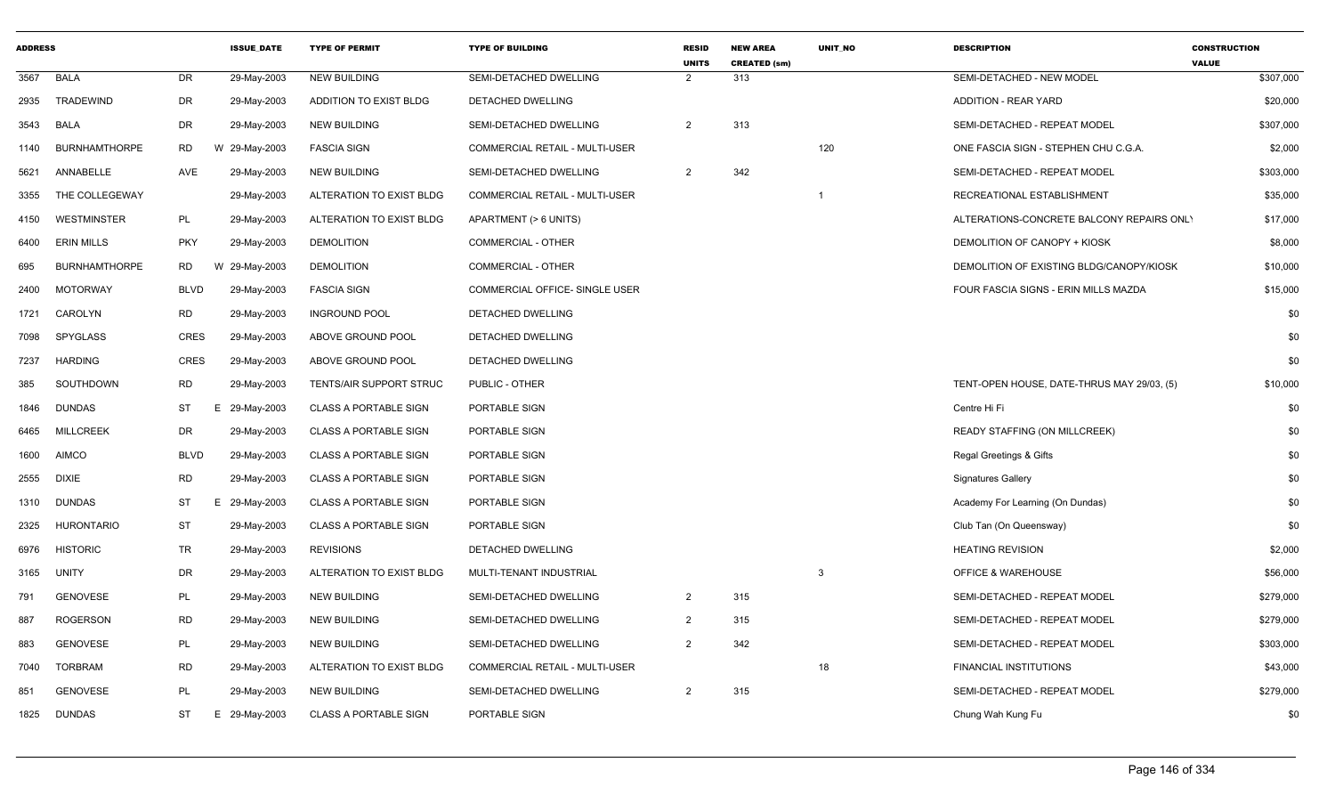| <b>ADDRESS</b> |                      |             | <b>ISSUE DATE</b> | <b>TYPE OF PERMIT</b>        | <b>TYPE OF BUILDING</b>               | <b>RESID</b><br><b>UNITS</b> | <b>NEW AREA</b><br><b>CREATED (sm)</b> | <b>UNIT NO</b> | <b>DESCRIPTION</b>                         | <b>CONSTRUCTION</b><br><b>VALUE</b> |
|----------------|----------------------|-------------|-------------------|------------------------------|---------------------------------------|------------------------------|----------------------------------------|----------------|--------------------------------------------|-------------------------------------|
| 3567           | <b>BALA</b>          | <b>DR</b>   | 29-May-2003       | <b>NEW BUILDING</b>          | <b>SEMI-DETACHED DWELLING</b>         | 2                            | 313                                    |                | SEMI-DETACHED - NEW MODEL                  | \$307,000                           |
| 2935           | TRADEWIND            | DR          | 29-May-2003       | ADDITION TO EXIST BLDG       | DETACHED DWELLING                     |                              |                                        |                | <b>ADDITION - REAR YARD</b>                | \$20,000                            |
| 3543           | <b>BALA</b>          | DR          | 29-May-2003       | <b>NEW BUILDING</b>          | SEMI-DETACHED DWELLING                | $\overline{2}$               | 313                                    |                | SEMI-DETACHED - REPEAT MODEL               | \$307,000                           |
| 1140           | <b>BURNHAMTHORPE</b> | RD          | W 29-May-2003     | <b>FASCIA SIGN</b>           | COMMERCIAL RETAIL - MULTI-USER        |                              |                                        | 120            | ONE FASCIA SIGN - STEPHEN CHU C.G.A.       | \$2,000                             |
| 5621           | ANNABELLE            | AVE         | 29-May-2003       | <b>NEW BUILDING</b>          | SEMI-DETACHED DWELLING                | $\overline{2}$               | 342                                    |                | SEMI-DETACHED - REPEAT MODEL               | \$303,000                           |
| 3355           | THE COLLEGEWAY       |             | 29-May-2003       | ALTERATION TO EXIST BLDG     | <b>COMMERCIAL RETAIL - MULTI-USER</b> |                              |                                        | $\mathbf 1$    | RECREATIONAL ESTABLISHMENT                 | \$35,000                            |
| 4150           | <b>WESTMINSTER</b>   | PL          | 29-May-2003       | ALTERATION TO EXIST BLDG     | APARTMENT (> 6 UNITS)                 |                              |                                        |                | ALTERATIONS-CONCRETE BALCONY REPAIRS ONLY  | \$17,000                            |
| 6400           | <b>ERIN MILLS</b>    | <b>PKY</b>  | 29-May-2003       | <b>DEMOLITION</b>            | COMMERCIAL - OTHER                    |                              |                                        |                | DEMOLITION OF CANOPY + KIOSK               | \$8,000                             |
| 695            | <b>BURNHAMTHORPE</b> | RD          | W 29-May-2003     | <b>DEMOLITION</b>            | COMMERCIAL - OTHER                    |                              |                                        |                | DEMOLITION OF EXISTING BLDG/CANOPY/KIOSK   | \$10,000                            |
| 2400           | <b>MOTORWAY</b>      | <b>BLVD</b> | 29-May-2003       | <b>FASCIA SIGN</b>           | COMMERCIAL OFFICE- SINGLE USER        |                              |                                        |                | FOUR FASCIA SIGNS - ERIN MILLS MAZDA       | \$15,000                            |
| 1721           | CAROLYN              | <b>RD</b>   | 29-May-2003       | <b>INGROUND POOL</b>         | DETACHED DWELLING                     |                              |                                        |                |                                            | \$0                                 |
| 7098           | <b>SPYGLASS</b>      | <b>CRES</b> | 29-May-2003       | ABOVE GROUND POOL            | <b>DETACHED DWELLING</b>              |                              |                                        |                |                                            | \$0                                 |
| 7237           | <b>HARDING</b>       | <b>CRES</b> | 29-May-2003       | ABOVE GROUND POOL            | DETACHED DWELLING                     |                              |                                        |                |                                            | \$0                                 |
| 385            | SOUTHDOWN            | <b>RD</b>   | 29-May-2003       | TENTS/AIR SUPPORT STRUC      | PUBLIC - OTHER                        |                              |                                        |                | TENT-OPEN HOUSE, DATE-THRUS MAY 29/03, (5) | \$10,000                            |
| 1846           | <b>DUNDAS</b>        | ST          | E 29-May-2003     | <b>CLASS A PORTABLE SIGN</b> | PORTABLE SIGN                         |                              |                                        |                | Centre Hi Fi                               | \$0                                 |
| 6465           | <b>MILLCREEK</b>     | DR          | 29-May-2003       | <b>CLASS A PORTABLE SIGN</b> | PORTABLE SIGN                         |                              |                                        |                | READY STAFFING (ON MILLCREEK)              | \$0                                 |
| 1600           | <b>AIMCO</b>         | <b>BLVD</b> | 29-May-2003       | <b>CLASS A PORTABLE SIGN</b> | PORTABLE SIGN                         |                              |                                        |                | Regal Greetings & Gifts                    | \$0                                 |
| 2555           | <b>DIXIE</b>         | <b>RD</b>   | 29-May-2003       | <b>CLASS A PORTABLE SIGN</b> | PORTABLE SIGN                         |                              |                                        |                | <b>Signatures Gallery</b>                  | \$0                                 |
| 1310           | <b>DUNDAS</b>        | ST          | E 29-May-2003     | <b>CLASS A PORTABLE SIGN</b> | PORTABLE SIGN                         |                              |                                        |                | Academy For Learning (On Dundas)           | \$0                                 |
| 2325           | <b>HURONTARIO</b>    | <b>ST</b>   | 29-May-2003       | <b>CLASS A PORTABLE SIGN</b> | PORTABLE SIGN                         |                              |                                        |                | Club Tan (On Queensway)                    | \$0                                 |
| 6976           | <b>HISTORIC</b>      | TR          | 29-May-2003       | <b>REVISIONS</b>             | DETACHED DWELLING                     |                              |                                        |                | <b>HEATING REVISION</b>                    | \$2,000                             |
| 3165           | <b>UNITY</b>         | DR          | 29-May-2003       | ALTERATION TO EXIST BLDG     | MULTI-TENANT INDUSTRIAL               |                              |                                        | 3              | <b>OFFICE &amp; WAREHOUSE</b>              | \$56,000                            |
| 791            | <b>GENOVESE</b>      | PL          | 29-May-2003       | <b>NEW BUILDING</b>          | SEMI-DETACHED DWELLING                | $\overline{2}$               | 315                                    |                | SEMI-DETACHED - REPEAT MODEL               | \$279,000                           |
| 887            | ROGERSON             | <b>RD</b>   | 29-May-2003       | <b>NEW BUILDING</b>          | SEMI-DETACHED DWELLING                | 2                            | 315                                    |                | SEMI-DETACHED - REPEAT MODEL               | \$279,000                           |
| 883            | <b>GENOVESE</b>      | PL          | 29-May-2003       | <b>NEW BUILDING</b>          | SEMI-DETACHED DWELLING                | 2                            | 342                                    |                | SEMI-DETACHED - REPEAT MODEL               | \$303,000                           |
| 7040           | <b>TORBRAM</b>       | RD          | 29-May-2003       | ALTERATION TO EXIST BLDG     | <b>COMMERCIAL RETAIL - MULTI-USER</b> |                              |                                        | 18             | <b>FINANCIAL INSTITUTIONS</b>              | \$43,000                            |
| 851            | <b>GENOVESE</b>      | PL          | 29-May-2003       | <b>NEW BUILDING</b>          | SEMI-DETACHED DWELLING                | $\overline{2}$               | 315                                    |                | SEMI-DETACHED - REPEAT MODEL               | \$279,000                           |
| 1825           | <b>DUNDAS</b>        | ST          | E 29-May-2003     | <b>CLASS A PORTABLE SIGN</b> | PORTABLE SIGN                         |                              |                                        |                | Chung Wah Kung Fu                          | \$0                                 |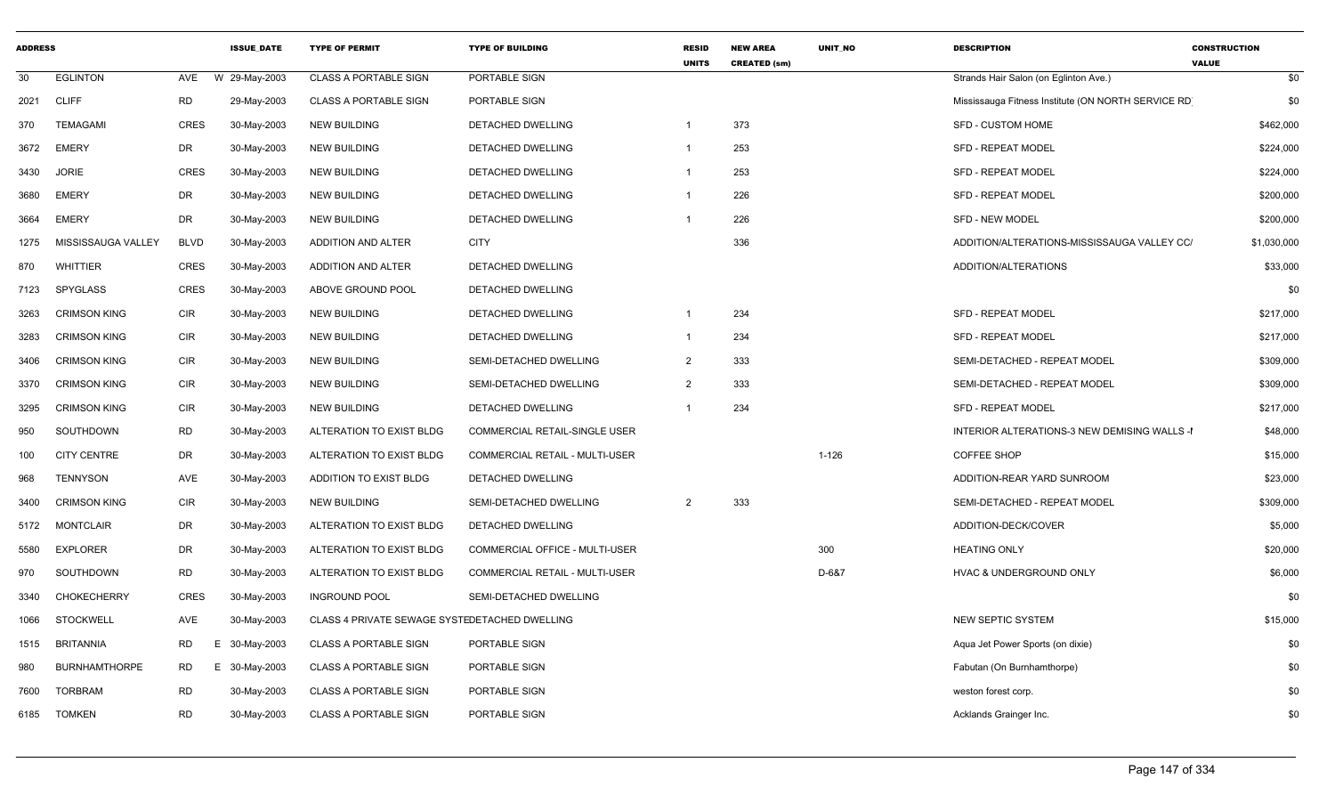| <b>ADDRESS</b> |                      |                 | <b>ISSUE DATE</b> | <b>TYPE OF PERMIT</b>                         | <b>TYPE OF BUILDING</b>               | <b>RESID</b><br><b>UNITS</b> | <b>NEW AREA</b><br><b>CREATED (sm)</b> | <b>UNIT NO</b> | <b>DESCRIPTION</b>                                 | <b>CONSTRUCTION</b><br><b>VALUE</b> |
|----------------|----------------------|-----------------|-------------------|-----------------------------------------------|---------------------------------------|------------------------------|----------------------------------------|----------------|----------------------------------------------------|-------------------------------------|
| 30             | <b>EGLINTON</b>      | AVE             | W 29-May-2003     | <b>CLASS A PORTABLE SIGN</b>                  | PORTABLE SIGN                         |                              |                                        |                | Strands Hair Salon (on Eglinton Ave.)              | \$0                                 |
| 2021           | <b>CLIFF</b>         | <b>RD</b>       | 29-May-2003       | <b>CLASS A PORTABLE SIGN</b>                  | PORTABLE SIGN                         |                              |                                        |                | Mississauga Fitness Institute (ON NORTH SERVICE RD | \$0                                 |
| 370            | <b>TEMAGAMI</b>      | <b>CRES</b>     | 30-May-2003       | <b>NEW BUILDING</b>                           | DETACHED DWELLING                     |                              | 373                                    |                | <b>SFD - CUSTOM HOME</b>                           | \$462,000                           |
| 3672           | <b>EMERY</b>         | DR              | 30-May-2003       | <b>NEW BUILDING</b>                           | <b>DETACHED DWELLING</b>              | $\overline{1}$               | 253                                    |                | <b>SFD - REPEAT MODEL</b>                          | \$224,000                           |
| 3430           | <b>JORIE</b>         | <b>CRES</b>     | 30-May-2003       | <b>NEW BUILDING</b>                           | DETACHED DWELLING                     | $\overline{1}$               | 253                                    |                | <b>SFD - REPEAT MODEL</b>                          | \$224,000                           |
| 3680           | <b>EMERY</b>         | DR              | 30-May-2003       | <b>NEW BUILDING</b>                           | DETACHED DWELLING                     | $\overline{1}$               | 226                                    |                | <b>SFD - REPEAT MODEL</b>                          | \$200,000                           |
| 3664           | <b>EMERY</b>         | DR              | 30-May-2003       | <b>NEW BUILDING</b>                           | DETACHED DWELLING                     | -1                           | 226                                    |                | <b>SFD - NEW MODEL</b>                             | \$200,000                           |
| 1275           | MISSISSAUGA VALLEY   | <b>BLVD</b>     | 30-May-2003       | ADDITION AND ALTER                            | <b>CITY</b>                           |                              | 336                                    |                | ADDITION/ALTERATIONS-MISSISSAUGA VALLEY CC/        | \$1,030,000                         |
| 870            | WHITTIER             | <b>CRES</b>     | 30-May-2003       | ADDITION AND ALTER                            | DETACHED DWELLING                     |                              |                                        |                | ADDITION/ALTERATIONS                               | \$33,000                            |
| 7123           | SPYGLASS             | <b>CRES</b>     | 30-May-2003       | ABOVE GROUND POOL                             | DETACHED DWELLING                     |                              |                                        |                |                                                    | \$0                                 |
| 3263           | <b>CRIMSON KING</b>  | <b>CIR</b>      | 30-May-2003       | <b>NEW BUILDING</b>                           | DETACHED DWELLING                     | $\overline{1}$               | 234                                    |                | <b>SFD - REPEAT MODEL</b>                          | \$217,000                           |
| 3283           | <b>CRIMSON KING</b>  | CIR             | 30-May-2003       | <b>NEW BUILDING</b>                           | DETACHED DWELLING                     | $\mathbf{1}$                 | 234                                    |                | <b>SFD - REPEAT MODEL</b>                          | \$217,000                           |
| 3406           | <b>CRIMSON KING</b>  | <b>CIR</b>      | 30-May-2003       | <b>NEW BUILDING</b>                           | SEMI-DETACHED DWELLING                | 2                            | 333                                    |                | SEMI-DETACHED - REPEAT MODEL                       | \$309,000                           |
| 3370           | <b>CRIMSON KING</b>  | <b>CIR</b>      | 30-May-2003       | <b>NEW BUILDING</b>                           | SEMI-DETACHED DWELLING                | 2                            | 333                                    |                | SEMI-DETACHED - REPEAT MODEL                       | \$309,000                           |
| 3295           | <b>CRIMSON KING</b>  | CIR             | 30-May-2003       | <b>NEW BUILDING</b>                           | DETACHED DWELLING                     | $\overline{1}$               | 234                                    |                | SFD - REPEAT MODEL                                 | \$217,000                           |
| 950            | SOUTHDOWN            | <b>RD</b>       | 30-May-2003       | ALTERATION TO EXIST BLDG                      | COMMERCIAL RETAIL-SINGLE USER         |                              |                                        |                | INTERIOR ALTERATIONS-3 NEW DEMISING WALLS -I       | \$48,000                            |
| 100            | <b>CITY CENTRE</b>   | DR              | 30-May-2003       | ALTERATION TO EXIST BLDG                      | <b>COMMERCIAL RETAIL - MULTI-USER</b> |                              |                                        | $1 - 126$      | <b>COFFEE SHOP</b>                                 | \$15,000                            |
| 968            | <b>TENNYSON</b>      | AVE             | 30-May-2003       | ADDITION TO EXIST BLDG                        | DETACHED DWELLING                     |                              |                                        |                | ADDITION-REAR YARD SUNROOM                         | \$23,000                            |
| 3400           | <b>CRIMSON KING</b>  | <b>CIR</b>      | 30-May-2003       | <b>NEW BUILDING</b>                           | SEMI-DETACHED DWELLING                | 2                            | 333                                    |                | SEMI-DETACHED - REPEAT MODEL                       | \$309,000                           |
| 5172           | MONTCLAIR            | DR              | 30-May-2003       | ALTERATION TO EXIST BLDG                      | DETACHED DWELLING                     |                              |                                        |                | ADDITION-DECK/COVER                                | \$5,000                             |
| 5580           | <b>EXPLORER</b>      | DR              | 30-May-2003       | ALTERATION TO EXIST BLDG                      | COMMERCIAL OFFICE - MULTI-USER        |                              |                                        | 300            | <b>HEATING ONLY</b>                                | \$20,000                            |
| 970            | SOUTHDOWN            | RD              | 30-May-2003       | ALTERATION TO EXIST BLDG                      | COMMERCIAL RETAIL - MULTI-USER        |                              |                                        | D-6&7          | HVAC & UNDERGROUND ONLY                            | \$6,000                             |
| 3340           | <b>CHOKECHERRY</b>   | <b>CRES</b>     | 30-May-2003       | <b>INGROUND POOL</b>                          | SEMI-DETACHED DWELLING                |                              |                                        |                |                                                    | \$0                                 |
| 1066           | <b>STOCKWELL</b>     | AVE             | 30-May-2003       | CLASS 4 PRIVATE SEWAGE SYSTEDETACHED DWELLING |                                       |                              |                                        |                | <b>NEW SEPTIC SYSTEM</b>                           | \$15,000                            |
| 1515           | <b>BRITANNIA</b>     | <b>RD</b><br>Е. | 30-May-2003       | <b>CLASS A PORTABLE SIGN</b>                  | PORTABLE SIGN                         |                              |                                        |                | Aqua Jet Power Sports (on dixie)                   | \$0                                 |
| 980            | <b>BURNHAMTHORPE</b> | RD<br>Е.        | 30-May-2003       | <b>CLASS A PORTABLE SIGN</b>                  | PORTABLE SIGN                         |                              |                                        |                | Fabutan (On Burnhamthorpe)                         | \$0                                 |
| 7600           | <b>TORBRAM</b>       | RD              | 30-May-2003       | <b>CLASS A PORTABLE SIGN</b>                  | PORTABLE SIGN                         |                              |                                        |                | weston forest corp.                                | \$0                                 |
| 6185           | <b>TOMKEN</b>        | <b>RD</b>       | 30-May-2003       | <b>CLASS A PORTABLE SIGN</b>                  | PORTABLE SIGN                         |                              |                                        |                | Acklands Grainger Inc.                             | \$0                                 |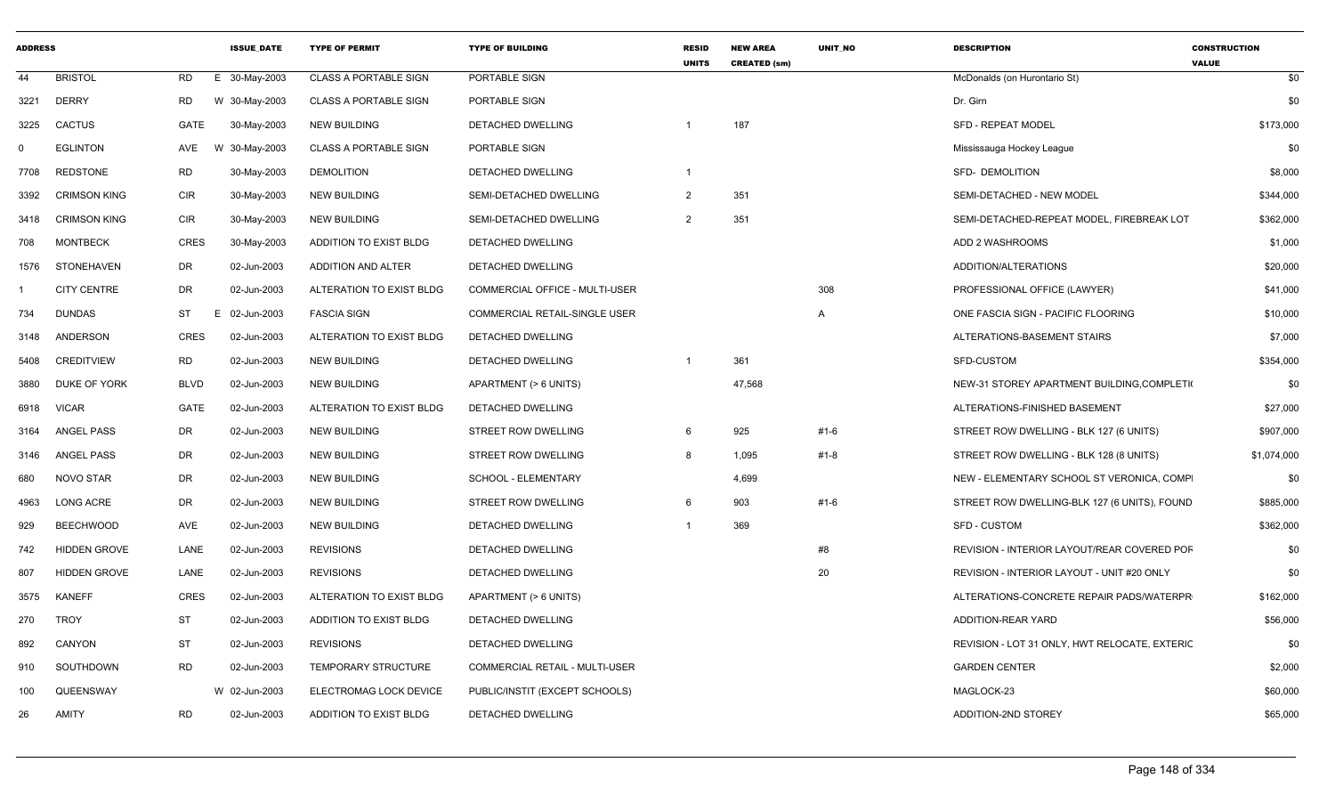| <b>ADDRESS</b> |                     |             | <b>ISSUE DATE</b> | <b>TYPE OF PERMIT</b>        | <b>TYPE OF BUILDING</b>        | <b>RESID</b><br><b>UNITS</b> | <b>NEW AREA</b><br><b>CREATED (sm)</b> | <b>UNIT NO</b> | <b>DESCRIPTION</b>                            | <b>CONSTRUCTION</b><br><b>VALUE</b> |
|----------------|---------------------|-------------|-------------------|------------------------------|--------------------------------|------------------------------|----------------------------------------|----------------|-----------------------------------------------|-------------------------------------|
| 44             | <b>BRISTOL</b>      | <b>RD</b>   | E 30-May-2003     | <b>CLASS A PORTABLE SIGN</b> | PORTABLE SIGN                  |                              |                                        |                | McDonalds (on Hurontario St)                  | \$0                                 |
| 3221           | <b>DERRY</b>        | <b>RD</b>   | W 30-May-2003     | <b>CLASS A PORTABLE SIGN</b> | PORTABLE SIGN                  |                              |                                        |                | Dr. Girn                                      | \$0                                 |
| 3225           | <b>CACTUS</b>       | GATE        | 30-May-2003       | <b>NEW BUILDING</b>          | DETACHED DWELLING              |                              | 187                                    |                | <b>SFD - REPEAT MODEL</b>                     | \$173,000                           |
| 0              | <b>EGLINTON</b>     | AVE         | W 30-May-2003     | <b>CLASS A PORTABLE SIGN</b> | PORTABLE SIGN                  |                              |                                        |                | Mississauga Hockey League                     | \$0                                 |
| 7708           | <b>REDSTONE</b>     | <b>RD</b>   | 30-May-2003       | <b>DEMOLITION</b>            | DETACHED DWELLING              | $\overline{1}$               |                                        |                | SFD- DEMOLITION                               | \$8,000                             |
| 3392           | <b>CRIMSON KING</b> | <b>CIR</b>  | 30-May-2003       | <b>NEW BUILDING</b>          | SEMI-DETACHED DWELLING         | $\overline{2}$               | 351                                    |                | SEMI-DETACHED - NEW MODEL                     | \$344,000                           |
| 3418           | <b>CRIMSON KING</b> | <b>CIR</b>  | 30-May-2003       | <b>NEW BUILDING</b>          | SEMI-DETACHED DWELLING         | $\overline{2}$               | 351                                    |                | SEMI-DETACHED-REPEAT MODEL, FIREBREAK LOT     | \$362,000                           |
| 708            | <b>MONTBECK</b>     | <b>CRES</b> | 30-May-2003       | ADDITION TO EXIST BLDG       | DETACHED DWELLING              |                              |                                        |                | ADD 2 WASHROOMS                               | \$1,000                             |
| 1576           | STONEHAVEN          | DR          | 02-Jun-2003       | ADDITION AND ALTER           | DETACHED DWELLING              |                              |                                        |                | ADDITION/ALTERATIONS                          | \$20,000                            |
|                | <b>CITY CENTRE</b>  | DR          | 02-Jun-2003       | ALTERATION TO EXIST BLDG     | COMMERCIAL OFFICE - MULTI-USER |                              |                                        | 308            | PROFESSIONAL OFFICE (LAWYER)                  | \$41,000                            |
| 734            | <b>DUNDAS</b>       | ST          | E 02-Jun-2003     | <b>FASCIA SIGN</b>           | COMMERCIAL RETAIL-SINGLE USER  |                              |                                        | $\overline{A}$ | ONE FASCIA SIGN - PACIFIC FLOORING            | \$10,000                            |
| 3148           | ANDERSON            | <b>CRES</b> | 02-Jun-2003       | ALTERATION TO EXIST BLDG     | DETACHED DWELLING              |                              |                                        |                | ALTERATIONS-BASEMENT STAIRS                   | \$7,000                             |
| 5408           | <b>CREDITVIEW</b>   | <b>RD</b>   | 02-Jun-2003       | <b>NEW BUILDING</b>          | DETACHED DWELLING              |                              | 361                                    |                | SFD-CUSTOM                                    | \$354,000                           |
| 3880           | DUKE OF YORK        | BLVD        | 02-Jun-2003       | <b>NEW BUILDING</b>          | APARTMENT (> 6 UNITS)          |                              | 47,568                                 |                | NEW-31 STOREY APARTMENT BUILDING, COMPLETI    | \$0                                 |
| 6918           | <b>VICAR</b>        | GATE        | 02-Jun-2003       | ALTERATION TO EXIST BLDG     | DETACHED DWELLING              |                              |                                        |                | ALTERATIONS-FINISHED BASEMENT                 | \$27,000                            |
| 3164           | <b>ANGEL PASS</b>   | DR          | 02-Jun-2003       | <b>NEW BUILDING</b>          | STREET ROW DWELLING            | 6                            | 925                                    | #1-6           | STREET ROW DWELLING - BLK 127 (6 UNITS)       | \$907,000                           |
| 3146           | ANGEL PASS          | DR          | 02-Jun-2003       | <b>NEW BUILDING</b>          | STREET ROW DWELLING            | -8                           | 1,095                                  | #1-8           | STREET ROW DWELLING - BLK 128 (8 UNITS)       | \$1,074,000                         |
| 680            | NOVO STAR           | DR          | 02-Jun-2003       | <b>NEW BUILDING</b>          | SCHOOL - ELEMENTARY            |                              | 4,699                                  |                | NEW - ELEMENTARY SCHOOL ST VERONICA, COMP     | \$0                                 |
| 4963           | LONG ACRE           | DR          | 02-Jun-2003       | <b>NEW BUILDING</b>          | STREET ROW DWELLING            | 6                            | 903                                    | #1-6           | STREET ROW DWELLING-BLK 127 (6 UNITS), FOUND  | \$885,000                           |
| 929            | <b>BEECHWOOD</b>    | AVE         | 02-Jun-2003       | <b>NEW BUILDING</b>          | DETACHED DWELLING              |                              | 369                                    |                | <b>SFD - CUSTOM</b>                           | \$362,000                           |
| 742            | <b>HIDDEN GROVE</b> | LANE        | 02-Jun-2003       | <b>REVISIONS</b>             | DETACHED DWELLING              |                              |                                        | #8             | REVISION - INTERIOR LAYOUT/REAR COVERED POF   | \$0                                 |
| 807            | <b>HIDDEN GROVE</b> | LANE        | 02-Jun-2003       | <b>REVISIONS</b>             | DETACHED DWELLING              |                              |                                        | 20             | REVISION - INTERIOR LAYOUT - UNIT #20 ONLY    | \$0                                 |
| 3575           | <b>KANEFF</b>       | <b>CRES</b> | 02-Jun-2003       | ALTERATION TO EXIST BLDG     | APARTMENT (> 6 UNITS)          |                              |                                        |                | ALTERATIONS-CONCRETE REPAIR PADS/WATERPR      | \$162,000                           |
| 270            | <b>TROY</b>         | ST          | 02-Jun-2003       | ADDITION TO EXIST BLDG       | DETACHED DWELLING              |                              |                                        |                | ADDITION-REAR YARD                            | \$56,000                            |
| 892            | CANYON              | ST          | 02-Jun-2003       | <b>REVISIONS</b>             | DETACHED DWELLING              |                              |                                        |                | REVISION - LOT 31 ONLY, HWT RELOCATE, EXTERIC | \$0                                 |
| 910            | SOUTHDOWN           | <b>RD</b>   | 02-Jun-2003       | TEMPORARY STRUCTURE          | COMMERCIAL RETAIL - MULTI-USER |                              |                                        |                | <b>GARDEN CENTER</b>                          | \$2,000                             |
| 100            | QUEENSWAY           |             | W 02-Jun-2003     | ELECTROMAG LOCK DEVICE       | PUBLIC/INSTIT (EXCEPT SCHOOLS) |                              |                                        |                | MAGLOCK-23                                    | \$60,000                            |
| 26             | <b>AMITY</b>        | <b>RD</b>   | 02-Jun-2003       | ADDITION TO EXIST BLDG       | DETACHED DWELLING              |                              |                                        |                | ADDITION-2ND STOREY                           | \$65,000                            |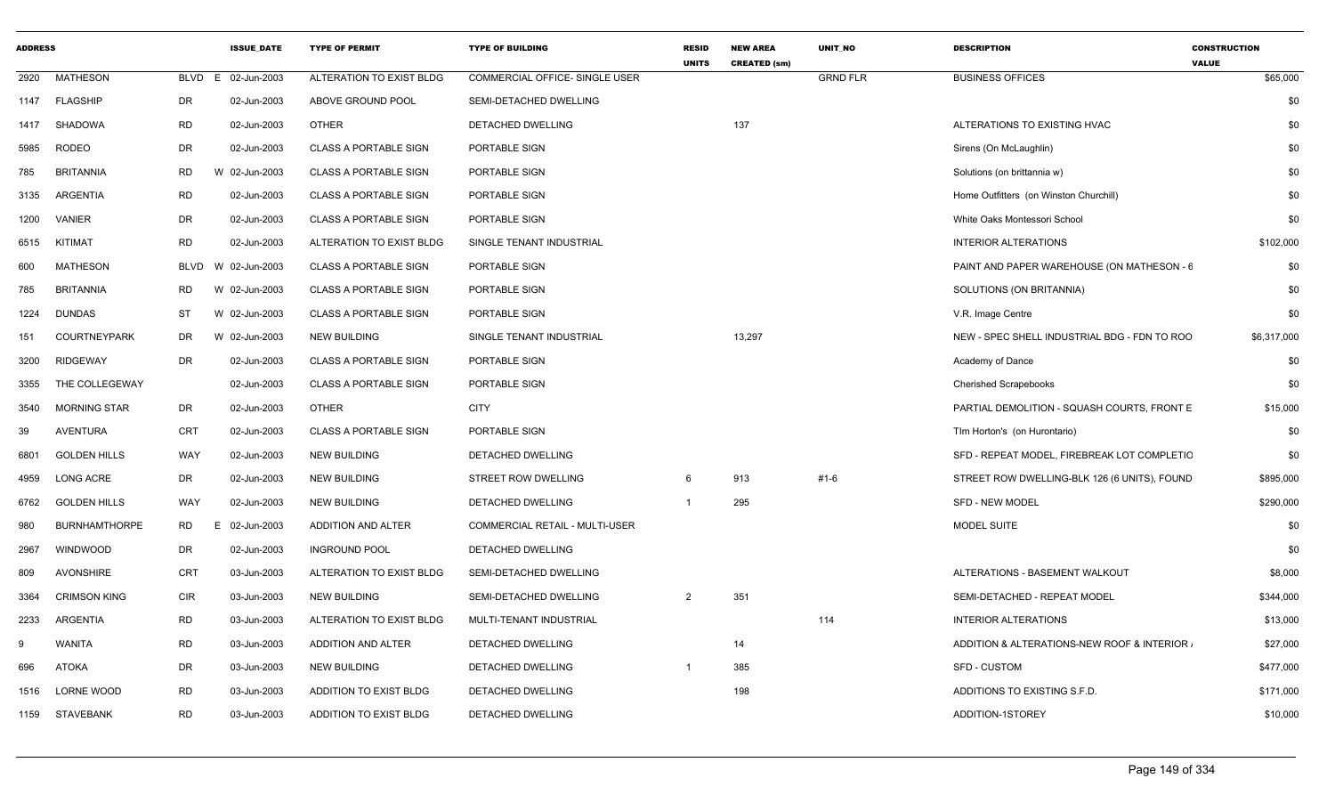| <b>ADDRESS</b> |                      |                | <b>ISSUE DATE</b> | <b>TYPE OF PERMIT</b>        | <b>TYPE OF BUILDING</b>               | <b>RESID</b><br><b>UNITS</b> | <b>NEW AREA</b><br><b>CREATED (sm)</b> | <b>UNIT NO</b>  | <b>DESCRIPTION</b>                           | <b>CONSTRUCTION</b><br><b>VALUE</b> |
|----------------|----------------------|----------------|-------------------|------------------------------|---------------------------------------|------------------------------|----------------------------------------|-----------------|----------------------------------------------|-------------------------------------|
| 2920           | <b>MATHESON</b>      | BLVD E         | 02-Jun-2003       | ALTERATION TO EXIST BLDG     | <b>COMMERCIAL OFFICE- SINGLE USER</b> |                              |                                        | <b>GRND FLR</b> | <b>BUSINESS OFFICES</b>                      | \$65,000                            |
|                | 1147 FLAGSHIP        | <b>DR</b>      | 02-Jun-2003       | ABOVE GROUND POOL            | SEMI-DETACHED DWELLING                |                              |                                        |                 |                                              | \$0                                 |
| 1417           | <b>SHADOWA</b>       | <b>RD</b>      | 02-Jun-2003       | <b>OTHER</b>                 | DETACHED DWELLING                     |                              | 137                                    |                 | ALTERATIONS TO EXISTING HVAC                 | \$0                                 |
| 5985           | <b>RODEO</b>         | DR             | 02-Jun-2003       | <b>CLASS A PORTABLE SIGN</b> | PORTABLE SIGN                         |                              |                                        |                 | Sirens (On McLaughlin)                       | \$0                                 |
| 785            | <b>BRITANNIA</b>     | <b>RD</b>      | W 02-Jun-2003     | <b>CLASS A PORTABLE SIGN</b> | PORTABLE SIGN                         |                              |                                        |                 | Solutions (on brittannia w)                  | \$0                                 |
| 3135           | ARGENTIA             | <b>RD</b>      | 02-Jun-2003       | <b>CLASS A PORTABLE SIGN</b> | PORTABLE SIGN                         |                              |                                        |                 | Home Outfitters (on Winston Churchill)       | \$0                                 |
| 1200           | <b>VANIER</b>        | <b>DR</b>      | 02-Jun-2003       | <b>CLASS A PORTABLE SIGN</b> | PORTABLE SIGN                         |                              |                                        |                 | White Oaks Montessori School                 | \$0                                 |
| 6515           | KITIMAT              | <b>RD</b>      | 02-Jun-2003       | ALTERATION TO EXIST BLDG     | SINGLE TENANT INDUSTRIAL              |                              |                                        |                 | <b>INTERIOR ALTERATIONS</b>                  | \$102,000                           |
| 600            | MATHESON             | BLVD           | W 02-Jun-2003     | <b>CLASS A PORTABLE SIGN</b> | PORTABLE SIGN                         |                              |                                        |                 | PAINT AND PAPER WAREHOUSE (ON MATHESON - 6   | \$0                                 |
| 785            | <b>BRITANNIA</b>     | <b>RD</b>      | W 02-Jun-2003     | <b>CLASS A PORTABLE SIGN</b> | PORTABLE SIGN                         |                              |                                        |                 | SOLUTIONS (ON BRITANNIA)                     | \$0                                 |
| 1224           | <b>DUNDAS</b>        | <b>ST</b>      | W 02-Jun-2003     | CLASS A PORTABLE SIGN        | PORTABLE SIGN                         |                              |                                        |                 | V.R. Image Centre                            | \$0                                 |
| 151            | <b>COURTNEYPARK</b>  | DR             | W 02-Jun-2003     | <b>NEW BUILDING</b>          | SINGLE TENANT INDUSTRIAL              |                              | 13,297                                 |                 | NEW - SPEC SHELL INDUSTRIAL BDG - FDN TO ROO | \$6,317,000                         |
| 3200           | <b>RIDGEWAY</b>      | <b>DR</b>      | 02-Jun-2003       | <b>CLASS A PORTABLE SIGN</b> | PORTABLE SIGN                         |                              |                                        |                 | Academy of Dance                             | \$0                                 |
| 3355           | THE COLLEGEWAY       |                | 02-Jun-2003       | <b>CLASS A PORTABLE SIGN</b> | PORTABLE SIGN                         |                              |                                        |                 | <b>Cherished Scrapebooks</b>                 | \$0                                 |
| 3540           | <b>MORNING STAR</b>  | DR             | 02-Jun-2003       | <b>OTHER</b>                 | <b>CITY</b>                           |                              |                                        |                 | PARTIAL DEMOLITION - SQUASH COURTS, FRONT E  | \$15,000                            |
| 39             | AVENTURA             | <b>CRT</b>     | 02-Jun-2003       | <b>CLASS A PORTABLE SIGN</b> | PORTABLE SIGN                         |                              |                                        |                 | Tim Horton's (on Hurontario)                 | \$0                                 |
| 6801           | <b>GOLDEN HILLS</b>  | WAY            | 02-Jun-2003       | <b>NEW BUILDING</b>          | DETACHED DWELLING                     |                              |                                        |                 | SFD - REPEAT MODEL, FIREBREAK LOT COMPLETIC  | \$0                                 |
| 4959           | <b>LONG ACRE</b>     | <b>DR</b>      | 02-Jun-2003       | <b>NEW BUILDING</b>          | <b>STREET ROW DWELLING</b>            | 6                            | 913                                    | $#1 - 6$        | STREET ROW DWELLING-BLK 126 (6 UNITS), FOUND | \$895,000                           |
| 6762           | <b>GOLDEN HILLS</b>  | WAY            | 02-Jun-2003       | <b>NEW BUILDING</b>          | DETACHED DWELLING                     | $\overline{1}$               | 295                                    |                 | <b>SFD - NEW MODEL</b>                       | \$290,000                           |
| 980            | <b>BURNHAMTHORPE</b> | <b>RD</b><br>E | 02-Jun-2003       | ADDITION AND ALTER           | COMMERCIAL RETAIL - MULTI-USER        |                              |                                        |                 | MODEL SUITE                                  | \$0                                 |
| 2967           | WINDWOOD             | DR             | 02-Jun-2003       | <b>INGROUND POOL</b>         | DETACHED DWELLING                     |                              |                                        |                 |                                              | \$0                                 |
| 809            | <b>AVONSHIRE</b>     | <b>CRT</b>     | 03-Jun-2003       | ALTERATION TO EXIST BLDG     | SEMI-DETACHED DWELLING                |                              |                                        |                 | ALTERATIONS - BASEMENT WALKOUT               | \$8,000                             |
| 3364           | <b>CRIMSON KING</b>  | <b>CIR</b>     | 03-Jun-2003       | <b>NEW BUILDING</b>          | SEMI-DETACHED DWELLING                | 2                            | 351                                    |                 | SEMI-DETACHED - REPEAT MODEL                 | \$344,000                           |
| 2233           | ARGENTIA             | <b>RD</b>      | 03-Jun-2003       | ALTERATION TO EXIST BLDG     | MULTI-TENANT INDUSTRIAL               |                              |                                        | 114             | <b>INTERIOR ALTERATIONS</b>                  | \$13,000                            |
| 9              | WANITA               | <b>RD</b>      | 03-Jun-2003       | ADDITION AND ALTER           | DETACHED DWELLING                     |                              | 14                                     |                 | ADDITION & ALTERATIONS-NEW ROOF & INTERIOR.  | \$27,000                            |
| 696            | <b>ATOKA</b>         | DR             | 03-Jun-2003       | <b>NEW BUILDING</b>          | DETACHED DWELLING                     | $\overline{1}$               | 385                                    |                 | SFD - CUSTOM                                 | \$477,000                           |
| 1516           | LORNE WOOD           | <b>RD</b>      | 03-Jun-2003       | ADDITION TO EXIST BLDG       | DETACHED DWELLING                     |                              | 198                                    |                 | ADDITIONS TO EXISTING S.F.D.                 | \$171,000                           |
|                | 1159 STAVEBANK       | <b>RD</b>      | 03-Jun-2003       | ADDITION TO EXIST BLDG       | DETACHED DWELLING                     |                              |                                        |                 | ADDITION-1STOREY                             | \$10,000                            |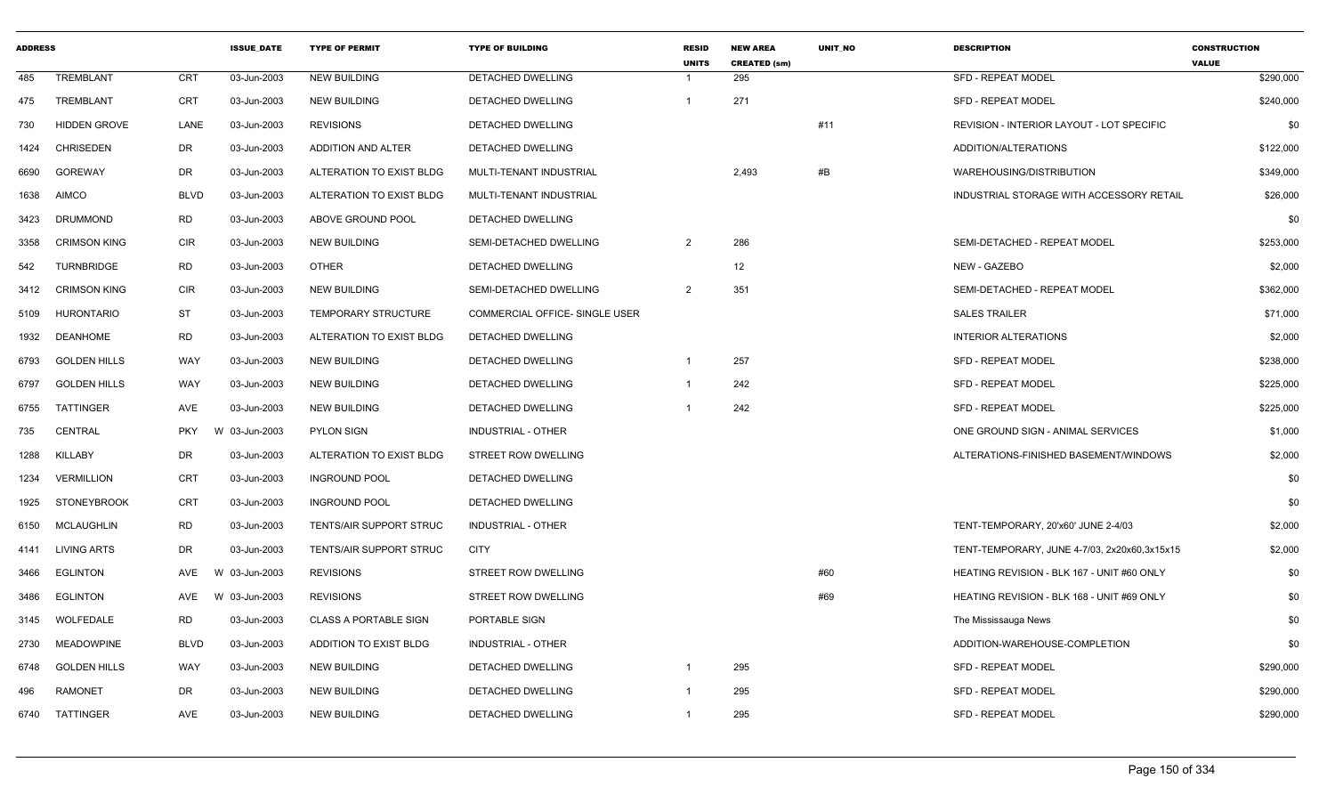| <b>ADDRESS</b> |                     |             | <b>ISSUE DATE</b> | <b>TYPE OF PERMIT</b>          | <b>TYPE OF BUILDING</b>               | <b>RESID</b><br><b>UNITS</b> | <b>NEW AREA</b><br><b>CREATED (sm)</b> | <b>UNIT NO</b> | <b>DESCRIPTION</b>                           | <b>CONSTRUCTION</b><br><b>VALUE</b> |
|----------------|---------------------|-------------|-------------------|--------------------------------|---------------------------------------|------------------------------|----------------------------------------|----------------|----------------------------------------------|-------------------------------------|
| 485            | TREMBLANT           | CRT         | 03-Jun-2003       | <b>NEW BUILDING</b>            | DETACHED DWELLING                     |                              | 295                                    |                | <b>SFD - REPEAT MODEL</b>                    | \$290,000                           |
| 475            | <b>TREMBLANT</b>    | CRT         | 03-Jun-2003       | <b>NEW BUILDING</b>            | DETACHED DWELLING                     |                              | 271                                    |                | <b>SFD - REPEAT MODEL</b>                    | \$240,000                           |
| 730            | <b>HIDDEN GROVE</b> | LANE        | 03-Jun-2003       | <b>REVISIONS</b>               | DETACHED DWELLING                     |                              |                                        | #11            | REVISION - INTERIOR LAYOUT - LOT SPECIFIC    | \$0                                 |
| 1424           | <b>CHRISEDEN</b>    | DR          | 03-Jun-2003       | ADDITION AND ALTER             | DETACHED DWELLING                     |                              |                                        |                | ADDITION/ALTERATIONS                         | \$122,000                           |
| 6690           | <b>GOREWAY</b>      | DR          | 03-Jun-2003       | ALTERATION TO EXIST BLDG       | MULTI-TENANT INDUSTRIAL               |                              | 2,493                                  | #B             | WAREHOUSING/DISTRIBUTION                     | \$349,000                           |
| 1638           | <b>AIMCO</b>        | <b>BLVD</b> | 03-Jun-2003       | ALTERATION TO EXIST BLDG       | MULTI-TENANT INDUSTRIAL               |                              |                                        |                | INDUSTRIAL STORAGE WITH ACCESSORY RETAIL     | \$26,000                            |
| 3423           | <b>DRUMMOND</b>     | RD          | 03-Jun-2003       | ABOVE GROUND POOL              | DETACHED DWELLING                     |                              |                                        |                |                                              | \$0                                 |
| 3358           | <b>CRIMSON KING</b> | CIR         | 03-Jun-2003       | <b>NEW BUILDING</b>            | SEMI-DETACHED DWELLING                | $\overline{2}$               | 286                                    |                | SEMI-DETACHED - REPEAT MODEL                 | \$253,000                           |
| 542            | TURNBRIDGE          | RD          | 03-Jun-2003       | OTHER                          | DETACHED DWELLING                     |                              | 12                                     |                | NEW - GAZEBO                                 | \$2,000                             |
| 3412           | <b>CRIMSON KING</b> | CIR         | 03-Jun-2003       | <b>NEW BUILDING</b>            | SEMI-DETACHED DWELLING                | $\overline{2}$               | 351                                    |                | SEMI-DETACHED - REPEAT MODEL                 | \$362,000                           |
| 5109           | <b>HURONTARIO</b>   | ST          | 03-Jun-2003       | <b>TEMPORARY STRUCTURE</b>     | <b>COMMERCIAL OFFICE- SINGLE USER</b> |                              |                                        |                | <b>SALES TRAILER</b>                         | \$71,000                            |
| 1932           | <b>DEANHOME</b>     | <b>RD</b>   | 03-Jun-2003       | ALTERATION TO EXIST BLDG       | DETACHED DWELLING                     |                              |                                        |                | <b>INTERIOR ALTERATIONS</b>                  | \$2,000                             |
| 6793           | <b>GOLDEN HILLS</b> | WAY         | 03-Jun-2003       | <b>NEW BUILDING</b>            | DETACHED DWELLING                     | -1                           | 257                                    |                | SFD - REPEAT MODEL                           | \$238,000                           |
| 6797           | <b>GOLDEN HILLS</b> | WAY         | 03-Jun-2003       | <b>NEW BUILDING</b>            | DETACHED DWELLING                     | -1                           | 242                                    |                | <b>SFD - REPEAT MODEL</b>                    | \$225,000                           |
| 6755           | TATTINGER           | AVE         | 03-Jun-2003       | <b>NEW BUILDING</b>            | DETACHED DWELLING                     |                              | 242                                    |                | <b>SFD - REPEAT MODEL</b>                    | \$225,000                           |
| 735            | CENTRAL             | <b>PKY</b>  | W 03-Jun-2003     | <b>PYLON SIGN</b>              | INDUSTRIAL - OTHER                    |                              |                                        |                | ONE GROUND SIGN - ANIMAL SERVICES            | \$1,000                             |
| 1288           | KILLABY             | DR          | 03-Jun-2003       | ALTERATION TO EXIST BLDG       | STREET ROW DWELLING                   |                              |                                        |                | ALTERATIONS-FINISHED BASEMENT/WINDOWS        | \$2,000                             |
| 1234           | <b>VERMILLION</b>   | <b>CRT</b>  | 03-Jun-2003       | <b>INGROUND POOL</b>           | DETACHED DWELLING                     |                              |                                        |                |                                              | \$0                                 |
| 1925           | <b>STONEYBROOK</b>  | CRT         | 03-Jun-2003       | <b>INGROUND POOL</b>           | DETACHED DWELLING                     |                              |                                        |                |                                              | \$0                                 |
| 6150           | MCLAUGHLIN          | RD          | 03-Jun-2003       | <b>TENTS/AIR SUPPORT STRUC</b> | <b>INDUSTRIAL - OTHER</b>             |                              |                                        |                | TENT-TEMPORARY, 20'x60' JUNE 2-4/03          | \$2,000                             |
| 4141           | LIVING ARTS         | DR          | 03-Jun-2003       | <b>TENTS/AIR SUPPORT STRUC</b> | <b>CITY</b>                           |                              |                                        |                | TENT-TEMPORARY, JUNE 4-7/03, 2x20x60,3x15x15 | \$2,000                             |
| 3466           | <b>EGLINTON</b>     | AVE         | 03-Jun-2003<br>W. | <b>REVISIONS</b>               | <b>STREET ROW DWELLING</b>            |                              |                                        | #60            | HEATING REVISION - BLK 167 - UNIT #60 ONLY   | \$0                                 |
| 3486           | <b>EGLINTON</b>     | AVE         | W 03-Jun-2003     | <b>REVISIONS</b>               | STREET ROW DWELLING                   |                              |                                        | #69            | HEATING REVISION - BLK 168 - UNIT #69 ONLY   | \$0                                 |
| 3145           | WOLFEDALE           | <b>RD</b>   | 03-Jun-2003       | <b>CLASS A PORTABLE SIGN</b>   | PORTABLE SIGN                         |                              |                                        |                | The Mississauga News                         | \$0                                 |
| 2730           | <b>MEADOWPINE</b>   | <b>BLVD</b> | 03-Jun-2003       | ADDITION TO EXIST BLDG         | <b>INDUSTRIAL - OTHER</b>             |                              |                                        |                | ADDITION-WAREHOUSE-COMPLETION                | \$0                                 |
| 6748           | <b>GOLDEN HILLS</b> | WAY         | 03-Jun-2003       | NEW BUILDING                   | DETACHED DWELLING                     |                              | 295                                    |                | <b>SFD - REPEAT MODEL</b>                    | \$290,000                           |
| 496            | <b>RAMONET</b>      | DR          | 03-Jun-2003       | <b>NEW BUILDING</b>            | DETACHED DWELLING                     | -1                           | 295                                    |                | <b>SFD - REPEAT MODEL</b>                    | \$290,000                           |
| 6740           | TATTINGER           | AVE         | 03-Jun-2003       | <b>NEW BUILDING</b>            | DETACHED DWELLING                     | -1                           | 295                                    |                | SFD - REPEAT MODEL                           | \$290,000                           |
|                |                     |             |                   |                                |                                       |                              |                                        |                |                                              |                                     |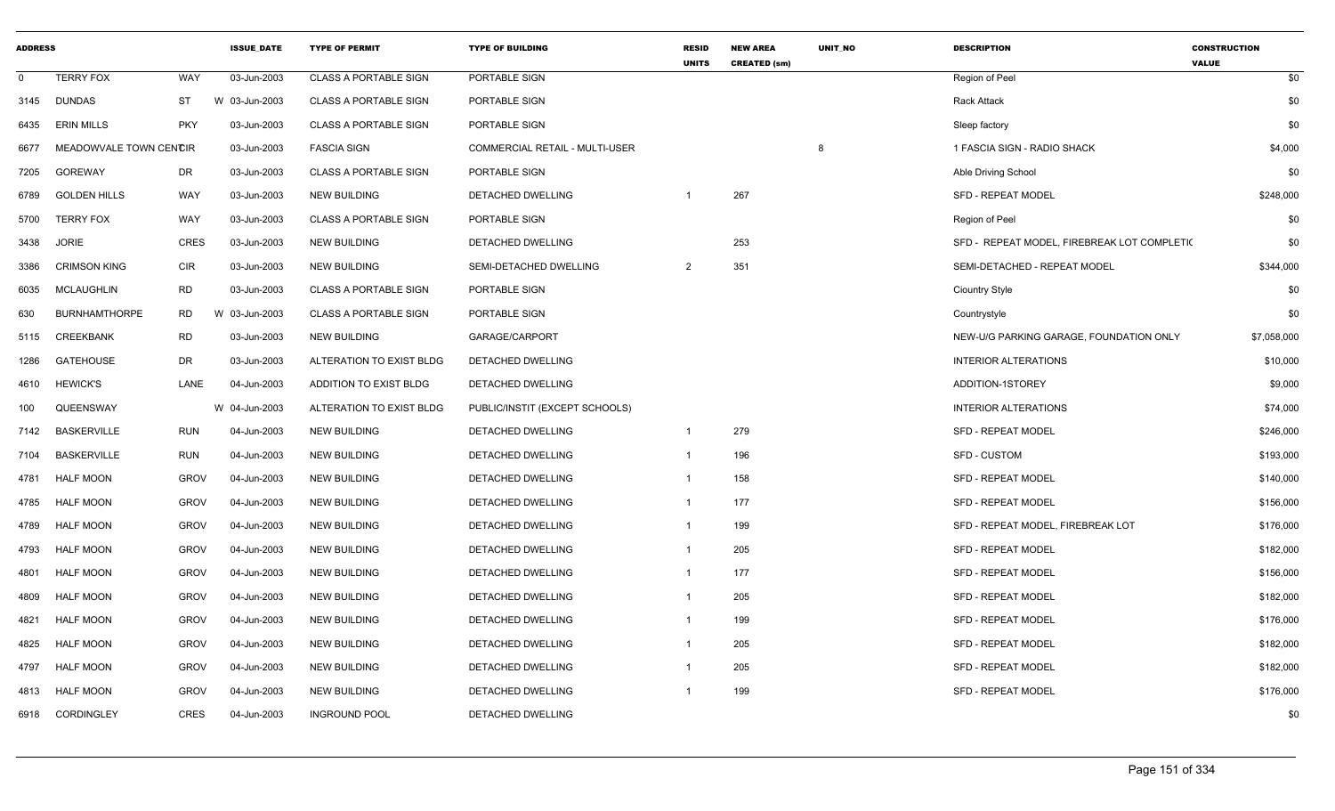| <b>ADDRESS</b> |                        |             | <b>ISSUE DATE</b> | <b>TYPE OF PERMIT</b>        | <b>TYPE OF BUILDING</b>               | <b>RESID</b><br><b>UNITS</b> | <b>NEW AREA</b><br><b>CREATED (sm)</b> | <b>UNIT NO</b> | <b>DESCRIPTION</b>                          | <b>CONSTRUCTION</b><br><b>VALUE</b> |
|----------------|------------------------|-------------|-------------------|------------------------------|---------------------------------------|------------------------------|----------------------------------------|----------------|---------------------------------------------|-------------------------------------|
| $\Omega$       | <b>TERRY FOX</b>       | <b>WAY</b>  | 03-Jun-2003       | <b>CLASS A PORTABLE SIGN</b> | PORTABLE SIGN                         |                              |                                        |                | Region of Peel                              | \$0                                 |
| 3145           | <b>DUNDAS</b>          | <b>ST</b>   | W 03-Jun-2003     | <b>CLASS A PORTABLE SIGN</b> | PORTABLE SIGN                         |                              |                                        |                | <b>Rack Attack</b>                          | \$0                                 |
| 6435           | <b>ERIN MILLS</b>      | <b>PKY</b>  | 03-Jun-2003       | <b>CLASS A PORTABLE SIGN</b> | PORTABLE SIGN                         |                              |                                        |                | Sleep factory                               | \$0                                 |
| 6677           | MEADOWVALE TOWN CENCIR |             | 03-Jun-2003       | <b>FASCIA SIGN</b>           | <b>COMMERCIAL RETAIL - MULTI-USER</b> |                              |                                        | 8              | 1 FASCIA SIGN - RADIO SHACK                 | \$4,000                             |
| 7205           | <b>GOREWAY</b>         | <b>DR</b>   | 03-Jun-2003       | <b>CLASS A PORTABLE SIGN</b> | PORTABLE SIGN                         |                              |                                        |                | Able Driving School                         | \$0                                 |
| 6789           | <b>GOLDEN HILLS</b>    | WAY         | 03-Jun-2003       | <b>NEW BUILDING</b>          | DETACHED DWELLING                     |                              | 267                                    |                | <b>SFD - REPEAT MODEL</b>                   | \$248,000                           |
| 5700           | <b>TERRY FOX</b>       | <b>WAY</b>  | 03-Jun-2003       | <b>CLASS A PORTABLE SIGN</b> | PORTABLE SIGN                         |                              |                                        |                | Region of Peel                              | \$0                                 |
| 3438           | <b>JORIE</b>           | <b>CRES</b> | 03-Jun-2003       | <b>NEW BUILDING</b>          | DETACHED DWELLING                     |                              | 253                                    |                | SFD - REPEAT MODEL, FIREBREAK LOT COMPLETI( | \$0                                 |
| 3386           | <b>CRIMSON KING</b>    | <b>CIR</b>  | 03-Jun-2003       | <b>NEW BUILDING</b>          | SEMI-DETACHED DWELLING                | 2                            | 351                                    |                | SEMI-DETACHED - REPEAT MODEL                | \$344,000                           |
| 6035           | <b>MCLAUGHLIN</b>      | <b>RD</b>   | 03-Jun-2003       | <b>CLASS A PORTABLE SIGN</b> | PORTABLE SIGN                         |                              |                                        |                | <b>Ciountry Style</b>                       | \$0                                 |
| 630            | <b>BURNHAMTHORPE</b>   | <b>RD</b>   | W 03-Jun-2003     | <b>CLASS A PORTABLE SIGN</b> | PORTABLE SIGN                         |                              |                                        |                | Countrystyle                                | \$0                                 |
| 5115           | <b>CREEKBANK</b>       | <b>RD</b>   | 03-Jun-2003       | <b>NEW BUILDING</b>          | GARAGE/CARPORT                        |                              |                                        |                | NEW-U/G PARKING GARAGE. FOUNDATION ONLY     | \$7,058,000                         |
| 1286           | <b>GATEHOUSE</b>       | <b>DR</b>   | 03-Jun-2003       | ALTERATION TO EXIST BLDG     | DETACHED DWELLING                     |                              |                                        |                | <b>INTERIOR ALTERATIONS</b>                 | \$10,000                            |
| 4610           | <b>HEWICK'S</b>        | LANE        | 04-Jun-2003       | ADDITION TO EXIST BLDG       | DETACHED DWELLING                     |                              |                                        |                | ADDITION-1STOREY                            | \$9,000                             |
| 100            | QUEENSWAY              |             | W 04-Jun-2003     | ALTERATION TO EXIST BLDG     | PUBLIC/INSTIT (EXCEPT SCHOOLS)        |                              |                                        |                | <b>INTERIOR ALTERATIONS</b>                 | \$74,000                            |
| 7142           | <b>BASKERVILLE</b>     | <b>RUN</b>  | 04-Jun-2003       | <b>NEW BUILDING</b>          | DETACHED DWELLING                     | $\mathbf{1}$                 | 279                                    |                | <b>SFD - REPEAT MODEL</b>                   | \$246,000                           |
| 7104           | <b>BASKERVILLE</b>     | <b>RUN</b>  | 04-Jun-2003       | <b>NEW BUILDING</b>          | DETACHED DWELLING                     | -1                           | 196                                    |                | <b>SFD - CUSTOM</b>                         | \$193,000                           |
| 4781           | <b>HALF MOON</b>       | <b>GROV</b> | 04-Jun-2003       | <b>NEW BUILDING</b>          | DETACHED DWELLING                     | $\mathbf{1}$                 | 158                                    |                | <b>SFD - REPEAT MODEL</b>                   | \$140,000                           |
| 4785           | <b>HALF MOON</b>       | <b>GROV</b> | 04-Jun-2003       | <b>NEW BUILDING</b>          | DETACHED DWELLING                     | $\mathbf{1}$                 | 177                                    |                | SFD - REPEAT MODEL                          | \$156,000                           |
| 4789           | <b>HALF MOON</b>       | <b>GROV</b> | 04-Jun-2003       | <b>NEW BUILDING</b>          | DETACHED DWELLING                     | -1                           | 199                                    |                | SFD - REPEAT MODEL, FIREBREAK LOT           | \$176,000                           |
| 4793           | <b>HALF MOON</b>       | <b>GROV</b> | 04-Jun-2003       | <b>NEW BUILDING</b>          | DETACHED DWELLING                     | $\mathbf{1}$                 | 205                                    |                | <b>SFD - REPEAT MODEL</b>                   | \$182,000                           |
| 4801           | <b>HALF MOON</b>       | <b>GROV</b> | 04-Jun-2003       | <b>NEW BUILDING</b>          | DETACHED DWELLING                     | $\mathbf{1}$                 | 177                                    |                | SFD - REPEAT MODEL                          | \$156,000                           |
| 4809           | <b>HALF MOON</b>       | <b>GROV</b> | 04-Jun-2003       | <b>NEW BUILDING</b>          | DETACHED DWELLING                     | $\mathbf{1}$                 | 205                                    |                | <b>SFD - REPEAT MODEL</b>                   | \$182,000                           |
| 4821           | <b>HALF MOON</b>       | <b>GROV</b> | 04-Jun-2003       | <b>NEW BUILDING</b>          | DETACHED DWELLING                     | $\mathbf{1}$                 | 199                                    |                | SFD - REPEAT MODEL                          | \$176,000                           |
| 4825           | <b>HALF MOON</b>       | <b>GROV</b> | 04-Jun-2003       | <b>NEW BUILDING</b>          | DETACHED DWELLING                     | -1                           | 205                                    |                | <b>SFD - REPEAT MODEL</b>                   | \$182,000                           |
| 4797           | <b>HALF MOON</b>       | <b>GROV</b> | 04-Jun-2003       | <b>NEW BUILDING</b>          | <b>DETACHED DWELLING</b>              | $\overline{1}$               | 205                                    |                | <b>SFD - REPEAT MODEL</b>                   | \$182,000                           |
| 4813           | <b>HALF MOON</b>       | <b>GROV</b> | 04-Jun-2003       | <b>NEW BUILDING</b>          | DETACHED DWELLING                     |                              | 199                                    |                | <b>SFD - REPEAT MODEL</b>                   | \$176,000                           |
| 6918           | CORDINGLEY             | <b>CRES</b> | 04-Jun-2003       | <b>INGROUND POOL</b>         | DETACHED DWELLING                     |                              |                                        |                |                                             | \$0                                 |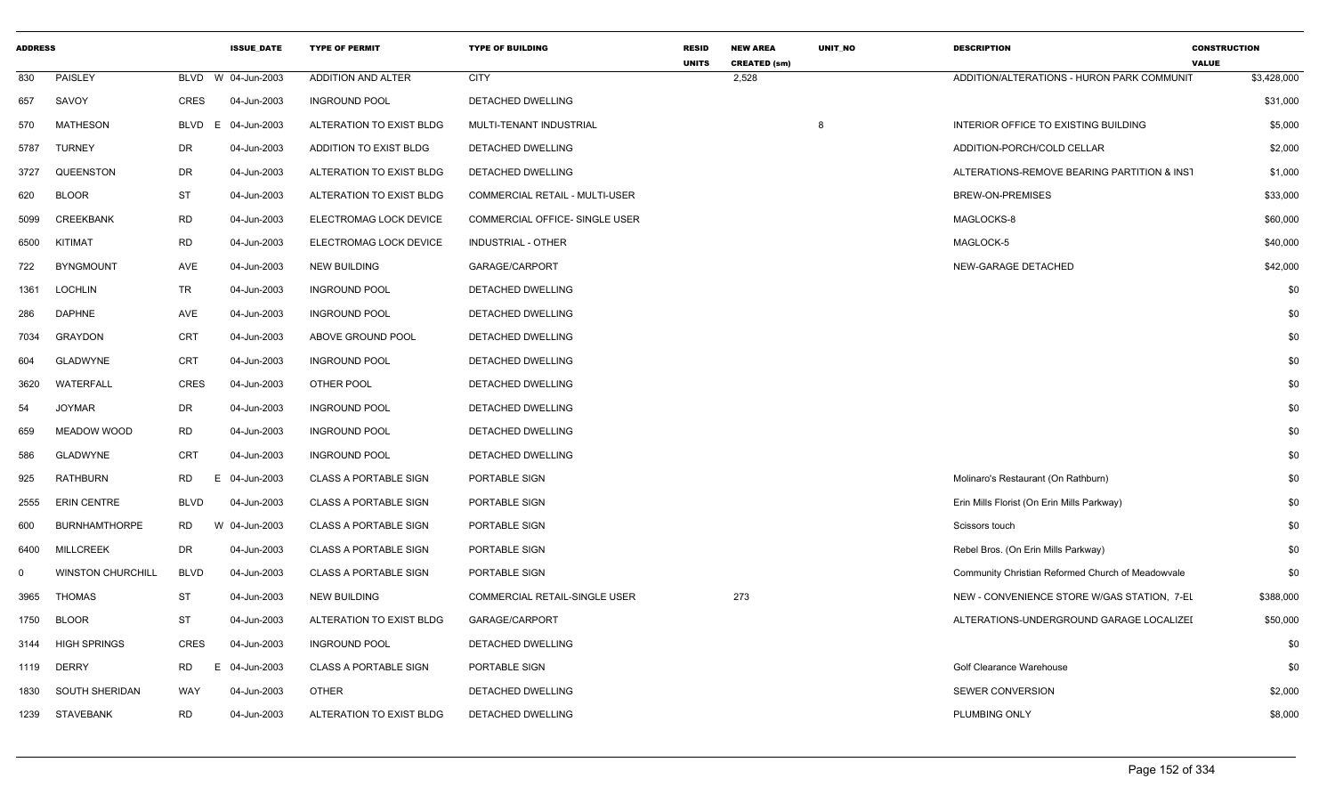| <b>ADDRESS</b> |                          |                 | <b>ISSUE DATE</b>  | <b>TYPE OF PERMIT</b>        | <b>TYPE OF BUILDING</b>        | <b>RESID</b><br><b>UNITS</b> | <b>NEW AREA</b><br><b>CREATED (sm)</b> | UNIT NO | <b>DESCRIPTION</b>                                | <b>CONSTRUCTION</b><br><b>VALUE</b> |           |
|----------------|--------------------------|-----------------|--------------------|------------------------------|--------------------------------|------------------------------|----------------------------------------|---------|---------------------------------------------------|-------------------------------------|-----------|
| 830            | PAISLEY                  |                 | BLVD W 04-Jun-2003 | ADDITION AND ALTER           | <b>CITY</b>                    |                              | 2,528                                  |         | ADDITION/ALTERATIONS - HURON PARK COMMUNIT        | \$3,428,000                         |           |
| 657            | SAVOY                    | <b>CRES</b>     | 04-Jun-2003        | <b>INGROUND POOL</b>         | DETACHED DWELLING              |                              |                                        |         |                                                   |                                     | \$31,000  |
| 570            | <b>MATHESON</b>          | BLVD<br>E.      | 04-Jun-2003        | ALTERATION TO EXIST BLDG     | MULTI-TENANT INDUSTRIAL        |                              |                                        | 8       | INTERIOR OFFICE TO EXISTING BUILDING              |                                     | \$5,000   |
| 5787           | <b>TURNEY</b>            | <b>DR</b>       | 04-Jun-2003        | ADDITION TO EXIST BLDG       | DETACHED DWELLING              |                              |                                        |         | ADDITION-PORCH/COLD CELLAR                        |                                     | \$2,000   |
| 3727           | QUEENSTON                | DR              | 04-Jun-2003        | ALTERATION TO EXIST BLDG     | DETACHED DWELLING              |                              |                                        |         | ALTERATIONS-REMOVE BEARING PARTITION & INST       |                                     | \$1,000   |
| 620            | <b>BLOOR</b>             | <b>ST</b>       | 04-Jun-2003        | ALTERATION TO EXIST BLDG     | COMMERCIAL RETAIL - MULTI-USER |                              |                                        |         | BREW-ON-PREMISES                                  |                                     | \$33,000  |
| 5099           | <b>CREEKBANK</b>         | <b>RD</b>       | 04-Jun-2003        | ELECTROMAG LOCK DEVICE       | COMMERCIAL OFFICE- SINGLE USER |                              |                                        |         | MAGLOCKS-8                                        |                                     | \$60,000  |
| 6500           | KITIMAT                  | <b>RD</b>       | 04-Jun-2003        | ELECTROMAG LOCK DEVICE       | <b>INDUSTRIAL - OTHER</b>      |                              |                                        |         | MAGLOCK-5                                         |                                     | \$40,000  |
| 722            | <b>BYNGMOUNT</b>         | AVE             | 04-Jun-2003        | <b>NEW BUILDING</b>          | GARAGE/CARPORT                 |                              |                                        |         | NEW-GARAGE DETACHED                               |                                     | \$42,000  |
| 1361           | <b>LOCHLIN</b>           | TR              | 04-Jun-2003        | <b>INGROUND POOL</b>         | DETACHED DWELLING              |                              |                                        |         |                                                   |                                     | \$0       |
| 286            | <b>DAPHNE</b>            | AVE             | 04-Jun-2003        | <b>INGROUND POOL</b>         | DETACHED DWELLING              |                              |                                        |         |                                                   |                                     | \$0       |
| 7034           | <b>GRAYDON</b>           | <b>CRT</b>      | 04-Jun-2003        | ABOVE GROUND POOL            | DETACHED DWELLING              |                              |                                        |         |                                                   |                                     | \$0       |
| 604            | <b>GLADWYNE</b>          | CRT             | 04-Jun-2003        | <b>INGROUND POOL</b>         | DETACHED DWELLING              |                              |                                        |         |                                                   |                                     | \$0       |
| 3620           | WATERFALL                | <b>CRES</b>     | 04-Jun-2003        | OTHER POOL                   | DETACHED DWELLING              |                              |                                        |         |                                                   |                                     | \$0       |
| 54             | <b>JOYMAR</b>            | DR              | 04-Jun-2003        | <b>INGROUND POOL</b>         | DETACHED DWELLING              |                              |                                        |         |                                                   |                                     | \$0       |
| 659            | MEADOW WOOD              | <b>RD</b>       | 04-Jun-2003        | <b>INGROUND POOL</b>         | DETACHED DWELLING              |                              |                                        |         |                                                   |                                     | \$0       |
| 586            | <b>GLADWYNE</b>          | CRT             | 04-Jun-2003        | <b>INGROUND POOL</b>         | DETACHED DWELLING              |                              |                                        |         |                                                   |                                     | \$0       |
| 925            | <b>RATHBURN</b>          | RD<br>E.        | 04-Jun-2003        | <b>CLASS A PORTABLE SIGN</b> | PORTABLE SIGN                  |                              |                                        |         | Molinaro's Restaurant (On Rathburn)               |                                     | \$0       |
| 2555           | <b>ERIN CENTRE</b>       | <b>BLVD</b>     | 04-Jun-2003        | <b>CLASS A PORTABLE SIGN</b> | PORTABLE SIGN                  |                              |                                        |         | Erin Mills Florist (On Erin Mills Parkway)        |                                     | \$0       |
| 600            | <b>BURNHAMTHORPE</b>     | <b>RD</b>       | W 04-Jun-2003      | <b>CLASS A PORTABLE SIGN</b> | PORTABLE SIGN                  |                              |                                        |         | Scissors touch                                    |                                     | \$0       |
| 6400           | <b>MILLCREEK</b>         | <b>DR</b>       | 04-Jun-2003        | <b>CLASS A PORTABLE SIGN</b> | PORTABLE SIGN                  |                              |                                        |         | Rebel Bros. (On Erin Mills Parkway)               |                                     | \$0       |
| 0              | <b>WINSTON CHURCHILL</b> | <b>BLVD</b>     | 04-Jun-2003        | <b>CLASS A PORTABLE SIGN</b> | PORTABLE SIGN                  |                              |                                        |         | Community Christian Reformed Church of Meadowvale |                                     | \$0       |
| 3965           | <b>THOMAS</b>            | <b>ST</b>       | 04-Jun-2003        | <b>NEW BUILDING</b>          | COMMERCIAL RETAIL-SINGLE USER  |                              | 273                                    |         | NEW - CONVENIENCE STORE W/GAS STATION, 7-EL       |                                     | \$388,000 |
| 1750           | <b>BLOOR</b>             | <b>ST</b>       | 04-Jun-2003        | ALTERATION TO EXIST BLDG     | GARAGE/CARPORT                 |                              |                                        |         | ALTERATIONS-UNDERGROUND GARAGE LOCALIZEI          |                                     | \$50,000  |
| 3144           | <b>HIGH SPRINGS</b>      | CRES            | 04-Jun-2003        | <b>INGROUND POOL</b>         | DETACHED DWELLING              |                              |                                        |         |                                                   |                                     | \$0       |
| 1119           | <b>DERRY</b>             | <b>RD</b><br>E. | 04-Jun-2003        | <b>CLASS A PORTABLE SIGN</b> | PORTABLE SIGN                  |                              |                                        |         | <b>Golf Clearance Warehouse</b>                   |                                     | \$0       |
| 1830           | SOUTH SHERIDAN           | WAY             | 04-Jun-2003        | OTHER                        | DETACHED DWELLING              |                              |                                        |         | <b>SEWER CONVERSION</b>                           |                                     | \$2,000   |
|                | 1239 STAVEBANK           | <b>RD</b>       | 04-Jun-2003        | ALTERATION TO EXIST BLDG     | DETACHED DWELLING              |                              |                                        |         | PLUMBING ONLY                                     |                                     | \$8,000   |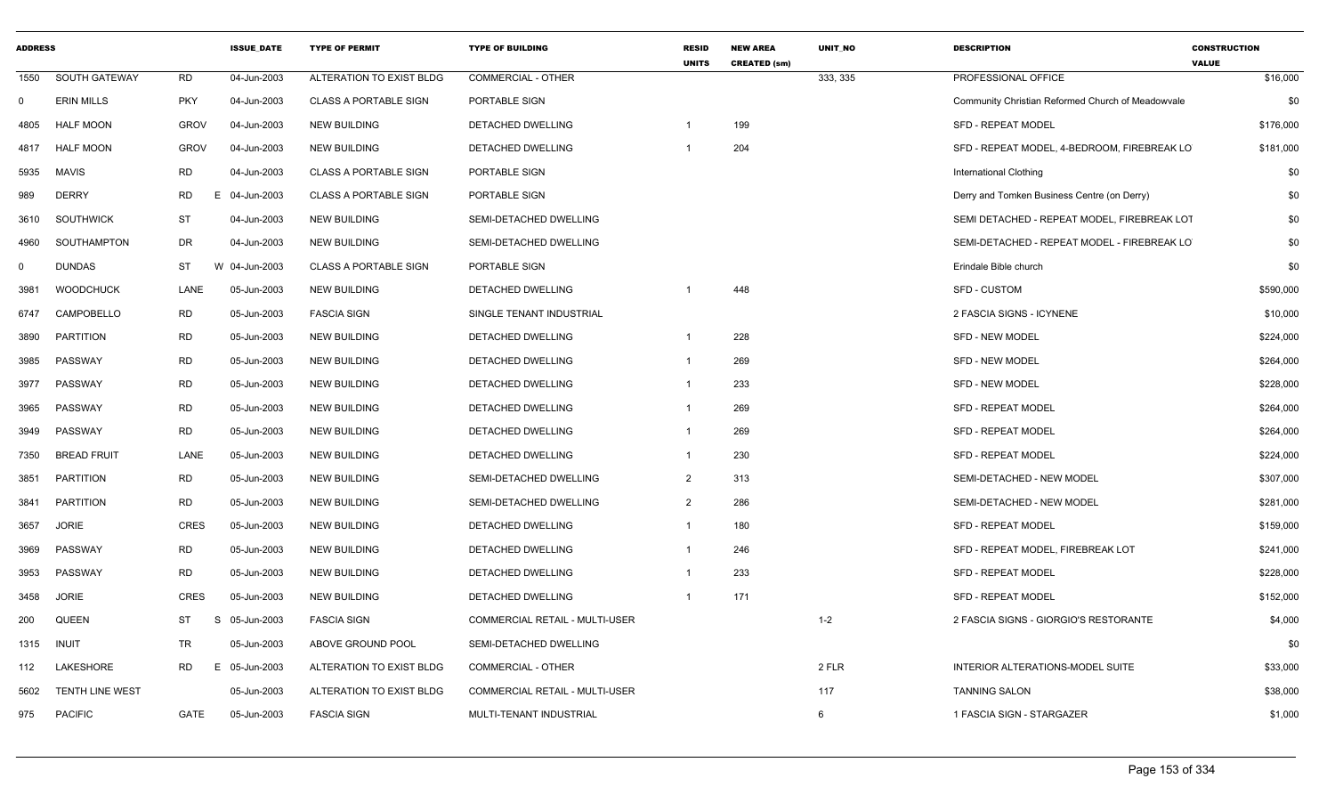| <b>ADDRESS</b> |                        |             | <b>ISSUE DATE</b> | <b>TYPE OF PERMIT</b>        | <b>TYPE OF BUILDING</b>        | <b>RESID</b><br><b>UNITS</b> | <b>NEW AREA</b><br><b>CREATED (sm)</b> | <b>UNIT NO</b> | <b>DESCRIPTION</b>                                | <b>CONSTRUCTION</b><br><b>VALUE</b> |
|----------------|------------------------|-------------|-------------------|------------------------------|--------------------------------|------------------------------|----------------------------------------|----------------|---------------------------------------------------|-------------------------------------|
| 1550           | SOUTH GATEWAY          | <b>RD</b>   | 04-Jun-2003       | ALTERATION TO EXIST BLDG     | <b>COMMERCIAL - OTHER</b>      |                              |                                        | 333, 335       | PROFESSIONAL OFFICE                               | \$16,000                            |
| 0              | <b>ERIN MILLS</b>      | <b>PKY</b>  | 04-Jun-2003       | <b>CLASS A PORTABLE SIGN</b> | PORTABLE SIGN                  |                              |                                        |                | Community Christian Reformed Church of Meadowvale | \$0                                 |
| 4805           | <b>HALF MOON</b>       | <b>GROV</b> | 04-Jun-2003       | <b>NEW BUILDING</b>          | DETACHED DWELLING              | -1                           | 199                                    |                | <b>SFD - REPEAT MODEL</b>                         | \$176,000                           |
| 4817           | <b>HALF MOON</b>       | <b>GROV</b> | 04-Jun-2003       | <b>NEW BUILDING</b>          | <b>DETACHED DWELLING</b>       | -1                           | 204                                    |                | SFD - REPEAT MODEL, 4-BEDROOM, FIREBREAK LO       | \$181,000                           |
| 5935           | <b>MAVIS</b>           | <b>RD</b>   | 04-Jun-2003       | <b>CLASS A PORTABLE SIGN</b> | PORTABLE SIGN                  |                              |                                        |                | <b>International Clothing</b>                     | \$0                                 |
| 989            | <b>DERRY</b>           | <b>RD</b>   | E 04-Jun-2003     | <b>CLASS A PORTABLE SIGN</b> | PORTABLE SIGN                  |                              |                                        |                | Derry and Tomken Business Centre (on Derry)       | \$0                                 |
| 3610           | <b>SOUTHWICK</b>       | <b>ST</b>   | 04-Jun-2003       | <b>NEW BUILDING</b>          | SEMI-DETACHED DWELLING         |                              |                                        |                | SEMI DETACHED - REPEAT MODEL, FIREBREAK LOT       | \$0                                 |
| 4960           | SOUTHAMPTON            | DR          | 04-Jun-2003       | <b>NEW BUILDING</b>          | SEMI-DETACHED DWELLING         |                              |                                        |                | SEMI-DETACHED - REPEAT MODEL - FIREBREAK LO       | \$0                                 |
| $\mathbf 0$    | <b>DUNDAS</b>          | <b>ST</b>   | W<br>04-Jun-2003  | <b>CLASS A PORTABLE SIGN</b> | PORTABLE SIGN                  |                              |                                        |                | Erindale Bible church                             | \$0                                 |
| 3981           | <b>WOODCHUCK</b>       | LANE        | 05-Jun-2003       | <b>NEW BUILDING</b>          | <b>DETACHED DWELLING</b>       | -1                           | 448                                    |                | <b>SFD - CUSTOM</b>                               | \$590,000                           |
| 6747           | CAMPOBELLO             | <b>RD</b>   | 05-Jun-2003       | <b>FASCIA SIGN</b>           | SINGLE TENANT INDUSTRIAL       |                              |                                        |                | 2 FASCIA SIGNS - ICYNENE                          | \$10,000                            |
| 3890           | <b>PARTITION</b>       | <b>RD</b>   | 05-Jun-2003       | <b>NEW BUILDING</b>          | DETACHED DWELLING              | $\mathbf{1}$                 | 228                                    |                | SFD - NEW MODEL                                   | \$224,000                           |
| 3985           | PASSWAY                | <b>RD</b>   | 05-Jun-2003       | <b>NEW BUILDING</b>          | DETACHED DWELLING              | $\mathbf{1}$                 | 269                                    |                | <b>SFD - NEW MODEL</b>                            | \$264,000                           |
| 3977           | PASSWAY                | <b>RD</b>   | 05-Jun-2003       | NEW BUILDING                 | DETACHED DWELLING              | -1                           | 233                                    |                | <b>SFD - NEW MODEL</b>                            | \$228,000                           |
| 3965           | PASSWAY                | <b>RD</b>   | 05-Jun-2003       | <b>NEW BUILDING</b>          | DETACHED DWELLING              | $\overline{1}$               | 269                                    |                | SFD - REPEAT MODEL                                | \$264,000                           |
| 3949           | PASSWAY                | <b>RD</b>   | 05-Jun-2003       | <b>NEW BUILDING</b>          | <b>DETACHED DWELLING</b>       | $\overline{1}$               | 269                                    |                | <b>SFD - REPEAT MODEL</b>                         | \$264,000                           |
| 7350           | <b>BREAD FRUIT</b>     | LANE        | 05-Jun-2003       | <b>NEW BUILDING</b>          | DETACHED DWELLING              | $\mathbf{1}$                 | 230                                    |                | <b>SFD - REPEAT MODEL</b>                         | \$224,000                           |
| 3851           | <b>PARTITION</b>       | <b>RD</b>   | 05-Jun-2003       | <b>NEW BUILDING</b>          | SEMI-DETACHED DWELLING         | $\overline{2}$               | 313                                    |                | SEMI-DETACHED - NEW MODEL                         | \$307,000                           |
| 3841           | <b>PARTITION</b>       | <b>RD</b>   | 05-Jun-2003       | <b>NEW BUILDING</b>          | SEMI-DETACHED DWELLING         | $\overline{2}$               | 286                                    |                | SEMI-DETACHED - NEW MODEL                         | \$281,000                           |
| 3657           | <b>JORIE</b>           | <b>CRES</b> | 05-Jun-2003       | <b>NEW BUILDING</b>          | <b>DETACHED DWELLING</b>       | $\mathbf{1}$                 | 180                                    |                | <b>SFD - REPEAT MODEL</b>                         | \$159,000                           |
| 3969           | PASSWAY                | RD          | 05-Jun-2003       | <b>NEW BUILDING</b>          | DETACHED DWELLING              | $\mathbf{1}$                 | 246                                    |                | SFD - REPEAT MODEL, FIREBREAK LOT                 | \$241,000                           |
| 3953           | PASSWAY                | <b>RD</b>   | 05-Jun-2003       | <b>NEW BUILDING</b>          | DETACHED DWELLING              | $\mathbf{1}$                 | 233                                    |                | <b>SFD - REPEAT MODEL</b>                         | \$228,000                           |
| 3458           | <b>JORIE</b>           | <b>CRES</b> | 05-Jun-2003       | <b>NEW BUILDING</b>          | DETACHED DWELLING              | $\mathbf{1}$                 | 171                                    |                | <b>SFD - REPEAT MODEL</b>                         | \$152,000                           |
| 200            | <b>QUEEN</b>           | ST          | S<br>05-Jun-2003  | <b>FASCIA SIGN</b>           | COMMERCIAL RETAIL - MULTI-USER |                              |                                        | $1 - 2$        | 2 FASCIA SIGNS - GIORGIO'S RESTORANTE             | \$4,000                             |
| 1315           | <b>INUIT</b>           | <b>TR</b>   | 05-Jun-2003       | ABOVE GROUND POOL            | SEMI-DETACHED DWELLING         |                              |                                        |                |                                                   | \$0                                 |
| 112            | LAKESHORE              | <b>RD</b>   | E 05-Jun-2003     | ALTERATION TO EXIST BLDG     | <b>COMMERCIAL - OTHER</b>      |                              |                                        | 2 FLR          | INTERIOR ALTERATIONS-MODEL SUITE                  | \$33,000                            |
| 5602           | <b>TENTH LINE WEST</b> |             | 05-Jun-2003       | ALTERATION TO EXIST BLDG     | COMMERCIAL RETAIL - MULTI-USER |                              |                                        | 117            | <b>TANNING SALON</b>                              | \$38,000                            |
| 975            | <b>PACIFIC</b>         | GATE        | 05-Jun-2003       | <b>FASCIA SIGN</b>           | MULTI-TENANT INDUSTRIAL        |                              |                                        | 6              | 1 FASCIA SIGN - STARGAZER                         | \$1,000                             |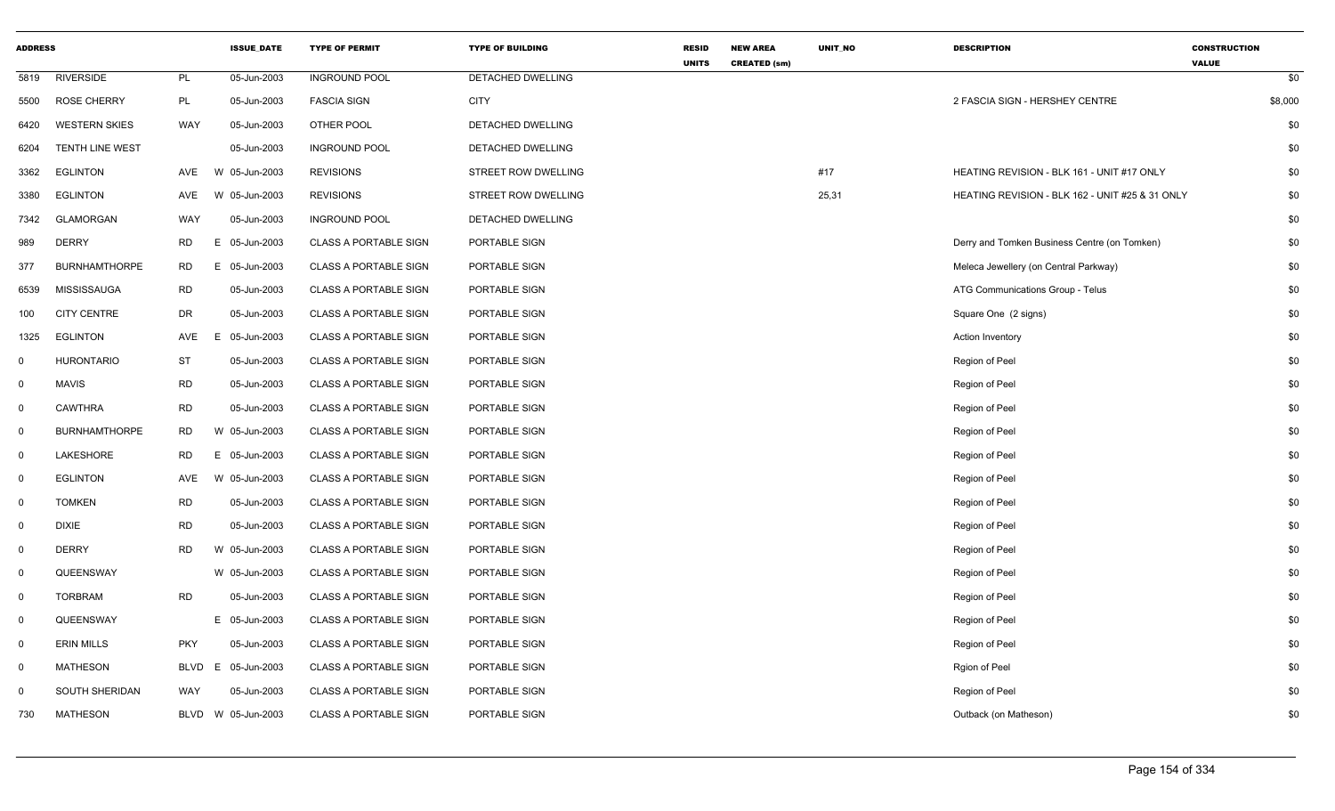| <b>ADDRESS</b> |                        |             | <b>ISSUE DATE</b> | <b>TYPE OF PERMIT</b>        | <b>TYPE OF BUILDING</b> | <b>RESID</b><br><b>UNITS</b> | <b>NEW AREA</b><br><b>CREATED (sm)</b> | UNIT_NO | <b>DESCRIPTION</b>                              | <b>CONSTRUCTION</b><br><b>VALUE</b> |     |
|----------------|------------------------|-------------|-------------------|------------------------------|-------------------------|------------------------------|----------------------------------------|---------|-------------------------------------------------|-------------------------------------|-----|
| 5819           | <b>RIVERSIDE</b>       | PL          | 05-Jun-2003       | <b>INGROUND POOL</b>         | DETACHED DWELLING       |                              |                                        |         |                                                 |                                     | \$0 |
| 5500           | <b>ROSE CHERRY</b>     | PL          | 05-Jun-2003       | <b>FASCIA SIGN</b>           | <b>CITY</b>             |                              |                                        |         | 2 FASCIA SIGN - HERSHEY CENTRE                  | \$8,000                             |     |
| 6420           | <b>WESTERN SKIES</b>   | <b>WAY</b>  | 05-Jun-2003       | OTHER POOL                   | DETACHED DWELLING       |                              |                                        |         |                                                 |                                     | \$0 |
| 6204           | <b>TENTH LINE WEST</b> |             | 05-Jun-2003       | <b>INGROUND POOL</b>         | DETACHED DWELLING       |                              |                                        |         |                                                 |                                     | \$0 |
| 3362           | <b>EGLINTON</b>        | AVE         | W 05-Jun-2003     | <b>REVISIONS</b>             | STREET ROW DWELLING     |                              |                                        | #17     | HEATING REVISION - BLK 161 - UNIT #17 ONLY      |                                     | \$0 |
| 3380           | <b>EGLINTON</b>        | AVE         | W 05-Jun-2003     | <b>REVISIONS</b>             | STREET ROW DWELLING     |                              |                                        | 25,31   | HEATING REVISION - BLK 162 - UNIT #25 & 31 ONLY |                                     | \$0 |
| 7342           | <b>GLAMORGAN</b>       | WAY         | 05-Jun-2003       | <b>INGROUND POOL</b>         | DETACHED DWELLING       |                              |                                        |         |                                                 |                                     | \$0 |
| 989            | <b>DERRY</b>           | <b>RD</b>   | Е<br>05-Jun-2003  | <b>CLASS A PORTABLE SIGN</b> | PORTABLE SIGN           |                              |                                        |         | Derry and Tomken Business Centre (on Tomken)    |                                     | \$0 |
| 377            | <b>BURNHAMTHORPE</b>   | <b>RD</b>   | 05-Jun-2003<br>E. | <b>CLASS A PORTABLE SIGN</b> | PORTABLE SIGN           |                              |                                        |         | Meleca Jewellery (on Central Parkway)           |                                     | \$0 |
| 6539           | <b>MISSISSAUGA</b>     | <b>RD</b>   | 05-Jun-2003       | <b>CLASS A PORTABLE SIGN</b> | PORTABLE SIGN           |                              |                                        |         | ATG Communications Group - Telus                |                                     | \$0 |
| 100            | <b>CITY CENTRE</b>     | DR          | 05-Jun-2003       | <b>CLASS A PORTABLE SIGN</b> | PORTABLE SIGN           |                              |                                        |         | Square One (2 signs)                            |                                     | \$0 |
| 1325           | <b>EGLINTON</b>        | AVE         | E<br>05-Jun-2003  | <b>CLASS A PORTABLE SIGN</b> | PORTABLE SIGN           |                              |                                        |         | <b>Action Inventory</b>                         |                                     | \$0 |
| $\mathbf 0$    | <b>HURONTARIO</b>      | ST          | 05-Jun-2003       | <b>CLASS A PORTABLE SIGN</b> | PORTABLE SIGN           |                              |                                        |         | Region of Peel                                  |                                     | \$0 |
| $\mathbf 0$    | <b>MAVIS</b>           | <b>RD</b>   | 05-Jun-2003       | <b>CLASS A PORTABLE SIGN</b> | PORTABLE SIGN           |                              |                                        |         | Region of Peel                                  |                                     | \$0 |
| $\mathbf{0}$   | <b>CAWTHRA</b>         | <b>RD</b>   | 05-Jun-2003       | <b>CLASS A PORTABLE SIGN</b> | PORTABLE SIGN           |                              |                                        |         | Region of Peel                                  |                                     | \$0 |
| $\mathbf 0$    | <b>BURNHAMTHORPE</b>   | <b>RD</b>   | W 05-Jun-2003     | <b>CLASS A PORTABLE SIGN</b> | PORTABLE SIGN           |                              |                                        |         | Region of Peel                                  |                                     | \$0 |
| $\mathbf 0$    | LAKESHORE              | RD          | Е<br>05-Jun-2003  | <b>CLASS A PORTABLE SIGN</b> | PORTABLE SIGN           |                              |                                        |         | Region of Peel                                  |                                     | \$0 |
| $\mathbf 0$    | <b>EGLINTON</b>        | AVE         | W 05-Jun-2003     | <b>CLASS A PORTABLE SIGN</b> | PORTABLE SIGN           |                              |                                        |         | Region of Peel                                  |                                     | \$0 |
| $\mathbf 0$    | <b>TOMKEN</b>          | <b>RD</b>   | 05-Jun-2003       | <b>CLASS A PORTABLE SIGN</b> | PORTABLE SIGN           |                              |                                        |         | Region of Peel                                  |                                     | \$0 |
| $\mathbf 0$    | <b>DIXIE</b>           | <b>RD</b>   | 05-Jun-2003       | <b>CLASS A PORTABLE SIGN</b> | PORTABLE SIGN           |                              |                                        |         | Region of Peel                                  |                                     | \$0 |
| $\mathbf{0}$   | <b>DERRY</b>           | <b>RD</b>   | W 05-Jun-2003     | <b>CLASS A PORTABLE SIGN</b> | PORTABLE SIGN           |                              |                                        |         | Region of Peel                                  |                                     | \$0 |
| $\mathbf 0$    | QUEENSWAY              |             | W 05-Jun-2003     | <b>CLASS A PORTABLE SIGN</b> | PORTABLE SIGN           |                              |                                        |         | Region of Peel                                  |                                     | \$0 |
| $\mathbf 0$    | <b>TORBRAM</b>         | <b>RD</b>   | 05-Jun-2003       | <b>CLASS A PORTABLE SIGN</b> | PORTABLE SIGN           |                              |                                        |         | Region of Peel                                  |                                     | \$0 |
| $\mathbf 0$    | QUEENSWAY              |             | E 05-Jun-2003     | <b>CLASS A PORTABLE SIGN</b> | PORTABLE SIGN           |                              |                                        |         | Region of Peel                                  |                                     | \$0 |
| $\mathbf 0$    | <b>ERIN MILLS</b>      | <b>PKY</b>  | 05-Jun-2003       | <b>CLASS A PORTABLE SIGN</b> | PORTABLE SIGN           |                              |                                        |         | Region of Peel                                  |                                     | \$0 |
| $\mathbf 0$    | <b>MATHESON</b>        | <b>BLVD</b> | E.<br>05-Jun-2003 | <b>CLASS A PORTABLE SIGN</b> | PORTABLE SIGN           |                              |                                        |         | Rgion of Peel                                   |                                     | \$0 |
| $\mathbf 0$    | SOUTH SHERIDAN         | WAY         | 05-Jun-2003       | <b>CLASS A PORTABLE SIGN</b> | PORTABLE SIGN           |                              |                                        |         | Region of Peel                                  |                                     | \$0 |
| 730            | <b>MATHESON</b>        | BLVD        | W 05-Jun-2003     | <b>CLASS A PORTABLE SIGN</b> | PORTABLE SIGN           |                              |                                        |         | Outback (on Matheson)                           |                                     | \$0 |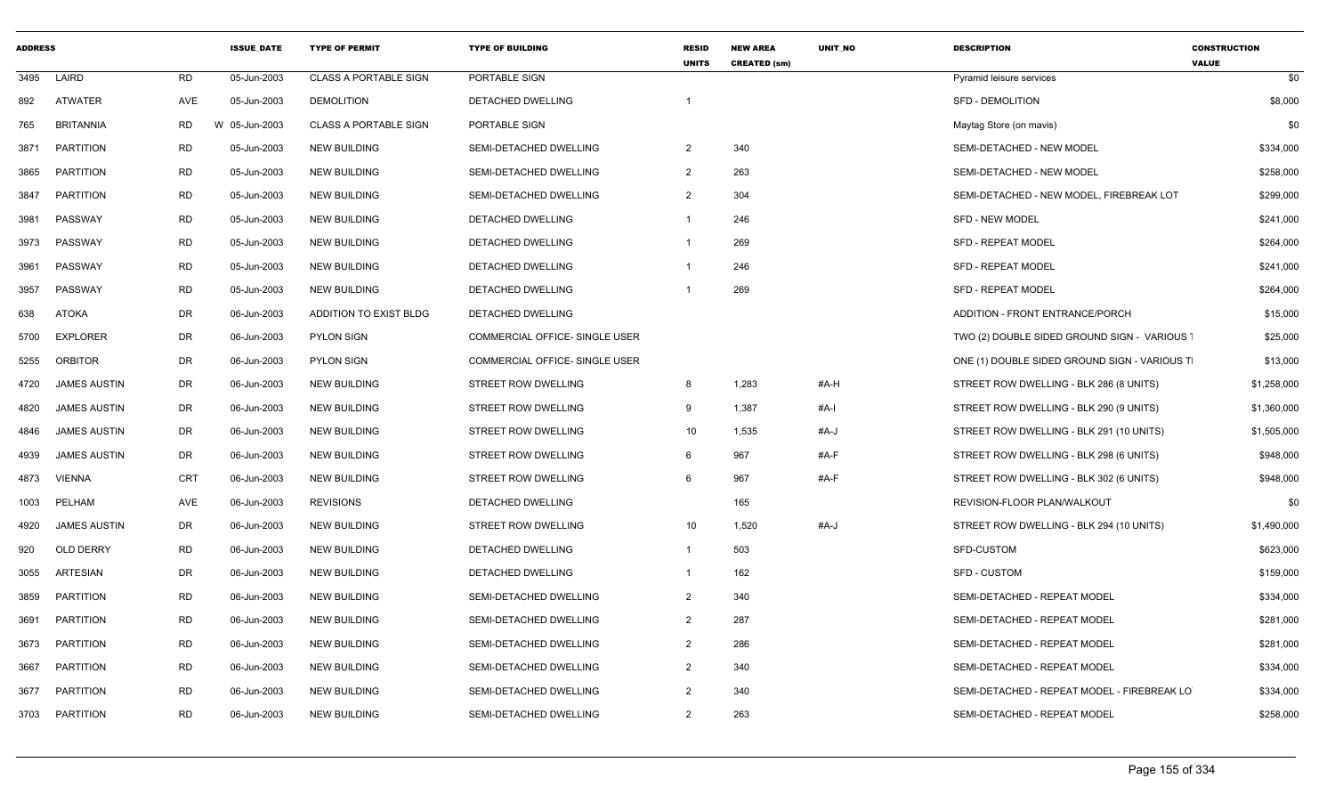| <b>ADDRESS</b> |                     |            | <b>ISSUE DATE</b> | <b>TYPE OF PERMIT</b>        | <b>TYPE OF BUILDING</b>               | <b>RESID</b><br><b>UNITS</b> | <b>NEW AREA</b><br><b>CREATED (sm)</b> | UNIT_NO | <b>DESCRIPTION</b>                           | <b>CONSTRUCTION</b><br><b>VALUE</b> |
|----------------|---------------------|------------|-------------------|------------------------------|---------------------------------------|------------------------------|----------------------------------------|---------|----------------------------------------------|-------------------------------------|
| 3495           | LAIRD               | <b>RD</b>  | 05-Jun-2003       | <b>CLASS A PORTABLE SIGN</b> | PORTABLE SIGN                         |                              |                                        |         | Pyramid leisure services                     | \$0                                 |
| 892            | <b>ATWATER</b>      | AVE        | 05-Jun-2003       | <b>DEMOLITION</b>            | DETACHED DWELLING                     | $\overline{1}$               |                                        |         | <b>SFD - DEMOLITION</b>                      | \$8,000                             |
| 765            | <b>BRITANNIA</b>    | <b>RD</b>  | W 05-Jun-2003     | <b>CLASS A PORTABLE SIGN</b> | PORTABLE SIGN                         |                              |                                        |         | Maytag Store (on mavis)                      | \$0                                 |
| 3871           | <b>PARTITION</b>    | <b>RD</b>  | 05-Jun-2003       | <b>NEW BUILDING</b>          | SEMI-DETACHED DWELLING                | $\overline{2}$               | 340                                    |         | SEMI-DETACHED - NEW MODEL                    | \$334,000                           |
| 3865           | <b>PARTITION</b>    | <b>RD</b>  | 05-Jun-2003       | <b>NEW BUILDING</b>          | SEMI-DETACHED DWELLING                | $\overline{2}$               | 263                                    |         | SEMI-DETACHED - NEW MODEL                    | \$258,000                           |
| 3847           | <b>PARTITION</b>    | <b>RD</b>  | 05-Jun-2003       | <b>NEW BUILDING</b>          | SEMI-DETACHED DWELLING                | $\overline{2}$               | 304                                    |         | SEMI-DETACHED - NEW MODEL, FIREBREAK LOT     | \$299,000                           |
| 3981           | PASSWAY             | <b>RD</b>  | 05-Jun-2003       | <b>NEW BUILDING</b>          | DETACHED DWELLING                     | $\mathbf{1}$                 | 246                                    |         | <b>SFD - NEW MODEL</b>                       | \$241,000                           |
| 3973           | PASSWAY             | <b>RD</b>  | 05-Jun-2003       | <b>NEW BUILDING</b>          | DETACHED DWELLING                     | -1                           | 269                                    |         | <b>SFD - REPEAT MODEL</b>                    | \$264,000                           |
| 3961           | PASSWAY             | <b>RD</b>  | 05-Jun-2003       | <b>NEW BUILDING</b>          | <b>DETACHED DWELLING</b>              | $\mathbf 1$                  | 246                                    |         | <b>SFD - REPEAT MODEL</b>                    | \$241,000                           |
| 3957           | PASSWAY             | <b>RD</b>  | 05-Jun-2003       | <b>NEW BUILDING</b>          | DETACHED DWELLING                     | -1                           | 269                                    |         | <b>SFD - REPEAT MODEL</b>                    | \$264,000                           |
| 638            | <b>ATOKA</b>        | DR         | 06-Jun-2003       | ADDITION TO EXIST BLDG       | DETACHED DWELLING                     |                              |                                        |         | ADDITION - FRONT ENTRANCE/PORCH              | \$15,000                            |
| 5700           | <b>EXPLORER</b>     | <b>DR</b>  | 06-Jun-2003       | <b>PYLON SIGN</b>            | <b>COMMERCIAL OFFICE- SINGLE USER</b> |                              |                                        |         | TWO (2) DOUBLE SIDED GROUND SIGN - VARIOUS   | \$25,000                            |
| 5255           | <b>ORBITOR</b>      | <b>DR</b>  | 06-Jun-2003       | <b>PYLON SIGN</b>            | <b>COMMERCIAL OFFICE- SINGLE USER</b> |                              |                                        |         | ONE (1) DOUBLE SIDED GROUND SIGN - VARIOUS T | \$13,000                            |
| 4720           | <b>JAMES AUSTIN</b> | DR         | 06-Jun-2003       | <b>NEW BUILDING</b>          | <b>STREET ROW DWELLING</b>            | 8                            | 1,283                                  | #A-H    | STREET ROW DWELLING - BLK 286 (8 UNITS)      | \$1,258,000                         |
| 4820           | <b>JAMES AUSTIN</b> | <b>DR</b>  | 06-Jun-2003       | <b>NEW BUILDING</b>          | STREET ROW DWELLING                   | 9                            | 1,387                                  | #A-I    | STREET ROW DWELLING - BLK 290 (9 UNITS)      | \$1,360,000                         |
| 4846           | <b>JAMES AUSTIN</b> | <b>DR</b>  | 06-Jun-2003       | NEW BUILDING                 | STREET ROW DWELLING                   | 10                           | 1,535                                  | #A-J    | STREET ROW DWELLING - BLK 291 (10 UNITS)     | \$1,505,000                         |
| 4939           | <b>JAMES AUSTIN</b> | DR         | 06-Jun-2003       | <b>NEW BUILDING</b>          | <b>STREET ROW DWELLING</b>            | 6                            | 967                                    | #A-F    | STREET ROW DWELLING - BLK 298 (6 UNITS)      | \$948,000                           |
| 4873           | <b>VIENNA</b>       | <b>CRT</b> | 06-Jun-2003       | <b>NEW BUILDING</b>          | STREET ROW DWELLING                   | 6                            | 967                                    | #A-F    | STREET ROW DWELLING - BLK 302 (6 UNITS)      | \$948,000                           |
| 1003           | PELHAM              | AVE        | 06-Jun-2003       | <b>REVISIONS</b>             | DETACHED DWELLING                     |                              | 165                                    |         | REVISION-FLOOR PLAN/WALKOUT                  | \$0                                 |
| 4920           | <b>JAMES AUSTIN</b> | DR         | 06-Jun-2003       | <b>NEW BUILDING</b>          | STREET ROW DWELLING                   | 10                           | 1,520                                  | #A-J    | STREET ROW DWELLING - BLK 294 (10 UNITS)     | \$1,490,000                         |
| 920            | <b>OLD DERRY</b>    | <b>RD</b>  | 06-Jun-2003       | <b>NEW BUILDING</b>          | DETACHED DWELLING                     | $\mathbf{1}$                 | 503                                    |         | SFD-CUSTOM                                   | \$623,000                           |
| 3055           | <b>ARTESIAN</b>     | DR         | 06-Jun-2003       | <b>NEW BUILDING</b>          | DETACHED DWELLING                     | -1                           | 162                                    |         | <b>SFD - CUSTOM</b>                          | \$159,000                           |
| 3859           | <b>PARTITION</b>    | <b>RD</b>  | 06-Jun-2003       | <b>NEW BUILDING</b>          | SEMI-DETACHED DWELLING                | $\overline{2}$               | 340                                    |         | SEMI-DETACHED - REPEAT MODEL                 | \$334,000                           |
| 3691           | <b>PARTITION</b>    | <b>RD</b>  | 06-Jun-2003       | <b>NEW BUILDING</b>          | SEMI-DETACHED DWELLING                | $\overline{2}$               | 287                                    |         | SEMI-DETACHED - REPEAT MODEL                 | \$281,000                           |
| 3673           | <b>PARTITION</b>    | <b>RD</b>  | 06-Jun-2003       | <b>NEW BUILDING</b>          | SEMI-DETACHED DWELLING                | $\overline{2}$               | 286                                    |         | SEMI-DETACHED - REPEAT MODEL                 | \$281,000                           |
| 3667           | <b>PARTITION</b>    | <b>RD</b>  | 06-Jun-2003       | <b>NEW BUILDING</b>          | SEMI-DETACHED DWELLING                | $\overline{2}$               | 340                                    |         | SEMI-DETACHED - REPEAT MODEL                 | \$334,000                           |
| 3677           | <b>PARTITION</b>    | <b>RD</b>  | 06-Jun-2003       | <b>NEW BUILDING</b>          | SEMI-DETACHED DWELLING                | $\overline{2}$               | 340                                    |         | SEMI-DETACHED - REPEAT MODEL - FIREBREAK LO  | \$334,000                           |
| 3703           | PARTITION           | <b>RD</b>  | 06-Jun-2003       | <b>NEW BUILDING</b>          | SEMI-DETACHED DWELLING                | $\overline{2}$               | 263                                    |         | SEMI-DETACHED - REPEAT MODEL                 | \$258,000                           |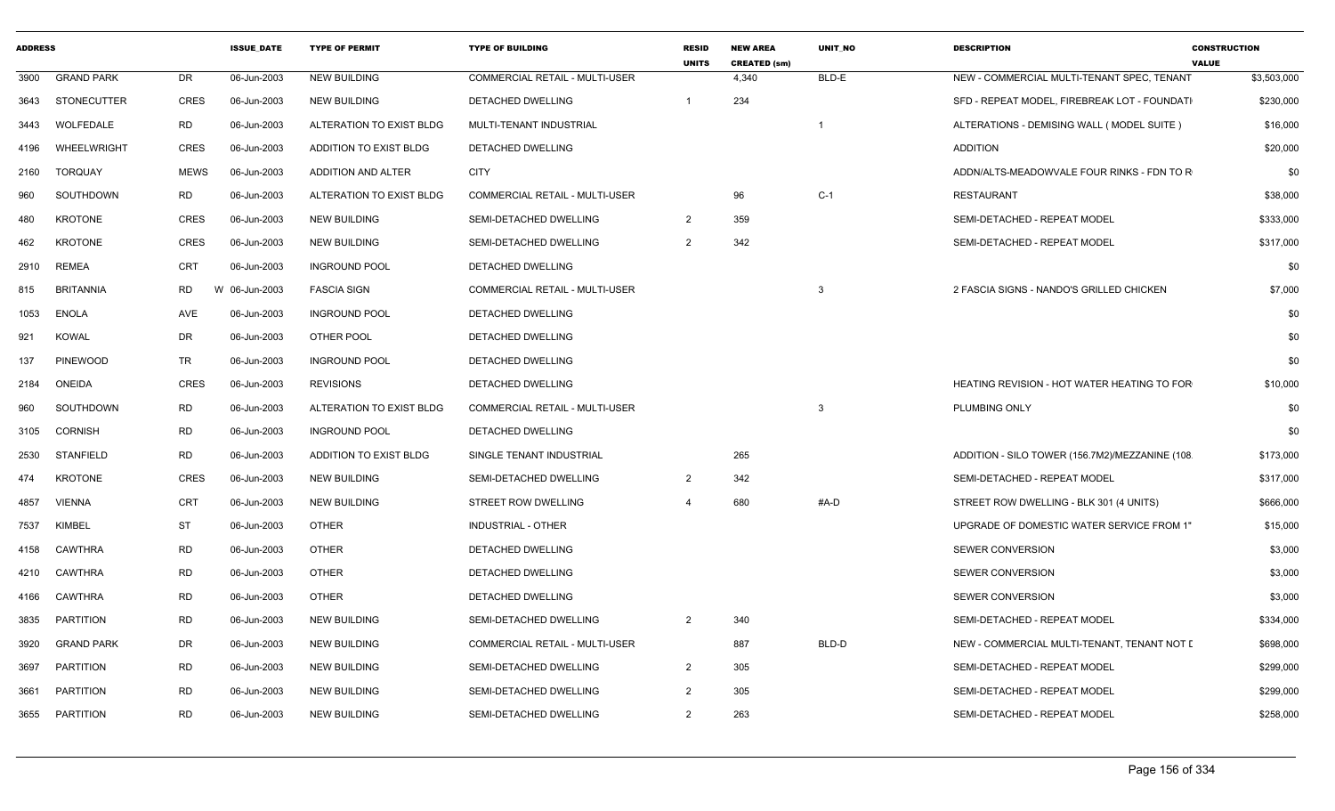| <b>ADDRESS</b> |                   |             | <b>ISSUE_DATE</b> | <b>TYPE OF PERMIT</b>    | <b>TYPE OF BUILDING</b>               | <b>RESID</b><br><b>UNITS</b> | <b>NEW AREA</b><br><b>CREATED (sm)</b> | UNIT_NO | <b>DESCRIPTION</b>                             | <b>CONSTRUCTION</b><br><b>VALUE</b> |
|----------------|-------------------|-------------|-------------------|--------------------------|---------------------------------------|------------------------------|----------------------------------------|---------|------------------------------------------------|-------------------------------------|
| 3900           | <b>GRAND PARK</b> | DR          | 06-Jun-2003       | <b>NEW BUILDING</b>      | <b>COMMERCIAL RETAIL - MULTI-USER</b> |                              | 4,340                                  | BLD-E   | NEW - COMMERCIAL MULTI-TENANT SPEC, TENANT     | \$3,503,000                         |
| 3643           | STONECUTTER       | <b>CRES</b> | 06-Jun-2003       | <b>NEW BUILDING</b>      | DETACHED DWELLING                     |                              | 234                                    |         | SFD - REPEAT MODEL, FIREBREAK LOT - FOUNDATI   | \$230,000                           |
| 3443           | WOLFEDALE         | <b>RD</b>   | 06-Jun-2003       | ALTERATION TO EXIST BLDG | MULTI-TENANT INDUSTRIAL               |                              |                                        |         | ALTERATIONS - DEMISING WALL ( MODEL SUITE )    | \$16,000                            |
| 4196           | WHEELWRIGHT       | CRES        | 06-Jun-2003       | ADDITION TO EXIST BLDG   | <b>DETACHED DWELLING</b>              |                              |                                        |         | <b>ADDITION</b>                                | \$20,000                            |
| 2160           | TORQUAY           | <b>MEWS</b> | 06-Jun-2003       | ADDITION AND ALTER       | <b>CITY</b>                           |                              |                                        |         | ADDN/ALTS-MEADOWVALE FOUR RINKS - FDN TO R     | \$0                                 |
| 960            | SOUTHDOWN         | RD          | 06-Jun-2003       | ALTERATION TO EXIST BLDG | COMMERCIAL RETAIL - MULTI-USER        |                              | 96                                     | $C-1$   | RESTAURANT                                     | \$38,000                            |
| 480            | <b>KROTONE</b>    | <b>CRES</b> | 06-Jun-2003       | <b>NEW BUILDING</b>      | SEMI-DETACHED DWELLING                | 2                            | 359                                    |         | SEMI-DETACHED - REPEAT MODEL                   | \$333,000                           |
| 462            | <b>KROTONE</b>    | <b>CRES</b> | 06-Jun-2003       | <b>NEW BUILDING</b>      | SEMI-DETACHED DWELLING                | 2                            | 342                                    |         | SEMI-DETACHED - REPEAT MODEL                   | \$317,000                           |
| 2910           | <b>REMEA</b>      | CRT         | 06-Jun-2003       | <b>INGROUND POOL</b>     | DETACHED DWELLING                     |                              |                                        |         |                                                | \$0                                 |
| 815            | <b>BRITANNIA</b>  | RD<br>W     | 06-Jun-2003       | <b>FASCIA SIGN</b>       | <b>COMMERCIAL RETAIL - MULTI-USER</b> |                              |                                        | -3      | 2 FASCIA SIGNS - NANDO'S GRILLED CHICKEN       | \$7,000                             |
| 1053           | ENOLA             | AVE         | 06-Jun-2003       | <b>INGROUND POOL</b>     | DETACHED DWELLING                     |                              |                                        |         |                                                | \$0                                 |
| 921            | <b>KOWAL</b>      | DR          | 06-Jun-2003       | OTHER POOL               | <b>DETACHED DWELLING</b>              |                              |                                        |         |                                                | \$0                                 |
| 137            | <b>PINEWOOD</b>   | <b>TR</b>   | 06-Jun-2003       | <b>INGROUND POOL</b>     | <b>DETACHED DWELLING</b>              |                              |                                        |         |                                                | \$0                                 |
| 2184           | ONEIDA            | <b>CRES</b> | 06-Jun-2003       | <b>REVISIONS</b>         | DETACHED DWELLING                     |                              |                                        |         | HEATING REVISION - HOT WATER HEATING TO FOR    | \$10,000                            |
| 960            | SOUTHDOWN         | RD          | 06-Jun-2003       | ALTERATION TO EXIST BLDG | <b>COMMERCIAL RETAIL - MULTI-USER</b> |                              |                                        | -3      | PLUMBING ONLY                                  | \$0                                 |
| 3105           | <b>CORNISH</b>    | <b>RD</b>   | 06-Jun-2003       | <b>INGROUND POOL</b>     | <b>DETACHED DWELLING</b>              |                              |                                        |         |                                                | \$0                                 |
| 2530           | STANFIELD         | <b>RD</b>   | 06-Jun-2003       | ADDITION TO EXIST BLDG   | SINGLE TENANT INDUSTRIAL              |                              | 265                                    |         | ADDITION - SILO TOWER (156.7M2)/MEZZANINE (108 | \$173,000                           |
| 474            | <b>KROTONE</b>    | <b>CRES</b> | 06-Jun-2003       | <b>NEW BUILDING</b>      | SEMI-DETACHED DWELLING                | -2                           | 342                                    |         | SEMI-DETACHED - REPEAT MODEL                   | \$317,000                           |
| 4857           | <b>VIENNA</b>     | <b>CRT</b>  | 06-Jun-2003       | <b>NEW BUILDING</b>      | <b>STREET ROW DWELLING</b>            |                              | 680                                    | #A-D    | STREET ROW DWELLING - BLK 301 (4 UNITS)        | \$666,000                           |
| 7537           | KIMBEL            | ST          | 06-Jun-2003       | <b>OTHER</b>             | <b>INDUSTRIAL - OTHER</b>             |                              |                                        |         | UPGRADE OF DOMESTIC WATER SERVICE FROM 1"      | \$15,000                            |
| 4158           | <b>CAWTHRA</b>    | <b>RD</b>   | 06-Jun-2003       | <b>OTHER</b>             | <b>DETACHED DWELLING</b>              |                              |                                        |         | SEWER CONVERSION                               | \$3,000                             |
| 4210           | CAWTHRA           | <b>RD</b>   | 06-Jun-2003       | <b>OTHER</b>             | DETACHED DWELLING                     |                              |                                        |         | SEWER CONVERSION                               | \$3,000                             |
| 4166           | CAWTHRA           | <b>RD</b>   | 06-Jun-2003       | <b>OTHER</b>             | <b>DETACHED DWELLING</b>              |                              |                                        |         | SEWER CONVERSION                               | \$3,000                             |
| 3835           | <b>PARTITION</b>  | <b>RD</b>   | 06-Jun-2003       | <b>NEW BUILDING</b>      | SEMI-DETACHED DWELLING                | $\overline{2}$               | 340                                    |         | SEMI-DETACHED - REPEAT MODEL                   | \$334,000                           |
| 3920           | <b>GRAND PARK</b> | DR          | 06-Jun-2003       | <b>NEW BUILDING</b>      | COMMERCIAL RETAIL - MULTI-USER        |                              | 887                                    | BLD-D   | NEW - COMMERCIAL MULTI-TENANT, TENANT NOT I    | \$698,000                           |
| 3697           | <b>PARTITION</b>  | <b>RD</b>   | 06-Jun-2003       | <b>NEW BUILDING</b>      | SEMI-DETACHED DWELLING                | 2                            | 305                                    |         | SEMI-DETACHED - REPEAT MODEL                   | \$299,000                           |
| 3661           | <b>PARTITION</b>  | <b>RD</b>   | 06-Jun-2003       | <b>NEW BUILDING</b>      | SEMI-DETACHED DWELLING                | $\overline{2}$               | 305                                    |         | SEMI-DETACHED - REPEAT MODEL                   | \$299,000                           |
|                | 3655 PARTITION    | RD          | 06-Jun-2003       | <b>NEW BUILDING</b>      | SEMI-DETACHED DWELLING                | $\overline{2}$               | 263                                    |         | SEMI-DETACHED - REPEAT MODEL                   | \$258,000                           |
|                |                   |             |                   |                          |                                       |                              |                                        |         |                                                |                                     |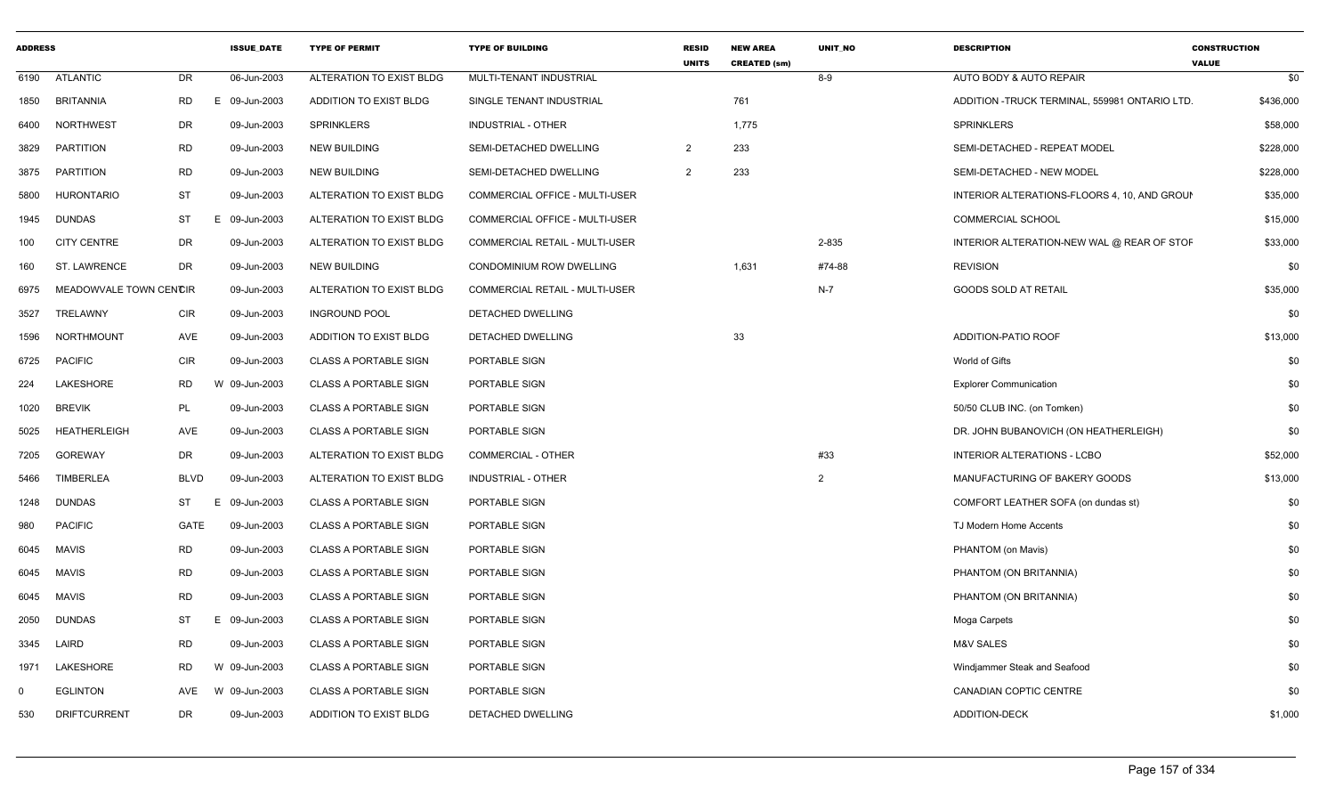| <b>ADDRESS</b> |                        |             | <b>ISSUE_DATE</b> | <b>TYPE OF PERMIT</b>         | <b>TYPE OF BUILDING</b>        | <b>RESID</b><br><b>UNITS</b> | <b>NEW AREA</b><br><b>CREATED (sm)</b> | UNIT_NO        | <b>DESCRIPTION</b>                            | <b>CONSTRUCTION</b><br><b>VALUE</b> |
|----------------|------------------------|-------------|-------------------|-------------------------------|--------------------------------|------------------------------|----------------------------------------|----------------|-----------------------------------------------|-------------------------------------|
| 6190           | ATLANTIC               | DR          | 06-Jun-2003       | ALTERATION TO EXIST BLDG      | MULTI-TENANT INDUSTRIAL        |                              |                                        | 8-9            | AUTO BODY & AUTO REPAIR                       | \$0                                 |
| 1850           | <b>BRITANNIA</b>       | <b>RD</b>   | 09-Jun-2003<br>E. | ADDITION TO EXIST BLDG        | SINGLE TENANT INDUSTRIAL       |                              | 761                                    |                | ADDITION -TRUCK TERMINAL, 559981 ONTARIO LTD. | \$436,000                           |
| 6400           | <b>NORTHWEST</b>       | DR          | 09-Jun-2003       | <b>SPRINKLERS</b>             | <b>INDUSTRIAL - OTHER</b>      |                              | 1,775                                  |                | <b>SPRINKLERS</b>                             | \$58,000                            |
| 3829           | <b>PARTITION</b>       | <b>RD</b>   | 09-Jun-2003       | <b>NEW BUILDING</b>           | SEMI-DETACHED DWELLING         | 2                            | 233                                    |                | SEMI-DETACHED - REPEAT MODEL                  | \$228,000                           |
| 3875           | PARTITION              | <b>RD</b>   | 09-Jun-2003       | <b>NEW BUILDING</b>           | SEMI-DETACHED DWELLING         | 2                            | 233                                    |                | SEMI-DETACHED - NEW MODEL                     | \$228,000                           |
| 5800           | <b>HURONTARIO</b>      | <b>ST</b>   | 09-Jun-2003       | ALTERATION TO EXIST BLDG      | COMMERCIAL OFFICE - MULTI-USER |                              |                                        |                | INTERIOR ALTERATIONS-FLOORS 4, 10, AND GROUN  | \$35,000                            |
| 1945           | <b>DUNDAS</b>          | <b>ST</b>   | 09-Jun-2003       | ALTERATION TO EXIST BLDG      | COMMERCIAL OFFICE - MULTI-USER |                              |                                        |                | <b>COMMERCIAL SCHOOL</b>                      | \$15,000                            |
| 100            | <b>CITY CENTRE</b>     | <b>DR</b>   | 09-Jun-2003       | ALTERATION TO EXIST BLDG      | COMMERCIAL RETAIL - MULTI-USER |                              |                                        | 2-835          | INTERIOR ALTERATION-NEW WAL @ REAR OF STOF    | \$33,000                            |
| 160            | ST. LAWRENCE           | <b>DR</b>   | 09-Jun-2003       | <b>NEW BUILDING</b>           | CONDOMINIUM ROW DWELLING       |                              | 1,631                                  | #74-88         | <b>REVISION</b>                               | \$0                                 |
| 6975           | MEADOWVALE TOWN CENCIR |             | 09-Jun-2003       | ALTERATION TO EXIST BLDG      | COMMERCIAL RETAIL - MULTI-USER |                              |                                        | $N-7$          | GOODS SOLD AT RETAIL                          | \$35,000                            |
| 3527           | TRELAWNY               | <b>CIR</b>  | 09-Jun-2003       | <b>INGROUND POOL</b>          | DETACHED DWELLING              |                              |                                        |                |                                               | \$0                                 |
| 1596           | NORTHMOUNT             | AVE         | 09-Jun-2003       | ADDITION TO EXIST BLDG        | DETACHED DWELLING              |                              | 33                                     |                | ADDITION-PATIO ROOF                           | \$13,000                            |
| 6725           | <b>PACIFIC</b>         | CIR         | 09-Jun-2003       | <b>CLASS A PORTABLE SIGN</b>  | PORTABLE SIGN                  |                              |                                        |                | World of Gifts                                | \$0                                 |
| 224            | LAKESHORE              | RD          | 09-Jun-2003<br>W  | <b>CLASS A PORTABLE SIGN</b>  | PORTABLE SIGN                  |                              |                                        |                | <b>Explorer Communication</b>                 | \$0                                 |
| 1020           | <b>BREVIK</b>          | PL          | 09-Jun-2003       | <b>CLASS A PORTABLE SIGN</b>  | PORTABLE SIGN                  |                              |                                        |                | 50/50 CLUB INC. (on Tomken)                   | \$0                                 |
| 5025           | <b>HEATHERLEIGH</b>    | AVE         | 09-Jun-2003       | <b>CLASS A PORTABLE SIGN</b>  | PORTABLE SIGN                  |                              |                                        |                | DR. JOHN BUBANOVICH (ON HEATHERLEIGH)         | \$0                                 |
| 7205           | <b>GOREWAY</b>         | DR          | 09-Jun-2003       | ALTERATION TO EXIST BLDG      | COMMERCIAL - OTHER             |                              |                                        | #33            | INTERIOR ALTERATIONS - LCBO                   | \$52,000                            |
| 5466           | <b>TIMBERLEA</b>       | <b>BLVD</b> | 09-Jun-2003       | ALTERATION TO EXIST BLDG      | <b>INDUSTRIAL - OTHER</b>      |                              |                                        | $\overline{2}$ | MANUFACTURING OF BAKERY GOODS                 | \$13,000                            |
| 1248           | <b>DUNDAS</b>          | ST<br>Е     | 09-Jun-2003       | <b>CLASS A PORTABLE SIGN</b>  | PORTABLE SIGN                  |                              |                                        |                | COMFORT LEATHER SOFA (on dundas st)           | \$0                                 |
| 980            | <b>PACIFIC</b>         | GATE        | 09-Jun-2003       | <b>CLASS A PORTABLE SIGN</b>  | PORTABLE SIGN                  |                              |                                        |                | TJ Modern Home Accents                        | \$0                                 |
| 6045           | <b>MAVIS</b>           | <b>RD</b>   | 09-Jun-2003       | <b>CLASS A PORTABLE SIGN</b>  | PORTABLE SIGN                  |                              |                                        |                | PHANTOM (on Mavis)                            | \$0                                 |
| 6045           | MAVIS                  | <b>RD</b>   | 09-Jun-2003       | <b>CLASS A PORTABLE SIGN</b>  | PORTABLE SIGN                  |                              |                                        |                | PHANTOM (ON BRITANNIA)                        | \$0                                 |
| 6045           | MAVIS                  | <b>RD</b>   | 09-Jun-2003       | <b>CLASS A PORTABLE SIGN</b>  | PORTABLE SIGN                  |                              |                                        |                | PHANTOM (ON BRITANNIA)                        | \$0                                 |
| 2050           | <b>DUNDAS</b>          | <b>ST</b>   | 09-Jun-2003<br>F. | <b>CLASS A PORTABLE SIGN</b>  | PORTABLE SIGN                  |                              |                                        |                | Moga Carpets                                  | \$0                                 |
| 3345           | LAIRD                  | <b>RD</b>   | 09-Jun-2003       | <b>CLASS A PORTABLE SIGN</b>  | PORTABLE SIGN                  |                              |                                        |                | <b>M&amp;V SALES</b>                          | \$0                                 |
| 1971           | LAKESHORE              | <b>RD</b>   | W 09-Jun-2003     | <b>CLASS A PORTABLE SIGN</b>  | PORTABLE SIGN                  |                              |                                        |                | Windjammer Steak and Seafood                  | \$0                                 |
| $\Omega$       | <b>EGLINTON</b>        | AVE         | 09-Jun-2003<br>W  | <b>CLASS A PORTABLE SIGN</b>  | PORTABLE SIGN                  |                              |                                        |                | CANADIAN COPTIC CENTRE                        | \$0                                 |
| 530            | <b>DRIFTCURRENT</b>    | <b>DR</b>   | 09-Jun-2003       | <b>ADDITION TO EXIST BLDG</b> | DETACHED DWELLING              |                              |                                        |                | ADDITION-DECK                                 | \$1,000                             |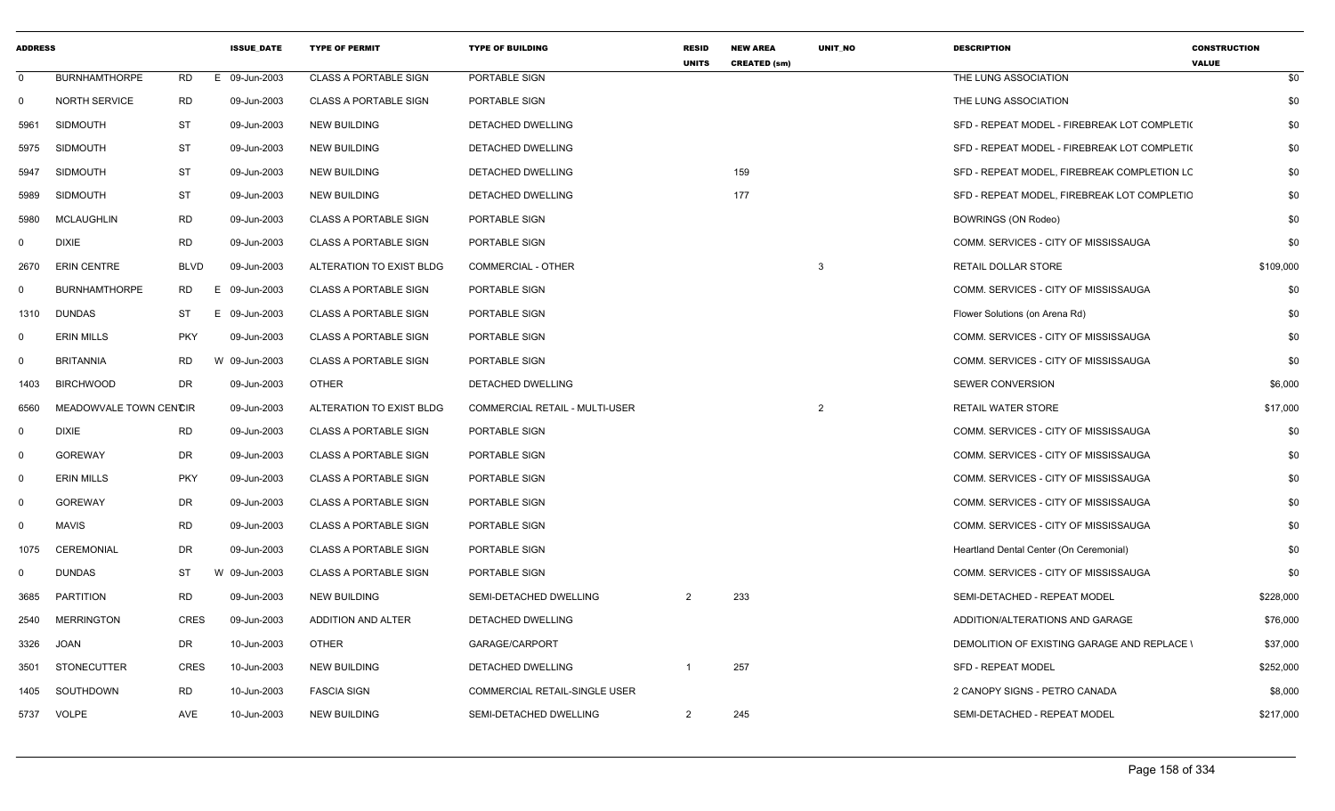| <b>ADDRESS</b> |                        |             | <b>ISSUE DATE</b> | <b>TYPE OF PERMIT</b>        | <b>TYPE OF BUILDING</b>              | <b>RESID</b><br><b>UNITS</b> | <b>NEW AREA</b><br><b>CREATED (sm)</b> | <b>UNIT NO</b> | <b>DESCRIPTION</b>                                 | <b>CONSTRUCTION</b><br><b>VALUE</b> |
|----------------|------------------------|-------------|-------------------|------------------------------|--------------------------------------|------------------------------|----------------------------------------|----------------|----------------------------------------------------|-------------------------------------|
| 0              | <b>BURNHAMTHORPE</b>   | <b>RD</b>   | E 09-Jun-2003     | <b>CLASS A PORTABLE SIGN</b> | PORTABLE SIGN                        |                              |                                        |                | THE LUNG ASSOCIATION                               | \$0                                 |
| 0              | <b>NORTH SERVICE</b>   | <b>RD</b>   | 09-Jun-2003       | <b>CLASS A PORTABLE SIGN</b> | PORTABLE SIGN                        |                              |                                        |                | THE LUNG ASSOCIATION                               | \$0                                 |
| 5961           | <b>SIDMOUTH</b>        | <b>ST</b>   | 09-Jun-2003       | <b>NEW BUILDING</b>          | DETACHED DWELLING                    |                              |                                        |                | SFD - REPEAT MODEL - FIREBREAK LOT COMPLETI(       | \$0                                 |
| 5975           | <b>SIDMOUTH</b>        | <b>ST</b>   | 09-Jun-2003       | <b>NEW BUILDING</b>          | DETACHED DWELLING                    |                              |                                        |                | SFD - REPEAT MODEL - FIREBREAK LOT COMPLETI(       | \$0                                 |
| 5947           | <b>SIDMOUTH</b>        | <b>ST</b>   | 09-Jun-2003       | <b>NEW BUILDING</b>          | DETACHED DWELLING                    |                              | 159                                    |                | SFD - REPEAT MODEL, FIREBREAK COMPLETION LC        | \$0                                 |
| 5989           | <b>SIDMOUTH</b>        | ST          | 09-Jun-2003       | <b>NEW BUILDING</b>          | DETACHED DWELLING                    |                              | 177                                    |                | SFD - REPEAT MODEL, FIREBREAK LOT COMPLETIC        | \$0                                 |
| 5980           | MCLAUGHLIN             | <b>RD</b>   | 09-Jun-2003       | <b>CLASS A PORTABLE SIGN</b> | PORTABLE SIGN                        |                              |                                        |                | <b>BOWRINGS (ON Rodeo)</b>                         | \$0                                 |
| 0              | <b>DIXIE</b>           | <b>RD</b>   | 09-Jun-2003       | <b>CLASS A PORTABLE SIGN</b> | PORTABLE SIGN                        |                              |                                        |                | COMM. SERVICES - CITY OF MISSISSAUGA               | \$0                                 |
| 2670           | <b>ERIN CENTRE</b>     | <b>BLVD</b> | 09-Jun-2003       | ALTERATION TO EXIST BLDG     | COMMERCIAL - OTHER                   |                              |                                        | 3              | RETAIL DOLLAR STORE                                | \$109,000                           |
| $\Omega$       | <b>BURNHAMTHORPE</b>   | RD          | E.<br>09-Jun-2003 | <b>CLASS A PORTABLE SIGN</b> | PORTABLE SIGN                        |                              |                                        |                | COMM. SERVICES - CITY OF MISSISSAUGA               | \$0                                 |
| 1310           | <b>DUNDAS</b>          | ST          | E.<br>09-Jun-2003 | <b>CLASS A PORTABLE SIGN</b> | PORTABLE SIGN                        |                              |                                        |                | Flower Solutions (on Arena Rd)                     | \$0                                 |
| 0              | <b>ERIN MILLS</b>      | <b>PKY</b>  | 09-Jun-2003       | <b>CLASS A PORTABLE SIGN</b> | PORTABLE SIGN                        |                              |                                        |                | COMM. SERVICES - CITY OF MISSISSAUGA               | \$0                                 |
| 0              | <b>BRITANNIA</b>       | <b>RD</b>   | W 09-Jun-2003     | <b>CLASS A PORTABLE SIGN</b> | PORTABLE SIGN                        |                              |                                        |                | COMM. SERVICES - CITY OF MISSISSAUGA               | \$0                                 |
| 1403           | <b>BIRCHWOOD</b>       | <b>DR</b>   | 09-Jun-2003       | <b>OTHER</b>                 | DETACHED DWELLING                    |                              |                                        |                | <b>SEWER CONVERSION</b>                            | \$6,000                             |
| 6560           | MEADOWVALE TOWN CENCIR |             | 09-Jun-2003       | ALTERATION TO EXIST BLDG     | COMMERCIAL RETAIL - MULTI-USER       |                              |                                        | $\overline{2}$ | <b>RETAIL WATER STORE</b>                          | \$17,000                            |
| $\mathbf 0$    | <b>DIXIE</b>           | <b>RD</b>   | 09-Jun-2003       | <b>CLASS A PORTABLE SIGN</b> | PORTABLE SIGN                        |                              |                                        |                | COMM. SERVICES - CITY OF MISSISSAUGA               | \$0                                 |
| 0              | <b>GOREWAY</b>         | DR          | 09-Jun-2003       | <b>CLASS A PORTABLE SIGN</b> | PORTABLE SIGN                        |                              |                                        |                | COMM. SERVICES - CITY OF MISSISSAUGA               | \$0                                 |
| 0              | <b>ERIN MILLS</b>      | <b>PKY</b>  | 09-Jun-2003       | <b>CLASS A PORTABLE SIGN</b> | PORTABLE SIGN                        |                              |                                        |                | COMM. SERVICES - CITY OF MISSISSAUGA               | \$0                                 |
| 0              | <b>GOREWAY</b>         | DR          | 09-Jun-2003       | <b>CLASS A PORTABLE SIGN</b> | PORTABLE SIGN                        |                              |                                        |                | COMM. SERVICES - CITY OF MISSISSAUGA               | \$0                                 |
| 0              | <b>MAVIS</b>           | <b>RD</b>   | 09-Jun-2003       | <b>CLASS A PORTABLE SIGN</b> | PORTABLE SIGN                        |                              |                                        |                | COMM. SERVICES - CITY OF MISSISSAUGA               | \$0                                 |
| 1075           | <b>CEREMONIAL</b>      | <b>DR</b>   | 09-Jun-2003       | <b>CLASS A PORTABLE SIGN</b> | PORTABLE SIGN                        |                              |                                        |                | Heartland Dental Center (On Ceremonial)            | \$0                                 |
| $\Omega$       | <b>DUNDAS</b>          | <b>ST</b>   | W 09-Jun-2003     | <b>CLASS A PORTABLE SIGN</b> | PORTABLE SIGN                        |                              |                                        |                | COMM. SERVICES - CITY OF MISSISSAUGA               | \$0                                 |
| 3685           | <b>PARTITION</b>       | <b>RD</b>   | 09-Jun-2003       | <b>NEW BUILDING</b>          | SEMI-DETACHED DWELLING               | 2                            | 233                                    |                | SEMI-DETACHED - REPEAT MODEL                       | \$228,000                           |
| 2540           | <b>MERRINGTON</b>      | <b>CRES</b> | 09-Jun-2003       | ADDITION AND ALTER           | DETACHED DWELLING                    |                              |                                        |                | ADDITION/ALTERATIONS AND GARAGE                    | \$76,000                            |
| 3326           | JOAN                   | DR          | 10-Jun-2003       | OTHER                        | GARAGE/CARPORT                       |                              |                                        |                | <b>DEMOLITION OF EXISTING GARAGE AND REPLACE \</b> | \$37,000                            |
| 3501           | STONECUTTER            | <b>CRES</b> | 10-Jun-2003       | <b>NEW BUILDING</b>          | DETACHED DWELLING                    |                              | 257                                    |                | <b>SFD - REPEAT MODEL</b>                          | \$252,000                           |
| 1405           | SOUTHDOWN              | <b>RD</b>   | 10-Jun-2003       | <b>FASCIA SIGN</b>           | <b>COMMERCIAL RETAIL-SINGLE USER</b> |                              |                                        |                | 2 CANOPY SIGNS - PETRO CANADA                      | \$8,000                             |
| 5737           | VOLPE                  | AVE         | 10-Jun-2003       | <b>NEW BUILDING</b>          | SEMI-DETACHED DWELLING               | $\overline{2}$               | 245                                    |                | SEMI-DETACHED - REPEAT MODEL                       | \$217,000                           |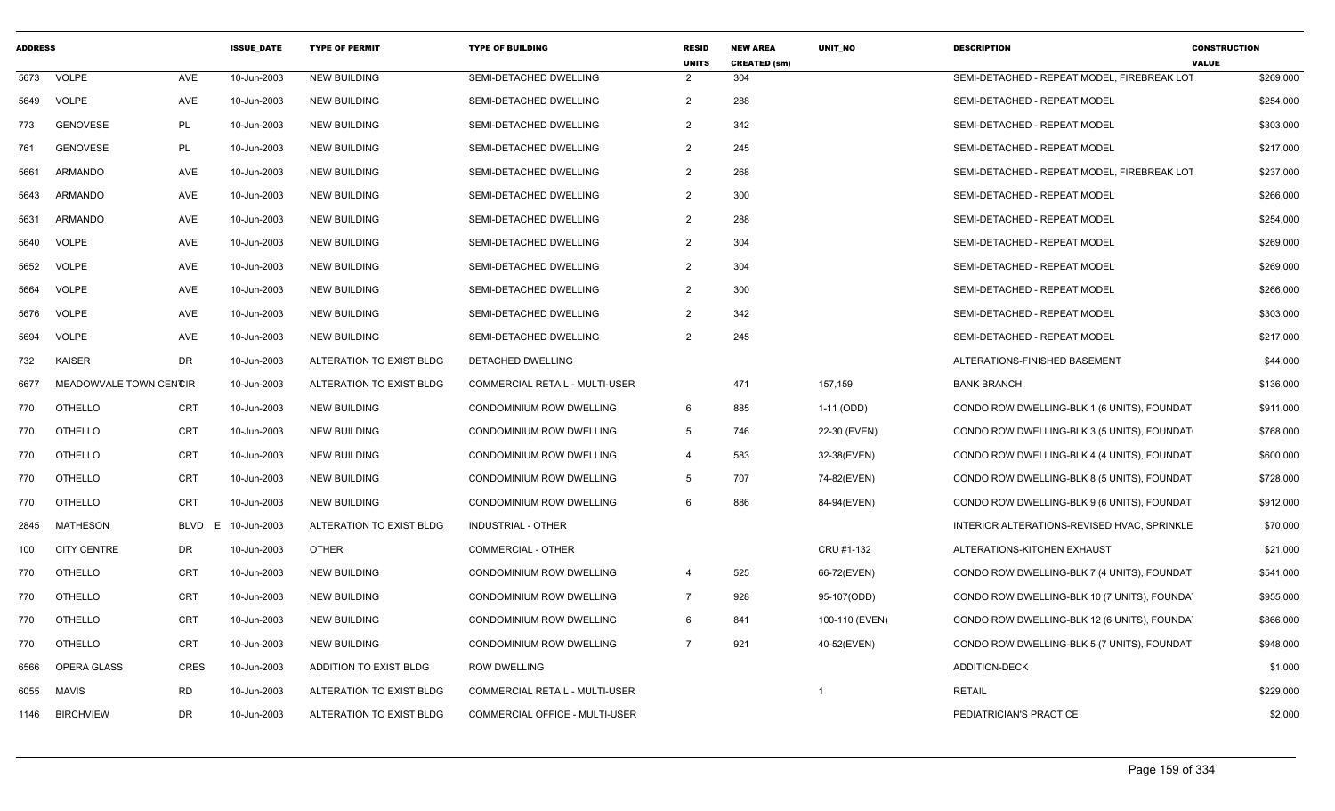| <b>ADDRESS</b> |                        |                  | <b>ISSUE DATE</b> | <b>TYPE OF PERMIT</b>    | <b>TYPE OF BUILDING</b>               | <b>RESID</b><br><b>UNITS</b> | <b>NEW AREA</b><br><b>CREATED (sm)</b> | <b>UNIT NO</b> | <b>DESCRIPTION</b>                          | <b>CONSTRUCTION</b><br><b>VALUE</b> |
|----------------|------------------------|------------------|-------------------|--------------------------|---------------------------------------|------------------------------|----------------------------------------|----------------|---------------------------------------------|-------------------------------------|
| 5673           | <b>VOLPE</b>           | AVE              | 10-Jun-2003       | <b>NEW BUILDING</b>      | SEMI-DETACHED DWELLING                | 2                            | 304                                    |                | SEMI-DETACHED - REPEAT MODEL, FIREBREAK LOT | \$269,000                           |
| 5649           | <b>VOLPE</b>           | AVE              | 10-Jun-2003       | <b>NEW BUILDING</b>      | SEMI-DETACHED DWELLING                | $\overline{2}$               | 288                                    |                | SEMI-DETACHED - REPEAT MODEL                | \$254,000                           |
| 773            | <b>GENOVESE</b>        | PL               | 10-Jun-2003       | <b>NEW BUILDING</b>      | SEMI-DETACHED DWELLING                | $\overline{2}$               | 342                                    |                | SEMI-DETACHED - REPEAT MODEL                | \$303,000                           |
| 761            | <b>GENOVESE</b>        | PL               | 10-Jun-2003       | <b>NEW BUILDING</b>      | SEMI-DETACHED DWELLING                | $\overline{2}$               | 245                                    |                | SEMI-DETACHED - REPEAT MODEL                | \$217,000                           |
| 5661           | <b>ARMANDO</b>         | AVE              | 10-Jun-2003       | <b>NEW BUILDING</b>      | SEMI-DETACHED DWELLING                | $\overline{2}$               | 268                                    |                | SEMI-DETACHED - REPEAT MODEL, FIREBREAK LOT | \$237,000                           |
| 5643           | ARMANDO                | AVE              | 10-Jun-2003       | <b>NEW BUILDING</b>      | SEMI-DETACHED DWELLING                | $\overline{2}$               | 300                                    |                | SEMI-DETACHED - REPEAT MODEL                | \$266,000                           |
| 5631           | ARMANDO                | AVE              | 10-Jun-2003       | <b>NEW BUILDING</b>      | SEMI-DETACHED DWELLING                | $\overline{2}$               | 288                                    |                | SEMI-DETACHED - REPEAT MODEL                | \$254,000                           |
| 5640           | <b>VOLPE</b>           | AVE              | 10-Jun-2003       | <b>NEW BUILDING</b>      | SEMI-DETACHED DWELLING                | $\overline{2}$               | 304                                    |                | SEMI-DETACHED - REPEAT MODEL                | \$269,000                           |
| 5652           | <b>VOLPE</b>           | AVE              | 10-Jun-2003       | <b>NEW BUILDING</b>      | SEMI-DETACHED DWELLING                | $\overline{2}$               | 304                                    |                | SEMI-DETACHED - REPEAT MODEL                | \$269,000                           |
| 5664           | <b>VOLPE</b>           | AVE              | 10-Jun-2003       | <b>NEW BUILDING</b>      | SEMI-DETACHED DWELLING                | $\overline{2}$               | 300                                    |                | SEMI-DETACHED - REPEAT MODEL                | \$266,000                           |
| 5676           | <b>VOLPE</b>           | AVE              | 10-Jun-2003       | <b>NEW BUILDING</b>      | SEMI-DETACHED DWELLING                | $\overline{2}$               | 342                                    |                | SEMI-DETACHED - REPEAT MODEL                | \$303,000                           |
| 5694           | <b>VOLPE</b>           | AVE              | 10-Jun-2003       | <b>NEW BUILDING</b>      | <b>SEMI-DETACHED DWELLING</b>         | $\overline{2}$               | 245                                    |                | SEMI-DETACHED - REPEAT MODEL                | \$217,000                           |
| 732            | <b>KAISER</b>          | DR               | 10-Jun-2003       | ALTERATION TO EXIST BLDG | DETACHED DWELLING                     |                              |                                        |                | ALTERATIONS-FINISHED BASEMENT               | \$44,000                            |
| 6677           | MEADOWVALE TOWN CENCIR |                  | 10-Jun-2003       | ALTERATION TO EXIST BLDG | COMMERCIAL RETAIL - MULTI-USER        |                              | 471                                    | 157,159        | <b>BANK BRANCH</b>                          | \$136,000                           |
| 770            | <b>OTHELLO</b>         | <b>CRT</b>       | 10-Jun-2003       | <b>NEW BUILDING</b>      | CONDOMINIUM ROW DWELLING              | 6                            | 885                                    | 1-11 (ODD)     | CONDO ROW DWELLING-BLK 1 (6 UNITS), FOUNDAT | \$911,000                           |
| 770            | <b>OTHELLO</b>         | <b>CRT</b>       | 10-Jun-2003       | <b>NEW BUILDING</b>      | CONDOMINIUM ROW DWELLING              | $5^{\circ}$                  | 746                                    | 22-30 (EVEN)   | CONDO ROW DWELLING-BLK 3 (5 UNITS), FOUNDAT | \$768,000                           |
| 770            | OTHELLO                | <b>CRT</b>       | 10-Jun-2003       | <b>NEW BUILDING</b>      | CONDOMINIUM ROW DWELLING              | $\overline{4}$               | 583                                    | 32-38(EVEN)    | CONDO ROW DWELLING-BLK 4 (4 UNITS), FOUNDAT | \$600,000                           |
| 770            | <b>OTHELLO</b>         | <b>CRT</b>       | 10-Jun-2003       | <b>NEW BUILDING</b>      | <b>CONDOMINIUM ROW DWELLING</b>       | 5                            | 707                                    | 74-82(EVEN)    | CONDO ROW DWELLING-BLK 8 (5 UNITS), FOUNDAT | \$728,000                           |
| 770            | <b>OTHELLO</b>         | <b>CRT</b>       | 10-Jun-2003       | <b>NEW BUILDING</b>      | CONDOMINIUM ROW DWELLING              | 6                            | 886                                    | 84-94(EVEN)    | CONDO ROW DWELLING-BLK 9 (6 UNITS), FOUNDAT | \$912,000                           |
| 2845           | MATHESON               | <b>BLVD</b><br>E | 10-Jun-2003       | ALTERATION TO EXIST BLDG | INDUSTRIAL - OTHER                    |                              |                                        |                | INTERIOR ALTERATIONS-REVISED HVAC, SPRINKLE | \$70,000                            |
| 100            | <b>CITY CENTRE</b>     | DR               | 10-Jun-2003       | <b>OTHER</b>             | COMMERCIAL - OTHER                    |                              |                                        | CRU #1-132     | ALTERATIONS-KITCHEN EXHAUST                 | \$21,000                            |
| 770            | <b>OTHELLO</b>         | <b>CRT</b>       | 10-Jun-2003       | <b>NEW BUILDING</b>      | <b>CONDOMINIUM ROW DWELLING</b>       | $\overline{4}$               | 525                                    | 66-72(EVEN)    | CONDO ROW DWELLING-BLK 7 (4 UNITS), FOUNDAT | \$541,000                           |
| 770            | <b>OTHELLO</b>         | <b>CRT</b>       | 10-Jun-2003       | <b>NEW BUILDING</b>      | CONDOMINIUM ROW DWELLING              | $\overline{7}$               | 928                                    | 95-107(ODD)    | CONDO ROW DWELLING-BLK 10 (7 UNITS), FOUNDA | \$955,000                           |
| 770            | <b>OTHELLO</b>         | <b>CRT</b>       | 10-Jun-2003       | <b>NEW BUILDING</b>      | <b>CONDOMINIUM ROW DWELLING</b>       | 6                            | 841                                    | 100-110 (EVEN) | CONDO ROW DWELLING-BLK 12 (6 UNITS), FOUNDA | \$866,000                           |
| 770            | <b>OTHELLO</b>         | <b>CRT</b>       | 10-Jun-2003       | <b>NEW BUILDING</b>      | CONDOMINIUM ROW DWELLING              | $\overline{7}$               | 921                                    | 40-52(EVEN)    | CONDO ROW DWELLING-BLK 5 (7 UNITS), FOUNDAT | \$948,000                           |
| 6566           | OPERA GLASS            | <b>CRES</b>      | 10-Jun-2003       | ADDITION TO EXIST BLDG   | <b>ROW DWELLING</b>                   |                              |                                        |                | <b>ADDITION-DECK</b>                        | \$1,000                             |
| 6055           | <b>MAVIS</b>           | <b>RD</b>        | 10-Jun-2003       | ALTERATION TO EXIST BLDG | <b>COMMERCIAL RETAIL - MULTI-USER</b> |                              |                                        | -1             | <b>RETAIL</b>                               | \$229,000                           |
| 1146           | <b>BIRCHVIEW</b>       | <b>DR</b>        | 10-Jun-2003       | ALTERATION TO EXIST BLDG | <b>COMMERCIAL OFFICE - MULTI-USER</b> |                              |                                        |                | PEDIATRICIAN'S PRACTICE                     | \$2,000                             |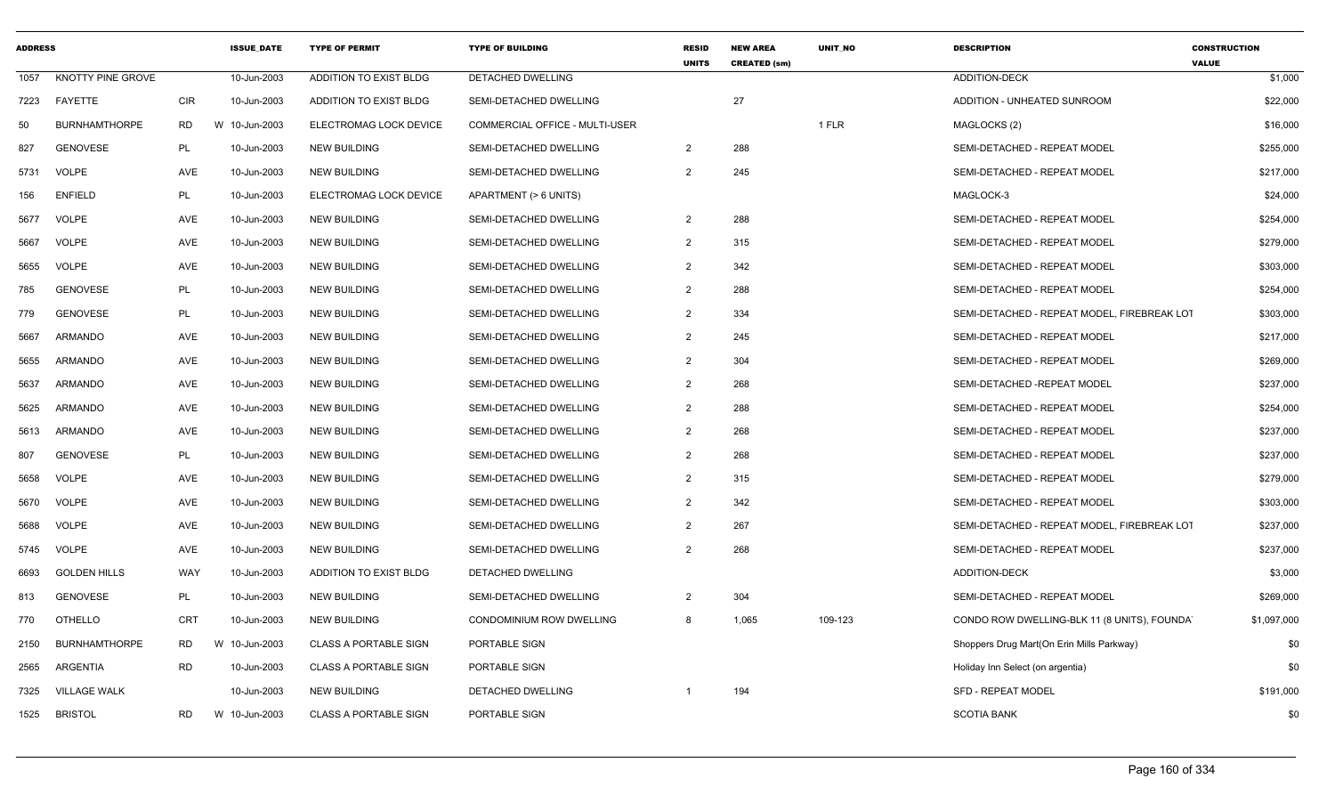| <b>ADDRESS</b> |                      |            | <b>ISSUE DATE</b> | <b>TYPE OF PERMIT</b>        | <b>TYPE OF BUILDING</b>        | <b>RESID</b><br><b>UNITS</b> | <b>NEW AREA</b><br><b>CREATED (sm)</b> | <b>UNIT NO</b> | <b>DESCRIPTION</b>                          | <b>CONSTRUCTION</b><br><b>VALUE</b> |
|----------------|----------------------|------------|-------------------|------------------------------|--------------------------------|------------------------------|----------------------------------------|----------------|---------------------------------------------|-------------------------------------|
| 1057           | KNOTTY PINE GROVE    |            | 10-Jun-2003       | ADDITION TO EXIST BLDG       | <b>DETACHED DWELLING</b>       |                              |                                        |                | <b>ADDITION-DECK</b>                        | \$1,000                             |
| 7223           | FAYETTE              | <b>CIR</b> | 10-Jun-2003       | ADDITION TO EXIST BLDG       | SEMI-DETACHED DWELLING         |                              | 27                                     |                | ADDITION - UNHEATED SUNROOM                 | \$22,000                            |
| 50             | <b>BURNHAMTHORPE</b> | <b>RD</b>  | W 10-Jun-2003     | ELECTROMAG LOCK DEVICE       | COMMERCIAL OFFICE - MULTI-USER |                              |                                        | 1 FLR          | MAGLOCKS (2)                                | \$16,000                            |
| 827            | <b>GENOVESE</b>      | PL         | 10-Jun-2003       | <b>NEW BUILDING</b>          | SEMI-DETACHED DWELLING         | $\overline{2}$               | 288                                    |                | SEMI-DETACHED - REPEAT MODEL                | \$255,000                           |
| 5731           | <b>VOLPE</b>         | AVE        | 10-Jun-2003       | <b>NEW BUILDING</b>          | SEMI-DETACHED DWELLING         | $\overline{2}$               | 245                                    |                | SEMI-DETACHED - REPEAT MODEL                | \$217,000                           |
| 156            | <b>ENFIELD</b>       | PL         | 10-Jun-2003       | ELECTROMAG LOCK DEVICE       | APARTMENT (> 6 UNITS)          |                              |                                        |                | MAGLOCK-3                                   | \$24,000                            |
| 5677           | <b>VOLPE</b>         | AVE        | 10-Jun-2003       | <b>NEW BUILDING</b>          | SEMI-DETACHED DWELLING         | $\overline{2}$               | 288                                    |                | SEMI-DETACHED - REPEAT MODEL                | \$254,000                           |
| 5667           | <b>VOLPE</b>         | AVE        | 10-Jun-2003       | <b>NEW BUILDING</b>          | SEMI-DETACHED DWELLING         | $\overline{2}$               | 315                                    |                | SEMI-DETACHED - REPEAT MODEL                | \$279,000                           |
| 5655           | <b>VOLPE</b>         | AVE        | 10-Jun-2003       | <b>NEW BUILDING</b>          | SEMI-DETACHED DWELLING         | $\overline{2}$               | 342                                    |                | SEMI-DETACHED - REPEAT MODEL                | \$303,000                           |
| 785            | <b>GENOVESE</b>      | PL         | 10-Jun-2003       | <b>NEW BUILDING</b>          | SEMI-DETACHED DWELLING         | 2                            | 288                                    |                | SEMI-DETACHED - REPEAT MODEL                | \$254,000                           |
| 779            | <b>GENOVESE</b>      | PL         | 10-Jun-2003       | <b>NEW BUILDING</b>          | SEMI-DETACHED DWELLING         | 2                            | 334                                    |                | SEMI-DETACHED - REPEAT MODEL, FIREBREAK LOT | \$303,000                           |
| 5667           | <b>ARMANDO</b>       | AVE        | 10-Jun-2003       | NEW BUILDING                 | SEMI-DETACHED DWELLING         | $\overline{2}$               | 245                                    |                | SEMI-DETACHED - REPEAT MODEL                | \$217,000                           |
| 5655           | ARMANDO              | AVE        | 10-Jun-2003       | <b>NEW BUILDING</b>          | SEMI-DETACHED DWELLING         | $\overline{2}$               | 304                                    |                | SEMI-DETACHED - REPEAT MODEL                | \$269,000                           |
| 5637           | ARMANDO              | AVE        | 10-Jun-2003       | <b>NEW BUILDING</b>          | SEMI-DETACHED DWELLING         | 2                            | 268                                    |                | SEMI-DETACHED -REPEAT MODEL                 | \$237,000                           |
| 5625           | <b>ARMANDO</b>       | AVE        | 10-Jun-2003       | <b>NEW BUILDING</b>          | SEMI-DETACHED DWELLING         | $\overline{2}$               | 288                                    |                | SEMI-DETACHED - REPEAT MODEL                | \$254,000                           |
| 5613           | ARMANDO              | AVE        | 10-Jun-2003       | <b>NEW BUILDING</b>          | SEMI-DETACHED DWELLING         | $\overline{2}$               | 268                                    |                | SEMI-DETACHED - REPEAT MODEL                | \$237,000                           |
| 807            | <b>GENOVESE</b>      | PL         | 10-Jun-2003       | <b>NEW BUILDING</b>          | SEMI-DETACHED DWELLING         | 2                            | 268                                    |                | SEMI-DETACHED - REPEAT MODEL                | \$237,000                           |
| 5658           | <b>VOLPE</b>         | AVE        | 10-Jun-2003       | <b>NEW BUILDING</b>          | SEMI-DETACHED DWELLING         | $\overline{2}$               | 315                                    |                | SEMI-DETACHED - REPEAT MODEL                | \$279,000                           |
| 5670           | <b>VOLPE</b>         | AVE        | 10-Jun-2003       | <b>NEW BUILDING</b>          | SEMI-DETACHED DWELLING         | $\overline{2}$               | 342                                    |                | SEMI-DETACHED - REPEAT MODEL                | \$303,000                           |
| 5688           | <b>VOLPE</b>         | AVE        | 10-Jun-2003       | <b>NEW BUILDING</b>          | SEMI-DETACHED DWELLING         | 2                            | 267                                    |                | SEMI-DETACHED - REPEAT MODEL. FIREBREAK LOT | \$237,000                           |
| 5745           | VOLPE                | AVE        | 10-Jun-2003       | NEW BUILDING                 | SEMI-DETACHED DWELLING         | $\overline{2}$               | 268                                    |                | SEMI-DETACHED - REPEAT MODEL                | \$237,000                           |
| 6693           | <b>GOLDEN HILLS</b>  | WAY        | 10-Jun-2003       | ADDITION TO EXIST BLDG       | DETACHED DWELLING              |                              |                                        |                | ADDITION-DECK                               | \$3,000                             |
| 813            | <b>GENOVESE</b>      | PL         | 10-Jun-2003       | <b>NEW BUILDING</b>          | SEMI-DETACHED DWELLING         | 2                            | 304                                    |                | SEMI-DETACHED - REPEAT MODEL                | \$269,000                           |
| 770            | OTHELLO              | <b>CRT</b> | 10-Jun-2003       | <b>NEW BUILDING</b>          | CONDOMINIUM ROW DWELLING       | 8                            | 1,065                                  | 109-123        | CONDO ROW DWELLING-BLK 11 (8 UNITS), FOUNDA | \$1,097,000                         |
| 2150           | <b>BURNHAMTHORPE</b> | RD         | 10-Jun-2003<br>W  | <b>CLASS A PORTABLE SIGN</b> | PORTABLE SIGN                  |                              |                                        |                | Shoppers Drug Mart(On Erin Mills Parkway)   | \$0                                 |
| 2565           | ARGENTIA             | RD         | 10-Jun-2003       | <b>CLASS A PORTABLE SIGN</b> | PORTABLE SIGN                  |                              |                                        |                | Holiday Inn Select (on argentia)            | \$0                                 |
| 7325           | <b>VILLAGE WALK</b>  |            | 10-Jun-2003       | <b>NEW BUILDING</b>          | DETACHED DWELLING              |                              | 194                                    |                | <b>SFD - REPEAT MODEL</b>                   | \$191,000                           |
| 1525           | <b>BRISTOL</b>       | RD         | W 10-Jun-2003     | <b>CLASS A PORTABLE SIGN</b> | PORTABLE SIGN                  |                              |                                        |                | <b>SCOTIA BANK</b>                          | \$0                                 |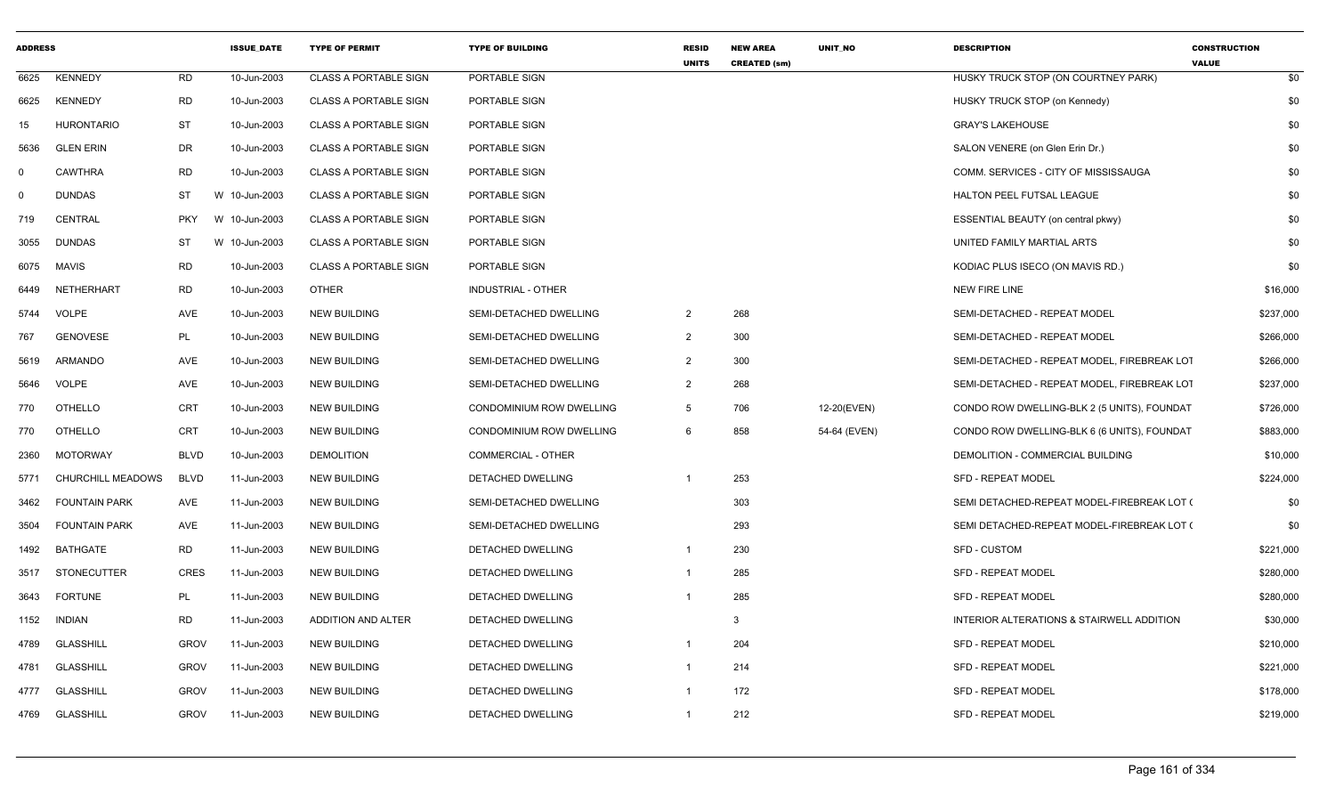| <b>ADDRESS</b> |                      |             | <b>ISSUE_DATE</b> | <b>TYPE OF PERMIT</b>        | <b>TYPE OF BUILDING</b>   | <b>RESID</b><br><b>UNITS</b> | <b>NEW AREA</b><br><b>CREATED (sm)</b> | UNIT_NO      | <b>DESCRIPTION</b>                          | <b>CONSTRUCTION</b><br><b>VALUE</b> |
|----------------|----------------------|-------------|-------------------|------------------------------|---------------------------|------------------------------|----------------------------------------|--------------|---------------------------------------------|-------------------------------------|
| 6625           | <b>KENNEDY</b>       | RD          | 10-Jun-2003       | <b>CLASS A PORTABLE SIGN</b> | PORTABLE SIGN             |                              |                                        |              | HUSKY TRUCK STOP (ON COURTNEY PARK)         | \$0                                 |
| 6625           | <b>KENNEDY</b>       | <b>RD</b>   | 10-Jun-2003       | <b>CLASS A PORTABLE SIGN</b> | PORTABLE SIGN             |                              |                                        |              | HUSKY TRUCK STOP (on Kennedy)               | \$0                                 |
| 15             | <b>HURONTARIO</b>    | <b>ST</b>   | 10-Jun-2003       | <b>CLASS A PORTABLE SIGN</b> | PORTABLE SIGN             |                              |                                        |              | <b>GRAY'S LAKEHOUSE</b>                     | \$0                                 |
| 5636           | <b>GLEN ERIN</b>     | DR          | 10-Jun-2003       | <b>CLASS A PORTABLE SIGN</b> | PORTABLE SIGN             |                              |                                        |              | SALON VENERE (on Glen Erin Dr.)             | \$0                                 |
| $\mathbf 0$    | <b>CAWTHRA</b>       | <b>RD</b>   | 10-Jun-2003       | <b>CLASS A PORTABLE SIGN</b> | PORTABLE SIGN             |                              |                                        |              | COMM. SERVICES - CITY OF MISSISSAUGA        | \$0                                 |
| $\mathbf 0$    | <b>DUNDAS</b>        | ST          | W 10-Jun-2003     | <b>CLASS A PORTABLE SIGN</b> | PORTABLE SIGN             |                              |                                        |              | HALTON PEEL FUTSAL LEAGUE                   | \$0                                 |
| 719            | CENTRAL              | <b>PKY</b>  | W 10-Jun-2003     | <b>CLASS A PORTABLE SIGN</b> | PORTABLE SIGN             |                              |                                        |              | ESSENTIAL BEAUTY (on central pkwy)          | \$0                                 |
| 3055           | <b>DUNDAS</b>        | <b>ST</b>   | W 10-Jun-2003     | <b>CLASS A PORTABLE SIGN</b> | PORTABLE SIGN             |                              |                                        |              | UNITED FAMILY MARTIAL ARTS                  | \$0                                 |
| 6075           | MAVIS                | <b>RD</b>   | 10-Jun-2003       | <b>CLASS A PORTABLE SIGN</b> | PORTABLE SIGN             |                              |                                        |              | KODIAC PLUS ISECO (ON MAVIS RD.)            | \$0                                 |
| 6449           | NETHERHART           | <b>RD</b>   | 10-Jun-2003       | <b>OTHER</b>                 | <b>INDUSTRIAL - OTHER</b> |                              |                                        |              | <b>NEW FIRE LINE</b>                        | \$16,000                            |
| 5744           | VOLPE                | AVE         | 10-Jun-2003       | <b>NEW BUILDING</b>          | SEMI-DETACHED DWELLING    | $\overline{2}$               | 268                                    |              | SEMI-DETACHED - REPEAT MODEL                | \$237,000                           |
| 767            | <b>GENOVESE</b>      | PL          | 10-Jun-2003       | <b>NEW BUILDING</b>          | SEMI-DETACHED DWELLING    | $\overline{2}$               | 300                                    |              | SEMI-DETACHED - REPEAT MODEL                | \$266,000                           |
| 5619           | ARMANDO              | AVE         | 10-Jun-2003       | <b>NEW BUILDING</b>          | SEMI-DETACHED DWELLING    | $\overline{2}$               | 300                                    |              | SEMI-DETACHED - REPEAT MODEL, FIREBREAK LOT | \$266,000                           |
| 5646           | <b>VOLPE</b>         | AVE         | 10-Jun-2003       | <b>NEW BUILDING</b>          | SEMI-DETACHED DWELLING    | $\overline{2}$               | 268                                    |              | SEMI-DETACHED - REPEAT MODEL, FIREBREAK LOT | \$237,000                           |
| 770            | OTHELLO              | CRT         | 10-Jun-2003       | <b>NEW BUILDING</b>          | CONDOMINIUM ROW DWELLING  | $5^{\circ}$                  | 706                                    | 12-20(EVEN)  | CONDO ROW DWELLING-BLK 2 (5 UNITS), FOUNDAT | \$726,000                           |
| 770            | OTHELLO              | CRT         | 10-Jun-2003       | <b>NEW BUILDING</b>          | CONDOMINIUM ROW DWELLING  | 6                            | 858                                    | 54-64 (EVEN) | CONDO ROW DWELLING-BLK 6 (6 UNITS), FOUNDAT | \$883,000                           |
| 2360           | <b>MOTORWAY</b>      | <b>BLVD</b> | 10-Jun-2003       | <b>DEMOLITION</b>            | <b>COMMERCIAL - OTHER</b> |                              |                                        |              | DEMOLITION - COMMERCIAL BUILDING            | \$10,000                            |
| 5771           | CHURCHILL MEADOWS    | <b>BLVD</b> | 11-Jun-2003       | <b>NEW BUILDING</b>          | DETACHED DWELLING         |                              | 253                                    |              | <b>SFD - REPEAT MODEL</b>                   | \$224,000                           |
| 3462           | <b>FOUNTAIN PARK</b> | AVE         | 11-Jun-2003       | <b>NEW BUILDING</b>          | SEMI-DETACHED DWELLING    |                              | 303                                    |              | SEMI DETACHED-REPEAT MODEL-FIREBREAK LOT (  | \$0                                 |
| 3504           | <b>FOUNTAIN PARK</b> | AVE         | 11-Jun-2003       | NEW BUILDING                 | SEMI-DETACHED DWELLING    |                              | 293                                    |              | SEMI DETACHED-REPEAT MODEL-FIREBREAK LOT (  | \$0                                 |
| 1492           | BATHGATE             | RD          | 11-Jun-2003       | <b>NEW BUILDING</b>          | DETACHED DWELLING         | $\overline{1}$               | 230                                    |              | <b>SFD - CUSTOM</b>                         | \$221,000                           |
| 3517           | <b>STONECUTTER</b>   | <b>CRES</b> | 11-Jun-2003       | <b>NEW BUILDING</b>          | DETACHED DWELLING         |                              | 285                                    |              | <b>SFD - REPEAT MODEL</b>                   | \$280,000                           |
| 3643           | <b>FORTUNE</b>       | PL          | 11-Jun-2003       | <b>NEW BUILDING</b>          | <b>DETACHED DWELLING</b>  |                              | 285                                    |              | <b>SFD - REPEAT MODEL</b>                   | \$280,000                           |
| 1152           | <b>INDIAN</b>        | <b>RD</b>   | 11-Jun-2003       | ADDITION AND ALTER           | DETACHED DWELLING         |                              | 3                                      |              | INTERIOR ALTERATIONS & STAIRWELL ADDITION   | \$30,000                            |
| 4789           | <b>GLASSHILL</b>     | <b>GROV</b> | 11-Jun-2003       | <b>NEW BUILDING</b>          | DETACHED DWELLING         |                              | 204                                    |              | <b>SFD - REPEAT MODEL</b>                   | \$210,000                           |
| 4781           | <b>GLASSHILL</b>     | <b>GROV</b> | 11-Jun-2003       | <b>NEW BUILDING</b>          | DETACHED DWELLING         | $\overline{1}$               | 214                                    |              | <b>SFD - REPEAT MODEL</b>                   | \$221,000                           |
| 4777           | <b>GLASSHILL</b>     | <b>GROV</b> | 11-Jun-2003       | <b>NEW BUILDING</b>          | DETACHED DWELLING         | $\overline{1}$               | 172                                    |              | <b>SFD - REPEAT MODEL</b>                   | \$178,000                           |
| 4769           | <b>GLASSHILL</b>     | <b>GROV</b> | 11-Jun-2003       | <b>NEW BUILDING</b>          | <b>DETACHED DWELLING</b>  |                              | 212                                    |              | <b>SFD - REPEAT MODEL</b>                   | \$219,000                           |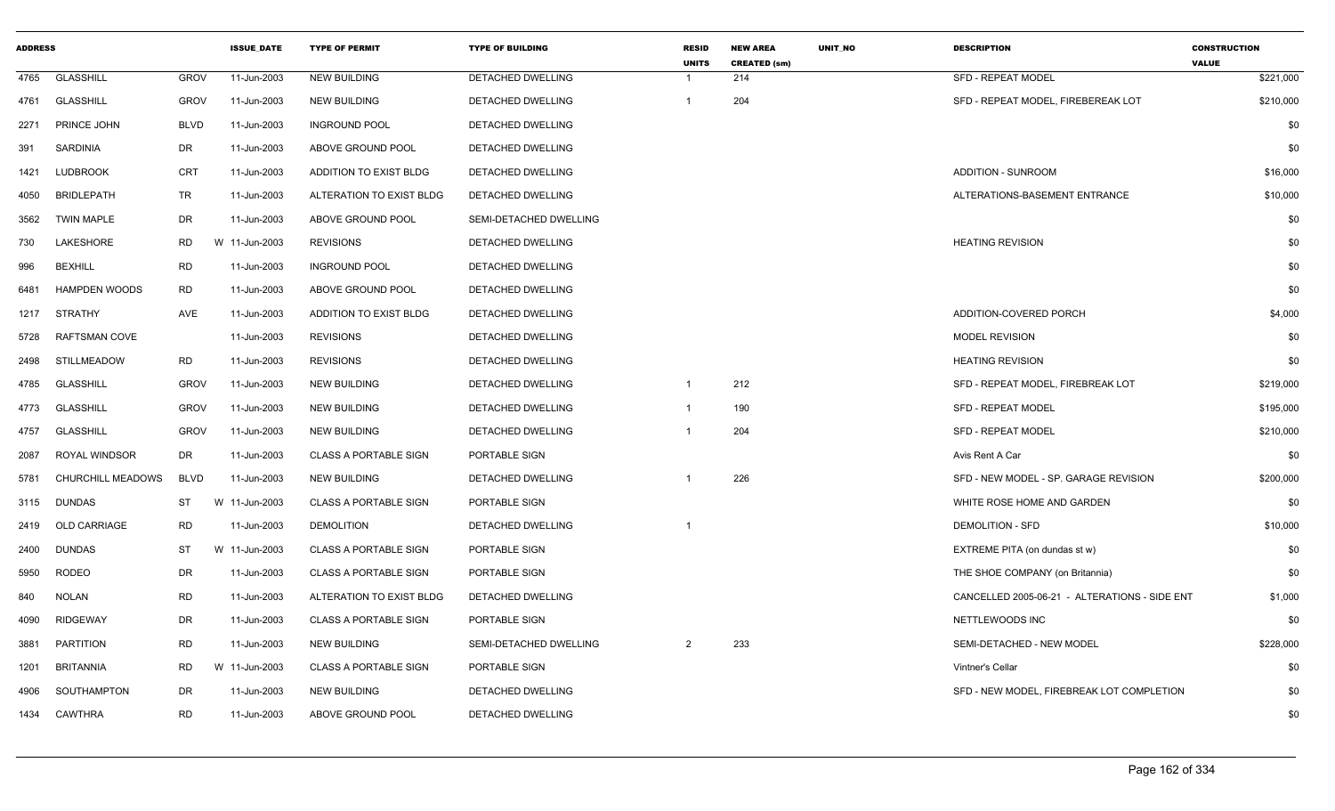| <b>ADDRESS</b> |                      |             | <b>ISSUE DATE</b> | <b>TYPE OF PERMIT</b>        | <b>TYPE OF BUILDING</b>  | <b>RESID</b><br><b>UNITS</b> | <b>NEW AREA</b><br><b>CREATED (sm)</b> | <b>UNIT NO</b> | <b>DESCRIPTION</b>                            | <b>CONSTRUCTION</b><br><b>VALUE</b> |
|----------------|----------------------|-------------|-------------------|------------------------------|--------------------------|------------------------------|----------------------------------------|----------------|-----------------------------------------------|-------------------------------------|
| 4765           | <b>GLASSHILL</b>     | <b>GROV</b> | 11-Jun-2003       | <b>NEW BUILDING</b>          | <b>DETACHED DWELLING</b> |                              | 214                                    |                | <b>SFD - REPEAT MODEL</b>                     | \$221,000                           |
| 4761           | <b>GLASSHILL</b>     | <b>GROV</b> | 11-Jun-2003       | <b>NEW BUILDING</b>          | DETACHED DWELLING        |                              | 204                                    |                | SFD - REPEAT MODEL, FIREBEREAK LOT            | \$210,000                           |
| 2271           | PRINCE JOHN          | <b>BLVD</b> | 11-Jun-2003       | <b>INGROUND POOL</b>         | <b>DETACHED DWELLING</b> |                              |                                        |                |                                               | \$0                                 |
| 391            | SARDINIA             | DR          | 11-Jun-2003       | ABOVE GROUND POOL            | DETACHED DWELLING        |                              |                                        |                |                                               | \$0                                 |
| 1421           | <b>LUDBROOK</b>      | CRT         | 11-Jun-2003       | ADDITION TO EXIST BLDG       | DETACHED DWELLING        |                              |                                        |                | <b>ADDITION - SUNROOM</b>                     | \$16,000                            |
| 4050           | <b>BRIDLEPATH</b>    | TR          | 11-Jun-2003       | ALTERATION TO EXIST BLDG     | DETACHED DWELLING        |                              |                                        |                | ALTERATIONS-BASEMENT ENTRANCE                 | \$10,000                            |
| 3562           | <b>TWIN MAPLE</b>    | DR          | 11-Jun-2003       | ABOVE GROUND POOL            | SEMI-DETACHED DWELLING   |                              |                                        |                |                                               | \$0                                 |
| 730            | LAKESHORE            | <b>RD</b>   | W 11-Jun-2003     | <b>REVISIONS</b>             | <b>DETACHED DWELLING</b> |                              |                                        |                | <b>HEATING REVISION</b>                       | \$0                                 |
| 996            | <b>BEXHILL</b>       | RD          | 11-Jun-2003       | <b>INGROUND POOL</b>         | DETACHED DWELLING        |                              |                                        |                |                                               | \$0                                 |
| 6481           | <b>HAMPDEN WOODS</b> | <b>RD</b>   | 11-Jun-2003       | ABOVE GROUND POOL            | <b>DETACHED DWELLING</b> |                              |                                        |                |                                               | \$0                                 |
| 1217           | STRATHY              | AVE         | 11-Jun-2003       | ADDITION TO EXIST BLDG       | DETACHED DWELLING        |                              |                                        |                | ADDITION-COVERED PORCH                        | \$4,000                             |
| 5728           | RAFTSMAN COVE        |             | 11-Jun-2003       | <b>REVISIONS</b>             | DETACHED DWELLING        |                              |                                        |                | <b>MODEL REVISION</b>                         | \$0                                 |
| 2498           | <b>STILLMEADOW</b>   | <b>RD</b>   | 11-Jun-2003       | <b>REVISIONS</b>             | <b>DETACHED DWELLING</b> |                              |                                        |                | <b>HEATING REVISION</b>                       | \$0                                 |
| 4785           | <b>GLASSHILL</b>     | <b>GROV</b> | 11-Jun-2003       | <b>NEW BUILDING</b>          | DETACHED DWELLING        | $\mathbf{1}$                 | 212                                    |                | SFD - REPEAT MODEL, FIREBREAK LOT             | \$219,000                           |
| 4773           | <b>GLASSHILL</b>     | <b>GROV</b> | 11-Jun-2003       | <b>NEW BUILDING</b>          | DETACHED DWELLING        | -1                           | 190                                    |                | <b>SFD - REPEAT MODEL</b>                     | \$195,000                           |
| 4757           | <b>GLASSHILL</b>     | <b>GROV</b> | 11-Jun-2003       | <b>NEW BUILDING</b>          | DETACHED DWELLING        |                              | 204                                    |                | <b>SFD - REPEAT MODEL</b>                     | \$210,000                           |
| 2087           | <b>ROYAL WINDSOR</b> | DR          | 11-Jun-2003       | <b>CLASS A PORTABLE SIGN</b> | PORTABLE SIGN            |                              |                                        |                | Avis Rent A Car                               | \$0                                 |
| 5781           | CHURCHILL MEADOWS    | <b>BLVD</b> | 11-Jun-2003       | NEW BUILDING                 | <b>DETACHED DWELLING</b> |                              | 226                                    |                | SFD - NEW MODEL - SP. GARAGE REVISION         | \$200,000                           |
| 3115           | <b>DUNDAS</b>        | ST          | W 11-Jun-2003     | <b>CLASS A PORTABLE SIGN</b> | PORTABLE SIGN            |                              |                                        |                | WHITE ROSE HOME AND GARDEN                    | \$0                                 |
| 2419           | <b>OLD CARRIAGE</b>  | RD          | 11-Jun-2003       | <b>DEMOLITION</b>            | DETACHED DWELLING        |                              |                                        |                | DEMOLITION - SFD                              | \$10,000                            |
| 2400           | <b>DUNDAS</b>        | ST          | W 11-Jun-2003     | <b>CLASS A PORTABLE SIGN</b> | PORTABLE SIGN            |                              |                                        |                | EXTREME PITA (on dundas st w)                 | \$0                                 |
| 5950           | <b>RODEO</b>         | DR          | 11-Jun-2003       | <b>CLASS A PORTABLE SIGN</b> | PORTABLE SIGN            |                              |                                        |                | THE SHOE COMPANY (on Britannia)               | \$0                                 |
| 840            | <b>NOLAN</b>         | <b>RD</b>   | 11-Jun-2003       | ALTERATION TO EXIST BLDG     | DETACHED DWELLING        |                              |                                        |                | CANCELLED 2005-06-21 - ALTERATIONS - SIDE ENT | \$1,000                             |
| 4090           | <b>RIDGEWAY</b>      | DR          | 11-Jun-2003       | <b>CLASS A PORTABLE SIGN</b> | PORTABLE SIGN            |                              |                                        |                | NETTLEWOODS INC                               | \$0                                 |
| 3881           | <b>PARTITION</b>     | <b>RD</b>   | 11-Jun-2003       | <b>NEW BUILDING</b>          | SEMI-DETACHED DWELLING   | $\overline{2}$               | 233                                    |                | SEMI-DETACHED - NEW MODEL                     | \$228,000                           |
| 1201           | <b>BRITANNIA</b>     | <b>RD</b>   | W 11-Jun-2003     | <b>CLASS A PORTABLE SIGN</b> | PORTABLE SIGN            |                              |                                        |                | Vintner's Cellar                              | \$0                                 |
| 4906           | SOUTHAMPTON          | DR          | 11-Jun-2003       | <b>NEW BUILDING</b>          | DETACHED DWELLING        |                              |                                        |                | SFD - NEW MODEL, FIREBREAK LOT COMPLETION     | \$0                                 |
| 1434           | CAWTHRA              | <b>RD</b>   | 11-Jun-2003       | ABOVE GROUND POOL            | DETACHED DWELLING        |                              |                                        |                |                                               | \$0                                 |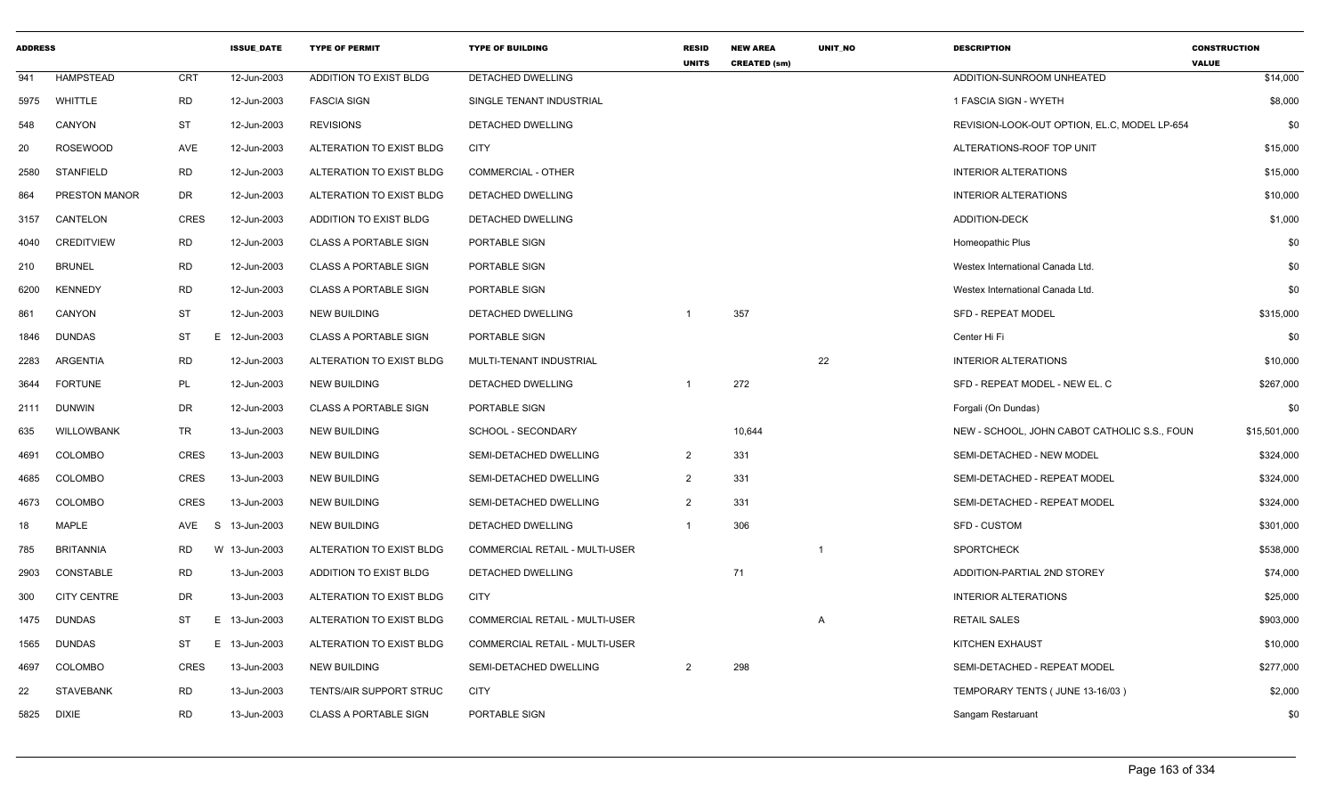| <b>ADDRESS</b> |                      |             | <b>ISSUE DATE</b> | <b>TYPE OF PERMIT</b>        | <b>TYPE OF BUILDING</b>               | <b>RESID</b><br><b>UNITS</b> | <b>NEW AREA</b><br><b>CREATED (sm)</b> | UNIT_NO | <b>DESCRIPTION</b>                           | <b>CONSTRUCTION</b><br><b>VALUE</b> |
|----------------|----------------------|-------------|-------------------|------------------------------|---------------------------------------|------------------------------|----------------------------------------|---------|----------------------------------------------|-------------------------------------|
| 941            | HAMPSTEAD            | CRT         | 12-Jun-2003       | ADDITION TO EXIST BLDG       | DETACHED DWELLING                     |                              |                                        |         | ADDITION-SUNROOM UNHEATED                    | \$14,000                            |
| 5975           | WHITTLE              | <b>RD</b>   | 12-Jun-2003       | <b>FASCIA SIGN</b>           | SINGLE TENANT INDUSTRIAL              |                              |                                        |         | 1 FASCIA SIGN - WYETH                        | \$8,000                             |
| 548            | CANYON               | <b>ST</b>   | 12-Jun-2003       | <b>REVISIONS</b>             | DETACHED DWELLING                     |                              |                                        |         | REVISION-LOOK-OUT OPTION, EL.C, MODEL LP-654 | \$0                                 |
| 20             | <b>ROSEWOOD</b>      | AVE         | 12-Jun-2003       | ALTERATION TO EXIST BLDG     | <b>CITY</b>                           |                              |                                        |         | ALTERATIONS-ROOF TOP UNIT                    | \$15,000                            |
| 2580           | <b>STANFIELD</b>     | RD          | 12-Jun-2003       | ALTERATION TO EXIST BLDG     | <b>COMMERCIAL - OTHER</b>             |                              |                                        |         | <b>INTERIOR ALTERATIONS</b>                  | \$15,000                            |
| 864            | <b>PRESTON MANOR</b> | DR          | 12-Jun-2003       | ALTERATION TO EXIST BLDG     | <b>DETACHED DWELLING</b>              |                              |                                        |         | <b>INTERIOR ALTERATIONS</b>                  | \$10,000                            |
| 3157           | CANTELON             | <b>CRES</b> | 12-Jun-2003       | ADDITION TO EXIST BLDG       | DETACHED DWELLING                     |                              |                                        |         | <b>ADDITION-DECK</b>                         | \$1,000                             |
| 4040           | <b>CREDITVIEW</b>    | <b>RD</b>   | 12-Jun-2003       | <b>CLASS A PORTABLE SIGN</b> | PORTABLE SIGN                         |                              |                                        |         | Homeopathic Plus                             | \$0                                 |
| 210            | <b>BRUNEL</b>        | <b>RD</b>   | 12-Jun-2003       | CLASS A PORTABLE SIGN        | PORTABLE SIGN                         |                              |                                        |         | Westex International Canada Ltd.             | \$0                                 |
| 6200           | <b>KENNEDY</b>       | <b>RD</b>   | 12-Jun-2003       | <b>CLASS A PORTABLE SIGN</b> | PORTABLE SIGN                         |                              |                                        |         | Westex International Canada Ltd.             | \$0                                 |
| 861            | CANYON               | <b>ST</b>   | 12-Jun-2003       | <b>NEW BUILDING</b>          | DETACHED DWELLING                     |                              | 357                                    |         | <b>SFD - REPEAT MODEL</b>                    | \$315,000                           |
| 1846           | DUNDAS               | ST          | E 12-Jun-2003     | <b>CLASS A PORTABLE SIGN</b> | PORTABLE SIGN                         |                              |                                        |         | Center Hi Fi                                 | \$0                                 |
| 2283           | ARGENTIA             | <b>RD</b>   | 12-Jun-2003       | ALTERATION TO EXIST BLDG     | MULTI-TENANT INDUSTRIAL               |                              |                                        | 22      | <b>INTERIOR ALTERATIONS</b>                  | \$10,000                            |
| 3644           | <b>FORTUNE</b>       | PL          | 12-Jun-2003       | <b>NEW BUILDING</b>          | DETACHED DWELLING                     | -1                           | 272                                    |         | SFD - REPEAT MODEL - NEW EL. C               | \$267,000                           |
| 2111           | <b>DUNWIN</b>        | DR          | 12-Jun-2003       | <b>CLASS A PORTABLE SIGN</b> | PORTABLE SIGN                         |                              |                                        |         | Forgali (On Dundas)                          | \$0                                 |
| 635            | WILLOWBANK           | <b>TR</b>   | 13-Jun-2003       | <b>NEW BUILDING</b>          | SCHOOL - SECONDARY                    |                              | 10,644                                 |         | NEW - SCHOOL, JOHN CABOT CATHOLIC S.S., FOUN | \$15,501,000                        |
| 4691           | <b>COLOMBO</b>       | <b>CRES</b> | 13-Jun-2003       | <b>NEW BUILDING</b>          | SEMI-DETACHED DWELLING                | $\overline{2}$               | 331                                    |         | SEMI-DETACHED - NEW MODEL                    | \$324,000                           |
| 4685           | <b>COLOMBO</b>       | <b>CRES</b> | 13-Jun-2003       | <b>NEW BUILDING</b>          | SEMI-DETACHED DWELLING                | 2                            | 331                                    |         | SEMI-DETACHED - REPEAT MODEL                 | \$324,000                           |
| 4673           | COLOMBO              | <b>CRES</b> | 13-Jun-2003       | <b>NEW BUILDING</b>          | SEMI-DETACHED DWELLING                | 2                            | 331                                    |         | SEMI-DETACHED - REPEAT MODEL                 | \$324,000                           |
| 18             | MAPLE                | AVE<br>-S   | 13-Jun-2003       | <b>NEW BUILDING</b>          | DETACHED DWELLING                     |                              | 306                                    |         | <b>SFD - CUSTOM</b>                          | \$301,000                           |
| 785            | <b>BRITANNIA</b>     | RD          | W 13-Jun-2003     | ALTERATION TO EXIST BLDG     | COMMERCIAL RETAIL - MULTI-USER        |                              |                                        |         | <b>SPORTCHECK</b>                            | \$538,000                           |
| 2903           | CONSTABLE            | RD          | 13-Jun-2003       | ADDITION TO EXIST BLDG       | DETACHED DWELLING                     |                              | 71                                     |         | ADDITION-PARTIAL 2ND STOREY                  | \$74,000                            |
| 300            | <b>CITY CENTRE</b>   | DR          | 13-Jun-2003       | ALTERATION TO EXIST BLDG     | <b>CITY</b>                           |                              |                                        |         | <b>INTERIOR ALTERATIONS</b>                  | \$25,000                            |
| 1475           | <b>DUNDAS</b>        | ST          | E 13-Jun-2003     | ALTERATION TO EXIST BLDG     | <b>COMMERCIAL RETAIL - MULTI-USER</b> |                              |                                        | Α       | <b>RETAIL SALES</b>                          | \$903,000                           |
| 1565           | DUNDAS               | <b>ST</b>   | E 13-Jun-2003     | ALTERATION TO EXIST BLDG     | COMMERCIAL RETAIL - MULTI-USER        |                              |                                        |         | <b>KITCHEN EXHAUST</b>                       | \$10,000                            |
| 4697           | COLOMBO              | <b>CRES</b> | 13-Jun-2003       | NEW BUILDING                 | SEMI-DETACHED DWELLING                | $\overline{2}$               | 298                                    |         | SEMI-DETACHED - REPEAT MODEL                 | \$277,000                           |
| 22             | <b>STAVEBANK</b>     | <b>RD</b>   | 13-Jun-2003       | TENTS/AIR SUPPORT STRUC      | <b>CITY</b>                           |                              |                                        |         | TEMPORARY TENTS ( JUNE 13-16/03 )            | \$2,000                             |
| 5825           | <b>DIXIE</b>         | RD          | 13-Jun-2003       | <b>CLASS A PORTABLE SIGN</b> | PORTABLE SIGN                         |                              |                                        |         | Sangam Restaruant                            | \$0                                 |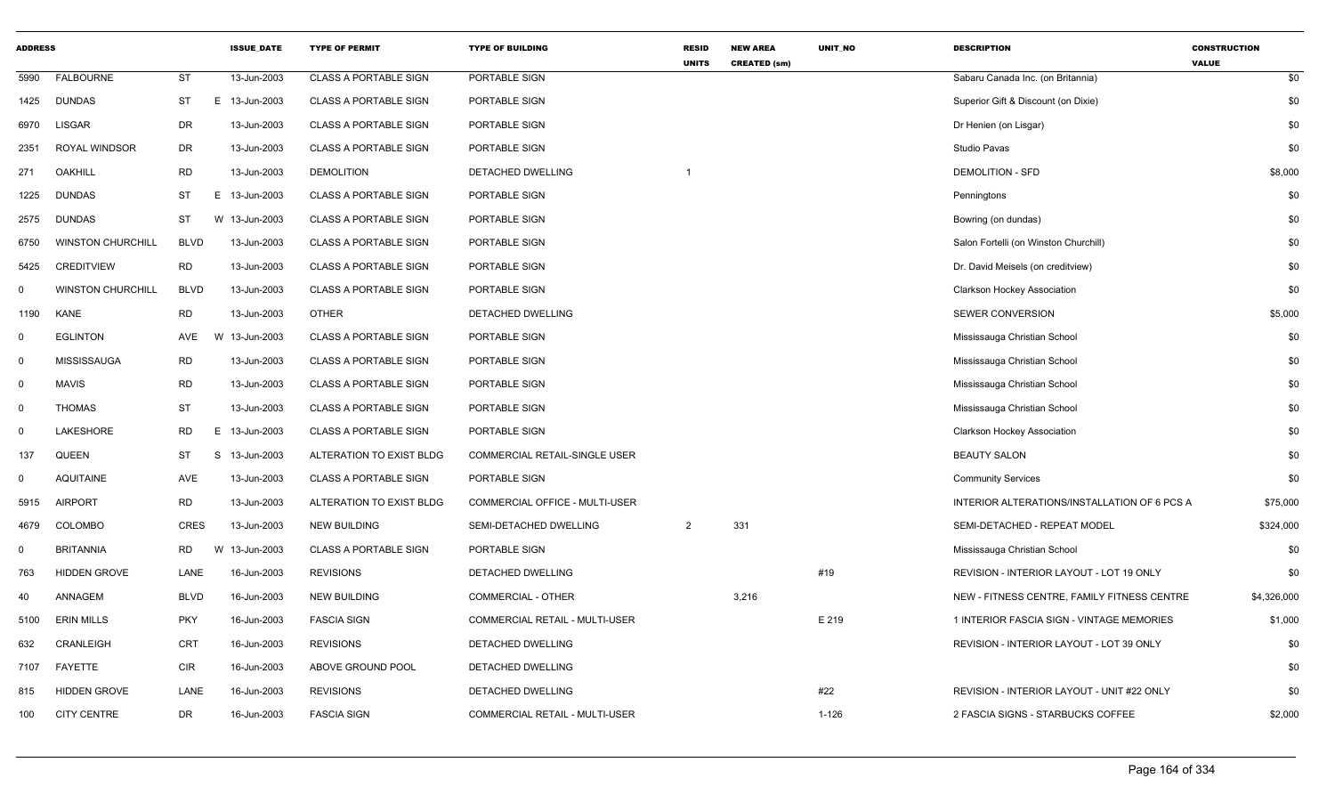| <b>ADDRESS</b> |                          |             | <b>ISSUE_DATE</b> | <b>TYPE OF PERMIT</b>        | <b>TYPE OF BUILDING</b>        | <b>RESID</b><br><b>UNITS</b> | <b>NEW AREA</b><br><b>CREATED (sm)</b> | UNIT_NO | <b>DESCRIPTION</b>                           | <b>CONSTRUCTION</b><br><b>VALUE</b> |
|----------------|--------------------------|-------------|-------------------|------------------------------|--------------------------------|------------------------------|----------------------------------------|---------|----------------------------------------------|-------------------------------------|
| 5990           | <b>FALBOURNE</b>         | <b>ST</b>   | 13-Jun-2003       | <b>CLASS A PORTABLE SIGN</b> | PORTABLE SIGN                  |                              |                                        |         | Sabaru Canada Inc. (on Britannia)            | \$0                                 |
| 1425           | <b>DUNDAS</b>            | ST          | E 13-Jun-2003     | <b>CLASS A PORTABLE SIGN</b> | PORTABLE SIGN                  |                              |                                        |         | Superior Gift & Discount (on Dixie)          | \$0                                 |
| 6970           | LISGAR                   | DR          | 13-Jun-2003       | <b>CLASS A PORTABLE SIGN</b> | PORTABLE SIGN                  |                              |                                        |         | Dr Henien (on Lisgar)                        | \$0                                 |
| 2351           | ROYAL WINDSOR            | DR          | 13-Jun-2003       | <b>CLASS A PORTABLE SIGN</b> | PORTABLE SIGN                  |                              |                                        |         | Studio Pavas                                 | \$0                                 |
| 271            | <b>OAKHILL</b>           | <b>RD</b>   | 13-Jun-2003       | <b>DEMOLITION</b>            | DETACHED DWELLING              |                              |                                        |         | <b>DEMOLITION - SFD</b>                      | \$8,000                             |
| 1225           | <b>DUNDAS</b>            | <b>ST</b>   | E 13-Jun-2003     | <b>CLASS A PORTABLE SIGN</b> | PORTABLE SIGN                  |                              |                                        |         | Penningtons                                  | \$0                                 |
| 2575           | <b>DUNDAS</b>            | <b>ST</b>   | W 13-Jun-2003     | <b>CLASS A PORTABLE SIGN</b> | PORTABLE SIGN                  |                              |                                        |         | Bowring (on dundas)                          | \$0                                 |
| 6750           | <b>WINSTON CHURCHILL</b> | <b>BLVD</b> | 13-Jun-2003       | <b>CLASS A PORTABLE SIGN</b> | PORTABLE SIGN                  |                              |                                        |         | Salon Fortelli (on Winston Churchill)        | \$0                                 |
| 5425           | <b>CREDITVIEW</b>        | <b>RD</b>   | 13-Jun-2003       | <b>CLASS A PORTABLE SIGN</b> | PORTABLE SIGN                  |                              |                                        |         | Dr. David Meisels (on creditview)            | \$0                                 |
| $\Omega$       | <b>WINSTON CHURCHILL</b> | <b>BLVD</b> | 13-Jun-2003       | <b>CLASS A PORTABLE SIGN</b> | PORTABLE SIGN                  |                              |                                        |         | Clarkson Hockey Association                  | \$0                                 |
| 1190           | <b>KANE</b>              | RD          | 13-Jun-2003       | <b>OTHER</b>                 | DETACHED DWELLING              |                              |                                        |         | <b>SEWER CONVERSION</b>                      | \$5,000                             |
| $\mathbf 0$    | <b>EGLINTON</b>          | AVE         | W 13-Jun-2003     | <b>CLASS A PORTABLE SIGN</b> | PORTABLE SIGN                  |                              |                                        |         | Mississauga Christian School                 | \$0                                 |
| $\mathbf 0$    | MISSISSAUGA              | <b>RD</b>   | 13-Jun-2003       | <b>CLASS A PORTABLE SIGN</b> | PORTABLE SIGN                  |                              |                                        |         | Mississauga Christian School                 | \$0                                 |
| $\mathbf 0$    | <b>MAVIS</b>             | <b>RD</b>   | 13-Jun-2003       | <b>CLASS A PORTABLE SIGN</b> | PORTABLE SIGN                  |                              |                                        |         | Mississauga Christian School                 | \$0                                 |
| $\mathbf 0$    | <b>THOMAS</b>            | <b>ST</b>   | 13-Jun-2003       | CLASS A PORTABLE SIGN        | PORTABLE SIGN                  |                              |                                        |         | Mississauga Christian School                 | \$0                                 |
| $\mathbf 0$    | LAKESHORE                | <b>RD</b>   | E.<br>13-Jun-2003 | <b>CLASS A PORTABLE SIGN</b> | PORTABLE SIGN                  |                              |                                        |         | <b>Clarkson Hockey Association</b>           | \$0                                 |
| 137            | <b>QUEEN</b>             | <b>ST</b>   | S.<br>13-Jun-2003 | ALTERATION TO EXIST BLDG     | COMMERCIAL RETAIL-SINGLE USER  |                              |                                        |         | <b>BEAUTY SALON</b>                          | \$0                                 |
| $\mathbf 0$    | <b>AQUITAINE</b>         | AVE         | 13-Jun-2003       | <b>CLASS A PORTABLE SIGN</b> | PORTABLE SIGN                  |                              |                                        |         | <b>Community Services</b>                    | \$0                                 |
| 5915           | <b>AIRPORT</b>           | <b>RD</b>   | 13-Jun-2003       | ALTERATION TO EXIST BLDG     | COMMERCIAL OFFICE - MULTI-USER |                              |                                        |         | INTERIOR ALTERATIONS/INSTALLATION OF 6 PCS A | \$75,000                            |
| 4679           | <b>COLOMBO</b>           | CRES        | 13-Jun-2003       | <b>NEW BUILDING</b>          | SEMI-DETACHED DWELLING         | 2                            | 331                                    |         | SEMI-DETACHED - REPEAT MODEL                 | \$324,000                           |
| 0              | <b>BRITANNIA</b>         | <b>RD</b>   | W<br>13-Jun-2003  | <b>CLASS A PORTABLE SIGN</b> | PORTABLE SIGN                  |                              |                                        |         | Mississauga Christian School                 | \$0                                 |
| 763            | HIDDEN GROVE             | LANE        | 16-Jun-2003       | <b>REVISIONS</b>             | DETACHED DWELLING              |                              |                                        | #19     | REVISION - INTERIOR LAYOUT - LOT 19 ONLY     | \$0                                 |
| 40             | ANNAGEM                  | <b>BLVD</b> | 16-Jun-2003       | <b>NEW BUILDING</b>          | <b>COMMERCIAL - OTHER</b>      |                              | 3,216                                  |         | NEW - FITNESS CENTRE, FAMILY FITNESS CENTRE  | \$4,326,000                         |
| 5100           | <b>ERIN MILLS</b>        | <b>PKY</b>  | 16-Jun-2003       | <b>FASCIA SIGN</b>           | COMMERCIAL RETAIL - MULTI-USER |                              |                                        | E 219   | 1 INTERIOR FASCIA SIGN - VINTAGE MEMORIES    | \$1,000                             |
| 632            | CRANLEIGH                | <b>CRT</b>  | 16-Jun-2003       | <b>REVISIONS</b>             | DETACHED DWELLING              |                              |                                        |         | REVISION - INTERIOR LAYOUT - LOT 39 ONLY     | \$0                                 |
| 7107           | FAYETTE                  | <b>CIR</b>  | 16-Jun-2003       | ABOVE GROUND POOL            | DETACHED DWELLING              |                              |                                        |         |                                              | \$0                                 |
| 815            | <b>HIDDEN GROVE</b>      | LANE        | 16-Jun-2003       | <b>REVISIONS</b>             | DETACHED DWELLING              |                              |                                        | #22     | REVISION - INTERIOR LAYOUT - UNIT #22 ONLY   | \$0                                 |
| 100            | <b>CITY CENTRE</b>       | <b>DR</b>   | 16-Jun-2003       | <b>FASCIA SIGN</b>           | COMMERCIAL RETAIL - MULTI-USER |                              |                                        | 1-126   | 2 FASCIA SIGNS - STARBUCKS COFFEE            | \$2,000                             |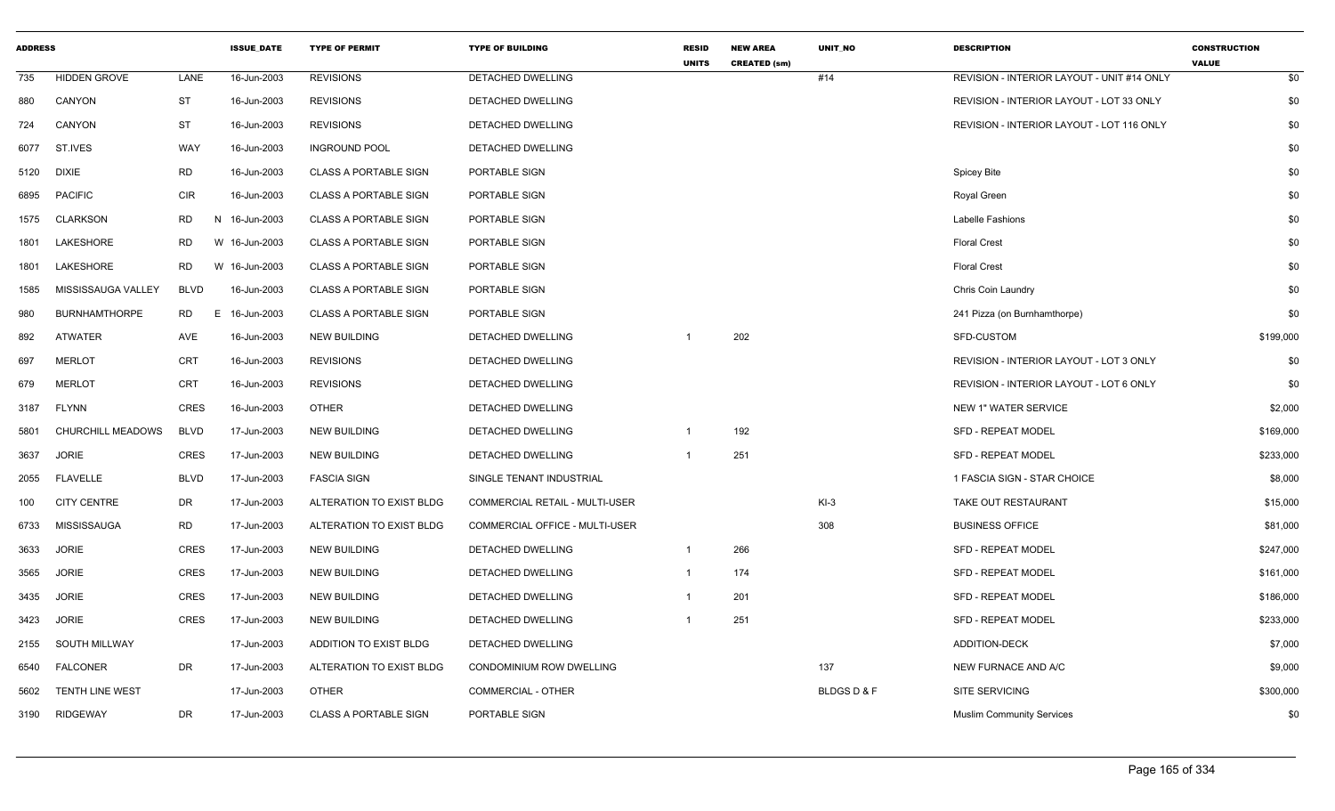| <b>ADDRESS</b> |                          |                | <b>ISSUE DATE</b> | <b>TYPE OF PERMIT</b>        | <b>TYPE OF BUILDING</b>        | <b>RESID</b><br><b>UNITS</b> | <b>NEW AREA</b><br><b>CREATED (sm)</b> | <b>UNIT NO</b>      | <b>DESCRIPTION</b>                         | <b>CONSTRUCTION</b><br><b>VALUE</b> |
|----------------|--------------------------|----------------|-------------------|------------------------------|--------------------------------|------------------------------|----------------------------------------|---------------------|--------------------------------------------|-------------------------------------|
| 735            | <b>HIDDEN GROVE</b>      | LANE           | 16-Jun-2003       | <b>REVISIONS</b>             | <b>DETACHED DWELLING</b>       |                              |                                        | #14                 | REVISION - INTERIOR LAYOUT - UNIT #14 ONLY | \$0                                 |
| 880            | CANYON                   | <b>ST</b>      | 16-Jun-2003       | <b>REVISIONS</b>             | DETACHED DWELLING              |                              |                                        |                     | REVISION - INTERIOR LAYOUT - LOT 33 ONLY   | \$0                                 |
| 724            | CANYON                   | <b>ST</b>      | 16-Jun-2003       | <b>REVISIONS</b>             | DETACHED DWELLING              |                              |                                        |                     | REVISION - INTERIOR LAYOUT - LOT 116 ONLY  | \$0                                 |
| 6077           | ST.IVES                  | WAY            | 16-Jun-2003       | <b>INGROUND POOL</b>         | DETACHED DWELLING              |                              |                                        |                     |                                            | \$0                                 |
| 5120           | <b>DIXIE</b>             | <b>RD</b>      | 16-Jun-2003       | <b>CLASS A PORTABLE SIGN</b> | PORTABLE SIGN                  |                              |                                        |                     | <b>Spicey Bite</b>                         | \$0                                 |
| 6895           | <b>PACIFIC</b>           | <b>CIR</b>     | 16-Jun-2003       | <b>CLASS A PORTABLE SIGN</b> | PORTABLE SIGN                  |                              |                                        |                     | Royal Green                                | \$0                                 |
| 1575           | <b>CLARKSON</b>          | <b>RD</b>      | N 16-Jun-2003     | <b>CLASS A PORTABLE SIGN</b> | PORTABLE SIGN                  |                              |                                        |                     | Labelle Fashions                           | \$0                                 |
| 1801           | LAKESHORE                | RD             | W 16-Jun-2003     | <b>CLASS A PORTABLE SIGN</b> | PORTABLE SIGN                  |                              |                                        |                     | <b>Floral Crest</b>                        | \$0                                 |
| 1801           | LAKESHORE                | <b>RD</b>      | W 16-Jun-2003     | <b>CLASS A PORTABLE SIGN</b> | PORTABLE SIGN                  |                              |                                        |                     | <b>Floral Crest</b>                        | \$0                                 |
| 1585           | MISSISSAUGA VALLEY       | <b>BLVD</b>    | 16-Jun-2003       | <b>CLASS A PORTABLE SIGN</b> | PORTABLE SIGN                  |                              |                                        |                     | Chris Coin Laundry                         | \$0                                 |
| 980            | <b>BURNHAMTHORPE</b>     | <b>RD</b><br>Е | 16-Jun-2003       | <b>CLASS A PORTABLE SIGN</b> | PORTABLE SIGN                  |                              |                                        |                     | 241 Pizza (on Burnhamthorpe)               | \$0                                 |
| 892            | ATWATER                  | AVE            | 16-Jun-2003       | <b>NEW BUILDING</b>          | <b>DETACHED DWELLING</b>       |                              | 202                                    |                     | SFD-CUSTOM                                 | \$199,000                           |
| 697            | <b>MERLOT</b>            | <b>CRT</b>     | 16-Jun-2003       | <b>REVISIONS</b>             | DETACHED DWELLING              |                              |                                        |                     | REVISION - INTERIOR LAYOUT - LOT 3 ONLY    | \$0                                 |
| 679            | <b>MERLOT</b>            | <b>CRT</b>     | 16-Jun-2003       | <b>REVISIONS</b>             | DETACHED DWELLING              |                              |                                        |                     | REVISION - INTERIOR LAYOUT - LOT 6 ONLY    | \$0                                 |
| 3187           | <b>FLYNN</b>             | <b>CRES</b>    | 16-Jun-2003       | <b>OTHER</b>                 | <b>DETACHED DWELLING</b>       |                              |                                        |                     | <b>NEW 1" WATER SERVICE</b>                | \$2,000                             |
| 5801           | <b>CHURCHILL MEADOWS</b> | <b>BLVD</b>    | 17-Jun-2003       | <b>NEW BUILDING</b>          | DETACHED DWELLING              |                              | 192                                    |                     | <b>SFD - REPEAT MODEL</b>                  | \$169,000                           |
| 3637           | <b>JORIE</b>             | <b>CRES</b>    | 17-Jun-2003       | <b>NEW BUILDING</b>          | DETACHED DWELLING              |                              | 251                                    |                     | <b>SFD - REPEAT MODEL</b>                  | \$233,000                           |
| 2055           | <b>FLAVELLE</b>          | <b>BLVD</b>    | 17-Jun-2003       | <b>FASCIA SIGN</b>           | SINGLE TENANT INDUSTRIAL       |                              |                                        |                     | 1 FASCIA SIGN - STAR CHOICE                | \$8,000                             |
| 100            | <b>CITY CENTRE</b>       | DR             | 17-Jun-2003       | ALTERATION TO EXIST BLDG     | COMMERCIAL RETAIL - MULTI-USER |                              |                                        | $KI-3$              | TAKE OUT RESTAURANT                        | \$15,000                            |
| 6733           | MISSISSAUGA              | <b>RD</b>      | 17-Jun-2003       | ALTERATION TO EXIST BLDG     | COMMERCIAL OFFICE - MULTI-USER |                              |                                        | 308                 | <b>BUSINESS OFFICE</b>                     | \$81,000                            |
| 3633           | <b>JORIE</b>             | <b>CRES</b>    | 17-Jun-2003       | <b>NEW BUILDING</b>          | <b>DETACHED DWELLING</b>       | 1                            | 266                                    |                     | <b>SFD - REPEAT MODEL</b>                  | \$247,000                           |
| 3565           | <b>JORIE</b>             | <b>CRES</b>    | 17-Jun-2003       | <b>NEW BUILDING</b>          | DETACHED DWELLING              | 1                            | 174                                    |                     | <b>SFD - REPEAT MODEL</b>                  | \$161,000                           |
| 3435           | <b>JORIE</b>             | <b>CRES</b>    | 17-Jun-2003       | <b>NEW BUILDING</b>          | <b>DETACHED DWELLING</b>       | $\mathbf 1$                  | 201                                    |                     | <b>SFD - REPEAT MODEL</b>                  | \$186,000                           |
| 3423           | <b>JORIE</b>             | <b>CRES</b>    | 17-Jun-2003       | NEW BUILDING                 | DETACHED DWELLING              |                              | 251                                    |                     | <b>SFD - REPEAT MODEL</b>                  | \$233,000                           |
| 2155           | <b>SOUTH MILLWAY</b>     |                | 17-Jun-2003       | ADDITION TO EXIST BLDG       | DETACHED DWELLING              |                              |                                        |                     | <b>ADDITION-DECK</b>                       | \$7,000                             |
| 6540           | FALCONER                 | DR             | 17-Jun-2003       | ALTERATION TO EXIST BLDG     | CONDOMINIUM ROW DWELLING       |                              |                                        | 137                 | NEW FURNACE AND A/C                        | \$9,000                             |
| 5602           | TENTH LINE WEST          |                | 17-Jun-2003       | <b>OTHER</b>                 | COMMERCIAL - OTHER             |                              |                                        | <b>BLDGSD&amp;F</b> | SITE SERVICING                             | \$300,000                           |
| 3190           | RIDGEWAY                 | DR             | 17-Jun-2003       | CLASS A PORTABLE SIGN        | PORTABLE SIGN                  |                              |                                        |                     | <b>Muslim Community Services</b>           | \$0                                 |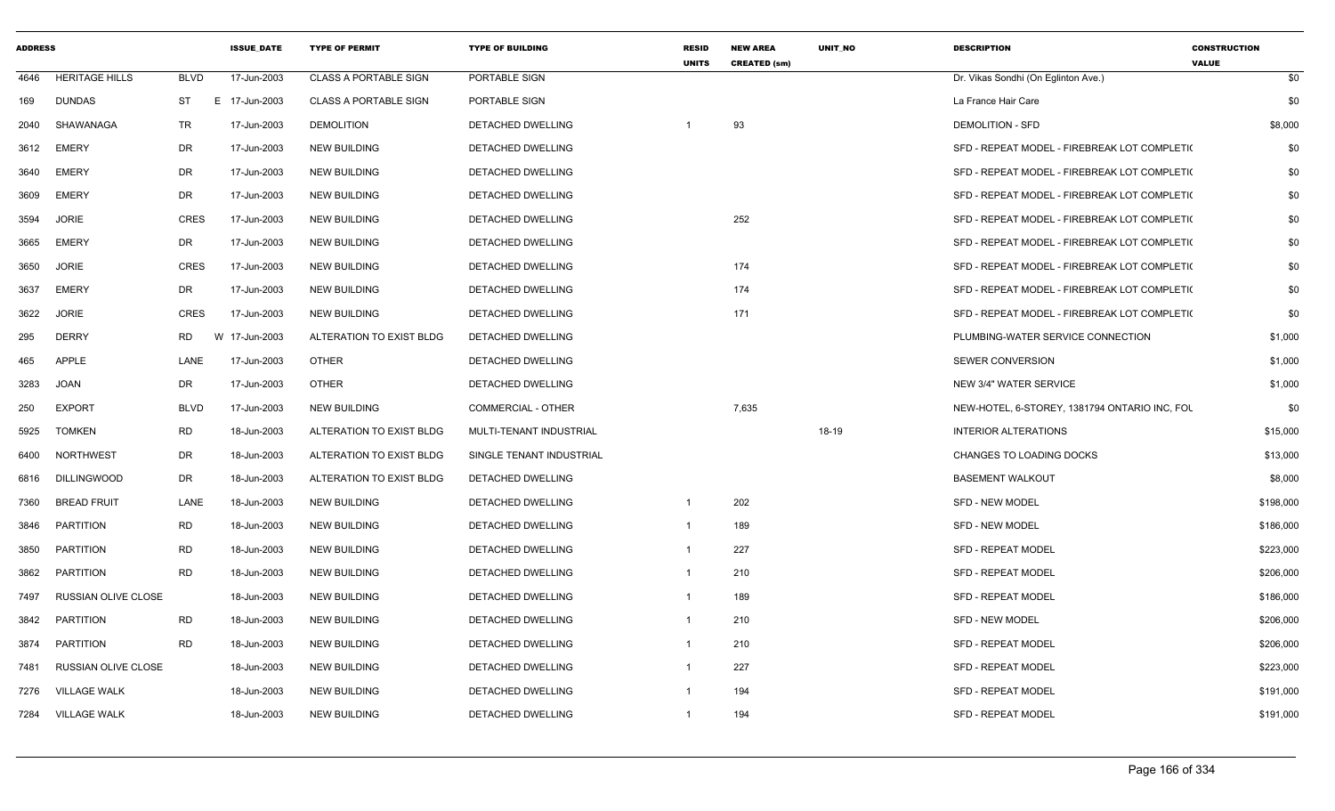| <b>ADDRESS</b> |                       |             | <b>ISSUE DATE</b> | <b>TYPE OF PERMIT</b>        | <b>TYPE OF BUILDING</b>   | <b>RESID</b><br><b>UNITS</b> | <b>NEW AREA</b><br><b>CREATED (sm)</b> | <b>UNIT NO</b> | <b>DESCRIPTION</b>                            | <b>CONSTRUCTION</b><br><b>VALUE</b> |
|----------------|-----------------------|-------------|-------------------|------------------------------|---------------------------|------------------------------|----------------------------------------|----------------|-----------------------------------------------|-------------------------------------|
| 4646           | <b>HERITAGE HILLS</b> | <b>BLVD</b> | 17-Jun-2003       | <b>CLASS A PORTABLE SIGN</b> | PORTABLE SIGN             |                              |                                        |                | Dr. Vikas Sondhi (On Eglinton Ave.)           | \$0                                 |
| 169            | <b>DUNDAS</b>         | <b>ST</b>   | E 17-Jun-2003     | <b>CLASS A PORTABLE SIGN</b> | PORTABLE SIGN             |                              |                                        |                | La France Hair Care                           | \$0                                 |
| 2040           | SHAWANAGA             | TR          | 17-Jun-2003       | <b>DEMOLITION</b>            | DETACHED DWELLING         |                              | 93                                     |                | <b>DEMOLITION - SFD</b>                       | \$8,000                             |
| 3612           | <b>EMERY</b>          | DR          | 17-Jun-2003       | <b>NEW BUILDING</b>          | <b>DETACHED DWELLING</b>  |                              |                                        |                | SFD - REPEAT MODEL - FIREBREAK LOT COMPLETIO  | \$0                                 |
| 3640           | <b>EMERY</b>          | DR          | 17-Jun-2003       | <b>NEW BUILDING</b>          | DETACHED DWELLING         |                              |                                        |                | SFD - REPEAT MODEL - FIREBREAK LOT COMPLETI(  | \$0                                 |
| 3609           | <b>EMERY</b>          | DR          | 17-Jun-2003       | <b>NEW BUILDING</b>          | DETACHED DWELLING         |                              |                                        |                | SFD - REPEAT MODEL - FIREBREAK LOT COMPLETI(  | \$0                                 |
| 3594           | <b>JORIE</b>          | <b>CRES</b> | 17-Jun-2003       | <b>NEW BUILDING</b>          | DETACHED DWELLING         |                              | 252                                    |                | SFD - REPEAT MODEL - FIREBREAK LOT COMPLETI(  | \$0                                 |
| 3665           | <b>EMERY</b>          | DR          | 17-Jun-2003       | <b>NEW BUILDING</b>          | <b>DETACHED DWELLING</b>  |                              |                                        |                | SFD - REPEAT MODEL - FIREBREAK LOT COMPLETION | \$0                                 |
| 3650           | <b>JORIE</b>          | <b>CRES</b> | 17-Jun-2003       | <b>NEW BUILDING</b>          | DETACHED DWELLING         |                              | 174                                    |                | SFD - REPEAT MODEL - FIREBREAK LOT COMPLETI(  | \$0                                 |
| 3637           | <b>EMERY</b>          | DR          | 17-Jun-2003       | <b>NEW BUILDING</b>          | DETACHED DWELLING         |                              | 174                                    |                | SFD - REPEAT MODEL - FIREBREAK LOT COMPLETI(  | \$0                                 |
| 3622           | <b>JORIE</b>          | CRES        | 17-Jun-2003       | <b>NEW BUILDING</b>          | DETACHED DWELLING         |                              | 171                                    |                | SFD - REPEAT MODEL - FIREBREAK LOT COMPLETI(  | \$0                                 |
| 295            | <b>DERRY</b>          | <b>RD</b>   | W 17-Jun-2003     | ALTERATION TO EXIST BLDG     | DETACHED DWELLING         |                              |                                        |                | PLUMBING-WATER SERVICE CONNECTION             | \$1,000                             |
| 465            | <b>APPLE</b>          | LANE        | 17-Jun-2003       | <b>OTHER</b>                 | DETACHED DWELLING         |                              |                                        |                | <b>SEWER CONVERSION</b>                       | \$1,000                             |
| 3283           | <b>JOAN</b>           | DR          | 17-Jun-2003       | <b>OTHER</b>                 | <b>DETACHED DWELLING</b>  |                              |                                        |                | <b>NEW 3/4" WATER SERVICE</b>                 | \$1,000                             |
| 250            | <b>EXPORT</b>         | <b>BLVD</b> | 17-Jun-2003       | <b>NEW BUILDING</b>          | <b>COMMERCIAL - OTHER</b> |                              | 7,635                                  |                | NEW-HOTEL, 6-STOREY, 1381794 ONTARIO INC, FOL | \$0                                 |
| 5925           | <b>TOMKEN</b>         | RD          | 18-Jun-2003       | ALTERATION TO EXIST BLDG     | MULTI-TENANT INDUSTRIAL   |                              |                                        | 18-19          | <b>INTERIOR ALTERATIONS</b>                   | \$15,000                            |
| 6400           | <b>NORTHWEST</b>      | DR          | 18-Jun-2003       | ALTERATION TO EXIST BLDG     | SINGLE TENANT INDUSTRIAL  |                              |                                        |                | CHANGES TO LOADING DOCKS                      | \$13,000                            |
| 6816           | <b>DILLINGWOOD</b>    | <b>DR</b>   | 18-Jun-2003       | ALTERATION TO EXIST BLDG     | <b>DETACHED DWELLING</b>  |                              |                                        |                | <b>BASEMENT WALKOUT</b>                       | \$8,000                             |
| 7360           | <b>BREAD FRUIT</b>    | LANE        | 18-Jun-2003       | <b>NEW BUILDING</b>          | DETACHED DWELLING         | $\overline{1}$               | 202                                    |                | SFD - NEW MODEL                               | \$198,000                           |
| 3846           | <b>PARTITION</b>      | <b>RD</b>   | 18-Jun-2003       | <b>NEW BUILDING</b>          | DETACHED DWELLING         | $\overline{1}$               | 189                                    |                | <b>SFD - NEW MODEL</b>                        | \$186,000                           |
| 3850           | <b>PARTITION</b>      | <b>RD</b>   | 18-Jun-2003       | <b>NEW BUILDING</b>          | DETACHED DWELLING         | $\overline{1}$               | 227                                    |                | <b>SFD - REPEAT MODEL</b>                     | \$223,000                           |
| 3862           | PARTITION             | <b>RD</b>   | 18-Jun-2003       | <b>NEW BUILDING</b>          | DETACHED DWELLING         | $\overline{1}$               | 210                                    |                | <b>SFD - REPEAT MODEL</b>                     | \$206,000                           |
| 7497           | RUSSIAN OLIVE CLOSE   |             | 18-Jun-2003       | NEW BUILDING                 | DETACHED DWELLING         | -1                           | 189                                    |                | <b>SFD - REPEAT MODEL</b>                     | \$186,000                           |
| 3842           | <b>PARTITION</b>      | <b>RD</b>   | 18-Jun-2003       | <b>NEW BUILDING</b>          | DETACHED DWELLING         | $\overline{1}$               | 210                                    |                | <b>SFD - NEW MODEL</b>                        | \$206,000                           |
| 3874           | PARTITION             | RD.         | 18-Jun-2003       | <b>NEW BUILDING</b>          | DETACHED DWELLING         | $\overline{1}$               | 210                                    |                | <b>SFD - REPEAT MODEL</b>                     | \$206,000                           |
| 7481           | RUSSIAN OLIVE CLOSE   |             | 18-Jun-2003       | <b>NEW BUILDING</b>          | <b>DETACHED DWELLING</b>  | $\overline{1}$               | 227                                    |                | <b>SFD - REPEAT MODEL</b>                     | \$223,000                           |
| 7276           | <b>VILLAGE WALK</b>   |             | 18-Jun-2003       | <b>NEW BUILDING</b>          | <b>DETACHED DWELLING</b>  | -1                           | 194                                    |                | <b>SFD - REPEAT MODEL</b>                     | \$191,000                           |
| 7284           | <b>VILLAGE WALK</b>   |             | 18-Jun-2003       | <b>NEW BUILDING</b>          | DETACHED DWELLING         | -1                           | 194                                    |                | <b>SFD - REPEAT MODEL</b>                     | \$191,000                           |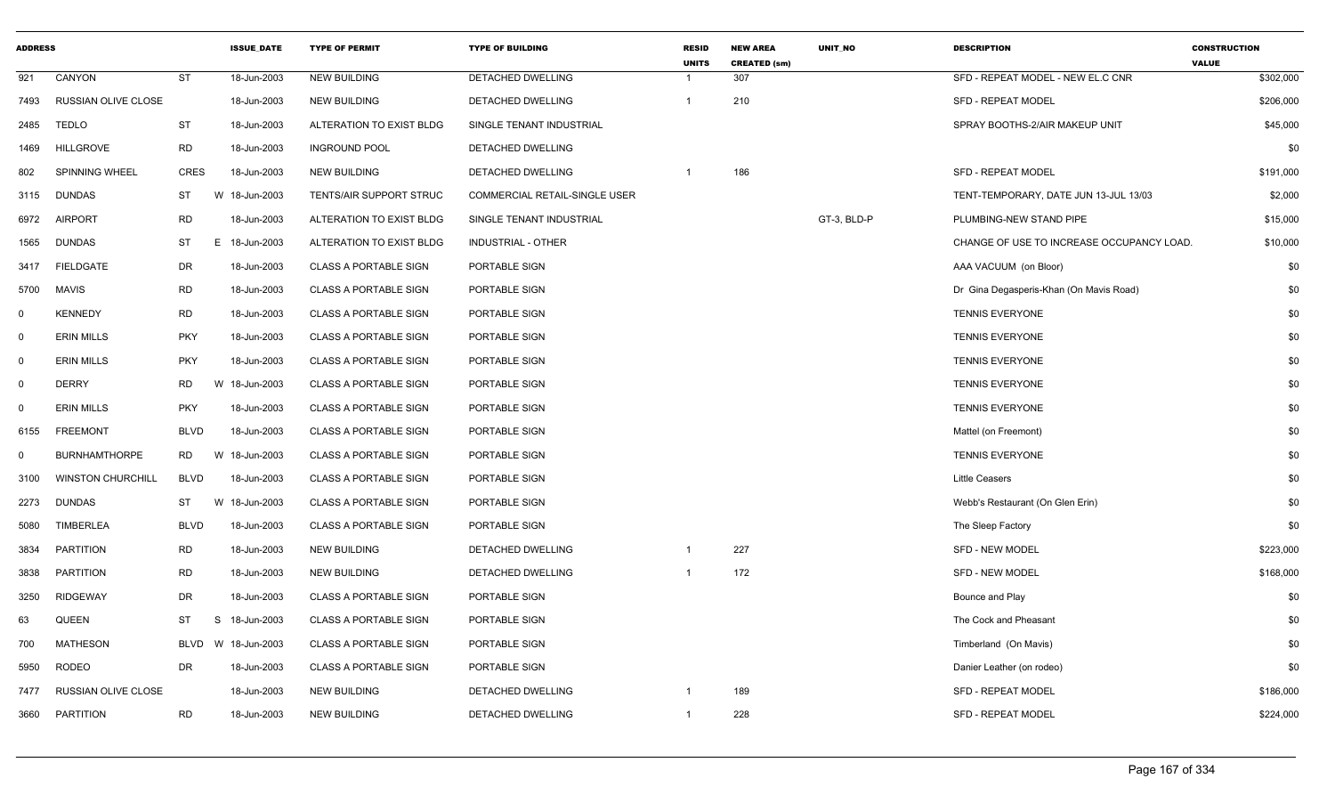| <b>ADDRESS</b> |                          |             | <b>ISSUE DATE</b> | <b>TYPE OF PERMIT</b>          | <b>TYPE OF BUILDING</b>              | <b>RESID</b><br><b>UNITS</b> | <b>NEW AREA</b><br><b>CREATED (sm)</b> | <b>UNIT NO</b> | <b>DESCRIPTION</b>                        | <b>CONSTRUCTION</b><br><b>VALUE</b> |
|----------------|--------------------------|-------------|-------------------|--------------------------------|--------------------------------------|------------------------------|----------------------------------------|----------------|-------------------------------------------|-------------------------------------|
| 921            | CANYON                   | <b>ST</b>   | 18-Jun-2003       | <b>NEW BUILDING</b>            | DETACHED DWELLING                    | $\mathbf{1}$                 | 307                                    |                | SFD - REPEAT MODEL - NEW EL.C CNR         | \$302,000                           |
| 7493           | RUSSIAN OLIVE CLOSE      |             | 18-Jun-2003       | <b>NEW BUILDING</b>            | DETACHED DWELLING                    | $\mathbf{1}$                 | 210                                    |                | SFD - REPEAT MODEL                        | \$206,000                           |
| 2485           | <b>TEDLO</b>             | ST          | 18-Jun-2003       | ALTERATION TO EXIST BLDG       | SINGLE TENANT INDUSTRIAL             |                              |                                        |                | SPRAY BOOTHS-2/AIR MAKEUP UNIT            | \$45,000                            |
| 1469           | <b>HILLGROVE</b>         | <b>RD</b>   | 18-Jun-2003       | <b>INGROUND POOL</b>           | DETACHED DWELLING                    |                              |                                        |                |                                           | \$0                                 |
| 802            | <b>SPINNING WHEEL</b>    | <b>CRES</b> | 18-Jun-2003       | <b>NEW BUILDING</b>            | DETACHED DWELLING                    | $\overline{1}$               | 186                                    |                | <b>SFD - REPEAT MODEL</b>                 | \$191,000                           |
| 3115           | <b>DUNDAS</b>            | ST          | W 18-Jun-2003     | <b>TENTS/AIR SUPPORT STRUC</b> | <b>COMMERCIAL RETAIL-SINGLE USER</b> |                              |                                        |                | TENT-TEMPORARY, DATE JUN 13-JUL 13/03     | \$2,000                             |
| 6972           | <b>AIRPORT</b>           | <b>RD</b>   | 18-Jun-2003       | ALTERATION TO EXIST BLDG       | SINGLE TENANT INDUSTRIAL             |                              |                                        | GT-3, BLD-P    | PLUMBING-NEW STAND PIPE                   | \$15,000                            |
| 1565           | <b>DUNDAS</b>            | <b>ST</b>   | E.<br>18-Jun-2003 | ALTERATION TO EXIST BLDG       | INDUSTRIAL - OTHER                   |                              |                                        |                | CHANGE OF USE TO INCREASE OCCUPANCY LOAD. | \$10,000                            |
| 3417           | FIELDGATE                | DR          | 18-Jun-2003       | <b>CLASS A PORTABLE SIGN</b>   | PORTABLE SIGN                        |                              |                                        |                | AAA VACUUM (on Bloor)                     | \$0                                 |
| 5700           | <b>MAVIS</b>             | <b>RD</b>   | 18-Jun-2003       | <b>CLASS A PORTABLE SIGN</b>   | PORTABLE SIGN                        |                              |                                        |                | Dr Gina Degasperis-Khan (On Mavis Road)   | \$0                                 |
| $\mathbf 0$    | <b>KENNEDY</b>           | <b>RD</b>   | 18-Jun-2003       | <b>CLASS A PORTABLE SIGN</b>   | PORTABLE SIGN                        |                              |                                        |                | <b>TENNIS EVERYONE</b>                    | \$0                                 |
| $\mathbf 0$    | <b>ERIN MILLS</b>        | <b>PKY</b>  | 18-Jun-2003       | <b>CLASS A PORTABLE SIGN</b>   | PORTABLE SIGN                        |                              |                                        |                | <b>TENNIS EVERYONE</b>                    | \$0                                 |
| $\mathbf 0$    | <b>ERIN MILLS</b>        | <b>PKY</b>  | 18-Jun-2003       | <b>CLASS A PORTABLE SIGN</b>   | PORTABLE SIGN                        |                              |                                        |                | <b>TENNIS EVERYONE</b>                    | \$0                                 |
| $\mathbf 0$    | <b>DERRY</b>             | <b>RD</b>   | W<br>18-Jun-2003  | <b>CLASS A PORTABLE SIGN</b>   | PORTABLE SIGN                        |                              |                                        |                | <b>TENNIS EVERYONE</b>                    | \$0                                 |
| $\mathbf 0$    | <b>ERIN MILLS</b>        | <b>PKY</b>  | 18-Jun-2003       | <b>CLASS A PORTABLE SIGN</b>   | PORTABLE SIGN                        |                              |                                        |                | <b>TENNIS EVERYONE</b>                    | \$0                                 |
| 6155           | <b>FREEMONT</b>          | <b>BLVD</b> | 18-Jun-2003       | <b>CLASS A PORTABLE SIGN</b>   | PORTABLE SIGN                        |                              |                                        |                | Mattel (on Freemont)                      | \$0                                 |
| $\mathbf 0$    | <b>BURNHAMTHORPE</b>     | <b>RD</b>   | W<br>18-Jun-2003  | <b>CLASS A PORTABLE SIGN</b>   | PORTABLE SIGN                        |                              |                                        |                | <b>TENNIS EVERYONE</b>                    | \$0                                 |
| 3100           | <b>WINSTON CHURCHILL</b> | <b>BLVD</b> | 18-Jun-2003       | <b>CLASS A PORTABLE SIGN</b>   | PORTABLE SIGN                        |                              |                                        |                | <b>Little Ceasers</b>                     | \$0                                 |
| 2273           | <b>DUNDAS</b>            | ST          | W 18-Jun-2003     | <b>CLASS A PORTABLE SIGN</b>   | PORTABLE SIGN                        |                              |                                        |                | Webb's Restaurant (On Glen Erin)          | \$0                                 |
| 5080           | TIMBERLEA                | <b>BLVD</b> | 18-Jun-2003       | <b>CLASS A PORTABLE SIGN</b>   | PORTABLE SIGN                        |                              |                                        |                | The Sleep Factory                         | \$0                                 |
| 3834           | <b>PARTITION</b>         | <b>RD</b>   | 18-Jun-2003       | <b>NEW BUILDING</b>            | DETACHED DWELLING                    | -1                           | 227                                    |                | <b>SFD - NEW MODEL</b>                    | \$223,000                           |
| 3838           | <b>PARTITION</b>         | <b>RD</b>   | 18-Jun-2003       | <b>NEW BUILDING</b>            | DETACHED DWELLING                    | -1                           | 172                                    |                | <b>SFD - NEW MODEL</b>                    | \$168,000                           |
| 3250           | <b>RIDGEWAY</b>          | <b>DR</b>   | 18-Jun-2003       | <b>CLASS A PORTABLE SIGN</b>   | PORTABLE SIGN                        |                              |                                        |                | Bounce and Play                           | \$0                                 |
| 63             | QUEEN                    | <b>ST</b>   | S<br>18-Jun-2003  | <b>CLASS A PORTABLE SIGN</b>   | PORTABLE SIGN                        |                              |                                        |                | The Cock and Pheasant                     | \$0                                 |
| 700            | <b>MATHESON</b>          | <b>BLVD</b> | W 18-Jun-2003     | <b>CLASS A PORTABLE SIGN</b>   | PORTABLE SIGN                        |                              |                                        |                | Timberland (On Mavis)                     | \$0                                 |
| 5950           | RODEO                    | DR          | 18-Jun-2003       | <b>CLASS A PORTABLE SIGN</b>   | PORTABLE SIGN                        |                              |                                        |                | Danier Leather (on rodeo)                 | \$0                                 |
| 7477           | RUSSIAN OLIVE CLOSE      |             | 18-Jun-2003       | <b>NEW BUILDING</b>            | DETACHED DWELLING                    |                              | 189                                    |                | SFD - REPEAT MODEL                        | \$186,000                           |
| 3660           | <b>PARTITION</b>         | <b>RD</b>   | 18-Jun-2003       | <b>NEW BUILDING</b>            | <b>DETACHED DWELLING</b>             | $\overline{1}$               | 228                                    |                | <b>SFD - REPEAT MODEL</b>                 | \$224,000                           |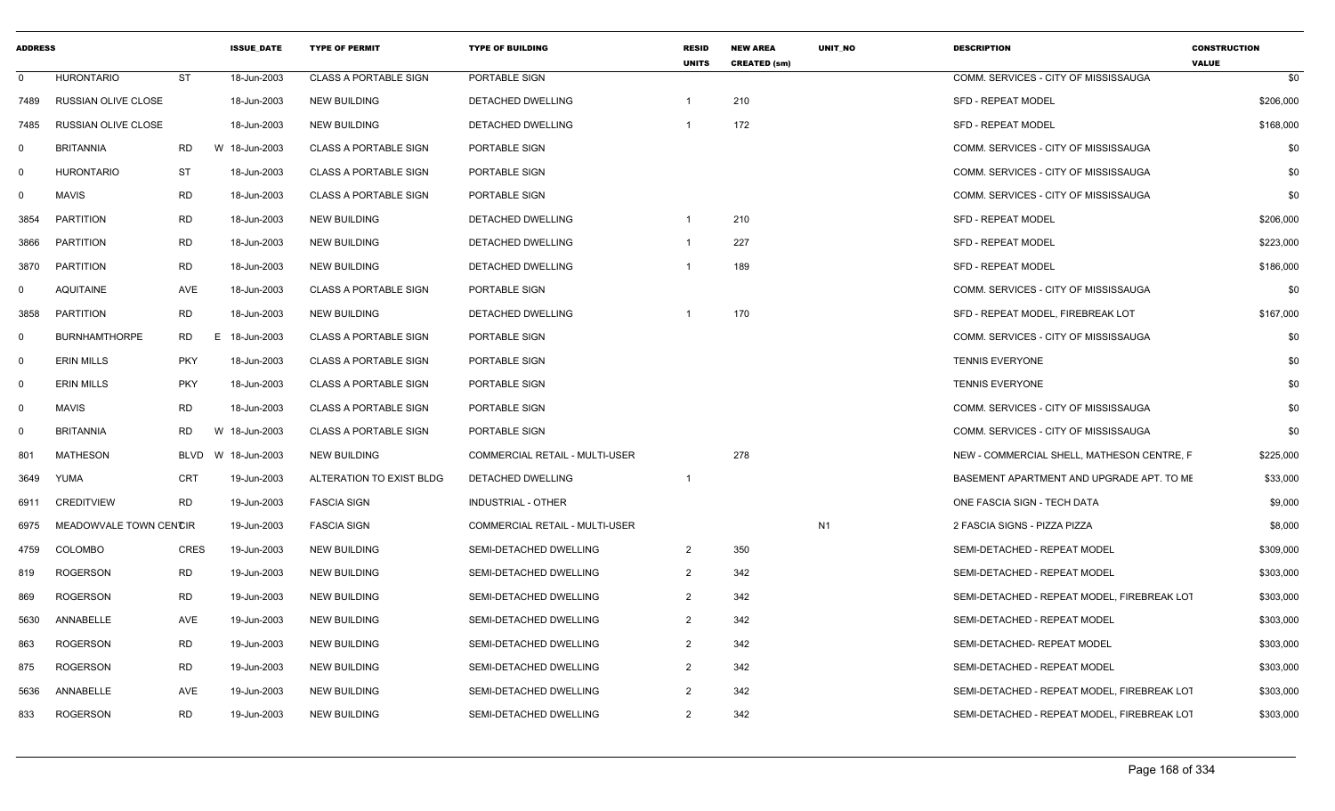| <b>ADDRESS</b> |                            |             | <b>ISSUE DATE</b> | <b>TYPE OF PERMIT</b>        | <b>TYPE OF BUILDING</b>        | <b>RESID</b><br><b>UNITS</b> | <b>NEW AREA</b><br><b>CREATED (sm)</b> | UNIT_NO        | <b>DESCRIPTION</b>                          | <b>CONSTRUCTION</b><br><b>VALUE</b> |
|----------------|----------------------------|-------------|-------------------|------------------------------|--------------------------------|------------------------------|----------------------------------------|----------------|---------------------------------------------|-------------------------------------|
| $\mathbf 0$    | <b>HURONTARIO</b>          | <b>ST</b>   | 18-Jun-2003       | <b>CLASS A PORTABLE SIGN</b> | PORTABLE SIGN                  |                              |                                        |                | COMM. SERVICES - CITY OF MISSISSAUGA        | \$0                                 |
| 7489           | <b>RUSSIAN OLIVE CLOSE</b> |             | 18-Jun-2003       | <b>NEW BUILDING</b>          | DETACHED DWELLING              |                              | 210                                    |                | <b>SFD - REPEAT MODEL</b>                   | \$206,000                           |
| 7485           | <b>RUSSIAN OLIVE CLOSE</b> |             | 18-Jun-2003       | <b>NEW BUILDING</b>          | DETACHED DWELLING              |                              | 172                                    |                | <b>SFD - REPEAT MODEL</b>                   | \$168,000                           |
| 0              | <b>BRITANNIA</b>           | RD          | W 18-Jun-2003     | <b>CLASS A PORTABLE SIGN</b> | PORTABLE SIGN                  |                              |                                        |                | COMM. SERVICES - CITY OF MISSISSAUGA        | \$0                                 |
| 0              | <b>HURONTARIO</b>          | ST          | 18-Jun-2003       | <b>CLASS A PORTABLE SIGN</b> | PORTABLE SIGN                  |                              |                                        |                | COMM. SERVICES - CITY OF MISSISSAUGA        | \$0                                 |
| $\mathbf 0$    | MAVIS                      | RD          | 18-Jun-2003       | <b>CLASS A PORTABLE SIGN</b> | PORTABLE SIGN                  |                              |                                        |                | COMM. SERVICES - CITY OF MISSISSAUGA        | \$0                                 |
| 3854           | <b>PARTITION</b>           | RD          | 18-Jun-2003       | <b>NEW BUILDING</b>          | DETACHED DWELLING              |                              | 210                                    |                | <b>SFD - REPEAT MODEL</b>                   | \$206,000                           |
| 3866           | <b>PARTITION</b>           | <b>RD</b>   | 18-Jun-2003       | <b>NEW BUILDING</b>          | DETACHED DWELLING              |                              | 227                                    |                | <b>SFD - REPEAT MODEL</b>                   | \$223,000                           |
| 3870           | <b>PARTITION</b>           | <b>RD</b>   | 18-Jun-2003       | <b>NEW BUILDING</b>          | DETACHED DWELLING              |                              | 189                                    |                | <b>SFD - REPEAT MODEL</b>                   | \$186,000                           |
| 0              | <b>AQUITAINE</b>           | AVE         | 18-Jun-2003       | <b>CLASS A PORTABLE SIGN</b> | PORTABLE SIGN                  |                              |                                        |                | COMM. SERVICES - CITY OF MISSISSAUGA        | \$0                                 |
| 3858           | <b>PARTITION</b>           | <b>RD</b>   | 18-Jun-2003       | <b>NEW BUILDING</b>          | <b>DETACHED DWELLING</b>       |                              | 170                                    |                | SFD - REPEAT MODEL, FIREBREAK LOT           | \$167,000                           |
| $\mathbf 0$    | <b>BURNHAMTHORPE</b>       | RD          | 18-Jun-2003<br>Е. | <b>CLASS A PORTABLE SIGN</b> | PORTABLE SIGN                  |                              |                                        |                | COMM. SERVICES - CITY OF MISSISSAUGA        | \$0                                 |
| $\mathbf 0$    | ERIN MILLS                 | <b>PKY</b>  | 18-Jun-2003       | <b>CLASS A PORTABLE SIGN</b> | PORTABLE SIGN                  |                              |                                        |                | <b>TENNIS EVERYONE</b>                      | \$0                                 |
| $\mathbf 0$    | <b>ERIN MILLS</b>          | <b>PKY</b>  | 18-Jun-2003       | <b>CLASS A PORTABLE SIGN</b> | PORTABLE SIGN                  |                              |                                        |                | <b>TENNIS EVERYONE</b>                      | \$0                                 |
| $\mathbf 0$    | MAVIS                      | <b>RD</b>   | 18-Jun-2003       | <b>CLASS A PORTABLE SIGN</b> | PORTABLE SIGN                  |                              |                                        |                | COMM. SERVICES - CITY OF MISSISSAUGA        | \$0                                 |
| $\mathbf 0$    | <b>BRITANNIA</b>           | <b>RD</b>   | W<br>18-Jun-2003  | <b>CLASS A PORTABLE SIGN</b> | PORTABLE SIGN                  |                              |                                        |                | COMM. SERVICES - CITY OF MISSISSAUGA        | \$0                                 |
| 801            | MATHESON                   | BLVD        | W 18-Jun-2003     | <b>NEW BUILDING</b>          | COMMERCIAL RETAIL - MULTI-USER |                              | 278                                    |                | NEW - COMMERCIAL SHELL, MATHESON CENTRE, F  | \$225,000                           |
| 3649           | YUMA                       | CRT         | 19-Jun-2003       | ALTERATION TO EXIST BLDG     | DETACHED DWELLING              |                              |                                        |                | BASEMENT APARTMENT AND UPGRADE APT. TO ME   | \$33,000                            |
| 6911           | <b>CREDITVIEW</b>          | <b>RD</b>   | 19-Jun-2003       | <b>FASCIA SIGN</b>           | INDUSTRIAL - OTHER             |                              |                                        |                | ONE FASCIA SIGN - TECH DATA                 | \$9,000                             |
| 6975           | MEADOWVALE TOWN CENCIR     |             | 19-Jun-2003       | <b>FASCIA SIGN</b>           | COMMERCIAL RETAIL - MULTI-USER |                              |                                        | N <sub>1</sub> | 2 FASCIA SIGNS - PIZZA PIZZA                | \$8,000                             |
| 4759           | <b>COLOMBO</b>             | <b>CRES</b> | 19-Jun-2003       | <b>NEW BUILDING</b>          | SEMI-DETACHED DWELLING         | 2                            | 350                                    |                | SEMI-DETACHED - REPEAT MODEL                | \$309,000                           |
| 819            | <b>ROGERSON</b>            | RD          | 19-Jun-2003       | <b>NEW BUILDING</b>          | SEMI-DETACHED DWELLING         | 2                            | 342                                    |                | SEMI-DETACHED - REPEAT MODEL                | \$303,000                           |
| 869            | <b>ROGERSON</b>            | <b>RD</b>   | 19-Jun-2003       | <b>NEW BUILDING</b>          | SEMI-DETACHED DWELLING         | 2                            | 342                                    |                | SEMI-DETACHED - REPEAT MODEL, FIREBREAK LOT | \$303,000                           |
| 5630           | ANNABELLE                  | AVE         | 19-Jun-2003       | <b>NEW BUILDING</b>          | SEMI-DETACHED DWELLING         | 2                            | 342                                    |                | SEMI-DETACHED - REPEAT MODEL                | \$303,000                           |
| 863            | <b>ROGERSON</b>            | RD          | 19-Jun-2003       | <b>NEW BUILDING</b>          | SEMI-DETACHED DWELLING         |                              | 342                                    |                | SEMI-DETACHED- REPEAT MODEL                 | \$303,000                           |
| 875            | <b>ROGERSON</b>            | RD          | 19-Jun-2003       | <b>NEW BUILDING</b>          | SEMI-DETACHED DWELLING         | 2                            | 342                                    |                | SEMI-DETACHED - REPEAT MODEL                | \$303,000                           |
| 5636           | ANNABELLE                  | AVE         | 19-Jun-2003       | <b>NEW BUILDING</b>          | SEMI-DETACHED DWELLING         |                              | 342                                    |                | SEMI-DETACHED - REPEAT MODEL, FIREBREAK LOT | \$303,000                           |
| 833            | <b>ROGERSON</b>            | RD          | 19-Jun-2003       | <b>NEW BUILDING</b>          | SEMI-DETACHED DWELLING         | 2                            | 342                                    |                | SEMI-DETACHED - REPEAT MODEL, FIREBREAK LOT | \$303,000                           |
|                |                            |             |                   |                              |                                |                              |                                        |                |                                             |                                     |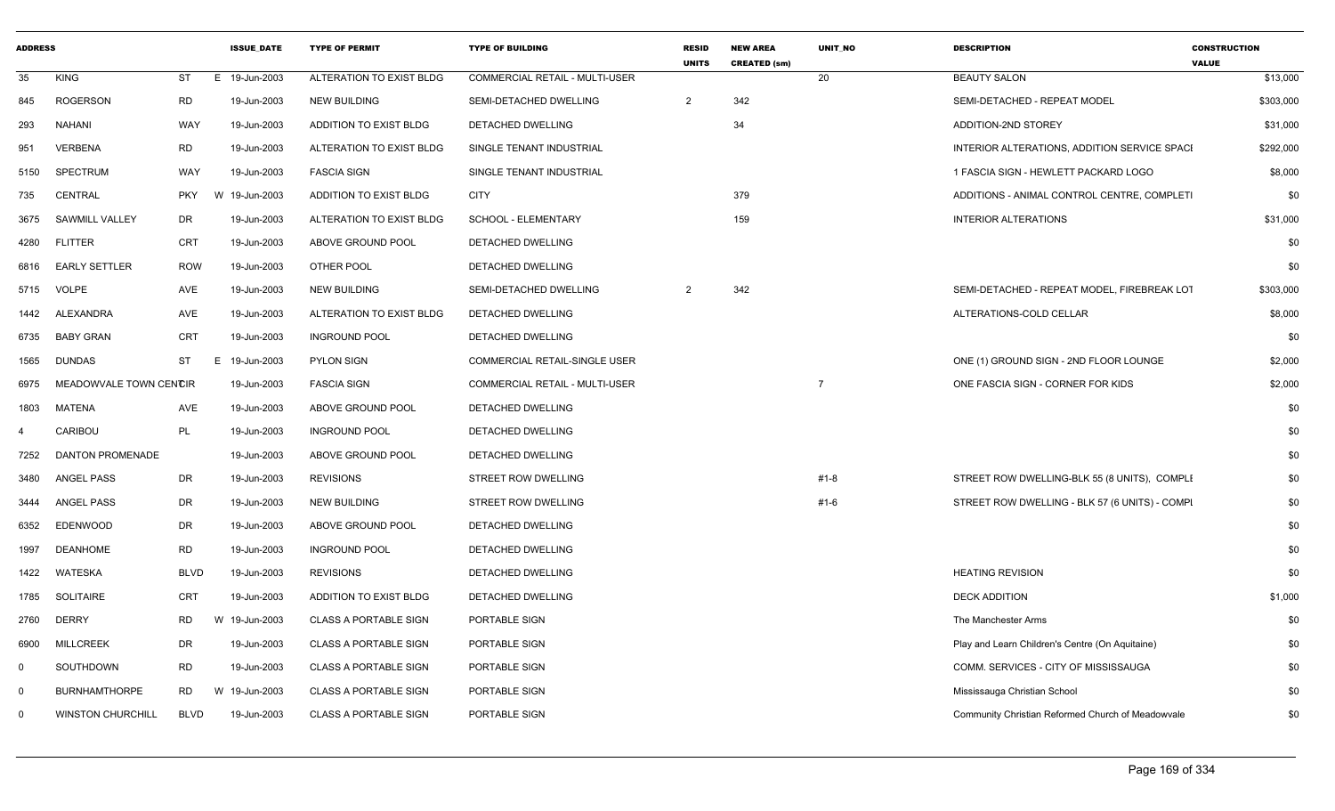| <b>ADDRESS</b> |                          |                 | <b>ISSUE DATE</b> | <b>TYPE OF PERMIT</b>        | <b>TYPE OF BUILDING</b>        | <b>RESID</b><br><b>UNITS</b> | <b>NEW AREA</b><br><b>CREATED (sm)</b> | <b>UNIT NO</b> | <b>DESCRIPTION</b>                                | <b>CONSTRUCTION</b><br><b>VALUE</b> |
|----------------|--------------------------|-----------------|-------------------|------------------------------|--------------------------------|------------------------------|----------------------------------------|----------------|---------------------------------------------------|-------------------------------------|
| 35             | <b>KING</b>              | ST<br>E         | 19-Jun-2003       | ALTERATION TO EXIST BLDG     | COMMERCIAL RETAIL - MULTI-USER |                              |                                        | 20             | <b>BEAUTY SALON</b>                               | \$13,000                            |
| 845            | <b>ROGERSON</b>          | <b>RD</b>       | 19-Jun-2003       | <b>NEW BUILDING</b>          | SEMI-DETACHED DWELLING         | $\overline{2}$               | 342                                    |                | SEMI-DETACHED - REPEAT MODEL                      | \$303,000                           |
| 293            | <b>NAHANI</b>            | <b>WAY</b>      | 19-Jun-2003       | ADDITION TO EXIST BLDG       | DETACHED DWELLING              |                              | 34                                     |                | ADDITION-2ND STOREY                               | \$31,000                            |
| 951            | <b>VERBENA</b>           | <b>RD</b>       | 19-Jun-2003       | ALTERATION TO EXIST BLDG     | SINGLE TENANT INDUSTRIAL       |                              |                                        |                | INTERIOR ALTERATIONS, ADDITION SERVICE SPACI      | \$292,000                           |
| 5150           | <b>SPECTRUM</b>          | <b>WAY</b>      | 19-Jun-2003       | <b>FASCIA SIGN</b>           | SINGLE TENANT INDUSTRIAL       |                              |                                        |                | 1 FASCIA SIGN - HEWLETT PACKARD LOGO              | \$8,000                             |
| 735            | CENTRAL                  | <b>PKY</b><br>W | 19-Jun-2003       | ADDITION TO EXIST BLDG       | <b>CITY</b>                    |                              | 379                                    |                | ADDITIONS - ANIMAL CONTROL CENTRE, COMPLETI       | \$0                                 |
| 3675           | <b>SAWMILL VALLEY</b>    | DR              | 19-Jun-2003       | ALTERATION TO EXIST BLDG     | SCHOOL - ELEMENTARY            |                              | 159                                    |                | <b>INTERIOR ALTERATIONS</b>                       | \$31,000                            |
| 4280           | <b>FLITTER</b>           | <b>CRT</b>      | 19-Jun-2003       | ABOVE GROUND POOL            | DETACHED DWELLING              |                              |                                        |                |                                                   | \$0                                 |
| 6816           | <b>EARLY SETTLER</b>     | <b>ROW</b>      | 19-Jun-2003       | OTHER POOL                   | DETACHED DWELLING              |                              |                                        |                |                                                   | \$0                                 |
| 5715           | VOLPE                    | AVE             | 19-Jun-2003       | <b>NEW BUILDING</b>          | SEMI-DETACHED DWELLING         | $\overline{2}$               | 342                                    |                | SEMI-DETACHED - REPEAT MODEL, FIREBREAK LOT       | \$303,000                           |
| 1442           | <b>ALEXANDRA</b>         | AVE             | 19-Jun-2003       | ALTERATION TO EXIST BLDG     | DETACHED DWELLING              |                              |                                        |                | ALTERATIONS-COLD CELLAR                           | \$8,000                             |
| 6735           | BABY GRAN                | <b>CRT</b>      | 19-Jun-2003       | <b>INGROUND POOL</b>         | DETACHED DWELLING              |                              |                                        |                |                                                   | \$0                                 |
| 1565           | <b>DUNDAS</b>            | ST              | E 19-Jun-2003     | <b>PYLON SIGN</b>            | COMMERCIAL RETAIL-SINGLE USER  |                              |                                        |                | ONE (1) GROUND SIGN - 2ND FLOOR LOUNGE            | \$2,000                             |
| 6975           | MEADOWVALE TOWN CENCIR   |                 | 19-Jun-2003       | <b>FASCIA SIGN</b>           | COMMERCIAL RETAIL - MULTI-USER |                              |                                        | $\overline{7}$ | ONE FASCIA SIGN - CORNER FOR KIDS                 | \$2,000                             |
| 1803           | <b>MATENA</b>            | AVE             | 19-Jun-2003       | ABOVE GROUND POOL            | DETACHED DWELLING              |                              |                                        |                |                                                   | \$0                                 |
| $\overline{a}$ | CARIBOU                  | PL              | 19-Jun-2003       | <b>INGROUND POOL</b>         | DETACHED DWELLING              |                              |                                        |                |                                                   | \$0                                 |
| 7252           | <b>DANTON PROMENADE</b>  |                 | 19-Jun-2003       | ABOVE GROUND POOL            | DETACHED DWELLING              |                              |                                        |                |                                                   | \$0                                 |
| 3480           | ANGEL PASS               | DR              | 19-Jun-2003       | <b>REVISIONS</b>             | STREET ROW DWELLING            |                              |                                        | #1-8           | STREET ROW DWELLING-BLK 55 (8 UNITS), COMPLI      | \$0                                 |
| 3444           | <b>ANGEL PASS</b>        | DR              | 19-Jun-2003       | <b>NEW BUILDING</b>          | <b>STREET ROW DWELLING</b>     |                              |                                        | #1-6           | STREET ROW DWELLING - BLK 57 (6 UNITS) - COMPI    | \$0                                 |
| 6352           | EDENWOOD                 | DR              | 19-Jun-2003       | ABOVE GROUND POOL            | DETACHED DWELLING              |                              |                                        |                |                                                   | \$0                                 |
| 1997           | <b>DEANHOME</b>          | <b>RD</b>       | 19-Jun-2003       | <b>INGROUND POOL</b>         | DETACHED DWELLING              |                              |                                        |                |                                                   | \$0                                 |
| 1422           | WATESKA                  | <b>BLVD</b>     | 19-Jun-2003       | <b>REVISIONS</b>             | <b>DETACHED DWELLING</b>       |                              |                                        |                | <b>HEATING REVISION</b>                           | \$0                                 |
| 1785           | <b>SOLITAIRE</b>         | CRT             | 19-Jun-2003       | ADDITION TO EXIST BLDG       | DETACHED DWELLING              |                              |                                        |                | <b>DECK ADDITION</b>                              | \$1,000                             |
| 2760           | <b>DERRY</b>             | <b>RD</b><br>W  | 19-Jun-2003       | <b>CLASS A PORTABLE SIGN</b> | PORTABLE SIGN                  |                              |                                        |                | The Manchester Arms                               | \$0                                 |
| 6900           | <b>MILLCREEK</b>         | <b>DR</b>       | 19-Jun-2003       | <b>CLASS A PORTABLE SIGN</b> | PORTABLE SIGN                  |                              |                                        |                | Play and Learn Children's Centre (On Aquitaine)   | \$0                                 |
| $\mathbf 0$    | SOUTHDOWN                | <b>RD</b>       | 19-Jun-2003       | <b>CLASS A PORTABLE SIGN</b> | PORTABLE SIGN                  |                              |                                        |                | COMM. SERVICES - CITY OF MISSISSAUGA              | \$0                                 |
| $\mathbf 0$    | <b>BURNHAMTHORPE</b>     | <b>RD</b><br>W  | 19-Jun-2003       | <b>CLASS A PORTABLE SIGN</b> | PORTABLE SIGN                  |                              |                                        |                | Mississauga Christian School                      | \$0                                 |
| $\Omega$       | <b>WINSTON CHURCHILL</b> | <b>BLVD</b>     | 19-Jun-2003       | <b>CLASS A PORTABLE SIGN</b> | PORTABLE SIGN                  |                              |                                        |                | Community Christian Reformed Church of Meadowvale | \$0                                 |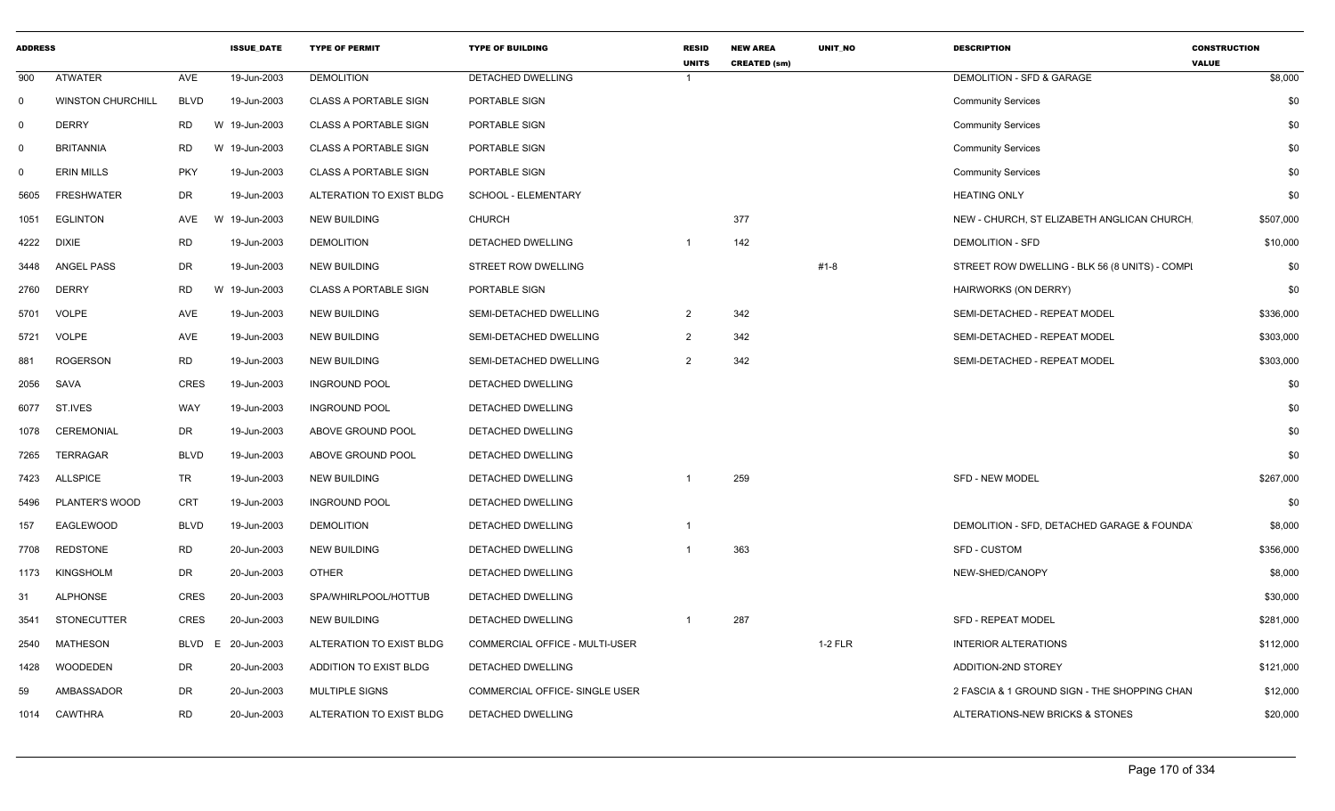| <b>ADDRESS</b> |                          |             | <b>ISSUE DATE</b> | <b>TYPE OF PERMIT</b>        | <b>TYPE OF BUILDING</b>        | <b>RESID</b><br><b>UNITS</b> | <b>NEW AREA</b><br><b>CREATED (sm)</b> | UNIT_NO | <b>DESCRIPTION</b>                             | <b>CONSTRUCTION</b><br><b>VALUE</b> |
|----------------|--------------------------|-------------|-------------------|------------------------------|--------------------------------|------------------------------|----------------------------------------|---------|------------------------------------------------|-------------------------------------|
| 900            | <b>ATWATER</b>           | AVE         | 19-Jun-2003       | <b>DEMOLITION</b>            | <b>DETACHED DWELLING</b>       |                              |                                        |         | DEMOLITION - SFD & GARAGE                      | \$8,000                             |
| $\mathbf 0$    | <b>WINSTON CHURCHILL</b> | <b>BLVD</b> | 19-Jun-2003       | <b>CLASS A PORTABLE SIGN</b> | PORTABLE SIGN                  |                              |                                        |         | <b>Community Services</b>                      | \$0                                 |
| $\mathbf 0$    | <b>DERRY</b>             | RD          | W 19-Jun-2003     | <b>CLASS A PORTABLE SIGN</b> | PORTABLE SIGN                  |                              |                                        |         | <b>Community Services</b>                      | \$0                                 |
| $\mathbf 0$    | <b>BRITANNIA</b>         | <b>RD</b>   | W 19-Jun-2003     | <b>CLASS A PORTABLE SIGN</b> | PORTABLE SIGN                  |                              |                                        |         | <b>Community Services</b>                      | \$0                                 |
| $\mathbf 0$    | <b>ERIN MILLS</b>        | <b>PKY</b>  | 19-Jun-2003       | <b>CLASS A PORTABLE SIGN</b> | PORTABLE SIGN                  |                              |                                        |         | <b>Community Services</b>                      | \$0                                 |
| 5605           | <b>FRESHWATER</b>        | <b>DR</b>   | 19-Jun-2003       | ALTERATION TO EXIST BLDG     | <b>SCHOOL - ELEMENTARY</b>     |                              |                                        |         | <b>HEATING ONLY</b>                            | \$0                                 |
| 1051           | <b>EGLINTON</b>          | AVE         | W 19-Jun-2003     | <b>NEW BUILDING</b>          | <b>CHURCH</b>                  |                              | 377                                    |         | NEW - CHURCH, ST ELIZABETH ANGLICAN CHURCH     | \$507,000                           |
| 4222           | <b>DIXIE</b>             | <b>RD</b>   | 19-Jun-2003       | <b>DEMOLITION</b>            | <b>DETACHED DWELLING</b>       | -1                           | 142                                    |         | <b>DEMOLITION - SFD</b>                        | \$10,000                            |
| 3448           | <b>ANGEL PASS</b>        | <b>DR</b>   | 19-Jun-2003       | <b>NEW BUILDING</b>          | STREET ROW DWELLING            |                              |                                        | #1-8    | STREET ROW DWELLING - BLK 56 (8 UNITS) - COMPI | \$0                                 |
| 2760           | <b>DERRY</b>             | <b>RD</b>   | W 19-Jun-2003     | <b>CLASS A PORTABLE SIGN</b> | PORTABLE SIGN                  |                              |                                        |         | HAIRWORKS (ON DERRY)                           | \$0                                 |
| 5701           | <b>VOLPE</b>             | AVE         | 19-Jun-2003       | <b>NEW BUILDING</b>          | SEMI-DETACHED DWELLING         | 2                            | 342                                    |         | SEMI-DETACHED - REPEAT MODEL                   | \$336,000                           |
| 5721           | <b>VOLPE</b>             | <b>AVE</b>  | 19-Jun-2003       | <b>NEW BUILDING</b>          | SEMI-DETACHED DWELLING         | 2                            | 342                                    |         | SEMI-DETACHED - REPEAT MODEL                   | \$303,000                           |
| 881            | <b>ROGERSON</b>          | <b>RD</b>   | 19-Jun-2003       | <b>NEW BUILDING</b>          | SEMI-DETACHED DWELLING         | $\mathcal{P}$                | 342                                    |         | SEMI-DETACHED - REPEAT MODEL                   | \$303,000                           |
| 2056           | SAVA                     | <b>CRES</b> | 19-Jun-2003       | <b>INGROUND POOL</b>         | DETACHED DWELLING              |                              |                                        |         |                                                | \$0                                 |
| 6077           | ST.IVES                  | WAY         | 19-Jun-2003       | <b>INGROUND POOL</b>         | DETACHED DWELLING              |                              |                                        |         |                                                | \$0                                 |
| 1078           | <b>CEREMONIAL</b>        | DR          | 19-Jun-2003       | ABOVE GROUND POOL            | <b>DETACHED DWELLING</b>       |                              |                                        |         |                                                | \$0                                 |
| 7265           | <b>TERRAGAR</b>          | <b>BLVD</b> | 19-Jun-2003       | ABOVE GROUND POOL            | DETACHED DWELLING              |                              |                                        |         |                                                | \$0                                 |
| 7423           | <b>ALLSPICE</b>          | TR          | 19-Jun-2003       | <b>NEW BUILDING</b>          | DETACHED DWELLING              | $\mathbf{1}$                 | 259                                    |         | <b>SFD - NEW MODEL</b>                         | \$267,000                           |
| 5496           | PLANTER'S WOOD           | CRT         | 19-Jun-2003       | <b>INGROUND POOL</b>         | DETACHED DWELLING              |                              |                                        |         |                                                | \$0                                 |
| 157            | <b>EAGLEWOOD</b>         | <b>BLVD</b> | 19-Jun-2003       | <b>DEMOLITION</b>            | DETACHED DWELLING              | -1                           |                                        |         | DEMOLITION - SFD, DETACHED GARAGE & FOUNDA     | \$8,000                             |
| 7708           | <b>REDSTONE</b>          | <b>RD</b>   | 20-Jun-2003       | <b>NEW BUILDING</b>          | DETACHED DWELLING              |                              | 363                                    |         | <b>SFD - CUSTOM</b>                            | \$356,000                           |
| 1173           | <b>KINGSHOLM</b>         | DR          | 20-Jun-2003       | <b>OTHER</b>                 | DETACHED DWELLING              |                              |                                        |         | NEW-SHED/CANOPY                                | \$8,000                             |
| -31            | <b>ALPHONSE</b>          | <b>CRES</b> | 20-Jun-2003       | SPA/WHIRLPOOL/HOTTUB         | DETACHED DWELLING              |                              |                                        |         |                                                | \$30,000                            |
| 3541           | <b>STONECUTTER</b>       | CRES        | 20-Jun-2003       | <b>NEW BUILDING</b>          | DETACHED DWELLING              | -1                           | 287                                    |         | <b>SFD - REPEAT MODEL</b>                      | \$281,000                           |
| 2540           | <b>MATHESON</b>          | BLVD        | 20-Jun-2003<br>E  | ALTERATION TO EXIST BLDG     | COMMERCIAL OFFICE - MULTI-USER |                              |                                        | 1-2 FLR | <b>INTERIOR ALTERATIONS</b>                    | \$112,000                           |
| 1428           | <b>WOODEDEN</b>          | <b>DR</b>   | 20-Jun-2003       | ADDITION TO EXIST BLDG       | DETACHED DWELLING              |                              |                                        |         | ADDITION-2ND STOREY                            | \$121,000                           |
| 59             | AMBASSADOR               | DR          | 20-Jun-2003       | MULTIPLE SIGNS               | COMMERCIAL OFFICE- SINGLE USER |                              |                                        |         | 2 FASCIA & 1 GROUND SIGN - THE SHOPPING CHAN   | \$12,000                            |
| 1014           | CAWTHRA                  | <b>RD</b>   | 20-Jun-2003       | ALTERATION TO EXIST BLDG     | DETACHED DWELLING              |                              |                                        |         | ALTERATIONS-NEW BRICKS & STONES                | \$20,000                            |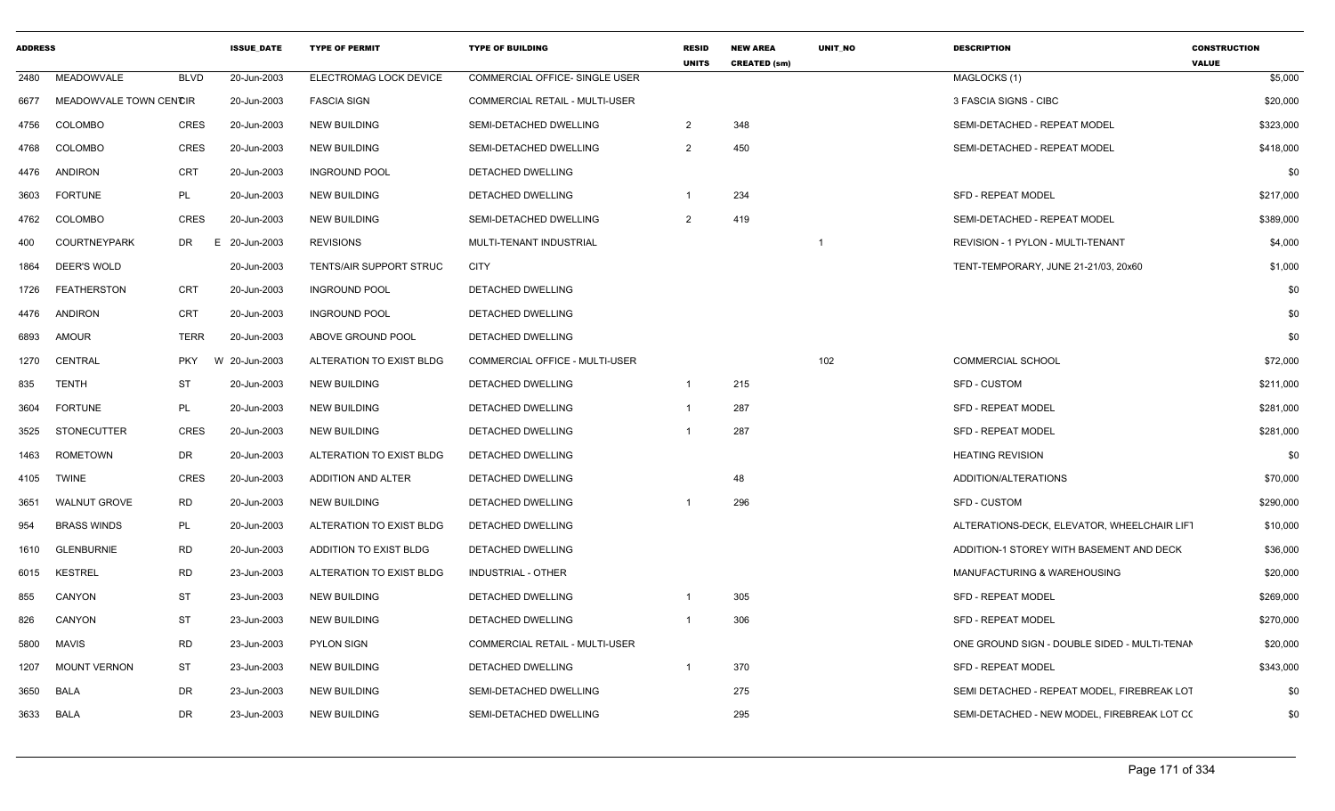| <b>ADDRESS</b> |                        |             | <b>ISSUE DATE</b> | <b>TYPE OF PERMIT</b>          | <b>TYPE OF BUILDING</b>               | <b>RESID</b><br><b>UNITS</b> | <b>NEW AREA</b><br><b>CREATED (sm)</b> | UNIT_NO | <b>DESCRIPTION</b>                           | <b>CONSTRUCTION</b><br><b>VALUE</b> |
|----------------|------------------------|-------------|-------------------|--------------------------------|---------------------------------------|------------------------------|----------------------------------------|---------|----------------------------------------------|-------------------------------------|
| 2480           | MEADOWVALE             | <b>BLVD</b> | 20-Jun-2003       | ELECTROMAG LOCK DEVICE         | COMMERCIAL OFFICE- SINGLE USER        |                              |                                        |         | MAGLOCKS (1)                                 | \$5,000                             |
| 6677           | MEADOWVALE TOWN CENCIR |             | 20-Jun-2003       | <b>FASCIA SIGN</b>             | COMMERCIAL RETAIL - MULTI-USER        |                              |                                        |         | 3 FASCIA SIGNS - CIBC                        | \$20,000                            |
| 4756           | <b>COLOMBO</b>         | <b>CRES</b> | 20-Jun-2003       | <b>NEW BUILDING</b>            | SEMI-DETACHED DWELLING                | $\overline{2}$               | 348                                    |         | SEMI-DETACHED - REPEAT MODEL                 | \$323,000                           |
| 4768           | <b>COLOMBO</b>         | <b>CRES</b> | 20-Jun-2003       | <b>NEW BUILDING</b>            | SEMI-DETACHED DWELLING                | $\overline{2}$               | 450                                    |         | SEMI-DETACHED - REPEAT MODEL                 | \$418,000                           |
| 4476           | <b>ANDIRON</b>         | <b>CRT</b>  | 20-Jun-2003       | <b>INGROUND POOL</b>           | DETACHED DWELLING                     |                              |                                        |         |                                              | \$0                                 |
| 3603           | <b>FORTUNE</b>         | PL          | 20-Jun-2003       | <b>NEW BUILDING</b>            | DETACHED DWELLING                     | -1                           | 234                                    |         | <b>SFD - REPEAT MODEL</b>                    | \$217,000                           |
| 4762           | COLOMBO                | <b>CRES</b> | 20-Jun-2003       | <b>NEW BUILDING</b>            | SEMI-DETACHED DWELLING                | 2                            | 419                                    |         | SEMI-DETACHED - REPEAT MODEL                 | \$389,000                           |
| 400            | <b>COURTNEYPARK</b>    | DR          | E 20-Jun-2003     | <b>REVISIONS</b>               | MULTI-TENANT INDUSTRIAL               |                              |                                        |         | REVISION - 1 PYLON - MULTI-TENANT            | \$4,000                             |
| 1864           | DEER'S WOLD            |             | 20-Jun-2003       | <b>TENTS/AIR SUPPORT STRUC</b> | <b>CITY</b>                           |                              |                                        |         | TENT-TEMPORARY, JUNE 21-21/03, 20x60         | \$1,000                             |
| 1726           | <b>FEATHERSTON</b>     | CRT         | 20-Jun-2003       | <b>INGROUND POOL</b>           | DETACHED DWELLING                     |                              |                                        |         |                                              | \$0                                 |
| 4476           | ANDIRON                | CRT         | 20-Jun-2003       | <b>INGROUND POOL</b>           | DETACHED DWELLING                     |                              |                                        |         |                                              | \$0                                 |
| 6893           | <b>AMOUR</b>           | <b>TERR</b> | 20-Jun-2003       | ABOVE GROUND POOL              | <b>DETACHED DWELLING</b>              |                              |                                        |         |                                              | \$0                                 |
| 1270           | CENTRAL                | PKY         | W 20-Jun-2003     | ALTERATION TO EXIST BLDG       | <b>COMMERCIAL OFFICE - MULTI-USER</b> |                              |                                        | 102     | <b>COMMERCIAL SCHOOL</b>                     | \$72,000                            |
| 835            | <b>TENTH</b>           | ST          | 20-Jun-2003       | <b>NEW BUILDING</b>            | DETACHED DWELLING                     | -1                           | 215                                    |         | SFD - CUSTOM                                 | \$211,000                           |
| 3604           | <b>FORTUNE</b>         | PL          | 20-Jun-2003       | <b>NEW BUILDING</b>            | DETACHED DWELLING                     |                              | 287                                    |         | <b>SFD - REPEAT MODEL</b>                    | \$281,000                           |
| 3525           | <b>STONECUTTER</b>     | <b>CRES</b> | 20-Jun-2003       | <b>NEW BUILDING</b>            | DETACHED DWELLING                     |                              | 287                                    |         | <b>SFD - REPEAT MODEL</b>                    | \$281,000                           |
| 1463           | ROMETOWN               | DR          | 20-Jun-2003       | ALTERATION TO EXIST BLDG       | DETACHED DWELLING                     |                              |                                        |         | <b>HEATING REVISION</b>                      | \$0                                 |
| 4105           | <b>TWINE</b>           | <b>CRES</b> | 20-Jun-2003       | ADDITION AND ALTER             | DETACHED DWELLING                     |                              | 48                                     |         | ADDITION/ALTERATIONS                         | \$70,000                            |
| 3651           | <b>WALNUT GROVE</b>    | <b>RD</b>   | 20-Jun-2003       | <b>NEW BUILDING</b>            | DETACHED DWELLING                     |                              | 296                                    |         | SFD - CUSTOM                                 | \$290,000                           |
| 954            | <b>BRASS WINDS</b>     | PL          | 20-Jun-2003       | ALTERATION TO EXIST BLDG       | DETACHED DWELLING                     |                              |                                        |         | ALTERATIONS-DECK, ELEVATOR, WHEELCHAIR LIFT  | \$10,000                            |
| 1610           | <b>GLENBURNIE</b>      | <b>RD</b>   | 20-Jun-2003       | ADDITION TO EXIST BLDG         | DETACHED DWELLING                     |                              |                                        |         | ADDITION-1 STOREY WITH BASEMENT AND DECK     | \$36,000                            |
| 6015           | <b>KESTREL</b>         | <b>RD</b>   | 23-Jun-2003       | ALTERATION TO EXIST BLDG       | INDUSTRIAL - OTHER                    |                              |                                        |         | MANUFACTURING & WAREHOUSING                  | \$20,000                            |
| 855            | CANYON                 | ST          | 23-Jun-2003       | <b>NEW BUILDING</b>            | DETACHED DWELLING                     |                              | 305                                    |         | <b>SFD - REPEAT MODEL</b>                    | \$269,000                           |
| 826            | CANYON                 | ST          | 23-Jun-2003       | <b>NEW BUILDING</b>            | DETACHED DWELLING                     |                              | 306                                    |         | <b>SFD - REPEAT MODEL</b>                    | \$270,000                           |
| 5800           | MAVIS                  | RD          | 23-Jun-2003       | PYLON SIGN                     | COMMERCIAL RETAIL - MULTI-USER        |                              |                                        |         | ONE GROUND SIGN - DOUBLE SIDED - MULTI-TENAN | \$20,000                            |
| 1207           | <b>MOUNT VERNON</b>    | ST          | 23-Jun-2003       | <b>NEW BUILDING</b>            | DETACHED DWELLING                     | -1                           | 370                                    |         | <b>SFD - REPEAT MODEL</b>                    | \$343,000                           |
| 3650           | BALA                   | DR          | 23-Jun-2003       | <b>NEW BUILDING</b>            | SEMI-DETACHED DWELLING                |                              | 275                                    |         | SEMI DETACHED - REPEAT MODEL, FIREBREAK LOT  | \$0                                 |
|                | 3633 BALA              | DR          | 23-Jun-2003       | <b>NEW BUILDING</b>            | SEMI-DETACHED DWELLING                |                              | 295                                    |         | SEMI-DETACHED - NEW MODEL, FIREBREAK LOT CO  | \$0                                 |
|                |                        |             |                   |                                |                                       |                              |                                        |         |                                              |                                     |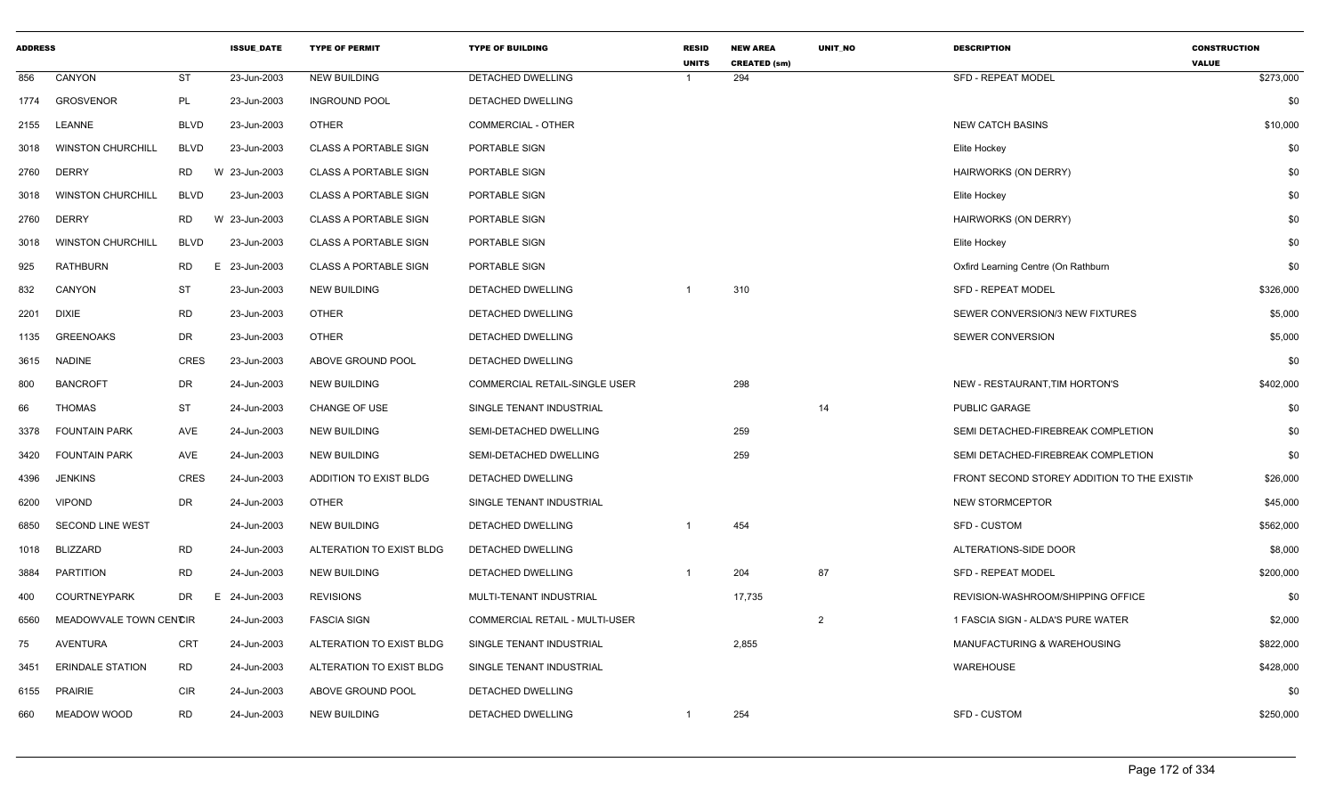| <b>ADDRESS</b> |                          |             | <b>ISSUE DATE</b> | <b>TYPE OF PERMIT</b>        | <b>TYPE OF BUILDING</b>        | <b>RESID</b><br><b>UNITS</b> | <b>NEW AREA</b><br><b>CREATED (sm)</b> | <b>UNIT NO</b> | <b>DESCRIPTION</b>                          | <b>CONSTRUCTION</b><br><b>VALUE</b> |
|----------------|--------------------------|-------------|-------------------|------------------------------|--------------------------------|------------------------------|----------------------------------------|----------------|---------------------------------------------|-------------------------------------|
| 856            | CANYON                   | <b>ST</b>   | 23-Jun-2003       | <b>NEW BUILDING</b>          | <b>DETACHED DWELLING</b>       |                              | 294                                    |                | <b>SFD - REPEAT MODEL</b>                   | \$273,000                           |
| 1774           | <b>GROSVENOR</b>         | <b>PL</b>   | 23-Jun-2003       | <b>INGROUND POOL</b>         | DETACHED DWELLING              |                              |                                        |                |                                             | \$0                                 |
| 2155           | LEANNE                   | <b>BLVD</b> | 23-Jun-2003       | <b>OTHER</b>                 | COMMERCIAL - OTHER             |                              |                                        |                | <b>NEW CATCH BASINS</b>                     | \$10,000                            |
| 3018           | <b>WINSTON CHURCHILL</b> | <b>BLVD</b> | 23-Jun-2003       | <b>CLASS A PORTABLE SIGN</b> | PORTABLE SIGN                  |                              |                                        |                | Elite Hockey                                | \$0                                 |
| 2760           | <b>DERRY</b>             | RD          | W 23-Jun-2003     | <b>CLASS A PORTABLE SIGN</b> | PORTABLE SIGN                  |                              |                                        |                | <b>HAIRWORKS (ON DERRY)</b>                 | \$0                                 |
| 3018           | <b>WINSTON CHURCHILL</b> | <b>BLVD</b> | 23-Jun-2003       | <b>CLASS A PORTABLE SIGN</b> | PORTABLE SIGN                  |                              |                                        |                | Elite Hockey                                | \$0                                 |
| 2760           | <b>DERRY</b>             | RD          | W 23-Jun-2003     | <b>CLASS A PORTABLE SIGN</b> | PORTABLE SIGN                  |                              |                                        |                | HAIRWORKS (ON DERRY)                        | \$0                                 |
| 3018           | <b>WINSTON CHURCHILL</b> | <b>BLVD</b> | 23-Jun-2003       | <b>CLASS A PORTABLE SIGN</b> | PORTABLE SIGN                  |                              |                                        |                | Elite Hockey                                | \$0                                 |
| 925            | RATHBURN                 | RD          | E.<br>23-Jun-2003 | <b>CLASS A PORTABLE SIGN</b> | PORTABLE SIGN                  |                              |                                        |                | Oxfird Learning Centre (On Rathburn         | \$0                                 |
| 832            | CANYON                   | ST          | 23-Jun-2003       | <b>NEW BUILDING</b>          | DETACHED DWELLING              |                              | 310                                    |                | <b>SFD - REPEAT MODEL</b>                   | \$326,000                           |
| 2201           | DIXIE                    | <b>RD</b>   | 23-Jun-2003       | <b>OTHER</b>                 | <b>DETACHED DWELLING</b>       |                              |                                        |                | SEWER CONVERSION/3 NEW FIXTURES             | \$5,000                             |
| 1135           | <b>GREENOAKS</b>         | DR          | 23-Jun-2003       | <b>OTHER</b>                 | <b>DETACHED DWELLING</b>       |                              |                                        |                | SEWER CONVERSION                            | \$5,000                             |
| 3615           | <b>NADINE</b>            | <b>CRES</b> | 23-Jun-2003       | ABOVE GROUND POOL            | DETACHED DWELLING              |                              |                                        |                |                                             | \$0                                 |
| 800            | <b>BANCROFT</b>          | DR          | 24-Jun-2003       | NEW BUILDING                 | COMMERCIAL RETAIL-SINGLE USER  |                              | 298                                    |                | NEW - RESTAURANT, TIM HORTON'S              | \$402,000                           |
| 66             | <b>THOMAS</b>            | <b>ST</b>   | 24-Jun-2003       | <b>CHANGE OF USE</b>         | SINGLE TENANT INDUSTRIAL       |                              |                                        | 14             | PUBLIC GARAGE                               | \$0                                 |
| 3378           | <b>FOUNTAIN PARK</b>     | AVE         | 24-Jun-2003       | <b>NEW BUILDING</b>          | SEMI-DETACHED DWELLING         |                              | 259                                    |                | SEMI DETACHED-FIREBREAK COMPLETION          | \$0                                 |
| 3420           | <b>FOUNTAIN PARK</b>     | AVE         | 24-Jun-2003       | NEW BUILDING                 | SEMI-DETACHED DWELLING         |                              | 259                                    |                | SEMI DETACHED-FIREBREAK COMPLETION          | \$0                                 |
| 4396           | <b>JENKINS</b>           | <b>CRES</b> | 24-Jun-2003       | ADDITION TO EXIST BLDG       | DETACHED DWELLING              |                              |                                        |                | FRONT SECOND STOREY ADDITION TO THE EXISTIN | \$26,000                            |
| 6200           | <b>VIPOND</b>            | DR          | 24-Jun-2003       | <b>OTHER</b>                 | SINGLE TENANT INDUSTRIAL       |                              |                                        |                | <b>NEW STORMCEPTOR</b>                      | \$45,000                            |
| 6850           | <b>SECOND LINE WEST</b>  |             | 24-Jun-2003       | <b>NEW BUILDING</b>          | DETACHED DWELLING              |                              | 454                                    |                | SFD - CUSTOM                                | \$562,000                           |
| 1018           | BLIZZARD                 | <b>RD</b>   | 24-Jun-2003       | ALTERATION TO EXIST BLDG     | DETACHED DWELLING              |                              |                                        |                | ALTERATIONS-SIDE DOOR                       | \$8,000                             |
| 3884           | <b>PARTITION</b>         | RD          | 24-Jun-2003       | <b>NEW BUILDING</b>          | <b>DETACHED DWELLING</b>       |                              | 204                                    | 87             | <b>SFD - REPEAT MODEL</b>                   | \$200,000                           |
| 400            | <b>COURTNEYPARK</b>      | DR          | 24-Jun-2003<br>E. | <b>REVISIONS</b>             | MULTI-TENANT INDUSTRIAL        |                              | 17,735                                 |                | REVISION-WASHROOM/SHIPPING OFFICE           | \$0                                 |
| 6560           | MEADOWVALE TOWN CENCIR   |             | 24-Jun-2003       | <b>FASCIA SIGN</b>           | COMMERCIAL RETAIL - MULTI-USER |                              |                                        | $\overline{2}$ | 1 FASCIA SIGN - ALDA'S PURE WATER           | \$2,000                             |
| 75             | AVENTURA                 | CRT         | 24-Jun-2003       | ALTERATION TO EXIST BLDG     | SINGLE TENANT INDUSTRIAL       |                              | 2,855                                  |                | MANUFACTURING & WAREHOUSING                 | \$822,000                           |
| 3451           | <b>ERINDALE STATION</b>  | RD          | 24-Jun-2003       | ALTERATION TO EXIST BLDG     | SINGLE TENANT INDUSTRIAL       |                              |                                        |                | WAREHOUSE                                   | \$428,000                           |
| 6155           | <b>PRAIRIE</b>           | CIR         | 24-Jun-2003       | ABOVE GROUND POOL            | DETACHED DWELLING              |                              |                                        |                |                                             | \$0                                 |
| 660            | MEADOW WOOD              | <b>RD</b>   | 24-Jun-2003       | <b>NEW BUILDING</b>          | DETACHED DWELLING              |                              | 254                                    |                | <b>SFD - CUSTOM</b>                         | \$250,000                           |
|                |                          |             |                   |                              |                                |                              |                                        |                |                                             |                                     |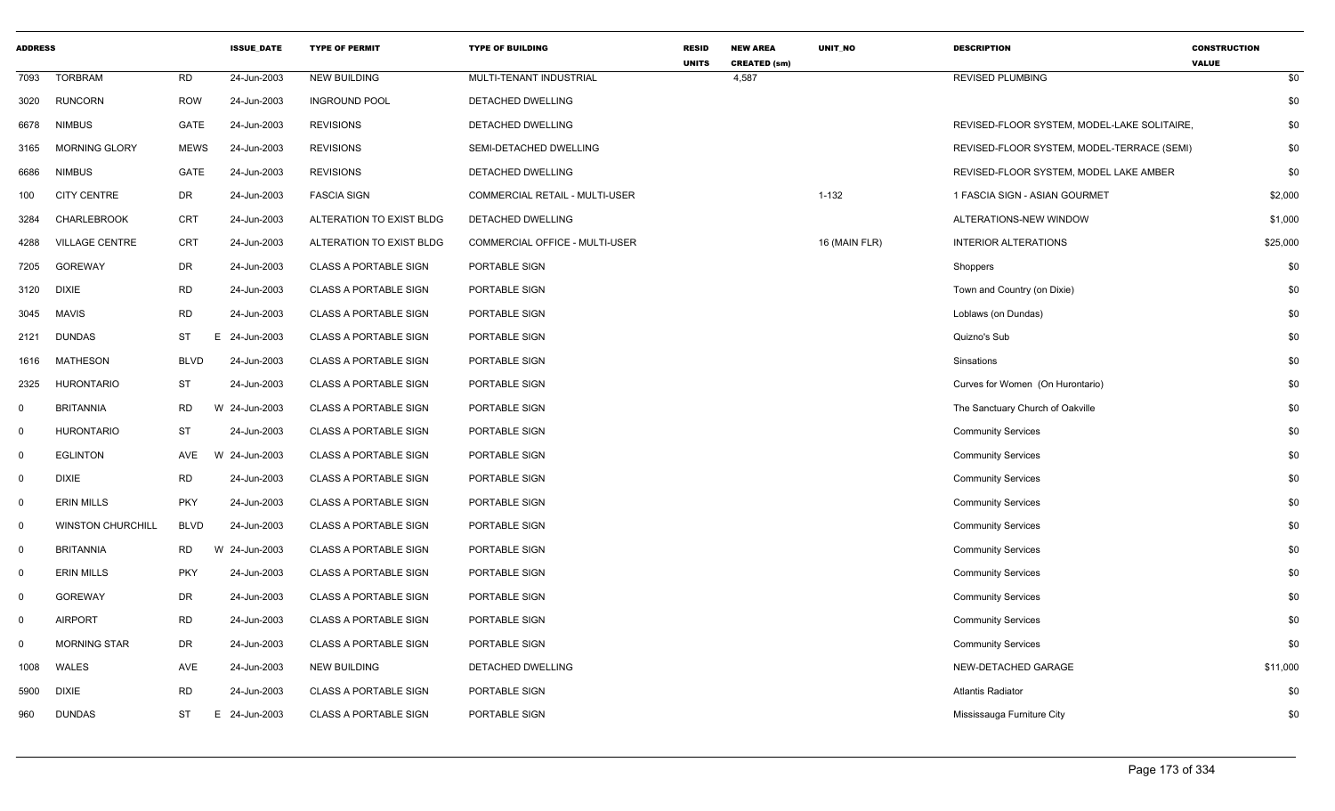| <b>ADDRESS</b> |                          |             | <b>ISSUE_DATE</b> | <b>TYPE OF PERMIT</b>        | <b>TYPE OF BUILDING</b>        | <b>RESID</b><br><b>UNITS</b> | <b>NEW AREA</b><br><b>CREATED (sm)</b> | <b>UNIT NO</b> | <b>DESCRIPTION</b>                          | <b>CONSTRUCTION</b><br><b>VALUE</b> |
|----------------|--------------------------|-------------|-------------------|------------------------------|--------------------------------|------------------------------|----------------------------------------|----------------|---------------------------------------------|-------------------------------------|
| 7093           | <b>TORBRAM</b>           | RD          | 24-Jun-2003       | <b>NEW BUILDING</b>          | MULTI-TENANT INDUSTRIAL        |                              | 4,587                                  |                | <b>REVISED PLUMBING</b>                     | \$0                                 |
| 3020           | <b>RUNCORN</b>           | <b>ROW</b>  | 24-Jun-2003       | <b>INGROUND POOL</b>         | DETACHED DWELLING              |                              |                                        |                |                                             | \$0                                 |
| 6678           | <b>NIMBUS</b>            | GATE        | 24-Jun-2003       | <b>REVISIONS</b>             | DETACHED DWELLING              |                              |                                        |                | REVISED-FLOOR SYSTEM, MODEL-LAKE SOLITAIRE. | \$0                                 |
| 3165           | <b>MORNING GLORY</b>     | <b>MEWS</b> | 24-Jun-2003       | <b>REVISIONS</b>             | SEMI-DETACHED DWELLING         |                              |                                        |                | REVISED-FLOOR SYSTEM, MODEL-TERRACE (SEMI)  | \$0                                 |
| 6686           | <b>NIMBUS</b>            | GATE        | 24-Jun-2003       | <b>REVISIONS</b>             | DETACHED DWELLING              |                              |                                        |                | REVISED-FLOOR SYSTEM, MODEL LAKE AMBER      | \$0                                 |
| 100            | <b>CITY CENTRE</b>       | DR          | 24-Jun-2003       | <b>FASCIA SIGN</b>           | COMMERCIAL RETAIL - MULTI-USER |                              |                                        | $1 - 132$      | 1 FASCIA SIGN - ASIAN GOURMET               | \$2,000                             |
| 3284           | <b>CHARLEBROOK</b>       | <b>CRT</b>  | 24-Jun-2003       | ALTERATION TO EXIST BLDG     | DETACHED DWELLING              |                              |                                        |                | ALTERATIONS-NEW WINDOW                      | \$1,000                             |
| 4288           | <b>VILLAGE CENTRE</b>    | <b>CRT</b>  | 24-Jun-2003       | ALTERATION TO EXIST BLDG     | COMMERCIAL OFFICE - MULTI-USER |                              |                                        | 16 (MAIN FLR)  | <b>INTERIOR ALTERATIONS</b>                 | \$25,000                            |
| 7205           | <b>GOREWAY</b>           | DR          | 24-Jun-2003       | <b>CLASS A PORTABLE SIGN</b> | PORTABLE SIGN                  |                              |                                        |                | Shoppers                                    | \$0                                 |
| 3120           | <b>DIXIE</b>             | <b>RD</b>   | 24-Jun-2003       | <b>CLASS A PORTABLE SIGN</b> | PORTABLE SIGN                  |                              |                                        |                | Town and Country (on Dixie)                 | \$0                                 |
| 3045           | <b>MAVIS</b>             | <b>RD</b>   | 24-Jun-2003       | <b>CLASS A PORTABLE SIGN</b> | PORTABLE SIGN                  |                              |                                        |                | Loblaws (on Dundas)                         | \$0                                 |
| 2121           | <b>DUNDAS</b>            | ST          | E<br>24-Jun-2003  | <b>CLASS A PORTABLE SIGN</b> | PORTABLE SIGN                  |                              |                                        |                | Quizno's Sub                                | \$0                                 |
| 1616           | <b>MATHESON</b>          | <b>BLVD</b> | 24-Jun-2003       | <b>CLASS A PORTABLE SIGN</b> | PORTABLE SIGN                  |                              |                                        |                | Sinsations                                  | \$0                                 |
| 2325           | <b>HURONTARIO</b>        | <b>ST</b>   | 24-Jun-2003       | <b>CLASS A PORTABLE SIGN</b> | PORTABLE SIGN                  |                              |                                        |                | Curves for Women (On Hurontario)            | \$0                                 |
| $\mathbf 0$    | <b>BRITANNIA</b>         | <b>RD</b>   | W 24-Jun-2003     | <b>CLASS A PORTABLE SIGN</b> | PORTABLE SIGN                  |                              |                                        |                | The Sanctuary Church of Oakville            | \$0                                 |
| $\mathbf 0$    | <b>HURONTARIO</b>        | <b>ST</b>   | 24-Jun-2003       | <b>CLASS A PORTABLE SIGN</b> | PORTABLE SIGN                  |                              |                                        |                | <b>Community Services</b>                   | \$0                                 |
| $\mathbf 0$    | <b>EGLINTON</b>          | AVE         | 24-Jun-2003<br>W  | <b>CLASS A PORTABLE SIGN</b> | PORTABLE SIGN                  |                              |                                        |                | <b>Community Services</b>                   | \$0                                 |
| $\mathbf 0$    | <b>DIXIE</b>             | <b>RD</b>   | 24-Jun-2003       | <b>CLASS A PORTABLE SIGN</b> | PORTABLE SIGN                  |                              |                                        |                | <b>Community Services</b>                   | \$0                                 |
| $\mathbf 0$    | <b>ERIN MILLS</b>        | <b>PKY</b>  | 24-Jun-2003       | <b>CLASS A PORTABLE SIGN</b> | PORTABLE SIGN                  |                              |                                        |                | <b>Community Services</b>                   | \$0                                 |
| $\mathbf 0$    | <b>WINSTON CHURCHILL</b> | <b>BLVD</b> | 24-Jun-2003       | <b>CLASS A PORTABLE SIGN</b> | PORTABLE SIGN                  |                              |                                        |                | <b>Community Services</b>                   | \$0                                 |
| $\mathbf 0$    | <b>BRITANNIA</b>         | RD          | 24-Jun-2003<br>W  | <b>CLASS A PORTABLE SIGN</b> | PORTABLE SIGN                  |                              |                                        |                | <b>Community Services</b>                   | \$0                                 |
| $\mathbf 0$    | <b>ERIN MILLS</b>        | <b>PKY</b>  | 24-Jun-2003       | <b>CLASS A PORTABLE SIGN</b> | PORTABLE SIGN                  |                              |                                        |                | <b>Community Services</b>                   | \$0                                 |
| $\mathbf 0$    | <b>GOREWAY</b>           | DR          | 24-Jun-2003       | <b>CLASS A PORTABLE SIGN</b> | PORTABLE SIGN                  |                              |                                        |                | <b>Community Services</b>                   | \$0                                 |
| $\Omega$       | <b>AIRPORT</b>           | <b>RD</b>   | 24-Jun-2003       | <b>CLASS A PORTABLE SIGN</b> | PORTABLE SIGN                  |                              |                                        |                | <b>Community Services</b>                   | \$0                                 |
| $\Omega$       | <b>MORNING STAR</b>      | <b>DR</b>   | 24-Jun-2003       | <b>CLASS A PORTABLE SIGN</b> | PORTABLE SIGN                  |                              |                                        |                | <b>Community Services</b>                   | \$0                                 |
| 1008           | <b>WALES</b>             | AVE         | 24-Jun-2003       | <b>NEW BUILDING</b>          | DETACHED DWELLING              |                              |                                        |                | NEW-DETACHED GARAGE                         | \$11,000                            |
| 5900           | <b>DIXIE</b>             | <b>RD</b>   | 24-Jun-2003       | CLASS A PORTABLE SIGN        | PORTABLE SIGN                  |                              |                                        |                | <b>Atlantis Radiator</b>                    | \$0                                 |
| 960            | <b>DUNDAS</b>            | ST          | E 24-Jun-2003     | <b>CLASS A PORTABLE SIGN</b> | PORTABLE SIGN                  |                              |                                        |                | Mississauga Furniture City                  | \$0                                 |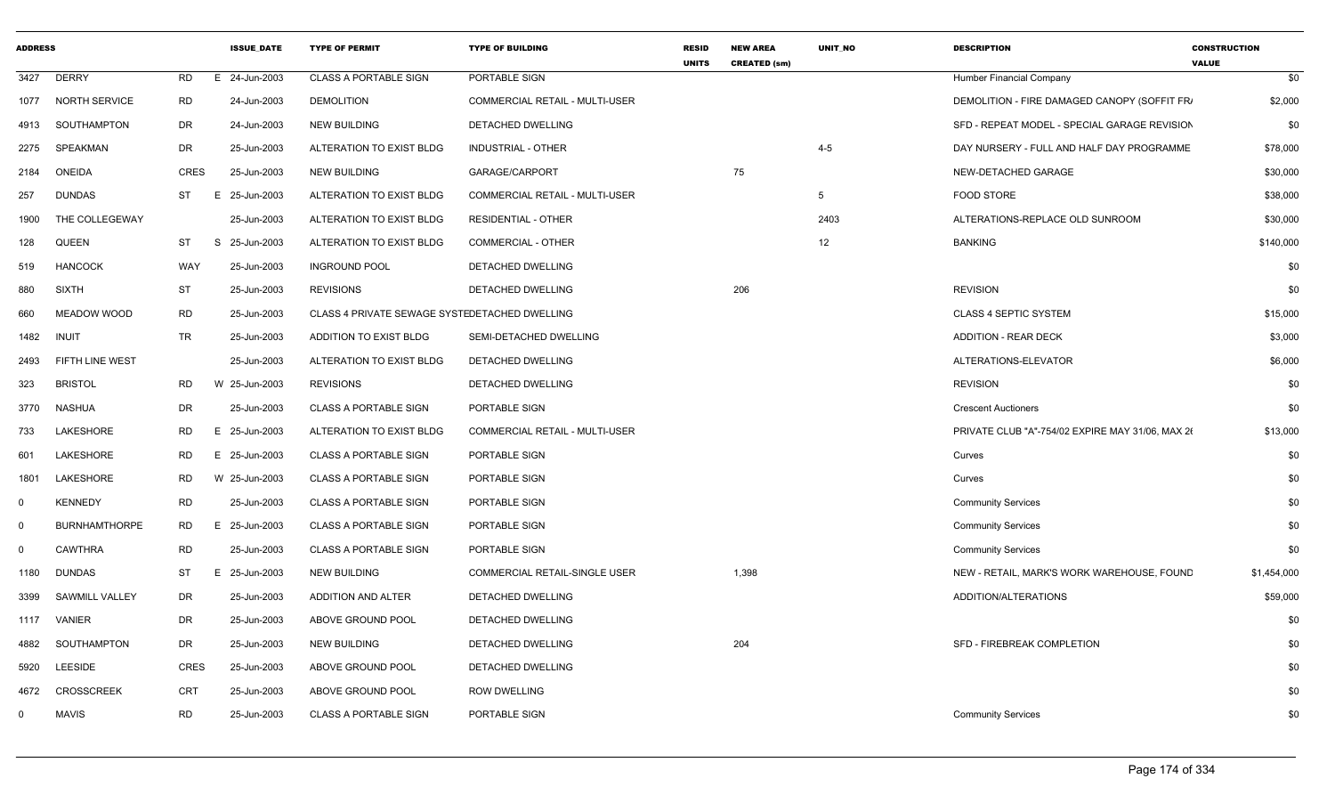| <b>ADDRESS</b> |                       |             | <b>ISSUE DATE</b> | <b>TYPE OF PERMIT</b>                         | <b>TYPE OF BUILDING</b>        | <b>RESID</b><br><b>UNITS</b> | <b>NEW AREA</b><br><b>CREATED (sm)</b> | <b>UNIT NO</b> | <b>DESCRIPTION</b>                               | <b>CONSTRUCTION</b><br><b>VALUE</b> |             |
|----------------|-----------------------|-------------|-------------------|-----------------------------------------------|--------------------------------|------------------------------|----------------------------------------|----------------|--------------------------------------------------|-------------------------------------|-------------|
| 3427           | <b>DERRY</b>          | <b>RD</b>   | E 24-Jun-2003     | <b>CLASS A PORTABLE SIGN</b>                  | PORTABLE SIGN                  |                              |                                        |                | Humber Financial Company                         |                                     | \$0         |
| 1077           | <b>NORTH SERVICE</b>  | <b>RD</b>   | 24-Jun-2003       | <b>DEMOLITION</b>                             | COMMERCIAL RETAIL - MULTI-USER |                              |                                        |                | DEMOLITION - FIRE DAMAGED CANOPY (SOFFIT FR/     |                                     | \$2,000     |
| 4913           | SOUTHAMPTON           | <b>DR</b>   | 24-Jun-2003       | <b>NEW BUILDING</b>                           | DETACHED DWELLING              |                              |                                        |                | SFD - REPEAT MODEL - SPECIAL GARAGE REVISION     |                                     | \$0         |
| 2275           | SPEAKMAN              | <b>DR</b>   | 25-Jun-2003       | ALTERATION TO EXIST BLDG                      | <b>INDUSTRIAL - OTHER</b>      |                              |                                        | $4 - 5$        | DAY NURSERY - FULL AND HALF DAY PROGRAMME        |                                     | \$78,000    |
| 2184           | ONEIDA                | CRES        | 25-Jun-2003       | <b>NEW BUILDING</b>                           | GARAGE/CARPORT                 |                              | 75                                     |                | NEW-DETACHED GARAGE                              |                                     | \$30,000    |
| 257            | <b>DUNDAS</b>         | <b>ST</b>   | 25-Jun-2003<br>E  | ALTERATION TO EXIST BLDG                      | COMMERCIAL RETAIL - MULTI-USER |                              |                                        | 5              | FOOD STORE                                       |                                     | \$38,000    |
| 1900           | THE COLLEGEWAY        |             | 25-Jun-2003       | ALTERATION TO EXIST BLDG                      | <b>RESIDENTIAL - OTHER</b>     |                              |                                        | 2403           | ALTERATIONS-REPLACE OLD SUNROOM                  |                                     | \$30,000    |
| 128            | QUEEN                 | ST          | S 25-Jun-2003     | ALTERATION TO EXIST BLDG                      | <b>COMMERCIAL - OTHER</b>      |                              |                                        | 12             | <b>BANKING</b>                                   |                                     | \$140,000   |
| 519            | <b>HANCOCK</b>        | WAY         | 25-Jun-2003       | <b>INGROUND POOL</b>                          | <b>DETACHED DWELLING</b>       |                              |                                        |                |                                                  |                                     | \$0         |
| 880            | <b>SIXTH</b>          | ST          | 25-Jun-2003       | <b>REVISIONS</b>                              | DETACHED DWELLING              |                              | 206                                    |                | <b>REVISION</b>                                  |                                     | \$0         |
| 660            | MEADOW WOOD           | <b>RD</b>   | 25-Jun-2003       | CLASS 4 PRIVATE SEWAGE SYSTEDETACHED DWELLING |                                |                              |                                        |                | <b>CLASS 4 SEPTIC SYSTEM</b>                     |                                     | \$15,000    |
| 1482           | INUIT                 | <b>TR</b>   | 25-Jun-2003       | ADDITION TO EXIST BLDG                        | SEMI-DETACHED DWELLING         |                              |                                        |                | <b>ADDITION - REAR DECK</b>                      |                                     | \$3,000     |
| 2493           | FIFTH LINE WEST       |             | 25-Jun-2003       | ALTERATION TO EXIST BLDG                      | DETACHED DWELLING              |                              |                                        |                | ALTERATIONS-ELEVATOR                             |                                     | \$6,000     |
| 323            | <b>BRISTOL</b>        | <b>RD</b>   | W 25-Jun-2003     | <b>REVISIONS</b>                              | DETACHED DWELLING              |                              |                                        |                | <b>REVISION</b>                                  |                                     | \$0         |
| 3770           | NASHUA                | DR          | 25-Jun-2003       | <b>CLASS A PORTABLE SIGN</b>                  | PORTABLE SIGN                  |                              |                                        |                | <b>Crescent Auctioners</b>                       |                                     | \$0         |
| 733            | LAKESHORE             | RD          | E.<br>25-Jun-2003 | ALTERATION TO EXIST BLDG                      | COMMERCIAL RETAIL - MULTI-USER |                              |                                        |                | PRIVATE CLUB "A"-754/02 EXPIRE MAY 31/06, MAX 26 |                                     | \$13,000    |
| 601            | LAKESHORE             | <b>RD</b>   | E 25-Jun-2003     | <b>CLASS A PORTABLE SIGN</b>                  | PORTABLE SIGN                  |                              |                                        |                | Curves                                           |                                     | \$0         |
| 1801           | LAKESHORE             | <b>RD</b>   | W 25-Jun-2003     | <b>CLASS A PORTABLE SIGN</b>                  | PORTABLE SIGN                  |                              |                                        |                | Curves                                           |                                     | \$0         |
| $\Omega$       | <b>KENNEDY</b>        | <b>RD</b>   | 25-Jun-2003       | <b>CLASS A PORTABLE SIGN</b>                  | PORTABLE SIGN                  |                              |                                        |                | <b>Community Services</b>                        |                                     | \$0         |
| $\Omega$       | <b>BURNHAMTHORPE</b>  | <b>RD</b>   | 25-Jun-2003<br>E  | <b>CLASS A PORTABLE SIGN</b>                  | PORTABLE SIGN                  |                              |                                        |                | <b>Community Services</b>                        |                                     | \$0         |
| $\Omega$       | <b>CAWTHRA</b>        | <b>RD</b>   | 25-Jun-2003       | <b>CLASS A PORTABLE SIGN</b>                  | PORTABLE SIGN                  |                              |                                        |                | <b>Community Services</b>                        |                                     | \$0         |
| 1180           | <b>DUNDAS</b>         | ST          | E<br>25-Jun-2003  | NEW BUILDING                                  | COMMERCIAL RETAIL-SINGLE USER  |                              | 1,398                                  |                | NEW - RETAIL, MARK'S WORK WAREHOUSE, FOUND       |                                     | \$1,454,000 |
| 3399           | <b>SAWMILL VALLEY</b> | DR          | 25-Jun-2003       | ADDITION AND ALTER                            | DETACHED DWELLING              |                              |                                        |                | ADDITION/ALTERATIONS                             |                                     | \$59,000    |
| 1117           | VANIER                | DR          | 25-Jun-2003       | ABOVE GROUND POOL                             | DETACHED DWELLING              |                              |                                        |                |                                                  |                                     | \$0         |
| 4882           | SOUTHAMPTON           | DR          | 25-Jun-2003       | <b>NEW BUILDING</b>                           | DETACHED DWELLING              |                              | 204                                    |                | SFD - FIREBREAK COMPLETION                       |                                     | \$0         |
| 5920           | <b>LEESIDE</b>        | <b>CRES</b> | 25-Jun-2003       | ABOVE GROUND POOL                             | DETACHED DWELLING              |                              |                                        |                |                                                  |                                     | \$0         |
| 4672           | <b>CROSSCREEK</b>     | CRT         | 25-Jun-2003       | ABOVE GROUND POOL                             | <b>ROW DWELLING</b>            |                              |                                        |                |                                                  |                                     | \$0         |
| $^{\circ}$     | <b>MAVIS</b>          | <b>RD</b>   | 25-Jun-2003       | <b>CLASS A PORTABLE SIGN</b>                  | PORTABLE SIGN                  |                              |                                        |                | <b>Community Services</b>                        |                                     | \$0         |
|                |                       |             |                   |                                               |                                |                              |                                        |                |                                                  |                                     |             |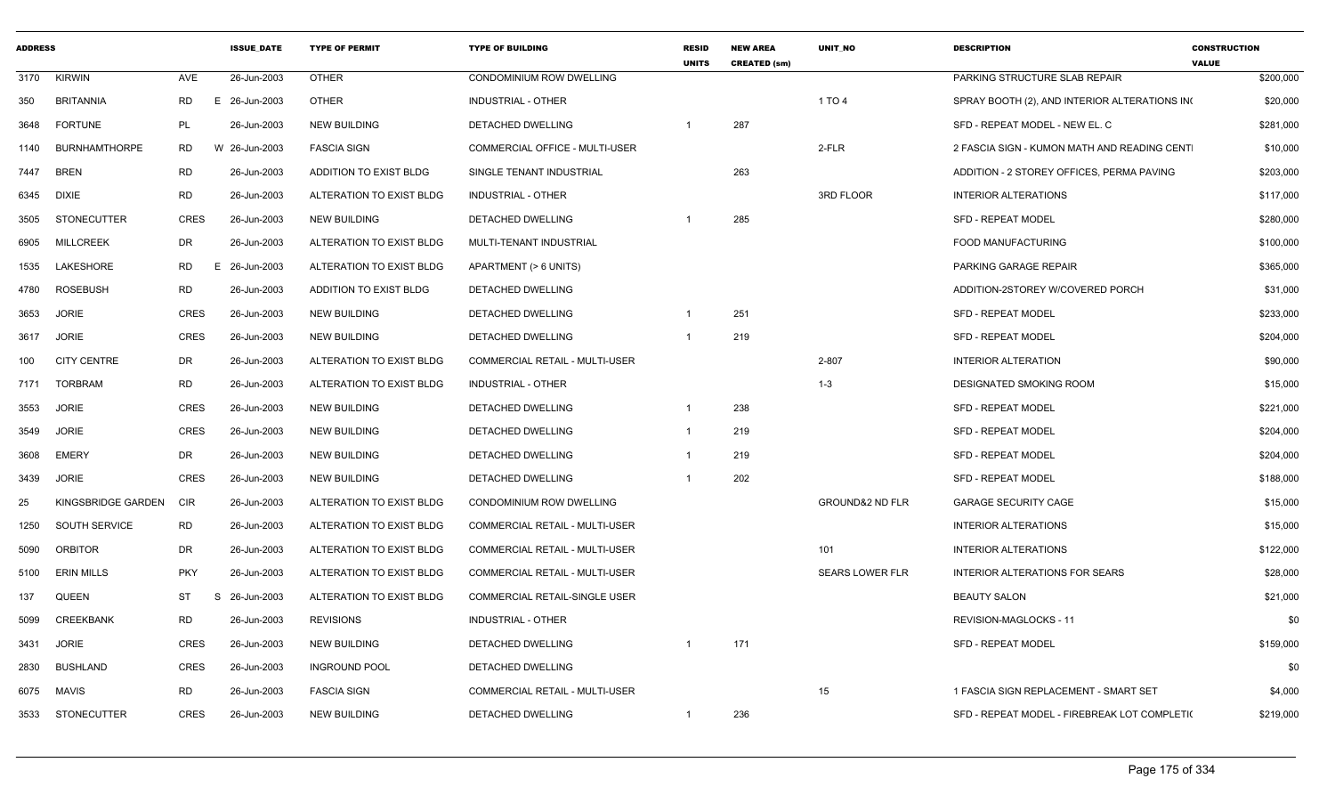| <b>ADDRESS</b> |                      |             | <b>ISSUE DATE</b> | <b>TYPE OF PERMIT</b>    | <b>TYPE OF BUILDING</b>               | <b>RESID</b><br><b>UNITS</b> | <b>NEW AREA</b><br><b>CREATED (sm)</b> | <b>UNIT NO</b>             | <b>DESCRIPTION</b>                           | <b>CONSTRUCTION</b><br><b>VALUE</b> |
|----------------|----------------------|-------------|-------------------|--------------------------|---------------------------------------|------------------------------|----------------------------------------|----------------------------|----------------------------------------------|-------------------------------------|
| 3170           | <b>KIRWIN</b>        | AVE         | 26-Jun-2003       | <b>OTHER</b>             | CONDOMINIUM ROW DWELLING              |                              |                                        |                            | PARKING STRUCTURE SLAB REPAIR                | \$200,000                           |
| 350            | <b>BRITANNIA</b>     | <b>RD</b>   | E 26-Jun-2003     | <b>OTHER</b>             | <b>INDUSTRIAL - OTHER</b>             |                              |                                        | 1 TO 4                     | SPRAY BOOTH (2), AND INTERIOR ALTERATIONS IN | \$20,000                            |
| 3648           | <b>FORTUNE</b>       | PL          | 26-Jun-2003       | <b>NEW BUILDING</b>      | DETACHED DWELLING                     |                              | 287                                    |                            | SFD - REPEAT MODEL - NEW EL. C               | \$281,000                           |
| 1140           | <b>BURNHAMTHORPE</b> | RD.         | W 26-Jun-2003     | <b>FASCIA SIGN</b>       | COMMERCIAL OFFICE - MULTI-USER        |                              |                                        | 2-FLR                      | 2 FASCIA SIGN - KUMON MATH AND READING CENT  | \$10,000                            |
| 7447           | <b>BREN</b>          | <b>RD</b>   | 26-Jun-2003       | ADDITION TO EXIST BLDG   | SINGLE TENANT INDUSTRIAL              |                              | 263                                    |                            | ADDITION - 2 STOREY OFFICES, PERMA PAVING    | \$203,000                           |
| 6345           | <b>DIXIE</b>         | <b>RD</b>   | 26-Jun-2003       | ALTERATION TO EXIST BLDG | INDUSTRIAL - OTHER                    |                              |                                        | 3RD FLOOR                  | <b>INTERIOR ALTERATIONS</b>                  | \$117,000                           |
| 3505           | <b>STONECUTTER</b>   | <b>CRES</b> | 26-Jun-2003       | <b>NEW BUILDING</b>      | DETACHED DWELLING                     |                              | 285                                    |                            | <b>SFD - REPEAT MODEL</b>                    | \$280,000                           |
| 6905           | <b>MILLCREEK</b>     | DR          | 26-Jun-2003       | ALTERATION TO EXIST BLDG | MULTI-TENANT INDUSTRIAL               |                              |                                        |                            | FOOD MANUFACTURING                           | \$100,000                           |
| 1535           | LAKESHORE            | RD          | E 26-Jun-2003     | ALTERATION TO EXIST BLDG | APARTMENT (> 6 UNITS)                 |                              |                                        |                            | PARKING GARAGE REPAIR                        | \$365,000                           |
| 4780           | <b>ROSEBUSH</b>      | <b>RD</b>   | 26-Jun-2003       | ADDITION TO EXIST BLDG   | <b>DETACHED DWELLING</b>              |                              |                                        |                            | ADDITION-2STOREY W/COVERED PORCH             | \$31,000                            |
| 3653           | <b>JORIE</b>         | <b>CRES</b> | 26-Jun-2003       | <b>NEW BUILDING</b>      | DETACHED DWELLING                     | $\mathbf 1$                  | 251                                    |                            | <b>SFD - REPEAT MODEL</b>                    | \$233,000                           |
| 3617           | <b>JORIE</b>         | <b>CRES</b> | 26-Jun-2003       | <b>NEW BUILDING</b>      | DETACHED DWELLING                     | -1                           | 219                                    |                            | <b>SFD - REPEAT MODEL</b>                    | \$204,000                           |
| 100            | <b>CITY CENTRE</b>   | DR          | 26-Jun-2003       | ALTERATION TO EXIST BLDG | <b>COMMERCIAL RETAIL - MULTI-USER</b> |                              |                                        | 2-807                      | <b>INTERIOR ALTERATION</b>                   | \$90,000                            |
| 7171           | <b>TORBRAM</b>       | <b>RD</b>   | 26-Jun-2003       | ALTERATION TO EXIST BLDG | INDUSTRIAL - OTHER                    |                              |                                        | $1 - 3$                    | DESIGNATED SMOKING ROOM                      | \$15,000                            |
| 3553           | <b>JORIE</b>         | <b>CRES</b> | 26-Jun-2003       | <b>NEW BUILDING</b>      | DETACHED DWELLING                     | -1                           | 238                                    |                            | <b>SFD - REPEAT MODEL</b>                    | \$221,000                           |
| 3549           | <b>JORIE</b>         | <b>CRES</b> | 26-Jun-2003       | <b>NEW BUILDING</b>      | DETACHED DWELLING                     | $\overline{\mathbf{1}}$      | 219                                    |                            | <b>SFD - REPEAT MODEL</b>                    | \$204,000                           |
| 3608           | <b>EMERY</b>         | DR          | 26-Jun-2003       | <b>NEW BUILDING</b>      | DETACHED DWELLING                     | $\overline{\mathbf{1}}$      | 219                                    |                            | <b>SFD - REPEAT MODEL</b>                    | \$204,000                           |
| 3439           | <b>JORIE</b>         | <b>CRES</b> | 26-Jun-2003       | <b>NEW BUILDING</b>      | DETACHED DWELLING                     | -1                           | 202                                    |                            | <b>SFD - REPEAT MODEL</b>                    | \$188,000                           |
| 25             | KINGSBRIDGE GARDEN   | <b>CIR</b>  | 26-Jun-2003       | ALTERATION TO EXIST BLDG | <b>CONDOMINIUM ROW DWELLING</b>       |                              |                                        | <b>GROUND&amp;2 ND FLR</b> | <b>GARAGE SECURITY CAGE</b>                  | \$15,000                            |
| 1250           | SOUTH SERVICE        | RD          | 26-Jun-2003       | ALTERATION TO EXIST BLDG | COMMERCIAL RETAIL - MULTI-USER        |                              |                                        |                            | <b>INTERIOR ALTERATIONS</b>                  | \$15,000                            |
| 5090           | <b>ORBITOR</b>       | DR          | 26-Jun-2003       | ALTERATION TO EXIST BLDG | COMMERCIAL RETAIL - MULTI-USER        |                              |                                        | 101                        | <b>INTERIOR ALTERATIONS</b>                  | \$122,000                           |
| 5100           | <b>ERIN MILLS</b>    | <b>PKY</b>  | 26-Jun-2003       | ALTERATION TO EXIST BLDG | COMMERCIAL RETAIL - MULTI-USER        |                              |                                        | <b>SEARS LOWER FLR</b>     | INTERIOR ALTERATIONS FOR SEARS               | \$28,000                            |
| 137            | <b>QUEEN</b>         | ST          | S 26-Jun-2003     | ALTERATION TO EXIST BLDG | COMMERCIAL RETAIL-SINGLE USER         |                              |                                        |                            | <b>BEAUTY SALON</b>                          | \$21,000                            |
| 5099           | CREEKBANK            | RD          | 26-Jun-2003       | <b>REVISIONS</b>         | <b>INDUSTRIAL - OTHER</b>             |                              |                                        |                            | REVISION-MAGLOCKS - 11                       | \$0                                 |
| 3431           | <b>JORIE</b>         | <b>CRES</b> | 26-Jun-2003       | <b>NEW BUILDING</b>      | DETACHED DWELLING                     |                              | 171                                    |                            | <b>SFD - REPEAT MODEL</b>                    | \$159,000                           |
| 2830           | <b>BUSHLAND</b>      | CRES        | 26-Jun-2003       | <b>INGROUND POOL</b>     | DETACHED DWELLING                     |                              |                                        |                            |                                              | \$0                                 |
| 6075           | MAVIS                | <b>RD</b>   | 26-Jun-2003       | <b>FASCIA SIGN</b>       | <b>COMMERCIAL RETAIL - MULTI-USER</b> |                              |                                        | 15                         | 1 FASCIA SIGN REPLACEMENT - SMART SET        | \$4,000                             |
|                | 3533 STONECUTTER     | <b>CRES</b> | 26-Jun-2003       | <b>NEW BUILDING</b>      | DETACHED DWELLING                     | -1                           | 236                                    |                            | SFD - REPEAT MODEL - FIREBREAK LOT COMPLETI( | \$219,000                           |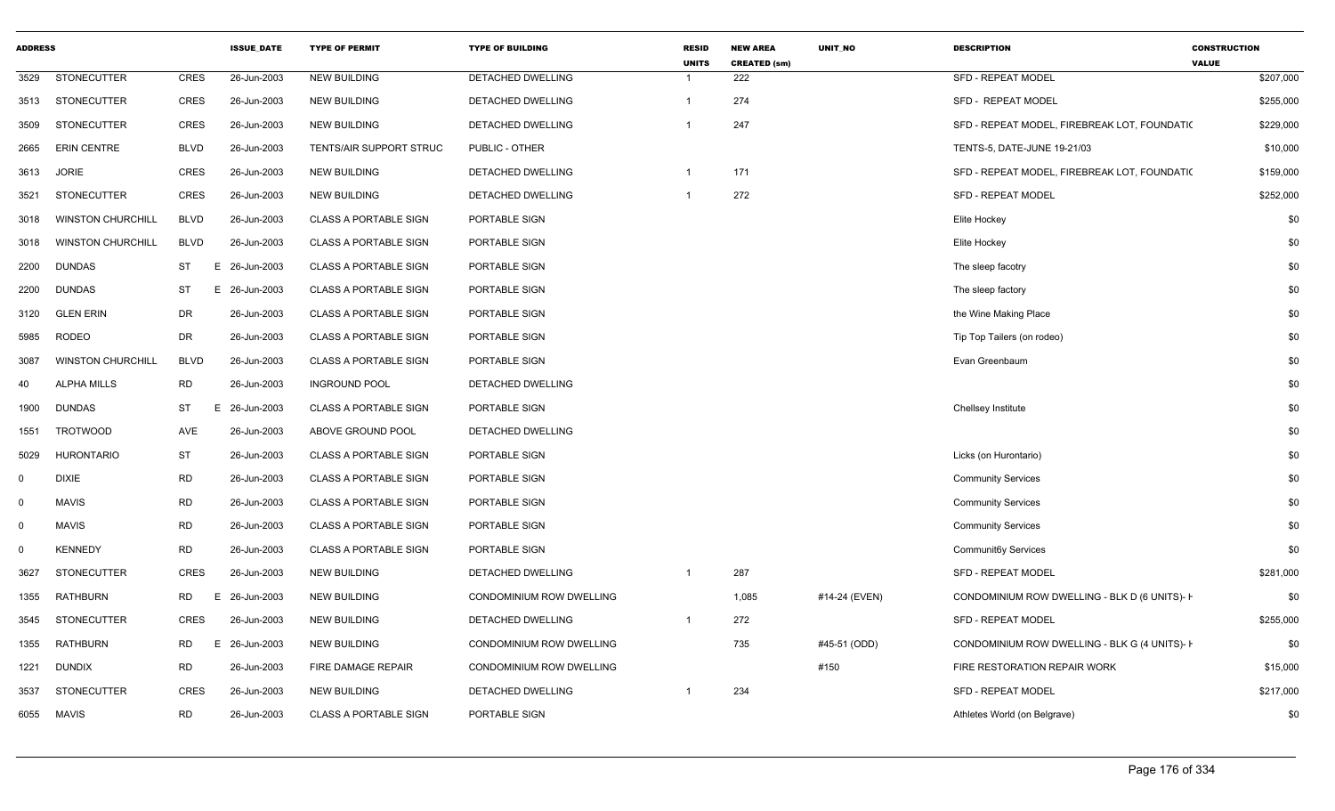| <b>ADDRESS</b> |                          |                 | <b>ISSUE DATE</b> | <b>TYPE OF PERMIT</b>        | <b>TYPE OF BUILDING</b>         | <b>RESID</b><br><b>UNITS</b> | <b>NEW AREA</b><br><b>CREATED (sm)</b> | <b>UNIT NO</b> | <b>DESCRIPTION</b>                            | <b>CONSTRUCTION</b><br><b>VALUE</b> |
|----------------|--------------------------|-----------------|-------------------|------------------------------|---------------------------------|------------------------------|----------------------------------------|----------------|-----------------------------------------------|-------------------------------------|
| 3529           | <b>STONECUTTER</b>       | <b>CRES</b>     | 26-Jun-2003       | <b>NEW BUILDING</b>          | DETACHED DWELLING               | -1                           | 222                                    |                | SFD - REPEAT MODEL                            | \$207,000                           |
| 3513           | STONECUTTER              | CRES            | 26-Jun-2003       | <b>NEW BUILDING</b>          | DETACHED DWELLING               | $\mathbf{1}$                 | 274                                    |                | SFD - REPEAT MODEL                            | \$255,000                           |
| 3509           | <b>STONECUTTER</b>       | <b>CRES</b>     | 26-Jun-2003       | <b>NEW BUILDING</b>          | DETACHED DWELLING               | $\overline{1}$               | 247                                    |                | SFD - REPEAT MODEL, FIREBREAK LOT, FOUNDATI(  | \$229,000                           |
| 2665           | <b>ERIN CENTRE</b>       | <b>BLVD</b>     | 26-Jun-2003       | TENTS/AIR SUPPORT STRUC      | PUBLIC - OTHER                  |                              |                                        |                | TENTS-5, DATE-JUNE 19-21/03                   | \$10,000                            |
| 3613           | <b>JORIE</b>             | <b>CRES</b>     | 26-Jun-2003       | <b>NEW BUILDING</b>          | DETACHED DWELLING               | -1                           | 171                                    |                | SFD - REPEAT MODEL, FIREBREAK LOT, FOUNDATION | \$159,000                           |
| 3521           | <b>STONECUTTER</b>       | <b>CRES</b>     | 26-Jun-2003       | <b>NEW BUILDING</b>          | DETACHED DWELLING               | $\mathbf{1}$                 | 272                                    |                | <b>SFD - REPEAT MODEL</b>                     | \$252,000                           |
| 3018           | <b>WINSTON CHURCHILL</b> | <b>BLVD</b>     | 26-Jun-2003       | <b>CLASS A PORTABLE SIGN</b> | PORTABLE SIGN                   |                              |                                        |                | Elite Hockey                                  | \$0                                 |
| 3018           | <b>WINSTON CHURCHILL</b> | <b>BLVD</b>     | 26-Jun-2003       | <b>CLASS A PORTABLE SIGN</b> | PORTABLE SIGN                   |                              |                                        |                | Elite Hockey                                  | \$0                                 |
| 2200           | <b>DUNDAS</b>            | ST<br>E.        | 26-Jun-2003       | <b>CLASS A PORTABLE SIGN</b> | PORTABLE SIGN                   |                              |                                        |                | The sleep facotry                             | \$0                                 |
| 2200           | <b>DUNDAS</b>            | <b>ST</b><br>E. | 26-Jun-2003       | <b>CLASS A PORTABLE SIGN</b> | PORTABLE SIGN                   |                              |                                        |                | The sleep factory                             | \$0                                 |
| 3120           | <b>GLEN ERIN</b>         | DR              | 26-Jun-2003       | <b>CLASS A PORTABLE SIGN</b> | PORTABLE SIGN                   |                              |                                        |                | the Wine Making Place                         | \$0                                 |
| 5985           | RODEO                    | <b>DR</b>       | 26-Jun-2003       | <b>CLASS A PORTABLE SIGN</b> | PORTABLE SIGN                   |                              |                                        |                | Tip Top Tailers (on rodeo)                    | \$0                                 |
| 3087           | <b>WINSTON CHURCHILL</b> | <b>BLVD</b>     | 26-Jun-2003       | <b>CLASS A PORTABLE SIGN</b> | PORTABLE SIGN                   |                              |                                        |                | Evan Greenbaum                                | \$0                                 |
| 40             | <b>ALPHA MILLS</b>       | <b>RD</b>       | 26-Jun-2003       | <b>INGROUND POOL</b>         | DETACHED DWELLING               |                              |                                        |                |                                               | \$0                                 |
| 1900           | <b>DUNDAS</b>            | <b>ST</b>       | 26-Jun-2003<br>E. | <b>CLASS A PORTABLE SIGN</b> | PORTABLE SIGN                   |                              |                                        |                | Chellsey Institute                            | \$0                                 |
| 1551           | <b>TROTWOOD</b>          | AVE             | 26-Jun-2003       | ABOVE GROUND POOL            | DETACHED DWELLING               |                              |                                        |                |                                               | \$0                                 |
| 5029           | <b>HURONTARIO</b>        | <b>ST</b>       | 26-Jun-2003       | <b>CLASS A PORTABLE SIGN</b> | PORTABLE SIGN                   |                              |                                        |                | Licks (on Hurontario)                         | \$0                                 |
| $\mathbf 0$    | <b>DIXIE</b>             | <b>RD</b>       | 26-Jun-2003       | <b>CLASS A PORTABLE SIGN</b> | PORTABLE SIGN                   |                              |                                        |                | <b>Community Services</b>                     | \$0                                 |
| $\mathbf 0$    | <b>MAVIS</b>             | <b>RD</b>       | 26-Jun-2003       | <b>CLASS A PORTABLE SIGN</b> | PORTABLE SIGN                   |                              |                                        |                | <b>Community Services</b>                     | \$0                                 |
| $\mathbf 0$    | <b>MAVIS</b>             | <b>RD</b>       | 26-Jun-2003       | <b>CLASS A PORTABLE SIGN</b> | PORTABLE SIGN                   |                              |                                        |                | <b>Community Services</b>                     | \$0                                 |
| $\mathbf 0$    | <b>KENNEDY</b>           | <b>RD</b>       | 26-Jun-2003       | <b>CLASS A PORTABLE SIGN</b> | PORTABLE SIGN                   |                              |                                        |                | Communit6y Services                           | \$0                                 |
| 3627           | STONECUTTER              | <b>CRES</b>     | 26-Jun-2003       | <b>NEW BUILDING</b>          | DETACHED DWELLING               | $\overline{1}$               | 287                                    |                | <b>SFD - REPEAT MODEL</b>                     | \$281,000                           |
| 1355           | <b>RATHBURN</b>          | <b>RD</b><br>Е  | 26-Jun-2003       | <b>NEW BUILDING</b>          | <b>CONDOMINIUM ROW DWELLING</b> |                              | 1,085                                  | #14-24 (EVEN)  | CONDOMINIUM ROW DWELLING - BLK D (6 UNITS)- I | \$0                                 |
| 3545           | <b>STONECUTTER</b>       | <b>CRES</b>     | 26-Jun-2003       | <b>NEW BUILDING</b>          | DETACHED DWELLING               | $\mathbf 1$                  | 272                                    |                | <b>SFD - REPEAT MODEL</b>                     | \$255,000                           |
| 1355           | <b>RATHBURN</b>          | RD.<br>Е        | 26-Jun-2003       | <b>NEW BUILDING</b>          | CONDOMINIUM ROW DWELLING        |                              | 735                                    | #45-51 (ODD)   | CONDOMINIUM ROW DWELLING - BLK G (4 UNITS)-1  | \$0                                 |
| 1221           | <b>DUNDIX</b>            | <b>RD</b>       | 26-Jun-2003       | FIRE DAMAGE REPAIR           | CONDOMINIUM ROW DWELLING        |                              |                                        | #150           | FIRE RESTORATION REPAIR WORK                  | \$15,000                            |
| 3537           | <b>STONECUTTER</b>       | <b>CRES</b>     | 26-Jun-2003       | <b>NEW BUILDING</b>          | DETACHED DWELLING               | $\mathbf 1$                  | 234                                    |                | SFD - REPEAT MODEL                            | \$217,000                           |
| 6055           | <b>MAVIS</b>             | <b>RD</b>       | 26-Jun-2003       | <b>CLASS A PORTABLE SIGN</b> | PORTABLE SIGN                   |                              |                                        |                | Athletes World (on Belgrave)                  | \$0                                 |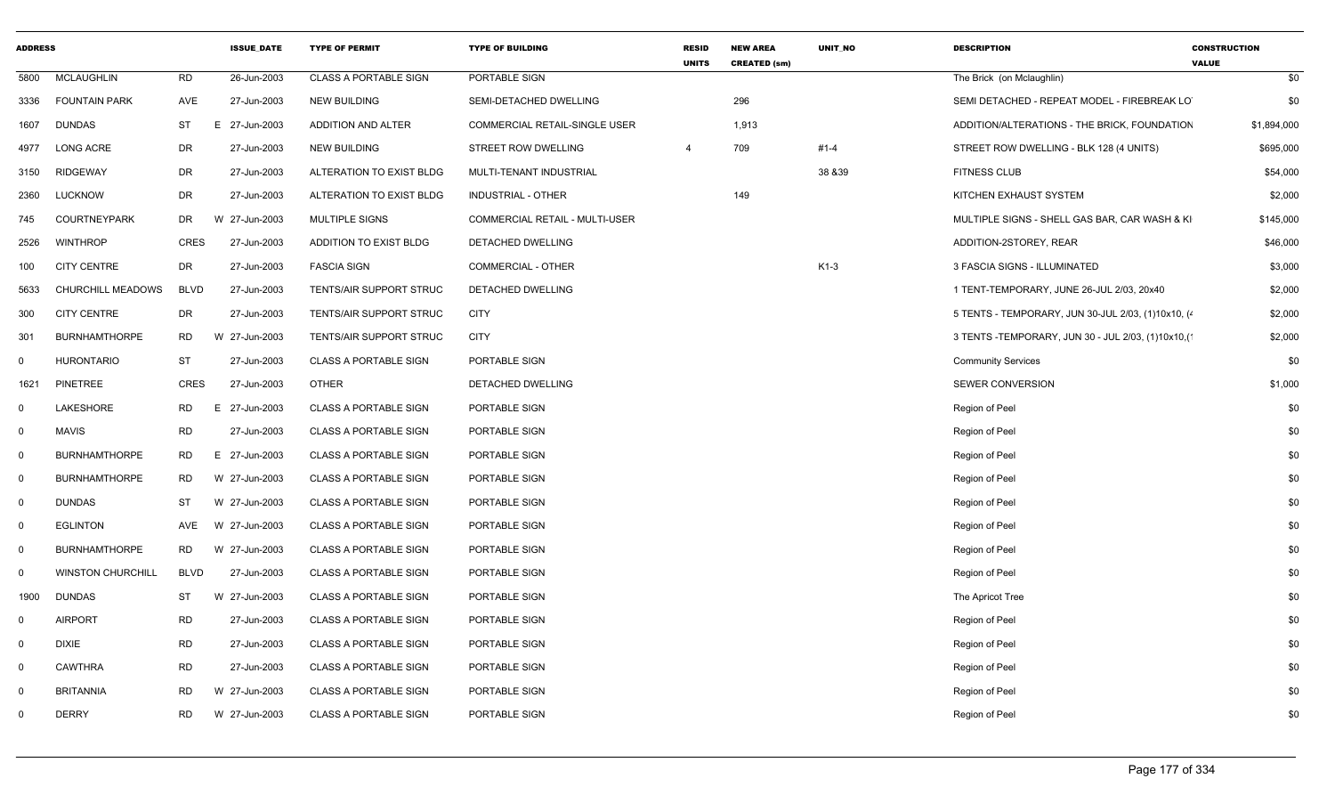| <b>ADDRESS</b>          |                          |             | <b>ISSUE_DATE</b> | <b>TYPE OF PERMIT</b>        | <b>TYPE OF BUILDING</b>              | <b>RESID</b><br><b>UNITS</b> | <b>NEW AREA</b><br><b>CREATED (sm)</b> | UNIT_NO  | <b>DESCRIPTION</b>                                    | <b>CONSTRUCTION</b><br><b>VALUE</b> |
|-------------------------|--------------------------|-------------|-------------------|------------------------------|--------------------------------------|------------------------------|----------------------------------------|----------|-------------------------------------------------------|-------------------------------------|
| 5800                    | <b>MCLAUGHLIN</b>        | <b>RD</b>   | 26-Jun-2003       | <b>CLASS A PORTABLE SIGN</b> | PORTABLE SIGN                        |                              |                                        |          | The Brick (on Mclaughlin)                             | \$0                                 |
| 3336                    | <b>FOUNTAIN PARK</b>     | AVE         | 27-Jun-2003       | <b>NEW BUILDING</b>          | SEMI-DETACHED DWELLING               |                              | 296                                    |          | SEMI DETACHED - REPEAT MODEL - FIREBREAK LO           | \$0                                 |
| 1607                    | <b>DUNDAS</b>            | <b>ST</b>   | E 27-Jun-2003     | ADDITION AND ALTER           | <b>COMMERCIAL RETAIL-SINGLE USER</b> |                              | 1,913                                  |          | ADDITION/ALTERATIONS - THE BRICK, FOUNDATION          | \$1,894,000                         |
| 4977                    | <b>LONG ACRE</b>         | DR          | 27-Jun-2003       | <b>NEW BUILDING</b>          | STREET ROW DWELLING                  | $\overline{4}$               | 709                                    | $#1 - 4$ | STREET ROW DWELLING - BLK 128 (4 UNITS)               | \$695,000                           |
| 3150                    | <b>RIDGEWAY</b>          | DR          | 27-Jun-2003       | ALTERATION TO EXIST BLDG     | MULTI-TENANT INDUSTRIAL              |                              |                                        | 38 & 39  | <b>FITNESS CLUB</b>                                   | \$54,000                            |
| 2360                    | <b>LUCKNOW</b>           | DR          | 27-Jun-2003       | ALTERATION TO EXIST BLDG     | <b>INDUSTRIAL - OTHER</b>            |                              | 149                                    |          | KITCHEN EXHAUST SYSTEM                                | \$2,000                             |
| 745                     | <b>COURTNEYPARK</b>      | DR          | W 27-Jun-2003     | <b>MULTIPLE SIGNS</b>        | COMMERCIAL RETAIL - MULTI-USER       |                              |                                        |          | MULTIPLE SIGNS - SHELL GAS BAR, CAR WASH & KI         | \$145,000                           |
| 2526                    | <b>WINTHROP</b>          | <b>CRES</b> | 27-Jun-2003       | ADDITION TO EXIST BLDG       | DETACHED DWELLING                    |                              |                                        |          | ADDITION-2STOREY, REAR                                | \$46,000                            |
| 100                     | <b>CITY CENTRE</b>       | DR          | 27-Jun-2003       | <b>FASCIA SIGN</b>           | <b>COMMERCIAL - OTHER</b>            |                              |                                        | $K1-3$   | 3 FASCIA SIGNS - ILLUMINATED                          | \$3,000                             |
| 5633                    | <b>CHURCHILL MEADOWS</b> | <b>BLVD</b> | 27-Jun-2003       | TENTS/AIR SUPPORT STRUC      | <b>DETACHED DWELLING</b>             |                              |                                        |          | 1 TENT-TEMPORARY, JUNE 26-JUL 2/03, 20x40             | \$2,000                             |
| 300                     | <b>CITY CENTRE</b>       | DR          | 27-Jun-2003       | TENTS/AIR SUPPORT STRUC      | <b>CITY</b>                          |                              |                                        |          | 5 TENTS - TEMPORARY, JUN 30-JUL 2/03, (1)10x10, (4)   | \$2,000                             |
| 301                     | <b>BURNHAMTHORPE</b>     | RD          | W 27-Jun-2003     | TENTS/AIR SUPPORT STRUC      | <b>CITY</b>                          |                              |                                        |          | 3 TENTS - TEMPORARY, JUN 30 - JUL 2/03, (1)10x10, (1) | \$2,000                             |
| $\mathbf 0$             | <b>HURONTARIO</b>        | <b>ST</b>   | 27-Jun-2003       | <b>CLASS A PORTABLE SIGN</b> | PORTABLE SIGN                        |                              |                                        |          | <b>Community Services</b>                             | \$0                                 |
| 1621                    | <b>PINETREE</b>          | <b>CRES</b> | 27-Jun-2003       | <b>OTHER</b>                 | DETACHED DWELLING                    |                              |                                        |          | <b>SEWER CONVERSION</b>                               | \$1,000                             |
| $\mathsf{O}$            | LAKESHORE                | <b>RD</b>   | 27-Jun-2003<br>E. | <b>CLASS A PORTABLE SIGN</b> | PORTABLE SIGN                        |                              |                                        |          | Region of Peel                                        | \$0                                 |
| $\overline{0}$          | <b>MAVIS</b>             | RD          | 27-Jun-2003       | <b>CLASS A PORTABLE SIGN</b> | PORTABLE SIGN                        |                              |                                        |          | Region of Peel                                        | \$0                                 |
| $\overline{0}$          | <b>BURNHAMTHORPE</b>     | RD          | E 27-Jun-2003     | <b>CLASS A PORTABLE SIGN</b> | PORTABLE SIGN                        |                              |                                        |          | Region of Peel                                        | \$0                                 |
| $\overline{\mathbf{0}}$ | <b>BURNHAMTHORPE</b>     | RD          | W 27-Jun-2003     | <b>CLASS A PORTABLE SIGN</b> | PORTABLE SIGN                        |                              |                                        |          | Region of Peel                                        | \$0                                 |
| $\overline{0}$          | <b>DUNDAS</b>            | ST          | W 27-Jun-2003     | <b>CLASS A PORTABLE SIGN</b> | <b>PORTABLE SIGN</b>                 |                              |                                        |          | Region of Peel                                        | \$0                                 |
| $\overline{0}$          | <b>EGLINTON</b>          | AVE         | W 27-Jun-2003     | <b>CLASS A PORTABLE SIGN</b> | PORTABLE SIGN                        |                              |                                        |          | Region of Peel                                        | \$0                                 |
| $\overline{\mathbf{0}}$ | <b>BURNHAMTHORPE</b>     | <b>RD</b>   | W 27-Jun-2003     | <b>CLASS A PORTABLE SIGN</b> | PORTABLE SIGN                        |                              |                                        |          | Region of Peel                                        | \$0                                 |
| $\mathbf 0$             | <b>WINSTON CHURCHILL</b> | <b>BLVD</b> | 27-Jun-2003       | <b>CLASS A PORTABLE SIGN</b> | PORTABLE SIGN                        |                              |                                        |          | Region of Peel                                        | \$0                                 |
| 1900                    | <b>DUNDAS</b>            | ST          | W 27-Jun-2003     | <b>CLASS A PORTABLE SIGN</b> | PORTABLE SIGN                        |                              |                                        |          | The Apricot Tree                                      | \$0                                 |
| $\mathbf 0$             | <b>AIRPORT</b>           | RD          | 27-Jun-2003       | <b>CLASS A PORTABLE SIGN</b> | PORTABLE SIGN                        |                              |                                        |          | Region of Peel                                        | \$0                                 |
| $\overline{0}$          | <b>DIXIE</b>             | RD          | 27-Jun-2003       | <b>CLASS A PORTABLE SIGN</b> | PORTABLE SIGN                        |                              |                                        |          | Region of Peel                                        | \$0                                 |
| $\overline{0}$          | <b>CAWTHRA</b>           | <b>RD</b>   | 27-Jun-2003       | <b>CLASS A PORTABLE SIGN</b> | PORTABLE SIGN                        |                              |                                        |          | Region of Peel                                        | \$0                                 |
| $\Omega$                | <b>BRITANNIA</b>         | RD          | W 27-Jun-2003     | <b>CLASS A PORTABLE SIGN</b> | PORTABLE SIGN                        |                              |                                        |          | Region of Peel                                        | \$0                                 |
| $\mathbf 0$             | <b>DERRY</b>             | <b>RD</b>   | W 27-Jun-2003     | <b>CLASS A PORTABLE SIGN</b> | PORTABLE SIGN                        |                              |                                        |          | Region of Peel                                        | \$0                                 |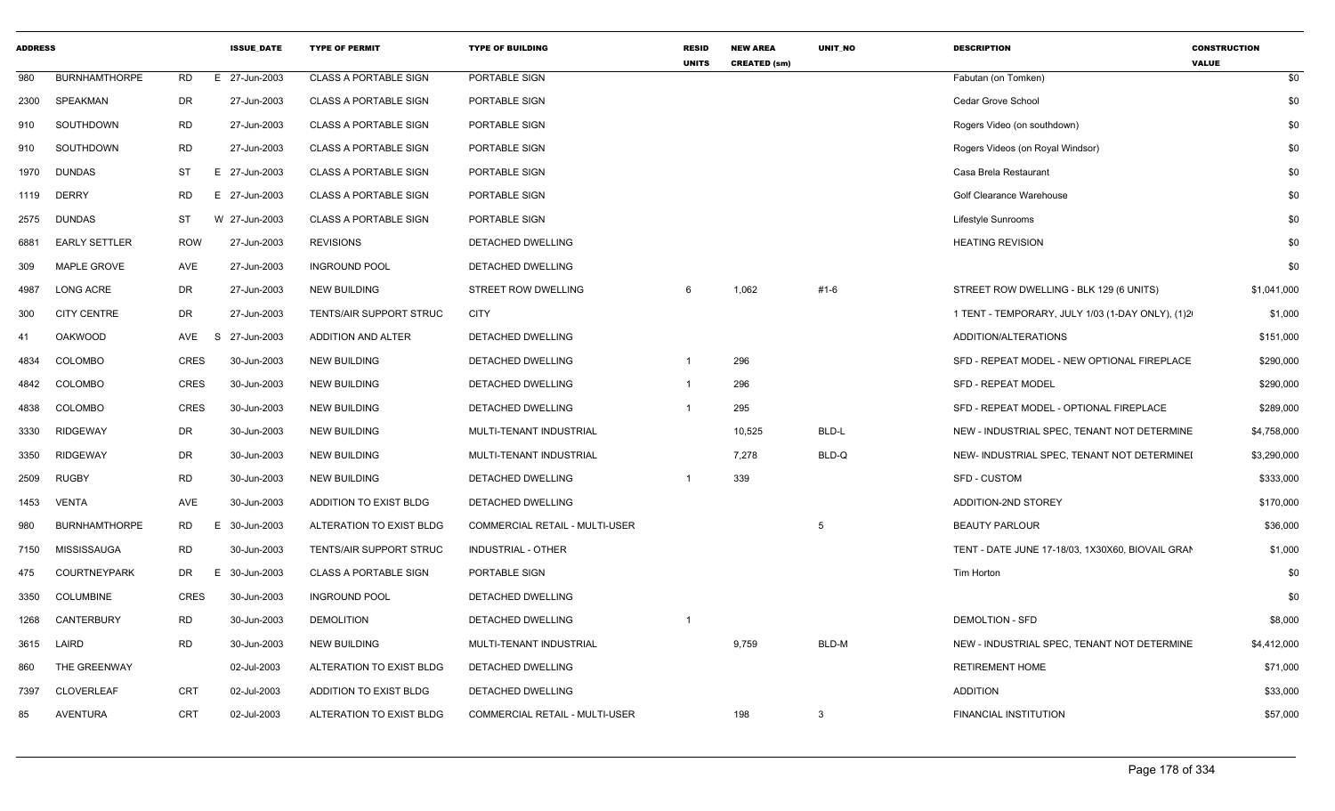| <b>ADDRESS</b> |                      |             | <b>ISSUE DATE</b> | <b>TYPE OF PERMIT</b>        | <b>TYPE OF BUILDING</b>               | <b>RESID</b><br><b>UNITS</b> | <b>NEW AREA</b><br><b>CREATED (sm)</b> | <b>UNIT NO</b> | <b>DESCRIPTION</b>                               | <b>CONSTRUCTION</b><br><b>VALUE</b> |
|----------------|----------------------|-------------|-------------------|------------------------------|---------------------------------------|------------------------------|----------------------------------------|----------------|--------------------------------------------------|-------------------------------------|
| 980            | <b>BURNHAMTHORPE</b> | <b>RD</b>   | E 27-Jun-2003     | <b>CLASS A PORTABLE SIGN</b> | PORTABLE SIGN                         |                              |                                        |                | Fabutan (on Tomken)                              | \$0                                 |
| 2300           | <b>SPEAKMAN</b>      | DR          | 27-Jun-2003       | <b>CLASS A PORTABLE SIGN</b> | PORTABLE SIGN                         |                              |                                        |                | Cedar Grove School                               | \$0                                 |
| 910            | SOUTHDOWN            | <b>RD</b>   | 27-Jun-2003       | <b>CLASS A PORTABLE SIGN</b> | PORTABLE SIGN                         |                              |                                        |                | Rogers Video (on southdown)                      | \$0                                 |
| 910            | SOUTHDOWN            | <b>RD</b>   | 27-Jun-2003       | <b>CLASS A PORTABLE SIGN</b> | PORTABLE SIGN                         |                              |                                        |                | Rogers Videos (on Royal Windsor)                 | \$0                                 |
| 1970           | <b>DUNDAS</b>        | <b>ST</b>   | E 27-Jun-2003     | <b>CLASS A PORTABLE SIGN</b> | PORTABLE SIGN                         |                              |                                        |                | Casa Brela Restaurant                            | \$0                                 |
| 1119           | <b>DERRY</b>         | <b>RD</b>   | E 27-Jun-2003     | <b>CLASS A PORTABLE SIGN</b> | PORTABLE SIGN                         |                              |                                        |                | Golf Clearance Warehouse                         | \$0                                 |
| 2575           | <b>DUNDAS</b>        | <b>ST</b>   | W 27-Jun-2003     | <b>CLASS A PORTABLE SIGN</b> | PORTABLE SIGN                         |                              |                                        |                | Lifestyle Sunrooms                               | \$0                                 |
| 6881           | <b>EARLY SETTLER</b> | <b>ROW</b>  | 27-Jun-2003       | <b>REVISIONS</b>             | <b>DETACHED DWELLING</b>              |                              |                                        |                | <b>HEATING REVISION</b>                          | \$0                                 |
| 309            | MAPLE GROVE          | AVE         | 27-Jun-2003       | <b>INGROUND POOL</b>         | DETACHED DWELLING                     |                              |                                        |                |                                                  | \$0                                 |
| 4987           | <b>LONG ACRE</b>     | DR          | 27-Jun-2003       | <b>NEW BUILDING</b>          | <b>STREET ROW DWELLING</b>            | 6                            | 1,062                                  | #1-6           | STREET ROW DWELLING - BLK 129 (6 UNITS)          | \$1,041,000                         |
| 300            | <b>CITY CENTRE</b>   | DR          | 27-Jun-2003       | TENTS/AIR SUPPORT STRUC      | <b>CITY</b>                           |                              |                                        |                | 1 TENT - TEMPORARY, JULY 1/03 (1-DAY ONLY), (1)2 | \$1,000                             |
| 41             | <b>OAKWOOD</b>       | AVE         | 27-Jun-2003<br>S. | ADDITION AND ALTER           | DETACHED DWELLING                     |                              |                                        |                | ADDITION/ALTERATIONS                             | \$151,000                           |
| 4834           | <b>COLOMBO</b>       | <b>CRES</b> | 30-Jun-2003       | <b>NEW BUILDING</b>          | DETACHED DWELLING                     |                              | 296                                    |                | SFD - REPEAT MODEL - NEW OPTIONAL FIREPLACE      | \$290,000                           |
| 4842           | COLOMBO              | <b>CRES</b> | 30-Jun-2003       | <b>NEW BUILDING</b>          | <b>DETACHED DWELLING</b>              |                              | 296                                    |                | <b>SFD - REPEAT MODEL</b>                        | \$290,000                           |
| 4838           | <b>COLOMBO</b>       | <b>CRES</b> | 30-Jun-2003       | <b>NEW BUILDING</b>          | DETACHED DWELLING                     |                              | 295                                    |                | SFD - REPEAT MODEL - OPTIONAL FIREPLACE          | \$289,000                           |
| 3330           | <b>RIDGEWAY</b>      | DR          | 30-Jun-2003       | <b>NEW BUILDING</b>          | MULTI-TENANT INDUSTRIAL               |                              | 10,525                                 | BLD-L          | NEW - INDUSTRIAL SPEC, TENANT NOT DETERMINE      | \$4,758,000                         |
| 3350           | <b>RIDGEWAY</b>      | DR          | 30-Jun-2003       | <b>NEW BUILDING</b>          | MULTI-TENANT INDUSTRIAL               |                              | 7,278                                  | BLD-Q          | NEW- INDUSTRIAL SPEC, TENANT NOT DETERMINEI      | \$3,290,000                         |
| 2509           | <b>RUGBY</b>         | <b>RD</b>   | 30-Jun-2003       | <b>NEW BUILDING</b>          | DETACHED DWELLING                     | -1                           | 339                                    |                | SFD - CUSTOM                                     | \$333,000                           |
| 1453           | VENTA                | AVE         | 30-Jun-2003       | ADDITION TO EXIST BLDG       | <b>DETACHED DWELLING</b>              |                              |                                        |                | ADDITION-2ND STOREY                              | \$170,000                           |
| 980            | <b>BURNHAMTHORPE</b> | RD          | 30-Jun-2003<br>E. | ALTERATION TO EXIST BLDG     | <b>COMMERCIAL RETAIL - MULTI-USER</b> |                              |                                        | 5              | <b>BEAUTY PARLOUR</b>                            | \$36,000                            |
| 7150           | MISSISSAUGA          | <b>RD</b>   | 30-Jun-2003       | TENTS/AIR SUPPORT STRUC      | <b>INDUSTRIAL - OTHER</b>             |                              |                                        |                | TENT - DATE JUNE 17-18/03, 1X30X60, BIOVAIL GRAN | \$1,000                             |
| 475            | COURTNEYPARK         | DR          | 30-Jun-2003<br>Е. | <b>CLASS A PORTABLE SIGN</b> | PORTABLE SIGN                         |                              |                                        |                | Tim Horton                                       | \$0                                 |
| 3350           | <b>COLUMBINE</b>     | <b>CRES</b> | 30-Jun-2003       | <b>INGROUND POOL</b>         | DETACHED DWELLING                     |                              |                                        |                |                                                  | \$0                                 |
| 1268           | CANTERBURY           | <b>RD</b>   | 30-Jun-2003       | <b>DEMOLITION</b>            | DETACHED DWELLING                     | -1                           |                                        |                | <b>DEMOLTION - SFD</b>                           | \$8,000                             |
| 3615           | LAIRD                | <b>RD</b>   | 30-Jun-2003       | <b>NEW BUILDING</b>          | MULTI-TENANT INDUSTRIAL               |                              | 9,759                                  | BLD-M          | NEW - INDUSTRIAL SPEC, TENANT NOT DETERMINE      | \$4,412,000                         |
| 860            | THE GREENWAY         |             | 02-Jul-2003       | ALTERATION TO EXIST BLDG     | DETACHED DWELLING                     |                              |                                        |                | <b>RETIREMENT HOME</b>                           | \$71,000                            |
| 7397           | <b>CLOVERLEAF</b>    | <b>CRT</b>  | 02-Jul-2003       | ADDITION TO EXIST BLDG       | DETACHED DWELLING                     |                              |                                        |                | <b>ADDITION</b>                                  | \$33,000                            |
| 85             | <b>AVENTURA</b>      | <b>CRT</b>  | 02-Jul-2003       | ALTERATION TO EXIST BLDG     | <b>COMMERCIAL RETAIL - MULTI-USER</b> |                              | 198                                    | 3              | FINANCIAL INSTITUTION                            | \$57,000                            |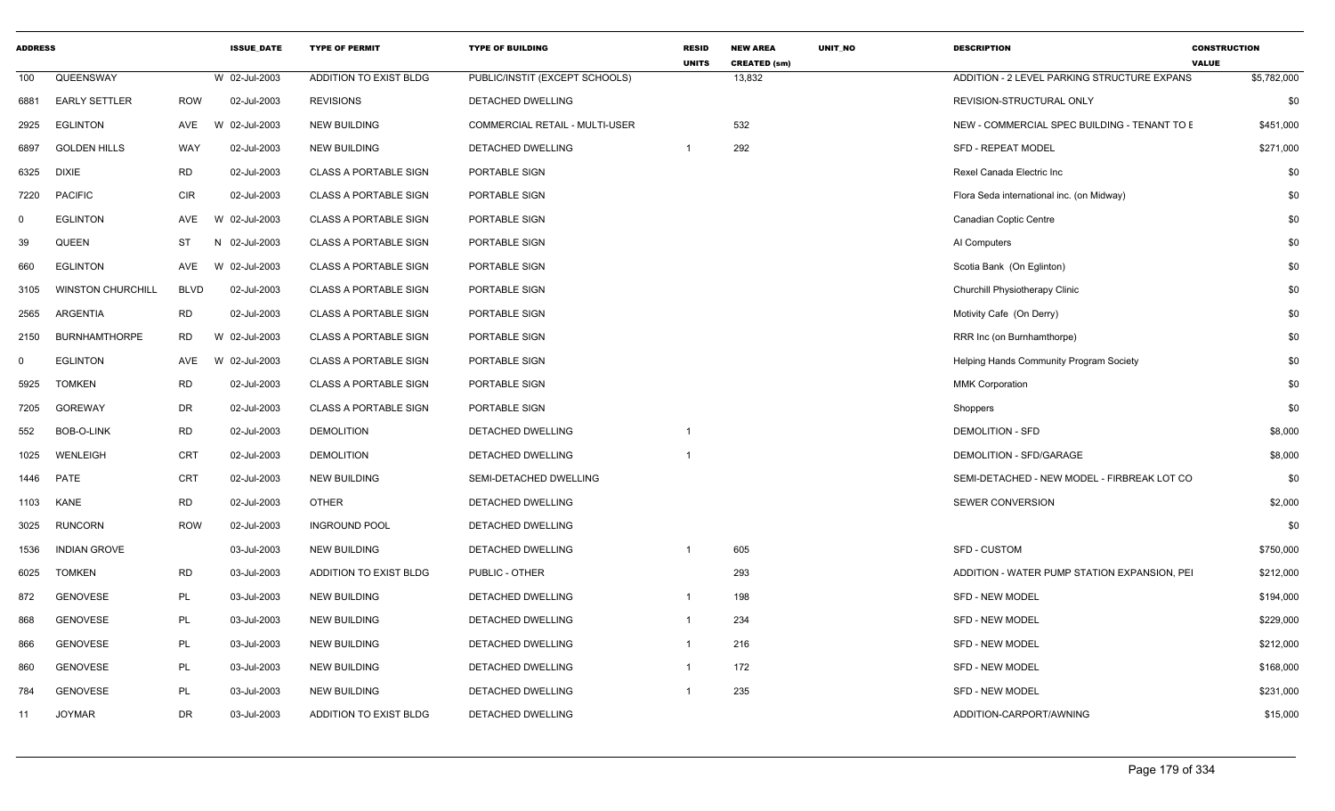| <b>ADDRESS</b> |                          |            | <b>ISSUE DATE</b> | <b>TYPE OF PERMIT</b>        | <b>TYPE OF BUILDING</b>        | <b>RESID</b><br><b>UNITS</b> | <b>NEW AREA</b><br><b>CREATED (sm)</b> | UNIT NO | <b>DESCRIPTION</b>                             | <b>CONSTRUCTION</b><br><b>VALUE</b> |           |
|----------------|--------------------------|------------|-------------------|------------------------------|--------------------------------|------------------------------|----------------------------------------|---------|------------------------------------------------|-------------------------------------|-----------|
| 100            | QUEENSWAY                |            | W 02-Jul-2003     | ADDITION TO EXIST BLDG       | PUBLIC/INSTIT (EXCEPT SCHOOLS) |                              | 13,832                                 |         | ADDITION - 2 LEVEL PARKING STRUCTURE EXPANS    | \$5,782,000                         |           |
| 6881           | <b>EARLY SETTLER</b>     | <b>ROW</b> | 02-Jul-2003       | <b>REVISIONS</b>             | DETACHED DWELLING              |                              |                                        |         | REVISION-STRUCTURAL ONLY                       |                                     | \$0       |
| 2925           | <b>EGLINTON</b>          | AVE        | W 02-Jul-2003     | <b>NEW BUILDING</b>          | COMMERCIAL RETAIL - MULTI-USER |                              | 532                                    |         | NEW - COMMERCIAL SPEC BUILDING - TENANT TO E   |                                     | \$451,000 |
| 6897           | <b>GOLDEN HILLS</b>      | WAY        | 02-Jul-2003       | <b>NEW BUILDING</b>          | DETACHED DWELLING              | $\overline{1}$               | 292                                    |         | <b>SFD - REPEAT MODEL</b>                      |                                     | \$271,000 |
| 6325           | <b>DIXIE</b>             | <b>RD</b>  | 02-Jul-2003       | <b>CLASS A PORTABLE SIGN</b> | PORTABLE SIGN                  |                              |                                        |         | Rexel Canada Electric Inc                      |                                     | \$0       |
| 7220           | <b>PACIFIC</b>           | <b>CIR</b> | 02-Jul-2003       | <b>CLASS A PORTABLE SIGN</b> | PORTABLE SIGN                  |                              |                                        |         | Flora Seda international inc. (on Midway)      |                                     | \$0       |
| $\mathbf 0$    | <b>EGLINTON</b>          | AVE        | W 02-Jul-2003     | <b>CLASS A PORTABLE SIGN</b> | PORTABLE SIGN                  |                              |                                        |         | Canadian Coptic Centre                         |                                     | \$0       |
| 39             | <b>QUEEN</b>             | ST         | N 02-Jul-2003     | <b>CLASS A PORTABLE SIGN</b> | PORTABLE SIGN                  |                              |                                        |         | AI Computers                                   |                                     | \$0       |
| 660            | <b>EGLINTON</b>          | AVE        | W 02-Jul-2003     | <b>CLASS A PORTABLE SIGN</b> | PORTABLE SIGN                  |                              |                                        |         | Scotia Bank (On Eglinton)                      |                                     | \$0       |
| 3105           | <b>WINSTON CHURCHILL</b> | BLVD       | 02-Jul-2003       | <b>CLASS A PORTABLE SIGN</b> | PORTABLE SIGN                  |                              |                                        |         | Churchill Physiotherapy Clinic                 |                                     | \$0       |
| 2565           | ARGENTIA                 | <b>RD</b>  | 02-Jul-2003       | <b>CLASS A PORTABLE SIGN</b> | PORTABLE SIGN                  |                              |                                        |         | Motivity Cafe (On Derry)                       |                                     | \$0       |
| 2150           | <b>BURNHAMTHORPE</b>     | <b>RD</b>  | W 02-Jul-2003     | <b>CLASS A PORTABLE SIGN</b> | PORTABLE SIGN                  |                              |                                        |         | RRR Inc (on Burnhamthorpe)                     |                                     | \$0       |
| $\Omega$       | <b>EGLINTON</b>          | AVE        | W 02-Jul-2003     | <b>CLASS A PORTABLE SIGN</b> | PORTABLE SIGN                  |                              |                                        |         | <b>Helping Hands Community Program Society</b> |                                     | \$0       |
| 5925           | <b>TOMKEN</b>            | <b>RD</b>  | 02-Jul-2003       | <b>CLASS A PORTABLE SIGN</b> | PORTABLE SIGN                  |                              |                                        |         | <b>MMK Corporation</b>                         |                                     | \$0       |
| 7205           | <b>GOREWAY</b>           | DR         | 02-Jul-2003       | <b>CLASS A PORTABLE SIGN</b> | PORTABLE SIGN                  |                              |                                        |         | Shoppers                                       |                                     | \$0       |
| 552            | <b>BOB-O-LINK</b>        | <b>RD</b>  | 02-Jul-2003       | <b>DEMOLITION</b>            | DETACHED DWELLING              | $\overline{1}$               |                                        |         | <b>DEMOLITION - SFD</b>                        |                                     | \$8,000   |
| 1025           | WENLEIGH                 | <b>CRT</b> | 02-Jul-2003       | <b>DEMOLITION</b>            | <b>DETACHED DWELLING</b>       | $\overline{1}$               |                                        |         | DEMOLITION - SFD/GARAGE                        |                                     | \$8,000   |
| 1446           | PATE                     | CRT        | 02-Jul-2003       | <b>NEW BUILDING</b>          | SEMI-DETACHED DWELLING         |                              |                                        |         | SEMI-DETACHED - NEW MODEL - FIRBREAK LOT CO    |                                     | \$0       |
| 1103           | KANE                     | <b>RD</b>  | 02-Jul-2003       | <b>OTHER</b>                 | DETACHED DWELLING              |                              |                                        |         | SEWER CONVERSION                               |                                     | \$2,000   |
| 3025           | <b>RUNCORN</b>           | <b>ROW</b> | 02-Jul-2003       | <b>INGROUND POOL</b>         | DETACHED DWELLING              |                              |                                        |         |                                                |                                     | \$0       |
| 1536           | <b>INDIAN GROVE</b>      |            | 03-Jul-2003       | <b>NEW BUILDING</b>          | DETACHED DWELLING              |                              | 605                                    |         | <b>SFD - CUSTOM</b>                            |                                     | \$750,000 |
| 6025           | <b>TOMKEN</b>            | <b>RD</b>  | 03-Jul-2003       | ADDITION TO EXIST BLDG       | PUBLIC - OTHER                 |                              | 293                                    |         | ADDITION - WATER PUMP STATION EXPANSION, PEI   |                                     | \$212,000 |
| 872            | <b>GENOVESE</b>          | PL         | 03-Jul-2003       | <b>NEW BUILDING</b>          | DETACHED DWELLING              | $\overline{1}$               | 198                                    |         | SFD - NEW MODEL                                |                                     | \$194,000 |
| 868            | <b>GENOVESE</b>          | PL         | 03-Jul-2003       | <b>NEW BUILDING</b>          | DETACHED DWELLING              | $\overline{1}$               | 234                                    |         | SFD - NEW MODEL                                |                                     | \$229,000 |
| 866            | <b>GENOVESE</b>          | PL         | 03-Jul-2003       | <b>NEW BUILDING</b>          | DETACHED DWELLING              | $\overline{1}$               | 216                                    |         | SFD - NEW MODEL                                |                                     | \$212,000 |
| 860            | <b>GENOVESE</b>          | PL         | 03-Jul-2003       | <b>NEW BUILDING</b>          | DETACHED DWELLING              | $\overline{1}$               | 172                                    |         | SFD - NEW MODEL                                |                                     | \$168,000 |
| 784            | <b>GENOVESE</b>          | PL         | 03-Jul-2003       | <b>NEW BUILDING</b>          | DETACHED DWELLING              | $\overline{1}$               | 235                                    |         | <b>SFD - NEW MODEL</b>                         |                                     | \$231,000 |
| 11             | <b>JOYMAR</b>            | DR         | 03-Jul-2003       | ADDITION TO EXIST BLDG       | DETACHED DWELLING              |                              |                                        |         | ADDITION-CARPORT/AWNING                        |                                     | \$15,000  |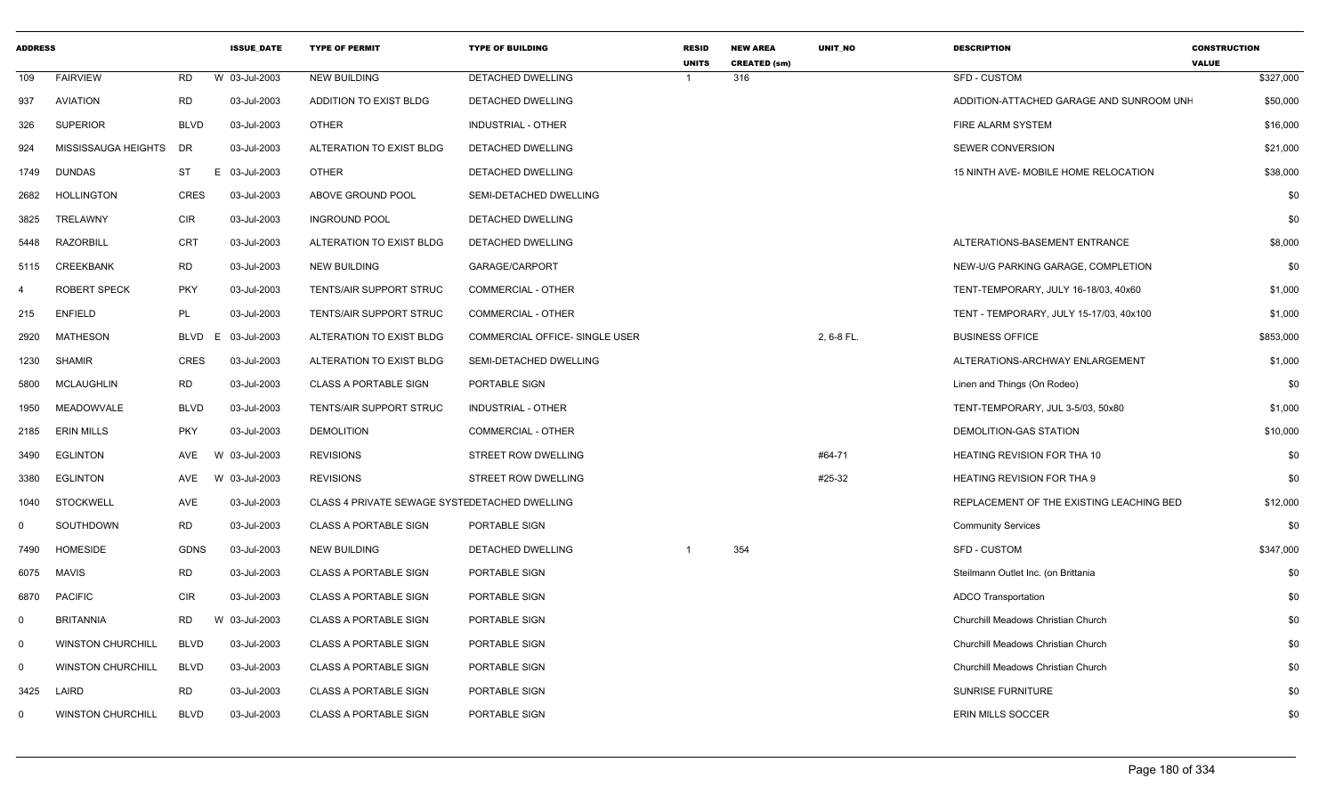| <b>ADDRESS</b> |                          |             | <b>ISSUE DATE</b> | <b>TYPE OF PERMIT</b>                         | <b>TYPE OF BUILDING</b>        | <b>RESID</b><br><b>UNITS</b> | <b>NEW AREA</b><br><b>CREATED (sm)</b> | <b>UNIT NO</b> | <b>DESCRIPTION</b>                       | <b>CONSTRUCTION</b><br><b>VALUE</b> |
|----------------|--------------------------|-------------|-------------------|-----------------------------------------------|--------------------------------|------------------------------|----------------------------------------|----------------|------------------------------------------|-------------------------------------|
| 109            | <b>FAIRVIEW</b>          | <b>RD</b>   | W 03-Jul-2003     | <b>NEW BUILDING</b>                           | <b>DETACHED DWELLING</b>       |                              | 316                                    |                | <b>SFD - CUSTOM</b>                      | \$327,000                           |
| 937            | <b>AVIATION</b>          | <b>RD</b>   | 03-Jul-2003       | ADDITION TO EXIST BLDG                        | DETACHED DWELLING              |                              |                                        |                | ADDITION-ATTACHED GARAGE AND SUNROOM UNH | \$50,000                            |
| 326            | <b>SUPERIOR</b>          | <b>BLVD</b> | 03-Jul-2003       | <b>OTHER</b>                                  | <b>INDUSTRIAL - OTHER</b>      |                              |                                        |                | <b>FIRE ALARM SYSTEM</b>                 | \$16,000                            |
| 924            | MISSISSAUGA HEIGHTS      | DR          | 03-Jul-2003       | ALTERATION TO EXIST BLDG                      | DETACHED DWELLING              |                              |                                        |                | <b>SEWER CONVERSION</b>                  | \$21,000                            |
| 1749           | <b>DUNDAS</b>            | <b>ST</b>   | E<br>03-Jul-2003  | <b>OTHER</b>                                  | DETACHED DWELLING              |                              |                                        |                | 15 NINTH AVE- MOBILE HOME RELOCATION     | \$38,000                            |
| 2682           | <b>HOLLINGTON</b>        | <b>CRES</b> | 03-Jul-2003       | ABOVE GROUND POOL                             | SEMI-DETACHED DWELLING         |                              |                                        |                |                                          | \$0                                 |
| 3825           | TRELAWNY                 | <b>CIR</b>  | 03-Jul-2003       | <b>INGROUND POOL</b>                          | DETACHED DWELLING              |                              |                                        |                |                                          | \$0                                 |
| 5448           | <b>RAZORBILL</b>         | <b>CRT</b>  | 03-Jul-2003       | ALTERATION TO EXIST BLDG                      | DETACHED DWELLING              |                              |                                        |                | ALTERATIONS-BASEMENT ENTRANCE            | \$8,000                             |
| 5115           | CREEKBANK                | <b>RD</b>   | 03-Jul-2003       | <b>NEW BUILDING</b>                           | GARAGE/CARPORT                 |                              |                                        |                | NEW-U/G PARKING GARAGE, COMPLETION       | \$0                                 |
| $\overline{4}$ | ROBERT SPECK             | <b>PKY</b>  | 03-Jul-2003       | TENTS/AIR SUPPORT STRUC                       | <b>COMMERCIAL - OTHER</b>      |                              |                                        |                | TENT-TEMPORARY, JULY 16-18/03, 40x60     | \$1,000                             |
| 215            | <b>ENFIELD</b>           | PL          | 03-Jul-2003       | TENTS/AIR SUPPORT STRUC                       | COMMERCIAL - OTHER             |                              |                                        |                | TENT - TEMPORARY, JULY 15-17/03, 40x100  | \$1,000                             |
| 2920           | <b>MATHESON</b>          | <b>BLVD</b> | 03-Jul-2003<br>E  | ALTERATION TO EXIST BLDG                      | COMMERCIAL OFFICE- SINGLE USER |                              |                                        | 2, 6-8 FL.     | <b>BUSINESS OFFICE</b>                   | \$853,000                           |
| 1230           | <b>SHAMIR</b>            | <b>CRES</b> | 03-Jul-2003       | ALTERATION TO EXIST BLDG                      | SEMI-DETACHED DWELLING         |                              |                                        |                | ALTERATIONS-ARCHWAY ENLARGEMENT          | \$1,000                             |
| 5800           | <b>MCLAUGHLIN</b>        | <b>RD</b>   | 03-Jul-2003       | <b>CLASS A PORTABLE SIGN</b>                  | PORTABLE SIGN                  |                              |                                        |                | Linen and Things (On Rodeo)              | \$0                                 |
| 1950           | <b>MEADOWVALE</b>        | <b>BLVD</b> | 03-Jul-2003       | <b>TENTS/AIR SUPPORT STRUC</b>                | INDUSTRIAL - OTHER             |                              |                                        |                | TENT-TEMPORARY, JUL 3-5/03, 50x80        | \$1,000                             |
| 2185           | <b>ERIN MILLS</b>        | <b>PKY</b>  | 03-Jul-2003       | <b>DEMOLITION</b>                             | COMMERCIAL - OTHER             |                              |                                        |                | DEMOLITION-GAS STATION                   | \$10,000                            |
| 3490           | <b>EGLINTON</b>          | AVE         | 03-Jul-2003<br>W  | <b>REVISIONS</b>                              | STREET ROW DWELLING            |                              |                                        | #64-71         | HEATING REVISION FOR THA 10              | \$0                                 |
| 3380           | <b>EGLINTON</b>          | AVE         | W 03-Jul-2003     | <b>REVISIONS</b>                              | STREET ROW DWELLING            |                              |                                        | #25-32         | <b>HEATING REVISION FOR THA 9</b>        | \$0                                 |
| 1040           | <b>STOCKWELL</b>         | AVE         | 03-Jul-2003       | CLASS 4 PRIVATE SEWAGE SYSTEDETACHED DWELLING |                                |                              |                                        |                | REPLACEMENT OF THE EXISTING LEACHING BED | \$12,000                            |
| 0              | SOUTHDOWN                | <b>RD</b>   | 03-Jul-2003       | <b>CLASS A PORTABLE SIGN</b>                  | PORTABLE SIGN                  |                              |                                        |                | <b>Community Services</b>                | \$0                                 |
| 7490           | <b>HOMESIDE</b>          | <b>GDNS</b> | 03-Jul-2003       | <b>NEW BUILDING</b>                           | DETACHED DWELLING              |                              | 354                                    |                | <b>SFD - CUSTOM</b>                      | \$347,000                           |
| 6075           | <b>MAVIS</b>             | <b>RD</b>   | 03-Jul-2003       | <b>CLASS A PORTABLE SIGN</b>                  | PORTABLE SIGN                  |                              |                                        |                | Steilmann Outlet Inc. (on Brittania      | \$0                                 |
| 6870           | <b>PACIFIC</b>           | <b>CIR</b>  | 03-Jul-2003       | <b>CLASS A PORTABLE SIGN</b>                  | PORTABLE SIGN                  |                              |                                        |                | <b>ADCO Transportation</b>               | \$0                                 |
| $\mathbf 0$    | <b>BRITANNIA</b>         | <b>RD</b>   | W 03-Jul-2003     | <b>CLASS A PORTABLE SIGN</b>                  | PORTABLE SIGN                  |                              |                                        |                | Churchill Meadows Christian Church       | \$0                                 |
| $\mathbf 0$    | <b>WINSTON CHURCHILL</b> | <b>BLVD</b> | 03-Jul-2003       | <b>CLASS A PORTABLE SIGN</b>                  | PORTABLE SIGN                  |                              |                                        |                | Churchill Meadows Christian Church       | \$0                                 |
| $\mathbf 0$    | <b>WINSTON CHURCHILL</b> | <b>BLVD</b> | 03-Jul-2003       | <b>CLASS A PORTABLE SIGN</b>                  | PORTABLE SIGN                  |                              |                                        |                | Churchill Meadows Christian Church       | \$0                                 |
| 3425           | LAIRD                    | <b>RD</b>   | 03-Jul-2003       | <b>CLASS A PORTABLE SIGN</b>                  | PORTABLE SIGN                  |                              |                                        |                | <b>SUNRISE FURNITURE</b>                 | \$0                                 |
| 0              | <b>WINSTON CHURCHILL</b> | <b>BLVD</b> | 03-Jul-2003       | <b>CLASS A PORTABLE SIGN</b>                  | PORTABLE SIGN                  |                              |                                        |                | ERIN MILLS SOCCER                        | \$0                                 |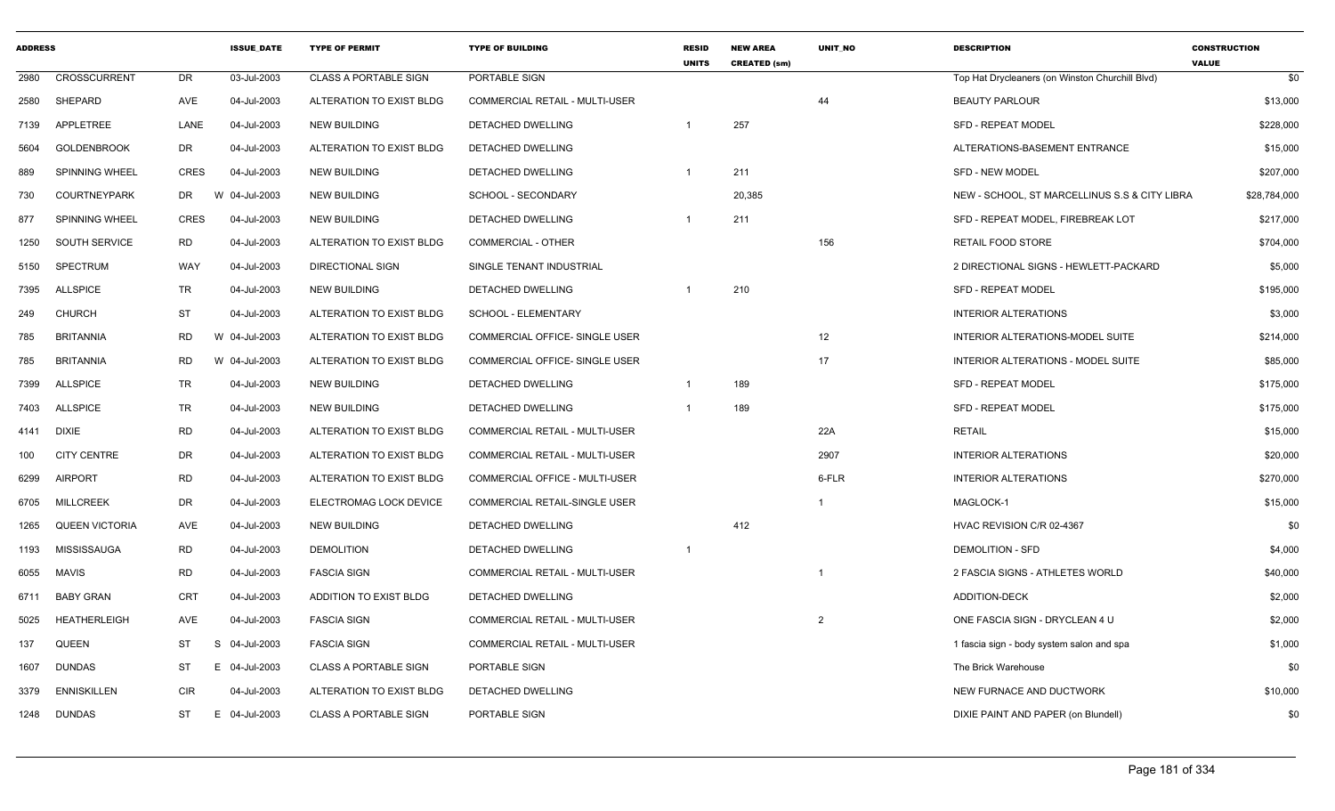| <b>ADDRESS</b> |                       |             | <b>ISSUE DATE</b> | <b>TYPE OF PERMIT</b>        | <b>TYPE OF BUILDING</b>               | <b>RESID</b><br><b>UNITS</b> | <b>NEW AREA</b><br><b>CREATED (sm)</b> | <b>UNIT NO</b> | <b>DESCRIPTION</b>                              | <b>CONSTRUCTION</b><br><b>VALUE</b> |
|----------------|-----------------------|-------------|-------------------|------------------------------|---------------------------------------|------------------------------|----------------------------------------|----------------|-------------------------------------------------|-------------------------------------|
| 2980           | CROSSCURRENT          | <b>DR</b>   | 03-Jul-2003       | <b>CLASS A PORTABLE SIGN</b> | PORTABLE SIGN                         |                              |                                        |                | Top Hat Drycleaners (on Winston Churchill Blvd) | \$0                                 |
| 2580           | SHEPARD               | AVE         | 04-Jul-2003       | ALTERATION TO EXIST BLDG     | <b>COMMERCIAL RETAIL - MULTI-USER</b> |                              |                                        | 44             | <b>BEAUTY PARLOUR</b>                           | \$13,000                            |
| 7139           | <b>APPLETREE</b>      | LANE        | 04-Jul-2003       | <b>NEW BUILDING</b>          | DETACHED DWELLING                     |                              | 257                                    |                | SFD - REPEAT MODEL                              | \$228,000                           |
| 5604           | <b>GOLDENBROOK</b>    | DR          | 04-Jul-2003       | ALTERATION TO EXIST BLDG     | DETACHED DWELLING                     |                              |                                        |                | ALTERATIONS-BASEMENT ENTRANCE                   | \$15,000                            |
| 889            | SPINNING WHEEL        | <b>CRES</b> | 04-Jul-2003       | <b>NEW BUILDING</b>          | DETACHED DWELLING                     | $\overline{1}$               | 211                                    |                | <b>SFD - NEW MODEL</b>                          | \$207,000                           |
| 730            | <b>COURTNEYPARK</b>   | DR          | W 04-Jul-2003     | <b>NEW BUILDING</b>          | SCHOOL - SECONDARY                    |                              | 20,385                                 |                | NEW - SCHOOL, ST MARCELLINUS S.S & CITY LIBRA   | \$28,784,000                        |
| 877            | SPINNING WHEEL        | <b>CRES</b> | 04-Jul-2003       | <b>NEW BUILDING</b>          | DETACHED DWELLING                     | $\overline{1}$               | 211                                    |                | SFD - REPEAT MODEL, FIREBREAK LOT               | \$217,000                           |
| 1250           | SOUTH SERVICE         | <b>RD</b>   | 04-Jul-2003       | ALTERATION TO EXIST BLDG     | <b>COMMERCIAL - OTHER</b>             |                              |                                        | 156            | <b>RETAIL FOOD STORE</b>                        | \$704,000                           |
| 5150           | SPECTRUM              | <b>WAY</b>  | 04-Jul-2003       | <b>DIRECTIONAL SIGN</b>      | SINGLE TENANT INDUSTRIAL              |                              |                                        |                | 2 DIRECTIONAL SIGNS - HEWLETT-PACKARD           | \$5,000                             |
| 7395           | <b>ALLSPICE</b>       | <b>TR</b>   | 04-Jul-2003       | <b>NEW BUILDING</b>          | DETACHED DWELLING                     |                              | 210                                    |                | <b>SFD - REPEAT MODEL</b>                       | \$195,000                           |
| 249            | <b>CHURCH</b>         | <b>ST</b>   | 04-Jul-2003       | ALTERATION TO EXIST BLDG     | SCHOOL - ELEMENTARY                   |                              |                                        |                | <b>INTERIOR ALTERATIONS</b>                     | \$3,000                             |
| 785            | <b>BRITANNIA</b>      | <b>RD</b>   | W 04-Jul-2003     | ALTERATION TO EXIST BLDG     | COMMERCIAL OFFICE- SINGLE USER        |                              |                                        | 12             | INTERIOR ALTERATIONS-MODEL SUITE                | \$214,000                           |
| 785            | <b>BRITANNIA</b>      | RD          | W 04-Jul-2003     | ALTERATION TO EXIST BLDG     | COMMERCIAL OFFICE- SINGLE USER        |                              |                                        | 17             | INTERIOR ALTERATIONS - MODEL SUITE              | \$85,000                            |
| 7399           | <b>ALLSPICE</b>       | <b>TR</b>   | 04-Jul-2003       | <b>NEW BUILDING</b>          | DETACHED DWELLING                     | $\overline{1}$               | 189                                    |                | <b>SFD - REPEAT MODEL</b>                       | \$175,000                           |
| 7403           | <b>ALLSPICE</b>       | <b>TR</b>   | 04-Jul-2003       | <b>NEW BUILDING</b>          | <b>DETACHED DWELLING</b>              | $\overline{1}$               | 189                                    |                | <b>SFD - REPEAT MODEL</b>                       | \$175,000                           |
| 4141           | <b>DIXIE</b>          | <b>RD</b>   | 04-Jul-2003       | ALTERATION TO EXIST BLDG     | <b>COMMERCIAL RETAIL - MULTI-USER</b> |                              |                                        | 22A            | <b>RETAIL</b>                                   | \$15,000                            |
| 100            | <b>CITY CENTRE</b>    | DR          | 04-Jul-2003       | ALTERATION TO EXIST BLDG     | COMMERCIAL RETAIL - MULTI-USER        |                              |                                        | 2907           | <b>INTERIOR ALTERATIONS</b>                     | \$20,000                            |
| 6299           | <b>AIRPORT</b>        | <b>RD</b>   | 04-Jul-2003       | ALTERATION TO EXIST BLDG     | COMMERCIAL OFFICE - MULTI-USER        |                              |                                        | 6-FLR          | <b>INTERIOR ALTERATIONS</b>                     | \$270,000                           |
| 6705           | <b>MILLCREEK</b>      | DR          | 04-Jul-2003       | ELECTROMAG LOCK DEVICE       | COMMERCIAL RETAIL-SINGLE USER         |                              |                                        | $\overline{1}$ | MAGLOCK-1                                       | \$15,000                            |
| 1265           | <b>QUEEN VICTORIA</b> | AVE         | 04-Jul-2003       | <b>NEW BUILDING</b>          | DETACHED DWELLING                     |                              | 412                                    |                | HVAC REVISION C/R 02-4367                       | \$0                                 |
| 1193           | MISSISSAUGA           | <b>RD</b>   | 04-Jul-2003       | <b>DEMOLITION</b>            | DETACHED DWELLING                     | $\overline{1}$               |                                        |                | <b>DEMOLITION - SFD</b>                         | \$4,000                             |
| 6055           | <b>MAVIS</b>          | <b>RD</b>   | 04-Jul-2003       | <b>FASCIA SIGN</b>           | COMMERCIAL RETAIL - MULTI-USER        |                              |                                        | - 1            | 2 FASCIA SIGNS - ATHLETES WORLD                 | \$40,000                            |
| 6711           | <b>BABY GRAN</b>      | <b>CRT</b>  | 04-Jul-2003       | ADDITION TO EXIST BLDG       | DETACHED DWELLING                     |                              |                                        |                | <b>ADDITION-DECK</b>                            | \$2,000                             |
| 5025           | <b>HEATHERLEIGH</b>   | AVE         | 04-Jul-2003       | <b>FASCIA SIGN</b>           | COMMERCIAL RETAIL - MULTI-USER        |                              |                                        | $\overline{2}$ | ONE FASCIA SIGN - DRYCLEAN 4 U                  | \$2,000                             |
| 137            | <b>QUEEN</b>          | ST          | S 04-Jul-2003     | <b>FASCIA SIGN</b>           | COMMERCIAL RETAIL - MULTI-USER        |                              |                                        |                | 1 fascia sign - body system salon and spa       | \$1,000                             |
| 1607           | <b>DUNDAS</b>         | <b>ST</b>   | E 04-Jul-2003     | <b>CLASS A PORTABLE SIGN</b> | PORTABLE SIGN                         |                              |                                        |                | The Brick Warehouse                             | \$0                                 |
| 3379           | <b>ENNISKILLEN</b>    | <b>CIR</b>  | 04-Jul-2003       | ALTERATION TO EXIST BLDG     | DETACHED DWELLING                     |                              |                                        |                | NEW FURNACE AND DUCTWORK                        | \$10,000                            |
| 1248           | <b>DUNDAS</b>         | ST          | E 04-Jul-2003     | <b>CLASS A PORTABLE SIGN</b> | PORTABLE SIGN                         |                              |                                        |                | DIXIE PAINT AND PAPER (on Blundell)             | \$0                                 |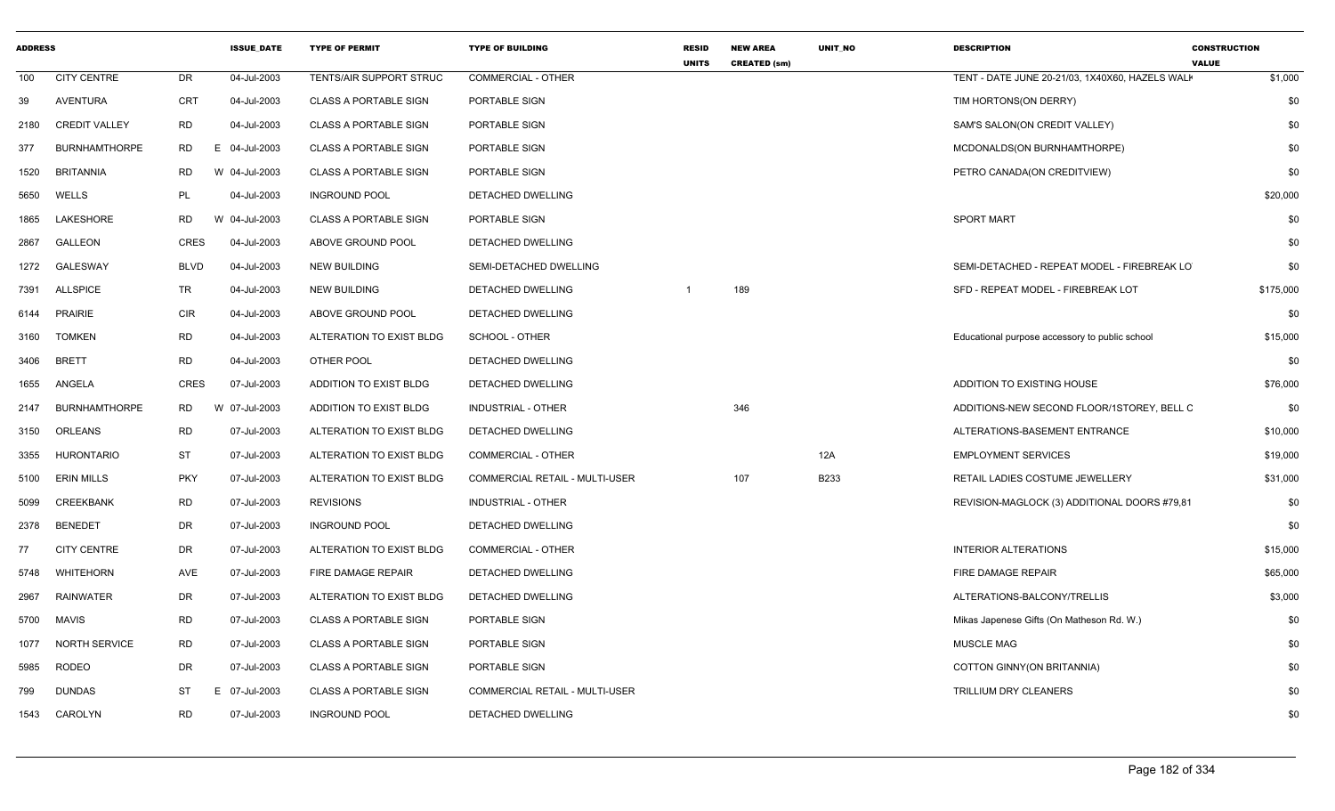| <b>ADDRESS</b> |                      |             | <b>ISSUE DATE</b> | <b>TYPE OF PERMIT</b>        | <b>TYPE OF BUILDING</b>        | <b>RESID</b><br><b>UNITS</b> | <b>NEW AREA</b><br><b>CREATED (sm)</b> | <b>UNIT NO</b> | <b>DESCRIPTION</b>                              | <b>CONSTRUCTION</b><br><b>VALUE</b> |
|----------------|----------------------|-------------|-------------------|------------------------------|--------------------------------|------------------------------|----------------------------------------|----------------|-------------------------------------------------|-------------------------------------|
| 100            | <b>CITY CENTRE</b>   | DR          | 04-Jul-2003       | TENTS/AIR SUPPORT STRUC      | COMMERCIAL - OTHER             |                              |                                        |                | TENT - DATE JUNE 20-21/03, 1X40X60, HAZELS WALH | \$1,000                             |
| 39             | <b>AVENTURA</b>      | <b>CRT</b>  | 04-Jul-2003       | <b>CLASS A PORTABLE SIGN</b> | PORTABLE SIGN                  |                              |                                        |                | TIM HORTONS(ON DERRY)                           | \$0                                 |
| 2180           | <b>CREDIT VALLEY</b> | <b>RD</b>   | 04-Jul-2003       | <b>CLASS A PORTABLE SIGN</b> | PORTABLE SIGN                  |                              |                                        |                | SAM'S SALON(ON CREDIT VALLEY)                   | \$0                                 |
| 377            | <b>BURNHAMTHORPE</b> | RD.         | E 04-Jul-2003     | <b>CLASS A PORTABLE SIGN</b> | PORTABLE SIGN                  |                              |                                        |                | MCDONALDS(ON BURNHAMTHORPE)                     | \$0                                 |
| 1520           | <b>BRITANNIA</b>     | RD.         | W 04-Jul-2003     | <b>CLASS A PORTABLE SIGN</b> | PORTABLE SIGN                  |                              |                                        |                | PETRO CANADA(ON CREDITVIEW)                     | \$0                                 |
| 5650           | WELLS                | PL          | 04-Jul-2003       | <b>INGROUND POOL</b>         | DETACHED DWELLING              |                              |                                        |                |                                                 | \$20,000                            |
| 1865           | LAKESHORE            | <b>RD</b>   | 04-Jul-2003<br>W  | <b>CLASS A PORTABLE SIGN</b> | PORTABLE SIGN                  |                              |                                        |                | <b>SPORT MART</b>                               | \$0                                 |
| 2867           | GALLEON              | CRES        | 04-Jul-2003       | ABOVE GROUND POOL            | DETACHED DWELLING              |                              |                                        |                |                                                 | \$0                                 |
| 1272           | <b>GALESWAY</b>      | <b>BLVD</b> | 04-Jul-2003       | <b>NEW BUILDING</b>          | SEMI-DETACHED DWELLING         |                              |                                        |                | SEMI-DETACHED - REPEAT MODEL - FIREBREAK LO     | \$0                                 |
| 7391           | ALLSPICE             | <b>TR</b>   | 04-Jul-2003       | <b>NEW BUILDING</b>          | DETACHED DWELLING              |                              | 189                                    |                | SFD - REPEAT MODEL - FIREBREAK LOT              | \$175,000                           |
| 6144           | <b>PRAIRIE</b>       | <b>CIR</b>  | 04-Jul-2003       | ABOVE GROUND POOL            | DETACHED DWELLING              |                              |                                        |                |                                                 | \$0                                 |
| 3160           | <b>TOMKEN</b>        | <b>RD</b>   | 04-Jul-2003       | ALTERATION TO EXIST BLDG     | SCHOOL - OTHER                 |                              |                                        |                | Educational purpose accessory to public school  | \$15,000                            |
| 3406           | <b>BRETT</b>         | RD          | 04-Jul-2003       | OTHER POOL                   | DETACHED DWELLING              |                              |                                        |                |                                                 | \$0                                 |
| 1655           | ANGELA               | <b>CRES</b> | 07-Jul-2003       | ADDITION TO EXIST BLDG       | <b>DETACHED DWELLING</b>       |                              |                                        |                | ADDITION TO EXISTING HOUSE                      | \$76,000                            |
| 2147           | <b>BURNHAMTHORPE</b> | RD.         | W 07-Jul-2003     | ADDITION TO EXIST BLDG       | <b>INDUSTRIAL - OTHER</b>      |                              | 346                                    |                | ADDITIONS-NEW SECOND FLOOR/1STOREY, BELL C      | \$0                                 |
| 3150           | ORLEANS              | <b>RD</b>   | 07-Jul-2003       | ALTERATION TO EXIST BLDG     | DETACHED DWELLING              |                              |                                        |                | ALTERATIONS-BASEMENT ENTRANCE                   | \$10,000                            |
| 3355           | <b>HURONTARIO</b>    | <b>ST</b>   | 07-Jul-2003       | ALTERATION TO EXIST BLDG     | <b>COMMERCIAL - OTHER</b>      |                              |                                        | 12A            | <b>EMPLOYMENT SERVICES</b>                      | \$19,000                            |
| 5100           | <b>ERIN MILLS</b>    | <b>PKY</b>  | 07-Jul-2003       | ALTERATION TO EXIST BLDG     | COMMERCIAL RETAIL - MULTI-USER |                              | 107                                    | B233           | RETAIL LADIES COSTUME JEWELLERY                 | \$31,000                            |
| 5099           | <b>CREEKBANK</b>     | <b>RD</b>   | 07-Jul-2003       | <b>REVISIONS</b>             | <b>INDUSTRIAL - OTHER</b>      |                              |                                        |                | REVISION-MAGLOCK (3) ADDITIONAL DOORS #79,81    | \$0                                 |
| 2378           | <b>BENEDET</b>       | DR          | 07-Jul-2003       | <b>INGROUND POOL</b>         | DETACHED DWELLING              |                              |                                        |                |                                                 | \$0                                 |
| 77             | <b>CITY CENTRE</b>   | DR          | 07-Jul-2003       | ALTERATION TO EXIST BLDG     | <b>COMMERCIAL - OTHER</b>      |                              |                                        |                | <b>INTERIOR ALTERATIONS</b>                     | \$15,000                            |
| 5748           | <b>WHITEHORN</b>     | AVE         | 07-Jul-2003       | FIRE DAMAGE REPAIR           | DETACHED DWELLING              |                              |                                        |                | FIRE DAMAGE REPAIR                              | \$65,000                            |
| 2967           | <b>RAINWATER</b>     | DR.         | 07-Jul-2003       | ALTERATION TO EXIST BLDG     | DETACHED DWELLING              |                              |                                        |                | ALTERATIONS-BALCONY/TRELLIS                     | \$3,000                             |
| 5700           | <b>MAVIS</b>         | <b>RD</b>   | 07-Jul-2003       | <b>CLASS A PORTABLE SIGN</b> | PORTABLE SIGN                  |                              |                                        |                | Mikas Japenese Gifts (On Matheson Rd. W.)       | \$0                                 |
| 1077           | <b>NORTH SERVICE</b> | <b>RD</b>   | 07-Jul-2003       | <b>CLASS A PORTABLE SIGN</b> | PORTABLE SIGN                  |                              |                                        |                | MUSCLE MAG                                      | \$0                                 |
| 5985           | <b>RODEO</b>         | DR          | 07-Jul-2003       | <b>CLASS A PORTABLE SIGN</b> | PORTABLE SIGN                  |                              |                                        |                | COTTON GINNY(ON BRITANNIA)                      | \$0                                 |
| 799            | <b>DUNDAS</b>        | ST          | 07-Jul-2003<br>E. | <b>CLASS A PORTABLE SIGN</b> | COMMERCIAL RETAIL - MULTI-USER |                              |                                        |                | TRILLIUM DRY CLEANERS                           | \$0                                 |
| 1543           | CAROLYN              | <b>RD</b>   | 07-Jul-2003       | <b>INGROUND POOL</b>         | DETACHED DWELLING              |                              |                                        |                |                                                 | \$0                                 |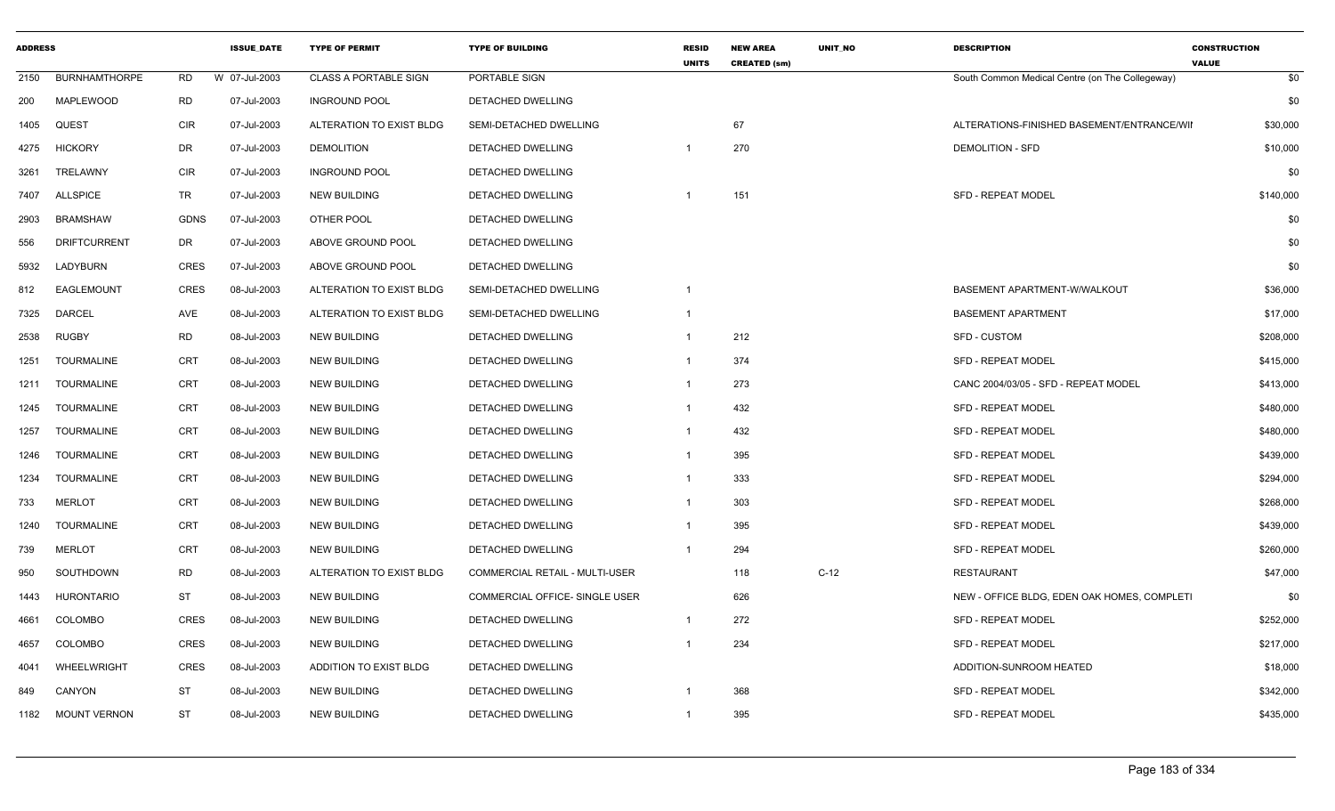| <b>ADDRESS</b> |                      |             | <b>ISSUE DATE</b> | <b>TYPE OF PERMIT</b>        | <b>TYPE OF BUILDING</b>               | <b>RESID</b><br><b>UNITS</b> | <b>NEW AREA</b><br><b>CREATED (sm)</b> | <b>UNIT NO</b> | <b>DESCRIPTION</b>                              | <b>CONSTRUCTION</b><br><b>VALUE</b> |
|----------------|----------------------|-------------|-------------------|------------------------------|---------------------------------------|------------------------------|----------------------------------------|----------------|-------------------------------------------------|-------------------------------------|
| 2150           | <b>BURNHAMTHORPE</b> | RD          | W 07-Jul-2003     | <b>CLASS A PORTABLE SIGN</b> | PORTABLE SIGN                         |                              |                                        |                | South Common Medical Centre (on The Collegeway) | \$0                                 |
| 200            | <b>MAPLEWOOD</b>     | <b>RD</b>   | 07-Jul-2003       | <b>INGROUND POOL</b>         | <b>DETACHED DWELLING</b>              |                              |                                        |                |                                                 | \$0                                 |
| 1405           | QUEST                | <b>CIR</b>  | 07-Jul-2003       | ALTERATION TO EXIST BLDG     | SEMI-DETACHED DWELLING                |                              | 67                                     |                | ALTERATIONS-FINISHED BASEMENT/ENTRANCE/WII      | \$30,000                            |
| 4275           | <b>HICKORY</b>       | DR          | 07-Jul-2003       | <b>DEMOLITION</b>            | DETACHED DWELLING                     |                              | 270                                    |                | DEMOLITION - SFD                                | \$10,000                            |
| 3261           | TRELAWNY             | <b>CIR</b>  | 07-Jul-2003       | <b>INGROUND POOL</b>         | DETACHED DWELLING                     |                              |                                        |                |                                                 | \$0                                 |
| 7407           | <b>ALLSPICE</b>      | TR          | 07-Jul-2003       | <b>NEW BUILDING</b>          | <b>DETACHED DWELLING</b>              |                              | 151                                    |                | <b>SFD - REPEAT MODEL</b>                       | \$140,000                           |
| 2903           | <b>BRAMSHAW</b>      | <b>GDNS</b> | 07-Jul-2003       | OTHER POOL                   | DETACHED DWELLING                     |                              |                                        |                |                                                 | \$0                                 |
| 556            | <b>DRIFTCURRENT</b>  | DR          | 07-Jul-2003       | ABOVE GROUND POOL            | DETACHED DWELLING                     |                              |                                        |                |                                                 | \$0                                 |
| 5932           | LADYBURN             | <b>CRES</b> | 07-Jul-2003       | ABOVE GROUND POOL            | DETACHED DWELLING                     |                              |                                        |                |                                                 | \$0                                 |
| 812            | EAGLEMOUNT           | <b>CRES</b> | 08-Jul-2003       | ALTERATION TO EXIST BLDG     | SEMI-DETACHED DWELLING                |                              |                                        |                | BASEMENT APARTMENT-W/WALKOUT                    | \$36,000                            |
| 7325           | <b>DARCEL</b>        | AVE         | 08-Jul-2003       | ALTERATION TO EXIST BLDG     | SEMI-DETACHED DWELLING                | 1                            |                                        |                | <b>BASEMENT APARTMENT</b>                       | \$17,000                            |
| 2538           | <b>RUGBY</b>         | RD          | 08-Jul-2003       | <b>NEW BUILDING</b>          | <b>DETACHED DWELLING</b>              |                              | 212                                    |                | <b>SFD - CUSTOM</b>                             | \$208,000                           |
| 1251           | <b>TOURMALINE</b>    | <b>CRT</b>  | 08-Jul-2003       | <b>NEW BUILDING</b>          | DETACHED DWELLING                     |                              | 374                                    |                | <b>SFD - REPEAT MODEL</b>                       | \$415,000                           |
| 1211           | <b>TOURMALINE</b>    | <b>CRT</b>  | 08-Jul-2003       | <b>NEW BUILDING</b>          | DETACHED DWELLING                     | -1                           | 273                                    |                | CANC 2004/03/05 - SFD - REPEAT MODEL            | \$413,000                           |
| 1245           | <b>TOURMALINE</b>    | CRT         | 08-Jul-2003       | <b>NEW BUILDING</b>          | <b>DETACHED DWELLING</b>              | -1                           | 432                                    |                | <b>SFD - REPEAT MODEL</b>                       | \$480,000                           |
| 1257           | <b>TOURMALINE</b>    | <b>CRT</b>  | 08-Jul-2003       | <b>NEW BUILDING</b>          | <b>DETACHED DWELLING</b>              |                              | 432                                    |                | <b>SFD - REPEAT MODEL</b>                       | \$480,000                           |
| 1246           | <b>TOURMALINE</b>    | <b>CRT</b>  | 08-Jul-2003       | NEW BUILDING                 | DETACHED DWELLING                     |                              | 395                                    |                | <b>SFD - REPEAT MODEL</b>                       | \$439,000                           |
| 1234           | <b>TOURMALINE</b>    | CRT         | 08-Jul-2003       | <b>NEW BUILDING</b>          | DETACHED DWELLING                     | 1                            | 333                                    |                | SFD - REPEAT MODEL                              | \$294,000                           |
| 733            | <b>MERLOT</b>        | <b>CRT</b>  | 08-Jul-2003       | <b>NEW BUILDING</b>          | DETACHED DWELLING                     | $\mathbf 1$                  | 303                                    |                | SFD - REPEAT MODEL                              | \$268,000                           |
| 1240           | TOURMALINE           | <b>CRT</b>  | 08-Jul-2003       | <b>NEW BUILDING</b>          | DETACHED DWELLING                     |                              | 395                                    |                | <b>SFD - REPEAT MODEL</b>                       | \$439,000                           |
| 739            | <b>MERLOT</b>        | <b>CRT</b>  | 08-Jul-2003       | <b>NEW BUILDING</b>          | DETACHED DWELLING                     |                              | 294                                    |                | <b>SFD - REPEAT MODEL</b>                       | \$260,000                           |
| 950            | SOUTHDOWN            | RD          | 08-Jul-2003       | ALTERATION TO EXIST BLDG     | <b>COMMERCIAL RETAIL - MULTI-USER</b> |                              | 118                                    | $C-12$         | <b>RESTAURANT</b>                               | \$47,000                            |
| 1443           | <b>HURONTARIO</b>    | <b>ST</b>   | 08-Jul-2003       | <b>NEW BUILDING</b>          | COMMERCIAL OFFICE- SINGLE USER        |                              | 626                                    |                | NEW - OFFICE BLDG, EDEN OAK HOMES, COMPLETI     | \$0                                 |
| 4661           | COLOMBO              | <b>CRES</b> | 08-Jul-2003       | <b>NEW BUILDING</b>          | DETACHED DWELLING                     |                              | 272                                    |                | SFD - REPEAT MODEL                              | \$252,000                           |
| 4657           | COLOMBO              | CRES        | 08-Jul-2003       | <b>NEW BUILDING</b>          | DETACHED DWELLING                     |                              | 234                                    |                | SFD - REPEAT MODEL                              | \$217,000                           |
| 4041           | WHEELWRIGHT          | <b>CRES</b> | 08-Jul-2003       | ADDITION TO EXIST BLDG       | DETACHED DWELLING                     |                              |                                        |                | ADDITION-SUNROOM HEATED                         | \$18,000                            |
| 849            | CANYON               | <b>ST</b>   | 08-Jul-2003       | NEW BUILDING                 | DETACHED DWELLING                     |                              | 368                                    |                | <b>SFD - REPEAT MODEL</b>                       | \$342,000                           |
| 1182           | <b>MOUNT VERNON</b>  | <b>ST</b>   | 08-Jul-2003       | <b>NEW BUILDING</b>          | <b>DETACHED DWELLING</b>              | $\overline{1}$               | 395                                    |                | <b>SFD - REPEAT MODEL</b>                       | \$435,000                           |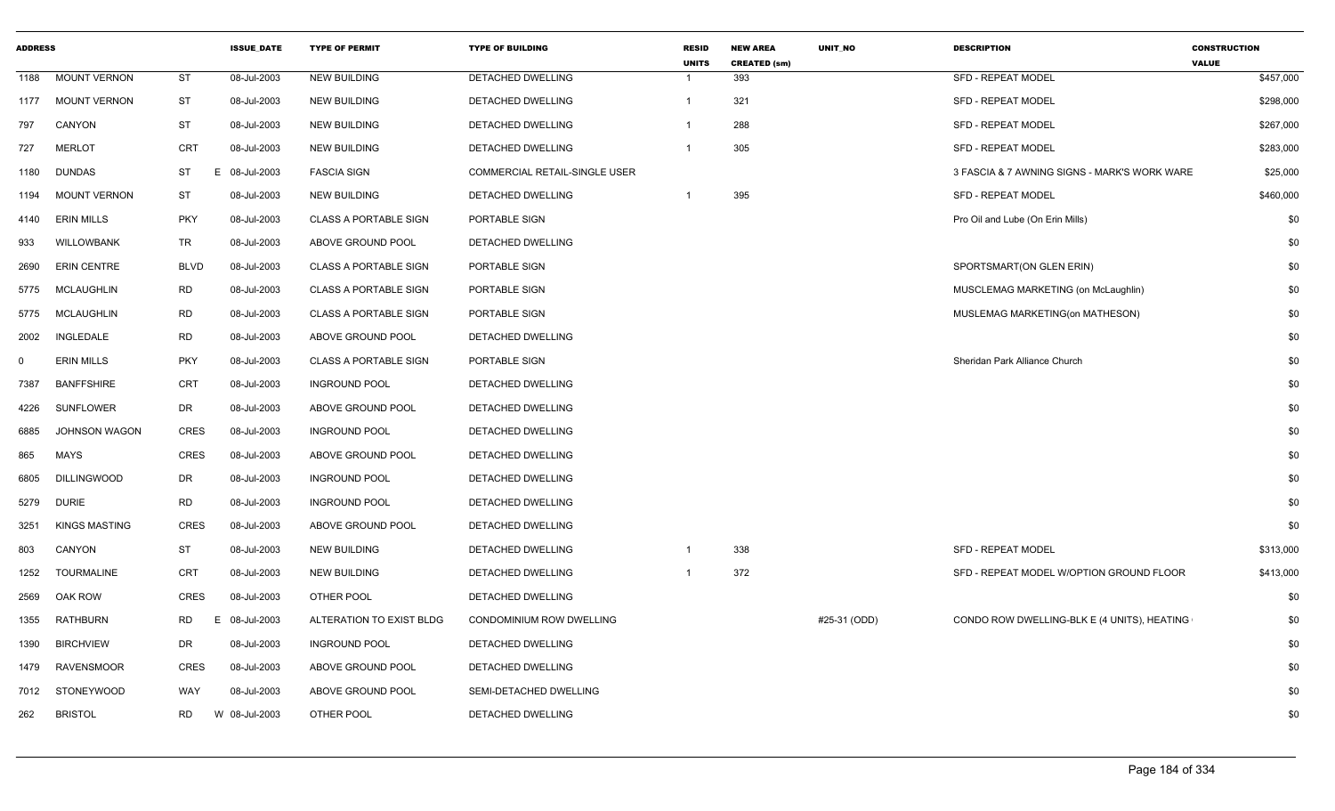| <b>ADDRESS</b> |                      |             | <b>ISSUE DATE</b> | <b>TYPE OF PERMIT</b>        | <b>TYPE OF BUILDING</b>       | <b>RESID</b><br><b>UNITS</b> | <b>NEW AREA</b><br><b>CREATED (sm)</b> | UNIT_NO      | <b>DESCRIPTION</b>                           | <b>CONSTRUCTION</b><br><b>VALUE</b> |
|----------------|----------------------|-------------|-------------------|------------------------------|-------------------------------|------------------------------|----------------------------------------|--------------|----------------------------------------------|-------------------------------------|
| 1188           | <b>MOUNT VERNON</b>  | <b>ST</b>   | 08-Jul-2003       | <b>NEW BUILDING</b>          | DETACHED DWELLING             | -1                           | 393                                    |              | <b>SFD - REPEAT MODEL</b>                    | \$457,000                           |
| 1177           | <b>MOUNT VERNON</b>  | ST          | 08-Jul-2003       | <b>NEW BUILDING</b>          | DETACHED DWELLING             | $\mathbf{1}$                 | 321                                    |              | SFD - REPEAT MODEL                           | \$298,000                           |
| 797            | CANYON               | <b>ST</b>   | 08-Jul-2003       | <b>NEW BUILDING</b>          | DETACHED DWELLING             | $\overline{\mathbf{1}}$      | 288                                    |              | <b>SFD - REPEAT MODEL</b>                    | \$267,000                           |
| 727            | <b>MERLOT</b>        | CRT         | 08-Jul-2003       | <b>NEW BUILDING</b>          | DETACHED DWELLING             | $\overline{\mathbf{1}}$      | 305                                    |              | <b>SFD - REPEAT MODEL</b>                    | \$283,000                           |
| 1180           | <b>DUNDAS</b>        | ST          | E.<br>08-Jul-2003 | <b>FASCIA SIGN</b>           | COMMERCIAL RETAIL-SINGLE USER |                              |                                        |              | 3 FASCIA & 7 AWNING SIGNS - MARK'S WORK WARE | \$25,000                            |
| 1194           | <b>MOUNT VERNON</b>  | ST          | 08-Jul-2003       | <b>NEW BUILDING</b>          | DETACHED DWELLING             | $\overline{1}$               | 395                                    |              | <b>SFD - REPEAT MODEL</b>                    | \$460,000                           |
| 4140           | <b>ERIN MILLS</b>    | <b>PKY</b>  | 08-Jul-2003       | <b>CLASS A PORTABLE SIGN</b> | PORTABLE SIGN                 |                              |                                        |              | Pro Oil and Lube (On Erin Mills)             | \$0                                 |
| 933            | WILLOWBANK           | <b>TR</b>   | 08-Jul-2003       | ABOVE GROUND POOL            | DETACHED DWELLING             |                              |                                        |              |                                              | \$0                                 |
| 2690           | <b>ERIN CENTRE</b>   | <b>BLVD</b> | 08-Jul-2003       | <b>CLASS A PORTABLE SIGN</b> | PORTABLE SIGN                 |                              |                                        |              | SPORTSMART(ON GLEN ERIN)                     | \$0                                 |
| 5775           | <b>MCLAUGHLIN</b>    | <b>RD</b>   | 08-Jul-2003       | <b>CLASS A PORTABLE SIGN</b> | PORTABLE SIGN                 |                              |                                        |              | MUSCLEMAG MARKETING (on McLaughlin)          | \$0                                 |
| 5775           | MCLAUGHLIN           | <b>RD</b>   | 08-Jul-2003       | <b>CLASS A PORTABLE SIGN</b> | PORTABLE SIGN                 |                              |                                        |              | MUSLEMAG MARKETING(on MATHESON)              | \$0                                 |
| 2002           | INGLEDALE            | <b>RD</b>   | 08-Jul-2003       | ABOVE GROUND POOL            | DETACHED DWELLING             |                              |                                        |              |                                              | \$0                                 |
| 0              | <b>ERIN MILLS</b>    | <b>PKY</b>  | 08-Jul-2003       | <b>CLASS A PORTABLE SIGN</b> | PORTABLE SIGN                 |                              |                                        |              | Sheridan Park Alliance Church                | \$0                                 |
| 7387           | <b>BANFFSHIRE</b>    | CRT         | 08-Jul-2003       | <b>INGROUND POOL</b>         | DETACHED DWELLING             |                              |                                        |              |                                              | \$0                                 |
| 4226           | <b>SUNFLOWER</b>     | <b>DR</b>   | 08-Jul-2003       | ABOVE GROUND POOL            | DETACHED DWELLING             |                              |                                        |              |                                              | \$0                                 |
| 6885           | <b>JOHNSON WAGON</b> | CRES        | 08-Jul-2003       | <b>INGROUND POOL</b>         | <b>DETACHED DWELLING</b>      |                              |                                        |              |                                              | \$0                                 |
| 865            | <b>MAYS</b>          | CRES        | 08-Jul-2003       | ABOVE GROUND POOL            | DETACHED DWELLING             |                              |                                        |              |                                              | \$0                                 |
| 6805           | <b>DILLINGWOOD</b>   | <b>DR</b>   | 08-Jul-2003       | <b>INGROUND POOL</b>         | DETACHED DWELLING             |                              |                                        |              |                                              | \$0                                 |
| 5279           | <b>DURIE</b>         | <b>RD</b>   | 08-Jul-2003       | <b>INGROUND POOL</b>         | DETACHED DWELLING             |                              |                                        |              |                                              | \$0                                 |
| 3251           | <b>KINGS MASTING</b> | <b>CRES</b> | 08-Jul-2003       | ABOVE GROUND POOL            | DETACHED DWELLING             |                              |                                        |              |                                              | \$0                                 |
| 803            | CANYON               | <b>ST</b>   | 08-Jul-2003       | <b>NEW BUILDING</b>          | DETACHED DWELLING             | $\overline{1}$               | 338                                    |              | <b>SFD - REPEAT MODEL</b>                    | \$313,000                           |
| 1252           | <b>TOURMALINE</b>    | <b>CRT</b>  | 08-Jul-2003       | <b>NEW BUILDING</b>          | DETACHED DWELLING             | $\overline{\mathbf{1}}$      | 372                                    |              | SFD - REPEAT MODEL W/OPTION GROUND FLOOR     | \$413,000                           |
| 2569           | OAK ROW              | CRES        | 08-Jul-2003       | OTHER POOL                   | DETACHED DWELLING             |                              |                                        |              |                                              | \$0                                 |
| 1355           | RATHBURN             | <b>RD</b>   | 08-Jul-2003<br>E. | ALTERATION TO EXIST BLDG     | CONDOMINIUM ROW DWELLING      |                              |                                        | #25-31 (ODD) | CONDO ROW DWELLING-BLK E (4 UNITS), HEATING  | \$0                                 |
| 1390           | <b>BIRCHVIEW</b>     | DR          | 08-Jul-2003       | <b>INGROUND POOL</b>         | DETACHED DWELLING             |                              |                                        |              |                                              | \$0                                 |
| 1479           | <b>RAVENSMOOR</b>    | <b>CRES</b> | 08-Jul-2003       | ABOVE GROUND POOL            | DETACHED DWELLING             |                              |                                        |              |                                              | \$0                                 |
| 7012           | <b>STONEYWOOD</b>    | <b>WAY</b>  | 08-Jul-2003       | ABOVE GROUND POOL            | SEMI-DETACHED DWELLING        |                              |                                        |              |                                              | \$0                                 |
| 262            | <b>BRISTOL</b>       | RD.         | W 08-Jul-2003     | OTHER POOL                   | DETACHED DWELLING             |                              |                                        |              |                                              | \$0                                 |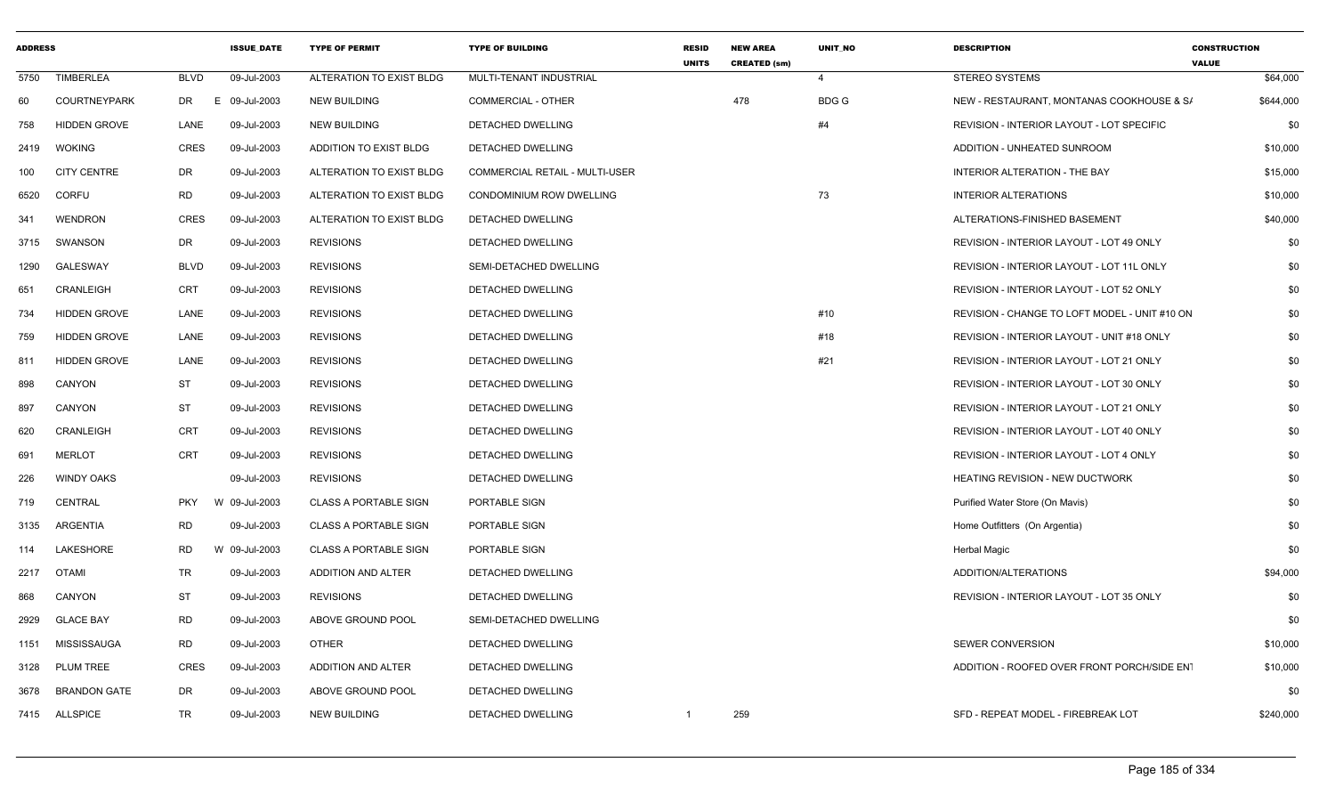| <b>ADDRESS</b> |                     |             | <b>ISSUE DATE</b> | <b>TYPE OF PERMIT</b>        | <b>TYPE OF BUILDING</b>        | <b>RESID</b><br><b>UNITS</b> | <b>NEW AREA</b><br><b>CREATED (sm)</b> | UNIT_NO     | <b>DESCRIPTION</b>                               | <b>CONSTRUCTION</b><br><b>VALUE</b> |
|----------------|---------------------|-------------|-------------------|------------------------------|--------------------------------|------------------------------|----------------------------------------|-------------|--------------------------------------------------|-------------------------------------|
| 5750           | <b>TIMBERLEA</b>    | <b>BLVD</b> | 09-Jul-2003       | ALTERATION TO EXIST BLDG     | MULTI-TENANT INDUSTRIAL        |                              |                                        | 4           | <b>STEREO SYSTEMS</b>                            | \$64,000                            |
| 60             | <b>COURTNEYPARK</b> | DR          | E<br>09-Jul-2003  | <b>NEW BUILDING</b>          | <b>COMMERCIAL - OTHER</b>      |                              | 478                                    | <b>BDGG</b> | NEW - RESTAURANT, MONTANAS COOKHOUSE & S/        | \$644,000                           |
| 758            | <b>HIDDEN GROVE</b> | LANE        | 09-Jul-2003       | <b>NEW BUILDING</b>          | DETACHED DWELLING              |                              |                                        | #4          | <b>REVISION - INTERIOR LAYOUT - LOT SPECIFIC</b> | \$0                                 |
| 2419           | <b>WOKING</b>       | CRES        | 09-Jul-2003       | ADDITION TO EXIST BLDG       | DETACHED DWELLING              |                              |                                        |             | ADDITION - UNHEATED SUNROOM                      | \$10,000                            |
| 100            | <b>CITY CENTRE</b>  | DR          | 09-Jul-2003       | ALTERATION TO EXIST BLDG     | COMMERCIAL RETAIL - MULTI-USER |                              |                                        |             | <b>INTERIOR ALTERATION - THE BAY</b>             | \$15,000                            |
| 6520           | <b>CORFU</b>        | RD          | 09-Jul-2003       | ALTERATION TO EXIST BLDG     | CONDOMINIUM ROW DWELLING       |                              |                                        | 73          | <b>INTERIOR ALTERATIONS</b>                      | \$10,000                            |
| 341            | <b>WENDRON</b>      | <b>CRES</b> | 09-Jul-2003       | ALTERATION TO EXIST BLDG     | DETACHED DWELLING              |                              |                                        |             | ALTERATIONS-FINISHED BASEMENT                    | \$40,000                            |
| 3715           | SWANSON             | DR          | 09-Jul-2003       | <b>REVISIONS</b>             | DETACHED DWELLING              |                              |                                        |             | REVISION - INTERIOR LAYOUT - LOT 49 ONLY         | \$0                                 |
| 1290           | <b>GALESWAY</b>     | <b>BLVD</b> | 09-Jul-2003       | <b>REVISIONS</b>             | SEMI-DETACHED DWELLING         |                              |                                        |             | REVISION - INTERIOR LAYOUT - LOT 11L ONLY        | \$0                                 |
| 651            | CRANLEIGH           | <b>CRT</b>  | 09-Jul-2003       | <b>REVISIONS</b>             | DETACHED DWELLING              |                              |                                        |             | REVISION - INTERIOR LAYOUT - LOT 52 ONLY         | \$0                                 |
| 734            | <b>HIDDEN GROVE</b> | LANE        | 09-Jul-2003       | <b>REVISIONS</b>             | DETACHED DWELLING              |                              |                                        | #10         | REVISION - CHANGE TO LOFT MODEL - UNIT #10 ON    | \$0                                 |
| 759            | <b>HIDDEN GROVE</b> | LANE        | 09-Jul-2003       | <b>REVISIONS</b>             | DETACHED DWELLING              |                              |                                        | #18         | REVISION - INTERIOR LAYOUT - UNIT #18 ONLY       | \$0                                 |
| 811            | <b>HIDDEN GROVE</b> | LANE        | 09-Jul-2003       | <b>REVISIONS</b>             | DETACHED DWELLING              |                              |                                        | #21         | REVISION - INTERIOR LAYOUT - LOT 21 ONLY         | \$0                                 |
| 898            | CANYON              | ST          | 09-Jul-2003       | <b>REVISIONS</b>             | DETACHED DWELLING              |                              |                                        |             | REVISION - INTERIOR LAYOUT - LOT 30 ONLY         | \$0                                 |
| 897            | CANYON              | <b>ST</b>   | 09-Jul-2003       | <b>REVISIONS</b>             | DETACHED DWELLING              |                              |                                        |             | REVISION - INTERIOR LAYOUT - LOT 21 ONLY         | \$0                                 |
| 620            | CRANLEIGH           | <b>CRT</b>  | 09-Jul-2003       | <b>REVISIONS</b>             | DETACHED DWELLING              |                              |                                        |             | REVISION - INTERIOR LAYOUT - LOT 40 ONLY         | \$0                                 |
| 691            | <b>MERLOT</b>       | <b>CRT</b>  | 09-Jul-2003       | <b>REVISIONS</b>             | DETACHED DWELLING              |                              |                                        |             | REVISION - INTERIOR LAYOUT - LOT 4 ONLY          | \$0                                 |
| 226            | <b>WINDY OAKS</b>   |             | 09-Jul-2003       | <b>REVISIONS</b>             | DETACHED DWELLING              |                              |                                        |             | <b>HEATING REVISION - NEW DUCTWORK</b>           | \$0                                 |
| 719            | <b>CENTRAL</b>      | <b>PKY</b>  | W 09-Jul-2003     | <b>CLASS A PORTABLE SIGN</b> | PORTABLE SIGN                  |                              |                                        |             | Purified Water Store (On Mavis)                  | \$0                                 |
| 3135           | ARGENTIA            | RD          | 09-Jul-2003       | <b>CLASS A PORTABLE SIGN</b> | PORTABLE SIGN                  |                              |                                        |             | Home Outfitters (On Argentia)                    | \$0                                 |
| 114            | LAKESHORE           | RD          | W 09-Jul-2003     | <b>CLASS A PORTABLE SIGN</b> | PORTABLE SIGN                  |                              |                                        |             | <b>Herbal Magic</b>                              | \$0                                 |
| 2217           | <b>OTAMI</b>        | TR          | 09-Jul-2003       | ADDITION AND ALTER           | DETACHED DWELLING              |                              |                                        |             | ADDITION/ALTERATIONS                             | \$94,000                            |
| 868            | CANYON              | ST          | 09-Jul-2003       | <b>REVISIONS</b>             | DETACHED DWELLING              |                              |                                        |             | <b>REVISION - INTERIOR LAYOUT - LOT 35 ONLY</b>  | \$0                                 |
| 2929           | <b>GLACE BAY</b>    | <b>RD</b>   | 09-Jul-2003       | ABOVE GROUND POOL            | SEMI-DETACHED DWELLING         |                              |                                        |             |                                                  | \$0                                 |
|                | 1151 MISSISSAUGA    | RD          | 09-Jul-2003       | <b>OTHER</b>                 | DETACHED DWELLING              |                              |                                        |             | SEWER CONVERSION                                 | \$10,000                            |
| 3128           | PLUM TREE           | CRES        | 09-Jul-2003       | ADDITION AND ALTER           | DETACHED DWELLING              |                              |                                        |             | ADDITION - ROOFED OVER FRONT PORCH/SIDE ENT      | \$10,000                            |
| 3678           | <b>BRANDON GATE</b> | DR          | 09-Jul-2003       | ABOVE GROUND POOL            | DETACHED DWELLING              |                              |                                        |             |                                                  | \$0                                 |
|                | 7415 ALLSPICE       | TR          | 09-Jul-2003       | NEW BUILDING                 | DETACHED DWELLING              | $\mathbf{1}$                 | 259                                    |             | SFD - REPEAT MODEL - FIREBREAK LOT               | \$240,000                           |
|                |                     |             |                   |                              |                                |                              |                                        |             |                                                  |                                     |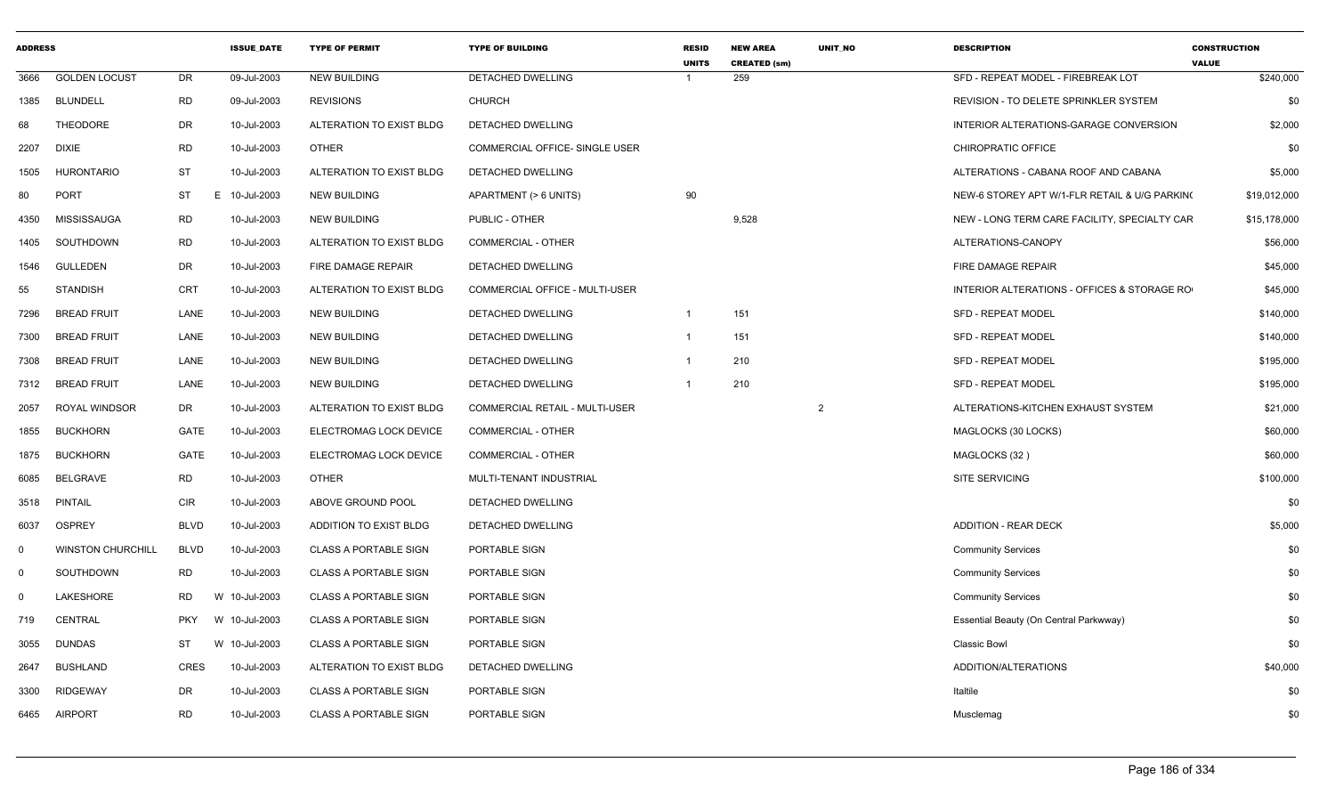| <b>ADDRESS</b> |                          |             | <b>ISSUE_DATE</b>       | <b>TYPE OF PERMIT</b>        | <b>TYPE OF BUILDING</b>        | <b>RESID</b><br><b>UNITS</b> | <b>NEW AREA</b><br><b>CREATED (sm)</b> | UNIT_NO        | <b>DESCRIPTION</b>                            | <b>CONSTRUCTION</b><br><b>VALUE</b> |
|----------------|--------------------------|-------------|-------------------------|------------------------------|--------------------------------|------------------------------|----------------------------------------|----------------|-----------------------------------------------|-------------------------------------|
| 3666           | <b>GOLDEN LOCUST</b>     | DR          | 09-Jul-2003             | <b>NEW BUILDING</b>          | DETACHED DWELLING              |                              | 259                                    |                | SFD - REPEAT MODEL - FIREBREAK LOT            | \$240,000                           |
| 1385           | <b>BLUNDELL</b>          | RD          | 09-Jul-2003             | <b>REVISIONS</b>             | <b>CHURCH</b>                  |                              |                                        |                | REVISION - TO DELETE SPRINKLER SYSTEM         | \$0                                 |
| 68             | <b>THEODORE</b>          | DR          | 10-Jul-2003             | ALTERATION TO EXIST BLDG     | <b>DETACHED DWELLING</b>       |                              |                                        |                | INTERIOR ALTERATIONS-GARAGE CONVERSION        | \$2,000                             |
| 2207           | DIXIE                    | RD          | 10-Jul-2003             | <b>OTHER</b>                 | COMMERCIAL OFFICE- SINGLE USER |                              |                                        |                | CHIROPRATIC OFFICE                            | \$0                                 |
| 1505           | <b>HURONTARIO</b>        | ST          | 10-Jul-2003             | ALTERATION TO EXIST BLDG     | DETACHED DWELLING              |                              |                                        |                | ALTERATIONS - CABANA ROOF AND CABANA          | \$5,000                             |
| 80             | <b>PORT</b>              | <b>ST</b>   | E.<br>10-Jul-2003       | <b>NEW BUILDING</b>          | APARTMENT (> 6 UNITS)          | 90                           |                                        |                | NEW-6 STOREY APT W/1-FLR RETAIL & U/G PARKING | \$19,012,000                        |
| 4350           | MISSISSAUGA              | RD          | 10-Jul-2003             | <b>NEW BUILDING</b>          | PUBLIC - OTHER                 |                              | 9,528                                  |                | NEW - LONG TERM CARE FACILITY, SPECIALTY CAR  | \$15,178,000                        |
| 1405           | SOUTHDOWN                | RD          | 10-Jul-2003             | ALTERATION TO EXIST BLDG     | <b>COMMERCIAL - OTHER</b>      |                              |                                        |                | ALTERATIONS-CANOPY                            | \$56,000                            |
| 1546           | <b>GULLEDEN</b>          | DR          | 10-Jul-2003             | FIRE DAMAGE REPAIR           | DETACHED DWELLING              |                              |                                        |                | FIRE DAMAGE REPAIR                            | \$45,000                            |
| 55             | <b>STANDISH</b>          | <b>CRT</b>  | 10-Jul-2003             | ALTERATION TO EXIST BLDG     | COMMERCIAL OFFICE - MULTI-USER |                              |                                        |                | INTERIOR ALTERATIONS - OFFICES & STORAGE RO   | \$45,000                            |
| 7296           | <b>BREAD FRUIT</b>       | LANE        | 10-Jul-2003             | <b>NEW BUILDING</b>          | DETACHED DWELLING              |                              | 151                                    |                | <b>SFD - REPEAT MODEL</b>                     | \$140,000                           |
| 7300           | <b>BREAD FRUIT</b>       | LANE        | 10-Jul-2003             | <b>NEW BUILDING</b>          | <b>DETACHED DWELLING</b>       |                              | 151                                    |                | <b>SFD - REPEAT MODEL</b>                     | \$140,000                           |
| 7308           | <b>BREAD FRUIT</b>       | LANE        | 10-Jul-2003             | <b>NEW BUILDING</b>          | DETACHED DWELLING              |                              | 210                                    |                | <b>SFD - REPEAT MODEL</b>                     | \$195,000                           |
| 7312           | <b>BREAD FRUIT</b>       | LANE        | 10-Jul-2003             | <b>NEW BUILDING</b>          | DETACHED DWELLING              | - 1                          | 210                                    |                | <b>SFD - REPEAT MODEL</b>                     | \$195,000                           |
| 2057           | <b>ROYAL WINDSOR</b>     | DR          | 10-Jul-2003             | ALTERATION TO EXIST BLDG     | COMMERCIAL RETAIL - MULTI-USER |                              |                                        | $\overline{2}$ | ALTERATIONS-KITCHEN EXHAUST SYSTEM            | \$21,000                            |
| 1855           | <b>BUCKHORN</b>          | GATE        | 10-Jul-2003             | ELECTROMAG LOCK DEVICE       | <b>COMMERCIAL - OTHER</b>      |                              |                                        |                | MAGLOCKS (30 LOCKS)                           | \$60,000                            |
| 1875           | <b>BUCKHORN</b>          | GATE        | 10-Jul-2003             | ELECTROMAG LOCK DEVICE       | <b>COMMERCIAL - OTHER</b>      |                              |                                        |                | MAGLOCKS (32)                                 | \$60,000                            |
| 6085           | <b>BELGRAVE</b>          | RD          | 10-Jul-2003             | <b>OTHER</b>                 | MULTI-TENANT INDUSTRIAL        |                              |                                        |                | <b>SITE SERVICING</b>                         | \$100,000                           |
| 3518           | <b>PINTAIL</b>           | <b>CIR</b>  | 10-Jul-2003             | ABOVE GROUND POOL            | DETACHED DWELLING              |                              |                                        |                |                                               | \$0                                 |
| 6037           | <b>OSPREY</b>            | <b>BLVD</b> | 10-Jul-2003             | ADDITION TO EXIST BLDG       | DETACHED DWELLING              |                              |                                        |                | <b>ADDITION - REAR DECK</b>                   | \$5,000                             |
| $\Omega$       | <b>WINSTON CHURCHILL</b> | <b>BLVD</b> | 10-Jul-2003             | <b>CLASS A PORTABLE SIGN</b> | PORTABLE SIGN                  |                              |                                        |                | <b>Community Services</b>                     | \$0                                 |
| $\Omega$       | SOUTHDOWN                | RD          | 10-Jul-2003             | <b>CLASS A PORTABLE SIGN</b> | PORTABLE SIGN                  |                              |                                        |                | <b>Community Services</b>                     | \$0                                 |
| $\Omega$       | LAKESHORE                | <b>RD</b>   | 10-Jul-2003<br><b>W</b> | <b>CLASS A PORTABLE SIGN</b> | PORTABLE SIGN                  |                              |                                        |                | <b>Community Services</b>                     | \$0                                 |
| 719            | <b>CENTRAL</b>           | <b>PKY</b>  | W 10-Jul-2003           | <b>CLASS A PORTABLE SIGN</b> | PORTABLE SIGN                  |                              |                                        |                | Essential Beauty (On Central Parkwway)        | \$0                                 |
| 3055           | <b>DUNDAS</b>            | ST          | 10-Jul-2003<br><b>W</b> | <b>CLASS A PORTABLE SIGN</b> | PORTABLE SIGN                  |                              |                                        |                | <b>Classic Bowl</b>                           | \$0                                 |
| 2647           | <b>BUSHLAND</b>          | CRES        | 10-Jul-2003             | ALTERATION TO EXIST BLDG     | DETACHED DWELLING              |                              |                                        |                | ADDITION/ALTERATIONS                          | \$40,000                            |
| 3300           | <b>RIDGEWAY</b>          | DR          | 10-Jul-2003             | CLASS A PORTABLE SIGN        | PORTABLE SIGN                  |                              |                                        |                | Italtile                                      | \$0                                 |
| 6465           | <b>AIRPORT</b>           | <b>RD</b>   | 10-Jul-2003             | <b>CLASS A PORTABLE SIGN</b> | PORTABLE SIGN                  |                              |                                        |                | Musclemag                                     | \$0                                 |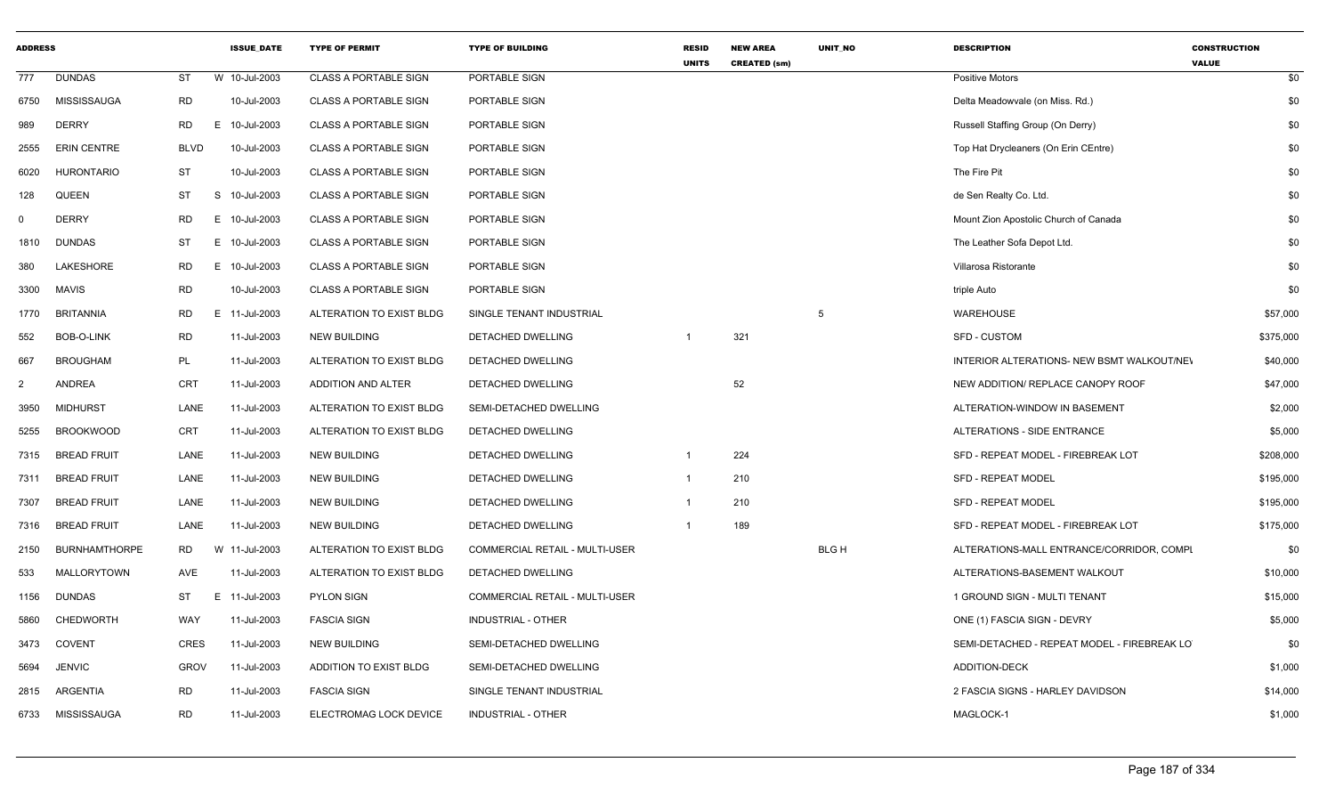| <b>ADDRESS</b> |                      |                 | <b>ISSUE_DATE</b> | <b>TYPE OF PERMIT</b>        | <b>TYPE OF BUILDING</b>        | <b>RESID</b><br><b>UNITS</b> | <b>NEW AREA</b><br><b>CREATED (sm)</b> | UNIT_NO     | <b>DESCRIPTION</b>                          | <b>CONSTRUCTION</b><br><b>VALUE</b> |
|----------------|----------------------|-----------------|-------------------|------------------------------|--------------------------------|------------------------------|----------------------------------------|-------------|---------------------------------------------|-------------------------------------|
| 777            | <b>DUNDAS</b>        | ST              | W 10-Jul-2003     | <b>CLASS A PORTABLE SIGN</b> | PORTABLE SIGN                  |                              |                                        |             | <b>Positive Motors</b>                      | \$0                                 |
| 6750           | MISSISSAUGA          | <b>RD</b>       | 10-Jul-2003       | <b>CLASS A PORTABLE SIGN</b> | PORTABLE SIGN                  |                              |                                        |             | Delta Meadowvale (on Miss. Rd.)             | \$0                                 |
| 989            | <b>DERRY</b>         | RD.<br>E.       | 10-Jul-2003       | <b>CLASS A PORTABLE SIGN</b> | PORTABLE SIGN                  |                              |                                        |             | Russell Staffing Group (On Derry)           | \$0                                 |
| 2555           | <b>ERIN CENTRE</b>   | <b>BLVD</b>     | 10-Jul-2003       | <b>CLASS A PORTABLE SIGN</b> | PORTABLE SIGN                  |                              |                                        |             | Top Hat Drycleaners (On Erin CEntre)        | \$0                                 |
| 6020           | <b>HURONTARIO</b>    | <b>ST</b>       | 10-Jul-2003       | <b>CLASS A PORTABLE SIGN</b> | PORTABLE SIGN                  |                              |                                        |             | The Fire Pit                                | \$0                                 |
| 128            | QUEEN                | ST              | S 10-Jul-2003     | <b>CLASS A PORTABLE SIGN</b> | PORTABLE SIGN                  |                              |                                        |             | de Sen Realty Co. Ltd.                      | \$0                                 |
| $\Omega$       | <b>DERRY</b>         | <b>RD</b><br>E. | 10-Jul-2003       | <b>CLASS A PORTABLE SIGN</b> | PORTABLE SIGN                  |                              |                                        |             | Mount Zion Apostolic Church of Canada       | \$0                                 |
| 1810           | <b>DUNDAS</b>        | ST              | E 10-Jul-2003     | <b>CLASS A PORTABLE SIGN</b> | PORTABLE SIGN                  |                              |                                        |             | The Leather Sofa Depot Ltd.                 | \$0                                 |
| 380            | LAKESHORE            | RD              | E 10-Jul-2003     | CLASS A PORTABLE SIGN        | PORTABLE SIGN                  |                              |                                        |             | Villarosa Ristorante                        | \$0                                 |
| 3300           | <b>MAVIS</b>         | <b>RD</b>       | 10-Jul-2003       | <b>CLASS A PORTABLE SIGN</b> | PORTABLE SIGN                  |                              |                                        |             | triple Auto                                 | \$0                                 |
| 1770           | <b>BRITANNIA</b>     | RD              | E 11-Jul-2003     | ALTERATION TO EXIST BLDG     | SINGLE TENANT INDUSTRIAL       |                              |                                        | 5           | WAREHOUSE                                   | \$57,000                            |
| 552            | BOB-O-LINK           | <b>RD</b>       | 11-Jul-2003       | <b>NEW BUILDING</b>          | DETACHED DWELLING              | -1                           | 321                                    |             | <b>SFD - CUSTOM</b>                         | \$375,000                           |
| 667            | <b>BROUGHAM</b>      | PL              | 11-Jul-2003       | ALTERATION TO EXIST BLDG     | DETACHED DWELLING              |                              |                                        |             | INTERIOR ALTERATIONS- NEW BSMT WALKOUT/NEV  | \$40,000                            |
| $\overline{2}$ | <b>ANDREA</b>        | <b>CRT</b>      | 11-Jul-2003       | ADDITION AND ALTER           | DETACHED DWELLING              |                              | 52                                     |             | NEW ADDITION/ REPLACE CANOPY ROOF           | \$47,000                            |
| 3950           | <b>MIDHURST</b>      | LANE            | 11-Jul-2003       | ALTERATION TO EXIST BLDG     | SEMI-DETACHED DWELLING         |                              |                                        |             | ALTERATION-WINDOW IN BASEMENT               | \$2,000                             |
| 5255           | <b>BROOKWOOD</b>     | CRT             | 11-Jul-2003       | ALTERATION TO EXIST BLDG     | DETACHED DWELLING              |                              |                                        |             | ALTERATIONS - SIDE ENTRANCE                 | \$5,000                             |
| 7315           | <b>BREAD FRUIT</b>   | LANE            | 11-Jul-2003       | <b>NEW BUILDING</b>          | DETACHED DWELLING              | $\mathbf{1}$                 | 224                                    |             | SFD - REPEAT MODEL - FIREBREAK LOT          | \$208,000                           |
| 7311           | <b>BREAD FRUIT</b>   | LANE            | 11-Jul-2003       | <b>NEW BUILDING</b>          | DETACHED DWELLING              | $\mathbf{1}$                 | 210                                    |             | <b>SFD - REPEAT MODEL</b>                   | \$195,000                           |
| 7307           | <b>BREAD FRUIT</b>   | LANE            | 11-Jul-2003       | <b>NEW BUILDING</b>          | DETACHED DWELLING              | $\mathbf{1}$                 | 210                                    |             | <b>SFD - REPEAT MODEL</b>                   | \$195,000                           |
| 7316           | <b>BREAD FRUIT</b>   | LANE            | 11-Jul-2003       | <b>NEW BUILDING</b>          | DETACHED DWELLING              | $\overline{1}$               | 189                                    |             | SFD - REPEAT MODEL - FIREBREAK LOT          | \$175,000                           |
| 2150           | <b>BURNHAMTHORPE</b> | RD.             | W 11-Jul-2003     | ALTERATION TO EXIST BLDG     | COMMERCIAL RETAIL - MULTI-USER |                              |                                        | <b>BLGH</b> | ALTERATIONS-MALL ENTRANCE/CORRIDOR, COMPL   | \$0                                 |
| 533            | MALLORYTOWN          | AVE             | 11-Jul-2003       | ALTERATION TO EXIST BLDG     | DETACHED DWELLING              |                              |                                        |             | ALTERATIONS-BASEMENT WALKOUT                | \$10,000                            |
| 1156           | <b>DUNDAS</b>        | ST<br>E.        | 11-Jul-2003       | <b>PYLON SIGN</b>            | COMMERCIAL RETAIL - MULTI-USER |                              |                                        |             | 1 GROUND SIGN - MULTI TENANT                | \$15,000                            |
| 5860           | CHEDWORTH            | <b>WAY</b>      | 11-Jul-2003       | <b>FASCIA SIGN</b>           | <b>INDUSTRIAL - OTHER</b>      |                              |                                        |             | ONE (1) FASCIA SIGN - DEVRY                 | \$5,000                             |
| 3473           | <b>COVENT</b>        | <b>CRES</b>     | 11-Jul-2003       | <b>NEW BUILDING</b>          | SEMI-DETACHED DWELLING         |                              |                                        |             | SEMI-DETACHED - REPEAT MODEL - FIREBREAK LO | \$0                                 |
| 5694           | <b>JENVIC</b>        | <b>GROV</b>     | 11-Jul-2003       | ADDITION TO EXIST BLDG       | SEMI-DETACHED DWELLING         |                              |                                        |             | <b>ADDITION-DECK</b>                        | \$1,000                             |
| 2815           | ARGENTIA             | <b>RD</b>       | 11-Jul-2003       | <b>FASCIA SIGN</b>           | SINGLE TENANT INDUSTRIAL       |                              |                                        |             | 2 FASCIA SIGNS - HARLEY DAVIDSON            | \$14,000                            |
| 6733           | MISSISSAUGA          | <b>RD</b>       | 11-Jul-2003       | ELECTROMAG LOCK DEVICE       | INDUSTRIAL - OTHER             |                              |                                        |             | MAGLOCK-1                                   | \$1,000                             |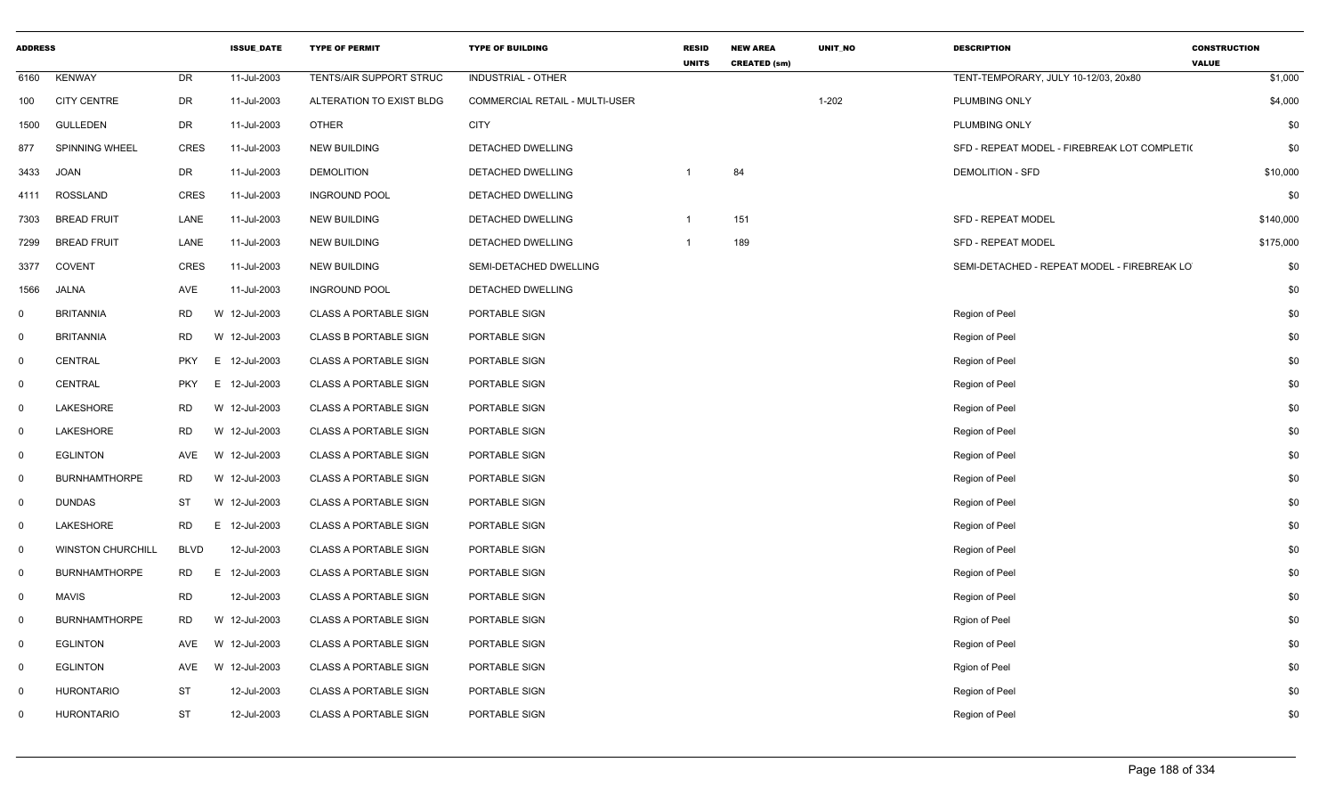| <b>ADDRESS</b>          |                          |             | <b>ISSUE DATE</b> | <b>TYPE OF PERMIT</b>        | <b>TYPE OF BUILDING</b>        | <b>RESID</b><br><b>UNITS</b> | <b>NEW AREA</b><br><b>CREATED (sm)</b> | <b>UNIT NO</b> | <b>DESCRIPTION</b>                           | <b>CONSTRUCTION</b><br><b>VALUE</b> |
|-------------------------|--------------------------|-------------|-------------------|------------------------------|--------------------------------|------------------------------|----------------------------------------|----------------|----------------------------------------------|-------------------------------------|
| 6160                    | <b>KENWAY</b>            | DR          | 11-Jul-2003       | TENTS/AIR SUPPORT STRUC      | <b>INDUSTRIAL - OTHER</b>      |                              |                                        |                | TENT-TEMPORARY, JULY 10-12/03, 20x80         | \$1,000                             |
| 100                     | <b>CITY CENTRE</b>       | DR          | 11-Jul-2003       | ALTERATION TO EXIST BLDG     | COMMERCIAL RETAIL - MULTI-USER |                              |                                        | $1 - 202$      | PLUMBING ONLY                                | \$4,000                             |
| 1500                    | <b>GULLEDEN</b>          | DR          | 11-Jul-2003       | <b>OTHER</b>                 | <b>CITY</b>                    |                              |                                        |                | PLUMBING ONLY                                | \$0                                 |
| 877                     | <b>SPINNING WHEEL</b>    | CRES        | 11-Jul-2003       | <b>NEW BUILDING</b>          | DETACHED DWELLING              |                              |                                        |                | SFD - REPEAT MODEL - FIREBREAK LOT COMPLETI( | \$0                                 |
| 3433                    | <b>JOAN</b>              | DR          | 11-Jul-2003       | <b>DEMOLITION</b>            | DETACHED DWELLING              | $\overline{1}$               | 84                                     |                | <b>DEMOLITION - SFD</b>                      | \$10,000                            |
| 4111                    | <b>ROSSLAND</b>          | <b>CRES</b> | 11-Jul-2003       | <b>INGROUND POOL</b>         | DETACHED DWELLING              |                              |                                        |                |                                              | \$0                                 |
| 7303                    | <b>BREAD FRUIT</b>       | LANE        | 11-Jul-2003       | <b>NEW BUILDING</b>          | DETACHED DWELLING              | $\overline{1}$               | 151                                    |                | <b>SFD - REPEAT MODEL</b>                    | \$140,000                           |
| 7299                    | <b>BREAD FRUIT</b>       | LANE        | 11-Jul-2003       | <b>NEW BUILDING</b>          | DETACHED DWELLING              | $\overline{1}$               | 189                                    |                | SFD - REPEAT MODEL                           | \$175,000                           |
| 3377                    | <b>COVENT</b>            | <b>CRES</b> | 11-Jul-2003       | <b>NEW BUILDING</b>          | SEMI-DETACHED DWELLING         |                              |                                        |                | SEMI-DETACHED - REPEAT MODEL - FIREBREAK LO  | \$0                                 |
| 1566                    | <b>JALNA</b>             | AVE         | 11-Jul-2003       | <b>INGROUND POOL</b>         | DETACHED DWELLING              |                              |                                        |                |                                              | \$0                                 |
| $\mathbf 0$             | <b>BRITANNIA</b>         | <b>RD</b>   | W 12-Jul-2003     | <b>CLASS A PORTABLE SIGN</b> | PORTABLE SIGN                  |                              |                                        |                | Region of Peel                               | \$0                                 |
| $\overline{0}$          | <b>BRITANNIA</b>         | RD          | W 12-Jul-2003     | <b>CLASS B PORTABLE SIGN</b> | PORTABLE SIGN                  |                              |                                        |                | Region of Peel                               | \$0                                 |
| $\overline{0}$          | <b>CENTRAL</b>           | <b>PKY</b>  | E 12-Jul-2003     | <b>CLASS A PORTABLE SIGN</b> | PORTABLE SIGN                  |                              |                                        |                | Region of Peel                               | \$0                                 |
| $\overline{\mathbf{0}}$ | <b>CENTRAL</b>           | <b>PKY</b>  | E 12-Jul-2003     | <b>CLASS A PORTABLE SIGN</b> | PORTABLE SIGN                  |                              |                                        |                | Region of Peel                               | \$0                                 |
| $\mathbf 0$             | LAKESHORE                | <b>RD</b>   | W 12-Jul-2003     | <b>CLASS A PORTABLE SIGN</b> | PORTABLE SIGN                  |                              |                                        |                | Region of Peel                               | \$0                                 |
| $\overline{0}$          | LAKESHORE                | RD          | W 12-Jul-2003     | <b>CLASS A PORTABLE SIGN</b> | PORTABLE SIGN                  |                              |                                        |                | Region of Peel                               | \$0                                 |
| $\overline{0}$          | <b>EGLINTON</b>          | AVE         | W 12-Jul-2003     | <b>CLASS A PORTABLE SIGN</b> | PORTABLE SIGN                  |                              |                                        |                | Region of Peel                               | \$0                                 |
| $\mathbf 0$             | <b>BURNHAMTHORPE</b>     | <b>RD</b>   | W 12-Jul-2003     | CLASS A PORTABLE SIGN        | PORTABLE SIGN                  |                              |                                        |                | Region of Peel                               | \$0                                 |
| $\overline{0}$          | <b>DUNDAS</b>            | ST          | W 12-Jul-2003     | <b>CLASS A PORTABLE SIGN</b> | PORTABLE SIGN                  |                              |                                        |                | Region of Peel                               | \$0                                 |
| $\overline{0}$          | LAKESHORE                | RD          | E 12-Jul-2003     | <b>CLASS A PORTABLE SIGN</b> | PORTABLE SIGN                  |                              |                                        |                | Region of Peel                               | \$0                                 |
| $\overline{\mathbf{0}}$ | <b>WINSTON CHURCHILL</b> | <b>BLVD</b> | 12-Jul-2003       | <b>CLASS A PORTABLE SIGN</b> | PORTABLE SIGN                  |                              |                                        |                | Region of Peel                               | \$0                                 |
| $\overline{0}$          | <b>BURNHAMTHORPE</b>     | <b>RD</b>   | E 12-Jul-2003     | <b>CLASS A PORTABLE SIGN</b> | PORTABLE SIGN                  |                              |                                        |                | Region of Peel                               | \$0                                 |
| $\overline{0}$          | <b>MAVIS</b>             | <b>RD</b>   | 12-Jul-2003       | <b>CLASS A PORTABLE SIGN</b> | PORTABLE SIGN                  |                              |                                        |                | Region of Peel                               | \$0                                 |
| $\mathbf 0$             | <b>BURNHAMTHORPE</b>     | RD          | W 12-Jul-2003     | CLASS A PORTABLE SIGN        | PORTABLE SIGN                  |                              |                                        |                | Rgion of Peel                                | \$0                                 |
| $\overline{\mathbf{0}}$ | <b>EGLINTON</b>          | AVE         | W 12-Jul-2003     | <b>CLASS A PORTABLE SIGN</b> | PORTABLE SIGN                  |                              |                                        |                | Region of Peel                               | \$0                                 |
| $\overline{0}$          | <b>EGLINTON</b>          | AVE         | W 12-Jul-2003     | <b>CLASS A PORTABLE SIGN</b> | PORTABLE SIGN                  |                              |                                        |                | Rgion of Peel                                | \$0                                 |
| $\overline{0}$          | <b>HURONTARIO</b>        | <b>ST</b>   | 12-Jul-2003       | <b>CLASS A PORTABLE SIGN</b> | PORTABLE SIGN                  |                              |                                        |                | Region of Peel                               | \$0                                 |
| $\mathbf 0$             | <b>HURONTARIO</b>        | ST          | 12-Jul-2003       | <b>CLASS A PORTABLE SIGN</b> | PORTABLE SIGN                  |                              |                                        |                | Region of Peel                               | \$0                                 |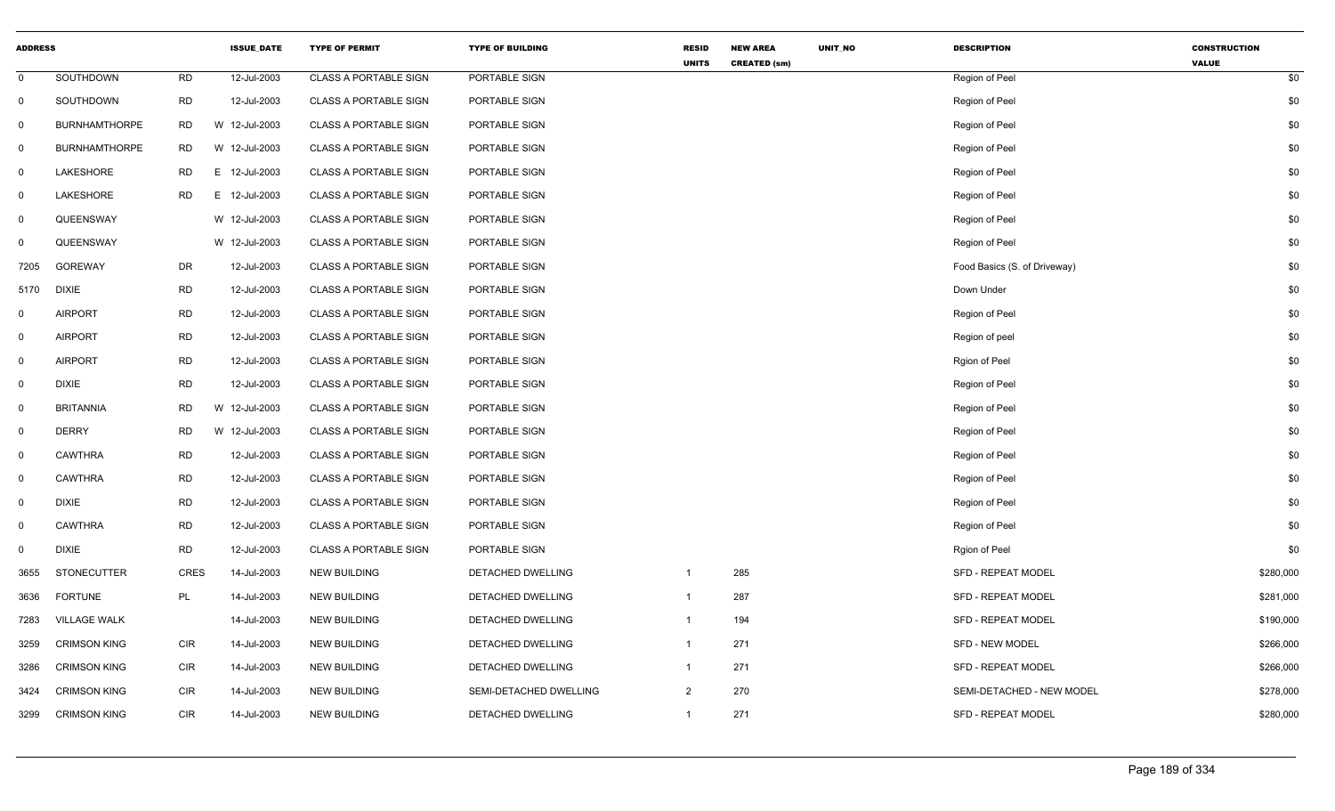| <b>ADDRESS</b> |                      |             | <b>ISSUE_DATE</b> | <b>TYPE OF PERMIT</b>        | <b>TYPE OF BUILDING</b> | <b>RESID</b><br><b>UNITS</b> | <b>NEW AREA</b>     | UNIT_NO | <b>DESCRIPTION</b>           | <b>CONSTRUCTION</b><br><b>VALUE</b> |           |
|----------------|----------------------|-------------|-------------------|------------------------------|-------------------------|------------------------------|---------------------|---------|------------------------------|-------------------------------------|-----------|
| $\mathbf 0$    | SOUTHDOWN            | RD          | 12-Jul-2003       | <b>CLASS A PORTABLE SIGN</b> | PORTABLE SIGN           |                              | <b>CREATED (sm)</b> |         | Region of Peel               |                                     | \$0       |
| $\mathbf 0$    | SOUTHDOWN            | <b>RD</b>   | 12-Jul-2003       | <b>CLASS A PORTABLE SIGN</b> | PORTABLE SIGN           |                              |                     |         | Region of Peel               |                                     | \$0       |
| $\mathbf 0$    | <b>BURNHAMTHORPE</b> | <b>RD</b>   | W 12-Jul-2003     | <b>CLASS A PORTABLE SIGN</b> | PORTABLE SIGN           |                              |                     |         | Region of Peel               |                                     | \$0       |
| $\mathbf 0$    | <b>BURNHAMTHORPE</b> | <b>RD</b>   | W 12-Jul-2003     | <b>CLASS A PORTABLE SIGN</b> | PORTABLE SIGN           |                              |                     |         | Region of Peel               |                                     | \$0       |
| $\mathbf{0}$   | LAKESHORE            | <b>RD</b>   | E 12-Jul-2003     | <b>CLASS A PORTABLE SIGN</b> | PORTABLE SIGN           |                              |                     |         | Region of Peel               |                                     | \$0       |
| $\mathbf 0$    | LAKESHORE            | <b>RD</b>   | E 12-Jul-2003     | <b>CLASS A PORTABLE SIGN</b> | PORTABLE SIGN           |                              |                     |         | Region of Peel               |                                     | \$0       |
| $\mathbf 0$    | QUEENSWAY            |             | W 12-Jul-2003     | <b>CLASS A PORTABLE SIGN</b> | PORTABLE SIGN           |                              |                     |         | Region of Peel               |                                     | \$0       |
| $\mathbf 0$    | QUEENSWAY            |             | W 12-Jul-2003     | <b>CLASS A PORTABLE SIGN</b> | PORTABLE SIGN           |                              |                     |         | Region of Peel               |                                     | \$0       |
| 7205           | <b>GOREWAY</b>       | DR          | 12-Jul-2003       | <b>CLASS A PORTABLE SIGN</b> | PORTABLE SIGN           |                              |                     |         | Food Basics (S. of Driveway) |                                     | \$0       |
| 5170           | <b>DIXIE</b>         | <b>RD</b>   | 12-Jul-2003       | <b>CLASS A PORTABLE SIGN</b> | PORTABLE SIGN           |                              |                     |         | Down Under                   |                                     | \$0       |
| $\mathbf{0}$   | <b>AIRPORT</b>       | <b>RD</b>   | 12-Jul-2003       | <b>CLASS A PORTABLE SIGN</b> | PORTABLE SIGN           |                              |                     |         | Region of Peel               |                                     | \$0       |
| $\mathbf 0$    | <b>AIRPORT</b>       | RD          | 12-Jul-2003       | <b>CLASS A PORTABLE SIGN</b> | PORTABLE SIGN           |                              |                     |         | Region of peel               |                                     | \$0       |
| $\mathbf 0$    | <b>AIRPORT</b>       | <b>RD</b>   | 12-Jul-2003       | <b>CLASS A PORTABLE SIGN</b> | PORTABLE SIGN           |                              |                     |         | Rgion of Peel                |                                     | \$0       |
| $\mathbf 0$    | <b>DIXIE</b>         | <b>RD</b>   | 12-Jul-2003       | <b>CLASS A PORTABLE SIGN</b> | PORTABLE SIGN           |                              |                     |         | Region of Peel               |                                     | \$0       |
| $\mathbf 0$    | <b>BRITANNIA</b>     | <b>RD</b>   | W 12-Jul-2003     | <b>CLASS A PORTABLE SIGN</b> | PORTABLE SIGN           |                              |                     |         | Region of Peel               |                                     | \$0       |
| $\mathbf 0$    | <b>DERRY</b>         | <b>RD</b>   | W 12-Jul-2003     | <b>CLASS A PORTABLE SIGN</b> | PORTABLE SIGN           |                              |                     |         | Region of Peel               |                                     | \$0       |
| $\mathbf 0$    | <b>CAWTHRA</b>       | <b>RD</b>   | 12-Jul-2003       | <b>CLASS A PORTABLE SIGN</b> | PORTABLE SIGN           |                              |                     |         | Region of Peel               |                                     | \$0       |
| $\mathbf 0$    | <b>CAWTHRA</b>       | <b>RD</b>   | 12-Jul-2003       | <b>CLASS A PORTABLE SIGN</b> | PORTABLE SIGN           |                              |                     |         | Region of Peel               |                                     | \$0       |
| $\mathbf 0$    | <b>DIXIE</b>         | <b>RD</b>   | 12-Jul-2003       | <b>CLASS A PORTABLE SIGN</b> | PORTABLE SIGN           |                              |                     |         | Region of Peel               |                                     | \$0       |
| $\mathbf{0}$   | <b>CAWTHRA</b>       | <b>RD</b>   | 12-Jul-2003       | <b>CLASS A PORTABLE SIGN</b> | PORTABLE SIGN           |                              |                     |         | Region of Peel               |                                     | \$0       |
| $\mathbf 0$    | <b>DIXIE</b>         | <b>RD</b>   | 12-Jul-2003       | <b>CLASS A PORTABLE SIGN</b> | PORTABLE SIGN           |                              |                     |         | Rgion of Peel                |                                     | \$0       |
| 3655           | <b>STONECUTTER</b>   | <b>CRES</b> | 14-Jul-2003       | <b>NEW BUILDING</b>          | DETACHED DWELLING       | $\mathbf{1}$                 | 285                 |         | <b>SFD - REPEAT MODEL</b>    |                                     | \$280,000 |
| 3636           | <b>FORTUNE</b>       | PL          | 14-Jul-2003       | <b>NEW BUILDING</b>          | DETACHED DWELLING       | $\mathbf{1}$                 | 287                 |         | <b>SFD - REPEAT MODEL</b>    |                                     | \$281,000 |
| 7283           | <b>VILLAGE WALK</b>  |             | 14-Jul-2003       | <b>NEW BUILDING</b>          | DETACHED DWELLING       | $\mathbf{1}$                 | 194                 |         | SFD - REPEAT MODEL           |                                     | \$190,000 |
| 3259           | <b>CRIMSON KING</b>  | <b>CIR</b>  | 14-Jul-2003       | <b>NEW BUILDING</b>          | DETACHED DWELLING       | $\mathbf{1}$                 | 271                 |         | <b>SFD - NEW MODEL</b>       |                                     | \$266,000 |
| 3286           | <b>CRIMSON KING</b>  | CIR         | 14-Jul-2003       | <b>NEW BUILDING</b>          | DETACHED DWELLING       | $\mathbf{1}$                 | 271                 |         | <b>SFD - REPEAT MODEL</b>    |                                     | \$266,000 |
| 3424           | <b>CRIMSON KING</b>  | <b>CIR</b>  | 14-Jul-2003       | <b>NEW BUILDING</b>          | SEMI-DETACHED DWELLING  | $\overline{2}$               | 270                 |         | SEMI-DETACHED - NEW MODEL    |                                     | \$278,000 |
| 3299           | <b>CRIMSON KING</b>  | <b>CIR</b>  | 14-Jul-2003       | <b>NEW BUILDING</b>          | DETACHED DWELLING       | $\mathbf{1}$                 | 271                 |         | <b>SFD - REPEAT MODEL</b>    |                                     | \$280,000 |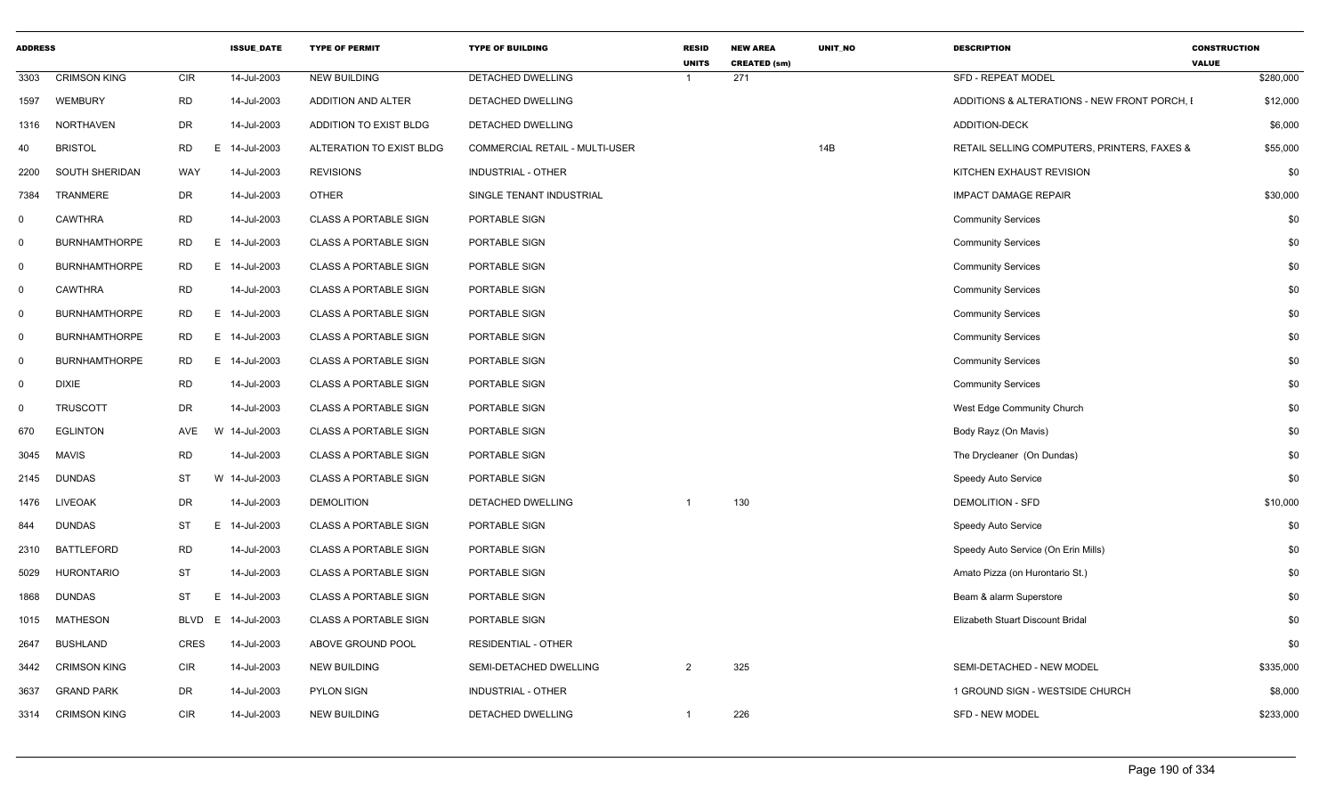| <b>ADDRESS</b> |                      |                | <b>ISSUE_DATE</b> | <b>TYPE OF PERMIT</b>        | <b>TYPE OF BUILDING</b>               | <b>RESID</b><br><b>UNITS</b> | <b>NEW AREA</b><br><b>CREATED (sm)</b> | UNIT_NO | <b>DESCRIPTION</b>                           | <b>CONSTRUCTION</b><br><b>VALUE</b> |
|----------------|----------------------|----------------|-------------------|------------------------------|---------------------------------------|------------------------------|----------------------------------------|---------|----------------------------------------------|-------------------------------------|
| 3303           | <b>CRIMSON KING</b>  | <b>CIR</b>     | 14-Jul-2003       | <b>NEW BUILDING</b>          | DETACHED DWELLING                     | $\overline{1}$               | 271                                    |         | SFD - REPEAT MODEL                           | \$280,000                           |
| 1597           | WEMBURY              | <b>RD</b>      | 14-Jul-2003       | ADDITION AND ALTER           | DETACHED DWELLING                     |                              |                                        |         | ADDITIONS & ALTERATIONS - NEW FRONT PORCH, I | \$12,000                            |
| 1316           | NORTHAVEN            | DR             | 14-Jul-2003       | ADDITION TO EXIST BLDG       | DETACHED DWELLING                     |                              |                                        |         | <b>ADDITION-DECK</b>                         | \$6,000                             |
| 40             | <b>BRISTOL</b>       | <b>RD</b>      | E 14-Jul-2003     | ALTERATION TO EXIST BLDG     | <b>COMMERCIAL RETAIL - MULTI-USER</b> |                              |                                        | 14B     | RETAIL SELLING COMPUTERS, PRINTERS, FAXES &  | \$55,000                            |
| 2200           | SOUTH SHERIDAN       | WAY            | 14-Jul-2003       | <b>REVISIONS</b>             | INDUSTRIAL - OTHER                    |                              |                                        |         | KITCHEN EXHAUST REVISION                     | \$0                                 |
| 7384           | TRANMERE             | DR             | 14-Jul-2003       | OTHER                        | SINGLE TENANT INDUSTRIAL              |                              |                                        |         | <b>IMPACT DAMAGE REPAIR</b>                  | \$30,000                            |
| $^{\circ}$     | <b>CAWTHRA</b>       | <b>RD</b>      | 14-Jul-2003       | <b>CLASS A PORTABLE SIGN</b> | PORTABLE SIGN                         |                              |                                        |         | <b>Community Services</b>                    | \$0                                 |
| $\mathbf 0$    | <b>BURNHAMTHORPE</b> | <b>RD</b>      | E 14-Jul-2003     | <b>CLASS A PORTABLE SIGN</b> | PORTABLE SIGN                         |                              |                                        |         | <b>Community Services</b>                    | \$0                                 |
| $\mathbf 0$    | <b>BURNHAMTHORPE</b> | <b>RD</b>      | E 14-Jul-2003     | <b>CLASS A PORTABLE SIGN</b> | PORTABLE SIGN                         |                              |                                        |         | <b>Community Services</b>                    | \$0                                 |
| $\mathbf 0$    | CAWTHRA              | <b>RD</b>      | 14-Jul-2003       | <b>CLASS A PORTABLE SIGN</b> | PORTABLE SIGN                         |                              |                                        |         | <b>Community Services</b>                    | \$0                                 |
| $\mathbf 0$    | <b>BURNHAMTHORPE</b> | <b>RD</b>      | E 14-Jul-2003     | <b>CLASS A PORTABLE SIGN</b> | PORTABLE SIGN                         |                              |                                        |         | <b>Community Services</b>                    | \$0                                 |
| $\mathbf 0$    | <b>BURNHAMTHORPE</b> | <b>RD</b><br>E | 14-Jul-2003       | <b>CLASS A PORTABLE SIGN</b> | PORTABLE SIGN                         |                              |                                        |         | <b>Community Services</b>                    | \$0                                 |
| $\mathbf 0$    | <b>BURNHAMTHORPE</b> | RD             | E 14-Jul-2003     | <b>CLASS A PORTABLE SIGN</b> | PORTABLE SIGN                         |                              |                                        |         | <b>Community Services</b>                    | \$0                                 |
| $\mathbf 0$    | <b>DIXIE</b>         | <b>RD</b>      | 14-Jul-2003       | CLASS A PORTABLE SIGN        | PORTABLE SIGN                         |                              |                                        |         | <b>Community Services</b>                    | \$0                                 |
| $\mathbf 0$    | <b>TRUSCOTT</b>      | DR             | 14-Jul-2003       | <b>CLASS A PORTABLE SIGN</b> | PORTABLE SIGN                         |                              |                                        |         | West Edge Community Church                   | \$0                                 |
| 670            | <b>EGLINTON</b>      | AVE            | W 14-Jul-2003     | <b>CLASS A PORTABLE SIGN</b> | PORTABLE SIGN                         |                              |                                        |         | Body Rayz (On Mavis)                         | \$0                                 |
| 3045           | <b>MAVIS</b>         | <b>RD</b>      | 14-Jul-2003       | <b>CLASS A PORTABLE SIGN</b> | PORTABLE SIGN                         |                              |                                        |         | The Drycleaner (On Dundas)                   | \$0                                 |
| 2145           | <b>DUNDAS</b>        | ST             | W 14-Jul-2003     | <b>CLASS A PORTABLE SIGN</b> | PORTABLE SIGN                         |                              |                                        |         | Speedy Auto Service                          | \$0                                 |
| 1476           | <b>LIVEOAK</b>       | DR             | 14-Jul-2003       | <b>DEMOLITION</b>            | DETACHED DWELLING                     | $\overline{1}$               | 130                                    |         | <b>DEMOLITION - SFD</b>                      | \$10,000                            |
| 844            | <b>DUNDAS</b>        | ST             | E 14-Jul-2003     | <b>CLASS A PORTABLE SIGN</b> | PORTABLE SIGN                         |                              |                                        |         | Speedy Auto Service                          | \$0                                 |
| 2310           | <b>BATTLEFORD</b>    | <b>RD</b>      | 14-Jul-2003       | <b>CLASS A PORTABLE SIGN</b> | PORTABLE SIGN                         |                              |                                        |         | Speedy Auto Service (On Erin Mills)          | \$0                                 |
| 5029           | <b>HURONTARIO</b>    | ST             | 14-Jul-2003       | <b>CLASS A PORTABLE SIGN</b> | PORTABLE SIGN                         |                              |                                        |         | Amato Pizza (on Hurontario St.)              | \$0                                 |
| 1868           | <b>DUNDAS</b>        | ST<br>Е        | 14-Jul-2003       | <b>CLASS A PORTABLE SIGN</b> | PORTABLE SIGN                         |                              |                                        |         | Beam & alarm Superstore                      | \$0                                 |
| 1015           | <b>MATHESON</b>      | BLVD           | E 14-Jul-2003     | <b>CLASS A PORTABLE SIGN</b> | PORTABLE SIGN                         |                              |                                        |         | Elizabeth Stuart Discount Bridal             | \$0                                 |
| 2647           | <b>BUSHLAND</b>      | CRES           | 14-Jul-2003       | ABOVE GROUND POOL            | <b>RESIDENTIAL - OTHER</b>            |                              |                                        |         |                                              | \$0                                 |
| 3442           | <b>CRIMSON KING</b>  | <b>CIR</b>     | 14-Jul-2003       | <b>NEW BUILDING</b>          | SEMI-DETACHED DWELLING                | $\overline{2}$               | 325                                    |         | SEMI-DETACHED - NEW MODEL                    | \$335,000                           |
| 3637           | <b>GRAND PARK</b>    | DR             | 14-Jul-2003       | <b>PYLON SIGN</b>            | <b>INDUSTRIAL - OTHER</b>             |                              |                                        |         | 1 GROUND SIGN - WESTSIDE CHURCH              | \$8,000                             |
| 3314           | <b>CRIMSON KING</b>  | <b>CIR</b>     | 14-Jul-2003       | <b>NEW BUILDING</b>          | DETACHED DWELLING                     | -1                           | 226                                    |         | <b>SFD - NEW MODEL</b>                       | \$233,000                           |
|                |                      |                |                   |                              |                                       |                              |                                        |         |                                              |                                     |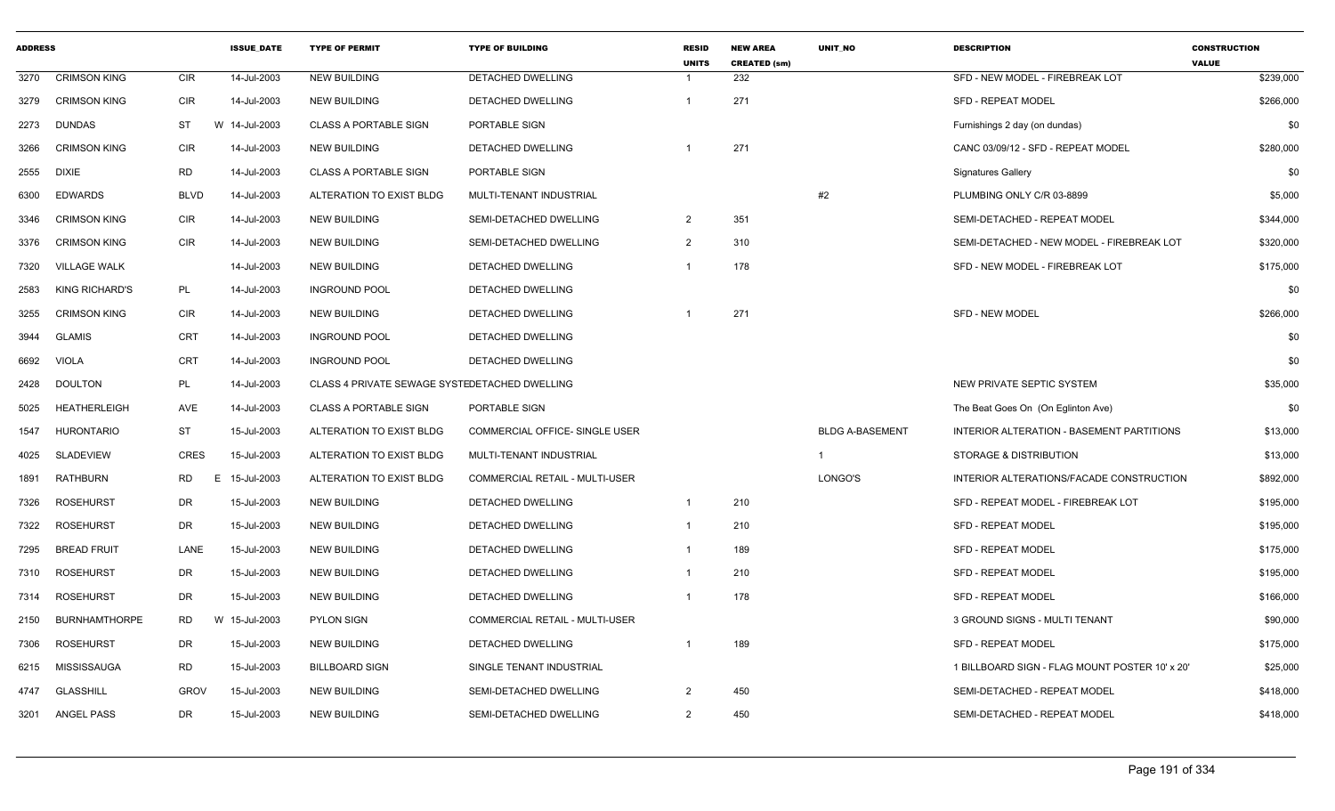| <b>ADDRESS</b> |                       |             | <b>ISSUE_DATE</b> | <b>TYPE OF PERMIT</b>                         | <b>TYPE OF BUILDING</b>               | <b>RESID</b><br><b>UNITS</b> | <b>NEW AREA</b><br><b>CREATED (sm)</b> | UNIT_NO                | <b>DESCRIPTION</b>                             | <b>CONSTRUCTION</b><br><b>VALUE</b> |
|----------------|-----------------------|-------------|-------------------|-----------------------------------------------|---------------------------------------|------------------------------|----------------------------------------|------------------------|------------------------------------------------|-------------------------------------|
| 3270           | <b>CRIMSON KING</b>   | <b>CIR</b>  | 14-Jul-2003       | <b>NEW BUILDING</b>                           | <b>DETACHED DWELLING</b>              |                              | 232                                    |                        | SFD - NEW MODEL - FIREBREAK LOT                | \$239,000                           |
| 3279           | <b>CRIMSON KING</b>   | <b>CIR</b>  | 14-Jul-2003       | <b>NEW BUILDING</b>                           | DETACHED DWELLING                     | -1                           | 271                                    |                        | <b>SFD - REPEAT MODEL</b>                      | \$266,000                           |
| 2273           | <b>DUNDAS</b>         | ST          | W<br>14-Jul-2003  | <b>CLASS A PORTABLE SIGN</b>                  | PORTABLE SIGN                         |                              |                                        |                        | Furnishings 2 day (on dundas)                  | \$0                                 |
| 3266           | <b>CRIMSON KING</b>   | <b>CIR</b>  | 14-Jul-2003       | <b>NEW BUILDING</b>                           | DETACHED DWELLING                     |                              | 271                                    |                        | CANC 03/09/12 - SFD - REPEAT MODEL             | \$280,000                           |
| 2555           | <b>DIXIE</b>          | <b>RD</b>   | 14-Jul-2003       | <b>CLASS A PORTABLE SIGN</b>                  | PORTABLE SIGN                         |                              |                                        |                        | <b>Signatures Gallery</b>                      | \$0                                 |
| 6300           | <b>EDWARDS</b>        | <b>BLVD</b> | 14-Jul-2003       | ALTERATION TO EXIST BLDG                      | MULTI-TENANT INDUSTRIAL               |                              |                                        | #2                     | PLUMBING ONLY C/R 03-8899                      | \$5,000                             |
| 3346           | <b>CRIMSON KING</b>   | <b>CIR</b>  | 14-Jul-2003       | <b>NEW BUILDING</b>                           | SEMI-DETACHED DWELLING                | 2                            | 351                                    |                        | SEMI-DETACHED - REPEAT MODEL                   | \$344,000                           |
| 3376           | <b>CRIMSON KING</b>   | <b>CIR</b>  | 14-Jul-2003       | <b>NEW BUILDING</b>                           | SEMI-DETACHED DWELLING                | 2                            | 310                                    |                        | SEMI-DETACHED - NEW MODEL - FIREBREAK LOT      | \$320,000                           |
| 7320           | <b>VILLAGE WALK</b>   |             | 14-Jul-2003       | <b>NEW BUILDING</b>                           | DETACHED DWELLING                     |                              | 178                                    |                        | SFD - NEW MODEL - FIREBREAK LOT                | \$175,000                           |
| 2583           | <b>KING RICHARD'S</b> | PL          | 14-Jul-2003       | <b>INGROUND POOL</b>                          | DETACHED DWELLING                     |                              |                                        |                        |                                                | \$0                                 |
| 3255           | <b>CRIMSON KING</b>   | <b>CIR</b>  | 14-Jul-2003       | NEW BUILDING                                  | DETACHED DWELLING                     |                              | 271                                    |                        | <b>SFD - NEW MODEL</b>                         | \$266,000                           |
| 3944           | <b>GLAMIS</b>         | <b>CRT</b>  | 14-Jul-2003       | <b>INGROUND POOL</b>                          | DETACHED DWELLING                     |                              |                                        |                        |                                                | \$0                                 |
| 6692           | <b>VIOLA</b>          | <b>CRT</b>  | 14-Jul-2003       | <b>INGROUND POOL</b>                          | DETACHED DWELLING                     |                              |                                        |                        |                                                | \$0                                 |
| 2428           | <b>DOULTON</b>        | PL          | 14-Jul-2003       | CLASS 4 PRIVATE SEWAGE SYSTEDETACHED DWELLING |                                       |                              |                                        |                        | NEW PRIVATE SEPTIC SYSTEM                      | \$35,000                            |
| 5025           | <b>HEATHERLEIGH</b>   | <b>AVE</b>  | 14-Jul-2003       | <b>CLASS A PORTABLE SIGN</b>                  | PORTABLE SIGN                         |                              |                                        |                        | The Beat Goes On (On Eglinton Ave)             | \$0                                 |
| 1547           | <b>HURONTARIO</b>     | <b>ST</b>   | 15-Jul-2003       | ALTERATION TO EXIST BLDG                      | COMMERCIAL OFFICE- SINGLE USER        |                              |                                        | <b>BLDG A-BASEMENT</b> | INTERIOR ALTERATION - BASEMENT PARTITIONS      | \$13,000                            |
| 4025           | SLADEVIEW             | CRES        | 15-Jul-2003       | ALTERATION TO EXIST BLDG                      | MULTI-TENANT INDUSTRIAL               |                              |                                        | $\mathbf 1$            | STORAGE & DISTRIBUTION                         | \$13,000                            |
| 1891           | RATHBURN              | RD          | 15-Jul-2003<br>E. | ALTERATION TO EXIST BLDG                      | COMMERCIAL RETAIL - MULTI-USER        |                              |                                        | LONGO'S                | INTERIOR ALTERATIONS/FACADE CONSTRUCTION       | \$892,000                           |
| 7326           | <b>ROSEHURST</b>      | DR          | 15-Jul-2003       | <b>NEW BUILDING</b>                           | DETACHED DWELLING                     | $\overline{1}$               | 210                                    |                        | SFD - REPEAT MODEL - FIREBREAK LOT             | \$195,000                           |
| 7322           | <b>ROSEHURST</b>      | <b>DR</b>   | 15-Jul-2003       | <b>NEW BUILDING</b>                           | DETACHED DWELLING                     | -1                           | 210                                    |                        | SFD - REPEAT MODEL                             | \$195,000                           |
| 7295           | <b>BREAD FRUIT</b>    | LANE        | 15-Jul-2003       | <b>NEW BUILDING</b>                           | DETACHED DWELLING                     | -1                           | 189                                    |                        | <b>SFD - REPEAT MODEL</b>                      | \$175,000                           |
| 7310           | <b>ROSEHURST</b>      | DR          | 15-Jul-2003       | <b>NEW BUILDING</b>                           | DETACHED DWELLING                     | -1                           | 210                                    |                        | SFD - REPEAT MODEL                             | \$195,000                           |
| 7314           | ROSEHURST             | DR          | 15-Jul-2003       | <b>NEW BUILDING</b>                           | DETACHED DWELLING                     |                              | 178                                    |                        | <b>SFD - REPEAT MODEL</b>                      | \$166,000                           |
| 2150           | <b>BURNHAMTHORPE</b>  | <b>RD</b>   | W 15-Jul-2003     | <b>PYLON SIGN</b>                             | <b>COMMERCIAL RETAIL - MULTI-USER</b> |                              |                                        |                        | 3 GROUND SIGNS - MULTI TENANT                  | \$90,000                            |
| 7306           | ROSEHURST             | DR          | 15-Jul-2003       | <b>NEW BUILDING</b>                           | DETACHED DWELLING                     |                              | 189                                    |                        | SFD - REPEAT MODEL                             | \$175,000                           |
| 6215           | MISSISSAUGA           | RD          | 15-Jul-2003       | <b>BILLBOARD SIGN</b>                         | SINGLE TENANT INDUSTRIAL              |                              |                                        |                        | 1 BILLBOARD SIGN - FLAG MOUNT POSTER 10' x 20' | \$25,000                            |
| 4747           | <b>GLASSHILL</b>      | <b>GROV</b> | 15-Jul-2003       | NEW BUILDING                                  | SEMI-DETACHED DWELLING                | $\overline{2}$               | 450                                    |                        | SEMI-DETACHED - REPEAT MODEL                   | \$418,000                           |
| 3201           | ANGEL PASS            | DR          | 15-Jul-2003       | NEW BUILDING                                  | SEMI-DETACHED DWELLING                | $\overline{2}$               | 450                                    |                        | SEMI-DETACHED - REPEAT MODEL                   | \$418,000                           |
|                |                       |             |                   |                                               |                                       |                              |                                        |                        |                                                |                                     |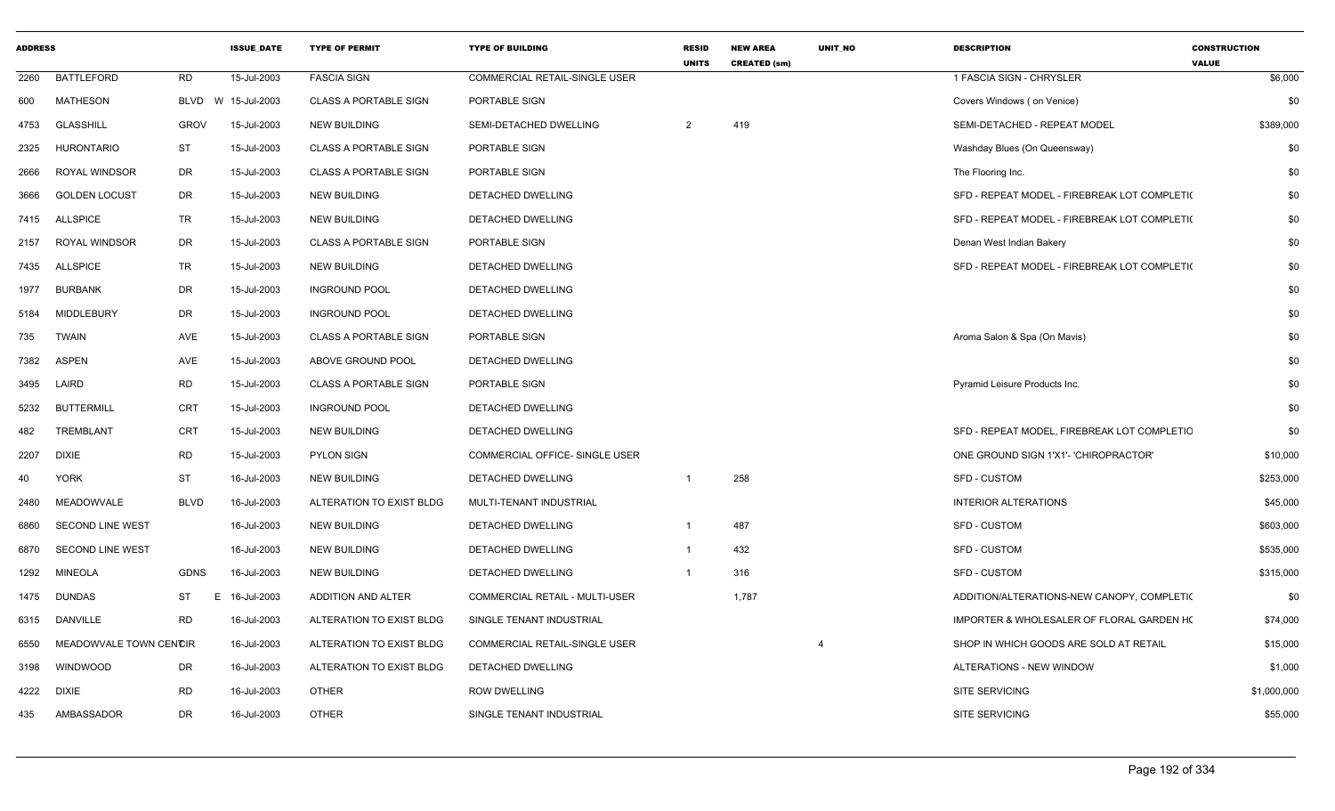| <b>ADDRESS</b> |                         |             | <b>ISSUE_DATE</b> | <b>TYPE OF PERMIT</b>        | <b>TYPE OF BUILDING</b>               | RESID<br><b>UNITS</b> | <b>NEW AREA</b><br><b>CREATED (sm)</b> | UNIT_NO | <b>DESCRIPTION</b>                           | <b>CONSTRUCTION</b><br><b>VALUE</b> |
|----------------|-------------------------|-------------|-------------------|------------------------------|---------------------------------------|-----------------------|----------------------------------------|---------|----------------------------------------------|-------------------------------------|
| 2260           | <b>BATTLEFORD</b>       | <b>RD</b>   | 15-Jul-2003       | <b>FASCIA SIGN</b>           | COMMERCIAL RETAIL-SINGLE USER         |                       |                                        |         | 1 FASCIA SIGN - CHRYSLER                     | \$6,000                             |
| 600            | <b>MATHESON</b>         | BLVD        | W 15-Jul-2003     | <b>CLASS A PORTABLE SIGN</b> | PORTABLE SIGN                         |                       |                                        |         | Covers Windows (on Venice)                   | \$0                                 |
| 4753           | <b>GLASSHILL</b>        | <b>GROV</b> | 15-Jul-2003       | <b>NEW BUILDING</b>          | SEMI-DETACHED DWELLING                | 2                     | 419                                    |         | SEMI-DETACHED - REPEAT MODEL                 | \$389,000                           |
| 2325           | <b>HURONTARIO</b>       | <b>ST</b>   | 15-Jul-2003       | <b>CLASS A PORTABLE SIGN</b> | PORTABLE SIGN                         |                       |                                        |         | Washday Blues (On Queensway)                 | \$0                                 |
| 2666           | <b>ROYAL WINDSOR</b>    | DR          | 15-Jul-2003       | <b>CLASS A PORTABLE SIGN</b> | PORTABLE SIGN                         |                       |                                        |         | The Flooring Inc.                            | \$0                                 |
| 3666           | <b>GOLDEN LOCUST</b>    | DR          | 15-Jul-2003       | <b>NEW BUILDING</b>          | DETACHED DWELLING                     |                       |                                        |         | SFD - REPEAT MODEL - FIREBREAK LOT COMPLETI( | \$0                                 |
| 7415           | <b>ALLSPICE</b>         | TR.         | 15-Jul-2003       | <b>NEW BUILDING</b>          | DETACHED DWELLING                     |                       |                                        |         | SFD - REPEAT MODEL - FIREBREAK LOT COMPLETI( | \$0                                 |
| 2157           | <b>ROYAL WINDSOR</b>    | DR          | 15-Jul-2003       | <b>CLASS A PORTABLE SIGN</b> | PORTABLE SIGN                         |                       |                                        |         | Denan West Indian Bakery                     | \$0                                 |
| 7435           | <b>ALLSPICE</b>         | <b>TR</b>   | 15-Jul-2003       | <b>NEW BUILDING</b>          | DETACHED DWELLING                     |                       |                                        |         | SFD - REPEAT MODEL - FIREBREAK LOT COMPLETI( | \$0                                 |
| 1977           | <b>BURBANK</b>          | DR          | 15-Jul-2003       | <b>INGROUND POOL</b>         | DETACHED DWELLING                     |                       |                                        |         |                                              | \$0                                 |
| 5184           | <b>MIDDLEBURY</b>       | DR          | 15-Jul-2003       | <b>INGROUND POOL</b>         | DETACHED DWELLING                     |                       |                                        |         |                                              | \$0                                 |
| 735            | <b>TWAIN</b>            | AVE         | 15-Jul-2003       | <b>CLASS A PORTABLE SIGN</b> | PORTABLE SIGN                         |                       |                                        |         | Aroma Salon & Spa (On Mavis)                 | \$0                                 |
| 7382           | <b>ASPEN</b>            | AVE         | 15-Jul-2003       | ABOVE GROUND POOL            | DETACHED DWELLING                     |                       |                                        |         |                                              | \$0                                 |
| 3495           | LAIRD                   | <b>RD</b>   | 15-Jul-2003       | <b>CLASS A PORTABLE SIGN</b> | PORTABLE SIGN                         |                       |                                        |         | Pyramid Leisure Products Inc.                | \$0                                 |
| 5232           | <b>BUTTERMILL</b>       | <b>CRT</b>  | 15-Jul-2003       | <b>INGROUND POOL</b>         | DETACHED DWELLING                     |                       |                                        |         |                                              | \$0                                 |
| 482            | <b>TREMBLANT</b>        | <b>CRT</b>  | 15-Jul-2003       | <b>NEW BUILDING</b>          | DETACHED DWELLING                     |                       |                                        |         | SFD - REPEAT MODEL, FIREBREAK LOT COMPLETIC  | \$0                                 |
| 2207           | <b>DIXIE</b>            | <b>RD</b>   | 15-Jul-2003       | <b>PYLON SIGN</b>            | COMMERCIAL OFFICE- SINGLE USER        |                       |                                        |         | ONE GROUND SIGN 1'X1'- 'CHIROPRACTOR'        | \$10,000                            |
| 40             | <b>YORK</b>             | <b>ST</b>   | 16-Jul-2003       | <b>NEW BUILDING</b>          | DETACHED DWELLING                     | -1                    | 258                                    |         | SFD - CUSTOM                                 | \$253,000                           |
| 2480           | MEADOWVALE              | <b>BLVD</b> | 16-Jul-2003       | ALTERATION TO EXIST BLDG     | MULTI-TENANT INDUSTRIAL               |                       |                                        |         | <b>INTERIOR ALTERATIONS</b>                  | \$45,000                            |
| 6860           | SECOND LINE WEST        |             | 16-Jul-2003       | <b>NEW BUILDING</b>          | DETACHED DWELLING                     | $\overline{1}$        | 487                                    |         | SFD - CUSTOM                                 | \$603,000                           |
| 6870           | <b>SECOND LINE WEST</b> |             | 16-Jul-2003       | <b>NEW BUILDING</b>          | DETACHED DWELLING                     | $\overline{1}$        | 432                                    |         | SFD - CUSTOM                                 | \$535,000                           |
| 1292           | <b>MINEOLA</b>          | <b>GDNS</b> | 16-Jul-2003       | <b>NEW BUILDING</b>          | DETACHED DWELLING                     | $\mathbf{1}$          | 316                                    |         | <b>SFD - CUSTOM</b>                          | \$315,000                           |
| 1475           | <b>DUNDAS</b>           | ST          | E 16-Jul-2003     | ADDITION AND ALTER           | <b>COMMERCIAL RETAIL - MULTI-USER</b> |                       | 1,787                                  |         | ADDITION/ALTERATIONS-NEW CANOPY, COMPLETIC   | \$0                                 |
| 6315           | DANVILLE                | <b>RD</b>   | 16-Jul-2003       | ALTERATION TO EXIST BLDG     | SINGLE TENANT INDUSTRIAL              |                       |                                        |         | IMPORTER & WHOLESALER OF FLORAL GARDEN HO    | \$74,000                            |
| 6550           | MEADOWVALE TOWN CENCIR  |             | 16-Jul-2003       | ALTERATION TO EXIST BLDG     | COMMERCIAL RETAIL-SINGLE USER         |                       |                                        |         | SHOP IN WHICH GOODS ARE SOLD AT RETAIL       | \$15,000                            |
| 3198           | WINDWOOD                | DR          | 16-Jul-2003       | ALTERATION TO EXIST BLDG     | DETACHED DWELLING                     |                       |                                        |         | ALTERATIONS - NEW WINDOW                     | \$1,000                             |
| 4222           | DIXIE                   | RD          | 16-Jul-2003       | OTHER                        | ROW DWELLING                          |                       |                                        |         | <b>SITE SERVICING</b>                        | \$1,000,000                         |
| 435            | AMBASSADOR              | <b>DR</b>   | 16-Jul-2003       | <b>OTHER</b>                 | SINGLE TENANT INDUSTRIAL              |                       |                                        |         | SITE SERVICING                               | \$55,000                            |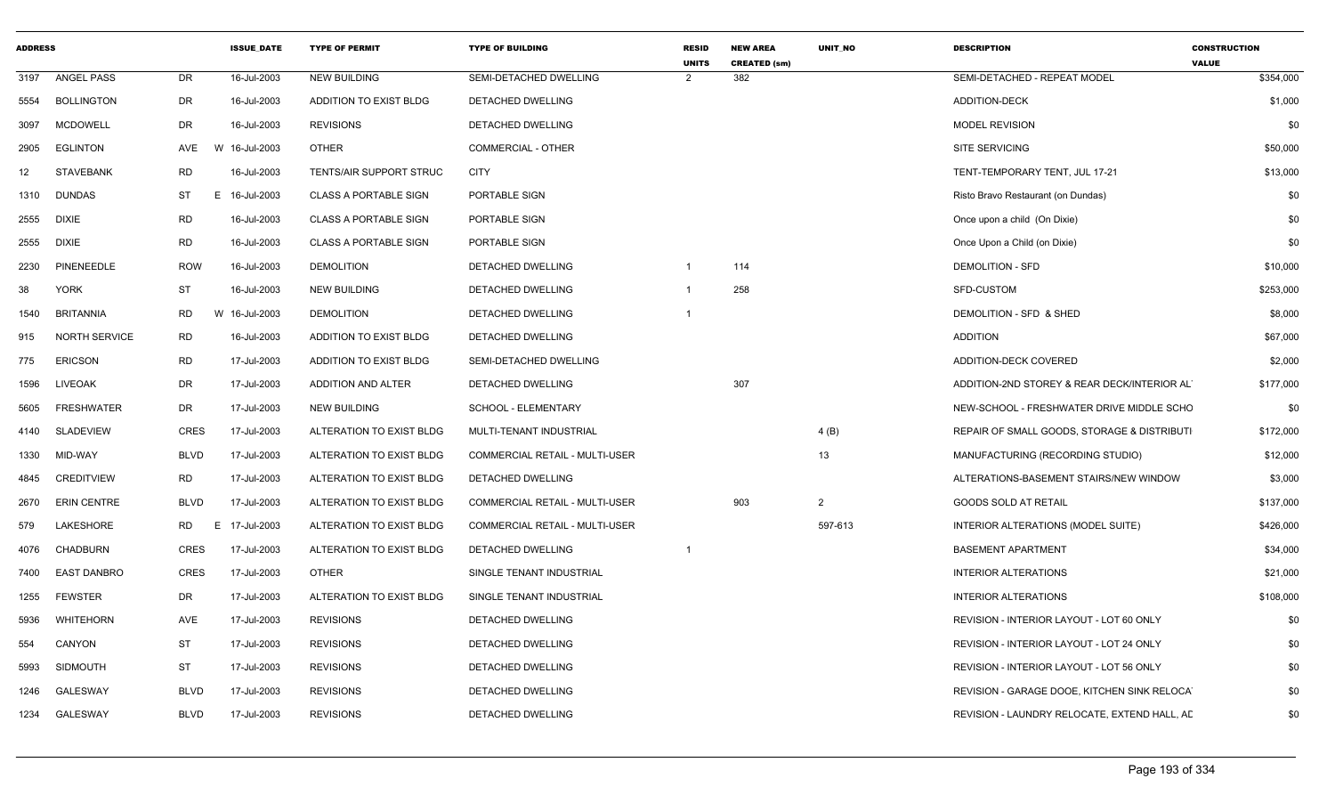| <b>ADDRESS</b> |                    |             | <b>ISSUE DATE</b> | <b>TYPE OF PERMIT</b>        | <b>TYPE OF BUILDING</b>               | <b>RESID</b><br><b>UNITS</b> | <b>NEW AREA</b><br><b>CREATED (sm)</b> | <b>UNIT NO</b> | <b>DESCRIPTION</b>                           | <b>CONSTRUCTION</b><br><b>VALUE</b> |
|----------------|--------------------|-------------|-------------------|------------------------------|---------------------------------------|------------------------------|----------------------------------------|----------------|----------------------------------------------|-------------------------------------|
| 3197           | ANGEL PASS         | DR          | 16-Jul-2003       | <b>NEW BUILDING</b>          | SEMI-DETACHED DWELLING                | $\overline{2}$               | 382                                    |                | SEMI-DETACHED - REPEAT MODEL                 | \$354,000                           |
| 5554           | <b>BOLLINGTON</b>  | DR          | 16-Jul-2003       | ADDITION TO EXIST BLDG       | DETACHED DWELLING                     |                              |                                        |                | ADDITION-DECK                                | \$1,000                             |
| 3097           | <b>MCDOWELL</b>    | DR          | 16-Jul-2003       | <b>REVISIONS</b>             | DETACHED DWELLING                     |                              |                                        |                | <b>MODEL REVISION</b>                        | \$0                                 |
| 2905           | <b>EGLINTON</b>    | AVE         | W 16-Jul-2003     | OTHER                        | <b>COMMERCIAL - OTHER</b>             |                              |                                        |                | SITE SERVICING                               | \$50,000                            |
| 12             | <b>STAVEBANK</b>   | RD          | 16-Jul-2003       | TENTS/AIR SUPPORT STRUC      | <b>CITY</b>                           |                              |                                        |                | TENT-TEMPORARY TENT, JUL 17-21               | \$13,000                            |
| 1310           | DUNDAS             | ST          | E 16-Jul-2003     | <b>CLASS A PORTABLE SIGN</b> | PORTABLE SIGN                         |                              |                                        |                | Risto Bravo Restaurant (on Dundas)           | \$0                                 |
| 2555           | <b>DIXIE</b>       | RD          | 16-Jul-2003       | <b>CLASS A PORTABLE SIGN</b> | PORTABLE SIGN                         |                              |                                        |                | Once upon a child (On Dixie)                 | \$0                                 |
| 2555           | <b>DIXIE</b>       | RD          | 16-Jul-2003       | <b>CLASS A PORTABLE SIGN</b> | PORTABLE SIGN                         |                              |                                        |                | Once Upon a Child (on Dixie)                 | \$0                                 |
| 2230           | PINENEEDLE         | <b>ROW</b>  | 16-Jul-2003       | <b>DEMOLITION</b>            | DETACHED DWELLING                     | $\overline{1}$               | 114                                    |                | <b>DEMOLITION - SFD</b>                      | \$10,000                            |
| 38             | <b>YORK</b>        | ST          | 16-Jul-2003       | <b>NEW BUILDING</b>          | DETACHED DWELLING                     |                              | 258                                    |                | SFD-CUSTOM                                   | \$253,000                           |
| 1540           | <b>BRITANNIA</b>   | RD          | W 16-Jul-2003     | <b>DEMOLITION</b>            | DETACHED DWELLING                     |                              |                                        |                | DEMOLITION - SFD & SHED                      | \$8,000                             |
| 915            | NORTH SERVICE      | RD          | 16-Jul-2003       | ADDITION TO EXIST BLDG       | DETACHED DWELLING                     |                              |                                        |                | ADDITION                                     | \$67,000                            |
| 775            | <b>ERICSON</b>     | RD          | 17-Jul-2003       | ADDITION TO EXIST BLDG       | SEMI-DETACHED DWELLING                |                              |                                        |                | ADDITION-DECK COVERED                        | \$2,000                             |
| 1596           | LIVEOAK            | DR          | 17-Jul-2003       | ADDITION AND ALTER           | DETACHED DWELLING                     |                              | 307                                    |                | ADDITION-2ND STOREY & REAR DECK/INTERIOR ALT | \$177,000                           |
| 5605           | <b>FRESHWATER</b>  | DR          | 17-Jul-2003       | <b>NEW BUILDING</b>          | SCHOOL - ELEMENTARY                   |                              |                                        |                | NEW-SCHOOL - FRESHWATER DRIVE MIDDLE SCHO    | \$0                                 |
| 4140           | <b>SLADEVIEW</b>   | CRES        | 17-Jul-2003       | ALTERATION TO EXIST BLDG     | MULTI-TENANT INDUSTRIAL               |                              |                                        | 4(B)           | REPAIR OF SMALL GOODS, STORAGE & DISTRIBUTI  | \$172,000                           |
| 1330           | MID-WAY            | BLVD        | 17-Jul-2003       | ALTERATION TO EXIST BLDG     | <b>COMMERCIAL RETAIL - MULTI-USER</b> |                              |                                        | 13             | MANUFACTURING (RECORDING STUDIO)             | \$12,000                            |
| 4845           | CREDITVIEW         | <b>RD</b>   | 17-Jul-2003       | ALTERATION TO EXIST BLDG     | DETACHED DWELLING                     |                              |                                        |                | ALTERATIONS-BASEMENT STAIRS/NEW WINDOW       | \$3,000                             |
| 2670           | <b>ERIN CENTRE</b> | BLVD        | 17-Jul-2003       | ALTERATION TO EXIST BLDG     | COMMERCIAL RETAIL - MULTI-USER        |                              | 903                                    | 2              | GOODS SOLD AT RETAIL                         | \$137,000                           |
| 579            | LAKESHORE          | RD          | E 17-Jul-2003     | ALTERATION TO EXIST BLDG     | <b>COMMERCIAL RETAIL - MULTI-USER</b> |                              |                                        | 597-613        | INTERIOR ALTERATIONS (MODEL SUITE)           | \$426,000                           |
| 4076           | <b>CHADBURN</b>    | <b>CRES</b> | 17-Jul-2003       | ALTERATION TO EXIST BLDG     | DETACHED DWELLING                     |                              |                                        |                | <b>BASEMENT APARTMENT</b>                    | \$34,000                            |
| 7400           | <b>EAST DANBRO</b> | CRES        | 17-Jul-2003       | OTHER                        | SINGLE TENANT INDUSTRIAL              |                              |                                        |                | <b>INTERIOR ALTERATIONS</b>                  | \$21,000                            |
| 1255           | <b>FEWSTER</b>     | DR          | 17-Jul-2003       | ALTERATION TO EXIST BLDG     | SINGLE TENANT INDUSTRIAL              |                              |                                        |                | <b>INTERIOR ALTERATIONS</b>                  | \$108,000                           |
| 5936           | WHITEHORN          | AVE         | 17-Jul-2003       | <b>REVISIONS</b>             | DETACHED DWELLING                     |                              |                                        |                | REVISION - INTERIOR LAYOUT - LOT 60 ONLY     | \$0                                 |
| 554            | CANYON             | ST          | 17-Jul-2003       | <b>REVISIONS</b>             | DETACHED DWELLING                     |                              |                                        |                | REVISION - INTERIOR LAYOUT - LOT 24 ONLY     | \$0                                 |
| 5993           | <b>SIDMOUTH</b>    | ST          | 17-Jul-2003       | <b>REVISIONS</b>             | DETACHED DWELLING                     |                              |                                        |                | REVISION - INTERIOR LAYOUT - LOT 56 ONLY     | \$0                                 |
| 1246           | <b>GALESWAY</b>    | BLVD        | 17-Jul-2003       | <b>REVISIONS</b>             | DETACHED DWELLING                     |                              |                                        |                | REVISION - GARAGE DOOE, KITCHEN SINK RELOCA  | \$0                                 |
| 1234           | GALESWAY           | BLVD        | 17-Jul-2003       | <b>REVISIONS</b>             | DETACHED DWELLING                     |                              |                                        |                | REVISION - LAUNDRY RELOCATE, EXTEND HALL, AD | \$0                                 |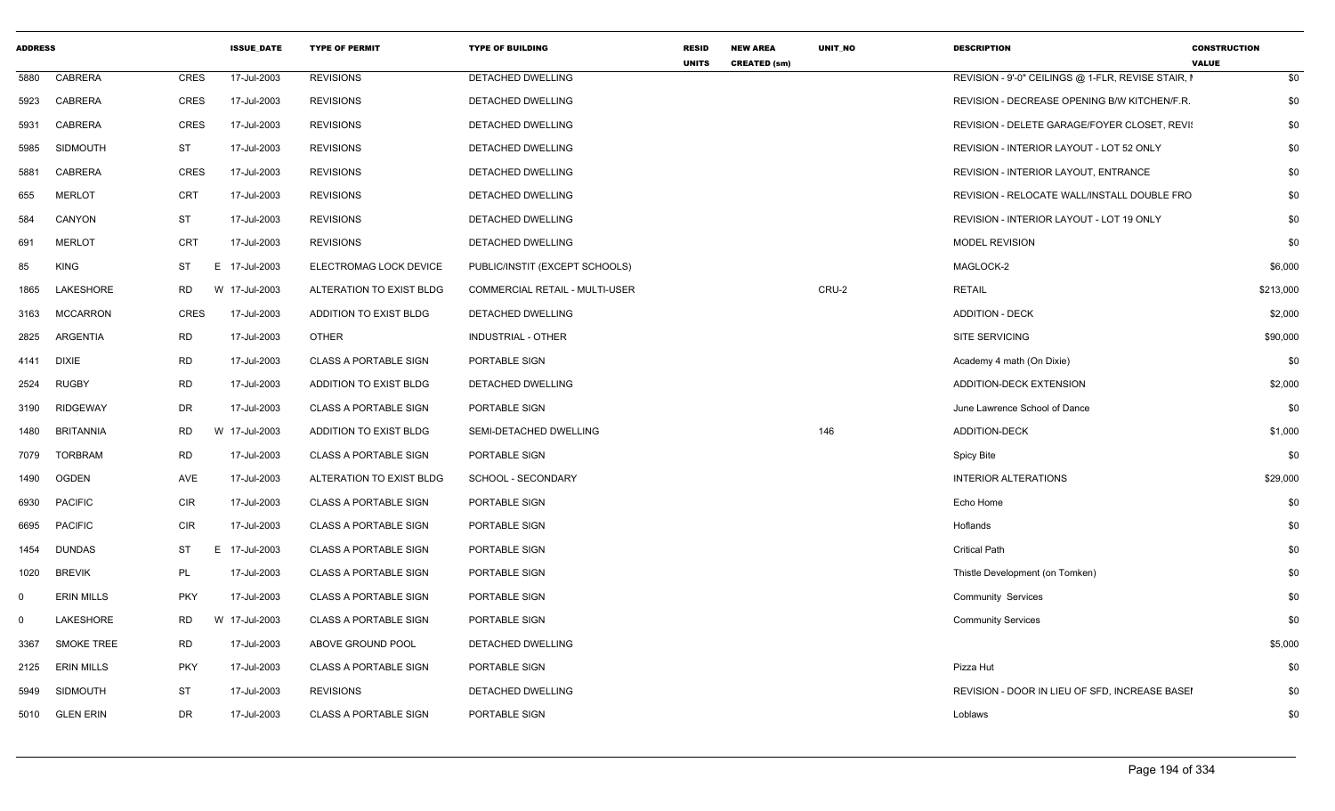| <b>ADDRESS</b> |                   |             | <b>ISSUE DATE</b> | <b>TYPE OF PERMIT</b>        | <b>TYPE OF BUILDING</b>               | <b>RESID</b><br><b>UNITS</b> | <b>NEW AREA</b><br><b>CREATED (sm)</b> | UNIT_NO | <b>DESCRIPTION</b>                                 | <b>CONSTRUCTION</b><br><b>VALUE</b> |           |
|----------------|-------------------|-------------|-------------------|------------------------------|---------------------------------------|------------------------------|----------------------------------------|---------|----------------------------------------------------|-------------------------------------|-----------|
| 5880           | CABRERA           | <b>CRES</b> | 17-Jul-2003       | <b>REVISIONS</b>             | <b>DETACHED DWELLING</b>              |                              |                                        |         | REVISION - 9'-0" CEILINGS @ 1-FLR, REVISE STAIR, I |                                     | \$0       |
| 5923           | CABRERA           | CRES        | 17-Jul-2003       | <b>REVISIONS</b>             | DETACHED DWELLING                     |                              |                                        |         | REVISION - DECREASE OPENING B/W KITCHEN/F.R.       |                                     | \$0       |
| 5931           | CABRERA           | CRES        | 17-Jul-2003       | <b>REVISIONS</b>             | DETACHED DWELLING                     |                              |                                        |         | REVISION - DELETE GARAGE/FOYER CLOSET, REVIS       |                                     | \$0       |
| 5985           | <b>SIDMOUTH</b>   | <b>ST</b>   | 17-Jul-2003       | <b>REVISIONS</b>             | DETACHED DWELLING                     |                              |                                        |         | REVISION - INTERIOR LAYOUT - LOT 52 ONLY           |                                     | \$0       |
| 5881           | CABRERA           | <b>CRES</b> | 17-Jul-2003       | <b>REVISIONS</b>             | DETACHED DWELLING                     |                              |                                        |         | REVISION - INTERIOR LAYOUT, ENTRANCE               |                                     | \$0       |
| 655            | <b>MERLOT</b>     | <b>CRT</b>  | 17-Jul-2003       | <b>REVISIONS</b>             | DETACHED DWELLING                     |                              |                                        |         | REVISION - RELOCATE WALL/INSTALL DOUBLE FRO        |                                     | \$0       |
| 584            | CANYON            | ST          | 17-Jul-2003       | <b>REVISIONS</b>             | <b>DETACHED DWELLING</b>              |                              |                                        |         | REVISION - INTERIOR LAYOUT - LOT 19 ONLY           |                                     | \$0       |
| 691            | <b>MERLOT</b>     | <b>CRT</b>  | 17-Jul-2003       | <b>REVISIONS</b>             | DETACHED DWELLING                     |                              |                                        |         | <b>MODEL REVISION</b>                              |                                     | \$0       |
| 85             | KING              | ST          | E 17-Jul-2003     | ELECTROMAG LOCK DEVICE       | PUBLIC/INSTIT (EXCEPT SCHOOLS)        |                              |                                        |         | MAGLOCK-2                                          |                                     | \$6,000   |
| 1865           | LAKESHORE         | RD          | W 17-Jul-2003     | ALTERATION TO EXIST BLDG     | <b>COMMERCIAL RETAIL - MULTI-USER</b> |                              |                                        | CRU-2   | <b>RETAIL</b>                                      |                                     | \$213,000 |
| 3163           | <b>MCCARRON</b>   | CRES        | 17-Jul-2003       | ADDITION TO EXIST BLDG       | <b>DETACHED DWELLING</b>              |                              |                                        |         | <b>ADDITION - DECK</b>                             |                                     | \$2,000   |
| 2825           | ARGENTIA          | <b>RD</b>   | 17-Jul-2003       | <b>OTHER</b>                 | <b>INDUSTRIAL - OTHER</b>             |                              |                                        |         | <b>SITE SERVICING</b>                              |                                     | \$90,000  |
|                | 4141 DIXIE        | <b>RD</b>   | 17-Jul-2003       | <b>CLASS A PORTABLE SIGN</b> | PORTABLE SIGN                         |                              |                                        |         | Academy 4 math (On Dixie)                          |                                     | \$0       |
| 2524           | RUGBY             | <b>RD</b>   | 17-Jul-2003       | ADDITION TO EXIST BLDG       | DETACHED DWELLING                     |                              |                                        |         | ADDITION-DECK EXTENSION                            |                                     | \$2,000   |
| 3190           | <b>RIDGEWAY</b>   | DR          | 17-Jul-2003       | CLASS A PORTABLE SIGN        | PORTABLE SIGN                         |                              |                                        |         | June Lawrence School of Dance                      |                                     | \$0       |
| 1480           | <b>BRITANNIA</b>  | <b>RD</b>   | W 17-Jul-2003     | ADDITION TO EXIST BLDG       | SEMI-DETACHED DWELLING                |                              |                                        | 146     | ADDITION-DECK                                      |                                     | \$1,000   |
| 7079           | <b>TORBRAM</b>    | RD          | 17-Jul-2003       | <b>CLASS A PORTABLE SIGN</b> | PORTABLE SIGN                         |                              |                                        |         | Spicy Bite                                         |                                     | \$0       |
| 1490           | OGDEN             | AVE         | 17-Jul-2003       | ALTERATION TO EXIST BLDG     | SCHOOL - SECONDARY                    |                              |                                        |         | <b>INTERIOR ALTERATIONS</b>                        |                                     | \$29,000  |
| 6930           | <b>PACIFIC</b>    | CIR         | 17-Jul-2003       | <b>CLASS A PORTABLE SIGN</b> | PORTABLE SIGN                         |                              |                                        |         | Echo Home                                          |                                     | \$0       |
| 6695           | <b>PACIFIC</b>    | <b>CIR</b>  | 17-Jul-2003       | <b>CLASS A PORTABLE SIGN</b> | PORTABLE SIGN                         |                              |                                        |         | Hoflands                                           |                                     | \$0       |
| 1454           | DUNDAS            | ST<br>E.    | 17-Jul-2003       | <b>CLASS A PORTABLE SIGN</b> | PORTABLE SIGN                         |                              |                                        |         | <b>Critical Path</b>                               |                                     | \$0       |
| 1020           | <b>BREVIK</b>     | PL          | 17-Jul-2003       | <b>CLASS A PORTABLE SIGN</b> | PORTABLE SIGN                         |                              |                                        |         | Thistle Development (on Tomken)                    |                                     | \$0       |
| $\Omega$       | <b>ERIN MILLS</b> | <b>PKY</b>  | 17-Jul-2003       | <b>CLASS A PORTABLE SIGN</b> | PORTABLE SIGN                         |                              |                                        |         | Community Services                                 |                                     | \$0       |
| $\Omega$       | LAKESHORE         | <b>RD</b>   | W 17-Jul-2003     | <b>CLASS A PORTABLE SIGN</b> | PORTABLE SIGN                         |                              |                                        |         | <b>Community Services</b>                          |                                     | \$0       |
| 3367           | <b>SMOKE TREE</b> | RD          | 17-Jul-2003       | ABOVE GROUND POOL            | DETACHED DWELLING                     |                              |                                        |         |                                                    |                                     | \$5,000   |
| 2125           | ERIN MILLS        | <b>PKY</b>  | 17-Jul-2003       | <b>CLASS A PORTABLE SIGN</b> | PORTABLE SIGN                         |                              |                                        |         | Pizza Hut                                          |                                     | \$0       |
| 5949           | <b>SIDMOUTH</b>   | <b>ST</b>   | 17-Jul-2003       | <b>REVISIONS</b>             | DETACHED DWELLING                     |                              |                                        |         | REVISION - DOOR IN LIEU OF SFD, INCREASE BASEI     |                                     | \$0       |
|                | 5010 GLEN ERIN    | <b>DR</b>   | 17-Jul-2003       | <b>CLASS A PORTABLE SIGN</b> | PORTABLE SIGN                         |                              |                                        |         | Loblaws                                            |                                     | \$0       |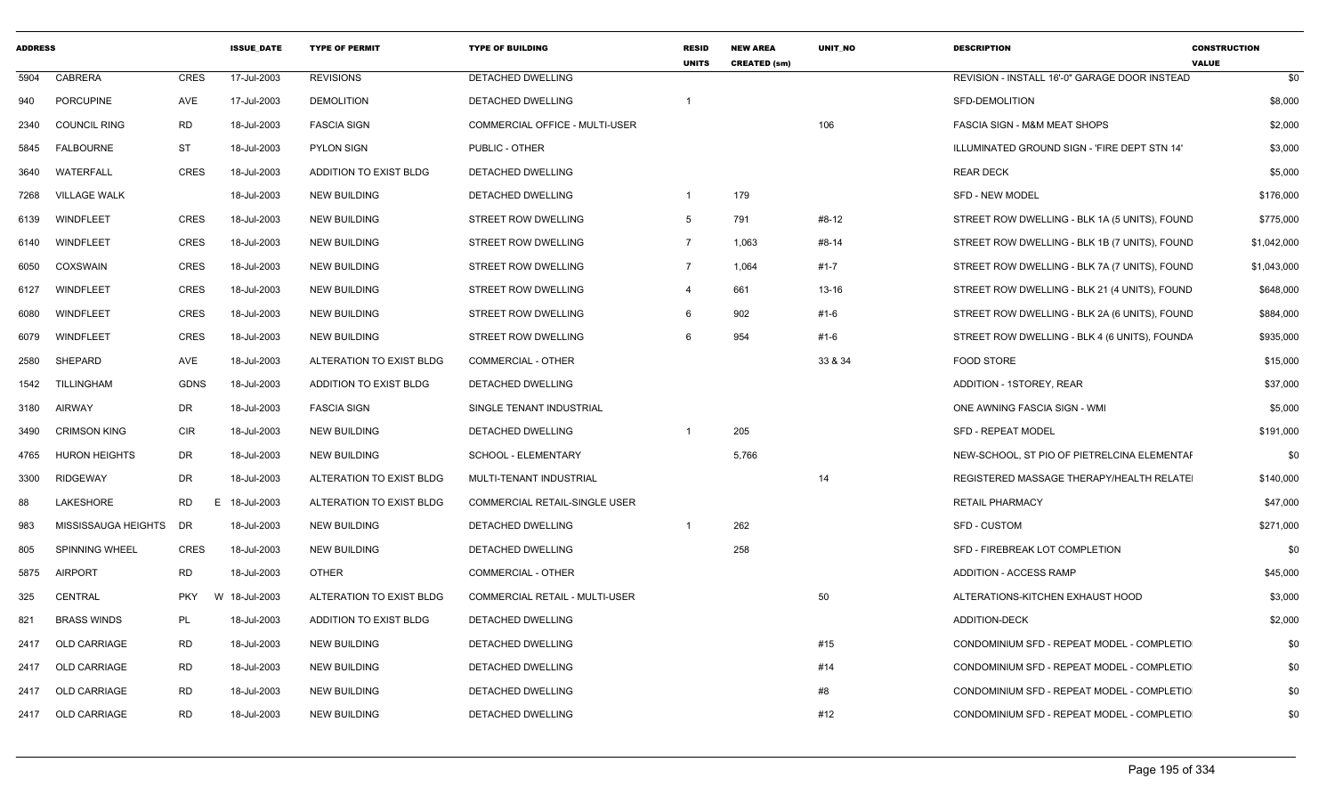| <b>ADDRESS</b> |                       |             | <b>ISSUE DATE</b> | <b>TYPE OF PERMIT</b>         | <b>TYPE OF BUILDING</b>               | <b>RESID</b><br><b>UNITS</b> | <b>NEW AREA</b><br><b>CREATED (sm)</b> | <b>UNIT NO</b> | <b>DESCRIPTION</b>                            | <b>CONSTRUCTION</b><br><b>VALUE</b> |
|----------------|-----------------------|-------------|-------------------|-------------------------------|---------------------------------------|------------------------------|----------------------------------------|----------------|-----------------------------------------------|-------------------------------------|
| 5904           | CABRERA               | CRES        | 17-Jul-2003       | <b>REVISIONS</b>              | DETACHED DWELLING                     |                              |                                        |                | REVISION - INSTALL 16'-0" GARAGE DOOR INSTEAD | \$0                                 |
| 940            | <b>PORCUPINE</b>      | AVE         | 17-Jul-2003       | <b>DEMOLITION</b>             | <b>DETACHED DWELLING</b>              |                              |                                        |                | SFD-DEMOLITION                                | \$8,000                             |
| 2340           | <b>COUNCIL RING</b>   | RD          | 18-Jul-2003       | <b>FASCIA SIGN</b>            | COMMERCIAL OFFICE - MULTI-USER        |                              |                                        | 106            | FASCIA SIGN - M&M MEAT SHOPS                  | \$2,000                             |
| 5845           | <b>FALBOURNE</b>      | ST          | 18-Jul-2003       | <b>PYLON SIGN</b>             | PUBLIC - OTHER                        |                              |                                        |                | ILLUMINATED GROUND SIGN - 'FIRE DEPT STN 14'  | \$3,000                             |
| 3640           | WATERFALL             | CRES        | 18-Jul-2003       | ADDITION TO EXIST BLDG        | DETACHED DWELLING                     |                              |                                        |                | <b>REAR DECK</b>                              | \$5,000                             |
| 7268           | <b>VILLAGE WALK</b>   |             | 18-Jul-2003       | <b>NEW BUILDING</b>           | DETACHED DWELLING                     | $\mathbf{1}$                 | 179                                    |                | <b>SFD - NEW MODEL</b>                        | \$176,000                           |
| 6139           | WINDFLEET             | CRES        | 18-Jul-2003       | <b>NEW BUILDING</b>           | STREET ROW DWELLING                   | 5                            | 791                                    | #8-12          | STREET ROW DWELLING - BLK 1A (5 UNITS), FOUND | \$775,000                           |
| 6140           | WINDFLEET             | CRES        | 18-Jul-2003       | <b>NEW BUILDING</b>           | STREET ROW DWELLING                   | $\overline{7}$               | 1,063                                  | #8-14          | STREET ROW DWELLING - BLK 1B (7 UNITS), FOUND | \$1,042,000                         |
| 6050           | COXSWAIN              | CRES        | 18-Jul-2003       | <b>NEW BUILDING</b>           | STREET ROW DWELLING                   | $\overline{7}$               | 1,064                                  | #1-7           | STREET ROW DWELLING - BLK 7A (7 UNITS), FOUND | \$1,043,000                         |
| 6127           | WINDFLEET             | CRES        | 18-Jul-2003       | <b>NEW BUILDING</b>           | STREET ROW DWELLING                   | $\overline{4}$               | 661                                    | $13 - 16$      | STREET ROW DWELLING - BLK 21 (4 UNITS), FOUND | \$648,000                           |
| 6080           | WINDFLEET             | CRES        | 18-Jul-2003       | <b>NEW BUILDING</b>           | STREET ROW DWELLING                   | -6                           | 902                                    | #1-6           | STREET ROW DWELLING - BLK 2A (6 UNITS), FOUND | \$884,000                           |
| 6079           | WINDFLEET             | CRES        | 18-Jul-2003       | <b>NEW BUILDING</b>           | STREET ROW DWELLING                   |                              | 954                                    | #1-6           | STREET ROW DWELLING - BLK 4 (6 UNITS), FOUNDA | \$935,000                           |
| 2580           | SHEPARD               | AVE         | 18-Jul-2003       | ALTERATION TO EXIST BLDG      | <b>COMMERCIAL - OTHER</b>             |                              |                                        | 33 & 34        | <b>FOOD STORE</b>                             | \$15,000                            |
| 1542           | TILLINGHAM            | <b>GDNS</b> | 18-Jul-2003       | <b>ADDITION TO EXIST BLDG</b> | DETACHED DWELLING                     |                              |                                        |                | ADDITION - 1STOREY, REAR                      | \$37,000                            |
| 3180           | AIRWAY                | DR          | 18-Jul-2003       | <b>FASCIA SIGN</b>            | SINGLE TENANT INDUSTRIAL              |                              |                                        |                | ONE AWNING FASCIA SIGN - WMI                  | \$5,000                             |
| 3490           | <b>CRIMSON KING</b>   | CIR         | 18-Jul-2003       | <b>NEW BUILDING</b>           | <b>DETACHED DWELLING</b>              | $\mathbf{1}$                 | 205                                    |                | <b>SFD - REPEAT MODEL</b>                     | \$191,000                           |
| 4765           | <b>HURON HEIGHTS</b>  | DR          | 18-Jul-2003       | <b>NEW BUILDING</b>           | <b>SCHOOL - ELEMENTARY</b>            |                              | 5,766                                  |                | NEW-SCHOOL, ST PIO OF PIETRELCINA ELEMENTAI   | \$0                                 |
| 3300           | RIDGEWAY              | DR          | 18-Jul-2003       | ALTERATION TO EXIST BLDG      | MULTI-TENANT INDUSTRIAL               |                              |                                        | 14             | REGISTERED MASSAGE THERAPY/HEALTH RELATE      | \$140,000                           |
| 88             | LAKESHORE             | RD          | 18-Jul-2003<br>E  | ALTERATION TO EXIST BLDG      | COMMERCIAL RETAIL-SINGLE USER         |                              |                                        |                | <b>RETAIL PHARMACY</b>                        | \$47,000                            |
| 983            | MISSISSAUGA HEIGHTS   | DR          | 18-Jul-2003       | <b>NEW BUILDING</b>           | DETACHED DWELLING                     | $\mathbf{1}$                 | 262                                    |                | SFD - CUSTOM                                  | \$271,000                           |
| 805            | <b>SPINNING WHEEL</b> | CRES        | 18-Jul-2003       | <b>NEW BUILDING</b>           | DETACHED DWELLING                     |                              | 258                                    |                | SFD - FIREBREAK LOT COMPLETION                | \$0                                 |
| 5875           | AIRPORT               | <b>RD</b>   | 18-Jul-2003       | <b>OTHER</b>                  | <b>COMMERCIAL - OTHER</b>             |                              |                                        |                | ADDITION - ACCESS RAMP                        | \$45,000                            |
| 325            | CENTRAL               | <b>PKY</b>  | 18-Jul-2003<br>W  | ALTERATION TO EXIST BLDG      | <b>COMMERCIAL RETAIL - MULTI-USER</b> |                              |                                        | 50             | ALTERATIONS-KITCHEN EXHAUST HOOD              | \$3,000                             |
| 821            | <b>BRASS WINDS</b>    | PL          | 18-Jul-2003       | <b>ADDITION TO EXIST BLDG</b> | DETACHED DWELLING                     |                              |                                        |                | <b>ADDITION-DECK</b>                          | \$2,000                             |
| 2417           | OLD CARRIAGE          | RD          | 18-Jul-2003       | <b>NEW BUILDING</b>           | DETACHED DWELLING                     |                              |                                        | #15            | CONDOMINIUM SFD - REPEAT MODEL - COMPLETIO    | \$0                                 |
| 2417           | <b>OLD CARRIAGE</b>   | RD          | 18-Jul-2003       | <b>NEW BUILDING</b>           | DETACHED DWELLING                     |                              |                                        | #14            | CONDOMINIUM SFD - REPEAT MODEL - COMPLETIO    | \$0                                 |
| 2417           | <b>OLD CARRIAGE</b>   | <b>RD</b>   | 18-Jul-2003       | <b>NEW BUILDING</b>           | DETACHED DWELLING                     |                              |                                        | #8             | CONDOMINIUM SFD - REPEAT MODEL - COMPLETIO    | \$0                                 |
|                | 2417 OLD CARRIAGE     | RD          | 18-Jul-2003       | <b>NEW BUILDING</b>           | DETACHED DWELLING                     |                              |                                        | #12            | CONDOMINIUM SFD - REPEAT MODEL - COMPLETIO    | \$0                                 |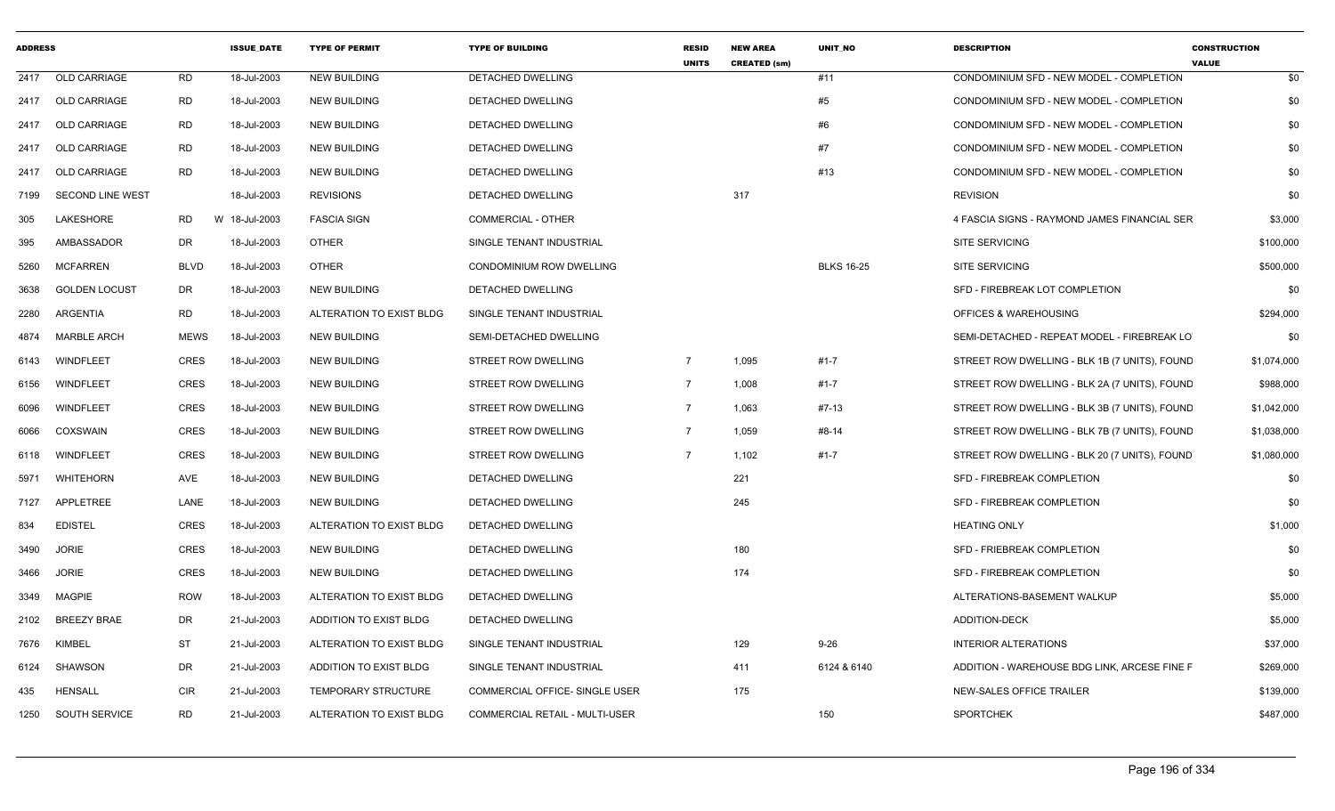| <b>ADDRESS</b> |                         |             | <b>ISSUE DATE</b> | <b>TYPE OF PERMIT</b>      | <b>TYPE OF BUILDING</b>               | <b>RESID</b><br><b>UNITS</b> | <b>NEW AREA</b><br><b>CREATED (sm)</b> | <b>UNIT NO</b>    | <b>DESCRIPTION</b>                            | <b>CONSTRUCTION</b><br><b>VALUE</b> |
|----------------|-------------------------|-------------|-------------------|----------------------------|---------------------------------------|------------------------------|----------------------------------------|-------------------|-----------------------------------------------|-------------------------------------|
| 2417           | <b>OLD CARRIAGE</b>     | RD          | 18-Jul-2003       | <b>NEW BUILDING</b>        | DETACHED DWELLING                     |                              |                                        | #11               | CONDOMINIUM SFD - NEW MODEL - COMPLETION      | \$0                                 |
| 2417           | <b>OLD CARRIAGE</b>     | <b>RD</b>   | 18-Jul-2003       | <b>NEW BUILDING</b>        | <b>DETACHED DWELLING</b>              |                              |                                        | #5                | CONDOMINIUM SFD - NEW MODEL - COMPLETION      | \$0                                 |
| 2417           | OLD CARRIAGE            | RD          | 18-Jul-2003       | <b>NEW BUILDING</b>        | <b>DETACHED DWELLING</b>              |                              |                                        | #6                | CONDOMINIUM SFD - NEW MODEL - COMPLETION      | \$0                                 |
| 2417           | <b>OLD CARRIAGE</b>     | RD          | 18-Jul-2003       | <b>NEW BUILDING</b>        | DETACHED DWELLING                     |                              |                                        | #7                | CONDOMINIUM SFD - NEW MODEL - COMPLETION      | \$0                                 |
| 2417           | <b>OLD CARRIAGE</b>     | RD          | 18-Jul-2003       | <b>NEW BUILDING</b>        | DETACHED DWELLING                     |                              |                                        | #13               | CONDOMINIUM SFD - NEW MODEL - COMPLETION      | \$0                                 |
| 7199           | <b>SECOND LINE WEST</b> |             | 18-Jul-2003       | <b>REVISIONS</b>           | <b>DETACHED DWELLING</b>              |                              | 317                                    |                   | <b>REVISION</b>                               | \$0                                 |
| 305            | LAKESHORE               | RD          | W 18-Jul-2003     | <b>FASCIA SIGN</b>         | <b>COMMERCIAL - OTHER</b>             |                              |                                        |                   | 4 FASCIA SIGNS - RAYMOND JAMES FINANCIAL SER  | \$3,000                             |
| 395            | AMBASSADOR              | DR          | 18-Jul-2003       | <b>OTHER</b>               | SINGLE TENANT INDUSTRIAL              |                              |                                        |                   | <b>SITE SERVICING</b>                         | \$100,000                           |
| 5260           | <b>MCFARREN</b>         | <b>BLVD</b> | 18-Jul-2003       | <b>OTHER</b>               | CONDOMINIUM ROW DWELLING              |                              |                                        | <b>BLKS 16-25</b> | <b>SITE SERVICING</b>                         | \$500,000                           |
| 3638           | <b>GOLDEN LOCUST</b>    | DR          | 18-Jul-2003       | <b>NEW BUILDING</b>        | DETACHED DWELLING                     |                              |                                        |                   | SFD - FIREBREAK LOT COMPLETION                | \$0                                 |
| 2280           | ARGENTIA                | RD          | 18-Jul-2003       | ALTERATION TO EXIST BLDG   | SINGLE TENANT INDUSTRIAL              |                              |                                        |                   | OFFICES & WAREHOUSING                         | \$294,000                           |
| 4874           | <b>MARBLE ARCH</b>      | <b>MEWS</b> | 18-Jul-2003       | <b>NEW BUILDING</b>        | SEMI-DETACHED DWELLING                |                              |                                        |                   | SEMI-DETACHED - REPEAT MODEL - FIREBREAK LO   | \$0                                 |
| 6143           | WINDFLEET               | <b>CRES</b> | 18-Jul-2003       | <b>NEW BUILDING</b>        | <b>STREET ROW DWELLING</b>            | $\overline{7}$               | 1,095                                  | $#1 - 7$          | STREET ROW DWELLING - BLK 1B (7 UNITS), FOUND | \$1,074,000                         |
| 6156           | WINDFLEET               | <b>CRES</b> | 18-Jul-2003       | <b>NEW BUILDING</b>        | STREET ROW DWELLING                   | $\overline{7}$               | 1,008                                  | #1-7              | STREET ROW DWELLING - BLK 2A (7 UNITS), FOUND | \$988,000                           |
| 6096           | WINDFLEET               | <b>CRES</b> | 18-Jul-2003       | <b>NEW BUILDING</b>        | STREET ROW DWELLING                   | $\overline{7}$               | 1,063                                  | #7-13             | STREET ROW DWELLING - BLK 3B (7 UNITS), FOUND | \$1,042,000                         |
| 6066           | COXSWAIN                | <b>CRES</b> | 18-Jul-2003       | <b>NEW BUILDING</b>        | STREET ROW DWELLING                   | $\overline{7}$               | 1,059                                  | #8-14             | STREET ROW DWELLING - BLK 7B (7 UNITS), FOUND | \$1,038,000                         |
| 6118           | WINDFLEET               | <b>CRES</b> | 18-Jul-2003       | <b>NEW BUILDING</b>        | <b>STREET ROW DWELLING</b>            | $\overline{7}$               | 1,102                                  | #1-7              | STREET ROW DWELLING - BLK 20 (7 UNITS), FOUND | \$1,080,000                         |
| 5971           | WHITEHORN               | AVE         | 18-Jul-2003       | <b>NEW BUILDING</b>        | DETACHED DWELLING                     |                              | 221                                    |                   | SFD - FIREBREAK COMPLETION                    | \$0                                 |
| 7127           | APPLETREE               | LANE        | 18-Jul-2003       | <b>NEW BUILDING</b>        | DETACHED DWELLING                     |                              | 245                                    |                   | SFD - FIREBREAK COMPLETION                    | \$0                                 |
| 834            | <b>EDISTEL</b>          | <b>CRES</b> | 18-Jul-2003       | ALTERATION TO EXIST BLDG   | DETACHED DWELLING                     |                              |                                        |                   | <b>HEATING ONLY</b>                           | \$1,000                             |
| 3490           | <b>JORIE</b>            | <b>CRES</b> | 18-Jul-2003       | <b>NEW BUILDING</b>        | DETACHED DWELLING                     |                              | 180                                    |                   | SFD - FRIEBREAK COMPLETION                    | \$0                                 |
| 3466           | <b>JORIE</b>            | <b>CRES</b> | 18-Jul-2003       | <b>NEW BUILDING</b>        | DETACHED DWELLING                     |                              | 174                                    |                   | SFD - FIREBREAK COMPLETION                    | \$0                                 |
| 3349           | <b>MAGPIE</b>           | ROW         | 18-Jul-2003       | ALTERATION TO EXIST BLDG   | DETACHED DWELLING                     |                              |                                        |                   | ALTERATIONS-BASEMENT WALKUP                   | \$5,000                             |
| 2102           | <b>BREEZY BRAE</b>      | DR          | 21-Jul-2003       | ADDITION TO EXIST BLDG     | DETACHED DWELLING                     |                              |                                        |                   | <b>ADDITION-DECK</b>                          | \$5,000                             |
| 7676           | KIMBEL                  | ST          | 21-Jul-2003       | ALTERATION TO EXIST BLDG   | SINGLE TENANT INDUSTRIAL              |                              | 129                                    | $9 - 26$          | <b>INTERIOR ALTERATIONS</b>                   | \$37,000                            |
| 6124           | SHAWSON                 | DR          | 21-Jul-2003       | ADDITION TO EXIST BLDG     | SINGLE TENANT INDUSTRIAL              |                              | 411                                    | 6124 & 6140       | ADDITION - WAREHOUSE BDG LINK, ARCESE FINE F  | \$269,000                           |
| 435            | <b>HENSALL</b>          | <b>CIR</b>  | 21-Jul-2003       | <b>TEMPORARY STRUCTURE</b> | COMMERCIAL OFFICE- SINGLE USER        |                              | 175                                    |                   | NEW-SALES OFFICE TRAILER                      | \$139,000                           |
| 1250           | <b>SOUTH SERVICE</b>    | RD          | 21-Jul-2003       | ALTERATION TO EXIST BLDG   | <b>COMMERCIAL RETAIL - MULTI-USER</b> |                              |                                        | 150               | <b>SPORTCHEK</b>                              | \$487,000                           |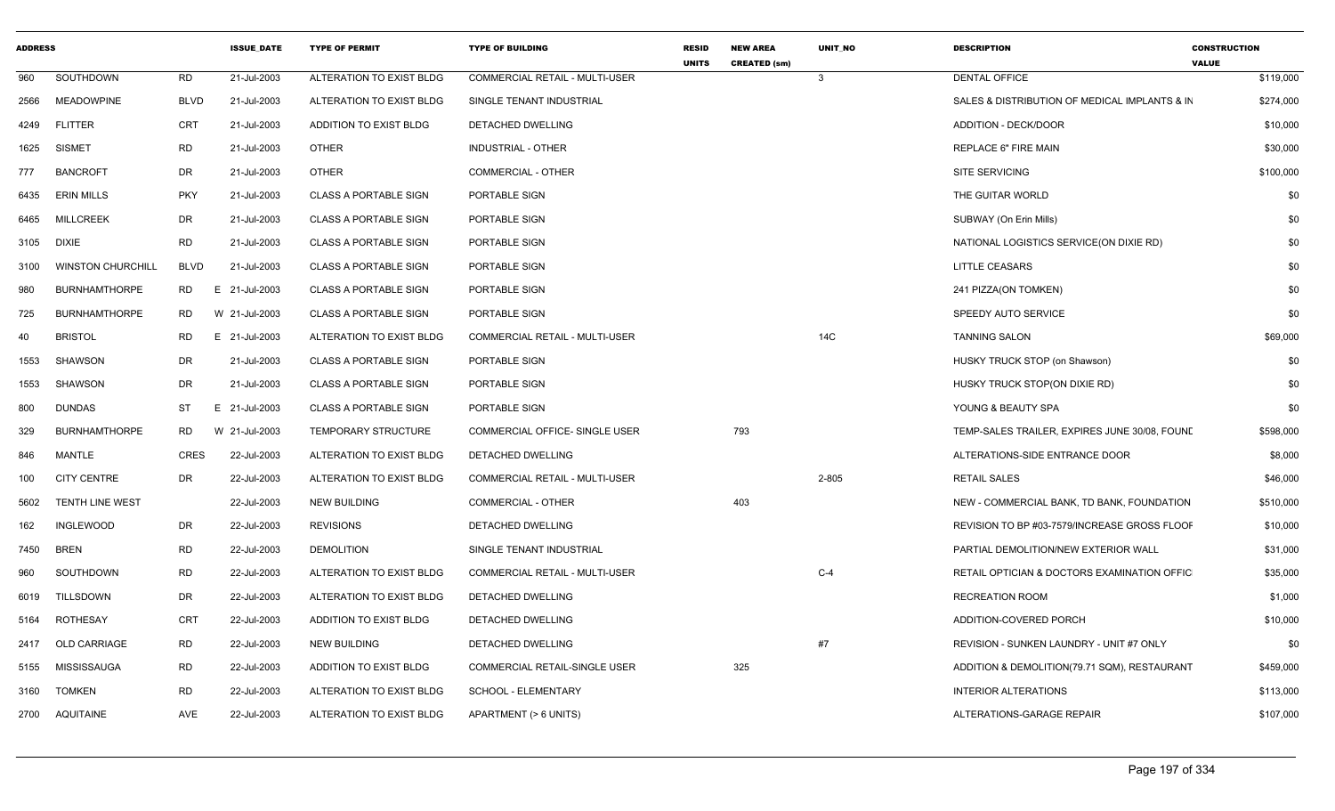| <b>ADDRESS</b> |                          |                 | <b>ISSUE DATE</b> | <b>TYPE OF PERMIT</b>        | <b>TYPE OF BUILDING</b>        | <b>RESID</b><br><b>UNITS</b> | <b>NEW AREA</b><br><b>CREATED (sm)</b> | <b>UNIT NO</b> | <b>DESCRIPTION</b>                            | <b>CONSTRUCTION</b><br><b>VALUE</b> |
|----------------|--------------------------|-----------------|-------------------|------------------------------|--------------------------------|------------------------------|----------------------------------------|----------------|-----------------------------------------------|-------------------------------------|
| 960            | SOUTHDOWN                | <b>RD</b>       | 21-Jul-2003       | ALTERATION TO EXIST BLDG     | COMMERCIAL RETAIL - MULTI-USER |                              |                                        | $\mathbf{3}$   | <b>DENTAL OFFICE</b>                          | \$119,000                           |
| 2566           | <b>MEADOWPINE</b>        | <b>BLVD</b>     | 21-Jul-2003       | ALTERATION TO EXIST BLDG     | SINGLE TENANT INDUSTRIAL       |                              |                                        |                | SALES & DISTRIBUTION OF MEDICAL IMPLANTS & IN | \$274,000                           |
| 4249           | <b>FLITTER</b>           | CRT             | 21-Jul-2003       | ADDITION TO EXIST BLDG       | DETACHED DWELLING              |                              |                                        |                | ADDITION - DECK/DOOR                          | \$10,000                            |
| 1625           | <b>SISMET</b>            | <b>RD</b>       | 21-Jul-2003       | <b>OTHER</b>                 | <b>INDUSTRIAL - OTHER</b>      |                              |                                        |                | <b>REPLACE 6" FIRE MAIN</b>                   | \$30,000                            |
| 777            | <b>BANCROFT</b>          | <b>DR</b>       | 21-Jul-2003       | <b>OTHER</b>                 | COMMERCIAL - OTHER             |                              |                                        |                | <b>SITE SERVICING</b>                         | \$100,000                           |
| 6435           | <b>ERIN MILLS</b>        | <b>PKY</b>      | 21-Jul-2003       | <b>CLASS A PORTABLE SIGN</b> | PORTABLE SIGN                  |                              |                                        |                | THE GUITAR WORLD                              | \$0                                 |
| 6465           | <b>MILLCREEK</b>         | <b>DR</b>       | 21-Jul-2003       | <b>CLASS A PORTABLE SIGN</b> | PORTABLE SIGN                  |                              |                                        |                | SUBWAY (On Erin Mills)                        | \$0                                 |
| 3105           | DIXIE                    | <b>RD</b>       | 21-Jul-2003       | <b>CLASS A PORTABLE SIGN</b> | PORTABLE SIGN                  |                              |                                        |                | NATIONAL LOGISTICS SERVICE(ON DIXIE RD)       | \$0                                 |
| 3100           | <b>WINSTON CHURCHILL</b> | <b>BLVD</b>     | 21-Jul-2003       | <b>CLASS A PORTABLE SIGN</b> | PORTABLE SIGN                  |                              |                                        |                | <b>LITTLE CEASARS</b>                         | \$0                                 |
| 980            | <b>BURNHAMTHORPE</b>     | <b>RD</b><br>E. | 21-Jul-2003       | <b>CLASS A PORTABLE SIGN</b> | PORTABLE SIGN                  |                              |                                        |                | 241 PIZZA(ON TOMKEN)                          | \$0                                 |
| 725            | <b>BURNHAMTHORPE</b>     | RD              | W 21-Jul-2003     | <b>CLASS A PORTABLE SIGN</b> | PORTABLE SIGN                  |                              |                                        |                | SPEEDY AUTO SERVICE                           | \$0                                 |
| 40             | <b>BRISTOL</b>           | <b>RD</b>       | E 21-Jul-2003     | ALTERATION TO EXIST BLDG     | COMMERCIAL RETAIL - MULTI-USER |                              |                                        | 14C            | <b>TANNING SALON</b>                          | \$69,000                            |
| 1553           | <b>SHAWSON</b>           | <b>DR</b>       | 21-Jul-2003       | <b>CLASS A PORTABLE SIGN</b> | PORTABLE SIGN                  |                              |                                        |                | HUSKY TRUCK STOP (on Shawson)                 | \$0                                 |
| 1553           | <b>SHAWSON</b>           | <b>DR</b>       | 21-Jul-2003       | <b>CLASS A PORTABLE SIGN</b> | PORTABLE SIGN                  |                              |                                        |                | HUSKY TRUCK STOP(ON DIXIE RD)                 | \$0                                 |
| 800            | <b>DUNDAS</b>            | ST.             | E 21-Jul-2003     | <b>CLASS A PORTABLE SIGN</b> | PORTABLE SIGN                  |                              |                                        |                | YOUNG & BEAUTY SPA                            | \$0                                 |
| 329            | <b>BURNHAMTHORPE</b>     | RD              | W 21-Jul-2003     | TEMPORARY STRUCTURE          | COMMERCIAL OFFICE- SINGLE USER |                              | 793                                    |                | TEMP-SALES TRAILER, EXPIRES JUNE 30/08, FOUND | \$598,000                           |
| 846            | <b>MANTLE</b>            | <b>CRES</b>     | 22-Jul-2003       | ALTERATION TO EXIST BLDG     | <b>DETACHED DWELLING</b>       |                              |                                        |                | ALTERATIONS-SIDE ENTRANCE DOOR                | \$8,000                             |
| 100            | <b>CITY CENTRE</b>       | <b>DR</b>       | 22-Jul-2003       | ALTERATION TO EXIST BLDG     | COMMERCIAL RETAIL - MULTI-USER |                              |                                        | 2-805          | <b>RETAIL SALES</b>                           | \$46,000                            |
| 5602           | TENTH LINE WEST          |                 | 22-Jul-2003       | <b>NEW BUILDING</b>          | <b>COMMERCIAL - OTHER</b>      |                              | 403                                    |                | NEW - COMMERCIAL BANK, TD BANK, FOUNDATION    | \$510,000                           |
| 162            | <b>INGLEWOOD</b>         | DR              | 22-Jul-2003       | <b>REVISIONS</b>             | DETACHED DWELLING              |                              |                                        |                | REVISION TO BP #03-7579/INCREASE GROSS FLOOF  | \$10,000                            |
| 7450           | <b>BREN</b>              | <b>RD</b>       | 22-Jul-2003       | <b>DEMOLITION</b>            | SINGLE TENANT INDUSTRIAL       |                              |                                        |                | PARTIAL DEMOLITION/NEW EXTERIOR WALL          | \$31,000                            |
| 960            | SOUTHDOWN                | <b>RD</b>       | 22-Jul-2003       | ALTERATION TO EXIST BLDG     | COMMERCIAL RETAIL - MULTI-USER |                              |                                        | $C-4$          | RETAIL OPTICIAN & DOCTORS EXAMINATION OFFIC   | \$35,000                            |
| 6019           | <b>TILLSDOWN</b>         | DR.             | 22-Jul-2003       | ALTERATION TO EXIST BLDG     | DETACHED DWELLING              |                              |                                        |                | <b>RECREATION ROOM</b>                        | \$1,000                             |
| 5164           | <b>ROTHESAY</b>          | CRT             | 22-Jul-2003       | ADDITION TO EXIST BLDG       | DETACHED DWELLING              |                              |                                        |                | ADDITION-COVERED PORCH                        | \$10,000                            |
| 2417           | <b>OLD CARRIAGE</b>      | <b>RD</b>       | 22-Jul-2003       | <b>NEW BUILDING</b>          | DETACHED DWELLING              |                              |                                        | #7             | REVISION - SUNKEN LAUNDRY - UNIT #7 ONLY      | \$0                                 |
| 5155           | MISSISSAUGA              | <b>RD</b>       | 22-Jul-2003       | ADDITION TO EXIST BLDG       | COMMERCIAL RETAIL-SINGLE USER  |                              | 325                                    |                | ADDITION & DEMOLITION(79.71 SQM), RESTAURANT  | \$459,000                           |
| 3160           | <b>TOMKEN</b>            | <b>RD</b>       | 22-Jul-2003       | ALTERATION TO EXIST BLDG     | SCHOOL - ELEMENTARY            |                              |                                        |                | INTERIOR ALTERATIONS                          | \$113,000                           |
| 2700           | AQUITAINE                | AVE             | 22-Jul-2003       | ALTERATION TO EXIST BLDG     | APARTMENT (> 6 UNITS)          |                              |                                        |                | ALTERATIONS-GARAGE REPAIR                     | \$107,000                           |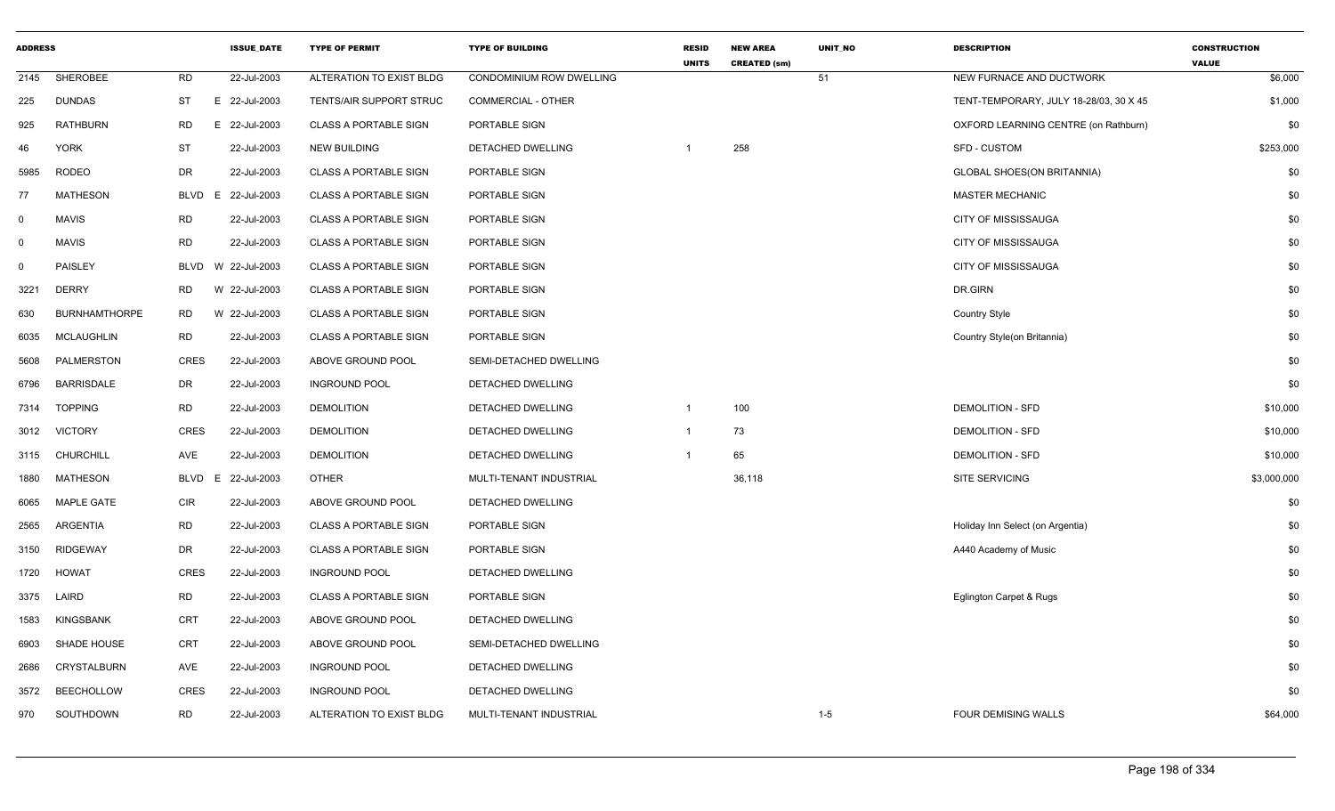| <b>ADDRESS</b> |                      |             | <b>ISSUE_DATE</b> | <b>TYPE OF PERMIT</b>        | <b>TYPE OF BUILDING</b>         | <b>RESID</b><br><b>UNITS</b> | <b>NEW AREA</b><br><b>CREATED (sm)</b> | UNIT_NO | <b>DESCRIPTION</b>                     | <b>CONSTRUCTION</b><br><b>VALUE</b> |
|----------------|----------------------|-------------|-------------------|------------------------------|---------------------------------|------------------------------|----------------------------------------|---------|----------------------------------------|-------------------------------------|
| 2145           | SHEROBEE             | <b>RD</b>   | 22-Jul-2003       | ALTERATION TO EXIST BLDG     | <b>CONDOMINIUM ROW DWELLING</b> |                              |                                        | 51      | NEW FURNACE AND DUCTWORK               | \$6,000                             |
| 225            | DUNDAS               | ST          | E 22-Jul-2003     | TENTS/AIR SUPPORT STRUC      | COMMERCIAL - OTHER              |                              |                                        |         | TENT-TEMPORARY, JULY 18-28/03, 30 X 45 | \$1,000                             |
| 925            | <b>RATHBURN</b>      | <b>RD</b>   | E<br>22-Jul-2003  | <b>CLASS A PORTABLE SIGN</b> | PORTABLE SIGN                   |                              |                                        |         | OXFORD LEARNING CENTRE (on Rathburn)   | \$0                                 |
| 46             | <b>YORK</b>          | <b>ST</b>   | 22-Jul-2003       | <b>NEW BUILDING</b>          | DETACHED DWELLING               |                              | 258                                    |         | <b>SFD - CUSTOM</b>                    | \$253,000                           |
| 5985           | <b>RODEO</b>         | DR          | 22-Jul-2003       | <b>CLASS A PORTABLE SIGN</b> | PORTABLE SIGN                   |                              |                                        |         | <b>GLOBAL SHOES(ON BRITANNIA)</b>      | \$0                                 |
| 77             | <b>MATHESON</b>      | <b>BLVD</b> | 22-Jul-2003<br>E  | <b>CLASS A PORTABLE SIGN</b> | PORTABLE SIGN                   |                              |                                        |         | <b>MASTER MECHANIC</b>                 | \$0                                 |
| $\mathbf 0$    | <b>MAVIS</b>         | <b>RD</b>   | 22-Jul-2003       | <b>CLASS A PORTABLE SIGN</b> | PORTABLE SIGN                   |                              |                                        |         | CITY OF MISSISSAUGA                    | \$0                                 |
| $\mathbf 0$    | <b>MAVIS</b>         | <b>RD</b>   | 22-Jul-2003       | <b>CLASS A PORTABLE SIGN</b> | PORTABLE SIGN                   |                              |                                        |         | CITY OF MISSISSAUGA                    | \$0                                 |
| $\mathbf 0$    | <b>PAISLEY</b>       | BLVD        | W 22-Jul-2003     | <b>CLASS A PORTABLE SIGN</b> | PORTABLE SIGN                   |                              |                                        |         | CITY OF MISSISSAUGA                    | \$0                                 |
| 3221           | <b>DERRY</b>         | <b>RD</b>   | W 22-Jul-2003     | <b>CLASS A PORTABLE SIGN</b> | PORTABLE SIGN                   |                              |                                        |         | DR.GIRN                                | \$0                                 |
| 630            | <b>BURNHAMTHORPE</b> | <b>RD</b>   | W 22-Jul-2003     | <b>CLASS A PORTABLE SIGN</b> | PORTABLE SIGN                   |                              |                                        |         | <b>Country Style</b>                   | \$0                                 |
| 6035           | <b>MCLAUGHLIN</b>    | <b>RD</b>   | 22-Jul-2003       | <b>CLASS A PORTABLE SIGN</b> | PORTABLE SIGN                   |                              |                                        |         | Country Style(on Britannia)            | \$0                                 |
| 5608           | PALMERSTON           | <b>CRES</b> | 22-Jul-2003       | ABOVE GROUND POOL            | SEMI-DETACHED DWELLING          |                              |                                        |         |                                        | \$0                                 |
| 6796           | <b>BARRISDALE</b>    | DR          | 22-Jul-2003       | <b>INGROUND POOL</b>         | DETACHED DWELLING               |                              |                                        |         |                                        | \$0                                 |
| 7314           | <b>TOPPING</b>       | <b>RD</b>   | 22-Jul-2003       | <b>DEMOLITION</b>            | DETACHED DWELLING               | $\overline{1}$               | 100                                    |         | <b>DEMOLITION - SFD</b>                | \$10,000                            |
| 3012           | <b>VICTORY</b>       | <b>CRES</b> | 22-Jul-2003       | <b>DEMOLITION</b>            | DETACHED DWELLING               |                              | 73                                     |         | <b>DEMOLITION - SFD</b>                | \$10,000                            |
| 3115           | <b>CHURCHILL</b>     | AVE         | 22-Jul-2003       | <b>DEMOLITION</b>            | DETACHED DWELLING               |                              | 65                                     |         | <b>DEMOLITION - SFD</b>                | \$10,000                            |
| 1880           | <b>MATHESON</b>      | BLVD        | 22-Jul-2003<br>E. | <b>OTHER</b>                 | MULTI-TENANT INDUSTRIAL         |                              | 36,118                                 |         | SITE SERVICING                         | \$3,000,000                         |
| 6065           | <b>MAPLE GATE</b>    | CIR         | 22-Jul-2003       | ABOVE GROUND POOL            | DETACHED DWELLING               |                              |                                        |         |                                        | \$0                                 |
| 2565           | <b>ARGENTIA</b>      | <b>RD</b>   | 22-Jul-2003       | <b>CLASS A PORTABLE SIGN</b> | PORTABLE SIGN                   |                              |                                        |         | Holiday Inn Select (on Argentia)       | \$0                                 |
| 3150           | <b>RIDGEWAY</b>      | DR          | 22-Jul-2003       | <b>CLASS A PORTABLE SIGN</b> | PORTABLE SIGN                   |                              |                                        |         | A440 Academy of Music                  | \$0                                 |
| 1720           | <b>HOWAT</b>         | <b>CRES</b> | 22-Jul-2003       | <b>INGROUND POOL</b>         | <b>DETACHED DWELLING</b>        |                              |                                        |         |                                        | \$0                                 |
| 3375           | LAIRD                | <b>RD</b>   | 22-Jul-2003       | <b>CLASS A PORTABLE SIGN</b> | PORTABLE SIGN                   |                              |                                        |         | Eglington Carpet & Rugs                | \$0                                 |
| 1583           | <b>KINGSBANK</b>     | <b>CRT</b>  | 22-Jul-2003       | ABOVE GROUND POOL            | DETACHED DWELLING               |                              |                                        |         |                                        | \$0                                 |
| 6903           | SHADE HOUSE          | CRT         | 22-Jul-2003       | ABOVE GROUND POOL            | SEMI-DETACHED DWELLING          |                              |                                        |         |                                        | \$0                                 |
| 2686           | <b>CRYSTALBURN</b>   | AVE         | 22-Jul-2003       | <b>INGROUND POOL</b>         | DETACHED DWELLING               |                              |                                        |         |                                        | \$0                                 |
| 3572           | <b>BEECHOLLOW</b>    | <b>CRES</b> | 22-Jul-2003       | <b>INGROUND POOL</b>         | DETACHED DWELLING               |                              |                                        |         |                                        | \$0                                 |
| 970            | SOUTHDOWN            | <b>RD</b>   | 22-Jul-2003       | ALTERATION TO EXIST BLDG     | MULTI-TENANT INDUSTRIAL         |                              |                                        | $1 - 5$ | <b>FOUR DEMISING WALLS</b>             | \$64,000                            |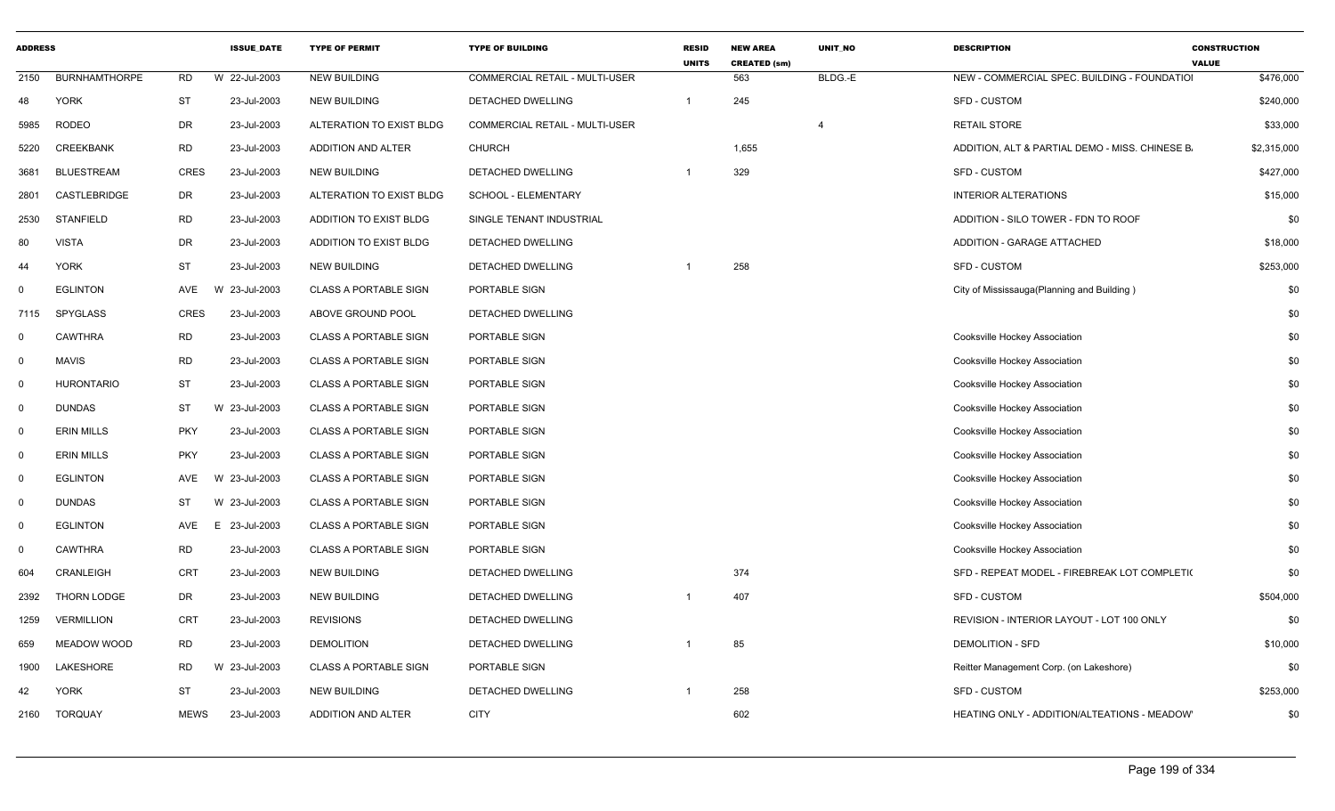| <b>ADDRESS</b> |                      |             | <b>ISSUE_DATE</b> | <b>TYPE OF PERMIT</b>        | <b>TYPE OF BUILDING</b>        | <b>RESID</b><br><b>UNITS</b> | <b>NEW AREA</b><br><b>CREATED (sm)</b> | UNIT_NO | <b>DESCRIPTION</b>                              | <b>CONSTRUCTION</b><br><b>VALUE</b> |
|----------------|----------------------|-------------|-------------------|------------------------------|--------------------------------|------------------------------|----------------------------------------|---------|-------------------------------------------------|-------------------------------------|
| 2150           | <b>BURNHAMTHORPE</b> | <b>RD</b>   | W 22-Jul-2003     | <b>NEW BUILDING</b>          | COMMERCIAL RETAIL - MULTI-USER |                              | 563                                    | BLDG.-E | NEW - COMMERCIAL SPEC. BUILDING - FOUNDATIO     | \$476,000                           |
| 48             | <b>YORK</b>          | ST          | 23-Jul-2003       | <b>NEW BUILDING</b>          | DETACHED DWELLING              |                              | 245                                    |         | SFD - CUSTOM                                    | \$240,000                           |
| 5985           | <b>RODEO</b>         | DR          | 23-Jul-2003       | ALTERATION TO EXIST BLDG     | COMMERCIAL RETAIL - MULTI-USER |                              |                                        |         | <b>RETAIL STORE</b>                             | \$33,000                            |
| 5220           | <b>CREEKBANK</b>     | <b>RD</b>   | 23-Jul-2003       | ADDITION AND ALTER           | <b>CHURCH</b>                  |                              | 1,655                                  |         | ADDITION, ALT & PARTIAL DEMO - MISS. CHINESE B. | \$2,315,000                         |
| 3681           | <b>BLUESTREAM</b>    | CRES        | 23-Jul-2003       | NEW BUILDING                 | DETACHED DWELLING              |                              | 329                                    |         | SFD - CUSTOM                                    | \$427,000                           |
| 2801           | CASTLEBRIDGE         | DR          | 23-Jul-2003       | ALTERATION TO EXIST BLDG     | SCHOOL - ELEMENTARY            |                              |                                        |         | <b>INTERIOR ALTERATIONS</b>                     | \$15,000                            |
| 2530           | <b>STANFIELD</b>     | <b>RD</b>   | 23-Jul-2003       | ADDITION TO EXIST BLDG       | SINGLE TENANT INDUSTRIAL       |                              |                                        |         | ADDITION - SILO TOWER - FDN TO ROOF             | \$0                                 |
| 80             | <b>VISTA</b>         | DR          | 23-Jul-2003       | ADDITION TO EXIST BLDG       | DETACHED DWELLING              |                              |                                        |         | ADDITION - GARAGE ATTACHED                      | \$18,000                            |
| 44             | <b>YORK</b>          | <b>ST</b>   | 23-Jul-2003       | NEW BUILDING                 | DETACHED DWELLING              |                              | 258                                    |         | SFD - CUSTOM                                    | \$253,000                           |
|                | <b>EGLINTON</b>      | AVE         | 23-Jul-2003<br>W  | <b>CLASS A PORTABLE SIGN</b> | PORTABLE SIGN                  |                              |                                        |         | City of Mississauga (Planning and Building)     | \$0                                 |
| 7115           | SPYGLASS             | CRES        | 23-Jul-2003       | ABOVE GROUND POOL            | DETACHED DWELLING              |                              |                                        |         |                                                 | \$0                                 |
| $\Omega$       | CAWTHRA              | <b>RD</b>   | 23-Jul-2003       | <b>CLASS A PORTABLE SIGN</b> | PORTABLE SIGN                  |                              |                                        |         | Cooksville Hockey Association                   | \$0                                 |
| $\Omega$       | <b>MAVIS</b>         | <b>RD</b>   | 23-Jul-2003       | <b>CLASS A PORTABLE SIGN</b> | PORTABLE SIGN                  |                              |                                        |         | Cooksville Hockey Association                   | \$0                                 |
| $\Omega$       | <b>HURONTARIO</b>    | <b>ST</b>   | 23-Jul-2003       | <b>CLASS A PORTABLE SIGN</b> | PORTABLE SIGN                  |                              |                                        |         | Cooksville Hockey Association                   | \$0                                 |
| $\Omega$       | <b>DUNDAS</b>        | <b>ST</b>   | W 23-Jul-2003     | <b>CLASS A PORTABLE SIGN</b> | PORTABLE SIGN                  |                              |                                        |         | Cooksville Hockey Association                   | \$0                                 |
| $\Omega$       | <b>ERIN MILLS</b>    | <b>PKY</b>  | 23-Jul-2003       | <b>CLASS A PORTABLE SIGN</b> | PORTABLE SIGN                  |                              |                                        |         | Cooksville Hockey Association                   | \$0                                 |
| $\Omega$       | <b>ERIN MILLS</b>    | <b>PKY</b>  | 23-Jul-2003       | <b>CLASS A PORTABLE SIGN</b> | PORTABLE SIGN                  |                              |                                        |         | Cooksville Hockey Association                   | \$0                                 |
| $\Omega$       | <b>EGLINTON</b>      | AVE         | 23-Jul-2003<br>W  | <b>CLASS A PORTABLE SIGN</b> | PORTABLE SIGN                  |                              |                                        |         | Cooksville Hockey Association                   | \$0                                 |
| $\Omega$       | <b>DUNDAS</b>        | <b>ST</b>   | W 23-Jul-2003     | <b>CLASS A PORTABLE SIGN</b> | PORTABLE SIGN                  |                              |                                        |         | Cooksville Hockey Association                   | \$0                                 |
| $\Omega$       | <b>EGLINTON</b>      | AVE         | 23-Jul-2003<br>E. | <b>CLASS A PORTABLE SIGN</b> | PORTABLE SIGN                  |                              |                                        |         | Cooksville Hockey Association                   | \$0                                 |
| $\Omega$       | CAWTHRA              | <b>RD</b>   | 23-Jul-2003       | <b>CLASS A PORTABLE SIGN</b> | PORTABLE SIGN                  |                              |                                        |         | Cooksville Hockey Association                   | \$0                                 |
| 604            | CRANLEIGH            | CRT         | 23-Jul-2003       | NEW BUILDING                 | DETACHED DWELLING              |                              | 374                                    |         | SFD - REPEAT MODEL - FIREBREAK LOT COMPLETI(    | \$0                                 |
| 2392           | <b>THORN LODGE</b>   | DR          | 23-Jul-2003       | <b>NEW BUILDING</b>          | DETACHED DWELLING              |                              | 407                                    |         | SFD - CUSTOM                                    | \$504,000                           |
| 1259           | <b>VERMILLION</b>    | CRT         | 23-Jul-2003       | <b>REVISIONS</b>             | DETACHED DWELLING              |                              |                                        |         | REVISION - INTERIOR LAYOUT - LOT 100 ONLY       | \$0                                 |
| 659            | <b>MEADOW WOOD</b>   | RD          | 23-Jul-2003       | <b>DEMOLITION</b>            | DETACHED DWELLING              |                              | 85                                     |         | <b>DEMOLITION - SFD</b>                         | \$10,000                            |
| 1900           | LAKESHORE            | RD          | W 23-Jul-2003     | <b>CLASS A PORTABLE SIGN</b> | PORTABLE SIGN                  |                              |                                        |         | Reitter Management Corp. (on Lakeshore)         | \$0                                 |
| 42             | <b>YORK</b>          | ST          | 23-Jul-2003       | NEW BUILDING                 | DETACHED DWELLING              |                              | 258                                    |         | SFD - CUSTOM                                    | \$253,000                           |
| 2160           | TORQUAY              | <b>MEWS</b> | 23-Jul-2003       | ADDITION AND ALTER           | <b>CITY</b>                    |                              | 602                                    |         | HEATING ONLY - ADDITION/ALTEATIONS - MEADOW     | \$0                                 |
|                |                      |             |                   |                              |                                |                              |                                        |         |                                                 |                                     |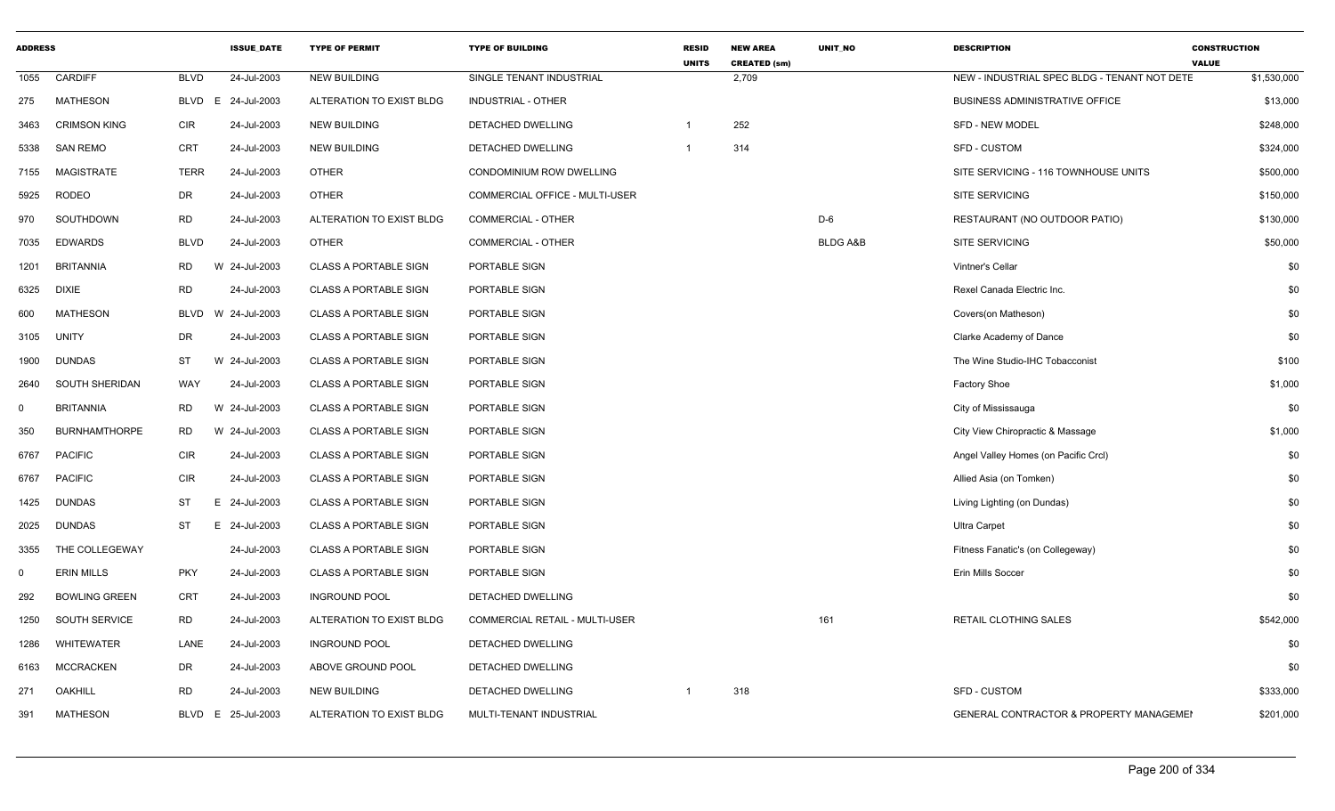| <b>ADDRESS</b> |                       |             | <b>ISSUE DATE</b> | <b>TYPE OF PERMIT</b>        | <b>TYPE OF BUILDING</b>        | <b>RESID</b><br><b>UNITS</b> | <b>NEW AREA</b><br><b>CREATED (sm)</b> | <b>UNIT NO</b>      | <b>DESCRIPTION</b>                           | <b>CONSTRUCTION</b><br><b>VALUE</b> |
|----------------|-----------------------|-------------|-------------------|------------------------------|--------------------------------|------------------------------|----------------------------------------|---------------------|----------------------------------------------|-------------------------------------|
| 1055           | CARDIFF               | <b>BLVD</b> | 24-Jul-2003       | <b>NEW BUILDING</b>          | SINGLE TENANT INDUSTRIAL       |                              | 2,709                                  |                     | NEW - INDUSTRIAL SPEC BLDG - TENANT NOT DETE | \$1,530,000                         |
| 275            | <b>MATHESON</b>       | <b>BLVD</b> | 24-Jul-2003<br>E  | ALTERATION TO EXIST BLDG     | <b>INDUSTRIAL - OTHER</b>      |                              |                                        |                     | <b>BUSINESS ADMINISTRATIVE OFFICE</b>        | \$13,000                            |
| 3463           | <b>CRIMSON KING</b>   | <b>CIR</b>  | 24-Jul-2003       | <b>NEW BUILDING</b>          | DETACHED DWELLING              |                              | 252                                    |                     | <b>SFD - NEW MODEL</b>                       | \$248,000                           |
| 5338           | <b>SAN REMO</b>       | CRT         | 24-Jul-2003       | <b>NEW BUILDING</b>          | DETACHED DWELLING              | -1                           | 314                                    |                     | SFD - CUSTOM                                 | \$324,000                           |
| 7155           | <b>MAGISTRATE</b>     | <b>TERR</b> | 24-Jul-2003       | <b>OTHER</b>                 | CONDOMINIUM ROW DWELLING       |                              |                                        |                     | SITE SERVICING - 116 TOWNHOUSE UNITS         | \$500,000                           |
| 5925           | <b>RODEO</b>          | DR          | 24-Jul-2003       | <b>OTHER</b>                 | COMMERCIAL OFFICE - MULTI-USER |                              |                                        |                     | <b>SITE SERVICING</b>                        | \$150,000                           |
| 970            | SOUTHDOWN             | <b>RD</b>   | 24-Jul-2003       | ALTERATION TO EXIST BLDG     | COMMERCIAL - OTHER             |                              |                                        | D-6                 | RESTAURANT (NO OUTDOOR PATIO)                | \$130,000                           |
| 7035           | <b>EDWARDS</b>        | <b>BLVD</b> | 24-Jul-2003       | <b>OTHER</b>                 | COMMERCIAL - OTHER             |                              |                                        | <b>BLDG A&amp;B</b> | SITE SERVICING                               | \$50,000                            |
| 1201           | <b>BRITANNIA</b>      | RD          | W 24-Jul-2003     | <b>CLASS A PORTABLE SIGN</b> | PORTABLE SIGN                  |                              |                                        |                     | Vintner's Cellar                             | \$0                                 |
| 6325           | <b>DIXIE</b>          | <b>RD</b>   | 24-Jul-2003       | <b>CLASS A PORTABLE SIGN</b> | PORTABLE SIGN                  |                              |                                        |                     | Rexel Canada Electric Inc.                   | \$0                                 |
| 600            | <b>MATHESON</b>       | <b>BLVD</b> | W 24-Jul-2003     | <b>CLASS A PORTABLE SIGN</b> | PORTABLE SIGN                  |                              |                                        |                     | Covers(on Matheson)                          | \$0                                 |
| 3105           | UNITY                 | DR          | 24-Jul-2003       | <b>CLASS A PORTABLE SIGN</b> | PORTABLE SIGN                  |                              |                                        |                     | Clarke Academy of Dance                      | \$0                                 |
| 1900           | <b>DUNDAS</b>         | <b>ST</b>   | W 24-Jul-2003     | <b>CLASS A PORTABLE SIGN</b> | PORTABLE SIGN                  |                              |                                        |                     | The Wine Studio-IHC Tobacconist              | \$100                               |
| 2640           | <b>SOUTH SHERIDAN</b> | WAY         | 24-Jul-2003       | <b>CLASS A PORTABLE SIGN</b> | PORTABLE SIGN                  |                              |                                        |                     | <b>Factory Shoe</b>                          | \$1,000                             |
| $\Omega$       | <b>BRITANNIA</b>      | RD          | W 24-Jul-2003     | <b>CLASS A PORTABLE SIGN</b> | PORTABLE SIGN                  |                              |                                        |                     | City of Mississauga                          | \$0                                 |
| 350            | <b>BURNHAMTHORPE</b>  | RD          | W 24-Jul-2003     | <b>CLASS A PORTABLE SIGN</b> | PORTABLE SIGN                  |                              |                                        |                     | City View Chiropractic & Massage             | \$1,000                             |
| 6767           | <b>PACIFIC</b>        | <b>CIR</b>  | 24-Jul-2003       | <b>CLASS A PORTABLE SIGN</b> | PORTABLE SIGN                  |                              |                                        |                     | Angel Valley Homes (on Pacific Crcl)         | \$0                                 |
| 6767           | <b>PACIFIC</b>        | <b>CIR</b>  | 24-Jul-2003       | <b>CLASS A PORTABLE SIGN</b> | PORTABLE SIGN                  |                              |                                        |                     | Allied Asia (on Tomken)                      | \$0                                 |
| 1425           | <b>DUNDAS</b>         | <b>ST</b>   | E 24-Jul-2003     | <b>CLASS A PORTABLE SIGN</b> | PORTABLE SIGN                  |                              |                                        |                     | Living Lighting (on Dundas)                  | \$0                                 |
| 2025           | <b>DUNDAS</b>         | ST          | E 24-Jul-2003     | <b>CLASS A PORTABLE SIGN</b> | PORTABLE SIGN                  |                              |                                        |                     | <b>Ultra Carpet</b>                          | \$0                                 |
| 3355           | THE COLLEGEWAY        |             | 24-Jul-2003       | <b>CLASS A PORTABLE SIGN</b> | PORTABLE SIGN                  |                              |                                        |                     | Fitness Fanatic's (on Collegeway)            | \$0                                 |
| $\mathbf 0$    | <b>ERIN MILLS</b>     | <b>PKY</b>  | 24-Jul-2003       | <b>CLASS A PORTABLE SIGN</b> | PORTABLE SIGN                  |                              |                                        |                     | Erin Mills Soccer                            | \$0                                 |
| 292            | <b>BOWLING GREEN</b>  | <b>CRT</b>  | 24-Jul-2003       | <b>INGROUND POOL</b>         | DETACHED DWELLING              |                              |                                        |                     |                                              | \$0                                 |
| 1250           | SOUTH SERVICE         | <b>RD</b>   | 24-Jul-2003       | ALTERATION TO EXIST BLDG     | COMMERCIAL RETAIL - MULTI-USER |                              |                                        | 161                 | RETAIL CLOTHING SALES                        | \$542,000                           |
| 1286           | <b>WHITEWATER</b>     | LANE        | 24-Jul-2003       | <b>INGROUND POOL</b>         | DETACHED DWELLING              |                              |                                        |                     |                                              | \$0                                 |
| 6163           | <b>MCCRACKEN</b>      | DR          | 24-Jul-2003       | ABOVE GROUND POOL            | <b>DETACHED DWELLING</b>       |                              |                                        |                     |                                              | \$0                                 |
| 271            | OAKHILL               | RD          | 24-Jul-2003       | <b>NEW BUILDING</b>          | DETACHED DWELLING              |                              | 318                                    |                     | <b>SFD - CUSTOM</b>                          | \$333,000                           |
| 391            | <b>MATHESON</b>       | <b>BLVD</b> | 25-Jul-2003<br>E. | ALTERATION TO EXIST BLDG     | MULTI-TENANT INDUSTRIAL        |                              |                                        |                     | GENERAL CONTRACTOR & PROPERTY MANAGEMEI      | \$201,000                           |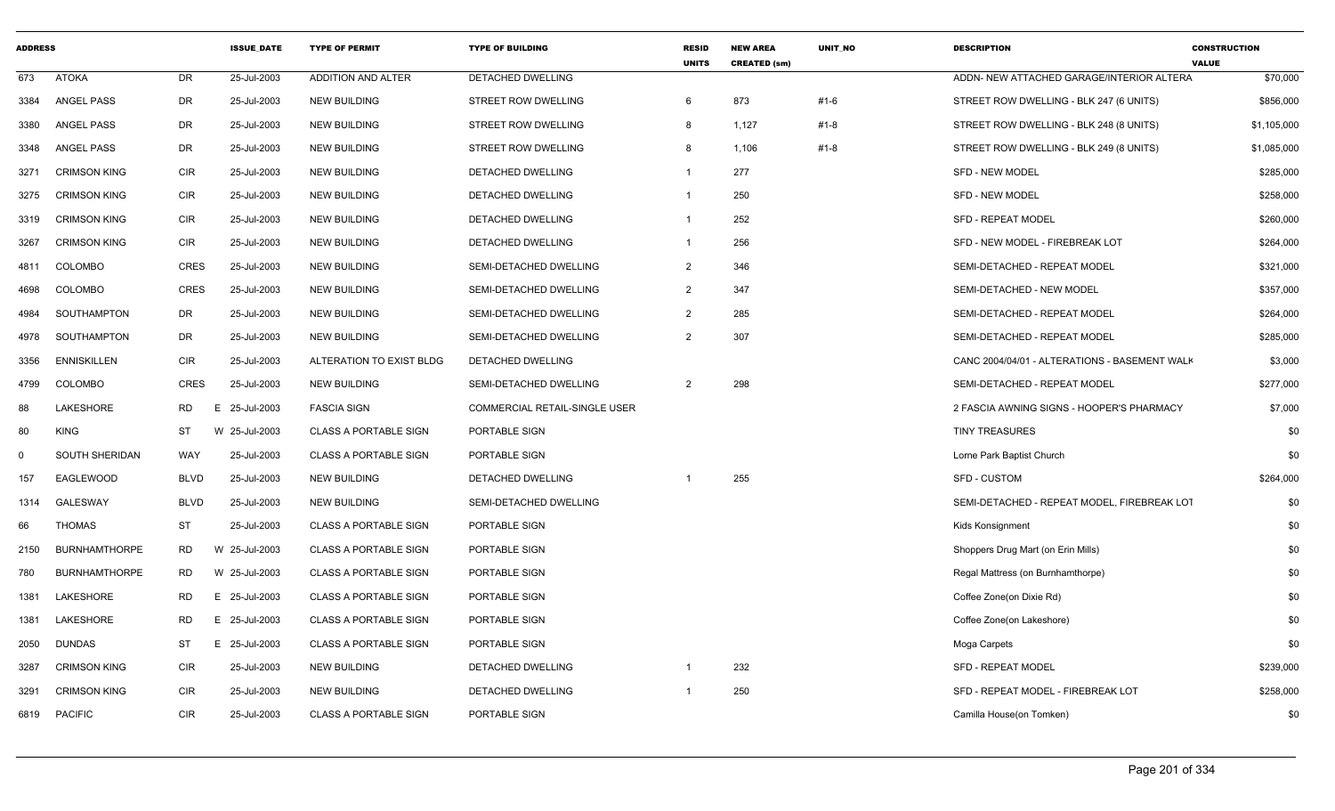| <b>ADDRESS</b> |                       |             | <b>ISSUE DATE</b> | <b>TYPE OF PERMIT</b>        | <b>TYPE OF BUILDING</b>              | <b>RESID</b><br><b>UNITS</b> | <b>NEW AREA</b><br><b>CREATED (sm)</b> | <b>UNIT NO</b> | <b>DESCRIPTION</b>                            | <b>CONSTRUCTION</b><br><b>VALUE</b> |
|----------------|-----------------------|-------------|-------------------|------------------------------|--------------------------------------|------------------------------|----------------------------------------|----------------|-----------------------------------------------|-------------------------------------|
| 673            | <b>ATOKA</b>          | <b>DR</b>   | 25-Jul-2003       | <b>ADDITION AND ALTER</b>    | <b>DETACHED DWELLING</b>             |                              |                                        |                | ADDN- NEW ATTACHED GARAGE/INTERIOR ALTERA     | \$70,000                            |
| 3384           | ANGEL PASS            | DR          | 25-Jul-2003       | <b>NEW BUILDING</b>          | STREET ROW DWELLING                  | 6                            | 873                                    | #1-6           | STREET ROW DWELLING - BLK 247 (6 UNITS)       | \$856,000                           |
| 3380           | ANGEL PASS            | DR          | 25-Jul-2003       | <b>NEW BUILDING</b>          | <b>STREET ROW DWELLING</b>           | 8                            | 1,127                                  | #1-8           | STREET ROW DWELLING - BLK 248 (8 UNITS)       | \$1,105,000                         |
| 3348           | ANGEL PASS            | DR          | 25-Jul-2003       | <b>NEW BUILDING</b>          | STREET ROW DWELLING                  | -8                           | 1,106                                  | #1-8           | STREET ROW DWELLING - BLK 249 (8 UNITS)       | \$1,085,000                         |
| 3271           | <b>CRIMSON KING</b>   | <b>CIR</b>  | 25-Jul-2003       | <b>NEW BUILDING</b>          | DETACHED DWELLING                    | -1                           | 277                                    |                | <b>SFD - NEW MODEL</b>                        | \$285,000                           |
| 3275           | <b>CRIMSON KING</b>   | <b>CIR</b>  | 25-Jul-2003       | <b>NEW BUILDING</b>          | <b>DETACHED DWELLING</b>             | $\mathbf 1$                  | 250                                    |                | <b>SFD - NEW MODEL</b>                        | \$258,000                           |
| 3319           | <b>CRIMSON KING</b>   | <b>CIR</b>  | 25-Jul-2003       | <b>NEW BUILDING</b>          | DETACHED DWELLING                    | $\overline{1}$               | 252                                    |                | <b>SFD - REPEAT MODEL</b>                     | \$260,000                           |
| 3267           | <b>CRIMSON KING</b>   | <b>CIR</b>  | 25-Jul-2003       | <b>NEW BUILDING</b>          | DETACHED DWELLING                    | $\overline{1}$               | 256                                    |                | SFD - NEW MODEL - FIREBREAK LOT               | \$264,000                           |
| 4811           | <b>COLOMBO</b>        | <b>CRES</b> | 25-Jul-2003       | <b>NEW BUILDING</b>          | SEMI-DETACHED DWELLING               | $\overline{2}$               | 346                                    |                | SEMI-DETACHED - REPEAT MODEL                  | \$321,000                           |
| 4698           | COLOMBO               | CRES        | 25-Jul-2003       | <b>NEW BUILDING</b>          | SEMI-DETACHED DWELLING               | $\overline{2}$               | 347                                    |                | SEMI-DETACHED - NEW MODEL                     | \$357,000                           |
| 4984           | SOUTHAMPTON           | DR          | 25-Jul-2003       | <b>NEW BUILDING</b>          | SEMI-DETACHED DWELLING               | $\overline{2}$               | 285                                    |                | SEMI-DETACHED - REPEAT MODEL                  | \$264,000                           |
| 4978           | SOUTHAMPTON           | DR          | 25-Jul-2003       | <b>NEW BUILDING</b>          | SEMI-DETACHED DWELLING               | $\overline{2}$               | 307                                    |                | SEMI-DETACHED - REPEAT MODEL                  | \$285,000                           |
| 3356           | <b>ENNISKILLEN</b>    | <b>CIR</b>  | 25-Jul-2003       | ALTERATION TO EXIST BLDG     | DETACHED DWELLING                    |                              |                                        |                | CANC 2004/04/01 - ALTERATIONS - BASEMENT WALK | \$3,000                             |
| 4799           | <b>COLOMBO</b>        | <b>CRES</b> | 25-Jul-2003       | <b>NEW BUILDING</b>          | SEMI-DETACHED DWELLING               | $\overline{2}$               | 298                                    |                | SEMI-DETACHED - REPEAT MODEL                  | \$277,000                           |
| 88             | <b>LAKESHORE</b>      | RD          | 25-Jul-2003<br>Ε  | <b>FASCIA SIGN</b>           | <b>COMMERCIAL RETAIL-SINGLE USER</b> |                              |                                        |                | 2 FASCIA AWNING SIGNS - HOOPER'S PHARMACY     | \$7,000                             |
| 80             | <b>KING</b>           | <b>ST</b>   | W 25-Jul-2003     | <b>CLASS A PORTABLE SIGN</b> | PORTABLE SIGN                        |                              |                                        |                | <b>TINY TREASURES</b>                         | \$0                                 |
| $\mathbf 0$    | <b>SOUTH SHERIDAN</b> | WAY         | 25-Jul-2003       | <b>CLASS A PORTABLE SIGN</b> | PORTABLE SIGN                        |                              |                                        |                | Lorne Park Baptist Church                     | \$0                                 |
| 157            | EAGLEWOOD             | <b>BLVD</b> | 25-Jul-2003       | <b>NEW BUILDING</b>          | DETACHED DWELLING                    |                              | 255                                    |                | <b>SFD - CUSTOM</b>                           | \$264,000                           |
| 1314           | <b>GALESWAY</b>       | <b>BLVD</b> | 25-Jul-2003       | <b>NEW BUILDING</b>          | SEMI-DETACHED DWELLING               |                              |                                        |                | SEMI-DETACHED - REPEAT MODEL, FIREBREAK LOT   | \$0                                 |
| 66             | THOMAS                | <b>ST</b>   | 25-Jul-2003       | <b>CLASS A PORTABLE SIGN</b> | PORTABLE SIGN                        |                              |                                        |                | Kids Konsignment                              | \$0                                 |
| 2150           | <b>BURNHAMTHORPE</b>  | RD          | W 25-Jul-2003     | <b>CLASS A PORTABLE SIGN</b> | PORTABLE SIGN                        |                              |                                        |                | Shoppers Drug Mart (on Erin Mills)            | \$0                                 |
| 780            | <b>BURNHAMTHORPE</b>  | <b>RD</b>   | W 25-Jul-2003     | <b>CLASS A PORTABLE SIGN</b> | PORTABLE SIGN                        |                              |                                        |                | Regal Mattress (on Burnhamthorpe)             | \$0                                 |
| 1381           | LAKESHORE             | RD          | 25-Jul-2003<br>E. | <b>CLASS A PORTABLE SIGN</b> | PORTABLE SIGN                        |                              |                                        |                | Coffee Zone(on Dixie Rd)                      | \$0                                 |
| 1381           | LAKESHORE             | <b>RD</b>   | 25-Jul-2003<br>E. | <b>CLASS A PORTABLE SIGN</b> | PORTABLE SIGN                        |                              |                                        |                | Coffee Zone(on Lakeshore)                     | \$0                                 |
| 2050           | DUNDAS                | ST          | 25-Jul-2003<br>E. | <b>CLASS A PORTABLE SIGN</b> | PORTABLE SIGN                        |                              |                                        |                | Moga Carpets                                  | \$0                                 |
| 3287           | <b>CRIMSON KING</b>   | <b>CIR</b>  | 25-Jul-2003       | <b>NEW BUILDING</b>          | DETACHED DWELLING                    | -1                           | 232                                    |                | <b>SFD - REPEAT MODEL</b>                     | \$239,000                           |
| 3291           | <b>CRIMSON KING</b>   | <b>CIR</b>  | 25-Jul-2003       | <b>NEW BUILDING</b>          | DETACHED DWELLING                    |                              | 250                                    |                | SFD - REPEAT MODEL - FIREBREAK LOT            | \$258,000                           |
| 6819           | <b>PACIFIC</b>        | <b>CIR</b>  | 25-Jul-2003       | <b>CLASS A PORTABLE SIGN</b> | PORTABLE SIGN                        |                              |                                        |                | Camilla House(on Tomken)                      | \$0                                 |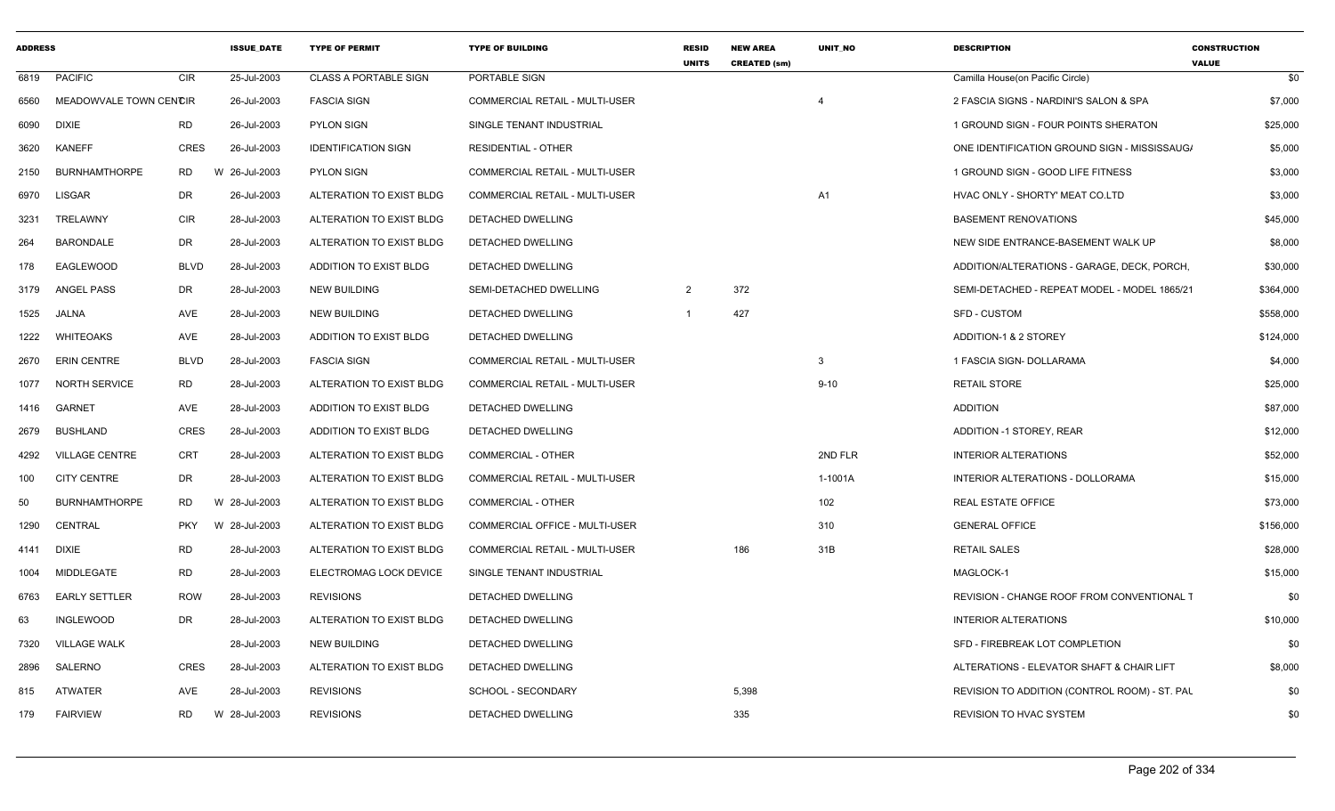| <b>ADDRESS</b> |                        |             | <b>ISSUE DATE</b> | <b>TYPE OF PERMIT</b>        | <b>TYPE OF BUILDING</b>               | <b>RESID</b><br><b>UNITS</b> | <b>NEW AREA</b><br><b>CREATED (sm)</b> | <b>UNIT NO</b> | <b>DESCRIPTION</b>                                | <b>CONSTRUCTION</b><br><b>VALUE</b> |
|----------------|------------------------|-------------|-------------------|------------------------------|---------------------------------------|------------------------------|----------------------------------------|----------------|---------------------------------------------------|-------------------------------------|
| 6819           | <b>PACIFIC</b>         | <b>CIR</b>  | 25-Jul-2003       | <b>CLASS A PORTABLE SIGN</b> | PORTABLE SIGN                         |                              |                                        |                | Camilla House(on Pacific Circle)                  | \$0                                 |
| 6560           | MEADOWVALE TOWN CENCIR |             | 26-Jul-2003       | <b>FASCIA SIGN</b>           | COMMERCIAL RETAIL - MULTI-USER        |                              |                                        |                | 2 FASCIA SIGNS - NARDINI'S SALON & SPA            | \$7,000                             |
| 6090           | <b>DIXIE</b>           | RD          | 26-Jul-2003       | <b>PYLON SIGN</b>            | SINGLE TENANT INDUSTRIAL              |                              |                                        |                | 1 GROUND SIGN - FOUR POINTS SHERATON              | \$25,000                            |
| 3620           | <b>KANEFF</b>          | <b>CRES</b> | 26-Jul-2003       | <b>IDENTIFICATION SIGN</b>   | <b>RESIDENTIAL - OTHER</b>            |                              |                                        |                | ONE IDENTIFICATION GROUND SIGN - MISSISSAUG/      | \$5,000                             |
| 2150           | <b>BURNHAMTHORPE</b>   | RD          | W 26-Jul-2003     | <b>PYLON SIGN</b>            | COMMERCIAL RETAIL - MULTI-USER        |                              |                                        |                | 1 GROUND SIGN - GOOD LIFE FITNESS                 | \$3,000                             |
| 6970           | <b>LISGAR</b>          | <b>DR</b>   | 26-Jul-2003       | ALTERATION TO EXIST BLDG     | COMMERCIAL RETAIL - MULTI-USER        |                              |                                        | A1             | HVAC ONLY - SHORTY' MEAT CO.LTD                   | \$3,000                             |
| 3231           | TRELAWNY               | CIR         | 28-Jul-2003       | ALTERATION TO EXIST BLDG     | <b>DETACHED DWELLING</b>              |                              |                                        |                | <b>BASEMENT RENOVATIONS</b>                       | \$45,000                            |
| 264            | <b>BARONDALE</b>       | DR          | 28-Jul-2003       | ALTERATION TO EXIST BLDG     | <b>DETACHED DWELLING</b>              |                              |                                        |                | NEW SIDE ENTRANCE-BASEMENT WALK UP                | \$8,000                             |
| 178            | EAGLEWOOD              | BLVD        | 28-Jul-2003       | ADDITION TO EXIST BLDG       | DETACHED DWELLING                     |                              |                                        |                | ADDITION/ALTERATIONS - GARAGE, DECK, PORCH,       | \$30,000                            |
| 3179           | ANGEL PASS             | DR          | 28-Jul-2003       | NEW BUILDING                 | SEMI-DETACHED DWELLING                | 2                            | 372                                    |                | SEMI-DETACHED - REPEAT MODEL - MODEL 1865/21      | \$364,000                           |
| 1525           | JALNA                  | AVE         | 28-Jul-2003       | NEW BUILDING                 | <b>DETACHED DWELLING</b>              | $\overline{1}$               | 427                                    |                | <b>SFD - CUSTOM</b>                               | \$558,000                           |
| 1222           | <b>WHITEOAKS</b>       | AVE         | 28-Jul-2003       | ADDITION TO EXIST BLDG       | DETACHED DWELLING                     |                              |                                        |                | ADDITION-1 & 2 STOREY                             | \$124,000                           |
| 2670           | <b>ERIN CENTRE</b>     | BLVD        | 28-Jul-2003       | <b>FASCIA SIGN</b>           | COMMERCIAL RETAIL - MULTI-USER        |                              |                                        | -3             | 1 FASCIA SIGN- DOLLARAMA                          | \$4,000                             |
| 1077           | <b>NORTH SERVICE</b>   | <b>RD</b>   | 28-Jul-2003       | ALTERATION TO EXIST BLDG     | COMMERCIAL RETAIL - MULTI-USER        |                              |                                        | $9 - 10$       | <b>RETAIL STORE</b>                               | \$25,000                            |
| 1416           | <b>GARNET</b>          | AVE         | 28-Jul-2003       | ADDITION TO EXIST BLDG       | DETACHED DWELLING                     |                              |                                        |                | <b>ADDITION</b>                                   | \$87,000                            |
| 2679           | <b>BUSHLAND</b>        | CRES        | 28-Jul-2003       | ADDITION TO EXIST BLDG       | DETACHED DWELLING                     |                              |                                        |                | ADDITION -1 STOREY, REAR                          | \$12,000                            |
| 4292           | <b>VILLAGE CENTRE</b>  | <b>CRT</b>  | 28-Jul-2003       | ALTERATION TO EXIST BLDG     | COMMERCIAL - OTHER                    |                              |                                        | 2ND FLR        | <b>INTERIOR ALTERATIONS</b>                       | \$52,000                            |
| 100            | <b>CITY CENTRE</b>     | DR          | 28-Jul-2003       | ALTERATION TO EXIST BLDG     | <b>COMMERCIAL RETAIL - MULTI-USER</b> |                              |                                        | 1-1001A        | INTERIOR ALTERATIONS - DOLLORAMA                  | \$15,000                            |
| 50             | <b>BURNHAMTHORPE</b>   | RD          | W 28-Jul-2003     | ALTERATION TO EXIST BLDG     | <b>COMMERCIAL - OTHER</b>             |                              |                                        | 102            | <b>REAL ESTATE OFFICE</b>                         | \$73,000                            |
| 1290           | CENTRAL                | <b>PKY</b>  | W 28-Jul-2003     | ALTERATION TO EXIST BLDG     | COMMERCIAL OFFICE - MULTI-USER        |                              |                                        | 310            | <b>GENERAL OFFICE</b>                             | \$156,000                           |
| 4141           | <b>DIXIE</b>           | <b>RD</b>   | 28-Jul-2003       | ALTERATION TO EXIST BLDG     | COMMERCIAL RETAIL - MULTI-USER        |                              | 186                                    | 31B            | <b>RETAIL SALES</b>                               | \$28,000                            |
| 1004           | MIDDLEGATE             | <b>RD</b>   | 28-Jul-2003       | ELECTROMAG LOCK DEVICE       | SINGLE TENANT INDUSTRIAL              |                              |                                        |                | MAGLOCK-1                                         | \$15,000                            |
| 6763           | <b>EARLY SETTLER</b>   | <b>ROW</b>  | 28-Jul-2003       | <b>REVISIONS</b>             | <b>DETACHED DWELLING</b>              |                              |                                        |                | <b>REVISION - CHANGE ROOF FROM CONVENTIONAL T</b> | \$0                                 |
| 63             | INGLEWOOD              | DR          | 28-Jul-2003       | ALTERATION TO EXIST BLDG     | DETACHED DWELLING                     |                              |                                        |                | <b>INTERIOR ALTERATIONS</b>                       | \$10,000                            |
| 7320           | <b>VILLAGE WALK</b>    |             | 28-Jul-2003       | NEW BUILDING                 | <b>DETACHED DWELLING</b>              |                              |                                        |                | SFD - FIREBREAK LOT COMPLETION                    | \$0                                 |
| 2896           | SALERNO                | CRES        | 28-Jul-2003       | ALTERATION TO EXIST BLDG     | DETACHED DWELLING                     |                              |                                        |                | ALTERATIONS - ELEVATOR SHAFT & CHAIR LIFT         | \$8,000                             |
| 815            | <b>ATWATER</b>         | AVE         | 28-Jul-2003       | <b>REVISIONS</b>             | SCHOOL - SECONDARY                    |                              | 5,398                                  |                | REVISION TO ADDITION (CONTROL ROOM) - ST. PAL     | \$0                                 |
| 179            | <b>FAIRVIEW</b>        | RD          | W 28-Jul-2003     | <b>REVISIONS</b>             | DETACHED DWELLING                     |                              | 335                                    |                | <b>REVISION TO HVAC SYSTEM</b>                    | \$0                                 |
|                |                        |             |                   |                              |                                       |                              |                                        |                |                                                   |                                     |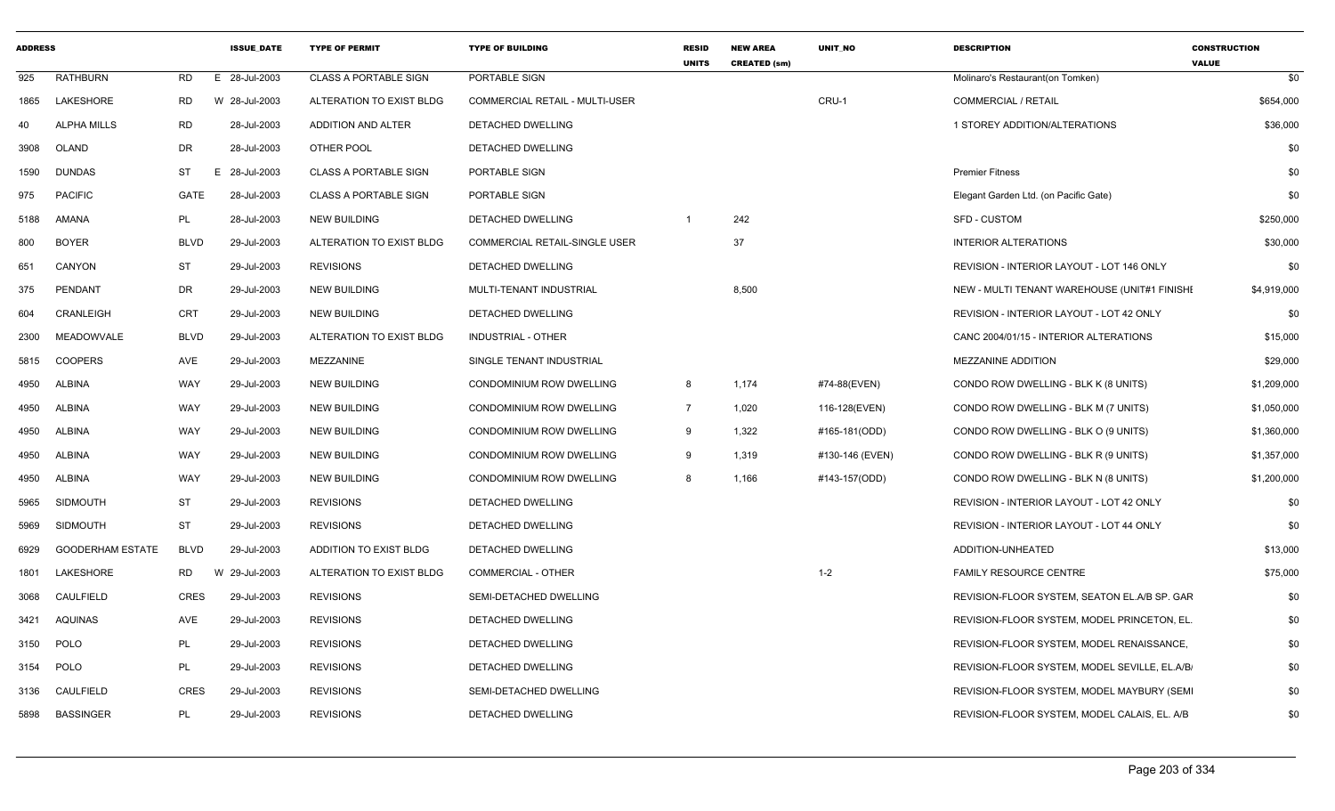| <b>ADDRESS</b> |                         |             | <b>ISSUE DATE</b> | <b>TYPE OF PERMIT</b>        | <b>TYPE OF BUILDING</b>               | <b>RESID</b><br><b>UNITS</b> | <b>NEW AREA</b><br><b>CREATED (sm)</b> | <b>UNIT NO</b>  | <b>DESCRIPTION</b>                            | <b>CONSTRUCTION</b><br><b>VALUE</b> |
|----------------|-------------------------|-------------|-------------------|------------------------------|---------------------------------------|------------------------------|----------------------------------------|-----------------|-----------------------------------------------|-------------------------------------|
| 925            | <b>RATHBURN</b>         | <b>RD</b>   | E 28-Jul-2003     | <b>CLASS A PORTABLE SIGN</b> | PORTABLE SIGN                         |                              |                                        |                 | Molinaro's Restaurant(on Tomken)              | \$0                                 |
| 1865           | LAKESHORE               | <b>RD</b>   | W 28-Jul-2003     | ALTERATION TO EXIST BLDG     | <b>COMMERCIAL RETAIL - MULTI-USER</b> |                              |                                        | CRU-1           | <b>COMMERCIAL / RETAIL</b>                    | \$654,000                           |
| 40             | <b>ALPHA MILLS</b>      | <b>RD</b>   | 28-Jul-2003       | ADDITION AND ALTER           | DETACHED DWELLING                     |                              |                                        |                 | 1 STOREY ADDITION/ALTERATIONS                 | \$36,000                            |
| 3908           | OLAND                   | DR          | 28-Jul-2003       | OTHER POOL                   | DETACHED DWELLING                     |                              |                                        |                 |                                               | \$0                                 |
| 1590           | <b>DUNDAS</b>           | ST          | E 28-Jul-2003     | <b>CLASS A PORTABLE SIGN</b> | PORTABLE SIGN                         |                              |                                        |                 | <b>Premier Fitness</b>                        | \$0                                 |
| 975            | <b>PACIFIC</b>          | GATE        | 28-Jul-2003       | <b>CLASS A PORTABLE SIGN</b> | PORTABLE SIGN                         |                              |                                        |                 | Elegant Garden Ltd. (on Pacific Gate)         | \$0                                 |
| 5188           | AMANA                   | PL          | 28-Jul-2003       | <b>NEW BUILDING</b>          | DETACHED DWELLING                     |                              | 242                                    |                 | SFD - CUSTOM                                  | \$250,000                           |
| 800            | <b>BOYER</b>            | <b>BLVD</b> | 29-Jul-2003       | ALTERATION TO EXIST BLDG     | <b>COMMERCIAL RETAIL-SINGLE USER</b>  |                              | 37                                     |                 | <b>INTERIOR ALTERATIONS</b>                   | \$30,000                            |
| 651            | CANYON                  | ST          | 29-Jul-2003       | <b>REVISIONS</b>             | DETACHED DWELLING                     |                              |                                        |                 | REVISION - INTERIOR LAYOUT - LOT 146 ONLY     | \$0                                 |
| 375            | PENDANT                 | DR          | 29-Jul-2003       | <b>NEW BUILDING</b>          | MULTI-TENANT INDUSTRIAL               |                              | 8,500                                  |                 | NEW - MULTI TENANT WAREHOUSE (UNIT#1 FINISHI  | \$4,919,000                         |
| 604            | CRANLEIGH               | <b>CRT</b>  | 29-Jul-2003       | <b>NEW BUILDING</b>          | DETACHED DWELLING                     |                              |                                        |                 | REVISION - INTERIOR LAYOUT - LOT 42 ONLY      | \$0                                 |
| 2300           | MEADOWVALE              | <b>BLVD</b> | 29-Jul-2003       | ALTERATION TO EXIST BLDG     | <b>INDUSTRIAL - OTHER</b>             |                              |                                        |                 | CANC 2004/01/15 - INTERIOR ALTERATIONS        | \$15,000                            |
| 5815           | <b>COOPERS</b>          | AVE         | 29-Jul-2003       | MEZZANINE                    | SINGLE TENANT INDUSTRIAL              |                              |                                        |                 | MEZZANINE ADDITION                            | \$29,000                            |
| 4950           | <b>ALBINA</b>           | WAY         | 29-Jul-2003       | <b>NEW BUILDING</b>          | CONDOMINIUM ROW DWELLING              | 8                            | 1,174                                  | #74-88(EVEN)    | CONDO ROW DWELLING - BLK K (8 UNITS)          | \$1,209,000                         |
| 4950           | <b>ALBINA</b>           | WAY         | 29-Jul-2003       | <b>NEW BUILDING</b>          | CONDOMINIUM ROW DWELLING              | $\overline{7}$               | 1,020                                  | 116-128(EVEN)   | CONDO ROW DWELLING - BLK M (7 UNITS)          | \$1,050,000                         |
| 4950           | <b>ALBINA</b>           | WAY         | 29-Jul-2003       | <b>NEW BUILDING</b>          | CONDOMINIUM ROW DWELLING              | 9                            | 1,322                                  | #165-181(ODD)   | CONDO ROW DWELLING - BLK O (9 UNITS)          | \$1,360,000                         |
| 4950           | <b>ALBINA</b>           | WAY         | 29-Jul-2003       | <b>NEW BUILDING</b>          | CONDOMINIUM ROW DWELLING              | 9                            | 1,319                                  | #130-146 (EVEN) | CONDO ROW DWELLING - BLK R (9 UNITS)          | \$1,357,000                         |
| 4950           | <b>ALBINA</b>           | WAY         | 29-Jul-2003       | <b>NEW BUILDING</b>          | <b>CONDOMINIUM ROW DWELLING</b>       | 8                            | 1,166                                  | #143-157(ODD)   | CONDO ROW DWELLING - BLK N (8 UNITS)          | \$1,200,000                         |
| 5965           | <b>SIDMOUTH</b>         | ST          | 29-Jul-2003       | <b>REVISIONS</b>             | DETACHED DWELLING                     |                              |                                        |                 | REVISION - INTERIOR LAYOUT - LOT 42 ONLY      | \$0                                 |
| 5969           | <b>SIDMOUTH</b>         | <b>ST</b>   | 29-Jul-2003       | <b>REVISIONS</b>             | DETACHED DWELLING                     |                              |                                        |                 | REVISION - INTERIOR LAYOUT - LOT 44 ONLY      | \$0                                 |
| 6929           | <b>GOODERHAM ESTATE</b> | <b>BLVD</b> | 29-Jul-2003       | ADDITION TO EXIST BLDG       | DETACHED DWELLING                     |                              |                                        |                 | ADDITION-UNHEATED                             | \$13,000                            |
| 1801           | LAKESHORE               | <b>RD</b>   | W 29-Jul-2003     | ALTERATION TO EXIST BLDG     | <b>COMMERCIAL - OTHER</b>             |                              |                                        | $1 - 2$         | <b>FAMILY RESOURCE CENTRE</b>                 | \$75,000                            |
| 3068           | CAULFIELD               | <b>CRES</b> | 29-Jul-2003       | <b>REVISIONS</b>             | SEMI-DETACHED DWELLING                |                              |                                        |                 | REVISION-FLOOR SYSTEM, SEATON EL.A/B SP. GAR  | \$0                                 |
| 3421           | AQUINAS                 | AVE         | 29-Jul-2003       | <b>REVISIONS</b>             | <b>DETACHED DWELLING</b>              |                              |                                        |                 | REVISION-FLOOR SYSTEM, MODEL PRINCETON, EL.   | \$0                                 |
| 3150           | <b>POLO</b>             | PL          | 29-Jul-2003       | <b>REVISIONS</b>             | DETACHED DWELLING                     |                              |                                        |                 | REVISION-FLOOR SYSTEM, MODEL RENAISSANCE,     | \$0                                 |
| 3154           | <b>POLO</b>             | PL          | 29-Jul-2003       | <b>REVISIONS</b>             | DETACHED DWELLING                     |                              |                                        |                 | REVISION-FLOOR SYSTEM, MODEL SEVILLE, EL.A/B/ | \$0                                 |
| 3136           | CAULFIELD               | <b>CRES</b> | 29-Jul-2003       | <b>REVISIONS</b>             | SEMI-DETACHED DWELLING                |                              |                                        |                 | REVISION-FLOOR SYSTEM, MODEL MAYBURY (SEM)    | \$0                                 |
| 5898           | <b>BASSINGER</b>        | PL          | 29-Jul-2003       | <b>REVISIONS</b>             | <b>DETACHED DWELLING</b>              |                              |                                        |                 | REVISION-FLOOR SYSTEM. MODEL CALAIS, EL. A/B  | \$0                                 |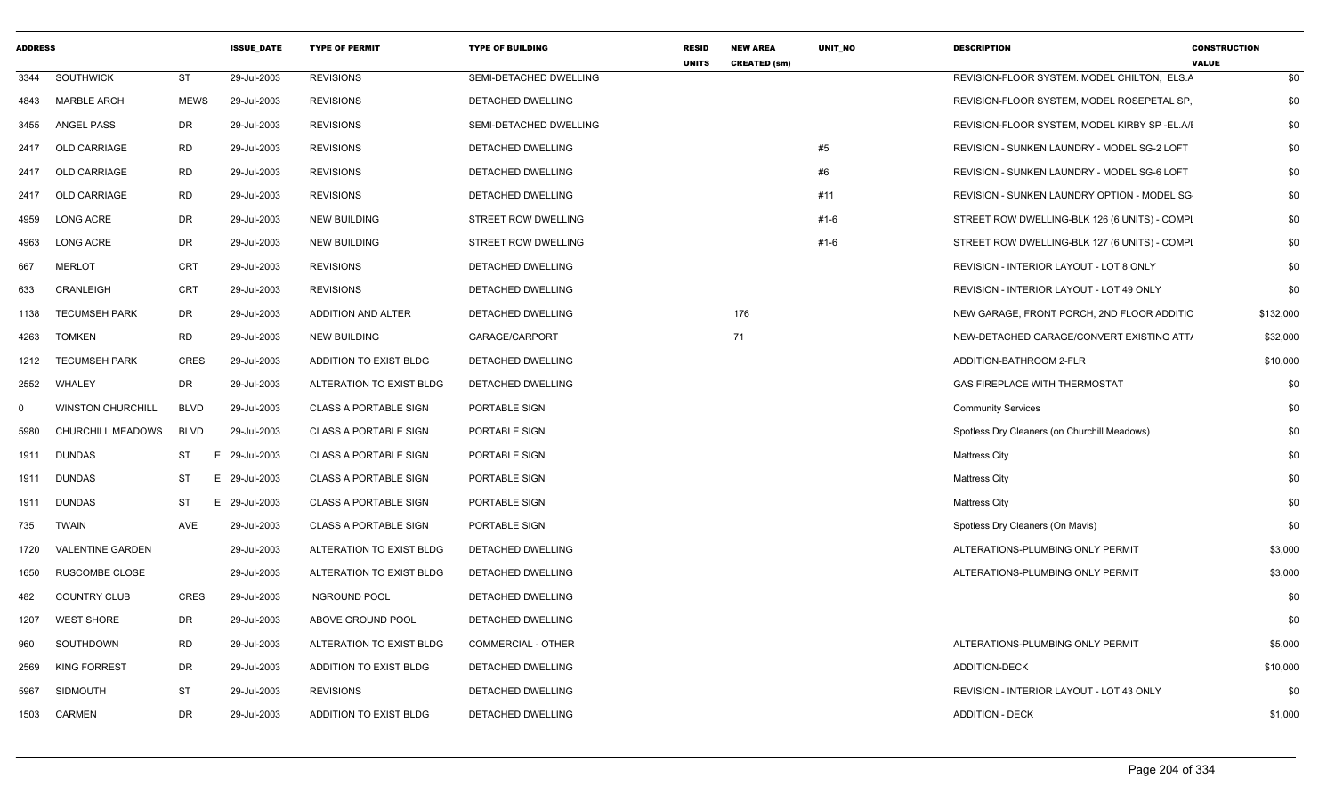| <b>ADDRESS</b> |                          |             | <b>ISSUE DATE</b> | <b>TYPE OF PERMIT</b>        | <b>TYPE OF BUILDING</b>   | <b>RESID</b><br><b>UNITS</b> | <b>NEW AREA</b><br><b>CREATED (sm)</b> | UNIT_NO | <b>DESCRIPTION</b>                            | <b>CONSTRUCTION</b><br><b>VALUE</b> |  |
|----------------|--------------------------|-------------|-------------------|------------------------------|---------------------------|------------------------------|----------------------------------------|---------|-----------------------------------------------|-------------------------------------|--|
| 3344           | <b>SOUTHWICK</b>         | <b>ST</b>   | 29-Jul-2003       | <b>REVISIONS</b>             | SEMI-DETACHED DWELLING    |                              |                                        |         | REVISION-FLOOR SYSTEM, MODEL CHILTON, ELS.A   | \$0                                 |  |
| 4843           | <b>MARBLE ARCH</b>       | <b>MEWS</b> | 29-Jul-2003       | <b>REVISIONS</b>             | DETACHED DWELLING         |                              |                                        |         | REVISION-FLOOR SYSTEM, MODEL ROSEPETAL SP,    | \$0                                 |  |
| 3455           | ANGEL PASS               | DR          | 29-Jul-2003       | <b>REVISIONS</b>             | SEMI-DETACHED DWELLING    |                              |                                        |         | REVISION-FLOOR SYSTEM, MODEL KIRBY SP -EL.A/I | \$0                                 |  |
| 2417           | <b>OLD CARRIAGE</b>      | RD          | 29-Jul-2003       | <b>REVISIONS</b>             | DETACHED DWELLING         |                              |                                        | #5      | REVISION - SUNKEN LAUNDRY - MODEL SG-2 LOFT   | \$0                                 |  |
| 2417           | OLD CARRIAGE             | RD          | 29-Jul-2003       | <b>REVISIONS</b>             | DETACHED DWELLING         |                              |                                        | #6      | REVISION - SUNKEN LAUNDRY - MODEL SG-6 LOFT   | \$0                                 |  |
| 2417           | <b>OLD CARRIAGE</b>      | RD          | 29-Jul-2003       | <b>REVISIONS</b>             | DETACHED DWELLING         |                              |                                        | #11     | REVISION - SUNKEN LAUNDRY OPTION - MODEL SG   | \$0                                 |  |
| 4959           | LONG ACRE                | DR          | 29-Jul-2003       | NEW BUILDING                 | STREET ROW DWELLING       |                              |                                        | $#1-6$  | STREET ROW DWELLING-BLK 126 (6 UNITS) - COMPI | \$0                                 |  |
| 4963           | <b>LONG ACRE</b>         | DR          | 29-Jul-2003       | <b>NEW BUILDING</b>          | STREET ROW DWELLING       |                              |                                        | $#1-6$  | STREET ROW DWELLING-BLK 127 (6 UNITS) - COMPI | \$0                                 |  |
| 667            | <b>MERLOT</b>            | CRT         | 29-Jul-2003       | <b>REVISIONS</b>             | DETACHED DWELLING         |                              |                                        |         | REVISION - INTERIOR LAYOUT - LOT 8 ONLY       | \$0                                 |  |
| 633            | CRANLEIGH                | <b>CRT</b>  | 29-Jul-2003       | <b>REVISIONS</b>             | DETACHED DWELLING         |                              |                                        |         | REVISION - INTERIOR LAYOUT - LOT 49 ONLY      | \$0                                 |  |
| 1138           | <b>TECUMSEH PARK</b>     | DR          | 29-Jul-2003       | ADDITION AND ALTER           | DETACHED DWELLING         |                              | 176                                    |         | NEW GARAGE, FRONT PORCH, 2ND FLOOR ADDITIC    | \$132,000                           |  |
| 4263           | <b>TOMKEN</b>            | RD          | 29-Jul-2003       | NEW BUILDING                 | GARAGE/CARPORT            |                              | 71                                     |         | NEW-DETACHED GARAGE/CONVERT EXISTING ATT.     | \$32,000                            |  |
| 1212           | <b>TECUMSEH PARK</b>     | <b>CRES</b> | 29-Jul-2003       | ADDITION TO EXIST BLDG       | DETACHED DWELLING         |                              |                                        |         | ADDITION-BATHROOM 2-FLR                       | \$10,000                            |  |
| 2552           | WHALEY                   | DR          | 29-Jul-2003       | ALTERATION TO EXIST BLDG     | DETACHED DWELLING         |                              |                                        |         | GAS FIREPLACE WITH THERMOSTAT                 | \$0                                 |  |
| 0              | <b>WINSTON CHURCHILL</b> | BLVD        | 29-Jul-2003       | <b>CLASS A PORTABLE SIGN</b> | PORTABLE SIGN             |                              |                                        |         | <b>Community Services</b>                     | \$0                                 |  |
| 5980           | <b>CHURCHILL MEADOWS</b> | BLVD        | 29-Jul-2003       | <b>CLASS A PORTABLE SIGN</b> | PORTABLE SIGN             |                              |                                        |         | Spotless Dry Cleaners (on Churchill Meadows)  | \$0                                 |  |
| 1911           | <b>DUNDAS</b>            | ST          | E 29-Jul-2003     | <b>CLASS A PORTABLE SIGN</b> | PORTABLE SIGN             |                              |                                        |         | <b>Mattress City</b>                          | \$0                                 |  |
| 1911           | <b>DUNDAS</b>            | ST          | E 29-Jul-2003     | <b>CLASS A PORTABLE SIGN</b> | PORTABLE SIGN             |                              |                                        |         | <b>Mattress City</b>                          | \$0                                 |  |
| 1911           | DUNDAS                   | ST          | E 29-Jul-2003     | <b>CLASS A PORTABLE SIGN</b> | PORTABLE SIGN             |                              |                                        |         | <b>Mattress City</b>                          | \$0                                 |  |
| 735            | <b>TWAIN</b>             | AVE         | 29-Jul-2003       | <b>CLASS A PORTABLE SIGN</b> | PORTABLE SIGN             |                              |                                        |         | Spotless Dry Cleaners (On Mavis)              | \$0                                 |  |
| 1720           | <b>VALENTINE GARDEN</b>  |             | 29-Jul-2003       | ALTERATION TO EXIST BLDG     | DETACHED DWELLING         |                              |                                        |         | ALTERATIONS-PLUMBING ONLY PERMIT              | \$3,000                             |  |
| 1650           | RUSCOMBE CLOSE           |             | 29-Jul-2003       | ALTERATION TO EXIST BLDG     | DETACHED DWELLING         |                              |                                        |         | ALTERATIONS-PLUMBING ONLY PERMIT              | \$3,000                             |  |
| 482            | <b>COUNTRY CLUB</b>      | <b>CRES</b> | 29-Jul-2003       | <b>INGROUND POOL</b>         | DETACHED DWELLING         |                              |                                        |         |                                               | \$0                                 |  |
| 1207           | <b>WEST SHORE</b>        | DR          | 29-Jul-2003       | ABOVE GROUND POOL            | DETACHED DWELLING         |                              |                                        |         |                                               | \$0                                 |  |
| 960            | SOUTHDOWN                | RD          | 29-Jul-2003       | ALTERATION TO EXIST BLDG     | <b>COMMERCIAL - OTHER</b> |                              |                                        |         | ALTERATIONS-PLUMBING ONLY PERMIT              | \$5,000                             |  |
| 2569           | <b>KING FORREST</b>      | DR          | 29-Jul-2003       | ADDITION TO EXIST BLDG       | DETACHED DWELLING         |                              |                                        |         | ADDITION-DECK                                 | \$10,000                            |  |
| 5967           | <b>SIDMOUTH</b>          | ST          | 29-Jul-2003       | <b>REVISIONS</b>             | DETACHED DWELLING         |                              |                                        |         | REVISION - INTERIOR LAYOUT - LOT 43 ONLY      | \$0                                 |  |
| 1503           | CARMEN                   | DR          | 29-Jul-2003       | ADDITION TO EXIST BLDG       | DETACHED DWELLING         |                              |                                        |         | <b>ADDITION - DECK</b>                        | \$1,000                             |  |
|                |                          |             |                   |                              |                           |                              |                                        |         |                                               |                                     |  |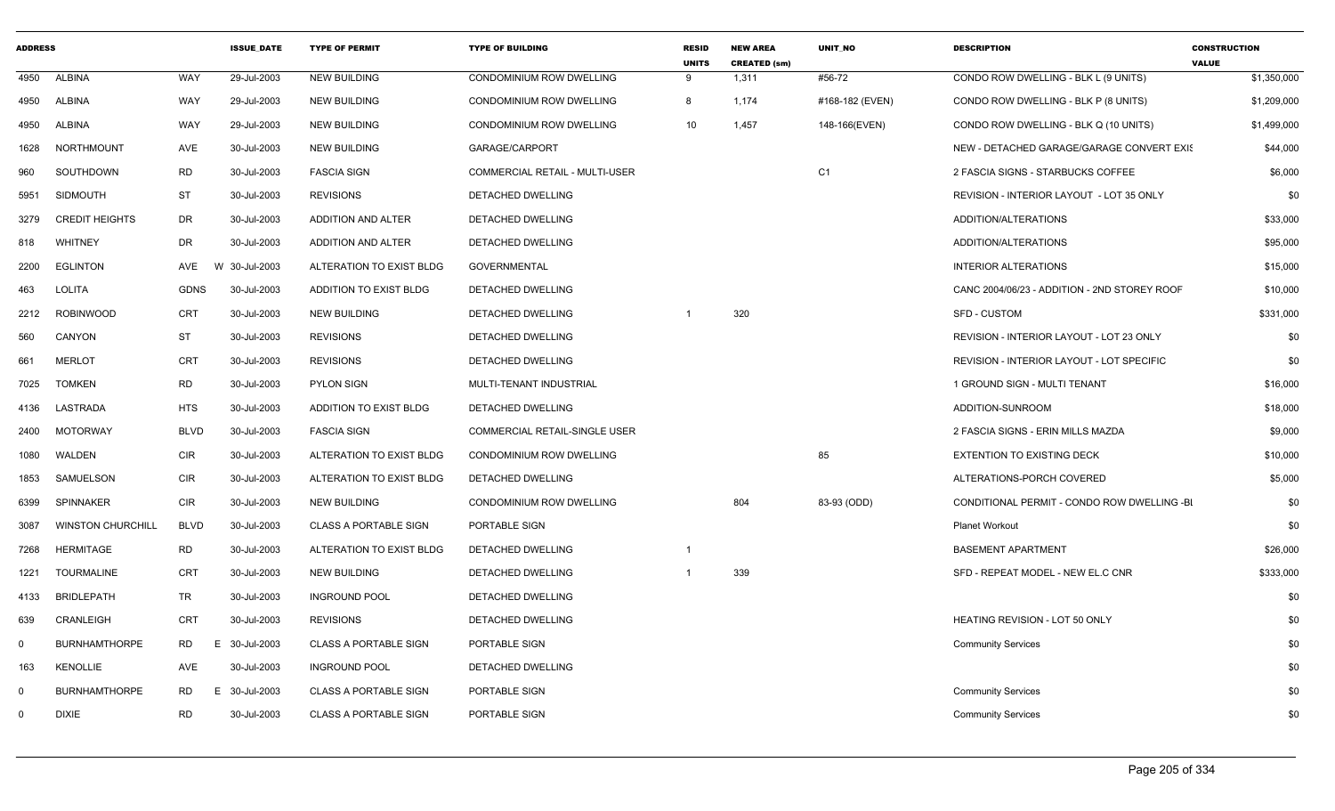| <b>ADDRESS</b> |                          |             | <b>ISSUE DATE</b> | <b>TYPE OF PERMIT</b>        | <b>TYPE OF BUILDING</b>               | <b>RESID</b><br><b>UNITS</b> | <b>NEW AREA</b><br><b>CREATED (sm)</b> | UNIT_NO         | <b>DESCRIPTION</b>                           | <b>CONSTRUCTION</b><br><b>VALUE</b> |
|----------------|--------------------------|-------------|-------------------|------------------------------|---------------------------------------|------------------------------|----------------------------------------|-----------------|----------------------------------------------|-------------------------------------|
| 4950           | ALBINA                   | WAY         | 29-Jul-2003       | <b>NEW BUILDING</b>          | CONDOMINIUM ROW DWELLING              | 9                            | 1,311                                  | #56-72          | CONDO ROW DWELLING - BLK L (9 UNITS)         | \$1,350,000                         |
| 4950           | ALBINA                   | WAY         | 29-Jul-2003       | <b>NEW BUILDING</b>          | CONDOMINIUM ROW DWELLING              | $\mathsf{R}$                 | 1,174                                  | #168-182 (EVEN) | CONDO ROW DWELLING - BLK P (8 UNITS)         | \$1,209,000                         |
| 4950           | ALBINA                   | WAY         | 29-Jul-2003       | <b>NEW BUILDING</b>          | CONDOMINIUM ROW DWELLING              | 10 <sup>1</sup>              | 1,457                                  | 148-166(EVEN)   | CONDO ROW DWELLING - BLK Q (10 UNITS)        | \$1,499,000                         |
| 1628           | NORTHMOUNT               | AVE         | 30-Jul-2003       | <b>NEW BUILDING</b>          | GARAGE/CARPORT                        |                              |                                        |                 | NEW - DETACHED GARAGE/GARAGE CONVERT EXIS    | \$44,000                            |
| 960            | SOUTHDOWN                | <b>RD</b>   | 30-Jul-2003       | <b>FASCIA SIGN</b>           | <b>COMMERCIAL RETAIL - MULTI-USER</b> |                              |                                        | C <sub>1</sub>  | 2 FASCIA SIGNS - STARBUCKS COFFEE            | \$6,000                             |
| 5951           | <b>SIDMOUTH</b>          | <b>ST</b>   | 30-Jul-2003       | <b>REVISIONS</b>             | DETACHED DWELLING                     |                              |                                        |                 | REVISION - INTERIOR LAYOUT - LOT 35 ONLY     | \$0                                 |
| 3279           | <b>CREDIT HEIGHTS</b>    | DR          | 30-Jul-2003       | ADDITION AND ALTER           | DETACHED DWELLING                     |                              |                                        |                 | ADDITION/ALTERATIONS                         | \$33,000                            |
| 818            | WHITNEY                  | DR          | 30-Jul-2003       | <b>ADDITION AND ALTER</b>    | DETACHED DWELLING                     |                              |                                        |                 | ADDITION/ALTERATIONS                         | \$95,000                            |
| 2200           | <b>EGLINTON</b>          | AVE         | W 30-Jul-2003     | ALTERATION TO EXIST BLDG     | <b>GOVERNMENTAL</b>                   |                              |                                        |                 | <b>INTERIOR ALTERATIONS</b>                  | \$15,000                            |
| 463            | <b>LOLITA</b>            | GDNS        | 30-Jul-2003       | ADDITION TO EXIST BLDG       | DETACHED DWELLING                     |                              |                                        |                 | CANC 2004/06/23 - ADDITION - 2ND STOREY ROOF | \$10,000                            |
| 2212           | <b>ROBINWOOD</b>         | <b>CRT</b>  | 30-Jul-2003       | <b>NEW BUILDING</b>          | DETACHED DWELLING                     |                              | 320                                    |                 | SFD - CUSTOM                                 | \$331,000                           |
| 560            | CANYON                   | <b>ST</b>   | 30-Jul-2003       | <b>REVISIONS</b>             | DETACHED DWELLING                     |                              |                                        |                 | REVISION - INTERIOR LAYOUT - LOT 23 ONLY     | \$0                                 |
| 661            | <b>MERLOT</b>            | CRT         | 30-Jul-2003       | <b>REVISIONS</b>             | DETACHED DWELLING                     |                              |                                        |                 | REVISION - INTERIOR LAYOUT - LOT SPECIFIC    | \$0                                 |
| 7025           | <b>TOMKEN</b>            | <b>RD</b>   | 30-Jul-2003       | <b>PYLON SIGN</b>            | MULTI-TENANT INDUSTRIAL               |                              |                                        |                 | 1 GROUND SIGN - MULTI TENANT                 | \$16,000                            |
|                | 4136 LASTRADA            | <b>HTS</b>  | 30-Jul-2003       | ADDITION TO EXIST BLDG       | DETACHED DWELLING                     |                              |                                        |                 | ADDITION-SUNROOM                             | \$18,000                            |
| 2400           | MOTORWAY                 | <b>BLVD</b> | 30-Jul-2003       | <b>FASCIA SIGN</b>           | <b>COMMERCIAL RETAIL-SINGLE USER</b>  |                              |                                        |                 | 2 FASCIA SIGNS - ERIN MILLS MAZDA            | \$9,000                             |
| 1080           | WALDEN                   | CIR         | 30-Jul-2003       | ALTERATION TO EXIST BLDG     | <b>CONDOMINIUM ROW DWELLING</b>       |                              |                                        | 85              | <b>EXTENTION TO EXISTING DECK</b>            | \$10,000                            |
| 1853           | SAMUELSON                | <b>CIR</b>  | 30-Jul-2003       | ALTERATION TO EXIST BLDG     | DETACHED DWELLING                     |                              |                                        |                 | ALTERATIONS-PORCH COVERED                    | \$5,000                             |
| 6399           | SPINNAKER                | CIR         | 30-Jul-2003       | <b>NEW BUILDING</b>          | CONDOMINIUM ROW DWELLING              |                              | 804                                    | 83-93 (ODD)     | CONDITIONAL PERMIT - CONDO ROW DWELLING -BI  | \$0                                 |
| 3087           | <b>WINSTON CHURCHILL</b> | <b>BLVD</b> | 30-Jul-2003       | <b>CLASS A PORTABLE SIGN</b> | PORTABLE SIGN                         |                              |                                        |                 | <b>Planet Workout</b>                        | \$0                                 |
| 7268           | HERMITAGE                | <b>RD</b>   | 30-Jul-2003       | ALTERATION TO EXIST BLDG     | DETACHED DWELLING                     |                              |                                        |                 | <b>BASEMENT APARTMENT</b>                    | \$26,000                            |
| 1221           | <b>TOURMALINE</b>        | <b>CRT</b>  | 30-Jul-2003       | <b>NEW BUILDING</b>          | DETACHED DWELLING                     |                              | 339                                    |                 | SFD - REPEAT MODEL - NEW EL.C CNR            | \$333,000                           |
| 4133           | <b>BRIDLEPATH</b>        | TR          | 30-Jul-2003       | <b>INGROUND POOL</b>         | DETACHED DWELLING                     |                              |                                        |                 |                                              | \$0                                 |
| 639            | CRANLEIGH                | CRT         | 30-Jul-2003       | <b>REVISIONS</b>             | DETACHED DWELLING                     |                              |                                        |                 | HEATING REVISION - LOT 50 ONLY               | \$0                                 |
| $\Omega$       | <b>BURNHAMTHORPE</b>     | RD          | 30-Jul-2003<br>Е  | <b>CLASS A PORTABLE SIGN</b> | PORTABLE SIGN                         |                              |                                        |                 | <b>Community Services</b>                    | \$0                                 |
| 163            | KENOLLIE                 | AVE         | 30-Jul-2003       | <b>INGROUND POOL</b>         | DETACHED DWELLING                     |                              |                                        |                 |                                              | \$0                                 |
| $\Omega$       | <b>BURNHAMTHORPE</b>     | RD          | E 30-Jul-2003     | <b>CLASS A PORTABLE SIGN</b> | PORTABLE SIGN                         |                              |                                        |                 | <b>Community Services</b>                    | \$0                                 |
| $\Omega$       | <b>DIXIE</b>             | <b>RD</b>   | 30-Jul-2003       | <b>CLASS A PORTABLE SIGN</b> | PORTABLE SIGN                         |                              |                                        |                 | <b>Community Services</b>                    | \$0                                 |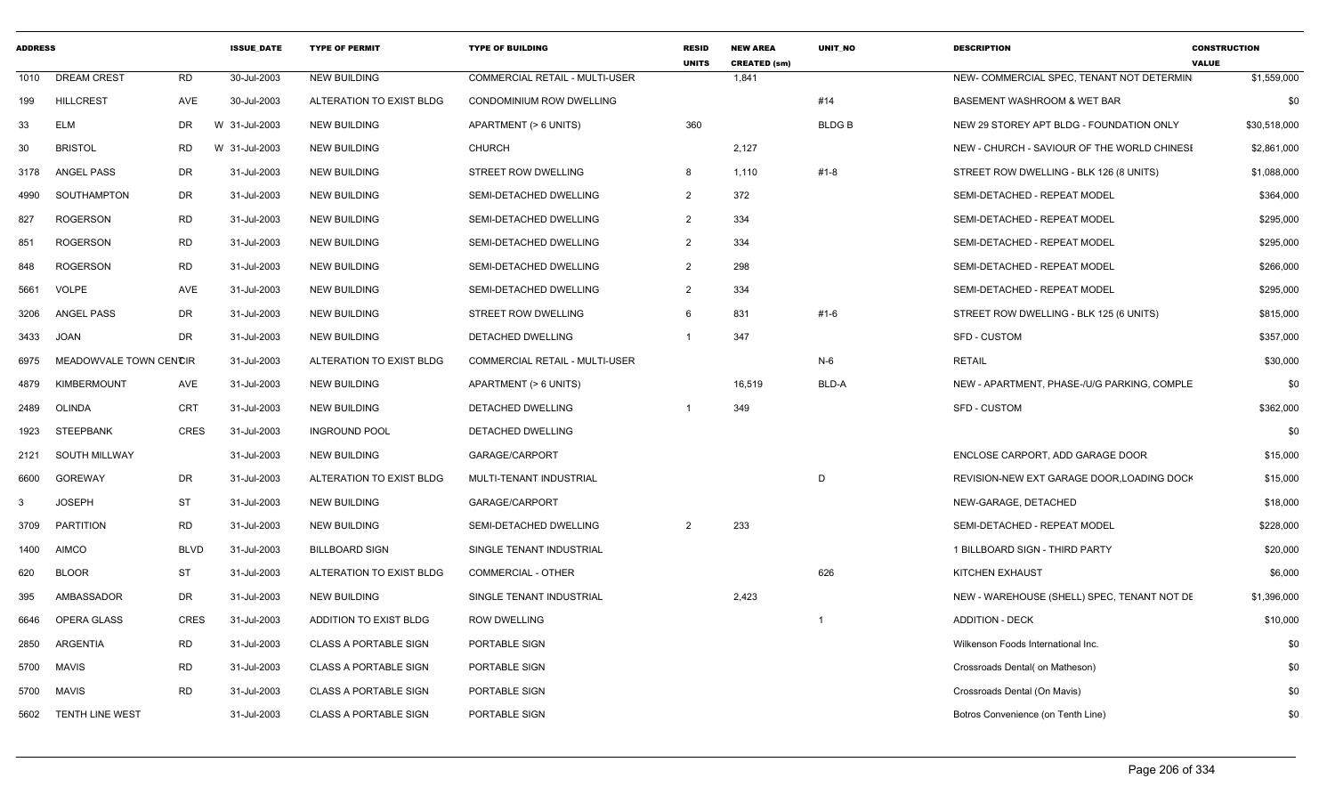| <b>ADDRESS</b> |                        |             | <b>ISSUE DATE</b> | <b>TYPE OF PERMIT</b>        | <b>TYPE OF BUILDING</b>         | <b>RESID</b><br><b>UNITS</b> | <b>NEW AREA</b><br><b>CREATED (sm)</b> | <b>UNIT NO</b> | <b>DESCRIPTION</b>                          | <b>CONSTRUCTION</b><br><b>VALUE</b> |
|----------------|------------------------|-------------|-------------------|------------------------------|---------------------------------|------------------------------|----------------------------------------|----------------|---------------------------------------------|-------------------------------------|
| 1010           | <b>DREAM CREST</b>     | <b>RD</b>   | 30-Jul-2003       | <b>NEW BUILDING</b>          | COMMERCIAL RETAIL - MULTI-USER  |                              | 1,841                                  |                | NEW- COMMERCIAL SPEC, TENANT NOT DETERMIN   | \$1,559,000                         |
| 199            | <b>HILLCREST</b>       | AVE         | 30-Jul-2003       | ALTERATION TO EXIST BLDG     | <b>CONDOMINIUM ROW DWELLING</b> |                              |                                        | #14            | <b>BASEMENT WASHROOM &amp; WET BAR</b>      | \$0                                 |
| 33             | <b>ELM</b>             | <b>DR</b>   | W 31-Jul-2003     | <b>NEW BUILDING</b>          | APARTMENT (> 6 UNITS)           | 360                          |                                        | <b>BLDGB</b>   | NEW 29 STOREY APT BLDG - FOUNDATION ONLY    | \$30,518,000                        |
| 30             | <b>BRISTOL</b>         | <b>RD</b>   | W 31-Jul-2003     | <b>NEW BUILDING</b>          | <b>CHURCH</b>                   |                              | 2,127                                  |                | NEW - CHURCH - SAVIOUR OF THE WORLD CHINES! | \$2,861,000                         |
| 3178           | <b>ANGEL PASS</b>      | <b>DR</b>   | 31-Jul-2003       | <b>NEW BUILDING</b>          | <b>STREET ROW DWELLING</b>      | 8                            | 1,110                                  | $#1 - 8$       | STREET ROW DWELLING - BLK 126 (8 UNITS)     | \$1,088,000                         |
| 4990           | SOUTHAMPTON            | DR          | 31-Jul-2003       | <b>NEW BUILDING</b>          | SEMI-DETACHED DWELLING          | $\overline{2}$               | 372                                    |                | SEMI-DETACHED - REPEAT MODEL                | \$364,000                           |
| 827            | <b>ROGERSON</b>        | <b>RD</b>   | 31-Jul-2003       | <b>NEW BUILDING</b>          | SEMI-DETACHED DWELLING          | $\mathcal{P}$                | 334                                    |                | SEMI-DETACHED - REPEAT MODEL                | \$295,000                           |
| 851            | <b>ROGERSON</b>        | <b>RD</b>   | 31-Jul-2003       | <b>NEW BUILDING</b>          | SEMI-DETACHED DWELLING          | $\mathcal{P}$                | 334                                    |                | SEMI-DETACHED - REPEAT MODEL                | \$295,000                           |
| 848            | <b>ROGERSON</b>        | <b>RD</b>   | 31-Jul-2003       | <b>NEW BUILDING</b>          | SEMI-DETACHED DWELLING          | $\overline{2}$               | 298                                    |                | SEMI-DETACHED - REPEAT MODEL                | \$266,000                           |
| 5661           | <b>VOLPE</b>           | AVE         | 31-Jul-2003       | <b>NEW BUILDING</b>          | SEMI-DETACHED DWELLING          | $\mathcal{P}$                | 334                                    |                | SEMI-DETACHED - REPEAT MODEL                | \$295,000                           |
| 3206           | <b>ANGEL PASS</b>      | <b>DR</b>   | 31-Jul-2003       | <b>NEW BUILDING</b>          | STREET ROW DWELLING             | 6                            | 831                                    | $#1 - 6$       | STREET ROW DWELLING - BLK 125 (6 UNITS)     | \$815,000                           |
| 3433           | <b>JOAN</b>            | <b>DR</b>   | 31-Jul-2003       | <b>NEW BUILDING</b>          | DETACHED DWELLING               |                              | 347                                    |                | <b>SFD - CUSTOM</b>                         | \$357,000                           |
| 6975           | MEADOWVALE TOWN CENCIR |             | 31-Jul-2003       | ALTERATION TO EXIST BLDG     | COMMERCIAL RETAIL - MULTI-USER  |                              |                                        | $N-6$          | <b>RETAIL</b>                               | \$30,000                            |
| 4879           | <b>KIMBERMOUNT</b>     | AVE         | 31-Jul-2003       | <b>NEW BUILDING</b>          | APARTMENT (> 6 UNITS)           |                              | 16,519                                 | BLD-A          | NEW - APARTMENT, PHASE-/U/G PARKING, COMPLE | \$0                                 |
| 2489           | <b>OLINDA</b>          | CRT         | 31-Jul-2003       | <b>NEW BUILDING</b>          | DETACHED DWELLING               |                              | 349                                    |                | <b>SFD - CUSTOM</b>                         | \$362,000                           |
| 1923           | <b>STEEPBANK</b>       | <b>CRES</b> | 31-Jul-2003       | <b>INGROUND POOL</b>         | DETACHED DWELLING               |                              |                                        |                |                                             | \$0                                 |
| 2121           | SOUTH MILLWAY          |             | 31-Jul-2003       | <b>NEW BUILDING</b>          | GARAGE/CARPORT                  |                              |                                        |                | ENCLOSE CARPORT, ADD GARAGE DOOR            | \$15,000                            |
| 6600           | <b>GOREWAY</b>         | DR          | 31-Jul-2003       | ALTERATION TO EXIST BLDG     | MULTI-TENANT INDUSTRIAL         |                              |                                        | D              | REVISION-NEW EXT GARAGE DOOR, LOADING DOCK  | \$15,000                            |
| 3              | <b>JOSEPH</b>          | <b>ST</b>   | 31-Jul-2003       | <b>NEW BUILDING</b>          | GARAGE/CARPORT                  |                              |                                        |                | NEW-GARAGE, DETACHED                        | \$18,000                            |
| 3709           | PARTITION              | <b>RD</b>   | 31-Jul-2003       | <b>NEW BUILDING</b>          | SEMI-DETACHED DWELLING          | $\overline{2}$               | 233                                    |                | SEMI-DETACHED - REPEAT MODEL                | \$228,000                           |
| 1400           | <b>AIMCO</b>           | <b>BLVD</b> | 31-Jul-2003       | <b>BILLBOARD SIGN</b>        | SINGLE TENANT INDUSTRIAL        |                              |                                        |                | 1 BILLBOARD SIGN - THIRD PARTY              | \$20,000                            |
| 620            | <b>BLOOR</b>           | <b>ST</b>   | 31-Jul-2003       | ALTERATION TO EXIST BLDG     | <b>COMMERCIAL - OTHER</b>       |                              |                                        | 626            | <b>KITCHEN EXHAUST</b>                      | \$6,000                             |
| 395            | AMBASSADOR             | DR.         | 31-Jul-2003       | <b>NEW BUILDING</b>          | SINGLE TENANT INDUSTRIAL        |                              | 2,423                                  |                | NEW - WAREHOUSE (SHELL) SPEC, TENANT NOT DE | \$1,396,000                         |
| 6646           | OPERA GLASS            | <b>CRES</b> | 31-Jul-2003       | ADDITION TO EXIST BLDG       | <b>ROW DWELLING</b>             |                              |                                        |                | <b>ADDITION - DECK</b>                      | \$10,000                            |
| 2850           | ARGENTIA               | <b>RD</b>   | 31-Jul-2003       | <b>CLASS A PORTABLE SIGN</b> | PORTABLE SIGN                   |                              |                                        |                | Wilkenson Foods International Inc.          | \$0                                 |
| 5700           | <b>MAVIS</b>           | <b>RD</b>   | 31-Jul-2003       | <b>CLASS A PORTABLE SIGN</b> | PORTABLE SIGN                   |                              |                                        |                | Crossroads Dental( on Matheson)             | \$0                                 |
| 5700           | <b>MAVIS</b>           | <b>RD</b>   | 31-Jul-2003       | <b>CLASS A PORTABLE SIGN</b> | PORTABLE SIGN                   |                              |                                        |                | Crossroads Dental (On Mavis)                | \$0                                 |
| 5602           | <b>TENTH LINE WEST</b> |             | 31-Jul-2003       | <b>CLASS A PORTABLE SIGN</b> | PORTABLE SIGN                   |                              |                                        |                | Botros Convenience (on Tenth Line)          | \$0                                 |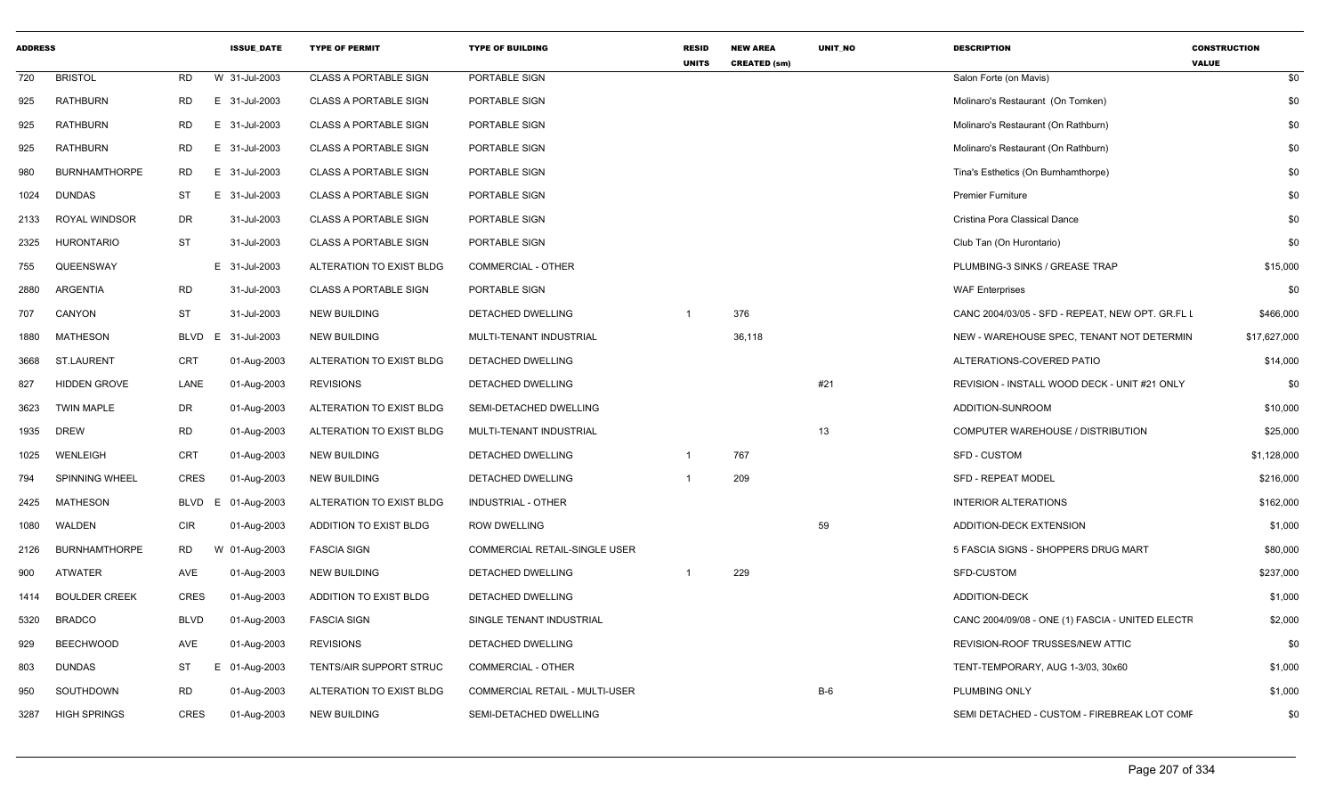| <b>ADDRESS</b> |                       |             | <b>ISSUE_DATE</b> | <b>TYPE OF PERMIT</b>        | <b>TYPE OF BUILDING</b>        | <b>RESID</b><br><b>UNITS</b> | <b>NEW AREA</b><br><b>CREATED (sm)</b> | UNIT_NO | <b>DESCRIPTION</b>                               | <b>CONSTRUCTION</b><br><b>VALUE</b> |
|----------------|-----------------------|-------------|-------------------|------------------------------|--------------------------------|------------------------------|----------------------------------------|---------|--------------------------------------------------|-------------------------------------|
| 720            | <b>BRISTOL</b>        | RD          | W 31-Jul-2003     | <b>CLASS A PORTABLE SIGN</b> | PORTABLE SIGN                  |                              |                                        |         | Salon Forte (on Mavis)                           | \$0                                 |
| 925            | RATHBURN              | <b>RD</b>   | E 31-Jul-2003     | <b>CLASS A PORTABLE SIGN</b> | PORTABLE SIGN                  |                              |                                        |         | Molinaro's Restaurant (On Tomken)                | \$0                                 |
| 925            | <b>RATHBURN</b>       | RD.         | 31-Jul-2003<br>E. | <b>CLASS A PORTABLE SIGN</b> | PORTABLE SIGN                  |                              |                                        |         | Molinaro's Restaurant (On Rathburn)              | \$0                                 |
| 925            | RATHBURN              | RD.         | 31-Jul-2003<br>E. | <b>CLASS A PORTABLE SIGN</b> | PORTABLE SIGN                  |                              |                                        |         | Molinaro's Restaurant (On Rathburn)              | \$0                                 |
| 980            | <b>BURNHAMTHORPE</b>  | <b>RD</b>   | E 31-Jul-2003     | <b>CLASS A PORTABLE SIGN</b> | PORTABLE SIGN                  |                              |                                        |         | Tina's Esthetics (On Burnhamthorpe)              | \$0                                 |
| 1024           | <b>DUNDAS</b>         | <b>ST</b>   | E 31-Jul-2003     | <b>CLASS A PORTABLE SIGN</b> | PORTABLE SIGN                  |                              |                                        |         | <b>Premier Furniture</b>                         | \$0                                 |
| 2133           | ROYAL WINDSOR         | DR          | 31-Jul-2003       | CLASS A PORTABLE SIGN        | PORTABLE SIGN                  |                              |                                        |         | Cristina Pora Classical Dance                    | \$0                                 |
| 2325           | <b>HURONTARIO</b>     | <b>ST</b>   | 31-Jul-2003       | <b>CLASS A PORTABLE SIGN</b> | PORTABLE SIGN                  |                              |                                        |         | Club Tan (On Hurontario)                         | \$0                                 |
| 755            | QUEENSWAY             |             | E 31-Jul-2003     | ALTERATION TO EXIST BLDG     | <b>COMMERCIAL - OTHER</b>      |                              |                                        |         | PLUMBING-3 SINKS / GREASE TRAP                   | \$15,000                            |
| 2880           | ARGENTIA              | <b>RD</b>   | 31-Jul-2003       | <b>CLASS A PORTABLE SIGN</b> | PORTABLE SIGN                  |                              |                                        |         | <b>WAF Enterprises</b>                           | \$0                                 |
| 707            | CANYON                | <b>ST</b>   | 31-Jul-2003       | <b>NEW BUILDING</b>          | DETACHED DWELLING              | $\overline{1}$               | 376                                    |         | CANC 2004/03/05 - SFD - REPEAT, NEW OPT. GR.FL I | \$466,000                           |
| 1880           | MATHESON              | BLVD E      | 31-Jul-2003       | <b>NEW BUILDING</b>          | MULTI-TENANT INDUSTRIAL        |                              | 36,118                                 |         | NEW - WAREHOUSE SPEC, TENANT NOT DETERMIN        | \$17,627,000                        |
| 3668           | ST.LAURENT            | CRT         | 01-Aug-2003       | ALTERATION TO EXIST BLDG     | DETACHED DWELLING              |                              |                                        |         | ALTERATIONS-COVERED PATIO                        | \$14,000                            |
| 827            | <b>HIDDEN GROVE</b>   | LANE        | 01-Aug-2003       | <b>REVISIONS</b>             | DETACHED DWELLING              |                              |                                        | #21     | REVISION - INSTALL WOOD DECK - UNIT #21 ONLY     | \$0                                 |
| 3623           | <b>TWIN MAPLE</b>     | DR          | 01-Aug-2003       | ALTERATION TO EXIST BLDG     | SEMI-DETACHED DWELLING         |                              |                                        |         | ADDITION-SUNROOM                                 | \$10,000                            |
| 1935           | DREW                  | RD          | 01-Aug-2003       | ALTERATION TO EXIST BLDG     | MULTI-TENANT INDUSTRIAL        |                              |                                        | 13      | COMPUTER WAREHOUSE / DISTRIBUTION                | \$25,000                            |
| 1025           | WENLEIGH              | CRT         | 01-Aug-2003       | <b>NEW BUILDING</b>          | DETACHED DWELLING              | $\overline{1}$               | 767                                    |         | <b>SFD - CUSTOM</b>                              | \$1,128,000                         |
| 794            | <b>SPINNING WHEEL</b> | <b>CRES</b> | 01-Aug-2003       | <b>NEW BUILDING</b>          | DETACHED DWELLING              |                              | 209                                    |         | <b>SFD - REPEAT MODEL</b>                        | \$216,000                           |
| 2425           | MATHESON              | BLVD E      | 01-Aug-2003       | ALTERATION TO EXIST BLDG     | INDUSTRIAL - OTHER             |                              |                                        |         | <b>INTERIOR ALTERATIONS</b>                      | \$162,000                           |
| 1080           | WALDEN                | <b>CIR</b>  | 01-Aug-2003       | ADDITION TO EXIST BLDG       | <b>ROW DWELLING</b>            |                              |                                        | 59      | ADDITION-DECK EXTENSION                          | \$1,000                             |
| 2126           | <b>BURNHAMTHORPE</b>  | <b>RD</b>   | W 01-Aug-2003     | <b>FASCIA SIGN</b>           | COMMERCIAL RETAIL-SINGLE USER  |                              |                                        |         | 5 FASCIA SIGNS - SHOPPERS DRUG MART              | \$80,000                            |
| 900            | <b>ATWATER</b>        | AVE         | 01-Aug-2003       | <b>NEW BUILDING</b>          | DETACHED DWELLING              |                              | 229                                    |         | SFD-CUSTOM                                       | \$237,000                           |
| 1414           | <b>BOULDER CREEK</b>  | <b>CRES</b> | 01-Aug-2003       | ADDITION TO EXIST BLDG       | DETACHED DWELLING              |                              |                                        |         | <b>ADDITION-DECK</b>                             | \$1,000                             |
| 5320           | <b>BRADCO</b>         | <b>BLVD</b> | 01-Aug-2003       | <b>FASCIA SIGN</b>           | SINGLE TENANT INDUSTRIAL       |                              |                                        |         | CANC 2004/09/08 - ONE (1) FASCIA - UNITED ELECTF | \$2,000                             |
| 929            | <b>BEECHWOOD</b>      | AVE         | 01-Aug-2003       | <b>REVISIONS</b>             | DETACHED DWELLING              |                              |                                        |         | REVISION-ROOF TRUSSES/NEW ATTIC                  | \$0                                 |
| 803            | <b>DUNDAS</b>         | <b>ST</b>   | E.<br>01-Aug-2003 | TENTS/AIR SUPPORT STRUC      | <b>COMMERCIAL - OTHER</b>      |                              |                                        |         | TENT-TEMPORARY, AUG 1-3/03, 30x60                | \$1,000                             |
| 950            | SOUTHDOWN             | RD          | 01-Aug-2003       | ALTERATION TO EXIST BLDG     | COMMERCIAL RETAIL - MULTI-USER |                              |                                        | $B-6$   | PLUMBING ONLY                                    | \$1,000                             |
| 3287           | <b>HIGH SPRINGS</b>   | <b>CRES</b> | 01-Aug-2003       | <b>NEW BUILDING</b>          | SEMI-DETACHED DWELLING         |                              |                                        |         | SEMI DETACHED - CUSTOM - FIREBREAK LOT COMF      | \$0                                 |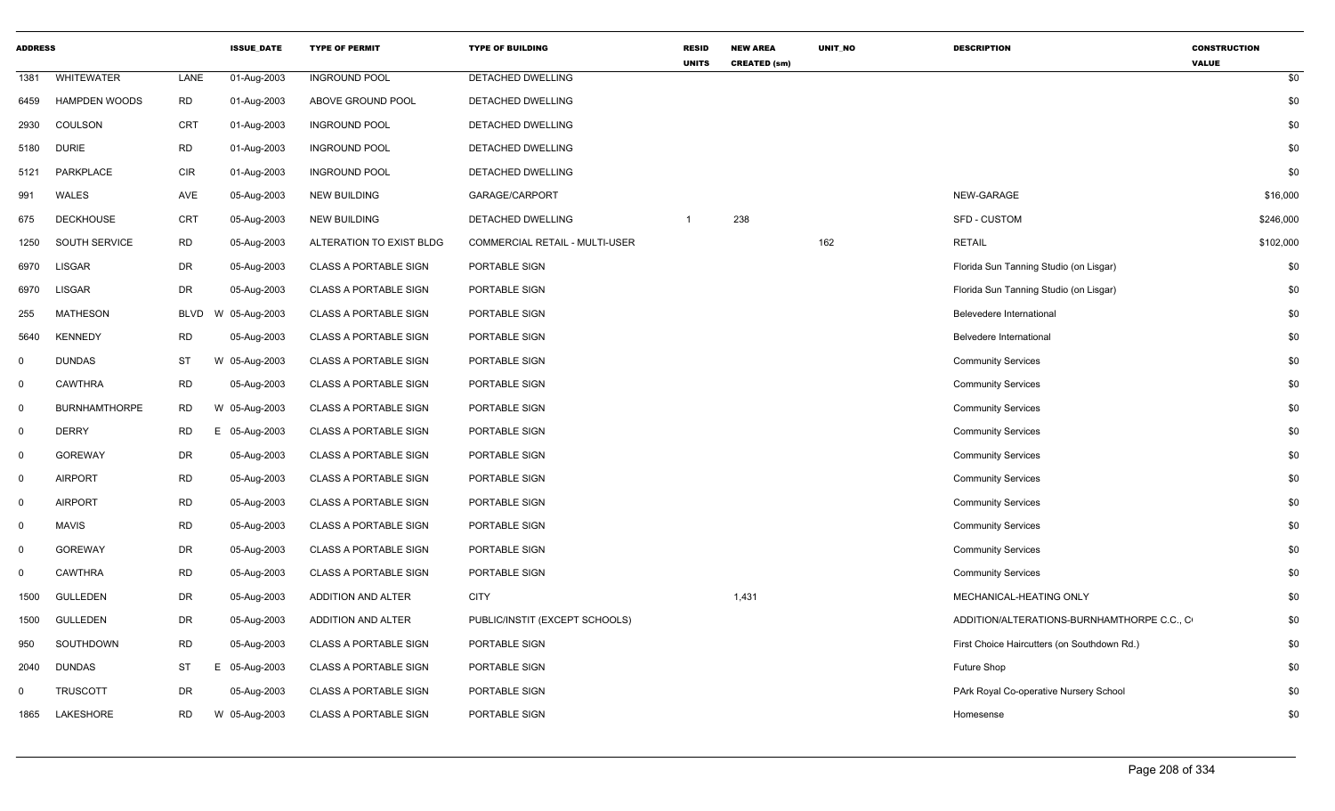| <b>ADDRESS</b> |                      |            | <b>ISSUE DATE</b> | <b>TYPE OF PERMIT</b>        | <b>TYPE OF BUILDING</b>        | <b>RESID</b><br><b>UNITS</b> | <b>NEW AREA</b><br><b>CREATED (sm)</b> | <b>UNIT NO</b> | <b>DESCRIPTION</b>                          | <b>CONSTRUCTION</b><br><b>VALUE</b> |
|----------------|----------------------|------------|-------------------|------------------------------|--------------------------------|------------------------------|----------------------------------------|----------------|---------------------------------------------|-------------------------------------|
| 1381           | <b>WHITEWATER</b>    | LANE       | 01-Aug-2003       | <b>INGROUND POOL</b>         | <b>DETACHED DWELLING</b>       |                              |                                        |                |                                             | \$0                                 |
| 6459           | <b>HAMPDEN WOODS</b> | <b>RD</b>  | 01-Aug-2003       | ABOVE GROUND POOL            | DETACHED DWELLING              |                              |                                        |                |                                             | \$0                                 |
| 2930           | COULSON              | <b>CRT</b> | 01-Aug-2003       | <b>INGROUND POOL</b>         | DETACHED DWELLING              |                              |                                        |                |                                             | \$0                                 |
| 5180           | <b>DURIE</b>         | <b>RD</b>  | 01-Aug-2003       | <b>INGROUND POOL</b>         | DETACHED DWELLING              |                              |                                        |                |                                             | \$0                                 |
| 5121           | PARKPLACE            | <b>CIR</b> | 01-Aug-2003       | <b>INGROUND POOL</b>         | DETACHED DWELLING              |                              |                                        |                |                                             | \$0                                 |
| 991            | WALES                | AVE        | 05-Aug-2003       | <b>NEW BUILDING</b>          | GARAGE/CARPORT                 |                              |                                        |                | NEW-GARAGE                                  | \$16,000                            |
| 675            | <b>DECKHOUSE</b>     | CRT        | 05-Aug-2003       | <b>NEW BUILDING</b>          | DETACHED DWELLING              | $\mathbf{1}$                 | 238                                    |                | SFD - CUSTOM                                | \$246,000                           |
| 1250           | SOUTH SERVICE        | <b>RD</b>  | 05-Aug-2003       | ALTERATION TO EXIST BLDG     | COMMERCIAL RETAIL - MULTI-USER |                              |                                        | 162            | <b>RETAIL</b>                               | \$102,000                           |
| 6970           | <b>LISGAR</b>        | DR         | 05-Aug-2003       | <b>CLASS A PORTABLE SIGN</b> | PORTABLE SIGN                  |                              |                                        |                | Florida Sun Tanning Studio (on Lisgar)      | \$0                                 |
| 6970           | <b>LISGAR</b>        | DR         | 05-Aug-2003       | <b>CLASS A PORTABLE SIGN</b> | PORTABLE SIGN                  |                              |                                        |                | Florida Sun Tanning Studio (on Lisgar)      | \$0                                 |
| 255            | <b>MATHESON</b>      | BLVD       | W 05-Aug-2003     | <b>CLASS A PORTABLE SIGN</b> | PORTABLE SIGN                  |                              |                                        |                | Belevedere International                    | \$0                                 |
| 5640           | <b>KENNEDY</b>       | <b>RD</b>  | 05-Aug-2003       | <b>CLASS A PORTABLE SIGN</b> | PORTABLE SIGN                  |                              |                                        |                | Belvedere International                     | \$0                                 |
| 0              | <b>DUNDAS</b>        | ST         | W 05-Aug-2003     | <b>CLASS A PORTABLE SIGN</b> | PORTABLE SIGN                  |                              |                                        |                | <b>Community Services</b>                   | \$0                                 |
| $\mathsf{O}$   | <b>CAWTHRA</b>       | <b>RD</b>  | 05-Aug-2003       | <b>CLASS A PORTABLE SIGN</b> | PORTABLE SIGN                  |                              |                                        |                | <b>Community Services</b>                   | \$0                                 |
| $\mathbf 0$    | <b>BURNHAMTHORPE</b> | <b>RD</b>  | W 05-Aug-2003     | <b>CLASS A PORTABLE SIGN</b> | PORTABLE SIGN                  |                              |                                        |                | <b>Community Services</b>                   | \$0                                 |
| $\mathbf 0$    | <b>DERRY</b>         | <b>RD</b>  | E 05-Aug-2003     | <b>CLASS A PORTABLE SIGN</b> | PORTABLE SIGN                  |                              |                                        |                | <b>Community Services</b>                   | \$0                                 |
| $\mathbf 0$    | <b>GOREWAY</b>       | DR         | 05-Aug-2003       | <b>CLASS A PORTABLE SIGN</b> | PORTABLE SIGN                  |                              |                                        |                | <b>Community Services</b>                   | \$0                                 |
| $\mathbf 0$    | AIRPORT              | <b>RD</b>  | 05-Aug-2003       | <b>CLASS A PORTABLE SIGN</b> | PORTABLE SIGN                  |                              |                                        |                | <b>Community Services</b>                   | \$0                                 |
| 0              | <b>AIRPORT</b>       | <b>RD</b>  | 05-Aug-2003       | <b>CLASS A PORTABLE SIGN</b> | PORTABLE SIGN                  |                              |                                        |                | <b>Community Services</b>                   | \$0                                 |
| $\mathbf 0$    | <b>MAVIS</b>         | <b>RD</b>  | 05-Aug-2003       | <b>CLASS A PORTABLE SIGN</b> | PORTABLE SIGN                  |                              |                                        |                | <b>Community Services</b>                   | \$0                                 |
| 0              | <b>GOREWAY</b>       | DR         | 05-Aug-2003       | <b>CLASS A PORTABLE SIGN</b> | PORTABLE SIGN                  |                              |                                        |                | <b>Community Services</b>                   | \$0                                 |
| 0              | <b>CAWTHRA</b>       | <b>RD</b>  | 05-Aug-2003       | <b>CLASS A PORTABLE SIGN</b> | PORTABLE SIGN                  |                              |                                        |                | <b>Community Services</b>                   | \$0                                 |
| 1500           | <b>GULLEDEN</b>      | DR         | 05-Aug-2003       | ADDITION AND ALTER           | <b>CITY</b>                    |                              | 1,431                                  |                | MECHANICAL-HEATING ONLY                     | \$0                                 |
| 1500           | GULLEDEN             | DR         | 05-Aug-2003       | ADDITION AND ALTER           | PUBLIC/INSTIT (EXCEPT SCHOOLS) |                              |                                        |                | ADDITION/ALTERATIONS-BURNHAMTHORPE C.C., C  | \$0                                 |
| 950            | SOUTHDOWN            | <b>RD</b>  | 05-Aug-2003       | <b>CLASS A PORTABLE SIGN</b> | PORTABLE SIGN                  |                              |                                        |                | First Choice Haircutters (on Southdown Rd.) | \$0                                 |
| 2040           | <b>DUNDAS</b>        | ST         | E 05-Aug-2003     | <b>CLASS A PORTABLE SIGN</b> | PORTABLE SIGN                  |                              |                                        |                | Future Shop                                 | \$0                                 |
| $\Omega$       | <b>TRUSCOTT</b>      | DR         | 05-Aug-2003       | <b>CLASS A PORTABLE SIGN</b> | PORTABLE SIGN                  |                              |                                        |                | PArk Royal Co-operative Nursery School      | \$0                                 |
| 1865           | LAKESHORE            | RD         | W 05-Aug-2003     | <b>CLASS A PORTABLE SIGN</b> | PORTABLE SIGN                  |                              |                                        |                | Homesense                                   | \$0                                 |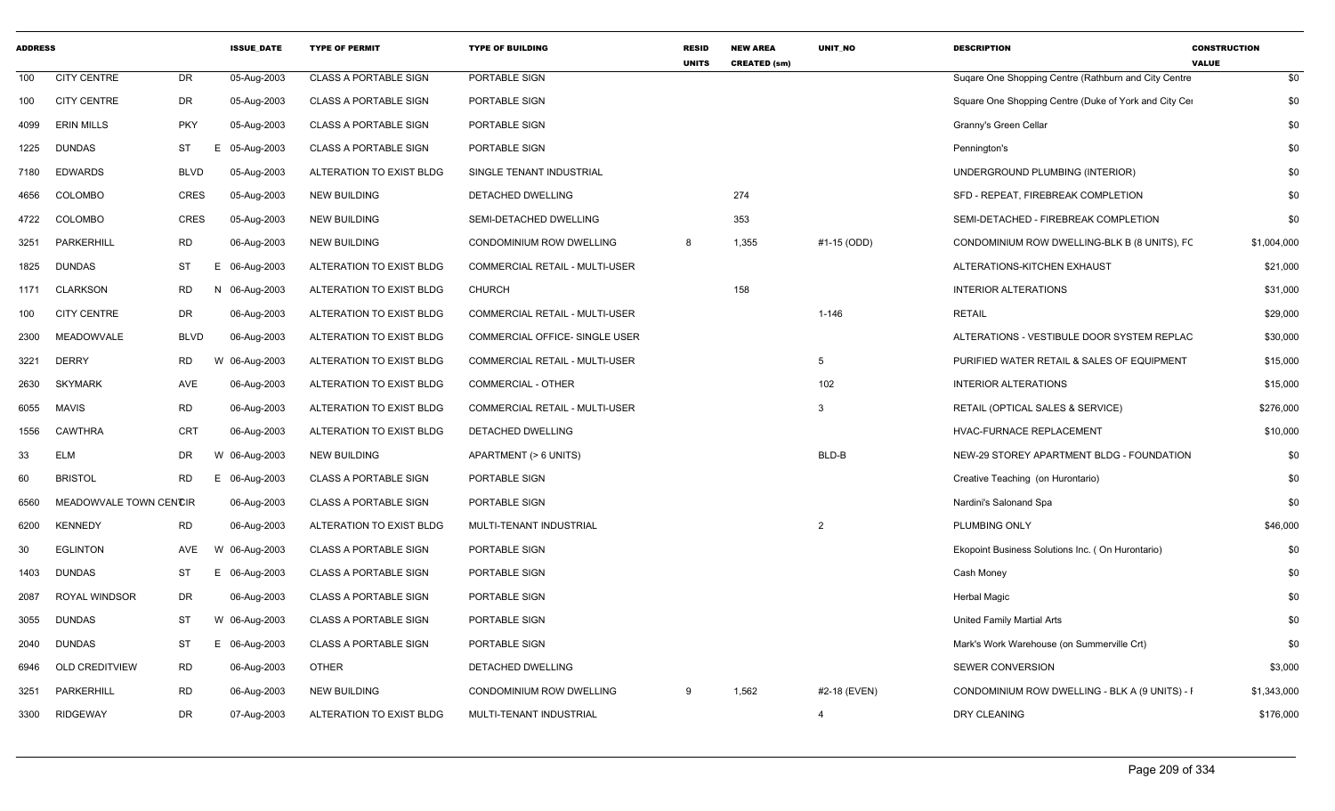| <b>ADDRESS</b> |                        |             | <b>ISSUE DATE</b> | <b>TYPE OF PERMIT</b>        | <b>TYPE OF BUILDING</b>               | <b>RESID</b><br><b>UNITS</b> | <b>NEW AREA</b><br><b>CREATED (sm)</b> | <b>UNIT NO</b>  | <b>DESCRIPTION</b>                                    | <b>CONSTRUCTION</b><br><b>VALUE</b> |
|----------------|------------------------|-------------|-------------------|------------------------------|---------------------------------------|------------------------------|----------------------------------------|-----------------|-------------------------------------------------------|-------------------------------------|
| 100            | <b>CITY CENTRE</b>     | DR          | 05-Aug-2003       | <b>CLASS A PORTABLE SIGN</b> | PORTABLE SIGN                         |                              |                                        |                 | Sugare One Shopping Centre (Rathburn and City Centre  | \$0                                 |
| 100            | <b>CITY CENTRE</b>     | DR          | 05-Aug-2003       | <b>CLASS A PORTABLE SIGN</b> | PORTABLE SIGN                         |                              |                                        |                 | Square One Shopping Centre (Duke of York and City Cer | \$0                                 |
| 4099           | <b>ERIN MILLS</b>      | <b>PKY</b>  | 05-Aug-2003       | <b>CLASS A PORTABLE SIGN</b> | PORTABLE SIGN                         |                              |                                        |                 | Granny's Green Cellar                                 | \$0                                 |
| 1225           | DUNDAS                 | ST          | 05-Aug-2003<br>E  | <b>CLASS A PORTABLE SIGN</b> | PORTABLE SIGN                         |                              |                                        |                 | Pennington's                                          | \$0                                 |
| 7180           | <b>EDWARDS</b>         | <b>BLVD</b> | 05-Aug-2003       | ALTERATION TO EXIST BLDG     | SINGLE TENANT INDUSTRIAL              |                              |                                        |                 | UNDERGROUND PLUMBING (INTERIOR)                       | \$0                                 |
| 4656           | <b>COLOMBO</b>         | <b>CRES</b> | 05-Aug-2003       | <b>NEW BUILDING</b>          | DETACHED DWELLING                     |                              | 274                                    |                 | SFD - REPEAT, FIREBREAK COMPLETION                    | \$0                                 |
| 4722           | <b>COLOMBO</b>         | <b>CRES</b> | 05-Aug-2003       | <b>NEW BUILDING</b>          | SEMI-DETACHED DWELLING                |                              | 353                                    |                 | SEMI-DETACHED - FIREBREAK COMPLETION                  | \$0                                 |
| 3251           | PARKERHILL             | <b>RD</b>   | 06-Aug-2003       | <b>NEW BUILDING</b>          | CONDOMINIUM ROW DWELLING              | 8                            | 1,355                                  | #1-15 (ODD)     | CONDOMINIUM ROW DWELLING-BLK B (8 UNITS), FC          | \$1,004,000                         |
| 1825           | <b>DUNDAS</b>          | ST          | 06-Aug-2003<br>E. | ALTERATION TO EXIST BLDG     | COMMERCIAL RETAIL - MULTI-USER        |                              |                                        |                 | ALTERATIONS-KITCHEN EXHAUST                           | \$21,000                            |
| 1171           | <b>CLARKSON</b>        | <b>RD</b>   | 06-Aug-2003       | ALTERATION TO EXIST BLDG     | <b>CHURCH</b>                         |                              | 158                                    |                 | <b>INTERIOR ALTERATIONS</b>                           | \$31,000                            |
| 100            | <b>CITY CENTRE</b>     | DR          | 06-Aug-2003       | ALTERATION TO EXIST BLDG     | <b>COMMERCIAL RETAIL - MULTI-USER</b> |                              |                                        | $1 - 146$       | <b>RETAIL</b>                                         | \$29,000                            |
| 2300           | <b>MEADOWVALE</b>      | <b>BLVD</b> | 06-Aug-2003       | ALTERATION TO EXIST BLDG     | COMMERCIAL OFFICE- SINGLE USER        |                              |                                        |                 | ALTERATIONS - VESTIBULE DOOR SYSTEM REPLAC            | \$30,000                            |
| 3221           | <b>DERRY</b>           | <b>RD</b>   | W 06-Aug-2003     | ALTERATION TO EXIST BLDG     | <b>COMMERCIAL RETAIL - MULTI-USER</b> |                              |                                        | $5\overline{5}$ | PURIFIED WATER RETAIL & SALES OF EQUIPMENT            | \$15,000                            |
| 2630           | <b>SKYMARK</b>         | AVE         | 06-Aug-2003       | ALTERATION TO EXIST BLDG     | <b>COMMERCIAL - OTHER</b>             |                              |                                        | 102             | <b>INTERIOR ALTERATIONS</b>                           | \$15,000                            |
| 6055           | <b>MAVIS</b>           | <b>RD</b>   | 06-Aug-2003       | ALTERATION TO EXIST BLDG     | <b>COMMERCIAL RETAIL - MULTI-USER</b> |                              |                                        | $\mathbf{3}$    | RETAIL (OPTICAL SALES & SERVICE)                      | \$276,000                           |
| 1556           | <b>CAWTHRA</b>         | <b>CRT</b>  | 06-Aug-2003       | ALTERATION TO EXIST BLDG     | DETACHED DWELLING                     |                              |                                        |                 | HVAC-FURNACE REPLACEMENT                              | \$10,000                            |
| 33             | <b>ELM</b>             | DR          | W 06-Aug-2003     | NEW BUILDING                 | APARTMENT (> 6 UNITS)                 |                              |                                        | BLD-B           | NEW-29 STOREY APARTMENT BLDG - FOUNDATION             | \$0                                 |
| 60             | <b>BRISTOL</b>         | RD          | 06-Aug-2003<br>E. | <b>CLASS A PORTABLE SIGN</b> | PORTABLE SIGN                         |                              |                                        |                 | Creative Teaching (on Hurontario)                     | \$0                                 |
| 6560           | MEADOWVALE TOWN CENCIR |             | 06-Aug-2003       | <b>CLASS A PORTABLE SIGN</b> | PORTABLE SIGN                         |                              |                                        |                 | Nardini's Salonand Spa                                | \$0                                 |
| 6200           | <b>KENNEDY</b>         | <b>RD</b>   | 06-Aug-2003       | ALTERATION TO EXIST BLDG     | MULTI-TENANT INDUSTRIAL               |                              |                                        | $\overline{2}$  | PLUMBING ONLY                                         | \$46,000                            |
| 30             | <b>EGLINTON</b>        | AVE         | 06-Aug-2003       | <b>CLASS A PORTABLE SIGN</b> | PORTABLE SIGN                         |                              |                                        |                 | Ekopoint Business Solutions Inc. (On Hurontario)      | \$0                                 |
| 1403           | <b>DUNDAS</b>          | ST          | 06-Aug-2003<br>Е. | <b>CLASS A PORTABLE SIGN</b> | PORTABLE SIGN                         |                              |                                        |                 | Cash Money                                            | \$0                                 |
| 2087           | <b>ROYAL WINDSOR</b>   | DR          | 06-Aug-2003       | <b>CLASS A PORTABLE SIGN</b> | PORTABLE SIGN                         |                              |                                        |                 | <b>Herbal Magic</b>                                   | \$0                                 |
| 3055           | <b>DUNDAS</b>          | ST          | W 06-Aug-2003     | <b>CLASS A PORTABLE SIGN</b> | PORTABLE SIGN                         |                              |                                        |                 | United Family Martial Arts                            | \$0                                 |
| 2040           | DUNDAS                 | ST          | 06-Aug-2003<br>E. | <b>CLASS A PORTABLE SIGN</b> | PORTABLE SIGN                         |                              |                                        |                 | Mark's Work Warehouse (on Summerville Crt)            | \$0                                 |
| 6946           | <b>OLD CREDITVIEW</b>  | RD          | 06-Aug-2003       | <b>OTHER</b>                 | DETACHED DWELLING                     |                              |                                        |                 | SEWER CONVERSION                                      | \$3,000                             |
| 3251           | PARKERHILL             | <b>RD</b>   | 06-Aug-2003       | <b>NEW BUILDING</b>          | CONDOMINIUM ROW DWELLING              | 9                            | 1,562                                  | #2-18 (EVEN)    | CONDOMINIUM ROW DWELLING - BLK A (9 UNITS) - I        | \$1,343,000                         |
| 3300           | <b>RIDGEWAY</b>        | <b>DR</b>   | 07-Aug-2003       | ALTERATION TO EXIST BLDG     | MULTI-TENANT INDUSTRIAL               |                              |                                        | $\overline{4}$  | DRY CLEANING                                          | \$176,000                           |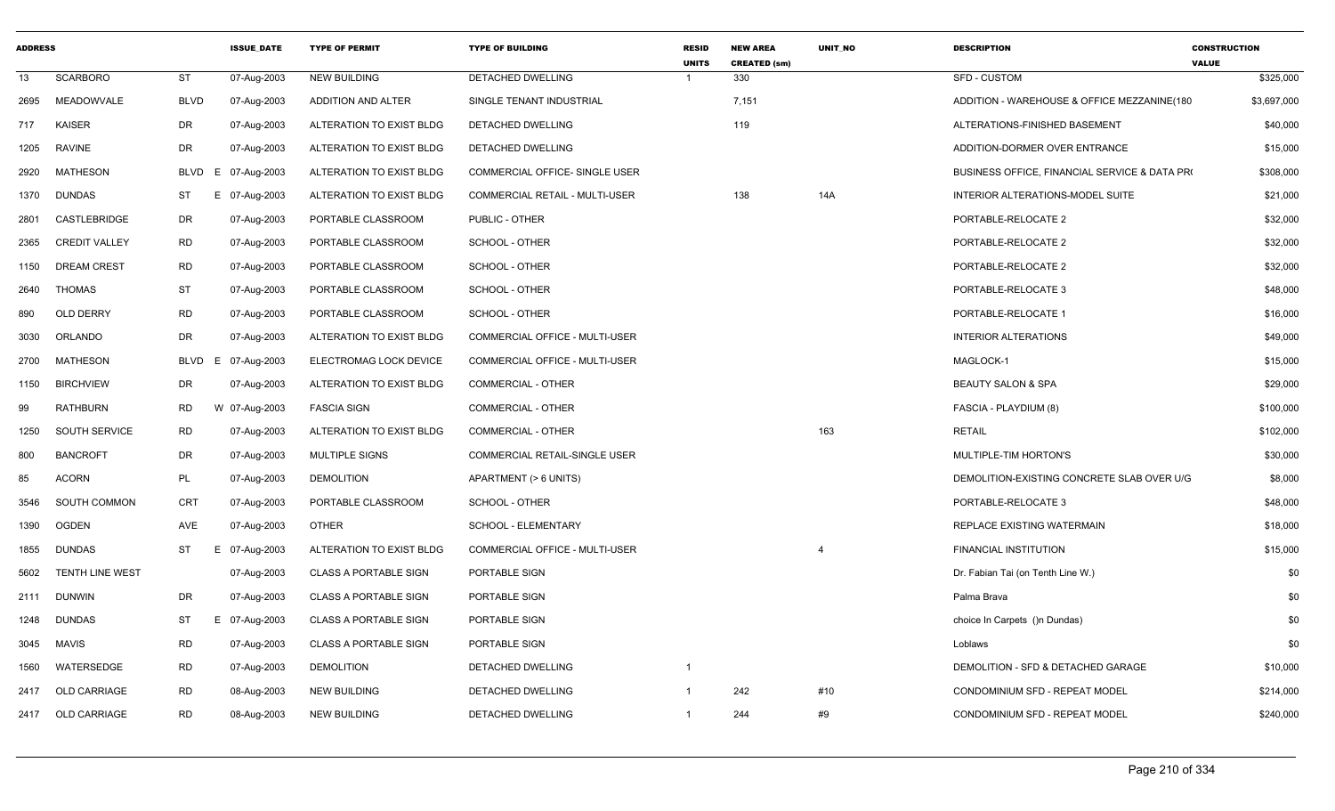| <b>ADDRESS</b> |                        |             | <b>ISSUE DATE</b> | <b>TYPE OF PERMIT</b>        | <b>TYPE OF BUILDING</b>               | <b>RESID</b><br><b>UNITS</b> | <b>NEW AREA</b><br><b>CREATED (sm)</b> | <b>UNIT NO</b> | <b>DESCRIPTION</b>                            | <b>CONSTRUCTION</b><br><b>VALUE</b> |
|----------------|------------------------|-------------|-------------------|------------------------------|---------------------------------------|------------------------------|----------------------------------------|----------------|-----------------------------------------------|-------------------------------------|
| 13             | <b>SCARBORO</b>        | <b>ST</b>   | 07-Aug-2003       | <b>NEW BUILDING</b>          | DETACHED DWELLING                     |                              | 330                                    |                | SFD - CUSTOM                                  | \$325,000                           |
| 2695           | MEADOWVALE             | <b>BLVD</b> | 07-Aug-2003       | ADDITION AND ALTER           | SINGLE TENANT INDUSTRIAL              |                              | 7,151                                  |                | ADDITION - WAREHOUSE & OFFICE MEZZANINE(180   | \$3,697,000                         |
| 717            | <b>KAISER</b>          | <b>DR</b>   | 07-Aug-2003       | ALTERATION TO EXIST BLDG     | DETACHED DWELLING                     |                              | 119                                    |                | ALTERATIONS-FINISHED BASEMENT                 | \$40,000                            |
| 1205           | <b>RAVINE</b>          | DR          | 07-Aug-2003       | ALTERATION TO EXIST BLDG     | DETACHED DWELLING                     |                              |                                        |                | ADDITION-DORMER OVER ENTRANCE                 | \$15,000                            |
| 2920           | <b>MATHESON</b>        | BLVD E      | 07-Aug-2003       | ALTERATION TO EXIST BLDG     | COMMERCIAL OFFICE- SINGLE USER        |                              |                                        |                | BUSINESS OFFICE, FINANCIAL SERVICE & DATA PRO | \$308,000                           |
| 1370           | <b>DUNDAS</b>          | ST<br>E     | 07-Aug-2003       | ALTERATION TO EXIST BLDG     | <b>COMMERCIAL RETAIL - MULTI-USER</b> |                              | 138                                    | 14A            | INTERIOR ALTERATIONS-MODEL SUITE              | \$21,000                            |
| 2801           | <b>CASTLEBRIDGE</b>    | DR          | 07-Aug-2003       | PORTABLE CLASSROOM           | PUBLIC - OTHER                        |                              |                                        |                | PORTABLE-RELOCATE 2                           | \$32,000                            |
| 2365           | <b>CREDIT VALLEY</b>   | <b>RD</b>   | 07-Aug-2003       | PORTABLE CLASSROOM           | SCHOOL - OTHER                        |                              |                                        |                | PORTABLE-RELOCATE 2                           | \$32,000                            |
| 1150           | <b>DREAM CREST</b>     | RD          | 07-Aug-2003       | PORTABLE CLASSROOM           | SCHOOL - OTHER                        |                              |                                        |                | PORTABLE-RELOCATE 2                           | \$32,000                            |
| 2640           | <b>THOMAS</b>          | ST          | 07-Aug-2003       | PORTABLE CLASSROOM           | SCHOOL - OTHER                        |                              |                                        |                | PORTABLE-RELOCATE 3                           | \$48,000                            |
| 890            | OLD DERRY              | <b>RD</b>   | 07-Aug-2003       | PORTABLE CLASSROOM           | SCHOOL - OTHER                        |                              |                                        |                | PORTABLE-RELOCATE 1                           | \$16,000                            |
| 3030           | ORLANDO                | <b>DR</b>   | 07-Aug-2003       | ALTERATION TO EXIST BLDG     | <b>COMMERCIAL OFFICE - MULTI-USER</b> |                              |                                        |                | <b>INTERIOR ALTERATIONS</b>                   | \$49,000                            |
| 2700           | MATHESON               | BLVD E      | 07-Aug-2003       | ELECTROMAG LOCK DEVICE       | COMMERCIAL OFFICE - MULTI-USER        |                              |                                        |                | MAGLOCK-1                                     | \$15,000                            |
| 1150           | <b>BIRCHVIEW</b>       | DR          | 07-Aug-2003       | ALTERATION TO EXIST BLDG     | <b>COMMERCIAL - OTHER</b>             |                              |                                        |                | <b>BEAUTY SALON &amp; SPA</b>                 | \$29,000                            |
| 99             | <b>RATHBURN</b>        | <b>RD</b>   | W 07-Aug-2003     | <b>FASCIA SIGN</b>           | <b>COMMERCIAL - OTHER</b>             |                              |                                        |                | FASCIA - PLAYDIUM (8)                         | \$100,000                           |
| 1250           | SOUTH SERVICE          | <b>RD</b>   | 07-Aug-2003       | ALTERATION TO EXIST BLDG     | <b>COMMERCIAL - OTHER</b>             |                              |                                        | 163            | <b>RETAIL</b>                                 | \$102,000                           |
| 800            | <b>BANCROFT</b>        | DR          | 07-Aug-2003       | MULTIPLE SIGNS               | COMMERCIAL RETAIL-SINGLE USER         |                              |                                        |                | MULTIPLE-TIM HORTON'S                         | \$30,000                            |
| 85             | <b>ACORN</b>           | PL          | 07-Aug-2003       | <b>DEMOLITION</b>            | APARTMENT (> 6 UNITS)                 |                              |                                        |                | DEMOLITION-EXISTING CONCRETE SLAB OVER U/G    | \$8,000                             |
| 3546           | SOUTH COMMON           | CRT         | 07-Aug-2003       | PORTABLE CLASSROOM           | SCHOOL - OTHER                        |                              |                                        |                | PORTABLE-RELOCATE 3                           | \$48,000                            |
| 1390           | <b>OGDEN</b>           | AVE         | 07-Aug-2003       | OTHER                        | SCHOOL - ELEMENTARY                   |                              |                                        |                | REPLACE EXISTING WATERMAIN                    | \$18,000                            |
| 1855           | <b>DUNDAS</b>          | ST<br>Ε     | 07-Aug-2003       | ALTERATION TO EXIST BLDG     | COMMERCIAL OFFICE - MULTI-USER        |                              |                                        |                | FINANCIAL INSTITUTION                         | \$15,000                            |
| 5602           | <b>TENTH LINE WEST</b> |             | 07-Aug-2003       | <b>CLASS A PORTABLE SIGN</b> | <b>PORTABLE SIGN</b>                  |                              |                                        |                | Dr. Fabian Tai (on Tenth Line W.)             | \$0                                 |
|                | 2111 DUNWIN            | <b>DR</b>   | 07-Aug-2003       | <b>CLASS A PORTABLE SIGN</b> | PORTABLE SIGN                         |                              |                                        |                | Palma Brava                                   | \$0                                 |
| 1248           | <b>DUNDAS</b>          | ST<br>Е.    | 07-Aug-2003       | <b>CLASS A PORTABLE SIGN</b> | PORTABLE SIGN                         |                              |                                        |                | choice In Carpets ()n Dundas)                 | \$0                                 |
| 3045           | MAVIS                  | <b>RD</b>   | 07-Aug-2003       | <b>CLASS A PORTABLE SIGN</b> | PORTABLE SIGN                         |                              |                                        |                | Loblaws                                       | \$0                                 |
| 1560           | WATERSEDGE             | <b>RD</b>   | 07-Aug-2003       | <b>DEMOLITION</b>            | DETACHED DWELLING                     | $\overline{1}$               |                                        |                | DEMOLITION - SFD & DETACHED GARAGE            | \$10,000                            |
| 2417           | <b>OLD CARRIAGE</b>    | <b>RD</b>   | 08-Aug-2003       | <b>NEW BUILDING</b>          | DETACHED DWELLING                     | $\overline{1}$               | 242                                    | #10            | CONDOMINIUM SFD - REPEAT MODEL                | \$214,000                           |
|                | 2417 OLD CARRIAGE      | <b>RD</b>   | 08-Aug-2003       | <b>NEW BUILDING</b>          | DETACHED DWELLING                     | $\overline{1}$               | 244                                    | #9             | CONDOMINIUM SFD - REPEAT MODEL                | \$240,000                           |
|                |                        |             |                   |                              |                                       |                              |                                        |                |                                               |                                     |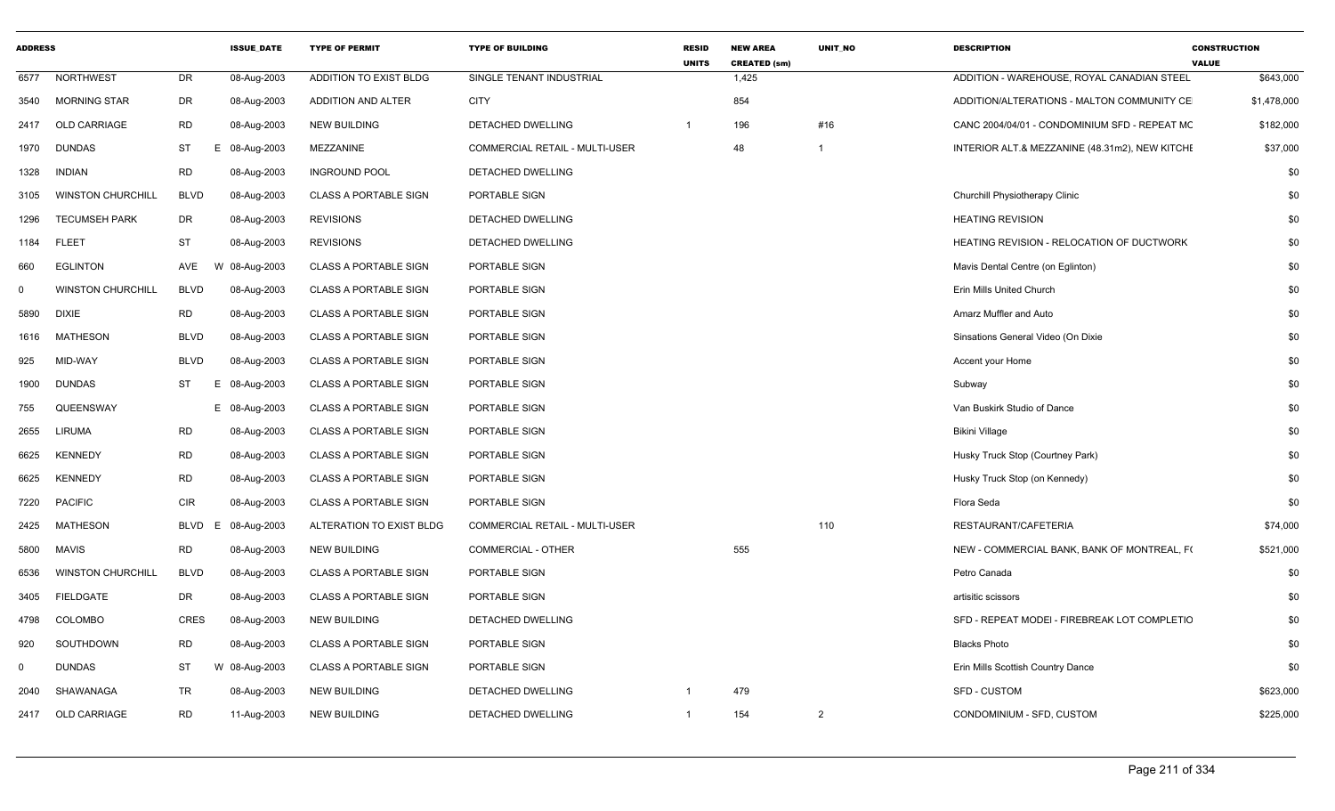| <b>ADDRESS</b> |                          |             | <b>ISSUE_DATE</b> | <b>TYPE OF PERMIT</b>        | <b>TYPE OF BUILDING</b>        | <b>RESID</b><br><b>UNITS</b> | <b>NEW AREA</b><br><b>CREATED (sm)</b> | UNIT_NO        | <b>DESCRIPTION</b>                               | <b>CONSTRUCTION</b><br><b>VALUE</b> |
|----------------|--------------------------|-------------|-------------------|------------------------------|--------------------------------|------------------------------|----------------------------------------|----------------|--------------------------------------------------|-------------------------------------|
| 6577           | <b>NORTHWEST</b>         | DR          | 08-Aug-2003       | ADDITION TO EXIST BLDG       | SINGLE TENANT INDUSTRIAL       |                              | 1,425                                  |                | ADDITION - WAREHOUSE, ROYAL CANADIAN STEEL       | \$643,000                           |
| 3540           | <b>MORNING STAR</b>      | DR          | 08-Aug-2003       | <b>ADDITION AND ALTER</b>    | <b>CITY</b>                    |                              | 854                                    |                | ADDITION/ALTERATIONS - MALTON COMMUNITY CE       | \$1,478,000                         |
| 2417           | <b>OLD CARRIAGE</b>      | <b>RD</b>   | 08-Aug-2003       | <b>NEW BUILDING</b>          | <b>DETACHED DWELLING</b>       |                              | 196                                    | #16            | CANC 2004/04/01 - CONDOMINIUM SFD - REPEAT MC    | \$182,000                           |
| 1970           | <b>DUNDAS</b>            | ST          | E 08-Aug-2003     | MEZZANINE                    | COMMERCIAL RETAIL - MULTI-USER |                              | 48                                     | -1             | INTERIOR ALT.& MEZZANINE (48.31m2), NEW KITCHE   | \$37,000                            |
| 1328           | <b>INDIAN</b>            | RD          | 08-Aug-2003       | <b>INGROUND POOL</b>         | DETACHED DWELLING              |                              |                                        |                |                                                  | \$0                                 |
| 3105           | <b>WINSTON CHURCHILL</b> | <b>BLVD</b> | 08-Aug-2003       | CLASS A PORTABLE SIGN        | PORTABLE SIGN                  |                              |                                        |                | Churchill Physiotherapy Clinic                   | \$0                                 |
| 1296           | <b>TECUMSEH PARK</b>     | DR          | 08-Aug-2003       | <b>REVISIONS</b>             | DETACHED DWELLING              |                              |                                        |                | <b>HEATING REVISION</b>                          | \$0                                 |
| 1184           | <b>FLEET</b>             | ST          | 08-Aug-2003       | <b>REVISIONS</b>             | DETACHED DWELLING              |                              |                                        |                | <b>HEATING REVISION - RELOCATION OF DUCTWORK</b> | \$0                                 |
| 660            | <b>EGLINTON</b>          | AVE         | W 08-Aug-2003     | <b>CLASS A PORTABLE SIGN</b> | PORTABLE SIGN                  |                              |                                        |                | Mavis Dental Centre (on Eglinton)                | \$0                                 |
| $\mathbf 0$    | <b>WINSTON CHURCHILL</b> | <b>BLVD</b> | 08-Aug-2003       | CLASS A PORTABLE SIGN        | PORTABLE SIGN                  |                              |                                        |                | Erin Mills United Church                         | \$0                                 |
| 5890           | <b>DIXIE</b>             | <b>RD</b>   | 08-Aug-2003       | <b>CLASS A PORTABLE SIGN</b> | PORTABLE SIGN                  |                              |                                        |                | Amarz Muffler and Auto                           | \$0                                 |
| 1616           | MATHESON                 | <b>BLVD</b> | 08-Aug-2003       | <b>CLASS A PORTABLE SIGN</b> | PORTABLE SIGN                  |                              |                                        |                | Sinsations General Video (On Dixie               | \$0                                 |
| 925            | MID-WAY                  | <b>BLVD</b> | 08-Aug-2003       | <b>CLASS A PORTABLE SIGN</b> | PORTABLE SIGN                  |                              |                                        |                | Accent your Home                                 | \$0                                 |
| 1900           | <b>DUNDAS</b>            | ST          | E 08-Aug-2003     | <b>CLASS A PORTABLE SIGN</b> | PORTABLE SIGN                  |                              |                                        |                | Subway                                           | \$0                                 |
| 755            | QUEENSWAY                |             | E 08-Aug-2003     | <b>CLASS A PORTABLE SIGN</b> | PORTABLE SIGN                  |                              |                                        |                | Van Buskirk Studio of Dance                      | \$0                                 |
| 2655           | <b>LIRUMA</b>            | <b>RD</b>   | 08-Aug-2003       | <b>CLASS A PORTABLE SIGN</b> | PORTABLE SIGN                  |                              |                                        |                | <b>Bikini Village</b>                            | \$0                                 |
| 6625           | <b>KENNEDY</b>           | RD          | 08-Aug-2003       | <b>CLASS A PORTABLE SIGN</b> | PORTABLE SIGN                  |                              |                                        |                | Husky Truck Stop (Courtney Park)                 | \$0                                 |
| 6625           | <b>KENNEDY</b>           | RD          | 08-Aug-2003       | <b>CLASS A PORTABLE SIGN</b> | PORTABLE SIGN                  |                              |                                        |                | Husky Truck Stop (on Kennedy)                    | \$0                                 |
| 7220           | <b>PACIFIC</b>           | <b>CIR</b>  | 08-Aug-2003       | <b>CLASS A PORTABLE SIGN</b> | PORTABLE SIGN                  |                              |                                        |                | Flora Seda                                       | \$0                                 |
| 2425           | <b>MATHESON</b>          | BLVD<br>Ε   | 08-Aug-2003       | ALTERATION TO EXIST BLDG     | COMMERCIAL RETAIL - MULTI-USER |                              |                                        | 110            | RESTAURANT/CAFETERIA                             | \$74,000                            |
| 5800           | MAVIS                    | RD          | 08-Aug-2003       | NEW BUILDING                 | <b>COMMERCIAL - OTHER</b>      |                              | 555                                    |                | NEW - COMMERCIAL BANK, BANK OF MONTREAL, FO      | \$521,000                           |
| 6536           | <b>WINSTON CHURCHILL</b> | <b>BLVD</b> | 08-Aug-2003       | <b>CLASS A PORTABLE SIGN</b> | PORTABLE SIGN                  |                              |                                        |                | Petro Canada                                     | \$0                                 |
| 3405           | FIELDGATE                | DR          | 08-Aug-2003       | <b>CLASS A PORTABLE SIGN</b> | PORTABLE SIGN                  |                              |                                        |                | artisitic scissors                               | \$0                                 |
| 4798           | COLOMBO                  | CRES        | 08-Aug-2003       | <b>NEW BUILDING</b>          | DETACHED DWELLING              |                              |                                        |                | SFD - REPEAT MODEI - FIREBREAK LOT COMPLETIC     | \$0                                 |
| 920            | SOUTHDOWN                | RD          | 08-Aug-2003       | <b>CLASS A PORTABLE SIGN</b> | PORTABLE SIGN                  |                              |                                        |                | <b>Blacks Photo</b>                              | \$0                                 |
| $\mathbf 0$    | <b>DUNDAS</b>            | ST          | W 08-Aug-2003     | <b>CLASS A PORTABLE SIGN</b> | PORTABLE SIGN                  |                              |                                        |                | Erin Mills Scottish Country Dance                | \$0                                 |
| 2040           | SHAWANAGA                | TR          | 08-Aug-2003       | <b>NEW BUILDING</b>          | DETACHED DWELLING              |                              | 479                                    |                | SFD - CUSTOM                                     | \$623,000                           |
| 2417           | <b>OLD CARRIAGE</b>      | <b>RD</b>   | 11-Aug-2003       | <b>NEW BUILDING</b>          | DETACHED DWELLING              |                              | 154                                    | $\overline{2}$ | CONDOMINIUM - SFD, CUSTOM                        | \$225,000                           |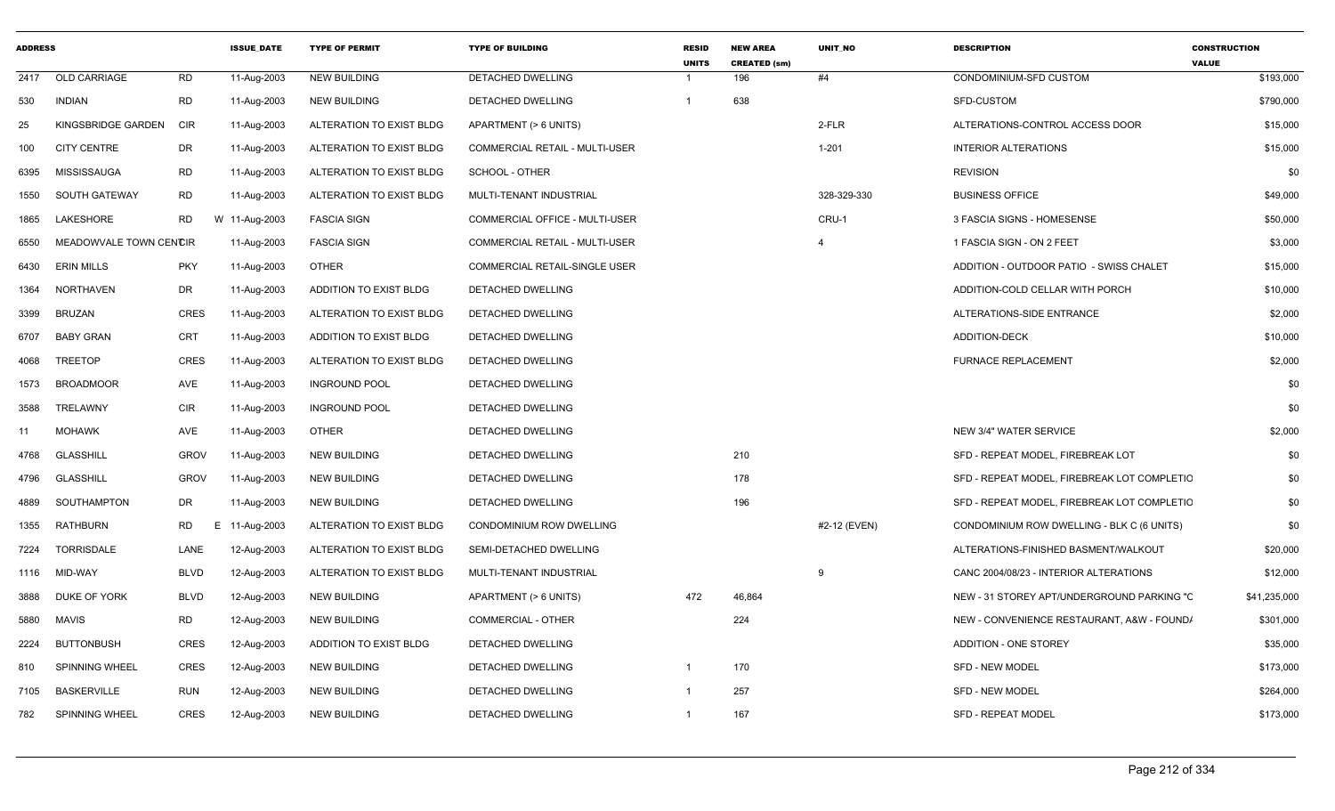| <b>ADDRESS</b> |                        |                | <b>ISSUE DATE</b> | <b>TYPE OF PERMIT</b>    | <b>TYPE OF BUILDING</b>        | <b>RESID</b><br><b>UNITS</b> | <b>NEW AREA</b><br><b>CREATED (sm)</b> | <b>UNIT NO</b> | <b>DESCRIPTION</b>                          | <b>CONSTRUCTION</b><br><b>VALUE</b> |
|----------------|------------------------|----------------|-------------------|--------------------------|--------------------------------|------------------------------|----------------------------------------|----------------|---------------------------------------------|-------------------------------------|
| 2417           | OLD CARRIAGE           | <b>RD</b>      | 11-Aug-2003       | <b>NEW BUILDING</b>      | DETACHED DWELLING              |                              | 196                                    | #4             | CONDOMINIUM-SFD CUSTOM                      | \$193,000                           |
| 530            | <b>INDIAN</b>          | <b>RD</b>      | 11-Aug-2003       | <b>NEW BUILDING</b>      | DETACHED DWELLING              | $\overline{1}$               | 638                                    |                | <b>SFD-CUSTOM</b>                           | \$790,000                           |
| 25             | KINGSBRIDGE GARDEN     | CIR            | 11-Aug-2003       | ALTERATION TO EXIST BLDG | APARTMENT (> 6 UNITS)          |                              |                                        | 2-FLR          | ALTERATIONS-CONTROL ACCESS DOOR             | \$15,000                            |
| 100            | <b>CITY CENTRE</b>     | DR             | 11-Aug-2003       | ALTERATION TO EXIST BLDG | COMMERCIAL RETAIL - MULTI-USER |                              |                                        | $1 - 201$      | <b>INTERIOR ALTERATIONS</b>                 | \$15,000                            |
| 6395           | MISSISSAUGA            | <b>RD</b>      | 11-Aug-2003       | ALTERATION TO EXIST BLDG | SCHOOL - OTHER                 |                              |                                        |                | <b>REVISION</b>                             | \$0                                 |
| 1550           | SOUTH GATEWAY          | <b>RD</b>      | 11-Aug-2003       | ALTERATION TO EXIST BLDG | MULTI-TENANT INDUSTRIAL        |                              |                                        | 328-329-330    | <b>BUSINESS OFFICE</b>                      | \$49,000                            |
| 1865           | LAKESHORE              | <b>RD</b>      | W 11-Aug-2003     | <b>FASCIA SIGN</b>       | COMMERCIAL OFFICE - MULTI-USER |                              |                                        | CRU-1          | 3 FASCIA SIGNS - HOMESENSE                  | \$50,000                            |
| 6550           | MEADOWVALE TOWN CENCIR |                | 11-Aug-2003       | <b>FASCIA SIGN</b>       | COMMERCIAL RETAIL - MULTI-USER |                              |                                        | 4              | 1 FASCIA SIGN - ON 2 FEET                   | \$3,000                             |
| 6430           | <b>ERIN MILLS</b>      | <b>PKY</b>     | 11-Aug-2003       | OTHER                    | COMMERCIAL RETAIL-SINGLE USER  |                              |                                        |                | ADDITION - OUTDOOR PATIO - SWISS CHALET     | \$15,000                            |
| 1364           | NORTHAVEN              | <b>DR</b>      | 11-Aug-2003       | ADDITION TO EXIST BLDG   | DETACHED DWELLING              |                              |                                        |                | ADDITION-COLD CELLAR WITH PORCH             | \$10,000                            |
| 3399           | <b>BRUZAN</b>          | CRES           | 11-Aug-2003       | ALTERATION TO EXIST BLDG | DETACHED DWELLING              |                              |                                        |                | ALTERATIONS-SIDE ENTRANCE                   | \$2,000                             |
| 6707           | <b>BABY GRAN</b>       | <b>CRT</b>     | 11-Aug-2003       | ADDITION TO EXIST BLDG   | <b>DETACHED DWELLING</b>       |                              |                                        |                | <b>ADDITION-DECK</b>                        | \$10,000                            |
| 4068           | <b>TREETOP</b>         | <b>CRES</b>    | 11-Aug-2003       | ALTERATION TO EXIST BLDG | <b>DETACHED DWELLING</b>       |                              |                                        |                | <b>FURNACE REPLACEMENT</b>                  | \$2,000                             |
| 1573           | <b>BROADMOOR</b>       | AVE            | 11-Aug-2003       | <b>INGROUND POOL</b>     | <b>DETACHED DWELLING</b>       |                              |                                        |                |                                             | \$0                                 |
| 3588           | TRELAWNY               | <b>CIR</b>     | 11-Aug-2003       | <b>INGROUND POOL</b>     | DETACHED DWELLING              |                              |                                        |                |                                             | \$0                                 |
| 11             | <b>MOHAWK</b>          | AVE            | 11-Aug-2003       | OTHER                    | DETACHED DWELLING              |                              |                                        |                | NEW 3/4" WATER SERVICE                      | \$2,000                             |
| 4768           | <b>GLASSHILL</b>       | <b>GROV</b>    | 11-Aug-2003       | <b>NEW BUILDING</b>      | <b>DETACHED DWELLING</b>       |                              | 210                                    |                | SFD - REPEAT MODEL, FIREBREAK LOT           | \$0                                 |
| 4796           | GLASSHILL              | <b>GROV</b>    | 11-Aug-2003       | NEW BUILDING             | DETACHED DWELLING              |                              | 178                                    |                | SFD - REPEAT MODEL, FIREBREAK LOT COMPLETIC | \$0                                 |
| 4889           | SOUTHAMPTON            | DR             | 11-Aug-2003       | <b>NEW BUILDING</b>      | <b>DETACHED DWELLING</b>       |                              | 196                                    |                | SFD - REPEAT MODEL, FIREBREAK LOT COMPLETIC | \$0                                 |
| 1355           | RATHBURN               | <b>RD</b><br>E | 11-Aug-2003       | ALTERATION TO EXIST BLDG | CONDOMINIUM ROW DWELLING       |                              |                                        | #2-12 (EVEN)   | CONDOMINIUM ROW DWELLING - BLK C (6 UNITS)  | \$0                                 |
| 7224           | TORRISDALE             | LANE           | 12-Aug-2003       | ALTERATION TO EXIST BLDG | SEMI-DETACHED DWELLING         |                              |                                        |                | ALTERATIONS-FINISHED BASMENT/WALKOUT        | \$20,000                            |
| 1116           | MID-WAY                | <b>BLVD</b>    | 12-Aug-2003       | ALTERATION TO EXIST BLDG | MULTI-TENANT INDUSTRIAL        |                              |                                        | 9              | CANC 2004/08/23 - INTERIOR ALTERATIONS      | \$12,000                            |
| 3888           | DUKE OF YORK           | <b>BLVD</b>    | 12-Aug-2003       | <b>NEW BUILDING</b>      | APARTMENT (> 6 UNITS)          | 472                          | 46,864                                 |                | NEW - 31 STOREY APT/UNDERGROUND PARKING "C  | \$41,235,000                        |
| 5880           | MAVIS                  | <b>RD</b>      | 12-Aug-2003       | <b>NEW BUILDING</b>      | <b>COMMERCIAL - OTHER</b>      |                              | 224                                    |                | NEW - CONVENIENCE RESTAURANT, A&W - FOUND/  | \$301,000                           |
| 2224           | <b>BUTTONBUSH</b>      | <b>CRES</b>    | 12-Aug-2003       | ADDITION TO EXIST BLDG   | DETACHED DWELLING              |                              |                                        |                | <b>ADDITION - ONE STOREY</b>                | \$35,000                            |
| 810            | <b>SPINNING WHEEL</b>  | CRES           | 12-Aug-2003       | NEW BUILDING             | DETACHED DWELLING              | -1                           | 170                                    |                | SFD - NEW MODEL                             | \$173,000                           |
| 7105           | <b>BASKERVILLE</b>     | <b>RUN</b>     | 12-Aug-2003       | <b>NEW BUILDING</b>      | DETACHED DWELLING              | $\overline{1}$               | 257                                    |                | SFD - NEW MODEL                             | \$264,000                           |
| 782            | <b>SPINNING WHEEL</b>  | <b>CRES</b>    | 12-Aug-2003       | <b>NEW BUILDING</b>      | <b>DETACHED DWELLING</b>       | $\overline{1}$               | 167                                    |                | <b>SFD - REPEAT MODEL</b>                   | \$173,000                           |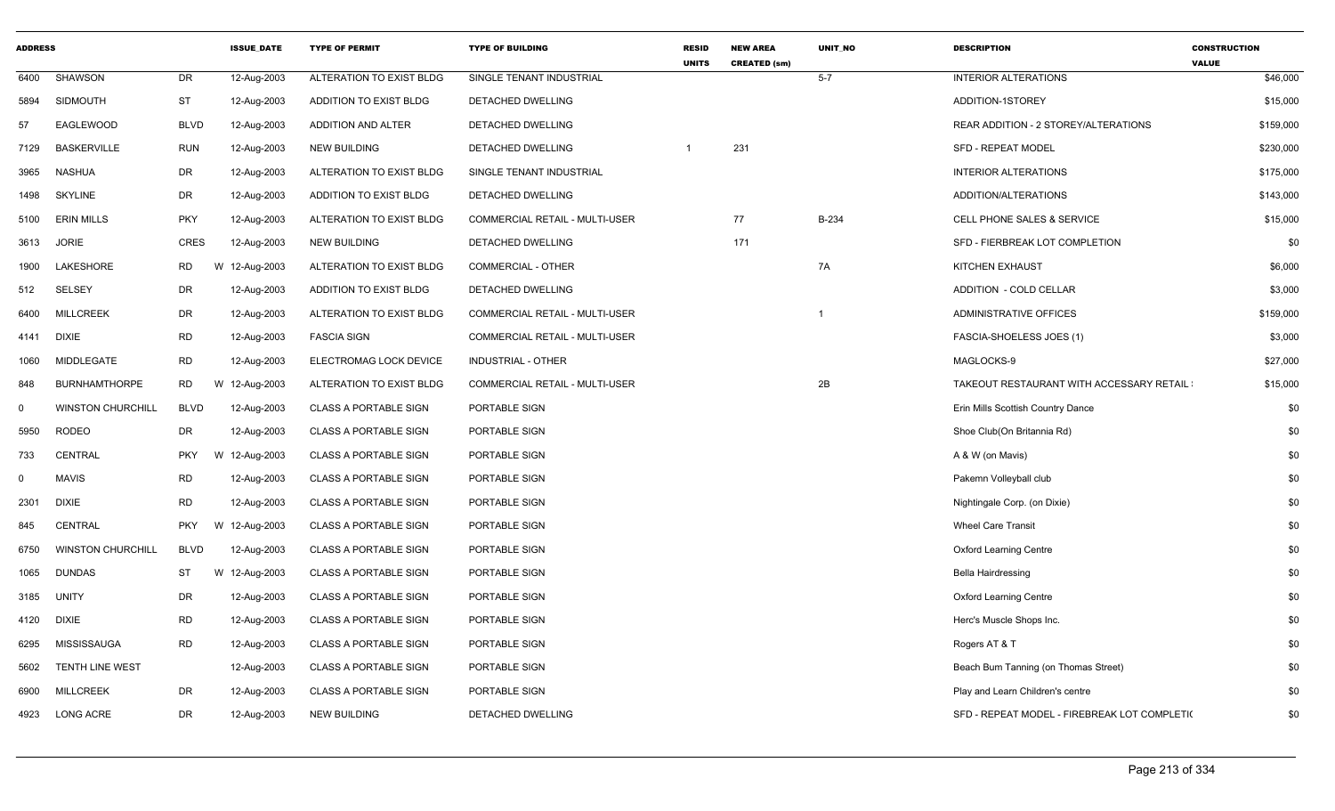| <b>ADDRESS</b> |                          |             | <b>ISSUE DATE</b> | <b>TYPE OF PERMIT</b>        | <b>TYPE OF BUILDING</b>               | <b>RESID</b><br><b>UNITS</b> | <b>NEW AREA</b><br><b>CREATED (sm)</b> | <b>UNIT NO</b> | <b>DESCRIPTION</b>                           | <b>CONSTRUCTION</b><br><b>VALUE</b> |
|----------------|--------------------------|-------------|-------------------|------------------------------|---------------------------------------|------------------------------|----------------------------------------|----------------|----------------------------------------------|-------------------------------------|
| 6400           | <b>SHAWSON</b>           | DR.         | 12-Aug-2003       | ALTERATION TO EXIST BLDG     | SINGLE TENANT INDUSTRIAL              |                              |                                        | $5 - 7$        | <b>INTERIOR ALTERATIONS</b>                  | \$46,000                            |
| 5894           | SIDMOUTH                 | <b>ST</b>   | 12-Aug-2003       | ADDITION TO EXIST BLDG       | DETACHED DWELLING                     |                              |                                        |                | ADDITION-1STOREY                             | \$15,000                            |
| 57             | EAGLEWOOD                | <b>BLVD</b> | 12-Aug-2003       | ADDITION AND ALTER           | <b>DETACHED DWELLING</b>              |                              |                                        |                | REAR ADDITION - 2 STOREY/ALTERATIONS         | \$159,000                           |
| 7129           | <b>BASKERVILLE</b>       | <b>RUN</b>  | 12-Aug-2003       | <b>NEW BUILDING</b>          | DETACHED DWELLING                     |                              | 231                                    |                | <b>SFD - REPEAT MODEL</b>                    | \$230,000                           |
| 3965           | <b>NASHUA</b>            | DR          | 12-Aug-2003       | ALTERATION TO EXIST BLDG     | SINGLE TENANT INDUSTRIAL              |                              |                                        |                | <b>INTERIOR ALTERATIONS</b>                  | \$175,000                           |
| 1498           | <b>SKYLINE</b>           | <b>DR</b>   | 12-Aug-2003       | ADDITION TO EXIST BLDG       | DETACHED DWELLING                     |                              |                                        |                | ADDITION/ALTERATIONS                         | \$143,000                           |
| 5100           | <b>ERIN MILLS</b>        | <b>PKY</b>  | 12-Aug-2003       | ALTERATION TO EXIST BLDG     | <b>COMMERCIAL RETAIL - MULTI-USER</b> |                              | 77                                     | B-234          | <b>CELL PHONE SALES &amp; SERVICE</b>        | \$15,000                            |
| 3613           | <b>JORIE</b>             | <b>CRES</b> | 12-Aug-2003       | <b>NEW BUILDING</b>          | DETACHED DWELLING                     |                              | 171                                    |                | SFD - FIERBREAK LOT COMPLETION               | \$0                                 |
| 1900           | LAKESHORE                | RD          | W 12-Aug-2003     | ALTERATION TO EXIST BLDG     | COMMERCIAL - OTHER                    |                              |                                        | 7A             | KITCHEN EXHAUST                              | \$6,000                             |
| 512            | SELSEY                   | <b>DR</b>   | 12-Aug-2003       | ADDITION TO EXIST BLDG       | DETACHED DWELLING                     |                              |                                        |                | ADDITION - COLD CELLAR                       | \$3,000                             |
| 6400           | <b>MILLCREEK</b>         | <b>DR</b>   | 12-Aug-2003       | ALTERATION TO EXIST BLDG     | COMMERCIAL RETAIL - MULTI-USER        |                              |                                        | $\overline{1}$ | ADMINISTRATIVE OFFICES                       | \$159,000                           |
| 4141           | DIXIE                    | <b>RD</b>   | 12-Aug-2003       | <b>FASCIA SIGN</b>           | COMMERCIAL RETAIL - MULTI-USER        |                              |                                        |                | FASCIA-SHOELESS JOES (1)                     | \$3,000                             |
| 1060           | MIDDLEGATE               | <b>RD</b>   | 12-Aug-2003       | ELECTROMAG LOCK DEVICE       | INDUSTRIAL - OTHER                    |                              |                                        |                | MAGLOCKS-9                                   | \$27,000                            |
| 848            | <b>BURNHAMTHORPE</b>     | RD          | W 12-Aug-2003     | ALTERATION TO EXIST BLDG     | COMMERCIAL RETAIL - MULTI-USER        |                              |                                        | 2B             | TAKEOUT RESTAURANT WITH ACCESSARY RETAIL     | \$15,000                            |
| 0              | <b>WINSTON CHURCHILI</b> | <b>BLVD</b> | 12-Aug-2003       | <b>CLASS A PORTABLE SIGN</b> | PORTABLE SIGN                         |                              |                                        |                | Erin Mills Scottish Country Dance            | \$0                                 |
| 5950           | <b>RODEO</b>             | DR          | 12-Aug-2003       | <b>CLASS A PORTABLE SIGN</b> | PORTABLE SIGN                         |                              |                                        |                | Shoe Club(On Britannia Rd)                   | \$0                                 |
| 733            | CENTRAL                  | <b>PKY</b>  | W 12-Aug-2003     | <b>CLASS A PORTABLE SIGN</b> | PORTABLE SIGN                         |                              |                                        |                | A & W (on Mavis)                             | \$0                                 |
| $\Omega$       | <b>MAVIS</b>             | <b>RD</b>   | 12-Aug-2003       | <b>CLASS A PORTABLE SIGN</b> | PORTABLE SIGN                         |                              |                                        |                | Pakemn Volleyball club                       | \$0                                 |
| 2301           | <b>DIXIE</b>             | <b>RD</b>   | 12-Aug-2003       | <b>CLASS A PORTABLE SIGN</b> | PORTABLE SIGN                         |                              |                                        |                | Nightingale Corp. (on Dixie)                 | \$0                                 |
| 845            | <b>CENTRAL</b>           | <b>PKY</b>  | W 12-Aug-2003     | <b>CLASS A PORTABLE SIGN</b> | PORTABLE SIGN                         |                              |                                        |                | <b>Wheel Care Transit</b>                    | \$0                                 |
| 6750           | <b>WINSTON CHURCHILL</b> | <b>BLVD</b> | 12-Aug-2003       | <b>CLASS A PORTABLE SIGN</b> | PORTABLE SIGN                         |                              |                                        |                | <b>Oxford Learning Centre</b>                | \$0                                 |
| 1065           | <b>DUNDAS</b>            | ST          | W 12-Aug-2003     | <b>CLASS A PORTABLE SIGN</b> | PORTABLE SIGN                         |                              |                                        |                | <b>Bella Hairdressing</b>                    | \$0                                 |
| 3185           | UNITY                    | DR          | 12-Aug-2003       | <b>CLASS A PORTABLE SIGN</b> | PORTABLE SIGN                         |                              |                                        |                | <b>Oxford Learning Centre</b>                | \$0                                 |
| 4120           | DIXIE                    | <b>RD</b>   | 12-Aug-2003       | <b>CLASS A PORTABLE SIGN</b> | PORTABLE SIGN                         |                              |                                        |                | Herc's Muscle Shops Inc.                     | \$0                                 |
| 6295           | <b>MISSISSAUGA</b>       | RD          | 12-Aug-2003       | <b>CLASS A PORTABLE SIGN</b> | PORTABLE SIGN                         |                              |                                        |                | Rogers AT & T                                | \$0                                 |
| 5602           | <b>TENTH LINE WEST</b>   |             | 12-Aug-2003       | <b>CLASS A PORTABLE SIGN</b> | PORTABLE SIGN                         |                              |                                        |                | Beach Bum Tanning (on Thomas Street)         | \$0                                 |
| 6900           | <b>MILLCREEK</b>         | DR          | 12-Aug-2003       | <b>CLASS A PORTABLE SIGN</b> | PORTABLE SIGN                         |                              |                                        |                | Play and Learn Children's centre             | \$0                                 |
|                | 4923 LONG ACRE           | DR          | 12-Aug-2003       | <b>NEW BUILDING</b>          | DETACHED DWELLING                     |                              |                                        |                | SFD - REPEAT MODEL - FIREBREAK LOT COMPLETI( | \$0                                 |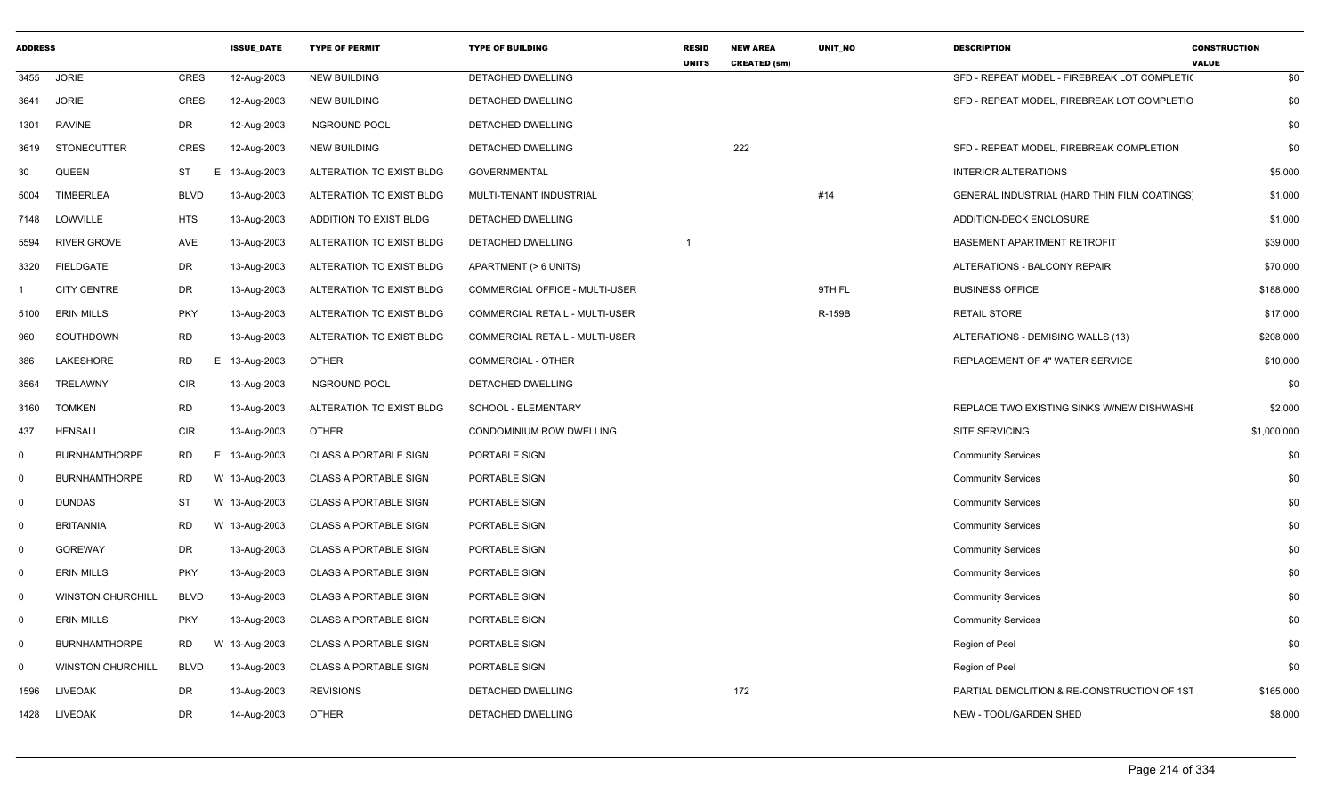| <b>ADDRESS</b> |                          |                 | <b>ISSUE DATE</b> | <b>TYPE OF PERMIT</b>        | <b>TYPE OF BUILDING</b>        | <b>RESID</b><br><b>UNITS</b> | <b>NEW AREA</b><br><b>CREATED (sm)</b> | <b>UNIT NO</b> | <b>DESCRIPTION</b>                           | <b>CONSTRUCTION</b><br><b>VALUE</b> |
|----------------|--------------------------|-----------------|-------------------|------------------------------|--------------------------------|------------------------------|----------------------------------------|----------------|----------------------------------------------|-------------------------------------|
| 3455           | <b>JORIE</b>             | <b>CRES</b>     | 12-Aug-2003       | <b>NEW BUILDING</b>          | DETACHED DWELLING              |                              |                                        |                | SFD - REPEAT MODEL - FIREBREAK LOT COMPLETI( | \$0                                 |
| 3641           | <b>JORIE</b>             | <b>CRES</b>     | 12-Aug-2003       | <b>NEW BUILDING</b>          | DETACHED DWELLING              |                              |                                        |                | SFD - REPEAT MODEL, FIREBREAK LOT COMPLETIC  | \$0                                 |
| 1301           | <b>RAVINE</b>            | DR              | 12-Aug-2003       | <b>INGROUND POOL</b>         | DETACHED DWELLING              |                              |                                        |                |                                              | \$0                                 |
| 3619           | <b>STONECUTTER</b>       | <b>CRES</b>     | 12-Aug-2003       | NEW BUILDING                 | DETACHED DWELLING              |                              | 222                                    |                | SFD - REPEAT MODEL, FIREBREAK COMPLETION     | \$0                                 |
| 30             | <b>QUEEN</b>             | ST<br>E.        | 13-Aug-2003       | ALTERATION TO EXIST BLDG     | <b>GOVERNMENTAL</b>            |                              |                                        |                | <b>INTERIOR ALTERATIONS</b>                  | \$5,000                             |
| 5004           | <b>TIMBERLEA</b>         | <b>BLVD</b>     | 13-Aug-2003       | ALTERATION TO EXIST BLDG     | MULTI-TENANT INDUSTRIAL        |                              |                                        | #14            | GENERAL INDUSTRIAL (HARD THIN FILM COATINGS  | \$1,000                             |
| 7148           | LOWVILLE                 | <b>HTS</b>      | 13-Aug-2003       | ADDITION TO EXIST BLDG       | DETACHED DWELLING              |                              |                                        |                | ADDITION-DECK ENCLOSURE                      | \$1,000                             |
| 5594           | <b>RIVER GROVE</b>       | AVE             | 13-Aug-2003       | ALTERATION TO EXIST BLDG     | DETACHED DWELLING              |                              |                                        |                | BASEMENT APARTMENT RETROFIT                  | \$39,000                            |
| 3320           | <b>FIELDGATE</b>         | DR              | 13-Aug-2003       | ALTERATION TO EXIST BLDG     | APARTMENT (> 6 UNITS)          |                              |                                        |                | ALTERATIONS - BALCONY REPAIR                 | \$70,000                            |
|                | <b>CITY CENTRE</b>       | DR              | 13-Aug-2003       | ALTERATION TO EXIST BLDG     | COMMERCIAL OFFICE - MULTI-USER |                              |                                        | 9TH FL         | <b>BUSINESS OFFICE</b>                       | \$188,000                           |
| 5100           | <b>ERIN MILLS</b>        | <b>PKY</b>      | 13-Aug-2003       | ALTERATION TO EXIST BLDG     | COMMERCIAL RETAIL - MULTI-USER |                              |                                        | R-159B         | <b>RETAIL STORE</b>                          | \$17,000                            |
| 960            | SOUTHDOWN                | <b>RD</b>       | 13-Aug-2003       | ALTERATION TO EXIST BLDG     | COMMERCIAL RETAIL - MULTI-USER |                              |                                        |                | ALTERATIONS - DEMISING WALLS (13)            | \$208,000                           |
| 386            | LAKESHORE                | <b>RD</b><br>Е. | 13-Aug-2003       | <b>OTHER</b>                 | <b>COMMERCIAL - OTHER</b>      |                              |                                        |                | REPLACEMENT OF 4" WATER SERVICE              | \$10,000                            |
| 3564           | <b>TRELAWNY</b>          | <b>CIR</b>      | 13-Aug-2003       | <b>INGROUND POOL</b>         | DETACHED DWELLING              |                              |                                        |                |                                              | \$0                                 |
| 3160           | <b>TOMKEN</b>            | <b>RD</b>       | 13-Aug-2003       | ALTERATION TO EXIST BLDG     | SCHOOL - ELEMENTARY            |                              |                                        |                | REPLACE TWO EXISTING SINKS W/NEW DISHWASHI   | \$2,000                             |
| 437            | <b>HENSALL</b>           | <b>CIR</b>      | 13-Aug-2003       | <b>OTHER</b>                 | CONDOMINIUM ROW DWELLING       |                              |                                        |                | <b>SITE SERVICING</b>                        | \$1,000,000                         |
| $\mathbf 0$    | <b>BURNHAMTHORPE</b>     | <b>RD</b><br>Е. | 13-Aug-2003       | <b>CLASS A PORTABLE SIGN</b> | PORTABLE SIGN                  |                              |                                        |                | <b>Community Services</b>                    | \$0                                 |
| 0              | <b>BURNHAMTHORPE</b>     | <b>RD</b>       | W 13-Aug-2003     | <b>CLASS A PORTABLE SIGN</b> | PORTABLE SIGN                  |                              |                                        |                | <b>Community Services</b>                    | \$0                                 |
| $\mathbf 0$    | <b>DUNDAS</b>            | <b>ST</b>       | W 13-Aug-2003     | <b>CLASS A PORTABLE SIGN</b> | PORTABLE SIGN                  |                              |                                        |                | <b>Community Services</b>                    | \$0                                 |
| $\mathbf 0$    | <b>BRITANNIA</b>         | <b>RD</b>       | W 13-Aug-2003     | <b>CLASS A PORTABLE SIGN</b> | PORTABLE SIGN                  |                              |                                        |                | <b>Community Services</b>                    | \$0                                 |
| $\mathbf 0$    | <b>GOREWAY</b>           | DR              | 13-Aug-2003       | <b>CLASS A PORTABLE SIGN</b> | PORTABLE SIGN                  |                              |                                        |                | <b>Community Services</b>                    | \$0                                 |
| $\mathbf 0$    | <b>ERIN MILLS</b>        | <b>PKY</b>      | 13-Aug-2003       | <b>CLASS A PORTABLE SIGN</b> | PORTABLE SIGN                  |                              |                                        |                | <b>Community Services</b>                    | \$0                                 |
| $\mathbf 0$    | <b>WINSTON CHURCHILL</b> | <b>BLVD</b>     | 13-Aug-2003       | <b>CLASS A PORTABLE SIGN</b> | PORTABLE SIGN                  |                              |                                        |                | <b>Community Services</b>                    | \$0                                 |
| $\mathbf{0}$   | <b>ERIN MILLS</b>        | <b>PKY</b>      | 13-Aug-2003       | <b>CLASS A PORTABLE SIGN</b> | PORTABLE SIGN                  |                              |                                        |                | <b>Community Services</b>                    | \$0                                 |
| 0              | <b>BURNHAMTHORPE</b>     | <b>RD</b>       | W 13-Aug-2003     | <b>CLASS A PORTABLE SIGN</b> | PORTABLE SIGN                  |                              |                                        |                | Region of Peel                               | \$0                                 |
| 0              | <b>WINSTON CHURCHILL</b> | <b>BLVD</b>     | 13-Aug-2003       | <b>CLASS A PORTABLE SIGN</b> | PORTABLE SIGN                  |                              |                                        |                | Region of Peel                               | \$0                                 |
| 1596           | <b>LIVEOAK</b>           | <b>DR</b>       | 13-Aug-2003       | <b>REVISIONS</b>             | DETACHED DWELLING              |                              | 172                                    |                | PARTIAL DEMOLITION & RE-CONSTRUCTION OF 1S1  | \$165,000                           |
| 1428           | LIVEOAK                  | <b>DR</b>       | 14-Aug-2003       | <b>OTHER</b>                 | DETACHED DWELLING              |                              |                                        |                | NEW - TOOL/GARDEN SHED                       | \$8,000                             |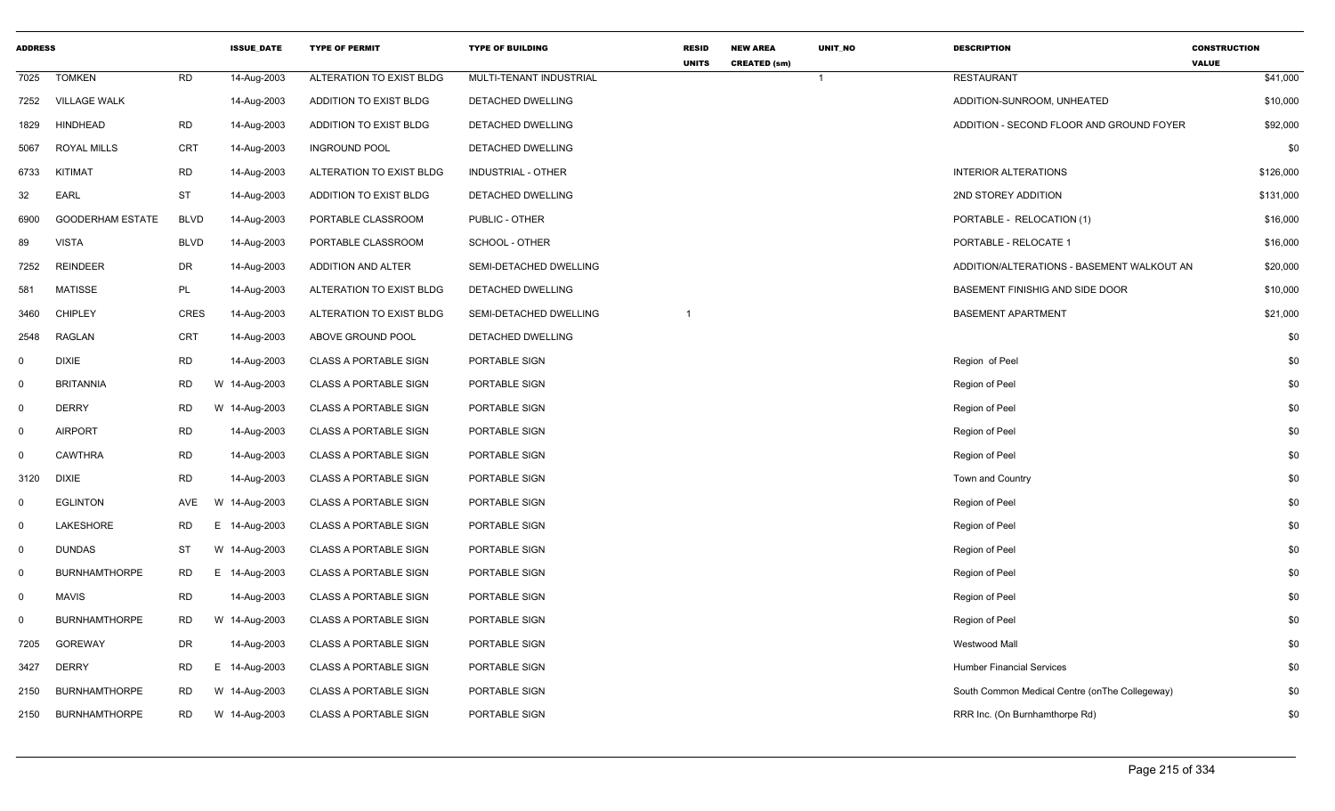| <b>ADDRESS</b> |                         |             | <b>ISSUE DATE</b> | <b>TYPE OF PERMIT</b>        | <b>TYPE OF BUILDING</b>   | <b>RESID</b><br><b>UNITS</b> | <b>NEW AREA</b><br><b>CREATED (sm)</b> | <b>UNIT NO</b> | <b>DESCRIPTION</b>                              | <b>CONSTRUCTION</b><br><b>VALUE</b> |
|----------------|-------------------------|-------------|-------------------|------------------------------|---------------------------|------------------------------|----------------------------------------|----------------|-------------------------------------------------|-------------------------------------|
| 7025           | <b>TOMKEN</b>           | <b>RD</b>   | 14-Aug-2003       | ALTERATION TO EXIST BLDG     | MULTI-TENANT INDUSTRIAL   |                              |                                        | $\overline{1}$ | <b>RESTAURANT</b>                               | \$41,000                            |
| 7252           | <b>VILLAGE WALK</b>     |             | 14-Aug-2003       | ADDITION TO EXIST BLDG       | DETACHED DWELLING         |                              |                                        |                | ADDITION-SUNROOM, UNHEATED                      | \$10,000                            |
| 1829           | HINDHEAD                | <b>RD</b>   | 14-Aug-2003       | ADDITION TO EXIST BLDG       | DETACHED DWELLING         |                              |                                        |                | ADDITION - SECOND FLOOR AND GROUND FOYER        | \$92,000                            |
| 5067           | <b>ROYAL MILLS</b>      | <b>CRT</b>  | 14-Aug-2003       | <b>INGROUND POOL</b>         | DETACHED DWELLING         |                              |                                        |                |                                                 | \$0                                 |
| 6733           | KITIMAT                 | <b>RD</b>   | 14-Aug-2003       | ALTERATION TO EXIST BLDG     | <b>INDUSTRIAL - OTHER</b> |                              |                                        |                | <b>INTERIOR ALTERATIONS</b>                     | \$126,000                           |
| 32             | EARL                    | ST          | 14-Aug-2003       | ADDITION TO EXIST BLDG       | DETACHED DWELLING         |                              |                                        |                | 2ND STOREY ADDITION                             | \$131,000                           |
| 6900           | <b>GOODERHAM ESTATE</b> | <b>BLVD</b> | 14-Aug-2003       | PORTABLE CLASSROOM           | PUBLIC - OTHER            |                              |                                        |                | PORTABLE - RELOCATION (1)                       | \$16,000                            |
| 89             | <b>VISTA</b>            | <b>BLVD</b> | 14-Aug-2003       | PORTABLE CLASSROOM           | SCHOOL - OTHER            |                              |                                        |                | PORTABLE - RELOCATE 1                           | \$16,000                            |
| 7252           | <b>REINDEER</b>         | DR          | 14-Aug-2003       | ADDITION AND ALTER           | SEMI-DETACHED DWELLING    |                              |                                        |                | ADDITION/ALTERATIONS - BASEMENT WALKOUT AN      | \$20,000                            |
| 581            | <b>MATISSE</b>          | PL          | 14-Aug-2003       | ALTERATION TO EXIST BLDG     | DETACHED DWELLING         |                              |                                        |                | BASEMENT FINISHIG AND SIDE DOOR                 | \$10,000                            |
| 3460           | <b>CHIPLEY</b>          | <b>CRES</b> | 14-Aug-2003       | ALTERATION TO EXIST BLDG     | SEMI-DETACHED DWELLING    | -1                           |                                        |                | <b>BASEMENT APARTMENT</b>                       | \$21,000                            |
| 2548           | <b>RAGLAN</b>           | <b>CRT</b>  | 14-Aug-2003       | ABOVE GROUND POOL            | DETACHED DWELLING         |                              |                                        |                |                                                 | \$0                                 |
| $\mathbf 0$    | <b>DIXIE</b>            | <b>RD</b>   | 14-Aug-2003       | <b>CLASS A PORTABLE SIGN</b> | PORTABLE SIGN             |                              |                                        |                | Region of Peel                                  | \$0                                 |
| $\mathbf 0$    | <b>BRITANNIA</b>        | <b>RD</b>   | W 14-Aug-2003     | <b>CLASS A PORTABLE SIGN</b> | PORTABLE SIGN             |                              |                                        |                | Region of Peel                                  | \$0                                 |
| $\overline{0}$ | <b>DERRY</b>            | <b>RD</b>   | W 14-Aug-2003     | <b>CLASS A PORTABLE SIGN</b> | PORTABLE SIGN             |                              |                                        |                | Region of Peel                                  | \$0                                 |
| $\mathbf 0$    | <b>AIRPORT</b>          | <b>RD</b>   | 14-Aug-2003       | <b>CLASS A PORTABLE SIGN</b> | PORTABLE SIGN             |                              |                                        |                | Region of Peel                                  | \$0                                 |
| $\mathbf 0$    | <b>CAWTHRA</b>          | <b>RD</b>   | 14-Aug-2003       | <b>CLASS A PORTABLE SIGN</b> | PORTABLE SIGN             |                              |                                        |                | Region of Peel                                  | \$0                                 |
| 3120           | <b>DIXIE</b>            | <b>RD</b>   | 14-Aug-2003       | <b>CLASS A PORTABLE SIGN</b> | PORTABLE SIGN             |                              |                                        |                | Town and Country                                | \$0                                 |
| $\mathbf 0$    | <b>EGLINTON</b>         | AVE         | W 14-Aug-2003     | <b>CLASS A PORTABLE SIGN</b> | PORTABLE SIGN             |                              |                                        |                | Region of Peel                                  | \$0                                 |
| $\mathbf 0$    | LAKESHORE               | <b>RD</b>   | E 14-Aug-2003     | <b>CLASS A PORTABLE SIGN</b> | PORTABLE SIGN             |                              |                                        |                | Region of Peel                                  | \$0                                 |
| $\mathbf 0$    | <b>DUNDAS</b>           | <b>ST</b>   | W 14-Aug-2003     | <b>CLASS A PORTABLE SIGN</b> | PORTABLE SIGN             |                              |                                        |                | Region of Peel                                  | \$0                                 |
| $\mathbf 0$    | <b>BURNHAMTHORPE</b>    | <b>RD</b>   | E 14-Aug-2003     | <b>CLASS A PORTABLE SIGN</b> | PORTABLE SIGN             |                              |                                        |                | Region of Peel                                  | \$0                                 |
| $\mathbf 0$    | <b>MAVIS</b>            | RD          | 14-Aug-2003       | <b>CLASS A PORTABLE SIGN</b> | PORTABLE SIGN             |                              |                                        |                | Region of Peel                                  | \$0                                 |
| $\mathbf 0$    | <b>BURNHAMTHORPE</b>    | <b>RD</b>   | W 14-Aug-2003     | <b>CLASS A PORTABLE SIGN</b> | PORTABLE SIGN             |                              |                                        |                | Region of Peel                                  | \$0                                 |
| 7205           | GOREWAY                 | DR          | 14-Aug-2003       | <b>CLASS A PORTABLE SIGN</b> | PORTABLE SIGN             |                              |                                        |                | Westwood Mall                                   | \$0                                 |
| 3427           | <b>DERRY</b>            | <b>RD</b>   | E 14-Aug-2003     | <b>CLASS A PORTABLE SIGN</b> | PORTABLE SIGN             |                              |                                        |                | <b>Humber Financial Services</b>                | \$0                                 |
| 2150           | <b>BURNHAMTHORPE</b>    | <b>RD</b>   | W 14-Aug-2003     | <b>CLASS A PORTABLE SIGN</b> | PORTABLE SIGN             |                              |                                        |                | South Common Medical Centre (on The Collegeway) | \$0                                 |
| 2150           | <b>BURNHAMTHORPE</b>    | <b>RD</b>   | W 14-Aug-2003     | <b>CLASS A PORTABLE SIGN</b> | PORTABLE SIGN             |                              |                                        |                | RRR Inc. (On Burnhamthorpe Rd)                  | \$0                                 |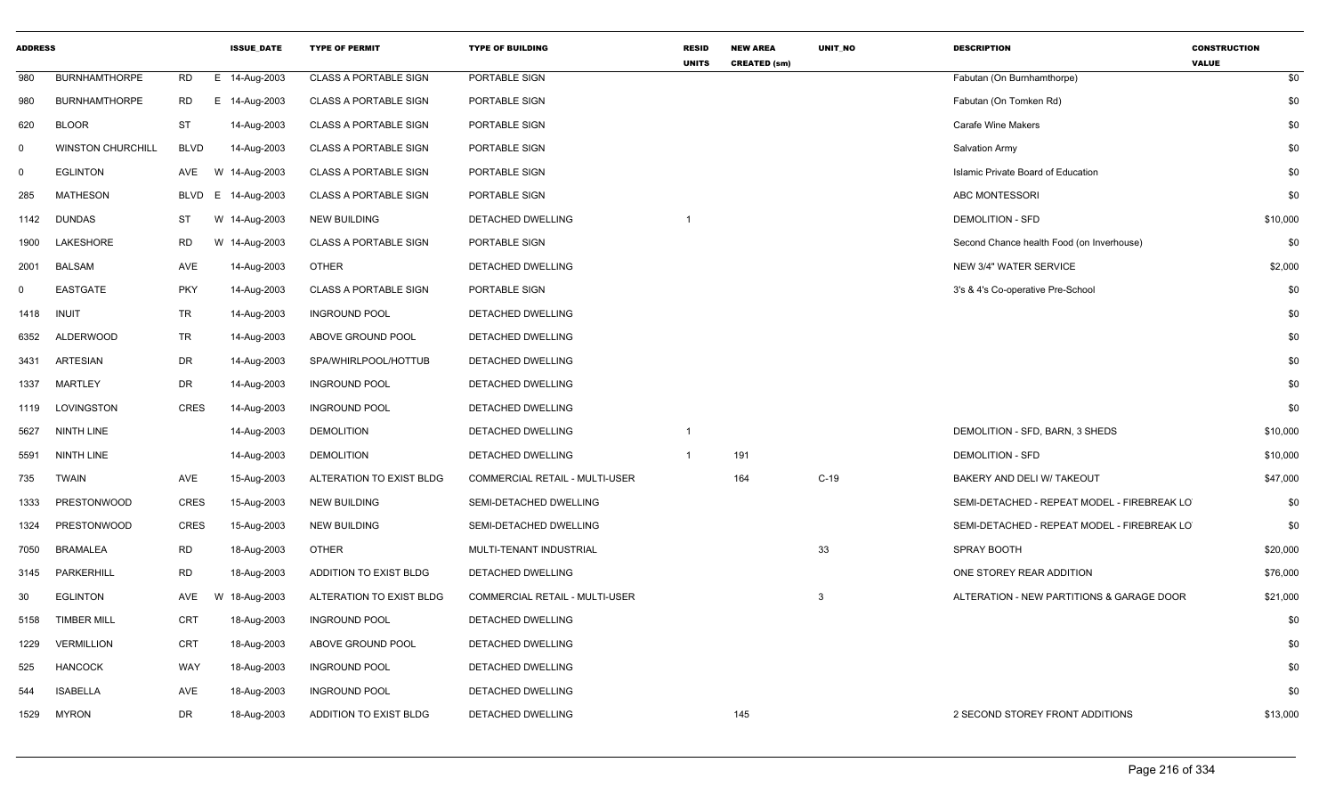| <b>ADDRESS</b> |                          |                   | <b>ISSUE DATE</b> | <b>TYPE OF PERMIT</b>         | <b>TYPE OF BUILDING</b>               | <b>RESID</b><br><b>UNITS</b> | <b>NEW AREA</b><br><b>CREATED (sm)</b> | <b>UNIT NO</b> | <b>DESCRIPTION</b>                          | <b>CONSTRUCTION</b><br><b>VALUE</b> |
|----------------|--------------------------|-------------------|-------------------|-------------------------------|---------------------------------------|------------------------------|----------------------------------------|----------------|---------------------------------------------|-------------------------------------|
| 980            | <b>BURNHAMTHORPE</b>     | <b>RD</b>         | E 14-Aug-2003     | <b>CLASS A PORTABLE SIGN</b>  | PORTABLE SIGN                         |                              |                                        |                | Fabutan (On Burnhamthorpe)                  | \$0                                 |
| 980            | <b>BURNHAMTHORPE</b>     | <b>RD</b>         | E 14-Aug-2003     | <b>CLASS A PORTABLE SIGN</b>  | PORTABLE SIGN                         |                              |                                        |                | Fabutan (On Tomken Rd)                      | \$0                                 |
| 620            | <b>BLOOR</b>             | <b>ST</b>         | 14-Aug-2003       | <b>CLASS A PORTABLE SIGN</b>  | PORTABLE SIGN                         |                              |                                        |                | <b>Carafe Wine Makers</b>                   | \$0                                 |
| $\mathbf 0$    | <b>WINSTON CHURCHILL</b> | <b>BLVD</b>       | 14-Aug-2003       | <b>CLASS A PORTABLE SIGN</b>  | PORTABLE SIGN                         |                              |                                        |                | Salvation Army                              | \$0                                 |
| $\mathbf 0$    | <b>EGLINTON</b>          | AVE<br>W          | 14-Aug-2003       | CLASS A PORTABLE SIGN         | PORTABLE SIGN                         |                              |                                        |                | Islamic Private Board of Education          | \$0                                 |
| 285            | <b>MATHESON</b>          | <b>BLVD</b><br>E. | 14-Aug-2003       | <b>CLASS A PORTABLE SIGN</b>  | PORTABLE SIGN                         |                              |                                        |                | ABC MONTESSORI                              | \$0                                 |
| 1142           | <b>DUNDAS</b>            | <b>ST</b>         | W 14-Aug-2003     | <b>NEW BUILDING</b>           | DETACHED DWELLING                     | $\overline{1}$               |                                        |                | <b>DEMOLITION - SFD</b>                     | \$10,000                            |
| 1900           | LAKESHORE                | RD                | W 14-Aug-2003     | <b>CLASS A PORTABLE SIGN</b>  | PORTABLE SIGN                         |                              |                                        |                | Second Chance health Food (on Inverhouse)   | \$0                                 |
| 2001           | BALSAM                   | AVE               | 14-Aug-2003       | <b>OTHER</b>                  | DETACHED DWELLING                     |                              |                                        |                | NEW 3/4" WATER SERVICE                      | \$2,000                             |
| $\mathbf 0$    | <b>EASTGATE</b>          | <b>PKY</b>        | 14-Aug-2003       | CLASS A PORTABLE SIGN         | PORTABLE SIGN                         |                              |                                        |                | 3's & 4's Co-operative Pre-School           | \$0                                 |
| 1418           | <b>INUIT</b>             | <b>TR</b>         | 14-Aug-2003       | <b>INGROUND POOL</b>          | DETACHED DWELLING                     |                              |                                        |                |                                             | \$0                                 |
| 6352           | <b>ALDERWOOD</b>         | <b>TR</b>         | 14-Aug-2003       | ABOVE GROUND POOL             | DETACHED DWELLING                     |                              |                                        |                |                                             | \$0                                 |
| 3431           | <b>ARTESIAN</b>          | DR                | 14-Aug-2003       | SPA/WHIRLPOOL/HOTTUB          | DETACHED DWELLING                     |                              |                                        |                |                                             | \$0                                 |
| 1337           | <b>MARTLEY</b>           | DR                | 14-Aug-2003       | <b>INGROUND POOL</b>          | <b>DETACHED DWELLING</b>              |                              |                                        |                |                                             | \$0                                 |
| 1119           | LOVINGSTON               | <b>CRES</b>       | 14-Aug-2003       | <b>INGROUND POOL</b>          | DETACHED DWELLING                     |                              |                                        |                |                                             | \$0                                 |
| 5627           | <b>NINTH LINE</b>        |                   | 14-Aug-2003       | <b>DEMOLITION</b>             | DETACHED DWELLING                     | $\overline{1}$               |                                        |                | DEMOLITION - SFD, BARN, 3 SHEDS             | \$10,000                            |
| 5591           | NINTH LINE               |                   | 14-Aug-2003       | <b>DEMOLITION</b>             | DETACHED DWELLING                     | $\overline{1}$               | 191                                    |                | <b>DEMOLITION - SFD</b>                     | \$10,000                            |
| 735            | <b>TWAIN</b>             | AVE               | 15-Aug-2003       | ALTERATION TO EXIST BLDG      | COMMERCIAL RETAIL - MULTI-USER        |                              | 164                                    | $C-19$         | BAKERY AND DELI W/ TAKEOUT                  | \$47,000                            |
| 1333           | <b>PRESTONWOOD</b>       | <b>CRES</b>       | 15-Aug-2003       | <b>NEW BUILDING</b>           | SEMI-DETACHED DWELLING                |                              |                                        |                | SEMI-DETACHED - REPEAT MODEL - FIREBREAK LO | \$0                                 |
| 1324           | <b>PRESTONWOOD</b>       | <b>CRES</b>       | 15-Aug-2003       | <b>NEW BUILDING</b>           | SEMI-DETACHED DWELLING                |                              |                                        |                | SEMI-DETACHED - REPEAT MODEL - FIREBREAK LO | \$0                                 |
| 7050           | <b>BRAMALEA</b>          | <b>RD</b>         | 18-Aug-2003       | <b>OTHER</b>                  | MULTI-TENANT INDUSTRIAL               |                              |                                        | 33             | SPRAY BOOTH                                 | \$20,000                            |
| 3145           | PARKERHILL               | <b>RD</b>         | 18-Aug-2003       | ADDITION TO EXIST BLDG        | DETACHED DWELLING                     |                              |                                        |                | ONE STOREY REAR ADDITION                    | \$76,000                            |
| 30             | <b>EGLINTON</b>          | AVE<br>W          | 18-Aug-2003       | ALTERATION TO EXIST BLDG      | <b>COMMERCIAL RETAIL - MULTI-USER</b> |                              |                                        | $\mathbf{3}$   | ALTERATION - NEW PARTITIONS & GARAGE DOOR   | \$21,000                            |
| 5158           | <b>TIMBER MILL</b>       | <b>CRT</b>        | 18-Aug-2003       | <b>INGROUND POOL</b>          | DETACHED DWELLING                     |                              |                                        |                |                                             | \$0                                 |
| 1229           | <b>VERMILLION</b>        | CRT               | 18-Aug-2003       | ABOVE GROUND POOL             | DETACHED DWELLING                     |                              |                                        |                |                                             | \$0                                 |
| 525            | <b>HANCOCK</b>           | WAY               | 18-Aug-2003       | <b>INGROUND POOL</b>          | <b>DETACHED DWELLING</b>              |                              |                                        |                |                                             | \$0                                 |
| 544            | <b>ISABELLA</b>          | AVE               | 18-Aug-2003       | <b>INGROUND POOL</b>          | DETACHED DWELLING                     |                              |                                        |                |                                             | \$0                                 |
| 1529           | <b>MYRON</b>             | DR                | 18-Aug-2003       | <b>ADDITION TO EXIST BLDG</b> | DETACHED DWELLING                     |                              | 145                                    |                | 2 SECOND STOREY FRONT ADDITIONS             | \$13,000                            |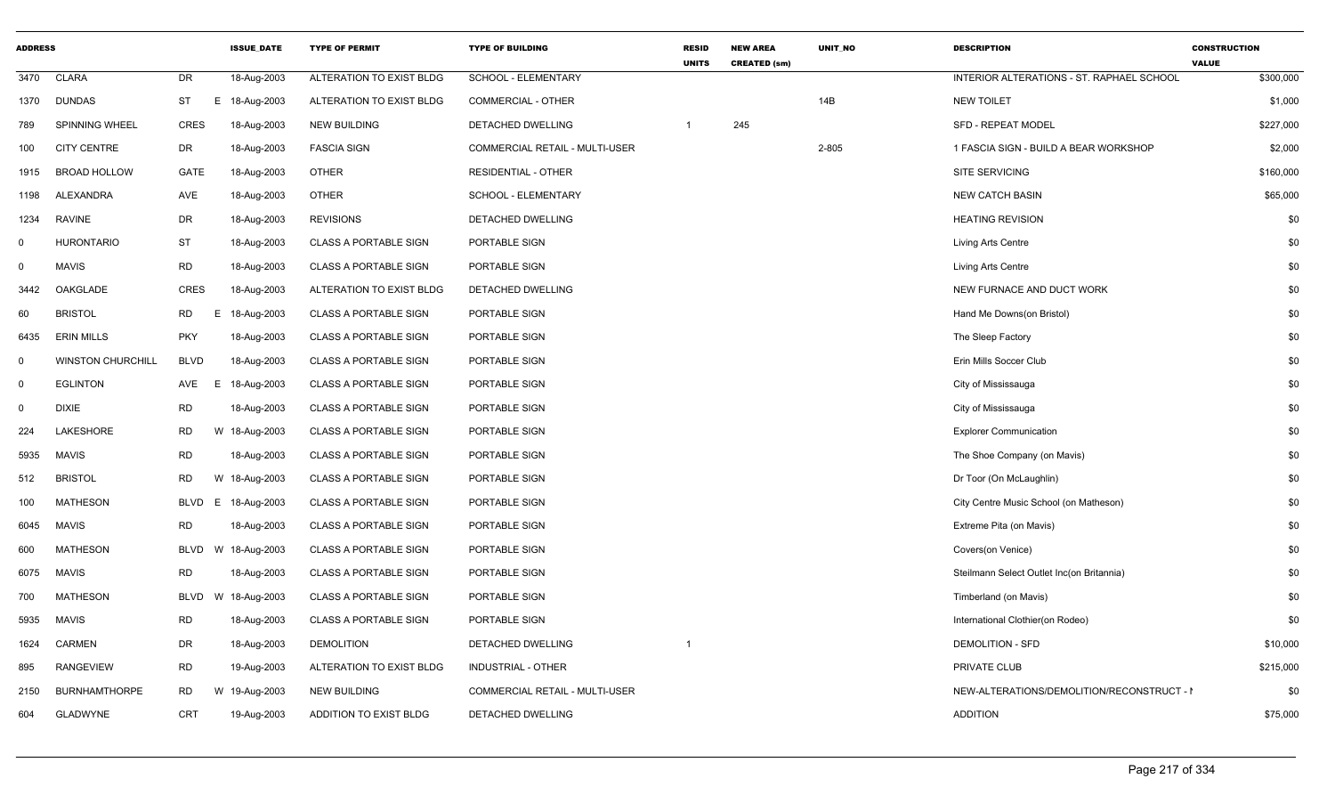| <b>ADDRESS</b> |                          |                | <b>ISSUE DATE</b> | <b>TYPE OF PERMIT</b>         | <b>TYPE OF BUILDING</b>        | <b>RESID</b><br><b>UNITS</b> | <b>NEW AREA</b><br><b>CREATED (sm)</b> | UNIT NO | <b>DESCRIPTION</b>                         | <b>CONSTRUCTION</b><br><b>VALUE</b> |
|----------------|--------------------------|----------------|-------------------|-------------------------------|--------------------------------|------------------------------|----------------------------------------|---------|--------------------------------------------|-------------------------------------|
| 3470           | <b>CLARA</b>             | DR             | 18-Aug-2003       | ALTERATION TO EXIST BLDG      | <b>SCHOOL - ELEMENTARY</b>     |                              |                                        |         | INTERIOR ALTERATIONS - ST. RAPHAEL SCHOOL  | \$300,000                           |
| 1370           | DUNDAS                   | ST<br>E.       | 18-Aug-2003       | ALTERATION TO EXIST BLDG      | <b>COMMERCIAL - OTHER</b>      |                              |                                        | 14B     | <b>NEW TOILET</b>                          | \$1,000                             |
| 789            | SPINNING WHEEL           | CRES           | 18-Aug-2003       | <b>NEW BUILDING</b>           | DETACHED DWELLING              |                              | 245                                    |         | <b>SFD - REPEAT MODEL</b>                  | \$227,000                           |
| 100            | <b>CITY CENTRE</b>       | DR             | 18-Aug-2003       | <b>FASCIA SIGN</b>            | COMMERCIAL RETAIL - MULTI-USER |                              |                                        | 2-805   | 1 FASCIA SIGN - BUILD A BEAR WORKSHOP      | \$2,000                             |
| 1915           | <b>BROAD HOLLOW</b>      | GATE           | 18-Aug-2003       | <b>OTHER</b>                  | <b>RESIDENTIAL - OTHER</b>     |                              |                                        |         | <b>SITE SERVICING</b>                      | \$160,000                           |
| 1198           | ALEXANDRA                | AVE            | 18-Aug-2003       | <b>OTHER</b>                  | <b>SCHOOL - ELEMENTARY</b>     |                              |                                        |         | <b>NEW CATCH BASIN</b>                     | \$65,000                            |
| 1234           | RAVINE                   | <b>DR</b>      | 18-Aug-2003       | <b>REVISIONS</b>              | DETACHED DWELLING              |                              |                                        |         | <b>HEATING REVISION</b>                    | \$0                                 |
| $\Omega$       | HURONTARIO               | <b>ST</b>      | 18-Aug-2003       | <b>CLASS A PORTABLE SIGN</b>  | PORTABLE SIGN                  |                              |                                        |         | Living Arts Centre                         | \$0                                 |
| 0              | MAVIS                    | <b>RD</b>      | 18-Aug-2003       | <b>CLASS A PORTABLE SIGN</b>  | PORTABLE SIGN                  |                              |                                        |         | Living Arts Centre                         | \$0                                 |
| 3442           | OAKGLADE                 | CRES           | 18-Aug-2003       | ALTERATION TO EXIST BLDG      | DETACHED DWELLING              |                              |                                        |         | NEW FURNACE AND DUCT WORK                  | \$0                                 |
| 60             | <b>BRISTOL</b>           | <b>RD</b><br>E | 18-Aug-2003       | <b>CLASS A PORTABLE SIGN</b>  | PORTABLE SIGN                  |                              |                                        |         | Hand Me Downs(on Bristol)                  | \$0                                 |
| 6435           | <b>ERIN MILLS</b>        | <b>PKY</b>     | 18-Aug-2003       | <b>CLASS A PORTABLE SIGN</b>  | PORTABLE SIGN                  |                              |                                        |         | The Sleep Factory                          | \$0                                 |
| $\Omega$       | <b>WINSTON CHURCHILL</b> | <b>BLVD</b>    | 18-Aug-2003       | <b>CLASS A PORTABLE SIGN</b>  | PORTABLE SIGN                  |                              |                                        |         | Erin Mills Soccer Club                     | \$0                                 |
| $\mathbf 0$    | <b>EGLINTON</b>          | AVE<br>E.      | 18-Aug-2003       | <b>CLASS A PORTABLE SIGN</b>  | PORTABLE SIGN                  |                              |                                        |         | City of Mississauga                        | \$0                                 |
| $\Omega$       | <b>DIXIE</b>             | <b>RD</b>      | 18-Aug-2003       | <b>CLASS A PORTABLE SIGN</b>  | PORTABLE SIGN                  |                              |                                        |         | City of Mississauga                        | \$0                                 |
| 224            | LAKESHORE                | <b>RD</b>      | W 18-Aug-2003     | <b>CLASS A PORTABLE SIGN</b>  | PORTABLE SIGN                  |                              |                                        |         | <b>Explorer Communication</b>              | \$0                                 |
| 5935           | <b>MAVIS</b>             | <b>RD</b>      | 18-Aug-2003       | <b>CLASS A PORTABLE SIGN</b>  | PORTABLE SIGN                  |                              |                                        |         | The Shoe Company (on Mavis)                | \$0                                 |
| 512            | <b>BRISTOL</b>           | <b>RD</b><br>W | 18-Aug-2003       | <b>CLASS A PORTABLE SIGN</b>  | PORTABLE SIGN                  |                              |                                        |         | Dr Toor (On McLaughlin)                    | \$0                                 |
| 100            | <b>MATHESON</b>          | BLVD<br>E      | 18-Aug-2003       | CLASS A PORTABLE SIGN         | PORTABLE SIGN                  |                              |                                        |         | City Centre Music School (on Matheson)     | \$0                                 |
| 6045           | <b>MAVIS</b>             | <b>RD</b>      | 18-Aug-2003       | <b>CLASS A PORTABLE SIGN</b>  | PORTABLE SIGN                  |                              |                                        |         | Extreme Pita (on Mavis)                    | \$0                                 |
| 600            | MATHESON                 | BLVD<br>W      | 18-Aug-2003       | <b>CLASS A PORTABLE SIGN</b>  | PORTABLE SIGN                  |                              |                                        |         | Covers(on Venice)                          | \$0                                 |
| 6075           | MAVIS                    | RD             | 18-Aug-2003       | <b>CLASS A PORTABLE SIGN</b>  | PORTABLE SIGN                  |                              |                                        |         | Steilmann Select Outlet Inc(on Britannia)  | \$0                                 |
| 700            | <b>MATHESON</b>          | <b>BLVD</b>    | W 18-Aug-2003     | <b>CLASS A PORTABLE SIGN</b>  | PORTABLE SIGN                  |                              |                                        |         | Timberland (on Mavis)                      | \$0                                 |
| 5935           | MAVIS                    | <b>RD</b>      | 18-Aug-2003       | <b>CLASS A PORTABLE SIGN</b>  | PORTABLE SIGN                  |                              |                                        |         | International Clothier(on Rodeo)           | \$0                                 |
| 1624           | <b>CARMEN</b>            | DR             | 18-Aug-2003       | <b>DEMOLITION</b>             | DETACHED DWELLING              |                              |                                        |         | <b>DEMOLITION - SFD</b>                    | \$10,000                            |
| 895            | RANGEVIEW                | <b>RD</b>      | 19-Aug-2003       | ALTERATION TO EXIST BLDG      | INDUSTRIAL - OTHER             |                              |                                        |         | PRIVATE CLUB                               | \$215,000                           |
| 2150           | <b>BURNHAMTHORPE</b>     | RD             | W 19-Aug-2003     | <b>NEW BUILDING</b>           | COMMERCIAL RETAIL - MULTI-USER |                              |                                        |         | NEW-ALTERATIONS/DEMOLITION/RECONSTRUCT - I | \$0                                 |
| 604            | GLADWYNE                 | CRT            | 19-Aug-2003       | <b>ADDITION TO EXIST BLDG</b> | <b>DETACHED DWELLING</b>       |                              |                                        |         | <b>ADDITION</b>                            | \$75,000                            |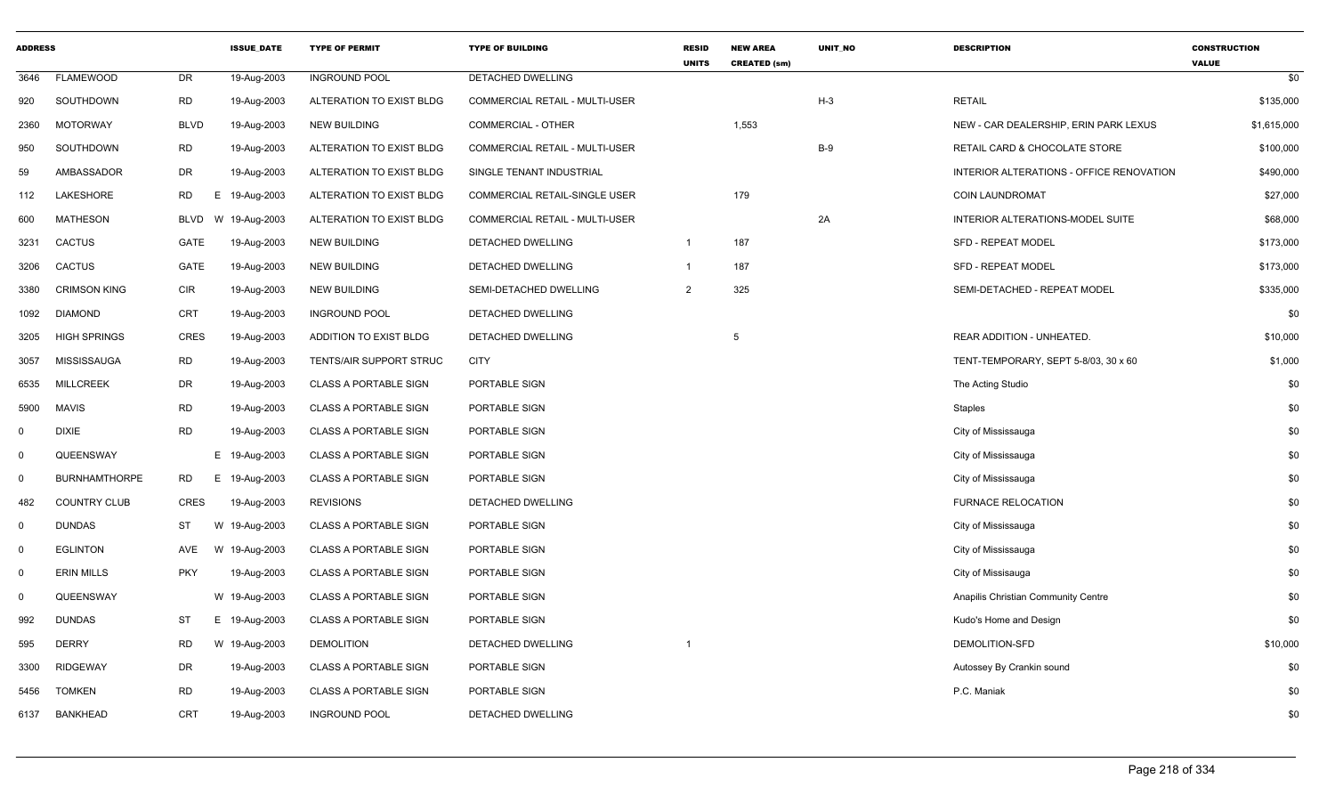| <b>ADDRESS</b> |                      |             | <b>ISSUE DATE</b> | <b>TYPE OF PERMIT</b>        | <b>TYPE OF BUILDING</b>        | <b>RESID</b><br><b>UNITS</b> | <b>NEW AREA</b><br><b>CREATED (sm)</b> | <b>UNIT NO</b> | <b>DESCRIPTION</b>                       | <b>CONSTRUCTION</b><br><b>VALUE</b> |
|----------------|----------------------|-------------|-------------------|------------------------------|--------------------------------|------------------------------|----------------------------------------|----------------|------------------------------------------|-------------------------------------|
| 3646           | <b>FLAMEWOOD</b>     | DR          | 19-Aug-2003       | <b>INGROUND POOL</b>         | DETACHED DWELLING              |                              |                                        |                |                                          | \$0                                 |
| 920            | SOUTHDOWN            | RD          | 19-Aug-2003       | ALTERATION TO EXIST BLDG     | COMMERCIAL RETAIL - MULTI-USER |                              |                                        | $H-3$          | <b>RETAIL</b>                            | \$135,000                           |
| 2360           | <b>MOTORWAY</b>      | <b>BLVD</b> | 19-Aug-2003       | <b>NEW BUILDING</b>          | COMMERCIAL - OTHER             |                              | 1,553                                  |                | NEW - CAR DEALERSHIP, ERIN PARK LEXUS    | \$1,615,000                         |
| 950            | SOUTHDOWN            | <b>RD</b>   | 19-Aug-2003       | ALTERATION TO EXIST BLDG     | COMMERCIAL RETAIL - MULTI-USER |                              |                                        | $B-9$          | RETAIL CARD & CHOCOLATE STORE            | \$100,000                           |
| 59             | AMBASSADOR           | <b>DR</b>   | 19-Aug-2003       | ALTERATION TO EXIST BLDG     | SINGLE TENANT INDUSTRIAL       |                              |                                        |                | INTERIOR ALTERATIONS - OFFICE RENOVATION | \$490,000                           |
| 112            | LAKESHORE            | RD.         | E 19-Aug-2003     | ALTERATION TO EXIST BLDG     | COMMERCIAL RETAIL-SINGLE USER  |                              | 179                                    |                | <b>COIN LAUNDROMAT</b>                   | \$27,000                            |
| 600            | <b>MATHESON</b>      | <b>BLVD</b> | W 19-Aug-2003     | ALTERATION TO EXIST BLDG     | COMMERCIAL RETAIL - MULTI-USER |                              |                                        | 2A             | INTERIOR ALTERATIONS-MODEL SUITE         | \$68,000                            |
| 3231           | <b>CACTUS</b>        | GATE        | 19-Aug-2003       | <b>NEW BUILDING</b>          | DETACHED DWELLING              | $\overline{1}$               | 187                                    |                | <b>SFD - REPEAT MODEL</b>                | \$173,000                           |
| 3206           | <b>CACTUS</b>        | GATE        | 19-Aug-2003       | <b>NEW BUILDING</b>          | DETACHED DWELLING              | $\mathbf{1}$                 | 187                                    |                | SFD - REPEAT MODEL                       | \$173,000                           |
| 3380           | <b>CRIMSON KING</b>  | <b>CIR</b>  | 19-Aug-2003       | <b>NEW BUILDING</b>          | SEMI-DETACHED DWELLING         | 2                            | 325                                    |                | SEMI-DETACHED - REPEAT MODEL             | \$335,000                           |
| 1092           | <b>DIAMOND</b>       | <b>CRT</b>  | 19-Aug-2003       | <b>INGROUND POOL</b>         | DETACHED DWELLING              |                              |                                        |                |                                          | \$0                                 |
| 3205           | <b>HIGH SPRINGS</b>  | <b>CRES</b> | 19-Aug-2003       | ADDITION TO EXIST BLDG       | DETACHED DWELLING              |                              | 5                                      |                | REAR ADDITION - UNHEATED.                | \$10,000                            |
| 3057           | <b>MISSISSAUGA</b>   | <b>RD</b>   | 19-Aug-2003       | TENTS/AIR SUPPORT STRUC      | <b>CITY</b>                    |                              |                                        |                | TENT-TEMPORARY, SEPT 5-8/03, 30 x 60     | \$1,000                             |
| 6535           | <b>MILLCREEK</b>     | DR          | 19-Aug-2003       | <b>CLASS A PORTABLE SIGN</b> | PORTABLE SIGN                  |                              |                                        |                | The Acting Studio                        | \$0                                 |
| 5900           | <b>MAVIS</b>         | <b>RD</b>   | 19-Aug-2003       | <b>CLASS A PORTABLE SIGN</b> | PORTABLE SIGN                  |                              |                                        |                | <b>Staples</b>                           | \$0                                 |
| $\mathbf 0$    | <b>DIXIE</b>         | <b>RD</b>   | 19-Aug-2003       | <b>CLASS A PORTABLE SIGN</b> | PORTABLE SIGN                  |                              |                                        |                | City of Mississauga                      | \$0                                 |
| $\mathbf 0$    | QUEENSWAY            |             | E 19-Aug-2003     | <b>CLASS A PORTABLE SIGN</b> | PORTABLE SIGN                  |                              |                                        |                | City of Mississauga                      | \$0                                 |
| $\mathbf 0$    | <b>BURNHAMTHORPE</b> | RD.         | E 19-Aug-2003     | <b>CLASS A PORTABLE SIGN</b> | PORTABLE SIGN                  |                              |                                        |                | City of Mississauga                      | \$0                                 |
| 482            | <b>COUNTRY CLUB</b>  | <b>CRES</b> | 19-Aug-2003       | <b>REVISIONS</b>             | DETACHED DWELLING              |                              |                                        |                | <b>FURNACE RELOCATION</b>                | \$0                                 |
| $\mathbf 0$    | <b>DUNDAS</b>        | <b>ST</b>   | W 19-Aug-2003     | <b>CLASS A PORTABLE SIGN</b> | PORTABLE SIGN                  |                              |                                        |                | City of Mississauga                      | \$0                                 |
| $\mathbf 0$    | <b>EGLINTON</b>      | AVE         | W 19-Aug-2003     | <b>CLASS A PORTABLE SIGN</b> | PORTABLE SIGN                  |                              |                                        |                | City of Mississauga                      | \$0                                 |
| $\mathbf 0$    | <b>ERIN MILLS</b>    | <b>PKY</b>  | 19-Aug-2003       | <b>CLASS A PORTABLE SIGN</b> | PORTABLE SIGN                  |                              |                                        |                | City of Missisauga                       | \$0                                 |
| $\mathbf 0$    | QUEENSWAY            |             | W 19-Aug-2003     | <b>CLASS A PORTABLE SIGN</b> | PORTABLE SIGN                  |                              |                                        |                | Anapilis Christian Community Centre      | \$0                                 |
| 992            | <b>DUNDAS</b>        | <b>ST</b>   | E 19-Aug-2003     | <b>CLASS A PORTABLE SIGN</b> | PORTABLE SIGN                  |                              |                                        |                | Kudo's Home and Design                   | \$0                                 |
| 595            | <b>DERRY</b>         | <b>RD</b>   | W 19-Aug-2003     | <b>DEMOLITION</b>            | DETACHED DWELLING              | -1                           |                                        |                | <b>DEMOLITION-SFD</b>                    | \$10,000                            |
| 3300           | <b>RIDGEWAY</b>      | DR          | 19-Aug-2003       | <b>CLASS A PORTABLE SIGN</b> | PORTABLE SIGN                  |                              |                                        |                | Autossey By Crankin sound                | \$0                                 |
| 5456           | <b>TOMKEN</b>        | <b>RD</b>   | 19-Aug-2003       | <b>CLASS A PORTABLE SIGN</b> | PORTABLE SIGN                  |                              |                                        |                | P.C. Maniak                              | \$0                                 |
| 6137           | <b>BANKHEAD</b>      | CRT         | 19-Aug-2003       | <b>INGROUND POOL</b>         | DETACHED DWELLING              |                              |                                        |                |                                          | \$0                                 |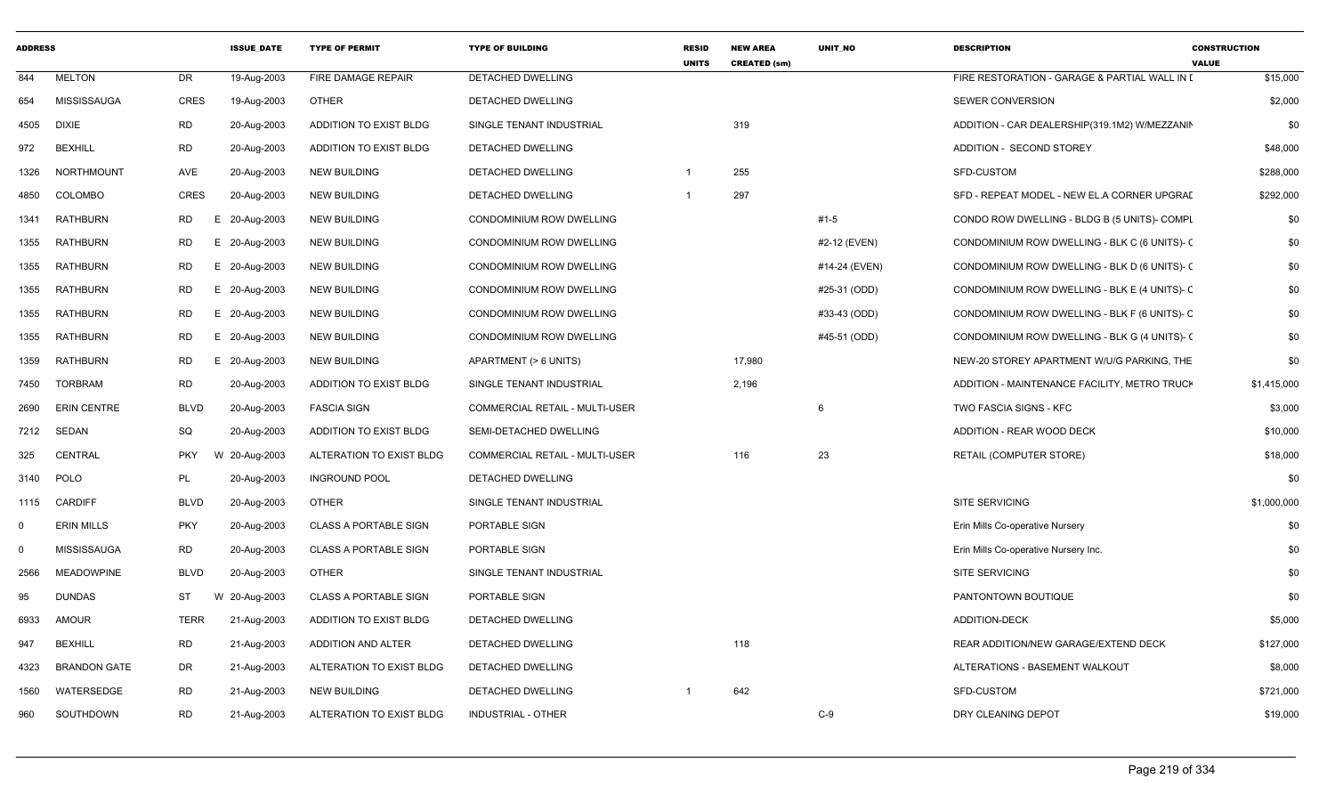| <b>ADDRESS</b> |                     |             | <b>ISSUE DATE</b> | <b>TYPE OF PERMIT</b>        | <b>TYPE OF BUILDING</b>         | <b>RESID</b><br><b>UNITS</b> | <b>NEW AREA</b><br><b>CREATED (sm)</b> | <b>UNIT NO</b> | <b>DESCRIPTION</b>                            | <b>CONSTRUCTION</b><br><b>VALUE</b> |
|----------------|---------------------|-------------|-------------------|------------------------------|---------------------------------|------------------------------|----------------------------------------|----------------|-----------------------------------------------|-------------------------------------|
| 844            | <b>MELTON</b>       | DR.         | 19-Aug-2003       | FIRE DAMAGE REPAIR           | <b>DETACHED DWELLING</b>        |                              |                                        |                | FIRE RESTORATION - GARAGE & PARTIAL WALL IN I | \$15,000                            |
| 654            | MISSISSAUGA         | <b>CRES</b> | 19-Aug-2003       | <b>OTHER</b>                 | DETACHED DWELLING               |                              |                                        |                | SEWER CONVERSION                              | \$2,000                             |
| 4505           | <b>DIXIE</b>        | <b>RD</b>   | 20-Aug-2003       | ADDITION TO EXIST BLDG       | SINGLE TENANT INDUSTRIAL        |                              | 319                                    |                | ADDITION - CAR DEALERSHIP(319.1M2) W/MEZZANIN | \$0                                 |
| 972            | <b>BEXHILL</b>      | <b>RD</b>   | 20-Aug-2003       | ADDITION TO EXIST BLDG       | DETACHED DWELLING               |                              |                                        |                | ADDITION - SECOND STOREY                      | \$48,000                            |
| 1326           | NORTHMOUNT          | AVE         | 20-Aug-2003       | <b>NEW BUILDING</b>          | DETACHED DWELLING               | $\mathbf 1$                  | 255                                    |                | SFD-CUSTOM                                    | \$288,000                           |
| 4850           | <b>COLOMBO</b>      | <b>CRES</b> | 20-Aug-2003       | NEW BUILDING                 | DETACHED DWELLING               |                              | 297                                    |                | SFD - REPEAT MODEL - NEW EL.A CORNER UPGRAI   | \$292,000                           |
| 1341           | <b>RATHBURN</b>     | RD          | E.<br>20-Aug-2003 | <b>NEW BUILDING</b>          | CONDOMINIUM ROW DWELLING        |                              |                                        | $#1 - 5$       | CONDO ROW DWELLING - BLDG B (5 UNITS)- COMPL  | \$0                                 |
| 1355           | <b>RATHBURN</b>     | <b>RD</b>   | E 20-Aug-2003     | <b>NEW BUILDING</b>          | CONDOMINIUM ROW DWELLING        |                              |                                        | #2-12 (EVEN)   | CONDOMINIUM ROW DWELLING - BLK C (6 UNITS)- C | \$0                                 |
| 1355           | <b>RATHBURN</b>     | <b>RD</b>   | E 20-Aug-2003     | <b>NEW BUILDING</b>          | CONDOMINIUM ROW DWELLING        |                              |                                        | #14-24 (EVEN)  | CONDOMINIUM ROW DWELLING - BLK D (6 UNITS)- ( | \$0                                 |
| 1355           | <b>RATHBURN</b>     | <b>RD</b>   | E 20-Aug-2003     | <b>NEW BUILDING</b>          | CONDOMINIUM ROW DWELLING        |                              |                                        | #25-31 (ODD)   | CONDOMINIUM ROW DWELLING - BLK E (4 UNITS)- C | \$0                                 |
| 1355           | RATHBURN            | RD          | E 20-Aug-2003     | <b>NEW BUILDING</b>          | CONDOMINIUM ROW DWELLING        |                              |                                        | #33-43 (ODD)   | CONDOMINIUM ROW DWELLING - BLK F (6 UNITS)- C | \$0                                 |
| 1355           | RATHBURN            | <b>RD</b>   | E 20-Aug-2003     | <b>NEW BUILDING</b>          | <b>CONDOMINIUM ROW DWELLING</b> |                              |                                        | #45-51 (ODD)   | CONDOMINIUM ROW DWELLING - BLK G (4 UNITS)- ( | \$0                                 |
| 1359           | RATHBURN            | <b>RD</b>   | E 20-Aug-2003     | <b>NEW BUILDING</b>          | APARTMENT (> 6 UNITS)           |                              | 17,980                                 |                | NEW-20 STOREY APARTMENT W/U/G PARKING, THE    | \$0                                 |
| 7450           | <b>TORBRAM</b>      | <b>RD</b>   | 20-Aug-2003       | ADDITION TO EXIST BLDG       | SINGLE TENANT INDUSTRIAL        |                              | 2,196                                  |                | ADDITION - MAINTENANCE FACILITY, METRO TRUCH  | \$1,415,000                         |
| 2690           | <b>ERIN CENTRE</b>  | <b>BLVD</b> | 20-Aug-2003       | <b>FASCIA SIGN</b>           | COMMERCIAL RETAIL - MULTI-USER  |                              |                                        | 6              | TWO FASCIA SIGNS - KFC                        | \$3,000                             |
| 7212           | SEDAN               | SQ          | 20-Aug-2003       | ADDITION TO EXIST BLDG       | SEMI-DETACHED DWELLING          |                              |                                        |                | ADDITION - REAR WOOD DECK                     | \$10,000                            |
| 325            | CENTRAL             | <b>PKY</b>  | 20-Aug-2003<br>W  | ALTERATION TO EXIST BLDG     | COMMERCIAL RETAIL - MULTI-USER  |                              | 116                                    | 23             | RETAIL (COMPUTER STORE)                       | \$18,000                            |
| 3140           | POLO                | PL          | 20-Aug-2003       | <b>INGROUND POOL</b>         | DETACHED DWELLING               |                              |                                        |                |                                               | \$0                                 |
| 1115           | <b>CARDIFF</b>      | <b>BLVD</b> | 20-Aug-2003       | <b>OTHER</b>                 | SINGLE TENANT INDUSTRIAL        |                              |                                        |                | SITE SERVICING                                | \$1,000,000                         |
| $\Omega$       | <b>ERIN MILLS</b>   | <b>PKY</b>  | 20-Aug-2003       | <b>CLASS A PORTABLE SIGN</b> | PORTABLE SIGN                   |                              |                                        |                | Erin Mills Co-operative Nursery               | \$0                                 |
| $\Omega$       | MISSISSAUGA         | <b>RD</b>   | 20-Aug-2003       | <b>CLASS A PORTABLE SIGN</b> | PORTABLE SIGN                   |                              |                                        |                | Erin Mills Co-operative Nursery Inc.          | \$0                                 |
| 2566           | <b>MEADOWPINE</b>   | <b>BLVD</b> | 20-Aug-2003       | <b>OTHER</b>                 | SINGLE TENANT INDUSTRIAL        |                              |                                        |                | SITE SERVICING                                | \$0                                 |
| 95             | <b>DUNDAS</b>       | ST          | W<br>20-Aug-2003  | <b>CLASS A PORTABLE SIGN</b> | PORTABLE SIGN                   |                              |                                        |                | PANTONTOWN BOUTIQUE                           | \$0                                 |
| 6933           | AMOUR               | <b>TERR</b> | 21-Aug-2003       | ADDITION TO EXIST BLDG       | DETACHED DWELLING               |                              |                                        |                | <b>ADDITION-DECK</b>                          | \$5,000                             |
| 947            | <b>BEXHILL</b>      | <b>RD</b>   | 21-Aug-2003       | ADDITION AND ALTER           | DETACHED DWELLING               |                              | 118                                    |                | REAR ADDITION/NEW GARAGE/EXTEND DECK          | \$127,000                           |
| 4323           | <b>BRANDON GATE</b> | DR          | 21-Aug-2003       | ALTERATION TO EXIST BLDG     | <b>DETACHED DWELLING</b>        |                              |                                        |                | ALTERATIONS - BASEMENT WALKOUT                | \$8,000                             |
| 1560           | WATERSEDGE          | <b>RD</b>   | 21-Aug-2003       | <b>NEW BUILDING</b>          | DETACHED DWELLING               |                              | 642                                    |                | SFD-CUSTOM                                    | \$721,000                           |
| 960            | SOUTHDOWN           | <b>RD</b>   | 21-Aug-2003       | ALTERATION TO EXIST BLDG     | INDUSTRIAL - OTHER              |                              |                                        | $C-9$          | DRY CLEANING DEPOT                            | \$19,000                            |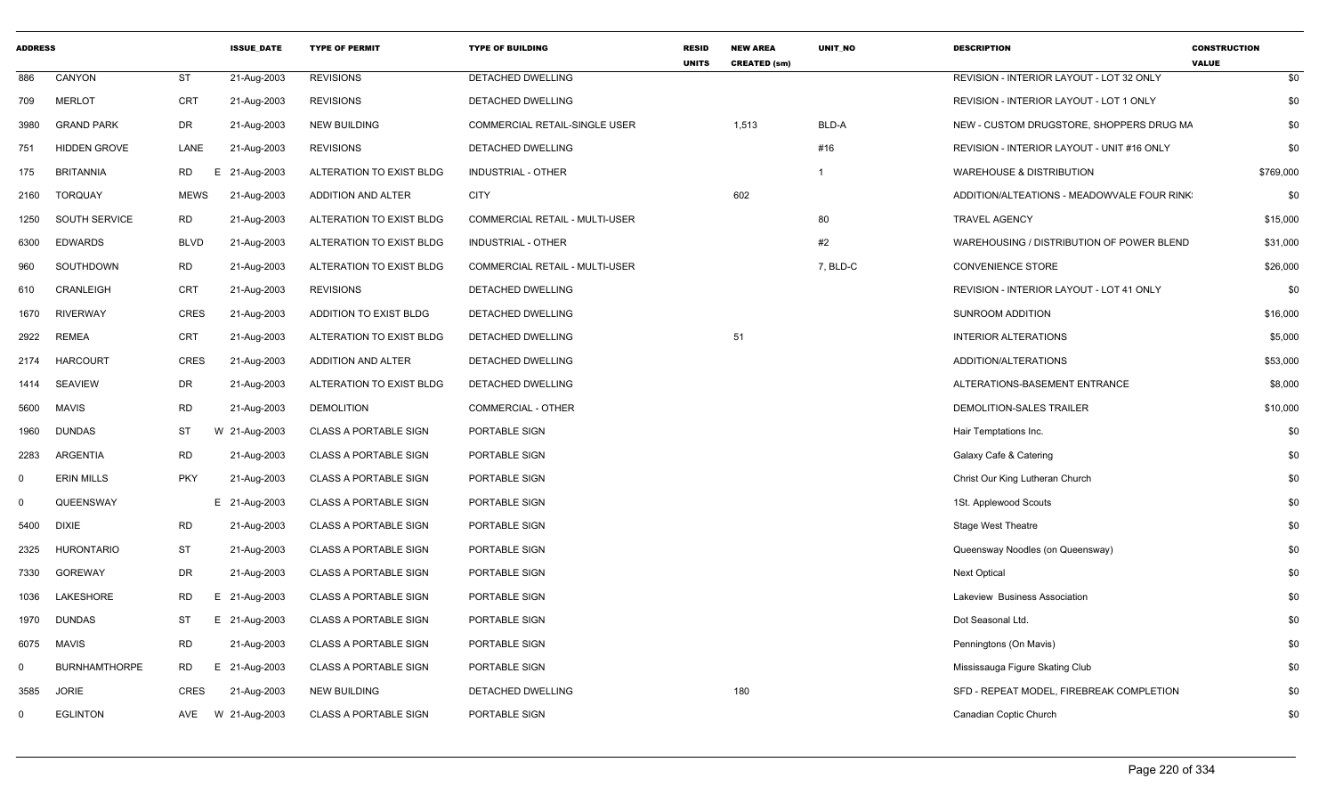| <b>ADDRESS</b> |                      |                 | <b>ISSUE DATE</b> | <b>TYPE OF PERMIT</b>        | <b>TYPE OF BUILDING</b>               | <b>RESID</b><br><b>UNITS</b> | <b>NEW AREA</b><br><b>CREATED (sm)</b> | UNIT_NO  | <b>DESCRIPTION</b>                         | <b>CONSTRUCTION</b><br><b>VALUE</b> |
|----------------|----------------------|-----------------|-------------------|------------------------------|---------------------------------------|------------------------------|----------------------------------------|----------|--------------------------------------------|-------------------------------------|
| 886            | CANYON               | <b>ST</b>       | 21-Aug-2003       | <b>REVISIONS</b>             | DETACHED DWELLING                     |                              |                                        |          | REVISION - INTERIOR LAYOUT - LOT 32 ONLY   | \$0                                 |
| 709            | <b>MERLOT</b>        | <b>CRT</b>      | 21-Aug-2003       | <b>REVISIONS</b>             | DETACHED DWELLING                     |                              |                                        |          | REVISION - INTERIOR LAYOUT - LOT 1 ONLY    | \$0                                 |
| 3980           | <b>GRAND PARK</b>    | DR              | 21-Aug-2003       | <b>NEW BUILDING</b>          | <b>COMMERCIAL RETAIL-SINGLE USER</b>  |                              | 1,513                                  | BLD-A    | NEW - CUSTOM DRUGSTORE, SHOPPERS DRUG MA   | \$0                                 |
| 751            | <b>HIDDEN GROVE</b>  | LANE            | 21-Aug-2003       | <b>REVISIONS</b>             | <b>DETACHED DWELLING</b>              |                              |                                        | #16      | REVISION - INTERIOR LAYOUT - UNIT #16 ONLY | \$0                                 |
| 175            | <b>BRITANNIA</b>     | <b>RD</b><br>Е. | 21-Aug-2003       | ALTERATION TO EXIST BLDG     | INDUSTRIAL - OTHER                    |                              |                                        |          | <b>WAREHOUSE &amp; DISTRIBUTION</b>        | \$769,000                           |
| 2160           | <b>TORQUAY</b>       | <b>MEWS</b>     | 21-Aug-2003       | ADDITION AND ALTER           | <b>CITY</b>                           |                              | 602                                    |          | ADDITION/ALTEATIONS - MEADOWVALE FOUR RINK | \$0                                 |
| 1250           | SOUTH SERVICE        | <b>RD</b>       | 21-Aug-2003       | ALTERATION TO EXIST BLDG     | <b>COMMERCIAL RETAIL - MULTI-USER</b> |                              |                                        | 80       | <b>TRAVEL AGENCY</b>                       | \$15,000                            |
| 6300           | <b>EDWARDS</b>       | <b>BLVD</b>     | 21-Aug-2003       | ALTERATION TO EXIST BLDG     | <b>INDUSTRIAL - OTHER</b>             |                              |                                        | #2       | WAREHOUSING / DISTRIBUTION OF POWER BLEND  | \$31,000                            |
| 960            | SOUTHDOWN            | <b>RD</b>       | 21-Aug-2003       | ALTERATION TO EXIST BLDG     | COMMERCIAL RETAIL - MULTI-USER        |                              |                                        | 7, BLD-C | CONVENIENCE STORE                          | \$26,000                            |
| 610            | CRANLEIGH            | <b>CRT</b>      | 21-Aug-2003       | <b>REVISIONS</b>             | DETACHED DWELLING                     |                              |                                        |          | REVISION - INTERIOR LAYOUT - LOT 41 ONLY   | \$0                                 |
| 1670           | <b>RIVERWAY</b>      | CRES            | 21-Aug-2003       | ADDITION TO EXIST BLDG       | DETACHED DWELLING                     |                              |                                        |          | SUNROOM ADDITION                           | \$16,000                            |
| 2922           | <b>REMEA</b>         | CRT             | 21-Aug-2003       | ALTERATION TO EXIST BLDG     | <b>DETACHED DWELLING</b>              |                              | 51                                     |          | <b>INTERIOR ALTERATIONS</b>                | \$5,000                             |
| 2174           | <b>HARCOURT</b>      | CRES            | 21-Aug-2003       | ADDITION AND ALTER           | DETACHED DWELLING                     |                              |                                        |          | ADDITION/ALTERATIONS                       | \$53,000                            |
| 1414           | <b>SEAVIEW</b>       | DR              | 21-Aug-2003       | ALTERATION TO EXIST BLDG     | DETACHED DWELLING                     |                              |                                        |          | ALTERATIONS-BASEMENT ENTRANCE              | \$8,000                             |
| 5600           | <b>MAVIS</b>         | <b>RD</b>       | 21-Aug-2003       | <b>DEMOLITION</b>            | <b>COMMERCIAL - OTHER</b>             |                              |                                        |          | DEMOLITION-SALES TRAILER                   | \$10,000                            |
| 1960           | <b>DUNDAS</b>        | ST              | W 21-Aug-2003     | <b>CLASS A PORTABLE SIGN</b> | PORTABLE SIGN                         |                              |                                        |          | Hair Temptations Inc.                      | \$0                                 |
| 2283           | <b>ARGENTIA</b>      | <b>RD</b>       | 21-Aug-2003       | <b>CLASS A PORTABLE SIGN</b> | PORTABLE SIGN                         |                              |                                        |          | Galaxy Cafe & Catering                     | \$0                                 |
| 0              | <b>ERIN MILLS</b>    | <b>PKY</b>      | 21-Aug-2003       | <b>CLASS A PORTABLE SIGN</b> | PORTABLE SIGN                         |                              |                                        |          | Christ Our King Lutheran Church            | \$0                                 |
| $\Omega$       | QUEENSWAY            |                 | E 21-Aug-2003     | <b>CLASS A PORTABLE SIGN</b> | PORTABLE SIGN                         |                              |                                        |          | 1St. Applewood Scouts                      | \$0                                 |
| 5400           | <b>DIXIE</b>         | <b>RD</b>       | 21-Aug-2003       | <b>CLASS A PORTABLE SIGN</b> | PORTABLE SIGN                         |                              |                                        |          | <b>Stage West Theatre</b>                  | \$0                                 |
| 2325           | <b>HURONTARIO</b>    | ST              | 21-Aug-2003       | <b>CLASS A PORTABLE SIGN</b> | PORTABLE SIGN                         |                              |                                        |          | Queensway Noodles (on Queensway)           | \$0                                 |
| 7330           | <b>GOREWAY</b>       | DR              | 21-Aug-2003       | <b>CLASS A PORTABLE SIGN</b> | PORTABLE SIGN                         |                              |                                        |          | <b>Next Optical</b>                        | \$0                                 |
| 1036           | LAKESHORE            | RD              | Е.<br>21-Aug-2003 | <b>CLASS A PORTABLE SIGN</b> | PORTABLE SIGN                         |                              |                                        |          | Lakeview Business Association              | \$0                                 |
| 1970           | <b>DUNDAS</b>        | ST              | E 21-Aug-2003     | <b>CLASS A PORTABLE SIGN</b> | PORTABLE SIGN                         |                              |                                        |          | Dot Seasonal Ltd.                          | \$0                                 |
| 6075           | MAVIS                | <b>RD</b>       | 21-Aug-2003       | <b>CLASS A PORTABLE SIGN</b> | PORTABLE SIGN                         |                              |                                        |          | Penningtons (On Mavis)                     | \$0                                 |
| $\Omega$       | <b>BURNHAMTHORPE</b> | <b>RD</b>       | E 21-Aug-2003     | <b>CLASS A PORTABLE SIGN</b> | PORTABLE SIGN                         |                              |                                        |          | Mississauga Figure Skating Club            | \$0                                 |
| 3585           | <b>JORIE</b>         | <b>CRES</b>     | 21-Aug-2003       | <b>NEW BUILDING</b>          | <b>DETACHED DWELLING</b>              |                              | 180                                    |          | SFD - REPEAT MODEL. FIREBREAK COMPLETION   | \$0                                 |
| 0              | <b>EGLINTON</b>      | AVE             | W 21-Aug-2003     | <b>CLASS A PORTABLE SIGN</b> | PORTABLE SIGN                         |                              |                                        |          | Canadian Coptic Church                     | \$0                                 |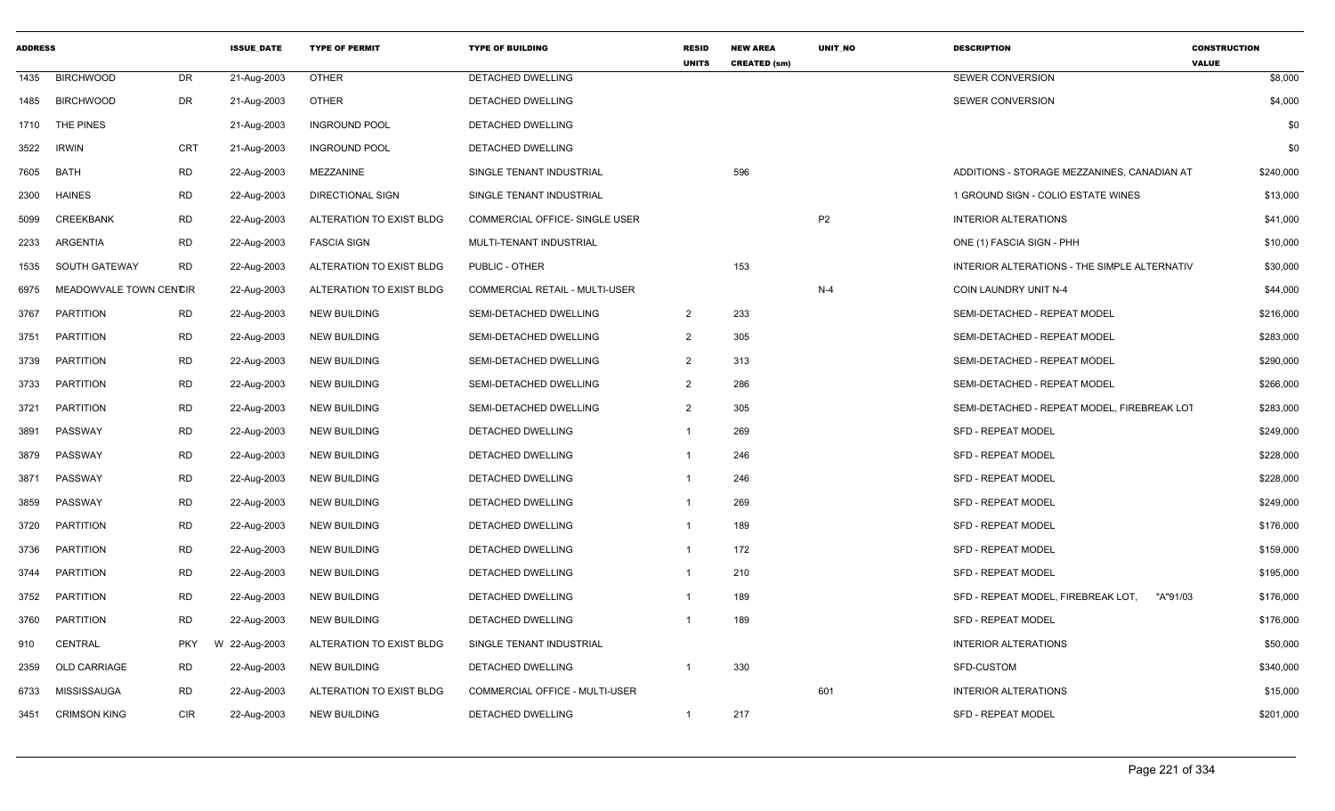| <b>ADDRESS</b> |                        |            | <b>ISSUE DATE</b> | <b>TYPE OF PERMIT</b>    | <b>TYPE OF BUILDING</b>        | <b>RESID</b><br><b>UNITS</b> | <b>NEW AREA</b>     | <b>UNIT NO</b> | <b>DESCRIPTION</b>                             | <b>CONSTRUCTION</b><br><b>VALUE</b> |
|----------------|------------------------|------------|-------------------|--------------------------|--------------------------------|------------------------------|---------------------|----------------|------------------------------------------------|-------------------------------------|
| 1435           | <b>BIRCHWOOD</b>       | DR         | 21-Aug-2003       | <b>OTHER</b>             | DETACHED DWELLING              |                              | <b>CREATED (sm)</b> |                | SEWER CONVERSION                               | \$8,000                             |
| 1485           | <b>BIRCHWOOD</b>       | DR         | 21-Aug-2003       | <b>OTHER</b>             | DETACHED DWELLING              |                              |                     |                | SEWER CONVERSION                               | \$4,000                             |
| 1710           | THE PINES              |            | 21-Aug-2003       | <b>INGROUND POOL</b>     | <b>DETACHED DWELLING</b>       |                              |                     |                |                                                | \$0                                 |
| 3522           | <b>IRWIN</b>           | <b>CRT</b> | 21-Aug-2003       | <b>INGROUND POOL</b>     | DETACHED DWELLING              |                              |                     |                |                                                | \$0                                 |
| 7605           | <b>BATH</b>            | <b>RD</b>  | 22-Aug-2003       | MEZZANINE                | SINGLE TENANT INDUSTRIAL       |                              | 596                 |                | ADDITIONS - STORAGE MEZZANINES, CANADIAN AT    | \$240,000                           |
| 2300           | <b>HAINES</b>          | <b>RD</b>  | 22-Aug-2003       | <b>DIRECTIONAL SIGN</b>  | SINGLE TENANT INDUSTRIAL       |                              |                     |                | 1 GROUND SIGN - COLIO ESTATE WINES             | \$13,000                            |
| 5099           | <b>CREEKBANK</b>       | <b>RD</b>  | 22-Aug-2003       | ALTERATION TO EXIST BLDG | COMMERCIAL OFFICE- SINGLE USER |                              |                     | P <sub>2</sub> | <b>INTERIOR ALTERATIONS</b>                    | \$41,000                            |
| 2233           | ARGENTIA               | RD         | 22-Aug-2003       | <b>FASCIA SIGN</b>       | MULTI-TENANT INDUSTRIAL        |                              |                     |                | ONE (1) FASCIA SIGN - PHH                      | \$10,000                            |
| 1535           | SOUTH GATEWAY          | <b>RD</b>  | 22-Aug-2003       | ALTERATION TO EXIST BLDG | PUBLIC - OTHER                 |                              | 153                 |                | INTERIOR ALTERATIONS - THE SIMPLE ALTERNATIV   | \$30,000                            |
| 6975           | MEADOWVALE TOWN CENCIR |            | 22-Aug-2003       | ALTERATION TO EXIST BLDG | COMMERCIAL RETAIL - MULTI-USER |                              |                     | $N-4$          | COIN LAUNDRY UNIT N-4                          | \$44,000                            |
| 3767           | <b>PARTITION</b>       | RD         | 22-Aug-2003       | <b>NEW BUILDING</b>      | SEMI-DETACHED DWELLING         | $\overline{2}$               | 233                 |                | SEMI-DETACHED - REPEAT MODEL                   | \$216,000                           |
| 3751           | <b>PARTITION</b>       | <b>RD</b>  | 22-Aug-2003       | <b>NEW BUILDING</b>      | SEMI-DETACHED DWELLING         | 2                            | 305                 |                | SEMI-DETACHED - REPEAT MODEL                   | \$283,000                           |
| 3739           | <b>PARTITION</b>       | <b>RD</b>  | 22-Aug-2003       | <b>NEW BUILDING</b>      | SEMI-DETACHED DWELLING         | $\overline{2}$               | 313                 |                | SEMI-DETACHED - REPEAT MODEL                   | \$290,000                           |
| 3733           | <b>PARTITION</b>       | <b>RD</b>  | 22-Aug-2003       | <b>NEW BUILDING</b>      | SEMI-DETACHED DWELLING         | 2                            | 286                 |                | SEMI-DETACHED - REPEAT MODEL                   | \$266,000                           |
| 3721           | <b>PARTITION</b>       | RD         | 22-Aug-2003       | <b>NEW BUILDING</b>      | SEMI-DETACHED DWELLING         | $\overline{2}$               | 305                 |                | SEMI-DETACHED - REPEAT MODEL, FIREBREAK LOT    | \$283,000                           |
| 3891           | PASSWAY                | <b>RD</b>  | 22-Aug-2003       | NEW BUILDING             | DETACHED DWELLING              | 1                            | 269                 |                | <b>SFD - REPEAT MODEL</b>                      | \$249,000                           |
| 3879           | PASSWAY                | <b>RD</b>  | 22-Aug-2003       | <b>NEW BUILDING</b>      | <b>DETACHED DWELLING</b>       |                              | 246                 |                | <b>SFD - REPEAT MODEL</b>                      | \$228,000                           |
| 3871           | PASSWAY                | <b>RD</b>  | 22-Aug-2003       | <b>NEW BUILDING</b>      | DETACHED DWELLING              |                              | 246                 |                | <b>SFD - REPEAT MODEL</b>                      | \$228,000                           |
| 3859           | PASSWAY                | <b>RD</b>  | 22-Aug-2003       | <b>NEW BUILDING</b>      | DETACHED DWELLING              | $\mathbf 1$                  | 269                 |                | <b>SFD - REPEAT MODEL</b>                      | \$249,000                           |
| 3720           | <b>PARTITION</b>       | RD         | 22-Aug-2003       | <b>NEW BUILDING</b>      | DETACHED DWELLING              |                              | 189                 |                | <b>SFD - REPEAT MODEL</b>                      | \$176,000                           |
| 3736           | <b>PARTITION</b>       | <b>RD</b>  | 22-Aug-2003       | <b>NEW BUILDING</b>      | DETACHED DWELLING              |                              | 172                 |                | <b>SFD - REPEAT MODEL</b>                      | \$159,000                           |
| 3744           | <b>PARTITION</b>       | <b>RD</b>  | 22-Aug-2003       | <b>NEW BUILDING</b>      | DETACHED DWELLING              |                              | 210                 |                | <b>SFD - REPEAT MODEL</b>                      | \$195,000                           |
| 3752           | PARTITION              | RD         | 22-Aug-2003       | NEW BUILDING             | DETACHED DWELLING              |                              | 189                 |                | SFD - REPEAT MODEL, FIREBREAK LOT,<br>"A"91/03 | \$176,000                           |
| 3760           | <b>PARTITION</b>       | RD         | 22-Aug-2003       | <b>NEW BUILDING</b>      | DETACHED DWELLING              |                              | 189                 |                | <b>SFD - REPEAT MODEL</b>                      | \$176,000                           |
| 910            | CENTRAL                | <b>PKY</b> | W 22-Aug-2003     | ALTERATION TO EXIST BLDG | SINGLE TENANT INDUSTRIAL       |                              |                     |                | <b>INTERIOR ALTERATIONS</b>                    | \$50,000                            |
| 2359           | <b>OLD CARRIAGE</b>    | <b>RD</b>  | 22-Aug-2003       | <b>NEW BUILDING</b>      | <b>DETACHED DWELLING</b>       | $\overline{1}$               | 330                 |                | <b>SFD-CUSTOM</b>                              | \$340,000                           |
| 6733           | MISSISSAUGA            | RD         | 22-Aug-2003       | ALTERATION TO EXIST BLDG | COMMERCIAL OFFICE - MULTI-USER |                              |                     | 601            | <b>INTERIOR ALTERATIONS</b>                    | \$15,000                            |
| 3451           | <b>CRIMSON KING</b>    | CIR        | 22-Aug-2003       | <b>NEW BUILDING</b>      | DETACHED DWELLING              | -1                           | 217                 |                | SFD - REPEAT MODEL                             | \$201,000                           |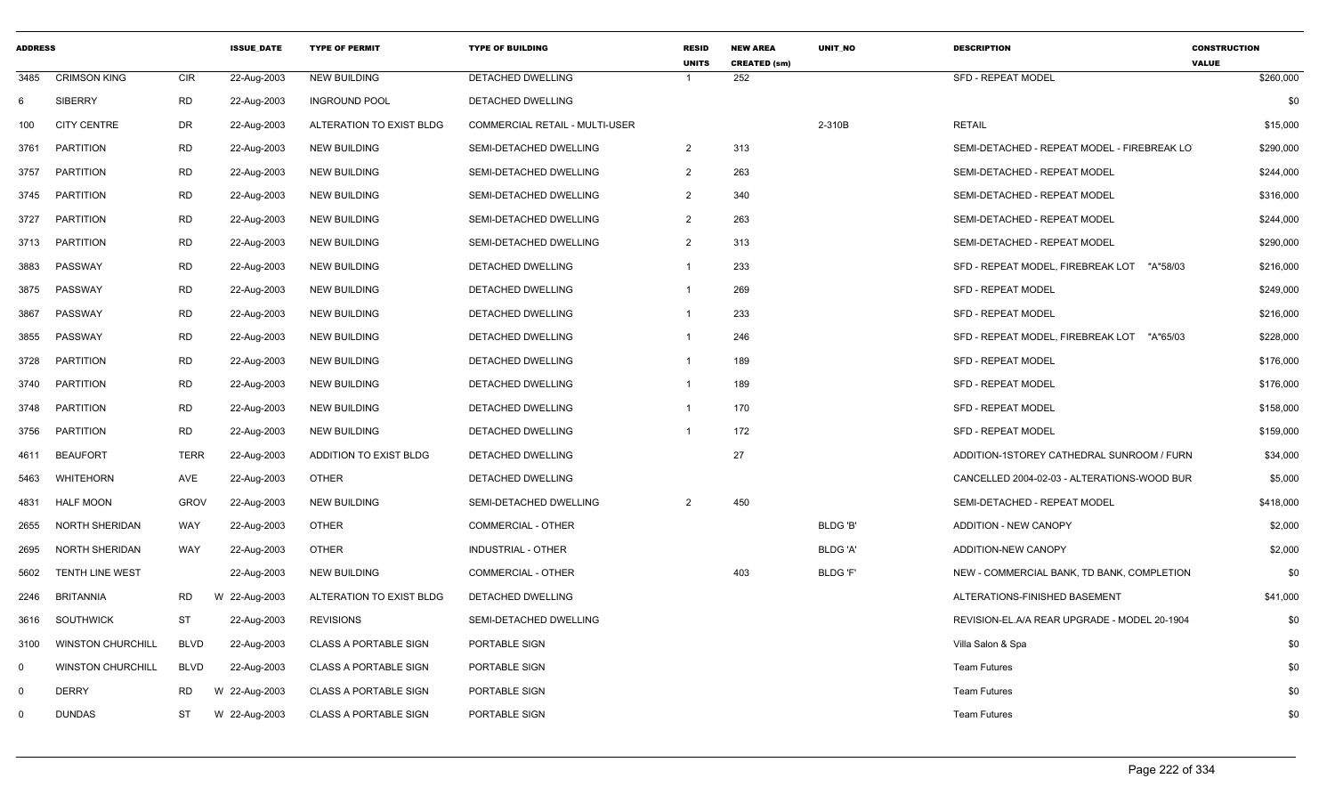| <b>ADDRESS</b> |                          |             | <b>ISSUE DATE</b> | <b>TYPE OF PERMIT</b>        | <b>TYPE OF BUILDING</b>        | <b>RESID</b><br><b>UNITS</b> | <b>NEW AREA</b><br><b>CREATED (sm)</b> | <b>UNIT NO</b>  | <b>DESCRIPTION</b>                            | <b>CONSTRUCTION</b><br><b>VALUE</b> |
|----------------|--------------------------|-------------|-------------------|------------------------------|--------------------------------|------------------------------|----------------------------------------|-----------------|-----------------------------------------------|-------------------------------------|
| 3485           | <b>CRIMSON KING</b>      | <b>CIR</b>  | 22-Aug-2003       | <b>NEW BUILDING</b>          | DETACHED DWELLING              |                              | 252                                    |                 | <b>SFD - REPEAT MODEL</b>                     | \$260,000                           |
| 6              | <b>SIBERRY</b>           | <b>RD</b>   | 22-Aug-2003       | <b>INGROUND POOL</b>         | DETACHED DWELLING              |                              |                                        |                 |                                               | \$0                                 |
| 100            | <b>CITY CENTRE</b>       | DR          | 22-Aug-2003       | ALTERATION TO EXIST BLDG     | COMMERCIAL RETAIL - MULTI-USER |                              |                                        | 2-310B          | <b>RETAIL</b>                                 | \$15,000                            |
| 3761           | <b>PARTITION</b>         | <b>RD</b>   | 22-Aug-2003       | <b>NEW BUILDING</b>          | SEMI-DETACHED DWELLING         | $\overline{2}$               | 313                                    |                 | SEMI-DETACHED - REPEAT MODEL - FIREBREAK LO   | \$290,000                           |
| 3757           | <b>PARTITION</b>         | <b>RD</b>   | 22-Aug-2003       | <b>NEW BUILDING</b>          | SEMI-DETACHED DWELLING         | $\overline{2}$               | 263                                    |                 | SEMI-DETACHED - REPEAT MODEL                  | \$244,000                           |
| 3745           | PARTITION                | <b>RD</b>   | 22-Aug-2003       | <b>NEW BUILDING</b>          | SEMI-DETACHED DWELLING         | $\overline{2}$               | 340                                    |                 | SEMI-DETACHED - REPEAT MODEL                  | \$316,000                           |
| 3727           | <b>PARTITION</b>         | <b>RD</b>   | 22-Aug-2003       | <b>NEW BUILDING</b>          | SEMI-DETACHED DWELLING         | $\overline{2}$               | 263                                    |                 | SEMI-DETACHED - REPEAT MODEL                  | \$244,000                           |
| 3713           | <b>PARTITION</b>         | <b>RD</b>   | 22-Aug-2003       | <b>NEW BUILDING</b>          | SEMI-DETACHED DWELLING         | $\overline{2}$               | 313                                    |                 | SEMI-DETACHED - REPEAT MODEL                  | \$290,000                           |
| 3883           | PASSWAY                  | <b>RD</b>   | 22-Aug-2003       | <b>NEW BUILDING</b>          | DETACHED DWELLING              | $\mathbf{1}$                 | 233                                    |                 | SFD - REPEAT MODEL, FIREBREAK LOT "A"58/03    | \$216,000                           |
| 3875           | PASSWAY                  | <b>RD</b>   | 22-Aug-2003       | <b>NEW BUILDING</b>          | DETACHED DWELLING              | -1                           | 269                                    |                 | <b>SFD - REPEAT MODEL</b>                     | \$249,000                           |
| 3867           | PASSWAY                  | <b>RD</b>   | 22-Aug-2003       | <b>NEW BUILDING</b>          | DETACHED DWELLING              | $\mathbf{1}$                 | 233                                    |                 | <b>SFD - REPEAT MODEL</b>                     | \$216,000                           |
| 3855           | PASSWAY                  | RD          | 22-Aug-2003       | <b>NEW BUILDING</b>          | DETACHED DWELLING              | $\mathbf{1}$                 | 246                                    |                 | SFD - REPEAT MODEL, FIREBREAK LOT<br>"A"65/03 | \$228,000                           |
| 3728           | <b>PARTITION</b>         | <b>RD</b>   | 22-Aug-2003       | <b>NEW BUILDING</b>          | DETACHED DWELLING              | $\overline{1}$               | 189                                    |                 | <b>SFD - REPEAT MODEL</b>                     | \$176,000                           |
| 3740           | <b>PARTITION</b>         | <b>RD</b>   | 22-Aug-2003       | <b>NEW BUILDING</b>          | DETACHED DWELLING              | -1                           | 189                                    |                 | <b>SFD - REPEAT MODEL</b>                     | \$176,000                           |
| 3748           | PARTITION                | <b>RD</b>   | 22-Aug-2003       | <b>NEW BUILDING</b>          | <b>DETACHED DWELLING</b>       | $\overline{1}$               | 170                                    |                 | <b>SFD - REPEAT MODEL</b>                     | \$158,000                           |
| 3756           | PARTITION                | <b>RD</b>   | 22-Aug-2003       | <b>NEW BUILDING</b>          | DETACHED DWELLING              | $\mathbf{1}$                 | 172                                    |                 | <b>SFD - REPEAT MODEL</b>                     | \$159,000                           |
| 4611           | <b>BEAUFORT</b>          | <b>TERR</b> | 22-Aug-2003       | ADDITION TO EXIST BLDG       | DETACHED DWELLING              |                              | 27                                     |                 | ADDITION-1STOREY CATHEDRAL SUNROOM / FURN     | \$34,000                            |
| 5463           | WHITEHORN                | AVE         | 22-Aug-2003       | <b>OTHER</b>                 | DETACHED DWELLING              |                              |                                        |                 | CANCELLED 2004-02-03 - ALTERATIONS-WOOD BUR   | \$5,000                             |
| 4831           | <b>HALF MOON</b>         | <b>GROV</b> | 22-Aug-2003       | <b>NEW BUILDING</b>          | SEMI-DETACHED DWELLING         | 2                            | 450                                    |                 | SEMI-DETACHED - REPEAT MODEL                  | \$418,000                           |
| 2655           | NORTH SHERIDAN           | <b>WAY</b>  | 22-Aug-2003       | <b>OTHER</b>                 | COMMERCIAL - OTHER             |                              |                                        | BLDG 'B'        | <b>ADDITION - NEW CANOPY</b>                  | \$2,000                             |
| 2695           | NORTH SHERIDAN           | WAY         | 22-Aug-2003       | <b>OTHER</b>                 | <b>INDUSTRIAL - OTHER</b>      |                              |                                        | BLDG 'A'        | ADDITION-NEW CANOPY                           | \$2,000                             |
| 5602           | <b>TENTH LINE WEST</b>   |             | 22-Aug-2003       | <b>NEW BUILDING</b>          | COMMERCIAL - OTHER             |                              | 403                                    | <b>BLDG 'F'</b> | NEW - COMMERCIAL BANK, TD BANK, COMPLETION    | \$0                                 |
| 2246           | <b>BRITANNIA</b>         | <b>RD</b>   | W 22-Aug-2003     | ALTERATION TO EXIST BLDG     | <b>DETACHED DWELLING</b>       |                              |                                        |                 | ALTERATIONS-FINISHED BASEMENT                 | \$41,000                            |
| 3616           | SOUTHWICK                | ST          | 22-Aug-2003       | <b>REVISIONS</b>             | SEMI-DETACHED DWELLING         |                              |                                        |                 | REVISION-EL.A/A REAR UPGRADE - MODEL 20-1904  | \$0                                 |
| 3100           | <b>WINSTON CHURCHILL</b> | <b>BLVD</b> | 22-Aug-2003       | <b>CLASS A PORTABLE SIGN</b> | PORTABLE SIGN                  |                              |                                        |                 | Villa Salon & Spa                             | \$0                                 |
| $\mathbf 0$    | <b>WINSTON CHURCHILL</b> | <b>BLVD</b> | 22-Aug-2003       | <b>CLASS A PORTABLE SIGN</b> | PORTABLE SIGN                  |                              |                                        |                 | <b>Team Futures</b>                           | \$0                                 |
| $\mathbf 0$    | <b>DERRY</b>             | <b>RD</b>   | W 22-Aug-2003     | <b>CLASS A PORTABLE SIGN</b> | PORTABLE SIGN                  |                              |                                        |                 | <b>Team Futures</b>                           | \$0                                 |
| $\Omega$       | <b>DUNDAS</b>            | <b>ST</b>   | W 22-Aug-2003     | <b>CLASS A PORTABLE SIGN</b> | <b>PORTABLE SIGN</b>           |                              |                                        |                 | <b>Team Futures</b>                           | \$0                                 |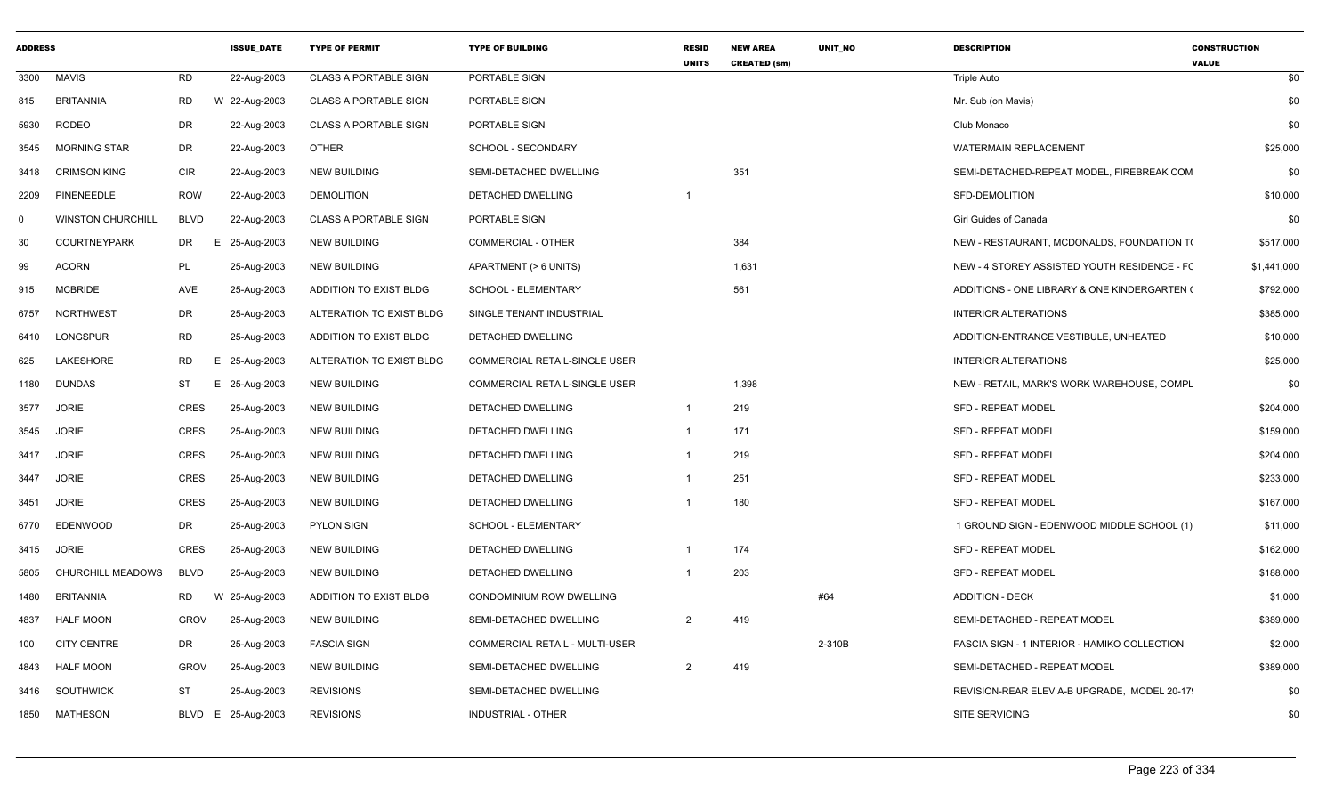| <b>ADDRESS</b> |                          |             | <b>ISSUE DATE</b>  | <b>TYPE OF PERMIT</b>        | <b>TYPE OF BUILDING</b>               | <b>RESID</b><br><b>UNITS</b> | <b>NEW AREA</b><br><b>CREATED (sm)</b> | <b>UNIT NO</b> | <b>DESCRIPTION</b>                           | <b>CONSTRUCTION</b><br><b>VALUE</b> |
|----------------|--------------------------|-------------|--------------------|------------------------------|---------------------------------------|------------------------------|----------------------------------------|----------------|----------------------------------------------|-------------------------------------|
| 3300           | <b>MAVIS</b>             | <b>RD</b>   | 22-Aug-2003        | <b>CLASS A PORTABLE SIGN</b> | PORTABLE SIGN                         |                              |                                        |                | <b>Triple Auto</b>                           | \$0                                 |
| 815            | <b>BRITANNIA</b>         | <b>RD</b>   | W 22-Aug-2003      | <b>CLASS A PORTABLE SIGN</b> | PORTABLE SIGN                         |                              |                                        |                | Mr. Sub (on Mavis)                           | \$0                                 |
| 5930           | <b>RODEO</b>             | DR          | 22-Aug-2003        | <b>CLASS A PORTABLE SIGN</b> | PORTABLE SIGN                         |                              |                                        |                | Club Monaco                                  | \$0                                 |
| 3545           | <b>MORNING STAR</b>      | <b>DR</b>   | 22-Aug-2003        | <b>OTHER</b>                 | SCHOOL - SECONDARY                    |                              |                                        |                | <b>WATERMAIN REPLACEMENT</b>                 | \$25,000                            |
| 3418           | <b>CRIMSON KING</b>      | <b>CIR</b>  | 22-Aug-2003        | <b>NEW BUILDING</b>          | SEMI-DETACHED DWELLING                |                              | 351                                    |                | SEMI-DETACHED-REPEAT MODEL, FIREBREAK COM    | \$0                                 |
| 2209           | PINENEEDLE               | <b>ROW</b>  | 22-Aug-2003        | <b>DEMOLITION</b>            | DETACHED DWELLING                     | $\overline{1}$               |                                        |                | SFD-DEMOLITION                               | \$10,000                            |
| $\Omega$       | <b>WINSTON CHURCHILL</b> | <b>BLVD</b> | 22-Aug-2003        | <b>CLASS A PORTABLE SIGN</b> | PORTABLE SIGN                         |                              |                                        |                | Girl Guides of Canada                        | \$0                                 |
| 30             | <b>COURTNEYPARK</b>      | DR          | 25-Aug-2003<br>E.  | <b>NEW BUILDING</b>          | <b>COMMERCIAL - OTHER</b>             |                              | 384                                    |                | NEW - RESTAURANT, MCDONALDS, FOUNDATION TO   | \$517,000                           |
| 99             | <b>ACORN</b>             | PL          | 25-Aug-2003        | <b>NEW BUILDING</b>          | APARTMENT (> 6 UNITS)                 |                              | 1,631                                  |                | NEW - 4 STOREY ASSISTED YOUTH RESIDENCE - FO | \$1,441,000                         |
| 915            | <b>MCBRIDE</b>           | AVE         | 25-Aug-2003        | ADDITION TO EXIST BLDG       | SCHOOL - ELEMENTARY                   |                              | 561                                    |                | ADDITIONS - ONE LIBRARY & ONE KINDERGARTEN ( | \$792,000                           |
| 6757           | <b>NORTHWEST</b>         | DR          | 25-Aug-2003        | ALTERATION TO EXIST BLDG     | SINGLE TENANT INDUSTRIAL              |                              |                                        |                | <b>INTERIOR ALTERATIONS</b>                  | \$385,000                           |
| 6410           | LONGSPUR                 | RD          | 25-Aug-2003        | ADDITION TO EXIST BLDG       | DETACHED DWELLING                     |                              |                                        |                | ADDITION-ENTRANCE VESTIBULE, UNHEATED        | \$10,000                            |
| 625            | LAKESHORE                | RD          | 25-Aug-2003<br>E.  | ALTERATION TO EXIST BLDG     | COMMERCIAL RETAIL-SINGLE USER         |                              |                                        |                | <b>INTERIOR ALTERATIONS</b>                  | \$25,000                            |
| 1180           | <b>DUNDAS</b>            | ST          | 25-Aug-2003<br>Е.  | <b>NEW BUILDING</b>          | COMMERCIAL RETAIL-SINGLE USER         |                              | 1,398                                  |                | NEW - RETAIL, MARK'S WORK WAREHOUSE, COMPL   | \$0                                 |
| 3577           | <b>JORIE</b>             | CRES        | 25-Aug-2003        | <b>NEW BUILDING</b>          | DETACHED DWELLING                     | $\overline{1}$               | 219                                    |                | <b>SFD - REPEAT MODEL</b>                    | \$204,000                           |
| 3545           | <b>JORIE</b>             | CRES        | 25-Aug-2003        | <b>NEW BUILDING</b>          | DETACHED DWELLING                     | $\overline{1}$               | 171                                    |                | <b>SFD - REPEAT MODEL</b>                    | \$159,000                           |
|                | 3417 JORIE               | CRES        | 25-Aug-2003        | <b>NEW BUILDING</b>          | DETACHED DWELLING                     | -1                           | 219                                    |                | SFD - REPEAT MODEL                           | \$204,000                           |
| 3447           | <b>JORIE</b>             | CRES        | 25-Aug-2003        | <b>NEW BUILDING</b>          | DETACHED DWELLING                     | $\overline{1}$               | 251                                    |                | <b>SFD - REPEAT MODEL</b>                    | \$233,000                           |
| 3451           | <b>JORIE</b>             | CRES        | 25-Aug-2003        | <b>NEW BUILDING</b>          | DETACHED DWELLING                     | $\overline{1}$               | 180                                    |                | <b>SFD - REPEAT MODEL</b>                    | \$167,000                           |
|                | 6770 EDENWOOD            | DR          | 25-Aug-2003        | <b>PYLON SIGN</b>            | SCHOOL - ELEMENTARY                   |                              |                                        |                | 1 GROUND SIGN - EDENWOOD MIDDLE SCHOOL (1)   | \$11,000                            |
|                | 3415 JORIE               | CRES        | 25-Aug-2003        | <b>NEW BUILDING</b>          | DETACHED DWELLING                     |                              | 174                                    |                | <b>SFD - REPEAT MODEL</b>                    | \$162,000                           |
| 5805           | CHURCHILL MEADOWS        | BLVD        | 25-Aug-2003        | <b>NEW BUILDING</b>          | DETACHED DWELLING                     | $\overline{1}$               | 203                                    |                | SFD - REPEAT MODEL                           | \$188,000                           |
| 1480           | <b>BRITANNIA</b>         | <b>RD</b>   | W 25-Aug-2003      | ADDITION TO EXIST BLDG       | CONDOMINIUM ROW DWELLING              |                              |                                        | #64            | <b>ADDITION - DECK</b>                       | \$1,000                             |
| 4837           | <b>HALF MOON</b>         | <b>GROV</b> | 25-Aug-2003        | <b>NEW BUILDING</b>          | SEMI-DETACHED DWELLING                | 2                            | 419                                    |                | SEMI-DETACHED - REPEAT MODEL                 | \$389,000                           |
| 100            | <b>CITY CENTRE</b>       | DR          | 25-Aug-2003        | <b>FASCIA SIGN</b>           | <b>COMMERCIAL RETAIL - MULTI-USER</b> |                              |                                        | 2-310B         | FASCIA SIGN - 1 INTERIOR - HAMIKO COLLECTION | \$2,000                             |
| 4843           | <b>HALF MOON</b>         | <b>GROV</b> | 25-Aug-2003        | <b>NEW BUILDING</b>          | SEMI-DETACHED DWELLING                | 2                            | 419                                    |                | SEMI-DETACHED - REPEAT MODEL                 | \$389,000                           |
| 3416           | SOUTHWICK                | ST          | 25-Aug-2003        | <b>REVISIONS</b>             | SEMI-DETACHED DWELLING                |                              |                                        |                | REVISION-REAR ELEV A-B UPGRADE, MODEL 20-17  | \$0                                 |
|                | 1850 MATHESON            |             | BLVD E 25-Aug-2003 | <b>REVISIONS</b>             | INDUSTRIAL - OTHER                    |                              |                                        |                | SITE SERVICING                               | \$0                                 |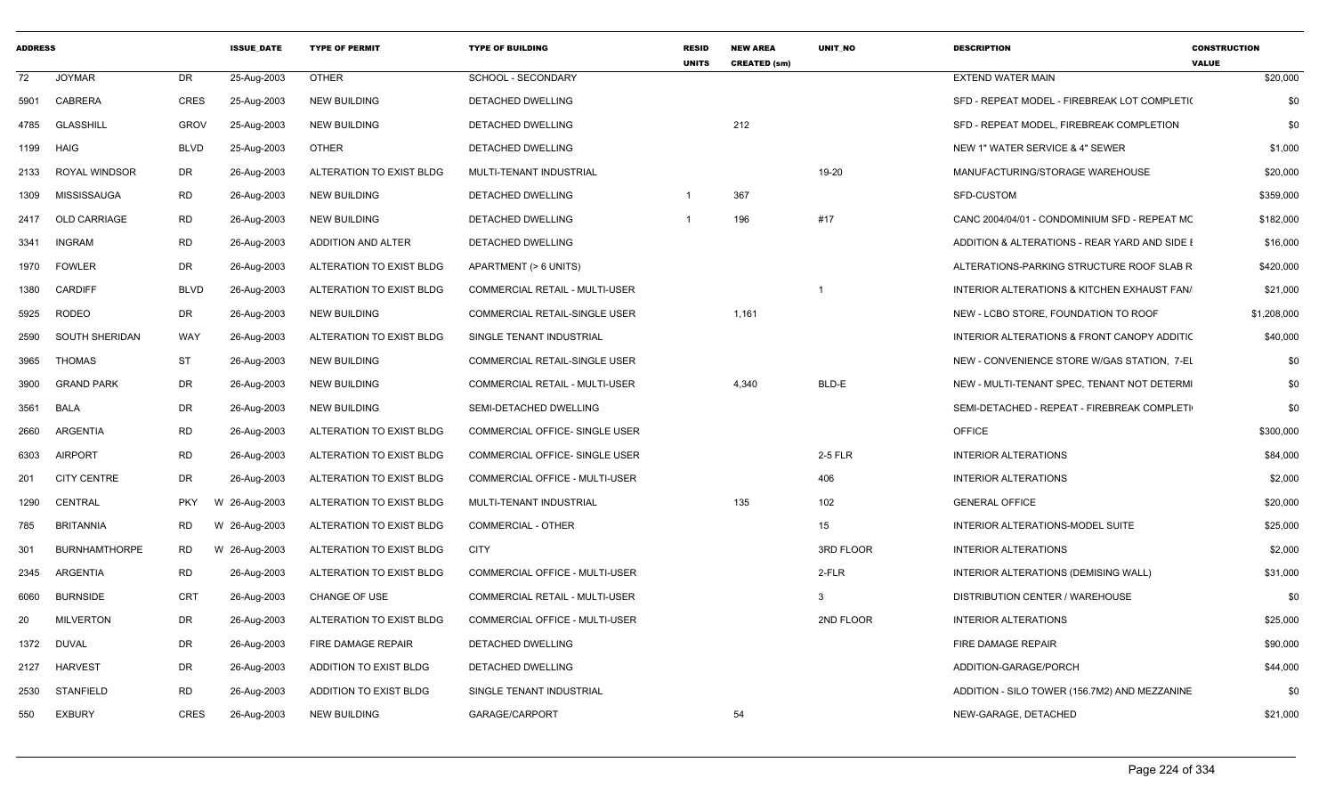| <b>ADDRESS</b> |                       |             | <b>ISSUE DATE</b> | <b>TYPE OF PERMIT</b>    | <b>TYPE OF BUILDING</b>               | <b>RESID</b><br><b>UNITS</b> | <b>NEW AREA</b><br><b>CREATED (sm)</b> | <b>UNIT NO</b> | <b>DESCRIPTION</b>                            | <b>CONSTRUCTION</b><br><b>VALUE</b> |
|----------------|-----------------------|-------------|-------------------|--------------------------|---------------------------------------|------------------------------|----------------------------------------|----------------|-----------------------------------------------|-------------------------------------|
| 72             | <b>JOYMAR</b>         | DR          | 25-Aug-2003       | <b>OTHER</b>             | SCHOOL - SECONDARY                    |                              |                                        |                | EXTEND WATER MAIN                             | \$20,000                            |
| 5901           | CABRERA               | CRES        | 25-Aug-2003       | <b>NEW BUILDING</b>      | DETACHED DWELLING                     |                              |                                        |                | SFD - REPEAT MODEL - FIREBREAK LOT COMPLETI(  | \$0                                 |
| 4785           | GLASSHILL             | GROV        | 25-Aug-2003       | NEW BUILDING             | DETACHED DWELLING                     |                              | 212                                    |                | SFD - REPEAT MODEL, FIREBREAK COMPLETION      | \$0                                 |
|                | 1199 HAIG             | <b>BLVD</b> | 25-Aug-2003       | <b>OTHER</b>             | DETACHED DWELLING                     |                              |                                        |                | NEW 1" WATER SERVICE & 4" SEWER               | \$1,000                             |
| 2133           | ROYAL WINDSOR         | DR          | 26-Aug-2003       | ALTERATION TO EXIST BLDG | MULTI-TENANT INDUSTRIAL               |                              |                                        | 19-20          | MANUFACTURING/STORAGE WAREHOUSE               | \$20,000                            |
| 1309           | MISSISSAUGA           | <b>RD</b>   | 26-Aug-2003       | <b>NEW BUILDING</b>      | DETACHED DWELLING                     | -1                           | 367                                    |                | SFD-CUSTOM                                    | \$359,000                           |
| 2417           | OLD CARRIAGE          | RD          | 26-Aug-2003       | NEW BUILDING             | DETACHED DWELLING                     |                              | 196                                    | #17            | CANC 2004/04/01 - CONDOMINIUM SFD - REPEAT MC | \$182,000                           |
| 3341           | INGRAM                | RD          | 26-Aug-2003       | ADDITION AND ALTER       | DETACHED DWELLING                     |                              |                                        |                | ADDITION & ALTERATIONS - REAR YARD AND SIDE I | \$16,000                            |
|                | 1970 FOWLER           | DR          | 26-Aug-2003       | ALTERATION TO EXIST BLDG | APARTMENT (> 6 UNITS)                 |                              |                                        |                | ALTERATIONS-PARKING STRUCTURE ROOF SLAB R     | \$420,000                           |
| 1380           | <b>CARDIFF</b>        | <b>BLVD</b> | 26-Aug-2003       | ALTERATION TO EXIST BLDG | COMMERCIAL RETAIL - MULTI-USER        |                              |                                        |                | INTERIOR ALTERATIONS & KITCHEN EXHAUST FAN/   | \$21,000                            |
| 5925           | RODEO                 | DR          | 26-Aug-2003       | <b>NEW BUILDING</b>      | COMMERCIAL RETAIL-SINGLE USER         |                              | 1,161                                  |                | NEW - LCBO STORE, FOUNDATION TO ROOF          | \$1,208,000                         |
| 2590           | <b>SOUTH SHERIDAN</b> | WAY         | 26-Aug-2003       | ALTERATION TO EXIST BLDG | SINGLE TENANT INDUSTRIAL              |                              |                                        |                | INTERIOR ALTERATIONS & FRONT CANOPY ADDITIC   | \$40,000                            |
| 3965           | <b>THOMAS</b>         | <b>ST</b>   | 26-Aug-2003       | <b>NEW BUILDING</b>      | COMMERCIAL RETAIL-SINGLE USER         |                              |                                        |                | NEW - CONVENIENCE STORE W/GAS STATION, 7-EL   | \$0                                 |
| 3900           | <b>GRAND PARK</b>     | DR          | 26-Aug-2003       | <b>NEW BUILDING</b>      | COMMERCIAL RETAIL - MULTI-USER        |                              | 4,340                                  | BLD-E          | NEW - MULTI-TENANT SPEC, TENANT NOT DETERMI   | \$0                                 |
| 3561           | <b>BALA</b>           | DR          | 26-Aug-2003       | <b>NEW BUILDING</b>      | SEMI-DETACHED DWELLING                |                              |                                        |                | SEMI-DETACHED - REPEAT - FIREBREAK COMPLETI   | \$0                                 |
| 2660           | ARGENTIA              | <b>RD</b>   | 26-Aug-2003       | ALTERATION TO EXIST BLDG | COMMERCIAL OFFICE- SINGLE USER        |                              |                                        |                | OFFICE                                        | \$300,000                           |
| 6303           | <b>AIRPORT</b>        | <b>RD</b>   | 26-Aug-2003       | ALTERATION TO EXIST BLDG | COMMERCIAL OFFICE- SINGLE USER        |                              |                                        | 2-5 FLR        | <b>INTERIOR ALTERATIONS</b>                   | \$84,000                            |
| 201            | <b>CITY CENTRE</b>    | DR          | 26-Aug-2003       | ALTERATION TO EXIST BLDG | COMMERCIAL OFFICE - MULTI-USER        |                              |                                        | 406            | <b>INTERIOR ALTERATIONS</b>                   | \$2,000                             |
| 1290           | CENTRAL               | <b>PKY</b>  | W 26-Aug-2003     | ALTERATION TO EXIST BLDG | MULTI-TENANT INDUSTRIAL               |                              | 135                                    | 102            | <b>GENERAL OFFICE</b>                         | \$20,000                            |
| 785            | <b>BRITANNIA</b>      | RD          | W 26-Aug-2003     | ALTERATION TO EXIST BLDG | <b>COMMERCIAL - OTHER</b>             |                              |                                        | 15             | INTERIOR ALTERATIONS-MODEL SUITE              | \$25,000                            |
| 301            | <b>BURNHAMTHORPE</b>  | RD          | W 26-Aug-2003     | ALTERATION TO EXIST BLDG | CITY                                  |                              |                                        | 3RD FLOOR      | <b>INTERIOR ALTERATIONS</b>                   | \$2,000                             |
| 2345           | ARGENTIA              | <b>RD</b>   | 26-Aug-2003       | ALTERATION TO EXIST BLDG | COMMERCIAL OFFICE - MULTI-USER        |                              |                                        | 2-FLR          | INTERIOR ALTERATIONS (DEMISING WALL)          | \$31,000                            |
| 6060           | <b>BURNSIDE</b>       | CRT         | 26-Aug-2003       | <b>CHANGE OF USE</b>     | <b>COMMERCIAL RETAIL - MULTI-USER</b> |                              |                                        | $\mathbf{3}$   | <b>DISTRIBUTION CENTER / WAREHOUSE</b>        | \$0                                 |
| 20             | <b>MILVERTON</b>      | DR          | 26-Aug-2003       | ALTERATION TO EXIST BLDG | <b>COMMERCIAL OFFICE - MULTI-USER</b> |                              |                                        | 2ND FLOOR      | <b>INTERIOR ALTERATIONS</b>                   | \$25,000                            |
| 1372           | DUVAL                 | DR          | 26-Aug-2003       | FIRE DAMAGE REPAIR       | DETACHED DWELLING                     |                              |                                        |                | FIRE DAMAGE REPAIR                            | \$90,000                            |
| 2127           | <b>HARVEST</b>        | DR          | 26-Aug-2003       | ADDITION TO EXIST BLDG   | DETACHED DWELLING                     |                              |                                        |                | ADDITION-GARAGE/PORCH                         | \$44,000                            |
| 2530           | <b>STANFIELD</b>      | <b>RD</b>   | 26-Aug-2003       | ADDITION TO EXIST BLDG   | SINGLE TENANT INDUSTRIAL              |                              |                                        |                | ADDITION - SILO TOWER (156.7M2) AND MEZZANINE | \$0                                 |
| 550            | <b>EXBURY</b>         | CRES        | 26-Aug-2003       | <b>NEW BUILDING</b>      | GARAGE/CARPORT                        |                              | 54                                     |                | NEW-GARAGE, DETACHED                          | \$21,000                            |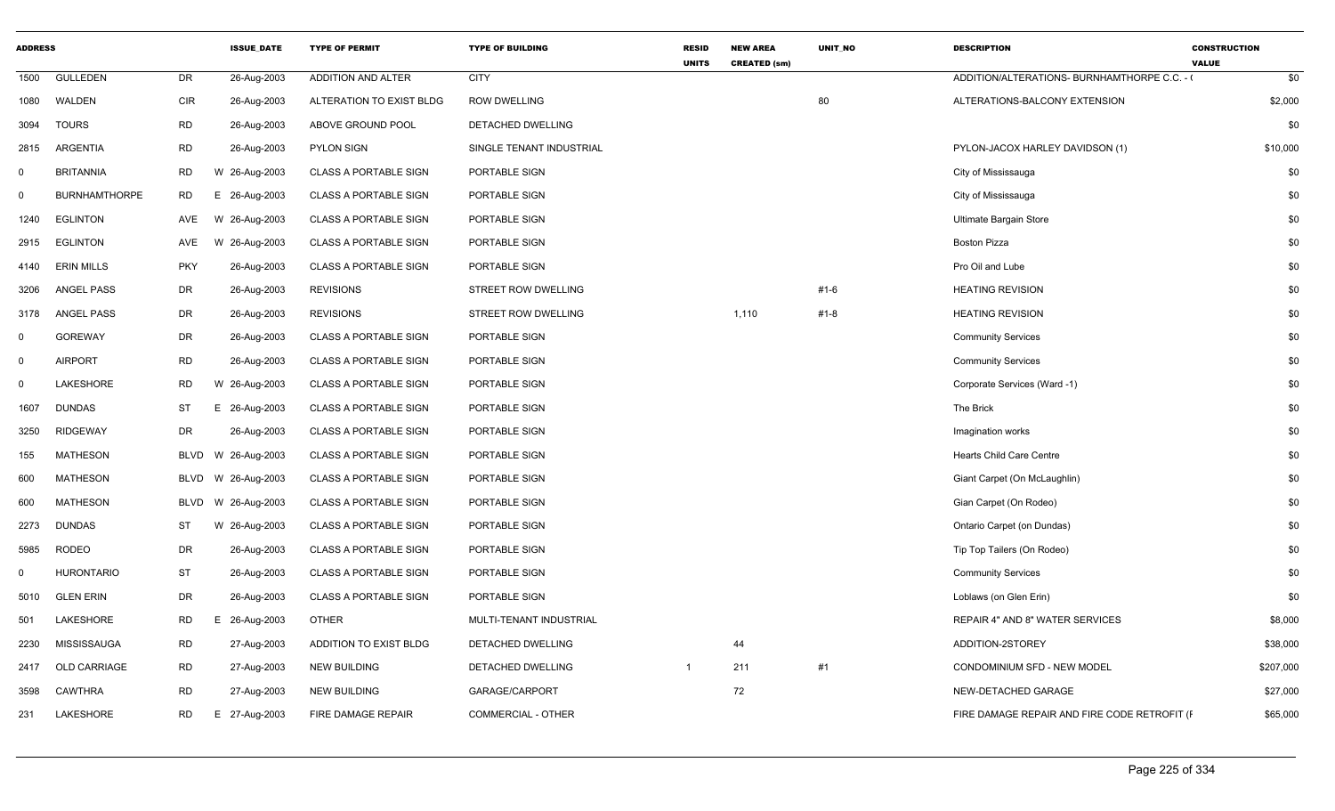| <b>ADDRESS</b> |                      |             | <b>ISSUE_DATE</b> | <b>TYPE OF PERMIT</b>        | <b>TYPE OF BUILDING</b>   | <b>RESID</b><br><b>UNITS</b> | <b>NEW AREA</b><br><b>CREATED (sm)</b> | UNIT_NO  | <b>DESCRIPTION</b>                           | <b>CONSTRUCTION</b><br><b>VALUE</b> |
|----------------|----------------------|-------------|-------------------|------------------------------|---------------------------|------------------------------|----------------------------------------|----------|----------------------------------------------|-------------------------------------|
| 1500           | <b>GULLEDEN</b>      | DR          | 26-Aug-2003       | ADDITION AND ALTER           | <b>CITY</b>               |                              |                                        |          | ADDITION/ALTERATIONS- BURNHAMTHORPE C.C. -   | \$0                                 |
| 1080           | WALDEN               | <b>CIR</b>  | 26-Aug-2003       | ALTERATION TO EXIST BLDG     | <b>ROW DWELLING</b>       |                              |                                        | 80       | ALTERATIONS-BALCONY EXTENSION                | \$2,000                             |
| 3094           | <b>TOURS</b>         | <b>RD</b>   | 26-Aug-2003       | ABOVE GROUND POOL            | DETACHED DWELLING         |                              |                                        |          |                                              | \$0                                 |
| 2815           | ARGENTIA             | <b>RD</b>   | 26-Aug-2003       | <b>PYLON SIGN</b>            | SINGLE TENANT INDUSTRIAL  |                              |                                        |          | PYLON-JACOX HARLEY DAVIDSON (1)              | \$10,000                            |
| $\mathbf 0$    | <b>BRITANNIA</b>     | <b>RD</b>   | W 26-Aug-2003     | <b>CLASS A PORTABLE SIGN</b> | PORTABLE SIGN             |                              |                                        |          | City of Mississauga                          | \$0                                 |
| $\mathbf 0$    | <b>BURNHAMTHORPE</b> | <b>RD</b>   | E 26-Aug-2003     | <b>CLASS A PORTABLE SIGN</b> | PORTABLE SIGN             |                              |                                        |          | City of Mississauga                          | \$0                                 |
| 1240           | <b>EGLINTON</b>      | AVE         | W 26-Aug-2003     | <b>CLASS A PORTABLE SIGN</b> | PORTABLE SIGN             |                              |                                        |          | Ultimate Bargain Store                       | \$0                                 |
| 2915           | <b>EGLINTON</b>      | AVE         | W 26-Aug-2003     | <b>CLASS A PORTABLE SIGN</b> | PORTABLE SIGN             |                              |                                        |          | <b>Boston Pizza</b>                          | \$0                                 |
| 4140           | <b>ERIN MILLS</b>    | <b>PKY</b>  | 26-Aug-2003       | <b>CLASS A PORTABLE SIGN</b> | PORTABLE SIGN             |                              |                                        |          | Pro Oil and Lube                             | \$0                                 |
| 3206           | <b>ANGEL PASS</b>    | DR          | 26-Aug-2003       | <b>REVISIONS</b>             | STREET ROW DWELLING       |                              |                                        | $#1 - 6$ | <b>HEATING REVISION</b>                      | \$0                                 |
| 3178           | ANGEL PASS           | DR          | 26-Aug-2003       | <b>REVISIONS</b>             | STREET ROW DWELLING       |                              | 1,110                                  | $#1 - 8$ | <b>HEATING REVISION</b>                      | \$0                                 |
| $\mathbf 0$    | <b>GOREWAY</b>       | DR          | 26-Aug-2003       | <b>CLASS A PORTABLE SIGN</b> | PORTABLE SIGN             |                              |                                        |          | <b>Community Services</b>                    | \$0                                 |
| $\mathbf 0$    | <b>AIRPORT</b>       | <b>RD</b>   | 26-Aug-2003       | <b>CLASS A PORTABLE SIGN</b> | PORTABLE SIGN             |                              |                                        |          | <b>Community Services</b>                    | \$0                                 |
| $\mathbf 0$    | LAKESHORE            | <b>RD</b>   | W 26-Aug-2003     | <b>CLASS A PORTABLE SIGN</b> | PORTABLE SIGN             |                              |                                        |          | Corporate Services (Ward -1)                 | \$0                                 |
| 1607           | <b>DUNDAS</b>        | ST          | E 26-Aug-2003     | <b>CLASS A PORTABLE SIGN</b> | PORTABLE SIGN             |                              |                                        |          | The Brick                                    | \$0                                 |
| 3250           | <b>RIDGEWAY</b>      | DR          | 26-Aug-2003       | <b>CLASS A PORTABLE SIGN</b> | PORTABLE SIGN             |                              |                                        |          | Imagination works                            | \$0                                 |
| 155            | <b>MATHESON</b>      | <b>BLVD</b> | W 26-Aug-2003     | <b>CLASS A PORTABLE SIGN</b> | PORTABLE SIGN             |                              |                                        |          | <b>Hearts Child Care Centre</b>              | \$0                                 |
| 600            | <b>MATHESON</b>      | <b>BLVD</b> | W 26-Aug-2003     | <b>CLASS A PORTABLE SIGN</b> | PORTABLE SIGN             |                              |                                        |          | Giant Carpet (On McLaughlin)                 | \$0                                 |
| 600            | <b>MATHESON</b>      | <b>BLVD</b> | W 26-Aug-2003     | <b>CLASS A PORTABLE SIGN</b> | PORTABLE SIGN             |                              |                                        |          | Gian Carpet (On Rodeo)                       | \$0                                 |
| 2273           | <b>DUNDAS</b>        | ST          | W 26-Aug-2003     | <b>CLASS A PORTABLE SIGN</b> | PORTABLE SIGN             |                              |                                        |          | Ontario Carpet (on Dundas)                   | \$0                                 |
| 5985           | <b>RODEO</b>         | DR          | 26-Aug-2003       | <b>CLASS A PORTABLE SIGN</b> | PORTABLE SIGN             |                              |                                        |          | Tip Top Tailers (On Rodeo)                   | \$0                                 |
| 0              | <b>HURONTARIO</b>    | <b>ST</b>   | 26-Aug-2003       | <b>CLASS A PORTABLE SIGN</b> | PORTABLE SIGN             |                              |                                        |          | <b>Community Services</b>                    | \$0                                 |
| 5010           | <b>GLEN ERIN</b>     | DR          | 26-Aug-2003       | <b>CLASS A PORTABLE SIGN</b> | PORTABLE SIGN             |                              |                                        |          | Loblaws (on Glen Erin)                       | \$0                                 |
| 501            | LAKESHORE            | RD          | Ε<br>26-Aug-2003  | <b>OTHER</b>                 | MULTI-TENANT INDUSTRIAL   |                              |                                        |          | REPAIR 4" AND 8" WATER SERVICES              | \$8,000                             |
| 2230           | MISSISSAUGA          | <b>RD</b>   | 27-Aug-2003       | ADDITION TO EXIST BLDG       | DETACHED DWELLING         |                              | 44                                     |          | ADDITION-2STOREY                             | \$38,000                            |
| 2417           | OLD CARRIAGE         | <b>RD</b>   | 27-Aug-2003       | NEW BUILDING                 | DETACHED DWELLING         |                              | 211                                    | #1       | CONDOMINIUM SFD - NEW MODEL                  | \$207,000                           |
| 3598           | <b>CAWTHRA</b>       | <b>RD</b>   | 27-Aug-2003       | <b>NEW BUILDING</b>          | GARAGE/CARPORT            |                              | 72                                     |          | NEW-DETACHED GARAGE                          | \$27,000                            |
| 231            | LAKESHORE            | <b>RD</b>   | 27-Aug-2003<br>E  | FIRE DAMAGE REPAIR           | <b>COMMERCIAL - OTHER</b> |                              |                                        |          | FIRE DAMAGE REPAIR AND FIRE CODE RETROFIT (F | \$65,000                            |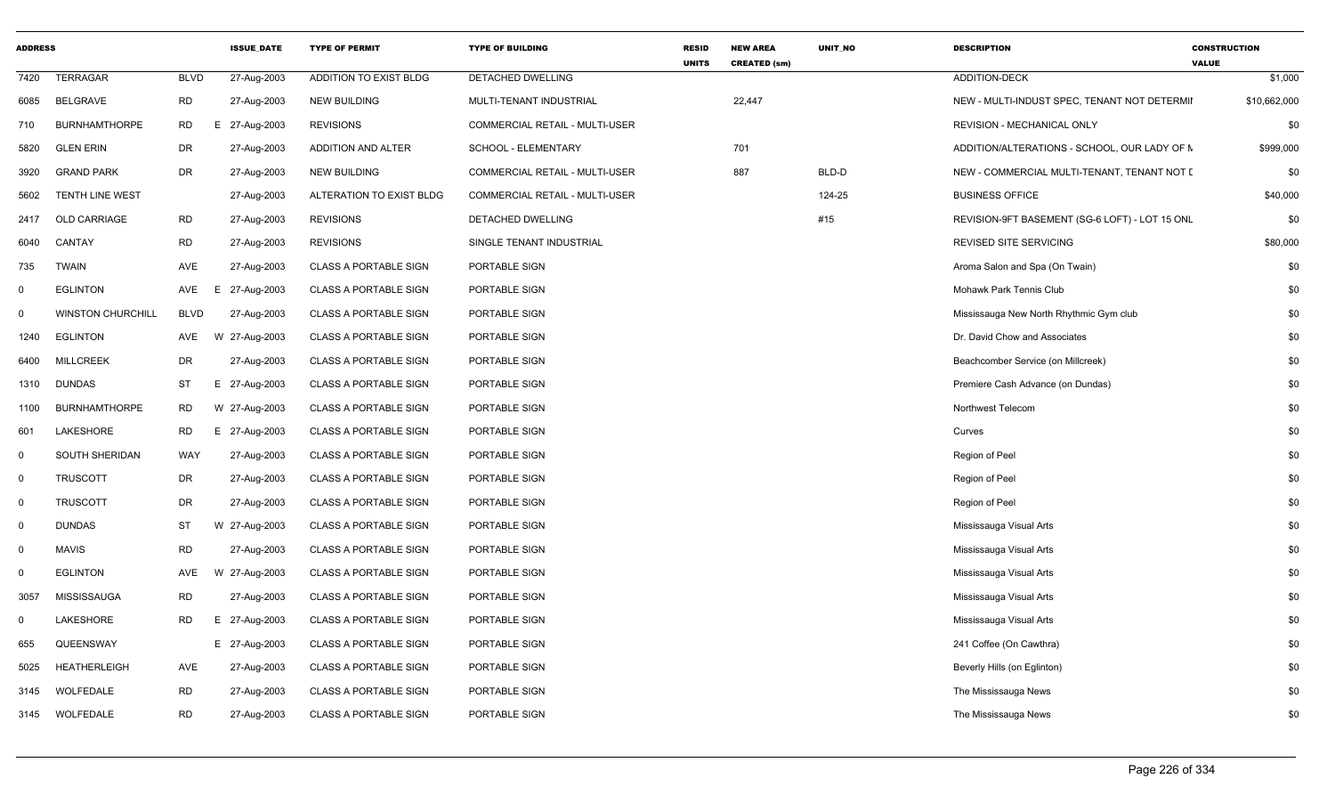| <b>ADDRESS</b> |                          |             | <b>ISSUE_DATE</b> | <b>TYPE OF PERMIT</b>        | <b>TYPE OF BUILDING</b>        | <b>RESID</b><br><b>UNITS</b> | <b>NEW AREA</b><br><b>CREATED (sm)</b> | UNIT_NO | <b>DESCRIPTION</b>                             | <b>CONSTRUCTION</b><br><b>VALUE</b> |              |
|----------------|--------------------------|-------------|-------------------|------------------------------|--------------------------------|------------------------------|----------------------------------------|---------|------------------------------------------------|-------------------------------------|--------------|
| 7420           | <b>TERRAGAR</b>          | <b>BLVD</b> | 27-Aug-2003       | ADDITION TO EXIST BLDG       | <b>DETACHED DWELLING</b>       |                              |                                        |         | <b>ADDITION-DECK</b>                           |                                     | \$1,000      |
| 6085           | <b>BELGRAVE</b>          | <b>RD</b>   | 27-Aug-2003       | NEW BUILDING                 | MULTI-TENANT INDUSTRIAL        |                              | 22,447                                 |         | NEW - MULTI-INDUST SPEC, TENANT NOT DETERMII   |                                     | \$10,662,000 |
| 710            | <b>BURNHAMTHORPE</b>     | RD          | 27-Aug-2003<br>E  | <b>REVISIONS</b>             | COMMERCIAL RETAIL - MULTI-USER |                              |                                        |         | REVISION - MECHANICAL ONLY                     |                                     | \$0          |
| 5820           | <b>GLEN ERIN</b>         | DR          | 27-Aug-2003       | ADDITION AND ALTER           | SCHOOL - ELEMENTARY            |                              | 701                                    |         | ADDITION/ALTERATIONS - SCHOOL, OUR LADY OF N   |                                     | \$999,000    |
| 3920           | <b>GRAND PARK</b>        | <b>DR</b>   | 27-Aug-2003       | <b>NEW BUILDING</b>          | COMMERCIAL RETAIL - MULTI-USER |                              | 887                                    | BLD-D   | NEW - COMMERCIAL MULTI-TENANT, TENANT NOT I    |                                     | \$0          |
| 5602           | <b>TENTH LINE WEST</b>   |             | 27-Aug-2003       | ALTERATION TO EXIST BLDG     | COMMERCIAL RETAIL - MULTI-USER |                              |                                        | 124-25  | <b>BUSINESS OFFICE</b>                         |                                     | \$40,000     |
| 2417           | <b>OLD CARRIAGE</b>      | <b>RD</b>   | 27-Aug-2003       | <b>REVISIONS</b>             | DETACHED DWELLING              |                              |                                        | #15     | REVISION-9FT BASEMENT (SG-6 LOFT) - LOT 15 ONL |                                     | \$0          |
| 6040           | CANTAY                   | <b>RD</b>   | 27-Aug-2003       | <b>REVISIONS</b>             | SINGLE TENANT INDUSTRIAL       |                              |                                        |         | REVISED SITE SERVICING                         |                                     | \$80,000     |
| 735            | <b>TWAIN</b>             | AVE         | 27-Aug-2003       | <b>CLASS A PORTABLE SIGN</b> | PORTABLE SIGN                  |                              |                                        |         | Aroma Salon and Spa (On Twain)                 |                                     | \$0          |
| $\Omega$       | <b>EGLINTON</b>          | AVE         | 27-Aug-2003<br>E  | <b>CLASS A PORTABLE SIGN</b> | PORTABLE SIGN                  |                              |                                        |         | Mohawk Park Tennis Club                        |                                     | \$0          |
| $\Omega$       | <b>WINSTON CHURCHILL</b> | <b>BLVD</b> | 27-Aug-2003       | CLASS A PORTABLE SIGN        | PORTABLE SIGN                  |                              |                                        |         | Mississauga New North Rhythmic Gym club        |                                     | \$0          |
| 1240           | <b>EGLINTON</b>          | AVE         | W 27-Aug-2003     | <b>CLASS A PORTABLE SIGN</b> | PORTABLE SIGN                  |                              |                                        |         | Dr. David Chow and Associates                  |                                     | \$0          |
| 6400           | <b>MILLCREEK</b>         | <b>DR</b>   | 27-Aug-2003       | <b>CLASS A PORTABLE SIGN</b> | PORTABLE SIGN                  |                              |                                        |         | Beachcomber Service (on Millcreek)             |                                     | \$0          |
|                | 1310 DUNDAS              | ST          | 27-Aug-2003<br>E  | <b>CLASS A PORTABLE SIGN</b> | PORTABLE SIGN                  |                              |                                        |         | Premiere Cash Advance (on Dundas)              |                                     | \$0          |
| 1100           | <b>BURNHAMTHORPE</b>     | RD          | W 27-Aug-2003     | <b>CLASS A PORTABLE SIGN</b> | PORTABLE SIGN                  |                              |                                        |         | Northwest Telecom                              |                                     | \$0          |
| 601            | LAKESHORE                | <b>RD</b>   | E 27-Aug-2003     | <b>CLASS A PORTABLE SIGN</b> | PORTABLE SIGN                  |                              |                                        |         | Curves                                         |                                     | \$0          |
| $\Omega$       | SOUTH SHERIDAN           | WAY         | 27-Aug-2003       | <b>CLASS A PORTABLE SIGN</b> | PORTABLE SIGN                  |                              |                                        |         | Region of Peel                                 |                                     | \$0          |
| $\Omega$       | <b>TRUSCOTT</b>          | DR          | 27-Aug-2003       | <b>CLASS A PORTABLE SIGN</b> | PORTABLE SIGN                  |                              |                                        |         | Region of Peel                                 |                                     | \$0          |
| $\mathbf 0$    | <b>TRUSCOTT</b>          | <b>DR</b>   | 27-Aug-2003       | <b>CLASS A PORTABLE SIGN</b> | PORTABLE SIGN                  |                              |                                        |         | Region of Peel                                 |                                     | \$0          |
| $\mathbf 0$    | <b>DUNDAS</b>            | <b>ST</b>   | W<br>27-Aug-2003  | <b>CLASS A PORTABLE SIGN</b> | PORTABLE SIGN                  |                              |                                        |         | Mississauga Visual Arts                        |                                     | \$0          |
| $\Omega$       | <b>MAVIS</b>             | <b>RD</b>   | 27-Aug-2003       | <b>CLASS A PORTABLE SIGN</b> | PORTABLE SIGN                  |                              |                                        |         | Mississauga Visual Arts                        |                                     | \$0          |
| $\Omega$       | <b>EGLINTON</b>          | AVE         | W 27-Aug-2003     | <b>CLASS A PORTABLE SIGN</b> | PORTABLE SIGN                  |                              |                                        |         | Mississauga Visual Arts                        |                                     | \$0          |
| 3057           | <b>MISSISSAUGA</b>       | <b>RD</b>   | 27-Aug-2003       | <b>CLASS A PORTABLE SIGN</b> | PORTABLE SIGN                  |                              |                                        |         | Mississauga Visual Arts                        |                                     | \$0          |
| $\Omega$       | LAKESHORE                | <b>RD</b>   | 27-Aug-2003<br>E  | <b>CLASS A PORTABLE SIGN</b> | PORTABLE SIGN                  |                              |                                        |         | Mississauga Visual Arts                        |                                     | \$0          |
| 655            | QUEENSWAY                |             | E 27-Aug-2003     | <b>CLASS A PORTABLE SIGN</b> | PORTABLE SIGN                  |                              |                                        |         | 241 Coffee (On Cawthra)                        |                                     | \$0          |
| 5025           | <b>HEATHERLEIGH</b>      | AVE         | 27-Aug-2003       | <b>CLASS A PORTABLE SIGN</b> | PORTABLE SIGN                  |                              |                                        |         | Beverly Hills (on Eglinton)                    |                                     | \$0          |
|                | 3145 WOLFEDALE           | <b>RD</b>   | 27-Aug-2003       | <b>CLASS A PORTABLE SIGN</b> | PORTABLE SIGN                  |                              |                                        |         | The Mississauga News                           |                                     | \$0          |
|                | 3145 WOLFEDALE           | <b>RD</b>   | 27-Aug-2003       | <b>CLASS A PORTABLE SIGN</b> | PORTABLE SIGN                  |                              |                                        |         | The Mississauga News                           |                                     | \$0          |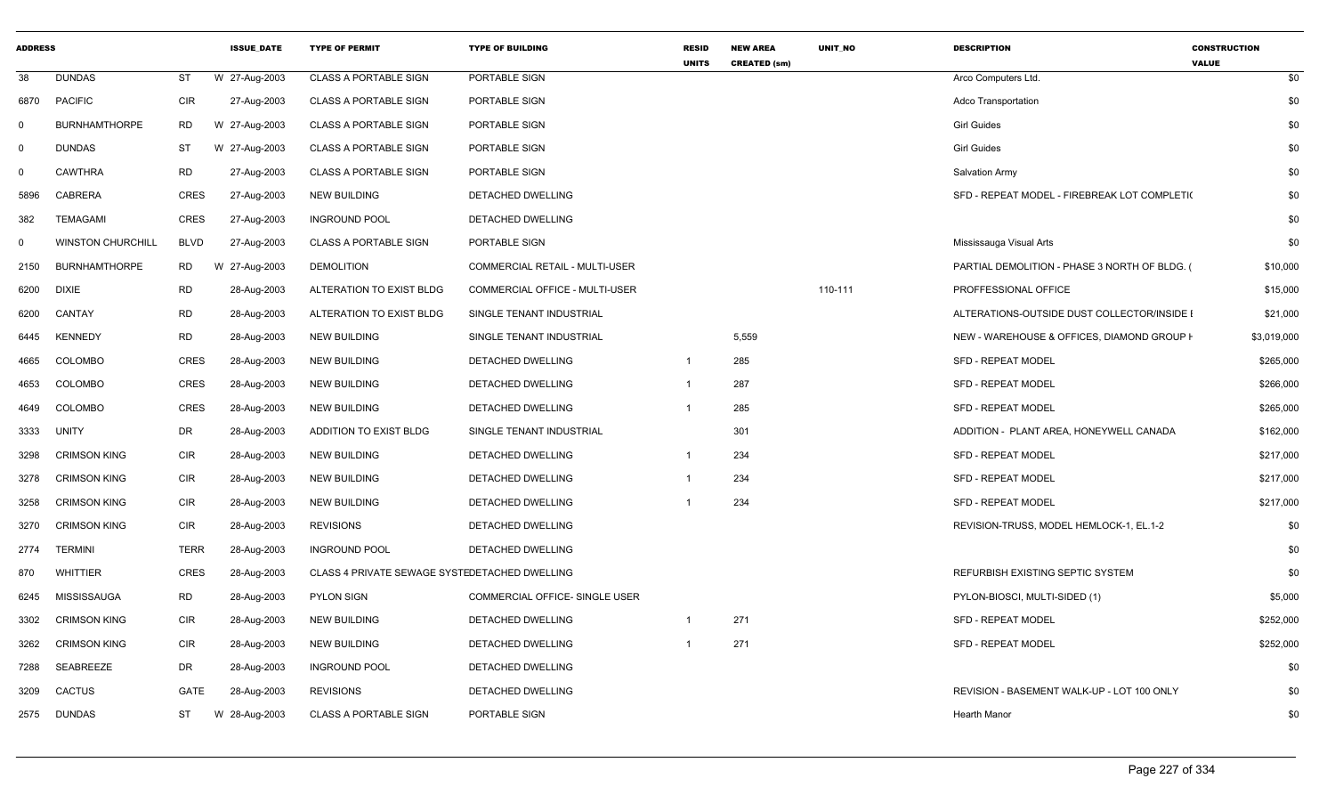| <b>ADDRESS</b> |                          |             | <b>ISSUE DATE</b> | <b>TYPE OF PERMIT</b>                         | <b>TYPE OF BUILDING</b>               | <b>RESID</b><br><b>UNITS</b> | <b>NEW AREA</b><br><b>CREATED (sm)</b> | <b>UNIT NO</b> | <b>DESCRIPTION</b>                            | <b>CONSTRUCTION</b><br><b>VALUE</b> |
|----------------|--------------------------|-------------|-------------------|-----------------------------------------------|---------------------------------------|------------------------------|----------------------------------------|----------------|-----------------------------------------------|-------------------------------------|
| 38             | <b>DUNDAS</b>            | ST          | W 27-Aug-2003     | <b>CLASS A PORTABLE SIGN</b>                  | PORTABLE SIGN                         |                              |                                        |                | Arco Computers Ltd.                           | \$0                                 |
| 6870           | <b>PACIFIC</b>           | <b>CIR</b>  | 27-Aug-2003       | <b>CLASS A PORTABLE SIGN</b>                  | PORTABLE SIGN                         |                              |                                        |                | Adco Transportation                           | \$0                                 |
| $\mathbf 0$    | <b>BURNHAMTHORPE</b>     | <b>RD</b>   | W 27-Aug-2003     | <b>CLASS A PORTABLE SIGN</b>                  | PORTABLE SIGN                         |                              |                                        |                | <b>Girl Guides</b>                            | \$0                                 |
| $\Omega$       | <b>DUNDAS</b>            | ST          | W 27-Aug-2003     | <b>CLASS A PORTABLE SIGN</b>                  | PORTABLE SIGN                         |                              |                                        |                | <b>Girl Guides</b>                            | \$0                                 |
| $\mathbf 0$    | <b>CAWTHRA</b>           | <b>RD</b>   | 27-Aug-2003       | <b>CLASS A PORTABLE SIGN</b>                  | PORTABLE SIGN                         |                              |                                        |                | <b>Salvation Army</b>                         | \$0                                 |
| 5896           | <b>CABRERA</b>           | <b>CRES</b> | 27-Aug-2003       | NEW BUILDING                                  | DETACHED DWELLING                     |                              |                                        |                | SFD - REPEAT MODEL - FIREBREAK LOT COMPLETI(  | \$0                                 |
| 382            | <b>TEMAGAMI</b>          | <b>CRES</b> | 27-Aug-2003       | <b>INGROUND POOL</b>                          | DETACHED DWELLING                     |                              |                                        |                |                                               | \$0                                 |
| $\mathbf 0$    | <b>WINSTON CHURCHILL</b> | BLVD        | 27-Aug-2003       | <b>CLASS A PORTABLE SIGN</b>                  | PORTABLE SIGN                         |                              |                                        |                | Mississauga Visual Arts                       | \$0                                 |
| 2150           | <b>BURNHAMTHORPE</b>     | <b>RD</b>   | W 27-Aug-2003     | <b>DEMOLITION</b>                             | COMMERCIAL RETAIL - MULTI-USER        |                              |                                        |                | PARTIAL DEMOLITION - PHASE 3 NORTH OF BLDG. ( | \$10,000                            |
| 6200           | <b>DIXIE</b>             | <b>RD</b>   | 28-Aug-2003       | ALTERATION TO EXIST BLDG                      | COMMERCIAL OFFICE - MULTI-USER        |                              |                                        | 110-111        | PROFFESSIONAL OFFICE                          | \$15,000                            |
| 6200           | CANTAY                   | <b>RD</b>   | 28-Aug-2003       | ALTERATION TO EXIST BLDG                      | SINGLE TENANT INDUSTRIAL              |                              |                                        |                | ALTERATIONS-OUTSIDE DUST COLLECTOR/INSIDE I   | \$21,000                            |
| 6445           | <b>KENNEDY</b>           | <b>RD</b>   | 28-Aug-2003       | <b>NEW BUILDING</b>                           | SINGLE TENANT INDUSTRIAL              |                              | 5.559                                  |                | NEW - WAREHOUSE & OFFICES, DIAMOND GROUP I    | \$3,019,000                         |
| 4665           | <b>COLOMBO</b>           | <b>CRES</b> | 28-Aug-2003       | <b>NEW BUILDING</b>                           | DETACHED DWELLING                     | $\overline{1}$               | 285                                    |                | <b>SFD - REPEAT MODEL</b>                     | \$265,000                           |
| 4653           | COLOMBO                  | CRES        | 28-Aug-2003       | <b>NEW BUILDING</b>                           | DETACHED DWELLING                     | -1                           | 287                                    |                | SFD - REPEAT MODEL                            | \$266,000                           |
| 4649           | COLOMBO                  | <b>CRES</b> | 28-Aug-2003       | <b>NEW BUILDING</b>                           | DETACHED DWELLING                     | $\overline{1}$               | 285                                    |                | <b>SFD - REPEAT MODEL</b>                     | \$265,000                           |
| 3333           | UNITY                    | DR          | 28-Aug-2003       | ADDITION TO EXIST BLDG                        | SINGLE TENANT INDUSTRIAL              |                              | 301                                    |                | ADDITION - PLANT AREA, HONEYWELL CANADA       | \$162,000                           |
| 3298           | <b>CRIMSON KING</b>      | <b>CIR</b>  | 28-Aug-2003       | <b>NEW BUILDING</b>                           | DETACHED DWELLING                     | $\overline{1}$               | 234                                    |                | <b>SFD - REPEAT MODEL</b>                     | \$217,000                           |
| 3278           | <b>CRIMSON KING</b>      | <b>CIR</b>  | 28-Aug-2003       | NEW BUILDING                                  | DETACHED DWELLING                     | $\overline{1}$               | 234                                    |                | <b>SFD - REPEAT MODEL</b>                     | \$217,000                           |
| 3258           | <b>CRIMSON KING</b>      | CIR         | 28-Aug-2003       | NEW BUILDING                                  | DETACHED DWELLING                     |                              | 234                                    |                | <b>SFD - REPEAT MODEL</b>                     | \$217,000                           |
| 3270           | <b>CRIMSON KING</b>      | <b>CIR</b>  | 28-Aug-2003       | <b>REVISIONS</b>                              | DETACHED DWELLING                     |                              |                                        |                | REVISION-TRUSS, MODEL HEMLOCK-1, EL.1-2       | \$0                                 |
| 2774           | <b>TERMINI</b>           | <b>TERR</b> | 28-Aug-2003       | <b>INGROUND POOL</b>                          | DETACHED DWELLING                     |                              |                                        |                |                                               | \$0                                 |
| 870            | WHITTIER                 | CRES        | 28-Aug-2003       | CLASS 4 PRIVATE SEWAGE SYSTEDETACHED DWELLING |                                       |                              |                                        |                | REFURBISH EXISTING SEPTIC SYSTEM              | \$0                                 |
| 6245           | MISSISSAUGA              | <b>RD</b>   | 28-Aug-2003       | <b>PYLON SIGN</b>                             | <b>COMMERCIAL OFFICE- SINGLE USER</b> |                              |                                        |                | PYLON-BIOSCI, MULTI-SIDED (1)                 | \$5,000                             |
| 3302           | <b>CRIMSON KING</b>      | CIR         | 28-Aug-2003       | <b>NEW BUILDING</b>                           | DETACHED DWELLING                     | $\overline{1}$               | 271                                    |                | <b>SFD - REPEAT MODEL</b>                     | \$252,000                           |
| 3262           | <b>CRIMSON KING</b>      | CIR         | 28-Aug-2003       | <b>NEW BUILDING</b>                           | DETACHED DWELLING                     |                              | 271                                    |                | <b>SFD - REPEAT MODEL</b>                     | \$252,000                           |
| 7288           | <b>SEABREEZE</b>         | DR          | 28-Aug-2003       | <b>INGROUND POOL</b>                          | DETACHED DWELLING                     |                              |                                        |                |                                               | \$0                                 |
| 3209           | <b>CACTUS</b>            | GATE        | 28-Aug-2003       | <b>REVISIONS</b>                              | DETACHED DWELLING                     |                              |                                        |                | REVISION - BASEMENT WALK-UP - LOT 100 ONLY    | \$0                                 |
|                | 2575 DUNDAS              | ST          | W 28-Aug-2003     | <b>CLASS A PORTABLE SIGN</b>                  | PORTABLE SIGN                         |                              |                                        |                | <b>Hearth Manor</b>                           | \$0                                 |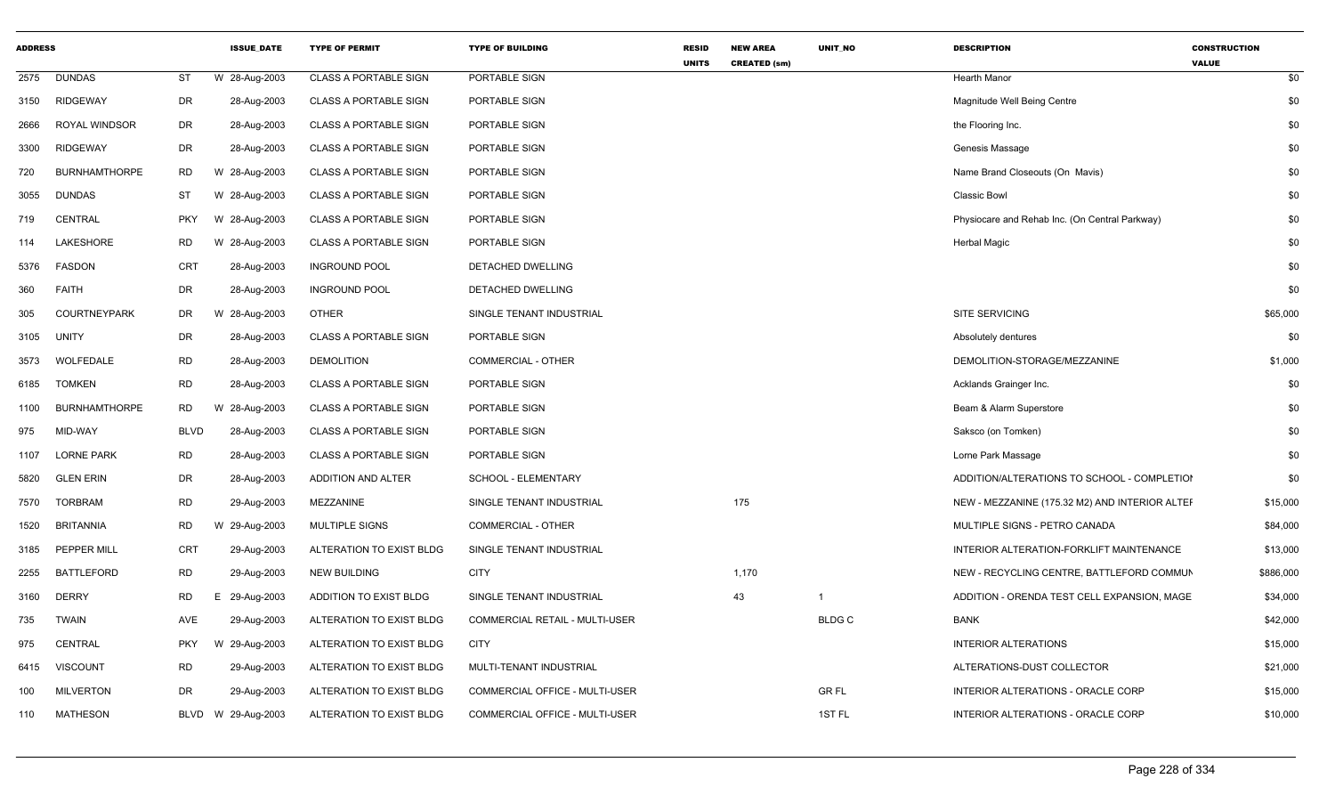| <b>ADDRESS</b> |                      |             | <b>ISSUE DATE</b>  | <b>TYPE OF PERMIT</b>        | <b>TYPE OF BUILDING</b>        | <b>RESID</b><br><b>UNITS</b> | <b>NEW AREA</b><br><b>CREATED (sm)</b> | <b>UNIT NO</b> | <b>DESCRIPTION</b>                             | <b>CONSTRUCTION</b><br><b>VALUE</b> |
|----------------|----------------------|-------------|--------------------|------------------------------|--------------------------------|------------------------------|----------------------------------------|----------------|------------------------------------------------|-------------------------------------|
| 2575           | <b>DUNDAS</b>        | ST          | W 28-Aug-2003      | <b>CLASS A PORTABLE SIGN</b> | PORTABLE SIGN                  |                              |                                        |                | Hearth Manor                                   | \$0                                 |
| 3150           | <b>RIDGEWAY</b>      | DR          | 28-Aug-2003        | <b>CLASS A PORTABLE SIGN</b> | PORTABLE SIGN                  |                              |                                        |                | Magnitude Well Being Centre                    | \$0                                 |
| 2666           | ROYAL WINDSOR        | DR          | 28-Aug-2003        | <b>CLASS A PORTABLE SIGN</b> | PORTABLE SIGN                  |                              |                                        |                | the Flooring Inc.                              | \$0                                 |
| 3300           | <b>RIDGEWAY</b>      | DR          | 28-Aug-2003        | <b>CLASS A PORTABLE SIGN</b> | PORTABLE SIGN                  |                              |                                        |                | Genesis Massage                                | \$0                                 |
| 720            | <b>BURNHAMTHORPE</b> | RD          | W 28-Aug-2003      | <b>CLASS A PORTABLE SIGN</b> | PORTABLE SIGN                  |                              |                                        |                | Name Brand Closeouts (On Mavis)                | \$0                                 |
| 3055           | <b>DUNDAS</b>        | <b>ST</b>   | W 28-Aug-2003      | <b>CLASS A PORTABLE SIGN</b> | PORTABLE SIGN                  |                              |                                        |                | Classic Bowl                                   | \$0                                 |
| 719            | <b>CENTRAL</b>       | <b>PKY</b>  | W<br>28-Aug-2003   | <b>CLASS A PORTABLE SIGN</b> | PORTABLE SIGN                  |                              |                                        |                | Physiocare and Rehab Inc. (On Central Parkway) | \$0                                 |
| 114            | <b>LAKESHORE</b>     | <b>RD</b>   | W 28-Aug-2003      | <b>CLASS A PORTABLE SIGN</b> | PORTABLE SIGN                  |                              |                                        |                | Herbal Magic                                   | \$0                                 |
| 5376           | <b>FASDON</b>        | CRT         | 28-Aug-2003        | <b>INGROUND POOL</b>         | DETACHED DWELLING              |                              |                                        |                |                                                | \$0                                 |
| 360            | <b>FAITH</b>         | DR          | 28-Aug-2003        | <b>INGROUND POOL</b>         | DETACHED DWELLING              |                              |                                        |                |                                                | \$0                                 |
| 305            | <b>COURTNEYPARK</b>  | DR          | W 28-Aug-2003      | <b>OTHER</b>                 | SINGLE TENANT INDUSTRIAL       |                              |                                        |                | SITE SERVICING                                 | \$65,000                            |
| 3105           | <b>UNITY</b>         | DR          | 28-Aug-2003        | <b>CLASS A PORTABLE SIGN</b> | PORTABLE SIGN                  |                              |                                        |                | Absolutely dentures                            | \$0                                 |
| 3573           | WOLFEDALE            | <b>RD</b>   | 28-Aug-2003        | <b>DEMOLITION</b>            | <b>COMMERCIAL - OTHER</b>      |                              |                                        |                | DEMOLITION-STORAGE/MEZZANINE                   | \$1,000                             |
| 6185           | <b>TOMKEN</b>        | <b>RD</b>   | 28-Aug-2003        | <b>CLASS A PORTABLE SIGN</b> | PORTABLE SIGN                  |                              |                                        |                | Acklands Grainger Inc.                         | \$0                                 |
| 1100           | <b>BURNHAMTHORPE</b> | <b>RD</b>   | W 28-Aug-2003      | <b>CLASS A PORTABLE SIGN</b> | PORTABLE SIGN                  |                              |                                        |                | Beam & Alarm Superstore                        | \$0                                 |
| 975            | MID-WAY              | <b>BLVD</b> | 28-Aug-2003        | <b>CLASS A PORTABLE SIGN</b> | PORTABLE SIGN                  |                              |                                        |                | Saksco (on Tomken)                             | \$0                                 |
| 1107           | <b>LORNE PARK</b>    | <b>RD</b>   | 28-Aug-2003        | <b>CLASS A PORTABLE SIGN</b> | PORTABLE SIGN                  |                              |                                        |                | Lorne Park Massage                             | \$0                                 |
| 5820           | <b>GLEN ERIN</b>     | DR          | 28-Aug-2003        | ADDITION AND ALTER           | SCHOOL - ELEMENTARY            |                              |                                        |                | ADDITION/ALTERATIONS TO SCHOOL - COMPLETIOI    | \$0                                 |
| 7570           | <b>TORBRAM</b>       | <b>RD</b>   | 29-Aug-2003        | MEZZANINE                    | SINGLE TENANT INDUSTRIAL       |                              | 175                                    |                | NEW - MEZZANINE (175.32 M2) AND INTERIOR ALTER | \$15,000                            |
| 1520           | <b>BRITANNIA</b>     | <b>RD</b>   | W 29-Aug-2003      | <b>MULTIPLE SIGNS</b>        | COMMERCIAL - OTHER             |                              |                                        |                | MULTIPLE SIGNS - PETRO CANADA                  | \$84,000                            |
| 3185           | PEPPER MILL          | <b>CRT</b>  | 29-Aug-2003        | ALTERATION TO EXIST BLDG     | SINGLE TENANT INDUSTRIAL       |                              |                                        |                | INTERIOR ALTERATION-FORKLIFT MAINTENANCE       | \$13,000                            |
| 2255           | <b>BATTLEFORD</b>    | <b>RD</b>   | 29-Aug-2003        | <b>NEW BUILDING</b>          | <b>CITY</b>                    |                              | 1,170                                  |                | NEW - RECYCLING CENTRE, BATTLEFORD COMMUN      | \$886,000                           |
| 3160           | <b>DERRY</b>         | <b>RD</b>   | 29-Aug-2003<br>Е   | ADDITION TO EXIST BLDG       | SINGLE TENANT INDUSTRIAL       |                              | 43                                     | $\overline{1}$ | ADDITION - ORENDA TEST CELL EXPANSION, MAGE    | \$34,000                            |
| 735            | <b>TWAIN</b>         | AVE         | 29-Aug-2003        | ALTERATION TO EXIST BLDG     | COMMERCIAL RETAIL - MULTI-USER |                              |                                        | <b>BLDGC</b>   | <b>BANK</b>                                    | \$42,000                            |
| 975            | <b>CENTRAL</b>       | <b>PKY</b>  | W 29-Aug-2003      | ALTERATION TO EXIST BLDG     | CITY                           |                              |                                        |                | <b>INTERIOR ALTERATIONS</b>                    | \$15,000                            |
| 6415           | <b>VISCOUNT</b>      | RD          | 29-Aug-2003        | ALTERATION TO EXIST BLDG     | MULTI-TENANT INDUSTRIAL        |                              |                                        |                | ALTERATIONS-DUST COLLECTOR                     | \$21,000                            |
| 100            | <b>MILVERTON</b>     | DR          | 29-Aug-2003        | ALTERATION TO EXIST BLDG     | COMMERCIAL OFFICE - MULTI-USER |                              |                                        | <b>GRFL</b>    | <b>INTERIOR ALTERATIONS - ORACLE CORP</b>      | \$15,000                            |
| 110            | <b>MATHESON</b>      |             | BLVD W 29-Aug-2003 | ALTERATION TO EXIST BLDG     | COMMERCIAL OFFICE - MULTI-USER |                              |                                        | 1ST FL         | <b>INTERIOR ALTERATIONS - ORACLE CORP</b>      | \$10,000                            |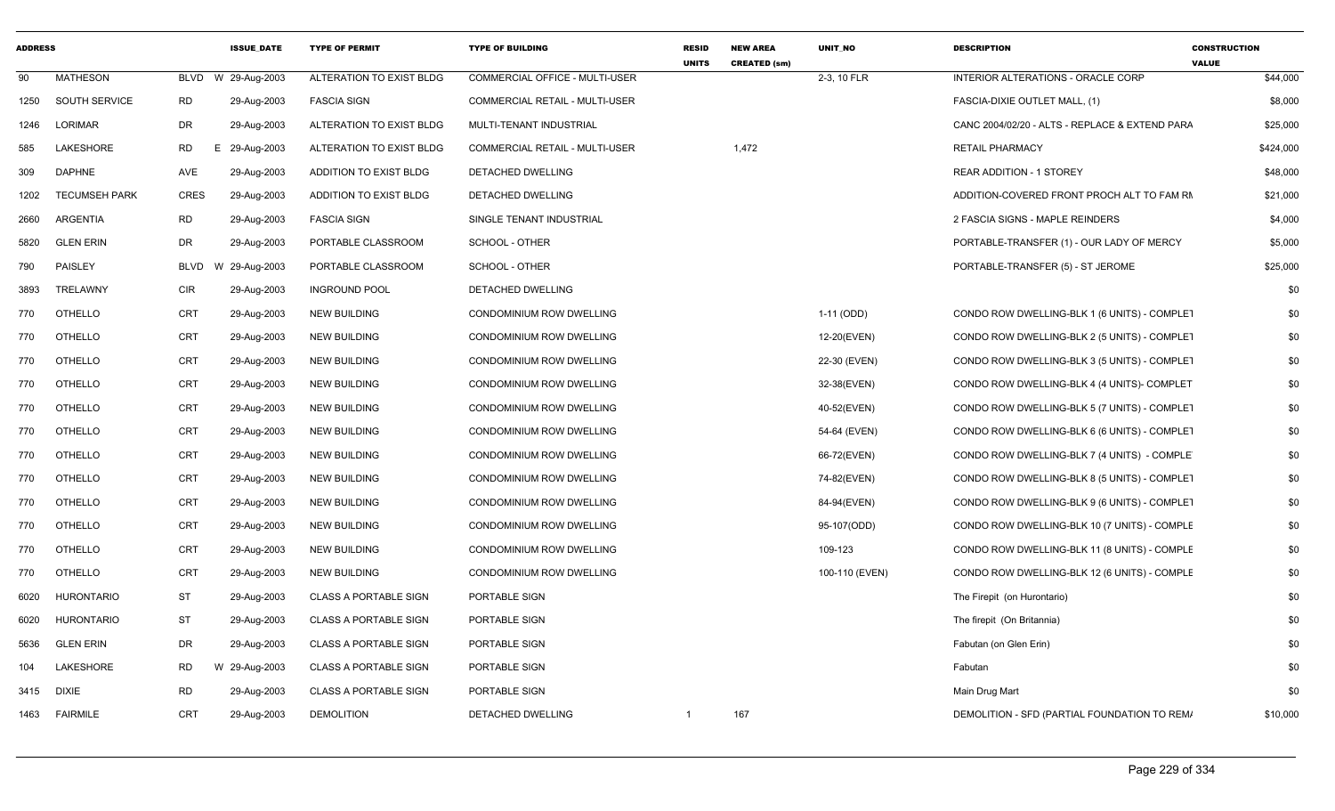| <b>ADDRESS</b> |                      |             | <b>ISSUE DATE</b> | <b>TYPE OF PERMIT</b>        | <b>TYPE OF BUILDING</b>        | <b>RESID</b><br><b>UNITS</b> | <b>NEW AREA</b><br><b>CREATED (sm)</b> | <b>UNIT NO</b> | <b>DESCRIPTION</b>                             | <b>CONSTRUCTION</b><br><b>VALUE</b> |
|----------------|----------------------|-------------|-------------------|------------------------------|--------------------------------|------------------------------|----------------------------------------|----------------|------------------------------------------------|-------------------------------------|
| 90             | <b>MATHESON</b>      | BLVD        | W 29-Aug-2003     | ALTERATION TO EXIST BLDG     | COMMERCIAL OFFICE - MULTI-USER |                              |                                        | 2-3, 10 FLR    | INTERIOR ALTERATIONS - ORACLE CORP             | \$44,000                            |
| 1250           | SOUTH SERVICE        | RD          | 29-Aug-2003       | <b>FASCIA SIGN</b>           | COMMERCIAL RETAIL - MULTI-USER |                              |                                        |                | FASCIA-DIXIE OUTLET MALL, (1)                  | \$8,000                             |
| 1246           | LORIMAR              | DR          | 29-Aug-2003       | ALTERATION TO EXIST BLDG     | MULTI-TENANT INDUSTRIAL        |                              |                                        |                | CANC 2004/02/20 - ALTS - REPLACE & EXTEND PARA | \$25,000                            |
| 585            | LAKESHORE            | <b>RD</b>   | E.<br>29-Aug-2003 | ALTERATION TO EXIST BLDG     | COMMERCIAL RETAIL - MULTI-USER |                              | 1,472                                  |                | <b>RETAIL PHARMACY</b>                         | \$424,000                           |
| 309            | <b>DAPHNE</b>        | AVE         | 29-Aug-2003       | ADDITION TO EXIST BLDG       | DETACHED DWELLING              |                              |                                        |                | REAR ADDITION - 1 STOREY                       | \$48,000                            |
| 1202           | <b>TECUMSEH PARK</b> | <b>CRES</b> | 29-Aug-2003       | ADDITION TO EXIST BLDG       | DETACHED DWELLING              |                              |                                        |                | ADDITION-COVERED FRONT PROCH ALT TO FAM RM     | \$21,000                            |
| 2660           | ARGENTIA             | <b>RD</b>   | 29-Aug-2003       | <b>FASCIA SIGN</b>           | SINGLE TENANT INDUSTRIAL       |                              |                                        |                | 2 FASCIA SIGNS - MAPLE REINDERS                | \$4,000                             |
| 5820           | <b>GLEN ERIN</b>     | DR          | 29-Aug-2003       | PORTABLE CLASSROOM           | SCHOOL - OTHER                 |                              |                                        |                | PORTABLE-TRANSFER (1) - OUR LADY OF MERCY      | \$5,000                             |
| 790            | PAISLEY              | BLVD        | W 29-Aug-2003     | PORTABLE CLASSROOM           | SCHOOL - OTHER                 |                              |                                        |                | PORTABLE-TRANSFER (5) - ST JEROME              | \$25,000                            |
| 3893           | TRELAWNY             | <b>CIR</b>  | 29-Aug-2003       | <b>INGROUND POOL</b>         | DETACHED DWELLING              |                              |                                        |                |                                                | \$0                                 |
| 770            | <b>OTHELLO</b>       | CRT         | 29-Aug-2003       | <b>NEW BUILDING</b>          | CONDOMINIUM ROW DWELLING       |                              |                                        | 1-11 (ODD)     | CONDO ROW DWELLING-BLK 1 (6 UNITS) - COMPLET   | \$0                                 |
| 770            | <b>OTHELLO</b>       | <b>CRT</b>  | 29-Aug-2003       | <b>NEW BUILDING</b>          | CONDOMINIUM ROW DWELLING       |                              |                                        | 12-20(EVEN)    | CONDO ROW DWELLING-BLK 2 (5 UNITS) - COMPLET   | \$0                                 |
| 770            | OTHELLO              | CRT         | 29-Aug-2003       | <b>NEW BUILDING</b>          | CONDOMINIUM ROW DWELLING       |                              |                                        | 22-30 (EVEN)   | CONDO ROW DWELLING-BLK 3 (5 UNITS) - COMPLET   | \$0                                 |
| 770            | <b>OTHELLO</b>       | CRT         | 29-Aug-2003       | <b>NEW BUILDING</b>          | CONDOMINIUM ROW DWELLING       |                              |                                        | 32-38(EVEN)    | CONDO ROW DWELLING-BLK 4 (4 UNITS)- COMPLET    | \$0                                 |
| 770            | <b>OTHELLO</b>       | CRT         | 29-Aug-2003       | <b>NEW BUILDING</b>          | CONDOMINIUM ROW DWELLING       |                              |                                        | 40-52(EVEN)    | CONDO ROW DWELLING-BLK 5 (7 UNITS) - COMPLET   | \$0                                 |
| 770            | OTHELLO              | CRT         | 29-Aug-2003       | <b>NEW BUILDING</b>          | CONDOMINIUM ROW DWELLING       |                              |                                        | 54-64 (EVEN)   | CONDO ROW DWELLING-BLK 6 (6 UNITS) - COMPLET   | \$0                                 |
| 770            | <b>OTHELLO</b>       | <b>CRT</b>  | 29-Aug-2003       | <b>NEW BUILDING</b>          | CONDOMINIUM ROW DWELLING       |                              |                                        | 66-72(EVEN)    | CONDO ROW DWELLING-BLK 7 (4 UNITS) - COMPLE    | \$0                                 |
| 770            | OTHELLO              | CRT         | 29-Aug-2003       | <b>NEW BUILDING</b>          | CONDOMINIUM ROW DWELLING       |                              |                                        | 74-82(EVEN)    | CONDO ROW DWELLING-BLK 8 (5 UNITS) - COMPLET   | \$0                                 |
| 770            | <b>OTHELLO</b>       | CRT         | 29-Aug-2003       | <b>NEW BUILDING</b>          | CONDOMINIUM ROW DWELLING       |                              |                                        | 84-94(EVEN)    | CONDO ROW DWELLING-BLK 9 (6 UNITS) - COMPLET   | \$0                                 |
| 770            | <b>OTHELLO</b>       | CRT         | 29-Aug-2003       | <b>NEW BUILDING</b>          | CONDOMINIUM ROW DWELLING       |                              |                                        | 95-107(ODD)    | CONDO ROW DWELLING-BLK 10 (7 UNITS) - COMPLE   | \$0                                 |
| 770            | <b>OTHELLO</b>       | <b>CRT</b>  | 29-Aug-2003       | <b>NEW BUILDING</b>          | CONDOMINIUM ROW DWELLING       |                              |                                        | 109-123        | CONDO ROW DWELLING-BLK 11 (8 UNITS) - COMPLE   | \$0                                 |
| 770            | <b>OTHELLO</b>       | <b>CRT</b>  | 29-Aug-2003       | <b>NEW BUILDING</b>          | CONDOMINIUM ROW DWELLING       |                              |                                        | 100-110 (EVEN) | CONDO ROW DWELLING-BLK 12 (6 UNITS) - COMPLE   | \$0                                 |
| 6020           | <b>HURONTARIO</b>    | ST          | 29-Aug-2003       | <b>CLASS A PORTABLE SIGN</b> | PORTABLE SIGN                  |                              |                                        |                | The Firepit (on Hurontario)                    | \$0                                 |
| 6020           | <b>HURONTARIO</b>    | <b>ST</b>   | 29-Aug-2003       | <b>CLASS A PORTABLE SIGN</b> | PORTABLE SIGN                  |                              |                                        |                | The firepit (On Britannia)                     | \$0                                 |
| 5636           | <b>GLEN ERIN</b>     | DR          | 29-Aug-2003       | <b>CLASS A PORTABLE SIGN</b> | PORTABLE SIGN                  |                              |                                        |                | Fabutan (on Glen Erin)                         | \$0                                 |
| 104            | LAKESHORE            | RD          | W 29-Aug-2003     | <b>CLASS A PORTABLE SIGN</b> | PORTABLE SIGN                  |                              |                                        |                | Fabutan                                        | \$0                                 |
| 3415           | DIXIE                | RD          | 29-Aug-2003       | <b>CLASS A PORTABLE SIGN</b> | PORTABLE SIGN                  |                              |                                        |                | Main Drug Mart                                 | \$0                                 |
|                | 1463 FAIRMILE        | CRT         | 29-Aug-2003       | <b>DEMOLITION</b>            | <b>DETACHED DWELLING</b>       | $\overline{1}$               | 167                                    |                | DEMOLITION - SFD (PARTIAL FOUNDATION TO REM/   | \$10,000                            |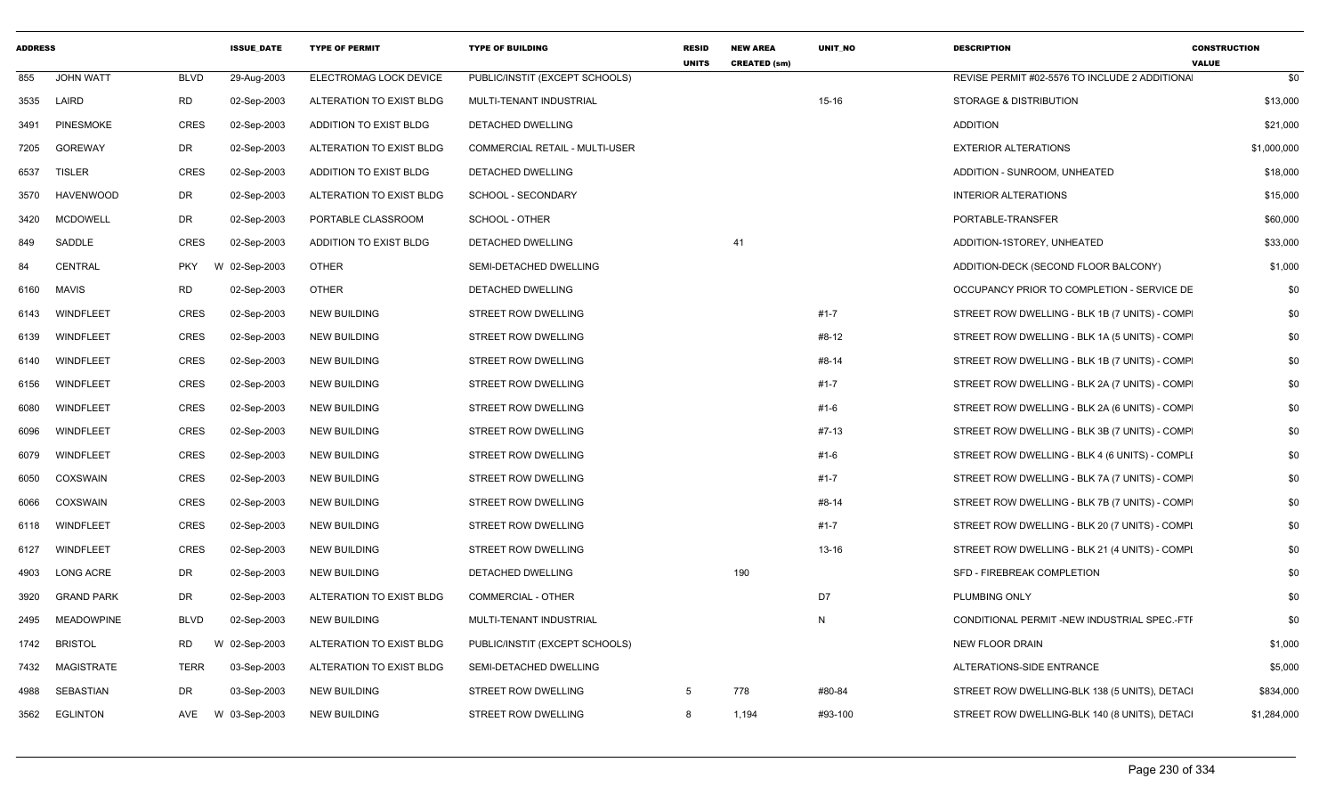| <b>ADDRESS</b> |                   |             | <b>ISSUE DATE</b> | <b>TYPE OF PERMIT</b>    | <b>TYPE OF BUILDING</b>        | <b>RESID</b><br><b>UNITS</b> | <b>NEW AREA</b><br><b>CREATED (sm)</b> | <b>UNIT NO</b> | <b>DESCRIPTION</b>                             | <b>CONSTRUCTION</b><br><b>VALUE</b> |
|----------------|-------------------|-------------|-------------------|--------------------------|--------------------------------|------------------------------|----------------------------------------|----------------|------------------------------------------------|-------------------------------------|
| 855            | <b>JOHN WATT</b>  | BLVD        | 29-Aug-2003       | ELECTROMAG LOCK DEVICE   | PUBLIC/INSTIT (EXCEPT SCHOOLS) |                              |                                        |                | REVISE PERMIT #02-5576 TO INCLUDE 2 ADDITIONA  | \$0                                 |
| 3535           | LAIRD             | <b>RD</b>   | 02-Sep-2003       | ALTERATION TO EXIST BLDG | MULTI-TENANT INDUSTRIAL        |                              |                                        | $15 - 16$      | <b>STORAGE &amp; DISTRIBUTION</b>              | \$13,000                            |
| 3491           | <b>PINESMOKE</b>  | <b>CRES</b> | 02-Sep-2003       | ADDITION TO EXIST BLDG   | DETACHED DWELLING              |                              |                                        |                | ADDITION                                       | \$21,000                            |
| 7205           | GOREWAY           | DR          | 02-Sep-2003       | ALTERATION TO EXIST BLDG | COMMERCIAL RETAIL - MULTI-USER |                              |                                        |                | <b>EXTERIOR ALTERATIONS</b>                    | \$1,000,000                         |
| 6537           | <b>TISLER</b>     | <b>CRES</b> | 02-Sep-2003       | ADDITION TO EXIST BLDG   | DETACHED DWELLING              |                              |                                        |                | ADDITION - SUNROOM, UNHEATED                   | \$18,000                            |
| 3570           | <b>HAVENWOOD</b>  | DR          | 02-Sep-2003       | ALTERATION TO EXIST BLDG | SCHOOL - SECONDARY             |                              |                                        |                | <b>INTERIOR ALTERATIONS</b>                    | \$15,000                            |
| 3420           | MCDOWELL          | DR          | 02-Sep-2003       | PORTABLE CLASSROOM       | SCHOOL - OTHER                 |                              |                                        |                | PORTABLE-TRANSFER                              | \$60,000                            |
| 849            | SADDLE            | CRES        | 02-Sep-2003       | ADDITION TO EXIST BLDG   | DETACHED DWELLING              |                              | 41                                     |                | ADDITION-1STOREY, UNHEATED                     | \$33,000                            |
| 84             | CENTRAL           | PKY         | W 02-Sep-2003     | <b>OTHER</b>             | SEMI-DETACHED DWELLING         |                              |                                        |                | ADDITION-DECK (SECOND FLOOR BALCONY)           | \$1,000                             |
| 6160           | MAVIS             | RD          | 02-Sep-2003       | <b>OTHER</b>             | DETACHED DWELLING              |                              |                                        |                | OCCUPANCY PRIOR TO COMPLETION - SERVICE DE     | \$0                                 |
| 6143           | WINDFLEET         | CRES        | 02-Sep-2003       | <b>NEW BUILDING</b>      | STREET ROW DWELLING            |                              |                                        | $#1 - 7$       | STREET ROW DWELLING - BLK 1B (7 UNITS) - COMP  | \$0                                 |
| 6139           | WINDFLEET         | CRES        | 02-Sep-2003       | <b>NEW BUILDING</b>      | STREET ROW DWELLING            |                              |                                        | #8-12          | STREET ROW DWELLING - BLK 1A (5 UNITS) - COMP  | \$0                                 |
| 6140           | WINDFLEET         | CRES        | 02-Sep-2003       | <b>NEW BUILDING</b>      | STREET ROW DWELLING            |                              |                                        | #8-14          | STREET ROW DWELLING - BLK 1B (7 UNITS) - COMP  | \$0                                 |
| 6156           | WINDFLEET         | CRES        | 02-Sep-2003       | <b>NEW BUILDING</b>      | <b>STREET ROW DWELLING</b>     |                              |                                        | $#1 - 7$       | STREET ROW DWELLING - BLK 2A (7 UNITS) - COMP  | \$0                                 |
| 6080           | <b>WINDFLEET</b>  | CRES        | 02-Sep-2003       | <b>NEW BUILDING</b>      | STREET ROW DWELLING            |                              |                                        | $#1 - 6$       | STREET ROW DWELLING - BLK 2A (6 UNITS) - COMP  | \$0                                 |
| 6096           | WINDFLEET         | <b>CRES</b> | 02-Sep-2003       | <b>NEW BUILDING</b>      | STREET ROW DWELLING            |                              |                                        | $#7-13$        | STREET ROW DWELLING - BLK 3B (7 UNITS) - COMP  | \$0                                 |
| 6079           | WINDFLEET         | CRES        | 02-Sep-2003       | <b>NEW BUILDING</b>      | STREET ROW DWELLING            |                              |                                        | #1-6           | STREET ROW DWELLING - BLK 4 (6 UNITS) - COMPLI | \$0                                 |
| 6050           | COXSWAIN          | <b>CRES</b> | 02-Sep-2003       | <b>NEW BUILDING</b>      | STREET ROW DWELLING            |                              |                                        | $#1 - 7$       | STREET ROW DWELLING - BLK 7A (7 UNITS) - COMP  | \$0                                 |
| 6066           | COXSWAIN          | <b>CRES</b> | 02-Sep-2003       | <b>NEW BUILDING</b>      | STREET ROW DWELLING            |                              |                                        | #8-14          | STREET ROW DWELLING - BLK 7B (7 UNITS) - COMP  | \$0                                 |
| 6118           | WINDFLEET         | <b>CRES</b> | 02-Sep-2003       | <b>NEW BUILDING</b>      | STREET ROW DWELLING            |                              |                                        | $#1 - 7$       | STREET ROW DWELLING - BLK 20 (7 UNITS) - COMPI | \$0                                 |
| 6127           | <b>WINDFLEET</b>  | CRES        | 02-Sep-2003       | <b>NEW BUILDING</b>      | STREET ROW DWELLING            |                              |                                        | 13-16          | STREET ROW DWELLING - BLK 21 (4 UNITS) - COMPI | \$0                                 |
| 4903           | <b>LONG ACRE</b>  | DR          | 02-Sep-2003       | <b>NEW BUILDING</b>      | DETACHED DWELLING              |                              | 190                                    |                | SFD - FIREBREAK COMPLETION                     | \$0                                 |
| 3920           | <b>GRAND PARK</b> | DR          | 02-Sep-2003       | ALTERATION TO EXIST BLDG | COMMERCIAL - OTHER             |                              |                                        | D7             | PLUMBING ONLY                                  | \$0                                 |
| 2495           | <b>MEADOWPINE</b> | <b>BLVD</b> | 02-Sep-2003       | <b>NEW BUILDING</b>      | MULTI-TENANT INDUSTRIAL        |                              |                                        | N              | CONDITIONAL PERMIT -NEW INDUSTRIAL SPEC.-FTF   | \$0                                 |
| 1742           | <b>BRISTOL</b>    | RD          | W 02-Sep-2003     | ALTERATION TO EXIST BLDG | PUBLIC/INSTIT (EXCEPT SCHOOLS) |                              |                                        |                | <b>NEW FLOOR DRAIN</b>                         | \$1,000                             |
| 7432           | MAGISTRATE        | TERR        | 03-Sep-2003       | ALTERATION TO EXIST BLDG | SEMI-DETACHED DWELLING         |                              |                                        |                | ALTERATIONS-SIDE ENTRANCE                      | \$5,000                             |
| 4988           | SEBASTIAN         | DR          | 03-Sep-2003       | <b>NEW BUILDING</b>      | STREET ROW DWELLING            | 5                            | 778                                    | #80-84         | STREET ROW DWELLING-BLK 138 (5 UNITS), DETACI  | \$834,000                           |
| 3562           | EGLINTON          | AVE         | W 03-Sep-2003     | <b>NEW BUILDING</b>      | STREET ROW DWELLING            | 8                            | 1,194                                  | #93-100        | STREET ROW DWELLING-BLK 140 (8 UNITS), DETACI  | \$1,284,000                         |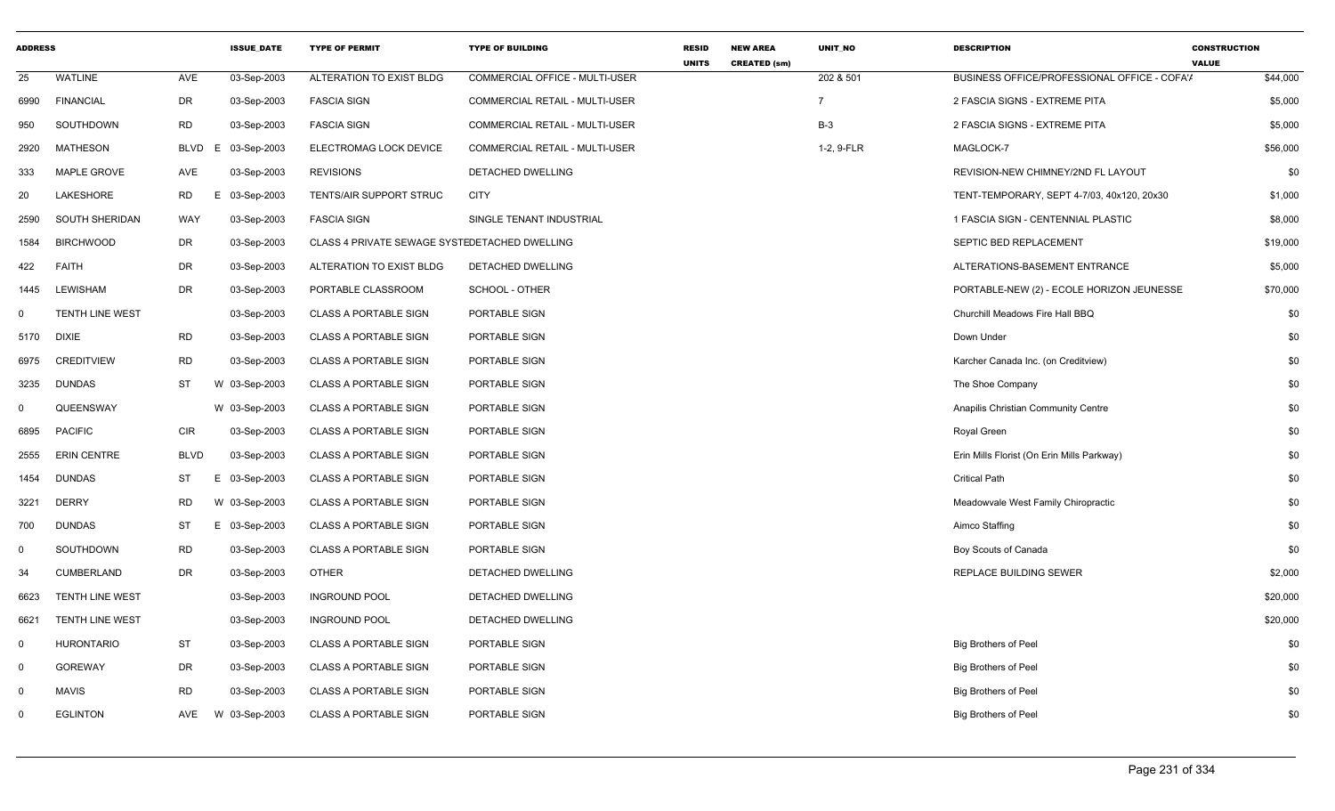| <b>ADDRESS</b> |                        |             | <b>ISSUE_DATE</b> | <b>TYPE OF PERMIT</b>                         | <b>TYPE OF BUILDING</b>               | <b>RESID</b><br><b>UNITS</b> | <b>NEW AREA</b><br><b>CREATED (sm)</b> | UNIT_NO        | <b>DESCRIPTION</b>                           | <b>CONSTRUCTION</b><br><b>VALUE</b> |
|----------------|------------------------|-------------|-------------------|-----------------------------------------------|---------------------------------------|------------------------------|----------------------------------------|----------------|----------------------------------------------|-------------------------------------|
| 25             | <b>WATLINE</b>         | AVE         | 03-Sep-2003       | ALTERATION TO EXIST BLDG                      | COMMERCIAL OFFICE - MULTI-USER        |                              |                                        | 202 & 501      | BUSINESS OFFICE/PROFESSIONAL OFFICE - COFA'/ | \$44,000                            |
| 6990           | <b>FINANCIAL</b>       | DR.         | 03-Sep-2003       | <b>FASCIA SIGN</b>                            | COMMERCIAL RETAIL - MULTI-USER        |                              |                                        | $\overline{7}$ | 2 FASCIA SIGNS - EXTREME PITA                | \$5,000                             |
| 950            | SOUTHDOWN              | RD          | 03-Sep-2003       | <b>FASCIA SIGN</b>                            | COMMERCIAL RETAIL - MULTI-USER        |                              |                                        | $B-3$          | 2 FASCIA SIGNS - EXTREME PITA                | \$5,000                             |
| 2920           | <b>MATHESON</b>        | <b>BLVD</b> | 03-Sep-2003<br>E. | ELECTROMAG LOCK DEVICE                        | <b>COMMERCIAL RETAIL - MULTI-USER</b> |                              |                                        | 1-2, 9-FLR     | MAGLOCK-7                                    | \$56,000                            |
| 333            | <b>MAPLE GROVE</b>     | AVE         | 03-Sep-2003       | <b>REVISIONS</b>                              | DETACHED DWELLING                     |                              |                                        |                | REVISION-NEW CHIMNEY/2ND FL LAYOUT           | \$0                                 |
| 20             | LAKESHORE              | RD          | 03-Sep-2003<br>F. | TENTS/AIR SUPPORT STRUC                       | <b>CITY</b>                           |                              |                                        |                | TENT-TEMPORARY, SEPT 4-7/03, 40x120, 20x30   | \$1,000                             |
| 2590           | SOUTH SHERIDAN         | WAY         | 03-Sep-2003       | <b>FASCIA SIGN</b>                            | SINGLE TENANT INDUSTRIAL              |                              |                                        |                | 1 FASCIA SIGN - CENTENNIAL PLASTIC           | \$8,000                             |
| 1584           | <b>BIRCHWOOD</b>       | DR          | 03-Sep-2003       | CLASS 4 PRIVATE SEWAGE SYSTEDETACHED DWELLING |                                       |                              |                                        |                | SEPTIC BED REPLACEMENT                       | \$19,000                            |
| 422            | <b>FAITH</b>           | DR.         | 03-Sep-2003       | ALTERATION TO EXIST BLDG                      | DETACHED DWELLING                     |                              |                                        |                | ALTERATIONS-BASEMENT ENTRANCE                | \$5,000                             |
| 1445           | <b>LEWISHAM</b>        | DR.         | 03-Sep-2003       | PORTABLE CLASSROOM                            | SCHOOL - OTHER                        |                              |                                        |                | PORTABLE-NEW (2) - ECOLE HORIZON JEUNESSE    | \$70,000                            |
| $\mathbf 0$    | <b>TENTH LINE WEST</b> |             | 03-Sep-2003       | <b>CLASS A PORTABLE SIGN</b>                  | PORTABLE SIGN                         |                              |                                        |                | Churchill Meadows Fire Hall BBQ              | \$0                                 |
| 5170           | <b>DIXIE</b>           | <b>RD</b>   | 03-Sep-2003       | <b>CLASS A PORTABLE SIGN</b>                  | PORTABLE SIGN                         |                              |                                        |                | Down Under                                   | \$0                                 |
| 6975           | <b>CREDITVIEW</b>      | RD          | 03-Sep-2003       | <b>CLASS A PORTABLE SIGN</b>                  | PORTABLE SIGN                         |                              |                                        |                | Karcher Canada Inc. (on Creditview)          | \$0                                 |
| 3235           | <b>DUNDAS</b>          | ST          | W 03-Sep-2003     | <b>CLASS A PORTABLE SIGN</b>                  | PORTABLE SIGN                         |                              |                                        |                | The Shoe Company                             | \$0                                 |
| $\mathbf 0$    | QUEENSWAY              |             | W 03-Sep-2003     | <b>CLASS A PORTABLE SIGN</b>                  | PORTABLE SIGN                         |                              |                                        |                | Anapilis Christian Community Centre          | \$0                                 |
| 6895           | <b>PACIFIC</b>         | <b>CIR</b>  | 03-Sep-2003       | <b>CLASS A PORTABLE SIGN</b>                  | PORTABLE SIGN                         |                              |                                        |                | Royal Green                                  | \$0                                 |
| 2555           | <b>ERIN CENTRE</b>     | <b>BLVD</b> | 03-Sep-2003       | <b>CLASS A PORTABLE SIGN</b>                  | PORTABLE SIGN                         |                              |                                        |                | Erin Mills Florist (On Erin Mills Parkway)   | \$0                                 |
| 1454           | <b>DUNDAS</b>          | <b>ST</b>   | E 03-Sep-2003     | <b>CLASS A PORTABLE SIGN</b>                  | PORTABLE SIGN                         |                              |                                        |                | <b>Critical Path</b>                         | \$0                                 |
| 3221           | <b>DERRY</b>           | <b>RD</b>   | W 03-Sep-2003     | <b>CLASS A PORTABLE SIGN</b>                  | PORTABLE SIGN                         |                              |                                        |                | Meadowvale West Family Chiropractic          | \$0                                 |
| 700            | <b>DUNDAS</b>          | ST          | E 03-Sep-2003     | <b>CLASS A PORTABLE SIGN</b>                  | PORTABLE SIGN                         |                              |                                        |                | Aimco Staffing                               | \$0                                 |
| $\mathbf 0$    | SOUTHDOWN              | <b>RD</b>   | 03-Sep-2003       | <b>CLASS A PORTABLE SIGN</b>                  | PORTABLE SIGN                         |                              |                                        |                | Boy Scouts of Canada                         | \$0                                 |
| 34             | <b>CUMBERLAND</b>      | DR          | 03-Sep-2003       | <b>OTHER</b>                                  | DETACHED DWELLING                     |                              |                                        |                | <b>REPLACE BUILDING SEWER</b>                | \$2,000                             |
| 6623           | <b>TENTH LINE WEST</b> |             | 03-Sep-2003       | <b>INGROUND POOL</b>                          | DETACHED DWELLING                     |                              |                                        |                |                                              | \$20,000                            |
| 6621           | <b>TENTH LINE WEST</b> |             | 03-Sep-2003       | <b>INGROUND POOL</b>                          | DETACHED DWELLING                     |                              |                                        |                |                                              | \$20,000                            |
| $\mathbf 0$    | <b>HURONTARIO</b>      | <b>ST</b>   | 03-Sep-2003       | <b>CLASS A PORTABLE SIGN</b>                  | PORTABLE SIGN                         |                              |                                        |                | <b>Big Brothers of Peel</b>                  | \$0                                 |
| $\mathbf 0$    | <b>GOREWAY</b>         | DR          | 03-Sep-2003       | <b>CLASS A PORTABLE SIGN</b>                  | PORTABLE SIGN                         |                              |                                        |                | <b>Big Brothers of Peel</b>                  | \$0                                 |
| $\mathbf 0$    | <b>MAVIS</b>           | <b>RD</b>   | 03-Sep-2003       | <b>CLASS A PORTABLE SIGN</b>                  | PORTABLE SIGN                         |                              |                                        |                | <b>Big Brothers of Peel</b>                  | \$0                                 |
| $\Omega$       | <b>EGLINTON</b>        | AVE         | W 03-Sep-2003     | <b>CLASS A PORTABLE SIGN</b>                  | PORTABLE SIGN                         |                              |                                        |                | <b>Big Brothers of Peel</b>                  | \$0                                 |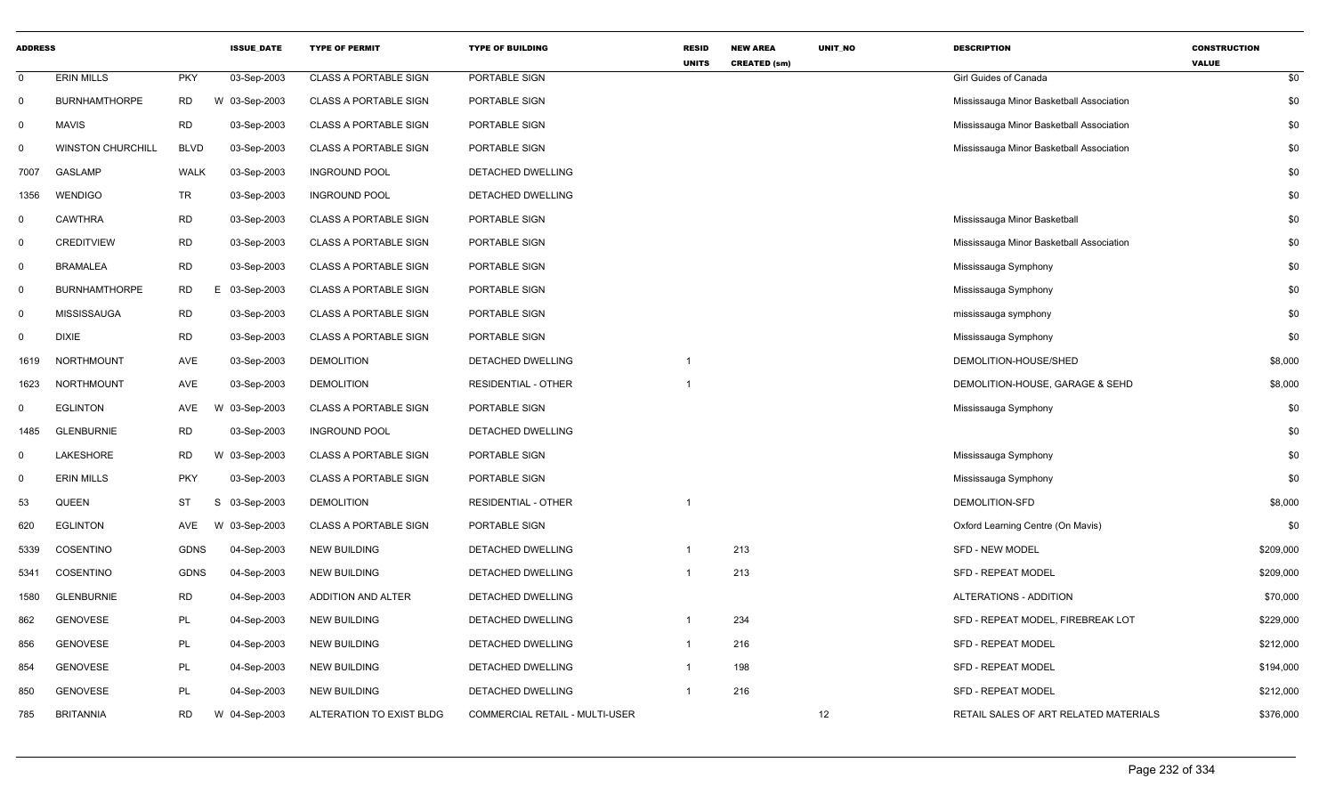| <b>ADDRESS</b> |                          |             | <b>ISSUE_DATE</b> | <b>TYPE OF PERMIT</b>        | <b>TYPE OF BUILDING</b>        | <b>RESID</b>   | <b>NEW AREA</b>     | UNIT_NO | <b>DESCRIPTION</b>                       | <b>CONSTRUCTION</b> |
|----------------|--------------------------|-------------|-------------------|------------------------------|--------------------------------|----------------|---------------------|---------|------------------------------------------|---------------------|
| $\mathbf 0$    | <b>ERIN MILLS</b>        | <b>PKY</b>  | 03-Sep-2003       | <b>CLASS A PORTABLE SIGN</b> | PORTABLE SIGN                  | <b>UNITS</b>   | <b>CREATED (sm)</b> |         | Girl Guides of Canada                    | <b>VALUE</b><br>\$0 |
| $\mathbf 0$    | <b>BURNHAMTHORPE</b>     | <b>RD</b>   | W 03-Sep-2003     | <b>CLASS A PORTABLE SIGN</b> | PORTABLE SIGN                  |                |                     |         | Mississauga Minor Basketball Association | \$0                 |
| $\mathbf 0$    | <b>MAVIS</b>             | <b>RD</b>   | 03-Sep-2003       | <b>CLASS A PORTABLE SIGN</b> | PORTABLE SIGN                  |                |                     |         | Mississauga Minor Basketball Association | \$0                 |
| $\mathbf 0$    | <b>WINSTON CHURCHILL</b> | <b>BLVD</b> | 03-Sep-2003       | <b>CLASS A PORTABLE SIGN</b> | PORTABLE SIGN                  |                |                     |         | Mississauga Minor Basketball Association | \$0                 |
| 7007           | <b>GASLAMP</b>           | <b>WALK</b> | 03-Sep-2003       | <b>INGROUND POOL</b>         | DETACHED DWELLING              |                |                     |         |                                          | \$0                 |
| 1356           | <b>WENDIGO</b>           | TR          | 03-Sep-2003       | <b>INGROUND POOL</b>         | DETACHED DWELLING              |                |                     |         |                                          | \$0                 |
| $\mathbf 0$    | <b>CAWTHRA</b>           | <b>RD</b>   | 03-Sep-2003       | <b>CLASS A PORTABLE SIGN</b> | PORTABLE SIGN                  |                |                     |         | Mississauga Minor Basketball             | \$0                 |
| $\mathbf 0$    | <b>CREDITVIEW</b>        | <b>RD</b>   | 03-Sep-2003       | <b>CLASS A PORTABLE SIGN</b> | PORTABLE SIGN                  |                |                     |         | Mississauga Minor Basketball Association | \$0                 |
| $\mathbf 0$    | <b>BRAMALEA</b>          | <b>RD</b>   | 03-Sep-2003       | <b>CLASS A PORTABLE SIGN</b> | PORTABLE SIGN                  |                |                     |         | Mississauga Symphony                     | \$0                 |
| 0              | <b>BURNHAMTHORPE</b>     | <b>RD</b>   | E 03-Sep-2003     | <b>CLASS A PORTABLE SIGN</b> | PORTABLE SIGN                  |                |                     |         | Mississauga Symphony                     | \$0                 |
| $\mathbf 0$    | <b>MISSISSAUGA</b>       | <b>RD</b>   | 03-Sep-2003       | <b>CLASS A PORTABLE SIGN</b> | PORTABLE SIGN                  |                |                     |         | mississauga symphony                     | \$0                 |
| $\mathbf 0$    | <b>DIXIE</b>             | <b>RD</b>   | 03-Sep-2003       | <b>CLASS A PORTABLE SIGN</b> | PORTABLE SIGN                  |                |                     |         | Mississauga Symphony                     | \$0                 |
| 1619           | <b>NORTHMOUNT</b>        | AVE         | 03-Sep-2003       | <b>DEMOLITION</b>            | DETACHED DWELLING              |                |                     |         | DEMOLITION-HOUSE/SHED                    | \$8,000             |
| 1623           | NORTHMOUNT               | AVE         | 03-Sep-2003       | <b>DEMOLITION</b>            | <b>RESIDENTIAL - OTHER</b>     |                |                     |         | DEMOLITION-HOUSE, GARAGE & SEHD          | \$8,000             |
| 0              | <b>EGLINTON</b>          | AVE         | W 03-Sep-2003     | <b>CLASS A PORTABLE SIGN</b> | PORTABLE SIGN                  |                |                     |         | Mississauga Symphony                     | \$0                 |
| 1485           | <b>GLENBURNIE</b>        | <b>RD</b>   | 03-Sep-2003       | <b>INGROUND POOL</b>         | DETACHED DWELLING              |                |                     |         |                                          | \$0                 |
| $\mathbf 0$    | LAKESHORE                | <b>RD</b>   | W 03-Sep-2003     | <b>CLASS A PORTABLE SIGN</b> | PORTABLE SIGN                  |                |                     |         | Mississauga Symphony                     | \$0                 |
| 0              | <b>ERIN MILLS</b>        | <b>PKY</b>  | 03-Sep-2003       | <b>CLASS A PORTABLE SIGN</b> | PORTABLE SIGN                  |                |                     |         | Mississauga Symphony                     | \$0                 |
| 53             | QUEEN                    | <b>ST</b>   | S<br>03-Sep-2003  | <b>DEMOLITION</b>            | <b>RESIDENTIAL - OTHER</b>     |                |                     |         | DEMOLITION-SFD                           | \$8,000             |
| 620            | <b>EGLINTON</b>          | AVE         | W 03-Sep-2003     | <b>CLASS A PORTABLE SIGN</b> | PORTABLE SIGN                  |                |                     |         | Oxford Learning Centre (On Mavis)        | \$0                 |
| 5339           | COSENTINO                | <b>GDNS</b> | 04-Sep-2003       | <b>NEW BUILDING</b>          | DETACHED DWELLING              | $\overline{1}$ | 213                 |         | SFD - NEW MODEL                          | \$209,000           |
| 5341           | COSENTINO                | <b>GDNS</b> | 04-Sep-2003       | <b>NEW BUILDING</b>          | DETACHED DWELLING              | $\mathbf{1}$   | 213                 |         | <b>SFD - REPEAT MODEL</b>                | \$209,000           |
| 1580           | <b>GLENBURNIE</b>        | <b>RD</b>   | 04-Sep-2003       | <b>ADDITION AND ALTER</b>    | DETACHED DWELLING              |                |                     |         | ALTERATIONS - ADDITION                   | \$70,000            |
| 862            | <b>GENOVESE</b>          | PL          | 04-Sep-2003       | <b>NEW BUILDING</b>          | DETACHED DWELLING              |                | 234                 |         | SFD - REPEAT MODEL, FIREBREAK LOT        | \$229,000           |
| 856            | <b>GENOVESE</b>          | PL          | 04-Sep-2003       | <b>NEW BUILDING</b>          | DETACHED DWELLING              | $\mathbf{1}$   | 216                 |         | SFD - REPEAT MODEL                       | \$212,000           |
| 854            | <b>GENOVESE</b>          | PL          | 04-Sep-2003       | <b>NEW BUILDING</b>          | <b>DETACHED DWELLING</b>       | $\mathbf{1}$   | 198                 |         | <b>SFD - REPEAT MODEL</b>                | \$194,000           |
| 850            | <b>GENOVESE</b>          | PL          | 04-Sep-2003       | <b>NEW BUILDING</b>          | DETACHED DWELLING              | $\overline{1}$ | 216                 |         | <b>SFD - REPEAT MODEL</b>                | \$212,000           |
| 785            | <b>BRITANNIA</b>         | <b>RD</b>   | W 04-Sep-2003     | ALTERATION TO EXIST BLDG     | COMMERCIAL RETAIL - MULTI-USER |                |                     | 12      | RETAIL SALES OF ART RELATED MATERIALS    | \$376,000           |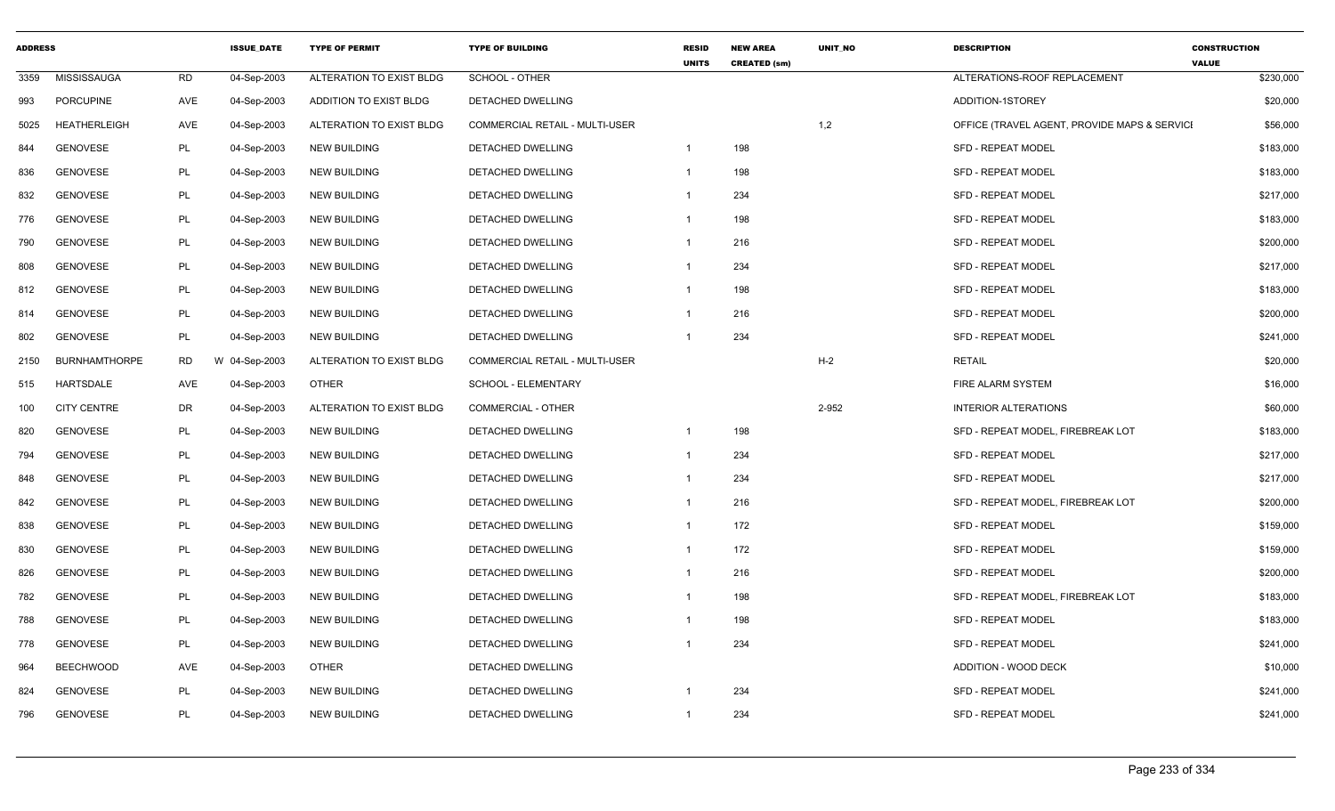| <b>ADDRESS</b> |                      |           | <b>ISSUE DATE</b> | <b>TYPE OF PERMIT</b>    | <b>TYPE OF BUILDING</b>               | <b>RESID</b><br><b>UNITS</b> | <b>NEW AREA</b><br><b>CREATED (sm)</b> | UNIT_NO | <b>DESCRIPTION</b>                           | <b>CONSTRUCTION</b><br><b>VALUE</b> |
|----------------|----------------------|-----------|-------------------|--------------------------|---------------------------------------|------------------------------|----------------------------------------|---------|----------------------------------------------|-------------------------------------|
| 3359           | MISSISSAUGA          | <b>RD</b> | 04-Sep-2003       | ALTERATION TO EXIST BLDG | SCHOOL - OTHER                        |                              |                                        |         | ALTERATIONS-ROOF REPLACEMENT                 | \$230,000                           |
| 993            | <b>PORCUPINE</b>     | AVE       | 04-Sep-2003       | ADDITION TO EXIST BLDG   | DETACHED DWELLING                     |                              |                                        |         | ADDITION-1STOREY                             | \$20,000                            |
| 5025           | <b>HEATHERLEIGH</b>  | AVE       | 04-Sep-2003       | ALTERATION TO EXIST BLDG | <b>COMMERCIAL RETAIL - MULTI-USER</b> |                              |                                        | 1,2     | OFFICE (TRAVEL AGENT, PROVIDE MAPS & SERVICI | \$56,000                            |
| 844            | <b>GENOVESE</b>      | PL        | 04-Sep-2003       | <b>NEW BUILDING</b>      | DETACHED DWELLING                     | $\overline{1}$               | 198                                    |         | <b>SFD - REPEAT MODEL</b>                    | \$183,000                           |
| 836            | <b>GENOVESE</b>      | PL        | 04-Sep-2003       | <b>NEW BUILDING</b>      | <b>DETACHED DWELLING</b>              | $\overline{1}$               | 198                                    |         | <b>SFD - REPEAT MODEL</b>                    | \$183,000                           |
| 832            | <b>GENOVESE</b>      | PL        | 04-Sep-2003       | <b>NEW BUILDING</b>      | DETACHED DWELLING                     | -1                           | 234                                    |         | <b>SFD - REPEAT MODEL</b>                    | \$217,000                           |
| 776            | <b>GENOVESE</b>      | PL        | 04-Sep-2003       | <b>NEW BUILDING</b>      | DETACHED DWELLING                     | -1                           | 198                                    |         | <b>SFD - REPEAT MODEL</b>                    | \$183,000                           |
| 790            | <b>GENOVESE</b>      | PL        | 04-Sep-2003       | <b>NEW BUILDING</b>      | DETACHED DWELLING                     | $\overline{1}$               | 216                                    |         | <b>SFD - REPEAT MODEL</b>                    | \$200,000                           |
| 808            | <b>GENOVESE</b>      | PL        | 04-Sep-2003       | <b>NEW BUILDING</b>      | DETACHED DWELLING                     | -1                           | 234                                    |         | <b>SFD - REPEAT MODEL</b>                    | \$217,000                           |
| 812            | <b>GENOVESE</b>      | PL        | 04-Sep-2003       | <b>NEW BUILDING</b>      | DETACHED DWELLING                     | $\overline{1}$               | 198                                    |         | <b>SFD - REPEAT MODEL</b>                    | \$183,000                           |
| 814            | <b>GENOVESE</b>      | PL        | 04-Sep-2003       | <b>NEW BUILDING</b>      | DETACHED DWELLING                     | -1                           | 216                                    |         | SFD - REPEAT MODEL                           | \$200,000                           |
| 802            | <b>GENOVESE</b>      | PL        | 04-Sep-2003       | <b>NEW BUILDING</b>      | DETACHED DWELLING                     | $\overline{1}$               | 234                                    |         | <b>SFD - REPEAT MODEL</b>                    | \$241,000                           |
| 2150           | <b>BURNHAMTHORPE</b> | RD        | W 04-Sep-2003     | ALTERATION TO EXIST BLDG | <b>COMMERCIAL RETAIL - MULTI-USER</b> |                              |                                        | $H-2$   | <b>RETAIL</b>                                | \$20,000                            |
| 515            | HARTSDALE            | AVE       | 04-Sep-2003       | <b>OTHER</b>             | SCHOOL - ELEMENTARY                   |                              |                                        |         | FIRE ALARM SYSTEM                            | \$16,000                            |
| 100            | <b>CITY CENTRE</b>   | <b>DR</b> | 04-Sep-2003       | ALTERATION TO EXIST BLDG | <b>COMMERCIAL - OTHER</b>             |                              |                                        | 2-952   | <b>INTERIOR ALTERATIONS</b>                  | \$60,000                            |
| 820            | <b>GENOVESE</b>      | PL        | 04-Sep-2003       | <b>NEW BUILDING</b>      | DETACHED DWELLING                     | $\overline{1}$               | 198                                    |         | SFD - REPEAT MODEL, FIREBREAK LOT            | \$183,000                           |
| 794            | <b>GENOVESE</b>      | PL        | 04-Sep-2003       | <b>NEW BUILDING</b>      | DETACHED DWELLING                     | $\overline{1}$               | 234                                    |         | SFD - REPEAT MODEL                           | \$217,000                           |
| 848            | <b>GENOVESE</b>      | PL        | 04-Sep-2003       | <b>NEW BUILDING</b>      | DETACHED DWELLING                     | -1                           | 234                                    |         | <b>SFD - REPEAT MODEL</b>                    | \$217,000                           |
| 842            | <b>GENOVESE</b>      | PL        | 04-Sep-2003       | <b>NEW BUILDING</b>      | DETACHED DWELLING                     | $\overline{1}$               | 216                                    |         | SFD - REPEAT MODEL, FIREBREAK LOT            | \$200,000                           |
| 838            | <b>GENOVESE</b>      | PL        | 04-Sep-2003       | <b>NEW BUILDING</b>      | DETACHED DWELLING                     | $\mathbf{1}$                 | 172                                    |         | <b>SFD - REPEAT MODEL</b>                    | \$159,000                           |
| 830            | <b>GENOVESE</b>      | PL        | 04-Sep-2003       | <b>NEW BUILDING</b>      | DETACHED DWELLING                     | $\mathbf{1}$                 | 172                                    |         | <b>SFD - REPEAT MODEL</b>                    | \$159,000                           |
| 826            | <b>GENOVESE</b>      | PL        | 04-Sep-2003       | <b>NEW BUILDING</b>      | DETACHED DWELLING                     | $\overline{1}$               | 216                                    |         | <b>SFD - REPEAT MODEL</b>                    | \$200,000                           |
| 782            | <b>GENOVESE</b>      | PL        | 04-Sep-2003       | <b>NEW BUILDING</b>      | DETACHED DWELLING                     | $\overline{1}$               | 198                                    |         | SFD - REPEAT MODEL, FIREBREAK LOT            | \$183,000                           |
| 788            | <b>GENOVESE</b>      | PL        | 04-Sep-2003       | <b>NEW BUILDING</b>      | DETACHED DWELLING                     | -1                           | 198                                    |         | SFD - REPEAT MODEL                           | \$183,000                           |
| 778            | <b>GENOVESE</b>      | PL        | 04-Sep-2003       | <b>NEW BUILDING</b>      | DETACHED DWELLING                     | -1                           | 234                                    |         | <b>SFD - REPEAT MODEL</b>                    | \$241,000                           |
| 964            | <b>BEECHWOOD</b>     | AVE       | 04-Sep-2003       | <b>OTHER</b>             | <b>DETACHED DWELLING</b>              |                              |                                        |         | ADDITION - WOOD DECK                         | \$10,000                            |
| 824            | <b>GENOVESE</b>      | PL        | 04-Sep-2003       | <b>NEW BUILDING</b>      | <b>DETACHED DWELLING</b>              | -1                           | 234                                    |         | <b>SFD - REPEAT MODEL</b>                    | \$241,000                           |
| 796            | <b>GENOVESE</b>      | PL        | 04-Sep-2003       | <b>NEW BUILDING</b>      | DETACHED DWELLING                     | -1                           | 234                                    |         | SFD - REPEAT MODEL                           | \$241,000                           |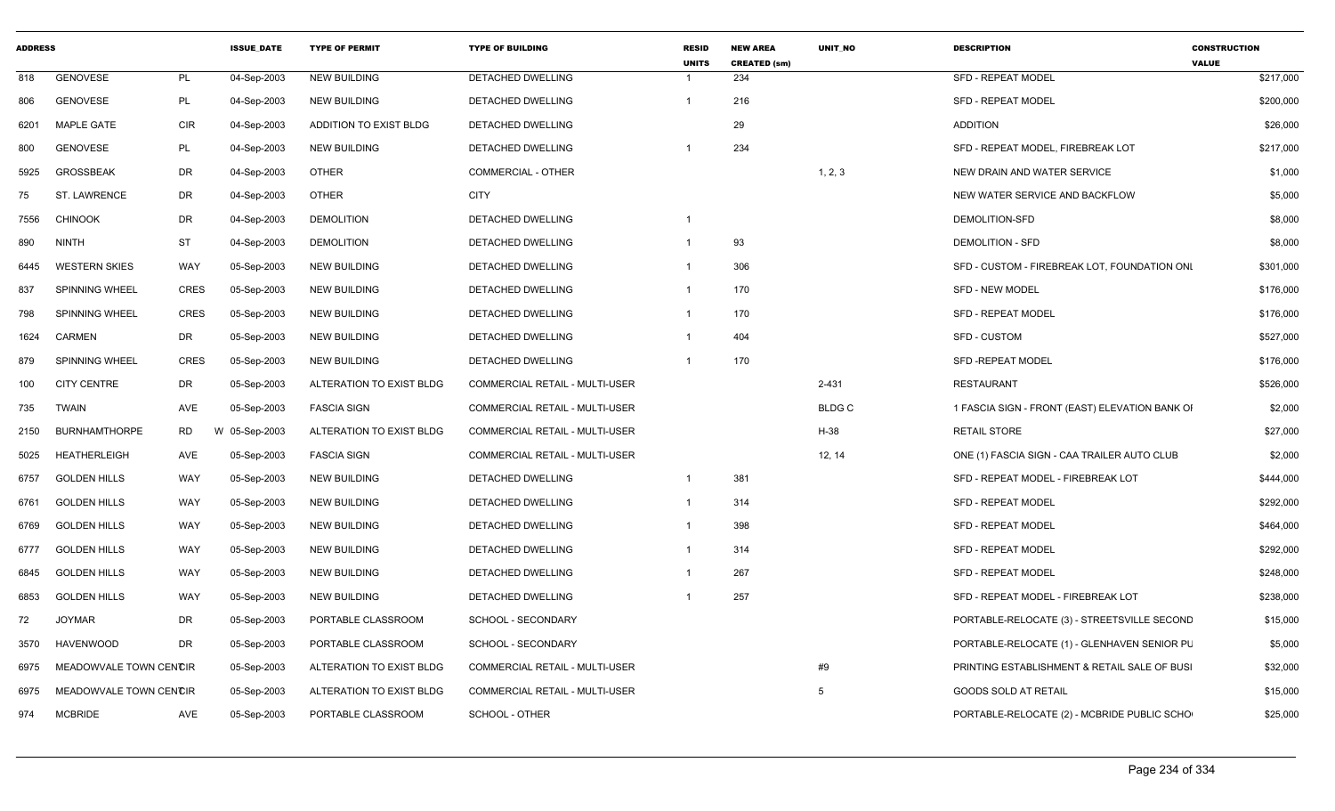| <b>ADDRESS</b> |                        |             | <b>ISSUE DATE</b> | <b>TYPE OF PERMIT</b>    | <b>TYPE OF BUILDING</b>        | <b>RESID</b><br><b>UNITS</b> | <b>NEW AREA</b><br><b>CREATED (sm)</b> | <b>UNIT NO</b> | <b>DESCRIPTION</b>                             | <b>CONSTRUCTION</b><br><b>VALUE</b> |
|----------------|------------------------|-------------|-------------------|--------------------------|--------------------------------|------------------------------|----------------------------------------|----------------|------------------------------------------------|-------------------------------------|
| 818            | <b>GENOVESE</b>        | PL          | 04-Sep-2003       | <b>NEW BUILDING</b>      | DETACHED DWELLING              |                              | 234                                    |                | <b>SFD - REPEAT MODEL</b>                      | \$217,000                           |
| 806            | <b>GENOVESE</b>        | PL          | 04-Sep-2003       | <b>NEW BUILDING</b>      | <b>DETACHED DWELLING</b>       |                              | 216                                    |                | <b>SFD - REPEAT MODEL</b>                      | \$200,000                           |
| 6201           | <b>MAPLE GATE</b>      | <b>CIR</b>  | 04-Sep-2003       | ADDITION TO EXIST BLDG   | DETACHED DWELLING              |                              | 29                                     |                | <b>ADDITION</b>                                | \$26,000                            |
| 800            | <b>GENOVESE</b>        | PL          | 04-Sep-2003       | <b>NEW BUILDING</b>      | DETACHED DWELLING              |                              | 234                                    |                | SFD - REPEAT MODEL, FIREBREAK LOT              | \$217,000                           |
| 5925           | <b>GROSSBEAK</b>       | DR          | 04-Sep-2003       | <b>OTHER</b>             | COMMERCIAL - OTHER             |                              |                                        | 1, 2, 3        | NEW DRAIN AND WATER SERVICE                    | \$1,000                             |
| 75             | ST. LAWRENCE           | DR          | 04-Sep-2003       | <b>OTHER</b>             | <b>CITY</b>                    |                              |                                        |                | NEW WATER SERVICE AND BACKFLOW                 | \$5,000                             |
| 7556           | <b>CHINOOK</b>         | DR          | 04-Sep-2003       | <b>DEMOLITION</b>        | DETACHED DWELLING              |                              |                                        |                | DEMOLITION-SFD                                 | \$8,000                             |
| 890            | <b>NINTH</b>           | ST          | 04-Sep-2003       | <b>DEMOLITION</b>        | <b>DETACHED DWELLING</b>       |                              | 93                                     |                | <b>DEMOLITION - SFD</b>                        | \$8,000                             |
| 6445           | <b>WESTERN SKIES</b>   | WAY         | 05-Sep-2003       | <b>NEW BUILDING</b>      | DETACHED DWELLING              |                              | 306                                    |                | SFD - CUSTOM - FIREBREAK LOT, FOUNDATION ONL   | \$301,000                           |
| 837            | <b>SPINNING WHEEL</b>  | <b>CRES</b> | 05-Sep-2003       | <b>NEW BUILDING</b>      | DETACHED DWELLING              |                              | 170                                    |                | <b>SFD - NEW MODEL</b>                         | \$176,000                           |
| 798            | SPINNING WHEEL         | <b>CRES</b> | 05-Sep-2003       | <b>NEW BUILDING</b>      | DETACHED DWELLING              |                              | 170                                    |                | SFD - REPEAT MODEL                             | \$176,000                           |
| 1624           | <b>CARMEN</b>          | DR          | 05-Sep-2003       | <b>NEW BUILDING</b>      | DETACHED DWELLING              |                              | 404                                    |                | SFD - CUSTOM                                   | \$527,000                           |
| 879            | <b>SPINNING WHEEL</b>  | CRES        | 05-Sep-2003       | <b>NEW BUILDING</b>      | DETACHED DWELLING              |                              | 170                                    |                | SFD -REPEAT MODEL                              | \$176,000                           |
| 100            | <b>CITY CENTRE</b>     | DR          | 05-Sep-2003       | ALTERATION TO EXIST BLDG | COMMERCIAL RETAIL - MULTI-USER |                              |                                        | 2-431          | <b>RESTAURANT</b>                              | \$526,000                           |
| 735            | <b>TWAIN</b>           | AVE         | 05-Sep-2003       | <b>FASCIA SIGN</b>       | COMMERCIAL RETAIL - MULTI-USER |                              |                                        | <b>BLDGC</b>   | 1 FASCIA SIGN - FRONT (EAST) ELEVATION BANK OI | \$2,000                             |
| 2150           | <b>BURNHAMTHORPE</b>   | <b>RD</b>   | W 05-Sep-2003     | ALTERATION TO EXIST BLDG | COMMERCIAL RETAIL - MULTI-USER |                              |                                        | H-38           | <b>RETAIL STORE</b>                            | \$27,000                            |
| 5025           | <b>HEATHERLEIGH</b>    | AVE         | 05-Sep-2003       | <b>FASCIA SIGN</b>       | COMMERCIAL RETAIL - MULTI-USER |                              |                                        | 12, 14         | ONE (1) FASCIA SIGN - CAA TRAILER AUTO CLUB    | \$2,000                             |
| 6757           | <b>GOLDEN HILLS</b>    | WAY         | 05-Sep-2003       | <b>NEW BUILDING</b>      | DETACHED DWELLING              |                              | 381                                    |                | SFD - REPEAT MODEL - FIREBREAK LOT             | \$444,000                           |
| 6761           | <b>GOLDEN HILLS</b>    | WAY         | 05-Sep-2003       | <b>NEW BUILDING</b>      | DETACHED DWELLING              |                              | 314                                    |                | <b>SFD - REPEAT MODEL</b>                      | \$292,000                           |
| 6769           | <b>GOLDEN HILLS</b>    | WAY         | 05-Sep-2003       | <b>NEW BUILDING</b>      | DETACHED DWELLING              |                              | 398                                    |                | <b>SFD - REPEAT MODEL</b>                      | \$464,000                           |
| 6777           | <b>GOLDEN HILLS</b>    | WAY         | 05-Sep-2003       | <b>NEW BUILDING</b>      | DETACHED DWELLING              |                              | 314                                    |                | SFD - REPEAT MODEL                             | \$292,000                           |
| 6845           | <b>GOLDEN HILLS</b>    | WAY         | 05-Sep-2003       | <b>NEW BUILDING</b>      | DETACHED DWELLING              |                              | 267                                    |                | <b>SFD - REPEAT MODEL</b>                      | \$248,000                           |
| 6853           | <b>GOLDEN HILLS</b>    | WAY         | 05-Sep-2003       | <b>NEW BUILDING</b>      | DETACHED DWELLING              |                              | 257                                    |                | SFD - REPEAT MODEL - FIREBREAK LOT             | \$238,000                           |
| 72             | <b>JOYMAR</b>          | DR          | 05-Sep-2003       | PORTABLE CLASSROOM       | <b>SCHOOL - SECONDARY</b>      |                              |                                        |                | PORTABLE-RELOCATE (3) - STREETSVILLE SECOND    | \$15,000                            |
| 3570           | <b>HAVENWOOD</b>       | DR.         | 05-Sep-2003       | PORTABLE CLASSROOM       | SCHOOL - SECONDARY             |                              |                                        |                | PORTABLE-RELOCATE (1) - GLENHAVEN SENIOR PL    | \$5,000                             |
| 6975           | MEADOWVALE TOWN CENCIR |             | 05-Sep-2003       | ALTERATION TO EXIST BLDG | COMMERCIAL RETAIL - MULTI-USER |                              |                                        | #9             | PRINTING ESTABLISHMENT & RETAIL SALE OF BUSI   | \$32,000                            |
| 6975           | MEADOWVALE TOWN CENCIR |             | 05-Sep-2003       | ALTERATION TO EXIST BLDG | COMMERCIAL RETAIL - MULTI-USER |                              |                                        | 5              | <b>GOODS SOLD AT RETAIL</b>                    | \$15,000                            |
| 974            | <b>MCBRIDE</b>         | AVE         | 05-Sep-2003       | PORTABLE CLASSROOM       | SCHOOL - OTHER                 |                              |                                        |                | PORTABLE-RELOCATE (2) - MCBRIDE PUBLIC SCHO    | \$25,000                            |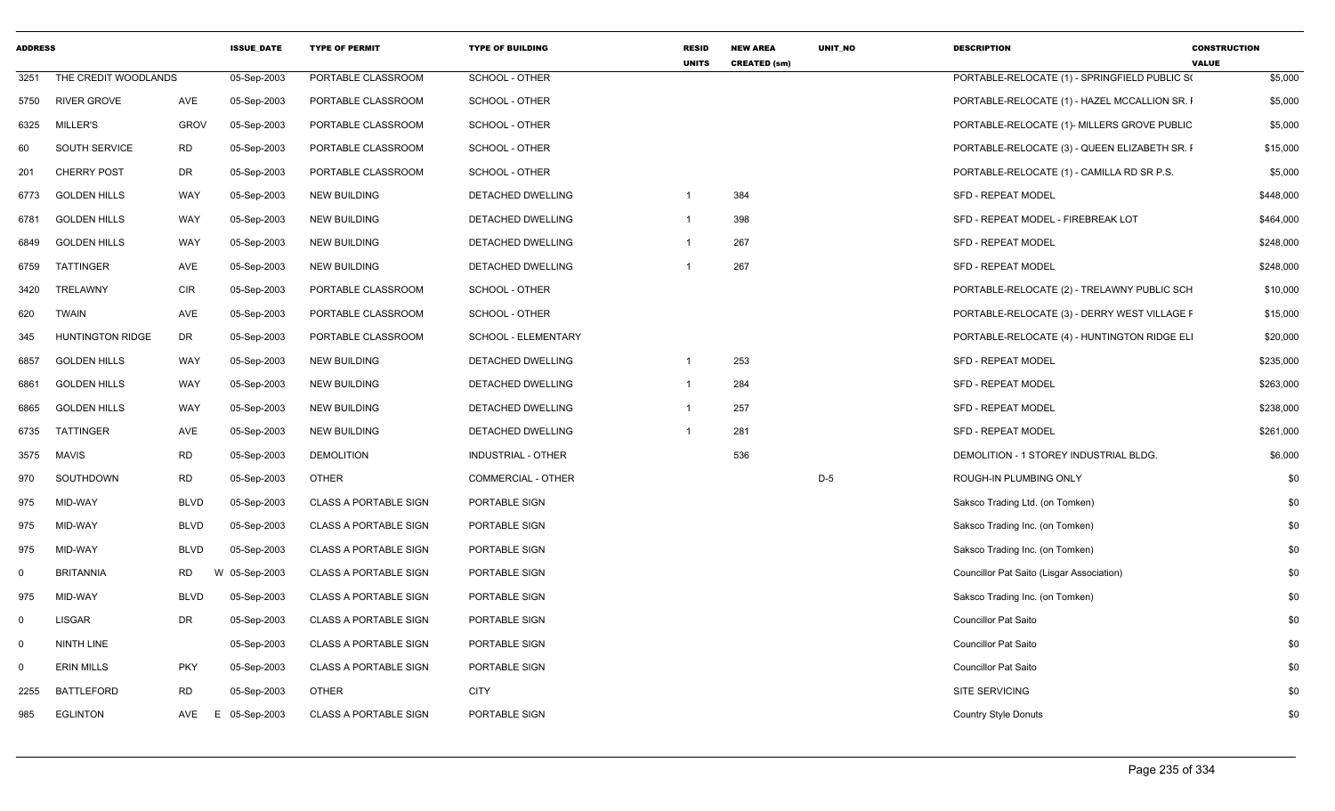| <b>ADDRESS</b> |                         |             | <b>ISSUE DATE</b> | <b>TYPE OF PERMIT</b>        | <b>TYPE OF BUILDING</b>   | <b>RESID</b><br><b>UNITS</b> | <b>NEW AREA</b><br><b>CREATED (sm)</b> | <b>UNIT NO</b> | <b>DESCRIPTION</b>                            | <b>CONSTRUCTION</b><br><b>VALUE</b> |
|----------------|-------------------------|-------------|-------------------|------------------------------|---------------------------|------------------------------|----------------------------------------|----------------|-----------------------------------------------|-------------------------------------|
| 3251           | THE CREDIT WOODLANDS    |             | 05-Sep-2003       | PORTABLE CLASSROOM           | <b>SCHOOL - OTHER</b>     |                              |                                        |                | PORTABLE-RELOCATE (1) - SPRINGFIELD PUBLIC S( | \$5,000                             |
| 5750           | <b>RIVER GROVE</b>      | AVE         | 05-Sep-2003       | PORTABLE CLASSROOM           | SCHOOL - OTHER            |                              |                                        |                | PORTABLE-RELOCATE (1) - HAZEL MCCALLION SR. I | \$5,000                             |
| 6325           | <b>MILLER'S</b>         | <b>GROV</b> | 05-Sep-2003       | PORTABLE CLASSROOM           | SCHOOL - OTHER            |                              |                                        |                | PORTABLE-RELOCATE (1)- MILLERS GROVE PUBLIC   | \$5,000                             |
| 60             | SOUTH SERVICE           | <b>RD</b>   | 05-Sep-2003       | PORTABLE CLASSROOM           | SCHOOL - OTHER            |                              |                                        |                | PORTABLE-RELOCATE (3) - QUEEN ELIZABETH SR. I | \$15,000                            |
| 201            | <b>CHERRY POST</b>      | <b>DR</b>   | 05-Sep-2003       | PORTABLE CLASSROOM           | SCHOOL - OTHER            |                              |                                        |                | PORTABLE-RELOCATE (1) - CAMILLA RD SR P.S.    | \$5,000                             |
| 6773           | <b>GOLDEN HILLS</b>     | WAY         | 05-Sep-2003       | NEW BUILDING                 | DETACHED DWELLING         | -1                           | 384                                    |                | <b>SFD - REPEAT MODEL</b>                     | \$448,000                           |
| 6781           | <b>GOLDEN HILLS</b>     | <b>WAY</b>  | 05-Sep-2003       | <b>NEW BUILDING</b>          | DETACHED DWELLING         | $\overline{1}$               | 398                                    |                | SFD - REPEAT MODEL - FIREBREAK LOT            | \$464,000                           |
| 6849           | <b>GOLDEN HILLS</b>     | WAY         | 05-Sep-2003       | <b>NEW BUILDING</b>          | DETACHED DWELLING         | $\overline{1}$               | 267                                    |                | SFD - REPEAT MODEL                            | \$248,000                           |
| 6759           | TATTINGER               | AVE         | 05-Sep-2003       | <b>NEW BUILDING</b>          | DETACHED DWELLING         |                              | 267                                    |                | SFD - REPEAT MODEL                            | \$248,000                           |
| 3420           | TRELAWNY                | <b>CIR</b>  | 05-Sep-2003       | PORTABLE CLASSROOM           | SCHOOL - OTHER            |                              |                                        |                | PORTABLE-RELOCATE (2) - TRELAWNY PUBLIC SCH   | \$10,000                            |
| 620            | <b>TWAIN</b>            | AVE         | 05-Sep-2003       | PORTABLE CLASSROOM           | SCHOOL - OTHER            |                              |                                        |                | PORTABLE-RELOCATE (3) - DERRY WEST VILLAGE F  | \$15,000                            |
| 345            | <b>HUNTINGTON RIDGE</b> | DR          | 05-Sep-2003       | PORTABLE CLASSROOM           | SCHOOL - ELEMENTARY       |                              |                                        |                | PORTABLE-RELOCATE (4) - HUNTINGTON RIDGE ELI  | \$20,000                            |
| 6857           | <b>GOLDEN HILLS</b>     | <b>WAY</b>  | 05-Sep-2003       | <b>NEW BUILDING</b>          | DETACHED DWELLING         | $\overline{1}$               | 253                                    |                | SFD - REPEAT MODEL                            | \$235,000                           |
| 6861           | <b>GOLDEN HILLS</b>     | WAY         | 05-Sep-2003       | <b>NEW BUILDING</b>          | DETACHED DWELLING         | $\overline{1}$               | 284                                    |                | SFD - REPEAT MODEL                            | \$263,000                           |
| 6865           | <b>GOLDEN HILLS</b>     | <b>WAY</b>  | 05-Sep-2003       | <b>NEW BUILDING</b>          | DETACHED DWELLING         | $\overline{1}$               | 257                                    |                | SFD - REPEAT MODEL                            | \$238,000                           |
| 6735           | TATTINGER               | AVE         | 05-Sep-2003       | <b>NEW BUILDING</b>          | DETACHED DWELLING         | $\overline{1}$               | 281                                    |                | SFD - REPEAT MODEL                            | \$261,000                           |
| 3575           | <b>MAVIS</b>            | <b>RD</b>   | 05-Sep-2003       | <b>DEMOLITION</b>            | <b>INDUSTRIAL - OTHER</b> |                              | 536                                    |                | DEMOLITION - 1 STOREY INDUSTRIAL BLDG.        | \$6,000                             |
| 970            | SOUTHDOWN               | <b>RD</b>   | 05-Sep-2003       | <b>OTHER</b>                 | <b>COMMERCIAL - OTHER</b> |                              |                                        | $D-5$          | ROUGH-IN PLUMBING ONLY                        | \$0                                 |
| 975            | MID-WAY                 | <b>BLVD</b> | 05-Sep-2003       | <b>CLASS A PORTABLE SIGN</b> | PORTABLE SIGN             |                              |                                        |                | Saksco Trading Ltd. (on Tomken)               | \$0                                 |
| 975            | MID-WAY                 | <b>BLVD</b> | 05-Sep-2003       | <b>CLASS A PORTABLE SIGN</b> | PORTABLE SIGN             |                              |                                        |                | Saksco Trading Inc. (on Tomken)               | \$0                                 |
| 975            | MID-WAY                 | <b>BLVD</b> | 05-Sep-2003       | <b>CLASS A PORTABLE SIGN</b> | PORTABLE SIGN             |                              |                                        |                | Saksco Trading Inc. (on Tomken)               | \$0                                 |
| 0              | <b>BRITANNIA</b>        | <b>RD</b>   | W 05-Sep-2003     | <b>CLASS A PORTABLE SIGN</b> | PORTABLE SIGN             |                              |                                        |                | Councillor Pat Saito (Lisgar Association)     | \$0                                 |
| 975            | MID-WAY                 | <b>BLVD</b> | 05-Sep-2003       | <b>CLASS A PORTABLE SIGN</b> | PORTABLE SIGN             |                              |                                        |                | Saksco Trading Inc. (on Tomken)               | \$0                                 |
| $\mathbf 0$    | <b>LISGAR</b>           | <b>DR</b>   | 05-Sep-2003       | <b>CLASS A PORTABLE SIGN</b> | PORTABLE SIGN             |                              |                                        |                | <b>Councillor Pat Saito</b>                   | \$0                                 |
| $\mathbf 0$    | NINTH LINE              |             | 05-Sep-2003       | <b>CLASS A PORTABLE SIGN</b> | PORTABLE SIGN             |                              |                                        |                | <b>Councillor Pat Saito</b>                   | \$0                                 |
| $\Omega$       | <b>ERIN MILLS</b>       | <b>PKY</b>  | 05-Sep-2003       | <b>CLASS A PORTABLE SIGN</b> | PORTABLE SIGN             |                              |                                        |                | <b>Councillor Pat Saito</b>                   | \$0                                 |
| 2255           | <b>BATTLEFORD</b>       | <b>RD</b>   | 05-Sep-2003       | <b>OTHER</b>                 | <b>CITY</b>               |                              |                                        |                | SITE SERVICING                                | \$0                                 |
| 985            | <b>EGLINTON</b>         | AVE         | E<br>05-Sep-2003  | <b>CLASS A PORTABLE SIGN</b> | PORTABLE SIGN             |                              |                                        |                | <b>Country Style Donuts</b>                   | \$0                                 |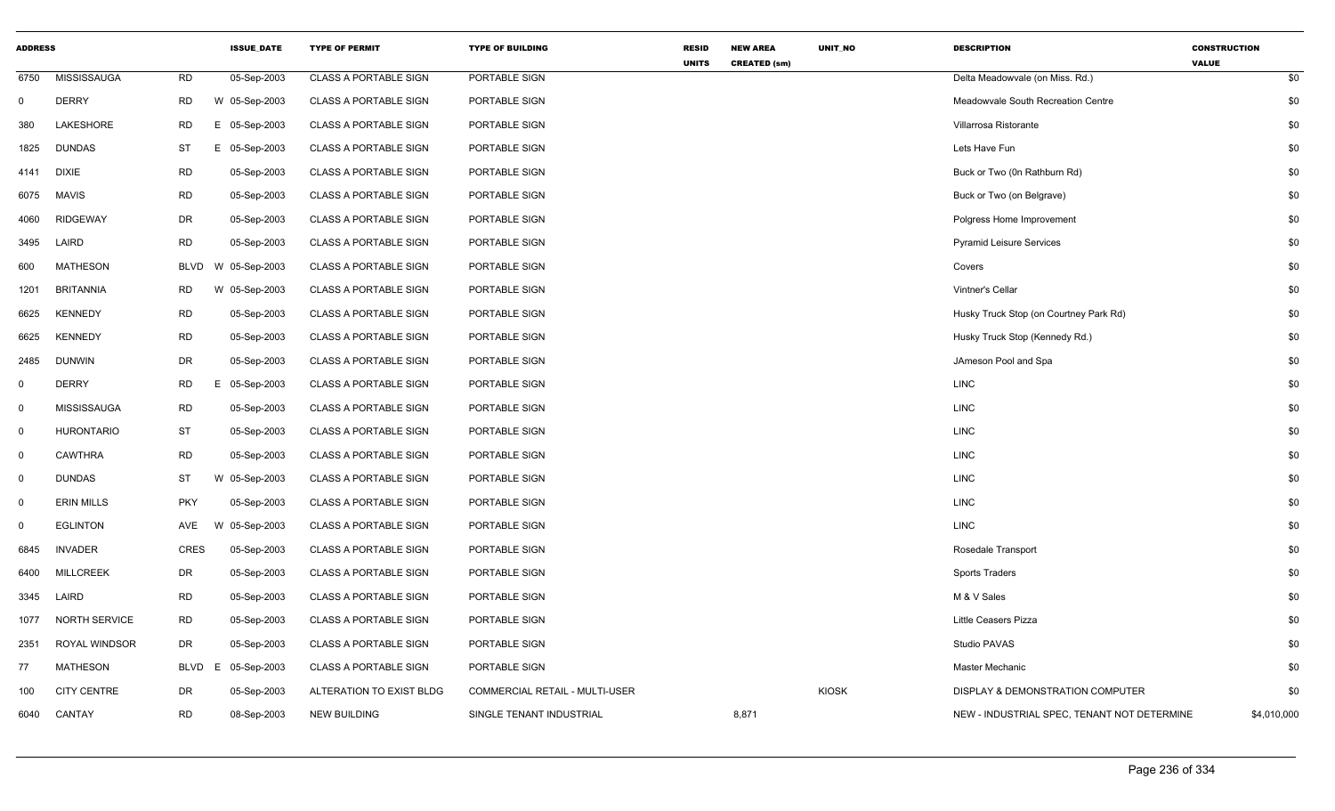| <b>ADDRESS</b> |                      |                   | <b>ISSUE_DATE</b> | <b>TYPE OF PERMIT</b>        | <b>TYPE OF BUILDING</b>        | <b>RESID</b><br><b>UNITS</b> | <b>NEW AREA</b><br><b>CREATED (sm)</b> | UNIT_NO      | <b>DESCRIPTION</b>                          | <b>CONSTRUCTION</b><br><b>VALUE</b> |     |
|----------------|----------------------|-------------------|-------------------|------------------------------|--------------------------------|------------------------------|----------------------------------------|--------------|---------------------------------------------|-------------------------------------|-----|
| 6750           | <b>MISSISSAUGA</b>   | <b>RD</b>         | 05-Sep-2003       | <b>CLASS A PORTABLE SIGN</b> | PORTABLE SIGN                  |                              |                                        |              | Delta Meadowvale (on Miss. Rd.)             |                                     | \$0 |
| $\Omega$       | <b>DERRY</b>         | <b>RD</b>         | W 05-Sep-2003     | <b>CLASS A PORTABLE SIGN</b> | PORTABLE SIGN                  |                              |                                        |              | Meadowvale South Recreation Centre          |                                     | \$0 |
| 380            | LAKESHORE            | <b>RD</b><br>E.   | 05-Sep-2003       | <b>CLASS A PORTABLE SIGN</b> | PORTABLE SIGN                  |                              |                                        |              | Villarrosa Ristorante                       |                                     | \$0 |
| 1825           | <b>DUNDAS</b>        | <b>ST</b>         | E 05-Sep-2003     | <b>CLASS A PORTABLE SIGN</b> | PORTABLE SIGN                  |                              |                                        |              | Lets Have Fun                               |                                     | \$0 |
| 4141           | DIXIE                | <b>RD</b>         | 05-Sep-2003       | <b>CLASS A PORTABLE SIGN</b> | PORTABLE SIGN                  |                              |                                        |              | Buck or Two (0n Rathburn Rd)                |                                     | \$0 |
| 6075           | <b>MAVIS</b>         | <b>RD</b>         | 05-Sep-2003       | <b>CLASS A PORTABLE SIGN</b> | PORTABLE SIGN                  |                              |                                        |              | Buck or Two (on Belgrave)                   |                                     | \$0 |
| 4060           | <b>RIDGEWAY</b>      | <b>DR</b>         | 05-Sep-2003       | <b>CLASS A PORTABLE SIGN</b> | PORTABLE SIGN                  |                              |                                        |              | Polgress Home Improvement                   |                                     | \$0 |
| 3495           | LAIRD                | <b>RD</b>         | 05-Sep-2003       | <b>CLASS A PORTABLE SIGN</b> | PORTABLE SIGN                  |                              |                                        |              | <b>Pyramid Leisure Services</b>             |                                     | \$0 |
| 600            | <b>MATHESON</b>      | BLVD              | W 05-Sep-2003     | <b>CLASS A PORTABLE SIGN</b> | PORTABLE SIGN                  |                              |                                        |              | Covers                                      |                                     | \$0 |
| 1201           | <b>BRITANNIA</b>     | <b>RD</b>         | W 05-Sep-2003     | <b>CLASS A PORTABLE SIGN</b> | PORTABLE SIGN                  |                              |                                        |              | Vintner's Cellar                            |                                     | \$0 |
| 6625           | <b>KENNEDY</b>       | <b>RD</b>         | 05-Sep-2003       | <b>CLASS A PORTABLE SIGN</b> | PORTABLE SIGN                  |                              |                                        |              | Husky Truck Stop (on Courtney Park Rd)      |                                     | \$0 |
| 6625           | <b>KENNEDY</b>       | <b>RD</b>         | 05-Sep-2003       | <b>CLASS A PORTABLE SIGN</b> | PORTABLE SIGN                  |                              |                                        |              | Husky Truck Stop (Kennedy Rd.)              |                                     | \$0 |
| 2485           | <b>DUNWIN</b>        | DR                | 05-Sep-2003       | <b>CLASS A PORTABLE SIGN</b> | PORTABLE SIGN                  |                              |                                        |              | JAmeson Pool and Spa                        |                                     | \$0 |
| 0              | <b>DERRY</b>         | <b>RD</b><br>E.   | 05-Sep-2003       | <b>CLASS A PORTABLE SIGN</b> | PORTABLE SIGN                  |                              |                                        |              | <b>LINC</b>                                 |                                     | \$0 |
| 0              | MISSISSAUGA          | <b>RD</b>         | 05-Sep-2003       | <b>CLASS A PORTABLE SIGN</b> | PORTABLE SIGN                  |                              |                                        |              | <b>LINC</b>                                 |                                     | \$0 |
| $\mathbf 0$    | <b>HURONTARIO</b>    | <b>ST</b>         | 05-Sep-2003       | <b>CLASS A PORTABLE SIGN</b> | PORTABLE SIGN                  |                              |                                        |              | <b>LINC</b>                                 |                                     | \$0 |
| 0              | <b>CAWTHRA</b>       | <b>RD</b>         | 05-Sep-2003       | <b>CLASS A PORTABLE SIGN</b> | PORTABLE SIGN                  |                              |                                        |              | <b>LINC</b>                                 |                                     | \$0 |
| $\Omega$       | <b>DUNDAS</b>        | ST                | W 05-Sep-2003     | <b>CLASS A PORTABLE SIGN</b> | PORTABLE SIGN                  |                              |                                        |              | <b>LINC</b>                                 |                                     | \$0 |
| $\mathbf 0$    | <b>ERIN MILLS</b>    | <b>PKY</b>        | 05-Sep-2003       | <b>CLASS A PORTABLE SIGN</b> | PORTABLE SIGN                  |                              |                                        |              | <b>LINC</b>                                 |                                     | \$0 |
| $\Omega$       | <b>EGLINTON</b>      | AVE               | W 05-Sep-2003     | <b>CLASS A PORTABLE SIGN</b> | PORTABLE SIGN                  |                              |                                        |              | LINC                                        |                                     | \$0 |
| 6845           | <b>INVADER</b>       | <b>CRES</b>       | 05-Sep-2003       | <b>CLASS A PORTABLE SIGN</b> | PORTABLE SIGN                  |                              |                                        |              | Rosedale Transport                          |                                     | \$0 |
| 6400           | <b>MILLCREEK</b>     | DR                | 05-Sep-2003       | <b>CLASS A PORTABLE SIGN</b> | PORTABLE SIGN                  |                              |                                        |              | Sports Traders                              |                                     | \$0 |
| 3345           | LAIRD                | <b>RD</b>         | 05-Sep-2003       | <b>CLASS A PORTABLE SIGN</b> | PORTABLE SIGN                  |                              |                                        |              | M & V Sales                                 |                                     | \$0 |
| 1077           | <b>NORTH SERVICE</b> | <b>RD</b>         | 05-Sep-2003       | <b>CLASS A PORTABLE SIGN</b> | PORTABLE SIGN                  |                              |                                        |              | Little Ceasers Pizza                        |                                     | \$0 |
| 2351           | ROYAL WINDSOR        | DR                | 05-Sep-2003       | <b>CLASS A PORTABLE SIGN</b> | PORTABLE SIGN                  |                              |                                        |              | Studio PAVAS                                |                                     | \$0 |
| 77             | <b>MATHESON</b>      | <b>BLVD</b><br>E. | 05-Sep-2003       | <b>CLASS A PORTABLE SIGN</b> | PORTABLE SIGN                  |                              |                                        |              | Master Mechanic                             |                                     | \$0 |
| 100            | <b>CITY CENTRE</b>   | <b>DR</b>         | 05-Sep-2003       | ALTERATION TO EXIST BLDG     | COMMERCIAL RETAIL - MULTI-USER |                              |                                        | <b>KIOSK</b> | <b>DISPLAY &amp; DEMONSTRATION COMPUTER</b> |                                     | \$0 |
| 6040           | CANTAY               | <b>RD</b>         | 08-Sep-2003       | <b>NEW BUILDING</b>          | SINGLE TENANT INDUSTRIAL       |                              | 8,871                                  |              | NEW - INDUSTRIAL SPEC, TENANT NOT DETERMINE | \$4,010,000                         |     |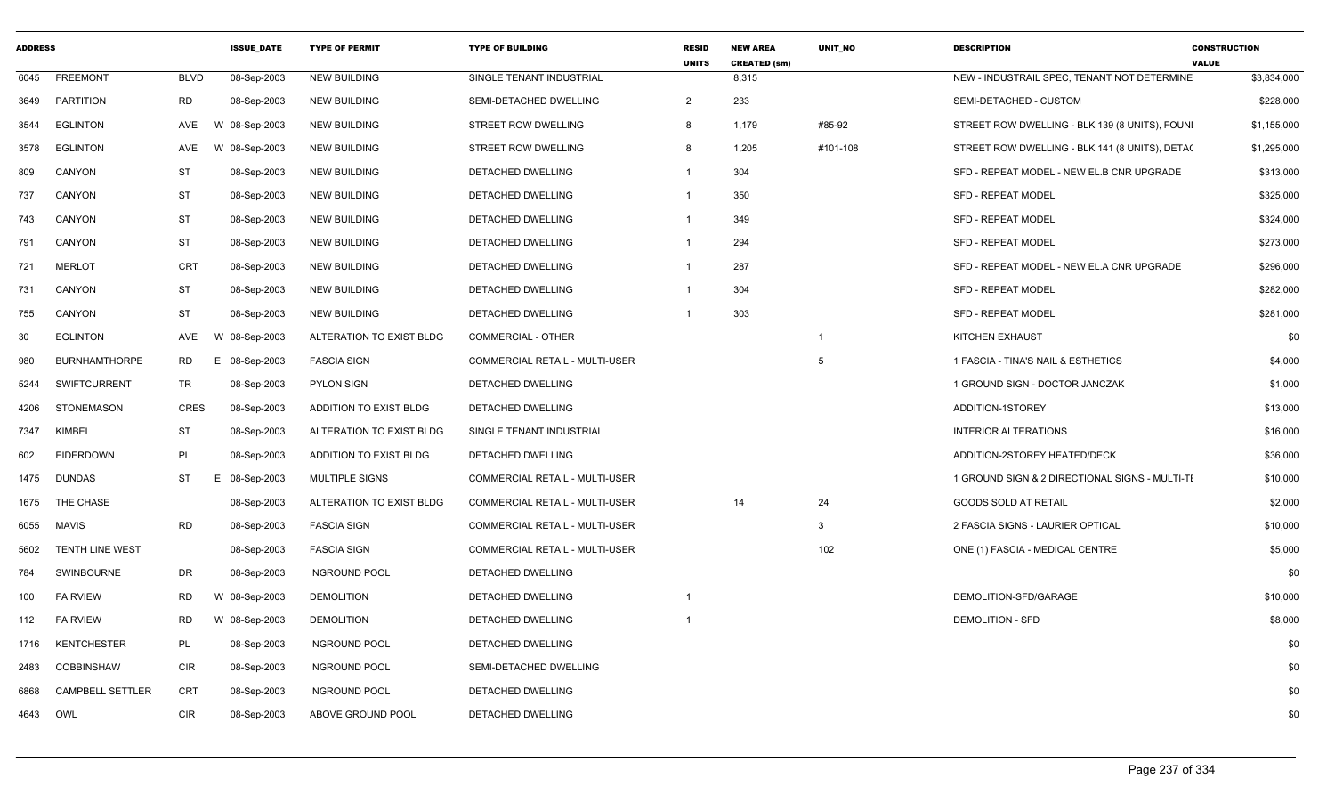| <b>ADDRESS</b> |                         |             | <b>ISSUE_DATE</b> | <b>TYPE OF PERMIT</b>    | <b>TYPE OF BUILDING</b>               | RESID<br><b>UNITS</b> | <b>NEW AREA</b><br><b>CREATED (sm)</b> | UNIT_NO  | <b>DESCRIPTION</b>                             | <b>CONSTRUCTION</b><br><b>VALUE</b> |
|----------------|-------------------------|-------------|-------------------|--------------------------|---------------------------------------|-----------------------|----------------------------------------|----------|------------------------------------------------|-------------------------------------|
| 6045           | FREEMONT                | <b>BLVD</b> | 08-Sep-2003       | <b>NEW BUILDING</b>      | SINGLE TENANT INDUSTRIAL              |                       | 8,315                                  |          | NEW - INDUSTRAIL SPEC, TENANT NOT DETERMINE    | \$3,834,000                         |
| 3649           | PARTITION               | RD          | 08-Sep-2003       | NEW BUILDING             | SEMI-DETACHED DWELLING                | $\overline{2}$        | 233                                    |          | SEMI-DETACHED - CUSTOM                         | \$228,000                           |
| 3544           | <b>EGLINTON</b>         | AVE         | 08-Sep-2003<br>W  | <b>NEW BUILDING</b>      | STREET ROW DWELLING                   | 8                     | 1,179                                  | #85-92   | STREET ROW DWELLING - BLK 139 (8 UNITS), FOUNI | \$1,155,000                         |
| 3578           | <b>EGLINTON</b>         | AVE         | 08-Sep-2003<br>W  | <b>NEW BUILDING</b>      | STREET ROW DWELLING                   | 8                     | 1,205                                  | #101-108 | STREET ROW DWELLING - BLK 141 (8 UNITS), DETA( | \$1,295,000                         |
| 809            | CANYON                  | <b>ST</b>   | 08-Sep-2003       | NEW BUILDING             | DETACHED DWELLING                     |                       | 304                                    |          | SFD - REPEAT MODEL - NEW EL.B CNR UPGRADE      | \$313,000                           |
| 737            | CANYON                  | <b>ST</b>   | 08-Sep-2003       | <b>NEW BUILDING</b>      | DETACHED DWELLING                     | -1                    | 350                                    |          | <b>SFD - REPEAT MODEL</b>                      | \$325,000                           |
| 743            | CANYON                  | ST          | 08-Sep-2003       | <b>NEW BUILDING</b>      | DETACHED DWELLING                     |                       | 349                                    |          | <b>SFD - REPEAT MODEL</b>                      | \$324,000                           |
| 791            | CANYON                  | ST          | 08-Sep-2003       | NEW BUILDING             | DETACHED DWELLING                     | -1                    | 294                                    |          | <b>SFD - REPEAT MODEL</b>                      | \$273,000                           |
| 721            | MERLOT                  | <b>CRT</b>  | 08-Sep-2003       | NEW BUILDING             | DETACHED DWELLING                     |                       | 287                                    |          | SFD - REPEAT MODEL - NEW EL.A CNR UPGRADE      | \$296,000                           |
| 731            | CANYON                  | ST          | 08-Sep-2003       | <b>NEW BUILDING</b>      | DETACHED DWELLING                     |                       | 304                                    |          | <b>SFD - REPEAT MODEL</b>                      | \$282,000                           |
| 755            | CANYON                  | <b>ST</b>   | 08-Sep-2003       | NEW BUILDING             | <b>DETACHED DWELLING</b>              |                       | 303                                    |          | <b>SFD - REPEAT MODEL</b>                      | \$281,000                           |
| 30             | <b>EGLINTON</b>         | AVE         | 08-Sep-2003       | ALTERATION TO EXIST BLDG | <b>COMMERCIAL - OTHER</b>             |                       |                                        |          | KITCHEN EXHAUST                                | \$0                                 |
| 980            | <b>BURNHAMTHORPE</b>    | <b>RD</b>   | 08-Sep-2003       | <b>FASCIA SIGN</b>       | COMMERCIAL RETAIL - MULTI-USER        |                       |                                        |          | 1 FASCIA - TINA'S NAIL & ESTHETICS             | \$4,000                             |
| 5244           | <b>SWIFTCURRENT</b>     | TR          | 08-Sep-2003       | <b>PYLON SIGN</b>        | DETACHED DWELLING                     |                       |                                        |          | 1 GROUND SIGN - DOCTOR JANCZAK                 | \$1,000                             |
| 4206           | STONEMASON              | <b>CRES</b> | 08-Sep-2003       | ADDITION TO EXIST BLDG   | DETACHED DWELLING                     |                       |                                        |          | ADDITION-1STOREY                               | \$13,000                            |
| 7347           | <b>KIMBEL</b>           | <b>ST</b>   | 08-Sep-2003       | ALTERATION TO EXIST BLDG | SINGLE TENANT INDUSTRIAL              |                       |                                        |          | INTERIOR ALTERATIONS                           | \$16,000                            |
| 602            | EIDERDOWN               | PL          | 08-Sep-2003       | ADDITION TO EXIST BLDG   | DETACHED DWELLING                     |                       |                                        |          | ADDITION-2STOREY HEATED/DECK                   | \$36,000                            |
| 1475           | DUNDAS                  | <b>ST</b>   | 08-Sep-2003       | MULTIPLE SIGNS           | COMMERCIAL RETAIL - MULTI-USER        |                       |                                        |          | 1 GROUND SIGN & 2 DIRECTIONAL SIGNS - MULTI-TI | \$10,000                            |
| 1675           | THE CHASE               |             | 08-Sep-2003       | ALTERATION TO EXIST BLDG | COMMERCIAL RETAIL - MULTI-USER        |                       | 14                                     | 24       | GOODS SOLD AT RETAIL                           | \$2,000                             |
| 6055           | <b>MAVIS</b>            | RD          | 08-Sep-2003       | <b>FASCIA SIGN</b>       | COMMERCIAL RETAIL - MULTI-USER        |                       |                                        | 3        | 2 FASCIA SIGNS - LAURIER OPTICAL               | \$10,000                            |
| 5602           | <b>TENTH LINE WEST</b>  |             | 08-Sep-2003       | <b>FASCIA SIGN</b>       | <b>COMMERCIAL RETAIL - MULTI-USER</b> |                       |                                        | 102      | ONE (1) FASCIA - MEDICAL CENTRE                | \$5,000                             |
| 784            | <b>SWINBOURNE</b>       | DR          | 08-Sep-2003       | <b>INGROUND POOL</b>     | DETACHED DWELLING                     |                       |                                        |          |                                                | \$0                                 |
| 100            | <b>FAIRVIEW</b>         | RD          | W 08-Sep-2003     | <b>DEMOLITION</b>        | DETACHED DWELLING                     |                       |                                        |          | DEMOLITION-SFD/GARAGE                          | \$10,000                            |
| 112            | FAIRVIEW                | RD.         | W 08-Sep-2003     | <b>DEMOLITION</b>        | DETACHED DWELLING                     |                       |                                        |          | <b>DEMOLITION - SFD</b>                        | \$8,000                             |
|                | 1716 KENTCHESTER        | PL          | 08-Sep-2003       | <b>INGROUND POOL</b>     | DETACHED DWELLING                     |                       |                                        |          |                                                | \$0                                 |
| 2483           | COBBINSHAW              | CIR         | 08-Sep-2003       | <b>INGROUND POOL</b>     | SEMI-DETACHED DWELLING                |                       |                                        |          |                                                | \$0                                 |
| 6868           | <b>CAMPBELL SETTLER</b> | CRT         | 08-Sep-2003       | <b>INGROUND POOL</b>     | DETACHED DWELLING                     |                       |                                        |          |                                                | \$0                                 |
| 4643 OWL       |                         | <b>CIR</b>  | 08-Sep-2003       | ABOVE GROUND POOL        | DETACHED DWELLING                     |                       |                                        |          |                                                | \$0                                 |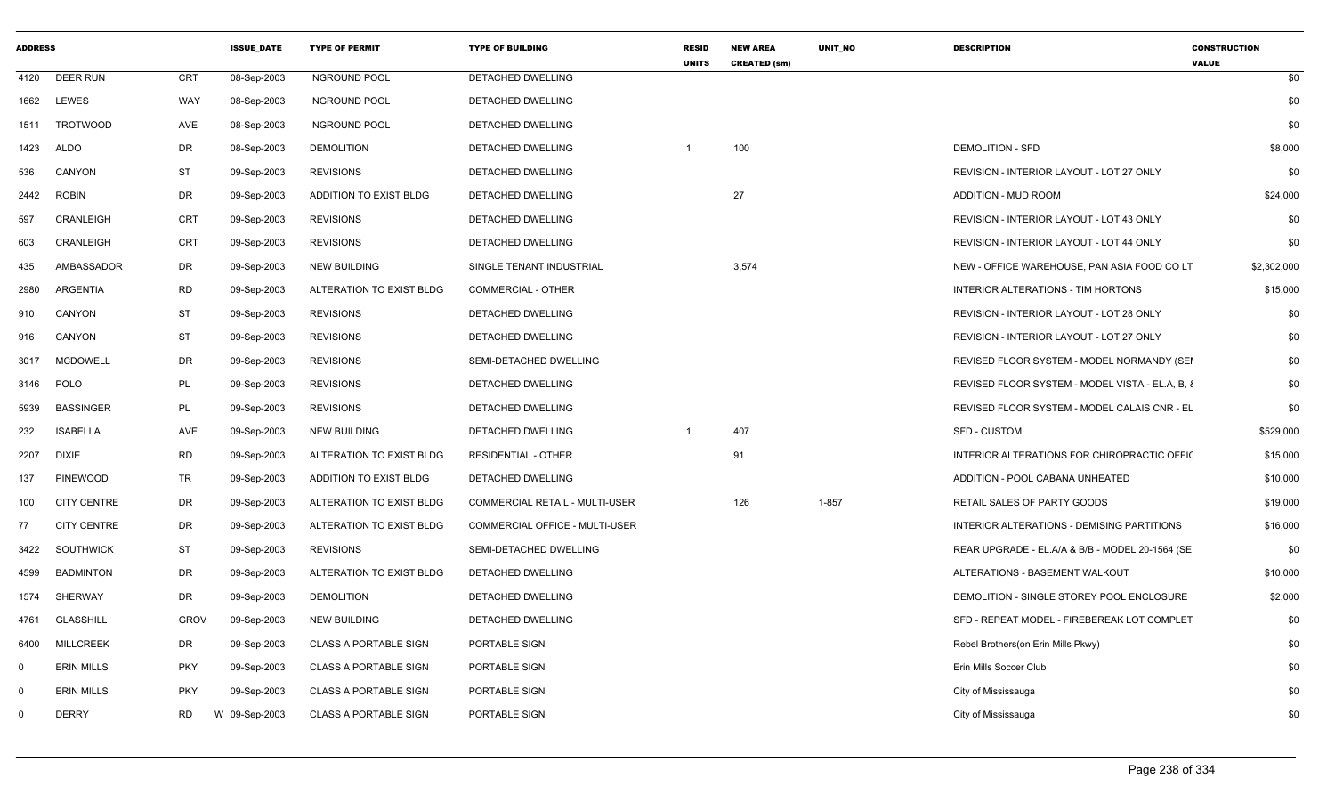| <b>ADDRESS</b> |                    |             | <b>ISSUE DATE</b> | <b>TYPE OF PERMIT</b>        | <b>TYPE OF BUILDING</b>        | <b>RESID</b><br><b>UNITS</b> | <b>NEW AREA</b><br><b>CREATED (sm)</b> | <b>UNIT NO</b> | <b>DESCRIPTION</b>                              | <b>CONSTRUCTION</b><br><b>VALUE</b> |
|----------------|--------------------|-------------|-------------------|------------------------------|--------------------------------|------------------------------|----------------------------------------|----------------|-------------------------------------------------|-------------------------------------|
| 4120           | <b>DEER RUN</b>    | <b>CRT</b>  | 08-Sep-2003       | <b>INGROUND POOL</b>         | DETACHED DWELLING              |                              |                                        |                |                                                 | \$0                                 |
| 1662           | <b>LEWES</b>       | WAY         | 08-Sep-2003       | <b>INGROUND POOL</b>         | DETACHED DWELLING              |                              |                                        |                |                                                 | \$0                                 |
| 1511           | <b>TROTWOOD</b>    | AVE         | 08-Sep-2003       | <b>INGROUND POOL</b>         | <b>DETACHED DWELLING</b>       |                              |                                        |                |                                                 | \$0                                 |
| 1423           | ALDO               | DR          | 08-Sep-2003       | <b>DEMOLITION</b>            | DETACHED DWELLING              |                              | 100                                    |                | <b>DEMOLITION - SFD</b>                         | \$8,000                             |
| 536            | CANYON             | ST          | 09-Sep-2003       | <b>REVISIONS</b>             | DETACHED DWELLING              |                              |                                        |                | REVISION - INTERIOR LAYOUT - LOT 27 ONLY        | \$0                                 |
| 2442           | <b>ROBIN</b>       | DR          | 09-Sep-2003       | ADDITION TO EXIST BLDG       | DETACHED DWELLING              |                              | 27                                     |                | <b>ADDITION - MUD ROOM</b>                      | \$24,000                            |
| 597            | CRANLEIGH          | CRT         | 09-Sep-2003       | <b>REVISIONS</b>             | <b>DETACHED DWELLING</b>       |                              |                                        |                | REVISION - INTERIOR LAYOUT - LOT 43 ONLY        | \$0                                 |
| 603            | CRANLEIGH          | <b>CRT</b>  | 09-Sep-2003       | <b>REVISIONS</b>             | DETACHED DWELLING              |                              |                                        |                | REVISION - INTERIOR LAYOUT - LOT 44 ONLY        | \$0                                 |
| 435            | AMBASSADOR         | DR          | 09-Sep-2003       | <b>NEW BUILDING</b>          | SINGLE TENANT INDUSTRIAL       |                              | 3,574                                  |                | NEW - OFFICE WAREHOUSE, PAN ASIA FOOD CO LT     | \$2,302,000                         |
| 2980           | ARGENTIA           | RD          | 09-Sep-2003       | ALTERATION TO EXIST BLDG     | COMMERCIAL - OTHER             |                              |                                        |                | INTERIOR ALTERATIONS - TIM HORTONS              | \$15,000                            |
| 910            | CANYON             | <b>ST</b>   | 09-Sep-2003       | <b>REVISIONS</b>             | DETACHED DWELLING              |                              |                                        |                | REVISION - INTERIOR LAYOUT - LOT 28 ONLY        | \$0                                 |
| 916            | CANYON             | ST          | 09-Sep-2003       | <b>REVISIONS</b>             | DETACHED DWELLING              |                              |                                        |                | REVISION - INTERIOR LAYOUT - LOT 27 ONLY        | \$0                                 |
| 3017           | <b>MCDOWELL</b>    | DR          | 09-Sep-2003       | <b>REVISIONS</b>             | SEMI-DETACHED DWELLING         |                              |                                        |                | REVISED FLOOR SYSTEM - MODEL NORMANDY (SEI      | \$0                                 |
| 3146           | POLO               | PL          | 09-Sep-2003       | <b>REVISIONS</b>             | DETACHED DWELLING              |                              |                                        |                | REVISED FLOOR SYSTEM - MODEL VISTA - EL.A, B, & | \$0                                 |
| 5939           | <b>BASSINGER</b>   | PL          | 09-Sep-2003       | <b>REVISIONS</b>             | DETACHED DWELLING              |                              |                                        |                | REVISED FLOOR SYSTEM - MODEL CALAIS CNR - EL    | \$0                                 |
| 232            | <b>ISABELLA</b>    | AVE         | 09-Sep-2003       | <b>NEW BUILDING</b>          | <b>DETACHED DWELLING</b>       |                              | 407                                    |                | SFD - CUSTOM                                    | \$529,000                           |
| 2207           | <b>DIXIE</b>       | <b>RD</b>   | 09-Sep-2003       | ALTERATION TO EXIST BLDG     | <b>RESIDENTIAL - OTHER</b>     |                              | 91                                     |                | INTERIOR ALTERATIONS FOR CHIROPRACTIC OFFIC     | \$15,000                            |
| 137            | <b>PINEWOOD</b>    | TR          | 09-Sep-2003       | ADDITION TO EXIST BLDG       | DETACHED DWELLING              |                              |                                        |                | ADDITION - POOL CABANA UNHEATED                 | \$10,000                            |
| 100            | <b>CITY CENTRE</b> | DR          | 09-Sep-2003       | ALTERATION TO EXIST BLDG     | COMMERCIAL RETAIL - MULTI-USER |                              | 126                                    | $1 - 857$      | RETAIL SALES OF PARTY GOODS                     | \$19,000                            |
| 77             | <b>CITY CENTRE</b> | DR          | 09-Sep-2003       | ALTERATION TO EXIST BLDG     | COMMERCIAL OFFICE - MULTI-USER |                              |                                        |                | INTERIOR ALTERATIONS - DEMISING PARTITIONS      | \$16,000                            |
| 3422           | <b>SOUTHWICK</b>   | ST          | 09-Sep-2003       | <b>REVISIONS</b>             | SEMI-DETACHED DWELLING         |                              |                                        |                | REAR UPGRADE - EL.A/A & B/B - MODEL 20-1564 (SE | \$0                                 |
| 4599           | <b>BADMINTON</b>   | DR          | 09-Sep-2003       | ALTERATION TO EXIST BLDG     | DETACHED DWELLING              |                              |                                        |                | ALTERATIONS - BASEMENT WALKOUT                  | \$10,000                            |
| 1574           | SHERWAY            | DR          | 09-Sep-2003       | <b>DEMOLITION</b>            | DETACHED DWELLING              |                              |                                        |                | DEMOLITION - SINGLE STOREY POOL ENCLOSURE       | \$2,000                             |
| 4761           | <b>GLASSHILL</b>   | <b>GROV</b> | 09-Sep-2003       | <b>NEW BUILDING</b>          | DETACHED DWELLING              |                              |                                        |                | SFD - REPEAT MODEL - FIREBEREAK LOT COMPLET     | \$0                                 |
| 6400           | <b>MILLCREEK</b>   | DR          | 09-Sep-2003       | <b>CLASS A PORTABLE SIGN</b> | PORTABLE SIGN                  |                              |                                        |                | Rebel Brothers(on Erin Mills Pkwy)              | \$0                                 |
| 0              | <b>ERIN MILLS</b>  | <b>PKY</b>  | 09-Sep-2003       | <b>CLASS A PORTABLE SIGN</b> | PORTABLE SIGN                  |                              |                                        |                | Erin Mills Soccer Club                          | \$0                                 |
| $\Omega$       | <b>ERIN MILLS</b>  | <b>PKY</b>  | 09-Sep-2003       | <b>CLASS A PORTABLE SIGN</b> | PORTABLE SIGN                  |                              |                                        |                | City of Mississauga                             | \$0                                 |
| $\Omega$       | <b>DERRY</b>       | <b>RD</b>   | W 09-Sep-2003     | <b>CLASS A PORTABLE SIGN</b> | PORTABLE SIGN                  |                              |                                        |                | City of Mississauga                             | \$0                                 |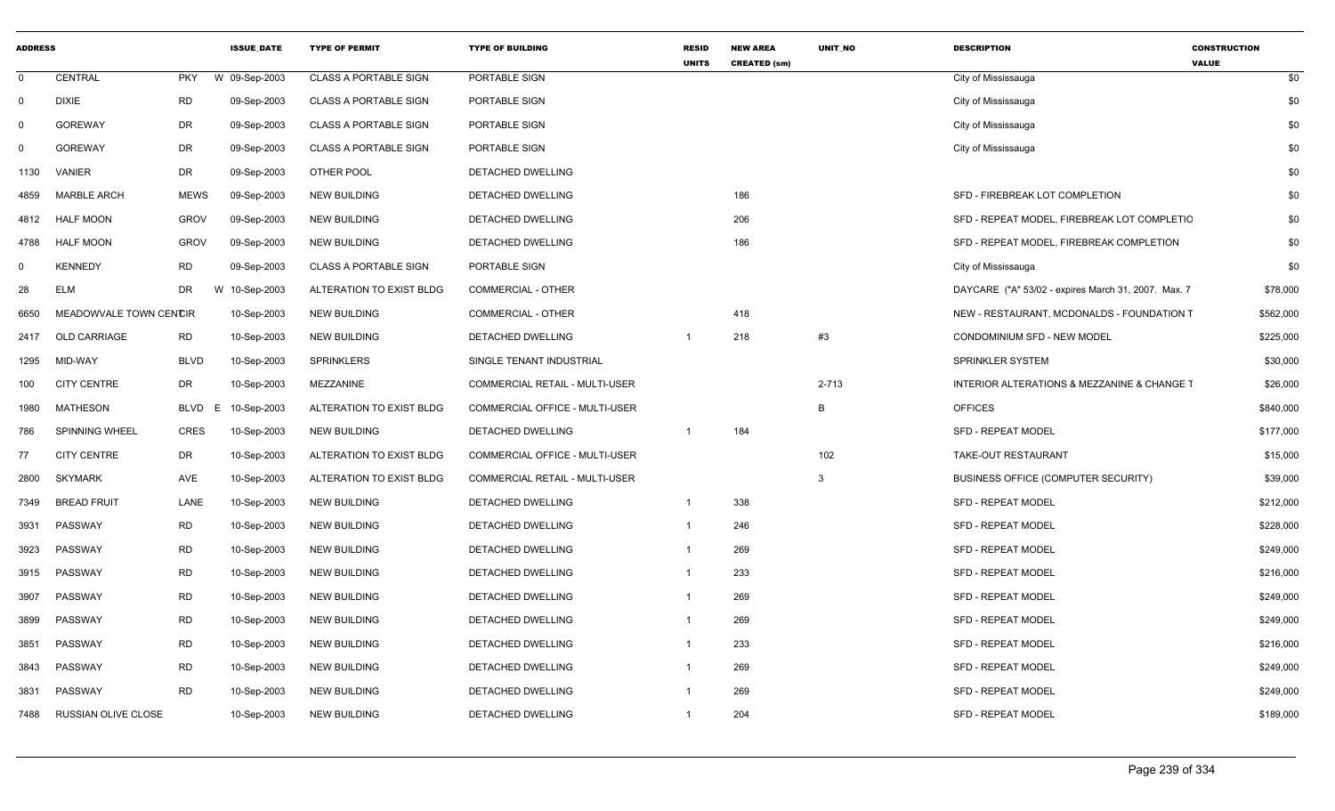| <b>ADDRESS</b> |                        |             | <b>ISSUE DATE</b> | <b>TYPE OF PERMIT</b>        | <b>TYPE OF BUILDING</b>        | <b>RESID</b><br><b>UNITS</b> | <b>NEW AREA</b><br><b>CREATED (sm)</b> | <b>UNIT NO</b> | <b>DESCRIPTION</b>                                  | <b>CONSTRUCTION</b><br><b>VALUE</b> |
|----------------|------------------------|-------------|-------------------|------------------------------|--------------------------------|------------------------------|----------------------------------------|----------------|-----------------------------------------------------|-------------------------------------|
| $\mathbf{0}$   | <b>CENTRAL</b>         | <b>PKY</b>  | W 09-Sep-2003     | <b>CLASS A PORTABLE SIGN</b> | PORTABLE SIGN                  |                              |                                        |                | City of Mississauga                                 | \$0                                 |
| $\Omega$       | <b>DIXIE</b>           | <b>RD</b>   | 09-Sep-2003       | <b>CLASS A PORTABLE SIGN</b> | PORTABLE SIGN                  |                              |                                        |                | City of Mississauga                                 | \$0                                 |
| $\mathbf 0$    | <b>GOREWAY</b>         | DR          | 09-Sep-2003       | <b>CLASS A PORTABLE SIGN</b> | PORTABLE SIGN                  |                              |                                        |                | City of Mississauga                                 | \$0                                 |
| $\Omega$       | <b>GOREWAY</b>         | DR          | 09-Sep-2003       | <b>CLASS A PORTABLE SIGN</b> | PORTABLE SIGN                  |                              |                                        |                | City of Mississauga                                 | \$0                                 |
| 1130           | VANIER                 | DR          | 09-Sep-2003       | OTHER POOL                   | DETACHED DWELLING              |                              |                                        |                |                                                     | \$0                                 |
| 4859           | <b>MARBLE ARCH</b>     | <b>MEWS</b> | 09-Sep-2003       | <b>NEW BUILDING</b>          | DETACHED DWELLING              |                              | 186                                    |                | SFD - FIREBREAK LOT COMPLETION                      | \$0                                 |
| 4812           | <b>HALF MOON</b>       | <b>GROV</b> | 09-Sep-2003       | NEW BUILDING                 | DETACHED DWELLING              |                              | 206                                    |                | SFD - REPEAT MODEL, FIREBREAK LOT COMPLETIC         | \$0                                 |
| 4788           | <b>HALF MOON</b>       | <b>GROV</b> | 09-Sep-2003       | <b>NEW BUILDING</b>          | DETACHED DWELLING              |                              | 186                                    |                | SFD - REPEAT MODEL, FIREBREAK COMPLETION            | \$0                                 |
| $\mathbf 0$    | <b>KENNEDY</b>         | RD          | 09-Sep-2003       | <b>CLASS A PORTABLE SIGN</b> | PORTABLE SIGN                  |                              |                                        |                | City of Mississauga                                 | \$0                                 |
| 28             | <b>ELM</b>             | <b>DR</b>   | W 10-Sep-2003     | ALTERATION TO EXIST BLDG     | <b>COMMERCIAL - OTHER</b>      |                              |                                        |                | DAYCARE ("A" 53/02 - expires March 31, 2007. Max. 7 | \$78,000                            |
| 6650           | MEADOWVALE TOWN CENCIR |             | 10-Sep-2003       | <b>NEW BUILDING</b>          | <b>COMMERCIAL - OTHER</b>      |                              | 418                                    |                | NEW - RESTAURANT, MCDONALDS - FOUNDATION T          | \$562,000                           |
| 2417           | <b>OLD CARRIAGE</b>    | <b>RD</b>   | 10-Sep-2003       | <b>NEW BUILDING</b>          | <b>DETACHED DWELLING</b>       |                              | 218                                    | #3             | CONDOMINIUM SFD - NEW MODEL                         | \$225,000                           |
| 1295           | MID-WAY                | <b>BLVD</b> | 10-Sep-2003       | <b>SPRINKLERS</b>            | SINGLE TENANT INDUSTRIAL       |                              |                                        |                | SPRINKLER SYSTEM                                    | \$30,000                            |
| 100            | <b>CITY CENTRE</b>     | DR          | 10-Sep-2003       | MEZZANINE                    | COMMERCIAL RETAIL - MULTI-USER |                              |                                        | 2-713          | INTERIOR ALTERATIONS & MEZZANINE & CHANGE T         | \$26,000                            |
| 1980           | <b>MATHESON</b>        | BLVD<br>E.  | 10-Sep-2003       | ALTERATION TO EXIST BLDG     | COMMERCIAL OFFICE - MULTI-USER |                              |                                        | B              | <b>OFFICES</b>                                      | \$840,000                           |
| 786            | SPINNING WHEEL         | <b>CRES</b> | 10-Sep-2003       | <b>NEW BUILDING</b>          | DETACHED DWELLING              | $\overline{1}$               | 184                                    |                | <b>SFD - REPEAT MODEL</b>                           | \$177,000                           |
| 77             | CITY CENTRE            | DR          | 10-Sep-2003       | ALTERATION TO EXIST BLDG     | COMMERCIAL OFFICE - MULTI-USER |                              |                                        | 102            | TAKE-OUT RESTAURANT                                 | \$15,000                            |
| 2800           | SKYMARK                | AVE         | 10-Sep-2003       | ALTERATION TO EXIST BLDG     | COMMERCIAL RETAIL - MULTI-USER |                              |                                        | 3              | BUSINESS OFFICE (COMPUTER SECURITY)                 | \$39,000                            |
| 7349           | <b>BREAD FRUIT</b>     | LANE        | 10-Sep-2003       | <b>NEW BUILDING</b>          | DETACHED DWELLING              | $\overline{1}$               | 338                                    |                | <b>SFD - REPEAT MODEL</b>                           | \$212,000                           |
| 3931           | PASSWAY                | <b>RD</b>   | 10-Sep-2003       | NEW BUILDING                 | DETACHED DWELLING              | -1                           | 246                                    |                | <b>SFD - REPEAT MODEL</b>                           | \$228,000                           |
| 3923           | PASSWAY                | RD          | 10-Sep-2003       | NEW BUILDING                 | DETACHED DWELLING              | $\overline{1}$               | 269                                    |                | <b>SFD - REPEAT MODEL</b>                           | \$249,000                           |
| 3915           | PASSWAY                | <b>RD</b>   | 10-Sep-2003       | <b>NEW BUILDING</b>          | DETACHED DWELLING              | $\overline{1}$               | 233                                    |                | <b>SFD - REPEAT MODEL</b>                           | \$216,000                           |
| 3907           | PASSWAY                | <b>RD</b>   | 10-Sep-2003       | <b>NEW BUILDING</b>          | <b>DETACHED DWELLING</b>       |                              | 269                                    |                | <b>SFD - REPEAT MODEL</b>                           | \$249,000                           |
| 3899           | PASSWAY                | <b>RD</b>   | 10-Sep-2003       | <b>NEW BUILDING</b>          | DETACHED DWELLING              | $\mathbf 1$                  | 269                                    |                | <b>SFD - REPEAT MODEL</b>                           | \$249,000                           |
| 3851           | PASSWAY                | RD          | 10-Sep-2003       | <b>NEW BUILDING</b>          | DETACHED DWELLING              | $\mathbf{1}$                 | 233                                    |                | <b>SFD - REPEAT MODEL</b>                           | \$216,000                           |
| 3843           | PASSWAY                | <b>RD</b>   | 10-Sep-2003       | <b>NEW BUILDING</b>          | DETACHED DWELLING              | $\mathbf{1}$                 | 269                                    |                | SFD - REPEAT MODEL                                  | \$249,000                           |
| 3831           | PASSWAY                | <b>RD</b>   | 10-Sep-2003       | <b>NEW BUILDING</b>          | DETACHED DWELLING              | -1                           | 269                                    |                | SFD - REPEAT MODEL                                  | \$249,000                           |
| 7488           | RUSSIAN OLIVE CLOSE    |             | 10-Sep-2003       | <b>NEW BUILDING</b>          | DETACHED DWELLING              | $\mathbf 1$                  | 204                                    |                | <b>SFD - REPEAT MODEL</b>                           | \$189,000                           |
|                |                        |             |                   |                              |                                |                              |                                        |                |                                                     |                                     |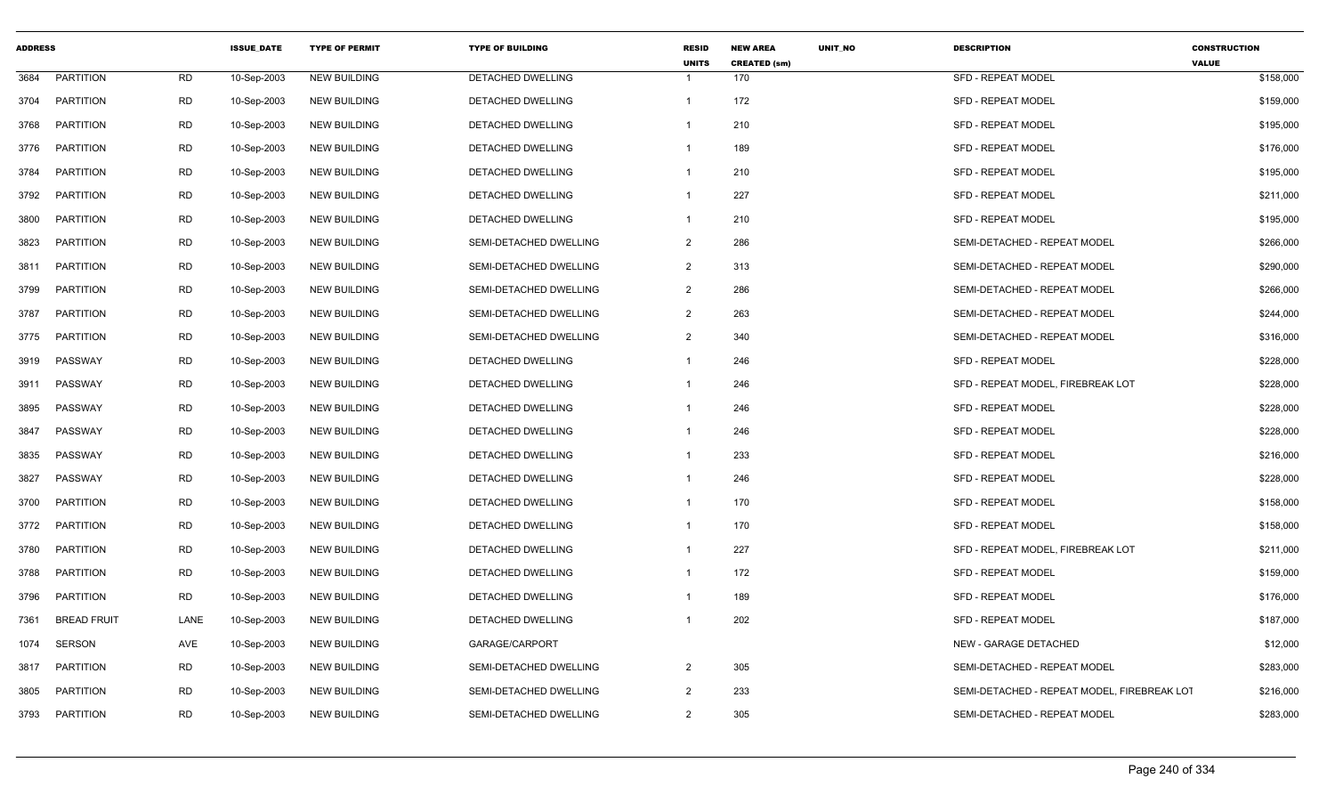| <b>ADDRESS</b> |                    |           | <b>ISSUE DATE</b> | <b>TYPE OF PERMIT</b> | <b>TYPE OF BUILDING</b>  | <b>RESID</b><br><b>UNITS</b> | <b>NEW AREA</b><br><b>CREATED (sm)</b> | <b>UNIT NO</b> | <b>DESCRIPTION</b>                          | <b>CONSTRUCTION</b><br><b>VALUE</b> |
|----------------|--------------------|-----------|-------------------|-----------------------|--------------------------|------------------------------|----------------------------------------|----------------|---------------------------------------------|-------------------------------------|
| 3684           | <b>PARTITION</b>   | <b>RD</b> | 10-Sep-2003       | <b>NEW BUILDING</b>   | DETACHED DWELLING        | $\mathbf 1$                  | 170                                    |                | <b>SFD - REPEAT MODEL</b>                   | \$158,000                           |
| 3704           | <b>PARTITION</b>   | <b>RD</b> | 10-Sep-2003       | <b>NEW BUILDING</b>   | DETACHED DWELLING        | $\mathbf{1}$                 | 172                                    |                | <b>SFD - REPEAT MODEL</b>                   | \$159,000                           |
| 3768           | <b>PARTITION</b>   | <b>RD</b> | 10-Sep-2003       | <b>NEW BUILDING</b>   | DETACHED DWELLING        | -1                           | 210                                    |                | <b>SFD - REPEAT MODEL</b>                   | \$195,000                           |
| 3776           | <b>PARTITION</b>   | <b>RD</b> | 10-Sep-2003       | <b>NEW BUILDING</b>   | <b>DETACHED DWELLING</b> | -1                           | 189                                    |                | <b>SFD - REPEAT MODEL</b>                   | \$176,000                           |
| 3784           | <b>PARTITION</b>   | <b>RD</b> | 10-Sep-2003       | <b>NEW BUILDING</b>   | DETACHED DWELLING        | $\mathbf{1}$                 | 210                                    |                | <b>SFD - REPEAT MODEL</b>                   | \$195,000                           |
| 3792           | PARTITION          | <b>RD</b> | 10-Sep-2003       | <b>NEW BUILDING</b>   | DETACHED DWELLING        | $\mathbf{1}$                 | 227                                    |                | <b>SFD - REPEAT MODEL</b>                   | \$211,000                           |
| 3800           | PARTITION          | <b>RD</b> | 10-Sep-2003       | <b>NEW BUILDING</b>   | DETACHED DWELLING        | 1                            | 210                                    |                | <b>SFD - REPEAT MODEL</b>                   | \$195,000                           |
| 3823           | <b>PARTITION</b>   | <b>RD</b> | 10-Sep-2003       | <b>NEW BUILDING</b>   | SEMI-DETACHED DWELLING   | $\overline{2}$               | 286                                    |                | SEMI-DETACHED - REPEAT MODEL                | \$266,000                           |
| 3811           | PARTITION          | <b>RD</b> | 10-Sep-2003       | <b>NEW BUILDING</b>   | SEMI-DETACHED DWELLING   | $\overline{2}$               | 313                                    |                | SEMI-DETACHED - REPEAT MODEL                | \$290,000                           |
| 3799           | <b>PARTITION</b>   | <b>RD</b> | 10-Sep-2003       | <b>NEW BUILDING</b>   | SEMI-DETACHED DWELLING   | $\overline{2}$               | 286                                    |                | SEMI-DETACHED - REPEAT MODEL                | \$266,000                           |
| 3787           | PARTITION          | <b>RD</b> | 10-Sep-2003       | <b>NEW BUILDING</b>   | SEMI-DETACHED DWELLING   | $\overline{2}$               | 263                                    |                | SEMI-DETACHED - REPEAT MODEL                | \$244,000                           |
| 3775           | PARTITION          | <b>RD</b> | 10-Sep-2003       | <b>NEW BUILDING</b>   | SEMI-DETACHED DWELLING   | $\overline{2}$               | 340                                    |                | SEMI-DETACHED - REPEAT MODEL                | \$316,000                           |
| 3919           | PASSWAY            | <b>RD</b> | 10-Sep-2003       | <b>NEW BUILDING</b>   | DETACHED DWELLING        | -1                           | 246                                    |                | <b>SFD - REPEAT MODEL</b>                   | \$228,000                           |
| 3911           | PASSWAY            | <b>RD</b> | 10-Sep-2003       | <b>NEW BUILDING</b>   | <b>DETACHED DWELLING</b> | $\mathbf 1$                  | 246                                    |                | SFD - REPEAT MODEL. FIREBREAK LOT           | \$228,000                           |
| 3895           | PASSWAY            | <b>RD</b> | 10-Sep-2003       | <b>NEW BUILDING</b>   | DETACHED DWELLING        | $\mathbf 1$                  | 246                                    |                | <b>SFD - REPEAT MODEL</b>                   | \$228,000                           |
| 3847           | PASSWAY            | <b>RD</b> | 10-Sep-2003       | <b>NEW BUILDING</b>   | DETACHED DWELLING        | -1                           | 246                                    |                | <b>SFD - REPEAT MODEL</b>                   | \$228,000                           |
| 3835           | PASSWAY            | <b>RD</b> | 10-Sep-2003       | <b>NEW BUILDING</b>   | DETACHED DWELLING        | -1                           | 233                                    |                | SFD - REPEAT MODEL                          | \$216,000                           |
| 3827           | PASSWAY            | <b>RD</b> | 10-Sep-2003       | <b>NEW BUILDING</b>   | <b>DETACHED DWELLING</b> | $\mathbf 1$                  | 246                                    |                | <b>SFD - REPEAT MODEL</b>                   | \$228,000                           |
| 3700           | PARTITION          | <b>RD</b> | 10-Sep-2003       | <b>NEW BUILDING</b>   | DETACHED DWELLING        | $\mathbf{1}$                 | 170                                    |                | SFD - REPEAT MODEL                          | \$158,000                           |
| 3772           | PARTITION          | <b>RD</b> | 10-Sep-2003       | <b>NEW BUILDING</b>   | DETACHED DWELLING        | 1                            | 170                                    |                | <b>SFD - REPEAT MODEL</b>                   | \$158,000                           |
| 3780           | <b>PARTITION</b>   | RD        | 10-Sep-2003       | <b>NEW BUILDING</b>   | DETACHED DWELLING        | $\mathbf 1$                  | 227                                    |                | SFD - REPEAT MODEL, FIREBREAK LOT           | \$211,000                           |
| 3788           | PARTITION          | <b>RD</b> | 10-Sep-2003       | <b>NEW BUILDING</b>   | <b>DETACHED DWELLING</b> | $\mathbf{1}$                 | 172                                    |                | <b>SFD - REPEAT MODEL</b>                   | \$159,000                           |
| 3796           | <b>PARTITION</b>   | <b>RD</b> | 10-Sep-2003       | <b>NEW BUILDING</b>   | DETACHED DWELLING        | -1                           | 189                                    |                | <b>SFD - REPEAT MODEL</b>                   | \$176,000                           |
| 7361           | <b>BREAD FRUIT</b> | LANE      | 10-Sep-2003       | <b>NEW BUILDING</b>   | DETACHED DWELLING        |                              | 202                                    |                | <b>SFD - REPEAT MODEL</b>                   | \$187,000                           |
| 1074           | SERSON             | AVE       | 10-Sep-2003       | <b>NEW BUILDING</b>   | GARAGE/CARPORT           |                              |                                        |                | <b>NEW - GARAGE DETACHED</b>                | \$12,000                            |
| 3817           | <b>PARTITION</b>   | <b>RD</b> | 10-Sep-2003       | <b>NEW BUILDING</b>   | SEMI-DETACHED DWELLING   | $\overline{2}$               | 305                                    |                | SEMI-DETACHED - REPEAT MODEL                | \$283,000                           |
| 3805           | <b>PARTITION</b>   | <b>RD</b> | 10-Sep-2003       | <b>NEW BUILDING</b>   | SEMI-DETACHED DWELLING   | 2                            | 233                                    |                | SEMI-DETACHED - REPEAT MODEL, FIREBREAK LOT | \$216,000                           |
| 3793           | PARTITION          | <b>RD</b> | 10-Sep-2003       | <b>NEW BUILDING</b>   | SEMI-DETACHED DWELLING   | 2                            | 305                                    |                | SEMI-DETACHED - REPEAT MODEL                | \$283,000                           |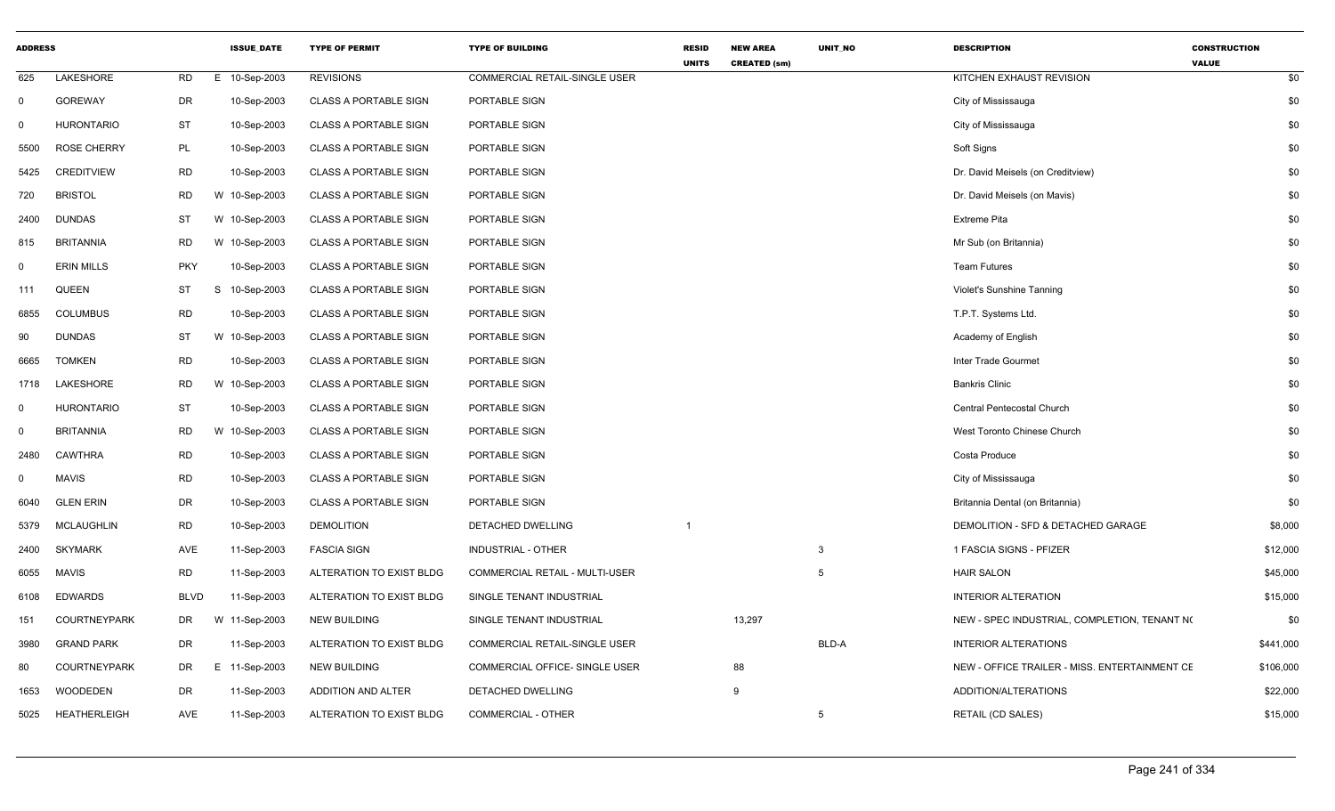| <b>ADDRESS</b> |                     |             | <b>ISSUE_DATE</b> | <b>TYPE OF PERMIT</b>        | <b>TYPE OF BUILDING</b>        | <b>RESID</b><br><b>UNITS</b> | <b>NEW AREA</b><br><b>CREATED (sm)</b> | UNIT_NO | <b>DESCRIPTION</b>                            | <b>CONSTRUCTION</b><br><b>VALUE</b> |
|----------------|---------------------|-------------|-------------------|------------------------------|--------------------------------|------------------------------|----------------------------------------|---------|-----------------------------------------------|-------------------------------------|
| 625            | LAKESHORE           | <b>RD</b>   | 10-Sep-2003<br>E. | <b>REVISIONS</b>             | COMMERCIAL RETAIL-SINGLE USER  |                              |                                        |         | KITCHEN EXHAUST REVISION                      | \$0                                 |
| $\mathbf 0$    | <b>GOREWAY</b>      | DR          | 10-Sep-2003       | <b>CLASS A PORTABLE SIGN</b> | PORTABLE SIGN                  |                              |                                        |         | City of Mississauga                           | \$0                                 |
| $\Omega$       | <b>HURONTARIO</b>   | <b>ST</b>   | 10-Sep-2003       | <b>CLASS A PORTABLE SIGN</b> | PORTABLE SIGN                  |                              |                                        |         | City of Mississauga                           | \$0                                 |
| 5500           | <b>ROSE CHERRY</b>  | <b>PL</b>   | 10-Sep-2003       | <b>CLASS A PORTABLE SIGN</b> | PORTABLE SIGN                  |                              |                                        |         | Soft Signs                                    | \$0                                 |
| 5425           | <b>CREDITVIEW</b>   | <b>RD</b>   | 10-Sep-2003       | <b>CLASS A PORTABLE SIGN</b> | PORTABLE SIGN                  |                              |                                        |         | Dr. David Meisels (on Creditview)             | \$0                                 |
| 720            | <b>BRISTOL</b>      | <b>RD</b>   | W 10-Sep-2003     | <b>CLASS A PORTABLE SIGN</b> | PORTABLE SIGN                  |                              |                                        |         | Dr. David Meisels (on Mavis)                  | \$0                                 |
| 2400           | <b>DUNDAS</b>       | ST          | W 10-Sep-2003     | <b>CLASS A PORTABLE SIGN</b> | PORTABLE SIGN                  |                              |                                        |         | <b>Extreme Pita</b>                           | \$0                                 |
| 815            | <b>BRITANNIA</b>    | <b>RD</b>   | W 10-Sep-2003     | <b>CLASS A PORTABLE SIGN</b> | PORTABLE SIGN                  |                              |                                        |         | Mr Sub (on Britannia)                         | \$0                                 |
| $\mathbf 0$    | <b>ERIN MILLS</b>   | <b>PKY</b>  | 10-Sep-2003       | <b>CLASS A PORTABLE SIGN</b> | PORTABLE SIGN                  |                              |                                        |         | <b>Team Futures</b>                           | \$0                                 |
| 111            | <b>QUEEN</b>        | ST          | S<br>10-Sep-2003  | <b>CLASS A PORTABLE SIGN</b> | PORTABLE SIGN                  |                              |                                        |         | Violet's Sunshine Tanning                     | \$0                                 |
| 6855           | <b>COLUMBUS</b>     | <b>RD</b>   | 10-Sep-2003       | <b>CLASS A PORTABLE SIGN</b> | PORTABLE SIGN                  |                              |                                        |         | T.P.T. Systems Ltd.                           | \$0                                 |
| 90             | <b>DUNDAS</b>       | ST          | W 10-Sep-2003     | <b>CLASS A PORTABLE SIGN</b> | PORTABLE SIGN                  |                              |                                        |         | Academy of English                            | \$0                                 |
| 6665           | <b>TOMKEN</b>       | <b>RD</b>   | 10-Sep-2003       | <b>CLASS A PORTABLE SIGN</b> | PORTABLE SIGN                  |                              |                                        |         | Inter Trade Gourmet                           | \$0                                 |
| 1718           | LAKESHORE           | <b>RD</b>   | W 10-Sep-2003     | <b>CLASS A PORTABLE SIGN</b> | PORTABLE SIGN                  |                              |                                        |         | <b>Bankris Clinic</b>                         | \$0                                 |
| $\mathbf 0$    | <b>HURONTARIO</b>   | ST          | 10-Sep-2003       | <b>CLASS A PORTABLE SIGN</b> | PORTABLE SIGN                  |                              |                                        |         | Central Pentecostal Church                    | \$0                                 |
| $\mathbf 0$    | <b>BRITANNIA</b>    | <b>RD</b>   | W 10-Sep-2003     | <b>CLASS A PORTABLE SIGN</b> | PORTABLE SIGN                  |                              |                                        |         | West Toronto Chinese Church                   | \$0                                 |
| 2480           | CAWTHRA             | <b>RD</b>   | 10-Sep-2003       | <b>CLASS A PORTABLE SIGN</b> | PORTABLE SIGN                  |                              |                                        |         | Costa Produce                                 | \$0                                 |
| $\Omega$       | <b>MAVIS</b>        | <b>RD</b>   | 10-Sep-2003       | <b>CLASS A PORTABLE SIGN</b> | PORTABLE SIGN                  |                              |                                        |         | City of Mississauga                           | \$0                                 |
| 6040           | <b>GLEN ERIN</b>    | DR          | 10-Sep-2003       | <b>CLASS A PORTABLE SIGN</b> | PORTABLE SIGN                  |                              |                                        |         | Britannia Dental (on Britannia)               | \$0                                 |
| 5379           | <b>MCLAUGHLIN</b>   | <b>RD</b>   | 10-Sep-2003       | <b>DEMOLITION</b>            | DETACHED DWELLING              | $\mathbf 1$                  |                                        |         | DEMOLITION - SFD & DETACHED GARAGE            | \$8,000                             |
| 2400           | <b>SKYMARK</b>      | AVE         | 11-Sep-2003       | <b>FASCIA SIGN</b>           | INDUSTRIAL - OTHER             |                              |                                        | 3       | 1 FASCIA SIGNS - PFIZER                       | \$12,000                            |
| 6055           | <b>MAVIS</b>        | <b>RD</b>   | 11-Sep-2003       | ALTERATION TO EXIST BLDG     | COMMERCIAL RETAIL - MULTI-USER |                              |                                        | -5      | <b>HAIR SALON</b>                             | \$45,000                            |
| 6108           | <b>EDWARDS</b>      | <b>BLVD</b> | 11-Sep-2003       | ALTERATION TO EXIST BLDG     | SINGLE TENANT INDUSTRIAL       |                              |                                        |         | <b>INTERIOR ALTERATION</b>                    | \$15,000                            |
| 151            | COURTNEYPARK        | DR          | W 11-Sep-2003     | <b>NEW BUILDING</b>          | SINGLE TENANT INDUSTRIAL       |                              | 13,297                                 |         | NEW - SPEC INDUSTRIAL, COMPLETION, TENANT NO  | \$0                                 |
| 3980           | <b>GRAND PARK</b>   | DR          | 11-Sep-2003       | ALTERATION TO EXIST BLDG     | COMMERCIAL RETAIL-SINGLE USER  |                              |                                        | BLD-A   | <b>INTERIOR ALTERATIONS</b>                   | \$441,000                           |
| 80             | <b>COURTNEYPARK</b> | DR          | E 11-Sep-2003     | <b>NEW BUILDING</b>          | COMMERCIAL OFFICE- SINGLE USER |                              | 88                                     |         | NEW - OFFICE TRAILER - MISS. ENTERTAINMENT CE | \$106,000                           |
| 1653           | <b>WOODEDEN</b>     | DR          | 11-Sep-2003       | ADDITION AND ALTER           | DETACHED DWELLING              |                              | 9                                      |         | ADDITION/ALTERATIONS                          | \$22,000                            |
| 5025           | <b>HEATHERLEIGH</b> | AVE         | 11-Sep-2003       | ALTERATION TO EXIST BLDG     | <b>COMMERCIAL - OTHER</b>      |                              |                                        | 5       | <b>RETAIL (CD SALES)</b>                      | \$15,000                            |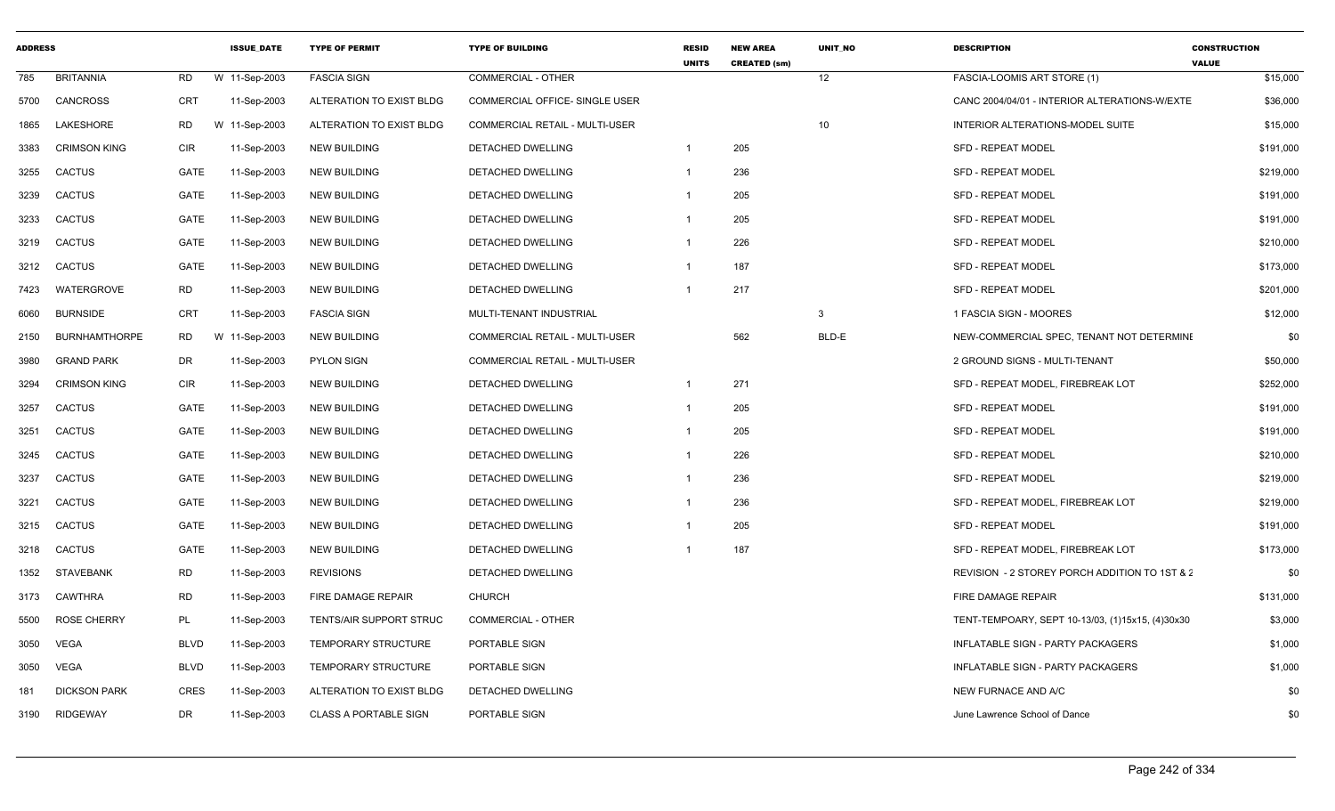| <b>ADDRESS</b> |                      |             | <b>ISSUE DATE</b> | <b>TYPE OF PERMIT</b>        | <b>TYPE OF BUILDING</b>               | <b>RESID</b><br><b>UNITS</b> | <b>NEW AREA</b><br><b>CREATED (sm)</b> | <b>UNIT NO</b> | <b>DESCRIPTION</b>                               | <b>CONSTRUCTION</b><br><b>VALUE</b> |
|----------------|----------------------|-------------|-------------------|------------------------------|---------------------------------------|------------------------------|----------------------------------------|----------------|--------------------------------------------------|-------------------------------------|
| 785            | <b>BRITANNIA</b>     | RD          | W 11-Sep-2003     | <b>FASCIA SIGN</b>           | <b>COMMERCIAL - OTHER</b>             |                              |                                        | 12             | FASCIA-LOOMIS ART STORE (1)                      | \$15,000                            |
| 5700           | <b>CANCROSS</b>      | CRT         | 11-Sep-2003       | ALTERATION TO EXIST BLDG     | COMMERCIAL OFFICE- SINGLE USER        |                              |                                        |                | CANC 2004/04/01 - INTERIOR ALTERATIONS-W/EXTE    | \$36,000                            |
| 1865           | LAKESHORE            | RD          | W 11-Sep-2003     | ALTERATION TO EXIST BLDG     | <b>COMMERCIAL RETAIL - MULTI-USER</b> |                              |                                        | 10             | INTERIOR ALTERATIONS-MODEL SUITE                 | \$15,000                            |
| 3383           | <b>CRIMSON KING</b>  | CIR         | 11-Sep-2003       | <b>NEW BUILDING</b>          | DETACHED DWELLING                     |                              | 205                                    |                | SFD - REPEAT MODEL                               | \$191,000                           |
| 3255           | <b>CACTUS</b>        | GATE        | 11-Sep-2003       | <b>NEW BUILDING</b>          | DETACHED DWELLING                     | -1                           | 236                                    |                | SFD - REPEAT MODEL                               | \$219,000                           |
| 3239           | <b>CACTUS</b>        | GATE        | 11-Sep-2003       | <b>NEW BUILDING</b>          | DETACHED DWELLING                     | -1                           | 205                                    |                | <b>SFD - REPEAT MODEL</b>                        | \$191,000                           |
| 3233           | <b>CACTUS</b>        | GATE        | 11-Sep-2003       | <b>NEW BUILDING</b>          | DETACHED DWELLING                     |                              | 205                                    |                | <b>SFD - REPEAT MODEL</b>                        | \$191,000                           |
| 3219           | CACTUS               | GATE        | 11-Sep-2003       | <b>NEW BUILDING</b>          | DETACHED DWELLING                     |                              | 226                                    |                | <b>SFD - REPEAT MODEL</b>                        | \$210,000                           |
| 3212           | CACTUS               | GATE        | 11-Sep-2003       | <b>NEW BUILDING</b>          | DETACHED DWELLING                     | -1                           | 187                                    |                | SFD - REPEAT MODEL                               | \$173,000                           |
| 7423           | <b>WATERGROVE</b>    | <b>RD</b>   | 11-Sep-2003       | <b>NEW BUILDING</b>          | DETACHED DWELLING                     |                              | 217                                    |                | SFD - REPEAT MODEL                               | \$201,000                           |
| 6060           | <b>BURNSIDE</b>      | CRT         | 11-Sep-2003       | <b>FASCIA SIGN</b>           | MULTI-TENANT INDUSTRIAL               |                              |                                        | 3              | 1 FASCIA SIGN - MOORES                           | \$12,000                            |
| 2150           | <b>BURNHAMTHORPE</b> | RD          | W 11-Sep-2003     | <b>NEW BUILDING</b>          | COMMERCIAL RETAIL - MULTI-USER        |                              | 562                                    | BLD-E          | NEW-COMMERCIAL SPEC, TENANT NOT DETERMINE        | \$0                                 |
| 3980           | <b>GRAND PARK</b>    | DR          | 11-Sep-2003       | <b>PYLON SIGN</b>            | COMMERCIAL RETAIL - MULTI-USER        |                              |                                        |                | 2 GROUND SIGNS - MULTI-TENANT                    | \$50,000                            |
| 3294           | <b>CRIMSON KING</b>  | <b>CIR</b>  | 11-Sep-2003       | <b>NEW BUILDING</b>          | DETACHED DWELLING                     | -1                           | 271                                    |                | SFD - REPEAT MODEL, FIREBREAK LOT                | \$252,000                           |
| 3257           | <b>CACTUS</b>        | GATE        | 11-Sep-2003       | <b>NEW BUILDING</b>          | DETACHED DWELLING                     | -1                           | 205                                    |                | <b>SFD - REPEAT MODEL</b>                        | \$191,000                           |
| 3251           | CACTUS               | GATE        | 11-Sep-2003       | <b>NEW BUILDING</b>          | DETACHED DWELLING                     |                              | 205                                    |                | <b>SFD - REPEAT MODEL</b>                        | \$191,000                           |
| 3245           | CACTUS               | GATE        | 11-Sep-2003       | <b>NEW BUILDING</b>          | <b>DETACHED DWELLING</b>              |                              | 226                                    |                | <b>SFD - REPEAT MODEL</b>                        | \$210,000                           |
| 3237           | CACTUS               | GATE        | 11-Sep-2003       | <b>NEW BUILDING</b>          | DETACHED DWELLING                     |                              | 236                                    |                | <b>SFD - REPEAT MODEL</b>                        | \$219,000                           |
| 3221           | <b>CACTUS</b>        | GATE        | 11-Sep-2003       | <b>NEW BUILDING</b>          | DETACHED DWELLING                     |                              | 236                                    |                | SFD - REPEAT MODEL, FIREBREAK LOT                | \$219,000                           |
| 3215           | <b>CACTUS</b>        | GATE        | 11-Sep-2003       | <b>NEW BUILDING</b>          | DETACHED DWELLING                     |                              | 205                                    |                | <b>SFD - REPEAT MODEL</b>                        | \$191,000                           |
| 3218           | <b>CACTUS</b>        | GATE        | 11-Sep-2003       | <b>NEW BUILDING</b>          | DETACHED DWELLING                     |                              | 187                                    |                | SFD - REPEAT MODEL, FIREBREAK LOT                | \$173,000                           |
| 1352           | <b>STAVEBANK</b>     | RD          | 11-Sep-2003       | <b>REVISIONS</b>             | DETACHED DWELLING                     |                              |                                        |                | REVISION - 2 STOREY PORCH ADDITION TO 1ST & 2    | \$0                                 |
| 3173           | <b>CAWTHRA</b>       | RD          | 11-Sep-2003       | FIRE DAMAGE REPAIR           | <b>CHURCH</b>                         |                              |                                        |                | FIRE DAMAGE REPAIR                               | \$131,000                           |
| 5500           | <b>ROSE CHERRY</b>   | PL          | 11-Sep-2003       | TENTS/AIR SUPPORT STRUC      | <b>COMMERCIAL - OTHER</b>             |                              |                                        |                | TENT-TEMPOARY, SEPT 10-13/03, (1)15x15, (4)30x30 | \$3,000                             |
| 3050           | <b>VEGA</b>          | <b>BLVD</b> | 11-Sep-2003       | <b>TEMPORARY STRUCTURE</b>   | PORTABLE SIGN                         |                              |                                        |                | INFLATABLE SIGN - PARTY PACKAGERS                | \$1,000                             |
| 3050           | <b>VEGA</b>          | <b>BLVD</b> | 11-Sep-2003       | <b>TEMPORARY STRUCTURE</b>   | PORTABLE SIGN                         |                              |                                        |                | <b>INFLATABLE SIGN - PARTY PACKAGERS</b>         | \$1,000                             |
| 181            | <b>DICKSON PARK</b>  | <b>CRES</b> | 11-Sep-2003       | ALTERATION TO EXIST BLDG     | DETACHED DWELLING                     |                              |                                        |                | NEW FURNACE AND A/C                              | \$0                                 |
| 3190           | <b>RIDGEWAY</b>      | DR          | 11-Sep-2003       | <b>CLASS A PORTABLE SIGN</b> | PORTABLE SIGN                         |                              |                                        |                | June Lawrence School of Dance                    | \$0                                 |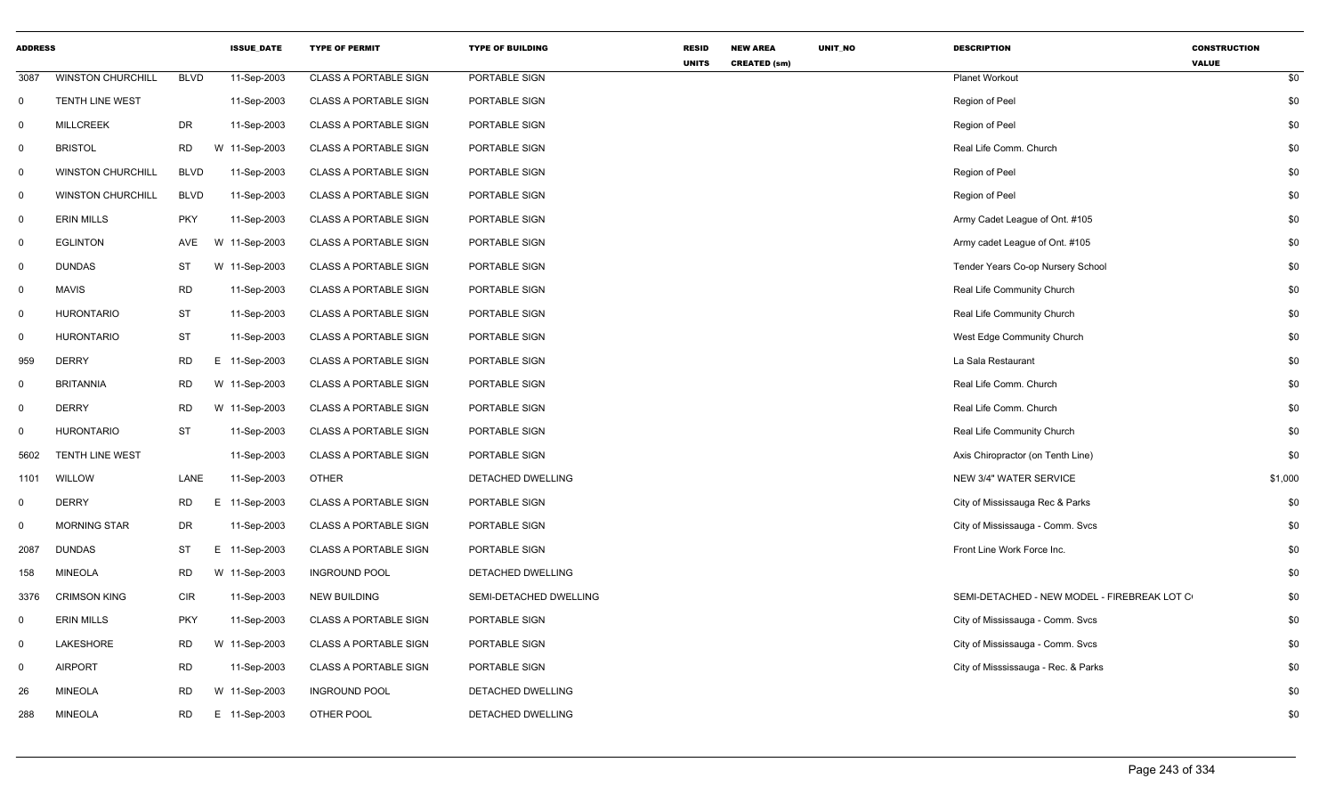| <b>ADDRESS</b> |                          |             | <b>ISSUE_DATE</b> | <b>TYPE OF PERMIT</b>        | <b>TYPE OF BUILDING</b> | <b>RESID</b><br><b>UNITS</b> | <b>NEW AREA</b><br><b>CREATED (sm)</b> | UNIT_NO | <b>DESCRIPTION</b>                          | <b>CONSTRUCTION</b><br><b>VALUE</b> |
|----------------|--------------------------|-------------|-------------------|------------------------------|-------------------------|------------------------------|----------------------------------------|---------|---------------------------------------------|-------------------------------------|
| 3087           | <b>WINSTON CHURCHILL</b> | <b>BLVD</b> | 11-Sep-2003       | <b>CLASS A PORTABLE SIGN</b> | PORTABLE SIGN           |                              |                                        |         | <b>Planet Workout</b>                       | \$0                                 |
| $\mathbf{0}$   | TENTH LINE WEST          |             | 11-Sep-2003       | <b>CLASS A PORTABLE SIGN</b> | PORTABLE SIGN           |                              |                                        |         | Region of Peel                              | \$0                                 |
| $\mathbf 0$    | <b>MILLCREEK</b>         | DR          | 11-Sep-2003       | <b>CLASS A PORTABLE SIGN</b> | PORTABLE SIGN           |                              |                                        |         | Region of Peel                              | \$0                                 |
| $\mathbf 0$    | <b>BRISTOL</b>           | <b>RD</b>   | W 11-Sep-2003     | <b>CLASS A PORTABLE SIGN</b> | PORTABLE SIGN           |                              |                                        |         | Real Life Comm. Church                      | \$0                                 |
| $\mathbf 0$    | <b>WINSTON CHURCHILL</b> | <b>BLVD</b> | 11-Sep-2003       | <b>CLASS A PORTABLE SIGN</b> | PORTABLE SIGN           |                              |                                        |         | Region of Peel                              | \$0                                 |
| $\mathbf 0$    | <b>WINSTON CHURCHILL</b> | <b>BLVD</b> | 11-Sep-2003       | <b>CLASS A PORTABLE SIGN</b> | PORTABLE SIGN           |                              |                                        |         | Region of Peel                              | \$0                                 |
| 0              | <b>ERIN MILLS</b>        | <b>PKY</b>  | 11-Sep-2003       | <b>CLASS A PORTABLE SIGN</b> | PORTABLE SIGN           |                              |                                        |         | Army Cadet League of Ont. #105              | \$0                                 |
| 0              | <b>EGLINTON</b>          | AVE         | W 11-Sep-2003     | <b>CLASS A PORTABLE SIGN</b> | PORTABLE SIGN           |                              |                                        |         | Army cadet League of Ont. #105              | \$0                                 |
| $\mathbf{0}$   | <b>DUNDAS</b>            | ST          | W 11-Sep-2003     | <b>CLASS A PORTABLE SIGN</b> | PORTABLE SIGN           |                              |                                        |         | Tender Years Co-op Nursery School           | \$0                                 |
| $\mathbf 0$    | <b>MAVIS</b>             | <b>RD</b>   | 11-Sep-2003       | <b>CLASS A PORTABLE SIGN</b> | PORTABLE SIGN           |                              |                                        |         | Real Life Community Church                  | \$0                                 |
| $\mathbf 0$    | <b>HURONTARIO</b>        | <b>ST</b>   | 11-Sep-2003       | <b>CLASS A PORTABLE SIGN</b> | PORTABLE SIGN           |                              |                                        |         | Real Life Community Church                  | \$0                                 |
| $\Omega$       | <b>HURONTARIO</b>        | ST          | 11-Sep-2003       | <b>CLASS A PORTABLE SIGN</b> | PORTABLE SIGN           |                              |                                        |         | West Edge Community Church                  | \$0                                 |
| 959            | <b>DERRY</b>             | <b>RD</b>   | E 11-Sep-2003     | <b>CLASS A PORTABLE SIGN</b> | PORTABLE SIGN           |                              |                                        |         | La Sala Restaurant                          | \$0                                 |
| 0              | <b>BRITANNIA</b>         | <b>RD</b>   | W 11-Sep-2003     | <b>CLASS A PORTABLE SIGN</b> | PORTABLE SIGN           |                              |                                        |         | Real Life Comm. Church                      | \$0                                 |
| $\mathbf 0$    | <b>DERRY</b>             | <b>RD</b>   | W 11-Sep-2003     | <b>CLASS A PORTABLE SIGN</b> | PORTABLE SIGN           |                              |                                        |         | Real Life Comm. Church                      | \$0                                 |
| 0              | <b>HURONTARIO</b>        | <b>ST</b>   | 11-Sep-2003       | <b>CLASS A PORTABLE SIGN</b> | PORTABLE SIGN           |                              |                                        |         | Real Life Community Church                  | \$0                                 |
| 5602           | <b>TENTH LINE WEST</b>   |             | 11-Sep-2003       | <b>CLASS A PORTABLE SIGN</b> | PORTABLE SIGN           |                              |                                        |         | Axis Chiropractor (on Tenth Line)           | \$0                                 |
| 1101           | WILLOW                   | LANE        | 11-Sep-2003       | <b>OTHER</b>                 | DETACHED DWELLING       |                              |                                        |         | NEW 3/4" WATER SERVICE                      | \$1,000                             |
| $\mathbf 0$    | <b>DERRY</b>             | <b>RD</b>   | E 11-Sep-2003     | <b>CLASS A PORTABLE SIGN</b> | PORTABLE SIGN           |                              |                                        |         | City of Mississauga Rec & Parks             | \$0                                 |
| $\mathbf 0$    | MORNING STAR             | <b>DR</b>   | 11-Sep-2003       | <b>CLASS A PORTABLE SIGN</b> | PORTABLE SIGN           |                              |                                        |         | City of Mississauga - Comm. Svcs            | \$0                                 |
| 2087           | <b>DUNDAS</b>            | <b>ST</b>   | E 11-Sep-2003     | <b>CLASS A PORTABLE SIGN</b> | PORTABLE SIGN           |                              |                                        |         | Front Line Work Force Inc.                  | \$0                                 |
| 158            | <b>MINEOLA</b>           | <b>RD</b>   | W 11-Sep-2003     | <b>INGROUND POOL</b>         | DETACHED DWELLING       |                              |                                        |         |                                             | \$0                                 |
| 3376           | <b>CRIMSON KING</b>      | <b>CIR</b>  | 11-Sep-2003       | <b>NEW BUILDING</b>          | SEMI-DETACHED DWELLING  |                              |                                        |         | SEMI-DETACHED - NEW MODEL - FIREBREAK LOT C | \$0                                 |
| 0              | <b>ERIN MILLS</b>        | <b>PKY</b>  | 11-Sep-2003       | <b>CLASS A PORTABLE SIGN</b> | PORTABLE SIGN           |                              |                                        |         | City of Mississauga - Comm. Svcs            | \$0                                 |
| $\mathbf 0$    | LAKESHORE                | <b>RD</b>   | W 11-Sep-2003     | <b>CLASS A PORTABLE SIGN</b> | PORTABLE SIGN           |                              |                                        |         | City of Mississauga - Comm. Svcs            | \$0                                 |
| $\mathbf{0}$   | <b>AIRPORT</b>           | RD          | 11-Sep-2003       | <b>CLASS A PORTABLE SIGN</b> | PORTABLE SIGN           |                              |                                        |         | City of Misssissauga - Rec. & Parks         | \$0                                 |
| 26             | <b>MINEOLA</b>           | <b>RD</b>   | W 11-Sep-2003     | <b>INGROUND POOL</b>         | DETACHED DWELLING       |                              |                                        |         |                                             | \$0                                 |
| 288            | <b>MINEOLA</b>           | <b>RD</b>   | E 11-Sep-2003     | OTHER POOL                   | DETACHED DWELLING       |                              |                                        |         |                                             | \$0                                 |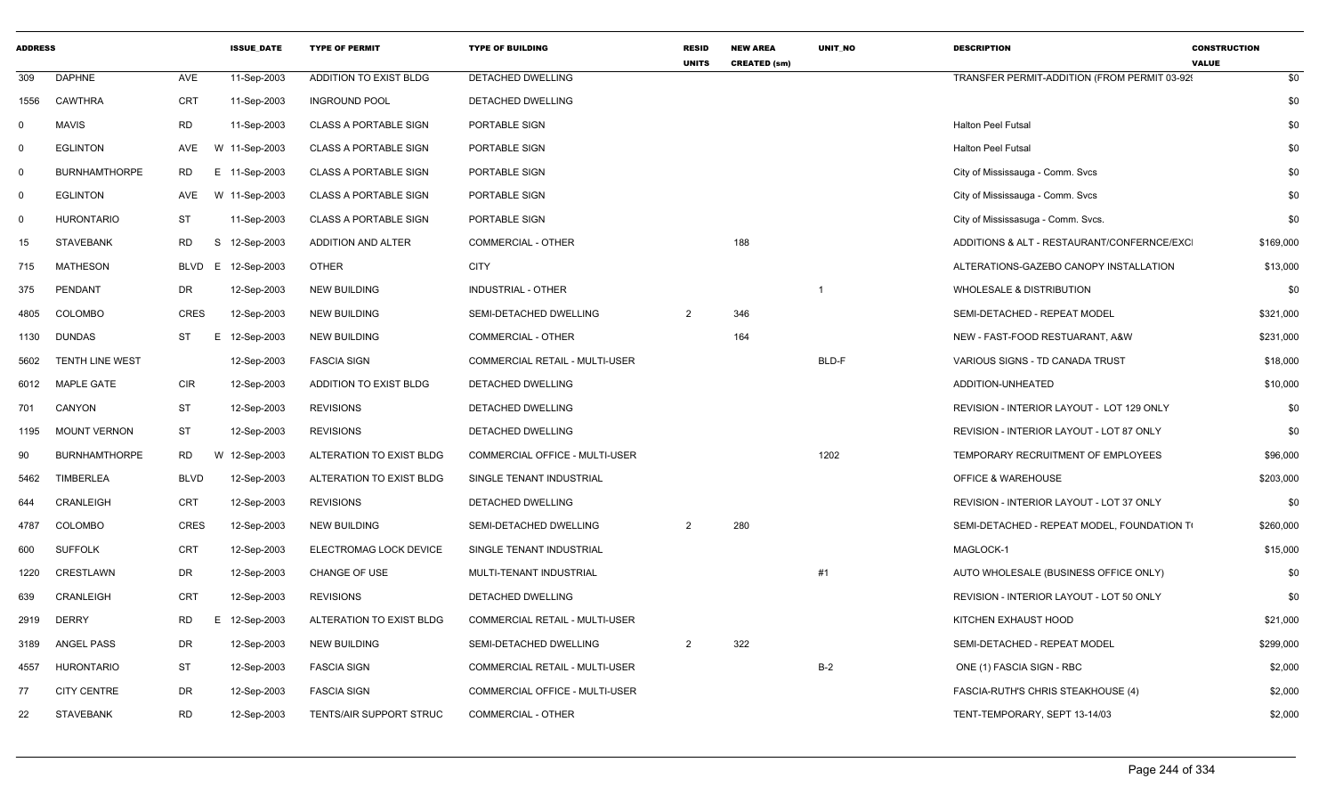| <b>ADDRESS</b> |                      |             | <b>ISSUE DATE</b>  | <b>TYPE OF PERMIT</b>        | <b>TYPE OF BUILDING</b>               | <b>RESID</b><br><b>UNITS</b> | <b>NEW AREA</b><br><b>CREATED (sm)</b> | UNIT_NO | <b>DESCRIPTION</b>                           | <b>CONSTRUCTION</b><br><b>VALUE</b> |           |
|----------------|----------------------|-------------|--------------------|------------------------------|---------------------------------------|------------------------------|----------------------------------------|---------|----------------------------------------------|-------------------------------------|-----------|
| 309            | <b>DAPHNE</b>        | AVE         | 11-Sep-2003        | ADDITION TO EXIST BLDG       | DETACHED DWELLING                     |                              |                                        |         | TRANSFER PERMIT-ADDITION (FROM PERMIT 03-92) |                                     | \$0       |
|                | 1556 CAWTHRA         | <b>CRT</b>  | 11-Sep-2003        | <b>INGROUND POOL</b>         | DETACHED DWELLING                     |                              |                                        |         |                                              |                                     | \$0       |
| $\Omega$       | MAVIS                | RD          | 11-Sep-2003        | <b>CLASS A PORTABLE SIGN</b> | PORTABLE SIGN                         |                              |                                        |         | Halton Peel Futsal                           |                                     | \$0       |
|                | <b>EGLINTON</b>      |             | AVE W 11-Sep-2003  | <b>CLASS A PORTABLE SIGN</b> | PORTABLE SIGN                         |                              |                                        |         | <b>Halton Peel Futsal</b>                    |                                     | \$0       |
| - 0            | <b>BURNHAMTHORPE</b> | <b>RD</b>   | E 11-Sep-2003      | <b>CLASS A PORTABLE SIGN</b> | PORTABLE SIGN                         |                              |                                        |         | City of Mississauga - Comm. Svcs             |                                     | \$0       |
| $\Omega$       | <b>EGLINTON</b>      | AVE         | W 11-Sep-2003      | <b>CLASS A PORTABLE SIGN</b> | PORTABLE SIGN                         |                              |                                        |         | City of Mississauga - Comm. Svcs             |                                     | \$0       |
| $\Omega$       | <b>HURONTARIO</b>    | <b>ST</b>   | 11-Sep-2003        | <b>CLASS A PORTABLE SIGN</b> | PORTABLE SIGN                         |                              |                                        |         | City of Mississasuga - Comm. Svcs.           |                                     | \$0       |
| 15             | <b>STAVEBANK</b>     | RD<br>S     | 12-Sep-2003        | ADDITION AND ALTER           | <b>COMMERCIAL - OTHER</b>             |                              | 188                                    |         | ADDITIONS & ALT - RESTAURANT/CONFERNCE/EXC   |                                     | \$169,000 |
| 715            | <b>MATHESON</b>      |             | BLVD E 12-Sep-2003 | OTHER                        | <b>CITY</b>                           |                              |                                        |         | ALTERATIONS-GAZEBO CANOPY INSTALLATION       |                                     | \$13,000  |
| 375            | PENDANT              | DR          | 12-Sep-2003        | <b>NEW BUILDING</b>          | INDUSTRIAL - OTHER                    |                              |                                        |         | <b>WHOLESALE &amp; DISTRIBUTION</b>          |                                     | \$0       |
| 4805           | COLOMBO              | CRES        | 12-Sep-2003        | <b>NEW BUILDING</b>          | SEMI-DETACHED DWELLING                |                              | 346                                    |         | SEMI-DETACHED - REPEAT MODEL                 |                                     | \$321,000 |
|                | 1130 DUNDAS          | ST          | E 12-Sep-2003      | <b>NEW BUILDING</b>          | <b>COMMERCIAL - OTHER</b>             |                              | 164                                    |         | NEW - FAST-FOOD RESTUARANT, A&W              |                                     | \$231,000 |
| 5602           | TENTH LINE WEST      |             | 12-Sep-2003        | <b>FASCIA SIGN</b>           | COMMERCIAL RETAIL - MULTI-USER        |                              |                                        | BLD-F   | VARIOUS SIGNS - TD CANADA TRUST              |                                     | \$18,000  |
| 6012           | <b>MAPLE GATE</b>    | <b>CIR</b>  | 12-Sep-2003        | ADDITION TO EXIST BLDG       | DETACHED DWELLING                     |                              |                                        |         | ADDITION-UNHEATED                            |                                     | \$10,000  |
| 701            | CANYON               | <b>ST</b>   | 12-Sep-2003        | <b>REVISIONS</b>             | DETACHED DWELLING                     |                              |                                        |         | REVISION - INTERIOR LAYOUT - LOT 129 ONLY    |                                     | \$0       |
| 1195           | <b>MOUNT VERNON</b>  | ST          | 12-Sep-2003        | <b>REVISIONS</b>             | DETACHED DWELLING                     |                              |                                        |         | REVISION - INTERIOR LAYOUT - LOT 87 ONLY     |                                     | \$0       |
| 90             | <b>BURNHAMTHORPE</b> | <b>RD</b>   | W 12-Sep-2003      | ALTERATION TO EXIST BLDG     | <b>COMMERCIAL OFFICE - MULTI-USER</b> |                              |                                        | 1202    | TEMPORARY RECRUITMENT OF EMPLOYEES           |                                     | \$96,000  |
| 5462           | <b>TIMBERLEA</b>     | <b>BLVD</b> | 12-Sep-2003        | ALTERATION TO EXIST BLDG     | SINGLE TENANT INDUSTRIAL              |                              |                                        |         | <b>OFFICE &amp; WAREHOUSE</b>                |                                     | \$203,000 |
| 644            | CRANLEIGH            | CRT         | 12-Sep-2003        | <b>REVISIONS</b>             | DETACHED DWELLING                     |                              |                                        |         | REVISION - INTERIOR LAYOUT - LOT 37 ONLY     |                                     | \$0       |
| 4787           | COLOMBO              | <b>CRES</b> | 12-Sep-2003        | <b>NEW BUILDING</b>          | SEMI-DETACHED DWELLING                | $\overline{2}$               | 280                                    |         | SEMI-DETACHED - REPEAT MODEL, FOUNDATION TO  |                                     | \$260,000 |
| 600            | <b>SUFFOLK</b>       | CRT         | 12-Sep-2003        | ELECTROMAG LOCK DEVICE       | SINGLE TENANT INDUSTRIAL              |                              |                                        |         | MAGLOCK-1                                    |                                     | \$15,000  |
| 1220           | CRESTLAWN            | DR          | 12-Sep-2003        | <b>CHANGE OF USE</b>         | MULTI-TENANT INDUSTRIAL               |                              |                                        | #1      | AUTO WHOLESALE (BUSINESS OFFICE ONLY)        |                                     | \$0       |
| 639            | CRANLEIGH            | <b>CRT</b>  | 12-Sep-2003        | <b>REVISIONS</b>             | DETACHED DWELLING                     |                              |                                        |         | REVISION - INTERIOR LAYOUT - LOT 50 ONLY     |                                     | \$0       |
|                | 2919 DERRY           | <b>RD</b>   | E 12-Sep-2003      | ALTERATION TO EXIST BLDG     | COMMERCIAL RETAIL - MULTI-USER        |                              |                                        |         | KITCHEN EXHAUST HOOD                         |                                     | \$21,000  |
| 3189           | ANGEL PASS           | DR          | 12-Sep-2003        | <b>NEW BUILDING</b>          | SEMI-DETACHED DWELLING                | 2                            | 322                                    |         | SEMI-DETACHED - REPEAT MODEL                 |                                     | \$299,000 |
| 4557           | HURONTARIO           | ST          | 12-Sep-2003        | <b>FASCIA SIGN</b>           | COMMERCIAL RETAIL - MULTI-USER        |                              |                                        | $B-2$   | ONE (1) FASCIA SIGN - RBC                    |                                     | \$2,000   |
| 77             | <b>CITY CENTRE</b>   | DR          | 12-Sep-2003        | <b>FASCIA SIGN</b>           | COMMERCIAL OFFICE - MULTI-USER        |                              |                                        |         | FASCIA-RUTH'S CHRIS STEAKHOUSE (4)           |                                     | \$2,000   |
| 22             | <b>STAVEBANK</b>     | <b>RD</b>   | 12-Sep-2003        | TENTS/AIR SUPPORT STRUC      | COMMERCIAL - OTHER                    |                              |                                        |         | TENT-TEMPORARY, SEPT 13-14/03                |                                     | \$2,000   |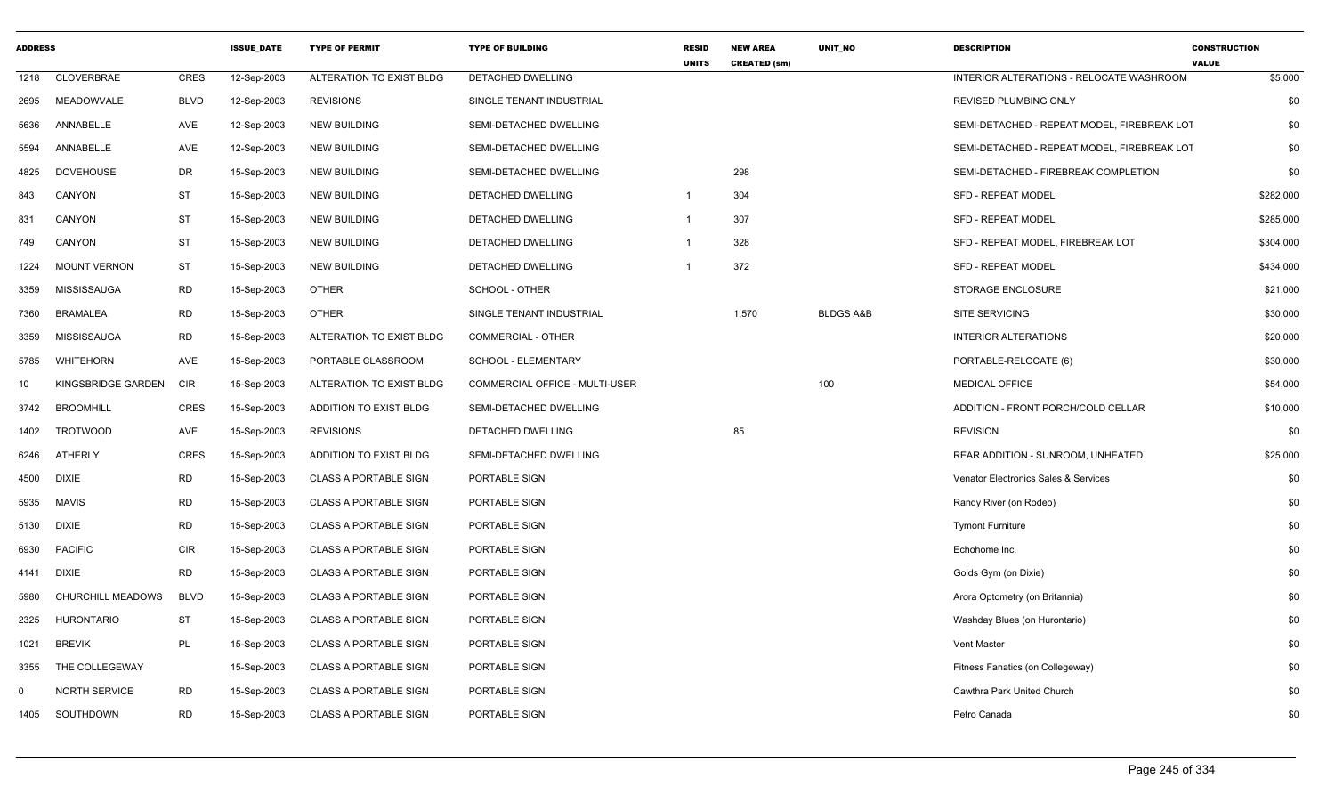| <b>ADDRESS</b> |                     |             | <b>ISSUE DATE</b> | <b>TYPE OF PERMIT</b>        | <b>TYPE OF BUILDING</b>        | <b>RESID</b><br><b>UNITS</b> | <b>NEW AREA</b><br><b>CREATED (sm)</b> | <b>UNIT NO</b>       | <b>DESCRIPTION</b>                          | <b>CONSTRUCTION</b><br><b>VALUE</b> |
|----------------|---------------------|-------------|-------------------|------------------------------|--------------------------------|------------------------------|----------------------------------------|----------------------|---------------------------------------------|-------------------------------------|
| 1218           | CLOVERBRAE          | <b>CRES</b> | 12-Sep-2003       | ALTERATION TO EXIST BLDG     | <b>DETACHED DWELLING</b>       |                              |                                        |                      | INTERIOR ALTERATIONS - RELOCATE WASHROOM    | \$5,000                             |
| 2695           | MEADOWVALE          | <b>BLVD</b> | 12-Sep-2003       | <b>REVISIONS</b>             | SINGLE TENANT INDUSTRIAL       |                              |                                        |                      | REVISED PLUMBING ONLY                       | \$0                                 |
| 5636           | ANNABELLE           | AVE         | 12-Sep-2003       | <b>NEW BUILDING</b>          | SEMI-DETACHED DWELLING         |                              |                                        |                      | SEMI-DETACHED - REPEAT MODEL, FIREBREAK LOT | \$0                                 |
| 5594           | ANNABELLE           | AVE         | 12-Sep-2003       | <b>NEW BUILDING</b>          | SEMI-DETACHED DWELLING         |                              |                                        |                      | SEMI-DETACHED - REPEAT MODEL, FIREBREAK LOT | \$0                                 |
| 4825           | <b>DOVEHOUSE</b>    | DR          | 15-Sep-2003       | <b>NEW BUILDING</b>          | SEMI-DETACHED DWELLING         |                              | 298                                    |                      | SEMI-DETACHED - FIREBREAK COMPLETION        | \$0                                 |
| 843            | CANYON              | ST          | 15-Sep-2003       | <b>NEW BUILDING</b>          | DETACHED DWELLING              | $\overline{1}$               | 304                                    |                      | <b>SFD - REPEAT MODEL</b>                   | \$282,000                           |
| 831            | CANYON              | <b>ST</b>   | 15-Sep-2003       | <b>NEW BUILDING</b>          | DETACHED DWELLING              | -1                           | 307                                    |                      | <b>SFD - REPEAT MODEL</b>                   | \$285,000                           |
| 749            | CANYON              | ST          | 15-Sep-2003       | <b>NEW BUILDING</b>          | DETACHED DWELLING              | $\overline{1}$               | 328                                    |                      | SFD - REPEAT MODEL, FIREBREAK LOT           | \$304,000                           |
| 1224           | <b>MOUNT VERNON</b> | ST          | 15-Sep-2003       | <b>NEW BUILDING</b>          | DETACHED DWELLING              | $\overline{1}$               | 372                                    |                      | SFD - REPEAT MODEL                          | \$434,000                           |
| 3359           | <b>MISSISSAUGA</b>  | RD          | 15-Sep-2003       | <b>OTHER</b>                 | SCHOOL - OTHER                 |                              |                                        |                      | STORAGE ENCLOSURE                           | \$21,000                            |
| 7360           | <b>BRAMALEA</b>     | <b>RD</b>   | 15-Sep-2003       | <b>OTHER</b>                 | SINGLE TENANT INDUSTRIAL       |                              | 1,570                                  | <b>BLDGS A&amp;B</b> | SITE SERVICING                              | \$30,000                            |
| 3359           | <b>MISSISSAUGA</b>  | <b>RD</b>   | 15-Sep-2003       | ALTERATION TO EXIST BLDG     | COMMERCIAL - OTHER             |                              |                                        |                      | <b>INTERIOR ALTERATIONS</b>                 | \$20,000                            |
| 5785           | <b>WHITEHORN</b>    | AVE         | 15-Sep-2003       | PORTABLE CLASSROOM           | SCHOOL - ELEMENTARY            |                              |                                        |                      | PORTABLE-RELOCATE (6)                       | \$30,000                            |
| 10             | KINGSBRIDGE GARDEN  | <b>CIR</b>  | 15-Sep-2003       | ALTERATION TO EXIST BLDG     | COMMERCIAL OFFICE - MULTI-USER |                              |                                        | 100                  | <b>MEDICAL OFFICE</b>                       | \$54,000                            |
| 3742           | <b>BROOMHILL</b>    | CRES        | 15-Sep-2003       | ADDITION TO EXIST BLDG       | SEMI-DETACHED DWELLING         |                              |                                        |                      | ADDITION - FRONT PORCH/COLD CELLAR          | \$10,000                            |
| 1402           | <b>TROTWOOD</b>     | AVE         | 15-Sep-2003       | <b>REVISIONS</b>             | DETACHED DWELLING              |                              | 85                                     |                      | <b>REVISION</b>                             | \$0                                 |
| 6246           | ATHERLY             | <b>CRES</b> | 15-Sep-2003       | ADDITION TO EXIST BLDG       | SEMI-DETACHED DWELLING         |                              |                                        |                      | REAR ADDITION - SUNROOM, UNHEATED           | \$25,000                            |
| 4500           | <b>DIXIE</b>        | <b>RD</b>   | 15-Sep-2003       | <b>CLASS A PORTABLE SIGN</b> | PORTABLE SIGN                  |                              |                                        |                      | Venator Electronics Sales & Services        | \$0                                 |
| 5935           | <b>MAVIS</b>        | RD          | 15-Sep-2003       | <b>CLASS A PORTABLE SIGN</b> | PORTABLE SIGN                  |                              |                                        |                      | Randy River (on Rodeo)                      | \$0                                 |
| 5130           | <b>DIXIE</b>        | <b>RD</b>   | 15-Sep-2003       | <b>CLASS A PORTABLE SIGN</b> | PORTABLE SIGN                  |                              |                                        |                      | <b>Tymont Furniture</b>                     | \$0                                 |
| 6930           | <b>PACIFIC</b>      | <b>CIR</b>  | 15-Sep-2003       | <b>CLASS A PORTABLE SIGN</b> | PORTABLE SIGN                  |                              |                                        |                      | Echohome Inc.                               | \$0                                 |
| 4141           | <b>DIXIE</b>        | <b>RD</b>   | 15-Sep-2003       | <b>CLASS A PORTABLE SIGN</b> | PORTABLE SIGN                  |                              |                                        |                      | Golds Gym (on Dixie)                        | \$0                                 |
| 5980           | CHURCHILL MEADOWS   | <b>BLVD</b> | 15-Sep-2003       | <b>CLASS A PORTABLE SIGN</b> | PORTABLE SIGN                  |                              |                                        |                      | Arora Optometry (on Britannia)              | \$0                                 |
| 2325           | <b>HURONTARIO</b>   | ST          | 15-Sep-2003       | <b>CLASS A PORTABLE SIGN</b> | PORTABLE SIGN                  |                              |                                        |                      | Washday Blues (on Hurontario)               | \$0                                 |
| 1021           | <b>BREVIK</b>       | PL          | 15-Sep-2003       | <b>CLASS A PORTABLE SIGN</b> | PORTABLE SIGN                  |                              |                                        |                      | <b>Vent Master</b>                          | \$0                                 |
| 3355           | THE COLLEGEWAY      |             | 15-Sep-2003       | <b>CLASS A PORTABLE SIGN</b> | PORTABLE SIGN                  |                              |                                        |                      | Fitness Fanatics (on Collegeway)            | \$0                                 |
| $\Omega$       | NORTH SERVICE       | <b>RD</b>   | 15-Sep-2003       | <b>CLASS A PORTABLE SIGN</b> | PORTABLE SIGN                  |                              |                                        |                      | Cawthra Park United Church                  | \$0                                 |
| 1405           | SOUTHDOWN           | RD          | 15-Sep-2003       | <b>CLASS A PORTABLE SIGN</b> | PORTABLE SIGN                  |                              |                                        |                      | Petro Canada                                | \$0                                 |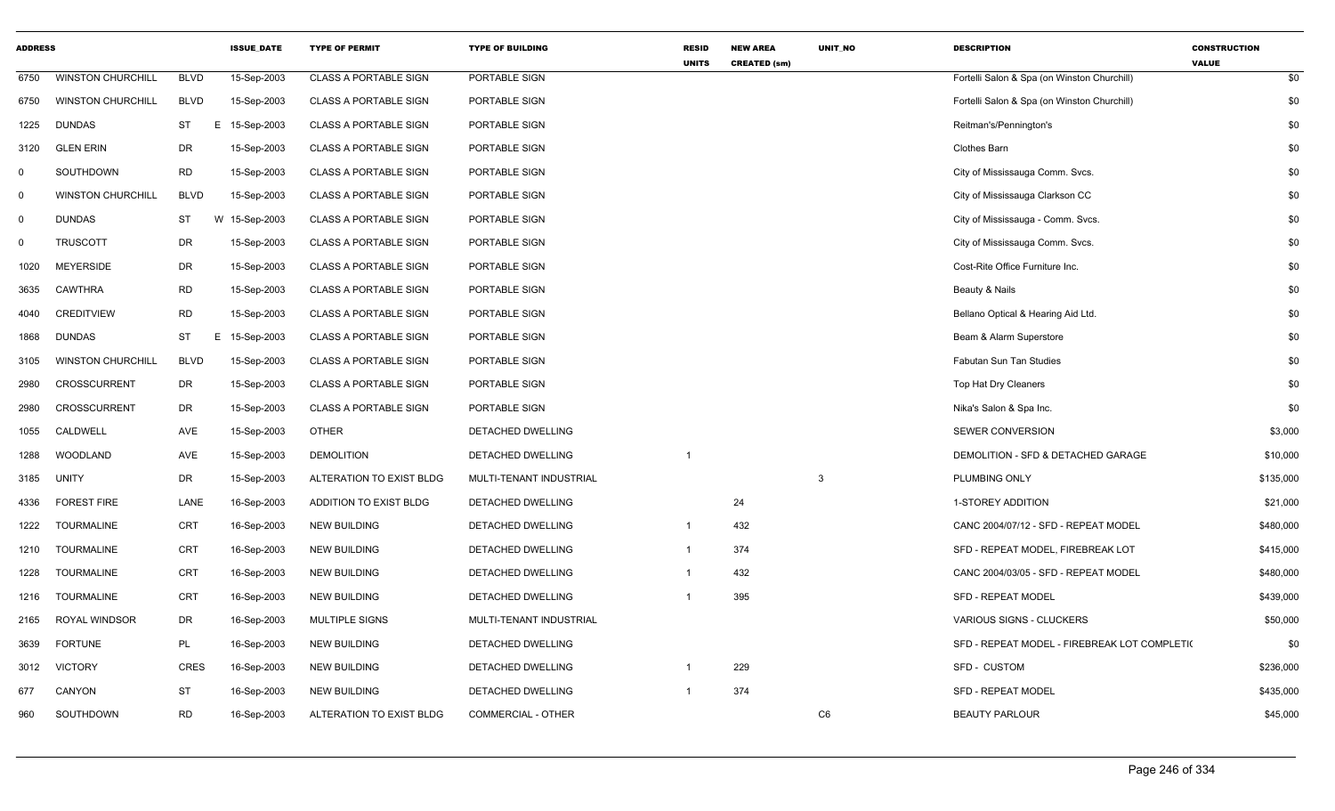| <b>ADDRESS</b> |                          |             | <b>ISSUE DATE</b> | <b>TYPE OF PERMIT</b>        | <b>TYPE OF BUILDING</b>   | <b>RESID</b><br><b>UNITS</b> | <b>NEW AREA</b><br><b>CREATED (sm)</b> | UNIT_NO | <b>DESCRIPTION</b>                           | <b>CONSTRUCTION</b><br><b>VALUE</b> |
|----------------|--------------------------|-------------|-------------------|------------------------------|---------------------------|------------------------------|----------------------------------------|---------|----------------------------------------------|-------------------------------------|
| 6750           | <b>WINSTON CHURCHILL</b> | <b>BLVD</b> | 15-Sep-2003       | <b>CLASS A PORTABLE SIGN</b> | PORTABLE SIGN             |                              |                                        |         | Fortelli Salon & Spa (on Winston Churchill)  | \$0                                 |
| 6750           | <b>WINSTON CHURCHILL</b> | <b>BLVD</b> | 15-Sep-2003       | <b>CLASS A PORTABLE SIGN</b> | PORTABLE SIGN             |                              |                                        |         | Fortelli Salon & Spa (on Winston Churchill)  | \$0                                 |
| 1225           | <b>DUNDAS</b>            | <b>ST</b>   | E<br>15-Sep-2003  | <b>CLASS A PORTABLE SIGN</b> | PORTABLE SIGN             |                              |                                        |         | Reitman's/Pennington's                       | \$0                                 |
| 3120           | <b>GLEN ERIN</b>         | DR          | 15-Sep-2003       | <b>CLASS A PORTABLE SIGN</b> | PORTABLE SIGN             |                              |                                        |         | <b>Clothes Barn</b>                          | \$0                                 |
| $\mathbf 0$    | SOUTHDOWN                | <b>RD</b>   | 15-Sep-2003       | <b>CLASS A PORTABLE SIGN</b> | PORTABLE SIGN             |                              |                                        |         | City of Mississauga Comm. Svcs.              | \$0                                 |
| $\mathbf 0$    | <b>WINSTON CHURCHILL</b> | <b>BLVD</b> | 15-Sep-2003       | <b>CLASS A PORTABLE SIGN</b> | PORTABLE SIGN             |                              |                                        |         | City of Mississauga Clarkson CC              | \$0                                 |
| $\mathbf{0}$   | <b>DUNDAS</b>            | <b>ST</b>   | W<br>15-Sep-2003  | <b>CLASS A PORTABLE SIGN</b> | PORTABLE SIGN             |                              |                                        |         | City of Mississauga - Comm. Svcs.            | \$0                                 |
| $\mathbf 0$    | <b>TRUSCOTT</b>          | <b>DR</b>   | 15-Sep-2003       | <b>CLASS A PORTABLE SIGN</b> | PORTABLE SIGN             |                              |                                        |         | City of Mississauga Comm. Svcs.              | \$0                                 |
| 1020           | <b>MEYERSIDE</b>         | DR          | 15-Sep-2003       | <b>CLASS A PORTABLE SIGN</b> | PORTABLE SIGN             |                              |                                        |         | Cost-Rite Office Furniture Inc.              | \$0                                 |
| 3635           | <b>CAWTHRA</b>           | <b>RD</b>   | 15-Sep-2003       | <b>CLASS A PORTABLE SIGN</b> | PORTABLE SIGN             |                              |                                        |         | Beauty & Nails                               | \$0                                 |
| 4040           | <b>CREDITVIEW</b>        | <b>RD</b>   | 15-Sep-2003       | <b>CLASS A PORTABLE SIGN</b> | PORTABLE SIGN             |                              |                                        |         | Bellano Optical & Hearing Aid Ltd.           | \$0                                 |
| 1868           | <b>DUNDAS</b>            | <b>ST</b>   | 15-Sep-2003<br>E  | <b>CLASS A PORTABLE SIGN</b> | PORTABLE SIGN             |                              |                                        |         | Beam & Alarm Superstore                      | \$0                                 |
| 3105           | <b>WINSTON CHURCHILL</b> | <b>BLVD</b> | 15-Sep-2003       | <b>CLASS A PORTABLE SIGN</b> | PORTABLE SIGN             |                              |                                        |         | <b>Fabutan Sun Tan Studies</b>               | \$0                                 |
| 2980           | <b>CROSSCURRENT</b>      | DR          | 15-Sep-2003       | <b>CLASS A PORTABLE SIGN</b> | PORTABLE SIGN             |                              |                                        |         | Top Hat Dry Cleaners                         | \$0                                 |
| 2980           | CROSSCURRENT             | DR          | 15-Sep-2003       | <b>CLASS A PORTABLE SIGN</b> | PORTABLE SIGN             |                              |                                        |         | Nika's Salon & Spa Inc.                      | \$0                                 |
| 1055           | CALDWELL                 | <b>AVE</b>  | 15-Sep-2003       | <b>OTHER</b>                 | DETACHED DWELLING         |                              |                                        |         | <b>SEWER CONVERSION</b>                      | \$3,000                             |
| 1288           | <b>WOODLAND</b>          | AVE         | 15-Sep-2003       | <b>DEMOLITION</b>            | DETACHED DWELLING         | -1                           |                                        |         | DEMOLITION - SFD & DETACHED GARAGE           | \$10,000                            |
| 3185           | <b>UNITY</b>             | DR          | 15-Sep-2003       | ALTERATION TO EXIST BLDG     | MULTI-TENANT INDUSTRIAL   |                              |                                        | 3       | PLUMBING ONLY                                | \$135,000                           |
| 4336           | <b>FOREST FIRE</b>       | LANE        | 16-Sep-2003       | ADDITION TO EXIST BLDG       | DETACHED DWELLING         |                              | 24                                     |         | 1-STOREY ADDITION                            | \$21,000                            |
| 1222           | <b>TOURMALINE</b>        | CRT         | 16-Sep-2003       | <b>NEW BUILDING</b>          | DETACHED DWELLING         | $\overline{1}$               | 432                                    |         | CANC 2004/07/12 - SFD - REPEAT MODEL         | \$480,000                           |
| 1210           | <b>TOURMALINE</b>        | <b>CRT</b>  | 16-Sep-2003       | <b>NEW BUILDING</b>          | DETACHED DWELLING         | $\mathbf 1$                  | 374                                    |         | SFD - REPEAT MODEL, FIREBREAK LOT            | \$415,000                           |
| 1228           | <b>TOURMALINE</b>        | <b>CRT</b>  | 16-Sep-2003       | <b>NEW BUILDING</b>          | DETACHED DWELLING         | $\overline{1}$               | 432                                    |         | CANC 2004/03/05 - SFD - REPEAT MODEL         | \$480,000                           |
| 1216           | <b>TOURMALINE</b>        | <b>CRT</b>  | 16-Sep-2003       | <b>NEW BUILDING</b>          | <b>DETACHED DWELLING</b>  |                              | 395                                    |         | <b>SFD - REPEAT MODEL</b>                    | \$439,000                           |
| 2165           | ROYAL WINDSOR            | DR          | 16-Sep-2003       | <b>MULTIPLE SIGNS</b>        | MULTI-TENANT INDUSTRIAL   |                              |                                        |         | VARIOUS SIGNS - CLUCKERS                     | \$50,000                            |
| 3639           | <b>FORTUNE</b>           | PL          | 16-Sep-2003       | <b>NEW BUILDING</b>          | DETACHED DWELLING         |                              |                                        |         | SFD - REPEAT MODEL - FIREBREAK LOT COMPLETI( | \$0                                 |
| 3012           | <b>VICTORY</b>           | <b>CRES</b> | 16-Sep-2003       | <b>NEW BUILDING</b>          | DETACHED DWELLING         | -1                           | 229                                    |         | SFD - CUSTOM                                 | \$236,000                           |
| 677            | CANYON                   | <b>ST</b>   | 16-Sep-2003       | <b>NEW BUILDING</b>          | DETACHED DWELLING         |                              | 374                                    |         | <b>SFD - REPEAT MODEL</b>                    | \$435,000                           |
| 960            | SOUTHDOWN                | <b>RD</b>   | 16-Sep-2003       | ALTERATION TO EXIST BLDG     | <b>COMMERCIAL - OTHER</b> |                              |                                        | C6      | <b>BEAUTY PARLOUR</b>                        | \$45,000                            |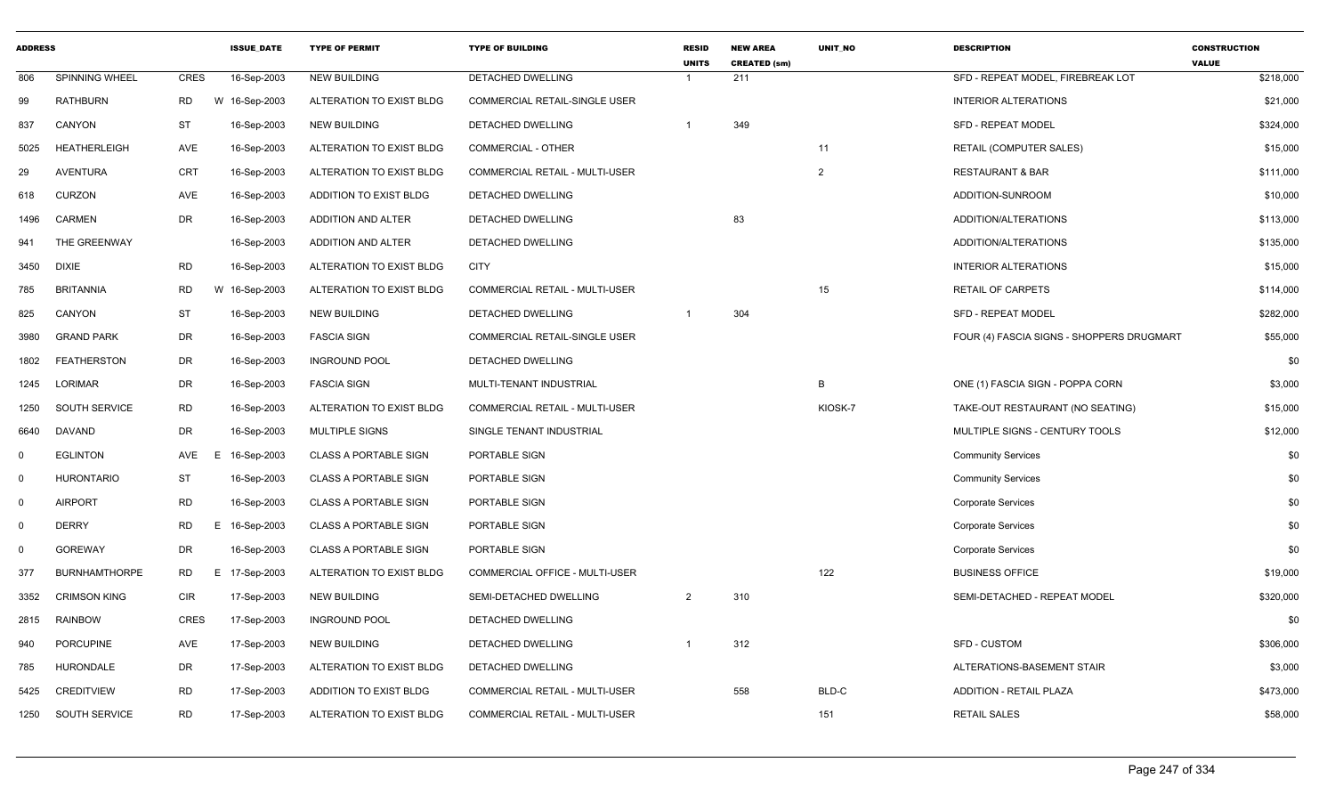| <b>ADDRESS</b> |                      |             | <b>ISSUE DATE</b> | <b>TYPE OF PERMIT</b>        | <b>TYPE OF BUILDING</b>               | <b>RESID</b><br><b>UNITS</b> | <b>NEW AREA</b><br><b>CREATED (sm)</b> | <b>UNIT NO</b> | <b>DESCRIPTION</b>                        | <b>CONSTRUCTION</b><br><b>VALUE</b> |
|----------------|----------------------|-------------|-------------------|------------------------------|---------------------------------------|------------------------------|----------------------------------------|----------------|-------------------------------------------|-------------------------------------|
| 806            | SPINNING WHEEL       | <b>CRES</b> | 16-Sep-2003       | <b>NEW BUILDING</b>          | <b>DETACHED DWELLING</b>              |                              | 211                                    |                | SFD - REPEAT MODEL, FIREBREAK LOT         | \$218,000                           |
| 99             | <b>RATHBURN</b>      | RD          | W 16-Sep-2003     | ALTERATION TO EXIST BLDG     | COMMERCIAL RETAIL-SINGLE USER         |                              |                                        |                | <b>INTERIOR ALTERATIONS</b>               | \$21,000                            |
| 837            | CANYON               | <b>ST</b>   | 16-Sep-2003       | <b>NEW BUILDING</b>          | DETACHED DWELLING                     |                              | 349                                    |                | <b>SFD - REPEAT MODEL</b>                 | \$324,000                           |
| 5025           | <b>HEATHERLEIGH</b>  | AVE         | 16-Sep-2003       | ALTERATION TO EXIST BLDG     | COMMERCIAL - OTHER                    |                              |                                        | 11             | <b>RETAIL (COMPUTER SALES)</b>            | \$15,000                            |
| 29             | <b>AVENTURA</b>      | CRT         | 16-Sep-2003       | ALTERATION TO EXIST BLDG     | COMMERCIAL RETAIL - MULTI-USER        |                              |                                        | $\overline{2}$ | <b>RESTAURANT &amp; BAR</b>               | \$111,000                           |
| 618            | <b>CURZON</b>        | AVE         | 16-Sep-2003       | ADDITION TO EXIST BLDG       | DETACHED DWELLING                     |                              |                                        |                | ADDITION-SUNROOM                          | \$10,000                            |
| 1496           | <b>CARMEN</b>        | <b>DR</b>   | 16-Sep-2003       | ADDITION AND ALTER           | DETACHED DWELLING                     |                              | 83                                     |                | ADDITION/ALTERATIONS                      | \$113,000                           |
| 941            | THE GREENWAY         |             | 16-Sep-2003       | ADDITION AND ALTER           | DETACHED DWELLING                     |                              |                                        |                | ADDITION/ALTERATIONS                      | \$135,000                           |
| 3450           | <b>DIXIE</b>         | <b>RD</b>   | 16-Sep-2003       | ALTERATION TO EXIST BLDG     | <b>CITY</b>                           |                              |                                        |                | <b>INTERIOR ALTERATIONS</b>               | \$15,000                            |
| 785            | <b>BRITANNIA</b>     | RD          | W 16-Sep-2003     | ALTERATION TO EXIST BLDG     | <b>COMMERCIAL RETAIL - MULTI-USER</b> |                              |                                        | 15             | <b>RETAIL OF CARPETS</b>                  | \$114,000                           |
| 825            | CANYON               | <b>ST</b>   | 16-Sep-2003       | <b>NEW BUILDING</b>          | DETACHED DWELLING                     |                              | 304                                    |                | <b>SFD - REPEAT MODEL</b>                 | \$282,000                           |
| 3980           | <b>GRAND PARK</b>    | DR          | 16-Sep-2003       | <b>FASCIA SIGN</b>           | COMMERCIAL RETAIL-SINGLE USER         |                              |                                        |                | FOUR (4) FASCIA SIGNS - SHOPPERS DRUGMART | \$55,000                            |
| 1802           | <b>FEATHERSTON</b>   | DR          | 16-Sep-2003       | <b>INGROUND POOL</b>         | DETACHED DWELLING                     |                              |                                        |                |                                           | \$0                                 |
| 1245           | LORIMAR              | DR          | 16-Sep-2003       | <b>FASCIA SIGN</b>           | MULTI-TENANT INDUSTRIAL               |                              |                                        | B              | ONE (1) FASCIA SIGN - POPPA CORN          | \$3,000                             |
| 1250           | SOUTH SERVICE        | <b>RD</b>   | 16-Sep-2003       | ALTERATION TO EXIST BLDG     | <b>COMMERCIAL RETAIL - MULTI-USER</b> |                              |                                        | KIOSK-7        | TAKE-OUT RESTAURANT (NO SEATING)          | \$15,000                            |
| 6640           | <b>DAVAND</b>        | DR          | 16-Sep-2003       | MULTIPLE SIGNS               | SINGLE TENANT INDUSTRIAL              |                              |                                        |                | MULTIPLE SIGNS - CENTURY TOOLS            | \$12,000                            |
| $\Omega$       | <b>EGLINTON</b>      | AVE         | 16-Sep-2003<br>E  | <b>CLASS A PORTABLE SIGN</b> | PORTABLE SIGN                         |                              |                                        |                | <b>Community Services</b>                 | \$0                                 |
| $\mathbf 0$    | <b>HURONTARIO</b>    | <b>ST</b>   | 16-Sep-2003       | <b>CLASS A PORTABLE SIGN</b> | PORTABLE SIGN                         |                              |                                        |                | <b>Community Services</b>                 | \$0                                 |
| $\mathbf 0$    | <b>AIRPORT</b>       | <b>RD</b>   | 16-Sep-2003       | <b>CLASS A PORTABLE SIGN</b> | PORTABLE SIGN                         |                              |                                        |                | <b>Corporate Services</b>                 | \$0                                 |
| $\mathbf{0}$   | <b>DERRY</b>         | <b>RD</b>   | E<br>16-Sep-2003  | <b>CLASS A PORTABLE SIGN</b> | PORTABLE SIGN                         |                              |                                        |                | <b>Corporate Services</b>                 | \$0                                 |
| $\Omega$       | <b>GOREWAY</b>       | DR          | 16-Sep-2003       | <b>CLASS A PORTABLE SIGN</b> | PORTABLE SIGN                         |                              |                                        |                | <b>Corporate Services</b>                 | \$0                                 |
| 377            | <b>BURNHAMTHORPE</b> | <b>RD</b>   | E 17-Sep-2003     | ALTERATION TO EXIST BLDG     | COMMERCIAL OFFICE - MULTI-USER        |                              |                                        | 122            | <b>BUSINESS OFFICE</b>                    | \$19,000                            |
| 3352           | <b>CRIMSON KING</b>  | CIR         | 17-Sep-2003       | <b>NEW BUILDING</b>          | SEMI-DETACHED DWELLING                | 2                            | 310                                    |                | SEMI-DETACHED - REPEAT MODEL              | \$320,000                           |
| 2815           | <b>RAINBOW</b>       | <b>CRES</b> | 17-Sep-2003       | <b>INGROUND POOL</b>         | DETACHED DWELLING                     |                              |                                        |                |                                           | \$0                                 |
| 940            | <b>PORCUPINE</b>     | AVE         | 17-Sep-2003       | NEW BUILDING                 | DETACHED DWELLING                     |                              | 312                                    |                | <b>SFD - CUSTOM</b>                       | \$306,000                           |
| 785            | HURONDALE            | DR          | 17-Sep-2003       | ALTERATION TO EXIST BLDG     | DETACHED DWELLING                     |                              |                                        |                | ALTERATIONS-BASEMENT STAIR                | \$3,000                             |
| 5425           | <b>CREDITVIEW</b>    | <b>RD</b>   | 17-Sep-2003       | ADDITION TO EXIST BLDG       | COMMERCIAL RETAIL - MULTI-USER        |                              | 558                                    | BLD-C          | <b>ADDITION - RETAIL PLAZA</b>            | \$473,000                           |
| 1250           | SOUTH SERVICE        | RD          | 17-Sep-2003       | ALTERATION TO EXIST BLDG     | COMMERCIAL RETAIL - MULTI-USER        |                              |                                        | 151            | <b>RETAIL SALES</b>                       | \$58,000                            |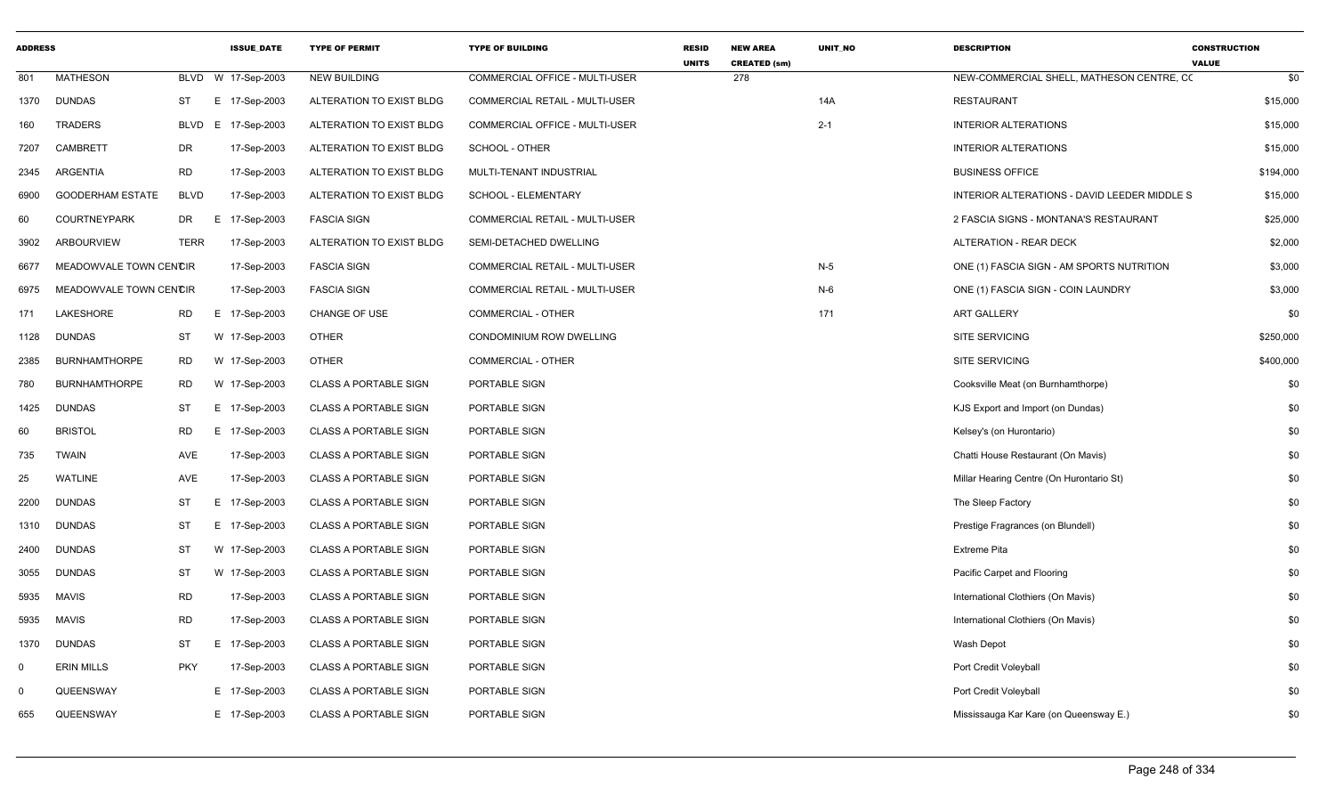| <b>ADDRESS</b> |                         |             | <b>ISSUE_DATE</b>  | <b>TYPE OF PERMIT</b>        | <b>TYPE OF BUILDING</b>               | <b>RESID</b><br><b>UNITS</b> | <b>NEW AREA</b><br><b>CREATED (sm)</b> | UNIT_NO | <b>DESCRIPTION</b>                           | <b>CONSTRUCTION</b><br><b>VALUE</b> |
|----------------|-------------------------|-------------|--------------------|------------------------------|---------------------------------------|------------------------------|----------------------------------------|---------|----------------------------------------------|-------------------------------------|
| 801            | <b>MATHESON</b>         |             | BLVD W 17-Sep-2003 | <b>NEW BUILDING</b>          | COMMERCIAL OFFICE - MULTI-USER        |                              | 278                                    |         | NEW-COMMERCIAL SHELL, MATHESON CENTRE, CO    | \$0                                 |
| 1370           | <b>DUNDAS</b>           | ST          | E 17-Sep-2003      | ALTERATION TO EXIST BLDG     | COMMERCIAL RETAIL - MULTI-USER        |                              |                                        | 14A     | <b>RESTAURANT</b>                            | \$15,000                            |
| 160            | <b>TRADERS</b>          | <b>BLVD</b> | E 17-Sep-2003      | ALTERATION TO EXIST BLDG     | COMMERCIAL OFFICE - MULTI-USER        |                              |                                        | $2 - 1$ | <b>INTERIOR ALTERATIONS</b>                  | \$15,000                            |
| 7207           | CAMBRETT                | DR          | 17-Sep-2003        | ALTERATION TO EXIST BLDG     | SCHOOL - OTHER                        |                              |                                        |         | <b>INTERIOR ALTERATIONS</b>                  | \$15,000                            |
| 2345           | ARGENTIA                | RD          | 17-Sep-2003        | ALTERATION TO EXIST BLDG     | MULTI-TENANT INDUSTRIAL               |                              |                                        |         | <b>BUSINESS OFFICE</b>                       | \$194,000                           |
| 6900           | <b>GOODERHAM ESTATE</b> | <b>BLVD</b> | 17-Sep-2003        | ALTERATION TO EXIST BLDG     | SCHOOL - ELEMENTARY                   |                              |                                        |         | INTERIOR ALTERATIONS - DAVID LEEDER MIDDLE S | \$15,000                            |
| 60             | <b>COURTNEYPARK</b>     | DR          | E<br>17-Sep-2003   | <b>FASCIA SIGN</b>           | COMMERCIAL RETAIL - MULTI-USER        |                              |                                        |         | 2 FASCIA SIGNS - MONTANA'S RESTAURANT        | \$25,000                            |
| 3902           | <b>ARBOURVIEW</b>       | <b>TERR</b> | 17-Sep-2003        | ALTERATION TO EXIST BLDG     | SEMI-DETACHED DWELLING                |                              |                                        |         | <b>ALTERATION - REAR DECK</b>                | \$2,000                             |
| 6677           | MEADOWVALE TOWN CENCIR  |             | 17-Sep-2003        | <b>FASCIA SIGN</b>           | COMMERCIAL RETAIL - MULTI-USER        |                              |                                        | $N-5$   | ONE (1) FASCIA SIGN - AM SPORTS NUTRITION    | \$3,000                             |
| 6975           | MEADOWVALE TOWN CENCIR  |             | 17-Sep-2003        | <b>FASCIA SIGN</b>           | <b>COMMERCIAL RETAIL - MULTI-USER</b> |                              |                                        | $N-6$   | ONE (1) FASCIA SIGN - COIN LAUNDRY           | \$3,000                             |
| 171            | LAKESHORE               | RD          | E 17-Sep-2003      | CHANGE OF USE                | COMMERCIAL - OTHER                    |                              |                                        | 171     | <b>ART GALLERY</b>                           | \$0                                 |
| 1128           | <b>DUNDAS</b>           | <b>ST</b>   | W 17-Sep-2003      | <b>OTHER</b>                 | CONDOMINIUM ROW DWELLING              |                              |                                        |         | <b>SITE SERVICING</b>                        | \$250,000                           |
| 2385           | <b>BURNHAMTHORPE</b>    | RD          | W 17-Sep-2003      | <b>OTHER</b>                 | COMMERCIAL - OTHER                    |                              |                                        |         | <b>SITE SERVICING</b>                        | \$400,000                           |
| 780            | <b>BURNHAMTHORPE</b>    | RD          | W 17-Sep-2003      | <b>CLASS A PORTABLE SIGN</b> | PORTABLE SIGN                         |                              |                                        |         | Cooksville Meat (on Burnhamthorpe)           | \$0                                 |
| 1425           | <b>DUNDAS</b>           | ST          | E 17-Sep-2003      | <b>CLASS A PORTABLE SIGN</b> | PORTABLE SIGN                         |                              |                                        |         | KJS Export and Import (on Dundas)            | \$0                                 |
| 60             | <b>BRISTOL</b>          | RD          | E 17-Sep-2003      | <b>CLASS A PORTABLE SIGN</b> | PORTABLE SIGN                         |                              |                                        |         | Kelsey's (on Hurontario)                     | \$0                                 |
| 735            | TWAIN                   | AVE         | 17-Sep-2003        | <b>CLASS A PORTABLE SIGN</b> | PORTABLE SIGN                         |                              |                                        |         | Chatti House Restaurant (On Mavis)           | \$0                                 |
| 25             | <b>WATLINE</b>          | AVE         | 17-Sep-2003        | <b>CLASS A PORTABLE SIGN</b> | PORTABLE SIGN                         |                              |                                        |         | Millar Hearing Centre (On Hurontario St)     | \$0                                 |
| 2200           | <b>DUNDAS</b>           | <b>ST</b>   | E.<br>17-Sep-2003  | <b>CLASS A PORTABLE SIGN</b> | PORTABLE SIGN                         |                              |                                        |         | The Sleep Factory                            | \$0                                 |
| 1310           | DUNDAS                  | ST          | E 17-Sep-2003      | <b>CLASS A PORTABLE SIGN</b> | PORTABLE SIGN                         |                              |                                        |         | Prestige Fragrances (on Blundell)            | \$0                                 |
| 2400           | <b>DUNDAS</b>           | ST          | W 17-Sep-2003      | <b>CLASS A PORTABLE SIGN</b> | PORTABLE SIGN                         |                              |                                        |         | <b>Extreme Pita</b>                          | \$0                                 |
| 3055           | <b>DUNDAS</b>           | <b>ST</b>   | W 17-Sep-2003      | <b>CLASS A PORTABLE SIGN</b> | PORTABLE SIGN                         |                              |                                        |         | Pacific Carpet and Flooring                  | \$0                                 |
| 5935           | MAVIS                   | <b>RD</b>   | 17-Sep-2003        | <b>CLASS A PORTABLE SIGN</b> | PORTABLE SIGN                         |                              |                                        |         | International Clothiers (On Mavis)           | \$0                                 |
| 5935           | <b>MAVIS</b>            | <b>RD</b>   | 17-Sep-2003        | <b>CLASS A PORTABLE SIGN</b> | PORTABLE SIGN                         |                              |                                        |         | International Clothiers (On Mavis)           | \$0                                 |
| 1370           | DUNDAS                  | ST          | Е<br>17-Sep-2003   | <b>CLASS A PORTABLE SIGN</b> | PORTABLE SIGN                         |                              |                                        |         | Wash Depot                                   | \$0                                 |
| $\mathbf 0$    | <b>ERIN MILLS</b>       | <b>PKY</b>  | 17-Sep-2003        | <b>CLASS A PORTABLE SIGN</b> | PORTABLE SIGN                         |                              |                                        |         | Port Credit Voleyball                        | \$0                                 |
| $\Omega$       | QUEENSWAY               |             | E 17-Sep-2003      | <b>CLASS A PORTABLE SIGN</b> | PORTABLE SIGN                         |                              |                                        |         | Port Credit Voleyball                        | \$0                                 |
| 655            | QUEENSWAY               |             | E 17-Sep-2003      | <b>CLASS A PORTABLE SIGN</b> | PORTABLE SIGN                         |                              |                                        |         | Mississauga Kar Kare (on Queensway E.)       | \$0                                 |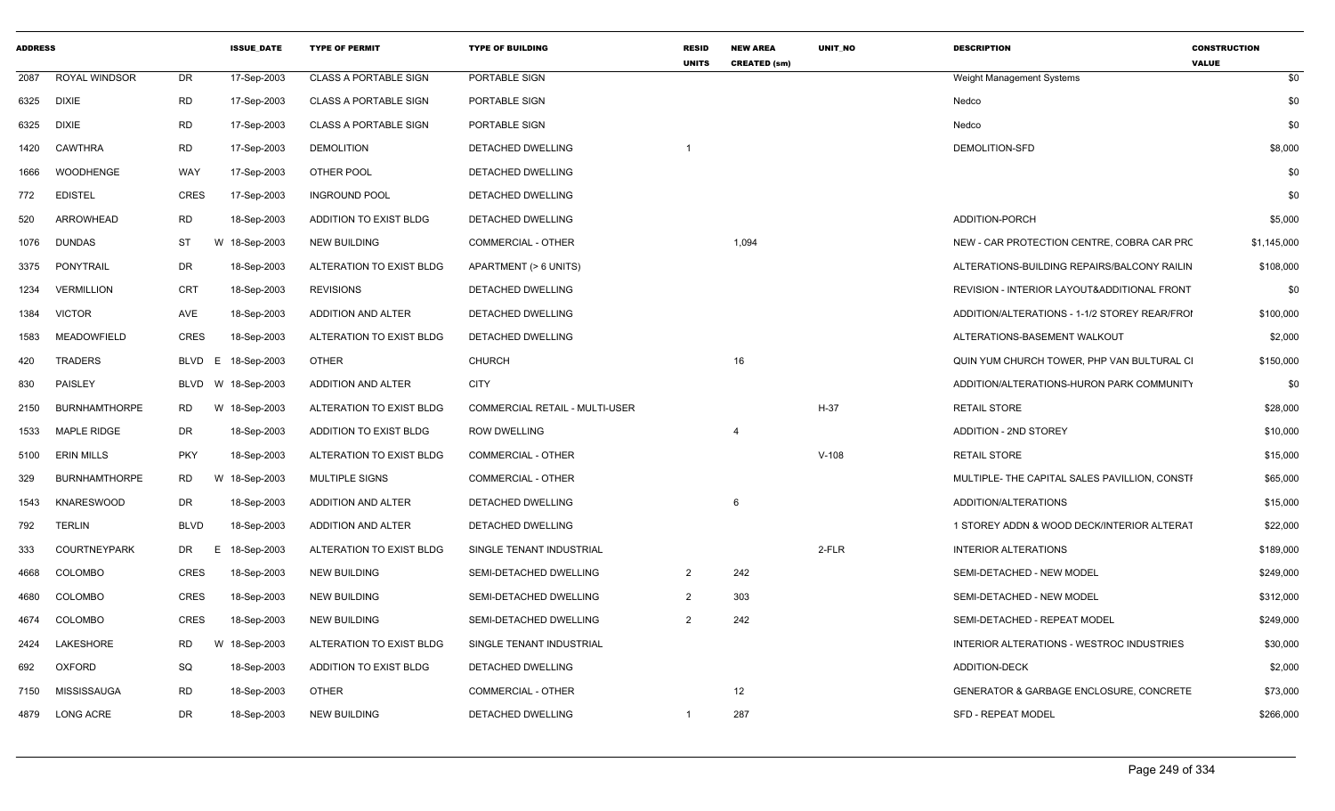| <b>ADDRESS</b> |                      |             | <b>ISSUE_DATE</b>  | <b>TYPE OF PERMIT</b>        | <b>TYPE OF BUILDING</b>        | <b>RESID</b><br><b>UNITS</b> | <b>NEW AREA</b><br><b>CREATED (sm)</b> | UNIT_NO | <b>DESCRIPTION</b>                            | <b>CONSTRUCTION</b><br><b>VALUE</b> |
|----------------|----------------------|-------------|--------------------|------------------------------|--------------------------------|------------------------------|----------------------------------------|---------|-----------------------------------------------|-------------------------------------|
|                | 2087 ROYAL WINDSOR   | DR          | 17-Sep-2003        | <b>CLASS A PORTABLE SIGN</b> | PORTABLE SIGN                  |                              |                                        |         | Weight Management Systems                     | \$0                                 |
| 6325           | DIXIE                | RD          | 17-Sep-2003        | <b>CLASS A PORTABLE SIGN</b> | PORTABLE SIGN                  |                              |                                        |         | Nedco                                         | \$0                                 |
| 6325           | DIXIE                | RD          | 17-Sep-2003        | CLASS A PORTABLE SIGN        | PORTABLE SIGN                  |                              |                                        |         | Nedco                                         | \$0                                 |
| 1420           | CAWTHRA              | RD          | 17-Sep-2003        | <b>DEMOLITION</b>            | DETACHED DWELLING              |                              |                                        |         | DEMOLITION-SFD                                | \$8,000                             |
| 1666           | WOODHENGE            | WAY         | 17-Sep-2003        | OTHER POOL                   | <b>DETACHED DWELLING</b>       |                              |                                        |         |                                               | \$0                                 |
| 772            | <b>EDISTEL</b>       | CRES        | 17-Sep-2003        | <b>INGROUND POOL</b>         | DETACHED DWELLING              |                              |                                        |         |                                               | \$0                                 |
| 520            | ARROWHEAD            | <b>RD</b>   | 18-Sep-2003        | ADDITION TO EXIST BLDG       | DETACHED DWELLING              |                              |                                        |         | ADDITION-PORCH                                | \$5,000                             |
| 1076           | <b>DUNDAS</b>        | ST<br>W     | 18-Sep-2003        | <b>NEW BUILDING</b>          | COMMERCIAL - OTHER             |                              | 1,094                                  |         | NEW - CAR PROTECTION CENTRE, COBRA CAR PRO    | \$1,145,000                         |
|                | 3375 PONYTRAIL       | DR          | 18-Sep-2003        | ALTERATION TO EXIST BLDG     | APARTMENT (> 6 UNITS)          |                              |                                        |         | ALTERATIONS-BUILDING REPAIRS/BALCONY RAILIN   | \$108,000                           |
| 1234           | <b>VERMILLION</b>    | CRT         | 18-Sep-2003        | <b>REVISIONS</b>             | DETACHED DWELLING              |                              |                                        |         | REVISION - INTERIOR LAYOUT&ADDITIONAL FRONT   | \$0                                 |
| 1384           | VICTOR               | AVE         | 18-Sep-2003        | ADDITION AND ALTER           | DETACHED DWELLING              |                              |                                        |         | ADDITION/ALTERATIONS - 1-1/2 STOREY REAR/FROI | \$100,000                           |
| 1583           | MEADOWFIELD          | CRES        | 18-Sep-2003        | ALTERATION TO EXIST BLDG     | DETACHED DWELLING              |                              |                                        |         | ALTERATIONS-BASEMENT WALKOUT                  | \$2,000                             |
| 420            | TRADERS              | BLVD E      | 18-Sep-2003        | <b>OTHER</b>                 | <b>CHURCH</b>                  |                              | 16                                     |         | QUIN YUM CHURCH TOWER, PHP VAN BULTURAL CI    | \$150,000                           |
| 830            | PAISLEY              |             | BLVD W 18-Sep-2003 | ADDITION AND ALTER           | <b>CITY</b>                    |                              |                                        |         | ADDITION/ALTERATIONS-HURON PARK COMMUNITY     | \$0                                 |
| 2150           | BURNHAMTHORPE        | <b>RD</b>   | W 18-Sep-2003      | ALTERATION TO EXIST BLDG     | COMMERCIAL RETAIL - MULTI-USER |                              |                                        | H-37    | <b>RETAIL STORE</b>                           | \$28,000                            |
| 1533           | <b>MAPLE RIDGE</b>   | DR          | 18-Sep-2003        | ADDITION TO EXIST BLDG       | <b>ROW DWELLING</b>            |                              | $\overline{4}$                         |         | <b>ADDITION - 2ND STOREY</b>                  | \$10,000                            |
| 5100           | ERIN MILLS           | PKY         | 18-Sep-2003        | ALTERATION TO EXIST BLDG     | <b>COMMERCIAL - OTHER</b>      |                              |                                        | $V-108$ | <b>RETAIL STORE</b>                           | \$15,000                            |
| 329            | <b>BURNHAMTHORPE</b> | RD<br>W     | 18-Sep-2003        | MULTIPLE SIGNS               | <b>COMMERCIAL - OTHER</b>      |                              |                                        |         | MULTIPLE- THE CAPITAL SALES PAVILLION, CONSTI | \$65,000                            |
| 1543           | <b>KNARESWOOD</b>    | DR          | 18-Sep-2003        | ADDITION AND ALTER           | DETACHED DWELLING              |                              | 6                                      |         | ADDITION/ALTERATIONS                          | \$15,000                            |
| 792            | TERLIN               | <b>BLVD</b> | 18-Sep-2003        | ADDITION AND ALTER           | DETACHED DWELLING              |                              |                                        |         | 1 STOREY ADDN & WOOD DECK/INTERIOR ALTERAT    | \$22,000                            |
| 333            | <b>COURTNEYPARK</b>  | DR<br>E.    | 18-Sep-2003        | ALTERATION TO EXIST BLDG     | SINGLE TENANT INDUSTRIAL       |                              |                                        | 2-FLR   | <b>INTERIOR ALTERATIONS</b>                   | \$189,000                           |
| 4668           | COLOMBO              | CRES        | 18-Sep-2003        | NEW BUILDING                 | SEMI-DETACHED DWELLING         | $\overline{2}$               | 242                                    |         | SEMI-DETACHED - NEW MODEL                     | \$249,000                           |
| 4680           | COLOMBO              | <b>CRES</b> | 18-Sep-2003        | <b>NEW BUILDING</b>          | SEMI-DETACHED DWELLING         | $\overline{2}$               | 303                                    |         | SEMI-DETACHED - NEW MODEL                     | \$312,000                           |
|                | 4674 COLOMBO         | CRES        | 18-Sep-2003        | <b>NEW BUILDING</b>          | SEMI-DETACHED DWELLING         | $\overline{2}$               | 242                                    |         | SEMI-DETACHED - REPEAT MODEL                  | \$249,000                           |
|                | 2424 LAKESHORE       | RD<br>W     | 18-Sep-2003        | ALTERATION TO EXIST BLDG     | SINGLE TENANT INDUSTRIAL       |                              |                                        |         | INTERIOR ALTERATIONS - WESTROC INDUSTRIES     | \$30,000                            |
| 692            | OXFORD               | SQ          | 18-Sep-2003        | ADDITION TO EXIST BLDG       | DETACHED DWELLING              |                              |                                        |         | ADDITION-DECK                                 | \$2,000                             |
|                | 7150 MISSISSAUGA     | <b>RD</b>   | 18-Sep-2003        | <b>OTHER</b>                 | COMMERCIAL - OTHER             |                              | 12                                     |         | GENERATOR & GARBAGE ENCLOSURE, CONCRETE       | \$73,000                            |
|                | 4879 LONG ACRE       | DR          | 18-Sep-2003        | <b>NEW BUILDING</b>          | DETACHED DWELLING              | $\mathbf{1}$                 | 287                                    |         | SFD - REPEAT MODEL                            | \$266,000                           |
|                |                      |             |                    |                              |                                |                              |                                        |         |                                               |                                     |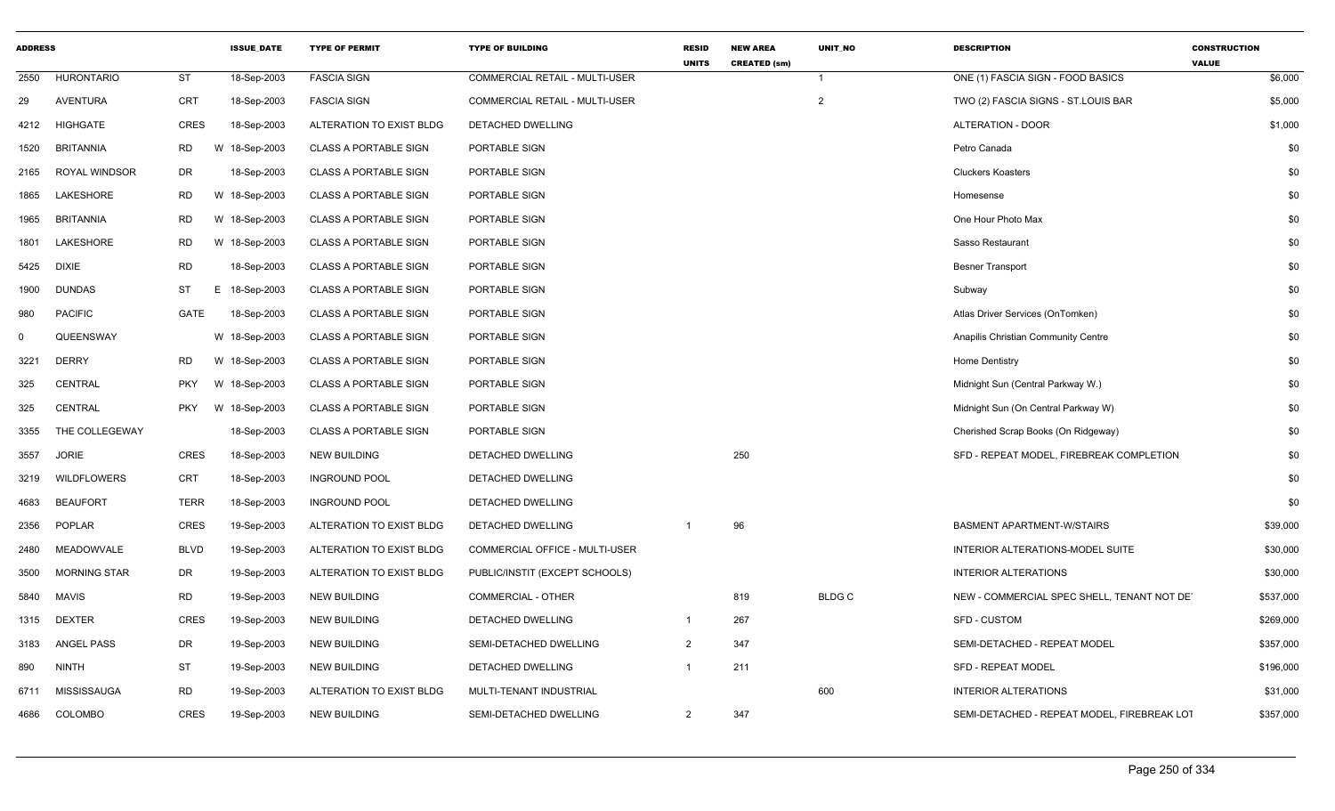| <b>ADDRESS</b> |                     |                 | <b>ISSUE DATE</b> | <b>TYPE OF PERMIT</b>        | <b>TYPE OF BUILDING</b>               | <b>RESID</b><br><b>UNITS</b> | <b>NEW AREA</b><br><b>CREATED (sm)</b> | <b>UNIT NO</b> | <b>DESCRIPTION</b>                          | <b>CONSTRUCTION</b><br><b>VALUE</b> |
|----------------|---------------------|-----------------|-------------------|------------------------------|---------------------------------------|------------------------------|----------------------------------------|----------------|---------------------------------------------|-------------------------------------|
| 2550           | <b>HURONTARIO</b>   | <b>ST</b>       | 18-Sep-2003       | <b>FASCIA SIGN</b>           | COMMERCIAL RETAIL - MULTI-USER        |                              |                                        | $\overline{1}$ | ONE (1) FASCIA SIGN - FOOD BASICS           | \$6,000                             |
| 29             | <b>AVENTURA</b>     | CRT             | 18-Sep-2003       | <b>FASCIA SIGN</b>           | <b>COMMERCIAL RETAIL - MULTI-USER</b> |                              |                                        | $\overline{2}$ | TWO (2) FASCIA SIGNS - ST.LOUIS BAR         | \$5,000                             |
| 4212           | HIGHGATE            | CRES            | 18-Sep-2003       | ALTERATION TO EXIST BLDG     | DETACHED DWELLING                     |                              |                                        |                | ALTERATION - DOOR                           | \$1,000                             |
| 1520           | BRITANNIA           | RD              | W 18-Sep-2003     | <b>CLASS A PORTABLE SIGN</b> | PORTABLE SIGN                         |                              |                                        |                | Petro Canada                                | \$0                                 |
| 2165           | ROYAL WINDSOR       | DR              | 18-Sep-2003       | <b>CLASS A PORTABLE SIGN</b> | PORTABLE SIGN                         |                              |                                        |                | <b>Cluckers Koasters</b>                    | \$0                                 |
| 1865           | LAKESHORE           | <b>RD</b>       | W 18-Sep-2003     | <b>CLASS A PORTABLE SIGN</b> | PORTABLE SIGN                         |                              |                                        |                | Homesense                                   | \$0                                 |
| 1965           | <b>BRITANNIA</b>    | RD              | W 18-Sep-2003     | <b>CLASS A PORTABLE SIGN</b> | PORTABLE SIGN                         |                              |                                        |                | One Hour Photo Max                          | \$0                                 |
| 1801           | LAKESHORE           | RD              | W 18-Sep-2003     | <b>CLASS A PORTABLE SIGN</b> | PORTABLE SIGN                         |                              |                                        |                | Sasso Restaurant                            | \$0                                 |
| 5425           | DIXIE               | <b>RD</b>       | 18-Sep-2003       | <b>CLASS A PORTABLE SIGN</b> | PORTABLE SIGN                         |                              |                                        |                | <b>Besner Transport</b>                     | \$0                                 |
| 1900           | <b>DUNDAS</b>       | ST<br>Е.        | 18-Sep-2003       | <b>CLASS A PORTABLE SIGN</b> | PORTABLE SIGN                         |                              |                                        |                | Subway                                      | \$0                                 |
| 980            | <b>PACIFIC</b>      | GATE            | 18-Sep-2003       | <b>CLASS A PORTABLE SIGN</b> | PORTABLE SIGN                         |                              |                                        |                | Atlas Driver Services (OnTomken)            | \$0                                 |
| $\Omega$       | QUEENSWAY           |                 | W 18-Sep-2003     | <b>CLASS A PORTABLE SIGN</b> | PORTABLE SIGN                         |                              |                                        |                | Anapilis Christian Community Centre         | \$0                                 |
| 3221           | <b>DERRY</b>        | <b>RD</b>       | W 18-Sep-2003     | <b>CLASS A PORTABLE SIGN</b> | PORTABLE SIGN                         |                              |                                        |                | Home Dentistry                              | \$0                                 |
| 325            | <b>CENTRAL</b>      | <b>PKY</b><br>W | 18-Sep-2003       | <b>CLASS A PORTABLE SIGN</b> | PORTABLE SIGN                         |                              |                                        |                | Midnight Sun (Central Parkway W.)           | \$0                                 |
| 325            | <b>CENTRAL</b>      | PKY             | W 18-Sep-2003     | <b>CLASS A PORTABLE SIGN</b> | PORTABLE SIGN                         |                              |                                        |                | Midnight Sun (On Central Parkway W)         | \$0                                 |
| 3355           | THE COLLEGEWAY      |                 | 18-Sep-2003       | <b>CLASS A PORTABLE SIGN</b> | PORTABLE SIGN                         |                              |                                        |                | Cherished Scrap Books (On Ridgeway)         | \$0                                 |
| 3557           | <b>JORIE</b>        | <b>CRES</b>     | 18-Sep-2003       | <b>NEW BUILDING</b>          | DETACHED DWELLING                     |                              | 250                                    |                | SFD - REPEAT MODEL, FIREBREAK COMPLETION    | \$0                                 |
| 3219           | <b>WILDFLOWERS</b>  | <b>CRT</b>      | 18-Sep-2003       | <b>INGROUND POOL</b>         | DETACHED DWELLING                     |                              |                                        |                |                                             | \$0                                 |
| 4683           | <b>BEAUFORT</b>     | <b>TERR</b>     | 18-Sep-2003       | <b>INGROUND POOL</b>         | DETACHED DWELLING                     |                              |                                        |                |                                             | \$0                                 |
| 2356           | <b>POPLAR</b>       | CRES            | 19-Sep-2003       | ALTERATION TO EXIST BLDG     | DETACHED DWELLING                     |                              | 96                                     |                | <b>BASMENT APARTMENT-W/STAIRS</b>           | \$39,000                            |
| 2480           | MEADOWVALE          | BLVD            | 19-Sep-2003       | ALTERATION TO EXIST BLDG     | COMMERCIAL OFFICE - MULTI-USER        |                              |                                        |                | INTERIOR ALTERATIONS-MODEL SUITE            | \$30,000                            |
| 3500           | <b>MORNING STAR</b> | DR              | 19-Sep-2003       | ALTERATION TO EXIST BLDG     | PUBLIC/INSTIT (EXCEPT SCHOOLS)        |                              |                                        |                | <b>INTERIOR ALTERATIONS</b>                 | \$30,000                            |
| 5840           | MAVIS               | RD              | 19-Sep-2003       | <b>NEW BUILDING</b>          | <b>COMMERCIAL - OTHER</b>             |                              | 819                                    | <b>BLDGC</b>   | NEW - COMMERCIAL SPEC SHELL, TENANT NOT DET | \$537,000                           |
|                | 1315 DEXTER         | CRES            | 19-Sep-2003       | <b>NEW BUILDING</b>          | DETACHED DWELLING                     | $\mathbf{1}$                 | 267                                    |                | SFD - CUSTOM                                | \$269,000                           |
| 3183           | ANGEL PASS          | DR              | 19-Sep-2003       | <b>NEW BUILDING</b>          | SEMI-DETACHED DWELLING                | 2                            | 347                                    |                | SEMI-DETACHED - REPEAT MODEL                | \$357,000                           |
| 890            | <b>NINTH</b>        | ST              | 19-Sep-2003       | <b>NEW BUILDING</b>          | DETACHED DWELLING                     |                              | 211                                    |                | <b>SFD - REPEAT MODEL</b>                   | \$196,000                           |
| 6711           | MISSISSAUGA         | <b>RD</b>       | 19-Sep-2003       | ALTERATION TO EXIST BLDG     | MULTI-TENANT INDUSTRIAL               |                              |                                        | 600            | <b>INTERIOR ALTERATIONS</b>                 | \$31,000                            |
|                | 4686 COLOMBO        | CRES            | 19-Sep-2003       | <b>NEW BUILDING</b>          | SEMI-DETACHED DWELLING                | $\overline{2}$               | 347                                    |                | SEMI-DETACHED - REPEAT MODEL, FIREBREAK LOT | \$357,000                           |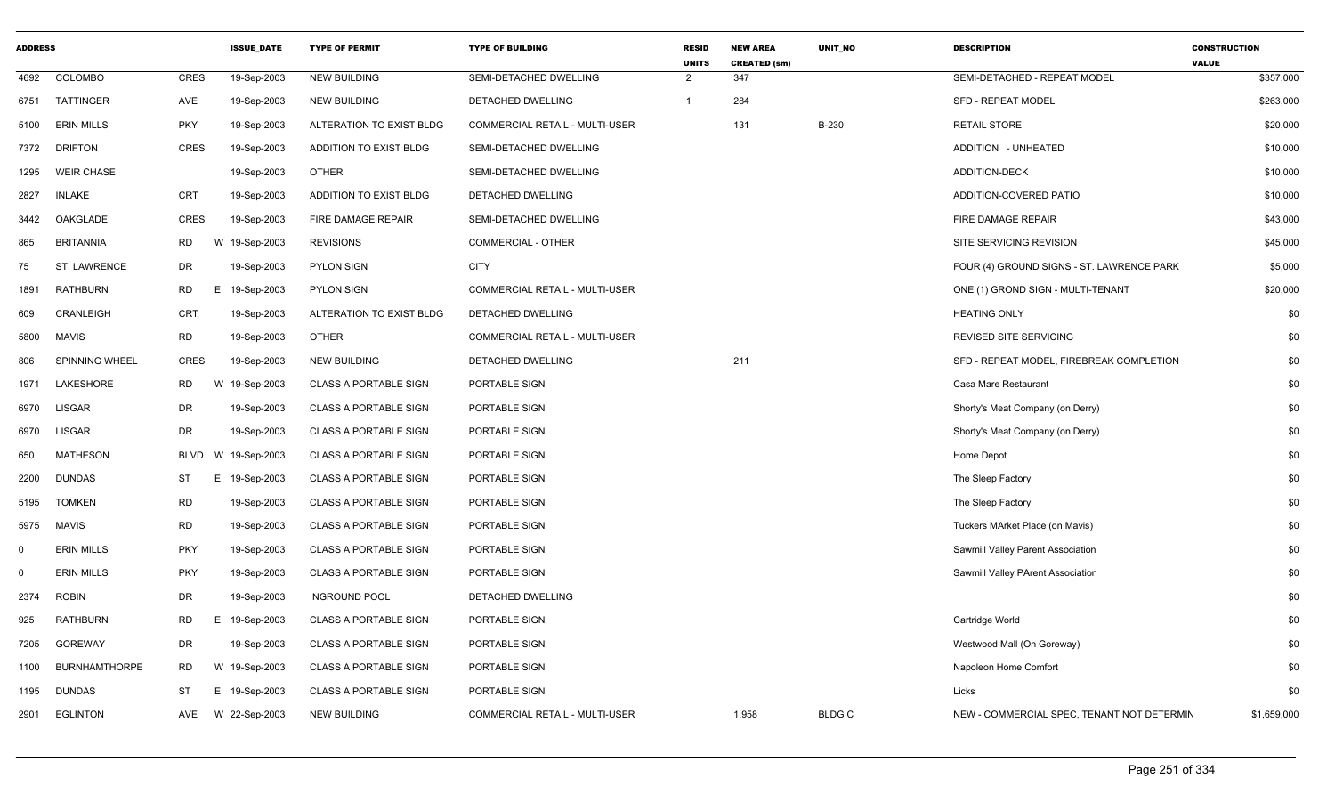| <b>ADDRESS</b> |                      |             | <b>ISSUE DATE</b> | <b>TYPE OF PERMIT</b>        | <b>TYPE OF BUILDING</b>               | <b>RESID</b><br><b>UNITS</b> | <b>NEW AREA</b><br><b>CREATED (sm)</b> | <b>UNIT NO</b> | <b>DESCRIPTION</b>                         | <b>CONSTRUCTION</b><br><b>VALUE</b> |
|----------------|----------------------|-------------|-------------------|------------------------------|---------------------------------------|------------------------------|----------------------------------------|----------------|--------------------------------------------|-------------------------------------|
| 4692           | <b>COLOMBO</b>       | CRES        | 19-Sep-2003       | <b>NEW BUILDING</b>          | SEMI-DETACHED DWELLING                | $\overline{2}$               | 347                                    |                | SEMI-DETACHED - REPEAT MODEL               | \$357,000                           |
| 6751           | TATTINGER            | AVE         | 19-Sep-2003       | <b>NEW BUILDING</b>          | DETACHED DWELLING                     | $\mathbf 1$                  | 284                                    |                | <b>SFD - REPEAT MODEL</b>                  | \$263,000                           |
| 5100           | <b>ERIN MILLS</b>    | <b>PKY</b>  | 19-Sep-2003       | ALTERATION TO EXIST BLDG     | COMMERCIAL RETAIL - MULTI-USER        |                              | 131                                    | B-230          | <b>RETAIL STORE</b>                        | \$20,000                            |
| 7372           | <b>DRIFTON</b>       | <b>CRES</b> | 19-Sep-2003       | ADDITION TO EXIST BLDG       | SEMI-DETACHED DWELLING                |                              |                                        |                | ADDITION - UNHEATED                        | \$10,000                            |
| 1295           | <b>WEIR CHASE</b>    |             | 19-Sep-2003       | <b>OTHER</b>                 | SEMI-DETACHED DWELLING                |                              |                                        |                | <b>ADDITION-DECK</b>                       | \$10,000                            |
| 2827           | <b>INLAKE</b>        | <b>CRT</b>  | 19-Sep-2003       | ADDITION TO EXIST BLDG       | DETACHED DWELLING                     |                              |                                        |                | ADDITION-COVERED PATIO                     | \$10,000                            |
| 3442           | OAKGLADE             | CRES        | 19-Sep-2003       | FIRE DAMAGE REPAIR           | SEMI-DETACHED DWELLING                |                              |                                        |                | FIRE DAMAGE REPAIR                         | \$43,000                            |
| 865            | <b>BRITANNIA</b>     | <b>RD</b>   | W 19-Sep-2003     | <b>REVISIONS</b>             | <b>COMMERCIAL - OTHER</b>             |                              |                                        |                | SITE SERVICING REVISION                    | \$45,000                            |
| 75             | <b>ST. LAWRENCE</b>  | <b>DR</b>   | 19-Sep-2003       | <b>PYLON SIGN</b>            | <b>CITY</b>                           |                              |                                        |                | FOUR (4) GROUND SIGNS - ST. LAWRENCE PARK  | \$5,000                             |
| 1891           | <b>RATHBURN</b>      | RD          | E 19-Sep-2003     | <b>PYLON SIGN</b>            | <b>COMMERCIAL RETAIL - MULTI-USER</b> |                              |                                        |                | ONE (1) GROND SIGN - MULTI-TENANT          | \$20,000                            |
| 609            | CRANLEIGH            | <b>CRT</b>  | 19-Sep-2003       | ALTERATION TO EXIST BLDG     | DETACHED DWELLING                     |                              |                                        |                | <b>HEATING ONLY</b>                        | \$0                                 |
| 5800           | <b>MAVIS</b>         | <b>RD</b>   | 19-Sep-2003       | <b>OTHER</b>                 | COMMERCIAL RETAIL - MULTI-USER        |                              |                                        |                | <b>REVISED SITE SERVICING</b>              | \$0                                 |
| 806            | SPINNING WHEEL       | <b>CRES</b> | 19-Sep-2003       | <b>NEW BUILDING</b>          | DETACHED DWELLING                     |                              | 211                                    |                | SFD - REPEAT MODEL, FIREBREAK COMPLETION   | \$0                                 |
| 1971           | <b>LAKESHORE</b>     | <b>RD</b>   | W<br>19-Sep-2003  | <b>CLASS A PORTABLE SIGN</b> | PORTABLE SIGN                         |                              |                                        |                | Casa Mare Restaurant                       | \$0                                 |
| 6970           | <b>LISGAR</b>        | DR          | 19-Sep-2003       | <b>CLASS A PORTABLE SIGN</b> | PORTABLE SIGN                         |                              |                                        |                | Shorty's Meat Company (on Derry)           | \$0                                 |
| 6970           | <b>LISGAR</b>        | DR          | 19-Sep-2003       | <b>CLASS A PORTABLE SIGN</b> | PORTABLE SIGN                         |                              |                                        |                | Shorty's Meat Company (on Derry)           | \$0                                 |
| 650            | <b>MATHESON</b>      | <b>BLVD</b> | W 19-Sep-2003     | <b>CLASS A PORTABLE SIGN</b> | PORTABLE SIGN                         |                              |                                        |                | Home Depot                                 | \$0                                 |
| 2200           | <b>DUNDAS</b>        | ST          | Е<br>19-Sep-2003  | <b>CLASS A PORTABLE SIGN</b> | PORTABLE SIGN                         |                              |                                        |                | The Sleep Factory                          | \$0                                 |
| 5195           | <b>TOMKEN</b>        | RD          | 19-Sep-2003       | <b>CLASS A PORTABLE SIGN</b> | PORTABLE SIGN                         |                              |                                        |                | The Sleep Factory                          | \$0                                 |
| 5975           | MAVIS                | <b>RD</b>   | 19-Sep-2003       | <b>CLASS A PORTABLE SIGN</b> | PORTABLE SIGN                         |                              |                                        |                | Tuckers MArket Place (on Mavis)            | \$0                                 |
| $\Omega$       | <b>ERIN MILLS</b>    | PKY         | 19-Sep-2003       | <b>CLASS A PORTABLE SIGN</b> | PORTABLE SIGN                         |                              |                                        |                | Sawmill Valley Parent Association          | \$0                                 |
| $\Omega$       | <b>ERIN MILLS</b>    | PKY         | 19-Sep-2003       | <b>CLASS A PORTABLE SIGN</b> | PORTABLE SIGN                         |                              |                                        |                | Sawmill Valley PArent Association          | \$0                                 |
| 2374           | <b>ROBIN</b>         | DR          | 19-Sep-2003       | <b>INGROUND POOL</b>         | DETACHED DWELLING                     |                              |                                        |                |                                            | \$0                                 |
| 925            | <b>RATHBURN</b>      | <b>RD</b>   | E<br>19-Sep-2003  | <b>CLASS A PORTABLE SIGN</b> | PORTABLE SIGN                         |                              |                                        |                | Cartridge World                            | \$0                                 |
| 7205           | <b>GOREWAY</b>       | DR          | 19-Sep-2003       | <b>CLASS A PORTABLE SIGN</b> | PORTABLE SIGN                         |                              |                                        |                | Westwood Mall (On Goreway)                 | \$0                                 |
| 1100           | <b>BURNHAMTHORPE</b> | RD          | W 19-Sep-2003     | <b>CLASS A PORTABLE SIGN</b> | PORTABLE SIGN                         |                              |                                        |                | Napoleon Home Comfort                      | \$0                                 |
| 1195           | <b>DUNDAS</b>        | ST          | E 19-Sep-2003     | <b>CLASS A PORTABLE SIGN</b> | PORTABLE SIGN                         |                              |                                        |                | Licks                                      | \$0                                 |
| 2901           | <b>EGLINTON</b>      | AVE         | W 22-Sep-2003     | <b>NEW BUILDING</b>          | COMMERCIAL RETAIL - MULTI-USER        |                              | 1,958                                  | <b>BLDGC</b>   | NEW - COMMERCIAL SPEC, TENANT NOT DETERMIN | \$1,659,000                         |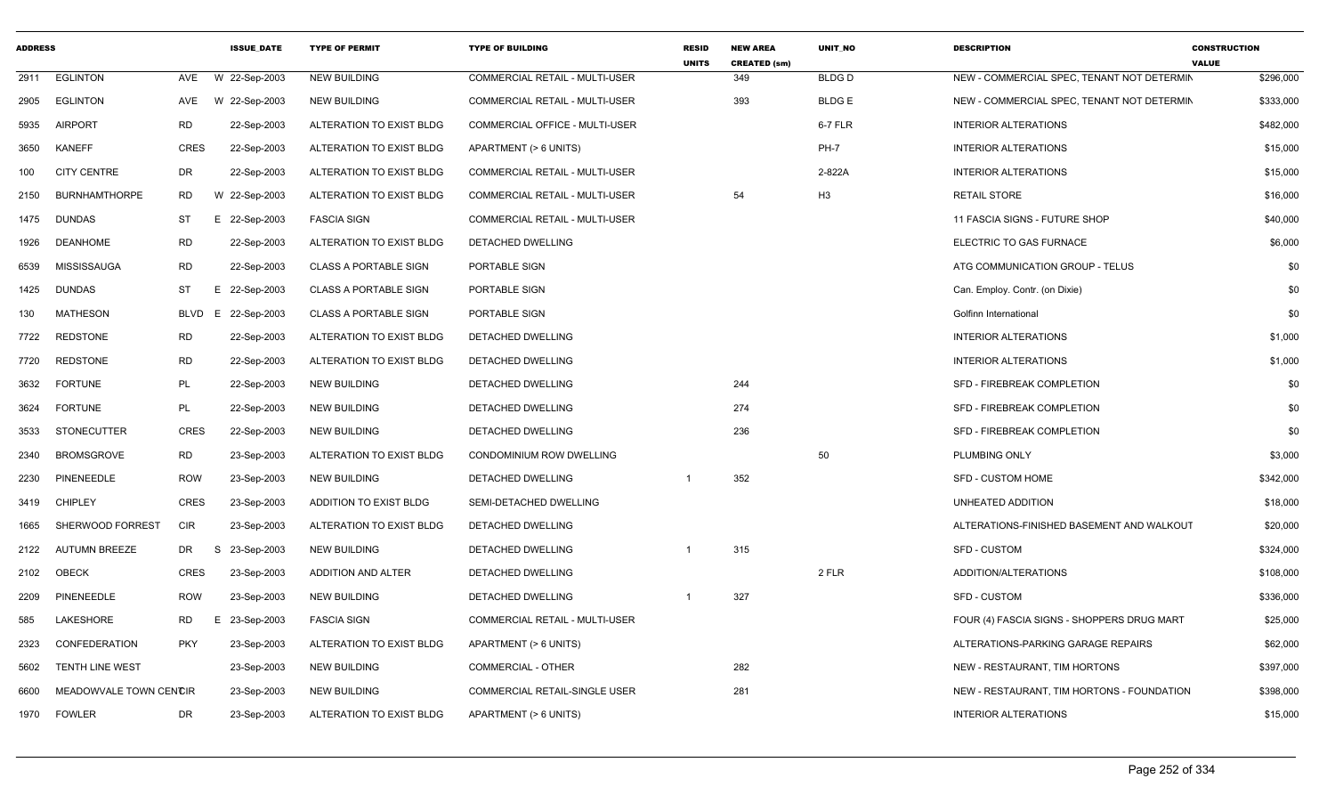| <b>ADDRESS</b> |                        |             | <b>ISSUE_DATE</b> | <b>TYPE OF PERMIT</b>        | <b>TYPE OF BUILDING</b>               | <b>RESID</b><br><b>UNITS</b> | <b>NEW AREA</b><br><b>CREATED (sm)</b> | UNIT_NO      | <b>DESCRIPTION</b>                         | <b>CONSTRUCTION</b><br><b>VALUE</b> |           |
|----------------|------------------------|-------------|-------------------|------------------------------|---------------------------------------|------------------------------|----------------------------------------|--------------|--------------------------------------------|-------------------------------------|-----------|
| 2911           | <b>EGLINTON</b>        | AVE         | W 22-Sep-2003     | <b>NEW BUILDING</b>          | <b>COMMERCIAL RETAIL - MULTI-USER</b> |                              | 349                                    | <b>BLDGD</b> | NEW - COMMERCIAL SPEC, TENANT NOT DETERMIN |                                     | \$296,000 |
| 2905           | <b>EGLINTON</b>        | AVE         | W 22-Sep-2003     | <b>NEW BUILDING</b>          | COMMERCIAL RETAIL - MULTI-USER        |                              | 393                                    | <b>BLDGE</b> | NEW - COMMERCIAL SPEC, TENANT NOT DETERMIN |                                     | \$333,000 |
| 5935           | <b>AIRPORT</b>         | RD          | 22-Sep-2003       | ALTERATION TO EXIST BLDG     | <b>COMMERCIAL OFFICE - MULTI-USER</b> |                              |                                        | 6-7 FLR      | <b>INTERIOR ALTERATIONS</b>                |                                     | \$482,000 |
| 3650           | KANEFF                 | <b>CRES</b> | 22-Sep-2003       | ALTERATION TO EXIST BLDG     | APARTMENT (> 6 UNITS)                 |                              |                                        | <b>PH-7</b>  | <b>INTERIOR ALTERATIONS</b>                |                                     | \$15,000  |
| 100            | <b>CITY CENTRE</b>     | DR          | 22-Sep-2003       | ALTERATION TO EXIST BLDG     | COMMERCIAL RETAIL - MULTI-USER        |                              |                                        | 2-822A       | <b>INTERIOR ALTERATIONS</b>                |                                     | \$15,000  |
| 2150           | <b>BURNHAMTHORPE</b>   | RD          | W 22-Sep-2003     | ALTERATION TO EXIST BLDG     | COMMERCIAL RETAIL - MULTI-USER        |                              | 54                                     | H3           | <b>RETAIL STORE</b>                        |                                     | \$16,000  |
| 1475           | <b>DUNDAS</b>          | ST          | E 22-Sep-2003     | <b>FASCIA SIGN</b>           | COMMERCIAL RETAIL - MULTI-USER        |                              |                                        |              | 11 FASCIA SIGNS - FUTURE SHOP              |                                     | \$40,000  |
| 1926           | DEANHOME               | <b>RD</b>   | 22-Sep-2003       | ALTERATION TO EXIST BLDG     | DETACHED DWELLING                     |                              |                                        |              | ELECTRIC TO GAS FURNACE                    |                                     | \$6,000   |
| 6539           | <b>MISSISSAUGA</b>     | <b>RD</b>   | 22-Sep-2003       | <b>CLASS A PORTABLE SIGN</b> | PORTABLE SIGN                         |                              |                                        |              | ATG COMMUNICATION GROUP - TELUS            |                                     | \$0       |
| 1425           | DUNDAS                 | ST          | E 22-Sep-2003     | <b>CLASS A PORTABLE SIGN</b> | PORTABLE SIGN                         |                              |                                        |              | Can. Employ. Contr. (on Dixie)             |                                     | \$0       |
| 130            | <b>MATHESON</b>        | <b>BLVD</b> | E 22-Sep-2003     | <b>CLASS A PORTABLE SIGN</b> | PORTABLE SIGN                         |                              |                                        |              | Golfinn International                      |                                     | \$0       |
| 7722           | <b>REDSTONE</b>        | RD          | 22-Sep-2003       | ALTERATION TO EXIST BLDG     | DETACHED DWELLING                     |                              |                                        |              | <b>INTERIOR ALTERATIONS</b>                |                                     | \$1,000   |
| 7720           | <b>REDSTONE</b>        | <b>RD</b>   | 22-Sep-2003       | ALTERATION TO EXIST BLDG     | DETACHED DWELLING                     |                              |                                        |              | <b>INTERIOR ALTERATIONS</b>                |                                     | \$1,000   |
| 3632           | <b>FORTUNE</b>         | PL          | 22-Sep-2003       | <b>NEW BUILDING</b>          | DETACHED DWELLING                     |                              | 244                                    |              | SFD - FIREBREAK COMPLETION                 |                                     | \$0       |
| 3624           | <b>FORTUNE</b>         | PL          | 22-Sep-2003       | <b>NEW BUILDING</b>          | DETACHED DWELLING                     |                              | 274                                    |              | SFD - FIREBREAK COMPLETION                 |                                     | \$0       |
| 3533           | <b>STONECUTTER</b>     | <b>CRES</b> | 22-Sep-2003       | <b>NEW BUILDING</b>          | DETACHED DWELLING                     |                              | 236                                    |              | SFD - FIREBREAK COMPLETION                 |                                     | \$0       |
| 2340           | <b>BROMSGROVE</b>      | <b>RD</b>   | 23-Sep-2003       | ALTERATION TO EXIST BLDG     | CONDOMINIUM ROW DWELLING              |                              |                                        | 50           | PLUMBING ONLY                              |                                     | \$3,000   |
| 2230           | PINENEEDLE             | <b>ROW</b>  | 23-Sep-2003       | <b>NEW BUILDING</b>          | DETACHED DWELLING                     |                              | 352                                    |              | <b>SFD - CUSTOM HOME</b>                   |                                     | \$342,000 |
| 3419           | CHIPLEY                | <b>CRES</b> | 23-Sep-2003       | ADDITION TO EXIST BLDG       | SEMI-DETACHED DWELLING                |                              |                                        |              | UNHEATED ADDITION                          |                                     | \$18,000  |
| 1665           | SHERWOOD FORREST       | <b>CIR</b>  | 23-Sep-2003       | ALTERATION TO EXIST BLDG     | DETACHED DWELLING                     |                              |                                        |              | ALTERATIONS-FINISHED BASEMENT AND WALKOUT  |                                     | \$20,000  |
| 2122           | <b>AUTUMN BREEZE</b>   | DR          | S<br>23-Sep-2003  | <b>NEW BUILDING</b>          | DETACHED DWELLING                     |                              | 315                                    |              | <b>SFD - CUSTOM</b>                        |                                     | \$324,000 |
| 2102           | OBECK                  | <b>CRES</b> | 23-Sep-2003       | ADDITION AND ALTER           | DETACHED DWELLING                     |                              |                                        | 2 FLR        | ADDITION/ALTERATIONS                       |                                     | \$108,000 |
| 2209           | PINENEEDLE             | <b>ROW</b>  | 23-Sep-2003       | <b>NEW BUILDING</b>          | DETACHED DWELLING                     |                              | 327                                    |              | <b>SFD - CUSTOM</b>                        |                                     | \$336,000 |
| 585            | LAKESHORE              | <b>RD</b>   | Е<br>23-Sep-2003  | <b>FASCIA SIGN</b>           | COMMERCIAL RETAIL - MULTI-USER        |                              |                                        |              | FOUR (4) FASCIA SIGNS - SHOPPERS DRUG MART |                                     | \$25,000  |
| 2323           | CONFEDERATION          | <b>PKY</b>  | 23-Sep-2003       | ALTERATION TO EXIST BLDG     | APARTMENT (> 6 UNITS)                 |                              |                                        |              | ALTERATIONS-PARKING GARAGE REPAIRS         |                                     | \$62,000  |
| 5602           | <b>TENTH LINE WEST</b> |             | 23-Sep-2003       | <b>NEW BUILDING</b>          | <b>COMMERCIAL - OTHER</b>             |                              | 282                                    |              | NEW - RESTAURANT, TIM HORTONS              |                                     | \$397,000 |
| 6600           | MEADOWVALE TOWN CENCIR |             | 23-Sep-2003       | <b>NEW BUILDING</b>          | COMMERCIAL RETAIL-SINGLE USER         |                              | 281                                    |              | NEW - RESTAURANT, TIM HORTONS - FOUNDATION |                                     | \$398,000 |
| 1970           | <b>FOWLER</b>          | DR          | 23-Sep-2003       | ALTERATION TO EXIST BLDG     | APARTMENT (> 6 UNITS)                 |                              |                                        |              | <b>INTERIOR ALTERATIONS</b>                |                                     | \$15,000  |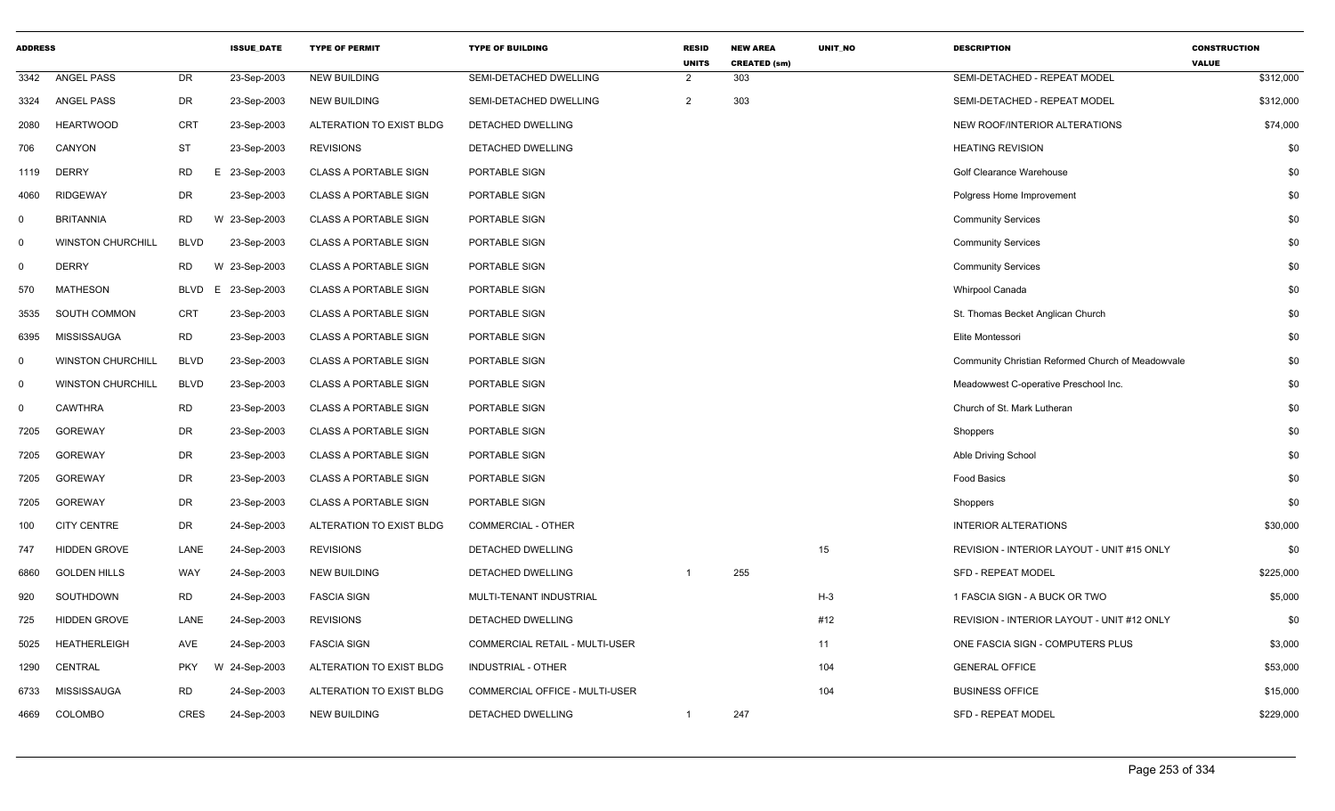| <b>ADDRESS</b> |                          |             | <b>ISSUE_DATE</b> | <b>TYPE OF PERMIT</b>        | <b>TYPE OF BUILDING</b>               | <b>RESID</b><br><b>UNITS</b> | <b>NEW AREA</b><br><b>CREATED (sm)</b> | UNIT_NO | <b>DESCRIPTION</b>                                | <b>CONSTRUCTION</b><br><b>VALUE</b> |
|----------------|--------------------------|-------------|-------------------|------------------------------|---------------------------------------|------------------------------|----------------------------------------|---------|---------------------------------------------------|-------------------------------------|
| 3342           | <b>ANGEL PASS</b>        | <b>DR</b>   | 23-Sep-2003       | <b>NEW BUILDING</b>          | SEMI-DETACHED DWELLING                | $\overline{2}$               | 303                                    |         | SEMI-DETACHED - REPEAT MODEL                      | \$312,000                           |
| 3324           | <b>ANGEL PASS</b>        | DR          | 23-Sep-2003       | <b>NEW BUILDING</b>          | SEMI-DETACHED DWELLING                | $\overline{2}$               | 303                                    |         | SEMI-DETACHED - REPEAT MODEL                      | \$312,000                           |
| 2080           | <b>HEARTWOOD</b>         | <b>CRT</b>  | 23-Sep-2003       | ALTERATION TO EXIST BLDG     | DETACHED DWELLING                     |                              |                                        |         | NEW ROOF/INTERIOR ALTERATIONS                     | \$74,000                            |
| 706            | CANYON                   | <b>ST</b>   | 23-Sep-2003       | <b>REVISIONS</b>             | DETACHED DWELLING                     |                              |                                        |         | <b>HEATING REVISION</b>                           | \$0                                 |
| 1119           | <b>DERRY</b>             | <b>RD</b>   | Ε<br>23-Sep-2003  | <b>CLASS A PORTABLE SIGN</b> | PORTABLE SIGN                         |                              |                                        |         | Golf Clearance Warehouse                          | \$0                                 |
| 4060           | <b>RIDGEWAY</b>          | DR          | 23-Sep-2003       | <b>CLASS A PORTABLE SIGN</b> | PORTABLE SIGN                         |                              |                                        |         | Polgress Home Improvement                         | \$0                                 |
| $\mathbf 0$    | <b>BRITANNIA</b>         | <b>RD</b>   | W 23-Sep-2003     | <b>CLASS A PORTABLE SIGN</b> | PORTABLE SIGN                         |                              |                                        |         | <b>Community Services</b>                         | \$0                                 |
| $\mathbf 0$    | <b>WINSTON CHURCHILL</b> | <b>BLVD</b> | 23-Sep-2003       | <b>CLASS A PORTABLE SIGN</b> | PORTABLE SIGN                         |                              |                                        |         | <b>Community Services</b>                         | \$0                                 |
| $\mathbf 0$    | <b>DERRY</b>             | <b>RD</b>   | W 23-Sep-2003     | <b>CLASS A PORTABLE SIGN</b> | PORTABLE SIGN                         |                              |                                        |         | <b>Community Services</b>                         | \$0                                 |
| 570            | <b>MATHESON</b>          | <b>BLVD</b> | 23-Sep-2003<br>E. | <b>CLASS A PORTABLE SIGN</b> | PORTABLE SIGN                         |                              |                                        |         | Whirpool Canada                                   | \$0                                 |
| 3535           | SOUTH COMMON             | <b>CRT</b>  | 23-Sep-2003       | <b>CLASS A PORTABLE SIGN</b> | PORTABLE SIGN                         |                              |                                        |         | St. Thomas Becket Anglican Church                 | \$0                                 |
| 6395           | <b>MISSISSAUGA</b>       | <b>RD</b>   | 23-Sep-2003       | <b>CLASS A PORTABLE SIGN</b> | PORTABLE SIGN                         |                              |                                        |         | Elite Montessori                                  | \$0                                 |
| $\mathbf 0$    | <b>WINSTON CHURCHILL</b> | <b>BLVD</b> | 23-Sep-2003       | <b>CLASS A PORTABLE SIGN</b> | PORTABLE SIGN                         |                              |                                        |         | Community Christian Reformed Church of Meadowvale | \$0                                 |
| 0              | <b>WINSTON CHURCHILL</b> | <b>BLVD</b> | 23-Sep-2003       | <b>CLASS A PORTABLE SIGN</b> | PORTABLE SIGN                         |                              |                                        |         | Meadowwest C-operative Preschool Inc.             | \$0                                 |
| $\mathbf 0$    | <b>CAWTHRA</b>           | <b>RD</b>   | 23-Sep-2003       | <b>CLASS A PORTABLE SIGN</b> | PORTABLE SIGN                         |                              |                                        |         | Church of St. Mark Lutheran                       | \$0                                 |
| 7205           | <b>GOREWAY</b>           | <b>DR</b>   | 23-Sep-2003       | <b>CLASS A PORTABLE SIGN</b> | PORTABLE SIGN                         |                              |                                        |         | Shoppers                                          | \$0                                 |
| 7205           | <b>GOREWAY</b>           | DR          | 23-Sep-2003       | <b>CLASS A PORTABLE SIGN</b> | PORTABLE SIGN                         |                              |                                        |         | Able Driving School                               | \$0                                 |
| 7205           | <b>GOREWAY</b>           | <b>DR</b>   | 23-Sep-2003       | <b>CLASS A PORTABLE SIGN</b> | PORTABLE SIGN                         |                              |                                        |         | <b>Food Basics</b>                                | \$0                                 |
| 7205           | <b>GOREWAY</b>           | DR          | 23-Sep-2003       | <b>CLASS A PORTABLE SIGN</b> | PORTABLE SIGN                         |                              |                                        |         | Shoppers                                          | \$0                                 |
| 100            | <b>CITY CENTRE</b>       | DR          | 24-Sep-2003       | ALTERATION TO EXIST BLDG     | COMMERCIAL - OTHER                    |                              |                                        |         | <b>INTERIOR ALTERATIONS</b>                       | \$30,000                            |
| 747            | <b>HIDDEN GROVE</b>      | LANE        | 24-Sep-2003       | <b>REVISIONS</b>             | DETACHED DWELLING                     |                              |                                        | 15      | REVISION - INTERIOR LAYOUT - UNIT #15 ONLY        | \$0                                 |
| 6860           | <b>GOLDEN HILLS</b>      | WAY         | 24-Sep-2003       | <b>NEW BUILDING</b>          | DETACHED DWELLING                     | $\overline{1}$               | 255                                    |         | SFD - REPEAT MODEL                                | \$225,000                           |
| 920            | <b>SOUTHDOWN</b>         | <b>RD</b>   | 24-Sep-2003       | <b>FASCIA SIGN</b>           | MULTI-TENANT INDUSTRIAL               |                              |                                        | $H-3$   | 1 FASCIA SIGN - A BUCK OR TWO                     | \$5,000                             |
| 725            | <b>HIDDEN GROVE</b>      | LANE        | 24-Sep-2003       | <b>REVISIONS</b>             | DETACHED DWELLING                     |                              |                                        | #12     | REVISION - INTERIOR LAYOUT - UNIT #12 ONLY        | \$0                                 |
| 5025           | <b>HEATHERLEIGH</b>      | AVE         | 24-Sep-2003       | <b>FASCIA SIGN</b>           | <b>COMMERCIAL RETAIL - MULTI-USER</b> |                              |                                        | 11      | ONE FASCIA SIGN - COMPUTERS PLUS                  | \$3,000                             |
| 1290           | <b>CENTRAL</b>           | <b>PKY</b>  | W 24-Sep-2003     | ALTERATION TO EXIST BLDG     | INDUSTRIAL - OTHER                    |                              |                                        | 104     | <b>GENERAL OFFICE</b>                             | \$53,000                            |
| 6733           | <b>MISSISSAUGA</b>       | <b>RD</b>   | 24-Sep-2003       | ALTERATION TO EXIST BLDG     | COMMERCIAL OFFICE - MULTI-USER        |                              |                                        | 104     | <b>BUSINESS OFFICE</b>                            | \$15,000                            |
| 4669           | COLOMBO                  | <b>CRES</b> | 24-Sep-2003       | <b>NEW BUILDING</b>          | DETACHED DWELLING                     | $\mathbf 1$                  | 247                                    |         | <b>SFD - REPEAT MODEL</b>                         | \$229,000                           |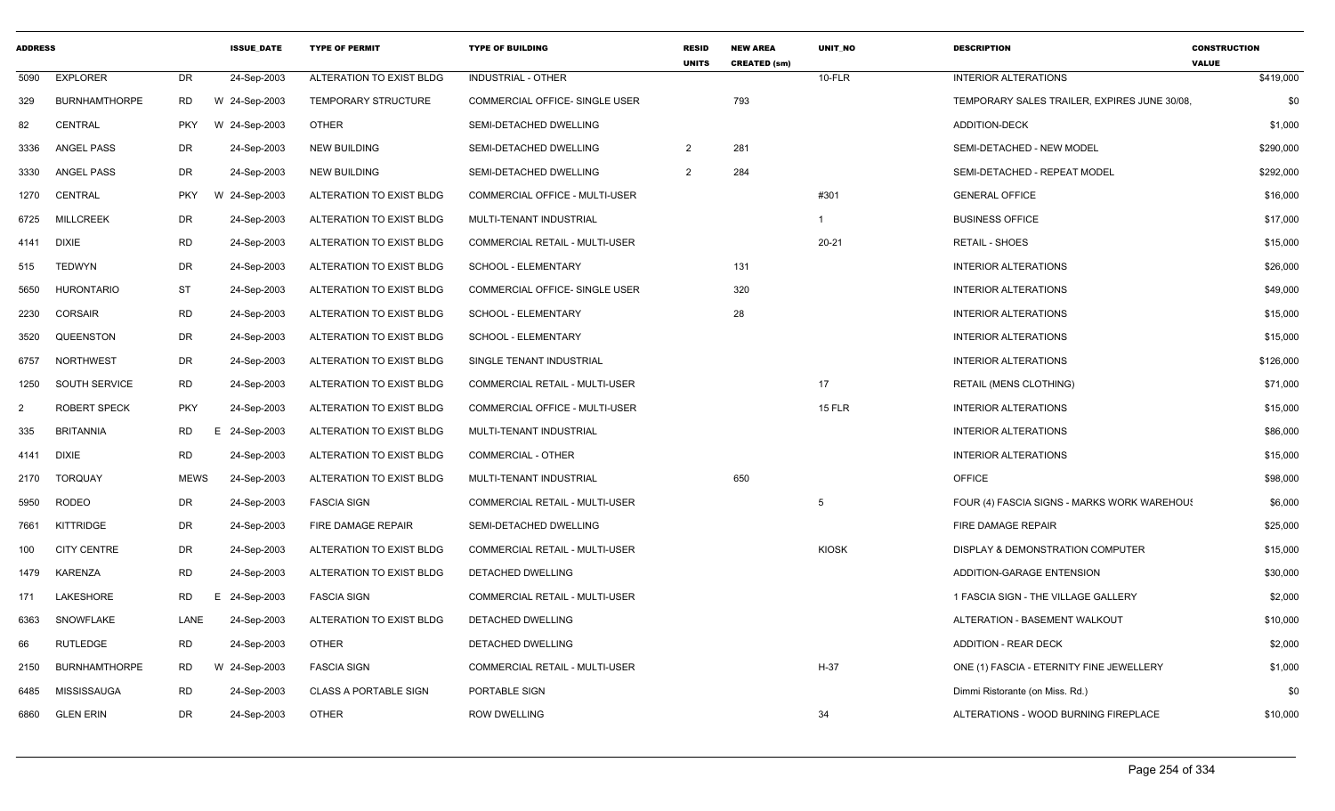| <b>ADDRESS</b> |                      |             | <b>ISSUE DATE</b> | <b>TYPE OF PERMIT</b>        | <b>TYPE OF BUILDING</b>               | <b>RESID</b><br><b>UNITS</b> | <b>NEW AREA</b><br><b>CREATED (sm)</b> | <b>UNIT NO</b> | <b>DESCRIPTION</b>                           | <b>CONSTRUCTION</b><br><b>VALUE</b> |
|----------------|----------------------|-------------|-------------------|------------------------------|---------------------------------------|------------------------------|----------------------------------------|----------------|----------------------------------------------|-------------------------------------|
| 5090           | <b>EXPLORER</b>      | <b>DR</b>   | 24-Sep-2003       | ALTERATION TO EXIST BLDG     | <b>INDUSTRIAL - OTHER</b>             |                              |                                        | 10-FLR         | <b>INTERIOR ALTERATIONS</b>                  | \$419,000                           |
| 329            | <b>BURNHAMTHORPE</b> | <b>RD</b>   | W 24-Sep-2003     | <b>TEMPORARY STRUCTURE</b>   | COMMERCIAL OFFICE- SINGLE USER        |                              | 793                                    |                | TEMPORARY SALES TRAILER, EXPIRES JUNE 30/08. | \$0                                 |
| 82             | <b>CENTRAL</b>       | <b>PKY</b>  | 24-Sep-2003<br>W  | <b>OTHER</b>                 | SEMI-DETACHED DWELLING                |                              |                                        |                | ADDITION-DECK                                | \$1,000                             |
| 3336           | ANGEL PASS           | DR          | 24-Sep-2003       | <b>NEW BUILDING</b>          | SEMI-DETACHED DWELLING                | $\overline{2}$               | 281                                    |                | SEMI-DETACHED - NEW MODEL                    | \$290,000                           |
| 3330           | ANGEL PASS           | DR          | 24-Sep-2003       | <b>NEW BUILDING</b>          | SEMI-DETACHED DWELLING                | $\overline{2}$               | 284                                    |                | SEMI-DETACHED - REPEAT MODEL                 | \$292,000                           |
| 1270           | CENTRAL              | <b>PKY</b>  | 24-Sep-2003<br>W  | ALTERATION TO EXIST BLDG     | <b>COMMERCIAL OFFICE - MULTI-USER</b> |                              |                                        | #301           | <b>GENERAL OFFICE</b>                        | \$16,000                            |
| 6725           | <b>MILLCREEK</b>     | DR          | 24-Sep-2003       | ALTERATION TO EXIST BLDG     | MULTI-TENANT INDUSTRIAL               |                              |                                        | $\mathbf{1}$   | <b>BUSINESS OFFICE</b>                       | \$17,000                            |
| 4141           | DIXIE                | RD          | 24-Sep-2003       | ALTERATION TO EXIST BLDG     | COMMERCIAL RETAIL - MULTI-USER        |                              |                                        | $20 - 21$      | <b>RETAIL - SHOES</b>                        | \$15,000                            |
| 515            | <b>TEDWYN</b>        | DR          | 24-Sep-2003       | ALTERATION TO EXIST BLDG     | SCHOOL - ELEMENTARY                   |                              | 131                                    |                | <b>INTERIOR ALTERATIONS</b>                  | \$26,000                            |
| 5650           | <b>HURONTARIO</b>    | ST          | 24-Sep-2003       | ALTERATION TO EXIST BLDG     | COMMERCIAL OFFICE- SINGLE USER        |                              | 320                                    |                | <b>INTERIOR ALTERATIONS</b>                  | \$49,000                            |
| 2230           | <b>CORSAIR</b>       | <b>RD</b>   | 24-Sep-2003       | ALTERATION TO EXIST BLDG     | SCHOOL - ELEMENTARY                   |                              | 28                                     |                | <b>INTERIOR ALTERATIONS</b>                  | \$15,000                            |
| 3520           | QUEENSTON            | DR          | 24-Sep-2003       | ALTERATION TO EXIST BLDG     | SCHOOL - ELEMENTARY                   |                              |                                        |                | <b>INTERIOR ALTERATIONS</b>                  | \$15,000                            |
| 6757           | <b>NORTHWEST</b>     | DR          | 24-Sep-2003       | ALTERATION TO EXIST BLDG     | SINGLE TENANT INDUSTRIAL              |                              |                                        |                | <b>INTERIOR ALTERATIONS</b>                  | \$126,000                           |
| 1250           | SOUTH SERVICE        | <b>RD</b>   | 24-Sep-2003       | ALTERATION TO EXIST BLDG     | <b>COMMERCIAL RETAIL - MULTI-USER</b> |                              |                                        | 17             | <b>RETAIL (MENS CLOTHING)</b>                | \$71,000                            |
| 2              | <b>ROBERT SPECK</b>  | <b>PKY</b>  | 24-Sep-2003       | ALTERATION TO EXIST BLDG     | COMMERCIAL OFFICE - MULTI-USER        |                              |                                        | <b>15 FLR</b>  | <b>INTERIOR ALTERATIONS</b>                  | \$15,000                            |
| 335            | <b>BRITANNIA</b>     | RD          | 24-Sep-2003<br>E. | ALTERATION TO EXIST BLDG     | MULTI-TENANT INDUSTRIAL               |                              |                                        |                | <b>INTERIOR ALTERATIONS</b>                  | \$86,000                            |
| 4141           | <b>DIXIE</b>         | <b>RD</b>   | 24-Sep-2003       | ALTERATION TO EXIST BLDG     | <b>COMMERCIAL - OTHER</b>             |                              |                                        |                | <b>INTERIOR ALTERATIONS</b>                  | \$15,000                            |
| 2170           | <b>TORQUAY</b>       | <b>MEWS</b> | 24-Sep-2003       | ALTERATION TO EXIST BLDG     | MULTI-TENANT INDUSTRIAL               |                              | 650                                    |                | <b>OFFICE</b>                                | \$98,000                            |
| 5950           | <b>RODEO</b>         | DR          | 24-Sep-2003       | <b>FASCIA SIGN</b>           | COMMERCIAL RETAIL - MULTI-USER        |                              |                                        | 5              | FOUR (4) FASCIA SIGNS - MARKS WORK WAREHOU!  | \$6,000                             |
| 7661           | KITTRIDGE            | DR          | 24-Sep-2003       | FIRE DAMAGE REPAIR           | SEMI-DETACHED DWELLING                |                              |                                        |                | FIRE DAMAGE REPAIR                           | \$25,000                            |
| 100            | <b>CITY CENTRE</b>   | DR          | 24-Sep-2003       | ALTERATION TO EXIST BLDG     | <b>COMMERCIAL RETAIL - MULTI-USER</b> |                              |                                        | <b>KIOSK</b>   | DISPLAY & DEMONSTRATION COMPUTER             | \$15,000                            |
| 1479           | KARENZA              | <b>RD</b>   | 24-Sep-2003       | ALTERATION TO EXIST BLDG     | DETACHED DWELLING                     |                              |                                        |                | ADDITION-GARAGE ENTENSION                    | \$30,000                            |
| 171            | LAKESHORE            | RD.         | 24-Sep-2003<br>Е. | <b>FASCIA SIGN</b>           | COMMERCIAL RETAIL - MULTI-USER        |                              |                                        |                | 1 FASCIA SIGN - THE VILLAGE GALLERY          | \$2,000                             |
| 6363           | SNOWFLAKE            | LANE        | 24-Sep-2003       | ALTERATION TO EXIST BLDG     | DETACHED DWELLING                     |                              |                                        |                | ALTERATION - BASEMENT WALKOUT                | \$10,000                            |
| 66             | RUTLEDGE             | <b>RD</b>   | 24-Sep-2003       | OTHER                        | DETACHED DWELLING                     |                              |                                        |                | <b>ADDITION - REAR DECK</b>                  | \$2,000                             |
| 2150           | <b>BURNHAMTHORPE</b> | RD          | W 24-Sep-2003     | <b>FASCIA SIGN</b>           | COMMERCIAL RETAIL - MULTI-USER        |                              |                                        | $H-37$         | ONE (1) FASCIA - ETERNITY FINE JEWELLERY     | \$1,000                             |
| 6485           | MISSISSAUGA          | <b>RD</b>   | 24-Sep-2003       | <b>CLASS A PORTABLE SIGN</b> | PORTABLE SIGN                         |                              |                                        |                | Dimmi Ristorante (on Miss. Rd.)              | \$0                                 |
| 6860           | <b>GLEN ERIN</b>     | <b>DR</b>   | 24-Sep-2003       | <b>OTHER</b>                 | <b>ROW DWELLING</b>                   |                              |                                        | 34             | ALTERATIONS - WOOD BURNING FIREPLACE         | \$10,000                            |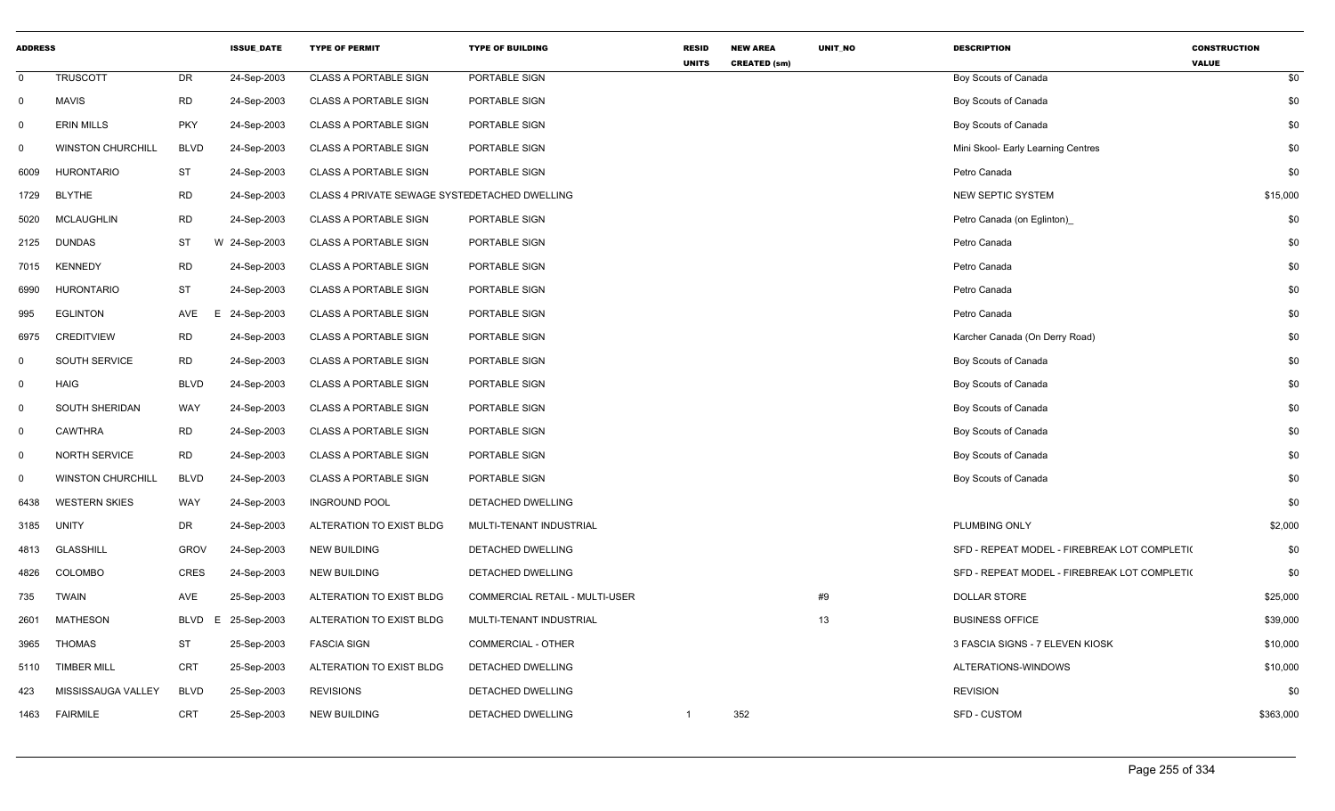| <b>ADDRESS</b> |                          |             | <b>ISSUE_DATE</b> | <b>TYPE OF PERMIT</b>                         | <b>TYPE OF BUILDING</b>        | <b>RESID</b><br><b>UNITS</b> | <b>NEW AREA</b><br><b>CREATED (sm)</b> | UNIT_NO | <b>DESCRIPTION</b>                           | <b>CONSTRUCTION</b><br><b>VALUE</b> |
|----------------|--------------------------|-------------|-------------------|-----------------------------------------------|--------------------------------|------------------------------|----------------------------------------|---------|----------------------------------------------|-------------------------------------|
| $\mathbf 0$    | <b>TRUSCOTT</b>          | DR          | 24-Sep-2003       | <b>CLASS A PORTABLE SIGN</b>                  | PORTABLE SIGN                  |                              |                                        |         | Boy Scouts of Canada                         | \$0                                 |
| $\mathsf{O}$   | <b>MAVIS</b>             | <b>RD</b>   | 24-Sep-2003       | <b>CLASS A PORTABLE SIGN</b>                  | PORTABLE SIGN                  |                              |                                        |         | Boy Scouts of Canada                         | \$0                                 |
| $\mathbf 0$    | <b>ERIN MILLS</b>        | <b>PKY</b>  | 24-Sep-2003       | <b>CLASS A PORTABLE SIGN</b>                  | PORTABLE SIGN                  |                              |                                        |         | Boy Scouts of Canada                         | \$0                                 |
| $\mathbf 0$    | <b>WINSTON CHURCHILL</b> | <b>BLVD</b> | 24-Sep-2003       | <b>CLASS A PORTABLE SIGN</b>                  | PORTABLE SIGN                  |                              |                                        |         | Mini Skool- Early Learning Centres           | \$0                                 |
| 6009           | <b>HURONTARIO</b>        | <b>ST</b>   | 24-Sep-2003       | <b>CLASS A PORTABLE SIGN</b>                  | PORTABLE SIGN                  |                              |                                        |         | Petro Canada                                 | \$0                                 |
| 1729           | <b>BLYTHE</b>            | <b>RD</b>   | 24-Sep-2003       | CLASS 4 PRIVATE SEWAGE SYSTEDETACHED DWELLING |                                |                              |                                        |         | NEW SEPTIC SYSTEM                            | \$15,000                            |
| 5020           | <b>MCLAUGHLIN</b>        | <b>RD</b>   | 24-Sep-2003       | <b>CLASS A PORTABLE SIGN</b>                  | PORTABLE SIGN                  |                              |                                        |         | Petro Canada (on Eglinton)                   | \$0                                 |
| 2125           | <b>DUNDAS</b>            | <b>ST</b>   | W 24-Sep-2003     | <b>CLASS A PORTABLE SIGN</b>                  | PORTABLE SIGN                  |                              |                                        |         | Petro Canada                                 | \$0                                 |
| 7015           | <b>KENNEDY</b>           | <b>RD</b>   | 24-Sep-2003       | <b>CLASS A PORTABLE SIGN</b>                  | PORTABLE SIGN                  |                              |                                        |         | Petro Canada                                 | \$0                                 |
| 6990           | <b>HURONTARIO</b>        | <b>ST</b>   | 24-Sep-2003       | <b>CLASS A PORTABLE SIGN</b>                  | PORTABLE SIGN                  |                              |                                        |         | Petro Canada                                 | \$0                                 |
| 995            | <b>EGLINTON</b>          | AVE         | E<br>24-Sep-2003  | <b>CLASS A PORTABLE SIGN</b>                  | PORTABLE SIGN                  |                              |                                        |         | Petro Canada                                 | \$0                                 |
| 6975           | <b>CREDITVIEW</b>        | <b>RD</b>   | 24-Sep-2003       | <b>CLASS A PORTABLE SIGN</b>                  | PORTABLE SIGN                  |                              |                                        |         | Karcher Canada (On Derry Road)               | \$0                                 |
| $\mathbf{0}$   | <b>SOUTH SERVICE</b>     | RD          | 24-Sep-2003       | <b>CLASS A PORTABLE SIGN</b>                  | PORTABLE SIGN                  |                              |                                        |         | Boy Scouts of Canada                         | \$0                                 |
| $\mathbf 0$    | <b>HAIG</b>              | <b>BLVD</b> | 24-Sep-2003       | <b>CLASS A PORTABLE SIGN</b>                  | PORTABLE SIGN                  |                              |                                        |         | Boy Scouts of Canada                         | \$0                                 |
| $\mathbf 0$    | SOUTH SHERIDAN           | WAY         | 24-Sep-2003       | <b>CLASS A PORTABLE SIGN</b>                  | PORTABLE SIGN                  |                              |                                        |         | Boy Scouts of Canada                         | \$0                                 |
| 0              | <b>CAWTHRA</b>           | <b>RD</b>   | 24-Sep-2003       | <b>CLASS A PORTABLE SIGN</b>                  | PORTABLE SIGN                  |                              |                                        |         | Boy Scouts of Canada                         | \$0                                 |
| $\mathsf{O}$   | NORTH SERVICE            | <b>RD</b>   | 24-Sep-2003       | <b>CLASS A PORTABLE SIGN</b>                  | PORTABLE SIGN                  |                              |                                        |         | Boy Scouts of Canada                         | \$0                                 |
| $\mathbf 0$    | <b>WINSTON CHURCHILL</b> | <b>BLVD</b> | 24-Sep-2003       | <b>CLASS A PORTABLE SIGN</b>                  | PORTABLE SIGN                  |                              |                                        |         | Boy Scouts of Canada                         | \$0                                 |
| 6438           | <b>WESTERN SKIES</b>     | WAY         | 24-Sep-2003       | <b>INGROUND POOL</b>                          | DETACHED DWELLING              |                              |                                        |         |                                              | \$0                                 |
| 3185           | <b>UNITY</b>             | DR          | 24-Sep-2003       | ALTERATION TO EXIST BLDG                      | MULTI-TENANT INDUSTRIAL        |                              |                                        |         | PLUMBING ONLY                                | \$2,000                             |
| 4813           | <b>GLASSHILL</b>         | <b>GROV</b> | 24-Sep-2003       | <b>NEW BUILDING</b>                           | DETACHED DWELLING              |                              |                                        |         | SFD - REPEAT MODEL - FIREBREAK LOT COMPLETI( | \$0                                 |
| 4826           | <b>COLOMBO</b>           | <b>CRES</b> | 24-Sep-2003       | <b>NEW BUILDING</b>                           | DETACHED DWELLING              |                              |                                        |         | SFD - REPEAT MODEL - FIREBREAK LOT COMPLETI( | \$0                                 |
| 735            | <b>TWAIN</b>             | AVE         | 25-Sep-2003       | ALTERATION TO EXIST BLDG                      | COMMERCIAL RETAIL - MULTI-USER |                              |                                        | #9      | <b>DOLLAR STORE</b>                          | \$25,000                            |
| 2601           | <b>MATHESON</b>          | BLVD        | E<br>25-Sep-2003  | ALTERATION TO EXIST BLDG                      | MULTI-TENANT INDUSTRIAL        |                              |                                        | 13      | <b>BUSINESS OFFICE</b>                       | \$39,000                            |
| 3965           | <b>THOMAS</b>            | <b>ST</b>   | 25-Sep-2003       | <b>FASCIA SIGN</b>                            | <b>COMMERCIAL - OTHER</b>      |                              |                                        |         | 3 FASCIA SIGNS - 7 ELEVEN KIOSK              | \$10,000                            |
| 5110           | <b>TIMBER MILL</b>       | <b>CRT</b>  | 25-Sep-2003       | ALTERATION TO EXIST BLDG                      | DETACHED DWELLING              |                              |                                        |         | ALTERATIONS-WINDOWS                          | \$10,000                            |
| 423            | MISSISSAUGA VALLEY       | <b>BLVD</b> | 25-Sep-2003       | <b>REVISIONS</b>                              | DETACHED DWELLING              |                              |                                        |         | <b>REVISION</b>                              | \$0                                 |
| 1463           | <b>FAIRMILE</b>          | <b>CRT</b>  | 25-Sep-2003       | <b>NEW BUILDING</b>                           | DETACHED DWELLING              | -1                           | 352                                    |         | SFD - CUSTOM                                 | \$363,000                           |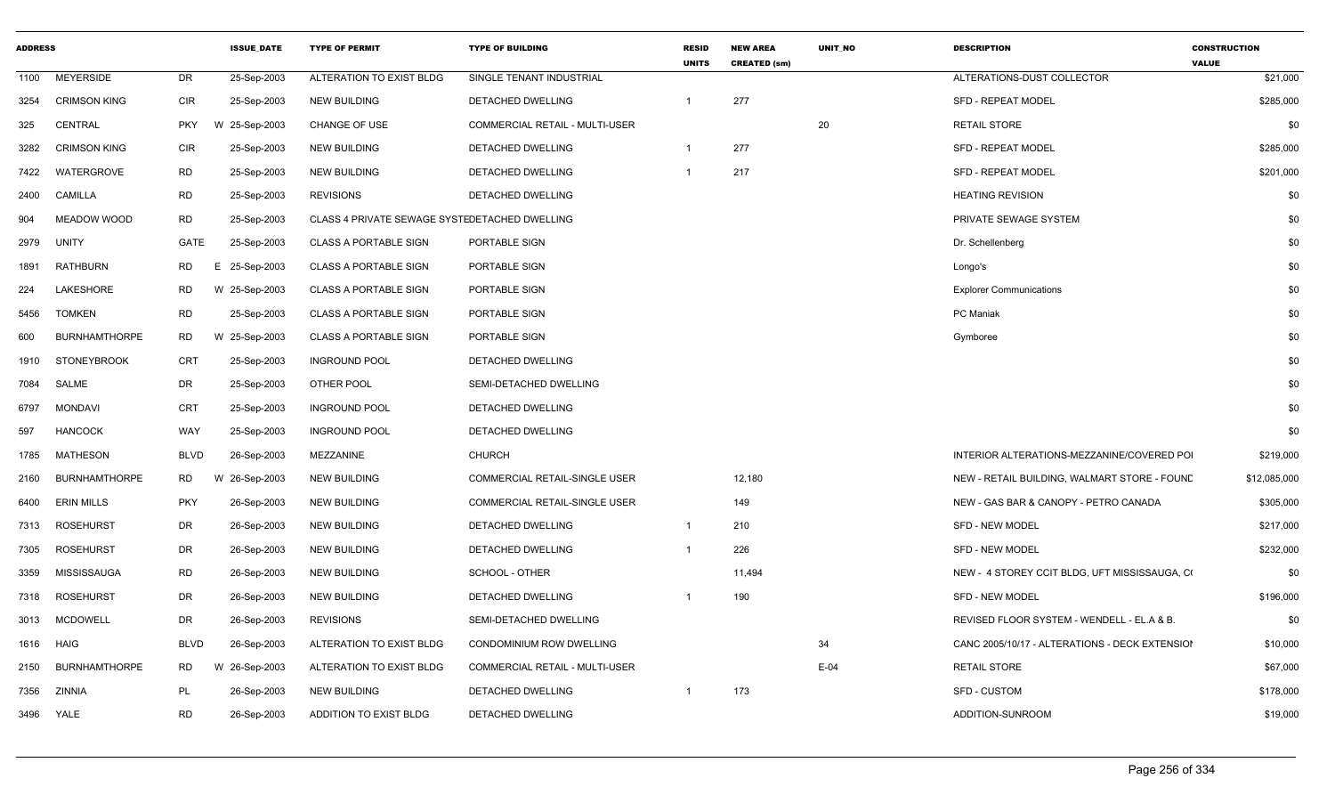| <b>ADDRESS</b> |                      |             | <b>ISSUE DATE</b> | <b>TYPE OF PERMIT</b>                         | <b>TYPE OF BUILDING</b>               | <b>RESID</b><br><b>UNITS</b> | <b>NEW AREA</b><br><b>CREATED (sm)</b> | <b>UNIT NO</b> | <b>DESCRIPTION</b>                             | <b>CONSTRUCTION</b><br><b>VALUE</b> |
|----------------|----------------------|-------------|-------------------|-----------------------------------------------|---------------------------------------|------------------------------|----------------------------------------|----------------|------------------------------------------------|-------------------------------------|
| 1100           | <b>MEYERSIDE</b>     | DR          | 25-Sep-2003       | ALTERATION TO EXIST BLDG                      | SINGLE TENANT INDUSTRIAL              |                              |                                        |                | ALTERATIONS-DUST COLLECTOR                     | \$21,000                            |
| 3254           | <b>CRIMSON KING</b>  | <b>CIR</b>  | 25-Sep-2003       | <b>NEW BUILDING</b>                           | <b>DETACHED DWELLING</b>              | 1                            | 277                                    |                | <b>SFD - REPEAT MODEL</b>                      | \$285,000                           |
| 325            | <b>CENTRAL</b>       | <b>PKY</b>  | W 25-Sep-2003     | <b>CHANGE OF USE</b>                          | <b>COMMERCIAL RETAIL - MULTI-USER</b> |                              |                                        | 20             | <b>RETAIL STORE</b>                            | \$0                                 |
| 3282           | <b>CRIMSON KING</b>  | <b>CIR</b>  | 25-Sep-2003       | <b>NEW BUILDING</b>                           | DETACHED DWELLING                     |                              | 277                                    |                | <b>SFD - REPEAT MODEL</b>                      | \$285,000                           |
| 7422           | WATERGROVE           | <b>RD</b>   | 25-Sep-2003       | <b>NEW BUILDING</b>                           | DETACHED DWELLING                     | -1                           | 217                                    |                | <b>SFD - REPEAT MODEL</b>                      | \$201,000                           |
| 2400           | <b>CAMILLA</b>       | <b>RD</b>   | 25-Sep-2003       | <b>REVISIONS</b>                              | DETACHED DWELLING                     |                              |                                        |                | <b>HEATING REVISION</b>                        | \$0                                 |
| 904            | <b>MEADOW WOOD</b>   | <b>RD</b>   | 25-Sep-2003       | CLASS 4 PRIVATE SEWAGE SYSTEDETACHED DWELLING |                                       |                              |                                        |                | PRIVATE SEWAGE SYSTEM                          | \$0                                 |
| 2979           | UNITY                | GATE        | 25-Sep-2003       | <b>CLASS A PORTABLE SIGN</b>                  | PORTABLE SIGN                         |                              |                                        |                | Dr. Schellenberg                               | \$0                                 |
| 1891           | RATHBURN             | <b>RD</b>   | Ε<br>25-Sep-2003  | <b>CLASS A PORTABLE SIGN</b>                  | PORTABLE SIGN                         |                              |                                        |                | Longo's                                        | \$0                                 |
| 224            | LAKESHORE            | RD          | W 25-Sep-2003     | <b>CLASS A PORTABLE SIGN</b>                  | PORTABLE SIGN                         |                              |                                        |                | <b>Explorer Communications</b>                 | \$0                                 |
| 5456           | TOMKEN               | RD          | 25-Sep-2003       | <b>CLASS A PORTABLE SIGN</b>                  | PORTABLE SIGN                         |                              |                                        |                | <b>PC</b> Maniak                               | \$0                                 |
| 600            | <b>BURNHAMTHORPE</b> | <b>RD</b>   | W 25-Sep-2003     | <b>CLASS A PORTABLE SIGN</b>                  | PORTABLE SIGN                         |                              |                                        |                | Gymboree                                       | \$0                                 |
| 1910           | <b>STONEYBROOK</b>   | <b>CRT</b>  | 25-Sep-2003       | <b>INGROUND POOL</b>                          | DETACHED DWELLING                     |                              |                                        |                |                                                | \$0                                 |
| 7084           | SALME                | DR          | 25-Sep-2003       | OTHER POOL                                    | SEMI-DETACHED DWELLING                |                              |                                        |                |                                                | \$0                                 |
| 6797           | <b>MONDAVI</b>       | <b>CRT</b>  | 25-Sep-2003       | <b>INGROUND POOL</b>                          | DETACHED DWELLING                     |                              |                                        |                |                                                | \$0                                 |
| 597            | <b>HANCOCK</b>       | WAY         | 25-Sep-2003       | <b>INGROUND POOL</b>                          | DETACHED DWELLING                     |                              |                                        |                |                                                | \$0                                 |
| 1785           | <b>MATHESON</b>      | <b>BLVD</b> | 26-Sep-2003       | MEZZANINE                                     | <b>CHURCH</b>                         |                              |                                        |                | INTERIOR ALTERATIONS-MEZZANINE/COVERED POI     | \$219,000                           |
| 2160           | <b>BURNHAMTHORPE</b> | <b>RD</b>   | W<br>26-Sep-2003  | <b>NEW BUILDING</b>                           | COMMERCIAL RETAIL-SINGLE USER         |                              | 12,180                                 |                | NEW - RETAIL BUILDING, WALMART STORE - FOUNE   | \$12,085,000                        |
| 6400           | <b>ERIN MILLS</b>    | <b>PKY</b>  | 26-Sep-2003       | <b>NEW BUILDING</b>                           | COMMERCIAL RETAIL-SINGLE USER         |                              | 149                                    |                | NEW - GAS BAR & CANOPY - PETRO CANADA          | \$305,000                           |
| 7313           | <b>ROSEHURST</b>     | DR          | 26-Sep-2003       | <b>NEW BUILDING</b>                           | DETACHED DWELLING                     | $\mathbf{1}$                 | 210                                    |                | <b>SFD - NEW MODEL</b>                         | \$217,000                           |
| 7305           | <b>ROSEHURST</b>     | DR          | 26-Sep-2003       | <b>NEW BUILDING</b>                           | DETACHED DWELLING                     | $\mathbf{1}$                 | 226                                    |                | <b>SFD - NEW MODEL</b>                         | \$232,000                           |
| 3359           | MISSISSAUGA          | <b>RD</b>   | 26-Sep-2003       | <b>NEW BUILDING</b>                           | SCHOOL - OTHER                        |                              | 11,494                                 |                | NEW - 4 STOREY CCIT BLDG, UFT MISSISSAUGA, CO  | \$0                                 |
| 7318           | <b>ROSEHURST</b>     | DR          | 26-Sep-2003       | <b>NEW BUILDING</b>                           | DETACHED DWELLING                     |                              | 190                                    |                | <b>SFD - NEW MODEL</b>                         | \$196,000                           |
| 3013           | <b>MCDOWELL</b>      | <b>DR</b>   | 26-Sep-2003       | <b>REVISIONS</b>                              | SEMI-DETACHED DWELLING                |                              |                                        |                | REVISED FLOOR SYSTEM - WENDELL - EL.A & B.     | \$0                                 |
| 1616           | HAIG                 | <b>BLVD</b> | 26-Sep-2003       | ALTERATION TO EXIST BLDG                      | CONDOMINIUM ROW DWELLING              |                              |                                        | 34             | CANC 2005/10/17 - ALTERATIONS - DECK EXTENSION | \$10,000                            |
| 2150           | <b>BURNHAMTHORPE</b> | <b>RD</b>   | W 26-Sep-2003     | ALTERATION TO EXIST BLDG                      | <b>COMMERCIAL RETAIL - MULTI-USER</b> |                              |                                        | $E-04$         | <b>RETAIL STORE</b>                            | \$67,000                            |
| 7356           | ZINNIA               | PL          | 26-Sep-2003       | <b>NEW BUILDING</b>                           | DETACHED DWELLING                     | $\mathbf 1$                  | 173                                    |                | <b>SFD - CUSTOM</b>                            | \$178,000                           |
| 3496           | YALE                 | <b>RD</b>   | 26-Sep-2003       | ADDITION TO EXIST BLDG                        | DETACHED DWELLING                     |                              |                                        |                | ADDITION-SUNROOM                               | \$19,000                            |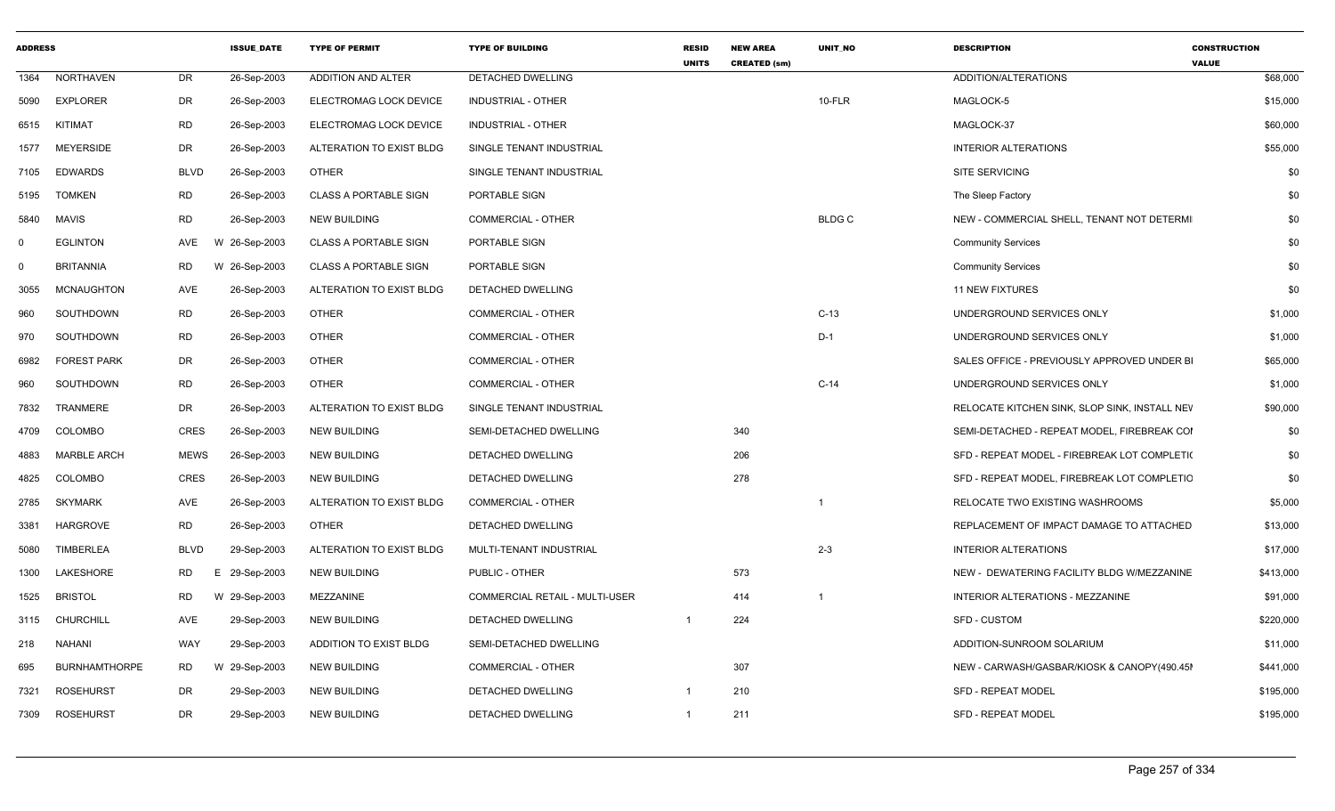| <b>ADDRESS</b> |                      |             | <b>ISSUE DATE</b> | <b>TYPE OF PERMIT</b>        | <b>TYPE OF BUILDING</b>        | <b>RESID</b><br><b>UNITS</b> | <b>NEW AREA</b><br><b>CREATED (sm)</b> | <b>UNIT NO</b> | <b>DESCRIPTION</b>                            | <b>CONSTRUCTION</b><br><b>VALUE</b> |
|----------------|----------------------|-------------|-------------------|------------------------------|--------------------------------|------------------------------|----------------------------------------|----------------|-----------------------------------------------|-------------------------------------|
| 1364           | <b>NORTHAVEN</b>     | DR          | 26-Sep-2003       | ADDITION AND ALTER           | DETACHED DWELLING              |                              |                                        |                | ADDITION/ALTERATIONS                          | \$68,000                            |
| 5090           | <b>EXPLORER</b>      | DR          | 26-Sep-2003       | ELECTROMAG LOCK DEVICE       | INDUSTRIAL - OTHER             |                              |                                        | $10-FLR$       | MAGLOCK-5                                     | \$15,000                            |
| 6515           | KITIMAT              | <b>RD</b>   | 26-Sep-2003       | ELECTROMAG LOCK DEVICE       | <b>INDUSTRIAL - OTHER</b>      |                              |                                        |                | MAGLOCK-37                                    | \$60,000                            |
| 1577           | <b>MEYERSIDE</b>     | <b>DR</b>   | 26-Sep-2003       | ALTERATION TO EXIST BLDG     | SINGLE TENANT INDUSTRIAL       |                              |                                        |                | <b>INTERIOR ALTERATIONS</b>                   | \$55,000                            |
| 7105           | <b>EDWARDS</b>       | <b>BLVD</b> | 26-Sep-2003       | <b>OTHER</b>                 | SINGLE TENANT INDUSTRIAL       |                              |                                        |                | <b>SITE SERVICING</b>                         | \$0                                 |
| 5195           | <b>TOMKEN</b>        | <b>RD</b>   | 26-Sep-2003       | <b>CLASS A PORTABLE SIGN</b> | PORTABLE SIGN                  |                              |                                        |                | The Sleep Factory                             | \$0                                 |
| 5840           | <b>MAVIS</b>         | <b>RD</b>   | 26-Sep-2003       | <b>NEW BUILDING</b>          | COMMERCIAL - OTHER             |                              |                                        | <b>BLDG C</b>  | NEW - COMMERCIAL SHELL, TENANT NOT DETERMI    | \$0                                 |
| $\Omega$       | <b>EGLINTON</b>      | AVE         | W 26-Sep-2003     | <b>CLASS A PORTABLE SIGN</b> | PORTABLE SIGN                  |                              |                                        |                | <b>Community Services</b>                     | \$0                                 |
| $\Omega$       | <b>BRITANNIA</b>     | <b>RD</b>   | W 26-Sep-2003     | <b>CLASS A PORTABLE SIGN</b> | PORTABLE SIGN                  |                              |                                        |                | <b>Community Services</b>                     | \$0                                 |
| 3055           | <b>MCNAUGHTON</b>    | AVE         | 26-Sep-2003       | ALTERATION TO EXIST BLDG     | DETACHED DWELLING              |                              |                                        |                | <b>11 NEW FIXTURES</b>                        | \$0                                 |
| 960            | SOUTHDOWN            | <b>RD</b>   | 26-Sep-2003       | <b>OTHER</b>                 | COMMERCIAL - OTHER             |                              |                                        | $C-13$         | UNDERGROUND SERVICES ONLY                     | \$1,000                             |
| 970            | SOUTHDOWN            | <b>RD</b>   | 26-Sep-2003       | <b>OTHER</b>                 | COMMERCIAL - OTHER             |                              |                                        | $D-1$          | UNDERGROUND SERVICES ONLY                     | \$1,000                             |
| 6982           | <b>FOREST PARK</b>   | <b>DR</b>   | 26-Sep-2003       | <b>OTHER</b>                 | COMMERCIAL - OTHER             |                              |                                        |                | SALES OFFICE - PREVIOUSLY APPROVED UNDER BI   | \$65,000                            |
| 960            | SOUTHDOWN            | <b>RD</b>   | 26-Sep-2003       | <b>OTHER</b>                 | COMMERCIAL - OTHER             |                              |                                        | $C-14$         | UNDERGROUND SERVICES ONLY                     | \$1,000                             |
| 7832           | <b>TRANMERE</b>      | <b>DR</b>   | 26-Sep-2003       | ALTERATION TO EXIST BLDG     | SINGLE TENANT INDUSTRIAL       |                              |                                        |                | RELOCATE KITCHEN SINK, SLOP SINK, INSTALL NEV | \$90,000                            |
| 4709           | <b>COLOMBO</b>       | CRES        | 26-Sep-2003       | <b>NEW BUILDING</b>          | SEMI-DETACHED DWELLING         |                              | 340                                    |                | SEMI-DETACHED - REPEAT MODEL, FIREBREAK COI   | \$0                                 |
| 4883           | <b>MARBLE ARCH</b>   | <b>MEWS</b> | 26-Sep-2003       | <b>NEW BUILDING</b>          | DETACHED DWELLING              |                              | 206                                    |                | SFD - REPEAT MODEL - FIREBREAK LOT COMPLETI(  | \$0                                 |
| 4825           | <b>COLOMBO</b>       | <b>CRES</b> | 26-Sep-2003       | <b>NEW BUILDING</b>          | DETACHED DWELLING              |                              | 278                                    |                | SFD - REPEAT MODEL, FIREBREAK LOT COMPLETIC   | \$0                                 |
| 2785           | <b>SKYMARK</b>       | AVE         | 26-Sep-2003       | ALTERATION TO EXIST BLDG     | <b>COMMERCIAL - OTHER</b>      |                              |                                        |                | RELOCATE TWO EXISTING WASHROOMS               | \$5,000                             |
| 3381           | <b>HARGROVE</b>      | <b>RD</b>   | 26-Sep-2003       | <b>OTHER</b>                 | DETACHED DWELLING              |                              |                                        |                | REPLACEMENT OF IMPACT DAMAGE TO ATTACHED      | \$13,000                            |
| 5080           | <b>TIMBERLEA</b>     | <b>BLVD</b> | 29-Sep-2003       | ALTERATION TO EXIST BLDG     | MULTI-TENANT INDUSTRIAL        |                              |                                        | $2 - 3$        | <b>INTERIOR ALTERATIONS</b>                   | \$17,000                            |
| 1300           | LAKESHORE            | <b>RD</b>   | E 29-Sep-2003     | <b>NEW BUILDING</b>          | PUBLIC - OTHER                 |                              | 573                                    |                | NEW - DEWATERING FACILITY BLDG W/MEZZANINE    | \$413,000                           |
| 1525           | <b>BRISTOL</b>       | RD          | W 29-Sep-2003     | MEZZANINE                    | COMMERCIAL RETAIL - MULTI-USER |                              | 414                                    | $\overline{1}$ | INTERIOR ALTERATIONS - MEZZANINE              | \$91,000                            |
| 3115           | <b>CHURCHILL</b>     | AVE         | 29-Sep-2003       | <b>NEW BUILDING</b>          | DETACHED DWELLING              | $\mathbf{1}$                 | 224                                    |                | <b>SFD - CUSTOM</b>                           | \$220,000                           |
| 218            | <b>NAHANI</b>        | WAY         | 29-Sep-2003       | ADDITION TO EXIST BLDG       | SEMI-DETACHED DWELLING         |                              |                                        |                | ADDITION-SUNROOM SOLARIUM                     | \$11,000                            |
| 695            | <b>BURNHAMTHORPE</b> | <b>RD</b>   | W 29-Sep-2003     | <b>NEW BUILDING</b>          | COMMERCIAL - OTHER             |                              | 307                                    |                | NEW - CARWASH/GASBAR/KIOSK & CANOPY(490.45I   | \$441,000                           |
| 7321           | <b>ROSEHURST</b>     | <b>DR</b>   | 29-Sep-2003       | <b>NEW BUILDING</b>          | DETACHED DWELLING              | $\mathbf{1}$                 | 210                                    |                | <b>SFD - REPEAT MODEL</b>                     | \$195,000                           |
| 7309           | <b>ROSEHURST</b>     | <b>DR</b>   | 29-Sep-2003       | <b>NEW BUILDING</b>          | <b>DETACHED DWELLING</b>       | $\mathbf{1}$                 | 211                                    |                | <b>SFD - REPEAT MODEL</b>                     | \$195,000                           |
|                |                      |             |                   |                              |                                |                              |                                        |                |                                               |                                     |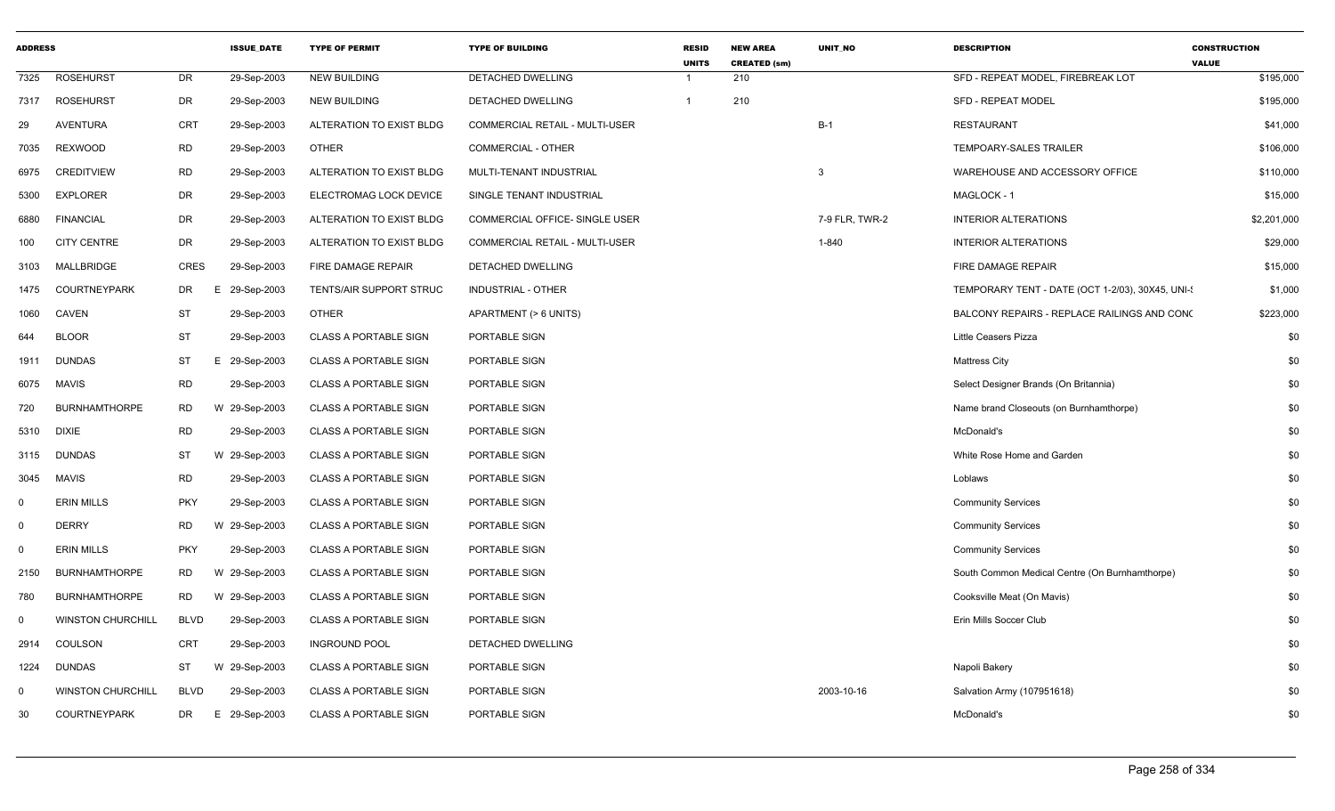| <b>ADDRESS</b> |                          |             | <b>ISSUE DATE</b> | <b>TYPE OF PERMIT</b>        | <b>TYPE OF BUILDING</b>        | <b>RESID</b><br><b>UNITS</b> | <b>NEW AREA</b><br><b>CREATED (sm)</b> | <b>UNIT NO</b> | <b>DESCRIPTION</b>                               | <b>CONSTRUCTION</b><br><b>VALUE</b> |
|----------------|--------------------------|-------------|-------------------|------------------------------|--------------------------------|------------------------------|----------------------------------------|----------------|--------------------------------------------------|-------------------------------------|
| 7325           | <b>ROSEHURST</b>         | DR          | 29-Sep-2003       | <b>NEW BUILDING</b>          | <b>DETACHED DWELLING</b>       | -1                           | 210                                    |                | SFD - REPEAT MODEL, FIREBREAK LOT                | \$195,000                           |
| 7317           | <b>ROSEHURST</b>         | <b>DR</b>   | 29-Sep-2003       | <b>NEW BUILDING</b>          | DETACHED DWELLING              | $\mathbf{1}$                 | 210                                    |                | <b>SFD - REPEAT MODEL</b>                        | \$195,000                           |
| 29             | <b>AVENTURA</b>          | <b>CRT</b>  | 29-Sep-2003       | ALTERATION TO EXIST BLDG     | COMMERCIAL RETAIL - MULTI-USER |                              |                                        | $B-1$          | <b>RESTAURANT</b>                                | \$41,000                            |
| 7035           | <b>REXWOOD</b>           | <b>RD</b>   | 29-Sep-2003       | <b>OTHER</b>                 | COMMERCIAL - OTHER             |                              |                                        |                | TEMPOARY-SALES TRAILER                           | \$106,000                           |
| 6975           | <b>CREDITVIEW</b>        | <b>RD</b>   | 29-Sep-2003       | ALTERATION TO EXIST BLDG     | MULTI-TENANT INDUSTRIAL        |                              |                                        | 3              | WAREHOUSE AND ACCESSORY OFFICE                   | \$110,000                           |
| 5300           | <b>EXPLORER</b>          | <b>DR</b>   | 29-Sep-2003       | ELECTROMAG LOCK DEVICE       | SINGLE TENANT INDUSTRIAL       |                              |                                        |                | MAGLOCK - 1                                      | \$15,000                            |
| 6880           | <b>FINANCIAL</b>         | <b>DR</b>   | 29-Sep-2003       | ALTERATION TO EXIST BLDG     | COMMERCIAL OFFICE- SINGLE USER |                              |                                        | 7-9 FLR, TWR-2 | <b>INTERIOR ALTERATIONS</b>                      | \$2,201,000                         |
| 100            | <b>CITY CENTRE</b>       | DR          | 29-Sep-2003       | ALTERATION TO EXIST BLDG     | COMMERCIAL RETAIL - MULTI-USER |                              |                                        | 1-840          | <b>INTERIOR ALTERATIONS</b>                      | \$29,000                            |
| 3103           | MALLBRIDGE               | <b>CRES</b> | 29-Sep-2003       | FIRE DAMAGE REPAIR           | DETACHED DWELLING              |                              |                                        |                | FIRE DAMAGE REPAIR                               | \$15,000                            |
| 1475           | <b>COURTNEYPARK</b>      | DR          | 29-Sep-2003<br>F  | TENTS/AIR SUPPORT STRUC      | INDUSTRIAL - OTHER             |                              |                                        |                | TEMPORARY TENT - DATE (OCT 1-2/03), 30X45, UNI-3 | \$1,000                             |
| 1060           | CAVEN                    | <b>ST</b>   | 29-Sep-2003       | <b>OTHER</b>                 | APARTMENT (> 6 UNITS)          |                              |                                        |                | BALCONY REPAIRS - REPLACE RAILINGS AND CONC      | \$223,000                           |
| 644            | <b>BLOOR</b>             | <b>ST</b>   | 29-Sep-2003       | <b>CLASS A PORTABLE SIGN</b> | PORTABLE SIGN                  |                              |                                        |                | <b>Little Ceasers Pizza</b>                      | \$0                                 |
| 1911           | <b>DUNDAS</b>            | ST          | E 29-Sep-2003     | <b>CLASS A PORTABLE SIGN</b> | PORTABLE SIGN                  |                              |                                        |                | <b>Mattress City</b>                             | \$0                                 |
| 6075           | <b>MAVIS</b>             | <b>RD</b>   | 29-Sep-2003       | <b>CLASS A PORTABLE SIGN</b> | PORTABLE SIGN                  |                              |                                        |                | Select Designer Brands (On Britannia)            | \$0                                 |
| 720            | <b>BURNHAMTHORPE</b>     | RD          | W 29-Sep-2003     | <b>CLASS A PORTABLE SIGN</b> | PORTABLE SIGN                  |                              |                                        |                | Name brand Closeouts (on Burnhamthorpe)          | \$0                                 |
| 5310           | <b>DIXIE</b>             | <b>RD</b>   | 29-Sep-2003       | <b>CLASS A PORTABLE SIGN</b> | PORTABLE SIGN                  |                              |                                        |                | McDonald's                                       | \$0                                 |
| 3115           | <b>DUNDAS</b>            | ST          | W 29-Sep-2003     | <b>CLASS A PORTABLE SIGN</b> | PORTABLE SIGN                  |                              |                                        |                | White Rose Home and Garden                       | \$0                                 |
| 3045           | <b>MAVIS</b>             | <b>RD</b>   | 29-Sep-2003       | <b>CLASS A PORTABLE SIGN</b> | PORTABLE SIGN                  |                              |                                        |                | Loblaws                                          | \$0                                 |
| $\mathbf 0$    | <b>ERIN MILLS</b>        | <b>PKY</b>  | 29-Sep-2003       | <b>CLASS A PORTABLE SIGN</b> | PORTABLE SIGN                  |                              |                                        |                | <b>Community Services</b>                        | \$0                                 |
| $\mathbf 0$    | <b>DERRY</b>             | <b>RD</b>   | W 29-Sep-2003     | <b>CLASS A PORTABLE SIGN</b> | PORTABLE SIGN                  |                              |                                        |                | <b>Community Services</b>                        | \$0                                 |
| $\mathbf 0$    | <b>ERIN MILLS</b>        | <b>PKY</b>  | 29-Sep-2003       | <b>CLASS A PORTABLE SIGN</b> | PORTABLE SIGN                  |                              |                                        |                | <b>Community Services</b>                        | \$0                                 |
| 2150           | <b>BURNHAMTHORPE</b>     | RD          | W 29-Sep-2003     | <b>CLASS A PORTABLE SIGN</b> | PORTABLE SIGN                  |                              |                                        |                | South Common Medical Centre (On Burnhamthorpe)   | \$0                                 |
| 780            | <b>BURNHAMTHORPE</b>     | RD.         | W 29-Sep-2003     | <b>CLASS A PORTABLE SIGN</b> | PORTABLE SIGN                  |                              |                                        |                | Cooksville Meat (On Mavis)                       | \$0                                 |
| $\mathbf 0$    | <b>WINSTON CHURCHILL</b> | <b>BLVD</b> | 29-Sep-2003       | <b>CLASS A PORTABLE SIGN</b> | PORTABLE SIGN                  |                              |                                        |                | Erin Mills Soccer Club                           | \$0                                 |
| 2914           | COULSON                  | <b>CRT</b>  | 29-Sep-2003       | <b>INGROUND POOL</b>         | DETACHED DWELLING              |                              |                                        |                |                                                  | \$0                                 |
| 1224           | <b>DUNDAS</b>            | <b>ST</b>   | W 29-Sep-2003     | <b>CLASS A PORTABLE SIGN</b> | PORTABLE SIGN                  |                              |                                        |                | Napoli Bakery                                    | \$0                                 |
| $\mathbf 0$    | <b>WINSTON CHURCHILL</b> | <b>BLVD</b> | 29-Sep-2003       | <b>CLASS A PORTABLE SIGN</b> | PORTABLE SIGN                  |                              |                                        | 2003-10-16     | Salvation Army (107951618)                       | \$0                                 |
| 30             | <b>COURTNEYPARK</b>      | DR          | E 29-Sep-2003     | <b>CLASS A PORTABLE SIGN</b> | PORTABLE SIGN                  |                              |                                        |                | McDonald's                                       | \$0                                 |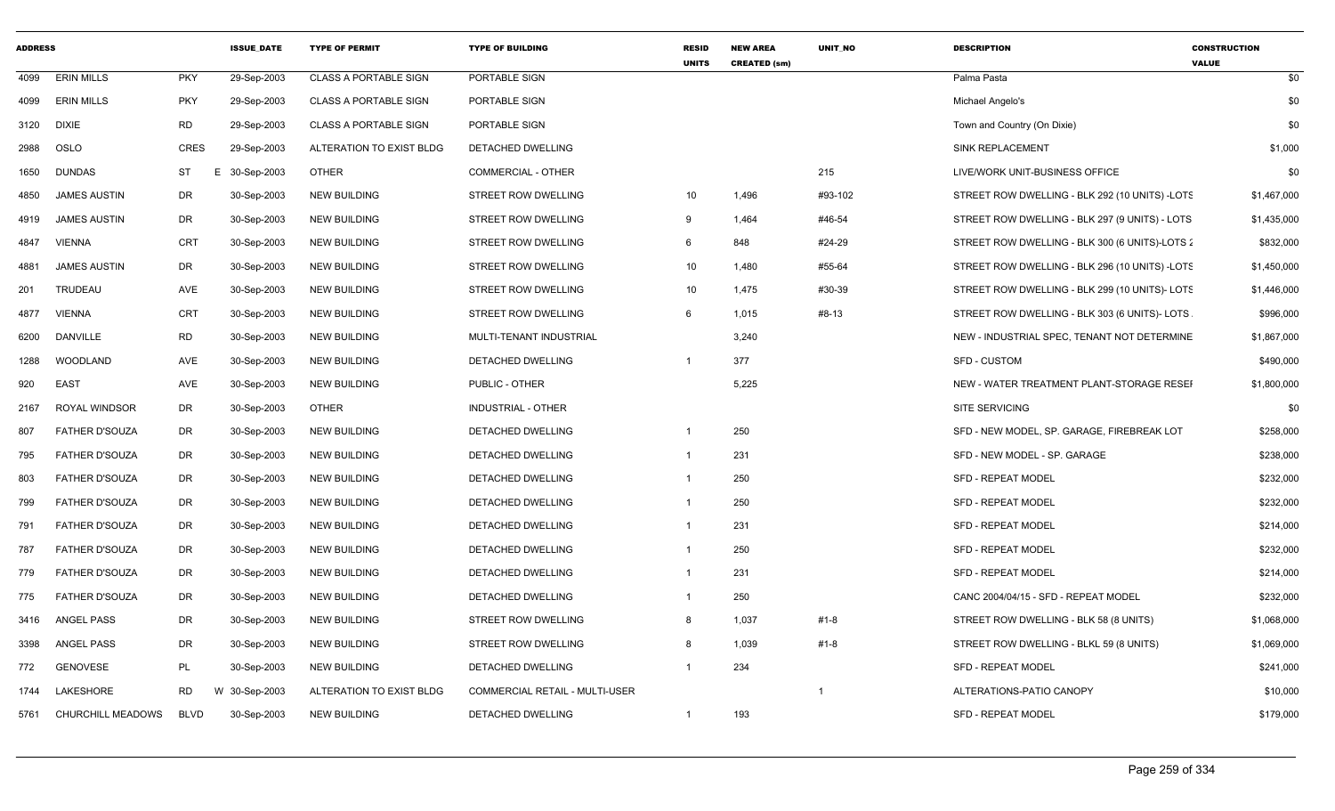| <b>ADDRESS</b> |                       |                 | <b>ISSUE DATE</b> | <b>TYPE OF PERMIT</b>        | <b>TYPE OF BUILDING</b>        | <b>RESID</b><br><b>UNITS</b> | <b>NEW AREA</b><br><b>CREATED (sm)</b> | UNIT_NO     | <b>DESCRIPTION</b>                             | <b>CONSTRUCTION</b><br><b>VALUE</b> |
|----------------|-----------------------|-----------------|-------------------|------------------------------|--------------------------------|------------------------------|----------------------------------------|-------------|------------------------------------------------|-------------------------------------|
| 4099           | <b>ERIN MILLS</b>     | <b>PKY</b>      | 29-Sep-2003       | <b>CLASS A PORTABLE SIGN</b> | PORTABLE SIGN                  |                              |                                        |             | Palma Pasta                                    | \$0                                 |
| 4099           | <b>ERIN MILLS</b>     | <b>PKY</b>      | 29-Sep-2003       | <b>CLASS A PORTABLE SIGN</b> | PORTABLE SIGN                  |                              |                                        |             | Michael Angelo's                               | \$0                                 |
| 3120           | <b>DIXIE</b>          | <b>RD</b>       | 29-Sep-2003       | <b>CLASS A PORTABLE SIGN</b> | PORTABLE SIGN                  |                              |                                        |             | Town and Country (On Dixie)                    | \$0                                 |
| 2988           | OSLO                  | <b>CRES</b>     | 29-Sep-2003       | ALTERATION TO EXIST BLDG     | DETACHED DWELLING              |                              |                                        |             | <b>SINK REPLACEMENT</b>                        | \$1,000                             |
| 1650           | <b>DUNDAS</b>         | <b>ST</b><br>E. | 30-Sep-2003       | OTHER                        | <b>COMMERCIAL - OTHER</b>      |                              |                                        | 215         | LIVE/WORK UNIT-BUSINESS OFFICE                 | \$0                                 |
| 4850           | <b>JAMES AUSTIN</b>   | DR              | 30-Sep-2003       | <b>NEW BUILDING</b>          | STREET ROW DWELLING            | 10 <sup>°</sup>              | 1,496                                  | #93-102     | STREET ROW DWELLING - BLK 292 (10 UNITS) -LOTS | \$1,467,000                         |
| 4919           | <b>JAMES AUSTIN</b>   | DR              | 30-Sep-2003       | <b>NEW BUILDING</b>          | STREET ROW DWELLING            | 9                            | 1,464                                  | #46-54      | STREET ROW DWELLING - BLK 297 (9 UNITS) - LOTS | \$1,435,000                         |
| 4847           | <b>VIENNA</b>         | <b>CRT</b>      | 30-Sep-2003       | <b>NEW BUILDING</b>          | STREET ROW DWELLING            | 6                            | 848                                    | #24-29      | STREET ROW DWELLING - BLK 300 (6 UNITS)-LOTS 2 | \$832,000                           |
| 4881           | <b>JAMES AUSTIN</b>   | DR              | 30-Sep-2003       | NEW BUILDING                 | STREET ROW DWELLING            | 10                           | 1,480                                  | #55-64      | STREET ROW DWELLING - BLK 296 (10 UNITS) -LOTS | \$1,450,000                         |
| 201            | TRUDEAU               | <b>AVE</b>      | 30-Sep-2003       | <b>NEW BUILDING</b>          | STREET ROW DWELLING            | 10                           | 1,475                                  | #30-39      | STREET ROW DWELLING - BLK 299 (10 UNITS)- LOTS | \$1,446,000                         |
| 4877           | <b>VIENNA</b>         | CRT             | 30-Sep-2003       | <b>NEW BUILDING</b>          | STREET ROW DWELLING            | 6                            | 1,015                                  | #8-13       | STREET ROW DWELLING - BLK 303 (6 UNITS)- LOTS  | \$996,000                           |
| 6200           | <b>DANVILLE</b>       | <b>RD</b>       | 30-Sep-2003       | <b>NEW BUILDING</b>          | MULTI-TENANT INDUSTRIAL        |                              | 3.240                                  |             | NEW - INDUSTRIAL SPEC, TENANT NOT DETERMINE    | \$1,867,000                         |
| 1288           | WOODLAND              | <b>AVE</b>      | 30-Sep-2003       | <b>NEW BUILDING</b>          | DETACHED DWELLING              | $\overline{1}$               | 377                                    |             | SFD - CUSTOM                                   | \$490,000                           |
| 920            | <b>EAST</b>           | AVE             | 30-Sep-2003       | <b>NEW BUILDING</b>          | PUBLIC - OTHER                 |                              | 5,225                                  |             | NEW - WATER TREATMENT PLANT-STORAGE RESEI      | \$1,800,000                         |
| 2167           | ROYAL WINDSOR         | DR              | 30-Sep-2003       | OTHER                        | INDUSTRIAL - OTHER             |                              |                                        |             | <b>SITE SERVICING</b>                          | \$0                                 |
| 807            | <b>FATHER D'SOUZA</b> | DR              | 30-Sep-2003       | <b>NEW BUILDING</b>          | DETACHED DWELLING              | $\overline{\mathbf{1}}$      | 250                                    |             | SFD - NEW MODEL, SP. GARAGE, FIREBREAK LOT     | \$258,000                           |
| 795            | <b>FATHER D'SOUZA</b> | DR              | 30-Sep-2003       | <b>NEW BUILDING</b>          | <b>DETACHED DWELLING</b>       | $\overline{1}$               | 231                                    |             | SFD - NEW MODEL - SP. GARAGE                   | \$238,000                           |
| 803            | FATHER D'SOUZA        | DR              | 30-Sep-2003       | <b>NEW BUILDING</b>          | DETACHED DWELLING              | $\overline{1}$               | 250                                    |             | <b>SFD - REPEAT MODEL</b>                      | \$232,000                           |
| 799            | <b>FATHER D'SOUZA</b> | DR              | 30-Sep-2003       | <b>NEW BUILDING</b>          | DETACHED DWELLING              | $\overline{1}$               | 250                                    |             | SFD - REPEAT MODEL                             | \$232,000                           |
| 791            | <b>FATHER D'SOUZA</b> | DR              | 30-Sep-2003       | <b>NEW BUILDING</b>          | DETACHED DWELLING              | $\overline{1}$               | 231                                    |             | <b>SFD - REPEAT MODEL</b>                      | \$214,000                           |
| 787            | <b>FATHER D'SOUZA</b> | DR              | 30-Sep-2003       | <b>NEW BUILDING</b>          | DETACHED DWELLING              | $\overline{1}$               | 250                                    |             | <b>SFD - REPEAT MODEL</b>                      | \$232,000                           |
| 779            | <b>FATHER D'SOUZA</b> | DR              | 30-Sep-2003       | <b>NEW BUILDING</b>          | DETACHED DWELLING              | $\overline{1}$               | 231                                    |             | <b>SFD - REPEAT MODEL</b>                      | \$214,000                           |
| 775            | <b>FATHER D'SOUZA</b> | DR              | 30-Sep-2003       | <b>NEW BUILDING</b>          | DETACHED DWELLING              | $\overline{1}$               | 250                                    |             | CANC 2004/04/15 - SFD - REPEAT MODEL           | \$232,000                           |
| 3416           | <b>ANGEL PASS</b>     | <b>DR</b>       | 30-Sep-2003       | <b>NEW BUILDING</b>          | STREET ROW DWELLING            | 8                            | 1,037                                  | $#1 - 8$    | STREET ROW DWELLING - BLK 58 (8 UNITS)         | \$1,068,000                         |
| 3398           | <b>ANGEL PASS</b>     | DR              | 30-Sep-2003       | <b>NEW BUILDING</b>          | STREET ROW DWELLING            | 8                            | 1,039                                  | $#1 - 8$    | STREET ROW DWELLING - BLKL 59 (8 UNITS)        | \$1,069,000                         |
| 772            | <b>GENOVESE</b>       | PL              | 30-Sep-2003       | <b>NEW BUILDING</b>          | DETACHED DWELLING              | $\overline{1}$               | 234                                    |             | <b>SFD - REPEAT MODEL</b>                      | \$241,000                           |
| 1744           | LAKESHORE             | <b>RD</b>       | W 30-Sep-2003     | ALTERATION TO EXIST BLDG     | COMMERCIAL RETAIL - MULTI-USER |                              |                                        | $\mathbf 1$ | ALTERATIONS-PATIO CANOPY                       | \$10,000                            |
| 5761           | CHURCHILL MEADOWS     | <b>BLVD</b>     | 30-Sep-2003       | <b>NEW BUILDING</b>          | DETACHED DWELLING              | $\overline{1}$               | 193                                    |             | SFD - REPEAT MODEL                             | \$179,000                           |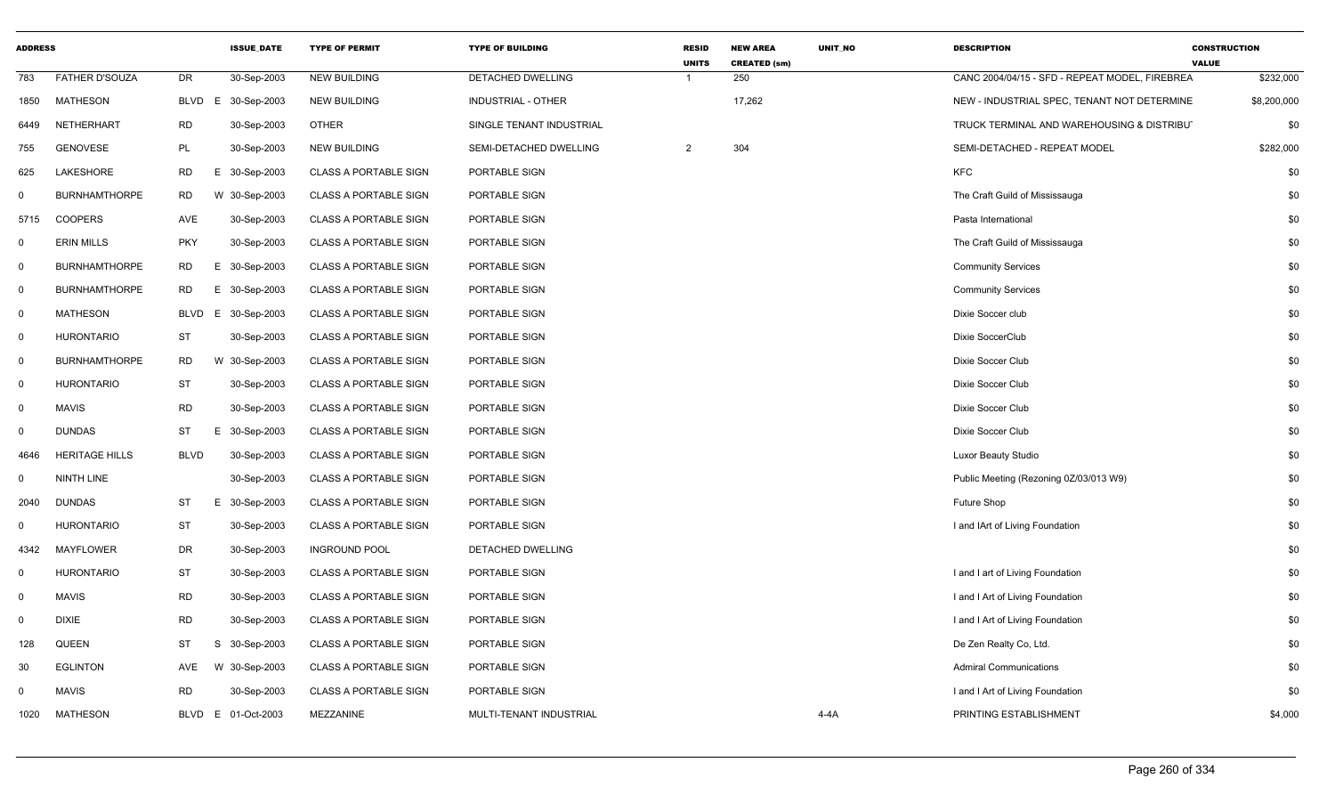| <b>ADDRESS</b> |                       |             | <b>ISSUE DATE</b> | <b>TYPE OF PERMIT</b>        | <b>TYPE OF BUILDING</b>   | <b>RESID</b><br><b>UNITS</b> | <b>NEW AREA</b><br><b>CREATED (sm)</b> | <b>UNIT NO</b> | <b>DESCRIPTION</b>                             | <b>CONSTRUCTION</b><br><b>VALUE</b> |
|----------------|-----------------------|-------------|-------------------|------------------------------|---------------------------|------------------------------|----------------------------------------|----------------|------------------------------------------------|-------------------------------------|
| 783            | <b>FATHER D'SOUZA</b> | <b>DR</b>   | 30-Sep-2003       | <b>NEW BUILDING</b>          | DETACHED DWELLING         |                              | 250                                    |                | CANC 2004/04/15 - SFD - REPEAT MODEL, FIREBREA | \$232,000                           |
| 1850           | <b>MATHESON</b>       | BLVD        | E 30-Sep-2003     | <b>NEW BUILDING</b>          | <b>INDUSTRIAL - OTHER</b> |                              | 17,262                                 |                | NEW - INDUSTRIAL SPEC, TENANT NOT DETERMINE    | \$8,200,000                         |
| 6449           | NETHERHART            | <b>RD</b>   | 30-Sep-2003       | <b>OTHER</b>                 | SINGLE TENANT INDUSTRIAL  |                              |                                        |                | TRUCK TERMINAL AND WAREHOUSING & DISTRIBUT     | \$0                                 |
| 755            | <b>GENOVESE</b>       | PL          | 30-Sep-2003       | <b>NEW BUILDING</b>          | SEMI-DETACHED DWELLING    | $\mathcal{P}$                | 304                                    |                | SEMI-DETACHED - REPEAT MODEL                   | \$282,000                           |
| 625            | LAKESHORE             | <b>RD</b>   | E 30-Sep-2003     | <b>CLASS A PORTABLE SIGN</b> | PORTABLE SIGN             |                              |                                        |                | <b>KFC</b>                                     | \$0                                 |
| $\Omega$       | <b>BURNHAMTHORPE</b>  | <b>RD</b>   | W 30-Sep-2003     | <b>CLASS A PORTABLE SIGN</b> | PORTABLE SIGN             |                              |                                        |                | The Craft Guild of Mississauga                 | \$0                                 |
| 5715           | <b>COOPERS</b>        | AVE         | 30-Sep-2003       | <b>CLASS A PORTABLE SIGN</b> | PORTABLE SIGN             |                              |                                        |                | Pasta International                            | \$0                                 |
| $\mathbf{0}$   | <b>ERIN MILLS</b>     | <b>PKY</b>  | 30-Sep-2003       | <b>CLASS A PORTABLE SIGN</b> | PORTABLE SIGN             |                              |                                        |                | The Craft Guild of Mississauga                 | \$0                                 |
| $\mathbf 0$    | <b>BURNHAMTHORPE</b>  | <b>RD</b>   | E 30-Sep-2003     | <b>CLASS A PORTABLE SIGN</b> | PORTABLE SIGN             |                              |                                        |                | <b>Community Services</b>                      | \$0                                 |
| $\mathbf 0$    | <b>BURNHAMTHORPE</b>  | <b>RD</b>   | E 30-Sep-2003     | <b>CLASS A PORTABLE SIGN</b> | PORTABLE SIGN             |                              |                                        |                | <b>Community Services</b>                      | \$0                                 |
| $\mathbf 0$    | <b>MATHESON</b>       | BLVD        | E 30-Sep-2003     | <b>CLASS A PORTABLE SIGN</b> | PORTABLE SIGN             |                              |                                        |                | Dixie Soccer club                              | \$0                                 |
| $\mathbf 0$    | <b>HURONTARIO</b>     | <b>ST</b>   | 30-Sep-2003       | <b>CLASS A PORTABLE SIGN</b> | PORTABLE SIGN             |                              |                                        |                | Dixie SoccerClub                               | \$0                                 |
| $\mathbf 0$    | <b>BURNHAMTHORPE</b>  | <b>RD</b>   | W 30-Sep-2003     | <b>CLASS A PORTABLE SIGN</b> | PORTABLE SIGN             |                              |                                        |                | Dixie Soccer Club                              | \$0                                 |
| $\mathbf 0$    | <b>HURONTARIO</b>     | <b>ST</b>   | 30-Sep-2003       | <b>CLASS A PORTABLE SIGN</b> | PORTABLE SIGN             |                              |                                        |                | Dixie Soccer Club                              | \$0                                 |
| $\mathbf 0$    | <b>MAVIS</b>          | <b>RD</b>   | 30-Sep-2003       | <b>CLASS A PORTABLE SIGN</b> | PORTABLE SIGN             |                              |                                        |                | Dixie Soccer Club                              | \$0                                 |
| $\mathbf 0$    | <b>DUNDAS</b>         | <b>ST</b>   | E 30-Sep-2003     | <b>CLASS A PORTABLE SIGN</b> | PORTABLE SIGN             |                              |                                        |                | Dixie Soccer Club                              | \$0                                 |
| 4646           | <b>HERITAGE HILLS</b> | <b>BLVD</b> | 30-Sep-2003       | <b>CLASS A PORTABLE SIGN</b> | PORTABLE SIGN             |                              |                                        |                | <b>Luxor Beauty Studio</b>                     | \$0                                 |
| $\mathbf 0$    | <b>NINTH LINE</b>     |             | 30-Sep-2003       | <b>CLASS A PORTABLE SIGN</b> | PORTABLE SIGN             |                              |                                        |                | Public Meeting (Rezoning 0Z/03/013 W9)         | \$0                                 |
| 2040           | <b>DUNDAS</b>         | <b>ST</b>   | E 30-Sep-2003     | <b>CLASS A PORTABLE SIGN</b> | PORTABLE SIGN             |                              |                                        |                | Future Shop                                    | \$0                                 |
| $\mathbf 0$    | <b>HURONTARIO</b>     | <b>ST</b>   | 30-Sep-2003       | <b>CLASS A PORTABLE SIGN</b> | PORTABLE SIGN             |                              |                                        |                | I and IArt of Living Foundation                | \$0                                 |
| 4342           | <b>MAYFLOWER</b>      | <b>DR</b>   | 30-Sep-2003       | <b>INGROUND POOL</b>         | DETACHED DWELLING         |                              |                                        |                |                                                | \$0                                 |
| 0              | <b>HURONTARIO</b>     | ST          | 30-Sep-2003       | CLASS A PORTABLE SIGN        | PORTABLE SIGN             |                              |                                        |                | I and I art of Living Foundation               | \$0                                 |
| $\mathbf 0$    | <b>MAVIS</b>          | <b>RD</b>   | 30-Sep-2003       | <b>CLASS A PORTABLE SIGN</b> | PORTABLE SIGN             |                              |                                        |                | I and I Art of Living Foundation               | \$0                                 |
| $\mathbf 0$    | <b>DIXIE</b>          | <b>RD</b>   | 30-Sep-2003       | <b>CLASS A PORTABLE SIGN</b> | PORTABLE SIGN             |                              |                                        |                | I and I Art of Living Foundation               | \$0                                 |
| 128            | QUEEN                 | ST          | S<br>30-Sep-2003  | <b>CLASS A PORTABLE SIGN</b> | PORTABLE SIGN             |                              |                                        |                | De Zen Realty Co, Ltd.                         | \$0                                 |
| 30             | <b>EGLINTON</b>       | AVE         | W 30-Sep-2003     | <b>CLASS A PORTABLE SIGN</b> | PORTABLE SIGN             |                              |                                        |                | <b>Admiral Communications</b>                  | \$0                                 |
| 0              | <b>MAVIS</b>          | <b>RD</b>   | 30-Sep-2003       | <b>CLASS A PORTABLE SIGN</b> | PORTABLE SIGN             |                              |                                        |                | I and I Art of Living Foundation               | \$0                                 |
| 1020           | <b>MATHESON</b>       | BLVD        | E 01-Oct-2003     | MEZZANINE                    | MULTI-TENANT INDUSTRIAL   |                              |                                        | $4-4A$         | PRINTING ESTABLISHMENT                         | \$4,000                             |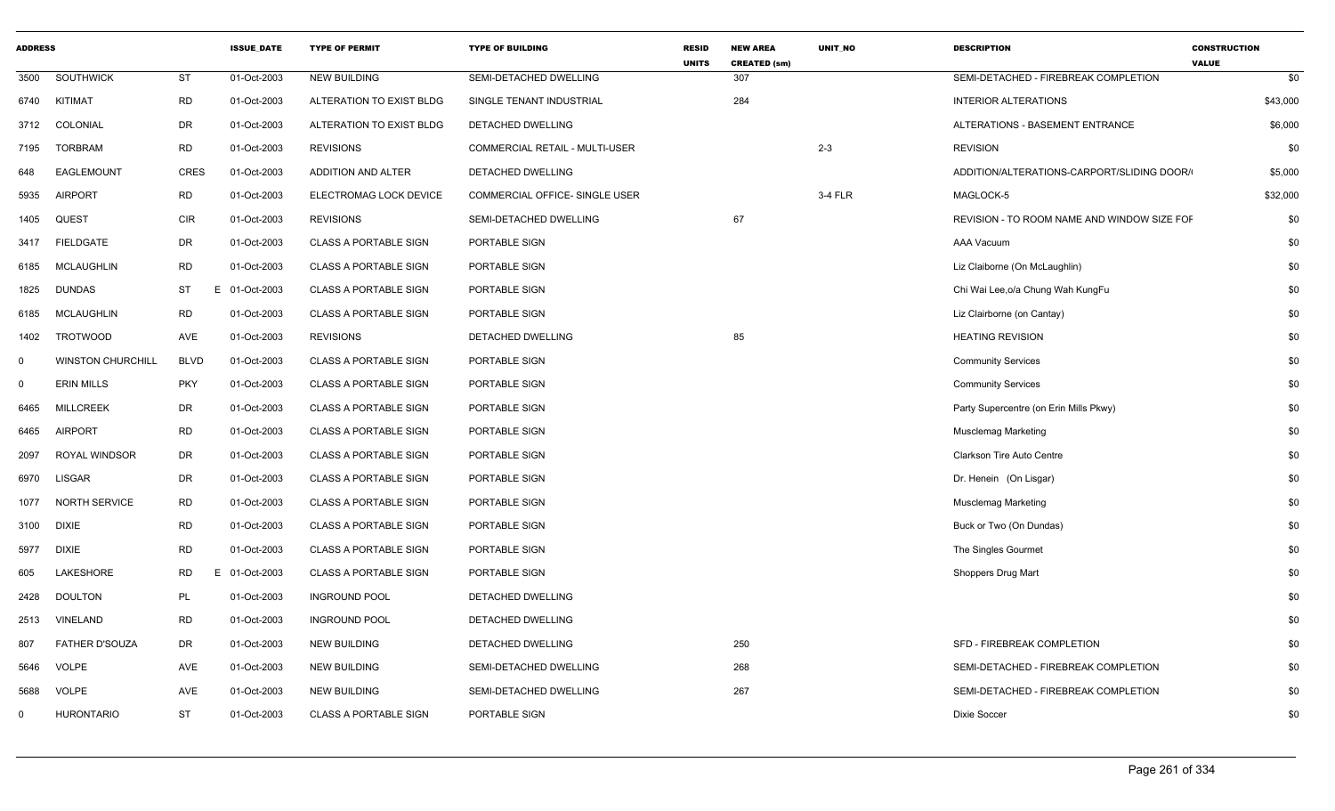| <b>ADDRESS</b> |                          |                 | <b>ISSUE DATE</b> | <b>TYPE OF PERMIT</b>        | <b>TYPE OF BUILDING</b>        | <b>RESID</b><br><b>UNITS</b> | <b>NEW AREA</b><br><b>CREATED (sm)</b> | <b>UNIT NO</b> | <b>DESCRIPTION</b>                          | <b>CONSTRUCTION</b><br><b>VALUE</b> |
|----------------|--------------------------|-----------------|-------------------|------------------------------|--------------------------------|------------------------------|----------------------------------------|----------------|---------------------------------------------|-------------------------------------|
| 3500           | <b>SOUTHWICK</b>         | ST              | 01-Oct-2003       | <b>NEW BUILDING</b>          | SEMI-DETACHED DWELLING         |                              | 307                                    |                | SEMI-DETACHED - FIREBREAK COMPLETION        | \$0                                 |
| 6740           | KITIMAT                  | <b>RD</b>       | 01-Oct-2003       | ALTERATION TO EXIST BLDG     | SINGLE TENANT INDUSTRIAL       |                              | 284                                    |                | <b>INTERIOR ALTERATIONS</b>                 | \$43,000                            |
| 3712           | COLONIAL                 | DR              | 01-Oct-2003       | ALTERATION TO EXIST BLDG     | DETACHED DWELLING              |                              |                                        |                | ALTERATIONS - BASEMENT ENTRANCE             | \$6,000                             |
| 7195           | <b>TORBRAM</b>           | <b>RD</b>       | 01-Oct-2003       | <b>REVISIONS</b>             | COMMERCIAL RETAIL - MULTI-USER |                              |                                        | $2 - 3$        | <b>REVISION</b>                             | \$0                                 |
| 648            | EAGLEMOUNT               | <b>CRES</b>     | 01-Oct-2003       | <b>ADDITION AND ALTER</b>    | <b>DETACHED DWELLING</b>       |                              |                                        |                | ADDITION/ALTERATIONS-CARPORT/SLIDING DOOR/  | \$5,000                             |
| 5935           | <b>AIRPORT</b>           | <b>RD</b>       | 01-Oct-2003       | ELECTROMAG LOCK DEVICE       | COMMERCIAL OFFICE- SINGLE USER |                              |                                        | 3-4 FLR        | MAGLOCK-5                                   | \$32,000                            |
| 1405           | QUEST                    | CIR             | 01-Oct-2003       | <b>REVISIONS</b>             | SEMI-DETACHED DWELLING         |                              | 67                                     |                | REVISION - TO ROOM NAME AND WINDOW SIZE FOF | \$0                                 |
| 3417           | <b>FIELDGATE</b>         | DR              | 01-Oct-2003       | <b>CLASS A PORTABLE SIGN</b> | PORTABLE SIGN                  |                              |                                        |                | AAA Vacuum                                  | \$0                                 |
| 6185           | <b>MCLAUGHLIN</b>        | <b>RD</b>       | 01-Oct-2003       | <b>CLASS A PORTABLE SIGN</b> | PORTABLE SIGN                  |                              |                                        |                | Liz Claiborne (On McLaughlin)               | \$0                                 |
| 1825           | <b>DUNDAS</b>            | <b>ST</b><br>Е  | 01-Oct-2003       | <b>CLASS A PORTABLE SIGN</b> | PORTABLE SIGN                  |                              |                                        |                | Chi Wai Lee, o/a Chung Wah KungFu           | \$0                                 |
| 6185           | <b>MCLAUGHLIN</b>        | <b>RD</b>       | 01-Oct-2003       | <b>CLASS A PORTABLE SIGN</b> | PORTABLE SIGN                  |                              |                                        |                | Liz Clairborne (on Cantay)                  | \$0                                 |
| 1402           | <b>TROTWOOD</b>          | AVE             | 01-Oct-2003       | <b>REVISIONS</b>             | DETACHED DWELLING              |                              | 85                                     |                | <b>HEATING REVISION</b>                     | \$0                                 |
| $\mathbf 0$    | <b>WINSTON CHURCHILL</b> | <b>BLVD</b>     | 01-Oct-2003       | <b>CLASS A PORTABLE SIGN</b> | PORTABLE SIGN                  |                              |                                        |                | <b>Community Services</b>                   | \$0                                 |
| $\mathbf 0$    | <b>ERIN MILLS</b>        | <b>PKY</b>      | 01-Oct-2003       | <b>CLASS A PORTABLE SIGN</b> | PORTABLE SIGN                  |                              |                                        |                | <b>Community Services</b>                   | \$0                                 |
| 6465           | <b>MILLCREEK</b>         | DR              | 01-Oct-2003       | <b>CLASS A PORTABLE SIGN</b> | PORTABLE SIGN                  |                              |                                        |                | Party Supercentre (on Erin Mills Pkwy)      | \$0                                 |
| 6465           | AIRPORT                  | <b>RD</b>       | 01-Oct-2003       | <b>CLASS A PORTABLE SIGN</b> | PORTABLE SIGN                  |                              |                                        |                | <b>Musclemag Marketing</b>                  | \$0                                 |
| 2097           | <b>ROYAL WINDSOR</b>     | DR              | 01-Oct-2003       | <b>CLASS A PORTABLE SIGN</b> | PORTABLE SIGN                  |                              |                                        |                | <b>Clarkson Tire Auto Centre</b>            | \$0                                 |
| 6970           | LISGAR                   | DR              | 01-Oct-2003       | <b>CLASS A PORTABLE SIGN</b> | PORTABLE SIGN                  |                              |                                        |                | Dr. Henein (On Lisgar)                      | \$0                                 |
| 1077           | <b>NORTH SERVICE</b>     | <b>RD</b>       | 01-Oct-2003       | <b>CLASS A PORTABLE SIGN</b> | PORTABLE SIGN                  |                              |                                        |                | <b>Musclemag Marketing</b>                  | \$0                                 |
| 3100           | <b>DIXIE</b>             | <b>RD</b>       | 01-Oct-2003       | <b>CLASS A PORTABLE SIGN</b> | PORTABLE SIGN                  |                              |                                        |                | Buck or Two (On Dundas)                     | \$0                                 |
| 5977           | <b>DIXIE</b>             | <b>RD</b>       | 01-Oct-2003       | <b>CLASS A PORTABLE SIGN</b> | PORTABLE SIGN                  |                              |                                        |                | The Singles Gourmet                         | \$0                                 |
| 605            | LAKESHORE                | <b>RD</b><br>F. | 01-Oct-2003       | <b>CLASS A PORTABLE SIGN</b> | PORTABLE SIGN                  |                              |                                        |                | Shoppers Drug Mart                          | \$0                                 |
| 2428           | <b>DOULTON</b>           | PL              | 01-Oct-2003       | <b>INGROUND POOL</b>         | DETACHED DWELLING              |                              |                                        |                |                                             | \$0                                 |
| 2513           | VINELAND                 | <b>RD</b>       | 01-Oct-2003       | <b>INGROUND POOL</b>         | DETACHED DWELLING              |                              |                                        |                |                                             | \$0                                 |
| 807            | FATHER D'SOUZA           | DR              | 01-Oct-2003       | <b>NEW BUILDING</b>          | DETACHED DWELLING              |                              | 250                                    |                | SFD - FIREBREAK COMPLETION                  | \$0                                 |
| 5646           | VOLPE                    | AVE             | 01-Oct-2003       | <b>NEW BUILDING</b>          | SEMI-DETACHED DWELLING         |                              | 268                                    |                | SEMI-DETACHED - FIREBREAK COMPLETION        | \$0                                 |
| 5688           | <b>VOLPE</b>             | AVE             | 01-Oct-2003       | <b>NEW BUILDING</b>          | SEMI-DETACHED DWELLING         |                              | 267                                    |                | SEMI-DETACHED - FIREBREAK COMPLETION        | \$0                                 |
| $\mathbf{0}$   | <b>HURONTARIO</b>        | <b>ST</b>       | 01-Oct-2003       | <b>CLASS A PORTABLE SIGN</b> | PORTABLE SIGN                  |                              |                                        |                | Dixie Soccer                                | \$0                                 |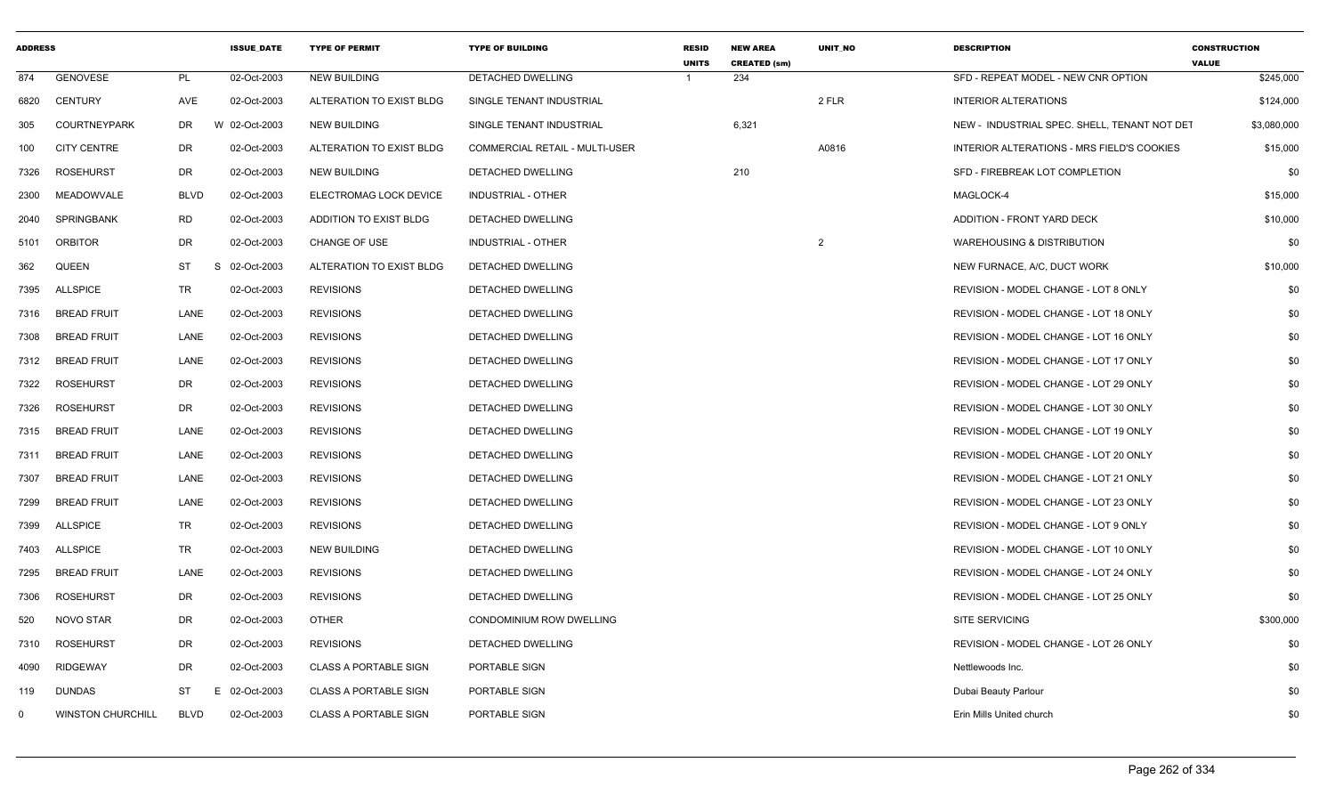| <b>UNITS</b><br><b>CREATED (sm)</b><br>874<br><b>GENOVESE</b><br>PL<br>02-Oct-2003<br><b>NEW BUILDING</b><br>DETACHED DWELLING<br>234<br>-1<br><b>CENTURY</b><br>AVE<br>02-Oct-2003<br>2 FLR<br>6820<br>ALTERATION TO EXIST BLDG<br>SINGLE TENANT INDUSTRIAL<br>6,321<br><b>COURTNEYPARK</b><br><b>DR</b><br>W 02-Oct-2003<br>305<br><b>NEW BUILDING</b><br>SINGLE TENANT INDUSTRIAL<br><b>CITY CENTRE</b><br>DR<br>02-Oct-2003<br>ALTERATION TO EXIST BLDG<br>A0816<br>100<br>COMMERCIAL RETAIL - MULTI-USER<br><b>ROSEHURST</b><br>DR<br>02-Oct-2003<br>210<br><b>NEW BUILDING</b><br>DETACHED DWELLING<br>7326<br><b>MEADOWVALE</b><br><b>BLVD</b><br>02-Oct-2003<br>ELECTROMAG LOCK DEVICE<br><b>INDUSTRIAL - OTHER</b><br>2300<br><b>RD</b><br><b>SPRINGBANK</b><br>02-Oct-2003<br>ADDITION TO EXIST BLDG<br>2040<br>DETACHED DWELLING<br>DR<br>$\overline{2}$<br><b>ORBITOR</b><br>02-Oct-2003<br><b>CHANGE OF USE</b><br>INDUSTRIAL - OTHER<br>5101<br><b>ST</b><br><b>QUEEN</b><br>S.<br>02-Oct-2003<br>ALTERATION TO EXIST BLDG<br><b>DETACHED DWELLING</b><br>362<br><b>TR</b><br><b>ALLSPICE</b><br>02-Oct-2003<br><b>REVISIONS</b><br><b>DETACHED DWELLING</b><br>7395<br><b>BREAD FRUIT</b><br>LANE<br>02-Oct-2003<br><b>REVISIONS</b><br>DETACHED DWELLING<br>7316<br><b>BREAD FRUIT</b><br>LANE<br>02-Oct-2003<br><b>REVISIONS</b><br>DETACHED DWELLING<br>7308<br><b>BREAD FRUIT</b><br>LANE<br>02-Oct-2003<br><b>REVISIONS</b><br>DETACHED DWELLING<br>7312<br><b>ROSEHURST</b><br><b>DR</b><br>02-Oct-2003<br><b>REVISIONS</b><br><b>DETACHED DWELLING</b><br>7322<br><b>DR</b><br><b>ROSEHURST</b><br>02-Oct-2003<br><b>REVISIONS</b><br>DETACHED DWELLING<br>7326<br><b>BREAD FRUIT</b><br>LANE<br>02-Oct-2003<br>7315<br><b>REVISIONS</b><br>DETACHED DWELLING<br><b>BREAD FRUIT</b><br>LANE<br>02-Oct-2003<br><b>REVISIONS</b><br>DETACHED DWELLING<br>7311<br>LANE<br><b>BREAD FRUIT</b><br>02-Oct-2003<br><b>REVISIONS</b><br>DETACHED DWELLING<br>7307<br>LANE<br><b>BREAD FRUIT</b><br>02-Oct-2003<br><b>REVISIONS</b><br>DETACHED DWELLING<br>7299<br><b>TR</b><br><b>ALLSPICE</b><br><b>REVISIONS</b><br>7399<br>02-Oct-2003<br>DETACHED DWELLING<br><b>ALLSPICE</b><br>TR<br>02-Oct-2003<br><b>NEW BUILDING</b><br>DETACHED DWELLING<br>7403<br>LANE<br>7295<br><b>BREAD FRUIT</b><br>02-Oct-2003<br><b>REVISIONS</b><br>DETACHED DWELLING<br><b>ROSEHURST</b><br>DR<br>02-Oct-2003<br><b>REVISIONS</b><br>DETACHED DWELLING<br>7306<br>NOVO STAR<br><b>DR</b><br>02-Oct-2003<br><b>OTHER</b><br>CONDOMINIUM ROW DWELLING<br>520 | <b>DESCRIPTION</b>                           | <b>CONSTRUCTION</b><br><b>VALUE</b> |
|---------------------------------------------------------------------------------------------------------------------------------------------------------------------------------------------------------------------------------------------------------------------------------------------------------------------------------------------------------------------------------------------------------------------------------------------------------------------------------------------------------------------------------------------------------------------------------------------------------------------------------------------------------------------------------------------------------------------------------------------------------------------------------------------------------------------------------------------------------------------------------------------------------------------------------------------------------------------------------------------------------------------------------------------------------------------------------------------------------------------------------------------------------------------------------------------------------------------------------------------------------------------------------------------------------------------------------------------------------------------------------------------------------------------------------------------------------------------------------------------------------------------------------------------------------------------------------------------------------------------------------------------------------------------------------------------------------------------------------------------------------------------------------------------------------------------------------------------------------------------------------------------------------------------------------------------------------------------------------------------------------------------------------------------------------------------------------------------------------------------------------------------------------------------------------------------------------------------------------------------------------------------------------------------------------------------------------------------------------------------------------------------------------------------------------------------------------------------------------------------------------------------------------------------------------------|----------------------------------------------|-------------------------------------|
|                                                                                                                                                                                                                                                                                                                                                                                                                                                                                                                                                                                                                                                                                                                                                                                                                                                                                                                                                                                                                                                                                                                                                                                                                                                                                                                                                                                                                                                                                                                                                                                                                                                                                                                                                                                                                                                                                                                                                                                                                                                                                                                                                                                                                                                                                                                                                                                                                                                                                                                                                               | SFD - REPEAT MODEL - NEW CNR OPTION          | \$245,000                           |
|                                                                                                                                                                                                                                                                                                                                                                                                                                                                                                                                                                                                                                                                                                                                                                                                                                                                                                                                                                                                                                                                                                                                                                                                                                                                                                                                                                                                                                                                                                                                                                                                                                                                                                                                                                                                                                                                                                                                                                                                                                                                                                                                                                                                                                                                                                                                                                                                                                                                                                                                                               | <b>INTERIOR ALTERATIONS</b>                  | \$124,000                           |
|                                                                                                                                                                                                                                                                                                                                                                                                                                                                                                                                                                                                                                                                                                                                                                                                                                                                                                                                                                                                                                                                                                                                                                                                                                                                                                                                                                                                                                                                                                                                                                                                                                                                                                                                                                                                                                                                                                                                                                                                                                                                                                                                                                                                                                                                                                                                                                                                                                                                                                                                                               | NEW - INDUSTRIAL SPEC. SHELL, TENANT NOT DET | \$3,080,000                         |
|                                                                                                                                                                                                                                                                                                                                                                                                                                                                                                                                                                                                                                                                                                                                                                                                                                                                                                                                                                                                                                                                                                                                                                                                                                                                                                                                                                                                                                                                                                                                                                                                                                                                                                                                                                                                                                                                                                                                                                                                                                                                                                                                                                                                                                                                                                                                                                                                                                                                                                                                                               | INTERIOR ALTERATIONS - MRS FIELD'S COOKIES   | \$15,000                            |
|                                                                                                                                                                                                                                                                                                                                                                                                                                                                                                                                                                                                                                                                                                                                                                                                                                                                                                                                                                                                                                                                                                                                                                                                                                                                                                                                                                                                                                                                                                                                                                                                                                                                                                                                                                                                                                                                                                                                                                                                                                                                                                                                                                                                                                                                                                                                                                                                                                                                                                                                                               | SFD - FIREBREAK LOT COMPLETION               | \$0                                 |
|                                                                                                                                                                                                                                                                                                                                                                                                                                                                                                                                                                                                                                                                                                                                                                                                                                                                                                                                                                                                                                                                                                                                                                                                                                                                                                                                                                                                                                                                                                                                                                                                                                                                                                                                                                                                                                                                                                                                                                                                                                                                                                                                                                                                                                                                                                                                                                                                                                                                                                                                                               | MAGLOCK-4                                    | \$15,000                            |
|                                                                                                                                                                                                                                                                                                                                                                                                                                                                                                                                                                                                                                                                                                                                                                                                                                                                                                                                                                                                                                                                                                                                                                                                                                                                                                                                                                                                                                                                                                                                                                                                                                                                                                                                                                                                                                                                                                                                                                                                                                                                                                                                                                                                                                                                                                                                                                                                                                                                                                                                                               | ADDITION - FRONT YARD DECK                   | \$10,000                            |
|                                                                                                                                                                                                                                                                                                                                                                                                                                                                                                                                                                                                                                                                                                                                                                                                                                                                                                                                                                                                                                                                                                                                                                                                                                                                                                                                                                                                                                                                                                                                                                                                                                                                                                                                                                                                                                                                                                                                                                                                                                                                                                                                                                                                                                                                                                                                                                                                                                                                                                                                                               | <b>WAREHOUSING &amp; DISTRIBUTION</b>        | \$0                                 |
|                                                                                                                                                                                                                                                                                                                                                                                                                                                                                                                                                                                                                                                                                                                                                                                                                                                                                                                                                                                                                                                                                                                                                                                                                                                                                                                                                                                                                                                                                                                                                                                                                                                                                                                                                                                                                                                                                                                                                                                                                                                                                                                                                                                                                                                                                                                                                                                                                                                                                                                                                               | NEW FURNACE, A/C, DUCT WORK                  | \$10,000                            |
|                                                                                                                                                                                                                                                                                                                                                                                                                                                                                                                                                                                                                                                                                                                                                                                                                                                                                                                                                                                                                                                                                                                                                                                                                                                                                                                                                                                                                                                                                                                                                                                                                                                                                                                                                                                                                                                                                                                                                                                                                                                                                                                                                                                                                                                                                                                                                                                                                                                                                                                                                               | REVISION - MODEL CHANGE - LOT 8 ONLY         | \$0                                 |
|                                                                                                                                                                                                                                                                                                                                                                                                                                                                                                                                                                                                                                                                                                                                                                                                                                                                                                                                                                                                                                                                                                                                                                                                                                                                                                                                                                                                                                                                                                                                                                                                                                                                                                                                                                                                                                                                                                                                                                                                                                                                                                                                                                                                                                                                                                                                                                                                                                                                                                                                                               | REVISION - MODEL CHANGE - LOT 18 ONLY        | \$0                                 |
|                                                                                                                                                                                                                                                                                                                                                                                                                                                                                                                                                                                                                                                                                                                                                                                                                                                                                                                                                                                                                                                                                                                                                                                                                                                                                                                                                                                                                                                                                                                                                                                                                                                                                                                                                                                                                                                                                                                                                                                                                                                                                                                                                                                                                                                                                                                                                                                                                                                                                                                                                               | REVISION - MODEL CHANGE - LOT 16 ONLY        | \$0                                 |
|                                                                                                                                                                                                                                                                                                                                                                                                                                                                                                                                                                                                                                                                                                                                                                                                                                                                                                                                                                                                                                                                                                                                                                                                                                                                                                                                                                                                                                                                                                                                                                                                                                                                                                                                                                                                                                                                                                                                                                                                                                                                                                                                                                                                                                                                                                                                                                                                                                                                                                                                                               | REVISION - MODEL CHANGE - LOT 17 ONLY        | \$0                                 |
|                                                                                                                                                                                                                                                                                                                                                                                                                                                                                                                                                                                                                                                                                                                                                                                                                                                                                                                                                                                                                                                                                                                                                                                                                                                                                                                                                                                                                                                                                                                                                                                                                                                                                                                                                                                                                                                                                                                                                                                                                                                                                                                                                                                                                                                                                                                                                                                                                                                                                                                                                               | REVISION - MODEL CHANGE - LOT 29 ONLY        | \$0                                 |
|                                                                                                                                                                                                                                                                                                                                                                                                                                                                                                                                                                                                                                                                                                                                                                                                                                                                                                                                                                                                                                                                                                                                                                                                                                                                                                                                                                                                                                                                                                                                                                                                                                                                                                                                                                                                                                                                                                                                                                                                                                                                                                                                                                                                                                                                                                                                                                                                                                                                                                                                                               | REVISION - MODEL CHANGE - LOT 30 ONLY        | \$0                                 |
|                                                                                                                                                                                                                                                                                                                                                                                                                                                                                                                                                                                                                                                                                                                                                                                                                                                                                                                                                                                                                                                                                                                                                                                                                                                                                                                                                                                                                                                                                                                                                                                                                                                                                                                                                                                                                                                                                                                                                                                                                                                                                                                                                                                                                                                                                                                                                                                                                                                                                                                                                               | REVISION - MODEL CHANGE - LOT 19 ONLY        | \$0                                 |
|                                                                                                                                                                                                                                                                                                                                                                                                                                                                                                                                                                                                                                                                                                                                                                                                                                                                                                                                                                                                                                                                                                                                                                                                                                                                                                                                                                                                                                                                                                                                                                                                                                                                                                                                                                                                                                                                                                                                                                                                                                                                                                                                                                                                                                                                                                                                                                                                                                                                                                                                                               | REVISION - MODEL CHANGE - LOT 20 ONLY        | \$0                                 |
|                                                                                                                                                                                                                                                                                                                                                                                                                                                                                                                                                                                                                                                                                                                                                                                                                                                                                                                                                                                                                                                                                                                                                                                                                                                                                                                                                                                                                                                                                                                                                                                                                                                                                                                                                                                                                                                                                                                                                                                                                                                                                                                                                                                                                                                                                                                                                                                                                                                                                                                                                               | REVISION - MODEL CHANGE - LOT 21 ONLY        | \$0                                 |
|                                                                                                                                                                                                                                                                                                                                                                                                                                                                                                                                                                                                                                                                                                                                                                                                                                                                                                                                                                                                                                                                                                                                                                                                                                                                                                                                                                                                                                                                                                                                                                                                                                                                                                                                                                                                                                                                                                                                                                                                                                                                                                                                                                                                                                                                                                                                                                                                                                                                                                                                                               | REVISION - MODEL CHANGE - LOT 23 ONLY        | \$0                                 |
|                                                                                                                                                                                                                                                                                                                                                                                                                                                                                                                                                                                                                                                                                                                                                                                                                                                                                                                                                                                                                                                                                                                                                                                                                                                                                                                                                                                                                                                                                                                                                                                                                                                                                                                                                                                                                                                                                                                                                                                                                                                                                                                                                                                                                                                                                                                                                                                                                                                                                                                                                               | REVISION - MODEL CHANGE - LOT 9 ONLY         | \$0                                 |
|                                                                                                                                                                                                                                                                                                                                                                                                                                                                                                                                                                                                                                                                                                                                                                                                                                                                                                                                                                                                                                                                                                                                                                                                                                                                                                                                                                                                                                                                                                                                                                                                                                                                                                                                                                                                                                                                                                                                                                                                                                                                                                                                                                                                                                                                                                                                                                                                                                                                                                                                                               | REVISION - MODEL CHANGE - LOT 10 ONLY        | \$0                                 |
|                                                                                                                                                                                                                                                                                                                                                                                                                                                                                                                                                                                                                                                                                                                                                                                                                                                                                                                                                                                                                                                                                                                                                                                                                                                                                                                                                                                                                                                                                                                                                                                                                                                                                                                                                                                                                                                                                                                                                                                                                                                                                                                                                                                                                                                                                                                                                                                                                                                                                                                                                               | REVISION - MODEL CHANGE - LOT 24 ONLY        | \$0                                 |
|                                                                                                                                                                                                                                                                                                                                                                                                                                                                                                                                                                                                                                                                                                                                                                                                                                                                                                                                                                                                                                                                                                                                                                                                                                                                                                                                                                                                                                                                                                                                                                                                                                                                                                                                                                                                                                                                                                                                                                                                                                                                                                                                                                                                                                                                                                                                                                                                                                                                                                                                                               | REVISION - MODEL CHANGE - LOT 25 ONLY        | \$0                                 |
|                                                                                                                                                                                                                                                                                                                                                                                                                                                                                                                                                                                                                                                                                                                                                                                                                                                                                                                                                                                                                                                                                                                                                                                                                                                                                                                                                                                                                                                                                                                                                                                                                                                                                                                                                                                                                                                                                                                                                                                                                                                                                                                                                                                                                                                                                                                                                                                                                                                                                                                                                               | SITE SERVICING                               | \$300,000                           |
| <b>ROSEHURST</b><br><b>DR</b><br>7310<br>02-Oct-2003<br><b>REVISIONS</b><br>DETACHED DWELLING                                                                                                                                                                                                                                                                                                                                                                                                                                                                                                                                                                                                                                                                                                                                                                                                                                                                                                                                                                                                                                                                                                                                                                                                                                                                                                                                                                                                                                                                                                                                                                                                                                                                                                                                                                                                                                                                                                                                                                                                                                                                                                                                                                                                                                                                                                                                                                                                                                                                 | REVISION - MODEL CHANGE - LOT 26 ONLY        | \$0                                 |
| <b>RIDGEWAY</b><br><b>DR</b><br>02-Oct-2003<br><b>CLASS A PORTABLE SIGN</b><br>PORTABLE SIGN<br>4090                                                                                                                                                                                                                                                                                                                                                                                                                                                                                                                                                                                                                                                                                                                                                                                                                                                                                                                                                                                                                                                                                                                                                                                                                                                                                                                                                                                                                                                                                                                                                                                                                                                                                                                                                                                                                                                                                                                                                                                                                                                                                                                                                                                                                                                                                                                                                                                                                                                          | Nettlewoods Inc.                             | \$0                                 |
| <b>DUNDAS</b><br>ST<br>02-Oct-2003<br><b>CLASS A PORTABLE SIGN</b><br>PORTABLE SIGN<br>119<br>E                                                                                                                                                                                                                                                                                                                                                                                                                                                                                                                                                                                                                                                                                                                                                                                                                                                                                                                                                                                                                                                                                                                                                                                                                                                                                                                                                                                                                                                                                                                                                                                                                                                                                                                                                                                                                                                                                                                                                                                                                                                                                                                                                                                                                                                                                                                                                                                                                                                               | Dubai Beauty Parlour                         | \$0                                 |
| <b>WINSTON CHURCHILL</b><br><b>BLVD</b><br>02-Oct-2003<br><b>CLASS A PORTABLE SIGN</b><br>PORTABLE SIGN<br>0                                                                                                                                                                                                                                                                                                                                                                                                                                                                                                                                                                                                                                                                                                                                                                                                                                                                                                                                                                                                                                                                                                                                                                                                                                                                                                                                                                                                                                                                                                                                                                                                                                                                                                                                                                                                                                                                                                                                                                                                                                                                                                                                                                                                                                                                                                                                                                                                                                                  | Erin Mills United church                     | \$0                                 |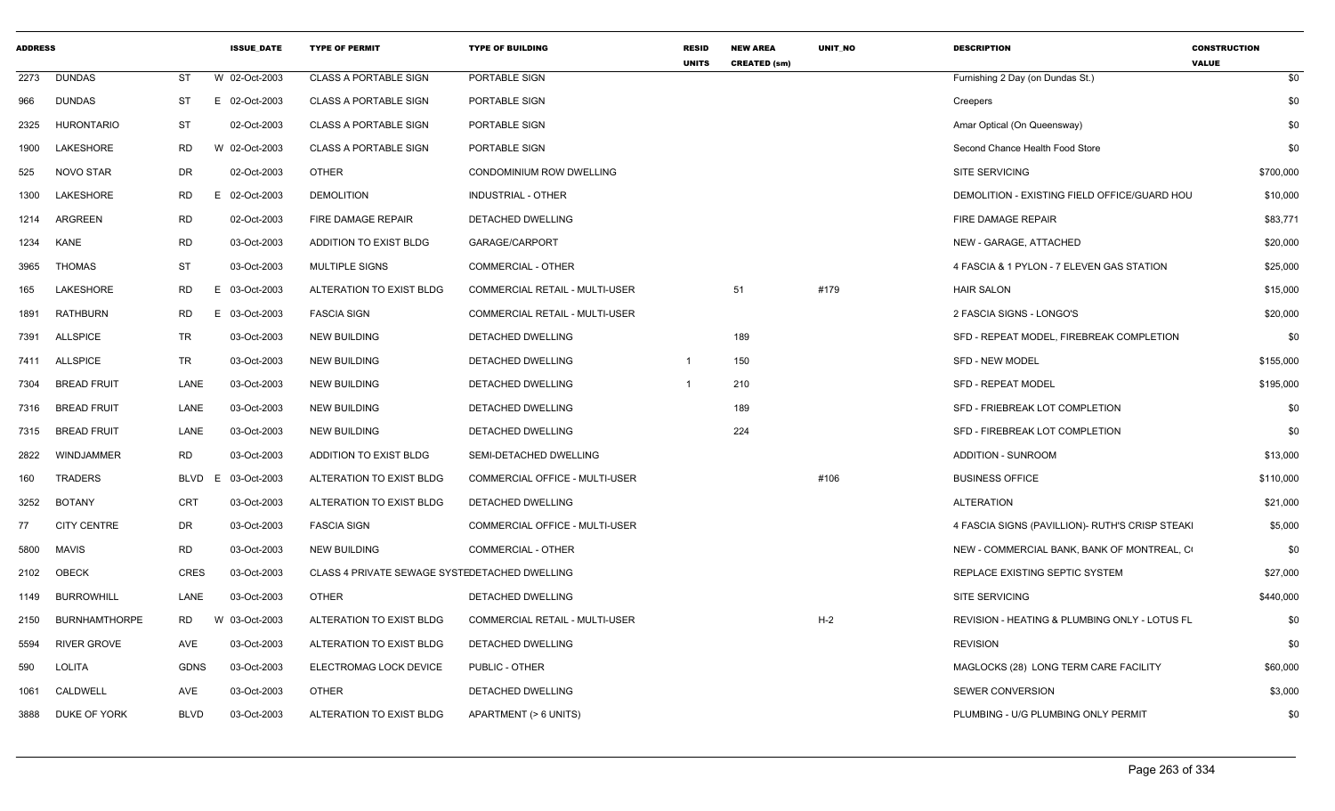| <b>ADDRESS</b> |                      |             | <b>ISSUE DATE</b> | <b>TYPE OF PERMIT</b>                         | <b>TYPE OF BUILDING</b>        | <b>RESID</b><br><b>UNITS</b> | <b>NEW AREA</b><br><b>CREATED (sm)</b> | <b>UNIT NO</b> | <b>DESCRIPTION</b>                              | <b>CONSTRUCTION</b><br><b>VALUE</b> |
|----------------|----------------------|-------------|-------------------|-----------------------------------------------|--------------------------------|------------------------------|----------------------------------------|----------------|-------------------------------------------------|-------------------------------------|
| 2273           | <b>DUNDAS</b>        | ST          | W 02-Oct-2003     | <b>CLASS A PORTABLE SIGN</b>                  | PORTABLE SIGN                  |                              |                                        |                | Furnishing 2 Day (on Dundas St.)                | \$0                                 |
| 966            | <b>DUNDAS</b>        | <b>ST</b>   | E 02-Oct-2003     | <b>CLASS A PORTABLE SIGN</b>                  | PORTABLE SIGN                  |                              |                                        |                | Creepers                                        | \$0                                 |
| 2325           | <b>HURONTARIO</b>    | ST          | 02-Oct-2003       | <b>CLASS A PORTABLE SIGN</b>                  | PORTABLE SIGN                  |                              |                                        |                | Amar Optical (On Queensway)                     | \$0                                 |
| 1900           | LAKESHORE            | RD          | W 02-Oct-2003     | <b>CLASS A PORTABLE SIGN</b>                  | PORTABLE SIGN                  |                              |                                        |                | Second Chance Health Food Store                 | \$0                                 |
| 525            | <b>NOVO STAR</b>     | DR          | 02-Oct-2003       | <b>OTHER</b>                                  | CONDOMINIUM ROW DWELLING       |                              |                                        |                | SITE SERVICING                                  | \$700,000                           |
| 1300           | LAKESHORE            | RD          | E 02-Oct-2003     | <b>DEMOLITION</b>                             | <b>INDUSTRIAL - OTHER</b>      |                              |                                        |                | DEMOLITION - EXISTING FIELD OFFICE/GUARD HOU    | \$10,000                            |
| 1214           | <b>ARGREEN</b>       | <b>RD</b>   | 02-Oct-2003       | <b>FIRE DAMAGE REPAIR</b>                     | <b>DETACHED DWELLING</b>       |                              |                                        |                | FIRE DAMAGE REPAIR                              | \$83,771                            |
| 1234           | KANE                 | <b>RD</b>   | 03-Oct-2003       | ADDITION TO EXIST BLDG                        | GARAGE/CARPORT                 |                              |                                        |                | NEW - GARAGE, ATTACHED                          | \$20,000                            |
| 3965           | THOMAS               | ST          | 03-Oct-2003       | MULTIPLE SIGNS                                | COMMERCIAL - OTHER             |                              |                                        |                | 4 FASCIA & 1 PYLON - 7 ELEVEN GAS STATION       | \$25,000                            |
| 165            | LAKESHORE            | <b>RD</b>   | E 03-Oct-2003     | ALTERATION TO EXIST BLDG                      | COMMERCIAL RETAIL - MULTI-USER |                              | 51                                     | #179           | <b>HAIR SALON</b>                               | \$15,000                            |
| 1891           | <b>RATHBURN</b>      | <b>RD</b>   | E 03-Oct-2003     | <b>FASCIA SIGN</b>                            | COMMERCIAL RETAIL - MULTI-USER |                              |                                        |                | 2 FASCIA SIGNS - LONGO'S                        | \$20,000                            |
| 7391           | <b>ALLSPICE</b>      | TR          | 03-Oct-2003       | <b>NEW BUILDING</b>                           | DETACHED DWELLING              |                              | 189                                    |                | SFD - REPEAT MODEL, FIREBREAK COMPLETION        | \$0                                 |
| 7411           | <b>ALLSPICE</b>      | TR          | 03-Oct-2003       | <b>NEW BUILDING</b>                           | DETACHED DWELLING              |                              | 150                                    |                | <b>SFD - NEW MODEL</b>                          | \$155,000                           |
| 7304           | <b>BREAD FRUIT</b>   | LANE        | 03-Oct-2003       | <b>NEW BUILDING</b>                           | DETACHED DWELLING              | -1                           | 210                                    |                | <b>SFD - REPEAT MODEL</b>                       | \$195,000                           |
| 7316           | <b>BREAD FRUIT</b>   | LANE        | 03-Oct-2003       | <b>NEW BUILDING</b>                           | DETACHED DWELLING              |                              | 189                                    |                | SFD - FRIEBREAK LOT COMPLETION                  | \$0                                 |
| 7315           | <b>BREAD FRUIT</b>   | LANE        | 03-Oct-2003       | <b>NEW BUILDING</b>                           | DETACHED DWELLING              |                              | 224                                    |                | SFD - FIREBREAK LOT COMPLETION                  | \$0                                 |
| 2822           | WINDJAMMER           | RD          | 03-Oct-2003       | ADDITION TO EXIST BLDG                        | SEMI-DETACHED DWELLING         |                              |                                        |                | <b>ADDITION - SUNROOM</b>                       | \$13,000                            |
| 160            | TRADERS              | <b>BLVD</b> | 03-Oct-2003<br>E. | ALTERATION TO EXIST BLDG                      | COMMERCIAL OFFICE - MULTI-USER |                              |                                        | #106           | <b>BUSINESS OFFICE</b>                          | \$110,000                           |
| 3252           | <b>BOTANY</b>        | CRT         | 03-Oct-2003       | ALTERATION TO EXIST BLDG                      | DETACHED DWELLING              |                              |                                        |                | <b>ALTERATION</b>                               | \$21,000                            |
| 77             | <b>CITY CENTRE</b>   | DR          | 03-Oct-2003       | <b>FASCIA SIGN</b>                            | COMMERCIAL OFFICE - MULTI-USER |                              |                                        |                | 4 FASCIA SIGNS (PAVILLION)- RUTH'S CRISP STEAKI | \$5,000                             |
| 5800           | <b>MAVIS</b>         | <b>RD</b>   | 03-Oct-2003       | <b>NEW BUILDING</b>                           | COMMERCIAL - OTHER             |                              |                                        |                | NEW - COMMERCIAL BANK, BANK OF MONTREAL, C      | \$0                                 |
| 2102           | OBECK                | <b>CRES</b> | 03-Oct-2003       | CLASS 4 PRIVATE SEWAGE SYSTEDETACHED DWELLING |                                |                              |                                        |                | REPLACE EXISTING SEPTIC SYSTEM                  | \$27,000                            |
| 1149           | <b>BURROWHILL</b>    | LANE        | 03-Oct-2003       | <b>OTHER</b>                                  | DETACHED DWELLING              |                              |                                        |                | <b>SITE SERVICING</b>                           | \$440,000                           |
| 2150           | <b>BURNHAMTHORPE</b> | <b>RD</b>   | W 03-Oct-2003     | ALTERATION TO EXIST BLDG                      | COMMERCIAL RETAIL - MULTI-USER |                              |                                        | $H-2$          | REVISION - HEATING & PLUMBING ONLY - LOTUS FL   | \$0                                 |
| 5594           | <b>RIVER GROVE</b>   | AVE         | 03-Oct-2003       | ALTERATION TO EXIST BLDG                      | DETACHED DWELLING              |                              |                                        |                | <b>REVISION</b>                                 | \$0                                 |
| 590            | LOLITA               | <b>GDNS</b> | 03-Oct-2003       | ELECTROMAG LOCK DEVICE                        | PUBLIC - OTHER                 |                              |                                        |                | MAGLOCKS (28) LONG TERM CARE FACILITY           | \$60,000                            |
| 1061           | CALDWELL             | AVE         | 03-Oct-2003       | <b>OTHER</b>                                  | DETACHED DWELLING              |                              |                                        |                | SEWER CONVERSION                                | \$3,000                             |
| 3888           | DUKE OF YORK         | <b>BLVD</b> | 03-Oct-2003       | ALTERATION TO EXIST BLDG                      | APARTMENT (> 6 UNITS)          |                              |                                        |                | PLUMBING - U/G PLUMBING ONLY PERMIT             | \$0                                 |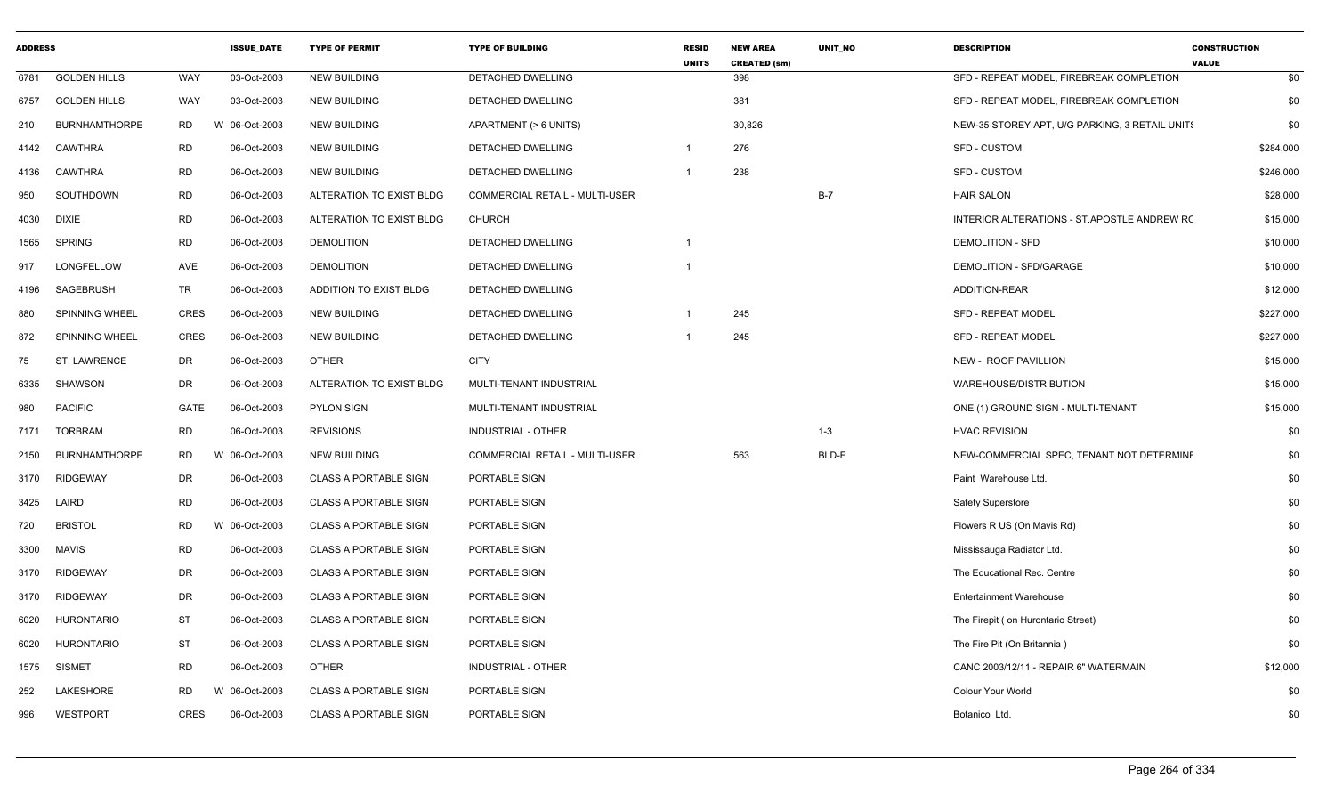| <b>ADDRESS</b> |                       |             | <b>ISSUE DATE</b> | <b>TYPE OF PERMIT</b>        | <b>TYPE OF BUILDING</b>        | <b>RESID</b><br><b>UNITS</b> | <b>NEW AREA</b><br><b>CREATED (sm)</b> | <b>UNIT NO</b> | <b>DESCRIPTION</b>                             | <b>CONSTRUCTION</b><br><b>VALUE</b> |
|----------------|-----------------------|-------------|-------------------|------------------------------|--------------------------------|------------------------------|----------------------------------------|----------------|------------------------------------------------|-------------------------------------|
| 6781           | <b>GOLDEN HILLS</b>   | WAY         | 03-Oct-2003       | <b>NEW BUILDING</b>          | <b>DETACHED DWELLING</b>       |                              | 398                                    |                | SFD - REPEAT MODEL, FIREBREAK COMPLETION       | \$0                                 |
| 6757           | <b>GOLDEN HILLS</b>   | WAY         | 03-Oct-2003       | <b>NEW BUILDING</b>          | DETACHED DWELLING              |                              | 381                                    |                | SFD - REPEAT MODEL, FIREBREAK COMPLETION       | \$0                                 |
| 210            | <b>BURNHAMTHORPE</b>  | <b>RD</b>   | W 06-Oct-2003     | <b>NEW BUILDING</b>          | APARTMENT (> 6 UNITS)          |                              | 30,826                                 |                | NEW-35 STOREY APT, U/G PARKING, 3 RETAIL UNIT! | \$0                                 |
| 4142           | <b>CAWTHRA</b>        | <b>RD</b>   | 06-Oct-2003       | <b>NEW BUILDING</b>          | DETACHED DWELLING              | - 1                          | 276                                    |                | <b>SFD - CUSTOM</b>                            | \$284,000                           |
| 4136           | <b>CAWTHRA</b>        | <b>RD</b>   | 06-Oct-2003       | <b>NEW BUILDING</b>          | <b>DETACHED DWELLING</b>       | $\overline{1}$               | 238                                    |                | <b>SFD - CUSTOM</b>                            | \$246,000                           |
| 950            | SOUTHDOWN             | <b>RD</b>   | 06-Oct-2003       | ALTERATION TO EXIST BLDG     | COMMERCIAL RETAIL - MULTI-USER |                              |                                        | $B-7$          | <b>HAIR SALON</b>                              | \$28,000                            |
| 4030           | <b>DIXIE</b>          | <b>RD</b>   | 06-Oct-2003       | ALTERATION TO EXIST BLDG     | <b>CHURCH</b>                  |                              |                                        |                | INTERIOR ALTERATIONS - ST.APOSTLE ANDREW RO    | \$15,000                            |
| 1565           | <b>SPRING</b>         | <b>RD</b>   | 06-Oct-2003       | <b>DEMOLITION</b>            | <b>DETACHED DWELLING</b>       | $\overline{1}$               |                                        |                | <b>DEMOLITION - SFD</b>                        | \$10,000                            |
| 917            | LONGFELLOW            | AVE         | 06-Oct-2003       | <b>DEMOLITION</b>            | DETACHED DWELLING              | - 1                          |                                        |                | DEMOLITION - SFD/GARAGE                        | \$10,000                            |
| 4196           | SAGEBRUSH             | TR          | 06-Oct-2003       | ADDITION TO EXIST BLDG       | DETACHED DWELLING              |                              |                                        |                | ADDITION-REAR                                  | \$12,000                            |
| 880            | <b>SPINNING WHEEL</b> | <b>CRES</b> | 06-Oct-2003       | <b>NEW BUILDING</b>          | <b>DETACHED DWELLING</b>       |                              | 245                                    |                | SFD - REPEAT MODEL                             | \$227,000                           |
| 872            | SPINNING WHEEL        | <b>CRES</b> | 06-Oct-2003       | <b>NEW BUILDING</b>          | DETACHED DWELLING              |                              | 245                                    |                | <b>SFD - REPEAT MODEL</b>                      | \$227,000                           |
| 75             | <b>ST. LAWRENCE</b>   | DR          | 06-Oct-2003       | OTHER                        | <b>CITY</b>                    |                              |                                        |                | NEW - ROOF PAVILLION                           | \$15,000                            |
| 6335           | <b>SHAWSON</b>        | DR          | 06-Oct-2003       | ALTERATION TO EXIST BLDG     | MULTI-TENANT INDUSTRIAL        |                              |                                        |                | WAREHOUSE/DISTRIBUTION                         | \$15,000                            |
| 980            | <b>PACIFIC</b>        | GATE        | 06-Oct-2003       | <b>PYLON SIGN</b>            | MULTI-TENANT INDUSTRIAL        |                              |                                        |                | ONE (1) GROUND SIGN - MULTI-TENANT             | \$15,000                            |
| 7171           | <b>TORBRAM</b>        | <b>RD</b>   | 06-Oct-2003       | <b>REVISIONS</b>             | <b>INDUSTRIAL - OTHER</b>      |                              |                                        | $1 - 3$        | <b>HVAC REVISION</b>                           | \$0                                 |
| 2150           | <b>BURNHAMTHORPE</b>  | RD          | W 06-Oct-2003     | <b>NEW BUILDING</b>          | COMMERCIAL RETAIL - MULTI-USER |                              | 563                                    | BLD-E          | NEW-COMMERCIAL SPEC, TENANT NOT DETERMINE      | \$0                                 |
| 3170           | <b>RIDGEWAY</b>       | DR          | 06-Oct-2003       | <b>CLASS A PORTABLE SIGN</b> | PORTABLE SIGN                  |                              |                                        |                | Paint Warehouse Ltd.                           | \$0                                 |
| 3425           | LAIRD                 | <b>RD</b>   | 06-Oct-2003       | <b>CLASS A PORTABLE SIGN</b> | PORTABLE SIGN                  |                              |                                        |                | <b>Safety Superstore</b>                       | \$0                                 |
| 720            | <b>BRISTOL</b>        | <b>RD</b>   | W 06-Oct-2003     | <b>CLASS A PORTABLE SIGN</b> | PORTABLE SIGN                  |                              |                                        |                | Flowers R US (On Mavis Rd)                     | \$0                                 |
| 3300           | <b>MAVIS</b>          | <b>RD</b>   | 06-Oct-2003       | <b>CLASS A PORTABLE SIGN</b> | PORTABLE SIGN                  |                              |                                        |                | Mississauga Radiator Ltd.                      | \$0                                 |
| 3170           | <b>RIDGEWAY</b>       | DR          | 06-Oct-2003       | <b>CLASS A PORTABLE SIGN</b> | PORTABLE SIGN                  |                              |                                        |                | The Educational Rec. Centre                    | \$0                                 |
| 3170           | <b>RIDGEWAY</b>       | DR          | 06-Oct-2003       | <b>CLASS A PORTABLE SIGN</b> | PORTABLE SIGN                  |                              |                                        |                | <b>Entertainment Warehouse</b>                 | \$0                                 |
| 6020           | <b>HURONTARIO</b>     | <b>ST</b>   | 06-Oct-2003       | <b>CLASS A PORTABLE SIGN</b> | PORTABLE SIGN                  |                              |                                        |                | The Firepit (on Hurontario Street)             | \$0                                 |
| 6020           | <b>HURONTARIO</b>     | <b>ST</b>   | 06-Oct-2003       | <b>CLASS A PORTABLE SIGN</b> | PORTABLE SIGN                  |                              |                                        |                | The Fire Pit (On Britannia)                    | \$0                                 |
| 1575           | <b>SISMET</b>         | <b>RD</b>   | 06-Oct-2003       | <b>OTHER</b>                 | <b>INDUSTRIAL - OTHER</b>      |                              |                                        |                | CANC 2003/12/11 - REPAIR 6" WATERMAIN          | \$12,000                            |
| 252            | LAKESHORE             | RD.         | W 06-Oct-2003     | <b>CLASS A PORTABLE SIGN</b> | PORTABLE SIGN                  |                              |                                        |                | Colour Your World                              | \$0                                 |
| 996            | <b>WESTPORT</b>       | <b>CRES</b> | 06-Oct-2003       | <b>CLASS A PORTABLE SIGN</b> | PORTABLE SIGN                  |                              |                                        |                | Botanico Ltd.                                  | \$0                                 |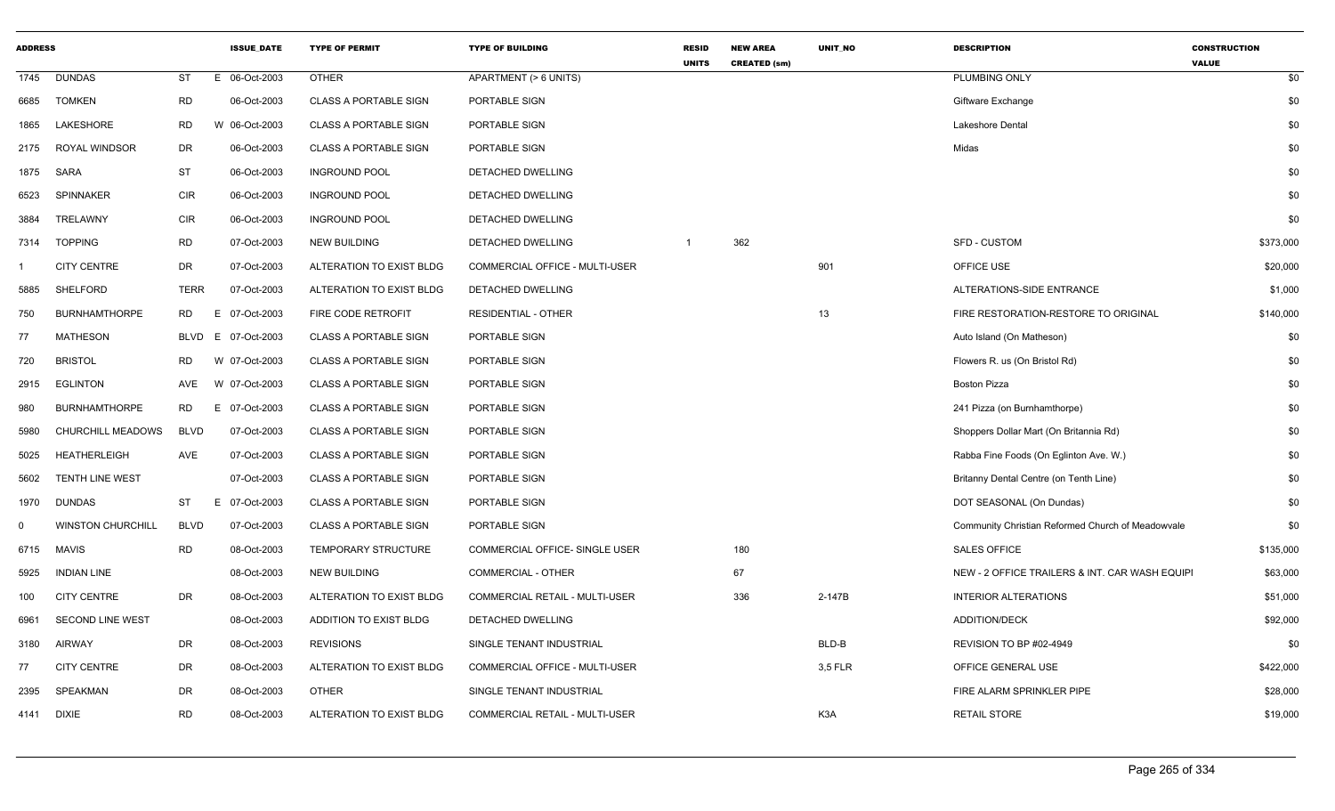| <b>ADDRESS</b> |                          |             | <b>ISSUE DATE</b> | <b>TYPE OF PERMIT</b>        | <b>TYPE OF BUILDING</b>               | <b>RESID</b><br><b>UNITS</b> | <b>NEW AREA</b><br><b>CREATED (sm)</b> | <b>UNIT NO</b>   | <b>DESCRIPTION</b>                                | <b>CONSTRUCTION</b><br><b>VALUE</b> |
|----------------|--------------------------|-------------|-------------------|------------------------------|---------------------------------------|------------------------------|----------------------------------------|------------------|---------------------------------------------------|-------------------------------------|
| 1745           | <b>DUNDAS</b>            | ST          | E 06-Oct-2003     | <b>OTHER</b>                 | APARTMENT (> 6 UNITS)                 |                              |                                        |                  | PLUMBING ONLY                                     | \$0                                 |
| 6685           | <b>TOMKEN</b>            | <b>RD</b>   | 06-Oct-2003       | <b>CLASS A PORTABLE SIGN</b> | PORTABLE SIGN                         |                              |                                        |                  | Giftware Exchange                                 | \$0                                 |
| 1865           | LAKESHORE                | <b>RD</b>   | W 06-Oct-2003     | <b>CLASS A PORTABLE SIGN</b> | PORTABLE SIGN                         |                              |                                        |                  | <b>Lakeshore Dental</b>                           | \$0                                 |
| 2175           | ROYAL WINDSOR            | DR          | 06-Oct-2003       | <b>CLASS A PORTABLE SIGN</b> | PORTABLE SIGN                         |                              |                                        |                  | Midas                                             | \$0                                 |
| 1875           | SARA                     | ST          | 06-Oct-2003       | <b>INGROUND POOL</b>         | DETACHED DWELLING                     |                              |                                        |                  |                                                   | \$0                                 |
| 6523           | SPINNAKER                | <b>CIR</b>  | 06-Oct-2003       | <b>INGROUND POOL</b>         | DETACHED DWELLING                     |                              |                                        |                  |                                                   | \$0                                 |
| 3884           | TRELAWNY                 | <b>CIR</b>  | 06-Oct-2003       | <b>INGROUND POOL</b>         | DETACHED DWELLING                     |                              |                                        |                  |                                                   | \$0                                 |
| 7314           | <b>TOPPING</b>           | <b>RD</b>   | 07-Oct-2003       | <b>NEW BUILDING</b>          | DETACHED DWELLING                     | $\mathbf{1}$                 | 362                                    |                  | <b>SFD - CUSTOM</b>                               | \$373,000                           |
|                | <b>CITY CENTRE</b>       | DR          | 07-Oct-2003       | ALTERATION TO EXIST BLDG     | COMMERCIAL OFFICE - MULTI-USER        |                              |                                        | 901              | OFFICE USE                                        | \$20,000                            |
| 5885           | SHELFORD                 | <b>TERR</b> | 07-Oct-2003       | ALTERATION TO EXIST BLDG     | DETACHED DWELLING                     |                              |                                        |                  | ALTERATIONS-SIDE ENTRANCE                         | \$1,000                             |
| 750            | <b>BURNHAMTHORPE</b>     | RD.         | 07-Oct-2003<br>E  | FIRE CODE RETROFIT           | <b>RESIDENTIAL - OTHER</b>            |                              |                                        | 13               | FIRE RESTORATION-RESTORE TO ORIGINAL              | \$140,000                           |
| 77             | <b>MATHESON</b>          | BLVD        | E 07-Oct-2003     | <b>CLASS A PORTABLE SIGN</b> | PORTABLE SIGN                         |                              |                                        |                  | Auto Island (On Matheson)                         | \$0                                 |
| 720            | <b>BRISTOL</b>           | <b>RD</b>   | W 07-Oct-2003     | <b>CLASS A PORTABLE SIGN</b> | PORTABLE SIGN                         |                              |                                        |                  | Flowers R. us (On Bristol Rd)                     | \$0                                 |
| 2915           | <b>EGLINTON</b>          | AVE         | W 07-Oct-2003     | <b>CLASS A PORTABLE SIGN</b> | PORTABLE SIGN                         |                              |                                        |                  | <b>Boston Pizza</b>                               | \$0                                 |
| 980            | <b>BURNHAMTHORPE</b>     | RD.         | E 07-Oct-2003     | <b>CLASS A PORTABLE SIGN</b> | PORTABLE SIGN                         |                              |                                        |                  | 241 Pizza (on Burnhamthorpe)                      | \$0                                 |
| 5980           | CHURCHILL MEADOWS        | <b>BLVD</b> | 07-Oct-2003       | <b>CLASS A PORTABLE SIGN</b> | PORTABLE SIGN                         |                              |                                        |                  | Shoppers Dollar Mart (On Britannia Rd)            | \$0                                 |
| 5025           | <b>HEATHERLEIGH</b>      | AVE         | 07-Oct-2003       | <b>CLASS A PORTABLE SIGN</b> | PORTABLE SIGN                         |                              |                                        |                  | Rabba Fine Foods (On Eglinton Ave. W.)            | \$0                                 |
| 5602           | <b>TENTH LINE WEST</b>   |             | 07-Oct-2003       | <b>CLASS A PORTABLE SIGN</b> | PORTABLE SIGN                         |                              |                                        |                  | Britanny Dental Centre (on Tenth Line)            | \$0                                 |
| 1970           | DUNDAS                   | ST          | E 07-Oct-2003     | <b>CLASS A PORTABLE SIGN</b> | <b>PORTABLE SIGN</b>                  |                              |                                        |                  | DOT SEASONAL (On Dundas)                          | \$0                                 |
| $\mathbf 0$    | <b>WINSTON CHURCHILL</b> | <b>BLVD</b> | 07-Oct-2003       | <b>CLASS A PORTABLE SIGN</b> | PORTABLE SIGN                         |                              |                                        |                  | Community Christian Reformed Church of Meadowvale | \$0                                 |
| 6715           | <b>MAVIS</b>             | <b>RD</b>   | 08-Oct-2003       | TEMPORARY STRUCTURE          | COMMERCIAL OFFICE- SINGLE USER        |                              | 180                                    |                  | <b>SALES OFFICE</b>                               | \$135,000                           |
| 5925           | <b>INDIAN LINE</b>       |             | 08-Oct-2003       | <b>NEW BUILDING</b>          | <b>COMMERCIAL - OTHER</b>             |                              | 67                                     |                  | NEW - 2 OFFICE TRAILERS & INT. CAR WASH EQUIPI    | \$63,000                            |
| 100            | <b>CITY CENTRE</b>       | DR          | 08-Oct-2003       | ALTERATION TO EXIST BLDG     | COMMERCIAL RETAIL - MULTI-USER        |                              | 336                                    | 2-147B           | <b>INTERIOR ALTERATIONS</b>                       | \$51,000                            |
| 6961           | SECOND LINE WEST         |             | 08-Oct-2003       | ADDITION TO EXIST BLDG       | DETACHED DWELLING                     |                              |                                        |                  | ADDITION/DECK                                     | \$92,000                            |
| 3180           | <b>AIRWAY</b>            | DR          | 08-Oct-2003       | <b>REVISIONS</b>             | SINGLE TENANT INDUSTRIAL              |                              |                                        | BLD-B            | REVISION TO BP #02-4949                           | \$0                                 |
| 77             | <b>CITY CENTRE</b>       | DR          | 08-Oct-2003       | ALTERATION TO EXIST BLDG     | COMMERCIAL OFFICE - MULTI-USER        |                              |                                        | 3,5 FLR          | OFFICE GENERAL USE                                | \$422,000                           |
| 2395           | SPEAKMAN                 | DR          | 08-Oct-2003       | <b>OTHER</b>                 | SINGLE TENANT INDUSTRIAL              |                              |                                        |                  | FIRE ALARM SPRINKLER PIPE                         | \$28,000                            |
| 4141           | <b>DIXIE</b>             | <b>RD</b>   | 08-Oct-2003       | ALTERATION TO EXIST BLDG     | <b>COMMERCIAL RETAIL - MULTI-USER</b> |                              |                                        | K <sub>3</sub> A | <b>RETAIL STORE</b>                               | \$19,000                            |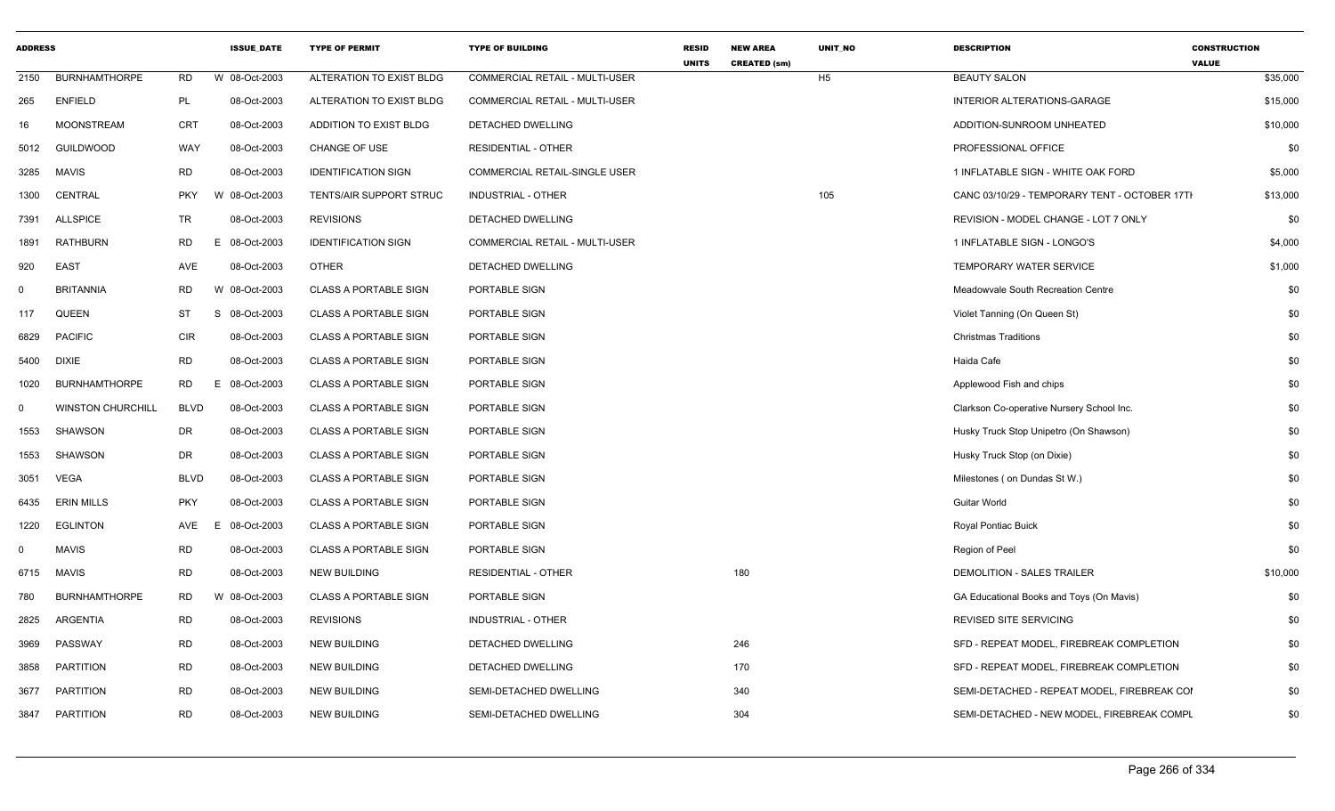| <b>ADDRESS</b> |                          |             | <b>ISSUE DATE</b> | <b>TYPE OF PERMIT</b>        | <b>TYPE OF BUILDING</b>               | <b>RESID</b><br><b>UNITS</b> | <b>NEW AREA</b><br><b>CREATED (sm)</b> | <b>UNIT NO</b> | <b>DESCRIPTION</b>                            | <b>CONSTRUCTION</b><br><b>VALUE</b> |
|----------------|--------------------------|-------------|-------------------|------------------------------|---------------------------------------|------------------------------|----------------------------------------|----------------|-----------------------------------------------|-------------------------------------|
| 2150           | <b>BURNHAMTHORPE</b>     | RD          | W 08-Oct-2003     | ALTERATION TO EXIST BLDG     | <b>COMMERCIAL RETAIL - MULTI-USER</b> |                              |                                        | H <sub>5</sub> | <b>BEAUTY SALON</b>                           | \$35,000                            |
| 265            | <b>ENFIELD</b>           | PL          | 08-Oct-2003       | ALTERATION TO EXIST BLDG     | COMMERCIAL RETAIL - MULTI-USER        |                              |                                        |                | INTERIOR ALTERATIONS-GARAGE                   | \$15,000                            |
| 16             | <b>MOONSTREAM</b>        | CRT         | 08-Oct-2003       | ADDITION TO EXIST BLDG       | <b>DETACHED DWELLING</b>              |                              |                                        |                | ADDITION-SUNROOM UNHEATED                     | \$10,000                            |
| 5012           | GUILDWOOD                | WAY         | 08-Oct-2003       | CHANGE OF USE                | <b>RESIDENTIAL - OTHER</b>            |                              |                                        |                | PROFESSIONAL OFFICE                           | \$0                                 |
| 3285           | <b>MAVIS</b>             | RD          | 08-Oct-2003       | <b>IDENTIFICATION SIGN</b>   | COMMERCIAL RETAIL-SINGLE USER         |                              |                                        |                | 1 INFLATABLE SIGN - WHITE OAK FORD            | \$5,000                             |
| 1300           | CENTRAL                  | <b>PKY</b>  | W 08-Oct-2003     | TENTS/AIR SUPPORT STRUC      | INDUSTRIAL - OTHER                    |                              |                                        | 105            | CANC 03/10/29 - TEMPORARY TENT - OCTOBER 17TI | \$13,000                            |
| 7391           | <b>ALLSPICE</b>          | <b>TR</b>   | 08-Oct-2003       | <b>REVISIONS</b>             | DETACHED DWELLING                     |                              |                                        |                | REVISION - MODEL CHANGE - LOT 7 ONLY          | \$0                                 |
| 1891           | <b>RATHBURN</b>          | RD          | E 08-Oct-2003     | <b>IDENTIFICATION SIGN</b>   | COMMERCIAL RETAIL - MULTI-USER        |                              |                                        |                | 1 INFLATABLE SIGN - LONGO'S                   | \$4,000                             |
| 920            | <b>EAST</b>              | AVE         | 08-Oct-2003       | <b>OTHER</b>                 | DETACHED DWELLING                     |                              |                                        |                | TEMPORARY WATER SERVICE                       | \$1,000                             |
| $\Omega$       | <b>BRITANNIA</b>         | RD          | W 08-Oct-2003     | <b>CLASS A PORTABLE SIGN</b> | PORTABLE SIGN                         |                              |                                        |                | Meadowvale South Recreation Centre            | \$0                                 |
| 117            | QUEEN                    | ST          | 08-Oct-2003<br>S  | <b>CLASS A PORTABLE SIGN</b> | PORTABLE SIGN                         |                              |                                        |                | Violet Tanning (On Queen St)                  | \$0                                 |
| 6829           | <b>PACIFIC</b>           | CIR         | 08-Oct-2003       | <b>CLASS A PORTABLE SIGN</b> | PORTABLE SIGN                         |                              |                                        |                | <b>Christmas Traditions</b>                   | \$0                                 |
| 5400           | <b>DIXIE</b>             | RD          | 08-Oct-2003       | <b>CLASS A PORTABLE SIGN</b> | PORTABLE SIGN                         |                              |                                        |                | Haida Cafe                                    | \$0                                 |
| 1020           | <b>BURNHAMTHORPE</b>     | RD          | 08-Oct-2003<br>E  | <b>CLASS A PORTABLE SIGN</b> | PORTABLE SIGN                         |                              |                                        |                | Applewood Fish and chips                      | \$0                                 |
| $\mathbf 0$    | <b>WINSTON CHURCHILL</b> | <b>BLVD</b> | 08-Oct-2003       | <b>CLASS A PORTABLE SIGN</b> | PORTABLE SIGN                         |                              |                                        |                | Clarkson Co-operative Nursery School Inc.     | \$0                                 |
| 1553           | SHAWSON                  | DR          | 08-Oct-2003       | <b>CLASS A PORTABLE SIGN</b> | PORTABLE SIGN                         |                              |                                        |                | Husky Truck Stop Unipetro (On Shawson)        | \$0                                 |
| 1553           | SHAWSON                  | DR          | 08-Oct-2003       | <b>CLASS A PORTABLE SIGN</b> | PORTABLE SIGN                         |                              |                                        |                | Husky Truck Stop (on Dixie)                   | \$0                                 |
| 3051           | VEGA                     | <b>BLVD</b> | 08-Oct-2003       | <b>CLASS A PORTABLE SIGN</b> | PORTABLE SIGN                         |                              |                                        |                | Milestones (on Dundas St W.)                  | \$0                                 |
| 6435           | <b>ERIN MILLS</b>        | <b>PKY</b>  | 08-Oct-2003       | <b>CLASS A PORTABLE SIGN</b> | PORTABLE SIGN                         |                              |                                        |                | <b>Guitar World</b>                           | \$0                                 |
| 1220           | <b>EGLINTON</b>          | AVE         | E<br>08-Oct-2003  | <b>CLASS A PORTABLE SIGN</b> | PORTABLE SIGN                         |                              |                                        |                | <b>Royal Pontiac Buick</b>                    | \$0                                 |
| $\Omega$       | <b>MAVIS</b>             | RD          | 08-Oct-2003       | <b>CLASS A PORTABLE SIGN</b> | PORTABLE SIGN                         |                              |                                        |                | Region of Peel                                | \$0                                 |
| 6715           | <b>MAVIS</b>             | RD          | 08-Oct-2003       | NEW BUILDING                 | <b>RESIDENTIAL - OTHER</b>            |                              | 180                                    |                | DEMOLITION - SALES TRAILER                    | \$10,000                            |
| 780            | <b>BURNHAMTHORPE</b>     | RD          | W 08-Oct-2003     | <b>CLASS A PORTABLE SIGN</b> | PORTABLE SIGN                         |                              |                                        |                | GA Educational Books and Toys (On Mavis)      | \$0                                 |
| 2825           | <b>ARGENTIA</b>          | <b>RD</b>   | 08-Oct-2003       | <b>REVISIONS</b>             | INDUSTRIAL - OTHER                    |                              |                                        |                | REVISED SITE SERVICING                        | \$0                                 |
| 3969           | PASSWAY                  | <b>RD</b>   | 08-Oct-2003       | <b>NEW BUILDING</b>          | <b>DETACHED DWELLING</b>              |                              | 246                                    |                | SFD - REPEAT MODEL, FIREBREAK COMPLETION      | \$0                                 |
| 3858           | PARTITION                | <b>RD</b>   | 08-Oct-2003       | <b>NEW BUILDING</b>          | DETACHED DWELLING                     |                              | 170                                    |                | SFD - REPEAT MODEL, FIREBREAK COMPLETION      | \$0                                 |
| 3677           | <b>PARTITION</b>         | <b>RD</b>   | 08-Oct-2003       | <b>NEW BUILDING</b>          | SEMI-DETACHED DWELLING                |                              | 340                                    |                | SEMI-DETACHED - REPEAT MODEL, FIREBREAK COI   | \$0                                 |
| 3847           | PARTITION                | <b>RD</b>   | 08-Oct-2003       | <b>NEW BUILDING</b>          | SEMI-DETACHED DWELLING                |                              | 304                                    |                | SEMI-DETACHED - NEW MODEL, FIREBREAK COMPL    | \$0                                 |
|                |                          |             |                   |                              |                                       |                              |                                        |                |                                               |                                     |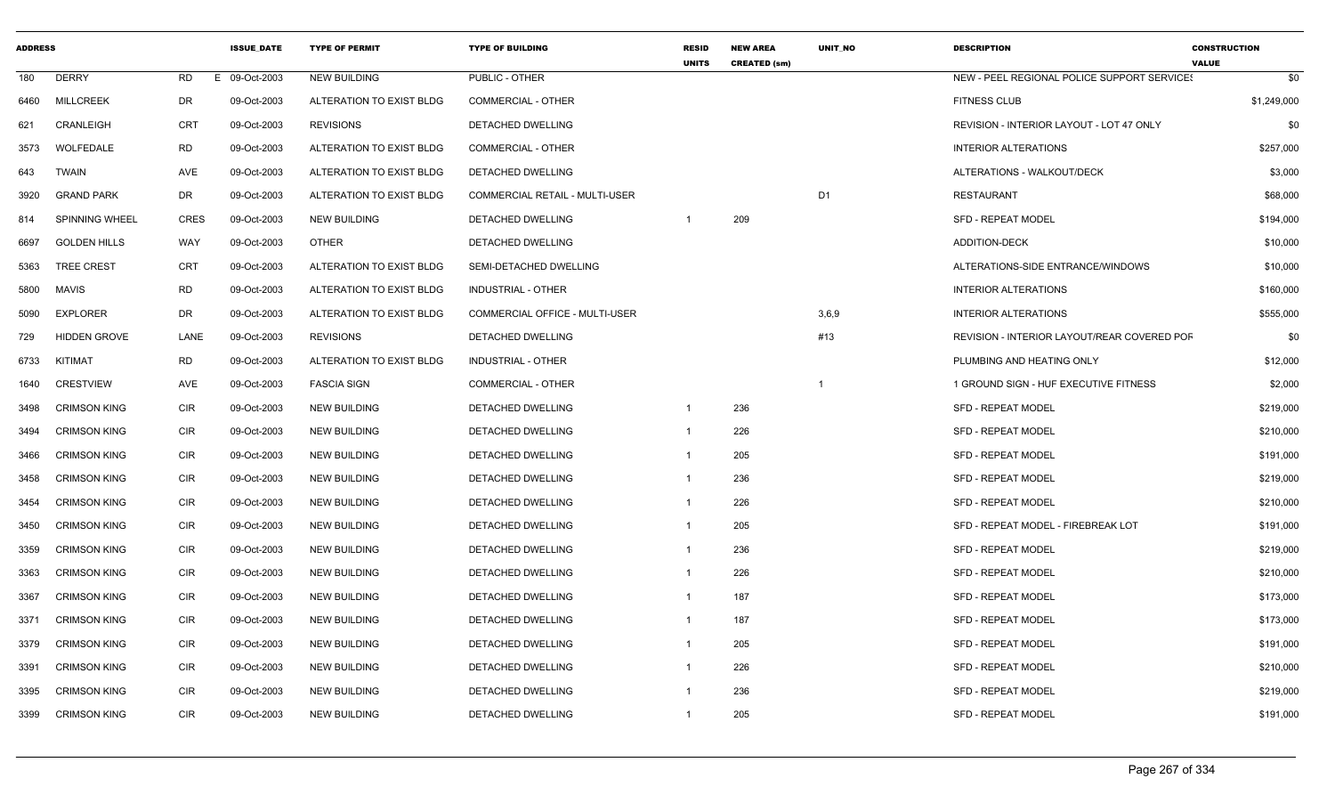| <b>ADDRESS</b> |                       |             | <b>ISSUE DATE</b> | <b>TYPE OF PERMIT</b>    | <b>TYPE OF BUILDING</b>        | <b>RESID</b><br><b>UNITS</b> | <b>NEW AREA</b><br><b>CREATED (sm)</b> | <b>UNIT NO</b> | <b>DESCRIPTION</b>                          | <b>CONSTRUCTION</b><br><b>VALUE</b> |
|----------------|-----------------------|-------------|-------------------|--------------------------|--------------------------------|------------------------------|----------------------------------------|----------------|---------------------------------------------|-------------------------------------|
| 180            | <b>DERRY</b>          | <b>RD</b>   | E 09-Oct-2003     | <b>NEW BUILDING</b>      | PUBLIC - OTHER                 |                              |                                        |                | NEW - PEEL REGIONAL POLICE SUPPORT SERVICES | \$0                                 |
| 6460           | <b>MILLCREEK</b>      | DR          | 09-Oct-2003       | ALTERATION TO EXIST BLDG | <b>COMMERCIAL - OTHER</b>      |                              |                                        |                | <b>FITNESS CLUB</b>                         | \$1,249,000                         |
| 621            | CRANLEIGH             | <b>CRT</b>  | 09-Oct-2003       | <b>REVISIONS</b>         | DETACHED DWELLING              |                              |                                        |                | REVISION - INTERIOR LAYOUT - LOT 47 ONLY    | \$0                                 |
| 3573           | WOLFEDALE             | <b>RD</b>   | 09-Oct-2003       | ALTERATION TO EXIST BLDG | <b>COMMERCIAL - OTHER</b>      |                              |                                        |                | <b>INTERIOR ALTERATIONS</b>                 | \$257,000                           |
| 643            | <b>TWAIN</b>          | AVE         | 09-Oct-2003       | ALTERATION TO EXIST BLDG | DETACHED DWELLING              |                              |                                        |                | ALTERATIONS - WALKOUT/DECK                  | \$3,000                             |
| 3920           | <b>GRAND PARK</b>     | <b>DR</b>   | 09-Oct-2003       | ALTERATION TO EXIST BLDG | COMMERCIAL RETAIL - MULTI-USER |                              |                                        | D <sub>1</sub> | RESTAURANT                                  | \$68,000                            |
| 814            | <b>SPINNING WHEEL</b> | <b>CRES</b> | 09-Oct-2003       | <b>NEW BUILDING</b>      | DETACHED DWELLING              |                              | 209                                    |                | <b>SFD - REPEAT MODEL</b>                   | \$194,000                           |
| 6697           | <b>GOLDEN HILLS</b>   | <b>WAY</b>  | 09-Oct-2003       | <b>OTHER</b>             | DETACHED DWELLING              |                              |                                        |                | <b>ADDITION-DECK</b>                        | \$10,000                            |
| 5363           | TREE CREST            | <b>CRT</b>  | 09-Oct-2003       | ALTERATION TO EXIST BLDG | SEMI-DETACHED DWELLING         |                              |                                        |                | ALTERATIONS-SIDE ENTRANCE/WINDOWS           | \$10,000                            |
| 5800           | MAVIS                 | <b>RD</b>   | 09-Oct-2003       | ALTERATION TO EXIST BLDG | INDUSTRIAL - OTHER             |                              |                                        |                | <b>INTERIOR ALTERATIONS</b>                 | \$160,000                           |
| 5090           | <b>EXPLORER</b>       | DR          | 09-Oct-2003       | ALTERATION TO EXIST BLDG | COMMERCIAL OFFICE - MULTI-USER |                              |                                        | 3,6,9          | <b>INTERIOR ALTERATIONS</b>                 | \$555,000                           |
| 729            | <b>HIDDEN GROVE</b>   | LANE        | 09-Oct-2003       | <b>REVISIONS</b>         | DETACHED DWELLING              |                              |                                        | #13            | REVISION - INTERIOR LAYOUT/REAR COVERED POF | \$0                                 |
| 6733           | KITIMAT               | RD          | 09-Oct-2003       | ALTERATION TO EXIST BLDG | <b>INDUSTRIAL - OTHER</b>      |                              |                                        |                | PLUMBING AND HEATING ONLY                   | \$12,000                            |
| 1640           | <b>CRESTVIEW</b>      | AVE         | 09-Oct-2003       | <b>FASCIA SIGN</b>       | <b>COMMERCIAL - OTHER</b>      |                              |                                        | -1             | 1 GROUND SIGN - HUF EXECUTIVE FITNESS       | \$2,000                             |
| 3498           | <b>CRIMSON KING</b>   | <b>CIR</b>  | 09-Oct-2003       | <b>NEW BUILDING</b>      | DETACHED DWELLING              | $\overline{1}$               | 236                                    |                | SFD - REPEAT MODEL                          | \$219,000                           |
| 3494           | <b>CRIMSON KING</b>   | <b>CIR</b>  | 09-Oct-2003       | <b>NEW BUILDING</b>      | DETACHED DWELLING              |                              | 226                                    |                | SFD - REPEAT MODEL                          | \$210,000                           |
| 3466           | <b>CRIMSON KING</b>   | <b>CIR</b>  | 09-Oct-2003       | <b>NEW BUILDING</b>      | DETACHED DWELLING              |                              | 205                                    |                | <b>SFD - REPEAT MODEL</b>                   | \$191,000                           |
| 3458           | <b>CRIMSON KING</b>   | <b>CIR</b>  | 09-Oct-2003       | <b>NEW BUILDING</b>      | DETACHED DWELLING              | $\overline{1}$               | 236                                    |                | <b>SFD - REPEAT MODEL</b>                   | \$219,000                           |
| 3454           | <b>CRIMSON KING</b>   | <b>CIR</b>  | 09-Oct-2003       | <b>NEW BUILDING</b>      | DETACHED DWELLING              |                              | 226                                    |                | <b>SFD - REPEAT MODEL</b>                   | \$210,000                           |
| 3450           | <b>CRIMSON KING</b>   | <b>CIR</b>  | 09-Oct-2003       | <b>NEW BUILDING</b>      | DETACHED DWELLING              | $\overline{1}$               | 205                                    |                | SFD - REPEAT MODEL - FIREBREAK LOT          | \$191,000                           |
| 3359           | <b>CRIMSON KING</b>   | <b>CIR</b>  | 09-Oct-2003       | <b>NEW BUILDING</b>      | DETACHED DWELLING              |                              | 236                                    |                | <b>SFD - REPEAT MODEL</b>                   | \$219,000                           |
| 3363           | <b>CRIMSON KING</b>   | <b>CIR</b>  | 09-Oct-2003       | <b>NEW BUILDING</b>      | DETACHED DWELLING              |                              | 226                                    |                | <b>SFD - REPEAT MODEL</b>                   | \$210,000                           |
| 3367           | <b>CRIMSON KING</b>   | <b>CIR</b>  | 09-Oct-2003       | <b>NEW BUILDING</b>      | <b>DETACHED DWELLING</b>       | $\overline{1}$               | 187                                    |                | <b>SFD - REPEAT MODEL</b>                   | \$173,000                           |
| 3371           | <b>CRIMSON KING</b>   | <b>CIR</b>  | 09-Oct-2003       | <b>NEW BUILDING</b>      | DETACHED DWELLING              | $\overline{1}$               | 187                                    |                | <b>SFD - REPEAT MODEL</b>                   | \$173,000                           |
| 3379           | <b>CRIMSON KING</b>   | <b>CIR</b>  | 09-Oct-2003       | <b>NEW BUILDING</b>      | DETACHED DWELLING              | $\overline{1}$               | 205                                    |                | <b>SFD - REPEAT MODEL</b>                   | \$191,000                           |
| 3391           | <b>CRIMSON KING</b>   | <b>CIR</b>  | 09-Oct-2003       | <b>NEW BUILDING</b>      | <b>DETACHED DWELLING</b>       | $\overline{1}$               | 226                                    |                | <b>SFD - REPEAT MODEL</b>                   | \$210,000                           |
| 3395           | <b>CRIMSON KING</b>   | <b>CIR</b>  | 09-Oct-2003       | <b>NEW BUILDING</b>      | DETACHED DWELLING              |                              | 236                                    |                | <b>SFD - REPEAT MODEL</b>                   | \$219,000                           |
| 3399           | <b>CRIMSON KING</b>   | <b>CIR</b>  | 09-Oct-2003       | <b>NEW BUILDING</b>      | DETACHED DWELLING              |                              | 205                                    |                | <b>SFD - REPEAT MODEL</b>                   | \$191,000                           |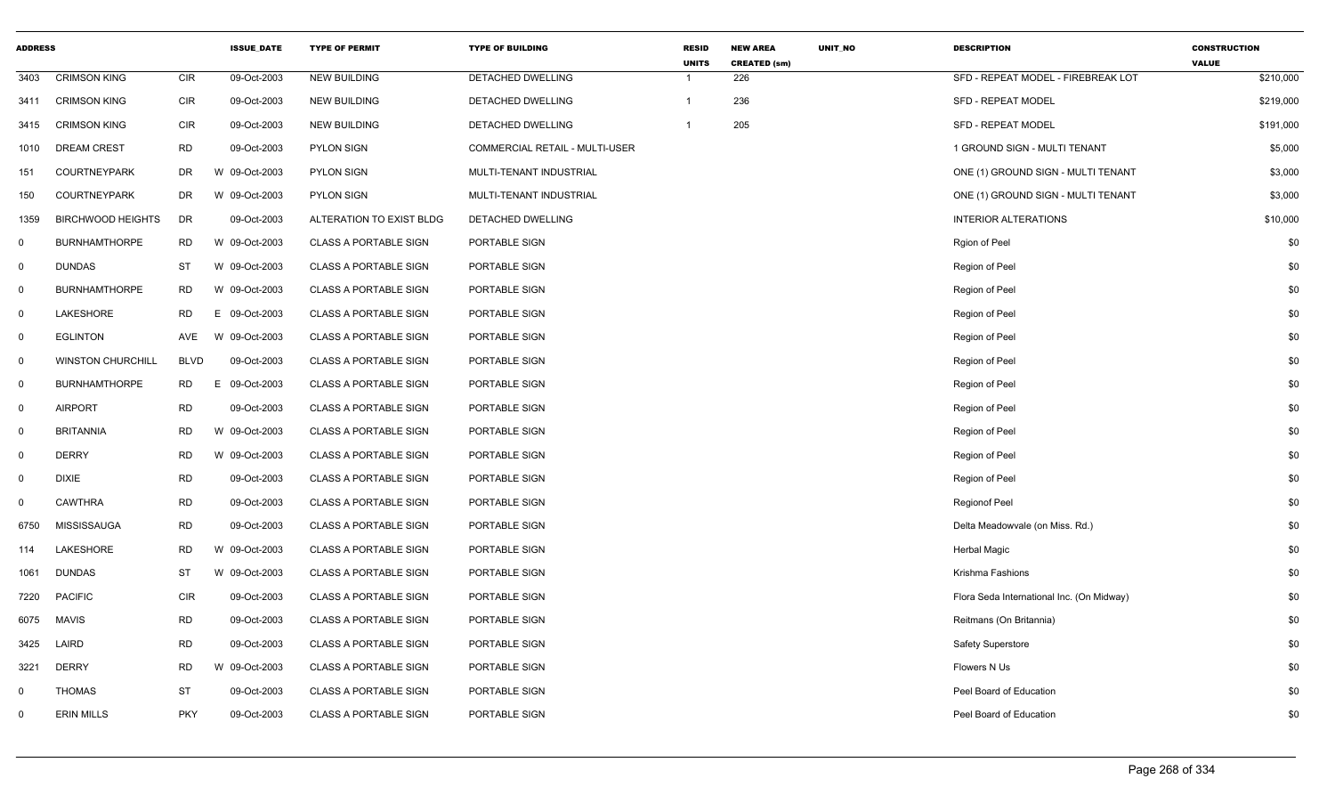| <b>ADDRESS</b> |                          |             | <b>ISSUE DATE</b> | <b>TYPE OF PERMIT</b>        | <b>TYPE OF BUILDING</b>        | <b>RESID</b><br><b>UNITS</b> | <b>NEW AREA</b><br><b>CREATED (sm)</b> | <b>UNIT NO</b> | <b>DESCRIPTION</b>                        | <b>CONSTRUCTION</b><br><b>VALUE</b> |
|----------------|--------------------------|-------------|-------------------|------------------------------|--------------------------------|------------------------------|----------------------------------------|----------------|-------------------------------------------|-------------------------------------|
| 3403           | <b>CRIMSON KING</b>      | <b>CIR</b>  | 09-Oct-2003       | <b>NEW BUILDING</b>          | DETACHED DWELLING              | $\overline{1}$               | 226                                    |                | SFD - REPEAT MODEL - FIREBREAK LOT        | \$210,000                           |
| 3411           | <b>CRIMSON KING</b>      | <b>CIR</b>  | 09-Oct-2003       | <b>NEW BUILDING</b>          | DETACHED DWELLING              | $\mathbf{1}$                 | 236                                    |                | SFD - REPEAT MODEL                        | \$219,000                           |
| 3415           | <b>CRIMSON KING</b>      | <b>CIR</b>  | 09-Oct-2003       | <b>NEW BUILDING</b>          | DETACHED DWELLING              | $\overline{1}$               | 205                                    |                | SFD - REPEAT MODEL                        | \$191,000                           |
| 1010           | <b>DREAM CREST</b>       | <b>RD</b>   | 09-Oct-2003       | <b>PYLON SIGN</b>            | COMMERCIAL RETAIL - MULTI-USER |                              |                                        |                | 1 GROUND SIGN - MULTI TENANT              | \$5,000                             |
| 151            | <b>COURTNEYPARK</b>      | <b>DR</b>   | W 09-Oct-2003     | <b>PYLON SIGN</b>            | MULTI-TENANT INDUSTRIAL        |                              |                                        |                | ONE (1) GROUND SIGN - MULTI TENANT        | \$3,000                             |
| 150            | <b>COURTNEYPARK</b>      | DR          | W 09-Oct-2003     | <b>PYLON SIGN</b>            | MULTI-TENANT INDUSTRIAL        |                              |                                        |                | ONE (1) GROUND SIGN - MULTI TENANT        | \$3,000                             |
| 1359           | <b>BIRCHWOOD HEIGHTS</b> | DR          | 09-Oct-2003       | ALTERATION TO EXIST BLDG     | DETACHED DWELLING              |                              |                                        |                | <b>INTERIOR ALTERATIONS</b>               | \$10,000                            |
| $\mathbf 0$    | <b>BURNHAMTHORPE</b>     | <b>RD</b>   | W 09-Oct-2003     | <b>CLASS A PORTABLE SIGN</b> | PORTABLE SIGN                  |                              |                                        |                | Rgion of Peel                             | \$0                                 |
| $\mathbf 0$    | <b>DUNDAS</b>            | <b>ST</b>   | W 09-Oct-2003     | <b>CLASS A PORTABLE SIGN</b> | PORTABLE SIGN                  |                              |                                        |                | Region of Peel                            | \$0                                 |
| $\overline{0}$ | <b>BURNHAMTHORPE</b>     | <b>RD</b>   | W 09-Oct-2003     | <b>CLASS A PORTABLE SIGN</b> | PORTABLE SIGN                  |                              |                                        |                | Region of Peel                            | \$0                                 |
| 0              | LAKESHORE                | <b>RD</b>   | E.<br>09-Oct-2003 | <b>CLASS A PORTABLE SIGN</b> | PORTABLE SIGN                  |                              |                                        |                | Region of Peel                            | \$0                                 |
| $\mathbf 0$    | <b>EGLINTON</b>          | AVE         | W 09-Oct-2003     | <b>CLASS A PORTABLE SIGN</b> | PORTABLE SIGN                  |                              |                                        |                | Region of Peel                            | \$0                                 |
| $\mathbf 0$    | <b>WINSTON CHURCHILL</b> | <b>BLVD</b> | 09-Oct-2003       | <b>CLASS A PORTABLE SIGN</b> | PORTABLE SIGN                  |                              |                                        |                | Region of Peel                            | \$0                                 |
| $\mathbf 0$    | <b>BURNHAMTHORPE</b>     | <b>RD</b>   | E.<br>09-Oct-2003 | <b>CLASS A PORTABLE SIGN</b> | PORTABLE SIGN                  |                              |                                        |                | Region of Peel                            | \$0                                 |
| 0              | <b>AIRPORT</b>           | <b>RD</b>   | 09-Oct-2003       | <b>CLASS A PORTABLE SIGN</b> | PORTABLE SIGN                  |                              |                                        |                | Region of Peel                            | \$0                                 |
| $\mathbf 0$    | <b>BRITANNIA</b>         | <b>RD</b>   | W 09-Oct-2003     | <b>CLASS A PORTABLE SIGN</b> | PORTABLE SIGN                  |                              |                                        |                | Region of Peel                            | \$0                                 |
| $\mathbf 0$    | <b>DERRY</b>             | <b>RD</b>   | W 09-Oct-2003     | <b>CLASS A PORTABLE SIGN</b> | PORTABLE SIGN                  |                              |                                        |                | Region of Peel                            | \$0                                 |
| $\mathbf 0$    | <b>DIXIE</b>             | <b>RD</b>   | 09-Oct-2003       | <b>CLASS A PORTABLE SIGN</b> | PORTABLE SIGN                  |                              |                                        |                | Region of Peel                            | \$0                                 |
| $\mathbf 0$    | <b>CAWTHRA</b>           | <b>RD</b>   | 09-Oct-2003       | <b>CLASS A PORTABLE SIGN</b> | PORTABLE SIGN                  |                              |                                        |                | Regionof Peel                             | \$0                                 |
| 6750           | <b>MISSISSAUGA</b>       | <b>RD</b>   | 09-Oct-2003       | <b>CLASS A PORTABLE SIGN</b> | PORTABLE SIGN                  |                              |                                        |                | Delta Meadowvale (on Miss. Rd.)           | \$0                                 |
| 114            | LAKESHORE                | <b>RD</b>   | W 09-Oct-2003     | <b>CLASS A PORTABLE SIGN</b> | PORTABLE SIGN                  |                              |                                        |                | <b>Herbal Magic</b>                       | \$0                                 |
| 1061           | <b>DUNDAS</b>            | <b>ST</b>   | W 09-Oct-2003     | <b>CLASS A PORTABLE SIGN</b> | PORTABLE SIGN                  |                              |                                        |                | Krishma Fashions                          | \$0                                 |
| 7220           | <b>PACIFIC</b>           | <b>CIR</b>  | 09-Oct-2003       | <b>CLASS A PORTABLE SIGN</b> | PORTABLE SIGN                  |                              |                                        |                | Flora Seda International Inc. (On Midway) | \$0                                 |
| 6075           | <b>MAVIS</b>             | <b>RD</b>   | 09-Oct-2003       | <b>CLASS A PORTABLE SIGN</b> | PORTABLE SIGN                  |                              |                                        |                | Reitmans (On Britannia)                   | \$0                                 |
| 3425           | LAIRD                    | <b>RD</b>   | 09-Oct-2003       | <b>CLASS A PORTABLE SIGN</b> | PORTABLE SIGN                  |                              |                                        |                | Safety Superstore                         | \$0                                 |
| 3221           | <b>DERRY</b>             | <b>RD</b>   | W 09-Oct-2003     | <b>CLASS A PORTABLE SIGN</b> | PORTABLE SIGN                  |                              |                                        |                | Flowers N Us                              | \$0                                 |
| $\Omega$       | <b>THOMAS</b>            | <b>ST</b>   | 09-Oct-2003       | <b>CLASS A PORTABLE SIGN</b> | PORTABLE SIGN                  |                              |                                        |                | Peel Board of Education                   | \$0                                 |
| 0              | <b>ERIN MILLS</b>        | <b>PKY</b>  | 09-Oct-2003       | <b>CLASS A PORTABLE SIGN</b> | PORTABLE SIGN                  |                              |                                        |                | Peel Board of Education                   | \$0                                 |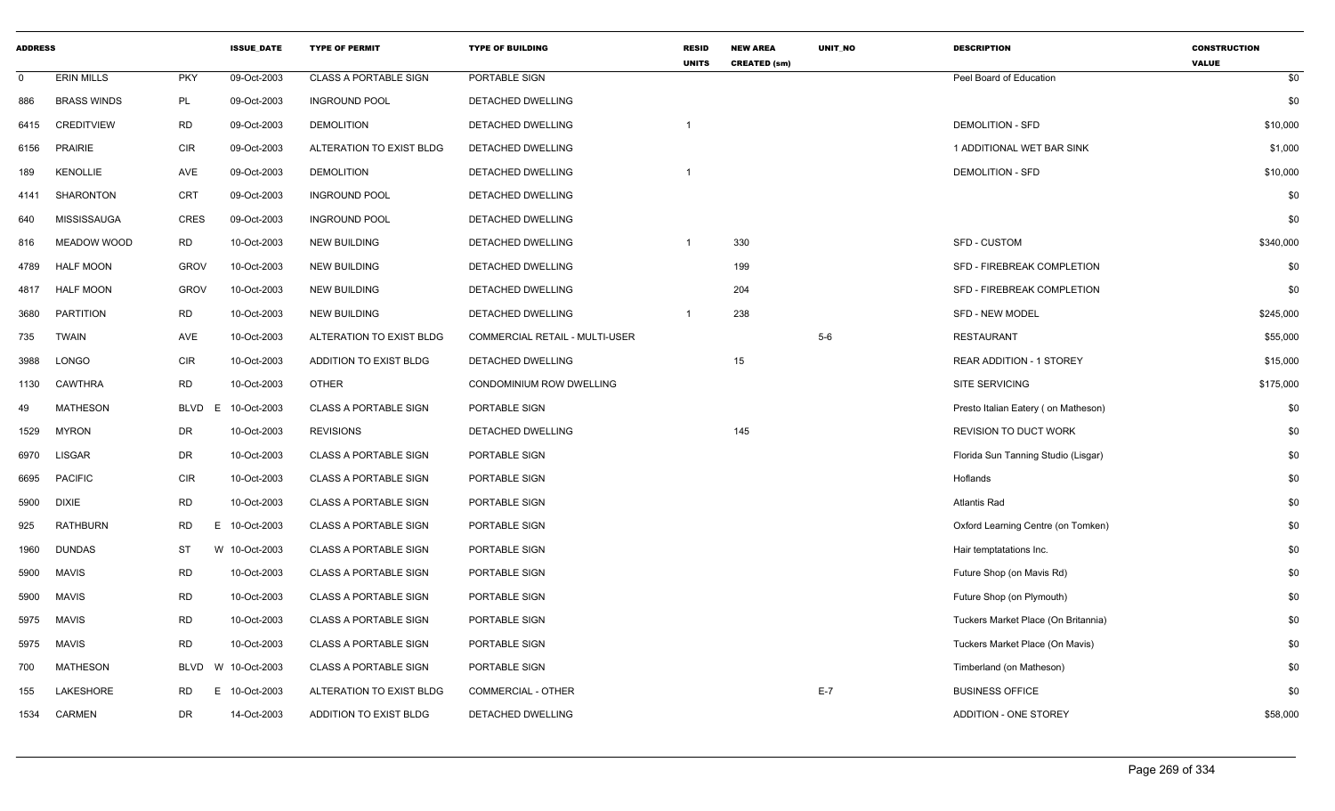| <b>ADDRESS</b> |                    |                  | <b>ISSUE DATE</b> | <b>TYPE OF PERMIT</b>        | <b>TYPE OF BUILDING</b>               | <b>RESID</b><br><b>UNITS</b> | <b>NEW AREA</b><br><b>CREATED (sm)</b> | <b>UNIT NO</b> | <b>DESCRIPTION</b>                  | <b>CONSTRUCTION</b><br><b>VALUE</b> |
|----------------|--------------------|------------------|-------------------|------------------------------|---------------------------------------|------------------------------|----------------------------------------|----------------|-------------------------------------|-------------------------------------|
| $\mathbf 0$    | <b>ERIN MILLS</b>  | <b>PKY</b>       | 09-Oct-2003       | <b>CLASS A PORTABLE SIGN</b> | PORTABLE SIGN                         |                              |                                        |                | Peel Board of Education             | \$0                                 |
| 886            | <b>BRASS WINDS</b> | PL               | 09-Oct-2003       | <b>INGROUND POOL</b>         | DETACHED DWELLING                     |                              |                                        |                |                                     | \$0                                 |
| 6415           | <b>CREDITVIEW</b>  | <b>RD</b>        | 09-Oct-2003       | <b>DEMOLITION</b>            | DETACHED DWELLING                     |                              |                                        |                | <b>DEMOLITION - SFD</b>             | \$10,000                            |
| 6156           | <b>PRAIRIE</b>     | <b>CIR</b>       | 09-Oct-2003       | ALTERATION TO EXIST BLDG     | DETACHED DWELLING                     |                              |                                        |                | 1 ADDITIONAL WET BAR SINK           | \$1,000                             |
| 189            | <b>KENOLLIE</b>    | AVE              | 09-Oct-2003       | <b>DEMOLITION</b>            | DETACHED DWELLING                     | 1                            |                                        |                | <b>DEMOLITION - SFD</b>             | \$10,000                            |
| 4141           | SHARONTON          | <b>CRT</b>       | 09-Oct-2003       | <b>INGROUND POOL</b>         | DETACHED DWELLING                     |                              |                                        |                |                                     | \$0                                 |
| 640            | <b>MISSISSAUGA</b> | <b>CRES</b>      | 09-Oct-2003       | <b>INGROUND POOL</b>         | DETACHED DWELLING                     |                              |                                        |                |                                     | \$0                                 |
| 816            | MEADOW WOOD        | <b>RD</b>        | 10-Oct-2003       | <b>NEW BUILDING</b>          | DETACHED DWELLING                     | $\mathbf 1$                  | 330                                    |                | <b>SFD - CUSTOM</b>                 | \$340,000                           |
| 4789           | <b>HALF MOON</b>   | <b>GROV</b>      | 10-Oct-2003       | <b>NEW BUILDING</b>          | DETACHED DWELLING                     |                              | 199                                    |                | SFD - FIREBREAK COMPLETION          | \$0                                 |
| 4817           | <b>HALF MOON</b>   | <b>GROV</b>      | 10-Oct-2003       | <b>NEW BUILDING</b>          | DETACHED DWELLING                     |                              | 204                                    |                | SFD - FIREBREAK COMPLETION          | \$0                                 |
| 3680           | PARTITION          | <b>RD</b>        | 10-Oct-2003       | <b>NEW BUILDING</b>          | DETACHED DWELLING                     |                              | 238                                    |                | <b>SFD - NEW MODEL</b>              | \$245,000                           |
| 735            | <b>TWAIN</b>       | AVE              | 10-Oct-2003       | ALTERATION TO EXIST BLDG     | <b>COMMERCIAL RETAIL - MULTI-USER</b> |                              |                                        | $5-6$          | <b>RESTAURANT</b>                   | \$55,000                            |
| 3988           | <b>LONGO</b>       | <b>CIR</b>       | 10-Oct-2003       | ADDITION TO EXIST BLDG       | DETACHED DWELLING                     |                              | 15                                     |                | <b>REAR ADDITION - 1 STOREY</b>     | \$15,000                            |
| 1130           | <b>CAWTHRA</b>     | <b>RD</b>        | 10-Oct-2003       | <b>OTHER</b>                 | CONDOMINIUM ROW DWELLING              |                              |                                        |                | SITE SERVICING                      | \$175,000                           |
| 49             | <b>MATHESON</b>    | <b>BLVD</b><br>E | 10-Oct-2003       | <b>CLASS A PORTABLE SIGN</b> | PORTABLE SIGN                         |                              |                                        |                | Presto Italian Eatery (on Matheson) | \$0                                 |
| 1529           | <b>MYRON</b>       | DR               | 10-Oct-2003       | <b>REVISIONS</b>             | DETACHED DWELLING                     |                              | 145                                    |                | <b>REVISION TO DUCT WORK</b>        | \$0                                 |
| 6970           | LISGAR             | DR               | 10-Oct-2003       | <b>CLASS A PORTABLE SIGN</b> | PORTABLE SIGN                         |                              |                                        |                | Florida Sun Tanning Studio (Lisgar) | \$0                                 |
| 6695           | <b>PACIFIC</b>     | <b>CIR</b>       | 10-Oct-2003       | <b>CLASS A PORTABLE SIGN</b> | PORTABLE SIGN                         |                              |                                        |                | Hoflands                            | \$0                                 |
| 5900           | <b>DIXIE</b>       | <b>RD</b>        | 10-Oct-2003       | <b>CLASS A PORTABLE SIGN</b> | PORTABLE SIGN                         |                              |                                        |                | <b>Atlantis Rad</b>                 | \$0                                 |
| 925            | RATHBURN           | <b>RD</b><br>E   | 10-Oct-2003       | CLASS A PORTABLE SIGN        | PORTABLE SIGN                         |                              |                                        |                | Oxford Learning Centre (on Tomken)  | \$0                                 |
| 1960           | <b>DUNDAS</b>      | ST               | W 10-Oct-2003     | <b>CLASS A PORTABLE SIGN</b> | PORTABLE SIGN                         |                              |                                        |                | Hair temptatations Inc.             | \$0                                 |
| 5900           | <b>MAVIS</b>       | <b>RD</b>        | 10-Oct-2003       | <b>CLASS A PORTABLE SIGN</b> | PORTABLE SIGN                         |                              |                                        |                | Future Shop (on Mavis Rd)           | \$0                                 |
| 5900           | <b>MAVIS</b>       | <b>RD</b>        | 10-Oct-2003       | <b>CLASS A PORTABLE SIGN</b> | PORTABLE SIGN                         |                              |                                        |                | Future Shop (on Plymouth)           | \$0                                 |
| 5975           | <b>MAVIS</b>       | <b>RD</b>        | 10-Oct-2003       | <b>CLASS A PORTABLE SIGN</b> | PORTABLE SIGN                         |                              |                                        |                | Tuckers Market Place (On Britannia) | \$0                                 |
| 5975           | <b>MAVIS</b>       | <b>RD</b>        | 10-Oct-2003       | CLASS A PORTABLE SIGN        | PORTABLE SIGN                         |                              |                                        |                | Tuckers Market Place (On Mavis)     | \$0                                 |
| 700            | MATHESON           | <b>BLVD</b>      | W 10-Oct-2003     | <b>CLASS A PORTABLE SIGN</b> | PORTABLE SIGN                         |                              |                                        |                | Timberland (on Matheson)            | \$0                                 |
| 155            | LAKESHORE          | <b>RD</b><br>E.  | 10-Oct-2003       | ALTERATION TO EXIST BLDG     | COMMERCIAL - OTHER                    |                              |                                        | $E-7$          | <b>BUSINESS OFFICE</b>              | \$0                                 |
| 1534           | CARMEN             | DR               | 14-Oct-2003       | ADDITION TO EXIST BLDG       | DETACHED DWELLING                     |                              |                                        |                | ADDITION - ONE STOREY               | \$58,000                            |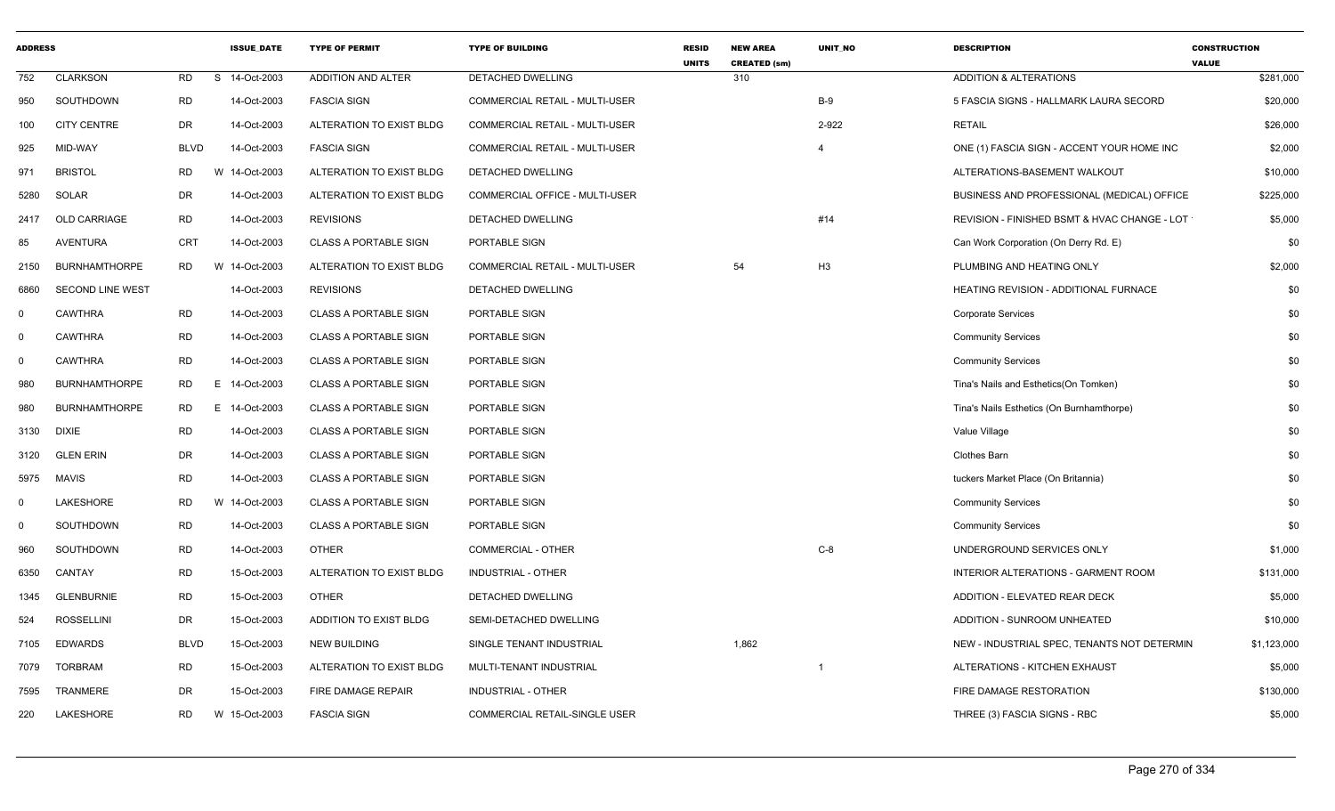| <b>ADDRESS</b> |                         |             | <b>ISSUE_DATE</b> | <b>TYPE OF PERMIT</b>        | <b>TYPE OF BUILDING</b>               | <b>RESID</b><br><b>UNITS</b> | <b>NEW AREA</b><br><b>CREATED (sm)</b> | UNIT_NO        | <b>DESCRIPTION</b>                           | <b>CONSTRUCTION</b><br><b>VALUE</b> |
|----------------|-------------------------|-------------|-------------------|------------------------------|---------------------------------------|------------------------------|----------------------------------------|----------------|----------------------------------------------|-------------------------------------|
| 752            | <b>CLARKSON</b>         | <b>RD</b>   | S 14-Oct-2003     | ADDITION AND ALTER           | DETACHED DWELLING                     |                              | 310                                    |                | <b>ADDITION &amp; ALTERATIONS</b>            | \$281,000                           |
| 950            | SOUTHDOWN               | <b>RD</b>   | 14-Oct-2003       | <b>FASCIA SIGN</b>           | COMMERCIAL RETAIL - MULTI-USER        |                              |                                        | $B-9$          | 5 FASCIA SIGNS - HALLMARK LAURA SECORD       | \$20,000                            |
| 100            | <b>CITY CENTRE</b>      | DR          | 14-Oct-2003       | ALTERATION TO EXIST BLDG     | COMMERCIAL RETAIL - MULTI-USER        |                              |                                        | 2-922          | <b>RETAIL</b>                                | \$26,000                            |
| 925            | MID-WAY                 | <b>BLVD</b> | 14-Oct-2003       | <b>FASCIA SIGN</b>           | COMMERCIAL RETAIL - MULTI-USER        |                              |                                        | $\overline{4}$ | ONE (1) FASCIA SIGN - ACCENT YOUR HOME INC   | \$2,000                             |
| 971            | <b>BRISTOL</b>          | <b>RD</b>   | W 14-Oct-2003     | ALTERATION TO EXIST BLDG     | DETACHED DWELLING                     |                              |                                        |                | ALTERATIONS-BASEMENT WALKOUT                 | \$10,000                            |
| 5280           | SOLAR                   | DR          | 14-Oct-2003       | ALTERATION TO EXIST BLDG     | <b>COMMERCIAL OFFICE - MULTI-USER</b> |                              |                                        |                | BUSINESS AND PROFESSIONAL (MEDICAL) OFFICE   | \$225,000                           |
| 2417           | <b>OLD CARRIAGE</b>     | RD          | 14-Oct-2003       | <b>REVISIONS</b>             | DETACHED DWELLING                     |                              |                                        | #14            | REVISION - FINISHED BSMT & HVAC CHANGE - LOT | \$5,000                             |
| 85             | <b>AVENTURA</b>         | CRT         | 14-Oct-2003       | <b>CLASS A PORTABLE SIGN</b> | PORTABLE SIGN                         |                              |                                        |                | Can Work Corporation (On Derry Rd. E)        | \$0                                 |
| 2150           | <b>BURNHAMTHORPE</b>    | RD          | W 14-Oct-2003     | ALTERATION TO EXIST BLDG     | COMMERCIAL RETAIL - MULTI-USER        |                              | 54                                     | H <sub>3</sub> | PLUMBING AND HEATING ONLY                    | \$2,000                             |
| 6860           | <b>SECOND LINE WEST</b> |             | 14-Oct-2003       | <b>REVISIONS</b>             | DETACHED DWELLING                     |                              |                                        |                | HEATING REVISION - ADDITIONAL FURNACE        | \$0                                 |
| $\mathbf 0$    | <b>CAWTHRA</b>          | <b>RD</b>   | 14-Oct-2003       | <b>CLASS A PORTABLE SIGN</b> | PORTABLE SIGN                         |                              |                                        |                | <b>Corporate Services</b>                    | \$0                                 |
| $\mathbf{0}$   | <b>CAWTHRA</b>          | <b>RD</b>   | 14-Oct-2003       | <b>CLASS A PORTABLE SIGN</b> | PORTABLE SIGN                         |                              |                                        |                | <b>Community Services</b>                    | \$0                                 |
| $\mathbf 0$    | <b>CAWTHRA</b>          | <b>RD</b>   | 14-Oct-2003       | <b>CLASS A PORTABLE SIGN</b> | PORTABLE SIGN                         |                              |                                        |                | <b>Community Services</b>                    | \$0                                 |
| 980            | <b>BURNHAMTHORPE</b>    | RD          | E.<br>14-Oct-2003 | <b>CLASS A PORTABLE SIGN</b> | PORTABLE SIGN                         |                              |                                        |                | Tina's Nails and Esthetics(On Tomken)        | \$0                                 |
| 980            | <b>BURNHAMTHORPE</b>    | <b>RD</b>   | E 14-Oct-2003     | <b>CLASS A PORTABLE SIGN</b> | PORTABLE SIGN                         |                              |                                        |                | Tina's Nails Esthetics (On Burnhamthorpe)    | \$0                                 |
| 3130           | <b>DIXIE</b>            | RD          | 14-Oct-2003       | <b>CLASS A PORTABLE SIGN</b> | PORTABLE SIGN                         |                              |                                        |                | Value Village                                | \$0                                 |
| 3120           | <b>GLEN ERIN</b>        | DR          | 14-Oct-2003       | <b>CLASS A PORTABLE SIGN</b> | PORTABLE SIGN                         |                              |                                        |                | <b>Clothes Barn</b>                          | \$0                                 |
| 5975           | <b>MAVIS</b>            | <b>RD</b>   | 14-Oct-2003       | <b>CLASS A PORTABLE SIGN</b> | PORTABLE SIGN                         |                              |                                        |                | tuckers Market Place (On Britannia)          | \$0                                 |
| $\Omega$       | <b>LAKESHORE</b>        | RD          | W 14-Oct-2003     | <b>CLASS A PORTABLE SIGN</b> | PORTABLE SIGN                         |                              |                                        |                | <b>Community Services</b>                    | \$0                                 |
| $\mathbf 0$    | SOUTHDOWN               | <b>RD</b>   | 14-Oct-2003       | <b>CLASS A PORTABLE SIGN</b> | PORTABLE SIGN                         |                              |                                        |                | <b>Community Services</b>                    | \$0                                 |
| 960            | SOUTHDOWN               | <b>RD</b>   | 14-Oct-2003       | <b>OTHER</b>                 | <b>COMMERCIAL - OTHER</b>             |                              |                                        | $C-8$          | UNDERGROUND SERVICES ONLY                    | \$1,000                             |
| 6350           | CANTAY                  | <b>RD</b>   | 15-Oct-2003       | ALTERATION TO EXIST BLDG     | INDUSTRIAL - OTHER                    |                              |                                        |                | INTERIOR ALTERATIONS - GARMENT ROOM          | \$131,000                           |
| 1345           | <b>GLENBURNIE</b>       | RD          | 15-Oct-2003       | <b>OTHER</b>                 | DETACHED DWELLING                     |                              |                                        |                | ADDITION - ELEVATED REAR DECK                | \$5,000                             |
| 524            | <b>ROSSELLINI</b>       | DR          | 15-Oct-2003       | ADDITION TO EXIST BLDG       | SEMI-DETACHED DWELLING                |                              |                                        |                | ADDITION - SUNROOM UNHEATED                  | \$10,000                            |
| 7105           | <b>EDWARDS</b>          | <b>BLVD</b> | 15-Oct-2003       | <b>NEW BUILDING</b>          | SINGLE TENANT INDUSTRIAL              |                              | 1,862                                  |                | NEW - INDUSTRIAL SPEC, TENANTS NOT DETERMIN  | \$1,123,000                         |
| 7079           | <b>TORBRAM</b>          | RD          | 15-Oct-2003       | ALTERATION TO EXIST BLDG     | MULTI-TENANT INDUSTRIAL               |                              |                                        |                | ALTERATIONS - KITCHEN EXHAUST                | \$5,000                             |
| 7595           | TRANMERE                | DR          | 15-Oct-2003       | FIRE DAMAGE REPAIR           | INDUSTRIAL - OTHER                    |                              |                                        |                | FIRE DAMAGE RESTORATION                      | \$130,000                           |
| 220            | LAKESHORE               | <b>RD</b>   | W 15-Oct-2003     | <b>FASCIA SIGN</b>           | COMMERCIAL RETAIL-SINGLE USER         |                              |                                        |                | THREE (3) FASCIA SIGNS - RBC                 | \$5,000                             |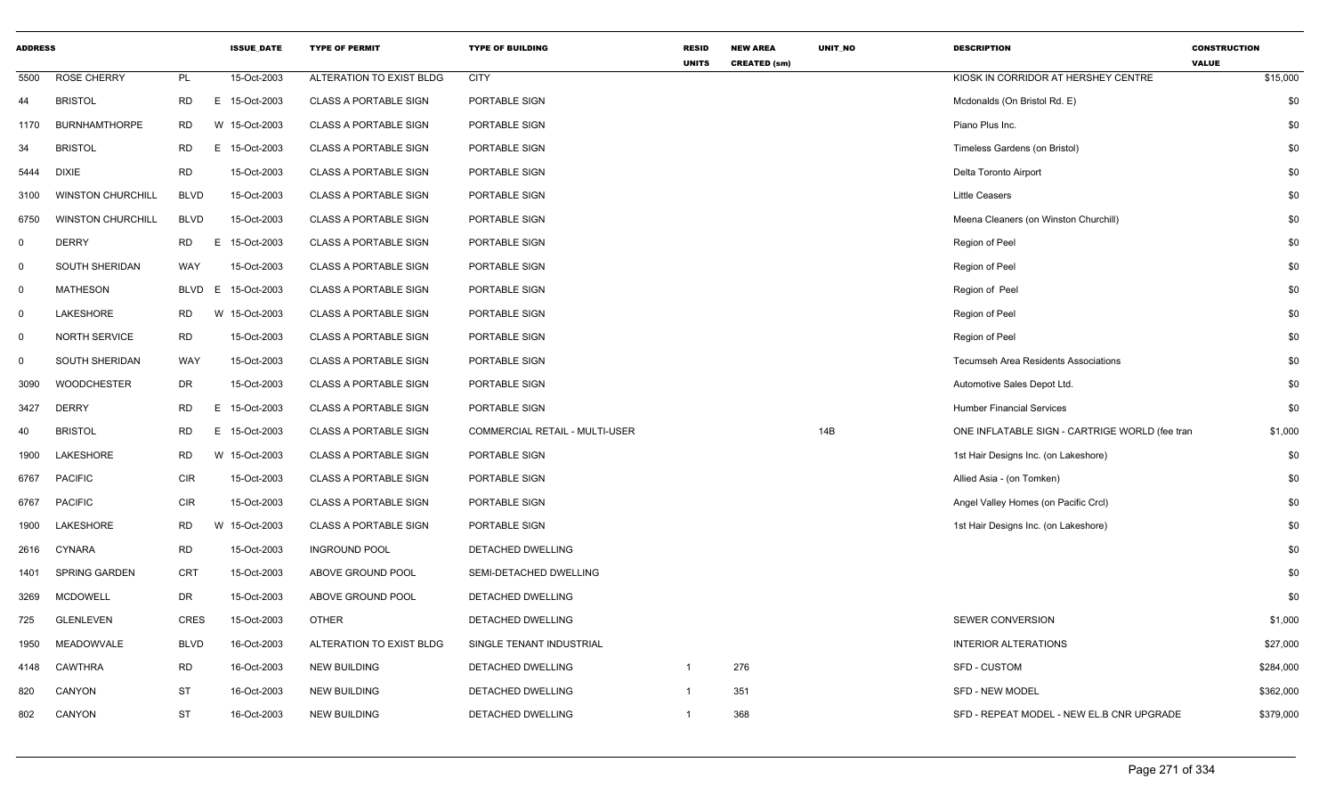| <b>ADDRESS</b> |                          |             |    | <b>ISSUE DATE</b> | <b>TYPE OF PERMIT</b>        | <b>TYPE OF BUILDING</b>        | <b>RESID</b><br><b>UNITS</b> | <b>NEW AREA</b><br><b>CREATED (sm)</b> | UNIT_NO | <b>DESCRIPTION</b>                             | <b>CONSTRUCTION</b><br><b>VALUE</b> |
|----------------|--------------------------|-------------|----|-------------------|------------------------------|--------------------------------|------------------------------|----------------------------------------|---------|------------------------------------------------|-------------------------------------|
| 5500           | <b>ROSE CHERRY</b>       | PL          |    | 15-Oct-2003       | ALTERATION TO EXIST BLDG     | <b>CITY</b>                    |                              |                                        |         | KIOSK IN CORRIDOR AT HERSHEY CENTRE            | \$15,000                            |
| 44             | <b>BRISTOL</b>           | RD.         |    | E 15-Oct-2003     | <b>CLASS A PORTABLE SIGN</b> | PORTABLE SIGN                  |                              |                                        |         | Mcdonalds (On Bristol Rd. E)                   | \$0                                 |
| 1170           | <b>BURNHAMTHORPE</b>     | <b>RD</b>   |    | W 15-Oct-2003     | <b>CLASS A PORTABLE SIGN</b> | PORTABLE SIGN                  |                              |                                        |         | Piano Plus Inc.                                | \$0                                 |
| 34             | <b>BRISTOL</b>           | <b>RD</b>   |    | E 15-Oct-2003     | <b>CLASS A PORTABLE SIGN</b> | PORTABLE SIGN                  |                              |                                        |         | Timeless Gardens (on Bristol)                  | \$0                                 |
| 5444           | <b>DIXIE</b>             | <b>RD</b>   |    | 15-Oct-2003       | <b>CLASS A PORTABLE SIGN</b> | PORTABLE SIGN                  |                              |                                        |         | Delta Toronto Airport                          | \$0                                 |
| 3100           | <b>WINSTON CHURCHILL</b> | <b>BLVD</b> |    | 15-Oct-2003       | <b>CLASS A PORTABLE SIGN</b> | PORTABLE SIGN                  |                              |                                        |         | <b>Little Ceasers</b>                          | \$0                                 |
| 6750           | <b>WINSTON CHURCHILL</b> | <b>BLVD</b> |    | 15-Oct-2003       | <b>CLASS A PORTABLE SIGN</b> | PORTABLE SIGN                  |                              |                                        |         | Meena Cleaners (on Winston Churchill)          | \$0                                 |
| $\mathbf 0$    | <b>DERRY</b>             | <b>RD</b>   |    | E 15-Oct-2003     | <b>CLASS A PORTABLE SIGN</b> | PORTABLE SIGN                  |                              |                                        |         | Region of Peel                                 | \$0                                 |
| $\mathbf 0$    | <b>SOUTH SHERIDAN</b>    | WAY         |    | 15-Oct-2003       | <b>CLASS A PORTABLE SIGN</b> | PORTABLE SIGN                  |                              |                                        |         | Region of Peel                                 | \$0                                 |
| $\mathbf 0$    | MATHESON                 | <b>BLVD</b> | E. | 15-Oct-2003       | <b>CLASS A PORTABLE SIGN</b> | PORTABLE SIGN                  |                              |                                        |         | Region of Peel                                 | \$0                                 |
| $\mathbf 0$    | LAKESHORE                | <b>RD</b>   |    | W 15-Oct-2003     | <b>CLASS A PORTABLE SIGN</b> | PORTABLE SIGN                  |                              |                                        |         | Region of Peel                                 | \$0                                 |
| $\mathbf 0$    | <b>NORTH SERVICE</b>     | <b>RD</b>   |    | 15-Oct-2003       | <b>CLASS A PORTABLE SIGN</b> | PORTABLE SIGN                  |                              |                                        |         | Region of Peel                                 | \$0                                 |
| $\mathbf 0$    | <b>SOUTH SHERIDAN</b>    | WAY         |    | 15-Oct-2003       | <b>CLASS A PORTABLE SIGN</b> | PORTABLE SIGN                  |                              |                                        |         | <b>Tecumseh Area Residents Associations</b>    | \$0                                 |
| 3090           | <b>WOODCHESTER</b>       | DR          |    | 15-Oct-2003       | <b>CLASS A PORTABLE SIGN</b> | PORTABLE SIGN                  |                              |                                        |         | Automotive Sales Depot Ltd.                    | \$0                                 |
| 3427           | <b>DERRY</b>             | <b>RD</b>   |    | E 15-Oct-2003     | <b>CLASS A PORTABLE SIGN</b> | PORTABLE SIGN                  |                              |                                        |         | <b>Humber Financial Services</b>               | \$0                                 |
| 40             | <b>BRISTOL</b>           | <b>RD</b>   |    | E 15-Oct-2003     | <b>CLASS A PORTABLE SIGN</b> | COMMERCIAL RETAIL - MULTI-USER |                              |                                        | 14B     | ONE INFLATABLE SIGN - CARTRIGE WORLD (fee tran | \$1,000                             |
| 1900           | LAKESHORE                | RD.         |    | W 15-Oct-2003     | <b>CLASS A PORTABLE SIGN</b> | PORTABLE SIGN                  |                              |                                        |         | 1st Hair Designs Inc. (on Lakeshore)           | \$0                                 |
| 6767           | <b>PACIFIC</b>           | <b>CIR</b>  |    | 15-Oct-2003       | <b>CLASS A PORTABLE SIGN</b> | PORTABLE SIGN                  |                              |                                        |         | Allied Asia - (on Tomken)                      | \$0                                 |
| 6767           | <b>PACIFIC</b>           | <b>CIR</b>  |    | 15-Oct-2003       | <b>CLASS A PORTABLE SIGN</b> | PORTABLE SIGN                  |                              |                                        |         | Angel Valley Homes (on Pacific Crcl)           | \$0                                 |
| 1900           | LAKESHORE                | <b>RD</b>   |    | W 15-Oct-2003     | <b>CLASS A PORTABLE SIGN</b> | PORTABLE SIGN                  |                              |                                        |         | 1st Hair Designs Inc. (on Lakeshore)           | \$0                                 |
| 2616           | CYNARA                   | <b>RD</b>   |    | 15-Oct-2003       | <b>INGROUND POOL</b>         | DETACHED DWELLING              |                              |                                        |         |                                                | \$0                                 |
| 1401           | SPRING GARDEN            | <b>CRT</b>  |    | 15-Oct-2003       | ABOVE GROUND POOL            | SEMI-DETACHED DWELLING         |                              |                                        |         |                                                | \$0                                 |
| 3269           | <b>MCDOWELL</b>          | DR          |    | 15-Oct-2003       | ABOVE GROUND POOL            | DETACHED DWELLING              |                              |                                        |         |                                                | \$0                                 |
| 725            | <b>GLENLEVEN</b>         | <b>CRES</b> |    | 15-Oct-2003       | <b>OTHER</b>                 | DETACHED DWELLING              |                              |                                        |         | SEWER CONVERSION                               | \$1,000                             |
| 1950           | MEADOWVALE               | <b>BLVD</b> |    | 16-Oct-2003       | ALTERATION TO EXIST BLDG     | SINGLE TENANT INDUSTRIAL       |                              |                                        |         | <b>INTERIOR ALTERATIONS</b>                    | \$27,000                            |
| 4148           | <b>CAWTHRA</b>           | <b>RD</b>   |    | 16-Oct-2003       | <b>NEW BUILDING</b>          | DETACHED DWELLING              | $\mathbf{1}$                 | 276                                    |         | <b>SFD - CUSTOM</b>                            | \$284,000                           |
| 820            | <b>CANYON</b>            | <b>ST</b>   |    | 16-Oct-2003       | <b>NEW BUILDING</b>          | DETACHED DWELLING              | $\mathbf 1$                  | 351                                    |         | <b>SFD - NEW MODEL</b>                         | \$362,000                           |
| 802            | CANYON                   | <b>ST</b>   |    | 16-Oct-2003       | <b>NEW BUILDING</b>          | DETACHED DWELLING              | $\mathbf{1}$                 | 368                                    |         | SFD - REPEAT MODEL - NEW EL.B CNR UPGRADE      | \$379,000                           |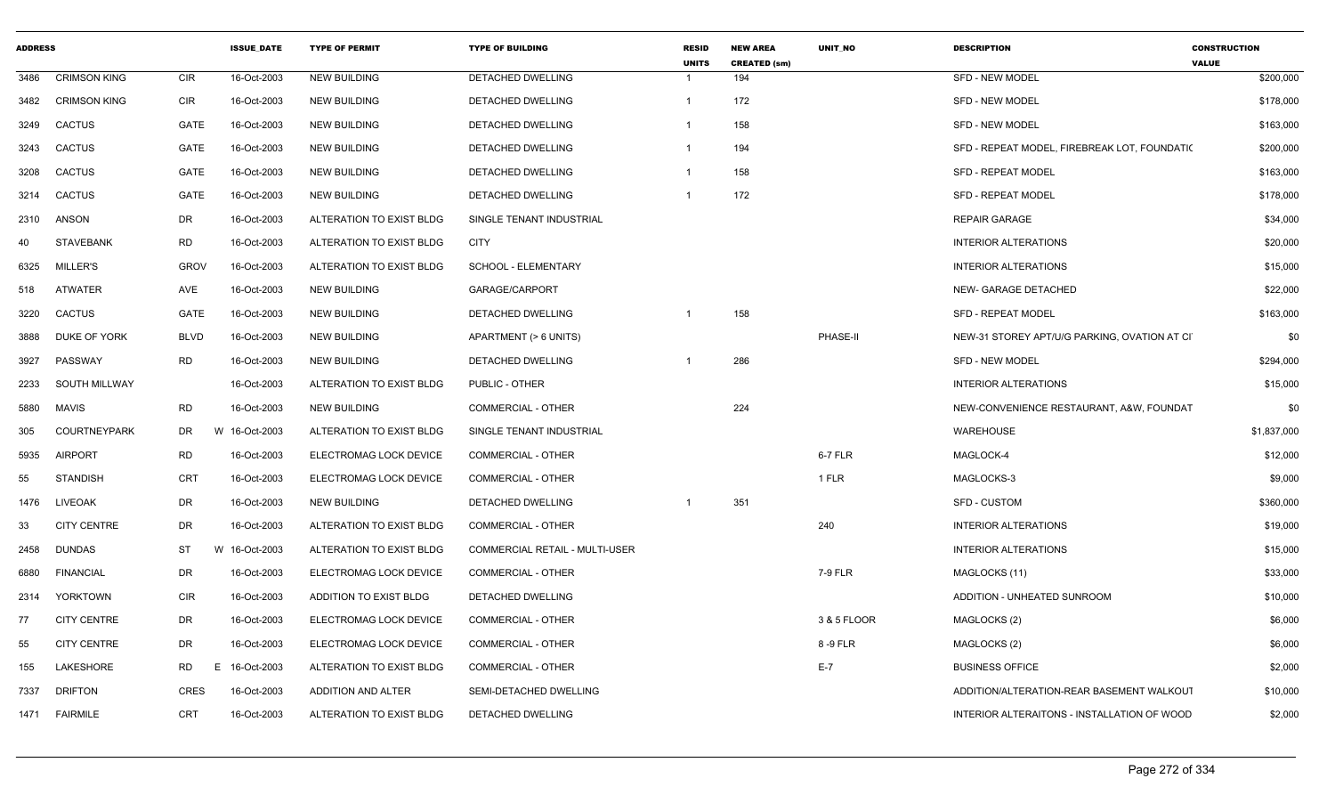| <b>ADDRESS</b> |                      |             | <b>ISSUE DATE</b> | <b>TYPE OF PERMIT</b>     | <b>TYPE OF BUILDING</b>        | <b>RESID</b><br><b>UNITS</b> | <b>NEW AREA</b><br><b>CREATED (sm)</b> | UNIT NO     | <b>DESCRIPTION</b>                            | <b>CONSTRUCTION</b><br><b>VALUE</b> |
|----------------|----------------------|-------------|-------------------|---------------------------|--------------------------------|------------------------------|----------------------------------------|-------------|-----------------------------------------------|-------------------------------------|
| 3486           | <b>CRIMSON KING</b>  | CIR         | 16-Oct-2003       | NEW BUILDING              | DETACHED DWELLING              |                              | 194                                    |             | SFD - NEW MODEL                               | \$200,000                           |
| 3482           | <b>CRIMSON KING</b>  | <b>CIR</b>  | 16-Oct-2003       | <b>NEW BUILDING</b>       | DETACHED DWELLING              | $\overline{1}$               | 172                                    |             | <b>SFD - NEW MODEL</b>                        | \$178,000                           |
| 3249           | <b>CACTUS</b>        | GATE        | 16-Oct-2003       | <b>NEW BUILDING</b>       | DETACHED DWELLING              |                              | 158                                    |             | <b>SFD - NEW MODEL</b>                        | \$163,000                           |
| 3243           | <b>CACTUS</b>        | GATE        | 16-Oct-2003       | <b>NEW BUILDING</b>       | DETACHED DWELLING              | - 1                          | 194                                    |             | SFD - REPEAT MODEL, FIREBREAK LOT, FOUNDATI(  | \$200,000                           |
| 3208           | <b>CACTUS</b>        | GATE        | 16-Oct-2003       | <b>NEW BUILDING</b>       | DETACHED DWELLING              | -1                           | 158                                    |             | <b>SFD - REPEAT MODEL</b>                     | \$163,000                           |
| 3214           | <b>CACTUS</b>        | GATE        | 16-Oct-2003       | NEW BUILDING              | DETACHED DWELLING              | $\overline{1}$               | 172                                    |             | <b>SFD - REPEAT MODEL</b>                     | \$178,000                           |
|                | 2310 ANSON           | DR          | 16-Oct-2003       | ALTERATION TO EXIST BLDG  | SINGLE TENANT INDUSTRIAL       |                              |                                        |             | <b>REPAIR GARAGE</b>                          | \$34,000                            |
| 40             | <b>STAVEBANK</b>     | RD          | 16-Oct-2003       | ALTERATION TO EXIST BLDG  | CITY                           |                              |                                        |             | <b>INTERIOR ALTERATIONS</b>                   | \$20,000                            |
| 6325           | MILLER'S             | <b>GROV</b> | 16-Oct-2003       | ALTERATION TO EXIST BLDG  | SCHOOL - ELEMENTARY            |                              |                                        |             | <b>INTERIOR ALTERATIONS</b>                   | \$15,000                            |
| 518            | <b>ATWATER</b>       | AVE         | 16-Oct-2003       | NEW BUILDING              | GARAGE/CARPORT                 |                              |                                        |             | NEW- GARAGE DETACHED                          | \$22,000                            |
| 3220           | <b>CACTUS</b>        | GATE        | 16-Oct-2003       | <b>NEW BUILDING</b>       | DETACHED DWELLING              |                              | 158                                    |             | <b>SFD - REPEAT MODEL</b>                     | \$163,000                           |
| 3888           | DUKE OF YORK         | BLVD        | 16-Oct-2003       | NEW BUILDING              | APARTMENT (> 6 UNITS)          |                              |                                        | PHASE-II    | NEW-31 STOREY APT/U/G PARKING, OVATION AT CIT | \$0                                 |
| 3927           | PASSWAY              | <b>RD</b>   | 16-Oct-2003       | <b>NEW BUILDING</b>       | DETACHED DWELLING              |                              | 286                                    |             | SFD - NEW MODEL                               | \$294,000                           |
| 2233           | <b>SOUTH MILLWAY</b> |             | 16-Oct-2003       | ALTERATION TO EXIST BLDG  | PUBLIC - OTHER                 |                              |                                        |             | <b>INTERIOR ALTERATIONS</b>                   | \$15,000                            |
| 5880           | <b>MAVIS</b>         | <b>RD</b>   | 16-Oct-2003       | <b>NEW BUILDING</b>       | <b>COMMERCIAL - OTHER</b>      |                              | 224                                    |             | NEW-CONVENIENCE RESTAURANT, A&W, FOUNDAT      | \$0                                 |
| 305            | <b>COURTNEYPARK</b>  | <b>DR</b>   | W 16-Oct-2003     | ALTERATION TO EXIST BLDG  | SINGLE TENANT INDUSTRIAL       |                              |                                        |             | <b>WAREHOUSE</b>                              | \$1,837,000                         |
| 5935           | <b>AIRPORT</b>       | <b>RD</b>   | 16-Oct-2003       | ELECTROMAG LOCK DEVICE    | <b>COMMERCIAL - OTHER</b>      |                              |                                        | 6-7 FLR     | MAGLOCK-4                                     | \$12,000                            |
| 55             | <b>STANDISH</b>      | <b>CRT</b>  | 16-Oct-2003       | ELECTROMAG LOCK DEVICE    | <b>COMMERCIAL - OTHER</b>      |                              |                                        | 1 FLR       | MAGLOCKS-3                                    | \$9,000                             |
| 1476           | <b>LIVEOAK</b>       | DR          | 16-Oct-2003       | <b>NEW BUILDING</b>       | DETACHED DWELLING              | $\overline{1}$               | 351                                    |             | SFD - CUSTOM                                  | \$360,000                           |
| 33             | <b>CITY CENTRE</b>   | <b>DR</b>   | 16-Oct-2003       | ALTERATION TO EXIST BLDG  | <b>COMMERCIAL - OTHER</b>      |                              |                                        | 240         | <b>INTERIOR ALTERATIONS</b>                   | \$19,000                            |
| 2458           | <b>DUNDAS</b>        | ST<br>W     | 16-Oct-2003       | ALTERATION TO EXIST BLDG  | COMMERCIAL RETAIL - MULTI-USER |                              |                                        |             | <b>INTERIOR ALTERATIONS</b>                   | \$15,000                            |
| 6880           | <b>FINANCIAL</b>     | <b>DR</b>   | 16-Oct-2003       | ELECTROMAG LOCK DEVICE    | <b>COMMERCIAL - OTHER</b>      |                              |                                        | 7-9 FLR     | MAGLOCKS (11)                                 | \$33,000                            |
| 2314           | YORKTOWN             | <b>CIR</b>  | 16-Oct-2003       | ADDITION TO EXIST BLDG    | DETACHED DWELLING              |                              |                                        |             | ADDITION - UNHEATED SUNROOM                   | \$10,000                            |
| 77             | <b>CITY CENTRE</b>   | <b>DR</b>   | 16-Oct-2003       | ELECTROMAG LOCK DEVICE    | <b>COMMERCIAL - OTHER</b>      |                              |                                        | 3 & 5 FLOOR | MAGLOCKS (2)                                  | \$6,000                             |
| 55             | <b>CITY CENTRE</b>   | <b>DR</b>   | 16-Oct-2003       | ELECTROMAG LOCK DEVICE    | <b>COMMERCIAL - OTHER</b>      |                              |                                        | 8-9 FLR     | MAGLOCKS (2)                                  | \$6,000                             |
| 155            | <b>LAKESHORE</b>     | RD          | E 16-Oct-2003     | ALTERATION TO EXIST BLDG  | <b>COMMERCIAL - OTHER</b>      |                              |                                        | $E-7$       | <b>BUSINESS OFFICE</b>                        | \$2,000                             |
| 7337           | <b>DRIFTON</b>       | <b>CRES</b> | 16-Oct-2003       | <b>ADDITION AND ALTER</b> | SEMI-DETACHED DWELLING         |                              |                                        |             | ADDITION/ALTERATION-REAR BASEMENT WALKOUT     | \$10,000                            |
|                | 1471 FAIRMILE        | <b>CRT</b>  | 16-Oct-2003       | ALTERATION TO EXIST BLDG  | <b>DETACHED DWELLING</b>       |                              |                                        |             | INTERIOR ALTERAITONS - INSTALLATION OF WOOD   | \$2,000                             |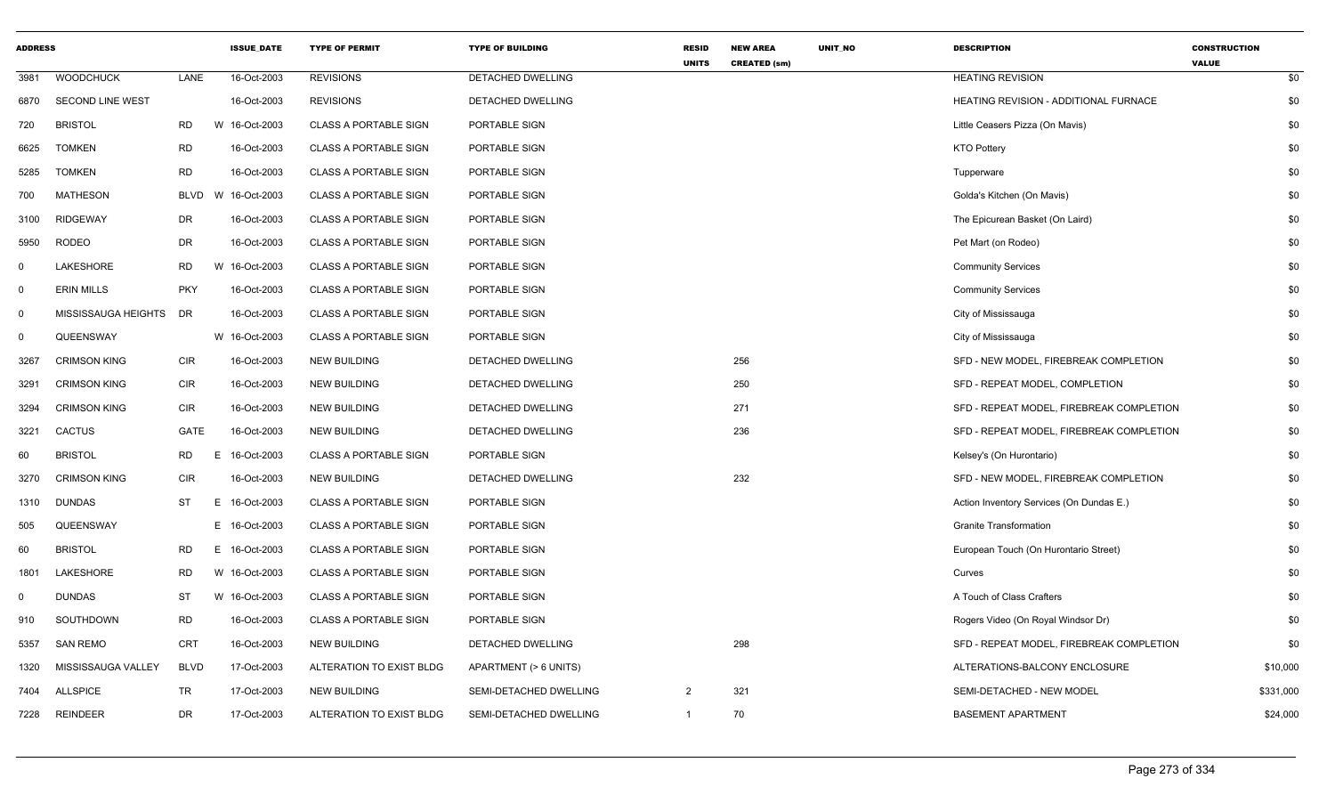| <b>ADDRESS</b> |                         |             |    | <b>ISSUE DATE</b> | <b>TYPE OF PERMIT</b>        | <b>TYPE OF BUILDING</b> | <b>RESID</b><br><b>UNITS</b> | <b>NEW AREA</b><br><b>CREATED (sm)</b> | UNIT_NO | <b>DESCRIPTION</b>                       | <b>CONSTRUCTION</b><br><b>VALUE</b> |
|----------------|-------------------------|-------------|----|-------------------|------------------------------|-------------------------|------------------------------|----------------------------------------|---------|------------------------------------------|-------------------------------------|
| 3981           | <b>WOODCHUCK</b>        | LANE        |    | 16-Oct-2003       | <b>REVISIONS</b>             | DETACHED DWELLING       |                              |                                        |         | <b>HEATING REVISION</b>                  | \$0                                 |
| 6870           | <b>SECOND LINE WEST</b> |             |    | 16-Oct-2003       | <b>REVISIONS</b>             | DETACHED DWELLING       |                              |                                        |         | HEATING REVISION - ADDITIONAL FURNACE    | \$0                                 |
| 720            | <b>BRISTOL</b>          | <b>RD</b>   |    | W 16-Oct-2003     | <b>CLASS A PORTABLE SIGN</b> | PORTABLE SIGN           |                              |                                        |         | Little Ceasers Pizza (On Mavis)          | \$0                                 |
| 6625           | <b>TOMKEN</b>           | <b>RD</b>   |    | 16-Oct-2003       | <b>CLASS A PORTABLE SIGN</b> | PORTABLE SIGN           |                              |                                        |         | <b>KTO Pottery</b>                       | \$0                                 |
| 5285           | <b>TOMKEN</b>           | <b>RD</b>   |    | 16-Oct-2003       | <b>CLASS A PORTABLE SIGN</b> | PORTABLE SIGN           |                              |                                        |         | Tupperware                               | \$0                                 |
| 700            | <b>MATHESON</b>         | <b>BLVD</b> |    | W 16-Oct-2003     | <b>CLASS A PORTABLE SIGN</b> | PORTABLE SIGN           |                              |                                        |         | Golda's Kitchen (On Mavis)               | \$0                                 |
| 3100           | <b>RIDGEWAY</b>         | DR          |    | 16-Oct-2003       | <b>CLASS A PORTABLE SIGN</b> | PORTABLE SIGN           |                              |                                        |         | The Epicurean Basket (On Laird)          | \$0                                 |
| 5950           | RODEO                   | DR          |    | 16-Oct-2003       | <b>CLASS A PORTABLE SIGN</b> | PORTABLE SIGN           |                              |                                        |         | Pet Mart (on Rodeo)                      | \$0                                 |
| $\mathbf 0$    | LAKESHORE               | <b>RD</b>   |    | W 16-Oct-2003     | <b>CLASS A PORTABLE SIGN</b> | PORTABLE SIGN           |                              |                                        |         | <b>Community Services</b>                | \$0                                 |
| $\mathbf 0$    | <b>ERIN MILLS</b>       | <b>PKY</b>  |    | 16-Oct-2003       | <b>CLASS A PORTABLE SIGN</b> | PORTABLE SIGN           |                              |                                        |         | <b>Community Services</b>                | \$0                                 |
| $\mathbf 0$    | MISSISSAUGA HEIGHTS     | <b>DR</b>   |    | 16-Oct-2003       | <b>CLASS A PORTABLE SIGN</b> | PORTABLE SIGN           |                              |                                        |         | City of Mississauga                      | \$0                                 |
| $\mathbf 0$    | QUEENSWAY               |             |    | W 16-Oct-2003     | <b>CLASS A PORTABLE SIGN</b> | PORTABLE SIGN           |                              |                                        |         | City of Mississauga                      | \$0                                 |
| 3267           | <b>CRIMSON KING</b>     | <b>CIR</b>  |    | 16-Oct-2003       | <b>NEW BUILDING</b>          | DETACHED DWELLING       |                              | 256                                    |         | SFD - NEW MODEL, FIREBREAK COMPLETION    | \$0                                 |
| 3291           | <b>CRIMSON KING</b>     | <b>CIR</b>  |    | 16-Oct-2003       | <b>NEW BUILDING</b>          | DETACHED DWELLING       |                              | 250                                    |         | SFD - REPEAT MODEL, COMPLETION           | \$0                                 |
| 3294           | <b>CRIMSON KING</b>     | CIR         |    | 16-Oct-2003       | <b>NEW BUILDING</b>          | DETACHED DWELLING       |                              | 271                                    |         | SFD - REPEAT MODEL, FIREBREAK COMPLETION | \$0                                 |
| 3221           | <b>CACTUS</b>           | GATE        |    | 16-Oct-2003       | <b>NEW BUILDING</b>          | DETACHED DWELLING       |                              | 236                                    |         | SFD - REPEAT MODEL, FIREBREAK COMPLETION | \$0                                 |
| 60             | <b>BRISTOL</b>          | <b>RD</b>   | E. | 16-Oct-2003       | <b>CLASS A PORTABLE SIGN</b> | PORTABLE SIGN           |                              |                                        |         | Kelsey's (On Hurontario)                 | \$0                                 |
| 3270           | <b>CRIMSON KING</b>     | <b>CIR</b>  |    | 16-Oct-2003       | <b>NEW BUILDING</b>          | DETACHED DWELLING       |                              | 232                                    |         | SFD - NEW MODEL, FIREBREAK COMPLETION    | \$0                                 |
| 1310           | <b>DUNDAS</b>           | ST          | E. | 16-Oct-2003       | <b>CLASS A PORTABLE SIGN</b> | PORTABLE SIGN           |                              |                                        |         | Action Inventory Services (On Dundas E.) | \$0                                 |
| 505            | QUEENSWAY               |             |    | E 16-Oct-2003     | <b>CLASS A PORTABLE SIGN</b> | PORTABLE SIGN           |                              |                                        |         | <b>Granite Transformation</b>            | \$0                                 |
| 60             | <b>BRISTOL</b>          | RD.         |    | E 16-Oct-2003     | <b>CLASS A PORTABLE SIGN</b> | PORTABLE SIGN           |                              |                                        |         | European Touch (On Hurontario Street)    | \$0                                 |
| 1801           | LAKESHORE               | <b>RD</b>   |    | W 16-Oct-2003     | <b>CLASS A PORTABLE SIGN</b> | PORTABLE SIGN           |                              |                                        |         | Curves                                   | \$0                                 |
| $\mathbf 0$    | <b>DUNDAS</b>           | <b>ST</b>   |    | W 16-Oct-2003     | <b>CLASS A PORTABLE SIGN</b> | PORTABLE SIGN           |                              |                                        |         | A Touch of Class Crafters                | \$0                                 |
| 910            | SOUTHDOWN               | <b>RD</b>   |    | 16-Oct-2003       | <b>CLASS A PORTABLE SIGN</b> | PORTABLE SIGN           |                              |                                        |         | Rogers Video (On Royal Windsor Dr)       | \$0                                 |
| 5357           | <b>SAN REMO</b>         | <b>CRT</b>  |    | 16-Oct-2003       | <b>NEW BUILDING</b>          | DETACHED DWELLING       |                              | 298                                    |         | SFD - REPEAT MODEL, FIREBREAK COMPLETION | \$0                                 |
| 1320           | MISSISSAUGA VALLEY      | <b>BLVD</b> |    | 17-Oct-2003       | ALTERATION TO EXIST BLDG     | APARTMENT (> 6 UNITS)   |                              |                                        |         | ALTERATIONS-BALCONY ENCLOSURE            | \$10,000                            |
| 7404           | <b>ALLSPICE</b>         | <b>TR</b>   |    | 17-Oct-2003       | <b>NEW BUILDING</b>          | SEMI-DETACHED DWELLING  | 2                            | 321                                    |         | SEMI-DETACHED - NEW MODEL                | \$331,000                           |
| 7228           | REINDEER                | DR          |    | 17-Oct-2003       | ALTERATION TO EXIST BLDG     | SEMI-DETACHED DWELLING  | $\mathbf{1}$                 | 70                                     |         | <b>BASEMENT APARTMENT</b>                | \$24,000                            |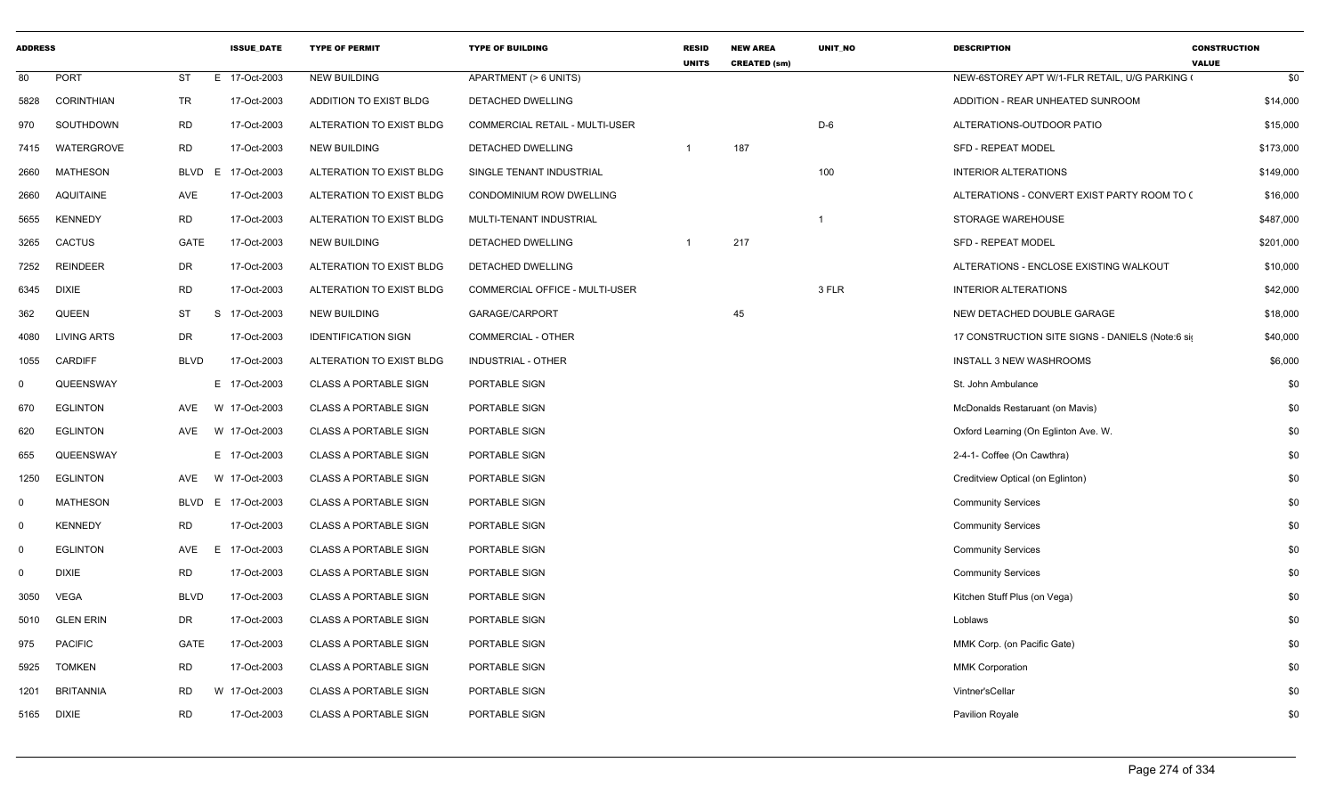| <b>ADDRESS</b> |                    |             | <b>ISSUE_DATE</b>  | <b>TYPE OF PERMIT</b>        | <b>TYPE OF BUILDING</b>               | <b>RESID</b><br><b>UNITS</b> | <b>NEW AREA</b><br><b>CREATED (sm)</b> | UNIT_NO                 | <b>DESCRIPTION</b>                               | <b>CONSTRUCTION</b><br><b>VALUE</b> |
|----------------|--------------------|-------------|--------------------|------------------------------|---------------------------------------|------------------------------|----------------------------------------|-------------------------|--------------------------------------------------|-------------------------------------|
| 80             | <b>PORT</b>        | <b>ST</b>   | E 17-Oct-2003      | NEW BUILDING                 | APARTMENT (> 6 UNITS)                 |                              |                                        |                         | NEW-6STOREY APT W/1-FLR RETAIL, U/G PARKING (    | \$0                                 |
| 5828           | <b>CORINTHIAN</b>  | TR          | 17-Oct-2003        | ADDITION TO EXIST BLDG       | DETACHED DWELLING                     |                              |                                        |                         | ADDITION - REAR UNHEATED SUNROOM                 | \$14,000                            |
| 970            | SOUTHDOWN          | RD          | 17-Oct-2003        | ALTERATION TO EXIST BLDG     | <b>COMMERCIAL RETAIL - MULTI-USER</b> |                              |                                        | $D-6$                   | ALTERATIONS-OUTDOOR PATIO                        | \$15,000                            |
| 7415           | WATERGROVE         | <b>RD</b>   | 17-Oct-2003        | NEW BUILDING                 | DETACHED DWELLING                     | $\overline{1}$               | 187                                    |                         | <b>SFD - REPEAT MODEL</b>                        | \$173,000                           |
| 2660           | <b>MATHESON</b>    |             | BLVD E 17-Oct-2003 | ALTERATION TO EXIST BLDG     | SINGLE TENANT INDUSTRIAL              |                              |                                        | 100                     | <b>INTERIOR ALTERATIONS</b>                      | \$149,000                           |
| 2660           | <b>AQUITAINE</b>   | AVE         | 17-Oct-2003        | ALTERATION TO EXIST BLDG     | CONDOMINIUM ROW DWELLING              |                              |                                        |                         | ALTERATIONS - CONVERT EXIST PARTY ROOM TO (      | \$16,000                            |
| 5655           | <b>KENNEDY</b>     | <b>RD</b>   | 17-Oct-2003        | ALTERATION TO EXIST BLDG     | MULTI-TENANT INDUSTRIAL               |                              |                                        | $\overline{\mathbf{1}}$ | STORAGE WAREHOUSE                                | \$487,000                           |
| 3265           | CACTUS             | GATE        | 17-Oct-2003        | <b>NEW BUILDING</b>          | DETACHED DWELLING                     | $\overline{1}$               | 217                                    |                         | <b>SFD - REPEAT MODEL</b>                        | \$201,000                           |
| 7252           | <b>REINDEER</b>    | DR          | 17-Oct-2003        | ALTERATION TO EXIST BLDG     | DETACHED DWELLING                     |                              |                                        |                         | ALTERATIONS - ENCLOSE EXISTING WALKOUT           | \$10,000                            |
| 6345           | <b>DIXIE</b>       | <b>RD</b>   | 17-Oct-2003        | ALTERATION TO EXIST BLDG     | COMMERCIAL OFFICE - MULTI-USER        |                              |                                        | 3 FLR                   | <b>INTERIOR ALTERATIONS</b>                      | \$42,000                            |
| 362            | QUEEN              | ST<br>S     | 17-Oct-2003        | <b>NEW BUILDING</b>          | GARAGE/CARPORT                        |                              | 45                                     |                         | NEW DETACHED DOUBLE GARAGE                       | \$18,000                            |
| 4080           | <b>LIVING ARTS</b> | DR          | 17-Oct-2003        | <b>IDENTIFICATION SIGN</b>   | COMMERCIAL - OTHER                    |                              |                                        |                         | 17 CONSTRUCTION SITE SIGNS - DANIELS (Note:6 sig | \$40,000                            |
| 1055           | <b>CARDIFF</b>     | <b>BLVD</b> | 17-Oct-2003        | ALTERATION TO EXIST BLDG     | <b>INDUSTRIAL - OTHER</b>             |                              |                                        |                         | <b>INSTALL 3 NEW WASHROOMS</b>                   | \$6,000                             |
| $^{\circ}$     | QUEENSWAY          |             | E 17-Oct-2003      | <b>CLASS A PORTABLE SIGN</b> | PORTABLE SIGN                         |                              |                                        |                         | St. John Ambulance                               | \$0                                 |
| 670            | <b>EGLINTON</b>    | AVE         | W 17-Oct-2003      | <b>CLASS A PORTABLE SIGN</b> | PORTABLE SIGN                         |                              |                                        |                         | McDonalds Restaruant (on Mavis)                  | \$0                                 |
| 620            | <b>EGLINTON</b>    |             | AVE W 17-Oct-2003  | <b>CLASS A PORTABLE SIGN</b> | PORTABLE SIGN                         |                              |                                        |                         | Oxford Learning (On Eglinton Ave. W.             | \$0                                 |
| 655            | QUEENSWAY          |             | E 17-Oct-2003      | <b>CLASS A PORTABLE SIGN</b> | PORTABLE SIGN                         |                              |                                        |                         | 2-4-1- Coffee (On Cawthra)                       | \$0                                 |
| 1250           | <b>EGLINTON</b>    | AVE<br>W    | 17-Oct-2003        | <b>CLASS A PORTABLE SIGN</b> | PORTABLE SIGN                         |                              |                                        |                         | Creditview Optical (on Eglinton)                 | \$0                                 |
| $\Omega$       | <b>MATHESON</b>    |             | BLVD E 17-Oct-2003 | <b>CLASS A PORTABLE SIGN</b> | PORTABLE SIGN                         |                              |                                        |                         | <b>Community Services</b>                        | \$0                                 |
| $\Omega$       | <b>KENNEDY</b>     | <b>RD</b>   | 17-Oct-2003        | <b>CLASS A PORTABLE SIGN</b> | PORTABLE SIGN                         |                              |                                        |                         | <b>Community Services</b>                        | \$0                                 |
| $\Omega$       | <b>EGLINTON</b>    | AVE<br>E.   | 17-Oct-2003        | <b>CLASS A PORTABLE SIGN</b> | PORTABLE SIGN                         |                              |                                        |                         | <b>Community Services</b>                        | \$0                                 |
| $\mathbf 0$    | <b>DIXIE</b>       | RD          | 17-Oct-2003        | <b>CLASS A PORTABLE SIGN</b> | PORTABLE SIGN                         |                              |                                        |                         | <b>Community Services</b>                        | \$0                                 |
| 3050           | <b>VEGA</b>        | <b>BLVD</b> | 17-Oct-2003        | <b>CLASS A PORTABLE SIGN</b> | PORTABLE SIGN                         |                              |                                        |                         | Kitchen Stuff Plus (on Vega)                     | \$0                                 |
| 5010           | <b>GLEN ERIN</b>   | DR          | 17-Oct-2003        | <b>CLASS A PORTABLE SIGN</b> | PORTABLE SIGN                         |                              |                                        |                         | Loblaws                                          | \$0                                 |
| 975            | <b>PACIFIC</b>     | GATE        | 17-Oct-2003        | <b>CLASS A PORTABLE SIGN</b> | PORTABLE SIGN                         |                              |                                        |                         | MMK Corp. (on Pacific Gate)                      | \$0                                 |
| 5925           | <b>TOMKEN</b>      | RD          | 17-Oct-2003        | <b>CLASS A PORTABLE SIGN</b> | PORTABLE SIGN                         |                              |                                        |                         | <b>MMK Corporation</b>                           | \$0                                 |
| 1201           | <b>BRITANNIA</b>   | RD          | W 17-Oct-2003      | <b>CLASS A PORTABLE SIGN</b> | PORTABLE SIGN                         |                              |                                        |                         | Vintner'sCellar                                  | \$0                                 |
|                | 5165 DIXIE         | <b>RD</b>   | 17-Oct-2003        | <b>CLASS A PORTABLE SIGN</b> | PORTABLE SIGN                         |                              |                                        |                         | Pavilion Royale                                  | \$0                                 |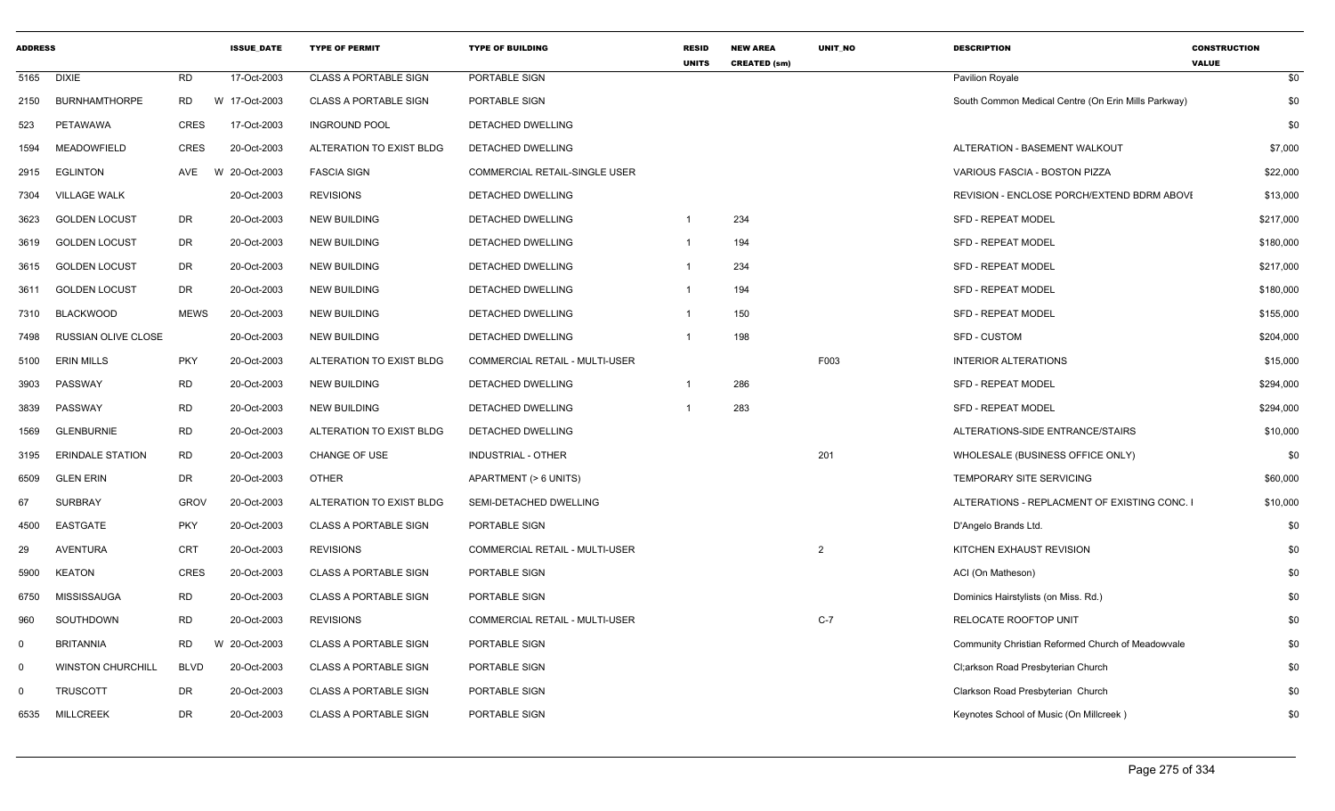| <b>ADDRESS</b> |                          |             | <b>ISSUE_DATE</b> | <b>TYPE OF PERMIT</b>        | <b>TYPE OF BUILDING</b>               | <b>RESID</b><br><b>UNITS</b> | <b>NEW AREA</b><br><b>CREATED (sm)</b> | UNIT_NO        | <b>DESCRIPTION</b>                                  | <b>CONSTRUCTION</b><br><b>VALUE</b> |
|----------------|--------------------------|-------------|-------------------|------------------------------|---------------------------------------|------------------------------|----------------------------------------|----------------|-----------------------------------------------------|-------------------------------------|
| 5165           | <b>DIXIE</b>             | RD          | 17-Oct-2003       | <b>CLASS A PORTABLE SIGN</b> | PORTABLE SIGN                         |                              |                                        |                | Pavilion Royale                                     | \$0                                 |
| 2150           | <b>BURNHAMTHORPE</b>     | RD          | W 17-Oct-2003     | <b>CLASS A PORTABLE SIGN</b> | PORTABLE SIGN                         |                              |                                        |                | South Common Medical Centre (On Erin Mills Parkway) | \$0                                 |
| 523            | PETAWAWA                 | <b>CRES</b> | 17-Oct-2003       | <b>INGROUND POOL</b>         | <b>DETACHED DWELLING</b>              |                              |                                        |                |                                                     | \$0                                 |
| 1594           | MEADOWFIELD              | <b>CRES</b> | 20-Oct-2003       | ALTERATION TO EXIST BLDG     | DETACHED DWELLING                     |                              |                                        |                | ALTERATION - BASEMENT WALKOUT                       | \$7,000                             |
| 2915           | EGLINTON                 | AVE         | W 20-Oct-2003     | <b>FASCIA SIGN</b>           | COMMERCIAL RETAIL-SINGLE USER         |                              |                                        |                | VARIOUS FASCIA - BOSTON PIZZA                       | \$22,000                            |
| 7304           | <b>VILLAGE WALK</b>      |             | 20-Oct-2003       | <b>REVISIONS</b>             | DETACHED DWELLING                     |                              |                                        |                | REVISION - ENCLOSE PORCH/EXTEND BDRM ABOVI          | \$13,000                            |
| 3623           | <b>GOLDEN LOCUST</b>     | <b>DR</b>   | 20-Oct-2003       | <b>NEW BUILDING</b>          | <b>DETACHED DWELLING</b>              |                              | 234                                    |                | <b>SFD - REPEAT MODEL</b>                           | \$217,000                           |
| 3619           | <b>GOLDEN LOCUST</b>     | <b>DR</b>   | 20-Oct-2003       | <b>NEW BUILDING</b>          | DETACHED DWELLING                     |                              | 194                                    |                | <b>SFD - REPEAT MODEL</b>                           | \$180,000                           |
| 3615           | <b>GOLDEN LOCUST</b>     | <b>DR</b>   | 20-Oct-2003       | <b>NEW BUILDING</b>          | DETACHED DWELLING                     |                              | 234                                    |                | <b>SFD - REPEAT MODEL</b>                           | \$217,000                           |
| 3611           | <b>GOLDEN LOCUST</b>     | DR          | 20-Oct-2003       | <b>NEW BUILDING</b>          | DETACHED DWELLING                     |                              | 194                                    |                | <b>SFD - REPEAT MODEL</b>                           | \$180,000                           |
| 7310           | <b>BLACKWOOD</b>         | <b>MEWS</b> | 20-Oct-2003       | <b>NEW BUILDING</b>          | DETACHED DWELLING                     |                              | 150                                    |                | <b>SFD - REPEAT MODEL</b>                           | \$155,000                           |
| 7498           | RUSSIAN OLIVE CLOSE      |             | 20-Oct-2003       | <b>NEW BUILDING</b>          | DETACHED DWELLING                     |                              | 198                                    |                | <b>SFD - CUSTOM</b>                                 | \$204,000                           |
| 5100           | <b>ERIN MILLS</b>        | <b>PKY</b>  | 20-Oct-2003       | ALTERATION TO EXIST BLDG     | <b>COMMERCIAL RETAIL - MULTI-USER</b> |                              |                                        | F003           | <b>INTERIOR ALTERATIONS</b>                         | \$15,000                            |
| 3903           | PASSWAY                  | <b>RD</b>   | 20-Oct-2003       | <b>NEW BUILDING</b>          | DETACHED DWELLING                     |                              | 286                                    |                | <b>SFD - REPEAT MODEL</b>                           | \$294,000                           |
| 3839           | PASSWAY                  | <b>RD</b>   | 20-Oct-2003       | <b>NEW BUILDING</b>          | DETACHED DWELLING                     |                              | 283                                    |                | <b>SFD - REPEAT MODEL</b>                           | \$294,000                           |
| 1569           | <b>GLENBURNIE</b>        | <b>RD</b>   | 20-Oct-2003       | ALTERATION TO EXIST BLDG     | DETACHED DWELLING                     |                              |                                        |                | ALTERATIONS-SIDE ENTRANCE/STAIRS                    | \$10,000                            |
| 3195           | <b>ERINDALE STATION</b>  | <b>RD</b>   | 20-Oct-2003       | <b>CHANGE OF USE</b>         | <b>INDUSTRIAL - OTHER</b>             |                              |                                        | 201            | WHOLESALE (BUSINESS OFFICE ONLY)                    | \$0                                 |
| 6509           | <b>GLEN ERIN</b>         | <b>DR</b>   | 20-Oct-2003       | <b>OTHER</b>                 | APARTMENT (> 6 UNITS)                 |                              |                                        |                | TEMPORARY SITE SERVICING                            | \$60,000                            |
| 67             | <b>SURBRAY</b>           | <b>GROV</b> | 20-Oct-2003       | ALTERATION TO EXIST BLDG     | SEMI-DETACHED DWELLING                |                              |                                        |                | ALTERATIONS - REPLACMENT OF EXISTING CONC. I        | \$10,000                            |
| 4500           | <b>EASTGATE</b>          | <b>PKY</b>  | 20-Oct-2003       | <b>CLASS A PORTABLE SIGN</b> | PORTABLE SIGN                         |                              |                                        |                | D'Angelo Brands Ltd.                                | \$0                                 |
| 29             | <b>AVENTURA</b>          | CRT         | 20-Oct-2003       | <b>REVISIONS</b>             | COMMERCIAL RETAIL - MULTI-USER        |                              |                                        | $\overline{2}$ | KITCHEN EXHAUST REVISION                            | \$0                                 |
| 5900           | <b>KEATON</b>            | <b>CRES</b> | 20-Oct-2003       | <b>CLASS A PORTABLE SIGN</b> | PORTABLE SIGN                         |                              |                                        |                | ACI (On Matheson)                                   | \$0                                 |
| 6750           | MISSISSAUGA              | <b>RD</b>   | 20-Oct-2003       | <b>CLASS A PORTABLE SIGN</b> | PORTABLE SIGN                         |                              |                                        |                | Dominics Hairstylists (on Miss. Rd.)                | \$0                                 |
| 960            | SOUTHDOWN                | <b>RD</b>   | 20-Oct-2003       | <b>REVISIONS</b>             | <b>COMMERCIAL RETAIL - MULTI-USER</b> |                              |                                        | $C-7$          | <b>RELOCATE ROOFTOP UNIT</b>                        | \$0                                 |
| $\mathbf 0$    | <b>BRITANNIA</b>         | <b>RD</b>   | W 20-Oct-2003     | <b>CLASS A PORTABLE SIGN</b> | PORTABLE SIGN                         |                              |                                        |                | Community Christian Reformed Church of Meadowvale   | \$0                                 |
| $\mathbf 0$    | <b>WINSTON CHURCHILL</b> | <b>BLVD</b> | 20-Oct-2003       | <b>CLASS A PORTABLE SIGN</b> | PORTABLE SIGN                         |                              |                                        |                | Cl;arkson Road Presbyterian Church                  | \$0                                 |
| $\Omega$       | <b>TRUSCOTT</b>          | <b>DR</b>   | 20-Oct-2003       | <b>CLASS A PORTABLE SIGN</b> | PORTABLE SIGN                         |                              |                                        |                | Clarkson Road Presbyterian Church                   | \$0                                 |
| 6535           | <b>MILLCREEK</b>         | <b>DR</b>   | 20-Oct-2003       | <b>CLASS A PORTABLE SIGN</b> | PORTABLE SIGN                         |                              |                                        |                | Keynotes School of Music (On Millcreek)             | \$0                                 |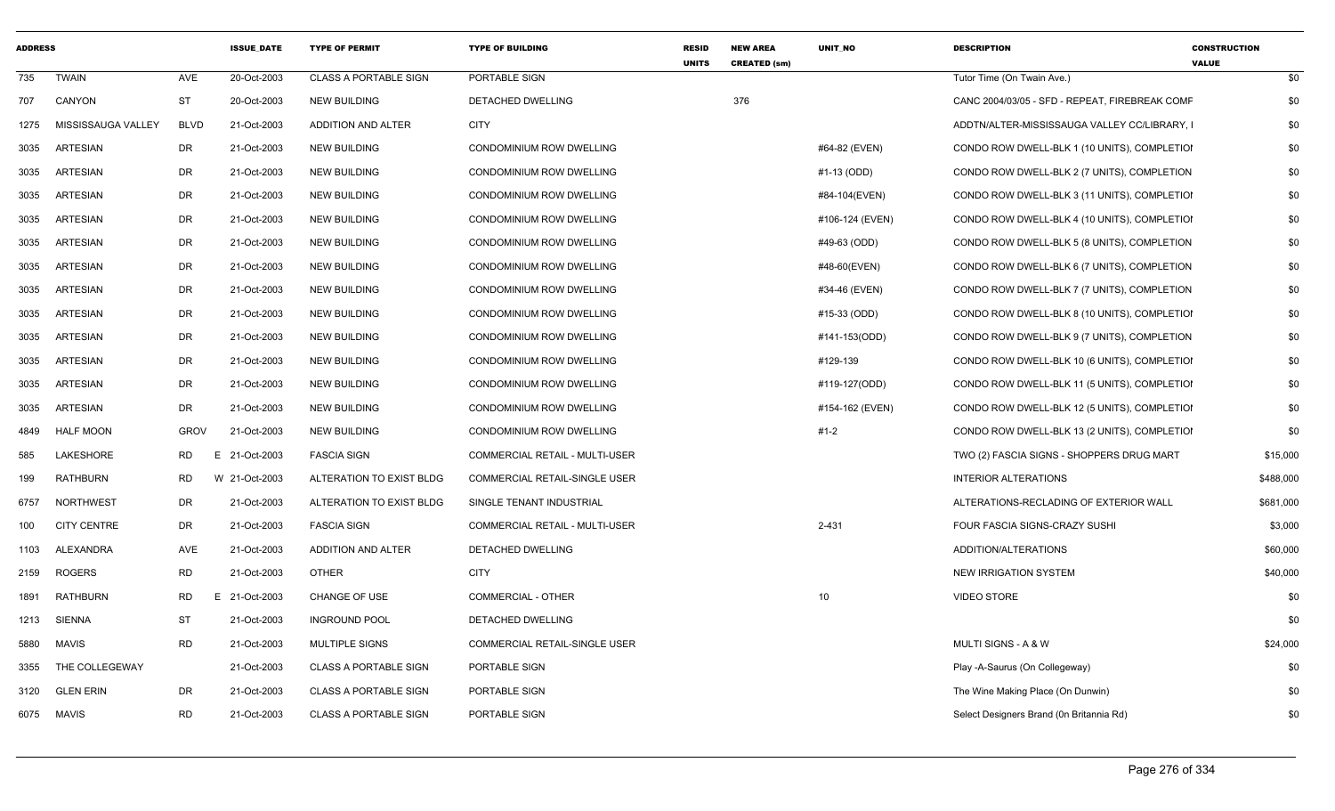| <b>ADDRESS</b> |                    |             | <b>ISSUE DATE</b> | <b>TYPE OF PERMIT</b>        | <b>TYPE OF BUILDING</b>               | <b>RESID</b><br><b>UNITS</b> | <b>NEW AREA</b><br><b>CREATED (sm)</b> | UNIT_NO         | <b>DESCRIPTION</b>                             | <b>CONSTRUCTION</b><br><b>VALUE</b> |
|----------------|--------------------|-------------|-------------------|------------------------------|---------------------------------------|------------------------------|----------------------------------------|-----------------|------------------------------------------------|-------------------------------------|
| 735            | <b>TWAIN</b>       | AVE         | 20-Oct-2003       | <b>CLASS A PORTABLE SIGN</b> | PORTABLE SIGN                         |                              |                                        |                 | Tutor Time (On Twain Ave.)                     | \$0                                 |
| 707            | CANYON             | ST          | 20-Oct-2003       | <b>NEW BUILDING</b>          | DETACHED DWELLING                     |                              | 376                                    |                 | CANC 2004/03/05 - SFD - REPEAT, FIREBREAK COMF | \$0                                 |
| 1275           | MISSISSAUGA VALLEY | <b>BLVD</b> | 21-Oct-2003       | ADDITION AND ALTER           | <b>CITY</b>                           |                              |                                        |                 | ADDTN/ALTER-MISSISSAUGA VALLEY CC/LIBRARY, I   | \$0                                 |
| 3035           | <b>ARTESIAN</b>    | DR          | 21-Oct-2003       | <b>NEW BUILDING</b>          | CONDOMINIUM ROW DWELLING              |                              |                                        | #64-82 (EVEN)   | CONDO ROW DWELL-BLK 1 (10 UNITS), COMPLETIOI   | \$0                                 |
| 3035           | <b>ARTESIAN</b>    | DR          | 21-Oct-2003       | <b>NEW BUILDING</b>          | CONDOMINIUM ROW DWELLING              |                              |                                        | #1-13 (ODD)     | CONDO ROW DWELL-BLK 2 (7 UNITS), COMPLETION    | \$0                                 |
| 3035           | <b>ARTESIAN</b>    | DR          | 21-Oct-2003       | <b>NEW BUILDING</b>          | CONDOMINIUM ROW DWELLING              |                              |                                        | #84-104(EVEN)   | CONDO ROW DWELL-BLK 3 (11 UNITS), COMPLETIOI   | \$0                                 |
| 3035           | <b>ARTESIAN</b>    | <b>DR</b>   | 21-Oct-2003       | <b>NEW BUILDING</b>          | <b>CONDOMINIUM ROW DWELLING</b>       |                              |                                        | #106-124 (EVEN) | CONDO ROW DWELL-BLK 4 (10 UNITS), COMPLETIOI   | \$0                                 |
| 3035           | <b>ARTESIAN</b>    | DR          | 21-Oct-2003       | <b>NEW BUILDING</b>          | CONDOMINIUM ROW DWELLING              |                              |                                        | #49-63 (ODD)    | CONDO ROW DWELL-BLK 5 (8 UNITS), COMPLETION    | \$0                                 |
| 3035           | <b>ARTESIAN</b>    | <b>DR</b>   | 21-Oct-2003       | <b>NEW BUILDING</b>          | CONDOMINIUM ROW DWELLING              |                              |                                        | #48-60(EVEN)    | CONDO ROW DWELL-BLK 6 (7 UNITS), COMPLETION    | \$0                                 |
| 3035           | <b>ARTESIAN</b>    | <b>DR</b>   | 21-Oct-2003       | <b>NEW BUILDING</b>          | CONDOMINIUM ROW DWELLING              |                              |                                        | #34-46 (EVEN)   | CONDO ROW DWELL-BLK 7 (7 UNITS), COMPLETION    | \$0                                 |
| 3035           | <b>ARTESIAN</b>    | DR          | 21-Oct-2003       | <b>NEW BUILDING</b>          | CONDOMINIUM ROW DWELLING              |                              |                                        | #15-33 (ODD)    | CONDO ROW DWELL-BLK 8 (10 UNITS), COMPLETIOI   | \$0                                 |
| 3035           | <b>ARTESIAN</b>    | <b>DR</b>   | 21-Oct-2003       | <b>NEW BUILDING</b>          | CONDOMINIUM ROW DWELLING              |                              |                                        | #141-153(ODD)   | CONDO ROW DWELL-BLK 9 (7 UNITS), COMPLETION    | \$0                                 |
| 3035           | <b>ARTESIAN</b>    | <b>DR</b>   | 21-Oct-2003       | <b>NEW BUILDING</b>          | CONDOMINIUM ROW DWELLING              |                              |                                        | #129-139        | CONDO ROW DWELL-BLK 10 (6 UNITS), COMPLETIOI   | \$0                                 |
| 3035           | <b>ARTESIAN</b>    | DR          | 21-Oct-2003       | <b>NEW BUILDING</b>          | CONDOMINIUM ROW DWELLING              |                              |                                        | #119-127(ODD)   | CONDO ROW DWELL-BLK 11 (5 UNITS), COMPLETIOI   | \$0                                 |
| 3035           | ARTESIAN           | <b>DR</b>   | 21-Oct-2003       | <b>NEW BUILDING</b>          | <b>CONDOMINIUM ROW DWELLING</b>       |                              |                                        | #154-162 (EVEN) | CONDO ROW DWELL-BLK 12 (5 UNITS), COMPLETIOI   | \$0                                 |
| 4849           | <b>HALF MOON</b>   | <b>GROV</b> | 21-Oct-2003       | <b>NEW BUILDING</b>          | CONDOMINIUM ROW DWELLING              |                              |                                        | #1-2            | CONDO ROW DWELL-BLK 13 (2 UNITS), COMPLETIOI   | \$0                                 |
| 585            | <b>LAKESHORE</b>   | <b>RD</b>   | E<br>21-Oct-2003  | <b>FASCIA SIGN</b>           | <b>COMMERCIAL RETAIL - MULTI-USER</b> |                              |                                        |                 | TWO (2) FASCIA SIGNS - SHOPPERS DRUG MART      | \$15,000                            |
| 199            | RATHBURN           | <b>RD</b>   | W 21-Oct-2003     | ALTERATION TO EXIST BLDG     | COMMERCIAL RETAIL-SINGLE USER         |                              |                                        |                 | <b>INTERIOR ALTERATIONS</b>                    | \$488,000                           |
| 6757           | <b>NORTHWEST</b>   | DR          | 21-Oct-2003       | ALTERATION TO EXIST BLDG     | SINGLE TENANT INDUSTRIAL              |                              |                                        |                 | ALTERATIONS-RECLADING OF EXTERIOR WALL         | \$681,000                           |
| 100            | <b>CITY CENTRE</b> | DR          | 21-Oct-2003       | <b>FASCIA SIGN</b>           | COMMERCIAL RETAIL - MULTI-USER        |                              |                                        | 2-431           | FOUR FASCIA SIGNS-CRAZY SUSHI                  | \$3,000                             |
| 1103           | ALEXANDRA          | AVE         | 21-Oct-2003       | ADDITION AND ALTER           | DETACHED DWELLING                     |                              |                                        |                 | ADDITION/ALTERATIONS                           | \$60,000                            |
| 2159           | <b>ROGERS</b>      | <b>RD</b>   | 21-Oct-2003       | <b>OTHER</b>                 | <b>CITY</b>                           |                              |                                        |                 | <b>NEW IRRIGATION SYSTEM</b>                   | \$40,000                            |
| 1891           | <b>RATHBURN</b>    | <b>RD</b>   | E 21-Oct-2003     | <b>CHANGE OF USE</b>         | <b>COMMERCIAL - OTHER</b>             |                              |                                        | 10              | <b>VIDEO STORE</b>                             | \$0                                 |
| 1213           | <b>SIENNA</b>      | ST          | 21-Oct-2003       | <b>INGROUND POOL</b>         | DETACHED DWELLING                     |                              |                                        |                 |                                                | \$0                                 |
| 5880           | <b>MAVIS</b>       | <b>RD</b>   | 21-Oct-2003       | <b>MULTIPLE SIGNS</b>        | COMMERCIAL RETAIL-SINGLE USER         |                              |                                        |                 | MULTI SIGNS - A & W                            | \$24,000                            |
| 3355           | THE COLLEGEWAY     |             | 21-Oct-2003       | <b>CLASS A PORTABLE SIGN</b> | PORTABLE SIGN                         |                              |                                        |                 | Play -A-Saurus (On Collegeway)                 | \$0                                 |
| 3120           | <b>GLEN ERIN</b>   | <b>DR</b>   | 21-Oct-2003       | <b>CLASS A PORTABLE SIGN</b> | PORTABLE SIGN                         |                              |                                        |                 | The Wine Making Place (On Dunwin)              | \$0                                 |
| 6075           | MAVIS              | <b>RD</b>   | 21-Oct-2003       | <b>CLASS A PORTABLE SIGN</b> | PORTABLE SIGN                         |                              |                                        |                 | Select Designers Brand (0n Britannia Rd)       | \$0                                 |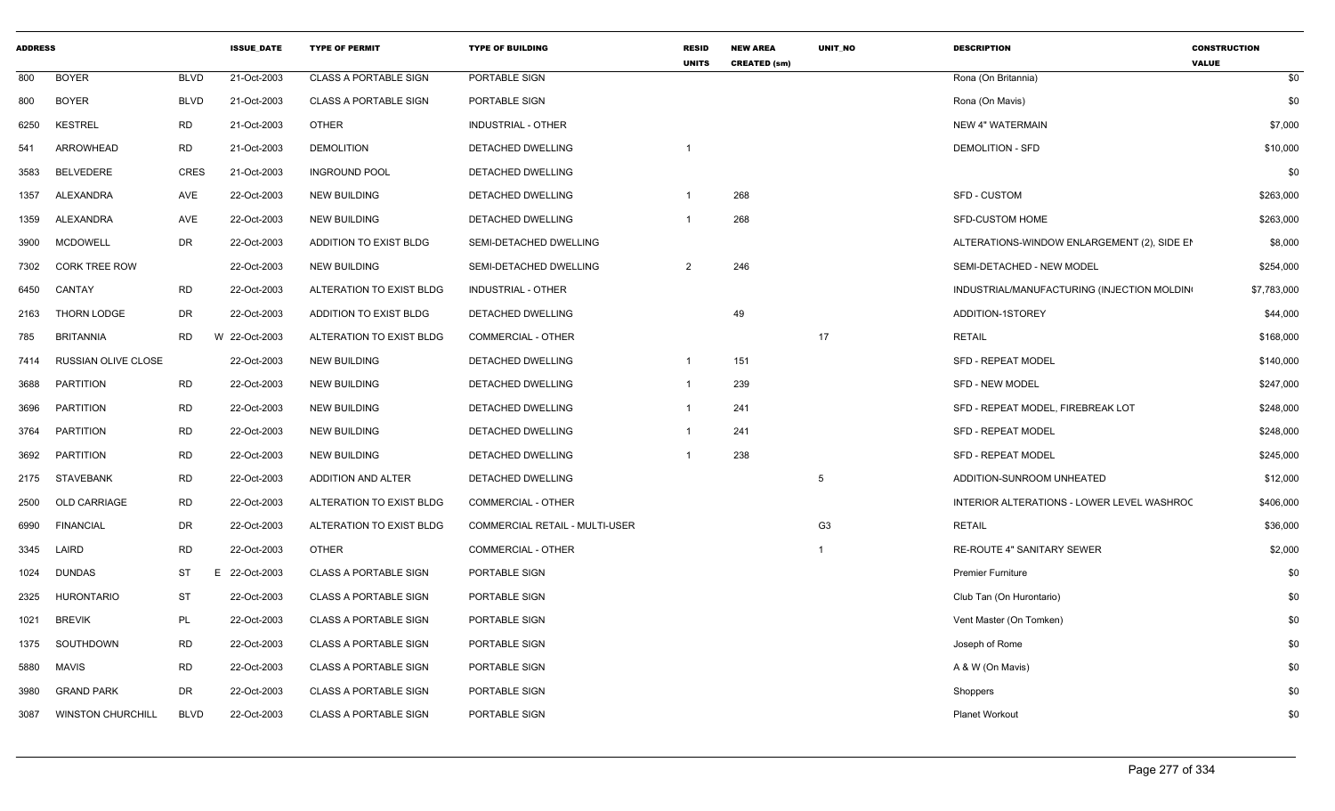| <b>ADDRESS</b> |                          |             | <b>ISSUE DATE</b> | <b>TYPE OF PERMIT</b>        | <b>TYPE OF BUILDING</b>        | <b>RESID</b><br><b>UNITS</b> | <b>NEW AREA</b><br><b>CREATED (sm)</b> | <b>UNIT NO</b> | <b>DESCRIPTION</b>                          | <b>CONSTRUCTION</b><br><b>VALUE</b> |
|----------------|--------------------------|-------------|-------------------|------------------------------|--------------------------------|------------------------------|----------------------------------------|----------------|---------------------------------------------|-------------------------------------|
| 800            | <b>BOYER</b>             | <b>BLVD</b> | 21-Oct-2003       | <b>CLASS A PORTABLE SIGN</b> | PORTABLE SIGN                  |                              |                                        |                | Rona (On Britannia)                         | \$0                                 |
| 800            | <b>BOYER</b>             | <b>BLVD</b> | 21-Oct-2003       | <b>CLASS A PORTABLE SIGN</b> | PORTABLE SIGN                  |                              |                                        |                | Rona (On Mavis)                             | \$0                                 |
| 6250           | <b>KESTREL</b>           | RD          | 21-Oct-2003       | <b>OTHER</b>                 | INDUSTRIAL - OTHER             |                              |                                        |                | <b>NEW 4" WATERMAIN</b>                     | \$7,000                             |
| 541            | ARROWHEAD                | RD          | 21-Oct-2003       | <b>DEMOLITION</b>            | DETACHED DWELLING              |                              |                                        |                | <b>DEMOLITION - SFD</b>                     | \$10,000                            |
| 3583           | <b>BELVEDERE</b>         | <b>CRES</b> | 21-Oct-2003       | <b>INGROUND POOL</b>         | DETACHED DWELLING              |                              |                                        |                |                                             | \$0                                 |
| 1357           | ALEXANDRA                | AVE         | 22-Oct-2003       | <b>NEW BUILDING</b>          | DETACHED DWELLING              |                              | 268                                    |                | <b>SFD - CUSTOM</b>                         | \$263,000                           |
| 1359           | ALEXANDRA                | AVE         | 22-Oct-2003       | NEW BUILDING                 | DETACHED DWELLING              |                              | 268                                    |                | <b>SFD-CUSTOM HOME</b>                      | \$263,000                           |
| 3900           | <b>MCDOWELL</b>          | <b>DR</b>   | 22-Oct-2003       | ADDITION TO EXIST BLDG       | SEMI-DETACHED DWELLING         |                              |                                        |                | ALTERATIONS-WINDOW ENLARGEMENT (2), SIDE EN | \$8,000                             |
| 7302           | <b>CORK TREE ROW</b>     |             | 22-Oct-2003       | <b>NEW BUILDING</b>          | SEMI-DETACHED DWELLING         | $\overline{2}$               | 246                                    |                | SEMI-DETACHED - NEW MODEL                   | \$254,000                           |
| 6450           | CANTAY                   | <b>RD</b>   | 22-Oct-2003       | ALTERATION TO EXIST BLDG     | <b>INDUSTRIAL - OTHER</b>      |                              |                                        |                | INDUSTRIAL/MANUFACTURING (INJECTION MOLDIN) | \$7,783,000                         |
| 2163           | THORN LODGE              | DR          | 22-Oct-2003       | ADDITION TO EXIST BLDG       | DETACHED DWELLING              |                              | 49                                     |                | ADDITION-1STOREY                            | \$44,000                            |
| 785            | <b>BRITANNIA</b>         | <b>RD</b>   | W 22-Oct-2003     | ALTERATION TO EXIST BLDG     | <b>COMMERCIAL - OTHER</b>      |                              |                                        | 17             | <b>RETAIL</b>                               | \$168,000                           |
| 7414           | RUSSIAN OLIVE CLOSE      |             | 22-Oct-2003       | <b>NEW BUILDING</b>          | DETACHED DWELLING              | $\overline{1}$               | 151                                    |                | <b>SFD - REPEAT MODEL</b>                   | \$140,000                           |
| 3688           | <b>PARTITION</b>         | <b>RD</b>   | 22-Oct-2003       | <b>NEW BUILDING</b>          | DETACHED DWELLING              | $\overline{1}$               | 239                                    |                | SFD - NEW MODEL                             | \$247,000                           |
| 3696           | <b>PARTITION</b>         | <b>RD</b>   | 22-Oct-2003       | NEW BUILDING                 | DETACHED DWELLING              | $\overline{1}$               | 241                                    |                | SFD - REPEAT MODEL, FIREBREAK LOT           | \$248,000                           |
| 3764           | PARTITION                | <b>RD</b>   | 22-Oct-2003       | <b>NEW BUILDING</b>          | DETACHED DWELLING              | $\overline{1}$               | 241                                    |                | SFD - REPEAT MODEL                          | \$248,000                           |
| 3692           | <b>PARTITION</b>         | <b>RD</b>   | 22-Oct-2003       | <b>NEW BUILDING</b>          | DETACHED DWELLING              |                              | 238                                    |                | <b>SFD - REPEAT MODEL</b>                   | \$245,000                           |
|                | 2175 STAVEBANK           | <b>RD</b>   | 22-Oct-2003       | ADDITION AND ALTER           | DETACHED DWELLING              |                              |                                        | 5              | ADDITION-SUNROOM UNHEATED                   | \$12,000                            |
| 2500           | OLD CARRIAGE             | <b>RD</b>   | 22-Oct-2003       | ALTERATION TO EXIST BLDG     | <b>COMMERCIAL - OTHER</b>      |                              |                                        |                | INTERIOR ALTERATIONS - LOWER LEVEL WASHROC  | \$406,000                           |
| 6990           | <b>FINANCIAL</b>         | DR          | 22-Oct-2003       | ALTERATION TO EXIST BLDG     | COMMERCIAL RETAIL - MULTI-USER |                              |                                        | G <sub>3</sub> | <b>RETAIL</b>                               | \$36,000                            |
| 3345           | LAIRD                    | <b>RD</b>   | 22-Oct-2003       | <b>OTHER</b>                 | <b>COMMERCIAL - OTHER</b>      |                              |                                        | $\overline{1}$ | RE-ROUTE 4" SANITARY SEWER                  | \$2,000                             |
| 1024           | <b>DUNDAS</b>            | ST          | 22-Oct-2003<br>E  | <b>CLASS A PORTABLE SIGN</b> | PORTABLE SIGN                  |                              |                                        |                | <b>Premier Furniture</b>                    | \$0                                 |
| 2325           | <b>HURONTARIO</b>        | <b>ST</b>   | 22-Oct-2003       | <b>CLASS A PORTABLE SIGN</b> | PORTABLE SIGN                  |                              |                                        |                | Club Tan (On Hurontario)                    | \$0                                 |
| 1021           | <b>BREVIK</b>            | PL          | 22-Oct-2003       | <b>CLASS A PORTABLE SIGN</b> | PORTABLE SIGN                  |                              |                                        |                | Vent Master (On Tomken)                     | \$0                                 |
| 1375           | SOUTHDOWN                | <b>RD</b>   | 22-Oct-2003       | <b>CLASS A PORTABLE SIGN</b> | PORTABLE SIGN                  |                              |                                        |                | Joseph of Rome                              | \$0                                 |
| 5880           | MAVIS                    | <b>RD</b>   | 22-Oct-2003       | <b>CLASS A PORTABLE SIGN</b> | PORTABLE SIGN                  |                              |                                        |                | A & W (On Mavis)                            | \$0                                 |
| 3980           | <b>GRAND PARK</b>        | <b>DR</b>   | 22-Oct-2003       | <b>CLASS A PORTABLE SIGN</b> | PORTABLE SIGN                  |                              |                                        |                | Shoppers                                    | \$0                                 |
| 3087           | <b>WINSTON CHURCHILL</b> | <b>BLVD</b> | 22-Oct-2003       | <b>CLASS A PORTABLE SIGN</b> | PORTABLE SIGN                  |                              |                                        |                | <b>Planet Workout</b>                       | \$0                                 |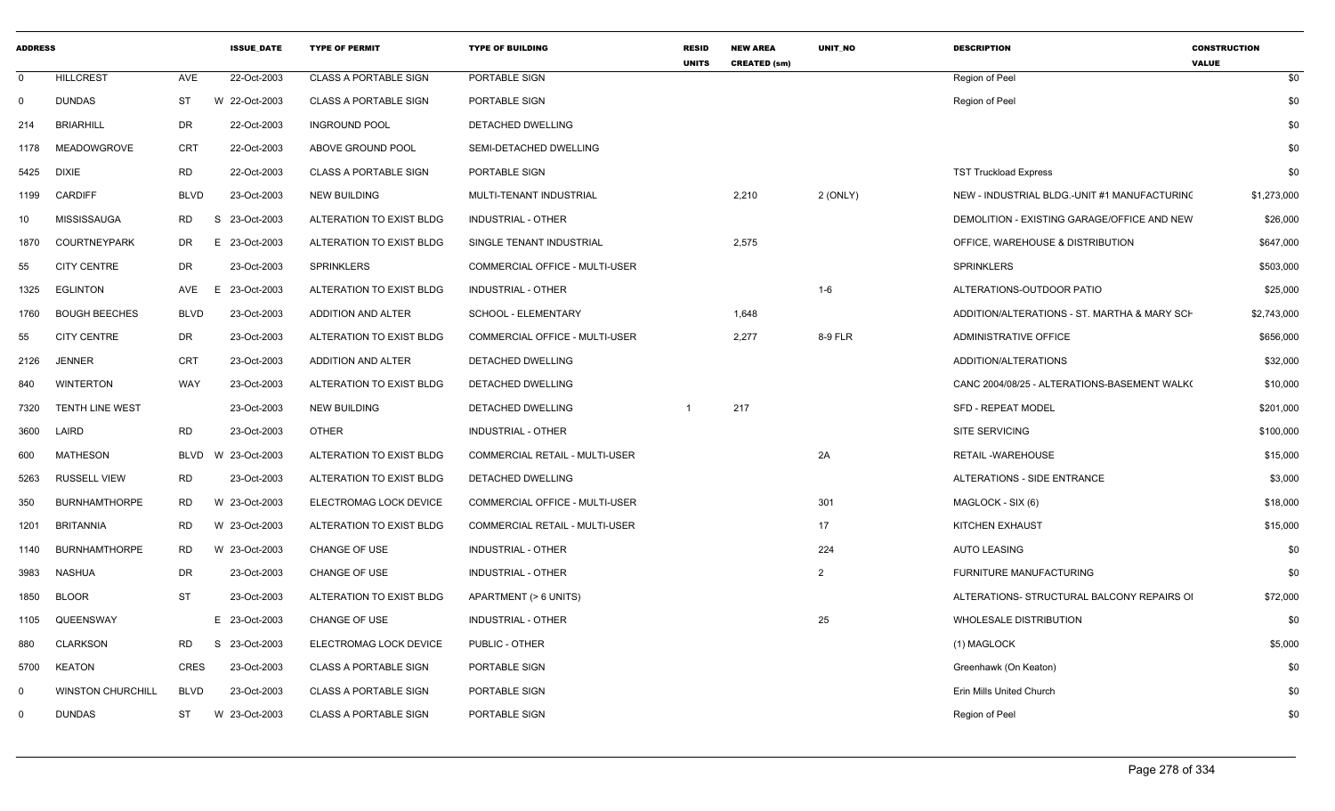| <b>ADDRESS</b> |                          |                 | <b>ISSUE_DATE</b> | <b>TYPE OF PERMIT</b>        | <b>TYPE OF BUILDING</b>        | <b>RESID</b><br><b>UNITS</b> | <b>NEW AREA</b><br><b>CREATED (sm)</b> | UNIT_NO        | <b>DESCRIPTION</b>                           | <b>CONSTRUCTION</b><br><b>VALUE</b> |
|----------------|--------------------------|-----------------|-------------------|------------------------------|--------------------------------|------------------------------|----------------------------------------|----------------|----------------------------------------------|-------------------------------------|
| $\Omega$       | <b>HILLCREST</b>         | AVE             | 22-Oct-2003       | <b>CLASS A PORTABLE SIGN</b> | PORTABLE SIGN                  |                              |                                        |                | Region of Peel                               | \$0                                 |
| $\mathbf 0$    | <b>DUNDAS</b>            | ST              | W 22-Oct-2003     | <b>CLASS A PORTABLE SIGN</b> | PORTABLE SIGN                  |                              |                                        |                | Region of Peel                               | \$0                                 |
| 214            | <b>BRIARHILL</b>         | <b>DR</b>       | 22-Oct-2003       | <b>INGROUND POOL</b>         | DETACHED DWELLING              |                              |                                        |                |                                              | \$0                                 |
| 1178           | MEADOWGROVE              | <b>CRT</b>      | 22-Oct-2003       | ABOVE GROUND POOL            | SEMI-DETACHED DWELLING         |                              |                                        |                |                                              | \$0                                 |
| 5425           | <b>DIXIE</b>             | <b>RD</b>       | 22-Oct-2003       | <b>CLASS A PORTABLE SIGN</b> | PORTABLE SIGN                  |                              |                                        |                | <b>TST Truckload Express</b>                 | \$0                                 |
| 1199           | <b>CARDIFF</b>           | <b>BLVD</b>     | 23-Oct-2003       | <b>NEW BUILDING</b>          | MULTI-TENANT INDUSTRIAL        |                              | 2,210                                  | $2$ (ONLY)     | NEW - INDUSTRIAL BLDG.-UNIT #1 MANUFACTURING | \$1,273,000                         |
| 10             | MISSISSAUGA              | <b>RD</b><br>-S | 23-Oct-2003       | ALTERATION TO EXIST BLDG     | <b>INDUSTRIAL - OTHER</b>      |                              |                                        |                | DEMOLITION - EXISTING GARAGE/OFFICE AND NEW  | \$26,000                            |
| 1870           | <b>COURTNEYPARK</b>      | DR<br>E         | 23-Oct-2003       | ALTERATION TO EXIST BLDG     | SINGLE TENANT INDUSTRIAL       |                              | 2,575                                  |                | OFFICE, WAREHOUSE & DISTRIBUTION             | \$647,000                           |
| 55             | <b>CITY CENTRE</b>       | DR              | 23-Oct-2003       | <b>SPRINKLERS</b>            | COMMERCIAL OFFICE - MULTI-USER |                              |                                        |                | <b>SPRINKLERS</b>                            | \$503,000                           |
| 1325           | <b>EGLINTON</b>          | AVE<br>E        | 23-Oct-2003       | ALTERATION TO EXIST BLDG     | INDUSTRIAL - OTHER             |                              |                                        | $1-6$          | ALTERATIONS-OUTDOOR PATIO                    | \$25,000                            |
| 1760           | <b>BOUGH BEECHES</b>     | <b>BLVD</b>     | 23-Oct-2003       | ADDITION AND ALTER           | SCHOOL - ELEMENTARY            |                              | 1,648                                  |                | ADDITION/ALTERATIONS - ST. MARTHA & MARY SCH | \$2,743,000                         |
| 55             | <b>CITY CENTRE</b>       | DR              | 23-Oct-2003       | ALTERATION TO EXIST BLDG     | COMMERCIAL OFFICE - MULTI-USER |                              | 2,277                                  | 8-9 FLR        | <b>ADMINISTRATIVE OFFICE</b>                 | \$656,000                           |
| 2126           | <b>JENNER</b>            | <b>CRT</b>      | 23-Oct-2003       | ADDITION AND ALTER           | DETACHED DWELLING              |                              |                                        |                | ADDITION/ALTERATIONS                         | \$32,000                            |
| 840            | <b>WINTERTON</b>         | WAY             | 23-Oct-2003       | ALTERATION TO EXIST BLDG     | DETACHED DWELLING              |                              |                                        |                | CANC 2004/08/25 - ALTERATIONS-BASEMENT WALK( | \$10,000                            |
| 7320           | <b>TENTH LINE WEST</b>   |                 | 23-Oct-2003       | <b>NEW BUILDING</b>          | DETACHED DWELLING              |                              | 217                                    |                | <b>SFD - REPEAT MODEL</b>                    | \$201,000                           |
| 3600           | LAIRD                    | RD              | 23-Oct-2003       | <b>OTHER</b>                 | <b>INDUSTRIAL - OTHER</b>      |                              |                                        |                | <b>SITE SERVICING</b>                        | \$100,000                           |
| 600            | <b>MATHESON</b>          | BLVD<br>W.      | 23-Oct-2003       | ALTERATION TO EXIST BLDG     | COMMERCIAL RETAIL - MULTI-USER |                              |                                        | 2A             | <b>RETAIL-WAREHOUSE</b>                      | \$15,000                            |
| 5263           | <b>RUSSELL VIEW</b>      | RD              | 23-Oct-2003       | ALTERATION TO EXIST BLDG     | DETACHED DWELLING              |                              |                                        |                | ALTERATIONS - SIDE ENTRANCE                  | \$3,000                             |
| 350            | <b>BURNHAMTHORPE</b>     | <b>RD</b>       | W 23-Oct-2003     | ELECTROMAG LOCK DEVICE       | COMMERCIAL OFFICE - MULTI-USER |                              |                                        | 301            | MAGLOCK - SIX (6)                            | \$18,000                            |
| 1201           | BRITANNIA                | RD              | W 23-Oct-2003     | ALTERATION TO EXIST BLDG     | COMMERCIAL RETAIL - MULTI-USER |                              |                                        | 17             | <b>KITCHEN EXHAUST</b>                       | \$15,000                            |
| 1140           | <b>BURNHAMTHORPE</b>     | <b>RD</b>       | W 23-Oct-2003     | <b>CHANGE OF USE</b>         | <b>INDUSTRIAL - OTHER</b>      |                              |                                        | 224            | <b>AUTO LEASING</b>                          | \$0                                 |
| 3983           | NASHUA                   | <b>DR</b>       | 23-Oct-2003       | <b>CHANGE OF USE</b>         | <b>INDUSTRIAL - OTHER</b>      |                              |                                        | $\overline{2}$ | FURNITURE MANUFACTURING                      | \$0                                 |
| 1850           | <b>BLOOR</b>             | <b>ST</b>       | 23-Oct-2003       | ALTERATION TO EXIST BLDG     | APARTMENT (> 6 UNITS)          |                              |                                        |                | ALTERATIONS- STRUCTURAL BALCONY REPAIRS OF   | \$72,000                            |
| 1105           | QUEENSWAY                |                 | E 23-Oct-2003     | <b>CHANGE OF USE</b>         | <b>INDUSTRIAL - OTHER</b>      |                              |                                        | 25             | <b>WHOLESALE DISTRIBUTION</b>                | \$0                                 |
| 880            | <b>CLARKSON</b>          | <b>RD</b><br>S. | 23-Oct-2003       | ELECTROMAG LOCK DEVICE       | PUBLIC - OTHER                 |                              |                                        |                | (1) MAGLOCK                                  | \$5,000                             |
| 5700           | <b>KEATON</b>            | <b>CRES</b>     | 23-Oct-2003       | <b>CLASS A PORTABLE SIGN</b> | PORTABLE SIGN                  |                              |                                        |                | Greenhawk (On Keaton)                        | \$0                                 |
| $\Omega$       | <b>WINSTON CHURCHILL</b> | <b>BLVD</b>     | 23-Oct-2003       | <b>CLASS A PORTABLE SIGN</b> | PORTABLE SIGN                  |                              |                                        |                | Erin Mills United Church                     | \$0                                 |
| $\Omega$       | <b>DUNDAS</b>            | ST              | W 23-Oct-2003     | <b>CLASS A PORTABLE SIGN</b> | PORTABLE SIGN                  |                              |                                        |                | Region of Peel                               | \$0                                 |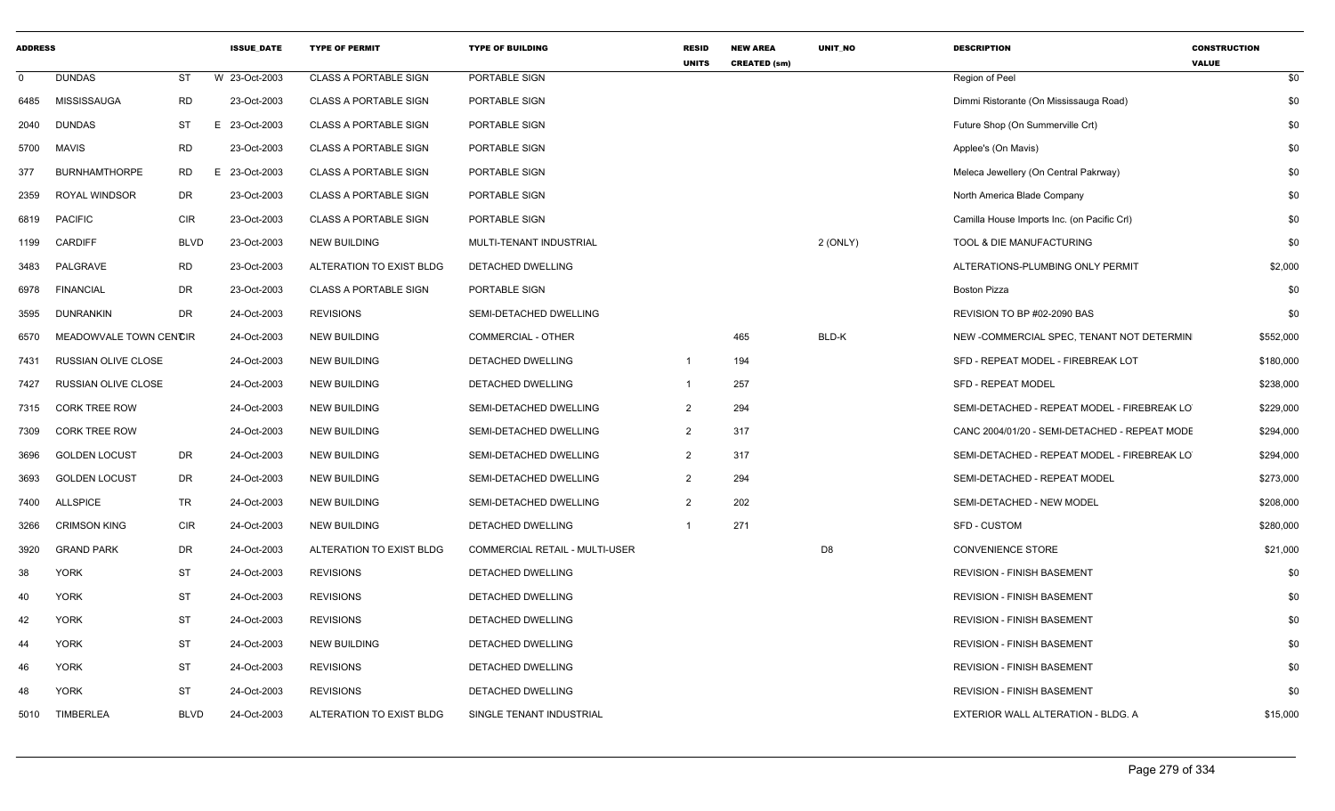| <b>ADDRESS</b> |                            |             | <b>ISSUE DATE</b> | <b>TYPE OF PERMIT</b>        | <b>TYPE OF BUILDING</b>        | <b>RESID</b><br><b>UNITS</b> | <b>NEW AREA</b><br><b>CREATED (sm)</b> | <b>UNIT NO</b> | <b>DESCRIPTION</b>                            | <b>CONSTRUCTION</b><br><b>VALUE</b> |
|----------------|----------------------------|-------------|-------------------|------------------------------|--------------------------------|------------------------------|----------------------------------------|----------------|-----------------------------------------------|-------------------------------------|
| $\mathbf 0$    | <b>DUNDAS</b>              | ST          | W 23-Oct-2003     | <b>CLASS A PORTABLE SIGN</b> | PORTABLE SIGN                  |                              |                                        |                | Region of Peel                                | \$0                                 |
| 6485           | MISSISSAUGA                | <b>RD</b>   | 23-Oct-2003       | <b>CLASS A PORTABLE SIGN</b> | PORTABLE SIGN                  |                              |                                        |                | Dimmi Ristorante (On Mississauga Road)        | \$0                                 |
| 2040           | <b>DUNDAS</b>              | ST          | 23-Oct-2003<br>E. | <b>CLASS A PORTABLE SIGN</b> | PORTABLE SIGN                  |                              |                                        |                | Future Shop (On Summerville Crt)              | \$0                                 |
| 5700           | <b>MAVIS</b>               | <b>RD</b>   | 23-Oct-2003       | <b>CLASS A PORTABLE SIGN</b> | PORTABLE SIGN                  |                              |                                        |                | Applee's (On Mavis)                           | \$0                                 |
| 377            | <b>BURNHAMTHORPE</b>       | <b>RD</b>   | 23-Oct-2003<br>E. | <b>CLASS A PORTABLE SIGN</b> | PORTABLE SIGN                  |                              |                                        |                | Meleca Jewellery (On Central Pakrway)         | \$0                                 |
| 2359           | <b>ROYAL WINDSOR</b>       | DR          | 23-Oct-2003       | <b>CLASS A PORTABLE SIGN</b> | PORTABLE SIGN                  |                              |                                        |                | North America Blade Company                   | \$0                                 |
| 6819           | <b>PACIFIC</b>             | <b>CIR</b>  | 23-Oct-2003       | <b>CLASS A PORTABLE SIGN</b> | PORTABLE SIGN                  |                              |                                        |                | Camilla House Imports Inc. (on Pacific CrI)   | \$0                                 |
| 1199           | <b>CARDIFF</b>             | <b>BLVD</b> | 23-Oct-2003       | <b>NEW BUILDING</b>          | MULTI-TENANT INDUSTRIAL        |                              |                                        | 2 (ONLY)       | TOOL & DIE MANUFACTURING                      | \$0                                 |
| 3483           | PALGRAVE                   | <b>RD</b>   | 23-Oct-2003       | ALTERATION TO EXIST BLDG     | DETACHED DWELLING              |                              |                                        |                | ALTERATIONS-PLUMBING ONLY PERMIT              | \$2,000                             |
| 6978           | <b>FINANCIAL</b>           | <b>DR</b>   | 23-Oct-2003       | <b>CLASS A PORTABLE SIGN</b> | PORTABLE SIGN                  |                              |                                        |                | <b>Boston Pizza</b>                           | \$0                                 |
| 3595           | <b>DUNRANKIN</b>           | <b>DR</b>   | 24-Oct-2003       | <b>REVISIONS</b>             | SEMI-DETACHED DWELLING         |                              |                                        |                | REVISION TO BP #02-2090 BAS                   | \$0                                 |
| 6570           | MEADOWVALE TOWN CENCIR     |             | 24-Oct-2003       | <b>NEW BUILDING</b>          | <b>COMMERCIAL - OTHER</b>      |                              | 465                                    | BLD-K          | NEW -COMMERCIAL SPEC, TENANT NOT DETERMIN     | \$552,000                           |
| 7431           | RUSSIAN OLIVE CLOSE        |             | 24-Oct-2003       | <b>NEW BUILDING</b>          | DETACHED DWELLING              |                              | 194                                    |                | SFD - REPEAT MODEL - FIREBREAK LOT            | \$180,000                           |
| 7427           | <b>RUSSIAN OLIVE CLOSE</b> |             | 24-Oct-2003       | <b>NEW BUILDING</b>          | DETACHED DWELLING              |                              | 257                                    |                | <b>SFD - REPEAT MODEL</b>                     | \$238,000                           |
| 7315           | <b>CORK TREE ROW</b>       |             | 24-Oct-2003       | <b>NEW BUILDING</b>          | SEMI-DETACHED DWELLING         | $\mathcal{P}$                | 294                                    |                | SEMI-DETACHED - REPEAT MODEL - FIREBREAK LO   | \$229,000                           |
| 7309           | <b>CORK TREE ROW</b>       |             | 24-Oct-2003       | <b>NEW BUILDING</b>          | SEMI-DETACHED DWELLING         | $\overline{2}$               | 317                                    |                | CANC 2004/01/20 - SEMI-DETACHED - REPEAT MODE | \$294,000                           |
| 3696           | <b>GOLDEN LOCUST</b>       | DR          | 24-Oct-2003       | <b>NEW BUILDING</b>          | SEMI-DETACHED DWELLING         | $\overline{2}$               | 317                                    |                | SEMI-DETACHED - REPEAT MODEL - FIREBREAK LO   | \$294,000                           |
| 3693           | <b>GOLDEN LOCUST</b>       | <b>DR</b>   | 24-Oct-2003       | <b>NEW BUILDING</b>          | SEMI-DETACHED DWELLING         | $\mathcal{P}$                | 294                                    |                | SEMI-DETACHED - REPEAT MODEL                  | \$273,000                           |
| 7400           | <b>ALLSPICE</b>            | TR          | 24-Oct-2003       | <b>NEW BUILDING</b>          | SEMI-DETACHED DWELLING         | $\mathcal{P}$                | 202                                    |                | SEMI-DETACHED - NEW MODEL                     | \$208,000                           |
| 3266           | <b>CRIMSON KING</b>        | <b>CIR</b>  | 24-Oct-2003       | <b>NEW BUILDING</b>          | DETACHED DWELLING              |                              | 271                                    |                | <b>SFD - CUSTOM</b>                           | \$280,000                           |
| 3920           | <b>GRAND PARK</b>          | <b>DR</b>   | 24-Oct-2003       | ALTERATION TO EXIST BLDG     | COMMERCIAL RETAIL - MULTI-USER |                              |                                        | D <sub>8</sub> | <b>CONVENIENCE STORE</b>                      | \$21,000                            |
| 38             | <b>YORK</b>                | <b>ST</b>   | 24-Oct-2003       | <b>REVISIONS</b>             | DETACHED DWELLING              |                              |                                        |                | <b>REVISION - FINISH BASEMENT</b>             | \$0                                 |
| 40             | <b>YORK</b>                | ST          | 24-Oct-2003       | <b>REVISIONS</b>             | DETACHED DWELLING              |                              |                                        |                | <b>REVISION - FINISH BASEMENT</b>             | \$0                                 |
| 42             | <b>YORK</b>                | <b>ST</b>   | 24-Oct-2003       | <b>REVISIONS</b>             | DETACHED DWELLING              |                              |                                        |                | <b>REVISION - FINISH BASEMENT</b>             | \$0                                 |
| 44             | <b>YORK</b>                | ST          | 24-Oct-2003       | <b>NEW BUILDING</b>          | DETACHED DWELLING              |                              |                                        |                | <b>REVISION - FINISH BASEMENT</b>             | \$0                                 |
| 46             | <b>YORK</b>                | <b>ST</b>   | 24-Oct-2003       | <b>REVISIONS</b>             | DETACHED DWELLING              |                              |                                        |                | <b>REVISION - FINISH BASEMENT</b>             | \$0                                 |
| 48             | <b>YORK</b>                | ST          | 24-Oct-2003       | <b>REVISIONS</b>             | DETACHED DWELLING              |                              |                                        |                | <b>REVISION - FINISH BASEMENT</b>             | \$0                                 |
| 5010           | <b>TIMBERLEA</b>           | <b>BLVD</b> | 24-Oct-2003       | ALTERATION TO EXIST BLDG     | SINGLE TENANT INDUSTRIAL       |                              |                                        |                | EXTERIOR WALL ALTERATION - BLDG. A            | \$15,000                            |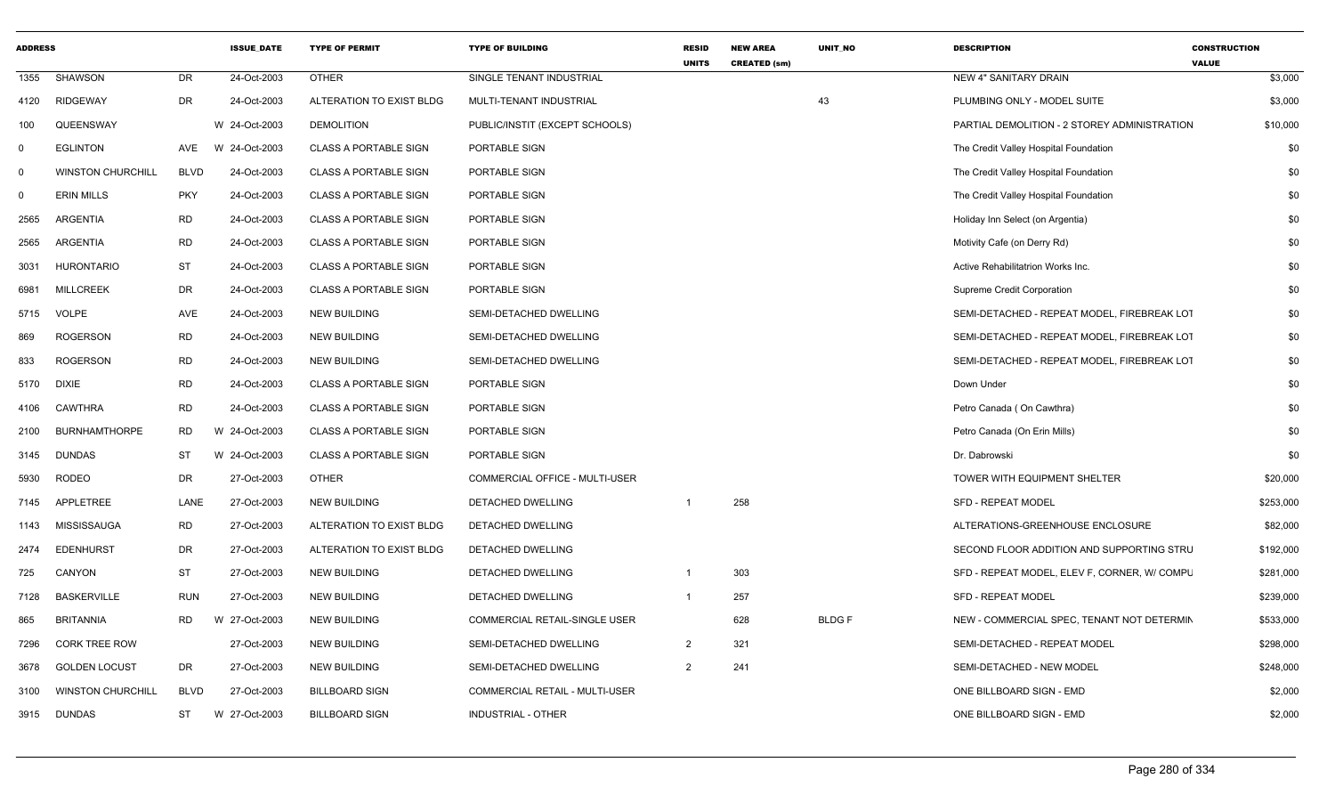| <b>ADDRESS</b> |                          |             | <b>ISSUE_DATE</b> | <b>TYPE OF PERMIT</b>        | <b>TYPE OF BUILDING</b>        | <b>RESID</b><br><b>UNITS</b> | <b>NEW AREA</b><br><b>CREATED (sm)</b> | UNIT_NO      | <b>DESCRIPTION</b>                           | <b>CONSTRUCTION</b><br><b>VALUE</b> |
|----------------|--------------------------|-------------|-------------------|------------------------------|--------------------------------|------------------------------|----------------------------------------|--------------|----------------------------------------------|-------------------------------------|
| 1355           | <b>SHAWSON</b>           | <b>DR</b>   | 24-Oct-2003       | <b>OTHER</b>                 | SINGLE TENANT INDUSTRIAL       |                              |                                        |              | NEW 4" SANITARY DRAIN                        | \$3,000                             |
| 4120           | <b>RIDGEWAY</b>          | DR          | 24-Oct-2003       | ALTERATION TO EXIST BLDG     | MULTI-TENANT INDUSTRIAL        |                              |                                        | 43           | PLUMBING ONLY - MODEL SUITE                  | \$3,000                             |
| 100            | QUEENSWAY                |             | W 24-Oct-2003     | <b>DEMOLITION</b>            | PUBLIC/INSTIT (EXCEPT SCHOOLS) |                              |                                        |              | PARTIAL DEMOLITION - 2 STOREY ADMINISTRATION | \$10,000                            |
| $\mathbf 0$    | <b>EGLINTON</b>          | AVE         | W 24-Oct-2003     | <b>CLASS A PORTABLE SIGN</b> | PORTABLE SIGN                  |                              |                                        |              | The Credit Valley Hospital Foundation        | \$0                                 |
| $\mathbf 0$    | <b>WINSTON CHURCHILL</b> | <b>BLVD</b> | 24-Oct-2003       | <b>CLASS A PORTABLE SIGN</b> | PORTABLE SIGN                  |                              |                                        |              | The Credit Valley Hospital Foundation        | \$0                                 |
| $\mathbf 0$    | <b>ERIN MILLS</b>        | <b>PKY</b>  | 24-Oct-2003       | <b>CLASS A PORTABLE SIGN</b> | PORTABLE SIGN                  |                              |                                        |              | The Credit Valley Hospital Foundation        | \$0                                 |
| 2565           | <b>ARGENTIA</b>          | <b>RD</b>   | 24-Oct-2003       | <b>CLASS A PORTABLE SIGN</b> | PORTABLE SIGN                  |                              |                                        |              | Holiday Inn Select (on Argentia)             | \$0                                 |
| 2565           | ARGENTIA                 | <b>RD</b>   | 24-Oct-2003       | <b>CLASS A PORTABLE SIGN</b> | PORTABLE SIGN                  |                              |                                        |              | Motivity Cafe (on Derry Rd)                  | \$0                                 |
| 3031           | <b>HURONTARIO</b>        | ST          | 24-Oct-2003       | <b>CLASS A PORTABLE SIGN</b> | PORTABLE SIGN                  |                              |                                        |              | Active Rehabilitatrion Works Inc.            | \$0                                 |
| 6981           | <b>MILLCREEK</b>         | <b>DR</b>   | 24-Oct-2003       | <b>CLASS A PORTABLE SIGN</b> | PORTABLE SIGN                  |                              |                                        |              | Supreme Credit Corporation                   | \$0                                 |
| 5715           | <b>VOLPE</b>             | AVE         | 24-Oct-2003       | <b>NEW BUILDING</b>          | SEMI-DETACHED DWELLING         |                              |                                        |              | SEMI-DETACHED - REPEAT MODEL, FIREBREAK LOT  | \$0                                 |
| 869            | <b>ROGERSON</b>          | <b>RD</b>   | 24-Oct-2003       | <b>NEW BUILDING</b>          | SEMI-DETACHED DWELLING         |                              |                                        |              | SEMI-DETACHED - REPEAT MODEL, FIREBREAK LOT  | \$0                                 |
| 833            | <b>ROGERSON</b>          | <b>RD</b>   | 24-Oct-2003       | <b>NEW BUILDING</b>          | SEMI-DETACHED DWELLING         |                              |                                        |              | SEMI-DETACHED - REPEAT MODEL, FIREBREAK LOT  | \$0                                 |
| 5170           | <b>DIXIE</b>             | <b>RD</b>   | 24-Oct-2003       | <b>CLASS A PORTABLE SIGN</b> | PORTABLE SIGN                  |                              |                                        |              | Down Under                                   | \$0                                 |
| 4106           | CAWTHRA                  | <b>RD</b>   | 24-Oct-2003       | <b>CLASS A PORTABLE SIGN</b> | PORTABLE SIGN                  |                              |                                        |              | Petro Canada (On Cawthra)                    | \$0                                 |
| 2100           | <b>BURNHAMTHORPE</b>     | <b>RD</b>   | W 24-Oct-2003     | <b>CLASS A PORTABLE SIGN</b> | PORTABLE SIGN                  |                              |                                        |              | Petro Canada (On Erin Mills)                 | \$0                                 |
| 3145           | <b>DUNDAS</b>            | <b>ST</b>   | W 24-Oct-2003     | <b>CLASS A PORTABLE SIGN</b> | PORTABLE SIGN                  |                              |                                        |              | Dr. Dabrowski                                | \$0                                 |
| 5930           | <b>RODEO</b>             | DR          | 27-Oct-2003       | <b>OTHER</b>                 | COMMERCIAL OFFICE - MULTI-USER |                              |                                        |              | TOWER WITH EQUIPMENT SHELTER                 | \$20,000                            |
| 7145           | APPLETREE                | LANE        | 27-Oct-2003       | <b>NEW BUILDING</b>          | <b>DETACHED DWELLING</b>       | $\overline{1}$               | 258                                    |              | <b>SFD - REPEAT MODEL</b>                    | \$253,000                           |
| 1143           | MISSISSAUGA              | <b>RD</b>   | 27-Oct-2003       | ALTERATION TO EXIST BLDG     | DETACHED DWELLING              |                              |                                        |              | ALTERATIONS-GREENHOUSE ENCLOSURE             | \$82,000                            |
| 2474           | <b>EDENHURST</b>         | <b>DR</b>   | 27-Oct-2003       | ALTERATION TO EXIST BLDG     | DETACHED DWELLING              |                              |                                        |              | SECOND FLOOR ADDITION AND SUPPORTING STRU    | \$192,000                           |
| 725            | CANYON                   | <b>ST</b>   | 27-Oct-2003       | <b>NEW BUILDING</b>          | DETACHED DWELLING              | $\overline{1}$               | 303                                    |              | SFD - REPEAT MODEL, ELEV F, CORNER, W/ COMPL | \$281,000                           |
| 7128           | <b>BASKERVILLE</b>       | <b>RUN</b>  | 27-Oct-2003       | <b>NEW BUILDING</b>          | DETACHED DWELLING              | $\overline{1}$               | 257                                    |              | <b>SFD - REPEAT MODEL</b>                    | \$239,000                           |
| 865            | <b>BRITANNIA</b>         | <b>RD</b>   | W 27-Oct-2003     | <b>NEW BUILDING</b>          | COMMERCIAL RETAIL-SINGLE USER  |                              | 628                                    | <b>BLDGF</b> | NEW - COMMERCIAL SPEC, TENANT NOT DETERMIN   | \$533,000                           |
| 7296           | <b>CORK TREE ROW</b>     |             | 27-Oct-2003       | <b>NEW BUILDING</b>          | SEMI-DETACHED DWELLING         | $\overline{2}$               | 321                                    |              | SEMI-DETACHED - REPEAT MODEL                 | \$298,000                           |
| 3678           | <b>GOLDEN LOCUST</b>     | <b>DR</b>   | 27-Oct-2003       | <b>NEW BUILDING</b>          | SEMI-DETACHED DWELLING         | $\overline{2}$               | 241                                    |              | SEMI-DETACHED - NEW MODEL                    | \$248,000                           |
| 3100           | <b>WINSTON CHURCHILL</b> | <b>BLVD</b> | 27-Oct-2003       | <b>BILLBOARD SIGN</b>        | COMMERCIAL RETAIL - MULTI-USER |                              |                                        |              | ONE BILLBOARD SIGN - EMD                     | \$2,000                             |
| 3915           | <b>DUNDAS</b>            | <b>ST</b>   | W 27-Oct-2003     | <b>BILLBOARD SIGN</b>        | INDUSTRIAL - OTHER             |                              |                                        |              | ONE BILLBOARD SIGN - EMD                     | \$2,000                             |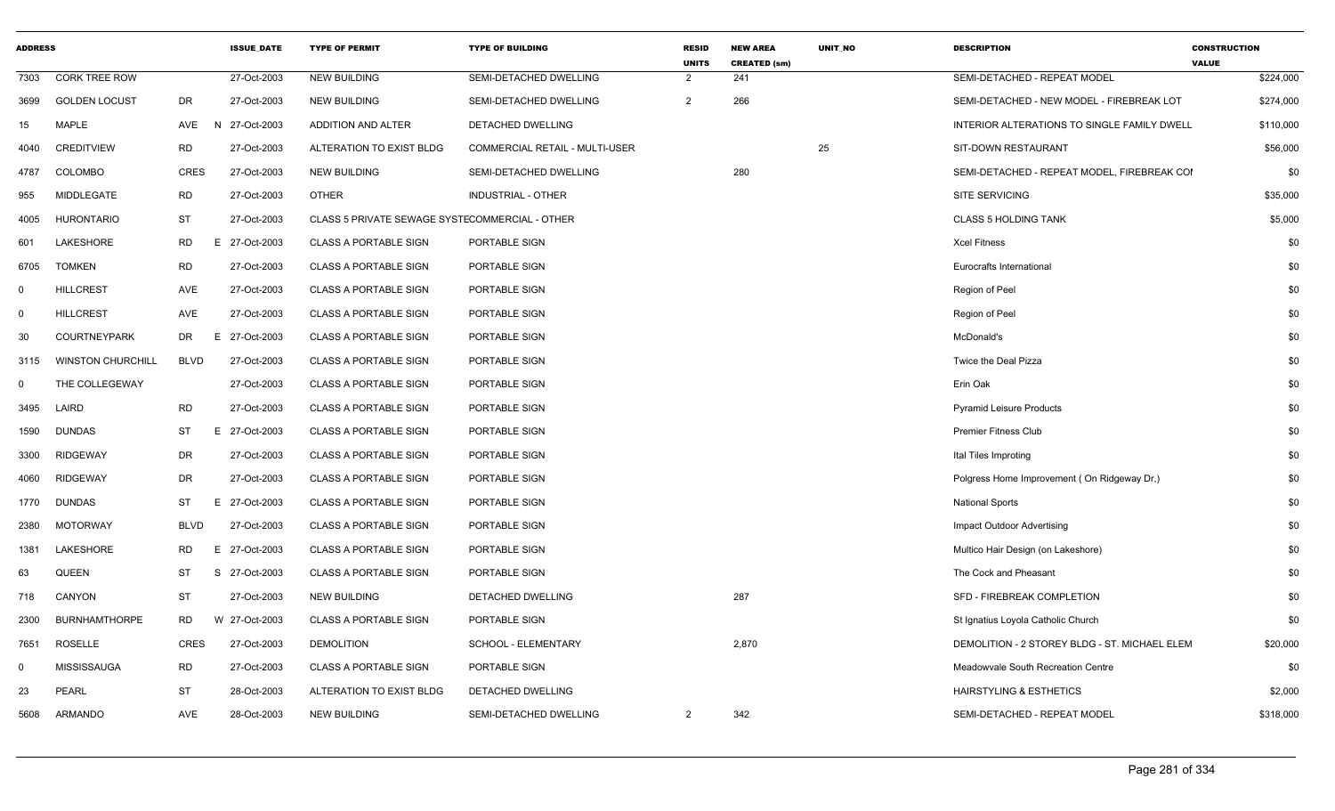| <b>ADDRESS</b> |                          |             | <b>ISSUE DATE</b> | <b>TYPE OF PERMIT</b>                          | <b>TYPE OF BUILDING</b>        | <b>RESID</b><br><b>UNITS</b> | <b>NEW AREA</b><br><b>CREATED (sm)</b> | <b>UNIT NO</b> | <b>DESCRIPTION</b>                            | <b>CONSTRUCTION</b><br><b>VALUE</b> |
|----------------|--------------------------|-------------|-------------------|------------------------------------------------|--------------------------------|------------------------------|----------------------------------------|----------------|-----------------------------------------------|-------------------------------------|
| 7303           | <b>CORK TREE ROW</b>     |             | 27-Oct-2003       | <b>NEW BUILDING</b>                            | SEMI-DETACHED DWELLING         | 2                            | 241                                    |                | SEMI-DETACHED - REPEAT MODEL                  | \$224,000                           |
| 3699           | <b>GOLDEN LOCUST</b>     | DR          | 27-Oct-2003       | <b>NEW BUILDING</b>                            | SEMI-DETACHED DWELLING         | 2                            | 266                                    |                | SEMI-DETACHED - NEW MODEL - FIREBREAK LOT     | \$274,000                           |
| 15             | <b>MAPLE</b>             | AVE         | N 27-Oct-2003     | ADDITION AND ALTER                             | DETACHED DWELLING              |                              |                                        |                | INTERIOR ALTERATIONS TO SINGLE FAMILY DWELL   | \$110,000                           |
| 4040           | <b>CREDITVIEW</b>        | RD          | 27-Oct-2003       | ALTERATION TO EXIST BLDG                       | COMMERCIAL RETAIL - MULTI-USER |                              |                                        | 25             | SIT-DOWN RESTAURANT                           | \$56,000                            |
| 4787           | COLOMBO                  | <b>CRES</b> | 27-Oct-2003       | <b>NEW BUILDING</b>                            | SEMI-DETACHED DWELLING         |                              | 280                                    |                | SEMI-DETACHED - REPEAT MODEL, FIREBREAK COI   | \$0                                 |
| 955            | MIDDLEGATE               | <b>RD</b>   | 27-Oct-2003       | <b>OTHER</b>                                   | INDUSTRIAL - OTHER             |                              |                                        |                | <b>SITE SERVICING</b>                         | \$35,000                            |
| 4005           | <b>HURONTARIO</b>        | ST          | 27-Oct-2003       | CLASS 5 PRIVATE SEWAGE SYSTECOMMERCIAL - OTHER |                                |                              |                                        |                | <b>CLASS 5 HOLDING TANK</b>                   | \$5,000                             |
| 601            | LAKESHORE                | <b>RD</b>   | E 27-Oct-2003     | <b>CLASS A PORTABLE SIGN</b>                   | PORTABLE SIGN                  |                              |                                        |                | <b>Xcel Fitness</b>                           | \$0                                 |
| 6705           | <b>TOMKEN</b>            | <b>RD</b>   | 27-Oct-2003       | <b>CLASS A PORTABLE SIGN</b>                   | PORTABLE SIGN                  |                              |                                        |                | Eurocrafts International                      | \$0                                 |
| $\mathbf 0$    | <b>HILLCREST</b>         | AVE         | 27-Oct-2003       | <b>CLASS A PORTABLE SIGN</b>                   | PORTABLE SIGN                  |                              |                                        |                | Region of Peel                                | \$0                                 |
| 0              | <b>HILLCREST</b>         | AVE         | 27-Oct-2003       | <b>CLASS A PORTABLE SIGN</b>                   | PORTABLE SIGN                  |                              |                                        |                | Region of Peel                                | \$0                                 |
| 30             | <b>COURTNEYPARK</b>      | DR<br>E.    | 27-Oct-2003       | <b>CLASS A PORTABLE SIGN</b>                   | PORTABLE SIGN                  |                              |                                        |                | McDonald's                                    | \$0                                 |
| 3115           | <b>WINSTON CHURCHILL</b> | <b>BLVD</b> | 27-Oct-2003       | <b>CLASS A PORTABLE SIGN</b>                   | PORTABLE SIGN                  |                              |                                        |                | Twice the Deal Pizza                          | \$0                                 |
| $\mathbf 0$    | THE COLLEGEWAY           |             | 27-Oct-2003       | <b>CLASS A PORTABLE SIGN</b>                   | PORTABLE SIGN                  |                              |                                        |                | Erin Oak                                      | \$0                                 |
| 3495           | LAIRD                    | <b>RD</b>   | 27-Oct-2003       | <b>CLASS A PORTABLE SIGN</b>                   | PORTABLE SIGN                  |                              |                                        |                | <b>Pyramid Leisure Products</b>               | \$0                                 |
| 1590           | <b>DUNDAS</b>            | ST          | E 27-Oct-2003     | <b>CLASS A PORTABLE SIGN</b>                   | PORTABLE SIGN                  |                              |                                        |                | <b>Premier Fitness Club</b>                   | \$0                                 |
| 3300           | <b>RIDGEWAY</b>          | DR          | 27-Oct-2003       | <b>CLASS A PORTABLE SIGN</b>                   | PORTABLE SIGN                  |                              |                                        |                | Ital Tiles Improting                          | \$0                                 |
| 4060           | <b>RIDGEWAY</b>          | DR          | 27-Oct-2003       | <b>CLASS A PORTABLE SIGN</b>                   | PORTABLE SIGN                  |                              |                                        |                | Polgress Home Improvement (On Ridgeway Dr.)   | \$0                                 |
| 1770           | <b>DUNDAS</b>            | ST          | E 27-Oct-2003     | <b>CLASS A PORTABLE SIGN</b>                   | PORTABLE SIGN                  |                              |                                        |                | <b>National Sports</b>                        | \$0                                 |
| 2380           | <b>MOTORWAY</b>          | <b>BLVD</b> | 27-Oct-2003       | <b>CLASS A PORTABLE SIGN</b>                   | PORTABLE SIGN                  |                              |                                        |                | Impact Outdoor Advertising                    | \$0                                 |
| 1381           | LAKESHORE                | RD<br>Е     | 27-Oct-2003       | <b>CLASS A PORTABLE SIGN</b>                   | PORTABLE SIGN                  |                              |                                        |                | Multico Hair Design (on Lakeshore)            | \$0                                 |
| 63             | QUEEN                    | <b>ST</b>   | S 27-Oct-2003     | <b>CLASS A PORTABLE SIGN</b>                   | PORTABLE SIGN                  |                              |                                        |                | The Cock and Pheasant                         | \$0                                 |
| 718            | CANYON                   | <b>ST</b>   | 27-Oct-2003       | <b>NEW BUILDING</b>                            | DETACHED DWELLING              |                              | 287                                    |                | SFD - FIREBREAK COMPLETION                    | \$0                                 |
| 2300           | <b>BURNHAMTHORPE</b>     | <b>RD</b>   | W 27-Oct-2003     | <b>CLASS A PORTABLE SIGN</b>                   | PORTABLE SIGN                  |                              |                                        |                | St Ignatius Loyola Catholic Church            | \$0                                 |
| 7651           | ROSELLE                  | <b>CRES</b> | 27-Oct-2003       | <b>DEMOLITION</b>                              | SCHOOL - ELEMENTARY            |                              | 2,870                                  |                | DEMOLITION - 2 STOREY BLDG - ST. MICHAEL ELEM | \$20,000                            |
| $\mathbf 0$    | <b>MISSISSAUGA</b>       | <b>RD</b>   | 27-Oct-2003       | <b>CLASS A PORTABLE SIGN</b>                   | PORTABLE SIGN                  |                              |                                        |                | Meadowvale South Recreation Centre            | \$0                                 |
| 23             | <b>PEARL</b>             | ST          | 28-Oct-2003       | ALTERATION TO EXIST BLDG                       | DETACHED DWELLING              |                              |                                        |                | HAIRSTYLING & ESTHETICS                       | \$2,000                             |
| 5608           | ARMANDO                  | <b>AVE</b>  | 28-Oct-2003       | <b>NEW BUILDING</b>                            | SEMI-DETACHED DWELLING         | 2                            | 342                                    |                | SEMI-DETACHED - REPEAT MODEL                  | \$318,000                           |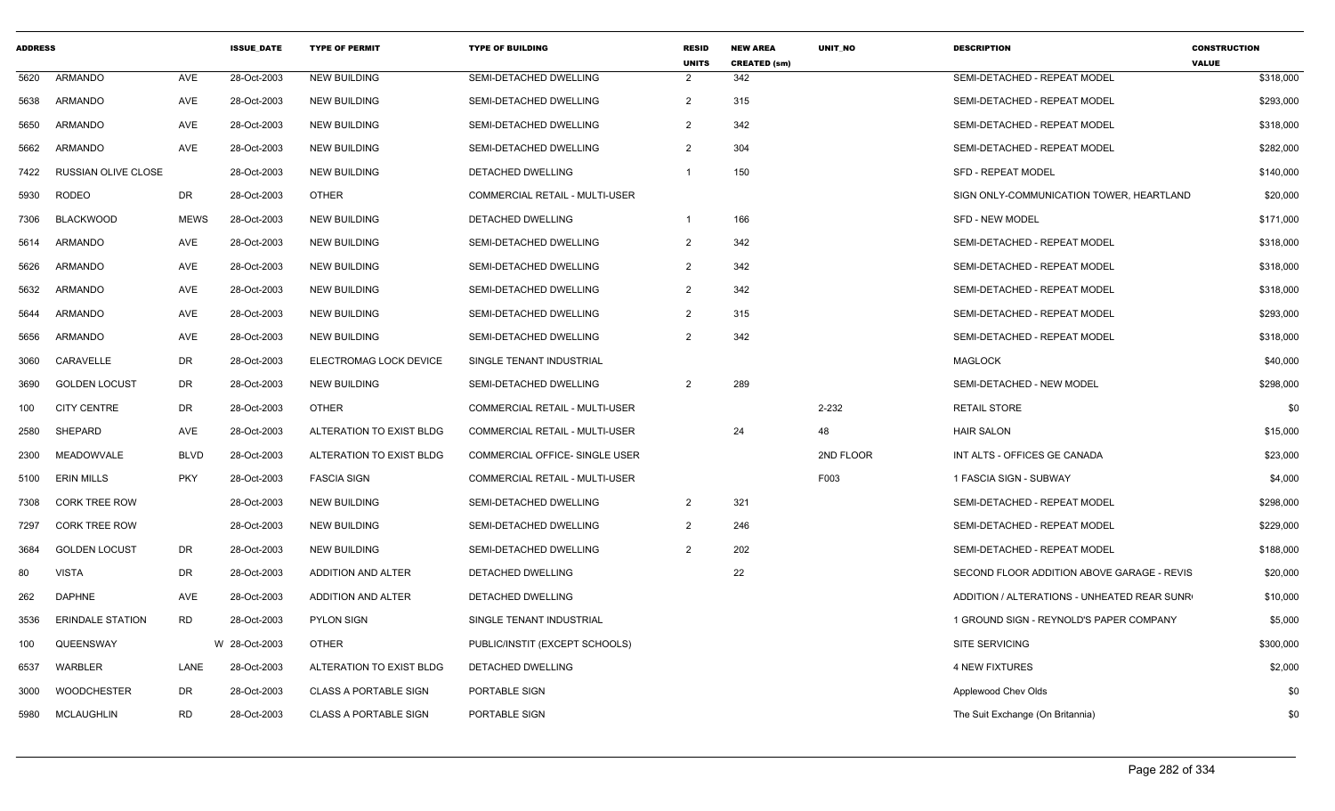| <b>ADDRESS</b> |                         |             | <b>ISSUE DATE</b> | <b>TYPE OF PERMIT</b>        | <b>TYPE OF BUILDING</b>        | <b>RESID</b><br><b>UNITS</b> | <b>NEW AREA</b><br><b>CREATED (sm)</b> | <b>UNIT NO</b> | <b>DESCRIPTION</b>                          | <b>CONSTRUCTION</b><br><b>VALUE</b> |
|----------------|-------------------------|-------------|-------------------|------------------------------|--------------------------------|------------------------------|----------------------------------------|----------------|---------------------------------------------|-------------------------------------|
| 5620           | <b>ARMANDO</b>          | AVE         | 28-Oct-2003       | <b>NEW BUILDING</b>          | SEMI-DETACHED DWELLING         | $\overline{2}$               | 342                                    |                | SEMI-DETACHED - REPEAT MODEL                | \$318,000                           |
| 5638           | ARMANDO                 | AVE         | 28-Oct-2003       | <b>NEW BUILDING</b>          | SEMI-DETACHED DWELLING         | $\overline{2}$               | 315                                    |                | SEMI-DETACHED - REPEAT MODEL                | \$293,000                           |
| 5650           | <b>ARMANDO</b>          | <b>AVE</b>  | 28-Oct-2003       | <b>NEW BUILDING</b>          | SEMI-DETACHED DWELLING         | $\overline{2}$               | 342                                    |                | SEMI-DETACHED - REPEAT MODEL                | \$318,000                           |
| 5662           | ARMANDO                 | <b>AVE</b>  | 28-Oct-2003       | <b>NEW BUILDING</b>          | SEMI-DETACHED DWELLING         | 2                            | 304                                    |                | SEMI-DETACHED - REPEAT MODEL                | \$282,000                           |
| 7422           | RUSSIAN OLIVE CLOSE     |             | 28-Oct-2003       | <b>NEW BUILDING</b>          | <b>DETACHED DWELLING</b>       | $\mathbf 1$                  | 150                                    |                | <b>SFD - REPEAT MODEL</b>                   | \$140,000                           |
| 5930           | RODEO                   | DR          | 28-Oct-2003       | <b>OTHER</b>                 | COMMERCIAL RETAIL - MULTI-USER |                              |                                        |                | SIGN ONLY-COMMUNICATION TOWER, HEARTLAND    | \$20,000                            |
| 7306           | <b>BLACKWOOD</b>        | <b>MEWS</b> | 28-Oct-2003       | <b>NEW BUILDING</b>          | DETACHED DWELLING              | -1                           | 166                                    |                | <b>SFD - NEW MODEL</b>                      | \$171,000                           |
| 5614           | ARMANDO                 | AVE         | 28-Oct-2003       | <b>NEW BUILDING</b>          | SEMI-DETACHED DWELLING         | $\overline{2}$               | 342                                    |                | SEMI-DETACHED - REPEAT MODEL                | \$318,000                           |
| 5626           | ARMANDO                 | <b>AVE</b>  | 28-Oct-2003       | <b>NEW BUILDING</b>          | SEMI-DETACHED DWELLING         | $\overline{2}$               | 342                                    |                | SEMI-DETACHED - REPEAT MODEL                | \$318,000                           |
| 5632           | <b>ARMANDO</b>          | AVE         | 28-Oct-2003       | <b>NEW BUILDING</b>          | SEMI-DETACHED DWELLING         | 2                            | 342                                    |                | SEMI-DETACHED - REPEAT MODEL                | \$318,000                           |
| 5644           | ARMANDO                 | AVE         | 28-Oct-2003       | <b>NEW BUILDING</b>          | SEMI-DETACHED DWELLING         | 2                            | 315                                    |                | SEMI-DETACHED - REPEAT MODEL                | \$293,000                           |
| 5656           | ARMANDO                 | AVE         | 28-Oct-2003       | NEW BUILDING                 | SEMI-DETACHED DWELLING         | 2                            | 342                                    |                | SEMI-DETACHED - REPEAT MODEL                | \$318,000                           |
| 3060           | CARAVELLE               | <b>DR</b>   | 28-Oct-2003       | ELECTROMAG LOCK DEVICE       | SINGLE TENANT INDUSTRIAL       |                              |                                        |                | <b>MAGLOCK</b>                              | \$40,000                            |
| 3690           | <b>GOLDEN LOCUST</b>    | <b>DR</b>   | 28-Oct-2003       | <b>NEW BUILDING</b>          | SEMI-DETACHED DWELLING         | $\overline{2}$               | 289                                    |                | SEMI-DETACHED - NEW MODEL                   | \$298,000                           |
| 100            | <b>CITY CENTRE</b>      | DR          | 28-Oct-2003       | <b>OTHER</b>                 | COMMERCIAL RETAIL - MULTI-USER |                              |                                        | $2 - 232$      | <b>RETAIL STORE</b>                         | \$0                                 |
| 2580           | SHEPARD                 | AVE         | 28-Oct-2003       | ALTERATION TO EXIST BLDG     | COMMERCIAL RETAIL - MULTI-USER |                              | 24                                     | 48             | <b>HAIR SALON</b>                           | \$15,000                            |
| 2300           | <b>MEADOWVALE</b>       | <b>BLVD</b> | 28-Oct-2003       | ALTERATION TO EXIST BLDG     | COMMERCIAL OFFICE- SINGLE USER |                              |                                        | 2ND FLOOR      | INT ALTS - OFFICES GE CANADA                | \$23,000                            |
| 5100           | <b>ERIN MILLS</b>       | <b>PKY</b>  | 28-Oct-2003       | <b>FASCIA SIGN</b>           | COMMERCIAL RETAIL - MULTI-USER |                              |                                        | F003           | 1 FASCIA SIGN - SUBWAY                      | \$4,000                             |
| 7308           | <b>CORK TREE ROW</b>    |             | 28-Oct-2003       | <b>NEW BUILDING</b>          | SEMI-DETACHED DWELLING         | $\overline{2}$               | 321                                    |                | SEMI-DETACHED - REPEAT MODEL                | \$298,000                           |
| 7297           | <b>CORK TREE ROW</b>    |             | 28-Oct-2003       | <b>NEW BUILDING</b>          | SEMI-DETACHED DWELLING         | 2                            | 246                                    |                | SEMI-DETACHED - REPEAT MODEL                | \$229,000                           |
| 3684           | <b>GOLDEN LOCUST</b>    | DR          | 28-Oct-2003       | <b>NEW BUILDING</b>          | SEMI-DETACHED DWELLING         | $\overline{2}$               | 202                                    |                | SEMI-DETACHED - REPEAT MODEL                | \$188,000                           |
| 80             | <b>VISTA</b>            | DR          | 28-Oct-2003       | ADDITION AND ALTER           | DETACHED DWELLING              |                              | 22                                     |                | SECOND FLOOR ADDITION ABOVE GARAGE - REVIS  | \$20,000                            |
| 262            | <b>DAPHNE</b>           | <b>AVE</b>  | 28-Oct-2003       | ADDITION AND ALTER           | DETACHED DWELLING              |                              |                                        |                | ADDITION / ALTERATIONS - UNHEATED REAR SUNR | \$10,000                            |
| 3536           | <b>ERINDALE STATION</b> | <b>RD</b>   | 28-Oct-2003       | PYLON SIGN                   | SINGLE TENANT INDUSTRIAL       |                              |                                        |                | 1 GROUND SIGN - REYNOLD'S PAPER COMPANY     | \$5,000                             |
| 100            | QUEENSWAY               |             | W 28-Oct-2003     | <b>OTHER</b>                 | PUBLIC/INSTIT (EXCEPT SCHOOLS) |                              |                                        |                | <b>SITE SERVICING</b>                       | \$300,000                           |
| 6537           | WARBLER                 | LANE        | 28-Oct-2003       | ALTERATION TO EXIST BLDG     | DETACHED DWELLING              |                              |                                        |                | <b>4 NEW FIXTURES</b>                       | \$2,000                             |
| 3000           | <b>WOODCHESTER</b>      | DR          | 28-Oct-2003       | <b>CLASS A PORTABLE SIGN</b> | PORTABLE SIGN                  |                              |                                        |                | Applewood Chev Olds                         | \$0                                 |
| 5980           | MCLAUGHLIN              | <b>RD</b>   | 28-Oct-2003       | <b>CLASS A PORTABLE SIGN</b> | PORTABLE SIGN                  |                              |                                        |                | The Suit Exchange (On Britannia)            | \$0                                 |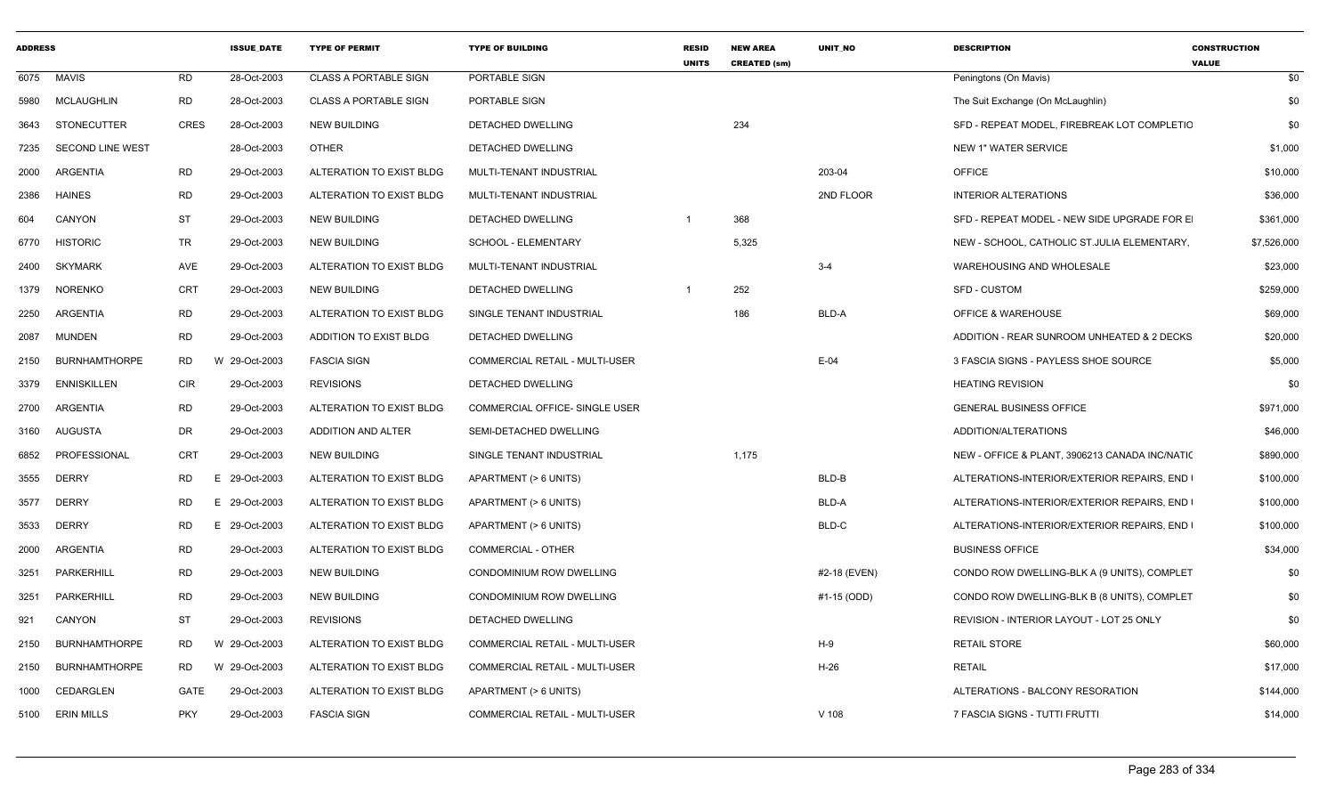| <b>ADDRESS</b> |                         |             | <b>ISSUE DATE</b> | <b>TYPE OF PERMIT</b>        | <b>TYPE OF BUILDING</b>               | <b>RESID</b><br><b>UNITS</b> | <b>NEW AREA</b><br><b>CREATED (sm)</b> | <b>UNIT NO</b> | <b>DESCRIPTION</b>                             | <b>CONSTRUCTION</b><br><b>VALUE</b> |
|----------------|-------------------------|-------------|-------------------|------------------------------|---------------------------------------|------------------------------|----------------------------------------|----------------|------------------------------------------------|-------------------------------------|
|                | 6075 MAVIS              | <b>RD</b>   | 28-Oct-2003       | <b>CLASS A PORTABLE SIGN</b> | PORTABLE SIGN                         |                              |                                        |                | Peningtons (On Mavis)                          | \$0                                 |
| 5980           | <b>MCLAUGHLIN</b>       | <b>RD</b>   | 28-Oct-2003       | <b>CLASS A PORTABLE SIGN</b> | PORTABLE SIGN                         |                              |                                        |                | The Suit Exchange (On McLaughlin)              | \$0                                 |
| 3643           | <b>STONECUTTER</b>      | <b>CRES</b> | 28-Oct-2003       | <b>NEW BUILDING</b>          | DETACHED DWELLING                     |                              | 234                                    |                | SFD - REPEAT MODEL, FIREBREAK LOT COMPLETIC    | \$0                                 |
| 7235           | <b>SECOND LINE WEST</b> |             | 28-Oct-2003       | <b>OTHER</b>                 | DETACHED DWELLING                     |                              |                                        |                | <b>NEW 1" WATER SERVICE</b>                    | \$1,000                             |
| 2000           | ARGENTIA                | <b>RD</b>   | 29-Oct-2003       | ALTERATION TO EXIST BLDG     | MULTI-TENANT INDUSTRIAL               |                              |                                        | 203-04         | <b>OFFICE</b>                                  | \$10,000                            |
| 2386           | <b>HAINES</b>           | <b>RD</b>   | 29-Oct-2003       | ALTERATION TO EXIST BLDG     | MULTI-TENANT INDUSTRIAL               |                              |                                        | 2ND FLOOR      | <b>INTERIOR ALTERATIONS</b>                    | \$36,000                            |
| 604            | <b>CANYON</b>           | <b>ST</b>   | 29-Oct-2003       | <b>NEW BUILDING</b>          | DETACHED DWELLING                     | $\overline{\mathbf{1}}$      | 368                                    |                | SFD - REPEAT MODEL - NEW SIDE UPGRADE FOR E    | \$361,000                           |
| 6770           | <b>HISTORIC</b>         | TR          | 29-Oct-2003       | <b>NEW BUILDING</b>          | SCHOOL - ELEMENTARY                   |                              | 5,325                                  |                | NEW - SCHOOL, CATHOLIC ST.JULIA ELEMENTARY,    | \$7,526,000                         |
| 2400           | <b>SKYMARK</b>          | AVE         | 29-Oct-2003       | ALTERATION TO EXIST BLDG     | MULTI-TENANT INDUSTRIAL               |                              |                                        | $3 - 4$        | WAREHOUSING AND WHOLESALE                      | \$23,000                            |
| 1379           | <b>NORENKO</b>          | <b>CRT</b>  | 29-Oct-2003       | <b>NEW BUILDING</b>          | DETACHED DWELLING                     | $\overline{1}$               | 252                                    |                | SFD - CUSTOM                                   | \$259,000                           |
| 2250           | ARGENTIA                | <b>RD</b>   | 29-Oct-2003       | ALTERATION TO EXIST BLDG     | SINGLE TENANT INDUSTRIAL              |                              | 186                                    | BLD-A          | <b>OFFICE &amp; WAREHOUSE</b>                  | \$69,000                            |
| 2087           | <b>MUNDEN</b>           | <b>RD</b>   | 29-Oct-2003       | ADDITION TO EXIST BLDG       | DETACHED DWELLING                     |                              |                                        |                | ADDITION - REAR SUNROOM UNHEATED & 2 DECKS     | \$20,000                            |
| 2150           | <b>BURNHAMTHORPE</b>    | <b>RD</b>   | 29-Oct-2003<br>W  | <b>FASCIA SIGN</b>           | COMMERCIAL RETAIL - MULTI-USER        |                              |                                        | $E-04$         | 3 FASCIA SIGNS - PAYLESS SHOE SOURCE           | \$5,000                             |
| 3379           | <b>ENNISKILLEN</b>      | <b>CIR</b>  | 29-Oct-2003       | <b>REVISIONS</b>             | DETACHED DWELLING                     |                              |                                        |                | <b>HEATING REVISION</b>                        | \$0                                 |
| 2700           | ARGENTIA                | <b>RD</b>   | 29-Oct-2003       | ALTERATION TO EXIST BLDG     | COMMERCIAL OFFICE- SINGLE USER        |                              |                                        |                | <b>GENERAL BUSINESS OFFICE</b>                 | \$971,000                           |
| 3160           | AUGUSTA                 | DR          | 29-Oct-2003       | ADDITION AND ALTER           | SEMI-DETACHED DWELLING                |                              |                                        |                | ADDITION/ALTERATIONS                           | \$46,000                            |
| 6852           | PROFESSIONAL            | CRT         | 29-Oct-2003       | <b>NEW BUILDING</b>          | SINGLE TENANT INDUSTRIAL              |                              | 1,175                                  |                | NEW - OFFICE & PLANT, 3906213 CANADA INC/NATIO | \$890,000                           |
| 3555           | <b>DERRY</b>            | <b>RD</b>   | 29-Oct-2003<br>E  | ALTERATION TO EXIST BLDG     | APARTMENT (> 6 UNITS)                 |                              |                                        | BLD-B          | ALTERATIONS-INTERIOR/EXTERIOR REPAIRS, END     | \$100,000                           |
| 3577           | <b>DERRY</b>            | RD          | 29-Oct-2003<br>E. | ALTERATION TO EXIST BLDG     | APARTMENT (> 6 UNITS)                 |                              |                                        | BLD-A          | ALTERATIONS-INTERIOR/EXTERIOR REPAIRS, END I   | \$100,000                           |
| 3533           | <b>DERRY</b>            | <b>RD</b>   | 29-Oct-2003<br>E. | ALTERATION TO EXIST BLDG     | APARTMENT (> 6 UNITS)                 |                              |                                        | BLD-C          | ALTERATIONS-INTERIOR/EXTERIOR REPAIRS, END     | \$100,000                           |
| 2000           | ARGENTIA                | RD          | 29-Oct-2003       | ALTERATION TO EXIST BLDG     | <b>COMMERCIAL - OTHER</b>             |                              |                                        |                | <b>BUSINESS OFFICE</b>                         | \$34,000                            |
| 3251           | PARKERHILL              | <b>RD</b>   | 29-Oct-2003       | <b>NEW BUILDING</b>          | CONDOMINIUM ROW DWELLING              |                              |                                        | #2-18 (EVEN)   | CONDO ROW DWELLING-BLK A (9 UNITS), COMPLET    | \$0                                 |
| 3251           | PARKERHILL              | <b>RD</b>   | 29-Oct-2003       | <b>NEW BUILDING</b>          | CONDOMINIUM ROW DWELLING              |                              |                                        | #1-15 (ODD)    | CONDO ROW DWELLING-BLK B (8 UNITS), COMPLET    | \$0                                 |
| 921            | CANYON                  | ST          | 29-Oct-2003       | <b>REVISIONS</b>             | DETACHED DWELLING                     |                              |                                        |                | REVISION - INTERIOR LAYOUT - LOT 25 ONLY       | \$0                                 |
| 2150           | <b>BURNHAMTHORPE</b>    | RD          | W<br>29-Oct-2003  | ALTERATION TO EXIST BLDG     | <b>COMMERCIAL RETAIL - MULTI-USER</b> |                              |                                        | H-9            | <b>RETAIL STORE</b>                            | \$60,000                            |
| 2150           | <b>BURNHAMTHORPE</b>    | RD          | W 29-Oct-2003     | ALTERATION TO EXIST BLDG     | COMMERCIAL RETAIL - MULTI-USER        |                              |                                        | H-26           | <b>RETAIL</b>                                  | \$17,000                            |
| 1000           | CEDARGLEN               | GATE        | 29-Oct-2003       | ALTERATION TO EXIST BLDG     | APARTMENT (> 6 UNITS)                 |                              |                                        |                | ALTERATIONS - BALCONY RESORATION               | \$144,000                           |
|                | 5100 ERIN MILLS         | <b>PKY</b>  | 29-Oct-2003       | <b>FASCIA SIGN</b>           | <b>COMMERCIAL RETAIL - MULTI-USER</b> |                              |                                        | $V$ 108        | 7 FASCIA SIGNS - TUTTI FRUTTI                  | \$14,000                            |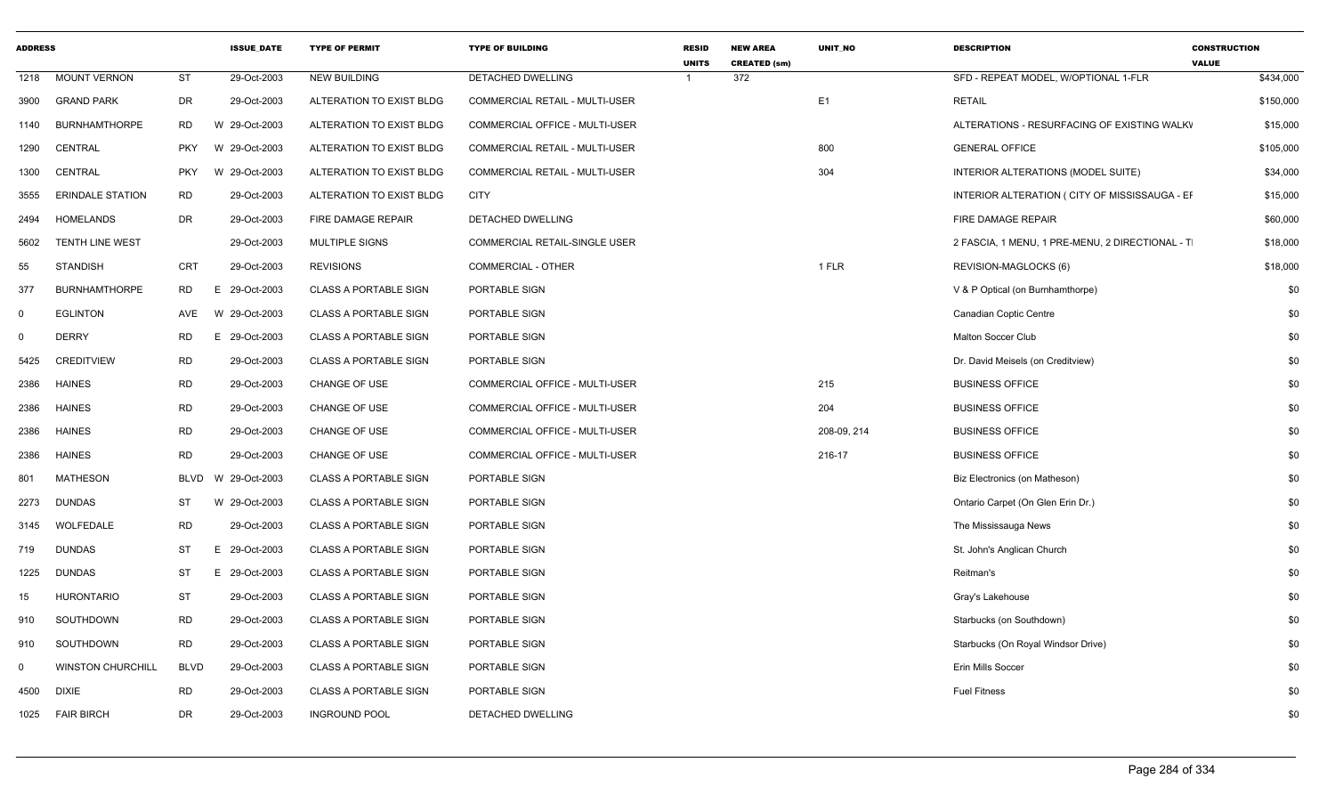| <b>ADDRESS</b> |                          |            | <b>ISSUE DATE</b>  | <b>TYPE OF PERMIT</b>        | <b>TYPE OF BUILDING</b>               | <b>RESID</b><br><b>UNITS</b> | <b>NEW AREA</b><br><b>CREATED (sm)</b> | UNIT NO        | <b>DESCRIPTION</b>                              | <b>CONSTRUCTION</b><br><b>VALUE</b> |
|----------------|--------------------------|------------|--------------------|------------------------------|---------------------------------------|------------------------------|----------------------------------------|----------------|-------------------------------------------------|-------------------------------------|
|                | 1218 MOUNT VERNON        | ST         | 29-Oct-2003        | <b>NEW BUILDING</b>          | DETACHED DWELLING                     |                              | 372                                    |                | SFD - REPEAT MODEL, W/OPTIONAL 1-FLR            | \$434,000                           |
|                | 3900 GRAND PARK          | DR         | 29-Oct-2003        | ALTERATION TO EXIST BLDG     | <b>COMMERCIAL RETAIL - MULTI-USER</b> |                              |                                        | E <sub>1</sub> | <b>RETAIL</b>                                   | \$150,000                           |
|                | 1140 BURNHAMTHORPE       | <b>RD</b>  | 29-Oct-2003<br>W   | ALTERATION TO EXIST BLDG     | COMMERCIAL OFFICE - MULTI-USER        |                              |                                        |                | ALTERATIONS - RESURFACING OF EXISTING WALKV     | \$15,000                            |
|                | 1290 CENTRAL             | PKY        | W 29-Oct-2003      | ALTERATION TO EXIST BLDG     | <b>COMMERCIAL RETAIL - MULTI-USER</b> |                              |                                        | 800            | <b>GENERAL OFFICE</b>                           | \$105,000                           |
|                | 1300 CENTRAL             | <b>PKY</b> | W 29-Oct-2003      | ALTERATION TO EXIST BLDG     | <b>COMMERCIAL RETAIL - MULTI-USER</b> |                              |                                        | 304            | INTERIOR ALTERATIONS (MODEL SUITE)              | \$34,000                            |
|                | 3555 ERINDALE STATION    | RD         | 29-Oct-2003        | ALTERATION TO EXIST BLDG     | CITY                                  |                              |                                        |                | INTERIOR ALTERATION ( CITY OF MISSISSAUGA - EF  | \$15,000                            |
|                | 2494 HOMELANDS           | <b>DR</b>  | 29-Oct-2003        | FIRE DAMAGE REPAIR           | DETACHED DWELLING                     |                              |                                        |                | FIRE DAMAGE REPAIR                              | \$60,000                            |
| 5602           | <b>TENTH LINE WEST</b>   |            | 29-Oct-2003        | <b>MULTIPLE SIGNS</b>        | <b>COMMERCIAL RETAIL-SINGLE USER</b>  |                              |                                        |                | 2 FASCIA, 1 MENU, 1 PRE-MENU, 2 DIRECTIONAL - T | \$18,000                            |
| 55             | STANDISH                 | CRT        | 29-Oct-2003        | <b>REVISIONS</b>             | <b>COMMERCIAL - OTHER</b>             |                              |                                        | 1 FLR          | REVISION-MAGLOCKS (6)                           | \$18,000                            |
| 377            | <b>BURNHAMTHORPE</b>     | <b>RD</b>  | 29-Oct-2003        | <b>CLASS A PORTABLE SIGN</b> | PORTABLE SIGN                         |                              |                                        |                | V & P Optical (on Burnhamthorpe)                | \$0                                 |
| $\mathbf{0}$   | <b>EGLINTON</b>          | AVE        | W 29-Oct-2003      | CLASS A PORTABLE SIGN        | PORTABLE SIGN                         |                              |                                        |                | Canadian Coptic Centre                          | \$0                                 |
| $\mathbf 0$    | <b>DERRY</b>             | <b>RD</b>  | 29-Oct-2003<br>E.  | <b>CLASS A PORTABLE SIGN</b> | PORTABLE SIGN                         |                              |                                        |                | Malton Soccer Club                              | \$0                                 |
| 5425           | <b>CREDITVIEW</b>        | RD         | 29-Oct-2003        | <b>CLASS A PORTABLE SIGN</b> | PORTABLE SIGN                         |                              |                                        |                | Dr. David Meisels (on Creditview)               | \$0                                 |
|                | 2386 HAINES              | RD         | 29-Oct-2003        | CHANGE OF USE                | COMMERCIAL OFFICE - MULTI-USER        |                              |                                        | 215            | <b>BUSINESS OFFICE</b>                          | \$0                                 |
|                | 2386 HAINES              | RD         | 29-Oct-2003        | CHANGE OF USE                | COMMERCIAL OFFICE - MULTI-USER        |                              |                                        | 204            | <b>BUSINESS OFFICE</b>                          | \$0                                 |
|                | 2386 HAINES              | <b>RD</b>  | 29-Oct-2003        | CHANGE OF USE                | COMMERCIAL OFFICE - MULTI-USER        |                              |                                        | 208-09, 214    | <b>BUSINESS OFFICE</b>                          | \$0                                 |
|                | 2386 HAINES              | <b>RD</b>  | 29-Oct-2003        | CHANGE OF USE                | COMMERCIAL OFFICE - MULTI-USER        |                              |                                        | 216-17         | <b>BUSINESS OFFICE</b>                          | \$0                                 |
| 801            | <b>MATHESON</b>          |            | BLVD W 29-Oct-2003 | <b>CLASS A PORTABLE SIGN</b> | PORTABLE SIGN                         |                              |                                        |                | Biz Electronics (on Matheson)                   | \$0                                 |
|                | 2273 DUNDAS              | ST         | 29-Oct-2003<br>W   | <b>CLASS A PORTABLE SIGN</b> | PORTABLE SIGN                         |                              |                                        |                | Ontario Carpet (On Glen Erin Dr.)               | \$0                                 |
|                | 3145 WOLFEDALE           | <b>RD</b>  | 29-Oct-2003        | <b>CLASS A PORTABLE SIGN</b> | PORTABLE SIGN                         |                              |                                        |                | The Mississauga News                            | \$0                                 |
| 719            | <b>DUNDAS</b>            | ST         | 29-Oct-2003<br>- F | <b>CLASS A PORTABLE SIGN</b> | PORTABLE SIGN                         |                              |                                        |                | St. John's Anglican Church                      | \$0                                 |
|                | 1225 DUNDAS              | ST         | 29-Oct-2003<br>E.  | <b>CLASS A PORTABLE SIGN</b> | PORTABLE SIGN                         |                              |                                        |                | Reitman's                                       | \$0                                 |
| 15             | HURONTARIO               | ST         | 29-Oct-2003        | <b>CLASS A PORTABLE SIGN</b> | PORTABLE SIGN                         |                              |                                        |                | Gray's Lakehouse                                | \$0                                 |
| 910            | SOUTHDOWN                | RD         | 29-Oct-2003        | <b>CLASS A PORTABLE SIGN</b> | PORTABLE SIGN                         |                              |                                        |                | Starbucks (on Southdown)                        | \$0                                 |
| 910            | SOUTHDOWN                | RD         | 29-Oct-2003        | <b>CLASS A PORTABLE SIGN</b> | PORTABLE SIGN                         |                              |                                        |                | Starbucks (On Royal Windsor Drive)              | \$0                                 |
| $\mathbf{0}$   | <b>WINSTON CHURCHILL</b> | BLVD       | 29-Oct-2003        | <b>CLASS A PORTABLE SIGN</b> | PORTABLE SIGN                         |                              |                                        |                | Erin Mills Soccer                               | \$0                                 |
|                | 4500 DIXIE               | RD         | 29-Oct-2003        | <b>CLASS A PORTABLE SIGN</b> | PORTABLE SIGN                         |                              |                                        |                | <b>Fuel Fitness</b>                             | \$0                                 |
|                | 1025 FAIR BIRCH          | DR         | 29-Oct-2003        | <b>INGROUND POOL</b>         | <b>DETACHED DWELLING</b>              |                              |                                        |                |                                                 | \$0                                 |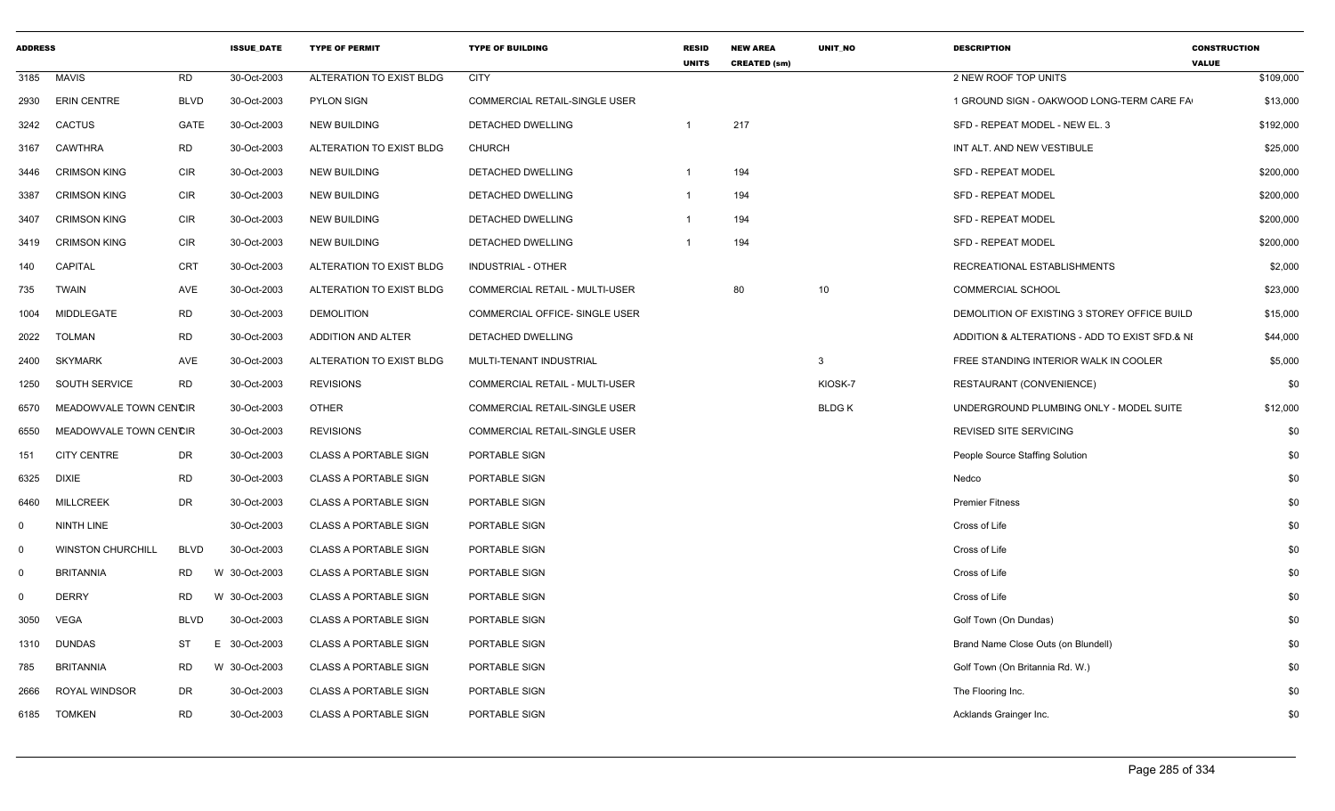| <b>ADDRESS</b>          |                          |             | <b>ISSUE DATE</b> | <b>TYPE OF PERMIT</b>        | <b>TYPE OF BUILDING</b>               | <b>RESID</b><br><b>UNITS</b> | <b>NEW AREA</b><br><b>CREATED (sm)</b> | <b>UNIT NO</b> | <b>DESCRIPTION</b>                             | <b>CONSTRUCTION</b><br><b>VALUE</b> |
|-------------------------|--------------------------|-------------|-------------------|------------------------------|---------------------------------------|------------------------------|----------------------------------------|----------------|------------------------------------------------|-------------------------------------|
| 3185                    | <b>MAVIS</b>             | <b>RD</b>   | 30-Oct-2003       | ALTERATION TO EXIST BLDG     | <b>CITY</b>                           |                              |                                        |                | 2 NEW ROOF TOP UNITS                           | \$109,000                           |
| 2930                    | <b>ERIN CENTRE</b>       | <b>BLVD</b> | 30-Oct-2003       | <b>PYLON SIGN</b>            | COMMERCIAL RETAIL-SINGLE USER         |                              |                                        |                | 1 GROUND SIGN - OAKWOOD LONG-TERM CARE FA      | \$13,000                            |
| 3242                    | <b>CACTUS</b>            | GATE        | 30-Oct-2003       | <b>NEW BUILDING</b>          | DETACHED DWELLING                     | -1                           | 217                                    |                | SFD - REPEAT MODEL - NEW EL. 3                 | \$192,000                           |
| 3167                    | <b>CAWTHRA</b>           | <b>RD</b>   | 30-Oct-2003       | ALTERATION TO EXIST BLDG     | <b>CHURCH</b>                         |                              |                                        |                | INT ALT. AND NEW VESTIBULE                     | \$25,000                            |
| 3446                    | <b>CRIMSON KING</b>      | <b>CIR</b>  | 30-Oct-2003       | <b>NEW BUILDING</b>          | DETACHED DWELLING                     | -1                           | 194                                    |                | <b>SFD - REPEAT MODEL</b>                      | \$200,000                           |
| 3387                    | <b>CRIMSON KING</b>      | <b>CIR</b>  | 30-Oct-2003       | <b>NEW BUILDING</b>          | DETACHED DWELLING                     | -1                           | 194                                    |                | <b>SFD - REPEAT MODEL</b>                      | \$200,000                           |
| 3407                    | <b>CRIMSON KING</b>      | <b>CIR</b>  | 30-Oct-2003       | <b>NEW BUILDING</b>          | DETACHED DWELLING                     |                              | 194                                    |                | SFD - REPEAT MODEL                             | \$200,000                           |
| 3419                    | <b>CRIMSON KING</b>      | <b>CIR</b>  | 30-Oct-2003       | <b>NEW BUILDING</b>          | DETACHED DWELLING                     | -1                           | 194                                    |                | <b>SFD - REPEAT MODEL</b>                      | \$200,000                           |
| 140                     | <b>CAPITAL</b>           | <b>CRT</b>  | 30-Oct-2003       | ALTERATION TO EXIST BLDG     | <b>INDUSTRIAL - OTHER</b>             |                              |                                        |                | RECREATIONAL ESTABLISHMENTS                    | \$2,000                             |
| 735                     | <b>TWAIN</b>             | AVE         | 30-Oct-2003       | ALTERATION TO EXIST BLDG     | COMMERCIAL RETAIL - MULTI-USER        |                              | 80                                     | 10             | <b>COMMERCIAL SCHOOL</b>                       | \$23,000                            |
| 1004                    | MIDDLEGATE               | <b>RD</b>   | 30-Oct-2003       | <b>DEMOLITION</b>            | COMMERCIAL OFFICE- SINGLE USER        |                              |                                        |                | DEMOLITION OF EXISTING 3 STOREY OFFICE BUILD   | \$15,000                            |
| 2022                    | <b>TOLMAN</b>            | <b>RD</b>   | 30-Oct-2003       | ADDITION AND ALTER           | DETACHED DWELLING                     |                              |                                        |                | ADDITION & ALTERATIONS - ADD TO EXIST SFD.& NI | \$44,000                            |
| 2400                    | <b>SKYMARK</b>           | <b>AVE</b>  | 30-Oct-2003       | ALTERATION TO EXIST BLDG     | MULTI-TENANT INDUSTRIAL               |                              |                                        | $\mathbf{3}$   | FREE STANDING INTERIOR WALK IN COOLER          | \$5,000                             |
| 1250                    | <b>SOUTH SERVICE</b>     | <b>RD</b>   | 30-Oct-2003       | <b>REVISIONS</b>             | <b>COMMERCIAL RETAIL - MULTI-USER</b> |                              |                                        | KIOSK-7        | RESTAURANT (CONVENIENCE)                       | \$0                                 |
| 6570                    | MEADOWVALE TOWN CENCIR   |             | 30-Oct-2003       | <b>OTHER</b>                 | <b>COMMERCIAL RETAIL-SINGLE USER</b>  |                              |                                        | <b>BLDGK</b>   | UNDERGROUND PLUMBING ONLY - MODEL SUITE        | \$12,000                            |
| 6550                    | MEADOWVALE TOWN CENCIR   |             | 30-Oct-2003       | <b>REVISIONS</b>             | COMMERCIAL RETAIL-SINGLE USER         |                              |                                        |                | REVISED SITE SERVICING                         | \$0                                 |
| 151                     | <b>CITY CENTRE</b>       | DR          | 30-Oct-2003       | <b>CLASS A PORTABLE SIGN</b> | PORTABLE SIGN                         |                              |                                        |                | People Source Staffing Solution                | \$0                                 |
| 6325                    | <b>DIXIE</b>             | <b>RD</b>   | 30-Oct-2003       | <b>CLASS A PORTABLE SIGN</b> | PORTABLE SIGN                         |                              |                                        |                | Nedco                                          | \$0                                 |
| 6460                    | <b>MILLCREEK</b>         | <b>DR</b>   | 30-Oct-2003       | <b>CLASS A PORTABLE SIGN</b> | PORTABLE SIGN                         |                              |                                        |                | <b>Premier Fitness</b>                         | \$0                                 |
| 0                       | NINTH LINE               |             | 30-Oct-2003       | <b>CLASS A PORTABLE SIGN</b> | PORTABLE SIGN                         |                              |                                        |                | Cross of Life                                  | \$0                                 |
| $\overline{\mathbf{0}}$ | <b>WINSTON CHURCHILL</b> | <b>BLVD</b> | 30-Oct-2003       | <b>CLASS A PORTABLE SIGN</b> | PORTABLE SIGN                         |                              |                                        |                | Cross of Life                                  | \$0                                 |
| $\mathbf 0$             | <b>BRITANNIA</b>         | <b>RD</b>   | W 30-Oct-2003     | <b>CLASS A PORTABLE SIGN</b> | PORTABLE SIGN                         |                              |                                        |                | Cross of Life                                  | \$0                                 |
| 0                       | <b>DERRY</b>             | <b>RD</b>   | W 30-Oct-2003     | <b>CLASS A PORTABLE SIGN</b> | PORTABLE SIGN                         |                              |                                        |                | Cross of Life                                  | \$0                                 |
| 3050                    | <b>VEGA</b>              | <b>BLVD</b> | 30-Oct-2003       | <b>CLASS A PORTABLE SIGN</b> | PORTABLE SIGN                         |                              |                                        |                | Golf Town (On Dundas)                          | \$0                                 |
| 1310                    | <b>DUNDAS</b>            | ST          | E.<br>30-Oct-2003 | <b>CLASS A PORTABLE SIGN</b> | PORTABLE SIGN                         |                              |                                        |                | Brand Name Close Outs (on Blundell)            | \$0                                 |
| 785                     | <b>BRITANNIA</b>         | <b>RD</b>   | W 30-Oct-2003     | <b>CLASS A PORTABLE SIGN</b> | PORTABLE SIGN                         |                              |                                        |                | Golf Town (On Britannia Rd. W.)                | \$0                                 |
| 2666                    | ROYAL WINDSOR            | <b>DR</b>   | 30-Oct-2003       | <b>CLASS A PORTABLE SIGN</b> | PORTABLE SIGN                         |                              |                                        |                | The Flooring Inc.                              | \$0                                 |
| 6185                    | <b>TOMKEN</b>            | <b>RD</b>   | 30-Oct-2003       | <b>CLASS A PORTABLE SIGN</b> | PORTABLE SIGN                         |                              |                                        |                | Acklands Grainger Inc.                         | \$0                                 |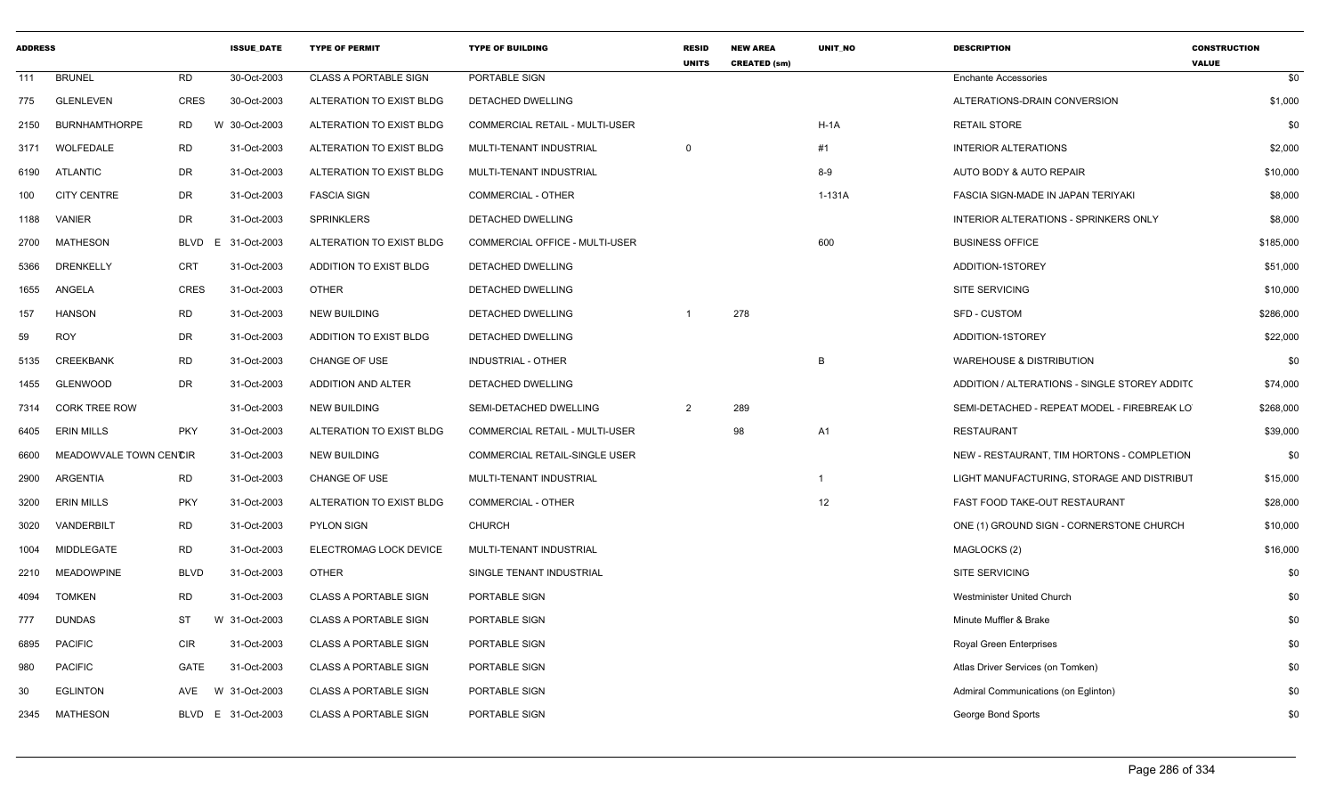| <b>ADDRESS</b> |                        |             | <b>ISSUE DATE</b>  | <b>TYPE OF PERMIT</b>        | <b>TYPE OF BUILDING</b>        | <b>RESID</b><br><b>UNITS</b> | <b>NEW AREA</b><br><b>CREATED (sm)</b> | <b>UNIT NO</b> | <b>DESCRIPTION</b>                            | <b>CONSTRUCTION</b><br><b>VALUE</b> |
|----------------|------------------------|-------------|--------------------|------------------------------|--------------------------------|------------------------------|----------------------------------------|----------------|-----------------------------------------------|-------------------------------------|
| 111            | <b>BRUNEL</b>          | RD          | 30-Oct-2003        | CLASS A PORTABLE SIGN        | PORTABLE SIGN                  |                              |                                        |                | <b>Enchante Accessories</b>                   | \$0                                 |
| 775            | GLENLEVEN              | CRES        | 30-Oct-2003        | ALTERATION TO EXIST BLDG     | DETACHED DWELLING              |                              |                                        |                | ALTERATIONS-DRAIN CONVERSION                  | \$1,000                             |
| 2150           | <b>BURNHAMTHORPE</b>   | <b>RD</b>   | W 30-Oct-2003      | ALTERATION TO EXIST BLDG     | COMMERCIAL RETAIL - MULTI-USER |                              |                                        | $H-1A$         | <b>RETAIL STORE</b>                           | \$0                                 |
|                | 3171 WOLFEDALE         | RD          | 31-Oct-2003        | ALTERATION TO EXIST BLDG     | MULTI-TENANT INDUSTRIAL        | $\Omega$                     |                                        | #1             | <b>INTERIOR ALTERATIONS</b>                   | \$2,000                             |
| 6190           | ATLANTIC               | DR          | 31-Oct-2003        | ALTERATION TO EXIST BLDG     | MULTI-TENANT INDUSTRIAL        |                              |                                        | $8-9$          | AUTO BODY & AUTO REPAIR                       | \$10,000                            |
| 100            | <b>CITY CENTRE</b>     | DR          | 31-Oct-2003        | <b>FASCIA SIGN</b>           | <b>COMMERCIAL - OTHER</b>      |                              |                                        | 1-131A         | FASCIA SIGN-MADE IN JAPAN TERIYAKI            | \$8,000                             |
| 1188           | VANIER                 | DR          | 31-Oct-2003        | <b>SPRINKLERS</b>            | DETACHED DWELLING              |                              |                                        |                | INTERIOR ALTERATIONS - SPRINKERS ONLY         | \$8,000                             |
| 2700           | MATHESON               | BLVD        | E 31-Oct-2003      | ALTERATION TO EXIST BLDG     | COMMERCIAL OFFICE - MULTI-USER |                              |                                        | 600            | <b>BUSINESS OFFICE</b>                        | \$185,000                           |
| 5366           | <b>DRENKELLY</b>       | CRT         | 31-Oct-2003        | ADDITION TO EXIST BLDG       | DETACHED DWELLING              |                              |                                        |                | ADDITION-1STOREY                              | \$51,000                            |
| 1655           | ANGELA                 | CRES        | 31-Oct-2003        | <b>OTHER</b>                 | DETACHED DWELLING              |                              |                                        |                | SITE SERVICING                                | \$10,000                            |
| 157            | <b>HANSON</b>          | RD          | 31-Oct-2003        | <b>NEW BUILDING</b>          | DETACHED DWELLING              |                              | 278                                    |                | <b>SFD - CUSTOM</b>                           | \$286,000                           |
| 59             | <b>ROY</b>             | DR          | 31-Oct-2003        | ADDITION TO EXIST BLDG       | DETACHED DWELLING              |                              |                                        |                | ADDITION-1STOREY                              | \$22,000                            |
| 5135           | <b>CREEKBANK</b>       | <b>RD</b>   | 31-Oct-2003        | CHANGE OF USE                | INDUSTRIAL - OTHER             |                              |                                        | $\overline{B}$ | <b>WAREHOUSE &amp; DISTRIBUTION</b>           | \$0                                 |
| 1455           | GLENWOOD               | DR          | 31-Oct-2003        | ADDITION AND ALTER           | DETACHED DWELLING              |                              |                                        |                | ADDITION / ALTERATIONS - SINGLE STOREY ADDIT( | \$74,000                            |
| 7314           | <b>CORK TREE ROW</b>   |             | 31-Oct-2003        | <b>NEW BUILDING</b>          | SEMI-DETACHED DWELLING         | $\overline{2}$               | 289                                    |                | SEMI-DETACHED - REPEAT MODEL - FIREBREAK LO   | \$268,000                           |
| 6405           | <b>ERIN MILLS</b>      | <b>PKY</b>  | 31-Oct-2003        | ALTERATION TO EXIST BLDG     | COMMERCIAL RETAIL - MULTI-USER |                              | 98                                     | A <sub>1</sub> | <b>RESTAURANT</b>                             | \$39,000                            |
| 6600           | MEADOWVALE TOWN CENCIR |             | 31-Oct-2003        | <b>NEW BUILDING</b>          | COMMERCIAL RETAIL-SINGLE USER  |                              |                                        |                | NEW - RESTAURANT, TIM HORTONS - COMPLETION    | \$0                                 |
| 2900           | ARGENTIA               | RD          | 31-Oct-2003        | CHANGE OF USE                | MULTI-TENANT INDUSTRIAL        |                              |                                        | $\overline{1}$ | LIGHT MANUFACTURING, STORAGE AND DISTRIBUT    | \$15,000                            |
| 3200           | <b>ERIN MILLS</b>      | <b>PKY</b>  | 31-Oct-2003        | ALTERATION TO EXIST BLDG     | COMMERCIAL - OTHER             |                              |                                        | 12             | FAST FOOD TAKE-OUT RESTAURANT                 | \$28,000                            |
| 3020           | VANDERBILT             | <b>RD</b>   | 31-Oct-2003        | PYLON SIGN                   | <b>CHURCH</b>                  |                              |                                        |                | ONE (1) GROUND SIGN - CORNERSTONE CHURCH      | \$10,000                            |
| 1004           | MIDDLEGATE             | <b>RD</b>   | 31-Oct-2003        | ELECTROMAG LOCK DEVICE       | MULTI-TENANT INDUSTRIAL        |                              |                                        |                | MAGLOCKS (2)                                  | \$16,000                            |
| 2210           | <b>MEADOWPINE</b>      | <b>BLVD</b> | 31-Oct-2003        | <b>OTHER</b>                 | SINGLE TENANT INDUSTRIAL       |                              |                                        |                | SITE SERVICING                                | \$0                                 |
| 4094           | <b>TOMKEN</b>          | <b>RD</b>   | 31-Oct-2003        | CLASS A PORTABLE SIGN        | PORTABLE SIGN                  |                              |                                        |                | Westminister United Church                    | \$0                                 |
| 777            | <b>DUNDAS</b>          | ST          | W 31-Oct-2003      | <b>CLASS A PORTABLE SIGN</b> | PORTABLE SIGN                  |                              |                                        |                | Minute Muffler & Brake                        | \$0                                 |
| 6895           | <b>PACIFIC</b>         | CIR         | 31-Oct-2003        | <b>CLASS A PORTABLE SIGN</b> | PORTABLE SIGN                  |                              |                                        |                | Royal Green Enterprises                       | \$0                                 |
| 980            | <b>PACIFIC</b>         | GATE        | 31-Oct-2003        | <b>CLASS A PORTABLE SIGN</b> | PORTABLE SIGN                  |                              |                                        |                | Atlas Driver Services (on Tomken)             | \$0                                 |
| 30             | <b>EGLINTON</b>        | AVE         | W 31-Oct-2003      | <b>CLASS A PORTABLE SIGN</b> | PORTABLE SIGN                  |                              |                                        |                | Admiral Communications (on Eglinton)          | \$0                                 |
|                | 2345 MATHESON          |             | BLVD E 31-Oct-2003 | <b>CLASS A PORTABLE SIGN</b> | PORTABLE SIGN                  |                              |                                        |                | George Bond Sports                            | \$0                                 |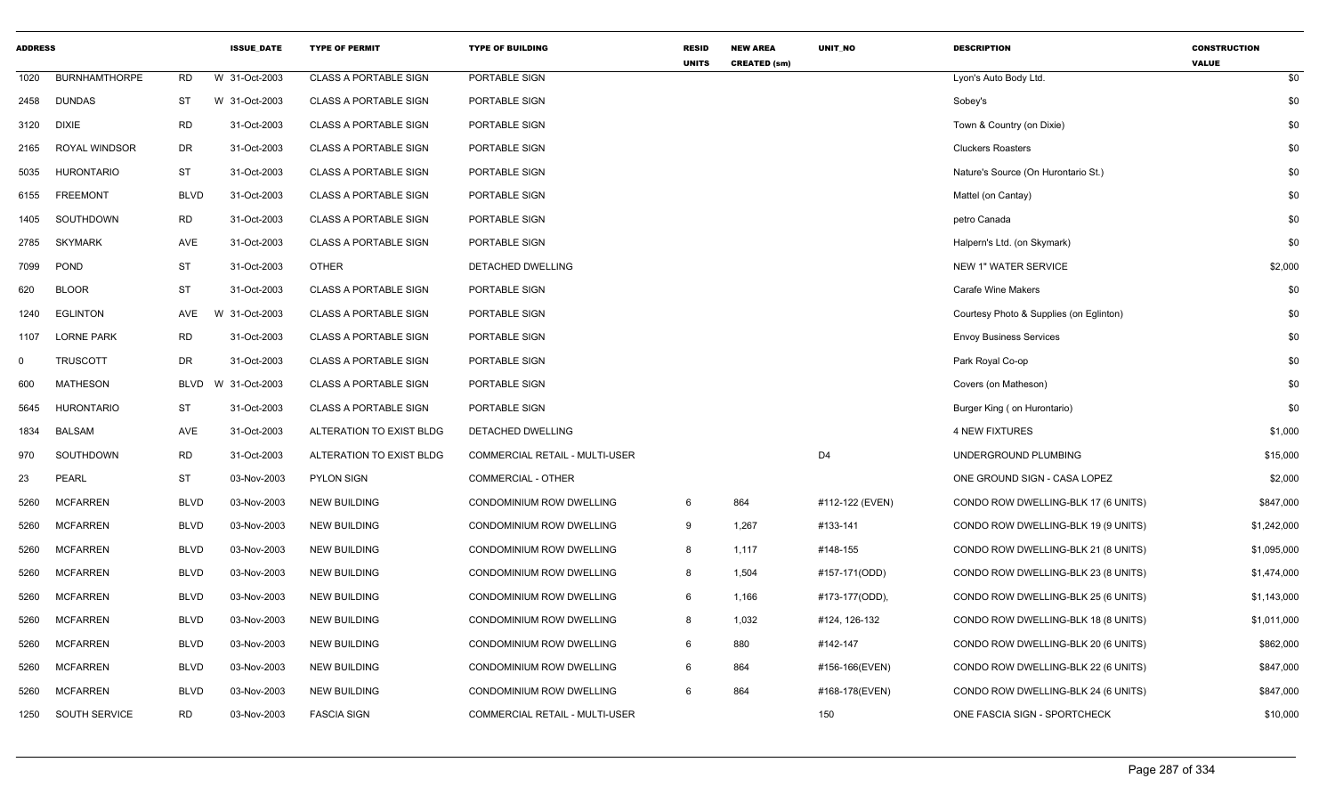| <b>ADDRESS</b> |                      |             | <b>ISSUE DATE</b> | <b>TYPE OF PERMIT</b>        | <b>TYPE OF BUILDING</b>               | <b>RESID</b><br><b>UNITS</b> | <b>NEW AREA</b><br><b>CREATED (sm)</b> | UNIT_NO         | <b>DESCRIPTION</b>                      | <b>CONSTRUCTION</b><br><b>VALUE</b> |
|----------------|----------------------|-------------|-------------------|------------------------------|---------------------------------------|------------------------------|----------------------------------------|-----------------|-----------------------------------------|-------------------------------------|
| 1020           | <b>BURNHAMTHORPE</b> | <b>RD</b>   | W 31-Oct-2003     | <b>CLASS A PORTABLE SIGN</b> | PORTABLE SIGN                         |                              |                                        |                 | Lyon's Auto Body Ltd.                   | \$0                                 |
| 2458           | <b>DUNDAS</b>        | ST          | W 31-Oct-2003     | <b>CLASS A PORTABLE SIGN</b> | PORTABLE SIGN                         |                              |                                        |                 | Sobey's                                 | \$0                                 |
| 3120           | <b>DIXIE</b>         | <b>RD</b>   | 31-Oct-2003       | <b>CLASS A PORTABLE SIGN</b> | PORTABLE SIGN                         |                              |                                        |                 | Town & Country (on Dixie)               | \$0                                 |
| 2165           | <b>ROYAL WINDSOR</b> | DR          | 31-Oct-2003       | <b>CLASS A PORTABLE SIGN</b> | PORTABLE SIGN                         |                              |                                        |                 | <b>Cluckers Roasters</b>                | \$0                                 |
| 5035           | <b>HURONTARIO</b>    | ST          | 31-Oct-2003       | <b>CLASS A PORTABLE SIGN</b> | PORTABLE SIGN                         |                              |                                        |                 | Nature's Source (On Hurontario St.)     | \$0                                 |
| 6155           | <b>FREEMONT</b>      | <b>BLVD</b> | 31-Oct-2003       | <b>CLASS A PORTABLE SIGN</b> | PORTABLE SIGN                         |                              |                                        |                 | Mattel (on Cantay)                      | \$0                                 |
| 1405           | SOUTHDOWN            | <b>RD</b>   | 31-Oct-2003       | <b>CLASS A PORTABLE SIGN</b> | PORTABLE SIGN                         |                              |                                        |                 | petro Canada                            | \$0                                 |
| 2785           | <b>SKYMARK</b>       | AVE         | 31-Oct-2003       | <b>CLASS A PORTABLE SIGN</b> | PORTABLE SIGN                         |                              |                                        |                 | Halpern's Ltd. (on Skymark)             | \$0                                 |
| 7099           | <b>POND</b>          | <b>ST</b>   | 31-Oct-2003       | <b>OTHER</b>                 | DETACHED DWELLING                     |                              |                                        |                 | <b>NEW 1" WATER SERVICE</b>             | \$2,000                             |
| 620            | <b>BLOOR</b>         | <b>ST</b>   | 31-Oct-2003       | <b>CLASS A PORTABLE SIGN</b> | PORTABLE SIGN                         |                              |                                        |                 | <b>Carafe Wine Makers</b>               | \$0                                 |
| 1240           | <b>EGLINTON</b>      | AVE         | W 31-Oct-2003     | <b>CLASS A PORTABLE SIGN</b> | PORTABLE SIGN                         |                              |                                        |                 | Courtesy Photo & Supplies (on Eglinton) | \$0                                 |
| 1107           | <b>LORNE PARK</b>    | <b>RD</b>   | 31-Oct-2003       | <b>CLASS A PORTABLE SIGN</b> | PORTABLE SIGN                         |                              |                                        |                 | <b>Envoy Business Services</b>          | \$0                                 |
| 0              | <b>TRUSCOTT</b>      | DR          | 31-Oct-2003       | <b>CLASS A PORTABLE SIGN</b> | PORTABLE SIGN                         |                              |                                        |                 | Park Royal Co-op                        | \$0                                 |
| 600            | <b>MATHESON</b>      | <b>BLVD</b> | W 31-Oct-2003     | <b>CLASS A PORTABLE SIGN</b> | PORTABLE SIGN                         |                              |                                        |                 | Covers (on Matheson)                    | \$0                                 |
| 5645           | <b>HURONTARIO</b>    | ST          | 31-Oct-2003       | <b>CLASS A PORTABLE SIGN</b> | PORTABLE SIGN                         |                              |                                        |                 | Burger King (on Hurontario)             | \$0                                 |
| 1834           | <b>BALSAM</b>        | AVE         | 31-Oct-2003       | ALTERATION TO EXIST BLDG     | DETACHED DWELLING                     |                              |                                        |                 | <b>4 NEW FIXTURES</b>                   | \$1,000                             |
| 970            | SOUTHDOWN            | <b>RD</b>   | 31-Oct-2003       | ALTERATION TO EXIST BLDG     | COMMERCIAL RETAIL - MULTI-USER        |                              |                                        | D <sub>4</sub>  | UNDERGROUND PLUMBING                    | \$15,000                            |
| 23             | <b>PEARL</b>         | <b>ST</b>   | 03-Nov-2003       | <b>PYLON SIGN</b>            | COMMERCIAL - OTHER                    |                              |                                        |                 | ONE GROUND SIGN - CASA LOPEZ            | \$2,000                             |
| 5260           | <b>MCFARREN</b>      | <b>BLVD</b> | 03-Nov-2003       | <b>NEW BUILDING</b>          | CONDOMINIUM ROW DWELLING              | 6                            | 864                                    | #112-122 (EVEN) | CONDO ROW DWELLING-BLK 17 (6 UNITS)     | \$847,000                           |
| 5260           | <b>MCFARREN</b>      | <b>BLVD</b> | 03-Nov-2003       | <b>NEW BUILDING</b>          | CONDOMINIUM ROW DWELLING              | 9                            | 1,267                                  | #133-141        | CONDO ROW DWELLING-BLK 19 (9 UNITS)     | \$1,242,000                         |
| 5260           | <b>MCFARREN</b>      | <b>BLVD</b> | 03-Nov-2003       | <b>NEW BUILDING</b>          | CONDOMINIUM ROW DWELLING              | 8                            | 1,117                                  | #148-155        | CONDO ROW DWELLING-BLK 21 (8 UNITS)     | \$1,095,000                         |
| 5260           | <b>MCFARREN</b>      | <b>BLVD</b> | 03-Nov-2003       | <b>NEW BUILDING</b>          | CONDOMINIUM ROW DWELLING              | 8                            | 1,504                                  | #157-171(ODD)   | CONDO ROW DWELLING-BLK 23 (8 UNITS)     | \$1,474,000                         |
| 5260           | <b>MCFARREN</b>      | <b>BLVD</b> | 03-Nov-2003       | <b>NEW BUILDING</b>          | CONDOMINIUM ROW DWELLING              | 6                            | 1,166                                  | #173-177(ODD),  | CONDO ROW DWELLING-BLK 25 (6 UNITS)     | \$1,143,000                         |
| 5260           | <b>MCFARREN</b>      | <b>BLVD</b> | 03-Nov-2003       | <b>NEW BUILDING</b>          | CONDOMINIUM ROW DWELLING              | 8                            | 1,032                                  | #124, 126-132   | CONDO ROW DWELLING-BLK 18 (8 UNITS)     | \$1,011,000                         |
| 5260           | <b>MCFARREN</b>      | <b>BLVD</b> | 03-Nov-2003       | <b>NEW BUILDING</b>          | CONDOMINIUM ROW DWELLING              | 6                            | 880                                    | #142-147        | CONDO ROW DWELLING-BLK 20 (6 UNITS)     | \$862,000                           |
| 5260           | <b>MCFARREN</b>      | <b>BLVD</b> | 03-Nov-2003       | <b>NEW BUILDING</b>          | CONDOMINIUM ROW DWELLING              | 6                            | 864                                    | #156-166(EVEN)  | CONDO ROW DWELLING-BLK 22 (6 UNITS)     | \$847,000                           |
| 5260           | <b>MCFARREN</b>      | <b>BLVD</b> | 03-Nov-2003       | <b>NEW BUILDING</b>          | CONDOMINIUM ROW DWELLING              | 6                            | 864                                    | #168-178(EVEN)  | CONDO ROW DWELLING-BLK 24 (6 UNITS)     | \$847,000                           |
| 1250           | SOUTH SERVICE        | <b>RD</b>   | 03-Nov-2003       | <b>FASCIA SIGN</b>           | <b>COMMERCIAL RETAIL - MULTI-USER</b> |                              |                                        | 150             | ONE FASCIA SIGN - SPORTCHECK            | \$10,000                            |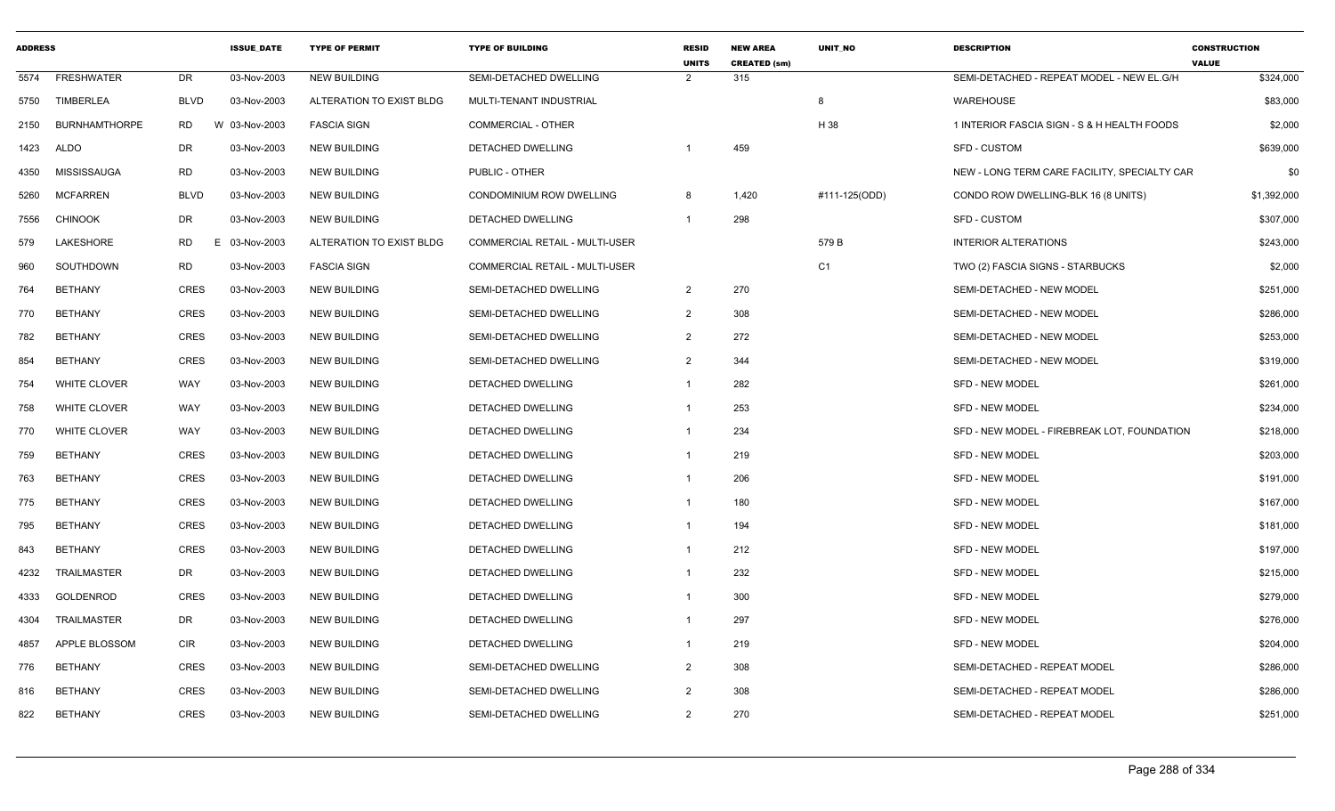| <b>ADDRESS</b> |                      |             | <b>ISSUE DATE</b> | <b>TYPE OF PERMIT</b>    | <b>TYPE OF BUILDING</b>               | <b>RESID</b><br><b>UNITS</b> | <b>NEW AREA</b><br><b>CREATED (sm)</b> | <b>UNIT NO</b> | <b>DESCRIPTION</b>                           | <b>CONSTRUCTION</b><br><b>VALUE</b> |
|----------------|----------------------|-------------|-------------------|--------------------------|---------------------------------------|------------------------------|----------------------------------------|----------------|----------------------------------------------|-------------------------------------|
| 5574           | <b>FRESHWATER</b>    | DR          | 03-Nov-2003       | <b>NEW BUILDING</b>      | SEMI-DETACHED DWELLING                | $\mathcal{P}$                | 315                                    |                | SEMI-DETACHED - REPEAT MODEL - NEW EL.G/H    | \$324,000                           |
| 5750           | <b>TIMBERLEA</b>     | <b>BLVD</b> | 03-Nov-2003       | ALTERATION TO EXIST BLDG | MULTI-TENANT INDUSTRIAL               |                              |                                        | 8              | <b>WAREHOUSE</b>                             | \$83,000                            |
| 2150           | <b>BURNHAMTHORPE</b> | RD.<br>W    | 03-Nov-2003       | <b>FASCIA SIGN</b>       | <b>COMMERCIAL - OTHER</b>             |                              |                                        | H 38           | 1 INTERIOR FASCIA SIGN - S & H HEALTH FOODS  | \$2,000                             |
| 1423           | ALDO                 | DR          | 03-Nov-2003       | <b>NEW BUILDING</b>      | DETACHED DWELLING                     |                              | 459                                    |                | SFD - CUSTOM                                 | \$639,000                           |
| 4350           | MISSISSAUGA          | <b>RD</b>   | 03-Nov-2003       | <b>NEW BUILDING</b>      | PUBLIC - OTHER                        |                              |                                        |                | NEW - LONG TERM CARE FACILITY, SPECIALTY CAR | \$0                                 |
| 5260           | <b>MCFARREN</b>      | <b>BLVD</b> | 03-Nov-2003       | <b>NEW BUILDING</b>      | CONDOMINIUM ROW DWELLING              | 8                            | 1,420                                  | #111-125(ODD)  | CONDO ROW DWELLING-BLK 16 (8 UNITS)          | \$1,392,000                         |
| 7556           | <b>CHINOOK</b>       | DR          | 03-Nov-2003       | <b>NEW BUILDING</b>      | DETACHED DWELLING                     | $\overline{1}$               | 298                                    |                | SFD - CUSTOM                                 | \$307,000                           |
| 579            | LAKESHORE            | <b>RD</b>   | 03-Nov-2003       | ALTERATION TO EXIST BLDG | <b>COMMERCIAL RETAIL - MULTI-USER</b> |                              |                                        | 579 B          | <b>INTERIOR ALTERATIONS</b>                  | \$243,000                           |
| 960            | SOUTHDOWN            | RD          | 03-Nov-2003       | <b>FASCIA SIGN</b>       | COMMERCIAL RETAIL - MULTI-USER        |                              |                                        | C <sub>1</sub> | TWO (2) FASCIA SIGNS - STARBUCKS             | \$2,000                             |
| 764            | <b>BETHANY</b>       | <b>CRES</b> | 03-Nov-2003       | <b>NEW BUILDING</b>      | SEMI-DETACHED DWELLING                | $\overline{2}$               | 270                                    |                | SEMI-DETACHED - NEW MODEL                    | \$251,000                           |
| 770            | <b>BETHANY</b>       | <b>CRES</b> | 03-Nov-2003       | <b>NEW BUILDING</b>      | SEMI-DETACHED DWELLING                | $\overline{2}$               | 308                                    |                | SEMI-DETACHED - NEW MODEL                    | \$286,000                           |
| 782            | <b>BETHANY</b>       | <b>CRES</b> | 03-Nov-2003       | <b>NEW BUILDING</b>      | SEMI-DETACHED DWELLING                | 2                            | 272                                    |                | SEMI-DETACHED - NEW MODEL                    | \$253,000                           |
| 854            | <b>BETHANY</b>       | <b>CRES</b> | 03-Nov-2003       | <b>NEW BUILDING</b>      | SEMI-DETACHED DWELLING                | $\overline{2}$               | 344                                    |                | SEMI-DETACHED - NEW MODEL                    | \$319,000                           |
| 754            | WHITE CLOVER         | WAY         | 03-Nov-2003       | <b>NEW BUILDING</b>      | <b>DETACHED DWELLING</b>              | $\mathbf{1}$                 | 282                                    |                | <b>SFD - NEW MODEL</b>                       | \$261,000                           |
| 758            | <b>WHITE CLOVER</b>  | WAY         | 03-Nov-2003       | <b>NEW BUILDING</b>      | DETACHED DWELLING                     | $\mathbf{1}$                 | 253                                    |                | <b>SFD - NEW MODEL</b>                       | \$234,000                           |
| 770            | WHITE CLOVER         | WAY         | 03-Nov-2003       | <b>NEW BUILDING</b>      | DETACHED DWELLING                     | $\mathbf{1}$                 | 234                                    |                | SFD - NEW MODEL - FIREBREAK LOT, FOUNDATION  | \$218,000                           |
| 759            | <b>BETHANY</b>       | <b>CRES</b> | 03-Nov-2003       | <b>NEW BUILDING</b>      | <b>DETACHED DWELLING</b>              | $\mathbf{1}$                 | 219                                    |                | <b>SFD - NEW MODEL</b>                       | \$203,000                           |
| 763            | <b>BETHANY</b>       | <b>CRES</b> | 03-Nov-2003       | <b>NEW BUILDING</b>      | DETACHED DWELLING                     | $\mathbf{1}$                 | 206                                    |                | <b>SFD - NEW MODEL</b>                       | \$191,000                           |
| 775            | <b>BETHANY</b>       | <b>CRES</b> | 03-Nov-2003       | <b>NEW BUILDING</b>      | <b>DETACHED DWELLING</b>              | $\mathbf{1}$                 | 180                                    |                | <b>SFD - NEW MODEL</b>                       | \$167,000                           |
| 795            | <b>BETHANY</b>       | CRES        | 03-Nov-2003       | NEW BUILDING             | DETACHED DWELLING                     | $\mathbf{1}$                 | 194                                    |                | SFD - NEW MODEL                              | \$181,000                           |
| 843            | <b>BETHANY</b>       | <b>CRES</b> | 03-Nov-2003       | NEW BUILDING             | DETACHED DWELLING                     | $\mathbf{1}$                 | 212                                    |                | <b>SFD - NEW MODEL</b>                       | \$197,000                           |
| 4232           | TRAILMASTER          | DR          | 03-Nov-2003       | <b>NEW BUILDING</b>      | DETACHED DWELLING                     | $\mathbf{1}$                 | 232                                    |                | <b>SFD - NEW MODEL</b>                       | \$215,000                           |
| 4333           | GOLDENROD            | <b>CRES</b> | 03-Nov-2003       | <b>NEW BUILDING</b>      | DETACHED DWELLING                     | $\mathbf{1}$                 | 300                                    |                | <b>SFD - NEW MODEL</b>                       | \$279,000                           |
| 4304           | TRAILMASTER          | DR          | 03-Nov-2003       | <b>NEW BUILDING</b>      | DETACHED DWELLING                     | $\mathbf{1}$                 | 297                                    |                | <b>SFD - NEW MODEL</b>                       | \$276,000                           |
| 4857           | APPLE BLOSSOM        | <b>CIR</b>  | 03-Nov-2003       | <b>NEW BUILDING</b>      | DETACHED DWELLING                     | $\mathbf{1}$                 | 219                                    |                | <b>SFD - NEW MODEL</b>                       | \$204,000                           |
| 776            | <b>BETHANY</b>       | <b>CRES</b> | 03-Nov-2003       | <b>NEW BUILDING</b>      | SEMI-DETACHED DWELLING                | $\overline{2}$               | 308                                    |                | SEMI-DETACHED - REPEAT MODEL                 | \$286,000                           |
| 816            | <b>BETHANY</b>       | <b>CRES</b> | 03-Nov-2003       | <b>NEW BUILDING</b>      | SEMI-DETACHED DWELLING                | 2                            | 308                                    |                | SEMI-DETACHED - REPEAT MODEL                 | \$286,000                           |
| 822            | <b>BETHANY</b>       | <b>CRES</b> | 03-Nov-2003       | <b>NEW BUILDING</b>      | SEMI-DETACHED DWELLING                | 2                            | 270                                    |                | SEMI-DETACHED - REPEAT MODEL                 | \$251,000                           |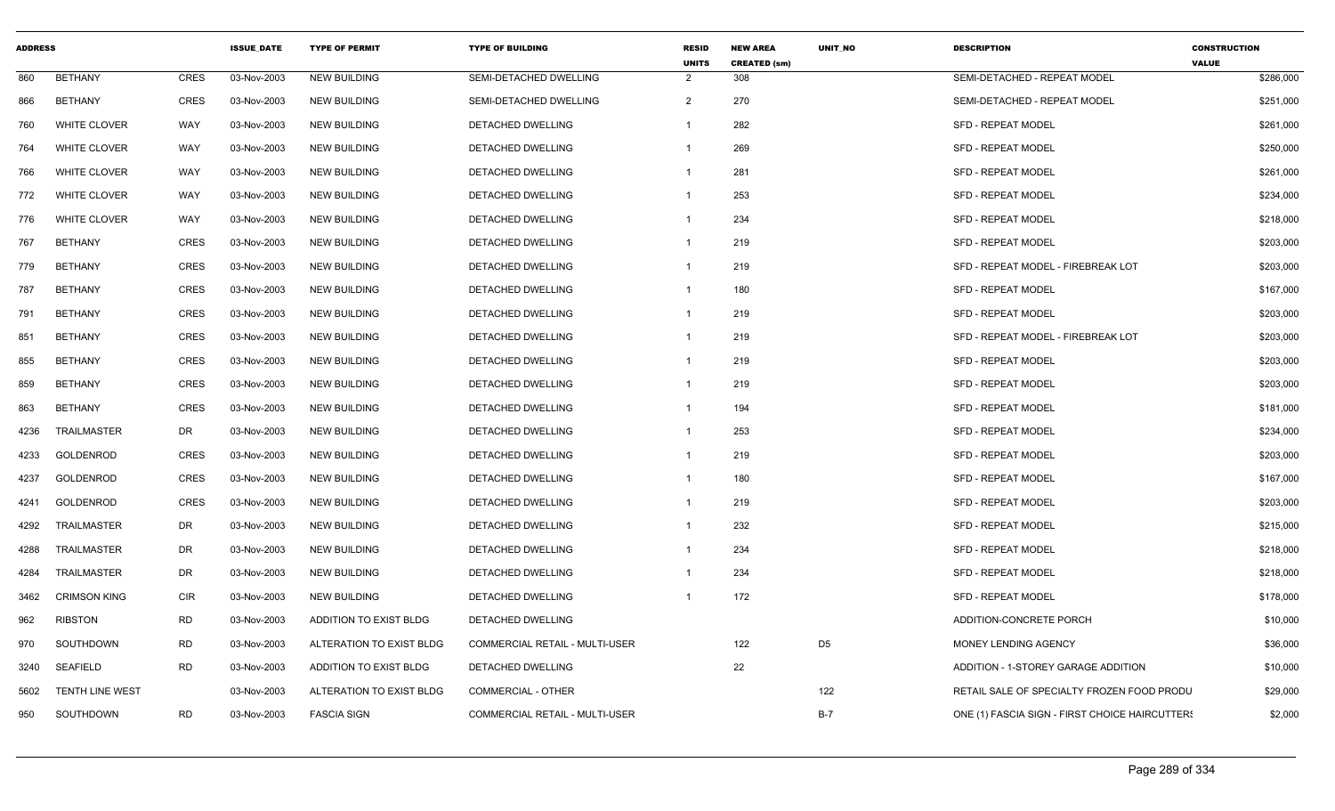| <b>ADDRESS</b> |                        |             | <b>ISSUE DATE</b> | <b>TYPE OF PERMIT</b>    | <b>TYPE OF BUILDING</b>        | <b>RESID</b><br><b>UNITS</b> | <b>NEW AREA</b><br><b>CREATED (sm)</b> | UNIT_NO        | <b>DESCRIPTION</b>                             | <b>CONSTRUCTION</b><br><b>VALUE</b> |
|----------------|------------------------|-------------|-------------------|--------------------------|--------------------------------|------------------------------|----------------------------------------|----------------|------------------------------------------------|-------------------------------------|
| 860            | <b>BETHANY</b>         | CRES        | 03-Nov-2003       | <b>NEW BUILDING</b>      | SEMI-DETACHED DWELLING         | $\overline{2}$               | 308                                    |                | SEMI-DETACHED - REPEAT MODEL                   | \$286,000                           |
| 866            | <b>BETHANY</b>         | <b>CRES</b> | 03-Nov-2003       | <b>NEW BUILDING</b>      | SEMI-DETACHED DWELLING         | $\overline{2}$               | 270                                    |                | SEMI-DETACHED - REPEAT MODEL                   | \$251,000                           |
| 760            | <b>WHITE CLOVER</b>    | WAY         | 03-Nov-2003       | <b>NEW BUILDING</b>      | DETACHED DWELLING              | -1                           | 282                                    |                | <b>SFD - REPEAT MODEL</b>                      | \$261,000                           |
| 764            | WHITE CLOVER           | WAY         | 03-Nov-2003       | <b>NEW BUILDING</b>      | DETACHED DWELLING              | -1                           | 269                                    |                | <b>SFD - REPEAT MODEL</b>                      | \$250,000                           |
| 766            | WHITE CLOVER           | WAY         | 03-Nov-2003       | <b>NEW BUILDING</b>      | DETACHED DWELLING              | $\mathbf 1$                  | 281                                    |                | SFD - REPEAT MODEL                             | \$261,000                           |
| 772            | <b>WHITE CLOVER</b>    | WAY         | 03-Nov-2003       | <b>NEW BUILDING</b>      | DETACHED DWELLING              | $\mathbf 1$                  | 253                                    |                | <b>SFD - REPEAT MODEL</b>                      | \$234,000                           |
| 776            | <b>WHITE CLOVER</b>    | WAY         | 03-Nov-2003       | <b>NEW BUILDING</b>      | DETACHED DWELLING              | -1                           | 234                                    |                | <b>SFD - REPEAT MODEL</b>                      | \$218,000                           |
| 767            | <b>BETHANY</b>         | <b>CRES</b> | 03-Nov-2003       | <b>NEW BUILDING</b>      | DETACHED DWELLING              | -1                           | 219                                    |                | <b>SFD - REPEAT MODEL</b>                      | \$203,000                           |
| 779            | <b>BETHANY</b>         | <b>CRES</b> | 03-Nov-2003       | <b>NEW BUILDING</b>      | <b>DETACHED DWELLING</b>       | $\mathbf{1}$                 | 219                                    |                | SFD - REPEAT MODEL - FIREBREAK LOT             | \$203,000                           |
| 787            | <b>BETHANY</b>         | CRES        | 03-Nov-2003       | <b>NEW BUILDING</b>      | DETACHED DWELLING              | $\mathbf 1$                  | 180                                    |                | <b>SFD - REPEAT MODEL</b>                      | \$167,000                           |
| 791            | <b>BETHANY</b>         | CRES        | 03-Nov-2003       | NEW BUILDING             | DETACHED DWELLING              | -1                           | 219                                    |                | <b>SFD - REPEAT MODEL</b>                      | \$203,000                           |
| 851            | <b>BETHANY</b>         | <b>CRES</b> | 03-Nov-2003       | <b>NEW BUILDING</b>      | <b>DETACHED DWELLING</b>       | $\mathbf{1}$                 | 219                                    |                | SFD - REPEAT MODEL - FIREBREAK LOT             | \$203,000                           |
| 855            | <b>BETHANY</b>         | CRES        | 03-Nov-2003       | <b>NEW BUILDING</b>      | DETACHED DWELLING              | -1                           | 219                                    |                | <b>SFD - REPEAT MODEL</b>                      | \$203,000                           |
| 859            | <b>BETHANY</b>         | <b>CRES</b> | 03-Nov-2003       | <b>NEW BUILDING</b>      | DETACHED DWELLING              | -1                           | 219                                    |                | <b>SFD - REPEAT MODEL</b>                      | \$203,000                           |
| 863            | <b>BETHANY</b>         | <b>CRES</b> | 03-Nov-2003       | <b>NEW BUILDING</b>      | DETACHED DWELLING              | -1                           | 194                                    |                | <b>SFD - REPEAT MODEL</b>                      | \$181,000                           |
| 4236           | <b>TRAILMASTER</b>     | DR          | 03-Nov-2003       | <b>NEW BUILDING</b>      | <b>DETACHED DWELLING</b>       | $\mathbf{1}$                 | 253                                    |                | <b>SFD - REPEAT MODEL</b>                      | \$234,000                           |
| 4233           | GOLDENROD              | <b>CRES</b> | 03-Nov-2003       | <b>NEW BUILDING</b>      | DETACHED DWELLING              | -1                           | 219                                    |                | <b>SFD - REPEAT MODEL</b>                      | \$203,000                           |
| 4237           | GOLDENROD              | CRES        | 03-Nov-2003       | <b>NEW BUILDING</b>      | DETACHED DWELLING              | -1                           | 180                                    |                | <b>SFD - REPEAT MODEL</b>                      | \$167,000                           |
| 4241           | <b>GOLDENROD</b>       | <b>CRES</b> | 03-Nov-2003       | <b>NEW BUILDING</b>      | <b>DETACHED DWELLING</b>       | $\mathbf{1}$                 | 219                                    |                | <b>SFD - REPEAT MODEL</b>                      | \$203,000                           |
| 4292           | <b>TRAILMASTER</b>     | DR          | 03-Nov-2003       | <b>NEW BUILDING</b>      | DETACHED DWELLING              | $\mathbf{1}$                 | 232                                    |                | <b>SFD - REPEAT MODEL</b>                      | \$215,000                           |
| 4288           | TRAILMASTER            | DR          | 03-Nov-2003       | <b>NEW BUILDING</b>      | DETACHED DWELLING              | -1                           | 234                                    |                | <b>SFD - REPEAT MODEL</b>                      | \$218,000                           |
| 4284           | TRAILMASTER            | DR          | 03-Nov-2003       | <b>NEW BUILDING</b>      | DETACHED DWELLING              | -1                           | 234                                    |                | <b>SFD - REPEAT MODEL</b>                      | \$218,000                           |
| 3462           | <b>CRIMSON KING</b>    | CIR         | 03-Nov-2003       | <b>NEW BUILDING</b>      | DETACHED DWELLING              |                              | 172                                    |                | SFD - REPEAT MODEL                             | \$178,000                           |
| 962            | <b>RIBSTON</b>         | <b>RD</b>   | 03-Nov-2003       | ADDITION TO EXIST BLDG   | DETACHED DWELLING              |                              |                                        |                | ADDITION-CONCRETE PORCH                        | \$10,000                            |
| 970            | SOUTHDOWN              | <b>RD</b>   | 03-Nov-2003       | ALTERATION TO EXIST BLDG | COMMERCIAL RETAIL - MULTI-USER |                              | 122                                    | D <sub>5</sub> | MONEY LENDING AGENCY                           | \$36,000                            |
| 3240           | <b>SEAFIELD</b>        | <b>RD</b>   | 03-Nov-2003       | ADDITION TO EXIST BLDG   | DETACHED DWELLING              |                              | 22                                     |                | ADDITION - 1-STOREY GARAGE ADDITION            | \$10,000                            |
| 5602           | <b>TENTH LINE WEST</b> |             | 03-Nov-2003       | ALTERATION TO EXIST BLDG | COMMERCIAL - OTHER             |                              |                                        | 122            | RETAIL SALE OF SPECIALTY FROZEN FOOD PRODU     | \$29,000                            |
| 950            | SOUTHDOWN              | <b>RD</b>   | 03-Nov-2003       | <b>FASCIA SIGN</b>       | COMMERCIAL RETAIL - MULTI-USER |                              |                                        | $B-7$          | ONE (1) FASCIA SIGN - FIRST CHOICE HAIRCUTTERS | \$2,000                             |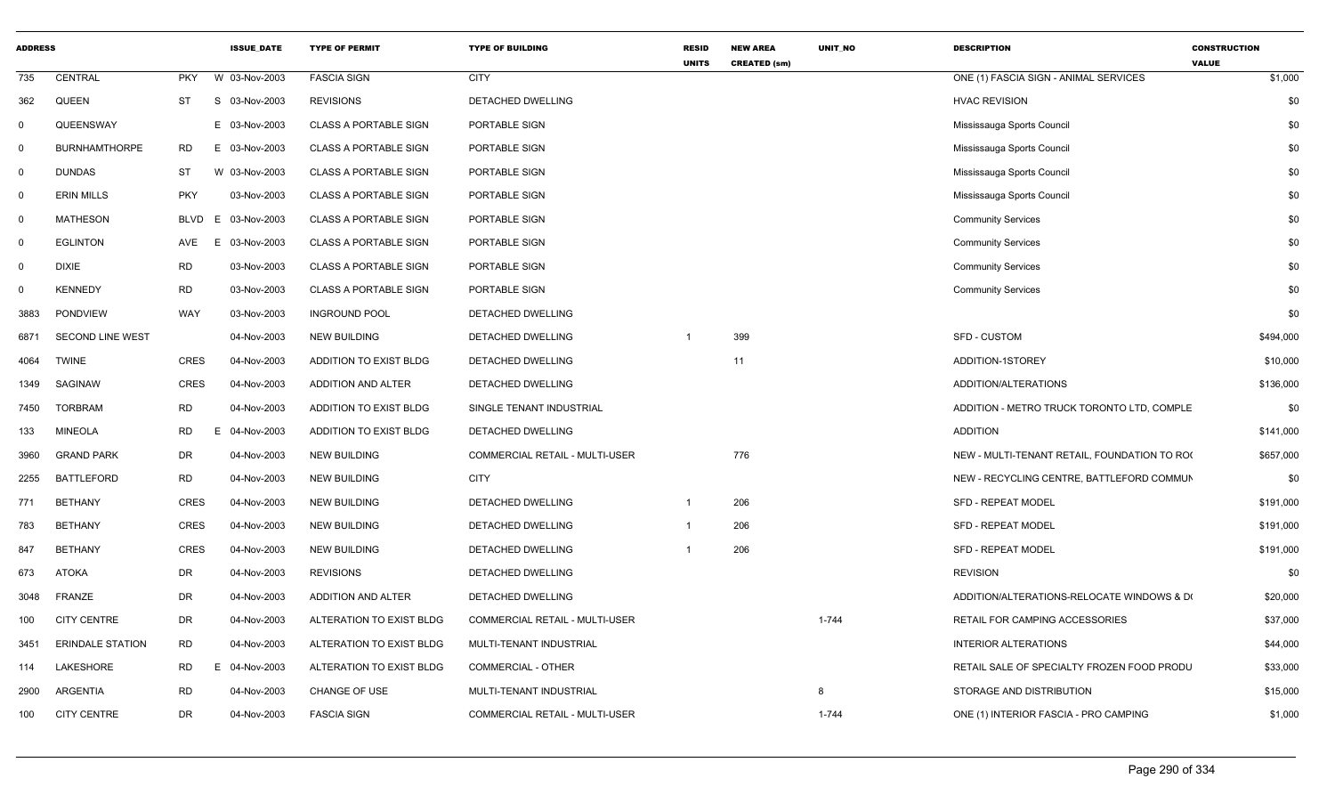| <b>ADDRESS</b> |                         |            | <b>ISSUE_DATE</b> | <b>TYPE OF PERMIT</b>        | <b>TYPE OF BUILDING</b>               | <b>RESID</b><br><b>UNITS</b> | <b>NEW AREA</b><br><b>CREATED (sm)</b> | <b>UNIT NO</b> | <b>DESCRIPTION</b>                           | <b>CONSTRUCTION</b><br><b>VALUE</b> |           |
|----------------|-------------------------|------------|-------------------|------------------------------|---------------------------------------|------------------------------|----------------------------------------|----------------|----------------------------------------------|-------------------------------------|-----------|
| 735            | CENTRAL                 | <b>PKY</b> | W 03-Nov-2003     | <b>FASCIA SIGN</b>           | <b>CITY</b>                           |                              |                                        |                | ONE (1) FASCIA SIGN - ANIMAL SERVICES        |                                     | \$1,000   |
| 362            | QUEEN                   | ST         | S 03-Nov-2003     | <b>REVISIONS</b>             | DETACHED DWELLING                     |                              |                                        |                | <b>HVAC REVISION</b>                         |                                     | \$0       |
| $\Omega$       | QUEENSWAY               |            | E 03-Nov-2003     | <b>CLASS A PORTABLE SIGN</b> | PORTABLE SIGN                         |                              |                                        |                | Mississauga Sports Council                   |                                     | \$0       |
| $\Omega$       | <b>BURNHAMTHORPE</b>    | <b>RD</b>  | E 03-Nov-2003     | <b>CLASS A PORTABLE SIGN</b> | PORTABLE SIGN                         |                              |                                        |                | Mississauga Sports Council                   |                                     | \$0       |
| $\Omega$       | <b>DUNDAS</b>           | ST         | W 03-Nov-2003     | <b>CLASS A PORTABLE SIGN</b> | PORTABLE SIGN                         |                              |                                        |                | Mississauga Sports Council                   |                                     | \$0       |
| $\Omega$       | <b>ERIN MILLS</b>       | <b>PKY</b> | 03-Nov-2003       | <b>CLASS A PORTABLE SIGN</b> | PORTABLE SIGN                         |                              |                                        |                | Mississauga Sports Council                   |                                     | \$0       |
| $\Omega$       | <b>MATHESON</b>         | BLVD       | 03-Nov-2003<br>E. | CLASS A PORTABLE SIGN        | PORTABLE SIGN                         |                              |                                        |                | <b>Community Services</b>                    |                                     | \$0       |
| $\Omega$       | <b>EGLINTON</b>         | AVE        | 03-Nov-2003<br>F. | <b>CLASS A PORTABLE SIGN</b> | PORTABLE SIGN                         |                              |                                        |                | <b>Community Services</b>                    |                                     | \$0       |
| $\Omega$       | <b>DIXIE</b>            | <b>RD</b>  | 03-Nov-2003       | <b>CLASS A PORTABLE SIGN</b> | PORTABLE SIGN                         |                              |                                        |                | <b>Community Services</b>                    |                                     | \$0       |
|                | <b>KENNEDY</b>          | <b>RD</b>  | 03-Nov-2003       | <b>CLASS A PORTABLE SIGN</b> | PORTABLE SIGN                         |                              |                                        |                | <b>Community Services</b>                    |                                     | \$0       |
| 3883           | <b>PONDVIEW</b>         | WAY        | 03-Nov-2003       | <b>INGROUND POOL</b>         | DETACHED DWELLING                     |                              |                                        |                |                                              |                                     | \$0       |
| 6871           | <b>SECOND LINE WEST</b> |            | 04-Nov-2003       | <b>NEW BUILDING</b>          | DETACHED DWELLING                     |                              | 399                                    |                | SFD - CUSTOM                                 |                                     | \$494,000 |
| 4064           | <b>TWINE</b>            | CRES       | 04-Nov-2003       | ADDITION TO EXIST BLDG       | DETACHED DWELLING                     |                              | 11                                     |                | ADDITION-1STOREY                             |                                     | \$10,000  |
| 1349           | SAGINAW                 | CRES       | 04-Nov-2003       | ADDITION AND ALTER           | DETACHED DWELLING                     |                              |                                        |                | ADDITION/ALTERATIONS                         |                                     | \$136,000 |
| 7450           | TORBRAM                 | <b>RD</b>  | 04-Nov-2003       | ADDITION TO EXIST BLDG       | SINGLE TENANT INDUSTRIAL              |                              |                                        |                | ADDITION - METRO TRUCK TORONTO LTD, COMPLE   |                                     | \$0       |
| 133            | <b>MINEOLA</b>          | RD         | 04-Nov-2003<br>E  | ADDITION TO EXIST BLDG       | DETACHED DWELLING                     |                              |                                        |                | <b>ADDITION</b>                              |                                     | \$141,000 |
| 3960           | <b>GRAND PARK</b>       | DR         | 04-Nov-2003       | <b>NEW BUILDING</b>          | <b>COMMERCIAL RETAIL - MULTI-USER</b> |                              | 776                                    |                | NEW - MULTI-TENANT RETAIL, FOUNDATION TO ROO |                                     | \$657,000 |
| 2255           | <b>BATTLEFORD</b>       | <b>RD</b>  | 04-Nov-2003       | <b>NEW BUILDING</b>          | <b>CITY</b>                           |                              |                                        |                | NEW - RECYCLING CENTRE, BATTLEFORD COMMUN    |                                     | \$0       |
| 771            | <b>BETHANY</b>          | CRES       | 04-Nov-2003       | <b>NEW BUILDING</b>          | DETACHED DWELLING                     | -1                           | 206                                    |                | <b>SFD - REPEAT MODEL</b>                    |                                     | \$191,000 |
| 783            | BETHANY                 | CRES       | 04-Nov-2003       | <b>NEW BUILDING</b>          | DETACHED DWELLING                     |                              | 206                                    |                | SFD - REPEAT MODEL                           |                                     | \$191,000 |
| 847            | BETHANY                 | CRES       | 04-Nov-2003       | <b>NEW BUILDING</b>          | DETACHED DWELLING                     |                              | 206                                    |                | <b>SFD - REPEAT MODEL</b>                    |                                     | \$191,000 |
| 673            | ATOKA                   | DR         | 04-Nov-2003       | <b>REVISIONS</b>             | DETACHED DWELLING                     |                              |                                        |                | <b>REVISION</b>                              |                                     | \$0       |
| 3048           | FRANZE                  | DR         | 04-Nov-2003       | ADDITION AND ALTER           | DETACHED DWELLING                     |                              |                                        |                | ADDITION/ALTERATIONS-RELOCATE WINDOWS & D(   |                                     | \$20,000  |
| 100            | <b>CITY CENTRE</b>      | DR         | 04-Nov-2003       | ALTERATION TO EXIST BLDG     | COMMERCIAL RETAIL - MULTI-USER        |                              |                                        | $1 - 744$      | RETAIL FOR CAMPING ACCESSORIES               |                                     | \$37,000  |
| 3451           | <b>ERINDALE STATION</b> | <b>RD</b>  | 04-Nov-2003       | ALTERATION TO EXIST BLDG     | MULTI-TENANT INDUSTRIAL               |                              |                                        |                | <b>INTERIOR ALTERATIONS</b>                  |                                     | \$44,000  |
| 114            | LAKESHORE               | <b>RD</b>  | 04-Nov-2003       | ALTERATION TO EXIST BLDG     | COMMERCIAL - OTHER                    |                              |                                        |                | RETAIL SALE OF SPECIALTY FROZEN FOOD PRODU   |                                     | \$33,000  |
| 2900           | ARGENTIA                | <b>RD</b>  | 04-Nov-2003       | CHANGE OF USE                | MULTI-TENANT INDUSTRIAL               |                              |                                        | 8              | STORAGE AND DISTRIBUTION                     |                                     | \$15,000  |
| 100            | <b>CITY CENTRE</b>      | DR         | 04-Nov-2003       | <b>FASCIA SIGN</b>           | COMMERCIAL RETAIL - MULTI-USER        |                              |                                        | $1 - 744$      | ONE (1) INTERIOR FASCIA - PRO CAMPING        |                                     | \$1,000   |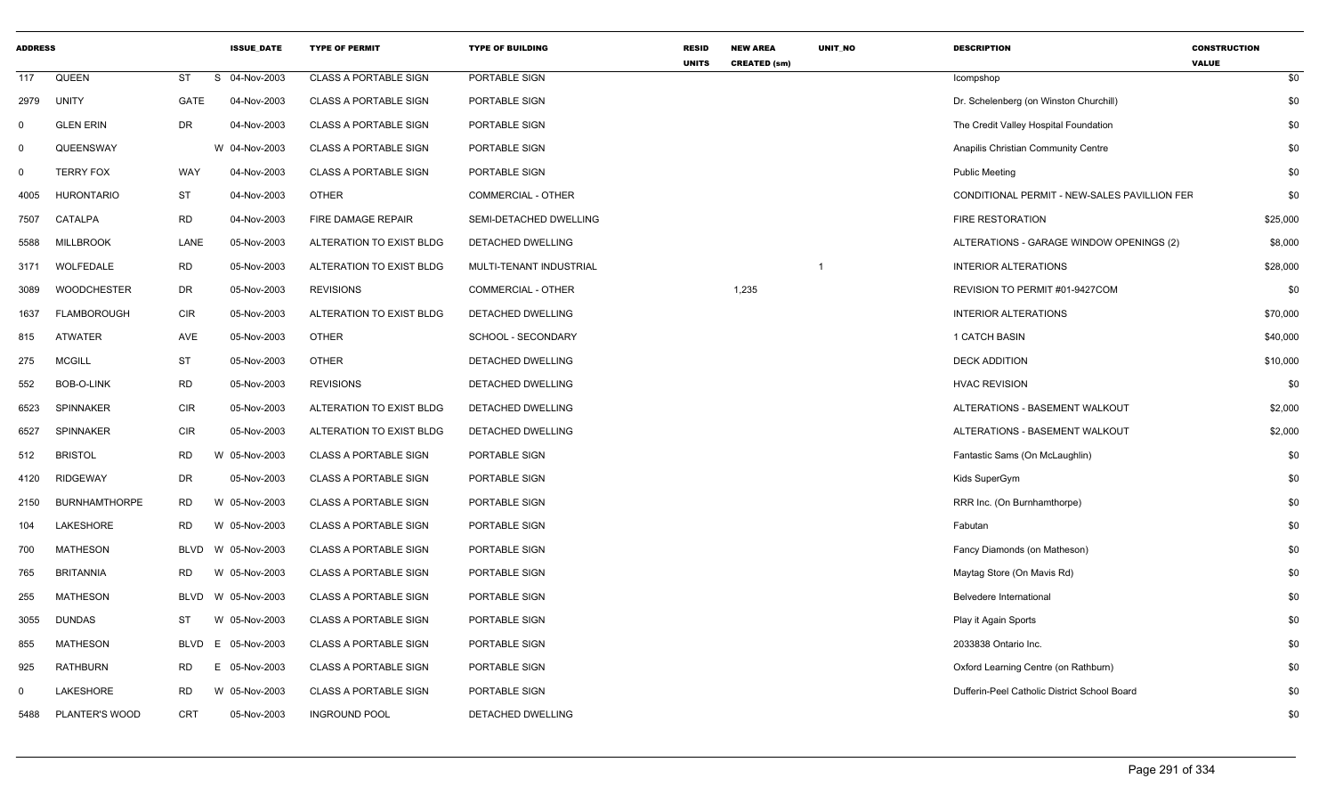| <b>ADDRESS</b> |                       |            | <b>ISSUE_DATE</b> | <b>TYPE OF PERMIT</b>        | <b>TYPE OF BUILDING</b>   | <b>RESID</b><br><b>UNITS</b> | <b>NEW AREA</b><br><b>CREATED (sm)</b> | UNIT_NO        | <b>DESCRIPTION</b>                           | <b>CONSTRUCTION</b><br><b>VALUE</b> |
|----------------|-----------------------|------------|-------------------|------------------------------|---------------------------|------------------------------|----------------------------------------|----------------|----------------------------------------------|-------------------------------------|
| 117            | QUEEN                 | ST         | S 04-Nov-2003     | <b>CLASS A PORTABLE SIGN</b> | PORTABLE SIGN             |                              |                                        |                | Icompshop                                    | \$0                                 |
| 2979           | <b>UNITY</b>          | GATE       | 04-Nov-2003       | <b>CLASS A PORTABLE SIGN</b> | PORTABLE SIGN             |                              |                                        |                | Dr. Schelenberg (on Winston Churchill)       | \$0                                 |
| $^{\circ}$     | <b>GLEN ERIN</b>      | <b>DR</b>  | 04-Nov-2003       | <b>CLASS A PORTABLE SIGN</b> | PORTABLE SIGN             |                              |                                        |                | The Credit Valley Hospital Foundation        | \$0                                 |
| $\mathbf 0$    | QUEENSWAY             |            | W 04-Nov-2003     | <b>CLASS A PORTABLE SIGN</b> | PORTABLE SIGN             |                              |                                        |                | Anapilis Christian Community Centre          | \$0                                 |
| $\mathbf 0$    | <b>TERRY FOX</b>      | WAY        | 04-Nov-2003       | CLASS A PORTABLE SIGN        | PORTABLE SIGN             |                              |                                        |                | <b>Public Meeting</b>                        | \$0                                 |
| 4005           | <b>HURONTARIO</b>     | ST         | 04-Nov-2003       | <b>OTHER</b>                 | <b>COMMERCIAL - OTHER</b> |                              |                                        |                | CONDITIONAL PERMIT - NEW-SALES PAVILLION FEF | \$0                                 |
| 7507           | CATALPA               | <b>RD</b>  | 04-Nov-2003       | FIRE DAMAGE REPAIR           | SEMI-DETACHED DWELLING    |                              |                                        |                | FIRE RESTORATION                             | \$25,000                            |
| 5588           | <b>MILLBROOK</b>      | LANE       | 05-Nov-2003       | ALTERATION TO EXIST BLDG     | DETACHED DWELLING         |                              |                                        |                | ALTERATIONS - GARAGE WINDOW OPENINGS (2)     | \$8,000                             |
| 3171           | WOLFEDALE             | <b>RD</b>  | 05-Nov-2003       | ALTERATION TO EXIST BLDG     | MULTI-TENANT INDUSTRIAL   |                              |                                        | $\overline{1}$ | INTERIOR ALTERATIONS                         | \$28,000                            |
| 3089           | <b>WOODCHESTER</b>    | DR         | 05-Nov-2003       | <b>REVISIONS</b>             | <b>COMMERCIAL - OTHER</b> |                              | 1,235                                  |                | REVISION TO PERMIT #01-9427COM               | \$0                                 |
| 1637           | FLAMBOROUGH           | <b>CIR</b> | 05-Nov-2003       | ALTERATION TO EXIST BLDG     | DETACHED DWELLING         |                              |                                        |                | <b>INTERIOR ALTERATIONS</b>                  | \$70,000                            |
| 815            | <b>ATWATER</b>        | AVE        | 05-Nov-2003       | <b>OTHER</b>                 | SCHOOL - SECONDARY        |                              |                                        |                | 1 CATCH BASIN                                | \$40,000                            |
| 275            | <b>MCGILL</b>         | ST         | 05-Nov-2003       | <b>OTHER</b>                 | DETACHED DWELLING         |                              |                                        |                | <b>DECK ADDITION</b>                         | \$10,000                            |
| 552            | BOB-O-LINK            | <b>RD</b>  | 05-Nov-2003       | <b>REVISIONS</b>             | DETACHED DWELLING         |                              |                                        |                | <b>HVAC REVISION</b>                         | \$0                                 |
| 6523           | <b>SPINNAKER</b>      | <b>CIR</b> | 05-Nov-2003       | ALTERATION TO EXIST BLDG     | DETACHED DWELLING         |                              |                                        |                | ALTERATIONS - BASEMENT WALKOUT               | \$2,000                             |
| 6527           | <b>SPINNAKER</b>      | <b>CIR</b> | 05-Nov-2003       | ALTERATION TO EXIST BLDG     | DETACHED DWELLING         |                              |                                        |                | ALTERATIONS - BASEMENT WALKOUT               | \$2,000                             |
| 512            | <b>BRISTOL</b>        | <b>RD</b>  | W 05-Nov-2003     | CLASS A PORTABLE SIGN        | PORTABLE SIGN             |                              |                                        |                | Fantastic Sams (On McLaughlin)               | \$0                                 |
| 4120           | <b>RIDGEWAY</b>       | <b>DR</b>  | 05-Nov-2003       | <b>CLASS A PORTABLE SIGN</b> | PORTABLE SIGN             |                              |                                        |                | Kids SuperGym                                | \$0                                 |
| 2150           | <b>BURNHAMTHORPE</b>  | RD.        | W 05-Nov-2003     | <b>CLASS A PORTABLE SIGN</b> | PORTABLE SIGN             |                              |                                        |                | RRR Inc. (On Burnhamthorpe)                  | \$0                                 |
| 104            | LAKESHORE             | RD.        | W 05-Nov-2003     | <b>CLASS A PORTABLE SIGN</b> | PORTABLE SIGN             |                              |                                        |                | Fabutan                                      | \$0                                 |
| 700            | <b>MATHESON</b>       | BLVD       | W 05-Nov-2003     | <b>CLASS A PORTABLE SIGN</b> | PORTABLE SIGN             |                              |                                        |                | Fancy Diamonds (on Matheson)                 | \$0                                 |
| 765            | <b>BRITANNIA</b>      | RD.        | W 05-Nov-2003     | <b>CLASS A PORTABLE SIGN</b> | PORTABLE SIGN             |                              |                                        |                | Maytag Store (On Mavis Rd)                   | \$0                                 |
| 255            | <b>MATHESON</b>       | BLVD       | W 05-Nov-2003     | <b>CLASS A PORTABLE SIGN</b> | PORTABLE SIGN             |                              |                                        |                | Belvedere International                      | \$0                                 |
| 3055           | <b>DUNDAS</b>         | ST         | W 05-Nov-2003     | CLASS A PORTABLE SIGN        | PORTABLE SIGN             |                              |                                        |                | Play it Again Sports                         | \$0                                 |
| 855            | MATHESON              | BLVD       | E 05-Nov-2003     | <b>CLASS A PORTABLE SIGN</b> | PORTABLE SIGN             |                              |                                        |                | 2033838 Ontario Inc.                         | \$0                                 |
| 925            | <b>RATHBURN</b>       | RD         | E 05-Nov-2003     | CLASS A PORTABLE SIGN        | PORTABLE SIGN             |                              |                                        |                | Oxford Learning Centre (on Rathburn)         | \$0                                 |
| $\Omega$       | LAKESHORE             | <b>RD</b>  | W 05-Nov-2003     | <b>CLASS A PORTABLE SIGN</b> | PORTABLE SIGN             |                              |                                        |                | Dufferin-Peel Catholic District School Board | \$0                                 |
| 5488           | <b>PLANTER'S WOOD</b> | <b>CRT</b> | 05-Nov-2003       | <b>INGROUND POOL</b>         | <b>DETACHED DWELLING</b>  |                              |                                        |                |                                              | \$0                                 |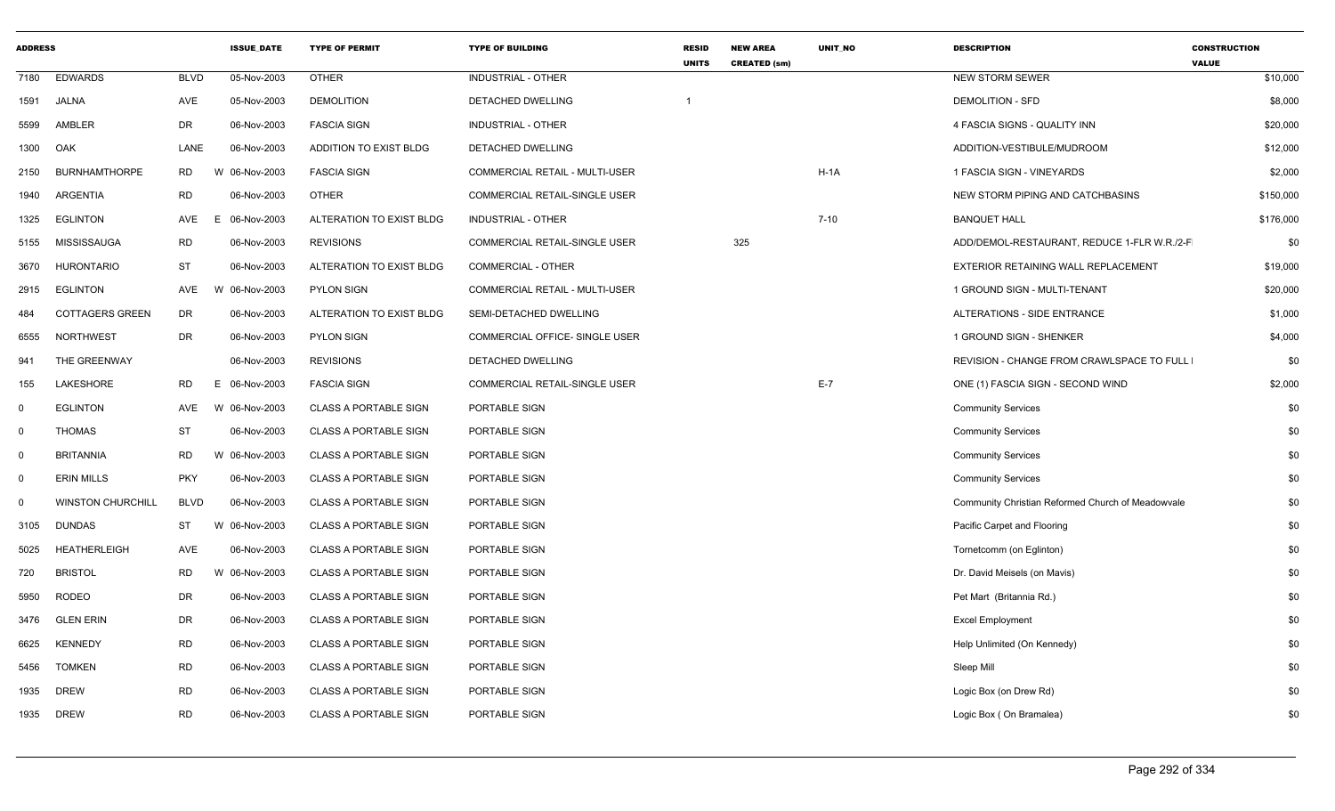| <b>ADDRESS</b> |                          |                 | <b>ISSUE DATE</b> | <b>TYPE OF PERMIT</b>        | <b>TYPE OF BUILDING</b>        | <b>RESID</b><br><b>UNITS</b> | <b>NEW AREA</b><br><b>CREATED (sm)</b> | <b>UNIT NO</b> | <b>DESCRIPTION</b>                                | <b>CONSTRUCTION</b><br><b>VALUE</b> |
|----------------|--------------------------|-----------------|-------------------|------------------------------|--------------------------------|------------------------------|----------------------------------------|----------------|---------------------------------------------------|-------------------------------------|
| 7180           | <b>EDWARDS</b>           | <b>BLVD</b>     | 05-Nov-2003       | <b>OTHER</b>                 | INDUSTRIAL - OTHER             |                              |                                        |                | <b>NEW STORM SEWER</b>                            | \$10,000                            |
| 1591           | JALNA                    | AVE             | 05-Nov-2003       | <b>DEMOLITION</b>            | DETACHED DWELLING              |                              |                                        |                | <b>DEMOLITION - SFD</b>                           | \$8,000                             |
| 5599           | AMBLER                   | <b>DR</b>       | 06-Nov-2003       | <b>FASCIA SIGN</b>           | <b>INDUSTRIAL - OTHER</b>      |                              |                                        |                | 4 FASCIA SIGNS - QUALITY INN                      | \$20,000                            |
| 1300           | OAK                      | LANE            | 06-Nov-2003       | ADDITION TO EXIST BLDG       | DETACHED DWELLING              |                              |                                        |                | ADDITION-VESTIBULE/MUDROOM                        | \$12,000                            |
| 2150           | <b>BURNHAMTHORPE</b>     | <b>RD</b>       | W<br>06-Nov-2003  | <b>FASCIA SIGN</b>           | COMMERCIAL RETAIL - MULTI-USER |                              |                                        | $H-1A$         | 1 FASCIA SIGN - VINEYARDS                         | \$2,000                             |
| 1940           | <b>ARGENTIA</b>          | <b>RD</b>       | 06-Nov-2003       | <b>OTHER</b>                 | COMMERCIAL RETAIL-SINGLE USER  |                              |                                        |                | NEW STORM PIPING AND CATCHBASINS                  | \$150,000                           |
| 1325           | <b>EGLINTON</b>          | AVE<br>E        | 06-Nov-2003       | ALTERATION TO EXIST BLDG     | INDUSTRIAL - OTHER             |                              |                                        | $7 - 10$       | <b>BANQUET HALL</b>                               | \$176,000                           |
| 5155           | MISSISSAUGA              | <b>RD</b>       | 06-Nov-2003       | <b>REVISIONS</b>             | COMMERCIAL RETAIL-SINGLE USER  |                              | 325                                    |                | ADD/DEMOL-RESTAURANT, REDUCE 1-FLR W.R./2-F       | \$0                                 |
| 3670           | HURONTARIO               | <b>ST</b>       | 06-Nov-2003       | ALTERATION TO EXIST BLDG     | COMMERCIAL - OTHER             |                              |                                        |                | EXTERIOR RETAINING WALL REPLACEMENT               | \$19,000                            |
| 2915           | <b>EGLINTON</b>          | AVE             | 06-Nov-2003<br>W  | PYLON SIGN                   | COMMERCIAL RETAIL - MULTI-USER |                              |                                        |                | 1 GROUND SIGN - MULTI-TENANT                      | \$20,000                            |
| 484            | <b>COTTAGERS GREEN</b>   | <b>DR</b>       | 06-Nov-2003       | ALTERATION TO EXIST BLDG     | SEMI-DETACHED DWELLING         |                              |                                        |                | <b>ALTERATIONS - SIDE ENTRANCE</b>                | \$1,000                             |
| 6555           | NORTHWEST                | <b>DR</b>       | 06-Nov-2003       | <b>PYLON SIGN</b>            | COMMERCIAL OFFICE- SINGLE USER |                              |                                        |                | 1 GROUND SIGN - SHENKER                           | \$4,000                             |
| 941            | THE GREENWAY             |                 | 06-Nov-2003       | <b>REVISIONS</b>             | DETACHED DWELLING              |                              |                                        |                | REVISION - CHANGE FROM CRAWLSPACE TO FULL         | \$0                                 |
| 155            | LAKESHORE                | <b>RD</b><br>F. | 06-Nov-2003       | <b>FASCIA SIGN</b>           | COMMERCIAL RETAIL-SINGLE USER  |                              |                                        | $E-7$          | ONE (1) FASCIA SIGN - SECOND WIND                 | \$2,000                             |
| $\mathbf 0$    | <b>EGLINTON</b>          | AVE             | W 06-Nov-2003     | <b>CLASS A PORTABLE SIGN</b> | PORTABLE SIGN                  |                              |                                        |                | <b>Community Services</b>                         | \$0                                 |
| $\mathbf 0$    | THOMAS                   | <b>ST</b>       | 06-Nov-2003       | <b>CLASS A PORTABLE SIGN</b> | PORTABLE SIGN                  |                              |                                        |                | <b>Community Services</b>                         | \$0                                 |
| $\mathbf 0$    | <b>BRITANNIA</b>         | <b>RD</b>       | W 06-Nov-2003     | <b>CLASS A PORTABLE SIGN</b> | PORTABLE SIGN                  |                              |                                        |                | <b>Community Services</b>                         | \$0                                 |
| $\mathbf 0$    | <b>ERIN MILLS</b>        | <b>PKY</b>      | 06-Nov-2003       | <b>CLASS A PORTABLE SIGN</b> | PORTABLE SIGN                  |                              |                                        |                | <b>Community Services</b>                         | \$0                                 |
| $\mathbf 0$    | <b>WINSTON CHURCHILL</b> | <b>BLVD</b>     | 06-Nov-2003       | <b>CLASS A PORTABLE SIGN</b> | PORTABLE SIGN                  |                              |                                        |                | Community Christian Reformed Church of Meadowvale | \$0                                 |
| 3105           | <b>DUNDAS</b>            | <b>ST</b>       | W 06-Nov-2003     | <b>CLASS A PORTABLE SIGN</b> | PORTABLE SIGN                  |                              |                                        |                | Pacific Carpet and Flooring                       | \$0                                 |
| 5025           | <b>HEATHERLEIGH</b>      | <b>AVE</b>      | 06-Nov-2003       | <b>CLASS A PORTABLE SIGN</b> | PORTABLE SIGN                  |                              |                                        |                | Tornetcomm (on Eglinton)                          | \$0                                 |
| 720            | <b>BRISTOL</b>           | <b>RD</b>       | W 06-Nov-2003     | CLASS A PORTABLE SIGN        | PORTABLE SIGN                  |                              |                                        |                | Dr. David Meisels (on Mavis)                      | \$0                                 |
| 5950           | <b>RODEO</b>             | <b>DR</b>       | 06-Nov-2003       | <b>CLASS A PORTABLE SIGN</b> | PORTABLE SIGN                  |                              |                                        |                | Pet Mart (Britannia Rd.)                          | \$0                                 |
| 3476           | <b>GLEN ERIN</b>         | <b>DR</b>       | 06-Nov-2003       | <b>CLASS A PORTABLE SIGN</b> | PORTABLE SIGN                  |                              |                                        |                | <b>Excel Employment</b>                           | \$0                                 |
| 6625           | <b>KENNEDY</b>           | <b>RD</b>       | 06-Nov-2003       | <b>CLASS A PORTABLE SIGN</b> | PORTABLE SIGN                  |                              |                                        |                | Help Unlimited (On Kennedy)                       | \$0                                 |
| 5456           | <b>TOMKEN</b>            | <b>RD</b>       | 06-Nov-2003       | <b>CLASS A PORTABLE SIGN</b> | PORTABLE SIGN                  |                              |                                        |                | Sleep Mill                                        | \$0                                 |
| 1935           | <b>DREW</b>              | <b>RD</b>       | 06-Nov-2003       | <b>CLASS A PORTABLE SIGN</b> | PORTABLE SIGN                  |                              |                                        |                | Logic Box (on Drew Rd)                            | \$0                                 |
| 1935           | <b>DREW</b>              | <b>RD</b>       | 06-Nov-2003       | CLASS A PORTABLE SIGN        | PORTABLE SIGN                  |                              |                                        |                | Logic Box (On Bramalea)                           | \$0                                 |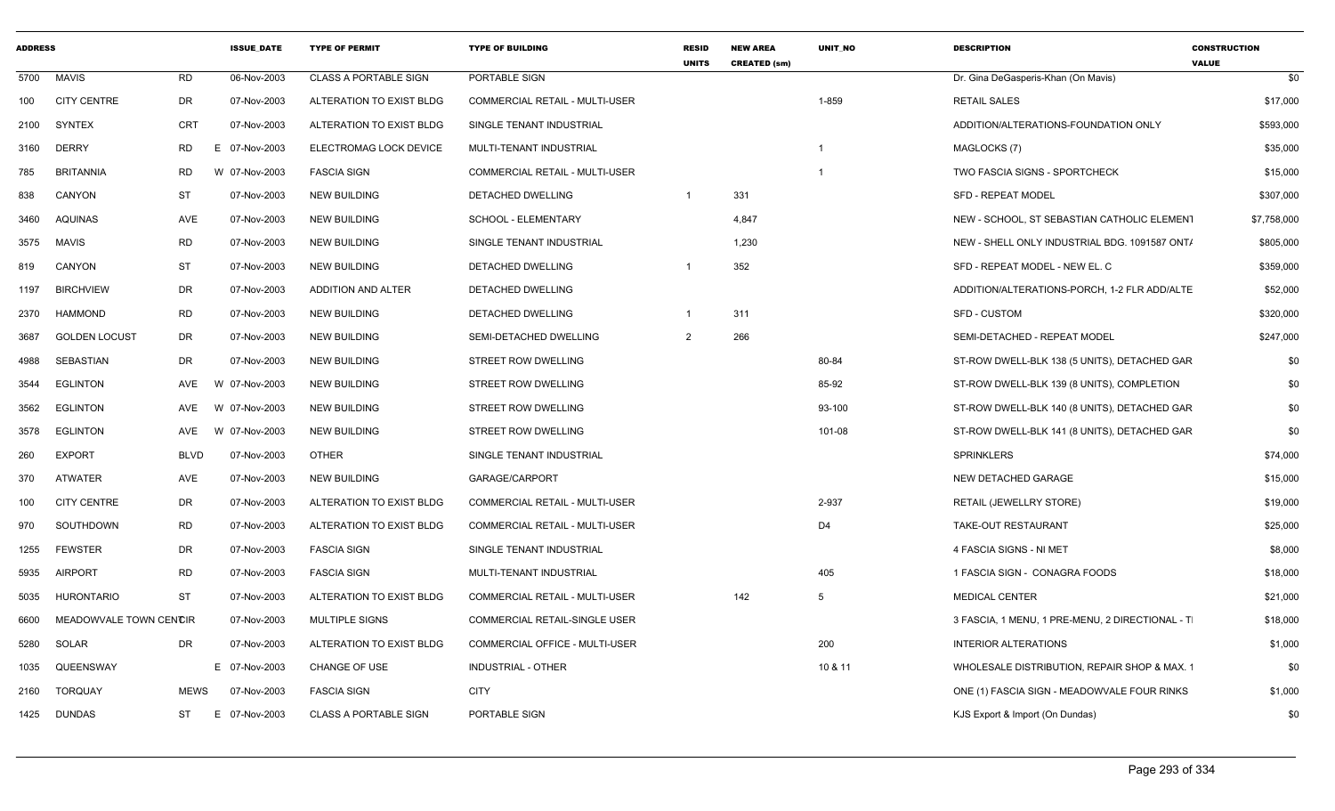| <b>ADDRESS</b> |                        |             | <b>ISSUE DATE</b> | <b>TYPE OF PERMIT</b>        | <b>TYPE OF BUILDING</b>        | <b>RESID</b><br><b>UNITS</b> | <b>NEW AREA</b><br><b>CREATED (sm)</b> | UNIT_NO                 | <b>DESCRIPTION</b>                              | <b>CONSTRUCTION</b><br><b>VALUE</b> |
|----------------|------------------------|-------------|-------------------|------------------------------|--------------------------------|------------------------------|----------------------------------------|-------------------------|-------------------------------------------------|-------------------------------------|
| 5700           | <b>MAVIS</b>           | <b>RD</b>   | 06-Nov-2003       | <b>CLASS A PORTABLE SIGN</b> | PORTABLE SIGN                  |                              |                                        |                         | Dr. Gina DeGasperis-Khan (On Mavis)             | \$0                                 |
| 100            | <b>CITY CENTRE</b>     | DR          | 07-Nov-2003       | ALTERATION TO EXIST BLDG     | COMMERCIAL RETAIL - MULTI-USER |                              |                                        | 1-859                   | <b>RETAIL SALES</b>                             | \$17,000                            |
| 2100           | <b>SYNTEX</b>          | CRT         | 07-Nov-2003       | ALTERATION TO EXIST BLDG     | SINGLE TENANT INDUSTRIAL       |                              |                                        |                         | ADDITION/ALTERATIONS-FOUNDATION ONLY            | \$593,000                           |
| 3160           | <b>DERRY</b>           | RD          | E 07-Nov-2003     | ELECTROMAG LOCK DEVICE       | MULTI-TENANT INDUSTRIAL        |                              |                                        | -1                      | MAGLOCKS (7)                                    | \$35,000                            |
| 785            | <b>BRITANNIA</b>       | RD          | W 07-Nov-2003     | <b>FASCIA SIGN</b>           | COMMERCIAL RETAIL - MULTI-USER |                              |                                        | $\overline{\mathbf{1}}$ | <b>TWO FASCIA SIGNS - SPORTCHECK</b>            | \$15,000                            |
| 838            | CANYON                 | ST          | 07-Nov-2003       | <b>NEW BUILDING</b>          | DETACHED DWELLING              | $\overline{1}$               | 331                                    |                         | <b>SFD - REPEAT MODEL</b>                       | \$307,000                           |
| 3460           | <b>AQUINAS</b>         | AVE         | 07-Nov-2003       | <b>NEW BUILDING</b>          | SCHOOL - ELEMENTARY            |                              | 4,847                                  |                         | NEW - SCHOOL, ST SEBASTIAN CATHOLIC ELEMENT     | \$7,758,000                         |
| 3575           | <b>MAVIS</b>           | <b>RD</b>   | 07-Nov-2003       | <b>NEW BUILDING</b>          | SINGLE TENANT INDUSTRIAL       |                              | 1,230                                  |                         | NEW - SHELL ONLY INDUSTRIAL BDG. 1091587 ONT/   | \$805,000                           |
| 819            | CANYON                 | ST          | 07-Nov-2003       | NEW BUILDING                 | DETACHED DWELLING              | $\overline{1}$               | 352                                    |                         | SFD - REPEAT MODEL - NEW EL. C                  | \$359,000                           |
| 1197           | <b>BIRCHVIEW</b>       | DR          | 07-Nov-2003       | ADDITION AND ALTER           | DETACHED DWELLING              |                              |                                        |                         | ADDITION/ALTERATIONS-PORCH, 1-2 FLR ADD/ALTE    | \$52,000                            |
| 2370           | HAMMOND                | RD          | 07-Nov-2003       | <b>NEW BUILDING</b>          | DETACHED DWELLING              |                              | 311                                    |                         | SFD - CUSTOM                                    | \$320,000                           |
| 3687           | <b>GOLDEN LOCUST</b>   | DR          | 07-Nov-2003       | <b>NEW BUILDING</b>          | SEMI-DETACHED DWELLING         | $\overline{2}$               | 266                                    |                         | SEMI-DETACHED - REPEAT MODEL                    | \$247,000                           |
| 4988           | SEBASTIAN              | DR          | 07-Nov-2003       | <b>NEW BUILDING</b>          | <b>STREET ROW DWELLING</b>     |                              |                                        | 80-84                   | ST-ROW DWELL-BLK 138 (5 UNITS), DETACHED GAR    | \$0                                 |
| 3544           | <b>EGLINTON</b>        | AVE         | 07-Nov-2003<br>W  | <b>NEW BUILDING</b>          | STREET ROW DWELLING            |                              |                                        | 85-92                   | ST-ROW DWELL-BLK 139 (8 UNITS), COMPLETION      | \$0                                 |
| 3562           | <b>EGLINTON</b>        | AVE         | W 07-Nov-2003     | <b>NEW BUILDING</b>          | STREET ROW DWELLING            |                              |                                        | 93-100                  | ST-ROW DWELL-BLK 140 (8 UNITS), DETACHED GAR    | \$0                                 |
| 3578           | <b>EGLINTON</b>        | AVE         | W 07-Nov-2003     | <b>NEW BUILDING</b>          | STREET ROW DWELLING            |                              |                                        | 101-08                  | ST-ROW DWELL-BLK 141 (8 UNITS), DETACHED GAR    | \$0                                 |
| 260            | <b>EXPORT</b>          | <b>BLVD</b> | 07-Nov-2003       | <b>OTHER</b>                 | SINGLE TENANT INDUSTRIAL       |                              |                                        |                         | <b>SPRINKLERS</b>                               | \$74,000                            |
| 370            | <b>ATWATER</b>         | AVE         | 07-Nov-2003       | <b>NEW BUILDING</b>          | GARAGE/CARPORT                 |                              |                                        |                         | NEW DETACHED GARAGE                             | \$15,000                            |
| 100            | <b>CITY CENTRE</b>     | DR          | 07-Nov-2003       | ALTERATION TO EXIST BLDG     | COMMERCIAL RETAIL - MULTI-USER |                              |                                        | 2-937                   | RETAIL (JEWELLRY STORE)                         | \$19,000                            |
| 970            | SOUTHDOWN              | <b>RD</b>   | 07-Nov-2003       | ALTERATION TO EXIST BLDG     | COMMERCIAL RETAIL - MULTI-USER |                              |                                        | D <sub>4</sub>          | TAKE-OUT RESTAURANT                             | \$25,000                            |
| 1255           | <b>FEWSTER</b>         | DR          | 07-Nov-2003       | <b>FASCIA SIGN</b>           | SINGLE TENANT INDUSTRIAL       |                              |                                        |                         | 4 FASCIA SIGNS - NI MET                         | \$8,000                             |
| 5935           | AIRPORT                | <b>RD</b>   | 07-Nov-2003       | <b>FASCIA SIGN</b>           | MULTI-TENANT INDUSTRIAL        |                              |                                        | 405                     | 1 FASCIA SIGN - CONAGRA FOODS                   | \$18,000                            |
| 5035           | <b>HURONTARIO</b>      | <b>ST</b>   | 07-Nov-2003       | ALTERATION TO EXIST BLDG     | COMMERCIAL RETAIL - MULTI-USER |                              | 142                                    | 5                       | <b>MEDICAL CENTER</b>                           | \$21,000                            |
| 6600           | MEADOWVALE TOWN CENCIR |             | 07-Nov-2003       | MULTIPLE SIGNS               | COMMERCIAL RETAIL-SINGLE USER  |                              |                                        |                         | 3 FASCIA, 1 MENU, 1 PRE-MENU, 2 DIRECTIONAL - T | \$18,000                            |
| 5280           | SOLAR                  | DR          | 07-Nov-2003       | ALTERATION TO EXIST BLDG     | COMMERCIAL OFFICE - MULTI-USER |                              |                                        | 200                     | <b>INTERIOR ALTERATIONS</b>                     | \$1,000                             |
| 1035           | QUEENSWAY              |             | E 07-Nov-2003     | CHANGE OF USE                | <b>INDUSTRIAL - OTHER</b>      |                              |                                        | 10 & 11                 | WHOLESALE DISTRIBUTION, REPAIR SHOP & MAX. 1    | \$0                                 |
| 2160           | <b>TORQUAY</b>         | MEWS        | 07-Nov-2003       | <b>FASCIA SIGN</b>           | <b>CITY</b>                    |                              |                                        |                         | ONE (1) FASCIA SIGN - MEADOWVALE FOUR RINKS     | \$1,000                             |
|                | 1425 DUNDAS            | ST          | 07-Nov-2003<br>E. | <b>CLASS A PORTABLE SIGN</b> | PORTABLE SIGN                  |                              |                                        |                         | KJS Export & Import (On Dundas)                 | \$0                                 |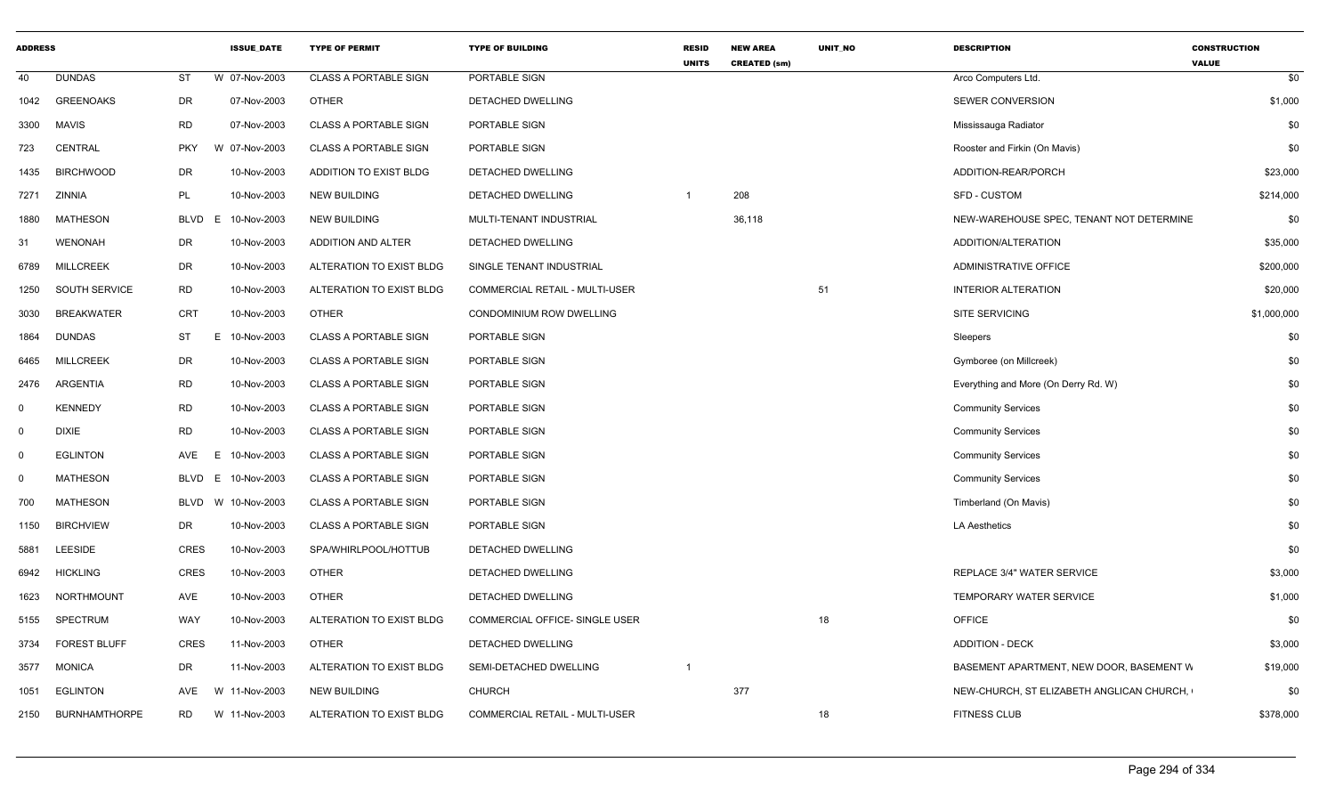| <b>ADDRESS</b> |                     |                   | <b>ISSUE DATE</b> | <b>TYPE OF PERMIT</b>        | <b>TYPE OF BUILDING</b>        | <b>RESID</b><br><b>UNITS</b> | <b>NEW AREA</b><br><b>CREATED (sm)</b> | <b>UNIT NO</b> | <b>DESCRIPTION</b>                        | <b>CONSTRUCTION</b><br><b>VALUE</b> |
|----------------|---------------------|-------------------|-------------------|------------------------------|--------------------------------|------------------------------|----------------------------------------|----------------|-------------------------------------------|-------------------------------------|
| 40             | <b>DUNDAS</b>       | ST                | W 07-Nov-2003     | <b>CLASS A PORTABLE SIGN</b> | PORTABLE SIGN                  |                              |                                        |                | Arco Computers Ltd.                       | \$0                                 |
| 1042           | <b>GREENOAKS</b>    | DR                | 07-Nov-2003       | <b>OTHER</b>                 | DETACHED DWELLING              |                              |                                        |                | <b>SEWER CONVERSION</b>                   | \$1,000                             |
| 3300           | MAVIS               | RD                | 07-Nov-2003       | <b>CLASS A PORTABLE SIGN</b> | PORTABLE SIGN                  |                              |                                        |                | Mississauga Radiator                      | \$0                                 |
| 723            | <b>CENTRAL</b>      | <b>PKY</b>        | W 07-Nov-2003     | <b>CLASS A PORTABLE SIGN</b> | PORTABLE SIGN                  |                              |                                        |                | Rooster and Firkin (On Mavis)             | \$0                                 |
| 1435           | <b>BIRCHWOOD</b>    | DR                | 10-Nov-2003       | ADDITION TO EXIST BLDG       | DETACHED DWELLING              |                              |                                        |                | ADDITION-REAR/PORCH                       | \$23,000                            |
| 7271           | ZINNIA              | PL                | 10-Nov-2003       | <b>NEW BUILDING</b>          | <b>DETACHED DWELLING</b>       | $\overline{\mathbf{1}}$      | 208                                    |                | <b>SFD - CUSTOM</b>                       | \$214,000                           |
| 1880           | <b>MATHESON</b>     | <b>BLVD</b><br>E. | 10-Nov-2003       | <b>NEW BUILDING</b>          | MULTI-TENANT INDUSTRIAL        |                              | 36,118                                 |                | NEW-WAREHOUSE SPEC, TENANT NOT DETERMINE  | \$0                                 |
| 31             | WENONAH             | DR                | 10-Nov-2003       | ADDITION AND ALTER           | DETACHED DWELLING              |                              |                                        |                | ADDITION/ALTERATION                       | \$35,000                            |
| 6789           | <b>MILLCREEK</b>    | DR                | 10-Nov-2003       | ALTERATION TO EXIST BLDG     | SINGLE TENANT INDUSTRIAL       |                              |                                        |                | ADMINISTRATIVE OFFICE                     | \$200,000                           |
| 1250           | SOUTH SERVICE       | <b>RD</b>         | 10-Nov-2003       | ALTERATION TO EXIST BLDG     | COMMERCIAL RETAIL - MULTI-USER |                              |                                        | 51             | <b>INTERIOR ALTERATION</b>                | \$20,000                            |
| 3030           | <b>BREAKWATER</b>   | <b>CRT</b>        | 10-Nov-2003       | <b>OTHER</b>                 | CONDOMINIUM ROW DWELLING       |                              |                                        |                | <b>SITE SERVICING</b>                     | \$1,000,000                         |
| 1864           | <b>DUNDAS</b>       | ST                | 10-Nov-2003<br>E. | <b>CLASS A PORTABLE SIGN</b> | PORTABLE SIGN                  |                              |                                        |                | Sleepers                                  | \$0                                 |
| 6465           | <b>MILLCREEK</b>    | DR                | 10-Nov-2003       | <b>CLASS A PORTABLE SIGN</b> | PORTABLE SIGN                  |                              |                                        |                | Gymboree (on Millcreek)                   | \$0                                 |
| 2476           | ARGENTIA            | <b>RD</b>         | 10-Nov-2003       | <b>CLASS A PORTABLE SIGN</b> | PORTABLE SIGN                  |                              |                                        |                | Everything and More (On Derry Rd. W)      | \$0                                 |
| 0              | <b>KENNEDY</b>      | <b>RD</b>         | 10-Nov-2003       | <b>CLASS A PORTABLE SIGN</b> | PORTABLE SIGN                  |                              |                                        |                | <b>Community Services</b>                 | \$0                                 |
| $\mathbf 0$    | DIXIE               | <b>RD</b>         | 10-Nov-2003       | <b>CLASS A PORTABLE SIGN</b> | PORTABLE SIGN                  |                              |                                        |                | <b>Community Services</b>                 | \$0                                 |
| $\Omega$       | <b>EGLINTON</b>     | AVE               | 10-Nov-2003       | <b>CLASS A PORTABLE SIGN</b> | PORTABLE SIGN                  |                              |                                        |                | <b>Community Services</b>                 | \$0                                 |
| $\Omega$       | <b>MATHESON</b>     | BLVD<br>E.        | 10-Nov-2003       | <b>CLASS A PORTABLE SIGN</b> | PORTABLE SIGN                  |                              |                                        |                | <b>Community Services</b>                 | \$0                                 |
| 700            | <b>MATHESON</b>     | BLVD              | W 10-Nov-2003     | <b>CLASS A PORTABLE SIGN</b> | PORTABLE SIGN                  |                              |                                        |                | Timberland (On Mavis)                     | \$0                                 |
| 1150           | <b>BIRCHVIEW</b>    | DR                | 10-Nov-2003       | <b>CLASS A PORTABLE SIGN</b> | PORTABLE SIGN                  |                              |                                        |                | <b>LA Aesthetics</b>                      | \$0                                 |
| 5881           | <b>LEESIDE</b>      | <b>CRES</b>       | 10-Nov-2003       | SPA/WHIRLPOOL/HOTTUB         | DETACHED DWELLING              |                              |                                        |                |                                           | \$0                                 |
| 6942           | <b>HICKLING</b>     | <b>CRES</b>       | 10-Nov-2003       | <b>OTHER</b>                 | DETACHED DWELLING              |                              |                                        |                | REPLACE 3/4" WATER SERVICE                | \$3,000                             |
| 1623           | NORTHMOUNT          | AVE               | 10-Nov-2003       | <b>OTHER</b>                 | DETACHED DWELLING              |                              |                                        |                | TEMPORARY WATER SERVICE                   | \$1,000                             |
| 5155           | SPECTRUM            | WAY               | 10-Nov-2003       | ALTERATION TO EXIST BLDG     | COMMERCIAL OFFICE- SINGLE USER |                              |                                        | 18             | <b>OFFICE</b>                             | \$0                                 |
| 3734           | <b>FOREST BLUFF</b> | <b>CRES</b>       | 11-Nov-2003       | <b>OTHER</b>                 | DETACHED DWELLING              |                              |                                        |                | <b>ADDITION - DECK</b>                    | \$3,000                             |
| 3577           | <b>MONICA</b>       | <b>DR</b>         | 11-Nov-2003       | ALTERATION TO EXIST BLDG     | SEMI-DETACHED DWELLING         | $\overline{\mathbf{1}}$      |                                        |                | BASEMENT APARTMENT, NEW DOOR, BASEMENT W  | \$19,000                            |
| 1051           | <b>EGLINTON</b>     | AVE               | W 11-Nov-2003     | <b>NEW BUILDING</b>          | <b>CHURCH</b>                  |                              | 377                                    |                | NEW-CHURCH, ST ELIZABETH ANGLICAN CHURCH, | \$0                                 |
|                | 2150 BURNHAMTHORPE  | RD                | W 11-Nov-2003     | ALTERATION TO EXIST BLDG     | COMMERCIAL RETAIL - MULTI-USER |                              |                                        | 18             | <b>FITNESS CLUB</b>                       | \$378,000                           |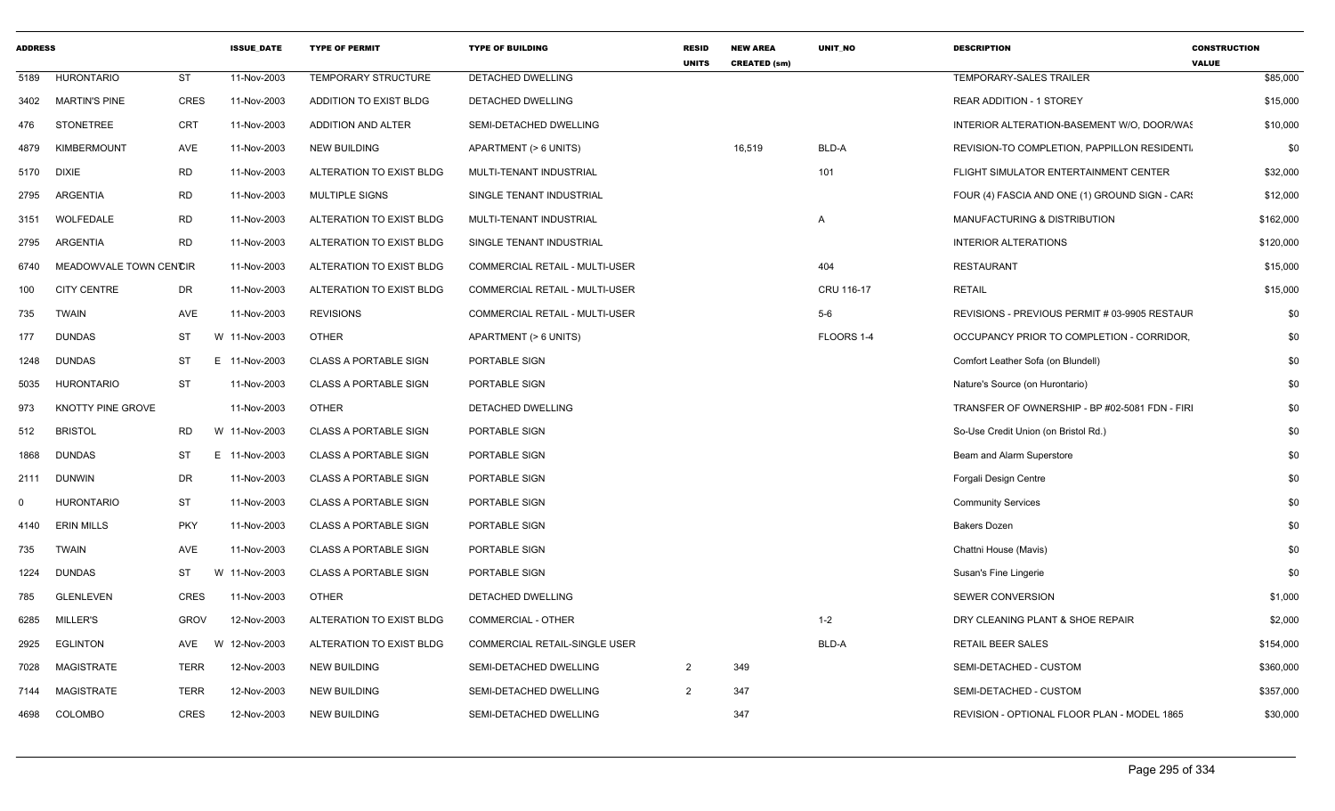| <b>ADDRESS</b> |                        |             | <b>ISSUE DATE</b> | <b>TYPE OF PERMIT</b>        | <b>TYPE OF BUILDING</b>        | <b>RESID</b><br><b>UNITS</b> | <b>NEW AREA</b><br><b>CREATED (sm)</b> | <b>UNIT NO</b> | <b>DESCRIPTION</b>                             | <b>CONSTRUCTION</b><br><b>VALUE</b> |
|----------------|------------------------|-------------|-------------------|------------------------------|--------------------------------|------------------------------|----------------------------------------|----------------|------------------------------------------------|-------------------------------------|
| 5189           | <b>HURONTARIO</b>      | <b>ST</b>   | 11-Nov-2003       | TEMPORARY STRUCTURE          | DETACHED DWELLING              |                              |                                        |                | TEMPORARY-SALES TRAILER                        | \$85,000                            |
| 3402           | <b>MARTIN'S PINE</b>   | CRES        | 11-Nov-2003       | ADDITION TO EXIST BLDG       | DETACHED DWELLING              |                              |                                        |                | <b>REAR ADDITION - 1 STOREY</b>                | \$15,000                            |
| 476            | <b>STONETREE</b>       | <b>CRT</b>  | 11-Nov-2003       | ADDITION AND ALTER           | SEMI-DETACHED DWELLING         |                              |                                        |                | INTERIOR ALTERATION-BASEMENT W/O, DOOR/WAS     | \$10,000                            |
| 4879           | <b>KIMBERMOUNT</b>     | AVE         | 11-Nov-2003       | <b>NEW BUILDING</b>          | APARTMENT (> 6 UNITS)          |                              | 16,519                                 | BLD-A          | REVISION-TO COMPLETION, PAPPILLON RESIDENTI    | \$0                                 |
| 5170           | DIXIE                  | <b>RD</b>   | 11-Nov-2003       | ALTERATION TO EXIST BLDG     | MULTI-TENANT INDUSTRIAL        |                              |                                        | 101            | FLIGHT SIMULATOR ENTERTAINMENT CENTER          | \$32,000                            |
| 2795           | <b>ARGENTIA</b>        | <b>RD</b>   | 11-Nov-2003       | <b>MULTIPLE SIGNS</b>        | SINGLE TENANT INDUSTRIAL       |                              |                                        |                | FOUR (4) FASCIA AND ONE (1) GROUND SIGN - CAR! | \$12,000                            |
| 3151           | WOLFEDALE              | <b>RD</b>   | 11-Nov-2003       | ALTERATION TO EXIST BLDG     | MULTI-TENANT INDUSTRIAL        |                              |                                        | $\mathsf{A}$   | MANUFACTURING & DISTRIBUTION                   | \$162,000                           |
| 2795           | ARGENTIA               | <b>RD</b>   | 11-Nov-2003       | ALTERATION TO EXIST BLDG     | SINGLE TENANT INDUSTRIAL       |                              |                                        |                | <b>INTERIOR ALTERATIONS</b>                    | \$120,000                           |
| 6740           | MEADOWVALE TOWN CENCIR |             | 11-Nov-2003       | ALTERATION TO EXIST BLDG     | COMMERCIAL RETAIL - MULTI-USER |                              |                                        | 404            | <b>RESTAURANT</b>                              | \$15,000                            |
| 100            | <b>CITY CENTRE</b>     | DR          | 11-Nov-2003       | ALTERATION TO EXIST BLDG     | COMMERCIAL RETAIL - MULTI-USER |                              |                                        | CRU 116-17     | <b>RETAIL</b>                                  | \$15,000                            |
| 735            | <b>TWAIN</b>           | AVE         | 11-Nov-2003       | <b>REVISIONS</b>             | COMMERCIAL RETAIL - MULTI-USER |                              |                                        | $5-6$          | REVISIONS - PREVIOUS PERMIT # 03-9905 RESTAUF  | \$0                                 |
| 177            | <b>DUNDAS</b>          | ST          | W 11-Nov-2003     | <b>OTHER</b>                 | APARTMENT (> 6 UNITS)          |                              |                                        | FLOORS 1-4     | OCCUPANCY PRIOR TO COMPLETION - CORRIDOR,      | \$0                                 |
| 1248           | <b>DUNDAS</b>          | ST          | E 11-Nov-2003     | <b>CLASS A PORTABLE SIGN</b> | PORTABLE SIGN                  |                              |                                        |                | Comfort Leather Sofa (on Blundell)             | \$0                                 |
| 5035           | <b>HURONTARIO</b>      | <b>ST</b>   | 11-Nov-2003       | <b>CLASS A PORTABLE SIGN</b> | PORTABLE SIGN                  |                              |                                        |                | Nature's Source (on Hurontario)                | \$0                                 |
| 973            | KNOTTY PINE GROVE      |             | 11-Nov-2003       | <b>OTHER</b>                 | DETACHED DWELLING              |                              |                                        |                | TRANSFER OF OWNERSHIP - BP #02-5081 FDN - FIRI | \$0                                 |
| 512            | <b>BRISTOL</b>         | <b>RD</b>   | W 11-Nov-2003     | <b>CLASS A PORTABLE SIGN</b> | PORTABLE SIGN                  |                              |                                        |                | So-Use Credit Union (on Bristol Rd.)           | \$0                                 |
| 1868           | <b>DUNDAS</b>          | ST          | E 11-Nov-2003     | <b>CLASS A PORTABLE SIGN</b> | PORTABLE SIGN                  |                              |                                        |                | Beam and Alarm Superstore                      | \$0                                 |
| 2111           | DUNWIN                 | DR          | 11-Nov-2003       | <b>CLASS A PORTABLE SIGN</b> | PORTABLE SIGN                  |                              |                                        |                | Forgali Design Centre                          | \$0                                 |
| $\Omega$       | <b>HURONTARIO</b>      | ST          | 11-Nov-2003       | <b>CLASS A PORTABLE SIGN</b> | PORTABLE SIGN                  |                              |                                        |                | <b>Community Services</b>                      | \$0                                 |
| 4140           | <b>ERIN MILLS</b>      | <b>PKY</b>  | 11-Nov-2003       | <b>CLASS A PORTABLE SIGN</b> | PORTABLE SIGN                  |                              |                                        |                | <b>Bakers Dozen</b>                            | \$0                                 |
| 735            | <b>TWAIN</b>           | AVE         | 11-Nov-2003       | <b>CLASS A PORTABLE SIGN</b> | PORTABLE SIGN                  |                              |                                        |                | Chattni House (Mavis)                          | \$0                                 |
| 1224           | <b>DUNDAS</b>          | <b>ST</b>   | W 11-Nov-2003     | <b>CLASS A PORTABLE SIGN</b> | PORTABLE SIGN                  |                              |                                        |                | Susan's Fine Lingerie                          | \$0                                 |
| 785            | <b>GLENLEVEN</b>       | CRES        | 11-Nov-2003       | <b>OTHER</b>                 | DETACHED DWELLING              |                              |                                        |                | <b>SEWER CONVERSION</b>                        | \$1,000                             |
| 6285           | MILLER'S               | <b>GROV</b> | 12-Nov-2003       | ALTERATION TO EXIST BLDG     | <b>COMMERCIAL - OTHER</b>      |                              |                                        | $1 - 2$        | DRY CLEANING PLANT & SHOE REPAIR               | \$2,000                             |
| 2925           | <b>EGLINTON</b>        | AVE<br>W    | 12-Nov-2003       | ALTERATION TO EXIST BLDG     | COMMERCIAL RETAIL-SINGLE USER  |                              |                                        | BLD-A          | <b>RETAIL BEER SALES</b>                       | \$154,000                           |
| 7028           | MAGISTRATE             | <b>TERR</b> | 12-Nov-2003       | <b>NEW BUILDING</b>          | SEMI-DETACHED DWELLING         | $\overline{2}$               | 349                                    |                | SEMI-DETACHED - CUSTOM                         | \$360,000                           |
| 7144           | MAGISTRATE             | <b>TERR</b> | 12-Nov-2003       | <b>NEW BUILDING</b>          | SEMI-DETACHED DWELLING         | $\overline{2}$               | 347                                    |                | SEMI-DETACHED - CUSTOM                         | \$357,000                           |
| 4698           | COLOMBO                | <b>CRES</b> | 12-Nov-2003       | <b>NEW BUILDING</b>          | SEMI-DETACHED DWELLING         |                              | 347                                    |                | REVISION - OPTIONAL FLOOR PLAN - MODEL 1865    | \$30,000                            |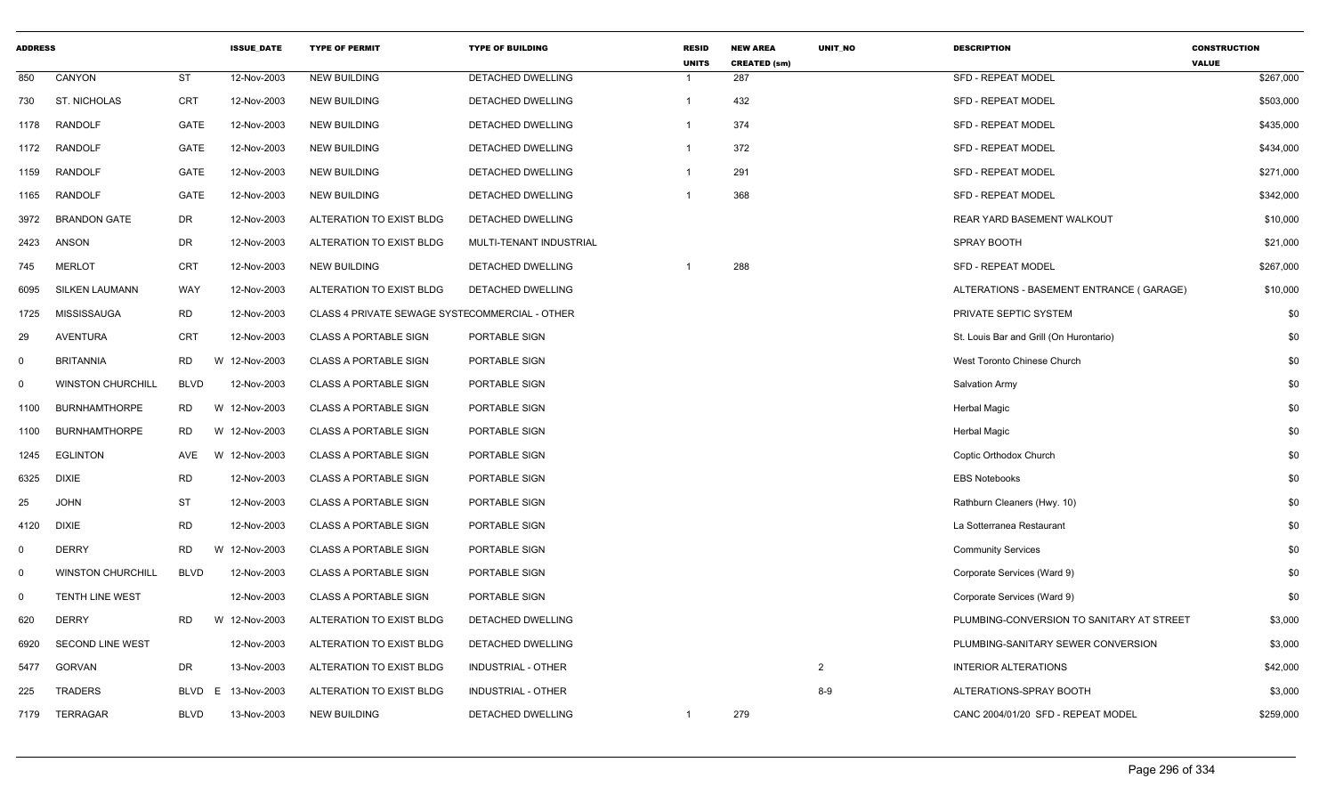| <b>ADDRESS</b> |                          |             | <b>ISSUE_DATE</b> | <b>TYPE OF PERMIT</b>                          | <b>TYPE OF BUILDING</b>   | <b>RESID</b><br><b>UNITS</b> | <b>NEW AREA</b><br><b>CREATED (sm)</b> | UNIT_NO        | <b>DESCRIPTION</b>                        | <b>CONSTRUCTION</b><br><b>VALUE</b> |
|----------------|--------------------------|-------------|-------------------|------------------------------------------------|---------------------------|------------------------------|----------------------------------------|----------------|-------------------------------------------|-------------------------------------|
| 850            | CANYON                   | <b>ST</b>   | 12-Nov-2003       | <b>NEW BUILDING</b>                            | DETACHED DWELLING         | $\mathbf{1}$                 | 287                                    |                | <b>SFD - REPEAT MODEL</b>                 | \$267,000                           |
| 730            | <b>ST. NICHOLAS</b>      | CRT         | 12-Nov-2003       | <b>NEW BUILDING</b>                            | DETACHED DWELLING         | $\overline{1}$               | 432                                    |                | <b>SFD - REPEAT MODEL</b>                 | \$503,000                           |
| 1178           | <b>RANDOLF</b>           | GATE        | 12-Nov-2003       | <b>NEW BUILDING</b>                            | DETACHED DWELLING         | -1                           | 374                                    |                | <b>SFD - REPEAT MODEL</b>                 | \$435,000                           |
| 1172           | RANDOLF                  | GATE        | 12-Nov-2003       | <b>NEW BUILDING</b>                            | DETACHED DWELLING         | $\mathbf{1}$                 | 372                                    |                | SFD - REPEAT MODEL                        | \$434,000                           |
| 1159           | <b>RANDOLF</b>           | GATE        | 12-Nov-2003       | <b>NEW BUILDING</b>                            | <b>DETACHED DWELLING</b>  | $\mathbf 1$                  | 291                                    |                | <b>SFD - REPEAT MODEL</b>                 | \$271,000                           |
| 1165           | RANDOLF                  | <b>GATE</b> | 12-Nov-2003       | <b>NEW BUILDING</b>                            | DETACHED DWELLING         |                              | 368                                    |                | <b>SFD - REPEAT MODEL</b>                 | \$342,000                           |
| 3972           | <b>BRANDON GATE</b>      | DR          | 12-Nov-2003       | ALTERATION TO EXIST BLDG                       | DETACHED DWELLING         |                              |                                        |                | REAR YARD BASEMENT WALKOUT                | \$10,000                            |
| 2423           | ANSON                    | DR          | 12-Nov-2003       | ALTERATION TO EXIST BLDG                       | MULTI-TENANT INDUSTRIAL   |                              |                                        |                | SPRAY BOOTH                               | \$21,000                            |
| 745            | <b>MERLOT</b>            | <b>CRT</b>  | 12-Nov-2003       | <b>NEW BUILDING</b>                            | DETACHED DWELLING         | -1                           | 288                                    |                | <b>SFD - REPEAT MODEL</b>                 | \$267,000                           |
| 6095           | <b>SILKEN LAUMANN</b>    | WAY         | 12-Nov-2003       | ALTERATION TO EXIST BLDG                       | DETACHED DWELLING         |                              |                                        |                | ALTERATIONS - BASEMENT ENTRANCE (GARAGE)  | \$10,000                            |
| 1725           | MISSISSAUGA              | <b>RD</b>   | 12-Nov-2003       | CLASS 4 PRIVATE SEWAGE SYSTECOMMERCIAL - OTHER |                           |                              |                                        |                | PRIVATE SEPTIC SYSTEM                     | \$0                                 |
| 29             | <b>AVENTURA</b>          | <b>CRT</b>  | 12-Nov-2003       | <b>CLASS A PORTABLE SIGN</b>                   | PORTABLE SIGN             |                              |                                        |                | St. Louis Bar and Grill (On Hurontario)   | \$0                                 |
| $\mathbf 0$    | <b>BRITANNIA</b>         | <b>RD</b>   | W 12-Nov-2003     | <b>CLASS A PORTABLE SIGN</b>                   | PORTABLE SIGN             |                              |                                        |                | West Toronto Chinese Church               | \$0                                 |
| $\mathbf 0$    | <b>WINSTON CHURCHILL</b> | <b>BLVD</b> | 12-Nov-2003       | <b>CLASS A PORTABLE SIGN</b>                   | PORTABLE SIGN             |                              |                                        |                | <b>Salvation Army</b>                     | \$0                                 |
| 1100           | <b>BURNHAMTHORPE</b>     | RD.         | W 12-Nov-2003     | <b>CLASS A PORTABLE SIGN</b>                   | PORTABLE SIGN             |                              |                                        |                | <b>Herbal Magic</b>                       | \$0                                 |
| 1100           | <b>BURNHAMTHORPE</b>     | <b>RD</b>   | W 12-Nov-2003     | <b>CLASS A PORTABLE SIGN</b>                   | PORTABLE SIGN             |                              |                                        |                | <b>Herbal Magic</b>                       | \$0                                 |
| 1245           | <b>EGLINTON</b>          | AVE         | W 12-Nov-2003     | <b>CLASS A PORTABLE SIGN</b>                   | PORTABLE SIGN             |                              |                                        |                | Coptic Orthodox Church                    | \$0                                 |
| 6325           | <b>DIXIE</b>             | <b>RD</b>   | 12-Nov-2003       | <b>CLASS A PORTABLE SIGN</b>                   | PORTABLE SIGN             |                              |                                        |                | <b>EBS Notebooks</b>                      | \$0                                 |
| 25             | <b>JOHN</b>              | ST          | 12-Nov-2003       | <b>CLASS A PORTABLE SIGN</b>                   | PORTABLE SIGN             |                              |                                        |                | Rathburn Cleaners (Hwy. 10)               | \$0                                 |
| 4120           | <b>DIXIE</b>             | <b>RD</b>   | 12-Nov-2003       | <b>CLASS A PORTABLE SIGN</b>                   | PORTABLE SIGN             |                              |                                        |                | La Sotterranea Restaurant                 | \$0                                 |
| $\mathbf 0$    | <b>DERRY</b>             | <b>RD</b>   | W 12-Nov-2003     | <b>CLASS A PORTABLE SIGN</b>                   | PORTABLE SIGN             |                              |                                        |                | <b>Community Services</b>                 | \$0                                 |
| $\mathbf 0$    | <b>WINSTON CHURCHILL</b> | <b>BLVD</b> | 12-Nov-2003       | <b>CLASS A PORTABLE SIGN</b>                   | PORTABLE SIGN             |                              |                                        |                | Corporate Services (Ward 9)               | \$0                                 |
| $\mathbf 0$    | <b>TENTH LINE WEST</b>   |             | 12-Nov-2003       | <b>CLASS A PORTABLE SIGN</b>                   | PORTABLE SIGN             |                              |                                        |                | Corporate Services (Ward 9)               | \$0                                 |
| 620            | <b>DERRY</b>             | <b>RD</b>   | W 12-Nov-2003     | ALTERATION TO EXIST BLDG                       | DETACHED DWELLING         |                              |                                        |                | PLUMBING-CONVERSION TO SANITARY AT STREET | \$3,000                             |
| 6920           | <b>SECOND LINE WEST</b>  |             | 12-Nov-2003       | ALTERATION TO EXIST BLDG                       | DETACHED DWELLING         |                              |                                        |                | PLUMBING-SANITARY SEWER CONVERSION        | \$3,000                             |
| 5477           | <b>GORVAN</b>            | DR          | 13-Nov-2003       | ALTERATION TO EXIST BLDG                       | <b>INDUSTRIAL - OTHER</b> |                              |                                        | $\overline{2}$ | <b>INTERIOR ALTERATIONS</b>               | \$42,000                            |
| 225            | <b>TRADERS</b>           | <b>BLVD</b> | 13-Nov-2003<br>E. | ALTERATION TO EXIST BLDG                       | <b>INDUSTRIAL - OTHER</b> |                              |                                        | $8-9$          | ALTERATIONS-SPRAY BOOTH                   | \$3,000                             |
| 7179           | <b>TERRAGAR</b>          | <b>BLVD</b> | 13-Nov-2003       | <b>NEW BUILDING</b>                            | DETACHED DWELLING         | -1                           | 279                                    |                | CANC 2004/01/20 SFD - REPEAT MODEL        | \$259,000                           |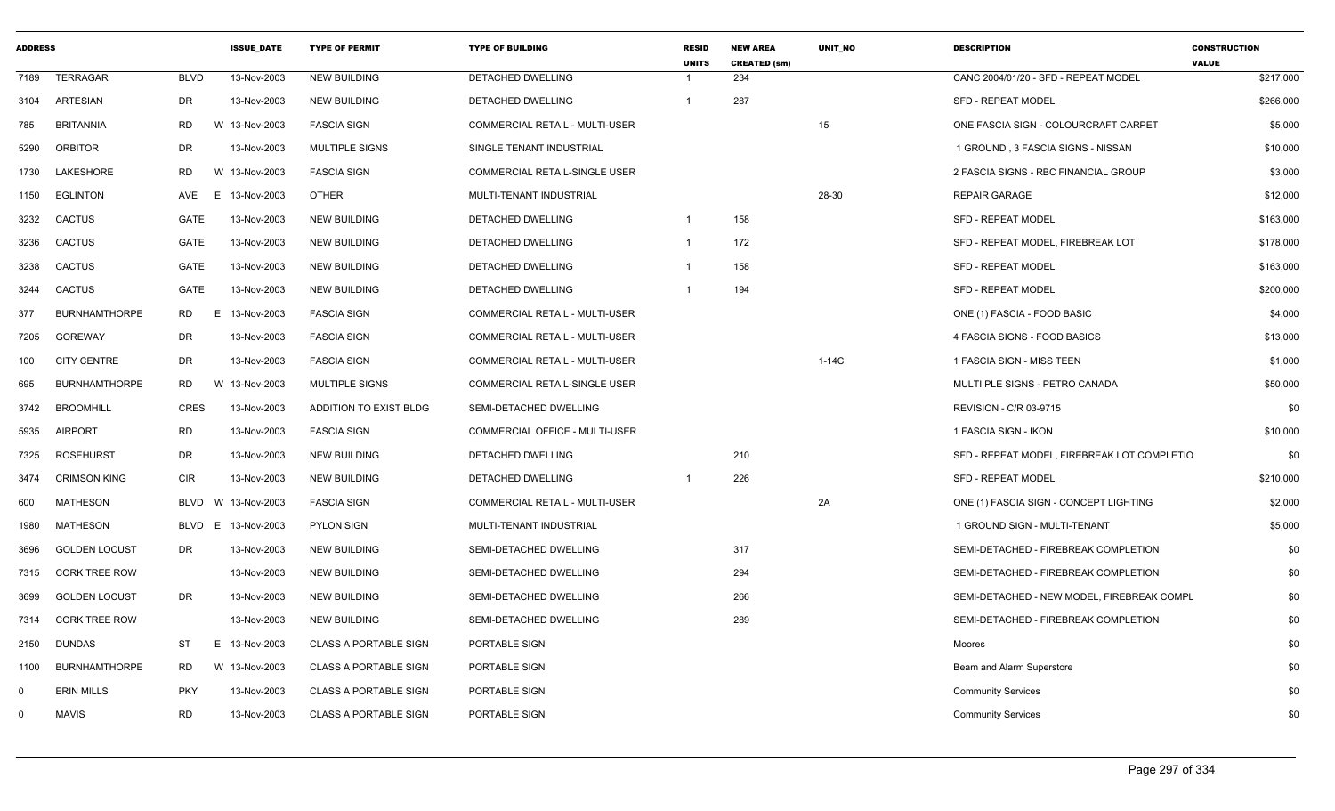| <b>ADDRESS</b> |                      |             | <b>ISSUE DATE</b> | <b>TYPE OF PERMIT</b>        | <b>TYPE OF BUILDING</b>               | <b>RESID</b><br><b>UNITS</b> | <b>NEW AREA</b><br><b>CREATED (sm)</b> | <b>UNIT NO</b> | <b>DESCRIPTION</b>                          | <b>CONSTRUCTION</b><br><b>VALUE</b> |
|----------------|----------------------|-------------|-------------------|------------------------------|---------------------------------------|------------------------------|----------------------------------------|----------------|---------------------------------------------|-------------------------------------|
| 7189           | <b>TERRAGAR</b>      | <b>BLVD</b> | 13-Nov-2003       | <b>NEW BUILDING</b>          | DETACHED DWELLING                     |                              | 234                                    |                | CANC 2004/01/20 - SFD - REPEAT MODEL        | \$217,000                           |
| 3104           | <b>ARTESIAN</b>      | <b>DR</b>   | 13-Nov-2003       | <b>NEW BUILDING</b>          | DETACHED DWELLING                     | $\mathbf{1}$                 | 287                                    |                | <b>SFD - REPEAT MODEL</b>                   | \$266,000                           |
| 785            | <b>BRITANNIA</b>     | <b>RD</b>   | W<br>13-Nov-2003  | <b>FASCIA SIGN</b>           | COMMERCIAL RETAIL - MULTI-USER        |                              |                                        | 15             | ONE FASCIA SIGN - COLOURCRAFT CARPET        | \$5,000                             |
| 5290           | <b>ORBITOR</b>       | <b>DR</b>   | 13-Nov-2003       | <b>MULTIPLE SIGNS</b>        | SINGLE TENANT INDUSTRIAL              |                              |                                        |                | 1 GROUND, 3 FASCIA SIGNS - NISSAN           | \$10,000                            |
| 1730           | LAKESHORE            | RD.         | W 13-Nov-2003     | <b>FASCIA SIGN</b>           | COMMERCIAL RETAIL-SINGLE USER         |                              |                                        |                | 2 FASCIA SIGNS - RBC FINANCIAL GROUP        | \$3,000                             |
| 1150           | <b>EGLINTON</b>      | AVE         | E 13-Nov-2003     | <b>OTHER</b>                 | MULTI-TENANT INDUSTRIAL               |                              |                                        | 28-30          | <b>REPAIR GARAGE</b>                        | \$12,000                            |
| 3232           | <b>CACTUS</b>        | GATE        | 13-Nov-2003       | <b>NEW BUILDING</b>          | DETACHED DWELLING                     | $\mathbf{1}$                 | 158                                    |                | <b>SFD - REPEAT MODEL</b>                   | \$163,000                           |
| 3236           | <b>CACTUS</b>        | GATE        | 13-Nov-2003       | <b>NEW BUILDING</b>          | DETACHED DWELLING                     | $\mathbf{1}$                 | 172                                    |                | SFD - REPEAT MODEL, FIREBREAK LOT           | \$178,000                           |
| 3238           | <b>CACTUS</b>        | GATE        | 13-Nov-2003       | <b>NEW BUILDING</b>          | DETACHED DWELLING                     | $\overline{1}$               | 158                                    |                | <b>SFD - REPEAT MODEL</b>                   | \$163,000                           |
| 3244           | <b>CACTUS</b>        | GATE        | 13-Nov-2003       | <b>NEW BUILDING</b>          | DETACHED DWELLING                     | $\overline{1}$               | 194                                    |                | <b>SFD - REPEAT MODEL</b>                   | \$200,000                           |
| 377            | <b>BURNHAMTHORPE</b> | <b>RD</b>   | E<br>13-Nov-2003  | <b>FASCIA SIGN</b>           | COMMERCIAL RETAIL - MULTI-USER        |                              |                                        |                | ONE (1) FASCIA - FOOD BASIC                 | \$4,000                             |
| 7205           | <b>GOREWAY</b>       | <b>DR</b>   | 13-Nov-2003       | <b>FASCIA SIGN</b>           | <b>COMMERCIAL RETAIL - MULTI-USER</b> |                              |                                        |                | 4 FASCIA SIGNS - FOOD BASICS                | \$13,000                            |
| 100            | <b>CITY CENTRE</b>   | <b>DR</b>   | 13-Nov-2003       | <b>FASCIA SIGN</b>           | COMMERCIAL RETAIL - MULTI-USER        |                              |                                        | $1-14C$        | 1 FASCIA SIGN - MISS TEEN                   | \$1,000                             |
| 695            | <b>BURNHAMTHORPE</b> | <b>RD</b>   | W<br>13-Nov-2003  | MULTIPLE SIGNS               | COMMERCIAL RETAIL-SINGLE USER         |                              |                                        |                | MULTI PLE SIGNS - PETRO CANADA              | \$50,000                            |
| 3742           | <b>BROOMHILL</b>     | <b>CRES</b> | 13-Nov-2003       | ADDITION TO EXIST BLDG       | SEMI-DETACHED DWELLING                |                              |                                        |                | <b>REVISION - C/R 03-9715</b>               | \$0                                 |
| 5935           | <b>AIRPORT</b>       | <b>RD</b>   | 13-Nov-2003       | <b>FASCIA SIGN</b>           | COMMERCIAL OFFICE - MULTI-USER        |                              |                                        |                | 1 FASCIA SIGN - IKON                        | \$10,000                            |
| 7325           | <b>ROSEHURST</b>     | <b>DR</b>   | 13-Nov-2003       | <b>NEW BUILDING</b>          | <b>DETACHED DWELLING</b>              |                              | 210                                    |                | SFD - REPEAT MODEL, FIREBREAK LOT COMPLETIC | \$0                                 |
| 3474           | <b>CRIMSON KING</b>  | <b>CIR</b>  | 13-Nov-2003       | <b>NEW BUILDING</b>          | DETACHED DWELLING                     | $\overline{1}$               | 226                                    |                | <b>SFD - REPEAT MODEL</b>                   | \$210,000                           |
| 600            | <b>MATHESON</b>      | BLVD        | W 13-Nov-2003     | <b>FASCIA SIGN</b>           | COMMERCIAL RETAIL - MULTI-USER        |                              |                                        | 2A             | ONE (1) FASCIA SIGN - CONCEPT LIGHTING      | \$2,000                             |
| 1980           | <b>MATHESON</b>      | <b>BLVD</b> | E 13-Nov-2003     | <b>PYLON SIGN</b>            | MULTI-TENANT INDUSTRIAL               |                              |                                        |                | 1 GROUND SIGN - MULTI-TENANT                | \$5,000                             |
| 3696           | <b>GOLDEN LOCUST</b> | DR.         | 13-Nov-2003       | <b>NEW BUILDING</b>          | SEMI-DETACHED DWELLING                |                              | 317                                    |                | SEMI-DETACHED - FIREBREAK COMPLETION        | \$0                                 |
| 7315           | <b>CORK TREE ROW</b> |             | 13-Nov-2003       | <b>NEW BUILDING</b>          | SEMI-DETACHED DWELLING                |                              | 294                                    |                | SEMI-DETACHED - FIREBREAK COMPLETION        | \$0                                 |
| 3699           | <b>GOLDEN LOCUST</b> | DR.         | 13-Nov-2003       | <b>NEW BUILDING</b>          | SEMI-DETACHED DWELLING                |                              | 266                                    |                | SEMI-DETACHED - NEW MODEL, FIREBREAK COMPL  | \$0                                 |
| 7314           | <b>CORK TREE ROW</b> |             | 13-Nov-2003       | <b>NEW BUILDING</b>          | SEMI-DETACHED DWELLING                |                              | 289                                    |                | SEMI-DETACHED - FIREBREAK COMPLETION        | \$0                                 |
| 2150           | <b>DUNDAS</b>        | <b>ST</b>   | E 13-Nov-2003     | <b>CLASS A PORTABLE SIGN</b> | PORTABLE SIGN                         |                              |                                        |                | Moores                                      | \$0                                 |
| 1100           | <b>BURNHAMTHORPE</b> | RD.         | W 13-Nov-2003     | <b>CLASS A PORTABLE SIGN</b> | PORTABLE SIGN                         |                              |                                        |                | Beam and Alarm Superstore                   | \$0                                 |
| 0              | <b>ERIN MILLS</b>    | <b>PKY</b>  | 13-Nov-2003       | <b>CLASS A PORTABLE SIGN</b> | PORTABLE SIGN                         |                              |                                        |                | <b>Community Services</b>                   | \$0                                 |
| $\Omega$       | <b>MAVIS</b>         | <b>RD</b>   | 13-Nov-2003       | CLASS A PORTABLE SIGN        | PORTABLE SIGN                         |                              |                                        |                | <b>Community Services</b>                   | \$0                                 |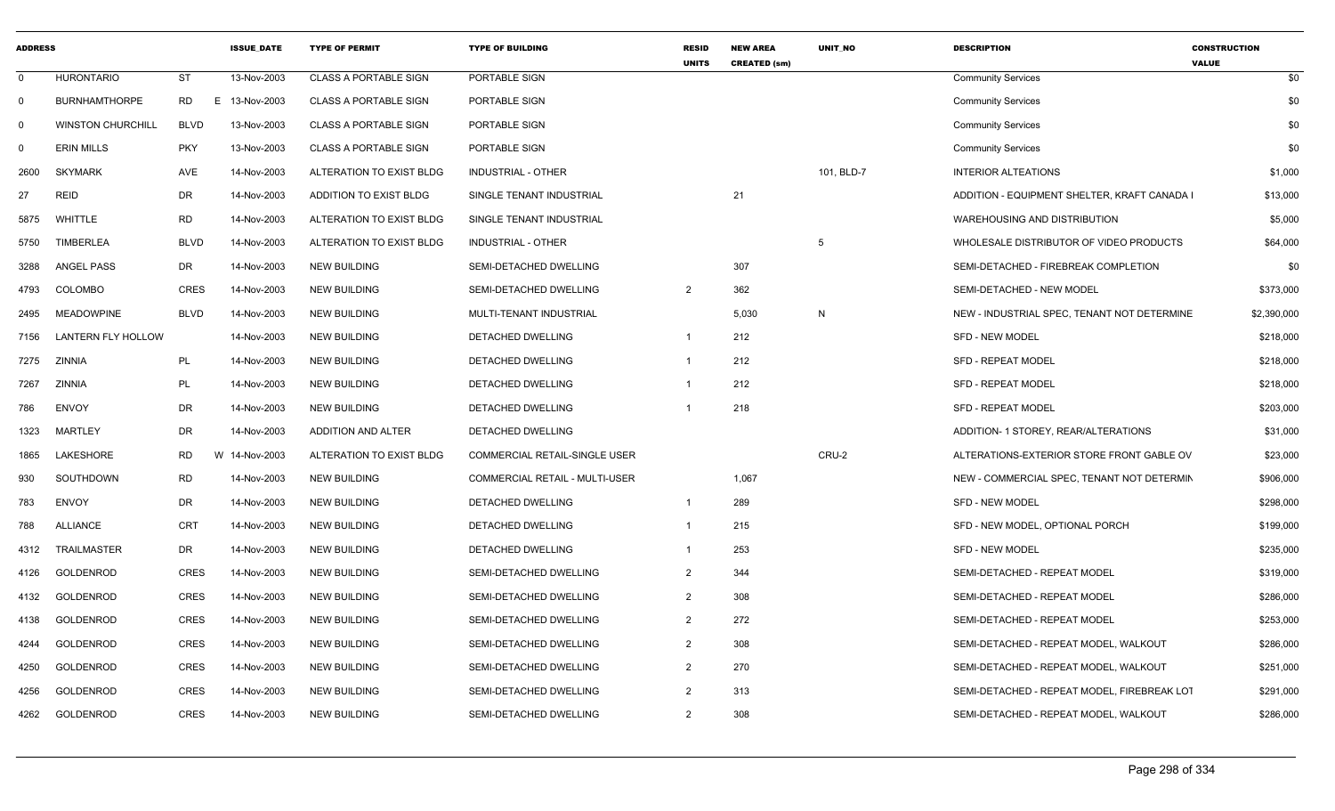| <b>ADDRESS</b> |                          |             | <b>ISSUE DATE</b> | <b>TYPE OF PERMIT</b>        | <b>TYPE OF BUILDING</b>        | <b>RESID</b><br><b>UNITS</b> | <b>NEW AREA</b><br><b>CREATED (sm)</b> | <b>UNIT NO</b> | <b>DESCRIPTION</b>                          | <b>CONSTRUCTION</b><br><b>VALUE</b> |
|----------------|--------------------------|-------------|-------------------|------------------------------|--------------------------------|------------------------------|----------------------------------------|----------------|---------------------------------------------|-------------------------------------|
| 0              | <b>HURONTARIO</b>        | <b>ST</b>   | 13-Nov-2003       | <b>CLASS A PORTABLE SIGN</b> | PORTABLE SIGN                  |                              |                                        |                | <b>Community Services</b>                   | \$0                                 |
| $\Omega$       | <b>BURNHAMTHORPE</b>     | <b>RD</b>   | E 13-Nov-2003     | <b>CLASS A PORTABLE SIGN</b> | PORTABLE SIGN                  |                              |                                        |                | <b>Community Services</b>                   | \$0                                 |
| 0              | <b>WINSTON CHURCHILL</b> | <b>BLVD</b> | 13-Nov-2003       | <b>CLASS A PORTABLE SIGN</b> | PORTABLE SIGN                  |                              |                                        |                | <b>Community Services</b>                   | \$0                                 |
| 0              | <b>ERIN MILLS</b>        | <b>PKY</b>  | 13-Nov-2003       | <b>CLASS A PORTABLE SIGN</b> | PORTABLE SIGN                  |                              |                                        |                | <b>Community Services</b>                   | \$0                                 |
| 2600           | <b>SKYMARK</b>           | AVE         | 14-Nov-2003       | ALTERATION TO EXIST BLDG     | INDUSTRIAL - OTHER             |                              |                                        | 101, BLD-7     | <b>INTERIOR ALTEATIONS</b>                  | \$1,000                             |
| 27             | <b>REID</b>              | <b>DR</b>   | 14-Nov-2003       | ADDITION TO EXIST BLDG       | SINGLE TENANT INDUSTRIAL       |                              | 21                                     |                | ADDITION - EQUIPMENT SHELTER, KRAFT CANADA  | \$13,000                            |
| 5875           | WHITTLE                  | <b>RD</b>   | 14-Nov-2003       | ALTERATION TO EXIST BLDG     | SINGLE TENANT INDUSTRIAL       |                              |                                        |                | <b>WAREHOUSING AND DISTRIBUTION</b>         | \$5,000                             |
| 5750           | <b>TIMBERLEA</b>         | <b>BLVD</b> | 14-Nov-2003       | ALTERATION TO EXIST BLDG     | <b>INDUSTRIAL - OTHER</b>      |                              |                                        | -5             | WHOLESALE DISTRIBUTOR OF VIDEO PRODUCTS     | \$64,000                            |
| 3288           | ANGEL PASS               | DR          | 14-Nov-2003       | <b>NEW BUILDING</b>          | SEMI-DETACHED DWELLING         |                              | 307                                    |                | SEMI-DETACHED - FIREBREAK COMPLETION        | \$0                                 |
| 4793           | <b>COLOMBO</b>           | <b>CRES</b> | 14-Nov-2003       | <b>NEW BUILDING</b>          | SEMI-DETACHED DWELLING         | $\overline{2}$               | 362                                    |                | SEMI-DETACHED - NEW MODEL                   | \$373,000                           |
| 2495           | <b>MEADOWPINE</b>        | <b>BLVD</b> | 14-Nov-2003       | <b>NEW BUILDING</b>          | MULTI-TENANT INDUSTRIAL        |                              | 5,030                                  | $\overline{N}$ | NEW - INDUSTRIAL SPEC, TENANT NOT DETERMINE | \$2,390,000                         |
| 7156           | LANTERN FLY HOLLOW       |             | 14-Nov-2003       | <b>NEW BUILDING</b>          | DETACHED DWELLING              |                              | 212                                    |                | SFD - NEW MODEL                             | \$218,000                           |
| 7275           | ZINNIA                   | PL          | 14-Nov-2003       | <b>NEW BUILDING</b>          | DETACHED DWELLING              |                              | 212                                    |                | <b>SFD - REPEAT MODEL</b>                   | \$218,000                           |
| 7267           | ZINNIA                   | PL          | 14-Nov-2003       | <b>NEW BUILDING</b>          | DETACHED DWELLING              |                              | 212                                    |                | <b>SFD - REPEAT MODEL</b>                   | \$218,000                           |
| 786            | <b>ENVOY</b>             | <b>DR</b>   | 14-Nov-2003       | <b>NEW BUILDING</b>          | DETACHED DWELLING              |                              | 218                                    |                | <b>SFD - REPEAT MODEL</b>                   | \$203,000                           |
| 1323           | <b>MARTLEY</b>           | <b>DR</b>   | 14-Nov-2003       | ADDITION AND ALTER           | DETACHED DWELLING              |                              |                                        |                | ADDITION- 1 STOREY, REAR/ALTERATIONS        | \$31,000                            |
| 1865           | LAKESHORE                | <b>RD</b>   | W 14-Nov-2003     | ALTERATION TO EXIST BLDG     | COMMERCIAL RETAIL-SINGLE USER  |                              |                                        | CRU-2          | ALTERATIONS-EXTERIOR STORE FRONT GABLE OV   | \$23,000                            |
| 930            | SOUTHDOWN                | <b>RD</b>   | 14-Nov-2003       | <b>NEW BUILDING</b>          | COMMERCIAL RETAIL - MULTI-USER |                              | 1,067                                  |                | NEW - COMMERCIAL SPEC, TENANT NOT DETERMIN  | \$906,000                           |
| 783            | <b>ENVOY</b>             | DR          | 14-Nov-2003       | <b>NEW BUILDING</b>          | DETACHED DWELLING              | $\overline{1}$               | 289                                    |                | <b>SFD - NEW MODEL</b>                      | \$298,000                           |
| 788            | <b>ALLIANCE</b>          | <b>CRT</b>  | 14-Nov-2003       | <b>NEW BUILDING</b>          | DETACHED DWELLING              |                              | 215                                    |                | SFD - NEW MODEL, OPTIONAL PORCH             | \$199,000                           |
| 4312           | TRAILMASTER              | DR          | 14-Nov-2003       | <b>NEW BUILDING</b>          | DETACHED DWELLING              |                              | 253                                    |                | SFD - NEW MODEL                             | \$235,000                           |
| 4126           | GOLDENROD                | <b>CRES</b> | 14-Nov-2003       | <b>NEW BUILDING</b>          | SEMI-DETACHED DWELLING         | $\overline{2}$               | 344                                    |                | SEMI-DETACHED - REPEAT MODEL                | \$319,000                           |
| 4132           | GOLDENROD                | <b>CRES</b> | 14-Nov-2003       | <b>NEW BUILDING</b>          | SEMI-DETACHED DWELLING         | $\overline{2}$               | 308                                    |                | SEMI-DETACHED - REPEAT MODEL                | \$286,000                           |
| 4138           | GOLDENROD                | <b>CRES</b> | 14-Nov-2003       | <b>NEW BUILDING</b>          | SEMI-DETACHED DWELLING         | $\overline{2}$               | 272                                    |                | SEMI-DETACHED - REPEAT MODEL                | \$253,000                           |
| 4244           | GOLDENROD                | <b>CRES</b> | 14-Nov-2003       | <b>NEW BUILDING</b>          | SEMI-DETACHED DWELLING         | $\overline{2}$               | 308                                    |                | SEMI-DETACHED - REPEAT MODEL, WALKOUT       | \$286,000                           |
| 4250           | GOLDENROD                | <b>CRES</b> | 14-Nov-2003       | <b>NEW BUILDING</b>          | SEMI-DETACHED DWELLING         | $\overline{2}$               | 270                                    |                | SEMI-DETACHED - REPEAT MODEL, WALKOUT       | \$251,000                           |
| 4256           | <b>GOLDENROD</b>         | <b>CRES</b> | 14-Nov-2003       | <b>NEW BUILDING</b>          | SEMI-DETACHED DWELLING         | $\overline{2}$               | 313                                    |                | SEMI-DETACHED - REPEAT MODEL, FIREBREAK LOT | \$291,000                           |
| 4262           | GOLDENROD                | <b>CRES</b> | 14-Nov-2003       | <b>NEW BUILDING</b>          | SEMI-DETACHED DWELLING         | $\overline{2}$               | 308                                    |                | SEMI-DETACHED - REPEAT MODEL, WALKOUT       | \$286,000                           |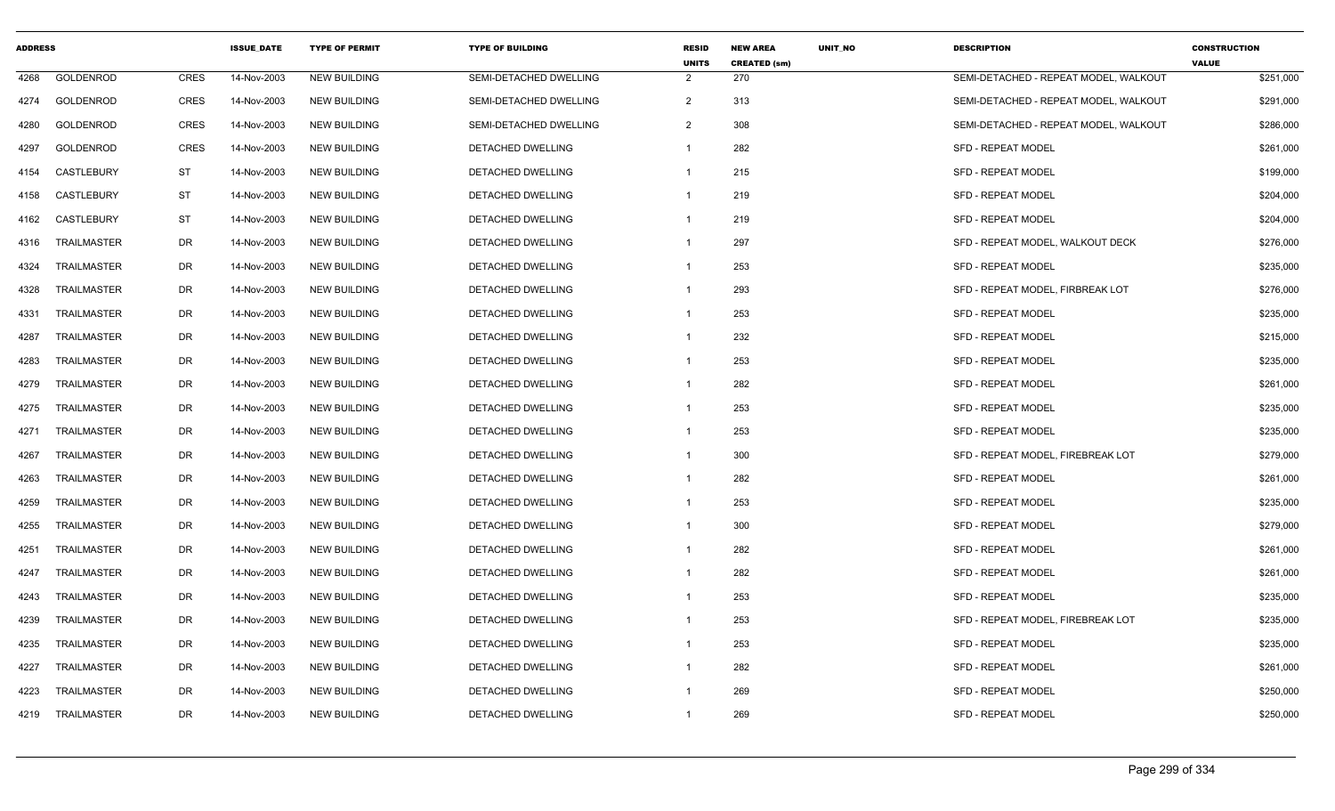| <b>ADDRESS</b> |                    |             | <b>ISSUE DATE</b> | <b>TYPE OF PERMIT</b> | <b>TYPE OF BUILDING</b>       | <b>RESID</b><br><b>UNITS</b> | <b>NEW AREA</b><br><b>CREATED (sm)</b> | <b>UNIT NO</b> | <b>DESCRIPTION</b>                    | <b>CONSTRUCTION</b><br><b>VALUE</b> |
|----------------|--------------------|-------------|-------------------|-----------------------|-------------------------------|------------------------------|----------------------------------------|----------------|---------------------------------------|-------------------------------------|
| 4268           | GOLDENROD          | <b>CRES</b> | 14-Nov-2003       | <b>NEW BUILDING</b>   | SEMI-DETACHED DWELLING        | $\overline{2}$               | 270                                    |                | SEMI-DETACHED - REPEAT MODEL, WALKOUT | \$251,000                           |
| 4274           | <b>GOLDENROD</b>   | <b>CRES</b> | 14-Nov-2003       | <b>NEW BUILDING</b>   | <b>SEMI-DETACHED DWELLING</b> | $\overline{2}$               | 313                                    |                | SEMI-DETACHED - REPEAT MODEL. WALKOUT | \$291,000                           |
| 4280           | GOLDENROD          | <b>CRES</b> | 14-Nov-2003       | <b>NEW BUILDING</b>   | SEMI-DETACHED DWELLING        | $\overline{2}$               | 308                                    |                | SEMI-DETACHED - REPEAT MODEL, WALKOUT | \$286,000                           |
| 4297           | GOLDENROD          | <b>CRES</b> | 14-Nov-2003       | <b>NEW BUILDING</b>   | DETACHED DWELLING             | $\overline{1}$               | 282                                    |                | SFD - REPEAT MODEL                    | \$261,000                           |
| 4154           | <b>CASTLEBURY</b>  | ST          | 14-Nov-2003       | <b>NEW BUILDING</b>   | DETACHED DWELLING             | $\mathbf{1}$                 | 215                                    |                | <b>SFD - REPEAT MODEL</b>             | \$199,000                           |
| 4158           | CASTLEBURY         | <b>ST</b>   | 14-Nov-2003       | <b>NEW BUILDING</b>   | DETACHED DWELLING             | $\overline{1}$               | 219                                    |                | <b>SFD - REPEAT MODEL</b>             | \$204,000                           |
| 4162           | <b>CASTLEBURY</b>  | <b>ST</b>   | 14-Nov-2003       | <b>NEW BUILDING</b>   | DETACHED DWELLING             | $\overline{1}$               | 219                                    |                | <b>SFD - REPEAT MODEL</b>             | \$204,000                           |
| 4316           | <b>TRAILMASTER</b> | <b>DR</b>   | 14-Nov-2003       | <b>NEW BUILDING</b>   | DETACHED DWELLING             | -1                           | 297                                    |                | SFD - REPEAT MODEL, WALKOUT DECK      | \$276,000                           |
| 4324           | <b>TRAILMASTER</b> | <b>DR</b>   | 14-Nov-2003       | <b>NEW BUILDING</b>   | DETACHED DWELLING             |                              | 253                                    |                | <b>SFD - REPEAT MODEL</b>             | \$235,000                           |
| 4328           | <b>TRAILMASTER</b> | DR          | 14-Nov-2003       | <b>NEW BUILDING</b>   | DETACHED DWELLING             | $\overline{1}$               | 293                                    |                | SFD - REPEAT MODEL, FIRBREAK LOT      | \$276,000                           |
| 4331           | <b>TRAILMASTER</b> | <b>DR</b>   | 14-Nov-2003       | <b>NEW BUILDING</b>   | DETACHED DWELLING             | $\overline{1}$               | 253                                    |                | SFD - REPEAT MODEL                    | \$235,000                           |
| 4287           | <b>TRAILMASTER</b> | <b>DR</b>   | 14-Nov-2003       | <b>NEW BUILDING</b>   | DETACHED DWELLING             | -1                           | 232                                    |                | <b>SFD - REPEAT MODEL</b>             | \$215,000                           |
| 4283           | <b>TRAILMASTER</b> | <b>DR</b>   | 14-Nov-2003       | <b>NEW BUILDING</b>   | <b>DETACHED DWELLING</b>      | $\overline{1}$               | 253                                    |                | <b>SFD - REPEAT MODEL</b>             | \$235,000                           |
| 4279           | <b>TRAILMASTER</b> | DR          | 14-Nov-2003       | <b>NEW BUILDING</b>   | DETACHED DWELLING             | $\overline{1}$               | 282                                    |                | <b>SFD - REPEAT MODEL</b>             | \$261,000                           |
| 4275           | TRAILMASTER        | DR          | 14-Nov-2003       | <b>NEW BUILDING</b>   | DETACHED DWELLING             | $\overline{1}$               | 253                                    |                | <b>SFD - REPEAT MODEL</b>             | \$235,000                           |
| 4271           | <b>TRAILMASTER</b> | DR          | 14-Nov-2003       | <b>NEW BUILDING</b>   | DETACHED DWELLING             | -1                           | 253                                    |                | <b>SFD - REPEAT MODEL</b>             | \$235,000                           |
| 4267           | <b>TRAILMASTER</b> | <b>DR</b>   | 14-Nov-2003       | <b>NEW BUILDING</b>   | DETACHED DWELLING             | $\overline{1}$               | 300                                    |                | SFD - REPEAT MODEL, FIREBREAK LOT     | \$279,000                           |
| 4263           | <b>TRAILMASTER</b> | <b>DR</b>   | 14-Nov-2003       | <b>NEW BUILDING</b>   | DETACHED DWELLING             | $\overline{1}$               | 282                                    |                | <b>SFD - REPEAT MODEL</b>             | \$261,000                           |
| 4259           | <b>TRAILMASTER</b> | DR          | 14-Nov-2003       | <b>NEW BUILDING</b>   | DETACHED DWELLING             | -1                           | 253                                    |                | SFD - REPEAT MODEL                    | \$235,000                           |
| 4255           | <b>TRAILMASTER</b> | DR          | 14-Nov-2003       | <b>NEW BUILDING</b>   | DETACHED DWELLING             | $\overline{1}$               | 300                                    |                | <b>SFD - REPEAT MODEL</b>             | \$279,000                           |
| 4251           | <b>TRAILMASTER</b> | <b>DR</b>   | 14-Nov-2003       | <b>NEW BUILDING</b>   | DETACHED DWELLING             | $\overline{1}$               | 282                                    |                | SFD - REPEAT MODEL                    | \$261,000                           |
| 4247           | <b>TRAILMASTER</b> | <b>DR</b>   | 14-Nov-2003       | <b>NEW BUILDING</b>   | DETACHED DWELLING             | $\overline{1}$               | 282                                    |                | SFD - REPEAT MODEL                    | \$261,000                           |
| 4243           | <b>TRAILMASTER</b> | <b>DR</b>   | 14-Nov-2003       | <b>NEW BUILDING</b>   | DETACHED DWELLING             | -1                           | 253                                    |                | <b>SFD - REPEAT MODEL</b>             | \$235,000                           |
| 4239           | <b>TRAILMASTER</b> | <b>DR</b>   | 14-Nov-2003       | <b>NEW BUILDING</b>   | DETACHED DWELLING             | -1                           | 253                                    |                | SFD - REPEAT MODEL, FIREBREAK LOT     | \$235,000                           |
| 4235           | <b>TRAILMASTER</b> | DR          | 14-Nov-2003       | <b>NEW BUILDING</b>   | DETACHED DWELLING             | $\overline{1}$               | 253                                    |                | SFD - REPEAT MODEL                    | \$235,000                           |
| 4227           | <b>TRAILMASTER</b> | DR          | 14-Nov-2003       | <b>NEW BUILDING</b>   | DETACHED DWELLING             | $\overline{1}$               | 282                                    |                | <b>SFD - REPEAT MODEL</b>             | \$261,000                           |
| 4223           | <b>TRAILMASTER</b> | DR          | 14-Nov-2003       | <b>NEW BUILDING</b>   | DETACHED DWELLING             | -1                           | 269                                    |                | <b>SFD - REPEAT MODEL</b>             | \$250,000                           |
| 4219           | TRAILMASTER        | <b>DR</b>   | 14-Nov-2003       | <b>NEW BUILDING</b>   | DETACHED DWELLING             | $\overline{1}$               | 269                                    |                | SFD - REPEAT MODEL                    | \$250,000                           |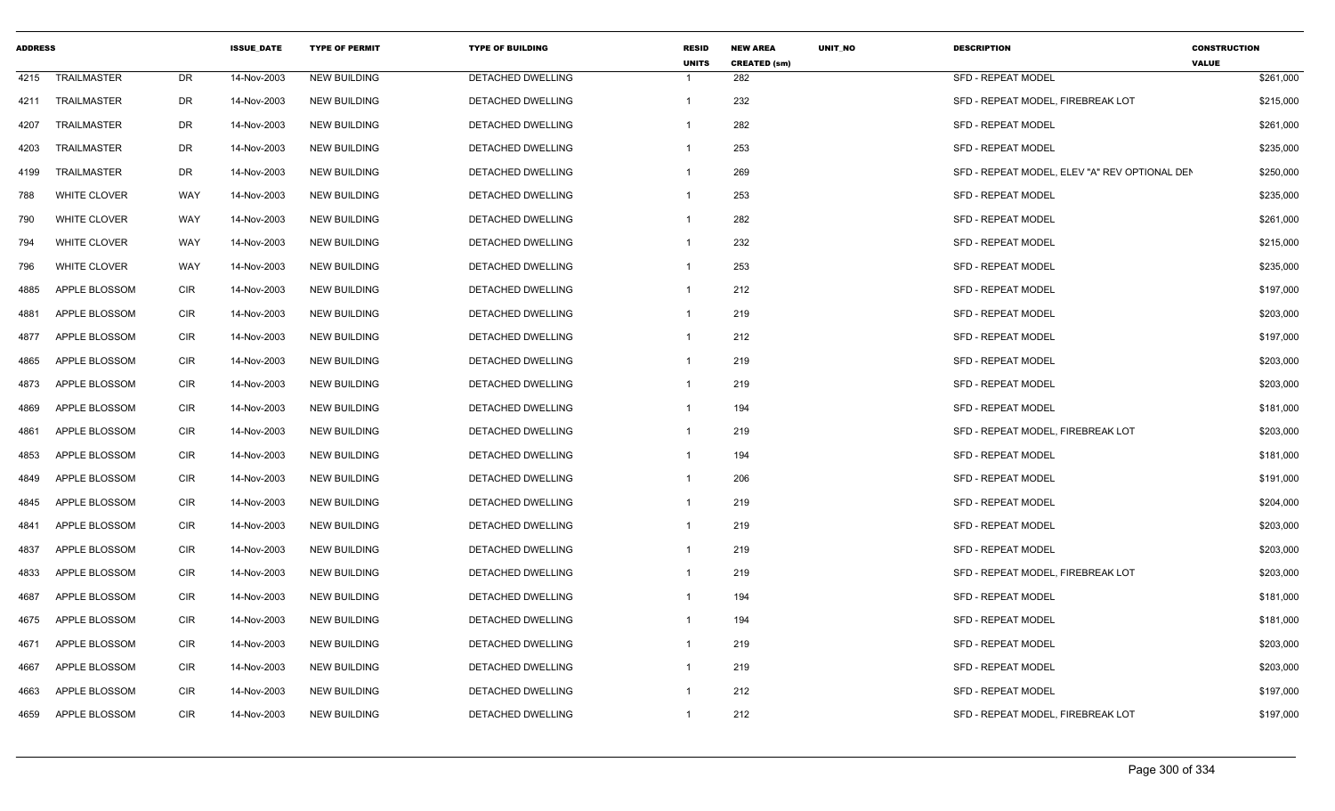| <b>ADDRESS</b> |                     |            | <b>ISSUE DATE</b> | <b>TYPE OF PERMIT</b> | <b>TYPE OF BUILDING</b>  | <b>RESID</b><br><b>UNITS</b> | <b>NEW AREA</b><br><b>CREATED (sm)</b> | UNIT_NO | <b>DESCRIPTION</b>                            | <b>CONSTRUCTION</b><br><b>VALUE</b> |
|----------------|---------------------|------------|-------------------|-----------------------|--------------------------|------------------------------|----------------------------------------|---------|-----------------------------------------------|-------------------------------------|
| 4215           | <b>TRAILMASTER</b>  | DR         | 14-Nov-2003       | <b>NEW BUILDING</b>   | DETACHED DWELLING        | -1                           | 282                                    |         | <b>SFD - REPEAT MODEL</b>                     | \$261,000                           |
| 4211           | TRAILMASTER         | <b>DR</b>  | 14-Nov-2003       | <b>NEW BUILDING</b>   | DETACHED DWELLING        | $\overline{1}$               | 232                                    |         | SFD - REPEAT MODEL, FIREBREAK LOT             | \$215,000                           |
| 4207           | TRAILMASTER         | DR         | 14-Nov-2003       | <b>NEW BUILDING</b>   | DETACHED DWELLING        | -1                           | 282                                    |         | <b>SFD - REPEAT MODEL</b>                     | \$261,000                           |
| 4203           | TRAILMASTER         | DR         | 14-Nov-2003       | <b>NEW BUILDING</b>   | DETACHED DWELLING        | -1                           | 253                                    |         | <b>SFD - REPEAT MODEL</b>                     | \$235,000                           |
| 4199           | <b>TRAILMASTER</b>  | DR         | 14-Nov-2003       | <b>NEW BUILDING</b>   | DETACHED DWELLING        | $\overline{1}$               | 269                                    |         | SFD - REPEAT MODEL, ELEV "A" REV OPTIONAL DEN | \$250,000                           |
| 788            | WHITE CLOVER        | WAY        | 14-Nov-2003       | <b>NEW BUILDING</b>   | DETACHED DWELLING        | $\overline{1}$               | 253                                    |         | SFD - REPEAT MODEL                            | \$235,000                           |
| 790            | WHITE CLOVER        | <b>WAY</b> | 14-Nov-2003       | <b>NEW BUILDING</b>   | DETACHED DWELLING        | -1                           | 282                                    |         | SFD - REPEAT MODEL                            | \$261,000                           |
| 794            | <b>WHITE CLOVER</b> | WAY        | 14-Nov-2003       | <b>NEW BUILDING</b>   | DETACHED DWELLING        | -1                           | 232                                    |         | SFD - REPEAT MODEL                            | \$215,000                           |
| 796            | <b>WHITE CLOVER</b> | <b>WAY</b> | 14-Nov-2003       | <b>NEW BUILDING</b>   | <b>DETACHED DWELLING</b> | $\overline{1}$               | 253                                    |         | <b>SFD - REPEAT MODEL</b>                     | \$235,000                           |
| 4885           | APPLE BLOSSOM       | <b>CIR</b> | 14-Nov-2003       | <b>NEW BUILDING</b>   | DETACHED DWELLING        | $\overline{1}$               | 212                                    |         | <b>SFD - REPEAT MODEL</b>                     | \$197,000                           |
| 4881           | APPLE BLOSSOM       | CIR        | 14-Nov-2003       | NEW BUILDING          | DETACHED DWELLING        | $\mathbf{1}$                 | 219                                    |         | <b>SFD - REPEAT MODEL</b>                     | \$203,000                           |
| 4877           | APPLE BLOSSOM       | CIR        | 14-Nov-2003       | <b>NEW BUILDING</b>   | DETACHED DWELLING        | $\overline{1}$               | 212                                    |         | <b>SFD - REPEAT MODEL</b>                     | \$197,000                           |
| 4865           | APPLE BLOSSOM       | <b>CIR</b> | 14-Nov-2003       | <b>NEW BUILDING</b>   | DETACHED DWELLING        | $\overline{1}$               | 219                                    |         | <b>SFD - REPEAT MODEL</b>                     | \$203,000                           |
| 4873           | APPLE BLOSSOM       | <b>CIR</b> | 14-Nov-2003       | <b>NEW BUILDING</b>   | DETACHED DWELLING        | -1                           | 219                                    |         | <b>SFD - REPEAT MODEL</b>                     | \$203,000                           |
| 4869           | APPLE BLOSSOM       | CIR        | 14-Nov-2003       | <b>NEW BUILDING</b>   | DETACHED DWELLING        | -1                           | 194                                    |         | <b>SFD - REPEAT MODEL</b>                     | \$181,000                           |
| 4861           | APPLE BLOSSOM       | CIR        | 14-Nov-2003       | <b>NEW BUILDING</b>   | DETACHED DWELLING        | $\mathbf{1}$                 | 219                                    |         | SFD - REPEAT MODEL. FIREBREAK LOT             | \$203,000                           |
| 4853           | APPLE BLOSSOM       | <b>CIR</b> | 14-Nov-2003       | <b>NEW BUILDING</b>   | DETACHED DWELLING        | $\overline{1}$               | 194                                    |         | SFD - REPEAT MODEL                            | \$181,000                           |
| 4849           | APPLE BLOSSOM       | <b>CIR</b> | 14-Nov-2003       | <b>NEW BUILDING</b>   | DETACHED DWELLING        | -1                           | 206                                    |         | <b>SFD - REPEAT MODEL</b>                     | \$191,000                           |
| 4845           | APPLE BLOSSOM       | CIR        | 14-Nov-2003       | <b>NEW BUILDING</b>   | <b>DETACHED DWELLING</b> | $\overline{1}$               | 219                                    |         | <b>SFD - REPEAT MODEL</b>                     | \$204,000                           |
| 4841           | APPLE BLOSSOM       | <b>CIR</b> | 14-Nov-2003       | <b>NEW BUILDING</b>   | DETACHED DWELLING        | $\overline{1}$               | 219                                    |         | <b>SFD - REPEAT MODEL</b>                     | \$203,000                           |
| 4837           | APPLE BLOSSOM       | <b>CIR</b> | 14-Nov-2003       | <b>NEW BUILDING</b>   | DETACHED DWELLING        | $\overline{1}$               | 219                                    |         | SFD - REPEAT MODEL                            | \$203,000                           |
| 4833           | APPLE BLOSSOM       | <b>CIR</b> | 14-Nov-2003       | <b>NEW BUILDING</b>   | DETACHED DWELLING        | $\overline{1}$               | 219                                    |         | SFD - REPEAT MODEL, FIREBREAK LOT             | \$203,000                           |
| 4687           | APPLE BLOSSOM       | CIR        | 14-Nov-2003       | <b>NEW BUILDING</b>   | DETACHED DWELLING        | $\overline{1}$               | 194                                    |         | <b>SFD - REPEAT MODEL</b>                     | \$181,000                           |
| 4675           | APPLE BLOSSOM       | <b>CIR</b> | 14-Nov-2003       | <b>NEW BUILDING</b>   | DETACHED DWELLING        | $\overline{1}$               | 194                                    |         | SFD - REPEAT MODEL                            | \$181,000                           |
| 4671           | APPLE BLOSSOM       | <b>CIR</b> | 14-Nov-2003       | <b>NEW BUILDING</b>   | DETACHED DWELLING        | -1                           | 219                                    |         | SFD - REPEAT MODEL                            | \$203,000                           |
| 4667           | APPLE BLOSSOM       | CIR        | 14-Nov-2003       | <b>NEW BUILDING</b>   | DETACHED DWELLING        | -1                           | 219                                    |         | <b>SFD - REPEAT MODEL</b>                     | \$203,000                           |
| 4663           | APPLE BLOSSOM       | <b>CIR</b> | 14-Nov-2003       | <b>NEW BUILDING</b>   | DETACHED DWELLING        | $\overline{1}$               | 212                                    |         | <b>SFD - REPEAT MODEL</b>                     | \$197,000                           |
| 4659           | APPLE BLOSSOM       | <b>CIR</b> | 14-Nov-2003       | <b>NEW BUILDING</b>   | DETACHED DWELLING        | $\overline{1}$               | 212                                    |         | SFD - REPEAT MODEL, FIREBREAK LOT             | \$197,000                           |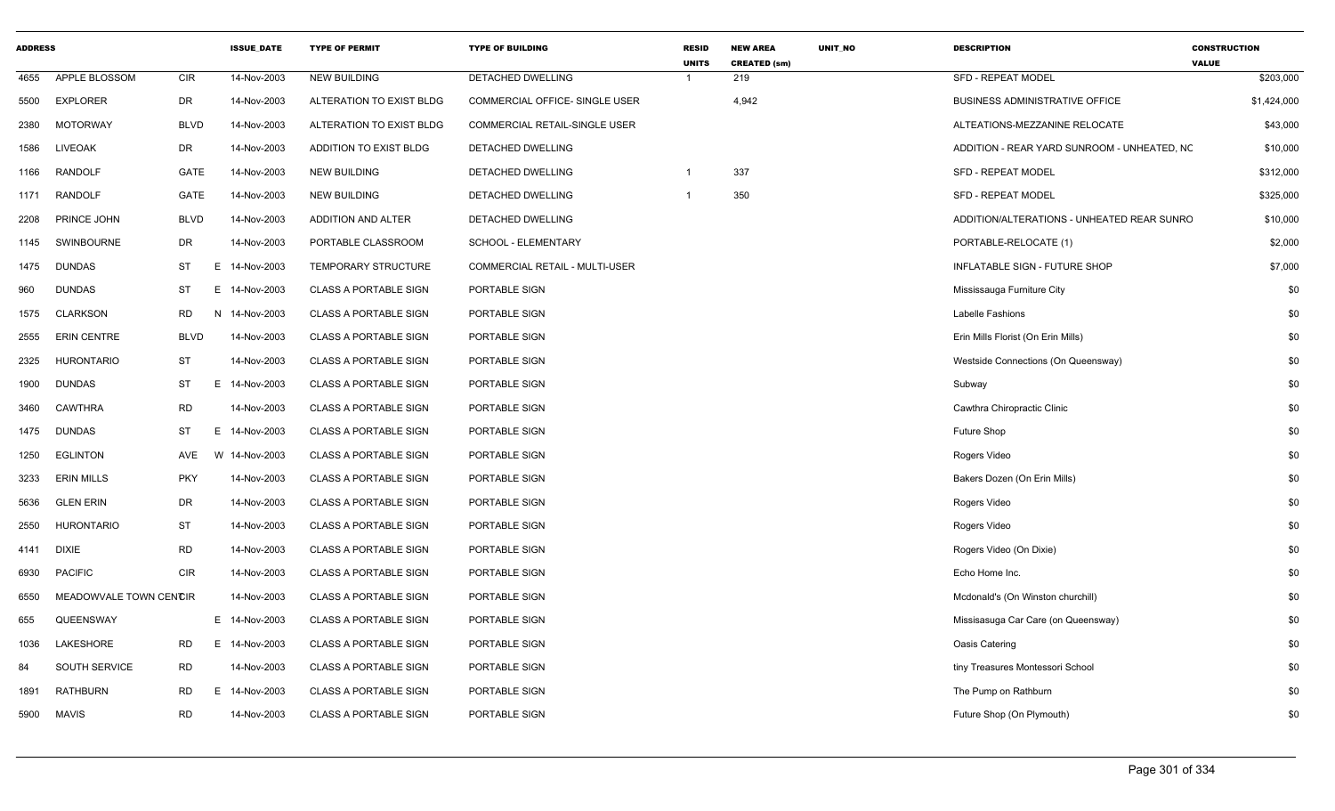| <b>ADDRESS</b> |                        |                 | <b>ISSUE DATE</b> | <b>TYPE OF PERMIT</b>        | <b>TYPE OF BUILDING</b>              | <b>RESID</b><br><b>UNITS</b> | <b>NEW AREA</b><br><b>CREATED (sm)</b> | <b>UNIT NO</b> | <b>DESCRIPTION</b>                          | <b>CONSTRUCTION</b><br><b>VALUE</b> |
|----------------|------------------------|-----------------|-------------------|------------------------------|--------------------------------------|------------------------------|----------------------------------------|----------------|---------------------------------------------|-------------------------------------|
| 4655           | APPLE BLOSSOM          | <b>CIR</b>      | 14-Nov-2003       | <b>NEW BUILDING</b>          | <b>DETACHED DWELLING</b>             |                              | 219                                    |                | <b>SFD - REPEAT MODEL</b>                   | \$203,000                           |
| 5500           | <b>EXPLORER</b>        | DR              | 14-Nov-2003       | ALTERATION TO EXIST BLDG     | COMMERCIAL OFFICE- SINGLE USER       |                              | 4,942                                  |                | BUSINESS ADMINISTRATIVE OFFICE              | \$1,424,000                         |
| 2380           | <b>MOTORWAY</b>        | <b>BLVD</b>     | 14-Nov-2003       | ALTERATION TO EXIST BLDG     | <b>COMMERCIAL RETAIL-SINGLE USER</b> |                              |                                        |                | ALTEATIONS-MEZZANINE RELOCATE               | \$43,000                            |
| 1586           | <b>LIVEOAK</b>         | DR              | 14-Nov-2003       | ADDITION TO EXIST BLDG       | DETACHED DWELLING                    |                              |                                        |                | ADDITION - REAR YARD SUNROOM - UNHEATED, NC | \$10,000                            |
| 1166           | <b>RANDOLF</b>         | GATE            | 14-Nov-2003       | <b>NEW BUILDING</b>          | DETACHED DWELLING                    | $\overline{1}$               | 337                                    |                | SFD - REPEAT MODEL                          | \$312,000                           |
| 1171           | <b>RANDOLF</b>         | GATE            | 14-Nov-2003       | <b>NEW BUILDING</b>          | DETACHED DWELLING                    |                              | 350                                    |                | <b>SFD - REPEAT MODEL</b>                   | \$325,000                           |
| 2208           | PRINCE JOHN            | <b>BLVD</b>     | 14-Nov-2003       | ADDITION AND ALTER           | DETACHED DWELLING                    |                              |                                        |                | ADDITION/ALTERATIONS - UNHEATED REAR SUNRO  | \$10,000                            |
| 1145           | SWINBOURNE             | DR              | 14-Nov-2003       | PORTABLE CLASSROOM           | SCHOOL - ELEMENTARY                  |                              |                                        |                | PORTABLE-RELOCATE (1)                       | \$2,000                             |
| 1475           | <b>DUNDAS</b>          | ST              | E 14-Nov-2003     | TEMPORARY STRUCTURE          | COMMERCIAL RETAIL - MULTI-USER       |                              |                                        |                | INFLATABLE SIGN - FUTURE SHOP               | \$7,000                             |
| 960            | <b>DUNDAS</b>          | ST              | E 14-Nov-2003     | <b>CLASS A PORTABLE SIGN</b> | PORTABLE SIGN                        |                              |                                        |                | Mississauga Furniture City                  | \$0                                 |
| 1575           | <b>CLARKSON</b>        | <b>RD</b>       | N 14-Nov-2003     | <b>CLASS A PORTABLE SIGN</b> | PORTABLE SIGN                        |                              |                                        |                | Labelle Fashions                            | \$0                                 |
| 2555           | <b>ERIN CENTRE</b>     | <b>BLVD</b>     | 14-Nov-2003       | <b>CLASS A PORTABLE SIGN</b> | PORTABLE SIGN                        |                              |                                        |                | Erin Mills Florist (On Erin Mills)          | \$0                                 |
| 2325           | <b>HURONTARIO</b>      | ST              | 14-Nov-2003       | <b>CLASS A PORTABLE SIGN</b> | PORTABLE SIGN                        |                              |                                        |                | Westside Connections (On Queensway)         | \$0                                 |
| 1900           | <b>DUNDAS</b>          | <b>ST</b><br>Е. | 14-Nov-2003       | <b>CLASS A PORTABLE SIGN</b> | PORTABLE SIGN                        |                              |                                        |                | Subway                                      | \$0                                 |
| 3460           | <b>CAWTHRA</b>         | <b>RD</b>       | 14-Nov-2003       | <b>CLASS A PORTABLE SIGN</b> | PORTABLE SIGN                        |                              |                                        |                | Cawthra Chiropractic Clinic                 | \$0                                 |
| 1475           | <b>DUNDAS</b>          | <b>ST</b><br>E. | 14-Nov-2003       | <b>CLASS A PORTABLE SIGN</b> | PORTABLE SIGN                        |                              |                                        |                | Future Shop                                 | \$0                                 |
| 1250           | <b>EGLINTON</b>        | AVE             | W 14-Nov-2003     | <b>CLASS A PORTABLE SIGN</b> | PORTABLE SIGN                        |                              |                                        |                | Rogers Video                                | \$0                                 |
| 3233           | <b>ERIN MILLS</b>      | <b>PKY</b>      | 14-Nov-2003       | <b>CLASS A PORTABLE SIGN</b> | PORTABLE SIGN                        |                              |                                        |                | Bakers Dozen (On Erin Mills)                | \$0                                 |
| 5636           | <b>GLEN ERIN</b>       | DR              | 14-Nov-2003       | <b>CLASS A PORTABLE SIGN</b> | PORTABLE SIGN                        |                              |                                        |                | Rogers Video                                | \$0                                 |
| 2550           | <b>HURONTARIO</b>      | ST              | 14-Nov-2003       | <b>CLASS A PORTABLE SIGN</b> | PORTABLE SIGN                        |                              |                                        |                | Rogers Video                                | \$0                                 |
| 4141           | <b>DIXIE</b>           | <b>RD</b>       | 14-Nov-2003       | <b>CLASS A PORTABLE SIGN</b> | PORTABLE SIGN                        |                              |                                        |                | Rogers Video (On Dixie)                     | \$0                                 |
| 6930           | <b>PACIFIC</b>         | <b>CIR</b>      | 14-Nov-2003       | <b>CLASS A PORTABLE SIGN</b> | PORTABLE SIGN                        |                              |                                        |                | Echo Home Inc.                              | \$0                                 |
| 6550           | MEADOWVALE TOWN CENCIR |                 | 14-Nov-2003       | <b>CLASS A PORTABLE SIGN</b> | PORTABLE SIGN                        |                              |                                        |                | Mcdonald's (On Winston churchill)           | \$0                                 |
| 655            | QUEENSWAY              |                 | E 14-Nov-2003     | <b>CLASS A PORTABLE SIGN</b> | PORTABLE SIGN                        |                              |                                        |                | Missisasuga Car Care (on Queensway)         | \$0                                 |
| 1036           | LAKESHORE              | <b>RD</b>       | E 14-Nov-2003     | <b>CLASS A PORTABLE SIGN</b> | PORTABLE SIGN                        |                              |                                        |                | Oasis Catering                              | \$0                                 |
| 84             | SOUTH SERVICE          | RD              | 14-Nov-2003       | <b>CLASS A PORTABLE SIGN</b> | PORTABLE SIGN                        |                              |                                        |                | tiny Treasures Montessori School            | \$0                                 |
| 1891           | <b>RATHBURN</b>        | RD<br>E.        | 14-Nov-2003       | <b>CLASS A PORTABLE SIGN</b> | PORTABLE SIGN                        |                              |                                        |                | The Pump on Rathburn                        | \$0                                 |
| 5900           | <b>MAVIS</b>           | <b>RD</b>       | 14-Nov-2003       | <b>CLASS A PORTABLE SIGN</b> | PORTABLE SIGN                        |                              |                                        |                | Future Shop (On Plymouth)                   | \$0                                 |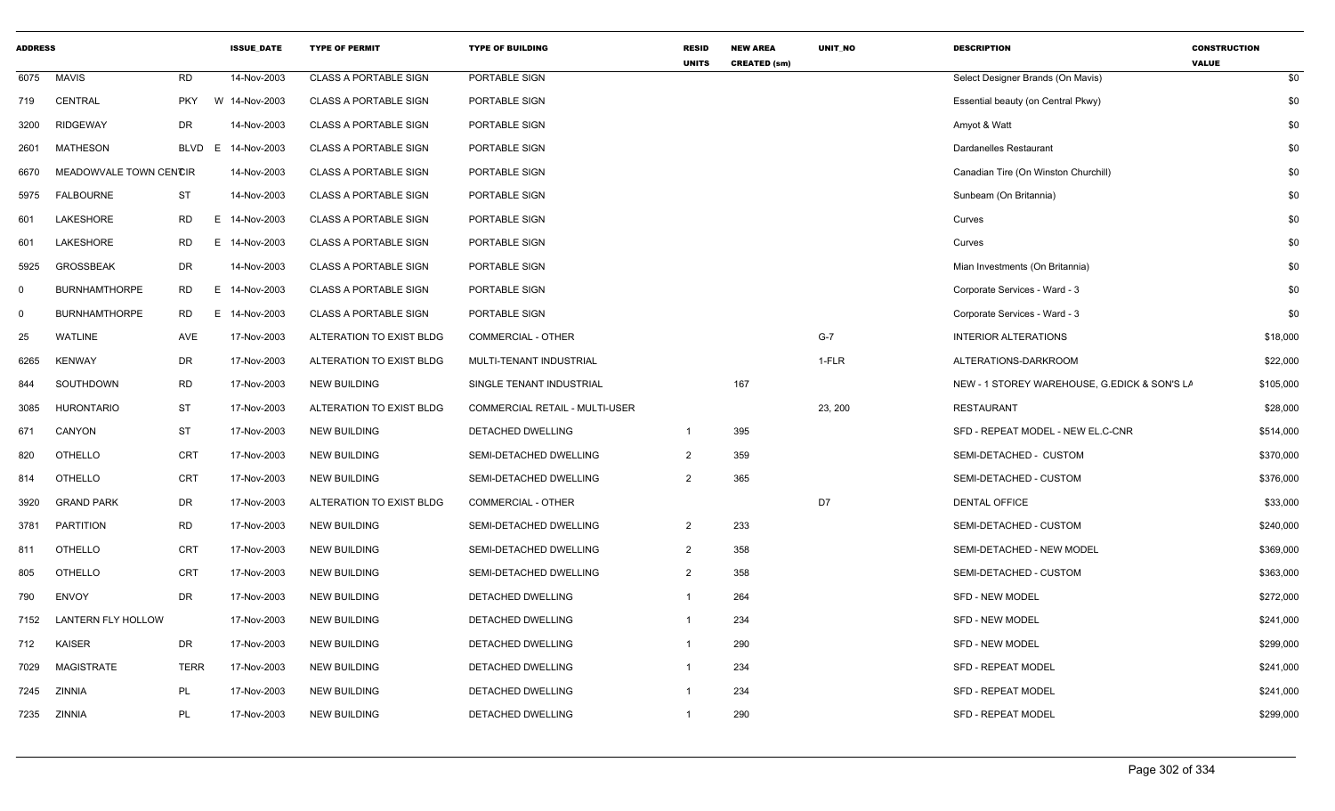| <b>ADDRESS</b> |                           |             | <b>ISSUE_DATE</b> | <b>TYPE OF PERMIT</b>        | <b>TYPE OF BUILDING</b>        | <b>RESID</b><br><b>UNITS</b> | <b>NEW AREA</b><br><b>CREATED (sm)</b> | UNIT_NO | <b>DESCRIPTION</b>                           | <b>CONSTRUCTION</b><br><b>VALUE</b> |
|----------------|---------------------------|-------------|-------------------|------------------------------|--------------------------------|------------------------------|----------------------------------------|---------|----------------------------------------------|-------------------------------------|
| 6075           | <b>MAVIS</b>              | <b>RD</b>   | 14-Nov-2003       | <b>CLASS A PORTABLE SIGN</b> | PORTABLE SIGN                  |                              |                                        |         | Select Designer Brands (On Mavis)            | \$0                                 |
| 719            | CENTRAL                   | <b>PKY</b>  | W 14-Nov-2003     | <b>CLASS A PORTABLE SIGN</b> | PORTABLE SIGN                  |                              |                                        |         | Essential beauty (on Central Pkwy)           | \$0                                 |
| 3200           | <b>RIDGEWAY</b>           | <b>DR</b>   | 14-Nov-2003       | <b>CLASS A PORTABLE SIGN</b> | PORTABLE SIGN                  |                              |                                        |         | Amyot & Watt                                 | \$0                                 |
| 2601           | MATHESON                  | BLVD        | E 14-Nov-2003     | <b>CLASS A PORTABLE SIGN</b> | PORTABLE SIGN                  |                              |                                        |         | <b>Dardanelles Restaurant</b>                | \$0                                 |
| 6670           | MEADOWVALE TOWN CENCIR    |             | 14-Nov-2003       | <b>CLASS A PORTABLE SIGN</b> | PORTABLE SIGN                  |                              |                                        |         | Canadian Tire (On Winston Churchill)         | \$0                                 |
| 5975           | <b>FALBOURNE</b>          | ST          | 14-Nov-2003       | CLASS A PORTABLE SIGN        | PORTABLE SIGN                  |                              |                                        |         | Sunbeam (On Britannia)                       | \$0                                 |
| 601            | LAKESHORE                 | <b>RD</b>   | E 14-Nov-2003     | <b>CLASS A PORTABLE SIGN</b> | PORTABLE SIGN                  |                              |                                        |         | Curves                                       | \$0                                 |
| 601            | LAKESHORE                 | <b>RD</b>   | E 14-Nov-2003     | <b>CLASS A PORTABLE SIGN</b> | PORTABLE SIGN                  |                              |                                        |         | Curves                                       | \$0                                 |
| 5925           | <b>GROSSBEAK</b>          | DR          | 14-Nov-2003       | <b>CLASS A PORTABLE SIGN</b> | PORTABLE SIGN                  |                              |                                        |         | Mian Investments (On Britannia)              | \$0                                 |
| $\Omega$       | <b>BURNHAMTHORPE</b>      | RD<br>E     | 14-Nov-2003       | <b>CLASS A PORTABLE SIGN</b> | PORTABLE SIGN                  |                              |                                        |         | Corporate Services - Ward - 3                | \$0                                 |
| $\mathbf 0$    | <b>BURNHAMTHORPE</b>      | RD<br>Е     | 14-Nov-2003       | <b>CLASS A PORTABLE SIGN</b> | PORTABLE SIGN                  |                              |                                        |         | Corporate Services - Ward - 3                | \$0                                 |
| 25             | <b>WATLINE</b>            | AVE         | 17-Nov-2003       | ALTERATION TO EXIST BLDG     | <b>COMMERCIAL - OTHER</b>      |                              |                                        | $G-7$   | <b>INTERIOR ALTERATIONS</b>                  | \$18,000                            |
| 6265           | <b>KENWAY</b>             | DR          | 17-Nov-2003       | ALTERATION TO EXIST BLDG     | MULTI-TENANT INDUSTRIAL        |                              |                                        | 1-FLR   | ALTERATIONS-DARKROOM                         | \$22,000                            |
| 844            | SOUTHDOWN                 | <b>RD</b>   | 17-Nov-2003       | <b>NEW BUILDING</b>          | SINGLE TENANT INDUSTRIAL       |                              | 167                                    |         | NEW - 1 STOREY WAREHOUSE, G.EDICK & SON'S LA | \$105,000                           |
| 3085           | <b>HURONTARIO</b>         | ST          | 17-Nov-2003       | ALTERATION TO EXIST BLDG     | COMMERCIAL RETAIL - MULTI-USER |                              |                                        | 23, 200 | <b>RESTAURANT</b>                            | \$28,000                            |
| 671            | CANYON                    | ST          | 17-Nov-2003       | <b>NEW BUILDING</b>          | DETACHED DWELLING              | $\overline{1}$               | 395                                    |         | SFD - REPEAT MODEL - NEW EL.C-CNR            | \$514,000                           |
| 820            | <b>OTHELLO</b>            | <b>CRT</b>  | 17-Nov-2003       | <b>NEW BUILDING</b>          | SEMI-DETACHED DWELLING         | $\overline{2}$               | 359                                    |         | SEMI-DETACHED - CUSTOM                       | \$370,000                           |
| 814            | <b>OTHELLO</b>            | <b>CRT</b>  | 17-Nov-2003       | <b>NEW BUILDING</b>          | SEMI-DETACHED DWELLING         | $\overline{2}$               | 365                                    |         | SEMI-DETACHED - CUSTOM                       | \$376,000                           |
| 3920           | <b>GRAND PARK</b>         | DR          | 17-Nov-2003       | ALTERATION TO EXIST BLDG     | <b>COMMERCIAL - OTHER</b>      |                              |                                        | D7      | <b>DENTAL OFFICE</b>                         | \$33,000                            |
| 3781           | <b>PARTITION</b>          | <b>RD</b>   | 17-Nov-2003       | <b>NEW BUILDING</b>          | SEMI-DETACHED DWELLING         | $\overline{2}$               | 233                                    |         | SEMI-DETACHED - CUSTOM                       | \$240,000                           |
| 811            | <b>OTHELLO</b>            | <b>CRT</b>  | 17-Nov-2003       | <b>NEW BUILDING</b>          | SEMI-DETACHED DWELLING         | $\overline{2}$               | 358                                    |         | SEMI-DETACHED - NEW MODEL                    | \$369,000                           |
| 805            | <b>OTHELLO</b>            | <b>CRT</b>  | 17-Nov-2003       | <b>NEW BUILDING</b>          | SEMI-DETACHED DWELLING         | $\overline{2}$               | 358                                    |         | SEMI-DETACHED - CUSTOM                       | \$363,000                           |
| 790            | <b>ENVOY</b>              | <b>DR</b>   | 17-Nov-2003       | <b>NEW BUILDING</b>          | DETACHED DWELLING              |                              | 264                                    |         | <b>SFD - NEW MODEL</b>                       | \$272,000                           |
| 7152           | <b>LANTERN FLY HOLLOW</b> |             | 17-Nov-2003       | <b>NEW BUILDING</b>          | DETACHED DWELLING              |                              | 234                                    |         | <b>SFD - NEW MODEL</b>                       | \$241,000                           |
| 712            | <b>KAISER</b>             | <b>DR</b>   | 17-Nov-2003       | <b>NEW BUILDING</b>          | DETACHED DWELLING              |                              | 290                                    |         | <b>SFD - NEW MODEL</b>                       | \$299,000                           |
| 7029           | <b>MAGISTRATE</b>         | <b>TERR</b> | 17-Nov-2003       | <b>NEW BUILDING</b>          | DETACHED DWELLING              |                              | 234                                    |         | <b>SFD - REPEAT MODEL</b>                    | \$241,000                           |
| 7245           | <b>ZINNIA</b>             | PL          | 17-Nov-2003       | <b>NEW BUILDING</b>          | DETACHED DWELLING              |                              | 234                                    |         | <b>SFD - REPEAT MODEL</b>                    | \$241,000                           |
|                | 7235 ZINNIA               | PL          | 17-Nov-2003       | <b>NEW BUILDING</b>          | DETACHED DWELLING              |                              | 290                                    |         | <b>SFD - REPEAT MODEL</b>                    | \$299,000                           |
|                |                           |             |                   |                              |                                |                              |                                        |         |                                              |                                     |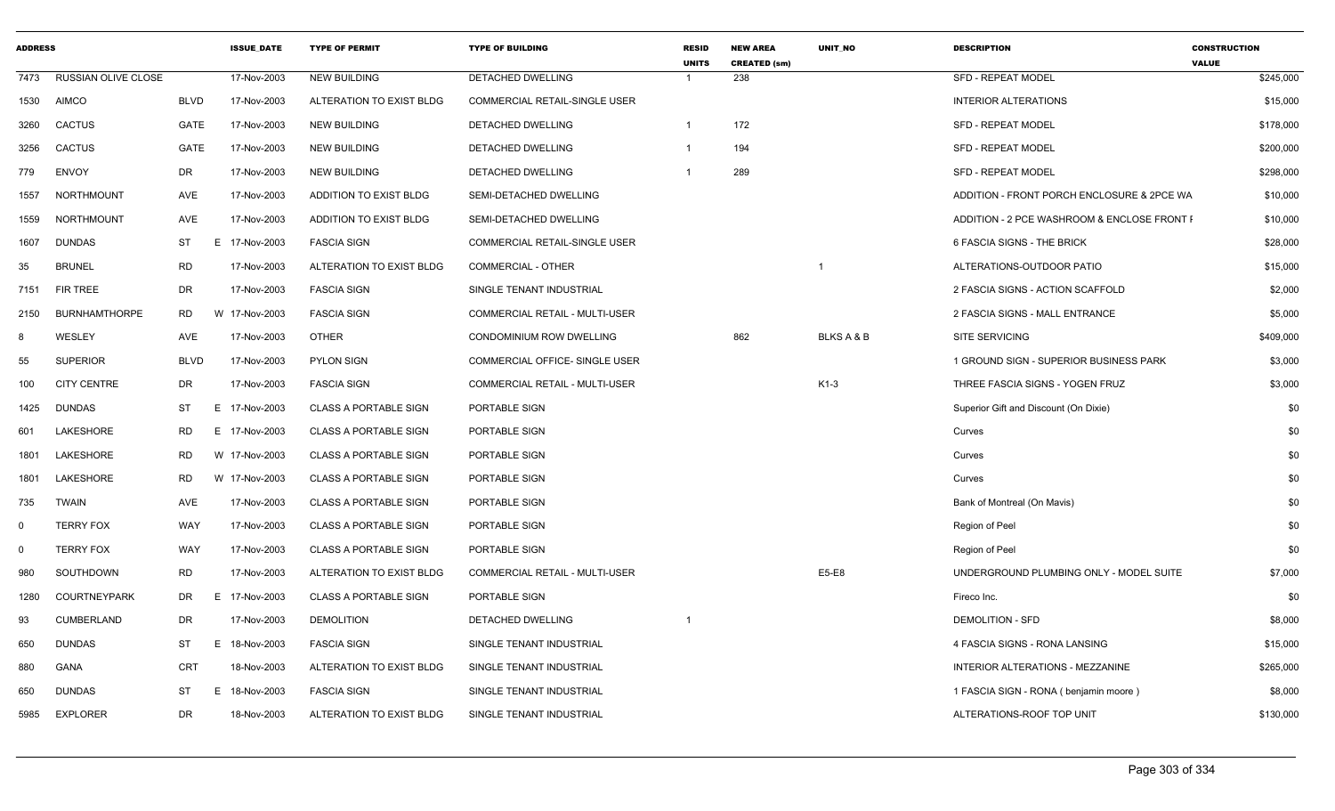| <b>ADDRESS</b> |                            |             | <b>ISSUE DATE</b> | <b>TYPE OF PERMIT</b>         | <b>TYPE OF BUILDING</b>              | <b>RESID</b><br><b>UNITS</b> | <b>NEW AREA</b><br><b>CREATED (sm)</b> | <b>UNIT NO</b>        | <b>DESCRIPTION</b>                          | <b>CONSTRUCTION</b><br><b>VALUE</b> |
|----------------|----------------------------|-------------|-------------------|-------------------------------|--------------------------------------|------------------------------|----------------------------------------|-----------------------|---------------------------------------------|-------------------------------------|
| 7473           | <b>RUSSIAN OLIVE CLOSE</b> |             | 17-Nov-2003       | <b>NEW BUILDING</b>           | <b>DETACHED DWELLING</b>             | $\overline{\mathbf{1}}$      | 238                                    |                       | <b>SFD - REPEAT MODEL</b>                   | \$245,000                           |
| 1530           | <b>AIMCO</b>               | <b>BLVD</b> | 17-Nov-2003       | ALTERATION TO EXIST BLDG      | <b>COMMERCIAL RETAIL-SINGLE USER</b> |                              |                                        |                       | <b>INTERIOR ALTERATIONS</b>                 | \$15,000                            |
| 3260           | <b>CACTUS</b>              | GATE        | 17-Nov-2003       | <b>NEW BUILDING</b>           | DETACHED DWELLING                    | $\overline{1}$               | 172                                    |                       | SFD - REPEAT MODEL                          | \$178,000                           |
| 3256           | <b>CACTUS</b>              | <b>GATE</b> | 17-Nov-2003       | <b>NEW BUILDING</b>           | DETACHED DWELLING                    | $\overline{1}$               | 194                                    |                       | <b>SFD - REPEAT MODEL</b>                   | \$200,000                           |
| 779            | <b>ENVOY</b>               | DR          | 17-Nov-2003       | <b>NEW BUILDING</b>           | DETACHED DWELLING                    | -1                           | 289                                    |                       | <b>SFD - REPEAT MODEL</b>                   | \$298,000                           |
| 1557           | <b>NORTHMOUNT</b>          | <b>AVE</b>  | 17-Nov-2003       | ADDITION TO EXIST BLDG        | SEMI-DETACHED DWELLING               |                              |                                        |                       | ADDITION - FRONT PORCH ENCLOSURE & 2PCE WA  | \$10,000                            |
| 1559           | <b>NORTHMOUNT</b>          | AVE         | 17-Nov-2003       | <b>ADDITION TO EXIST BLDG</b> | SEMI-DETACHED DWELLING               |                              |                                        |                       | ADDITION - 2 PCE WASHROOM & ENCLOSE FRONT I | \$10,000                            |
| 1607           | <b>DUNDAS</b>              | ST          | Е.<br>17-Nov-2003 | <b>FASCIA SIGN</b>            | <b>COMMERCIAL RETAIL-SINGLE USER</b> |                              |                                        |                       | 6 FASCIA SIGNS - THE BRICK                  | \$28,000                            |
| 35             | <b>BRUNEL</b>              | <b>RD</b>   | 17-Nov-2003       | ALTERATION TO EXIST BLDG      | COMMERCIAL - OTHER                   |                              |                                        | $\mathbf{1}$          | ALTERATIONS-OUTDOOR PATIO                   | \$15,000                            |
| 7151           | <b>FIR TREE</b>            | DR          | 17-Nov-2003       | <b>FASCIA SIGN</b>            | SINGLE TENANT INDUSTRIAL             |                              |                                        |                       | 2 FASCIA SIGNS - ACTION SCAFFOLD            | \$2,000                             |
| 2150           | <b>BURNHAMTHORPE</b>       | <b>RD</b>   | W 17-Nov-2003     | <b>FASCIA SIGN</b>            | COMMERCIAL RETAIL - MULTI-USER       |                              |                                        |                       | 2 FASCIA SIGNS - MALL ENTRANCE              | \$5,000                             |
| 8              | WESLEY                     | AVE         | 17-Nov-2003       | <b>OTHER</b>                  | CONDOMINIUM ROW DWELLING             |                              | 862                                    | <b>BLKS A &amp; B</b> | <b>SITE SERVICING</b>                       | \$409,000                           |
| 55             | <b>SUPERIOR</b>            | <b>BLVD</b> | 17-Nov-2003       | PYLON SIGN                    | COMMERCIAL OFFICE- SINGLE USER       |                              |                                        |                       | 1 GROUND SIGN - SUPERIOR BUSINESS PARK      | \$3,000                             |
| 100            | <b>CITY CENTRE</b>         | DR          | 17-Nov-2003       | <b>FASCIA SIGN</b>            | COMMERCIAL RETAIL - MULTI-USER       |                              |                                        | $K1-3$                | THREE FASCIA SIGNS - YOGEN FRUZ             | \$3,000                             |
| 1425           | <b>DUNDAS</b>              | ST          | E 17-Nov-2003     | <b>CLASS A PORTABLE SIGN</b>  | PORTABLE SIGN                        |                              |                                        |                       | Superior Gift and Discount (On Dixie)       | \$0                                 |
| 601            | LAKESHORE                  | <b>RD</b>   | E 17-Nov-2003     | <b>CLASS A PORTABLE SIGN</b>  | PORTABLE SIGN                        |                              |                                        |                       | Curves                                      | \$0                                 |
| 1801           | LAKESHORE                  | RD.         | W 17-Nov-2003     | <b>CLASS A PORTABLE SIGN</b>  | PORTABLE SIGN                        |                              |                                        |                       | Curves                                      | \$0                                 |
| 1801           | LAKESHORE                  | <b>RD</b>   | W 17-Nov-2003     | <b>CLASS A PORTABLE SIGN</b>  | PORTABLE SIGN                        |                              |                                        |                       | Curves                                      | \$0                                 |
| 735            | <b>TWAIN</b>               | AVE         | 17-Nov-2003       | <b>CLASS A PORTABLE SIGN</b>  | PORTABLE SIGN                        |                              |                                        |                       | Bank of Montreal (On Mavis)                 | \$0                                 |
| 0              | <b>TERRY FOX</b>           | WAY         | 17-Nov-2003       | <b>CLASS A PORTABLE SIGN</b>  | PORTABLE SIGN                        |                              |                                        |                       | Region of Peel                              | \$0                                 |
| $\mathbf 0$    | <b>TERRY FOX</b>           | <b>WAY</b>  | 17-Nov-2003       | <b>CLASS A PORTABLE SIGN</b>  | PORTABLE SIGN                        |                              |                                        |                       | Region of Peel                              | \$0                                 |
| 980            | SOUTHDOWN                  | <b>RD</b>   | 17-Nov-2003       | ALTERATION TO EXIST BLDG      | COMMERCIAL RETAIL - MULTI-USER       |                              |                                        | E5-E8                 | UNDERGROUND PLUMBING ONLY - MODEL SUITE     | \$7,000                             |
| 1280           | <b>COURTNEYPARK</b>        | DR.         | E.<br>17-Nov-2003 | <b>CLASS A PORTABLE SIGN</b>  | PORTABLE SIGN                        |                              |                                        |                       | Fireco Inc.                                 | \$0                                 |
| 93             | CUMBERLAND                 | DR          | 17-Nov-2003       | <b>DEMOLITION</b>             | DETACHED DWELLING                    | $\overline{\mathbf{1}}$      |                                        |                       | <b>DEMOLITION - SFD</b>                     | \$8,000                             |
| 650            | <b>DUNDAS</b>              | ST          | E.<br>18-Nov-2003 | <b>FASCIA SIGN</b>            | SINGLE TENANT INDUSTRIAL             |                              |                                        |                       | 4 FASCIA SIGNS - RONA LANSING               | \$15,000                            |
| 880            | <b>GANA</b>                | <b>CRT</b>  | 18-Nov-2003       | ALTERATION TO EXIST BLDG      | SINGLE TENANT INDUSTRIAL             |                              |                                        |                       | INTERIOR ALTERATIONS - MEZZANINE            | \$265,000                           |
| 650            | <b>DUNDAS</b>              | <b>ST</b>   | 18-Nov-2003<br>Е. | <b>FASCIA SIGN</b>            | SINGLE TENANT INDUSTRIAL             |                              |                                        |                       | 1 FASCIA SIGN - RONA (benjamin moore)       | \$8,000                             |
| 5985           | <b>EXPLORER</b>            | DR          | 18-Nov-2003       | ALTERATION TO EXIST BLDG      | SINGLE TENANT INDUSTRIAL             |                              |                                        |                       | ALTERATIONS-ROOF TOP UNIT                   | \$130,000                           |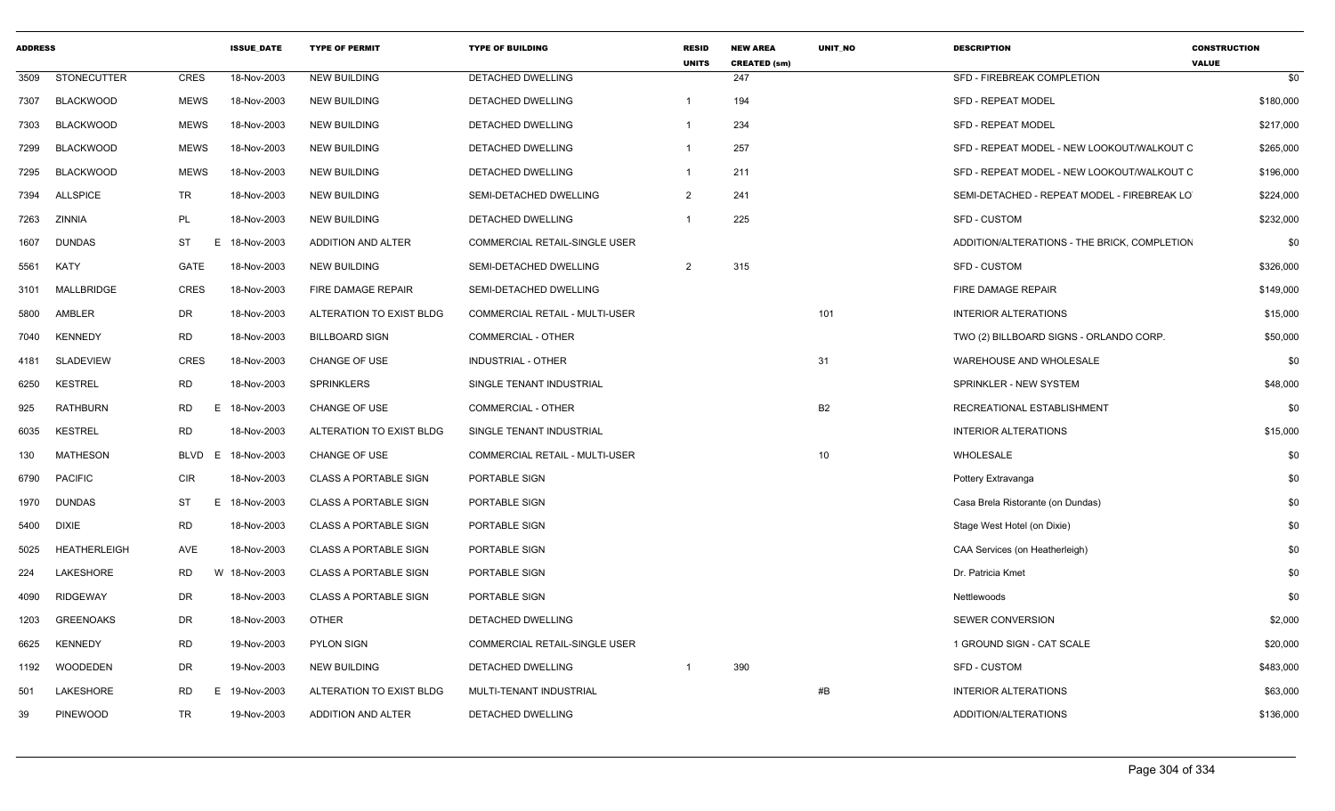| <b>ADDRESS</b> |                     |                  | <b>ISSUE DATE</b> | <b>TYPE OF PERMIT</b>        | <b>TYPE OF BUILDING</b>               | <b>RESID</b><br><b>UNITS</b> | <b>NEW AREA</b><br><b>CREATED (sm)</b> | <b>UNIT NO</b> | <b>DESCRIPTION</b>                           | <b>CONSTRUCTION</b><br><b>VALUE</b> |
|----------------|---------------------|------------------|-------------------|------------------------------|---------------------------------------|------------------------------|----------------------------------------|----------------|----------------------------------------------|-------------------------------------|
| 3509           | <b>STONECUTTER</b>  | CRES             | 18-Nov-2003       | <b>NEW BUILDING</b>          | DETACHED DWELLING                     |                              | 247                                    |                | SFD - FIREBREAK COMPLETION                   | \$0                                 |
| 7307           | <b>BLACKWOOD</b>    | <b>MEWS</b>      | 18-Nov-2003       | <b>NEW BUILDING</b>          | DETACHED DWELLING                     | $\overline{1}$               | 194                                    |                | <b>SFD - REPEAT MODEL</b>                    | \$180,000                           |
| 7303           | <b>BLACKWOOD</b>    | <b>MEWS</b>      | 18-Nov-2003       | <b>NEW BUILDING</b>          | DETACHED DWELLING                     | -1                           | 234                                    |                | <b>SFD - REPEAT MODEL</b>                    | \$217,000                           |
| 7299           | <b>BLACKWOOD</b>    | <b>MEWS</b>      | 18-Nov-2003       | <b>NEW BUILDING</b>          | <b>DETACHED DWELLING</b>              | $\mathbf{1}$                 | 257                                    |                | SFD - REPEAT MODEL - NEW LOOKOUT/WALKOUT C   | \$265,000                           |
| 7295           | <b>BLACKWOOD</b>    | <b>MEWS</b>      | 18-Nov-2003       | <b>NEW BUILDING</b>          | <b>DETACHED DWELLING</b>              | $\mathbf{1}$                 | 211                                    |                | SFD - REPEAT MODEL - NEW LOOKOUT/WALKOUT C   | \$196,000                           |
| 7394           | <b>ALLSPICE</b>     | <b>TR</b>        | 18-Nov-2003       | <b>NEW BUILDING</b>          | SEMI-DETACHED DWELLING                | $\overline{2}$               | 241                                    |                | SEMI-DETACHED - REPEAT MODEL - FIREBREAK LO  | \$224,000                           |
| 7263           | ZINNIA              | PL               | 18-Nov-2003       | <b>NEW BUILDING</b>          | <b>DETACHED DWELLING</b>              | $\mathbf 1$                  | 225                                    |                | <b>SFD - CUSTOM</b>                          | \$232,000                           |
| 1607           | <b>DUNDAS</b>       | ST<br>E.         | 18-Nov-2003       | ADDITION AND ALTER           | COMMERCIAL RETAIL-SINGLE USER         |                              |                                        |                | ADDITION/ALTERATIONS - THE BRICK, COMPLETION | \$0                                 |
| 5561           | KATY                | <b>GATE</b>      | 18-Nov-2003       | <b>NEW BUILDING</b>          | SEMI-DETACHED DWELLING                | 2                            | 315                                    |                | SFD - CUSTOM                                 | \$326,000                           |
| 3101           | MALLBRIDGE          | <b>CRES</b>      | 18-Nov-2003       | FIRE DAMAGE REPAIR           | SEMI-DETACHED DWELLING                |                              |                                        |                | FIRE DAMAGE REPAIR                           | \$149,000                           |
| 5800           | AMBLER              | DR               | 18-Nov-2003       | ALTERATION TO EXIST BLDG     | <b>COMMERCIAL RETAIL - MULTI-USER</b> |                              |                                        | 101            | <b>INTERIOR ALTERATIONS</b>                  | \$15,000                            |
| 7040           | <b>KENNEDY</b>      | <b>RD</b>        | 18-Nov-2003       | <b>BILLBOARD SIGN</b>        | <b>COMMERCIAL - OTHER</b>             |                              |                                        |                | TWO (2) BILLBOARD SIGNS - ORLANDO CORP.      | \$50,000                            |
| 4181           | <b>SLADEVIEW</b>    | <b>CRES</b>      | 18-Nov-2003       | <b>CHANGE OF USE</b>         | <b>INDUSTRIAL - OTHER</b>             |                              |                                        | 31             | WAREHOUSE AND WHOLESALE                      | \$0                                 |
| 6250           | <b>KESTREL</b>      | <b>RD</b>        | 18-Nov-2003       | <b>SPRINKLERS</b>            | SINGLE TENANT INDUSTRIAL              |                              |                                        |                | SPRINKLER - NEW SYSTEM                       | \$48,000                            |
| 925            | <b>RATHBURN</b>     | <b>RD</b>        | E 18-Nov-2003     | <b>CHANGE OF USE</b>         | <b>COMMERCIAL - OTHER</b>             |                              |                                        | <b>B2</b>      | RECREATIONAL ESTABLISHMENT                   | \$0                                 |
| 6035           | <b>KESTREL</b>      | <b>RD</b>        | 18-Nov-2003       | ALTERATION TO EXIST BLDG     | SINGLE TENANT INDUSTRIAL              |                              |                                        |                | <b>INTERIOR ALTERATIONS</b>                  | \$15,000                            |
| 130            | MATHESON            | <b>BLVD</b><br>E | 18-Nov-2003       | <b>CHANGE OF USE</b>         | COMMERCIAL RETAIL - MULTI-USER        |                              |                                        | 10             | WHOLESALE                                    | \$0                                 |
| 6790           | <b>PACIFIC</b>      | <b>CIR</b>       | 18-Nov-2003       | <b>CLASS A PORTABLE SIGN</b> | PORTABLE SIGN                         |                              |                                        |                | Pottery Extravanga                           | \$0                                 |
| 1970           | <b>DUNDAS</b>       | <b>ST</b><br>E.  | 18-Nov-2003       | <b>CLASS A PORTABLE SIGN</b> | PORTABLE SIGN                         |                              |                                        |                | Casa Brela Ristorante (on Dundas)            | \$0                                 |
| 5400           | <b>DIXIE</b>        | <b>RD</b>        | 18-Nov-2003       | <b>CLASS A PORTABLE SIGN</b> | PORTABLE SIGN                         |                              |                                        |                | Stage West Hotel (on Dixie)                  | \$0                                 |
| 5025           | <b>HEATHERLEIGH</b> | AVE              | 18-Nov-2003       | <b>CLASS A PORTABLE SIGN</b> | PORTABLE SIGN                         |                              |                                        |                | CAA Services (on Heatherleigh)               | \$0                                 |
| 224            | LAKESHORE           | <b>RD</b>        | W 18-Nov-2003     | <b>CLASS A PORTABLE SIGN</b> | <b>PORTABLE SIGN</b>                  |                              |                                        |                | Dr. Patricia Kmet                            | \$0                                 |
| 4090           | <b>RIDGEWAY</b>     | <b>DR</b>        | 18-Nov-2003       | <b>CLASS A PORTABLE SIGN</b> | PORTABLE SIGN                         |                              |                                        |                | Nettlewoods                                  | \$0                                 |
| 1203           | <b>GREENOAKS</b>    | DR               | 18-Nov-2003       | <b>OTHER</b>                 | DETACHED DWELLING                     |                              |                                        |                | SEWER CONVERSION                             | \$2,000                             |
| 6625           | <b>KENNEDY</b>      | <b>RD</b>        | 19-Nov-2003       | <b>PYLON SIGN</b>            | <b>COMMERCIAL RETAIL-SINGLE USER</b>  |                              |                                        |                | 1 GROUND SIGN - CAT SCALE                    | \$20,000                            |
| 1192           | WOODEDEN            | DR               | 19-Nov-2003       | <b>NEW BUILDING</b>          | DETACHED DWELLING                     | -1                           | 390                                    |                | <b>SFD - CUSTOM</b>                          | \$483,000                           |
| 501            | <b>LAKESHORE</b>    | <b>RD</b><br>E.  | 19-Nov-2003       | ALTERATION TO EXIST BLDG     | MULTI-TENANT INDUSTRIAL               |                              |                                        | #B             | <b>INTERIOR ALTERATIONS</b>                  | \$63,000                            |
| 39             | <b>PINEWOOD</b>     | <b>TR</b>        | 19-Nov-2003       | ADDITION AND ALTER           | DETACHED DWELLING                     |                              |                                        |                | ADDITION/ALTERATIONS                         | \$136,000                           |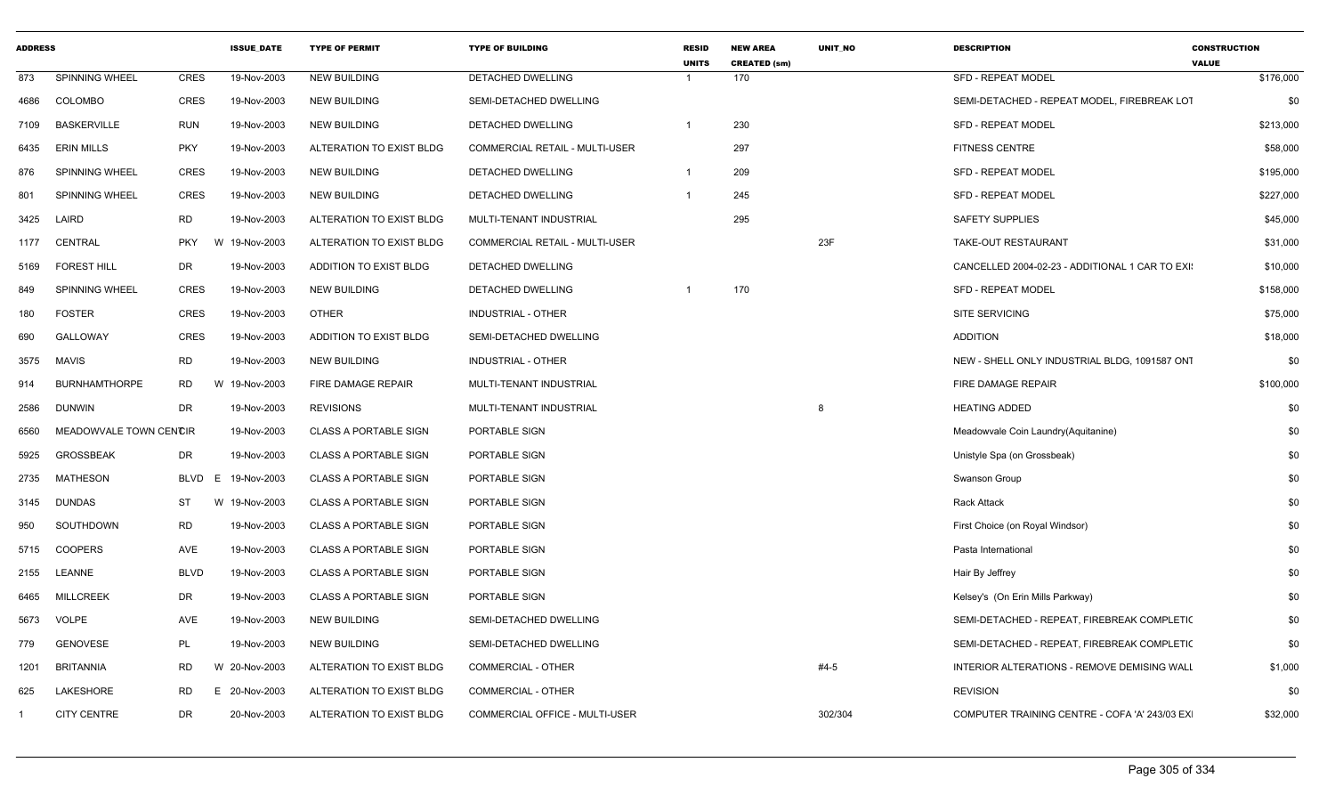| <b>ADDRESS</b> |                        |                  | <b>ISSUE DATE</b> | <b>TYPE OF PERMIT</b>         | <b>TYPE OF BUILDING</b>               | <b>RESID</b><br><b>UNITS</b> | <b>NEW AREA</b><br><b>CREATED (sm)</b> | <b>UNIT NO</b> | <b>DESCRIPTION</b>                              | <b>CONSTRUCTION</b><br><b>VALUE</b> |
|----------------|------------------------|------------------|-------------------|-------------------------------|---------------------------------------|------------------------------|----------------------------------------|----------------|-------------------------------------------------|-------------------------------------|
| 873            | SPINNING WHEEL         | <b>CRES</b>      | 19-Nov-2003       | <b>NEW BUILDING</b>           | DETACHED DWELLING                     |                              | 170                                    |                | <b>SFD - REPEAT MODEL</b>                       | \$176,000                           |
| 4686           | COLOMBO                | <b>CRES</b>      | 19-Nov-2003       | <b>NEW BUILDING</b>           | SEMI-DETACHED DWELLING                |                              |                                        |                | SEMI-DETACHED - REPEAT MODEL, FIREBREAK LOT     | \$0                                 |
| 7109           | <b>BASKERVILLE</b>     | <b>RUN</b>       | 19-Nov-2003       | <b>NEW BUILDING</b>           | DETACHED DWELLING                     | $\overline{1}$               | 230                                    |                | <b>SFD - REPEAT MODEL</b>                       | \$213,000                           |
| 6435           | <b>ERIN MILLS</b>      | <b>PKY</b>       | 19-Nov-2003       | ALTERATION TO EXIST BLDG      | <b>COMMERCIAL RETAIL - MULTI-USER</b> |                              | 297                                    |                | <b>FITNESS CENTRE</b>                           | \$58,000                            |
| 876            | SPINNING WHEEL         | <b>CRES</b>      | 19-Nov-2003       | <b>NEW BUILDING</b>           | DETACHED DWELLING                     | -1                           | 209                                    |                | <b>SFD - REPEAT MODEL</b>                       | \$195,000                           |
| 801            | <b>SPINNING WHEEL</b>  | <b>CRES</b>      | 19-Nov-2003       | <b>NEW BUILDING</b>           | DETACHED DWELLING                     | $\overline{\mathbf{1}}$      | 245                                    |                | <b>SFD - REPEAT MODEL</b>                       | \$227,000                           |
| 3425           | LAIRD                  | <b>RD</b>        | 19-Nov-2003       | ALTERATION TO EXIST BLDG      | MULTI-TENANT INDUSTRIAL               |                              | 295                                    |                | <b>SAFETY SUPPLIES</b>                          | \$45,000                            |
| 1177           | CENTRAL                | <b>PKY</b>       | W 19-Nov-2003     | ALTERATION TO EXIST BLDG      | COMMERCIAL RETAIL - MULTI-USER        |                              |                                        | 23F            | <b>TAKE-OUT RESTAURANT</b>                      | \$31,000                            |
| 5169           | <b>FOREST HILL</b>     | DR               | 19-Nov-2003       | ADDITION TO EXIST BLDG        | DETACHED DWELLING                     |                              |                                        |                | CANCELLED 2004-02-23 - ADDITIONAL 1 CAR TO EXI: | \$10,000                            |
| 849            | <b>SPINNING WHEEL</b>  | <b>CRES</b>      | 19-Nov-2003       | NEW BUILDING                  | DETACHED DWELLING                     |                              | 170                                    |                | SFD - REPEAT MODEL                              | \$158,000                           |
| 180            | <b>FOSTER</b>          | <b>CRES</b>      | 19-Nov-2003       | <b>OTHER</b>                  | <b>INDUSTRIAL - OTHER</b>             |                              |                                        |                | <b>SITE SERVICING</b>                           | \$75,000                            |
| 690            | GALLOWAY               | <b>CRES</b>      | 19-Nov-2003       | <b>ADDITION TO EXIST BLDG</b> | SEMI-DETACHED DWELLING                |                              |                                        |                | <b>ADDITION</b>                                 | \$18,000                            |
| 3575           | <b>MAVIS</b>           | <b>RD</b>        | 19-Nov-2003       | <b>NEW BUILDING</b>           | <b>INDUSTRIAL - OTHER</b>             |                              |                                        |                | NEW - SHELL ONLY INDUSTRIAL BLDG. 1091587 ONT   | \$0                                 |
| 914            | <b>BURNHAMTHORPE</b>   | <b>RD</b>        | W 19-Nov-2003     | FIRE DAMAGE REPAIR            | MULTI-TENANT INDUSTRIAL               |                              |                                        |                | FIRE DAMAGE REPAIR                              | \$100,000                           |
| 2586           | <b>DUNWIN</b>          | DR               | 19-Nov-2003       | <b>REVISIONS</b>              | MULTI-TENANT INDUSTRIAL               |                              |                                        | 8              | <b>HEATING ADDED</b>                            | \$0                                 |
| 6560           | MEADOWVALE TOWN CENCIR |                  | 19-Nov-2003       | <b>CLASS A PORTABLE SIGN</b>  | PORTABLE SIGN                         |                              |                                        |                | Meadowvale Coin Laundry(Aquitanine)             | \$0                                 |
| 5925           | <b>GROSSBEAK</b>       | <b>DR</b>        | 19-Nov-2003       | <b>CLASS A PORTABLE SIGN</b>  | PORTABLE SIGN                         |                              |                                        |                | Unistyle Spa (on Grossbeak)                     | \$0                                 |
| 2735           | <b>MATHESON</b>        | <b>BLVD</b><br>E | 19-Nov-2003       | CLASS A PORTABLE SIGN         | PORTABLE SIGN                         |                              |                                        |                | Swanson Group                                   | \$0                                 |
| 3145           | <b>DUNDAS</b>          | ST               | W 19-Nov-2003     | <b>CLASS A PORTABLE SIGN</b>  | PORTABLE SIGN                         |                              |                                        |                | <b>Rack Attack</b>                              | \$0                                 |
| 950            | SOUTHDOWN              | <b>RD</b>        | 19-Nov-2003       | <b>CLASS A PORTABLE SIGN</b>  | PORTABLE SIGN                         |                              |                                        |                | First Choice (on Royal Windsor)                 | \$0                                 |
| 5715           | <b>COOPERS</b>         | <b>AVE</b>       | 19-Nov-2003       | <b>CLASS A PORTABLE SIGN</b>  | PORTABLE SIGN                         |                              |                                        |                | Pasta International                             | \$0                                 |
| 2155           | <b>LEANNE</b>          | <b>BLVD</b>      | 19-Nov-2003       | <b>CLASS A PORTABLE SIGN</b>  | PORTABLE SIGN                         |                              |                                        |                | Hair By Jeffrey                                 | \$0                                 |
| 6465           | <b>MILLCREEK</b>       | DR               | 19-Nov-2003       | <b>CLASS A PORTABLE SIGN</b>  | PORTABLE SIGN                         |                              |                                        |                | Kelsey's (On Erin Mills Parkway)                | \$0                                 |
| 5673           | <b>VOLPE</b>           | AVE              | 19-Nov-2003       | NEW BUILDING                  | SEMI-DETACHED DWELLING                |                              |                                        |                | SEMI-DETACHED - REPEAT, FIREBREAK COMPLETIC     | \$0                                 |
| 779            | <b>GENOVESE</b>        | <b>PL</b>        | 19-Nov-2003       | <b>NEW BUILDING</b>           | SEMI-DETACHED DWELLING                |                              |                                        |                | SEMI-DETACHED - REPEAT, FIREBREAK COMPLETIC     | \$0                                 |
| 1201           | <b>BRITANNIA</b>       | <b>RD</b>        | W 20-Nov-2003     | ALTERATION TO EXIST BLDG      | <b>COMMERCIAL - OTHER</b>             |                              |                                        | $#4-5$         | INTERIOR ALTERATIONS - REMOVE DEMISING WALL     | \$1,000                             |
| 625            | LAKESHORE              | <b>RD</b>        | E 20-Nov-2003     | ALTERATION TO EXIST BLDG      | <b>COMMERCIAL - OTHER</b>             |                              |                                        |                | <b>REVISION</b>                                 | \$0                                 |
|                | CITY CENTRE            | <b>DR</b>        | 20-Nov-2003       | ALTERATION TO EXIST BLDG      | COMMERCIAL OFFICE - MULTI-USER        |                              |                                        | 302/304        | COMPUTER TRAINING CENTRE - COFA 'A' 243/03 EX   | \$32,000                            |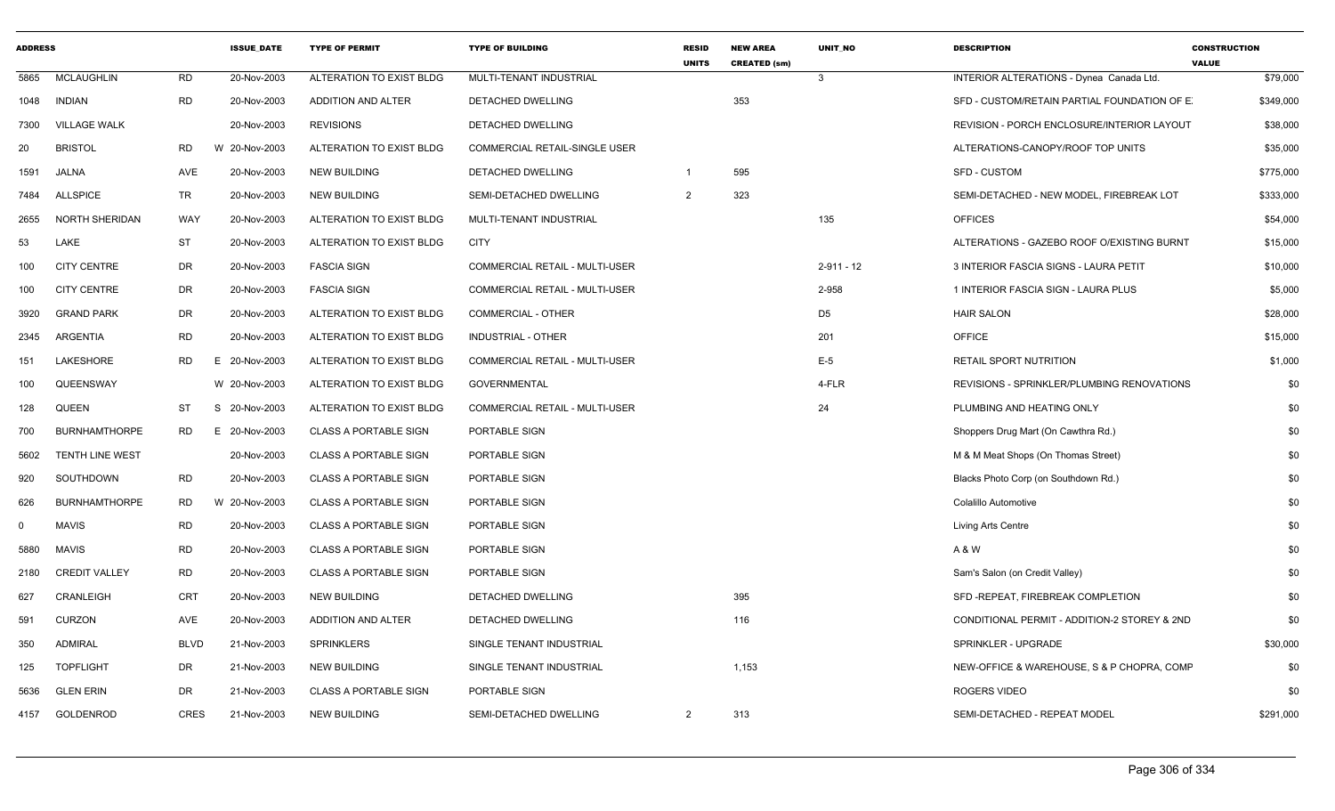| <b>ADDRESS</b> |                        |           | <b>ISSUE DATE</b> | <b>TYPE OF PERMIT</b>        | <b>TYPE OF BUILDING</b>               | <b>RESID</b><br><b>UNITS</b> | <b>NEW AREA</b><br><b>CREATED (sm)</b> | <b>UNIT NO</b> | <b>DESCRIPTION</b>                           | <b>CONSTRUCTION</b><br><b>VALUE</b> |
|----------------|------------------------|-----------|-------------------|------------------------------|---------------------------------------|------------------------------|----------------------------------------|----------------|----------------------------------------------|-------------------------------------|
| 5865           | <b>MCLAUGHLIN</b>      | RD        | 20-Nov-2003       | ALTERATION TO EXIST BLDG     | MULTI-TENANT INDUSTRIAL               |                              |                                        | $\mathbf{3}$   | INTERIOR ALTERATIONS - Dynea Canada Ltd.     | \$79,000                            |
|                | 1048 INDIAN            | RD        | 20-Nov-2003       | <b>ADDITION AND ALTER</b>    | <b>DETACHED DWELLING</b>              |                              | 353                                    |                | SFD - CUSTOM/RETAIN PARTIAL FOUNDATION OF E. | \$349,000                           |
| 7300           | <b>VILLAGE WALK</b>    |           | 20-Nov-2003       | <b>REVISIONS</b>             | DETACHED DWELLING                     |                              |                                        |                | REVISION - PORCH ENCLOSURE/INTERIOR LAYOUT   | \$38,000                            |
| 20             | <b>BRISTOL</b>         | RD        | W 20-Nov-2003     | ALTERATION TO EXIST BLDG     | <b>COMMERCIAL RETAIL-SINGLE USER</b>  |                              |                                        |                | ALTERATIONS-CANOPY/ROOF TOP UNITS            | \$35,000                            |
| 1591           | JALNA                  | AVE       | 20-Nov-2003       | <b>NEW BUILDING</b>          | DETACHED DWELLING                     | $\overline{1}$               | 595                                    |                | SFD - CUSTOM                                 | \$775,000                           |
| 7484           | <b>ALLSPICE</b>        | TR        | 20-Nov-2003       | <b>NEW BUILDING</b>          | SEMI-DETACHED DWELLING                | 2                            | 323                                    |                | SEMI-DETACHED - NEW MODEL, FIREBREAK LOT     | \$333,000                           |
| 2655           | NORTH SHERIDAN         | WAY       | 20-Nov-2003       | ALTERATION TO EXIST BLDG     | MULTI-TENANT INDUSTRIAL               |                              |                                        | 135            | <b>OFFICES</b>                               | \$54,000                            |
| 53             | LAKE                   | ST        | 20-Nov-2003       | ALTERATION TO EXIST BLDG     | <b>CITY</b>                           |                              |                                        |                | ALTERATIONS - GAZEBO ROOF O/EXISTING BURNT   | \$15,000                            |
| 100            | <b>CITY CENTRE</b>     | DR        | 20-Nov-2003       | <b>FASCIA SIGN</b>           | <b>COMMERCIAL RETAIL - MULTI-USER</b> |                              |                                        | $2 - 911 - 12$ | 3 INTERIOR FASCIA SIGNS - LAURA PETIT        | \$10,000                            |
| 100            | <b>CITY CENTRE</b>     | DR        | 20-Nov-2003       | <b>FASCIA SIGN</b>           | <b>COMMERCIAL RETAIL - MULTI-USER</b> |                              |                                        | 2-958          | 1 INTERIOR FASCIA SIGN - LAURA PLUS          | \$5,000                             |
| 3920           | <b>GRAND PARK</b>      | DR        | 20-Nov-2003       | ALTERATION TO EXIST BLDG     | COMMERCIAL - OTHER                    |                              |                                        | D <sub>5</sub> | <b>HAIR SALON</b>                            | \$28,000                            |
| 2345           | ARGENTIA               | <b>RD</b> | 20-Nov-2003       | ALTERATION TO EXIST BLDG     | <b>INDUSTRIAL - OTHER</b>             |                              |                                        | 201            | <b>OFFICE</b>                                | \$15,000                            |
| 151            | LAKESHORE              | RD        | E 20-Nov-2003     | ALTERATION TO EXIST BLDG     | <b>COMMERCIAL RETAIL - MULTI-USER</b> |                              |                                        | $E-5$          | RETAIL SPORT NUTRITION                       | \$1,000                             |
| 100            | QUEENSWAY              |           | W 20-Nov-2003     | ALTERATION TO EXIST BLDG     | <b>GOVERNMENTAL</b>                   |                              |                                        | 4-FLR          | REVISIONS - SPRINKLER/PLUMBING RENOVATIONS   | \$0                                 |
| 128            | QUEEN                  | ST        | S 20-Nov-2003     | ALTERATION TO EXIST BLDG     | COMMERCIAL RETAIL - MULTI-USER        |                              |                                        | 24             | PLUMBING AND HEATING ONLY                    | \$0                                 |
| 700            | <b>BURNHAMTHORPE</b>   | RD        | E 20-Nov-2003     | CLASS A PORTABLE SIGN        | PORTABLE SIGN                         |                              |                                        |                | Shoppers Drug Mart (On Cawthra Rd.)          | \$0                                 |
| 5602           | <b>TENTH LINE WEST</b> |           | 20-Nov-2003       | <b>CLASS A PORTABLE SIGN</b> | PORTABLE SIGN                         |                              |                                        |                | M & M Meat Shops (On Thomas Street)          | \$0                                 |
| 920            | SOUTHDOWN              | RD        | 20-Nov-2003       | <b>CLASS A PORTABLE SIGN</b> | PORTABLE SIGN                         |                              |                                        |                | Blacks Photo Corp (on Southdown Rd.)         | \$0                                 |
| 626            | <b>BURNHAMTHORPE</b>   | RD        | W 20-Nov-2003     | <b>CLASS A PORTABLE SIGN</b> | PORTABLE SIGN                         |                              |                                        |                | Colalillo Automotive                         | \$0                                 |
| $\Omega$       | <b>MAVIS</b>           | <b>RD</b> | 20-Nov-2003       | CLASS A PORTABLE SIGN        | PORTABLE SIGN                         |                              |                                        |                | Living Arts Centre                           | \$0                                 |
| 5880           | <b>MAVIS</b>           | RD        | 20-Nov-2003       | <b>CLASS A PORTABLE SIGN</b> | PORTABLE SIGN                         |                              |                                        |                | A & W                                        | \$0                                 |
| 2180           | <b>CREDIT VALLEY</b>   | <b>RD</b> | 20-Nov-2003       | <b>CLASS A PORTABLE SIGN</b> | PORTABLE SIGN                         |                              |                                        |                | Sam's Salon (on Credit Valley)               | \$0                                 |
| 627            | CRANLEIGH              | CRT       | 20-Nov-2003       | <b>NEW BUILDING</b>          | <b>DETACHED DWELLING</b>              |                              | 395                                    |                | SFD-REPEAT, FIREBREAK COMPLETION             | \$0                                 |
| 591            | CURZON                 | AVE       | 20-Nov-2003       | ADDITION AND ALTER           | DETACHED DWELLING                     |                              | 116                                    |                | CONDITIONAL PERMIT - ADDITION-2 STOREY & 2ND | \$0                                 |
| 350            | <b>ADMIRAL</b>         | BLVD      | 21-Nov-2003       | <b>SPRINKLERS</b>            | SINGLE TENANT INDUSTRIAL              |                              |                                        |                | SPRINKLER - UPGRADE                          | \$30,000                            |
| 125            | <b>TOPFLIGHT</b>       | DR        | 21-Nov-2003       | <b>NEW BUILDING</b>          | SINGLE TENANT INDUSTRIAL              |                              | 1,153                                  |                | NEW-OFFICE & WAREHOUSE, S & P CHOPRA, COMF   | \$0                                 |
| 5636           | <b>GLEN ERIN</b>       | DR        | 21-Nov-2003       | CLASS A PORTABLE SIGN        | PORTABLE SIGN                         |                              |                                        |                | ROGERS VIDEO                                 | \$0                                 |
|                | 4157 GOLDENROD         | CRES      | 21-Nov-2003       | <b>NEW BUILDING</b>          | SEMI-DETACHED DWELLING                | 2                            | 313                                    |                | SEMI-DETACHED - REPEAT MODEL                 | \$291,000                           |
|                |                        |           |                   |                              |                                       |                              |                                        |                |                                              |                                     |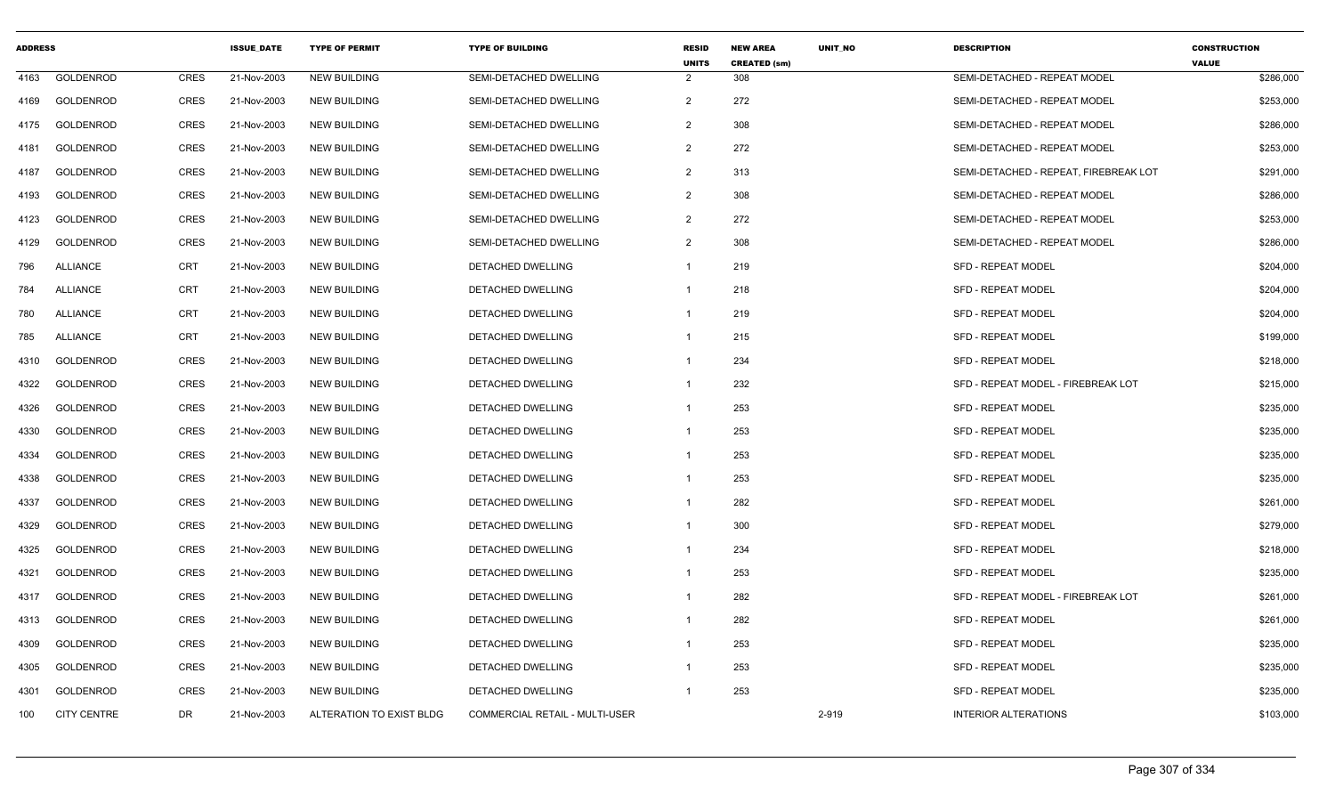| <b>ADDRESS</b> |                    |             | <b>ISSUE DATE</b> | <b>TYPE OF PERMIT</b>    | <b>TYPE OF BUILDING</b>        | <b>RESID</b><br><b>UNITS</b> | <b>NEW AREA</b><br><b>CREATED (sm)</b> | <b>UNIT NO</b> | <b>DESCRIPTION</b>                    | <b>CONSTRUCTION</b><br><b>VALUE</b> |
|----------------|--------------------|-------------|-------------------|--------------------------|--------------------------------|------------------------------|----------------------------------------|----------------|---------------------------------------|-------------------------------------|
| 4163           | GOLDENROD          | <b>CRES</b> | 21-Nov-2003       | <b>NEW BUILDING</b>      | SEMI-DETACHED DWELLING         | 2                            | 308                                    |                | SEMI-DETACHED - REPEAT MODEL          | \$286,000                           |
| 4169           | GOLDENROD          | <b>CRES</b> | 21-Nov-2003       | <b>NEW BUILDING</b>      | SEMI-DETACHED DWELLING         | $\overline{2}$               | 272                                    |                | SEMI-DETACHED - REPEAT MODEL          | \$253,000                           |
| 4175           | <b>GOLDENROD</b>   | <b>CRES</b> | 21-Nov-2003       | <b>NEW BUILDING</b>      | SEMI-DETACHED DWELLING         | 2                            | 308                                    |                | SEMI-DETACHED - REPEAT MODEL          | \$286,000                           |
| 4181           | GOLDENROD          | <b>CRES</b> | 21-Nov-2003       | <b>NEW BUILDING</b>      | SEMI-DETACHED DWELLING         | $\overline{2}$               | 272                                    |                | SEMI-DETACHED - REPEAT MODEL          | \$253,000                           |
| 4187           | GOLDENROD          | <b>CRES</b> | 21-Nov-2003       | <b>NEW BUILDING</b>      | SEMI-DETACHED DWELLING         | $\overline{2}$               | 313                                    |                | SEMI-DETACHED - REPEAT, FIREBREAK LOT | \$291,000                           |
| 4193           | <b>GOLDENROD</b>   | <b>CRES</b> | 21-Nov-2003       | <b>NEW BUILDING</b>      | SEMI-DETACHED DWELLING         | $\overline{2}$               | 308                                    |                | SEMI-DETACHED - REPEAT MODEL          | \$286,000                           |
| 4123           | GOLDENROD          | <b>CRES</b> | 21-Nov-2003       | <b>NEW BUILDING</b>      | SEMI-DETACHED DWELLING         | $\overline{2}$               | 272                                    |                | SEMI-DETACHED - REPEAT MODEL          | \$253,000                           |
| 4129           | <b>GOLDENROD</b>   | <b>CRES</b> | 21-Nov-2003       | <b>NEW BUILDING</b>      | SEMI-DETACHED DWELLING         | $\overline{2}$               | 308                                    |                | SEMI-DETACHED - REPEAT MODEL          | \$286,000                           |
| 796            | <b>ALLIANCE</b>    | <b>CRT</b>  | 21-Nov-2003       | <b>NEW BUILDING</b>      | DETACHED DWELLING              | $\mathbf{1}$                 | 219                                    |                | <b>SFD - REPEAT MODEL</b>             | \$204,000                           |
| 784            | <b>ALLIANCE</b>    | <b>CRT</b>  | 21-Nov-2003       | <b>NEW BUILDING</b>      | DETACHED DWELLING              | $\mathbf{1}$                 | 218                                    |                | <b>SFD - REPEAT MODEL</b>             | \$204,000                           |
| 780            | <b>ALLIANCE</b>    | <b>CRT</b>  | 21-Nov-2003       | <b>NEW BUILDING</b>      | DETACHED DWELLING              | $\mathbf{1}$                 | 219                                    |                | <b>SFD - REPEAT MODEL</b>             | \$204,000                           |
| 785            | <b>ALLIANCE</b>    | <b>CRT</b>  | 21-Nov-2003       | <b>NEW BUILDING</b>      | DETACHED DWELLING              | $\mathbf{1}$                 | 215                                    |                | <b>SFD - REPEAT MODEL</b>             | \$199,000                           |
| 4310           | GOLDENROD          | <b>CRES</b> | 21-Nov-2003       | <b>NEW BUILDING</b>      | DETACHED DWELLING              |                              | 234                                    |                | <b>SFD - REPEAT MODEL</b>             | \$218,000                           |
| 4322           | GOLDENROD          | <b>CRES</b> | 21-Nov-2003       | <b>NEW BUILDING</b>      | DETACHED DWELLING              | $\mathbf{1}$                 | 232                                    |                | SFD - REPEAT MODEL - FIREBREAK LOT    | \$215,000                           |
| 4326           | <b>GOLDENROD</b>   | <b>CRES</b> | 21-Nov-2003       | <b>NEW BUILDING</b>      | <b>DETACHED DWELLING</b>       | $\mathbf{1}$                 | 253                                    |                | <b>SFD - REPEAT MODEL</b>             | \$235,000                           |
| 4330           | <b>GOLDENROD</b>   | <b>CRES</b> | 21-Nov-2003       | <b>NEW BUILDING</b>      | <b>DETACHED DWELLING</b>       | $\mathbf{1}$                 | 253                                    |                | <b>SFD - REPEAT MODEL</b>             | \$235,000                           |
| 4334           | GOLDENROD          | <b>CRES</b> | 21-Nov-2003       | <b>NEW BUILDING</b>      | DETACHED DWELLING              | $\mathbf{1}$                 | 253                                    |                | <b>SFD - REPEAT MODEL</b>             | \$235,000                           |
| 4338           | GOLDENROD          | <b>CRES</b> | 21-Nov-2003       | <b>NEW BUILDING</b>      | DETACHED DWELLING              | $\mathbf{1}$                 | 253                                    |                | <b>SFD - REPEAT MODEL</b>             | \$235,000                           |
| 4337           | GOLDENROD          | <b>CRES</b> | 21-Nov-2003       | <b>NEW BUILDING</b>      | DETACHED DWELLING              | $\mathbf{1}$                 | 282                                    |                | <b>SFD - REPEAT MODEL</b>             | \$261,000                           |
| 4329           | GOLDENROD          | CRES        | 21-Nov-2003       | <b>NEW BUILDING</b>      | DETACHED DWELLING              | -1                           | 300                                    |                | <b>SFD - REPEAT MODEL</b>             | \$279,000                           |
| 4325           | <b>GOLDENROD</b>   | <b>CRES</b> | 21-Nov-2003       | <b>NEW BUILDING</b>      | <b>DETACHED DWELLING</b>       | $\mathbf{1}$                 | 234                                    |                | <b>SFD - REPEAT MODEL</b>             | \$218,000                           |
| 4321           | GOLDENROD          | <b>CRES</b> | 21-Nov-2003       | <b>NEW BUILDING</b>      | DETACHED DWELLING              | $\mathbf{1}$                 | 253                                    |                | <b>SFD - REPEAT MODEL</b>             | \$235,000                           |
| 4317           | GOLDENROD          | <b>CRES</b> | 21-Nov-2003       | <b>NEW BUILDING</b>      | DETACHED DWELLING              | $\mathbf{1}$                 | 282                                    |                | SFD - REPEAT MODEL - FIREBREAK LOT    | \$261,000                           |
| 4313           | GOLDENROD          | <b>CRES</b> | 21-Nov-2003       | <b>NEW BUILDING</b>      | DETACHED DWELLING              | $\mathbf{1}$                 | 282                                    |                | <b>SFD - REPEAT MODEL</b>             | \$261,000                           |
| 4309           | GOLDENROD          | <b>CRES</b> | 21-Nov-2003       | <b>NEW BUILDING</b>      | DETACHED DWELLING              | $\mathbf{1}$                 | 253                                    |                | <b>SFD - REPEAT MODEL</b>             | \$235,000                           |
| 4305           | <b>GOLDENROD</b>   | <b>CRES</b> | 21-Nov-2003       | <b>NEW BUILDING</b>      | <b>DETACHED DWELLING</b>       | $\mathbf{1}$                 | 253                                    |                | <b>SFD - REPEAT MODEL</b>             | \$235,000                           |
| 4301           | GOLDENROD          | <b>CRES</b> | 21-Nov-2003       | <b>NEW BUILDING</b>      | DETACHED DWELLING              | $\mathbf{1}$                 | 253                                    |                | <b>SFD - REPEAT MODEL</b>             | \$235,000                           |
| 100            | <b>CITY CENTRE</b> | DR          | 21-Nov-2003       | ALTERATION TO EXIST BLDG | COMMERCIAL RETAIL - MULTI-USER |                              |                                        | 2-919          | <b>INTERIOR ALTERATIONS</b>           | \$103,000                           |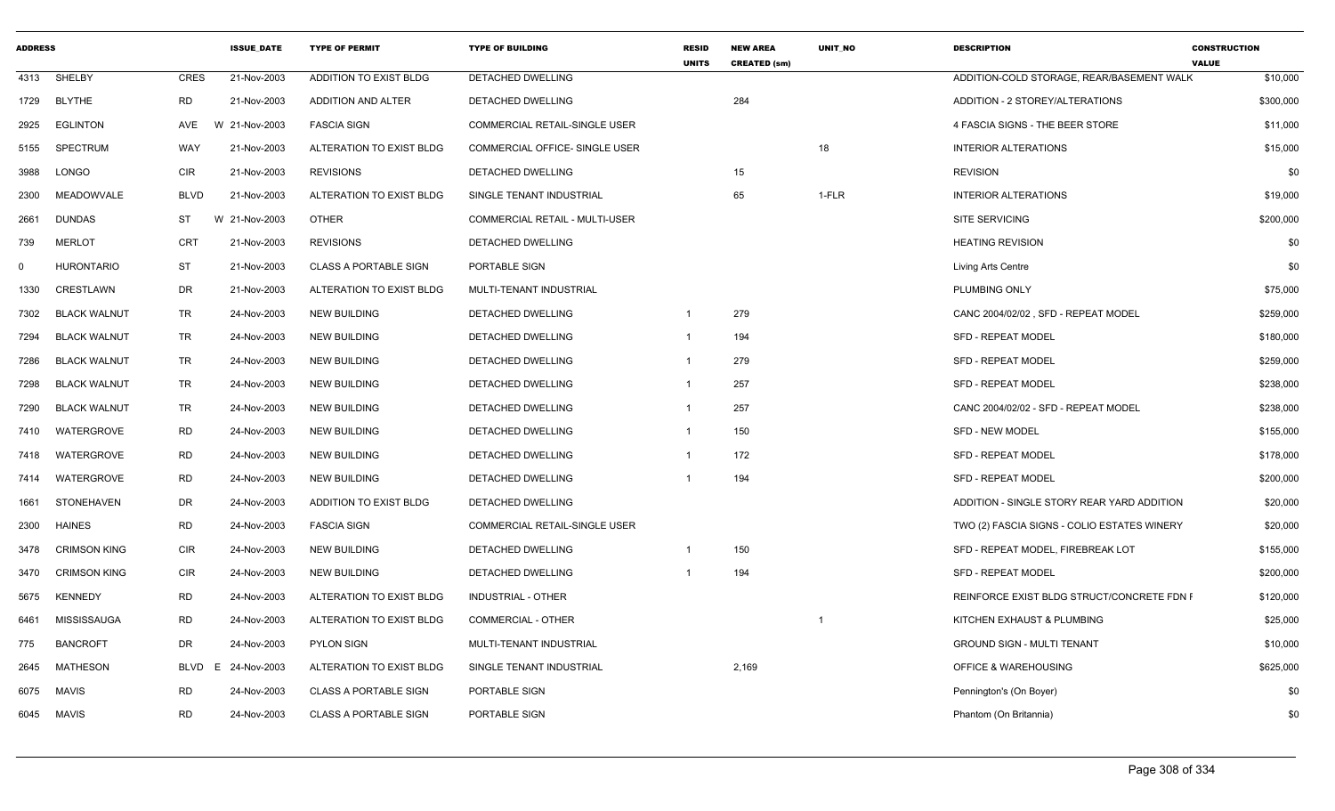| <b>ADDRESS</b> |                     |             | <b>ISSUE DATE</b> | <b>TYPE OF PERMIT</b>        | <b>TYPE OF BUILDING</b>              | <b>RESID</b><br><b>UNITS</b> | <b>NEW AREA</b><br><b>CREATED (sm)</b> | <b>UNIT NO</b> | <b>DESCRIPTION</b>                          | <b>CONSTRUCTION</b><br><b>VALUE</b> |
|----------------|---------------------|-------------|-------------------|------------------------------|--------------------------------------|------------------------------|----------------------------------------|----------------|---------------------------------------------|-------------------------------------|
| 4313           | SHELBY              | <b>CRES</b> | 21-Nov-2003       | ADDITION TO EXIST BLDG       | <b>DETACHED DWELLING</b>             |                              |                                        |                | ADDITION-COLD STORAGE, REAR/BASEMENT WALK   | \$10,000                            |
|                | 1729 BLYTHE         | <b>RD</b>   | 21-Nov-2003       | <b>ADDITION AND ALTER</b>    | <b>DETACHED DWELLING</b>             |                              | 284                                    |                | ADDITION - 2 STOREY/ALTERATIONS             | \$300,000                           |
| 2925           | <b>EGLINTON</b>     | AVE         | W 21-Nov-2003     | <b>FASCIA SIGN</b>           | <b>COMMERCIAL RETAIL-SINGLE USER</b> |                              |                                        |                | 4 FASCIA SIGNS - THE BEER STORE             | \$11,000                            |
| 5155           | SPECTRUM            | WAY         | 21-Nov-2003       | ALTERATION TO EXIST BLDG     | COMMERCIAL OFFICE- SINGLE USER       |                              |                                        | 18             | <b>INTERIOR ALTERATIONS</b>                 | \$15,000                            |
| 3988           | LONGO               | CIR         | 21-Nov-2003       | <b>REVISIONS</b>             | DETACHED DWELLING                    |                              | 15                                     |                | <b>REVISION</b>                             | \$0                                 |
| 2300           | MEADOWVALE          | <b>BLVD</b> | 21-Nov-2003       | ALTERATION TO EXIST BLDG     | SINGLE TENANT INDUSTRIAL             |                              | 65                                     | 1-FLR          | <b>INTERIOR ALTERATIONS</b>                 | \$19,000                            |
| 2661           | <b>DUNDAS</b>       | ST          | W 21-Nov-2003     | <b>OTHER</b>                 | COMMERCIAL RETAIL - MULTI-USER       |                              |                                        |                | <b>SITE SERVICING</b>                       | \$200,000                           |
| 739            | <b>MERLOT</b>       | CRT         | 21-Nov-2003       | <b>REVISIONS</b>             | DETACHED DWELLING                    |                              |                                        |                | <b>HEATING REVISION</b>                     | \$0                                 |
| $\mathbf 0$    | <b>HURONTARIO</b>   | ST          | 21-Nov-2003       | <b>CLASS A PORTABLE SIGN</b> | PORTABLE SIGN                        |                              |                                        |                | Living Arts Centre                          | \$0                                 |
| 1330           | CRESTLAWN           | DR          | 21-Nov-2003       | ALTERATION TO EXIST BLDG     | MULTI-TENANT INDUSTRIAL              |                              |                                        |                | PLUMBING ONLY                               | \$75,000                            |
| 7302           | <b>BLACK WALNUT</b> | TR          | 24-Nov-2003       | <b>NEW BUILDING</b>          | DETACHED DWELLING                    | $\overline{1}$               | 279                                    |                | CANC 2004/02/02, SFD - REPEAT MODEL         | \$259,000                           |
| 7294           | <b>BLACK WALNUT</b> | <b>TR</b>   | 24-Nov-2003       | <b>NEW BUILDING</b>          | DETACHED DWELLING                    | $\overline{1}$               | 194                                    |                | <b>SFD - REPEAT MODEL</b>                   | \$180,000                           |
| 7286           | <b>BLACK WALNUT</b> | TR          | 24-Nov-2003       | <b>NEW BUILDING</b>          | DETACHED DWELLING                    |                              | 279                                    |                | <b>SFD - REPEAT MODEL</b>                   | \$259,000                           |
| 7298           | <b>BLACK WALNUT</b> | TR          | 24-Nov-2003       | <b>NEW BUILDING</b>          | DETACHED DWELLING                    | -1                           | 257                                    |                | SFD - REPEAT MODEL                          | \$238,000                           |
| 7290           | <b>BLACK WALNUT</b> | TR          | 24-Nov-2003       | <b>NEW BUILDING</b>          | DETACHED DWELLING                    | $\overline{1}$               | 257                                    |                | CANC 2004/02/02 - SFD - REPEAT MODEL        | \$238,000                           |
| 7410           | WATERGROVE          | RD          | 24-Nov-2003       | <b>NEW BUILDING</b>          | DETACHED DWELLING                    | $\overline{1}$               | 150                                    |                | <b>SFD - NEW MODEL</b>                      | \$155,000                           |
| 7418           | WATERGROVE          | <b>RD</b>   | 24-Nov-2003       | <b>NEW BUILDING</b>          | <b>DETACHED DWELLING</b>             | $\overline{\mathbf{1}}$      | 172                                    |                | <b>SFD - REPEAT MODEL</b>                   | \$178,000                           |
| 7414           | WATERGROVE          | <b>RD</b>   | 24-Nov-2003       | <b>NEW BUILDING</b>          | <b>DETACHED DWELLING</b>             | $\overline{1}$               | 194                                    |                | <b>SFD - REPEAT MODEL</b>                   | \$200,000                           |
| 1661           | STONEHAVEN          | DR          | 24-Nov-2003       | ADDITION TO EXIST BLDG       | DETACHED DWELLING                    |                              |                                        |                | ADDITION - SINGLE STORY REAR YARD ADDITION  | \$20,000                            |
| 2300           | <b>HAINES</b>       | <b>RD</b>   | 24-Nov-2003       | <b>FASCIA SIGN</b>           | <b>COMMERCIAL RETAIL-SINGLE USER</b> |                              |                                        |                | TWO (2) FASCIA SIGNS - COLIO ESTATES WINERY | \$20,000                            |
| 3478           | <b>CRIMSON KING</b> | CIR         | 24-Nov-2003       | <b>NEW BUILDING</b>          | DETACHED DWELLING                    | $\overline{1}$               | 150                                    |                | SFD - REPEAT MODEL, FIREBREAK LOT           | \$155,000                           |
| 3470           | <b>CRIMSON KING</b> | <b>CIR</b>  | 24-Nov-2003       | <b>NEW BUILDING</b>          | DETACHED DWELLING                    |                              | 194                                    |                | <b>SFD - REPEAT MODEL</b>                   | \$200,000                           |
| 5675           | <b>KENNEDY</b>      | <b>RD</b>   | 24-Nov-2003       | ALTERATION TO EXIST BLDG     | <b>INDUSTRIAL - OTHER</b>            |                              |                                        |                | REINFORCE EXIST BLDG STRUCT/CONCRETE FDN F  | \$120,000                           |
| 6461           | MISSISSAUGA         | <b>RD</b>   | 24-Nov-2003       | ALTERATION TO EXIST BLDG     | <b>COMMERCIAL - OTHER</b>            |                              |                                        | -1             | KITCHEN EXHAUST & PLUMBING                  | \$25,000                            |
| 775            | <b>BANCROFT</b>     | DR          | 24-Nov-2003       | <b>PYLON SIGN</b>            | MULTI-TENANT INDUSTRIAL              |                              |                                        |                | <b>GROUND SIGN - MULTI TENANT</b>           | \$10,000                            |
| 2645           | MATHESON            | BLVD        | E 24-Nov-2003     | ALTERATION TO EXIST BLDG     | SINGLE TENANT INDUSTRIAL             |                              | 2,169                                  |                | OFFICE & WAREHOUSING                        | \$625,000                           |
| 6075           | MAVIS               | <b>RD</b>   | 24-Nov-2003       | <b>CLASS A PORTABLE SIGN</b> | PORTABLE SIGN                        |                              |                                        |                | Pennington's (On Boyer)                     | \$0                                 |
|                | 6045 MAVIS          | <b>RD</b>   | 24-Nov-2003       | <b>CLASS A PORTABLE SIGN</b> | PORTABLE SIGN                        |                              |                                        |                | Phantom (On Britannia)                      | \$0                                 |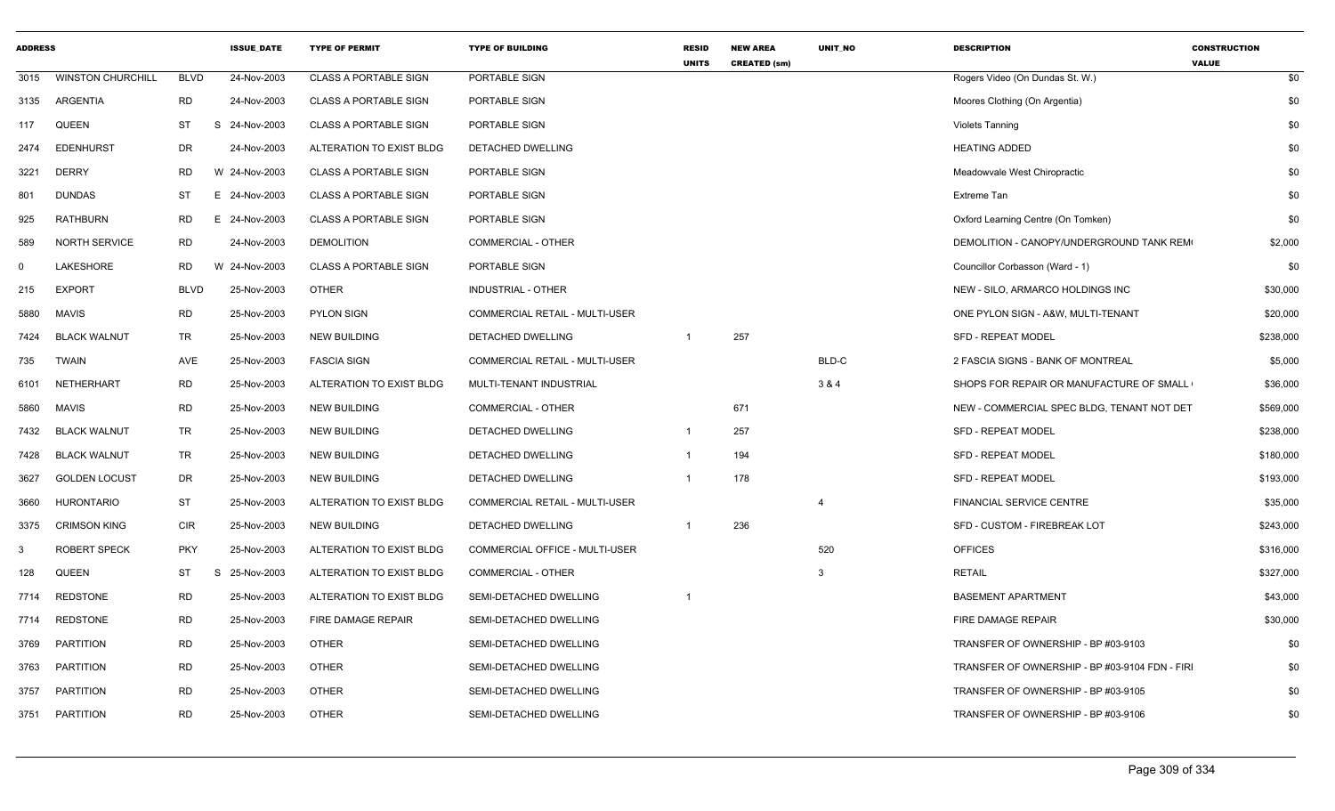| <b>ADDRESS</b> |                          |            | <b>ISSUE DATE</b> | <b>TYPE OF PERMIT</b>        | <b>TYPE OF BUILDING</b>               | <b>RESID</b><br><b>UNITS</b> | <b>NEW AREA</b><br><b>CREATED (sm)</b> | <b>UNIT NO</b> | <b>DESCRIPTION</b>                             | <b>CONSTRUCTION</b><br><b>VALUE</b> |
|----------------|--------------------------|------------|-------------------|------------------------------|---------------------------------------|------------------------------|----------------------------------------|----------------|------------------------------------------------|-------------------------------------|
| 3015           | <b>WINSTON CHURCHILL</b> | BLVD       | 24-Nov-2003       | <b>CLASS A PORTABLE SIGN</b> | PORTABLE SIGN                         |                              |                                        |                | Rogers Video (On Dundas St. W.)                | \$0                                 |
|                | 3135 ARGENTIA            | RD         | 24-Nov-2003       | <b>CLASS A PORTABLE SIGN</b> | PORTABLE SIGN                         |                              |                                        |                | Moores Clothing (On Argentia)                  | \$0                                 |
| 117            | <b>QUEEN</b>             | ST         | 24-Nov-2003<br>S  | <b>CLASS A PORTABLE SIGN</b> | PORTABLE SIGN                         |                              |                                        |                | <b>Violets Tanning</b>                         | \$0                                 |
| 2474           | <b>EDENHURST</b>         | DR         | 24-Nov-2003       | ALTERATION TO EXIST BLDG     | <b>DETACHED DWELLING</b>              |                              |                                        |                | <b>HEATING ADDED</b>                           | \$0                                 |
| 3221           | <b>DERRY</b>             | RD         | W 24-Nov-2003     | <b>CLASS A PORTABLE SIGN</b> | PORTABLE SIGN                         |                              |                                        |                | Meadowvale West Chiropractic                   | \$0                                 |
| 801            | <b>DUNDAS</b>            | ST         | E 24-Nov-2003     | <b>CLASS A PORTABLE SIGN</b> | PORTABLE SIGN                         |                              |                                        |                | Extreme Tan                                    | \$0                                 |
| 925            | <b>RATHBURN</b>          | RD         | E 24-Nov-2003     | <b>CLASS A PORTABLE SIGN</b> | PORTABLE SIGN                         |                              |                                        |                | Oxford Learning Centre (On Tomken)             | \$0                                 |
| 589            | <b>NORTH SERVICE</b>     | RD         | 24-Nov-2003       | <b>DEMOLITION</b>            | <b>COMMERCIAL - OTHER</b>             |                              |                                        |                | DEMOLITION - CANOPY/UNDERGROUND TANK REM       | \$2,000                             |
| $\Omega$       | <b>LAKESHORE</b>         | RD         | W 24-Nov-2003     | <b>CLASS A PORTABLE SIGN</b> | PORTABLE SIGN                         |                              |                                        |                | Councillor Corbasson (Ward - 1)                | \$0                                 |
| 215            | <b>EXPORT</b>            | BLVD       | 25-Nov-2003       | OTHER                        | <b>INDUSTRIAL - OTHER</b>             |                              |                                        |                | NEW - SILO, ARMARCO HOLDINGS INC               | \$30,000                            |
| 5880           | <b>MAVIS</b>             | <b>RD</b>  | 25-Nov-2003       | <b>PYLON SIGN</b>            | COMMERCIAL RETAIL - MULTI-USER        |                              |                                        |                | ONE PYLON SIGN - A&W, MULTI-TENANT             | \$20,000                            |
| 7424           | <b>BLACK WALNUT</b>      | TR         | 25-Nov-2003       | <b>NEW BUILDING</b>          | <b>DETACHED DWELLING</b>              |                              | 257                                    |                | <b>SFD - REPEAT MODEL</b>                      | \$238,000                           |
| 735            | <b>TWAIN</b>             | AVE        | 25-Nov-2003       | <b>FASCIA SIGN</b>           | <b>COMMERCIAL RETAIL - MULTI-USER</b> |                              |                                        | BLD-C          | 2 FASCIA SIGNS - BANK OF MONTREAL              | \$5,000                             |
| 6101           | NETHERHART               | RD         | 25-Nov-2003       | ALTERATION TO EXIST BLDG     | MULTI-TENANT INDUSTRIAL               |                              |                                        | 3 & 4          | SHOPS FOR REPAIR OR MANUFACTURE OF SMALL       | \$36,000                            |
| 5860           | MAVIS                    | RD         | 25-Nov-2003       | <b>NEW BUILDING</b>          | <b>COMMERCIAL - OTHER</b>             |                              | 671                                    |                | NEW - COMMERCIAL SPEC BLDG, TENANT NOT DET     | \$569,000                           |
| 7432           | <b>BLACK WALNUT</b>      | <b>TR</b>  | 25-Nov-2003       | <b>NEW BUILDING</b>          | DETACHED DWELLING                     | - 1                          | 257                                    |                | SFD - REPEAT MODEL                             | \$238,000                           |
| 7428           | <b>BLACK WALNUT</b>      | TR         | 25-Nov-2003       | <b>NEW BUILDING</b>          | <b>DETACHED DWELLING</b>              |                              | 194                                    |                | <b>SFD - REPEAT MODEL</b>                      | \$180,000                           |
| 3627           | <b>GOLDEN LOCUST</b>     | DR         | 25-Nov-2003       | <b>NEW BUILDING</b>          | DETACHED DWELLING                     |                              | 178                                    |                | SFD - REPEAT MODEL                             | \$193,000                           |
| 3660           | <b>HURONTARIO</b>        | ST         | 25-Nov-2003       | ALTERATION TO EXIST BLDG     | <b>COMMERCIAL RETAIL - MULTI-USER</b> |                              |                                        | $\overline{4}$ | FINANCIAL SERVICE CENTRE                       | \$35,000                            |
| 3375           | <b>CRIMSON KING</b>      | CIR        | 25-Nov-2003       | <b>NEW BUILDING</b>          | DETACHED DWELLING                     |                              | 236                                    |                | SFD - CUSTOM - FIREBREAK LOT                   | \$243,000                           |
| 3              | <b>ROBERT SPECK</b>      | <b>PKY</b> | 25-Nov-2003       | ALTERATION TO EXIST BLDG     | COMMERCIAL OFFICE - MULTI-USER        |                              |                                        | 520            | <b>OFFICES</b>                                 | \$316,000                           |
| 128            | <b>QUEEN</b>             | ST         | 25-Nov-2003<br>S  | ALTERATION TO EXIST BLDG     | <b>COMMERCIAL - OTHER</b>             |                              |                                        | 3              | <b>RETAIL</b>                                  | \$327,000                           |
| 7714           | <b>REDSTONE</b>          | RD         | 25-Nov-2003       | ALTERATION TO EXIST BLDG     | SEMI-DETACHED DWELLING                |                              |                                        |                | <b>BASEMENT APARTMENT</b>                      | \$43,000                            |
|                | 7714 REDSTONE            | <b>RD</b>  | 25-Nov-2003       | FIRE DAMAGE REPAIR           | SEMI-DETACHED DWELLING                |                              |                                        |                | FIRE DAMAGE REPAIR                             | \$30,000                            |
| 3769           | PARTITION                | RD         | 25-Nov-2003       | <b>OTHER</b>                 | SEMI-DETACHED DWELLING                |                              |                                        |                | TRANSFER OF OWNERSHIP - BP #03-9103            | \$0                                 |
| 3763           | PARTITION                | <b>RD</b>  | 25-Nov-2003       | <b>OTHER</b>                 | SEMI-DETACHED DWELLING                |                              |                                        |                | TRANSFER OF OWNERSHIP - BP #03-9104 FDN - FIRI | \$0                                 |
| 3757           | PARTITION                | RD         | 25-Nov-2003       | <b>OTHER</b>                 | SEMI-DETACHED DWELLING                |                              |                                        |                | TRANSFER OF OWNERSHIP - BP #03-9105            | \$0                                 |
|                | 3751 PARTITION           | <b>RD</b>  | 25-Nov-2003       | <b>OTHER</b>                 | SEMI-DETACHED DWELLING                |                              |                                        |                | TRANSFER OF OWNERSHIP - BP #03-9106            | \$0                                 |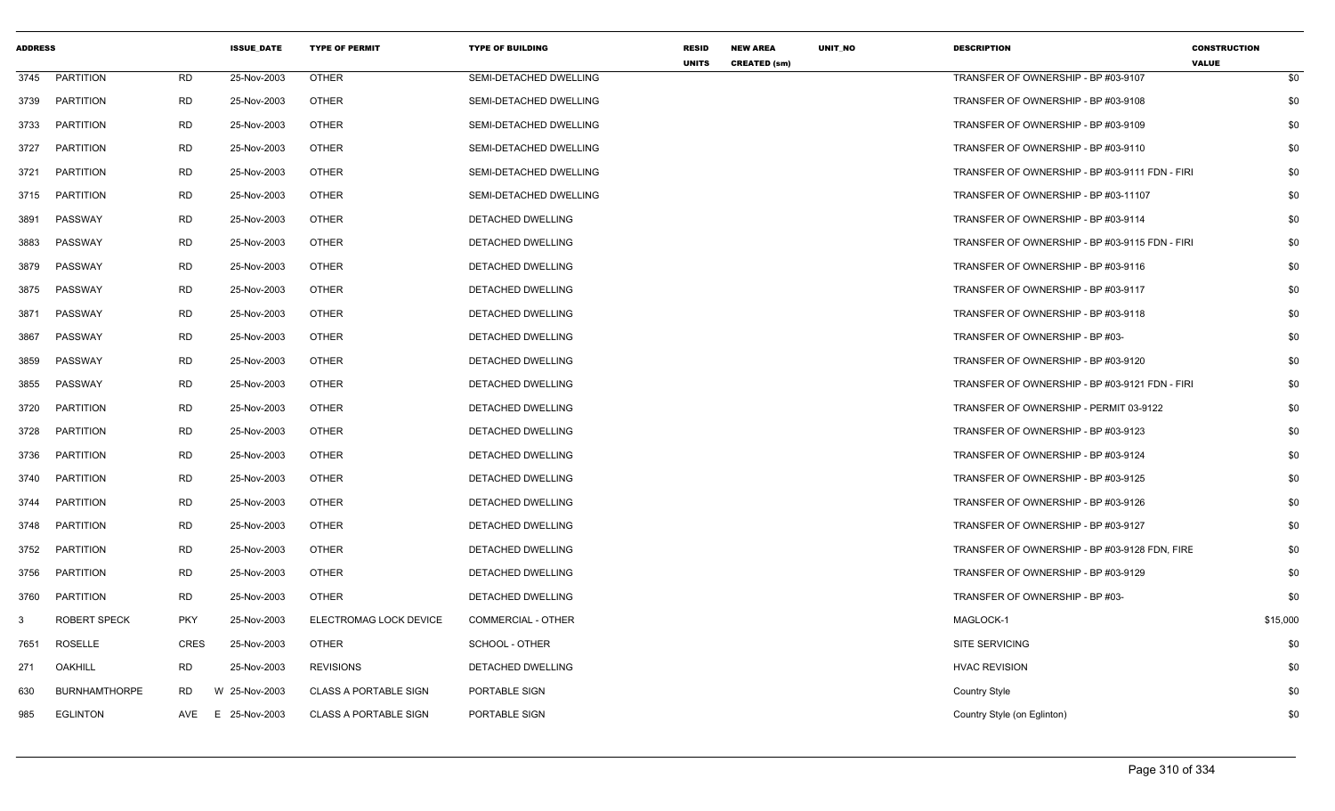| <b>ADDRESS</b> |                      |             | <b>ISSUE_DATE</b> | <b>TYPE OF PERMIT</b>        | <b>TYPE OF BUILDING</b>       | <b>RESID</b><br><b>UNITS</b> | <b>NEW AREA</b><br><b>CREATED (sm)</b> | UNIT_NO | <b>DESCRIPTION</b>                             | <b>CONSTRUCTION</b><br><b>VALUE</b> |     |
|----------------|----------------------|-------------|-------------------|------------------------------|-------------------------------|------------------------------|----------------------------------------|---------|------------------------------------------------|-------------------------------------|-----|
| 3745           | <b>PARTITION</b>     | <b>RD</b>   | 25-Nov-2003       | <b>OTHER</b>                 | SEMI-DETACHED DWELLING        |                              |                                        |         | TRANSFER OF OWNERSHIP - BP #03-9107            |                                     | \$0 |
| 3739           | PARTITION            | <b>RD</b>   | 25-Nov-2003       | <b>OTHER</b>                 | SEMI-DETACHED DWELLING        |                              |                                        |         | TRANSFER OF OWNERSHIP - BP #03-9108            |                                     | \$0 |
| 3733           | PARTITION            | <b>RD</b>   | 25-Nov-2003       | <b>OTHER</b>                 | SEMI-DETACHED DWELLING        |                              |                                        |         | TRANSFER OF OWNERSHIP - BP #03-9109            |                                     | \$0 |
| 3727           | <b>PARTITION</b>     | <b>RD</b>   | 25-Nov-2003       | <b>OTHER</b>                 | <b>SEMI-DETACHED DWELLING</b> |                              |                                        |         | TRANSFER OF OWNERSHIP - BP #03-9110            |                                     | \$0 |
| 3721           | <b>PARTITION</b>     | <b>RD</b>   | 25-Nov-2003       | <b>OTHER</b>                 | SEMI-DETACHED DWELLING        |                              |                                        |         | TRANSFER OF OWNERSHIP - BP #03-9111 FDN - FIRI |                                     | \$0 |
| 3715           | PARTITION            | <b>RD</b>   | 25-Nov-2003       | <b>OTHER</b>                 | SEMI-DETACHED DWELLING        |                              |                                        |         | TRANSFER OF OWNERSHIP - BP #03-11107           |                                     | \$0 |
| 3891           | PASSWAY              | <b>RD</b>   | 25-Nov-2003       | <b>OTHER</b>                 | DETACHED DWELLING             |                              |                                        |         | TRANSFER OF OWNERSHIP - BP #03-9114            |                                     | \$0 |
| 3883           | PASSWAY              | <b>RD</b>   | 25-Nov-2003       | <b>OTHER</b>                 | <b>DETACHED DWELLING</b>      |                              |                                        |         | TRANSFER OF OWNERSHIP - BP #03-9115 FDN - FIRI |                                     | \$0 |
| 3879           | PASSWAY              | <b>RD</b>   | 25-Nov-2003       | <b>OTHER</b>                 | DETACHED DWELLING             |                              |                                        |         | TRANSFER OF OWNERSHIP - BP #03-9116            |                                     | \$0 |
| 3875           | PASSWAY              | RD          | 25-Nov-2003       | <b>OTHER</b>                 | DETACHED DWELLING             |                              |                                        |         | TRANSFER OF OWNERSHIP - BP #03-9117            |                                     | \$0 |
| 3871           | PASSWAY              | <b>RD</b>   | 25-Nov-2003       | <b>OTHER</b>                 | DETACHED DWELLING             |                              |                                        |         | TRANSFER OF OWNERSHIP - BP #03-9118            |                                     | \$0 |
| 3867           | PASSWAY              | <b>RD</b>   | 25-Nov-2003       | <b>OTHER</b>                 | DETACHED DWELLING             |                              |                                        |         | TRANSFER OF OWNERSHIP - BP #03-                |                                     | \$0 |
| 3859           | PASSWAY              | <b>RD</b>   | 25-Nov-2003       | <b>OTHER</b>                 | <b>DETACHED DWELLING</b>      |                              |                                        |         | TRANSFER OF OWNERSHIP - BP #03-9120            |                                     | \$0 |
| 3855           | PASSWAY              | <b>RD</b>   | 25-Nov-2003       | <b>OTHER</b>                 | DETACHED DWELLING             |                              |                                        |         | TRANSFER OF OWNERSHIP - BP #03-9121 FDN - FIRI |                                     | \$0 |
| 3720           | <b>PARTITION</b>     | <b>RD</b>   | 25-Nov-2003       | <b>OTHER</b>                 | DETACHED DWELLING             |                              |                                        |         | TRANSFER OF OWNERSHIP - PERMIT 03-9122         |                                     | \$0 |
| 3728           | PARTITION            | <b>RD</b>   | 25-Nov-2003       | <b>OTHER</b>                 | DETACHED DWELLING             |                              |                                        |         | TRANSFER OF OWNERSHIP - BP #03-9123            |                                     | \$0 |
| 3736           | <b>PARTITION</b>     | <b>RD</b>   | 25-Nov-2003       | <b>OTHER</b>                 | DETACHED DWELLING             |                              |                                        |         | TRANSFER OF OWNERSHIP - BP #03-9124            |                                     | \$0 |
| 3740           | <b>PARTITION</b>     | <b>RD</b>   | 25-Nov-2003       | <b>OTHER</b>                 | DETACHED DWELLING             |                              |                                        |         | TRANSFER OF OWNERSHIP - BP #03-9125            |                                     | \$0 |
| 3744           | <b>PARTITION</b>     | <b>RD</b>   | 25-Nov-2003       | <b>OTHER</b>                 | DETACHED DWELLING             |                              |                                        |         | TRANSFER OF OWNERSHIP - BP #03-9126            |                                     | \$0 |
| 3748           | <b>PARTITION</b>     | <b>RD</b>   | 25-Nov-2003       | <b>OTHER</b>                 | DETACHED DWELLING             |                              |                                        |         | TRANSFER OF OWNERSHIP - BP #03-9127            |                                     | \$0 |
| 3752           | <b>PARTITION</b>     | <b>RD</b>   | 25-Nov-2003       | <b>OTHER</b>                 | DETACHED DWELLING             |                              |                                        |         | TRANSFER OF OWNERSHIP - BP #03-9128 FDN, FIRE  |                                     | \$0 |
| 3756           | <b>PARTITION</b>     | <b>RD</b>   | 25-Nov-2003       | <b>OTHER</b>                 | DETACHED DWELLING             |                              |                                        |         | TRANSFER OF OWNERSHIP - BP #03-9129            |                                     | \$0 |
| 3760           | <b>PARTITION</b>     | <b>RD</b>   | 25-Nov-2003       | <b>OTHER</b>                 | DETACHED DWELLING             |                              |                                        |         | TRANSFER OF OWNERSHIP - BP #03-                |                                     | \$0 |
| 3              | ROBERT SPECK         | <b>PKY</b>  | 25-Nov-2003       | ELECTROMAG LOCK DEVICE       | <b>COMMERCIAL - OTHER</b>     |                              |                                        |         | MAGLOCK-1                                      | \$15,000                            |     |
| 7651           | ROSELLE              | <b>CRES</b> | 25-Nov-2003       | <b>OTHER</b>                 | SCHOOL - OTHER                |                              |                                        |         | <b>SITE SERVICING</b>                          |                                     | \$0 |
| 271            | <b>OAKHILL</b>       | <b>RD</b>   | 25-Nov-2003       | <b>REVISIONS</b>             | <b>DETACHED DWELLING</b>      |                              |                                        |         | <b>HVAC REVISION</b>                           |                                     | \$0 |
| 630            | <b>BURNHAMTHORPE</b> | RD.         | W 25-Nov-2003     | <b>CLASS A PORTABLE SIGN</b> | PORTABLE SIGN                 |                              |                                        |         | Country Style                                  |                                     | \$0 |
| 985            | <b>EGLINTON</b>      | AVE         | E 25-Nov-2003     | <b>CLASS A PORTABLE SIGN</b> | PORTABLE SIGN                 |                              |                                        |         | Country Style (on Eglinton)                    |                                     | \$0 |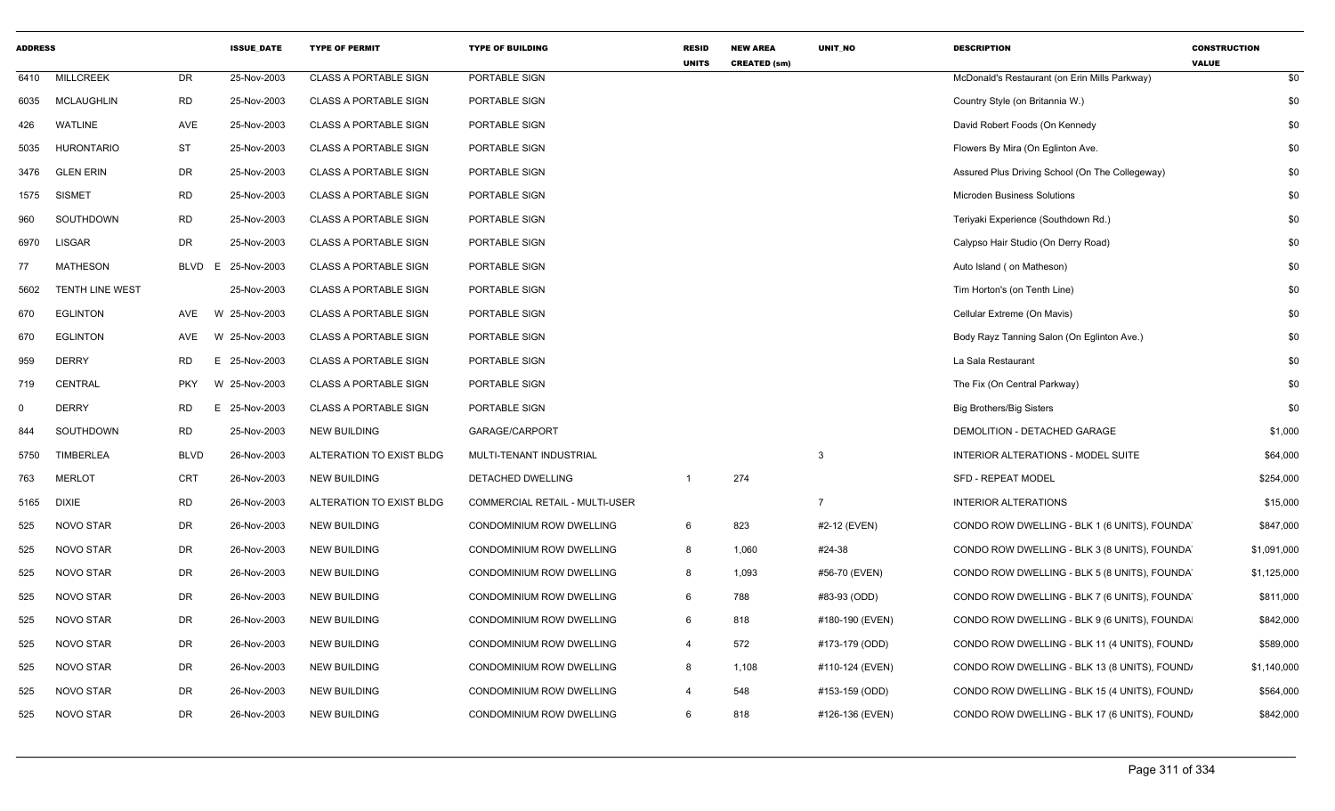| <b>ADDRESS</b> |                        |             | <b>ISSUE_DATE</b> | <b>TYPE OF PERMIT</b>        | <b>TYPE OF BUILDING</b>               | <b>RESID</b><br><b>UNITS</b> | <b>NEW AREA</b><br><b>CREATED (sm)</b> | UNIT_NO         | <b>DESCRIPTION</b>                              | <b>CONSTRUCTION</b><br><b>VALUE</b> |
|----------------|------------------------|-------------|-------------------|------------------------------|---------------------------------------|------------------------------|----------------------------------------|-----------------|-------------------------------------------------|-------------------------------------|
| 6410           | <b>MILLCREEK</b>       | DR          | 25-Nov-2003       | <b>CLASS A PORTABLE SIGN</b> | PORTABLE SIGN                         |                              |                                        |                 | McDonald's Restaurant (on Erin Mills Parkway)   | \$0                                 |
| 6035           | MCLAUGHLIN             | <b>RD</b>   | 25-Nov-2003       | <b>CLASS A PORTABLE SIGN</b> | PORTABLE SIGN                         |                              |                                        |                 | Country Style (on Britannia W.)                 | \$0                                 |
| 426            | <b>WATLINE</b>         | AVE         | 25-Nov-2003       | <b>CLASS A PORTABLE SIGN</b> | PORTABLE SIGN                         |                              |                                        |                 | David Robert Foods (On Kennedy                  | \$0                                 |
| 5035           | <b>HURONTARIO</b>      | <b>ST</b>   | 25-Nov-2003       | <b>CLASS A PORTABLE SIGN</b> | PORTABLE SIGN                         |                              |                                        |                 | Flowers By Mira (On Eglinton Ave.               | \$0                                 |
| 3476           | <b>GLEN ERIN</b>       | DR          | 25-Nov-2003       | CLASS A PORTABLE SIGN        | PORTABLE SIGN                         |                              |                                        |                 | Assured Plus Driving School (On The Collegeway) | \$0                                 |
| 1575           | <b>SISMET</b>          | <b>RD</b>   | 25-Nov-2003       | <b>CLASS A PORTABLE SIGN</b> | PORTABLE SIGN                         |                              |                                        |                 | Microden Business Solutions                     | \$0                                 |
| 960            | SOUTHDOWN              | <b>RD</b>   | 25-Nov-2003       | <b>CLASS A PORTABLE SIGN</b> | PORTABLE SIGN                         |                              |                                        |                 | Teriyaki Experience (Southdown Rd.)             | \$0                                 |
| 6970           | <b>LISGAR</b>          | DR          | 25-Nov-2003       | <b>CLASS A PORTABLE SIGN</b> | PORTABLE SIGN                         |                              |                                        |                 | Calypso Hair Studio (On Derry Road)             | \$0                                 |
| 77             | <b>MATHESON</b>        | <b>BLVD</b> | 25-Nov-2003<br>E  | <b>CLASS A PORTABLE SIGN</b> | PORTABLE SIGN                         |                              |                                        |                 | Auto Island (on Matheson)                       | \$0                                 |
| 5602           | <b>TENTH LINE WEST</b> |             | 25-Nov-2003       | <b>CLASS A PORTABLE SIGN</b> | PORTABLE SIGN                         |                              |                                        |                 | Tim Horton's (on Tenth Line)                    | \$0                                 |
| 670            | <b>EGLINTON</b>        | AVE         | W 25-Nov-2003     | <b>CLASS A PORTABLE SIGN</b> | PORTABLE SIGN                         |                              |                                        |                 | Cellular Extreme (On Mavis)                     | \$0                                 |
| 670            | <b>EGLINTON</b>        | AVE         | W 25-Nov-2003     | <b>CLASS A PORTABLE SIGN</b> | PORTABLE SIGN                         |                              |                                        |                 | Body Rayz Tanning Salon (On Eglinton Ave.)      | \$0                                 |
| 959            | <b>DERRY</b>           | <b>RD</b>   | E 25-Nov-2003     | <b>CLASS A PORTABLE SIGN</b> | PORTABLE SIGN                         |                              |                                        |                 | La Sala Restaurant                              | \$0                                 |
| 719            | CENTRAL                | <b>PKY</b>  | W 25-Nov-2003     | <b>CLASS A PORTABLE SIGN</b> | PORTABLE SIGN                         |                              |                                        |                 | The Fix (On Central Parkway)                    | \$0                                 |
| $\mathbf 0$    | <b>DERRY</b>           | <b>RD</b>   | E 25-Nov-2003     | <b>CLASS A PORTABLE SIGN</b> | PORTABLE SIGN                         |                              |                                        |                 | <b>Big Brothers/Big Sisters</b>                 | \$0                                 |
| 844            | SOUTHDOWN              | RD          | 25-Nov-2003       | <b>NEW BUILDING</b>          | GARAGE/CARPORT                        |                              |                                        |                 | DEMOLITION - DETACHED GARAGE                    | \$1,000                             |
| 5750           | TIMBERLEA              | <b>BLVD</b> | 26-Nov-2003       | ALTERATION TO EXIST BLDG     | MULTI-TENANT INDUSTRIAL               |                              |                                        | 3               | INTERIOR ALTERATIONS - MODEL SUITE              | \$64,000                            |
| 763            | <b>MERLOT</b>          | CRT         | 26-Nov-2003       | <b>NEW BUILDING</b>          | DETACHED DWELLING                     |                              | 274                                    |                 | <b>SFD - REPEAT MODEL</b>                       | \$254,000                           |
| 5165           | <b>DIXIE</b>           | RD          | 26-Nov-2003       | ALTERATION TO EXIST BLDG     | <b>COMMERCIAL RETAIL - MULTI-USER</b> |                              |                                        | $\overline{7}$  | <b>INTERIOR ALTERATIONS</b>                     | \$15,000                            |
| 525            | NOVO STAR              | DR          | 26-Nov-2003       | <b>NEW BUILDING</b>          | CONDOMINIUM ROW DWELLING              | 6                            | 823                                    | #2-12 (EVEN)    | CONDO ROW DWELLING - BLK 1 (6 UNITS), FOUNDA    | \$847,000                           |
| 525            | <b>NOVO STAR</b>       | DR          | 26-Nov-2003       | <b>NEW BUILDING</b>          | CONDOMINIUM ROW DWELLING              | 8                            | 1,060                                  | #24-38          | CONDO ROW DWELLING - BLK 3 (8 UNITS), FOUNDA    | \$1,091,000                         |
| 525            | NOVO STAR              | DR          | 26-Nov-2003       | <b>NEW BUILDING</b>          | CONDOMINIUM ROW DWELLING              | 8                            | 1,093                                  | #56-70 (EVEN)   | CONDO ROW DWELLING - BLK 5 (8 UNITS), FOUNDA    | \$1,125,000                         |
| 525            | NOVO STAR              | DR          | 26-Nov-2003       | <b>NEW BUILDING</b>          | CONDOMINIUM ROW DWELLING              | 6                            | 788                                    | #83-93 (ODD)    | CONDO ROW DWELLING - BLK 7 (6 UNITS), FOUNDA    | \$811,000                           |
| 525            | <b>NOVO STAR</b>       | DR          | 26-Nov-2003       | <b>NEW BUILDING</b>          | CONDOMINIUM ROW DWELLING              | 6                            | 818                                    | #180-190 (EVEN) | CONDO ROW DWELLING - BLK 9 (6 UNITS), FOUNDA    | \$842,000                           |
| 525            | NOVO STAR              | DR          | 26-Nov-2003       | <b>NEW BUILDING</b>          | CONDOMINIUM ROW DWELLING              | 4                            | 572                                    | #173-179 (ODD)  | CONDO ROW DWELLING - BLK 11 (4 UNITS), FOUND,   | \$589,000                           |
| 525            | NOVO STAR              | DR          | 26-Nov-2003       | <b>NEW BUILDING</b>          | CONDOMINIUM ROW DWELLING              | 8                            | 1,108                                  | #110-124 (EVEN) | CONDO ROW DWELLING - BLK 13 (8 UNITS), FOUND.   | \$1,140,000                         |
| 525            | NOVO STAR              | DR          | 26-Nov-2003       | <b>NEW BUILDING</b>          | CONDOMINIUM ROW DWELLING              | $\boldsymbol{\Delta}$        | 548                                    | #153-159 (ODD)  | CONDO ROW DWELLING - BLK 15 (4 UNITS), FOUND,   | \$564,000                           |
| 525            | <b>NOVO STAR</b>       | DR          | 26-Nov-2003       | <b>NEW BUILDING</b>          | CONDOMINIUM ROW DWELLING              | 6                            | 818                                    | #126-136 (EVEN) | CONDO ROW DWELLING - BLK 17 (6 UNITS), FOUND,   | \$842,000                           |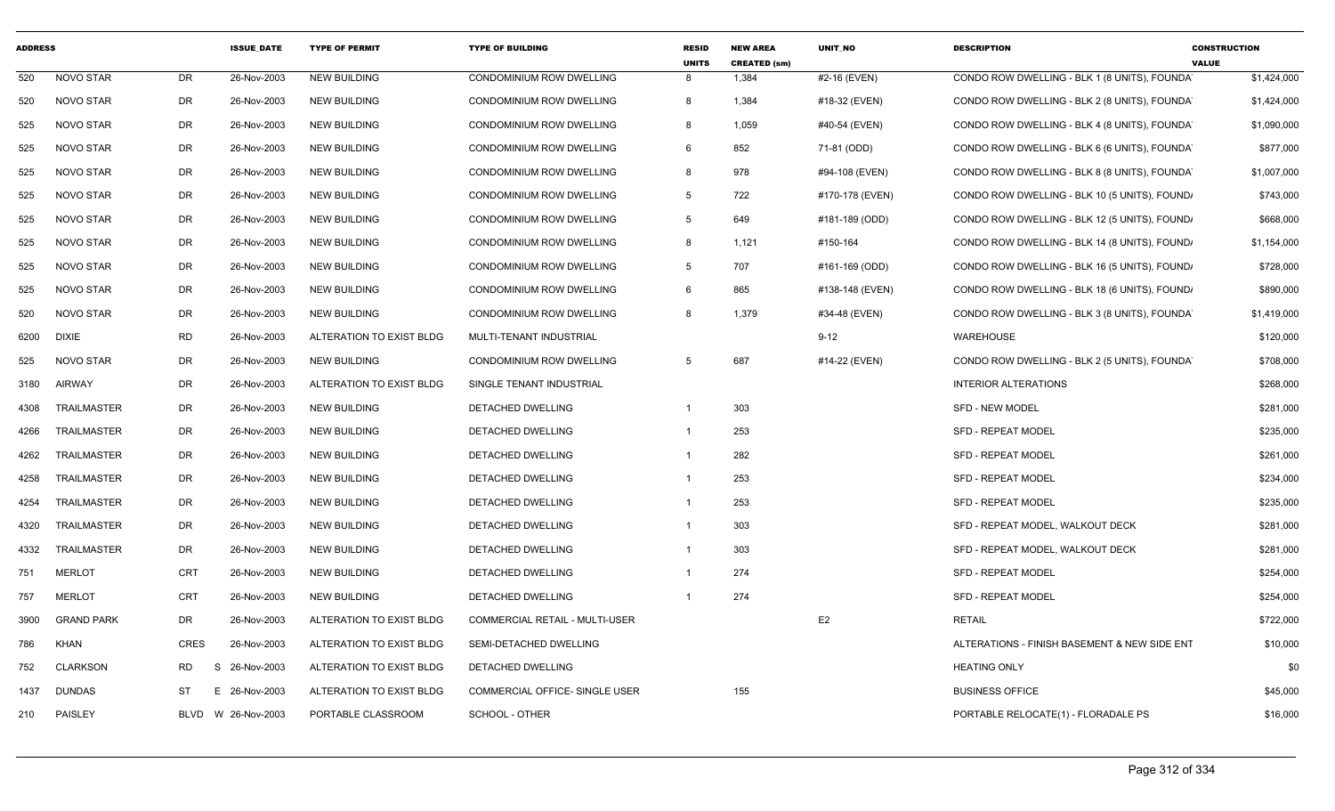| <b>ADDRESS</b> |                    |             | <b>ISSUE DATE</b> | <b>TYPE OF PERMIT</b>    | <b>TYPE OF BUILDING</b>               | <b>RESID</b><br><b>UNITS</b> | <b>NEW AREA</b><br><b>CREATED (sm)</b> | <b>UNIT NO</b>  | <b>DESCRIPTION</b>                            | <b>CONSTRUCTION</b><br><b>VALUE</b> |
|----------------|--------------------|-------------|-------------------|--------------------------|---------------------------------------|------------------------------|----------------------------------------|-----------------|-----------------------------------------------|-------------------------------------|
| 520            | <b>NOVO STAR</b>   | DR          | 26-Nov-2003       | <b>NEW BUILDING</b>      | CONDOMINIUM ROW DWELLING              | 8                            | 1,384                                  | #2-16 (EVEN)    | CONDO ROW DWELLING - BLK 1 (8 UNITS), FOUNDA  | \$1,424,000                         |
| 520            | NOVO STAR          | DR          | 26-Nov-2003       | <b>NEW BUILDING</b>      | CONDOMINIUM ROW DWELLING              | 8                            | 1,384                                  | #18-32 (EVEN)   | CONDO ROW DWELLING - BLK 2 (8 UNITS), FOUNDAY | \$1,424,000                         |
| 525            | NOVO STAR          | DR          | 26-Nov-2003       | <b>NEW BUILDING</b>      | CONDOMINIUM ROW DWELLING              | 8                            | 1,059                                  | #40-54 (EVEN)   | CONDO ROW DWELLING - BLK 4 (8 UNITS), FOUNDA  | \$1,090,000                         |
| 525            | <b>NOVO STAR</b>   | <b>DR</b>   | 26-Nov-2003       | <b>NEW BUILDING</b>      | CONDOMINIUM ROW DWELLING              | 6                            | 852                                    | 71-81 (ODD)     | CONDO ROW DWELLING - BLK 6 (6 UNITS), FOUNDA  | \$877,000                           |
| 525            | NOVO STAR          | <b>DR</b>   | 26-Nov-2003       | <b>NEW BUILDING</b>      | CONDOMINIUM ROW DWELLING              | 8                            | 978                                    | #94-108 (EVEN)  | CONDO ROW DWELLING - BLK 8 (8 UNITS), FOUNDA  | \$1,007,000                         |
| 525            | NOVO STAR          | DR          | 26-Nov-2003       | <b>NEW BUILDING</b>      | CONDOMINIUM ROW DWELLING              | 5                            | 722                                    | #170-178 (EVEN) | CONDO ROW DWELLING - BLK 10 (5 UNITS), FOUND, | \$743,000                           |
| 525            | NOVO STAR          | DR          | 26-Nov-2003       | <b>NEW BUILDING</b>      | CONDOMINIUM ROW DWELLING              | $5^{\circ}$                  | 649                                    | #181-189 (ODD)  | CONDO ROW DWELLING - BLK 12 (5 UNITS), FOUND, | \$668,000                           |
| 525            | NOVO STAR          | DR          | 26-Nov-2003       | <b>NEW BUILDING</b>      | CONDOMINIUM ROW DWELLING              | 8                            | 1,121                                  | #150-164        | CONDO ROW DWELLING - BLK 14 (8 UNITS), FOUND, | \$1,154,000                         |
| 525            | NOVO STAR          | <b>DR</b>   | 26-Nov-2003       | <b>NEW BUILDING</b>      | CONDOMINIUM ROW DWELLING              | $5^{\circ}$                  | 707                                    | #161-169 (ODD)  | CONDO ROW DWELLING - BLK 16 (5 UNITS), FOUND, | \$728,000                           |
| 525            | NOVO STAR          | <b>DR</b>   | 26-Nov-2003       | <b>NEW BUILDING</b>      | CONDOMINIUM ROW DWELLING              | 6                            | 865                                    | #138-148 (EVEN) | CONDO ROW DWELLING - BLK 18 (6 UNITS), FOUND, | \$890,000                           |
| 520            | NOVO STAR          | <b>DR</b>   | 26-Nov-2003       | <b>NEW BUILDING</b>      | CONDOMINIUM ROW DWELLING              | 8                            | 1,379                                  | #34-48 (EVEN)   | CONDO ROW DWELLING - BLK 3 (8 UNITS), FOUNDA  | \$1,419,000                         |
| 6200           | <b>DIXIE</b>       | <b>RD</b>   | 26-Nov-2003       | ALTERATION TO EXIST BLDG | MULTI-TENANT INDUSTRIAL               |                              |                                        | $9 - 12$        | WAREHOUSE                                     | \$120,000                           |
| 525            | NOVO STAR          | <b>DR</b>   | 26-Nov-2003       | <b>NEW BUILDING</b>      | CONDOMINIUM ROW DWELLING              | 5                            | 687                                    | #14-22 (EVEN)   | CONDO ROW DWELLING - BLK 2 (5 UNITS), FOUNDA  | \$708,000                           |
| 3180           | <b>AIRWAY</b>      | <b>DR</b>   | 26-Nov-2003       | ALTERATION TO EXIST BLDG | SINGLE TENANT INDUSTRIAL              |                              |                                        |                 | <b>INTERIOR ALTERATIONS</b>                   | \$268,000                           |
| 4308           | TRAILMASTER        | DR          | 26-Nov-2003       | <b>NEW BUILDING</b>      | DETACHED DWELLING                     | $\mathbf{1}$                 | 303                                    |                 | <b>SFD - NEW MODEL</b>                        | \$281,000                           |
| 4266           | <b>TRAILMASTER</b> | DR          | 26-Nov-2003       | <b>NEW BUILDING</b>      | DETACHED DWELLING                     | $\mathbf{1}$                 | 253                                    |                 | <b>SFD - REPEAT MODEL</b>                     | \$235,000                           |
| 4262           | TRAILMASTER        | DR          | 26-Nov-2003       | <b>NEW BUILDING</b>      | DETACHED DWELLING                     | $\mathbf 1$                  | 282                                    |                 | <b>SFD - REPEAT MODEL</b>                     | \$261,000                           |
| 4258           | TRAILMASTER        | <b>DR</b>   | 26-Nov-2003       | <b>NEW BUILDING</b>      | DETACHED DWELLING                     | $\mathbf{1}$                 | 253                                    |                 | <b>SFD - REPEAT MODEL</b>                     | \$234,000                           |
| 4254           | <b>TRAILMASTER</b> | <b>DR</b>   | 26-Nov-2003       | <b>NEW BUILDING</b>      | <b>DETACHED DWELLING</b>              | $\mathbf{1}$                 | 253                                    |                 | <b>SFD - REPEAT MODEL</b>                     | \$235,000                           |
| 4320           | TRAILMASTER        | DR          | 26-Nov-2003       | <b>NEW BUILDING</b>      | DETACHED DWELLING                     | $\mathbf 1$                  | 303                                    |                 | SFD - REPEAT MODEL, WALKOUT DECK              | \$281,000                           |
| 4332           | <b>TRAILMASTER</b> | DR          | 26-Nov-2003       | <b>NEW BUILDING</b>      | DETACHED DWELLING                     | -1                           | 303                                    |                 | SFD - REPEAT MODEL, WALKOUT DECK              | \$281,000                           |
| 751            | <b>MERLOT</b>      | <b>CRT</b>  | 26-Nov-2003       | <b>NEW BUILDING</b>      | DETACHED DWELLING                     | $\overline{1}$               | 274                                    |                 | <b>SFD - REPEAT MODEL</b>                     | \$254,000                           |
| 757            | <b>MERLOT</b>      | <b>CRT</b>  | 26-Nov-2003       | <b>NEW BUILDING</b>      | DETACHED DWELLING                     | -1                           | 274                                    |                 | <b>SFD - REPEAT MODEL</b>                     | \$254,000                           |
| 3900           | <b>GRAND PARK</b>  | DR          | 26-Nov-2003       | ALTERATION TO EXIST BLDG | <b>COMMERCIAL RETAIL - MULTI-USER</b> |                              |                                        | E <sub>2</sub>  | <b>RETAIL</b>                                 | \$722,000                           |
| 786            | <b>KHAN</b>        | <b>CRES</b> | 26-Nov-2003       | ALTERATION TO EXIST BLDG | SEMI-DETACHED DWELLING                |                              |                                        |                 | ALTERATIONS - FINISH BASEMENT & NEW SIDE ENT  | \$10,000                            |
| 752            | <b>CLARKSON</b>    | <b>RD</b>   | 26-Nov-2003<br>-S | ALTERATION TO EXIST BLDG | DETACHED DWELLING                     |                              |                                        |                 | <b>HEATING ONLY</b>                           | \$0                                 |
| 1437           | <b>DUNDAS</b>      | <b>ST</b>   | E 26-Nov-2003     | ALTERATION TO EXIST BLDG | COMMERCIAL OFFICE- SINGLE USER        |                              | 155                                    |                 | <b>BUSINESS OFFICE</b>                        | \$45,000                            |
| 210            | PAISLEY            | BLVD        | W 26-Nov-2003     | PORTABLE CLASSROOM       | SCHOOL - OTHER                        |                              |                                        |                 | PORTABLE RELOCATE(1) - FLORADALE PS           | \$16,000                            |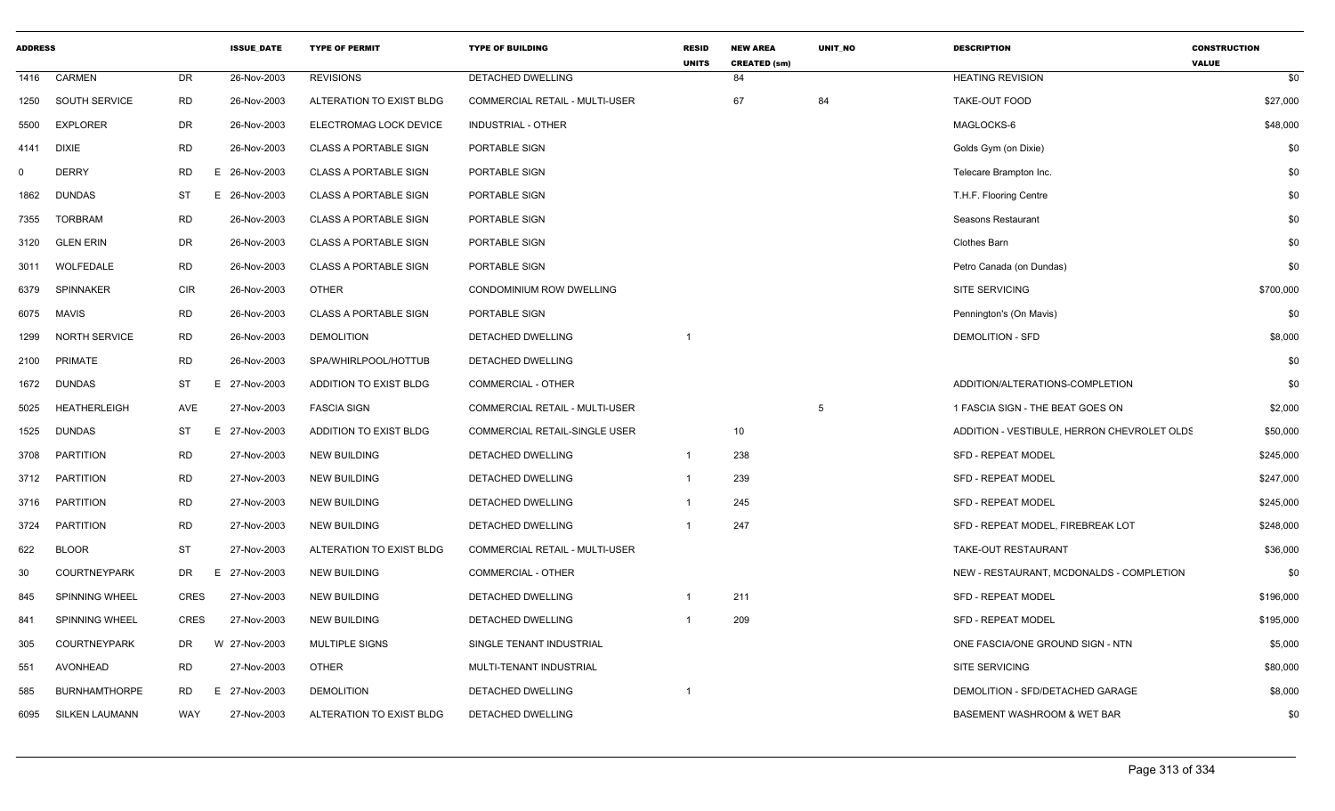| <b>ADDRESS</b> |                       |             | <b>ISSUE DATE</b> | <b>TYPE OF PERMIT</b>        | <b>TYPE OF BUILDING</b>               | <b>RESID</b><br><b>UNITS</b> | <b>NEW AREA</b><br><b>CREATED (sm)</b> | <b>UNIT NO</b> | <b>DESCRIPTION</b>                          | <b>CONSTRUCTION</b><br><b>VALUE</b> |
|----------------|-----------------------|-------------|-------------------|------------------------------|---------------------------------------|------------------------------|----------------------------------------|----------------|---------------------------------------------|-------------------------------------|
| 1416           | <b>CARMEN</b>         | DR          | 26-Nov-2003       | <b>REVISIONS</b>             | <b>DETACHED DWELLING</b>              |                              | 84                                     |                | <b>HEATING REVISION</b>                     | \$0                                 |
| 1250           | SOUTH SERVICE         | <b>RD</b>   | 26-Nov-2003       | ALTERATION TO EXIST BLDG     | COMMERCIAL RETAIL - MULTI-USER        |                              | 67                                     | 84             | TAKE-OUT FOOD                               | \$27,000                            |
| 5500           | <b>EXPLORER</b>       | DR          | 26-Nov-2003       | ELECTROMAG LOCK DEVICE       | INDUSTRIAL - OTHER                    |                              |                                        |                | MAGLOCKS-6                                  | \$48,000                            |
| 4141           | <b>DIXIE</b>          | <b>RD</b>   | 26-Nov-2003       | <b>CLASS A PORTABLE SIGN</b> | PORTABLE SIGN                         |                              |                                        |                | Golds Gym (on Dixie)                        | \$0                                 |
| $\Omega$       | <b>DERRY</b>          | RD          | E 26-Nov-2003     | <b>CLASS A PORTABLE SIGN</b> | PORTABLE SIGN                         |                              |                                        |                | Telecare Brampton Inc.                      | \$0                                 |
| 1862           | DUNDAS                | ST          | E 26-Nov-2003     | <b>CLASS A PORTABLE SIGN</b> | PORTABLE SIGN                         |                              |                                        |                | T.H.F. Flooring Centre                      | \$0                                 |
| 7355           | <b>TORBRAM</b>        | <b>RD</b>   | 26-Nov-2003       | <b>CLASS A PORTABLE SIGN</b> | PORTABLE SIGN                         |                              |                                        |                | Seasons Restaurant                          | \$0                                 |
| 3120           | <b>GLEN ERIN</b>      | DR          | 26-Nov-2003       | <b>CLASS A PORTABLE SIGN</b> | PORTABLE SIGN                         |                              |                                        |                | Clothes Barn                                | \$0                                 |
| 3011           | WOLFEDALE             | RD          | 26-Nov-2003       | <b>CLASS A PORTABLE SIGN</b> | PORTABLE SIGN                         |                              |                                        |                | Petro Canada (on Dundas)                    | \$0                                 |
| 6379           | SPINNAKER             | <b>CIR</b>  | 26-Nov-2003       | <b>OTHER</b>                 | CONDOMINIUM ROW DWELLING              |                              |                                        |                | SITE SERVICING                              | \$700,000                           |
| 6075           | <b>MAVIS</b>          | <b>RD</b>   | 26-Nov-2003       | <b>CLASS A PORTABLE SIGN</b> | PORTABLE SIGN                         |                              |                                        |                | Pennington's (On Mavis)                     | \$0                                 |
| 1299           | <b>NORTH SERVICE</b>  | RD          | 26-Nov-2003       | <b>DEMOLITION</b>            | DETACHED DWELLING                     |                              |                                        |                | <b>DEMOLITION - SFD</b>                     | \$8,000                             |
| 2100           | <b>PRIMATE</b>        | <b>RD</b>   | 26-Nov-2003       | SPA/WHIRLPOOL/HOTTUB         | DETACHED DWELLING                     |                              |                                        |                |                                             | \$0                                 |
| 1672           | <b>DUNDAS</b>         | ST          | E.<br>27-Nov-2003 | ADDITION TO EXIST BLDG       | COMMERCIAL - OTHER                    |                              |                                        |                | ADDITION/ALTERATIONS-COMPLETION             | \$0                                 |
| 5025           | <b>HEATHERLEIGH</b>   | AVE         | 27-Nov-2003       | <b>FASCIA SIGN</b>           | <b>COMMERCIAL RETAIL - MULTI-USER</b> |                              |                                        | 5              | 1 FASCIA SIGN - THE BEAT GOES ON            | \$2,000                             |
| 1525           | <b>DUNDAS</b>         | <b>ST</b>   | E 27-Nov-2003     | ADDITION TO EXIST BLDG       | <b>COMMERCIAL RETAIL-SINGLE USER</b>  |                              | 10                                     |                | ADDITION - VESTIBULE, HERRON CHEVROLET OLDS | \$50,000                            |
| 3708           | <b>PARTITION</b>      | <b>RD</b>   | 27-Nov-2003       | NEW BUILDING                 | DETACHED DWELLING                     | $\overline{1}$               | 238                                    |                | <b>SFD - REPEAT MODEL</b>                   | \$245,000                           |
| 3712           | PARTITION             | RD          | 27-Nov-2003       | <b>NEW BUILDING</b>          | DETACHED DWELLING                     | $\mathbf{1}$                 | 239                                    |                | <b>SFD - REPEAT MODEL</b>                   | \$247,000                           |
| 3716           | PARTITION             | <b>RD</b>   | 27-Nov-2003       | <b>NEW BUILDING</b>          | DETACHED DWELLING                     | -1                           | 245                                    |                | <b>SFD - REPEAT MODEL</b>                   | \$245,000                           |
| 3724           | <b>PARTITION</b>      | <b>RD</b>   | 27-Nov-2003       | <b>NEW BUILDING</b>          | DETACHED DWELLING                     |                              | 247                                    |                | SFD - REPEAT MODEL, FIREBREAK LOT           | \$248,000                           |
| 622            | <b>BLOOR</b>          | <b>ST</b>   | 27-Nov-2003       | ALTERATION TO EXIST BLDG     | COMMERCIAL RETAIL - MULTI-USER        |                              |                                        |                | TAKE-OUT RESTAURANT                         | \$36,000                            |
| 30             | COURTNEYPARK          | DR          | E 27-Nov-2003     | <b>NEW BUILDING</b>          | COMMERCIAL - OTHER                    |                              |                                        |                | NEW - RESTAURANT, MCDONALDS - COMPLETION    | \$0                                 |
| 845            | SPINNING WHEEL        | CRES        | 27-Nov-2003       | <b>NEW BUILDING</b>          | DETACHED DWELLING                     |                              | 211                                    |                | <b>SFD - REPEAT MODEL</b>                   | \$196,000                           |
| 841            | SPINNING WHEEL        | <b>CRES</b> | 27-Nov-2003       | <b>NEW BUILDING</b>          | DETACHED DWELLING                     |                              | 209                                    |                | SFD - REPEAT MODEL                          | \$195,000                           |
| 305            | <b>COURTNEYPARK</b>   | DR          | W 27-Nov-2003     | MULTIPLE SIGNS               | SINGLE TENANT INDUSTRIAL              |                              |                                        |                | ONE FASCIA/ONE GROUND SIGN - NTN            | \$5,000                             |
| 551            | <b>AVONHEAD</b>       | <b>RD</b>   | 27-Nov-2003       | <b>OTHER</b>                 | MULTI-TENANT INDUSTRIAL               |                              |                                        |                | <b>SITE SERVICING</b>                       | \$80,000                            |
| 585            | <b>BURNHAMTHORPE</b>  | RD          | E 27-Nov-2003     | <b>DEMOLITION</b>            | DETACHED DWELLING                     |                              |                                        |                | DEMOLITION - SFD/DETACHED GARAGE            | \$8,000                             |
| 6095           | <b>SILKEN LAUMANN</b> | WAY         | 27-Nov-2003       | ALTERATION TO EXIST BLDG     | DETACHED DWELLING                     |                              |                                        |                | BASEMENT WASHROOM & WET BAR                 | \$0                                 |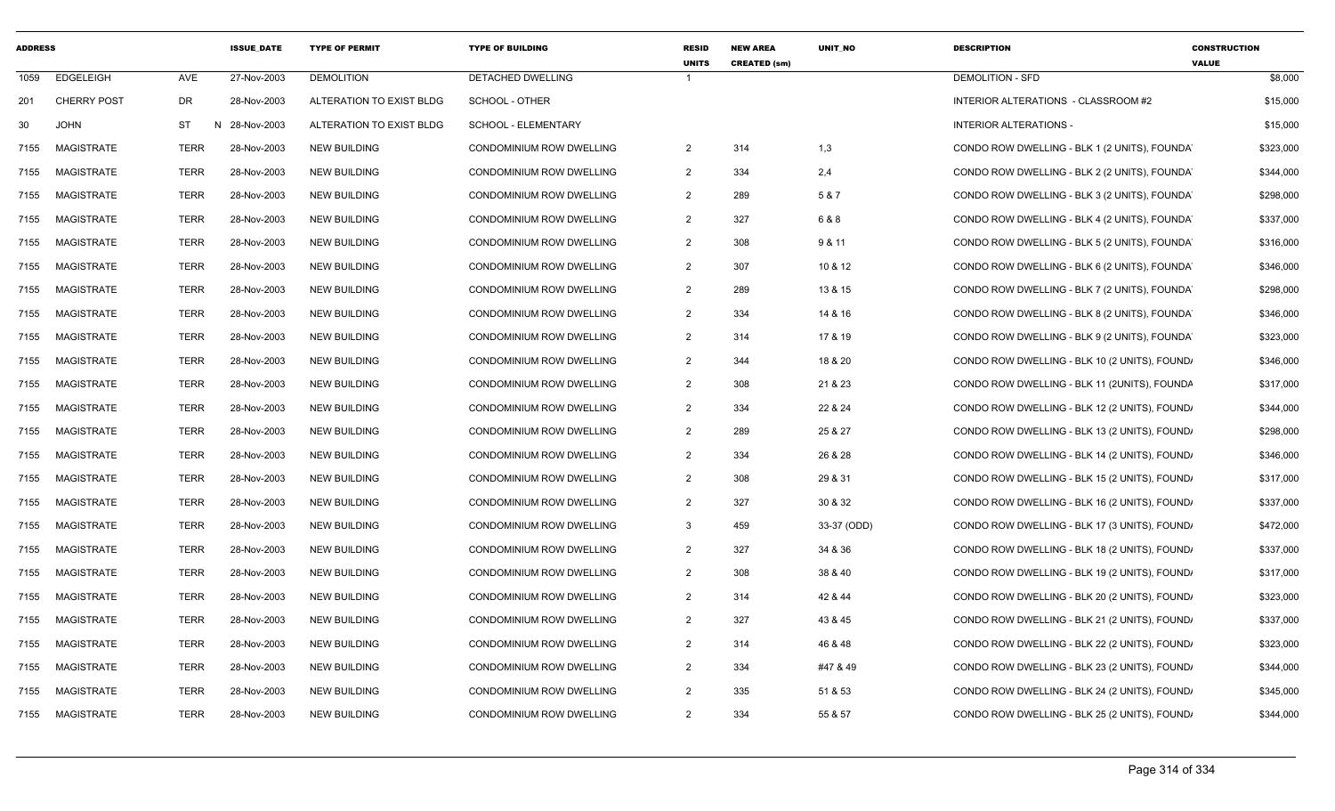| <b>ADDRESS</b> |                    |             | <b>ISSUE_DATE</b> | <b>TYPE OF PERMIT</b>    | <b>TYPE OF BUILDING</b>         | <b>RESID</b><br><b>UNITS</b> | <b>NEW AREA</b><br><b>CREATED (sm)</b> | UNIT_NO     | <b>DESCRIPTION</b>                            | <b>CONSTRUCTION</b><br><b>VALUE</b> |
|----------------|--------------------|-------------|-------------------|--------------------------|---------------------------------|------------------------------|----------------------------------------|-------------|-----------------------------------------------|-------------------------------------|
| 1059           | <b>EDGELEIGH</b>   | AVE         | 27-Nov-2003       | <b>DEMOLITION</b>        | <b>DETACHED DWELLING</b>        |                              |                                        |             | <b>DEMOLITION - SFD</b>                       | \$8,000                             |
| 201            | <b>CHERRY POST</b> | DR          | 28-Nov-2003       | ALTERATION TO EXIST BLDG | SCHOOL - OTHER                  |                              |                                        |             | INTERIOR ALTERATIONS - CLASSROOM #2           | \$15,000                            |
| 30             | <b>JOHN</b>        | <b>ST</b>   | N 28-Nov-2003     | ALTERATION TO EXIST BLDG | SCHOOL - ELEMENTARY             |                              |                                        |             | <b>INTERIOR ALTERATIONS -</b>                 | \$15,000                            |
| 7155           | <b>MAGISTRATE</b>  | <b>TERR</b> | 28-Nov-2003       | <b>NEW BUILDING</b>      | CONDOMINIUM ROW DWELLING        | 2                            | 314                                    | 1,3         | CONDO ROW DWELLING - BLK 1 (2 UNITS), FOUNDAY | \$323,000                           |
| 7155           | <b>MAGISTRATE</b>  | <b>TERR</b> | 28-Nov-2003       | <b>NEW BUILDING</b>      | <b>CONDOMINIUM ROW DWELLING</b> | $\overline{2}$               | 334                                    | 2,4         | CONDO ROW DWELLING - BLK 2 (2 UNITS), FOUNDAY | \$344,000                           |
| 7155           | <b>MAGISTRATE</b>  | <b>TERR</b> | 28-Nov-2003       | <b>NEW BUILDING</b>      | CONDOMINIUM ROW DWELLING        | 2                            | 289                                    | 5 & 7       | CONDO ROW DWELLING - BLK 3 (2 UNITS), FOUNDAY | \$298,000                           |
| 7155           | <b>MAGISTRATE</b>  | <b>TERR</b> | 28-Nov-2003       | <b>NEW BUILDING</b>      | CONDOMINIUM ROW DWELLING        | 2                            | 327                                    | 6 & 8       | CONDO ROW DWELLING - BLK 4 (2 UNITS), FOUNDAY | \$337,000                           |
| 7155           | <b>MAGISTRATE</b>  | <b>TERR</b> | 28-Nov-2003       | <b>NEW BUILDING</b>      | CONDOMINIUM ROW DWELLING        | $\overline{2}$               | 308                                    | 9 & 11      | CONDO ROW DWELLING - BLK 5 (2 UNITS), FOUNDAY | \$316,000                           |
| 7155           | <b>MAGISTRATE</b>  | <b>TERR</b> | 28-Nov-2003       | <b>NEW BUILDING</b>      | CONDOMINIUM ROW DWELLING        | $\overline{2}$               | 307                                    | 10 & 12     | CONDO ROW DWELLING - BLK 6 (2 UNITS), FOUNDAY | \$346,000                           |
| 7155           | <b>MAGISTRATE</b>  | <b>TERR</b> | 28-Nov-2003       | <b>NEW BUILDING</b>      | <b>CONDOMINIUM ROW DWELLING</b> | 2                            | 289                                    | 13 & 15     | CONDO ROW DWELLING - BLK 7 (2 UNITS), FOUNDAY | \$298,000                           |
| 7155           | MAGISTRATE         | <b>TERR</b> | 28-Nov-2003       | <b>NEW BUILDING</b>      | CONDOMINIUM ROW DWELLING        | 2                            | 334                                    | 14 & 16     | CONDO ROW DWELLING - BLK 8 (2 UNITS), FOUNDA  | \$346,000                           |
| 7155           | <b>MAGISTRATE</b>  | <b>TERR</b> | 28-Nov-2003       | <b>NEW BUILDING</b>      | CONDOMINIUM ROW DWELLING        | $\overline{2}$               | 314                                    | 17 & 19     | CONDO ROW DWELLING - BLK 9 (2 UNITS), FOUNDA  | \$323,000                           |
| 7155           | <b>MAGISTRATE</b>  | <b>TERR</b> | 28-Nov-2003       | <b>NEW BUILDING</b>      | CONDOMINIUM ROW DWELLING        | 2                            | 344                                    | 18 & 20     | CONDO ROW DWELLING - BLK 10 (2 UNITS), FOUND/ | \$346,000                           |
| 7155           | <b>MAGISTRATE</b>  | <b>TERR</b> | 28-Nov-2003       | <b>NEW BUILDING</b>      | CONDOMINIUM ROW DWELLING        | 2                            | 308                                    | 21 & 23     | CONDO ROW DWELLING - BLK 11 (2UNITS), FOUNDA  | \$317,000                           |
| 7155           | MAGISTRATE         | <b>TERR</b> | 28-Nov-2003       | <b>NEW BUILDING</b>      | CONDOMINIUM ROW DWELLING        | 2                            | 334                                    | 22 & 24     | CONDO ROW DWELLING - BLK 12 (2 UNITS), FOUND  | \$344,000                           |
| 7155           | <b>MAGISTRATE</b>  | <b>TERR</b> | 28-Nov-2003       | <b>NEW BUILDING</b>      | <b>CONDOMINIUM ROW DWELLING</b> | $\overline{2}$               | 289                                    | 25 & 27     | CONDO ROW DWELLING - BLK 13 (2 UNITS), FOUND, | \$298,000                           |
| 7155           | MAGISTRATE         | <b>TERR</b> | 28-Nov-2003       | <b>NEW BUILDING</b>      | CONDOMINIUM ROW DWELLING        | 2                            | 334                                    | 26 & 28     | CONDO ROW DWELLING - BLK 14 (2 UNITS), FOUND  | \$346,000                           |
| 7155           | <b>MAGISTRATE</b>  | <b>TERR</b> | 28-Nov-2003       | <b>NEW BUILDING</b>      | CONDOMINIUM ROW DWELLING        | 2                            | 308                                    | 29 & 31     | CONDO ROW DWELLING - BLK 15 (2 UNITS), FOUND  | \$317,000                           |
| 7155           | <b>MAGISTRATE</b>  | <b>TERR</b> | 28-Nov-2003       | <b>NEW BUILDING</b>      | CONDOMINIUM ROW DWELLING        | 2                            | 327                                    | 30 & 32     | CONDO ROW DWELLING - BLK 16 (2 UNITS), FOUND, | \$337,000                           |
| 7155           | <b>MAGISTRATE</b>  | <b>TERR</b> | 28-Nov-2003       | <b>NEW BUILDING</b>      | <b>CONDOMINIUM ROW DWELLING</b> | 3                            | 459                                    | 33-37 (ODD) | CONDO ROW DWELLING - BLK 17 (3 UNITS), FOUND, | \$472,000                           |
| 7155           | <b>MAGISTRATE</b>  | <b>TERR</b> | 28-Nov-2003       | <b>NEW BUILDING</b>      | <b>CONDOMINIUM ROW DWELLING</b> | 2                            | 327                                    | 34 & 36     | CONDO ROW DWELLING - BLK 18 (2 UNITS), FOUND, | \$337,000                           |
| 7155           | <b>MAGISTRATE</b>  | <b>TERR</b> | 28-Nov-2003       | <b>NEW BUILDING</b>      | CONDOMINIUM ROW DWELLING        | $\overline{2}$               | 308                                    | 38 & 40     | CONDO ROW DWELLING - BLK 19 (2 UNITS), FOUND, | \$317,000                           |
| 7155           | <b>MAGISTRATE</b>  | TERR        | 28-Nov-2003       | <b>NEW BUILDING</b>      | CONDOMINIUM ROW DWELLING        | $\overline{2}$               | 314                                    | 42 & 44     | CONDO ROW DWELLING - BLK 20 (2 UNITS), FOUND, | \$323,000                           |
| 7155           | MAGISTRATE         | <b>TERR</b> | 28-Nov-2003       | <b>NEW BUILDING</b>      | CONDOMINIUM ROW DWELLING        | 2                            | 327                                    | 43 & 45     | CONDO ROW DWELLING - BLK 21 (2 UNITS), FOUND, | \$337,000                           |
| 7155           | <b>MAGISTRATE</b>  | <b>TERR</b> | 28-Nov-2003       | <b>NEW BUILDING</b>      | CONDOMINIUM ROW DWELLING        | 2                            | 314                                    | 46 & 48     | CONDO ROW DWELLING - BLK 22 (2 UNITS), FOUND  | \$323,000                           |
| 7155           | <b>MAGISTRATE</b>  | <b>TERR</b> | 28-Nov-2003       | <b>NEW BUILDING</b>      | CONDOMINIUM ROW DWELLING        | 2                            | 334                                    | #47 & 49    | CONDO ROW DWELLING - BLK 23 (2 UNITS), FOUND, | \$344,000                           |
| 7155           | <b>MAGISTRATE</b>  | <b>TERR</b> | 28-Nov-2003       | <b>NEW BUILDING</b>      | <b>CONDOMINIUM ROW DWELLING</b> | 2                            | 335                                    | 51 & 53     | CONDO ROW DWELLING - BLK 24 (2 UNITS), FOUND  | \$345,000                           |
| 7155           | MAGISTRATE         | <b>TERR</b> | 28-Nov-2003       | <b>NEW BUILDING</b>      | CONDOMINIUM ROW DWELLING        | 2                            | 334                                    | 55 & 57     | CONDO ROW DWELLING - BLK 25 (2 UNITS), FOUND  | \$344,000                           |
|                |                    |             |                   |                          |                                 |                              |                                        |             |                                               |                                     |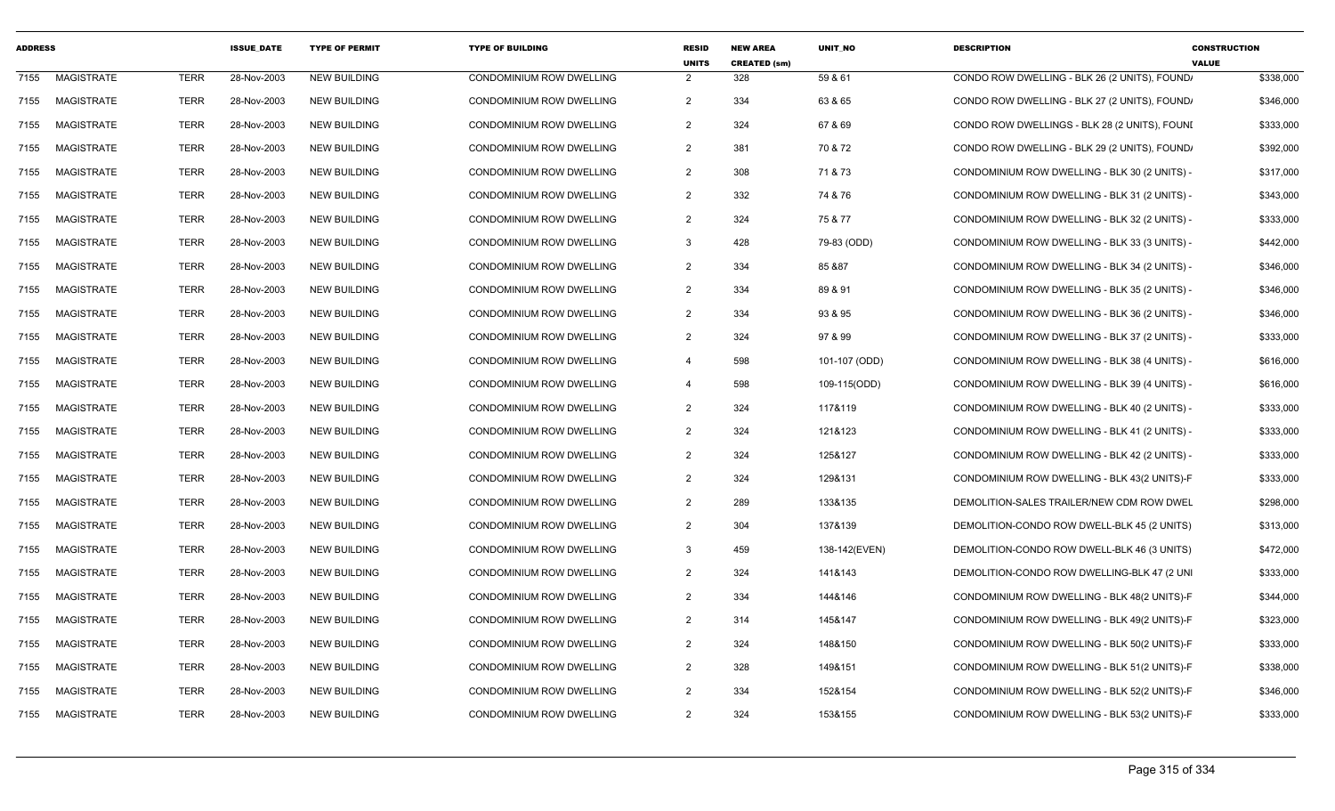| <b>ADDRESS</b> |                   |             | <b>ISSUE DATE</b> | <b>TYPE OF PERMIT</b> | <b>TYPE OF BUILDING</b>         | <b>RESID</b><br><b>UNITS</b> | <b>NEW AREA</b><br><b>CREATED (sm)</b> | <b>UNIT NO</b> | <b>DESCRIPTION</b>                            | <b>CONSTRUCTION</b><br><b>VALUE</b> |
|----------------|-------------------|-------------|-------------------|-----------------------|---------------------------------|------------------------------|----------------------------------------|----------------|-----------------------------------------------|-------------------------------------|
| 7155           | <b>MAGISTRATE</b> | <b>TERR</b> | 28-Nov-2003       | <b>NEW BUILDING</b>   | CONDOMINIUM ROW DWELLING        | $\overline{2}$               | 328                                    | 59 & 61        | CONDO ROW DWELLING - BLK 26 (2 UNITS), FOUND  | \$338,000                           |
| 7155           | MAGISTRATE        | <b>TERR</b> | 28-Nov-2003       | <b>NEW BUILDING</b>   | <b>CONDOMINIUM ROW DWELLING</b> | $\overline{2}$               | 334                                    | 63 & 65        | CONDO ROW DWELLING - BLK 27 (2 UNITS), FOUND, | \$346,000                           |
| 7155           | <b>MAGISTRATE</b> | <b>TERR</b> | 28-Nov-2003       | <b>NEW BUILDING</b>   | <b>CONDOMINIUM ROW DWELLING</b> | $\overline{2}$               | 324                                    | 67 & 69        | CONDO ROW DWELLINGS - BLK 28 (2 UNITS), FOUNI | \$333,000                           |
| 7155           | <b>MAGISTRATE</b> | <b>TERR</b> | 28-Nov-2003       | <b>NEW BUILDING</b>   | <b>CONDOMINIUM ROW DWELLING</b> | $\overline{2}$               | 381                                    | 70 & 72        | CONDO ROW DWELLING - BLK 29 (2 UNITS), FOUND  | \$392,000                           |
| 7155           | <b>MAGISTRATE</b> | <b>TERR</b> | 28-Nov-2003       | <b>NEW BUILDING</b>   | CONDOMINIUM ROW DWELLING        | $\overline{2}$               | 308                                    | 71 & 73        | CONDOMINIUM ROW DWELLING - BLK 30 (2 UNITS) - | \$317,000                           |
| 7155           | <b>MAGISTRATE</b> | <b>TERR</b> | 28-Nov-2003       | <b>NEW BUILDING</b>   | <b>CONDOMINIUM ROW DWELLING</b> | $\overline{2}$               | 332                                    | 74 & 76        | CONDOMINIUM ROW DWELLING - BLK 31 (2 UNITS) - | \$343,000                           |
| 7155           | <b>MAGISTRATE</b> | <b>TERR</b> | 28-Nov-2003       | <b>NEW BUILDING</b>   | <b>CONDOMINIUM ROW DWELLING</b> | 2                            | 324                                    | 75 & 77        | CONDOMINIUM ROW DWELLING - BLK 32 (2 UNITS) - | \$333,000                           |
| 7155           | <b>MAGISTRATE</b> | <b>TERR</b> | 28-Nov-2003       | <b>NEW BUILDING</b>   | <b>CONDOMINIUM ROW DWELLING</b> | -3                           | 428                                    | 79-83 (ODD)    | CONDOMINIUM ROW DWELLING - BLK 33 (3 UNITS) - | \$442,000                           |
| 7155           | MAGISTRATE        | <b>TERR</b> | 28-Nov-2003       | <b>NEW BUILDING</b>   | CONDOMINIUM ROW DWELLING        | $\overline{2}$               | 334                                    | 85 & 87        | CONDOMINIUM ROW DWELLING - BLK 34 (2 UNITS) - | \$346,000                           |
| 7155           | <b>MAGISTRATE</b> | <b>TERR</b> | 28-Nov-2003       | <b>NEW BUILDING</b>   | CONDOMINIUM ROW DWELLING        | $\overline{2}$               | 334                                    | 89 & 91        | CONDOMINIUM ROW DWELLING - BLK 35 (2 UNITS) - | \$346,000                           |
| 7155           | <b>MAGISTRATE</b> | <b>TERR</b> | 28-Nov-2003       | <b>NEW BUILDING</b>   | CONDOMINIUM ROW DWELLING        | $\overline{2}$               | 334                                    | 93 & 95        | CONDOMINIUM ROW DWELLING - BLK 36 (2 UNITS) - | \$346,000                           |
| 7155           | <b>MAGISTRATE</b> | <b>TERR</b> | 28-Nov-2003       | <b>NEW BUILDING</b>   | CONDOMINIUM ROW DWELLING        | 2                            | 324                                    | 97 & 99        | CONDOMINIUM ROW DWELLING - BLK 37 (2 UNITS) - | \$333,000                           |
| 7155           | MAGISTRATE        | <b>TERR</b> | 28-Nov-2003       | <b>NEW BUILDING</b>   | <b>CONDOMINIUM ROW DWELLING</b> | $\overline{4}$               | 598                                    | 101-107 (ODD)  | CONDOMINIUM ROW DWELLING - BLK 38 (4 UNITS) - | \$616,000                           |
| 7155           | <b>MAGISTRATE</b> | <b>TERR</b> | 28-Nov-2003       | <b>NEW BUILDING</b>   | <b>CONDOMINIUM ROW DWELLING</b> | $\overline{\mathbf{4}}$      | 598                                    | 109-115(ODD)   | CONDOMINIUM ROW DWELLING - BLK 39 (4 UNITS) - | \$616,000                           |
| 7155           | <b>MAGISTRATE</b> | <b>TERR</b> | 28-Nov-2003       | <b>NEW BUILDING</b>   | <b>CONDOMINIUM ROW DWELLING</b> | $\overline{2}$               | 324                                    | 117&119        | CONDOMINIUM ROW DWELLING - BLK 40 (2 UNITS) - | \$333,000                           |
| 7155           | <b>MAGISTRATE</b> | <b>TERR</b> | 28-Nov-2003       | <b>NEW BUILDING</b>   | CONDOMINIUM ROW DWELLING        | $\overline{2}$               | 324                                    | 121&123        | CONDOMINIUM ROW DWELLING - BLK 41 (2 UNITS) - | \$333,000                           |
| 7155           | <b>MAGISTRATE</b> | <b>TERR</b> | 28-Nov-2003       | <b>NEW BUILDING</b>   | CONDOMINIUM ROW DWELLING        | $\overline{2}$               | 324                                    | 125&127        | CONDOMINIUM ROW DWELLING - BLK 42 (2 UNITS) - | \$333,000                           |
| 7155           | <b>MAGISTRATE</b> | <b>TERR</b> | 28-Nov-2003       | <b>NEW BUILDING</b>   | <b>CONDOMINIUM ROW DWELLING</b> | $\overline{2}$               | 324                                    | 129&131        | CONDOMINIUM ROW DWELLING - BLK 43(2 UNITS)-F  | \$333,000                           |
| 7155           | <b>MAGISTRATE</b> | <b>TERR</b> | 28-Nov-2003       | <b>NEW BUILDING</b>   | CONDOMINIUM ROW DWELLING        | $\overline{2}$               | 289                                    | 133&135        | DEMOLITION-SALES TRAILER/NEW CDM ROW DWEL     | \$298,000                           |
| 7155           | <b>MAGISTRATE</b> | <b>TERR</b> | 28-Nov-2003       | <b>NEW BUILDING</b>   | CONDOMINIUM ROW DWELLING        | 2                            | 304                                    | 137&139        | DEMOLITION-CONDO ROW DWELL-BLK 45 (2 UNITS)   | \$313,000                           |
| 7155           | <b>MAGISTRATE</b> | <b>TERR</b> | 28-Nov-2003       | <b>NEW BUILDING</b>   | CONDOMINIUM ROW DWELLING        | -3                           | 459                                    | 138-142(EVEN)  | DEMOLITION-CONDO ROW DWELL-BLK 46 (3 UNITS)   | \$472,000                           |
| 7155           | MAGISTRATE        | <b>TERR</b> | 28-Nov-2003       | <b>NEW BUILDING</b>   | <b>CONDOMINIUM ROW DWELLING</b> | $\overline{2}$               | 324                                    | 141&143        | DEMOLITION-CONDO ROW DWELLING-BLK 47 (2 UNI   | \$333,000                           |
| 7155           | <b>MAGISTRATE</b> | <b>TERR</b> | 28-Nov-2003       | <b>NEW BUILDING</b>   | CONDOMINIUM ROW DWELLING        | $\overline{2}$               | 334                                    | 144&146        | CONDOMINIUM ROW DWELLING - BLK 48(2 UNITS)-F  | \$344,000                           |
| 7155           | MAGISTRATE        | <b>TERR</b> | 28-Nov-2003       | <b>NEW BUILDING</b>   | CONDOMINIUM ROW DWELLING        | $\overline{2}$               | 314                                    | 145&147        | CONDOMINIUM ROW DWELLING - BLK 49(2 UNITS)-F  | \$323,000                           |
| 7155           | <b>MAGISTRATE</b> | <b>TERR</b> | 28-Nov-2003       | <b>NEW BUILDING</b>   | CONDOMINIUM ROW DWELLING        | $\overline{2}$               | 324                                    | 148&150        | CONDOMINIUM ROW DWELLING - BLK 50(2 UNITS)-F  | \$333,000                           |
| 7155           | <b>MAGISTRATE</b> | <b>TERR</b> | 28-Nov-2003       | <b>NEW BUILDING</b>   | <b>CONDOMINIUM ROW DWELLING</b> | $\overline{2}$               | 328                                    | 149&151        | CONDOMINIUM ROW DWELLING - BLK 51(2 UNITS)-F  | \$338,000                           |
| 7155           | <b>MAGISTRATE</b> | <b>TERR</b> | 28-Nov-2003       | <b>NEW BUILDING</b>   | <b>CONDOMINIUM ROW DWELLING</b> | $\overline{2}$               | 334                                    | 152&154        | CONDOMINIUM ROW DWELLING - BLK 52(2 UNITS)-F  | \$346,000                           |
| 7155           | MAGISTRATE        | <b>TERR</b> | 28-Nov-2003       | <b>NEW BUILDING</b>   | CONDOMINIUM ROW DWELLING        | 2                            | 324                                    | 153&155        | CONDOMINIUM ROW DWELLING - BLK 53(2 UNITS)-F  | \$333,000                           |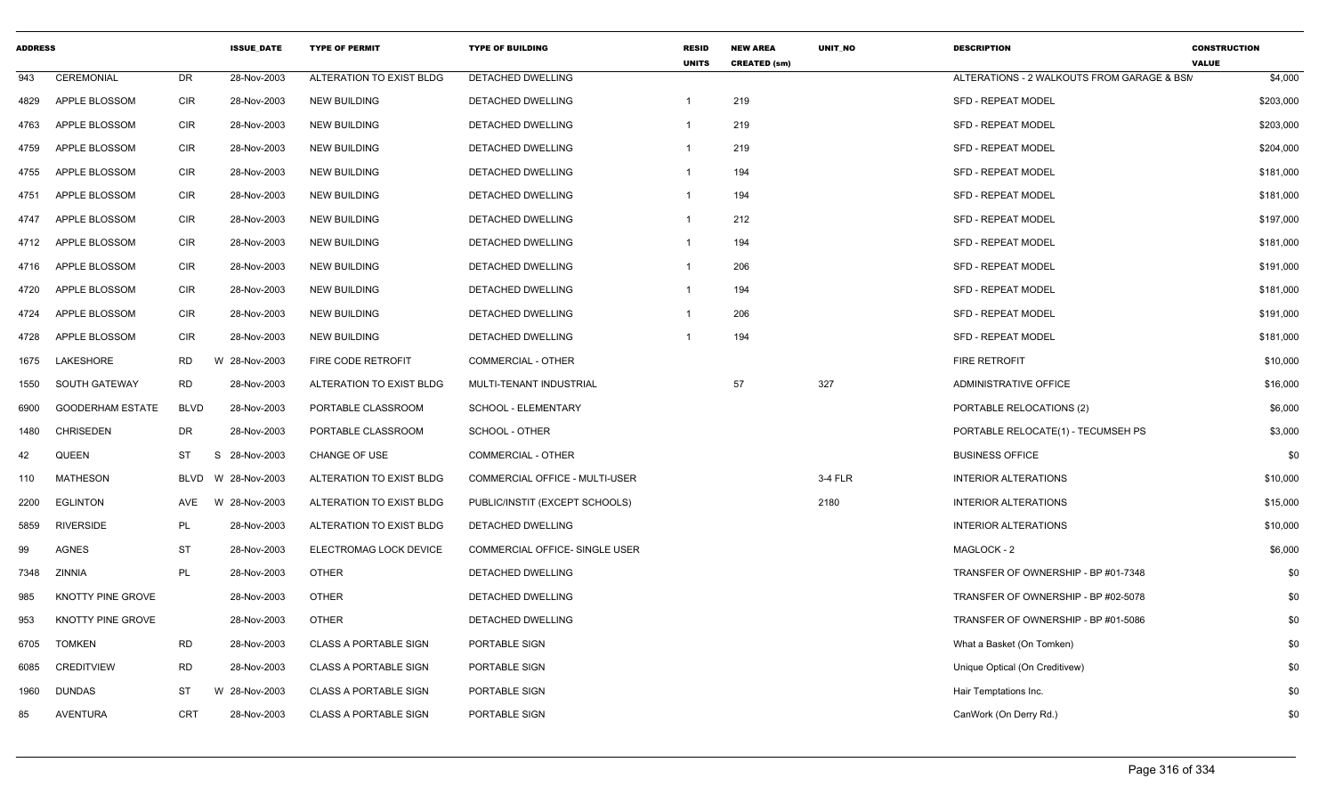| <b>ADDRESS</b> |                         |             | <b>ISSUE DATE</b> | <b>TYPE OF PERMIT</b>        | <b>TYPE OF BUILDING</b>        | <b>RESID</b><br><b>UNITS</b> | <b>NEW AREA</b><br><b>CREATED (sm)</b> | <b>UNIT NO</b> | <b>DESCRIPTION</b>                         | <b>CONSTRUCTION</b><br><b>VALUE</b> |
|----------------|-------------------------|-------------|-------------------|------------------------------|--------------------------------|------------------------------|----------------------------------------|----------------|--------------------------------------------|-------------------------------------|
| 943            | <b>CEREMONIAL</b>       | <b>DR</b>   | 28-Nov-2003       | ALTERATION TO EXIST BLDG     | <b>DETACHED DWELLING</b>       |                              |                                        |                | ALTERATIONS - 2 WALKOUTS FROM GARAGE & BSM | \$4,000                             |
| 4829           | APPLE BLOSSOM           | CIR         | 28-Nov-2003       | <b>NEW BUILDING</b>          | DETACHED DWELLING              | $\mathbf{1}$                 | 219                                    |                | <b>SFD - REPEAT MODEL</b>                  | \$203,000                           |
| 4763           | APPLE BLOSSOM           | CIR         | 28-Nov-2003       | <b>NEW BUILDING</b>          | DETACHED DWELLING              | -1                           | 219                                    |                | <b>SFD - REPEAT MODEL</b>                  | \$203,000                           |
| 4759           | APPLE BLOSSOM           | CIR         | 28-Nov-2003       | <b>NEW BUILDING</b>          | <b>DETACHED DWELLING</b>       | $\mathbf{1}$                 | 219                                    |                | <b>SFD - REPEAT MODEL</b>                  | \$204,000                           |
| 4755           | APPLE BLOSSOM           | <b>CIR</b>  | 28-Nov-2003       | <b>NEW BUILDING</b>          | DETACHED DWELLING              | -1                           | 194                                    |                | <b>SFD - REPEAT MODEL</b>                  | \$181,000                           |
| 4751           | APPLE BLOSSOM           | <b>CIR</b>  | 28-Nov-2003       | <b>NEW BUILDING</b>          | <b>DETACHED DWELLING</b>       | $\mathbf 1$                  | 194                                    |                | <b>SFD - REPEAT MODEL</b>                  | \$181,000                           |
| 4747           | APPLE BLOSSOM           | CIR         | 28-Nov-2003       | <b>NEW BUILDING</b>          | DETACHED DWELLING              | $\mathbf{1}$                 | 212                                    |                | <b>SFD - REPEAT MODEL</b>                  | \$197,000                           |
| 4712           | <b>APPLE BLOSSOM</b>    | <b>CIR</b>  | 28-Nov-2003       | <b>NEW BUILDING</b>          | <b>DETACHED DWELLING</b>       | $\mathbf{1}$                 | 194                                    |                | <b>SFD - REPEAT MODEL</b>                  | \$181,000                           |
| 4716           | APPLE BLOSSOM           | CIR         | 28-Nov-2003       | <b>NEW BUILDING</b>          | DETACHED DWELLING              | -1                           | 206                                    |                | <b>SFD - REPEAT MODEL</b>                  | \$191,000                           |
| 4720           | APPLE BLOSSOM           | <b>CIR</b>  | 28-Nov-2003       | <b>NEW BUILDING</b>          | DETACHED DWELLING              | -1                           | 194                                    |                | <b>SFD - REPEAT MODEL</b>                  | \$181,000                           |
| 4724           | APPLE BLOSSOM           | <b>CIR</b>  | 28-Nov-2003       | <b>NEW BUILDING</b>          | <b>DETACHED DWELLING</b>       | -1                           | 206                                    |                | <b>SFD - REPEAT MODEL</b>                  | \$191,000                           |
| 4728           | APPLE BLOSSOM           | <b>CIR</b>  | 28-Nov-2003       | <b>NEW BUILDING</b>          | DETACHED DWELLING              |                              | 194                                    |                | <b>SFD - REPEAT MODEL</b>                  | \$181,000                           |
| 1675           | LAKESHORE               | RD          | W 28-Nov-2003     | FIRE CODE RETROFIT           | <b>COMMERCIAL - OTHER</b>      |                              |                                        |                | FIRE RETROFIT                              | \$10,000                            |
| 1550           | SOUTH GATEWAY           | <b>RD</b>   | 28-Nov-2003       | ALTERATION TO EXIST BLDG     | MULTI-TENANT INDUSTRIAL        |                              | 57                                     | 327            | <b>ADMINISTRATIVE OFFICE</b>               | \$16,000                            |
| 6900           | <b>GOODERHAM ESTATE</b> | <b>BLVD</b> | 28-Nov-2003       | PORTABLE CLASSROOM           | SCHOOL - ELEMENTARY            |                              |                                        |                | PORTABLE RELOCATIONS (2)                   | \$6,000                             |
| 1480           | <b>CHRISEDEN</b>        | <b>DR</b>   | 28-Nov-2003       | PORTABLE CLASSROOM           | SCHOOL - OTHER                 |                              |                                        |                | PORTABLE RELOCATE(1) - TECUMSEH PS         | \$3,000                             |
| 42             | QUEEN                   | ST          | -S<br>28-Nov-2003 | CHANGE OF USE                | <b>COMMERCIAL - OTHER</b>      |                              |                                        |                | <b>BUSINESS OFFICE</b>                     | \$0                                 |
| 110            | MATHESON                | <b>BLVD</b> | W 28-Nov-2003     | ALTERATION TO EXIST BLDG     | COMMERCIAL OFFICE - MULTI-USER |                              |                                        | 3-4 FLR        | <b>INTERIOR ALTERATIONS</b>                | \$10,000                            |
| 2200           | <b>EGLINTON</b>         | AVE         | W 28-Nov-2003     | ALTERATION TO EXIST BLDG     | PUBLIC/INSTIT (EXCEPT SCHOOLS) |                              |                                        | 2180           | <b>INTERIOR ALTERATIONS</b>                | \$15,000                            |
| 5859           | <b>RIVERSIDE</b>        | PL          | 28-Nov-2003       | ALTERATION TO EXIST BLDG     | DETACHED DWELLING              |                              |                                        |                | <b>INTERIOR ALTERATIONS</b>                | \$10,000                            |
| 99             | <b>AGNES</b>            | <b>ST</b>   | 28-Nov-2003       | ELECTROMAG LOCK DEVICE       | COMMERCIAL OFFICE- SINGLE USER |                              |                                        |                | MAGLOCK - 2                                | \$6,000                             |
| 7348           | ZINNIA                  | PL          | 28-Nov-2003       | <b>OTHER</b>                 | DETACHED DWELLING              |                              |                                        |                | TRANSFER OF OWNERSHIP - BP #01-7348        | \$0                                 |
| 985            | KNOTTY PINE GROVE       |             | 28-Nov-2003       | <b>OTHER</b>                 | DETACHED DWELLING              |                              |                                        |                | TRANSFER OF OWNERSHIP - BP #02-5078        | \$0                                 |
| 953            | KNOTTY PINE GROVE       |             | 28-Nov-2003       | <b>OTHER</b>                 | DETACHED DWELLING              |                              |                                        |                | TRANSFER OF OWNERSHIP - BP #01-5086        | \$0                                 |
| 6705           | <b>TOMKEN</b>           | <b>RD</b>   | 28-Nov-2003       | <b>CLASS A PORTABLE SIGN</b> | PORTABLE SIGN                  |                              |                                        |                | What a Basket (On Tomken)                  | \$0                                 |
| 6085           | <b>CREDITVIEW</b>       | <b>RD</b>   | 28-Nov-2003       | <b>CLASS A PORTABLE SIGN</b> | PORTABLE SIGN                  |                              |                                        |                | Unique Optical (On Creditivew)             | \$0                                 |
| 1960           | <b>DUNDAS</b>           | <b>ST</b>   | W 28-Nov-2003     | <b>CLASS A PORTABLE SIGN</b> | PORTABLE SIGN                  |                              |                                        |                | Hair Temptations Inc.                      | \$0                                 |
| 85             | <b>AVENTURA</b>         | <b>CRT</b>  | 28-Nov-2003       | <b>CLASS A PORTABLE SIGN</b> | PORTABLE SIGN                  |                              |                                        |                | CanWork (On Derry Rd.)                     | \$0                                 |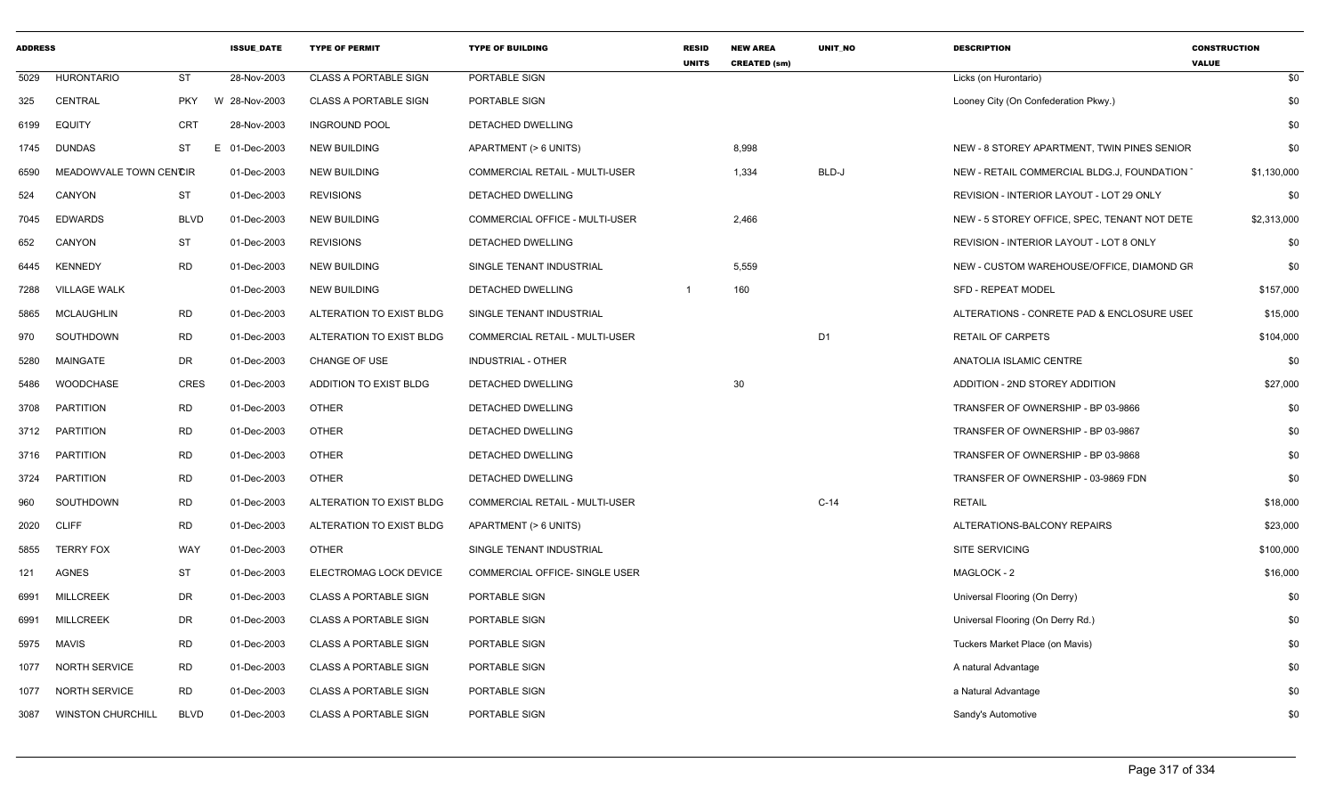| ADDRESS |                        |             | <b>ISSUE_DATE</b> | <b>TYPE OF PERMIT</b>        | <b>TYPE OF BUILDING</b>               | <b>RESID</b><br><b>UNITS</b> | <b>NEW AREA</b><br><b>CREATED (sm)</b> | <b>UNIT NO</b> | <b>DESCRIPTION</b>                           | <b>CONSTRUCTION</b><br><b>VALUE</b> |
|---------|------------------------|-------------|-------------------|------------------------------|---------------------------------------|------------------------------|----------------------------------------|----------------|----------------------------------------------|-------------------------------------|
|         | 5029 HURONTARIO        | ST          | 28-Nov-2003       | <b>CLASS A PORTABLE SIGN</b> | PORTABLE SIGN                         |                              |                                        |                | Licks (on Hurontario)                        | \$0                                 |
|         | 325 CENTRAL            | PKY         | W 28-Nov-2003     | CLASS A PORTABLE SIGN        | PORTABLE SIGN                         |                              |                                        |                | Looney City (On Confederation Pkwy.)         | \$0                                 |
|         | 6199 EQUITY            | <b>CRT</b>  | 28-Nov-2003       | <b>INGROUND POOL</b>         | DETACHED DWELLING                     |                              |                                        |                |                                              | \$0                                 |
|         | 1745 DUNDAS            | ST          | 01-Dec-2003<br>E  | <b>NEW BUILDING</b>          | APARTMENT (> 6 UNITS)                 |                              | 8,998                                  |                | NEW - 8 STOREY APARTMENT, TWIN PINES SENIOR  | \$0                                 |
| 6590    | MEADOWVALE TOWN CENCIR |             | 01-Dec-2003       | <b>NEW BUILDING</b>          | <b>COMMERCIAL RETAIL - MULTI-USER</b> |                              | 1,334                                  | BLD-J          | NEW - RETAIL COMMERCIAL BLDG.J, FOUNDATION   | \$1,130,000                         |
| 524     | CANYON                 | <b>ST</b>   | 01-Dec-2003       | <b>REVISIONS</b>             | <b>DETACHED DWELLING</b>              |                              |                                        |                | REVISION - INTERIOR LAYOUT - LOT 29 ONLY     | \$0                                 |
|         | 7045 EDWARDS           | <b>BLVD</b> | 01-Dec-2003       | <b>NEW BUILDING</b>          | COMMERCIAL OFFICE - MULTI-USER        |                              | 2,466                                  |                | NEW - 5 STOREY OFFICE, SPEC, TENANT NOT DETE | \$2,313,000                         |
| 652     | CANYON                 | ST          | 01-Dec-2003       | <b>REVISIONS</b>             | <b>DETACHED DWELLING</b>              |                              |                                        |                | REVISION - INTERIOR LAYOUT - LOT 8 ONLY      | \$0                                 |
|         | 6445 KENNEDY           | <b>RD</b>   | 01-Dec-2003       | <b>NEW BUILDING</b>          | SINGLE TENANT INDUSTRIAL              |                              | 5,559                                  |                | NEW - CUSTOM WAREHOUSE/OFFICE, DIAMOND GF    | \$0                                 |
| 7288    | <b>VILLAGE WALK</b>    |             | 01-Dec-2003       | <b>NEW BUILDING</b>          | DETACHED DWELLING                     |                              | 160                                    |                | <b>SFD - REPEAT MODEL</b>                    | \$157,000                           |
| 5865    | MCLAUGHLIN             | <b>RD</b>   | 01-Dec-2003       | ALTERATION TO EXIST BLDG     | SINGLE TENANT INDUSTRIAL              |                              |                                        |                | ALTERATIONS - CONRETE PAD & ENCLOSURE USEI   | \$15,000                            |
| 970     | SOUTHDOWN              | <b>RD</b>   | 01-Dec-2003       | ALTERATION TO EXIST BLDG     | <b>COMMERCIAL RETAIL - MULTI-USER</b> |                              |                                        | D <sub>1</sub> | <b>RETAIL OF CARPETS</b>                     | \$104,000                           |
| 5280    | MAINGATE               | DR          | 01-Dec-2003       | CHANGE OF USE                | INDUSTRIAL - OTHER                    |                              |                                        |                | ANATOLIA ISLAMIC CENTRE                      | \$0                                 |
| 5486    | WOODCHASE              | <b>CRES</b> | 01-Dec-2003       | ADDITION TO EXIST BLDG       | DETACHED DWELLING                     |                              | 30                                     |                | ADDITION - 2ND STOREY ADDITION               | \$27,000                            |
|         | 3708 PARTITION         | RD          | 01-Dec-2003       | <b>OTHER</b>                 | <b>DETACHED DWELLING</b>              |                              |                                        |                | TRANSFER OF OWNERSHIP - BP 03-9866           | \$0                                 |
|         | 3712 PARTITION         | <b>RD</b>   | 01-Dec-2003       | OTHER                        | DETACHED DWELLING                     |                              |                                        |                | TRANSFER OF OWNERSHIP - BP 03-9867           | \$0                                 |
|         | 3716 PARTITION         | <b>RD</b>   | 01-Dec-2003       | OTHER                        | DETACHED DWELLING                     |                              |                                        |                | TRANSFER OF OWNERSHIP - BP 03-9868           | \$0                                 |
|         | 3724 PARTITION         | <b>RD</b>   | 01-Dec-2003       | <b>OTHER</b>                 | <b>DETACHED DWELLING</b>              |                              |                                        |                | TRANSFER OF OWNERSHIP - 03-9869 FDN          | \$0                                 |
| 960     | SOUTHDOWN              | <b>RD</b>   | 01-Dec-2003       | ALTERATION TO EXIST BLDG     | <b>COMMERCIAL RETAIL - MULTI-USER</b> |                              |                                        | $C-14$         | <b>RETAIL</b>                                | \$18,000                            |
|         | 2020 CLIFF             | <b>RD</b>   | 01-Dec-2003       | ALTERATION TO EXIST BLDG     | APARTMENT (> 6 UNITS)                 |                              |                                        |                | ALTERATIONS-BALCONY REPAIRS                  | \$23,000                            |
| 5855    | <b>TERRY FOX</b>       | WAY         | 01-Dec-2003       | OTHER                        | SINGLE TENANT INDUSTRIAL              |                              |                                        |                | <b>SITE SERVICING</b>                        | \$100,000                           |
| 121     | <b>AGNES</b>           | <b>ST</b>   | 01-Dec-2003       | ELECTROMAG LOCK DEVICE       | COMMERCIAL OFFICE- SINGLE USER        |                              |                                        |                | MAGLOCK - 2                                  | \$16,000                            |
| 6991    | <b>MILLCREEK</b>       | DR          | 01-Dec-2003       | CLASS A PORTABLE SIGN        | PORTABLE SIGN                         |                              |                                        |                | Universal Flooring (On Derry)                | \$0                                 |
| 6991    | MILLCREEK              | DR          | 01-Dec-2003       | <b>CLASS A PORTABLE SIGN</b> | PORTABLE SIGN                         |                              |                                        |                | Universal Flooring (On Derry Rd.)            | \$0                                 |
|         | 5975 MAVIS             | <b>RD</b>   | 01-Dec-2003       | CLASS A PORTABLE SIGN        | PORTABLE SIGN                         |                              |                                        |                | Tuckers Market Place (on Mavis)              | \$0                                 |
|         | 1077 NORTH SERVICE     | <b>RD</b>   | 01-Dec-2003       | <b>CLASS A PORTABLE SIGN</b> | PORTABLE SIGN                         |                              |                                        |                | A natural Advantage                          | \$0                                 |
|         | 1077 NORTH SERVICE     | <b>RD</b>   | 01-Dec-2003       | <b>CLASS A PORTABLE SIGN</b> | PORTABLE SIGN                         |                              |                                        |                | a Natural Advantage                          | \$0                                 |
|         | 3087 WINSTON CHURCHILL | <b>BLVD</b> | 01-Dec-2003       | <b>CLASS A PORTABLE SIGN</b> | PORTABLE SIGN                         |                              |                                        |                | Sandy's Automotive                           | \$0                                 |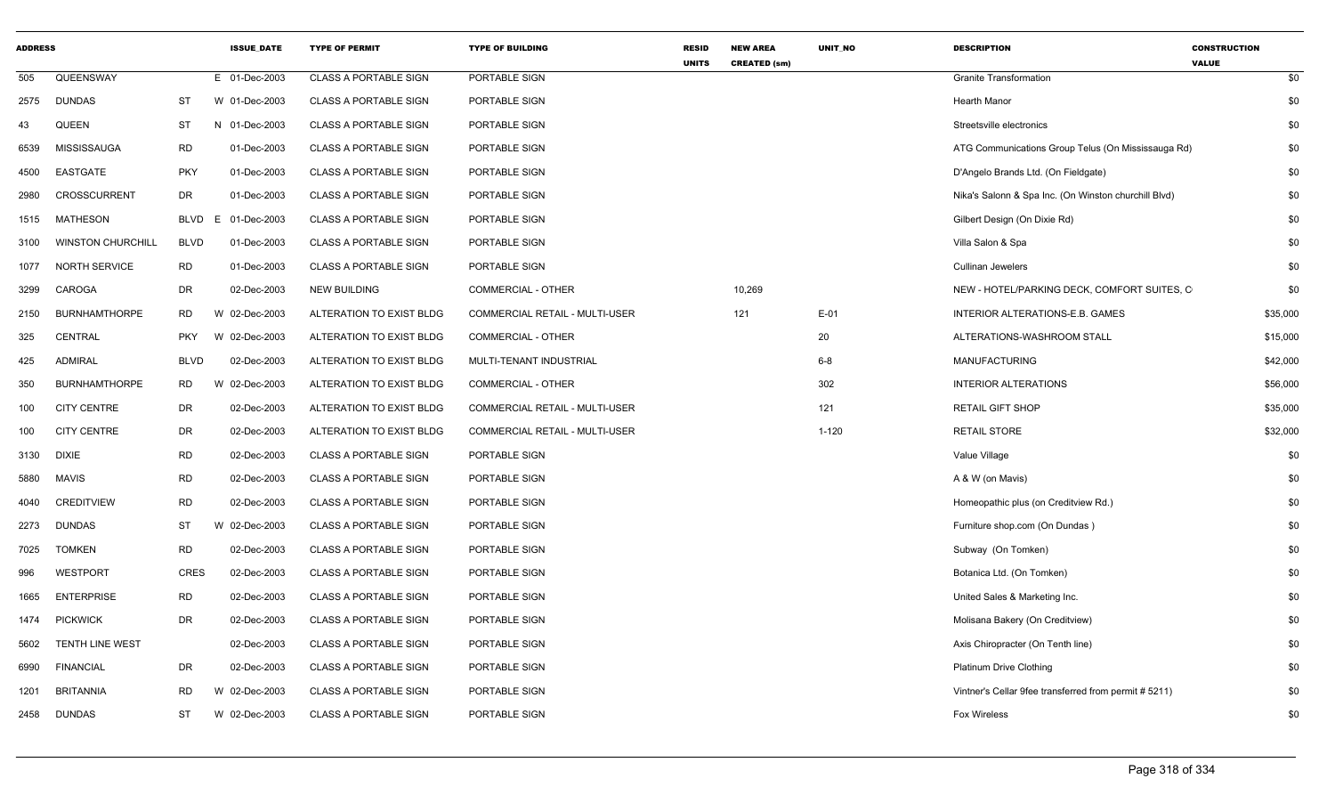| <b>ADDRESS</b> |                          |             | <b>ISSUE_DATE</b> | <b>TYPE OF PERMIT</b>        | <b>TYPE OF BUILDING</b>               | <b>RESID</b><br><b>UNITS</b> | <b>NEW AREA</b><br><b>CREATED (sm)</b> | UNIT_NO   | <b>DESCRIPTION</b>                                    | <b>CONSTRUCTION</b><br><b>VALUE</b> |
|----------------|--------------------------|-------------|-------------------|------------------------------|---------------------------------------|------------------------------|----------------------------------------|-----------|-------------------------------------------------------|-------------------------------------|
| 505            | QUEENSWAY                |             | E 01-Dec-2003     | <b>CLASS A PORTABLE SIGN</b> | PORTABLE SIGN                         |                              |                                        |           | <b>Granite Transformation</b>                         | \$0                                 |
| 2575           | <b>DUNDAS</b>            | <b>ST</b>   | W 01-Dec-2003     | <b>CLASS A PORTABLE SIGN</b> | PORTABLE SIGN                         |                              |                                        |           | <b>Hearth Manor</b>                                   | \$0                                 |
| 43             | QUEEN                    | ST          | N 01-Dec-2003     | <b>CLASS A PORTABLE SIGN</b> | PORTABLE SIGN                         |                              |                                        |           | Streetsville electronics                              | \$0                                 |
| 6539           | <b>MISSISSAUGA</b>       | <b>RD</b>   | 01-Dec-2003       | <b>CLASS A PORTABLE SIGN</b> | PORTABLE SIGN                         |                              |                                        |           | ATG Communications Group Telus (On Mississauga Rd)    | \$0                                 |
| 4500           | EASTGATE                 | <b>PKY</b>  | 01-Dec-2003       | <b>CLASS A PORTABLE SIGN</b> | PORTABLE SIGN                         |                              |                                        |           | D'Angelo Brands Ltd. (On Fieldgate)                   | \$0                                 |
| 2980           | <b>CROSSCURRENT</b>      | <b>DR</b>   | 01-Dec-2003       | <b>CLASS A PORTABLE SIGN</b> | PORTABLE SIGN                         |                              |                                        |           | Nika's Salonn & Spa Inc. (On Winston churchill Blvd)  | \$0                                 |
| 1515           | <b>MATHESON</b>          | BLVD        | E 01-Dec-2003     | <b>CLASS A PORTABLE SIGN</b> | PORTABLE SIGN                         |                              |                                        |           | Gilbert Design (On Dixie Rd)                          | \$0                                 |
| 3100           | <b>WINSTON CHURCHILL</b> | <b>BLVD</b> | 01-Dec-2003       | <b>CLASS A PORTABLE SIGN</b> | PORTABLE SIGN                         |                              |                                        |           | Villa Salon & Spa                                     | \$0                                 |
| 1077           | NORTH SERVICE            | RD          | 01-Dec-2003       | <b>CLASS A PORTABLE SIGN</b> | PORTABLE SIGN                         |                              |                                        |           | <b>Cullinan Jewelers</b>                              | \$0                                 |
| 3299           | CAROGA                   | <b>DR</b>   | 02-Dec-2003       | <b>NEW BUILDING</b>          | <b>COMMERCIAL - OTHER</b>             |                              | 10,269                                 |           | NEW - HOTEL/PARKING DECK, COMFORT SUITES, C           | \$0                                 |
| 2150           | <b>BURNHAMTHORPE</b>     | RD          | W 02-Dec-2003     | ALTERATION TO EXIST BLDG     | COMMERCIAL RETAIL - MULTI-USER        |                              | 121                                    | $E-01$    | INTERIOR ALTERATIONS-E.B. GAMES                       | \$35,000                            |
| 325            | <b>CENTRAL</b>           | <b>PKY</b>  | W 02-Dec-2003     | ALTERATION TO EXIST BLDG     | <b>COMMERCIAL - OTHER</b>             |                              |                                        | 20        | ALTERATIONS-WASHROOM STALL                            | \$15,000                            |
| 425            | <b>ADMIRAL</b>           | <b>BLVD</b> | 02-Dec-2003       | ALTERATION TO EXIST BLDG     | MULTI-TENANT INDUSTRIAL               |                              |                                        | $6 - 8$   | <b>MANUFACTURING</b>                                  | \$42,000                            |
| 350            | <b>BURNHAMTHORPE</b>     | RD          | W 02-Dec-2003     | ALTERATION TO EXIST BLDG     | <b>COMMERCIAL - OTHER</b>             |                              |                                        | 302       | <b>INTERIOR ALTERATIONS</b>                           | \$56,000                            |
| 100            | <b>CITY CENTRE</b>       | DR          | 02-Dec-2003       | ALTERATION TO EXIST BLDG     | COMMERCIAL RETAIL - MULTI-USER        |                              |                                        | 121       | <b>RETAIL GIFT SHOP</b>                               | \$35,000                            |
| 100            | <b>CITY CENTRE</b>       | <b>DR</b>   | 02-Dec-2003       | ALTERATION TO EXIST BLDG     | <b>COMMERCIAL RETAIL - MULTI-USER</b> |                              |                                        | $1 - 120$ | <b>RETAIL STORE</b>                                   | \$32,000                            |
| 3130           | <b>DIXIE</b>             | <b>RD</b>   | 02-Dec-2003       | <b>CLASS A PORTABLE SIGN</b> | PORTABLE SIGN                         |                              |                                        |           | Value Village                                         | \$0                                 |
| 5880           | <b>MAVIS</b>             | <b>RD</b>   | 02-Dec-2003       | <b>CLASS A PORTABLE SIGN</b> | PORTABLE SIGN                         |                              |                                        |           | A & W (on Mavis)                                      | \$0                                 |
| 4040           | <b>CREDITVIEW</b>        | <b>RD</b>   | 02-Dec-2003       | <b>CLASS A PORTABLE SIGN</b> | PORTABLE SIGN                         |                              |                                        |           | Homeopathic plus (on Creditview Rd.)                  | \$0                                 |
| 2273           | <b>DUNDAS</b>            | ST          | W 02-Dec-2003     | <b>CLASS A PORTABLE SIGN</b> | PORTABLE SIGN                         |                              |                                        |           | Furniture shop.com (On Dundas)                        | \$0                                 |
| 7025           | <b>TOMKEN</b>            | <b>RD</b>   | 02-Dec-2003       | <b>CLASS A PORTABLE SIGN</b> | PORTABLE SIGN                         |                              |                                        |           | Subway (On Tomken)                                    | \$0                                 |
| 996            | WESTPORT                 | <b>CRES</b> | 02-Dec-2003       | <b>CLASS A PORTABLE SIGN</b> | PORTABLE SIGN                         |                              |                                        |           | Botanica Ltd. (On Tomken)                             | \$0                                 |
| 1665           | <b>ENTERPRISE</b>        | <b>RD</b>   | 02-Dec-2003       | CLASS A PORTABLE SIGN        | PORTABLE SIGN                         |                              |                                        |           | United Sales & Marketing Inc.                         | \$0                                 |
| 1474           | <b>PICKWICK</b>          | <b>DR</b>   | 02-Dec-2003       | <b>CLASS A PORTABLE SIGN</b> | PORTABLE SIGN                         |                              |                                        |           | Molisana Bakery (On Creditview)                       | \$0                                 |
| 5602           | TENTH LINE WEST          |             | 02-Dec-2003       | <b>CLASS A PORTABLE SIGN</b> | PORTABLE SIGN                         |                              |                                        |           | Axis Chiropracter (On Tenth line)                     | \$0                                 |
| 6990           | <b>FINANCIAL</b>         | <b>DR</b>   | 02-Dec-2003       | <b>CLASS A PORTABLE SIGN</b> | PORTABLE SIGN                         |                              |                                        |           | <b>Platinum Drive Clothing</b>                        | \$0                                 |
| 1201           | <b>BRITANNIA</b>         | <b>RD</b>   | W 02-Dec-2003     | <b>CLASS A PORTABLE SIGN</b> | PORTABLE SIGN                         |                              |                                        |           | Vintner's Cellar 9fee transferred from permit # 5211) | \$0                                 |
| 2458           | <b>DUNDAS</b>            | ST          | W 02-Dec-2003     | <b>CLASS A PORTABLE SIGN</b> | PORTABLE SIGN                         |                              |                                        |           | <b>Fox Wireless</b>                                   | \$0                                 |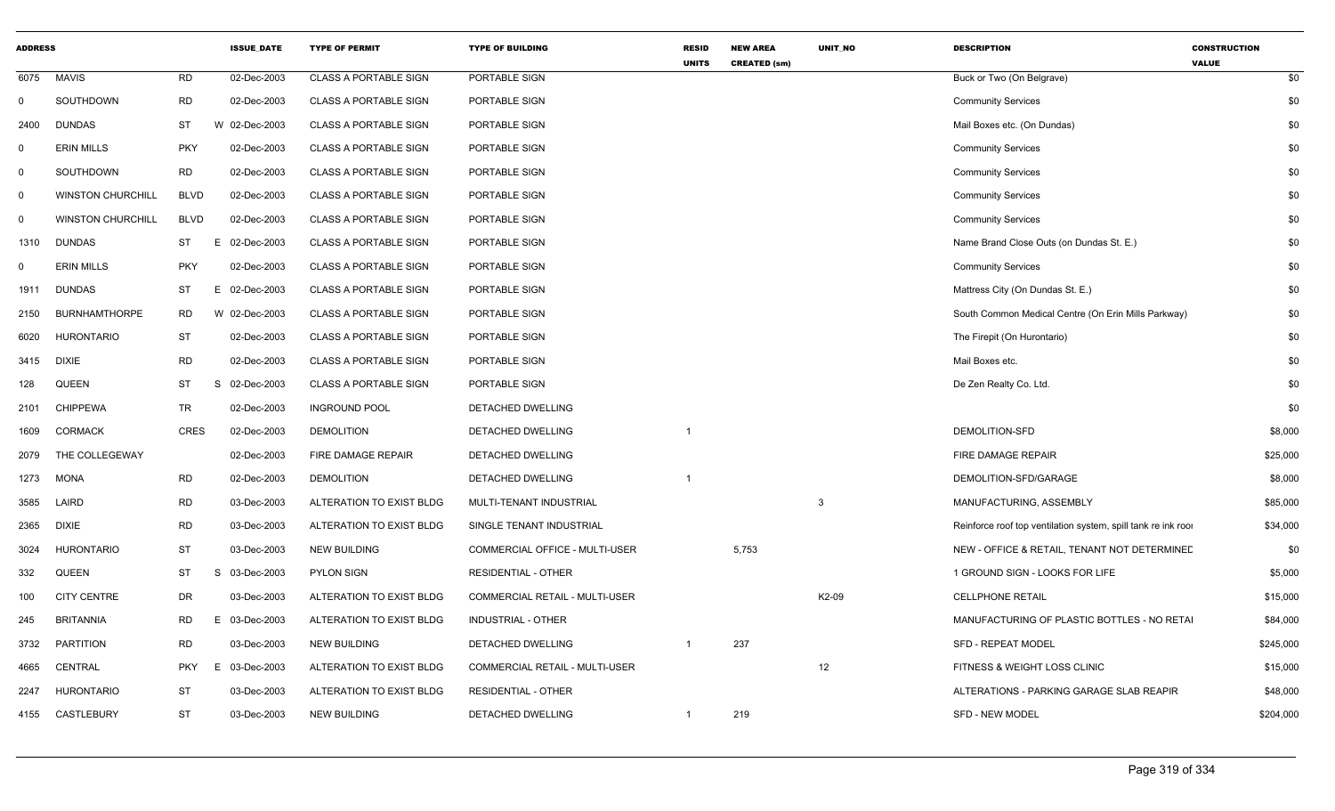| <b>ADDRESS</b> |                          |             | <b>ISSUE_DATE</b> | <b>TYPE OF PERMIT</b>        | <b>TYPE OF BUILDING</b>        | <b>RESID</b><br><b>UNITS</b> | <b>NEW AREA</b><br><b>CREATED (sm)</b> | UNIT_NO          | <b>DESCRIPTION</b>                                            | <b>CONSTRUCTION</b><br><b>VALUE</b> |
|----------------|--------------------------|-------------|-------------------|------------------------------|--------------------------------|------------------------------|----------------------------------------|------------------|---------------------------------------------------------------|-------------------------------------|
| 6075           | <b>MAVIS</b>             | <b>RD</b>   | 02-Dec-2003       | <b>CLASS A PORTABLE SIGN</b> | PORTABLE SIGN                  |                              |                                        |                  | Buck or Two (On Belgrave)                                     | \$0                                 |
| $\mathbf 0$    | SOUTHDOWN                | <b>RD</b>   | 02-Dec-2003       | <b>CLASS A PORTABLE SIGN</b> | PORTABLE SIGN                  |                              |                                        |                  | <b>Community Services</b>                                     | \$0                                 |
| 2400           | <b>DUNDAS</b>            | <b>ST</b>   | W 02-Dec-2003     | <b>CLASS A PORTABLE SIGN</b> | PORTABLE SIGN                  |                              |                                        |                  | Mail Boxes etc. (On Dundas)                                   | \$0                                 |
| 0              | <b>ERIN MILLS</b>        | <b>PKY</b>  | 02-Dec-2003       | <b>CLASS A PORTABLE SIGN</b> | PORTABLE SIGN                  |                              |                                        |                  | <b>Community Services</b>                                     | \$0                                 |
| $\mathbf 0$    | SOUTHDOWN                | <b>RD</b>   | 02-Dec-2003       | <b>CLASS A PORTABLE SIGN</b> | PORTABLE SIGN                  |                              |                                        |                  | <b>Community Services</b>                                     | \$0                                 |
| $\mathbf{0}$   | <b>WINSTON CHURCHILL</b> | <b>BLVD</b> | 02-Dec-2003       | <b>CLASS A PORTABLE SIGN</b> | PORTABLE SIGN                  |                              |                                        |                  | <b>Community Services</b>                                     | \$0                                 |
| $\mathbf 0$    | <b>WINSTON CHURCHILL</b> | <b>BLVD</b> | 02-Dec-2003       | <b>CLASS A PORTABLE SIGN</b> | PORTABLE SIGN                  |                              |                                        |                  | <b>Community Services</b>                                     | \$0                                 |
| 1310           | <b>DUNDAS</b>            | <b>ST</b>   | 02-Dec-2003<br>E. | <b>CLASS A PORTABLE SIGN</b> | PORTABLE SIGN                  |                              |                                        |                  | Name Brand Close Outs (on Dundas St. E.)                      | \$0                                 |
| $\Omega$       | <b>ERIN MILLS</b>        | <b>PKY</b>  | 02-Dec-2003       | <b>CLASS A PORTABLE SIGN</b> | PORTABLE SIGN                  |                              |                                        |                  | <b>Community Services</b>                                     | \$0                                 |
| 1911           | <b>DUNDAS</b>            | <b>ST</b>   | E 02-Dec-2003     | <b>CLASS A PORTABLE SIGN</b> | PORTABLE SIGN                  |                              |                                        |                  | Mattress City (On Dundas St. E.)                              | \$0                                 |
| 2150           | <b>BURNHAMTHORPE</b>     | <b>RD</b>   | W 02-Dec-2003     | <b>CLASS A PORTABLE SIGN</b> | PORTABLE SIGN                  |                              |                                        |                  | South Common Medical Centre (On Erin Mills Parkway)           | \$0                                 |
| 6020           | <b>HURONTARIO</b>        | <b>ST</b>   | 02-Dec-2003       | <b>CLASS A PORTABLE SIGN</b> | PORTABLE SIGN                  |                              |                                        |                  | The Firepit (On Hurontario)                                   | \$0                                 |
| 3415           | <b>DIXIE</b>             | <b>RD</b>   | 02-Dec-2003       | <b>CLASS A PORTABLE SIGN</b> | PORTABLE SIGN                  |                              |                                        |                  | Mail Boxes etc.                                               | \$0                                 |
| 128            | QUEEN                    | <b>ST</b>   | 02-Dec-2003<br>S. | <b>CLASS A PORTABLE SIGN</b> | PORTABLE SIGN                  |                              |                                        |                  | De Zen Realty Co. Ltd.                                        | \$0                                 |
| 2101           | <b>CHIPPEWA</b>          | <b>TR</b>   | 02-Dec-2003       | <b>INGROUND POOL</b>         | <b>DETACHED DWELLING</b>       |                              |                                        |                  |                                                               | \$0                                 |
| 1609           | <b>CORMACK</b>           | <b>CRES</b> | 02-Dec-2003       | <b>DEMOLITION</b>            | DETACHED DWELLING              |                              |                                        |                  | DEMOLITION-SFD                                                | \$8,000                             |
| 2079           | THE COLLEGEWAY           |             | 02-Dec-2003       | FIRE DAMAGE REPAIR           | DETACHED DWELLING              |                              |                                        |                  | FIRE DAMAGE REPAIR                                            | \$25,000                            |
| 1273           | <b>MONA</b>              | <b>RD</b>   | 02-Dec-2003       | <b>DEMOLITION</b>            | DETACHED DWELLING              | $\overline{1}$               |                                        |                  | DEMOLITION-SFD/GARAGE                                         | \$8,000                             |
| 3585           | LAIRD                    | <b>RD</b>   | 03-Dec-2003       | ALTERATION TO EXIST BLDG     | MULTI-TENANT INDUSTRIAL        |                              |                                        | $\overline{3}$   | MANUFACTURING, ASSEMBLY                                       | \$85,000                            |
| 2365           | <b>DIXIE</b>             | <b>RD</b>   | 03-Dec-2003       | ALTERATION TO EXIST BLDG     | SINGLE TENANT INDUSTRIAL       |                              |                                        |                  | Reinforce roof top ventilation system, spill tank re ink roor | \$34,000                            |
| 3024           | <b>HURONTARIO</b>        | <b>ST</b>   | 03-Dec-2003       | <b>NEW BUILDING</b>          | COMMERCIAL OFFICE - MULTI-USER |                              | 5,753                                  |                  | NEW - OFFICE & RETAIL, TENANT NOT DETERMINED                  | \$0                                 |
| 332            | QUEEN                    | <b>ST</b>   | 03-Dec-2003<br>S. | <b>PYLON SIGN</b>            | <b>RESIDENTIAL - OTHER</b>     |                              |                                        |                  | 1 GROUND SIGN - LOOKS FOR LIFE                                | \$5,000                             |
| 100            | <b>CITY CENTRE</b>       | <b>DR</b>   | 03-Dec-2003       | ALTERATION TO EXIST BLDG     | COMMERCIAL RETAIL - MULTI-USER |                              |                                        | K2-09            | <b>CELLPHONE RETAIL</b>                                       | \$15,000                            |
| 245            | <b>BRITANNIA</b>         | <b>RD</b>   | 03-Dec-2003       | ALTERATION TO EXIST BLDG     | INDUSTRIAL - OTHER             |                              |                                        |                  | MANUFACTURING OF PLASTIC BOTTLES - NO RETAL                   | \$84,000                            |
| 3732           | PARTITION                | <b>RD</b>   | 03-Dec-2003       | <b>NEW BUILDING</b>          | DETACHED DWELLING              |                              | 237                                    |                  | <b>SFD - REPEAT MODEL</b>                                     | \$245,000                           |
| 4665           | CENTRAL                  | <b>PKY</b>  | 03-Dec-2003<br>F. | ALTERATION TO EXIST BLDG     | COMMERCIAL RETAIL - MULTI-USER |                              |                                        | 12 <sup>12</sup> | FITNESS & WEIGHT LOSS CLINIC                                  | \$15,000                            |
| 2247           | <b>HURONTARIO</b>        | <b>ST</b>   | 03-Dec-2003       | ALTERATION TO EXIST BLDG     | <b>RESIDENTIAL - OTHER</b>     |                              |                                        |                  | ALTERATIONS - PARKING GARAGE SLAB REAPIR                      | \$48,000                            |
| 4155           | CASTLEBURY               | <b>ST</b>   | 03-Dec-2003       | <b>NEW BUILDING</b>          | DETACHED DWELLING              |                              | 219                                    |                  | <b>SFD - NEW MODEL</b>                                        | \$204,000                           |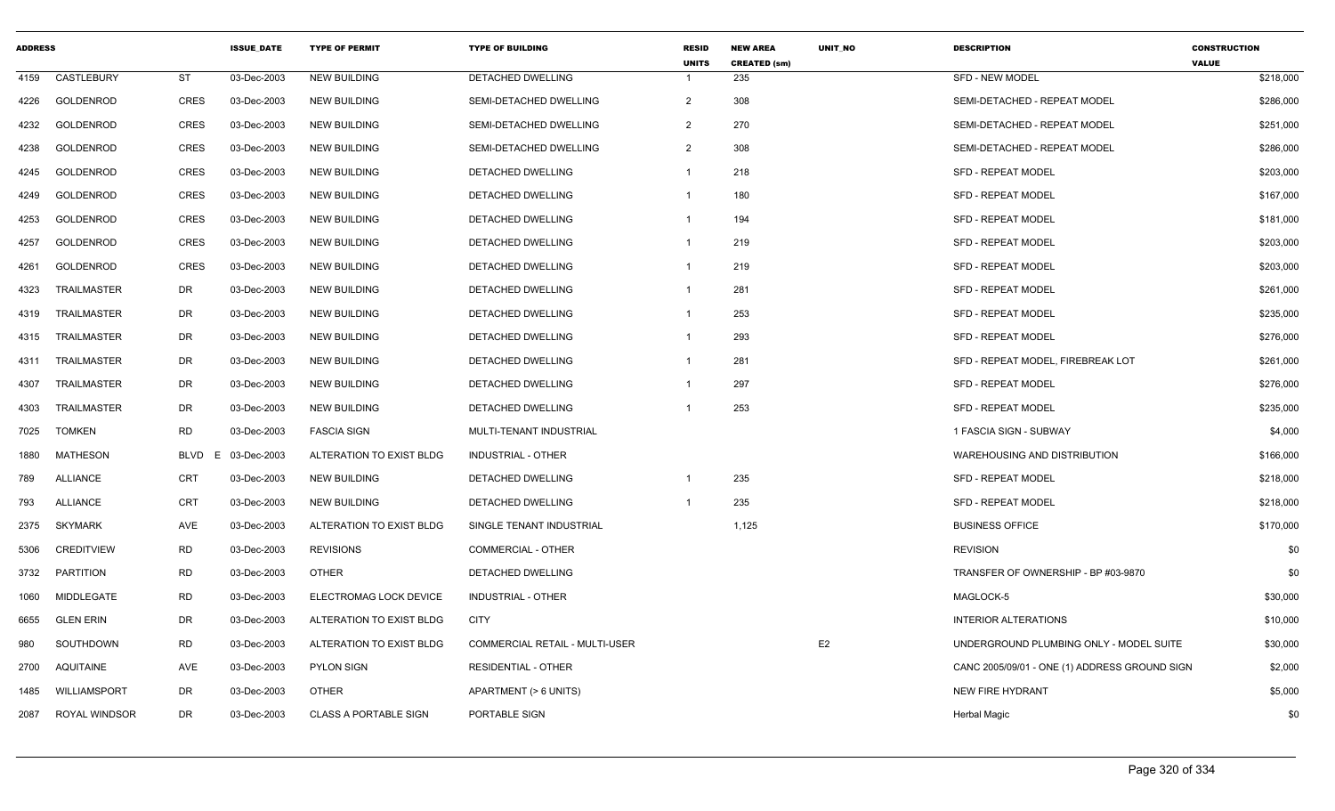| <b>ADDRESS</b> |                      |             | <b>ISSUE DATE</b> | <b>TYPE OF PERMIT</b>        | <b>TYPE OF BUILDING</b>        | <b>RESID</b><br><b>UNITS</b> | <b>NEW AREA</b><br><b>CREATED (sm)</b> | <b>UNIT NO</b> | <b>DESCRIPTION</b>                            | <b>CONSTRUCTION</b><br><b>VALUE</b> |
|----------------|----------------------|-------------|-------------------|------------------------------|--------------------------------|------------------------------|----------------------------------------|----------------|-----------------------------------------------|-------------------------------------|
| 4159           | CASTLEBURY           | ST          | 03-Dec-2003       | <b>NEW BUILDING</b>          | <b>DETACHED DWELLING</b>       |                              | 235                                    |                | SFD - NEW MODEL                               | \$218,000                           |
| 4226           | <b>GOLDENROD</b>     | <b>CRES</b> | 03-Dec-2003       | <b>NEW BUILDING</b>          | SEMI-DETACHED DWELLING         | 2                            | 308                                    |                | SEMI-DETACHED - REPEAT MODEL                  | \$286,000                           |
| 4232           | GOLDENROD            | <b>CRES</b> | 03-Dec-2003       | <b>NEW BUILDING</b>          | SEMI-DETACHED DWELLING         | 2                            | 270                                    |                | SEMI-DETACHED - REPEAT MODEL                  | \$251,000                           |
| 4238           | GOLDENROD            | <b>CRES</b> | 03-Dec-2003       | <b>NEW BUILDING</b>          | SEMI-DETACHED DWELLING         | 2                            | 308                                    |                | SEMI-DETACHED - REPEAT MODEL                  | \$286,000                           |
| 4245           | GOLDENROD            | <b>CRES</b> | 03-Dec-2003       | <b>NEW BUILDING</b>          | DETACHED DWELLING              | $\mathbf{1}$                 | 218                                    |                | <b>SFD - REPEAT MODEL</b>                     | \$203,000                           |
| 4249           | <b>GOLDENROD</b>     | <b>CRES</b> | 03-Dec-2003       | NEW BUILDING                 | <b>DETACHED DWELLING</b>       | -1                           | 180                                    |                | <b>SFD - REPEAT MODEL</b>                     | \$167,000                           |
| 4253           | GOLDENROD            | <b>CRES</b> | 03-Dec-2003       | <b>NEW BUILDING</b>          | DETACHED DWELLING              | $\overline{1}$               | 194                                    |                | <b>SFD - REPEAT MODEL</b>                     | \$181,000                           |
| 4257           | <b>GOLDENROD</b>     | <b>CRES</b> | 03-Dec-2003       | <b>NEW BUILDING</b>          | <b>DETACHED DWELLING</b>       | $\overline{1}$               | 219                                    |                | <b>SFD - REPEAT MODEL</b>                     | \$203,000                           |
| 4261           | GOLDENROD            | <b>CRES</b> | 03-Dec-2003       | <b>NEW BUILDING</b>          | DETACHED DWELLING              | $\mathbf{1}$                 | 219                                    |                | <b>SFD - REPEAT MODEL</b>                     | \$203,000                           |
| 4323           | <b>TRAILMASTER</b>   | DR          | 03-Dec-2003       | <b>NEW BUILDING</b>          | DETACHED DWELLING              | -1                           | 281                                    |                | <b>SFD - REPEAT MODEL</b>                     | \$261,000                           |
| 4319           | TRAILMASTER          | DR          | 03-Dec-2003       | <b>NEW BUILDING</b>          | DETACHED DWELLING              |                              | 253                                    |                | <b>SFD - REPEAT MODEL</b>                     | \$235,000                           |
| 4315           | <b>TRAILMASTER</b>   | DR          | 03-Dec-2003       | <b>NEW BUILDING</b>          | DETACHED DWELLING              |                              | 293                                    |                | <b>SFD - REPEAT MODEL</b>                     | \$276,000                           |
| 4311           | TRAILMASTER          | DR          | 03-Dec-2003       | <b>NEW BUILDING</b>          | DETACHED DWELLING              |                              | 281                                    |                | SFD - REPEAT MODEL, FIREBREAK LOT             | \$261,000                           |
| 4307           | <b>TRAILMASTER</b>   | DR          | 03-Dec-2003       | <b>NEW BUILDING</b>          | DETACHED DWELLING              | -1                           | 297                                    |                | <b>SFD - REPEAT MODEL</b>                     | \$276,000                           |
| 4303           | TRAILMASTER          | DR          | 03-Dec-2003       | <b>NEW BUILDING</b>          | <b>DETACHED DWELLING</b>       | $\overline{1}$               | 253                                    |                | <b>SFD - REPEAT MODEL</b>                     | \$235,000                           |
| 7025           | <b>TOMKEN</b>        | RD          | 03-Dec-2003       | <b>FASCIA SIGN</b>           | MULTI-TENANT INDUSTRIAL        |                              |                                        |                | 1 FASCIA SIGN - SUBWAY                        | \$4,000                             |
| 1880           | <b>MATHESON</b>      | BLVD<br>F.  | 03-Dec-2003       | ALTERATION TO EXIST BLDG     | <b>INDUSTRIAL - OTHER</b>      |                              |                                        |                | WAREHOUSING AND DISTRIBUTION                  | \$166,000                           |
| 789            | <b>ALLIANCE</b>      | <b>CRT</b>  | 03-Dec-2003       | <b>NEW BUILDING</b>          | DETACHED DWELLING              |                              | 235                                    |                | <b>SFD - REPEAT MODEL</b>                     | \$218,000                           |
| 793            | <b>ALLIANCE</b>      | <b>CRT</b>  | 03-Dec-2003       | <b>NEW BUILDING</b>          | <b>DETACHED DWELLING</b>       |                              | 235                                    |                | <b>SFD - REPEAT MODEL</b>                     | \$218,000                           |
| 2375           | <b>SKYMARK</b>       | AVE         | 03-Dec-2003       | ALTERATION TO EXIST BLDG     | SINGLE TENANT INDUSTRIAL       |                              | 1,125                                  |                | <b>BUSINESS OFFICE</b>                        | \$170,000                           |
| 5306           | <b>CREDITVIEW</b>    | <b>RD</b>   | 03-Dec-2003       | <b>REVISIONS</b>             | COMMERCIAL - OTHER             |                              |                                        |                | <b>REVISION</b>                               | \$0                                 |
| 3732           | PARTITION            | <b>RD</b>   | 03-Dec-2003       | <b>OTHER</b>                 | DETACHED DWELLING              |                              |                                        |                | TRANSFER OF OWNERSHIP - BP #03-9870           | \$0                                 |
| 1060           | <b>MIDDLEGATE</b>    | <b>RD</b>   | 03-Dec-2003       | ELECTROMAG LOCK DEVICE       | <b>INDUSTRIAL - OTHER</b>      |                              |                                        |                | MAGLOCK-5                                     | \$30,000                            |
| 6655           | <b>GLEN ERIN</b>     | DR          | 03-Dec-2003       | ALTERATION TO EXIST BLDG     | <b>CITY</b>                    |                              |                                        |                | <b>INTERIOR ALTERATIONS</b>                   | \$10,000                            |
| 980            | SOUTHDOWN            | <b>RD</b>   | 03-Dec-2003       | ALTERATION TO EXIST BLDG     | COMMERCIAL RETAIL - MULTI-USER |                              |                                        | E <sub>2</sub> | UNDERGROUND PLUMBING ONLY - MODEL SUITE       | \$30,000                            |
| 2700           | AQUITAINE            | AVE         | 03-Dec-2003       | <b>PYLON SIGN</b>            | <b>RESIDENTIAL - OTHER</b>     |                              |                                        |                | CANC 2005/09/01 - ONE (1) ADDRESS GROUND SIGN | \$2,000                             |
| 1485           | WILLIAMSPORT         | DR          | 03-Dec-2003       | <b>OTHER</b>                 | APARTMENT (> 6 UNITS)          |                              |                                        |                | <b>NEW FIRE HYDRANT</b>                       | \$5,000                             |
| 2087           | <b>ROYAL WINDSOR</b> | <b>DR</b>   | 03-Dec-2003       | <b>CLASS A PORTABLE SIGN</b> | PORTABLE SIGN                  |                              |                                        |                | <b>Herbal Magic</b>                           | \$0                                 |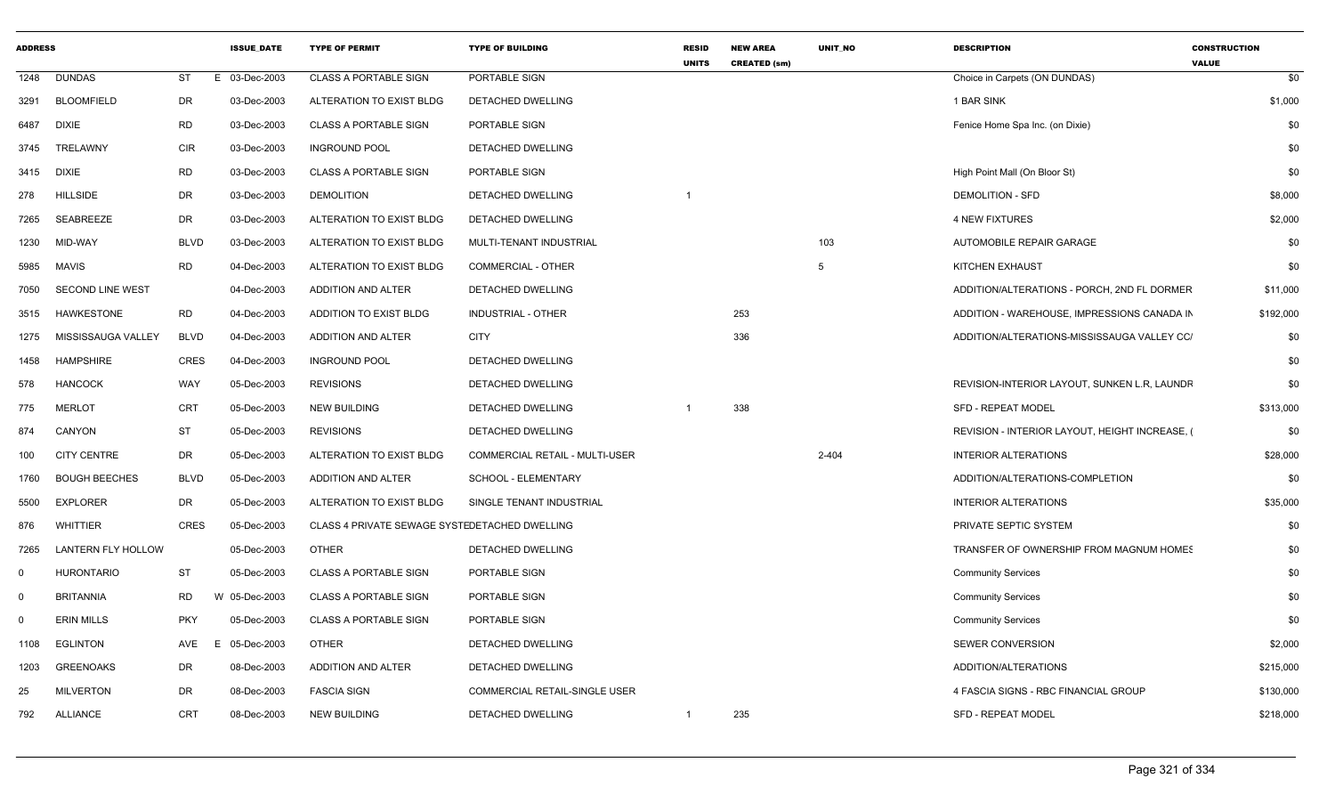| <b>ADDRESS</b> |                           |             | <b>ISSUE_DATE</b> | <b>TYPE OF PERMIT</b>                         | <b>TYPE OF BUILDING</b>        | <b>RESID</b><br><b>UNITS</b> | <b>NEW AREA</b><br><b>CREATED (sm)</b> | UNIT_NO   | <b>DESCRIPTION</b>                           | <b>CONSTRUCTION</b><br><b>VALUE</b> |
|----------------|---------------------------|-------------|-------------------|-----------------------------------------------|--------------------------------|------------------------------|----------------------------------------|-----------|----------------------------------------------|-------------------------------------|
| 1248           | <b>DUNDAS</b>             | ST          | E 03-Dec-2003     | <b>CLASS A PORTABLE SIGN</b>                  | PORTABLE SIGN                  |                              |                                        |           | Choice in Carpets (ON DUNDAS)                | \$0                                 |
| 3291           | <b>BLOOMFIELD</b>         | DR          | 03-Dec-2003       | ALTERATION TO EXIST BLDG                      | DETACHED DWELLING              |                              |                                        |           | 1 BAR SINK                                   | \$1,000                             |
| 6487           | <b>DIXIE</b>              | RD          | 03-Dec-2003       | <b>CLASS A PORTABLE SIGN</b>                  | PORTABLE SIGN                  |                              |                                        |           | Fenice Home Spa Inc. (on Dixie)              | \$0                                 |
| 3745           | TRELAWNY                  | <b>CIR</b>  | 03-Dec-2003       | <b>INGROUND POOL</b>                          | DETACHED DWELLING              |                              |                                        |           |                                              | \$0                                 |
| 3415           | <b>DIXIE</b>              | <b>RD</b>   | 03-Dec-2003       | <b>CLASS A PORTABLE SIGN</b>                  | PORTABLE SIGN                  |                              |                                        |           | High Point Mall (On Bloor St)                | \$0                                 |
| 278            | <b>HILLSIDE</b>           | DR          | 03-Dec-2003       | <b>DEMOLITION</b>                             | DETACHED DWELLING              |                              |                                        |           | <b>DEMOLITION - SFD</b>                      | \$8,000                             |
| 7265           | SEABREEZE                 | DR          | 03-Dec-2003       | ALTERATION TO EXIST BLDG                      | DETACHED DWELLING              |                              |                                        |           | <b>4 NEW FIXTURES</b>                        | \$2,000                             |
| 1230           | MID-WAY                   | <b>BLVD</b> | 03-Dec-2003       | ALTERATION TO EXIST BLDG                      | MULTI-TENANT INDUSTRIAL        |                              |                                        | 103       | AUTOMOBILE REPAIR GARAGE                     | \$0                                 |
| 5985           | MAVIS                     | <b>RD</b>   | 04-Dec-2003       | ALTERATION TO EXIST BLDG                      | <b>COMMERCIAL - OTHER</b>      |                              |                                        | 5         | KITCHEN EXHAUST                              | \$0                                 |
| 7050           | SECOND LINE WEST          |             | 04-Dec-2003       | ADDITION AND ALTER                            | DETACHED DWELLING              |                              |                                        |           | ADDITION/ALTERATIONS - PORCH, 2ND FL DORMER  | \$11,000                            |
| 3515           | HAWKESTONE                | <b>RD</b>   | 04-Dec-2003       | ADDITION TO EXIST BLDG                        | INDUSTRIAL - OTHER             |                              | 253                                    |           | ADDITION - WAREHOUSE, IMPRESSIONS CANADA IN  | \$192,000                           |
| 1275           | MISSISSAUGA VALLEY        | <b>BLVD</b> | 04-Dec-2003       | ADDITION AND ALTER                            | <b>CITY</b>                    |                              | 336                                    |           | ADDITION/ALTERATIONS-MISSISSAUGA VALLEY CC/  | \$0                                 |
| 1458           | <b>HAMPSHIRE</b>          | <b>CRES</b> | 04-Dec-2003       | <b>INGROUND POOL</b>                          | <b>DETACHED DWELLING</b>       |                              |                                        |           |                                              | \$0                                 |
| 578            | <b>HANCOCK</b>            | WAY         | 05-Dec-2003       | <b>REVISIONS</b>                              | DETACHED DWELLING              |                              |                                        |           | REVISION-INTERIOR LAYOUT, SUNKEN L.R. LAUNDF | \$0                                 |
| 775            | <b>MERLOT</b>             | CRT         | 05-Dec-2003       | <b>NEW BUILDING</b>                           | DETACHED DWELLING              |                              | 338                                    |           | <b>SFD - REPEAT MODEL</b>                    | \$313,000                           |
| 874            | CANYON                    | ST          | 05-Dec-2003       | <b>REVISIONS</b>                              | DETACHED DWELLING              |                              |                                        |           | REVISION - INTERIOR LAYOUT, HEIGHT INCREASE, | \$0                                 |
| 100            | <b>CITY CENTRE</b>        | DR          | 05-Dec-2003       | ALTERATION TO EXIST BLDG                      | COMMERCIAL RETAIL - MULTI-USER |                              |                                        | $2 - 404$ | <b>INTERIOR ALTERATIONS</b>                  | \$28,000                            |
| 1760           | <b>BOUGH BEECHES</b>      | <b>BLVD</b> | 05-Dec-2003       | ADDITION AND ALTER                            | SCHOOL - ELEMENTARY            |                              |                                        |           | ADDITION/ALTERATIONS-COMPLETION              | \$0                                 |
| 5500           | <b>EXPLORER</b>           | DR          | 05-Dec-2003       | ALTERATION TO EXIST BLDG                      | SINGLE TENANT INDUSTRIAL       |                              |                                        |           | <b>INTERIOR ALTERATIONS</b>                  | \$35,000                            |
| 876            | <b>WHITTIER</b>           | <b>CRES</b> | 05-Dec-2003       | CLASS 4 PRIVATE SEWAGE SYSTEDETACHED DWELLING |                                |                              |                                        |           | PRIVATE SEPTIC SYSTEM                        | \$0                                 |
| 7265           | <b>LANTERN FLY HOLLOW</b> |             | 05-Dec-2003       | <b>OTHER</b>                                  | DETACHED DWELLING              |                              |                                        |           | TRANSFER OF OWNERSHIP FROM MAGNUM HOMES      | \$0                                 |
| 0              | <b>HURONTARIO</b>         | ST          | 05-Dec-2003       | <b>CLASS A PORTABLE SIGN</b>                  | PORTABLE SIGN                  |                              |                                        |           | <b>Community Services</b>                    | \$0                                 |
| $\Omega$       | <b>BRITANNIA</b>          | <b>RD</b>   | W 05-Dec-2003     | <b>CLASS A PORTABLE SIGN</b>                  | <b>PORTABLE SIGN</b>           |                              |                                        |           | <b>Community Services</b>                    | \$0                                 |
| $\Omega$       | <b>ERIN MILLS</b>         | <b>PKY</b>  | 05-Dec-2003       | <b>CLASS A PORTABLE SIGN</b>                  | PORTABLE SIGN                  |                              |                                        |           | <b>Community Services</b>                    | \$0                                 |
| 1108           | <b>EGLINTON</b>           | AVE<br>Е    | 05-Dec-2003       | <b>OTHER</b>                                  | DETACHED DWELLING              |                              |                                        |           | SEWER CONVERSION                             | \$2,000                             |
| 1203           | <b>GREENOAKS</b>          | DR          | 08-Dec-2003       | ADDITION AND ALTER                            | DETACHED DWELLING              |                              |                                        |           | ADDITION/ALTERATIONS                         | \$215,000                           |
| 25             | MILVERTON                 | DR          | 08-Dec-2003       | <b>FASCIA SIGN</b>                            | COMMERCIAL RETAIL-SINGLE USER  |                              |                                        |           | 4 FASCIA SIGNS - RBC FINANCIAL GROUP         | \$130,000                           |
| 792            | <b>ALLIANCE</b>           | CRT         | 08-Dec-2003       | <b>NEW BUILDING</b>                           | DETACHED DWELLING              | $\mathbf{1}$                 | 235                                    |           | <b>SFD - REPEAT MODEL</b>                    | \$218,000                           |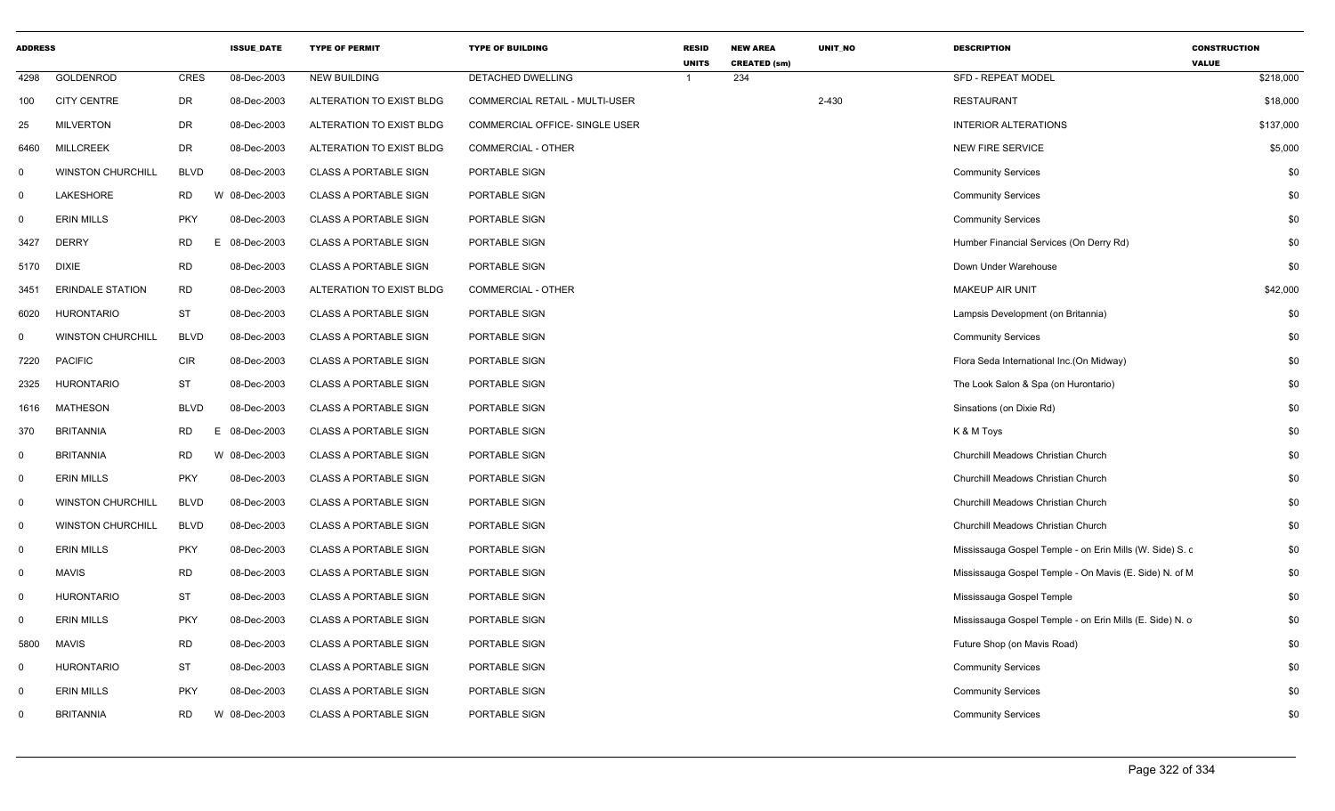| <b>ADDRESS</b> |                          |             | <b>ISSUE_DATE</b> | <b>TYPE OF PERMIT</b>        | <b>TYPE OF BUILDING</b>        | <b>RESID</b><br><b>UNITS</b> | <b>NEW AREA</b><br><b>CREATED (sm)</b> | UNIT_NO | <b>DESCRIPTION</b>                                       | <b>CONSTRUCTION</b><br><b>VALUE</b> |
|----------------|--------------------------|-------------|-------------------|------------------------------|--------------------------------|------------------------------|----------------------------------------|---------|----------------------------------------------------------|-------------------------------------|
| 4298           | <b>GOLDENROD</b>         | CRES        | 08-Dec-2003       | <b>NEW BUILDING</b>          | DETACHED DWELLING              |                              | 234                                    |         | <b>SFD - REPEAT MODEL</b>                                | \$218,000                           |
| 100            | <b>CITY CENTRE</b>       | DR          | 08-Dec-2003       | ALTERATION TO EXIST BLDG     | COMMERCIAL RETAIL - MULTI-USER |                              |                                        | 2-430   | <b>RESTAURANT</b>                                        | \$18,000                            |
| 25             | <b>MILVERTON</b>         | DR          | 08-Dec-2003       | ALTERATION TO EXIST BLDG     | COMMERCIAL OFFICE- SINGLE USER |                              |                                        |         | <b>INTERIOR ALTERATIONS</b>                              | \$137,000                           |
| 6460           | <b>MILLCREEK</b>         | DR          | 08-Dec-2003       | ALTERATION TO EXIST BLDG     | <b>COMMERCIAL - OTHER</b>      |                              |                                        |         | <b>NEW FIRE SERVICE</b>                                  | \$5,000                             |
| $\mathbf 0$    | <b>WINSTON CHURCHILL</b> | <b>BLVD</b> | 08-Dec-2003       | <b>CLASS A PORTABLE SIGN</b> | PORTABLE SIGN                  |                              |                                        |         | <b>Community Services</b>                                | \$0                                 |
| $\Omega$       | LAKESHORE                | <b>RD</b>   | W 08-Dec-2003     | <b>CLASS A PORTABLE SIGN</b> | PORTABLE SIGN                  |                              |                                        |         | <b>Community Services</b>                                | \$0                                 |
| 0              | <b>ERIN MILLS</b>        | <b>PKY</b>  | 08-Dec-2003       | <b>CLASS A PORTABLE SIGN</b> | PORTABLE SIGN                  |                              |                                        |         | <b>Community Services</b>                                | \$0                                 |
| 3427           | <b>DERRY</b>             | <b>RD</b>   | E.<br>08-Dec-2003 | <b>CLASS A PORTABLE SIGN</b> | PORTABLE SIGN                  |                              |                                        |         | Humber Financial Services (On Derry Rd)                  | \$0                                 |
| 5170           | <b>DIXIE</b>             | RD          | 08-Dec-2003       | <b>CLASS A PORTABLE SIGN</b> | PORTABLE SIGN                  |                              |                                        |         | Down Under Warehouse                                     | \$0                                 |
| 3451           | <b>ERINDALE STATION</b>  | <b>RD</b>   | 08-Dec-2003       | ALTERATION TO EXIST BLDG     | <b>COMMERCIAL - OTHER</b>      |                              |                                        |         | <b>MAKEUP AIR UNIT</b>                                   | \$42,000                            |
| 6020           | <b>HURONTARIO</b>        | ST          | 08-Dec-2003       | <b>CLASS A PORTABLE SIGN</b> | PORTABLE SIGN                  |                              |                                        |         | Lampsis Development (on Britannia)                       | \$0                                 |
| 0              | <b>WINSTON CHURCHILL</b> | <b>BLVD</b> | 08-Dec-2003       | <b>CLASS A PORTABLE SIGN</b> | PORTABLE SIGN                  |                              |                                        |         | <b>Community Services</b>                                | \$0                                 |
| 7220           | <b>PACIFIC</b>           | <b>CIR</b>  | 08-Dec-2003       | <b>CLASS A PORTABLE SIGN</b> | PORTABLE SIGN                  |                              |                                        |         | Flora Seda International Inc.(On Midway)                 | \$0                                 |
| 2325           | <b>HURONTARIO</b>        | <b>ST</b>   | 08-Dec-2003       | <b>CLASS A PORTABLE SIGN</b> | PORTABLE SIGN                  |                              |                                        |         | The Look Salon & Spa (on Hurontario)                     | \$0                                 |
| 1616           | <b>MATHESON</b>          | <b>BLVD</b> | 08-Dec-2003       | <b>CLASS A PORTABLE SIGN</b> | PORTABLE SIGN                  |                              |                                        |         | Sinsations (on Dixie Rd)                                 | \$0                                 |
| 370            | <b>BRITANNIA</b>         | <b>RD</b>   | 08-Dec-2003<br>Е. | <b>CLASS A PORTABLE SIGN</b> | PORTABLE SIGN                  |                              |                                        |         | K & M Toys                                               | \$0                                 |
| $\mathbf 0$    | <b>BRITANNIA</b>         | <b>RD</b>   | W 08-Dec-2003     | <b>CLASS A PORTABLE SIGN</b> | PORTABLE SIGN                  |                              |                                        |         | Churchill Meadows Christian Church                       | \$0                                 |
| $\mathbf 0$    | <b>ERIN MILLS</b>        | <b>PKY</b>  | 08-Dec-2003       | <b>CLASS A PORTABLE SIGN</b> | PORTABLE SIGN                  |                              |                                        |         | Churchill Meadows Christian Church                       | \$0                                 |
| 0              | <b>WINSTON CHURCHILL</b> | <b>BLVD</b> | 08-Dec-2003       | <b>CLASS A PORTABLE SIGN</b> | PORTABLE SIGN                  |                              |                                        |         | Churchill Meadows Christian Church                       | \$0                                 |
| $\mathbf 0$    | <b>WINSTON CHURCHILL</b> | <b>BLVD</b> | 08-Dec-2003       | <b>CLASS A PORTABLE SIGN</b> | PORTABLE SIGN                  |                              |                                        |         | Churchill Meadows Christian Church                       | \$0                                 |
| $\Omega$       | <b>ERIN MILLS</b>        | <b>PKY</b>  | 08-Dec-2003       | <b>CLASS A PORTABLE SIGN</b> | PORTABLE SIGN                  |                              |                                        |         | Mississauga Gospel Temple - on Erin Mills (W. Side) S. c | \$0                                 |
| 0              | <b>MAVIS</b>             | <b>RD</b>   | 08-Dec-2003       | <b>CLASS A PORTABLE SIGN</b> | PORTABLE SIGN                  |                              |                                        |         | Mississauga Gospel Temple - On Mavis (E. Side) N. of M.  | \$0                                 |
| $\mathbf 0$    | <b>HURONTARIO</b>        | <b>ST</b>   | 08-Dec-2003       | <b>CLASS A PORTABLE SIGN</b> | PORTABLE SIGN                  |                              |                                        |         | Mississauga Gospel Temple                                | \$0                                 |
| 0              | <b>ERIN MILLS</b>        | <b>PKY</b>  | 08-Dec-2003       | <b>CLASS A PORTABLE SIGN</b> | PORTABLE SIGN                  |                              |                                        |         | Mississauga Gospel Temple - on Erin Mills (E. Side) N. o | \$0                                 |
| 5800           | <b>MAVIS</b>             | <b>RD</b>   | 08-Dec-2003       | <b>CLASS A PORTABLE SIGN</b> | PORTABLE SIGN                  |                              |                                        |         | Future Shop (on Mavis Road)                              | \$0                                 |
| $\Omega$       | <b>HURONTARIO</b>        | ST          | 08-Dec-2003       | <b>CLASS A PORTABLE SIGN</b> | PORTABLE SIGN                  |                              |                                        |         | <b>Community Services</b>                                | \$0                                 |
| $\mathbf 0$    | <b>ERIN MILLS</b>        | <b>PKY</b>  | 08-Dec-2003       | <b>CLASS A PORTABLE SIGN</b> | PORTABLE SIGN                  |                              |                                        |         | <b>Community Services</b>                                | \$0                                 |
| $\Omega$       | <b>BRITANNIA</b>         | <b>RD</b>   | W 08-Dec-2003     | <b>CLASS A PORTABLE SIGN</b> | PORTABLE SIGN                  |                              |                                        |         | <b>Community Services</b>                                | \$0                                 |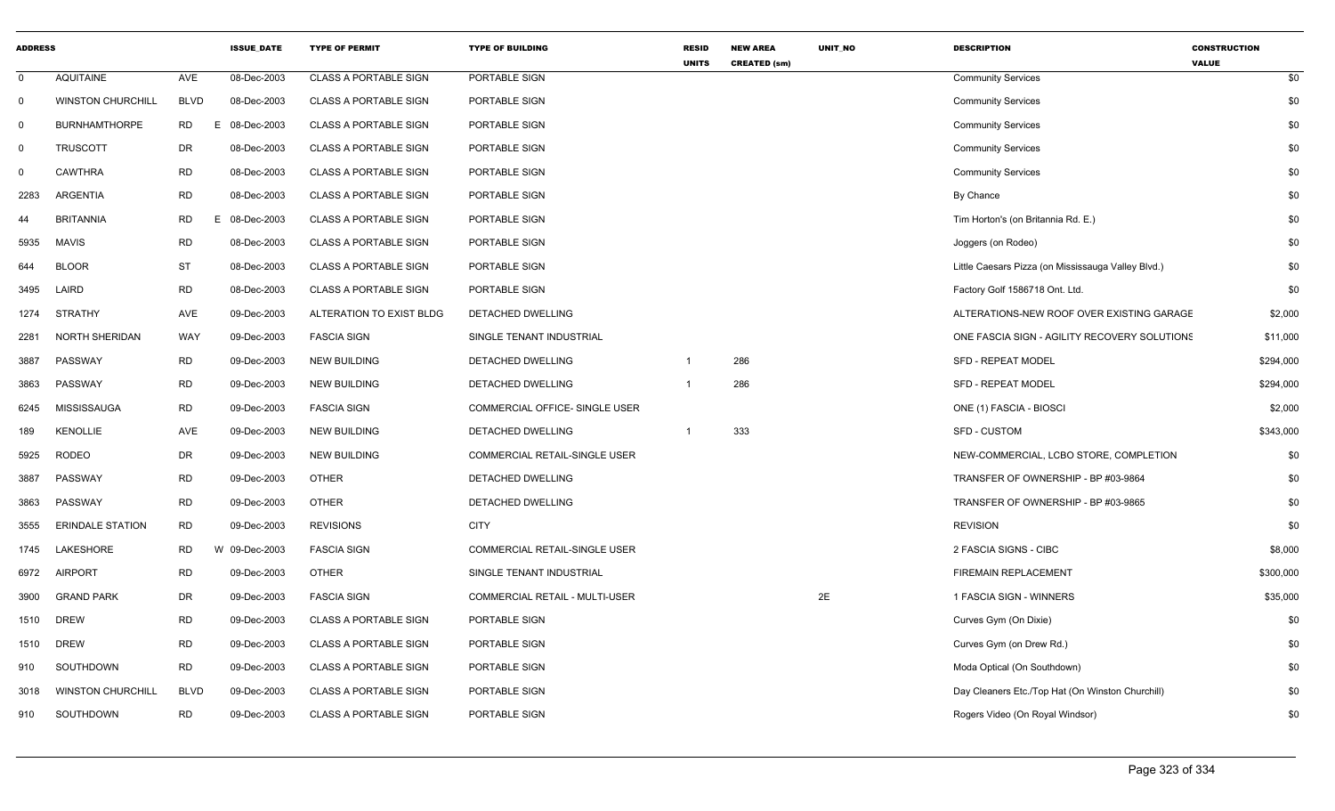| <b>ADDRESS</b> |                          |             | <b>ISSUE_DATE</b> | <b>TYPE OF PERMIT</b>        | <b>TYPE OF BUILDING</b>               | RESID<br><b>UNITS</b> | <b>NEW AREA</b><br><b>CREATED (sm)</b> | UNIT_NO | <b>DESCRIPTION</b>                                 | <b>CONSTRUCTION</b><br><b>VALUE</b> |
|----------------|--------------------------|-------------|-------------------|------------------------------|---------------------------------------|-----------------------|----------------------------------------|---------|----------------------------------------------------|-------------------------------------|
| $\mathbf 0$    | <b>AQUITAINE</b>         | AVE         | 08-Dec-2003       | <b>CLASS A PORTABLE SIGN</b> | PORTABLE SIGN                         |                       |                                        |         | <b>Community Services</b>                          | \$0                                 |
| $\mathbf 0$    | <b>WINSTON CHURCHILL</b> | <b>BLVD</b> | 08-Dec-2003       | <b>CLASS A PORTABLE SIGN</b> | PORTABLE SIGN                         |                       |                                        |         | <b>Community Services</b>                          | \$0                                 |
| $\overline{0}$ | <b>BURNHAMTHORPE</b>     | <b>RD</b>   | 08-Dec-2003<br>E. | <b>CLASS A PORTABLE SIGN</b> | PORTABLE SIGN                         |                       |                                        |         | <b>Community Services</b>                          | \$0                                 |
| $\mathbf{0}$   | <b>TRUSCOTT</b>          | <b>DR</b>   | 08-Dec-2003       | <b>CLASS A PORTABLE SIGN</b> | PORTABLE SIGN                         |                       |                                        |         | <b>Community Services</b>                          | \$0                                 |
| 0              | <b>CAWTHRA</b>           | <b>RD</b>   | 08-Dec-2003       | <b>CLASS A PORTABLE SIGN</b> | PORTABLE SIGN                         |                       |                                        |         | <b>Community Services</b>                          | \$0                                 |
| 2283           | ARGENTIA                 | <b>RD</b>   | 08-Dec-2003       | <b>CLASS A PORTABLE SIGN</b> | PORTABLE SIGN                         |                       |                                        |         | By Chance                                          | \$0                                 |
| 44             | <b>BRITANNIA</b>         | <b>RD</b>   | 08-Dec-2003<br>E. | <b>CLASS A PORTABLE SIGN</b> | PORTABLE SIGN                         |                       |                                        |         | Tim Horton's (on Britannia Rd. E.)                 | \$0                                 |
| 5935           | <b>MAVIS</b>             | <b>RD</b>   | 08-Dec-2003       | <b>CLASS A PORTABLE SIGN</b> | PORTABLE SIGN                         |                       |                                        |         | Joggers (on Rodeo)                                 | \$0                                 |
| 644            | <b>BLOOR</b>             | <b>ST</b>   | 08-Dec-2003       | <b>CLASS A PORTABLE SIGN</b> | PORTABLE SIGN                         |                       |                                        |         | Little Caesars Pizza (on Mississauga Valley Blvd.) | \$0                                 |
| 3495           | LAIRD                    | <b>RD</b>   | 08-Dec-2003       | <b>CLASS A PORTABLE SIGN</b> | PORTABLE SIGN                         |                       |                                        |         | Factory Golf 1586718 Ont. Ltd.                     | \$0                                 |
| 1274           | <b>STRATHY</b>           | AVE         | 09-Dec-2003       | ALTERATION TO EXIST BLDG     | DETACHED DWELLING                     |                       |                                        |         | ALTERATIONS-NEW ROOF OVER EXISTING GARAGE          | \$2,000                             |
| 2281           | <b>NORTH SHERIDAN</b>    | <b>WAY</b>  | 09-Dec-2003       | <b>FASCIA SIGN</b>           | SINGLE TENANT INDUSTRIAL              |                       |                                        |         | ONE FASCIA SIGN - AGILITY RECOVERY SOLUTIONS       | \$11,000                            |
| 3887           | PASSWAY                  | <b>RD</b>   | 09-Dec-2003       | <b>NEW BUILDING</b>          | DETACHED DWELLING                     | $\overline{1}$        | 286                                    |         | <b>SFD - REPEAT MODEL</b>                          | \$294,000                           |
| 3863           | PASSWAY                  | <b>RD</b>   | 09-Dec-2003       | <b>NEW BUILDING</b>          | DETACHED DWELLING                     |                       | 286                                    |         | <b>SFD - REPEAT MODEL</b>                          | \$294,000                           |
| 6245           | MISSISSAUGA              | <b>RD</b>   | 09-Dec-2003       | <b>FASCIA SIGN</b>           | COMMERCIAL OFFICE- SINGLE USER        |                       |                                        |         | ONE (1) FASCIA - BIOSCI                            | \$2,000                             |
| 189            | <b>KENOLLIE</b>          | AVE         | 09-Dec-2003       | <b>NEW BUILDING</b>          | DETACHED DWELLING                     | -1                    | 333                                    |         | SFD - CUSTOM                                       | \$343,000                           |
| 5925           | <b>RODEO</b>             | <b>DR</b>   | 09-Dec-2003       | <b>NEW BUILDING</b>          | <b>COMMERCIAL RETAIL-SINGLE USER</b>  |                       |                                        |         | NEW-COMMERCIAL, LCBO STORE, COMPLETION             | \$0                                 |
| 3887           | PASSWAY                  | <b>RD</b>   | 09-Dec-2003       | <b>OTHER</b>                 | DETACHED DWELLING                     |                       |                                        |         | TRANSFER OF OWNERSHIP - BP #03-9864                | \$0                                 |
| 3863           | PASSWAY                  | <b>RD</b>   | 09-Dec-2003       | <b>OTHER</b>                 | <b>DETACHED DWELLING</b>              |                       |                                        |         | TRANSFER OF OWNERSHIP - BP #03-9865                | \$0                                 |
| 3555           | <b>ERINDALE STATION</b>  | <b>RD</b>   | 09-Dec-2003       | <b>REVISIONS</b>             | <b>CITY</b>                           |                       |                                        |         | <b>REVISION</b>                                    | \$0                                 |
| 1745           | LAKESHORE                | <b>RD</b>   | W 09-Dec-2003     | <b>FASCIA SIGN</b>           | COMMERCIAL RETAIL-SINGLE USER         |                       |                                        |         | 2 FASCIA SIGNS - CIBC                              | \$8,000                             |
| 6972           | <b>AIRPORT</b>           | <b>RD</b>   | 09-Dec-2003       | <b>OTHER</b>                 | SINGLE TENANT INDUSTRIAL              |                       |                                        |         | <b>FIREMAIN REPLACEMENT</b>                        | \$300,000                           |
| 3900           | <b>GRAND PARK</b>        | <b>DR</b>   | 09-Dec-2003       | <b>FASCIA SIGN</b>           | <b>COMMERCIAL RETAIL - MULTI-USER</b> |                       |                                        | 2E      | 1 FASCIA SIGN - WINNERS                            | \$35,000                            |
| 1510           | <b>DREW</b>              | <b>RD</b>   | 09-Dec-2003       | <b>CLASS A PORTABLE SIGN</b> | PORTABLE SIGN                         |                       |                                        |         | Curves Gym (On Dixie)                              | \$0                                 |
| 1510           | <b>DREW</b>              | <b>RD</b>   | 09-Dec-2003       | <b>CLASS A PORTABLE SIGN</b> | PORTABLE SIGN                         |                       |                                        |         | Curves Gym (on Drew Rd.)                           | \$0                                 |
| 910            | SOUTHDOWN                | <b>RD</b>   | 09-Dec-2003       | <b>CLASS A PORTABLE SIGN</b> | PORTABLE SIGN                         |                       |                                        |         | Moda Optical (On Southdown)                        | \$0                                 |
| 3018           | <b>WINSTON CHURCHILL</b> | <b>BLVD</b> | 09-Dec-2003       | <b>CLASS A PORTABLE SIGN</b> | PORTABLE SIGN                         |                       |                                        |         | Day Cleaners Etc./Top Hat (On Winston Churchill)   | \$0                                 |
| 910            | SOUTHDOWN                | <b>RD</b>   | 09-Dec-2003       | <b>CLASS A PORTABLE SIGN</b> | <b>PORTABLE SIGN</b>                  |                       |                                        |         | Rogers Video (On Royal Windsor)                    | \$0                                 |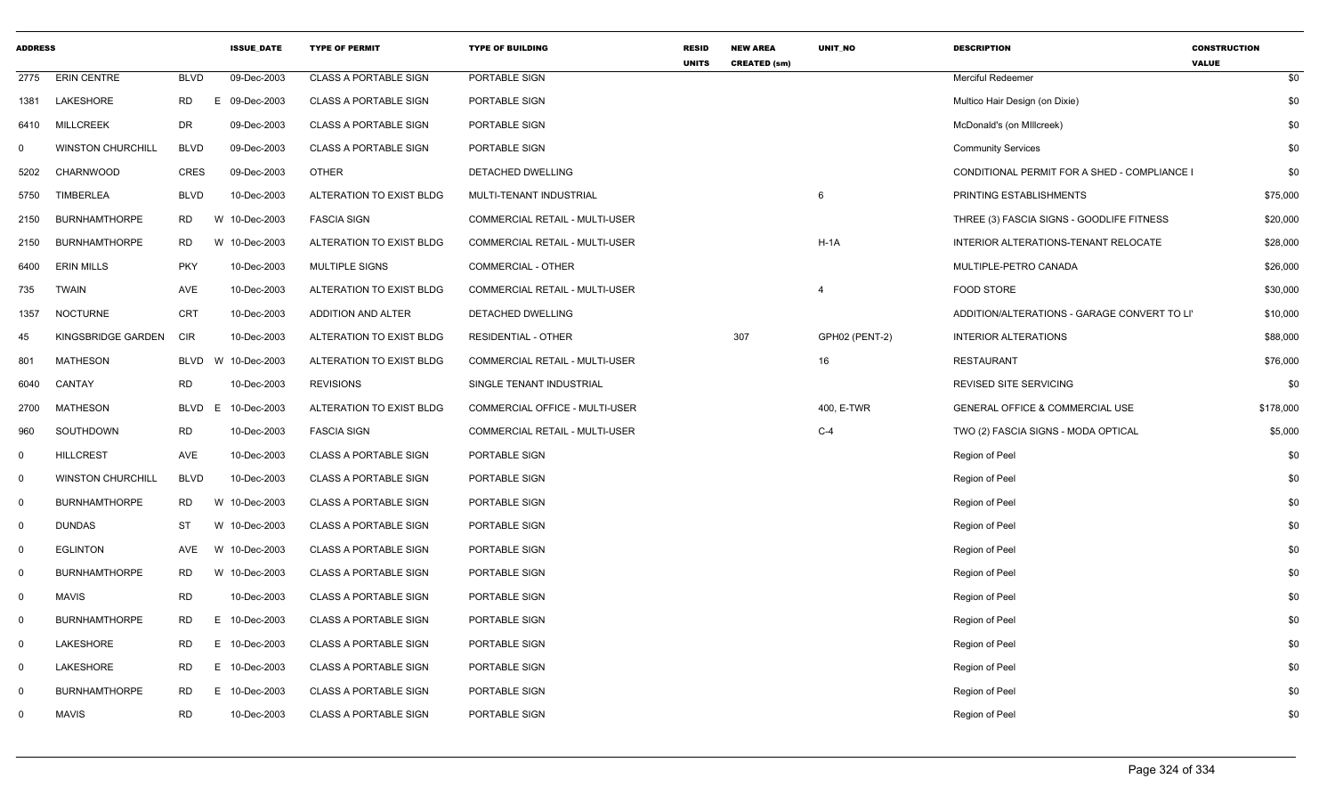| <b>ADDRESS</b> |                          |             | <b>ISSUE DATE</b> | <b>TYPE OF PERMIT</b>        | <b>TYPE OF BUILDING</b>               | RESID<br><b>UNITS</b> | <b>NEW AREA</b><br><b>CREATED (sm)</b> | UNIT_NO        | <b>DESCRIPTION</b>                           | <b>CONSTRUCTION</b><br><b>VALUE</b> |
|----------------|--------------------------|-------------|-------------------|------------------------------|---------------------------------------|-----------------------|----------------------------------------|----------------|----------------------------------------------|-------------------------------------|
| 2775           | <b>ERIN CENTRE</b>       | <b>BLVD</b> | 09-Dec-2003       | <b>CLASS A PORTABLE SIGN</b> | PORTABLE SIGN                         |                       |                                        |                | Merciful Redeemer                            | \$0                                 |
| 1381           | LAKESHORE                | RD          | E.<br>09-Dec-2003 | <b>CLASS A PORTABLE SIGN</b> | PORTABLE SIGN                         |                       |                                        |                | Multico Hair Design (on Dixie)               | \$0                                 |
| 6410           | <b>MILLCREEK</b>         | <b>DR</b>   | 09-Dec-2003       | <b>CLASS A PORTABLE SIGN</b> | PORTABLE SIGN                         |                       |                                        |                | McDonald's (on Millcreek)                    | \$0                                 |
| 0              | <b>WINSTON CHURCHILL</b> | <b>BLVD</b> | 09-Dec-2003       | <b>CLASS A PORTABLE SIGN</b> | PORTABLE SIGN                         |                       |                                        |                | <b>Community Services</b>                    | \$0                                 |
| 5202           | CHARNWOOD                | CRES        | 09-Dec-2003       | <b>OTHER</b>                 | DETACHED DWELLING                     |                       |                                        |                | CONDITIONAL PERMIT FOR A SHED - COMPLIANCE I | \$0                                 |
| 5750           | <b>TIMBERLEA</b>         | <b>BLVD</b> | 10-Dec-2003       | ALTERATION TO EXIST BLDG     | MULTI-TENANT INDUSTRIAL               |                       |                                        | 6              | PRINTING ESTABLISHMENTS                      | \$75,000                            |
| 2150           | <b>BURNHAMTHORPE</b>     | <b>RD</b>   | W 10-Dec-2003     | <b>FASCIA SIGN</b>           | <b>COMMERCIAL RETAIL - MULTI-USER</b> |                       |                                        |                | THREE (3) FASCIA SIGNS - GOODLIFE FITNESS    | \$20,000                            |
| 2150           | <b>BURNHAMTHORPE</b>     | <b>RD</b>   | W 10-Dec-2003     | ALTERATION TO EXIST BLDG     | COMMERCIAL RETAIL - MULTI-USER        |                       |                                        | $H-1A$         | INTERIOR ALTERATIONS-TENANT RELOCATE         | \$28,000                            |
| 6400           | <b>ERIN MILLS</b>        | <b>PKY</b>  | 10-Dec-2003       | <b>MULTIPLE SIGNS</b>        | <b>COMMERCIAL - OTHER</b>             |                       |                                        |                | MULTIPLE-PETRO CANADA                        | \$26,000                            |
| 735            | <b>TWAIN</b>             | AVE         | 10-Dec-2003       | ALTERATION TO EXIST BLDG     | COMMERCIAL RETAIL - MULTI-USER        |                       |                                        | $\overline{4}$ | FOOD STORE                                   | \$30,000                            |
| 1357           | <b>NOCTURNE</b>          | <b>CRT</b>  | 10-Dec-2003       | ADDITION AND ALTER           | DETACHED DWELLING                     |                       |                                        |                | ADDITION/ALTERATIONS - GARAGE CONVERT TO LI  | \$10,000                            |
| 45             | KINGSBRIDGE GARDEN       | CIR         | 10-Dec-2003       | ALTERATION TO EXIST BLDG     | <b>RESIDENTIAL - OTHER</b>            |                       | 307                                    | GPH02 (PENT-2) | <b>INTERIOR ALTERATIONS</b>                  | \$88,000                            |
| 801            | <b>MATHESON</b>          | BLVD        | W 10-Dec-2003     | ALTERATION TO EXIST BLDG     | COMMERCIAL RETAIL - MULTI-USER        |                       |                                        | 16             | <b>RESTAURANT</b>                            | \$76,000                            |
| 6040           | CANTAY                   | <b>RD</b>   | 10-Dec-2003       | <b>REVISIONS</b>             | SINGLE TENANT INDUSTRIAL              |                       |                                        |                | REVISED SITE SERVICING                       | \$0                                 |
| 2700           | <b>MATHESON</b>          | BLVD        | E<br>10-Dec-2003  | ALTERATION TO EXIST BLDG     | COMMERCIAL OFFICE - MULTI-USER        |                       |                                        | 400, E-TWR     | GENERAL OFFICE & COMMERCIAL USE              | \$178,000                           |
| 960            | SOUTHDOWN                | <b>RD</b>   | 10-Dec-2003       | <b>FASCIA SIGN</b>           | <b>COMMERCIAL RETAIL - MULTI-USER</b> |                       |                                        | $C-4$          | TWO (2) FASCIA SIGNS - MODA OPTICAL          | \$5,000                             |
| 0              | <b>HILLCREST</b>         | AVE         | 10-Dec-2003       | <b>CLASS A PORTABLE SIGN</b> | PORTABLE SIGN                         |                       |                                        |                | Region of Peel                               | \$0                                 |
| $\mathbf 0$    | <b>WINSTON CHURCHILL</b> | <b>BLVD</b> | 10-Dec-2003       | <b>CLASS A PORTABLE SIGN</b> | PORTABLE SIGN                         |                       |                                        |                | Region of Peel                               | \$0                                 |
| $\mathbf 0$    | <b>BURNHAMTHORPE</b>     | <b>RD</b>   | W 10-Dec-2003     | <b>CLASS A PORTABLE SIGN</b> | PORTABLE SIGN                         |                       |                                        |                | Region of Peel                               | \$0                                 |
| $\mathbf 0$    | <b>DUNDAS</b>            | <b>ST</b>   | W 10-Dec-2003     | <b>CLASS A PORTABLE SIGN</b> | PORTABLE SIGN                         |                       |                                        |                | Region of Peel                               | \$0                                 |
| $\overline{0}$ | <b>EGLINTON</b>          | <b>AVE</b>  | 10-Dec-2003<br>W  | <b>CLASS A PORTABLE SIGN</b> | PORTABLE SIGN                         |                       |                                        |                | Region of Peel                               | \$0                                 |
| $\mathbf 0$    | <b>BURNHAMTHORPE</b>     | <b>RD</b>   | W 10-Dec-2003     | <b>CLASS A PORTABLE SIGN</b> | PORTABLE SIGN                         |                       |                                        |                | Region of Peel                               | \$0                                 |
| $\mathbf 0$    | <b>MAVIS</b>             | <b>RD</b>   | 10-Dec-2003       | <b>CLASS A PORTABLE SIGN</b> | PORTABLE SIGN                         |                       |                                        |                | Region of Peel                               | \$0                                 |
| $\mathbf 0$    | <b>BURNHAMTHORPE</b>     | <b>RD</b>   | E 10-Dec-2003     | <b>CLASS A PORTABLE SIGN</b> | PORTABLE SIGN                         |                       |                                        |                | Region of Peel                               | \$0                                 |
| $\mathbf 0$    | LAKESHORE                | <b>RD</b>   | E.<br>10-Dec-2003 | <b>CLASS A PORTABLE SIGN</b> | PORTABLE SIGN                         |                       |                                        |                | Region of Peel                               | \$0                                 |
| $\mathbf 0$    | <b>LAKESHORE</b>         | <b>RD</b>   | E 10-Dec-2003     | <b>CLASS A PORTABLE SIGN</b> | PORTABLE SIGN                         |                       |                                        |                | Region of Peel                               | \$0                                 |
| $\mathbf 0$    | <b>BURNHAMTHORPE</b>     | <b>RD</b>   | E.<br>10-Dec-2003 | <b>CLASS A PORTABLE SIGN</b> | PORTABLE SIGN                         |                       |                                        |                | Region of Peel                               | \$0                                 |
| 0              | <b>MAVIS</b>             | <b>RD</b>   | 10-Dec-2003       | <b>CLASS A PORTABLE SIGN</b> | PORTABLE SIGN                         |                       |                                        |                | Region of Peel                               | \$0                                 |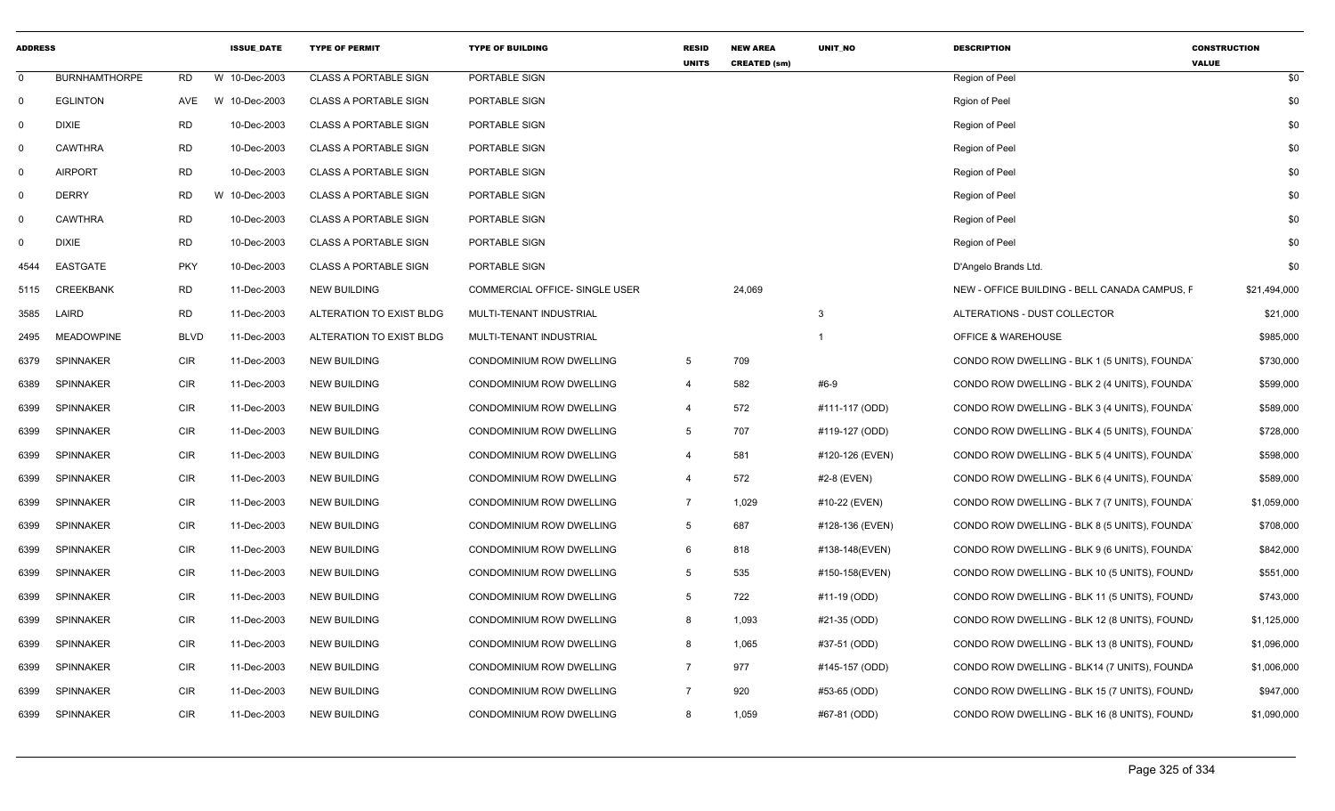| <b>ADDRESS</b> |                      |             | <b>ISSUE DATE</b> | <b>TYPE OF PERMIT</b>        | <b>TYPE OF BUILDING</b>               | <b>RESID</b><br><b>UNITS</b> | <b>NEW AREA</b><br><b>CREATED (sm)</b> | <b>UNIT NO</b>  | <b>DESCRIPTION</b>                            | <b>CONSTRUCTION</b><br><b>VALUE</b> |
|----------------|----------------------|-------------|-------------------|------------------------------|---------------------------------------|------------------------------|----------------------------------------|-----------------|-----------------------------------------------|-------------------------------------|
| $\Omega$       | <b>BURNHAMTHORPE</b> | <b>RD</b>   | W 10-Dec-2003     | <b>CLASS A PORTABLE SIGN</b> | PORTABLE SIGN                         |                              |                                        |                 | Region of Peel                                | \$0                                 |
| $\mathbf 0$    | <b>EGLINTON</b>      | AVE         | W 10-Dec-2003     | <b>CLASS A PORTABLE SIGN</b> | PORTABLE SIGN                         |                              |                                        |                 | Rgion of Peel                                 | \$0                                 |
| 0              | <b>DIXIE</b>         | <b>RD</b>   | 10-Dec-2003       | <b>CLASS A PORTABLE SIGN</b> | PORTABLE SIGN                         |                              |                                        |                 | Region of Peel                                | \$0                                 |
| 0              | <b>CAWTHRA</b>       | <b>RD</b>   | 10-Dec-2003       | <b>CLASS A PORTABLE SIGN</b> | PORTABLE SIGN                         |                              |                                        |                 | Region of Peel                                | \$0                                 |
| $\Omega$       | <b>AIRPORT</b>       | <b>RD</b>   | 10-Dec-2003       | <b>CLASS A PORTABLE SIGN</b> | PORTABLE SIGN                         |                              |                                        |                 | Region of Peel                                | \$0                                 |
| 0              | <b>DERRY</b>         | <b>RD</b>   | W<br>10-Dec-2003  | <b>CLASS A PORTABLE SIGN</b> | PORTABLE SIGN                         |                              |                                        |                 | Region of Peel                                | \$0                                 |
| 0              | <b>CAWTHRA</b>       | <b>RD</b>   | 10-Dec-2003       | <b>CLASS A PORTABLE SIGN</b> | PORTABLE SIGN                         |                              |                                        |                 | Region of Peel                                | \$0                                 |
| 0              | <b>DIXIE</b>         | <b>RD</b>   | 10-Dec-2003       | <b>CLASS A PORTABLE SIGN</b> | PORTABLE SIGN                         |                              |                                        |                 | Region of Peel                                | \$0                                 |
| 4544           | <b>EASTGATE</b>      | <b>PKY</b>  | 10-Dec-2003       | <b>CLASS A PORTABLE SIGN</b> | PORTABLE SIGN                         |                              |                                        |                 | D'Angelo Brands Ltd.                          | \$0                                 |
| 5115           | <b>CREEKBANK</b>     | <b>RD</b>   | 11-Dec-2003       | <b>NEW BUILDING</b>          | <b>COMMERCIAL OFFICE- SINGLE USER</b> |                              | 24,069                                 |                 | NEW - OFFICE BUILDING - BELL CANADA CAMPUS. F | \$21,494,000                        |
| 3585           | LAIRD                | <b>RD</b>   | 11-Dec-2003       | ALTERATION TO EXIST BLDG     | MULTI-TENANT INDUSTRIAL               |                              |                                        | $\mathbf{3}$    | ALTERATIONS - DUST COLLECTOR                  | \$21,000                            |
| 2495           | <b>MEADOWPINE</b>    | <b>BLVD</b> | 11-Dec-2003       | ALTERATION TO EXIST BLDG     | MULTI-TENANT INDUSTRIAL               |                              |                                        |                 | <b>OFFICE &amp; WAREHOUSE</b>                 | \$985,000                           |
| 6379           | <b>SPINNAKER</b>     | <b>CIR</b>  | 11-Dec-2003       | NEW BUILDING                 | CONDOMINIUM ROW DWELLING              | 5                            | 709                                    |                 | CONDO ROW DWELLING - BLK 1 (5 UNITS), FOUNDA  | \$730,000                           |
| 6389           | <b>SPINNAKER</b>     | <b>CIR</b>  | 11-Dec-2003       | NEW BUILDING                 | CONDOMINIUM ROW DWELLING              | $\overline{4}$               | 582                                    | #6-9            | CONDO ROW DWELLING - BLK 2 (4 UNITS), FOUNDA  | \$599,000                           |
| 6399           | <b>SPINNAKER</b>     | <b>CIR</b>  | 11-Dec-2003       | NEW BUILDING                 | CONDOMINIUM ROW DWELLING              | $\overline{4}$               | 572                                    | #111-117 (ODD)  | CONDO ROW DWELLING - BLK 3 (4 UNITS), FOUNDA  | \$589,000                           |
| 6399           | <b>SPINNAKER</b>     | <b>CIR</b>  | 11-Dec-2003       | NEW BUILDING                 | CONDOMINIUM ROW DWELLING              | 5                            | 707                                    | #119-127 (ODD)  | CONDO ROW DWELLING - BLK 4 (5 UNITS), FOUNDA  | \$728,000                           |
| 6399           | <b>SPINNAKER</b>     | <b>CIR</b>  | 11-Dec-2003       | NEW BUILDING                 | CONDOMINIUM ROW DWELLING              | $\overline{4}$               | 581                                    | #120-126 (EVEN) | CONDO ROW DWELLING - BLK 5 (4 UNITS), FOUNDA  | \$598,000                           |
| 6399           | <b>SPINNAKER</b>     | CIR         | 11-Dec-2003       | NEW BUILDING                 | CONDOMINIUM ROW DWELLING              | $\overline{4}$               | 572                                    | #2-8 (EVEN)     | CONDO ROW DWELLING - BLK 6 (4 UNITS), FOUNDA  | \$589,000                           |
| 6399           | <b>SPINNAKER</b>     | CIR         | 11-Dec-2003       | <b>NEW BUILDING</b>          | CONDOMINIUM ROW DWELLING              | $\overline{7}$               | 1,029                                  | #10-22 (EVEN)   | CONDO ROW DWELLING - BLK 7 (7 UNITS), FOUNDA  | \$1,059,000                         |
| 6399           | <b>SPINNAKER</b>     | <b>CIR</b>  | 11-Dec-2003       | NEW BUILDING                 | CONDOMINIUM ROW DWELLING              | 5                            | 687                                    | #128-136 (EVEN) | CONDO ROW DWELLING - BLK 8 (5 UNITS), FOUNDA  | \$708,000                           |
| 6399           | <b>SPINNAKER</b>     | CIR         | 11-Dec-2003       | <b>NEW BUILDING</b>          | CONDOMINIUM ROW DWELLING              | 6                            | 818                                    | #138-148(EVEN)  | CONDO ROW DWELLING - BLK 9 (6 UNITS), FOUNDA  | \$842,000                           |
| 6399           | <b>SPINNAKER</b>     | CIR         | 11-Dec-2003       | NEW BUILDING                 | CONDOMINIUM ROW DWELLING              | 5                            | 535                                    | #150-158(EVEN)  | CONDO ROW DWELLING - BLK 10 (5 UNITS), FOUND  | \$551,000                           |
| 6399           | <b>SPINNAKER</b>     | CIR         | 11-Dec-2003       | <b>NEW BUILDING</b>          | CONDOMINIUM ROW DWELLING              | 5                            | 722                                    | #11-19 (ODD)    | CONDO ROW DWELLING - BLK 11 (5 UNITS), FOUND, | \$743,000                           |
| 6399           | <b>SPINNAKER</b>     | <b>CIR</b>  | 11-Dec-2003       | <b>NEW BUILDING</b>          | CONDOMINIUM ROW DWELLING              | 8                            | 1,093                                  | #21-35 (ODD)    | CONDO ROW DWELLING - BLK 12 (8 UNITS), FOUND  | \$1,125,000                         |
| 6399           | <b>SPINNAKER</b>     | <b>CIR</b>  | 11-Dec-2003       | <b>NEW BUILDING</b>          | CONDOMINIUM ROW DWELLING              | 8                            | 1,065                                  | #37-51 (ODD)    | CONDO ROW DWELLING - BLK 13 (8 UNITS), FOUND, | \$1,096,000                         |
| 6399           | <b>SPINNAKER</b>     | <b>CIR</b>  | 11-Dec-2003       | <b>NEW BUILDING</b>          | CONDOMINIUM ROW DWELLING              | $\overline{7}$               | 977                                    | #145-157 (ODD)  | CONDO ROW DWELLING - BLK14 (7 UNITS), FOUNDA  | \$1,006,000                         |
| 6399           | <b>SPINNAKER</b>     | <b>CIR</b>  | 11-Dec-2003       | <b>NEW BUILDING</b>          | CONDOMINIUM ROW DWELLING              | 7                            | 920                                    | #53-65 (ODD)    | CONDO ROW DWELLING - BLK 15 (7 UNITS), FOUND, | \$947,000                           |
| 6399           | <b>SPINNAKER</b>     | <b>CIR</b>  | 11-Dec-2003       | <b>NEW BUILDING</b>          | CONDOMINIUM ROW DWELLING              | 8                            | 1,059                                  | #67-81 (ODD)    | CONDO ROW DWELLING - BLK 16 (8 UNITS), FOUND, | \$1,090,000                         |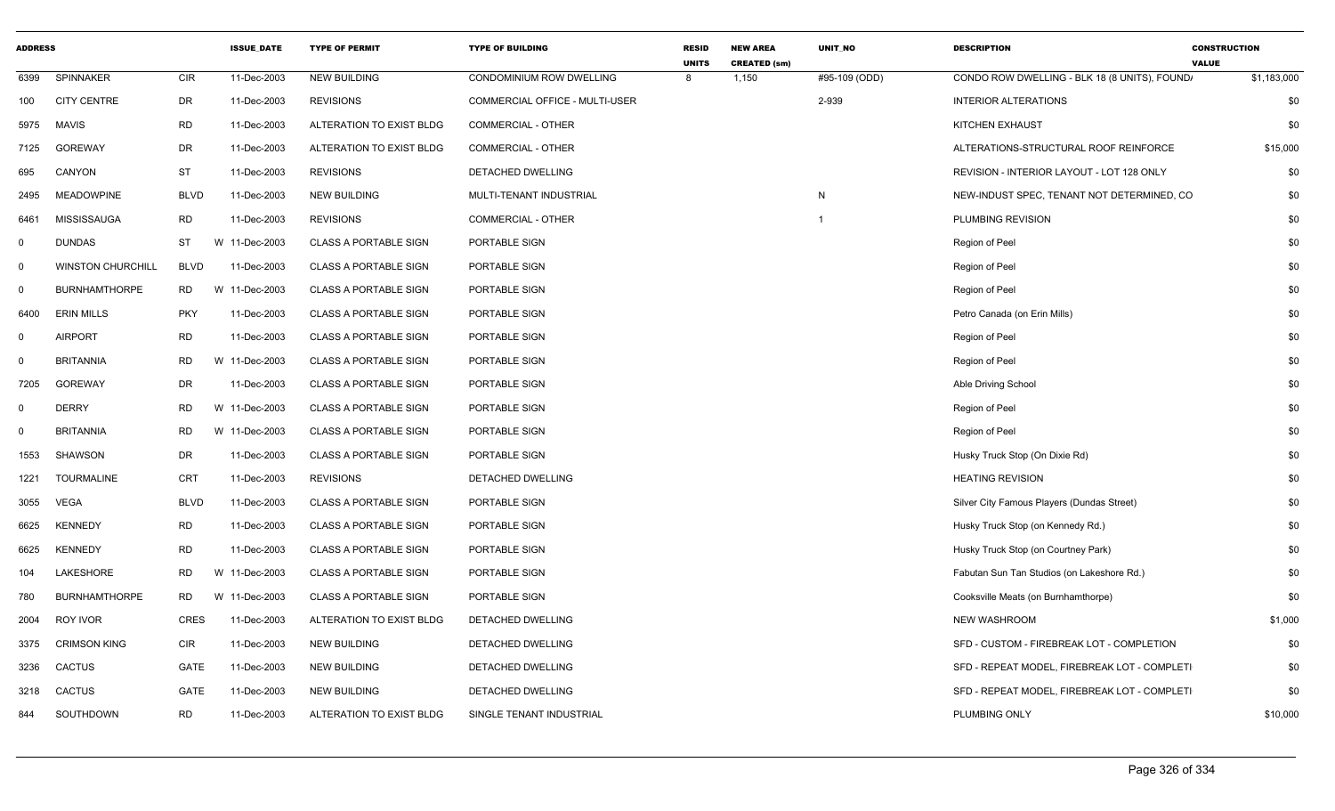| <b>ADDRESS</b> |                          |             | <b>ISSUE DATE</b> | <b>TYPE OF PERMIT</b>        | <b>TYPE OF BUILDING</b>        | <b>RESID</b><br><b>UNITS</b> | <b>NEW AREA</b><br><b>CREATED (sm)</b> | UNIT_NO                 | <b>DESCRIPTION</b>                           | <b>CONSTRUCTION</b><br><b>VALUE</b> |
|----------------|--------------------------|-------------|-------------------|------------------------------|--------------------------------|------------------------------|----------------------------------------|-------------------------|----------------------------------------------|-------------------------------------|
| 6399           | SPINNAKER                | CIR         | 11-Dec-2003       | <b>NEW BUILDING</b>          | CONDOMINIUM ROW DWELLING       | 8                            | 1,150                                  | #95-109 (ODD)           | CONDO ROW DWELLING - BLK 18 (8 UNITS), FOUND | \$1,183,000                         |
| 100            | <b>CITY CENTRE</b>       | DR          | 11-Dec-2003       | <b>REVISIONS</b>             | COMMERCIAL OFFICE - MULTI-USER |                              |                                        | 2-939                   | <b>INTERIOR ALTERATIONS</b>                  | \$0                                 |
| 5975           | <b>MAVIS</b>             | <b>RD</b>   | 11-Dec-2003       | ALTERATION TO EXIST BLDG     | <b>COMMERCIAL - OTHER</b>      |                              |                                        |                         | KITCHEN EXHAUST                              | \$0                                 |
| 7125           | <b>GOREWAY</b>           | <b>DR</b>   | 11-Dec-2003       | ALTERATION TO EXIST BLDG     | <b>COMMERCIAL - OTHER</b>      |                              |                                        |                         | ALTERATIONS-STRUCTURAL ROOF REINFORCE        | \$15,000                            |
| 695            | CANYON                   | ST          | 11-Dec-2003       | <b>REVISIONS</b>             | DETACHED DWELLING              |                              |                                        |                         | REVISION - INTERIOR LAYOUT - LOT 128 ONLY    | \$0                                 |
| 2495           | <b>MEADOWPINE</b>        | <b>BLVD</b> | 11-Dec-2003       | <b>NEW BUILDING</b>          | MULTI-TENANT INDUSTRIAL        |                              |                                        | N                       | NEW-INDUST SPEC, TENANT NOT DETERMINED, CO   | \$0                                 |
| 6461           | MISSISSAUGA              | <b>RD</b>   | 11-Dec-2003       | <b>REVISIONS</b>             | <b>COMMERCIAL - OTHER</b>      |                              |                                        | $\overline{\mathbf{1}}$ | PLUMBING REVISION                            | \$0                                 |
| $\mathbf 0$    | <b>DUNDAS</b>            | <b>ST</b>   | W 11-Dec-2003     | <b>CLASS A PORTABLE SIGN</b> | PORTABLE SIGN                  |                              |                                        |                         | Region of Peel                               | \$0                                 |
| $\mathbf 0$    | <b>WINSTON CHURCHILL</b> | <b>BLVD</b> | 11-Dec-2003       | <b>CLASS A PORTABLE SIGN</b> | PORTABLE SIGN                  |                              |                                        |                         | Region of Peel                               | \$0                                 |
| $\mathbf 0$    | <b>BURNHAMTHORPE</b>     | RD.         | W 11-Dec-2003     | <b>CLASS A PORTABLE SIGN</b> | PORTABLE SIGN                  |                              |                                        |                         | Region of Peel                               | \$0                                 |
| 6400           | <b>ERIN MILLS</b>        | <b>PKY</b>  | 11-Dec-2003       | <b>CLASS A PORTABLE SIGN</b> | PORTABLE SIGN                  |                              |                                        |                         | Petro Canada (on Erin Mills)                 | \$0                                 |
| $\mathbf 0$    | <b>AIRPORT</b>           | <b>RD</b>   | 11-Dec-2003       | <b>CLASS A PORTABLE SIGN</b> | PORTABLE SIGN                  |                              |                                        |                         | Region of Peel                               | \$0                                 |
| $\mathbf 0$    | <b>BRITANNIA</b>         | <b>RD</b>   | W 11-Dec-2003     | CLASS A PORTABLE SIGN        | PORTABLE SIGN                  |                              |                                        |                         | Region of Peel                               | \$0                                 |
| 7205           | <b>GOREWAY</b>           | DR          | 11-Dec-2003       | <b>CLASS A PORTABLE SIGN</b> | PORTABLE SIGN                  |                              |                                        |                         | Able Driving School                          | \$0                                 |
| $\mathbf 0$    | <b>DERRY</b>             | <b>RD</b>   | W 11-Dec-2003     | <b>CLASS A PORTABLE SIGN</b> | PORTABLE SIGN                  |                              |                                        |                         | Region of Peel                               | \$0                                 |
| 0              | <b>BRITANNIA</b>         | <b>RD</b>   | W 11-Dec-2003     | <b>CLASS A PORTABLE SIGN</b> | PORTABLE SIGN                  |                              |                                        |                         | Region of Peel                               | \$0                                 |
| 1553           | SHAWSON                  | <b>DR</b>   | 11-Dec-2003       | <b>CLASS A PORTABLE SIGN</b> | PORTABLE SIGN                  |                              |                                        |                         | Husky Truck Stop (On Dixie Rd)               | \$0                                 |
| 1221           | <b>TOURMALINE</b>        | <b>CRT</b>  | 11-Dec-2003       | <b>REVISIONS</b>             | DETACHED DWELLING              |                              |                                        |                         | <b>HEATING REVISION</b>                      | \$0                                 |
| 3055           | VEGA                     | <b>BLVD</b> | 11-Dec-2003       | <b>CLASS A PORTABLE SIGN</b> | PORTABLE SIGN                  |                              |                                        |                         | Silver City Famous Players (Dundas Street)   | \$0                                 |
| 6625           | <b>KENNEDY</b>           | <b>RD</b>   | 11-Dec-2003       | <b>CLASS A PORTABLE SIGN</b> | PORTABLE SIGN                  |                              |                                        |                         | Husky Truck Stop (on Kennedy Rd.)            | \$0                                 |
| 6625           | <b>KENNEDY</b>           | <b>RD</b>   | 11-Dec-2003       | <b>CLASS A PORTABLE SIGN</b> | PORTABLE SIGN                  |                              |                                        |                         | Husky Truck Stop (on Courtney Park)          | \$0                                 |
| 104            | LAKESHORE                | <b>RD</b>   | W 11-Dec-2003     | <b>CLASS A PORTABLE SIGN</b> | PORTABLE SIGN                  |                              |                                        |                         | Fabutan Sun Tan Studios (on Lakeshore Rd.)   | \$0                                 |
| 780            | <b>BURNHAMTHORPE</b>     | <b>RD</b>   | W 11-Dec-2003     | <b>CLASS A PORTABLE SIGN</b> | PORTABLE SIGN                  |                              |                                        |                         | Cooksville Meats (on Burnhamthorpe)          | \$0                                 |
| 2004           | ROY IVOR                 | <b>CRES</b> | 11-Dec-2003       | ALTERATION TO EXIST BLDG     | DETACHED DWELLING              |                              |                                        |                         | <b>NEW WASHROOM</b>                          | \$1,000                             |
| 3375           | <b>CRIMSON KING</b>      | <b>CIR</b>  | 11-Dec-2003       | <b>NEW BUILDING</b>          | DETACHED DWELLING              |                              |                                        |                         | SFD - CUSTOM - FIREBREAK LOT - COMPLETION    | \$0                                 |
| 3236           | <b>CACTUS</b>            | GATE        | 11-Dec-2003       | <b>NEW BUILDING</b>          | DETACHED DWELLING              |                              |                                        |                         | SFD - REPEAT MODEL, FIREBREAK LOT - COMPLETI | \$0                                 |
| 3218           | <b>CACTUS</b>            | GATE        | 11-Dec-2003       | <b>NEW BUILDING</b>          | DETACHED DWELLING              |                              |                                        |                         | SFD - REPEAT MODEL, FIREBREAK LOT - COMPLETI | \$0                                 |
| 844            | SOUTHDOWN                | <b>RD</b>   | 11-Dec-2003       | ALTERATION TO EXIST BLDG     | SINGLE TENANT INDUSTRIAL       |                              |                                        |                         | PLUMBING ONLY                                | \$10,000                            |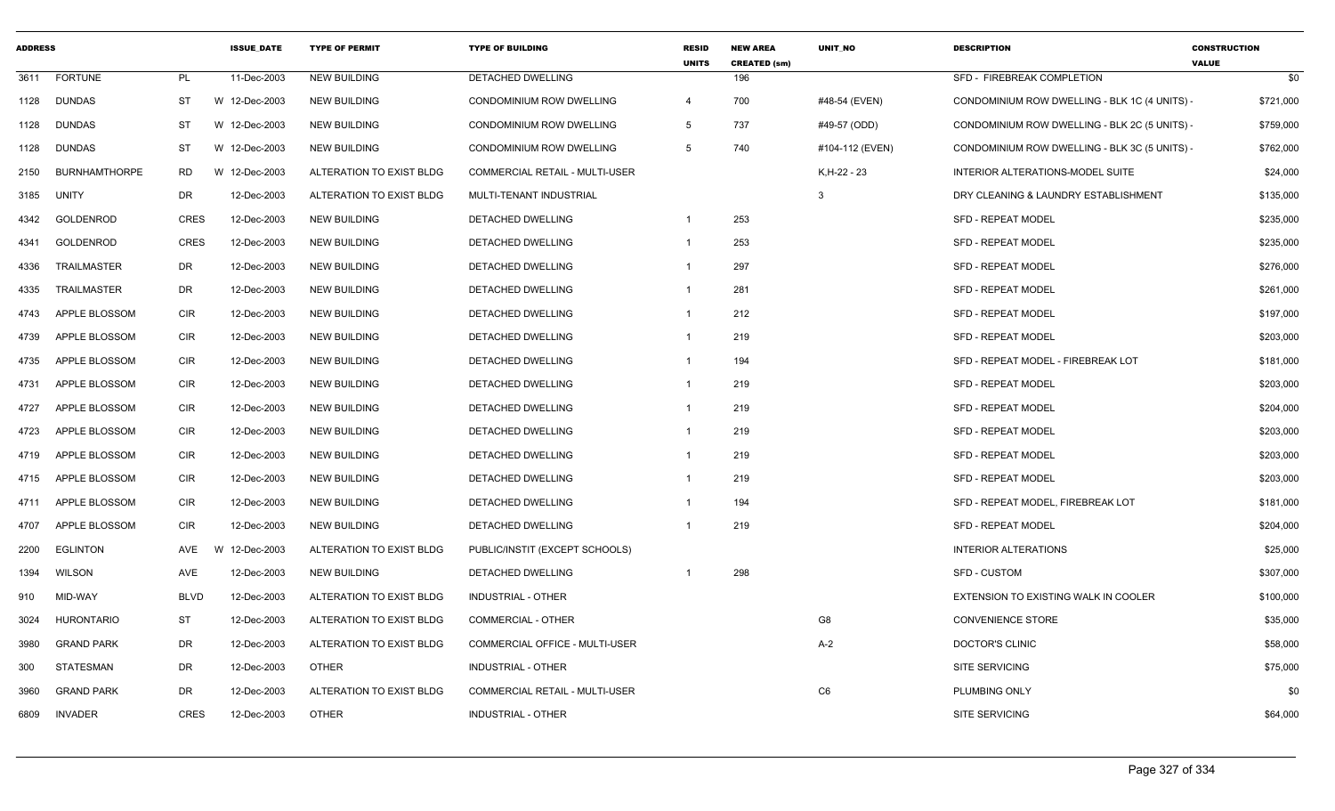| <b>ADDRESS</b> |                      |             | <b>ISSUE DATE</b> | <b>TYPE OF PERMIT</b>    | <b>TYPE OF BUILDING</b>               | <b>RESID</b><br><b>UNITS</b> | <b>NEW AREA</b><br><b>CREATED (sm)</b> | <b>UNIT NO</b>  | <b>DESCRIPTION</b>                            | <b>CONSTRUCTION</b><br><b>VALUE</b> |
|----------------|----------------------|-------------|-------------------|--------------------------|---------------------------------------|------------------------------|----------------------------------------|-----------------|-----------------------------------------------|-------------------------------------|
| 3611           | <b>FORTUNE</b>       | <b>PL</b>   | 11-Dec-2003       | <b>NEW BUILDING</b>      | <b>DETACHED DWELLING</b>              |                              | 196                                    |                 | SFD - FIREBREAK COMPLETION                    | \$0                                 |
| 1128           | <b>DUNDAS</b>        | ST          | W 12-Dec-2003     | <b>NEW BUILDING</b>      | CONDOMINIUM ROW DWELLING              | $\overline{4}$               | 700                                    | #48-54 (EVEN)   | CONDOMINIUM ROW DWELLING - BLK 1C (4 UNITS) - | \$721,000                           |
| 1128           | <b>DUNDAS</b>        | <b>ST</b>   | W 12-Dec-2003     | <b>NEW BUILDING</b>      | CONDOMINIUM ROW DWELLING              | 5                            | 737                                    | #49-57 (ODD)    | CONDOMINIUM ROW DWELLING - BLK 2C (5 UNITS) - | \$759,000                           |
| 1128           | DUNDAS               | ST          | W 12-Dec-2003     | <b>NEW BUILDING</b>      | CONDOMINIUM ROW DWELLING              | 5                            | 740                                    | #104-112 (EVEN) | CONDOMINIUM ROW DWELLING - BLK 3C (5 UNITS)   | \$762,000                           |
| 2150           | <b>BURNHAMTHORPE</b> | RD          | W 12-Dec-2003     | ALTERATION TO EXIST BLDG | COMMERCIAL RETAIL - MULTI-USER        |                              |                                        | K, H-22 - 23    | INTERIOR ALTERATIONS-MODEL SUITE              | \$24,000                            |
| 3185           | <b>UNITY</b>         | DR          | 12-Dec-2003       | ALTERATION TO EXIST BLDG | MULTI-TENANT INDUSTRIAL               |                              |                                        | 3               | DRY CLEANING & LAUNDRY ESTABLISHMENT          | \$135,000                           |
| 4342           | GOLDENROD            | <b>CRES</b> | 12-Dec-2003       | <b>NEW BUILDING</b>      | DETACHED DWELLING                     | 1                            | 253                                    |                 | <b>SFD - REPEAT MODEL</b>                     | \$235,000                           |
| 4341           | GOLDENROD            | <b>CRES</b> | 12-Dec-2003       | <b>NEW BUILDING</b>      | DETACHED DWELLING                     | 1                            | 253                                    |                 | <b>SFD - REPEAT MODEL</b>                     | \$235,000                           |
| 4336           | <b>TRAILMASTER</b>   | DR          | 12-Dec-2003       | <b>NEW BUILDING</b>      | DETACHED DWELLING                     | -1                           | 297                                    |                 | SFD - REPEAT MODEL                            | \$276,000                           |
| 4335           | <b>TRAILMASTER</b>   | DR          | 12-Dec-2003       | <b>NEW BUILDING</b>      | DETACHED DWELLING                     | $\mathbf{1}$                 | 281                                    |                 | <b>SFD - REPEAT MODEL</b>                     | \$261,000                           |
| 4743           | APPLE BLOSSOM        | <b>CIR</b>  | 12-Dec-2003       | <b>NEW BUILDING</b>      | DETACHED DWELLING                     | $\mathbf 1$                  | 212                                    |                 | <b>SFD - REPEAT MODEL</b>                     | \$197,000                           |
| 4739           | APPLE BLOSSOM        | <b>CIR</b>  | 12-Dec-2003       | <b>NEW BUILDING</b>      | DETACHED DWELLING                     | 1                            | 219                                    |                 | <b>SFD - REPEAT MODEL</b>                     | \$203,000                           |
| 4735           | APPLE BLOSSOM        | CIR         | 12-Dec-2003       | <b>NEW BUILDING</b>      | DETACHED DWELLING                     | -1                           | 194                                    |                 | SFD - REPEAT MODEL - FIREBREAK LOT            | \$181,000                           |
| 4731           | APPLE BLOSSOM        | <b>CIR</b>  | 12-Dec-2003       | <b>NEW BUILDING</b>      | <b>DETACHED DWELLING</b>              | 1                            | 219                                    |                 | <b>SFD - REPEAT MODEL</b>                     | \$203,000                           |
| 4727           | APPLE BLOSSOM        | <b>CIR</b>  | 12-Dec-2003       | <b>NEW BUILDING</b>      | DETACHED DWELLING                     | 1                            | 219                                    |                 | <b>SFD - REPEAT MODEL</b>                     | \$204,000                           |
| 4723           | APPLE BLOSSOM        | <b>CIR</b>  | 12-Dec-2003       | <b>NEW BUILDING</b>      | DETACHED DWELLING                     | 1                            | 219                                    |                 | SFD - REPEAT MODEL                            | \$203,000                           |
| 4719           | APPLE BLOSSOM        | CIR         | 12-Dec-2003       | <b>NEW BUILDING</b>      | DETACHED DWELLING                     | 1                            | 219                                    |                 | <b>SFD - REPEAT MODEL</b>                     | \$203,000                           |
| 4715           | APPLE BLOSSOM        | <b>CIR</b>  | 12-Dec-2003       | <b>NEW BUILDING</b>      | DETACHED DWELLING                     | 1                            | 219                                    |                 | <b>SFD - REPEAT MODEL</b>                     | \$203,000                           |
| 4711           | APPLE BLOSSOM        | <b>CIR</b>  | 12-Dec-2003       | <b>NEW BUILDING</b>      | DETACHED DWELLING                     |                              | 194                                    |                 | SFD - REPEAT MODEL, FIREBREAK LOT             | \$181,000                           |
| 4707           | APPLE BLOSSOM        | <b>CIR</b>  | 12-Dec-2003       | <b>NEW BUILDING</b>      | DETACHED DWELLING                     |                              | 219                                    |                 | <b>SFD - REPEAT MODEL</b>                     | \$204,000                           |
| 2200           | <b>EGLINTON</b>      | AVE         | W 12-Dec-2003     | ALTERATION TO EXIST BLDG | PUBLIC/INSTIT (EXCEPT SCHOOLS)        |                              |                                        |                 | <b>INTERIOR ALTERATIONS</b>                   | \$25,000                            |
| 1394           | <b>WILSON</b>        | AVE         | 12-Dec-2003       | <b>NEW BUILDING</b>      | DETACHED DWELLING                     | 1                            | 298                                    |                 | <b>SFD - CUSTOM</b>                           | \$307,000                           |
| 910            | MID-WAY              | <b>BLVD</b> | 12-Dec-2003       | ALTERATION TO EXIST BLDG | <b>INDUSTRIAL - OTHER</b>             |                              |                                        |                 | <b>EXTENSION TO EXISTING WALK IN COOLER</b>   | \$100,000                           |
| 3024           | HURONTARIO           | ST          | 12-Dec-2003       | ALTERATION TO EXIST BLDG | COMMERCIAL - OTHER                    |                              |                                        | G8              | <b>CONVENIENCE STORE</b>                      | \$35,000                            |
| 3980           | <b>GRAND PARK</b>    | DR          | 12-Dec-2003       | ALTERATION TO EXIST BLDG | <b>COMMERCIAL OFFICE - MULTI-USER</b> |                              |                                        | $A-2$           | DOCTOR'S CLINIC                               | \$58,000                            |
| 300            | STATESMAN            | DR          | 12-Dec-2003       | <b>OTHER</b>             | <b>INDUSTRIAL - OTHER</b>             |                              |                                        |                 | <b>SITE SERVICING</b>                         | \$75,000                            |
| 3960           | <b>GRAND PARK</b>    | DR          | 12-Dec-2003       | ALTERATION TO EXIST BLDG | COMMERCIAL RETAIL - MULTI-USER        |                              |                                        | C <sub>6</sub>  | PLUMBING ONLY                                 | \$0                                 |
| 6809           | <b>INVADER</b>       | <b>CRES</b> | 12-Dec-2003       | <b>OTHER</b>             | <b>INDUSTRIAL - OTHER</b>             |                              |                                        |                 | <b>SITE SERVICING</b>                         | \$64,000                            |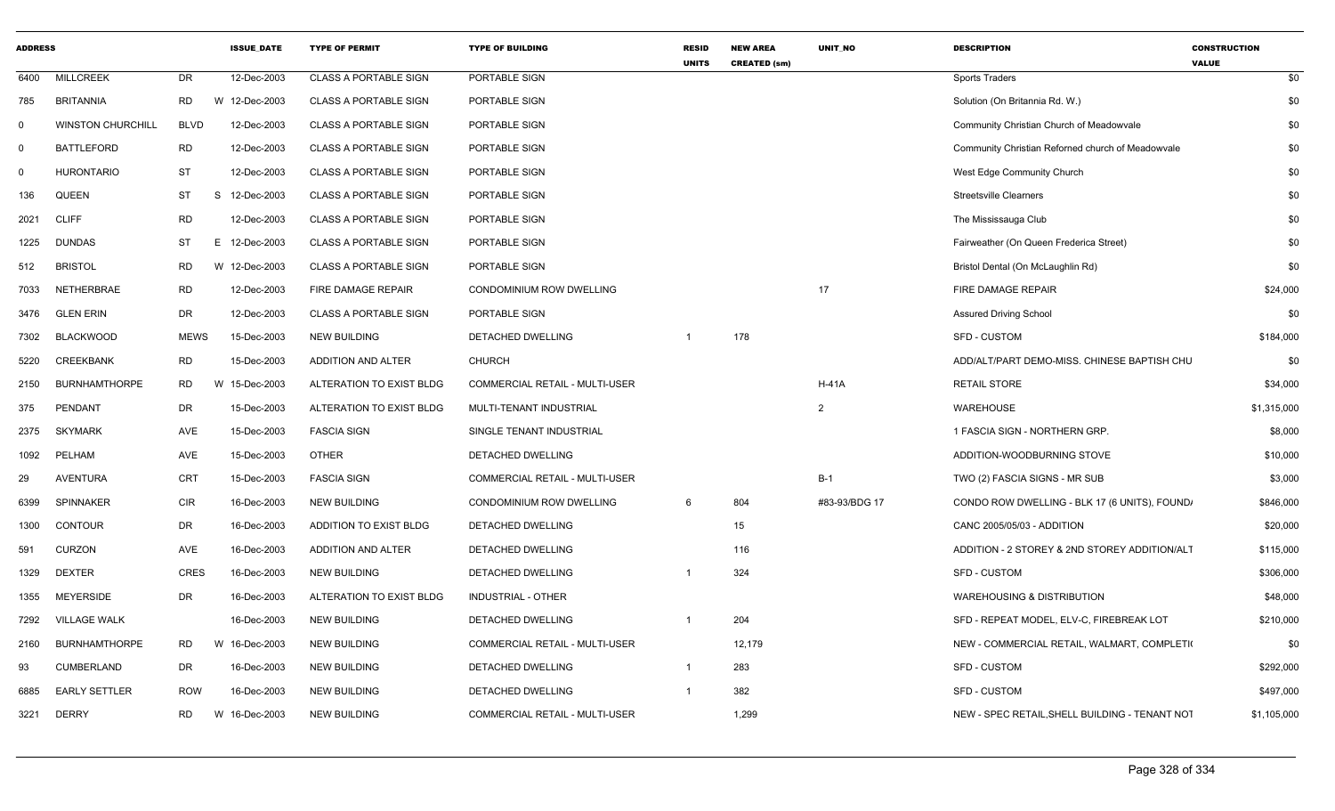| <b>ADDRESS</b> |                          |             | <b>ISSUE_DATE</b> | <b>TYPE OF PERMIT</b>        | <b>TYPE OF BUILDING</b>               | <b>RESID</b><br><b>UNITS</b> | <b>NEW AREA</b><br><b>CREATED (sm)</b> | UNIT_NO        | <b>DESCRIPTION</b>                                | <b>CONSTRUCTION</b><br><b>VALUE</b> |
|----------------|--------------------------|-------------|-------------------|------------------------------|---------------------------------------|------------------------------|----------------------------------------|----------------|---------------------------------------------------|-------------------------------------|
| 6400           | <b>MILLCREEK</b>         | <b>DR</b>   | 12-Dec-2003       | <b>CLASS A PORTABLE SIGN</b> | PORTABLE SIGN                         |                              |                                        |                | Sports Traders                                    | \$0                                 |
| 785            | <b>BRITANNIA</b>         | <b>RD</b>   | W 12-Dec-2003     | CLASS A PORTABLE SIGN        | PORTABLE SIGN                         |                              |                                        |                | Solution (On Britannia Rd. W.)                    | \$0                                 |
| $\mathbf 0$    | <b>WINSTON CHURCHILL</b> | <b>BLVD</b> | 12-Dec-2003       | <b>CLASS A PORTABLE SIGN</b> | PORTABLE SIGN                         |                              |                                        |                | Community Christian Church of Meadowvale          | \$0                                 |
| $\mathbf 0$    | <b>BATTLEFORD</b>        | <b>RD</b>   | 12-Dec-2003       | <b>CLASS A PORTABLE SIGN</b> | PORTABLE SIGN                         |                              |                                        |                | Community Christian Reforned church of Meadowvale | \$0                                 |
| $\mathbf 0$    | <b>HURONTARIO</b>        | <b>ST</b>   | 12-Dec-2003       | <b>CLASS A PORTABLE SIGN</b> | PORTABLE SIGN                         |                              |                                        |                | West Edge Community Church                        | \$0                                 |
| 136            | <b>QUEEN</b>             | <b>ST</b>   | S 12-Dec-2003     | <b>CLASS A PORTABLE SIGN</b> | PORTABLE SIGN                         |                              |                                        |                | <b>Streetsville Clearners</b>                     | \$0                                 |
| 2021           | <b>CLIFF</b>             | <b>RD</b>   | 12-Dec-2003       | <b>CLASS A PORTABLE SIGN</b> | PORTABLE SIGN                         |                              |                                        |                | The Mississauga Club                              | \$0                                 |
| 1225           | <b>DUNDAS</b>            | <b>ST</b>   | E 12-Dec-2003     | CLASS A PORTABLE SIGN        | PORTABLE SIGN                         |                              |                                        |                | Fairweather (On Queen Frederica Street)           | \$0                                 |
| 512            | <b>BRISTOL</b>           | <b>RD</b>   | W 12-Dec-2003     | <b>CLASS A PORTABLE SIGN</b> | PORTABLE SIGN                         |                              |                                        |                | Bristol Dental (On McLaughlin Rd)                 | \$0                                 |
| 7033           | NETHERBRAE               | <b>RD</b>   | 12-Dec-2003       | FIRE DAMAGE REPAIR           | CONDOMINIUM ROW DWELLING              |                              |                                        | 17             | FIRE DAMAGE REPAIR                                | \$24,000                            |
| 3476           | <b>GLEN ERIN</b>         | <b>DR</b>   | 12-Dec-2003       | <b>CLASS A PORTABLE SIGN</b> | PORTABLE SIGN                         |                              |                                        |                | <b>Assured Driving School</b>                     | \$0                                 |
| 7302           | <b>BLACKWOOD</b>         | <b>MEWS</b> | 15-Dec-2003       | <b>NEW BUILDING</b>          | DETACHED DWELLING                     | $\overline{1}$               | 178                                    |                | <b>SFD - CUSTOM</b>                               | \$184,000                           |
| 5220           | <b>CREEKBANK</b>         | <b>RD</b>   | 15-Dec-2003       | ADDITION AND ALTER           | <b>CHURCH</b>                         |                              |                                        |                | ADD/ALT/PART DEMO-MISS. CHINESE BAPTISH CHU       | \$0                                 |
| 2150           | <b>BURNHAMTHORPE</b>     | <b>RD</b>   | 15-Dec-2003<br>W  | ALTERATION TO EXIST BLDG     | <b>COMMERCIAL RETAIL - MULTI-USER</b> |                              |                                        | $H-41A$        | <b>RETAIL STORE</b>                               | \$34,000                            |
| 375            | PENDANT                  | <b>DR</b>   | 15-Dec-2003       | ALTERATION TO EXIST BLDG     | MULTI-TENANT INDUSTRIAL               |                              |                                        | $\overline{2}$ | <b>WAREHOUSE</b>                                  | \$1,315,000                         |
| 2375           | <b>SKYMARK</b>           | AVE         | 15-Dec-2003       | <b>FASCIA SIGN</b>           | SINGLE TENANT INDUSTRIAL              |                              |                                        |                | 1 FASCIA SIGN - NORTHERN GRP.                     | \$8,000                             |
| 1092           | PELHAM                   | AVE         | 15-Dec-2003       | <b>OTHER</b>                 | DETACHED DWELLING                     |                              |                                        |                | ADDITION-WOODBURNING STOVE                        | \$10,000                            |
| 29             | <b>AVENTURA</b>          | CRT         | 15-Dec-2003       | <b>FASCIA SIGN</b>           | COMMERCIAL RETAIL - MULTI-USER        |                              |                                        | $B-1$          | TWO (2) FASCIA SIGNS - MR SUB                     | \$3,000                             |
| 6399           | <b>SPINNAKER</b>         | CIR         | 16-Dec-2003       | <b>NEW BUILDING</b>          | CONDOMINIUM ROW DWELLING              | 6                            | 804                                    | #83-93/BDG 17  | CONDO ROW DWELLING - BLK 17 (6 UNITS), FOUND,     | \$846,000                           |
| 1300           | <b>CONTOUR</b>           | <b>DR</b>   | 16-Dec-2003       | ADDITION TO EXIST BLDG       | DETACHED DWELLING                     |                              | 15                                     |                | CANC 2005/05/03 - ADDITION                        | \$20,000                            |
| 591            | <b>CURZON</b>            | AVE         | 16-Dec-2003       | ADDITION AND ALTER           | DETACHED DWELLING                     |                              | 116                                    |                | ADDITION - 2 STOREY & 2ND STOREY ADDITION/ALT     | \$115,000                           |
| 1329           | <b>DEXTER</b>            | CRES        | 16-Dec-2003       | <b>NEW BUILDING</b>          | DETACHED DWELLING                     |                              | 324                                    |                | SFD - CUSTOM                                      | \$306,000                           |
| 1355           | <b>MEYERSIDE</b>         | <b>DR</b>   | 16-Dec-2003       | ALTERATION TO EXIST BLDG     | <b>INDUSTRIAL - OTHER</b>             |                              |                                        |                | <b>WAREHOUSING &amp; DISTRIBUTION</b>             | \$48,000                            |
| 7292           | <b>VILLAGE WALK</b>      |             | 16-Dec-2003       | <b>NEW BUILDING</b>          | DETACHED DWELLING                     | $\overline{1}$               | 204                                    |                | SFD - REPEAT MODEL, ELV-C, FIREBREAK LOT          | \$210,000                           |
| 2160           | <b>BURNHAMTHORPE</b>     | <b>RD</b>   | W<br>16-Dec-2003  | <b>NEW BUILDING</b>          | COMMERCIAL RETAIL - MULTI-USER        |                              | 12,179                                 |                | NEW - COMMERCIAL RETAIL, WALMART, COMPLETI(       | \$0                                 |
| 93             | <b>CUMBERLAND</b>        | DR          | 16-Dec-2003       | <b>NEW BUILDING</b>          | DETACHED DWELLING                     | $\overline{1}$               | 283                                    |                | SFD - CUSTOM                                      | \$292,000                           |
| 6885           | <b>EARLY SETTLER</b>     | <b>ROW</b>  | 16-Dec-2003       | <b>NEW BUILDING</b>          | DETACHED DWELLING                     | $\overline{1}$               | 382                                    |                | SFD - CUSTOM                                      | \$497,000                           |
| 3221           | <b>DERRY</b>             | <b>RD</b>   | W 16-Dec-2003     | <b>NEW BUILDING</b>          | COMMERCIAL RETAIL - MULTI-USER        |                              | 1,299                                  |                | NEW - SPEC RETAIL, SHELL BUILDING - TENANT NOT    | \$1,105,000                         |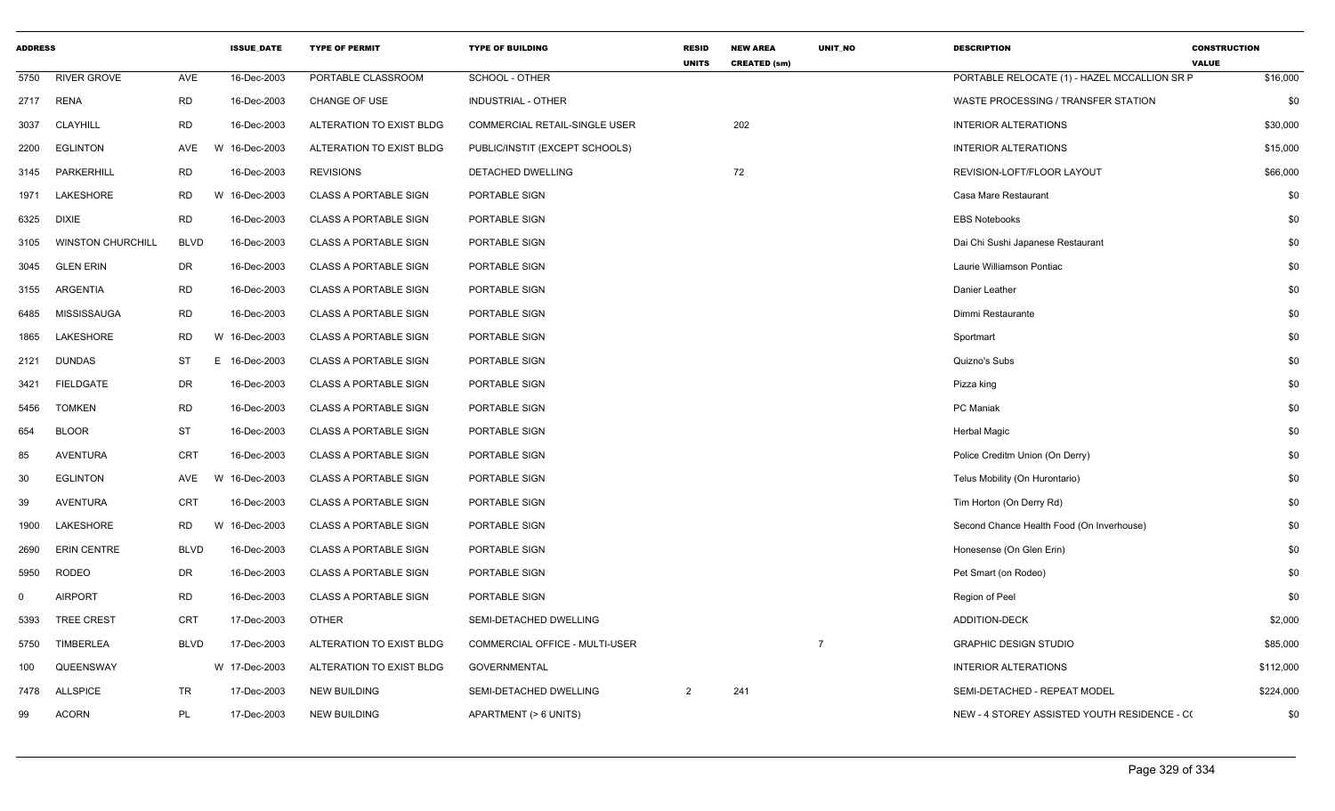|          | <b>ADDRESS</b><br><b>ISSUE DATE</b> |             | <b>TYPE OF PERMIT</b> | <b>TYPE OF BUILDING</b>      | <b>RESID</b><br><b>UNITS</b>   | <b>NEW AREA</b><br><b>CREATED (sm)</b> | <b>UNIT NO</b> | <b>DESCRIPTION</b> | <b>CONSTRUCTION</b><br><b>VALUE</b>          |           |
|----------|-------------------------------------|-------------|-----------------------|------------------------------|--------------------------------|----------------------------------------|----------------|--------------------|----------------------------------------------|-----------|
| 5750     | <b>RIVER GROVE</b>                  | AVE         | 16-Dec-2003           | PORTABLE CLASSROOM           | SCHOOL - OTHER                 |                                        |                |                    | PORTABLE RELOCATE (1) - HAZEL MCCALLION SR F | \$16,000  |
| 2717     | RENA                                | <b>RD</b>   | 16-Dec-2003           | CHANGE OF USE                | <b>INDUSTRIAL - OTHER</b>      |                                        |                |                    | WASTE PROCESSING / TRANSFER STATION          | \$0       |
| 3037     | <b>CLAYHILL</b>                     | <b>RD</b>   | 16-Dec-2003           | ALTERATION TO EXIST BLDG     | COMMERCIAL RETAIL-SINGLE USER  |                                        | 202            |                    | <b>INTERIOR ALTERATIONS</b>                  | \$30,000  |
| 2200     | <b>EGLINTON</b>                     | AVE         | W 16-Dec-2003         | ALTERATION TO EXIST BLDG     | PUBLIC/INSTIT (EXCEPT SCHOOLS) |                                        |                |                    | <b>INTERIOR ALTERATIONS</b>                  | \$15,000  |
| 3145     | PARKERHILL                          | <b>RD</b>   | 16-Dec-2003           | <b>REVISIONS</b>             | DETACHED DWELLING              |                                        | 72             |                    | REVISION-LOFT/FLOOR LAYOUT                   | \$66,000  |
| 1971     | <b>LAKESHORE</b>                    | <b>RD</b>   | W 16-Dec-2003         | <b>CLASS A PORTABLE SIGN</b> | PORTABLE SIGN                  |                                        |                |                    | Casa Mare Restaurant                         | \$0       |
| 6325     | <b>DIXIE</b>                        | <b>RD</b>   | 16-Dec-2003           | <b>CLASS A PORTABLE SIGN</b> | PORTABLE SIGN                  |                                        |                |                    | <b>EBS Notebooks</b>                         | \$0       |
| 3105     | <b>WINSTON CHURCHILL</b>            | <b>BLVD</b> | 16-Dec-2003           | <b>CLASS A PORTABLE SIGN</b> | PORTABLE SIGN                  |                                        |                |                    | Dai Chi Sushi Japanese Restaurant            | \$0       |
| 3045     | <b>GLEN ERIN</b>                    | DR          | 16-Dec-2003           | <b>CLASS A PORTABLE SIGN</b> | PORTABLE SIGN                  |                                        |                |                    | Laurie Williamson Pontiac                    | \$0       |
| 3155     | ARGENTIA                            | <b>RD</b>   | 16-Dec-2003           | <b>CLASS A PORTABLE SIGN</b> | PORTABLE SIGN                  |                                        |                |                    | Danier Leather                               | \$0       |
| 6485     | <b>MISSISSAUGA</b>                  | <b>RD</b>   | 16-Dec-2003           | <b>CLASS A PORTABLE SIGN</b> | PORTABLE SIGN                  |                                        |                |                    | Dimmi Restaurante                            | \$0       |
| 1865     | LAKESHORE                           | RD.         | W 16-Dec-2003         | <b>CLASS A PORTABLE SIGN</b> | PORTABLE SIGN                  |                                        |                |                    | Sportmart                                    | \$0       |
| 2121     | <b>DUNDAS</b>                       | ST          | E 16-Dec-2003         | <b>CLASS A PORTABLE SIGN</b> | PORTABLE SIGN                  |                                        |                |                    | Quizno's Subs                                | \$0       |
| 3421     | <b>FIELDGATE</b>                    | DR          | 16-Dec-2003           | <b>CLASS A PORTABLE SIGN</b> | PORTABLE SIGN                  |                                        |                |                    | Pizza king                                   | \$0       |
| 5456     | <b>TOMKEN</b>                       | <b>RD</b>   | 16-Dec-2003           | <b>CLASS A PORTABLE SIGN</b> | PORTABLE SIGN                  |                                        |                |                    | PC Maniak                                    | \$0       |
| 654      | <b>BLOOR</b>                        | <b>ST</b>   | 16-Dec-2003           | <b>CLASS A PORTABLE SIGN</b> | PORTABLE SIGN                  |                                        |                |                    | <b>Herbal Magic</b>                          | \$0       |
| 85       | <b>AVENTURA</b>                     | <b>CRT</b>  | 16-Dec-2003           | <b>CLASS A PORTABLE SIGN</b> | PORTABLE SIGN                  |                                        |                |                    | Police Creditm Union (On Derry)              | \$0       |
| 30       | <b>EGLINTON</b>                     | AVE         | W 16-Dec-2003         | <b>CLASS A PORTABLE SIGN</b> | PORTABLE SIGN                  |                                        |                |                    | Telus Mobility (On Hurontario)               | \$0       |
| 39       | <b>AVENTURA</b>                     | <b>CRT</b>  | 16-Dec-2003           | <b>CLASS A PORTABLE SIGN</b> | PORTABLE SIGN                  |                                        |                |                    | Tim Horton (On Derry Rd)                     | \$0       |
| 1900     | LAKESHORE                           | <b>RD</b>   | W 16-Dec-2003         | <b>CLASS A PORTABLE SIGN</b> | PORTABLE SIGN                  |                                        |                |                    | Second Chance Health Food (On Inverhouse)    | \$0       |
| 2690     | <b>ERIN CENTRE</b>                  | <b>BLVD</b> | 16-Dec-2003           | <b>CLASS A PORTABLE SIGN</b> | PORTABLE SIGN                  |                                        |                |                    | Honesense (On Glen Erin)                     | \$0       |
| 5950     | <b>RODEO</b>                        | DR          | 16-Dec-2003           | <b>CLASS A PORTABLE SIGN</b> | PORTABLE SIGN                  |                                        |                |                    | Pet Smart (on Rodeo)                         | \$0       |
| $\Omega$ | <b>AIRPORT</b>                      | <b>RD</b>   | 16-Dec-2003           | <b>CLASS A PORTABLE SIGN</b> | PORTABLE SIGN                  |                                        |                |                    | Region of Peel                               | \$0       |
| 5393     | <b>TREE CREST</b>                   | <b>CRT</b>  | 17-Dec-2003           | <b>OTHER</b>                 | SEMI-DETACHED DWELLING         |                                        |                |                    | <b>ADDITION-DECK</b>                         | \$2,000   |
| 5750     | TIMBERLEA                           | <b>BLVD</b> | 17-Dec-2003           | ALTERATION TO EXIST BLDG     | COMMERCIAL OFFICE - MULTI-USER |                                        |                | $\overline{7}$     | <b>GRAPHIC DESIGN STUDIO</b>                 | \$85,000  |
| 100      | QUEENSWAY                           |             | W 17-Dec-2003         | ALTERATION TO EXIST BLDG     | <b>GOVERNMENTAL</b>            |                                        |                |                    | <b>INTERIOR ALTERATIONS</b>                  | \$112,000 |
| 7478     | <b>ALLSPICE</b>                     | TR          | 17-Dec-2003           | <b>NEW BUILDING</b>          | SEMI-DETACHED DWELLING         | $\overline{2}$                         | 241            |                    | SEMI-DETACHED - REPEAT MODEL                 | \$224,000 |
| 99       | <b>ACORN</b>                        | PL          | 17-Dec-2003           | <b>NEW BUILDING</b>          | APARTMENT (> 6 UNITS)          |                                        |                |                    | NEW - 4 STOREY ASSISTED YOUTH RESIDENCE - CO | \$0       |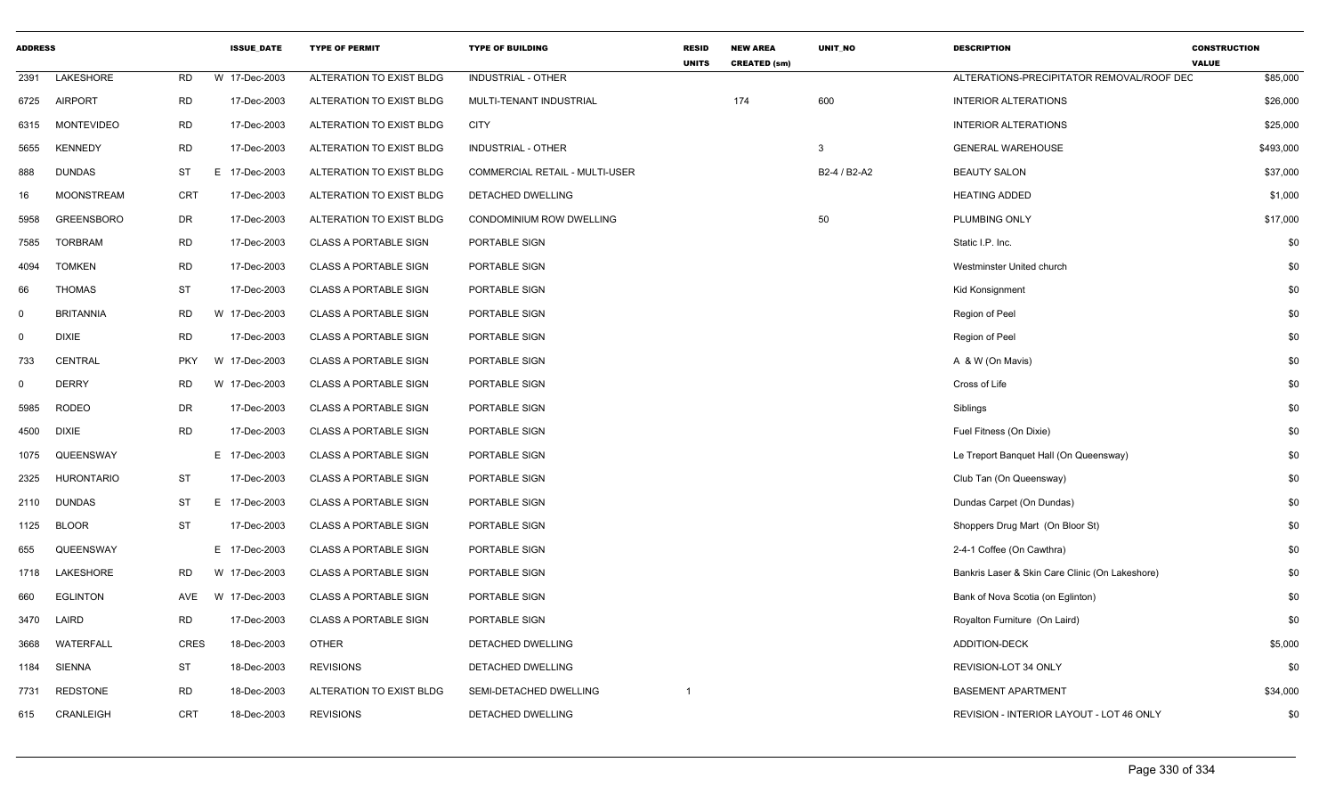| <b>ADDRESS</b> |                   |             | <b>ISSUE DATE</b> | <b>TYPE OF PERMIT</b>        | <b>TYPE OF BUILDING</b>               | <b>RESID</b><br><b>UNITS</b> | <b>NEW AREA</b><br><b>CREATED (sm)</b> | <b>UNIT NO</b> | <b>DESCRIPTION</b>                              | <b>CONSTRUCTION</b><br><b>VALUE</b> |
|----------------|-------------------|-------------|-------------------|------------------------------|---------------------------------------|------------------------------|----------------------------------------|----------------|-------------------------------------------------|-------------------------------------|
| 2391           | <b>LAKESHORE</b>  | <b>RD</b>   | W 17-Dec-2003     | ALTERATION TO EXIST BLDG     | <b>INDUSTRIAL - OTHER</b>             |                              |                                        |                | ALTERATIONS-PRECIPITATOR REMOVAL/ROOF DEC       | \$85,000                            |
| 6725           | <b>AIRPORT</b>    | <b>RD</b>   | 17-Dec-2003       | ALTERATION TO EXIST BLDG     | MULTI-TENANT INDUSTRIAL               |                              | 174                                    | 600            | <b>INTERIOR ALTERATIONS</b>                     | \$26,000                            |
| 6315           | <b>MONTEVIDEO</b> | <b>RD</b>   | 17-Dec-2003       | ALTERATION TO EXIST BLDG     | <b>CITY</b>                           |                              |                                        |                | <b>INTERIOR ALTERATIONS</b>                     | \$25,000                            |
| 5655           | <b>KENNEDY</b>    | <b>RD</b>   | 17-Dec-2003       | ALTERATION TO EXIST BLDG     | <b>INDUSTRIAL - OTHER</b>             |                              |                                        | 3              | <b>GENERAL WAREHOUSE</b>                        | \$493,000                           |
| 888            | <b>DUNDAS</b>     | <b>ST</b>   | E<br>17-Dec-2003  | ALTERATION TO EXIST BLDG     | <b>COMMERCIAL RETAIL - MULTI-USER</b> |                              |                                        | B2-4 / B2-A2   | <b>BEAUTY SALON</b>                             | \$37,000                            |
| 16             | <b>MOONSTREAM</b> | <b>CRT</b>  | 17-Dec-2003       | ALTERATION TO EXIST BLDG     | DETACHED DWELLING                     |                              |                                        |                | <b>HEATING ADDED</b>                            | \$1,000                             |
| 5958           | <b>GREENSBORO</b> | DR          | 17-Dec-2003       | ALTERATION TO EXIST BLDG     | CONDOMINIUM ROW DWELLING              |                              |                                        | 50             | PLUMBING ONLY                                   | \$17,000                            |
| 7585           | <b>TORBRAM</b>    | RD          | 17-Dec-2003       | <b>CLASS A PORTABLE SIGN</b> | PORTABLE SIGN                         |                              |                                        |                | Static I.P. Inc.                                | \$0                                 |
| 4094           | <b>TOMKEN</b>     | <b>RD</b>   | 17-Dec-2003       | <b>CLASS A PORTABLE SIGN</b> | PORTABLE SIGN                         |                              |                                        |                | Westminster United church                       | \$0                                 |
| 66             | <b>THOMAS</b>     | <b>ST</b>   | 17-Dec-2003       | <b>CLASS A PORTABLE SIGN</b> | PORTABLE SIGN                         |                              |                                        |                | <b>Kid Konsignment</b>                          | \$0                                 |
| 0              | <b>BRITANNIA</b>  | RD          | W 17-Dec-2003     | <b>CLASS A PORTABLE SIGN</b> | PORTABLE SIGN                         |                              |                                        |                | Region of Peel                                  | \$0                                 |
| 0              | <b>DIXIE</b>      | <b>RD</b>   | 17-Dec-2003       | <b>CLASS A PORTABLE SIGN</b> | PORTABLE SIGN                         |                              |                                        |                | Region of Peel                                  | \$0                                 |
| 733            | <b>CENTRAL</b>    | <b>PKY</b>  | W 17-Dec-2003     | <b>CLASS A PORTABLE SIGN</b> | PORTABLE SIGN                         |                              |                                        |                | A & W (On Mavis)                                | \$0                                 |
| $\mathbf 0$    | <b>DERRY</b>      | <b>RD</b>   | W 17-Dec-2003     | <b>CLASS A PORTABLE SIGN</b> | PORTABLE SIGN                         |                              |                                        |                | Cross of Life                                   | \$0                                 |
| 5985           | <b>RODEO</b>      | DR          | 17-Dec-2003       | <b>CLASS A PORTABLE SIGN</b> | PORTABLE SIGN                         |                              |                                        |                | Siblings                                        | \$0                                 |
| 4500           | <b>DIXIE</b>      | <b>RD</b>   | 17-Dec-2003       | <b>CLASS A PORTABLE SIGN</b> | PORTABLE SIGN                         |                              |                                        |                | Fuel Fitness (On Dixie)                         | \$0                                 |
| 1075           | QUEENSWAY         |             | E 17-Dec-2003     | <b>CLASS A PORTABLE SIGN</b> | PORTABLE SIGN                         |                              |                                        |                | Le Treport Banquet Hall (On Queensway)          | \$0                                 |
| 2325           | <b>HURONTARIO</b> | <b>ST</b>   | 17-Dec-2003       | <b>CLASS A PORTABLE SIGN</b> | PORTABLE SIGN                         |                              |                                        |                | Club Tan (On Queensway)                         | \$0                                 |
| 2110           | <b>DUNDAS</b>     | ST          | E 17-Dec-2003     | <b>CLASS A PORTABLE SIGN</b> | PORTABLE SIGN                         |                              |                                        |                | Dundas Carpet (On Dundas)                       | \$0                                 |
| 1125           | <b>BLOOR</b>      | <b>ST</b>   | 17-Dec-2003       | <b>CLASS A PORTABLE SIGN</b> | PORTABLE SIGN                         |                              |                                        |                | Shoppers Drug Mart (On Bloor St)                | \$0                                 |
| 655            | QUEENSWAY         |             | E 17-Dec-2003     | <b>CLASS A PORTABLE SIGN</b> | PORTABLE SIGN                         |                              |                                        |                | 2-4-1 Coffee (On Cawthra)                       | \$0                                 |
| 1718           | LAKESHORE         | RD.         | W 17-Dec-2003     | <b>CLASS A PORTABLE SIGN</b> | PORTABLE SIGN                         |                              |                                        |                | Bankris Laser & Skin Care Clinic (On Lakeshore) | \$0                                 |
| 660            | <b>EGLINTON</b>   | AVE         | W 17-Dec-2003     | <b>CLASS A PORTABLE SIGN</b> | PORTABLE SIGN                         |                              |                                        |                | Bank of Nova Scotia (on Eglinton)               | \$0                                 |
| 3470           | LAIRD             | <b>RD</b>   | 17-Dec-2003       | <b>CLASS A PORTABLE SIGN</b> | PORTABLE SIGN                         |                              |                                        |                | Royalton Furniture (On Laird)                   | \$0                                 |
| 3668           | <b>WATERFALL</b>  | <b>CRES</b> | 18-Dec-2003       | <b>OTHER</b>                 | DETACHED DWELLING                     |                              |                                        |                | <b>ADDITION-DECK</b>                            | \$5,000                             |
| 1184           | <b>SIENNA</b>     | ST          | 18-Dec-2003       | <b>REVISIONS</b>             | DETACHED DWELLING                     |                              |                                        |                | REVISION-LOT 34 ONLY                            | \$0                                 |
| 7731           | <b>REDSTONE</b>   | <b>RD</b>   | 18-Dec-2003       | ALTERATION TO EXIST BLDG     | SEMI-DETACHED DWELLING                | $\overline{1}$               |                                        |                | <b>BASEMENT APARTMENT</b>                       | \$34,000                            |
| 615            | CRANLEIGH         | <b>CRT</b>  | 18-Dec-2003       | <b>REVISIONS</b>             | DETACHED DWELLING                     |                              |                                        |                | REVISION - INTERIOR LAYOUT - LOT 46 ONLY        | \$0                                 |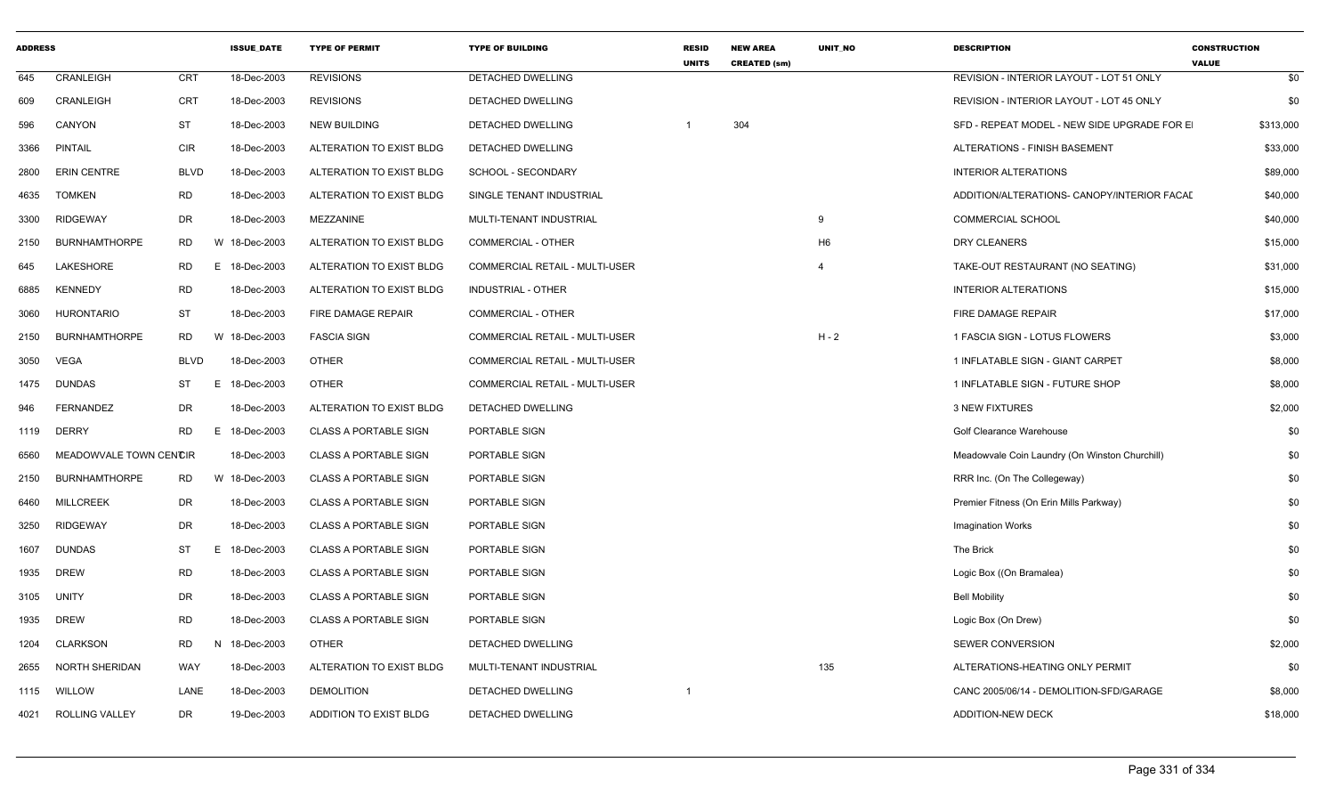| <b>ADDRESS</b> |                        |             | <b>ISSUE DATE</b> | <b>TYPE OF PERMIT</b>        | <b>TYPE OF BUILDING</b>        | <b>RESID</b><br><b>UNITS</b> | <b>NEW AREA</b><br><b>CREATED (sm)</b> | <b>UNIT NO</b> | <b>DESCRIPTION</b>                             | <b>CONSTRUCTION</b><br><b>VALUE</b> |
|----------------|------------------------|-------------|-------------------|------------------------------|--------------------------------|------------------------------|----------------------------------------|----------------|------------------------------------------------|-------------------------------------|
| 645            | CRANLEIGH              | <b>CRT</b>  | 18-Dec-2003       | <b>REVISIONS</b>             | <b>DETACHED DWELLING</b>       |                              |                                        |                | REVISION - INTERIOR LAYOUT - LOT 51 ONLY       | \$0                                 |
| 609            | CRANLEIGH              | <b>CRT</b>  | 18-Dec-2003       | <b>REVISIONS</b>             | DETACHED DWELLING              |                              |                                        |                | REVISION - INTERIOR LAYOUT - LOT 45 ONLY       | \$0                                 |
| 596            | CANYON                 | <b>ST</b>   | 18-Dec-2003       | <b>NEW BUILDING</b>          | DETACHED DWELLING              |                              | 304                                    |                | SFD - REPEAT MODEL - NEW SIDE UPGRADE FOR E    | \$313,000                           |
| 3366           | <b>PINTAIL</b>         | <b>CIR</b>  | 18-Dec-2003       | ALTERATION TO EXIST BLDG     | DETACHED DWELLING              |                              |                                        |                | ALTERATIONS - FINISH BASEMENT                  | \$33,000                            |
| 2800           | <b>ERIN CENTRE</b>     | <b>BLVD</b> | 18-Dec-2003       | ALTERATION TO EXIST BLDG     | SCHOOL - SECONDARY             |                              |                                        |                | <b>INTERIOR ALTERATIONS</b>                    | \$89,000                            |
| 4635           | <b>TOMKEN</b>          | <b>RD</b>   | 18-Dec-2003       | ALTERATION TO EXIST BLDG     | SINGLE TENANT INDUSTRIAL       |                              |                                        |                | ADDITION/ALTERATIONS- CANOPY/INTERIOR FACAL    | \$40,000                            |
| 3300           | <b>RIDGEWAY</b>        | DR          | 18-Dec-2003       | MEZZANINE                    | MULTI-TENANT INDUSTRIAL        |                              |                                        | 9              | <b>COMMERCIAL SCHOOL</b>                       | \$40,000                            |
| 2150           | <b>BURNHAMTHORPE</b>   | RD.         | W 18-Dec-2003     | ALTERATION TO EXIST BLDG     | COMMERCIAL - OTHER             |                              |                                        | H <sub>6</sub> | <b>DRY CLEANERS</b>                            | \$15,000                            |
| 645            | LAKESHORE              | <b>RD</b>   | E 18-Dec-2003     | ALTERATION TO EXIST BLDG     | COMMERCIAL RETAIL - MULTI-USER |                              |                                        | $\overline{4}$ | TAKE-OUT RESTAURANT (NO SEATING)               | \$31,000                            |
| 6885           | <b>KENNEDY</b>         | <b>RD</b>   | 18-Dec-2003       | ALTERATION TO EXIST BLDG     | <b>INDUSTRIAL - OTHER</b>      |                              |                                        |                | <b>INTERIOR ALTERATIONS</b>                    | \$15,000                            |
| 3060           | <b>HURONTARIO</b>      | <b>ST</b>   | 18-Dec-2003       | FIRE DAMAGE REPAIR           | <b>COMMERCIAL - OTHER</b>      |                              |                                        |                | FIRE DAMAGE REPAIR                             | \$17,000                            |
| 2150           | <b>BURNHAMTHORPE</b>   | <b>RD</b>   | W 18-Dec-2003     | <b>FASCIA SIGN</b>           | COMMERCIAL RETAIL - MULTI-USER |                              |                                        | $H - 2$        | 1 FASCIA SIGN - LOTUS FLOWERS                  | \$3,000                             |
| 3050           | <b>VEGA</b>            | <b>BLVD</b> | 18-Dec-2003       | <b>OTHER</b>                 | COMMERCIAL RETAIL - MULTI-USER |                              |                                        |                | 1 INFLATABLE SIGN - GIANT CARPET               | \$8,000                             |
| 1475           | <b>DUNDAS</b>          | ST          | E<br>18-Dec-2003  | <b>OTHER</b>                 | COMMERCIAL RETAIL - MULTI-USER |                              |                                        |                | 1 INFLATABLE SIGN - FUTURE SHOP                | \$8,000                             |
| 946            | <b>FERNANDEZ</b>       | DR          | 18-Dec-2003       | ALTERATION TO EXIST BLDG     | DETACHED DWELLING              |                              |                                        |                | <b>3 NEW FIXTURES</b>                          | \$2,000                             |
| 1119           | <b>DERRY</b>           | <b>RD</b>   | 18-Dec-2003<br>E  | <b>CLASS A PORTABLE SIGN</b> | PORTABLE SIGN                  |                              |                                        |                | Golf Clearance Warehouse                       | \$0                                 |
| 6560           | MEADOWVALE TOWN CENCIR |             | 18-Dec-2003       | <b>CLASS A PORTABLE SIGN</b> | PORTABLE SIGN                  |                              |                                        |                | Meadowvale Coin Laundry (On Winston Churchill) | \$0                                 |
| 2150           | <b>BURNHAMTHORPE</b>   | RD          | W 18-Dec-2003     | <b>CLASS A PORTABLE SIGN</b> | PORTABLE SIGN                  |                              |                                        |                | RRR Inc. (On The Collegeway)                   | \$0                                 |
| 6460           | <b>MILLCREEK</b>       | DR          | 18-Dec-2003       | <b>CLASS A PORTABLE SIGN</b> | PORTABLE SIGN                  |                              |                                        |                | Premier Fitness (On Erin Mills Parkway)        | \$0                                 |
| 3250           | <b>RIDGEWAY</b>        | DR          | 18-Dec-2003       | <b>CLASS A PORTABLE SIGN</b> | PORTABLE SIGN                  |                              |                                        |                | <b>Imagination Works</b>                       | \$0                                 |
| 1607           | <b>DUNDAS</b>          | ST          | E<br>18-Dec-2003  | <b>CLASS A PORTABLE SIGN</b> | PORTABLE SIGN                  |                              |                                        |                | The Brick                                      | \$0                                 |
| 1935           | <b>DREW</b>            | <b>RD</b>   | 18-Dec-2003       | <b>CLASS A PORTABLE SIGN</b> | PORTABLE SIGN                  |                              |                                        |                | Logic Box ((On Bramalea)                       | \$0                                 |
| 3105           | <b>UNITY</b>           | DR          | 18-Dec-2003       | <b>CLASS A PORTABLE SIGN</b> | PORTABLE SIGN                  |                              |                                        |                | <b>Bell Mobility</b>                           | \$0                                 |
| 1935           | <b>DREW</b>            | <b>RD</b>   | 18-Dec-2003       | <b>CLASS A PORTABLE SIGN</b> | PORTABLE SIGN                  |                              |                                        |                | Logic Box (On Drew)                            | \$0                                 |
| 1204           | <b>CLARKSON</b>        | <b>RD</b>   | N<br>18-Dec-2003  | <b>OTHER</b>                 | DETACHED DWELLING              |                              |                                        |                | SEWER CONVERSION                               | \$2,000                             |
| 2655           | NORTH SHERIDAN         | WAY         | 18-Dec-2003       | ALTERATION TO EXIST BLDG     | MULTI-TENANT INDUSTRIAL        |                              |                                        | 135            | ALTERATIONS-HEATING ONLY PERMIT                | \$0                                 |
| 1115           | <b>WILLOW</b>          | LANE        | 18-Dec-2003       | <b>DEMOLITION</b>            | DETACHED DWELLING              |                              |                                        |                | CANC 2005/06/14 - DEMOLITION-SFD/GARAGE        | \$8,000                             |
| 4021           | <b>ROLLING VALLEY</b>  | <b>DR</b>   | 19-Dec-2003       | ADDITION TO EXIST BLDG       | DETACHED DWELLING              |                              |                                        |                | <b>ADDITION-NEW DECK</b>                       | \$18,000                            |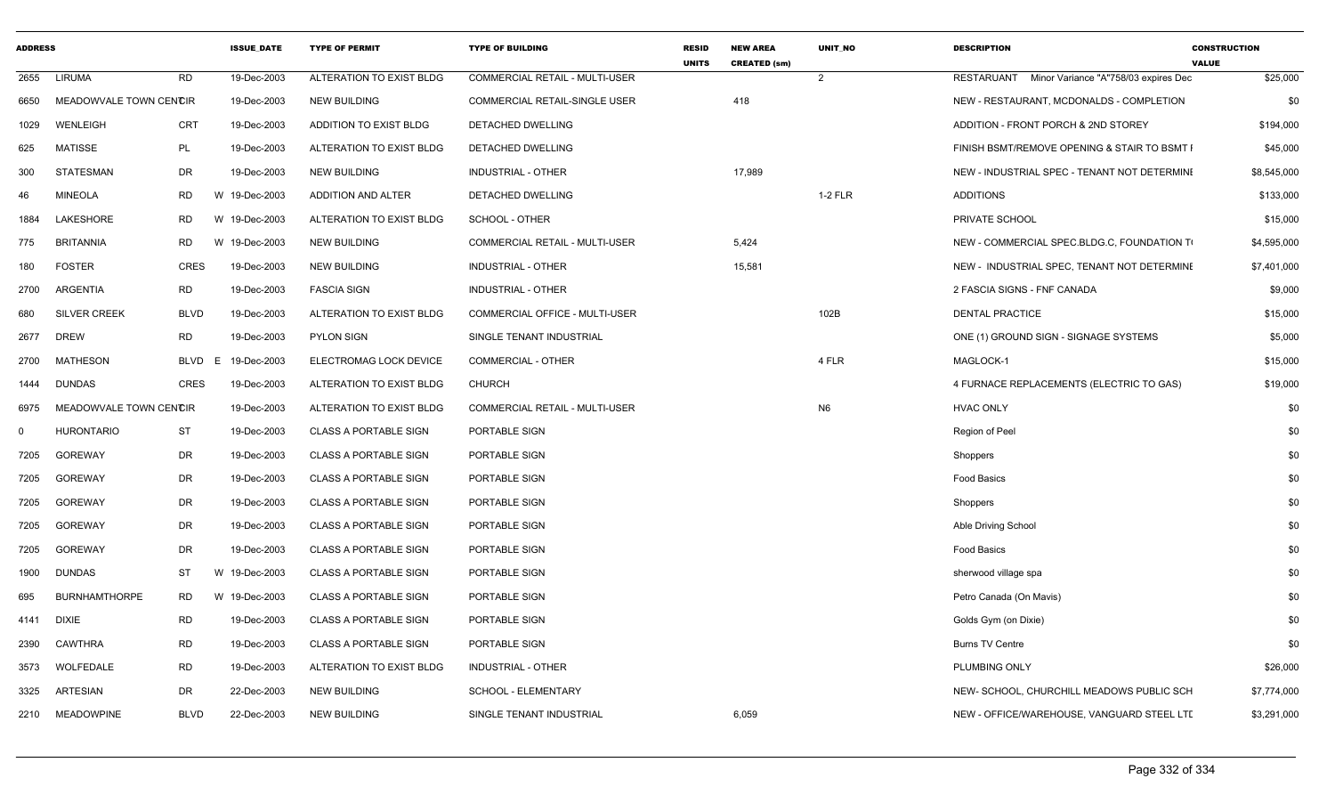| <b>ADDRESS</b> |                        |                | <b>ISSUE DATE</b> | <b>TYPE OF PERMIT</b>        | <b>TYPE OF BUILDING</b>               | <b>RESID</b><br><b>UNITS</b> | <b>NEW AREA</b><br><b>CREATED (sm)</b> | <b>UNIT NO</b> | <b>DESCRIPTION</b>                                 | <b>CONSTRUCTION</b><br><b>VALUE</b> |
|----------------|------------------------|----------------|-------------------|------------------------------|---------------------------------------|------------------------------|----------------------------------------|----------------|----------------------------------------------------|-------------------------------------|
| 2655           | LIRUMA                 | <b>RD</b>      | 19-Dec-2003       | ALTERATION TO EXIST BLDG     | <b>COMMERCIAL RETAIL - MULTI-USER</b> |                              |                                        | 2              | Minor Variance "A"758/03 expires Dec<br>RESTARUANT | \$25,000                            |
| 6650           | MEADOWVALE TOWN CENCIR |                | 19-Dec-2003       | <b>NEW BUILDING</b>          | COMMERCIAL RETAIL-SINGLE USER         |                              | 418                                    |                | NEW - RESTAURANT, MCDONALDS - COMPLETION           | \$0                                 |
| 1029           | <b>WENLEIGH</b>        | <b>CRT</b>     | 19-Dec-2003       | ADDITION TO EXIST BLDG       | DETACHED DWELLING                     |                              |                                        |                | ADDITION - FRONT PORCH & 2ND STOREY                | \$194,000                           |
| 625            | <b>MATISSE</b>         | PL             | 19-Dec-2003       | ALTERATION TO EXIST BLDG     | DETACHED DWELLING                     |                              |                                        |                | FINISH BSMT/REMOVE OPENING & STAIR TO BSMT I       | \$45,000                            |
| 300            | <b>STATESMAN</b>       | DR             | 19-Dec-2003       | <b>NEW BUILDING</b>          | <b>INDUSTRIAL - OTHER</b>             |                              | 17,989                                 |                | NEW - INDUSTRIAL SPEC - TENANT NOT DETERMINI       | \$8,545,000                         |
| 46             | <b>MINEOLA</b>         | RD             | W 19-Dec-2003     | ADDITION AND ALTER           | DETACHED DWELLING                     |                              |                                        | $1-2$ FLR      | <b>ADDITIONS</b>                                   | \$133,000                           |
| 1884           | LAKESHORE              | <b>RD</b><br>W | 19-Dec-2003       | ALTERATION TO EXIST BLDG     | SCHOOL - OTHER                        |                              |                                        |                | PRIVATE SCHOOL                                     | \$15,000                            |
| 775            | <b>BRITANNIA</b>       | <b>RD</b>      | W 19-Dec-2003     | <b>NEW BUILDING</b>          | <b>COMMERCIAL RETAIL - MULTI-USER</b> |                              | 5,424                                  |                | NEW - COMMERCIAL SPEC.BLDG.C, FOUNDATION TO        | \$4,595,000                         |
| 180            | <b>FOSTER</b>          | <b>CRES</b>    | 19-Dec-2003       | <b>NEW BUILDING</b>          | INDUSTRIAL - OTHER                    |                              | 15,581                                 |                | NEW - INDUSTRIAL SPEC, TENANT NOT DETERMINE        | \$7,401,000                         |
| 2700           | ARGENTIA               | <b>RD</b>      | 19-Dec-2003       | <b>FASCIA SIGN</b>           | INDUSTRIAL - OTHER                    |                              |                                        |                | 2 FASCIA SIGNS - FNF CANADA                        | \$9,000                             |
| 680            | <b>SILVER CREEK</b>    | <b>BLVD</b>    | 19-Dec-2003       | ALTERATION TO EXIST BLDG     | COMMERCIAL OFFICE - MULTI-USER        |                              |                                        | 102B           | <b>DENTAL PRACTICE</b>                             | \$15,000                            |
| 2677           | <b>DREW</b>            | <b>RD</b>      | 19-Dec-2003       | <b>PYLON SIGN</b>            | SINGLE TENANT INDUSTRIAL              |                              |                                        |                | ONE (1) GROUND SIGN - SIGNAGE SYSTEMS              | \$5,000                             |
| 2700           | <b>MATHESON</b>        | BLVD<br>E      | 19-Dec-2003       | ELECTROMAG LOCK DEVICE       | COMMERCIAL - OTHER                    |                              |                                        | 4 FLR          | MAGLOCK-1                                          | \$15,000                            |
| 1444           | <b>DUNDAS</b>          | <b>CRES</b>    | 19-Dec-2003       | ALTERATION TO EXIST BLDG     | <b>CHURCH</b>                         |                              |                                        |                | 4 FURNACE REPLACEMENTS (ELECTRIC TO GAS)           | \$19,000                            |
| 6975           | MEADOWVALE TOWN CENCIR |                | 19-Dec-2003       | ALTERATION TO EXIST BLDG     | COMMERCIAL RETAIL - MULTI-USER        |                              |                                        | N <sub>6</sub> | <b>HVAC ONLY</b>                                   | \$0                                 |
| $\Omega$       | <b>HURONTARIO</b>      | <b>ST</b>      | 19-Dec-2003       | <b>CLASS A PORTABLE SIGN</b> | PORTABLE SIGN                         |                              |                                        |                | Region of Peel                                     | \$0                                 |
| 7205           | <b>GOREWAY</b>         | DR             | 19-Dec-2003       | <b>CLASS A PORTABLE SIGN</b> | PORTABLE SIGN                         |                              |                                        |                | Shoppers                                           | \$0                                 |
| 7205           | <b>GOREWAY</b>         | DR             | 19-Dec-2003       | <b>CLASS A PORTABLE SIGN</b> | PORTABLE SIGN                         |                              |                                        |                | Food Basics                                        | \$0                                 |
| 7205           | <b>GOREWAY</b>         | DR             | 19-Dec-2003       | <b>CLASS A PORTABLE SIGN</b> | PORTABLE SIGN                         |                              |                                        |                | Shoppers                                           | \$0                                 |
| 7205           | <b>GOREWAY</b>         | DR             | 19-Dec-2003       | <b>CLASS A PORTABLE SIGN</b> | PORTABLE SIGN                         |                              |                                        |                | Able Driving School                                | \$0                                 |
| 7205           | <b>GOREWAY</b>         | DR             | 19-Dec-2003       | CLASS A PORTABLE SIGN        | PORTABLE SIGN                         |                              |                                        |                | Food Basics                                        | \$0                                 |
| 1900           | <b>DUNDAS</b>          | <b>ST</b>      | W 19-Dec-2003     | <b>CLASS A PORTABLE SIGN</b> | PORTABLE SIGN                         |                              |                                        |                | sherwood village spa                               | \$0                                 |
| 695            | <b>BURNHAMTHORPE</b>   | <b>RD</b>      | W 19-Dec-2003     | <b>CLASS A PORTABLE SIGN</b> | PORTABLE SIGN                         |                              |                                        |                | Petro Canada (On Mavis)                            | \$0                                 |
| 4141           | <b>DIXIE</b>           | <b>RD</b>      | 19-Dec-2003       | <b>CLASS A PORTABLE SIGN</b> | PORTABLE SIGN                         |                              |                                        |                | Golds Gym (on Dixie)                               | \$0                                 |
| 2390           | <b>CAWTHRA</b>         | <b>RD</b>      | 19-Dec-2003       | <b>CLASS A PORTABLE SIGN</b> | PORTABLE SIGN                         |                              |                                        |                | <b>Burns TV Centre</b>                             | \$0                                 |
| 3573           | WOLFEDALE              | <b>RD</b>      | 19-Dec-2003       | ALTERATION TO EXIST BLDG     | <b>INDUSTRIAL - OTHER</b>             |                              |                                        |                | PLUMBING ONLY                                      | \$26,000                            |
| 3325           | ARTESIAN               | DR             | 22-Dec-2003       | <b>NEW BUILDING</b>          | SCHOOL - ELEMENTARY                   |                              |                                        |                | NEW- SCHOOL, CHURCHILL MEADOWS PUBLIC SCH          | \$7,774,000                         |
|                | 2210 MEADOWPINE        | <b>BLVD</b>    | 22-Dec-2003       | <b>NEW BUILDING</b>          | SINGLE TENANT INDUSTRIAL              |                              | 6,059                                  |                | NEW - OFFICE/WAREHOUSE, VANGUARD STEEL LTI         | \$3,291,000                         |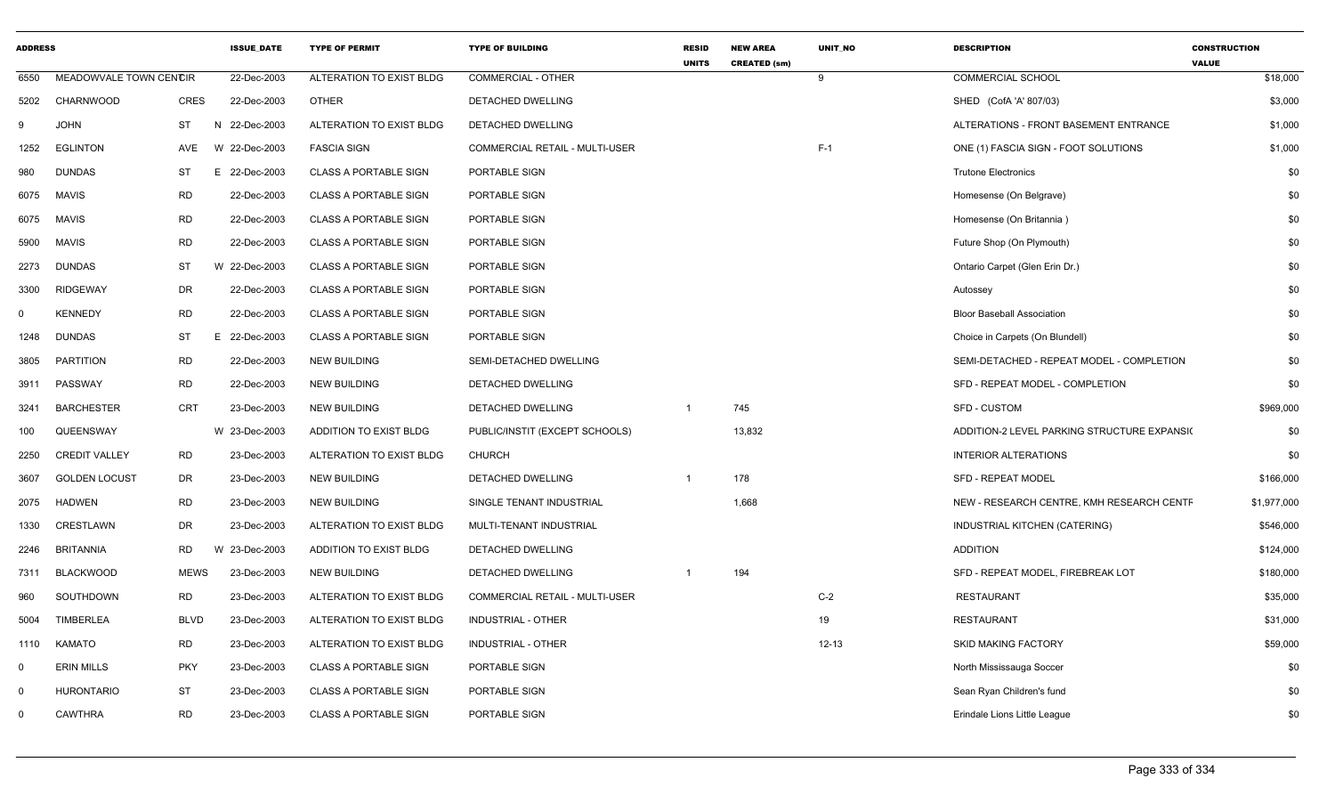| <b>ADDRESS</b> |                        |             | <b>ISSUE_DATE</b> | <b>TYPE OF PERMIT</b>        | <b>TYPE OF BUILDING</b>               | <b>RESID</b><br><b>UNITS</b> | <b>NEW AREA</b><br><b>CREATED (sm)</b> | UNIT_NO   | <b>DESCRIPTION</b>                          | <b>CONSTRUCTION</b><br><b>VALUE</b> |
|----------------|------------------------|-------------|-------------------|------------------------------|---------------------------------------|------------------------------|----------------------------------------|-----------|---------------------------------------------|-------------------------------------|
| 6550           | MEADOWVALE TOWN CENCIR |             | 22-Dec-2003       | ALTERATION TO EXIST BLDG     | <b>COMMERCIAL - OTHER</b>             |                              |                                        | 9         | <b>COMMERCIAL SCHOOL</b>                    | \$18,000                            |
| 5202           | CHARNWOOD              | CRES        | 22-Dec-2003       | <b>OTHER</b>                 | DETACHED DWELLING                     |                              |                                        |           | SHED (CofA 'A' 807/03)                      | \$3,000                             |
| 9              | <b>JOHN</b>            | ST          | N 22-Dec-2003     | ALTERATION TO EXIST BLDG     | DETACHED DWELLING                     |                              |                                        |           | ALTERATIONS - FRONT BASEMENT ENTRANCE       | \$1,000                             |
| 1252           | <b>EGLINTON</b>        | AVE         | W 22-Dec-2003     | <b>FASCIA SIGN</b>           | <b>COMMERCIAL RETAIL - MULTI-USER</b> |                              |                                        | $F-1$     | ONE (1) FASCIA SIGN - FOOT SOLUTIONS        | \$1,000                             |
| 980            | <b>DUNDAS</b>          | ST          | E 22-Dec-2003     | <b>CLASS A PORTABLE SIGN</b> | PORTABLE SIGN                         |                              |                                        |           | <b>Trutone Electronics</b>                  | \$0                                 |
| 6075           | <b>MAVIS</b>           | <b>RD</b>   | 22-Dec-2003       | <b>CLASS A PORTABLE SIGN</b> | PORTABLE SIGN                         |                              |                                        |           | Homesense (On Belgrave)                     | \$0                                 |
| 6075           | <b>MAVIS</b>           | <b>RD</b>   | 22-Dec-2003       | <b>CLASS A PORTABLE SIGN</b> | PORTABLE SIGN                         |                              |                                        |           | Homesense (On Britannia)                    | \$0                                 |
| 5900           | <b>MAVIS</b>           | <b>RD</b>   | 22-Dec-2003       | <b>CLASS A PORTABLE SIGN</b> | PORTABLE SIGN                         |                              |                                        |           | Future Shop (On Plymouth)                   | \$0                                 |
| 2273           | <b>DUNDAS</b>          | ST          | W 22-Dec-2003     | <b>CLASS A PORTABLE SIGN</b> | PORTABLE SIGN                         |                              |                                        |           | Ontario Carpet (Glen Erin Dr.)              | \$0                                 |
| 3300           | <b>RIDGEWAY</b>        | DR          | 22-Dec-2003       | <b>CLASS A PORTABLE SIGN</b> | PORTABLE SIGN                         |                              |                                        |           | Autossey                                    | \$0                                 |
| $\Omega$       | <b>KENNEDY</b>         | <b>RD</b>   | 22-Dec-2003       | <b>CLASS A PORTABLE SIGN</b> | PORTABLE SIGN                         |                              |                                        |           | <b>Bloor Baseball Association</b>           | \$0                                 |
| 1248           | <b>DUNDAS</b>          | ST          | E 22-Dec-2003     | <b>CLASS A PORTABLE SIGN</b> | PORTABLE SIGN                         |                              |                                        |           | Choice in Carpets (On Blundell)             | \$0                                 |
| 3805           | <b>PARTITION</b>       | <b>RD</b>   | 22-Dec-2003       | <b>NEW BUILDING</b>          | SEMI-DETACHED DWELLING                |                              |                                        |           | SEMI-DETACHED - REPEAT MODEL - COMPLETION   | \$0                                 |
| 3911           | PASSWAY                | <b>RD</b>   | 22-Dec-2003       | <b>NEW BUILDING</b>          | DETACHED DWELLING                     |                              |                                        |           | SFD - REPEAT MODEL - COMPLETION             | \$0                                 |
| 3241           | <b>BARCHESTER</b>      | CRT         | 23-Dec-2003       | <b>NEW BUILDING</b>          | DETACHED DWELLING                     | $\overline{1}$               | 745                                    |           | <b>SFD - CUSTOM</b>                         | \$969,000                           |
| 100            | QUEENSWAY              |             | W 23-Dec-2003     | ADDITION TO EXIST BLDG       | PUBLIC/INSTIT (EXCEPT SCHOOLS)        |                              | 13,832                                 |           | ADDITION-2 LEVEL PARKING STRUCTURE EXPANSIC | \$0                                 |
| 2250           | <b>CREDIT VALLEY</b>   | RD          | 23-Dec-2003       | ALTERATION TO EXIST BLDG     | <b>CHURCH</b>                         |                              |                                        |           | <b>INTERIOR ALTERATIONS</b>                 | \$0                                 |
| 3607           | <b>GOLDEN LOCUST</b>   | DR          | 23-Dec-2003       | <b>NEW BUILDING</b>          | DETACHED DWELLING                     | $\overline{1}$               | 178                                    |           | <b>SFD - REPEAT MODEL</b>                   | \$166,000                           |
| 2075           | <b>HADWEN</b>          | <b>RD</b>   | 23-Dec-2003       | <b>NEW BUILDING</b>          | SINGLE TENANT INDUSTRIAL              |                              | 1,668                                  |           | NEW - RESEARCH CENTRE, KMH RESEARCH CENTF   | \$1,977,000                         |
| 1330           | CRESTLAWN              | DR          | 23-Dec-2003       | ALTERATION TO EXIST BLDG     | MULTI-TENANT INDUSTRIAL               |                              |                                        |           | INDUSTRIAL KITCHEN (CATERING)               | \$546,000                           |
| 2246           | <b>BRITANNIA</b>       | RD<br>W     | 23-Dec-2003       | ADDITION TO EXIST BLDG       | DETACHED DWELLING                     |                              |                                        |           | <b>ADDITION</b>                             | \$124,000                           |
| 7311           | <b>BLACKWOOD</b>       | <b>MEWS</b> | 23-Dec-2003       | <b>NEW BUILDING</b>          | DETACHED DWELLING                     |                              | 194                                    |           | SFD - REPEAT MODEL, FIREBREAK LOT           | \$180,000                           |
| 960            | SOUTHDOWN              | RD          | 23-Dec-2003       | ALTERATION TO EXIST BLDG     | COMMERCIAL RETAIL - MULTI-USER        |                              |                                        | $C-2$     | <b>RESTAURANT</b>                           | \$35,000                            |
| 5004           | <b>TIMBERLEA</b>       | <b>BLVD</b> | 23-Dec-2003       | ALTERATION TO EXIST BLDG     | INDUSTRIAL - OTHER                    |                              |                                        | 19        | <b>RESTAURANT</b>                           | \$31,000                            |
| 1110           | <b>KAMATO</b>          | RD          | 23-Dec-2003       | ALTERATION TO EXIST BLDG     | <b>INDUSTRIAL - OTHER</b>             |                              |                                        | $12 - 13$ | <b>SKID MAKING FACTORY</b>                  | \$59,000                            |
| $\Omega$       | <b>ERIN MILLS</b>      | <b>PKY</b>  | 23-Dec-2003       | <b>CLASS A PORTABLE SIGN</b> | PORTABLE SIGN                         |                              |                                        |           | North Mississauga Soccer                    | \$0                                 |
| $\Omega$       | <b>HURONTARIO</b>      | ST          | 23-Dec-2003       | <b>CLASS A PORTABLE SIGN</b> | PORTABLE SIGN                         |                              |                                        |           | Sean Ryan Children's fund                   | \$0                                 |
| $\Omega$       | <b>CAWTHRA</b>         | RD          | 23-Dec-2003       | <b>CLASS A PORTABLE SIGN</b> | PORTABLE SIGN                         |                              |                                        |           | Erindale Lions Little League                | \$0                                 |